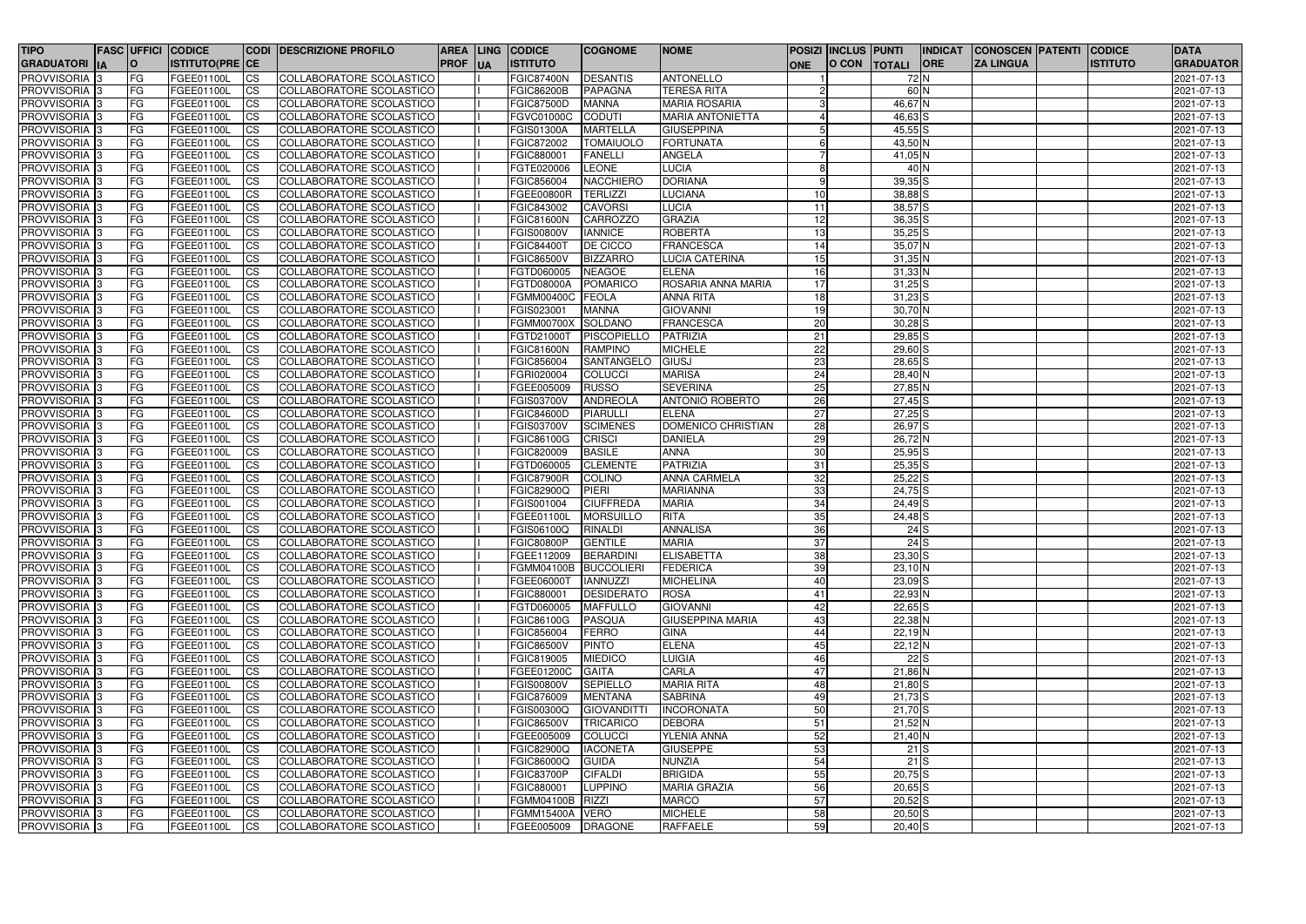| <b>TIPO</b>                |           | <b>FASC UFFICI CODICE</b> |                        | <b>CODI DESCRIZIONE PROFILO</b> |             |            | <b>AREA LING CODICE</b> | <b>COGNOME</b>    | <b>NOME</b>               |            | <b>POSIZI INCLUS PUNTI</b> |              | <b>INDICAT</b> | <b>CONOSCEN PATENTI</b> | <b>CODICE</b>   | <b>DATA</b>      |
|----------------------------|-----------|---------------------------|------------------------|---------------------------------|-------------|------------|-------------------------|-------------------|---------------------------|------------|----------------------------|--------------|----------------|-------------------------|-----------------|------------------|
| <b>GRADUATORI IA</b>       | O         | <b>ISTITUTO(PRE CE</b>    |                        |                                 | <b>PROF</b> | <b>IUA</b> | <b>ISTITUTO</b>         |                   |                           | <b>ONE</b> |                            | O CON TOTALI | <b>ORE</b>     | <b>ZA LINGUA</b>        | <b>ISTITUTO</b> | <b>GRADUATOR</b> |
| PROVVISORIA 3              | FG        | FGEE01100L                | <b>CS</b>              | <b>COLLABORATORE SCOLASTICO</b> |             |            | <b>FGIC87400N</b>       | <b>DESANTIS</b>   | <b>ANTONELLO</b>          |            |                            | 72 N         |                |                         |                 | 2021-07-13       |
| PROVVISORIA <sup>3</sup>   | FG        | FGEE01100L                | $\overline{c}$         | COLLABORATORE SCOLASTICO        |             |            | <b>FGIC86200B</b>       | <b>PAPAGNA</b>    | <b>TERESA RITA</b>        |            |                            | 60 N         |                |                         |                 | 2021-07-13       |
| <b>PROVVISORIA</b> 3       | FG        | FGEE01100L                | <b>ICS</b>             | COLLABORATORE SCOLASTICO        |             |            | <b>FGIC87500D</b>       | <b>MANNA</b>      | <b>MARIA ROSARIA</b>      |            |                            | 46,67N       |                |                         |                 | 2021-07-13       |
| PROVVISORIA <sup>3</sup>   | FG        | FGEE01100L                | <b>ICS</b>             | COLLABORATORE SCOLASTICO        |             |            | FGVC01000C              | <b>CODUTI</b>     | <b>MARIA ANTONIETTA</b>   |            |                            | 46,63 S      |                |                         |                 | 2021-07-13       |
| PROVVISORIA <sup>3</sup>   | FG        | FGEE01100L                | <b>CS</b>              | COLLABORATORE SCOLASTICO        |             |            | FGIS01300A              | <b>MARTELLA</b>   | <b>GIUSEPPINA</b>         |            |                            | $45,55$ S    |                |                         |                 | 2021-07-13       |
| PROVVISORIA <sup>3</sup>   | FG.       | FGEE01100L                | <b>CS</b>              | COLLABORATORE SCOLASTICO        |             |            | FGIC872002              | <b>TOMAIUOLO</b>  | <b>FORTUNATA</b>          | 6          |                            | 43,50 N      |                |                         |                 | 2021-07-13       |
| PROVVISORIA <sup>3</sup>   | FG        | FGEE01100L                | <b>CS</b>              | COLLABORATORE SCOLASTICO        |             |            | FGIC880001              | <b>FANELLI</b>    | <b>ANGELA</b>             |            |                            | 41,05 N      |                |                         |                 | 2021-07-13       |
| PROVVISORIA <sup>3</sup>   | FG        | FGEE01100L                | <b>CS</b>              | COLLABORATORE SCOLASTICO        |             |            | FGTE020006              | <b>LEONE</b>      | <b>LUCIA</b>              | 8          |                            | $40$ N       |                |                         |                 | 2021-07-13       |
| PROVVISORIA <sup>3</sup>   | FG        | FGEE01100L                | <b>CS</b>              | COLLABORATORE SCOLASTICO        |             |            | FGIC856004              | <b>NACCHIERO</b>  | <b>DORIANA</b>            | -9         |                            | $39,35$ $S$  |                |                         |                 | 2021-07-13       |
| PROVVISORIA <sup>3</sup>   | FG        | FGEE01100L                | <b>CS</b>              | COLLABORATORE SCOLASTICO        |             |            | <b>FGEE00800R</b>       | <b>TERLIZZI</b>   | <b>LUCIANA</b>            | 10         |                            | 38,88 S      |                |                         |                 | 2021-07-13       |
| PROVVISORIA <sup>3</sup>   | FG        | FGEE01100L                | <b>CS</b>              | COLLABORATORE SCOLASTICO        |             |            | FGIC843002              | <b>CAVORSI</b>    | <b>LUCIA</b>              | 11         |                            | $38,57$ $S$  |                |                         |                 | 2021-07-13       |
| PROVVISORIA <sup>3</sup>   | FG        | FGEE01100L                | <b>CS</b>              | COLLABORATORE SCOLASTICO        |             |            | FGIC81600N              | <b>CARROZZO</b>   | <b>GRAZIA</b>             | 12         |                            | $36,35$ $S$  |                |                         |                 | 2021-07-13       |
| PROVVISORIA <sup>1</sup> 3 | FG        | FGEE01100L                | <b>CS</b>              | COLLABORATORE SCOLASTICO        |             |            | <b>FGIS00800V</b>       | <b>IANNICE</b>    | <b>ROBERTA</b>            | 13         |                            | $35,25$ S    |                |                         |                 | 2021-07-13       |
| PROVVISORIA <sup>1</sup> 3 | FG        | <b>FGEE01100L</b>         | <b>CS</b>              | COLLABORATORE SCOLASTICO        |             |            | <b>FGIC84400T</b>       | <b>DE CICCO</b>   | <b>FRANCESCA</b>          | 14         |                            | 35,07 N      |                |                         |                 | 2021-07-13       |
| PROVVISORIA <sup>3</sup>   | FG        | FGEE01100L                | $\overline{\text{cs}}$ | COLLABORATORE SCOLASTICO        |             |            | <b>FGIC86500V</b>       | <b>BIZZARRO</b>   | <b>LUCIA CATERINA</b>     | 15         |                            | $31,35$ N    |                |                         |                 | 2021-07-13       |
| PROVVISORIA <sup>3</sup>   | FG        | FGEE01100L                | <b>CS</b>              | COLLABORATORE SCOLASTICO        |             |            | FGTD060005              | <b>NEAGOE</b>     | <b>ELENA</b>              | 16         |                            | $31,33$ N    |                |                         |                 | 2021-07-13       |
| PROVVISORIA <sup>3</sup>   | FG        | FGEE01100L                | <b>CS</b>              | COLLABORATORE SCOLASTICO        |             |            | FGTD08000A              | <b>POMARICO</b>   | <b>ROSARIA ANNA MARIA</b> | 17         |                            | $31,25$ S    |                |                         |                 | 2021-07-13       |
| PROVVISORIA <sup>3</sup>   | FG        | FGEE01100L                | <b>CS</b>              | COLLABORATORE SCOLASTICO        |             |            | FGMM00400C              | <b>FEOLA</b>      | <b>ANNA RITA</b>          | 18         |                            | $31,23$ S    |                |                         |                 | 2021-07-13       |
| PROVVISORIA 3              | FG        | FGEE01100L                | $\overline{c}$         | COLLABORATORE SCOLASTICO        |             |            | FGIS023001              | <b>MANNA</b>      | <b>GIOVANNI</b>           | 19         |                            | 30,70 N      |                |                         |                 | 2021-07-13       |
| PROVVISORIA 3              | FG        | FGEE01100L                | <b>CS</b>              | COLLABORATORE SCOLASTICO        |             |            | <b>FGMM00700X</b>       | <b>SOLDANO</b>    | <b>FRANCESCA</b>          | 20         |                            | $30,28$ S    |                |                         |                 | 2021-07-13       |
| PROVVISORIA 3              | FG        | <b>FGEE01100L</b>         | $\overline{c}$         | COLLABORATORE SCOLASTICO        |             |            | FGTD21000T              | PISCOPIELLO       | <b>PATRIZIA</b>           | 21         |                            | $29,85$ S    |                |                         |                 | 2021-07-13       |
|                            |           | <b>FGEE01100L</b>         |                        | COLLABORATORE SCOLASTICO        |             |            |                         | <b>RAMPINO</b>    | <b>MICHELE</b>            |            |                            |              |                |                         |                 |                  |
| PROVVISORIA <sup>3</sup>   | FG        |                           | $\overline{c}$         |                                 |             |            | <b>FGIC81600N</b>       | SANTANGELO        |                           | 22         |                            | $29,60$ S    |                |                         |                 | 2021-07-13       |
| PROVVISORIA <sup>3</sup>   | FG        | FGEE01100L                | $\overline{c}$         | COLLABORATORE SCOLASTICO        |             |            | FGIC856004              |                   | GIUSJ                     | 23         |                            | $28,65$ S    |                |                         |                 | 2021-07-13       |
| PROVVISORIA <sup>3</sup>   | FG        | FGEE01100L                | <b>CS</b>              | COLLABORATORE SCOLASTICO        |             |            | FGRI020004              | COLUCCI           | <b>MARISA</b>             | 24         |                            | 28,40 N      |                |                         |                 | 2021-07-13       |
| PROVVISORIA <sup>3</sup>   | FG        | FGEE01100L                | $\overline{c}$         | COLLABORATORE SCOLASTICO        |             |            | FGEE005009              | <b>RUSSO</b>      | <b>SEVERINA</b>           | 25         |                            | $27,85$ N    |                |                         |                 | 2021-07-13       |
| PROVVISORIA <sup>3</sup>   | FG        | FGEE01100L                | <b>CS</b>              | COLLABORATORE SCOLASTICO        |             |            | <b>FGIS03700V</b>       | <b>ANDREOLA</b>   | <b>ANTONIO ROBERTO</b>    | 26         |                            | $27,45$ S    |                |                         |                 | 2021-07-13       |
| PROVVISORIA <sup>3</sup>   | FG        | FGEE01100L                | <b>ICS</b>             | COLLABORATORE SCOLASTICO        |             |            | <b>FGIC84600D</b>       | <b>PIARULLI</b>   | <b>ELENA</b>              | 27         |                            | $27,25$ S    |                |                         |                 | 2021-07-13       |
| <b>PROVVISORIA</b> 3       | FG        | FGEE01100L                | <b>ICS</b>             | COLLABORATORE SCOLASTICO        |             |            | <b>FGIS03700V</b>       | <b>SCIMENES</b>   | DOMENICO CHRISTIAN        | 28         |                            | 26,97 S      |                |                         |                 | 2021-07-13       |
| PROVVISORIA <sup>3</sup>   | FG        | FGEE01100L                | <b>ICS</b>             | COLLABORATORE SCOLASTICO        |             |            | FGIC86100G              | <b>CRISCI</b>     | <b>DANIELA</b>            | 29         |                            | 26,72 N      |                |                         |                 | 2021-07-13       |
| PROVVISORIA 3              | FG        | FGEE01100L                | <b>ICS</b>             | COLLABORATORE SCOLASTICO        |             |            | FGIC820009              | <b>BASILE</b>     | <b>ANNA</b>               | 30         |                            | $25,95$ S    |                |                         |                 | 2021-07-13       |
| PROVVISORIA <sup>3</sup>   | FG        | FGEE01100L                | <b>ICS</b>             | COLLABORATORE SCOLASTICO        |             |            | FGTD060005              | <b>CLEMENTE</b>   | <b>PATRIZIA</b>           | 31         |                            | $25,35$ S    |                |                         |                 | 2021-07-13       |
| PROVVISORIA <sup>3</sup>   | FG.       | FGEE01100L                | <b>ICS</b>             | COLLABORATORE SCOLASTICO        |             |            | <b>FGIC87900R</b>       | <b>COLINO</b>     | <b>ANNA CARMELA</b>       | 32         |                            | $25,22$ S    |                |                         |                 | 2021-07-13       |
| PROVVISORIA <sup>3</sup>   | FG        | FGEE01100L                | <b>CS</b>              | COLLABORATORE SCOLASTICO        |             |            | <b>FGIC82900Q</b>       | <b>PIERI</b>      | <b>MARIANNA</b>           | 33         |                            | $24,75$ S    |                |                         |                 | 2021-07-13       |
| PROVVISORIA <sup>3</sup>   | FG        | FGEE01100L                | <b>CS</b>              | COLLABORATORE SCOLASTICO        |             |            | FGIS001004              | <b>CIUFFREDA</b>  | <b>MARIA</b>              | 34         |                            | $24,49$ S    |                |                         |                 | 2021-07-13       |
| PROVVISORIA <sup>3</sup>   | FG        | FGEE01100L                | <b>CS</b>              | COLLABORATORE SCOLASTICO        |             |            | FGEE01100L              | <b>MORSUILLO</b>  | <b>RITA</b>               | 35         |                            | $24,48$ $S$  |                |                         |                 | 2021-07-13       |
| PROVVISORIA 3              | IFG.      | FGEE01100L                | <b>CS</b>              | COLLABORATORE SCOLASTICO        |             |            | <b>FGIS06100Q</b>       | RINALDI           | <b>ANNALISA</b>           | 36         |                            |              | 24S            |                         |                 | 2021-07-13       |
| PROVVISORIA <sup>3</sup>   | <b>FG</b> | FGEE01100L                | <b>CS</b>              | COLLABORATORE SCOLASTICO        |             |            | <b>FGIC80800P</b>       | <b>GENTILE</b>    | <b>MARIA</b>              | 37         |                            |              | 24S            |                         |                 | 2021-07-13       |
| <b>PROVVISORIA</b> 3       | FG        | <b>FGEE01100L</b>         | <b>CS</b>              | COLLABORATORE SCOLASTICO        |             |            | FGEE112009              | <b>BERARDINI</b>  | <b>ELISABETTA</b>         | 38         |                            | $23,30$ S    |                |                         |                 | 2021-07-13       |
| <b>PROVVISORIA</b> 3       | <b>FG</b> | FGEE01100L                | <b>CS</b>              | COLLABORATORE SCOLASTICO        |             |            | FGMM04100B BUCCOLIERI   |                   | <b>FEDERICA</b>           | 39         |                            | $23,10$ N    |                |                         |                 | 2021-07-13       |
| PROVVISORIA 3              | FG        | FGEE01100L                | <b>CS</b>              | COLLABORATORE SCOLASTICO        |             |            | FGEE06000T              | <b>IANNUZZI</b>   | <b>MICHELINA</b>          | 40         |                            | $23,09$ S    |                |                         |                 | 2021-07-13       |
| PROVVISORIA 3              | FG        | <b>FGEE01100L</b>         | <b>CS</b>              | COLLABORATORE SCOLASTICO        |             |            | FGIC880001              | <b>DESIDERATO</b> | <b>ROSA</b>               | 41         |                            | $22,93$ N    |                |                         |                 | 2021-07-13       |
| PROVVISORIA 3              | FG        | FGEE01100L                | <b>CS</b>              | <b>COLLABORATORE SCOLASTICO</b> |             |            | FGTD060005              | <b>MAFFULLO</b>   | <b>GIOVANNI</b>           | 42         |                            | $22,65$ S    |                |                         |                 | 2021-07-13       |
| PROVVISORIA 3              | FG        | FGEE01100L                | <b>CS</b>              | <b>COLLABORATORE SCOLASTICO</b> |             |            | FGIC86100G              | PASQUA            | <b>GIUSEPPINA MARIA</b>   | 43         |                            | 22,38 N      |                |                         |                 | 2021-07-13       |
| PROVVISORIA 3              | FG        | FGEE01100L                | <b>CS</b>              | COLLABORATORE SCOLASTICO        |             |            | FGIC856004              | FERRO             | <b>GINA</b>               | 44         |                            | $22,19$ N    |                |                         |                 | 2021-07-13       |
| PROVVISORIA 3              | <b>FG</b> | FGEE01100L                | <b>CS</b>              | COLLABORATORE SCOLASTICO        |             |            | <b>FGIC86500V</b>       | <b>PINTO</b>      | <b>ELENA</b>              | 45         |                            | $22,12$ N    |                |                         |                 | 2021-07-13       |
| PROVVISORIA 3              | <b>FG</b> | FGEE01100L                | <b>CS</b>              | COLLABORATORE SCOLASTICO        |             |            | FGIC819005              | <b>MIEDICO</b>    | <b>LUIGIA</b>             | 46         |                            |              | $22\text{S}$   |                         |                 | 2021-07-13       |
| PROVVISORIA 3              | FG        | FGEE01100L                | <b>ICS</b>             | COLLABORATORE SCOLASTICO        |             |            | FGEE01200C              | GAITA             | <b>CARLA</b>              | 47         |                            | $21,86$ N    |                |                         |                 | 2021-07-13       |
| PROVVISORIA 3              | FG        | <b>FGEE01100L</b>         | <b>CS</b>              | COLLABORATORE SCOLASTICO        |             |            | <b>FGIS00800V</b>       | <b>SEPIELLO</b>   | <b>MARIA RITA</b>         | 48         |                            | $21,80$ S    |                |                         |                 | 2021-07-13       |
| PROVVISORIA 3              | FG        | FGEE01100L                | <b>CS</b>              | COLLABORATORE SCOLASTICO        |             |            | FGIC876009              | <b>MENTANA</b>    | <b>SABRINA</b>            | 49         |                            | $21,73$ S    |                |                         |                 | 2021-07-13       |
| PROVVISORIA 3              | <b>FG</b> | FGEE01100L                | <b>CS</b>              | COLLABORATORE SCOLASTICO        |             |            | FGIS00300Q              | <b>GIOVANDITT</b> | <b>INCORONATA</b>         | 50         |                            | $21,70$ S    |                |                         |                 | 2021-07-13       |
| PROVVISORIA <sup>3</sup>   | FG        | FGEE01100L                | <b>CS</b>              | COLLABORATORE SCOLASTICO        |             |            | <b>FGIC86500V</b>       | <b>TRICARICO</b>  | <b>DEBORA</b>             | 51         |                            | $21,52$ N    |                |                         |                 | 2021-07-13       |
| PROVVISORIA 3              | <b>FG</b> | FGEE01100L                | <b>CS</b>              | COLLABORATORE SCOLASTICO        |             |            | FGEE005009              | <b>COLUCCI</b>    | <b>YLENIA ANNA</b>        | 52         |                            | $21,40$ N    |                |                         |                 | 2021-07-13       |
| PROVVISORIA <sup>3</sup>   | FG        | FGEE01100L                | <b>CS</b>              | COLLABORATORE SCOLASTICO        |             |            | <b>FGIC82900Q</b>       | <b>IACONETA</b>   | <b>GIUSEPPE</b>           | 53         |                            |              | $21$ S         |                         |                 | 2021-07-13       |
| PROVVISORIA <sup>3</sup>   | FG        | FGEE01100L                | <b>CS</b>              | COLLABORATORE SCOLASTICO        |             |            | <b>FGIC86000Q</b>       | <b>GUIDA</b>      | <b>NUNZIA</b>             | 54         |                            | $21$ S       |                |                         |                 | 2021-07-13       |
| PROVVISORIA <sup>3</sup>   | FG        | FGEE01100L                | <b>CS</b>              | COLLABORATORE SCOLASTICO        |             |            | <b>FGIC83700P</b>       | <b>CIFALDI</b>    | <b>BRIGIDA</b>            | 55         |                            | $20,75$ S    |                |                         |                 | 2021-07-13       |
| PROVVISORIA 3              | FG        | FGEE01100L                | <b>CS</b>              | COLLABORATORE SCOLASTICO        |             |            | FGIC880001              | <b>LUPPINO</b>    | <b>MARIA GRAZIA</b>       | 56         |                            | $20,65$ S    |                |                         |                 | 2021-07-13       |
| PROVVISORIA 3              | FG        | FGEE01100L                | <b>CS</b>              | COLLABORATORE SCOLASTICO        |             |            | <b>FGMM04100B</b>       | RIZZI             | <b>MARCO</b>              | 57         |                            | $20,52$ S    |                |                         |                 | 2021-07-13       |
| PROVVISORIA 3              | <b>FG</b> | FGEE01100L                | <b>CS</b>              | COLLABORATORE SCOLASTICO        |             |            | <b>FGMM15400A</b>       | <b>VERO</b>       | <b>MICHELE</b>            | 58         |                            | $20,50$ S    |                |                         |                 | 2021-07-13       |
| PROVVISORIA 3              | FG        | FGEE01100L                | <b>CS</b>              | COLLABORATORE SCOLASTICO        |             |            | FGEE005009              | <b>DRAGONE</b>    | <b>RAFFAELE</b>           | 59         |                            | $20,40$ S    |                |                         |                 | 2021-07-13       |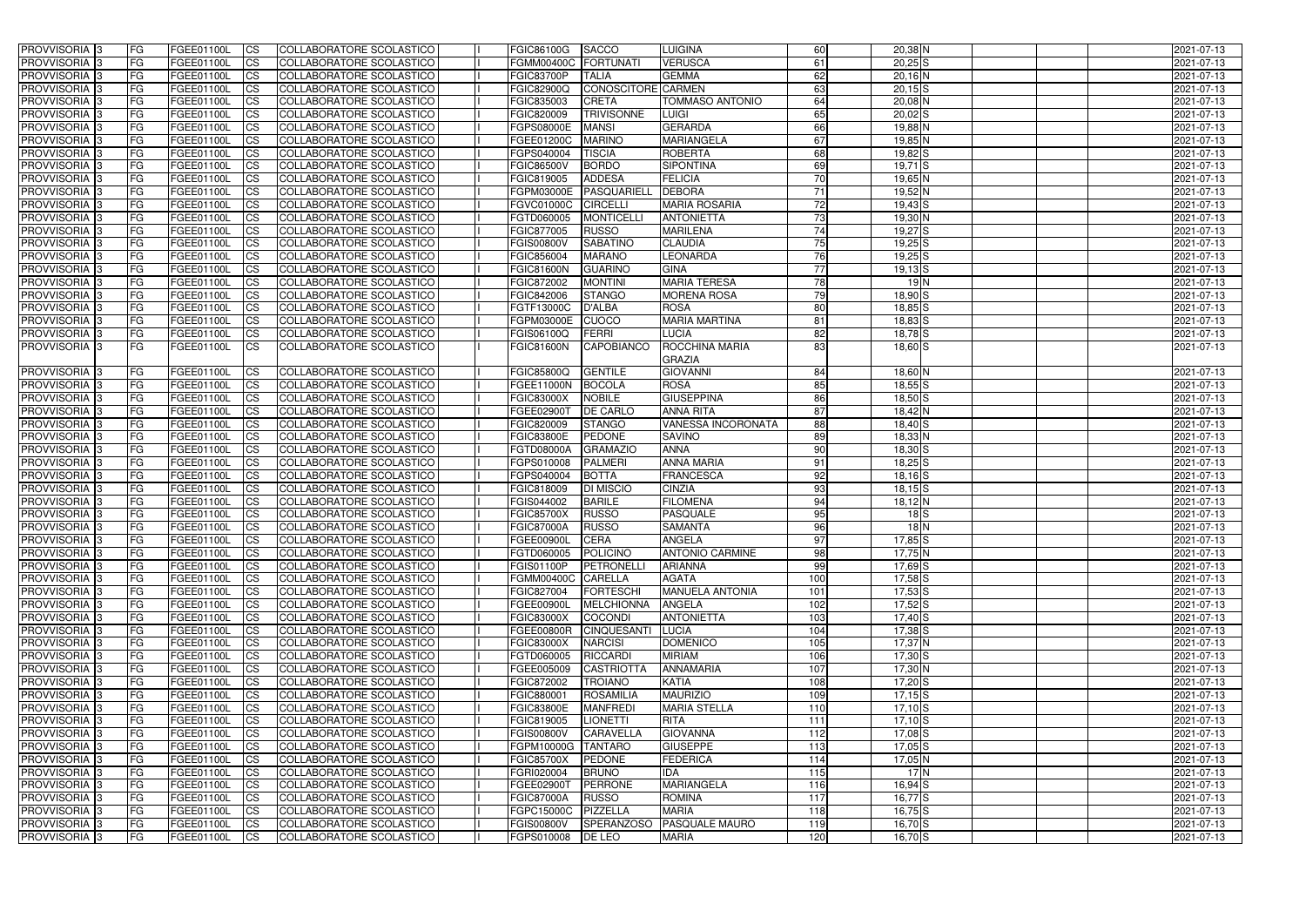| <b>PROVVISORIA</b> 3                  | FG         | FGEE01100L                  | <b>CS</b>              | COLLABORATORE SCOLASTICO                             | <b>FGIC86100G</b>                      | <b>SACCO</b>       | <b>LUIGINA</b>                    | 60              | 20,38 N                  | 2021-07-13               |
|---------------------------------------|------------|-----------------------------|------------------------|------------------------------------------------------|----------------------------------------|--------------------|-----------------------------------|-----------------|--------------------------|--------------------------|
| PROVVISORIA <sup>1</sup> 3            | FG         | FGEE01100L                  | $\overline{\text{cs}}$ | <b>COLLABORATORE SCOLASTICO</b>                      | <b>FGMM00400C</b>                      | FORTUNATI          | <b>VERUSCA</b>                    | 61              | $20,25$ S                | 2021-07-13               |
| PROVVISORIA <sup>3</sup>              | <b>IFG</b> | FGEE01100L                  | <b>CS</b>              | COLLABORATORE SCOLASTICO                             | <b>FGIC83700P</b>                      | <b>TALIA</b>       | <b>GEMMA</b>                      | 62              | $20,16$ N                | 2021-07-13               |
| PROVVISORIA <sup>3</sup>              | FG         | FGEE01100L                  | <b>CS</b>              | COLLABORATORE SCOLASTICO                             | <b>FGIC82900Q</b>                      | CONOSCITORE CARMEN |                                   | 63              | $20,15$ S                | 2021-07-13               |
| PROVVISORIA <sup>3</sup>              | FG         | FGEE01100L                  | <b>CS</b>              | COLLABORATORE SCOLASTICO                             | FGIC835003                             | <b>CRETA</b>       | <b>TOMMASO ANTONIO</b>            | 64              | $20,08$ N                | 2021-07-13               |
| PROVVISORIA 3                         | FG         | <b>FGEE01100L</b>           | <b>ICS</b>             | COLLABORATORE SCOLASTICO                             | FGIC820009                             | <b>TRIVISONNE</b>  | <b>LUIGI</b>                      | 65              | $20,02$ S                | 2021-07-13               |
| PROVVISORIA <sup>3</sup>              | FG         | FGEE01100L                  | <b>CS</b>              | COLLABORATORE SCOLASTICO                             | FGPS08000E                             | <b>MANSI</b>       | <b>GERARDA</b>                    | 66              | 19,88 N                  | 2021-07-13               |
| PROVVISORIA <sup>3</sup>              | FG         | FGEE01100L                  | $\overline{c}$         | <b>COLLABORATORE SCOLASTICO</b>                      | FGEE01200C                             | <b>MARINO</b>      | <b>MARIANGELA</b>                 | 67              | $19,85$ N                | 2021-07-13               |
| PROVVISORIA <sup>3</sup>              | FG         | FGEE01100L                  | <b>CS</b>              | COLLABORATORE SCOLASTICO                             | FGPS040004                             | <b>TISCIA</b>      | <b>ROBERTA</b>                    | 68              | 19,82 S                  | 2021-07-13               |
| PROVVISORIA <sup>3</sup>              | FG         | <b>FGEE01100L</b>           | <b>CS</b>              | COLLABORATORE SCOLASTICO                             | <b>FGIC86500V</b>                      | <b>BORDO</b>       | <b>SIPONTINA</b>                  | 69              | $19,71$ S                | 2021-07-13               |
| PROVVISORIA <sup>3</sup>              | FG         | FGEE01100L                  | <b>CS</b>              | COLLABORATORE SCOLASTICO                             | FGIC819005                             | <b>ADDESA</b>      | <b>FELICIA</b>                    | 70              | $19,65$ N                | 2021-07-13               |
| <b>PROVVISORIA</b> 3                  | FG         | FGEE01100L                  | <b>CS</b>              | COLLABORATORE SCOLASTICO                             | FGPM03000E                             | PASQUARIELL        | <b>DEBORA</b>                     | 71              | 19,52 N                  | 2021-07-13               |
| PROVVISORIA <sup>3</sup>              | FG         | FGEE01100L                  | <b>CS</b>              | COLLABORATORE SCOLASTICO                             | <b>FGVC01000C</b>                      | <b>CIRCELLI</b>    | <b>MARIA ROSARIA</b>              | $\overline{72}$ | $19,43$ $S$              | 2021-07-13               |
| PROVVISORIA <sup>3</sup>              | FG         | FGEE01100L                  | <b>ICS</b>             | COLLABORATORE SCOLASTICO                             | FGTD060005                             | <b>MONTICELL</b>   | <b>ANTONIETTA</b>                 | 73              | 19,30 N                  | 2021-07-13               |
| PROVVISORIA 3                         | FG         | FGEE01100L                  | <b>I</b> CS            | COLLABORATORE SCOLASTICO                             | FGIC877005                             | <b>RUSSO</b>       | <b>MARILENA</b>                   | 74              | 19,27 <sub>S</sub>       | 2021-07-13               |
| PROVVISORIA <sup>3</sup>              | FG.        | FGEE01100L                  | <b>ICS</b>             | <b>COLLABORATORE SCOLASTICO</b>                      | <b>FGIS00800V</b>                      | <b>SABATINO</b>    | <b>CLAUDIA</b>                    | 75              | $19,25$ S                | 2021-07-13               |
| PROVVISORIA <sup>3</sup>              | FG.        | FGEE01100L                  | <b>ICS</b>             | COLLABORATORE SCOLASTICO                             | FGIC856004                             | <b>MARANO</b>      | <b>LEONARDA</b>                   | 76              | $19,25$ S                | 2021-07-13               |
| PROVVISORIA <sup>3</sup>              | FG         | FGEE01100L                  | <b>ICS</b>             | COLLABORATORE SCOLASTICO                             | <b>FGIC81600N</b>                      | <b>GUARINO</b>     | <b>GINA</b>                       | 77              | $19,13$ S                | 2021-07-13               |
| PROVVISORIA <sup>3</sup>              | FG         | FGEE01100L                  | <b>CS</b>              | COLLABORATORE SCOLASTICO                             | FGIC872002                             | <b>MONTINI</b>     | <b>MARIA TERESA</b>               | 78              | $19$ N                   | 2021-07-13               |
| PROVVISORIA <sup>3</sup>              | FG         | FGEE01100L                  | <b>CS</b>              | COLLABORATORE SCOLASTICO                             | FGIC842006                             | <b>STANGO</b>      | <b>MORENA ROSA</b>                | 79              | 18,90 S                  | 2021-07-13               |
| PROVVISORIA <sup>3</sup>              | FG         | FGEE01100L                  | <b>CS</b>              | COLLABORATORE SCOLASTICO                             | FGTF13000C                             | <b>D'ALBA</b>      | <b>ROSA</b>                       | 80              | $18,85$ S                | 2021-07-13               |
| PROVVISORIA <sup>3</sup>              | FG         | FGEE01100L                  | <b>CS</b>              | COLLABORATORE SCOLASTICO                             | <b>FGPM03000E</b>                      | <b>CUOCO</b>       | <b>MARIA MARTINA</b>              | 81              | $18,83$ $S$              | 2021-07-13               |
| PROVVISORIA <sup>3</sup>              | FG         | FGEE01100L                  | <b>CS</b>              | COLLABORATORE SCOLASTICO                             | FGIS06100Q                             | FERRI              | <b>LUCIA</b>                      | 82              | $18,78$ S                | 2021-07-13               |
| PROVVISORIA 3                         | FG.        | <b>FGEE01100L</b>           | <b>CS</b>              | COLLABORATORE SCOLASTICO                             | <b>FGIC81600N</b>                      | CAPOBIANCO         | ROCCHINA MARIA                    | 83              | $18,60$ S                | 2021-07-13               |
|                                       |            |                             |                        |                                                      |                                        |                    | <b>GRAZIA</b>                     |                 |                          |                          |
| PROVVISORIA <sup>3</sup>              | FG         | FGEE01100L                  | <b>CS</b>              | <b>COLLABORATORE SCOLASTICO</b>                      | <b>FGIC85800Q</b>                      | <b>GENTILE</b>     | <b>GIOVANNI</b>                   | 84              | 18,60 N                  | 2021-07-13               |
| <b>PROVVISORIA 3</b>                  | FG         | FGEE01100L                  | $\overline{\text{cs}}$ | COLLABORATORE SCOLASTICO                             | FGEE11000N                             | <b>BOCOLA</b>      | <b>ROSA</b>                       | 85              | $18,55$ S                | 2021-07-13               |
| PROVVISORIA <sup>3</sup>              | FG         | FGEE01100L                  | <b>CS</b>              | COLLABORATORE SCOLASTICO                             | <b>FGIC83000X</b>                      | <b>NOBILE</b>      | <b>GIUSEPPINA</b>                 | 86              | $18,50$ S                | 2021-07-13               |
| PROVVISORIA <sup>1</sup> 3            | FG         | FGEE01100L                  | <b>CS</b>              | COLLABORATORE SCOLASTICO                             | FGEE02900T                             | <b>DE CARLO</b>    | <b>ANNA RITA</b>                  | 87              | 18,42 N                  | 2021-07-13               |
| PROVVISORIA <sup>3</sup>              | FG         | FGEE01100L                  | <b>CS</b>              | COLLABORATORE SCOLASTICO                             | FGIC820009                             | <b>STANGO</b>      | VANESSA INCORONATA                | 88              | $18,40$ S                | 2021-07-13               |
| PROVVISORIA <sup>3</sup>              | FG         | FGEE01100L                  | <b>CS</b>              | COLLABORATORE SCOLASTICO                             | <b>FGIC83800E</b>                      | <b>PEDONE</b>      | <b>SAVINO</b>                     | 89              | 18,33 N                  | 2021-07-13               |
| PROVVISORIA <sup>3</sup>              | FG         | <b>FGEE01100L</b>           | <b>CS</b>              | COLLABORATORE SCOLASTICO                             | FGTD08000A                             | <b>GRAMAZIO</b>    | <b>ANNA</b>                       | 90              | $18,30$ S                | 2021-07-13               |
| PROVVISORIA <sup>3</sup>              | FG         | FGEE01100L                  | $\overline{\text{cs}}$ | COLLABORATORE SCOLASTICO                             | FGPS010008                             | <b>PALMERI</b>     | <b>ANNA MARIA</b>                 | 91              | $18,25$ S                | 2021-07-13               |
| PROVVISORIA <sup>3</sup>              |            | FGEE01100L                  | $\overline{c}$         | COLLABORATORE SCOLASTICO                             | FGPS040004                             | <b>BOTTA</b>       | <b>FRANCESCA</b>                  | 92              | $18,16$ S                | 2021-07-13               |
| PROVVISORIA <sup>3</sup>              | FG<br>FG   | FGEE01100L                  | <b>CS</b>              | COLLABORATORE SCOLASTICO                             | <b>FGIC818009</b>                      | <b>DI MISCIO</b>   | <b>CINZIA</b>                     | 93              | $18,15$ S                | 2021-07-13               |
| PROVVISORIA <sup>3</sup>              |            | FGEE01100L                  | <b>CS</b>              | COLLABORATORE SCOLASTICO                             | FGIS044002                             | <b>BARILE</b>      | <b>FILOMENA</b>                   | 94              | $18,12$ N                | 2021-07-13               |
| <b>PROVVISORIA</b> 3                  | FG<br>FG   | FGEE01100L                  | <b>I</b> CS            | COLLABORATORE SCOLASTICO                             | <b>FGIC85700X</b>                      | <b>RUSSO</b>       | <b>PASQUALE</b>                   | 95              | 18S                      | 2021-07-13               |
|                                       | IFG.       |                             |                        |                                                      | <b>FGIC87000A</b>                      | <b>RUSSO</b>       |                                   | 96              | 18N                      |                          |
| <b>PROVVISORIA</b> 3                  |            | FGEE01100L                  | <b>ICS</b>             | COLLABORATORE SCOLASTICO                             | FGEE00900L CERA                        |                    | <b>SAMANTA</b>                    |                 |                          | 2021-07-13               |
| PROVVISORIA 3<br>PROVVISORIA 3        | IFG.<br>FG | FGEE01100L CS<br>FGEE01100L | <b>CS</b>              | COLLABORATORE SCOLASTICO<br>COLLABORATORE SCOLASTICO | FGTD060005 POLICINO                    |                    | ANGELA<br><b>ANTONIO CARMINE</b>  | 97              | $17,85$ S<br>$17,75$ N   | 2021-07-13<br>2021-07-13 |
|                                       |            | FGEE01100L                  |                        | COLLABORATORE SCOLASTICO                             | <b>FGIS01100P</b>                      | PETRONELLI         | <b>ARIANNA</b>                    | 98              |                          |                          |
| PROVVISORIA 3                         | <b>FG</b>  |                             | CS                     |                                                      |                                        |                    |                                   | 99              | $17,69$ S                | 2021-07-13               |
| PROVVISORIA 3                         | <b>FG</b>  | FGEE01100L<br>FGEE01100L    | $\mathsf{ICS}$         | COLLABORATORE SCOLASTICO                             | FGMM00400C CARELLA                     |                    | AGATA<br><b>MANUELA ANTONIA</b>   | 100<br>101      | $17,58$ $S$              | 2021-07-13<br>2021-07-13 |
| PROVVISORIA 3<br>PROVVISORIA 3        | FG         | FGEE01100L                  | $\mathsf{ICS}$         | COLLABORATORE SCOLASTICO                             | FGIC827004                             | FORTESCHI          |                                   |                 | $17,53$ $S$              |                          |
|                                       | FG         |                             | <b>CS</b>              | COLLABORATORE SCOLASTICO<br>COLLABORATORE SCOLASTICO | FGEE00900L                             | MELCHIONNA         | <b>ANGELA</b>                     | 102             | $17,52$ $S$              | 2021-07-13               |
| PROVVISORIA 3<br>PROVVISORIA 3        | <b>FG</b>  | FGEE01100L<br>FGEE01100L    | <b>ICS</b>             | COLLABORATORE SCOLASTICO                             | <b>FGIC83000X</b><br><b>FGEE00800R</b> | COCONDI            | <b>ANTONIETTA</b>                 | 103<br>104      | $17,40$ S<br>$17,38$ $S$ | 2021-07-13<br>2021-07-13 |
|                                       | <b>FG</b>  |                             | <b>CS</b>              |                                                      |                                        | <b>CINQUESANTI</b> | <b>LUCIA</b>                      | 105             | $17,37$ N                |                          |
| PROVVISORIA 3<br><b>PROVVISORIA</b> 3 | FG         | FGEE01100L                  | <b>CS</b>              | COLLABORATORE SCOLASTICO                             | <b>FGIC83000X</b>                      | <b>NARCISI</b>     | <b>DOMENICO</b>                   | 106             |                          | 2021-07-13               |
| PROVVISORIA 3                         | FG         | FGEE01100L<br>FGEE01100L    | <b>CS</b>              | COLLABORATORE SCOLASTICO                             | FGTD060005<br>FGEE005009               | RICCARDI           | <b>MIRIAM</b><br><b>ANNAMARIA</b> | 107             | $17,30$ S<br>$17,30$ N   | 2021-07-13               |
|                                       | FG         |                             | <b>CS</b>              | COLLABORATORE SCOLASTICO                             |                                        | <b>CASTRIOTTA</b>  |                                   |                 |                          | 2021-07-13               |
| PROVVISORIA 3                         | <b>FG</b>  | FGEE01100L                  | <b>CS</b>              | COLLABORATORE SCOLASTICO                             | FGIC872002                             | <b>TROIANO</b>     | KATIA                             | 108             | $17,20$ S                | 2021-07-13               |
| <b>PROVVISORIA</b> 3                  | <b>FG</b>  | FGEE01100L                  | <b>CS</b>              | COLLABORATORE SCOLASTICO                             | FGIC880001                             | ROSAMILIA          | <b>MAURIZIO</b>                   | 109             | $17,15$ S                | 2021-07-13               |
| PROVVISORIA 3                         | FG         | FGEE01100L                  | <b>CS</b>              | <b>COLLABORATORE SCOLASTICO</b>                      | <b>FGIC83800E</b>                      | <b>MANFREDI</b>    | <b>MARIA STELLA</b>               | 110             | $17,10$ S                | 2021-07-13               |
| PROVVISORIA 3                         | FG         | FGEE01100L                  | <b>CS</b>              | COLLABORATORE SCOLASTICO                             | FGIC819005                             | <b>LIONETTI</b>    | <b>RITA</b>                       | 111             | $17,10$ S                | 2021-07-13               |
| PROVVISORIA <sup>3</sup>              | FG         | FGEE01100L                  | <b>CS</b>              | COLLABORATORE SCOLASTICO                             | <b>FGIS00800V</b>                      | <b>CARAVELLA</b>   | <b>GIOVANNA</b>                   | 112             | $17,08$ S                | 2021-07-13               |
| PROVVISORIA 3                         | FG         | FGEE01100L                  | <b>CS</b>              | COLLABORATORE SCOLASTICO                             | FGPM10000G                             | <b>TANTARO</b>     | <b>GIUSEPPE</b>                   | 113             | $17,05$ S                | 2021-07-13               |
| PROVVISORIA 3                         | FG         | FGEE01100L                  | <b>CS</b>              | COLLABORATORE SCOLASTICO                             | <b>FGIC85700X</b>                      | PEDONE             | <b>FEDERICA</b>                   | $114$           | $17,05$ N                | 2021-07-13               |
| PROVVISORIA 3                         | <b>FG</b>  | FGEE01100L                  | <b>CS</b>              | COLLABORATORE SCOLASTICO                             | FGRI020004                             | <b>BRUNO</b>       | <b>IDA</b>                        | 115             | 17N                      | 2021-07-13               |
| PROVVISORIA 3                         | FG         | <b>FGEE01100L</b>           | <b>CS</b>              | COLLABORATORE SCOLASTICO                             | FGEE02900T                             | PERRONE            | <b>MARIANGELA</b>                 | 116             | $16,94$ S                | 2021-07-13               |
| PROVVISORIA 3                         | FG         | FGEE01100L                  | <b>CS</b>              | COLLABORATORE SCOLASTICO                             | <b>FGIC87000A</b>                      | <b>RUSSO</b>       | <b>ROMINA</b>                     | 117             | $16,77$ $S$              | 2021-07-13               |
| PROVVISORIA 3                         | FG         | <b>FGEE01100L</b>           | <b>CS</b>              | COLLABORATORE SCOLASTICO                             | FGPC15000C                             | PIZZELLA           | <b>MARIA</b>                      | 118             | $16,75$ S                | 2021-07-13               |
| PROVVISORIA 3                         | FG         | <b>FGEE01100L</b>           | <b>CS</b>              | COLLABORATORE SCOLASTICO                             | <b>FGIS00800V</b>                      |                    | SPERANZOSO PASQUALE MAURO         | 119             | $16,70$ S                | 2021-07-13               |
| PROVVISORIA <sup>3</sup>              | FG         | <b>FGEE01100L</b>           | <b>CS</b>              | COLLABORATORE SCOLASTICO                             | FGPS010008                             | <b>DE LEO</b>      | <b>MARIA</b>                      | 120             | $16,70$ S                | 2021-07-13               |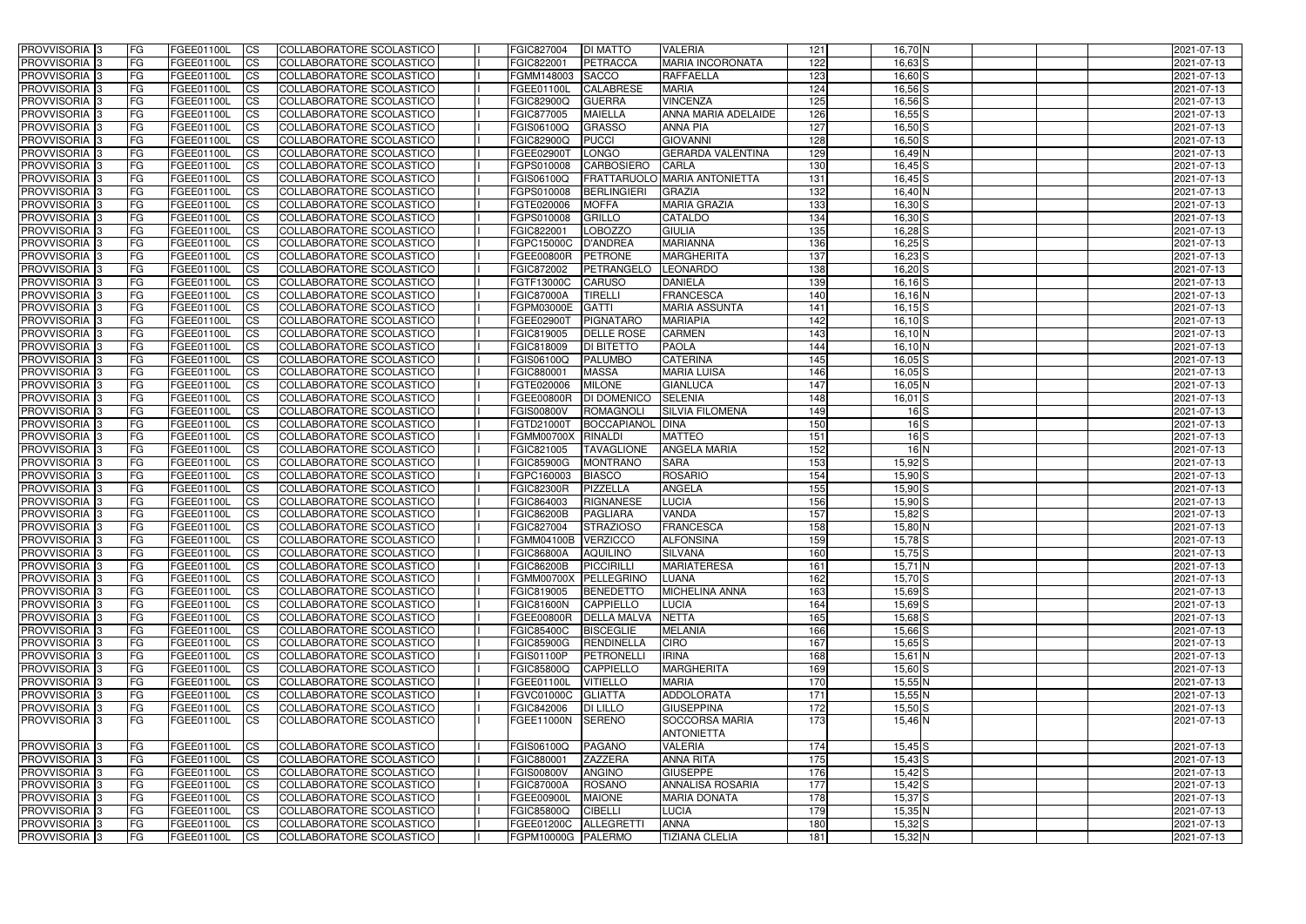| <b>PROVVISORIA</b> 3                                   | FG         | FGEE01100L                             | <b>CS</b>              | COLLABORATORE SCOLASTICO                             | FGIC827004                      | <b>DI MATTO</b>              | <b>VALERIA</b>                    | 121        | $16,70$ N             | 2021-07-13               |
|--------------------------------------------------------|------------|----------------------------------------|------------------------|------------------------------------------------------|---------------------------------|------------------------------|-----------------------------------|------------|-----------------------|--------------------------|
| <b>PROVVISORIA</b> 3                                   | FG         | FGEE01100L                             | $\overline{\text{cs}}$ | COLLABORATORE SCOLASTICO                             | FGIC822001                      | <b>PETRACCA</b>              | <b>MARIA INCORONATA</b>           | 122        | $16,63$ $S$           | 2021-07-13               |
| PROVVISORIA <sup>3</sup>                               | <b>IFG</b> | FGEE01100L                             | <b>CS</b>              | <b>COLLABORATORE SCOLASTICO</b>                      | FGMM148003                      | <b>SACCO</b>                 | <b>RAFFAELLA</b>                  | 123        | $16,60$ S             | 2021-07-13               |
| PROVVISORIA <sup>3</sup>                               | FG         | FGEE01100L                             | <b>CS</b>              | COLLABORATORE SCOLASTICO                             | FGEE01100L                      | <b>CALABRESE</b>             | <b>MARIA</b>                      | 124        | $16,56$ $S$           | 2021-07-13               |
| PROVVISORIA <sup>3</sup>                               | FG         | FGEE01100L                             | <b>CS</b>              | COLLABORATORE SCOLASTICO                             | <b>FGIC82900Q</b>               | <b>GUERRA</b>                | <b>VINCENZA</b>                   | 125        | $16,56$ $S$           | 2021-07-13               |
| PROVVISORIA 3                                          | FG         | FGEE01100L                             | <b>ICS</b>             | COLLABORATORE SCOLASTICO                             | FGIC877005                      | <b>MAIELLA</b>               | ANNA MARIA ADELAIDE               | 126        | $16,55$ S             | 2021-07-13               |
| PROVVISORIA <sup>3</sup>                               | FG         | FGEE01100L                             | <b>CS</b>              | COLLABORATORE SCOLASTICO                             | FGIS06100Q                      | <b>GRASSO</b>                | <b>ANNA PIA</b>                   | 127        | $16,50$ S             | 2021-07-13               |
| PROVVISORIA <sup>3</sup>                               | FG         | FGEE01100L                             | $\overline{c}$         | COLLABORATORE SCOLASTICO                             | <b>FGIC82900Q</b>               | <b>PUCCI</b>                 | <b>GIOVANNI</b>                   | 128        | $16,50$ $S$           | 2021-07-13               |
| PROVVISORIA <sup>3</sup>                               | FG         | FGEE01100L                             | <b>CS</b>              | COLLABORATORE SCOLASTICO                             | FGEE02900T                      | LONGO                        | <b>GERARDA VALENTINA</b>          | 129        | 16,49 N               | 2021-07-13               |
| PROVVISORIA <sup>3</sup>                               | FG         | FGEE01100L                             | $\overline{\text{cs}}$ | COLLABORATORE SCOLASTICO                             | FGPS010008                      | <b>CARBOSIERO</b>            | <b>CARLA</b>                      | 130        | $16,45$ $S$           | 2021-07-13               |
| <b>PROVVISORIA</b> 3                                   | FG         | FGEE01100L                             | <b>CS</b>              | <b>COLLABORATORE SCOLASTICO</b>                      | FGIS06100Q                      |                              | FRATTARUOLO MARIA ANTONIETTA      | 131        | $16,45$ $S$           | 2021-07-13               |
| <b>PROVVISORIA</b> 3                                   | FG         | <b>FGEE01100L</b>                      | <b>CS</b>              | COLLABORATORE SCOLASTICO                             | FGPS010008                      | <b>BERLINGIERI</b>           | <b>GRAZIA</b>                     | 132        | 16,40 N               | 2021-07-13               |
| PROVVISORIA <sup>3</sup>                               | FG         | FGEE01100L                             | <b>I</b> CS            | <b>COLLABORATORE SCOLASTICO</b>                      | FGTE020006                      | <b>MOFFA</b>                 | <b>MARIA GRAZIA</b>               | 133        | $16,30$ S             | 2021-07-13               |
| PROVVISORIA <sup>3</sup>                               | FG         | FGEE01100L                             | <b>I</b> CS            | COLLABORATORE SCOLASTICO                             | FGPS010008                      | <b>GRILLO</b>                | <b>CATALDO</b>                    | 134        | $16,30$ S             | 2021-07-13               |
| <b>PROVVISORIA</b> 3                                   | FG         | FGEE01100L                             | <b>I</b> CS            | COLLABORATORE SCOLASTICO                             | FGIC822001                      | <b>LOBOZZO</b>               | <b>GIULIA</b>                     | 135        | $16,28$ S             | 2021-07-13               |
| PROVVISORIA <sup>3</sup>                               | FG         | FGEE01100L                             | <b>ICS</b>             | COLLABORATORE SCOLASTICO                             | FGPC15000C                      | <b>D'ANDREA</b>              | <b>MARIANNA</b>                   | 136        | $16,25$ S             | 2021-07-13               |
| PROVVISORIA <sup>3</sup>                               | FG.        | FGEE01100L                             | <b>I</b> CS            | COLLABORATORE SCOLASTICO                             | <b>FGEE00800R</b>               | <b>PETRONE</b>               | <b>MARGHERITA</b>                 | 137        | $16,23$ S             | 2021-07-13               |
| PROVVISORIA <sup>3</sup>                               | FG         | FGEE01100L                             | <b>ICS</b>             | COLLABORATORE SCOLASTICO                             | FGIC872002                      | <b>PETRANGELO</b>            | LEONARDO                          | 138        | $16,20$ $S$           | 2021-07-13               |
| PROVVISORIA <sup>3</sup>                               | FG         | FGEE01100L                             | <b>I</b> CS            | COLLABORATORE SCOLASTICO                             | FGTF13000C                      | <b>CARUSO</b>                | <b>DANIELA</b>                    | 139        | $16,16$ S             | 2021-07-13               |
| PROVVISORIA <sup>3</sup>                               | FG         | FGEE01100L                             | <b>CS</b>              | COLLABORATORE SCOLASTICO                             | <b>FGIC87000A</b>               | <b>TIRELLI</b>               | <b>FRANCESCA</b>                  | 140        | 16,16 N               | 2021-07-13               |
| PROVVISORIA <sup>3</sup>                               | FG         | FGEE01100L                             | <b>CS</b>              | COLLABORATORE SCOLASTICO                             | FGPM03000E                      | <b>GATTI</b>                 | <b>MARIA ASSUNTA</b>              | 141        | $16, 15$ S            | 2021-07-13               |
| PROVVISORIA <sup>3</sup>                               | FG         | FGEE01100L                             | <b>CS</b>              | COLLABORATORE SCOLASTICO                             | FGEE029001                      | <b>PIGNATARO</b>             | <b>MARIAPIA</b>                   | 142        | $16, 10$ S            | 2021-07-13               |
| PROVVISORIA <sup>3</sup>                               | FG         | <b>FGEE01100L</b>                      | <b>CS</b>              | COLLABORATORE SCOLASTICO                             | FGIC819005                      | <b>DELLE ROSE</b>            | <b>CARMEN</b>                     | 143        | 16,10 N               | 2021-07-13               |
| PROVVISORIA <sup>1</sup> 3                             | FG         | FGEE01100L                             | <b>CS</b>              | COLLABORATORE SCOLASTICO                             | FGIC818009                      | <b>DI BITETTO</b>            | <b>PAOLA</b>                      | 144        | 16,10 N               | 2021-07-13               |
| PROVVISORIA <sup>3</sup>                               | FG         | FGEE01100L                             | ICS                    | COLLABORATORE SCOLASTICO                             | FGIS06100Q                      | <b>PALUMBO</b>               | <b>CATERINA</b>                   | 145        | $16,05$ $S$           | 2021-07-13               |
| PROVVISORIA <sup>1</sup> 3                             | FG         | <b>FGEE01100L</b><br><b>FGEE01100L</b> | <b>CS</b>              | COLLABORATORE SCOLASTICO                             | FGIC880001                      | <b>MASSA</b>                 | <b>MARIA LUISA</b>                | 146<br>147 | $16,05$ $S$           | 2021-07-13               |
| PROVVISORIA <sup>3</sup>                               | FG         | FGEE01100L                             | <b>CS</b><br><b>CS</b> | COLLABORATORE SCOLASTICO                             | FGTE020006<br><b>FGEE00800R</b> | <b>MILONE</b><br>DI DOMENICO | <b>GIANLUCA</b><br><b>SELENIA</b> | 148        | 16,05 N               | 2021-07-13               |
| PROVVISORIA <sup>3</sup><br>PROVVISORIA <sup>1</sup> 3 | FG<br>FG   | FGEE01100L                             | <b>CS</b>              | COLLABORATORE SCOLASTICO<br>COLLABORATORE SCOLASTICO | <b>FGIS00800V</b>               | <b>ROMAGNOLI</b>             | <b>SILVIA FILOMENA</b>            | 149        | $16,01$ S<br>$16$ $S$ | 2021-07-13<br>2021-07-13 |
| PROVVISORIA <sup>3</sup>                               | FG         | FGEE01100L                             | <b>CS</b>              | COLLABORATORE SCOLASTICO                             | FGTD21000T                      | <b>BOCCAPIANOL</b>           | <b>DINA</b>                       | 150        | $16$ $S$              | 2021-07-13               |
| PROVVISORIA <sup>3</sup>                               | FG         | FGEE01100L                             | <b>CS</b>              | COLLABORATORE SCOLASTICO                             | <b>FGMM00700X</b>               | <b>RINALDI</b>               | <b>MATTEO</b>                     | 151        | 16S                   | 2021-07-13               |
| PROVVISORIA <sup>3</sup>                               | FG         | <b>FGEE01100L</b>                      | <b>CS</b>              | <b>COLLABORATORE SCOLASTICO</b>                      | FGIC821005                      | <b>TAVAGLIONE</b>            | <b>ANGELA MARIA</b>               | 152        | 16N                   | 2021-07-13               |
| PROVVISORIA <sup>3</sup>                               | FG         | FGEE01100L                             | $\overline{\text{cs}}$ | COLLABORATORE SCOLASTICO                             | <b>FGIC85900G</b>               | <b>MONTRANO</b>              | <b>SARA</b>                       | 153        | $15,92$ $S$           | 2021-07-13               |
| PROVVISORIA <sup>3</sup>                               | FG         | FGEE01100L                             | $\overline{c}$         | <b>COLLABORATORE SCOLASTICO</b>                      | FGPC160003                      | <b>BIASCO</b>                | <b>ROSARIO</b>                    | 154        | $15,90$ S             | 2021-07-13               |
| PROVVISORIA <sup>3</sup>                               | FG         | FGEE01100L                             | <b>CS</b>              | COLLABORATORE SCOLASTICO                             | <b>FGIC82300R</b>               | PIZZELLA                     | <b>ANGELA</b>                     | 155        | $15,90$ $S$           | 2021-07-13               |
| PROVVISORIA <sup>3</sup>                               | FG         | FGEE01100L                             | <b>CS</b>              | COLLABORATORE SCOLASTICO                             | FGIC864003                      | <b>RIGNANESE</b>             | <b>LUCIA</b>                      | 156        | 15,90 S               | 2021-07-13               |
| <b>PROVVISORIA</b> 3                                   | FG         | <b>FGEE01100L</b>                      | <b>I</b> CS            | COLLABORATORE SCOLASTICO                             | <b>FGIC86200B</b>               | <b>PAGLIARA</b>              | VANDA                             | 157        | $15,82$ $S$           | 2021-07-13               |
| <b>PROVVISORIA</b> 3                                   | IFG.       | FGEE01100L                             | <b>ICS</b>             | <b>COLLABORATORE SCOLASTICO</b>                      | <b>FGIC827004</b>               | <b>STRAZIOSO</b>             | FRANCESCA                         | 158        | 15,80 N               | 2021-07-13               |
| <b>PROVVISORIA</b> <sup>3</sup>                        | IFG.       | FGEE01100L CS                          |                        | COLLABORATORE SCOLASTICO                             | FGMM04100B VERZICCO             |                              | <b>ALFONSINA</b>                  | 159        | $15,78$ S             | 2021-07-13               |
| PROVVISORIA 3                                          | FG         | FGEE01100L                             | <b>CS</b>              | COLLABORATORE SCOLASTICO                             | <b>FGIC86800A</b>               | <b>AQUILINO</b>              | <b>SILVANA</b>                    | 160        | $15,75$ $S$           | 2021-07-13               |
| PROVVISORIA 3                                          | FG         | FGEE01100L                             | $\mathsf{ICS}$         | COLLABORATORE SCOLASTICO                             | <b>FGIC86200B</b>               | PICCIRILLI                   | <b>MARIATERESA</b>                | 161        | 15,71 N               | 2021-07-13               |
| PROVVISORIA 3                                          | <b>FG</b>  | FGEE01100L                             | <b>ICS</b>             | COLLABORATORE SCOLASTICO                             | <b>FGMM00700X</b>               | PELLEGRINO                   | <b>LUANA</b>                      | 162        | $15,70$ S             | 2021-07-13               |
| PROVVISORIA 3                                          | FG         | FGEE01100L                             | <b>CS</b>              | COLLABORATORE SCOLASTICO                             | FGIC819005                      | BENEDETTO                    | <b>MICHELINA ANNA</b>             | 163        | $15,69$ S             | 2021-07-13               |
| PROVVISORIA 3                                          | FG         | FGEE01100L                             | <b>CS</b>              | COLLABORATORE SCOLASTICO                             | <b>FGIC81600N</b>               | <b>CAPPIELLO</b>             | <b>LUCIA</b>                      | 164        | $15,69$ S             | 2021-07-13               |
| PROVVISORIA 3                                          | <b>FG</b>  | FGEE01100L                             | <b>CS</b>              | COLLABORATORE SCOLASTICO                             | <b>FGEE00800R</b>               | <b>DELLA MALVA</b>           | <b>NETTA</b>                      | 165        | 15,68 S               | 2021-07-13               |
| PROVVISORIA 3                                          | FG         | FGEE01100L                             | <b>CS</b>              | COLLABORATORE SCOLASTICO                             | <b>FGIC85400C</b>               | <b>BISCEGLIE</b>             | <b>MELANIA</b>                    | 166        | 15,66 S               | 2021-07-13               |
| PROVVISORIA 3                                          | FG         | FGEE01100L                             | <b>CS</b>              | COLLABORATORE SCOLASTICO                             | <b>FGIC85900G</b>               | RENDINELLA                   | <b>CIRO</b>                       | 167        | $15,65$ S             | 2021-07-13               |
| PROVVISORIA 3                                          | FG         | FGEE01100L                             | <b>CS</b>              | COLLABORATORE SCOLASTICO                             | FGIS01100P                      | PETRONELL                    | <b>IRINA</b>                      | 168        | $15,61$ N             | 2021-07-13               |
| PROVVISORIA 3                                          | FG         | FGEE01100L                             | <b>CS</b>              | COLLABORATORE SCOLASTICO                             | <b>FGIC85800Q</b>               | <b>CAPPIELLO</b>             | <b>MARGHERITA</b>                 | 169        | $15,60$ S             | 2021-07-13               |
| PROVVISORIA 3                                          | <b>FG</b>  | FGEE01100L                             | <b>CS</b>              | COLLABORATORE SCOLASTICO                             | FGEE01100L                      | <b>VITIELLO</b>              | <b>MARIA</b>                      | 170        | 15,55N                | 2021-07-13               |
| <b>PROVVISORIA</b> 3                                   | FG         | FGEE01100L                             | <b>CS</b>              | COLLABORATORE SCOLASTICO                             | <b>FGVC01000C</b>               | <b>GLIATTA</b>               | <b>ADDOLORATA</b>                 | 171        | 15,55 N               | 2021-07-13               |
| PROVVISORIA 3                                          | FG         | FGEE01100L                             | <b>CS</b>              | COLLABORATORE SCOLASTICO                             | FGIC842006                      | DI LILLO                     | <b>GIUSEPPINA</b>                 | 172        | $15,50$ S             | 2021-07-13               |
| <b>PROVVISORIA</b> 3                                   | FG.        | <b>FGEE01100L</b>                      | <b>ICS</b>             | <b>COLLABORATORE SCOLASTICO</b>                      | FGEE11000N                      | <b>SERENO</b>                | <b>SOCCORSA MARIA</b>             | 173        | 15,46 N               | 2021-07-13               |
|                                                        |            |                                        |                        |                                                      |                                 |                              | <b>ANTONIETTA</b>                 |            |                       |                          |
| PROVVISORIA 3                                          | FG         | FGEE01100L                             | <b>CS</b>              | COLLABORATORE SCOLASTICO                             | FGIS06100Q                      | <b>PAGANO</b>                | <b>VALERIA</b>                    | 174        | $15,45$ S             | 2021-07-13               |
| PROVVISORIA <sup>3</sup>                               | FG         | FGEE01100L                             | $\overline{c}$         | COLLABORATORE SCOLASTICO                             | FGIC880001                      | <b>ZAZZERA</b>               | <b>ANNA RITA</b>                  | 175        | $15,43$ $S$           | 2021-07-13               |
| PROVVISORIA 3                                          | <b>FG</b>  | FGEE01100L                             | <b>CS</b>              | <b>COLLABORATORE SCOLASTICO</b>                      | <b>FGIS00800V</b>               | ANGINO                       | <b>GIUSEPPE</b>                   | 176        | $15,42$ S             | 2021-07-13               |
| PROVVISORIA 3                                          | FG         | <b>FGEE01100L</b>                      | <b>CS</b>              | COLLABORATORE SCOLASTICO                             | <b>FGIC87000A</b>               | <b>ROSANO</b>                | <b>ANNALISA ROSARIA</b>           | 177        | $15,42$ S             | 2021-07-13               |
| PROVVISORIA 3                                          | FG         | FGEE01100L                             | <b>CS</b>              | COLLABORATORE SCOLASTICO                             | FGEE00900L                      | <b>MAIONE</b>                | <b>MARIA DONATA</b>               | 178        | $15,37$ $S$           | 2021-07-13               |
| PROVVISORIA 3                                          | FG         | <b>FGEE01100L</b>                      | <b>CS</b>              | COLLABORATORE SCOLASTICO                             | <b>FGIC85800Q</b>               | <b>CIBELLI</b>               | <b>LUCIA</b>                      | 179        | $15,35$ N             | 2021-07-13               |
| PROVVISORIA 3                                          | FG         | FGEE01100L                             | <b>CS</b>              | COLLABORATORE SCOLASTICO                             | <b>FGEE01200C</b>               | ALLEGRETTI                   | <b>ANNA</b>                       | 180        | $15,32$ S             | 2021-07-13               |
| PROVVISORIA <sup>3</sup>                               | l FG       | FGEE01100L                             | <b>ICS</b>             | COLLABORATORE SCOLASTICO                             | FGPM10000G PALERMO              |                              | <b>TIZIANA CLELIA</b>             | 181        | $15,32$ N             | 2021-07-13               |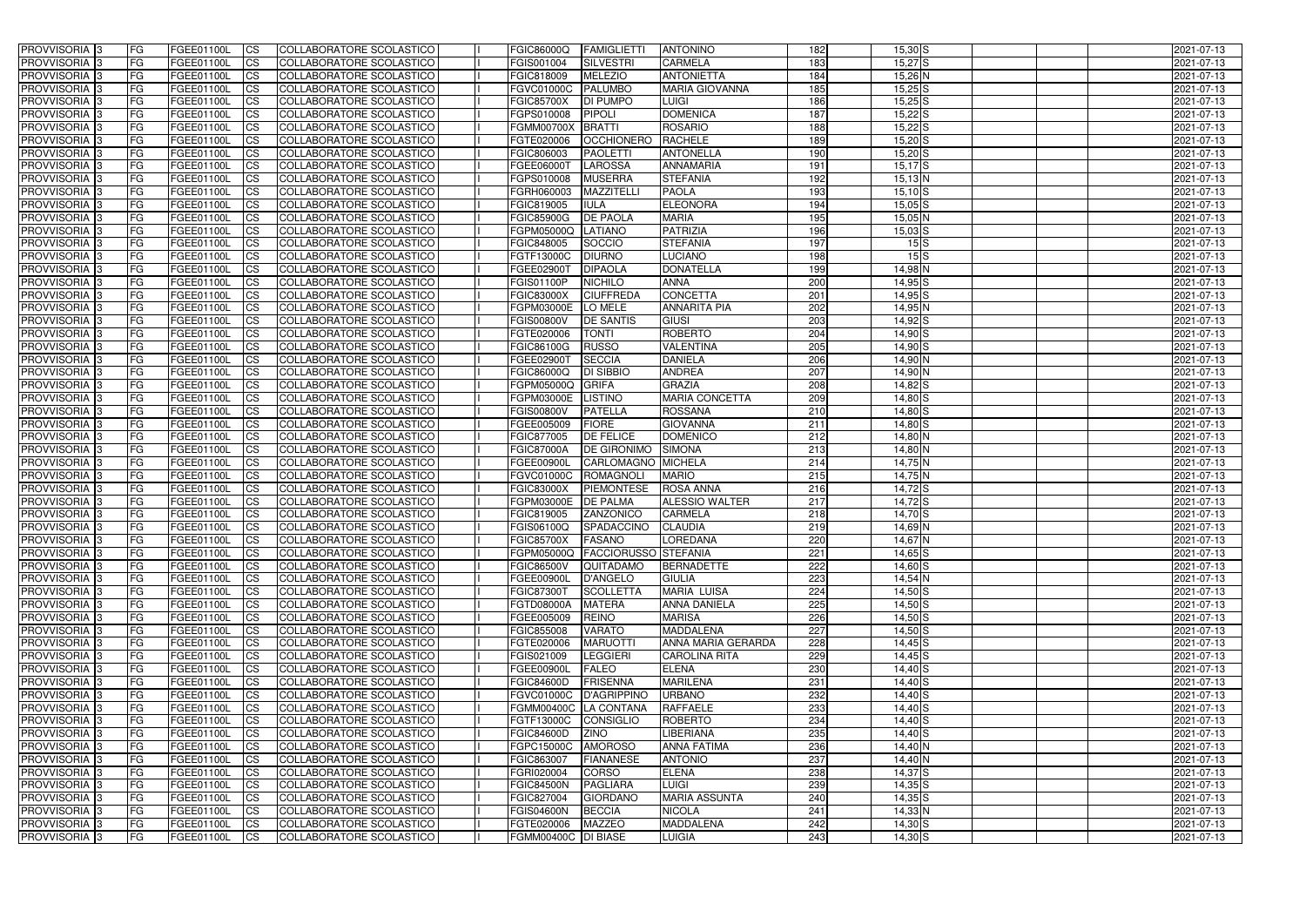| <b>PROVVISORIA</b> 3       | FG         | FGEE01100L        | <b>ICS</b>     | COLLABORATORE SCOLASTICO        | <b>FGIC86000Q</b>     | FAMIGLIETTI                     | <b>ANTONINO</b>       | 182             | $15,30$ S          | 2021-07-13 |
|----------------------------|------------|-------------------|----------------|---------------------------------|-----------------------|---------------------------------|-----------------------|-----------------|--------------------|------------|
| <b>PROVVISORIA 3</b>       | FG         | FGEE01100L        | <b>CS</b>      | COLLABORATORE SCOLASTICO        | FGIS001004            | SILVESTRI                       | <b>CARMELA</b>        | 183             | 15,27 <sup>S</sup> | 2021-07-13 |
| PROVVISORIA <sup>3</sup>   | FG         | FGEE01100L        | <b>CS</b>      | COLLABORATORE SCOLASTICO        | FGIC818009            | <b>MELEZIO</b>                  | <b>ANTONIETTA</b>     | 184             | 15,26 N            | 2021-07-13 |
| PROVVISORIA <sup>3</sup>   | FG         | FGEE01100L        | <b>CS</b>      | COLLABORATORE SCOLASTICO        | <b>FGVC01000C</b>     | <b>PALUMBO</b>                  | <b>MARIA GIOVANNA</b> | 185             | $15,25$ S          | 2021-07-13 |
| PROVVISORIA <sup>1</sup> 3 | FG         | FGEE01100L        | <b>CS</b>      | COLLABORATORE SCOLASTICO        | <b>FGIC85700X</b>     | <b>DI PUMPO</b>                 | <b>LUIGI</b>          | 186             | $15,25$ S          | 2021-07-13 |
| PROVVISORIA <sup>3</sup>   | FG         | FGEE01100L        | <b>CS</b>      | COLLABORATORE SCOLASTICO        | FGPS010008            | <b>PIPOLI</b>                   | <b>DOMENICA</b>       | 187             | $15,22$ $S$        | 2021-07-13 |
| PROVVISORIA 3              | FG         | FGEE01100L        | <b>CS</b>      | COLLABORATORE SCOLASTICO        | <b>FGMM00700X</b>     | <b>BRATTI</b>                   | <b>ROSARIO</b>        | 188             | $15,22$ $S$        | 2021-07-13 |
| PROVVISORIA 3              | FG         | <b>FGEE01100L</b> | <b>CS</b>      | COLLABORATORE SCOLASTICO        | FGTE020006            | <b>OCCHIONERO</b>               | <b>RACHELE</b>        | 189             | $15,20$ S          | 2021-07-13 |
| PROVVISORIA 3              | FG         | FGEE01100L        | <b>CS</b>      | COLLABORATORE SCOLASTICO        | FGIC806003            | <b>PAOLETTI</b>                 | ANTONELLA             | 190             | $15,20$ S          | 2021-07-13 |
| PROVVISORIA <sup>3</sup>   | FG         | FGEE01100L        | $\overline{c}$ | COLLABORATORE SCOLASTICO        | FGEE06000T            | <b>LAROSSA</b>                  | <b>ANNAMARIA</b>      | 191             | $15,17$ $S$        | 2021-07-13 |
| PROVVISORIA <sup>3</sup>   | FG         | FGEE01100L        | <b>CS</b>      | <b>COLLABORATORE SCOLASTICO</b> | FGPS010008            | <b>MUSERRA</b>                  | <b>STEFANIA</b>       | 192             | $15,13$ N          | 2021-07-13 |
| PROVVISORIA <sup>3</sup>   | FG         | FGEE01100L        | <b>CS</b>      | COLLABORATORE SCOLASTICO        | FGRH060003            | <b>MAZZITELL</b>                | <b>PAOLA</b>          | 193             | $15,10$ S          | 2021-07-13 |
| PROVVISORIA <sup>3</sup>   | FG         | <b>FGEE01100L</b> | <b>ICS</b>     | COLLABORATORE SCOLASTICO        | FGIC819005            | <b>IULA</b>                     | <b>ELEONORA</b>       | 194             | $15,05$ S          | 2021-07-13 |
| PROVVISORIA <sup>3</sup>   | FG         | FGEE01100L        | <b>ICS</b>     | COLLABORATORE SCOLASTICO        | <b>FGIC85900G</b>     | <b>DE PAOLA</b>                 | <b>MARIA</b>          | 195             | 15,05 N            | 2021-07-13 |
| PROVVISORIA <sup>3</sup>   | FG         | FGEE01100L        | <b>ICS</b>     | COLLABORATORE SCOLASTICO        | FGPM05000Q            | <b>LATIANO</b>                  | <b>PATRIZIA</b>       | 196             | $15,03$ $S$        | 2021-07-13 |
| <b>PROVVISORIA</b> 3       |            | FGEE01100L        | <b>I</b> CS    | <b>COLLABORATORE SCOLASTICO</b> | FGIC848005            | SOCCIO                          | <b>STEFANIA</b>       | 197             | 15S                | 2021-07-13 |
|                            | FG         |                   |                |                                 |                       |                                 |                       |                 |                    |            |
| <b>PROVVISORIA</b> 3       | FG         | FGEE01100L        | <b>ICS</b>     | COLLABORATORE SCOLASTICO        | FGTF13000C            | <b>DIURNO</b>                   | <b>LUCIANO</b>        | 198             | 15S                | 2021-07-13 |
| PROVVISORIA 3              | FG         | FGEE01100L        | <b>CS</b>      | COLLABORATORE SCOLASTICO        | FGEE02900T            | <b>DIPAOLA</b>                  | <b>DONATELLA</b>      | 199             | 14,98 N            | 2021-07-13 |
| PROVVISORIA <sup>3</sup>   | FG         | FGEE01100L        | <b>ICS</b>     | COLLABORATORE SCOLASTICO        | FGIS01100P            | <b>NICHILO</b>                  | <b>ANNA</b>           | 200             | $14,95$ S          | 2021-07-13 |
| PROVVISORIA <sup>3</sup>   | FG         | FGEE01100L        | <b>ICS</b>     | COLLABORATORE SCOLASTICO        | <b>FGIC83000X</b>     | <b>CIUFFREDA</b>                | <b>CONCETTA</b>       | 201             | $14,95$ S          | 2021-07-13 |
| PROVVISORIA <sup>3</sup>   | FG         | FGEE01100L        | <b>ICS</b>     | COLLABORATORE SCOLASTICO        | FGPM03000E            | LO MELE                         | <b>ANNARITA PIA</b>   | 202             | 14,95 N            | 2021-07-13 |
| PROVVISORIA <sup>3</sup>   | FG         | FGEE01100L        | <b>CS</b>      | COLLABORATORE SCOLASTICO        | <b>FGIS00800V</b>     | <b>DE SANTIS</b>                | <b>GIUSI</b>          | 203             | 14,92 S            | 2021-07-13 |
| PROVVISORIA <sup>3</sup>   | FG         | FGEE01100L        | <b>CS</b>      | COLLABORATORE SCOLASTICO        | FGTE020006            | <b>TONTI</b>                    | <b>ROBERTO</b>        | 204             | $14,90$ S          | 2021-07-13 |
| PROVVISORIA <sup>3</sup>   | FG         | FGEE01100L        | <b>CS</b>      | COLLABORATORE SCOLASTICO        | FGIC86100G            | <b>RUSSO</b>                    | <b>VALENTINA</b>      | 205             | $14,90$ S          | 2021-07-13 |
| PROVVISORIA <sup>3</sup>   | FG         | FGEE01100L        | <b>CS</b>      | COLLABORATORE SCOLASTICO        | FGEE02900T            | <b>SECCIA</b>                   | <b>DANIELA</b>        | 206             | 14,90 N            | 2021-07-13 |
| PROVVISORIA <sup>1</sup> 3 | FG         | FGEE01100L        | <b>CS</b>      | COLLABORATORE SCOLASTICO        | FGIC86000Q            | <b>DI SIBBIO</b>                | <b>ANDREA</b>         | 207             | 14,90 N            | 2021-07-13 |
| PROVVISORIA 3              | FG         | FGEE01100L        | <b>CS</b>      | COLLABORATORE SCOLASTICO        | FGPM05000Q            | <b>GRIFA</b>                    | <b>GRAZIA</b>         | 208             | 14,82 S            | 2021-07-13 |
| PROVVISORIA <sup>3</sup>   | FG.        | FGEE01100L        | <b>CS</b>      | COLLABORATORE SCOLASTICO        | FGPM03000E            | <b>LISTINO</b>                  | <b>MARIA CONCETTA</b> | 209             | 14,80 S            | 2021-07-13 |
| PROVVISORIA <sup>3</sup>   | FG         | <b>FGEE01100L</b> | <b>CS</b>      | COLLABORATORE SCOLASTICO        | <b>FGIS00800V</b>     | <b>PATELLA</b>                  | <b>ROSSANA</b>        | 210             | 14,80 S            | 2021-07-13 |
| PROVVISORIA <sup>1</sup> 3 | FG.        | <b>FGEE01100L</b> | <b>CS</b>      | COLLABORATORE SCOLASTICO        | FGEE005009            | <b>FIORE</b>                    | <b>GIOVANNA</b>       | 211             | 14,80 S            | 2021-07-13 |
| PROVVISORIA <sup>3</sup>   | FG.        | FGEE01100L        | <b>CS</b>      | COLLABORATORE SCOLASTICO        | FGIC877005            | <b>DE FELICE</b>                | <b>DOMENICO</b>       | 212             | 14,80 N            | 2021-07-13 |
| PROVVISORIA <sup>3</sup>   | FG         | <b>FGEE01100L</b> | <b>CS</b>      | COLLABORATORE SCOLASTICO        | <b>FGIC87000A</b>     | <b>DE GIRONIMO</b>              | <b>SIMONA</b>         | 213             | 14,80 N            | 2021-07-13 |
| PROVVISORIA <sup>3</sup>   | FG         | <b>FGEE01100L</b> | <b>CS</b>      | COLLABORATORE SCOLASTICO        | <b>FGEE00900L</b>     | CARLOMAGNO MICHELA              |                       | 214             | 14,75 N            | 2021-07-13 |
| PROVVISORIA 3              | FG         | <b>FGEE01100L</b> | <b>CS</b>      | COLLABORATORE SCOLASTICO        | FGVC01000C            | ROMAGNOLI                       | <b>MARIO</b>          | $\frac{215}{2}$ | 14,75 N            | 2021-07-13 |
| PROVVISORIA <sup>3</sup>   | FG         | <b>FGEE01100L</b> | $\overline{c}$ | <b>COLLABORATORE SCOLASTICO</b> | <b>FGIC83000X</b>     | <b>PIEMONTESE</b>               | <b>ROSA ANNA</b>      | 216             | 14,72 S            | 2021-07-13 |
| PROVVISORIA <sup>3</sup>   | FG         | <b>FGEE01100L</b> | <b>CS</b>      | <b>COLLABORATORE SCOLASTICO</b> | FGPM03000E            | <b>DE PALMA</b>                 | ALESSIO WALTER        | 217             | 14,72 S            | 2021-07-13 |
| PROVVISORIA <sup>3</sup>   | FG         | FGEE01100L        | <b>CS</b>      | COLLABORATORE SCOLASTICO        | FGIC819005            | ZANZONICO                       | <b>CARMELA</b>        | 218             | $14,70$ S          | 2021-07-13 |
| PROVVISORIA 3              | FG         | FGEE01100L        | <b>I</b> CS    | COLLABORATORE SCOLASTICO        | <b>FGIS06100Q</b>     | SPADACCINO                      | <b>CLAUDIA</b>        | 219             | 14,69 N            | 2021-07-13 |
| <b>PROVVISORIA</b> 3       | IFG.       | FGEE01100L        | CS             | COLLABORATORE SCOLASTICO        | <b>FGIC85700X</b>     | FASANO                          | <b>LOREDANA</b>       | 220             | 14,67 N            | 2021-07-13 |
| PROVVISORIA 3              | IFG.       | FGEE01100L        | <b>ICS</b>     | COLLABORATORE SCOLASTICO        |                       | FGPM05000Q FACCIORUSSO STEFANIA |                       | 221             | $14,65$ $S$        | 2021-07-13 |
| PROVVISORIA 3              | FG         | FGEE01100L        | <b>CS</b>      | COLLABORATORE SCOLASTICO        | <b>FGIC86500V</b>     | QUITADAMO                       | <b>BERNADETTE</b>     | 222             | $14,60$ S          | 2021-07-13 |
| PROVVISORIA 3              | FG         | FGEE01100L        | <b>CS</b>      | COLLABORATORE SCOLASTICO        | FGEE00900L            | D'ANGELO                        | <b>GIULIA</b>         | 223             | 14,54 N            | 2021-07-13 |
| PROVVISORIA <sup>3</sup>   | FG         | FGEE01100L        | <b>ICS</b>     | <b>COLLABORATORE SCOLASTICO</b> | FGIC87300T            | <b>SCOLLETTA</b>                | <b>MARIA LUISA</b>    | 224             | $14,50$ S          | 2021-07-13 |
| PROVVISORIA 3              | FG         | FGEE01100L        | <b>CS</b>      | COLLABORATORE SCOLASTICO        | <b>FGTD08000A</b>     | <b>MATERA</b>                   | <b>ANNA DANIELA</b>   | 225             | $14,50$ S          | 2021-07-13 |
| PROVVISORIA 3              | FG         | FGEE01100L        | <b>CS</b>      | COLLABORATORE SCOLASTICO        | FGEE005009            | <b>REINO</b>                    | <b>MARISA</b>         | 226             | $14,50$ S          | 2021-07-13 |
| PROVVISORIA 3              | <b>FG</b>  | FGEE01100L        | <b>CS</b>      | COLLABORATORE SCOLASTICO        | FGIC855008            | <b>VARATO</b>                   | <b>MADDALENA</b>      | 227             | $14,50$ S          | 2021-07-13 |
| PROVVISORIA 3              | FG         | FGEE01100L        | <b>CS</b>      | COLLABORATORE SCOLASTICO        | FGTE020006            | <b>MARUOTTI</b>                 | ANNA MARIA GERARDA    | 228             | $14,45$ S          | 2021-07-13 |
| PROVVISORIA 3              | FG         | FGEE01100L        | <b>CS</b>      | COLLABORATORE SCOLASTICO        | FGIS021009            | <b>LEGGIERI</b>                 | <b>CAROLINA RITA</b>  | 229             | $14,45$ S          | 2021-07-13 |
| PROVVISORIA 3              | IFG.       | FGEE01100L        | <b>CS</b>      | COLLABORATORE SCOLASTICO        | FGEE00900L            | <b>FALEO</b>                    | <b>ELENA</b>          | 230             | $14,40$ S          | 2021-07-13 |
| PROVVISORIA 3              | FG         | FGEE01100L        | <b>CS</b>      | COLLABORATORE SCOLASTICO        | <b>FGIC84600D</b>     | FRISENNA                        | <b>MARILENA</b>       | 231             | 14,40 S            | 2021-07-13 |
| PROVVISORIA 3              | FG         | FGEE01100L        | <b>CS</b>      | COLLABORATORE SCOLASTICO        | <b>FGVC01000C</b>     | D'AGRIPPINO                     | <b>URBANO</b>         | 232             | $14,40$ S          | 2021-07-13 |
| <b>PROVVISORIA</b> 3       | IFG.       | FGEE01100L        | <b>CS</b>      | COLLABORATORE SCOLASTICO        | FGMM00400C LA CONTANA |                                 | <b>RAFFAELE</b>       | 233             | $14,40$ S          | 2021-07-13 |
| <b>PROVVISORIA</b> 3       | IFG.       | FGEE01100L        | <b>CS</b>      | COLLABORATORE SCOLASTICO        | FGTF13000C            | CONSIGLIO                       | ROBERTO               | 234             | $14,40$ S          | 2021-07-13 |
| <b>PROVVISORIA</b> 3       | <b>IFG</b> | <b>FGEE01100L</b> | <b>CS</b>      | <b>COLLABORATORE SCOLASTICO</b> | <b>FGIC84600D</b>     | <b>ZINO</b>                     | LIBERIANA             | 235             | $14,40$ S          | 2021-07-13 |
| PROVVISORIA 3              | <b>IFG</b> | FGEE01100L        | <b>CS</b>      | COLLABORATORE SCOLASTICO        | FGPC15000C            | <b>AMOROSO</b>                  | <b>ANNA FATIMA</b>    | 236             | 14,40 N            | 2021-07-13 |
| PROVVISORIA 3              | IFG.       | FGEE01100L        | <b>CS</b>      | COLLABORATORE SCOLASTICO        | FGIC863007            | <b>FIANANESE</b>                | <b>ANTONIO</b>        | 237             | 14,40 N            | 2021-07-13 |
| PROVVISORIA 3              | FG         | FGEE01100L        | <b>CS</b>      | COLLABORATORE SCOLASTICO        | FGRI020004            | <b>CORSO</b>                    | <b>ELENA</b>          | 238             | $14,37$ S          | 2021-07-13 |
| PROVVISORIA 3              | FG         | FGEE01100L        | <b>CS</b>      | COLLABORATORE SCOLASTICO        | <b>FGIC84500N</b>     | <b>PAGLIARA</b>                 | <b>LUIGI</b>          | 239             | $14,35$ S          | 2021-07-13 |
| PROVVISORIA 3              | FG         | <b>FGEE01100L</b> | <b>CS</b>      | COLLABORATORE SCOLASTICO        | FGIC827004            | <b>GIORDANO</b>                 | <b>MARIA ASSUNTA</b>  | 240             | $14,35$ S          | 2021-07-13 |
| <b>PROVVISORIA</b> 3       | FG         | FGEE01100L        | <b>ICS</b>     | COLLABORATORE SCOLASTICO        | <b>FGIS04600N</b>     | <b>BECCIA</b>                   | <b>NICOLA</b>         | 241             | 14,33 N            | 2021-07-13 |
| PROVVISORIA 3              | FG         | FGEE01100L        | <b>CS</b>      | COLLABORATORE SCOLASTICO        | FGTE020006            | <b>MAZZEO</b>                   | <b>MADDALENA</b>      | 242             | $14,30$ S          | 2021-07-13 |
| PROVVISORIA 3              | FG         | FGEE01100L        | <b>CS</b>      | COLLABORATORE SCOLASTICO        | FGMM00400C DI BIASE   |                                 | <b>LUIGIA</b>         | 243             | $14,30$ S          | 2021-07-13 |
|                            |            |                   |                |                                 |                       |                                 |                       |                 |                    |            |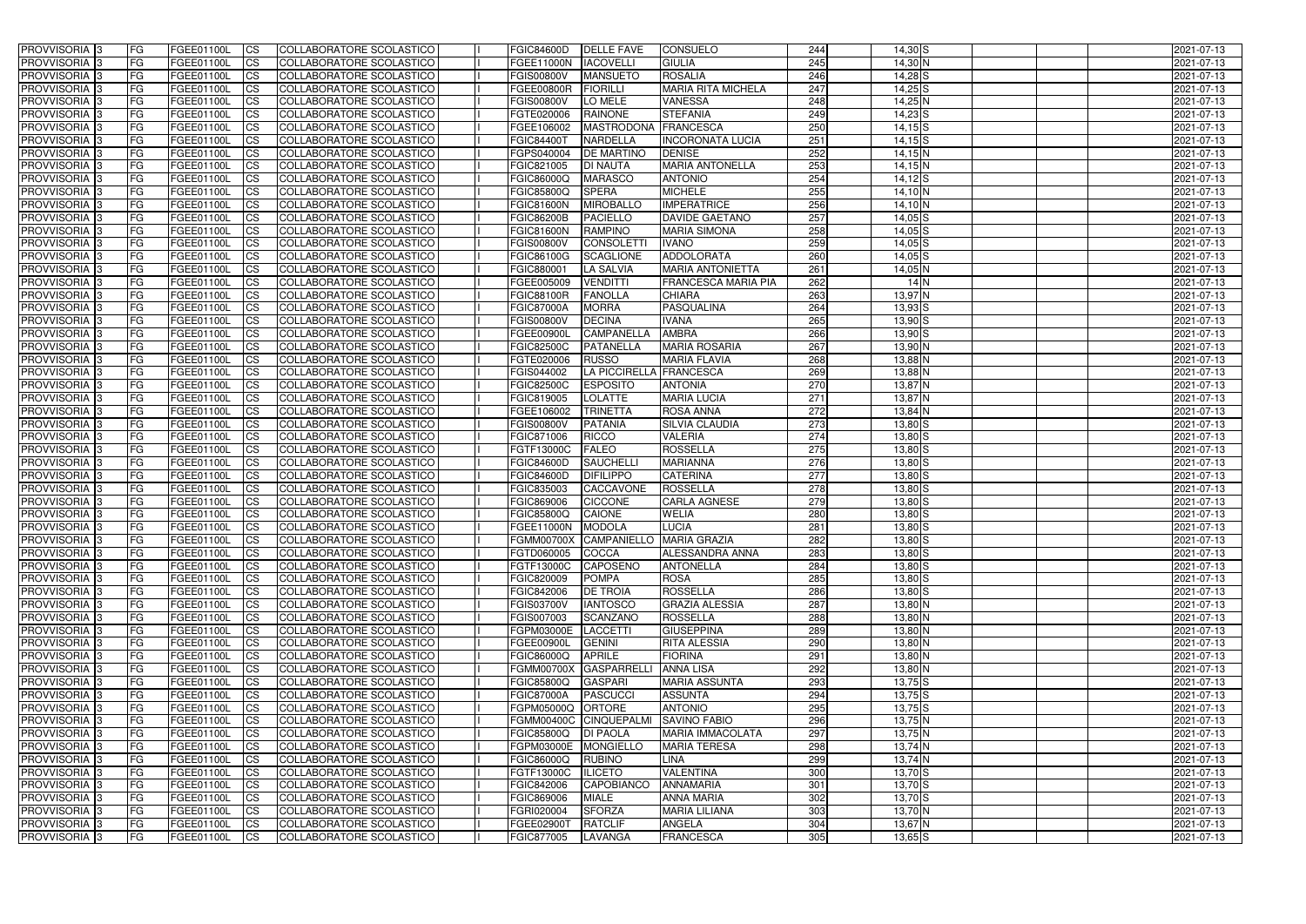| <b>PROVVISORIA</b> 3       | FG         | FGEE01100L        | <b>ICS</b>             | COLLABORATORE SCOLASTICO        | <b>FGIC84600D</b> | <b>DELLE FAVE</b>      | <b>CONSUELO</b>                     | 244 | $14,30$ S          | 2021-07-13 |
|----------------------------|------------|-------------------|------------------------|---------------------------------|-------------------|------------------------|-------------------------------------|-----|--------------------|------------|
| <b>PROVVISORIA 3</b>       | FG         | FGEE01100L        | <b>CS</b>              | COLLABORATORE SCOLASTICO        | <b>FGEE11000N</b> | <b>IACOVELLI</b>       | <b>GIULIA</b>                       | 245 | 14,30 N            | 2021-07-13 |
| PROVVISORIA <sup>3</sup>   | FG         | FGEE01100L        | <b>CS</b>              | COLLABORATORE SCOLASTICO        | <b>FGIS00800V</b> | <b>MANSUETO</b>        | <b>ROSALIA</b>                      | 246 | $14,28$ S          | 2021-07-13 |
| PROVVISORIA <sup>3</sup>   | FG         | FGEE01100L        | <b>CS</b>              | COLLABORATORE SCOLASTICO        | <b>FGEE00800R</b> | <b>FIORILLI</b>        | <b>MARIA RITA MICHELA</b>           | 247 | $14,25$ S          | 2021-07-13 |
| PROVVISORIA <sup>1</sup> 3 | FG         | FGEE01100L        | <b>CS</b>              | COLLABORATORE SCOLASTICO        | <b>FGIS00800V</b> | LO MELE                | <b>VANESSA</b>                      | 248 | 14,25 N            | 2021-07-13 |
| PROVVISORIA <sup>3</sup>   | FG         | FGEE01100L        | <b>CS</b>              | COLLABORATORE SCOLASTICO        | FGTE020006        | <b>RAINONE</b>         | <b>STEFANIA</b>                     | 249 | $14,23$ S          | 2021-07-13 |
| PROVVISORIA 3              | FG         | FGEE01100L        | <b>CS</b>              | COLLABORATORE SCOLASTICO        | FGEE106002        | <b>MASTRODONA</b>      | FRANCESCA                           | 250 | $14,15$ S          | 2021-07-13 |
| PROVVISORIA 3              | FG         | <b>FGEE01100L</b> | <b>CS</b>              | COLLABORATORE SCOLASTICO        | <b>FGIC84400T</b> | <b>NARDELLA</b>        | <b>INCORONATA LUCIA</b>             | 251 | $14,15$ $S$        | 2021-07-13 |
| PROVVISORIA 3              | FG         | FGEE01100L        | <b>CS</b>              | COLLABORATORE SCOLASTICO        | FGPS040004        | <b>DE MARTINO</b>      | <b>DENISE</b>                       | 252 | $14,15$ N          | 2021-07-13 |
| PROVVISORIA <sup>3</sup>   | FG         | FGEE01100L        | $\overline{c}$         | <b>COLLABORATORE SCOLASTICO</b> | FGIC821005        | <b>DI NAUTA</b>        | <b>MARIA ANTONELLA</b>              | 253 | $14,15$ N          | 2021-07-13 |
| PROVVISORIA <sup>3</sup>   | FG         | FGEE01100L        | <b>CS</b>              | COLLABORATORE SCOLASTICO        | <b>FGIC86000Q</b> | <b>MARASCO</b>         | <b>ANTONIO</b>                      | 254 | $14,12$ S          | 2021-07-13 |
| PROVVISORIA <sup>3</sup>   | FG         | FGEE01100L        | <b>CS</b>              | COLLABORATORE SCOLASTICO        | <b>FGIC85800Q</b> | <b>SPERA</b>           | <b>MICHELE</b>                      | 255 | 14,10 N            | 2021-07-13 |
| PROVVISORIA <sup>3</sup>   | FG         | <b>FGEE01100L</b> | <b>I</b> CS            | COLLABORATORE SCOLASTICO        | <b>FGIC81600N</b> | <b>MIROBALLO</b>       | <b>IMPERATRICE</b>                  | 256 | 14,10 N            | 2021-07-13 |
| PROVVISORIA <sup>3</sup>   | FG         | FGEE01100L        | <b>I</b> CS            | COLLABORATORE SCOLASTICO        | <b>FGIC86200B</b> | <b>PACIELLO</b>        | <b>DAVIDE GAETANO</b>               | 257 | $14,05$ S          | 2021-07-13 |
| PROVVISORIA <sup>3</sup>   | FG         | FGEE01100L        | <b>I</b> CS            | COLLABORATORE SCOLASTICO        | <b>FGIC81600N</b> | <b>RAMPINO</b>         | <b>MARIA SIMONA</b>                 | 258 | $14,05$ S          | 2021-07-13 |
| <b>PROVVISORIA</b> 3       |            | FGEE01100L        | <b>I</b> CS            | <b>COLLABORATORE SCOLASTICO</b> | <b>FGIS00800V</b> | <b>CONSOLETT</b>       | <b>IVANO</b>                        | 259 | $14,05$ S          | 2021-07-13 |
|                            | FG         |                   |                        | COLLABORATORE SCOLASTICO        |                   |                        |                                     |     |                    |            |
| PROVVISORIA <sup>3</sup>   | FG         | FGEE01100L        | <b>ICS</b>             |                                 | <b>FGIC86100G</b> | <b>SCAGLIONE</b>       | <b>ADDOLORATA</b>                   | 260 | $14,05$ S          | 2021-07-13 |
| PROVVISORIA 3              | FG         | FGEE01100L        | <b>CS</b>              | COLLABORATORE SCOLASTICO        | FGIC880001        | <b>LA SALVIA</b>       | <b>MARIA ANTONIETTA</b>             | 261 | 14,05 N            | 2021-07-13 |
| PROVVISORIA <sup>3</sup>   | FG.        | FGEE01100L        | <b>ICS</b>             | COLLABORATORE SCOLASTICO        | FGEE005009        | <b>VENDITTI</b>        | <b>FRANCESCA MARIA PIA</b>          | 262 | 14N                | 2021-07-13 |
| PROVVISORIA <sup>3</sup>   | FG         | FGEE01100L        | <b>I</b> CS            | COLLABORATORE SCOLASTICO        | <b>FGIC88100R</b> | <b>FANOLLA</b>         | <b>CHIARA</b>                       | 263 | 13,97 N            | 2021-07-13 |
| PROVVISORIA <sup>3</sup>   | FG         | FGEE01100L        | <b>I</b> CS            | COLLABORATORE SCOLASTICO        | <b>FGIC87000A</b> | <b>MORRA</b>           | PASQUALINA                          | 264 | $13,93$ $S$        | 2021-07-13 |
| PROVVISORIA <sup>3</sup>   | FG         | FGEE01100L        | <b>CS</b>              | COLLABORATORE SCOLASTICO        | <b>FGIS00800V</b> | <b>DECINA</b>          | <b>IVANA</b>                        | 265 | $13,90$ $S$        | 2021-07-13 |
| PROVVISORIA <sup>3</sup>   | FG         | FGEE01100L        | <b>CS</b>              | COLLABORATORE SCOLASTICO        | <b>FGEE00900L</b> | CAMPANELLA             | <b>AMBRA</b>                        | 266 | $13,90$ $S$        | 2021-07-13 |
| PROVVISORIA <sup>3</sup>   | FG         | FGEE01100L        | <b>CS</b>              | COLLABORATORE SCOLASTICO        | <b>FGIC82500C</b> | <b>PATANELLA</b>       | <b>MARIA ROSARIA</b>                | 267 | 13,90 <sup>N</sup> | 2021-07-13 |
| PROVVISORIA <sup>3</sup>   | FG         | FGEE01100L        | <b>CS</b>              | COLLABORATORE SCOLASTICO        | FGTE020006        | <b>RUSSO</b>           | <b>MARIA FLAVIA</b>                 | 268 | 13,88 N            | 2021-07-13 |
| PROVVISORIA <sup>1</sup> 3 | FG         | FGEE01100L        | <b>CS</b>              | COLLABORATORE SCOLASTICO        | FGIS044002        | <b>LA PICCIRELLA</b>   | FRANCESCA                           | 269 | 13,88 N            | 2021-07-13 |
| PROVVISORIA 3              | FG         | <b>FGEE01100L</b> | <b>CS</b>              | COLLABORATORE SCOLASTICO        | <b>FGIC82500C</b> | <b>ESPOSITO</b>        | <b>ANTONIA</b>                      | 270 | 13,87 N            | 2021-07-13 |
| PROVVISORIA <sup>3</sup>   | FG         | FGEE01100L        | <b>CS</b>              | COLLABORATORE SCOLASTICO        | FGIC819005        | <b>LOLATTE</b>         | <b>MARIA LUCIA</b>                  | 271 | 13,87 N            | 2021-07-13 |
| PROVVISORIA <sup>3</sup>   | FG         | <b>FGEE01100L</b> | <b>CS</b>              | COLLABORATORE SCOLASTICO        | FGEE106002        | <b>TRINETTA</b>        | ROSA ANNA                           | 272 | 13,84 N            | 2021-07-13 |
| PROVVISORIA <sup>1</sup> 3 | FG         | <b>FGEE01100L</b> | <b>CS</b>              | COLLABORATORE SCOLASTICO        | <b>FGIS00800V</b> | <b>PATANIA</b>         | SILVIA CLAUDIA                      | 273 | $13,80$ S          | 2021-07-13 |
| PROVVISORIA <sup>3</sup>   | FG.        | FGEE01100L        | <b>CS</b>              | COLLABORATORE SCOLASTICO        | FGIC871006        | <b>RICCO</b>           | <b>VALERIA</b>                      | 274 | $13,80$ S          | 2021-07-13 |
| PROVVISORIA <sup>13</sup>  | FG         | FGEE01100L        | $\overline{\text{cs}}$ | COLLABORATORE SCOLASTICO        | FGTF13000C        | <b>FALEO</b>           | <b>ROSSELLA</b>                     | 275 | $13,80$ S          | 2021-07-13 |
| PROVVISORIA <sup>3</sup>   | FG         | <b>FGEE01100L</b> | <b>CS</b>              | COLLABORATORE SCOLASTICO        | <b>FGIC84600D</b> | <b>SAUCHELLI</b>       | <b>MARIANNA</b>                     | 276 | $13,80$ S          | 2021-07-13 |
| PROVVISORIA <sup>3</sup>   | FG         | <b>FGEE01100L</b> | <b>CS</b>              | COLLABORATORE SCOLASTICO        | <b>FGIC84600D</b> | <b>DIFILIPPO</b>       | <b>CATERINA</b>                     | 277 | $13,80$ $S$        | 2021-07-13 |
| PROVVISORIA <sup>3</sup>   | FG         | FGEE01100L        | $\overline{\text{cs}}$ | COLLABORATORE SCOLASTICO        | FGIC835003        | CACCAVONE              | <b>ROSSELLA</b>                     | 278 | $13,80$ $S$        | 2021-07-13 |
| PROVVISORIA <sup>3</sup>   | FG         | <b>FGEE01100L</b> | <b>CS</b>              | <b>COLLABORATORE SCOLASTICO</b> | FGIC869006        | <b>CICCONE</b>         | <b>CARLA AGNESE</b>                 | 279 | $13,80$ S          | 2021-07-13 |
| PROVVISORIA <sup>3</sup>   | FG         | FGEE01100L        | <b>CS</b>              | COLLABORATORE SCOLASTICO        | <b>FGIC85800Q</b> | <b>CAIONE</b>          | <b>WELIA</b>                        | 280 | $13,80$ S          | 2021-07-13 |
| PROVVISORIA 3              | FG         | FGEE01100L        | <b>I</b> CS            | COLLABORATORE SCOLASTICO        | <b>FGEE11000N</b> | <b>MODOLA</b>          | <b>LUCIA</b>                        | 281 | $13,80$ $S$        | 2021-07-13 |
| <b>PROVVISORIA</b> 3       | IFG.       | FGEE01100L        | CS                     | COLLABORATORE SCOLASTICO        |                   |                        | FGMM00700X CAMPANIELLO MARIA GRAZIA | 282 | $13,80$ S          | 2021-07-13 |
| PROVVISORIA 3              | IFG.       | FGEE01100L        | $\mathsf{ICS}$         | COLLABORATORE SCOLASTICO        | FGTD060005        | COCCA                  | <b>ALESSANDRA ANNA</b>              | 283 | $13,80$ S          | 2021-07-13 |
| PROVVISORIA 3              | FG         | FGEE01100L        | <b>CS</b>              | COLLABORATORE SCOLASTICO        | FGTF13000C        | <b>CAPOSENO</b>        | <b>ANTONELLA</b>                    | 284 | $13,80$ S          | 2021-07-13 |
| PROVVISORIA 3              | FG         | FGEE01100L        | <b>CS</b>              | COLLABORATORE SCOLASTICO        | <b>FGIC820009</b> | <b>POMPA</b>           | <b>ROSA</b>                         | 285 | $13,80$ S          | 2021-07-13 |
| PROVVISORIA 3              | FG         | FGEE01100L        | $\mathsf{ICS}$         | COLLABORATORE SCOLASTICO        | FGIC842006        | <b>DE TROIA</b>        | <b>ROSSELLA</b>                     | 286 | $13,80$ S          | 2021-07-13 |
| PROVVISORIA 3              | FG         | FGEE01100L        | <b>CS</b>              | COLLABORATORE SCOLASTICO        | <b>FGIS03700V</b> | <b>IANTOSCO</b>        | <b>GRAZIA ALESSIA</b>               | 287 | 13,80 N            | 2021-07-13 |
| PROVVISORIA 3              | FG         | FGEE01100L        | <b>CS</b>              | COLLABORATORE SCOLASTICO        | FGIS007003        | SCANZANO               | <b>ROSSELLA</b>                     | 288 | 13,80 N            | 2021-07-13 |
| PROVVISORIA 3              | <b>FG</b>  | FGEE01100L        | <b>CS</b>              | COLLABORATORE SCOLASTICO        | FGPM03000E        | LACCETTI               | <b>GIUSEPPINA</b>                   | 289 | 13,80 N            | 2021-07-13 |
| PROVVISORIA 3              | FG         | FGEE01100L        | <b>CS</b>              | COLLABORATORE SCOLASTICO        | FGEE00900L        | <b>GENINI</b>          | <b>RITA ALESSIA</b>                 | 290 | 13,80 N            | 2021-07-13 |
| PROVVISORIA 3              | FG         | FGEE01100L        | <b>CS</b>              | COLLABORATORE SCOLASTICO        | <b>FGIC86000Q</b> | <b>APRILE</b>          | <b>FIORINA</b>                      | 291 | 13,80 N            | 2021-07-13 |
| PROVVISORIA 3              | IFG.       | FGEE01100L        | <b>CS</b>              | COLLABORATORE SCOLASTICO        | <b>FGMM00700X</b> | <b>GASPARRELLI</b>     | <b>ANNA LISA</b>                    | 292 | 13,80 N            | 2021-07-13 |
| PROVVISORIA 3              | FG         | FGEE01100L        | <b>CS</b>              | COLLABORATORE SCOLASTICO        | <b>FGIC85800Q</b> | <b>GASPARI</b>         | <b>MARIA ASSUNTA</b>                | 293 | $13,75$ $S$        | 2021-07-13 |
| PROVVISORIA 3              | FG         | FGEE01100L        | <b>CS</b>              | COLLABORATORE SCOLASTICO        | <b>FGIC87000A</b> | <b>PASCUCCI</b>        | <b>ASSUNTA</b>                      | 294 | $13,75$ $S$        | 2021-07-13 |
| <b>PROVVISORIA</b> 3       | IFG.       | FGEE01100L        | <b>CS</b>              | COLLABORATORE SCOLASTICO        | FGPM05000Q ORTORE |                        | ANTONIO                             | 295 | $13,75$ S          | 2021-07-13 |
| <b>PROVVISORIA</b> 3       | IFG.       | FGEE01100L        | <b>CS</b>              | COLLABORATORE SCOLASTICO        |                   | FGMM00400C CINQUEPALMI | <b>SAVINO FABIO</b>                 | 296 | $13,75$ N          | 2021-07-13 |
| PROVVISORIA 3              | FG         | FGEE01100L        | <b>CS</b>              | <b>COLLABORATORE SCOLASTICO</b> | <b>FGIC85800Q</b> | <b>DI PAOLA</b>        | <b>MARIA IMMACOLATA</b>             | 297 | 13,75 N            | 2021-07-13 |
| PROVVISORIA 3              | <b>IFG</b> | FGEE01100L        | <b>CS</b>              | COLLABORATORE SCOLASTICO        | <b>FGPM03000E</b> | MONGIELLO              | <b>MARIA TERESA</b>                 | 298 | 13,74 N            | 2021-07-13 |
| PROVVISORIA 3              | IFG.       | <b>FGEE01100L</b> | <b>CS</b>              | COLLABORATORE SCOLASTICO        | <b>FGIC86000Q</b> | RUBINO                 | <b>LINA</b>                         | 299 | 13,74 N            | 2021-07-13 |
| PROVVISORIA 3              | FG         | FGEE01100L        | <b>CS</b>              | COLLABORATORE SCOLASTICO        | FGTF13000C        | <b>ILICETO</b>         | <b>VALENTINA</b>                    | 300 | $13,70$ S          | 2021-07-13 |
| PROVVISORIA 3              | FG         | FGEE01100L        | <b>CS</b>              | COLLABORATORE SCOLASTICO        | FGIC842006        | CAPOBIANCO             | <b>ANNAMARIA</b>                    | 301 | $13,70$ S          | 2021-07-13 |
| PROVVISORIA 3              | FG         | FGEE01100L        | <b>CS</b>              | COLLABORATORE SCOLASTICO        | FGIC869006        | <b>MIALE</b>           | <b>ANNA MARIA</b>                   | 302 | $13,70$ S          | 2021-07-13 |
| PROVVISORIA 3              | <b>FG</b>  | FGEE01100L        | <b>ICS</b>             | COLLABORATORE SCOLASTICO        | FGRI020004        | <b>SFORZA</b>          | <b>MARIA LILIANA</b>                | 303 | 13,70 N            | 2021-07-13 |
| PROVVISORIA 3              |            | FGEE01100L        | <b>CS</b>              | COLLABORATORE SCOLASTICO        | FGEE02900T        | RATCLIF                | <b>ANGELA</b>                       | 304 | 13,67 N            | 2021-07-13 |
|                            | FG         |                   |                        |                                 |                   |                        |                                     |     |                    |            |
| PROVVISORIA 3              | FG         | FGEE01100L        | <b>CS</b>              | COLLABORATORE SCOLASTICO        | FGIC877005        | LAVANGA                | <b>FRANCESCA</b>                    | 305 | $13,65$ $S$        | 2021-07-13 |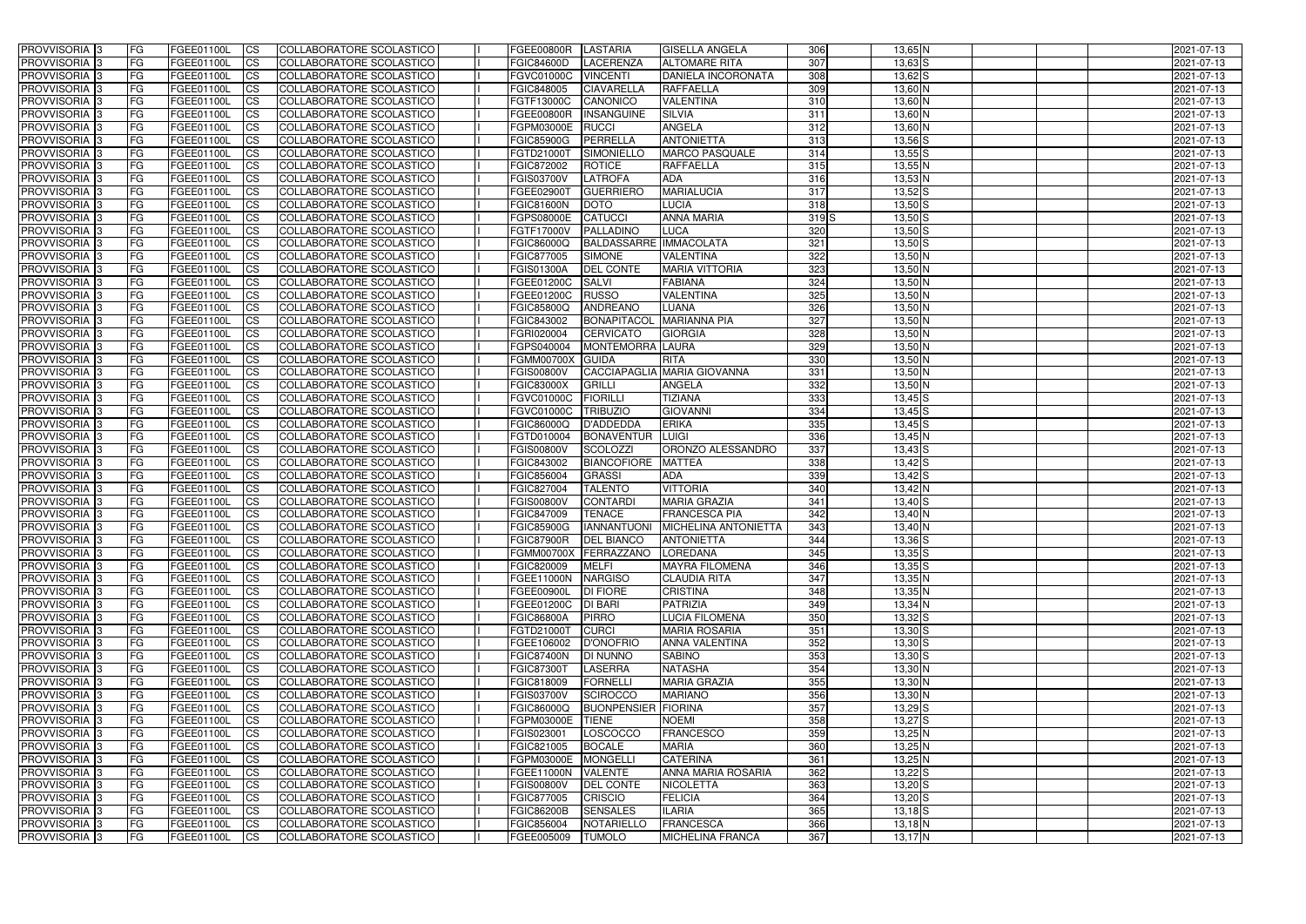| <b>PROVVISORIA</b> 3           | FG         | FGEE01100L               | <b>ICS</b>             | COLLABORATORE SCOLASTICO                             | FGEE00800R               | LASTARIA                     | <b>GISELLA ANGELA</b>                         | 306        | $13,65$ N                | 2021-07-13               |
|--------------------------------|------------|--------------------------|------------------------|------------------------------------------------------|--------------------------|------------------------------|-----------------------------------------------|------------|--------------------------|--------------------------|
| <b>PROVVISORIA 3</b>           | FG         | FGEE01100L               | <b>CS</b>              | COLLABORATORE SCOLASTICO                             | <b>FGIC84600D</b>        | LACERENZA                    | <b>ALTOMARE RITA</b>                          | 307        | $13,63$ $S$              | 2021-07-13               |
| PROVVISORIA <sup>3</sup>       | FG         | FGEE01100L               | <b>CS</b>              | COLLABORATORE SCOLASTICO                             | <b>FGVC01000C</b>        | <b>VINCENTI</b>              | DANIELA INCORONATA                            | 308        | $13,62$ $S$              | 2021-07-13               |
| PROVVISORIA <sup>3</sup>       | FG         | FGEE01100L               | <b>CS</b>              | COLLABORATORE SCOLASTICO                             | FGIC848005               | <b>CIAVARELLA</b>            | <b>RAFFAELLA</b>                              | 309        | 13,60 N                  | 2021-07-13               |
| PROVVISORIA <sup>1</sup> 3     | FG         | FGEE01100L               | <b>CS</b>              | COLLABORATORE SCOLASTICO                             | FGTF13000C               | CANONICO                     | <b>VALENTINA</b>                              | 310        | 13,60 N                  | 2021-07-13               |
| PROVVISORIA <sup>3</sup>       | FG         | FGEE01100L               | <b>CS</b>              | COLLABORATORE SCOLASTICO                             | <b>FGEE00800R</b>        | <b>INSANGUINE</b>            | <b>SILVIA</b>                                 | 311        | 13,60 N                  | 2021-07-13               |
| PROVVISORIA 3                  | FG         | FGEE01100L               | <b>CS</b>              | COLLABORATORE SCOLASTICO                             | FGPM03000E               | <b>RUCCI</b>                 | <b>ANGELA</b>                                 | 312        | $13,60$ N                | 2021-07-13               |
| PROVVISORIA 3                  | FG         | <b>FGEE01100L</b>        | <b>CS</b>              | COLLABORATORE SCOLASTICO                             | <b>FGIC85900G</b>        | PERRELLA                     | <b>ANTONIETTA</b>                             | 313        | $13,56$ S                | 2021-07-13               |
| PROVVISORIA 3                  | FG         | FGEE01100L               | <b>CS</b>              | COLLABORATORE SCOLASTICO                             | FGTD21000T               | SIMONIELLO                   | <b>MARCO PASQUALE</b>                         | 314        | $13,55$ S                | 2021-07-13               |
| PROVVISORIA <sup>3</sup>       | FG         | FGEE01100L               | $\overline{c}$         | COLLABORATORE SCOLASTICO                             | FGIC872002               | <b>ROTICE</b>                | <b>RAFFAELLA</b>                              | 315        | $13,55$ N                | 2021-07-13               |
| PROVVISORIA <sup>3</sup>       | FG         | FGEE01100L               | <b>CS</b>              | COLLABORATORE SCOLASTICO                             | <b>FGIS03700V</b>        | <b>LATROFA</b>               | <b>ADA</b>                                    | 316        | 13,53 N                  | 2021-07-13               |
| PROVVISORIA <sup>3</sup>       | FG         | FGEE01100L               | <b>CS</b>              | COLLABORATORE SCOLASTICO                             | FGEE02900T               | <b>GUERRIERO</b>             | <b>MARIALUCIA</b>                             | 317        | $13,52$ S                | 2021-07-13               |
| PROVVISORIA <sup>3</sup>       | FG         | <b>FGEE01100L</b>        | <b>I</b> CS            | COLLABORATORE SCOLASTICO                             | <b>FGIC81600N</b>        | <b>DOTO</b>                  | LUCIA                                         | 318        | $13,50$ $S$              | 2021-07-13               |
| PROVVISORIA <sup>3</sup>       | FG         | FGEE01100L               | <b>I</b> CS            | COLLABORATORE SCOLASTICO                             | FGPS08000E               | <b>CATUCCI</b>               | <b>ANNA MARIA</b>                             | $319$ S    | $13,50$ S                | 2021-07-13               |
| PROVVISORIA <sup>3</sup>       | FG         | FGEE01100L               | <b>I</b> CS            | COLLABORATORE SCOLASTICO                             | FGTF17000V               | <b>PALLADINO</b>             | <b>LUCA</b>                                   | 320        | $13,50$ $S$              | 2021-07-13               |
| <b>PROVVISORIA</b> 3           | FG         | FGEE01100L               | <b>I</b> CS            | <b>COLLABORATORE SCOLASTICO</b>                      | <b>FGIC86000Q</b>        | <b>BALDASSARRE</b>           | <b>IMMACOLATA</b>                             | 321        | 13,50 S                  | 2021-07-13               |
| PROVVISORIA <sup>3</sup>       | FG         | FGEE01100L               | <b>ICS</b>             | COLLABORATORE SCOLASTICO                             | FGIC877005               | <b>SIMONE</b>                | <b>VALENTINA</b>                              | 322        | $13,50$ N                | 2021-07-13               |
| PROVVISORIA 3                  | FG         | FGEE01100L               | <b>CS</b>              | COLLABORATORE SCOLASTICO                             | <b>FGIS01300A</b>        | <b>DEL CONTE</b>             | <b>MARIA VITTORIA</b>                         | 323        | $13,50$ N                | 2021-07-13               |
| PROVVISORIA <sup>3</sup>       | FG.        | FGEE01100L               | <b>ICS</b>             | COLLABORATORE SCOLASTICO                             | FGEE01200C               | <b>SALVI</b>                 | <b>FABIANA</b>                                | 324        | 13,50 N                  | 2021-07-13               |
| PROVVISORIA <sup>3</sup>       | FG         | FGEE01100L               | <b>I</b> CS            | COLLABORATORE SCOLASTICO                             | FGEE01200C               | <b>RUSSO</b>                 | <b>VALENTINA</b>                              | 325        | 13,50 N                  | 2021-07-13               |
| PROVVISORIA <sup>3</sup>       | FG         | FGEE01100L               | <b>I</b> CS            | COLLABORATORE SCOLASTICO                             | <b>FGIC85800Q</b>        | <b>ANDREANO</b>              | LUANA                                         | 326        | $13,50$ N                | 2021-07-13               |
| PROVVISORIA <sup>3</sup>       | FG         | FGEE01100L               | <b>CS</b>              | COLLABORATORE SCOLASTICO                             | FGIC843002               | BONAPITACOL                  | <b>MARIANNA PIA</b>                           | 327        | 13,50 N                  | 2021-07-13               |
| PROVVISORIA <sup>3</sup>       | FG         | FGEE01100L               | <b>CS</b>              | COLLABORATORE SCOLASTICO                             | FGRI020004               | <b>CERVICATO</b>             | <b>GIORGIA</b>                                | 328        | 13,50 N                  | 2021-07-13               |
| PROVVISORIA <sup>3</sup>       | FG         | FGEE01100L               | <b>CS</b>              | COLLABORATORE SCOLASTICO                             | FGPS040004               | MONTEMORRA LAURA             |                                               | 329        | $13,50$ N                | 2021-07-13               |
| PROVVISORIA <sup>3</sup>       | FG         | FGEE01100L               | <b>CS</b>              | COLLABORATORE SCOLASTICO                             | FGMM00700X               | <b>GUIDA</b>                 | <b>RITA</b>                                   | 330        | 13,50 N                  | 2021-07-13               |
| PROVVISORIA <sup>1</sup> 3     | FG         | FGEE01100L               | <b>CS</b>              | COLLABORATORE SCOLASTICO                             | <b>FGIS00800V</b>        |                              | CACCIAPAGLIA MARIA GIOVANNA                   | 331        | 13,50 N                  | 2021-07-13               |
| PROVVISORIA 3                  | FG         | <b>FGEE01100L</b>        | <b>CS</b>              | COLLABORATORE SCOLASTICO                             | <b>FGIC83000X</b>        | <b>GRILLI</b>                | <b>ANGELA</b>                                 | 332        | 13,50 N                  | 2021-07-13               |
| PROVVISORIA <sup>3</sup>       | FG         | FGEE01100L               | <b>CS</b>              | COLLABORATORE SCOLASTICO                             | FGVC01000C               | <b>FIORILLI</b>              | TIZIANA                                       | 333        | $13,45$ S                | 2021-07-13               |
| PROVVISORIA <sup>3</sup>       | FG         | <b>FGEE01100L</b>        | <b>CS</b>              | COLLABORATORE SCOLASTICO                             | <b>FGVC01000C</b>        | <b>TRIBUZIO</b>              | <b>GIOVANNI</b>                               | 334        | $13,45$ S                | 2021-07-13               |
| PROVVISORIA <sup>1</sup> 3     | FG         | <b>FGEE01100L</b>        | <b>CS</b>              | COLLABORATORE SCOLASTICO                             | FGIC86000Q               | <b>D'ADDEDDA</b>             | <b>ERIKA</b>                                  | 335        | $13,45$ S                | 2021-07-13               |
| PROVVISORIA <sup>3</sup>       | FG.        | FGEE01100L               | <b>CS</b>              | COLLABORATORE SCOLASTICO                             | FGTD010004               | <b>BONAVENTUR</b>            | <b>LUIGI</b>                                  | 336        | $13,45$ N                | 2021-07-13               |
| PROVVISORIA <sup>3</sup>       | FG         | FGEE01100L               | $\overline{\text{cs}}$ | COLLABORATORE SCOLASTICO                             | <b>FGIS00800V</b>        | <b>SCOLOZZI</b>              | ORONZO ALESSANDRO                             | 337        | $13,43$ $S$              | 2021-07-13               |
| PROVVISORIA <sup>3</sup>       | FG         | <b>FGEE01100L</b>        | <b>CS</b>              | COLLABORATORE SCOLASTICO                             | FGIC843002               | <b>BIANCOFIORE</b>           | <b>MATTEA</b>                                 | 338        | $13,42$ S                | 2021-07-13               |
| PROVVISORIA <sup>3</sup>       | FG         | <b>FGEE01100L</b>        | <b>CS</b>              | COLLABORATORE SCOLASTICO                             | FGIC856004               | <b>GRASSI</b>                | <b>ADA</b>                                    | 339        | $13,42$ S                | 2021-07-13               |
| PROVVISORIA <sup>3</sup>       | FG         | FGEE01100L               | $\overline{\text{cs}}$ | COLLABORATORE SCOLASTICO                             | FGIC827004               | <b>TALENTO</b>               | <b>VITTORIA</b>                               | 340        | 13,42 N                  | 2021-07-13               |
| PROVVISORIA <sup>3</sup>       | FG         | <b>FGEE01100L</b>        | <b>CS</b>              | <b>COLLABORATORE SCOLASTICO</b>                      | <b>FGIS00800V</b>        | <b>CONTARDI</b>              | <b>MARIA GRAZIA</b>                           | 341        | $13,40$ S                | 2021-07-13               |
| PROVVISORIA <sup>3</sup>       | FG         | FGEE01100L               | <b>CS</b>              | COLLABORATORE SCOLASTICO                             | FGIC847009               | <b>TENACE</b>                | <b>FRANCESCA PIA</b>                          | 342        | 13,40 N                  | 2021-07-13               |
| PROVVISORIA 3                  | FG         | FGEE01100L               | <b>I</b> CS            | COLLABORATORE SCOLASTICO                             | <b>FGIC85900G</b>        | <b>IANNANTUONI</b>           | MICHELINA ANTONIETTA                          | $343$      | 13,40 N                  | 2021-07-13               |
| <b>PROVVISORIA</b> 3           | IFG.       | FGEE01100L               | CS                     | COLLABORATORE SCOLASTICO                             | FGIC87900R   DEL BIANCO  |                              | <b>ANTONIETTA</b>                             | 344        | $13,36$ S                | 2021-07-13               |
| PROVVISORIA 3                  | IFG.       | FGEE01100L               | <b>ICS</b>             | COLLABORATORE SCOLASTICO                             | FGMM00700X FERRAZZANO    |                              | LOREDANA                                      | 345        | $13,35$ $S$              | 2021-07-13               |
| PROVVISORIA 3                  | FG         | FGEE01100L               | <b>CS</b>              | COLLABORATORE SCOLASTICO                             | <b>FGIC820009</b>        | <b>MELFI</b>                 | <b>MAYRA FILOMENA</b>                         | 346        | $13,35$ $S$              | 2021-07-13               |
| PROVVISORIA 3                  | FG         | FGEE01100L               | <b>CS</b>              | COLLABORATORE SCOLASTICO                             | <b>FGEE11000N</b>        | <b>NARGISO</b>               | <b>CLAUDIA RITA</b>                           | 347        | 13,35 N                  | 2021-07-13               |
| PROVVISORIA 3                  | FG         | FGEE01100L               | <b>ICS</b>             | <b>COLLABORATORE SCOLASTICO</b>                      | FGEE00900L               | <b>DI FIORE</b>              | <b>CRISTINA</b>                               | 348        | 13,35 N                  | 2021-07-13               |
| PROVVISORIA 3<br>PROVVISORIA 3 | FG         | FGEE01100L<br>FGEE01100L | <b>CS</b>              | COLLABORATORE SCOLASTICO                             | FGEE01200C               | <b>DI BARI</b>               | PATRIZIA<br><b>LUCIA FILOMENA</b>             | 349<br>350 | 13,34 N                  | 2021-07-13               |
|                                | FG         |                          | <b>CS</b>              | COLLABORATORE SCOLASTICO                             | <b>FGIC86800A</b>        | <b>PIRRO</b>                 |                                               | 351        | $13,32$ S<br>$13,30$ $S$ | 2021-07-13               |
| PROVVISORIA 3<br>PROVVISORIA 3 | <b>FG</b>  | FGEE01100L<br>FGEE01100L | <b>CS</b>              | COLLABORATORE SCOLASTICO<br>COLLABORATORE SCOLASTICO | FGTD21000T<br>FGEE106002 | <b>CURCI</b>                 | <b>MARIA ROSARIA</b><br><b>ANNA VALENTINA</b> | 352        | $13,30$ S                | 2021-07-13               |
| PROVVISORIA 3                  | FG<br>FG   | FGEE01100L               | <b>CS</b><br><b>CS</b> | COLLABORATORE SCOLASTICO                             | <b>FGIC87400N</b>        | D'ONOFRIO<br><b>DI NUNNO</b> | <b>SABINO</b>                                 | 353        | $13,30$ $S$              | 2021-07-13<br>2021-07-13 |
| PROVVISORIA 3                  |            | FGEE01100L               |                        | COLLABORATORE SCOLASTICO                             | FGIC87300T               | <b>LASERRA</b>               | <b>NATASHA</b>                                | 354        | 13,30 N                  | 2021-07-13               |
| PROVVISORIA 3                  | FG<br>FG   | FGEE01100L               | <b>CS</b><br><b>CS</b> | COLLABORATORE SCOLASTICO                             | FGIC818009               | <b>FORNELLI</b>              | <b>MARIA GRAZIA</b>                           | 355        | 13,30 N                  | 2021-07-13               |
| PROVVISORIA 3                  | FG         | FGEE01100L               | <b>CS</b>              | COLLABORATORE SCOLASTICO                             | <b>FGIS03700V</b>        | SCIROCCO                     | <b>MARIANO</b>                                | 356        | 13,30 N                  | 2021-07-13               |
| <b>PROVVISORIA</b> 3           | IFG.       | FGEE01100L               | <b>CS</b>              | COLLABORATORE SCOLASTICO                             | <b>FGIC86000Q</b>        | <b>BUONPENSIER FIORINA</b>   |                                               | 357        | $13,29$ S                | 2021-07-13               |
| <b>PROVVISORIA</b> 3           | IFG.       | FGEE01100L               | <b>CS</b>              | COLLABORATORE SCOLASTICO                             | FGPM03000E               | <b>TIENE</b>                 | <b>NOEMI</b>                                  | 358        | $13,27$ $S$              | 2021-07-13               |
| PROVVISORIA 3                  | <b>IFG</b> | FGEE01100L               | <b>CS</b>              | <b>COLLABORATORE SCOLASTICO</b>                      | FGIS023001               | LOSCOCCO                     | <b>FRANCESCO</b>                              | 359        | $13,25$ N                | 2021-07-13               |
| PROVVISORIA 3                  | <b>IFG</b> | FGEE01100L               | <b>CS</b>              | COLLABORATORE SCOLASTICO                             | FGIC821005               | <b>BOCALE</b>                | <b>MARIA</b>                                  | 360        | 13,25 N                  | 2021-07-13               |
| PROVVISORIA 3                  | IFG.       | <b>FGEE01100L</b>        | <b>CS</b>              | COLLABORATORE SCOLASTICO                             | <b>FGPM03000E</b>        | <b>MONGELLI</b>              | <b>CATERINA</b>                               | 361        | 13,25 N                  | 2021-07-13               |
| PROVVISORIA 3                  | FG         | FGEE01100L               | <b>CS</b>              | COLLABORATORE SCOLASTICO                             | FGEE11000N               | <b>VALENTE</b>               | <b>ANNA MARIA ROSARIA</b>                     | 362        | $13,22$ $S$              | 2021-07-13               |
| PROVVISORIA 3                  | <b>FG</b>  | FGEE01100L               | <b>CS</b>              | COLLABORATORE SCOLASTICO                             | <b>FGIS00800V</b>        | <b>DEL CONTE</b>             | <b>NICOLETTA</b>                              | 363        | $13,20$ S                | 2021-07-13               |
| PROVVISORIA 3                  | FG         | <b>FGEE01100L</b>        | <b>CS</b>              | COLLABORATORE SCOLASTICO                             | FGIC877005               | CRISCIO                      | <b>FELICIA</b>                                | 364        | $13,20$ $S$              | 2021-07-13               |
| <b>PROVVISORIA</b> 3           | FG         | FGEE01100L               | <b>ICS</b>             | COLLABORATORE SCOLASTICO                             | <b>FGIC86200B</b>        | <b>SENSALES</b>              | <b>ILARIA</b>                                 | 365        | $13,18$ $S$              | 2021-07-13               |
| PROVVISORIA 3                  | FG         | FGEE01100L               | <b>CS</b>              | COLLABORATORE SCOLASTICO                             | FGIC856004               | NOTARIELLO                   | <b>FRANCESCA</b>                              | 366        | $13,18$ N                | 2021-07-13               |
| PROVVISORIA 3                  | FG         | FGEE01100L               | <b>CS</b>              | COLLABORATORE SCOLASTICO                             | FGEE005009               | <b>TUMOLO</b>                | <b>MICHELINA FRANCA</b>                       | 367        | $13,17$ N                | 2021-07-13               |
|                                |            |                          |                        |                                                      |                          |                              |                                               |            |                          |                          |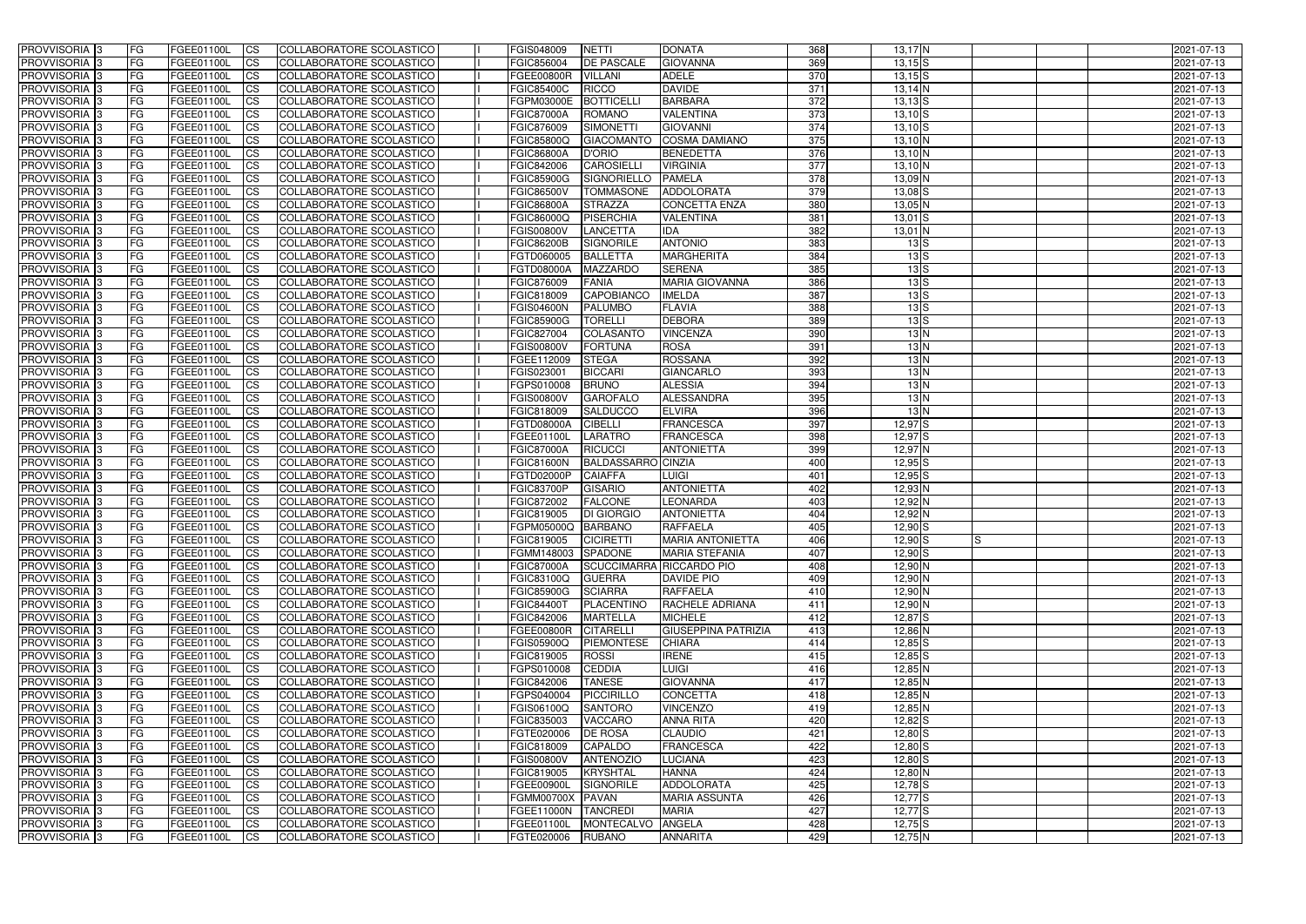| <b>PROVVISORIA</b> 3                      | l FG                   | FGEE01100L               | <b>ICS</b>             | COLLABORATORE SCOLASTICO                                    | FGIS048009               | NETTI                             | <b>DONATA</b>                   | 368              | $13,17$ N                              | 2021-07-13               |
|-------------------------------------------|------------------------|--------------------------|------------------------|-------------------------------------------------------------|--------------------------|-----------------------------------|---------------------------------|------------------|----------------------------------------|--------------------------|
| <b>PROVVISORIA 3</b>                      | FG                     | FGEE01100L               | <b>ICS</b>             | COLLABORATORE SCOLASTICO                                    | FGIC856004               | <b>DE PASCALE</b>                 | <b>GIOVANNA</b>                 | 369              | $13,15$ $S$                            | 2021-07-13               |
| PROVVISORIA <sup>1</sup> 3                | FG                     | FGEE01100L               | <b>CS</b>              | COLLABORATORE SCOLASTICO                                    | FGEE00800R               | <b>VILLANI</b>                    | <b>ADELE</b>                    | 370              | $13,15$ S                              | 2021-07-13               |
| PROVVISORIA                               | FG                     | FGEE01100L               | <b>CS</b>              | COLLABORATORE SCOLASTICO                                    | <b>FGIC85400C</b>        | <b>RICCO</b>                      | <b>DAVIDE</b>                   | 371              | $13,14$ N                              | 2021-07-13               |
| <b>PROVVISORIA 3</b>                      | FG                     | FGEE01100L               | <b>CS</b>              | COLLABORATORE SCOLASTICO                                    | FGPM03000E               | <b>BOTTICELL</b>                  | <b>BARBARA</b>                  | 372              | $13,13$ $S$                            | 2021-07-13               |
| PROVVISORIA <sup>1</sup> 3                | FG                     | FGEE01100L               | <b>CS</b>              | COLLABORATORE SCOLASTICO                                    | <b>FGIC87000A</b>        | <b>ROMANO</b>                     | <b>VALENTINA</b>                | $\overline{373}$ | $13,10$ S                              | 2021-07-13               |
| PROVVISORIA <sup>1</sup> 3                | FG                     | FGEE01100L               | <b>CS</b>              | COLLABORATORE SCOLASTICO                                    | FGIC876009               | <b>SIMONETTI</b>                  | <b>GIOVANNI</b>                 | 374              | $13,10$ S                              | 2021-07-13               |
| PROVVISORIA 3                             | FG                     | FGEE01100L               | <b>ICS</b>             | COLLABORATORE SCOLASTICO                                    | FGIC85800Q               | <b>GIACOMANTO</b>                 | <b>COSMA DAMIANO</b>            | 375              | $13,10$ N                              | 2021-07-13               |
| PROVVISORIA 3                             | FG                     | FGEE01100L               | <b>CS</b>              | COLLABORATORE SCOLASTICO                                    | <b>FGIC86800A</b>        | <b>D'ORIO</b>                     | <b>BENEDETTA</b>                | 376              | $13,10$ N                              | 2021-07-13               |
| PROVVISORIA 3                             | <b>FG</b>              | FGEE01100L               | <b>ICS</b>             | COLLABORATORE SCOLASTICO                                    | FGIC842006               | <b>CAROSIELLI</b>                 | <b>VIRGINIA</b>                 | $\overline{377}$ | $13,10$ N                              | 2021-07-13               |
| PROVVISORIA 3                             | FG                     | FGEE01100L               | <b>CS</b>              | COLLABORATORE SCOLASTICO                                    | <b>FGIC85900G</b>        | <b>SIGNORIELLO</b>                | <b>PAMELA</b>                   | $\overline{378}$ | 13,09 N                                | 2021-07-13               |
| <b>PROVVISORIA</b>                        | FG                     | FGEE01100L               | <b>ICS</b>             | COLLABORATORE SCOLASTICO                                    | <b>FGIC86500V</b>        | <b>TOMMASONE</b>                  | ADDOLORATA                      | 379              | $13,08$ $S$                            | 2021-07-13               |
| <b>PROVVISORIA</b>                        | FG                     | FGEE01100L               | <b>ICS</b>             | COLLABORATORE SCOLASTICO                                    | <b>FGIC86800A</b>        | <b>STRAZZA</b>                    | <b>CONCETTA ENZA</b>            | 380              | 13,05 N                                | 2021-07-13               |
| <b>PROVVISORIA</b>                        | FG                     | FGEE01100L               | <b>ICS</b>             | COLLABORATORE SCOLASTICO                                    | <b>FGIC86000Q</b>        | PISERCHIA                         | <b>VALENTINA</b>                | 381              | $13,01$ S                              | 2021-07-13               |
| <b>PROVVISORIA</b>                        | FG                     | FGEE01100L               | <b>ICS</b>             | COLLABORATORE SCOLASTICO                                    | <b>FGIS00800V</b>        | <b>LANCETTA</b>                   | <b>IDA</b>                      | 382              | $13,01$ N                              | 2021-07-13               |
| <b>PROVVISORIA</b>                        | FG                     | FGEE01100L               | <b>ICS</b>             | COLLABORATORE SCOLASTICO                                    | <b>FGIC86200B</b>        | SIGNORILE                         | <b>ANTONIO</b>                  | 383              | $13\,$ S                               | 2021-07-13               |
| <b>PROVVISORIA</b>                        | FG                     | FGEE01100L               | <b>ICS</b>             | COLLABORATORE SCOLASTICO                                    | FGTD060005               | <b>BALLETTA</b>                   | <b>MARGHERITA</b>               | 384              | $13\overline{\smash{\big }}\mathbf{S}$ | 2021-07-13               |
| <b>PROVVISORIA</b>                        | FG                     | FGEE01100L               | <b>ICS</b>             | COLLABORATORE SCOLASTICO                                    | FGTD08000A               | <b>MAZZARDO</b>                   | <b>SERENA</b>                   | 385              | $13\,$ S                               | 2021-07-13               |
| PROVVISORIA 3                             | FG                     | FGEE01100L               | <b>ICS</b>             | COLLABORATORE SCOLASTICO                                    | FGIC876009               | <b>FANIA</b>                      | <b>MARIA GIOVANNA</b>           | 386              | $13\overline{\smash{\big }}\mathbf{S}$ | 2021-07-13               |
| PROVVISORIA 3                             | FG                     | FGEE01100L               | <b>ICS</b>             | COLLABORATORE SCOLASTICO                                    | FGIC818009               | <b>CAPOBIANCO</b>                 | <b>IMELDA</b>                   | 387              | $13\overline{\smash{\big }}\mathbf{S}$ | 2021-07-13               |
| PROVVISORIA <sup>3</sup>                  | FG                     | FGEE01100L               | <b>ICS</b>             | COLLABORATORE SCOLASTICO                                    | <b>FGIS04600N</b>        | <b>PALUMBO</b>                    | <b>FLAVIA</b><br><b>DEBORA</b>  | 388<br>389       | 13S                                    | 2021-07-13               |
| PROVVISORIA 3<br>PROVVISORIA <sup>3</sup> | FG                     | FGEE01100L               | <b>ICS</b>             | COLLABORATORE SCOLASTICO                                    | <b>FGIC85900G</b>        | <b>TORELLI</b>                    |                                 | 390              | $13\,$ S<br>13N                        | 2021-07-13               |
| PROVVISORIA <sup>3</sup>                  | FG                     | FGEE01100L<br>FGEE01100L | <b>ICS</b>             | <b>COLLABORATORE SCOLASTICO</b><br>COLLABORATORE SCOLASTICO | FGIC827004<br>FGIS00800V | COLASANTO<br><b>FORTUNA</b>       | <b>VINCENZA</b><br><b>ROSA</b>  | 391              | 13N                                    | 2021-07-13<br>2021-07-13 |
| PROVVISORIA <sup>3</sup>                  | FG<br>FG               | FGEE01100L               | <b>CS</b><br><b>CS</b> | <b>COLLABORATORE SCOLASTICO</b>                             | FGEE112009               | <b>STEGA</b>                      | <b>ROSSANA</b>                  | 392              | 13N                                    | 2021-07-13               |
| PROVVISORIA 3                             | FG                     | FGEE01100L               | <b>ICS</b>             | COLLABORATORE SCOLASTICO                                    | FGIS023001               | <b>BICCARI</b>                    | <b>GIANCARLO</b>                | 393              | 13N                                    | 2021-07-13               |
| PROVVISORIA 3                             | FG                     | FGEE01100L               | <b>ICS</b>             | COLLABORATORE SCOLASTICO                                    | FGPS010008               | <b>BRUNO</b>                      | <b>ALESSIA</b>                  | 394              | 13N                                    | 2021-07-13               |
| PROVVISORIA                               | FG                     | FGEE01100L               | <b>ICS</b>             | COLLABORATORE SCOLASTICO                                    | <b>FGIS00800V</b>        | <b>GAROFALO</b>                   | ALESSANDRA                      | 395              | 13N                                    | 2021-07-13               |
| PROVVISORIA                               | FG                     | FGEE01100L               | <b>CS</b>              | <b>COLLABORATORE SCOLASTICO</b>                             | FGIC818009               | <b>SALDUCCO</b>                   | <b>ELVIRA</b>                   | 396              | 13N                                    | 2021-07-13               |
| PROVVISORIA                               | FG                     | FGEE01100L               | <b>CS</b>              | COLLABORATORE SCOLASTICO                                    | FGTD08000A               | <b>CIBELLI</b>                    | <b>FRANCESCA</b>                | 397              | 12,97 <sup>S</sup>                     | 2021-07-13               |
| PROVVISORIA                               | FG                     | FGEE01100L               | <b>CS</b>              | COLLABORATORE SCOLASTICO                                    | FGEE01100I               | <b>LARATRO</b>                    | <b>FRANCESCA</b>                | 398              | 12,97 <sup>S</sup>                     | 2021-07-13               |
| PROVVISORIA <sup>1</sup> 3                | <b>FG</b>              | FGEE01100L               | <b>CS</b>              | COLLABORATORE SCOLASTICO                                    | <b>FGIC87000A</b>        | <b>RICUCCI</b>                    | <b>ANTONIETTA</b>               | 399              | $12,97$ N                              | 2021-07-13               |
| PROVVISORIA <sup>1</sup> 3                | FG                     | FGEE01100L               | <b>CS</b>              | COLLABORATORE SCOLASTICO                                    | FGIC81600N               | <b>BALDASSARRO CINZIA</b>         |                                 | 400              | $12,95$ S                              | 2021-07-13               |
| PROVVISORIA 3                             | FG                     | FGEE01100L               | <b>CS</b>              | <b>COLLABORATORE SCOLASTICO</b>                             | FGTD02000P               | <b>CAIAFFA</b>                    | LUIGI                           | 401              | $12,95$ S                              | 2021-07-13               |
| <b>PROVVISORIA</b>                        | FG                     | FGEE01100L               | <b>ICS</b>             | COLLABORATORE SCOLASTICO                                    | <b>FGIC83700P</b>        | <b>GISARIO</b>                    | <b>ANTONIETTA</b>               | 402              | 12,93 N                                | 2021-07-13               |
| PROVVISORIA <sup>1</sup> 3                | <b>FG</b>              | FGEE01100L               | <b>ICS</b>             | COLLABORATORE SCOLASTICO                                    | FGIC872002               | <b>FALCONE</b>                    | <b>LEONARDA</b>                 | 403              | 12,92 N                                | 2021-07-13               |
| PROVVISORIA 3                             | <b>FG</b>              | FGEE01100L               | <b>ICS</b>             | COLLABORATORE SCOLASTICO                                    | FGIC819005               | <b>DI GIORGIO</b>                 | <b>ANTONIETTA</b>               | 404              | 12,92 N                                | 2021-07-13               |
| <b>PROVVISORIA</b>                        | <b>FG</b>              | FGEE01100L               | <b>ICS</b>             | COLLABORATORE SCOLASTICO                                    | FGPM05000Q BARBANO       |                                   | <b>RAFFAELA</b>                 | 405              | $12,90$ S                              | 2021-07-13               |
| PROVVISORIA 3                             | FG                     | FGEE01100L               | CS                     | COLLABORATORE SCOLASTICO                                    | FGIC819005               | <b>CICIRETTI</b>                  | <b>MARIA ANTONIETTA</b>         | 406              | $12,90$ S<br>IS                        | 2021-07-13               |
| PROVVISORIA 3                             | <b>FG</b>              | FGEE01100L               | $\mathsf{ICS}$         | COLLABORATORE SCOLASTICO                                    | FGMM148003 SPADONE       |                                   | <b>MARIA STEFANIA</b>           | 407              | $12,90$ S                              | 2021-07-13               |
| PROVVISORIA 3                             | <b>FG</b>              | <b>FGEE01100L</b>        | $\mathsf{ICS}$         | COLLABORATORE SCOLASTICO                                    | <b>FGIC87000A</b>        |                                   | <b>SCUCCIMARRA RICCARDO PIO</b> | 408              | 12,90 N                                | 2021-07-13               |
| PROVVISORIA 3                             | <b>FG</b>              | FGEE01100L               | $\mathsf{ICS}$         | COLLABORATORE SCOLASTICO                                    | <b>FGIC83100Q</b>        | <b>GUERRA</b>                     | <b>DAVIDE PIO</b>               | 409              | 12,90 N                                | 2021-07-13               |
| PROVVISORIA 3                             | FG                     | FGEE01100L               | $\mathsf{ICS}$         | COLLABORATORE SCOLASTICO                                    | <b>FGIC85900G</b>        | <b>SCIARRA</b>                    | <b>RAFFAELA</b>                 | 410              | 12,90 N                                | 2021-07-13               |
| PROVVISORIA 3                             | l FG                   | FGEE01100L               | <b>CS</b>              | COLLABORATORE SCOLASTICO                                    | <b>FGIC84400T</b>        | <b>PLACENTINO</b>                 | <b>RACHELE ADRIANA</b>          | 411              | $12,90$ N                              | 2021-07-13               |
| PROVVISORIA 3                             | <b>FG</b>              | FGEE01100L               | $\mathsf{ICS}$         | COLLABORATORE SCOLASTICO                                    | FGIC842006               | <b>MARTELLA</b>                   | <b>MICHELE</b>                  | 412              | $12,87$ $S$                            | 2021-07-13               |
| PROVVISORIA 3                             | FG                     | FGEE01100L               | <b>CS</b>              | COLLABORATORE SCOLASTICO                                    | FGEE00800R               | <b>CITARELLI</b>                  | <b>GIUSEPPINA PATRIZIA</b>      | 413<br>414       | $12,86$ N                              | 2021-07-13               |
| PROVVISORIA 3<br>PROVVISORIA 3            | <b>FG</b><br><b>FG</b> | FGEE01100L<br>FGEE01100L | <b>CS</b><br><b>CS</b> | COLLABORATORE SCOLASTICO<br>COLLABORATORE SCOLASTICO        | FGIS05900Q<br>FGIC819005 | <b>PIEMONTESE</b><br><b>ROSSI</b> | <b>CHIARA</b><br><b>IRENE</b>   | 415              | $12,85$ S<br>$12,85$ S                 | 2021-07-13<br>2021-07-13 |
| PROVVISORIA 3                             | <b>FG</b>              | FGEE01100L               | <b>CS</b>              | COLLABORATORE SCOLASTICO                                    | FGPS010008               | <b>CEDDIA</b>                     | <b>LUIGI</b>                    | 416              | $12,85$ N                              | 2021-07-13               |
| PROVVISORIA 3                             | <b>FG</b>              | FGEE01100L               | <b>CS</b>              | COLLABORATORE SCOLASTICO                                    | FGIC842006               | <b>TANESE</b>                     | <b>GIOVANNA</b>                 | 417              | $12,85$ N                              | 2021-07-13               |
| PROVVISORIA 3                             | <b>FG</b>              | FGEE01100L               | <b>CS</b>              | COLLABORATORE SCOLASTICO                                    | FGPS040004               | PICCIRILLO                        | <b>CONCETTA</b>                 | 418              | $12,85$ N                              | 2021-07-13               |
| PROVVISORIA 3                             | <b>FG</b>              | FGEE01100L               | <b>CS</b>              | COLLABORATORE SCOLASTICO                                    | FGIS06100Q               | <b>SANTORO</b>                    | <b>VINCENZO</b>                 | 419              | 12,85 N                                | 2021-07-13               |
| PROVVISORIA 3                             | <b>FG</b>              | FGEE01100L               | <b>CS</b>              | COLLABORATORE SCOLASTICO                                    | FGIC835003               | <b>VACCARO</b>                    | <b>ANNA RITA</b>                | 420              | $12,82$ $S$                            | 2021-07-13               |
| PROVVISORIA 3                             | <b>FG</b>              | FGEE01100L               | <b>CS</b>              | COLLABORATORE SCOLASTICO                                    | FGTE020006               | <b>DE ROSA</b>                    | <b>CLAUDIO</b>                  | 421              | $12,80$ S                              | 2021-07-13               |
| PROVVISORIA 3                             | <b>FG</b>              | FGEE01100L               | <b>CS</b>              | COLLABORATORE SCOLASTICO                                    | FGIC818009               | <b>CAPALDO</b>                    | <b>FRANCESCA</b>                | 422              | $12,80$ S                              | 2021-07-13               |
| PROVVISORIA 3                             | <b>FG</b>              | FGEE01100L               | <b>CS</b>              | COLLABORATORE SCOLASTICO                                    | <b>FGIS00800V</b>        | <b>ANTENOZIO</b>                  | <b>LUCIANA</b>                  | 423              | $12,80$ S                              | 2021-07-13               |
| PROVVISORIA 3                             | <b>FG</b>              | FGEE01100L               | <b>CS</b>              | COLLABORATORE SCOLASTICO                                    | FGIC819005               | <b>KRYSHTAL</b>                   | <b>HANNA</b>                    | 424              | $12,80$ N                              | 2021-07-13               |
| PROVVISORIA 3                             | FG                     | FGEE01100L               | <b>CS</b>              | COLLABORATORE SCOLASTICO                                    | FGEE00900L               | <b>SIGNORILE</b>                  | ADDOLORATA                      | 425              | $12,78$ $S$                            | 2021-07-13               |
| PROVVISORIA 3                             | FG                     | <b>FGEE01100L</b>        | <b>CS</b>              | COLLABORATORE SCOLASTICO                                    | FGMM00700X PAVAN         |                                   | <b>MARIA ASSUNTA</b>            | 426              | $12,77$ $S$                            | 2021-07-13               |
| PROVVISORIA 3                             | <b>FG</b>              | FGEE01100L               | <b>CS</b>              | COLLABORATORE SCOLASTICO                                    | FGEE11000N TANCREDI      |                                   | <b>MARIA</b>                    | 427              | $12,77$ $S$                            | 2021-07-13               |
| PROVVISORIA 3                             | <b>FG</b>              | FGEE01100L               | $\overline{\text{CS}}$ | COLLABORATORE SCOLASTICO                                    | FGEE01100L               | MONTECALVO ANGELA                 |                                 | 428              | $12,75$ S                              | 2021-07-13               |
| PROVVISORIA 3                             | <b>FG</b>              | FGEE01100L               | $\mathsf{ICS}$         | COLLABORATORE SCOLASTICO                                    | FGTE020006               | <b>RUBANO</b>                     | <b>ANNARITA</b>                 | 429              | $12,75$ N                              | 2021-07-13               |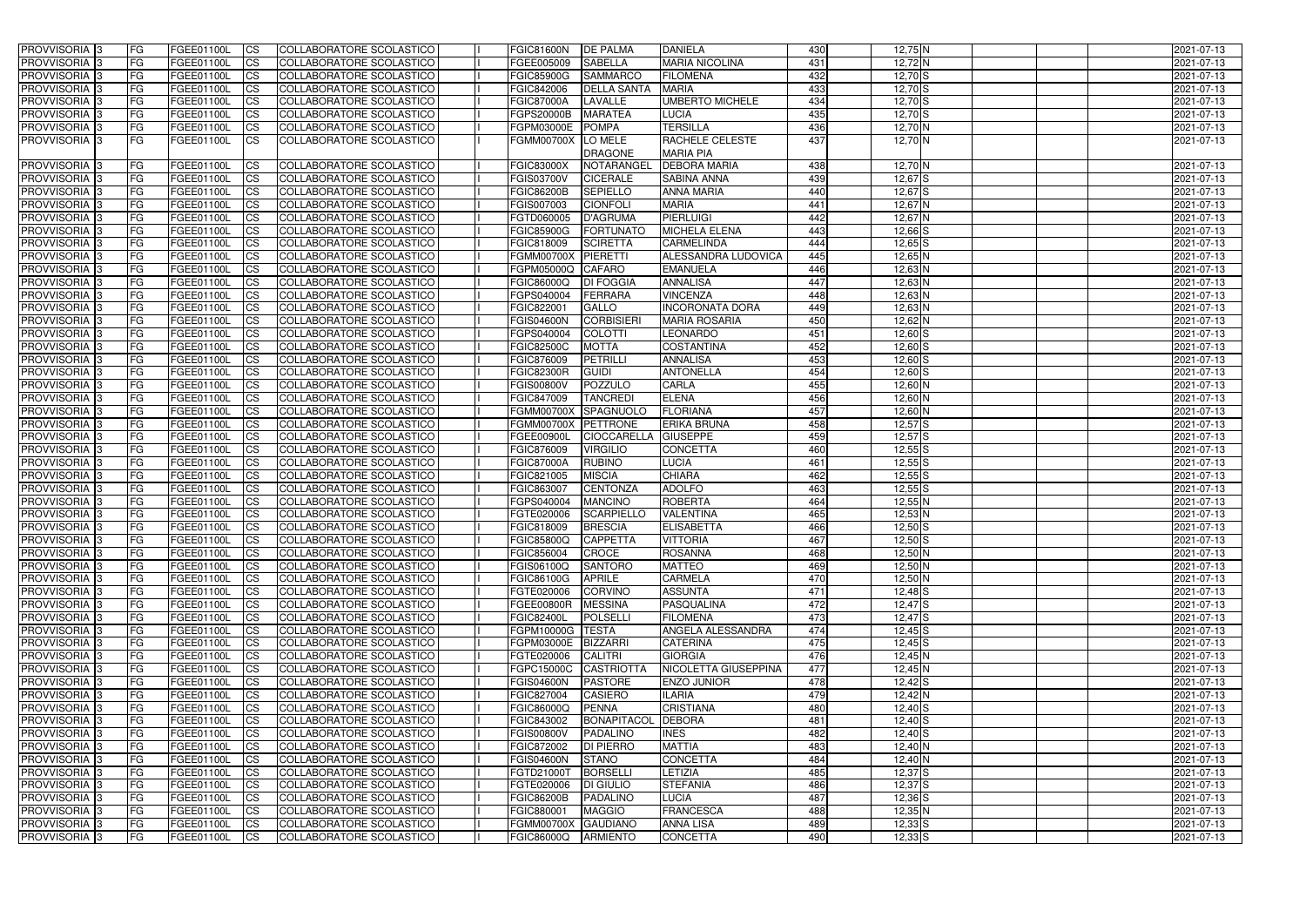| <b>PROVVISORIA</b> 3       | <b>FG</b>  | FGEE01100L | <b>CS</b>              | COLLABORATORE SCOLASTICO | <b>FGIC81600N</b>   | <b>DE PALMA</b>    | <b>DANIELA</b>           | 430 | 12,75 N            | 2021-07-13 |
|----------------------------|------------|------------|------------------------|--------------------------|---------------------|--------------------|--------------------------|-----|--------------------|------------|
| <b>PROVVISORIA 3</b>       | <b>FG</b>  | FGEE01100L | <b>CS</b>              | COLLABORATORE SCOLASTICO | FGEE005009          | <b>SABELLA</b>     | <b>MARIA NICOLINA</b>    | 431 | 12,72 N            | 2021-07-13 |
| PROVVISORIA 3              | <b>FG</b>  | FGEE01100L | <b>CS</b>              | COLLABORATORE SCOLASTICO | <b>FGIC85900G</b>   | <b>SAMMARCO</b>    | <b>FILOMENA</b>          | 432 | $12,70$ S          | 2021-07-13 |
| PROVVISORIA 3              | <b>FG</b>  | FGEE01100L | <b>CS</b>              | COLLABORATORE SCOLASTICO | FGIC842006          | <b>DELLA SANTA</b> | <b>MARIA</b>             | 433 | $12,70$ S          | 2021-07-13 |
| PROVVISORIA <sup>1</sup> 3 | FG         | FGEE01100L | <b>CS</b>              | COLLABORATORE SCOLASTICO | <b>FGIC87000A</b>   | LAVALLE            | <b>UMBERTO MICHELE</b>   | 434 | $12,70$ S          | 2021-07-13 |
| <b>PROVVISORIA</b>         | FG         | FGEE01100L | <b>CS</b>              | COLLABORATORE SCOLASTICO | FGPS20000B          | <b>MARATEA</b>     | LUCIA                    | 435 | 12,70 S            | 2021-07-13 |
| PROVVISORIA 3              | <b>FG</b>  | FGEE01100L | <b>CS</b>              | COLLABORATORE SCOLASTICO | FGPM03000E          | <b>POMPA</b>       | <b>TERSILLA</b>          | 436 | 12,70 N            | 2021-07-13 |
| PROVVISORIA 3              | FG         | FGEE01100L | <b>ICS</b>             | COLLABORATORE SCOLASTICO | <b>FGMM00700X</b>   | LO MELE            | RACHELE CELESTE          | 437 | $12,70$ N          | 2021-07-13 |
|                            |            |            |                        |                          |                     | <b>DRAGONE</b>     | <b>MARIA PIA</b>         |     |                    |            |
| PROVVISORIA 3              | <b>FG</b>  | FGEE01100L | <b>CS</b>              | COLLABORATORE SCOLASTICO | <b>FGIC83000X</b>   | NOTARANGEL         | <b>DEBORA MARIA</b>      | 438 | 12,70 N            | 2021-07-13 |
| PROVVISORIA 3              | <b>IFG</b> | FGEE01100L | <b>ICS</b>             | COLLABORATORE SCOLASTICO | <b>FGIS03700V</b>   | <b>CICERALE</b>    | <b>SABINA ANNA</b>       | 439 | 12,67 <sup>S</sup> | 2021-07-13 |
| <b>PROVVISORIA</b>         | <b>FG</b>  | FGEE01100L | <b>CS</b>              | COLLABORATORE SCOLASTICO | <b>FGIC86200B</b>   | <b>SEPIELLO</b>    | <b>ANNA MARIA</b>        | 440 | 12,67 <sup>S</sup> | 2021-07-13 |
| <b>PROVVISORIA</b>         | FG         | FGEE01100L | <b>CS</b>              | COLLABORATORE SCOLASTICO | FGIS007003          | <b>CIONFOLI</b>    | <b>MARIA</b>             | 441 | 12,67 N            | 2021-07-13 |
| PROVVISORIA 3              | <b>FG</b>  | FGEE01100L | <b>CS</b>              | COLLABORATORE SCOLASTICO | FGTD060005          | <b>D'AGRUMA</b>    | PIERLUIGI                | 442 | 12,67 N            | 2021-07-13 |
| <b>PROVVISORIA</b>         | FG         | FGEE01100L | <b>CS</b>              | COLLABORATORE SCOLASTICO | <b>FGIC85900G</b>   | <b>FORTUNATO</b>   | MICHELA ELENA            | 443 | $12,66$ $S$        | 2021-07-13 |
| <b>PROVVISORIA</b>         | FG         | FGEE01100L | <b>CS</b>              | COLLABORATORE SCOLASTICO | FGIC818009          | <b>SCIRETTA</b>    | <b>CARMELINDA</b>        | 444 | $12,65$ S          | 2021-07-13 |
| <b>PROVVISORIA</b>         | FG         | FGEE01100L | <b>CS</b>              | COLLABORATORE SCOLASTICO | <b>FGMM00700X</b>   | <b>PIERETTI</b>    | ALESSANDRA LUDOVICA      | 445 | 12,65 N            | 2021-07-13 |
| PROVVISORIA <sup>1</sup> 3 | FG         | FGEE01100L | <b>CS</b>              | COLLABORATORE SCOLASTICO | FGPM05000Q          | <b>CAFARO</b>      | <b>EMANUELA</b>          | 446 | 12,63 N            | 2021-07-13 |
| <b>PROVVISORIA</b>         | FG         | FGEE01100L | <b>CS</b>              | COLLABORATORE SCOLASTICO | FGIC86000Q          | <b>DI FOGGIA</b>   | <b>ANNALISA</b>          | 447 | 12,63 N            | 2021-07-13 |
| <b>PROVVISORIA</b>         | FG         | FGEE01100L | <b>CS</b>              | COLLABORATORE SCOLASTICO | FGPS040004          | <b>FERRARA</b>     | <b>VINCENZA</b>          | 448 | 12,63 N            | 2021-07-13 |
| PROVVISORIA 3              | FG         | FGEE01100L | <b>CS</b>              | COLLABORATORE SCOLASTICO | FGIC822001          | <b>GALLO</b>       | <b>INCORONATA DORA</b>   | 449 | 12,63 N            | 2021-07-13 |
| PROVVISORIA 3              | FG         | FGEE01100L | <b>CS</b>              | COLLABORATORE SCOLASTICO | <b>FGIS04600N</b>   | <b>CORBISIERI</b>  | <b>MARIA ROSARIA</b>     | 450 | 12,62 N            | 2021-07-13 |
| <b>PROVVISORIA</b>         | FG         | FGEE01100L | <b>CS</b>              | COLLABORATORE SCOLASTICO | FGPS040004          | <b>COLOTTI</b>     | <b>LEONARDO</b>          | 451 | 12,60 S            | 2021-07-13 |
| PROVVISORIA <sup>1</sup> 3 | FG         | FGEE01100L | <b>ICS</b>             | COLLABORATORE SCOLASTICO | <b>FGIC82500C</b>   | <b>MOTTA</b>       | <b>COSTANTINA</b>        | 452 | $12,60$ S          | 2021-07-13 |
| PROVVISORIA <sup>1</sup> 3 | FG         | FGEE01100L | <b>CS</b>              | COLLABORATORE SCOLASTICO | FGIC876009          | <b>PETRILLI</b>    | <b>ANNALISA</b>          | 453 | $12,60$ S          | 2021-07-13 |
| PROVVISORIA <sup>1</sup> 3 | FG         | FGEE01100L | <b>CS</b>              | COLLABORATORE SCOLASTICO | <b>FGIC82300R</b>   | <b>GUIDI</b>       | <b>ANTONELLA</b>         | 454 | $12,60$ S          | 2021-07-13 |
| PROVVISORIA <sup>1</sup> 3 | FG         | FGEE01100L | <b>CS</b>              | COLLABORATORE SCOLASTICO | <b>FGIS00800V</b>   | <b>POZZULO</b>     | <b>CARLA</b>             | 455 | 12,60 N            | 2021-07-13 |
| PROVVISORIA 3              | FG         | FGEE01100L | <b>CS</b>              | COLLABORATORE SCOLASTICO | FGIC847009          | <b>TANCREDI</b>    | <b>ELENA</b>             | 456 | 12,60 N            | 2021-07-13 |
| PROVVISORIA 3              | FG         | FGEE01100L | <b>CS</b>              | COLLABORATORE SCOLASTICO | <b>FGMM00700X</b>   | SPAGNUOLO          | <b>FLORIANA</b>          | 457 | $12,60$ N          | 2021-07-13 |
| PROVVISORIA <sup>1</sup> 3 | FG         | FGEE01100L | <b>CS</b>              | COLLABORATORE SCOLASTICO | <b>FGMM00700X</b>   | PETTRONE           | ERIKA BRUNA              | 458 | $12,57$ S          | 2021-07-13 |
| <b>PROVVISORIA</b>         | FG         | FGEE01100L | <b>CS</b>              | COLLABORATORE SCOLASTICO | FGEE00900L          | <b>CIOCCARELLA</b> | <b>GIUSEPPE</b>          | 459 | $12,57$ S          | 2021-07-13 |
| PROVVISORIA                | <b>FG</b>  | FGEE01100L | <b>CS</b>              | COLLABORATORE SCOLASTICO | FGIC876009          | <b>VIRGILIO</b>    | <b>CONCETTA</b>          | 460 | $12,55$ S          | 2021-07-13 |
| PROVVISORIA 3              | FG         | FGEE01100L | <b>CS</b>              | COLLABORATORE SCOLASTICO | <b>FGIC87000A</b>   | <b>RUBINO</b>      | LUCIA                    | 461 | $12,55$ S          | 2021-07-13 |
| <b>PROVVISORIA</b>         | FG         | FGEE01100L | <b>CS</b>              | COLLABORATORE SCOLASTICO | FGIC821005          | <b>MISCIA</b>      | <b>CHIARA</b>            | 462 | $12,55$ S          | 2021-07-13 |
| PROVVISORIA                | IFG.       | FGEE01100L | <b>CS</b>              | COLLABORATORE SCOLASTICO | FGIC863007          | <b>CENTONZA</b>    | <b>ADOLFO</b>            | 463 | $12,55$ S          | 2021-07-13 |
| <b>PROVVISORIA</b>         | <b>FG</b>  | FGEE01100L | <b>CS</b>              | COLLABORATORE SCOLASTICO | FGPS040004          | <b>MANCINO</b>     | <b>ROBERTA</b>           | 464 | 12,55 N            | 2021-07-13 |
| <b>PROVVISORIA 3</b>       | <b>IFG</b> | FGEE01100L | <b>ICS</b>             | COLLABORATORE SCOLASTICO | FGTE020006          | <b>SCARPIELLO</b>  | <b>VALENTINA</b>         | 465 | $12,53$ N          | 2021-07-13 |
| PROVVISORIA 3              | <b>FG</b>  | FGEE01100L | <b>CS</b>              | COLLABORATORE SCOLASTICO | FGIC818009          | <b>BRESCIA</b>     | <b>ELISABETTA</b>        | 466 | $12,50$ S          | 2021-07-13 |
| PROVVISORIA 3              | FG         | FGEE01100L | - ICS                  | COLLABORATORE SCOLASTICO | <b>FGIC85800Q</b>   | <b>CAPPETTA</b>    | <b>VITTORIA</b>          | 467 | $12,50$ S          | 2021-07-13 |
| PROVVISORIA 3              | <b>FG</b>  | FGEE01100L | CS                     | COLLABORATORE SCOLASTICO | FGIC856004          | CROCE              | <b>ROSANNA</b>           | 468 | $12,50$ N          | 2021-07-13 |
| PROVVISORIA 3              | <b>FG</b>  | FGEE01100L | $\overline{\text{CS}}$ | COLLABORATORE SCOLASTICO | FGIS06100Q          | SANTORO            | <b>MATTEO</b>            | 469 | $12,50$ N          | 2021-07-13 |
| PROVVISORIA 3              | <b>FG</b>  | FGEE01100L | CS                     | COLLABORATORE SCOLASTICO | FGIC86100G          | <b>APRILE</b>      | <b>CARMELA</b>           | 470 | $12,50$ N          | 2021-07-13 |
| PROVVISORIA 3              | <b>IFG</b> | FGEE01100L | CS                     | COLLABORATORE SCOLASTICO | FGTE020006          | <b>CORVINO</b>     | <b>ASSUNTA</b>           | 471 | $12,48$ $S$        | 2021-07-13 |
| PROVVISORIA 3              | <b>FG</b>  | FGEE01100L | CS                     | COLLABORATORE SCOLASTICO | <b>FGEE00800R</b>   | <b>MESSINA</b>     | PASQUALINA               | 472 | $12,47$ S          | 2021-07-13 |
| PROVVISORIA 3              | <b>FG</b>  | FGEE01100L | CS                     | COLLABORATORE SCOLASTICO | <b>FGIC82400L</b>   | <b>POLSELLI</b>    | <b>FILOMENA</b>          | 473 | $12,47$ $S$        | 2021-07-13 |
| PROVVISORIA 3              | <b>FG</b>  | FGEE01100L | <b>CS</b>              | COLLABORATORE SCOLASTICO | FGPM10000G TESTA    |                    | <b>ANGELA ALESSANDRA</b> | 474 | $12,45$ S          | 2021-07-13 |
| PROVVISORIA 3              | <b>FG</b>  | FGEE01100L | <b>CS</b>              | COLLABORATORE SCOLASTICO | FGPM03000E          | <b>BIZZARRI</b>    | <b>CATERINA</b>          | 475 | $12,45$ S          | 2021-07-13 |
| PROVVISORIA 3              | <b>FG</b>  | FGEE01100L | CS                     | COLLABORATORE SCOLASTICO | FGTE020006          | <b>CALITRI</b>     | <b>GIORGIA</b>           | 476 | $12,45$ N          | 2021-07-13 |
| PROVVISORIA 3              | <b>FG</b>  | FGEE01100L | CS                     | COLLABORATORE SCOLASTICO | FGPC15000C          | <b>CASTRIOTTA</b>  | NICOLETTA GIUSEPPINA     | 477 | $12,45$ N          | 2021-07-13 |
| PROVVISORIA 3              | <b>FG</b>  | FGEE01100L | CS                     | COLLABORATORE SCOLASTICO | <b>FGIS04600N</b>   | <b>PASTORE</b>     | <b>ENZO JUNIOR</b>       | 478 | $12,42$ $S$        | 2021-07-13 |
| PROVVISORIA 3              | <b>FG</b>  | FGEE01100L | <b>CS</b>              | COLLABORATORE SCOLASTICO | FGIC827004          | <b>CASIERO</b>     | <b>ILARIA</b>            | 479 | $12,42$ N          | 2021-07-13 |
| PROVVISORIA 3              | <b>FG</b>  | FGEE01100L | <b>CS</b>              | COLLABORATORE SCOLASTICO | FGIC86000Q          | <b>PENNA</b>       | <b>CRISTIANA</b>         | 480 | $12,40$ S          | 2021-07-13 |
| PROVVISORIA 3              | <b>FG</b>  | FGEE01100L | <b>CS</b>              | COLLABORATORE SCOLASTICO | FGIC843002          | <b>BONAPITACOL</b> | <b>DEBORA</b>            | 481 | $12,40$ S          | 2021-07-13 |
| PROVVISORIA 3              | <b>FG</b>  | FGEE01100L | <b>CS</b>              | COLLABORATORE SCOLASTICO | <b>FGIS00800V</b>   | <b>PADALINO</b>    | <b>INES</b>              | 482 | $12,40$ S          | 2021-07-13 |
| PROVVISORIA 3              | <b>FG</b>  | FGEE01100L | <b>CS</b>              | COLLABORATORE SCOLASTICO | FGIC872002          | DI PIERRO          | <b>MATTIA</b>            | 483 | $12,40$ N          | 2021-07-13 |
| PROVVISORIA 3              | <b>FG</b>  | FGEE01100L | <b>CS</b>              | COLLABORATORE SCOLASTICO | <b>FGIS04600N</b>   | <b>STANO</b>       | <b>CONCETTA</b>          | 484 | $12,40$ N          | 2021-07-13 |
| PROVVISORIA 3              | <b>FG</b>  | FGEE01100L | <b>CS</b>              | COLLABORATORE SCOLASTICO | FGTD21000T          | BORSELLI           | LETIZIA                  | 485 | $12,37$ $S$        | 2021-07-13 |
| PROVVISORIA 3              | <b>FG</b>  | FGEE01100L | <b>CS</b>              | COLLABORATORE SCOLASTICO | FGTE020006          | <b>DI GIULIO</b>   | <b>STEFANIA</b>          | 486 | $12,37$ $S$        | 2021-07-13 |
| PROVVISORIA 3              | <b>FG</b>  | FGEE01100L | <b>CS</b>              | COLLABORATORE SCOLASTICO | <b>FGIC86200B</b>   | PADALINO           | <b>LUCIA</b>             | 487 | $12,36$ $S$        | 2021-07-13 |
| PROVVISORIA 3              | <b>IFG</b> | FGEE01100L | <b>CS</b>              | COLLABORATORE SCOLASTICO | FGIC880001          | <b>MAGGIO</b>      | <b>FRANCESCA</b>         | 488 | $12,35$ N          | 2021-07-13 |
| PROVVISORIA 3              | <b>IFG</b> | FGEE01100L | <b>CS</b>              | COLLABORATORE SCOLASTICO | FGMM00700X GAUDIANO |                    | <b>ANNA LISA</b>         | 489 | $12,33$ $S$        | 2021-07-13 |
| PROVVISORIA 3              | <b>IFG</b> | FGEE01100L | CS                     | COLLABORATORE SCOLASTICO | FGIC86000Q          | <b>ARMIENTO</b>    | <b>CONCETTA</b>          | 490 | $12,33$ $S$        | 2021-07-13 |
|                            |            |            |                        |                          |                     |                    |                          |     |                    |            |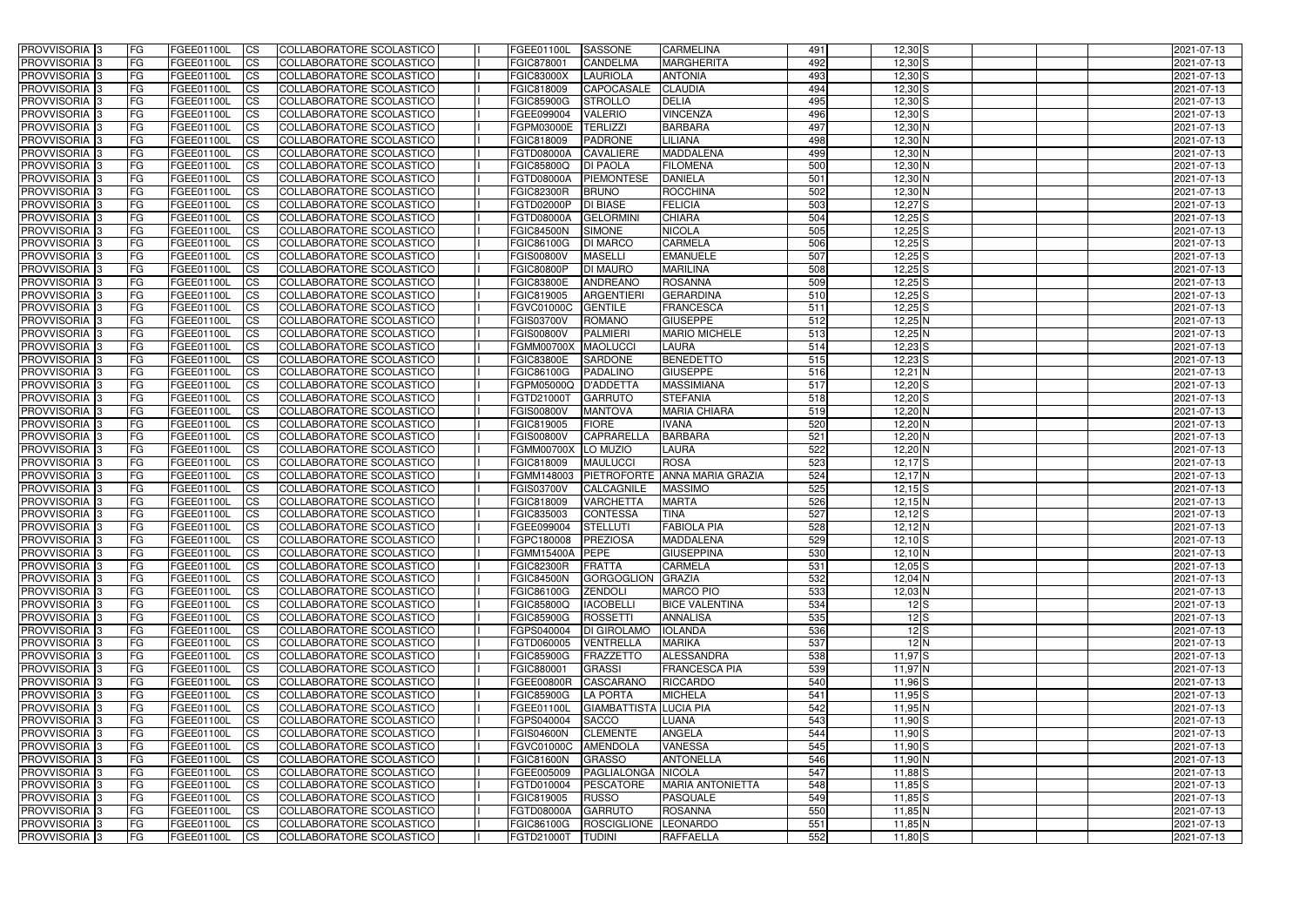| <b>PROVVISORIA</b> 3       | FG         | FGEE01100L        | <b>ICS</b>             | COLLABORATORE SCOLASTICO        | FGEE01100L          | SASSONE                   | <b>CARMELINA</b>         | 491 | $12,30$ S                     | 2021-07-13 |
|----------------------------|------------|-------------------|------------------------|---------------------------------|---------------------|---------------------------|--------------------------|-----|-------------------------------|------------|
| <b>PROVVISORIA 3</b>       | FG         | FGEE01100L        | <b>CS</b>              | COLLABORATORE SCOLASTICO        | FGIC878001          | CANDELMA                  | <b>MARGHERITA</b>        | 492 | $12,30$ S                     | 2021-07-13 |
| PROVVISORIA <sup>3</sup>   | FG         | FGEE01100L        | <b>CS</b>              | COLLABORATORE SCOLASTICO        | <b>FGIC83000X</b>   | LAURIOLA                  | <b>ANTONIA</b>           | 493 | $12,30$ S                     | 2021-07-13 |
| PROVVISORIA <sup>3</sup>   | FG         | FGEE01100L        | <b>CS</b>              | COLLABORATORE SCOLASTICO        | FGIC818009          | CAPOCASALE                | <b>CLAUDIA</b>           | 494 | $12,30$ S                     | 2021-07-13 |
| PROVVISORIA <sup>1</sup> 3 | FG         | FGEE01100L        | <b>CS</b>              | COLLABORATORE SCOLASTICO        | <b>FGIC85900G</b>   | <b>STROLLO</b>            | <b>DELIA</b>             | 495 | $12,30$ S                     | 2021-07-13 |
| PROVVISORIA <sup>3</sup>   | FG         | FGEE01100L        | <b>CS</b>              | COLLABORATORE SCOLASTICO        | FGEE099004          | <b>VALERIO</b>            | <b>VINCENZA</b>          | 496 | $12,30$ S                     | 2021-07-13 |
| PROVVISORIA 3              | FG         | FGEE01100L        | <b>CS</b>              | COLLABORATORE SCOLASTICO        | FGPM03000E          | <b>TERLIZZI</b>           | <b>BARBARA</b>           | 497 | 12,30 N                       | 2021-07-13 |
| PROVVISORIA 3              | FG         | <b>FGEE01100L</b> | <b>CS</b>              | COLLABORATORE SCOLASTICO        | FGIC818009          | <b>PADRONE</b>            | LILIANA                  | 498 | 12,30 N                       | 2021-07-13 |
| PROVVISORIA 3              | FG         | FGEE01100L        | <b>CS</b>              | COLLABORATORE SCOLASTICO        | <b>FGTD08000A</b>   | <b>CAVALIERE</b>          | <b>MADDALENA</b>         | 499 | 12,30 N                       | 2021-07-13 |
| PROVVISORIA <sup>3</sup>   | FG         | FGEE01100L        | $\overline{c}$         | COLLABORATORE SCOLASTICO        | <b>FGIC85800Q</b>   | <b>DI PAOLA</b>           | <b>FILOMENA</b>          | 500 | $12,30$ N                     | 2021-07-13 |
| PROVVISORIA <sup>3</sup>   | FG         | FGEE01100L        | <b>CS</b>              | COLLABORATORE SCOLASTICO        | <b>FGTD08000A</b>   | <b>PIEMONTESE</b>         | <b>DANIELA</b>           | 501 | $12,30$ N                     | 2021-07-13 |
| PROVVISORIA <sup>3</sup>   | FG         | FGEE01100L        | <b>CS</b>              | COLLABORATORE SCOLASTICO        | <b>FGIC82300R</b>   | <b>BRUNO</b>              | ROCCHINA                 | 502 | 12,30 N                       | 2021-07-13 |
| <b>PROVVISORIA</b> 3       | FG         | <b>FGEE01100L</b> | <b>I</b> CS            | COLLABORATORE SCOLASTICO        | <b>FGTD02000P</b>   | <b>DI BIASE</b>           | <b>FELICIA</b>           | 503 | $12,27$ $S$                   | 2021-07-13 |
| PROVVISORIA <sup>3</sup>   | FG         | FGEE01100L        | <b>I</b> CS            | COLLABORATORE SCOLASTICO        | <b>FGTD08000A</b>   | <b>GELORMIN</b>           | <b>CHIARA</b>            | 504 | $12,25$ S                     | 2021-07-13 |
| PROVVISORIA <sup>3</sup>   | FG         | FGEE01100L        | <b>I</b> CS            | COLLABORATORE SCOLASTICO        | <b>FGIC84500N</b>   | <b>SIMONE</b>             | <b>NICOLA</b>            | 505 | $12,25$ S                     | 2021-07-13 |
| <b>PROVVISORIA</b> 3       | FG         | FGEE01100L        | <b>I</b> CS            | <b>COLLABORATORE SCOLASTICO</b> | <b>FGIC86100G</b>   | <b>DI MARCO</b>           | <b>CARMELA</b>           | 506 | $12,25$ S                     | 2021-07-13 |
| <b>PROVVISORIA</b> 3       | FG         | FGEE01100L        | <b>ICS</b>             | COLLABORATORE SCOLASTICO        | <b>FGIS00800V</b>   | <b>MASELLI</b>            | <b>EMANUELE</b>          | 507 | $12,25$ S                     | 2021-07-13 |
| PROVVISORIA 3              | FG         | FGEE01100L        | <b>CS</b>              | COLLABORATORE SCOLASTICO        | <b>FGIC80800P</b>   | <b>DI MAURO</b>           | <b>MARILINA</b>          | 508 | $12,25$ S                     | 2021-07-13 |
| PROVVISORIA <sup>3</sup>   | FG         | FGEE01100L        | <b>ICS</b>             | COLLABORATORE SCOLASTICO        | <b>FGIC83800E</b>   | <b>ANDREANO</b>           | <b>ROSANNA</b>           | 509 | $12,25$ S                     | 2021-07-13 |
|                            |            |                   |                        |                                 |                     | <b>ARGENTIER</b>          |                          | 510 | $12,25$ S                     |            |
| PROVVISORIA <sup>3</sup>   | FG         | FGEE01100L        | <b>I</b> CS            | COLLABORATORE SCOLASTICO        | FGIC819005          |                           | <b>GERARDINA</b>         |     |                               | 2021-07-13 |
| PROVVISORIA <sup>3</sup>   | FG         | FGEE01100L        | <b>I</b> CS            | COLLABORATORE SCOLASTICO        | <b>FGVC01000C</b>   | <b>GENTILE</b>            | <b>FRANCESCA</b>         | 511 | $12,25$ S                     | 2021-07-13 |
| PROVVISORIA <sup>3</sup>   | FG         | FGEE01100L        | <b>CS</b>              | COLLABORATORE SCOLASTICO        | <b>FGIS03700V</b>   | <b>ROMANO</b>             | <b>GIUSEPPE</b>          | 512 | $12,25$ N                     | 2021-07-13 |
| PROVVISORIA 3              | FG         | FGEE01100L        | <b>CS</b>              | COLLABORATORE SCOLASTICO        | <b>FGIS00800V</b>   | <b>PALMIERI</b>           | <b>MARIO MICHELE</b>     | 513 | $12,25$ N                     | 2021-07-13 |
| <b>PROVVISORIA</b> 3       | FG         | FGEE01100L        | <b>CS</b>              | COLLABORATORE SCOLASTICO        | <b>FGMM00700X</b>   | <b>MAOLUCCI</b>           | <b>LAURA</b>             | 514 | $12,23$ $S$                   | 2021-07-13 |
| PROVVISORIA <sup>3</sup>   | FG         | FGEE01100L        | <b>CS</b>              | COLLABORATORE SCOLASTICO        | <b>FGIC83800E</b>   | SARDONE                   | <b>BENEDETTO</b>         | 515 | $12,23$ S                     | 2021-07-13 |
| PROVVISORIA <sup>1</sup> 3 | FG         | FGEE01100L        | <b>CS</b>              | COLLABORATORE SCOLASTICO        | FGIC86100G          | <b>PADALINO</b>           | <b>GIUSEPPE</b>          | 516 | $12,21$ N                     | 2021-07-13 |
| PROVVISORIA <sup>1</sup> 3 | FG         | <b>FGEE01100L</b> | <b>CS</b>              | COLLABORATORE SCOLASTICO        | FGPM05000Q          | D'ADDETTA                 | <b>MASSIMIANA</b>        | 517 | $12,20$ S                     | 2021-07-13 |
| PROVVISORIA <sup>3</sup>   | FG.        | FGEE01100L        | <b>CS</b>              | COLLABORATORE SCOLASTICO        | FGTD21000T          | <b>GARRUTO</b>            | <b>STEFANIA</b>          | 518 | $12,20$ S                     | 2021-07-13 |
| PROVVISORIA <sup>13</sup>  | FG         | <b>FGEE01100L</b> | <b>CS</b>              | COLLABORATORE SCOLASTICO        | <b>FGIS00800V</b>   | <b>MANTOVA</b>            | <b>MARIA CHIARA</b>      | 519 | $12,20$ N                     | 2021-07-13 |
| PROVVISORIA <sup>1</sup> 3 | FG.        | FGEE01100L        | <b>CS</b>              | COLLABORATORE SCOLASTICO        | FGIC819005          | <b>FIORE</b>              | <b>IVANA</b>             | 520 | 12,20 N                       | 2021-07-13 |
| PROVVISORIA <sup>3</sup>   | FG.        | FGEE01100L        | <b>CS</b>              | COLLABORATORE SCOLASTICO        | <b>FGIS00800V</b>   | <b>CAPRARELLA</b>         | <b>BARBARA</b>           | 521 | 12,20 N                       | 2021-07-13 |
| PROVVISORIA <sup>3</sup>   | FG         | FGEE01100L        | $\overline{\text{cs}}$ | COLLABORATORE SCOLASTICO        | <b>FGMM00700X</b>   | LO MUZIO                  | <b>LAURA</b>             | 522 | $12,20$ N                     | 2021-07-13 |
| PROVVISORIA <sup>3</sup>   | FG         | <b>FGEE01100L</b> | <b>CS</b>              | COLLABORATORE SCOLASTICO        | FGIC818009          | <b>MAULUCCI</b>           | <b>ROSA</b>              | 523 | $12,17$ S                     | 2021-07-13 |
| PROVVISORIA <sup>3</sup>   | FG         | <b>FGEE01100L</b> | <b>CS</b>              | COLLABORATORE SCOLASTICO        | FGMM148003          | <b>PIETROFORTE</b>        | <b>ANNA MARIA GRAZIA</b> | 524 | $12,17$ N                     | 2021-07-13 |
| PROVVISORIA <sup>3</sup>   | FG         | FGEE01100L        | $\overline{\text{cs}}$ | COLLABORATORE SCOLASTICO        | <b>FGIS03700V</b>   | CALCAGNILE                | <b>MASSIMO</b>           | 525 | $12,15$ S                     | 2021-07-13 |
| PROVVISORIA <sup>3</sup>   | FG         | FGEE01100L        | <b>CS</b>              | <b>COLLABORATORE SCOLASTICO</b> | FGIC818009          | <b>VARCHETTA</b>          | <b>MARTA</b>             | 526 | $12,15$ N                     | 2021-07-13 |
| PROVVISORIA <sup>3</sup>   | FG         | FGEE01100L        | <b>CS</b>              | COLLABORATORE SCOLASTICO        | FGIC835003          | <b>CONTESSA</b>           | <b>TINA</b>              | 527 | $12,12$ S                     | 2021-07-13 |
| PROVVISORIA 3              | FG         | FGEE01100L        | <b>I</b> CS            | COLLABORATORE SCOLASTICO        | FGEE099004          | <b>STELLUTI</b>           | <b>FABIOLA PIA</b>       | 528 | $12,12$ N                     | 2021-07-13 |
| <b>PROVVISORIA</b> 3       | IFG.       | FGEE01100L        | CS                     | COLLABORATORE SCOLASTICO        | FGPC180008 PREZIOSA |                           | <b>MADDALENA</b>         | 529 | $12,10$ S                     | 2021-07-13 |
| <b>PROVVISORIA</b> 3       | IFG.       | FGEE01100L        | <b>ICS</b>             | COLLABORATORE SCOLASTICO        | <b>FGMM15400A</b>   | <b>PEPE</b>               | <b>GIUSEPPINA</b>        | 530 | 12,10 N                       | 2021-07-13 |
| PROVVISORIA 3              | FG         | FGEE01100L        | <b>CS</b>              | COLLABORATORE SCOLASTICO        | <b>FGIC82300R</b>   | FRATTA                    | <b>CARMELA</b>           | 531 | $12,05$ S                     | 2021-07-13 |
| PROVVISORIA 3              | FG         | FGEE01100L        | <b>CS</b>              | COLLABORATORE SCOLASTICO        | FGIC84500N          | GORGOGLION GRAZIA         |                          | 532 | 12,04 N                       | 2021-07-13 |
| PROVVISORIA 3              | FG         | FGEE01100L        | <b>ICS</b>             | <b>COLLABORATORE SCOLASTICO</b> | <b>FGIC86100G</b>   | <b>ZENDOLI</b>            | <b>MARCO PIO</b>         | 533 | 12,03 N                       | 2021-07-13 |
| PROVVISORIA 3              | FG         | FGEE01100L        | $\mathsf{ICS}$         | COLLABORATORE SCOLASTICO        | <b>FGIC85800Q</b>   | <b>IACOBELLI</b>          | <b>BICE VALENTINA</b>    | 534 | $12\overline{\smash{\big }S}$ | 2021-07-13 |
| PROVVISORIA 3              | FG         | <b>FGEE01100L</b> | <b>CS</b>              | COLLABORATORE SCOLASTICO        | <b>FGIC85900G</b>   | ROSSETTI                  | <b>ANNALISA</b>          | 535 | $\overline{12}$ S             | 2021-07-13 |
| PROVVISORIA 3              | <b>FG</b>  | FGEE01100L        | <b>CS</b>              | COLLABORATORE SCOLASTICO        | FGPS040004          | <b>DI GIROLAMO</b>        | <b>IOLANDA</b>           | 536 | 12S                           | 2021-07-13 |
| PROVVISORIA 3              | FG         | FGEE01100L        | <b>CS</b>              | COLLABORATORE SCOLASTICO        | FGTD060005          | <b>VENTRELLA</b>          | <b>MARIKA</b>            | 537 | 12N                           | 2021-07-13 |
| PROVVISORIA 3              | FG         | FGEE01100L        | <b>CS</b>              | COLLABORATORE SCOLASTICO        | <b>FGIC85900G</b>   | FRAZZETTO                 | <b>ALESSANDRA</b>        | 538 | $11,97$ $S$                   | 2021-07-13 |
| PROVVISORIA 3              | IFG.       | FGEE01100L        | <b>CS</b>              | COLLABORATORE SCOLASTICO        | FGIC880001          | <b>GRASSI</b>             | <b>FRANCESCA PIA</b>     | 539 | $11,97$ N                     | 2021-07-13 |
| PROVVISORIA 3              | FG         | FGEE01100L        | <b>CS</b>              | COLLABORATORE SCOLASTICO        | <b>FGEE00800R</b>   | CASCARANO                 | <b>RICCARDO</b>          | 540 | $11,96$ S                     | 2021-07-13 |
| PROVVISORIA 3              | FG         | FGEE01100L        | <b>CS</b>              | COLLABORATORE SCOLASTICO        | <b>FGIC85900G</b>   | LA PORTA                  | <b>MICHELA</b>           | 541 | $11,95$ $S$                   | 2021-07-13 |
| <b>PROVVISORIA</b> 3       | IFG.       | FGEE01100L        | <b>CS</b>              | COLLABORATORE SCOLASTICO        | FGEE01100L          | GIAMBATTISTA LUCIA PIA    |                          | 542 | $11,95$ N                     | 2021-07-13 |
| <b>PROVVISORIA</b> 3       | IFG.       | FGEE01100L        | <b>CS</b>              | COLLABORATORE SCOLASTICO        | FGPS040004          | SACCO                     | LUANA                    | 543 | $11,90$ S                     | 2021-07-13 |
| <b>PROVVISORIA</b> 3       | FG         | <b>FGEE01100L</b> | <b>CS</b>              | <b>COLLABORATORE SCOLASTICO</b> | <b>FGIS04600N</b>   | <b>CLEMENTE</b>           | <b>ANGELA</b>            | 544 | $11,90$ S                     | 2021-07-13 |
| PROVVISORIA 3              | <b>IFG</b> | FGEE01100L        | <b>CS</b>              | COLLABORATORE SCOLASTICO        | <b>FGVC01000C</b>   | AMENDOLA                  | <b>VANESSA</b>           | 545 | $11,90$ S                     | 2021-07-13 |
| PROVVISORIA 3              | IFG.       | FGEE01100L        | <b>CS</b>              | COLLABORATORE SCOLASTICO        | <b>FGIC81600N</b>   | <b>GRASSO</b>             | <b>ANTONELLA</b>         | 546 | 11,90 N                       | 2021-07-13 |
| PROVVISORIA 3              | FG         | FGEE01100L        | <b>CS</b>              | COLLABORATORE SCOLASTICO        | FGEE005009          | <b>PAGLIALONGA NICOLA</b> |                          | 547 | $11,88$ $S$                   | 2021-07-13 |
| PROVVISORIA 3              | FG         | FGEE01100L        | <b>CS</b>              | COLLABORATORE SCOLASTICO        | FGTD010004          | PESCATORE                 | <b>MARIA ANTONIETTA</b>  | 548 | $11,85$ S                     | 2021-07-13 |
| PROVVISORIA 3              | FG         | FGEE01100L        | <b>CS</b>              | COLLABORATORE SCOLASTICO        | FGIC819005          | <b>RUSSO</b>              | <b>PASQUALE</b>          | 549 | $11,85$ S                     | 2021-07-13 |
| <b>PROVVISORIA</b> 3       | <b>FG</b>  | FGEE01100L        | <b>CS</b>              | COLLABORATORE SCOLASTICO        | <b>FGTD08000A</b>   | <b>GARRUTO</b>            | <b>ROSANNA</b>           | 550 | $11,85$ N                     | 2021-07-13 |
| PROVVISORIA 3              |            | FGEE01100L        | <b>CS</b>              | COLLABORATORE SCOLASTICO        | <b>FGIC86100G</b>   | ROSCIGLIONE LEONARDO      |                          | 551 |                               |            |
|                            | FG         |                   |                        |                                 |                     |                           |                          |     | $11,85$ N                     | 2021-07-13 |
| PROVVISORIA 3              | FG         | FGEE01100L        | <b>CS</b>              | COLLABORATORE SCOLASTICO        | FGTD21000T          | <b>TUDINI</b>             | <b>RAFFAELLA</b>         | 552 | $11,80$ S                     | 2021-07-13 |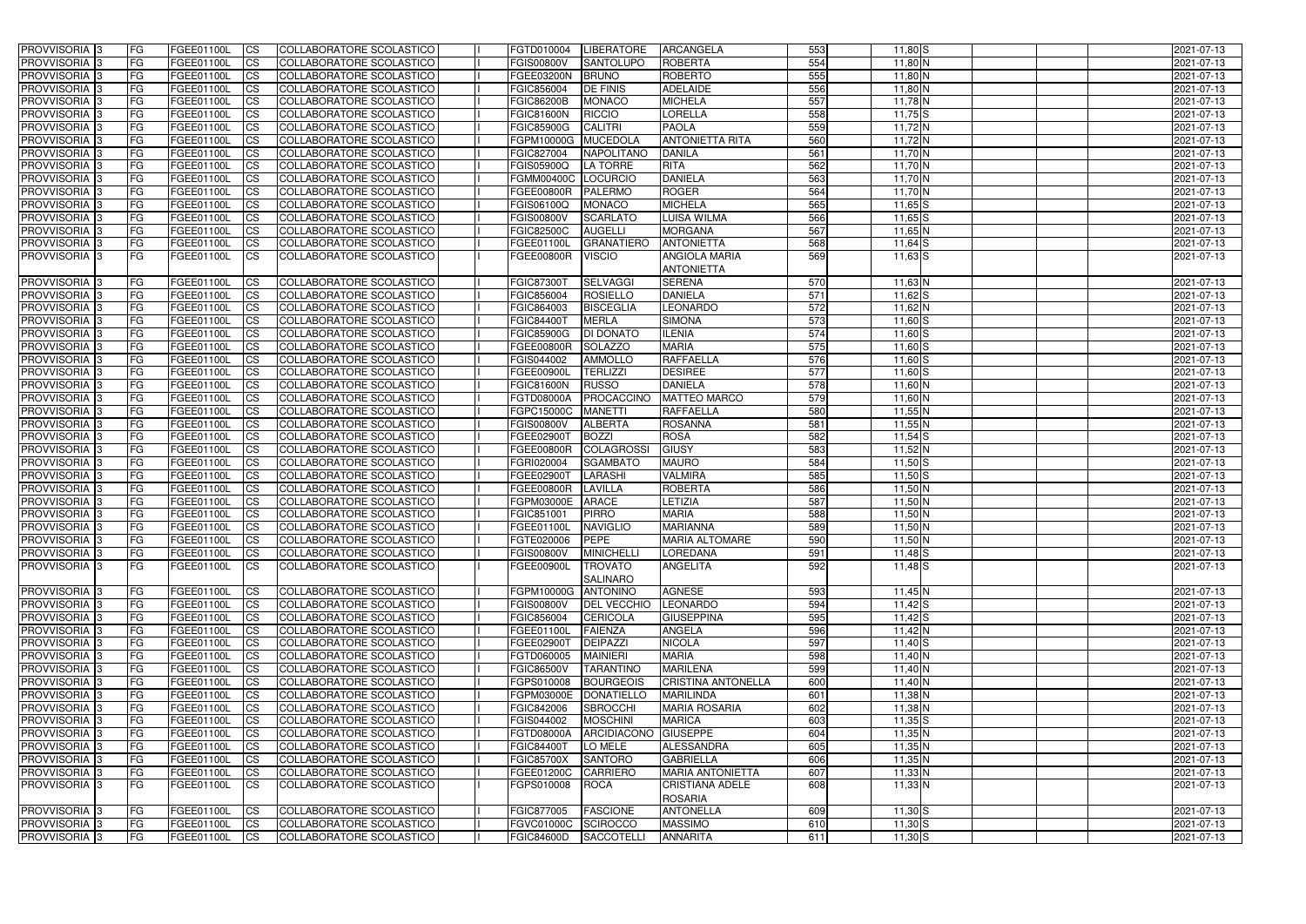| PROVVISORIA <sup>1</sup> 3                  | <b>FG</b>               | FGEE01100L               | CS                     | COLLABORATORE SCOLASTICO                             | FGTD010004                      | <b>LIBERATORE</b>                | ARCANGELA                                   | 553              | $11,80$ S                  | 2021-07-13               |
|---------------------------------------------|-------------------------|--------------------------|------------------------|------------------------------------------------------|---------------------------------|----------------------------------|---------------------------------------------|------------------|----------------------------|--------------------------|
| PROVVISORIA <sup>1</sup> 3                  | FG                      | FGEE01100L               | <b>CS</b>              | <b>COLLABORATORE SCOLASTICO</b>                      | FGIS00800V                      | <b>SANTOLUPO</b>                 | <b>ROBERTA</b>                              | 554              | 11,80 N                    | 2021-07-13               |
| PROVVISORIA <sup>1</sup> 3                  | FG                      | FGEE01100L               | <b>CS</b>              | COLLABORATORE SCOLASTICO                             | FGEE03200N                      | <b>BRUNO</b>                     | <b>ROBERTO</b>                              | 555              | $11,80$ N                  | 2021-07-13               |
| PROVVISORIA 3                               | FG                      | FGEE01100L               | <b>CS</b>              | COLLABORATORE SCOLASTICO                             | FGIC856004                      | <b>DE FINIS</b>                  | <b>ADELAIDE</b>                             | 556              | $11,80$ N                  | 2021-07-13               |
| PROVVISORIA <sup>1</sup> 3                  | FG                      | FGEE01100L               | <b>CS</b>              | COLLABORATORE SCOLASTICO                             | <b>FGIC86200B</b>               | <b>MONACO</b>                    | <b>MICHELA</b>                              | 557              | $11,78$ N                  | 2021-07-13               |
| PROVVISORIA 3                               | <b>IFG</b>              | FGEE01100L               | <b>CS</b>              | COLLABORATORE SCOLASTICO                             | <b>FGIC81600N</b>               | <b>RICCIO</b>                    | LORELLA                                     | 558              | $11,75$ S                  | 2021-07-13               |
| PROVVISORIA 3                               | <b>FG</b>               | FGEE01100L               | <b>CS</b>              | COLLABORATORE SCOLASTICO                             | <b>FGIC85900G</b>               | <b>CALITRI</b>                   | <b>PAOLA</b>                                | 559              | $11,72\overline{\text{N}}$ | 2021-07-13               |
| PROVVISORIA 3                               | FG                      | FGEE01100L               | <b>CS</b>              | COLLABORATORE SCOLASTICO                             | FGPM10000G                      | <b>MUCEDOLA</b>                  | <b>ANTONIETTA RITA</b>                      | 560              | $11,72$ N                  | 2021-07-13               |
| PROVVISORIA 3                               | FG                      | FGEE01100L               | <b>CS</b>              | COLLABORATORE SCOLASTICO                             | FGIC827004                      | <b>NAPOLITANO</b>                | <b>DANILA</b>                               | 561              | $11,70$ N                  | 2021-07-13               |
| PROVVISORIA 3                               | <b>FG</b>               | FGEE01100L               | <b>CS</b>              | COLLABORATORE SCOLASTICO                             | <b>FGIS05900Q</b>               | <b>LA TORRE</b>                  | <b>RITA</b>                                 | 562              | $11,70$ N                  | 2021-07-13               |
| PROVVISORIA 3                               | <b>FG</b>               | <b>FGEE01100L</b>        | <b>CS</b>              | COLLABORATORE SCOLASTICO                             | <b>FGMM00400C</b>               | <b>LOCURCIO</b>                  | <b>DANIELA</b>                              | 563              | $11,70$ N                  | 2021-07-13               |
| PROVVISORIA <sup>1</sup> 3                  | FG                      | FGEE01100L               | <b>CS</b>              | COLLABORATORE SCOLASTICO                             | <b>FGEE00800R</b>               | <b>PALERMO</b>                   | <b>ROGER</b>                                | 564              | $11,70$ N                  | 2021-07-13               |
| PROVVISORIA <sup>1</sup> 3                  | FG                      | FGEE01100L               | <b>CS</b>              | COLLABORATORE SCOLASTICO                             | FGIS06100Q                      | <b>MONACO</b>                    | <b>MICHELA</b>                              | 565              | $11,65$ S                  | 2021-07-13               |
| <b>PROVVISORIA</b>                          | FG                      | FGEE01100L               | <b>CS</b>              | COLLABORATORE SCOLASTICO                             | <b>FGIS00800V</b>               | <b>SCARLATO</b>                  | LUISA WILMA                                 | 566              | $11,65$ S                  | 2021-07-13               |
| <b>PROVVISORIA</b>                          | FG                      | FGEE01100L               | <b>CS</b>              | COLLABORATORE SCOLASTICO                             | <b>FGIC82500C</b>               | <b>AUGELLI</b>                   | <b>MORGANA</b>                              | 567              | $11,65$ N                  | 2021-07-13               |
| PROVVISORIA <sup>1</sup> 3                  | FG                      | FGEE01100L               | <b>ICS</b>             | COLLABORATORE SCOLASTICO                             | FGEE01100L                      | <b>GRANATIERO</b>                | <b>ANTONIETTA</b>                           | 568              | $11,64$ S                  | 2021-07-13               |
| PROVVISORIA 3                               | FG                      | FGEE01100L               | <b>CS</b>              | COLLABORATORE SCOLASTICO                             | <b>FGEE00800R</b>               | <b>VISCIO</b>                    | <b>ANGIOLA MARIA</b><br><b>ANTONIETTA</b>   | 569              | $11,63$ S                  | 2021-07-13               |
| PROVVISORIA 3                               | <b>IFG</b>              | FGEE01100L               | <b>CS</b>              | COLLABORATORE SCOLASTICO                             | <b>FGIC87300T</b>               | <b>SELVAGGI</b>                  | <b>SERENA</b>                               | 570              | $11,63$ N                  | 2021-07-13               |
| PROVVISORIA <sup>1</sup> 3                  | FG                      | FGEE01100L               | <b>CS</b>              | COLLABORATORE SCOLASTICO                             | FGIC856004                      | <b>ROSIELLO</b>                  | <b>DANIELA</b>                              | 571              | $11,62$ $S$                | 2021-07-13               |
| PROVVISORIA <sup>1</sup> 3                  | FG                      | FGEE01100L               | <b>CS</b>              | COLLABORATORE SCOLASTICO                             | FGIC864003                      | <b>BISCEGLIA</b>                 | LEONARDO                                    | 572              | 11,62 N                    | 2021-07-13               |
| PROVVISORIA 3                               | FG                      | FGEE01100L               | <b>CS</b>              | COLLABORATORE SCOLASTICO                             | <b>FGIC84400T</b>               | <b>MERLA</b>                     | <b>SIMONA</b>                               | 573              | $11,60$ S                  | 2021-07-13               |
| PROVVISORIA <sup>1</sup> 3                  | FG                      | FGEE01100L               | <b>CS</b>              | COLLABORATORE SCOLASTICO                             | <b>FGIC85900G</b>               | <b>DI DONATO</b>                 | <b>ILENIA</b>                               | 574              | $11,60$ S                  | 2021-07-13               |
| PROVVISORIA <sup>1</sup> 3                  | <b>FG</b>               | FGEE01100L               | <b>CS</b>              | <b>COLLABORATORE SCOLASTICO</b>                      | FGEE00800R                      | <b>SOLAZZO</b>                   | <b>MARIA</b>                                | 575              | $11,60$ S                  | 2021-07-13               |
| PROVVISORIA 3                               | FG                      | FGEE01100L               | <b>CS</b>              | COLLABORATORE SCOLASTICO                             | FGIS044002                      | <b>AMMOLLO</b>                   | <b>RAFFAELLA</b>                            | 576              | $11,60$ S                  | 2021-07-13               |
| PROVVISORIA <sup>1</sup> 3                  | FG                      | FGEE01100L               | <b>CS</b>              | COLLABORATORE SCOLASTICO                             | <b>FGEE00900L</b>               | <b>TERLIZZI</b>                  | <b>DESIREE</b>                              | $\overline{577}$ | $11,60$ S                  | 2021-07-13               |
| PROVVISORIA 3                               | FG                      | FGEE01100L               | <b>CS</b>              | COLLABORATORE SCOLASTICO                             | FGIC81600N                      | <b>RUSSO</b>                     | <b>DANIELA</b>                              | $\overline{578}$ | 11,60 N                    | 2021-07-13               |
| PROVVISORIA <sup>1</sup> 3                  | FG                      | FGEE01100L               | <b>CS</b>              | COLLABORATORE SCOLASTICO                             | <b>FGTD08000A</b>               | <b>PROCACCINO</b>                | <b>MATTEO MARCO</b>                         | 579<br>580       | $11,60$ N                  | 2021-07-13               |
| PROVVISORIA <sup>1</sup> 3<br>PROVVISORIA 3 | FG<br>FG                | FGEE01100L<br>FGEE01100L | <b>CS</b><br><b>CS</b> | COLLABORATORE SCOLASTICO<br>COLLABORATORE SCOLASTICO | FGPC15000C<br><b>FGIS00800V</b> | <b>MANETTI</b><br><b>ALBERTA</b> | <b>RAFFAELLA</b><br><b>ROSANNA</b>          | 581              | $11,55$ N<br>$11,55$ N     | 2021-07-13<br>2021-07-13 |
| <b>PROVVISORIA</b>                          | <b>FG</b>               | FGEE01100L               | <b>CS</b>              | COLLABORATORE SCOLASTICO                             | FGEE02900T                      | <b>BOZZI</b>                     | <b>ROSA</b>                                 | 582              | $11,54$ S                  | 2021-07-13               |
| PROVVISORIA 3                               | <b>IFG</b>              | FGEE01100L               | <b>CS</b>              | COLLABORATORE SCOLASTICO                             | FGEE00800R                      | <b>COLAGROSSI</b>                | <b>GIUSY</b>                                | 583              | $11,52$ N                  | 2021-07-13               |
| PROVVISORIA 3                               | <b>FG</b>               | FGEE01100L               | <b>CS</b>              | <b>COLLABORATORE SCOLASTICO</b>                      | FGRI020004                      | <b>SGAMBATO</b>                  | <b>MAURO</b>                                | 584              | $11,50$ S                  | 2021-07-13               |
| PROVVISORIA 3                               | FG                      | FGEE01100L               | $\overline{c}$         | COLLABORATORE SCOLASTICO                             | FGEE02900T                      | <b>LARASHI</b>                   | <b>VALMIRA</b>                              | 585              | $11,50$ S                  | 2021-07-13               |
| PROVVISORIA 3                               | FG                      | FGEE01100L               | <b>CS</b>              | COLLABORATORE SCOLASTICO                             | <b>FGEE00800R</b>               | LAVILLA                          | <b>ROBERTA</b>                              | 586              | $11,50$ N                  | 2021-07-13               |
| <b>PROVVISORIA</b>                          | <b>FG</b>               | FGEE01100L               | <b>CS</b>              | COLLABORATORE SCOLASTICO                             | FGPM03000E                      | <b>ARACE</b>                     | LETIZIA                                     | 587              | $11,50$ N                  | 2021-07-13               |
| PROVVISORIA <sup>1</sup> 3                  | <b>FG</b>               | FGEE01100L               | <b>CS</b>              | COLLABORATORE SCOLASTICO                             | FGIC851001                      | <b>PIRRO</b>                     | <b>MARIA</b>                                | 588              | $11,50$ N                  | 2021-07-13               |
| PROVVISORIA 3                               | <b>FG</b>               | FGEE01100L               | <b>ICS</b>             | COLLABORATORE SCOLASTICO                             | FGEE01100L                      | <b>NAVIGLIO</b>                  | <b>MARIANNA</b>                             | 589              | $11,50$ N                  | 2021-07-13               |
| PROVVISORIA 3                               | <b>FG</b>               | FGEE01100L CS            |                        | COLLABORATORE SCOLASTICO                             | FGTE020006 PEPE                 |                                  | <b>MARIA ALTOMARE</b>                       | 590              | $11,50$ N                  | 2021-07-13               |
| PROVVISORIA 3                               | <b>FG</b>               | FGEE01100L               | $\overline{\text{CS}}$ | COLLABORATORE SCOLASTICO                             | <b>FGIS00800V</b>               | <b>MINICHELLI</b>                | LOREDANA                                    | 591              | $11,48$ $S$                | 2021-07-13               |
| <b>PROVVISORIA</b> 3                        | FG                      | FGEE01100L               | - ICS                  | COLLABORATORE SCOLASTICO                             | FGEE00900L                      | <b>TROVATO</b>                   | ANGELITA                                    | 592              | $11,48$ S                  | 2021-07-13               |
|                                             |                         |                          |                        |                                                      |                                 | <b>SALINARO</b>                  |                                             |                  |                            |                          |
| PROVVISORIA <sup>3</sup>                    | IFG.                    | FGEE01100L               | <b>CS</b>              | COLLABORATORE SCOLASTICO                             | FGPM10000G ANTONINO             |                                  | <b>AGNESE</b>                               | 593              | $11,45$ N                  | 2021-07-13               |
| PROVVISORIA 3                               | <b>IFG</b>              | FGEE01100L               | <b>CS</b>              | COLLABORATORE SCOLASTICO                             | <b>FGIS00800V</b>               | <b>DEL VECCHIO</b>               | <b>LEONARDO</b>                             | 594              | $11,42$ S                  | 2021-07-13               |
| PROVVISORIA <sup>3</sup>                    | <b>IFG</b>              | FGEE01100L               | <b>CS</b>              | COLLABORATORE SCOLASTICO                             | FGIC856004                      | <b>CERICOLA</b>                  | <b>GIUSEPPINA</b>                           | 595              | $11,42$ S                  | 2021-07-13               |
| PROVVISORIA 3                               | <b>FG</b>               | FGEE01100L               | <b>CS</b>              | COLLABORATORE SCOLASTICO                             | FGEE01100L                      | <b>FAIENZA</b>                   | <b>ANGELA</b>                               | 596              | $11,42$ N                  | 2021-07-13               |
| PROVVISORIA 3                               | FG                      | FGEE01100L               | <b>CS</b>              | COLLABORATORE SCOLASTICO                             | FGEE02900T                      | <b>DEIPAZZI</b>                  | <b>NICOLA</b>                               | 597              | $11,40$ S                  | 2021-07-13               |
| PROVVISORIA <sup>3</sup>                    | <b>FG</b>               | FGEE01100L               | <b>CS</b>              | COLLABORATORE SCOLASTICO                             | FGTD060005                      | <b>MAINIERI</b>                  | <b>MARIA</b>                                | 598              | $11,40$ N                  | 2021-07-13               |
| PROVVISORIA 3                               | <b>FG</b>               | FGEE01100L               | <b>CS</b>              | COLLABORATORE SCOLASTICO                             | <b>FGIC86500V</b>               | <b>TARANTINO</b>                 | <b>MARILENA</b>                             | 599              | $11,40$ N                  | 2021-07-13               |
| PROVVISORIA 3                               | <b>FG</b>               | FGEE01100L               | <b>CS</b>              | COLLABORATORE SCOLASTICO                             | FGPS010008                      | <b>BOURGEOIS</b>                 | <b>CRISTINA ANTONELLA</b>                   | 600              | $11,40$ N                  | 2021-07-13               |
| PROVVISORIA 3                               | <b>FG</b>               | FGEE01100L               | <b>CS</b>              | COLLABORATORE SCOLASTICO                             | FGPM03000E                      | DONATIELLO                       | <b>MARILINDA</b>                            | 601              | $11,38$ N                  | 2021-07-13               |
| PROVVISORIA 3                               | <b>FG</b>               | FGEE01100L               | <b>CS</b>              | COLLABORATORE SCOLASTICO                             | FGIC842006                      | <b>SBROCCHI</b>                  | <b>MARIA ROSARIA</b>                        | 602              | $11,38$ N                  | 2021-07-13               |
| PROVVISORIA 3                               | <b>FG</b>               | FGEE01100L               | <b>CS</b>              | COLLABORATORE SCOLASTICO                             | FGIS044002                      | <b>MOSCHINI</b>                  | <b>MARICA</b>                               | 603              | $11,35$ $S$                | 2021-07-13               |
| PROVVISORIA 3                               | <b>FG</b>               | FGEE01100L               | $\overline{\text{CS}}$ | COLLABORATORE SCOLASTICO                             | <b>FGTD08000A</b>               | ARCIDIACONO                      | <b>GIUSEPPE</b>                             | 604              | $11,35$ N                  | 2021-07-13               |
| PROVVISORIA 3                               | <b>FG</b>               | FGEE01100L               | <b>CS</b>              | COLLABORATORE SCOLASTICO                             | <b>FGIC84400T</b>               | LO MELE                          | <b>ALESSANDRA</b>                           | 605              | $11,35$ N                  | 2021-07-13               |
| PROVVISORIA 3                               | <b>FG</b>               | FGEE01100L               | <b>CS</b>              | COLLABORATORE SCOLASTICO                             | <b>FGIC85700X</b>               | <b>SANTORO</b>                   | <b>GABRIELLA</b><br><b>MARIA ANTONIETTA</b> | 606              | $11,35$ N                  | 2021-07-13               |
| PROVVISORIA 3                               | <b>IFG</b><br><b>FG</b> | FGEE01100L               | <b>CS</b><br><b>CS</b> | COLLABORATORE SCOLASTICO<br>COLLABORATORE SCOLASTICO | FGEE01200C<br>FGPS010008        | CARRIERO                         | <b>CRISTIANA ADELE</b>                      | 607<br>608       | $11,33$ N<br>$11,33$ N     | 2021-07-13<br>2021-07-13 |
| PROVVISORIA 3                               |                         | FGEE01100L               |                        |                                                      |                                 | <b>ROCA</b>                      | <b>ROSARIA</b>                              |                  |                            |                          |
| PROVVISORIA 3                               | <b>FG</b>               | FGEE01100L               | <b>CS</b>              | COLLABORATORE SCOLASTICO                             | <b>FGIC877005</b>               | <b>FASCIONE</b>                  | <b>ANTONELLA</b>                            | 609              | $11,30$ S                  | 2021-07-13               |
| PROVVISORIA 3                               | FG                      | FGEE01100L               | CS                     | COLLABORATORE SCOLASTICO                             | FGVC01000C SCIROCCO             |                                  | <b>MASSIMO</b>                              | 610              | $11,30$ $S$                | 2021-07-13               |
| PROVVISORIA 3                               | <b>FG</b>               | FGEE01100L               | CS                     | COLLABORATORE SCOLASTICO                             | <b>FGIC84600D</b>               | SACCOTELL                        | <b>ANNARITA</b>                             | 611              | $11,30$ S                  | 2021-07-13               |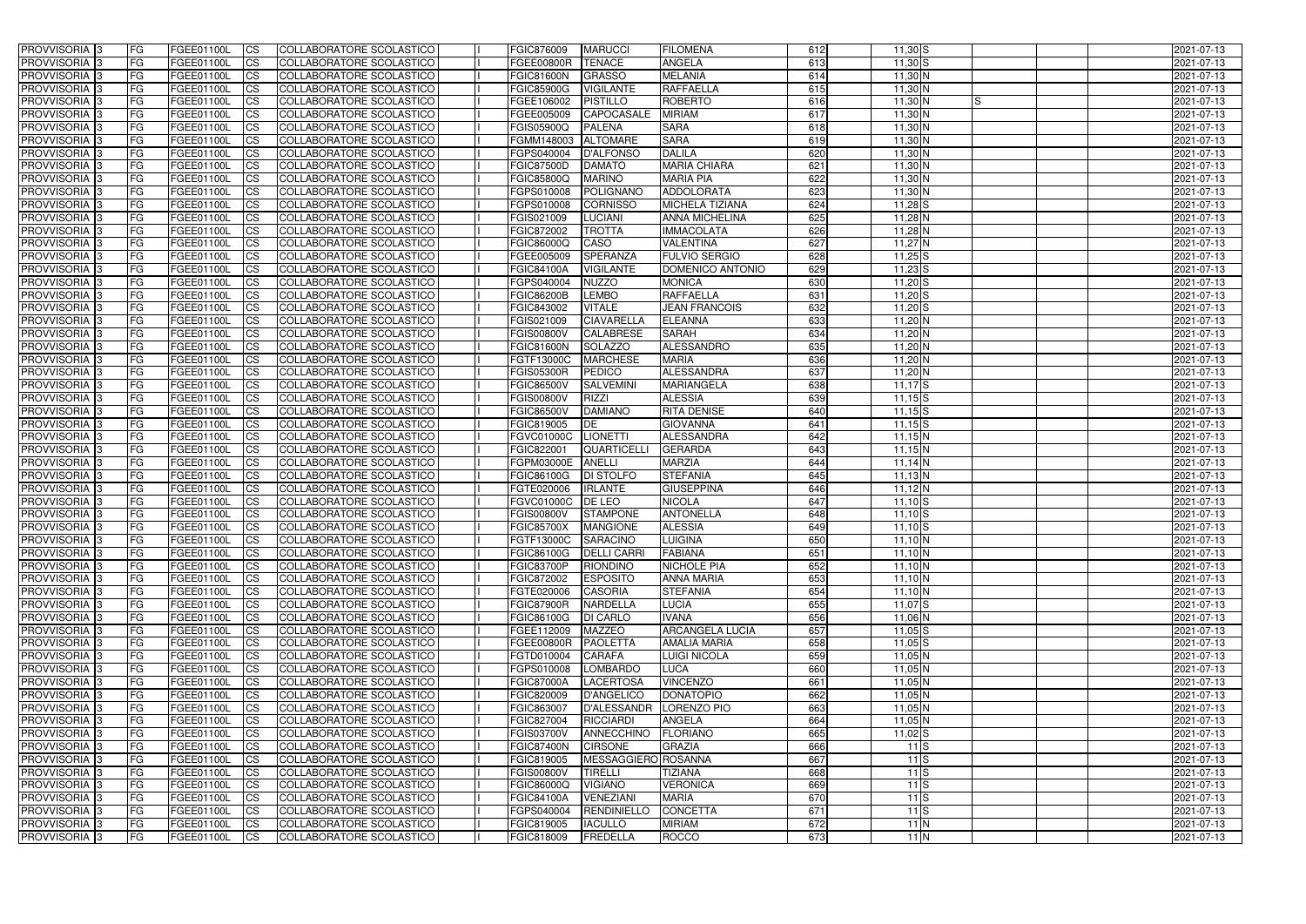| <b>PROVVISORIA</b> 3                                 | FG              | FGEE01100L               | <b>ICS</b>             | COLLABORATORE SCOLASTICO                             | FGIC876009                      | <b>MARUCCI</b>                     | <b>FILOMENA</b>                            | 612        | $11,30$ S              | 2021-07-13               |
|------------------------------------------------------|-----------------|--------------------------|------------------------|------------------------------------------------------|---------------------------------|------------------------------------|--------------------------------------------|------------|------------------------|--------------------------|
| <b>PROVVISORIA 3</b>                                 | FG              | FGEE01100L               | <b>CS</b>              | COLLABORATORE SCOLASTICO                             | <b>FGEE00800R</b>               | <b>TENACE</b>                      | <b>ANGELA</b>                              | 613        | $11,30$ S              | 2021-07-13               |
| PROVVISORIA <sup>3</sup>                             | FG              | FGEE01100L               | <b>CS</b>              | COLLABORATORE SCOLASTICO                             | <b>FGIC81600N</b>               | <b>GRASSO</b>                      | <b>MELANIA</b>                             | 614        | 11,30 N                | 2021-07-13               |
| PROVVISORIA <sup>3</sup>                             | FG              | FGEE01100L               | <b>CS</b>              | COLLABORATORE SCOLASTICO                             | <b>FGIC85900G</b>               | <b>VIGILANTE</b>                   | <b>RAFFAELLA</b>                           | 615        | 11,30 N                | 2021-07-13               |
| PROVVISORIA <sup>1</sup> 3                           | FG              | FGEE01100L               | <b>CS</b>              | COLLABORATORE SCOLASTICO                             | FGEE106002                      | <b>PISTILLO</b>                    | <b>ROBERTO</b>                             | 616        | 11,30 N<br>IS          | 2021-07-13               |
| PROVVISORIA 3                                        | FG              | FGEE01100L               | <b>CS</b>              | COLLABORATORE SCOLASTICO                             | FGEE005009                      | <b>CAPOCASALE</b>                  | <b>MIRIAM</b>                              | 617        | 11,30 N                | 2021-07-13               |
| PROVVISORIA 3                                        | FG              | FGEE01100L               | <b>CS</b>              | COLLABORATORE SCOLASTICO                             | FGIS05900Q                      | <b>PALENA</b>                      | <b>SARA</b>                                | 618        | 11,30 N                | 2021-07-13               |
| PROVVISORIA 3                                        | FG              | <b>FGEE01100L</b>        | <b>CS</b>              | <b>COLLABORATORE SCOLASTICO</b>                      | FGMM148003                      | <b>ALTOMARE</b>                    | <b>SARA</b>                                | 619        | 11,30 N                | 2021-07-13               |
| PROVVISORIA 3                                        | FG              | FGEE01100L               | <b>CS</b>              | COLLABORATORE SCOLASTICO                             | FGPS040004                      | <b>D'ALFONSO</b>                   | <b>DALILA</b>                              | 620        | 11,30 N                | 2021-07-13               |
| PROVVISORIA <sup>3</sup>                             | FG              | FGEE01100L               | $\overline{c}$         | COLLABORATORE SCOLASTICO                             | <b>FGIC87500D</b>               | <b>DAMATO</b>                      | <b>MARIA CHIARA</b>                        | 621        | 11,30 N                | 2021-07-13               |
| PROVVISORIA <sup>3</sup>                             | FG              | FGEE01100L               | <b>CS</b>              | COLLABORATORE SCOLASTICO                             | <b>FGIC85800Q</b>               | <b>MARINO</b>                      | <b>MARIA PIA</b>                           | 622        | $11,30$ N              | 2021-07-13               |
| PROVVISORIA <sup>3</sup>                             | FG              | FGEE01100L               | <b>CS</b>              | COLLABORATORE SCOLASTICO                             | FGPS010008                      | POLIGNANO                          | <b>ADDOLORATA</b>                          | 623        | 11,30 N                | 2021-07-13               |
| PROVVISORIA <sup>3</sup>                             | FG              | <b>FGEE01100L</b>        | <b>I</b> CS            | COLLABORATORE SCOLASTICO                             | FGPS010008                      | <b>CORNISSO</b>                    | <b>MICHELA TIZIANA</b>                     | 624        | $11,28$ S              | 2021-07-13               |
| PROVVISORIA <sup>3</sup>                             | FG              | FGEE01100L               | <b>I</b> CS            | COLLABORATORE SCOLASTICO                             | FGIS021009                      | <b>LUCIANI</b>                     | <b>ANNA MICHELINA</b>                      | 625        | $11,28$ N              | 2021-07-13               |
| PROVVISORIA <sup>3</sup>                             | FG              | FGEE01100L               | <b>I</b> CS            | COLLABORATORE SCOLASTICO                             | FGIC872002                      | <b>TROTTA</b>                      | <b>IMMACOLATA</b>                          | 626        | $11,28$ N              | 2021-07-13               |
| <b>PROVVISORIA</b> 3                                 | FG              | FGEE01100L               | <b>I</b> CS            | <b>COLLABORATORE SCOLASTICO</b>                      | <b>FGIC86000Q</b>               | CASO                               | <b>VALENTINA</b>                           | 627        | $11,27$ N              | 2021-07-13               |
| PROVVISORIA <sup>3</sup>                             | FG              | FGEE01100L               | <b>CS</b>              | COLLABORATORE SCOLASTICO                             | FGEE005009                      | <b>SPERANZA</b>                    | <b>FULVIO SERGIO</b>                       | 628        | $11,25$ S              | 2021-07-13               |
| PROVVISORIA 3                                        | FG              | FGEE01100L               | <b>CS</b>              | COLLABORATORE SCOLASTICO                             | <b>FGIC84100A</b>               | <b>VIGILANTE</b>                   | DOMENICO ANTONIO                           | 629        | $11,23$ S              | 2021-07-13               |
| PROVVISORIA <sup>3</sup>                             | FG              | FGEE01100L               | <b>ICS</b>             | COLLABORATORE SCOLASTICO                             | FGPS040004                      | <b>NUZZO</b>                       | <b>MONICA</b>                              | 630        | $11,20$ S              | 2021-07-13               |
| PROVVISORIA <sup>3</sup>                             | FG              | FGEE01100L               | <b>I</b> CS            | COLLABORATORE SCOLASTICO                             | <b>FGIC86200B</b>               | <b>LEMBO</b>                       | <b>RAFFAELLA</b>                           | 631        | $11,20$ S              | 2021-07-13               |
| PROVVISORIA <sup>3</sup>                             | FG              | FGEE01100L               | <b>I</b> CS            | COLLABORATORE SCOLASTICO                             | FGIC843002                      | <b>VITALE</b><br><b>CIAVARELLA</b> | <b>JEAN FRANCOIS</b>                       | 632<br>633 | $11,20$ S              | 2021-07-13               |
| PROVVISORIA <sup>3</sup><br>PROVVISORIA <sup>3</sup> | FG              | FGEE01100L<br>FGEE01100L | <b>CS</b>              | COLLABORATORE SCOLASTICO<br>COLLABORATORE SCOLASTICO | FGIS021009<br><b>FGIS00800V</b> | <b>CALABRESE</b>                   | <b>ELEANNA</b><br><b>SARAH</b>             | 634        | 11,20 N<br>$11,20$ N   | 2021-07-13<br>2021-07-13 |
| PROVVISORIA <sup>3</sup>                             | FG              | FGEE01100L               | <b>CS</b>              | COLLABORATORE SCOLASTICO                             | <b>FGIC81600N</b>               | <b>SOLAZZO</b>                     | ALESSANDRO                                 | 635        | $11,20$ N              | 2021-07-13               |
| PROVVISORIA <sup>3</sup>                             | FG<br>FG        | FGEE01100L               | <b>CS</b><br><b>CS</b> | COLLABORATORE SCOLASTICO                             | FGTF13000C                      | <b>MARCHESE</b>                    | <b>MARIA</b>                               | 636        | $11,20$ N              | 2021-07-13               |
| PROVVISORIA <sup>1</sup> 3                           | FG              | FGEE01100L               | <b>CS</b>              | COLLABORATORE SCOLASTICO                             | <b>FGIS05300R</b>               | <b>PEDICO</b>                      | <b>ALESSANDRA</b>                          | 637        | $11,20$ N              | 2021-07-13               |
| PROVVISORIA 3                                        | FG              | FGEE01100L               | <b>CS</b>              | COLLABORATORE SCOLASTICO                             | <b>FGIC86500V</b>               | <b>SALVEMINI</b>                   | <b>MARIANGELA</b>                          | 638        | $11,17$ $S$            | 2021-07-13               |
| PROVVISORIA <sup>3</sup>                             | FG              | FGEE01100L               | <b>CS</b>              | COLLABORATORE SCOLASTICO                             | <b>FGIS00800V</b>               | <b>RIZZI</b>                       | <b>ALESSIA</b>                             | 639        | $11,15$ S              | 2021-07-13               |
| PROVVISORIA <sup>3</sup>                             | FG              | <b>FGEE01100L</b>        | <b>CS</b>              | COLLABORATORE SCOLASTICO                             | <b>FGIC86500V</b>               | <b>DAMIANO</b>                     | <b>RITA DENISE</b>                         | 640        | $11,15$ S              | 2021-07-13               |
| PROVVISORIA <sup>1</sup> 3                           | FG              | <b>FGEE01100L</b>        | <b>CS</b>              | COLLABORATORE SCOLASTICO                             | FGIC819005                      | DE                                 | <b>GIOVANNA</b>                            | 641        | $11,15$ S              | 2021-07-13               |
| PROVVISORIA <sup>3</sup>                             | FG.             | FGEE01100L               | <b>CS</b>              | COLLABORATORE SCOLASTICO                             | FGVC01000C                      | <b>LIONETTI</b>                    | ALESSANDRA                                 | 642        | $11,15$ N              | 2021-07-13               |
| PROVVISORIA <sup>3</sup>                             | FG              | FGEE01100L               | $\overline{\text{cs}}$ | COLLABORATORE SCOLASTICO                             | FGIC822001                      | <b>QUARTICELLI</b>                 | <b>GERARDA</b>                             | 643        | $11,15$ N              | 2021-07-13               |
| PROVVISORIA <sup>3</sup>                             | FG              | <b>FGEE01100L</b>        | <b>CS</b>              | COLLABORATORE SCOLASTICO                             | FGPM03000E                      | <b>ANELLI</b>                      | <b>MARZIA</b>                              | 644        | $11,14$ N              | 2021-07-13               |
| PROVVISORIA 3                                        | FG              | <b>FGEE01100L</b>        | <b>CS</b>              | COLLABORATORE SCOLASTICO                             | <b>FGIC86100G</b>               | <b>DI STOLFO</b>                   | <b>STEFANIA</b>                            | 645        | $11,13$ N              | 2021-07-13               |
| PROVVISORIA <sup>3</sup>                             | FG              | FGEE01100L               | $\overline{\text{cs}}$ | COLLABORATORE SCOLASTICO                             | FGTE020006                      | <b>IRLANTE</b>                     | <b>GIUSEPPINA</b>                          | 646        | $11,12$ N              | 2021-07-13               |
| PROVVISORIA <sup>3</sup>                             | FG              | <b>FGEE01100L</b>        | <b>CS</b>              | <b>COLLABORATORE SCOLASTICO</b>                      | <b>FGVC01000C</b>               | DE LEO                             | <b>NICOLA</b>                              | 647        | $11,10$ S              | 2021-07-13               |
| PROVVISORIA <sup>3</sup>                             | FG              | FGEE01100L               | <b>CS</b>              | COLLABORATORE SCOLASTICO                             | <b>FGIS00800V</b>               | <b>STAMPONE</b>                    | <b>ANTONELLA</b>                           | 648        | $11,10$ S              | 2021-07-13               |
| PROVVISORIA 3                                        | FG              | FGEE01100L               | <b>I</b> CS            | COLLABORATORE SCOLASTICO                             | <b>FGIC85700X</b>               | <b>MANGIONE</b>                    | <b>ALESSIA</b>                             | 649        | $11,10$ S              | 2021-07-13               |
| <b>PROVVISORIA</b> 3                                 | IFG.            | FGEE01100L               | CS                     | COLLABORATORE SCOLASTICO                             | FGTF13000C SARACINO             |                                    | <b>LUIGINA</b>                             | 650        | $11,10$ N              | 2021-07-13               |
| PROVVISORIA 3                                        | IFG.            | FGEE01100L               | <b>ICS</b>             | COLLABORATORE SCOLASTICO                             | <b>FGIC86100G</b>               | <b>DELLI CARRI</b>                 | <b>FABIANA</b>                             | 651        | $11,10$ N              | 2021-07-13               |
| PROVVISORIA 3                                        | FG              | FGEE01100L               | <b>CS</b>              | COLLABORATORE SCOLASTICO                             | FGIC83700P                      | RIONDINO                           | <b>NICHOLE PIA</b>                         | 652        | $11,10$ N              | 2021-07-13               |
| PROVVISORIA 3                                        | FG              | FGEE01100L               | <b>CS</b>              | COLLABORATORE SCOLASTICO                             | <b>FGIC872002</b>               | <b>ESPOSITO</b>                    | <b>ANNA MARIA</b>                          | 653        | $11,10$ N              | 2021-07-13               |
| PROVVISORIA 3                                        | FG              | FGEE01100L               | <b>ICS</b>             | <b>COLLABORATORE SCOLASTICO</b>                      | FGTE020006                      | <b>CASORIA</b>                     | <b>STEFANIA</b>                            | 654        | $11,10$ N              | 2021-07-13               |
| PROVVISORIA 3                                        | FG              | FGEE01100L               | $\mathsf{ICS}$         | COLLABORATORE SCOLASTICO                             | FGIC87900R                      | <b>NARDELLA</b>                    | <b>LUCIA</b>                               | 655        | $11,07$ $S$            | 2021-07-13               |
| PROVVISORIA 3                                        | FG              | FGEE01100L               | <b>CS</b>              | COLLABORATORE SCOLASTICO                             | <b>FGIC86100G</b>               | <b>DI CARLO</b>                    | <b>IVANA</b>                               | 656        | 11,06 N                | 2021-07-13               |
| PROVVISORIA 3                                        | <b>FG</b>       | FGEE01100L               | <b>CS</b>              | COLLABORATORE SCOLASTICO                             | FGEE112009                      | MAZZEO                             | ARCANGELA LUCIA                            | 657        | $11,05$ S              | 2021-07-13               |
| PROVVISORIA 3<br>PROVVISORIA 3                       | <b>FG</b><br>FG | FGEE01100L<br>FGEE01100L | <b>CS</b><br><b>CS</b> | COLLABORATORE SCOLASTICO<br>COLLABORATORE SCOLASTICO | <b>FGEE00800R</b><br>FGTD010004 | PAOLETTA<br><b>CARAFA</b>          | <b>AMALIA MARIA</b><br><b>LUIGI NICOLA</b> | 658<br>659 | $11,05$ S<br>$11,05$ N | 2021-07-13<br>2021-07-13 |
| PROVVISORIA 3                                        | IFG.            | FGEE01100L               | <b>CS</b>              | COLLABORATORE SCOLASTICO                             | FGPS010008                      | <b>LOMBARDO</b>                    | <b>LUCA</b>                                | 660        | $11,05$ N              | 2021-07-13               |
| PROVVISORIA 3                                        | FG              | FGEE01100L               | <b>CS</b>              | COLLABORATORE SCOLASTICO                             | <b>FGIC87000A</b>               | LACERTOSA                          | <b>VINCENZO</b>                            | 661        | $11,05$ N              | 2021-07-13               |
| PROVVISORIA 3                                        | FG              | FGEE01100L               | <b>CS</b>              | COLLABORATORE SCOLASTICO                             | FGIC820009                      | <b>D'ANGELICO</b>                  | <b>DONATOPIO</b>                           | 662        | $11,05$ N              | 2021-07-13               |
| <b>PROVVISORIA</b> 3                                 | IFG.            | FGEE01100L               | <b>CS</b>              | COLLABORATORE SCOLASTICO                             | FGIC863007                      | D'ALESSANDR                        | LORENZO PIO                                | 663        | $11,05$ N              | 2021-07-13               |
| <b>PROVVISORIA</b> 3                                 | IFG.            | FGEE01100L               | <b>CS</b>              | COLLABORATORE SCOLASTICO                             | FGIC827004                      | RICCIARDI                          | ANGELA                                     | 664        | $11,05$ N              | 2021-07-13               |
| <b>PROVVISORIA</b> 3                                 | FG              | FGEE01100L               | <b>CS</b>              | <b>COLLABORATORE SCOLASTICO</b>                      | <b>FGIS03700V</b>               | ANNECCHINO                         | <b>FLORIANO</b>                            | 665        | $11,02$ S              | 2021-07-13               |
| PROVVISORIA 3                                        | <b>IFG</b>      | FGEE01100L               | <b>CS</b>              | COLLABORATORE SCOLASTICO                             | <b>FGIC87400N</b>               | <b>CIRSONE</b>                     | <b>GRAZIA</b>                              | 666        | 11S                    | 2021-07-13               |
| PROVVISORIA 3                                        | IFG.            | FGEE01100L               | <b>CS</b>              | COLLABORATORE SCOLASTICO                             | FGIC819005                      | MESSAGGIERO ROSANNA                |                                            | 667        | 11S                    | 2021-07-13               |
| PROVVISORIA 3                                        | FG              | FGEE01100L               | <b>CS</b>              | COLLABORATORE SCOLASTICO                             | <b>FGIS00800V</b>               | <b>TIRELLI</b>                     | <b>TIZIANA</b>                             | 668        | 11S                    | 2021-07-13               |
| PROVVISORIA 3                                        | FG              | FGEE01100L               | <b>CS</b>              | COLLABORATORE SCOLASTICO                             | <b>FGIC86000Q</b>               | <b>VIGIANO</b>                     | <b>VERONICA</b>                            | 669        | 11S                    | 2021-07-13               |
| PROVVISORIA 3                                        | FG              | FGEE01100L               | <b>CS</b>              | COLLABORATORE SCOLASTICO                             | <b>FGIC84100A</b>               | VENEZIANI                          | <b>MARIA</b>                               | 670        | 11S                    | 2021-07-13               |
| <b>PROVVISORIA</b> 3                                 | <b>FG</b>       | FGEE01100L               | <b>CS</b>              | COLLABORATORE SCOLASTICO                             | FGPS040004                      | RENDINIELLO                        | <b>CONCETTA</b>                            | 671        | 11S                    | 2021-07-13               |
| PROVVISORIA 3                                        | FG              | FGEE01100L               | <b>CS</b>              | COLLABORATORE SCOLASTICO                             | FGIC819005                      | <b>IACULLO</b>                     | <b>MIRIAM</b>                              | 672        | $11$ N                 | 2021-07-13               |
| PROVVISORIA 3                                        | FG              | FGEE01100L               | <b>CS</b>              | COLLABORATORE SCOLASTICO                             | <b>FGIC818009</b>               | FREDELLA                           | <b>ROCCO</b>                               | 673        | $11$ N                 | 2021-07-13               |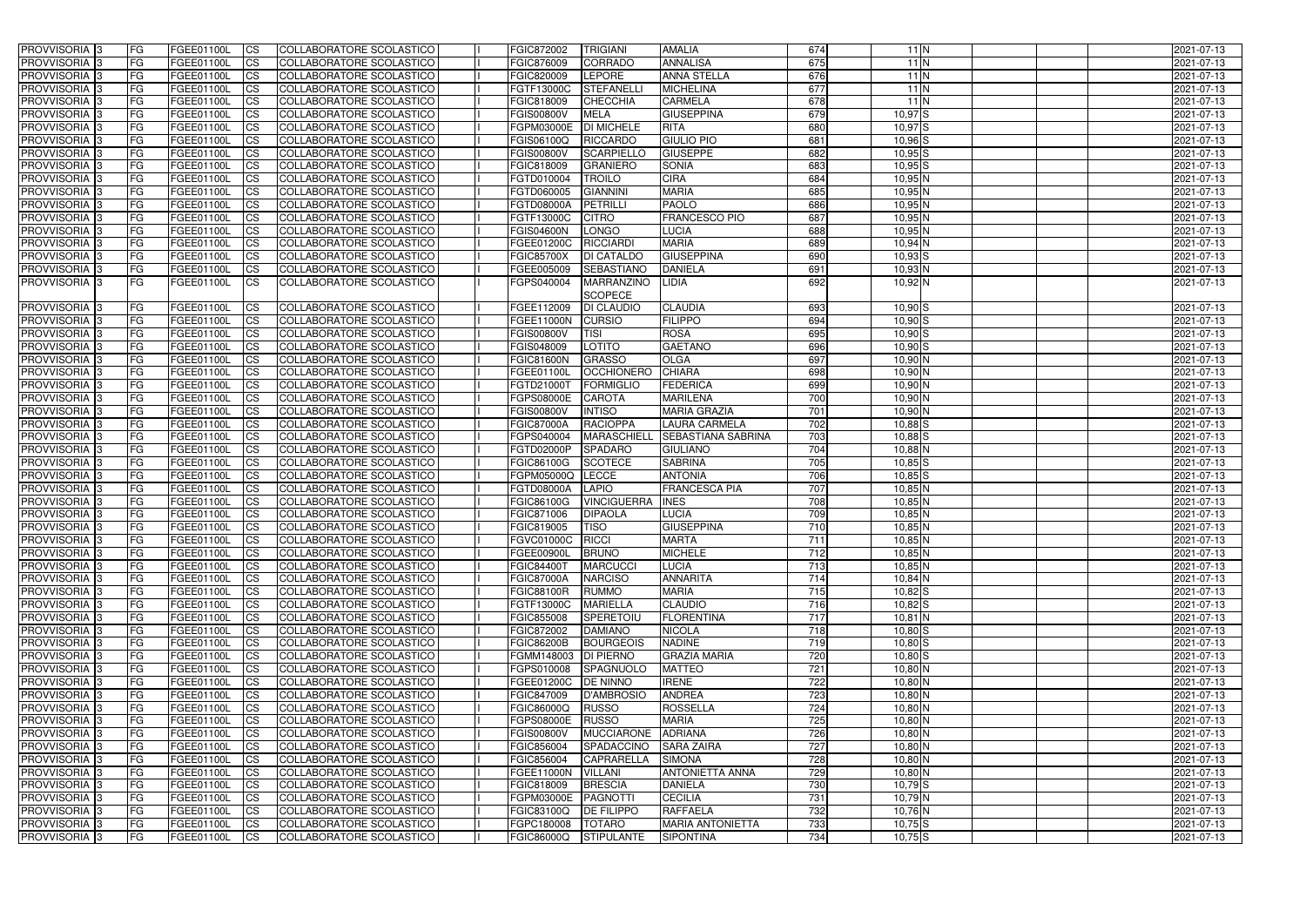| PROVVISORIA <sup>1</sup> 3 | <b>FG</b>  | FGEE01100L        | CS                     | COLLABORATORE SCOLASTICO        | FGIC872002           | <b>AMALIA</b><br><b>TRIGIANI</b>                | 674              | $11$ N      | 2021-07-13 |
|----------------------------|------------|-------------------|------------------------|---------------------------------|----------------------|-------------------------------------------------|------------------|-------------|------------|
| PROVVISORIA <sup>1</sup> 3 | FG         | FGEE01100L        | <b>CS</b>              | COLLABORATORE SCOLASTICO        | FGIC876009           | <b>CORRADO</b><br><b>ANNALISA</b>               | 675              | 11N         | 2021-07-13 |
| PROVVISORIA <sup>1</sup> 3 | FG         | FGEE01100L        | <b>CS</b>              | COLLABORATORE SCOLASTICO        | FGIC820009           | <b>LEPORE</b><br><b>ANNA STELLA</b>             | 676              | 11N         | 2021-07-13 |
| PROVVISORIA 3              | FG         | FGEE01100L        | <b>CS</b>              | COLLABORATORE SCOLASTICO        | FGTF13000C           | <b>STEFANELL</b><br><b>MICHELINA</b>            | 677              | 11N         | 2021-07-13 |
| PROVVISORIA <sup>1</sup> 3 | FG         | FGEE01100L        | <b>CS</b>              | COLLABORATORE SCOLASTICO        | FGIC818009           | <b>CHECCHIA</b><br><b>CARMELA</b>               | 678              | 11N         | 2021-07-13 |
| PROVVISORIA 3              | <b>IFG</b> | FGEE01100L        | <b>CS</b>              | COLLABORATORE SCOLASTICO        | <b>FGIS00800V</b>    | <b>MELA</b><br><b>GIUSEPPINA</b>                | 679              | $10,97$ $S$ | 2021-07-13 |
| PROVVISORIA 3              | <b>FG</b>  | FGEE01100L        | <b>CS</b>              | COLLABORATORE SCOLASTICO        | FGPM03000E           | <b>DI MICHELE</b><br><b>RITA</b>                | 680              | $10,97$ $S$ | 2021-07-13 |
| PROVVISORIA 3              | FG         | FGEE01100L        | <b>CS</b>              | COLLABORATORE SCOLASTICO        | FGIS06100Q           | <b>GIULIO PIO</b><br><b>RICCARDO</b>            | 681              | $10,96$ $S$ | 2021-07-13 |
| PROVVISORIA 3              | FG         | FGEE01100L        | <b>CS</b>              | COLLABORATORE SCOLASTICO        | <b>FGIS00800V</b>    | <b>SCARPIELLO</b><br><b>GIUSEPPE</b>            | 682              | $10,95$ S   | 2021-07-13 |
| PROVVISORIA 3              | <b>FG</b>  | FGEE01100L        | <b>CS</b>              | COLLABORATORE SCOLASTICO        | FGIC818009           | <b>GRANIERO</b><br><b>SONIA</b>                 | 683              | $10,95$ S   | 2021-07-13 |
| PROVVISORIA <sup>3</sup>   | <b>FG</b>  | FGEE01100L        | <b>CS</b>              | COLLABORATORE SCOLASTICO        | FGTD010004           | <b>CIRA</b><br><b>TROILO</b>                    | 684              | $10,95$ N   | 2021-07-13 |
| PROVVISORIA <sup>1</sup> 3 | FG         | FGEE01100L        | <b>CS</b>              | COLLABORATORE SCOLASTICO        | FGTD060005           | <b>MARIA</b><br><b>GIANNINI</b>                 | 685              | $10,95$ N   | 2021-07-13 |
| PROVVISORIA <sup>1</sup> 3 | FG         | FGEE01100L        | <b>CS</b>              | COLLABORATORE SCOLASTICO        | <b>FGTD08000A</b>    | <b>PETRILLI</b><br><b>PAOLO</b>                 | 686              | $10,95$ N   | 2021-07-13 |
| <b>PROVVISORIA</b>         | FG         | FGEE01100L        | <b>CS</b>              | COLLABORATORE SCOLASTICO        | FGTF13000C           | <b>FRANCESCO PIO</b><br><b>CITRO</b>            | 687              | 10,95 N     | 2021-07-13 |
| <b>PROVVISORIA</b>         | FG         | FGEE01100L        | <b>CS</b>              | COLLABORATORE SCOLASTICO        | <b>FGIS04600N</b>    | <b>LONGO</b><br>LUCIA                           | 688              | 10,95 N     | 2021-07-13 |
| PROVVISORIA <sup>1</sup> 3 | FG         | FGEE01100L        | <b>ICS</b>             | COLLABORATORE SCOLASTICO        | FGEE01200C           | <b>RICCIARDI</b><br><b>MARIA</b>                | 689              | 10,94 N     | 2021-07-13 |
| <b>PROVVISORIA</b>         | FG         | FGEE01100L        | <b>CS</b>              | COLLABORATORE SCOLASTICO        | <b>FGIC85700X</b>    | <b>GIUSEPPINA</b><br><b>DI CATALDC</b>          | 690              | $10,93$ $S$ | 2021-07-13 |
| PROVVISORIA <sup>1</sup> 3 | FG         | FGEE01100L        | <b>ICS</b>             | COLLABORATORE SCOLASTICO        | FGEE005009           | <b>SEBASTIANO</b><br><b>DANIELA</b>             | 691              | 10,93 N     | 2021-07-13 |
| <b>PROVVISORIA 3</b>       | FG.        | FGEE01100L        | <b>ICS</b>             | COLLABORATORE SCOLASTICO        | FGPS040004           | MARRANZINO<br>LIDIA                             | 692              | 10,92N      | 2021-07-13 |
|                            |            |                   |                        |                                 |                      | <b>SCOPECE</b>                                  |                  |             |            |
| PROVVISORIA 3              | <b>FG</b>  | FGEE01100L        | <b>CS</b>              | COLLABORATORE SCOLASTICO        | FGEE112009           | <b>CLAUDIA</b><br><b>DI CLAUDIO</b>             | 693              | $10,90$ $S$ | 2021-07-13 |
| PROVVISORIA 3              | FG         | FGEE01100L        | <b>CS</b>              | COLLABORATORE SCOLASTICO        | <b>FGEE11000N</b>    | <b>FILIPPO</b><br><b>CURSIO</b>                 | 694              | $10,90$ S   | 2021-07-13 |
| PROVVISORIA <sup>3</sup>   | FG         | FGEE01100L        | <b>CS</b>              | COLLABORATORE SCOLASTICO        | <b>FGIS00800V</b>    | <b>ROSA</b><br><b>TISI</b>                      | 695              | $10,90$ S   | 2021-07-13 |
| PROVVISORIA <sup>1</sup> 3 | <b>FG</b>  | FGEE01100L        | <b>CS</b>              | COLLABORATORE SCOLASTICO        | FGIS048009           | <b>LOTITO</b><br><b>GAETANO</b>                 | 696              | $10,90$ S   | 2021-07-13 |
| PROVVISORIA 3              | FG         | FGEE01100L        | <b>CS</b>              | COLLABORATORE SCOLASTICO        | <b>FGIC81600N</b>    | <b>GRASSO</b><br><b>OLGA</b>                    | 697              | $10,90$ N   | 2021-07-13 |
| PROVVISORIA <sup>1</sup> 3 | FG         | FGEE01100L        | <b>CS</b>              | COLLABORATORE SCOLASTICO        | FGEE01100L           | <b>OCCHIONERO</b><br><b>CHIARA</b>              | 698              | $10,90$ N   | 2021-07-13 |
| <b>PROVVISORIA</b>         | FG         | FGEE01100L        | <b>CS</b>              | COLLABORATORE SCOLASTICO        | FGTD21000T           | <b>FORMIGLIO</b><br><b>FEDERICA</b>             | 699              | 10,90 N     | 2021-07-13 |
| PROVVISORIA <sup>1</sup> 3 | FG         | FGEE01100L        | <b>CS</b>              | COLLABORATORE SCOLASTICO        | FGPS08000E           | <b>CAROTA</b><br><b>MARILENA</b>                | 700              | 10,90 N     | 2021-07-13 |
| PROVVISORIA <sup>1</sup> 3 | FG         | FGEE01100L        | <b>CS</b>              | COLLABORATORE SCOLASTICO        | <b>FGIS00800V</b>    | <b>INTISO</b><br><b>MARIA GRAZIA</b>            | 701              | 10,90 N     | 2021-07-13 |
| PROVVISORIA 3              | FG         | FGEE01100L        | <b>CS</b>              | COLLABORATORE SCOLASTICO        | <b>FGIC87000A</b>    | <b>RACIOPPA</b><br><b>LAURA CARMELA</b>         | 702              | 10,88 S     | 2021-07-13 |
| PROVVISORIA                | FG         | FGEE01100L        | <b>CS</b>              | COLLABORATORE SCOLASTICO        | FGPS040004           | <b>MARASCHIELL</b><br><b>SEBASTIANA SABRINA</b> | 703              | $10,88$ S   | 2021-07-13 |
| PROVVISORIA 3              | <b>IFG</b> | FGEE01100L        | <b>CS</b>              | COLLABORATORE SCOLASTICO        | FGTD02000P           | <b>SPADARO</b><br><b>GIULIANO</b>               | 704              | 10,88 N     | 2021-07-13 |
| PROVVISORIA                | FG         | FGEE01100L        | <b>CS</b>              | <b>COLLABORATORE SCOLASTICO</b> | FGIC86100G           | <b>SABRINA</b><br><b>SCOTECE</b>                | 705              | $10,85$ S   | 2021-07-13 |
| PROVVISORIA 3              | FG         | FGEE01100L        | $\overline{c}$         | COLLABORATORE SCOLASTICO        | FGPM05000Q           | <b>LECCE</b><br><b>ANTONIA</b>                  | 706              | $10,85$ S   | 2021-07-13 |
| PROVVISORIA 3              | <b>FG</b>  | FGEE01100L        | <b>CS</b>              | COLLABORATORE SCOLASTICO        | <b>FGTD08000A</b>    | <b>FRANCESCA PIA</b><br><b>LAPIO</b>            | 707              | 10,85 N     | 2021-07-13 |
| <b>PROVVISORIA</b>         | <b>FG</b>  | FGEE01100L        | <b>CS</b>              | COLLABORATORE SCOLASTICO        | FGIC86100G           | <b>VINCIGUERRA</b><br><b>INES</b>               | 708              | 10,85 N     | 2021-07-13 |
| PROVVISORIA <sup>1</sup> 3 | FG         | FGEE01100L        | <b>CS</b>              | COLLABORATORE SCOLASTICO        | FGIC871006           | <b>DIPAOLA</b><br>LUCIA                         | 709              | $10,85$ N   | 2021-07-13 |
| PROVVISORIA 3              | <b>FG</b>  | FGEE01100L        | <b>ICS</b>             | COLLABORATORE SCOLASTICO        | FGIC819005           | <b>GIUSEPPINA</b><br><b>TISO</b>                | 710              | $10,85$ N   | 2021-07-13 |
| PROVVISORIA 3              | IFG.       | FGEE01100L CS     |                        | COLLABORATORE SCOLASTICO        | FGVC01000C RICCI     | <b>MARTA</b>                                    | 711              | $10,85$ N   | 2021-07-13 |
| PROVVISORIA 3              | <b>FG</b>  | FGEE01100L        | $\overline{\text{CS}}$ | COLLABORATORE SCOLASTICO        | FGEE00900L           | <b>BRUNO</b><br><b>MICHELE</b>                  | 712              | 10,85 N     | 2021-07-13 |
| PROVVISORIA 3              | <b>FG</b>  | FGEE01100L        | CS                     | COLLABORATORE SCOLASTICO        | <b>FGIC84400T</b>    | <b>MARCUCCI</b><br><b>LUCIA</b>                 | 713              | $10,85$ N   | 2021-07-13 |
| PROVVISORIA 3              | <b>FG</b>  | FGEE01100L        | $\overline{\text{CS}}$ | COLLABORATORE SCOLASTICO        | <b>FGIC87000A</b>    | <b>NARCISO</b><br><b>ANNARITA</b>               | 714              | 10,84 N     | 2021-07-13 |
| PROVVISORIA 3              | <b>FG</b>  | FGEE01100L        | CS                     | COLLABORATORE SCOLASTICO        | <b>FGIC88100R</b>    | <b>MARIA</b><br><b>RUMMO</b>                    | 715              | $10,82$ S   | 2021-07-13 |
| PROVVISORIA 3              | <b>IFG</b> | FGEE01100L        | <b>CS</b>              | COLLABORATORE SCOLASTICO        | FGTF13000C           | <b>CLAUDIO</b><br><b>MARIELLA</b>               | 716              | $10,82$ S   | 2021-07-13 |
| PROVVISORIA 3              | <b>IFG</b> | FGEE01100L        | CS                     | COLLABORATORE SCOLASTICO        | FGIC855008           | <b>FLORENTINA</b><br>SPERETOIU                  | 717              | $10,81$ N   | 2021-07-13 |
| PROVVISORIA 3              | <b>FG</b>  | FGEE01100L        | <b>CS</b>              | COLLABORATORE SCOLASTICO        | FGIC872002           | <b>DAMIANO</b><br><b>NICOLA</b>                 | 718              | $10,80$ $S$ | 2021-07-13 |
| PROVVISORIA 3              | FG         | FGEE01100L        | <b>CS</b>              | COLLABORATORE SCOLASTICO        | <b>FGIC86200B</b>    | <b>BOURGEOIS</b><br><b>NADINE</b>               | 719              | $10,80$ S   | 2021-07-13 |
| PROVVISORIA 3              | <b>FG</b>  | FGEE01100L        | <b>CS</b>              | COLLABORATORE SCOLASTICO        | FGMM148003 DI PIERNO | <b>GRAZIA MARIA</b>                             | 720              | $10,80$ S   | 2021-07-13 |
| PROVVISORIA 3              | <b>FG</b>  | FGEE01100L        | <b>CS</b>              | COLLABORATORE SCOLASTICO        | FGPS010008           | <b>MATTEO</b><br>SPAGNUOLO                      | 721              | $10,80$ N   | 2021-07-13 |
| PROVVISORIA 3              | <b>FG</b>  | FGEE01100L        | <b>CS</b>              | COLLABORATORE SCOLASTICO        | FGEE01200C           | <b>DE NINNO</b><br><b>IRENE</b>                 | 722              | $10,80$ N   | 2021-07-13 |
| PROVVISORIA 3              | <b>FG</b>  | FGEE01100L        | <b>CS</b>              | COLLABORATORE SCOLASTICO        | FGIC847009           | D'AMBROSIO<br><b>ANDREA</b>                     | 723              | $10,80$ N   | 2021-07-13 |
| PROVVISORIA 3              | <b>FG</b>  | FGEE01100L        | <b>CS</b>              | COLLABORATORE SCOLASTICO        | FGIC86000Q           | <b>RUSSO</b><br><b>ROSSELLA</b>                 | 724              | $10,80$ N   | 2021-07-13 |
| PROVVISORIA 3              | <b>FG</b>  | FGEE01100L        | <b>CS</b>              | COLLABORATORE SCOLASTICO        | FGPS08000E RUSSO     | <b>MARIA</b>                                    | 725              | $10,80$ N   | 2021-07-13 |
| PROVVISORIA 3              | <b>FG</b>  | FGEE01100L        | $\overline{\text{CS}}$ | COLLABORATORE SCOLASTICO        | <b>FGIS00800V</b>    | <b>ADRIANA</b><br>MUCCIARONE                    | 726              | $10,80$ N   | 2021-07-13 |
| PROVVISORIA 3              | <b>FG</b>  | FGEE01100L        | <b>CS</b>              | COLLABORATORE SCOLASTICO        | FGIC856004           | SPADACCINO<br><b>SARA ZAIRA</b>                 | 727              | $10,80$ N   | 2021-07-13 |
| PROVVISORIA 3              | <b>FG</b>  | FGEE01100L        | <b>CS</b>              | COLLABORATORE SCOLASTICO        | FGIC856004           | <b>CAPRARELLA</b><br><b>SIMONA</b>              | 728              | $10,80$ N   | 2021-07-13 |
| PROVVISORIA 3              | <b>IFG</b> | FGEE01100L        | <b>CS</b>              | COLLABORATORE SCOLASTICO        | <b>FGEE11000N</b>    | <b>ANTONIETTA ANNA</b><br><b>VILLANI</b>        | 729              | $10,80$ N   | 2021-07-13 |
| PROVVISORIA 3              | <b>FG</b>  | FGEE01100L        | <b>CS</b>              | COLLABORATORE SCOLASTICO        | FGIC818009           | <b>BRESCIA</b><br><b>DANIELA</b>                | 730              | $10,79$ S   | 2021-07-13 |
| PROVVISORIA 3              | <b>FG</b>  | FGEE01100L        | <b>CS</b>              | COLLABORATORE SCOLASTICO        | FGPM03000E PAGNOTTI  | <b>CECILIA</b>                                  | $\overline{731}$ | $10,79$ N   | 2021-07-13 |
| PROVVISORIA 3              | <b>IFG</b> | FGEE01100L        | $\overline{\text{CS}}$ | COLLABORATORE SCOLASTICO        | FGIC83100Q           | <b>DE FILIPPO</b><br><b>RAFFAELA</b>            | 732              | $10,76$ N   | 2021-07-13 |
| PROVVISORIA 3              | <b>FG</b>  | <b>FGEE01100L</b> | CS                     | COLLABORATORE SCOLASTICO        | FGPC180008   TOTARO  | <b>MARIA ANTONIETTA</b>                         | 733              | $10,75$ S   | 2021-07-13 |
| PROVVISORIA 3              | <b>FG</b>  | FGEE01100L        | CS                     | COLLABORATORE SCOLASTICO        | <b>FGIC86000Q</b>    | <b>STIPULANTE</b><br><b>SIPONTINA</b>           | 734              | $10,75$ S   | 2021-07-13 |
|                            |            |                   |                        |                                 |                      |                                                 |                  |             |            |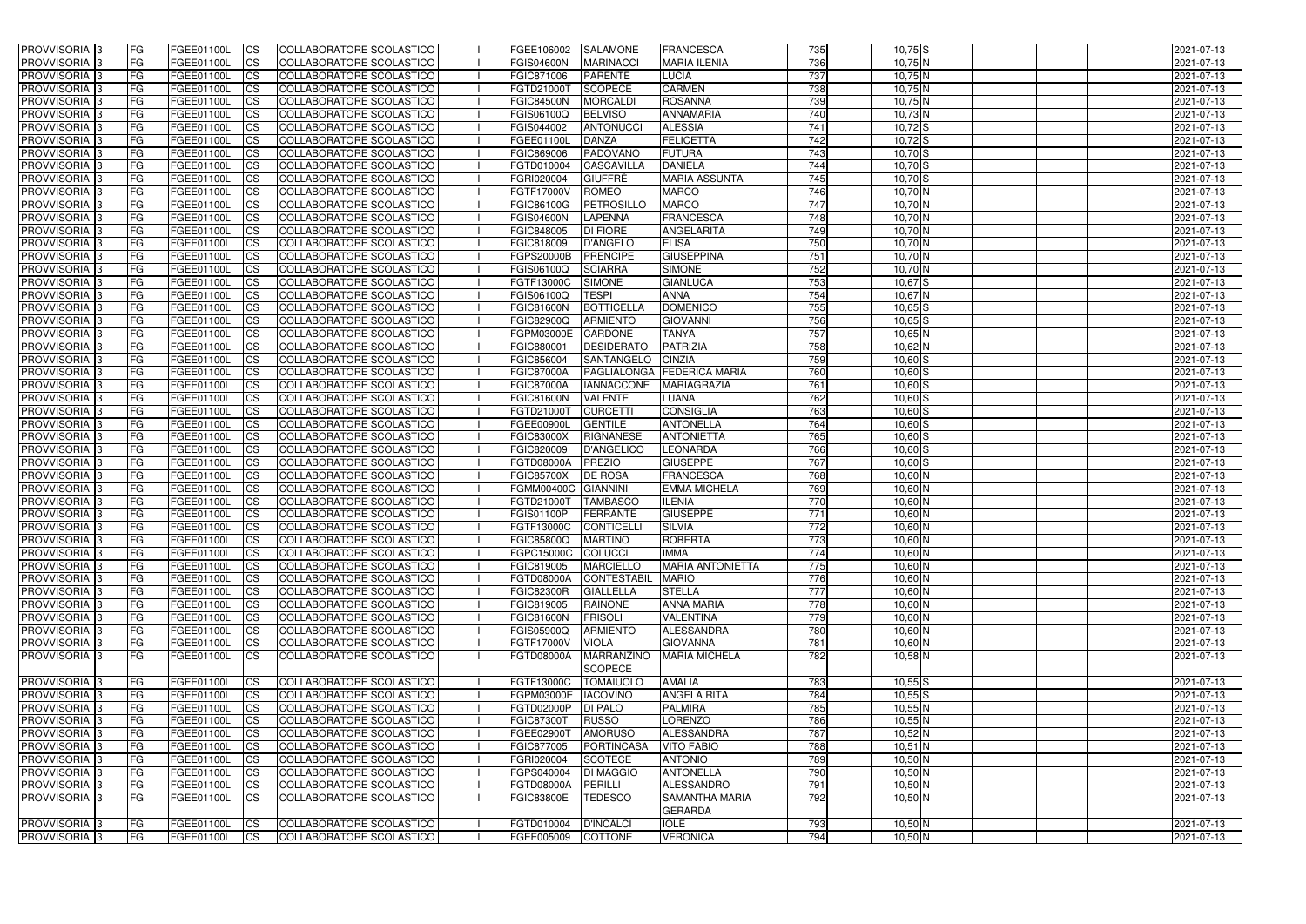| <b>PROVVISORIA</b> 3                                   | FG.        | FGEE01100L                      | <b>CS</b>              | COLLABORATORE SCOLASTICO                             | FGEE106002                      | <b>SALAMONE</b>                     | FRANCESCA                                   | 735              | $10,75$ S              | 2021-07-13               |
|--------------------------------------------------------|------------|---------------------------------|------------------------|------------------------------------------------------|---------------------------------|-------------------------------------|---------------------------------------------|------------------|------------------------|--------------------------|
| PROVVISORIA <sup>1</sup> 3                             | FG         | FGEE01100L                      | $\overline{\text{cs}}$ | COLLABORATORE SCOLASTICO                             | <b>FGIS04600N</b>               | <b>MARINACCI</b>                    | <b>MARIA ILENIA</b>                         | 736              | $10,75$ N              | 2021-07-13               |
| PROVVISORIA <sup>3</sup>                               | <b>IFG</b> | FGEE01100L                      | <b>CS</b>              | <b>COLLABORATORE SCOLASTICO</b>                      | FGIC871006                      | <b>PARENTE</b>                      | <b>LUCIA</b>                                | 737              | 10,75 N                | 2021-07-13               |
| PROVVISORIA <sup>3</sup>                               | FG         | FGEE01100L                      | <b>CS</b>              | COLLABORATORE SCOLASTICO                             | FGTD21000T                      | <b>SCOPECE</b>                      | <b>CARMEN</b>                               | 738              | 10,75 N                | 2021-07-13               |
| PROVVISORIA <sup>3</sup>                               | FG         | FGEE01100L                      | <b>CS</b>              | COLLABORATORE SCOLASTICO                             | <b>FGIC84500N</b>               | <b>MORCALDI</b>                     | <b>ROSANNA</b>                              | 739              | 10,75 N                | 2021-07-13               |
| PROVVISORIA 3                                          | FG         | FGEE01100L                      | <b>ICS</b>             | COLLABORATORE SCOLASTICO                             | FGIS06100Q                      | <b>BELVISO</b>                      | <b>ANNAMARIA</b>                            | 740              | 10,73 N                | 2021-07-13               |
| PROVVISORIA <sup>3</sup>                               | FG         | FGEE01100L                      | <b>ICS</b>             | COLLABORATORE SCOLASTICO                             | FGIS044002                      | <b>ANTONUCCI</b>                    | <b>ALESSIA</b>                              | 741              | $10,72$ S              | 2021-07-13               |
| PROVVISORIA <sup>3</sup>                               | FG         | FGEE01100L                      | $\overline{c}$         | COLLABORATORE SCOLASTICO                             | FGEE01100L                      | <b>DANZA</b>                        | <b>FELICETTA</b>                            | 742              | $10,72$ S              | 2021-07-13               |
| PROVVISORIA <sup>3</sup>                               | FG         | FGEE01100L                      | <b>CS</b>              | <b>COLLABORATORE SCOLASTICO</b>                      | FGIC869006                      | PADOVANO                            | <b>FUTURA</b>                               | 743              | $10,70$ S              | 2021-07-13               |
| PROVVISORIA <sup>3</sup>                               | FG         | <b>FGEE01100L</b>               | $\overline{\text{cs}}$ | COLLABORATORE SCOLASTICO                             | FGTD010004                      | CASCAVILLA                          | <b>DANIELA</b>                              | 744              | $10,70$ S              | 2021-07-13               |
| <b>PROVVISORIA</b> 3                                   | FG         | FGEE01100L                      | <b>CS</b>              | <b>COLLABORATORE SCOLASTICO</b>                      | FGRI020004                      | <b>GIUFFRE</b>                      | <b>MARIA ASSUNTA</b>                        | 745              | $10,70$ S              | 2021-07-13               |
| <b>PROVVISORIA</b> 3                                   | FG         | FGEE01100L                      | <b>CS</b>              | COLLABORATORE SCOLASTICO                             | FGTF17000V                      | <b>ROMEO</b>                        | <b>MARCO</b>                                | 746              | 10,70 N                | 2021-07-13               |
| PROVVISORIA <sup>3</sup>                               | FG         | FGEE01100L                      | <b>I</b> CS            | <b>COLLABORATORE SCOLASTICO</b>                      | <b>FGIC86100G</b>               | PETROSILLO                          | <b>MARCO</b>                                | 747              | 10,70 N                | 2021-07-13               |
| PROVVISORIA <sup>3</sup>                               | FG         | FGEE01100L                      | <b>I</b> CS            | <b>COLLABORATORE SCOLASTICO</b>                      | <b>FGIS04600N</b>               | <b>LAPENNA</b>                      | <b>FRANCESCA</b>                            | 748              | 10,70 N                | 2021-07-13               |
| <b>PROVVISORIA</b> 3                                   | FG         | FGEE01100L                      | <b>I</b> CS            | COLLABORATORE SCOLASTICO                             | FGIC848005                      | <b>DI FIORE</b>                     | ANGELARITA                                  | 749              | 10,70 N                | 2021-07-13               |
| PROVVISORIA <sup>3</sup>                               | FG         | <b>FGEE01100L</b>               | <b>ICS</b>             | COLLABORATORE SCOLASTICO                             | FGIC818009                      | <b>D'ANGELO</b>                     | <b>ELISA</b>                                | 750              | 10,70 N                | 2021-07-13               |
| PROVVISORIA <sup>3</sup>                               | FG.        | <b>FGEE01100L</b>               | <b>I</b> CS            | COLLABORATORE SCOLASTICO                             | <b>FGPS20000B</b>               | <b>PRENCIPE</b>                     | <b>GIUSEPPINA</b>                           | 751              | 10,70 N                | 2021-07-13               |
| PROVVISORIA <sup>3</sup>                               | FG         | FGEE01100L                      | <b>ICS</b>             | COLLABORATORE SCOLASTICO                             | FGIS06100Q                      | <b>SCIARRA</b>                      | <b>SIMONE</b>                               | 752              | 10,70 N                | 2021-07-13               |
| PROVVISORIA <sup>3</sup>                               | FG         | FGEE01100L                      | <b>ICS</b>             | COLLABORATORE SCOLASTICO                             | FGTF13000C                      | <b>SIMONE</b>                       | <b>GIANLUCA</b>                             | 753              | $10,67$ $S$            | 2021-07-13               |
| PROVVISORIA <sup>3</sup>                               | FG         | FGEE01100L                      | <b>CS</b>              | COLLABORATORE SCOLASTICO                             | FGIS06100Q                      | <b>TESPI</b>                        | <b>ANNA</b>                                 | 754              | 10,67 N                | 2021-07-13               |
| PROVVISORIA <sup>3</sup>                               | FG         | FGEE01100L                      | <b>CS</b>              | COLLABORATORE SCOLASTICO                             | <b>FGIC81600N</b>               | <b>BOTTICELLA</b>                   | <b>DOMENICO</b>                             | 755              | $10,65$ $S$            | 2021-07-13               |
| PROVVISORIA <sup>3</sup>                               | FG         | FGEE01100L                      | <b>CS</b>              | COLLABORATORE SCOLASTICO                             | <b>FGIC82900Q</b>               | <b>ARMIENTO</b>                     | <b>GIOVANNI</b>                             | 756              | $10,65$ S              | 2021-07-13               |
| PROVVISORIA <sup>3</sup>                               | FG         | <b>FGEE01100L</b>               | <b>CS</b>              | COLLABORATORE SCOLASTICO                             | FGPM03000E                      | <b>CARDONE</b>                      | <b>TANYA</b>                                | 757              | $10,65$ N              | 2021-07-13               |
| PROVVISORIA <sup>1</sup> 3                             | FG         | FGEE01100L                      | <b>CS</b>              | COLLABORATORE SCOLASTICO                             | FGIC880001                      | <b>DESIDERATO</b>                   | <b>PATRIZIA</b>                             | 758              | $10,62$ N              | 2021-07-13               |
| PROVVISORIA <sup>3</sup>                               | FG         | FGEE01100L                      | ICS                    | COLLABORATORE SCOLASTICO                             | FGIC856004                      | SANTANGELO                          | <b>CINZIA</b>                               | 759              | $10,60$ S              | 2021-07-13               |
| PROVVISORIA <sup>1</sup> 3                             | FG         | <b>FGEE01100L</b><br>FGEE01100L | <b>CS</b>              | COLLABORATORE SCOLASTICO                             | <b>FGIC87000A</b>               | PAGLIALONGA                         | <b>FEDERICA MARIA</b><br><b>MARIAGRAZIA</b> | 760<br>761       | $10,60$ S              | 2021-07-13               |
| PROVVISORIA <sup>3</sup>                               | FG         | FGEE01100L                      | <b>CS</b><br><b>CS</b> | COLLABORATORE SCOLASTICO                             | <b>FGIC87000A</b>               | <b>IANNACCONE</b><br><b>VALENTE</b> | LUANA                                       | 762              | $10,60$ S              | 2021-07-13               |
| PROVVISORIA <sup>3</sup><br>PROVVISORIA <sup>1</sup> 3 | FG<br>FG   | FGEE01100L                      | <b>CS</b>              | COLLABORATORE SCOLASTICO<br>COLLABORATORE SCOLASTICO | <b>FGIC81600N</b><br>FGTD21000T | <b>CURCETTI</b>                     | <b>CONSIGLIA</b>                            | 763              | $10,60$ S<br>$10,60$ S | 2021-07-13<br>2021-07-13 |
| PROVVISORIA <sup>3</sup>                               | FG         | <b>FGEE01100L</b>               | <b>CS</b>              | COLLABORATORE SCOLASTICO                             | FGEE00900L                      | <b>GENTILE</b>                      | <b>ANTONELLA</b>                            | 764              | $10,60$ S              | 2021-07-13               |
| PROVVISORIA <sup>3</sup>                               | FG         | <b>FGEE01100L</b>               | <b>CS</b>              | COLLABORATORE SCOLASTICO                             | <b>FGIC83000X</b>               | <b>RIGNANESE</b>                    | <b>ANTONIETTA</b>                           | 765              | $10,60$ S              | 2021-07-13               |
| PROVVISORIA <sup>3</sup>                               | FG         | <b>FGEE01100L</b>               | <b>CS</b>              | COLLABORATORE SCOLASTICO                             | FGIC820009                      | <b>D'ANGELICO</b>                   | LEONARDA                                    | 766              | $10,60$ S              | 2021-07-13               |
| PROVVISORIA <sup>3</sup>                               | FG         | <b>FGEE01100L</b>               | $\overline{\text{cs}}$ | COLLABORATORE SCOLASTICO                             | <b>FGTD08000A</b>               | <b>PREZIO</b>                       | <b>GIUSEPPE</b>                             | 767              | $10,60$ $S$            | 2021-07-13               |
| PROVVISORIA <sup>3</sup>                               | FG         | <b>FGEE01100L</b>               | $\overline{c}$         | COLLABORATORE SCOLASTICO                             | <b>FGIC85700X</b>               | <b>DE ROSA</b>                      | <b>FRANCESCA</b>                            | 768              | $10,60$ N              | 2021-07-13               |
| PROVVISORIA <sup>3</sup>                               | FG         | FGEE01100L                      | <b>CS</b>              | COLLABORATORE SCOLASTICO                             | <b>FGMM00400C</b>               | <b>GIANNINI</b>                     | <b>EMMA MICHELA</b>                         | 769              | $10,60$ N              | 2021-07-13               |
| PROVVISORIA <sup>3</sup>                               | FG         | FGEE01100L                      | <b>CS</b>              | COLLABORATORE SCOLASTICO                             | FGTD21000T                      | <b>TAMBASCO</b>                     | <b>ILENIA</b>                               | 770              | 10,60 N                | 2021-07-13               |
| <b>PROVVISORIA</b> 3                                   | FG         | <b>FGEE01100L</b>               | <b>I</b> CS            | COLLABORATORE SCOLASTICO                             | <b>FGIS01100P</b>               | FERRANTE                            | <b>GIUSEPPE</b>                             | 771              | $10,60$ N              | 2021-07-13               |
| <b>PROVVISORIA</b> 3                                   | IFG.       | FGEE01100L                      | <b>ICS</b>             | <b>COLLABORATORE SCOLASTICO</b>                      | <b>FGTF13000C</b>               | <b>CONTICELLI</b>                   | <b>SILVIA</b>                               | $\overline{772}$ | 10,60 N                | 2021-07-13               |
| <b>PROVVISORIA</b> 3                                   | IFG.       | FGEE01100L CS                   |                        | COLLABORATORE SCOLASTICO                             | FGIC85800Q MARTINO              |                                     | <b>ROBERTA</b>                              | 773              | $10,60$ N              | 2021-07-13               |
| PROVVISORIA 3                                          | FG         | FGEE01100L                      | <b>CS</b>              | COLLABORATORE SCOLASTICO                             | <b>FGPC15000C</b>               | <b>COLUCCI</b>                      | <b>IMMA</b>                                 | 774              | $10,60$ N              | 2021-07-13               |
| PROVVISORIA 3                                          | FG         | FGEE01100L                      | $\mathsf{ICS}$         | COLLABORATORE SCOLASTICO                             | <b>FGIC819005</b>               | <b>MARCIELLO</b>                    | <b>MARIA ANTONIETTA</b>                     | 775              | 10,60 N                | 2021-07-13               |
| PROVVISORIA 3                                          | <b>FG</b>  | FGEE01100L                      | $\mathsf{ICS}$         | COLLABORATORE SCOLASTICO                             | <b>FGTD08000A</b>               | CONTESTABIL                         | <b>MARIO</b>                                | 776              | 10,60 N                | 2021-07-13               |
| PROVVISORIA 3                                          | FG         | FGEE01100L                      | <b>CS</b>              | COLLABORATORE SCOLASTICO                             | <b>FGIC82300R</b>               | <b>GIALLELLA</b>                    | <b>STELLA</b>                               | 777              | $10,60$ N              | 2021-07-13               |
| PROVVISORIA 3                                          | FG         | FGEE01100L                      | <b>CS</b>              | COLLABORATORE SCOLASTICO                             | FGIC819005                      | <b>RAINONE</b>                      | <b>ANNA MARIA</b>                           | 778              | $10,60$ N              | 2021-07-13               |
| PROVVISORIA 3                                          | <b>FG</b>  | FGEE01100L                      | <b>CS</b>              | COLLABORATORE SCOLASTICO                             | <b>FGIC81600N</b>               | <b>FRISOLI</b>                      | <b>VALENTINA</b>                            | 779              | $10,60$ N              | 2021-07-13               |
| PROVVISORIA 3                                          | FG         | FGEE01100L                      | <b>CS</b>              | COLLABORATORE SCOLASTICO                             | <b>FGIS05900Q</b>               | <b>ARMIENTO</b>                     | <b>ALESSANDRA</b>                           | 780              | $10,60$ N              | 2021-07-13               |
| PROVVISORIA 3                                          | FG         | FGEE01100L                      | <b>CS</b>              | COLLABORATORE SCOLASTICO                             | FGTF17000V                      | <b>VIOLA</b>                        | <b>GIOVANNA</b>                             | 781              | 10,60 N                | 2021-07-13               |
| <b>PROVVISORIA</b> 3                                   | IFG.       | FGEE01100L                      | <b>ICS</b>             | COLLABORATORE SCOLASTICO                             | <b>FGTD08000A</b>               | <b>MARRANZINO</b><br><b>SCOPECE</b> | <b>MARIA MICHELA</b>                        | 782              | 10,58 N                | 2021-07-13               |
| PROVVISORIA 3                                          | FG         | FGEE01100L                      | <b>CS</b>              | COLLABORATORE SCOLASTICO                             | <b>FGTF13000C</b>               | <b>TOMAIUOLO</b>                    | AMALIA                                      | 783              | $10,55$ S              | 2021-07-13               |
| <b>PROVVISORIA</b> 3                                   | FG         | FGEE01100L                      | <b>CS</b>              | COLLABORATORE SCOLASTICO                             | FGPM03000E                      | <b>IACOVINO</b>                     | <b>ANGELA RITA</b>                          | 784              | $10,55$ $S$            | 2021-07-13               |
| PROVVISORIA 3                                          | FG         | FGEE01100L                      | <b>CS</b>              | <b>COLLABORATORE SCOLASTICO</b>                      | FGTD02000P                      | <b>DI PALO</b>                      | <b>PALMIRA</b>                              | 785              | 10,55N                 | 2021-07-13               |
| PROVVISORIA 3                                          | <b>IFG</b> | FGEE01100L                      | <b>CS</b>              | <b>COLLABORATORE SCOLASTICO</b>                      | <b>FGIC87300T</b>               | <b>RUSSO</b>                        | <b>LORENZO</b>                              | 786              | 10,55N                 | 2021-07-13               |
| PROVVISORIA 3                                          | IFG.       | FGEE01100L                      | <b>CS</b>              | COLLABORATORE SCOLASTICO                             | FGEE02900T                      | <b>AMORUSO</b>                      | <b>ALESSANDRA</b>                           | 787              | 10,52 N                | 2021-07-13               |
| PROVVISORIA 3                                          | FG         | FGEE01100L                      | <b>CS</b>              | COLLABORATORE SCOLASTICO                             | FGIC877005                      | <b>PORTINCASA</b>                   | <b>VITO FABIO</b>                           | 788              | $10,51$ N              | 2021-07-13               |
| PROVVISORIA 3                                          | FG         | FGEE01100L                      | <b>CS</b>              | COLLABORATORE SCOLASTICO                             | FGRI020004                      | <b>SCOTECE</b>                      | <b>ANTONIO</b>                              | 789              | 10,50 N                | 2021-07-13               |
| PROVVISORIA 3                                          | <b>FG</b>  | <b>FGEE01100L</b>               | <b>CS</b>              | <b>COLLABORATORE SCOLASTICO</b>                      | FGPS040004                      | <b>DI MAGGIO</b>                    | <b>ANTONELLA</b>                            | 790              | 10,50 N                | 2021-07-13               |
| PROVVISORIA 3                                          | FG         | <b>FGEE01100L</b>               | <b>CS</b>              | COLLABORATORE SCOLASTICO                             | FGTD08000A                      | <b>PERILLI</b>                      | ALESSANDRO                                  | 791              | 10,50 N                | 2021-07-13               |
| <b>PROVVISORIA</b> 3                                   | IFG.       | FGEE01100L                      | <b>ICS</b>             | COLLABORATORE SCOLASTICO                             | <b>FGIC83800E</b>               | <b>TEDESCO</b>                      | <b>SAMANTHA MARIA</b><br><b>GERARDA</b>     | 792              | 10,50 N                | 2021-07-13               |
| PROVVISORIA 3                                          | FG         | FGEE01100L                      | <b>CS</b>              | COLLABORATORE SCOLASTICO                             | FGTD010004                      | <b>D'INCALCI</b>                    | <b>IOLE</b>                                 | 793              | 10,50 N                | 2021-07-13               |
| PROVVISORIA <sup>3</sup>                               | l FG       | FGEE01100L                      | <b>CS</b>              | COLLABORATORE SCOLASTICO                             | FGEE005009                      | COTTONE                             | <b>VERONICA</b>                             | 794              | $10,50$ N              | 2021-07-13               |
|                                                        |            |                                 |                        |                                                      |                                 |                                     |                                             |                  |                        |                          |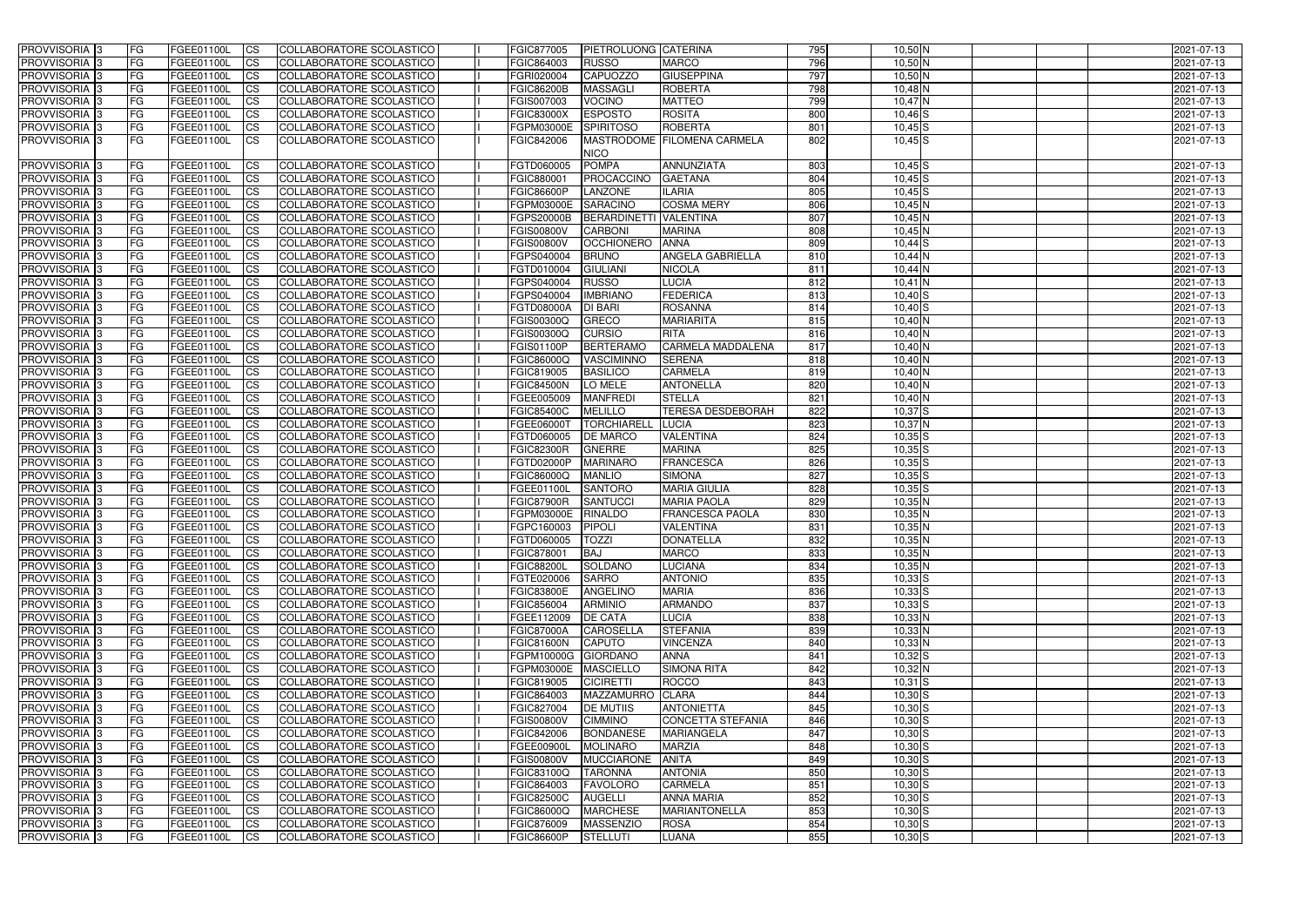| 796<br>$10,50$ N<br>PROVVISORIA <sup>1</sup> 3<br><b>FG</b><br><b>CS</b><br>COLLABORATORE SCOLASTICO<br>FGIC864003<br><b>RUSSO</b><br><b>MARCO</b><br>FGEE01100L<br>2021-07-13<br>797<br><b>CAPUOZZO</b><br><b>GIUSEPPINA</b><br>$10,50$ N<br>PROVVISORIA 3<br><b>FG</b><br><b>CS</b><br>COLLABORATORE SCOLASTICO<br>FGRI020004<br>FGEE01100L<br>2021-07-13<br>798<br><b>ROBERTA</b><br>PROVVISORIA 3<br><b>FG</b><br><b>CS</b><br>COLLABORATORE SCOLASTICO<br><b>FGIC86200B</b><br><b>MASSAGLI</b><br>$10,48$ N<br>FGEE01100L<br>2021-07-13<br>799<br>FG<br><b>CS</b><br><b>VOCINO</b><br><b>MATTEO</b><br>$10,47$ N<br>PROVVISORIA <sup>1</sup> 3<br>FGEE01100L<br>COLLABORATORE SCOLASTICO<br>FGIS007003<br>2021-07-13<br>FG<br>800<br>PROVVISORIA <sup>1</sup> 3<br><b>CS</b><br><b>ESPOSTO</b><br><b>ROSITA</b><br>FGEE01100L<br>COLLABORATORE SCOLASTICO<br><b>FGIC83000X</b><br>$10,46$ S<br>2021-07-13<br>FG<br>801<br>PROVVISORIA 3<br><b>CS</b><br>COLLABORATORE SCOLASTICO<br><b>SPIRITOSO</b><br><b>ROBERTA</b><br>$10,45$ S<br>FGEE01100L<br>FGPM03000E<br>2021-07-13<br>PROVVISORIA 3<br>FG<br>COLLABORATORE SCOLASTICO<br>FGIC842006<br><b>MASTRODOME</b><br><b>FILOMENA CARMELA</b><br>802<br>$10,45$ S<br>FGEE01100L<br><b>ICS</b><br>2021-07-13<br><b>NICO</b><br>FGTD060005<br><b>ANNUNZIATA</b><br>803<br>PROVVISORIA 3<br><b>FG</b><br>FGEE01100L<br><b>CS</b><br>COLLABORATORE SCOLASTICO<br><b>POMPA</b><br>$10,45$ S<br>2021-07-13<br>804<br>PROVVISORIA 3<br>COLLABORATORE SCOLASTICO<br>FGIC880001<br><b>IFG</b><br>FGEE01100L<br><b>ICS</b><br><b>PROCACCINO</b><br><b>GAETANA</b><br>$10,45$ $S$<br>2021-07-13<br><b>FGIC86600P</b><br><b>ILARIA</b><br>805<br><b>PROVVISORIA</b><br><b>FG</b><br>FGEE01100L<br><b>CS</b><br>COLLABORATORE SCOLASTICO<br><b>LANZONE</b><br>$10,45$ S<br>2021-07-13<br><b>SARACINO</b><br><b>COSMA MERY</b><br><b>PROVVISORIA</b><br>FG<br>FGEE01100L<br><b>CS</b><br>COLLABORATORE SCOLASTICO<br>FGPM03000E<br>806<br>2021-07-13<br>$10,45$ N<br>PROVVISORIA 3<br><b>FG</b><br>FGEE01100L<br><b>CS</b><br>COLLABORATORE SCOLASTICO<br><b>FGPS20000B</b><br>BERARDINETTI VALENTINA<br>807<br>$10,45$ N<br>2021-07-13<br>$\overline{808}$<br><b>PROVVISORIA</b><br>FG<br>FGEE01100L<br><b>CS</b><br>COLLABORATORE SCOLASTICO<br><b>FGIS00800V</b><br><b>CARBONI</b><br><b>MARINA</b><br>$10,45$ N<br>2021-07-13<br>809<br><b>PROVVISORIA</b><br>FG<br><b>CS</b><br>COLLABORATORE SCOLASTICO<br><b>FGIS00800V</b><br><b>OCCHIONERO</b><br><b>ANNA</b><br>$10,44$ S<br>2021-07-13<br>FGEE01100L<br><b>PROVVISORIA</b><br>FG<br><b>CS</b><br>COLLABORATORE SCOLASTICO<br>FGPS040004<br><b>BRUNO</b><br><b>ANGELA GABRIELLA</b><br>$10,44$ N<br>2021-07-13<br>FGEE01100L<br>810<br>PROVVISORIA <sup>1</sup> 3<br>FG<br><b>CS</b><br>COLLABORATORE SCOLASTICO<br><b>GIULIANI</b><br><b>NICOLA</b><br>811<br>FGEE01100L<br>FGTD010004<br>$10,44$ N<br>2021-07-13<br><b>PROVVISORIA</b><br>FG<br><b>CS</b><br>COLLABORATORE SCOLASTICO<br>FGPS040004<br><b>RUSSO</b><br>LUCIA<br>812<br>$10,41$ N<br>FGEE01100L<br>2021-07-13<br><b>PROVVISORIA</b><br>FG<br>FGEE01100L<br><b>CS</b><br>COLLABORATORE SCOLASTICO<br>FGPS040004<br><b>IMBRIANO</b><br><b>FEDERICA</b><br>813<br>$10,40$ S<br>2021-07-13<br>PROVVISORIA 3<br>FG<br><b>FGTD08000A</b><br><b>DI BARI</b><br><b>ROSANNA</b><br>814<br>$10,40$ S<br>2021-07-13<br>FGEE01100L<br><b>CS</b><br>COLLABORATORE SCOLASTICO<br>PROVVISORIA 3<br>FG<br><b>CS</b><br>FGIS00300Q<br><b>GRECO</b><br><b>MARIARITA</b><br>815<br>10,40 N<br>FGEE01100L<br>COLLABORATORE SCOLASTICO<br>2021-07-13<br>PROVVISORIA 3<br>FG<br><b>CS</b><br>COLLABORATORE SCOLASTICO<br>FGIS00300Q<br><b>CURSIO</b><br><b>RITA</b><br>816<br>10,40 N<br>2021-07-13<br>FGEE01100L<br>PROVVISORIA <sup>1</sup> 3<br><b>FG</b><br><b>BERTERAMO</b><br><b>CARMELA MADDALENA</b><br>$10,40$ N<br>FGEE01100L<br><b>ICS</b><br> COLLABORATORE SCOLASTICO <br><b>FGIS01100P</b><br>817<br>2021-07-13<br>PROVVISORIA <sup>1</sup> 3<br>FG<br><b>CS</b><br>VASCIMINNO<br><b>SERENA</b><br>10,40 N<br>2021-07-13<br>FGEE01100L<br>COLLABORATORE SCOLASTICO<br>FGIC86000Q<br>818<br>PROVVISORIA 3<br>FG<br><b>CS</b><br>FGIC819005<br><b>BASILICO</b><br><b>CARMELA</b><br>10,40 N<br>FGEE01100L<br>COLLABORATORE SCOLASTICO<br>819<br>2021-07-13<br>PROVVISORIA <sup>1</sup> 3<br>FG<br><b>CS</b><br><b>FGIC84500N</b><br>LO MELE<br><b>ANTONELLA</b><br>820<br>10,40 N<br>FGEE01100L<br>COLLABORATORE SCOLASTICO<br>2021-07-13<br>FG<br>821<br>PROVVISORIA <sup>13</sup><br>FGEE01100L<br><b>CS</b><br>COLLABORATORE SCOLASTICO<br>FGEE005009<br><b>MANFREDI</b><br><b>STELLA</b><br>10,40 N<br>2021-07-13<br><b>TERESA DESDEBORAH</b><br>822<br>PROVVISORIA 3<br>FG<br><b>CS</b><br><b>FGIC85400C</b><br><b>MELILLO</b><br>$10,37$ $S$<br>FGEE01100L<br>COLLABORATORE SCOLASTICO<br>2021-07-13<br>823<br>FG<br>$10,37$ N<br>PROVVISORIA <sup>1</sup> 3<br>FGEE01100L<br><b>CS</b><br>COLLABORATORE SCOLASTICO<br>FGEE06000T<br><b>TORCHIARELL</b><br><b>LUCIA</b><br>2021-07-13<br>FG<br>824<br>PROVVISORIA<br><b>CS</b><br><b>DE MARCO</b><br>VALENTINA<br>$10,35$ $S$<br>FGEE01100L<br>COLLABORATORE SCOLASTICO<br>FGTD060005<br>2021-07-13<br>825<br><b>PROVVISORIA</b><br><b>FG</b><br><b>CS</b><br><b>FGIC82300R</b><br><b>GNERRE</b><br><b>MARINA</b><br>$10,35$ $S$<br>FGEE01100L<br>COLLABORATORE SCOLASTICO<br>2021-07-13<br>826<br>PROVVISORIA 3<br>FG<br><b>CS</b><br>COLLABORATORE SCOLASTICO<br>FGTD02000P<br><b>MARINARO</b><br><b>FRANCESCA</b><br>$10,35$ S<br>FGEE01100L<br>2021-07-13<br>827<br><b>PROVVISORIA</b><br>FG<br>COLLABORATORE SCOLASTICO<br><b>MANLIO</b><br><b>SIMONA</b><br>$10,35$ S<br>FGEE01100L<br><b>CS</b><br>FGIC86000Q<br>2021-07-13<br>828<br>PROVVISORIA<br><b>CS</b><br>COLLABORATORE SCOLASTICO<br><b>SANTORO</b><br><b>MARIA GIULIA</b><br>$10,35$ $S$<br>IFG.<br>FGEE01100L<br>FGEE01100L<br>2021-07-13<br><b>PROVVISORIA</b><br><b>FG</b><br><b>CS</b><br>COLLABORATORE SCOLASTICO<br><b>FGIC87900R</b><br><b>SANTUCCI</b><br><b>MARIA PAOLA</b><br>829<br>$10,35$ N<br>FGEE01100L<br>2021-07-13<br>COLLABORATORE SCOLASTICO<br><b>FRANCESCA PAOLA</b><br>830<br><b>PROVVISORIA</b><br><b>IFG</b><br>FGEE01100L<br><b>ICS</b><br>FGPM03000E<br><b>RINALDO</b><br>$10,35$ N<br>2021-07-13<br>PROVVISORIA 3<br><b>FG</b><br><b>CS</b><br>COLLABORATORE SCOLASTICO<br>FGPC160003<br><b>PIPOLI</b><br><b>VALENTINA</b><br>831<br>10,35 N<br>2021-07-13<br>FGEE01100L<br>PROVVISORIA 3<br>FG<br>COLLABORATORE SCOLASTICO<br>FGTD060005<br><b>DONATELLA</b><br>832<br>$10,35$ N<br>2021-07-13<br>FGEE01100L<br><b>TOZZI</b><br>- ICS<br>PROVVISORIA 3<br>COLLABORATORE SCOLASTICO<br>833<br>$10,35$ N<br><b>FG</b><br>FGEE01100L<br> CS <br>FGIC878001<br><b>BAJ</b><br><b>MARCO</b><br>2021-07-13<br>PROVVISORIA 3<br>834<br>$10,35$ N<br><b>FG</b><br>FGEE01100L<br>COLLABORATORE SCOLASTICO<br><b>FGIC88200L</b><br>SOLDANO<br><b>LUCIANA</b><br>2021-07-13<br>$\overline{\text{CS}}$<br>PROVVISORIA 3<br>COLLABORATORE SCOLASTICO<br><b>ANTONIO</b><br>835<br>$10,33$ $S$<br><b>FG</b><br>FGEE01100L<br>FGTE020006<br><b>SARRO</b><br>2021-07-13<br> CS <br>PROVVISORIA 3<br>COLLABORATORE SCOLASTICO<br><b>FGIC83800E</b><br><b>ANGELINO</b><br><b>MARIA</b><br>836<br>$10,33$ S<br><b>IFG</b><br>FGEE01100L<br> CS <br>2021-07-13<br>PROVVISORIA 3<br>837<br><b>FG</b><br>COLLABORATORE SCOLASTICO<br>FGIC856004<br><b>ARMINIO</b><br><b>ARMANDO</b><br>$10,33$ $S$<br>FGEE01100L<br> CS <br>2021-07-13<br>PROVVISORIA 3<br>COLLABORATORE SCOLASTICO<br><b>FG</b><br>FGEE01100L<br><b>CS</b><br>FGEE112009<br><b>DE CATA</b><br><b>LUCIA</b><br>838<br>$10,33$ N<br>2021-07-13<br>PROVVISORIA 3<br><b>FG</b><br>FGEE01100L<br>COLLABORATORE SCOLASTICO<br><b>FGIC87000A</b><br><b>STEFANIA</b><br>839<br>$10,33$ N<br><b>CS</b><br><b>CAROSELLA</b><br>2021-07-13<br>PROVVISORIA 3<br><b>VINCENZA</b><br>$10,33$ N<br><b>FG</b><br>FGEE01100L<br><b>CS</b><br>COLLABORATORE SCOLASTICO<br><b>FGIC81600N</b><br><b>CAPUTO</b><br>840<br>2021-07-13<br>PROVVISORIA 3<br><b>FG</b><br>FGEE01100L<br>COLLABORATORE SCOLASTICO<br>FGPM10000G GIORDANO<br>841<br>$10,32$ $S$<br>2021-07-13<br> CS <br><b>ANNA</b><br>PROVVISORIA 3<br><b>FG</b><br>FGEE01100L<br>COLLABORATORE SCOLASTICO<br>842<br>$10,32$ N<br> CS <br>FGPM03000E<br>MASCIELLO<br><b>SIMONA RITA</b><br>2021-07-13<br>PROVVISORIA 3<br><b>FG</b><br>FGEE01100L<br>COLLABORATORE SCOLASTICO<br>FGIC819005<br><b>CICIRETTI</b><br>843<br>$10,31$ $S$<br> CS <br><b>ROCCO</b><br>2021-07-13<br>FG<br>$10,30$ $S$<br>PROVVISORIA 3<br>FGEE01100L<br><b>CS</b><br>COLLABORATORE SCOLASTICO<br>FGIC864003<br>MAZZAMURRO CLARA<br>844<br>2021-07-13<br>PROVVISORIA 3<br><b>FG</b><br>COLLABORATORE SCOLASTICO<br>FGIC827004<br><b>ANTONIETTA</b><br>845<br>$10,30$ S<br>FGEE01100L<br><b>CS</b><br><b>DE MUTIIS</b><br>2021-07-13<br>PROVVISORIA 3<br><b>FG</b><br>COLLABORATORE SCOLASTICO<br>$10,30$ S<br>FGEE01100L<br><b>CS</b><br><b>FGIS00800V</b><br><b>CIMMINO</b><br>CONCETTA STEFANIA<br>846<br>2021-07-13<br>847<br>PROVVISORIA 3<br><b>FG</b><br>COLLABORATORE SCOLASTICO<br><b>BONDANESE</b><br><b>MARIANGELA</b><br>$10,30$ $S$<br>FGEE01100L<br><b>CS</b><br>FGIC842006<br>2021-07-13<br>PROVVISORIA 3<br><b>FG</b><br><b>CS</b><br>COLLABORATORE SCOLASTICO<br><b>MARZIA</b><br>848<br>$10,30$ $S$<br>FGEE01100L<br><b>FGEE00900L</b><br><b>MOLINARO</b><br>2021-07-13<br>PROVVISORIA 3<br><b>FG</b><br>COLLABORATORE SCOLASTICO<br><b>ANITA</b><br>849<br>$10,30$ $S$<br>FGEE01100L<br><b>CS</b><br><b>FGIS00800V</b><br><b>MUCCIARONE</b><br>2021-07-13<br>850<br>PROVVISORIA 3<br><b>FG</b><br><b>CS</b><br>COLLABORATORE SCOLASTICO<br><b>TARONNA</b><br><b>ANTONIA</b><br>$10,30$ $S$<br>FGEE01100L<br>FGIC83100Q<br>2021-07-13<br>851<br>PROVVISORIA 3<br><b>FG</b><br><b>CS</b><br>COLLABORATORE SCOLASTICO<br>FGIC864003<br><b>FAVOLORO</b><br><b>CARMELA</b><br>$10,30$ $S$<br>2021-07-13<br>FGEE01100L<br>852<br>PROVVISORIA 3<br><b>FG</b><br>COLLABORATORE SCOLASTICO<br><b>FGIC82500C</b><br><b>AUGELLI</b><br><b>ANNA MARIA</b><br>$10,30$ S<br>FGEE01100L<br><b>CS</b><br>2021-07-13<br>853<br>PROVVISORIA 3<br>COLLABORATORE SCOLASTICO<br><b>MARCHESE</b><br><b>MARIANTONELLA</b><br>$10,30$ $S$<br>2021-07-13<br><b>IFG</b><br>FGEE01100L<br><b>CS</b><br>FGIC86000Q<br>854<br>PROVVISORIA 3<br>COLLABORATORE SCOLASTICO<br>FGIC876009<br><b>MASSENZIO</b><br><b>ROSA</b><br>$10,30$ S<br>2021-07-13<br><b>IFG</b><br>FGEE01100L<br><b>CS</b><br>855<br>PROVVISORIA 3<br>COLLABORATORE SCOLASTICO<br>$10,30$ S<br><b>IFG</b><br>FGEE01100L<br> CS <br><b>FGIC86600P</b><br><b>STELLUTI</b><br>LUANA<br>2021-07-13 | <b>PROVVISORIA</b> 3 | <b>FG</b> | FGEE01100L | <b>CS</b> | COLLABORATORE SCOLASTICO | <b>FGIC877005</b> | PIETROLUONG CATERINA | 795 | 10,50 N | 2021-07-13 |
|------------------------------------------------------------------------------------------------------------------------------------------------------------------------------------------------------------------------------------------------------------------------------------------------------------------------------------------------------------------------------------------------------------------------------------------------------------------------------------------------------------------------------------------------------------------------------------------------------------------------------------------------------------------------------------------------------------------------------------------------------------------------------------------------------------------------------------------------------------------------------------------------------------------------------------------------------------------------------------------------------------------------------------------------------------------------------------------------------------------------------------------------------------------------------------------------------------------------------------------------------------------------------------------------------------------------------------------------------------------------------------------------------------------------------------------------------------------------------------------------------------------------------------------------------------------------------------------------------------------------------------------------------------------------------------------------------------------------------------------------------------------------------------------------------------------------------------------------------------------------------------------------------------------------------------------------------------------------------------------------------------------------------------------------------------------------------------------------------------------------------------------------------------------------------------------------------------------------------------------------------------------------------------------------------------------------------------------------------------------------------------------------------------------------------------------------------------------------------------------------------------------------------------------------------------------------------------------------------------------------------------------------------------------------------------------------------------------------------------------------------------------------------------------------------------------------------------------------------------------------------------------------------------------------------------------------------------------------------------------------------------------------------------------------------------------------------------------------------------------------------------------------------------------------------------------------------------------------------------------------------------------------------------------------------------------------------------------------------------------------------------------------------------------------------------------------------------------------------------------------------------------------------------------------------------------------------------------------------------------------------------------------------------------------------------------------------------------------------------------------------------------------------------------------------------------------------------------------------------------------------------------------------------------------------------------------------------------------------------------------------------------------------------------------------------------------------------------------------------------------------------------------------------------------------------------------------------------------------------------------------------------------------------------------------------------------------------------------------------------------------------------------------------------------------------------------------------------------------------------------------------------------------------------------------------------------------------------------------------------------------------------------------------------------------------------------------------------------------------------------------------------------------------------------------------------------------------------------------------------------------------------------------------------------------------------------------------------------------------------------------------------------------------------------------------------------------------------------------------------------------------------------------------------------------------------------------------------------------------------------------------------------------------------------------------------------------------------------------------------------------------------------------------------------------------------------------------------------------------------------------------------------------------------------------------------------------------------------------------------------------------------------------------------------------------------------------------------------------------------------------------------------------------------------------------------------------------------------------------------------------------------------------------------------------------------------------------------------------------------------------------------------------------------------------------------------------------------------------------------------------------------------------------------------------------------------------------------------------------------------------------------------------------------------------------------------------------------------------------------------------------------------------------------------------------------------------------------------------------------------------------------------------------------------------------------------------------------------------------------------------------------------------------------------------------------------------------------------------------------------------------------------------------------------------------------------------------------------------------------------------------------------------------------------------------------------------------------------------------------------------------------------------------------------------------------------------------------------------------------------------------------------------------------------------------------------------------------------------------------------------------------------------------------------------------------------------------------------------------------------------------------------------------------------------------------------------------------------------------------------------------------------------------------------------------------------------------------------------------------------------------------------------------------------------------------------------------------------------------------------------------------------------------------------------------------------------------------------------------------------------------------------------------------------------------------------------------------------------------------------------------------------------------------------------------------------------------------------------------------------------------------------------------------------------------------------------------------------------------------------------------------------------------------------------------------------------------------------------------------------------------------------------------------------------------------------------------------------------------------------------------------------------------------------------------------------------------------------------------------------------------------------------------------------------------------------------------------------------------------------------------------------------------------------------------------------------------------------------------------------------------------------------------------------------------------------------------------------------------------------------------------------------------------------------------------------------------------------------------------------------------------------------------------------------------------------------------------------------------------------------------------------------------------------------------------------------------------------------------------------------------------------------------------------------------------------------------------------------------------------------------------------------------------------------------------------------------------------------------------------------------------------------------------------------------------------------------------------------------------------------------------------------------------------------------------------------------------------------------------------------------------------------------------------------------------------------------------------------------------------------------------------------------------------------------------------------------------------------------------------------------------------------------------------------------------------------------------------------------------------------------------------------------------------------------------------------------------------------------------------------------------------------------------------------------------------------------------------------------------------------------------------------------------------------------------------------------------------------------------------------------------------------------------------------------------------------------------------------|----------------------|-----------|------------|-----------|--------------------------|-------------------|----------------------|-----|---------|------------|
|                                                                                                                                                                                                                                                                                                                                                                                                                                                                                                                                                                                                                                                                                                                                                                                                                                                                                                                                                                                                                                                                                                                                                                                                                                                                                                                                                                                                                                                                                                                                                                                                                                                                                                                                                                                                                                                                                                                                                                                                                                                                                                                                                                                                                                                                                                                                                                                                                                                                                                                                                                                                                                                                                                                                                                                                                                                                                                                                                                                                                                                                                                                                                                                                                                                                                                                                                                                                                                                                                                                                                                                                                                                                                                                                                                                                                                                                                                                                                                                                                                                                                                                                                                                                                                                                                                                                                                                                                                                                                                                                                                                                                                                                                                                                                                                                                                                                                                                                                                                                                                                                                                                                                                                                                                                                                                                                                                                                                                                                                                                                                                                                                                                                                                                                                                                                                                                                                                                                                                                                                                                                                                                                                                                                                                                                                                                                                                                                                                                                                                                                                                                                                                                                                                                                                                                                                                                                                                                                                                                                                                                                                                                                                                                                                                                                                                                                                                                                                                                                                                                                                                                                                                                                                                                                                                                                                                                                                                                                                                                                                                                                                                                                                                                                                                                                                                                                                                                                                                                                                                                                                                                                                                                                                                                                                                                                                                                                                                                                                                                                                                                                                                                                                                                                                                                                                                                                                                                                                                                                                                                                                                                                                                                                                                                                                                                                                                                                                                                                                                                                                                                                                                                                                                                                                                                                                                                                                                                                                                                                                                                                                                                                                                                                                                                              |                      |           |            |           |                          |                   |                      |     |         |            |
|                                                                                                                                                                                                                                                                                                                                                                                                                                                                                                                                                                                                                                                                                                                                                                                                                                                                                                                                                                                                                                                                                                                                                                                                                                                                                                                                                                                                                                                                                                                                                                                                                                                                                                                                                                                                                                                                                                                                                                                                                                                                                                                                                                                                                                                                                                                                                                                                                                                                                                                                                                                                                                                                                                                                                                                                                                                                                                                                                                                                                                                                                                                                                                                                                                                                                                                                                                                                                                                                                                                                                                                                                                                                                                                                                                                                                                                                                                                                                                                                                                                                                                                                                                                                                                                                                                                                                                                                                                                                                                                                                                                                                                                                                                                                                                                                                                                                                                                                                                                                                                                                                                                                                                                                                                                                                                                                                                                                                                                                                                                                                                                                                                                                                                                                                                                                                                                                                                                                                                                                                                                                                                                                                                                                                                                                                                                                                                                                                                                                                                                                                                                                                                                                                                                                                                                                                                                                                                                                                                                                                                                                                                                                                                                                                                                                                                                                                                                                                                                                                                                                                                                                                                                                                                                                                                                                                                                                                                                                                                                                                                                                                                                                                                                                                                                                                                                                                                                                                                                                                                                                                                                                                                                                                                                                                                                                                                                                                                                                                                                                                                                                                                                                                                                                                                                                                                                                                                                                                                                                                                                                                                                                                                                                                                                                                                                                                                                                                                                                                                                                                                                                                                                                                                                                                                                                                                                                                                                                                                                                                                                                                                                                                                                                                                                              |                      |           |            |           |                          |                   |                      |     |         |            |
|                                                                                                                                                                                                                                                                                                                                                                                                                                                                                                                                                                                                                                                                                                                                                                                                                                                                                                                                                                                                                                                                                                                                                                                                                                                                                                                                                                                                                                                                                                                                                                                                                                                                                                                                                                                                                                                                                                                                                                                                                                                                                                                                                                                                                                                                                                                                                                                                                                                                                                                                                                                                                                                                                                                                                                                                                                                                                                                                                                                                                                                                                                                                                                                                                                                                                                                                                                                                                                                                                                                                                                                                                                                                                                                                                                                                                                                                                                                                                                                                                                                                                                                                                                                                                                                                                                                                                                                                                                                                                                                                                                                                                                                                                                                                                                                                                                                                                                                                                                                                                                                                                                                                                                                                                                                                                                                                                                                                                                                                                                                                                                                                                                                                                                                                                                                                                                                                                                                                                                                                                                                                                                                                                                                                                                                                                                                                                                                                                                                                                                                                                                                                                                                                                                                                                                                                                                                                                                                                                                                                                                                                                                                                                                                                                                                                                                                                                                                                                                                                                                                                                                                                                                                                                                                                                                                                                                                                                                                                                                                                                                                                                                                                                                                                                                                                                                                                                                                                                                                                                                                                                                                                                                                                                                                                                                                                                                                                                                                                                                                                                                                                                                                                                                                                                                                                                                                                                                                                                                                                                                                                                                                                                                                                                                                                                                                                                                                                                                                                                                                                                                                                                                                                                                                                                                                                                                                                                                                                                                                                                                                                                                                                                                                                                                                              |                      |           |            |           |                          |                   |                      |     |         |            |
|                                                                                                                                                                                                                                                                                                                                                                                                                                                                                                                                                                                                                                                                                                                                                                                                                                                                                                                                                                                                                                                                                                                                                                                                                                                                                                                                                                                                                                                                                                                                                                                                                                                                                                                                                                                                                                                                                                                                                                                                                                                                                                                                                                                                                                                                                                                                                                                                                                                                                                                                                                                                                                                                                                                                                                                                                                                                                                                                                                                                                                                                                                                                                                                                                                                                                                                                                                                                                                                                                                                                                                                                                                                                                                                                                                                                                                                                                                                                                                                                                                                                                                                                                                                                                                                                                                                                                                                                                                                                                                                                                                                                                                                                                                                                                                                                                                                                                                                                                                                                                                                                                                                                                                                                                                                                                                                                                                                                                                                                                                                                                                                                                                                                                                                                                                                                                                                                                                                                                                                                                                                                                                                                                                                                                                                                                                                                                                                                                                                                                                                                                                                                                                                                                                                                                                                                                                                                                                                                                                                                                                                                                                                                                                                                                                                                                                                                                                                                                                                                                                                                                                                                                                                                                                                                                                                                                                                                                                                                                                                                                                                                                                                                                                                                                                                                                                                                                                                                                                                                                                                                                                                                                                                                                                                                                                                                                                                                                                                                                                                                                                                                                                                                                                                                                                                                                                                                                                                                                                                                                                                                                                                                                                                                                                                                                                                                                                                                                                                                                                                                                                                                                                                                                                                                                                                                                                                                                                                                                                                                                                                                                                                                                                                                                                                              |                      |           |            |           |                          |                   |                      |     |         |            |
|                                                                                                                                                                                                                                                                                                                                                                                                                                                                                                                                                                                                                                                                                                                                                                                                                                                                                                                                                                                                                                                                                                                                                                                                                                                                                                                                                                                                                                                                                                                                                                                                                                                                                                                                                                                                                                                                                                                                                                                                                                                                                                                                                                                                                                                                                                                                                                                                                                                                                                                                                                                                                                                                                                                                                                                                                                                                                                                                                                                                                                                                                                                                                                                                                                                                                                                                                                                                                                                                                                                                                                                                                                                                                                                                                                                                                                                                                                                                                                                                                                                                                                                                                                                                                                                                                                                                                                                                                                                                                                                                                                                                                                                                                                                                                                                                                                                                                                                                                                                                                                                                                                                                                                                                                                                                                                                                                                                                                                                                                                                                                                                                                                                                                                                                                                                                                                                                                                                                                                                                                                                                                                                                                                                                                                                                                                                                                                                                                                                                                                                                                                                                                                                                                                                                                                                                                                                                                                                                                                                                                                                                                                                                                                                                                                                                                                                                                                                                                                                                                                                                                                                                                                                                                                                                                                                                                                                                                                                                                                                                                                                                                                                                                                                                                                                                                                                                                                                                                                                                                                                                                                                                                                                                                                                                                                                                                                                                                                                                                                                                                                                                                                                                                                                                                                                                                                                                                                                                                                                                                                                                                                                                                                                                                                                                                                                                                                                                                                                                                                                                                                                                                                                                                                                                                                                                                                                                                                                                                                                                                                                                                                                                                                                                                                                              |                      |           |            |           |                          |                   |                      |     |         |            |
|                                                                                                                                                                                                                                                                                                                                                                                                                                                                                                                                                                                                                                                                                                                                                                                                                                                                                                                                                                                                                                                                                                                                                                                                                                                                                                                                                                                                                                                                                                                                                                                                                                                                                                                                                                                                                                                                                                                                                                                                                                                                                                                                                                                                                                                                                                                                                                                                                                                                                                                                                                                                                                                                                                                                                                                                                                                                                                                                                                                                                                                                                                                                                                                                                                                                                                                                                                                                                                                                                                                                                                                                                                                                                                                                                                                                                                                                                                                                                                                                                                                                                                                                                                                                                                                                                                                                                                                                                                                                                                                                                                                                                                                                                                                                                                                                                                                                                                                                                                                                                                                                                                                                                                                                                                                                                                                                                                                                                                                                                                                                                                                                                                                                                                                                                                                                                                                                                                                                                                                                                                                                                                                                                                                                                                                                                                                                                                                                                                                                                                                                                                                                                                                                                                                                                                                                                                                                                                                                                                                                                                                                                                                                                                                                                                                                                                                                                                                                                                                                                                                                                                                                                                                                                                                                                                                                                                                                                                                                                                                                                                                                                                                                                                                                                                                                                                                                                                                                                                                                                                                                                                                                                                                                                                                                                                                                                                                                                                                                                                                                                                                                                                                                                                                                                                                                                                                                                                                                                                                                                                                                                                                                                                                                                                                                                                                                                                                                                                                                                                                                                                                                                                                                                                                                                                                                                                                                                                                                                                                                                                                                                                                                                                                                                                                              |                      |           |            |           |                          |                   |                      |     |         |            |
|                                                                                                                                                                                                                                                                                                                                                                                                                                                                                                                                                                                                                                                                                                                                                                                                                                                                                                                                                                                                                                                                                                                                                                                                                                                                                                                                                                                                                                                                                                                                                                                                                                                                                                                                                                                                                                                                                                                                                                                                                                                                                                                                                                                                                                                                                                                                                                                                                                                                                                                                                                                                                                                                                                                                                                                                                                                                                                                                                                                                                                                                                                                                                                                                                                                                                                                                                                                                                                                                                                                                                                                                                                                                                                                                                                                                                                                                                                                                                                                                                                                                                                                                                                                                                                                                                                                                                                                                                                                                                                                                                                                                                                                                                                                                                                                                                                                                                                                                                                                                                                                                                                                                                                                                                                                                                                                                                                                                                                                                                                                                                                                                                                                                                                                                                                                                                                                                                                                                                                                                                                                                                                                                                                                                                                                                                                                                                                                                                                                                                                                                                                                                                                                                                                                                                                                                                                                                                                                                                                                                                                                                                                                                                                                                                                                                                                                                                                                                                                                                                                                                                                                                                                                                                                                                                                                                                                                                                                                                                                                                                                                                                                                                                                                                                                                                                                                                                                                                                                                                                                                                                                                                                                                                                                                                                                                                                                                                                                                                                                                                                                                                                                                                                                                                                                                                                                                                                                                                                                                                                                                                                                                                                                                                                                                                                                                                                                                                                                                                                                                                                                                                                                                                                                                                                                                                                                                                                                                                                                                                                                                                                                                                                                                                                                                              |                      |           |            |           |                          |                   |                      |     |         |            |
|                                                                                                                                                                                                                                                                                                                                                                                                                                                                                                                                                                                                                                                                                                                                                                                                                                                                                                                                                                                                                                                                                                                                                                                                                                                                                                                                                                                                                                                                                                                                                                                                                                                                                                                                                                                                                                                                                                                                                                                                                                                                                                                                                                                                                                                                                                                                                                                                                                                                                                                                                                                                                                                                                                                                                                                                                                                                                                                                                                                                                                                                                                                                                                                                                                                                                                                                                                                                                                                                                                                                                                                                                                                                                                                                                                                                                                                                                                                                                                                                                                                                                                                                                                                                                                                                                                                                                                                                                                                                                                                                                                                                                                                                                                                                                                                                                                                                                                                                                                                                                                                                                                                                                                                                                                                                                                                                                                                                                                                                                                                                                                                                                                                                                                                                                                                                                                                                                                                                                                                                                                                                                                                                                                                                                                                                                                                                                                                                                                                                                                                                                                                                                                                                                                                                                                                                                                                                                                                                                                                                                                                                                                                                                                                                                                                                                                                                                                                                                                                                                                                                                                                                                                                                                                                                                                                                                                                                                                                                                                                                                                                                                                                                                                                                                                                                                                                                                                                                                                                                                                                                                                                                                                                                                                                                                                                                                                                                                                                                                                                                                                                                                                                                                                                                                                                                                                                                                                                                                                                                                                                                                                                                                                                                                                                                                                                                                                                                                                                                                                                                                                                                                                                                                                                                                                                                                                                                                                                                                                                                                                                                                                                                                                                                                                                              |                      |           |            |           |                          |                   |                      |     |         |            |
|                                                                                                                                                                                                                                                                                                                                                                                                                                                                                                                                                                                                                                                                                                                                                                                                                                                                                                                                                                                                                                                                                                                                                                                                                                                                                                                                                                                                                                                                                                                                                                                                                                                                                                                                                                                                                                                                                                                                                                                                                                                                                                                                                                                                                                                                                                                                                                                                                                                                                                                                                                                                                                                                                                                                                                                                                                                                                                                                                                                                                                                                                                                                                                                                                                                                                                                                                                                                                                                                                                                                                                                                                                                                                                                                                                                                                                                                                                                                                                                                                                                                                                                                                                                                                                                                                                                                                                                                                                                                                                                                                                                                                                                                                                                                                                                                                                                                                                                                                                                                                                                                                                                                                                                                                                                                                                                                                                                                                                                                                                                                                                                                                                                                                                                                                                                                                                                                                                                                                                                                                                                                                                                                                                                                                                                                                                                                                                                                                                                                                                                                                                                                                                                                                                                                                                                                                                                                                                                                                                                                                                                                                                                                                                                                                                                                                                                                                                                                                                                                                                                                                                                                                                                                                                                                                                                                                                                                                                                                                                                                                                                                                                                                                                                                                                                                                                                                                                                                                                                                                                                                                                                                                                                                                                                                                                                                                                                                                                                                                                                                                                                                                                                                                                                                                                                                                                                                                                                                                                                                                                                                                                                                                                                                                                                                                                                                                                                                                                                                                                                                                                                                                                                                                                                                                                                                                                                                                                                                                                                                                                                                                                                                                                                                                                                              |                      |           |            |           |                          |                   |                      |     |         |            |
|                                                                                                                                                                                                                                                                                                                                                                                                                                                                                                                                                                                                                                                                                                                                                                                                                                                                                                                                                                                                                                                                                                                                                                                                                                                                                                                                                                                                                                                                                                                                                                                                                                                                                                                                                                                                                                                                                                                                                                                                                                                                                                                                                                                                                                                                                                                                                                                                                                                                                                                                                                                                                                                                                                                                                                                                                                                                                                                                                                                                                                                                                                                                                                                                                                                                                                                                                                                                                                                                                                                                                                                                                                                                                                                                                                                                                                                                                                                                                                                                                                                                                                                                                                                                                                                                                                                                                                                                                                                                                                                                                                                                                                                                                                                                                                                                                                                                                                                                                                                                                                                                                                                                                                                                                                                                                                                                                                                                                                                                                                                                                                                                                                                                                                                                                                                                                                                                                                                                                                                                                                                                                                                                                                                                                                                                                                                                                                                                                                                                                                                                                                                                                                                                                                                                                                                                                                                                                                                                                                                                                                                                                                                                                                                                                                                                                                                                                                                                                                                                                                                                                                                                                                                                                                                                                                                                                                                                                                                                                                                                                                                                                                                                                                                                                                                                                                                                                                                                                                                                                                                                                                                                                                                                                                                                                                                                                                                                                                                                                                                                                                                                                                                                                                                                                                                                                                                                                                                                                                                                                                                                                                                                                                                                                                                                                                                                                                                                                                                                                                                                                                                                                                                                                                                                                                                                                                                                                                                                                                                                                                                                                                                                                                                                                                                              |                      |           |            |           |                          |                   |                      |     |         |            |
|                                                                                                                                                                                                                                                                                                                                                                                                                                                                                                                                                                                                                                                                                                                                                                                                                                                                                                                                                                                                                                                                                                                                                                                                                                                                                                                                                                                                                                                                                                                                                                                                                                                                                                                                                                                                                                                                                                                                                                                                                                                                                                                                                                                                                                                                                                                                                                                                                                                                                                                                                                                                                                                                                                                                                                                                                                                                                                                                                                                                                                                                                                                                                                                                                                                                                                                                                                                                                                                                                                                                                                                                                                                                                                                                                                                                                                                                                                                                                                                                                                                                                                                                                                                                                                                                                                                                                                                                                                                                                                                                                                                                                                                                                                                                                                                                                                                                                                                                                                                                                                                                                                                                                                                                                                                                                                                                                                                                                                                                                                                                                                                                                                                                                                                                                                                                                                                                                                                                                                                                                                                                                                                                                                                                                                                                                                                                                                                                                                                                                                                                                                                                                                                                                                                                                                                                                                                                                                                                                                                                                                                                                                                                                                                                                                                                                                                                                                                                                                                                                                                                                                                                                                                                                                                                                                                                                                                                                                                                                                                                                                                                                                                                                                                                                                                                                                                                                                                                                                                                                                                                                                                                                                                                                                                                                                                                                                                                                                                                                                                                                                                                                                                                                                                                                                                                                                                                                                                                                                                                                                                                                                                                                                                                                                                                                                                                                                                                                                                                                                                                                                                                                                                                                                                                                                                                                                                                                                                                                                                                                                                                                                                                                                                                                                                              |                      |           |            |           |                          |                   |                      |     |         |            |
|                                                                                                                                                                                                                                                                                                                                                                                                                                                                                                                                                                                                                                                                                                                                                                                                                                                                                                                                                                                                                                                                                                                                                                                                                                                                                                                                                                                                                                                                                                                                                                                                                                                                                                                                                                                                                                                                                                                                                                                                                                                                                                                                                                                                                                                                                                                                                                                                                                                                                                                                                                                                                                                                                                                                                                                                                                                                                                                                                                                                                                                                                                                                                                                                                                                                                                                                                                                                                                                                                                                                                                                                                                                                                                                                                                                                                                                                                                                                                                                                                                                                                                                                                                                                                                                                                                                                                                                                                                                                                                                                                                                                                                                                                                                                                                                                                                                                                                                                                                                                                                                                                                                                                                                                                                                                                                                                                                                                                                                                                                                                                                                                                                                                                                                                                                                                                                                                                                                                                                                                                                                                                                                                                                                                                                                                                                                                                                                                                                                                                                                                                                                                                                                                                                                                                                                                                                                                                                                                                                                                                                                                                                                                                                                                                                                                                                                                                                                                                                                                                                                                                                                                                                                                                                                                                                                                                                                                                                                                                                                                                                                                                                                                                                                                                                                                                                                                                                                                                                                                                                                                                                                                                                                                                                                                                                                                                                                                                                                                                                                                                                                                                                                                                                                                                                                                                                                                                                                                                                                                                                                                                                                                                                                                                                                                                                                                                                                                                                                                                                                                                                                                                                                                                                                                                                                                                                                                                                                                                                                                                                                                                                                                                                                                                                                              |                      |           |            |           |                          |                   |                      |     |         |            |
|                                                                                                                                                                                                                                                                                                                                                                                                                                                                                                                                                                                                                                                                                                                                                                                                                                                                                                                                                                                                                                                                                                                                                                                                                                                                                                                                                                                                                                                                                                                                                                                                                                                                                                                                                                                                                                                                                                                                                                                                                                                                                                                                                                                                                                                                                                                                                                                                                                                                                                                                                                                                                                                                                                                                                                                                                                                                                                                                                                                                                                                                                                                                                                                                                                                                                                                                                                                                                                                                                                                                                                                                                                                                                                                                                                                                                                                                                                                                                                                                                                                                                                                                                                                                                                                                                                                                                                                                                                                                                                                                                                                                                                                                                                                                                                                                                                                                                                                                                                                                                                                                                                                                                                                                                                                                                                                                                                                                                                                                                                                                                                                                                                                                                                                                                                                                                                                                                                                                                                                                                                                                                                                                                                                                                                                                                                                                                                                                                                                                                                                                                                                                                                                                                                                                                                                                                                                                                                                                                                                                                                                                                                                                                                                                                                                                                                                                                                                                                                                                                                                                                                                                                                                                                                                                                                                                                                                                                                                                                                                                                                                                                                                                                                                                                                                                                                                                                                                                                                                                                                                                                                                                                                                                                                                                                                                                                                                                                                                                                                                                                                                                                                                                                                                                                                                                                                                                                                                                                                                                                                                                                                                                                                                                                                                                                                                                                                                                                                                                                                                                                                                                                                                                                                                                                                                                                                                                                                                                                                                                                                                                                                                                                                                                                                                              |                      |           |            |           |                          |                   |                      |     |         |            |
|                                                                                                                                                                                                                                                                                                                                                                                                                                                                                                                                                                                                                                                                                                                                                                                                                                                                                                                                                                                                                                                                                                                                                                                                                                                                                                                                                                                                                                                                                                                                                                                                                                                                                                                                                                                                                                                                                                                                                                                                                                                                                                                                                                                                                                                                                                                                                                                                                                                                                                                                                                                                                                                                                                                                                                                                                                                                                                                                                                                                                                                                                                                                                                                                                                                                                                                                                                                                                                                                                                                                                                                                                                                                                                                                                                                                                                                                                                                                                                                                                                                                                                                                                                                                                                                                                                                                                                                                                                                                                                                                                                                                                                                                                                                                                                                                                                                                                                                                                                                                                                                                                                                                                                                                                                                                                                                                                                                                                                                                                                                                                                                                                                                                                                                                                                                                                                                                                                                                                                                                                                                                                                                                                                                                                                                                                                                                                                                                                                                                                                                                                                                                                                                                                                                                                                                                                                                                                                                                                                                                                                                                                                                                                                                                                                                                                                                                                                                                                                                                                                                                                                                                                                                                                                                                                                                                                                                                                                                                                                                                                                                                                                                                                                                                                                                                                                                                                                                                                                                                                                                                                                                                                                                                                                                                                                                                                                                                                                                                                                                                                                                                                                                                                                                                                                                                                                                                                                                                                                                                                                                                                                                                                                                                                                                                                                                                                                                                                                                                                                                                                                                                                                                                                                                                                                                                                                                                                                                                                                                                                                                                                                                                                                                                                                                              |                      |           |            |           |                          |                   |                      |     |         |            |
|                                                                                                                                                                                                                                                                                                                                                                                                                                                                                                                                                                                                                                                                                                                                                                                                                                                                                                                                                                                                                                                                                                                                                                                                                                                                                                                                                                                                                                                                                                                                                                                                                                                                                                                                                                                                                                                                                                                                                                                                                                                                                                                                                                                                                                                                                                                                                                                                                                                                                                                                                                                                                                                                                                                                                                                                                                                                                                                                                                                                                                                                                                                                                                                                                                                                                                                                                                                                                                                                                                                                                                                                                                                                                                                                                                                                                                                                                                                                                                                                                                                                                                                                                                                                                                                                                                                                                                                                                                                                                                                                                                                                                                                                                                                                                                                                                                                                                                                                                                                                                                                                                                                                                                                                                                                                                                                                                                                                                                                                                                                                                                                                                                                                                                                                                                                                                                                                                                                                                                                                                                                                                                                                                                                                                                                                                                                                                                                                                                                                                                                                                                                                                                                                                                                                                                                                                                                                                                                                                                                                                                                                                                                                                                                                                                                                                                                                                                                                                                                                                                                                                                                                                                                                                                                                                                                                                                                                                                                                                                                                                                                                                                                                                                                                                                                                                                                                                                                                                                                                                                                                                                                                                                                                                                                                                                                                                                                                                                                                                                                                                                                                                                                                                                                                                                                                                                                                                                                                                                                                                                                                                                                                                                                                                                                                                                                                                                                                                                                                                                                                                                                                                                                                                                                                                                                                                                                                                                                                                                                                                                                                                                                                                                                                                                                              |                      |           |            |           |                          |                   |                      |     |         |            |
|                                                                                                                                                                                                                                                                                                                                                                                                                                                                                                                                                                                                                                                                                                                                                                                                                                                                                                                                                                                                                                                                                                                                                                                                                                                                                                                                                                                                                                                                                                                                                                                                                                                                                                                                                                                                                                                                                                                                                                                                                                                                                                                                                                                                                                                                                                                                                                                                                                                                                                                                                                                                                                                                                                                                                                                                                                                                                                                                                                                                                                                                                                                                                                                                                                                                                                                                                                                                                                                                                                                                                                                                                                                                                                                                                                                                                                                                                                                                                                                                                                                                                                                                                                                                                                                                                                                                                                                                                                                                                                                                                                                                                                                                                                                                                                                                                                                                                                                                                                                                                                                                                                                                                                                                                                                                                                                                                                                                                                                                                                                                                                                                                                                                                                                                                                                                                                                                                                                                                                                                                                                                                                                                                                                                                                                                                                                                                                                                                                                                                                                                                                                                                                                                                                                                                                                                                                                                                                                                                                                                                                                                                                                                                                                                                                                                                                                                                                                                                                                                                                                                                                                                                                                                                                                                                                                                                                                                                                                                                                                                                                                                                                                                                                                                                                                                                                                                                                                                                                                                                                                                                                                                                                                                                                                                                                                                                                                                                                                                                                                                                                                                                                                                                                                                                                                                                                                                                                                                                                                                                                                                                                                                                                                                                                                                                                                                                                                                                                                                                                                                                                                                                                                                                                                                                                                                                                                                                                                                                                                                                                                                                                                                                                                                                                                              |                      |           |            |           |                          |                   |                      |     |         |            |
|                                                                                                                                                                                                                                                                                                                                                                                                                                                                                                                                                                                                                                                                                                                                                                                                                                                                                                                                                                                                                                                                                                                                                                                                                                                                                                                                                                                                                                                                                                                                                                                                                                                                                                                                                                                                                                                                                                                                                                                                                                                                                                                                                                                                                                                                                                                                                                                                                                                                                                                                                                                                                                                                                                                                                                                                                                                                                                                                                                                                                                                                                                                                                                                                                                                                                                                                                                                                                                                                                                                                                                                                                                                                                                                                                                                                                                                                                                                                                                                                                                                                                                                                                                                                                                                                                                                                                                                                                                                                                                                                                                                                                                                                                                                                                                                                                                                                                                                                                                                                                                                                                                                                                                                                                                                                                                                                                                                                                                                                                                                                                                                                                                                                                                                                                                                                                                                                                                                                                                                                                                                                                                                                                                                                                                                                                                                                                                                                                                                                                                                                                                                                                                                                                                                                                                                                                                                                                                                                                                                                                                                                                                                                                                                                                                                                                                                                                                                                                                                                                                                                                                                                                                                                                                                                                                                                                                                                                                                                                                                                                                                                                                                                                                                                                                                                                                                                                                                                                                                                                                                                                                                                                                                                                                                                                                                                                                                                                                                                                                                                                                                                                                                                                                                                                                                                                                                                                                                                                                                                                                                                                                                                                                                                                                                                                                                                                                                                                                                                                                                                                                                                                                                                                                                                                                                                                                                                                                                                                                                                                                                                                                                                                                                                                                                              |                      |           |            |           |                          |                   |                      |     |         |            |
|                                                                                                                                                                                                                                                                                                                                                                                                                                                                                                                                                                                                                                                                                                                                                                                                                                                                                                                                                                                                                                                                                                                                                                                                                                                                                                                                                                                                                                                                                                                                                                                                                                                                                                                                                                                                                                                                                                                                                                                                                                                                                                                                                                                                                                                                                                                                                                                                                                                                                                                                                                                                                                                                                                                                                                                                                                                                                                                                                                                                                                                                                                                                                                                                                                                                                                                                                                                                                                                                                                                                                                                                                                                                                                                                                                                                                                                                                                                                                                                                                                                                                                                                                                                                                                                                                                                                                                                                                                                                                                                                                                                                                                                                                                                                                                                                                                                                                                                                                                                                                                                                                                                                                                                                                                                                                                                                                                                                                                                                                                                                                                                                                                                                                                                                                                                                                                                                                                                                                                                                                                                                                                                                                                                                                                                                                                                                                                                                                                                                                                                                                                                                                                                                                                                                                                                                                                                                                                                                                                                                                                                                                                                                                                                                                                                                                                                                                                                                                                                                                                                                                                                                                                                                                                                                                                                                                                                                                                                                                                                                                                                                                                                                                                                                                                                                                                                                                                                                                                                                                                                                                                                                                                                                                                                                                                                                                                                                                                                                                                                                                                                                                                                                                                                                                                                                                                                                                                                                                                                                                                                                                                                                                                                                                                                                                                                                                                                                                                                                                                                                                                                                                                                                                                                                                                                                                                                                                                                                                                                                                                                                                                                                                                                                                                                              |                      |           |            |           |                          |                   |                      |     |         |            |
|                                                                                                                                                                                                                                                                                                                                                                                                                                                                                                                                                                                                                                                                                                                                                                                                                                                                                                                                                                                                                                                                                                                                                                                                                                                                                                                                                                                                                                                                                                                                                                                                                                                                                                                                                                                                                                                                                                                                                                                                                                                                                                                                                                                                                                                                                                                                                                                                                                                                                                                                                                                                                                                                                                                                                                                                                                                                                                                                                                                                                                                                                                                                                                                                                                                                                                                                                                                                                                                                                                                                                                                                                                                                                                                                                                                                                                                                                                                                                                                                                                                                                                                                                                                                                                                                                                                                                                                                                                                                                                                                                                                                                                                                                                                                                                                                                                                                                                                                                                                                                                                                                                                                                                                                                                                                                                                                                                                                                                                                                                                                                                                                                                                                                                                                                                                                                                                                                                                                                                                                                                                                                                                                                                                                                                                                                                                                                                                                                                                                                                                                                                                                                                                                                                                                                                                                                                                                                                                                                                                                                                                                                                                                                                                                                                                                                                                                                                                                                                                                                                                                                                                                                                                                                                                                                                                                                                                                                                                                                                                                                                                                                                                                                                                                                                                                                                                                                                                                                                                                                                                                                                                                                                                                                                                                                                                                                                                                                                                                                                                                                                                                                                                                                                                                                                                                                                                                                                                                                                                                                                                                                                                                                                                                                                                                                                                                                                                                                                                                                                                                                                                                                                                                                                                                                                                                                                                                                                                                                                                                                                                                                                                                                                                                                                                              |                      |           |            |           |                          |                   |                      |     |         |            |
|                                                                                                                                                                                                                                                                                                                                                                                                                                                                                                                                                                                                                                                                                                                                                                                                                                                                                                                                                                                                                                                                                                                                                                                                                                                                                                                                                                                                                                                                                                                                                                                                                                                                                                                                                                                                                                                                                                                                                                                                                                                                                                                                                                                                                                                                                                                                                                                                                                                                                                                                                                                                                                                                                                                                                                                                                                                                                                                                                                                                                                                                                                                                                                                                                                                                                                                                                                                                                                                                                                                                                                                                                                                                                                                                                                                                                                                                                                                                                                                                                                                                                                                                                                                                                                                                                                                                                                                                                                                                                                                                                                                                                                                                                                                                                                                                                                                                                                                                                                                                                                                                                                                                                                                                                                                                                                                                                                                                                                                                                                                                                                                                                                                                                                                                                                                                                                                                                                                                                                                                                                                                                                                                                                                                                                                                                                                                                                                                                                                                                                                                                                                                                                                                                                                                                                                                                                                                                                                                                                                                                                                                                                                                                                                                                                                                                                                                                                                                                                                                                                                                                                                                                                                                                                                                                                                                                                                                                                                                                                                                                                                                                                                                                                                                                                                                                                                                                                                                                                                                                                                                                                                                                                                                                                                                                                                                                                                                                                                                                                                                                                                                                                                                                                                                                                                                                                                                                                                                                                                                                                                                                                                                                                                                                                                                                                                                                                                                                                                                                                                                                                                                                                                                                                                                                                                                                                                                                                                                                                                                                                                                                                                                                                                                                                                              |                      |           |            |           |                          |                   |                      |     |         |            |
|                                                                                                                                                                                                                                                                                                                                                                                                                                                                                                                                                                                                                                                                                                                                                                                                                                                                                                                                                                                                                                                                                                                                                                                                                                                                                                                                                                                                                                                                                                                                                                                                                                                                                                                                                                                                                                                                                                                                                                                                                                                                                                                                                                                                                                                                                                                                                                                                                                                                                                                                                                                                                                                                                                                                                                                                                                                                                                                                                                                                                                                                                                                                                                                                                                                                                                                                                                                                                                                                                                                                                                                                                                                                                                                                                                                                                                                                                                                                                                                                                                                                                                                                                                                                                                                                                                                                                                                                                                                                                                                                                                                                                                                                                                                                                                                                                                                                                                                                                                                                                                                                                                                                                                                                                                                                                                                                                                                                                                                                                                                                                                                                                                                                                                                                                                                                                                                                                                                                                                                                                                                                                                                                                                                                                                                                                                                                                                                                                                                                                                                                                                                                                                                                                                                                                                                                                                                                                                                                                                                                                                                                                                                                                                                                                                                                                                                                                                                                                                                                                                                                                                                                                                                                                                                                                                                                                                                                                                                                                                                                                                                                                                                                                                                                                                                                                                                                                                                                                                                                                                                                                                                                                                                                                                                                                                                                                                                                                                                                                                                                                                                                                                                                                                                                                                                                                                                                                                                                                                                                                                                                                                                                                                                                                                                                                                                                                                                                                                                                                                                                                                                                                                                                                                                                                                                                                                                                                                                                                                                                                                                                                                                                                                                                                                                              |                      |           |            |           |                          |                   |                      |     |         |            |
|                                                                                                                                                                                                                                                                                                                                                                                                                                                                                                                                                                                                                                                                                                                                                                                                                                                                                                                                                                                                                                                                                                                                                                                                                                                                                                                                                                                                                                                                                                                                                                                                                                                                                                                                                                                                                                                                                                                                                                                                                                                                                                                                                                                                                                                                                                                                                                                                                                                                                                                                                                                                                                                                                                                                                                                                                                                                                                                                                                                                                                                                                                                                                                                                                                                                                                                                                                                                                                                                                                                                                                                                                                                                                                                                                                                                                                                                                                                                                                                                                                                                                                                                                                                                                                                                                                                                                                                                                                                                                                                                                                                                                                                                                                                                                                                                                                                                                                                                                                                                                                                                                                                                                                                                                                                                                                                                                                                                                                                                                                                                                                                                                                                                                                                                                                                                                                                                                                                                                                                                                                                                                                                                                                                                                                                                                                                                                                                                                                                                                                                                                                                                                                                                                                                                                                                                                                                                                                                                                                                                                                                                                                                                                                                                                                                                                                                                                                                                                                                                                                                                                                                                                                                                                                                                                                                                                                                                                                                                                                                                                                                                                                                                                                                                                                                                                                                                                                                                                                                                                                                                                                                                                                                                                                                                                                                                                                                                                                                                                                                                                                                                                                                                                                                                                                                                                                                                                                                                                                                                                                                                                                                                                                                                                                                                                                                                                                                                                                                                                                                                                                                                                                                                                                                                                                                                                                                                                                                                                                                                                                                                                                                                                                                                                                                              |                      |           |            |           |                          |                   |                      |     |         |            |
|                                                                                                                                                                                                                                                                                                                                                                                                                                                                                                                                                                                                                                                                                                                                                                                                                                                                                                                                                                                                                                                                                                                                                                                                                                                                                                                                                                                                                                                                                                                                                                                                                                                                                                                                                                                                                                                                                                                                                                                                                                                                                                                                                                                                                                                                                                                                                                                                                                                                                                                                                                                                                                                                                                                                                                                                                                                                                                                                                                                                                                                                                                                                                                                                                                                                                                                                                                                                                                                                                                                                                                                                                                                                                                                                                                                                                                                                                                                                                                                                                                                                                                                                                                                                                                                                                                                                                                                                                                                                                                                                                                                                                                                                                                                                                                                                                                                                                                                                                                                                                                                                                                                                                                                                                                                                                                                                                                                                                                                                                                                                                                                                                                                                                                                                                                                                                                                                                                                                                                                                                                                                                                                                                                                                                                                                                                                                                                                                                                                                                                                                                                                                                                                                                                                                                                                                                                                                                                                                                                                                                                                                                                                                                                                                                                                                                                                                                                                                                                                                                                                                                                                                                                                                                                                                                                                                                                                                                                                                                                                                                                                                                                                                                                                                                                                                                                                                                                                                                                                                                                                                                                                                                                                                                                                                                                                                                                                                                                                                                                                                                                                                                                                                                                                                                                                                                                                                                                                                                                                                                                                                                                                                                                                                                                                                                                                                                                                                                                                                                                                                                                                                                                                                                                                                                                                                                                                                                                                                                                                                                                                                                                                                                                                                                                                              |                      |           |            |           |                          |                   |                      |     |         |            |
|                                                                                                                                                                                                                                                                                                                                                                                                                                                                                                                                                                                                                                                                                                                                                                                                                                                                                                                                                                                                                                                                                                                                                                                                                                                                                                                                                                                                                                                                                                                                                                                                                                                                                                                                                                                                                                                                                                                                                                                                                                                                                                                                                                                                                                                                                                                                                                                                                                                                                                                                                                                                                                                                                                                                                                                                                                                                                                                                                                                                                                                                                                                                                                                                                                                                                                                                                                                                                                                                                                                                                                                                                                                                                                                                                                                                                                                                                                                                                                                                                                                                                                                                                                                                                                                                                                                                                                                                                                                                                                                                                                                                                                                                                                                                                                                                                                                                                                                                                                                                                                                                                                                                                                                                                                                                                                                                                                                                                                                                                                                                                                                                                                                                                                                                                                                                                                                                                                                                                                                                                                                                                                                                                                                                                                                                                                                                                                                                                                                                                                                                                                                                                                                                                                                                                                                                                                                                                                                                                                                                                                                                                                                                                                                                                                                                                                                                                                                                                                                                                                                                                                                                                                                                                                                                                                                                                                                                                                                                                                                                                                                                                                                                                                                                                                                                                                                                                                                                                                                                                                                                                                                                                                                                                                                                                                                                                                                                                                                                                                                                                                                                                                                                                                                                                                                                                                                                                                                                                                                                                                                                                                                                                                                                                                                                                                                                                                                                                                                                                                                                                                                                                                                                                                                                                                                                                                                                                                                                                                                                                                                                                                                                                                                                                                                              |                      |           |            |           |                          |                   |                      |     |         |            |
|                                                                                                                                                                                                                                                                                                                                                                                                                                                                                                                                                                                                                                                                                                                                                                                                                                                                                                                                                                                                                                                                                                                                                                                                                                                                                                                                                                                                                                                                                                                                                                                                                                                                                                                                                                                                                                                                                                                                                                                                                                                                                                                                                                                                                                                                                                                                                                                                                                                                                                                                                                                                                                                                                                                                                                                                                                                                                                                                                                                                                                                                                                                                                                                                                                                                                                                                                                                                                                                                                                                                                                                                                                                                                                                                                                                                                                                                                                                                                                                                                                                                                                                                                                                                                                                                                                                                                                                                                                                                                                                                                                                                                                                                                                                                                                                                                                                                                                                                                                                                                                                                                                                                                                                                                                                                                                                                                                                                                                                                                                                                                                                                                                                                                                                                                                                                                                                                                                                                                                                                                                                                                                                                                                                                                                                                                                                                                                                                                                                                                                                                                                                                                                                                                                                                                                                                                                                                                                                                                                                                                                                                                                                                                                                                                                                                                                                                                                                                                                                                                                                                                                                                                                                                                                                                                                                                                                                                                                                                                                                                                                                                                                                                                                                                                                                                                                                                                                                                                                                                                                                                                                                                                                                                                                                                                                                                                                                                                                                                                                                                                                                                                                                                                                                                                                                                                                                                                                                                                                                                                                                                                                                                                                                                                                                                                                                                                                                                                                                                                                                                                                                                                                                                                                                                                                                                                                                                                                                                                                                                                                                                                                                                                                                                                                                              |                      |           |            |           |                          |                   |                      |     |         |            |
|                                                                                                                                                                                                                                                                                                                                                                                                                                                                                                                                                                                                                                                                                                                                                                                                                                                                                                                                                                                                                                                                                                                                                                                                                                                                                                                                                                                                                                                                                                                                                                                                                                                                                                                                                                                                                                                                                                                                                                                                                                                                                                                                                                                                                                                                                                                                                                                                                                                                                                                                                                                                                                                                                                                                                                                                                                                                                                                                                                                                                                                                                                                                                                                                                                                                                                                                                                                                                                                                                                                                                                                                                                                                                                                                                                                                                                                                                                                                                                                                                                                                                                                                                                                                                                                                                                                                                                                                                                                                                                                                                                                                                                                                                                                                                                                                                                                                                                                                                                                                                                                                                                                                                                                                                                                                                                                                                                                                                                                                                                                                                                                                                                                                                                                                                                                                                                                                                                                                                                                                                                                                                                                                                                                                                                                                                                                                                                                                                                                                                                                                                                                                                                                                                                                                                                                                                                                                                                                                                                                                                                                                                                                                                                                                                                                                                                                                                                                                                                                                                                                                                                                                                                                                                                                                                                                                                                                                                                                                                                                                                                                                                                                                                                                                                                                                                                                                                                                                                                                                                                                                                                                                                                                                                                                                                                                                                                                                                                                                                                                                                                                                                                                                                                                                                                                                                                                                                                                                                                                                                                                                                                                                                                                                                                                                                                                                                                                                                                                                                                                                                                                                                                                                                                                                                                                                                                                                                                                                                                                                                                                                                                                                                                                                                                                              |                      |           |            |           |                          |                   |                      |     |         |            |
|                                                                                                                                                                                                                                                                                                                                                                                                                                                                                                                                                                                                                                                                                                                                                                                                                                                                                                                                                                                                                                                                                                                                                                                                                                                                                                                                                                                                                                                                                                                                                                                                                                                                                                                                                                                                                                                                                                                                                                                                                                                                                                                                                                                                                                                                                                                                                                                                                                                                                                                                                                                                                                                                                                                                                                                                                                                                                                                                                                                                                                                                                                                                                                                                                                                                                                                                                                                                                                                                                                                                                                                                                                                                                                                                                                                                                                                                                                                                                                                                                                                                                                                                                                                                                                                                                                                                                                                                                                                                                                                                                                                                                                                                                                                                                                                                                                                                                                                                                                                                                                                                                                                                                                                                                                                                                                                                                                                                                                                                                                                                                                                                                                                                                                                                                                                                                                                                                                                                                                                                                                                                                                                                                                                                                                                                                                                                                                                                                                                                                                                                                                                                                                                                                                                                                                                                                                                                                                                                                                                                                                                                                                                                                                                                                                                                                                                                                                                                                                                                                                                                                                                                                                                                                                                                                                                                                                                                                                                                                                                                                                                                                                                                                                                                                                                                                                                                                                                                                                                                                                                                                                                                                                                                                                                                                                                                                                                                                                                                                                                                                                                                                                                                                                                                                                                                                                                                                                                                                                                                                                                                                                                                                                                                                                                                                                                                                                                                                                                                                                                                                                                                                                                                                                                                                                                                                                                                                                                                                                                                                                                                                                                                                                                                                                                              |                      |           |            |           |                          |                   |                      |     |         |            |
|                                                                                                                                                                                                                                                                                                                                                                                                                                                                                                                                                                                                                                                                                                                                                                                                                                                                                                                                                                                                                                                                                                                                                                                                                                                                                                                                                                                                                                                                                                                                                                                                                                                                                                                                                                                                                                                                                                                                                                                                                                                                                                                                                                                                                                                                                                                                                                                                                                                                                                                                                                                                                                                                                                                                                                                                                                                                                                                                                                                                                                                                                                                                                                                                                                                                                                                                                                                                                                                                                                                                                                                                                                                                                                                                                                                                                                                                                                                                                                                                                                                                                                                                                                                                                                                                                                                                                                                                                                                                                                                                                                                                                                                                                                                                                                                                                                                                                                                                                                                                                                                                                                                                                                                                                                                                                                                                                                                                                                                                                                                                                                                                                                                                                                                                                                                                                                                                                                                                                                                                                                                                                                                                                                                                                                                                                                                                                                                                                                                                                                                                                                                                                                                                                                                                                                                                                                                                                                                                                                                                                                                                                                                                                                                                                                                                                                                                                                                                                                                                                                                                                                                                                                                                                                                                                                                                                                                                                                                                                                                                                                                                                                                                                                                                                                                                                                                                                                                                                                                                                                                                                                                                                                                                                                                                                                                                                                                                                                                                                                                                                                                                                                                                                                                                                                                                                                                                                                                                                                                                                                                                                                                                                                                                                                                                                                                                                                                                                                                                                                                                                                                                                                                                                                                                                                                                                                                                                                                                                                                                                                                                                                                                                                                                                                                              |                      |           |            |           |                          |                   |                      |     |         |            |
|                                                                                                                                                                                                                                                                                                                                                                                                                                                                                                                                                                                                                                                                                                                                                                                                                                                                                                                                                                                                                                                                                                                                                                                                                                                                                                                                                                                                                                                                                                                                                                                                                                                                                                                                                                                                                                                                                                                                                                                                                                                                                                                                                                                                                                                                                                                                                                                                                                                                                                                                                                                                                                                                                                                                                                                                                                                                                                                                                                                                                                                                                                                                                                                                                                                                                                                                                                                                                                                                                                                                                                                                                                                                                                                                                                                                                                                                                                                                                                                                                                                                                                                                                                                                                                                                                                                                                                                                                                                                                                                                                                                                                                                                                                                                                                                                                                                                                                                                                                                                                                                                                                                                                                                                                                                                                                                                                                                                                                                                                                                                                                                                                                                                                                                                                                                                                                                                                                                                                                                                                                                                                                                                                                                                                                                                                                                                                                                                                                                                                                                                                                                                                                                                                                                                                                                                                                                                                                                                                                                                                                                                                                                                                                                                                                                                                                                                                                                                                                                                                                                                                                                                                                                                                                                                                                                                                                                                                                                                                                                                                                                                                                                                                                                                                                                                                                                                                                                                                                                                                                                                                                                                                                                                                                                                                                                                                                                                                                                                                                                                                                                                                                                                                                                                                                                                                                                                                                                                                                                                                                                                                                                                                                                                                                                                                                                                                                                                                                                                                                                                                                                                                                                                                                                                                                                                                                                                                                                                                                                                                                                                                                                                                                                                                                                              |                      |           |            |           |                          |                   |                      |     |         |            |
|                                                                                                                                                                                                                                                                                                                                                                                                                                                                                                                                                                                                                                                                                                                                                                                                                                                                                                                                                                                                                                                                                                                                                                                                                                                                                                                                                                                                                                                                                                                                                                                                                                                                                                                                                                                                                                                                                                                                                                                                                                                                                                                                                                                                                                                                                                                                                                                                                                                                                                                                                                                                                                                                                                                                                                                                                                                                                                                                                                                                                                                                                                                                                                                                                                                                                                                                                                                                                                                                                                                                                                                                                                                                                                                                                                                                                                                                                                                                                                                                                                                                                                                                                                                                                                                                                                                                                                                                                                                                                                                                                                                                                                                                                                                                                                                                                                                                                                                                                                                                                                                                                                                                                                                                                                                                                                                                                                                                                                                                                                                                                                                                                                                                                                                                                                                                                                                                                                                                                                                                                                                                                                                                                                                                                                                                                                                                                                                                                                                                                                                                                                                                                                                                                                                                                                                                                                                                                                                                                                                                                                                                                                                                                                                                                                                                                                                                                                                                                                                                                                                                                                                                                                                                                                                                                                                                                                                                                                                                                                                                                                                                                                                                                                                                                                                                                                                                                                                                                                                                                                                                                                                                                                                                                                                                                                                                                                                                                                                                                                                                                                                                                                                                                                                                                                                                                                                                                                                                                                                                                                                                                                                                                                                                                                                                                                                                                                                                                                                                                                                                                                                                                                                                                                                                                                                                                                                                                                                                                                                                                                                                                                                                                                                                                                                              |                      |           |            |           |                          |                   |                      |     |         |            |
|                                                                                                                                                                                                                                                                                                                                                                                                                                                                                                                                                                                                                                                                                                                                                                                                                                                                                                                                                                                                                                                                                                                                                                                                                                                                                                                                                                                                                                                                                                                                                                                                                                                                                                                                                                                                                                                                                                                                                                                                                                                                                                                                                                                                                                                                                                                                                                                                                                                                                                                                                                                                                                                                                                                                                                                                                                                                                                                                                                                                                                                                                                                                                                                                                                                                                                                                                                                                                                                                                                                                                                                                                                                                                                                                                                                                                                                                                                                                                                                                                                                                                                                                                                                                                                                                                                                                                                                                                                                                                                                                                                                                                                                                                                                                                                                                                                                                                                                                                                                                                                                                                                                                                                                                                                                                                                                                                                                                                                                                                                                                                                                                                                                                                                                                                                                                                                                                                                                                                                                                                                                                                                                                                                                                                                                                                                                                                                                                                                                                                                                                                                                                                                                                                                                                                                                                                                                                                                                                                                                                                                                                                                                                                                                                                                                                                                                                                                                                                                                                                                                                                                                                                                                                                                                                                                                                                                                                                                                                                                                                                                                                                                                                                                                                                                                                                                                                                                                                                                                                                                                                                                                                                                                                                                                                                                                                                                                                                                                                                                                                                                                                                                                                                                                                                                                                                                                                                                                                                                                                                                                                                                                                                                                                                                                                                                                                                                                                                                                                                                                                                                                                                                                                                                                                                                                                                                                                                                                                                                                                                                                                                                                                                                                                                                                              |                      |           |            |           |                          |                   |                      |     |         |            |
|                                                                                                                                                                                                                                                                                                                                                                                                                                                                                                                                                                                                                                                                                                                                                                                                                                                                                                                                                                                                                                                                                                                                                                                                                                                                                                                                                                                                                                                                                                                                                                                                                                                                                                                                                                                                                                                                                                                                                                                                                                                                                                                                                                                                                                                                                                                                                                                                                                                                                                                                                                                                                                                                                                                                                                                                                                                                                                                                                                                                                                                                                                                                                                                                                                                                                                                                                                                                                                                                                                                                                                                                                                                                                                                                                                                                                                                                                                                                                                                                                                                                                                                                                                                                                                                                                                                                                                                                                                                                                                                                                                                                                                                                                                                                                                                                                                                                                                                                                                                                                                                                                                                                                                                                                                                                                                                                                                                                                                                                                                                                                                                                                                                                                                                                                                                                                                                                                                                                                                                                                                                                                                                                                                                                                                                                                                                                                                                                                                                                                                                                                                                                                                                                                                                                                                                                                                                                                                                                                                                                                                                                                                                                                                                                                                                                                                                                                                                                                                                                                                                                                                                                                                                                                                                                                                                                                                                                                                                                                                                                                                                                                                                                                                                                                                                                                                                                                                                                                                                                                                                                                                                                                                                                                                                                                                                                                                                                                                                                                                                                                                                                                                                                                                                                                                                                                                                                                                                                                                                                                                                                                                                                                                                                                                                                                                                                                                                                                                                                                                                                                                                                                                                                                                                                                                                                                                                                                                                                                                                                                                                                                                                                                                                                                                                              |                      |           |            |           |                          |                   |                      |     |         |            |
|                                                                                                                                                                                                                                                                                                                                                                                                                                                                                                                                                                                                                                                                                                                                                                                                                                                                                                                                                                                                                                                                                                                                                                                                                                                                                                                                                                                                                                                                                                                                                                                                                                                                                                                                                                                                                                                                                                                                                                                                                                                                                                                                                                                                                                                                                                                                                                                                                                                                                                                                                                                                                                                                                                                                                                                                                                                                                                                                                                                                                                                                                                                                                                                                                                                                                                                                                                                                                                                                                                                                                                                                                                                                                                                                                                                                                                                                                                                                                                                                                                                                                                                                                                                                                                                                                                                                                                                                                                                                                                                                                                                                                                                                                                                                                                                                                                                                                                                                                                                                                                                                                                                                                                                                                                                                                                                                                                                                                                                                                                                                                                                                                                                                                                                                                                                                                                                                                                                                                                                                                                                                                                                                                                                                                                                                                                                                                                                                                                                                                                                                                                                                                                                                                                                                                                                                                                                                                                                                                                                                                                                                                                                                                                                                                                                                                                                                                                                                                                                                                                                                                                                                                                                                                                                                                                                                                                                                                                                                                                                                                                                                                                                                                                                                                                                                                                                                                                                                                                                                                                                                                                                                                                                                                                                                                                                                                                                                                                                                                                                                                                                                                                                                                                                                                                                                                                                                                                                                                                                                                                                                                                                                                                                                                                                                                                                                                                                                                                                                                                                                                                                                                                                                                                                                                                                                                                                                                                                                                                                                                                                                                                                                                                                                                                                              |                      |           |            |           |                          |                   |                      |     |         |            |
|                                                                                                                                                                                                                                                                                                                                                                                                                                                                                                                                                                                                                                                                                                                                                                                                                                                                                                                                                                                                                                                                                                                                                                                                                                                                                                                                                                                                                                                                                                                                                                                                                                                                                                                                                                                                                                                                                                                                                                                                                                                                                                                                                                                                                                                                                                                                                                                                                                                                                                                                                                                                                                                                                                                                                                                                                                                                                                                                                                                                                                                                                                                                                                                                                                                                                                                                                                                                                                                                                                                                                                                                                                                                                                                                                                                                                                                                                                                                                                                                                                                                                                                                                                                                                                                                                                                                                                                                                                                                                                                                                                                                                                                                                                                                                                                                                                                                                                                                                                                                                                                                                                                                                                                                                                                                                                                                                                                                                                                                                                                                                                                                                                                                                                                                                                                                                                                                                                                                                                                                                                                                                                                                                                                                                                                                                                                                                                                                                                                                                                                                                                                                                                                                                                                                                                                                                                                                                                                                                                                                                                                                                                                                                                                                                                                                                                                                                                                                                                                                                                                                                                                                                                                                                                                                                                                                                                                                                                                                                                                                                                                                                                                                                                                                                                                                                                                                                                                                                                                                                                                                                                                                                                                                                                                                                                                                                                                                                                                                                                                                                                                                                                                                                                                                                                                                                                                                                                                                                                                                                                                                                                                                                                                                                                                                                                                                                                                                                                                                                                                                                                                                                                                                                                                                                                                                                                                                                                                                                                                                                                                                                                                                                                                                                                                              |                      |           |            |           |                          |                   |                      |     |         |            |
|                                                                                                                                                                                                                                                                                                                                                                                                                                                                                                                                                                                                                                                                                                                                                                                                                                                                                                                                                                                                                                                                                                                                                                                                                                                                                                                                                                                                                                                                                                                                                                                                                                                                                                                                                                                                                                                                                                                                                                                                                                                                                                                                                                                                                                                                                                                                                                                                                                                                                                                                                                                                                                                                                                                                                                                                                                                                                                                                                                                                                                                                                                                                                                                                                                                                                                                                                                                                                                                                                                                                                                                                                                                                                                                                                                                                                                                                                                                                                                                                                                                                                                                                                                                                                                                                                                                                                                                                                                                                                                                                                                                                                                                                                                                                                                                                                                                                                                                                                                                                                                                                                                                                                                                                                                                                                                                                                                                                                                                                                                                                                                                                                                                                                                                                                                                                                                                                                                                                                                                                                                                                                                                                                                                                                                                                                                                                                                                                                                                                                                                                                                                                                                                                                                                                                                                                                                                                                                                                                                                                                                                                                                                                                                                                                                                                                                                                                                                                                                                                                                                                                                                                                                                                                                                                                                                                                                                                                                                                                                                                                                                                                                                                                                                                                                                                                                                                                                                                                                                                                                                                                                                                                                                                                                                                                                                                                                                                                                                                                                                                                                                                                                                                                                                                                                                                                                                                                                                                                                                                                                                                                                                                                                                                                                                                                                                                                                                                                                                                                                                                                                                                                                                                                                                                                                                                                                                                                                                                                                                                                                                                                                                                                                                                                                                              |                      |           |            |           |                          |                   |                      |     |         |            |
|                                                                                                                                                                                                                                                                                                                                                                                                                                                                                                                                                                                                                                                                                                                                                                                                                                                                                                                                                                                                                                                                                                                                                                                                                                                                                                                                                                                                                                                                                                                                                                                                                                                                                                                                                                                                                                                                                                                                                                                                                                                                                                                                                                                                                                                                                                                                                                                                                                                                                                                                                                                                                                                                                                                                                                                                                                                                                                                                                                                                                                                                                                                                                                                                                                                                                                                                                                                                                                                                                                                                                                                                                                                                                                                                                                                                                                                                                                                                                                                                                                                                                                                                                                                                                                                                                                                                                                                                                                                                                                                                                                                                                                                                                                                                                                                                                                                                                                                                                                                                                                                                                                                                                                                                                                                                                                                                                                                                                                                                                                                                                                                                                                                                                                                                                                                                                                                                                                                                                                                                                                                                                                                                                                                                                                                                                                                                                                                                                                                                                                                                                                                                                                                                                                                                                                                                                                                                                                                                                                                                                                                                                                                                                                                                                                                                                                                                                                                                                                                                                                                                                                                                                                                                                                                                                                                                                                                                                                                                                                                                                                                                                                                                                                                                                                                                                                                                                                                                                                                                                                                                                                                                                                                                                                                                                                                                                                                                                                                                                                                                                                                                                                                                                                                                                                                                                                                                                                                                                                                                                                                                                                                                                                                                                                                                                                                                                                                                                                                                                                                                                                                                                                                                                                                                                                                                                                                                                                                                                                                                                                                                                                                                                                                                                                                              |                      |           |            |           |                          |                   |                      |     |         |            |
|                                                                                                                                                                                                                                                                                                                                                                                                                                                                                                                                                                                                                                                                                                                                                                                                                                                                                                                                                                                                                                                                                                                                                                                                                                                                                                                                                                                                                                                                                                                                                                                                                                                                                                                                                                                                                                                                                                                                                                                                                                                                                                                                                                                                                                                                                                                                                                                                                                                                                                                                                                                                                                                                                                                                                                                                                                                                                                                                                                                                                                                                                                                                                                                                                                                                                                                                                                                                                                                                                                                                                                                                                                                                                                                                                                                                                                                                                                                                                                                                                                                                                                                                                                                                                                                                                                                                                                                                                                                                                                                                                                                                                                                                                                                                                                                                                                                                                                                                                                                                                                                                                                                                                                                                                                                                                                                                                                                                                                                                                                                                                                                                                                                                                                                                                                                                                                                                                                                                                                                                                                                                                                                                                                                                                                                                                                                                                                                                                                                                                                                                                                                                                                                                                                                                                                                                                                                                                                                                                                                                                                                                                                                                                                                                                                                                                                                                                                                                                                                                                                                                                                                                                                                                                                                                                                                                                                                                                                                                                                                                                                                                                                                                                                                                                                                                                                                                                                                                                                                                                                                                                                                                                                                                                                                                                                                                                                                                                                                                                                                                                                                                                                                                                                                                                                                                                                                                                                                                                                                                                                                                                                                                                                                                                                                                                                                                                                                                                                                                                                                                                                                                                                                                                                                                                                                                                                                                                                                                                                                                                                                                                                                                                                                                                                                              |                      |           |            |           |                          |                   |                      |     |         |            |
|                                                                                                                                                                                                                                                                                                                                                                                                                                                                                                                                                                                                                                                                                                                                                                                                                                                                                                                                                                                                                                                                                                                                                                                                                                                                                                                                                                                                                                                                                                                                                                                                                                                                                                                                                                                                                                                                                                                                                                                                                                                                                                                                                                                                                                                                                                                                                                                                                                                                                                                                                                                                                                                                                                                                                                                                                                                                                                                                                                                                                                                                                                                                                                                                                                                                                                                                                                                                                                                                                                                                                                                                                                                                                                                                                                                                                                                                                                                                                                                                                                                                                                                                                                                                                                                                                                                                                                                                                                                                                                                                                                                                                                                                                                                                                                                                                                                                                                                                                                                                                                                                                                                                                                                                                                                                                                                                                                                                                                                                                                                                                                                                                                                                                                                                                                                                                                                                                                                                                                                                                                                                                                                                                                                                                                                                                                                                                                                                                                                                                                                                                                                                                                                                                                                                                                                                                                                                                                                                                                                                                                                                                                                                                                                                                                                                                                                                                                                                                                                                                                                                                                                                                                                                                                                                                                                                                                                                                                                                                                                                                                                                                                                                                                                                                                                                                                                                                                                                                                                                                                                                                                                                                                                                                                                                                                                                                                                                                                                                                                                                                                                                                                                                                                                                                                                                                                                                                                                                                                                                                                                                                                                                                                                                                                                                                                                                                                                                                                                                                                                                                                                                                                                                                                                                                                                                                                                                                                                                                                                                                                                                                                                                                                                                                                                              |                      |           |            |           |                          |                   |                      |     |         |            |
|                                                                                                                                                                                                                                                                                                                                                                                                                                                                                                                                                                                                                                                                                                                                                                                                                                                                                                                                                                                                                                                                                                                                                                                                                                                                                                                                                                                                                                                                                                                                                                                                                                                                                                                                                                                                                                                                                                                                                                                                                                                                                                                                                                                                                                                                                                                                                                                                                                                                                                                                                                                                                                                                                                                                                                                                                                                                                                                                                                                                                                                                                                                                                                                                                                                                                                                                                                                                                                                                                                                                                                                                                                                                                                                                                                                                                                                                                                                                                                                                                                                                                                                                                                                                                                                                                                                                                                                                                                                                                                                                                                                                                                                                                                                                                                                                                                                                                                                                                                                                                                                                                                                                                                                                                                                                                                                                                                                                                                                                                                                                                                                                                                                                                                                                                                                                                                                                                                                                                                                                                                                                                                                                                                                                                                                                                                                                                                                                                                                                                                                                                                                                                                                                                                                                                                                                                                                                                                                                                                                                                                                                                                                                                                                                                                                                                                                                                                                                                                                                                                                                                                                                                                                                                                                                                                                                                                                                                                                                                                                                                                                                                                                                                                                                                                                                                                                                                                                                                                                                                                                                                                                                                                                                                                                                                                                                                                                                                                                                                                                                                                                                                                                                                                                                                                                                                                                                                                                                                                                                                                                                                                                                                                                                                                                                                                                                                                                                                                                                                                                                                                                                                                                                                                                                                                                                                                                                                                                                                                                                                                                                                                                                                                                                                                                              |                      |           |            |           |                          |                   |                      |     |         |            |
|                                                                                                                                                                                                                                                                                                                                                                                                                                                                                                                                                                                                                                                                                                                                                                                                                                                                                                                                                                                                                                                                                                                                                                                                                                                                                                                                                                                                                                                                                                                                                                                                                                                                                                                                                                                                                                                                                                                                                                                                                                                                                                                                                                                                                                                                                                                                                                                                                                                                                                                                                                                                                                                                                                                                                                                                                                                                                                                                                                                                                                                                                                                                                                                                                                                                                                                                                                                                                                                                                                                                                                                                                                                                                                                                                                                                                                                                                                                                                                                                                                                                                                                                                                                                                                                                                                                                                                                                                                                                                                                                                                                                                                                                                                                                                                                                                                                                                                                                                                                                                                                                                                                                                                                                                                                                                                                                                                                                                                                                                                                                                                                                                                                                                                                                                                                                                                                                                                                                                                                                                                                                                                                                                                                                                                                                                                                                                                                                                                                                                                                                                                                                                                                                                                                                                                                                                                                                                                                                                                                                                                                                                                                                                                                                                                                                                                                                                                                                                                                                                                                                                                                                                                                                                                                                                                                                                                                                                                                                                                                                                                                                                                                                                                                                                                                                                                                                                                                                                                                                                                                                                                                                                                                                                                                                                                                                                                                                                                                                                                                                                                                                                                                                                                                                                                                                                                                                                                                                                                                                                                                                                                                                                                                                                                                                                                                                                                                                                                                                                                                                                                                                                                                                                                                                                                                                                                                                                                                                                                                                                                                                                                                                                                                                                                                              |                      |           |            |           |                          |                   |                      |     |         |            |
|                                                                                                                                                                                                                                                                                                                                                                                                                                                                                                                                                                                                                                                                                                                                                                                                                                                                                                                                                                                                                                                                                                                                                                                                                                                                                                                                                                                                                                                                                                                                                                                                                                                                                                                                                                                                                                                                                                                                                                                                                                                                                                                                                                                                                                                                                                                                                                                                                                                                                                                                                                                                                                                                                                                                                                                                                                                                                                                                                                                                                                                                                                                                                                                                                                                                                                                                                                                                                                                                                                                                                                                                                                                                                                                                                                                                                                                                                                                                                                                                                                                                                                                                                                                                                                                                                                                                                                                                                                                                                                                                                                                                                                                                                                                                                                                                                                                                                                                                                                                                                                                                                                                                                                                                                                                                                                                                                                                                                                                                                                                                                                                                                                                                                                                                                                                                                                                                                                                                                                                                                                                                                                                                                                                                                                                                                                                                                                                                                                                                                                                                                                                                                                                                                                                                                                                                                                                                                                                                                                                                                                                                                                                                                                                                                                                                                                                                                                                                                                                                                                                                                                                                                                                                                                                                                                                                                                                                                                                                                                                                                                                                                                                                                                                                                                                                                                                                                                                                                                                                                                                                                                                                                                                                                                                                                                                                                                                                                                                                                                                                                                                                                                                                                                                                                                                                                                                                                                                                                                                                                                                                                                                                                                                                                                                                                                                                                                                                                                                                                                                                                                                                                                                                                                                                                                                                                                                                                                                                                                                                                                                                                                                                                                                                                                                              |                      |           |            |           |                          |                   |                      |     |         |            |
|                                                                                                                                                                                                                                                                                                                                                                                                                                                                                                                                                                                                                                                                                                                                                                                                                                                                                                                                                                                                                                                                                                                                                                                                                                                                                                                                                                                                                                                                                                                                                                                                                                                                                                                                                                                                                                                                                                                                                                                                                                                                                                                                                                                                                                                                                                                                                                                                                                                                                                                                                                                                                                                                                                                                                                                                                                                                                                                                                                                                                                                                                                                                                                                                                                                                                                                                                                                                                                                                                                                                                                                                                                                                                                                                                                                                                                                                                                                                                                                                                                                                                                                                                                                                                                                                                                                                                                                                                                                                                                                                                                                                                                                                                                                                                                                                                                                                                                                                                                                                                                                                                                                                                                                                                                                                                                                                                                                                                                                                                                                                                                                                                                                                                                                                                                                                                                                                                                                                                                                                                                                                                                                                                                                                                                                                                                                                                                                                                                                                                                                                                                                                                                                                                                                                                                                                                                                                                                                                                                                                                                                                                                                                                                                                                                                                                                                                                                                                                                                                                                                                                                                                                                                                                                                                                                                                                                                                                                                                                                                                                                                                                                                                                                                                                                                                                                                                                                                                                                                                                                                                                                                                                                                                                                                                                                                                                                                                                                                                                                                                                                                                                                                                                                                                                                                                                                                                                                                                                                                                                                                                                                                                                                                                                                                                                                                                                                                                                                                                                                                                                                                                                                                                                                                                                                                                                                                                                                                                                                                                                                                                                                                                                                                                                                                              |                      |           |            |           |                          |                   |                      |     |         |            |
|                                                                                                                                                                                                                                                                                                                                                                                                                                                                                                                                                                                                                                                                                                                                                                                                                                                                                                                                                                                                                                                                                                                                                                                                                                                                                                                                                                                                                                                                                                                                                                                                                                                                                                                                                                                                                                                                                                                                                                                                                                                                                                                                                                                                                                                                                                                                                                                                                                                                                                                                                                                                                                                                                                                                                                                                                                                                                                                                                                                                                                                                                                                                                                                                                                                                                                                                                                                                                                                                                                                                                                                                                                                                                                                                                                                                                                                                                                                                                                                                                                                                                                                                                                                                                                                                                                                                                                                                                                                                                                                                                                                                                                                                                                                                                                                                                                                                                                                                                                                                                                                                                                                                                                                                                                                                                                                                                                                                                                                                                                                                                                                                                                                                                                                                                                                                                                                                                                                                                                                                                                                                                                                                                                                                                                                                                                                                                                                                                                                                                                                                                                                                                                                                                                                                                                                                                                                                                                                                                                                                                                                                                                                                                                                                                                                                                                                                                                                                                                                                                                                                                                                                                                                                                                                                                                                                                                                                                                                                                                                                                                                                                                                                                                                                                                                                                                                                                                                                                                                                                                                                                                                                                                                                                                                                                                                                                                                                                                                                                                                                                                                                                                                                                                                                                                                                                                                                                                                                                                                                                                                                                                                                                                                                                                                                                                                                                                                                                                                                                                                                                                                                                                                                                                                                                                                                                                                                                                                                                                                                                                                                                                                                                                                                                                                              |                      |           |            |           |                          |                   |                      |     |         |            |
|                                                                                                                                                                                                                                                                                                                                                                                                                                                                                                                                                                                                                                                                                                                                                                                                                                                                                                                                                                                                                                                                                                                                                                                                                                                                                                                                                                                                                                                                                                                                                                                                                                                                                                                                                                                                                                                                                                                                                                                                                                                                                                                                                                                                                                                                                                                                                                                                                                                                                                                                                                                                                                                                                                                                                                                                                                                                                                                                                                                                                                                                                                                                                                                                                                                                                                                                                                                                                                                                                                                                                                                                                                                                                                                                                                                                                                                                                                                                                                                                                                                                                                                                                                                                                                                                                                                                                                                                                                                                                                                                                                                                                                                                                                                                                                                                                                                                                                                                                                                                                                                                                                                                                                                                                                                                                                                                                                                                                                                                                                                                                                                                                                                                                                                                                                                                                                                                                                                                                                                                                                                                                                                                                                                                                                                                                                                                                                                                                                                                                                                                                                                                                                                                                                                                                                                                                                                                                                                                                                                                                                                                                                                                                                                                                                                                                                                                                                                                                                                                                                                                                                                                                                                                                                                                                                                                                                                                                                                                                                                                                                                                                                                                                                                                                                                                                                                                                                                                                                                                                                                                                                                                                                                                                                                                                                                                                                                                                                                                                                                                                                                                                                                                                                                                                                                                                                                                                                                                                                                                                                                                                                                                                                                                                                                                                                                                                                                                                                                                                                                                                                                                                                                                                                                                                                                                                                                                                                                                                                                                                                                                                                                                                                                                                                                              |                      |           |            |           |                          |                   |                      |     |         |            |
|                                                                                                                                                                                                                                                                                                                                                                                                                                                                                                                                                                                                                                                                                                                                                                                                                                                                                                                                                                                                                                                                                                                                                                                                                                                                                                                                                                                                                                                                                                                                                                                                                                                                                                                                                                                                                                                                                                                                                                                                                                                                                                                                                                                                                                                                                                                                                                                                                                                                                                                                                                                                                                                                                                                                                                                                                                                                                                                                                                                                                                                                                                                                                                                                                                                                                                                                                                                                                                                                                                                                                                                                                                                                                                                                                                                                                                                                                                                                                                                                                                                                                                                                                                                                                                                                                                                                                                                                                                                                                                                                                                                                                                                                                                                                                                                                                                                                                                                                                                                                                                                                                                                                                                                                                                                                                                                                                                                                                                                                                                                                                                                                                                                                                                                                                                                                                                                                                                                                                                                                                                                                                                                                                                                                                                                                                                                                                                                                                                                                                                                                                                                                                                                                                                                                                                                                                                                                                                                                                                                                                                                                                                                                                                                                                                                                                                                                                                                                                                                                                                                                                                                                                                                                                                                                                                                                                                                                                                                                                                                                                                                                                                                                                                                                                                                                                                                                                                                                                                                                                                                                                                                                                                                                                                                                                                                                                                                                                                                                                                                                                                                                                                                                                                                                                                                                                                                                                                                                                                                                                                                                                                                                                                                                                                                                                                                                                                                                                                                                                                                                                                                                                                                                                                                                                                                                                                                                                                                                                                                                                                                                                                                                                                                                                                                              |                      |           |            |           |                          |                   |                      |     |         |            |
|                                                                                                                                                                                                                                                                                                                                                                                                                                                                                                                                                                                                                                                                                                                                                                                                                                                                                                                                                                                                                                                                                                                                                                                                                                                                                                                                                                                                                                                                                                                                                                                                                                                                                                                                                                                                                                                                                                                                                                                                                                                                                                                                                                                                                                                                                                                                                                                                                                                                                                                                                                                                                                                                                                                                                                                                                                                                                                                                                                                                                                                                                                                                                                                                                                                                                                                                                                                                                                                                                                                                                                                                                                                                                                                                                                                                                                                                                                                                                                                                                                                                                                                                                                                                                                                                                                                                                                                                                                                                                                                                                                                                                                                                                                                                                                                                                                                                                                                                                                                                                                                                                                                                                                                                                                                                                                                                                                                                                                                                                                                                                                                                                                                                                                                                                                                                                                                                                                                                                                                                                                                                                                                                                                                                                                                                                                                                                                                                                                                                                                                                                                                                                                                                                                                                                                                                                                                                                                                                                                                                                                                                                                                                                                                                                                                                                                                                                                                                                                                                                                                                                                                                                                                                                                                                                                                                                                                                                                                                                                                                                                                                                                                                                                                                                                                                                                                                                                                                                                                                                                                                                                                                                                                                                                                                                                                                                                                                                                                                                                                                                                                                                                                                                                                                                                                                                                                                                                                                                                                                                                                                                                                                                                                                                                                                                                                                                                                                                                                                                                                                                                                                                                                                                                                                                                                                                                                                                                                                                                                                                                                                                                                                                                                                                                                              |                      |           |            |           |                          |                   |                      |     |         |            |
|                                                                                                                                                                                                                                                                                                                                                                                                                                                                                                                                                                                                                                                                                                                                                                                                                                                                                                                                                                                                                                                                                                                                                                                                                                                                                                                                                                                                                                                                                                                                                                                                                                                                                                                                                                                                                                                                                                                                                                                                                                                                                                                                                                                                                                                                                                                                                                                                                                                                                                                                                                                                                                                                                                                                                                                                                                                                                                                                                                                                                                                                                                                                                                                                                                                                                                                                                                                                                                                                                                                                                                                                                                                                                                                                                                                                                                                                                                                                                                                                                                                                                                                                                                                                                                                                                                                                                                                                                                                                                                                                                                                                                                                                                                                                                                                                                                                                                                                                                                                                                                                                                                                                                                                                                                                                                                                                                                                                                                                                                                                                                                                                                                                                                                                                                                                                                                                                                                                                                                                                                                                                                                                                                                                                                                                                                                                                                                                                                                                                                                                                                                                                                                                                                                                                                                                                                                                                                                                                                                                                                                                                                                                                                                                                                                                                                                                                                                                                                                                                                                                                                                                                                                                                                                                                                                                                                                                                                                                                                                                                                                                                                                                                                                                                                                                                                                                                                                                                                                                                                                                                                                                                                                                                                                                                                                                                                                                                                                                                                                                                                                                                                                                                                                                                                                                                                                                                                                                                                                                                                                                                                                                                                                                                                                                                                                                                                                                                                                                                                                                                                                                                                                                                                                                                                                                                                                                                                                                                                                                                                                                                                                                                                                                                                                                              |                      |           |            |           |                          |                   |                      |     |         |            |
|                                                                                                                                                                                                                                                                                                                                                                                                                                                                                                                                                                                                                                                                                                                                                                                                                                                                                                                                                                                                                                                                                                                                                                                                                                                                                                                                                                                                                                                                                                                                                                                                                                                                                                                                                                                                                                                                                                                                                                                                                                                                                                                                                                                                                                                                                                                                                                                                                                                                                                                                                                                                                                                                                                                                                                                                                                                                                                                                                                                                                                                                                                                                                                                                                                                                                                                                                                                                                                                                                                                                                                                                                                                                                                                                                                                                                                                                                                                                                                                                                                                                                                                                                                                                                                                                                                                                                                                                                                                                                                                                                                                                                                                                                                                                                                                                                                                                                                                                                                                                                                                                                                                                                                                                                                                                                                                                                                                                                                                                                                                                                                                                                                                                                                                                                                                                                                                                                                                                                                                                                                                                                                                                                                                                                                                                                                                                                                                                                                                                                                                                                                                                                                                                                                                                                                                                                                                                                                                                                                                                                                                                                                                                                                                                                                                                                                                                                                                                                                                                                                                                                                                                                                                                                                                                                                                                                                                                                                                                                                                                                                                                                                                                                                                                                                                                                                                                                                                                                                                                                                                                                                                                                                                                                                                                                                                                                                                                                                                                                                                                                                                                                                                                                                                                                                                                                                                                                                                                                                                                                                                                                                                                                                                                                                                                                                                                                                                                                                                                                                                                                                                                                                                                                                                                                                                                                                                                                                                                                                                                                                                                                                                                                                                                                                                              |                      |           |            |           |                          |                   |                      |     |         |            |
|                                                                                                                                                                                                                                                                                                                                                                                                                                                                                                                                                                                                                                                                                                                                                                                                                                                                                                                                                                                                                                                                                                                                                                                                                                                                                                                                                                                                                                                                                                                                                                                                                                                                                                                                                                                                                                                                                                                                                                                                                                                                                                                                                                                                                                                                                                                                                                                                                                                                                                                                                                                                                                                                                                                                                                                                                                                                                                                                                                                                                                                                                                                                                                                                                                                                                                                                                                                                                                                                                                                                                                                                                                                                                                                                                                                                                                                                                                                                                                                                                                                                                                                                                                                                                                                                                                                                                                                                                                                                                                                                                                                                                                                                                                                                                                                                                                                                                                                                                                                                                                                                                                                                                                                                                                                                                                                                                                                                                                                                                                                                                                                                                                                                                                                                                                                                                                                                                                                                                                                                                                                                                                                                                                                                                                                                                                                                                                                                                                                                                                                                                                                                                                                                                                                                                                                                                                                                                                                                                                                                                                                                                                                                                                                                                                                                                                                                                                                                                                                                                                                                                                                                                                                                                                                                                                                                                                                                                                                                                                                                                                                                                                                                                                                                                                                                                                                                                                                                                                                                                                                                                                                                                                                                                                                                                                                                                                                                                                                                                                                                                                                                                                                                                                                                                                                                                                                                                                                                                                                                                                                                                                                                                                                                                                                                                                                                                                                                                                                                                                                                                                                                                                                                                                                                                                                                                                                                                                                                                                                                                                                                                                                                                                                                                                                              |                      |           |            |           |                          |                   |                      |     |         |            |
|                                                                                                                                                                                                                                                                                                                                                                                                                                                                                                                                                                                                                                                                                                                                                                                                                                                                                                                                                                                                                                                                                                                                                                                                                                                                                                                                                                                                                                                                                                                                                                                                                                                                                                                                                                                                                                                                                                                                                                                                                                                                                                                                                                                                                                                                                                                                                                                                                                                                                                                                                                                                                                                                                                                                                                                                                                                                                                                                                                                                                                                                                                                                                                                                                                                                                                                                                                                                                                                                                                                                                                                                                                                                                                                                                                                                                                                                                                                                                                                                                                                                                                                                                                                                                                                                                                                                                                                                                                                                                                                                                                                                                                                                                                                                                                                                                                                                                                                                                                                                                                                                                                                                                                                                                                                                                                                                                                                                                                                                                                                                                                                                                                                                                                                                                                                                                                                                                                                                                                                                                                                                                                                                                                                                                                                                                                                                                                                                                                                                                                                                                                                                                                                                                                                                                                                                                                                                                                                                                                                                                                                                                                                                                                                                                                                                                                                                                                                                                                                                                                                                                                                                                                                                                                                                                                                                                                                                                                                                                                                                                                                                                                                                                                                                                                                                                                                                                                                                                                                                                                                                                                                                                                                                                                                                                                                                                                                                                                                                                                                                                                                                                                                                                                                                                                                                                                                                                                                                                                                                                                                                                                                                                                                                                                                                                                                                                                                                                                                                                                                                                                                                                                                                                                                                                                                                                                                                                                                                                                                                                                                                                                                                                                                                                                                              |                      |           |            |           |                          |                   |                      |     |         |            |
|                                                                                                                                                                                                                                                                                                                                                                                                                                                                                                                                                                                                                                                                                                                                                                                                                                                                                                                                                                                                                                                                                                                                                                                                                                                                                                                                                                                                                                                                                                                                                                                                                                                                                                                                                                                                                                                                                                                                                                                                                                                                                                                                                                                                                                                                                                                                                                                                                                                                                                                                                                                                                                                                                                                                                                                                                                                                                                                                                                                                                                                                                                                                                                                                                                                                                                                                                                                                                                                                                                                                                                                                                                                                                                                                                                                                                                                                                                                                                                                                                                                                                                                                                                                                                                                                                                                                                                                                                                                                                                                                                                                                                                                                                                                                                                                                                                                                                                                                                                                                                                                                                                                                                                                                                                                                                                                                                                                                                                                                                                                                                                                                                                                                                                                                                                                                                                                                                                                                                                                                                                                                                                                                                                                                                                                                                                                                                                                                                                                                                                                                                                                                                                                                                                                                                                                                                                                                                                                                                                                                                                                                                                                                                                                                                                                                                                                                                                                                                                                                                                                                                                                                                                                                                                                                                                                                                                                                                                                                                                                                                                                                                                                                                                                                                                                                                                                                                                                                                                                                                                                                                                                                                                                                                                                                                                                                                                                                                                                                                                                                                                                                                                                                                                                                                                                                                                                                                                                                                                                                                                                                                                                                                                                                                                                                                                                                                                                                                                                                                                                                                                                                                                                                                                                                                                                                                                                                                                                                                                                                                                                                                                                                                                                                                                                              |                      |           |            |           |                          |                   |                      |     |         |            |
|                                                                                                                                                                                                                                                                                                                                                                                                                                                                                                                                                                                                                                                                                                                                                                                                                                                                                                                                                                                                                                                                                                                                                                                                                                                                                                                                                                                                                                                                                                                                                                                                                                                                                                                                                                                                                                                                                                                                                                                                                                                                                                                                                                                                                                                                                                                                                                                                                                                                                                                                                                                                                                                                                                                                                                                                                                                                                                                                                                                                                                                                                                                                                                                                                                                                                                                                                                                                                                                                                                                                                                                                                                                                                                                                                                                                                                                                                                                                                                                                                                                                                                                                                                                                                                                                                                                                                                                                                                                                                                                                                                                                                                                                                                                                                                                                                                                                                                                                                                                                                                                                                                                                                                                                                                                                                                                                                                                                                                                                                                                                                                                                                                                                                                                                                                                                                                                                                                                                                                                                                                                                                                                                                                                                                                                                                                                                                                                                                                                                                                                                                                                                                                                                                                                                                                                                                                                                                                                                                                                                                                                                                                                                                                                                                                                                                                                                                                                                                                                                                                                                                                                                                                                                                                                                                                                                                                                                                                                                                                                                                                                                                                                                                                                                                                                                                                                                                                                                                                                                                                                                                                                                                                                                                                                                                                                                                                                                                                                                                                                                                                                                                                                                                                                                                                                                                                                                                                                                                                                                                                                                                                                                                                                                                                                                                                                                                                                                                                                                                                                                                                                                                                                                                                                                                                                                                                                                                                                                                                                                                                                                                                                                                                                                                                                              |                      |           |            |           |                          |                   |                      |     |         |            |
|                                                                                                                                                                                                                                                                                                                                                                                                                                                                                                                                                                                                                                                                                                                                                                                                                                                                                                                                                                                                                                                                                                                                                                                                                                                                                                                                                                                                                                                                                                                                                                                                                                                                                                                                                                                                                                                                                                                                                                                                                                                                                                                                                                                                                                                                                                                                                                                                                                                                                                                                                                                                                                                                                                                                                                                                                                                                                                                                                                                                                                                                                                                                                                                                                                                                                                                                                                                                                                                                                                                                                                                                                                                                                                                                                                                                                                                                                                                                                                                                                                                                                                                                                                                                                                                                                                                                                                                                                                                                                                                                                                                                                                                                                                                                                                                                                                                                                                                                                                                                                                                                                                                                                                                                                                                                                                                                                                                                                                                                                                                                                                                                                                                                                                                                                                                                                                                                                                                                                                                                                                                                                                                                                                                                                                                                                                                                                                                                                                                                                                                                                                                                                                                                                                                                                                                                                                                                                                                                                                                                                                                                                                                                                                                                                                                                                                                                                                                                                                                                                                                                                                                                                                                                                                                                                                                                                                                                                                                                                                                                                                                                                                                                                                                                                                                                                                                                                                                                                                                                                                                                                                                                                                                                                                                                                                                                                                                                                                                                                                                                                                                                                                                                                                                                                                                                                                                                                                                                                                                                                                                                                                                                                                                                                                                                                                                                                                                                                                                                                                                                                                                                                                                                                                                                                                                                                                                                                                                                                                                                                                                                                                                                                                                                                                                              |                      |           |            |           |                          |                   |                      |     |         |            |
|                                                                                                                                                                                                                                                                                                                                                                                                                                                                                                                                                                                                                                                                                                                                                                                                                                                                                                                                                                                                                                                                                                                                                                                                                                                                                                                                                                                                                                                                                                                                                                                                                                                                                                                                                                                                                                                                                                                                                                                                                                                                                                                                                                                                                                                                                                                                                                                                                                                                                                                                                                                                                                                                                                                                                                                                                                                                                                                                                                                                                                                                                                                                                                                                                                                                                                                                                                                                                                                                                                                                                                                                                                                                                                                                                                                                                                                                                                                                                                                                                                                                                                                                                                                                                                                                                                                                                                                                                                                                                                                                                                                                                                                                                                                                                                                                                                                                                                                                                                                                                                                                                                                                                                                                                                                                                                                                                                                                                                                                                                                                                                                                                                                                                                                                                                                                                                                                                                                                                                                                                                                                                                                                                                                                                                                                                                                                                                                                                                                                                                                                                                                                                                                                                                                                                                                                                                                                                                                                                                                                                                                                                                                                                                                                                                                                                                                                                                                                                                                                                                                                                                                                                                                                                                                                                                                                                                                                                                                                                                                                                                                                                                                                                                                                                                                                                                                                                                                                                                                                                                                                                                                                                                                                                                                                                                                                                                                                                                                                                                                                                                                                                                                                                                                                                                                                                                                                                                                                                                                                                                                                                                                                                                                                                                                                                                                                                                                                                                                                                                                                                                                                                                                                                                                                                                                                                                                                                                                                                                                                                                                                                                                                                                                                                                                              |                      |           |            |           |                          |                   |                      |     |         |            |
|                                                                                                                                                                                                                                                                                                                                                                                                                                                                                                                                                                                                                                                                                                                                                                                                                                                                                                                                                                                                                                                                                                                                                                                                                                                                                                                                                                                                                                                                                                                                                                                                                                                                                                                                                                                                                                                                                                                                                                                                                                                                                                                                                                                                                                                                                                                                                                                                                                                                                                                                                                                                                                                                                                                                                                                                                                                                                                                                                                                                                                                                                                                                                                                                                                                                                                                                                                                                                                                                                                                                                                                                                                                                                                                                                                                                                                                                                                                                                                                                                                                                                                                                                                                                                                                                                                                                                                                                                                                                                                                                                                                                                                                                                                                                                                                                                                                                                                                                                                                                                                                                                                                                                                                                                                                                                                                                                                                                                                                                                                                                                                                                                                                                                                                                                                                                                                                                                                                                                                                                                                                                                                                                                                                                                                                                                                                                                                                                                                                                                                                                                                                                                                                                                                                                                                                                                                                                                                                                                                                                                                                                                                                                                                                                                                                                                                                                                                                                                                                                                                                                                                                                                                                                                                                                                                                                                                                                                                                                                                                                                                                                                                                                                                                                                                                                                                                                                                                                                                                                                                                                                                                                                                                                                                                                                                                                                                                                                                                                                                                                                                                                                                                                                                                                                                                                                                                                                                                                                                                                                                                                                                                                                                                                                                                                                                                                                                                                                                                                                                                                                                                                                                                                                                                                                                                                                                                                                                                                                                                                                                                                                                                                                                                                                                                              |                      |           |            |           |                          |                   |                      |     |         |            |
|                                                                                                                                                                                                                                                                                                                                                                                                                                                                                                                                                                                                                                                                                                                                                                                                                                                                                                                                                                                                                                                                                                                                                                                                                                                                                                                                                                                                                                                                                                                                                                                                                                                                                                                                                                                                                                                                                                                                                                                                                                                                                                                                                                                                                                                                                                                                                                                                                                                                                                                                                                                                                                                                                                                                                                                                                                                                                                                                                                                                                                                                                                                                                                                                                                                                                                                                                                                                                                                                                                                                                                                                                                                                                                                                                                                                                                                                                                                                                                                                                                                                                                                                                                                                                                                                                                                                                                                                                                                                                                                                                                                                                                                                                                                                                                                                                                                                                                                                                                                                                                                                                                                                                                                                                                                                                                                                                                                                                                                                                                                                                                                                                                                                                                                                                                                                                                                                                                                                                                                                                                                                                                                                                                                                                                                                                                                                                                                                                                                                                                                                                                                                                                                                                                                                                                                                                                                                                                                                                                                                                                                                                                                                                                                                                                                                                                                                                                                                                                                                                                                                                                                                                                                                                                                                                                                                                                                                                                                                                                                                                                                                                                                                                                                                                                                                                                                                                                                                                                                                                                                                                                                                                                                                                                                                                                                                                                                                                                                                                                                                                                                                                                                                                                                                                                                                                                                                                                                                                                                                                                                                                                                                                                                                                                                                                                                                                                                                                                                                                                                                                                                                                                                                                                                                                                                                                                                                                                                                                                                                                                                                                                                                                                                                                                                              |                      |           |            |           |                          |                   |                      |     |         |            |
|                                                                                                                                                                                                                                                                                                                                                                                                                                                                                                                                                                                                                                                                                                                                                                                                                                                                                                                                                                                                                                                                                                                                                                                                                                                                                                                                                                                                                                                                                                                                                                                                                                                                                                                                                                                                                                                                                                                                                                                                                                                                                                                                                                                                                                                                                                                                                                                                                                                                                                                                                                                                                                                                                                                                                                                                                                                                                                                                                                                                                                                                                                                                                                                                                                                                                                                                                                                                                                                                                                                                                                                                                                                                                                                                                                                                                                                                                                                                                                                                                                                                                                                                                                                                                                                                                                                                                                                                                                                                                                                                                                                                                                                                                                                                                                                                                                                                                                                                                                                                                                                                                                                                                                                                                                                                                                                                                                                                                                                                                                                                                                                                                                                                                                                                                                                                                                                                                                                                                                                                                                                                                                                                                                                                                                                                                                                                                                                                                                                                                                                                                                                                                                                                                                                                                                                                                                                                                                                                                                                                                                                                                                                                                                                                                                                                                                                                                                                                                                                                                                                                                                                                                                                                                                                                                                                                                                                                                                                                                                                                                                                                                                                                                                                                                                                                                                                                                                                                                                                                                                                                                                                                                                                                                                                                                                                                                                                                                                                                                                                                                                                                                                                                                                                                                                                                                                                                                                                                                                                                                                                                                                                                                                                                                                                                                                                                                                                                                                                                                                                                                                                                                                                                                                                                                                                                                                                                                                                                                                                                                                                                                                                                                                                                                                                              |                      |           |            |           |                          |                   |                      |     |         |            |
|                                                                                                                                                                                                                                                                                                                                                                                                                                                                                                                                                                                                                                                                                                                                                                                                                                                                                                                                                                                                                                                                                                                                                                                                                                                                                                                                                                                                                                                                                                                                                                                                                                                                                                                                                                                                                                                                                                                                                                                                                                                                                                                                                                                                                                                                                                                                                                                                                                                                                                                                                                                                                                                                                                                                                                                                                                                                                                                                                                                                                                                                                                                                                                                                                                                                                                                                                                                                                                                                                                                                                                                                                                                                                                                                                                                                                                                                                                                                                                                                                                                                                                                                                                                                                                                                                                                                                                                                                                                                                                                                                                                                                                                                                                                                                                                                                                                                                                                                                                                                                                                                                                                                                                                                                                                                                                                                                                                                                                                                                                                                                                                                                                                                                                                                                                                                                                                                                                                                                                                                                                                                                                                                                                                                                                                                                                                                                                                                                                                                                                                                                                                                                                                                                                                                                                                                                                                                                                                                                                                                                                                                                                                                                                                                                                                                                                                                                                                                                                                                                                                                                                                                                                                                                                                                                                                                                                                                                                                                                                                                                                                                                                                                                                                                                                                                                                                                                                                                                                                                                                                                                                                                                                                                                                                                                                                                                                                                                                                                                                                                                                                                                                                                                                                                                                                                                                                                                                                                                                                                                                                                                                                                                                                                                                                                                                                                                                                                                                                                                                                                                                                                                                                                                                                                                                                                                                                                                                                                                                                                                                                                                                                                                                                                                                                              |                      |           |            |           |                          |                   |                      |     |         |            |
|                                                                                                                                                                                                                                                                                                                                                                                                                                                                                                                                                                                                                                                                                                                                                                                                                                                                                                                                                                                                                                                                                                                                                                                                                                                                                                                                                                                                                                                                                                                                                                                                                                                                                                                                                                                                                                                                                                                                                                                                                                                                                                                                                                                                                                                                                                                                                                                                                                                                                                                                                                                                                                                                                                                                                                                                                                                                                                                                                                                                                                                                                                                                                                                                                                                                                                                                                                                                                                                                                                                                                                                                                                                                                                                                                                                                                                                                                                                                                                                                                                                                                                                                                                                                                                                                                                                                                                                                                                                                                                                                                                                                                                                                                                                                                                                                                                                                                                                                                                                                                                                                                                                                                                                                                                                                                                                                                                                                                                                                                                                                                                                                                                                                                                                                                                                                                                                                                                                                                                                                                                                                                                                                                                                                                                                                                                                                                                                                                                                                                                                                                                                                                                                                                                                                                                                                                                                                                                                                                                                                                                                                                                                                                                                                                                                                                                                                                                                                                                                                                                                                                                                                                                                                                                                                                                                                                                                                                                                                                                                                                                                                                                                                                                                                                                                                                                                                                                                                                                                                                                                                                                                                                                                                                                                                                                                                                                                                                                                                                                                                                                                                                                                                                                                                                                                                                                                                                                                                                                                                                                                                                                                                                                                                                                                                                                                                                                                                                                                                                                                                                                                                                                                                                                                                                                                                                                                                                                                                                                                                                                                                                                                                                                                                                                                              |                      |           |            |           |                          |                   |                      |     |         |            |
|                                                                                                                                                                                                                                                                                                                                                                                                                                                                                                                                                                                                                                                                                                                                                                                                                                                                                                                                                                                                                                                                                                                                                                                                                                                                                                                                                                                                                                                                                                                                                                                                                                                                                                                                                                                                                                                                                                                                                                                                                                                                                                                                                                                                                                                                                                                                                                                                                                                                                                                                                                                                                                                                                                                                                                                                                                                                                                                                                                                                                                                                                                                                                                                                                                                                                                                                                                                                                                                                                                                                                                                                                                                                                                                                                                                                                                                                                                                                                                                                                                                                                                                                                                                                                                                                                                                                                                                                                                                                                                                                                                                                                                                                                                                                                                                                                                                                                                                                                                                                                                                                                                                                                                                                                                                                                                                                                                                                                                                                                                                                                                                                                                                                                                                                                                                                                                                                                                                                                                                                                                                                                                                                                                                                                                                                                                                                                                                                                                                                                                                                                                                                                                                                                                                                                                                                                                                                                                                                                                                                                                                                                                                                                                                                                                                                                                                                                                                                                                                                                                                                                                                                                                                                                                                                                                                                                                                                                                                                                                                                                                                                                                                                                                                                                                                                                                                                                                                                                                                                                                                                                                                                                                                                                                                                                                                                                                                                                                                                                                                                                                                                                                                                                                                                                                                                                                                                                                                                                                                                                                                                                                                                                                                                                                                                                                                                                                                                                                                                                                                                                                                                                                                                                                                                                                                                                                                                                                                                                                                                                                                                                                                                                                                                                                                              |                      |           |            |           |                          |                   |                      |     |         |            |
|                                                                                                                                                                                                                                                                                                                                                                                                                                                                                                                                                                                                                                                                                                                                                                                                                                                                                                                                                                                                                                                                                                                                                                                                                                                                                                                                                                                                                                                                                                                                                                                                                                                                                                                                                                                                                                                                                                                                                                                                                                                                                                                                                                                                                                                                                                                                                                                                                                                                                                                                                                                                                                                                                                                                                                                                                                                                                                                                                                                                                                                                                                                                                                                                                                                                                                                                                                                                                                                                                                                                                                                                                                                                                                                                                                                                                                                                                                                                                                                                                                                                                                                                                                                                                                                                                                                                                                                                                                                                                                                                                                                                                                                                                                                                                                                                                                                                                                                                                                                                                                                                                                                                                                                                                                                                                                                                                                                                                                                                                                                                                                                                                                                                                                                                                                                                                                                                                                                                                                                                                                                                                                                                                                                                                                                                                                                                                                                                                                                                                                                                                                                                                                                                                                                                                                                                                                                                                                                                                                                                                                                                                                                                                                                                                                                                                                                                                                                                                                                                                                                                                                                                                                                                                                                                                                                                                                                                                                                                                                                                                                                                                                                                                                                                                                                                                                                                                                                                                                                                                                                                                                                                                                                                                                                                                                                                                                                                                                                                                                                                                                                                                                                                                                                                                                                                                                                                                                                                                                                                                                                                                                                                                                                                                                                                                                                                                                                                                                                                                                                                                                                                                                                                                                                                                                                                                                                                                                                                                                                                                                                                                                                                                                                                                                                              |                      |           |            |           |                          |                   |                      |     |         |            |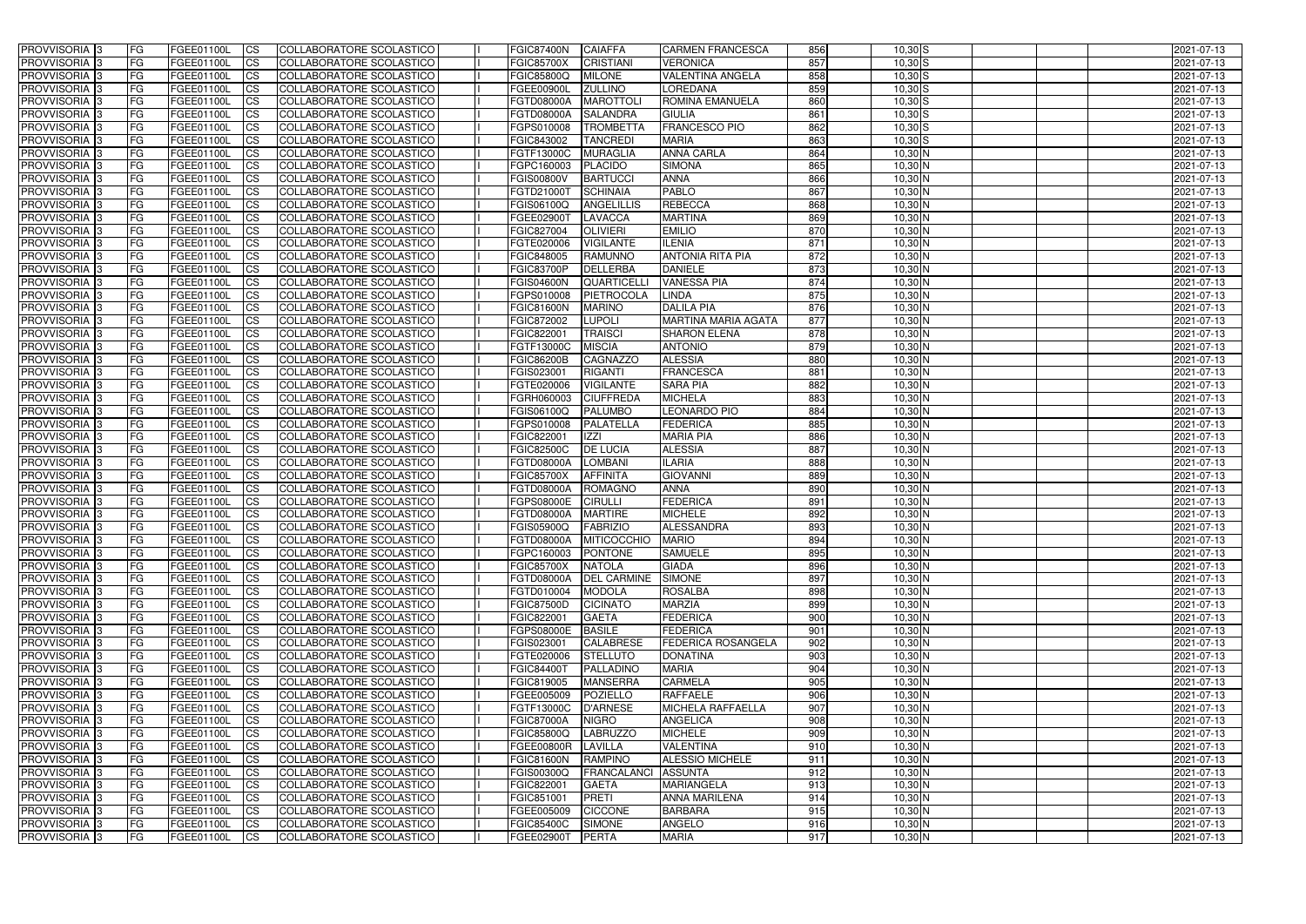| <b>PROVVISORIA</b> 3                                  | FG         | FGEE01100L                             | <b>ICS</b>                          | COLLABORATORE SCOLASTICO                             | FGIC87400N                             | <b>CAIAFFA</b>                    | <b>CARMEN FRANCESCA</b>            | 856              | $10,30$ $S$            | 2021-07-13               |
|-------------------------------------------------------|------------|----------------------------------------|-------------------------------------|------------------------------------------------------|----------------------------------------|-----------------------------------|------------------------------------|------------------|------------------------|--------------------------|
| <b>PROVVISORIA 3</b>                                  | FG         | FGEE01100L                             | <b>CS</b>                           | COLLABORATORE SCOLASTICO                             | <b>FGIC85700X</b>                      | <b>CRISTIANI</b>                  | <b>VERONICA</b>                    | 857              | $10,30$ S              | 2021-07-13               |
| PROVVISORIA <sup>3</sup>                              | FG         | FGEE01100L                             | <b>CS</b>                           | COLLABORATORE SCOLASTICO                             | <b>FGIC85800Q</b>                      | <b>MILONE</b>                     | <b>VALENTINA ANGELA</b>            | 858              | $10,30$ $S$            | 2021-07-13               |
| PROVVISORIA <sup>3</sup>                              | FG         | FGEE01100L                             | <b>CS</b>                           | COLLABORATORE SCOLASTICO                             | FGEE00900L                             | <b>ZULLINO</b>                    | LOREDANA                           | 859              | $10,30$ S              | 2021-07-13               |
| PROVVISORIA <sup>1</sup> 3                            | FG         | FGEE01100L                             | <b>CS</b>                           | COLLABORATORE SCOLASTICO                             | <b>FGTD08000A</b>                      | <b>MAROTTOL</b>                   | ROMINA EMANUELA                    | 860              | $10,30$ S              | 2021-07-13               |
| PROVVISORIA 3                                         | FG         | FGEE01100L                             | <b>CS</b>                           | COLLABORATORE SCOLASTICO                             | <b>FGTD08000A</b>                      | <b>SALANDRA</b>                   | <b>GIULIA</b>                      | 861              | $10,30$ S              | 2021-07-13               |
| PROVVISORIA 3                                         | FG         | FGEE01100L                             | $\overline{\text{cs}}$              | COLLABORATORE SCOLASTICO                             | FGPS010008                             | <b>TROMBETTA</b>                  | <b>FRANCESCO PIO</b>               | 862              | $10,30$ S              | 2021-07-13               |
| PROVVISORIA 3                                         | FG         | <b>FGEE01100L</b>                      | <b>CS</b>                           | COLLABORATORE SCOLASTICO                             | FGIC843002                             | <b>TANCREDI</b>                   | <b>MARIA</b>                       | 863              | $10,30$ S              | 2021-07-13               |
| PROVVISORIA 3                                         | FG         | FGEE01100L                             | <b>CS</b>                           | <b>COLLABORATORE SCOLASTICO</b>                      | FGTF13000C                             | <b>MURAGLIA</b>                   | <b>ANNA CARLA</b>                  | 864              | 10,30 N                | 2021-07-13               |
| PROVVISORIA <sup>3</sup>                              | FG         | FGEE01100L                             | $\overline{c}$                      | COLLABORATORE SCOLASTICO                             | FGPC160003                             | <b>PLACIDO</b>                    | <b>SIMONA</b>                      | 865              | 10,30 N                | 2021-07-13               |
| PROVVISORIA <sup>3</sup>                              | FG         | FGEE01100L                             | <b>CS</b>                           | COLLABORATORE SCOLASTICO                             | <b>FGIS00800V</b>                      | <b>BARTUCCI</b>                   | <b>ANNA</b>                        | 866              | $10,30$ N              | 2021-07-13               |
| PROVVISORIA <sup>3</sup>                              | FG         | FGEE01100L                             | <b>CS</b>                           | COLLABORATORE SCOLASTICO                             | FGTD21000T                             | <b>SCHINAIA</b>                   | <b>PABLO</b>                       | 867              | 10,30 N                | 2021-07-13               |
| PROVVISORIA <sup>3</sup>                              | FG.        | <b>FGEE01100L</b>                      | <b>ICS</b>                          | COLLABORATORE SCOLASTICO                             | <b>FGIS06100Q</b>                      | ANGELILLIS                        | <b>REBECCA</b>                     | 868              | $10,30$ N              | 2021-07-13               |
| PROVVISORIA <sup>3</sup>                              | FG         | FGEE01100L                             | <b>I</b> CS                         | COLLABORATORE SCOLASTICO                             | <b>FGEE02900T</b>                      | LAVACCA                           | <b>MARTINA</b>                     | 869              | $10,30$ N              | 2021-07-13               |
| PROVVISORIA <sup>3</sup>                              | FG         | FGEE01100L                             | <b>I</b> CS                         | COLLABORATORE SCOLASTICO                             | <b>FGIC827004</b>                      | <b>OLIVIERI</b>                   | <b>EMILIO</b>                      | 870              | $10,30$ N              | 2021-07-13               |
| <b>PROVVISORIA</b> 3                                  | FG         | FGEE01100L                             | <b>I</b> CS                         | <b>COLLABORATORE SCOLASTICO</b>                      | FGTE020006                             | <b>VIGILANTE</b>                  | <b>ILENIA</b>                      | 871              | $10,30$ N              | 2021-07-13               |
| PROVVISORIA <sup>3</sup>                              | FG         | FGEE01100L                             | <b>ICS</b>                          | COLLABORATORE SCOLASTICO                             | FGIC848005                             | <b>RAMUNNO</b>                    | <b>ANTONIA RITA PIA</b>            | 872              | $10,30$ N              | 2021-07-13               |
| PROVVISORIA 3                                         | FG         | FGEE01100L                             | <b>CS</b>                           | COLLABORATORE SCOLASTICO                             | <b>FGIC83700P</b>                      | <b>DELLERBA</b>                   | <b>DANIELE</b>                     | 873              | 10,30 N                | 2021-07-13               |
| PROVVISORIA <sup>3</sup>                              | FG.        | FGEE01100L                             | <b>ICS</b>                          | COLLABORATORE SCOLASTICO                             | <b>FGIS04600N</b>                      | <b>QUARTICELL</b>                 | <b>VANESSA PIA</b>                 | 874              | $10,30$ N              | 2021-07-13               |
| PROVVISORIA <sup>3</sup>                              | FG.        | FGEE01100L                             | <b>I</b> CS                         | COLLABORATORE SCOLASTICO                             | FGPS010008                             | PIETROCOLA                        | LINDA                              | 875              | $10,30$ N              | 2021-07-13               |
| PROVVISORIA <sup>3</sup>                              | FG         | FGEE01100L                             | <b>I</b> CS                         | COLLABORATORE SCOLASTICO                             | <b>FGIC81600N</b>                      | <b>MARINO</b>                     | <b>DALILA PIA</b>                  | 876              | $10,30$ N              | 2021-07-13               |
| PROVVISORIA <sup>3</sup>                              | FG         | FGEE01100L                             | <b>CS</b>                           | COLLABORATORE SCOLASTICO                             | FGIC872002                             | <b>LUPOLI</b>                     | <b>MARTINA MARIA AGATA</b>         | 877              | 10,30 N                | 2021-07-13               |
| PROVVISORIA <sup>3</sup>                              | FG         | FGEE01100L                             | <b>CS</b>                           | COLLABORATORE SCOLASTICO                             | FGIC822001                             | <b>TRAISCI</b>                    | <b>SHARON ELENA</b>                | 878              | $10,30$ N              | 2021-07-13               |
| PROVVISORIA <sup>3</sup>                              | FG         | FGEE01100L                             | <b>CS</b>                           | COLLABORATORE SCOLASTICO                             | FGTF13000C                             | <b>MISCIA</b>                     | <b>ANTONIO</b>                     | 879              | $10,30$ N              | 2021-07-13               |
| PROVVISORIA <sup>3</sup>                              | FG         | FGEE01100L                             | <b>CS</b>                           | COLLABORATORE SCOLASTICO                             | <b>FGIC86200B</b>                      | CAGNAZZO                          | <b>ALESSIA</b>                     | 880              | $10,30$ N              | 2021-07-13               |
| PROVVISORIA <sup>3</sup>                              | FG         | FGEE01100L                             | <b>CS</b>                           | COLLABORATORE SCOLASTICO                             | FGIS023001                             | <b>RIGANTI</b>                    | <b>FRANCESCA</b>                   | 881              | $10,30$ N              | 2021-07-13               |
| PROVVISORIA 3                                         | FG         | <b>FGEE01100L</b>                      | <b>CS</b>                           | COLLABORATORE SCOLASTICO                             | FGTE020006                             | <b>VIGILANTE</b>                  | <b>SARA PIA</b>                    | 882              | $10,30$ N              | 2021-07-13               |
| PROVVISORIA <sup>3</sup>                              | FG         | FGEE01100L                             | <b>CS</b>                           | COLLABORATORE SCOLASTICO                             | FGRH060003                             | <b>CIUFFREDA</b>                  | <b>MICHELA</b>                     | 883              | $10,30$ N              | 2021-07-13               |
| PROVVISORIA <sup>3</sup>                              | FG         | <b>FGEE01100L</b>                      | <b>CS</b>                           | COLLABORATORE SCOLASTICO                             | FGIS06100Q                             | <b>PALUMBO</b>                    | <b>LEONARDO PIO</b>                | 884              | $10,30$ N              | 2021-07-13               |
| PROVVISORIA <sup>1</sup> 3                            | FG         | <b>FGEE01100L</b>                      | <b>CS</b>                           | COLLABORATORE SCOLASTICO                             | FGPS010008                             | PALATELLA                         | <b>FEDERICA</b>                    | 885              | $10,30$ N              | 2021-07-13               |
| PROVVISORIA <sup>3</sup>                              | FG.        | FGEE01100L                             | <b>CS</b>                           | COLLABORATORE SCOLASTICO                             | FGIC822001                             | <b>IZZI</b>                       | <b>MARIA PIA</b><br><b>ALESSIA</b> | 886<br>887       | $10,30$ N              | 2021-07-13               |
| PROVVISORIA <sup>13</sup><br>PROVVISORIA <sup>3</sup> | FG         | <b>FGEE01100L</b>                      | $\overline{\text{cs}}$<br><b>CS</b> | COLLABORATORE SCOLASTICO<br>COLLABORATORE SCOLASTICO | <b>FGIC82500C</b>                      | <b>DE LUCIA</b>                   |                                    | 888              | $10,30$ N<br>$10,30$ N | 2021-07-13<br>2021-07-13 |
| PROVVISORIA 3                                         | FG         | <b>FGEE01100L</b><br><b>FGEE01100L</b> | <b>CS</b>                           | COLLABORATORE SCOLASTICO                             | <b>FGTD08000A</b><br><b>FGIC85700X</b> | <b>LOMBANI</b><br><b>AFFINITA</b> | <b>ILARIA</b><br><b>GIOVANNI</b>   | 889              | 10,30 N                | 2021-07-13               |
| PROVVISORIA <sup>3</sup>                              | FG<br>FG   | <b>FGEE01100L</b>                      | $\overline{c}$                      | COLLABORATORE SCOLASTICO                             | <b>FGTD08000A</b>                      | <b>ROMAGNO</b>                    | <b>ANNA</b>                        | 890              | $10,30$ N              | 2021-07-13               |
| PROVVISORIA <sup>3</sup>                              | FG         | <b>FGEE01100L</b>                      | <b>CS</b>                           | <b>COLLABORATORE SCOLASTICO</b>                      | <b>FGPS08000E</b>                      | <b>CIRULLI</b>                    | <b>FEDERICA</b>                    | 891              | 10,30 N                | 2021-07-13               |
| PROVVISORIA <sup>3</sup>                              | FG         | FGEE01100L                             | <b>CS</b>                           | COLLABORATORE SCOLASTICO                             | FGTD08000A                             | <b>MARTIRE</b>                    | <b>MICHELE</b>                     | 892              | 10,30 N                | 2021-07-13               |
| PROVVISORIA 3                                         | FG         | FGEE01100L                             | <b>I</b> CS                         | COLLABORATORE SCOLASTICO                             | <b>FGIS05900Q</b>                      | FABRIZIO                          | ALESSANDRA                         | 893              | 10,30 N                | 2021-07-13               |
| <b>PROVVISORIA</b> 3                                  | IFG.       | FGEE01100L                             | CS                                  | COLLABORATORE SCOLASTICO                             |                                        | FGTD08000A MITICOCCHIO MARIO      |                                    | 894              | $10,30$ N              | 2021-07-13               |
| PROVVISORIA 3                                         | IFG.       | FGEE01100L                             | <b>ICS</b>                          | COLLABORATORE SCOLASTICO                             | <b>FGPC160003</b>                      | <b>PONTONE</b>                    | <b>SAMUELE</b>                     | 895              | $10,30$ N              | 2021-07-13               |
| PROVVISORIA 3                                         | FG         | FGEE01100L                             | <b>CS</b>                           | COLLABORATORE SCOLASTICO                             | <b>FGIC85700X</b>                      | <b>NATOLA</b>                     | <b>GIADA</b>                       | 896              | $10,30$ N              | 2021-07-13               |
| PROVVISORIA 3                                         | FG         | FGEE01100L                             | <b>CS</b>                           | COLLABORATORE SCOLASTICO                             | <b>FGTD08000A</b>                      | <b>DEL CARMINE</b>                | <b>SIMONE</b>                      | 897              | $10,30$ N              | 2021-07-13               |
| PROVVISORIA <sup>3</sup>                              | FG         | FGEE01100L                             | <b>ICS</b>                          | <b>COLLABORATORE SCOLASTICO</b>                      | FGTD010004                             | <b>MODOLA</b>                     | <b>ROSALBA</b>                     | 898              | $10,30$ N              | 2021-07-13               |
| PROVVISORIA 3                                         | FG         | FGEE01100L                             | <b>CS</b>                           | COLLABORATORE SCOLASTICO                             | <b>FGIC87500D</b>                      | <b>CICINATO</b>                   | <b>MARZIA</b>                      | 899              | $10,30$ N              | 2021-07-13               |
| PROVVISORIA 3                                         | FG         | FGEE01100L                             | <b>CS</b>                           | COLLABORATORE SCOLASTICO                             | FGIC822001                             | <b>GAETA</b>                      | <b>FEDERICA</b>                    | $\overline{900}$ | 10,30 N                | 2021-07-13               |
| PROVVISORIA 3                                         | <b>FG</b>  | FGEE01100L                             | <b>CS</b>                           | COLLABORATORE SCOLASTICO                             | <b>FGPS08000E</b>                      | <b>BASILE</b>                     | <b>FEDERICA</b>                    | 901              | 10,30 N                | 2021-07-13               |
| PROVVISORIA 3                                         | FG         | FGEE01100L                             | <b>CS</b>                           | COLLABORATORE SCOLASTICO                             | FGIS023001                             | <b>CALABRESE</b>                  | <b>FEDERICA ROSANGELA</b>          | 902              | 10,30 N                | 2021-07-13               |
| PROVVISORIA 3                                         | FG         | FGEE01100L                             | <b>CS</b>                           | COLLABORATORE SCOLASTICO                             | FGTE020006                             | <b>STELLUTO</b>                   | <b>DONATINA</b>                    | 903              | 10,30 N                | 2021-07-13               |
| PROVVISORIA 3                                         | FG         | FGEE01100L                             | <b>CS</b>                           | COLLABORATORE SCOLASTICO                             | FGIC84400T                             | PALLADINO                         | <b>MARIA</b>                       | 904              | 10,30 N                | 2021-07-13               |
| PROVVISORIA 3                                         | FG         | FGEE01100L                             | <b>CS</b>                           | COLLABORATORE SCOLASTICO                             | FGIC819005                             | <b>MANSERRA</b>                   | <b>CARMELA</b>                     | 905              | 10,30 N                | 2021-07-13               |
| PROVVISORIA 3                                         | FG         | FGEE01100L                             | <b>CS</b>                           | COLLABORATORE SCOLASTICO                             | FGEE005009                             | POZIELLO                          | <b>RAFFAELE</b>                    | 906              | 10,30 N                | 2021-07-13               |
| <b>PROVVISORIA</b> 3                                  | IFG.       | FGEE01100L                             | <b>CS</b>                           | COLLABORATORE SCOLASTICO                             | FGTF13000C                             | D'ARNESE                          | MICHELA RAFFAELLA                  | 907              | $10,30$ N              | 2021-07-13               |
| <b>PROVVISORIA</b> 3                                  | IFG.       | FGEE01100L                             | <b>CS</b>                           | COLLABORATORE SCOLASTICO                             | <b>FGIC87000A</b>                      | <b>NIGRO</b>                      | ANGELICA                           | 908              | $10,30$ N              | 2021-07-13               |
| <b>PROVVISORIA</b> 3                                  | <b>IFG</b> | FGEE01100L                             | <b>CS</b>                           | <b>COLLABORATORE SCOLASTICO</b>                      | <b>FGIC85800Q</b>                      | <b>LABRUZZO</b>                   | <b>MICHELE</b>                     | 909              | $10,30$ N              | 2021-07-13               |
| PROVVISORIA 3                                         | <b>IFG</b> | FGEE01100L                             | <b>CS</b>                           | COLLABORATORE SCOLASTICO                             | FGEE00800R                             | LAVILLA                           | <b>VALENTINA</b>                   | 910              | $10,30$ N              | 2021-07-13               |
| PROVVISORIA 3                                         | IFG.       | FGEE01100L                             | <b>CS</b>                           | COLLABORATORE SCOLASTICO                             | <b>FGIC81600N</b>                      | <b>RAMPINO</b>                    | <b>ALESSIO MICHELE</b>             | 911              | $10,30$ N              | 2021-07-13               |
| PROVVISORIA 3                                         | FG         | FGEE01100L                             | <b>CS</b>                           | COLLABORATORE SCOLASTICO                             | FGIS00300Q                             | FRANCALANCI ASSUNTA               |                                    | 912              | $10,30$ N              | 2021-07-13               |
| PROVVISORIA 3                                         | <b>FG</b>  | FGEE01100L                             | <b>CS</b>                           | COLLABORATORE SCOLASTICO                             | FGIC822001                             | <b>GAETA</b>                      | <b>MARIANGELA</b>                  | 913              | $10,30$ N              | 2021-07-13               |
| PROVVISORIA 3                                         | FG         | <b>FGEE01100L</b>                      | <b>CS</b>                           | COLLABORATORE SCOLASTICO                             | FGIC851001                             | <b>PRETI</b>                      | <b>ANNA MARILENA</b>               | 914              | $10,30$ N              | 2021-07-13               |
| <b>PROVVISORIA</b> 3                                  | FG         | FGEE01100L                             | <b>ICS</b>                          | COLLABORATORE SCOLASTICO                             | FGEE005009                             | <b>CICCONE</b>                    | <b>BARBARA</b>                     | 915              | 10,30 N                | 2021-07-13               |
| PROVVISORIA 3                                         | FG         | FGEE01100L                             | <b>CS</b>                           | COLLABORATORE SCOLASTICO                             | <b>FGIC85400C</b>                      | <b>SIMONE</b>                     | <b>ANGELO</b>                      | 916              | $10,30$ N              | 2021-07-13               |
| PROVVISORIA 3                                         | FG         | FGEE01100L                             | <b>CS</b>                           | COLLABORATORE SCOLASTICO                             | FGEE02900T                             | PERTA                             | <b>MARIA</b>                       | 917              | 10,30 N                | 2021-07-13               |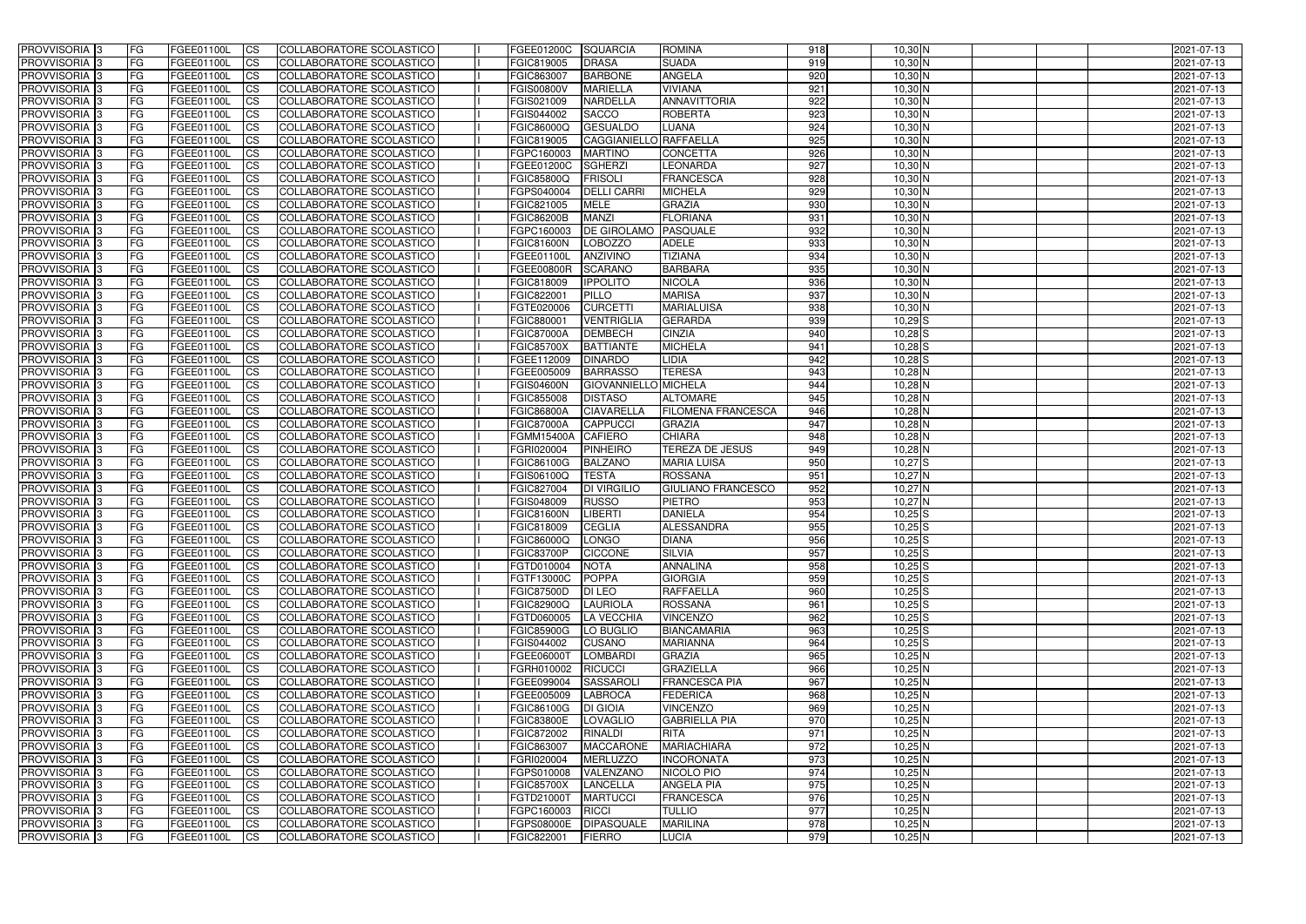| <b>PROVVISORIA</b> 3                      | FG                       | FGEE01100L                      | <b>ICS</b>               | COLLABORATORE SCOLASTICO                                    | FGEE01200C                      | <b>SQUARCIA</b>                   | <b>ROMINA</b>                     | 918        | $10,30$ N              | 2021-07-13               |
|-------------------------------------------|--------------------------|---------------------------------|--------------------------|-------------------------------------------------------------|---------------------------------|-----------------------------------|-----------------------------------|------------|------------------------|--------------------------|
| <b>PROVVISORIA 3</b>                      | FG                       | FGEE01100L                      | <b>CS</b>                | COLLABORATORE SCOLASTICO                                    | FGIC819005                      | <b>DRASA</b>                      | <b>SUADA</b>                      | 919        | $10,30$ N              | 2021-07-13               |
| PROVVISORIA <sup>3</sup>                  | FG                       | FGEE01100L                      | <b>CS</b>                | COLLABORATORE SCOLASTICO                                    | FGIC863007                      | <b>BARBONE</b>                    | <b>ANGELA</b>                     | 920        | $10,30$ N              | 2021-07-13               |
| PROVVISORIA <sup>3</sup>                  | FG                       | FGEE01100L                      | <b>CS</b>                | COLLABORATORE SCOLASTICO                                    | <b>FGIS00800V</b>               | <b>MARIELLA</b>                   | <b>VIVIANA</b>                    | 921        | $10,30$ N              | 2021-07-13               |
| PROVVISORIA <sup>1</sup> 3                | FG                       | FGEE01100L                      | <b>CS</b>                | COLLABORATORE SCOLASTICO                                    | FGIS021009                      | <b>NARDELLA</b>                   | ANNAVITTORIA                      | 922        | $10,30$ N              | 2021-07-13               |
| PROVVISORIA <sup>3</sup>                  | FG                       | FGEE01100L                      | <b>CS</b>                | COLLABORATORE SCOLASTICO                                    | FGIS044002                      | <b>SACCO</b>                      | <b>ROBERTA</b>                    | 923        | $10,30$ N              | 2021-07-13               |
| PROVVISORIA 3                             | FG                       | FGEE01100L                      | <b>CS</b>                | COLLABORATORE SCOLASTICO                                    | <b>FGIC86000Q</b>               | <b>GESUALDO</b>                   | <b>LUANA</b>                      | 924        | $10,30$ N              | 2021-07-13               |
| PROVVISORIA 3                             | FG                       | <b>FGEE01100L</b>               | <b>CS</b>                | <b>COLLABORATORE SCOLASTICO</b>                             | FGIC819005                      | CAGGIANIELLO RAFFAELLA            |                                   | 925        | $10,30$ N              | 2021-07-13               |
| PROVVISORIA 3                             | FG                       | FGEE01100L                      | <b>CS</b>                | COLLABORATORE SCOLASTICO                                    | FGPC160003                      | <b>MARTINO</b>                    | <b>CONCETTA</b>                   | 926        | 10,30 N                | 2021-07-13               |
| PROVVISORIA <sup>3</sup>                  | FG                       | FGEE01100L                      | $\overline{c}$           | COLLABORATORE SCOLASTICO                                    | FGEE01200C                      | <b>SGHERZI</b>                    | <b>LEONARDA</b>                   | 927        | 10,30 N                | 2021-07-13               |
| PROVVISORIA <sup>3</sup>                  | FG                       | FGEE01100L                      | <b>CS</b>                | COLLABORATORE SCOLASTICO                                    | <b>FGIC85800Q</b>               | <b>FRISOLI</b>                    | <b>FRANCESCA</b>                  | 928        | $10,30$ N              | 2021-07-13               |
| PROVVISORIA <sup>3</sup>                  | FG                       | FGEE01100L                      | <b>CS</b>                | COLLABORATORE SCOLASTICO                                    | FGPS040004                      | <b>DELLI CARRI</b>                | <b>MICHELA</b>                    | 929        | 10,30 N                | 2021-07-13               |
| PROVVISORIA <sup>3</sup>                  | FG                       | <b>FGEE01100L</b>               | <b>I</b> CS              | COLLABORATORE SCOLASTICO                                    | FGIC821005                      | <b>MELE</b>                       | <b>GRAZIA</b>                     | 930        | $10,30$ N              | 2021-07-13               |
| PROVVISORIA <sup>3</sup>                  | FG                       | FGEE01100L                      | <b>I</b> CS              | COLLABORATORE SCOLASTICO                                    | <b>FGIC86200B</b>               | <b>MANZI</b>                      | <b>FLORIANA</b>                   | 931        | $10,30$ N              | 2021-07-13               |
| PROVVISORIA <sup>3</sup>                  | FG                       | FGEE01100L                      | <b>I</b> CS              | COLLABORATORE SCOLASTICO                                    | FGPC160003                      | <b>DE GIROLAMO</b>                | <b>PASQUALE</b>                   | 932        | $10,30$ N              | 2021-07-13               |
| <b>PROVVISORIA</b> 3                      | FG                       | FGEE01100L                      | <b>I</b> CS              | <b>COLLABORATORE SCOLASTICO</b>                             | <b>FGIC81600N</b>               | <b>LOBOZZO</b>                    | <b>ADELE</b>                      | 933        | $10,30$ N              | 2021-07-13               |
| PROVVISORIA <sup>3</sup><br>PROVVISORIA 3 | FG<br>FG                 | FGEE01100L<br>FGEE01100L        | <b>ICS</b>               | COLLABORATORE SCOLASTICO<br>COLLABORATORE SCOLASTICO        | FGEE01100L                      | <b>ANZIVINO</b><br><b>SCARANO</b> | <b>TIZIANA</b><br><b>BARBARA</b>  | 934<br>935 | $10,30$ N<br>10,30 N   | 2021-07-13               |
| PROVVISORIA <sup>3</sup>                  | FG                       | FGEE01100L                      | <b>CS</b><br><b>ICS</b>  | COLLABORATORE SCOLASTICO                                    | <b>FGEE00800R</b><br>FGIC818009 | <b>IPPOLITO</b>                   | <b>NICOLA</b>                     | 936        | $10,30$ N              | 2021-07-13<br>2021-07-13 |
| PROVVISORIA <sup>3</sup>                  | FG                       | FGEE01100L                      | <b>I</b> CS              | COLLABORATORE SCOLASTICO                                    | FGIC822001                      | <b>PILLO</b>                      | <b>MARISA</b>                     | 937        | $10,30$ N              | 2021-07-13               |
| PROVVISORIA <sup>3</sup>                  | FG                       | FGEE01100L                      | <b>I</b> CS              | COLLABORATORE SCOLASTICO                                    | FGTE020006                      | <b>CURCETTI</b>                   | <b>MARIALUISA</b>                 | 938        | $10,30$ N              | 2021-07-13               |
| PROVVISORIA <sup>3</sup>                  | FG                       | FGEE01100L                      | <b>CS</b>                | COLLABORATORE SCOLASTICO                                    | FGIC880001                      | <b>VENTRIGLIA</b>                 | <b>GERARDA</b>                    | 939        | $10,29$ $S$            | 2021-07-13               |
| PROVVISORIA <sup>3</sup>                  | FG                       | FGEE01100L                      | <b>CS</b>                | COLLABORATORE SCOLASTICO                                    | <b>FGIC87000A</b>               | <b>DEMBECH</b>                    | <b>CINZIA</b>                     | 940        | $10,28$ $S$            | 2021-07-13               |
| PROVVISORIA 3                             | FG                       | FGEE01100L                      | <b>CS</b>                | COLLABORATORE SCOLASTICO                                    | <b>FGIC85700X</b>               | <b>BATTIANTE</b>                  | <b>MICHELA</b>                    | 941        | $10,28$ $S$            | 2021-07-13               |
| PROVVISORIA <sup>3</sup>                  | FG                       | FGEE01100L                      | <b>CS</b>                | COLLABORATORE SCOLASTICO                                    | FGEE112009                      | <b>DINARDO</b>                    | LIDIA                             | 942        | $10,28$ $S$            | 2021-07-13               |
| PROVVISORIA <sup>1</sup> 3                | FG                       | FGEE01100L                      | <b>CS</b>                | COLLABORATORE SCOLASTICO                                    | FGEE005009                      | <b>BARRASSO</b>                   | <b>TERESA</b>                     | 943        | $10,28$ N              | 2021-07-13               |
| PROVVISORIA 3                             | FG                       | <b>FGEE01100L</b>               | <b>CS</b>                | COLLABORATORE SCOLASTICO                                    | <b>FGIS04600N</b>               | GIOVANNIELLO MICHELA              |                                   | 944        | $10,28$ N              | 2021-07-13               |
| PROVVISORIA <sup>3</sup>                  | FG                       | FGEE01100L                      | <b>CS</b>                | COLLABORATORE SCOLASTICO                                    | FGIC855008                      | <b>DISTASO</b>                    | <b>ALTOMARE</b>                   | 945        | $10,28$ N              | 2021-07-13               |
| PROVVISORIA <sup>3</sup>                  | FG                       | <b>FGEE01100L</b>               | <b>CS</b>                | COLLABORATORE SCOLASTICO                                    | <b>FGIC86800A</b>               | <b>CIAVARELLA</b>                 | <b>FILOMENA FRANCESCA</b>         | 946        | $10,28$ N              | 2021-07-13               |
| PROVVISORIA <sup>1</sup> 3                | FG                       | FGEE01100L                      | <b>CS</b>                | COLLABORATORE SCOLASTICO                                    | <b>FGIC87000A</b>               | <b>CAPPUCCI</b>                   | <b>GRAZIA</b>                     | 947        | 10,28 N                | 2021-07-13               |
| PROVVISORIA <sup>3</sup>                  | FG.                      | FGEE01100L                      | <b>CS</b>                | COLLABORATORE SCOLASTICO                                    | FGMM15400A                      | <b>CAFIERO</b>                    | <b>CHIARA</b>                     | 948        | $10,28$ N              | 2021-07-13               |
| PROVVISORIA <sup>3</sup>                  | FG                       | <b>FGEE01100L</b>               | $\overline{\text{cs}}$   | COLLABORATORE SCOLASTICO                                    | FGRI020004                      | <b>PINHEIRO</b>                   | <b>TEREZA DE JESUS</b>            | 949        | $10,28$ N              | 2021-07-13               |
| PROVVISORIA <sup>3</sup>                  | FG                       | <b>FGEE01100L</b>               | <b>CS</b>                | COLLABORATORE SCOLASTICO                                    | FGIC86100G                      | <b>BALZANO</b>                    | <b>MARIA LUISA</b>                | 950        | $10,27$ S              | 2021-07-13               |
| PROVVISORIA 3                             | FG                       | <b>FGEE01100L</b>               | <b>CS</b>                | COLLABORATORE SCOLASTICO                                    | FGIS06100Q                      | <b>TESTA</b>                      | <b>ROSSANA</b>                    | 951        | $10,27$ N              | 2021-07-13               |
| PROVVISORIA <sup>3</sup>                  | FG                       | FGEE01100L                      | $\overline{\text{cs}}$   | <b>COLLABORATORE SCOLASTICO</b>                             | FGIC827004                      | <b>DI VIRGILIO</b>                | <b>GIULIANO FRANCESCO</b>         | 952        | $10,27$ N              | 2021-07-13               |
| PROVVISORIA <sup>3</sup>                  | FG                       | <b>FGEE01100L</b>               | <b>CS</b>                | <b>COLLABORATORE SCOLASTICO</b><br>COLLABORATORE SCOLASTICO | FGIS048009                      | <b>RUSSO</b>                      | <b>PIETRO</b>                     | 953<br>954 | $10,27$ N              | 2021-07-13               |
| PROVVISORIA <sup>3</sup><br>PROVVISORIA 3 | FG<br>FG                 | FGEE01100L<br>FGEE01100L        | <b>CS</b><br><b>I</b> CS | COLLABORATORE SCOLASTICO                                    | <b>FGIC81600N</b><br>FGIC818009 | <b>LIBERTI</b><br><b>CEGLIA</b>   | <b>DANIELA</b><br>ALESSANDRA      | 955        | $10,25$ S<br>$10,25$ S | 2021-07-13<br>2021-07-13 |
| <b>PROVVISORIA</b> 3                      | IFG.                     | FGEE01100L                      | CS                       | COLLABORATORE SCOLASTICO                                    | FGIC86000Q LONGO                |                                   | <b>DIANA</b>                      | 956        | $10,25$ S              | 2021-07-13               |
| PROVVISORIA 3                             | IFG.                     | FGEE01100L                      | $\mathsf{ICS}$           | COLLABORATORE SCOLASTICO                                    | FGIC83700P                      | <b>CICCONE</b>                    | <b>SILVIA</b>                     | 957        | $10,25$ $S$            | 2021-07-13               |
| PROVVISORIA 3                             | FG                       | FGEE01100L                      | <b>CS</b>                | COLLABORATORE SCOLASTICO                                    | FGTD010004                      | <b>NOTA</b>                       | <b>ANNALINA</b>                   | 958        | $10,25$ S              | 2021-07-13               |
| PROVVISORIA 3                             | FG                       | FGEE01100L                      | <b>CS</b>                | COLLABORATORE SCOLASTICO                                    | <b>FGTF13000C</b>               | <b>POPPA</b>                      | <b>GIORGIA</b>                    | 959        | $10,25$ S              | 2021-07-13               |
| PROVVISORIA 3                             | FG                       | FGEE01100L                      | $\mathsf{ICS}$           | COLLABORATORE SCOLASTICO                                    | <b>FGIC87500D</b>               | DI LEO                            | <b>RAFFAELLA</b>                  | 960        | $10,25$ S              | 2021-07-13               |
| PROVVISORIA 3                             | FG                       | FGEE01100L                      | <b>CS</b>                | COLLABORATORE SCOLASTICO                                    | <b>FGIC82900Q</b>               | <b>LAURIOLA</b>                   | ROSSANA                           | 961        | $10,25$ S              | 2021-07-13               |
| PROVVISORIA 3                             | FG                       | FGEE01100L                      | <b>CS</b>                | COLLABORATORE SCOLASTICO                                    | FGTD060005                      | LA VECCHIA                        | <b>VINCENZO</b>                   | 962        | $10,25$ S              | 2021-07-13               |
| PROVVISORIA 3                             | <b>FG</b>                | FGEE01100L                      | <b>CS</b>                | COLLABORATORE SCOLASTICO                                    | <b>FGIC85900G</b>               | LO BUGLIO                         | <b>BIANCAMARIA</b>                | 963        | $10,25$ S              | 2021-07-13               |
| PROVVISORIA 3                             | FG                       | FGEE01100L                      | <b>CS</b>                | COLLABORATORE SCOLASTICO                                    | FGIS044002                      | <b>CUSANO</b>                     | <b>MARIANNA</b>                   | 964        | $10,25$ S              | 2021-07-13               |
| PROVVISORIA 3                             | FG                       | FGEE01100L                      | <b>CS</b>                | COLLABORATORE SCOLASTICO                                    | FGEE06000T                      | LOMBARDI                          | <b>GRAZIA</b>                     | 965        | $10,25$ N              | 2021-07-13               |
| PROVVISORIA 3                             | IFG.                     | FGEE01100L                      | <b>CS</b>                | COLLABORATORE SCOLASTICO                                    | FGRH010002                      | RICUCCI                           | <b>GRAZIELLA</b>                  | 966        | $10,25$ N              | 2021-07-13               |
| PROVVISORIA 3                             | FG                       | FGEE01100L                      | <b>CS</b>                | COLLABORATORE SCOLASTICO                                    | FGEE099004                      | <b>SASSAROL</b>                   | <b>FRANCESCA PIA</b>              | 967        | $10,25$ N              | 2021-07-13               |
| PROVVISORIA 3                             | FG                       | FGEE01100L                      | <b>CS</b>                | COLLABORATORE SCOLASTICO                                    | FGEE005009                      | <b>LABROCA</b>                    | <b>FEDERICA</b>                   | 968        | $10,25$ N              | 2021-07-13               |
| <b>PROVVISORIA</b> 3                      | IFG.                     | FGEE01100L                      | <b>CS</b>                | COLLABORATORE SCOLASTICO                                    | <b>FGIC86100G</b>               | DI GIOIA                          | <b>VINCENZO</b>                   | 969        | $10,25$ N              | 2021-07-13               |
| <b>PROVVISORIA</b> 3                      | IFG.                     | FGEE01100L                      | <b>CS</b>                | COLLABORATORE SCOLASTICO                                    | <b>FGIC83800E</b>               | LOVAGLIO                          | <b>GABRIELLA PIA</b>              | 970        | $10,25$ N              | 2021-07-13               |
| PROVVISORIA 3<br>PROVVISORIA 3            | <b>IFG</b><br><b>IFG</b> | <b>FGEE01100L</b><br>FGEE01100L | <b>CS</b><br><b>CS</b>   | <b>COLLABORATORE SCOLASTICO</b><br>COLLABORATORE SCOLASTICO | FGIC872002<br>FGIC863007        | RINALDI<br><b>MACCARONE</b>       | <b>RITA</b><br><b>MARIACHIARA</b> | 971<br>972 | $10,25$ N<br>$10,25$ N | 2021-07-13<br>2021-07-13 |
| PROVVISORIA 3                             |                          | FGEE01100L                      |                          | COLLABORATORE SCOLASTICO                                    | FGRI020004                      | <b>MERLUZZO</b>                   | <b>INCORONATA</b>                 | 973        | $10,25$ N              |                          |
| PROVVISORIA 3                             | IFG.<br> FG              | FGEE01100L                      | <b>CS</b><br><b>CS</b>   | COLLABORATORE SCOLASTICO                                    | FGPS010008                      | VALENZANO                         | NICOLO PIO                        | 974        | $10,25$ N              | 2021-07-13<br>2021-07-13 |
| PROVVISORIA 3                             | <b>FG</b>                | FGEE01100L                      | <b>CS</b>                | COLLABORATORE SCOLASTICO                                    | <b>FGIC85700X</b>               | LANCELLA                          | <b>ANGELA PIA</b>                 | 975        | 10,25N                 | 2021-07-13               |
| PROVVISORIA 3                             | FG                       | <b>FGEE01100L</b>               | <b>CS</b>                | COLLABORATORE SCOLASTICO                                    | FGTD21000T                      | <b>MARTUCCI</b>                   | <b>FRANCESCA</b>                  | 976        | $10,25$ N              | 2021-07-13               |
| <b>PROVVISORIA</b> 3                      | FG                       | FGEE01100L                      | <b>CS</b>                | COLLABORATORE SCOLASTICO                                    | FGPC160003                      | <b>RICCI</b>                      | <b>TULLIO</b>                     | 977        | $10,25$ N              | 2021-07-13               |
| PROVVISORIA 3                             | FG                       | FGEE01100L                      | <b>CS</b>                | COLLABORATORE SCOLASTICO                                    | <b>FGPS08000E</b>               | <b>DIPASQUALE</b>                 | <b>MARILINA</b>                   | 978        | $10,25$ N              | 2021-07-13               |
| PROVVISORIA 3                             | FG                       | FGEE01100L                      | <b>CS</b>                | COLLABORATORE SCOLASTICO                                    | FGIC822001                      | <b>FIERRO</b>                     | <b>LUCIA</b>                      | 979        | $10,25$ N              | 2021-07-13               |
|                                           |                          |                                 |                          |                                                             |                                 |                                   |                                   |            |                        |                          |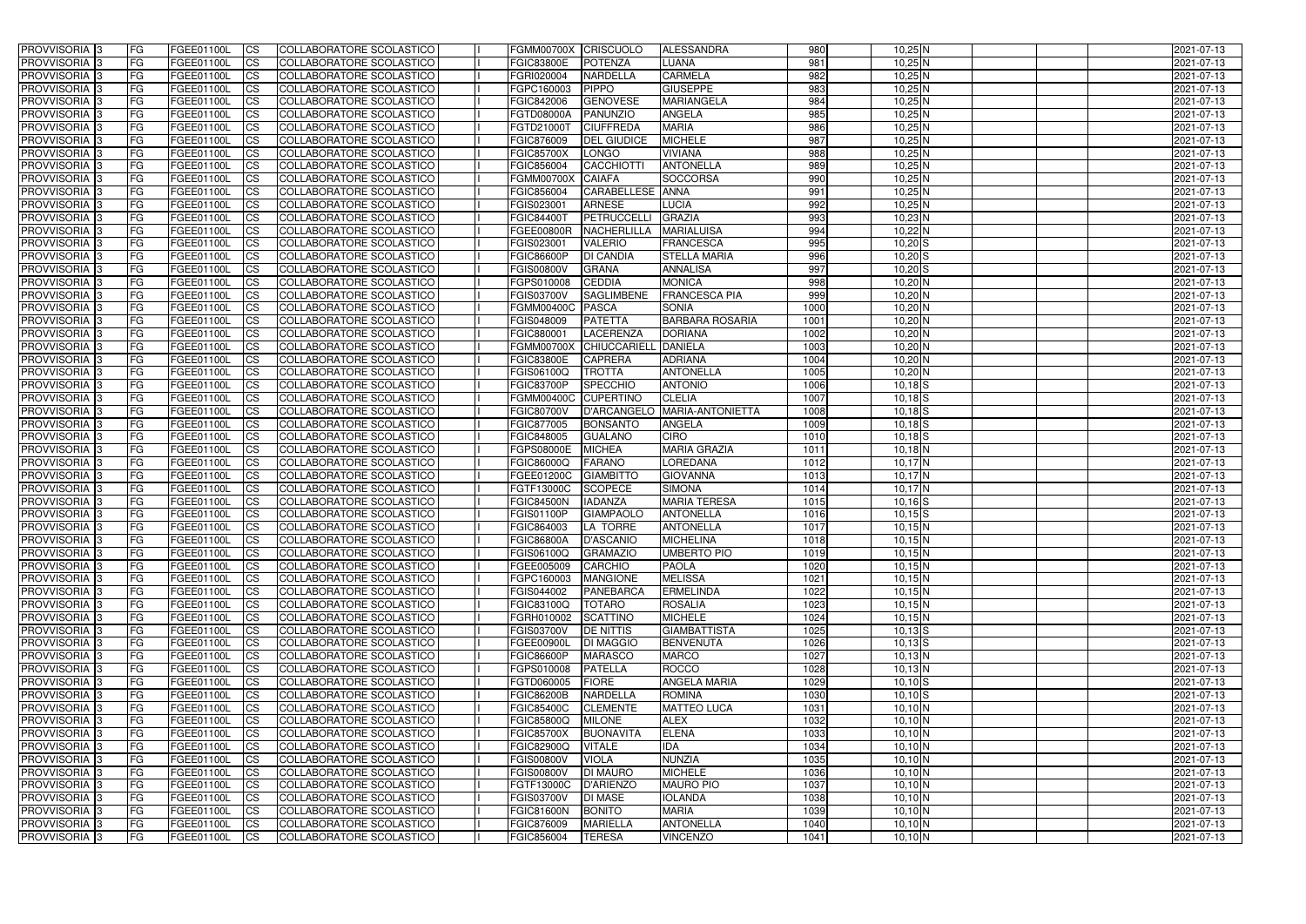| <b>PROVVISORIA</b> 3                                 | FG         | FGEE01100L                      | <b>ICS</b>             | COLLABORATORE SCOLASTICO                             | FGMM00700X CRISCUOLO            |                                        | ALESSANDRA                      | 980          | $10,25$ N                  | 2021-07-13               |
|------------------------------------------------------|------------|---------------------------------|------------------------|------------------------------------------------------|---------------------------------|----------------------------------------|---------------------------------|--------------|----------------------------|--------------------------|
| <b>PROVVISORIA 3</b>                                 | FG         | FGEE01100L                      | <b>CS</b>              | COLLABORATORE SCOLASTICO                             | <b>FGIC83800E</b>               | <b>POTENZA</b>                         | LUANA                           | 981          | $10,25$ N                  | 2021-07-13               |
| PROVVISORIA <sup>3</sup>                             | FG         | FGEE01100L                      | <b>CS</b>              | COLLABORATORE SCOLASTICO                             | FGRI020004                      | <b>NARDELLA</b>                        | <b>CARMELA</b>                  | 982          | $10,25$ N                  | 2021-07-13               |
| PROVVISORIA <sup>3</sup>                             | FG         | FGEE01100L                      | <b>CS</b>              | COLLABORATORE SCOLASTICO                             | FGPC160003                      | PIPPO                                  | <b>GIUSEPPE</b>                 | 983          | $10,25$ N                  | 2021-07-13               |
| PROVVISORIA <sup>1</sup> 3                           | FG         | FGEE01100L                      | <b>CS</b>              | COLLABORATORE SCOLASTICO                             | FGIC842006                      | <b>GENOVESE</b>                        | <b>MARIANGELA</b>               | 984          | $10,25$ N                  | 2021-07-13               |
| PROVVISORIA 3                                        | FG         | FGEE01100L                      | <b>CS</b>              | COLLABORATORE SCOLASTICO                             | <b>FGTD08000A</b>               | PANUNZIO                               | <b>ANGELA</b>                   | 985          | $10,25$ N                  | 2021-07-13               |
| PROVVISORIA 3                                        | FG         | FGEE01100L                      | <b>CS</b>              | COLLABORATORE SCOLASTICO                             | FGTD21000T                      | <b>CIUFFREDA</b>                       | <b>MARIA</b>                    | 986          | $10,25$ N                  | 2021-07-13               |
| PROVVISORIA 3                                        | FG         | <b>FGEE01100L</b>               | <b>CS</b>              | COLLABORATORE SCOLASTICO                             | FGIC876009                      | <b>DEL GIUDICE</b>                     | <b>MICHELE</b>                  | 987          | $10,25$ N                  | 2021-07-13               |
| PROVVISORIA 3                                        | FG         | FGEE01100L                      | <b>CS</b>              | COLLABORATORE SCOLASTICO                             | <b>FGIC85700X</b>               | <b>LONGO</b>                           | <b>VIVIANA</b>                  | 988          | $10,25$ N                  | 2021-07-13               |
| PROVVISORIA <sup>3</sup>                             | FG         | FGEE01100L                      | $\overline{c}$         | COLLABORATORE SCOLASTICO                             | FGIC856004                      | CACCHIOTTI                             | <b>ANTONELLA</b>                | 989          | $10,25$ N                  | 2021-07-13               |
| PROVVISORIA <sup>3</sup>                             | FG         | FGEE01100L                      | <b>CS</b>              | COLLABORATORE SCOLASTICO                             | <b>FGMM00700X</b>               | <b>CAIAFA</b>                          | <b>SOCCORSA</b>                 | 990          | $10,25$ N                  | 2021-07-13               |
| PROVVISORIA <sup>3</sup>                             | FG         | FGEE01100L                      | <b>CS</b>              | COLLABORATORE SCOLASTICO                             | FGIC856004                      | CARABELLESE ANNA                       |                                 | 991          | $10,25$ N                  | 2021-07-13               |
| PROVVISORIA <sup>3</sup>                             | FG         | <b>FGEE01100L</b>               | <b>I</b> CS            | COLLABORATORE SCOLASTICO                             | FGIS023001                      | <b>ARNESE</b>                          | LUCIA                           | 992          | $10,25$ N                  | 2021-07-13               |
| PROVVISORIA <sup>3</sup>                             | FG         | FGEE01100L                      | <b>I</b> CS            | COLLABORATORE SCOLASTICO                             | <b>FGIC84400T</b>               | PETRUCCELLI                            | <b>GRAZIA</b>                   | 993          | $10,23$ N                  | 2021-07-13               |
| PROVVISORIA <sup>3</sup>                             | FG         | FGEE01100L                      | <b>I</b> CS            | COLLABORATORE SCOLASTICO                             | <b>FGEE00800R</b>               | <b>NACHERLILLA</b>                     | <b>MARIALUISA</b>               | 994          | $10,22$ N                  | 2021-07-13               |
| <b>PROVVISORIA</b> 3                                 | FG         | FGEE01100L                      | <b>I</b> CS            | <b>COLLABORATORE SCOLASTICO</b>                      | FGIS023001                      | <b>VALERIO</b>                         | <b>FRANCESCA</b>                | 995          | $10,20$ S                  | 2021-07-13               |
| PROVVISORIA <sup>3</sup>                             | FG         | FGEE01100L                      | <b>ICS</b>             | COLLABORATORE SCOLASTICO                             | <b>FGIC86600P</b>               | <b>DI CANDIA</b>                       | <b>STELLA MARIA</b>             | 996          | $10,20$ S                  | 2021-07-13               |
| PROVVISORIA 3                                        | FG         | FGEE01100L                      | <b>CS</b>              | COLLABORATORE SCOLASTICO                             | <b>FGIS00800V</b>               | <b>GRANA</b>                           | <b>ANNALISA</b>                 | 997          | $10,20$ S                  | 2021-07-13               |
| PROVVISORIA <sup>3</sup>                             | FG.        | FGEE01100L                      | <b>ICS</b>             | COLLABORATORE SCOLASTICO                             | FGPS010008                      | <b>CEDDIA</b>                          | <b>MONICA</b>                   | 998          | $10,20$ N                  | 2021-07-13               |
| PROVVISORIA <sup>3</sup>                             | FG         | FGEE01100L                      | <b>I</b> CS            | COLLABORATORE SCOLASTICO                             | <b>FGIS03700V</b>               | <b>SAGLIMBENE</b>                      | <b>FRANCESCA PIA</b>            | 999          | $10,20$ N                  | 2021-07-13               |
| PROVVISORIA <sup>3</sup>                             | FG         | FGEE01100L                      | <b>I</b> CS            | COLLABORATORE SCOLASTICO                             | <b>FGMM00400C</b>               | PASCA                                  | <b>SONIA</b>                    | 1000         | $10,20$ N                  | 2021-07-13               |
| PROVVISORIA <sup>3</sup>                             | FG         | FGEE01100L                      | <b>CS</b>              | COLLABORATORE SCOLASTICO                             | FGIS048009                      | <b>PATETTA</b>                         | <b>BARBARA ROSARIA</b>          | 1001         | $10,20$ N                  | 2021-07-13               |
| PROVVISORIA <sup>3</sup>                             | FG         | FGEE01100L                      | <b>CS</b>              | COLLABORATORE SCOLASTICO                             | FGIC880001                      | <b>LACERENZA</b>                       | <b>DORIANA</b>                  | 1002         | $10,20$ N                  | 2021-07-13               |
| PROVVISORIA <sup>3</sup>                             | FG         | FGEE01100L                      | <b>CS</b>              | COLLABORATORE SCOLASTICO                             | <b>FGMM00700X</b>               | CHIUCCARIELL                           | <b>DANIELA</b>                  | 1003         | $10,20$ N                  | 2021-07-13               |
| PROVVISORIA <sup>3</sup>                             | FG         | FGEE01100L                      | <b>CS</b>              | COLLABORATORE SCOLASTICO                             | <b>FGIC83800E</b>               | CAPRERA                                | <b>ADRIANA</b>                  | 1004         | $10,20$ N                  | 2021-07-13               |
| PROVVISORIA <sup>1</sup> 3                           | FG         | FGEE01100L                      | <b>CS</b>              | COLLABORATORE SCOLASTICO                             | FGIS06100Q                      | <b>TROTTA</b>                          | <b>ANTONELLA</b>                | 1005         | $10,20$ N                  | 2021-07-13               |
| PROVVISORIA 3                                        | FG         | <b>FGEE01100L</b>               | <b>CS</b>              | COLLABORATORE SCOLASTICO                             | <b>FGIC83700P</b>               | SPECCHIO                               | <b>ANTONIO</b><br><b>CLELIA</b> | 1006         | $10,18$ $S$                | 2021-07-13               |
| PROVVISORIA <sup>3</sup><br>PROVVISORIA <sup>3</sup> | FG         | FGEE01100L<br><b>FGEE01100L</b> | <b>CS</b>              | COLLABORATORE SCOLASTICO<br>COLLABORATORE SCOLASTICO | <b>FGMM00400C</b>               | <b>CUPERTINO</b><br><b>D'ARCANGELO</b> | MARIA-ANTONIETTA                | 1007<br>1008 | $10,18$ S                  | 2021-07-13               |
| PROVVISORIA <sup>1</sup> 3                           | FG<br>FG   | FGEE01100L                      | <b>CS</b><br><b>CS</b> | COLLABORATORE SCOLASTICO                             | <b>FGIC80700V</b><br>FGIC877005 | <b>BONSANTO</b>                        | <b>ANGELA</b>                   | 1009         | $10,18$ $S$<br>$10,18$ $S$ | 2021-07-13<br>2021-07-13 |
| PROVVISORIA <sup>3</sup>                             | FG.        | FGEE01100L                      | <b>CS</b>              | COLLABORATORE SCOLASTICO                             | FGIC848005                      | <b>GUALANO</b>                         | <b>CIRO</b>                     | 1010         | $10,18$ S                  | 2021-07-13               |
| PROVVISORIA <sup>13</sup>                            | FG         | FGEE01100L                      | $\overline{\text{cs}}$ | COLLABORATORE SCOLASTICO                             | <b>FGPS08000E</b>               | <b>MICHEA</b>                          | <b>MARIA GRAZIA</b>             | 1011         | $10,18$ N                  | 2021-07-13               |
| PROVVISORIA <sup>3</sup>                             | FG         | <b>FGEE01100L</b>               | <b>CS</b>              | COLLABORATORE SCOLASTICO                             | FGIC86000Q                      | <b>FARANO</b>                          | <b>LOREDANA</b>                 | 1012         | $10,17$ N                  | 2021-07-13               |
| PROVVISORIA 3                                        | FG         | <b>FGEE01100L</b>               | <b>CS</b>              | COLLABORATORE SCOLASTICO                             | FGEE01200C                      | <b>GIAMBITTO</b>                       | <b>GIOVANNA</b>                 | 1013         | $10,17$ N                  | 2021-07-13               |
| PROVVISORIA <sup>3</sup>                             | FG         | FGEE01100L                      | $\overline{\text{cs}}$ | COLLABORATORE SCOLASTICO                             | FGTF13000C                      | <b>SCOPECE</b>                         | <b>SIMONA</b>                   | 1014         | $10,17$ N                  | 2021-07-13               |
| PROVVISORIA <sup>3</sup>                             | FG         | <b>FGEE01100L</b>               | <b>CS</b>              | <b>COLLABORATORE SCOLASTICO</b>                      | <b>FGIC84500N</b>               | <b>IADANZA</b>                         | <b>MARIA TERESA</b>             | 1015         | $10,16$ $S$                | 2021-07-13               |
| PROVVISORIA <sup>3</sup>                             | FG         | FGEE01100L                      | <b>CS</b>              | COLLABORATORE SCOLASTICO                             | <b>FGIS01100P</b>               | <b>GIAMPAOLO</b>                       | <b>ANTONELLA</b>                | 1016         | $10,15$ S                  | 2021-07-13               |
| PROVVISORIA 3                                        | FG         | FGEE01100L                      | <b>I</b> CS            | COLLABORATORE SCOLASTICO                             | FGIC864003                      | LA TORRE                               | <b>ANTONELLA</b>                | 1017         | 10,15N                     | 2021-07-13               |
| <b>PROVVISORIA</b> 3                                 | IFG.       | FGEE01100L                      | CS                     | COLLABORATORE SCOLASTICO                             | <b>FGIC86800A</b>               | D'ASCANIO                              | <b>MICHELINA</b>                | 1018         | $10,15$ N                  | 2021-07-13               |
| PROVVISORIA 3                                        | IFG.       | FGEE01100L                      | <b>ICS</b>             | COLLABORATORE SCOLASTICO                             | <b>FGIS06100Q</b>               | <b>GRAMAZIO</b>                        | <b>UMBERTO PIO</b>              | 1019         | $10,15$ N                  | 2021-07-13               |
| PROVVISORIA 3                                        | FG         | FGEE01100L                      | <b>CS</b>              | COLLABORATORE SCOLASTICO                             | FGEE005009                      | CARCHIO                                | <b>PAOLA</b>                    | 1020         | $10,15$ N                  | 2021-07-13               |
| PROVVISORIA 3                                        | FG         | FGEE01100L                      | <b>CS</b>              | COLLABORATORE SCOLASTICO                             | FGPC160003                      | <b>MANGIONE</b>                        | <b>MELISSA</b>                  | 1021         | $10,15$ N                  | 2021-07-13               |
| PROVVISORIA <sup>3</sup>                             | FG         | FGEE01100L                      | <b>ICS</b>             | <b>COLLABORATORE SCOLASTICO</b>                      | FGIS044002                      | PANEBARCA                              | <b>ERMELINDA</b>                | 1022         | $10,15$ N                  | 2021-07-13               |
| PROVVISORIA 3                                        | FG         | FGEE01100L                      | <b>CS</b>              | COLLABORATORE SCOLASTICO                             | <b>FGIC83100Q</b>               | <b>TOTARO</b>                          | <b>ROSALIA</b>                  | 1023         | $10,15$ N                  | 2021-07-13               |
| PROVVISORIA 3                                        | FG         | <b>FGEE01100L</b>               | <b>CS</b>              | COLLABORATORE SCOLASTICO                             | FGRH010002                      | <b>SCATTINO</b>                        | <b>MICHELE</b>                  | 1024         | 10,15N                     | 2021-07-13               |
| PROVVISORIA 3                                        | <b>FG</b>  | FGEE01100L                      | <b>CS</b>              | COLLABORATORE SCOLASTICO                             | <b>FGIS03700V</b>               | <b>DE NITTIS</b>                       | <b>GIAMBATTISTA</b>             | 1025         | $10,13$ $S$                | 2021-07-13               |
| PROVVISORIA 3                                        | FG         | FGEE01100L                      | <b>CS</b>              | COLLABORATORE SCOLASTICO                             | FGEE00900L                      | <b>DI MAGGIO</b>                       | <b>BENVENUTA</b>                | 1026         | $10,13$ $S$                | 2021-07-13               |
| PROVVISORIA 3                                        | FG         | FGEE01100L                      | <b>CS</b>              | COLLABORATORE SCOLASTICO                             | <b>FGIC86600P</b>               | <b>MARASCO</b>                         | <b>MARCO</b>                    | 1027         | $10,13$ N                  | 2021-07-13               |
| PROVVISORIA 3                                        | FG         | FGEE01100L                      | <b>CS</b>              | COLLABORATORE SCOLASTICO                             | FGPS010008                      | <b>PATELLA</b>                         | <b>ROCCO</b>                    | 1028         | $10,13$ N                  | 2021-07-13               |
| PROVVISORIA 3                                        | FG         | FGEE01100L                      | <b>CS</b>              | COLLABORATORE SCOLASTICO                             | FGTD060005                      | <b>FIORE</b>                           | <b>ANGELA MARIA</b>             | 1029         | $10,10$ S                  | 2021-07-13               |
| PROVVISORIA 3                                        | FG         | FGEE01100L                      | <b>CS</b>              | COLLABORATORE SCOLASTICO                             | <b>FGIC86200B</b>               | <b>NARDELLA</b>                        | <b>ROMINA</b>                   | 1030         | $10,10$ S                  | 2021-07-13               |
| <b>PROVVISORIA</b> 3                                 | IFG.       | FGEE01100L                      | <b>CS</b>              | COLLABORATORE SCOLASTICO                             | <b>FGIC85400C</b>               | <b>CLEMENTE</b>                        | <b>MATTEO LUCA</b>              | 1031         | 10,10 N                    | 2021-07-13               |
| <b>PROVVISORIA</b> 3                                 | IFG.       | FGEE01100L                      | <b>CS</b>              | COLLABORATORE SCOLASTICO                             | <b>FGIC85800Q</b>               | <b>MILONE</b>                          | <b>ALEX</b>                     | 1032         | 10,10 N                    | 2021-07-13               |
| PROVVISORIA 3                                        | <b>IFG</b> | FGEE01100L                      | <b>CS</b>              | <b>COLLABORATORE SCOLASTICO</b>                      | <b>FGIC85700X</b>               | <b>BUONAVITA</b>                       | <b>ELENA</b>                    | 1033         | 10,10 N                    | 2021-07-13               |
| PROVVISORIA 3                                        | <b>IFG</b> | FGEE01100L                      | <b>CS</b>              | COLLABORATORE SCOLASTICO                             | <b>FGIC82900Q</b>               | <b>VITALE</b>                          | <b>IDA</b>                      | 1034         | 10,10 N                    | 2021-07-13               |
| PROVVISORIA 3                                        | IFG.       | FGEE01100L                      | <b>CS</b>              | COLLABORATORE SCOLASTICO                             | <b>FGIS00800V</b>               | <b>VIOLA</b>                           | <b>NUNZIA</b>                   | 1035         | 10,10 N                    | 2021-07-13               |
| PROVVISORIA 3                                        | FG         | FGEE01100L                      | <b>CS</b>              | COLLABORATORE SCOLASTICO                             | <b>FGIS00800V</b>               | <b>DI MAURO</b>                        | <b>MICHELE</b>                  | 1036         | $10,10$ N                  | 2021-07-13               |
| PROVVISORIA 3                                        | <b>FG</b>  | FGEE01100L                      | <b>CS</b>              | COLLABORATORE SCOLASTICO                             | FGTF13000C                      | D'ARIENZO                              | <b>MAURO PIO</b>                | 1037         | $10,10$ N                  | 2021-07-13               |
| PROVVISORIA 3                                        | FG         | <b>FGEE01100L</b>               | <b>CS</b>              | COLLABORATORE SCOLASTICO                             | <b>FGIS03700V</b>               | <b>DI MASE</b>                         | <b>IOLANDA</b>                  | 1038         | $10,10$ N                  | 2021-07-13               |
| <b>PROVVISORIA</b> 3                                 | FG         | FGEE01100L                      | <b>ICS</b>             | COLLABORATORE SCOLASTICO                             | <b>FGIC81600N</b>               | <b>BONITO</b>                          | <b>MARIA</b>                    | 1039         | 10,10 N                    | 2021-07-13               |
| <b>PROVVISORIA</b> 3                                 | FG         | FGEE01100L                      | <b>CS</b>              | COLLABORATORE SCOLASTICO                             | FGIC876009                      | <b>MARIELLA</b>                        | <b>ANTONELLA</b>                | 1040         | 10,10 N                    | 2021-07-13               |
| PROVVISORIA 3                                        | FG         | FGEE01100L                      | <b>ICS</b>             | COLLABORATORE SCOLASTICO                             | FGIC856004                      | <b>TERESA</b>                          | <b>VINCENZO</b>                 | 1041         | $10,10$ N                  | 2021-07-13               |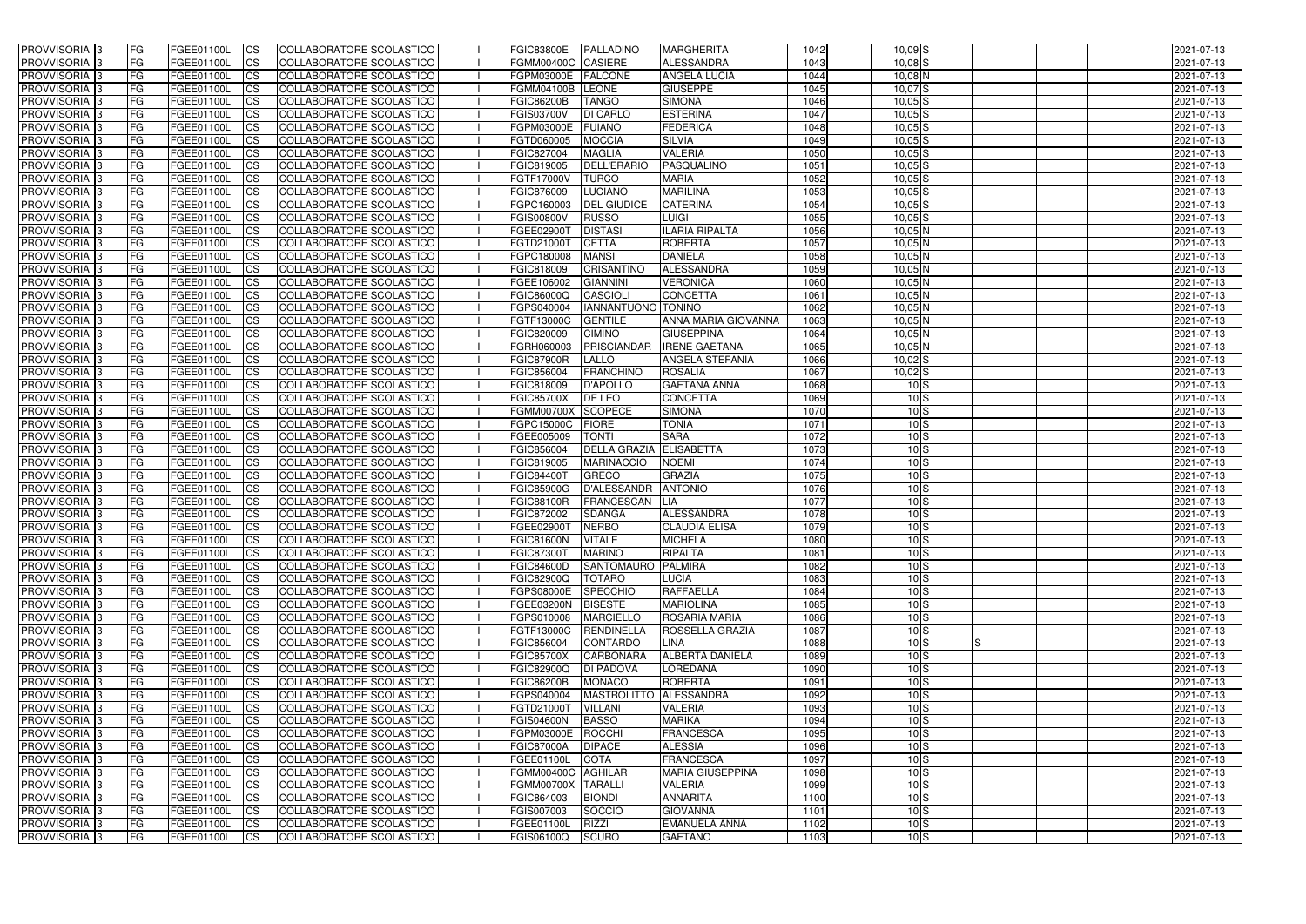| <b>PROVVISORIA</b> 3       | FG         | FGEE01100L        | <b>ICS</b>             | COLLABORATORE SCOLASTICO        | <b>FGIC83800E</b>  | PALLADINO              | <b>MARGHERITA</b>       | 1042 | $10,09$ S     | 2021-07-13       |  |
|----------------------------|------------|-------------------|------------------------|---------------------------------|--------------------|------------------------|-------------------------|------|---------------|------------------|--|
| <b>PROVVISORIA 3</b>       | FG         | FGEE01100L        | <b>CS</b>              | COLLABORATORE SCOLASTICO        | FGMM00400C CASIERE |                        | <b>ALESSANDRA</b>       | 1043 | $10,08$ $S$   | 2021-07-13       |  |
| PROVVISORIA <sup>3</sup>   | FG         | FGEE01100L        | <b>CS</b>              | COLLABORATORE SCOLASTICO        | FGPM03000E         | <b>FALCONE</b>         | <b>ANGELA LUCIA</b>     | 1044 | $10,08$ N     | 2021-07-13       |  |
| PROVVISORIA <sup>3</sup>   | FG         | FGEE01100L        | <b>CS</b>              | COLLABORATORE SCOLASTICO        | <b>FGMM04100B</b>  | <b>LEONE</b>           | <b>GIUSEPPE</b>         | 1045 | $10,07$ S     | 2021-07-13       |  |
| PROVVISORIA <sup>1</sup> 3 | FG         | FGEE01100L        | <b>CS</b>              | COLLABORATORE SCOLASTICO        | <b>FGIC86200B</b>  | <b>TANGO</b>           | <b>SIMONA</b>           | 1046 | $10,05$ $S$   | 2021-07-13       |  |
| PROVVISORIA 3              | FG         | FGEE01100L        | <b>CS</b>              | COLLABORATORE SCOLASTICO        | <b>FGIS03700V</b>  | <b>DI CARLO</b>        | <b>ESTERINA</b>         | 1047 | $10,05$ S     | 2021-07-13       |  |
| PROVVISORIA 3              | FG         | FGEE01100L        | <b>CS</b>              | COLLABORATORE SCOLASTICO        | FGPM03000E         | <b>FUIANO</b>          | <b>FEDERICA</b>         | 1048 | $10,05$ S     | 2021-07-13       |  |
| PROVVISORIA 3              | FG         | <b>FGEE01100L</b> | <b>CS</b>              | COLLABORATORE SCOLASTICO        | FGTD060005         | <b>MOCCIA</b>          | <b>SILVIA</b>           | 1049 | $10,05$ $S$   | 2021-07-13       |  |
| PROVVISORIA 3              | FG         | FGEE01100L        | <b>CS</b>              | COLLABORATORE SCOLASTICO        | FGIC827004         | <b>MAGLIA</b>          | <b>VALERIA</b>          | 1050 | $10,05$ S     | 2021-07-13       |  |
| PROVVISORIA <sup>3</sup>   | FG         | FGEE01100L        | $\overline{c}$         | COLLABORATORE SCOLASTICO        | FGIC819005         | <b>DELL'ERARIO</b>     | PASQUALINO              | 1051 | $10,05$ S     | 2021-07-13       |  |
| PROVVISORIA <sup>3</sup>   | FG         | FGEE01100L        | <b>CS</b>              | COLLABORATORE SCOLASTICO        | <b>FGTF17000V</b>  | <b>TURCO</b>           | <b>MARIA</b>            | 1052 | $10,05$ S     | 2021-07-13       |  |
| PROVVISORIA <sup>3</sup>   | FG         | FGEE01100L        | <b>CS</b>              | COLLABORATORE SCOLASTICO        | FGIC876009         | LUCIANO                | <b>MARILINA</b>         | 1053 | $10,05$ S     | 2021-07-13       |  |
| PROVVISORIA <sup>3</sup>   | FG         | <b>FGEE01100L</b> | <b>ICS</b>             | COLLABORATORE SCOLASTICO        | FGPC160003         | <b>DEL GIUDICE</b>     | <b>CATERINA</b>         | 1054 | $10,05$ S     | 2021-07-13       |  |
| PROVVISORIA <sup>3</sup>   | FG         | FGEE01100L        | <b>I</b> CS            | COLLABORATORE SCOLASTICO        | <b>FGIS00800V</b>  | RUSSO                  | LUIGI                   | 1055 | $10,05$ S     | 2021-07-13       |  |
| PROVVISORIA <sup>3</sup>   | FG         | FGEE01100L        | <b>I</b> CS            | COLLABORATORE SCOLASTICO        | <b>FGEE02900T</b>  | <b>DISTASI</b>         | <b>ILARIA RIPALTA</b>   | 1056 | $10,05$ N     | 2021-07-13       |  |
| <b>PROVVISORIA</b> 3       | FG         | FGEE01100L        | <b>I</b> CS            | <b>COLLABORATORE SCOLASTICO</b> | FGTD21000T         | <b>CETTA</b>           | <b>ROBERTA</b>          | 1057 | $10,05$ N     | 2021-07-13       |  |
|                            |            |                   |                        |                                 |                    |                        |                         |      |               |                  |  |
| PROVVISORIA <sup>3</sup>   | FG         | FGEE01100L        | <b>ICS</b>             | COLLABORATORE SCOLASTICO        | FGPC180008         | <b>MANSI</b>           | <b>DANIELA</b>          | 1058 | $10,05$ N     | 2021-07-13       |  |
| PROVVISORIA 3              | FG         | FGEE01100L        | <b>CS</b>              | COLLABORATORE SCOLASTICO        | FGIC818009         | <b>CRISANTINO</b>      | ALESSANDRA              | 1059 | $10,05$ N     | 2021-07-13       |  |
| PROVVISORIA <sup>3</sup>   | FG         | FGEE01100L        | <b>ICS</b>             | COLLABORATORE SCOLASTICO        | FGEE106002         | <b>GIANNINI</b>        | <b>VERONICA</b>         | 1060 | $10,05$ N     | 2021-07-13       |  |
| PROVVISORIA <sup>3</sup>   | FG         | FGEE01100L        | <b>I</b> CS            | COLLABORATORE SCOLASTICO        | FGIC86000Q         | <b>CASCIOLI</b>        | <b>CONCETTA</b>         | 1061 | $10,05$ N     | 2021-07-13       |  |
| PROVVISORIA <sup>3</sup>   | FG         | FGEE01100L        | <b>I</b> CS            | COLLABORATORE SCOLASTICO        | FGPS040004         | IANNANTUONO TONINO     |                         | 1062 | 10,05N        | 2021-07-13       |  |
| PROVVISORIA <sup>3</sup>   | FG         | FGEE01100L        | <b>CS</b>              | COLLABORATORE SCOLASTICO        | FGTF13000C         | <b>GENTILE</b>         | ANNA MARIA GIOVANNA     | 1063 | 10,05N        | 2021-07-13       |  |
| PROVVISORIA <sup>3</sup>   | FG         | FGEE01100L        | <b>CS</b>              | COLLABORATORE SCOLASTICO        | FGIC820009         | <b>CIMINO</b>          | <b>GIUSEPPINA</b>       | 1064 | 10,05N        | 2021-07-13       |  |
| PROVVISORIA <sup>3</sup>   | FG         | FGEE01100L        | <b>CS</b>              | COLLABORATORE SCOLASTICO        | FGRH060003         | <b>PRISCIANDAR</b>     | <b>IRENE GAETANA</b>    | 1065 | $10,05$ N     | 2021-07-13       |  |
| PROVVISORIA <sup>3</sup>   | FG         | FGEE01100L        | <b>CS</b>              | COLLABORATORE SCOLASTICO        | <b>FGIC87900R</b>  | <b>LALLO</b>           | ANGELA STEFANIA         | 1066 | $10,02$ S     | 2021-07-13       |  |
| PROVVISORIA <sup>1</sup> 3 | FG         | FGEE01100L        | <b>CS</b>              | COLLABORATORE SCOLASTICO        | FGIC856004         | <b>FRANCHINO</b>       | <b>ROSALIA</b>          | 1067 | $10,02$ S     | 2021-07-13       |  |
| PROVVISORIA 3              | FG         | FGEE01100L        | <b>CS</b>              | COLLABORATORE SCOLASTICO        | FGIC818009         | D'APOLLO               | <b>GAETANA ANNA</b>     | 1068 | $10\text{S}$  | 2021-07-13       |  |
| PROVVISORIA <sup>3</sup>   | FG.        | FGEE01100L        | <b>CS</b>              | COLLABORATORE SCOLASTICO        | <b>FGIC85700X</b>  | <b>DE LEO</b>          | <b>CONCETTA</b>         | 1069 | 10S           | 2021-07-13       |  |
| PROVVISORIA <sup>3</sup>   | FG         | <b>FGEE01100L</b> | <b>CS</b>              | COLLABORATORE SCOLASTICO        | <b>FGMM00700X</b>  | <b>SCOPECE</b>         | <b>SIMONA</b>           | 1070 | $10\text{S}$  | 2021-07-13       |  |
| PROVVISORIA <sup>1</sup> 3 | FG.        | <b>FGEE01100L</b> | <b>CS</b>              | COLLABORATORE SCOLASTICO        | FGPC15000C         | <b>FIORE</b>           | <b>TONIA</b>            | 1071 | $10\text{S}$  | 2021-07-13       |  |
| PROVVISORIA <sup>3</sup>   | FG.        | FGEE01100L        | <b>CS</b>              | COLLABORATORE SCOLASTICO        | FGEE005009         | <b>TONTI</b>           | <b>SARA</b>             | 1072 | $10\text{S}$  | 2021-07-13       |  |
| PROVVISORIA <sup>13</sup>  | FG         | <b>FGEE01100L</b> | $\overline{\text{cs}}$ | COLLABORATORE SCOLASTICO        | FGIC856004         | <b>DELLA GRAZIA</b>    | <b>ELISABETTA</b>       | 1073 | 10S           | 2021-07-13       |  |
| PROVVISORIA <sup>3</sup>   | FG         | <b>FGEE01100L</b> | <b>CS</b>              | COLLABORATORE SCOLASTICO        | FGIC819005         | <b>MARINACCIO</b>      | <b>NOEMI</b>            | 1074 | 10S           | 2021-07-13       |  |
| PROVVISORIA 3              | FG         | <b>FGEE01100L</b> | <b>CS</b>              | COLLABORATORE SCOLASTICO        | <b>FGIC84400T</b>  | GRECO                  | <b>GRAZIA</b>           | 1075 | 10S           | 2021-07-13       |  |
| PROVVISORIA <sup>3</sup>   | FG         | <b>FGEE01100L</b> | $\overline{\text{cs}}$ | COLLABORATORE SCOLASTICO        | <b>FGIC85900G</b>  | <b>D'ALESSANDR</b>     | <b>ANTONIO</b>          | 1076 | 10S           | 2021-07-13       |  |
| PROVVISORIA <sup>3</sup>   | FG         | <b>FGEE01100L</b> | <b>CS</b>              | <b>COLLABORATORE SCOLASTICO</b> | <b>FGIC88100R</b>  | FRANCESCAN             | LIA                     | 1077 | 10S           | 2021-07-13       |  |
| PROVVISORIA <sup>3</sup>   | FG         | FGEE01100L        | <b>CS</b>              | COLLABORATORE SCOLASTICO        | FGIC872002         | <b>SDANGA</b>          | ALESSANDRA              | 1078 | 10S           | 2021-07-13       |  |
| PROVVISORIA 3              | FG         | FGEE01100L        | <b>I</b> CS            | COLLABORATORE SCOLASTICO        | <b>FGEE02900T</b>  | <b>NERBO</b>           | <b>CLAUDIA ELISA</b>    | 1079 | $10\text{S}$  | 2021-07-13       |  |
| <b>PROVVISORIA</b> 3       | IFG.       | FGEE01100L        | CS                     | COLLABORATORE SCOLASTICO        | FGIC81600N         | <b>VITALE</b>          | <b>MICHELA</b>          | 1080 | $10\text{S}$  | 2021-07-13       |  |
| PROVVISORIA 3              | IFG.       | FGEE01100L        | <b>ICS</b>             | COLLABORATORE SCOLASTICO        | <b>FGIC87300T</b>  | <b>MARINO</b>          | <b>RIPALTA</b>          | 1081 | 10S           | 2021-07-13       |  |
| PROVVISORIA 3              | FG         | FGEE01100L        | <b>CS</b>              | COLLABORATORE SCOLASTICO        | <b>FGIC84600D</b>  | SANTOMAURO PALMIRA     |                         | 1082 | 10S           | 2021-07-13       |  |
| PROVVISORIA 3              | FG         | FGEE01100L        | <b>CS</b>              | COLLABORATORE SCOLASTICO        | <b>FGIC82900Q</b>  | <b>TOTARO</b>          | <b>LUCIA</b>            | 1083 | 10S           | 2021-07-13       |  |
| PROVVISORIA 3              | FG         | FGEE01100L        | <b>ICS</b>             | COLLABORATORE SCOLASTICO        | <b>FGPS08000E</b>  | <b>SPECCHIO</b>        | <b>RAFFAELLA</b>        | 1084 | 10S           | 2021-07-13       |  |
| PROVVISORIA 3              | FG         | FGEE01100L        | $\mathsf{ICS}$         | COLLABORATORE SCOLASTICO        | FGEE03200N         | <b>BISESTE</b>         | <b>MARIOLINA</b>        | 1085 | $10\text{ S}$ | 2021-07-13       |  |
| PROVVISORIA 3              | FG         | FGEE01100L        | <b>CS</b>              | COLLABORATORE SCOLASTICO        | FGPS010008         | <b>MARCIELLO</b>       | <b>ROSARIA MARIA</b>    | 1086 | 10S           | 2021-07-13       |  |
| PROVVISORIA 3              | <b>FG</b>  | FGEE01100L        | <b>CS</b>              | COLLABORATORE SCOLASTICO        | <b>FGTF13000C</b>  | RENDINELLA             | <b>ROSSELLA GRAZIA</b>  | 1087 | 10S           | 2021-07-13       |  |
| PROVVISORIA 3              | FG         | FGEE01100L        | <b>CS</b>              | COLLABORATORE SCOLASTICO        | FGIC856004         | CONTARDO               | LINA                    | 1088 | 10S           | 2021-07-13<br>IS |  |
| PROVVISORIA 3              | FG         | FGEE01100L        | <b>CS</b>              | COLLABORATORE SCOLASTICO        | <b>FGIC85700X</b>  | CARBONARA              | <b>ALBERTA DANIELA</b>  | 1089 | 10S           | 2021-07-13       |  |
| PROVVISORIA 3              | IFG.       | FGEE01100L        | <b>CS</b>              | COLLABORATORE SCOLASTICO        | <b>FGIC82900Q</b>  | <b>DI PADOVA</b>       | <b>LOREDANA</b>         | 1090 | 10S           | 2021-07-13       |  |
| PROVVISORIA 3              | FG         | FGEE01100L        | <b>CS</b>              | COLLABORATORE SCOLASTICO        | <b>FGIC86200B</b>  | <b>MONACO</b>          | <b>ROBERTA</b>          | 1091 | 10S           | 2021-07-13       |  |
| PROVVISORIA 3              | FG         | FGEE01100L        | <b>CS</b>              | COLLABORATORE SCOLASTICO        | FGPS040004         | MASTROLITTO ALESSANDRA |                         | 1092 | 10S           | 2021-07-13       |  |
| <b>PROVVISORIA</b> 3       | IFG.       | FGEE01100L        | <b>CS</b>              | COLLABORATORE SCOLASTICO        | FGTD21000T         | <b>VILLANI</b>         | <b>VALERIA</b>          | 1093 | 10S           | 2021-07-13       |  |
| <b>PROVVISORIA</b> 3       | IFG.       | FGEE01100L        | <b>CS</b>              | COLLABORATORE SCOLASTICO        | <b>FGIS04600N</b>  | <b>BASSO</b>           | <b>MARIKA</b>           | 1094 | 10S           | 2021-07-13       |  |
| PROVVISORIA 3              | <b>IFG</b> | <b>FGEE01100L</b> | <b>CS</b>              | <b>COLLABORATORE SCOLASTICO</b> | FGPM03000E         | ROCCHI                 | <b>FRANCESCA</b>        | 1095 | 10S           | 2021-07-13       |  |
| PROVVISORIA 3              | <b>IFG</b> | FGEE01100L        | <b>CS</b>              | COLLABORATORE SCOLASTICO        | <b>FGIC87000A</b>  | <b>DIPACE</b>          | <b>ALESSIA</b>          | 1096 | $10\text{ S}$ | 2021-07-13       |  |
| PROVVISORIA 3              | IFG.       | FGEE01100L        | <b>CS</b>              | COLLABORATORE SCOLASTICO        | FGEE01100L         | <b>COTA</b>            | <b>FRANCESCA</b>        | 1097 | 10S           | 2021-07-13       |  |
| PROVVISORIA 3              | FG         | FGEE01100L        | <b>CS</b>              | COLLABORATORE SCOLASTICO        | FGMM00400C AGHILAR |                        | <b>MARIA GIUSEPPINA</b> | 1098 | 10S           | 2021-07-13       |  |
| PROVVISORIA 3              | <b>FG</b>  | FGEE01100L        | <b>CS</b>              | COLLABORATORE SCOLASTICO        | FGMM00700X TARALLI |                        | <b>VALERIA</b>          | 1099 | 10S           | 2021-07-13       |  |
| PROVVISORIA 3              | FG         | <b>FGEE01100L</b> | <b>CS</b>              | COLLABORATORE SCOLASTICO        | FGIC864003         | <b>BIONDI</b>          | <b>ANNARITA</b>         | 1100 | 10S           | 2021-07-13       |  |
| <b>PROVVISORIA</b> 3       | <b>FG</b>  | FGEE01100L        | <b>ICS</b>             | COLLABORATORE SCOLASTICO        | FGIS007003         | SOCCIO                 | <b>GIOVANNA</b>         | 1101 | 10S           | 2021-07-13       |  |
| PROVVISORIA 3              | FG         | FGEE01100L        | <b>CS</b>              | COLLABORATORE SCOLASTICO        | FGEE01100L         | <b>RIZZI</b>           | <b>EMANUELA ANNA</b>    | 1102 | $10\text{S}$  | 2021-07-13       |  |
| PROVVISORIA 3              | FG         | FGEE01100L        | <b>CS</b>              | COLLABORATORE SCOLASTICO        | <b>FGIS06100Q</b>  | <b>SCURO</b>           | <b>GAETANO</b>          | 1103 | $10\text{S}$  | 2021-07-13       |  |
|                            |            |                   |                        |                                 |                    |                        |                         |      |               |                  |  |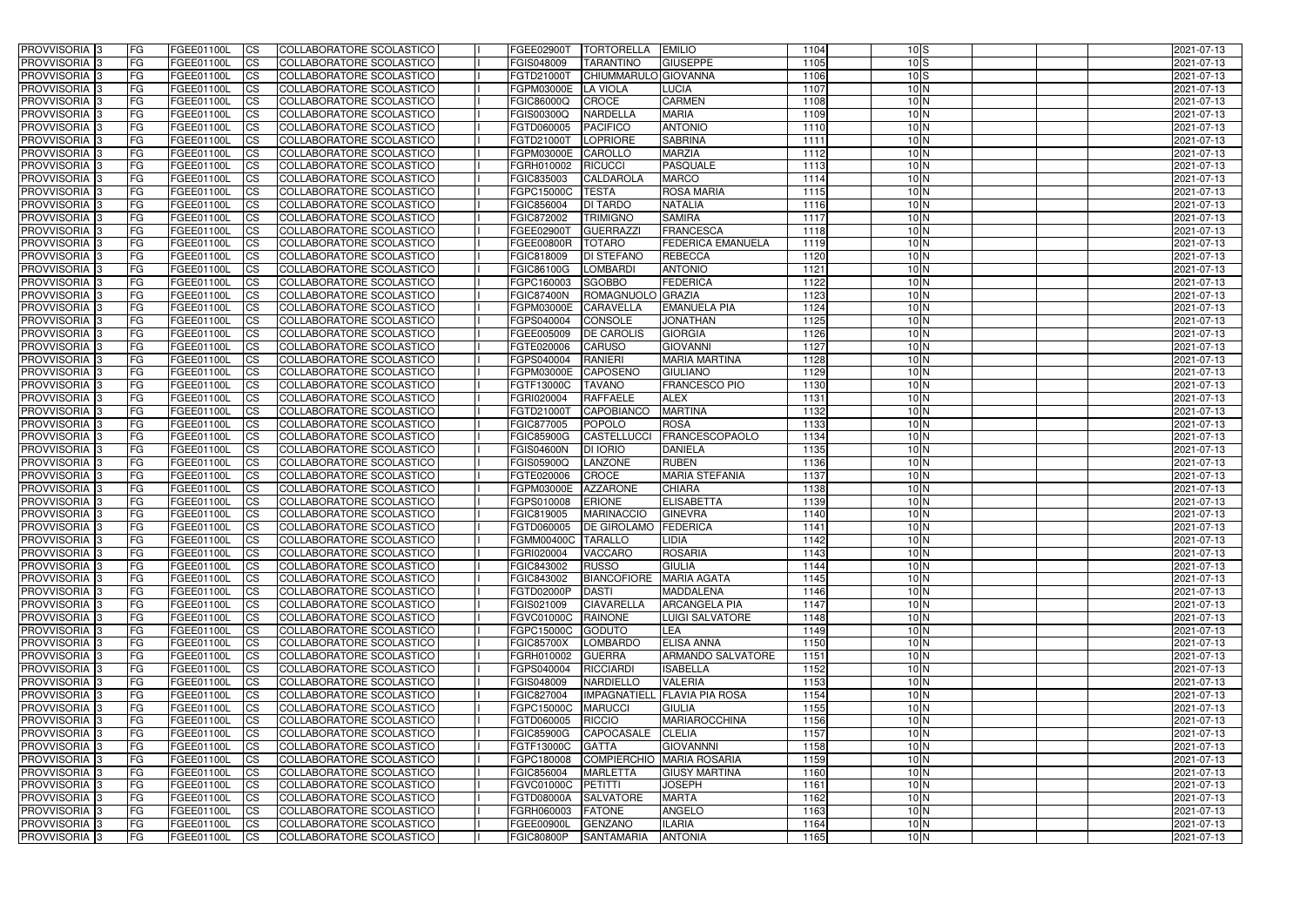| <b>PROVVISORIA</b> 3                      | FG         | FGEE01100L               | <b>ICS</b>             | COLLABORATORE SCOLASTICO                             | <b>FGEE02900T</b>        | <b>TORTORELLA</b>                  | <b>EMILIO</b>                                  | 1104         | 10S                                | 2021-07-13               |
|-------------------------------------------|------------|--------------------------|------------------------|------------------------------------------------------|--------------------------|------------------------------------|------------------------------------------------|--------------|------------------------------------|--------------------------|
| <b>PROVVISORIA 3</b>                      | FG         | FGEE01100L               | <b>CS</b>              | COLLABORATORE SCOLASTICO                             | FGIS048009               | <b>TARANTINO</b>                   | <b>GIUSEPPE</b>                                | 1105         | 10S                                | 2021-07-13               |
| PROVVISORIA <sup>3</sup>                  | FG         | FGEE01100L               | <b>CS</b>              | <b>COLLABORATORE SCOLASTICO</b>                      | FGTD21000T               | CHIUMMARULO GIOVANNA               |                                                | 1106         | 10S                                | 2021-07-13               |
| PROVVISORIA <sup>3</sup>                  | FG         | FGEE01100L               | <b>CS</b>              | COLLABORATORE SCOLASTICO                             | FGPM03000E               | <b>LA VIOLA</b>                    | LUCIA                                          | 1107         | 10 <sub>N</sub>                    | 2021-07-13               |
| PROVVISORIA <sup>1</sup> 3                | FG         | FGEE01100L               | <b>CS</b>              | COLLABORATORE SCOLASTICO                             | <b>FGIC86000Q</b>        | <b>CROCE</b>                       | <b>CARMEN</b>                                  | 1108         | $10\text{N}$                       | 2021-07-13               |
| PROVVISORIA <sup>3</sup>                  | FG         | FGEE01100L               | <b>CS</b>              | COLLABORATORE SCOLASTICO                             | FGIS00300Q               | <b>NARDELLA</b>                    | <b>MARIA</b>                                   | 1109         | $10\text{N}$                       | 2021-07-13               |
| PROVVISORIA <sup>3</sup>                  | FG         | FGEE01100L               | <b>CS</b>              | COLLABORATORE SCOLASTICO                             | FGTD060005               | <b>PACIFICO</b>                    | <b>ANTONIO</b>                                 | 1110         | $10\text{N}$                       | 2021-07-13               |
| PROVVISORIA 3                             | FG         | <b>FGEE01100L</b>        | <b>CS</b>              | COLLABORATORE SCOLASTICO                             | FGTD21000T               | <b>LOPRIORE</b>                    | <b>SABRINA</b>                                 | 1111         | $10\text{N}$                       | 2021-07-13               |
| PROVVISORIA 3                             | FG         | FGEE01100L               | <b>CS</b>              | COLLABORATORE SCOLASTICO                             | FGPM03000E               | CAROLLO                            | <b>MARZIA</b>                                  | 1112         | 10 <sub>N</sub>                    | 2021-07-13               |
| PROVVISORIA <sup>3</sup>                  | FG         | FGEE01100L               | $\overline{c}$         | COLLABORATORE SCOLASTICO                             | FGRH010002               | <b>RICUCCI</b>                     | <b>PASQUALE</b>                                | 1113         | 10 <sub>N</sub>                    | 2021-07-13               |
| PROVVISORIA <sup>3</sup>                  | FG         | FGEE01100L               | <b>CS</b>              | COLLABORATORE SCOLASTICO                             | FGIC835003               | <b>CALDAROLA</b>                   | <b>MARCO</b>                                   | 1114         | 10 <sub>N</sub>                    | 2021-07-13               |
| PROVVISORIA <sup>3</sup>                  | FG         | FGEE01100L               | <b>CS</b>              | COLLABORATORE SCOLASTICO                             | FGPC15000C               | <b>TESTA</b>                       | <b>ROSA MARIA</b>                              | 1115         | 10 <sub>N</sub>                    | 2021-07-13               |
| PROVVISORIA <sup>3</sup>                  | FG         | FGEE01100L               | <b>I</b> CS            | COLLABORATORE SCOLASTICO                             | FGIC856004               | <b>DI TARDO</b>                    | <b>NATALIA</b>                                 | 1116         | 10 <sub>N</sub>                    | 2021-07-13               |
| PROVVISORIA <sup>3</sup>                  | FG         | FGEE01100L               | <b>I</b> CS            | COLLABORATORE SCOLASTICO                             | FGIC872002               | <b>TRIMIGNO</b>                    | <b>SAMIRA</b>                                  | 1117         | 10 <sub>N</sub>                    | 2021-07-13               |
| PROVVISORIA <sup>3</sup>                  | FG         | FGEE01100L               | <b>I</b> CS            | COLLABORATORE SCOLASTICO                             | <b>FGEE02900T</b>        | <b>GUERRAZZI</b>                   | <b>FRANCESCA</b>                               | 1118         | 10 <sub>N</sub>                    | 2021-07-13               |
| <b>PROVVISORIA</b> 3                      | FG         | FGEE01100L               | <b>I</b> CS            | <b>COLLABORATORE SCOLASTICO</b>                      | <b>FGEE00800R</b>        | <b>TOTARO</b>                      | <b>FEDERICA EMANUELA</b>                       | 1119         | 10 <sub>N</sub>                    | 2021-07-13               |
| <b>PROVVISORIA</b> 3                      | FG         | FGEE01100L               | <b>CS</b>              | COLLABORATORE SCOLASTICO                             | FGIC818009               | <b>DI STEFANO</b>                  | <b>REBECCA</b>                                 | 1120         | 10 <sub>N</sub>                    | 2021-07-13               |
| PROVVISORIA 3                             | FG         | FGEE01100L               | <b>CS</b>              | COLLABORATORE SCOLASTICO                             | <b>FGIC86100G</b>        | <b>LOMBARDI</b>                    | <b>ANTONIO</b>                                 | 1121         | 10 <sub>N</sub>                    | 2021-07-13               |
| PROVVISORIA <sup>3</sup>                  | FG         | FGEE01100L               | <b>ICS</b>             | COLLABORATORE SCOLASTICO                             | FGPC160003               | <b>SGOBBO</b>                      | <b>FEDERICA</b>                                | 1122         | $10\text{N}$                       | 2021-07-13               |
| PROVVISORIA <sup>3</sup>                  | FG         | <b>FGEE01100L</b>        | <b>CS</b>              | COLLABORATORE SCOLASTICO                             | <b>FGIC87400N</b>        | <b>ROMAGNUOLO</b>                  | <b>GRAZIA</b>                                  | 1123         | 10 <sub>N</sub>                    | 2021-07-13               |
| PROVVISORIA <sup>3</sup>                  | FG         | FGEE01100L               | <b>CS</b>              | COLLABORATORE SCOLASTICO                             | FGPM03000E               | <b>CARAVELLA</b>                   | <b>EMANUELA PIA</b>                            | 1124         | 10 <sub>N</sub>                    | 2021-07-13               |
| PROVVISORIA <sup>3</sup>                  | FG         | FGEE01100L               | <b>CS</b>              | COLLABORATORE SCOLASTICO                             | FGPS040004               | <b>CONSOLE</b>                     | <b>JONATHAN</b>                                | 1125         | 10 <sub>N</sub>                    | 2021-07-13               |
| PROVVISORIA 3<br>PROVVISORIA <sup>3</sup> | FG         | FGEE01100L<br>FGEE01100L | <b>CS</b>              | COLLABORATORE SCOLASTICO<br>COLLABORATORE SCOLASTICO | FGEE005009<br>FGTE020006 | <b>DE CAROLIS</b><br><b>CARUSO</b> | <b>GIORGIA</b><br><b>GIOVANNI</b>              | 1126<br>1127 | 10 <sub>N</sub><br>10 <sub>N</sub> | 2021-07-13<br>2021-07-13 |
| PROVVISORIA <sup>3</sup>                  | FG<br>FG   | FGEE01100L               | <b>CS</b><br><b>CS</b> | COLLABORATORE SCOLASTICO                             | FGPS040004               | <b>RANIERI</b>                     | <b>MARIA MARTINA</b>                           | 1128         | 10N                                | 2021-07-13               |
| PROVVISORIA <sup>1</sup> 3                | FG         | FGEE01100L               | <b>CS</b>              | COLLABORATORE SCOLASTICO                             | FGPM03000E               | <b>CAPOSENO</b>                    | <b>GIULIANO</b>                                | 1129         | 10 <sub>N</sub>                    | 2021-07-13               |
| PROVVISORIA <sup>1</sup> 3                | FG         | <b>FGEE01100L</b>        | ICS                    | COLLABORATORE SCOLASTICO                             | FGTF13000C               | <b>TAVANO</b>                      | <b>FRANCESCO PIO</b>                           | 1130         | 10 <sub>N</sub>                    | 2021-07-13               |
| PROVVISORIA <sup>3</sup>                  | FG.        | FGEE01100L               | <b>CS</b>              | COLLABORATORE SCOLASTICO                             | FGRI020004               | <b>RAFFAELE</b>                    | <b>ALEX</b>                                    | 1131         | 10 <sub>N</sub>                    | 2021-07-13               |
| PROVVISORIA <sup>3</sup>                  | FG         | <b>FGEE01100L</b>        | <b>CS</b>              | COLLABORATORE SCOLASTICO                             | FGTD21000T               | CAPOBIANCO                         | <b>MARTINA</b>                                 | 1132         | $10\text{N}$                       | 2021-07-13               |
| PROVVISORIA <sup>13</sup>                 | FG         | <b>FGEE01100L</b>        | <b>CS</b>              | COLLABORATORE SCOLASTICO                             | FGIC877005               | POPOLO                             | <b>ROSA</b>                                    | 1133         | 10 <sub>N</sub>                    | 2021-07-13               |
| PROVVISORIA <sup>3</sup>                  | FG.        | FGEE01100L               | <b>CS</b>              | COLLABORATORE SCOLASTICO                             | <b>FGIC85900G</b>        | <b>CASTELLUCCI</b>                 | <b>FRANCESCOPAOLO</b>                          | 1134         | $10\text{N}$                       | 2021-07-13               |
| PROVVISORIA <sup>3</sup>                  | FG         | <b>FGEE01100L</b>        | <b>CS</b>              | COLLABORATORE SCOLASTICO                             | <b>FGIS04600N</b>        | <b>DI IORIO</b>                    | <b>DANIELA</b>                                 | 1135         | 10N                                | 2021-07-13               |
| PROVVISORIA <sup>3</sup>                  | FG         | <b>FGEE01100L</b>        | <b>CS</b>              | COLLABORATORE SCOLASTICO                             | FGIS05900Q               | <b>LANZONE</b>                     | <b>RUBEN</b>                                   | 1136         | 10 <sub>N</sub>                    | 2021-07-13               |
| PROVVISORIA <sup>3</sup>                  | FG         | <b>FGEE01100L</b>        | <b>CS</b>              | COLLABORATORE SCOLASTICO                             | FGTE020006               | <b>CROCE</b>                       | <b>MARIA STEFANIA</b>                          | 1137         | 10 <sub>N</sub>                    | 2021-07-13               |
| PROVVISORIA <sup>3</sup>                  | FG         | FGEE01100L               | $\overline{\text{cs}}$ | COLLABORATORE SCOLASTICO                             | <b>FGPM03000E</b>        | <b>AZZARONE</b>                    | <b>CHIARA</b>                                  | 1138         | 10 <sub>N</sub>                    | 2021-07-13               |
| PROVVISORIA <sup>3</sup>                  | FG         | FGEE01100L               | <b>CS</b>              | <b>COLLABORATORE SCOLASTICO</b>                      | FGPS010008               | <b>ERIONE</b>                      | <b>ELISABETTA</b>                              | 1139         | 10 <sub>N</sub>                    | 2021-07-13               |
| PROVVISORIA <sup>3</sup>                  | FG         | FGEE01100L               | <b>CS</b>              | COLLABORATORE SCOLASTICO                             | FGIC819005               | <b>MARINACCIO</b>                  | <b>GINEVRA</b>                                 | 1140         | 10 <sub>N</sub>                    | 2021-07-13               |
| PROVVISORIA <sup>3</sup>                  | FG         | FGEE01100L               | <b>I</b> CS            | COLLABORATORE SCOLASTICO                             | FGTD060005               | <b>DE GIROLAMO FEDERICA</b>        |                                                | 1141         | 10 <sub>N</sub>                    | 2021-07-13               |
| <b>PROVVISORIA</b> 3                      | IFG.       | FGEE01100L               | CS                     | COLLABORATORE SCOLASTICO                             | FGMM00400C TARALLO       |                                    | <b>LIDIA</b>                                   | 1142         | 10 <sub>N</sub>                    | 2021-07-13               |
| PROVVISORIA 3                             | IFG.       | FGEE01100L               | <b>ICS</b>             | COLLABORATORE SCOLASTICO                             | FGRI020004               | <b>VACCARO</b>                     | <b>ROSARIA</b>                                 | 1143         | 10 <sub>N</sub>                    | 2021-07-13               |
| PROVVISORIA 3                             | FG         | FGEE01100L               | <b>CS</b>              | COLLABORATORE SCOLASTICO                             | <b>FGIC843002</b>        | <b>RUSSO</b>                       | <b>GIULIA</b>                                  | 1144         | $10\text{N}$                       | 2021-07-13               |
| PROVVISORIA 3                             | FG         | FGEE01100L               | <b>CS</b>              | COLLABORATORE SCOLASTICO                             | FGIC843002               | BIANCOFIORE MARIA AGATA            |                                                | 1145         | 10 <sub>N</sub>                    | 2021-07-13               |
| PROVVISORIA <sup>3</sup>                  | FG         | FGEE01100L               | <b>ICS</b>             | <b>COLLABORATORE SCOLASTICO</b>                      | FGTD02000P               | <b>DASTI</b>                       | <b>MADDALENA</b>                               | 1146         | $10\text{N}$                       | 2021-07-13               |
| PROVVISORIA 3                             | FG         | FGEE01100L               | $\mathsf{ICS}$         | COLLABORATORE SCOLASTICO                             | FGIS021009               | <b>CIAVARELLA</b>                  | <b>ARCANGELA PIA</b>                           | 1147         | $10\text{N}$                       | 2021-07-13               |
| PROVVISORIA 3                             | FG         | FGEE01100L               | <b>CS</b>              | COLLABORATORE SCOLASTICO                             | <b>FGVC01000C</b>        | RAINONE                            | <b>LUIGI SALVATORE</b>                         | 1148         | 10 <sub>N</sub>                    | 2021-07-13               |
| PROVVISORIA 3                             | <b>FG</b>  | FGEE01100L               | <b>CS</b>              | COLLABORATORE SCOLASTICO                             | FGPC15000C               | <b>GODUTO</b>                      | <b>LEA</b>                                     | 1149         | 10 <sub>N</sub>                    | 2021-07-13               |
| PROVVISORIA 3                             | FG         | FGEE01100L               | <b>CS</b>              | COLLABORATORE SCOLASTICO                             | <b>FGIC85700X</b>        | LOMBARDO                           | <b>ELISA ANNA</b>                              | 1150         | 10 <sub>N</sub>                    | 2021-07-13               |
| PROVVISORIA 3                             | FG         | FGEE01100L               | <b>CS</b>              | COLLABORATORE SCOLASTICO                             | FGRH010002               | <b>GUERRA</b>                      | ARMANDO SALVATORE                              | 1151         | 10 <sub>N</sub>                    | 2021-07-13               |
| PROVVISORIA 3                             | FG         | FGEE01100L               | <b>CS</b>              | COLLABORATORE SCOLASTICO                             | FGPS040004               | RICCIARDI                          | <b>ISABELLA</b>                                | 1152         | 10 <sub>N</sub>                    | 2021-07-13               |
| PROVVISORIA 3<br>PROVVISORIA 3            | FG<br>FG   | FGEE01100L<br>FGEE01100L | <b>CS</b>              | COLLABORATORE SCOLASTICO<br>COLLABORATORE SCOLASTICO | FGIS048009<br>FGIC827004 | NARDIELLO                          | <b>VALERIA</b><br>IMPAGNATIELL FLAVIA PIA ROSA | 1153<br>1154 | 10 <sub>N</sub><br>10 <sub>N</sub> | 2021-07-13               |
| <b>PROVVISORIA</b> 3                      | IFG.       | FGEE01100L               | <b>CS</b><br><b>CS</b> | COLLABORATORE SCOLASTICO                             | <b>FGPC15000C</b>        | <b>MARUCCI</b>                     | <b>GIULIA</b>                                  | 1155         | 10 <sub>N</sub>                    | 2021-07-13<br>2021-07-13 |
| <b>PROVVISORIA</b> 3                      | IFG.       | FGEE01100L               | <b>CS</b>              | COLLABORATORE SCOLASTICO                             | FGTD060005               | RICCIO                             | <b>MARIAROCCHINA</b>                           | 1156         | 10 <sub>N</sub>                    | 2021-07-13               |
| <b>PROVVISORIA</b> 3                      | <b>IFG</b> | FGEE01100L               | <b>CS</b>              | <b>COLLABORATORE SCOLASTICO</b>                      | <b>FGIC85900G</b>        | CAPOCASALE                         | <b>CLELIA</b>                                  | 1157         | 10 <sub>N</sub>                    | 2021-07-13               |
| PROVVISORIA 3                             | <b>IFG</b> | FGEE01100L               | <b>CS</b>              | COLLABORATORE SCOLASTICO                             | FGTF13000C               | <b>GATTA</b>                       | <b>GIOVANNNI</b>                               | 1158         | 10 <sub>N</sub>                    | 2021-07-13               |
| PROVVISORIA 3                             | IFG.       | FGEE01100L               | <b>CS</b>              | COLLABORATORE SCOLASTICO                             | FGPC180008               |                                    | COMPIERCHIO MARIA ROSARIA                      | 1159         | $10\text{N}$                       | 2021-07-13               |
| PROVVISORIA 3                             | FG         | FGEE01100L               | <b>CS</b>              | COLLABORATORE SCOLASTICO                             | FGIC856004               | <b>MARLETTA</b>                    | <b>GIUSY MARTINA</b>                           | 1160         | 10 <sub>N</sub>                    | 2021-07-13               |
| PROVVISORIA 3                             | <b>FG</b>  | FGEE01100L               | <b>CS</b>              | COLLABORATORE SCOLASTICO                             | FGVC01000C               | PETITTI                            | <b>JOSEPH</b>                                  | 1161         | 10 <sub>N</sub>                    | 2021-07-13               |
| PROVVISORIA 3                             | FG         | <b>FGEE01100L</b>        | <b>CS</b>              | COLLABORATORE SCOLASTICO                             | FGTD08000A               | <b>SALVATORE</b>                   | <b>MARTA</b>                                   | 1162         | 10 <sub>N</sub>                    | 2021-07-13               |
| <b>PROVVISORIA</b> 3                      | FG         | FGEE01100L               | <b>CS</b>              | COLLABORATORE SCOLASTICO                             | FGRH060003               | <b>FATONE</b>                      | <b>ANGELO</b>                                  | 1163         | 10 <sub>N</sub>                    | 2021-07-13               |
| PROVVISORIA 3                             | FG         | FGEE01100L               | <b>CS</b>              | COLLABORATORE SCOLASTICO                             | FGEE00900L               | <b>GENZANO</b>                     | <b>ILARIA</b>                                  | 1164         | 10 <sub>N</sub>                    | 2021-07-13               |
| PROVVISORIA 3                             | FG         | FGEE01100L               | <b>CS</b>              | COLLABORATORE SCOLASTICO                             | <b>FGIC80800P</b>        | SANTAMARIA                         | <b>ANTONIA</b>                                 | 1165         | 10 <sub>N</sub>                    | 2021-07-13               |
|                                           |            |                          |                        |                                                      |                          |                                    |                                                |              |                                    |                          |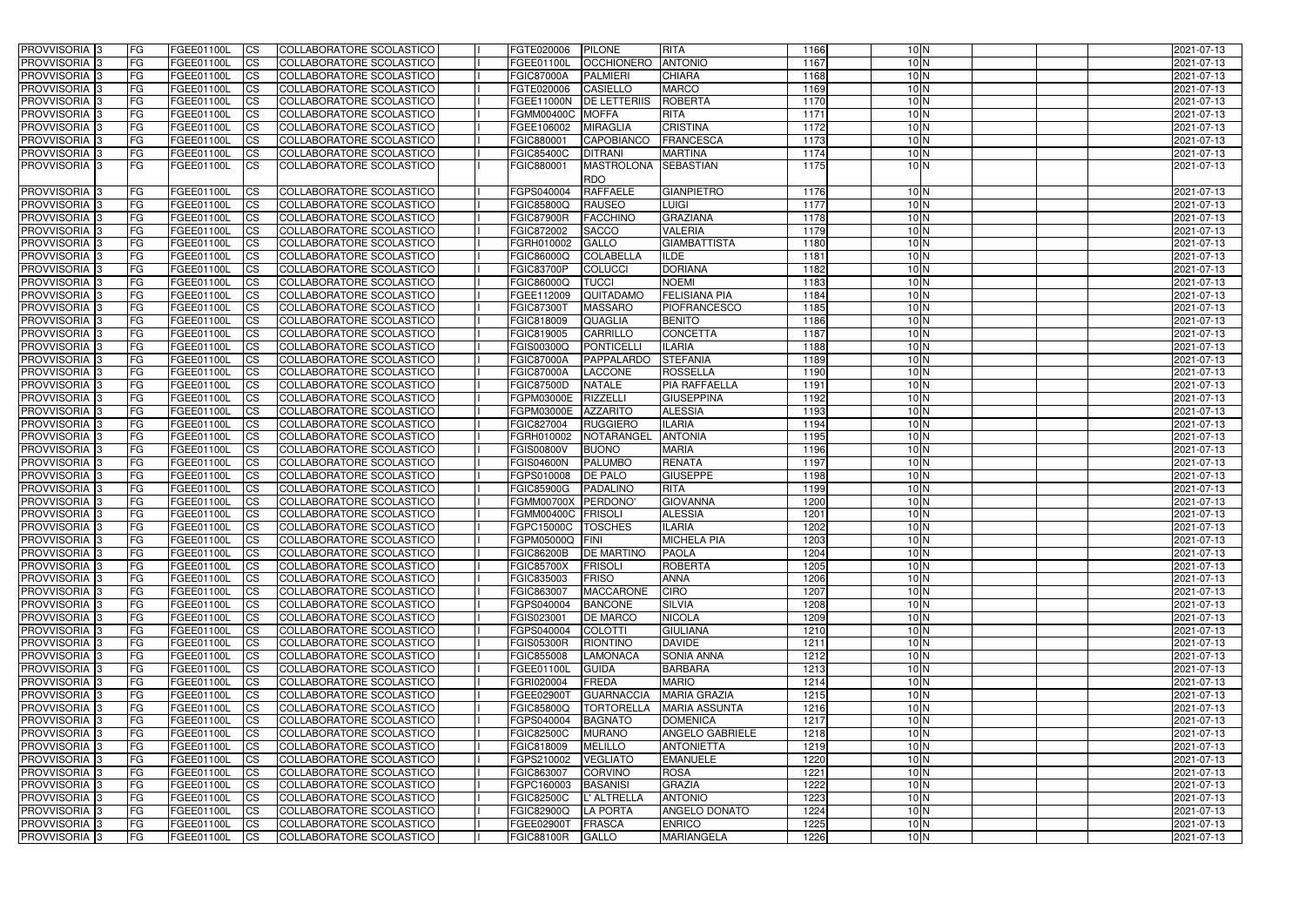| <b>PROVVISORIA</b> 3                                 | FG                 | FGEE01100L               | <b>ICS</b>             | COLLABORATORE SCOLASTICO                                    | FGTE020006               | PILONE                            | <b>RITA</b>                               | 1166         | $10\text{N}$                       | 2021-07-13               |
|------------------------------------------------------|--------------------|--------------------------|------------------------|-------------------------------------------------------------|--------------------------|-----------------------------------|-------------------------------------------|--------------|------------------------------------|--------------------------|
| <b>PROVVISORIA 3</b>                                 | FG                 | FGEE01100L               | <b>CS</b>              | COLLABORATORE SCOLASTICO                                    | FGEE01100L               | <b>OCCHIONERO</b>                 | <b>ANTONIO</b>                            | 1167         | 10N                                | 2021-07-13               |
| PROVVISORIA <sup>3</sup>                             | FG                 | FGEE01100L               | <b>CS</b>              | COLLABORATORE SCOLASTICO                                    | <b>FGIC87000A</b>        | <b>PALMIERI</b>                   | <b>CHIARA</b>                             | 1168         | 10 <sub>N</sub>                    | 2021-07-13               |
| PROVVISORIA <sup>3</sup>                             | FG                 | FGEE01100L               | <b>CS</b>              | COLLABORATORE SCOLASTICO                                    | FGTE020006               | <b>CASIELLO</b>                   | <b>MARCO</b>                              | 1169         | 10 <sub>N</sub>                    | 2021-07-13               |
| PROVVISORIA <sup>1</sup> 3                           | FG                 | FGEE01100L               | <b>CS</b>              | COLLABORATORE SCOLASTICO                                    | FGEE11000N               | <b>DE LETTERIIS</b>               | <b>ROBERTA</b>                            | 1170         | $10\text{N}$                       | 2021-07-13               |
| PROVVISORIA <sup>3</sup>                             | FG                 | FGEE01100L               | <b>CS</b>              | COLLABORATORE SCOLASTICO                                    | <b>FGMM00400C</b>        | <b>MOFFA</b>                      | <b>RITA</b>                               | 1171         | $10\text{N}$                       | 2021-07-13               |
| PROVVISORIA <sup>3</sup>                             | FG                 | FGEE01100L               | <b>CS</b>              | COLLABORATORE SCOLASTICO                                    | FGEE106002               | <b>MIRAGLIA</b>                   | <b>CRISTINA</b>                           | 1172         | 10N                                | 2021-07-13               |
| PROVVISORIA 3                                        | FG                 | <b>FGEE01100L</b>        | <b>CS</b>              | <b>COLLABORATORE SCOLASTICO</b>                             | FGIC880001               | <b>CAPOBIANCO</b>                 | <b>FRANCESCA</b>                          | 1173         | 10 <sub>N</sub>                    | 2021-07-13               |
| PROVVISORIA <sup>3</sup>                             | FG                 | FGEE01100L               | <b>CS</b>              | COLLABORATORE SCOLASTICO                                    | <b>FGIC85400C</b>        | <b>DITRANI</b>                    | <b>MARTINA</b>                            | 1174         | 10 <sub>N</sub>                    | 2021-07-13               |
| PROVVISORIA 3                                        | <b>FG</b>          | FGEE01100L               | ICS                    | COLLABORATORE SCOLASTICO                                    | FGIC880001               | <b>MASTROLONA</b>                 | <b>SEBASTIAN</b>                          | 1175         | 10N                                | 2021-07-13               |
|                                                      |                    |                          |                        |                                                             |                          | <b>RDO</b>                        |                                           |              |                                    |                          |
| PROVVISORIA <sup>3</sup>                             | FG                 | FGEE01100L               | <b>CS</b>              | COLLABORATORE SCOLASTICO                                    | FGPS040004               | <b>RAFFAELE</b>                   | <b>GIANPIETRO</b>                         | 1176         | 10 <sub>N</sub>                    | 2021-07-13               |
| <b>PROVVISORIA</b> 3                                 | FG                 | FGEE01100L               | <b>CS</b>              | COLLABORATORE SCOLASTICO                                    | <b>FGIC85800Q</b>        | <b>RAUSEO</b>                     | <b>LUIGI</b>                              | 1177         | 10 <sub>N</sub>                    | 2021-07-13               |
| PROVVISORIA <sup>3</sup>                             | FG                 | FGEE01100L               | <b>ICS</b>             | <b>COLLABORATORE SCOLASTICO</b>                             | <b>FGIC87900R</b>        | <b>FACCHINO</b>                   | <b>GRAZIANA</b>                           | 1178         | 10 <sub>N</sub>                    | 2021-07-13               |
| PROVVISORIA <sup>3</sup>                             | FG                 | FGEE01100L               | <b>ICS</b>             | COLLABORATORE SCOLASTICO                                    | FGIC872002               | <b>SACCO</b>                      | <b>VALERIA</b>                            | 1179         | 10 <sub>N</sub>                    | 2021-07-13               |
| <b>PROVVISORIA</b> 3                                 | FG                 | FGEE01100L               | <b>ICS</b>             | <b>COLLABORATORE SCOLASTICO</b>                             | FGRH010002               | <b>GALLO</b>                      | <b>GIAMBATTISTA</b>                       | 1180         | 10 <sub>N</sub>                    | 2021-07-13               |
| PROVVISORIA <sup>3</sup>                             | FG                 | FGEE01100L               | <b>ICS</b>             | COLLABORATORE SCOLASTICO                                    | <b>FGIC86000Q</b>        | <b>COLABELLA</b>                  | ILDE                                      | 1181         | 10 <sub>N</sub>                    | 2021-07-13               |
| PROVVISORIA 3                                        | FG                 | FGEE01100L               | <b>ICS</b>             | <b>COLLABORATORE SCOLASTICO</b>                             | <b>FGIC83700P</b>        | <b>COLUCCI</b>                    | <b>DORIANA</b>                            | 1182         | 10 <sub>N</sub>                    | 2021-07-13               |
| PROVVISORIA <sup>3</sup>                             | FG                 | FGEE01100L               | <b>ICS</b>             | COLLABORATORE SCOLASTICO                                    | <b>FGIC86000Q</b>        | <b>TUCCI</b>                      | <b>NOEMI</b>                              | 1183         | $10\text{N}$                       | 2021-07-13               |
| PROVVISORIA <sup>3</sup>                             | FG                 | FGEE01100L               | <b>ICS</b>             | COLLABORATORE SCOLASTICO                                    | FGEE112009               | QUITADAMO                         | <b>FELISIANA PIA</b>                      | 1184         | 10 <sub>N</sub>                    | 2021-07-13               |
| PROVVISORIA <sup>3</sup>                             | FG                 | FGEE01100L               | <b>ICS</b>             | COLLABORATORE SCOLASTICO                                    | <b>FGIC87300T</b>        | <b>MASSARO</b>                    | PIOFRANCESCO                              | 1185         | 10 <sub>N</sub><br>10 <sub>N</sub> | 2021-07-13               |
| PROVVISORIA <sup>3</sup><br>PROVVISORIA <sup>3</sup> | FG                 | FGEE01100L<br>FGEE01100L | <b>CS</b>              | <b>COLLABORATORE SCOLASTICO</b><br>COLLABORATORE SCOLASTICO | FGIC818009<br>FGIC819005 | <b>QUAGLIA</b><br><b>CARRILLO</b> | <b>BENITO</b><br><b>CONCETTA</b>          | 1186<br>1187 | 10 <sub>N</sub>                    | 2021-07-13<br>2021-07-13 |
| PROVVISORIA 3                                        | FG                 | FGEE01100L               | <b>CS</b>              | COLLABORATORE SCOLASTICO                                    | FGIS00300Q               | PONTICELL                         | <b>ILARIA</b>                             | 1188         | 10 <sub>N</sub>                    | 2021-07-13               |
| PROVVISORIA <sup>3</sup>                             | FG<br>FG           | FGEE01100L               | <b>CS</b><br><b>CS</b> | COLLABORATORE SCOLASTICO                                    | <b>FGIC87000A</b>        | PAPPALARDO                        | <b>STEFANIA</b>                           | 1189         | 10N                                | 2021-07-13               |
| PROVVISORIA <sup>3</sup>                             | FG                 | FGEE01100L               | <b>CS</b>              | COLLABORATORE SCOLASTICO                                    | <b>FGIC87000A</b>        | <b>LACCONE</b>                    | <b>ROSSELLA</b>                           | 1190         | 10 <sub>N</sub>                    | 2021-07-13               |
| PROVVISORIA 3                                        | FG                 | FGEE01100L               | <b>CS</b>              | COLLABORATORE SCOLASTICO                                    | <b>FGIC87500D</b>        | <b>NATALE</b>                     | PIA RAFFAELLA                             | 1191         | 10 <sub>N</sub>                    | 2021-07-13               |
| PROVVISORIA <sup>3</sup>                             | FG.                | FGEE01100L               | <b>CS</b>              | COLLABORATORE SCOLASTICO                                    | FGPM03000E               | <b>RIZZELLI</b>                   | <b>GIUSEPPINA</b>                         | 1192         | 10 <sub>N</sub>                    | 2021-07-13               |
| PROVVISORIA <sup>3</sup>                             | FG                 | <b>FGEE01100L</b>        | <b>CS</b>              | COLLABORATORE SCOLASTICO                                    | FGPM03000E               | <b>AZZARITO</b>                   | <b>ALESSIA</b>                            | 1193         | $10\text{N}$                       | 2021-07-13               |
| PROVVISORIA <sup>1</sup> 3                           | FG                 | FGEE01100L               | <b>CS</b>              | COLLABORATORE SCOLASTICO                                    | FGIC827004               | <b>RUGGIERO</b>                   | <b>ILARIA</b>                             | 1194         | $10\text{N}$                       | 2021-07-13               |
| PROVVISORIA <sup>3</sup>                             | FG.                | FGEE01100L               | <b>CS</b>              | <b>COLLABORATORE SCOLASTICO</b>                             | FGRH010002               | <b>NOTARANGEL</b>                 | <b>ANTONIA</b>                            | 1195         | $10\text{N}$                       | 2021-07-13               |
| PROVVISORIA 3                                        | FG                 | FGEE01100L               | <b>CS</b>              | COLLABORATORE SCOLASTICO                                    | <b>FGIS00800V</b>        | <b>BUONO</b>                      | <b>MARIA</b>                              | 1196         | 10N                                | 2021-07-13               |
| PROVVISORIA <sup>3</sup>                             | FG                 | <b>FGEE01100L</b>        | <b>CS</b>              | COLLABORATORE SCOLASTICO                                    | <b>FGIS04600N</b>        | <b>PALUMBO</b>                    | <b>RENATA</b>                             | 1197         | 10 <sub>N</sub>                    | 2021-07-13               |
| PROVVISORIA 3                                        | FG                 | <b>FGEE01100L</b>        | <b>CS</b>              | COLLABORATORE SCOLASTICO                                    | FGPS010008               | <b>DE PALO</b>                    | <b>GIUSEPPE</b>                           | 1198         | 10 <sub>N</sub>                    | 2021-07-13               |
| PROVVISORIA <sup>3</sup>                             | FG                 | FGEE01100L               | $\overline{c}$         | <b>COLLABORATORE SCOLASTICO</b>                             | <b>FGIC85900G</b>        | PADALINO                          | <b>RITA</b>                               | 1199         | 10 <sub>N</sub>                    | 2021-07-13               |
| PROVVISORIA <sup>3</sup>                             | FG                 | FGEE01100L               | <b>CS</b>              | COLLABORATORE SCOLASTICO                                    | <b>FGMM00700X</b>        | PERDONO'                          | <b>GIOVANNA</b>                           | 1200         | 10 <sub>N</sub>                    | 2021-07-13               |
| PROVVISORIA <sup>3</sup>                             | FG                 | FGEE01100L               | <b>CS</b>              | COLLABORATORE SCOLASTICO                                    | <b>FGMM00400C</b>        | FRISOLI                           | <b>ALESSIA</b>                            | 1201         | 10 <sub>N</sub>                    | 2021-07-13               |
| PROVVISORIA 3                                        | FG                 | FGEE01100L               | <b>I</b> CS            | COLLABORATORE SCOLASTICO                                    | FGPC15000C               | <b>TOSCHES</b>                    | <b>ILARIA</b>                             | 1202         | 10 <sub>N</sub>                    | 2021-07-13               |
| <b>PROVVISORIA</b> 3                                 | IFG.               | FGEE01100L               | CS                     | COLLABORATORE SCOLASTICO                                    | FGPM05000Q FINI          |                                   | <b>MICHELA PIA</b>                        | 1203         | 10 <sub>N</sub>                    | 2021-07-13               |
| PROVVISORIA 3                                        | <b>FG</b>          | FGEE01100L               | <b>ICS</b>             | COLLABORATORE SCOLASTICO                                    | <b>FGIC86200B</b>        | <b>DE MARTINO</b>                 | <b>PAOLA</b>                              | 1204         | 10 <sub>N</sub>                    | 2021-07-13               |
| PROVVISORIA 3                                        | FG                 | FGEE01100L               | <b>CS</b>              | COLLABORATORE SCOLASTICO                                    | <b>FGIC85700X</b>        | FRISOLI                           | <b>ROBERTA</b>                            | 1205         | $10\text{N}$                       | 2021-07-13               |
| PROVVISORIA 3                                        | FG                 | FGEE01100L               | <b>CS</b>              | COLLABORATORE SCOLASTICO                                    | FGIC835003               | <b>FRISO</b>                      | <b>ANNA</b>                               | 1206         | 10 <sub>N</sub>                    | 2021-07-13               |
| PROVVISORIA 3                                        | FG                 | FGEE01100L               | <b>ICS</b>             | <b>COLLABORATORE SCOLASTICO</b>                             | FGIC863007               | <b>MACCARONE</b>                  | <b>CIRO</b>                               | 1207         | $10\text{N}$                       | 2021-07-13               |
| PROVVISORIA 3                                        | FG                 | FGEE01100L               | <b>CS</b>              | COLLABORATORE SCOLASTICO                                    | FGPS040004               | <b>BANCONE</b>                    | <b>SILVIA</b>                             | 1208         | $10\text{N}$                       | 2021-07-13               |
| PROVVISORIA 3                                        | FG                 | FGEE01100L               | <b>CS</b>              | COLLABORATORE SCOLASTICO                                    | FGIS023001               | <b>DE MARCO</b>                   | <b>NICOLA</b>                             | 1209         | 10 <sub>N</sub>                    | 2021-07-13               |
| <b>PROVVISORIA</b> 3                                 | <b>FG</b>          | FGEE01100L               | <b>CS</b>              | COLLABORATORE SCOLASTICO                                    | FGPS040004               | <b>COLOTTI</b>                    | <b>GIULIANA</b>                           | 1210         | 10 <sub>N</sub>                    | 2021-07-13               |
| PROVVISORIA 3                                        | FG                 | FGEE01100L               | <b>CS</b>              | COLLABORATORE SCOLASTICO                                    | <b>FGIS05300R</b>        | RIONTINO                          | <b>DAVIDE</b>                             | 1211         | 10 <sub>N</sub>                    | 2021-07-13               |
| PROVVISORIA 3                                        | FG                 | FGEE01100L               | <b>CS</b>              | COLLABORATORE SCOLASTICO                                    | FGIC855008               | LAMONACA                          | <b>SONIA ANNA</b>                         | 1212         | 10 <sub>N</sub>                    | 2021-07-13               |
| PROVVISORIA 3                                        | FG                 | FGEE01100L               | <b>CS</b>              | COLLABORATORE SCOLASTICO                                    | FGEE01100L               | <b>GUIDA</b>                      | <b>BARBARA</b>                            | 1213         | 10 <sub>N</sub>                    | 2021-07-13               |
| PROVVISORIA 3                                        | FG                 | FGEE01100L               | <b>CS</b>              | COLLABORATORE SCOLASTICO                                    | FGRI020004               | FREDA                             | <b>MARIO</b>                              | 1214         | 10 <sub>N</sub>                    | 2021-07-13               |
| PROVVISORIA 3                                        | FG                 | FGEE01100L               | <b>CS</b>              | COLLABORATORE SCOLASTICO                                    | FGEE02900T               | <b>GUARNACCIA</b>                 | <b>MARIA GRAZIA</b>                       | 1215         | 10 <sub>N</sub>                    | 2021-07-13               |
| <b>PROVVISORIA</b> 3                                 | IFG.               | FGEE01100L               | <b>CS</b>              | COLLABORATORE SCOLASTICO                                    | <b>FGIC85800Q</b>        | <b>TORTORELLA</b>                 | <b>MARIA ASSUNTA</b>                      | 1216         | 10 <sub>N</sub>                    | 2021-07-13               |
| <b>PROVVISORIA</b> 3                                 | IFG.<br><b>IFG</b> | FGEE01100L               | <b>CS</b>              | COLLABORATORE SCOLASTICO                                    | FGPS040004               | <b>BAGNATO</b>                    | <b>DOMENICA</b><br><b>ANGELO GABRIELE</b> | 1217         | 10 <sub>N</sub><br>10 <sub>N</sub> | 2021-07-13               |
| PROVVISORIA 3                                        |                    | FGEE01100L               | <b>CS</b>              | <b>COLLABORATORE SCOLASTICO</b>                             | <b>FGIC82500C</b>        | <b>MURANO</b>                     |                                           | 1218         | 10 <sub>N</sub>                    | 2021-07-13               |
| PROVVISORIA 3<br>PROVVISORIA 3                       | <b>IFG</b>         | FGEE01100L<br>FGEE01100L | <b>CS</b>              | COLLABORATORE SCOLASTICO<br>COLLABORATORE SCOLASTICO        | FGIC818009<br>FGPS210002 | <b>MELILLO</b><br><b>VEGLIATO</b> | <b>ANTONIETTA</b><br><b>EMANUELE</b>      | 1219<br>1220 | $10\text{N}$                       | 2021-07-13               |
| PROVVISORIA 3                                        | IFG.<br> FG        | FGEE01100L               | <b>CS</b><br><b>CS</b> | COLLABORATORE SCOLASTICO                                    | FGIC863007               | <b>CORVINO</b>                    | <b>ROSA</b>                               | 1221         | 10 <sub>N</sub>                    | 2021-07-13<br>2021-07-13 |
| PROVVISORIA 3                                        | <b>FG</b>          | FGEE01100L               | <b>CS</b>              | COLLABORATORE SCOLASTICO                                    | FGPC160003               | <b>BASANISI</b>                   | <b>GRAZIA</b>                             | 1222         | 10 <sub>N</sub>                    | 2021-07-13               |
| PROVVISORIA 3                                        | FG                 | FGEE01100L               | <b>CS</b>              | COLLABORATORE SCOLASTICO                                    | <b>FGIC82500C</b>        | L' ALTRELLA                       | <b>ANTONIO</b>                            | 1223         | 10 <sub>N</sub>                    | 2021-07-13               |
| PROVVISORIA 3                                        | FG                 | FGEE01100L               | <b>ICS</b>             | COLLABORATORE SCOLASTICO                                    | <b>FGIC82900Q</b>        | LA PORTA                          | <b>ANGELO DONATO</b>                      | 1224         | 10 <sub>N</sub>                    | 2021-07-13               |
| PROVVISORIA 3                                        | FG                 | FGEE01100L               | <b>CS</b>              | COLLABORATORE SCOLASTICO                                    | FGEE02900T               | <b>FRASCA</b>                     | <b>ENRICO</b>                             | 1225         | 10 <sub>N</sub>                    | 2021-07-13               |
| PROVVISORIA 3                                        | FG                 | FGEE01100L               | <b>CS</b>              | COLLABORATORE SCOLASTICO                                    | <b>FGIC88100R</b>        | <b>GALLO</b>                      | <b>MARIANGELA</b>                         | 1226         | 10 <sub>N</sub>                    | 2021-07-13               |
|                                                      |                    |                          |                        |                                                             |                          |                                   |                                           |              |                                    |                          |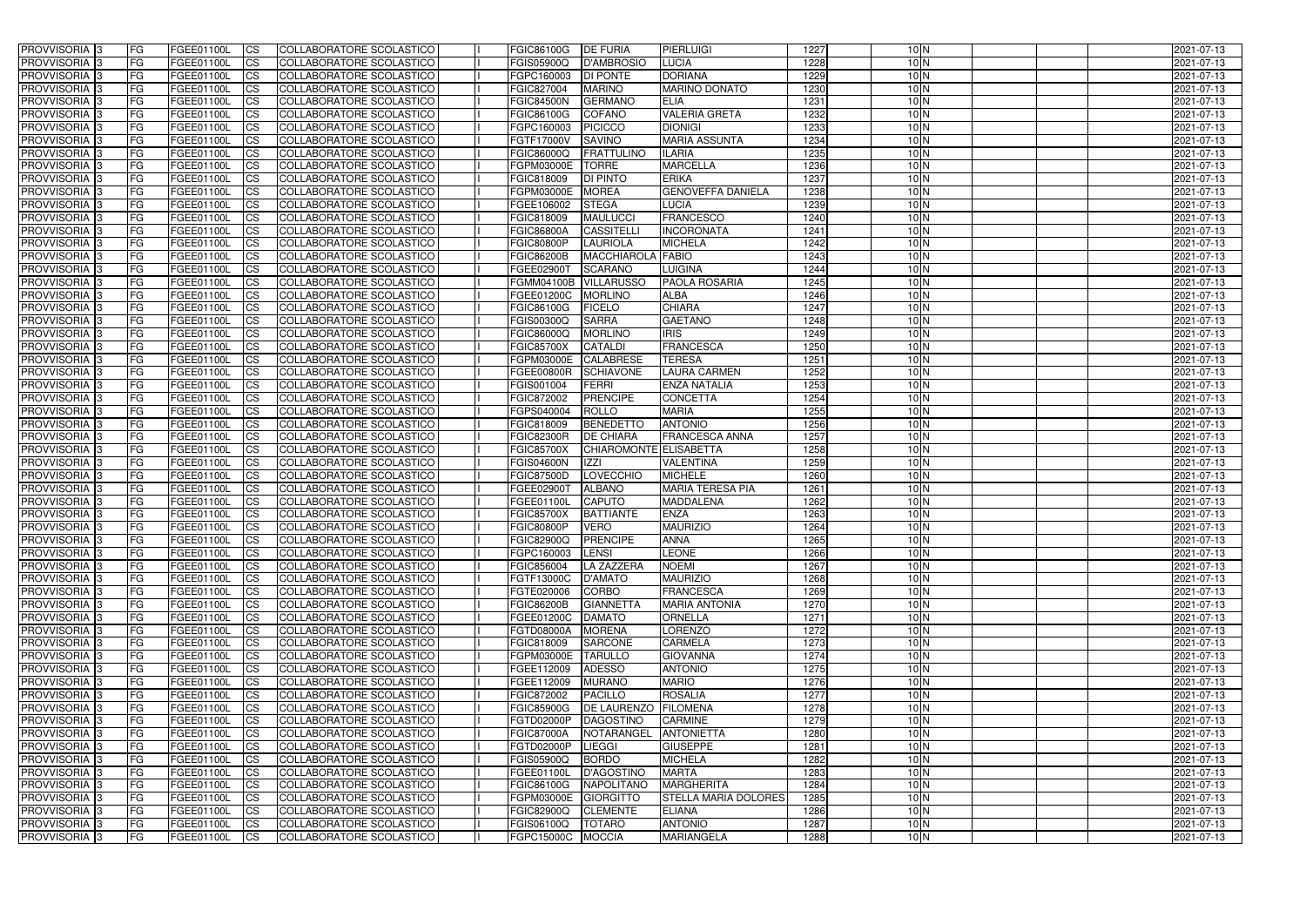| <b>PROVVISORIA</b> 3       | FG         | FGEE01100L        | <b>ICS</b>             | COLLABORATORE SCOLASTICO        | <b>FGIC86100G</b> | <b>DE FURIA</b>        | PIERLUIGI                   | 1227 | $10\text{N}$    | 2021-07-13 |
|----------------------------|------------|-------------------|------------------------|---------------------------------|-------------------|------------------------|-----------------------------|------|-----------------|------------|
| <b>PROVVISORIA 3</b>       | FG         | FGEE01100L        | <b>CS</b>              | COLLABORATORE SCOLASTICO        | <b>FGIS05900Q</b> | D'AMBROSIO             | LUCIA                       | 1228 | 10N             | 2021-07-13 |
| PROVVISORIA <sup>3</sup>   | FG         | FGEE01100L        | <b>CS</b>              | COLLABORATORE SCOLASTICO        | FGPC160003        | <b>DI PONTE</b>        | <b>DORIANA</b>              | 1229 | 10 <sub>N</sub> | 2021-07-13 |
| PROVVISORIA <sup>3</sup>   | FG         | FGEE01100L        | <b>CS</b>              | COLLABORATORE SCOLASTICO        | FGIC827004        | <b>MARINO</b>          | <b>MARINO DONATO</b>        | 1230 | 10N             | 2021-07-13 |
| PROVVISORIA <sup>3</sup>   | FG         | FGEE01100L        | <b>CS</b>              | COLLABORATORE SCOLASTICO        | <b>FGIC84500N</b> | <b>GERMANO</b>         | <b>ELIA</b>                 | 1231 | $10\text{N}$    | 2021-07-13 |
| PROVVISORIA <sup>3</sup>   | FG         | FGEE01100L        | <b>CS</b>              | COLLABORATORE SCOLASTICO        | FGIC86100G        | <b>COFANO</b>          | <b>VALERIA GRETA</b>        | 1232 | $10\text{N}$    | 2021-07-13 |
| PROVVISORIA <sup>3</sup>   | FG         | FGEE01100L        | <b>CS</b>              | COLLABORATORE SCOLASTICO        | FGPC160003        | <b>PICICCO</b>         | <b>DIONIGI</b>              | 1233 | 10N             | 2021-07-13 |
| PROVVISORIA 3              | FG         | <b>FGEE01100L</b> | <b>CS</b>              | COLLABORATORE SCOLASTICO        | FGTF17000V        | <b>SAVINO</b>          | <b>MARIA ASSUNTA</b>        | 1234 | 10 <sub>N</sub> | 2021-07-13 |
| PROVVISORIA 3              | FG         | FGEE01100L        | <b>CS</b>              | <b>COLLABORATORE SCOLASTICO</b> | FGIC86000Q        | <b>FRATTULINO</b>      | <b>ILARIA</b>               | 1235 | 10 <sub>N</sub> | 2021-07-13 |
| PROVVISORIA <sup>3</sup>   | FG         | FGEE01100L        | $\overline{c}$         | COLLABORATORE SCOLASTICO        | FGPM03000E        | <b>TORRE</b>           | <b>MARCELLA</b>             | 1236 | 10 <sub>N</sub> | 2021-07-13 |
| PROVVISORIA <sup>3</sup>   | FG         | FGEE01100L        | <b>CS</b>              | COLLABORATORE SCOLASTICO        | FGIC818009        | <b>DI PINTO</b>        | <b>ERIKA</b>                | 1237 | 10 <sub>N</sub> | 2021-07-13 |
| PROVVISORIA <sup>3</sup>   | FG         | FGEE01100L        | <b>CS</b>              | COLLABORATORE SCOLASTICO        | FGPM03000E        | <b>MOREA</b>           | <b>GENOVEFFA DANIELA</b>    | 1238 | 10 <sub>N</sub> | 2021-07-13 |
| PROVVISORIA <sup>3</sup>   | FG         | <b>FGEE01100L</b> | <b>ICS</b>             | COLLABORATORE SCOLASTICO        | FGEE106002        | <b>STEGA</b>           | <b>LUCIA</b>                | 1239 | 10 <sub>N</sub> | 2021-07-13 |
| PROVVISORIA <sup>3</sup>   | FG         | FGEE01100L        | <b>ICS</b>             | COLLABORATORE SCOLASTICO        | FGIC818009        | <b>MAULUCCI</b>        | <b>FRANCESCO</b>            | 1240 | 10 <sub>N</sub> | 2021-07-13 |
| PROVVISORIA <sup>3</sup>   | FG         | FGEE01100L        | <b>ICS</b>             | COLLABORATORE SCOLASTICO        | <b>FGIC86800A</b> | <b>CASSITELL</b>       | <b>INCORONATA</b>           | 1241 | 10 <sub>N</sub> | 2021-07-13 |
| <b>PROVVISORIA</b> 3       | FG         | FGEE01100L        | <b>ICS</b>             | <b>COLLABORATORE SCOLASTICO</b> | <b>FGIC80800P</b> | <b>LAURIOLA</b>        | <b>MICHELA</b>              | 1242 | 10 <sub>N</sub> | 2021-07-13 |
| PROVVISORIA <sup>3</sup>   | FG         | FGEE01100L        | <b>ICS</b>             | COLLABORATORE SCOLASTICO        | <b>FGIC86200B</b> | <b>MACCHIAROLA</b>     | <b>FABIO</b>                | 1243 | 10 <sub>N</sub> | 2021-07-13 |
| PROVVISORIA 3              | FG         | FGEE01100L        | <b>CS</b>              | COLLABORATORE SCOLASTICO        | FGEE02900T        | <b>SCARANO</b>         | LUIGINA                     | 1244 | 10 <sub>N</sub> | 2021-07-13 |
| PROVVISORIA <sup>3</sup>   | FG         | FGEE01100L        | <b>ICS</b>             | COLLABORATORE SCOLASTICO        | <b>FGMM04100B</b> | <b>VILLARUSSO</b>      | PAOLA ROSARIA               | 1245 | $10\text{N}$    | 2021-07-13 |
| PROVVISORIA <sup>3</sup>   | FG         | FGEE01100L        | <b>ICS</b>             | COLLABORATORE SCOLASTICO        | FGEE01200C        | <b>MORLINO</b>         | <b>ALBA</b>                 | 1246 | 10 <sub>N</sub> | 2021-07-13 |
| PROVVISORIA <sup>3</sup>   | FG         | FGEE01100L        | <b>I</b> CS            | COLLABORATORE SCOLASTICO        | <b>FGIC86100G</b> | <b>FICELO</b>          | <b>CHIARA</b>               | 1247 | 10 <sub>N</sub> | 2021-07-13 |
| PROVVISORIA <sup>3</sup>   | FG         | FGEE01100L        | <b>CS</b>              | COLLABORATORE SCOLASTICO        | FGIS00300Q        | <b>SARRA</b>           | <b>GAETANO</b>              | 1248 | 10 <sub>N</sub> | 2021-07-13 |
| PROVVISORIA <sup>3</sup>   | FG         | FGEE01100L        | <b>CS</b>              | COLLABORATORE SCOLASTICO        | FGIC86000Q        | <b>MORLINO</b>         | <b>IRIS</b>                 | 1249 | 10 <sub>N</sub> | 2021-07-13 |
| PROVVISORIA <sup>3</sup>   | FG         | FGEE01100L        | <b>CS</b>              | COLLABORATORE SCOLASTICO        | <b>FGIC85700X</b> | <b>CATALDI</b>         | <b>FRANCESCA</b>            | 1250 | 10 <sub>N</sub> | 2021-07-13 |
| PROVVISORIA <sup>3</sup>   | FG         | FGEE01100L        | <b>CS</b>              | COLLABORATORE SCOLASTICO        | FGPM03000E        | <b>CALABRESE</b>       | <b>TERESA</b>               | 1251 | 10N             | 2021-07-13 |
| PROVVISORIA <sup>1</sup> 3 | FG         | FGEE01100L        | <b>CS</b>              | COLLABORATORE SCOLASTICO        | <b>FGEE00800R</b> | <b>SCHIAVONE</b>       | <b>LAURA CARMEN</b>         | 1252 | 10 <sub>N</sub> | 2021-07-13 |
| PROVVISORIA 3              | FG         | FGEE01100L        | <b>CS</b>              | COLLABORATORE SCOLASTICO        | FGIS001004        | FERRI                  | <b>ENZA NATALIA</b>         | 1253 | 10 <sub>N</sub> | 2021-07-13 |
| PROVVISORIA <sup>3</sup>   | FG.        | FGEE01100L        | <b>CS</b>              | COLLABORATORE SCOLASTICO        | FGIC872002        | <b>PRENCIPE</b>        | <b>CONCETTA</b>             | 1254 | 10 <sub>N</sub> | 2021-07-13 |
| PROVVISORIA <sup>3</sup>   | FG         | <b>FGEE01100L</b> | <b>CS</b>              | COLLABORATORE SCOLASTICO        | FGPS040004        | <b>ROLLO</b>           | <b>MARIA</b>                | 1255 | $10\text{N}$    | 2021-07-13 |
| PROVVISORIA <sup>1</sup> 3 | FG         | <b>FGEE01100L</b> | <b>CS</b>              | COLLABORATORE SCOLASTICO        | FGIC818009        | <b>BENEDETTO</b>       | <b>ANTONIO</b>              | 1256 | 10 <sub>N</sub> | 2021-07-13 |
| PROVVISORIA <sup>3</sup>   | FG.        | FGEE01100L        | <b>CS</b>              | COLLABORATORE SCOLASTICO        | <b>FGIC82300R</b> | <b>DE CHIARA</b>       | <b>FRANCESCA ANNA</b>       | 1257 | $10\text{N}$    | 2021-07-13 |
| PROVVISORIA <sup>3</sup>   | FG         | <b>FGEE01100L</b> | $\overline{\text{cs}}$ | COLLABORATORE SCOLASTICO        | <b>FGIC85700X</b> | CHIAROMONTE ELISABETTA |                             | 1258 | 10N             | 2021-07-13 |
| PROVVISORIA <sup>3</sup>   | FG         | <b>FGEE01100L</b> | <b>CS</b>              | COLLABORATORE SCOLASTICO        | <b>FGIS04600N</b> | <b>IZZI</b>            | <b>VALENTINA</b>            | 1259 | 10 <sub>N</sub> | 2021-07-13 |
| PROVVISORIA <sup>3</sup>   | FG         | <b>FGEE01100L</b> | <b>CS</b>              | COLLABORATORE SCOLASTICO        | <b>FGIC87500D</b> | LOVECCHIO              | <b>MICHELE</b>              | 1260 | 10 <sub>N</sub> | 2021-07-13 |
| PROVVISORIA <sup>3</sup>   | FG         | FGEE01100L        | $\overline{\text{cs}}$ | <b>COLLABORATORE SCOLASTICO</b> | FGEE02900T        | <b>ALBANO</b>          | <b>MARIA TERESA PIA</b>     | 1261 | 10 <sub>N</sub> | 2021-07-13 |
| PROVVISORIA <sup>3</sup>   | FG         | <b>FGEE01100L</b> | <b>CS</b>              | <b>COLLABORATORE SCOLASTICO</b> | FGEE01100L        | <b>CAPUTO</b>          | <b>MADDALENA</b>            | 1262 | 10 <sub>N</sub> | 2021-07-13 |
| PROVVISORIA <sup>3</sup>   | FG         | FGEE01100L        | <b>CS</b>              | COLLABORATORE SCOLASTICO        | <b>FGIC85700X</b> | <b>BATTIANTE</b>       | <b>ENZA</b>                 | 1263 | 10 <sub>N</sub> | 2021-07-13 |
| PROVVISORIA 3              | FG         | FGEE01100L        | <b>I</b> CS            | COLLABORATORE SCOLASTICO        | <b>FGIC80800P</b> | <b>VERO</b>            | <b>MAURIZIO</b>             | 1264 | 10 <sub>N</sub> | 2021-07-13 |
| <b>PROVVISORIA</b> 3       | IFG.       | FGEE01100L        | CS                     | COLLABORATORE SCOLASTICO        | <b>FGIC82900Q</b> | PRENCIPE               | <b>ANNA</b>                 | 1265 | 10 <sub>N</sub> | 2021-07-13 |
| PROVVISORIA 3              | IFG.       | FGEE01100L        | <b>ICS</b>             | COLLABORATORE SCOLASTICO        | FGPC160003        | <b>LENSI</b>           | <b>LEONE</b>                | 1266 | 10 <sub>N</sub> | 2021-07-13 |
| PROVVISORIA 3              | FG         | FGEE01100L        | <b>CS</b>              | COLLABORATORE SCOLASTICO        | FGIC856004        | LA ZAZZERA             | <b>NOEMI</b>                | 1267 | $10\text{N}$    | 2021-07-13 |
| PROVVISORIA 3              | FG         | FGEE01100L        | <b>CS</b>              | COLLABORATORE SCOLASTICO        | <b>FGTF13000C</b> | <b>D'AMATO</b>         | <b>MAURIZIO</b>             | 1268 | 10 <sub>N</sub> | 2021-07-13 |
| PROVVISORIA <sup>3</sup>   | FG         | FGEE01100L        | <b>ICS</b>             | <b>COLLABORATORE SCOLASTICO</b> | FGTE020006        | <b>CORBO</b>           | <b>FRANCESCA</b>            | 1269 | $10\text{N}$    | 2021-07-13 |
| PROVVISORIA 3              | FG         | FGEE01100L        | <b>CS</b>              | COLLABORATORE SCOLASTICO        | <b>FGIC86200B</b> | <b>GIANNETTA</b>       | <b>MARIA ANTONIA</b>        | 1270 | $10\text{N}$    | 2021-07-13 |
| PROVVISORIA 3              | FG         | FGEE01100L        | <b>CS</b>              | COLLABORATORE SCOLASTICO        | <b>FGEE01200C</b> | <b>DAMATO</b>          | <b>ORNELLA</b>              | 1271 | 10 <sub>N</sub> | 2021-07-13 |
| PROVVISORIA 3              | FG         | FGEE01100L        | <b>CS</b>              | COLLABORATORE SCOLASTICO        | FGTD08000A        | <b>MORENA</b>          | <b>LORENZO</b>              | 1272 | 10 <sub>N</sub> | 2021-07-13 |
| PROVVISORIA 3              | FG         | FGEE01100L        | <b>CS</b>              | COLLABORATORE SCOLASTICO        | FGIC818009        | <b>SARCONE</b>         | <b>CARMELA</b>              | 1273 | 10 <sub>N</sub> | 2021-07-13 |
| PROVVISORIA 3              | FG         | FGEE01100L        | <b>CS</b>              | COLLABORATORE SCOLASTICO        | FGPM03000E        | <b>TARULLO</b>         | <b>GIOVANNA</b>             | 1274 | 10 <sub>N</sub> | 2021-07-13 |
| PROVVISORIA 3              | FG         | FGEE01100L        | <b>CS</b>              | COLLABORATORE SCOLASTICO        | FGEE112009        | <b>ADESSO</b>          | <b>ANTONIO</b>              | 1275 | 10 <sub>N</sub> | 2021-07-13 |
| PROVVISORIA 3              | FG         | FGEE01100L        | <b>CS</b>              | COLLABORATORE SCOLASTICO        | FGEE112009        | <b>MURANO</b>          | <b>MARIO</b>                | 1276 | 10 <sub>N</sub> | 2021-07-13 |
| PROVVISORIA 3              | FG         | FGEE01100L        | <b>CS</b>              | COLLABORATORE SCOLASTICO        | FGIC872002        | <b>PACILLO</b>         | <b>ROSALIA</b>              | 1277 | 10 <sub>N</sub> | 2021-07-13 |
| <b>PROVVISORIA</b> 3       | IFG.       | FGEE01100L        | <b>CS</b>              | COLLABORATORE SCOLASTICO        | <b>FGIC85900G</b> | DE LAURENZO FILOMENA   |                             | 1278 | 10 <sub>N</sub> | 2021-07-13 |
| <b>PROVVISORIA</b> 3       | IFG.       | FGEE01100L        | <b>CS</b>              | COLLABORATORE SCOLASTICO        | FGTD02000P        | DAGOSTINO              | <b>CARMINE</b>              | 1279 | 10 <sub>N</sub> | 2021-07-13 |
| PROVVISORIA 3              | <b>IFG</b> | <b>FGEE01100L</b> | <b>CS</b>              | <b>COLLABORATORE SCOLASTICO</b> | <b>FGIC87000A</b> | NOTARANGEL             | <b>ANTONIETTA</b>           | 1280 | 10 <sub>N</sub> | 2021-07-13 |
| PROVVISORIA 3              | <b>IFG</b> | FGEE01100L        | <b>CS</b>              | COLLABORATORE SCOLASTICO        | FGTD02000P        | LIEGGI                 | <b>GIUSEPPE</b>             | 1281 | 10 <sub>N</sub> | 2021-07-13 |
| PROVVISORIA 3              | IFG.       | FGEE01100L        | <b>CS</b>              | COLLABORATORE SCOLASTICO        | <b>FGIS05900Q</b> | <b>BORDO</b>           | <b>MICHELA</b>              | 1282 | $10\text{N}$    | 2021-07-13 |
| PROVVISORIA 3              | FG         | FGEE01100L        | <b>CS</b>              | COLLABORATORE SCOLASTICO        | FGEE01100L        | D'AGOSTINO             | <b>MARTA</b>                | 1283 | 10 <sub>N</sub> | 2021-07-13 |
| PROVVISORIA 3              | <b>FG</b>  | FGEE01100L        | <b>CS</b>              | COLLABORATORE SCOLASTICO        | <b>FGIC86100G</b> | <b>NAPOLITANO</b>      | <b>MARGHERITA</b>           | 1284 | 10 <sub>N</sub> | 2021-07-13 |
| PROVVISORIA 3              | FG         | <b>FGEE01100L</b> | <b>CS</b>              | COLLABORATORE SCOLASTICO        | FGPM03000E        | GIORGITTO              | <b>STELLA MARIA DOLORES</b> | 1285 | 10 <sub>N</sub> | 2021-07-13 |
| <b>PROVVISORIA</b> 3       | FG         | FGEE01100L        | <b>ICS</b>             | COLLABORATORE SCOLASTICO        | <b>FGIC82900Q</b> | <b>CLEMENTE</b>        | <b>ELIANA</b>               | 1286 | 10 <sub>N</sub> | 2021-07-13 |
| PROVVISORIA 3              | FG         | FGEE01100L        | <b>CS</b>              | COLLABORATORE SCOLASTICO        | FGIS06100Q        | <b>TOTARO</b>          | <b>ANTONIO</b>              | 1287 | 10 <sub>N</sub> | 2021-07-13 |
| PROVVISORIA 3              | FG         | FGEE01100L        | <b>CS</b>              | COLLABORATORE SCOLASTICO        | <b>FGPC15000C</b> | <b>MOCCIA</b>          | <b>MARIANGELA</b>           | 1288 | 10 <sub>N</sub> | 2021-07-13 |
|                            |            |                   |                        |                                 |                   |                        |                             |      |                 |            |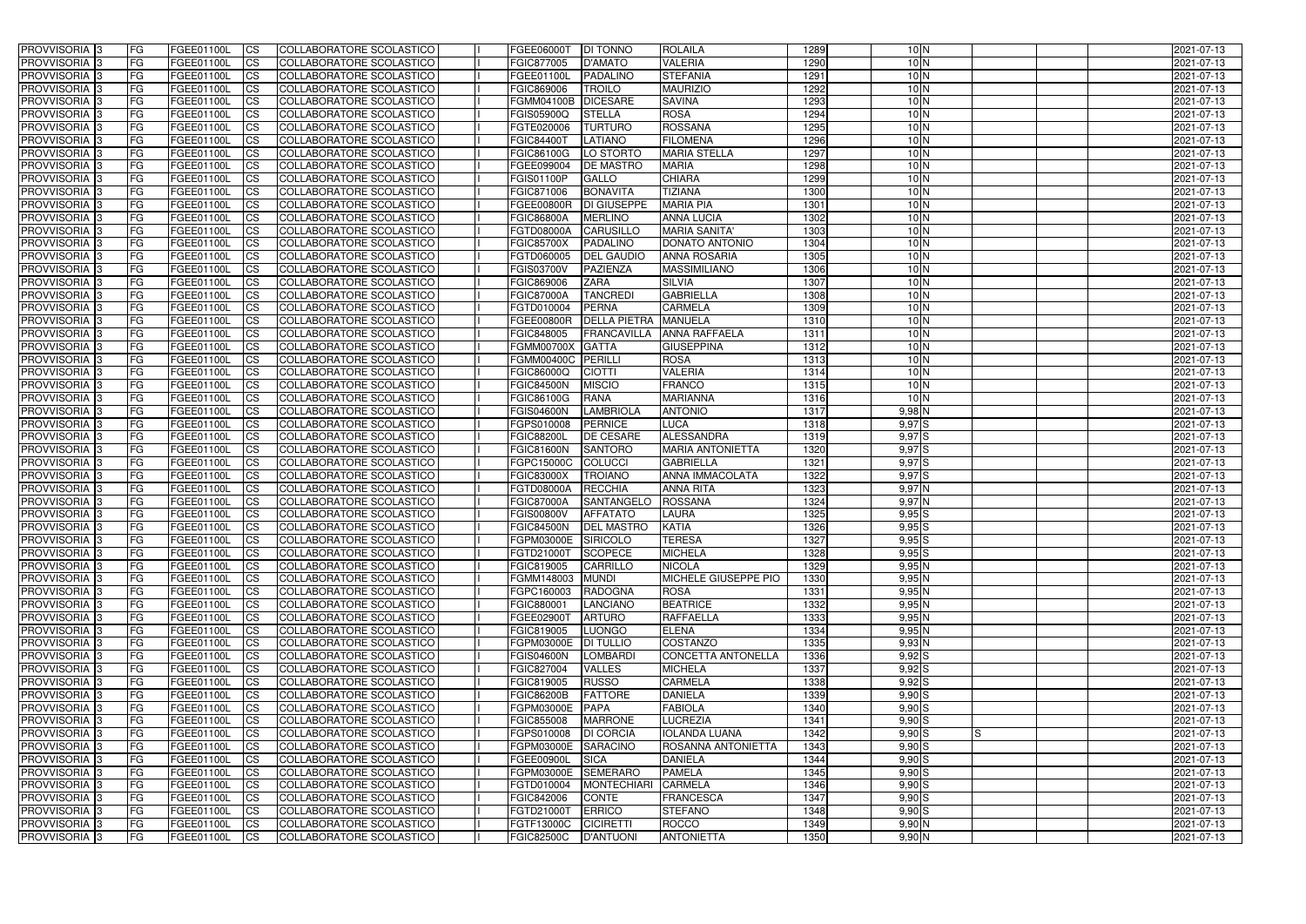| PROVVISORIA <sup>13</sup>      | FG        | FGEE01100L               | <b>CS</b>              | COLLABORATORE SCOLASTICO                             | FGEE06000T                      | <b>DI TONNO</b>                    | <b>ROLAILA</b>            | 1289         | $10\text{N}$      |    | 2021-07-13               |
|--------------------------------|-----------|--------------------------|------------------------|------------------------------------------------------|---------------------------------|------------------------------------|---------------------------|--------------|-------------------|----|--------------------------|
| PROVVISORIA 3                  | l FG      | FGEE01100L               | <b>ICS</b>             | COLLABORATORE SCOLASTICO                             | FGIC877005                      | D'AMATO                            | <b>VALERIA</b>            | 1290         | 10 <sub>N</sub>   |    | 2021-07-13               |
| PROVVISORIA 3                  | FG        | FGEE01100L               | <b>CS</b>              | COLLABORATORE SCOLASTICO                             | FGEE01100L                      | PADALINO                           | <b>STEFANIA</b>           | 1291         | 10 <sub>N</sub>   |    | 2021-07-13               |
| PROVVISORIA 3                  | <b>FG</b> | FGEE01100L               | <b>CS</b>              | COLLABORATORE SCOLASTICO                             | FGIC869006                      | <b>TROILO</b>                      | <b>MAURIZIO</b>           | 1292         | 10 <sub>N</sub>   |    | 2021-07-13               |
| PROVVISORIA 3                  | FG        | FGEE01100L               | <b>CS</b>              | COLLABORATORE SCOLASTICO                             | FGMM04100B                      | <b>DICESARE</b>                    | <b>SAVINA</b>             | 1293         | 10 <sub>N</sub>   |    | 2021-07-13               |
| PROVVISORIA 3                  | FG        | FGEE01100L               | <b>CS</b>              | COLLABORATORE SCOLASTICO                             | <b>FGIS05900Q</b>               | <b>STELLA</b>                      | <b>ROSA</b>               | 1294         | $10\text{N}$      |    | 2021-07-13               |
| PROVVISORIA 3                  | FG        | FGEE01100L               | <b>CS</b>              | COLLABORATORE SCOLASTICO                             | FGTE020006                      | <b>TURTURO</b>                     | <b>ROSSANA</b>            | 1295         | 10 <sub>N</sub>   |    | 2021-07-13               |
| PROVVISORIA 3                  | FG        | FGEE01100L               | <b>CS</b>              | COLLABORATORE SCOLASTICO                             | <b>FGIC84400T</b>               | LATIANO                            | <b>FILOMENA</b>           | 1296         | 10 <sub>N</sub>   |    | 2021-07-13               |
| PROVVISORIA 3                  | FG        | FGEE01100L               | <b>CS</b>              | COLLABORATORE SCOLASTICO                             | FGIC86100G                      | LO STORTO                          | <b>MARIA STELLA</b>       | 1297         | 10 <sub>N</sub>   |    | 2021-07-13               |
| PROVVISORIA 3                  | FG        | FGEE01100L               | $\overline{\text{CS}}$ | COLLABORATORE SCOLASTICO                             | FGEE099004                      | <b>DE MASTRO</b>                   | <b>MARIA</b>              | 1298         | 10 <sub>N</sub>   |    | 2021-07-13               |
| PROVVISORIA 3                  | <b>FG</b> | FGEE01100L               | $\overline{\text{CS}}$ | COLLABORATORE SCOLASTICO                             | <b>FGIS01100P</b>               | <b>GALLO</b>                       | <b>CHIARA</b>             | 1299         | 10 <sub>N</sub>   |    | 2021-07-13               |
| PROVVISORIA 3                  | <b>FG</b> | FGEE01100L               | <b>CS</b>              | COLLABORATORE SCOLASTICO                             | FGIC871006                      | <b>BONAVITA</b>                    | <b>TIZIANA</b>            | 1300         | 10 <sub>N</sub>   |    | 2021-07-13               |
| PROVVISORIA <sup>3</sup>       | FG        | FGEE01100L               | $\overline{\text{cs}}$ | COLLABORATORE SCOLASTICO                             | <b>FGEE00800R</b>               | <b>DI GIUSEPPE</b>                 | <b>MARIA PIA</b>          | 1301         | 10 <sub>N</sub>   |    | 2021-07-13               |
| PROVVISORIA 3                  | FG        | FGEE01100L               | <b>CS</b>              | COLLABORATORE SCOLASTICO                             | <b>FGIC86800A</b>               | <b>MERLINO</b>                     | <b>ANNA LUCIA</b>         | 1302         | 10 <sub>N</sub>   |    | 2021-07-13               |
| PROVVISORIA 3                  | FG        | FGEE01100L               | <b>ICS</b>             | COLLABORATORE SCOLASTICO                             | FGTD08000A                      | <b>CARUSILLO</b>                   | <b>MARIA SANITA'</b>      | 1303         | 10 <sub>N</sub>   |    | 2021-07-13               |
| PROVVISORIA <sup>1</sup> 3     | FG        | FGEE01100L               | <b>ICS</b>             | COLLABORATORE SCOLASTICO                             | <b>FGIC85700X</b>               | PADALINO                           | DONATO ANTONIO            | 1304         | 10 <sub>N</sub>   |    | 2021-07-13               |
| <b>PROVVISORIA</b>             | FG        | FGEE01100L               | <b>ICS</b>             | COLLABORATORE SCOLASTICO                             | FGTD060005                      | <b>DEL GAUDIO</b>                  | <b>ANNA ROSARIA</b>       | 1305         | 10 <sub>N</sub>   |    | 2021-07-13               |
| PROVVISORIA 3                  | FG        | FGEE01100L               | <b>ICS</b>             | <b>COLLABORATORE SCOLASTICO</b>                      | <b>FGIS03700V</b>               | PAZIENZA                           | <b>MASSIMILIANO</b>       | 1306         | 10 <sub>N</sub>   |    | 2021-07-13               |
| PROVVISORIA <sup>1</sup> 3     | FG        | FGEE01100L               | ICS                    | COLLABORATORE SCOLASTICO                             | FGIC869006                      | <b>ZARA</b>                        | <b>SILVIA</b>             | 1307         | 10 <sub>N</sub>   |    | 2021-07-13               |
| PROVVISORIA 3                  | FG        | FGEE01100L               | <b>ICS</b>             | COLLABORATORE SCOLASTICO                             | <b>FGIC87000A</b>               | <b>TANCREDI</b>                    | <b>GABRIELLA</b>          | 1308         | 10 <sub>N</sub>   |    | 2021-07-13               |
| PROVVISORIA 3                  | FG        | FGEE01100L               | <b>CS</b>              | <b>COLLABORATORE SCOLASTICO</b>                      | FGTD010004                      | <b>PERNA</b>                       | <b>CARMELA</b>            | 1309         | 10 <sub>N</sub>   |    | 2021-07-13               |
| PROVVISORIA 3                  | FG        | FGEE01100L               | <b>ICS</b>             | COLLABORATORE SCOLASTICO                             | <b>FGEE00800R</b>               | <b>DELLA PIETRA</b>                | <b>MANUELA</b>            | 1310         | 10 <sub>N</sub>   |    | 2021-07-13               |
| PROVVISORIA <sup>3</sup>       | FG        | FGEE01100L               | $\overline{c}$         | COLLABORATORE SCOLASTICO                             | FGIC848005                      | <b>FRANCAVILLA</b>                 | <b>ANNA RAFFAELA</b>      | 1311         | 10 <sub>N</sub>   |    | 2021-07-13               |
| PROVVISORIA <sup>3</sup>       | FG        | FGEE01100L               | <b>CS</b>              | <b>COLLABORATORE SCOLASTICO</b>                      | <b>FGMM00700X</b>               | <b>GATTA</b>                       | <b>GIUSEPPINA</b>         | 1312         | 10 <sub>N</sub>   |    | 2021-07-13               |
| PROVVISORIA 3                  | FG        | FGEE01100L               | <b>CS</b>              | COLLABORATORE SCOLASTICO                             | <b>FGMM00400C</b>               | PERILLI                            | <b>ROSA</b>               | 1313         | 10 <sub>N</sub>   |    | 2021-07-13               |
| PROVVISORIA 3                  | FG        | FGEE01100L               | <b>CS</b>              | COLLABORATORE SCOLASTICO                             | FGIC86000Q                      | <b>CIOTTI</b>                      | <b>VALERIA</b>            | 1314         | 10 <sub>N</sub>   |    | 2021-07-13               |
| PROVVISORIA 3                  | l FG      | FGEE01100L               | <b>CS</b>              | COLLABORATORE SCOLASTICO                             | <b>FGIC84500N</b>               | <b>MISCIO</b>                      | <b>FRANCO</b>             | 1315         | 10 <sub>N</sub>   |    | 2021-07-13               |
| PROVVISORIA 3                  | FG        | FGEE01100L               | <b>CS</b>              | COLLABORATORE SCOLASTICO                             | FGIC86100G                      | <b>RANA</b>                        | <b>MARIANNA</b>           | 1316         | 10 <sub>N</sub>   |    | 2021-07-13               |
| PROVVISORIA 3                  | FG        | FGEE01100L               | <b>CS</b>              | COLLABORATORE SCOLASTICO                             | <b>FGIS04600N</b>               | <b>LAMBRIOLA</b>                   | <b>ANTONIO</b>            | 1317         | $9,98$ N          |    | 2021-07-13               |
| PROVVISORIA 3                  | <b>FG</b> | FGEE01100L               | <b>CS</b>              | COLLABORATORE SCOLASTICO<br>COLLABORATORE SCOLASTICO | FGPS010008<br><b>FGIC88200L</b> | <b>PERNICE</b><br><b>DE CESARE</b> | LUCA<br><b>ALESSANDRA</b> | 1318<br>1319 | $9,97$ S          |    | 2021-07-13               |
| PROVVISORIA 3<br>PROVVISORIA 3 | FG<br> FG | FGEE01100L<br>FGEE01100L | <b>CS</b><br><b>CS</b> | COLLABORATORE SCOLASTICO                             | <b>FGIC81600N</b>               | <b>SANTORO</b>                     | <b>MARIA ANTONIETTA</b>   | 1320         | $9,97$ S<br>9,97S |    | 2021-07-13<br>2021-07-13 |
| PROVVISORIA 3                  | IFG.      | <b>FGEE01100L</b>        | <b>CS</b>              | COLLABORATORE SCOLASTICO                             | FGPC15000C                      | <b>COLUCCI</b>                     | <b>GABRIELLA</b>          | 1321         | 9,97S             |    | 2021-07-13               |
| PROVVISORIA <sup>3</sup>       | FG        | FGEE01100L               | <b>CS</b>              | COLLABORATORE SCOLASTICO                             | <b>FGIC83000X</b>               | <b>TROIANO</b>                     | <b>ANNA IMMACOLATA</b>    | 1322         | 9,97S             |    | 2021-07-13               |
| PROVVISORIA 3                  | FG        | FGEE01100L               | $\overline{\text{cs}}$ | <b>COLLABORATORE SCOLASTICO</b>                      | FGTD08000A                      | <b>RECCHIA</b>                     | <b>ANNA RITA</b>          | 1323         | 9,97N             |    | 2021-07-13               |
| PROVVISORIA 3                  | FG        | FGEE01100L               | <b>CS</b>              | COLLABORATORE SCOLASTICO                             | <b>FGIC87000A</b>               | <b>SANTANGELO</b>                  | <b>ROSSANA</b>            | 1324         | 9,97 N            |    | 2021-07-13               |
| PROVVISORIA 3                  | FG        | FGEE01100L               | <b>CS</b>              | COLLABORATORE SCOLASTICO                             | <b>FGIS00800V</b>               | <b>AFFATATO</b>                    | LAURA                     | 1325         | $9,95$ S          |    | 2021-07-13               |
| PROVVISORIA 3                  | FG        | FGEE01100L               | <b>CS</b>              | COLLABORATORE SCOLASTICO                             | <b>FGIC84500N</b>               | <b>DEL MASTRO</b>                  | <b>KATIA</b>              | 1326         | 9,95S             |    | 2021-07-13               |
| PROVVISORIA 3                  | FG        | FGEE01100L               | CS                     | COLLABORATORE SCOLASTICO                             | FGPM03000E SIRICOLO             |                                    | <b>TERESA</b>             | 1327         | $9,95$ S          |    | 2021-07-13               |
| PROVVISORIA 3                  | l FG      | FGEE01100L               | <b>CS</b>              | COLLABORATORE SCOLASTICO                             | FGTD21000T                      | <b>SCOPECE</b>                     | <b>MICHELA</b>            | 1328         | 9,95S             |    | 2021-07-13               |
| PROVVISORIA 3                  | FG        | FGEE01100L               | <b>CS</b>              | COLLABORATORE SCOLASTICO                             | FGIC819005                      | CARRILLO                           | <b>NICOLA</b>             | 1329         | 9,95N             |    | 2021-07-13               |
| PROVVISORIA 3                  | <b>FG</b> | FGEE01100L               | <b>CS</b>              | COLLABORATORE SCOLASTICO                             | FGMM148003                      | <b>MUNDI</b>                       | MICHELE GIUSEPPE PIO      | 1330         | 9,95N             |    | 2021-07-13               |
| PROVVISORIA 3                  | FG        | <b>FGEE01100L</b>        | CS                     | COLLABORATORE SCOLASTICO                             | FGPC160003                      | <b>RADOGNA</b>                     | <b>ROSA</b>               | 1331         | 9,95N             |    | 2021-07-13               |
| PROVVISORIA 3                  | l FG      | <b>FGEE01100L</b>        | <b>CS</b>              | COLLABORATORE SCOLASTICO                             | FGIC880001                      | <b>LANCIANO</b>                    | <b>BEATRICE</b>           | 1332         | 9,95N             |    | 2021-07-13               |
| PROVVISORIA 3                  | <b>FG</b> | FGEE01100L               | <b>CS</b>              | COLLABORATORE SCOLASTICO                             | FGEE02900T                      | <b>ARTURO</b>                      | <b>RAFFAELLA</b>          | 1333         | 9,95N             |    | 2021-07-13               |
| PROVVISORIA 3                  | FG        | FGEE01100L               | <b>CS</b>              | COLLABORATORE SCOLASTICO                             | FGIC819005                      | <b>LUONGO</b>                      | <b>ELENA</b>              | 1334         | 9,95N             |    | 2021-07-13               |
| PROVVISORIA 3                  | <b>FG</b> | FGEE01100L               | <b>CS</b>              | COLLABORATORE SCOLASTICO                             | FGPM03000E                      | <b>DI TULLIO</b>                   | COSTANZO                  | 1335         | $9,93$ N          |    | 2021-07-13               |
| PROVVISORIA 3                  | FG        | FGEE01100L               | <b>CS</b>              | COLLABORATORE SCOLASTICO                             | <b>FGIS04600N</b>               | <b>LOMBARDI</b>                    | <b>CONCETTA ANTONELLA</b> | 1336         | 9,92S             |    | 2021-07-13               |
| PROVVISORIA 3                  | FG        | FGEE01100L               | <b>CS</b>              | COLLABORATORE SCOLASTICO                             | FGIC827004                      | <b>VALLES</b>                      | <b>MICHELA</b>            | 1337         | $9,92$ $S$        |    | 2021-07-13               |
| PROVVISORIA 3                  | <b>FG</b> | FGEE01100L               | <b>CS</b>              | COLLABORATORE SCOLASTICO                             | FGIC819005                      | <b>RUSSO</b>                       | <b>CARMELA</b>            | 1338         | $9,92$ $S$        |    | 2021-07-13               |
| PROVVISORIA 3                  | FG        | FGEE01100L               | <b>CS</b>              | COLLABORATORE SCOLASTICO                             | <b>FGIC86200B</b>               | <b>FATTORE</b>                     | <b>DANIELA</b>            | 1339         | 9,90S             |    | 2021-07-13               |
| PROVVISORIA 3                  | FG        | FGEE01100L               | <b>CS</b>              | COLLABORATORE SCOLASTICO                             | FGPM03000E                      | <b>PAPA</b>                        | <b>FABIOLA</b>            | 1340         | $9,90$ S          |    | 2021-07-13               |
| PROVVISORIA 3                  | FG        | FGEE01100L               | <b>CS</b>              | COLLABORATORE SCOLASTICO                             | FGIC855008                      | <b>MARRONE</b>                     | <b>LUCREZIA</b>           | 1341         | $9,90$ S          |    | 2021-07-13               |
| PROVVISORIA 3                  | <b>FG</b> | FGEE01100L               | <b>CS</b>              | COLLABORATORE SCOLASTICO                             | FGPS010008                      | <b>DI CORCIA</b>                   | <b>IOLANDA LUANA</b>      | 1342         | $9,90$ S          | IS | 2021-07-13               |
| PROVVISORIA 3                  | <b>FG</b> | FGEE01100L               | <b>CS</b>              | COLLABORATORE SCOLASTICO                             | FGPM03000E SARACINO             |                                    | ROSANNA ANTONIETTA        | 1343         | $9,90$ S          |    | 2021-07-13               |
| PROVVISORIA 3                  | FG        | FGEE01100L               | <b>CS</b>              | COLLABORATORE SCOLASTICO                             | FGEE00900L                      | <b>SICA</b>                        | <b>DANIELA</b>            | 1344         | 9,90S             |    | 2021-07-13               |
| PROVVISORIA 3                  | FG        | FGEE01100L               | <b>CS</b>              | COLLABORATORE SCOLASTICO                             | FGPM03000E                      | <b>SEMERARO</b>                    | <b>PAMELA</b>             | 1345         | $9,90$ S          |    | 2021-07-13               |
| PROVVISORIA 3                  | FG        | <b>FGEE01100L</b>        | <b>CS</b>              | COLLABORATORE SCOLASTICO                             | FGTD010004                      | <b>MONTECHIARI</b>                 | <b>CARMELA</b>            | 1346         | $9,90$ S          |    | 2021-07-13               |
| PROVVISORIA 3                  | IFG.      | FGEE01100L               | <b>CS</b>              | COLLABORATORE SCOLASTICO                             | FGIC842006                      | <b>CONTE</b>                       | <b>FRANCESCA</b>          | 1347         | $9,90$ S          |    | 2021-07-13               |
| PROVVISORIA 3                  | <b>FG</b> | <b>FGEE01100L</b>        | <b>CS</b>              | COLLABORATORE SCOLASTICO                             | FGTD21000T                      | <b>ERRICO</b>                      | <b>STEFANO</b>            | 1348         | 9,90S             |    | 2021-07-13               |
| PROVVISORIA 3                  | FG        | FGEE01100L               | <b>CS</b>              | COLLABORATORE SCOLASTICO                             | FGTF13000C                      | <b>CICIRETTI</b>                   | <b>ROCCO</b>              | 1349         | $9,90$ N          |    | 2021-07-13               |
| PROVVISORIA 3                  | FG        | FGEE01100L               | <b>CS</b>              | COLLABORATORE SCOLASTICO                             | <b>FGIC82500C</b>               | <b>D'ANTUONI</b>                   | <b>ANTONIETTA</b>         | 1350         | $9,90$ N          |    | 2021-07-13               |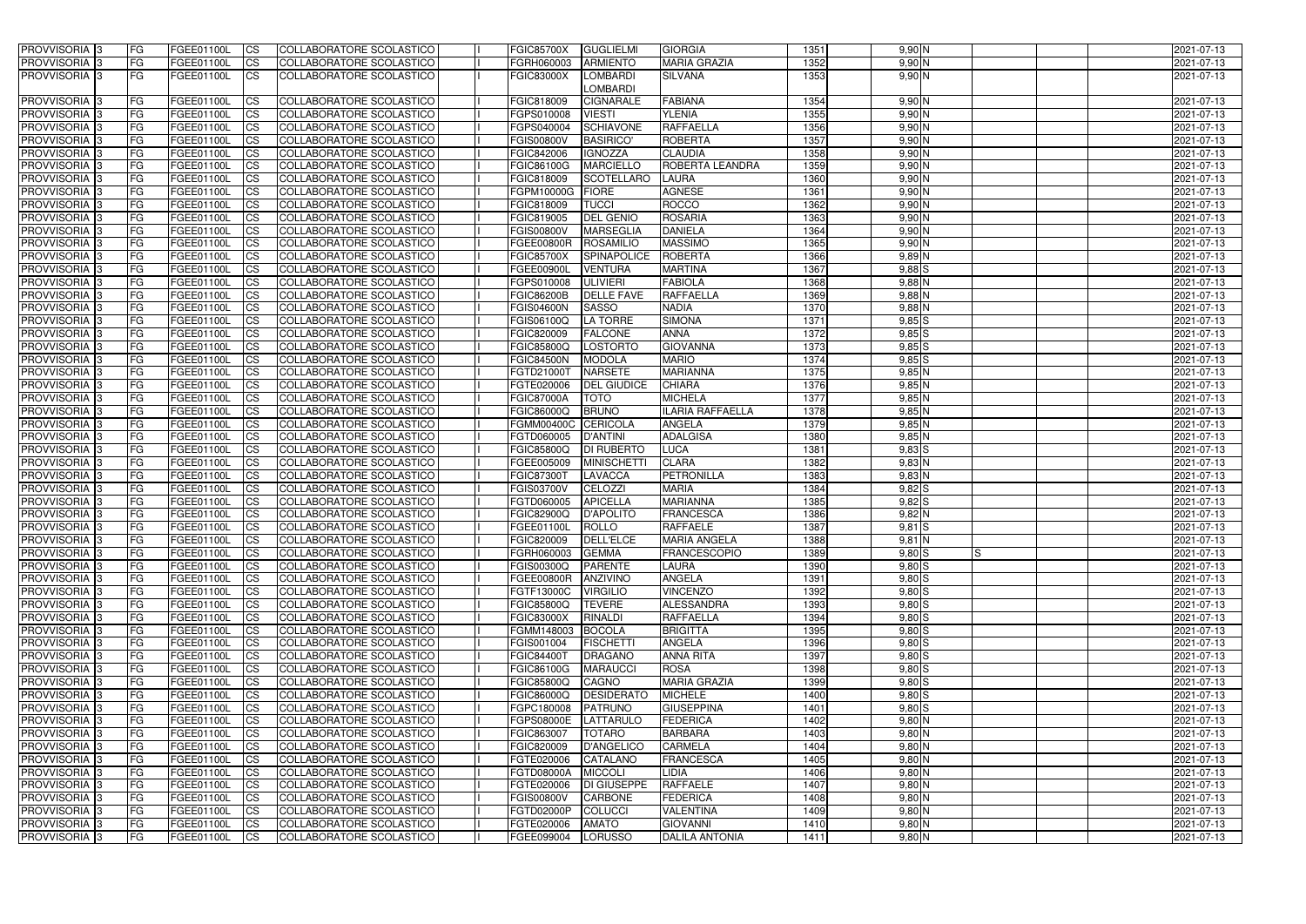| <b>PROVVISORIA</b> 3           | <b>FG</b>              | FGEE01100L               | CS                     | COLLABORATORE SCOLASTICO                             | <b>FGIC85700X</b>        | <b>GUGLIELMI</b><br><b>GIORGIA</b>                    | 1351         | $9,90$ N             |     | 2021-07-13               |
|--------------------------------|------------------------|--------------------------|------------------------|------------------------------------------------------|--------------------------|-------------------------------------------------------|--------------|----------------------|-----|--------------------------|
| <b>PROVVISORIA 3</b>           | <b>FG</b>              | FGEE01100L               | <b>CS</b>              | COLLABORATORE SCOLASTICO                             | FGRH060003               | <b>ARMIENTO</b><br><b>MARIA GRAZIA</b>                | 1352         | 9,90N                |     | 2021-07-13               |
| PROVVISORIA 3                  | FG                     | FGEE01100L               | <b>ICS</b>             | COLLABORATORE SCOLASTICO                             | <b>FGIC83000X</b>        | <b>LOMBARDI</b><br><b>SILVANA</b>                     | 1353         | 9,90N                |     | 2021-07-13               |
|                                |                        |                          |                        |                                                      |                          | <b>LOMBARDI</b>                                       |              |                      |     |                          |
| PROVVISORIA <sup>1</sup> 3     | <b>FG</b>              | FGEE01100L               | <b>CS</b>              | COLLABORATORE SCOLASTICO                             | FGIC818009               | <b>CIGNARALE</b><br><b>FABIANA</b>                    | 1354         | 9,90N                |     | 2021-07-13               |
| PROVVISORIA <sup>3</sup>       | FG                     | FGEE01100L               | <b>CS</b>              | COLLABORATORE SCOLASTICO                             | FGPS010008               | <b>VIESTI</b><br><b>YLENIA</b>                        | 1355         | $9,90$ N             |     | 2021-07-13               |
| PROVVISORIA <sup>1</sup> 3     | <b>FG</b>              | FGEE01100L               | <b>CS</b>              | COLLABORATORE SCOLASTICO                             | FGPS040004               | <b>RAFFAELLA</b><br><b>SCHIAVONE</b>                  | 1356         | $9,90$ N             |     | 2021-07-13               |
| PROVVISORIA 3                  | <b>IFG</b>             | FGEE01100L               | <b>CS</b>              | COLLABORATORE SCOLASTICO                             | <b>FGIS00800V</b>        | <b>ROBERTA</b><br><b>BASIRICO</b>                     | 1357         | 9,90N                |     | 2021-07-13               |
| PROVVISORIA 3                  | <b>FG</b>              | FGEE01100L               | <b>CS</b>              | COLLABORATORE SCOLASTICO                             | FGIC842006               | <b>IGNOZZA</b><br><b>CLAUDIA</b>                      | 1358         | 9,90 N               |     | 2021-07-13               |
| PROVVISORIA 3                  | <b>FG</b>              | FGEE01100L               | <b>CS</b>              | COLLABORATORE SCOLASTICO                             | FGIC86100G               | <b>MARCIELLO</b><br>ROBERTA LEANDRA                   | 1359         | $9,90$ N             |     | 2021-07-13               |
| PROVVISORIA 3                  | FG                     | <b>FGEE01100L</b>        | <b>CS</b>              | COLLABORATORE SCOLASTICO                             | FGIC818009               | <b>LAURA</b><br><b>SCOTELLARO</b>                     | 1360         | $9,90$ N             |     | 2021-07-13               |
| <b>PROVVISORIA</b>             | FG                     | FGEE01100L               | <b>CS</b>              | COLLABORATORE SCOLASTICO                             | FGPM10000G               | <b>AGNESE</b><br><b>FIORE</b>                         | 1361         | 9,90 N               |     | 2021-07-13               |
| <b>PROVVISORIA</b>             | <b>FG</b>              | FGEE01100L               | <b>CS</b>              | COLLABORATORE SCOLASTICO                             | FGIC818009               | <b>ROCCO</b><br><b>TUCCI</b>                          | 1362         | $9,90$ N             |     | 2021-07-13               |
| <b>PROVVISORIA</b>             | FG                     | FGEE01100L               | <b>ICS</b>             | COLLABORATORE SCOLASTICO                             | FGIC819005               | <b>DEL GENIO</b><br><b>ROSARIA</b>                    | 1363         | $9,90$ N             |     | 2021-07-13               |
| <b>PROVVISORIA</b>             | FG                     | FGEE01100L               | <b>ICS</b>             | COLLABORATORE SCOLASTICO                             | <b>FGIS00800V</b>        | <b>MARSEGLIA</b><br><b>DANIELA</b>                    | 1364         | $9,90$ N             |     | 2021-07-13               |
| <b>PROVVISORIA</b>             | FG                     | FGEE01100L               | <b>CS</b>              | COLLABORATORE SCOLASTICO                             | <b>FGEE00800R</b>        | <b>ROSAMILIO</b><br><b>MASSIMO</b>                    | 1365         | $9,90$ N             |     | 2021-07-13               |
| <b>PROVVISORIA</b>             | FG                     | FGEE01100L               | <b>CS</b>              | COLLABORATORE SCOLASTICO                             | <b>FGIC85700X</b>        | <b>SPINAPOLICE</b><br><b>ROBERTA</b>                  | 1366         | $9,89$ N             |     | 2021-07-13               |
| <b>PROVVISORIA</b>             | FG                     | FGEE01100L               | <b>ICS</b>             | COLLABORATORE SCOLASTICO                             | FGEE00900l               | <b>MARTINA</b><br><b>VENTURA</b>                      | 1367         | $9,88$ $S$           |     | 2021-07-13               |
| PROVVISORIA 3                  | FG                     | FGEE01100L               | <b>ICS</b>             | COLLABORATORE SCOLASTICO                             | FGPS010008               | <b>ULIVIERI</b><br><b>FABIOLA</b>                     | 1368         | $9,88$ N             |     | 2021-07-13               |
| PROVVISORIA 3                  | FG                     | FGEE01100L               | <b>CS</b>              | COLLABORATORE SCOLASTICO                             | <b>FGIC86200B</b>        | <b>DELLE FAVE</b><br><b>RAFFAELLA</b>                 | 1369         | $9,88$ N             |     | 2021-07-13               |
| PROVVISORIA <sup>1</sup> 3     | FG                     | FGEE01100L               | <b>CS</b>              | COLLABORATORE SCOLASTICO                             | <b>FGIS04600N</b>        | <b>SASSO</b><br><b>NADIA</b>                          | 1370         | $9,88$ N             |     | 2021-07-13               |
| PROVVISORIA 3                  | FG                     | FGEE01100L               | <b>CS</b>              | COLLABORATORE SCOLASTICO                             | FGIS06100Q               | <b>LA TORRE</b><br><b>SIMONA</b>                      | 1371         | $9,85$ $S$           |     | 2021-07-13               |
| PROVVISORIA 3                  | FG                     | FGEE01100L               | <b>CS</b>              | COLLABORATORE SCOLASTICO                             | FGIC820009               | <b>ANNA</b><br><b>FALCONE</b>                         | 1372         | $9,85$ S             |     | 2021-07-13               |
| PROVVISORIA <sup>13</sup>      | FG                     | FGEE01100L               | <b>CS</b>              | COLLABORATORE SCOLASTICO                             | FGIC85800Q               | <b>LOSTORTO</b><br><b>GIOVANNA</b>                    | 1373         | 9,85S                |     | 2021-07-13               |
| PROVVISORIA <sup>1</sup> 3     | FG                     | FGEE01100L               | <b>CS</b>              | <b>COLLABORATORE SCOLASTICO</b>                      | <b>FGIC84500N</b>        | <b>MARIO</b><br><b>MODOLA</b>                         | 1374         | $9,85$ $S$           |     | 2021-07-13               |
| PROVVISORIA 3                  | <b>FG</b>              | FGEE01100L               | <b>CS</b>              | COLLABORATORE SCOLASTICO                             | FGTD21000T               | <b>MARIANNA</b><br><b>NARSETE</b>                     | 1375         | $9,85$ N             |     | 2021-07-13               |
| PROVVISORIA 3                  | <b>FG</b>              | FGEE01100L               | <b>CS</b>              | COLLABORATORE SCOLASTICO                             | FGTE020006               | <b>DEL GIUDICE</b><br><b>CHIARA</b>                   | 1376         | $9,85$ N             |     | 2021-07-13               |
| PROVVISORIA                    | FG                     | FGEE01100L               | <b>CS</b>              | COLLABORATORE SCOLASTICO                             | <b>FGIC87000A</b>        | <b>TOTO</b><br><b>MICHELA</b>                         | 1377         | $9,85$ N             |     | 2021-07-13               |
| PROVVISORIA                    | FG                     | FGEE01100L               | <b>CS</b>              | <b>COLLABORATORE SCOLASTICO</b>                      | FGIC86000Q               | <b>BRUNO</b><br><b>ILARIA RAFFAELLA</b>               | 1378         | $9,85$ N             |     | 2021-07-13               |
| PROVVISORIA                    | FG                     | FGEE01100L               | <b>CS</b>              | COLLABORATORE SCOLASTICO                             | <b>FGMM00400C</b>        | <b>CERICOLA</b><br><b>ANGELA</b>                      | 1379         | $9,85$ N             |     | 2021-07-13               |
| PROVVISORIA                    | FG                     | FGEE01100L               | <b>CS</b>              | COLLABORATORE SCOLASTICO                             | FGTD060005               | <b>D'ANTINI</b><br><b>ADALGISA</b>                    | 1380         | $9,85$ N             |     | 2021-07-13               |
| PROVVISORIA <sup>1</sup> 3     | <b>FG</b>              | FGEE01100L               | <b>CS</b>              | COLLABORATORE SCOLASTICO                             | <b>FGIC85800Q</b>        | <b>DI RUBERTO</b><br>LUCA                             | 1381         | $9,83$ S             |     | 2021-07-13               |
| PROVVISORIA <sup>1</sup> 3     | <b>IFG</b>             | FGEE01100L               | <b>CS</b>              | COLLABORATORE SCOLASTICO                             | FGEE005009               | <b>MINISCHETT</b><br><b>CLARA</b>                     | 1382         | $9,83$ N             |     | 2021-07-13               |
| PROVVISORIA 3                  | <b>IFG</b>             | FGEE01100L               | <b>CS</b>              | COLLABORATORE SCOLASTICO                             | <b>FGIC87300T</b>        | <b>PETRONILLA</b><br><b>LAVACCA</b>                   | 1383         | $9,83$ N             |     | 2021-07-13               |
| PROVVISORIA 3                  | <b>FG</b>              | FGEE01100L               | <b>CS</b>              | COLLABORATORE SCOLASTICO                             | <b>FGIS03700V</b>        | <b>CELOZZI</b><br><b>MARIA</b>                        | 1384         | 9,82S                |     | 2021-07-13               |
| PROVVISORIA 3                  | <b>FG</b>              | FGEE01100L               | <b>CS</b>              | COLLABORATORE SCOLASTICO                             | FGTD060005               | <b>APICELLA</b><br><b>MARIANNA</b>                    | 1385         | $9,82$ S             |     | 2021-07-13               |
| PROVVISORIA 3                  | <b>FG</b>              | FGEE01100L               | <b>CS</b>              | COLLABORATORE SCOLASTICO                             | <b>FGIC82900Q</b>        | <b>D'APOLITO</b><br><b>FRANCESCA</b>                  | 1386         | $9,82$ N             |     | 2021-07-13               |
| <b>PROVVISORIA</b>             | <b>FG</b>              | FGEE01100L               | <b>CS</b>              | COLLABORATORE SCOLASTICO                             | FGEE01100L               | <b>ROLLO</b><br><b>RAFFAELE</b>                       | 1387         | $9,81$ $S$           |     | 2021-07-13               |
| PROVVISORIA 3                  | FG                     | FGEE01100L<br>FGEE01100L | CS                     | COLLABORATORE SCOLASTICO<br>COLLABORATORE SCOLASTICO | FGIC820009               | DELL'ELCE<br><b>MARIA ANGELA</b>                      | 1388         | $9,81$ N             |     | 2021-07-13               |
| PROVVISORIA 3<br>PROVVISORIA 3 | <b>FG</b><br><b>FG</b> | <b>FGEE01100L</b>        | $\overline{\text{CS}}$ | COLLABORATORE SCOLASTICO                             | FGRH060003<br>FGIS00300Q | <b>GEMMA</b><br><b>FRANCESCOPIO</b><br><b>PARENTE</b> | 1389<br>1390 | $9,80$ S             | Is. | 2021-07-13<br>2021-07-13 |
| PROVVISORIA 3                  | <b>FG</b>              | FGEE01100L               | CS <br><b>CS</b>       | COLLABORATORE SCOLASTICO                             | FGEE00800R               | <b>LAURA</b><br><b>ANZIVINO</b><br><b>ANGELA</b>      | 1391         | $9,80$ S<br>$9,80$ S |     | 2021-07-13               |
| PROVVISORIA 3                  | FG                     | FGEE01100L               | CS                     | COLLABORATORE SCOLASTICO                             | FGTF13000C               | <b>VINCENZO</b><br><b>VIRGILIO</b>                    | 1392         | $9,80$ S             |     | 2021-07-13               |
| PROVVISORIA 3                  | <b>FG</b>              | FGEE01100L               | $\overline{\text{CS}}$ | COLLABORATORE SCOLASTICO                             | <b>FGIC85800Q</b>        | <b>ALESSANDRA</b><br><b>TEVERE</b>                    | 1393         | $9,80$ S             |     | 2021-07-13               |
| PROVVISORIA 3                  | <b>FG</b>              | FGEE01100L               | <b>CS</b>              | COLLABORATORE SCOLASTICO                             | <b>FGIC83000X</b>        | <b>RAFFAELLA</b><br><b>RINALDI</b>                    | 1394         | $9,80$ $S$           |     | 2021-07-13               |
| PROVVISORIA <sup>3</sup>       | <b>IFG</b>             | FGEE01100L               | <b>CS</b>              | COLLABORATORE SCOLASTICO                             | FGMM148003               | <b>BRIGITTA</b><br><b>BOCOLA</b>                      | 1395         | $9,80$ $S$           |     | 2021-07-13               |
| PROVVISORIA 3                  | FG                     | FGEE01100L               | <b>CS</b>              | COLLABORATORE SCOLASTICO                             | FGIS001004               | <b>FISCHETTI</b><br><b>ANGELA</b>                     | 1396         | $9,80$ S             |     | 2021-07-13               |
| PROVVISORIA 3                  | <b>FG</b>              | FGEE01100L               | <b>CS</b>              | COLLABORATORE SCOLASTICO                             | <b>FGIC84400T</b>        | <b>DRAGANO</b><br><b>ANNA RITA</b>                    | 1397         | $9,80$ $S$           |     | 2021-07-13               |
| PROVVISORIA 3                  | <b>FG</b>              | FGEE01100L               | <b>CS</b>              | COLLABORATORE SCOLASTICO                             | FGIC86100G               | <b>MARAUCCI</b><br><b>ROSA</b>                        | 1398         | $9,80$ S             |     | 2021-07-13               |
| PROVVISORIA 3                  | <b>FG</b>              | FGEE01100L               | <b>CS</b>              | COLLABORATORE SCOLASTICO                             | <b>FGIC85800Q</b>        | CAGNO<br><b>MARIA GRAZIA</b>                          | 1399         | $9,80$ S             |     | 2021-07-13               |
| PROVVISORIA 3                  | <b>FG</b>              | FGEE01100L               | <b>CS</b>              | COLLABORATORE SCOLASTICO                             | FGIC86000Q               | <b>DESIDERATO</b><br><b>MICHELE</b>                   | 1400         | $9,80$ $S$           |     | 2021-07-13               |
| PROVVISORIA 3                  | <b>FG</b>              | FGEE01100L               | <b>CS</b>              | COLLABORATORE SCOLASTICO                             | FGPC180008               | <b>GIUSEPPINA</b><br>PATRUNO                          | 1401         | $9,80$ S             |     | 2021-07-13               |
| PROVVISORIA 3                  | <b>FG</b>              | FGEE01100L               | <b>CS</b>              | COLLABORATORE SCOLASTICO                             | <b>FGPS08000E</b>        | LATTARULO<br><b>FEDERICA</b>                          | 1402         | $9,80$ N             |     | 2021-07-13               |
| PROVVISORIA 3                  | <b>FG</b>              | FGEE01100L               | <b>CS</b>              | COLLABORATORE SCOLASTICO                             | FGIC863007               | <b>TOTARO</b><br><b>BARBARA</b>                       | 1403         | $9,80$ N             |     | 2021-07-13               |
| PROVVISORIA 3                  | FG                     | FGEE01100L               | <b>CS</b>              | COLLABORATORE SCOLASTICO                             | FGIC820009               | <b>D'ANGELICO</b><br><b>CARMELA</b>                   | 1404         | $9,80$ N             |     | 2021-07-13               |
| PROVVISORIA 3                  | <b>FG</b>              | FGEE01100L               | <b>CS</b>              | COLLABORATORE SCOLASTICO                             | FGTE020006               | CATALANO<br><b>FRANCESCA</b>                          | 1405         | $9,80$ N             |     | 2021-07-13               |
| PROVVISORIA 3                  | <b>FG</b>              | FGEE01100L               | <b>CS</b>              | COLLABORATORE SCOLASTICO                             | FGTD08000A               | <b>MICCOLI</b><br>LIDIA                               | 1406         | $9,80$ N             |     | 2021-07-13               |
| PROVVISORIA 3                  | <b>IFG</b>             | FGEE01100L               | <b>CS</b>              | COLLABORATORE SCOLASTICO                             | FGTE020006               | <b>DI GIUSEPPE</b><br><b>RAFFAELE</b>                 | 1407         | $9,80$ N             |     | 2021-07-13               |
| PROVVISORIA 3                  | <b>IFG</b>             | <b>FGEE01100L</b>        | <b>CS</b>              | COLLABORATORE SCOLASTICO                             | <b>FGIS00800V</b>        | <b>CARBONE</b><br><b>FEDERICA</b>                     | 1408         | $9,80$ N             |     | 2021-07-13               |
| PROVVISORIA 3                  | <b>FG</b>              | FGEE01100L               | <b>CS</b>              | COLLABORATORE SCOLASTICO                             | FGTD02000P               | COLUCCI<br><b>VALENTINA</b>                           | 1409         | $9,80$ N             |     | 2021-07-13               |
| PROVVISORIA 3                  | <b>FG</b>              | FGEE01100L               | <b>CS</b>              | COLLABORATORE SCOLASTICO                             | FGTE020006               | <b>AMATO</b><br><b>GIOVANNI</b>                       | 1410         | $9,80$ N             |     | 2021-07-13               |
| PROVVISORIA 3                  | <b>FG</b>              | FGEE01100L               | <b>CS</b>              | COLLABORATORE SCOLASTICO                             | FGEE099004               | LORUSSO<br><b>DALILA ANTONIA</b>                      | 1411         | $9,80$ N             |     | 2021-07-13               |
|                                |                        |                          |                        |                                                      |                          |                                                       |              |                      |     |                          |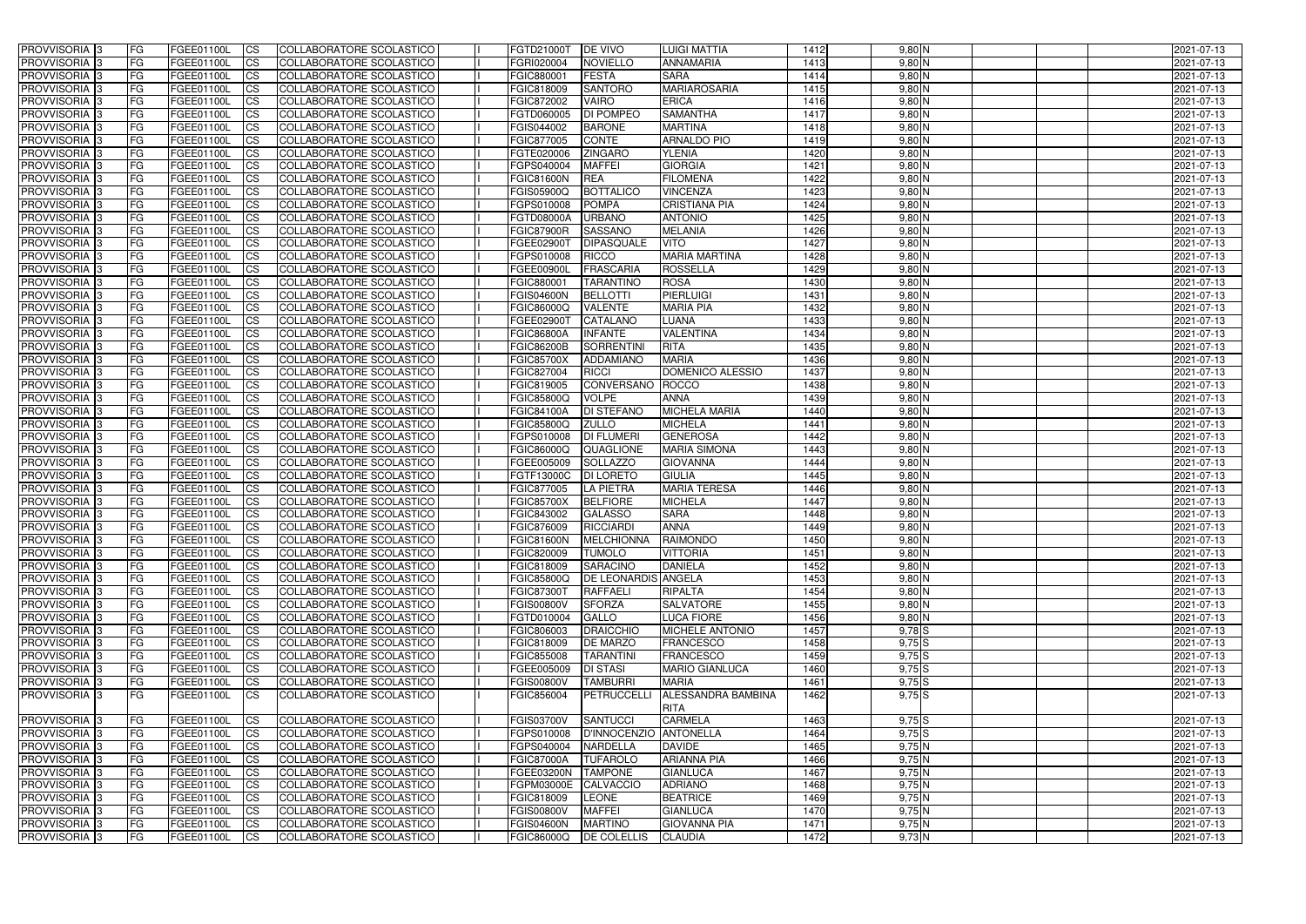| PROVVISORIA <sup>1</sup> 3                       | <b>FG</b> | FGEE01100L               | <b>ICS</b>             | COLLABORATORE SCOLASTICO                                    | FGTD21000T                      | <b>DE VIVO</b>                     | <b>LUIGI MATTIA</b>                      | 1412         | $9,80$ N             | 2021-07-13               |
|--------------------------------------------------|-----------|--------------------------|------------------------|-------------------------------------------------------------|---------------------------------|------------------------------------|------------------------------------------|--------------|----------------------|--------------------------|
| PROVVISORIA <sup>1</sup> 3                       | FG        | FGEE01100L               | <b>ICS</b>             | COLLABORATORE SCOLASTICO                                    | FGRI020004                      | <b>NOVIELLO</b>                    | <b>ANNAMARIA</b>                         | 1413         | $9,80$ N             | 2021-07-13               |
| PROVVISORIA <sup>1</sup> 3                       | FG        | FGEE01100L               | <b>CS</b>              | COLLABORATORE SCOLASTICO                                    | FGIC880001                      | <b>FESTA</b>                       | <b>SARA</b>                              | 1414         | $9,80$ N             | 2021-07-13               |
| PROVVISORIA <sup>1</sup> 3                       | FG        | FGEE01100L               | <b>CS</b>              | COLLABORATORE SCOLASTICO                                    | FGIC818009                      | <b>SANTORO</b>                     | <b>MARIAROSARIA</b>                      | 1415         | $9,80$ N             | 2021-07-13               |
| PROVVISORIA <sup>1</sup> 3                       | FG        | FGEE01100L               | <b>ICS</b>             | COLLABORATORE SCOLASTICO                                    | FGIC872002                      | <b>VAIRO</b>                       | <b>ERICA</b>                             | 1416         | $9,80$ N             | 2021-07-13               |
| PROVVISORIA 3                                    | FG        | FGEE01100L               | <b>ICS</b>             | COLLABORATORE SCOLASTICO                                    | FGTD060005                      | <b>DI POMPEO</b>                   | <b>SAMANTHA</b>                          | 1417         | $9,80$ N             | 2021-07-13               |
| PROVVISORIA 3                                    | <b>FG</b> | FGEE01100L               | <b>ICS</b>             | COLLABORATORE SCOLASTICO                                    | FGIS044002                      | <b>BARONE</b>                      | <b>MARTINA</b>                           | 1418         | $9,80$ N             | 2021-07-13               |
| PROVVISORIA <sup>1</sup> 3                       | FG        | FGEE01100L               | <b>ICS</b>             | COLLABORATORE SCOLASTICO                                    | FGIC877005                      | <b>CONTE</b>                       | <b>ARNALDO PIO</b>                       | 1419         | $9,80$ N             | 2021-07-13               |
| PROVVISORIA 3                                    | FG        | FGEE01100L               | <b>CS</b>              | COLLABORATORE SCOLASTICO                                    | FGTE020006                      | <b>ZINGARO</b>                     | <b>YLENIA</b>                            | 1420         | $9,80$ N             | 2021-07-13               |
| <b>PROVVISORIA</b> 3                             | FG        | FGEE01100L               | <b>CS</b>              | COLLABORATORE SCOLASTICO                                    | FGPS040004                      | <b>MAFFEI</b>                      | <b>GIORGIA</b>                           | 1421         | $9,80$ N             | 2021-07-13               |
| PROVVISORIA <sup>1</sup> 3                       | <b>FG</b> | FGEE01100L               | <b>ICS</b>             | COLLABORATORE SCOLASTICO                                    | <b>FGIC81600N</b>               | <b>REA</b>                         | <b>FILOMENA</b>                          | 1422         | $9,80$ N             | 2021-07-13               |
| PROVVISORIA <sup>3</sup>                         | FG        | FGEE01100L               | <b>ICS</b>             | COLLABORATORE SCOLASTICO                                    | FGIS05900Q                      | <b>BOTTALICO</b>                   | <b>VINCENZA</b>                          | 1423         | $9,80$ N             | 2021-07-13               |
| PROVVISORIA <sup>1</sup> 3                       | FG        | FGEE01100L               | <b>ICS</b>             | COLLABORATORE SCOLASTICO                                    | FGPS010008                      | <b>POMPA</b>                       | <b>CRISTIANA PIA</b>                     | 1424         | $9,80$ N             | 2021-07-13               |
| <b>PROVVISORIA</b>                               | FG        | FGEE01100L               | <b>ICS</b>             | COLLABORATORE SCOLASTICO                                    | FGTD08000A                      | <b>URBANO</b>                      | <b>ANTONIO</b>                           | 1425         | $9,80$ N             | 2021-07-13               |
| <b>PROVVISORIA</b>                               | FG        | FGEE01100L               | <b>ICS</b>             | COLLABORATORE SCOLASTICO                                    | <b>FGIC87900R</b>               | <b>SASSANO</b>                     | <b>MELANIA</b>                           | 1426         | $9,80$ N             | 2021-07-13               |
| PROVVISORIA <sup>1</sup> 3                       | FG        | FGEE01100L               | <b>ICS</b>             | COLLABORATORE SCOLASTICO                                    | FGEE02900T                      | <b>DIPASQUALE</b>                  | <b>VITO</b>                              | 1427         | $9,80$ N             | 2021-07-13               |
| <b>PROVVISORIA</b>                               | FG        | FGEE01100L               | <b>ICS</b>             | COLLABORATORE SCOLASTICO                                    | FGPS010008                      | <b>RICCO</b>                       | <b>MARIA MARTINA</b>                     | 1428         | $9,80$ N             | 2021-07-13               |
| PROVVISORIA <sup>3</sup>                         | FG        | FGEE01100L               | <b>ICS</b>             | COLLABORATORE SCOLASTICO                                    | FGEE00900I                      | <b>FRASCARIA</b>                   | <b>ROSSELLA</b>                          | 1429         | $9,80$ N             | 2021-07-13               |
| PROVVISORIA <sup>1</sup> 3                       | FG        | FGEE01100L               | <b>ICS</b>             | COLLABORATORE SCOLASTICO                                    | FGIC880001                      | <b>TARANTINO</b>                   | <b>ROSA</b>                              | 1430         | $9,80$ N             | 2021-07-13               |
| PROVVISORIA <sup>1</sup> 3                       | FG        | FGEE01100L               | <b>ICS</b>             | COLLABORATORE SCOLASTICO                                    | <b>FGIS04600N</b>               | <b>BELLOTTI</b>                    | <b>PIERLUIGI</b>                         | 1431         | $9,80$ N             | 2021-07-13               |
| PROVVISORIA <sup>1</sup> 3                       | FG        | FGEE01100L               | <b>CS</b>              | COLLABORATORE SCOLASTICO                                    | FGIC86000Q                      | <b>VALENTE</b>                     | <b>MARIA PIA</b>                         | 1432         | $9,80$ N             | 2021-07-13               |
| PROVVISORIA <sup>3</sup>                         | FG        | FGEE01100L               | <b>CS</b>              | COLLABORATORE SCOLASTICO                                    | FGEE02900T                      | <b>CATALANO</b>                    | LUANA                                    | 1433         | $9,80$ N             | 2021-07-13               |
| PROVVISORIA <sup>3</sup>                         | FG        | FGEE01100L               | <b>CS</b>              | COLLABORATORE SCOLASTICO                                    | <b>FGIC86800A</b>               | <b>INFANTE</b>                     | <b>VALENTINA</b>                         | 1434         | $9,80$ N             | 2021-07-13               |
| PROVVISORIA <sup>1</sup> 3                       | <b>FG</b> | FGEE01100L               | <b>CS</b>              | <b>COLLABORATORE SCOLASTICO</b>                             | <b>FGIC86200B</b>               | <b>SORRENTINI</b>                  | <b>RITA</b>                              | 1435         | $9,80$ N             | 2021-07-13               |
| <b>PROVVISORIA</b> 3                             | FG        | FGEE01100L               | <b>CS</b>              | COLLABORATORE SCOLASTICO                                    | <b>FGIC85700X</b>               | <b>ADDAMIANO</b>                   | <b>MARIA</b>                             | 1436         | $9,80$ N             | 2021-07-13               |
| PROVVISORIA <sup>1</sup> 3                       | FG        | FGEE01100L               | <b>ICS</b>             | COLLABORATORE SCOLASTICO<br><b>COLLABORATORE SCOLASTICO</b> | FGIC827004                      | <b>RICCI</b>                       | DOMENICO ALESSIO                         | 1437         | $9,80$ N             | 2021-07-13               |
| PROVVISORIA                                      | FG<br>FG  | FGEE01100L<br>FGEE01100L | <b>CS</b>              |                                                             | FGIC819005                      | CONVERSANO<br><b>VOLPE</b>         | ROCCO<br><b>ANNA</b>                     | 1438<br>1439 | $9,80$ N<br>$9,80$ N | 2021-07-13               |
| <b>PROVVISORIA</b><br>PROVVISORIA <sup>1</sup> 3 | FG        | FGEE01100L               | <b>CS</b><br><b>CS</b> | COLLABORATORE SCOLASTICO<br>COLLABORATORE SCOLASTICO        | FGIC85800Q<br><b>FGIC84100A</b> | <b>DI STEFANO</b>                  | <b>MICHELA MARIA</b>                     | 1440         | $9,80$ N             | 2021-07-13<br>2021-07-13 |
| PROVVISORIA <sup>3</sup>                         | FG        | FGEE01100L               | <b>CS</b>              | COLLABORATORE SCOLASTICO                                    | FGIC85800Q                      | <b>ZULLO</b>                       | <b>MICHELA</b>                           | 1441         | $9,80$ N             | 2021-07-13               |
| PROVVISORIA                                      | FG        | FGEE01100L               | <b>CS</b>              | COLLABORATORE SCOLASTICO                                    | FGPS010008                      | <b>DI FLUMERI</b>                  | <b>GENEROSA</b>                          | 1442         | $9,80$ N             | 2021-07-13               |
| PROVVISORIA <sup>1</sup> 3                       | FG        | FGEE01100L               | <b>ICS</b>             | COLLABORATORE SCOLASTICO                                    | FGIC86000Q                      | QUAGLIONE                          | <b>MARIA SIMONA</b>                      | 1443         | $9,80$ N             | 2021-07-13               |
| PROVVISORIA                                      | FG        | FGEE01100L               | <b>ICS</b>             | <b>COLLABORATORE SCOLASTICO</b>                             | FGEE005009                      | <b>SOLLAZZO</b>                    | <b>GIOVANNA</b>                          | 1444         | $9,80$ N             | 2021-07-13               |
| PROVVISORIA 3                                    | <b>FG</b> | FGEE01100L               | <b>ICS</b>             | COLLABORATORE SCOLASTICO                                    | FGTF13000C                      | <b>DI LORETO</b>                   | <b>GIULIA</b>                            | 1445         | $9,80$ N             | 2021-07-13               |
| PROVVISORIA 3                                    | <b>FG</b> | FGEE01100L               | <b>CS</b>              | COLLABORATORE SCOLASTICO                                    | FGIC877005                      | <b>LA PIETRA</b>                   | <b>MARIA TERESA</b>                      | 1446         | $9,80$ N             | 2021-07-13               |
| <b>PROVVISORIA</b>                               | <b>FG</b> | FGEE01100L               | <b>CS</b>              | COLLABORATORE SCOLASTICO                                    | <b>FGIC85700X</b>               | <b>BELFIORE</b>                    | <b>MICHELA</b>                           | 1447         | $9,80$ N             | 2021-07-13               |
| <b>PROVVISORIA</b>                               | FG        | FGEE01100L               | <b>ICS</b>             | COLLABORATORE SCOLASTICO                                    | FGIC843002                      | <b>GALASSO</b>                     | <b>SARA</b>                              | 1448         | $9,80$ N             | 2021-07-13               |
| PROVVISORIA 3                                    | FG        | FGEE01100L               | <b>ICS</b>             | COLLABORATORE SCOLASTICO                                    | FGIC876009                      | RICCIARDI                          | <b>ANNA</b>                              | 1449         | $9,80$ N             | 2021-07-13               |
| PROVVISORIA 3                                    | IFG.      | FGEE01100L CS            |                        | COLLABORATORE SCOLASTICO                                    |                                 | FGIC81600N   MELCHIONNA   RAIMONDO |                                          | 1450         | $9,80$ N             | 2021-07-13               |
| PROVVISORIA 3                                    | <b>FG</b> | FGEE01100L               | $\overline{\text{CS}}$ | COLLABORATORE SCOLASTICO                                    | FGIC820009                      | <b>TUMOLO</b>                      | <b>VITTORIA</b>                          | 1451         | $9,80$ N             | 2021-07-13               |
| PROVVISORIA 3                                    | <b>FG</b> | FGEE01100L               | CS                     | COLLABORATORE SCOLASTICO                                    | FGIC818009                      | SARACINO                           | <b>DANIELA</b>                           | 1452         | $9,80$ N             | 2021-07-13               |
| PROVVISORIA 3                                    | <b>FG</b> | FGEE01100L               | $\mathsf{ICS}$         | COLLABORATORE SCOLASTICO                                    | <b>FGIC85800Q</b>               | <b>DE LEONARDIS ANGELA</b>         |                                          | 1453         | $9,80$ N             | 2021-07-13               |
| PROVVISORIA 3                                    | <b>FG</b> | FGEE01100L               | <b>CS</b>              | COLLABORATORE SCOLASTICO                                    | <b>FGIC87300T</b>               | <b>RAFFAELI</b>                    | <b>RIPALTA</b>                           | 1454         | $9,80$ N             | 2021-07-13               |
| PROVVISORIA 3                                    | FG        | FGEE01100L               | <b>CS</b>              | COLLABORATORE SCOLASTICO                                    | <b>FGIS00800V</b>               | <b>SFORZA</b>                      | <b>SALVATORE</b>                         | 1455         | $9,80$ N             | 2021-07-13               |
| PROVVISORIA 3                                    | FG        | FGEE01100L               | <b>CS</b>              | COLLABORATORE SCOLASTICO                                    | FGTD010004                      | <b>GALLO</b>                       | <b>LUCA FIORE</b>                        | 1456         | $9,80$ N             | 2021-07-13               |
| PROVVISORIA 3                                    | <b>FG</b> | FGEE01100L               | <b>CS</b>              | COLLABORATORE SCOLASTICO                                    | FGIC806003                      | DRAICCHIO                          | <b>MICHELE ANTONIO</b>                   | 1457         | $9,78$ $S$           | 2021-07-13               |
| PROVVISORIA 3                                    | FG        | FGEE01100L               | <b>CS</b>              | COLLABORATORE SCOLASTICO                                    | FGIC818009                      | <b>DE MARZO</b>                    | <b>FRANCESCO</b>                         | 1458         | $9,75$ S             | 2021-07-13               |
| PROVVISORIA 3                                    | <b>FG</b> | FGEE01100L               | <b>CS</b>              | COLLABORATORE SCOLASTICO                                    | FGIC855008                      | <b>TARANTINI</b>                   | <b>FRANCESCO</b>                         | 1459         | $9,75$ S             | 2021-07-13               |
| PROVVISORIA 3                                    | <b>FG</b> | FGEE01100L               | <b>CS</b>              | COLLABORATORE SCOLASTICO                                    | FGEE005009                      | <b>DI STASI</b>                    | <b>MARIO GIANLUCA</b>                    | 1460         | $9,75$ $S$           | 2021-07-13               |
| PROVVISORIA 3                                    | <b>FG</b> | FGEE01100L               | <b>CS</b>              | COLLABORATORE SCOLASTICO                                    | <b>FGIS00800V</b>               | <b>TAMBURRI</b>                    | <b>MARIA</b>                             | 1461         | $9,75$ $S$           | 2021-07-13               |
| <b>PROVVISORIA 3</b>                             | FG        | FGEE01100L               | <b>ICS</b>             | COLLABORATORE SCOLASTICO                                    | <b>FGIC856004</b>               | PETRUCCELLI                        | <b>ALESSANDRA BAMBINA</b><br><b>RITA</b> | 1462         | $9,75$ $S$           | 2021-07-13               |
| PROVVISORIA 3                                    | <b>FG</b> | FGEE01100L               | <b>CS</b>              | COLLABORATORE SCOLASTICO                                    | <b>FGIS03700V</b>               | <b>SANTUCCI</b>                    | <b>CARMELA</b>                           | 1463         | $9,75$ S             | 2021-07-13               |
| PROVVISORIA 3                                    | <b>FG</b> | FGEE01100L               | CS                     | COLLABORATORE SCOLASTICO                                    | FGPS010008                      | D'INNOCENZIO ANTONELLA             |                                          | 1464         | $9,75$ S             | 2021-07-13               |
| PROVVISORIA 3                                    | <b>FG</b> | FGEE01100L               | <b>CS</b>              | COLLABORATORE SCOLASTICO                                    | FGPS040004                      | <b>NARDELLA</b>                    | <b>DAVIDE</b>                            | 1465         | $9,75$ N             | 2021-07-13               |
| PROVVISORIA 3                                    | <b>FG</b> | FGEE01100L               | <b>CS</b>              | COLLABORATORE SCOLASTICO                                    | <b>FGIC87000A</b>               | <b>TUFAROLO</b>                    | <b>ARIANNA PIA</b>                       | 1466         | $9,75$ N             | 2021-07-13               |
| PROVVISORIA 3                                    | FG        | FGEE01100L               | <b>CS</b>              | COLLABORATORE SCOLASTICO                                    | <b>FGEE03200N</b>               | <b>TAMPONE</b>                     | <b>GIANLUCA</b>                          | 1467         | 9,75N                | 2021-07-13               |
| PROVVISORIA 3                                    | <b>FG</b> | FGEE01100L               | <b>CS</b>              | COLLABORATORE SCOLASTICO                                    | FGPM03000E                      | CALVACCIO                          | <b>ADRIANO</b>                           | 1468         | $9,75$ N             | 2021-07-13               |
| PROVVISORIA 3                                    | <b>FG</b> | FGEE01100L               | <b>CS</b>              | COLLABORATORE SCOLASTICO                                    | FGIC818009                      | LEONE                              | <b>BEATRICE</b>                          | 1469         | 9,75N                | 2021-07-13               |
| PROVVISORIA 3                                    | <b>FG</b> | FGEE01100L               | $\mathsf{ICS}$         | COLLABORATORE SCOLASTICO                                    | <b>FGIS00800V</b>               | <b>MAFFEI</b>                      | <b>GIANLUCA</b>                          | 1470         | 9,75N                | 2021-07-13               |
| PROVVISORIA 3                                    | <b>FG</b> | FGEE01100L               | <b>CS</b>              | COLLABORATORE SCOLASTICO                                    | <b>FGIS04600N</b>               | <b>MARTINO</b>                     | <b>GIOVANNA PIA</b>                      | 1471         | 9,75N                | 2021-07-13               |
| PROVVISORIA 3                                    | <b>FG</b> | FGEE01100L               | $\mathsf{ICS}$         | COLLABORATORE SCOLASTICO                                    | <b>FGIC86000Q</b>               | <b>DE COLELLIS</b>                 | <b>CLAUDIA</b>                           | 1472         | $9,73$ N             | 2021-07-13               |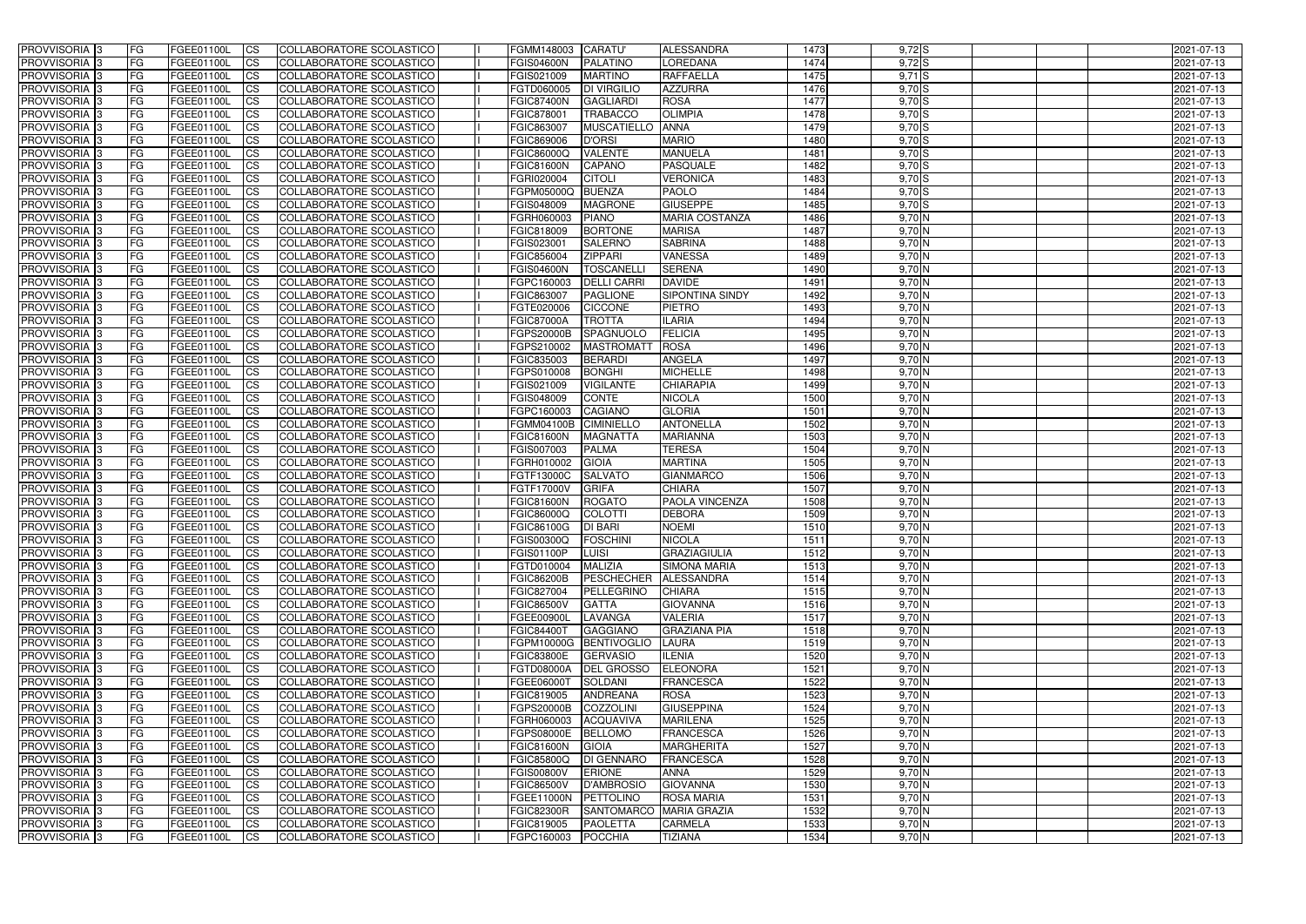| <b>PROVVISORIA</b> 3                      | l FG            | FGEE01100L               | <b>ICS</b>             | COLLABORATORE SCOLASTICO                             | FGMM148003                      | <b>CARATU</b>                   | <b>ALESSANDRA</b>                | 1473         | $9,72$ S             | 2021-07-13               |
|-------------------------------------------|-----------------|--------------------------|------------------------|------------------------------------------------------|---------------------------------|---------------------------------|----------------------------------|--------------|----------------------|--------------------------|
| <b>PROVVISORIA 3</b>                      | FG              | FGEE01100L               | <b>ICS</b>             | COLLABORATORE SCOLASTICO                             | <b>FGIS04600N</b>               | <b>PALATINO</b>                 | LOREDANA                         | 1474         | $9,72$ S             | 2021-07-13               |
| PROVVISORIA <sup>1</sup> 3                | FG              | FGEE01100L               | <b>CS</b>              | <b>COLLABORATORE SCOLASTICO</b>                      | FGIS021009                      | <b>MARTINO</b>                  | <b>RAFFAELLA</b>                 | 1475         | $9,71$ S             | 2021-07-13               |
| PROVVISORIA                               | FG              | FGEE01100L               | <b>CS</b>              | COLLABORATORE SCOLASTICO                             | FGTD060005                      | <b>DI VIRGILIO</b>              | <b>AZZURRA</b>                   | 1476         | $9,70$ S             | 2021-07-13               |
| PROVVISORIA <sup>1</sup> 3                | FG              | FGEE01100L               | <b>CS</b>              | COLLABORATORE SCOLASTICO                             | <b>FGIC87400N</b>               | <b>GAGLIARDI</b>                | <b>ROSA</b>                      | 1477         | $9,70$ S             | 2021-07-13               |
| PROVVISORIA <sup>1</sup> 3                | FG              | FGEE01100L               | <b>CS</b>              | COLLABORATORE SCOLASTICO                             | FGIC878001                      | <b>TRABACCO</b>                 | <b>OLIMPIA</b>                   | 1478         | $9,70$ S             | 2021-07-13               |
| PROVVISORIA <sup>1</sup> 3                | FG              | FGEE01100L               | <b>CS</b>              | COLLABORATORE SCOLASTICO                             | FGIC863007                      | <b>MUSCATIELLO</b>              | <b>ANNA</b>                      | 1479         | $9,70$ S             | 2021-07-13               |
| PROVVISORIA 3                             | FG              | FGEE01100L               | <b>ICS</b>             | COLLABORATORE SCOLASTICO                             | FGIC869006                      | <b>D'ORSI</b>                   | <b>MARIO</b>                     | 1480         | $9,70$ S             | 2021-07-13               |
| PROVVISORIA 3                             | <b>FG</b>       | FGEE01100L               | <b>CS</b>              | COLLABORATORE SCOLASTICO                             | FGIC86000Q                      | <b>VALENTE</b>                  | <b>MANUELA</b>                   | 1481         | $9,70$ S             | 2021-07-13               |
| PROVVISORIA 3                             | <b>FG</b>       | FGEE01100L               | <b>ICS</b>             | COLLABORATORE SCOLASTICO                             | <b>FGIC81600N</b>               | <b>CAPANO</b>                   | <b>PASQUALE</b>                  | 1482         | $9,70$ S             | 2021-07-13               |
| PROVVISORIA 3                             | FG              | <b>FGEE01100L</b>        | <b>CS</b>              | COLLABORATORE SCOLASTICO                             | FGRI020004                      | <b>CITOLI</b>                   | <b>VERONICA</b>                  | 1483         | 9,70S                | 2021-07-13               |
| <b>PROVVISORIA</b>                        | FG              | FGEE01100L               | <b>CS</b>              | COLLABORATORE SCOLASTICO                             | FGPM05000Q                      | <b>BUENZA</b>                   | <b>PAOLO</b>                     | 1484         | $9,70$ S             | 2021-07-13               |
| <b>PROVVISORIA</b>                        | FG              | FGEE01100L               | <b>ICS</b>             | COLLABORATORE SCOLASTICO                             | FGIS048009                      | <b>MAGRONE</b>                  | <b>GIUSEPPE</b>                  | 1485         | $9,70$ S             | 2021-07-13               |
| <b>PROVVISORIA</b>                        | FG              | FGEE01100L               | <b>ICS</b>             | COLLABORATORE SCOLASTICO                             | FGRH060003                      | <b>PIANO</b>                    | <b>MARIA COSTANZA</b>            | 1486         | 9,70 N               | 2021-07-13               |
| <b>PROVVISORIA</b>                        | FG              | FGEE01100L               | <b>ICS</b>             | COLLABORATORE SCOLASTICO                             | FGIC818009                      | <b>BORTONE</b>                  | <b>MARISA</b>                    | 1487         | 9,70 N               | 2021-07-13               |
| <b>PROVVISORIA</b>                        | FG              | FGEE01100L               | <b>ICS</b>             | COLLABORATORE SCOLASTICO                             | FGIS023001                      | <b>SALERNO</b>                  | <b>SABRINA</b>                   | 1488         | $9,70$ N             | 2021-07-13               |
| <b>PROVVISORIA</b>                        | FG              | <b>FGEE01100L</b>        | <b>ICS</b>             | COLLABORATORE SCOLASTICO                             | FGIC856004                      | <b>ZIPPARI</b>                  | <b>VANESSA</b>                   | 1489         | $9,70$ N             | 2021-07-13               |
| <b>PROVVISORIA</b>                        | FG              | FGEE01100L               | <b>ICS</b>             | COLLABORATORE SCOLASTICO                             | <b>FGIS04600N</b>               | <b>TOSCANELL</b>                | <b>SERENA</b>                    | 1490         | 9,70 N               | 2021-07-13               |
| PROVVISORIA <sup>3</sup>                  | FG              | FGEE01100L               | <b>ICS</b>             | COLLABORATORE SCOLASTICO                             | FGPC160003                      | <b>DELLI CARRI</b>              | <b>DAVIDE</b>                    | 1491         | $9,70$ N             | 2021-07-13               |
| PROVVISORIA 3                             | FG              | FGEE01100L               | <b>ICS</b>             | COLLABORATORE SCOLASTICO                             | FGIC863007                      | <b>PAGLIONE</b>                 | <b>SIPONTINA SINDY</b>           | 1492         | 9,70 N               | 2021-07-13               |
| PROVVISORIA <sup>1</sup> 3                | FG              | FGEE01100L               | <b>ICS</b>             | COLLABORATORE SCOLASTICO                             | FGTE020006                      | <b>CICCONE</b>                  | <b>PIETRO</b>                    | 1493         | $9,70$ N             | 2021-07-13               |
| PROVVISORIA 3                             | FG              | FGEE01100L               | <b>ICS</b>             | COLLABORATORE SCOLASTICO                             | <b>FGIC87000A</b>               | <b>TROTTA</b>                   | <b>ILARIA</b>                    | 1494         | $9,70$ N             | 2021-07-13               |
| PROVVISORIA 3                             | FG              | FGEE01100L               | <b>ICS</b>             | <b>COLLABORATORE SCOLASTICO</b>                      | FGPS20000B                      | SPAGNUOLO                       | <b>FELICIA</b>                   | 1495         | $9,70$ N             | 2021-07-13               |
| PROVVISORIA <sup>13</sup>                 | FG              | FGEE01100L               | <b>CS</b>              | COLLABORATORE SCOLASTICO                             | FGPS210002                      | <b>MASTROMATT</b>               | <b>ROSA</b>                      | 1496         | $9,70$ N             | 2021-07-13               |
| PROVVISORIA <sup>1</sup> 3                | FG              | FGEE01100L               | <b>CS</b>              | COLLABORATORE SCOLASTICO                             | FGIC835003                      | <b>BERARDI</b>                  | <b>ANGELA</b>                    | 1497         | $9,70$ N             | 2021-07-13               |
| PROVVISORIA <sup>1</sup> 3                | FG              | FGEE01100L               | <b>ICS</b>             | COLLABORATORE SCOLASTICO                             | FGPS010008                      | <b>BONGHI</b>                   | <b>MICHELLE</b>                  | 1498         | $9,70$ N             | 2021-07-13               |
| PROVVISORIA 3                             | FG              | FGEE01100L               | <b>ICS</b>             | COLLABORATORE SCOLASTICO                             | FGIS021009                      | <b>VIGILANTE</b>                | <b>CHIARAPIA</b>                 | 1499         | 9,70 N               | 2021-07-13               |
| PROVVISORIA                               | FG              | FGEE01100L               | <b>ICS</b>             | COLLABORATORE SCOLASTICO                             | FGIS048009                      | <b>CONTE</b>                    | <b>NICOLA</b>                    | 1500         | 9,70 N               | 2021-07-13               |
| PROVVISORIA                               | FG              | FGEE01100L               | <b>CS</b>              | <b>COLLABORATORE SCOLASTICO</b>                      | FGPC160003                      | <b>CAGIANO</b>                  | <b>GLORIA</b>                    | 1501<br>1502 | $9,70$ N             | 2021-07-13               |
| PROVVISORIA                               | FG              | FGEE01100L               | <b>CS</b>              | COLLABORATORE SCOLASTICO<br>COLLABORATORE SCOLASTICO | FGMM04100B                      | <b>CIMINIELLO</b>               | <b>ANTONELLA</b>                 | 1503         | 9,70 N               | 2021-07-13               |
| PROVVISORIA<br>PROVVISORIA <sup>1</sup> 3 | FG<br><b>FG</b> | FGEE01100L               | <b>CS</b><br><b>CS</b> | COLLABORATORE SCOLASTICO                             | <b>FGIC81600N</b><br>FGIS007003 | <b>MAGNATTA</b><br><b>PALMA</b> | <b>MARIANNA</b><br><b>TERESA</b> | 1504         | $9,70$ N<br>$9,70$ N | 2021-07-13               |
| PROVVISORIA <sup>1</sup> 3                | FG              | FGEE01100L<br>FGEE01100L | <b>CS</b>              | COLLABORATORE SCOLASTICO                             | FGRH010002                      | <b>GIOIA</b>                    | <b>MARTINA</b>                   | 1505         | $9,70$ N             | 2021-07-13<br>2021-07-13 |
| PROVVISORIA 3                             | FG              | FGEE01100L               | <b>CS</b>              | COLLABORATORE SCOLASTICO                             | FGTF13000C                      | <b>SALVATO</b>                  | <b>GIANMARCO</b>                 | 1506         | $9,70$ N             | 2021-07-13               |
| PROVVISORIA <sup>1</sup> 3                | FG              | FGEE01100L               | <b>CS</b>              | COLLABORATORE SCOLASTICO                             | FGTF17000V                      | <b>GRIFA</b>                    | <b>CHIARA</b>                    | 1507         | $9,70$ N             | 2021-07-13               |
| PROVVISORIA <sup>1</sup> 3                | <b>FG</b>       | FGEE01100L               | <b>ICS</b>             | COLLABORATORE SCOLASTICO                             | <b>FGIC81600N</b>               | <b>ROGATO</b>                   | <b>PAOLA VINCENZA</b>            | 1508         | $9,70$ N             | 2021-07-13               |
| PROVVISORIA 3                             | <b>FG</b>       | FGEE01100L               | <b>ICS</b>             | COLLABORATORE SCOLASTICO                             | FGIC86000Q                      | <b>COLOTTI</b>                  | <b>DEBORA</b>                    | 1509         | $9,70$ N             | 2021-07-13               |
| <b>PROVVISORIA</b>                        | <b>FG</b>       | FGEE01100L               | <b>ICS</b>             | COLLABORATORE SCOLASTICO                             | FGIC86100G                      | <b>DI BARI</b>                  | <b>NOEMI</b>                     | 1510         | $9,70$ N             | 2021-07-13               |
| PROVVISORIA 3                             | FG              | FGEE01100L               | CS                     | COLLABORATORE SCOLASTICO                             | FGIS00300Q FOSCHINI             |                                 | <b>NICOLA</b>                    | 1511         | $9,70$ N             | 2021-07-13               |
| PROVVISORIA 3                             | <b>FG</b>       | FGEE01100L               | $\mathsf{ICS}$         | COLLABORATORE SCOLASTICO                             | FGIS01100P                      | <b>LUISI</b>                    | GRAZIAGIULIA                     | 1512         | $9,70$ N             | 2021-07-13               |
| PROVVISORIA 3                             | <b>FG</b>       | <b>FGEE01100L</b>        | $\mathsf{ICS}$         | COLLABORATORE SCOLASTICO                             | FGTD010004                      | <b>MALIZIA</b>                  | <b>SIMONA MARIA</b>              | 1513         | $9,70$ N             | 2021-07-13               |
| PROVVISORIA 3                             | <b>FG</b>       | FGEE01100L               | $\mathsf{ICS}$         | COLLABORATORE SCOLASTICO                             | <b>FGIC86200B</b>               | PESCHECHER ALESSANDRA           |                                  | 1514         | $9,70$ N             | 2021-07-13               |
| PROVVISORIA 3                             | FG              | FGEE01100L               | $\mathsf{ICS}$         | COLLABORATORE SCOLASTICO                             | FGIC827004                      | PELLEGRINO                      | <b>CHIARA</b>                    | 1515         | $9,70$ N             | 2021-07-13               |
| PROVVISORIA 3                             | l FG            | FGEE01100L               | $\overline{\text{CS}}$ | COLLABORATORE SCOLASTICO                             | <b>FGIC86500V</b>               | <b>GATTA</b>                    | <b>GIOVANNA</b>                  | 1516         | $9,70$ N             | 2021-07-13               |
| PROVVISORIA 3                             | <b>FG</b>       | FGEE01100L               | $\mathsf{ICS}$         | COLLABORATORE SCOLASTICO                             | FGEE00900L                      | LAVANGA                         | <b>VALERIA</b>                   | 1517         | $9,70$ N             | 2021-07-13               |
| PROVVISORIA 3                             | FG              | FGEE01100L               | <b>CS</b>              | COLLABORATORE SCOLASTICO                             | <b>FGIC84400T</b>               | <b>GAGGIANO</b>                 | <b>GRAZIANA PIA</b>              | 1518         | $9,70$ N             | 2021-07-13               |
| PROVVISORIA 3                             | <b>FG</b>       | FGEE01100L               | <b>CS</b>              | COLLABORATORE SCOLASTICO                             |                                 | FGPM10000G BENTIVOGLIO          | <b>LAURA</b>                     | 1519         | $9,70$ N             | 2021-07-13               |
| PROVVISORIA 3                             | <b>FG</b>       | FGEE01100L               | <b>CS</b>              | COLLABORATORE SCOLASTICO                             | <b>FGIC83800E</b>               | <b>GERVASIO</b>                 | <b>ILENIA</b>                    | 1520         | $9,70$ N             | 2021-07-13               |
| PROVVISORIA 3                             | <b>FG</b>       | FGEE01100L               | <b>CS</b>              | COLLABORATORE SCOLASTICO                             | FGTD08000A                      | <b>DEL GROSSO</b>               | <b>ELEONORA</b>                  | 1521         | $9,70$ N             | 2021-07-13               |
| PROVVISORIA 3                             | <b>FG</b>       | FGEE01100L               | <b>CS</b>              | COLLABORATORE SCOLASTICO                             | FGEE06000T                      | SOLDANI                         | <b>FRANCESCA</b>                 | 1522         | $9,70$ N             | 2021-07-13               |
| PROVVISORIA 3                             | <b>FG</b>       | FGEE01100L               | <b>CS</b>              | COLLABORATORE SCOLASTICO                             | FGIC819005                      | <b>ANDREANA</b>                 | <b>ROSA</b>                      | 1523         | $9,70$ N             | 2021-07-13               |
| PROVVISORIA 3                             | <b>FG</b>       | FGEE01100L               | <b>CS</b>              | COLLABORATORE SCOLASTICO                             | <b>FGPS20000B</b>               | COZZOLINI                       | <b>GIUSEPPINA</b>                | 1524         | $9,70$ N             | 2021-07-13               |
| PROVVISORIA 3                             | <b>FG</b>       | FGEE01100L               | <b>CS</b>              | COLLABORATORE SCOLASTICO                             | FGRH060003                      | <b>ACQUAVIVA</b>                | <b>MARILENA</b>                  | 1525         | $9,70$ N             | 2021-07-13               |
| PROVVISORIA 3                             | <b>FG</b>       | FGEE01100L               | <b>CS</b>              | COLLABORATORE SCOLASTICO                             | <b>FGPS08000E</b>               | <b>BELLOMO</b>                  | <b>FRANCESCA</b>                 | 1526         | $9,70$ N             | 2021-07-13               |
| PROVVISORIA 3                             | <b>FG</b>       | FGEE01100L               | <b>CS</b>              | COLLABORATORE SCOLASTICO                             | <b>FGIC81600N</b>               | <b>GIOIA</b>                    | <b>MARGHERITA</b>                | 1527         | $9,70$ N             | 2021-07-13               |
| PROVVISORIA 3                             | <b>FG</b>       | FGEE01100L               | <b>CS</b>              | COLLABORATORE SCOLASTICO                             | <b>FGIC85800Q</b>               | <b>DI GENNARO</b>               | <b>FRANCESCA</b>                 | 1528         | $9,70$ N             | 2021-07-13               |
| PROVVISORIA 3                             | <b>FG</b>       | FGEE01100L               | <b>CS</b>              | COLLABORATORE SCOLASTICO                             | <b>FGIS00800V</b>               | ERIONE                          | ANNA                             | 1529         | $9,70$ N             | 2021-07-13               |
| PROVVISORIA 3                             | FG              | FGEE01100L               | <b>CS</b>              | COLLABORATORE SCOLASTICO                             | <b>FGIC86500V</b>               | <b>D'AMBROSIO</b>               | <b>GIOVANNA</b>                  | 1530         | $9,70$ N             | 2021-07-13               |
| PROVVISORIA 3                             | FG              | <b>FGEE01100L</b>        | <b>CS</b>              | COLLABORATORE SCOLASTICO                             | FGEE11000N PETTOLINO            |                                 | <b>ROSA MARIA</b>                | 1531         | $9,70$ N             | 2021-07-13               |
| PROVVISORIA 3                             | <b>FG</b>       | FGEE01100L               | <b>CS</b>              | COLLABORATORE SCOLASTICO                             | <b>FGIC82300R</b>               |                                 | SANTOMARCO MARIA GRAZIA          | 1532         | $9,70$ N             | 2021-07-13               |
| PROVVISORIA 3                             | <b>FG</b>       | FGEE01100L               | $\overline{\text{CS}}$ | COLLABORATORE SCOLASTICO                             | FGIC819005                      | <b>PAOLETTA</b>                 | <b>CARMELA</b>                   | 1533         | $9,70$ N             | 2021-07-13               |
| PROVVISORIA 3                             | <b>FG</b>       | FGEE01100L               | $\overline{\text{CS}}$ | COLLABORATORE SCOLASTICO                             | FGPC160003 POCCHIA              |                                 | <b>TIZIANA</b>                   | 1534         | $9,70$ N             | 2021-07-13               |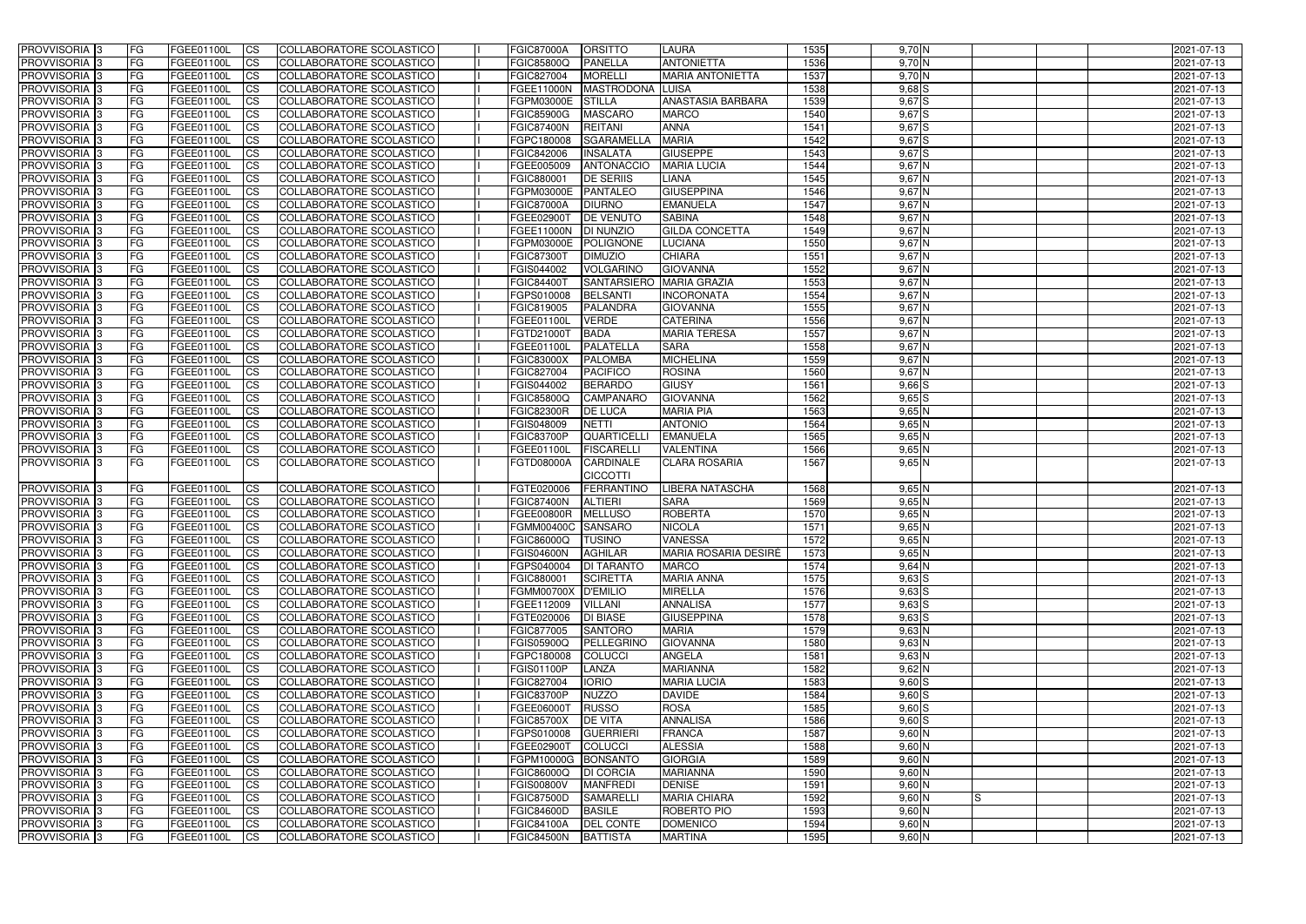| <b>PROVVISORIA</b> 3                                 | <b>IFG</b> | FGEE01100L                      | <b>CS</b>              | COLLABORATORE SCOLASTICO                             | <b>FGIC87000A</b>                      | <b>ORSITTO</b>                    | <b>LAURA</b>                    | 1535         | $9,70$ N                 | 2021-07-13               |
|------------------------------------------------------|------------|---------------------------------|------------------------|------------------------------------------------------|----------------------------------------|-----------------------------------|---------------------------------|--------------|--------------------------|--------------------------|
| PROVVISORIA <sup>1</sup> 3                           | FG         | FGEE01100L                      | $\overline{\text{cs}}$ | COLLABORATORE SCOLASTICO                             | <b>FGIC85800Q</b>                      | <b>PANELLA</b>                    | <b>ANTONIETTA</b>               | 1536         | $9,70$ N                 | 2021-07-13               |
| PROVVISORIA <sup>3</sup>                             | <b>IFG</b> | FGEE01100L                      | <b>CS</b>              | <b>COLLABORATORE SCOLASTICO</b>                      | FGIC827004                             | <b>MORELLI</b>                    | <b>MARIA ANTONIETTA</b>         | 1537         | $9,70$ N                 | 2021-07-13               |
| PROVVISORIA <sup>3</sup>                             | FG         | FGEE01100L                      | <b>CS</b>              | COLLABORATORE SCOLASTICO                             | <b>FGEE11000N</b>                      | MASTRODONA LUISA                  |                                 | 1538         | $9,68$ $S$               | 2021-07-13               |
| PROVVISORIA <sup>3</sup>                             | FG         | FGEE01100L                      | <b>CS</b>              | COLLABORATORE SCOLASTICO                             | <b>FGPM03000E</b>                      | <b>STILLA</b>                     | <b>ANASTASIA BARBARA</b>        | 1539         | 9,67S                    | 2021-07-13               |
| PROVVISORIA 3                                        | FG         | FGEE01100L                      | <b>ICS</b>             | COLLABORATORE SCOLASTICO                             | <b>FGIC85900G</b>                      | <b>MASCARO</b>                    | <b>MARCO</b>                    | 1540         | 9,67S                    | 2021-07-13               |
| PROVVISORIA 3                                        | FG         | FGEE01100L                      | <b>CS</b>              | COLLABORATORE SCOLASTICO                             | <b>FGIC87400N</b>                      | <b>REITANI</b>                    | <b>ANNA</b>                     | 1541         | 9,67S                    | 2021-07-13               |
| PROVVISORIA <sup>3</sup>                             | FG         | FGEE01100L                      | $\overline{c}$         | COLLABORATORE SCOLASTICO                             | FGPC180008                             | <b>SGARAMELLA</b>                 | <b>MARIA</b>                    | 1542         | 9,67S                    | 2021-07-13               |
| PROVVISORIA <sup>3</sup>                             | FG         | FGEE01100L                      | <b>CS</b>              | COLLABORATORE SCOLASTICO                             | FGIC842006                             | <b>INSALATA</b>                   | <b>GIUSEPPE</b>                 | 1543         | $9,67$ S                 | 2021-07-13               |
| PROVVISORIA <sup>3</sup>                             | FG         | FGEE01100L                      | <b>CS</b>              | COLLABORATORE SCOLASTICO                             | FGEE005009                             | ANTONACCIO                        | <b>MARIA LUCIA</b>              | 1544         | $9,67$ N                 | 2021-07-13               |
| PROVVISORIA 3                                        | FG         | FGEE01100L                      | <b>CS</b>              | COLLABORATORE SCOLASTICO                             | FGIC880001                             | <b>DE SERIIS</b>                  | LIANA                           | 1545         | $9,67$ N                 | 2021-07-13               |
| <b>PROVVISORIA</b> 3                                 | FG         | <b>FGEE01100L</b>               | <b>CS</b>              | COLLABORATORE SCOLASTICO                             | FGPM03000E                             | <b>PANTALEO</b>                   | <b>GIUSEPPINA</b>               | 1546         | 9,67 N                   | 2021-07-13               |
| PROVVISORIA <sup>3</sup>                             | FG         | FGEE01100L                      | <b>I</b> CS            | <b>COLLABORATORE SCOLASTICO</b>                      | <b>FGIC87000A</b>                      | <b>DIURNO</b>                     | <b>EMANUELA</b>                 | 1547         | $9,67$ N                 | 2021-07-13               |
| PROVVISORIA <sup>3</sup>                             | FG         | FGEE01100L                      | <b>I</b> CS            | COLLABORATORE SCOLASTICO                             | FGEE02900T                             | <b>DE VENUTO</b>                  | <b>SABINA</b>                   | 1548         | $9,67$ N                 | 2021-07-13               |
| PROVVISORIA 3                                        | FG         | FGEE01100L                      | <b>I</b> CS            | COLLABORATORE SCOLASTICO                             | FGEE11000N                             | <b>DI NUNZIO</b>                  | <b>GILDA CONCETTA</b>           | 1549         | $9,67$ N                 | 2021-07-13               |
| PROVVISORIA <sup>3</sup>                             | FG         | <b>FGEE01100L</b>               | <b>ICS</b>             | COLLABORATORE SCOLASTICO                             | FGPM03000E                             | POLIGNONE                         | <b>LUCIANA</b>                  | 1550         | 9,67 N                   | 2021-07-13               |
| PROVVISORIA <sup>3</sup>                             | FG.        | <b>FGEE01100L</b>               | <b>I</b> CS            | COLLABORATORE SCOLASTICO                             | <b>FGIC87300T</b>                      | <b>DIMUZIO</b>                    | <b>CHIARA</b>                   | 1551         | 9,67 N                   | 2021-07-13               |
| PROVVISORIA <sup>3</sup>                             | FG         | FGEE01100L                      | <b>ICS</b>             | COLLABORATORE SCOLASTICO                             | FGIS044002                             | <b>VOLGARINO</b>                  | <b>GIOVANNA</b>                 | 1552         | $9,67$ N                 | 2021-07-13               |
| PROVVISORIA <sup>3</sup>                             | FG         | FGEE01100L                      | <b>ICS</b>             | COLLABORATORE SCOLASTICO                             | <b>FGIC84400T</b>                      | <b>SANTARSIERO</b>                | <b>MARIA GRAZIA</b>             | 1553         | $9,67$ N                 | 2021-07-13               |
| PROVVISORIA <sup>3</sup>                             | FG         | FGEE01100L                      | <b>CS</b>              | COLLABORATORE SCOLASTICO                             | FGPS010008                             | <b>BELSANTI</b>                   | <b>INCORONATA</b>               | 1554         | $9,67$ N                 | 2021-07-13               |
| PROVVISORIA <sup>3</sup>                             | FG         | <b>FGEE01100L</b>               | <b>CS</b>              | COLLABORATORE SCOLASTICO                             | FGIC819005                             | <b>PALANDRA</b>                   | <b>GIOVANNA</b>                 | 1555         | $9,67$ N                 | 2021-07-13               |
| PROVVISORIA <sup>3</sup>                             | FG         | FGEE01100L                      | <b>CS</b>              | COLLABORATORE SCOLASTICO                             | FGEE01100L                             | <b>VERDE</b>                      | <b>CATERINA</b>                 | 1556         | $9,67$ N                 | 2021-07-13               |
| PROVVISORIA <sup>3</sup>                             | FG         | FGEE01100L                      | <b>CS</b>              | COLLABORATORE SCOLASTICO                             | FGTD21000T                             | <b>BADA</b>                       | <b>MARIA TERESA</b>             | 1557         | $9,67$ N                 | 2021-07-13               |
| PROVVISORIA <sup>3</sup>                             | FG         | FGEE01100L                      | <b>CS</b>              | <b>COLLABORATORE SCOLASTICO</b>                      | FGEE01100L                             | <b>PALATELLA</b>                  | <b>SARA</b>                     | 1558         | $9,67$ N                 | 2021-07-13               |
| PROVVISORIA <sup>3</sup>                             | FG         | FGEE01100L                      | ICS                    | COLLABORATORE SCOLASTICO                             | <b>FGIC83000X</b>                      | <b>PALOMBA</b>                    | <b>MICHELINA</b>                | 1559         | $9,67$ N                 | 2021-07-13               |
| PROVVISORIA <sup>3</sup>                             | FG         | FGEE01100L<br><b>FGEE01100L</b> | <b>CS</b>              | COLLABORATORE SCOLASTICO                             | FGIC827004                             | <b>PACIFICO</b><br><b>BERARDO</b> | <b>ROSINA</b>                   | 1560<br>1561 | $9,67$ N                 | 2021-07-13               |
| PROVVISORIA <sup>3</sup>                             | FG         | FGEE01100L                      | <b>CS</b><br><b>CS</b> | COLLABORATORE SCOLASTICO                             | FGIS044002                             | <b>CAMPANARC</b>                  | <b>GIUSY</b><br><b>GIOVANNA</b> | 1562         | $9,66$ $S$<br>$9,65$ $S$ | 2021-07-13               |
| PROVVISORIA <sup>3</sup><br>PROVVISORIA <sup>3</sup> | FG<br>FG   | FGEE01100L                      | <b>CS</b>              | COLLABORATORE SCOLASTICO<br>COLLABORATORE SCOLASTICO | <b>FGIC85800Q</b><br><b>FGIC82300R</b> | <b>DE LUCA</b>                    | <b>MARIA PIA</b>                | 1563         | $9,65$ N                 | 2021-07-13<br>2021-07-13 |
| PROVVISORIA <sup>3</sup>                             | FG         | <b>FGEE01100L</b>               | <b>CS</b>              | COLLABORATORE SCOLASTICO                             | FGIS048009                             | <b>NETTI</b>                      | <b>ANTONIO</b>                  | 1564         | $9,65$ N                 | 2021-07-13               |
| PROVVISORIA <sup>3</sup>                             | FG         | <b>FGEE01100L</b>               | <b>CS</b>              | COLLABORATORE SCOLASTICO                             | <b>FGIC83700P</b>                      | <b>QUARTICELLI</b>                | <b>EMANUELA</b>                 | 1565         | $9,65$ N                 | 2021-07-13               |
| PROVVISORIA 3                                        | FG         | FGEE01100L                      | <b>CS</b>              | <b>COLLABORATORE SCOLASTICO</b>                      | FGEE01100L                             | <b>FISCARELLI</b>                 | <b>VALENTINA</b>                | 1566         | $9,65$ N                 | 2021-07-13               |
| PROVVISORIA 3                                        | <b>FG</b>  | FGEE01100L                      | <b>I</b> CS            | COLLABORATORE SCOLASTICO                             | <b>FGTD08000A</b>                      | <b>CARDINALE</b>                  | <b>CLARA ROSARIA</b>            | 1567         | $9,65$ N                 | 2021-07-13               |
|                                                      |            |                                 |                        |                                                      |                                        | <b>CICCOTTI</b>                   |                                 |              |                          |                          |
| PROVVISORIA <sup>3</sup>                             | FG         | FGEE01100L                      | <b>CS</b>              | COLLABORATORE SCOLASTICO                             | FGTE020006                             | FERRANTINO                        | <b>LIBERA NATASCHA</b>          | 1568         | $9,65$ N                 | 2021-07-13               |
| <b>PROVVISORIA</b> 3                                 | FG         | FGEE01100L                      | <b>CS</b>              | COLLABORATORE SCOLASTICO                             | <b>FGIC87400N</b>                      | <b>ALTIERI</b>                    | <b>SARA</b>                     | 1569         | $9,65$ N                 | 2021-07-13               |
| <b>PROVVISORIA</b> 3                                 | FG         | FGEE01100L                      | <b>I</b> CS            | COLLABORATORE SCOLASTICO                             | <b>FGEE00800R</b>                      | <b>MELLUSO</b>                    | <b>ROBERTA</b>                  | 1570         | $9,65$ N                 | 2021-07-13               |
| <b>PROVVISORIA</b> 3                                 | IFG.       | FGEE01100L                      | <b>ICS</b>             | COLLABORATORE SCOLASTICO                             | FGMM00400C SANSARO                     |                                   | <b>NICOLA</b>                   | 1571         | $9,65$ N                 | 2021-07-13               |
| <b>PROVVISORIA</b> 3                                 | IFG.       | FGEE01100L CS                   |                        | COLLABORATORE SCOLASTICO                             | FGIC86000Q TUSINO                      |                                   | <b>VANESSA</b>                  | 1572         | $9,65$ N                 | 2021-07-13               |
| PROVVISORIA 3                                        | FG         | FGEE01100L                      | <b>CS</b>              | COLLABORATORE SCOLASTICO                             | <b>FGIS04600N</b>                      | <b>AGHILAR</b>                    | İMARIA ROSARIA DESIRÈ           | 1573         | $9,65$ N                 | 2021-07-13               |
| PROVVISORIA 3                                        | FG         | FGEE01100L                      | $\mathsf{ICS}$         | COLLABORATORE SCOLASTICO                             | FGPS040004                             | <b>DI TARANTO</b>                 | <b>MARCO</b>                    | 1574         | $9,64$ N                 | 2021-07-13               |
| PROVVISORIA 3                                        | IFG.       | FGEE01100L                      | $\mathsf{ICS}$         | COLLABORATORE SCOLASTICO                             | FGIC880001                             | <b>SCIRETTA</b>                   | <b>MARIA ANNA</b>               | 1575         | $9,63$ $S$               | 2021-07-13               |
| PROVVISORIA 3                                        | FG         | FGEE01100L                      | $\mathsf{ICS}$         | COLLABORATORE SCOLASTICO                             | FGMM00700X D'EMILIO                    |                                   | <b>MIRELLA</b>                  | 1576         | $9,63$ $S$               | 2021-07-13               |
| PROVVISORIA 3                                        | FG         | FGEE01100L                      | <b>CS</b>              | COLLABORATORE SCOLASTICO                             | FGEE112009                             | <b>VILLANI</b>                    | <b>ANNALISA</b>                 | 1577         | $9,63$ $S$               | 2021-07-13               |
| PROVVISORIA 3                                        | <b>FG</b>  | FGEE01100L                      | <b>ICS</b>             | COLLABORATORE SCOLASTICO                             | FGTE020006                             | <b>DI BIASE</b>                   | <b>GIUSEPPINA</b>               | 1578         | $9,63$ $S$               | 2021-07-13               |
| PROVVISORIA 3                                        | FG         | FGEE01100L                      | <b>CS</b>              | COLLABORATORE SCOLASTICO                             | FGIC877005                             | <b>SANTORO</b>                    | <b>MARIA</b>                    | 1579         | $9,63$ N                 | 2021-07-13               |
| PROVVISORIA 3                                        | FG         | FGEE01100L                      | <b>CS</b>              | COLLABORATORE SCOLASTICO                             | <b>FGIS05900Q</b>                      | PELLEGRINO                        | <b>GIOVANNA</b>                 | 1580         | $9,63$ N                 | 2021-07-13               |
| PROVVISORIA 3                                        | FG         | <b>FGEE01100L</b>               | <b>CS</b>              | COLLABORATORE SCOLASTICO                             | FGPC180008                             | <b>COLUCCI</b>                    | <b>ANGELA</b>                   | 1581         | $9,63$ N                 | 2021-07-13               |
| PROVVISORIA 3                                        | FG         | FGEE01100L                      | <b>CS</b>              | COLLABORATORE SCOLASTICO                             | <b>FGIS01100P</b>                      | LANZA                             | <b>MARIANNA</b>                 | 1582         | $9,62$ N                 | 2021-07-13               |
| PROVVISORIA 3                                        | FG         | FGEE01100L                      | <b>CS</b>              | COLLABORATORE SCOLASTICO                             | FGIC827004                             | <b>IORIO</b>                      | <b>MARIA LUCIA</b>              | 1583         | $9,60$ S                 | 2021-07-13               |
| <b>PROVVISORIA</b> 3                                 | IFG.       | FGEE01100L                      | <b>CS</b>              | COLLABORATORE SCOLASTICO                             | FGIC83700P                             | <b>NUZZO</b>                      | <b>DAVIDE</b>                   | 1584         | $9,60$ $S$               | 2021-07-13               |
| PROVVISORIA 3                                        | FG         | FGEE01100L                      | <b>CS</b>              | <b>COLLABORATORE SCOLASTICO</b>                      | FGEE06000T                             | <b>RUSSO</b>                      | <b>ROSA</b>                     | 1585         | $9,60$ S                 | 2021-07-13               |
| PROVVISORIA 3                                        | <b>IFG</b> | FGEE01100L                      | <b>CS</b>              | COLLABORATORE SCOLASTICO                             | <b>FGIC85700X</b>                      | <b>DE VITA</b>                    | <b>ANNALISA</b>                 | 1586         | $9,60$ S                 | 2021-07-13               |
| <b>PROVVISORIA</b> 3                                 | IFG.       | FGEE01100L                      | <b>CS</b>              | COLLABORATORE SCOLASTICO                             | FGPS010008                             | GUERRIERI                         | <b>FRANCA</b>                   | 1587         | $9,60$ N                 | 2021-07-13               |
| PROVVISORIA 3                                        | FG         | FGEE01100L                      | <b>CS</b>              | COLLABORATORE SCOLASTICO                             | FGEE02900T                             | <b>COLUCCI</b>                    | <b>ALESSIA</b>                  | 1588         | $9,60$ N                 | 2021-07-13               |
| PROVVISORIA 3                                        | FG         | FGEE01100L                      | <b>CS</b>              | COLLABORATORE SCOLASTICO                             | FGPM10000G BONSANTO                    |                                   | <b>GIORGIA</b>                  | 1589         | $9,60$ N                 | 2021-07-13               |
| PROVVISORIA 3                                        | <b>FG</b>  | FGEE01100L                      | <b>CS</b>              | COLLABORATORE SCOLASTICO                             | <b>FGIC86000Q</b>                      | <b>DI CORCIA</b>                  | <b>MARIANNA</b>                 | 1590         | $9,60$ N                 | 2021-07-13               |
| PROVVISORIA 3                                        | FG         | <b>FGEE01100L</b>               | <b>CS</b>              | COLLABORATORE SCOLASTICO                             | <b>FGIS00800V</b>                      | <b>MANFREDI</b>                   | <b>DENISE</b>                   | 1591         | $9,60$ N                 | 2021-07-13               |
| PROVVISORIA 3                                        | FG         | FGEE01100L                      | <b>CS</b>              | COLLABORATORE SCOLASTICO                             | <b>FGIC87500D</b>                      | <b>SAMARELLI</b>                  | <b>MARIA CHIARA</b>             | 1592         | $9,60$ N<br>Is           | 2021-07-13               |
| PROVVISORIA 3<br>PROVVISORIA 3                       | FG<br> FG  | <b>FGEE01100L</b><br>FGEE01100L | <b>CS</b>              | COLLABORATORE SCOLASTICO<br>COLLABORATORE SCOLASTICO | <b>FGIC84600D</b>                      | <b>BASILE</b>                     | <b>ROBERTO PIO</b>              | 1593<br>1594 | $9,60$ N<br>$9,60$ N     | 2021-07-13<br>2021-07-13 |
|                                                      |            |                                 | <b>CS</b>              |                                                      | <b>FGIC84100A</b>                      | <b>DEL CONTE</b>                  | <b>DOMENICO</b>                 |              |                          |                          |
| PROVVISORIA 3                                        | l FG       | FGEE01100L                      | <b>ICS</b>             | COLLABORATORE SCOLASTICO                             | FGIC84500N                             | <b>BATTISTA</b>                   | <b>MARTINA</b>                  | 1595         | $9,60$ N                 | 2021-07-13               |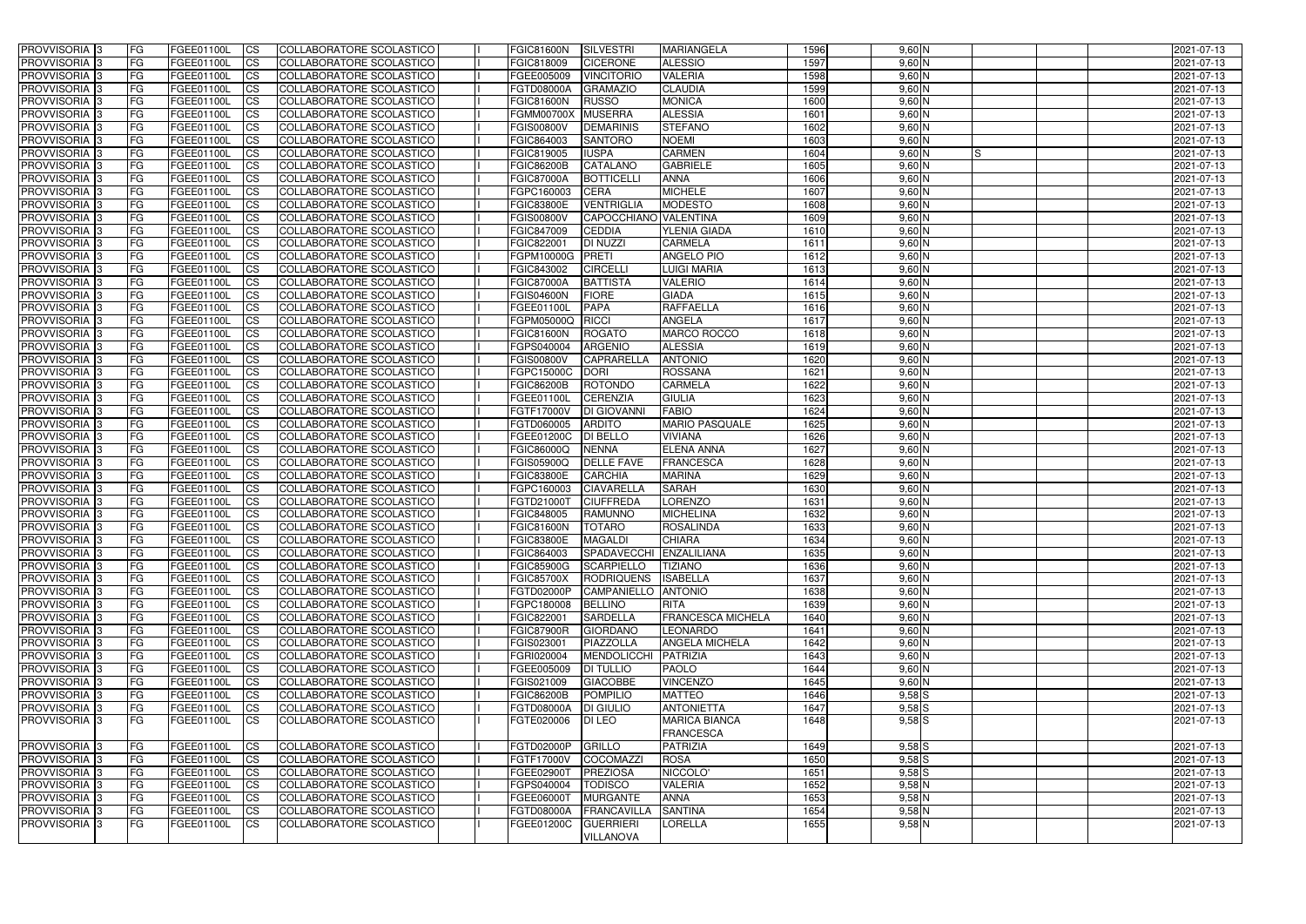| <b>PROVVISORIA 3</b>       | <b>FG</b>       | FGEE01100L    | <b>ICS</b>             | COLLABORATORE SCOLASTICO        | <b>FGIC81600N</b>     | SILVESTRI               | <b>MARIANGELA</b>        | 1596 | $9,60$ N       | 2021-07-13 |
|----------------------------|-----------------|---------------|------------------------|---------------------------------|-----------------------|-------------------------|--------------------------|------|----------------|------------|
| PROVVISORIA <sup>13</sup>  | FG              | FGEE01100L    | <b>ICS</b>             | COLLABORATORE SCOLASTICO        | FGIC818009            | <b>CICERONE</b>         | <b>ALESSIO</b>           | 1597 | $9,60$ N       | 2021-07-13 |
| PROVVISORIA <sup>1</sup> 3 | FG              | FGEE01100L    | <b>CS</b>              | COLLABORATORE SCOLASTICO        | FGEE005009            | <b>VINCITORIO</b>       | <b>VALERIA</b>           | 1598 | $9,60$ N       | 2021-07-13 |
| PROVVISORIA <sup>1</sup> 3 | FG              | FGEE01100L    | <b>CS</b>              | COLLABORATORE SCOLASTICO        | FGTD08000A            | <b>GRAMAZIO</b>         | <b>CLAUDIA</b>           | 1599 | $9,60$ N       | 2021-07-13 |
| PROVVISORIA <sup>1</sup> 3 | FG              | FGEE01100L    | <b>ICS</b>             | COLLABORATORE SCOLASTICO        | <b>FGIC81600N</b>     | <b>RUSSO</b>            | <b>MONICA</b>            | 1600 | $9,60$ N       | 2021-07-13 |
| PROVVISORIA 3              | FG              | FGEE01100L    | <b>ICS</b>             | COLLABORATORE SCOLASTICO        | <b>FGMM00700X</b>     | <b>MUSERRA</b>          | <b>ALESSIA</b>           | 1601 | $9,60$ N       | 2021-07-13 |
| PROVVISORIA 3              | FG              | FGEE01100L    | <b>ICS</b>             | COLLABORATORE SCOLASTICO        | <b>FGIS00800V</b>     | <b>DEMARINIS</b>        | <b>STEFANO</b>           | 1602 | $9,60$ N       | 2021-07-13 |
| PROVVISORIA <sup>1</sup> 3 | FG              | FGEE01100L    | <b>ICS</b>             | COLLABORATORE SCOLASTICO        | FGIC864003            | <b>SANTORO</b>          | <b>NOEMI</b>             | 1603 | $9,60$ N       | 2021-07-13 |
| PROVVISORIA 3              | FG              | FGEE01100L    | <b>CS</b>              | COLLABORATORE SCOLASTICO        | FGIC819005            | <b>IUSPA</b>            | <b>CARMEN</b>            | 1604 | $9,60$ N<br>IS | 2021-07-13 |
| PROVVISORIA 3              | <b>FG</b>       | FGEE01100L    | <b>CS</b>              | COLLABORATORE SCOLASTICO        | <b>FGIC86200B</b>     | CATALANO                | <b>GABRIELE</b>          | 1605 | $9,60$ N       | 2021-07-13 |
| PROVVISORIA <sup>1</sup> 3 | <b>FG</b>       | FGEE01100L    | <b>ICS</b>             | COLLABORATORE SCOLASTICO        | <b>FGIC87000A</b>     | <b>BOTTICELL</b>        | <b>ANNA</b>              | 1606 | $9,60$ N       | 2021-07-13 |
| PROVVISORIA <sup>3</sup>   | FG              | FGEE01100L    | <b>ICS</b>             | COLLABORATORE SCOLASTICO        | FGPC160003            | <b>CERA</b>             | <b>MICHELE</b>           | 1607 | $9,60$ N       | 2021-07-13 |
| PROVVISORIA <sup>1</sup> 3 | FG              | FGEE01100L    | <b>ICS</b>             | COLLABORATORE SCOLASTICO        | <b>FGIC83800E</b>     | <b>VENTRIGLIA</b>       | <b>MODESTO</b>           | 1608 | $9,60$ N       | 2021-07-13 |
| <b>PROVVISORIA</b>         | FG              | FGEE01100L    | <b>ICS</b>             | COLLABORATORE SCOLASTICO        | <b>FGIS00800V</b>     | CAPOCCHIANO VALENTINA   |                          | 1609 | $9,60$ N       | 2021-07-13 |
| <b>PROVVISORIA</b>         | FG              | FGEE01100L    | <b>ICS</b>             | COLLABORATORE SCOLASTICO        | FGIC847009            | <b>CEDDIA</b>           | <b>YLENIA GIADA</b>      | 1610 | $9,60$ N       | 2021-07-13 |
| PROVVISORIA <sup>1</sup> 3 | FG              | FGEE01100L    | <b>ICS</b>             | COLLABORATORE SCOLASTICO        | FGIC822001            | <b>DI NUZZI</b>         | <b>CARMELA</b>           | 1611 | $9,60$ N       | 2021-07-13 |
| <b>PROVVISORIA</b>         | FG              | FGEE01100L    | <b>ICS</b>             | COLLABORATORE SCOLASTICO        | FGPM10000G            | PRETI                   | <b>ANGELO PIO</b>        | 1612 | $9,60$ N       | 2021-07-13 |
| PROVVISORIA 3              | FG              | FGEE01100L    | <b>ICS</b>             | COLLABORATORE SCOLASTICO        | FGIC843002            | <b>CIRCELLI</b>         | <b>LUIGI MARIA</b>       | 1613 | $9,60$ N       | 2021-07-13 |
| PROVVISORIA <sup>1</sup> 3 | FG              | FGEE01100L    | <b>ICS</b>             | COLLABORATORE SCOLASTICO        | <b>FGIC87000A</b>     | <b>BATTISTA</b>         | <b>VALERIO</b>           | 1614 | $9,60$ N       | 2021-07-13 |
| PROVVISORIA <sup>1</sup> 3 | FG              | FGEE01100L    | <b>ICS</b>             | COLLABORATORE SCOLASTICO        | <b>FGIS04600N</b>     | <b>FIORE</b>            | <b>GIADA</b>             | 1615 | $9,60$ N       | 2021-07-13 |
| PROVVISORIA <sup>1</sup> 3 | FG              | FGEE01100L    | <b>CS</b>              | COLLABORATORE SCOLASTICO        | FGEE01100L            | <b>PAPA</b>             | <b>RAFFAELLA</b>         | 1616 | $9,60$ N       | 2021-07-13 |
| PROVVISORIA <sup>1</sup> 3 | FG              | FGEE01100L    | <b>CS</b>              | COLLABORATORE SCOLASTICO        | FGPM05000Q            | <b>RICCI</b>            | <b>ANGELA</b>            | 1617 | $9,60$ N       | 2021-07-13 |
| PROVVISORIA <sup>3</sup>   |                 | FGEE01100L    |                        | <b>COLLABORATORE SCOLASTICO</b> |                       | <b>ROGATO</b>           | MARCO ROCCO              | 1618 | $9,60$ N       |            |
| PROVVISORIA <sup>1</sup> 3 | FG<br><b>FG</b> | FGEE01100L    | <b>CS</b>              | COLLABORATORE SCOLASTICO        | <b>FGIC81600N</b>     | <b>ARGENIO</b>          | <b>ALESSIA</b>           | 1619 | $9,60$ N       | 2021-07-13 |
|                            |                 |               | <b>CS</b>              |                                 | FGPS040004            |                         | <b>ANTONIO</b>           | 1620 | $9,60$ N       | 2021-07-13 |
| PROVVISORIA 3              | FG              | FGEE01100L    | <b>CS</b>              | COLLABORATORE SCOLASTICO        | <b>FGIS00800V</b>     | <b>CAPRARELLA</b>       |                          |      |                | 2021-07-13 |
| PROVVISORIA <sup>1</sup> 3 | FG              | FGEE01100L    | <b>ICS</b>             | COLLABORATORE SCOLASTICO        | FGPC15000C            | DORI                    | <b>ROSSANA</b>           | 1621 | $9,60$ N       | 2021-07-13 |
| <b>PROVVISORIA</b>         | FG              | FGEE01100L    | <b>CS</b>              | <b>COLLABORATORE SCOLASTICO</b> | <b>FGIC86200B</b>     | <b>ROTONDO</b>          | <b>CARMELA</b>           | 1622 | $9,60$ N       | 2021-07-13 |
| PROVVISORIA 3              | FG              | FGEE01100L    | <b>CS</b>              | COLLABORATORE SCOLASTICO        | FGEE01100L            | <b>CERENZIA</b>         | <b>GIULIA</b>            | 1623 | $9,60$ N       | 2021-07-13 |
| PROVVISORIA <sup>1</sup> 3 | FG              | FGEE01100L    | <b>CS</b>              | COLLABORATORE SCOLASTICO        | FGTF17000V            | <b>DI GIOVANN</b>       | <b>FABIO</b>             | 1624 | $9,60$ N       | 2021-07-13 |
| PROVVISORIA 3              | FG              | FGEE01100L    | <b>CS</b>              | COLLABORATORE SCOLASTICO        | FGTD060005            | <b>ARDITO</b>           | <b>MARIO PASQUALE</b>    | 1625 | $9,60$ N       | 2021-07-13 |
| PROVVISORIA                | FG              | FGEE01100L    | <b>CS</b>              | COLLABORATORE SCOLASTICO        | FGEE01200C            | <b>DI BELLO</b>         | <b>VIVIANA</b>           | 1626 | $9,60$ N       | 2021-07-13 |
| PROVVISORIA 3              | FG              | FGEE01100L    | <b>ICS</b>             | COLLABORATORE SCOLASTICO        | FGIC86000Q            | <b>NENNA</b>            | <b>ELENA ANNA</b>        | 1627 | $9,60$ N       | 2021-07-13 |
| PROVVISORIA 3              | FG              | FGEE01100L    | <b>ICS</b>             | COLLABORATORE SCOLASTICO        | FGIS05900Q            | <b>DELLE FAVE</b>       | <b>FRANCESCA</b>         | 1628 | $9,60$ N       | 2021-07-13 |
| PROVVISORIA 3              | <b>FG</b>       | FGEE01100L    | <b>ICS</b>             | COLLABORATORE SCOLASTICO        | <b>FGIC83800E</b>     | <b>CARCHIA</b>          | <b>MARINA</b>            | 1629 | $9,60$ N       | 2021-07-13 |
| PROVVISORIA 3              | <b>FG</b>       | FGEE01100L    | <b>CS</b>              | COLLABORATORE SCOLASTICO        | FGPC160003            | <b>CIAVARELLA</b>       | <b>SARAH</b>             | 1630 | $9,60$ N       | 2021-07-13 |
| <b>PROVVISORIA</b>         | <b>FG</b>       | FGEE01100L    | <b>CS</b>              | COLLABORATORE SCOLASTICO        | FGTD21000T            | <b>CIUFFREDA</b>        | LORENZO                  | 1631 | $9,60$ N       | 2021-07-13 |
| PROVVISORIA <sup>1</sup> 3 | FG              | FGEE01100L    | <b>ICS</b>             | COLLABORATORE SCOLASTICO        | FGIC848005            | <b>RAMUNNO</b>          | <b>MICHELINA</b>         | 1632 | $9,60$ N       | 2021-07-13 |
| PROVVISORIA 3              | FG              | FGEE01100L    | <b>ICS</b>             | COLLABORATORE SCOLASTICO        | <b>FGIC81600N</b>     | <b>TOTARO</b>           | <b>ROSALINDA</b>         | 1633 | $9,60$ N       | 2021-07-13 |
| PROVVISORIA 3              | IFG.            | FGEE01100L CS |                        | COLLABORATORE SCOLASTICO        | FGIC83800E   MAGALDI  |                         | <b>CHIARA</b>            | 1634 | $9,60$ N       | 2021-07-13 |
| PROVVISORIA 3              | l FG            | FGEE01100L    | $\overline{\text{CS}}$ | COLLABORATORE SCOLASTICO        | FGIC864003            | SPADAVECCHI ENZALILIANA |                          | 1635 | $9,60$ N       | 2021-07-13 |
| PROVVISORIA 3              | <b>FG</b>       | FGEE01100L    | CS                     | COLLABORATORE SCOLASTICO        | FGIC85900G SCARPIELLO |                         | <b>TIZIANO</b>           | 1636 | $9,60$ N       | 2021-07-13 |
| PROVVISORIA 3              | <b>FG</b>       | FGEE01100L    | $\overline{\text{CS}}$ | COLLABORATORE SCOLASTICO        | <b>FGIC85700X</b>     | RODRIQUENS              | <b>ISABELLA</b>          | 1637 | $9,60$ N       | 2021-07-13 |
| PROVVISORIA 3              | l FG            | FGEE01100L    | <b>CS</b>              | COLLABORATORE SCOLASTICO        | <b>FGTD02000P</b>     | CAMPANIELLO ANTONIO     |                          | 1638 | $9,60$ N       | 2021-07-13 |
| PROVVISORIA 3              | FG              | FGEE01100L    | <b>CS</b>              | COLLABORATORE SCOLASTICO        | FGPC180008            | <b>BELLINO</b>          | <b>RITA</b>              | 1639 | $9,60$ N       | 2021-07-13 |
| PROVVISORIA 3              | FG              | FGEE01100L    | $\mathsf{ICS}$         | COLLABORATORE SCOLASTICO        | FGIC822001            | <b>SARDELLA</b>         | <b>FRANCESCA MICHELA</b> | 1640 | $9,60$ N       | 2021-07-13 |
| PROVVISORIA 3              | <b>FG</b>       | FGEE01100L    | <b>CS</b>              | COLLABORATORE SCOLASTICO        | <b>FGIC87900R</b>     | <b>GIORDANO</b>         | <b>LEONARDO</b>          | 1641 | $9,60$ N       | 2021-07-13 |
| PROVVISORIA 3              | <b>FG</b>       | FGEE01100L    | <b>CS</b>              | COLLABORATORE SCOLASTICO        | FGIS023001            | PIAZZOLLA               | <b>ANGELA MICHELA</b>    | 1642 | $9,60$ N       | 2021-07-13 |
| PROVVISORIA 3              | <b>FG</b>       | FGEE01100L    | <b>CS</b>              | COLLABORATORE SCOLASTICO        | FGRI020004            | MENDOLICCHI             | PATRIZIA                 | 1643 | $9,60$ N       | 2021-07-13 |
| PROVVISORIA 3              | <b>FG</b>       | FGEE01100L    | <b>CS</b>              | COLLABORATORE SCOLASTICO        | FGEE005009            | <b>DI TULLIO</b>        | <b>PAOLO</b>             | 1644 | $9,60$ N       | 2021-07-13 |
| PROVVISORIA 3              | <b>FG</b>       | FGEE01100L    | <b>CS</b>              | COLLABORATORE SCOLASTICO        | FGIS021009            | <b>GIACOBBE</b>         | <b>VINCENZO</b>          | 1645 | $9,60$ N       | 2021-07-13 |
| PROVVISORIA 3              | <b>FG</b>       | FGEE01100L    | <b>CS</b>              | COLLABORATORE SCOLASTICO        | <b>FGIC86200B</b>     | POMPILIO                | <b>MATTEO</b>            | 1646 | $9,58$ $S$     | 2021-07-13 |
| PROVVISORIA 3              | <b>FG</b>       | FGEE01100L    | <b>CS</b>              | COLLABORATORE SCOLASTICO        | FGTD08000A            | <b>DI GIULIO</b>        | <b>ANTONIETTA</b>        | 1647 | $9,58$ $S$     | 2021-07-13 |
| PROVVISORIA 3              | l FG            | FGEE01100L    | <b>ICS</b>             | COLLABORATORE SCOLASTICO        | FGTE020006            | DI LEO                  | <b>MARICA BIANCA</b>     | 1648 | $9,58$ S       | 2021-07-13 |
|                            |                 |               |                        |                                 |                       |                         | <b>FRANCESCA</b>         |      |                |            |
| PROVVISORIA 3              | l FG            | FGEE01100L    | <b>CS</b>              | COLLABORATORE SCOLASTICO        | FGTD02000P            | GRILLO                  | <b>PATRIZIA</b>          | 1649 | $9,58$ $S$     | 2021-07-13 |
| PROVVISORIA 3              | <b>FG</b>       | FGEE01100L    | <b>CS</b>              | COLLABORATORE SCOLASTICO        | FGTF17000V COCOMAZZI  |                         | <b>ROSA</b>              | 1650 | $9,58$ $S$     | 2021-07-13 |
| PROVVISORIA 3              | FG              | FGEE01100L    | <b>CS</b>              | COLLABORATORE SCOLASTICO        | FGEE02900T            | PREZIOSA                | NICCOLO'                 | 1651 | $9,58$ $S$     | 2021-07-13 |
| PROVVISORIA 3              | <b>FG</b>       | FGEE01100L    | <b>CS</b>              | COLLABORATORE SCOLASTICO        | FGPS040004            | <b>TODISCO</b>          | <b>VALERIA</b>           | 1652 | $9,58$ N       | 2021-07-13 |
| PROVVISORIA 3              | <b>FG</b>       | FGEE01100L    | <b>CS</b>              | COLLABORATORE SCOLASTICO        | FGEE06000T            | <b>MURGANTE</b>         | <b>ANNA</b>              | 1653 | $9,58$ N       | 2021-07-13 |
| PROVVISORIA 3              | <b>FG</b>       | FGEE01100L    | <b>CS</b>              | COLLABORATORE SCOLASTICO        | FGTD08000A            | FRANCAVILLA             | <b>SANTINA</b>           | 1654 | $9,58$ N       | 2021-07-13 |
| PROVVISORIA <sup>3</sup>   | l FG            | FGEE01100L    | <b>ICS</b>             | COLLABORATORE SCOLASTICO        | FGEE01200C            | <b>GUERRIERI</b>        | <b>LORELLA</b>           | 1655 | $9,58$ N       | 2021-07-13 |
|                            |                 |               |                        |                                 |                       |                         |                          |      |                |            |
|                            |                 |               |                        |                                 |                       | <b>VILLANOVA</b>        |                          |      |                |            |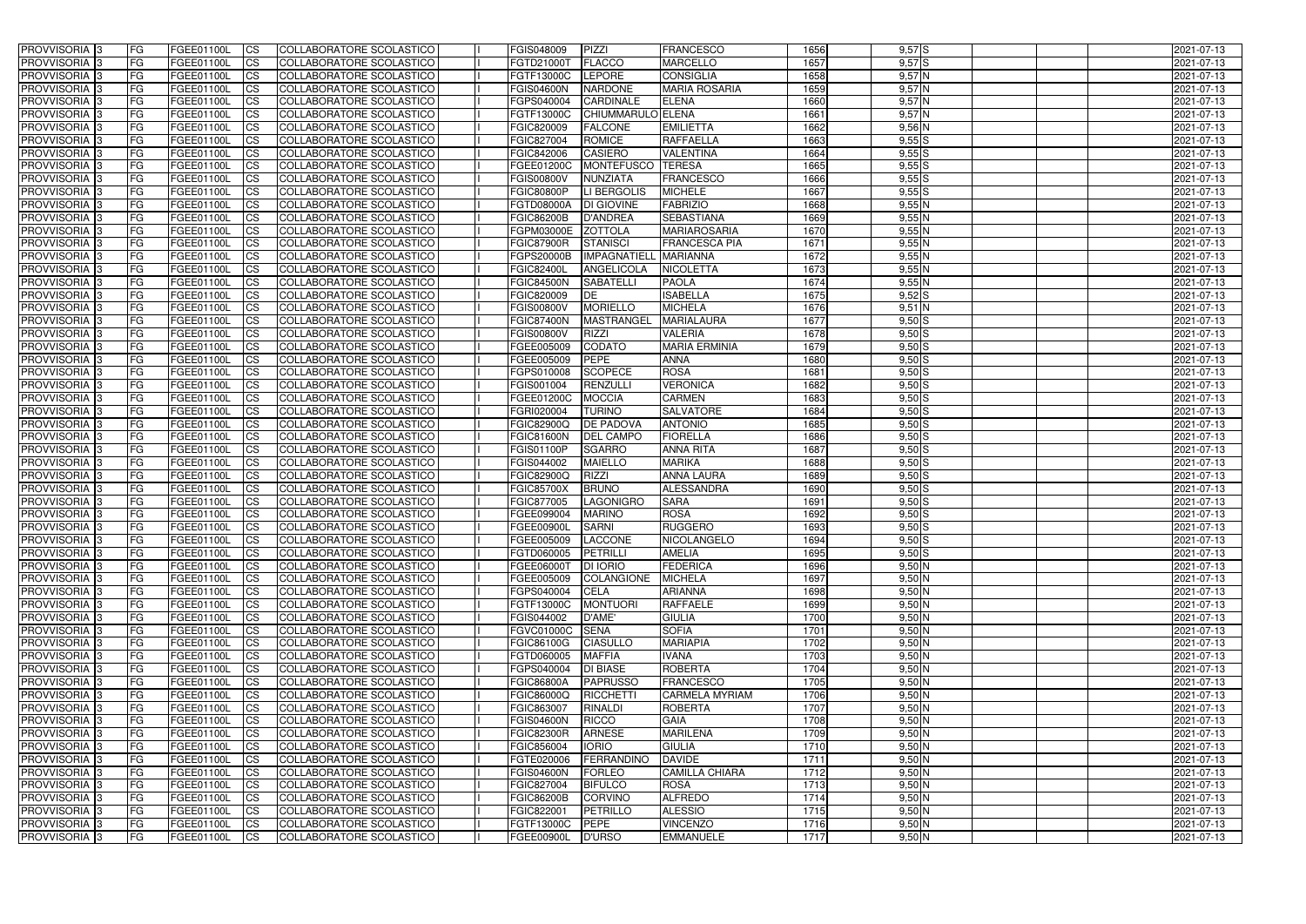| <b>PROVVISORIA</b> 3                      | l FG                   | FGEE01100L               | <b>ICS</b>             | COLLABORATORE SCOLASTICO                                    | FGIS048009                      | PIZZI                            | <b>FRANCESCO</b>                       | 1656         | $9,57$ $S$           | 2021-07-13               |
|-------------------------------------------|------------------------|--------------------------|------------------------|-------------------------------------------------------------|---------------------------------|----------------------------------|----------------------------------------|--------------|----------------------|--------------------------|
| <b>PROVVISORIA 3</b>                      | FG                     | FGEE01100L               | <b>ICS</b>             | COLLABORATORE SCOLASTICO                                    | FGTD21000T                      | <b>FLACCO</b>                    | <b>MARCELLO</b>                        | 1657         | $9,57$ $S$           | 2021-07-13               |
| PROVVISORIA <sup>1</sup> 3                | FG                     | FGEE01100L               | <b>CS</b>              | <b>COLLABORATORE SCOLASTICO</b>                             | FGTF13000C                      | LEPORE                           | <b>CONSIGLIA</b>                       | 1658         | 9,57N                | 2021-07-13               |
| PROVVISORIA                               | FG                     | FGEE01100L               | <b>CS</b>              | COLLABORATORE SCOLASTICO                                    | <b>FGIS04600N</b>               | <b>NARDONE</b>                   | <b>MARIA ROSARIA</b>                   | 1659         | 9,57N                | 2021-07-13               |
| <b>PROVVISORIA 3</b>                      | FG                     | FGEE01100L               | <b>CS</b>              | COLLABORATORE SCOLASTICO                                    | FGPS040004                      | <b>CARDINALE</b>                 | <b>ELENA</b>                           | 1660         | 9,57 N               | 2021-07-13               |
| PROVVISORIA <sup>1</sup> 3                | FG                     | FGEE01100L               | <b>CS</b>              | COLLABORATORE SCOLASTICO                                    | FGTF13000C                      | CHIUMMARULO ELENA                |                                        | 1661         | 9,57N                | 2021-07-13               |
| PROVVISORIA <sup>1</sup> 3                | FG                     | FGEE01100L               | <b>CS</b>              | COLLABORATORE SCOLASTICO                                    | FGIC820009                      | <b>FALCONE</b>                   | <b>EMILIETTA</b>                       | 1662         | $9,56$ N             | 2021-07-13               |
| PROVVISORIA 3                             | FG                     | FGEE01100L               | <b>ICS</b>             | COLLABORATORE SCOLASTICO                                    | FGIC827004                      | <b>ROMICE</b>                    | <b>RAFFAELLA</b>                       | 1663         | $9,55$ S             | 2021-07-13               |
| PROVVISORIA 3                             | FG                     | FGEE01100L               | <b>CS</b>              | COLLABORATORE SCOLASTICO                                    | FGIC842006                      | <b>CASIERO</b>                   | <b>VALENTINA</b>                       | 1664         | $9,55$ S             | 2021-07-13               |
| PROVVISORIA 3                             | <b>FG</b>              | FGEE01100L               | <b>ICS</b>             | COLLABORATORE SCOLASTICO                                    | FGEE01200C                      | MONTEFUSCO                       | <b>TERESA</b>                          | 1665         | 9,55S                | 2021-07-13               |
| PROVVISORIA 3                             | FG                     | FGEE01100L               | <b>ICS</b>             | COLLABORATORE SCOLASTICO                                    | <b>FGIS00800V</b>               | <b>NUNZIATA</b>                  | <b>FRANCESCO</b>                       | 1666         | 9,55S                | 2021-07-13               |
| <b>PROVVISORIA</b>                        | FG                     | FGEE01100L               | <b>ICS</b>             | COLLABORATORE SCOLASTICO                                    | <b>FGIC80800P</b>               | <b>LI BERGOLIS</b>               | <b>MICHELE</b>                         | 1667         | $9,55$ $S$           | 2021-07-13               |
| <b>PROVVISORIA</b>                        | FG                     | FGEE01100L               | <b>ICS</b>             | COLLABORATORE SCOLASTICO                                    | <b>FGTD08000A</b>               | DI GIOVINE                       | <b>FABRIZIO</b>                        | 1668         | $9,55$ N             | 2021-07-13               |
| <b>PROVVISORIA</b>                        | FG                     | FGEE01100L               | <b>ICS</b>             | COLLABORATORE SCOLASTICO                                    | <b>FGIC86200B</b>               | <b>D'ANDREA</b>                  | <b>SEBASTIANA</b>                      | 1669         | $9,55$ N             | 2021-07-13               |
| <b>PROVVISORIA</b>                        | FG                     | FGEE01100L               | <b>ICS</b>             | COLLABORATORE SCOLASTICO                                    | FGPM03000E                      | <b>ZOTTOLA</b>                   | <b>MARIAROSARIA</b>                    | 1670         | $9,55$ N             | 2021-07-13               |
| <b>PROVVISORIA</b>                        | FG                     | FGEE01100L               | <b>ICS</b>             | COLLABORATORE SCOLASTICO                                    | <b>FGIC87900R</b>               | <b>STANISCI</b>                  | <b>FRANCESCA PIA</b>                   | 1671         | $9,55$ N             | 2021-07-13               |
| <b>PROVVISORIA</b>                        | FG                     | <b>FGEE01100L</b>        | <b>ICS</b>             | COLLABORATORE SCOLASTICO                                    | <b>FGPS20000B</b>               | <b>IMPAGNATIELL</b>              | <b>MARIANNA</b>                        | 1672         | $9,55$ N             | 2021-07-13               |
| <b>PROVVISORIA</b>                        | FG                     | FGEE01100L               | <b>ICS</b>             | COLLABORATORE SCOLASTICO                                    | <b>FGIC82400L</b>               | ANGELICOLA                       | <b>NICOLETTA</b>                       | 1673         | $9,55$ N             | 2021-07-13               |
| PROVVISORIA <sup>3</sup>                  | FG                     | FGEE01100L               | <b>ICS</b>             | COLLABORATORE SCOLASTICO                                    | <b>FGIC84500N</b>               | <b>SABATELLI</b>                 | <b>PAOLA</b>                           | 1674         | 9,55N                | 2021-07-13               |
| PROVVISORIA <sup>3</sup>                  | FG                     | FGEE01100L               | <b>ICS</b>             | COLLABORATORE SCOLASTICO                                    | FGIC820009                      | DE                               | <b>ISABELLA</b>                        | 1675         | $9,52$ S             | 2021-07-13               |
| PROVVISORIA <sup>1</sup> 3                | FG                     | FGEE01100L               | <b>ICS</b>             | COLLABORATORE SCOLASTICO                                    | <b>FGIS00800V</b>               | <b>MORIELLO</b>                  | <b>MICHELA</b>                         | 1676         | $9,51$ N             | 2021-07-13               |
| PROVVISORIA 3                             | FG                     | FGEE01100L               | <b>ICS</b>             | COLLABORATORE SCOLASTICO                                    | <b>FGIC87400N</b>               | <b>MASTRANGEL</b>                | <b>MARIALAURA</b>                      | 1677         | $9,50$ S             | 2021-07-13               |
| PROVVISORIA 3<br>PROVVISORIA <sup>3</sup> | FG                     | FGEE01100L<br>FGEE01100L | <b>ICS</b>             | <b>COLLABORATORE SCOLASTICO</b><br>COLLABORATORE SCOLASTICO | <b>FGIS00800V</b><br>FGEE005009 | <b>RIZZI</b><br><b>CODATO</b>    | <b>VALERIA</b><br><b>MARIA ERMINIA</b> | 1678<br>1679 | $9,50$ S<br>$9,50$ S | 2021-07-13               |
| PROVVISORIA <sup>1</sup> 3                | FG<br>FG               | FGEE01100L               | <b>CS</b><br><b>CS</b> | COLLABORATORE SCOLASTICO                                    | FGEE005009                      | <b>PEPE</b>                      | <b>ANNA</b>                            | 1680         | $9,50$ S             | 2021-07-13<br>2021-07-13 |
| PROVVISORIA <sup>1</sup> 3                | FG                     | FGEE01100L               | <b>ICS</b>             | COLLABORATORE SCOLASTICO                                    | FGPS010008                      | <b>SCOPECE</b>                   | <b>ROSA</b>                            | 1681         | $9,50$ S             | 2021-07-13               |
| PROVVISORIA 3                             | FG                     | FGEE01100L               | <b>ICS</b>             | COLLABORATORE SCOLASTICO                                    | FGIS001004                      | RENZULLI                         | <b>VERONICA</b>                        | 1682         | $9,50$ S             | 2021-07-13               |
| PROVVISORIA                               | FG                     | FGEE01100L               | <b>ICS</b>             | COLLABORATORE SCOLASTICO                                    | FGEE01200C                      | <b>MOCCIA</b>                    | <b>CARMEN</b>                          | 1683         | $9,50$ $S$           | 2021-07-13               |
| PROVVISORIA                               | FG                     | FGEE01100L               | <b>CS</b>              | <b>COLLABORATORE SCOLASTICO</b>                             | FGRI020004                      | <b>TURINO</b>                    | <b>SALVATORE</b>                       | 1684         | $9,50$ $S$           | 2021-07-13               |
| PROVVISORIA                               | FG                     | FGEE01100L               | <b>CS</b>              | COLLABORATORE SCOLASTICO                                    | <b>FGIC82900Q</b>               | <b>DE PADOVA</b>                 | <b>ANTONIO</b>                         | 1685         | $9,50$ $S$           | 2021-07-13               |
| PROVVISORIA                               | FG                     | FGEE01100L               | <b>CS</b>              | COLLABORATORE SCOLASTICO                                    | FGIC81600N                      | <b>DEL CAMPO</b>                 | <b>FIORELLA</b>                        | 1686         | $9,50$ S             | 2021-07-13               |
| PROVVISORIA <sup>1</sup> 3                | FG                     | FGEE01100L               | <b>CS</b>              | COLLABORATORE SCOLASTICO                                    | FGIS01100P                      | <b>SGARRO</b>                    | <b>ANNA RITA</b>                       | 1687         | $9,50$ S             | 2021-07-13               |
| PROVVISORIA <sup>1</sup> 3                | FG                     | FGEE01100L               | <b>CS</b>              | COLLABORATORE SCOLASTICO                                    | FGIS044002                      | <b>MAIELLO</b>                   | <b>MARIKA</b>                          | 1688         | $9,50$ S             | 2021-07-13               |
| PROVVISORIA 3                             | FG                     | FGEE01100L               | <b>CS</b>              | <b>COLLABORATORE SCOLASTICO</b>                             | FGIC82900Q                      | <b>RIZZI</b>                     | <b>ANNA LAURA</b>                      | 1689         | $9,50$ S             | 2021-07-13               |
| <b>PROVVISORIA</b>                        | FG                     | FGEE01100L               | <b>ICS</b>             | COLLABORATORE SCOLASTICO                                    | <b>FGIC85700X</b>               | <b>BRUNO</b>                     | ALESSANDRA                             | 1690         | $9,50$ S             | 2021-07-13               |
| PROVVISORIA <sup>1</sup> 3                | <b>FG</b>              | FGEE01100L               | <b>ICS</b>             | COLLABORATORE SCOLASTICO                                    | FGIC877005                      | LAGONIGRO                        | <b>SARA</b>                            | 1691         | $9,50$ S             | 2021-07-13               |
| PROVVISORIA 3                             | FG                     | FGEE01100L               | <b>ICS</b>             | COLLABORATORE SCOLASTICO                                    | FGEE099004                      | <b>MARINO</b>                    | <b>ROSA</b>                            | 1692         | $9,50$ S             | 2021-07-13               |
| <b>PROVVISORIA</b>                        | <b>FG</b>              | FGEE01100L               | <b>ICS</b>             | COLLABORATORE SCOLASTICO                                    | <b>FGEE00900L</b>               | <b>SARNI</b>                     | <b>RUGGERO</b>                         | 1693         | $9,50$ S             | 2021-07-13               |
| PROVVISORIA 3                             | FG                     | FGEE01100L               | CS                     | COLLABORATORE SCOLASTICO                                    | FGEE005009  LACCONE             |                                  | NICOLANGELO                            | 1694         | $9,50$ S             | 2021-07-13               |
| <b>PROVVISORIA</b> 3                      | <b>FG</b>              | FGEE01100L               | $\mathsf{ICS}$         | COLLABORATORE SCOLASTICO                                    | FGTD060005                      | PETRILLI                         | <b>AMELIA</b>                          | 1695         | $9,50$ S             | 2021-07-13               |
| PROVVISORIA 3                             | <b>FG</b>              | <b>FGEE01100L</b>        | $\mathsf{ICS}$         | COLLABORATORE SCOLASTICO                                    | FGEE06000T   DI IORIO           |                                  | <b>FEDERICA</b>                        | 1696         | $9,50$ N             | 2021-07-13               |
| PROVVISORIA 3                             | <b>FG</b>              | FGEE01100L               | $\mathsf{ICS}$         | COLLABORATORE SCOLASTICO                                    |                                 | FGEE005009 COLANGIONE            | <b>MICHELA</b>                         | 1697         | $9,50$ N             | 2021-07-13               |
| PROVVISORIA 3                             | FG                     | FGEE01100L               | $\mathsf{ICS}$         | COLLABORATORE SCOLASTICO                                    | FGPS040004                      | <b>CELA</b>                      | <b>ARIANNA</b>                         | 1698         | $9,50$ N             | 2021-07-13               |
| PROVVISORIA 3                             | l FG                   | FGEE01100L               | <b>CS</b>              | COLLABORATORE SCOLASTICO                                    | FGTF13000C                      | <b>MONTUORI</b>                  | <b>RAFFAELE</b>                        | 1699         | $9,50$ N             | 2021-07-13               |
| PROVVISORIA 3                             | <b>FG</b>              | FGEE01100L               | <b>CS</b>              | COLLABORATORE SCOLASTICO                                    | FGIS044002                      | D'AME'                           | <b>GIULIA</b>                          | 1700         | $9,50$ N             | 2021-07-13               |
| PROVVISORIA 3                             | FG                     | <b>FGEE01100L</b>        | <b>CS</b>              | COLLABORATORE SCOLASTICO                                    | <b>FGVC01000C</b>               | <b>SENA</b>                      | <b>SOFIA</b>                           | 1701         | $9,50$ N             | 2021-07-13               |
| PROVVISORIA 3                             | <b>FG</b>              | FGEE01100L               | <b>CS</b>              | COLLABORATORE SCOLASTICO                                    | FGIC86100G                      | <b>CIASULLO</b>                  | <b>MARIAPIA</b>                        | 1702         | $9,50$ N             | 2021-07-13               |
| PROVVISORIA 3<br>PROVVISORIA 3            | <b>FG</b><br><b>FG</b> | FGEE01100L<br>FGEE01100L | <b>CS</b>              | COLLABORATORE SCOLASTICO<br>COLLABORATORE SCOLASTICO        | FGTD060005<br>FGPS040004        | <b>MAFFIA</b><br><b>DI BIASE</b> | <b>IVANA</b><br><b>ROBERTA</b>         | 1703<br>1704 | $9,50$ N<br>$9,50$ N | 2021-07-13<br>2021-07-13 |
| PROVVISORIA 3                             | <b>FG</b>              | FGEE01100L               | <b>CS</b><br><b>CS</b> | COLLABORATORE SCOLASTICO                                    | <b>FGIC86800A</b>               | <b>PAPRUSSO</b>                  | <b>FRANCESCO</b>                       | 1705         | $9,50$ N             | 2021-07-13               |
| PROVVISORIA 3                             | <b>FG</b>              | FGEE01100L               | <b>CS</b>              | COLLABORATORE SCOLASTICO                                    | FGIC86000Q                      | RICCHETTI                        | <b>CARMELA MYRIAM</b>                  | 1706         | $9,50$ N             | 2021-07-13               |
| PROVVISORIA 3                             | <b>FG</b>              | FGEE01100L               | <b>CS</b>              | COLLABORATORE SCOLASTICO                                    | FGIC863007                      | RINALDI                          | <b>ROBERTA</b>                         | 1707         | $9,50$ N             | 2021-07-13               |
| PROVVISORIA 3                             | <b>FG</b>              | FGEE01100L               | <b>CS</b>              | COLLABORATORE SCOLASTICO                                    | <b>FGIS04600N</b>               | RICCO                            | <b>GAIA</b>                            | 1708         | $9,50$ N             | 2021-07-13               |
| PROVVISORIA 3                             | <b>FG</b>              | FGEE01100L               | <b>CS</b>              | COLLABORATORE SCOLASTICO                                    | <b>FGIC82300R</b>               | <b>ARNESE</b>                    | <b>MARILENA</b>                        | 1709         | $9,50$ N             | 2021-07-13               |
| PROVVISORIA 3                             | FG                     | FGEE01100L               | <b>CS</b>              | COLLABORATORE SCOLASTICO                                    | FGIC856004                      | <b>IORIO</b>                     | <b>GIULIA</b>                          | 1710         | $9,50$ N             | 2021-07-13               |
| PROVVISORIA 3                             | <b>FG</b>              | FGEE01100L               | <b>CS</b>              | COLLABORATORE SCOLASTICO                                    | FGTE020006                      | FERRANDINO                       | <b>DAVIDE</b>                          | 1711         | $9,50$ N             | 2021-07-13               |
| PROVVISORIA 3                             | <b>FG</b>              | FGEE01100L               | <b>CS</b>              | COLLABORATORE SCOLASTICO                                    | <b>FGIS04600N</b>               | <b>FORLEO</b>                    | <b>CAMILLA CHIARA</b>                  | 1712         | $9,50$ N             | 2021-07-13               |
| PROVVISORIA 3                             | FG                     | FGEE01100L               | <b>CS</b>              | COLLABORATORE SCOLASTICO                                    | FGIC827004                      | <b>BIFULCO</b>                   | <b>ROSA</b>                            | 1713         | $9,50$ N             | 2021-07-13               |
| PROVVISORIA 3                             | FG                     | <b>FGEE01100L</b>        | <b>CS</b>              | COLLABORATORE SCOLASTICO                                    | <b>FGIC86200B</b>               | <b>CORVINO</b>                   | <b>ALFREDO</b>                         | 1714         | $9,50$ N             | 2021-07-13               |
| PROVVISORIA 3                             | <b>FG</b>              | FGEE01100L               | <b>CS</b>              | COLLABORATORE SCOLASTICO                                    | FGIC822001                      | PETRILLO                         | <b>ALESSIO</b>                         | 1715         | $9,50$ N             | 2021-07-13               |
| PROVVISORIA 3                             | <b>FG</b>              | FGEE01100L               | $\overline{\text{CS}}$ | COLLABORATORE SCOLASTICO                                    | FGTF13000C                      | PEPE                             | <b>VINCENZO</b>                        | 1716         | $9,50$ N             | 2021-07-13               |
| PROVVISORIA 3                             | <b>FG</b>              | FGEE01100L               | $\overline{\text{CS}}$ | COLLABORATORE SCOLASTICO                                    | <b>FGEE00900L</b>               | <b>D'URSO</b>                    | <b>EMMANUELE</b>                       | 1717         | $9,50$ N             | 2021-07-13               |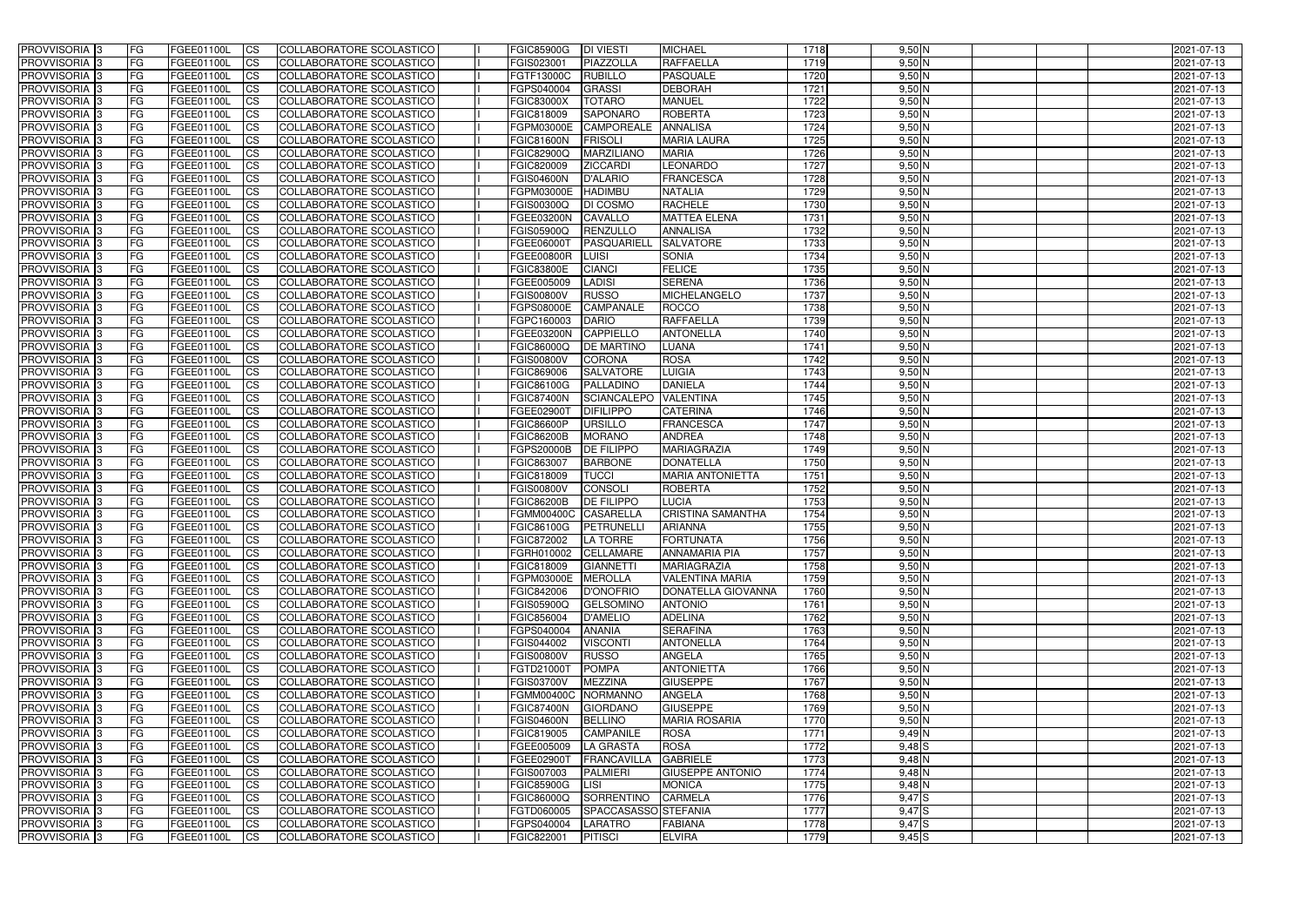| <b>PROVVISORIA</b> 3       | l FG      | FGEE01100L               | <b>ICS</b>             | COLLABORATORE SCOLASTICO        | <b>FGIC85900G</b>    | <b>DI VIESTI</b>     | <b>MICHAEL</b>              | 1718 | $9,50$ N   | 2021-07-13 |
|----------------------------|-----------|--------------------------|------------------------|---------------------------------|----------------------|----------------------|-----------------------------|------|------------|------------|
| <b>PROVVISORIA 3</b>       | FG        | FGEE01100L               | <b>ICS</b>             | COLLABORATORE SCOLASTICO        | FGIS023001           | PIAZZOLLA            | <b>RAFFAELLA</b>            | 1719 | $9,50$ N   | 2021-07-13 |
| <b>PROVVISORIA</b>         | FG        | FGEE01100L               | <b>CS</b>              | <b>COLLABORATORE SCOLASTICO</b> | FGTF13000C           | <b>RUBILLO</b>       | <b>PASQUALE</b>             | 1720 | $9,50$ N   | 2021-07-13 |
| PROVVISORIA                | FG        | FGEE01100L               | <b>CS</b>              | COLLABORATORE SCOLASTICO        | FGPS040004           | <b>GRASSI</b>        | <b>DEBORAH</b>              | 1721 | $9,50$ N   | 2021-07-13 |
| PROVVISORIA <sup>1</sup> 3 | FG        | FGEE01100L               | <b>CS</b>              | COLLABORATORE SCOLASTICO        | <b>FGIC83000X</b>    | <b>TOTARO</b>        | <b>MANUEL</b>               | 1722 | $9,50$ N   | 2021-07-13 |
| PROVVISORIA <sup>1</sup> 3 | FG        | FGEE01100L               | <b>CS</b>              | COLLABORATORE SCOLASTICO        | FGIC818009           | <b>SAPONARO</b>      | <b>ROBERTA</b>              | 1723 | $9,50$ N   | 2021-07-13 |
| PROVVISORIA <sup>1</sup> 3 | FG        | FGEE01100L               | <b>CS</b>              | COLLABORATORE SCOLASTICO        | FGPM03000E           | <b>CAMPOREALE</b>    | <b>ANNALISA</b>             | 1724 | $9,50$ N   | 2021-07-13 |
| PROVVISORIA 3              | FG        | FGEE01100L               | <b>ICS</b>             | COLLABORATORE SCOLASTICO        | <b>FGIC81600N</b>    | <b>FRISOLI</b>       | <b>MARIA LAURA</b>          | 1725 | $9,50$ N   | 2021-07-13 |
| PROVVISORIA 3              | FG        | FGEE01100L               | <b>CS</b>              | COLLABORATORE SCOLASTICO        | FGIC82900Q           | <b>MARZILIANO</b>    | <b>MARIA</b>                | 1726 | $9,50$ N   | 2021-07-13 |
| PROVVISORIA 3              | <b>FG</b> | FGEE01100L               | <b>ICS</b>             | COLLABORATORE SCOLASTICO        | FGIC820009           | <b>ZICCARDI</b>      | <b>LEONARDO</b>             | 1727 | $9,50$ N   | 2021-07-13 |
| PROVVISORIA 3              | FG        | FGEE01100L               | <b>ICS</b>             | COLLABORATORE SCOLASTICO        | <b>FGIS04600N</b>    | <b>D'ALARIO</b>      | <b>FRANCESCA</b>            | 1728 | $9,50$ N   | 2021-07-13 |
| <b>PROVVISORIA</b>         | FG        | FGEE01100L               | <b>ICS</b>             | COLLABORATORE SCOLASTICO        | FGPM03000E           | <b>HADIMBU</b>       | <b>NATALIA</b>              | 1729 | $9,50$ N   | 2021-07-13 |
| <b>PROVVISORIA</b>         | FG        | FGEE01100L               | <b>ICS</b>             | COLLABORATORE SCOLASTICO        | FGIS00300Q           | <b>DI COSMO</b>      | <b>RACHELE</b>              | 1730 | $9,50$ N   | 2021-07-13 |
| <b>PROVVISORIA</b>         | FG        | FGEE01100L               | <b>ICS</b>             | COLLABORATORE SCOLASTICO        | FGEE03200N           | <b>CAVALLO</b>       | <b>MATTEA ELENA</b>         | 1731 | $9,50$ N   | 2021-07-13 |
| <b>PROVVISORIA</b>         | FG        | FGEE01100L               | <b>ICS</b>             | COLLABORATORE SCOLASTICO        | FGIS05900Q           | RENZULLO             | <b>ANNALISA</b>             | 1732 | $9,50$ N   | 2021-07-13 |
| <b>PROVVISORIA</b>         | FG        | FGEE01100L               | <b>ICS</b>             | COLLABORATORE SCOLASTICO        | FGEE06000T           | PASQUARIEL           | <b>SALVATORE</b>            | 1733 | $9,50$ N   | 2021-07-13 |
| <b>PROVVISORIA</b>         | FG        | FGEE01100L               | <b>ICS</b>             | COLLABORATORE SCOLASTICO        | <b>FGEE00800R</b>    | LUISI                | <b>SONIA</b>                | 1734 | $9,50$ N   | 2021-07-13 |
| <b>PROVVISORIA</b>         | FG        | FGEE01100L               | <b>ICS</b>             | <b>COLLABORATORE SCOLASTICO</b> | <b>FGIC83800E</b>    | <b>CIANCI</b>        | <b>FELICE</b>               | 1735 | $9,50$ N   | 2021-07-13 |
| PROVVISORIA <sup>3</sup>   | FG        | FGEE01100L               | <b>ICS</b>             | COLLABORATORE SCOLASTICO        | FGEE005009           | <b>LADISI</b>        | <b>SERENA</b>               | 1736 | $9,50$ N   | 2021-07-13 |
| PROVVISORIA 3              | FG        | FGEE01100L               | <b>ICS</b>             | COLLABORATORE SCOLASTICO        | <b>FGIS00800V</b>    | <b>RUSSO</b>         | <b>MICHELANGELO</b>         | 1737 | $9,50$ N   | 2021-07-13 |
| PROVVISORIA <sup>1</sup> 3 | FG        | FGEE01100L               | <b>ICS</b>             | COLLABORATORE SCOLASTICO        | FGPS08000E           | <b>CAMPANALE</b>     | <b>ROCCO</b>                | 1738 | $9,50$ N   | 2021-07-13 |
| PROVVISORIA 3              | FG        | FGEE01100L               | <b>ICS</b>             | COLLABORATORE SCOLASTICO        | FGPC160003           | <b>DARIO</b>         | RAFFAELLA                   | 1739 | $9,50$ N   | 2021-07-13 |
| PROVVISORIA 3              | FG        |                          | <b>ICS</b>             | <b>COLLABORATORE SCOLASTICO</b> |                      | <b>CAPPIELLO</b>     | <b>ANTONELLA</b>            | 1740 | $9,50$ N   |            |
| PROVVISORIA <sup>13</sup>  |           | FGEE01100L<br>FGEE01100L |                        |                                 | FGEE03200N           | <b>DE MARTINO</b>    |                             | 1741 | $9,50$ N   | 2021-07-13 |
|                            | FG        | FGEE01100L               | <b>CS</b>              | COLLABORATORE SCOLASTICO        | FGIC86000Q           |                      | <b>LUANA</b><br><b>ROSA</b> | 1742 | $9,50$ N   | 2021-07-13 |
| PROVVISORIA <sup>1</sup> 3 | FG        |                          | <b>CS</b>              | COLLABORATORE SCOLASTICO        | FGIS00800V           | <b>CORONA</b>        |                             |      |            | 2021-07-13 |
| PROVVISORIA <sup>1</sup> 3 | FG        | FGEE01100L               | <b>ICS</b>             | COLLABORATORE SCOLASTICO        | FGIC869006           | <b>SALVATORE</b>     | <b>LUIGIA</b>               | 1743 | $9,50$ N   | 2021-07-13 |
| PROVVISORIA 3              | FG        | FGEE01100L               | <b>ICS</b>             | COLLABORATORE SCOLASTICO        | FGIC86100G           | PALLADINO            | <b>DANIELA</b>              | 1744 | $9,50$ N   | 2021-07-13 |
| PROVVISORIA                | FG        | FGEE01100L               | <b>ICS</b>             | COLLABORATORE SCOLASTICO        | <b>FGIC87400N</b>    | <b>SCIANCALEPO</b>   | <b>VALENTINA</b>            | 1745 | $9,50$ N   | 2021-07-13 |
| PROVVISORIA                | FG        | FGEE01100L               | <b>CS</b>              | <b>COLLABORATORE SCOLASTICO</b> | FGEE02900T           | <b>DIFILIPPO</b>     | <b>CATERINA</b>             | 1746 | $9,50$ N   | 2021-07-13 |
| PROVVISORIA                | FG        | FGEE01100L               | <b>CS</b>              | COLLABORATORE SCOLASTICO        | <b>FGIC86600P</b>    | <b>URSILLO</b>       | <b>FRANCESCA</b>            | 1747 | $9,50$ N   | 2021-07-13 |
| PROVVISORIA                | FG        | FGEE01100L               | <b>CS</b>              | COLLABORATORE SCOLASTICO        | <b>FGIC86200B</b>    | <b>MORANO</b>        | <b>ANDREA</b>               | 1748 | $9,50$ N   | 2021-07-13 |
| PROVVISORIA <sup>1</sup> 3 | FG        | FGEE01100L               | <b>CS</b>              | COLLABORATORE SCOLASTICO        | FGPS20000B           | <b>DE FILIPPO</b>    | <b>MARIAGRAZIA</b>          | 1749 | $9,50$ N   | 2021-07-13 |
| PROVVISORIA <sup>1</sup> 3 | FG        | FGEE01100L               | <b>CS</b>              | COLLABORATORE SCOLASTICO        | FGIC863007           | <b>BARBONE</b>       | <b>DONATELLA</b>            | 1750 | $9,50$ N   | 2021-07-13 |
| PROVVISORIA 3              | FG        | FGEE01100L               | <b>CS</b>              | <b>COLLABORATORE SCOLASTICO</b> | FGIC818009           | <b>TUCCI</b>         | <b>MARIA ANTONIETTA</b>     | 1751 | $9,50$ N   | 2021-07-13 |
| <b>PROVVISORIA</b>         | FG        | FGEE01100L               | <b>ICS</b>             | COLLABORATORE SCOLASTICO        | <b>FGIS00800V</b>    | <b>CONSOLI</b>       | <b>ROBERTA</b>              | 1752 | $9,50$ N   | 2021-07-13 |
| PROVVISORIA <sup>1</sup> 3 | FG        | FGEE01100L               | <b>ICS</b>             | COLLABORATORE SCOLASTICO        | <b>FGIC86200B</b>    | <b>DE FILIPPO</b>    | LUCIA                       | 1753 | $9,50$ N   | 2021-07-13 |
| <b>PROVVISORIA</b>         | FG        | FGEE01100L               | <b>ICS</b>             | COLLABORATORE SCOLASTICO        | FGMM00400C           | CASARELLA            | <b>CRISTINA SAMANTHA</b>    | 1754 | $9,50$ N   | 2021-07-13 |
| <b>PROVVISORIA</b>         | <b>FG</b> | FGEE01100L               | <b>ICS</b>             | COLLABORATORE SCOLASTICO        | <b>FGIC86100G</b>    | PETRUNELLI           | <b>ARIANNA</b>              | 1755 | $9,50$ N   | 2021-07-13 |
| PROVVISORIA 3              | FG        | FGEE01100L               | CS                     | COLLABORATORE SCOLASTICO        | <b>FGIC872002</b>    | LA TORRE             | <b>FORTUNATA</b>            | 1756 | $9,50$ N   | 2021-07-13 |
| PROVVISORIA 3              | <b>FG</b> | FGEE01100L               | $\mathsf{ICS}$         | COLLABORATORE SCOLASTICO        | FGRH010002 CELLAMARE |                      | <b>ANNAMARIA PIA</b>        | 1757 | $9,50$ N   | 2021-07-13 |
| PROVVISORIA 3              | <b>FG</b> | <b>FGEE01100L</b>        | $\mathsf{ICS}$         | COLLABORATORE SCOLASTICO        | FGIC818009           | <b>GIANNETTI</b>     | <b>MARIAGRAZIA</b>          | 1758 | $9,50$ N   | 2021-07-13 |
| PROVVISORIA 3              | <b>FG</b> | FGEE01100L               | $\mathsf{ICS}$         | COLLABORATORE SCOLASTICO        | FGPM03000E           | <b>MEROLLA</b>       | VALENTINA MARIA             | 1759 | $9,50$ N   | 2021-07-13 |
| PROVVISORIA 3              | FG        | FGEE01100L               | $\mathsf{ICS}$         | COLLABORATORE SCOLASTICO        | FGIC842006           | <b>D'ONOFRIO</b>     | DONATELLA GIOVANNA          | 1760 | $9,50$ N   | 2021-07-13 |
| PROVVISORIA 3              | l FG      | FGEE01100L               | <b>CS</b>              | COLLABORATORE SCOLASTICO        | FGIS05900Q           | <b>GELSOMINO</b>     | <b>ANTONIO</b>              | 1761 | $9,50$ N   | 2021-07-13 |
| PROVVISORIA 3              | <b>FG</b> | FGEE01100L               | $\mathsf{ICS}$         | COLLABORATORE SCOLASTICO        | FGIC856004           | <b>D'AMELIO</b>      | <b>ADELINA</b>              | 1762 | $9,50$ N   | 2021-07-13 |
| PROVVISORIA 3              | FG        | FGEE01100L               | <b>CS</b>              | COLLABORATORE SCOLASTICO        | FGPS040004           | <b>ANANIA</b>        | <b>SERAFINA</b>             | 1763 | $9,50$ N   | 2021-07-13 |
| PROVVISORIA 3              | <b>FG</b> | FGEE01100L               | <b>CS</b>              | COLLABORATORE SCOLASTICO        | FGIS044002           | <b>VISCONTI</b>      | <b>ANTONELLA</b>            | 1764 | $9,50$ N   | 2021-07-13 |
| PROVVISORIA 3              | <b>FG</b> | FGEE01100L               | <b>CS</b>              | COLLABORATORE SCOLASTICO        | <b>FGIS00800V</b>    | <b>RUSSO</b>         | <b>ANGELA</b>               | 1765 | $9,50$ N   | 2021-07-13 |
| PROVVISORIA 3              | <b>FG</b> | FGEE01100L               | <b>CS</b>              | COLLABORATORE SCOLASTICO        | FGTD21000T           | <b>POMPA</b>         | <b>ANTONIETTA</b>           | 1766 | $9,50$ N   | 2021-07-13 |
| PROVVISORIA 3              | <b>FG</b> | FGEE01100L               | <b>CS</b>              | COLLABORATORE SCOLASTICO        | <b>FGIS03700V</b>    | <b>MEZZINA</b>       | <b>GIUSEPPE</b>             | 1767 | $9,50$ N   | 2021-07-13 |
| PROVVISORIA 3              | <b>FG</b> | FGEE01100L               | <b>CS</b>              | COLLABORATORE SCOLASTICO        | FGMM00400C NORMANNO  |                      | <b>ANGELA</b>               | 1768 | $9,50$ N   | 2021-07-13 |
| PROVVISORIA 3              | <b>FG</b> | FGEE01100L               | <b>CS</b>              | COLLABORATORE SCOLASTICO        | <b>FGIC87400N</b>    | <b>GIORDANO</b>      | <b>GIUSEPPE</b>             | 1769 | $9,50$ N   | 2021-07-13 |
| PROVVISORIA 3              | <b>FG</b> | FGEE01100L               | <b>CS</b>              | COLLABORATORE SCOLASTICO        | <b>FGIS04600N</b>    | <b>BELLINO</b>       | <b>MARIA ROSARIA</b>        | 1770 | $9,50$ N   | 2021-07-13 |
| PROVVISORIA 3              | <b>FG</b> | FGEE01100L               | <b>CS</b>              | COLLABORATORE SCOLASTICO        | FGIC819005           | <b>CAMPANILE</b>     | <b>ROSA</b>                 | 1771 | $9,49$ N   | 2021-07-13 |
| PROVVISORIA 3              | <b>FG</b> | FGEE01100L               | <b>CS</b>              | COLLABORATORE SCOLASTICO        | FGEE005009           | <b>LA GRASTA</b>     | <b>ROSA</b>                 | 1772 | $9,48$ $S$ | 2021-07-13 |
| PROVVISORIA 3              | <b>FG</b> | FGEE01100L               | <b>CS</b>              | COLLABORATORE SCOLASTICO        | FGEE02900T           | FRANCAVILLA          | <b>GABRIELE</b>             | 1773 | $9,48$ N   | 2021-07-13 |
| PROVVISORIA 3              | <b>FG</b> | FGEE01100L               | <b>CS</b>              | COLLABORATORE SCOLASTICO        | FGIS007003           | <b>PALMIERI</b>      | <b>GIUSEPPE ANTONIO</b>     | 1774 | $9,48$ N   | 2021-07-13 |
| PROVVISORIA 3              | FG        | FGEE01100L               | <b>CS</b>              | COLLABORATORE SCOLASTICO        | <b>FGIC85900G</b>    | LISI                 | <b>MONICA</b>               | 1775 | $9,48$ N   | 2021-07-13 |
| PROVVISORIA 3              | FG        | <b>FGEE01100L</b>        | <b>CS</b>              | COLLABORATORE SCOLASTICO        | <b>FGIC86000Q</b>    | SORRENTINO           | <b>CARMELA</b>              | 1776 | 9,47S      | 2021-07-13 |
| PROVVISORIA 3              | <b>FG</b> | FGEE01100L               | <b>CS</b>              | COLLABORATORE SCOLASTICO        | FGTD060005           | SPACCASASSO STEFANIA |                             | 1777 | 9,47S      | 2021-07-13 |
| PROVVISORIA 3              | <b>FG</b> | FGEE01100L               | $\overline{\text{CS}}$ | COLLABORATORE SCOLASTICO        | FGPS040004           | LARATRO              | <b>FABIANA</b>              | 1778 | $9,47$ $S$ | 2021-07-13 |
| PROVVISORIA 3              | <b>FG</b> | FGEE01100L               | $\overline{\text{CS}}$ | COLLABORATORE SCOLASTICO        | FGIC822001           | PITISCI              | <b>ELVIRA</b>               | 1779 | $9,45$ S   | 2021-07-13 |
|                            |           |                          |                        |                                 |                      |                      |                             |      |            |            |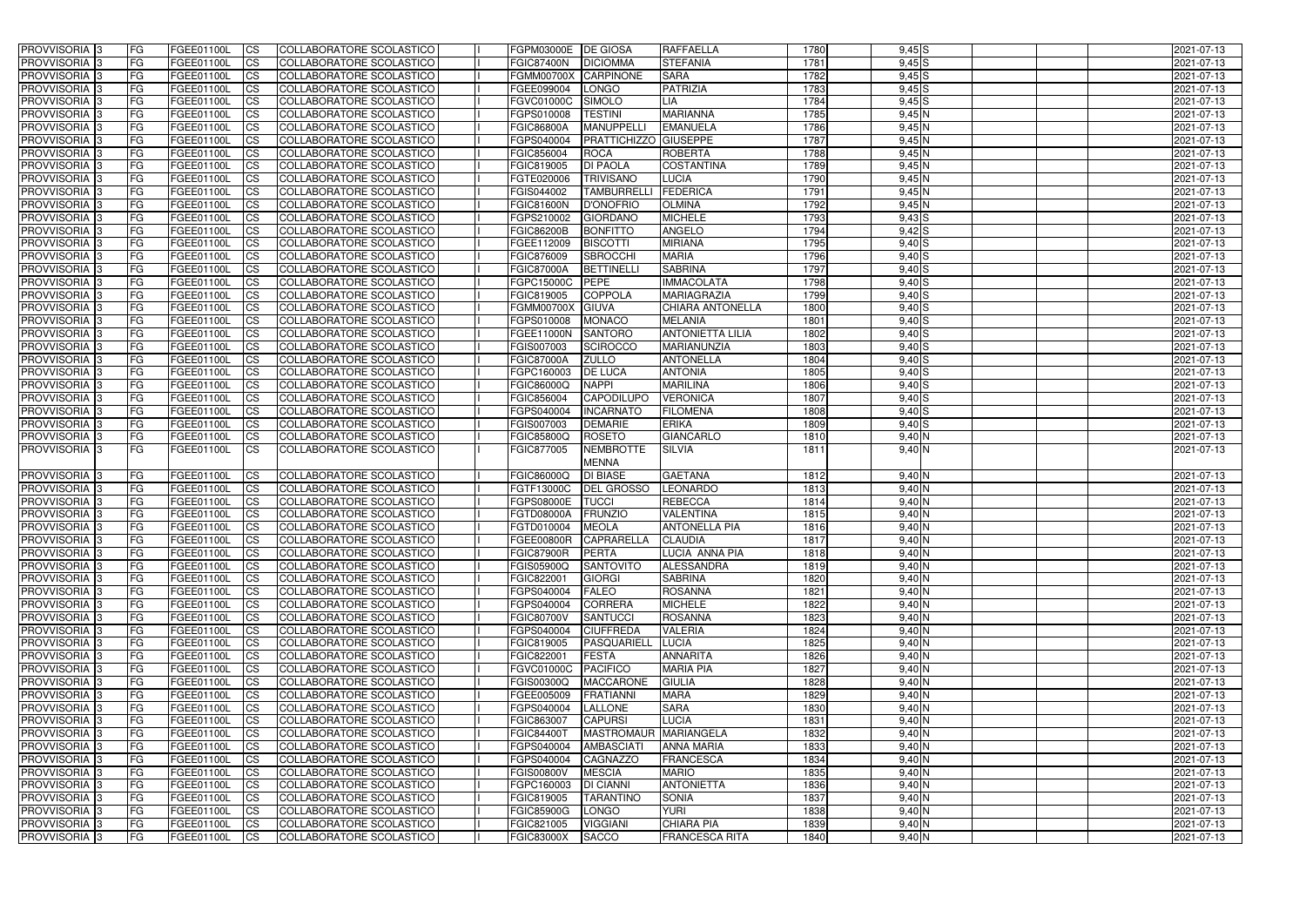| PROVVISORIA <sup>1</sup> 3                | <b>FG</b>              | FGEE01100L               | <b>ICS</b>               | COLLABORATORE SCOLASTICO                             | FGPM03000E  DE GIOSA            |                                     | RAFFAELLA                      | 1780         | $9,45$ $S$           | 2021-07-13               |
|-------------------------------------------|------------------------|--------------------------|--------------------------|------------------------------------------------------|---------------------------------|-------------------------------------|--------------------------------|--------------|----------------------|--------------------------|
| PROVVISORIA <sup>1</sup> 3                | FG                     | FGEE01100L               | <b>CS</b>                | <b>COLLABORATORE SCOLASTICO</b>                      | <b>FGIC87400N</b>               | <b>DICIOMMA</b>                     | <b>STEFANIA</b>                | 1781         | $9,45$ $S$           | 2021-07-13               |
| PROVVISORIA <sup>1</sup> 3                | FG                     | FGEE01100L               | <b>CS</b>                | COLLABORATORE SCOLASTICO                             | <b>FGMM00700X</b>               | CARPINONE                           | <b>SARA</b>                    | 1782         | $9,45$ S             | 2021-07-13               |
| PROVVISORIA 3                             | FG                     | FGEE01100L               | <b>CS</b>                | COLLABORATORE SCOLASTICO                             | FGEE099004                      | LONGO                               | <b>PATRIZIA</b>                | 1783         | $9,45$ $S$           | 2021-07-13               |
| PROVVISORIA <sup>1</sup> 3                | FG                     | FGEE01100L               | <b>ICS</b>               | COLLABORATORE SCOLASTICO                             | FGVC01000C                      | <b>SIMOLO</b>                       | LIA                            | 1784         | $9,45$ $S$           | 2021-07-13               |
| PROVVISORIA 3                             | FG                     | FGEE01100L               | <b>ICS</b>               | COLLABORATORE SCOLASTICO                             | FGPS010008                      | <b>TESTINI</b>                      | <b>MARIANNA</b>                | 1785         | $9,45$ N             | 2021-07-13               |
| PROVVISORIA 3                             | FG                     | FGEE01100L               | <b>ICS</b>               | COLLABORATORE SCOLASTICO                             | <b>FGIC86800A</b>               | <b>MANUPPELLI</b>                   | <b>EMANUELA</b>                | 1786         | 9,45N                | 2021-07-13               |
| PROVVISORIA 3                             | FG                     | FGEE01100L               | <b>ICS</b>               | COLLABORATORE SCOLASTICO                             | FGPS040004                      | <b>PRATTICHIZZO GIUSEPPE</b>        |                                | 1787         | 9,45N                | 2021-07-13               |
| PROVVISORIA 3                             | FG                     | FGEE01100L               | <b>CS</b>                | COLLABORATORE SCOLASTICO                             | FGIC856004                      | <b>ROCA</b>                         | <b>ROBERTA</b>                 | 1788         | $9,45$ N             | 2021-07-13               |
| PROVVISORIA 3                             | <b>FG</b>              | FGEE01100L               | <b>CS</b>                | COLLABORATORE SCOLASTICO                             | FGIC819005                      | <b>DI PAOLA</b>                     | <b>COSTANTINA</b>              | 1789         | $9,45$ N             | 2021-07-13               |
| PROVVISORIA <sup>3</sup>                  | <b>FG</b>              | <b>FGEE01100L</b>        | <b>ICS</b>               | COLLABORATORE SCOLASTICO                             | FGTE020006                      | <b>TRIVISANO</b>                    | <b>LUCIA</b>                   | 1790         | 9,45N                | 2021-07-13               |
| PROVVISORIA <sup>1</sup> 3                | FG                     | FGEE01100L               | <b>ICS</b>               | COLLABORATORE SCOLASTICO                             | FGIS044002                      | <b>TAMBURRELLI</b>                  | FEDERICA                       | 1791         | $9,45$ N             | 2021-07-13               |
| PROVVISORIA <sup>1</sup> 3                | FG                     | FGEE01100L               | <b>ICS</b>               | COLLABORATORE SCOLASTICO                             | <b>FGIC81600N</b>               | <b>D'ONOFRIO</b>                    | <b>OLMINA</b>                  | 1792         | 9,45N                | 2021-07-13               |
| <b>PROVVISORIA</b>                        | FG                     | FGEE01100L               | <b>ICS</b>               | COLLABORATORE SCOLASTICO                             | FGPS210002                      | <b>GIORDANO</b>                     | <b>MICHELE</b>                 | 1793         | $9,43$ $S$           | 2021-07-13               |
| <b>PROVVISORIA</b>                        | FG                     | FGEE01100L               | <b>ICS</b>               | COLLABORATORE SCOLASTICO                             | <b>FGIC86200B</b>               | <b>BONFITTO</b>                     | <b>ANGELO</b>                  | 1794         | $9,42$ $S$           | 2021-07-13               |
| PROVVISORIA <sup>1</sup> 3                | FG                     | FGEE01100L               | <b>ICS</b>               | COLLABORATORE SCOLASTICO                             | FGEE112009                      | <b>BISCOTTI</b>                     | <b>MIRIANA</b><br><b>MARIA</b> | 1795<br>1796 | $9,40$ S             | 2021-07-13               |
| PROVVISORIA <sup>3</sup><br>PROVVISORIA 3 | FG<br>FG               | FGEE01100L<br>FGEE01100L | <b>ICS</b><br><b>ICS</b> | COLLABORATORE SCOLASTICO<br>COLLABORATORE SCOLASTICO | FGIC876009<br><b>FGIC87000A</b> | <b>SBROCCHI</b><br><b>BETTINELL</b> | <b>SABRINA</b>                 | 1797         | $9,40$ S<br>9,40S    | 2021-07-13<br>2021-07-13 |
| PROVVISORIA <sup>1</sup> 3                | FG                     | FGEE01100L               | <b>ICS</b>               | COLLABORATORE SCOLASTICO                             | FGPC15000C                      | PEPE                                | <b>IMMACOLATA</b>              | 1798         | $9,40$ $S$           | 2021-07-13               |
| PROVVISORIA <sup>1</sup> 3                | FG                     | FGEE01100L               | <b>ICS</b>               | COLLABORATORE SCOLASTICO                             | FGIC819005                      | <b>COPPOLA</b>                      | <b>MARIAGRAZIA</b>             | 1799         | $9,40$ S             | 2021-07-13               |
| PROVVISORIA <sup>1</sup> 3                | FG                     | FGEE01100L               | <b>CS</b>                | COLLABORATORE SCOLASTICO                             | <b>FGMM00700X</b>               | <b>GIUVA</b>                        | CHIARA ANTONELLA               | 1800         | 9,40S                | 2021-07-13               |
| PROVVISORIA <sup>1</sup> 3                | FG                     | FGEE01100L               | <b>CS</b>                | COLLABORATORE SCOLASTICO                             | FGPS010008                      | <b>MONACO</b>                       | <b>MELANIA</b>                 | 1801         | 9,40S                | 2021-07-13               |
| PROVVISORIA <sup>1</sup> 3                | FG                     | FGEE01100L               | <b>CS</b>                | COLLABORATORE SCOLASTICO                             | FGEE11000N                      | <b>SANTORO</b>                      | <b>ANTONIETTA LILIA</b>        | 1802         | 9,40S                | 2021-07-13               |
| PROVVISORIA <sup>1</sup> 3                | <b>FG</b>              | FGEE01100L               | <b>CS</b>                | COLLABORATORE SCOLASTICO                             | FGIS007003                      | <b>SCIROCCO</b>                     | MARIANUNZIA                    | 1803         | $9,40$ $S$           | 2021-07-13               |
| PROVVISORIA 3                             | FG                     | FGEE01100L               | <b>CS</b>                | COLLABORATORE SCOLASTICO                             | <b>FGIC87000A</b>               | <b>ZULLO</b>                        | <b>ANTONELLA</b>               | 1804         | $9,40$ S             | 2021-07-13               |
| PROVVISORIA <sup>1</sup> 3                | FG                     | FGEE01100L               | <b>CS</b>                | COLLABORATORE SCOLASTICO                             | FGPC160003                      | <b>DE LUCA</b>                      | <b>ANTONIA</b>                 | 1805         | $9,40$ S             | 2021-07-13               |
| PROVVISORIA 3                             | FG                     | FGEE01100L               | <b>CS</b>                | COLLABORATORE SCOLASTICO                             | FGIC86000Q                      | <b>NAPPI</b>                        | <b>MARILINA</b>                | 1806         | $9,40$ S             | 2021-07-13               |
| PROVVISORIA <sup>1</sup> 3                | FG                     | FGEE01100L               | <b>CS</b>                | COLLABORATORE SCOLASTICO                             | FGIC856004                      | <b>CAPODILUPO</b>                   | <b>VERONICA</b>                | 1807         | $9,40$ S             | 2021-07-13               |
| PROVVISORIA <sup>1</sup> 3                | FG                     | FGEE01100L               | <b>CS</b>                | COLLABORATORE SCOLASTICO                             | FGPS040004                      | <b>INCARNATO</b>                    | <b>FILOMENA</b>                | 1808         | $9,40$ S             | 2021-07-13               |
| PROVVISORIA 3                             | FG                     | FGEE01100L               | <b>CS</b>                | COLLABORATORE SCOLASTICO                             | FGIS007003                      | <b>DEMARIE</b>                      | <b>ERIKA</b>                   | 1809         | 9,40S                | 2021-07-13               |
| PROVVISORIA 3                             | FG                     | FGEE01100L               | <b>CS</b>                | COLLABORATORE SCOLASTICO                             | FGIC85800Q                      | <b>ROSETO</b>                       | <b>GIANCARLO</b>               | 1810         | $9,40$ N             | 2021-07-13               |
| PROVVISORIA 3                             | IFG.                   | FGEE01100L               | <b>ICS</b>               | COLLABORATORE SCOLASTICO                             | FGIC877005                      | NEMBROTTE                           | <b>SILVIA</b>                  | 1811         | $9,40$ N             | 2021-07-13               |
| PROVVISORIA <sup>3</sup>                  | <b>FG</b>              | FGEE01100L               | <b>CS</b>                | COLLABORATORE SCOLASTICO                             | <b>FGIC86000Q</b>               | <b>MENNA</b><br><b>DI BIASE</b>     | <b>GAETANA</b>                 | 1812         | $9,40$ N             | 2021-07-13               |
| PROVVISORIA 3                             | <b>FG</b>              | FGEE01100L               | <b>CS</b>                | COLLABORATORE SCOLASTICO                             | FGTF13000C                      | <b>DEL GROSSO</b>                   | <b>LEONARDO</b>                | 1813         | $9,40$ N             | 2021-07-13               |
| PROVVISORIA 3                             | <b>FG</b>              | FGEE01100L               | <b>CS</b>                | COLLABORATORE SCOLASTICO                             | <b>FGPS08000E</b>               | <b>TUCCI</b>                        | <b>REBECCA</b>                 | 1814         | $9,40$ N             | 2021-07-13               |
| PROVVISORIA <sup>1</sup> 3                | FG                     | FGEE01100L               | <b>ICS</b>               | COLLABORATORE SCOLASTICO                             | <b>FGTD08000A</b>               | <b>FRUNZIO</b>                      | <b>VALENTINA</b>               | 1815         | $9,40$ N             | 2021-07-13               |
| PROVVISORIA 3                             | FG                     | FGEE01100L               | <b>ICS</b>               | COLLABORATORE SCOLASTICO                             | FGTD010004                      | <b>MEOLA</b>                        | <b>ANTONELLA PIA</b>           | 1816         | $9,40$ N             | 2021-07-13               |
| PROVVISORIA 3                             | IFG.                   | FGEE01100L CS            |                          | COLLABORATORE SCOLASTICO                             |                                 | FGEE00800R CAPRARELLA CLAUDIA       |                                | 1817         | $9,40$ N             | 2021-07-13               |
| PROVVISORIA 3                             | l FG                   | FGEE01100L               | $\overline{\text{CS}}$   | COLLABORATORE SCOLASTICO                             | <b>FGIC87900R</b>               | <b>PERTA</b>                        | LUCIA ANNA PIA                 | 1818         | $9,40$ N             | 2021-07-13               |
| PROVVISORIA 3                             | <b>FG</b>              | FGEE01100L               | CS                       | COLLABORATORE SCOLASTICO                             | <b>FGIS05900Q</b>               | <b>SANTOVITO</b>                    | <b>ALESSANDRA</b>              | 1819         | $9,40$ N             | 2021-07-13               |
| PROVVISORIA 3                             | <b>FG</b>              | FGEE01100L               | $\mathsf{ICS}$           | COLLABORATORE SCOLASTICO                             | FGIC822001                      | <b>GIORGI</b>                       | <b>SABRINA</b>                 | 1820         | $9,40$ N             | 2021-07-13               |
| PROVVISORIA 3                             | l FG                   | FGEE01100L               | $\mathsf{ICS}$           | COLLABORATORE SCOLASTICO                             | FGPS040004                      | <b>FALEO</b>                        | <b>ROSANNA</b>                 | 1821         | $9,40$ N             | 2021-07-13               |
| PROVVISORIA 3                             | FG                     | FGEE01100L               | <b>CS</b>                | COLLABORATORE SCOLASTICO                             | FGPS040004                      | <b>CORRERA</b>                      | <b>MICHELE</b>                 | 1822         | $9,40$ N             | 2021-07-13               |
| PROVVISORIA 3                             | FG                     | FGEE01100L               | <b>ICS</b>               | COLLABORATORE SCOLASTICO                             | <b>FGIC80700V</b>               | <b>SANTUCCI</b>                     | <b>ROSANNA</b>                 | 1823         | $9,40$ N             | 2021-07-13               |
| PROVVISORIA 3                             | <b>FG</b>              | FGEE01100L               | <b>CS</b>                | COLLABORATORE SCOLASTICO                             | FGPS040004                      | <b>CIUFFREDA</b>                    | <b>VALERIA</b>                 | 1824         | $9,40$ N             | 2021-07-13               |
| PROVVISORIA 3                             | <b>FG</b>              | FGEE01100L               | <b>CS</b>                | COLLABORATORE SCOLASTICO                             | FGIC819005                      | PASQUARIELL                         | <b>LUCIA</b>                   | 1825         | $9,40$ N             | 2021-07-13               |
| PROVVISORIA 3                             | <b>FG</b>              | FGEE01100L               | <b>CS</b>                | COLLABORATORE SCOLASTICO                             | FGIC822001                      | <b>FESTA</b>                        | <b>ANNARITA</b>                | 1826         | $9,40$ N             | 2021-07-13               |
| PROVVISORIA 3                             | <b>FG</b>              | FGEE01100L               | <b>CS</b>                | COLLABORATORE SCOLASTICO                             | <b>FGVC01000C</b>               | PACIFICO                            | <b>MARIA PIA</b>               | 1827         | $9,40$ N             | 2021-07-13               |
| PROVVISORIA 3                             | <b>FG</b>              | FGEE01100L               | <b>CS</b>                | COLLABORATORE SCOLASTICO                             | <b>FGIS00300Q</b>               | <b>MACCARONE</b>                    | <b>GIULIA</b>                  | 1828         | $9,40$ N             | 2021-07-13               |
| PROVVISORIA 3<br>PROVVISORIA 3            | <b>FG</b><br><b>FG</b> | FGEE01100L<br>FGEE01100L | <b>CS</b><br><b>CS</b>   | COLLABORATORE SCOLASTICO<br>COLLABORATORE SCOLASTICO | FGEE005009<br>FGPS040004        | FRATIANNI<br><b>LALLONE</b>         | <b>MARA</b><br><b>SARA</b>     | 1829<br>1830 | $9,40$ N<br>$9,40$ N | 2021-07-13<br>2021-07-13 |
| PROVVISORIA 3                             | <b>FG</b>              | FGEE01100L               | <b>CS</b>                | COLLABORATORE SCOLASTICO                             | FGIC863007                      | <b>CAPURSI</b>                      | <b>LUCIA</b>                   | 1831         | $9,40$ N             | 2021-07-13               |
| PROVVISORIA 3                             | <b>FG</b>              | FGEE01100L               | <b>CS</b>                | COLLABORATORE SCOLASTICO                             | <b>FGIC84400T</b>               | MASTROMAUR MARIANGELA               |                                | 1832         | $9,40$ N             | 2021-07-13               |
| PROVVISORIA 3                             | <b>FG</b>              | FGEE01100L               | <b>CS</b>                | COLLABORATORE SCOLASTICO                             | FGPS040004                      | <b>AMBASCIATI</b>                   | <b>ANNA MARIA</b>              | 1833         | $9,40$ N             | 2021-07-13               |
| PROVVISORIA 3                             | <b>FG</b>              | FGEE01100L               | <b>CS</b>                | COLLABORATORE SCOLASTICO                             | FGPS040004                      | CAGNAZZO                            | <b>FRANCESCA</b>               | 1834         | $9,40$ N             | 2021-07-13               |
| PROVVISORIA 3                             | FG                     | FGEE01100L               | <b>CS</b>                | COLLABORATORE SCOLASTICO                             | <b>FGIS00800V</b>               | <b>MESCIA</b>                       | <b>MARIO</b>                   | 1835         | $9,40$ N             | 2021-07-13               |
| PROVVISORIA 3                             | <b>FG</b>              | FGEE01100L               | <b>CS</b>                | COLLABORATORE SCOLASTICO                             | FGPC160003                      | <b>DI CIANNI</b>                    | <b>ANTONIETTA</b>              | 1836         | $9,40$ N             | 2021-07-13               |
| PROVVISORIA 3                             | <b>FG</b>              | FGEE01100L               | $\overline{\text{CS}}$   | COLLABORATORE SCOLASTICO                             | FGIC819005                      | <b>TARANTINO</b>                    | <b>SONIA</b>                   | 1837         | $9,40$ N             | 2021-07-13               |
| PROVVISORIA 3                             | <b>FG</b>              | FGEE01100L               | $\mathsf{ICS}$           | COLLABORATORE SCOLASTICO                             | <b>FGIC85900G</b>               | LONGO                               | <b>YURI</b>                    | 1838         | $9,40$ N             | 2021-07-13               |
| PROVVISORIA 3                             | <b>FG</b>              | <b>FGEE01100L</b>        | $\mathsf{ICS}$           | COLLABORATORE SCOLASTICO                             | FGIC821005                      | <b>VIGGIANI</b>                     | <b>CHIARA PIA</b>              | 1839         | $9,40$ N             | 2021-07-13               |
| PROVVISORIA 3                             | l FG                   | FGEE01100L               | $\mathsf{ICS}$           | COLLABORATORE SCOLASTICO                             | <b>FGIC83000X</b>               | <b>SACCO</b>                        | <b>FRANCESCA RITA</b>          | 1840         | $9,40$ N             | 2021-07-13               |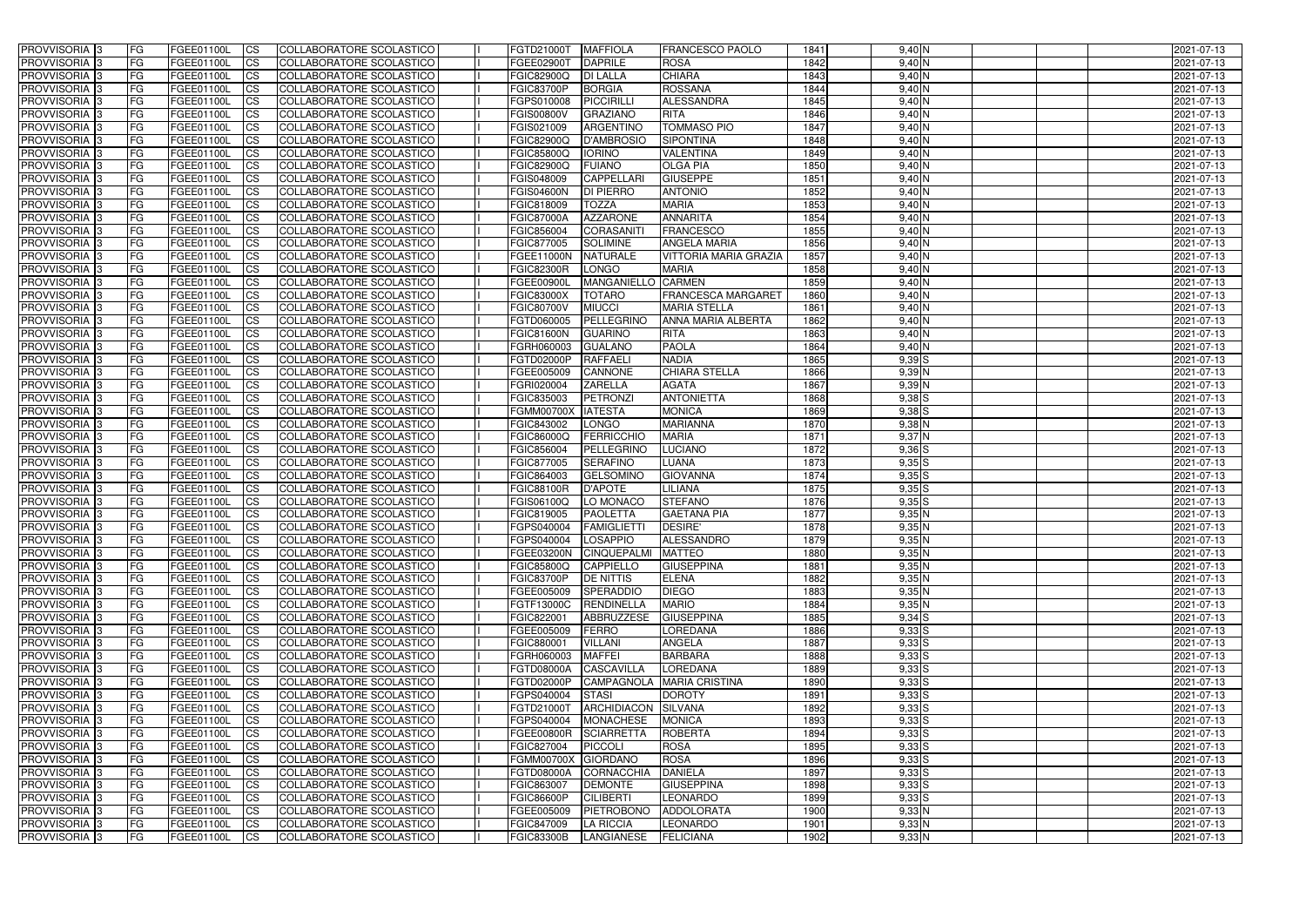| <b>PROVVISORIA</b> 3                       | l FG                   | FGEE01100L               | <b>ICS</b>             | COLLABORATORE SCOLASTICO                                    | FGTD21000T                      | <b>MAFFIOLA</b>                    | <b>FRANCESCO PAOLO</b>          | 1841         | $9,40$ N                 | 2021-07-13               |
|--------------------------------------------|------------------------|--------------------------|------------------------|-------------------------------------------------------------|---------------------------------|------------------------------------|---------------------------------|--------------|--------------------------|--------------------------|
| <b>PROVVISORIA 3</b>                       | FG                     | FGEE01100L               | <b>ICS</b>             | COLLABORATORE SCOLASTICO                                    | FGEE02900T                      | <b>DAPRILE</b>                     | <b>ROSA</b>                     | 1842         | 9,40 N                   | 2021-07-13               |
| PROVVISORIA <sup>1</sup> 3                 | FG                     | FGEE01100L               | <b>CS</b>              | <b>COLLABORATORE SCOLASTICO</b>                             | FGIC82900Q                      | <b>DI LALLA</b>                    | <b>CHIARA</b>                   | 1843         | 9,40 N                   | 2021-07-13               |
| PROVVISORIA                                | FG                     | FGEE01100L               | <b>CS</b>              | COLLABORATORE SCOLASTICO                                    | <b>FGIC83700P</b>               | <b>BORGIA</b>                      | <b>ROSSANA</b>                  | 1844         | 9,40 N                   | 2021-07-13               |
| PROVVISORIA <sup>1</sup> 3                 | FG                     | FGEE01100L               | <b>CS</b>              | COLLABORATORE SCOLASTICO                                    | FGPS010008                      | <b>PICCIRILLI</b>                  | <b>ALESSANDRA</b>               | 1845         | 9,40 N                   | 2021-07-13               |
| PROVVISORIA <sup>1</sup> 3                 | FG                     | FGEE01100L               | <b>CS</b>              | COLLABORATORE SCOLASTICO                                    | <b>FGIS00800V</b>               | <b>GRAZIANO</b>                    | <b>RITA</b>                     | 1846         | 9,40 N                   | 2021-07-13               |
| PROVVISORIA <sup>1</sup> 3                 | FG                     | FGEE01100L               | <b>CS</b>              | COLLABORATORE SCOLASTICO                                    | FGIS021009                      | <b>ARGENTINO</b>                   | <b>TOMMASO PIO</b>              | 1847         | $9,40$ N                 | 2021-07-13               |
| PROVVISORIA 3                              | FG                     | FGEE01100L               | <b>ICS</b>             | COLLABORATORE SCOLASTICO                                    | FGIC82900Q                      | <b>D'AMBROSIO</b>                  | <b>SIPONTINA</b>                | 1848         | 9,40 N                   | 2021-07-13               |
| PROVVISORIA 3                              | FG                     | FGEE01100L               | <b>CS</b>              | COLLABORATORE SCOLASTICO                                    | FGIC85800Q                      | <b>IORINO</b>                      | <b>VALENTINA</b>                | 1849         | 9,40 N                   | 2021-07-13               |
| PROVVISORIA 3                              | <b>FG</b>              | FGEE01100L               | <b>ICS</b>             | COLLABORATORE SCOLASTICO                                    | FGIC82900Q                      | <b>FUIANO</b>                      | <b>OLGA PIA</b>                 | 1850         | $9,40$ N                 | 2021-07-13               |
| PROVVISORIA 3                              | FG                     | <b>FGEE01100L</b>        | <b>CS</b>              | COLLABORATORE SCOLASTICO                                    | FGIS048009                      | <b>CAPPELLARI</b>                  | <b>GIUSEPPE</b>                 | 1851         | 9,40 N                   | 2021-07-13               |
| <b>PROVVISORIA</b>                         | FG                     | FGEE01100L               | <b>ICS</b>             | COLLABORATORE SCOLASTICO                                    | <b>FGIS04600N</b>               | <b>DI PIERRO</b>                   | <b>ANTONIO</b>                  | 1852         | $9,40$ N                 | 2021-07-13               |
| <b>PROVVISORIA</b>                         | FG                     | FGEE01100L               | <b>ICS</b>             | COLLABORATORE SCOLASTICO                                    | FGIC818009                      | <b>TOZZA</b>                       | <b>MARIA</b>                    | 1853         | $9,40$ N                 | 2021-07-13               |
| <b>PROVVISORIA</b>                         | FG                     | FGEE01100L               | <b>ICS</b>             | COLLABORATORE SCOLASTICO                                    | <b>FGIC87000A</b>               | <b>AZZARONE</b>                    | <b>ANNARITA</b>                 | 1854         | 9,40 N                   | 2021-07-13               |
| <b>PROVVISORIA</b>                         | FG                     | FGEE01100L               | <b>ICS</b>             | COLLABORATORE SCOLASTICO                                    | FGIC856004                      | <b>CORASANITI</b>                  | <b>FRANCESCO</b>                | 1855         | 9,40 N                   | 2021-07-13               |
| <b>PROVVISORIA</b>                         | FG                     | FGEE01100L               | <b>ICS</b>             | COLLABORATORE SCOLASTICO                                    | FGIC877005                      | <b>SOLIMINE</b>                    | <b>ANGELA MARIA</b>             | 1856         | $9,40$ N                 | 2021-07-13               |
| <b>PROVVISORIA</b>                         | FG                     | <b>FGEE01100L</b>        | <b>ICS</b>             | COLLABORATORE SCOLASTICO                                    | FGEE11000N                      | <b>NATURALE</b>                    | <b>VITTORIA MARIA GRAZIA</b>    | 1857         | 9,40 N                   | 2021-07-13               |
| <b>PROVVISORIA</b>                         | FG                     | FGEE01100L               | <b>ICS</b>             | <b>COLLABORATORE SCOLASTICO</b>                             | <b>FGIC82300R</b>               | <b>LONGO</b>                       | <b>MARIA</b>                    | 1858         | 9,40 N                   | 2021-07-13               |
| PROVVISORIA <sup>3</sup>                   | FG                     | FGEE01100L               | <b>ICS</b>             | COLLABORATORE SCOLASTICO                                    | FGEE00900L                      | <b>MANGANIELLO</b>                 | <b>CARMEN</b>                   | 1859         | 9,40 N                   | 2021-07-13               |
| PROVVISORIA <sup>3</sup>                   | FG                     | FGEE01100L               | <b>ICS</b>             | COLLABORATORE SCOLASTICO                                    | <b>FGIC83000X</b>               | <b>TOTARO</b>                      | <b>FRANCESCA MARGARET</b>       | 1860         | 9,40 N                   | 2021-07-13               |
| PROVVISORIA <sup>1</sup> 3                 | FG                     | FGEE01100L               | <b>ICS</b>             | COLLABORATORE SCOLASTICO                                    | <b>FGIC80700V</b>               | <b>MIUCCI</b><br><b>PELLEGRINO</b> | <b>MARIA STELLA</b>             | 1861         | $9,40$ N                 | 2021-07-13               |
| PROVVISORIA 3                              | FG                     | FGEE01100L               | <b>ICS</b>             | COLLABORATORE SCOLASTICO                                    | FGTD060005                      |                                    | <b>ANNA MARIA ALBERTA</b>       | 1862         | $9,40$ N                 | 2021-07-13               |
| PROVVISORIA 3<br>PROVVISORIA <sup>13</sup> | FG                     | FGEE01100L<br>FGEE01100L | <b>ICS</b>             | <b>COLLABORATORE SCOLASTICO</b><br>COLLABORATORE SCOLASTICO | <b>FGIC81600N</b><br>FGRH060003 | <b>GUARINO</b>                     | <b>RITA</b><br><b>PAOLA</b>     | 1863<br>1864 | $9,40$ N<br>$9,40$ N     | 2021-07-13<br>2021-07-13 |
| PROVVISORIA <sup>1</sup> 3                 | FG<br>FG               | FGEE01100L               | <b>CS</b><br><b>CS</b> | COLLABORATORE SCOLASTICO                                    | FGTD02000P                      | <b>GUALANO</b><br><b>RAFFAELI</b>  | <b>NADIA</b>                    | 1865         | $9,39$ S                 | 2021-07-13               |
| PROVVISORIA <sup>1</sup> 3                 | FG                     | FGEE01100L               | <b>ICS</b>             | COLLABORATORE SCOLASTICO                                    | FGEE005009                      | CANNONE                            | <b>CHIARA STELLA</b>            | 1866         | $9,39$ N                 | 2021-07-13               |
| PROVVISORIA 3                              | FG                     | FGEE01100L               | <b>ICS</b>             | COLLABORATORE SCOLASTICO                                    | FGRI020004                      | <b>ZARELLA</b>                     | <b>AGATA</b>                    | 1867         | $9,39$ N                 | 2021-07-13               |
| PROVVISORIA                                | FG                     | FGEE01100L               | <b>ICS</b>             | COLLABORATORE SCOLASTICO                                    | FGIC835003                      | PETRONZI                           | <b>ANTONIETTA</b>               | 1868         | $9,38$ $S$               | 2021-07-13               |
| PROVVISORIA                                | FG                     | FGEE01100L               | <b>CS</b>              | <b>COLLABORATORE SCOLASTICO</b>                             | <b>FGMM00700X</b>               | <b>IATESTA</b>                     | <b>MONICA</b>                   | 1869         | $9,38$ $S$               | 2021-07-13               |
| PROVVISORIA                                | FG                     | FGEE01100L               | <b>CS</b>              | COLLABORATORE SCOLASTICO                                    | FGIC843002                      | <b>LONGO</b>                       | <b>MARIANNA</b>                 | 1870         | $9,38$ N                 | 2021-07-13               |
| PROVVISORIA                                | FG                     | FGEE01100L               | <b>CS</b>              | COLLABORATORE SCOLASTICO                                    | FGIC86000Q                      | FERRICCHIO                         | <b>MARIA</b>                    | 1871         | 9,37 N                   | 2021-07-13               |
| PROVVISORIA <sup>1</sup> 3                 | FG                     | FGEE01100L               | <b>CS</b>              | COLLABORATORE SCOLASTICO                                    | FGIC856004                      | PELLEGRINC                         | <b>LUCIANO</b>                  | 1872         | $9,36$ $S$               | 2021-07-13               |
| PROVVISORIA <sup>1</sup> 3                 | FG                     | FGEE01100L               | <b>CS</b>              | COLLABORATORE SCOLASTICO                                    | FGIC877005                      | <b>SERAFINO</b>                    | LUANA                           | 1873         | $9,35$ S                 | 2021-07-13               |
| PROVVISORIA 3                              | FG                     | FGEE01100L               | <b>CS</b>              | COLLABORATORE SCOLASTICO                                    | FGIC864003                      | <b>GELSOMINO</b>                   | <b>GIOVANNA</b>                 | 1874         | $9,35$ S                 | 2021-07-13               |
| <b>PROVVISORIA</b>                         | FG                     | FGEE01100L               | <b>ICS</b>             | COLLABORATORE SCOLASTICO                                    | <b>FGIC88100R</b>               | <b>D'APOTE</b>                     | LILIANA                         | 1875         | $9,35$ $S$               | 2021-07-13               |
| PROVVISORIA <sup>1</sup> 3                 | <b>FG</b>              | FGEE01100L               | <b>CS</b>              | COLLABORATORE SCOLASTICO                                    | FGIS06100Q                      | LO MONACO                          | <b>STEFANO</b>                  | 1876         | $9,35$ $S$               | 2021-07-13               |
| PROVVISORIA 3                              | FG                     | FGEE01100L               | <b>ICS</b>             | COLLABORATORE SCOLASTICO                                    | FGIC819005                      | <b>PAOLETTA</b>                    | <b>GAETANA PIA</b>              | 1877         | 9,35N                    | 2021-07-13               |
| <b>PROVVISORIA</b>                         | <b>FG</b>              | FGEE01100L               | <b>ICS</b>             | COLLABORATORE SCOLASTICO                                    | FGPS040004                      | FAMIGLIETTI                        | <b>DESIRE'</b>                  | 1878         | $9,35$ N                 | 2021-07-13               |
| PROVVISORIA 3                              | FG                     | FGEE01100L               | CS                     | COLLABORATORE SCOLASTICO                                    | FGPS040004 LOSAPPIO             |                                    | <b>ALESSANDRO</b>               | 1879         | $9,35$ N                 | 2021-07-13               |
| PROVVISORIA 3                              | <b>FG</b>              | FGEE01100L               | $\mathsf{ICS}$         | COLLABORATORE SCOLASTICO                                    |                                 | FGEE03200N CINQUEPALMI             | <b>MATTEO</b>                   | 1880         | $9,35$ N                 | 2021-07-13               |
| PROVVISORIA 3                              | <b>FG</b>              | <b>FGEE01100L</b>        | $\mathsf{ICS}$         | COLLABORATORE SCOLASTICO                                    | <b>FGIC85800Q</b>               | CAPPIELLO                          | <b>GIUSEPPINA</b>               | 1881         | 9,35N                    | 2021-07-13               |
| PROVVISORIA 3                              | <b>FG</b>              | FGEE01100L               | $\mathsf{ICS}$         | COLLABORATORE SCOLASTICO                                    | <b>FGIC83700P</b>               | <b>DE NITTIS</b>                   | <b>ELENA</b>                    | 1882         | $9,35$ N                 | 2021-07-13               |
| PROVVISORIA 3                              | FG                     | FGEE01100L               | $\mathsf{ICS}$         | COLLABORATORE SCOLASTICO                                    | FGEE005009                      | SPERADDIO                          | <b>DIEGO</b>                    | 1883         | $9,35$ N                 | 2021-07-13               |
| PROVVISORIA 3                              | l FG                   | FGEE01100L               | $\overline{\text{CS}}$ | COLLABORATORE SCOLASTICO                                    | FGTF13000C                      | <b>RENDINELLA</b>                  | <b>MARIO</b>                    | 1884         | 9,35N                    | 2021-07-13               |
| PROVVISORIA 3                              | <b>FG</b>              | FGEE01100L               | $\mathsf{ICS}$         | COLLABORATORE SCOLASTICO                                    | FGIC822001                      | ABBRUZZESE                         | <b>GIUSEPPINA</b>               | 1885         | $9,34$ S                 | 2021-07-13               |
| PROVVISORIA 3                              | FG                     | <b>FGEE01100L</b>        | <b>CS</b>              | COLLABORATORE SCOLASTICO                                    | FGEE005009                      | FERRO                              | <b>LOREDANA</b>                 | 1886         | $9,33$ $S$               | 2021-07-13               |
| PROVVISORIA 3<br>PROVVISORIA 3             | <b>FG</b><br><b>FG</b> | FGEE01100L<br>FGEE01100L | <b>CS</b><br><b>CS</b> | COLLABORATORE SCOLASTICO<br>COLLABORATORE SCOLASTICO        | FGIC880001<br>FGRH060003        | <b>VILLANI</b>                     | <b>ANGELA</b><br><b>BARBARA</b> | 1887<br>1888 | $9,33$ $S$<br>$9,33$ $S$ | 2021-07-13               |
| PROVVISORIA 3                              | <b>FG</b>              | FGEE01100L               | <b>CS</b>              | COLLABORATORE SCOLASTICO                                    | FGTD08000A                      | <b>MAFFEI</b><br><b>CASCAVILLA</b> | LOREDANA                        | 1889         | $9,33$ S                 | 2021-07-13<br>2021-07-13 |
| PROVVISORIA 3                              | <b>FG</b>              | FGEE01100L               | <b>CS</b>              | COLLABORATORE SCOLASTICO                                    | FGTD02000P                      |                                    | CAMPAGNOLA MARIA CRISTINA       | 1890         | $9,33$ S                 | 2021-07-13               |
| PROVVISORIA 3                              | <b>FG</b>              | FGEE01100L               | <b>CS</b>              | COLLABORATORE SCOLASTICO                                    | FGPS040004                      | <b>STASI</b>                       | <b>DOROTY</b>                   | 1891         | $9,33$ $S$               | 2021-07-13               |
| PROVVISORIA 3                              | <b>FG</b>              | FGEE01100L               | <b>CS</b>              | COLLABORATORE SCOLASTICO                                    | FGTD21000T                      | ARCHIDIACON SILVANA                |                                 | 1892         | $9,33$ $S$               | 2021-07-13               |
| PROVVISORIA 3                              | <b>FG</b>              | FGEE01100L               | <b>CS</b>              | COLLABORATORE SCOLASTICO                                    | FGPS040004                      | MONACHESE                          | <b>MONICA</b>                   | 1893         | $9,33$ S                 | 2021-07-13               |
| PROVVISORIA 3                              | <b>FG</b>              | FGEE01100L               | <b>CS</b>              | COLLABORATORE SCOLASTICO                                    | <b>FGEE00800R</b>               | <b>SCIARRETTA</b>                  | <b>ROBERTA</b>                  | 1894         | $9,33$ $S$               | 2021-07-13               |
| PROVVISORIA 3                              | <b>FG</b>              | FGEE01100L               | <b>CS</b>              | COLLABORATORE SCOLASTICO                                    | FGIC827004                      | PICCOLI                            | <b>ROSA</b>                     | 1895         | $9,33$ $S$               | 2021-07-13               |
| PROVVISORIA 3                              | <b>FG</b>              | FGEE01100L               | <b>CS</b>              | COLLABORATORE SCOLASTICO                                    | FGMM00700X GIORDANO             |                                    | <b>ROSA</b>                     | 1896         | $9,33$ $S$               | 2021-07-13               |
| PROVVISORIA 3                              | <b>FG</b>              | FGEE01100L               | <b>CS</b>              | COLLABORATORE SCOLASTICO                                    | FGTD08000A                      | CORNACCHIA                         | <b>DANIELA</b>                  | 1897         | $9,33$ $S$               | 2021-07-13               |
| PROVVISORIA 3                              | FG                     | FGEE01100L               | <b>CS</b>              | COLLABORATORE SCOLASTICO                                    | FGIC863007                      | <b>DEMONTE</b>                     | <b>GIUSEPPINA</b>               | 1898         | $9,33$ $S$               | 2021-07-13               |
| PROVVISORIA 3                              | FG                     | <b>FGEE01100L</b>        | <b>CS</b>              | COLLABORATORE SCOLASTICO                                    | <b>FGIC86600P</b>               | <b>CILIBERTI</b>                   | <b>LEONARDO</b>                 | 1899         | $9,33$ $S$               | 2021-07-13               |
| PROVVISORIA 3                              | <b>FG</b>              | FGEE01100L               | <b>CS</b>              | COLLABORATORE SCOLASTICO                                    | FGEE005009                      | PIETROBONO                         | ADDOLORATA                      | 1900         | $9,33$ N                 | 2021-07-13               |
| PROVVISORIA 3                              | <b>FG</b>              | FGEE01100L               | $\overline{\text{CS}}$ | COLLABORATORE SCOLASTICO                                    | FGIC847009                      | <b>LA RICCIA</b>                   | <b>LEONARDO</b>                 | 1901         | $9,33$ N                 | 2021-07-13               |
| PROVVISORIA 3                              | <b>FG</b>              | FGEE01100L               | $\mathsf{ICS}$         | COLLABORATORE SCOLASTICO                                    | <b>FGIC83300B</b>               | LANGIANESE                         | <b>FELICIANA</b>                | 1902         | 9,33N                    | 2021-07-13               |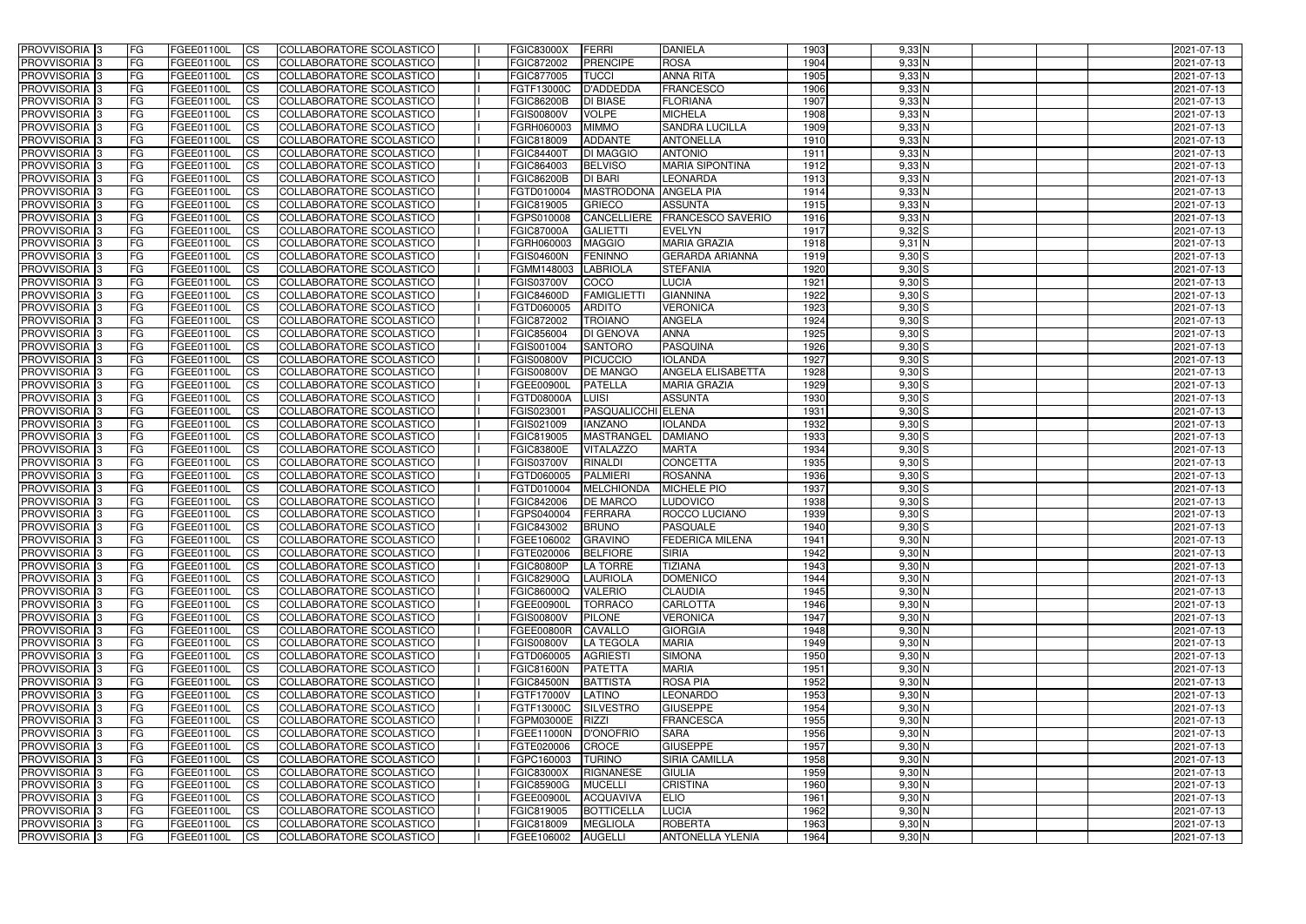| <b>PROVVISORIA</b> 3                                 | FG         | FGEE01100L               | <b>ICS</b>             | COLLABORATORE SCOLASTICO                             | <b>FGIC83000X</b>               | FERRI                              | <b>DANIELA</b>                    | 1903         | $9,33$ N             | 2021-07-13               |
|------------------------------------------------------|------------|--------------------------|------------------------|------------------------------------------------------|---------------------------------|------------------------------------|-----------------------------------|--------------|----------------------|--------------------------|
| <b>PROVVISORIA 3</b>                                 | FG         | FGEE01100L               | <b>CS</b>              | COLLABORATORE SCOLASTICO                             | FGIC872002                      | <b>PRENCIPE</b>                    | <b>ROSA</b>                       | 1904         | $9,33$ N             | 2021-07-13               |
| PROVVISORIA <sup>3</sup>                             | FG         | FGEE01100L               | <b>CS</b>              | COLLABORATORE SCOLASTICO                             | FGIC877005                      | <b>TUCCI</b>                       | <b>ANNA RITA</b>                  | 1905         | $9,33$ N             | 2021-07-13               |
| PROVVISORIA <sup>3</sup>                             | FG         | FGEE01100L               | <b>CS</b>              | COLLABORATORE SCOLASTICO                             | FGTF13000C                      | <b>D'ADDEDDA</b>                   | <b>FRANCESCO</b>                  | 1906         | $9,33$ N             | 2021-07-13               |
| PROVVISORIA <sup>3</sup>                             | FG         | FGEE01100L               | <b>CS</b>              | COLLABORATORE SCOLASTICO                             | <b>FGIC86200B</b>               | <b>DI BIASE</b>                    | <b>FLORIANA</b>                   | 1907         | $9,33$ N             | 2021-07-13               |
| PROVVISORIA <sup>3</sup>                             | FG         | FGEE01100L               | <b>CS</b>              | COLLABORATORE SCOLASTICO                             | <b>FGIS00800V</b>               | <b>VOLPE</b>                       | <b>MICHELA</b>                    | 1908         | $9,33$ N             | 2021-07-13               |
| PROVVISORIA 3                                        | FG         | FGEE01100L               | <b>CS</b>              | COLLABORATORE SCOLASTICO                             | FGRH060003                      | <b>MIMMO</b>                       | <b>SANDRA LUCILLA</b>             | 1909         | $9,33$ N             | 2021-07-13               |
| PROVVISORIA 3                                        | FG         | <b>FGEE01100L</b>        | <b>CS</b>              | COLLABORATORE SCOLASTICO                             | FGIC818009                      | <b>ADDANTE</b>                     | <b>ANTONELLA</b>                  | 1910         | $9,33$ N             | 2021-07-13               |
| PROVVISORIA 3                                        | FG         | FGEE01100L               | <b>CS</b>              | COLLABORATORE SCOLASTICO                             | <b>FGIC84400T</b>               | <b>DI MAGGIO</b>                   | <b>ANTONIO</b>                    | 1911         | $9,33$ N             | 2021-07-13               |
| PROVVISORIA <sup>3</sup>                             | FG         | FGEE01100L               | $\overline{c}$         | COLLABORATORE SCOLASTICO                             | FGIC864003                      | <b>BELVISO</b>                     | <b>MARIA SIPONTINA</b>            | 1912         | $9,33$ N             | 2021-07-13               |
| PROVVISORIA <sup>3</sup>                             | FG         | FGEE01100L               | <b>CS</b>              | COLLABORATORE SCOLASTICO                             | <b>FGIC86200B</b>               | <b>DI BARI</b>                     | LEONARDA                          | 1913         | $9,33$ N             | 2021-07-13               |
| PROVVISORIA <sup>3</sup>                             | FG         | <b>FGEE01100L</b>        | <b>CS</b>              | COLLABORATORE SCOLASTICO                             | FGTD010004                      | MASTRODONA ANGELA PIA              |                                   | 1914         | $9,33$ N             | 2021-07-13               |
| PROVVISORIA <sup>3</sup>                             | FG.        | <b>FGEE01100L</b>        | <b>I</b> CS            | COLLABORATORE SCOLASTICO                             | FGIC819005                      | <b>GRIECO</b>                      | <b>ASSUNTA</b>                    | 1915         | $9,33$ N             | 2021-07-13               |
| PROVVISORIA <sup>3</sup>                             | FG         | FGEE01100L               | <b>I</b> CS            | COLLABORATORE SCOLASTICO                             | FGPS010008                      | <b>CANCELLIERE</b>                 | <b>FRANCESCO SAVERIO</b>          | 1916         | $9,33$ N             | 2021-07-13               |
| PROVVISORIA <sup>3</sup>                             | FG         | FGEE01100L               | <b>I</b> CS            | COLLABORATORE SCOLASTICO                             | <b>FGIC87000A</b>               | <b>GALIETTI</b>                    | <b>EVELYN</b>                     | 1917         | $9,32$ $S$           | 2021-07-13               |
| <b>PROVVISORIA</b> 3                                 | FG         | FGEE01100L               | <b>I</b> CS            | <b>COLLABORATORE SCOLASTICO</b>                      | FGRH060003                      | <b>MAGGIO</b>                      | <b>MARIA GRAZIA</b>               | 1918         | 9,31 N               | 2021-07-13               |
| <b>PROVVISORIA</b> 3                                 | FG         | FGEE01100L               | <b>ICS</b>             | COLLABORATORE SCOLASTICO                             | <b>FGIS04600N</b>               | <b>FENINNO</b>                     | <b>GERARDA ARIANNA</b>            | 1919         | $9,30$ S             | 2021-07-13               |
| PROVVISORIA 3                                        | FG         | FGEE01100L               | <b>CS</b>              | COLLABORATORE SCOLASTICO                             | FGMM148003                      | <b>LABRIOLA</b>                    | <b>STEFANIA</b>                   | 1920         | $9,30$ S             | 2021-07-13               |
| PROVVISORIA <sup>3</sup>                             | FG.        | FGEE01100L               | <b>ICS</b>             | COLLABORATORE SCOLASTICO                             | <b>FGIS03700V</b>               | COCO                               | <b>LUCIA</b>                      | 1921         | $9,30$ S             | 2021-07-13               |
| PROVVISORIA <sup>3</sup>                             | FG         | FGEE01100L               | <b>I</b> CS            | COLLABORATORE SCOLASTICO                             | <b>FGIC84600D</b>               | <b>FAMIGLIETT</b>                  | <b>GIANNINA</b>                   | 1922         | $9,30$ S             | 2021-07-13               |
| PROVVISORIA <sup>3</sup>                             | FG         | FGEE01100L               | <b>I</b> CS            | COLLABORATORE SCOLASTICO                             | FGTD060005                      | <b>ARDITO</b>                      | <b>VERONICA</b>                   | 1923         | $9,30$ S             | 2021-07-13               |
| PROVVISORIA <sup>3</sup>                             | FG         | FGEE01100L               | <b>CS</b>              | COLLABORATORE SCOLASTICO                             | FGIC872002                      | <b>TROIANO</b>                     | <b>ANGELA</b>                     | 1924         | 9,30S                | 2021-07-13               |
| PROVVISORIA <sup>3</sup>                             | FG         | FGEE01100L               | <b>CS</b>              | COLLABORATORE SCOLASTICO<br>COLLABORATORE SCOLASTICO | FGIC856004                      | <b>DI GENOVA</b><br><b>SANTORO</b> | <b>ANNA</b>                       | 1925         | 9,30S                | 2021-07-13               |
| PROVVISORIA <sup>3</sup><br>PROVVISORIA <sup>3</sup> | FG<br>FG   | FGEE01100L<br>FGEE01100L | <b>CS</b><br><b>CS</b> | COLLABORATORE SCOLASTICO                             | FGIS001004<br>FGIS00800V        | <b>PICUCCIO</b>                    | <b>PASQUINA</b><br><b>IOLANDA</b> | 1926<br>1927 | $9,30$ S<br>9,30S    | 2021-07-13<br>2021-07-13 |
| PROVVISORIA <sup>1</sup> 3                           | FG         | FGEE01100L               | <b>CS</b>              | COLLABORATORE SCOLASTICO                             | <b>FGIS00800V</b>               | <b>DE MANGO</b>                    | ANGELA ELISABETTA                 | 1928         | 9,30S                | 2021-07-13               |
| PROVVISORIA 3                                        | FG         | <b>FGEE01100L</b>        | <b>CS</b>              | COLLABORATORE SCOLASTICO                             | <b>FGEE00900L</b>               | <b>PATELLA</b>                     | <b>MARIA GRAZIA</b>               | 1929         | $9,30$ S             | 2021-07-13               |
| PROVVISORIA <sup>3</sup>                             | FG         | FGEE01100L               | <b>CS</b>              | COLLABORATORE SCOLASTICO                             | FGTD08000A                      | LUISI                              | <b>ASSUNTA</b>                    | 1930         | $9,30$ S             | 2021-07-13               |
| PROVVISORIA <sup>3</sup>                             | FG         | <b>FGEE01100L</b>        | <b>CS</b>              | COLLABORATORE SCOLASTICO                             | FGIS023001                      | <b>PASQUALICCHI ELENA</b>          |                                   | 1931         | $9,30$ S             | 2021-07-13               |
| PROVVISORIA <sup>1</sup> 3                           | FG         | <b>FGEE01100L</b>        | <b>CS</b>              | COLLABORATORE SCOLASTICO                             | FGIS021009                      | <b>IANZANO</b>                     | <b>IOLANDA</b>                    | 1932         | $9,30$ S             | 2021-07-13               |
| PROVVISORIA <sup>3</sup>                             | FG         | FGEE01100L               | <b>CS</b>              | COLLABORATORE SCOLASTICO                             | FGIC819005                      | MASTRANGEL                         | <b>DAMIANO</b>                    | 1933         | $9,30$ S             | 2021-07-13               |
| PROVVISORIA <sup>13</sup>                            | FG         | FGEE01100L               | $\overline{\text{cs}}$ | COLLABORATORE SCOLASTICO                             | <b>FGIC83800E</b>               | <b>VITALAZZO</b>                   | <b>MARTA</b>                      | 1934         | 9,30S                | 2021-07-13               |
| PROVVISORIA <sup>3</sup>                             | FG         | <b>FGEE01100L</b>        | <b>CS</b>              | COLLABORATORE SCOLASTICO                             | <b>FGIS03700V</b>               | <b>RINALDI</b>                     | <b>CONCETTA</b>                   | 1935         | 9,30S                | 2021-07-13               |
| PROVVISORIA <sup>3</sup>                             | FG         | <b>FGEE01100L</b>        | <b>CS</b>              | COLLABORATORE SCOLASTICO                             | FGTD060005                      | <b>PALMIERI</b>                    | <b>ROSANNA</b>                    | 1936         | 9,30S                | 2021-07-13               |
| PROVVISORIA <sup>3</sup>                             | FG         | FGEE01100L               | $\overline{\text{cs}}$ | COLLABORATORE SCOLASTICO                             | FGTD010004                      | MELCHIONDA                         | <b>MICHELE PIO</b>                | 1937         | 9,30S                | 2021-07-13               |
| PROVVISORIA <sup>3</sup>                             | FG         | FGEE01100L               | <b>CS</b>              | <b>COLLABORATORE SCOLASTICO</b>                      | FGIC842006                      | <b>DE MARCO</b>                    | LUDOVICO                          | 1938         | $9,30$ S             | 2021-07-13               |
| PROVVISORIA <sup>3</sup>                             | FG         | FGEE01100L               | <b>CS</b>              | COLLABORATORE SCOLASTICO                             | FGPS040004                      | FERRARA                            | ROCCO LUCIANO                     | 1939         | $9,30$ S             | 2021-07-13               |
| PROVVISORIA 3                                        | FG         | FGEE01100L               | <b>I</b> CS            | COLLABORATORE SCOLASTICO                             | FGIC843002                      | <b>BRUNO</b>                       | <b>PASQUALE</b>                   | 1940         | 9,30S                | 2021-07-13               |
| <b>PROVVISORIA</b> 3                                 | IFG.       | FGEE01100L               | CS                     | COLLABORATORE SCOLASTICO                             | FGEE106002 GRAVINO              |                                    | <b>FEDERICA MILENA</b>            | 1941         | $9,30$ N             | 2021-07-13               |
| PROVVISORIA 3                                        | IFG.       | FGEE01100L               | <b>ICS</b>             | COLLABORATORE SCOLASTICO                             | FGTE020006                      | <b>BELFIORE</b>                    | <b>SIRIA</b>                      | 1942         | $9,30$ N             | 2021-07-13               |
| PROVVISORIA 3                                        | FG         | FGEE01100L               | <b>CS</b>              | COLLABORATORE SCOLASTICO                             | <b>FGIC80800P</b>               | LA TORRE                           | <b>TIZIANA</b>                    | 1943         | $9,30$ N             | 2021-07-13               |
| PROVVISORIA 3                                        | FG         | <b>FGEE01100L</b>        | <b>CS</b>              | COLLABORATORE SCOLASTICO                             | <b>FGIC82900Q</b>               | LAURIOLA                           | <b>DOMENICO</b>                   | 1944         | $9,30$ N             | 2021-07-13               |
| PROVVISORIA 3                                        | FG         | FGEE01100L               | <b>ICS</b>             | <b>COLLABORATORE SCOLASTICO</b>                      | <b>FGIC86000Q</b>               | <b>VALERIO</b>                     | <b>CLAUDIA</b>                    | 1945         | $9,30$ N             | 2021-07-13               |
| PROVVISORIA 3                                        | FG.        | FGEE01100L               | <b>CS</b>              | COLLABORATORE SCOLASTICO                             | FGEE00900L                      | <b>TORRACO</b>                     | <b>CARLOTTA</b>                   | 1946         | $9,30$ N             | 2021-07-13               |
| PROVVISORIA 3                                        | FG         | FGEE01100L               | <b>CS</b>              | COLLABORATORE SCOLASTICO                             | <b>FGIS00800V</b>               | <b>PILONE</b>                      | <b>VERONICA</b>                   | 1947         | $9,30$ N             | 2021-07-13               |
| PROVVISORIA 3                                        | <b>FG</b>  | FGEE01100L               | <b>CS</b>              | COLLABORATORE SCOLASTICO                             | FGEE00800R                      | CAVALLO                            | <b>GIORGIA</b>                    | 1948         | $9,30$ N             | 2021-07-13               |
| PROVVISORIA 3                                        | FG         | FGEE01100L               | <b>CS</b>              | COLLABORATORE SCOLASTICO                             | <b>FGIS00800V</b>               | LA TEGOLA                          | <b>MARIA</b>                      | 1949         | $9,30$ N             | 2021-07-13               |
| PROVVISORIA 3                                        | FG         | FGEE01100L               | <b>CS</b>              | COLLABORATORE SCOLASTICO                             | FGTD060005                      | <b>AGRIESTI</b>                    | <b>SIMONA</b>                     | 1950         | $9,30$ N             | 2021-07-13               |
| PROVVISORIA 3                                        | FG         | FGEE01100L               | <b>CS</b>              | COLLABORATORE SCOLASTICO                             | <b>FGIC81600N</b>               | <b>PATETTA</b>                     | <b>MARIA</b>                      | 1951         | $9,30$ N             | 2021-07-13               |
| PROVVISORIA 3<br>PROVVISORIA 3                       | FG<br>FG   | FGEE01100L<br>FGEE01100L | <b>CS</b><br><b>CS</b> | COLLABORATORE SCOLASTICO<br>COLLABORATORE SCOLASTICO | <b>FGIC84500N</b><br>FGTF17000V | <b>BATTISTA</b><br>LATINO          | ROSA PIA<br><b>LEONARDO</b>       | 1952<br>1953 | $9,30$ N<br>$9,30$ N | 2021-07-13<br>2021-07-13 |
| <b>PROVVISORIA</b> 3                                 | IFG.       | FGEE01100L               | <b>CS</b>              | COLLABORATORE SCOLASTICO                             | FGTF13000C                      | <b>SILVESTRO</b>                   | <b>GIUSEPPE</b>                   | 1954         | $9,30$ N             | 2021-07-13               |
| <b>PROVVISORIA</b> 3                                 | IFG.       | FGEE01100L               | <b>CS</b>              | COLLABORATORE SCOLASTICO                             | FGPM03000E                      | <b>RIZZI</b>                       | <b>FRANCESCA</b>                  | 1955         | $9,30$ N             | 2021-07-13               |
| PROVVISORIA 3                                        | <b>IFG</b> | FGEE01100L               | <b>CS</b>              | COLLABORATORE SCOLASTICO                             | FGEE11000N                      | D'ONOFRIO                          | <b>SARA</b>                       | 1956         | $9,30$ N             | 2021-07-13               |
| PROVVISORIA 3                                        | <b>IFG</b> | FGEE01100L               | <b>CS</b>              | COLLABORATORE SCOLASTICO                             | FGTE020006                      | CROCE                              | <b>GIUSEPPE</b>                   | 1957         | $9,30$ N             | 2021-07-13               |
| PROVVISORIA 3                                        | IFG.       | FGEE01100L               | <b>CS</b>              | COLLABORATORE SCOLASTICO                             | FGPC160003                      | <b>TURINO</b>                      | <b>SIRIA CAMILLA</b>              | 1958         | $9,30$ N             | 2021-07-13               |
| <b>PROVVISORIA</b> 3                                 | FG         | FGEE01100L               | <b>CS</b>              | COLLABORATORE SCOLASTICO                             | <b>FGIC83000X</b>               | RIGNANESE                          | <b>GIULIA</b>                     | 1959         | $9,30$ N             | 2021-07-13               |
| PROVVISORIA 3                                        | FG         | FGEE01100L               | <b>CS</b>              | COLLABORATORE SCOLASTICO                             | <b>FGIC85900G</b>               | <b>MUCELLI</b>                     | <b>CRISTINA</b>                   | 1960         | $9,30$ N             | 2021-07-13               |
| PROVVISORIA 3                                        | FG         | <b>FGEE01100L</b>        | <b>CS</b>              | COLLABORATORE SCOLASTICO                             | FGEE00900L                      | ACQUAVIVA                          | <b>ELIO</b>                       | 1961         | $9,30$ N             | 2021-07-13               |
| PROVVISORIA 3                                        | FG         | FGEE01100L               | <b>ICS</b>             | COLLABORATORE SCOLASTICO                             | FGIC819005                      | BOTTICELLA                         | <b>LUCIA</b>                      | 1962         | $9,30$ N             | 2021-07-13               |
| PROVVISORIA 3                                        | FG         | FGEE01100L               | $\overline{c}$         | COLLABORATORE SCOLASTICO                             | FGIC818009                      | <b>MEGLIOLA</b>                    | <b>ROBERTA</b>                    | 1963         | $9,30$ N             | 2021-07-13               |
| PROVVISORIA 3                                        | FG         | FGEE01100L               | <b>CS</b>              | COLLABORATORE SCOLASTICO                             | FGEE106002                      | AUGELLI                            | <b>ANTONELLA YLENIA</b>           | 1964         | $9,30$ N             | 2021-07-13               |
|                                                      |            |                          |                        |                                                      |                                 |                                    |                                   |              |                      |                          |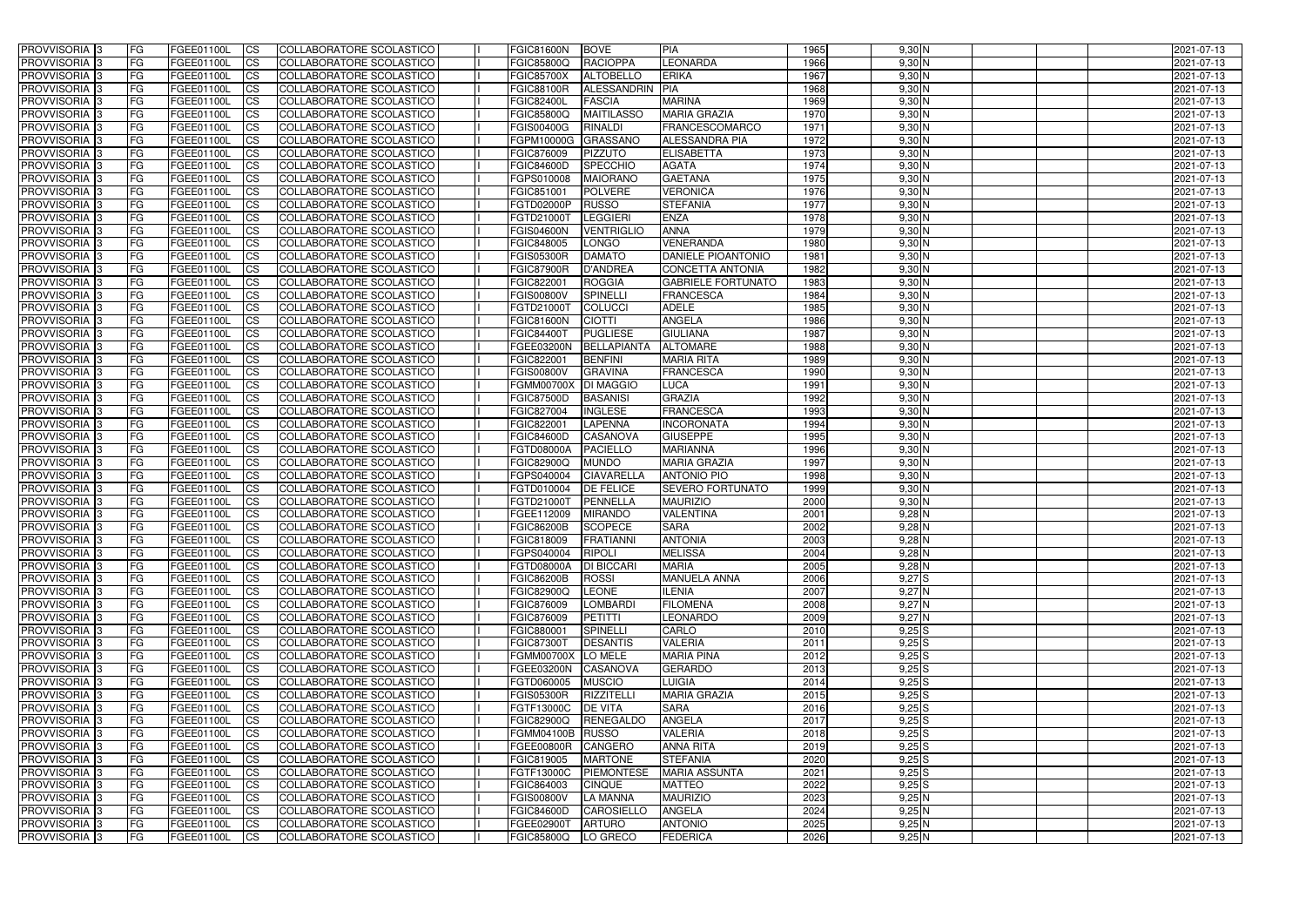| <b>PROVVISORIA</b> 3                             | FG         | FGEE01100L               | <b>ICS</b>             | COLLABORATORE SCOLASTICO                             | <b>FGIC81600N</b>                      | <b>BOVE</b>                          | PIA                                  | 1965         | $9,30$ N               | 2021-07-13               |
|--------------------------------------------------|------------|--------------------------|------------------------|------------------------------------------------------|----------------------------------------|--------------------------------------|--------------------------------------|--------------|------------------------|--------------------------|
| <b>PROVVISORIA 3</b>                             | FG         | FGEE01100L               | <b>CS</b>              | COLLABORATORE SCOLASTICO                             | <b>FGIC85800Q</b>                      | <b>RACIOPPA</b>                      | <b>LEONARDA</b>                      | 1966         | $9,30$ N               | 2021-07-13               |
| PROVVISORIA <sup>3</sup>                         | FG         | FGEE01100L               | <b>CS</b>              | COLLABORATORE SCOLASTICO                             | <b>FGIC85700X</b>                      | <b>ALTOBELLO</b>                     | <b>ERIKA</b>                         | 1967         | $9,30$ N               | 2021-07-13               |
| PROVVISORIA <sup>3</sup>                         | FG         | FGEE01100L               | <b>CS</b>              | COLLABORATORE SCOLASTICO                             | <b>FGIC88100R</b>                      | ALESSANDRIN                          | PIA                                  | 1968         | $9,30$ N               | 2021-07-13               |
| PROVVISORIA <sup>1</sup> 3                       | FG         | FGEE01100L               | <b>CS</b>              | COLLABORATORE SCOLASTICO                             | <b>FGIC82400L</b>                      | <b>FASCIA</b>                        | <b>MARINA</b>                        | 1969         | $9,30$ N               | 2021-07-13               |
| PROVVISORIA <sup>3</sup>                         | FG         | FGEE01100L               | <b>CS</b>              | COLLABORATORE SCOLASTICO                             | <b>FGIC85800Q</b>                      | <b>MAITILASSO</b>                    | <b>MARIA GRAZIA</b>                  | 1970         | $9,30$ N               | 2021-07-13               |
| PROVVISORIA 3                                    | FG         | FGEE01100L               | <b>CS</b>              | COLLABORATORE SCOLASTICO                             | <b>FGIS00400G</b>                      | <b>RINALDI</b>                       | <b>FRANCESCOMARCO</b>                | 1971         | $9,30$ N               | 2021-07-13               |
| PROVVISORIA 3                                    | FG         | <b>FGEE01100L</b>        | <b>CS</b>              | <b>COLLABORATORE SCOLASTICO</b>                      | FGPM10000G                             | <b>GRASSANO</b>                      | <b>ALESSANDRA PIA</b>                | 1972         | $9,30$ N               | 2021-07-13               |
| PROVVISORIA 3                                    | FG         | FGEE01100L               | <b>CS</b>              | COLLABORATORE SCOLASTICO                             | FGIC876009                             | <b>PIZZUTO</b>                       | <b>ELISABETTA</b>                    | 1973         | $9,30$ N               | 2021-07-13               |
| PROVVISORIA <sup>3</sup>                         | FG         | FGEE01100L               | $\overline{c}$         | COLLABORATORE SCOLASTICO                             | <b>FGIC84600D</b>                      | <b>SPECCHIO</b>                      | <b>AGATA</b>                         | 1974         | $9,30$ N               | 2021-07-13               |
| PROVVISORIA <sup>3</sup>                         | FG         | FGEE01100L               | <b>CS</b>              | COLLABORATORE SCOLASTICO                             | FGPS010008                             | <b>MAIORANO</b>                      | <b>GAETANA</b>                       | 1975         | $9,30$ N               | 2021-07-13               |
| PROVVISORIA <sup>3</sup>                         | FG         | FGEE01100L               | <b>CS</b>              | COLLABORATORE SCOLASTICO                             | FGIC851001                             | <b>POLVERE</b>                       | <b>VERONICA</b>                      | 1976         | $9,30$ N               | 2021-07-13               |
| PROVVISORIA <sup>3</sup>                         | FG         | FGEE01100L               | <b>I</b> CS            | COLLABORATORE SCOLASTICO                             | FGTD02000P                             | <b>RUSSO</b>                         | <b>STEFANIA</b>                      | 1977         | $9,30$ N               | 2021-07-13               |
| PROVVISORIA <sup>3</sup>                         | FG         | FGEE01100L               | <b>I</b> CS            | COLLABORATORE SCOLASTICO                             | FGTD21000T                             | <b>LEGGIERI</b>                      | <b>ENZA</b>                          | 1978         | $9,30$ N               | 2021-07-13               |
| PROVVISORIA <sup>3</sup>                         | FG         | FGEE01100L               | <b>I</b> CS            | COLLABORATORE SCOLASTICO                             | <b>FGIS04600N</b>                      | <b>VENTRIGLIO</b>                    | <b>ANNA</b>                          | 1979         | $9,30$ N               | 2021-07-13               |
| <b>PROVVISORIA</b> 3                             | FG         | FGEE01100L               | <b>I</b> CS            | <b>COLLABORATORE SCOLASTICO</b>                      | FGIC848005                             | <b>LONGO</b>                         | <b>VENERANDA</b>                     | 1980         | $9,30$ N               | 2021-07-13               |
| <b>PROVVISORIA</b> 3                             | FG         | FGEE01100L               | <b>ICS</b>             | COLLABORATORE SCOLASTICO                             | <b>FGIS05300R</b>                      | <b>DAMATO</b>                        | <b>DANIELE PIOANTONIO</b>            | 1981         | $9,30$ N               | 2021-07-13               |
| PROVVISORIA 3                                    | FG         | FGEE01100L               | <b>CS</b>              | <b>COLLABORATORE SCOLASTICO</b>                      | <b>FGIC87900R</b>                      | <b>D'ANDREA</b>                      | <b>CONCETTA ANTONIA</b>              | 1982         | 9,30 N                 | 2021-07-13               |
| PROVVISORIA <sup>3</sup>                         | FG         | FGEE01100L               | <b>ICS</b>             | COLLABORATORE SCOLASTICO                             | FGIC822001                             | <b>ROGGIA</b>                        | <b>GABRIELE FORTUNATO</b>            | 1983         | $9,30$ N               | 2021-07-13               |
| PROVVISORIA <sup>3</sup>                         | FG         | FGEE01100L               | <b>I</b> CS            | COLLABORATORE SCOLASTICO                             | <b>FGIS00800V</b>                      | <b>SPINELLI</b>                      | <b>FRANCESCA</b>                     | 1984         | $9,30$ N               | 2021-07-13               |
| PROVVISORIA <sup>3</sup>                         | FG         | FGEE01100L               | <b>I</b> CS            | COLLABORATORE SCOLASTICO                             | FGTD21000T                             | <b>COLUCCI</b>                       | <b>ADELE</b>                         | 1985         | $9,30$ N               | 2021-07-13               |
| PROVVISORIA <sup>3</sup>                         | FG         | FGEE01100L<br>FGEE01100L | <b>CS</b>              | COLLABORATORE SCOLASTICO                             | <b>FGIC81600N</b>                      | <b>CIOTTI</b>                        | <b>ANGELA</b>                        | 1986         | $9,30$ N               | 2021-07-13               |
| PROVVISORIA <sup>3</sup><br><b>PROVVISORIA</b> 3 | FG         |                          | <b>CS</b>              | COLLABORATORE SCOLASTICO                             | <b>FGIC84400T</b><br><b>FGEE03200N</b> | <b>PUGLIESE</b>                      | <b>GIULIANA</b><br><b>ALTOMARE</b>   | 1987<br>1988 | $9,30$ N<br>$9,30$ N   | 2021-07-13               |
| PROVVISORIA <sup>3</sup>                         | FG<br>FG   | FGEE01100L<br>FGEE01100L | <b>CS</b><br><b>CS</b> | COLLABORATORE SCOLASTICO<br>COLLABORATORE SCOLASTICO | FGIC822001                             | <b>BELLAPIANTA</b><br><b>BENFINI</b> | <b>MARIA RITA</b>                    | 1989         | $9,30$ N               | 2021-07-13<br>2021-07-13 |
| PROVVISORIA <sup>1</sup> 3                       | FG         | FGEE01100L               | <b>CS</b>              | COLLABORATORE SCOLASTICO                             | <b>FGIS00800V</b>                      | <b>GRAVINA</b>                       | <b>FRANCESCA</b>                     | 1990         | $9,30$ N               | 2021-07-13               |
| PROVVISORIA <sup>1</sup> 3                       | FG         | <b>FGEE01100L</b>        | <b>CS</b>              | COLLABORATORE SCOLASTICO                             | <b>FGMM00700X</b>                      | <b>DI MAGGIO</b>                     | <b>LUCA</b>                          | 1991         | $9,30$ N               | 2021-07-13               |
| PROVVISORIA <sup>3</sup>                         | FG.        | FGEE01100L               | <b>CS</b>              | COLLABORATORE SCOLASTICO                             | <b>FGIC87500D</b>                      | <b>BASANISI</b>                      | <b>GRAZIA</b>                        | 1992         | $9,30$ N               | 2021-07-13               |
| PROVVISORIA <sup>3</sup>                         | FG         | <b>FGEE01100L</b>        | <b>CS</b>              | COLLABORATORE SCOLASTICO                             | FGIC827004                             | <b>INGLESE</b>                       | <b>FRANCESCA</b>                     | 1993         | $9,30$ N               | 2021-07-13               |
| PROVVISORIA <sup>1</sup> 3                       | FG.        | FGEE01100L               | <b>CS</b>              | COLLABORATORE SCOLASTICO                             | FGIC822001                             | <b>LAPENNA</b>                       | <b>INCORONATA</b>                    | 1994         | $9,30$ N               | 2021-07-13               |
| PROVVISORIA <sup>3</sup>                         | FG.        | FGEE01100L               | <b>CS</b>              | COLLABORATORE SCOLASTICO                             | <b>FGIC84600D</b>                      | CASANOVA                             | <b>GIUSEPPE</b>                      | 1995         | $9,30$ N               | 2021-07-13               |
| PROVVISORIA <sup>1</sup> 3                       | FG         | FGEE01100L               | $\overline{\text{cs}}$ | COLLABORATORE SCOLASTICO                             | <b>FGTD08000A</b>                      | <b>PACIELLO</b>                      | <b>MARIANNA</b>                      | 1996         | $9,30$ N               | 2021-07-13               |
| PROVVISORIA <sup>3</sup>                         | FG         | <b>FGEE01100L</b>        | <b>CS</b>              | COLLABORATORE SCOLASTICO                             | <b>FGIC82900Q</b>                      | <b>MUNDO</b>                         | <b>MARIA GRAZIA</b>                  | 1997         | $9,30$ N               | 2021-07-13               |
| PROVVISORIA <sup>3</sup>                         | FG         | FGEE01100L               | <b>CS</b>              | COLLABORATORE SCOLASTICO                             | FGPS040004                             | <b>CIAVARELLA</b>                    | <b>ANTONIO PIO</b>                   | 1998         | $9,30$ N               | 2021-07-13               |
| PROVVISORIA <sup>3</sup>                         | FG         | FGEE01100L               | $\overline{\text{cs}}$ | COLLABORATORE SCOLASTICO                             | FGTD010004                             | <b>DE FELICE</b>                     | <b>SEVERO FORTUNATO</b>              | 1999         | $9,30$ N               | 2021-07-13               |
| PROVVISORIA <sup>3</sup>                         | FG         | FGEE01100L               | <b>CS</b>              | <b>COLLABORATORE SCOLASTICO</b>                      | FGTD21000T                             | PENNELLA                             | <b>MAURIZIO</b>                      | 2000         | $9,30$ N               | 2021-07-13               |
| PROVVISORIA <sup>1</sup> 3                       | FG         | FGEE01100L               | <b>CS</b>              | COLLABORATORE SCOLASTICO                             | FGEE112009                             | <b>MIRANDO</b>                       | <b>VALENTINA</b>                     | 2001         | $9,28$ N               | 2021-07-13               |
| PROVVISORIA 3                                    | FG         | FGEE01100L               | <b>I</b> CS            | COLLABORATORE SCOLASTICO                             | <b>FGIC86200B</b>                      | <b>SCOPECE</b>                       | <b>SARA</b>                          | 2002         | $9,28$ N               | 2021-07-13               |
| <b>PROVVISORIA</b> 3                             | IFG.       | FGEE01100L               | CS                     | COLLABORATORE SCOLASTICO                             | <b>FGIC818009</b>                      | FRATIANNI                            | <b>ANTONIA</b>                       | 2003         | $9,28$ N               | 2021-07-13               |
| PROVVISORIA 3                                    | IFG.       | FGEE01100L               | <b>ICS</b>             | COLLABORATORE SCOLASTICO                             | FGPS040004                             | RIPOLI                               | <b>MELISSA</b>                       | 2004         | $9,28$ N               | 2021-07-13               |
| PROVVISORIA 3                                    | FG         | FGEE01100L               | <b>CS</b>              | COLLABORATORE SCOLASTICO                             | <b>FGTD08000A</b>                      | <b>DI BICCARI</b>                    | <b>MARIA</b>                         | 2005         | $9,28$ N               | 2021-07-13               |
| PROVVISORIA 3                                    | FG         | FGEE01100L               | <b>CS</b>              | COLLABORATORE SCOLASTICO                             | <b>FGIC86200B</b>                      | <b>ROSSI</b>                         | <b>MANUELA ANNA</b>                  | 2006         | 9,27S                  | 2021-07-13               |
| PROVVISORIA <sup>3</sup>                         | FG         | FGEE01100L               | <b>ICS</b>             | <b>COLLABORATORE SCOLASTICO</b>                      | <b>FGIC82900Q</b>                      | <b>LEONE</b>                         | <b>ILENIA</b>                        | 2007         | 9,27N                  | 2021-07-13               |
| PROVVISORIA 3                                    | FG.        | FGEE01100L               | <b>CS</b>              | COLLABORATORE SCOLASTICO                             | FGIC876009                             | LOMBARDI                             | <b>FILOMENA</b>                      | 2008         | 9,27N                  | 2021-07-13               |
| PROVVISORIA 3                                    | FG         | FGEE01100L               | <b>CS</b>              | COLLABORATORE SCOLASTICO                             | FGIC876009                             | PETITTI                              | <b>LEONARDO</b>                      | 2009         | 9,27N                  | 2021-07-13               |
| PROVVISORIA 3                                    | <b>FG</b>  | FGEE01100L               | <b>CS</b>              | COLLABORATORE SCOLASTICO                             | FGIC880001                             | <b>SPINELLI</b>                      | <b>CARLO</b>                         | 2010         | $9,25$ S               | 2021-07-13               |
| PROVVISORIA 3                                    | FG         | FGEE01100L               | <b>CS</b>              | COLLABORATORE SCOLASTICO                             | <b>FGIC87300T</b>                      | <b>DESANTIS</b>                      | <b>VALERIA</b>                       | 2011         | $9,25$ S               | 2021-07-13               |
| PROVVISORIA 3<br>PROVVISORIA 3                   | FG         | FGEE01100L<br>FGEE01100L | <b>CS</b>              | COLLABORATORE SCOLASTICO                             | FGMM00700X LO MELE<br>FGEE03200N       |                                      | <b>MARIA PINA</b><br><b>GERARDO</b>  | 2012         | $9,25$ S               | 2021-07-13<br>2021-07-13 |
|                                                  | FG         |                          | <b>CS</b>              | COLLABORATORE SCOLASTICO                             |                                        | CASANOVA                             |                                      | 2013         | $9,25$ S               |                          |
| PROVVISORIA 3<br>PROVVISORIA 3                   | FG<br>FG   | FGEE01100L<br>FGEE01100L | <b>CS</b>              | COLLABORATORE SCOLASTICO<br>COLLABORATORE SCOLASTICO | FGTD060005<br><b>FGIS05300R</b>        | <b>MUSCIO</b><br><b>RIZZITELLI</b>   | <b>LUIGIA</b><br><b>MARIA GRAZIA</b> | 2014<br>2015 | $9,25$ $S$<br>$9,25$ S | 2021-07-13<br>2021-07-13 |
| <b>PROVVISORIA</b> 3                             | IFG.       | FGEE01100L               | <b>CS</b><br><b>CS</b> | COLLABORATORE SCOLASTICO                             | <b>FGTF13000C</b>                      | <b>DE VITA</b>                       | <b>SARA</b>                          | 2016         | $9,25$ S               | 2021-07-13               |
| <b>PROVVISORIA</b> 3                             | IFG.       | FGEE01100L               | <b>CS</b>              | COLLABORATORE SCOLASTICO                             | <b>FGIC82900Q</b>                      | RENEGALDO                            | <b>ANGELA</b>                        | 2017         | $9,25$ S               | 2021-07-13               |
| PROVVISORIA 3                                    | <b>IFG</b> | FGEE01100L               | <b>CS</b>              | COLLABORATORE SCOLASTICO                             | FGMM04100B RUSSO                       |                                      | VALERIA                              | 2018         | $9,25$ S               | 2021-07-13               |
| PROVVISORIA 3                                    | <b>IFG</b> | FGEE01100L               | <b>CS</b>              | COLLABORATORE SCOLASTICO                             | <b>FGEE00800R</b>                      | CANGERO                              | <b>ANNA RITA</b>                     | 2019         | $9,25$ S               | 2021-07-13               |
| PROVVISORIA 3                                    | IFG.       | <b>FGEE01100L</b>        | <b>CS</b>              | COLLABORATORE SCOLASTICO                             | FGIC819005                             | <b>MARTONE</b>                       | <b>STEFANIA</b>                      | 2020         | $9,25$ S               | 2021-07-13               |
| PROVVISORIA 3                                    | FG         | FGEE01100L               | <b>CS</b>              | COLLABORATORE SCOLASTICO                             | FGTF13000C                             | <b>PIEMONTESE</b>                    | <b>MARIA ASSUNTA</b>                 | 2021         | $9,25$ S               | 2021-07-13               |
| PROVVISORIA 3                                    | <b>FG</b>  | FGEE01100L               | <b>CS</b>              | COLLABORATORE SCOLASTICO                             | FGIC864003                             | <b>CINQUE</b>                        | <b>MATTEO</b>                        | 2022         | $9,25$ S               | 2021-07-13               |
| PROVVISORIA 3                                    | FG         | <b>FGEE01100L</b>        | <b>CS</b>              | COLLABORATORE SCOLASTICO                             | <b>FGIS00800V</b>                      | <b>LA MANNA</b>                      | <b>MAURIZIO</b>                      | 2023         | 9,25N                  | 2021-07-13               |
| <b>PROVVISORIA</b> 3                             | FG         | FGEE01100L               | <b>ICS</b>             | COLLABORATORE SCOLASTICO                             | <b>FGIC84600D</b>                      | CAROSIELLO                           | <b>ANGELA</b>                        | 2024         | 9,25N                  | 2021-07-13               |
| PROVVISORIA 3                                    | FG         | FGEE01100L               | <b>CS</b>              | COLLABORATORE SCOLASTICO                             | FGEE02900T                             | <b>ARTURO</b>                        | <b>ANTONIO</b>                       | 2025         | 9,25N                  | 2021-07-13               |
| PROVVISORIA 3                                    | FG         | FGEE01100L               | <b>ICS</b>             | COLLABORATORE SCOLASTICO                             | <b>FGIC85800Q</b>                      | LO GRECO                             | <b>FEDERICA</b>                      | 2026         | 9,25N                  | 2021-07-13               |
|                                                  |            |                          |                        |                                                      |                                        |                                      |                                      |              |                        |                          |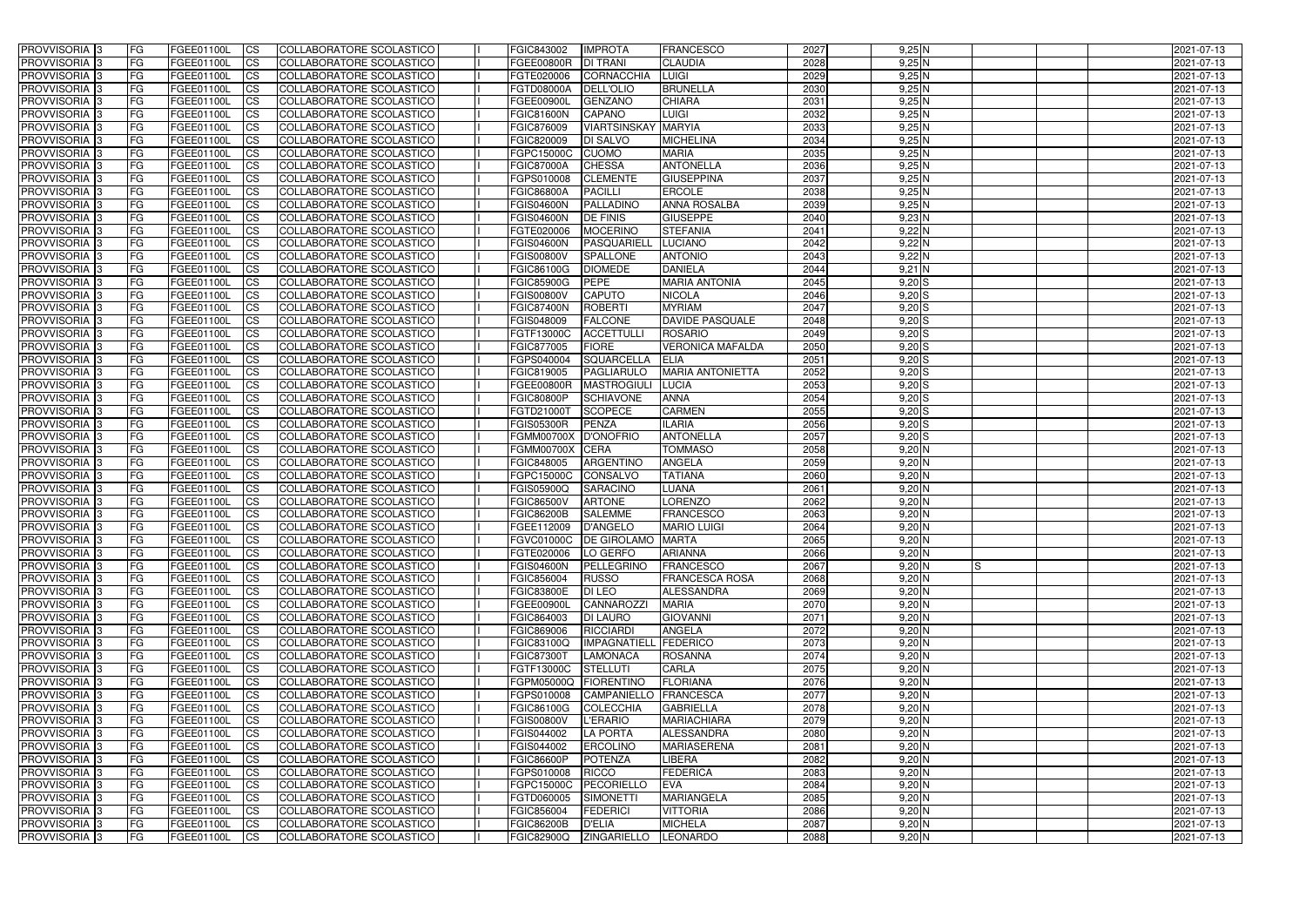| <b>PROVVISORIA</b> 3                      | <b>FG</b>              | FGEE01100L               | <b>ICS</b>               | COLLABORATORE SCOLASTICO                                    | FGIC843002                      | <b>IMPROTA</b>                            | <b>FRANCESCO</b>                         | 2027         | $9,25$ N               | 2021-07-13               |
|-------------------------------------------|------------------------|--------------------------|--------------------------|-------------------------------------------------------------|---------------------------------|-------------------------------------------|------------------------------------------|--------------|------------------------|--------------------------|
| <b>PROVVISORIA 3</b>                      | FG                     | FGEE01100L               | <b>ICS</b>               | COLLABORATORE SCOLASTICO                                    | <b>FGEE00800R</b>               | <b>DI TRANI</b>                           | <b>CLAUDIA</b>                           | 2028         | $9,25$ N               | 2021-07-13               |
| PROVVISORIA                               | FG                     | FGEE01100L               | <b>CS</b>                | <b>COLLABORATORE SCOLASTICO</b>                             | FGTE020006                      | CORNACCHIA                                | <b>LUIGI</b>                             | 2029         | 9,25N                  | 2021-07-13               |
| PROVVISORIA                               | FG                     | FGEE01100L               | <b>CS</b>                | COLLABORATORE SCOLASTICO                                    | FGTD08000A                      | <b>DELL'OLIO</b>                          | <b>BRUNELLA</b>                          | 2030         | 9,25N                  | 2021-07-13               |
| <b>PROVVISORIA 3</b>                      | FG                     | FGEE01100L               | <b>CS</b>                | COLLABORATORE SCOLASTICO                                    | <b>FGEE00900L</b>               | <b>GENZANO</b>                            | <b>CHIARA</b>                            | 2031         | $9,25$ N               | 2021-07-13               |
| PROVVISORIA <sup>1</sup> 3                | FG                     | FGEE01100L               | <b>CS</b>                | COLLABORATORE SCOLASTICO                                    | <b>FGIC81600N</b>               | <b>CAPANO</b>                             | <b>LUIGI</b>                             | 2032         | 9,25N                  | 2021-07-13               |
| PROVVISORIA <sup>1</sup> 3                | FG                     | FGEE01100L               | <b>CS</b>                | COLLABORATORE SCOLASTICO                                    | FGIC876009                      | <b>VIARTSINSKAY MARYIA</b>                |                                          | 2033         | $9,25$ N               | 2021-07-13               |
| PROVVISORIA 3                             | FG                     | FGEE01100L               | <b>ICS</b>               | COLLABORATORE SCOLASTICO                                    | FGIC820009                      | <b>DI SALVO</b>                           | <b>MICHELINA</b>                         | 2034         | $9,25$ N               | 2021-07-13               |
| PROVVISORIA 3                             | FG                     | FGEE01100L               | <b>CS</b>                | COLLABORATORE SCOLASTICO                                    | FGPC15000C                      | <b>CUOMO</b>                              | <b>MARIA</b>                             | 2035         | $9,25$ N               | 2021-07-13               |
| PROVVISORIA 3                             | <b>FG</b>              | FGEE01100L               | <b>ICS</b>               | COLLABORATORE SCOLASTICO                                    | <b>FGIC87000A</b>               | <b>CHESSA</b>                             | <b>ANTONELLA</b>                         | 2036         | 9,25N                  | 2021-07-13               |
| PROVVISORIA 3                             | FG                     | FGEE01100L               | <b>ICS</b>               | COLLABORATORE SCOLASTICO                                    | FGPS010008                      | <b>CLEMENTE</b>                           | <b>GIUSEPPINA</b>                        | 2037         | 9,25N                  | 2021-07-13               |
| <b>PROVVISORIA</b>                        | FG                     | FGEE01100L               | <b>CS</b>                | COLLABORATORE SCOLASTICO                                    | <b>FGIC86800A</b>               | <b>PACILLI</b>                            | <b>ERCOLE</b>                            | 2038         | $9,25$ N               | 2021-07-13               |
| <b>PROVVISORIA</b>                        | FG                     | FGEE01100L               | <b>ICS</b>               | COLLABORATORE SCOLASTICO                                    | <b>FGIS04600N</b>               | <b>PALLADINC</b>                          | <b>ANNA ROSALBA</b>                      | 2039         | $9,25$ N               | 2021-07-13               |
| <b>PROVVISORIA</b>                        | FG                     | FGEE01100L               | <b>ICS</b>               | COLLABORATORE SCOLASTICO                                    | <b>FGIS04600N</b>               | <b>DE FINIS</b>                           | <b>GIUSEPPE</b>                          | 2040         | $9,23$ N               | 2021-07-13               |
| <b>PROVVISORIA</b>                        | FG                     | FGEE01100L               | <b>ICS</b>               | COLLABORATORE SCOLASTICO                                    | FGTE020006                      | <b>MOCERINO</b>                           | <b>STEFANIA</b>                          | 2041         | $9,22$ N               | 2021-07-13               |
| <b>PROVVISORIA</b>                        | FG                     | FGEE01100L               | <b>ICS</b>               | COLLABORATORE SCOLASTICO                                    | <b>FGIS04600N</b>               | PASQUARIEL                                | <b>LUCIANO</b>                           | 2042         | $9,22$ N               | 2021-07-13               |
| <b>PROVVISORIA</b>                        | FG                     | FGEE01100L               | <b>ICS</b>               | COLLABORATORE SCOLASTICO                                    | <b>FGIS00800V</b>               | <b>SPALLONE</b>                           | <b>ANTONIO</b>                           | 2043         | $9,22$ N               | 2021-07-13               |
| <b>PROVVISORIA</b>                        | FG                     | FGEE01100L               | <b>ICS</b>               | COLLABORATORE SCOLASTICO                                    | FGIC86100G                      | <b>DIOMEDE</b>                            | <b>DANIELA</b>                           | 2044         | $9,21$ N               | 2021-07-13               |
| PROVVISORIA 3                             | FG                     | FGEE01100L               | <b>ICS</b>               | COLLABORATORE SCOLASTICO                                    | <b>FGIC85900G</b>               | <b>PEPE</b>                               | <b>MARIA ANTONIA</b>                     | 2045         | $9,20$ $S$             | 2021-07-13               |
| PROVVISORIA <sup>3</sup>                  | FG                     | FGEE01100L               | <b>ICS</b>               | COLLABORATORE SCOLASTICO                                    | <b>FGIS00800V</b>               | <b>CAPUTO</b>                             | <b>NICOLA</b>                            | 2046         | $9,20$ $S$             | 2021-07-13               |
| PROVVISORIA <sup>1</sup> 3                | FG                     | FGEE01100L               | <b>ICS</b>               | COLLABORATORE SCOLASTICO                                    | <b>FGIC87400N</b>               | <b>ROBERTI</b>                            | <b>MYRIAM</b>                            | 2047         | $9,20$ $S$             | 2021-07-13               |
| PROVVISORIA 3<br>PROVVISORIA <sup>3</sup> | FG<br>FG               | FGEE01100L<br>FGEE01100L | <b>ICS</b><br><b>ICS</b> | COLLABORATORE SCOLASTICO<br><b>COLLABORATORE SCOLASTICO</b> | FGIS048009<br>FGTF13000C        | <b>FALCONE</b><br><b>ACCETTULL</b>        | <b>DAVIDE PASQUALE</b><br><b>ROSARIO</b> | 2048<br>2049 | $9,20$ S<br>$9,20$ $S$ | 2021-07-13<br>2021-07-13 |
| PROVVISORIA <sup>13</sup>                 | FG                     | FGEE01100L               | <b>CS</b>                | COLLABORATORE SCOLASTICO                                    | FGIC877005                      | <b>FIORE</b>                              | <b>VERONICA MAFALDA</b>                  | 2050         | $9,20$ S               | 2021-07-13               |
| PROVVISORIA <sup>3</sup>                  | FG                     | FGEE01100L               | <b>CS</b>                | COLLABORATORE SCOLASTICO                                    | FGPS040004                      | <b>SQUARCELLA</b>                         | <b>ELIA</b>                              | 2051         | $9,20$ S               | 2021-07-13               |
| PROVVISORIA 3                             | FG                     | FGEE01100L               | <b>ICS</b>               | COLLABORATORE SCOLASTICO                                    | FGIC819005                      | PAGLIARULO                                | <b>MARIA ANTONIETTA</b>                  | 2052         | $9,20$ S               | 2021-07-13               |
| PROVVISORIA 3                             | FG                     | FGEE01100L               | <b>ICS</b>               | COLLABORATORE SCOLASTICO                                    | FGEE00800R                      | <b>MASTROGIUL</b>                         | <b>LUCIA</b>                             | 2053         | $9,20$ $S$             | 2021-07-13               |
| PROVVISORIA                               | FG                     | FGEE01100L               | <b>ICS</b>               | COLLABORATORE SCOLASTICO                                    | <b>FGIC80800P</b>               | <b>SCHIAVONE</b>                          | <b>ANNA</b>                              | 2054         | $9,20$ S               | 2021-07-13               |
| PROVVISORIA                               | FG                     | FGEE01100L               | <b>CS</b>                | <b>COLLABORATORE SCOLASTICO</b>                             | FGTD21000T                      | <b>SCOPECE</b>                            | <b>CARMEN</b>                            | 2055         | $9,20$ $S$             | 2021-07-13               |
| PROVVISORIA                               | FG                     | FGEE01100L               | <b>CS</b>                | COLLABORATORE SCOLASTICO                                    | <b>FGIS05300R</b>               | PENZA                                     | <b>ILARIA</b>                            | 2056         | $9,20$ $S$             | 2021-07-13               |
| PROVVISORIA                               | FG                     | FGEE01100L               | <b>CS</b>                | COLLABORATORE SCOLASTICO                                    | <b>FGMM00700X</b>               | <b>D'ONOFRIC</b>                          | <b>ANTONELLA</b>                         | 2057         | $9,20$ S               | 2021-07-13               |
| PROVVISORIA <sup>1</sup> 3                | FG                     | FGEE01100L               | <b>CS</b>                | COLLABORATORE SCOLASTICO                                    | <b>FGMM00700X</b>               | <b>CERA</b>                               | <b>TOMMASO</b>                           | 2058         | $9,20$ N               | 2021-07-13               |
| PROVVISORIA <sup>1</sup> 3                | FG                     | FGEE01100L               | <b>CS</b>                | COLLABORATORE SCOLASTICO                                    | FGIC848005                      | <b>ARGENTINO</b>                          | <b>ANGELA</b>                            | 2059         | $9,20$ N               | 2021-07-13               |
| PROVVISORIA 3                             | FG                     | FGEE01100L               | <b>CS</b>                | <b>COLLABORATORE SCOLASTICO</b>                             | FGPC15000C                      | CONSALVO                                  | <b>TATIANA</b>                           | 2060         | $9,20$ N               | 2021-07-13               |
| <b>PROVVISORIA</b>                        | FG                     | FGEE01100L               | <b>ICS</b>               | COLLABORATORE SCOLASTICO                                    | FGIS05900Q                      | <b>SARACINO</b>                           | <b>LUANA</b>                             | 2061         | $9,20$ N               | 2021-07-13               |
| PROVVISORIA <sup>1</sup> 3                | FG                     | FGEE01100L               | <b>CS</b>                | COLLABORATORE SCOLASTICO                                    | <b>FGIC86500V</b>               | <b>ARTONE</b>                             | <b>LORENZO</b>                           | 2062         | $9,20$ N               | 2021-07-13               |
| PROVVISORIA 3                             | FG                     | FGEE01100L               | <b>ICS</b>               | COLLABORATORE SCOLASTICO                                    | <b>FGIC86200B</b>               | <b>SALEMME</b>                            | <b>FRANCESCO</b>                         | 2063         | $9,20$ N               | 2021-07-13               |
| <b>PROVVISORIA</b>                        | <b>FG</b>              | FGEE01100L               | <b>ICS</b>               | COLLABORATORE SCOLASTICO                                    | FGEE112009                      | <b>D'ANGELO</b>                           | <b>MARIO LUIGI</b>                       | 2064         | $9,20$ N               | 2021-07-13               |
| PROVVISORIA 3                             | FG                     | FGEE01100L CS            |                          | COLLABORATORE SCOLASTICO                                    |                                 | FGVC01000C   DE GIROLAMO   MARTA          |                                          | 2065         | $9,20$ N               | 2021-07-13               |
| <b>PROVVISORIA</b> 3                      | <b>FG</b>              | FGEE01100L               | $\mathsf{ICS}$           | COLLABORATORE SCOLASTICO                                    | FGTE020006                      | LO GERFO                                  | <b>ARIANNA</b>                           | 2066         | $9,20$ N               | 2021-07-13               |
| PROVVISORIA 3                             | <b>FG</b>              | <b>FGEE01100L</b>        | $\mathsf{ICS}$           | COLLABORATORE SCOLASTICO                                    | <b>FGIS04600N</b>               | PELLEGRINO                                | FRANCESCO                                | 2067         | $9,20$ N<br>Is         | 2021-07-13               |
| PROVVISORIA 3                             | <b>FG</b>              | FGEE01100L               | $\mathsf{ICS}$           | COLLABORATORE SCOLASTICO                                    | FGIC856004                      | <b>RUSSO</b>                              | <b>FRANCESCA ROSA</b>                    | 2068         | $9,20$ N               | 2021-07-13               |
| PROVVISORIA 3                             | FG                     | FGEE01100L               | $\mathsf{ICS}$           | COLLABORATORE SCOLASTICO                                    | <b>FGIC83800E</b>               | DI LEO                                    | ALESSANDRA                               | 2069         | $9,20$ N               | 2021-07-13               |
| PROVVISORIA 3                             | l FG                   | FGEE01100L               | CS                       | COLLABORATORE SCOLASTICO                                    | FGEE00900L                      | CANNAROZZI                                | <b>MARIA</b>                             | 2070         | $9,20$ N               | 2021-07-13               |
| PROVVISORIA 3                             | <b>FG</b>              | FGEE01100L               | $\mathsf{ICS}$           | COLLABORATORE SCOLASTICO                                    | FGIC864003                      | <b>DI LAURO</b>                           | <b>GIOVANNI</b>                          | 2071         | $9,20$ N               | 2021-07-13               |
| PROVVISORIA <sup>3</sup>                  | FG                     | FGEE01100L               | <b>CS</b>                | COLLABORATORE SCOLASTICO                                    | FGIC869006                      | <b>RICCIARDI</b>                          | <b>ANGELA</b>                            | 2072         | $9,20$ N               | 2021-07-13               |
| PROVVISORIA 3                             | <b>FG</b>              | FGEE01100L               | <b>CS</b>                | COLLABORATORE SCOLASTICO                                    | FGIC83100Q                      | <b>IMPAGNATIELL</b>                       | FEDERICO                                 | 2073         | $9,20$ N               | 2021-07-13               |
| PROVVISORIA 3                             | <b>FG</b>              | FGEE01100L               | <b>CS</b>                | COLLABORATORE SCOLASTICO                                    | <b>FGIC87300T</b>               | <b>LAMONACA</b>                           | <b>ROSANNA</b>                           | 2074         | $9,20$ N               | 2021-07-13               |
| PROVVISORIA 3                             | <b>FG</b>              | FGEE01100L               | <b>CS</b>                | COLLABORATORE SCOLASTICO                                    | FGTF13000C                      | <b>STELLUTI</b>                           | CARLA                                    | 2075         | $9,20$ N               | 2021-07-13               |
| PROVVISORIA 3                             | <b>FG</b>              | FGEE01100L               | <b>CS</b>                | COLLABORATORE SCOLASTICO                                    | FGPM05000Q FIORENTINO           |                                           | <b>FLORIANA</b>                          | 2076<br>2077 | $9,20$ N<br>$9,20$ N   | 2021-07-13               |
| PROVVISORIA 3<br>PROVVISORIA 3            | <b>FG</b><br><b>FG</b> | FGEE01100L<br>FGEE01100L | <b>CS</b><br><b>CS</b>   | COLLABORATORE SCOLASTICO<br>COLLABORATORE SCOLASTICO        | FGPS010008<br><b>FGIC86100G</b> | CAMPANIELLO FRANCESCA<br><b>COLECCHIA</b> | <b>GABRIELLA</b>                         | 2078         | $9,20$ N               | 2021-07-13<br>2021-07-13 |
| PROVVISORIA 3                             | <b>FG</b>              | FGEE01100L               | <b>CS</b>                | COLLABORATORE SCOLASTICO                                    | <b>FGIS00800V</b>               | L'ERARIO                                  | <b>MARIACHIARA</b>                       | 2079         | $9,20$ N               | 2021-07-13               |
| PROVVISORIA 3                             | <b>FG</b>              | FGEE01100L               | <b>CS</b>                | COLLABORATORE SCOLASTICO                                    | FGIS044002                      | LA PORTA                                  | ALESSANDRA                               | 2080         | $9,20$ N               | 2021-07-13               |
| PROVVISORIA 3                             | <b>FG</b>              | FGEE01100L               | <b>CS</b>                | COLLABORATORE SCOLASTICO                                    | FGIS044002                      | ERCOLINO                                  | <b>MARIASERENA</b>                       | 2081         | $9,20$ N               | 2021-07-13               |
| PROVVISORIA 3                             | <b>FG</b>              | FGEE01100L               | <b>CS</b>                | COLLABORATORE SCOLASTICO                                    | <b>FGIC86600P</b>               | <b>POTENZA</b>                            | <b>LIBERA</b>                            | 2082         | $9,20$ N               | 2021-07-13               |
| PROVVISORIA 3                             | <b>FG</b>              | FGEE01100L               | <b>CS</b>                | COLLABORATORE SCOLASTICO                                    | FGPS010008                      | RICCO                                     | <b>FEDERICA</b>                          | 2083         | $9,20$ N               | 2021-07-13               |
| PROVVISORIA 3                             | <b>FG</b>              | FGEE01100L               | <b>CS</b>                | COLLABORATORE SCOLASTICO                                    | FGPC15000C                      | PECORIELLO                                | <b>EVA</b>                               | 2084         | $9,20$ N               | 2021-07-13               |
| PROVVISORIA 3                             | FG                     | <b>FGEE01100L</b>        | <b>CS</b>                | COLLABORATORE SCOLASTICO                                    | FGTD060005                      | SIMONETTI                                 | <b>MARIANGELA</b>                        | 2085         | $9,20$ N               | 2021-07-13               |
| PROVVISORIA 3                             | <b>FG</b>              | FGEE01100L               | $\overline{\text{CS}}$   | COLLABORATORE SCOLASTICO                                    | FGIC856004                      | <b>FEDERICI</b>                           | <b>VITTORIA</b>                          | 2086         | $9,20$ N               | 2021-07-13               |
| PROVVISORIA 3                             | <b>FG</b>              | FGEE01100L               | $\overline{\text{CS}}$   | COLLABORATORE SCOLASTICO                                    | <b>FGIC86200B</b>               | <b>D'ELIA</b>                             | <b>MICHELA</b>                           | 2087         | $9,20$ N               | 2021-07-13               |
| PROVVISORIA 3                             | <b>FG</b>              | FGEE01100L               | $\overline{\text{CS}}$   | COLLABORATORE SCOLASTICO                                    | <b>FGIC82900Q</b>               | ZINGARIELLO                               | <b>LEONARDO</b>                          | 2088         | $9,20$ N               | 2021-07-13               |
|                                           |                        |                          |                          |                                                             |                                 |                                           |                                          |              |                        |                          |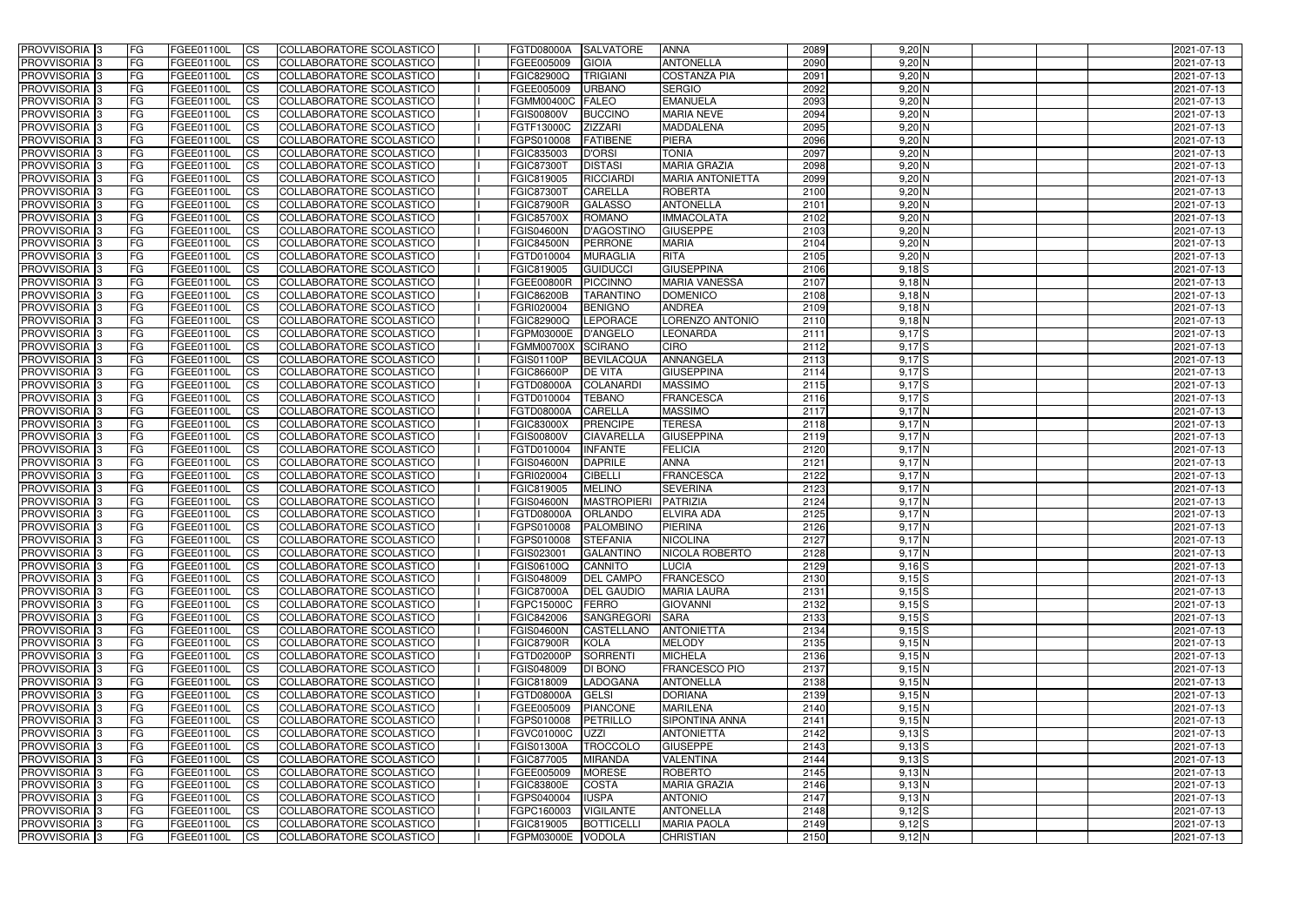| <b>PROVVISORIA</b> 3                                 | FG         | FGEE01100L                      | <b>ICS</b>                          | COLLABORATORE SCOLASTICO                             | <b>FGTD08000A</b>               | <b>SALVATORE</b>                     | <b>ANNA</b>                        | 2089         | $9,20$ N           | 2021-07-13               |
|------------------------------------------------------|------------|---------------------------------|-------------------------------------|------------------------------------------------------|---------------------------------|--------------------------------------|------------------------------------|--------------|--------------------|--------------------------|
| <b>PROVVISORIA 3</b>                                 | FG         | FGEE01100L                      | <b>CS</b>                           | COLLABORATORE SCOLASTICO                             | FGEE005009                      | <b>GIOIA</b>                         | <b>ANTONELLA</b>                   | 2090         | $9,20$ N           | 2021-07-13               |
| PROVVISORIA <sup>3</sup>                             | FG         | FGEE01100L                      | <b>CS</b>                           | COLLABORATORE SCOLASTICO                             | <b>FGIC82900Q</b>               | <b>TRIGIANI</b>                      | <b>COSTANZA PIA</b>                | 2091         | $9,20$ N           | 2021-07-13               |
| PROVVISORIA <sup>3</sup>                             | FG         | FGEE01100L                      | <b>CS</b>                           | COLLABORATORE SCOLASTICO                             | FGEE005009                      | <b>URBANO</b>                        | <b>SERGIO</b>                      | 2092         | $9,20$ N           | 2021-07-13               |
| PROVVISORIA <sup>1</sup> 3                           | FG         | FGEE01100L                      | <b>CS</b>                           | COLLABORATORE SCOLASTICO                             | <b>FGMM00400C</b>               | <b>FALEO</b>                         | <b>EMANUELA</b>                    | 2093         | $9,20$ N           | 2021-07-13               |
| PROVVISORIA <sup>3</sup>                             | FG         | FGEE01100L                      | <b>CS</b>                           | COLLABORATORE SCOLASTICO                             | <b>FGIS00800V</b>               | <b>BUCCINO</b>                       | <b>MARIA NEVE</b>                  | 2094         | $9,20$ N           | 2021-07-13               |
| PROVVISORIA 3                                        | FG         | FGEE01100L                      | <b>CS</b>                           | COLLABORATORE SCOLASTICO                             | FGTF13000C                      | <b>ZIZZARI</b>                       | <b>MADDALENA</b>                   | 2095         | $9,20$ N           | 2021-07-13               |
| PROVVISORIA 3                                        | FG         | <b>FGEE01100L</b>               | <b>CS</b>                           | COLLABORATORE SCOLASTICO                             | FGPS010008                      | <b>FATIBENE</b>                      | <b>PIERA</b>                       | 2096         | $9,20$ N           | 2021-07-13               |
| PROVVISORIA 3                                        | FG         | FGEE01100L                      | <b>CS</b>                           | COLLABORATORE SCOLASTICO                             | FGIC835003                      | <b>D'ORSI</b>                        | <b>TONIA</b>                       | 2097         | 9,20 N             | 2021-07-13               |
| PROVVISORIA <sup>3</sup>                             | FG         | FGEE01100L                      | $\overline{c}$                      | COLLABORATORE SCOLASTICO                             | <b>FGIC87300T</b>               | <b>DISTASI</b>                       | <b>MARIA GRAZIA</b>                | 2098         | $9,20$ N           | 2021-07-13               |
| PROVVISORIA <sup>3</sup>                             | FG         | FGEE01100L                      | <b>CS</b>                           | COLLABORATORE SCOLASTICO                             | FGIC819005                      | RICCIARDI                            | <b>MARIA ANTONIETTA</b>            | 2099         | $9,20$ N           | 2021-07-13               |
| PROVVISORIA <sup>3</sup>                             | FG         | FGEE01100L                      | <b>CS</b>                           | COLLABORATORE SCOLASTICO                             | <b>FGIC87300T</b>               | <b>CARELLA</b>                       | <b>ROBERTA</b>                     | 2100         | $9,20$ N           | 2021-07-13               |
| PROVVISORIA <sup>3</sup>                             | FG         | <b>FGEE01100L</b>               | <b>I</b> CS                         | COLLABORATORE SCOLASTICO                             | <b>FGIC87900R</b>               | <b>GALASSO</b>                       | <b>ANTONELLA</b>                   | 2101         | $9,20$ N           | 2021-07-13               |
| PROVVISORIA <sup>3</sup>                             | FG         | FGEE01100L                      | <b>I</b> CS                         | COLLABORATORE SCOLASTICO                             | <b>FGIC85700X</b>               | <b>ROMANO</b>                        | <b>IMMACOLATA</b>                  | 2102         | $9,20$ N           | 2021-07-13               |
| PROVVISORIA <sup>3</sup>                             | FG         | FGEE01100L                      | <b>I</b> CS                         | COLLABORATORE SCOLASTICO                             | <b>FGIS04600N</b>               | D'AGOSTINO                           | <b>GIUSEPPE</b>                    | 2103         | $9,20$ N           | 2021-07-13               |
| <b>PROVVISORIA</b> 3                                 | FG         | FGEE01100L                      | <b>I</b> CS                         | <b>COLLABORATORE SCOLASTICO</b>                      | <b>FGIC84500N</b>               | <b>PERRONE</b>                       | <b>MARIA</b>                       | 2104         | $9,20$ N           | 2021-07-13               |
| PROVVISORIA <sup>3</sup>                             | FG         | FGEE01100L                      | <b>ICS</b>                          | COLLABORATORE SCOLASTICO                             | FGTD010004                      | <b>MURAGLIA</b>                      | <b>RITA</b>                        | 2105         | $9,20$ N           | 2021-07-13               |
| PROVVISORIA 3                                        | FG         | FGEE01100L                      | <b>CS</b>                           | COLLABORATORE SCOLASTICO                             | FGIC819005                      | <b>GUIDUCCI</b>                      | <b>GIUSEPPINA</b>                  | 2106         | $9,18$ $S$         | 2021-07-13               |
| PROVVISORIA <sup>3</sup>                             | FG         | FGEE01100L                      | <b>ICS</b>                          | COLLABORATORE SCOLASTICO                             | <b>FGEE00800R</b>               | <b>PICCINNO</b>                      | <b>MARIA VANESSA</b>               | 2107         | $9,18$ N           | 2021-07-13               |
| PROVVISORIA <sup>3</sup>                             | FG         | FGEE01100L                      | <b>I</b> CS                         | COLLABORATORE SCOLASTICO                             | <b>FGIC86200B</b>               | <b>TARANTINO</b>                     | <b>DOMENICO</b>                    | 2108         | $9,18$ N           | 2021-07-13               |
| PROVVISORIA <sup>3</sup>                             | FG         | FGEE01100L                      | <b>I</b> CS                         | COLLABORATORE SCOLASTICO                             | FGRI020004                      | <b>BENIGNO</b>                       | <b>ANDREA</b>                      | 2109         | 9,18N              | 2021-07-13               |
| PROVVISORIA <sup>3</sup>                             | FG         | FGEE01100L                      | <b>CS</b>                           | COLLABORATORE SCOLASTICO                             | <b>FGIC82900Q</b>               | <b>LEPORACE</b>                      | LORENZO ANTONIO                    | 2110         | 9,18N              | 2021-07-13               |
| PROVVISORIA <sup>3</sup>                             | FG         | FGEE01100L                      | <b>CS</b>                           | COLLABORATORE SCOLASTICO                             | FGPM03000E                      | <b>D'ANGELO</b>                      | LEONARDA                           | 2111         | $9,17$ $S$         | 2021-07-13               |
| PROVVISORIA <sup>3</sup>                             | FG         | FGEE01100L                      | <b>CS</b>                           | COLLABORATORE SCOLASTICO                             | <b>FGMM00700X</b>               | <b>SCIRANO</b>                       | <b>CIRO</b>                        | 2112         | 9,17S              | 2021-07-13               |
| PROVVISORIA <sup>3</sup>                             | FG         | FGEE01100L                      | <b>CS</b>                           | COLLABORATORE SCOLASTICO                             | <b>FGIS01100P</b>               | <b>BEVILACQUA</b>                    | ANNANGELA                          | 2113         | $9,17$ $S$         | 2021-07-13               |
| PROVVISORIA <sup>1</sup> 3                           | FG         | FGEE01100L                      | <b>CS</b>                           | COLLABORATORE SCOLASTICO                             | <b>FGIC86600P</b>               | <b>DE VITA</b>                       | <b>GIUSEPPINA</b>                  | 2114         | $9,17$ $S$         | 2021-07-13               |
| PROVVISORIA 3                                        | FG         | <b>FGEE01100L</b>               | <b>CS</b>                           | COLLABORATORE SCOLASTICO                             | <b>FGTD08000A</b>               | COLANARD                             | <b>MASSIMO</b>                     | 2115         | $9,17$ $S$         | 2021-07-13               |
| PROVVISORIA <sup>3</sup>                             | FG         | FGEE01100L                      | <b>CS</b>                           | COLLABORATORE SCOLASTICO                             | FGTD010004                      | <b>TEBANO</b>                        | <b>FRANCESCA</b>                   | 2116         | $9,17$ $S$         | 2021-07-13               |
| PROVVISORIA <sup>3</sup>                             | FG         | <b>FGEE01100L</b>               | <b>CS</b>                           | COLLABORATORE SCOLASTICO                             | <b>FGTD08000A</b>               | <b>CARELLA</b>                       | <b>MASSIMO</b>                     | 2117         | 9,17N              | 2021-07-13               |
| PROVVISORIA <sup>1</sup> 3                           | FG         | <b>FGEE01100L</b>               | <b>CS</b>                           | COLLABORATORE SCOLASTICO                             | <b>FGIC83000X</b>               | <b>PRENCIPE</b><br><b>CIAVARELL/</b> | <b>TERESA</b><br><b>GIUSEPPINA</b> | 2118         | 9,17 <sup>N</sup>  | 2021-07-13               |
| PROVVISORIA <sup>3</sup><br>PROVVISORIA <sup>3</sup> | FG.<br>FG  | FGEE01100L<br><b>FGEE01100L</b> | <b>CS</b><br>$\overline{\text{cs}}$ | COLLABORATORE SCOLASTICO<br>COLLABORATORE SCOLASTICO | <b>FGIS00800V</b><br>FGTD010004 | <b>INFANTE</b>                       | <b>FELICIA</b>                     | 2119<br>2120 | 9,17N<br>$9,17$ N  | 2021-07-13<br>2021-07-13 |
| PROVVISORIA <sup>3</sup>                             | FG         | <b>FGEE01100L</b>               | <b>CS</b>                           | COLLABORATORE SCOLASTICO                             | <b>FGIS04600N</b>               | <b>DAPRILE</b>                       | <b>ANNA</b>                        | 2121         | $9,17$ N           | 2021-07-13               |
| PROVVISORIA 3                                        | FG         | <b>FGEE01100L</b>               | <b>CS</b>                           | COLLABORATORE SCOLASTICO                             | FGRI020004                      | <b>CIBELLI</b>                       | <b>FRANCESCA</b>                   | 2122         | $9,17$ N           | 2021-07-13               |
| PROVVISORIA <sup>3</sup>                             | FG         | FGEE01100L                      | $\overline{\text{cs}}$              | COLLABORATORE SCOLASTICO                             | FGIC819005                      | <b>MELINO</b>                        | <b>SEVERINA</b>                    | 2123         | 9,17N              | 2021-07-13               |
| PROVVISORIA <sup>3</sup>                             | FG         | <b>FGEE01100L</b>               | <b>CS</b>                           | <b>COLLABORATORE SCOLASTICO</b>                      | <b>FGIS04600N</b>               | MASTROPIERI                          | PATRIZIA                           | 2124         | $9,17$ N           | 2021-07-13               |
| <b>PROVVISORIA</b> 3                                 | FG         | FGEE01100L                      | <b>CS</b>                           | COLLABORATORE SCOLASTICO                             | <b>FGTD08000A</b>               | <b>ORLANDO</b>                       | <b>ELVIRA ADA</b>                  | 2125         | 9,17N              | 2021-07-13               |
| PROVVISORIA 3                                        | FG         | FGEE01100L                      | <b>I</b> CS                         | COLLABORATORE SCOLASTICO                             | FGPS010008                      | PALOMBINO                            | <b>PIERINA</b>                     | 2126         | 9,17N              | 2021-07-13               |
| <b>PROVVISORIA</b> 3                                 | IFG.       | FGEE01100L                      | CS                                  | COLLABORATORE SCOLASTICO                             | FGPS010008 STEFANIA             |                                      | <b>NICOLINA</b>                    | 2127         | $9,17$ N           | 2021-07-13               |
| PROVVISORIA 3                                        | IFG.       | FGEE01100L                      | <b>ICS</b>                          | COLLABORATORE SCOLASTICO                             | FGIS023001                      | <b>GALANTINO</b>                     | <b>NICOLA ROBERTO</b>              | 2128         | 9,17N              | 2021-07-13               |
| PROVVISORIA 3                                        | FG         | FGEE01100L                      | <b>CS</b>                           | COLLABORATORE SCOLASTICO                             | <b>FGIS06100Q</b>               | CANNITO                              | <b>LUCIA</b>                       | 2129         | $9,16$ S           | 2021-07-13               |
| PROVVISORIA 3                                        | FG         | FGEE01100L                      | <b>CS</b>                           | COLLABORATORE SCOLASTICO                             | FGIS048009                      | <b>DEL CAMPO</b>                     | <b>FRANCESCO</b>                   | 2130         | $9,15$ $S$         | 2021-07-13               |
| PROVVISORIA 3                                        | FG         | FGEE01100L                      | <b>ICS</b>                          | <b>COLLABORATORE SCOLASTICO</b>                      | <b>FGIC87000A</b>               | <b>DEL GAUDIO</b>                    | <b>MARIA LAURA</b>                 | 2131         | $9,15$ $S$         | 2021-07-13               |
| PROVVISORIA 3                                        | FG         | FGEE01100L                      | <b>CS</b>                           | COLLABORATORE SCOLASTICO                             | FGPC15000C                      | <b>FERRO</b>                         | <b>GIOVANNI</b>                    | 2132         | 9,15S              | 2021-07-13               |
| PROVVISORIA 3                                        | FG         | FGEE01100L                      | <b>CS</b>                           | COLLABORATORE SCOLASTICO                             | FGIC842006                      | SANGREGORI                           | <b>SARA</b>                        | 2133         | $9,15$ $S$         | 2021-07-13               |
| PROVVISORIA 3                                        | <b>FG</b>  | FGEE01100L                      | <b>CS</b>                           | COLLABORATORE SCOLASTICO                             | <b>FGIS04600N</b>               | <b>CASTELLANO</b>                    | <b>ANTONIETTA</b>                  | 2134         | $9,15$ $S$         | 2021-07-13               |
| PROVVISORIA 3                                        | FG         | FGEE01100L                      | <b>CS</b>                           | COLLABORATORE SCOLASTICO                             | <b>FGIC87900R</b>               | <b>KOLA</b>                          | <b>MELODY</b>                      | 2135         | 9,15 N             | 2021-07-13               |
| PROVVISORIA 3                                        | FG         | FGEE01100L                      | <b>CS</b>                           | COLLABORATORE SCOLASTICO                             | FGTD02000P                      | SORRENTI                             | <b>MICHELA</b>                     | 2136         | 9,15N              | 2021-07-13               |
| PROVVISORIA 3                                        | FG         | FGEE01100L                      | <b>CS</b>                           | COLLABORATORE SCOLASTICO                             | FGIS048009                      | DI BONO                              | <b>FRANCESCO PIO</b>               | 2137         | 9,15N              | 2021-07-13               |
| PROVVISORIA 3                                        | FG         | FGEE01100L                      | <b>CS</b>                           | COLLABORATORE SCOLASTICO                             | FGIC818009                      | LADOGANA                             | <b>ANTONELLA</b>                   | 2138         | 9,15N              | 2021-07-13               |
| PROVVISORIA 3                                        | FG         | FGEE01100L                      | <b>CS</b>                           | COLLABORATORE SCOLASTICO                             | FGTD08000A                      | <b>GELSI</b>                         | <b>DORIANA</b>                     | 2139         | 9,15N              | 2021-07-13               |
| <b>PROVVISORIA</b> 3                                 | IFG.       | FGEE01100L                      | <b>CS</b>                           | COLLABORATORE SCOLASTICO                             | FGEE005009                      | <b>PIANCONE</b>                      | <b>MARILENA</b>                    | 2140         | 9,15N              | 2021-07-13               |
| <b>PROVVISORIA</b> 3                                 | IFG.       | FGEE01100L                      | <b>CS</b>                           | COLLABORATORE SCOLASTICO                             | FGPS010008                      | PETRILLO                             | SIPONTINA ANNA                     | 2141         | 9,15N              | 2021-07-13               |
| PROVVISORIA 3                                        | <b>IFG</b> | FGEE01100L                      | <b>CS</b>                           | COLLABORATORE SCOLASTICO                             | <b>FGVC01000C</b>               | UZZI                                 | <b>ANTONIETTA</b>                  | 2142         | $9,13$ $S$         | 2021-07-13               |
| PROVVISORIA 3                                        | <b>IFG</b> | FGEE01100L                      | <b>CS</b>                           | COLLABORATORE SCOLASTICO                             | <b>FGIS01300A</b>               | <b>TROCCOLO</b>                      | <b>GIUSEPPE</b>                    | 2143         | $9,13\overline{S}$ | 2021-07-13               |
| PROVVISORIA 3                                        | IFG.       | <b>FGEE01100L</b>               | <b>CS</b>                           | COLLABORATORE SCOLASTICO                             | FGIC877005                      | <b>MIRANDA</b>                       | <b>VALENTINA</b>                   | 2144         | $9,13$ $S$         | 2021-07-13               |
| PROVVISORIA 3                                        | FG         | FGEE01100L                      | <b>CS</b>                           | COLLABORATORE SCOLASTICO                             | FGEE005009                      | <b>MORESE</b>                        | ROBERTO                            | 2145         | $9,13$ N           | 2021-07-13               |
| PROVVISORIA 3                                        | <b>FG</b>  | FGEE01100L                      | <b>CS</b>                           | COLLABORATORE SCOLASTICO                             | <b>FGIC83800E</b>               | <b>COSTA</b>                         | <b>MARIA GRAZIA</b>                | 2146         | $9,13$ N           | 2021-07-13               |
| PROVVISORIA 3                                        | FG         | <b>FGEE01100L</b>               | <b>CS</b>                           | COLLABORATORE SCOLASTICO                             | FGPS040004                      | <b>IUSPA</b>                         | <b>ANTONIO</b>                     | 2147         | 9,13 N             | 2021-07-13               |
| <b>PROVVISORIA</b> 3                                 | FG         | FGEE01100L                      | <b>ICS</b>                          | COLLABORATORE SCOLASTICO                             | FGPC160003                      | <b>VIGILANTE</b>                     | <b>ANTONELLA</b>                   | 2148         | $9,12$ S           | 2021-07-13               |
| PROVVISORIA 3                                        | FG         | FGEE01100L                      | <b>CS</b>                           | COLLABORATORE SCOLASTICO                             | FGIC819005                      | <b>BOTTICELLI</b>                    | <b>MARIA PAOLA</b>                 | 2149         | $9,12$ $S$         | 2021-07-13               |
| PROVVISORIA 3                                        | FG         | FGEE01100L                      | <b>CS</b>                           | COLLABORATORE SCOLASTICO                             | FGPM03000E                      | <b>VODOLA</b>                        | <b>CHRISTIAN</b>                   | 2150         | 9,12 N             | 2021-07-13               |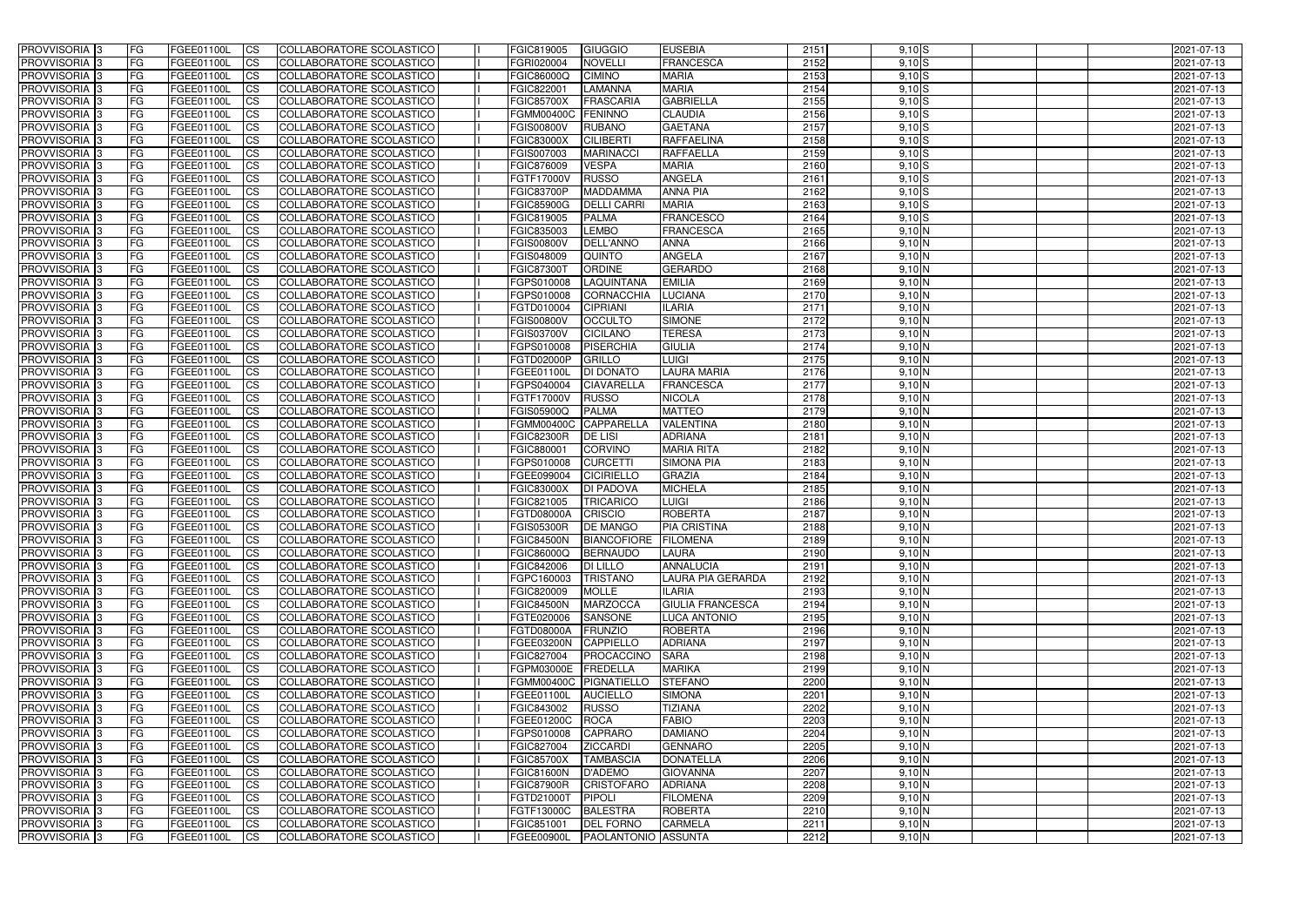| <b>PROVVISORIA</b> 3           | l FG                   | FGEE01100L               | <b>ICS</b>                                       | COLLABORATORE SCOLASTICO                                    | FGIC819005                      | <b>GIUGGIO</b>                                 | <b>EUSEBIA</b>                    | 2151         | $9,10$ S         | 2021-07-13               |
|--------------------------------|------------------------|--------------------------|--------------------------------------------------|-------------------------------------------------------------|---------------------------------|------------------------------------------------|-----------------------------------|--------------|------------------|--------------------------|
| <b>PROVVISORIA 3</b>           | FG                     | FGEE01100L               | <b>ICS</b>                                       | COLLABORATORE SCOLASTICO                                    | FGRI020004                      | <b>NOVELLI</b>                                 | <b>FRANCESCA</b>                  | 2152         | $9,10$ S         | 2021-07-13               |
| PROVVISORIA <sup>1</sup> 3     | FG                     | FGEE01100L               | <b>CS</b>                                        | <b>COLLABORATORE SCOLASTICO</b>                             | FGIC86000Q                      | <b>CIMINO</b>                                  | <b>MARIA</b>                      | 2153         | $9,10$ S         | 2021-07-13               |
| PROVVISORIA                    | FG                     | FGEE01100L               | <b>CS</b>                                        | COLLABORATORE SCOLASTICO                                    | FGIC822001                      | <b>LAMANNA</b>                                 | <b>MARIA</b>                      | 2154         | $9,10$ S         | 2021-07-13               |
| PROVVISORIA <sup>1</sup> 3     | FG                     | FGEE01100L               | <b>CS</b>                                        | COLLABORATORE SCOLASTICO                                    | <b>FGIC85700X</b>               | FRASCARIA                                      | <b>GABRIELLA</b>                  | 2155         | $9,10$ S         | 2021-07-13               |
| PROVVISORIA <sup>1</sup> 3     | FG                     | FGEE01100L               | <b>CS</b>                                        | COLLABORATORE SCOLASTICO                                    | <b>FGMM00400C</b>               | FENINNO                                        | <b>CLAUDIA</b>                    | 2156         | $9,10$ S         | 2021-07-13               |
| PROVVISORIA <sup>1</sup> 3     | FG                     | FGEE01100L               | <b>CS</b>                                        | COLLABORATORE SCOLASTICO                                    | <b>FGIS00800V</b>               | <b>RUBANO</b>                                  | <b>GAETANA</b>                    | 2157         | $9,10$ S         | 2021-07-13               |
| PROVVISORIA 3                  | FG                     | FGEE01100L               | <b>ICS</b>                                       | COLLABORATORE SCOLASTICO                                    | FGIC83000X                      | <b>CILIBERTI</b>                               | <b>RAFFAELINA</b>                 | 2158         | $9,10$ S         | 2021-07-13               |
| PROVVISORIA 3                  | <b>FG</b>              | FGEE01100L               | <b>CS</b>                                        | COLLABORATORE SCOLASTICO                                    | FGIS007003                      | <b>MARINACCI</b>                               | <b>RAFFAELLA</b>                  | 2159         | $9,10$ S         | 2021-07-13               |
| PROVVISORIA 3                  | <b>FG</b>              | FGEE01100L               | <b>ICS</b>                                       | COLLABORATORE SCOLASTICO                                    | FGIC876009                      | <b>VESPA</b>                                   | <b>MARIA</b>                      | 2160         | $9,10$ S         | 2021-07-13               |
| PROVVISORIA 3                  | FG                     | <b>FGEE01100L</b>        | <b>CS</b>                                        | COLLABORATORE SCOLASTICO                                    | <b>FGTF17000V</b>               | RUSSO                                          | <b>ANGELA</b>                     | 2161         | $9,10$ S         | 2021-07-13               |
| <b>PROVVISORIA</b>             | FG                     | FGEE01100L               | <b>CS</b>                                        | COLLABORATORE SCOLASTICO                                    | <b>FGIC83700P</b>               | <b>MADDAMMA</b>                                | <b>ANNA PIA</b>                   | 2162         | $9,10$ S         | 2021-07-13               |
| <b>PROVVISORIA</b>             | FG                     | FGEE01100L               | <b>ICS</b>                                       | COLLABORATORE SCOLASTICO                                    | <b>FGIC85900G</b>               | <b>DELLI CARRI</b>                             | <b>MARIA</b>                      | 2163         | $9,10$ $S$       | 2021-07-13               |
| <b>PROVVISORIA</b>             | FG                     | FGEE01100L               | <b>ICS</b>                                       | COLLABORATORE SCOLASTICO                                    | FGIC819005                      | <b>PALMA</b>                                   | <b>FRANCESCO</b>                  | 2164         | $9,10$ S         | 2021-07-13               |
| <b>PROVVISORIA</b>             | FG                     | FGEE01100L               | <b>ICS</b>                                       | COLLABORATORE SCOLASTICO                                    | FGIC835003                      | <b>LEMBO</b>                                   | FRANCESCA                         | 2165         | 9,10 N           | 2021-07-13               |
| <b>PROVVISORIA</b>             | FG                     | FGEE01100L               | <b>ICS</b>                                       | COLLABORATORE SCOLASTICO                                    | <b>FGIS00800V</b>               | <b>DELL'ANNO</b>                               | <b>ANNA</b>                       | 2166         | $9,10$ N         | 2021-07-13               |
| <b>PROVVISORIA</b>             | FG                     | <b>FGEE01100L</b>        | <b>ICS</b>                                       | COLLABORATORE SCOLASTICO                                    | FGIS048009                      | <b>QUINTO</b>                                  | <b>ANGELA</b>                     | 2167         | 9,10 N           | 2021-07-13               |
| <b>PROVVISORIA</b>             | FG                     | FGEE01100L               | <b>ICS</b>                                       | COLLABORATORE SCOLASTICO                                    | <b>FGIC87300T</b>               | <b>ORDINE</b>                                  | <b>GERARDO</b>                    | 2168         | 9,10 N           | 2021-07-13               |
| PROVVISORIA 3                  | FG                     | FGEE01100L               | <b>ICS</b>                                       | COLLABORATORE SCOLASTICO                                    | FGPS010008                      | LAQUINTANA                                     | <b>EMILIA</b>                     | 2169         | 9,10 N           | 2021-07-13               |
| PROVVISORIA 3                  | FG                     | FGEE01100L               | <b>ICS</b>                                       | COLLABORATORE SCOLASTICO                                    | FGPS010008                      | <b>CORNACCHIA</b>                              | LUCIANA                           | 2170         | 9,10 N           | 2021-07-13               |
| PROVVISORIA <sup>1</sup> 3     | FG                     | FGEE01100L               | <b>ICS</b>                                       | COLLABORATORE SCOLASTICO                                    | FGTD010004                      | <b>CIPRIANI</b>                                | <b>ILARIA</b>                     | 2171         | 9,10 N           | 2021-07-13               |
| PROVVISORIA 3                  | FG                     | FGEE01100L               | <b>ICS</b>                                       | COLLABORATORE SCOLASTICO                                    | <b>FGIS00800V</b>               | <b>OCCULTO</b>                                 | <b>SIMONE</b>                     | 2172         | 9,10 N           | 2021-07-13               |
| PROVVISORIA <sup>3</sup>       | FG                     | FGEE01100L               | <b>ICS</b>                                       | COLLABORATORE SCOLASTICO                                    | FGIS03700V                      | <b>CICILANO</b>                                | <b>TERESA</b>                     | 2173         | 9,10 N           | 2021-07-13               |
| PROVVISORIA <sup>3</sup>       | FG                     | FGEE01100L               | <b>CS</b>                                        | <b>COLLABORATORE SCOLASTICO</b>                             | FGPS010008                      | <b>PISERCHIA</b>                               | <b>GIULIA</b>                     | 2174         | 9,10 N           | 2021-07-13               |
| PROVVISORIA <sup>3</sup>       | FG                     | FGEE01100L               | <b>CS</b>                                        | COLLABORATORE SCOLASTICO                                    | FGTD02000P                      | <b>GRILLO</b>                                  | <b>LUIGI</b>                      | 2175         | 9,10 N           | 2021-07-13               |
| PROVVISORIA <sup>1</sup> 3     | FG                     | FGEE01100L               | <b>ICS</b>                                       | COLLABORATORE SCOLASTICO                                    | FGEE01100L                      | DI DONATO                                      | <b>LAURA MARIA</b>                | 2176         | 9,10 N           | 2021-07-13               |
| PROVVISORIA 3                  | FG                     | FGEE01100L               | <b>ICS</b>                                       | COLLABORATORE SCOLASTICO                                    | FGPS040004                      | <b>CIAVARELLA</b>                              | FRANCESCA                         | 2177         | 9,10 N           | 2021-07-13               |
| PROVVISORIA                    | FG                     | FGEE01100L               | <b>ICS</b>                                       | COLLABORATORE SCOLASTICO                                    | FGTF17000V                      | <b>RUSSO</b><br><b>PALMA</b>                   | <b>NICOLA</b>                     | 2178         | 9,10 N           | 2021-07-13               |
| PROVVISORIA<br>PROVVISORIA     | FG<br>FG               | FGEE01100L<br>FGEE01100L | <b>CS</b><br><b>CS</b>                           | <b>COLLABORATORE SCOLASTICO</b><br>COLLABORATORE SCOLASTICO | FGIS05900Q<br><b>FGMM00400C</b> | <b>CAPPARELLA</b>                              | <b>MATTEO</b><br><b>VALENTINA</b> | 2179<br>2180 | 9,10 N<br>9,10 N | 2021-07-13<br>2021-07-13 |
| PROVVISORIA                    | FG                     | FGEE01100L               | <b>CS</b>                                        | COLLABORATORE SCOLASTICO                                    | <b>FGIC82300R</b>               | <b>DE LISI</b>                                 | <b>ADRIANA</b>                    | 2181         | 9,10 N           | 2021-07-13               |
| PROVVISORIA <sup>1</sup> 3     | FG                     | FGEE01100L               | <b>CS</b>                                        | COLLABORATORE SCOLASTICO                                    | FGIC880001                      | <b>CORVINO</b>                                 | <b>MARIA RITA</b>                 | 2182         | 9,10 N           | 2021-07-13               |
| PROVVISORIA <sup>1</sup> 3     | FG                     | FGEE01100L               | <b>CS</b>                                        | COLLABORATORE SCOLASTICO                                    | FGPS010008                      | <b>CURCETTI</b>                                | <b>SIMONA PIA</b>                 | 2183         | 9,10 N           | 2021-07-13               |
| PROVVISORIA 3                  | FG                     | FGEE01100L               | <b>CS</b>                                        | COLLABORATORE SCOLASTICO                                    | FGEE099004                      | <b>CICIRIELLO</b>                              | <b>GRAZIA</b>                     | 2184         | 9,10 N           | 2021-07-13               |
| PROVVISORIA 3                  | <b>FG</b>              | FGEE01100L               | <b>CS</b>                                        | COLLABORATORE SCOLASTICO                                    | <b>FGIC83000X</b>               | <b>DI PADOVA</b>                               | <b>MICHELA</b>                    | 2185         | 9,10 N           | 2021-07-13               |
| PROVVISORIA 3                  | <b>FG</b>              | FGEE01100L               | <b>CS</b>                                        | COLLABORATORE SCOLASTICO                                    | FGIC821005                      | <b>TRICARICO</b>                               | LUIGI                             | 2186         | $9,10$ N         | 2021-07-13               |
| PROVVISORIA 3                  | <b>FG</b>              | FGEE01100L               | <b>ICS</b>                                       | COLLABORATORE SCOLASTICO                                    | FGTD08000A                      | <b>CRISCIO</b>                                 | <b>ROBERTA</b>                    | 2187         | 9,10 N           | 2021-07-13               |
| <b>PROVVISORIA</b>             | <b>FG</b>              | FGEE01100L               | <b>ICS</b>                                       | COLLABORATORE SCOLASTICO                                    | <b>FGIS05300R</b>               | <b>DE MANGO</b>                                | <b>PIA CRISTINA</b>               | 2188         | 9,10 N           | 2021-07-13               |
| PROVVISORIA 3                  | FG                     | FGEE01100L               | CS                                               | COLLABORATORE SCOLASTICO                                    |                                 | FGIC84500N BIANCOFIORE FILOMENA                |                                   | 2189         | 9,10 N           | 2021-07-13               |
| PROVVISORIA 3                  | <b>FG</b>              | FGEE01100L               | $\mathsf{ICS}$                                   | COLLABORATORE SCOLASTICO                                    | <b>FGIC86000Q</b>               | <b>BERNAUDO</b>                                | <b>LAURA</b>                      | 2190         | $9,10$ N         | 2021-07-13               |
| PROVVISORIA 3                  | <b>FG</b>              | <b>FGEE01100L</b>        | $\mathsf{ICS}$                                   | COLLABORATORE SCOLASTICO                                    | FGIC842006                      | <b>DI LILLO</b>                                | <b>ANNALUCIA</b>                  | 2191         | 9,10 N           | 2021-07-13               |
| PROVVISORIA 3                  | <b>FG</b>              | FGEE01100L               | $\mathsf{ICS}$                                   | COLLABORATORE SCOLASTICO                                    | FGPC160003                      | <b>TRISTANO</b>                                | <b>LAURA PIA GERARDA</b>          | 2192         | 9,10 N           | 2021-07-13               |
| PROVVISORIA 3                  | FG                     | FGEE01100L               | $\mathsf{ICS}$                                   | COLLABORATORE SCOLASTICO                                    | FGIC820009                      | <b>MOLLE</b>                                   | <b>ILARIA</b>                     | 2193         | 9,10 N           | 2021-07-13               |
| PROVVISORIA 3                  | l FG                   | FGEE01100L               | $\overline{\text{CS}}$                           | COLLABORATORE SCOLASTICO                                    | <b>FGIC84500N</b>               | <b>MARZOCCA</b>                                | <b>GIULIA FRANCESCA</b>           | 2194         | 9,10 N           | 2021-07-13               |
| PROVVISORIA 3                  | <b>FG</b>              | FGEE01100L               | <b>CS</b>                                        | COLLABORATORE SCOLASTICO                                    | FGTE020006                      | SANSONE                                        | <b>LUCA ANTONIO</b>               | 2195         | $9,10$ N         | 2021-07-13               |
| PROVVISORIA <sup>3</sup>       | FG                     | FGEE01100L               | <b>CS</b>                                        | COLLABORATORE SCOLASTICO                                    | FGTD08000A                      | <b>FRUNZIO</b>                                 | <b>ROBERTA</b>                    | 2196         | $9,10$ N         | 2021-07-13               |
| PROVVISORIA 3                  | <b>FG</b>              | FGEE01100L               | <b>CS</b>                                        | COLLABORATORE SCOLASTICO                                    | <b>FGEE03200N</b>               | CAPPIELLO                                      | <b>ADRIANA</b>                    | 2197         | 9,10 N           | 2021-07-13               |
| PROVVISORIA 3                  | <b>FG</b>              | FGEE01100L               | <b>CS</b>                                        | COLLABORATORE SCOLASTICO                                    | FGIC827004                      | PROCACCINO                                     | <b>SARA</b>                       | 2198         | $9,10$ N         | 2021-07-13               |
| PROVVISORIA 3                  | <b>FG</b>              | FGEE01100L               | <b>CS</b>                                        | COLLABORATORE SCOLASTICO                                    | FGPM03000E                      | FREDELLA                                       | <b>MARIKA</b>                     | 2199         | $9,10$ N         | 2021-07-13               |
| PROVVISORIA 3                  | <b>FG</b>              | FGEE01100L               | <b>CS</b>                                        | COLLABORATORE SCOLASTICO                                    |                                 | FGMM00400C PIGNATIELLO                         | <b>STEFANO</b>                    | 2200         | $9,10$ N         | 2021-07-13               |
| PROVVISORIA 3                  | <b>FG</b>              | FGEE01100L               | <b>CS</b>                                        | COLLABORATORE SCOLASTICO                                    | FGEE01100L                      | <b>AUCIELLO</b>                                | <b>SIMONA</b>                     | 2201         | $9,10$ N         | 2021-07-13               |
| PROVVISORIA 3                  | <b>FG</b>              | FGEE01100L               | <b>CS</b>                                        | COLLABORATORE SCOLASTICO                                    | FGIC843002                      | RUSSO                                          | <b>TIZIANA</b>                    | 2202         | 9,10 N           | 2021-07-13               |
| PROVVISORIA 3                  | <b>FG</b>              | FGEE01100L               | <b>CS</b>                                        | COLLABORATORE SCOLASTICO                                    | FGEE01200C                      | <b>ROCA</b>                                    | <b>FABIO</b>                      | 2203         | 9,10 N           | 2021-07-13               |
| PROVVISORIA 3                  | <b>FG</b>              | FGEE01100L               | <b>CS</b>                                        | COLLABORATORE SCOLASTICO                                    | FGPS010008                      | <b>CAPRARO</b>                                 | <b>DAMIANO</b>                    | 2204         | 9,10 N           | 2021-07-13               |
| PROVVISORIA 3                  | <b>FG</b>              | FGEE01100L               | <b>CS</b>                                        | COLLABORATORE SCOLASTICO                                    | FGIC827004                      | <b>ZICCARDI</b>                                | <b>GENNARO</b>                    | 2205         | 9,10 N           | 2021-07-13               |
| PROVVISORIA 3                  | <b>FG</b>              | FGEE01100L               | <b>CS</b>                                        | COLLABORATORE SCOLASTICO                                    | <b>FGIC85700X</b>               | <b>TAMBASCIA</b>                               | <b>DONATELLA</b>                  | 2206         | 9,10 N           | 2021-07-13               |
| PROVVISORIA 3                  | <b>FG</b>              | FGEE01100L               | <b>CS</b>                                        | COLLABORATORE SCOLASTICO                                    | <b>FGIC81600N</b>               | <b>D'ADEMO</b>                                 | <b>GIOVANNA</b>                   | 2207         | $9,10$ N         | 2021-07-13               |
| PROVVISORIA 3                  | FG                     | FGEE01100L               | <b>CS</b>                                        | COLLABORATORE SCOLASTICO                                    | <b>FGIC87900R</b>               | <b>CRISTOFARO</b>                              | <b>ADRIANA</b>                    | 2208         | 9,10 N           | 2021-07-13               |
| PROVVISORIA 3                  | FG                     | <b>FGEE01100L</b>        | <b>CS</b>                                        | COLLABORATORE SCOLASTICO                                    | FGTD21000T                      | <b>PIPOLI</b>                                  | <b>FILOMENA</b>                   | 2209         | 9,10 N           | 2021-07-13               |
| PROVVISORIA 3                  | <b>FG</b>              | FGEE01100L               | $\overline{\text{CS}}$                           | COLLABORATORE SCOLASTICO                                    | FGTF13000C                      | <b>BALESTRA</b>                                | <b>ROBERTA</b>                    | 2210         | $9,10$ N         | 2021-07-13               |
| PROVVISORIA 3<br>PROVVISORIA 3 | <b>FG</b><br><b>FG</b> | FGEE01100L               | $\overline{\text{CS}}$<br>$\overline{\text{CS}}$ | COLLABORATORE SCOLASTICO<br>COLLABORATORE SCOLASTICO        | FGIC851001<br><b>FGEE00900L</b> | <b>DEL FORNO</b><br><b>PAOLANTONIO ASSUNTA</b> | <b>CARMELA</b>                    | 2211         | $9,10$ N         | 2021-07-13<br>2021-07-13 |
|                                |                        | FGEE01100L               |                                                  |                                                             |                                 |                                                |                                   | 2212         | 9,10 N           |                          |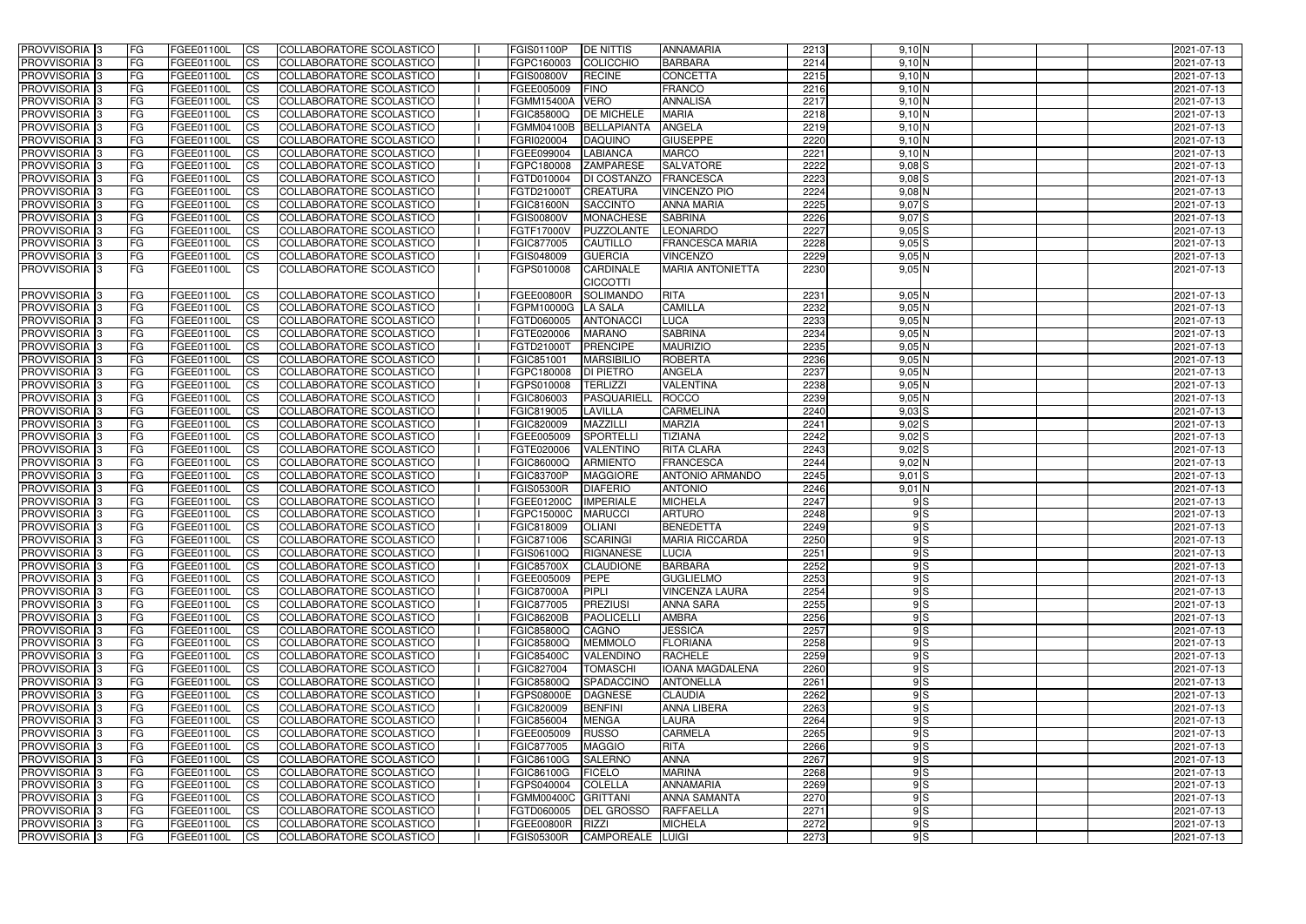| <b>PROVVISORIA</b> 3       | <b>FG</b>  | FGEE01100L        | CS                     | COLLABORATORE SCOLASTICO        | FGIS01100P        | <b>DE NITTIS</b><br><b>ANNAMARIA</b>        | 2213 | 9,10 N     | 2021-07-13               |
|----------------------------|------------|-------------------|------------------------|---------------------------------|-------------------|---------------------------------------------|------|------------|--------------------------|
| <b>PROVVISORIA 3</b>       | FG         | FGEE01100L        | <b>CS</b>              | COLLABORATORE SCOLASTICO        | FGPC160003        | <b>BARBARA</b><br>COLICCHIO                 | 2214 | 9,10 N     | 2021-07-13               |
| PROVVISORIA <sup>1</sup> 3 | FG         | FGEE01100L        | <b>CS</b>              | COLLABORATORE SCOLASTICO        | <b>FGIS00800V</b> | <b>RECINE</b><br><b>CONCETTA</b>            | 2215 | 9,10 N     | 2021-07-13               |
| PROVVISORIA <sup>1</sup> 3 | FG         | FGEE01100L        | <b>CS</b>              | COLLABORATORE SCOLASTICO        | FGEE005009        | <b>FINO</b><br><b>FRANCO</b>                | 2216 | 9,10 N     | 2021-07-13               |
| PROVVISORIA <sup>1</sup> 3 | FG         | FGEE01100L        | <b>CS</b>              | COLLABORATORE SCOLASTICO        | FGMM15400A        | <b>VERO</b><br><b>ANNALISA</b>              | 2217 | 9,10 N     | 2021-07-13               |
| PROVVISORIA <sup>1</sup> 3 | FG         | FGEE01100L        | <b>CS</b>              | COLLABORATORE SCOLASTICO        | <b>FGIC85800Q</b> | <b>DE MICHELE</b><br><b>MARIA</b>           | 2218 | 9,10 N     | 2021-07-13               |
| PROVVISORIA <sup>1</sup> 3 | FG         | FGEE01100L        | <b>CS</b>              | COLLABORATORE SCOLASTICO        |                   | FGMM04100B BELLAPIANTA<br><b>ANGELA</b>     | 2219 | 9,10 N     | 2021-07-13               |
| PROVVISORIA 3              | <b>IFG</b> | FGEE01100L        | <b>CS</b>              | COLLABORATORE SCOLASTICO        | FGRI020004        | <b>DAQUINO</b><br><b>GIUSEPPE</b>           | 2220 | 9,10 N     | 2021-07-13               |
| PROVVISORIA 3              | FG         | FGEE01100L        | <b>CS</b>              | COLLABORATORE SCOLASTICO        | FGEE099004        | <b>LABIANCA</b><br><b>MARCO</b>             | 2221 | 9,10 N     | 2021-07-13               |
| PROVVISORIA 3              | <b>FG</b>  | FGEE01100L        | $\overline{c}$         | COLLABORATORE SCOLASTICO        | FGPC180008        | <b>SALVATORE</b><br><b>ZAMPARESE</b>        | 2222 | $9,08$ S   | 2021-07-13               |
| PROVVISORIA 3              | FG         | FGEE01100L        | <b>CS</b>              | COLLABORATORE SCOLASTICO        | FGTD010004        | FRANCESCA<br><b>DI COSTANZO</b>             | 2223 | $9,08$ S   | 2021-07-13               |
| <b>PROVVISORIA</b>         | FG         | FGEE01100L        | <b>CS</b>              | COLLABORATORE SCOLASTICO        | FGTD21000T        | <b>CREATURA</b><br><b>VINCENZO PIO</b>      | 2224 | $9,08$ N   | 2021-07-13               |
| <b>PROVVISORIA</b>         | <b>FG</b>  | FGEE01100L        | <b>CS</b>              | COLLABORATORE SCOLASTICO        | <b>FGIC81600N</b> | <b>SACCINTO</b><br><b>ANNA MARIA</b>        | 2225 | 9,07S      | 2021-07-13               |
| PROVVISORIA <sup>1</sup> 3 | FG         | FGEE01100L        | <b>ICS</b>             | COLLABORATORE SCOLASTICO        | <b>FGIS00800V</b> | <b>MONACHESE</b><br><b>SABRINA</b>          | 2226 | 9,07S      | 2021-07-13               |
| PROVVISORIA <sup>1</sup> 3 | <b>FG</b>  | FGEE01100L        | <b>ICS</b>             | COLLABORATORE SCOLASTICO        | FGTF17000V        | LEONARDO<br>PUZZOLANTE                      | 2227 | $9,05$ $S$ | 2021-07-13               |
| <b>PROVVISORIA</b>         | FG         | FGEE01100L        | <b>CS</b>              | COLLABORATORE SCOLASTICO        | FGIC877005        | <b>CAUTILLO</b><br>FRANCESCA MARIA          | 2228 | $9,05$ $S$ | 2021-07-13               |
| PROVVISORIA 3              | FG         | FGEE01100L        | <b>CS</b>              | COLLABORATORE SCOLASTICO        | FGIS048009        | <b>GUERCIA</b><br><b>VINCENZO</b>           | 2229 | 9,05N      | 2021-07-13               |
| PROVVISORIA 3              | <b>FG</b>  | FGEE01100L        | <b>ICS</b>             | COLLABORATORE SCOLASTICO        | FGPS010008        | <b>CARDINALE</b><br><b>MARIA ANTONIETTA</b> | 2230 | $9,05$ N   | 2021-07-13               |
|                            |            |                   |                        |                                 |                   | <b>CICCOTTI</b>                             |      |            |                          |
| PROVVISORIA <sup>3</sup>   | FG         | FGEE01100L        | <b>CS</b>              | COLLABORATORE SCOLASTICO        | <b>FGEE00800R</b> | <b>SOLIMANDO</b><br><b>RITA</b>             | 2231 | $9,05$ N   | 2021-07-13               |
| PROVVISORIA <sup>3</sup>   | FG         | FGEE01100L        | <b>CS</b>              | COLLABORATORE SCOLASTICO        | FGPM10000G        | LA SALA<br><b>CAMILLA</b>                   | 2232 | 9,05N      | 2021-07-13               |
| PROVVISORIA 3              | FG         | FGEE01100L        | <b>CS</b>              | COLLABORATORE SCOLASTICO        | FGTD060005        | <b>ANTONACCI</b><br>LUCA                    | 2233 | 9,05N      | 2021-07-13               |
| PROVVISORIA 3              | FG         | FGEE01100L        | <b>ICS</b>             | COLLABORATORE SCOLASTICO        | FGTE020006        | <b>SABRINA</b><br><b>MARANO</b>             | 2234 | 9,05N      |                          |
| PROVVISORIA 3              | FG         | FGEE01100L        | <b>CS</b>              | <b>COLLABORATORE SCOLASTICO</b> | FGTD21000T        | <b>PRENCIPE</b><br><b>MAURIZIO</b>          | 2235 | $9,05$ N   | 2021-07-13<br>2021-07-13 |
|                            |            | FGEE01100L        |                        |                                 |                   | <b>MARSIBILIO</b><br><b>ROBERTA</b>         | 2236 | 9,05N      |                          |
| PROVVISORIA <sup>1</sup> 3 | FG         |                   | <b>CS</b>              | COLLABORATORE SCOLASTICO        | FGIC851001        |                                             | 2237 |            | 2021-07-13               |
| PROVVISORIA 3              | <b>FG</b>  | FGEE01100L        | <b>CS</b>              | COLLABORATORE SCOLASTICO        | FGPC180008        | <b>DI PIETRO</b><br><b>ANGELA</b>           |      | 9,05N      | 2021-07-13               |
| PROVVISORIA 3              | <b>FG</b>  | FGEE01100L        | <b>CS</b>              | COLLABORATORE SCOLASTICO        | FGPS010008        | <b>TERLIZZI</b><br><b>VALENTINA</b>         | 2238 | $9,05$ N   | 2021-07-13               |
| PROVVISORIA                | FG         | FGEE01100L        | <b>CS</b>              | COLLABORATORE SCOLASTICO        | FGIC806003        | <b>ROCCO</b><br>PASQUARIELI                 | 2239 | $9,05$ N   | 2021-07-13               |
| PROVVISORIA                | FG         | FGEE01100L        | <b>CS</b>              | <b>COLLABORATORE SCOLASTICO</b> | FGIC819005        | <b>LAVILLA</b><br>CARMELINA                 | 2240 | $9,03$ $S$ | 2021-07-13               |
| PROVVISORIA                | FG         | FGEE01100L        | <b>CS</b>              | COLLABORATORE SCOLASTICO        | FGIC820009        | <b>MAZZILLI</b><br><b>MARZIA</b>            | 2241 | $9,02$ S   | 2021-07-13               |
| PROVVISORIA                | FG         | FGEE01100L        | <b>CS</b>              | COLLABORATORE SCOLASTICO        | FGEE005009        | <b>SPORTELLI</b><br><b>TIZIANA</b>          | 2242 | $9,02$ S   | 2021-07-13               |
| PROVVISORIA <sup>1</sup> 3 | <b>FG</b>  | FGEE01100L        | <b>CS</b>              | COLLABORATORE SCOLASTICO        | FGTE020006        | VALENTINO<br><b>RITA CLARA</b>              | 2243 | $9,02$ S   | 2021-07-13               |
| PROVVISORIA <sup>1</sup> 3 | <b>IFG</b> | FGEE01100L        | <b>CS</b>              | COLLABORATORE SCOLASTICO        | FGIC86000Q        | <b>FRANCESCA</b><br><b>ARMIENTO</b>         | 2244 | $9,02$ N   | 2021-07-13               |
| PROVVISORIA 3              | <b>IFG</b> | FGEE01100L        | <b>CS</b>              | COLLABORATORE SCOLASTICO        | <b>FGIC83700P</b> | <b>MAGGIORE</b><br><b>ANTONIO ARMANDO</b>   | 2245 | $9,01$ S   | 2021-07-13               |
| PROVVISORIA 3              | <b>FG</b>  | FGEE01100L        | $\overline{c}$         | COLLABORATORE SCOLASTICO        | <b>FGIS05300R</b> | <b>DIAFERIO</b><br><b>ANTONIO</b>           | 2246 | $9,01$ N   | 2021-07-13               |
| PROVVISORIA 3              | <b>FG</b>  | FGEE01100L        | <b>CS</b>              | COLLABORATORE SCOLASTICO        | FGEE01200C        | <b>IMPERIALE</b><br><b>MICHELA</b>          | 2247 | 9S         | 2021-07-13               |
| PROVVISORIA 3              | <b>FG</b>  | FGEE01100L        | <b>CS</b>              | COLLABORATORE SCOLASTICO        | FGPC15000C        | <b>MARUCCI</b><br><b>ARTURO</b>             | 2248 | 9S         | 2021-07-13               |
| <b>PROVVISORIA</b>         | <b>FG</b>  | FGEE01100L        | <b>CS</b>              | COLLABORATORE SCOLASTICO        | FGIC818009        | <b>OLIANI</b><br><b>BENEDETTA</b>           | 2249 | 9S         | 2021-07-13               |
| PROVVISORIA 3              | <b>FG</b>  | FGEE01100L        | CS                     | COLLABORATORE SCOLASTICO        | FGIC871006        | SCARINGI<br><b>MARIA RICCARDA</b>           | 2250 | 9S         | 2021-07-13               |
| PROVVISORIA 3              | <b>FG</b>  | FGEE01100L        | CS                     | COLLABORATORE SCOLASTICO        | <b>FGIS06100Q</b> | RIGNANESE<br>LUCIA                          | 2251 | 9S         | 2021-07-13               |
| PROVVISORIA 3              | <b>FG</b>  | FGEE01100L        | CS                     | COLLABORATORE SCOLASTICO        | <b>FGIC85700X</b> | <b>CLAUDIONE</b><br><b>BARBARA</b>          | 2252 | 9S         | 2021-07-13               |
| PROVVISORIA 3              | <b>FG</b>  | FGEE01100L        | CS                     | COLLABORATORE SCOLASTICO        | FGEE005009        | <b>PEPE</b><br><b>GUGLIELMO</b>             | 2253 | 9S         | 2021-07-13               |
| PROVVISORIA 3              | FG         | FGEE01100L        | CS                     | COLLABORATORE SCOLASTICO        | <b>FGIC87000A</b> | <b>PIPLI</b><br><b>VINCENZA LAURA</b>       | 2254 | 9S         | 2021-07-13               |
| PROVVISORIA 3              | <b>FG</b>  | FGEE01100L        | CS                     | COLLABORATORE SCOLASTICO        | FGIC877005        | <b>PREZIUSI</b><br><b>ANNA SARA</b>         | 2255 | 9S         | 2021-07-13               |
| PROVVISORIA 3              | <b>FG</b>  | FGEE01100L        | CS                     | COLLABORATORE SCOLASTICO        | <b>FGIC86200B</b> | <b>PAOLICELLI</b><br><b>AMBRA</b>           | 2256 | 9S         | 2021-07-13               |
| PROVVISORIA 3              | <b>IFG</b> | FGEE01100L        | <b>CS</b>              | COLLABORATORE SCOLASTICO        | <b>FGIC85800Q</b> | <b>JESSICA</b><br><b>CAGNO</b>              | 2257 | 9S         | 2021-07-13               |
| PROVVISORIA 3              | <b>FG</b>  | FGEE01100L        | <b>CS</b>              | COLLABORATORE SCOLASTICO        | <b>FGIC85800Q</b> | <b>MEMMOLO</b><br><b>FLORIANA</b>           | 2258 | 9S         | 2021-07-13               |
| PROVVISORIA 3              | <b>FG</b>  | FGEE01100L        | <b>CS</b>              | COLLABORATORE SCOLASTICO        | <b>FGIC85400C</b> | <b>RACHELE</b><br>VALENDINO                 | 2259 | 9S         | 2021-07-13               |
| PROVVISORIA 3              | <b>FG</b>  | FGEE01100L        | <b>CS</b>              | COLLABORATORE SCOLASTICO        | FGIC827004        | <b>TOMASCHI</b><br><b>IOANA MAGDALENA</b>   | 2260 | 9S         | 2021-07-13               |
| PROVVISORIA 3              | <b>FG</b>  | FGEE01100L        | <b>CS</b>              | COLLABORATORE SCOLASTICO        | <b>FGIC85800Q</b> | <b>SPADACCINO</b><br><b>ANTONELLA</b>       | 2261 | 9S         | 2021-07-13               |
| PROVVISORIA 3              | <b>FG</b>  | FGEE01100L        | <b>CS</b>              | COLLABORATORE SCOLASTICO        | <b>FGPS08000E</b> | <b>DAGNESE</b><br><b>CLAUDIA</b>            | 2262 | 9S         | 2021-07-13               |
| PROVVISORIA 3              | <b>FG</b>  | FGEE01100L        | <b>CS</b>              | COLLABORATORE SCOLASTICO        | FGIC820009        | <b>BENFINI</b><br><b>ANNA LIBERA</b>        | 2263 | 9S         | 2021-07-13               |
| PROVVISORIA 3              | <b>IFG</b> | FGEE01100L        | <b>CS</b>              | COLLABORATORE SCOLASTICO        | FGIC856004        | <b>MENGA</b><br>LAURA                       | 2264 | 9S         | 2021-07-13               |
| PROVVISORIA 3              | <b>FG</b>  | FGEE01100L        | <b>CS</b>              | COLLABORATORE SCOLASTICO        | FGEE005009        | <b>RUSSO</b><br><b>CARMELA</b>              | 2265 | 9S         | 2021-07-13               |
| PROVVISORIA 3              | <b>FG</b>  | FGEE01100L        | CS                     | COLLABORATORE SCOLASTICO        | FGIC877005        | <b>MAGGIO</b><br><b>RITA</b>                | 2266 | 9S         | 2021-07-13               |
| PROVVISORIA 3              | <b>FG</b>  | FGEE01100L        | $\overline{\text{CS}}$ | COLLABORATORE SCOLASTICO        | <b>FGIC86100G</b> | <b>SALERNO</b><br><b>ANNA</b>               | 2267 | 9S         | 2021-07-13               |
| PROVVISORIA 3              | <b>FG</b>  | FGEE01100L        | <b>CS</b>              | COLLABORATORE SCOLASTICO        | FGIC86100G        | <b>FICELO</b><br><b>MARINA</b>              | 2268 | 9S         | 2021-07-13               |
| PROVVISORIA 3              | <b>IFG</b> | FGEE01100L        | <b>CS</b>              | COLLABORATORE SCOLASTICO        |                   | FGPS040004 COLELLA<br><b>ANNAMARIA</b>      | 2269 | 9S         | 2021-07-13               |
| PROVVISORIA 3              | <b>IFG</b> | <b>FGEE01100L</b> | <b>CS</b>              | COLLABORATORE SCOLASTICO        |                   | FGMM00400C GRITTANI<br><b>ANNA SAMANTA</b>  | 2270 | 9S         | 2021-07-13               |
| PROVVISORIA 3              | <b>FG</b>  | FGEE01100L        | <b>CS</b>              | COLLABORATORE SCOLASTICO        | FGTD060005        | <b>DEL GROSSO</b><br><b>RAFFAELLA</b>       | 2271 | 9S         | 2021-07-13               |
| PROVVISORIA 3              | <b>FG</b>  | FGEE01100L        | <b>CS</b>              | COLLABORATORE SCOLASTICO        | FGEE00800R RIZZI  | <b>MICHELA</b>                              | 2272 | 9S         | 2021-07-13               |
| PROVVISORIA 3              | <b>FG</b>  | FGEE01100L        | CS                     | COLLABORATORE SCOLASTICO        | <b>FGIS05300R</b> | CAMPOREALE LUIGI                            | 2273 | 9S         | 2021-07-13               |
|                            |            |                   |                        |                                 |                   |                                             |      |            |                          |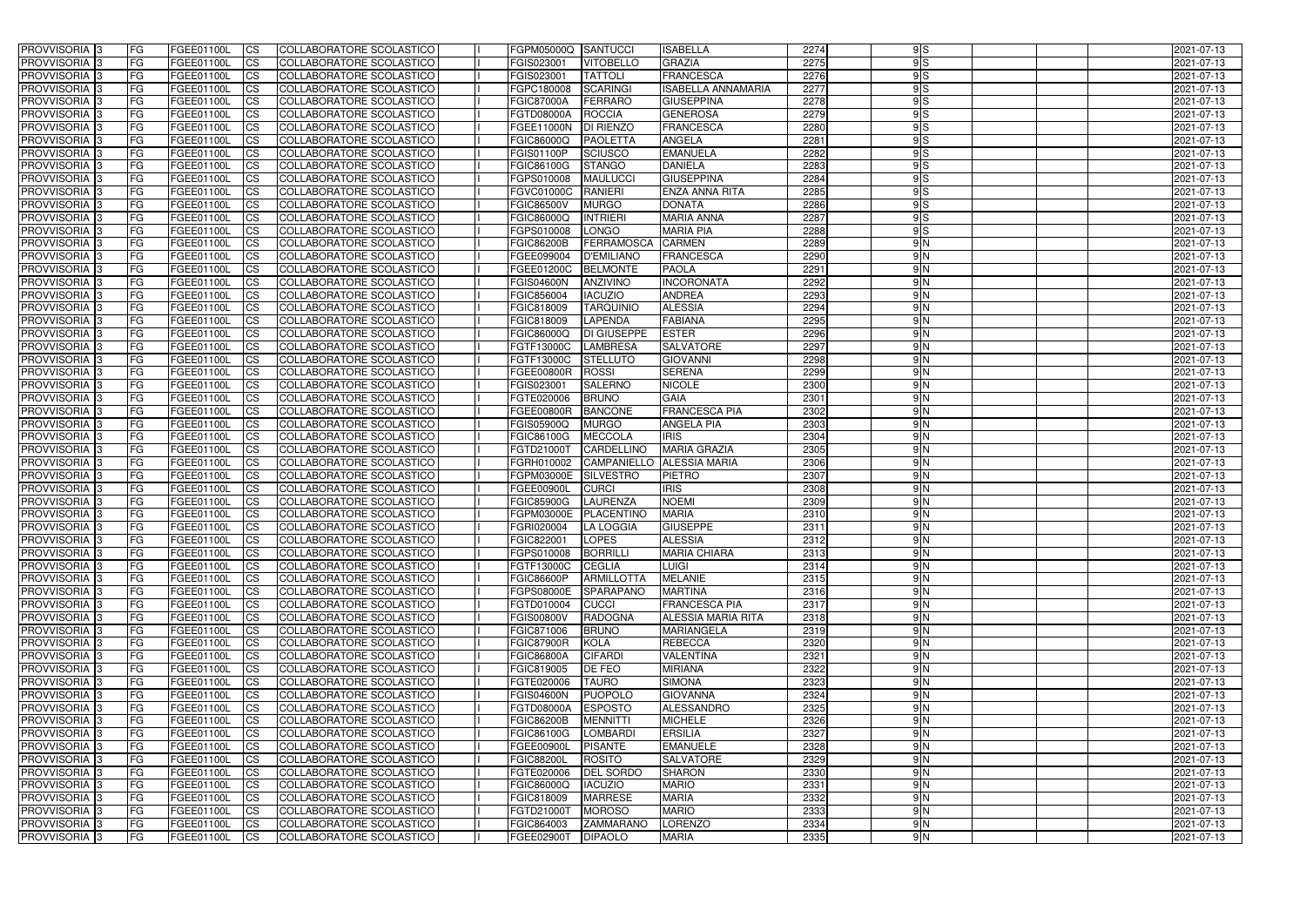| <b>PROVVISORIA</b> 3                             | FG               | FGEE01100L               | <b>ICS</b>             | COLLABORATORE SCOLASTICO                             | FGPM05000Q SANTUCCI             |                                    | <b>ISABELLA</b>                     | 2274         | 9S            | 2021-07-13               |
|--------------------------------------------------|------------------|--------------------------|------------------------|------------------------------------------------------|---------------------------------|------------------------------------|-------------------------------------|--------------|---------------|--------------------------|
| <b>PROVVISORIA 3</b>                             | FG               | FGEE01100L               | <b>CS</b>              | COLLABORATORE SCOLASTICO                             | FGIS023001                      | <b>VITOBELLO</b>                   | <b>GRAZIA</b>                       | 2275         | 9S            | 2021-07-13               |
| PROVVISORIA <sup>3</sup>                         | FG               | FGEE01100L               | <b>CS</b>              | <b>COLLABORATORE SCOLASTICO</b>                      | FGIS023001                      | <b>TATTOLI</b>                     | <b>FRANCESCA</b>                    | 2276         | 9S            | 2021-07-13               |
| PROVVISORIA <sup>3</sup>                         | FG               | FGEE01100L               | <b>CS</b>              | COLLABORATORE SCOLASTICO                             | FGPC180008                      | <b>SCARINGI</b>                    | <b>ISABELLA ANNAMARIA</b>           | 2277         | 9S            | 2021-07-13               |
| PROVVISORIA <sup>1</sup> 3                       | FG               | FGEE01100L               | <b>CS</b>              | COLLABORATORE SCOLASTICO                             | <b>FGIC87000A</b>               | <b>FERRARO</b>                     | <b>GIUSEPPINA</b>                   | 2278         | 9S            | 2021-07-13               |
| PROVVISORIA <sup>3</sup>                         | FG               | FGEE01100L               | <b>CS</b>              | COLLABORATORE SCOLASTICO                             | <b>FGTD08000A</b>               | <b>ROCCIA</b>                      | <b>GENEROSA</b>                     | 2279         | 9S            | 2021-07-13               |
| PROVVISORIA 3                                    | FG               | FGEE01100L               | <b>CS</b>              | COLLABORATORE SCOLASTICO                             | <b>FGEE11000N</b>               | <b>DI RIENZO</b>                   | <b>FRANCESCA</b>                    | 2280         | 9S            | 2021-07-13               |
| PROVVISORIA 3                                    | FG               | <b>FGEE01100L</b>        | <b>CS</b>              | COLLABORATORE SCOLASTICO                             | FGIC86000Q                      | <b>PAOLETTA</b>                    | <b>ANGELA</b>                       | 2281         | 9S            | 2021-07-13               |
| PROVVISORIA 3                                    | FG               | FGEE01100L               | <b>CS</b>              | COLLABORATORE SCOLASTICO                             | FGIS01100P                      | <b>SCIUSCO</b>                     | <b>EMANUELA</b>                     | 2282         | 9S            | 2021-07-13               |
| PROVVISORIA <sup>3</sup>                         | FG               | FGEE01100L               | $\overline{c}$         | COLLABORATORE SCOLASTICO                             | FGIC86100G                      | <b>STANGO</b>                      | <b>DANIELA</b>                      | 2283         | 9S            | 2021-07-13               |
| PROVVISORIA <sup>3</sup>                         | FG               | FGEE01100L               | <b>CS</b>              | <b>COLLABORATORE SCOLASTICO</b>                      | FGPS010008                      | <b>MAULUCCI</b>                    | <b>GIUSEPPINA</b>                   | 2284         | 9S            | 2021-07-13               |
| PROVVISORIA <sup>3</sup>                         | FG               | FGEE01100L               | <b>CS</b>              | COLLABORATORE SCOLASTICO                             | <b>FGVC01000C</b>               | <b>RANIERI</b>                     | <b>ENZA ANNA RITA</b>               | 2285         | 9S            | 2021-07-13               |
| PROVVISORIA <sup>3</sup>                         | FG               | <b>FGEE01100L</b>        | <b>ICS</b>             | COLLABORATORE SCOLASTICO                             | <b>FGIC86500V</b>               | <b>MURGO</b>                       | <b>DONATA</b>                       | 2286         | 9S            | 2021-07-13               |
| PROVVISORIA <sup>3</sup>                         | FG               | FGEE01100L               | <b>I</b> CS            | COLLABORATORE SCOLASTICO                             | <b>FGIC86000Q</b>               | <b>INTRIERI</b>                    | <b>MARIA ANNA</b>                   | 2287         | 9S            | 2021-07-13               |
| PROVVISORIA <sup>3</sup>                         | FG               | FGEE01100L               | <b>ICS</b>             | COLLABORATORE SCOLASTICO                             | FGPS010008                      | <b>LONGO</b>                       | <b>MARIA PIA</b>                    | 2288         | 9S            | 2021-07-13               |
| <b>PROVVISORIA</b> 3                             | FG               | FGEE01100L               | <b>I</b> CS            | <b>COLLABORATORE SCOLASTICO</b>                      | <b>FGIC86200B</b>               | FERRAMOSCA                         | <b>CARMEN</b>                       | 2289         | $\frac{9}{N}$ | 2021-07-13               |
| PROVVISORIA <sup>3</sup>                         | FG               | FGEE01100L               | <b>ICS</b>             | COLLABORATORE SCOLASTICO                             | FGEE099004                      | <b>D'EMILIANO</b>                  | <b>FRANCESCA</b>                    | 2290         | 9 N           | 2021-07-13               |
| PROVVISORIA 3                                    | FG               | FGEE01100L               | <b>CS</b>              | <b>COLLABORATORE SCOLASTICO</b>                      | FGEE01200C                      | <b>BELMONTE</b>                    | <b>PAOLA</b>                        | 2291         | 9 N           | 2021-07-13               |
| PROVVISORIA <sup>3</sup>                         | FG               | FGEE01100L               | <b>ICS</b>             | COLLABORATORE SCOLASTICO                             | <b>FGIS04600N</b>               | <b>ANZIVINO</b>                    | <b>INCORONATA</b>                   | 2292         | 9 N           | 2021-07-13               |
| PROVVISORIA <sup>3</sup>                         | FG               | FGEE01100L               | <b>I</b> CS            | COLLABORATORE SCOLASTICO                             | FGIC856004                      | <b>IACUZIO</b>                     | <b>ANDREA</b>                       | 2293         | 9N            | 2021-07-13               |
| PROVVISORIA <sup>3</sup>                         | FG               | FGEE01100L               | <b>ICS</b>             | COLLABORATORE SCOLASTICO                             | FGIC818009                      | <b>TARQUINIO</b>                   | <b>ALESSIA</b>                      | 2294         | 9N            | 2021-07-13               |
| PROVVISORIA <sup>3</sup>                         | FG               | FGEE01100L               | <b>CS</b>              | COLLABORATORE SCOLASTICO                             | FGIC818009                      | <b>LAPENDA</b>                     | <b>FABIANA</b>                      | 2295         | 9N            | 2021-07-13               |
| PROVVISORIA <sup>3</sup><br><b>PROVVISORIA</b> 3 | FG               | FGEE01100L               | <b>CS</b>              | COLLABORATORE SCOLASTICO                             | FGIC86000Q                      | DI GIUSEPPE                        | <b>ESTER</b>                        | 2296         | 9N<br>9N      | 2021-07-13               |
| PROVVISORIA <sup>3</sup>                         | FG<br>FG         | FGEE01100L<br>FGEE01100L | <b>CS</b><br><b>CS</b> | COLLABORATORE SCOLASTICO<br>COLLABORATORE SCOLASTICO | FGTF13000C<br>FGTF13000C        | <b>LAMBRESA</b><br><b>STELLUTO</b> | <b>SALVATORE</b><br><b>GIOVANNI</b> | 2297<br>2298 | 9N            | 2021-07-13<br>2021-07-13 |
| PROVVISORIA <sup>1</sup> 3                       | FG               | FGEE01100L               |                        | COLLABORATORE SCOLASTICO                             |                                 | <b>ROSSI</b>                       | <b>SERENA</b>                       | 2299         | 9N            |                          |
| PROVVISORIA 3                                    | FG               | FGEE01100L               | <b>CS</b><br><b>CS</b> | COLLABORATORE SCOLASTICO                             | <b>FGEE00800R</b><br>FGIS023001 | <b>SALERNO</b>                     | <b>NICOLE</b>                       | 2300         | 9N            | 2021-07-13<br>2021-07-13 |
| PROVVISORIA <sup>3</sup>                         | FG.              | FGEE01100L               | <b>CS</b>              | COLLABORATORE SCOLASTICO                             | FGTE020006                      | <b>BRUNO</b>                       | <b>GAIA</b>                         | 2301         | 9N            | 2021-07-13               |
| PROVVISORIA <sup>3</sup>                         | FG               | <b>FGEE01100L</b>        | <b>CS</b>              | COLLABORATORE SCOLASTICO                             | <b>FGEE00800R</b>               | <b>BANCONE</b>                     | <b>FRANCESCA PIA</b>                | 2302         | 9N            | 2021-07-13               |
| PROVVISORIA <sup>1</sup> 3                       | FG               | FGEE01100L               | <b>CS</b>              | COLLABORATORE SCOLASTICO                             | FGIS05900Q                      | <b>MURGO</b>                       | <b>ANGELA PIA</b>                   | 2303         | 9N            | 2021-07-13               |
| PROVVISORIA <sup>3</sup>                         | FG.              | FGEE01100L               | <b>CS</b>              | COLLABORATORE SCOLASTICO                             | FGIC86100G                      | <b>MECCOLA</b>                     | <b>IRIS</b>                         | 2304         | 9N            | 2021-07-13               |
| PROVVISORIA <sup>3</sup>                         | FG               | FGEE01100L               | <b>CS</b>              | COLLABORATORE SCOLASTICO                             | FGTD21000T                      | CARDELLINO                         | <b>MARIA GRAZIA</b>                 | 2305         | 9N            | 2021-07-13               |
| PROVVISORIA <sup>3</sup>                         | FG               | <b>FGEE01100L</b>        | <b>CS</b>              | COLLABORATORE SCOLASTICO                             | FGRH010002                      | CAMPANIELLO                        | <b>ALESSIA MARIA</b>                | 2306         | 9N            | 2021-07-13               |
| PROVVISORIA 3                                    | FG               | FGEE01100L               | <b>CS</b>              | COLLABORATORE SCOLASTICO                             | FGPM03000E                      | SILVESTRO                          | <b>PIETRO</b>                       | 2307         | 9N            | 2021-07-13               |
| PROVVISORIA <sup>3</sup>                         | FG               | FGEE01100L               | $\overline{\text{cs}}$ | COLLABORATORE SCOLASTICO                             | FGEE00900L                      | <b>CURCI</b>                       | <b>IRIS</b>                         | 2308         | 9N            | 2021-07-13               |
| PROVVISORIA <sup>3</sup>                         | FG               | FGEE01100L               | <b>CS</b>              | <b>COLLABORATORE SCOLASTICO</b>                      | <b>FGIC85900G</b>               | LAURENZA                           | <b>NOEMI</b>                        | 2309         | 9N            | 2021-07-13               |
| PROVVISORIA <sup>1</sup> 3                       | FG               | FGEE01100L               | <b>I</b> CS            | COLLABORATORE SCOLASTICO                             | FGPM03000E                      | PLACENTINO                         | <b>MARIA</b>                        | 2310         | 9N            | 2021-07-13               |
| PROVVISORIA 3                                    | FG               | FGEE01100L               | <b>I</b> CS            | COLLABORATORE SCOLASTICO                             | FGRI020004                      | LA LOGGIA                          | <b>GIUSEPPE</b>                     | 2311         | 9N            | 2021-07-13               |
| PROVVISORIA 3                                    | IFG.             | FGEE01100L               | CS                     | COLLABORATORE SCOLASTICO                             | FGIC822001                      | <b>LOPES</b>                       | <b>ALESSIA</b>                      | 2312         | 9N            | 2021-07-13               |
| PROVVISORIA 3                                    | IFG.             | FGEE01100L               | <b>ICS</b>             | COLLABORATORE SCOLASTICO                             | FGPS010008                      | <b>BORRILLI</b>                    | <b>MARIA CHIARA</b>                 | 2313         | 9N            | 2021-07-13               |
| PROVVISORIA 3                                    | FG               | FGEE01100L               | <b>CS</b>              | COLLABORATORE SCOLASTICO                             | <b>FGTF13000C</b>               | <b>CEGLIA</b>                      | <b>LUIGI</b>                        | 2314         | 9N            | 2021-07-13               |
| PROVVISORIA 3                                    | FG               | FGEE01100L               | <b>CS</b>              | COLLABORATORE SCOLASTICO                             | <b>FGIC86600P</b>               | ARMILLOTTA                         | <b>MELANIE</b>                      | 2315         | 9N            | 2021-07-13               |
| PROVVISORIA <sup>3</sup>                         | FG               | FGEE01100L               | <b>ICS</b>             | COLLABORATORE SCOLASTICO                             | <b>FGPS08000E</b>               | <b>SPARAPANO</b>                   | <b>MARTINA</b>                      | 2316         | 9N            | 2021-07-13               |
| PROVVISORIA 3                                    | FG               | FGEE01100L               | $\mathsf{ICS}$         | COLLABORATORE SCOLASTICO                             | FGTD010004                      | <b>CUCCI</b>                       | <b>FRANCESCA PIA</b>                | 2317         | 9 N           | 2021-07-13               |
| PROVVISORIA 3                                    | FG               | FGEE01100L               | <b>CS</b>              | COLLABORATORE SCOLASTICO                             | <b>FGIS00800V</b>               | RADOGNA                            | <b>ALESSIA MARIA RITA</b>           | 2318         | 9N            | 2021-07-13               |
| PROVVISORIA 3                                    | <b>FG</b>        | FGEE01100L               | <b>CS</b>              | COLLABORATORE SCOLASTICO                             | FGIC871006                      | <b>BRUNO</b>                       | <b>MARIANGELA</b>                   | 2319         | 9N            | 2021-07-13               |
| PROVVISORIA 3                                    | FG               | FGEE01100L               | <b>CS</b>              | COLLABORATORE SCOLASTICO                             | <b>FGIC87900R</b>               | <b>KOLA</b>                        | <b>REBECCA</b>                      | 2320         | 9N            | 2021-07-13               |
| PROVVISORIA 3                                    | FG               | FGEE01100L               | <b>CS</b>              | COLLABORATORE SCOLASTICO                             | <b>FGIC86800A</b>               | <b>CIFARDI</b>                     | <b>VALENTINA</b>                    | 2321         | 9N            | 2021-07-13               |
| PROVVISORIA 3                                    | FG               | FGEE01100L               | <b>CS</b>              | COLLABORATORE SCOLASTICO                             | FGIC819005                      | <b>DE FEO</b>                      | <b>MIRIANA</b>                      | 2322         | 9N            | 2021-07-13               |
| PROVVISORIA 3                                    | FG               | FGEE01100L               | <b>CS</b>              | COLLABORATORE SCOLASTICO                             | FGTE020006                      | <b>TAURO</b>                       | <b>SIMONA</b>                       | 2323         | 9N            | 2021-07-13               |
| PROVVISORIA 3                                    | FG               | FGEE01100L               | <b>CS</b>              | COLLABORATORE SCOLASTICO                             | <b>FGIS04600N</b>               | PUOPOLO                            | <b>GIOVANNA</b>                     | 2324         | 9N            | 2021-07-13               |
| <b>PROVVISORIA</b> 3                             | IFG.             | FGEE01100L               | <b>CS</b>              | COLLABORATORE SCOLASTICO                             | <b>FGTD08000A</b>               | <b>ESPOSTO</b>                     | <b>ALESSANDRO</b>                   | 2325         | 9N            | 2021-07-13               |
| <b>PROVVISORIA</b> 3                             | IFG.             | FGEE01100L               | <b>CS</b>              | COLLABORATORE SCOLASTICO                             | <b>FGIC86200B</b>               | <b>MENNITTI</b>                    | <b>MICHELE</b>                      | 2326         | 9N            | 2021-07-13               |
| PROVVISORIA 3                                    | <b>IFG</b>       | <b>FGEE01100L</b>        | <b>CS</b>              | COLLABORATORE SCOLASTICO                             | <b>FGIC86100G</b>               | LOMBARDI                           | <b>ERSILIA</b>                      | 2327         | 9N            | 2021-07-13               |
| PROVVISORIA 3                                    | <b>IFG</b>       | FGEE01100L               | <b>CS</b>              | COLLABORATORE SCOLASTICO                             | FGEE00900L                      | <b>PISANTE</b>                     | <b>EMANUELE</b>                     | 2328         | 9N            | 2021-07-13               |
| PROVVISORIA 3                                    | IFG.<br> FG      | FGEE01100L<br>FGEE01100L | <b>CS</b>              | COLLABORATORE SCOLASTICO                             | <b>FGIC88200L</b>               | <b>ROSITO</b><br><b>DEL SORDO</b>  | <b>SALVATORE</b><br><b>SHARON</b>   | 2329<br>2330 | 9N<br>9N      | 2021-07-13               |
| PROVVISORIA 3<br>PROVVISORIA 3                   |                  | FGEE01100L               | <b>CS</b>              | COLLABORATORE SCOLASTICO<br>COLLABORATORE SCOLASTICO | FGTE020006<br><b>FGIC86000Q</b> | <b>IACUZIO</b>                     | <b>MARIO</b>                        | 2331         | 9N            | 2021-07-13<br>2021-07-13 |
| PROVVISORIA 3                                    | <b>FG</b><br> FG | <b>FGEE01100L</b>        | <b>CS</b><br><b>CS</b> | COLLABORATORE SCOLASTICO                             | FGIC818009                      | <b>MARRESE</b>                     | <b>MARIA</b>                        | 2332         | 9N            | 2021-07-13               |
| <b>PROVVISORIA</b> 3                             | <b>FG</b>        | FGEE01100L               | <b>ICS</b>             | COLLABORATORE SCOLASTICO                             | FGTD21000T                      | <b>MOROSO</b>                      | <b>MARIO</b>                        | 2333         | 9N            | 2021-07-13               |
| <b>PROVVISORIA</b> 3                             | FG               | FGEE01100L               | <b>CS</b>              | COLLABORATORE SCOLASTICO                             | FGIC864003                      | <b>ZAMMARANO</b>                   | <b>LORENZO</b>                      | 2334         | 9N            | 2021-07-13               |
| PROVVISORIA 3                                    | FG               | FGEE01100L               | <b>CS</b>              | COLLABORATORE SCOLASTICO                             | FGEE02900T                      | <b>DIPAOLO</b>                     | <b>MARIA</b>                        | 2335         | 9N            | 2021-07-13               |
|                                                  |                  |                          |                        |                                                      |                                 |                                    |                                     |              |               |                          |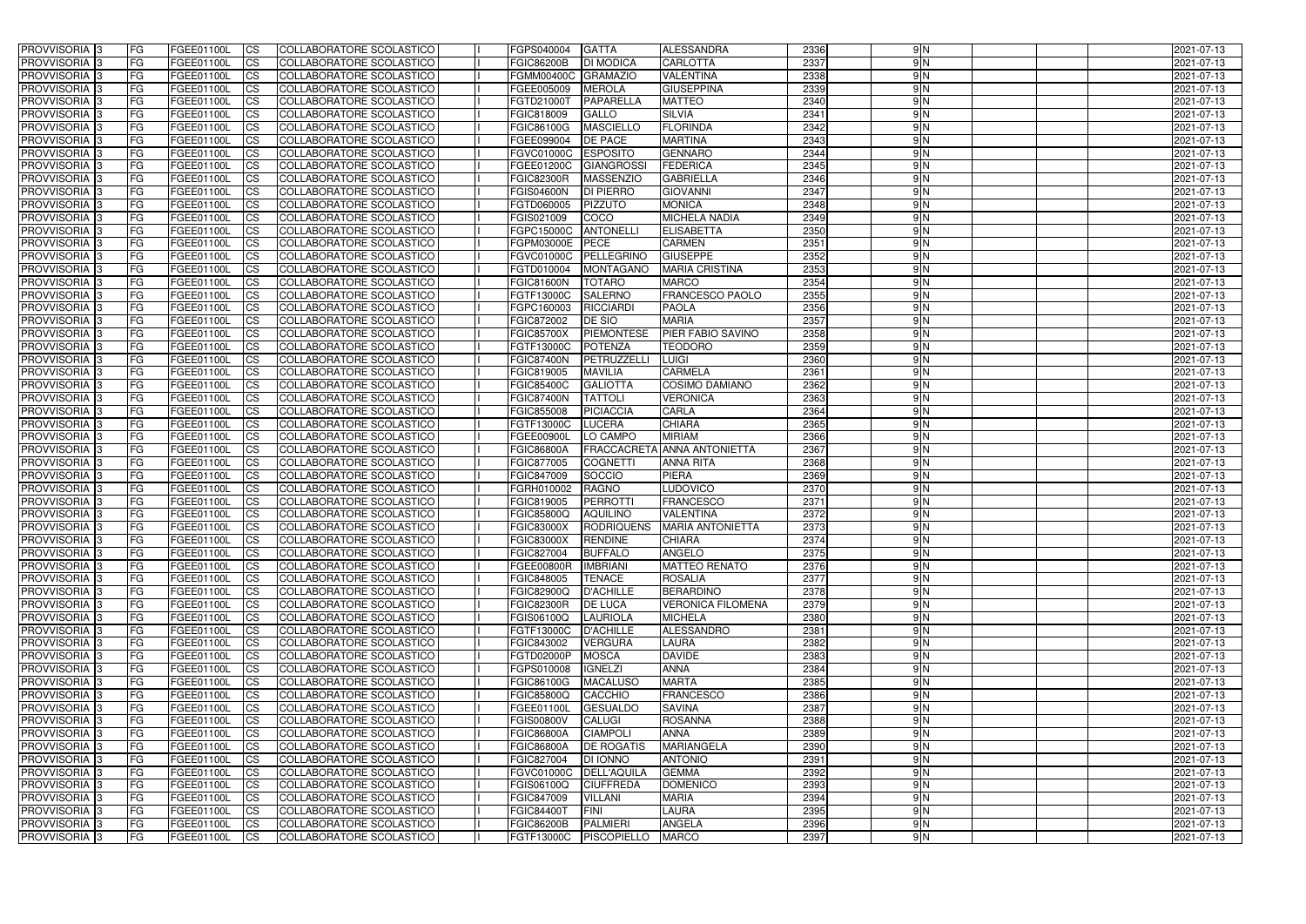| <b>PROVVISORIA</b> 3                      | l FG      | FGEE01100L               | <b>ICS</b>             | COLLABORATORE SCOLASTICO                             | FGPS040004                      | <b>GATTA</b>      | <b>ALESSANDRA</b>                  | 2336         | 9N            | 2021-07-13               |
|-------------------------------------------|-----------|--------------------------|------------------------|------------------------------------------------------|---------------------------------|-------------------|------------------------------------|--------------|---------------|--------------------------|
| <b>PROVVISORIA 3</b>                      | FG        | FGEE01100L               | <b>ICS</b>             | COLLABORATORE SCOLASTICO                             | <b>FGIC86200B</b>               | <b>DI MODICA</b>  | <b>CARLOTTA</b>                    | 2337         | 9N            | 2021-07-13               |
| PROVVISORIA                               | FG        | FGEE01100L               | <b>CS</b>              | <b>COLLABORATORE SCOLASTICO</b>                      | FGMM00400C GRAMAZIO             |                   | <b>VALENTINA</b>                   | 2338         | $\frac{9}{N}$ | 2021-07-13               |
| PROVVISORIA                               | FG        | FGEE01100L               | <b>CS</b>              | COLLABORATORE SCOLASTICO                             | FGEE005009                      | <b>MEROLA</b>     | <b>GIUSEPPINA</b>                  | 2339         | $\frac{9}{N}$ | 2021-07-13               |
| PROVVISORIA <sup>1</sup> 3                | FG        | FGEE01100L               | <b>CS</b>              | COLLABORATORE SCOLASTICO                             | FGTD21000T                      | PAPARELLA         | <b>MATTEO</b>                      | 2340         | 9N            | 2021-07-13               |
| PROVVISORIA <sup>1</sup> 3                | FG        | FGEE01100L               | <b>CS</b>              | COLLABORATORE SCOLASTICO                             | FGIC818009                      | <b>GALLO</b>      | <b>SILVIA</b>                      | 2341         | 9N            | 2021-07-13               |
| PROVVISORIA <sup>1</sup> 3                | FG        | FGEE01100L               | <b>CS</b>              | COLLABORATORE SCOLASTICO                             | FGIC86100G                      | <b>MASCIELLO</b>  | <b>FLORINDA</b>                    | 2342         | $\frac{9}{N}$ | 2021-07-13               |
| PROVVISORIA 3                             | FG        | FGEE01100L               | <b>ICS</b>             | COLLABORATORE SCOLASTICO                             | FGEE099004                      | DE PACE           | <b>MARTINA</b>                     | 2343         | $\frac{9}{N}$ | 2021-07-13               |
| PROVVISORIA 3                             | FG        | FGEE01100L               | <b>CS</b>              | COLLABORATORE SCOLASTICO                             | FGVC01000C                      | <b>ESPOSITO</b>   | <b>GENNARO</b>                     | 2344         | $\frac{9}{N}$ | 2021-07-13               |
| PROVVISORIA 3                             | <b>FG</b> | <b>FGEE01100L</b>        | <b>ICS</b>             | COLLABORATORE SCOLASTICO                             | FGEE01200C                      | <b>GIANGROSSI</b> | <b>FEDERICA</b>                    | 2345         | 9N            | 2021-07-13               |
| PROVVISORIA 3                             | FG        | FGEE01100L               | <b>ICS</b>             | COLLABORATORE SCOLASTICO                             | <b>FGIC82300R</b>               | <b>MASSENZIO</b>  | <b>GABRIELLA</b>                   | 2346         | 9N            | 2021-07-13               |
| <b>PROVVISORIA</b>                        | FG        | FGEE01100L               | <b>ICS</b>             | COLLABORATORE SCOLASTICO                             | <b>FGIS04600N</b>               | <b>DI PIERRO</b>  | <b>GIOVANNI</b>                    | 2347         | $\frac{9}{N}$ | 2021-07-13               |
| <b>PROVVISORIA</b>                        | FG        | FGEE01100L               | <b>ICS</b>             | COLLABORATORE SCOLASTICO                             | FGTD060005                      | <b>PIZZUTO</b>    | <b>MONICA</b>                      | 2348         | $\frac{9}{N}$ | 2021-07-13               |
| <b>PROVVISORIA</b>                        | FG        | FGEE01100L               | <b>ICS</b>             | COLLABORATORE SCOLASTICO                             | FGIS021009                      | COCO              | <b>MICHELA NADIA</b>               | 2349         | 9N            | 2021-07-13               |
| <b>PROVVISORIA</b>                        | FG        | FGEE01100L               | <b>ICS</b>             | COLLABORATORE SCOLASTICO                             | FGPC15000C                      | <b>ANTONELLI</b>  | <b>ELISABETTA</b>                  | 2350         | $\frac{9}{N}$ | 2021-07-13               |
| <b>PROVVISORIA</b>                        | FG        | FGEE01100L               | <b>ICS</b>             | COLLABORATORE SCOLASTICO                             | <b>FGPM03000E</b>               | <b>PECE</b>       | <b>CARMEN</b>                      | 2351         | $\frac{9}{N}$ | 2021-07-13               |
| <b>PROVVISORIA</b>                        | FG        | FGEE01100L               | <b>ICS</b>             | COLLABORATORE SCOLASTICO                             | FGVC01000C                      | PELLEGRINC        | <b>GIUSEPPE</b>                    | 2352         | 9N            | 2021-07-13               |
| <b>PROVVISORIA</b>                        | FG        | FGEE01100L               | <b>ICS</b>             | COLLABORATORE SCOLASTICO                             | FGTD010004                      | <b>MONTAGANO</b>  | <b>MARIA CRISTINA</b>              | 2353         | 9N            | 2021-07-13               |
| PROVVISORIA <sup>3</sup>                  | FG        | FGEE01100L               | <b>ICS</b>             | COLLABORATORE SCOLASTICO                             | <b>FGIC81600N</b>               | <b>TOTARO</b>     | <b>MARCO</b>                       | 2354         | 9 N           | 2021-07-13               |
| PROVVISORIA <sup>3</sup>                  | FG        | FGEE01100L               | <b>ICS</b>             | COLLABORATORE SCOLASTICO                             | FGTF13000C                      | <b>SALERNO</b>    | <b>FRANCESCO PAOLO</b>             | 2355         | 9N            | 2021-07-13               |
| PROVVISORIA <sup>3</sup>                  | FG        | FGEE01100L               | <b>ICS</b>             | COLLABORATORE SCOLASTICO                             | FGPC160003                      | <b>RICCIARDI</b>  | <b>PAOLA</b>                       | 2356         | 9N            | 2021-07-13               |
| PROVVISORIA 3                             | FG        | FGEE01100L               | <b>ICS</b>             | COLLABORATORE SCOLASTICO                             | FGIC872002                      | <b>DE SIO</b>     | <b>MARIA</b>                       | 2357         | 9N            | 2021-07-13               |
| PROVVISORIA <sup>3</sup>                  | FG        | FGEE01100L               | <b>ICS</b>             | <b>COLLABORATORE SCOLASTICO</b>                      | <b>FGIC85700X</b>               | <b>PIEMONTESE</b> | PIER FABIO SAVINO                  | 2358         | 9N            | 2021-07-13               |
| PROVVISORIA <sup>13</sup>                 | FG        | FGEE01100L               | <b>CS</b>              | COLLABORATORE SCOLASTICO                             | FGTF13000C                      | <b>POTENZA</b>    | <b>TEODORO</b>                     | 2359         | 9N            | 2021-07-13               |
| PROVVISORIA <sup>3</sup>                  | FG        | FGEE01100L               | <b>CS</b>              | COLLABORATORE SCOLASTICO                             | <b>FGIC87400N</b>               | PETRUZZELL        | <b>LUIGI</b>                       | 2360         | 9N            | 2021-07-13               |
| PROVVISORIA 3                             | FG        | FGEE01100L               | <b>ICS</b>             | COLLABORATORE SCOLASTICO                             | FGIC819005                      | <b>MAVILIA</b>    | <b>CARMELA</b>                     | 2361         | 9N            | 2021-07-13               |
| PROVVISORIA 3                             | FG        | FGEE01100L               | <b>ICS</b>             | COLLABORATORE SCOLASTICO                             | <b>FGIC85400C</b>               | <b>GALIOTTA</b>   | <b>COSIMO DAMIANO</b>              | 2362         | 9N            | 2021-07-13               |
| PROVVISORIA                               | FG        | FGEE01100L               | <b>ICS</b>             | COLLABORATORE SCOLASTICO                             | <b>FGIC87400N</b>               | <b>TATTOLI</b>    | <b>VERONICA</b>                    | 2363         | 9N            | 2021-07-13               |
| PROVVISORIA                               | FG        | FGEE01100L               | <b>CS</b>              | <b>COLLABORATORE SCOLASTICO</b>                      | FGIC855008                      | <b>PICIACCIA</b>  | <b>CARLA</b>                       | 2364         | $\frac{9}{N}$ | 2021-07-13               |
| PROVVISORIA                               | FG        | FGEE01100L               | <b>CS</b>              | COLLABORATORE SCOLASTICO                             | FGTF13000C                      | <b>LUCERA</b>     | <b>CHIARA</b><br><b>MIRIAM</b>     | 2365<br>2366 | 9N<br>9N      | 2021-07-13               |
| PROVVISORIA<br>PROVVISORIA <sup>1</sup> 3 | FG        | FGEE01100L               | <b>CS</b>              | COLLABORATORE SCOLASTICO<br>COLLABORATORE SCOLASTICO | FGEE00900I<br><b>FGIC86800A</b> | LO CAMPO          | <b>FRACCACRETA ANNA ANTONIETTA</b> | 2367         | $\frac{9}{N}$ | 2021-07-13               |
| PROVVISORIA <sup>1</sup> 3                | FG<br>FG  | FGEE01100L<br>FGEE01100L | <b>CS</b><br><b>CS</b> | COLLABORATORE SCOLASTICO                             | FGIC877005                      | <b>COGNETTI</b>   | <b>ANNA RITA</b>                   | 2368         | $\frac{9}{N}$ | 2021-07-13<br>2021-07-13 |
| PROVVISORIA 3                             | FG        | FGEE01100L               | <b>CS</b>              | <b>COLLABORATORE SCOLASTICO</b>                      | FGIC847009                      | SOCCIO            | <b>PIERA</b>                       | 2369         | $\frac{9}{N}$ | 2021-07-13               |
| <b>PROVVISORIA</b>                        | FG        | FGEE01100L               | <b>ICS</b>             | COLLABORATORE SCOLASTICO                             | FGRH010002                      | <b>RAGNO</b>      | LUDOVICO                           | 2370         | 9N            | 2021-07-13               |
| <b>PROVVISORIA</b>                        | FG        | FGEE01100L               | <b>ICS</b>             | COLLABORATORE SCOLASTICO                             | FGIC819005                      | PERROTTI          | <b>FRANCESCO</b>                   | 2371         | 9N            | 2021-07-13               |
| <b>PROVVISORIA</b>                        | FG        | FGEE01100L               | <b>ICS</b>             | COLLABORATORE SCOLASTICO                             | <b>FGIC85800Q</b>               | <b>AQUILINO</b>   | <b>VALENTINA</b>                   | 2372         | $\frac{9}{N}$ | 2021-07-13               |
| <b>PROVVISORIA</b>                        | l FG      | FGEE01100L               | <b>ICS</b>             | COLLABORATORE SCOLASTICO                             | <b>FGIC83000X</b>               | RODRIQUENS        | <b>MARIA ANTONIETTA</b>            | 2373         | 9N            | 2021-07-13               |
| PROVVISORIA 3                             | FG        | FGEE01100L               | CS                     | COLLABORATORE SCOLASTICO                             | <b>FGIC83000X</b>               | RENDINE           | <b>CHIARA</b>                      | 2374         | 9 N           | 2021-07-13               |
| PROVVISORIA 3                             | <b>FG</b> | FGEE01100L               | $\mathsf{ICS}$         | COLLABORATORE SCOLASTICO                             | FGIC827004                      | <b>BUFFALO</b>    | <b>ANGELO</b>                      | 2375         | 9N            | 2021-07-13               |
| PROVVISORIA 3                             | <b>FG</b> | <b>FGEE01100L</b>        | $\mathsf{ICS}$         | COLLABORATORE SCOLASTICO                             | <b>FGEE00800R</b>               | <b>IMBRIANI</b>   | <b>MATTEO RENATO</b>               | 2376         | $\frac{9}{N}$ | 2021-07-13               |
| PROVVISORIA 3                             | <b>FG</b> | FGEE01100L               | $\mathsf{ICS}$         | COLLABORATORE SCOLASTICO                             | FGIC848005                      | <b>TENACE</b>     | <b>ROSALIA</b>                     | 2377         | $\frac{9}{N}$ | 2021-07-13               |
| PROVVISORIA 3                             | FG        | FGEE01100L               | $\mathsf{ICS}$         | COLLABORATORE SCOLASTICO                             | <b>FGIC82900Q</b>               | <b>D'ACHILLE</b>  | <b>BERARDINO</b>                   | 2378         | $\frac{9}{N}$ | 2021-07-13               |
| PROVVISORIA 3                             | l FG      | FGEE01100L               | <b>CS</b>              | COLLABORATORE SCOLASTICO                             | <b>FGIC82300R</b>               | <b>DE LUCA</b>    | <b>VERONICA FILOMENA</b>           | 2379         | $\frac{9}{N}$ | 2021-07-13               |
| PROVVISORIA 3                             | <b>FG</b> | FGEE01100L               | $\mathsf{ICS}$         | COLLABORATORE SCOLASTICO                             | FGIS06100Q                      | <b>LAURIOLA</b>   | <b>MICHELA</b>                     | 2380         | 9N            | 2021-07-13               |
| PROVVISORIA 3                             | FG        | FGEE01100L               | <b>CS</b>              | COLLABORATORE SCOLASTICO                             | <b>FGTF13000C</b>               | <b>D'ACHILLE</b>  | ALESSANDRO                         | 2381         | 9N            | 2021-07-13               |
| PROVVISORIA 3                             | <b>FG</b> | FGEE01100L               | <b>CS</b>              | COLLABORATORE SCOLASTICO                             | FGIC843002                      | <b>VERGURA</b>    | <b>LAURA</b>                       | 2382         | 9N            | 2021-07-13               |
| PROVVISORIA 3                             | <b>FG</b> | FGEE01100L               | <b>CS</b>              | COLLABORATORE SCOLASTICO                             | FGTD02000P                      | <b>MOSCA</b>      | <b>DAVIDE</b>                      | 2383         | 9N            | 2021-07-13               |
| PROVVISORIA 3                             | <b>FG</b> | FGEE01100L               | <b>CS</b>              | COLLABORATORE SCOLASTICO                             | FGPS010008                      | <b>IGNELZI</b>    | ANNA                               | 2384         | 9N            | 2021-07-13               |
| PROVVISORIA 3                             | <b>FG</b> | FGEE01100L               | <b>CS</b>              | COLLABORATORE SCOLASTICO                             | <b>FGIC86100G</b>               | <b>MACALUSO</b>   | <b>MARTA</b>                       | 2385         | 9N            | 2021-07-13               |
| PROVVISORIA 3                             | <b>FG</b> | FGEE01100L               | <b>CS</b>              | COLLABORATORE SCOLASTICO                             | <b>FGIC85800Q</b>               | CACCHIO           | <b>FRANCESCO</b>                   | 2386         | 9N            | 2021-07-13               |
| PROVVISORIA 3                             | <b>FG</b> | FGEE01100L               | <b>CS</b>              | COLLABORATORE SCOLASTICO                             | FGEE01100L                      | <b>GESUALDO</b>   | <b>SAVINA</b>                      | 2387         | 9N            | 2021-07-13               |
| PROVVISORIA 3                             | <b>FG</b> | FGEE01100L               | <b>CS</b>              | COLLABORATORE SCOLASTICO                             | <b>FGIS00800V</b>               | <b>CALUGI</b>     | <b>ROSANNA</b>                     | 2388         | 9N            | 2021-07-13               |
| PROVVISORIA 3                             | <b>FG</b> | FGEE01100L               | <b>CS</b>              | COLLABORATORE SCOLASTICO                             | <b>FGIC86800A</b>               | <b>CIAMPOLI</b>   | <b>ANNA</b>                        | 2389         | $\frac{9}{N}$ | 2021-07-13               |
| PROVVISORIA 3                             | <b>FG</b> | FGEE01100L               | <b>CS</b>              | COLLABORATORE SCOLASTICO                             | <b>FGIC86800A</b>               | <b>DE ROGATIS</b> | <b>MARIANGELA</b>                  | 2390         | 9N            | 2021-07-13               |
| PROVVISORIA 3                             | <b>FG</b> | FGEE01100L               | <b>CS</b>              | COLLABORATORE SCOLASTICO                             | FGIC827004                      | <b>DI IONNO</b>   | <b>ANTONIO</b>                     | 2391         | $\frac{9}{N}$ | 2021-07-13               |
| PROVVISORIA 3                             | <b>FG</b> | FGEE01100L               | <b>CS</b>              | COLLABORATORE SCOLASTICO                             | FGVC01000C DELL'AQUILA          |                   | <b>GEMMA</b>                       | 2392         | 9N            | 2021-07-13               |
| PROVVISORIA 3                             | FG        | FGEE01100L               | <b>CS</b>              | COLLABORATORE SCOLASTICO                             | FGIS06100Q                      | <b>CIUFFREDA</b>  | <b>DOMENICO</b>                    | 2393         | 9N            | 2021-07-13               |
| PROVVISORIA 3                             | FG        | FGEE01100L               | <b>CS</b>              | COLLABORATORE SCOLASTICO                             | FGIC847009                      | <b>VILLANI</b>    | <b>MARIA</b>                       | 2394         | 9N            | 2021-07-13               |
| PROVVISORIA 3                             | <b>FG</b> | FGEE01100L               | <b>CS</b>              | COLLABORATORE SCOLASTICO                             | <b>FGIC84400T</b>               | FINI              | <b>LAURA</b>                       | 2395         | 9N            | 2021-07-13               |
| PROVVISORIA 3                             | <b>FG</b> | FGEE01100L               | $\overline{\text{CS}}$ | COLLABORATORE SCOLASTICO                             | <b>FGIC86200B</b>               | PALMIERI          | <b>ANGELA</b>                      | 2396         | 9N            | 2021-07-13               |
| PROVVISORIA 3                             | <b>FG</b> | <b>FGEE01100L</b>        | $\mathsf{ICS}$         | COLLABORATORE SCOLASTICO                             | FGTF13000C                      | PISCOPIELLO       | <b>MARCO</b>                       | 2397         | 9N            | 2021-07-13               |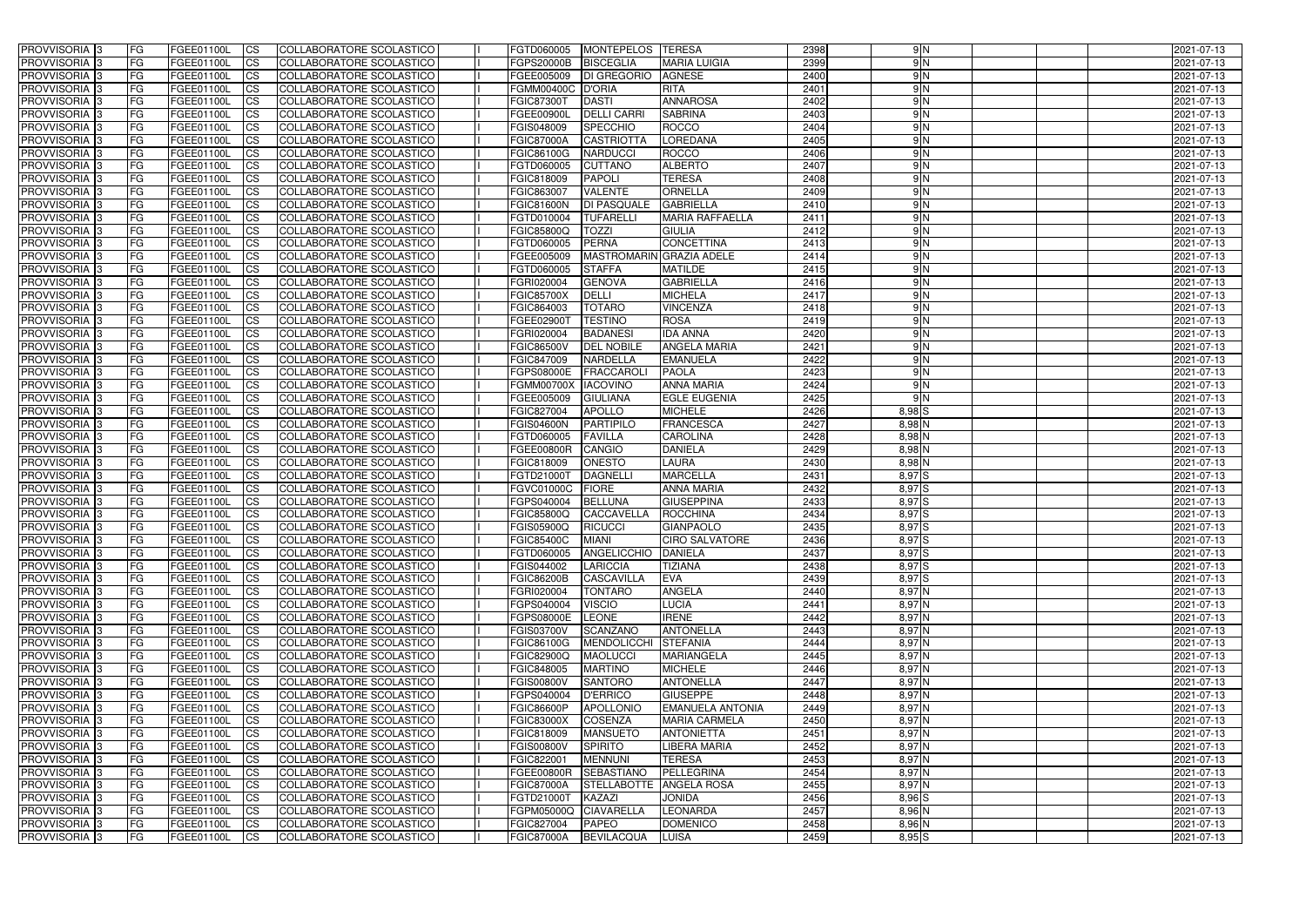| <b>PROVVISORIA</b> 3            | FG         | FGEE01100L        | <b>ICS</b>             | COLLABORATORE SCOLASTICO        | <b>FGTD060005</b> | MONTEPELOS TERESA  |                         | 2398 | 9N                | 2021-07-13 |
|---------------------------------|------------|-------------------|------------------------|---------------------------------|-------------------|--------------------|-------------------------|------|-------------------|------------|
| <b>PROVVISORIA 3</b>            | FG         | FGEE01100L        | <b>I</b> CS            | COLLABORATORE SCOLASTICO        | <b>FGPS20000B</b> | <b>BISCEGLIA</b>   | <b>MARIA LUIGIA</b>     | 2399 | 9N                | 2021-07-13 |
| PROVVISORIA <sup>1</sup> 3      | FG         | FGEE01100L        | <b>CS</b>              | <b>COLLABORATORE SCOLASTICO</b> | FGEE005009        | <b>DI GREGORIO</b> | <b>AGNESE</b>           | 2400 | 9N                | 2021-07-13 |
| PROVVISORIA <sup>3</sup>        | FG         | FGEE01100L        | <b>CS</b>              | COLLABORATORE SCOLASTICO        | <b>FGMM00400C</b> | <b>D'ORIA</b>      | <b>RITA</b>             | 2401 | 9N                | 2021-07-13 |
| PROVVISORIA <sup>1</sup> 3      | FG         | FGEE01100L        | <b>CS</b>              | COLLABORATORE SCOLASTICO        | <b>FGIC87300T</b> | <b>DASTI</b>       | <b>ANNAROSA</b>         | 2402 | 9N                | 2021-07-13 |
| PROVVISORIA 3                   | FG         | FGEE01100L        | <b>CS</b>              | COLLABORATORE SCOLASTICO        | FGEE00900L        | <b>DELLI CARRI</b> | <b>SABRINA</b>          | 2403 | 9N                | 2021-07-13 |
| PROVVISORIA 3                   | FG         | FGEE01100L        | <b>CS</b>              | COLLABORATORE SCOLASTICO        | FGIS048009        | <b>SPECCHIO</b>    | <b>ROCCO</b>            | 2404 | 9N                | 2021-07-13 |
| PROVVISORIA 3                   | FG         | <b>FGEE01100L</b> | <b>CS</b>              | COLLABORATORE SCOLASTICO        | <b>FGIC87000A</b> | <b>CASTRIOTTA</b>  | <b>LOREDANA</b>         | 2405 | 9N                | 2021-07-13 |
| PROVVISORIA 3                   | FG         | FGEE01100L        | <b>CS</b>              | COLLABORATORE SCOLASTICO        | FGIC86100G        | <b>NARDUCCI</b>    | <b>ROCCO</b>            | 2406 | 9N                | 2021-07-13 |
| PROVVISORIA <sup>3</sup>        | FG         | FGEE01100L        | $\overline{c}$         | COLLABORATORE SCOLASTICO        | FGTD060005        | <b>CUTTANO</b>     | <b>ALBERTO</b>          | 2407 | 9N                | 2021-07-13 |
| PROVVISORIA <sup>3</sup>        | FG         | FGEE01100L        | <b>CS</b>              | COLLABORATORE SCOLASTICO        | FGIC818009        | <b>PAPOLI</b>      | <b>TERESA</b>           | 2408 | 9N                | 2021-07-13 |
| PROVVISORIA <sup>3</sup>        | FG         | FGEE01100L        | <b>CS</b>              | COLLABORATORE SCOLASTICO        | FGIC863007        | <b>VALENTE</b>     | <b>ORNELLA</b>          | 2409 | 9N                | 2021-07-13 |
| <b>PROVVISORIA</b> 3            | FG         | <b>FGEE01100L</b> | <b>I</b> CS            | COLLABORATORE SCOLASTICO        | <b>FGIC81600N</b> | <b>DI PASQUALE</b> | <b>GABRIELLA</b>        | 2410 | 9N                | 2021-07-13 |
| PROVVISORIA <sup>3</sup>        | FG         | FGEE01100L        | <b>I</b> CS            | COLLABORATORE SCOLASTICO        | <b>FGTD010004</b> | <b>TUFARELLI</b>   | <b>MARIA RAFFAELLA</b>  | 2411 | 9N                | 2021-07-13 |
| PROVVISORIA <sup>3</sup>        | FG         | FGEE01100L        | <b>I</b> CS            | COLLABORATORE SCOLASTICO        | <b>FGIC85800Q</b> | <b>TOZZI</b>       | <b>GIULIA</b>           | 2412 | 9N                | 2021-07-13 |
| <b>PROVVISORIA</b> 3            | FG         | FGEE01100L        | <b>I</b> CS            | <b>COLLABORATORE SCOLASTICO</b> | FGTD060005        | PERNA              | <b>CONCETTINA</b>       | 2413 | $\frac{9}{N}$     | 2021-07-13 |
| <b>PROVVISORIA</b> 3            |            |                   |                        |                                 |                   |                    |                         |      | 9 N               |            |
|                                 | FG         | FGEE01100L        | <b>ICS</b>             | COLLABORATORE SCOLASTICO        | FGEE005009        | <b>MASTROMARIN</b> | <b>GRAZIA ADELE</b>     | 2414 |                   | 2021-07-13 |
| PROVVISORIA <sup>3</sup>        | FG         | FGEE01100L        | <b>CS</b>              | <b>COLLABORATORE SCOLASTICO</b> | FGTD060005        | <b>STAFFA</b>      | <b>MATILDE</b>          | 2415 | 9 N               | 2021-07-13 |
| PROVVISORIA <sup>3</sup>        | FG         | FGEE01100L        | <b>ICS</b>             | COLLABORATORE SCOLASTICO        | FGRI020004        | <b>GENOVA</b>      | <b>GABRIELLA</b>        | 2416 | 9 N               | 2021-07-13 |
| PROVVISORIA <sup>3</sup>        | FG         | FGEE01100L        | <b>I</b> CS            | COLLABORATORE SCOLASTICO        | <b>FGIC85700X</b> | <b>DELLI</b>       | <b>MICHELA</b>          | 2417 | 9N                | 2021-07-13 |
| PROVVISORIA <sup>3</sup>        | FG         | FGEE01100L        | <b>ICS</b>             | COLLABORATORE SCOLASTICO        | FGIC864003        | <b>TOTARO</b>      | <b>VINCENZA</b>         | 2418 | 9N                | 2021-07-13 |
| PROVVISORIA <sup>3</sup>        | FG         | FGEE01100L        | <b>CS</b>              | COLLABORATORE SCOLASTICO        | FGEE02900T        | <b>TESTINO</b>     | <b>ROSA</b>             | 2419 | 9N                | 2021-07-13 |
| PROVVISORIA 3                   | FG         | FGEE01100L        | <b>CS</b>              | COLLABORATORE SCOLASTICO        | FGRI020004        | <b>BADANESI</b>    | <b>IDA ANNA</b>         | 2420 | 9N                | 2021-07-13 |
| <b>PROVVISORIA</b> 3            | FG         | FGEE01100L        | <b>CS</b>              | COLLABORATORE SCOLASTICO        | <b>FGIC86500V</b> | <b>DEL NOBILE</b>  | <b>ANGELA MARIA</b>     | 2421 | 9N                | 2021-07-13 |
| PROVVISORIA <sup>3</sup>        | FG         | FGEE01100L        | <b>CS</b>              | COLLABORATORE SCOLASTICO        | FGIC847009        | <b>NARDELLA</b>    | <b>EMANUELA</b>         | 2422 | 9N                | 2021-07-13 |
| PROVVISORIA <sup>1</sup> 3      | FG         | FGEE01100L        | <b>CS</b>              | COLLABORATORE SCOLASTICO        | <b>FGPS08000E</b> | <b>FRACCAROL</b>   | <b>PAOLA</b>            | 2423 | 9N                | 2021-07-13 |
| PROVVISORIA <sup>1</sup> 3      | FG         | <b>FGEE01100L</b> | <b>ICS</b>             | COLLABORATORE SCOLASTICO        | <b>FGMM00700X</b> | <b>IACOVINO</b>    | <b>ANNA MARIA</b>       | 2424 | 9N                | 2021-07-13 |
| <b>PROVVISORIA</b> <sub>3</sub> | FG.        | FGEE01100L        | <b>CS</b>              | COLLABORATORE SCOLASTICO        | FGEE005009        | <b>GIULIANA</b>    | <b>EGLE EUGENIA</b>     | 2425 | 9N                | 2021-07-13 |
| PROVVISORIA <sup>13</sup>       | FG         | <b>FGEE01100L</b> | <b>CS</b>              | COLLABORATORE SCOLASTICO        | FGIC827004        | <b>APOLLO</b>      | <b>MICHELE</b>          | 2426 | $8,98$ $S$        | 2021-07-13 |
| PROVVISORIA <sup>1</sup> 3      | FG         | FGEE01100L        | <b>CS</b>              | COLLABORATORE SCOLASTICO        | <b>FGIS04600N</b> | PARTIPILO          | <b>FRANCESCA</b>        | 2427 | 8,98 N            | 2021-07-13 |
| PROVVISORIA <sup>3</sup>        | FG.        | FGEE01100L        | <b>CS</b>              | COLLABORATORE SCOLASTICO        | FGTD060005        | <b>FAVILLA</b>     | <b>CAROLINA</b>         | 2428 | 8,98 N            | 2021-07-13 |
| PROVVISORIA <sup>1</sup> 3      | FG         | FGEE01100L        | <b>CS</b>              | COLLABORATORE SCOLASTICO        | <b>FGEE00800R</b> | <b>CANGIO</b>      | <b>DANIELA</b>          | 2429 | 8,98 N            | 2021-07-13 |
| PROVVISORIA <sup>3</sup>        | FG         | <b>FGEE01100L</b> | <b>CS</b>              | COLLABORATORE SCOLASTICO        | FGIC818009        | <b>ONESTO</b>      | <b>LAURA</b>            | 2430 | 8,98 N            | 2021-07-13 |
| PROVVISORIA 3                   | FG         | FGEE01100L        | <b>CS</b>              | COLLABORATORE SCOLASTICO        | FGTD21000T        | <b>DAGNELLI</b>    | <b>MARCELLA</b>         | 2431 | 8,97 S            | 2021-07-13 |
| PROVVISORIA <sup>3</sup>        | FG         | FGEE01100L        | $\overline{\text{cs}}$ | COLLABORATORE SCOLASTICO        | <b>FGVC01000C</b> | <b>FIORE</b>       | <b>ANNA MARIA</b>       | 2432 | 8,97 S            | 2021-07-13 |
| PROVVISORIA <sup>3</sup>        | FG         | FGEE01100L        | <b>CS</b>              | COLLABORATORE SCOLASTICO        | FGPS040004        | <b>BELLUNA</b>     | <b>GIUSEPPINA</b>       | 2433 | 8,97 S            | 2021-07-13 |
| PROVVISORIA <sup>1</sup> 3      | FG         | FGEE01100L        | <b>I</b> CS            | COLLABORATORE SCOLASTICO        | <b>FGIC85800Q</b> | <b>CACCAVELLA</b>  | ROCCHINA                | 2434 | 8,97 S            | 2021-07-13 |
| PROVVISORIA 3                   | FG         | FGEE01100L        | <b>I</b> CS            | COLLABORATORE SCOLASTICO        | <b>FGIS05900Q</b> | <b>RICUCCI</b>     | <b>GIANPAOLO</b>        | 2435 | 8,97 S            | 2021-07-13 |
| <b>PROVVISORIA</b> 3            | IFG.       | FGEE01100L        | CS                     | COLLABORATORE SCOLASTICO        | <b>FGIC85400C</b> | <b>MIANI</b>       | <b>CIRO SALVATORE</b>   | 2436 | $8,97$ $S$        | 2021-07-13 |
| PROVVISORIA 3                   | IFG.       | FGEE01100L        | <b>ICS</b>             | COLLABORATORE SCOLASTICO        | FGTD060005        | ANGELICCHIO        | <b>DANIELA</b>          | 2437 | 8,97 S            | 2021-07-13 |
| PROVVISORIA 3                   | FG         | FGEE01100L        | <b>CS</b>              | COLLABORATORE SCOLASTICO        | FGIS044002        | LARICCIA           | <b>TIZIANA</b>          | 2438 | 8,97 S            | 2021-07-13 |
| PROVVISORIA 3                   | FG         | FGEE01100L        | <b>CS</b>              | COLLABORATORE SCOLASTICO        | <b>FGIC86200B</b> | <b>CASCAVILLA</b>  | <b>EVA</b>              | 2439 | 8,97 S            | 2021-07-13 |
| PROVVISORIA <sup>3</sup>        | FG         | FGEE01100L        | <b>ICS</b>             | <b>COLLABORATORE SCOLASTICO</b> | FGRI020004        | <b>TONTARO</b>     | <b>ANGELA</b>           | 2440 | 8,97 N            | 2021-07-13 |
| PROVVISORIA 3                   | FG         | FGEE01100L        | <b>CS</b>              | COLLABORATORE SCOLASTICO        | FGPS040004        | <b>VISCIO</b>      | <b>LUCIA</b>            | 2441 | 8,97 N            | 2021-07-13 |
| PROVVISORIA 3                   | FG         | FGEE01100L        | <b>CS</b>              | COLLABORATORE SCOLASTICO        | <b>FGPS08000E</b> | <b>LEONE</b>       | <b>IRENE</b>            | 2442 | 8,97 <sup>N</sup> | 2021-07-13 |
| PROVVISORIA 3                   | <b>FG</b>  | FGEE01100L        | <b>CS</b>              | COLLABORATORE SCOLASTICO        | <b>FGIS03700V</b> | SCANZANO           | <b>ANTONELLA</b>        | 2443 | 8,97 N            | 2021-07-13 |
| PROVVISORIA 3                   | FG         | FGEE01100L        | <b>CS</b>              | COLLABORATORE SCOLASTICO        | <b>FGIC86100G</b> | MENDOLICCHI        | <b>STEFANIA</b>         | 2444 | $8,97$ N          | 2021-07-13 |
| PROVVISORIA 3                   | FG         | FGEE01100L        | <b>CS</b>              | COLLABORATORE SCOLASTICO        | <b>FGIC82900Q</b> | <b>MAOLUCCI</b>    | <b>MARIANGELA</b>       | 2445 | 8,97 N            | 2021-07-13 |
| PROVVISORIA 3                   | IFG.       | FGEE01100L        | <b>CS</b>              | COLLABORATORE SCOLASTICO        | FGIC848005        | <b>MARTINO</b>     | <b>MICHELE</b>          | 2446 | $8,97$ N          | 2021-07-13 |
| PROVVISORIA 3                   | FG         | FGEE01100L        | <b>CS</b>              | COLLABORATORE SCOLASTICO        | <b>FGIS00800V</b> | <b>SANTORO</b>     | <b>ANTONELLA</b>        | 2447 | $8,97$ N          | 2021-07-13 |
| PROVVISORIA 3                   | FG         | FGEE01100L        | <b>CS</b>              | COLLABORATORE SCOLASTICO        | FGPS040004        | <b>D'ERRICO</b>    | <b>GIUSEPPE</b>         | 2448 | 8,97 N            | 2021-07-13 |
| <b>PROVVISORIA</b> 3            | IFG.       | FGEE01100L        | <b>CS</b>              | COLLABORATORE SCOLASTICO        | <b>FGIC86600P</b> | APOLLONIO          | <b>EMANUELA ANTONIA</b> | 2449 | 8,97 N            | 2021-07-13 |
| <b>PROVVISORIA</b> 3            | IFG.       | FGEE01100L        | <b>CS</b>              | COLLABORATORE SCOLASTICO        | <b>FGIC83000X</b> | <b>COSENZA</b>     | <b>MARIA CARMELA</b>    | 2450 | 8,97 <sup>N</sup> | 2021-07-13 |
| <b>PROVVISORIA</b> 3            | FG         | FGEE01100L        | <b>CS</b>              | COLLABORATORE SCOLASTICO        | FGIC818009        | <b>MANSUETO</b>    | <b>ANTONIETTA</b>       | 2451 | 8,97 N            | 2021-07-13 |
| PROVVISORIA 3                   | <b>IFG</b> | FGEE01100L        | <b>CS</b>              | COLLABORATORE SCOLASTICO        | <b>FGIS00800V</b> | <b>SPIRITO</b>     | LIBERA MARIA            | 2452 | $8,97$ N          | 2021-07-13 |
| PROVVISORIA 3                   | IFG.       | FGEE01100L        | <b>CS</b>              | COLLABORATORE SCOLASTICO        | FGIC822001        | <b>MENNUNI</b>     | <b>TERESA</b>           | 2453 | 8,97 N            | 2021-07-13 |
| PROVVISORIA 3                   | FG         | FGEE01100L        | <b>CS</b>              | COLLABORATORE SCOLASTICO        | FGEE00800R        | <b>SEBASTIANO</b>  | PELLEGRINA              | 2454 | 8,97 <sup>N</sup> | 2021-07-13 |
| PROVVISORIA 3                   | FG         | FGEE01100L        | <b>CS</b>              | COLLABORATORE SCOLASTICO        | <b>FGIC87000A</b> |                    | STELLABOTTE ANGELA ROSA | 2455 | 8,97 N            | 2021-07-13 |
| PROVVISORIA 3                   | FG         | <b>FGEE01100L</b> | <b>CS</b>              | COLLABORATORE SCOLASTICO        | FGTD21000T        | KAZAZI             | <b>JONIDA</b>           | 2456 | $8,96$ $S$        | 2021-07-13 |
| <b>PROVVISORIA</b> 3            | FG         | FGEE01100L        | <b>ICS</b>             | COLLABORATORE SCOLASTICO        | FGPM05000Q        | <b>CIAVARELLA</b>  | <b>LEONARDA</b>         | 2457 | $8,96$ N          | 2021-07-13 |
| PROVVISORIA 3                   | FG         | FGEE01100L        | <b>CS</b>              | COLLABORATORE SCOLASTICO        | FGIC827004        | <b>PAPEO</b>       | <b>DOMENICO</b>         | 2458 | $8,96$ N          | 2021-07-13 |
| PROVVISORIA 3                   | FG         | FGEE01100L        | <b>CS</b>              | COLLABORATORE SCOLASTICO        | <b>FGIC87000A</b> | <b>BEVILACQUA</b>  |                         |      | 8,95S             | 2021-07-13 |
|                                 |            |                   |                        |                                 |                   |                    | <b>LUISA</b>            | 2459 |                   |            |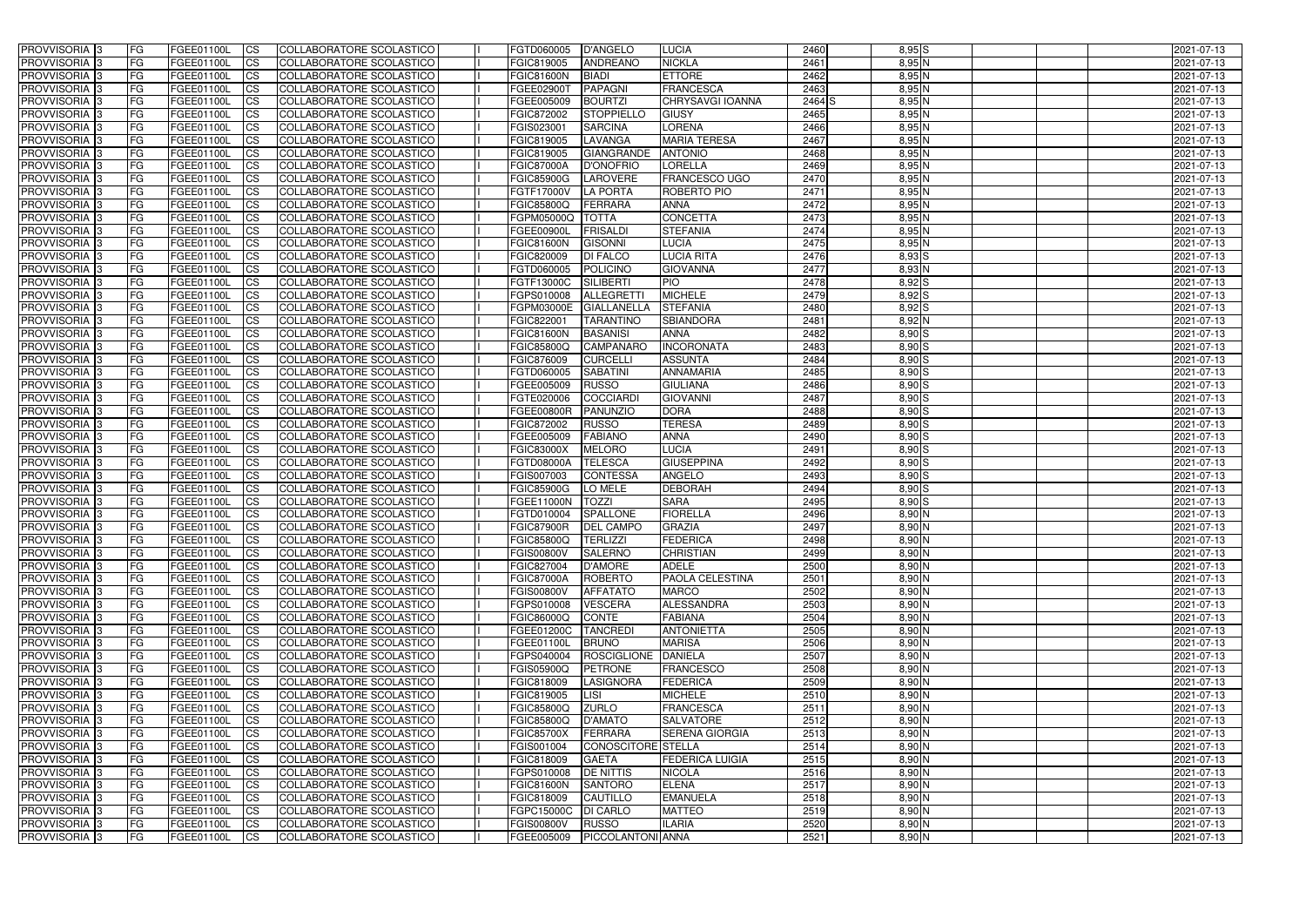| <b>PROVVISORIA</b> 3                             | FG                 | FGEE01100L               | <b>ICS</b>             | COLLABORATORE SCOLASTICO                                    | FGTD060005                             | D'ANGELO                            | <b>LUCIA</b>                         | 2460         | $8,95$ $S$           | 2021-07-13               |
|--------------------------------------------------|--------------------|--------------------------|------------------------|-------------------------------------------------------------|----------------------------------------|-------------------------------------|--------------------------------------|--------------|----------------------|--------------------------|
| <b>PROVVISORIA 3</b>                             | FG                 | FGEE01100L               | <b>CS</b>              | COLLABORATORE SCOLASTICO                                    | FGIC819005                             | <b>ANDREANO</b>                     | <b>NICKLA</b>                        | 2461         | $8,95$ N             | 2021-07-13               |
| PROVVISORIA <sup>3</sup>                         | FG                 | FGEE01100L               | <b>CS</b>              | COLLABORATORE SCOLASTICO                                    | <b>FGIC81600N</b>                      | <b>BIADI</b>                        | <b>ETTORE</b>                        | 2462         | 8,95 N               | 2021-07-13               |
| PROVVISORIA <sup>3</sup>                         | FG                 | FGEE01100L               | <b>CS</b>              | COLLABORATORE SCOLASTICO                                    | FGEE02900T                             | <b>PAPAGNI</b>                      | <b>FRANCESCA</b>                     | 2463         | $8,95$ N             | 2021-07-13               |
| PROVVISORIA <sup>1</sup> 3                       | FG                 | FGEE01100L               | <b>CS</b>              | COLLABORATORE SCOLASTICO                                    | FGEE005009                             | <b>BOURTZI</b>                      | CHRYSAVGI IOANNA                     | 2464 S       | 8,95 N               | 2021-07-13               |
| PROVVISORIA <sup>3</sup>                         | FG                 | FGEE01100L               | <b>CS</b>              | COLLABORATORE SCOLASTICO                                    | FGIC872002                             | <b>STOPPIELLO</b>                   | <b>GIUSY</b>                         | 2465         | $8,95$ N             | 2021-07-13               |
| PROVVISORIA 3                                    | FG                 | FGEE01100L               | <b>CS</b>              | COLLABORATORE SCOLASTICO                                    | FGIS023001                             | <b>SARCINA</b>                      | <b>LORENA</b>                        | 2466         | $8,95$ N             | 2021-07-13               |
| PROVVISORIA 3                                    | FG                 | <b>FGEE01100L</b>        | <b>CS</b>              | <b>COLLABORATORE SCOLASTICO</b>                             | FGIC819005                             | LAVANGA                             | <b>MARIA TERESA</b>                  | 2467         | $8,95$ N             | 2021-07-13               |
| PROVVISORIA 3                                    | FG                 | FGEE01100L               | <b>CS</b>              | COLLABORATORE SCOLASTICO                                    | FGIC819005                             | <b>GIANGRANDE</b>                   | <b>ANTONIO</b>                       | 2468         | $8,95$ N             | 2021-07-13               |
| PROVVISORIA <sup>3</sup>                         | FG                 | FGEE01100L               | $\overline{c}$         | COLLABORATORE SCOLASTICO                                    | <b>FGIC87000A</b>                      | D'ONOFRIO                           | <b>LORELLA</b>                       | 2469         | 8,95N                | 2021-07-13               |
| PROVVISORIA <sup>3</sup>                         | FG                 | FGEE01100L               | <b>CS</b>              | COLLABORATORE SCOLASTICO                                    | <b>FGIC85900G</b>                      | <b>LAROVERE</b>                     | FRANCESCO UGO                        | 2470         | $8,95$ N             | 2021-07-13               |
| PROVVISORIA <sup>3</sup>                         | FG                 | FGEE01100L               | <b>CS</b>              | COLLABORATORE SCOLASTICO                                    | FGTF17000V                             | <b>LA PORTA</b>                     | <b>ROBERTO PIO</b>                   | 2471         | $8,95$ N             | 2021-07-13               |
| PROVVISORIA <sup>3</sup>                         | FG                 | <b>FGEE01100L</b>        | <b>ICS</b>             | COLLABORATORE SCOLASTICO                                    | <b>FGIC85800Q</b>                      | FERRARA                             | <b>ANNA</b>                          | 2472         | $8,95$ N             | 2021-07-13               |
| PROVVISORIA <sup>3</sup>                         | FG                 | FGEE01100L               | <b>I</b> CS            | COLLABORATORE SCOLASTICO                                    | FGPM05000Q                             | <b>TOTTA</b>                        | <b>CONCETTA</b>                      | 2473         | 8,95 N               | 2021-07-13               |
| PROVVISORIA <sup>3</sup>                         | FG                 | FGEE01100L               | <b>ICS</b>             | COLLABORATORE SCOLASTICO                                    | FGEE00900L                             | <b>FRISALDI</b>                     | <b>STEFANIA</b>                      | 2474         | $8,95$ N             | 2021-07-13               |
| <b>PROVVISORIA</b> 3                             | FG                 | FGEE01100L               | <b>I</b> CS            | <b>COLLABORATORE SCOLASTICO</b>                             | <b>FGIC81600N</b>                      | <b>GISONNI</b>                      | <b>LUCIA</b>                         | 2475         | 8,95 N               | 2021-07-13               |
| <b>PROVVISORIA</b> 3                             | FG                 | FGEE01100L               | <b>ICS</b>             | COLLABORATORE SCOLASTICO                                    | FGIC820009                             | <b>DI FALCO</b>                     | <b>LUCIA RITA</b>                    | 2476         | 8,93 S               | 2021-07-13               |
| PROVVISORIA 3                                    | FG                 | FGEE01100L               | <b>CS</b>              | COLLABORATORE SCOLASTICO                                    | FGTD060005                             | <b>POLICINO</b>                     | <b>GIOVANNA</b>                      | 2477         | 8,93 N               | 2021-07-13               |
| PROVVISORIA <sup>3</sup>                         | FG                 | FGEE01100L               | <b>ICS</b>             | COLLABORATORE SCOLASTICO                                    | FGTF13000C                             | <b>SILIBERTI</b>                    | PIO                                  | 2478         | $8,92$ $S$           | 2021-07-13               |
| PROVVISORIA <sup>3</sup>                         | FG                 | FGEE01100L               | <b>ICS</b>             | COLLABORATORE SCOLASTICO                                    | FGPS010008                             | <b>ALLEGRETT</b>                    | <b>MICHELE</b>                       | 2479         | 8,92 S               | 2021-07-13               |
| PROVVISORIA <sup>3</sup>                         | FG                 | FGEE01100L               | <b>ICS</b>             | COLLABORATORE SCOLASTICO                                    | FGPM03000E                             | <b>GIALLANELLA</b>                  | <b>STEFANIA</b>                      | 2480         | $8,92$ $S$           | 2021-07-13               |
| PROVVISORIA <sup>3</sup>                         | FG                 | FGEE01100L               | <b>CS</b>              | COLLABORATORE SCOLASTICO                                    | FGIC822001                             | TARANTINO                           | <b>SBIANDORA</b>                     | 2481         | $8,92$ N             | 2021-07-13               |
| PROVVISORIA <sup>3</sup><br><b>PROVVISORIA</b> 3 | FG                 | FGEE01100L               | <b>CS</b>              | COLLABORATORE SCOLASTICO                                    | <b>FGIC81600N</b>                      | <b>BASANISI</b><br><b>CAMPANARO</b> | <b>ANNA</b><br><b>INCORONATA</b>     | 2482         | $8,90$ S             | 2021-07-13               |
| PROVVISORIA <sup>3</sup>                         | FG<br>FG           | FGEE01100L<br>FGEE01100L | <b>CS</b><br><b>CS</b> | COLLABORATORE SCOLASTICO<br>COLLABORATORE SCOLASTICO        | <b>FGIC85800Q</b><br>FGIC876009        | <b>CURCELLI</b>                     | <b>ASSUNTA</b>                       | 2483<br>2484 | $8,90$ S<br>$8,90$ S | 2021-07-13<br>2021-07-13 |
| PROVVISORIA <sup>1</sup> 3                       | FG                 | FGEE01100L               | <b>CS</b>              | COLLABORATORE SCOLASTICO                                    | FGTD060005                             | <b>SABATINI</b>                     | <b>ANNAMARIA</b>                     | 2485         | $8,90$ S             | 2021-07-13               |
| PROVVISORIA 3                                    | FG                 | FGEE01100L               | <b>ICS</b>             | COLLABORATORE SCOLASTICO                                    | FGEE005009                             | <b>RUSSO</b>                        | <b>GIULIANA</b>                      | 2486         | $8,90$ S             | 2021-07-13               |
| PROVVISORIA <sup>3</sup>                         | FG.                | FGEE01100L               | <b>CS</b>              | COLLABORATORE SCOLASTICO                                    | FGTE020006                             | <b>COCCIARD</b>                     | <b>GIOVANNI</b>                      | 2487         | $8,90$ S             | 2021-07-13               |
| PROVVISORIA <sup>13</sup>                        | FG                 | <b>FGEE01100L</b>        | <b>CS</b>              | COLLABORATORE SCOLASTICO                                    | <b>FGEE00800R</b>                      | <b>PANUNZIO</b>                     | <b>DORA</b>                          | 2488         | $8,90$ S             | 2021-07-13               |
| PROVVISORIA <sup>1</sup> 3                       | FG                 | <b>FGEE01100L</b>        | <b>CS</b>              | COLLABORATORE SCOLASTICO                                    | FGIC872002                             | <b>RUSSO</b>                        | <b>TERESA</b>                        | 2489         | 8,90 S               | 2021-07-13               |
| PROVVISORIA <sup>3</sup>                         | FG.                | FGEE01100L               | <b>CS</b>              | COLLABORATORE SCOLASTICO                                    | FGEE005009                             | <b>FABIANO</b>                      | <b>ANNA</b>                          | 2490         | 8,90 S               | 2021-07-13               |
| PROVVISORIA <sup>3</sup>                         | FG                 | FGEE01100L               | <b>CS</b>              | COLLABORATORE SCOLASTICO                                    | <b>FGIC83000X</b>                      | <b>MELORO</b>                       | <b>LUCIA</b>                         | 2491         | $8,90$ S             | 2021-07-13               |
| PROVVISORIA <sup>3</sup>                         | FG                 | <b>FGEE01100L</b>        | <b>CS</b>              | COLLABORATORE SCOLASTICO                                    | <b>FGTD08000A</b>                      | <b>TELESCA</b>                      | <b>GIUSEPPINA</b>                    | 2492         | $8,90$ S             | 2021-07-13               |
| PROVVISORIA 3                                    | FG                 | FGEE01100L               | <b>CS</b>              | COLLABORATORE SCOLASTICO                                    | FGIS007003                             | <b>CONTESSA</b>                     | <b>ANGELO</b>                        | 2493         | $8,90$ S             | 2021-07-13               |
| PROVVISORIA <sup>3</sup>                         | FG                 | FGEE01100L               | $\overline{c}$         | COLLABORATORE SCOLASTICO                                    | <b>FGIC85900G</b>                      | LO MELE                             | <b>DEBORAH</b>                       | 2494         | $8,90$ S             | 2021-07-13               |
| PROVVISORIA <sup>3</sup>                         | FG                 | FGEE01100L               | <b>CS</b>              | <b>COLLABORATORE SCOLASTICO</b>                             | FGEE11000N                             | <b>TOZZI</b>                        | <b>SARA</b>                          | 2495         | $8,90$ S             | 2021-07-13               |
| PROVVISORIA <sup>3</sup>                         | FG                 | FGEE01100L               | <b>CS</b>              | COLLABORATORE SCOLASTICO                                    | FGTD010004                             | <b>SPALLONE</b>                     | <b>FIORELLA</b>                      | 2496         | $8,90$ N             | 2021-07-13               |
| PROVVISORIA 3                                    | FG                 | FGEE01100L               | <b>I</b> CS            | COLLABORATORE SCOLASTICO                                    | FGIC87900R                             | <b>DEL CAMPO</b>                    | <b>GRAZIA</b>                        | 2497         | $8,90$ N             | 2021-07-13               |
| <b>PROVVISORIA</b> 3                             | IFG.               | FGEE01100L               | CS                     | COLLABORATORE SCOLASTICO                                    | <b>FGIC85800Q</b>                      | TERLIZZI                            | <b>FEDERICA</b>                      | 2498         | $8,90$ N             | 2021-07-13               |
| PROVVISORIA 3                                    | IFG.               | FGEE01100L               | <b>ICS</b>             | COLLABORATORE SCOLASTICO                                    | <b>FGIS00800V</b>                      | <b>SALERNO</b>                      | <b>CHRISTIAN</b>                     | 2499         | $8,90$ N             | 2021-07-13               |
| PROVVISORIA 3                                    | FG                 | FGEE01100L               | <b>CS</b>              | COLLABORATORE SCOLASTICO                                    | <b>FGIC827004</b>                      | <b>D'AMORE</b>                      | <b>ADELE</b>                         | 2500         | $8,90$ N             | 2021-07-13               |
| PROVVISORIA 3                                    | FG                 | FGEE01100L               | <b>CS</b>              | COLLABORATORE SCOLASTICO                                    | <b>FGIC87000A</b>                      | ROBERTO                             | <b>PAOLA CELESTINA</b>               | 2501         | $8,90$ N             | 2021-07-13               |
| PROVVISORIA <sup>3</sup>                         | FG                 | FGEE01100L               | <b>ICS</b>             | <b>COLLABORATORE SCOLASTICO</b>                             | <b>FGIS00800V</b>                      | <b>AFFATATO</b>                     | <b>MARCO</b>                         | 2502         | $8,90$ N             | 2021-07-13               |
| PROVVISORIA 3                                    | FG.                | FGEE01100L               | <b>CS</b>              | COLLABORATORE SCOLASTICO                                    | FGPS010008                             | <b>VESCERA</b>                      | ALESSANDRA                           | 2503         | $8,90$ N             | 2021-07-13               |
| PROVVISORIA 3                                    | FG                 | FGEE01100L               | <b>CS</b>              | COLLABORATORE SCOLASTICO                                    | <b>FGIC86000Q</b>                      | <b>CONTE</b>                        | <b>FABIANA</b>                       | 2504         | $8,90$ N             | 2021-07-13               |
| <b>PROVVISORIA</b> 3                             | <b>FG</b>          | FGEE01100L               | <b>CS</b>              | COLLABORATORE SCOLASTICO                                    | FGEE01200C                             | <b>TANCREDI</b>                     | <b>ANTONIETTA</b>                    | 2505         | $8,90$ N             | 2021-07-13               |
| PROVVISORIA 3                                    | FG                 | FGEE01100L               | <b>CS</b>              | COLLABORATORE SCOLASTICO                                    | FGEE01100L                             | <b>BRUNO</b>                        | <b>MARISA</b>                        | 2506         | $8,90$ N             | 2021-07-13               |
| PROVVISORIA 3                                    | FG                 | FGEE01100L               | <b>CS</b>              | COLLABORATORE SCOLASTICO                                    | FGPS040004                             | ROSCIGLIONE DANIELA                 |                                      | 2507         | $8,90$ N             | 2021-07-13               |
| PROVVISORIA 3                                    | FG                 | FGEE01100L               | <b>CS</b>              | COLLABORATORE SCOLASTICO                                    | <b>FGIS05900Q</b>                      | <b>PETRONE</b>                      | <b>FRANCESCO</b>                     | 2508         | $8,90$ N             | 2021-07-13               |
| PROVVISORIA 3                                    | FG                 | FGEE01100L               | <b>CS</b>              | COLLABORATORE SCOLASTICO                                    | FGIC818009                             | LASIGNORA                           | <b>FEDERICA</b><br><b>MICHELE</b>    | 2509         | $8,90$ N             | 2021-07-13               |
| PROVVISORIA 3                                    | FG                 | FGEE01100L               | <b>CS</b>              | COLLABORATORE SCOLASTICO                                    | FGIC819005                             | LISI                                |                                      | 2510         | $8,90$ N             | 2021-07-13               |
| <b>PROVVISORIA</b> 3<br>PROVVISORIA 3            | IFG.               | FGEE01100L               | <b>CS</b>              | COLLABORATORE SCOLASTICO                                    | <b>FGIC85800Q</b>                      | <b>ZURLO</b>                        | <b>FRANCESCA</b><br><b>SALVATORE</b> | 2511<br>2512 | $8,90$ N<br>$8,90$ N | 2021-07-13               |
| PROVVISORIA 3                                    | IFG.<br><b>IFG</b> | FGEE01100L<br>FGEE01100L | <b>CS</b><br><b>CS</b> | COLLABORATORE SCOLASTICO<br><b>COLLABORATORE SCOLASTICO</b> | <b>FGIC85800Q</b><br><b>FGIC85700X</b> | <b>D'AMATO</b><br>FERRARA           | <b>SERENA GIORGIA</b>                | 2513         | $8,90$ N             | 2021-07-13<br>2021-07-13 |
| PROVVISORIA 3                                    | <b>IFG</b>         | FGEE01100L               | <b>CS</b>              | COLLABORATORE SCOLASTICO                                    | FGIS001004                             | CONOSCITORE STELLA                  |                                      | 2514         | $8,90$ N             | 2021-07-13               |
| PROVVISORIA 3                                    | IFG.               | FGEE01100L               | <b>CS</b>              | COLLABORATORE SCOLASTICO                                    | FGIC818009                             | <b>GAETA</b>                        | <b>FEDERICA LUIGIA</b>               | 2515         | $8,90$ N             | 2021-07-13               |
| PROVVISORIA 3                                    | FG                 | FGEE01100L               | <b>CS</b>              | COLLABORATORE SCOLASTICO                                    | FGPS010008                             | <b>DE NITTIS</b>                    | <b>NICOLA</b>                        | 2516         | $8,90$ N             | 2021-07-13               |
| PROVVISORIA 3                                    | FG                 | FGEE01100L               | <b>CS</b>              | COLLABORATORE SCOLASTICO                                    | <b>FGIC81600N</b>                      | <b>SANTORO</b>                      | <b>ELENA</b>                         | 2517         | $8,90$ N             | 2021-07-13               |
| PROVVISORIA 3                                    | FG                 | FGEE01100L               | <b>CS</b>              | COLLABORATORE SCOLASTICO                                    | FGIC818009                             | CAUTILLO                            | <b>EMANUELA</b>                      | 2518         | $8,90$ N             | 2021-07-13               |
| PROVVISORIA 3                                    | FG                 | FGEE01100L               | <b>ICS</b>             | COLLABORATORE SCOLASTICO                                    | FGPC15000C                             | <b>DI CARLO</b>                     | <b>MATTEO</b>                        | 2519         | $8,90$ N             | 2021-07-13               |
| PROVVISORIA 3                                    | FG                 | FGEE01100L               | <b>CS</b>              | COLLABORATORE SCOLASTICO                                    | <b>FGIS00800V</b>                      | RUSSO                               | <b>ILARIA</b>                        | 2520         | $8,90$ N             | 2021-07-13               |
| PROVVISORIA 3                                    | FG                 | FGEE01100L               | <b>CS</b>              | COLLABORATORE SCOLASTICO                                    | FGEE005009                             | PICCOLANTONI ANNA                   |                                      | 2521         | $8,90$ N             | 2021-07-13               |
|                                                  |                    |                          |                        |                                                             |                                        |                                     |                                      |              |                      |                          |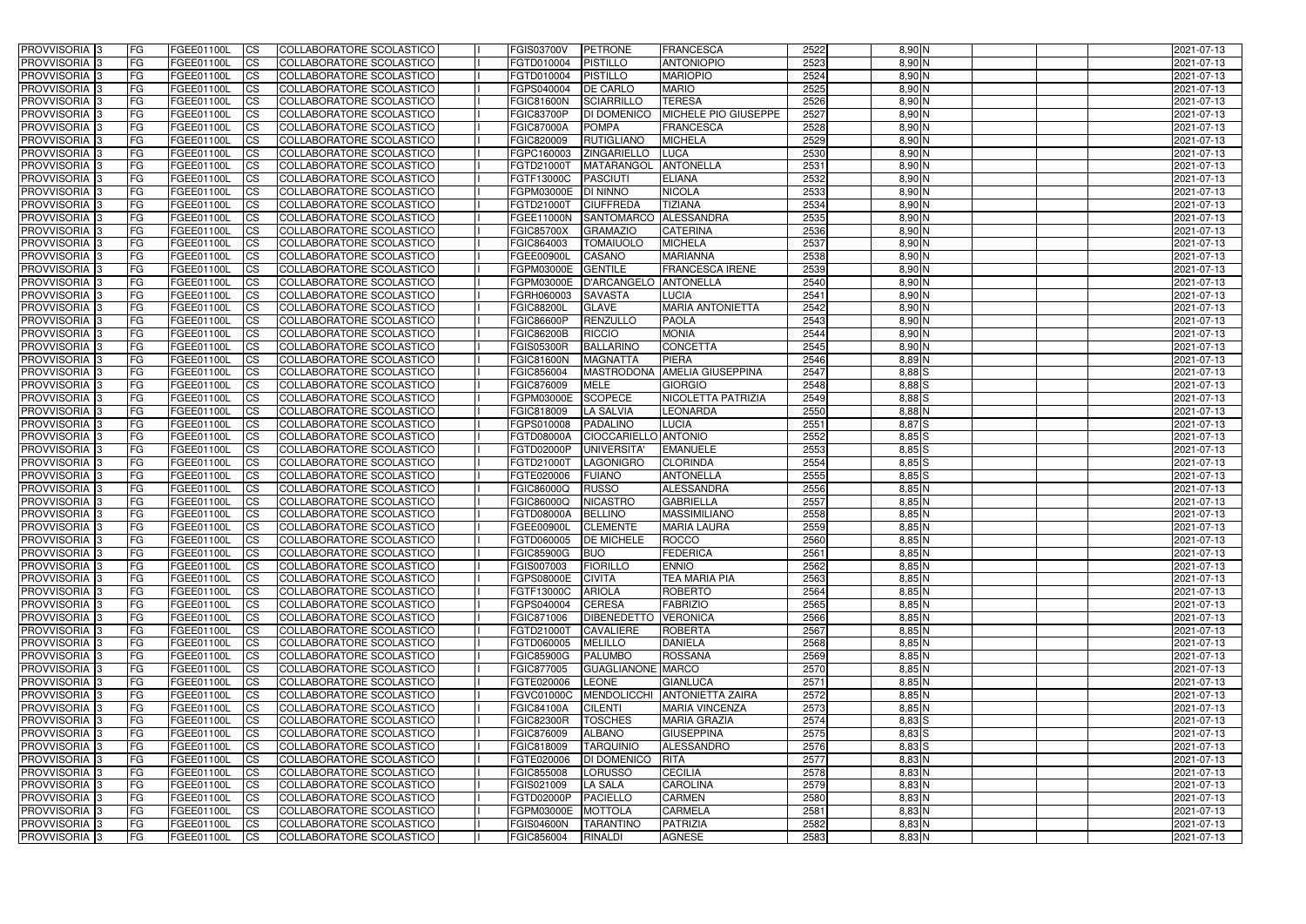| <b>PROVVISORIA</b> 3                       | l FG                   | FGEE01100L               | <b>ICS</b>             | COLLABORATORE SCOLASTICO                             | <b>FGIS03700V</b>               | <b>PETRONE</b>                         | <b>FRANCESCA</b>                | 2522         | $8,90$ N             | 2021-07-13               |
|--------------------------------------------|------------------------|--------------------------|------------------------|------------------------------------------------------|---------------------------------|----------------------------------------|---------------------------------|--------------|----------------------|--------------------------|
| <b>PROVVISORIA 3</b>                       | FG                     | FGEE01100L               | <b>ICS</b>             | COLLABORATORE SCOLASTICO                             | FGTD010004                      | <b>PISTILLO</b>                        | <b>ANTONIOPIO</b>               | 2523         | 8,90 N               | 2021-07-13               |
| PROVVISORIA                                | FG                     | FGEE01100L               | <b>CS</b>              | <b>COLLABORATORE SCOLASTICO</b>                      | FGTD010004                      | <b>PISTILLO</b>                        | <b>MARIOPIO</b>                 | 2524         | 8,90 N               | 2021-07-13               |
| PROVVISORIA                                | FG                     | FGEE01100L               | <b>CS</b>              | COLLABORATORE SCOLASTICO                             | FGPS040004                      | <b>DE CARLO</b>                        | <b>MARIO</b>                    | 2525         | 8,90 N               | 2021-07-13               |
| PROVVISORIA <sup>1</sup> 3                 | FG                     | FGEE01100L               | <b>CS</b>              | COLLABORATORE SCOLASTICO                             | <b>FGIC81600N</b>               | <b>SCIARRILLO</b>                      | <b>TERESA</b>                   | 2526         | 8,90 N               | 2021-07-13               |
| PROVVISORIA <sup>1</sup> 3                 | FG                     | FGEE01100L               | <b>CS</b>              | COLLABORATORE SCOLASTICO                             | <b>FGIC83700P</b>               | <b>DI DOMENICO</b>                     | MICHELE PIO GIUSEPPE            | 2527         | 8,90 N               | 2021-07-13               |
| PROVVISORIA <sup>1</sup> 3                 | FG                     | FGEE01100L               | <b>CS</b>              | COLLABORATORE SCOLASTICO                             | <b>FGIC87000A</b>               | <b>POMPA</b>                           | <b>FRANCESCA</b>                | 2528         | 8,90 N               | 2021-07-13               |
| PROVVISORIA 3                              | FG                     | FGEE01100L               | <b>ICS</b>             | COLLABORATORE SCOLASTICO                             | FGIC820009                      | <b>RUTIGLIANO</b>                      | <b>MICHELA</b>                  | 2529         | 8,90 N               | 2021-07-13               |
| PROVVISORIA 3                              | FG                     | FGEE01100L               | <b>CS</b>              | COLLABORATORE SCOLASTICO                             | FGPC160003                      | <b>ZINGARIELLO</b>                     | <b>LUCA</b>                     | 2530         | 8,90 N               | 2021-07-13               |
| PROVVISORIA 3                              | <b>FG</b>              | FGEE01100L               | <b>ICS</b>             | COLLABORATORE SCOLASTICO                             | FGTD21000T                      | MATARANGOL                             | <b>ANTONELLA</b>                | 2531         | $8,90$ N             | 2021-07-13               |
| PROVVISORIA 3                              | FG                     | FGEE01100L               | <b>ICS</b>             | COLLABORATORE SCOLASTICO                             | FGTF13000C                      | <b>PASCIUTI</b>                        | <b>ELIANA</b>                   | 2532         | 8,90 N               | 2021-07-13               |
| <b>PROVVISORIA</b>                         | FG                     | FGEE01100L               | <b>CS</b>              | COLLABORATORE SCOLASTICO                             | FGPM03000E                      | <b>DI NINNO</b>                        | <b>NICOLA</b>                   | 2533         | 8,90 N               | 2021-07-13               |
| <b>PROVVISORIA</b>                         | FG                     | FGEE01100L               | <b>ICS</b>             | COLLABORATORE SCOLASTICO                             | FGTD21000T                      | <b>CIUFFREDA</b>                       | <b>TIZIANA</b>                  | 2534         | $8,90$ N             | 2021-07-13               |
| <b>PROVVISORIA</b>                         | FG                     | FGEE01100L               | <b>ICS</b>             | COLLABORATORE SCOLASTICO                             | FGEE11000N                      | SANTOMARCO ALESSANDRA                  |                                 | 2535         | 8,90 N               | 2021-07-13               |
| <b>PROVVISORIA</b>                         | FG                     | FGEE01100L               | <b>ICS</b>             | COLLABORATORE SCOLASTICO                             | <b>FGIC85700X</b>               | <b>GRAMAZIO</b>                        | <b>CATERINA</b>                 | 2536         | 8,90 N               | 2021-07-13               |
| <b>PROVVISORIA</b>                         | FG                     | FGEE01100L               | <b>ICS</b>             | COLLABORATORE SCOLASTICO                             | FGIC864003                      | <b>TOMAIUOLO</b>                       | <b>MICHELA</b>                  | 2537         | 8,90 N               | 2021-07-13               |
| <b>PROVVISORIA</b>                         | FG                     | FGEE01100L               | <b>ICS</b>             | COLLABORATORE SCOLASTICO                             | FGEE00900I                      | <b>CASANO</b>                          | <b>MARIANNA</b>                 | 2538         | 8,90 N               | 2021-07-13               |
| <b>PROVVISORIA</b>                         | FG                     | FGEE01100L               | <b>ICS</b>             | COLLABORATORE SCOLASTICO                             | FGPM03000E                      | <b>GENTILE</b>                         | <b>FRANCESCA IRENE</b>          | 2539         | 8,90 N               | 2021-07-13               |
| PROVVISORIA <sup>3</sup>                   | FG                     | FGEE01100L               | <b>ICS</b>             | COLLABORATORE SCOLASTICO                             | FGPM03000E                      | <b>D'ARCANGELO</b>                     | <b>ANTONELLA</b>                | 2540         | 8,90 N               | 2021-07-13               |
| PROVVISORIA <sup>3</sup>                   | FG                     | FGEE01100L               | <b>ICS</b>             | COLLABORATORE SCOLASTICO                             | FGRH060003                      | <b>SAVASTA</b>                         | LUCIA                           | 2541         | 8,90 N               | 2021-07-13               |
| PROVVISORIA <sup>1</sup> 3                 | FG                     | FGEE01100L               | <b>ICS</b>             | COLLABORATORE SCOLASTICO                             | <b>FGIC88200L</b>               | <b>GLAVE</b>                           | <b>MARIA ANTONIETTA</b>         | 2542         | $8,90$ N             | 2021-07-13               |
| PROVVISORIA 3                              | FG                     | FGEE01100L               | <b>ICS</b>             | COLLABORATORE SCOLASTICO                             | <b>FGIC86600P</b>               | RENZULLO                               | <b>PAOLA</b>                    | 2543         | $8,90$ N             | 2021-07-13               |
| PROVVISORIA 3<br>PROVVISORIA <sup>13</sup> | FG                     | FGEE01100L               | <b>ICS</b>             | <b>COLLABORATORE SCOLASTICO</b>                      | <b>FGIC86200B</b>               | <b>RICCIO</b>                          | <b>MONIA</b>                    | 2544         | $8,90$ N             | 2021-07-13               |
| PROVVISORIA <sup>3</sup>                   | FG<br>FG               | FGEE01100L<br>FGEE01100L | <b>CS</b><br><b>CS</b> | COLLABORATORE SCOLASTICO<br>COLLABORATORE SCOLASTICO | <b>FGIS05300R</b><br>FGIC81600N | <b>BALLARINC</b><br><b>MAGNATTA</b>    | <b>CONCETTA</b><br><b>PIERA</b> | 2545<br>2546 | 8,90 N<br>$8,89$ N   | 2021-07-13<br>2021-07-13 |
| PROVVISORIA 3                              | FG                     | FGEE01100L               | <b>ICS</b>             | COLLABORATORE SCOLASTICO                             | FGIC856004                      | <b>MASTRODONA</b>                      | <b>AMELIA GIUSEPPINA</b>        | 2547         | $8,88$ $S$           | 2021-07-13               |
| PROVVISORIA 3                              | FG                     | FGEE01100L               | <b>ICS</b>             | COLLABORATORE SCOLASTICO                             | FGIC876009                      | <b>MELE</b>                            | <b>GIORGIO</b>                  | 2548         | $8,88$ $S$           | 2021-07-13               |
| PROVVISORIA                                | FG                     | FGEE01100L               | <b>ICS</b>             | COLLABORATORE SCOLASTICO                             | FGPM03000E                      | <b>SCOPECE</b>                         | NICOLETTA PATRIZIA              | 2549         | $8,88$ $S$           | 2021-07-13               |
| PROVVISORIA                                | FG                     | FGEE01100L               | <b>CS</b>              | <b>COLLABORATORE SCOLASTICO</b>                      | FGIC818009                      | <b>LA SALVIA</b>                       | <b>LEONARDA</b>                 | 2550         | 8,88 N               | 2021-07-13               |
| PROVVISORIA                                | FG                     | FGEE01100L               | <b>CS</b>              | COLLABORATORE SCOLASTICO                             | FGPS010008                      | <b>PADALINO</b>                        | <b>LUCIA</b>                    | 2551         | 8,87 S               | 2021-07-13               |
| PROVVISORIA                                | FG                     | FGEE01100L               | <b>CS</b>              | COLLABORATORE SCOLASTICO                             | FGTD08000A                      | CIOCCARIELLO ANTONIO                   |                                 | 2552         | $8,85$ S             | 2021-07-13               |
| PROVVISORIA <sup>1</sup> 3                 | FG                     | FGEE01100L               | <b>CS</b>              | COLLABORATORE SCOLASTICO                             | FGTD02000P                      | <b>UNIVERSITA</b>                      | <b>EMANUELE</b>                 | 2553         | $8,85$ S             | 2021-07-13               |
| PROVVISORIA <sup>1</sup> 3                 | FG                     | FGEE01100L               | <b>CS</b>              | COLLABORATORE SCOLASTICO                             | FGTD21000T                      | <b>LAGONIGRO</b>                       | <b>CLORINDA</b>                 | 2554         | $8,85$ S             | 2021-07-13               |
| PROVVISORIA 3                              | FG                     | FGEE01100L               | <b>CS</b>              | COLLABORATORE SCOLASTICO                             | FGTE020006                      | <b>FUIANO</b>                          | <b>ANTONELLA</b>                | 2555         | $8,85$ S             | 2021-07-13               |
| <b>PROVVISORIA</b>                         | FG                     | FGEE01100L               | <b>ICS</b>             | COLLABORATORE SCOLASTICO                             | FGIC86000Q                      | <b>RUSSO</b>                           | ALESSANDRA                      | 2556         | $8,85$ N             | 2021-07-13               |
| PROVVISORIA <sup>1</sup> 3                 | FG                     | FGEE01100L               | <b>CS</b>              | COLLABORATORE SCOLASTICO                             | FGIC86000Q                      | <b>NICASTRO</b>                        | <b>GABRIELLA</b>                | 2557         | $8,85$ N             | 2021-07-13               |
| PROVVISORIA 3                              | FG                     | FGEE01100L               | <b>ICS</b>             | COLLABORATORE SCOLASTICO                             | FGTD08000A                      | <b>BELLINO</b>                         | <b>MASSIMILIANO</b>             | 2558         | 8,85 N               | 2021-07-13               |
| <b>PROVVISORIA</b>                         | <b>FG</b>              | FGEE01100L               | <b>ICS</b>             | COLLABORATORE SCOLASTICO                             | FGEE00900L                      | <b>CLEMENTE</b>                        | <b>MARIA LAURA</b>              | 2559         | $8,85$ N             | 2021-07-13               |
| PROVVISORIA 3                              | FG                     | FGEE01100L               | CS                     | COLLABORATORE SCOLASTICO                             | FGTD060005  DE MICHELE          |                                        | ROCCO                           | 2560         | $8,85$ N             | 2021-07-13               |
| PROVVISORIA 3                              | <b>FG</b>              | FGEE01100L               | $\mathsf{ICS}$         | COLLABORATORE SCOLASTICO                             | <b>FGIC85900G</b>               | <b>BUO</b>                             | FEDERICA                        | 2561         | $8,85$ N             | 2021-07-13               |
| PROVVISORIA 3                              | <b>FG</b>              | <b>FGEE01100L</b>        | $\mathsf{ICS}$         | COLLABORATORE SCOLASTICO                             | FGIS007003                      | <b>FIORILLO</b>                        | <b>ENNIO</b>                    | 2562         | 8,85 N               | 2021-07-13               |
| PROVVISORIA 3                              | <b>FG</b>              | FGEE01100L               | $\mathsf{ICS}$         | COLLABORATORE SCOLASTICO                             | <b>FGPS08000E</b>               | <b>CIVITA</b>                          | <b>TEA MARIA PIA</b>            | 2563         | $8,85$ N             | 2021-07-13               |
| PROVVISORIA 3                              | FG                     | FGEE01100L               | $\mathsf{ICS}$         | COLLABORATORE SCOLASTICO                             | <b>FGTF13000C</b>               | <b>ARIOLA</b>                          | <b>ROBERTO</b>                  | 2564         | $8,85$ N             | 2021-07-13               |
| PROVVISORIA 3                              | l FG                   | FGEE01100L               | CS                     | COLLABORATORE SCOLASTICO                             | FGPS040004                      | <b>CERESA</b>                          | <b>FABRIZIO</b>                 | 2565         | $8,85$ N             | 2021-07-13               |
| PROVVISORIA 3                              | <b>FG</b>              | FGEE01100L               | $\mathsf{ICS}$         | COLLABORATORE SCOLASTICO                             | FGIC871006                      | <b>DIBENEDETTO VERONICA</b>            |                                 | 2566         | $8,85$ N             | 2021-07-13               |
| PROVVISORIA 3                              | FG                     | FGEE01100L               | <b>CS</b>              | COLLABORATORE SCOLASTICO                             | FGTD21000T                      | <b>CAVALIERE</b>                       | <b>ROBERTA</b>                  | 2567         | $8,85$ N             | 2021-07-13               |
| PROVVISORIA 3                              | <b>FG</b>              | FGEE01100L               | <b>CS</b>              | COLLABORATORE SCOLASTICO                             | FGTD060005                      | <b>MELILLO</b>                         | <b>DANIELA</b>                  | 2568         | $8,85$ N             | 2021-07-13               |
| PROVVISORIA 3                              | <b>FG</b>              | FGEE01100L               | <b>CS</b>              | COLLABORATORE SCOLASTICO                             | <b>FGIC85900G</b>               | PALUMBO                                | <b>ROSSANA</b>                  | 2569         | $8,85$ N             | 2021-07-13               |
| PROVVISORIA 3                              | <b>FG</b>              | FGEE01100L               | <b>CS</b>              | COLLABORATORE SCOLASTICO                             | FGIC877005                      | <b>GUAGLIANONE MARCO</b>               |                                 | 2570         | $8,85$ N             | 2021-07-13               |
| PROVVISORIA 3                              | <b>FG</b>              | FGEE01100L               | <b>CS</b>              | COLLABORATORE SCOLASTICO                             | FGTE020006                      | LEONE                                  | <b>GIANLUCA</b>                 | 2571         | $8,85$ N             | 2021-07-13               |
| PROVVISORIA 3                              | <b>FG</b>              | FGEE01100L               | <b>CS</b>              | COLLABORATORE SCOLASTICO                             | <b>FGVC01000C</b>               |                                        | MENDOLICCHI ANTONIETTA ZAIRA    | 2572         | $8,85$ N             | 2021-07-13               |
| PROVVISORIA 3                              | <b>FG</b>              | FGEE01100L               | <b>CS</b>              | COLLABORATORE SCOLASTICO                             | <b>FGIC84100A</b>               | <b>CILENTI</b>                         | <b>MARIA VINCENZA</b>           | 2573         | $8,85$ N             | 2021-07-13               |
| PROVVISORIA 3                              | <b>FG</b>              | FGEE01100L               | <b>CS</b>              | COLLABORATORE SCOLASTICO                             | <b>FGIC82300R</b>               | <b>TOSCHES</b>                         | <b>MARIA GRAZIA</b>             | 2574         | $8,83$ S             | 2021-07-13               |
| PROVVISORIA 3                              | <b>FG</b>              | FGEE01100L               | <b>CS</b>              | COLLABORATORE SCOLASTICO                             | FGIC876009                      | <b>ALBANO</b>                          | <b>GIUSEPPINA</b>               | 2575         | $8,83$ S             | 2021-07-13               |
| PROVVISORIA 3<br>PROVVISORIA 3             | <b>FG</b><br><b>FG</b> | FGEE01100L               | <b>CS</b>              | COLLABORATORE SCOLASTICO<br>COLLABORATORE SCOLASTICO | FGIC818009<br>FGTE020006        | <b>TARQUINIO</b><br><b>DI DOMENICO</b> | ALESSANDRO<br><b>RITA</b>       | 2576<br>2577 | $8,83$ S<br>$8,83$ N | 2021-07-13               |
| PROVVISORIA 3                              | <b>FG</b>              | FGEE01100L<br>FGEE01100L | <b>CS</b><br><b>CS</b> | COLLABORATORE SCOLASTICO                             | FGIC855008                      | LORUSSO                                | <b>CECILIA</b>                  | 2578         | $8,83$ N             | 2021-07-13<br>2021-07-13 |
| PROVVISORIA 3                              | FG                     | FGEE01100L               | <b>CS</b>              | COLLABORATORE SCOLASTICO                             | FGIS021009                      | LA SALA                                | <b>CAROLINA</b>                 | 2579         | $8,83$ N             | 2021-07-13               |
| PROVVISORIA 3                              | FG                     | <b>FGEE01100L</b>        | <b>CS</b>              | COLLABORATORE SCOLASTICO                             | FGTD02000P                      | <b>PACIELLO</b>                        | <b>CARMEN</b>                   | 2580         | $8,83$ N             | 2021-07-13               |
| PROVVISORIA 3                              | <b>FG</b>              | FGEE01100L               | $\overline{\text{CS}}$ | COLLABORATORE SCOLASTICO                             | FGPM03000E                      | <b>MOTTOLA</b>                         | <b>CARMELA</b>                  | 2581         | $8,83$ N             | 2021-07-13               |
| PROVVISORIA 3                              | <b>FG</b>              | FGEE01100L               | $\overline{\text{CS}}$ | COLLABORATORE SCOLASTICO                             | <b>FGIS04600N</b>               | <b>TARANTINO</b>                       | <b>PATRIZIA</b>                 | 2582         | $8,83$ N             | 2021-07-13               |
| PROVVISORIA 3                              | <b>FG</b>              | FGEE01100L               | $\overline{\text{CS}}$ | COLLABORATORE SCOLASTICO                             | FGIC856004                      | RINALDI                                | <b>AGNESE</b>                   | 2583         | $8,83$ N             | 2021-07-13               |
|                                            |                        |                          |                        |                                                      |                                 |                                        |                                 |              |                      |                          |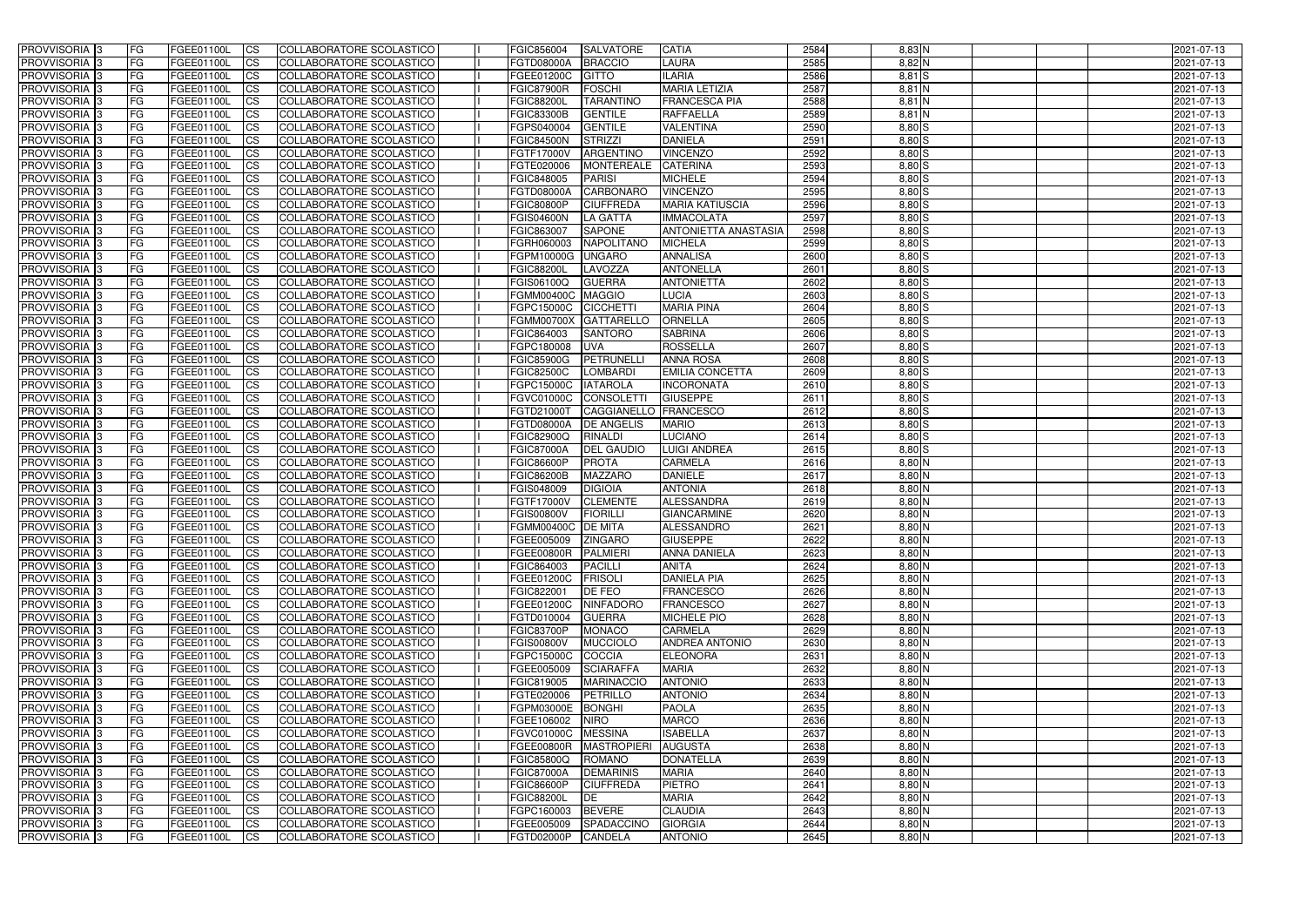| <b>PROVVISORIA</b> 3                                    | FG         | FGEE01100L                      | <b>ICS</b>             | COLLABORATORE SCOLASTICO                             | FGIC856004               | <b>SALVATORE</b>                | <b>CATIA</b>                         | 2584         | $8,83$ N               | 2021-07-13               |
|---------------------------------------------------------|------------|---------------------------------|------------------------|------------------------------------------------------|--------------------------|---------------------------------|--------------------------------------|--------------|------------------------|--------------------------|
| <b>PROVVISORIA 3</b>                                    | FG         | FGEE01100L                      | <b>CS</b>              | COLLABORATORE SCOLASTICO                             | <b>FGTD08000A</b>        | <b>BRACCIO</b>                  | LAURA                                | 2585         | $8,82$ N               | 2021-07-13               |
| PROVVISORIA <sup>3</sup>                                | FG         | FGEE01100L                      | <b>CS</b>              | COLLABORATORE SCOLASTICO                             | FGEE01200C               | <b>GITTO</b>                    | <b>ILARIA</b>                        | 2586         | $8,81$ $S$             | 2021-07-13               |
| PROVVISORIA <sup>3</sup>                                | FG         | FGEE01100L                      | <b>CS</b>              | COLLABORATORE SCOLASTICO                             | <b>FGIC87900R</b>        | FOSCHI                          | <b>MARIA LETIZIA</b>                 | 2587         | 8,81 N                 | 2021-07-13               |
| PROVVISORIA <sup>1</sup> 3                              | FG         | FGEE01100L                      | <b>CS</b>              | COLLABORATORE SCOLASTICO                             | <b>FGIC88200L</b>        | <b>TARANTINO</b>                | <b>FRANCESCA PIA</b>                 | 2588         | 8,81 N                 | 2021-07-13               |
| PROVVISORIA <sup>3</sup>                                | FG         | FGEE01100L                      | <b>CS</b>              | COLLABORATORE SCOLASTICO                             | <b>FGIC83300B</b>        | <b>GENTILE</b>                  | <b>RAFFAELLA</b>                     | 2589         | $8,81$ N               | 2021-07-13               |
| PROVVISORIA 3                                           | FG         | FGEE01100L                      | <b>CS</b>              | COLLABORATORE SCOLASTICO                             | FGPS040004               | <b>GENTILE</b>                  | <b>VALENTINA</b>                     | 2590         | $8,80$ S               | 2021-07-13               |
| PROVVISORIA 3                                           | FG         | <b>FGEE01100L</b>               | <b>CS</b>              | COLLABORATORE SCOLASTICO                             | <b>FGIC84500N</b>        | <b>STRIZZI</b>                  | <b>DANIELA</b>                       | 2591         | $8,80$ S               | 2021-07-13               |
| PROVVISORIA 3                                           | FG         | FGEE01100L                      | <b>CS</b>              | COLLABORATORE SCOLASTICO                             | FGTF17000V               | ARGENTINO                       | <b>VINCENZO</b>                      | 2592         | $8,80$ S               | 2021-07-13               |
| PROVVISORIA <sup>3</sup>                                | FG         | FGEE01100L                      | $\overline{c}$         | COLLABORATORE SCOLASTICO                             | FGTE020006               | <b>MONTEREALE</b>               | <b>CATERINA</b>                      | 2593         | $8,80$ S               | 2021-07-13               |
| PROVVISORIA <sup>3</sup>                                | FG         | FGEE01100L                      | <b>CS</b>              | COLLABORATORE SCOLASTICO                             | FGIC848005               | <b>PARISI</b>                   | <b>MICHELE</b>                       | 2594         | 8,80 S                 | 2021-07-13               |
| PROVVISORIA <sup>3</sup>                                | FG         | FGEE01100L                      | <b>CS</b>              | COLLABORATORE SCOLASTICO                             | <b>FGTD08000A</b>        | CARBONARO                       | <b>VINCENZO</b>                      | 2595         | 8,80 S                 | 2021-07-13               |
| PROVVISORIA <sup>3</sup>                                | FG         | <b>FGEE01100L</b>               | <b>I</b> CS            | COLLABORATORE SCOLASTICO                             | <b>FGIC80800P</b>        | <b>CIUFFREDA</b>                | <b>MARIA KATIUSCIA</b>               | 2596         | $8,80$ S               | 2021-07-13               |
| PROVVISORIA <sup>3</sup>                                | FG         | FGEE01100L                      | <b>I</b> CS            | COLLABORATORE SCOLASTICO                             | <b>FGIS04600N</b>        | LA GATTA                        | <b>IMMACOLATA</b>                    | 2597         | $8,80$ S               | 2021-07-13               |
| PROVVISORIA <sup>3</sup>                                | FG         | FGEE01100L                      | <b>I</b> CS            | COLLABORATORE SCOLASTICO                             | FGIC863007               | <b>SAPONE</b>                   | <b>ANTONIETTA ANASTASIA</b>          | 2598         | $8,80$ S               | 2021-07-13               |
| <b>PROVVISORIA</b> 3                                    | FG         | FGEE01100L                      | <b>I</b> CS            | <b>COLLABORATORE SCOLASTICO</b>                      | FGRH060003               | <b>NAPOLITANO</b>               | <b>MICHELA</b>                       | 2599         | 8,80 S                 | 2021-07-13               |
| <b>PROVVISORIA</b> 3                                    | FG         | FGEE01100L                      | <b>ICS</b>             | COLLABORATORE SCOLASTICO                             | FGPM10000G               | <b>UNGARO</b>                   | <b>ANNALISA</b>                      | 2600         | 8,80 S                 | 2021-07-13               |
| PROVVISORIA 3                                           | FG         | FGEE01100L                      | <b>CS</b>              | COLLABORATORE SCOLASTICO                             | <b>FGIC88200L</b>        | LAVOZZA                         | <b>ANTONELLA</b>                     | 2601         | 8,80 S                 | 2021-07-13               |
| PROVVISORIA <sup>3</sup>                                | FG         | FGEE01100L                      | <b>ICS</b>             | COLLABORATORE SCOLASTICO                             | FGIS06100Q               | <b>GUERRA</b>                   | <b>ANTONIETTA</b>                    | 2602         | $8,80$ S               | 2021-07-13               |
| PROVVISORIA <sup>3</sup>                                | FG         | FGEE01100L                      | <b>I</b> CS            | COLLABORATORE SCOLASTICO                             | <b>FGMM00400C</b>        | <b>MAGGIO</b>                   | <b>LUCIA</b>                         | 2603         | $8,80$ S               | 2021-07-13               |
| PROVVISORIA <sup>3</sup>                                | FG         | FGEE01100L                      | <b>ICS</b>             | COLLABORATORE SCOLASTICO                             | FGPC15000C               | <b>CICCHETTI</b>                | <b>MARIA PINA</b>                    | 2604         | $8,80$ S               | 2021-07-13               |
| PROVVISORIA <sup>3</sup>                                | FG         | FGEE01100L                      | <b>CS</b>              | COLLABORATORE SCOLASTICO                             | <b>FGMM00700X</b>        | <b>GATTARELLO</b>               | <b>ORNELLA</b>                       | 2605         | $8,80$ S               | 2021-07-13               |
| PROVVISORIA <sup>3</sup>                                | FG         | FGEE01100L                      | <b>CS</b>              | COLLABORATORE SCOLASTICO                             | FGIC864003               | <b>SANTORO</b>                  | <b>SABRINA</b>                       | 2606         | $8,80$ S               | 2021-07-13               |
| PROVVISORIA <sup>3</sup>                                | FG         | FGEE01100L                      | <b>CS</b>              | COLLABORATORE SCOLASTICO                             | FGPC180008               | <b>UVA</b>                      | <b>ROSSELLA</b>                      | 2607         | 8,80 S                 | 2021-07-13               |
| PROVVISORIA <sup>3</sup>                                | FG         | FGEE01100L                      | <b>CS</b>              | COLLABORATORE SCOLASTICO                             | <b>FGIC85900G</b>        | PETRUNELL                       | <b>ANNA ROSA</b>                     | 2608         | $8,80$ S               | 2021-07-13               |
| PROVVISORIA <sup>1</sup> 3                              | FG         | FGEE01100L                      | <b>CS</b>              | COLLABORATORE SCOLASTICO                             | <b>FGIC82500C</b>        | <b>LOMBARDI</b>                 | <b>EMILIA CONCETTA</b>               | 2609         | $8,80$ $S$             | 2021-07-13               |
| PROVVISORIA 3                                           | FG         | FGEE01100L                      | <b>CS</b>              | COLLABORATORE SCOLASTICO                             | FGPC15000C               | <b>IATAROLA</b>                 | <b>INCORONATA</b><br><b>GIUSEPPE</b> | 2610         | $8,80$ $S$             | 2021-07-13               |
| PROVVISORIA <sup>3</sup>                                | FG.        | FGEE01100L<br><b>FGEE01100L</b> | <b>CS</b>              | COLLABORATORE SCOLASTICO<br>COLLABORATORE SCOLASTICO | FGVC01000C               | CONSOLETT<br><b>CAGGIANELLO</b> | <b>FRANCESCO</b>                     | 2611<br>2612 | $8,80$ $S$<br>$8,80$ S | 2021-07-13               |
| PROVVISORIA <sup>13</sup><br>PROVVISORIA <sup>1</sup> 3 | FG<br>FG   | <b>FGEE01100L</b>               | <b>CS</b><br><b>CS</b> | COLLABORATORE SCOLASTICO                             | FGTD21000T<br>FGTD08000A | <b>DE ANGELIS</b>               | <b>MARIO</b>                         | 2613         | 8,80 S                 | 2021-07-13<br>2021-07-13 |
| PROVVISORIA <sup>3</sup>                                | FG.        | FGEE01100L                      | <b>CS</b>              | COLLABORATORE SCOLASTICO                             | <b>FGIC82900Q</b>        | <b>RINALDI</b>                  | <b>LUCIANO</b>                       | 2614         | $8,80$ S               | 2021-07-13               |
| <b>PROVVISORIA</b> 3                                    | FG         | <b>FGEE01100L</b>               | <b>CS</b>              | COLLABORATORE SCOLASTICO                             | <b>FGIC87000A</b>        | <b>DEL GAUDIO</b>               | <b>LUIGI ANDREA</b>                  | 2615         | $8,80$ $S$             | 2021-07-13               |
| PROVVISORIA <sup>3</sup>                                | FG         | <b>FGEE01100L</b>               | <b>CS</b>              | COLLABORATORE SCOLASTICO                             | <b>FGIC86600P</b>        | <b>PROTA</b>                    | <b>CARMELA</b>                       | 2616         | $8,80$ N               | 2021-07-13               |
| PROVVISORIA 3                                           | FG         | <b>FGEE01100L</b>               | <b>CS</b>              | COLLABORATORE SCOLASTICO                             | <b>FGIC86200B</b>        | <b>MAZZARO</b>                  | <b>DANIELE</b>                       | 2617         | $8,80$ N               | 2021-07-13               |
| PROVVISORIA <sup>3</sup>                                | FG         | <b>FGEE01100L</b>               | $\overline{\text{cs}}$ | COLLABORATORE SCOLASTICO                             | FGIS048009               | <b>DIGIOIA</b>                  | <b>ANTONIA</b>                       | 2618         | $8,80$ N               | 2021-07-13               |
| PROVVISORIA <sup>3</sup>                                | FG         | FGEE01100L                      | <b>CS</b>              | <b>COLLABORATORE SCOLASTICO</b>                      | FGTF17000V               | <b>CLEMENTE</b>                 | ALESSANDRA                           | 2619         | $8,80$ N               | 2021-07-13               |
| <b>PROVVISORIA</b> 3                                    | FG         | FGEE01100L                      | <b>CS</b>              | COLLABORATORE SCOLASTICO                             | <b>FGIS00800V</b>        | <b>FIORILLI</b>                 | <b>GIANCARMINE</b>                   | 2620         | $8,80$ N               | 2021-07-13               |
| PROVVISORIA 3                                           | FG         | FGEE01100L                      | <b>I</b> CS            | COLLABORATORE SCOLASTICO                             | FGMM00400C DE MITA       |                                 | ALESSANDRO                           | 2621         | $8,80$ N               | 2021-07-13               |
| <b>PROVVISORIA</b> 3                                    | IFG.       | FGEE01100L                      | CS                     | COLLABORATORE SCOLASTICO                             | FGEE005009 ZINGARO       |                                 | <b>GIUSEPPE</b>                      | 2622         | $8,80$ N               | 2021-07-13               |
| PROVVISORIA 3                                           | IFG.       | FGEE01100L                      | <b>ICS</b>             | COLLABORATORE SCOLASTICO                             | FGEE00800R               | PALMIERI                        | <b>ANNA DANIELA</b>                  | 2623         | $8,80$ N               | 2021-07-13               |
| PROVVISORIA 3                                           | FG         | FGEE01100L                      | <b>CS</b>              | COLLABORATORE SCOLASTICO                             | FGIC864003               | <b>PACILLI</b>                  | <b>ANITA</b>                         | 2624         | $8,80$ N               | 2021-07-13               |
| PROVVISORIA 3                                           | FG         | FGEE01100L                      | <b>CS</b>              | COLLABORATORE SCOLASTICO                             | FGEE01200C               | FRISOLI                         | <b>DANIELA PIA</b>                   | 2625         | $8,80$ N               | 2021-07-13               |
| PROVVISORIA 3                                           | FG         | FGEE01100L                      | <b>ICS</b>             | <b>COLLABORATORE SCOLASTICO</b>                      | FGIC822001               | <b>DE FEO</b>                   | <b>FRANCESCO</b>                     | 2626         | $8,80$ N               | 2021-07-13               |
| PROVVISORIA 3                                           | FG         | FGEE01100L                      | <b>CS</b>              | COLLABORATORE SCOLASTICO                             | FGEE01200C               | NINFADORO                       | <b>FRANCESCO</b>                     | 2627         | $8,80$ N               | 2021-07-13               |
| PROVVISORIA 3                                           | FG         | FGEE01100L                      | <b>CS</b>              | COLLABORATORE SCOLASTICO                             | FGTD010004               | <b>GUERRA</b>                   | <b>MICHELE PIO</b>                   | 2628         | $8,80$ N               | 2021-07-13               |
| PROVVISORIA 3                                           | <b>FG</b>  | FGEE01100L                      | <b>CS</b>              | COLLABORATORE SCOLASTICO                             | <b>FGIC83700P</b>        | <b>MONACO</b>                   | <b>CARMELA</b>                       | 2629         | $8,80$ N               | 2021-07-13               |
| PROVVISORIA 3                                           | FG         | FGEE01100L                      | <b>CS</b>              | COLLABORATORE SCOLASTICO                             | <b>FGIS00800V</b>        | MUCCIOLO                        | <b>ANDREA ANTONIO</b>                | 2630         | $8,80$ N               | 2021-07-13               |
| PROVVISORIA 3                                           | FG         | FGEE01100L                      | <b>CS</b>              | COLLABORATORE SCOLASTICO                             | FGPC15000C               | <b>COCCIA</b>                   | <b>ELEONORA</b>                      | 2631         | $8,80$ N               | 2021-07-13               |
| PROVVISORIA 3                                           | IFG.       | FGEE01100L                      | <b>CS</b>              | COLLABORATORE SCOLASTICO                             | FGEE005009               | <b>SCIARAFFA</b>                | <b>MARIA</b>                         | 2632         | $8,80$ N               | 2021-07-13               |
| PROVVISORIA 3                                           | FG         | FGEE01100L                      | <b>CS</b>              | COLLABORATORE SCOLASTICO                             | FGIC819005               | <b>MARINACCIO</b>               | <b>ANTONIO</b>                       | 2633         | $8,80$ N               | 2021-07-13               |
| PROVVISORIA 3                                           | FG         | FGEE01100L                      | <b>CS</b>              | COLLABORATORE SCOLASTICO                             | FGTE020006               | PETRILLO                        | <b>ANTONIO</b>                       | 2634         | $8,80$ N               | 2021-07-13               |
| <b>PROVVISORIA</b> 3                                    | IFG.       | FGEE01100L                      | <b>CS</b>              | COLLABORATORE SCOLASTICO                             | FGPM03000E               | BONGHI                          | <b>PAOLA</b>                         | 2635         | $8,80$ N               | 2021-07-13               |
| <b>PROVVISORIA</b> 3                                    | IFG.       | FGEE01100L                      | <b>CS</b>              | COLLABORATORE SCOLASTICO                             | FGEE106002               | <b>NIRO</b>                     | <b>MARCO</b>                         | 2636         | $8,80$ N               | 2021-07-13               |
| PROVVISORIA 3                                           | FG         | FGEE01100L                      | <b>CS</b>              | <b>COLLABORATORE SCOLASTICO</b>                      | <b>FGVC01000C</b>        | <b>MESSINA</b>                  | <b>ISABELLA</b>                      | 2637         | $8,80$ N               | 2021-07-13               |
| PROVVISORIA 3                                           | <b>IFG</b> | FGEE01100L                      | <b>CS</b>              | COLLABORATORE SCOLASTICO                             | FGEE00800R               | <b>MASTROPIERI</b>              | <b>AUGUSTA</b>                       | 2638         | $8,80$ N               | 2021-07-13               |
| PROVVISORIA 3                                           | IFG.       | <b>FGEE01100L</b>               | <b>CS</b>              | COLLABORATORE SCOLASTICO                             | <b>FGIC85800Q</b>        | <b>ROMANO</b>                   | <b>DONATELLA</b>                     | 2639         | $8,80$ N               | 2021-07-13               |
| PROVVISORIA 3                                           | FG         | FGEE01100L                      | <b>CS</b>              | COLLABORATORE SCOLASTICO                             | <b>FGIC87000A</b>        | <b>DEMARINIS</b>                | <b>MARIA</b>                         | 2640         | $8,80$ N               | 2021-07-13               |
| PROVVISORIA 3                                           | <b>FG</b>  | FGEE01100L                      | <b>CS</b>              | COLLABORATORE SCOLASTICO                             | <b>FGIC86600P</b>        | <b>CIUFFREDA</b>                | <b>PIETRO</b>                        | 2641         | $8,80$ N               | 2021-07-13               |
| PROVVISORIA 3                                           | FG         | <b>FGEE01100L</b>               | <b>CS</b>              | COLLABORATORE SCOLASTICO                             | <b>FGIC88200L</b>        | DE                              | <b>MARIA</b>                         | 2642         | $8,80$ N               | 2021-07-13               |
| <b>PROVVISORIA</b> 3                                    | FG         | FGEE01100L                      | <b>ICS</b>             | COLLABORATORE SCOLASTICO                             | FGPC160003               | <b>BEVERE</b>                   | <b>CLAUDIA</b>                       | 2643         | $8,80$ N               | 2021-07-13               |
| PROVVISORIA 3                                           | FG         | FGEE01100L                      | <b>CS</b>              | COLLABORATORE SCOLASTICO                             | FGEE005009               | SPADACCINO                      | <b>GIORGIA</b>                       | 2644         | 8,80 N                 | 2021-07-13               |
| PROVVISORIA 3                                           | FG         | FGEE01100L                      | <b>CS</b>              | COLLABORATORE SCOLASTICO                             | FGTD02000P               | <b>CANDELA</b>                  | <b>ANTONIO</b>                       | 2645         | $8,80$ N               | 2021-07-13               |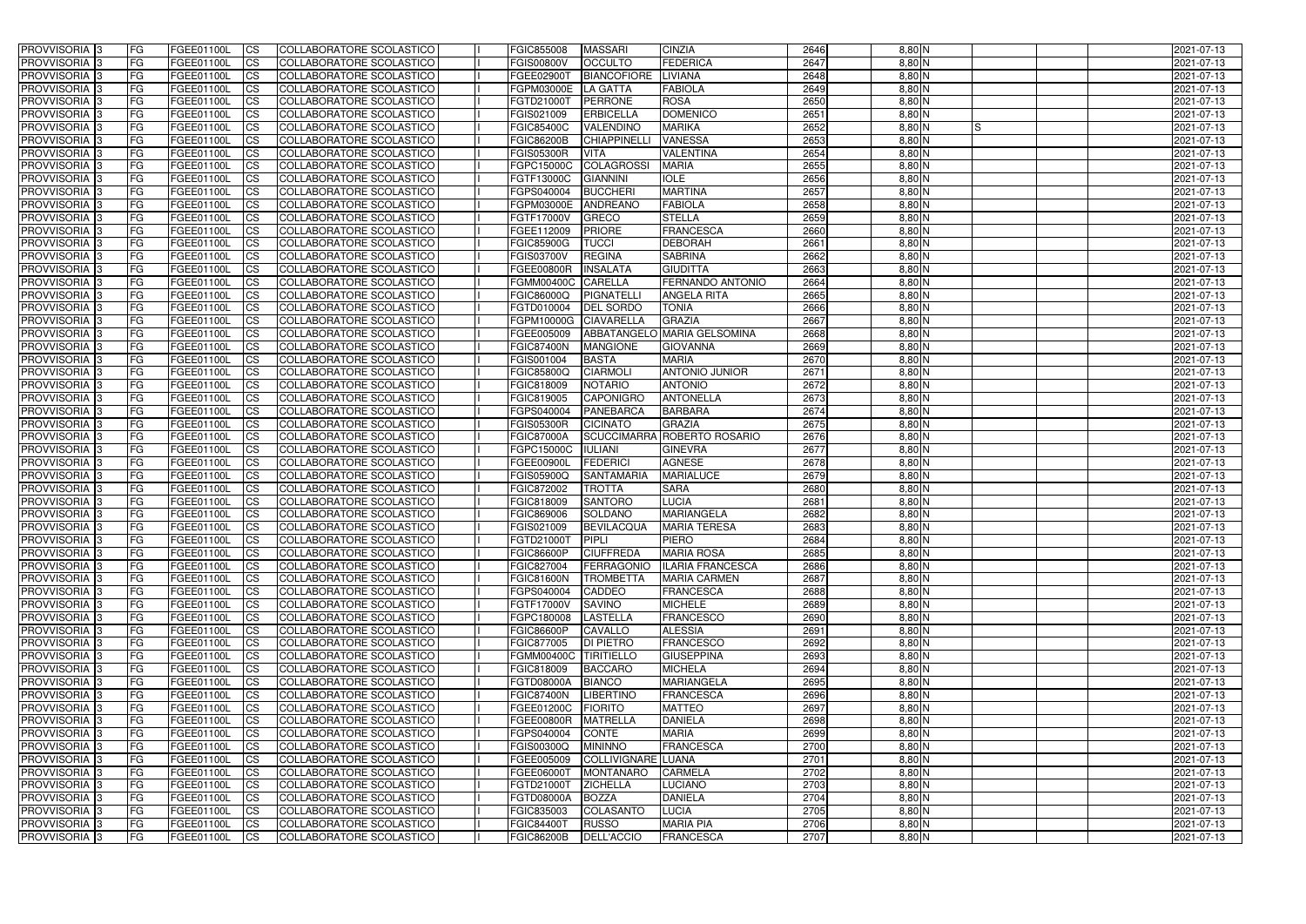| <b>PROVVISORIA</b> 3                                  | FG         | FGEE01100L                             | <b>ICS</b>                          | COLLABORATORE SCOLASTICO                             | <b>FGIC855008</b>               | <b>MASSARI</b>                    | <b>CINZIA</b>                   | 2646         | $8,80$ N             | 2021-07-13               |
|-------------------------------------------------------|------------|----------------------------------------|-------------------------------------|------------------------------------------------------|---------------------------------|-----------------------------------|---------------------------------|--------------|----------------------|--------------------------|
| <b>PROVVISORIA 3</b>                                  | FG         | FGEE01100L                             | <b>CS</b>                           | COLLABORATORE SCOLASTICO                             | <b>FGIS00800V</b>               | <b>OCCULTO</b>                    | <b>FEDERICA</b>                 | 2647         | $8,80$ N             | 2021-07-13               |
| PROVVISORIA <sup>3</sup>                              | FG         | FGEE01100L                             | <b>CS</b>                           | COLLABORATORE SCOLASTICO                             | FGEE02900T                      | <b>BIANCOFIORE</b>                | <b>LIVIANA</b>                  | 2648         | 8,80 N               | 2021-07-13               |
| PROVVISORIA <sup>3</sup>                              | FG         | FGEE01100L                             | <b>CS</b>                           | COLLABORATORE SCOLASTICO                             | FGPM03000E                      | <b>LA GATTA</b>                   | <b>FABIOLA</b>                  | 2649         | 8,80 N               | 2021-07-13               |
| PROVVISORIA <sup>1</sup> 3                            | FG         | FGEE01100L                             | <b>CS</b>                           | COLLABORATORE SCOLASTICO                             | <b>FGTD21000T</b>               | <b>PERRONE</b>                    | <b>ROSA</b>                     | 2650         | 8,80 N               | 2021-07-13               |
| PROVVISORIA <sup>3</sup>                              | FG         | FGEE01100L                             | <b>CS</b>                           | COLLABORATORE SCOLASTICO                             | FGIS021009                      | <b>ERBICELLA</b>                  | <b>DOMENICO</b>                 | 2651         | $8,80$ N             | 2021-07-13               |
| PROVVISORIA <sup>3</sup>                              | FG         | FGEE01100L                             | <b>CS</b>                           | COLLABORATORE SCOLASTICO                             | <b>FGIC85400C</b>               | VALENDINO                         | <b>MARIKA</b>                   | 2652         | $8,80$ N<br>IS       | 2021-07-13               |
| PROVVISORIA 3                                         | FG         | <b>FGEE01100L</b>                      | <b>CS</b>                           | COLLABORATORE SCOLASTICO                             | <b>FGIC86200B</b>               | <b>CHIAPPINELLI</b>               | <b>VANESSA</b>                  | 2653         | $8,80$ N             | 2021-07-13               |
| PROVVISORIA 3                                         | FG         | FGEE01100L                             | <b>CS</b>                           | <b>COLLABORATORE SCOLASTICO</b>                      | <b>FGIS05300R</b>               | <b>VITA</b>                       | <b>VALENTINA</b>                | 2654         | $8,80$ N             | 2021-07-13               |
| PROVVISORIA <sup>3</sup>                              | FG         | FGEE01100L                             | $\overline{c}$                      | COLLABORATORE SCOLASTICO                             | FGPC15000C                      | <b>COLAGROSSI</b>                 | <b>MARIA</b>                    | 2655         | $8,80$ N             | 2021-07-13               |
| PROVVISORIA <sup>3</sup>                              | FG         | FGEE01100L                             | <b>CS</b>                           | COLLABORATORE SCOLASTICO                             | FGTF13000C                      | <b>GIANNINI</b>                   | <b>IOLE</b>                     | 2656         | $8,80$ N             | 2021-07-13               |
| PROVVISORIA <sup>3</sup>                              | FG         | <b>FGEE01100L</b>                      | <b>CS</b>                           | COLLABORATORE SCOLASTICO                             | FGPS040004                      | <b>BUCCHERI</b>                   | <b>MARTINA</b>                  | 2657         | $8,80$ N             | 2021-07-13               |
| <b>PROVVISORIA</b> 3                                  | FG.        | <b>FGEE01100L</b>                      | <b>I</b> CS                         | COLLABORATORE SCOLASTICO                             | <b>FGPM03000E</b>               | ANDREANO                          | <b>FABIOLA</b>                  | 2658         | $8,80$ N             | 2021-07-13               |
| PROVVISORIA <sup>3</sup>                              | FG         | FGEE01100L                             | <b>I</b> CS                         | COLLABORATORE SCOLASTICO                             | FGTF17000V                      | <b>GRECO</b>                      | <b>STELLA</b>                   | 2659         | 8,80 N               | 2021-07-13               |
| PROVVISORIA <sup>3</sup>                              | FG         | FGEE01100L                             | <b>I</b> CS                         | COLLABORATORE SCOLASTICO                             | FGEE112009                      | <b>PRIORE</b>                     | <b>FRANCESCA</b>                | 2660         | 8,80 N               | 2021-07-13               |
| <b>PROVVISORIA</b> 3                                  | FG         | FGEE01100L                             | <b>I</b> CS                         | <b>COLLABORATORE SCOLASTICO</b>                      | <b>FGIC85900G</b>               | <b>TUCCI</b>                      | <b>DEBORAH</b>                  | 2661         | 8,80 N               | 2021-07-13               |
| <b>PROVVISORIA</b> 3                                  | FG         | FGEE01100L                             | <b>ICS</b>                          | COLLABORATORE SCOLASTICO                             | <b>FGIS03700V</b>               | <b>REGINA</b>                     | <b>SABRINA</b>                  | 2662         | 8,80 N               | 2021-07-13               |
| PROVVISORIA 3                                         | FG         | FGEE01100L                             | <b>CS</b>                           | COLLABORATORE SCOLASTICO                             | <b>FGEE00800R</b>               | <b>INSALATA</b>                   | <b>GIUDITTA</b>                 | 2663         | 8,80 N               | 2021-07-13               |
| PROVVISORIA <sup>3</sup>                              | FG.        | FGEE01100L                             | <b>ICS</b>                          | COLLABORATORE SCOLASTICO                             | <b>FGMM00400C</b>               | <b>CARELLA</b>                    | FERNANDO ANTONIO                | 2664         | $8,80$ N             | 2021-07-13               |
| PROVVISORIA <sup>3</sup>                              | FG.        | <b>FGEE01100L</b>                      | <b>I</b> CS                         | COLLABORATORE SCOLASTICO                             | FGIC86000Q                      | <b>PIGNATELL</b>                  | <b>ANGELA RITA</b>              | 2665         | 8,80 N               | 2021-07-13               |
| PROVVISORIA <sup>3</sup>                              | FG         | FGEE01100L                             | <b>I</b> CS                         | COLLABORATORE SCOLASTICO                             | FGTD010004                      | <b>DEL SORDO</b>                  | <b>TONIA</b>                    | 2666         | $8,80$ N             | 2021-07-13               |
| PROVVISORIA <sup>3</sup>                              | FG         | FGEE01100L                             | <b>CS</b>                           | COLLABORATORE SCOLASTICO                             | FGPM10000G                      | <b>CIAVARELLA</b>                 | <b>GRAZIA</b>                   | 2667         | $8,80$ N             | 2021-07-13               |
| PROVVISORIA 3                                         | FG         | FGEE01100L                             | <b>CS</b>                           | COLLABORATORE SCOLASTICO                             | FGEE005009                      |                                   | ABBATANGELO MARIA GELSOMINA     | 2668         | $8,80$ N             | 2021-07-13               |
| <b>PROVVISORIA</b> 3                                  | FG         | FGEE01100L                             | <b>CS</b>                           | COLLABORATORE SCOLASTICO                             | <b>FGIC87400N</b>               | <b>MANGIONE</b>                   | <b>GIOVANNA</b>                 | 2669         | $8,80$ N             | 2021-07-13               |
| PROVVISORIA <sup>3</sup>                              | FG         | FGEE01100L                             | <b>CS</b>                           | COLLABORATORE SCOLASTICO                             | FGIS001004                      | <b>BASTA</b>                      | <b>MARIA</b>                    | 2670         | $8,80$ N             | 2021-07-13               |
| PROVVISORIA <sup>1</sup> 3                            | FG         | FGEE01100L                             | <b>CS</b>                           | COLLABORATORE SCOLASTICO                             | <b>FGIC85800Q</b>               | <b>CIARMOLI</b>                   | <b>ANTONIO JUNIOR</b>           | 2671         | $8,80$ N             | 2021-07-13               |
| PROVVISORIA <sup>1</sup> 3                            | FG         | <b>FGEE01100L</b>                      | <b>CS</b>                           | COLLABORATORE SCOLASTICO                             | FGIC818009                      | <b>NOTARIO</b>                    | <b>ANTONIO</b>                  | 2672         | 8,80 N               | 2021-07-13               |
| PROVVISORIA <sup>3</sup>                              | FG         | FGEE01100L                             | <b>CS</b>                           | COLLABORATORE SCOLASTICO                             | FGIC819005                      | <b>CAPONIGRO</b>                  | <b>ANTONELLA</b>                | 2673         | 8,80 N               | 2021-07-13               |
| PROVVISORIA <sup>13</sup>                             | FG         | <b>FGEE01100L</b>                      | <b>CS</b>                           | COLLABORATORE SCOLASTICO                             | FGPS040004                      | <b>PANEBARCA</b>                  | <b>BARBARA</b>                  | 2674         | 8,80 N               | 2021-07-13               |
| PROVVISORIA <sup>1</sup> 3                            | FG.        | FGEE01100L                             | <b>CS</b>                           | COLLABORATORE SCOLASTICO                             | <b>FGIS05300R</b>               | <b>CICINATO</b>                   | <b>GRAZIA</b>                   | 2675         | 8,80 N               | 2021-07-13               |
| PROVVISORIA <sup>3</sup>                              | FG.        | FGEE01100L                             | <b>CS</b>                           | COLLABORATORE SCOLASTICO                             | <b>FGIC87000A</b>               | <b>SCUCCIMARRA</b>                | <b>ROBERTO ROSARIO</b>          | 2676         | 8,80 N               | 2021-07-13               |
| PROVVISORIA <sup>13</sup><br>PROVVISORIA <sup>3</sup> | FG<br>FG   | <b>FGEE01100L</b><br><b>FGEE01100L</b> | $\overline{\text{cs}}$<br><b>CS</b> | COLLABORATORE SCOLASTICO<br>COLLABORATORE SCOLASTICO | FGPC15000C<br><b>FGEE00900L</b> | <b>IULIANI</b><br><b>FEDERICI</b> | <b>GINEVRA</b><br><b>AGNESE</b> | 2677<br>2678 | $8,80$ N<br>$8,80$ N | 2021-07-13<br>2021-07-13 |
| PROVVISORIA <sup>3</sup>                              | FG         | <b>FGEE01100L</b>                      | <b>CS</b>                           | COLLABORATORE SCOLASTICO                             | <b>FGIS05900Q</b>               | <b>SANTAMARIA</b>                 | <b>MARIALUCE</b>                | 2679         | $8,80$ N             | 2021-07-13               |
| PROVVISORIA <sup>3</sup>                              | FG         | FGEE01100L                             | $\overline{\text{cs}}$              | COLLABORATORE SCOLASTICO                             | FGIC872002                      | <b>TROTTA</b>                     | <b>SARA</b>                     | 2680         | $8,80$ N             | 2021-07-13               |
| PROVVISORIA <sup>3</sup>                              | FG         | <b>FGEE01100L</b>                      | <b>CS</b>                           | <b>COLLABORATORE SCOLASTICO</b>                      | FGIC818009                      | <b>SANTORO</b>                    | <b>LUCIA</b>                    | 2681         | $8,80$ N             | 2021-07-13               |
| <b>PROVVISORIA</b> 3                                  | FG         | FGEE01100L                             | <b>CS</b>                           | COLLABORATORE SCOLASTICO                             | FGIC869006                      | SOLDANO                           | <b>MARIANGELA</b>               | 2682         | $8,80$ N             | 2021-07-13               |
| PROVVISORIA 3                                         | FG         | FGEE01100L                             | <b>I</b> CS                         | COLLABORATORE SCOLASTICO                             | FGIS021009                      | <b>BEVILACQUA</b>                 | <b>MARIA TERESA</b>             | 2683         | $8,80$ N             | 2021-07-13               |
| <b>PROVVISORIA</b> 3                                  | IFG.       | FGEE01100L                             | CS                                  | COLLABORATORE SCOLASTICO                             | FGTD21000T PIPLI                |                                   | <b>PIERO</b>                    | 2684         | $8,80$ N             | 2021-07-13               |
| PROVVISORIA 3                                         | IFG.       | FGEE01100L                             | <b>ICS</b>                          | COLLABORATORE SCOLASTICO                             | FGIC86600P                      | <b>CIUFFREDA</b>                  | <b>MARIA ROSA</b>               | 2685         | $8,80$ N             | 2021-07-13               |
| PROVVISORIA 3                                         | FG         | FGEE01100L                             | <b>CS</b>                           | COLLABORATORE SCOLASTICO                             | FGIC827004                      | FERRAGONIO                        | ILARIA FRANCESCA                | 2686         | $8,80$ N             | 2021-07-13               |
| PROVVISORIA 3                                         | FG         | FGEE01100L                             | <b>CS</b>                           | COLLABORATORE SCOLASTICO                             | <b>FGIC81600N</b>               | <b>TROMBETTA</b>                  | <b>MARIA CARMEN</b>             | 2687         | $8,80$ N             | 2021-07-13               |
| PROVVISORIA <sup>3</sup>                              | FG         | FGEE01100L                             | <b>ICS</b>                          | <b>COLLABORATORE SCOLASTICO</b>                      | FGPS040004                      | CADDEO                            | <b>FRANCESCA</b>                | 2688         | $8,80$ N             | 2021-07-13               |
| PROVVISORIA 3                                         | FG         | FGEE01100L                             | <b>CS</b>                           | COLLABORATORE SCOLASTICO                             | FGTF17000V                      | <b>SAVINO</b>                     | <b>MICHELE</b>                  | 2689         | $8,80$ N             | 2021-07-13               |
| PROVVISORIA 3                                         | FG         | FGEE01100L                             | <b>CS</b>                           | COLLABORATORE SCOLASTICO                             | FGPC180008                      | <b>LASTELLA</b>                   | <b>FRANCESCO</b>                | 2690         | $8,80$ N             | 2021-07-13               |
| PROVVISORIA 3                                         | <b>FG</b>  | FGEE01100L                             | <b>CS</b>                           | COLLABORATORE SCOLASTICO                             | <b>FGIC86600P</b>               | CAVALLO                           | <b>ALESSIA</b>                  | 2691         | $8,80$ N             | 2021-07-13               |
| PROVVISORIA 3                                         | FG         | FGEE01100L                             | <b>CS</b>                           | COLLABORATORE SCOLASTICO                             | FGIC877005                      | <b>DI PIETRO</b>                  | <b>FRANCESCO</b>                | 2692         | $8,80$ N             | 2021-07-13               |
| PROVVISORIA 3                                         | FG         | FGEE01100L                             | <b>CS</b>                           | COLLABORATORE SCOLASTICO                             | FGMM00400C TIRITIELLO           |                                   | <b>GIUSEPPINA</b>               | 2693         | $8,80$ N             | 2021-07-13               |
| PROVVISORIA 3                                         | FG         | FGEE01100L                             | <b>CS</b>                           | COLLABORATORE SCOLASTICO                             | FGIC818009                      | <b>BACCARO</b>                    | <b>MICHELA</b>                  | 2694         | $8,80$ N             | 2021-07-13               |
| PROVVISORIA 3                                         | FG         | FGEE01100L                             | <b>CS</b>                           | COLLABORATORE SCOLASTICO                             | <b>FGTD08000A</b>               | <b>BIANCO</b>                     | <b>MARIANGELA</b>               | 2695         | $8,80$ N             | 2021-07-13               |
| PROVVISORIA 3                                         | FG         | FGEE01100L                             | <b>CS</b>                           | COLLABORATORE SCOLASTICO                             | <b>FGIC87400N</b>               | LIBERTINO                         | <b>FRANCESCA</b>                | 2696         | $8,80$ N             | 2021-07-13               |
| <b>PROVVISORIA</b> 3                                  | IFG.       | FGEE01100L                             | <b>CS</b>                           | COLLABORATORE SCOLASTICO                             | <b>FGEE01200C</b>               | <b>FIORITO</b>                    | <b>MATTEO</b>                   | 2697         | $8,80$ N             | 2021-07-13               |
| <b>PROVVISORIA</b> 3                                  | IFG.       | FGEE01100L                             | <b>CS</b>                           | COLLABORATORE SCOLASTICO                             | <b>FGEE00800R</b>               | <b>MATRELLA</b>                   | <b>DANIELA</b>                  | 2698         | $8,80$ N             | 2021-07-13               |
| PROVVISORIA <sup>3</sup>                              | <b>IFG</b> | <b>FGEE01100L</b>                      | <b>CS</b>                           | <b>COLLABORATORE SCOLASTICO</b>                      | FGPS040004                      | CONTE                             | <b>MARIA</b>                    | 2699         | $8,80$ N             | 2021-07-13               |
| PROVVISORIA 3                                         | <b>IFG</b> | FGEE01100L                             | <b>CS</b>                           | COLLABORATORE SCOLASTICO                             | FGIS00300Q                      | <b>MININNO</b>                    | FRANCESCA                       | 2700         | $8,80$ N             | 2021-07-13               |
| PROVVISORIA 3                                         | IFG.       | FGEE01100L                             | <b>CS</b>                           | COLLABORATORE SCOLASTICO                             | FGEE005009                      | COLLIVIGNARE LUANA                |                                 | 2701         | $8,80$ N             | 2021-07-13               |
| PROVVISORIA 3                                         | FG         | FGEE01100L                             | <b>CS</b>                           | COLLABORATORE SCOLASTICO                             | FGEE06000T                      | MONTANARO                         | <b>CARMELA</b>                  | 2702         | $8,80$ N             | 2021-07-13               |
| PROVVISORIA 3                                         | FG         | FGEE01100L                             | <b>CS</b>                           | COLLABORATORE SCOLASTICO                             | FGTD21000T                      | <b>ZICHELLA</b>                   | <b>LUCIANO</b>                  | 2703         | $8,80$ N             | 2021-07-13               |
| PROVVISORIA 3                                         | FG         | <b>FGEE01100L</b>                      | <b>CS</b>                           | COLLABORATORE SCOLASTICO                             | FGTD08000A                      | <b>BOZZA</b>                      | <b>DANIELA</b>                  | 2704         | $8,80$ N             | 2021-07-13               |
| <b>PROVVISORIA</b> 3                                  | FG         | FGEE01100L                             | <b>ICS</b>                          | COLLABORATORE SCOLASTICO                             | FGIC835003                      | COLASANTO                         | <b>LUCIA</b>                    | 2705         | $8,80$ N             | 2021-07-13               |
| PROVVISORIA 3                                         | FG         | FGEE01100L                             | $\overline{c}$                      | COLLABORATORE SCOLASTICO                             | <b>FGIC84400T</b>               | <b>RUSSO</b>                      | <b>MARIA PIA</b>                | 2706         | $8,80$ N             | 2021-07-13               |
| PROVVISORIA 3                                         | l FG       | FGEE01100L                             | <b>CS</b>                           | COLLABORATORE SCOLASTICO                             | <b>FGIC86200B</b>               | DELL'ACCIO                        | <b>FRANCESCA</b>                | 2707         | $8,80$ N             | 2021-07-13               |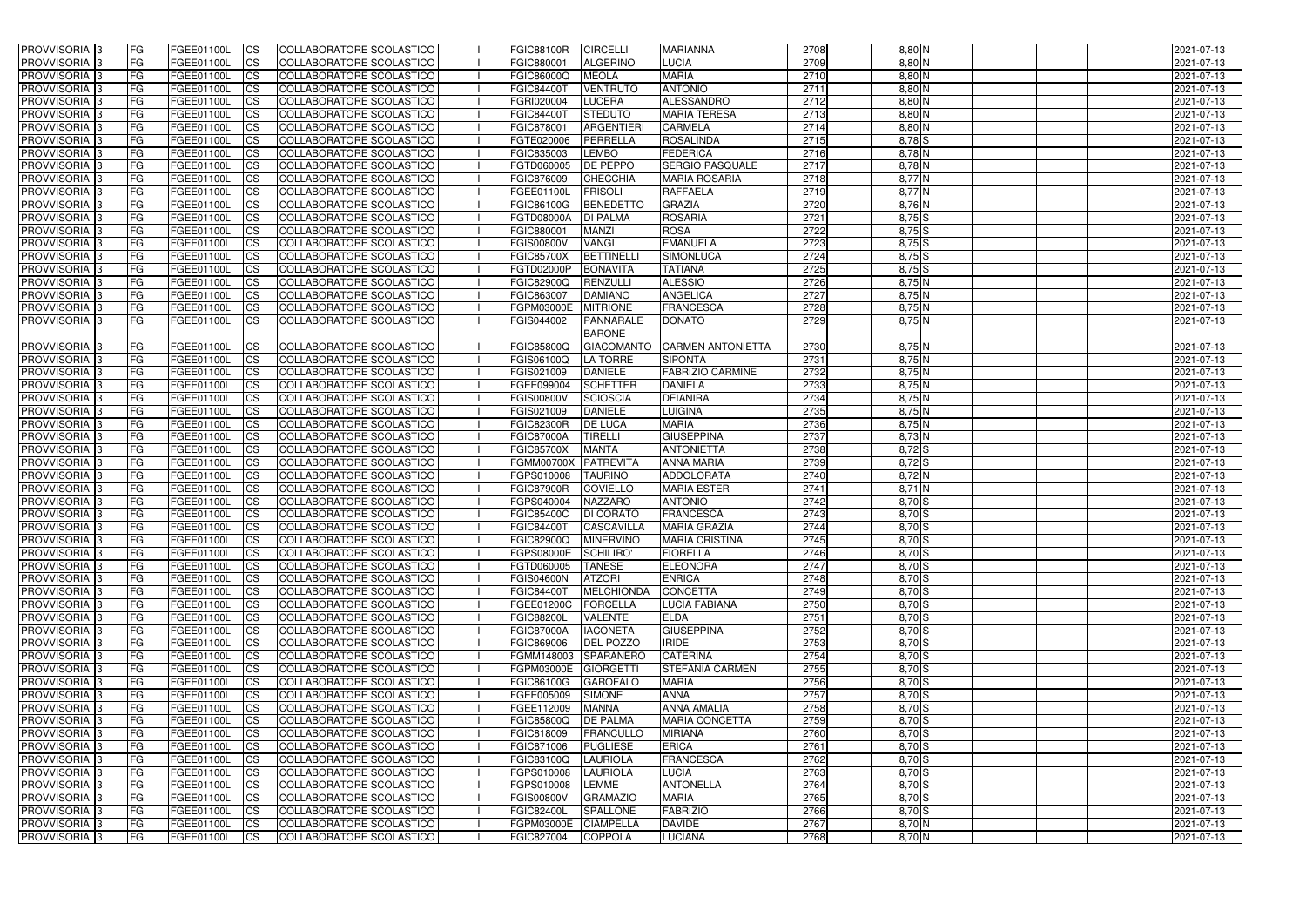| PROVVISORIA <sup>1</sup> 3     | <b>FG</b>              | FGEE01100L               | CS                     | COLLABORATORE SCOLASTICO                             | <b>FGIC88100R</b>               | <b>CIRCELLI</b>              | <b>MARIANNA</b>                     | 2708         | 8,80 N                    | 2021-07-13               |
|--------------------------------|------------------------|--------------------------|------------------------|------------------------------------------------------|---------------------------------|------------------------------|-------------------------------------|--------------|---------------------------|--------------------------|
| PROVVISORIA <sup>1</sup> 3     | FG                     | FGEE01100L               | <b>CS</b>              | <b>COLLABORATORE SCOLASTICO</b>                      | FGIC880001                      | <b>ALGERINO</b>              | LUCIA                               | 2709         | 8,80 N                    | 2021-07-13               |
| PROVVISORIA <sup>1</sup> 3     | FG                     | FGEE01100L               | <b>CS</b>              | COLLABORATORE SCOLASTICO                             | FGIC86000Q                      | <b>MEOLA</b>                 | <b>MARIA</b>                        | 2710         | $8,80$ N                  | 2021-07-13               |
| PROVVISORIA 3                  | FG                     | FGEE01100L               | <b>CS</b>              | COLLABORATORE SCOLASTICO                             | <b>FGIC84400T</b>               | <b>VENTRUTO</b>              | <b>ANTONIO</b>                      | 2711         | 8,80 N                    | 2021-07-13               |
| PROVVISORIA <sup>1</sup> 3     | FG                     | FGEE01100L               | <b>CS</b>              | COLLABORATORE SCOLASTICO                             | FGRI020004                      | <b>LUCERA</b>                | <b>ALESSANDRO</b>                   | 2712         | 8,80 N                    | 2021-07-13               |
| PROVVISORIA 3                  | <b>IFG</b>             | FGEE01100L               | <b>CS</b>              | COLLABORATORE SCOLASTICO                             | <b>FGIC84400T</b>               | <b>STEDUTO</b>               | <b>MARIA TERESA</b>                 | 2713         | $8,80$ N                  | 2021-07-13               |
| PROVVISORIA 3                  | <b>FG</b>              | FGEE01100L               | <b>CS</b>              | COLLABORATORE SCOLASTICO                             | FGIC878001                      | <b>ARGENTIERI</b>            | <b>CARMELA</b>                      | 2714         | 8,80 N                    | 2021-07-13               |
| PROVVISORIA 3                  | FG                     | FGEE01100L               | <b>CS</b>              | COLLABORATORE SCOLASTICO                             | FGTE020006                      | PERRELLA                     | <b>ROSALINDA</b>                    | 2715         | $8,78$ $S$                | 2021-07-13               |
| PROVVISORIA 3                  | FG                     | FGEE01100L               | <b>CS</b>              | COLLABORATORE SCOLASTICO                             | FGIC835003                      | <b>LEMBO</b>                 | <b>FEDERICA</b>                     | 2716         | $8,78$ N                  | 2021-07-13               |
| PROVVISORIA 3                  | <b>FG</b>              | FGEE01100L               | <b>CS</b>              | COLLABORATORE SCOLASTICO                             | FGTD060005                      | <b>DE PEPPO</b>              | <b>SERGIO PASQUALE</b>              | 2717         | 8,78 N                    | 2021-07-13               |
| PROVVISORIA <sup>3</sup>       | <b>FG</b>              | FGEE01100L               | <b>CS</b>              | COLLABORATORE SCOLASTICO                             | FGIC876009                      | <b>CHECCHIA</b>              | <b>MARIA ROSARIA</b>                | 2718         | $8,77$ N                  | 2021-07-13               |
| PROVVISORIA <sup>1</sup> 3     | FG                     | FGEE01100L               | <b>CS</b>              | COLLABORATORE SCOLASTICO                             | FGEE01100L                      | <b>FRISOLI</b>               | <b>RAFFAELA</b>                     | 2719         | 8,77 N                    | 2021-07-13               |
| PROVVISORIA <sup>1</sup> 3     | FG                     | FGEE01100L               | <b>CS</b>              | COLLABORATORE SCOLASTICO                             | FGIC86100G                      | <b>BENEDETTO</b>             | <b>GRAZIA</b>                       | 2720         | $8,76$ N                  | 2021-07-13               |
| <b>PROVVISORIA</b>             | FG                     | FGEE01100L               | <b>CS</b>              | COLLABORATORE SCOLASTICO                             | <b>FGTD08000A</b>               | <b>DI PALMA</b>              | <b>ROSARIA</b>                      | 2721         | $8,75$ S                  | 2021-07-13               |
| <b>PROVVISORIA</b>             | FG                     | FGEE01100L               | <b>CS</b>              | COLLABORATORE SCOLASTICO                             | FGIC880001                      | <b>MANZI</b>                 | <b>ROSA</b>                         | 2722         | $8,75$ S                  | 2021-07-13               |
| PROVVISORIA <sup>1</sup> 3     | FG                     | FGEE01100L               | <b>ICS</b>             | COLLABORATORE SCOLASTICO                             | <b>FGIS00800V</b>               | <b>VANGI</b>                 | <b>EMANUELA</b>                     | 2723         | $8,75$ S                  | 2021-07-13               |
| <b>PROVVISORIA</b>             | FG                     | FGEE01100L               | <b>CS</b>              | COLLABORATORE SCOLASTICO                             | <b>FGIC85700X</b>               | <b>BETTINELL</b>             | SIMONLUCA                           | 2724         | $8,75$ S                  | 2021-07-13               |
| PROVVISORIA 3                  | FG                     | FGEE01100L               | <b>ICS</b>             | COLLABORATORE SCOLASTICO                             | FGTD02000P                      | <b>BONAVITA</b>              | <b>TATIANA</b>                      | 2725         | $8,75$ S                  | 2021-07-13               |
| PROVVISORIA <sup>1</sup> 3     | FG                     | FGEE01100L               | <b>CS</b>              | COLLABORATORE SCOLASTICO                             | <b>FGIC82900Q</b>               | <b>RENZULLI</b>              | <b>ALESSIO</b>                      | 2726         | 8,75 N                    | 2021-07-13               |
| PROVVISORIA 3                  | FG                     | FGEE01100L               | <b>CS</b>              | COLLABORATORE SCOLASTICO                             | FGIC863007                      | <b>DAMIANO</b>               | <b>ANGELICA</b><br><b>FRANCESCA</b> | 2727         | 8,75 N                    | 2021-07-13               |
| PROVVISORIA 3<br>PROVVISORIA 3 | FG<br>FG               | FGEE01100L<br>FGEE01100L | <b>CS</b><br><b>CS</b> | COLLABORATORE SCOLASTICO                             | FGPM03000E                      | <b>MITRIONE</b><br>PANNARALE |                                     | 2728<br>2729 | $8,75$ N<br>$8,75$ N      | 2021-07-13               |
|                                |                        |                          |                        | COLLABORATORE SCOLASTICO                             | FGIS044002                      | <b>BARONE</b>                | DONATO                              |              |                           | 2021-07-13               |
| PROVVISORIA 3                  | <b>FG</b>              | FGEE01100L               | <b>CS</b>              | COLLABORATORE SCOLASTICO                             | <b>FGIC85800Q</b>               | <b>GIACOMANTO</b>            | <b>CARMEN ANTONIETTA</b>            | 2730         | $8,75$ N                  | 2021-07-13               |
| PROVVISORIA 3                  | FG                     | FGEE01100L               | <b>CS</b>              | COLLABORATORE SCOLASTICO                             | FGIS06100Q                      | <b>LA TORRE</b>              | <b>SIPONTA</b>                      | 2731         | 8,75N                     | 2021-07-13               |
| PROVVISORIA <sup>1</sup> 3     | FG                     | FGEE01100L               | <b>CS</b>              | COLLABORATORE SCOLASTICO                             | FGIS021009                      | <b>DANIELE</b>               | <b>FABRIZIO CARMINE</b>             | 2732         | $8,75$ N                  | 2021-07-13               |
| <b>PROVVISORIA</b>             | FG                     | FGEE01100L               | <b>CS</b>              | COLLABORATORE SCOLASTICO                             | FGEE099004                      | <b>SCHETTER</b>              | <b>DANIELA</b>                      | 2733         | 8,75N                     | 2021-07-13               |
| PROVVISORIA <sup>1</sup> 3     | FG                     | FGEE01100L               | <b>CS</b>              | COLLABORATORE SCOLASTICO                             | <b>FGIS00800V</b>               | <b>SCIOSCIA</b>              | <b>DEIANIRA</b>                     | 2734         | 8,75 N                    | 2021-07-13               |
| PROVVISORIA <sup>1</sup> 3     | FG                     | FGEE01100L               | <b>CS</b>              | COLLABORATORE SCOLASTICO                             | FGIS021009                      | <b>DANIELE</b>               | <b>LUIGINA</b>                      | 2735         | 8,75 N                    | 2021-07-13               |
| PROVVISORIA 3                  | FG                     | FGEE01100L               | <b>CS</b>              | COLLABORATORE SCOLASTICO                             | <b>FGIC82300R</b>               | <b>DE LUCA</b>               | <b>MARIA</b>                        | 2736         | 8,75 N                    | 2021-07-13               |
| <b>PROVVISORIA</b>             | FG                     | FGEE01100L               | <b>CS</b>              | COLLABORATORE SCOLASTICO                             | <b>FGIC87000A</b>               | <b>TIRELLI</b>               | <b>GIUSEPPINA</b>                   | 2737         | $8,73\overline{\text{N}}$ | 2021-07-13               |
| PROVVISORIA <sup>1</sup> 3     | <b>IFG</b>             | FGEE01100L               | <b>CS</b>              | COLLABORATORE SCOLASTICO                             | <b>FGIC85700X</b>               | <b>MANTA</b>                 | <b>ANTONIETTA</b>                   | 2738         | 8,72 S                    | 2021-07-13               |
| PROVVISORIA 3                  | FG                     | FGEE01100L               | <b>CS</b>              | <b>COLLABORATORE SCOLASTICO</b>                      | <b>FGMM00700X</b>               | PATREVITA                    | <b>ANNA MARIA</b>                   | 2739         | $8,72$ $S$                | 2021-07-13               |
| PROVVISORIA 3                  | FG                     | FGEE01100L               | $\overline{c}$         | COLLABORATORE SCOLASTICO                             | FGPS010008                      | <b>TAURINO</b>               | <b>ADDOLORATA</b>                   | 2740         | $8,72$ N                  | 2021-07-13               |
| PROVVISORIA 3                  | FG                     | FGEE01100L               | <b>CS</b>              | COLLABORATORE SCOLASTICO                             | <b>FGIC87900R</b>               | <b>COVIELLO</b>              | <b>MARIA ESTER</b>                  | 2741         | $8,71$ N                  | 2021-07-13               |
| <b>PROVVISORIA</b>             | <b>FG</b>              | FGEE01100L               | <b>CS</b>              | COLLABORATORE SCOLASTICO                             | FGPS040004                      | <b>NAZZARO</b>               | <b>ANTONIO</b>                      | 2742         | $8,70$ S                  | 2021-07-13               |
| PROVVISORIA <sup>1</sup> 3     | FG                     | FGEE01100L               | <b>CS</b>              | COLLABORATORE SCOLASTICO                             | <b>FGIC85400C</b>               | <b>DI CORATO</b>             | <b>FRANCESCA</b>                    | 2743         | $8,70$ S                  | 2021-07-13               |
| PROVVISORIA 3                  | <b>FG</b>              | FGEE01100L               | <b>ICS</b>             | COLLABORATORE SCOLASTICO                             | <b>FGIC84400T</b>               | <b>CASCAVILLA</b>            | <b>MARIA GRAZIA</b>                 | 2744         | 8,70 S                    | 2021-07-13               |
| PROVVISORIA 3                  | IFG.                   | FGEE01100L CS            |                        | COLLABORATORE SCOLASTICO                             | FGIC82900Q MINERVINO            |                              | <b>MARIA CRISTINA</b>               | 2745         | $8,70$ S                  | 2021-07-13               |
| PROVVISORIA 3                  | <b>FG</b>              | FGEE01100L               | CS                     | COLLABORATORE SCOLASTICO                             | FGPS08000E SCHILIRO'            |                              | <b>FIORELLA</b>                     | 2746         | $8,70$ S                  | 2021-07-13               |
| PROVVISORIA 3                  | <b>FG</b>              | FGEE01100L               | CS                     | COLLABORATORE SCOLASTICO                             | FGTD060005 TANESE               |                              | <b>ELEONORA</b>                     | 2747         | $8,70$ S                  | 2021-07-13               |
| PROVVISORIA 3                  | <b>FG</b>              | FGEE01100L               | CS                     | COLLABORATORE SCOLASTICO                             | <b>FGIS04600N</b>               | <b>ATZORI</b>                | <b>ENRICA</b>                       | 2748         | $8,70$ S                  | 2021-07-13               |
| PROVVISORIA 3                  | <b>FG</b>              | FGEE01100L               | CS                     | COLLABORATORE SCOLASTICO                             | <b>FGIC84400T</b>               | <b>MELCHIONDA</b>            | <b>CONCETTA</b>                     | 2749         | $8,70$ S                  | 2021-07-13               |
| PROVVISORIA 3                  | <b>IFG</b>             | FGEE01100L               | <b>CS</b>              | COLLABORATORE SCOLASTICO                             | FGEE01200C                      | <b>FORCELLA</b>              | LUCIA FABIANA                       | 2750         | $8,70$ S                  | 2021-07-13               |
| PROVVISORIA 3                  | <b>IFG</b>             | FGEE01100L               | CS                     | COLLABORATORE SCOLASTICO                             | <b>FGIC88200L</b>               | VALENTE                      | <b>ELDA</b>                         | 2751         | $8,70$ S                  | 2021-07-13               |
| PROVVISORIA 3                  | <b>FG</b>              | FGEE01100L               | <b>CS</b>              | COLLABORATORE SCOLASTICO                             | <b>FGIC87000A</b>               | <b>IACONETA</b>              | <b>GIUSEPPINA</b>                   | 2752         | $8,70$ S                  | 2021-07-13               |
| PROVVISORIA 3                  | <b>FG</b>              | FGEE01100L               | <b>CS</b>              | COLLABORATORE SCOLASTICO                             | FGIC869006                      | <b>DEL POZZO</b>             | <b>IRIDE</b>                        | 2753         | $8,70$ S                  | 2021-07-13               |
| PROVVISORIA 3                  | <b>FG</b>              | FGEE01100L               | <b>CS</b>              | COLLABORATORE SCOLASTICO                             | FGMM148003 SPARANERO            |                              | <b>CATERINA</b>                     | 2754         | $8,70$ S                  | 2021-07-13               |
| PROVVISORIA 3                  | <b>FG</b>              | FGEE01100L               | <b>CS</b>              | COLLABORATORE SCOLASTICO                             | FGPM03000E                      | GIORGETTI                    | <b>STEFANIA CARMEN</b>              | 2755         | $8,70$ S                  | 2021-07-13               |
| PROVVISORIA 3                  | <b>FG</b>              | FGEE01100L               | <b>CS</b>              | COLLABORATORE SCOLASTICO                             | <b>FGIC86100G</b>               | <b>GAROFALO</b>              | <b>MARIA</b>                        | 2756         | $8,70$ S                  | 2021-07-13               |
| PROVVISORIA 3                  | <b>FG</b><br><b>FG</b> | FGEE01100L               | <b>CS</b><br><b>CS</b> | COLLABORATORE SCOLASTICO<br>COLLABORATORE SCOLASTICO | FGEE005009                      | SIMONE<br><b>MANNA</b>       | <b>ANNA</b><br><b>ANNA AMALIA</b>   | 2757<br>2758 | $8,70$ S<br>$8,70$ S      | 2021-07-13               |
| PROVVISORIA 3<br>PROVVISORIA 3 | <b>FG</b>              | FGEE01100L<br>FGEE01100L | <b>CS</b>              | COLLABORATORE SCOLASTICO                             | FGEE112009<br><b>FGIC85800Q</b> | <b>DE PALMA</b>              | <b>MARIA CONCETTA</b>               | 2759         | $8,70$ S                  | 2021-07-13<br>2021-07-13 |
| PROVVISORIA 3                  | <b>FG</b>              | FGEE01100L               | $\overline{\text{CS}}$ | COLLABORATORE SCOLASTICO                             | FGIC818009                      | <b>FRANCULLO</b>             | <b>MIRIANA</b>                      | 2760         | $8,70$ S                  | 2021-07-13               |
| PROVVISORIA 3                  | <b>FG</b>              | FGEE01100L               | <b>CS</b>              | COLLABORATORE SCOLASTICO                             | FGIC871006                      | <b>PUGLIESE</b>              | ERICA                               | 2761         | $8,70$ S                  | 2021-07-13               |
| PROVVISORIA 3                  | <b>FG</b>              | FGEE01100L               | <b>CS</b>              | COLLABORATORE SCOLASTICO                             | FGIC83100Q                      | LAURIOLA                     | <b>FRANCESCA</b>                    | 2762         | $8,70$ S                  | 2021-07-13               |
| PROVVISORIA 3                  | <b>IFG</b>             | FGEE01100L               | <b>CS</b>              | COLLABORATORE SCOLASTICO                             | FGPS010008                      | LAURIOLA                     | <b>LUCIA</b>                        | 2763         | $8,70$ S                  | 2021-07-13               |
| PROVVISORIA 3                  | <b>FG</b>              | FGEE01100L               | <b>CS</b>              | COLLABORATORE SCOLASTICO                             | FGPS010008                      | <b>LEMME</b>                 | <b>ANTONELLA</b>                    | 2764         | $8,70$ S                  | 2021-07-13               |
| PROVVISORIA 3                  | <b>FG</b>              | FGEE01100L               | CS                     | COLLABORATORE SCOLASTICO                             | <b>FGIS00800V</b>               | <b>GRAMAZIO</b>              | <b>MARIA</b>                        | 2765         | $8,70$ S                  | 2021-07-13               |
| PROVVISORIA 3                  | <b>IFG</b>             | FGEE01100L               | CS                     | COLLABORATORE SCOLASTICO                             | <b>FGIC82400L</b>               | <b>SPALLONE</b>              | <b>FABRIZIO</b>                     | 2766         | $8,70$ S                  | 2021-07-13               |
| PROVVISORIA 3                  | <b>FG</b>              | FGEE01100L               | <b>CS</b>              | COLLABORATORE SCOLASTICO                             | FGPM03000E                      | <b>CIAMPELLA</b>             | <b>DAVIDE</b>                       | 2767         | $8,70$ N                  | 2021-07-13               |
| PROVVISORIA 3                  | <b>FG</b>              | FGEE01100L               | CS                     | COLLABORATORE SCOLASTICO                             | FGIC827004                      | <b>COPPOLA</b>               | <b>LUCIANA</b>                      | 2768         | $8,70$ N                  | 2021-07-13               |
|                                |                        |                          |                        |                                                      |                                 |                              |                                     |              |                           |                          |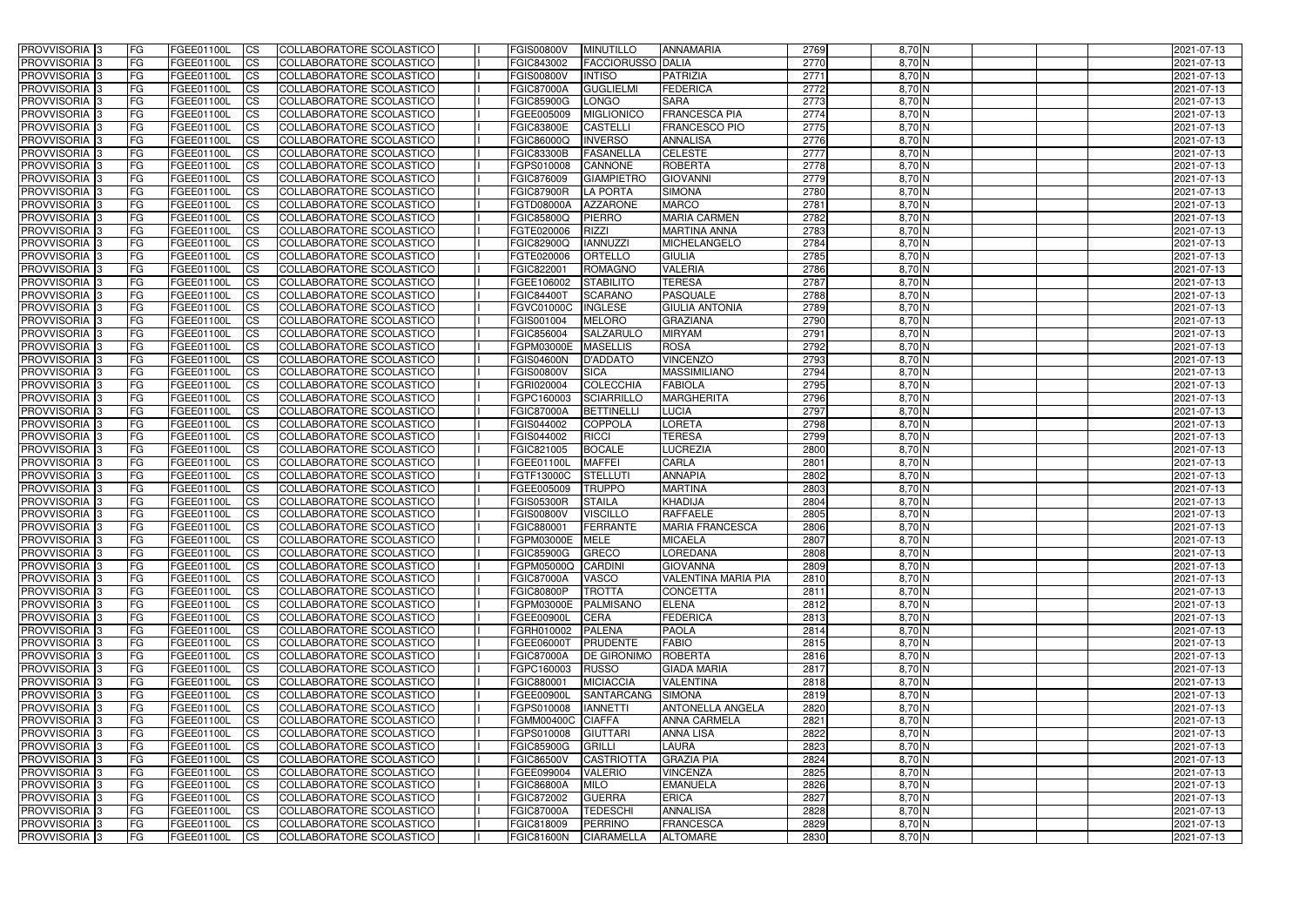| <b>PROVVISORIA</b> 3                                 | l FG            | FGEE01100L                      | <b>ICS</b>              | COLLABORATORE SCOLASTICO                             | <b>FGIS00800V</b>               | <b>MINUTILLO</b>                   | <b>ANNAMARIA</b>                | 2769         | $8,70$ N             | 2021-07-13               |
|------------------------------------------------------|-----------------|---------------------------------|-------------------------|------------------------------------------------------|---------------------------------|------------------------------------|---------------------------------|--------------|----------------------|--------------------------|
| <b>PROVVISORIA 3</b>                                 | FG              | FGEE01100L                      | <b>ICS</b>              | COLLABORATORE SCOLASTICO                             | FGIC843002                      | <b>FACCIORUSSO DALIA</b>           |                                 | 2770         | 8,70 N               | 2021-07-13               |
| PROVVISORIA <sup>1</sup> 3                           | FG              | FGEE01100L                      | <b>CS</b>               | <b>COLLABORATORE SCOLASTICO</b>                      | <b>FGIS00800V</b>               | <b>INTISO</b>                      | PATRIZIA                        | 2771         | $8,70$ N             | 2021-07-13               |
| PROVVISORIA                                          | FG              | FGEE01100L                      | <b>CS</b>               | COLLABORATORE SCOLASTICO                             | <b>FGIC87000A</b>               | <b>GUGLIELMI</b>                   | <b>FEDERICA</b>                 | 2772         | 8,70 N               | 2021-07-13               |
| PROVVISORIA <sup>1</sup> 3                           | FG              | FGEE01100L                      | <b>CS</b>               | COLLABORATORE SCOLASTICO                             | <b>FGIC85900G</b>               | <b>LONGO</b>                       | <b>SARA</b>                     | 2773         | 8,70 N               | 2021-07-13               |
| PROVVISORIA <sup>1</sup> 3                           | FG              | FGEE01100L                      | <b>CS</b>               | COLLABORATORE SCOLASTICO                             | FGEE005009                      | <b>MIGLIONICO</b>                  | <b>FRANCESCA PIA</b>            | 2774         | $8,70$ N             | 2021-07-13               |
| PROVVISORIA <sup>1</sup> 3                           | FG              | FGEE01100L                      | <b>CS</b>               | COLLABORATORE SCOLASTICO                             | <b>FGIC83800E</b>               | <b>CASTELLI</b>                    | <b>FRANCESCO PIO</b>            | 2775         | $8,70$ N             | 2021-07-13               |
| PROVVISORIA 3                                        | FG              | FGEE01100L                      | <b>ICS</b>              | COLLABORATORE SCOLASTICO                             | FGIC86000Q                      | <b>INVERSO</b>                     | <b>ANNALISA</b>                 | 2776         | $8,70$ N             | 2021-07-13               |
| PROVVISORIA 3                                        | FG              | FGEE01100L                      | <b>CS</b>               | COLLABORATORE SCOLASTICO                             | <b>FGIC83300B</b>               | <b>FASANELLA</b>                   | <b>CELESTE</b>                  | 2777         | $8,70$ N             | 2021-07-13               |
| PROVVISORIA 3                                        | <b>FG</b>       | FGEE01100L                      | <b>ICS</b>              | COLLABORATORE SCOLASTICO                             | FGPS010008                      | <b>CANNONE</b>                     | <b>ROBERTA</b>                  | 2778         | $8,70$ N             | 2021-07-13               |
| PROVVISORIA 3                                        | FG              | FGEE01100L                      | <b>ICS</b>              | COLLABORATORE SCOLASTICO                             | FGIC876009                      | <b>GIAMPIETRO</b>                  | <b>GIOVANNI</b>                 | 2779         | $8,70$ N             | 2021-07-13               |
| <b>PROVVISORIA</b>                                   | FG              | FGEE01100L                      | <b>CS</b>               | COLLABORATORE SCOLASTICO                             | <b>FGIC87900R</b>               | <b>LA PORTA</b>                    | <b>SIMONA</b>                   | 2780         | 8,70 N               | 2021-07-13               |
| <b>PROVVISORIA</b>                                   | FG              | FGEE01100L                      | <b>ICS</b>              | COLLABORATORE SCOLASTICO                             | <b>FGTD08000A</b>               | <b>AZZARONE</b>                    | <b>MARCO</b>                    | 2781         | $8,70$ N             | 2021-07-13               |
| <b>PROVVISORIA</b>                                   | FG              | FGEE01100L                      | <b>ICS</b>              | COLLABORATORE SCOLASTICO                             | <b>FGIC85800Q</b>               | PIERRO                             | <b>MARIA CARMEN</b>             | 2782         | 8,70 N               | 2021-07-13               |
| <b>PROVVISORIA</b>                                   | FG              | FGEE01100L                      | <b>ICS</b>              | COLLABORATORE SCOLASTICO                             | FGTE020006                      | <b>RIZZI</b>                       | <b>MARTINA ANNA</b>             | 2783         | 8,70 N               | 2021-07-13               |
| <b>PROVVISORIA</b>                                   | FG              | FGEE01100L                      | <b>ICS</b>              | COLLABORATORE SCOLASTICO                             | <b>FGIC82900Q</b>               | <b>IANNUZZI</b>                    | MICHELANGELO                    | 2784         | 8,70 N               | 2021-07-13               |
| <b>PROVVISORIA</b>                                   | FG              | FGEE01100L                      | <b>ICS</b>              | COLLABORATORE SCOLASTICO                             | FGTE020006                      | <b>ORTELLO</b>                     | <b>GIULIA</b>                   | 2785         | 8,70 N               | 2021-07-13               |
| <b>PROVVISORIA</b>                                   | FG              | FGEE01100L                      | <b>ICS</b>              | COLLABORATORE SCOLASTICO                             | FGIC822001                      | <b>ROMAGNO</b>                     | <b>VALERIA</b>                  | 2786         | 8,70 N               | 2021-07-13               |
| PROVVISORIA <sup>3</sup>                             | FG              | FGEE01100L                      | <b>ICS</b>              | COLLABORATORE SCOLASTICO                             | FGEE106002                      | <b>STABILITO</b>                   | <b>TERESA</b>                   | 2787         | 8,70 N               | 2021-07-13               |
| PROVVISORIA <sup>3</sup>                             | FG              | FGEE01100L                      | <b>ICS</b>              | COLLABORATORE SCOLASTICO                             | <b>FGIC84400T</b>               | <b>SCARANO</b>                     | <b>PASQUALE</b>                 | 2788         | 8,70 N               | 2021-07-13               |
| PROVVISORIA <sup>1</sup> 3                           | FG              | FGEE01100L                      | <b>ICS</b>              | COLLABORATORE SCOLASTICO                             | FGVC01000C                      | <b>INGLESE</b>                     | <b>GIULIA ANTONIA</b>           | 2789         | $8,70$ N             | 2021-07-13               |
| PROVVISORIA 3                                        | FG              | FGEE01100L                      | <b>ICS</b>              | COLLABORATORE SCOLASTICO                             | FGIS001004                      | <b>MELORO</b>                      | <b>GRAZIANA</b>                 | 2790         | $8,70$ N             | 2021-07-13               |
| PROVVISORIA <sup>3</sup>                             | FG              | FGEE01100L                      | <b>ICS</b>              | <b>COLLABORATORE SCOLASTICO</b>                      | FGIC856004                      | <b>SALZARULC</b>                   | <b>MIRYAM</b>                   | 2791         | $8,70$ N             | 2021-07-13               |
| PROVVISORIA <sup>3</sup><br>PROVVISORIA <sup>3</sup> | FG              | FGEE01100L                      | <b>CS</b>               | COLLABORATORE SCOLASTICO                             | FGPM03000E                      | <b>MASELLIS</b><br><b>D'ADDATO</b> | <b>ROSA</b><br><b>VINCENZO</b>  | 2792<br>2793 | $8,70$ N<br>$8,70$ N | 2021-07-13               |
| PROVVISORIA <sup>1</sup> 3                           | FG              | FGEE01100L                      | <b>CS</b><br><b>ICS</b> | COLLABORATORE SCOLASTICO                             | <b>FGIS04600N</b>               | <b>SICA</b>                        | <b>MASSIMILIANO</b>             | 2794         | $8,70$ N             | 2021-07-13               |
| PROVVISORIA 3                                        | FG<br>FG        | FGEE01100L<br>FGEE01100L        | <b>ICS</b>              | COLLABORATORE SCOLASTICO<br>COLLABORATORE SCOLASTICO | <b>FGIS00800V</b><br>FGRI020004 | <b>COLECCHIA</b>                   | <b>FABIOLA</b>                  | 2795         | 8,70 N               | 2021-07-13<br>2021-07-13 |
| PROVVISORIA                                          | FG              | FGEE01100L                      | <b>ICS</b>              | COLLABORATORE SCOLASTICO                             | FGPC160003                      | <b>SCIARRILLO</b>                  | <b>MARGHERITA</b>               | 2796         | 8,70 N               | 2021-07-13               |
| PROVVISORIA                                          | FG              | FGEE01100L                      | <b>CS</b>               | <b>COLLABORATORE SCOLASTICO</b>                      | <b>FGIC87000A</b>               | <b>BETTINELL</b>                   | <b>LUCIA</b>                    | 2797         | 8,70 N               | 2021-07-13               |
| PROVVISORIA                                          | FG              | FGEE01100L                      | <b>CS</b>               | COLLABORATORE SCOLASTICO                             | FGIS044002                      | <b>COPPOLA</b>                     | <b>LORETA</b>                   | 2798         | 8,70 N               | 2021-07-13               |
| PROVVISORIA                                          | FG              | FGEE01100L                      | <b>CS</b>               | COLLABORATORE SCOLASTICO                             | FGIS044002                      | <b>RICCI</b>                       | <b>TERESA</b>                   | 2799         | 8,70 N               | 2021-07-13               |
| PROVVISORIA <sup>1</sup> 3                           | FG              | FGEE01100L                      | <b>CS</b>               | COLLABORATORE SCOLASTICO                             | FGIC821005                      | <b>BOCALE</b>                      | <b>LUCREZIA</b>                 | 2800         | $8,70$ N             | 2021-07-13               |
| PROVVISORIA <sup>1</sup> 3                           | FG              | FGEE01100L                      | <b>CS</b>               | COLLABORATORE SCOLASTICO                             | FGEE01100L                      | <b>MAFFEI</b>                      | <b>CARLA</b>                    | 2801         | $8,70$ N             | 2021-07-13               |
| PROVVISORIA 3                                        | FG              | FGEE01100L                      | <b>CS</b>               | <b>COLLABORATORE SCOLASTICO</b>                      | FGTF13000C                      | <b>STELLUTI</b>                    | <b>ANNAPIA</b>                  | 2802         | $8,70$ N             | 2021-07-13               |
| <b>PROVVISORIA</b>                                   | FG              | FGEE01100L                      | <b>ICS</b>              | COLLABORATORE SCOLASTICO                             | FGEE005009                      | <b>TRUPPO</b>                      | <b>MARTINA</b>                  | 2803         | $8,70$ N             | 2021-07-13               |
| PROVVISORIA <sup>1</sup> 3                           | <b>FG</b>       | FGEE01100L                      | <b>CS</b>               | COLLABORATORE SCOLASTICO                             | <b>FGIS05300R</b>               | <b>STAILA</b>                      | KHADIJA                         | 2804         | 8,70 N               | 2021-07-13               |
| PROVVISORIA 3                                        | FG              | FGEE01100L                      | <b>ICS</b>              | COLLABORATORE SCOLASTICO                             | <b>FGIS00800V</b>               | <b>VISCILLO</b>                    | <b>RAFFAELE</b>                 | 2805         | $8,70$ N             | 2021-07-13               |
| <b>PROVVISORIA</b>                                   | <b>FG</b>       | FGEE01100L                      | <b>ICS</b>              | COLLABORATORE SCOLASTICO                             | FGIC880001                      | <b>FERRANTE</b>                    | <b>MARIA FRANCESCA</b>          | 2806         | $8,70$ N             | 2021-07-13               |
| PROVVISORIA 3                                        | FG              | FGEE01100L                      | CS                      | COLLABORATORE SCOLASTICO                             | FGPM03000E MELE                 |                                    | <b>MICAELA</b>                  | 2807         | $8,70$ N             | 2021-07-13               |
| PROVVISORIA 3                                        | <b>FG</b>       | FGEE01100L                      | $\mathsf{ICS}$          | COLLABORATORE SCOLASTICO                             | <b>FGIC85900G</b>               | GRECO                              | <b>LOREDANA</b>                 | 2808         | $8,70$ N             | 2021-07-13               |
| PROVVISORIA 3                                        | <b>FG</b>       | <b>FGEE01100L</b>               | $\mathsf{ICS}$          | COLLABORATORE SCOLASTICO                             | FGPM05000Q CARDINI              |                                    | <b>GIOVANNA</b>                 | 2809         | $8,70$ N             | 2021-07-13               |
| PROVVISORIA 3                                        | <b>FG</b>       | FGEE01100L                      | $\mathsf{ICS}$          | COLLABORATORE SCOLASTICO                             | <b>FGIC87000A</b>               | <b>VASCO</b>                       | VALENTINA MARIA PIA             | 2810         | $8,70$ N             | 2021-07-13               |
| PROVVISORIA 3                                        | FG              | FGEE01100L                      | $\mathsf{ICS}$          | COLLABORATORE SCOLASTICO                             | <b>FGIC80800P</b>               | <b>TROTTA</b>                      | <b>CONCETTA</b>                 | 2811         | $8,70$ N             | 2021-07-13               |
| PROVVISORIA 3                                        | l FG            | FGEE01100L                      | $\overline{\text{CS}}$  | COLLABORATORE SCOLASTICO                             | FGPM03000E                      | PALMISANO                          | <b>ELENA</b>                    | 2812         | $8,70$ N             | 2021-07-13               |
| PROVVISORIA 3                                        | <b>FG</b>       | FGEE01100L                      | $\mathsf{ICS}$          | COLLABORATORE SCOLASTICO                             | <b>FGEE00900L</b>               | <b>CERA</b>                        | <b>FEDERICA</b>                 | 2813         | $8,70$ N             | 2021-07-13               |
| PROVVISORIA 3                                        | FG              | FGEE01100L                      | <b>CS</b>               | COLLABORATORE SCOLASTICO                             | FGRH010002                      | PALENA                             | <b>PAOLA</b>                    | 2814         | $8,70$ N             | 2021-07-13               |
| PROVVISORIA 3                                        | <b>FG</b>       | FGEE01100L                      | <b>CS</b>               | COLLABORATORE SCOLASTICO                             | FGEE06000T                      | <b>PRUDENTE</b>                    | <b>FABIO</b>                    | 2815         | $8,70$ N             | 2021-07-13               |
| PROVVISORIA 3                                        | <b>FG</b>       | FGEE01100L                      | <b>CS</b>               | COLLABORATORE SCOLASTICO                             | <b>FGIC87000A</b>               | <b>DE GIRONIMO</b>                 | <b>ROBERTA</b>                  | 2816         | $8,70$ N             | 2021-07-13               |
| PROVVISORIA 3                                        | <b>FG</b>       | FGEE01100L                      | <b>CS</b>               | COLLABORATORE SCOLASTICO                             | FGPC160003                      | RUSSO                              | <b>GIADA MARIA</b>              | 2817         | $8,70$ N             | 2021-07-13               |
| PROVVISORIA 3                                        | <b>FG</b>       | FGEE01100L                      | <b>CS</b>               | COLLABORATORE SCOLASTICO                             | FGIC880001                      | <b>MICIACCIA</b>                   | <b>VALENTINA</b>                | 2818         | $8,70$ N             | 2021-07-13               |
| PROVVISORIA 3                                        | <b>FG</b>       | FGEE01100L                      | <b>CS</b>               | COLLABORATORE SCOLASTICO                             | FGEE00900L                      | SANTARCANG SIMONA                  |                                 | 2819         | $8,70$ N             | 2021-07-13               |
| PROVVISORIA 3                                        | <b>FG</b>       | FGEE01100L                      | <b>CS</b>               | COLLABORATORE SCOLASTICO                             | FGPS010008                      | <b>IANNETTI</b>                    | <b>ANTONELLA ANGELA</b>         | 2820         | $8,70$ N             | 2021-07-13               |
| PROVVISORIA 3                                        | <b>FG</b>       | FGEE01100L                      | <b>CS</b>               | COLLABORATORE SCOLASTICO                             | FGMM00400C CIAFFA               |                                    | <b>ANNA CARMELA</b>             | 2821         | $8,70$ N             | 2021-07-13               |
| PROVVISORIA 3                                        | <b>FG</b>       | FGEE01100L                      | <b>CS</b>               | COLLABORATORE SCOLASTICO                             | FGPS010008                      | <b>GIUTTARI</b>                    | <b>ANNA LISA</b>                | 2822         | $8,70$ N             | 2021-07-13               |
| PROVVISORIA 3                                        | FG              | FGEE01100L                      | <b>CS</b>               | COLLABORATORE SCOLASTICO                             | <b>FGIC85900G</b>               | <b>GRILLI</b>                      | <b>LAURA</b>                    | 2823         | 8,70 N               | 2021-07-13               |
| PROVVISORIA 3                                        | <b>FG</b>       | FGEE01100L                      | <b>CS</b>               | COLLABORATORE SCOLASTICO                             | <b>FGIC86500V</b>               | <b>CASTRIOTTA</b>                  | <b>GRAZIA PIA</b>               | 2824         | $8,70$ N             | 2021-07-13               |
| PROVVISORIA 3                                        | <b>FG</b>       | FGEE01100L                      | <b>CS</b>               | COLLABORATORE SCOLASTICO                             | FGEE099004                      | <b>VALERIO</b>                     | <b>VINCENZA</b>                 | 2825         | $8,70$ N             | 2021-07-13               |
| PROVVISORIA 3                                        | FG              | FGEE01100L<br><b>FGEE01100L</b> | <b>CS</b>               | COLLABORATORE SCOLASTICO                             | <b>FGIC86800A</b>               | <b>MILO</b>                        | <b>EMANUELA</b><br><b>ERICA</b> | 2826<br>2827 | $8,70$ N<br>$8,70$ N | 2021-07-13               |
| PROVVISORIA 3<br>PROVVISORIA 3                       | FG<br><b>FG</b> | FGEE01100L                      | <b>CS</b><br><b>CS</b>  | COLLABORATORE SCOLASTICO<br>COLLABORATORE SCOLASTICO | FGIC872002<br><b>FGIC87000A</b> | <b>GUERRA</b><br><b>TEDESCHI</b>   | <b>ANNALISA</b>                 | 2828         | $8,70$ N             | 2021-07-13<br>2021-07-13 |
| PROVVISORIA 3                                        | <b>FG</b>       | FGEE01100L                      | $\overline{\text{CS}}$  | COLLABORATORE SCOLASTICO                             | FGIC818009                      | PERRINO                            | <b>FRANCESCA</b>                | 2829         | $8,70$ N             | 2021-07-13               |
| PROVVISORIA 3                                        | <b>FG</b>       | FGEE01100L                      | $\overline{\text{CS}}$  | COLLABORATORE SCOLASTICO                             | <b>FGIC81600N</b>               | <b>CIARAMELLA</b>                  | <b>ALTOMARE</b>                 | 2830         | $8,70$ N             | 2021-07-13               |
|                                                      |                 |                                 |                         |                                                      |                                 |                                    |                                 |              |                      |                          |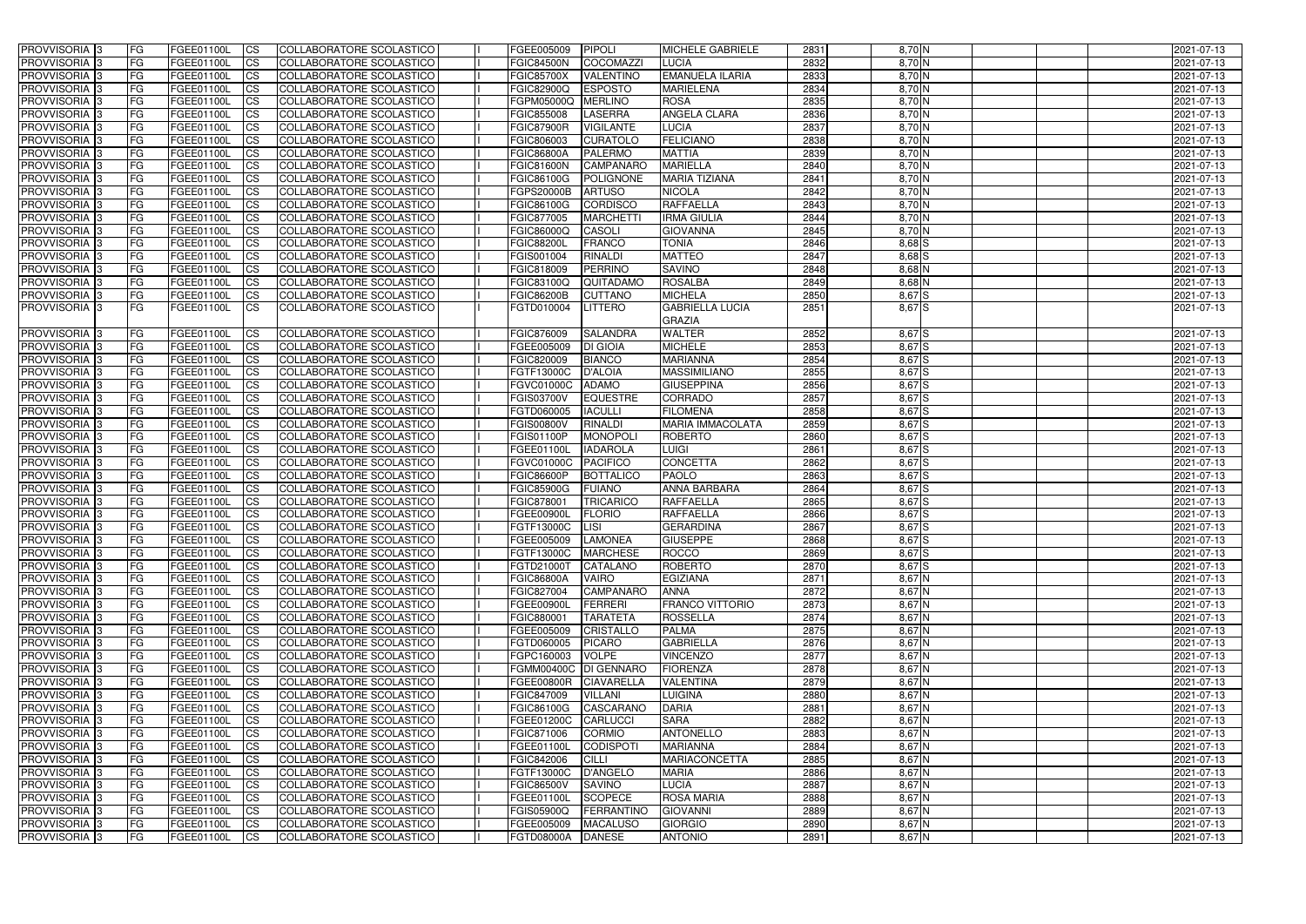| <b>PROVVISORIA</b> 3                  | FG              | FGEE01100L               | <b>CS</b>              | COLLABORATORE SCOLASTICO                             | FGEE005009                          | PIPOLI            | <b>MICHELE GABRIELE</b>                 | 2831         | 8,70 N                 | 2021-07-13               |
|---------------------------------------|-----------------|--------------------------|------------------------|------------------------------------------------------|-------------------------------------|-------------------|-----------------------------------------|--------------|------------------------|--------------------------|
| PROVVISORIA <sup>1</sup> 3            | FG              | FGEE01100L               | $\overline{c}$         | COLLABORATORE SCOLASTICO                             | <b>FGIC84500N</b>                   | <b>COCOMAZZI</b>  | <b>LUCIA</b>                            | 2832         | $8,70$ N               | 2021-07-13               |
| PROVVISORIA <sup>3</sup>              | <b>IFG</b>      | FGEE01100L               | <b>CS</b>              | COLLABORATORE SCOLASTICO                             | <b>FGIC85700X</b>                   | <b>VALENTINO</b>  | <b>EMANUELA ILARIA</b>                  | 2833         | $8,70$ N               | 2021-07-13               |
| <b>PROVVISORIA</b> 3                  | FG              | FGEE01100L               | <b>CS</b>              | COLLABORATORE SCOLASTICO                             | <b>FGIC82900Q</b>                   | <b>ESPOSTO</b>    | <b>MARIELENA</b>                        | 2834         | $8,70$ N               | 2021-07-13               |
| PROVVISORIA <sup>3</sup>              | FG              | <b>FGEE01100L</b>        | <b>CS</b>              | COLLABORATORE SCOLASTICO                             | FGPM05000Q                          | <b>MERLINO</b>    | <b>ROSA</b>                             | 2835         | $8,70$ N               | 2021-07-13               |
| PROVVISORIA 3                         | FG              | FGEE01100L               | <b>CS</b>              | COLLABORATORE SCOLASTICO                             | FGIC855008                          | <b>LASERRA</b>    | <b>ANGELA CLARA</b>                     | 2836         | $8,70\overline{\rm N}$ | 2021-07-13               |
| PROVVISORIA 3                         | FG              | FGEE01100L               | $\overline{c}$         | COLLABORATORE SCOLASTICO                             | <b>FGIC87900R</b>                   | <b>VIGILANTE</b>  | <b>LUCIA</b>                            | 2837         | $8,70\overline{\rm N}$ | 2021-07-13               |
| PROVVISORIA <sup>3</sup>              | FG              | FGEE01100L               | $\overline{c}$         | COLLABORATORE SCOLASTICO                             | FGIC806003                          | <b>CURATOLO</b>   | <b>FELICIANO</b>                        | 2838         | $8,70$ N               | 2021-07-13               |
| PROVVISORIA <sup>3</sup>              | FG              | FGEE01100L               | <b>CS</b>              | COLLABORATORE SCOLASTICO                             | <b>FGIC86800A</b>                   | <b>PALERMO</b>    | <b>MATTIA</b>                           | 2839         | 8,70 N                 | 2021-07-13               |
| PROVVISORIA <sup>3</sup>              | FG              | FGEE01100L               | $\overline{c}$         | COLLABORATORE SCOLASTICO                             | <b>FGIC81600N</b>                   | <b>CAMPANARO</b>  | <b>MARIELLA</b>                         | 2840         | 8,70 N                 | 2021-07-13               |
| PROVVISORIA 3                         | FG              | FGEE01100L               | <b>CS</b>              | COLLABORATORE SCOLASTICO                             | FGIC86100G                          | POLIGNONE         | <b>MARIA TIZIANA</b>                    | 2841         | $8,70$ N               | 2021-07-13               |
| <b>PROVVISORIA</b> 3                  | FG              | FGEE01100L               | <b>CS</b>              | COLLABORATORE SCOLASTICO                             | <b>FGPS20000B</b>                   | <b>ARTUSO</b>     | <b>NICOLA</b>                           | 2842         | 8,70 N                 | 2021-07-13               |
| PROVVISORIA <sup>3</sup>              | FG              | FGEE01100L               | <b>CS</b>              | COLLABORATORE SCOLASTICO                             | FGIC86100G                          | <b>CORDISCO</b>   | <b>RAFFAELLA</b>                        | 2843         | 8,70 N                 | 2021-07-13               |
| PROVVISORIA <sup>3</sup>              | FG              | FGEE01100L               | <b>CS</b>              | COLLABORATORE SCOLASTICO                             | FGIC877005                          | <b>MARCHETT</b>   | <b>IRMA GIULIA</b>                      | 2844         | 8,70 N                 | 2021-07-13               |
| PROVVISORIA 3                         | FG              | FGEE01100L               | <b>CS</b>              | COLLABORATORE SCOLASTICO                             | FGIC86000Q                          | <b>CASOLI</b>     | <b>GIOVANNA</b>                         | 2845         | 8,70 N                 | 2021-07-13               |
| PROVVISORIA <sup>3</sup>              | FG              | FGEE01100L               | <b>ICS</b>             | COLLABORATORE SCOLASTICO                             | <b>FGIC88200L</b>                   | <b>FRANCO</b>     | <b>TONIA</b>                            | 2846         | 8,68 S                 | 2021-07-13               |
| PROVVISORIA <sup>3</sup>              | FG.             | FGEE01100L               | <b>ICS</b>             | COLLABORATORE SCOLASTICO                             | FGIS001004                          | <b>RINALDI</b>    | <b>MATTEO</b>                           | 2847         | 8,68 S                 | 2021-07-13               |
| PROVVISORIA <sup>3</sup>              | FG              | FGEE01100L               | <b>ICS</b>             | COLLABORATORE SCOLASTICO                             | FGIC818009                          | <b>PERRINO</b>    | <b>SAVINO</b>                           | 2848         | $8,68$ N               | 2021-07-13               |
| PROVVISORIA <sup>3</sup>              | FG              | FGEE01100L               | <b>CS</b>              | COLLABORATORE SCOLASTICO                             | FGIC83100Q                          | QUITADAMO         | <b>ROSALBA</b>                          | 2849         | $8,68$ N               | 2021-07-13               |
| PROVVISORIA <sup>3</sup>              | FG              | FGEE01100L               | <b>ICS</b>             | COLLABORATORE SCOLASTICO                             | <b>FGIC86200B</b>                   | <b>CUTTANO</b>    | <b>MICHELA</b>                          | 2850         | 8,67 S                 | 2021-07-13               |
| PROVVISORIA 3                         | FG.             | FGEE01100L               | <b>ICS</b>             | COLLABORATORE SCOLASTICO                             | FGTD010004                          | <b>LITTERO</b>    | <b>GABRIELLA LUCIA</b><br><b>GRAZIA</b> | 2851         | $8,67$ S               | 2021-07-13               |
| PROVVISORIA <sup>3</sup>              | FG              | FGEE01100L               | <b>CS</b>              | COLLABORATORE SCOLASTICO                             | FGIC876009                          | <b>SALANDRA</b>   | <b>WALTER</b>                           | 2852         | 8,67 S                 | 2021-07-13               |
| PROVVISORIA <sup>1</sup> 3            | FG              | FGEE01100L               | <b>CS</b>              | COLLABORATORE SCOLASTICO                             | FGEE005009                          | <b>DI GIOIA</b>   | <b>MICHELE</b>                          | 2853         | 8,67S                  | 2021-07-13               |
| PROVVISORIA <sup>3</sup>              | FG              | FGEE01100L               | <b>CS</b>              | COLLABORATORE SCOLASTICO                             | FGIC820009                          | <b>BIANCO</b>     | <b>MARIANNA</b>                         | 2854         | $8,67$ S               | 2021-07-13               |
| PROVVISORIA <sup>3</sup>              | FG              | <b>FGEE01100L</b>        | <b>CS</b>              | COLLABORATORE SCOLASTICO                             | FGTF13000C                          | <b>D'ALOIA</b>    | <b>MASSIMILIANO</b>                     | 2855         | 8,67 S                 | 2021-07-13               |
| PROVVISORIA <sup>3</sup>              | FG              | <b>FGEE01100L</b>        | <b>CS</b>              | COLLABORATORE SCOLASTICO                             | FGVC01000C                          | <b>ADAMO</b>      | <b>GIUSEPPINA</b>                       | 2856         | 8,67 S                 | 2021-07-13               |
| PROVVISORIA <sup>3</sup>              | FG              | FGEE01100L               | <b>CS</b>              | COLLABORATORE SCOLASTICO                             | <b>FGIS03700V</b>                   | <b>EQUESTRE</b>   | CORRADO                                 | 2857         | 8,67 S                 | 2021-07-13               |
| PROVVISORIA <sup>3</sup>              | FG              | FGEE01100L               | <b>CS</b>              | COLLABORATORE SCOLASTICO                             | FGTD060005                          | <b>IACULLI</b>    | <b>FILOMENA</b>                         | 2858         | 8,67 S                 | 2021-07-13               |
| PROVVISORIA <sup>3</sup>              | FG              | FGEE01100L               | <b>CS</b>              | COLLABORATORE SCOLASTICO                             | <b>FGIS00800V</b>                   | <b>RINALDI</b>    | <b>MARIA IMMACOLATA</b>                 | 2859         | 8,67 S                 | 2021-07-13               |
| PROVVISORIA <sup>3</sup>              | FG              | FGEE01100L               | <b>CS</b>              | COLLABORATORE SCOLASTICO                             | FGIS01100P                          | <b>MONOPOLI</b>   | ROBERTO                                 | 2860         | 8,67 S                 | 2021-07-13               |
| PROVVISORIA <sup>3</sup>              | FG              | <b>FGEE01100L</b>        | <b>CS</b>              | <b>COLLABORATORE SCOLASTICO</b>                      | FGEE01100L                          | <b>IADAROLA</b>   | LUIGI                                   | 2861         | 8,67 S                 | 2021-07-13               |
| PROVVISORIA <sup>3</sup>              | FG              | FGEE01100L               | $\overline{c}$         | COLLABORATORE SCOLASTICO                             | FGVC01000C                          | <b>PACIFICO</b>   | <b>CONCETTA</b>                         | 2862         | $8,67$ S               | 2021-07-13               |
| PROVVISORIA <sup>3</sup>              | FG              | FGEE01100L               | $\overline{c}$         | COLLABORATORE SCOLASTICO                             | <b>FGIC86600P</b>                   | <b>BOTTALICO</b>  | <b>PAOLO</b>                            | 2863         | 8,67 S                 | 2021-07-13               |
| PROVVISORIA <sup>3</sup>              | FG              | FGEE01100L               | <b>CS</b>              | COLLABORATORE SCOLASTICO                             | <b>FGIC85900G</b>                   | <b>FUIANO</b>     | <b>ANNA BARBARA</b>                     | 2864         | 8,67 S                 | 2021-07-13               |
| PROVVISORIA <sup>3</sup>              | FG              | FGEE01100L               | <b>CS</b>              | <b>COLLABORATORE SCOLASTICO</b>                      | FGIC878001                          | <b>TRICARICO</b>  | <b>RAFFAELLA</b>                        | 2865         | 8,67 S                 | 2021-07-13               |
| <b>PROVVISORIA</b> 3                  | FG              | FGEE01100L               | <b>ICS</b>             | COLLABORATORE SCOLASTICO                             | FGEE00900L                          | <b>FLORIO</b>     | <b>RAFFAELLA</b>                        | 2866         | 8,67 S                 | 2021-07-13               |
| <b>PROVVISORIA</b> 3                  | IFG.            | <b>FGEE01100L</b>        | <b>ICS</b>             | COLLABORATORE SCOLASTICO                             | <b>FGTF13000C</b>                   | <b>LISI</b>       | <b>GERARDINA</b>                        | 2867         | 8,67 S                 | 2021-07-13               |
| <b>PROVVISORIA</b> 3                  | IFG.            | FGEE01100L CS            |                        | COLLABORATORE SCOLASTICO                             | FGEE005009 LAMONEA                  |                   | <b>GIUSEPPE</b>                         | 2868         | $8,67$ $S$             | 2021-07-13               |
| PROVVISORIA 3                         | FG              | FGEE01100L               | <b>CS</b>              | COLLABORATORE SCOLASTICO                             | FGTF13000C                          | <b>MARCHESE</b>   | <b>ROCCO</b>                            | 2869         | $8,67$ S               | 2021-07-13               |
| PROVVISORIA 3                         | <b>FG</b>       | FGEE01100L               | CS                     | COLLABORATORE SCOLASTICO                             | FGTD21000T                          | CATALANO          | ROBERTO                                 | 2870         | 8,67 S                 | 2021-07-13               |
| PROVVISORIA 3                         | IFG.            | FGEE01100L               | $\mathsf{ICS}$         | COLLABORATORE SCOLASTICO                             | <b>FGIC86800A</b>                   | <b>VAIRO</b>      | <b>EGIZIANA</b>                         | 2871         | $8,67$ N               | 2021-07-13               |
| PROVVISORIA 3                         | FG              | FGEE01100L               | <b>CS</b>              | COLLABORATORE SCOLASTICO                             | FGIC827004                          | CAMPANARO         | <b>ANNA</b>                             | 2872         | $8,67$ N               | 2021-07-13               |
| PROVVISORIA 3                         | FG              | FGEE01100L               | <b>CS</b>              | COLLABORATORE SCOLASTICO                             | FGEE00900L                          | FERRERI           | <b>FRANCO VITTORIO</b>                  | 2873         | $8,67$ N               | 2021-07-13               |
| PROVVISORIA 3                         | <b>FG</b>       | FGEE01100L               | <b>ICS</b>             | COLLABORATORE SCOLASTICO                             | FGIC880001                          | <b>TARATETA</b>   | <b>ROSSELLA</b>                         | 2874         | $8,67$ N               | 2021-07-13               |
| PROVVISORIA 3                         | <b>FG</b>       | FGEE01100L               | <b>CS</b>              | COLLABORATORE SCOLASTICO                             | FGEE005009                          | <b>CRISTALLO</b>  | <b>PALMA</b>                            | 2875         | $8,67$ N               | 2021-07-13               |
| PROVVISORIA 3                         | FG              | FGEE01100L               | <b>CS</b>              | COLLABORATORE SCOLASTICO<br>COLLABORATORE SCOLASTICO | FGTD060005                          | <b>PICARO</b>     | <b>GABRIELLA</b>                        | 2876         | $8,67$ N               | 2021-07-13               |
| PROVVISORIA 3<br>PROVVISORIA 3        | FG<br>FG        | FGEE01100L<br>FGEE01100L | <b>CS</b><br><b>CS</b> | COLLABORATORE SCOLASTICO                             | FGPC160003<br>FGMM00400C DI GENNARO | <b>VOLPE</b>      | <b>VINCENZO</b><br><b>FIORENZA</b>      | 2877<br>2878 | $8,67$ N<br>$8,67$ N   | 2021-07-13<br>2021-07-13 |
|                                       |                 | FGEE01100L               |                        |                                                      | FGEE00800R                          | <b>CIAVARELLA</b> | <b>VALENTINA</b>                        | 2879         | $8,67$ N               |                          |
| PROVVISORIA 3<br><b>PROVVISORIA</b> 3 | FG<br><b>FG</b> | FGEE01100L               | <b>CS</b><br><b>CS</b> | COLLABORATORE SCOLASTICO<br>COLLABORATORE SCOLASTICO | FGIC847009                          | VILLANI           | LUIGINA                                 | 2880         | $8,67$ N               | 2021-07-13<br>2021-07-13 |
| PROVVISORIA 3                         | FG              | FGEE01100L               | <b>CS</b>              | <b>COLLABORATORE SCOLASTICO</b>                      | <b>FGIC86100G</b>                   | CASCARANO         | <b>DARIA</b>                            | 2881         | $8,67$ N               | 2021-07-13               |
| PROVVISORIA 3                         | FG              | FGEE01100L               | <b>CS</b>              | COLLABORATORE SCOLASTICO                             | FGEE01200C                          | <b>CARLUCCI</b>   | <b>SARA</b>                             | 2882         | $8,67$ N               | 2021-07-13               |
| <b>PROVVISORIA</b> 3                  | FG              | FGEE01100L               | <b>CS</b>              | COLLABORATORE SCOLASTICO                             | FGIC871006                          | <b>CORMIO</b>     | <b>ANTONELLO</b>                        | 2883         | $8,67$ N               | 2021-07-13               |
| PROVVISORIA 3                         | FG              | FGEE01100L               | <b>CS</b>              | COLLABORATORE SCOLASTICO                             | FGEE01100L                          | <b>CODISPOTI</b>  | <b>MARIANNA</b>                         | 2884         | 8,67 N                 | 2021-07-13               |
| PROVVISORIA 3                         | FG              | FGEE01100L               | <b>CS</b>              | COLLABORATORE SCOLASTICO                             | FGIC842006                          | <b>CILLI</b>      | <b>MARIACONCETTA</b>                    | 2885         | $8,67$ N               | 2021-07-13               |
| PROVVISORIA 3                         | <b>FG</b>       | <b>FGEE01100L</b>        | <b>CS</b>              | COLLABORATORE SCOLASTICO                             | FGTF13000C                          | D'ANGELO          | <b>MARIA</b>                            | 2886         | $8,67$ N               | 2021-07-13               |
| PROVVISORIA 3                         | FG              | <b>FGEE01100L</b>        | <b>CS</b>              | COLLABORATORE SCOLASTICO                             | <b>FGIC86500V</b>                   | SAVINO            | <b>LUCIA</b>                            | 2887         | $8,67$ N               | 2021-07-13               |
| PROVVISORIA 3                         | FG              | FGEE01100L               | <b>CS</b>              | COLLABORATORE SCOLASTICO                             | FGEE01100L                          | <b>SCOPECE</b>    | <b>ROSA MARIA</b>                       | 2888         | $8,67$ N               | 2021-07-13               |
| PROVVISORIA 3                         | FG              | <b>FGEE01100L</b>        | <b>CS</b>              | COLLABORATORE SCOLASTICO                             | <b>FGIS05900Q</b>                   | FERRANTINO        | <b>GIOVANNI</b>                         | 2889         | $8,67$ N               | 2021-07-13               |
| PROVVISORIA 3                         | FG              | <b>FGEE01100L</b>        | <b>CS</b>              | COLLABORATORE SCOLASTICO                             | FGEE005009                          | <b>MACALUSO</b>   | <b>GIORGIO</b>                          | 2890         | $8,67$ N               | 2021-07-13               |
| PROVVISORIA 3                         | l FG            | <b>FGEE01100L</b>        | <b>CS</b>              | COLLABORATORE SCOLASTICO                             | <b>FGTD08000A</b>                   | <b>DANESE</b>     | <b>ANTONIO</b>                          | 2891         | 8,67 N                 | 2021-07-13               |
|                                       |                 |                          |                        |                                                      |                                     |                   |                                         |              |                        |                          |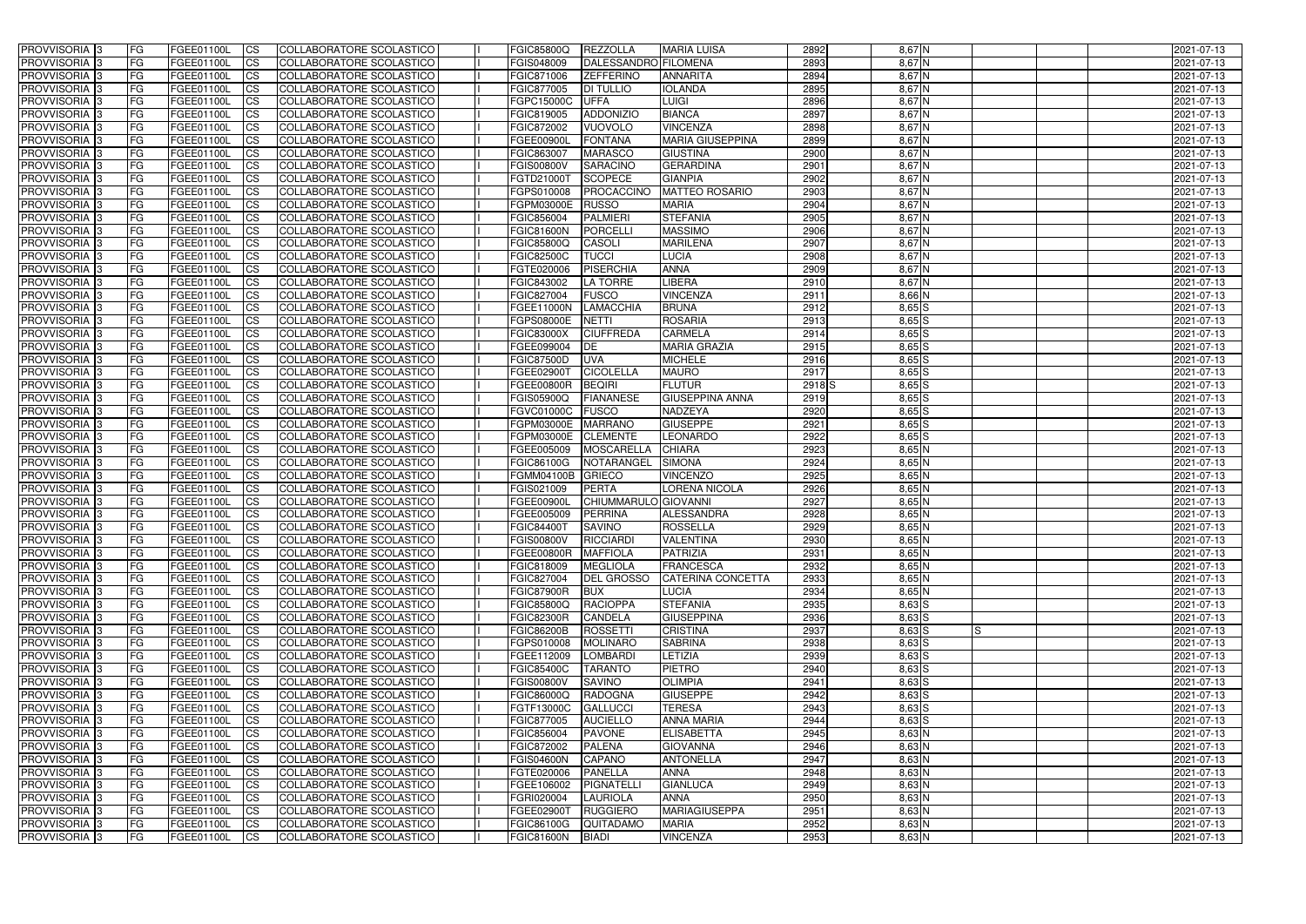| <b>PROVVISORIA</b> 3       | l FG      | FGEE01100L               | <b>ICS</b>               | COLLABORATORE SCOLASTICO                                    | <b>FGIC85800Q</b>        | REZZOLLA                          | <b>MARIA LUISA</b>            | 2892                      | $8,67$ N                 | 2021-07-13               |
|----------------------------|-----------|--------------------------|--------------------------|-------------------------------------------------------------|--------------------------|-----------------------------------|-------------------------------|---------------------------|--------------------------|--------------------------|
| <b>PROVVISORIA 3</b>       | FG        | FGEE01100L               | <b>ICS</b>               | COLLABORATORE SCOLASTICO                                    | FGIS048009               | DALESSANDRO FILOMENA              |                               | 2893                      | $8,67$ N                 | 2021-07-13               |
| PROVVISORIA <sup>1</sup> 3 | FG        | FGEE01100L               | <b>CS</b>                | <b>COLLABORATORE SCOLASTICO</b>                             | FGIC871006               | <b>ZEFFERINO</b>                  | <b>ANNARITA</b>               | 2894                      | $8,67$ N                 | 2021-07-13               |
| PROVVISORIA                | FG        | FGEE01100L               | <b>CS</b>                | COLLABORATORE SCOLASTICO                                    | FGIC877005               | <b>DI TULLIO</b>                  | <b>IOLANDA</b>                | 2895                      | $8,67$ N                 | 2021-07-13               |
| PROVVISORIA <sup>1</sup> 3 | FG        | FGEE01100L               | <b>CS</b>                | COLLABORATORE SCOLASTICO                                    | FGPC15000C               | UFFA                              | <b>LUIGI</b>                  | 2896                      | 8,67 N                   | 2021-07-13               |
| PROVVISORIA <sup>1</sup> 3 | FG        | FGEE01100L               | <b>CS</b>                | COLLABORATORE SCOLASTICO                                    | FGIC819005               | <b>ADDONIZIO</b>                  | <b>BIANCA</b>                 | 2897                      | $8,67$ N                 | 2021-07-13               |
| PROVVISORIA <sup>1</sup> 3 | FG        | FGEE01100L               | <b>CS</b>                | COLLABORATORE SCOLASTICO                                    | FGIC872002               | <b>VUOVOLO</b>                    | <b>VINCENZA</b>               | 2898                      | $8,67$ N                 | 2021-07-13               |
| PROVVISORIA 3              | FG        | FGEE01100L               | <b>ICS</b>               | COLLABORATORE SCOLASTICO                                    | <b>FGEE00900L</b>        | <b>FONTANA</b>                    | <b>MARIA GIUSEPPINA</b>       | 2899                      | $8,67$ N                 | 2021-07-13               |
| PROVVISORIA 3              | FG        | FGEE01100L               | <b>CS</b>                | COLLABORATORE SCOLASTICO                                    | FGIC863007               | <b>MARASCO</b>                    | <b>GIUSTINA</b>               | 2900                      | 8,67 N                   | 2021-07-13               |
| PROVVISORIA 3              | <b>FG</b> | FGEE01100L               | <b>ICS</b>               | COLLABORATORE SCOLASTICO                                    | <b>FGIS00800V</b>        | <b>SARACINO</b>                   | <b>GERARDINA</b>              | 2901                      | $8,67$ N                 | 2021-07-13               |
| PROVVISORIA 3              | FG        | FGEE01100L               | <b>ICS</b>               | COLLABORATORE SCOLASTICO                                    | FGTD21000T               | <b>SCOPECE</b>                    | <b>GIANPIA</b>                | 2902                      | $8,67$ N                 | 2021-07-13               |
| <b>PROVVISORIA</b>         | FG        | FGEE01100L               | <b>ICS</b>               | COLLABORATORE SCOLASTICO                                    | FGPS010008               | PROCACCINO                        | <b>MATTEO ROSARIO</b>         | 2903                      | 8,67 N                   | 2021-07-13               |
| <b>PROVVISORIA</b>         | FG        | FGEE01100L               | <b>ICS</b>               | COLLABORATORE SCOLASTICO                                    | FGPM03000E               | <b>RUSSO</b>                      | <b>MARIA</b>                  | 2904                      | $8,67$ N                 | 2021-07-13               |
| <b>PROVVISORIA</b>         | FG        | FGEE01100L               | <b>ICS</b>               | COLLABORATORE SCOLASTICO                                    | FGIC856004               | <b>PALMIERI</b>                   | <b>STEFANIA</b>               | 2905                      | 8,67 N                   | 2021-07-13               |
| <b>PROVVISORIA</b>         | FG        | FGEE01100L               | <b>ICS</b>               | COLLABORATORE SCOLASTICO                                    | FGIC81600N               | <b>PORCELLI</b>                   | <b>MASSIMO</b>                | 2906                      | 8,67 N                   | 2021-07-13               |
| <b>PROVVISORIA</b>         | FG        | FGEE01100L               | <b>ICS</b>               | COLLABORATORE SCOLASTICO                                    | <b>FGIC85800Q</b>        | <b>CASOLI</b>                     | <b>MARILENA</b>               | 2907                      | 8,67 N                   | 2021-07-13               |
| <b>PROVVISORIA</b>         | FG        | FGEE01100L               | <b>ICS</b>               | COLLABORATORE SCOLASTICO                                    | <b>FGIC82500C</b>        | <b>TUCCI</b>                      | <b>LUCIA</b>                  | 2908                      | 8,67 N                   | 2021-07-13               |
| <b>PROVVISORIA</b>         | FG        | FGEE01100L               | <b>ICS</b>               | COLLABORATORE SCOLASTICO                                    | FGTE020006               | PISERCHIA                         | <b>ANNA</b>                   | 2909                      | 8,67 N                   | 2021-07-13               |
| PROVVISORIA <sup>3</sup>   | FG        | FGEE01100L               | <b>ICS</b>               | COLLABORATORE SCOLASTICO                                    | FGIC843002               | <b>LA TORRE</b>                   | LIBERA                        | 2910                      | 8,67 N                   | 2021-07-13               |
| PROVVISORIA <sup>3</sup>   | FG        | FGEE01100L               | <b>ICS</b>               | COLLABORATORE SCOLASTICO                                    | FGIC827004               | <b>FUSCO</b>                      | <b>VINCENZA</b>               | 2911                      | 8,66 N                   | 2021-07-13               |
| PROVVISORIA <sup>1</sup> 3 | FG        | FGEE01100L               | <b>ICS</b>               | COLLABORATORE SCOLASTICO                                    | FGEE11000N               | <b>LAMACCHIA</b>                  | <b>BRUNA</b>                  | 2912                      | $8,65$ $S$               | 2021-07-13               |
| PROVVISORIA 3              | FG        | FGEE01100L               | <b>ICS</b>               | COLLABORATORE SCOLASTICO                                    | FGPS08000E               | <b>NETTI</b>                      | <b>ROSARIA</b>                | 2913                      | $8,65$ $S$               | 2021-07-13               |
| PROVVISORIA 3              | FG        | FGEE01100L               | <b>ICS</b>               | <b>COLLABORATORE SCOLASTICO</b>                             | <b>FGIC83000X</b>        | <b>CIUFFREDA</b>                  | <b>CARMELA</b>                | 2914                      | $8,65$ $S$               | 2021-07-13               |
| PROVVISORIA <sup>13</sup>  | FG        | FGEE01100L               | <b>CS</b>                | COLLABORATORE SCOLASTICO                                    | FGEE099004               | DE                                | <b>MARIA GRAZIA</b>           | 2915                      | $8,65$ $S$               | 2021-07-13               |
| PROVVISORIA <sup>1</sup> 3 | FG        | FGEE01100L               | <b>CS</b>                | COLLABORATORE SCOLASTICO                                    | <b>FGIC87500D</b>        | <b>UVA</b>                        | <b>MICHELE</b>                | 2916                      | $8,65$ $S$               | 2021-07-13               |
| PROVVISORIA <sup>1</sup> 3 | FG        | FGEE01100L               | <b>ICS</b>               | COLLABORATORE SCOLASTICO                                    | FGEE02900T               | <b>CICOLELLA</b><br><b>BEQIRI</b> | <b>MAURO</b><br><b>FLUTUR</b> | 2917<br>2918 <sub>S</sub> | $8,65$ $S$<br>$8,65$ $S$ | 2021-07-13               |
| PROVVISORIA 3              | FG<br>FG  | FGEE01100L<br>FGEE01100L | <b>ICS</b><br><b>ICS</b> | COLLABORATORE SCOLASTICO                                    | FGEE00800R<br>FGIS05900Q | <b>FIANANESE</b>                  | <b>GIUSEPPINA ANNA</b>        | 2919                      | $8,65$ $S$               | 2021-07-13               |
| PROVVISORIA<br>PROVVISORIA |           |                          | <b>CS</b>                | COLLABORATORE SCOLASTICO<br><b>COLLABORATORE SCOLASTICO</b> |                          | <b>FUSCO</b>                      | NADZEYA                       | 2920                      | $8,65$ $S$               | 2021-07-13               |
| PROVVISORIA                | FG<br>FG  | FGEE01100L<br>FGEE01100L | <b>CS</b>                | COLLABORATORE SCOLASTICO                                    | FGVC01000C<br>FGPM03000E | <b>MARRANO</b>                    | <b>GIUSEPPE</b>               | 2921                      | $8,65$ $S$               | 2021-07-13<br>2021-07-13 |
| PROVVISORIA                | FG        | FGEE01100L               | <b>CS</b>                | COLLABORATORE SCOLASTICO                                    | FGPM03000E               | <b>CLEMENTE</b>                   | <b>LEONARDO</b>               | 2922                      | $8,65$ $S$               | 2021-07-13               |
| PROVVISORIA <sup>1</sup> 3 | FG        | FGEE01100L               | <b>CS</b>                | COLLABORATORE SCOLASTICO                                    | FGEE005009               | <b>MOSCARELLA</b>                 | <b>CHIARA</b>                 | 2923                      | $8,65$ N                 | 2021-07-13               |
| PROVVISORIA <sup>1</sup> 3 | FG        | FGEE01100L               | <b>CS</b>                | COLLABORATORE SCOLASTICO                                    | FGIC86100G               | NOTARANGEL                        | <b>SIMONA</b>                 | 2924                      | $8,65$ N                 | 2021-07-13               |
| PROVVISORIA 3              | FG        | FGEE01100L               | <b>CS</b>                | COLLABORATORE SCOLASTICO                                    | FGMM04100B               | GRIECO                            | <b>VINCENZO</b>               | 2925                      | $8,65$ N                 | 2021-07-13               |
| <b>PROVVISORIA</b>         | FG        | FGEE01100L               | <b>ICS</b>               | COLLABORATORE SCOLASTICO                                    | FGIS021009               | <b>PERTA</b>                      | <b>LORENA NICOLA</b>          | 2926                      | $8,65$ N                 | 2021-07-13               |
| PROVVISORIA <sup>1</sup> 3 | <b>FG</b> | FGEE01100L               | <b>CS</b>                | COLLABORATORE SCOLASTICO                                    | FGEE00900L               | CHIUMMARULO GIOVANNI              |                               | 2927                      | $8,65$ N                 | 2021-07-13               |
| PROVVISORIA 3              | FG        | FGEE01100L               | <b>ICS</b>               | COLLABORATORE SCOLASTICO                                    | FGEE005009               | <b>PERRINA</b>                    | ALESSANDRA                    | 2928                      | 8,65 N                   | 2021-07-13               |
| <b>PROVVISORIA</b>         | <b>FG</b> | FGEE01100L               | <b>ICS</b>               | COLLABORATORE SCOLASTICO                                    | <b>FGIC84400T</b>        | <b>SAVINO</b>                     | <b>ROSSELLA</b>               | 2929                      | $8,65$ N                 | 2021-07-13               |
| PROVVISORIA 3              | FG        | FGEE01100L               | CS                       | COLLABORATORE SCOLASTICO                                    | <b>FGIS00800V</b>        | RICCIARDI                         | <b>VALENTINA</b>              | 2930                      | $8,65$ N                 | 2021-07-13               |
| PROVVISORIA <sup>3</sup>   | <b>FG</b> | FGEE01100L               | $\mathsf{ICS}$           | COLLABORATORE SCOLASTICO                                    | FGEE00800R               | <b>MAFFIOLA</b>                   | PATRIZIA                      | 2931                      | $8,65$ N                 | 2021-07-13               |
| PROVVISORIA 3              | <b>FG</b> | <b>FGEE01100L</b>        | $\mathsf{ICS}$           | COLLABORATORE SCOLASTICO                                    | FGIC818009               | <b>MEGLIOLA</b>                   | <b>FRANCESCA</b>              | 2932                      | $8,65$ N                 | 2021-07-13               |
| PROVVISORIA 3              | <b>FG</b> | FGEE01100L               | $\mathsf{ICS}$           | COLLABORATORE SCOLASTICO                                    | FGIC827004               | <b>DEL GROSSO</b>                 | <b>CATERINA CONCETTA</b>      | 2933                      | $8,65$ N                 | 2021-07-13               |
| PROVVISORIA 3              | FG        | FGEE01100L               | $\mathsf{ICS}$           | COLLABORATORE SCOLASTICO                                    | <b>FGIC87900R</b>        | <b>BUX</b>                        | <b>LUCIA</b>                  | 2934                      | $8,65$ N                 | 2021-07-13               |
| PROVVISORIA 3              | l FG      | FGEE01100L               | <b>CS</b>                | COLLABORATORE SCOLASTICO                                    | <b>FGIC85800Q</b>        | <b>RACIOPPA</b>                   | <b>STEFANIA</b>               | 2935                      | 8,63 S                   | 2021-07-13               |
| PROVVISORIA 3              | <b>FG</b> | FGEE01100L               | <b>CS</b>                | COLLABORATORE SCOLASTICO                                    | <b>FGIC82300R</b>        | <b>CANDELA</b>                    | <b>GIUSEPPINA</b>             | 2936                      | $8,63$ $S$               | 2021-07-13               |
| PROVVISORIA 3              | FG        | <b>FGEE01100L</b>        | <b>CS</b>                | COLLABORATORE SCOLASTICO                                    | <b>FGIC86200B</b>        | <b>ROSSETTI</b>                   | <b>CRISTINA</b>               | 2937                      | $8,63$ $S$<br>IS         | 2021-07-13               |
| PROVVISORIA 3              | FG        | FGEE01100L               | <b>CS</b>                | COLLABORATORE SCOLASTICO                                    | FGPS010008               | <b>MOLINARO</b>                   | <b>SABRINA</b>                | 2938                      | 8,63 S                   | 2021-07-13               |
| PROVVISORIA 3              | <b>FG</b> | FGEE01100L               | <b>CS</b>                | COLLABORATORE SCOLASTICO                                    | FGEE112009               | <b>LOMBARDI</b>                   | LETIZIA                       | 2939                      | $8,63$ $S$               | 2021-07-13               |
| PROVVISORIA 3              | <b>FG</b> | FGEE01100L               | <b>CS</b>                | COLLABORATORE SCOLASTICO                                    | <b>FGIC85400C</b>        | <b>TARANTO</b>                    | <b>PIETRO</b>                 | 2940                      | $8,63$ $S$               | 2021-07-13               |
| PROVVISORIA 3              | <b>FG</b> | FGEE01100L               | <b>CS</b>                | COLLABORATORE SCOLASTICO                                    | <b>FGIS00800V</b>        | <b>SAVINO</b>                     | <b>OLIMPIA</b>                | 2941                      | $8,63$ $S$               | 2021-07-13               |
| PROVVISORIA 3              | <b>FG</b> | FGEE01100L               | <b>CS</b>                | COLLABORATORE SCOLASTICO                                    | <b>FGIC86000Q</b>        | <b>RADOGNA</b>                    | <b>GIUSEPPE</b>               | 2942                      | $8,63$ $S$               | 2021-07-13               |
| PROVVISORIA 3              | <b>FG</b> | FGEE01100L               | <b>CS</b>                | COLLABORATORE SCOLASTICO                                    | FGTF13000C               | GALLUCCI                          | <b>TERESA</b>                 | 2943                      | $8,63$ $S$               | 2021-07-13               |
| PROVVISORIA 3              | <b>FG</b> | FGEE01100L               | <b>CS</b>                | COLLABORATORE SCOLASTICO                                    | FGIC877005               | <b>AUCIELLO</b>                   | <b>ANNA MARIA</b>             | 2944                      | $8,63$ $S$               | 2021-07-13               |
| PROVVISORIA 3              | <b>FG</b> | FGEE01100L               | <b>CS</b>                | COLLABORATORE SCOLASTICO                                    | FGIC856004               | <b>PAVONE</b>                     | <b>ELISABETTA</b>             | 2945                      | $8,63$ N                 | 2021-07-13               |
| PROVVISORIA 3              | FG        | FGEE01100L               | <b>CS</b>                | COLLABORATORE SCOLASTICO                                    | FGIC872002               | <b>PALENA</b>                     | <b>GIOVANNA</b>               | 2946                      | $8,63$ N                 | 2021-07-13               |
| PROVVISORIA 3              | <b>FG</b> | FGEE01100L               | <b>CS</b>                | COLLABORATORE SCOLASTICO                                    | <b>FGIS04600N</b>        | CAPANO                            | <b>ANTONELLA</b>              | 2947                      | $8,63$ N                 | 2021-07-13               |
| PROVVISORIA 3              | <b>FG</b> | FGEE01100L               | <b>CS</b>                | COLLABORATORE SCOLASTICO                                    | FGTE020006               | <b>PANELLA</b>                    | <b>ANNA</b>                   | 2948                      | $8,63$ N                 | 2021-07-13               |
| PROVVISORIA 3              | FG        | FGEE01100L               | <b>CS</b>                | COLLABORATORE SCOLASTICO                                    | FGEE106002               | PIGNATELL                         | <b>GIANLUCA</b>               | 2949                      | $8,63$ N                 | 2021-07-13               |
| PROVVISORIA 3              | FG        | <b>FGEE01100L</b>        | <b>CS</b>                | COLLABORATORE SCOLASTICO                                    | FGRI020004               | <b>LAURIOLA</b>                   | ANNA                          | 2950                      | $8,63$ N                 | 2021-07-13               |
| PROVVISORIA 3              | <b>FG</b> | FGEE01100L               | <b>CS</b>                | COLLABORATORE SCOLASTICO                                    | FGEE02900T               | RUGGIERO                          | <b>MARIAGIUSEPPA</b>          | 2951                      | $8,63$ N                 | 2021-07-13               |
| PROVVISORIA 3              | <b>FG</b> | FGEE01100L               | $\overline{\text{CS}}$   | COLLABORATORE SCOLASTICO                                    | FGIC86100G               | QUITADAMO                         | <b>MARIA</b>                  | 2952                      | $8,63$ N                 | 2021-07-13               |
| PROVVISORIA 3              | <b>FG</b> | FGEE01100L               | $\overline{\text{CS}}$   | COLLABORATORE SCOLASTICO                                    | <b>FGIC81600N</b>        | BIADI                             | <b>VINCENZA</b>               | 2953                      | $8,63$ N                 | 2021-07-13               |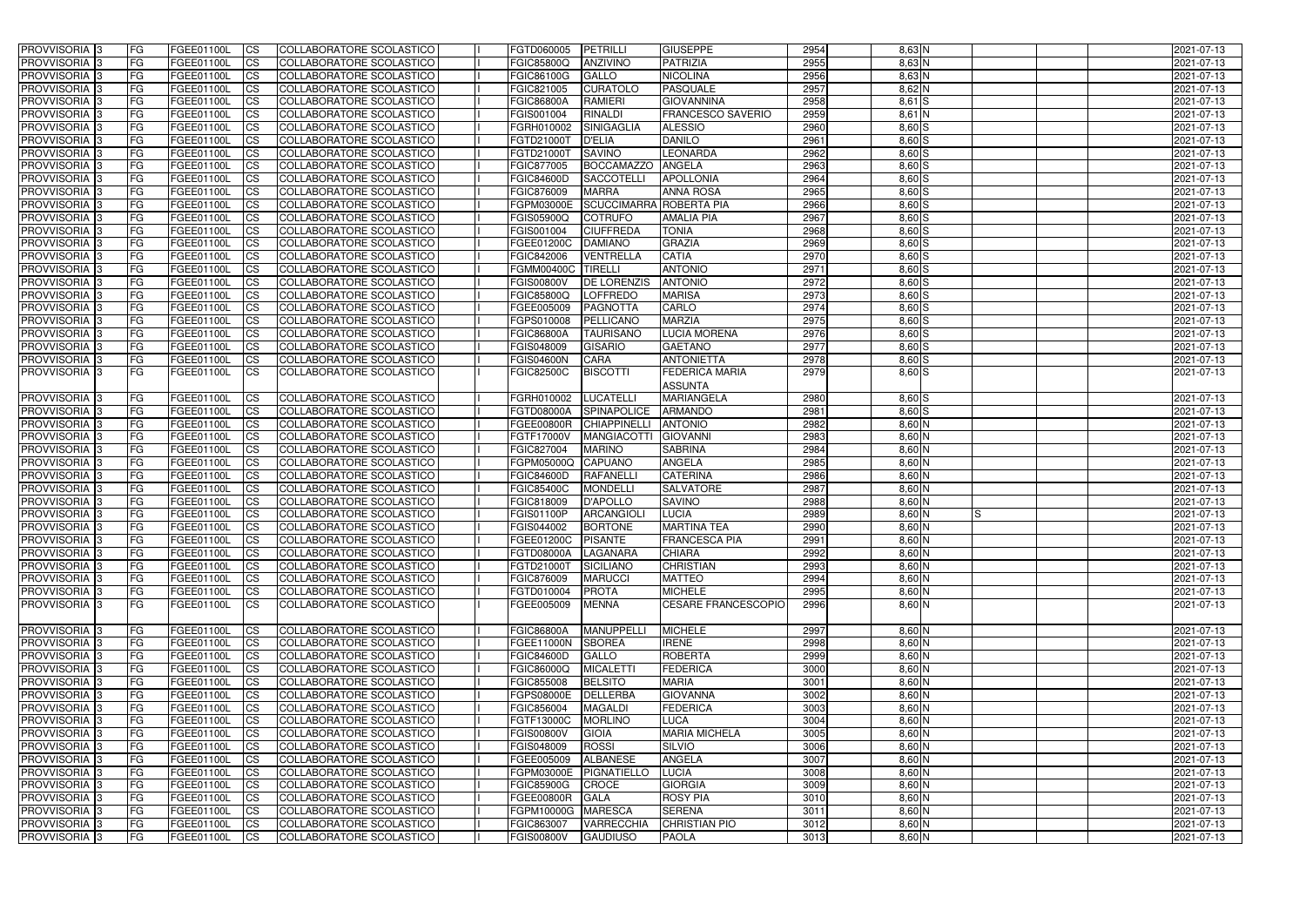| PROVVISORIA <sup>1</sup> 3                       | <b>FG</b>              | FGEE01100L               | CS                                  | COLLABORATORE SCOLASTICO                             | FGTD060005                      | <b>PETRILLI</b>                    | <b>GIUSEPPE</b>                     | 2954         | $8,63$ N             | 2021-07-13               |
|--------------------------------------------------|------------------------|--------------------------|-------------------------------------|------------------------------------------------------|---------------------------------|------------------------------------|-------------------------------------|--------------|----------------------|--------------------------|
| PROVVISORIA <sup>1</sup> 3                       | FG                     | FGEE01100L               | <b>CS</b>                           | <b>COLLABORATORE SCOLASTICO</b>                      | FGIC85800Q                      | <b>ANZIVINO</b>                    | <b>PATRIZIA</b>                     | 2955         | 8,63 N               | 2021-07-13               |
| PROVVISORIA <sup>1</sup> 3                       | FG                     | FGEE01100L               | <b>CS</b>                           | COLLABORATORE SCOLASTICO                             | FGIC86100G                      | <b>GALLO</b>                       | <b>NICOLINA</b>                     | 2956         | $8,63$ N             | 2021-07-13               |
| PROVVISORIA 3                                    | FG                     | FGEE01100L               | <b>CS</b>                           | COLLABORATORE SCOLASTICO                             | FGIC821005                      | <b>CURATOLO</b>                    | <b>PASQUALE</b>                     | 2957         | 8,62 N               | 2021-07-13               |
| PROVVISORIA <sup>1</sup> 3                       | FG                     | FGEE01100L               | <b>CS</b>                           | COLLABORATORE SCOLASTICO                             | <b>FGIC86800A</b>               | <b>RAMIERI</b>                     | <b>GIOVANNINA</b>                   | 2958         | $8,61$ $S$           | 2021-07-13               |
| PROVVISORIA 3                                    | <b>IFG</b>             | FGEE01100L               | <b>CS</b>                           | COLLABORATORE SCOLASTICO                             | FGIS001004                      | <b>RINALDI</b>                     | <b>FRANCESCO SAVERIO</b>            | 2959         | $8,61$ N             | 2021-07-13               |
| PROVVISORIA 3                                    | <b>FG</b>              | FGEE01100L               | <b>CS</b>                           | COLLABORATORE SCOLASTICO                             | FGRH010002                      | SINIGAGLIA                         | <b>ALESSIO</b>                      | 2960         | $8,60$ S             | 2021-07-13               |
| PROVVISORIA 3                                    | FG                     | FGEE01100L               | <b>CS</b>                           | COLLABORATORE SCOLASTICO                             | FGTD21000T                      | <b>D'ELIA</b>                      | <b>DANILO</b>                       | 2961         | $8,60$ $S$           | 2021-07-13               |
| PROVVISORIA 3                                    | FG                     | FGEE01100L               | <b>CS</b>                           | COLLABORATORE SCOLASTICO                             | FGTD21000T                      | <b>SAVINO</b>                      | LEONARDA                            | 2962         | 8,60 S               | 2021-07-13               |
| PROVVISORIA 3                                    | <b>FG</b>              | FGEE01100L               | <b>CS</b>                           | COLLABORATORE SCOLASTICO                             | <b>FGIC877005</b>               | BOCCAMAZZO ANGELA                  |                                     | 2963         | 8,60 S               | 2021-07-13               |
| PROVVISORIA 3                                    | <b>FG</b>              | FGEE01100L               | <b>CS</b>                           | COLLABORATORE SCOLASTICO                             | <b>FGIC84600D</b>               | <b>SACCOTELLI</b>                  | <b>APOLLONIA</b>                    | 2964         | $8,60$ S             | 2021-07-13               |
| PROVVISORIA <sup>1</sup> 3                       | FG                     | FGEE01100L               | <b>CS</b>                           | COLLABORATORE SCOLASTICO                             | FGIC876009                      | <b>MARRA</b>                       | <b>ANNA ROSA</b>                    | 2965         | $8,60$ S             | 2021-07-13               |
| PROVVISORIA <sup>1</sup> 3                       | FG                     | FGEE01100L               | <b>CS</b>                           | COLLABORATORE SCOLASTICO                             | FGPM03000E                      |                                    | SCUCCIMARRA ROBERTA PIA             | 2966         | $8,60$ S             | 2021-07-13               |
| <b>PROVVISORIA</b>                               | FG                     | FGEE01100L               | <b>CS</b>                           | COLLABORATORE SCOLASTICO                             | FGIS05900Q                      | <b>COTRUFO</b>                     | <b>AMALIA PIA</b>                   | 2967         | $8,60$ S             | 2021-07-13               |
| <b>PROVVISORIA</b>                               | FG                     | FGEE01100L               | <b>CS</b>                           | COLLABORATORE SCOLASTICO                             | FGIS001004                      | <b>CIUFFREDA</b>                   | <b>TONIA</b>                        | 2968         | $8,60$ S             | 2021-07-13               |
| PROVVISORIA <sup>1</sup> 3                       | FG                     | FGEE01100L               | <b>ICS</b>                          | COLLABORATORE SCOLASTICO                             | FGEE01200C                      | <b>DAMIANO</b>                     | <b>GRAZIA</b><br><b>CATIA</b>       | 2969         | 8,60 S               | 2021-07-13               |
| <b>PROVVISORIA</b><br>PROVVISORIA 3              | FG<br>FG               | FGEE01100L<br>FGEE01100L | <b>CS</b><br><b>ICS</b>             | COLLABORATORE SCOLASTICO<br>COLLABORATORE SCOLASTICO | FGIC842006<br><b>FGMM00400C</b> | <b>VENTRELLA</b><br><b>TIRELLI</b> | <b>ANTONIO</b>                      | 2970<br>2971 | 8,60 S<br>8,60 S     | 2021-07-13<br>2021-07-13 |
| PROVVISORIA <sup>1</sup> 3                       | FG                     | FGEE01100L               | <b>CS</b>                           | COLLABORATORE SCOLASTICO                             | <b>FGIS00800V</b>               | <b>DE LORENZIS</b>                 | <b>ANTONIO</b>                      | 2972         | $8,60$ S             | 2021-07-13               |
| PROVVISORIA 3                                    | FG                     | FGEE01100L               | <b>CS</b>                           | COLLABORATORE SCOLASTICO                             | <b>FGIC85800Q</b>               | <b>LOFFREDO</b>                    | <b>MARISA</b>                       | 2973         | 8,60 S               | 2021-07-13               |
| PROVVISORIA 3                                    | FG                     | FGEE01100L               | <b>CS</b>                           | COLLABORATORE SCOLASTICO                             | FGEE005009                      | <b>PAGNOTTA</b>                    | CARLO                               | 2974         | $8,60$ S             | 2021-07-13               |
| PROVVISORIA 3                                    | FG                     | FGEE01100L               | <b>CS</b>                           | COLLABORATORE SCOLASTICO                             | FGPS010008                      | PELLICANO                          | <b>MARZIA</b>                       | 2975         | $8,60$ S             | 2021-07-13               |
| PROVVISORIA 3                                    | FG                     | FGEE01100L               | <b>CS</b>                           | COLLABORATORE SCOLASTICO                             | <b>FGIC86800A</b>               | <b>TAURISANO</b>                   | LUCIA MORENA                        | 2976         | $8,60$ S             | 2021-07-13               |
| PROVVISORIA 3                                    | <b>FG</b>              | FGEE01100L               | <b>CS</b>                           | COLLABORATORE SCOLASTICO                             | FGIS048009                      | <b>GISARIO</b>                     | <b>GAETANO</b>                      | 2977         | $8,60$ S             | 2021-07-13               |
| PROVVISORIA 3                                    | FG                     | FGEE01100L               | <b>CS</b>                           | COLLABORATORE SCOLASTICO                             | <b>FGIS04600N</b>               | <b>CARA</b>                        | <b>ANTONIETTA</b>                   | 2978         | $8,60$ S             | 2021-07-13               |
| PROVVISORIA 3                                    | FG                     | FGEE01100L               | <b>ICS</b>                          | COLLABORATORE SCOLASTICO                             | <b>FGIC82500C</b>               | <b>BISCOTTI</b>                    | FEDERICA MARIA                      | 2979         | $8,60$ S             | 2021-07-13               |
|                                                  |                        |                          |                                     |                                                      |                                 |                                    | <b>ASSUNTA</b>                      |              |                      |                          |
| PROVVISORIA 3                                    | FG                     | FGEE01100L               | <b>CS</b>                           | COLLABORATORE SCOLASTICO                             | FGRH010002                      | LUCATELLI                          | <b>MARIANGELA</b>                   | 2980         | $8,60$ S             | 2021-07-13               |
| PROVVISORIA <sup>1</sup> 3                       | FG                     | FGEE01100L               | <b>CS</b>                           | COLLABORATORE SCOLASTICO                             | <b>FGTD08000A</b>               | <b>SPINAPOLICE</b>                 | <b>ARMANDO</b>                      | 2981         | $8,60$ S             | 2021-07-13               |
| PROVVISORIA 3                                    | FG                     | FGEE01100L               | <b>CS</b>                           | COLLABORATORE SCOLASTICO                             | FGEE00800R                      | <b>CHIAPPINELLI</b>                | <b>ANTONIO</b>                      | 2982         | $8,60$ N             | 2021-07-13               |
| PROVVISORIA <sup>1</sup> 3                       | FG                     | FGEE01100L               | <b>CS</b>                           | COLLABORATORE SCOLASTICO                             | FGTF17000V                      | <b>MANGIACOTTI</b>                 | <b>GIOVANNI</b>                     | 2983         | 8,60 N               | 2021-07-13               |
| PROVVISORIA 3                                    | <b>IFG</b>             | FGEE01100L               | <b>CS</b>                           | COLLABORATORE SCOLASTICO                             | FGIC827004                      | <b>MARINO</b>                      | <b>SABRINA</b>                      | 2984         | 8,60 N               | 2021-07-13               |
| PROVVISORIA 3                                    | FG                     | FGEE01100L               | <b>CS</b>                           | <b>COLLABORATORE SCOLASTICO</b>                      | FGPM05000Q                      | <b>CAPUANO</b>                     | <b>ANGELA</b>                       | 2985         | $8,60$ N             | 2021-07-13               |
| PROVVISORIA 3                                    | FG                     | FGEE01100L               | $\overline{c}$                      | COLLABORATORE SCOLASTICO                             | <b>FGIC84600D</b>               | <b>RAFANELL</b>                    | <b>CATERINA</b>                     | 2986         | $8,60$ N             | 2021-07-13               |
| PROVVISORIA 3                                    | FG                     | FGEE01100L               | <b>CS</b>                           | COLLABORATORE SCOLASTICO                             | <b>FGIC85400C</b>               | <b>MONDELLI</b>                    | <b>SALVATORE</b>                    | 2987         | $8,60$ N             | 2021-07-13               |
| <b>PROVVISORIA</b><br>PROVVISORIA <sup>1</sup> 3 | <b>FG</b><br><b>FG</b> | FGEE01100L               | <b>CS</b><br><b>CS</b>              | COLLABORATORE SCOLASTICO<br>COLLABORATORE SCOLASTICO | FGIC818009<br><b>FGIS01100P</b> | <b>D'APOLLO</b><br>ARCANGIOL       | <b>SAVINO</b><br><b>LUCIA</b>       | 2988<br>2989 | 8,60 N               | 2021-07-13<br>2021-07-13 |
| PROVVISORIA 3                                    | <b>FG</b>              | FGEE01100L<br>FGEE01100L | <b>ICS</b>                          | COLLABORATORE SCOLASTICO                             | FGIS044002                      | <b>BORTONE</b>                     | <b>MARTINA TEA</b>                  | 2990         | 8,60 N<br>8,60 N     | 2021-07-13               |
| PROVVISORIA 3                                    | FG                     | FGEE01100L CS            |                                     | COLLABORATORE SCOLASTICO                             | FGEE01200C PISANTE              |                                    | <b>FRANCESCA PIA</b>                | 2991         | $8,60$ N             | 2021-07-13               |
| PROVVISORIA 3                                    | <b>FG</b>              | FGEE01100L               | CS                                  | COLLABORATORE SCOLASTICO                             | FGTD08000A LAGANARA             |                                    | <b>CHIARA</b>                       | 2992         | 8,60 N               | 2021-07-13               |
| PROVVISORIA 3                                    | <b>FG</b>              | FGEE01100L               | CS                                  | COLLABORATORE SCOLASTICO                             | FGTD21000T SICILIANO            |                                    | <b>CHRISTIAN</b>                    | 2993         | $8,60$ N             | 2021-07-13               |
| PROVVISORIA 3                                    | <b>FG</b>              | FGEE01100L               | CS                                  | COLLABORATORE SCOLASTICO                             | FGIC876009                      | <b>MARUCCI</b>                     | <b>MATTEO</b>                       | 2994         | $8,60$ N             | 2021-07-13               |
| PROVVISORIA 3                                    | <b>FG</b>              | FGEE01100L               | CS                                  | COLLABORATORE SCOLASTICO                             | FGTD010004                      | <b>PROTA</b>                       | <b>MICHELE</b>                      | 2995         | $8,60$ N             | 2021-07-13               |
| PROVVISORIA 3                                    | FG                     | FGEE01100L               | CS                                  | COLLABORATORE SCOLASTICO                             | FGEE005009                      | <b>MENNA</b>                       | <b>CESARE FRANCESCOPIO</b>          | 2996         | $8,60$ N             | 2021-07-13               |
|                                                  |                        |                          |                                     |                                                      |                                 |                                    |                                     |              |                      |                          |
| PROVVISORIA 3                                    | <b>FG</b>              | FGEE01100L               | CS                                  | COLLABORATORE SCOLASTICO                             | <b>FGIC86800A</b>               | <b>MANUPPELLI</b>                  | <b>MICHELE</b>                      | 2997         | $8,60$ N             | 2021-07-13               |
| PROVVISORIA 3                                    | FG                     | FGEE01100L               | <b>CS</b>                           | COLLABORATORE SCOLASTICO                             | FGEE11000N                      | <b>SBOREA</b>                      | <b>IRENE</b>                        | 2998         | $8,60$ N             | 2021-07-13               |
| PROVVISORIA 3                                    | <b>FG</b>              | FGEE01100L               | <b>CS</b>                           | COLLABORATORE SCOLASTICO                             | <b>FGIC84600D</b>               | GALLO                              | <b>ROBERTA</b>                      | 2999         | $8,60$ N             | 2021-07-13               |
| PROVVISORIA 3                                    | <b>FG</b>              | FGEE01100L               | <b>CS</b>                           | COLLABORATORE SCOLASTICO                             | FGIC86000Q                      | <b>MICALETTI</b>                   | <b>FEDERICA</b>                     | 3000         | $8,60$ N             | 2021-07-13               |
| PROVVISORIA 3                                    | <b>FG</b>              | FGEE01100L               | <b>CS</b>                           | COLLABORATORE SCOLASTICO                             | FGIC855008                      | <b>BELSITO</b>                     | <b>MARIA</b>                        | 3001         | $8,60$ N             | 2021-07-13               |
| PROVVISORIA 3                                    | <b>FG</b>              | FGEE01100L               | <b>CS</b>                           | COLLABORATORE SCOLASTICO                             | <b>FGPS08000E</b>               | DELLERBA                           | <b>GIOVANNA</b>                     | 3002         | $8,60$ N             | 2021-07-13               |
| PROVVISORIA 3                                    | <b>FG</b>              | FGEE01100L               | <b>CS</b>                           | COLLABORATORE SCOLASTICO                             | FGIC856004                      | <b>MAGALDI</b>                     | <b>FEDERICA</b>                     | 3003         | $8,60$ N             | 2021-07-13               |
| PROVVISORIA 3                                    | <b>FG</b><br><b>FG</b> | FGEE01100L               | <b>CS</b>                           | COLLABORATORE SCOLASTICO                             | FGTF13000C                      | <b>MORLINO</b>                     | <b>LUCA</b><br><b>MARIA MICHELA</b> | 3004<br>3005 | $8,60$ N             | 2021-07-13               |
| PROVVISORIA 3<br>PROVVISORIA 3                   | <b>FG</b>              | FGEE01100L<br>FGEE01100L | $\overline{\text{CS}}$<br><b>CS</b> | COLLABORATORE SCOLASTICO<br>COLLABORATORE SCOLASTICO | <b>FGIS00800V</b><br>FGIS048009 | <b>GIOIA</b><br><b>ROSSI</b>       | <b>SILVIO</b>                       | 3006         | $8,60$ N<br>$8,60$ N | 2021-07-13<br>2021-07-13 |
| PROVVISORIA 3                                    | <b>FG</b>              | FGEE01100L               | <b>CS</b>                           | COLLABORATORE SCOLASTICO                             | FGEE005009                      | <b>ALBANESE</b>                    | <b>ANGELA</b>                       | 3007         | $8,60$ N             | 2021-07-13               |
| PROVVISORIA 3                                    | FG                     | FGEE01100L               | <b>CS</b>                           | COLLABORATORE SCOLASTICO                             | FGPM03000E                      | PIGNATIELLO                        | <b>LUCIA</b>                        | 3008         | $8,60$ N             | 2021-07-13               |
| PROVVISORIA 3                                    | <b>FG</b>              | FGEE01100L               | <b>CS</b>                           | COLLABORATORE SCOLASTICO                             | <b>FGIC85900G</b>               | <b>CROCE</b>                       | <b>GIORGIA</b>                      | 3009         | $8,60$ N             | 2021-07-13               |
| PROVVISORIA 3                                    | <b>FG</b>              | FGEE01100L               | <b>CS</b>                           | COLLABORATORE SCOLASTICO                             | FGEE00800R GALA                 |                                    | <b>ROSY PIA</b>                     | 3010         | $8,60$ N             | 2021-07-13               |
| PROVVISORIA 3                                    | <b>FG</b>              | FGEE01100L               | CS                                  | COLLABORATORE SCOLASTICO                             | FGPM10000G MARESCA              |                                    | <b>SERENA</b>                       | 3011         | $8,60$ N             | 2021-07-13               |
| PROVVISORIA 3                                    | <b>FG</b>              | FGEE01100L               | <b>CS</b>                           | COLLABORATORE SCOLASTICO                             | FGIC863007                      | <b>VARRECCHIA</b>                  | <b>CHRISTIAN PIO</b>                | 3012         | $8,60$ N             | 2021-07-13               |
| PROVVISORIA 3                                    | <b>FG</b>              | FGEE01100L               | CS                                  | COLLABORATORE SCOLASTICO                             | <b>FGIS00800V</b>               | <b>GAUDIUSO</b>                    | <b>PAOLA</b>                        | 3013         | $8,60$ N             | 2021-07-13               |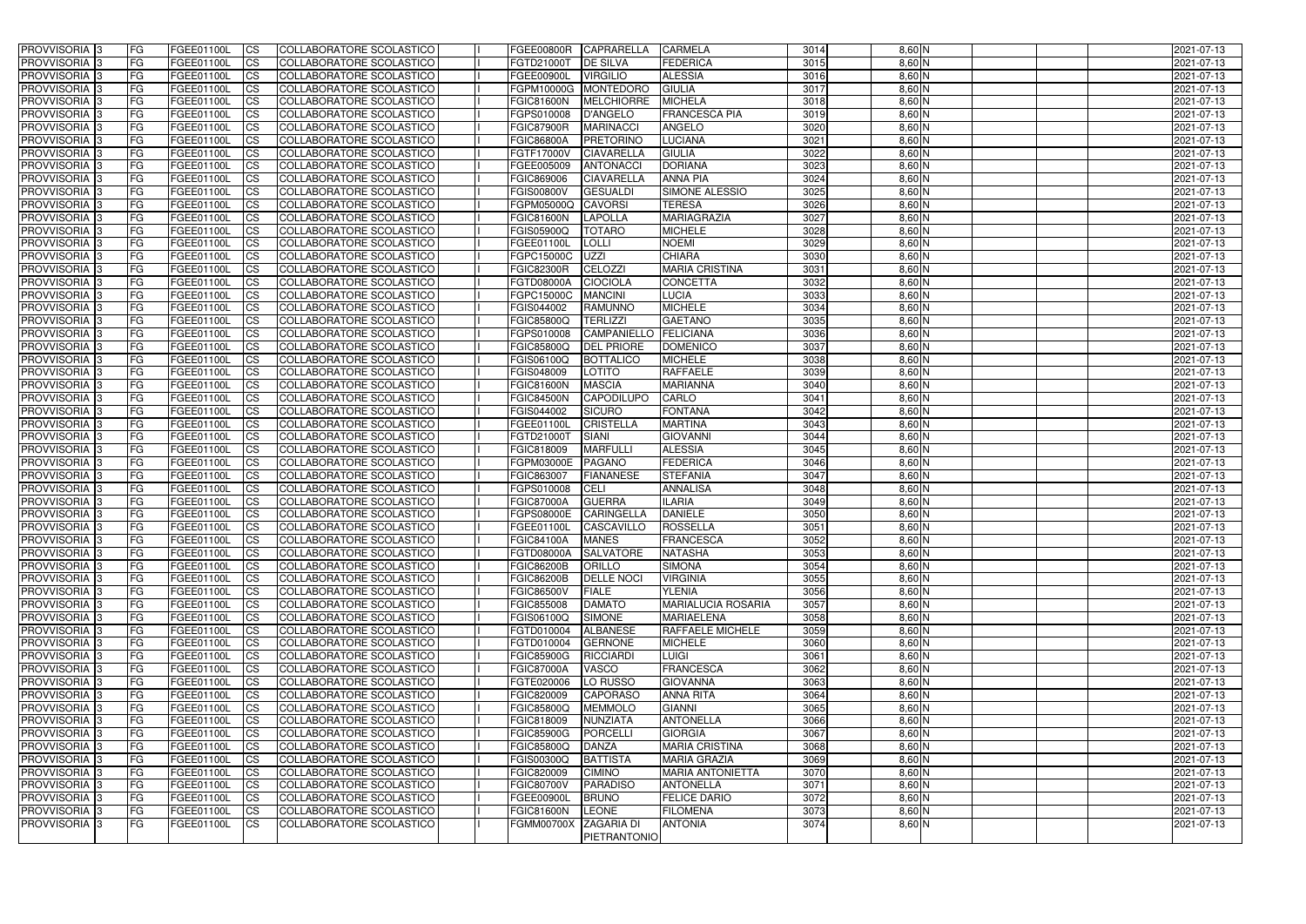| <b>PROVVISORIA</b> 3       | FG.        | FGEE01100L        | <b>CS</b>              | COLLABORATORE SCOLASTICO        | FGEE00800R        | CAPRARELLA        | <b>CARMELA</b>            | 3014         | $8,60$ N             |  | 2021-07-13 |
|----------------------------|------------|-------------------|------------------------|---------------------------------|-------------------|-------------------|---------------------------|--------------|----------------------|--|------------|
| PROVVISORIA <sup>1</sup> 3 | FG         | <b>FGEE01100L</b> | $\overline{\text{cs}}$ | COLLABORATORE SCOLASTICO        | FGTD21000T        | <b>DE SILVA</b>   | <b>FEDERICA</b>           | 3015         | 8,60 N               |  | 2021-07-13 |
| PROVVISORIA <sup>3</sup>   | <b>IFG</b> | FGEE01100L        | <b>CS</b>              | <b>COLLABORATORE SCOLASTICO</b> | <b>FGEE00900L</b> | <b>VIRGILIO</b>   | <b>ALESSIA</b>            | 3016         | $8,60$ N             |  | 2021-07-13 |
| PROVVISORIA <sup>3</sup>   | FG         | FGEE01100L        | <b>CS</b>              | COLLABORATORE SCOLASTICO        | FGPM10000G        | <b>MONTEDORO</b>  | <b>GIULIA</b>             | 3017         | $8,60$ N             |  | 2021-07-13 |
| PROVVISORIA <sup>3</sup>   | FG         | FGEE01100L        | <b>CS</b>              | COLLABORATORE SCOLASTICO        | <b>FGIC81600N</b> | <b>MELCHIORRE</b> | <b>MICHELA</b>            | 3018         | $8,60$ N             |  | 2021-07-13 |
| PROVVISORIA 3              | FG         | FGEE01100L        | <b>ICS</b>             | COLLABORATORE SCOLASTICO        | FGPS010008        | D'ANGELO          | <b>FRANCESCA PIA</b>      | 3019         | $8,60$ N             |  | 2021-07-13 |
| PROVVISORIA <sup>3</sup>   | FG         | FGEE01100L        | <b>ICS</b>             | COLLABORATORE SCOLASTICO        | <b>FGIC87900R</b> | <b>MARINACCI</b>  | <b>ANGELO</b>             | 3020         | $8,60$ N             |  | 2021-07-13 |
| PROVVISORIA <sup>3</sup>   | FG         | FGEE01100L        | $\overline{c}$         | COLLABORATORE SCOLASTICO        | <b>FGIC86800A</b> | PRETORINO         | <b>LUCIANA</b>            | 3021         | $8,60$ N             |  | 2021-07-13 |
| PROVVISORIA <sup>3</sup>   | FG         | FGEE01100L        | <b>CS</b>              | COLLABORATORE SCOLASTICO        | FGTF17000V        | <b>CIAVARELLA</b> | <b>GIULIA</b>             | 3022         | $8,60$ N             |  | 2021-07-13 |
| PROVVISORIA <sup>3</sup>   | FG         | <b>FGEE01100L</b> | <b>CS</b>              | COLLABORATORE SCOLASTICO        | FGEE005009        | <b>ANTONACC</b>   | <b>DORIANA</b>            | 3023         | $8,60$ N             |  | 2021-07-13 |
| <b>PROVVISORIA</b> 3       | FG         | FGEE01100L        | <b>CS</b>              | <b>COLLABORATORE SCOLASTICO</b> | FGIC869006        | <b>CIAVARELLA</b> | <b>ANNA PIA</b>           | 3024         | $8,60$ N             |  | 2021-07-13 |
| <b>PROVVISORIA</b> 3       | FG         | FGEE01100L        | <b>CS</b>              | COLLABORATORE SCOLASTICO        | <b>FGIS00800V</b> | <b>GESUALDI</b>   | SIMONE ALESSIO            | 3025         | $8,60$ N             |  | 2021-07-13 |
| PROVVISORIA <sup>3</sup>   | FG         | FGEE01100L        | <b>I</b> CS            | <b>COLLABORATORE SCOLASTICO</b> | FGPM05000Q        | <b>CAVORSI</b>    | <b>TERESA</b>             | 3026         | $8,60$ N             |  | 2021-07-13 |
| PROVVISORIA <sup>3</sup>   | FG         | FGEE01100L        | <b>I</b> CS            | <b>COLLABORATORE SCOLASTICO</b> | <b>FGIC81600N</b> | <b>LAPOLLA</b>    | <b>MARIAGRAZIA</b>        | 3027         | 8,60 N               |  | 2021-07-13 |
| <b>PROVVISORIA</b> 3       | FG         | FGEE01100L        | <b>I</b> CS            | COLLABORATORE SCOLASTICO        | FGIS05900Q        | <b>TOTARO</b>     | <b>MICHELE</b>            | 3028         | 8,60 N               |  | 2021-07-13 |
| PROVVISORIA <sup>3</sup>   | FG         | FGEE01100L        | <b>ICS</b>             | COLLABORATORE SCOLASTICO        | <b>FGEE01100L</b> | <b>LOLLI</b>      | <b>NOEMI</b>              | 3029         | 8,60 N               |  | 2021-07-13 |
| PROVVISORIA <sup>3</sup>   | FG.        | FGEE01100L        | <b>I</b> CS            | COLLABORATORE SCOLASTICO        | FGPC15000C        | <b>UZZI</b>       | <b>CHIARA</b>             | 3030         | 8,60 N               |  | 2021-07-13 |
| PROVVISORIA <sup>3</sup>   | FG         | FGEE01100L        | <b>ICS</b>             | COLLABORATORE SCOLASTICO        | <b>FGIC82300R</b> | CELOZZI           | <b>MARIA CRISTINA</b>     | 3031         | $8,60$ N             |  | 2021-07-13 |
| PROVVISORIA <sup>3</sup>   | FG         | FGEE01100L        | <b>ICS</b>             | COLLABORATORE SCOLASTICO        | <b>FGTD08000A</b> | <b>CIOCIOLA</b>   | <b>CONCETTA</b>           | 3032         | $8,60$ N             |  | 2021-07-13 |
| PROVVISORIA <sup>3</sup>   | FG         | FGEE01100L        | <b>CS</b>              | COLLABORATORE SCOLASTICO        | FGPC15000C        | <b>MANCINI</b>    | LUCIA                     | 3033         | $8,60$ N             |  | 2021-07-13 |
| PROVVISORIA <sup>3</sup>   | FG         | FGEE01100L        | <b>CS</b>              | COLLABORATORE SCOLASTICO        | FGIS044002        | <b>RAMUNNO</b>    | <b>MICHELE</b>            | 3034         | $8,60$ N             |  | 2021-07-13 |
| PROVVISORIA <sup>3</sup>   | FG         | FGEE01100L        | <b>CS</b>              | COLLABORATORE SCOLASTICO        | <b>FGIC85800Q</b> | <b>TERLIZZI</b>   | <b>GAETANO</b>            | 3035         | $8,60$ N             |  | 2021-07-13 |
| PROVVISORIA <sup>3</sup>   |            |                   |                        |                                 |                   |                   |                           |              |                      |  |            |
|                            | FG         | <b>FGEE01100L</b> | <b>CS</b>              | COLLABORATORE SCOLASTICO        | FGPS010008        | CAMPANIELLO       | <b>FELICIANA</b>          | 3036<br>3037 | $8,60$ N<br>$8,60$ N |  | 2021-07-13 |
| PROVVISORIA <sup>1</sup> 3 | FG         | FGEE01100L        | <b>CS</b>              | <b>COLLABORATORE SCOLASTICO</b> | <b>FGIC85800Q</b> | <b>DEL PRIORE</b> | <b>DOMENICO</b>           |              |                      |  | 2021-07-13 |
| PROVVISORIA <sup>3</sup>   | FG         | FGEE01100L        | ICS                    | COLLABORATORE SCOLASTICO        | FGIS06100Q        | <b>BOTTALICO</b>  | <b>MICHELE</b>            | 3038         | $8,60$ N             |  | 2021-07-13 |
| PROVVISORIA <sup>1</sup> 3 | FG         | <b>FGEE01100L</b> | <b>CS</b>              | COLLABORATORE SCOLASTICO        | FGIS048009        | LOTITO            | <b>RAFFAELE</b>           | 3039         | $8,60$ N             |  | 2021-07-13 |
| PROVVISORIA <sup>3</sup>   | FG         | FGEE01100L        | <b>CS</b>              | COLLABORATORE SCOLASTICO        | FGIC81600N        | <b>MASCIA</b>     | <b>MARIANNA</b>           | 3040         | 8,60 N               |  | 2021-07-13 |
| PROVVISORIA <sup>3</sup>   | FG         | FGEE01100L        | <b>CS</b>              | COLLABORATORE SCOLASTICO        | <b>FGIC84500N</b> | <b>CAPODILUPO</b> | CARLO                     | 3041         | 8,60 N               |  | 2021-07-13 |
| PROVVISORIA <sup>1</sup> 3 | FG         | FGEE01100L        | <b>CS</b>              | COLLABORATORE SCOLASTICO        | FGIS044002        | <b>SICURO</b>     | <b>FONTANA</b>            | 3042         | 8,60 N               |  | 2021-07-13 |
| PROVVISORIA <sup>3</sup>   | FG         | FGEE01100L        | <b>CS</b>              | COLLABORATORE SCOLASTICO        | FGEE01100L        | <b>CRISTELLA</b>  | <b>MARTINA</b>            | 3043         | $8,60$ N             |  | 2021-07-13 |
| PROVVISORIA <sup>3</sup>   | FG         | FGEE01100L        | <b>CS</b>              | COLLABORATORE SCOLASTICO        | FGTD21000T        | SIANI             | <b>GIOVANNI</b>           | 3044         | $8,60$ N             |  | 2021-07-13 |
| PROVVISORIA <sup>3</sup>   | FG         | <b>FGEE01100L</b> | <b>CS</b>              | COLLABORATORE SCOLASTICO        | FGIC818009        | <b>MARFULLI</b>   | <b>ALESSIA</b>            | 3045         | $8,60$ N             |  | 2021-07-13 |
| PROVVISORIA <sup>3</sup>   | FG         | FGEE01100L        | $\overline{\text{cs}}$ | COLLABORATORE SCOLASTICO        | FGPM03000E        | <b>PAGANO</b>     | <b>FEDERICA</b>           | 3046         | $8,60$ N             |  | 2021-07-13 |
| PROVVISORIA <sup>3</sup>   | FG         | FGEE01100L        | $\overline{c}$         | COLLABORATORE SCOLASTICO        | FGIC863007        | <b>FIANANESE</b>  | <b>STEFANIA</b>           | 3047         | $8,60$ N             |  | 2021-07-13 |
| PROVVISORIA <sup>3</sup>   | FG         | FGEE01100L        | <b>CS</b>              | COLLABORATORE SCOLASTICO        | FGPS010008        | <b>CELI</b>       | <b>ANNALISA</b>           | 3048         | $8,60$ N             |  | 2021-07-13 |
| PROVVISORIA <sup>3</sup>   | FG         | FGEE01100L        | <b>CS</b>              | COLLABORATORE SCOLASTICO        | <b>FGIC87000A</b> | <b>GUERRA</b>     | <b>ILARIA</b>             | 3049         | $8,60$ N             |  | 2021-07-13 |
| <b>PROVVISORIA</b> 3       | FG         | <b>FGEE01100L</b> | <b>I</b> CS            | COLLABORATORE SCOLASTICO        | <b>FGPS08000E</b> | CARINGELLA        | <b>DANIELE</b>            | 3050         | $8,60$ N             |  | 2021-07-13 |
| <b>PROVVISORIA</b> 3       | IFG.       | FGEE01100L        | <b>ICS</b>             | <b>COLLABORATORE SCOLASTICO</b> | FGEE01100L        | <b>CASCAVILLO</b> | <b>ROSSELLA</b>           | 3051         | $8,60$ N             |  | 2021-07-13 |
| <b>PROVVISORIA</b> 3       | IFG.       | FGEE01100L CS     |                        | COLLABORATORE SCOLASTICO        | FGIC84100A MANES  |                   | <b>FRANCESCA</b>          | 3052         | $8,60$ N             |  | 2021-07-13 |
| PROVVISORIA 3              | FG         | FGEE01100L        | <b>CS</b>              | COLLABORATORE SCOLASTICO        | <b>FGTD08000A</b> | <b>SALVATORE</b>  | <b>NATASHA</b>            | 3053         | $8,60$ N             |  | 2021-07-13 |
| PROVVISORIA 3              | FG         | FGEE01100L        | $\mathsf{ICS}$         | COLLABORATORE SCOLASTICO        | <b>FGIC86200B</b> | ORILLO            | <b>SIMONA</b>             | 3054         | $8,60$ N             |  | 2021-07-13 |
| PROVVISORIA 3              | IFG.       | FGEE01100L        | <b>ICS</b>             | COLLABORATORE SCOLASTICO        | <b>FGIC86200B</b> | <b>DELLE NOCI</b> | <b>VIRGINIA</b>           | 3055         | $8,60$ N             |  | 2021-07-13 |
| PROVVISORIA 3              | FG         | FGEE01100L        | $\mathsf{ICS}$         | COLLABORATORE SCOLASTICO        | <b>FGIC86500V</b> | <b>FIALE</b>      | <b>YLENIA</b>             | 3056         | $8,60$ N             |  | 2021-07-13 |
| PROVVISORIA 3              | FG         | FGEE01100L        | <b>CS</b>              | COLLABORATORE SCOLASTICO        | FGIC855008        | <b>DAMATO</b>     | <b>MARIALUCIA ROSARIA</b> | 3057         | $8,60$ N             |  | 2021-07-13 |
| PROVVISORIA 3              | <b>FG</b>  | FGEE01100L        | <b>ICS</b>             | COLLABORATORE SCOLASTICO        | FGIS06100Q        | <b>SIMONE</b>     | <b>MARIAELENA</b>         | 3058         | $8,60$ N             |  | 2021-07-13 |
| PROVVISORIA 3              | FG         | FGEE01100L        | <b>CS</b>              | COLLABORATORE SCOLASTICO        | FGTD010004        | <b>ALBANESE</b>   | <b>RAFFAELE MICHELE</b>   | 3059         | $8,60$ N             |  | 2021-07-13 |
| PROVVISORIA 3              | FG         | FGEE01100L        | <b>CS</b>              | COLLABORATORE SCOLASTICO        | FGTD010004        | <b>GERNONE</b>    | <b>MICHELE</b>            | 3060         | $8,60$ N             |  | 2021-07-13 |
| PROVVISORIA 3              | FG         | FGEE01100L        | <b>CS</b>              | COLLABORATORE SCOLASTICO        | <b>FGIC85900G</b> | RICCIARDI         | <b>LUIGI</b>              | 3061         | $8,60$ N             |  | 2021-07-13 |
| PROVVISORIA 3              | FG         | FGEE01100L        | <b>CS</b>              | COLLABORATORE SCOLASTICO        | <b>FGIC87000A</b> | <b>VASCO</b>      | <b>FRANCESCA</b>          | 3062         | $8,60$ N             |  | 2021-07-13 |
| PROVVISORIA 3              | FG         | FGEE01100L        | <b>CS</b>              | COLLABORATORE SCOLASTICO        | FGTE020006        | LO RUSSO          | <b>GIOVANNA</b>           | 3063         | $8,60$ N             |  | 2021-07-13 |
| <b>PROVVISORIA</b> 3       | IFG.       | FGEE01100L        | <b>CS</b>              | COLLABORATORE SCOLASTICO        | <b>FGIC820009</b> | <b>CAPORASO</b>   | <b>ANNA RITA</b>          | 3064         | $8,60$ N             |  | 2021-07-13 |
| PROVVISORIA 3              | FG         | FGEE01100L        | <b>CS</b>              | <b>COLLABORATORE SCOLASTICO</b> | <b>FGIC85800Q</b> | <b>MEMMOLO</b>    | <b>GIANNI</b>             | 3065         | $8,60$ N             |  | 2021-07-13 |
| PROVVISORIA 3              | <b>IFG</b> | FGEE01100L        | <b>CS</b>              | COLLABORATORE SCOLASTICO        | FGIC818009        | NUNZIATA          | <b>ANTONELLA</b>          | 3066         | $8,60$ N             |  | 2021-07-13 |
| <b>PROVVISORIA</b> 3       | IFG.       | FGEE01100L        | <b>CS</b>              | COLLABORATORE SCOLASTICO        | <b>FGIC85900G</b> | PORCELLI          | <b>GIORGIA</b>            | 3067         | $8,60$ N             |  | 2021-07-13 |
| PROVVISORIA 3              | FG         | FGEE01100L        | <b>CS</b>              | <b>COLLABORATORE SCOLASTICO</b> | <b>FGIC85800Q</b> | <b>DANZA</b>      | <b>MARIA CRISTINA</b>     | 3068         | $8,60$ N             |  | 2021-07-13 |
| PROVVISORIA 3              | FG         | FGEE01100L        | <b>CS</b>              | COLLABORATORE SCOLASTICO        | <b>FGIS00300Q</b> | <b>BATTISTA</b>   | <b>MARIA GRAZIA</b>       | 3069         | $8,60$ N             |  | 2021-07-13 |
| PROVVISORIA 3              | <b>FG</b>  | <b>FGEE01100L</b> | <b>CS</b>              | COLLABORATORE SCOLASTICO        | FGIC820009        | <b>CIMINO</b>     | <b>MARIA ANTONIETTA</b>   | 3070         | $8,60$ N             |  | 2021-07-13 |
|                            | FG         |                   |                        |                                 |                   | PARADISO          | <b>ANTONELLA</b>          | 3071         | $8,60$ N             |  | 2021-07-13 |
| PROVVISORIA 3              |            | <b>FGEE01100L</b> | <b>CS</b>              | COLLABORATORE SCOLASTICO        | <b>FGIC80700V</b> |                   |                           |              |                      |  |            |
| PROVVISORIA 3              | FG         | FGEE01100L        | <b>CS</b>              | COLLABORATORE SCOLASTICO        | FGEE00900L        | <b>BRUNO</b>      | <b>FELICE DARIO</b>       | 3072         | $8,60$ N             |  | 2021-07-13 |
| PROVVISORIA 3              | FG         | FGEE01100L        | <b>CS</b>              | COLLABORATORE SCOLASTICO        | <b>FGIC81600N</b> | LEONE             | <b>FILOMENA</b>           | 3073         | $8,60$ N             |  | 2021-07-13 |
| <b>PROVVISORIA</b> 3       | IFG.       | FGEE01100L        | <b>ICS</b>             | COLLABORATORE SCOLASTICO        | <b>FGMM00700X</b> | <b>ZAGARIA DI</b> | <b>ANTONIA</b>            | 3074         | 8,60 N               |  | 2021-07-13 |
|                            |            |                   |                        |                                 |                   | PIETRANTONIO      |                           |              |                      |  |            |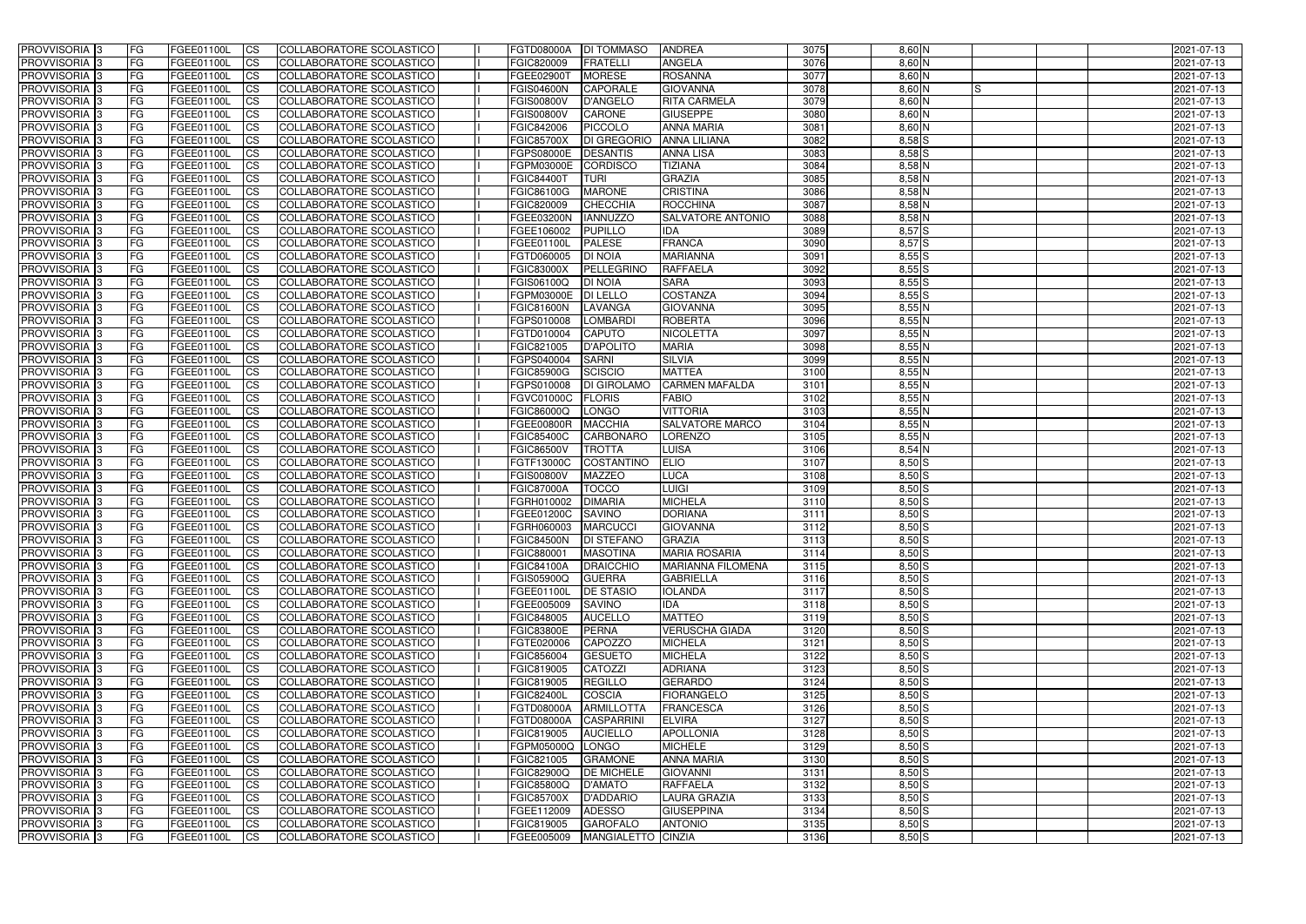| <b>PROVVISORIA</b> 3       | FG         | FGEE01100L        | <b>ICS</b>             | COLLABORATORE SCOLASTICO        | FGTD08000A            | <b>DI TOMMASO</b>                   | <b>ANDREA</b>            | 3075 | $8,60$ N       | 2021-07-13 |
|----------------------------|------------|-------------------|------------------------|---------------------------------|-----------------------|-------------------------------------|--------------------------|------|----------------|------------|
| <b>PROVVISORIA 3</b>       | FG         | FGEE01100L        | <b>CS</b>              | COLLABORATORE SCOLASTICO        | FGIC820009            | FRATELLI                            | <b>ANGELA</b>            | 3076 | $8,60$ N       | 2021-07-13 |
| PROVVISORIA <sup>3</sup>   | FG         | FGEE01100L        | <b>CS</b>              | COLLABORATORE SCOLASTICO        | FGEE02900T            | <b>MORESE</b>                       | <b>ROSANNA</b>           | 3077 | $8,60$ N       | 2021-07-13 |
| PROVVISORIA <sup>3</sup>   | FG         | FGEE01100L        | <b>CS</b>              | COLLABORATORE SCOLASTICO        | <b>FGIS04600N</b>     | <b>CAPORALE</b>                     | <b>GIOVANNA</b>          | 3078 | $8,60$ N<br>IS | 2021-07-13 |
| PROVVISORIA <sup>1</sup> 3 | FG         | FGEE01100L        | <b>CS</b>              | COLLABORATORE SCOLASTICO        | <b>FGIS00800V</b>     | D'ANGELO                            | <b>RITA CARMELA</b>      | 3079 | 8,60 N         | 2021-07-13 |
| PROVVISORIA <sup>3</sup>   | FG         | FGEE01100L        | <b>CS</b>              | COLLABORATORE SCOLASTICO        | <b>FGIS00800V</b>     | <b>CARONE</b>                       | <b>GIUSEPPE</b>          | 3080 | $8,60$ N       | 2021-07-13 |
| PROVVISORIA 3              | FG         | FGEE01100L        | <b>CS</b>              | COLLABORATORE SCOLASTICO        | FGIC842006            | <b>PICCOLO</b>                      | <b>ANNA MARIA</b>        | 3081 | $8,60$ N       | 2021-07-13 |
| PROVVISORIA 3              | FG         | <b>FGEE01100L</b> | <b>CS</b>              | COLLABORATORE SCOLASTICO        | <b>FGIC85700X</b>     | DI GREGORIO                         | <b>ANNA LILIANA</b>      | 3082 | $8,58$ $S$     | 2021-07-13 |
| PROVVISORIA 3              | FG         | FGEE01100L        | <b>CS</b>              | <b>COLLABORATORE SCOLASTICO</b> | FGPS08000E            | <b>DESANTIS</b>                     | <b>ANNA LISA</b>         | 3083 | $8,58$ $S$     | 2021-07-13 |
| PROVVISORIA <sup>3</sup>   | FG         | FGEE01100L        | $\overline{c}$         | COLLABORATORE SCOLASTICO        | FGPM03000E            | <b>CORDISCO</b>                     | <b>TIZIANA</b>           | 3084 | $8,58$ N       | 2021-07-13 |
| PROVVISORIA <sup>3</sup>   | FG         | FGEE01100L        | <b>CS</b>              | COLLABORATORE SCOLASTICO        | <b>FGIC84400T</b>     | <b>TURI</b>                         | <b>GRAZIA</b>            | 3085 | $8,58$ N       | 2021-07-13 |
| PROVVISORIA <sup>3</sup>   | FG         | <b>FGEE01100L</b> | <b>CS</b>              | COLLABORATORE SCOLASTICO        | FGIC86100G            | <b>MARONE</b>                       | <b>CRISTINA</b>          | 3086 | $8,58$ N       | 2021-07-13 |
| PROVVISORIA <sup>3</sup>   | FG.        | <b>FGEE01100L</b> | <b>I</b> CS            | COLLABORATORE SCOLASTICO        | FGIC820009            | CHECCHIA                            | ROCCHINA                 | 3087 | $8,58$ N       | 2021-07-13 |
| PROVVISORIA <sup>3</sup>   | FG         | FGEE01100L        | <b>I</b> CS            | COLLABORATORE SCOLASTICO        | <b>FGEE03200N</b>     | <b>IANNUZZO</b>                     | <b>SALVATORE ANTONIO</b> | 3088 | 8,58 N         | 2021-07-13 |
| PROVVISORIA <sup>3</sup>   | FG         | FGEE01100L        | <b>I</b> CS            | COLLABORATORE SCOLASTICO        | FGEE106002            | <b>PUPILLO</b>                      | <b>IDA</b>               | 3089 | 8,57S          | 2021-07-13 |
| <b>PROVVISORIA</b> 3       | FG         | FGEE01100L        | <b>I</b> CS            | <b>COLLABORATORE SCOLASTICO</b> | FGEE01100L            | <b>PALESE</b>                       | <b>FRANCA</b>            | 3090 | 8,57S          | 2021-07-13 |
|                            |            |                   |                        | COLLABORATORE SCOLASTICO        |                       |                                     |                          |      |                |            |
| PROVVISORIA <sup>3</sup>   | FG         | FGEE01100L        | <b>ICS</b>             |                                 | FGTD060005            | <b>DI NOIA</b><br><b>PELLEGRINO</b> | <b>MARIANNA</b>          | 3091 | $8,55$ $S$     | 2021-07-13 |
| PROVVISORIA 3              | FG         | FGEE01100L        | <b>CS</b>              | COLLABORATORE SCOLASTICO        | <b>FGIC83000X</b>     |                                     | <b>RAFFAELA</b>          | 3092 | $8,55$ $S$     | 2021-07-13 |
| PROVVISORIA <sup>3</sup>   | FG.        | FGEE01100L        | <b>ICS</b>             | COLLABORATORE SCOLASTICO        | FGIS06100Q            | <b>DI NOIA</b>                      | <b>SARA</b>              | 3093 | 8,55S          | 2021-07-13 |
| PROVVISORIA <sup>3</sup>   | FG         | FGEE01100L        | <b>I</b> CS            | COLLABORATORE SCOLASTICO        | FGPM03000E            | <b>DI LELLO</b>                     | <b>COSTANZA</b>          | 3094 | $8,55$ S       | 2021-07-13 |
| PROVVISORIA <sup>3</sup>   | FG         | FGEE01100L        | <b>I</b> CS            | COLLABORATORE SCOLASTICO        | <b>FGIC81600N</b>     | LAVANGA                             | <b>GIOVANNA</b>          | 3095 | $8,55$ N       | 2021-07-13 |
| PROVVISORIA <sup>3</sup>   | FG         | FGEE01100L        | <b>CS</b>              | COLLABORATORE SCOLASTICO        | FGPS010008            | <b>LOMBARDI</b>                     | <b>ROBERTA</b>           | 3096 | 8,55N          | 2021-07-13 |
| PROVVISORIA <sup>3</sup>   | FG         | FGEE01100L        | <b>CS</b>              | COLLABORATORE SCOLASTICO        | FGTD010004            | <b>CAPUTO</b>                       | <b>NICOLETTA</b>         | 3097 | 8,55N          | 2021-07-13 |
| PROVVISORIA <sup>3</sup>   | FG         | FGEE01100L        | <b>CS</b>              | COLLABORATORE SCOLASTICO        | FGIC821005            | <b>D'APOLITO</b>                    | <b>MARIA</b>             | 3098 | $8,55$ N       | 2021-07-13 |
| PROVVISORIA <sup>3</sup>   | FG         | FGEE01100L        | <b>CS</b>              | COLLABORATORE SCOLASTICO        | FGPS040004            | <b>SARNI</b>                        | <b>SILVIA</b>            | 3099 | $8,55$ N       | 2021-07-13 |
| PROVVISORIA <sup>1</sup> 3 | FG         | FGEE01100L        | <b>CS</b>              | COLLABORATORE SCOLASTICO        | <b>FGIC85900G</b>     | SCISCIO                             | <b>MATTEA</b>            | 3100 | $8,55$ N       | 2021-07-13 |
| PROVVISORIA 3              | FG         | <b>FGEE01100L</b> | <b>CS</b>              | COLLABORATORE SCOLASTICO        | FGPS010008            | <b>DI GIROLAMO</b>                  | <b>CARMEN MAFALDA</b>    | 3101 | 8,55N          | 2021-07-13 |
| PROVVISORIA <sup>3</sup>   | FG         | FGEE01100L        | <b>CS</b>              | COLLABORATORE SCOLASTICO        | FGVC01000C            | <b>FLORIS</b>                       | FABIO                    | 3102 | $8,55$ N       | 2021-07-13 |
| PROVVISORIA <sup>3</sup>   | FG         | <b>FGEE01100L</b> | <b>CS</b>              | COLLABORATORE SCOLASTICO        | FGIC86000Q            | <b>LONGO</b>                        | <b>VITTORIA</b>          | 3103 | $8,55$ N       | 2021-07-13 |
| PROVVISORIA <sup>1</sup> 3 | FG.        | FGEE01100L        | <b>CS</b>              | COLLABORATORE SCOLASTICO        | <b>FGEE00800R</b>     | <b>MACCHIA</b>                      | <b>SALVATORE MARCO</b>   | 3104 | $8,55$ N       | 2021-07-13 |
| PROVVISORIA <sup>3</sup>   | FG.        | FGEE01100L        | <b>CS</b>              | COLLABORATORE SCOLASTICO        | <b>FGIC85400C</b>     | <b>CARBONARC</b>                    | <b>LORENZO</b>           | 3105 | $8,55$ N       | 2021-07-13 |
| PROVVISORIA <sup>13</sup>  | FG         | <b>FGEE01100L</b> | $\overline{\text{cs}}$ | COLLABORATORE SCOLASTICO        | <b>FGIC86500V</b>     | <b>TROTTA</b>                       | <b>LUISA</b>             | 3106 | $8,54$ N       | 2021-07-13 |
| PROVVISORIA <sup>3</sup>   | FG         | <b>FGEE01100L</b> | <b>CS</b>              | COLLABORATORE SCOLASTICO        | FGTF13000C            | COSTANTINO                          | <b>ELIO</b>              | 3107 | $8,50$ S       | 2021-07-13 |
| PROVVISORIA <sup>3</sup>   | FG         | <b>FGEE01100L</b> | <b>CS</b>              | COLLABORATORE SCOLASTICO        | <b>FGIS00800V</b>     | <b>MAZZEO</b>                       | LUCA                     | 3108 | $8,50$ S       | 2021-07-13 |
| PROVVISORIA <sup>3</sup>   | FG         | FGEE01100L        | $\overline{\text{cs}}$ | COLLABORATORE SCOLASTICO        | <b>FGIC87000A</b>     | <b>TOCCO</b>                        | LUIGI                    | 3109 | $8,50$ S       | 2021-07-13 |
| PROVVISORIA <sup>3</sup>   | FG         | <b>FGEE01100L</b> | <b>CS</b>              | <b>COLLABORATORE SCOLASTICO</b> | FGRH010002            | <b>DIMARIA</b>                      | <b>MICHELA</b>           | 3110 | $8,50$ S       | 2021-07-13 |
| PROVVISORIA <sup>3</sup>   | FG         | FGEE01100L        | <b>CS</b>              | COLLABORATORE SCOLASTICO        | FGEE01200C            | <b>SAVINO</b>                       | <b>DORIANA</b>           | 3111 | $8,50$ S       | 2021-07-13 |
| PROVVISORIA 3              | FG         | FGEE01100L        | <b>I</b> CS            | COLLABORATORE SCOLASTICO        | FGRH060003            | <b>MARCUCCI</b>                     | <b>GIOVANNA</b>          | 3112 | $8,50$ S       | 2021-07-13 |
| <b>PROVVISORIA</b> 3       | IFG.       | FGEE01100L        | CS                     | COLLABORATORE SCOLASTICO        | FGIC84500N DI STEFANO |                                     | GRAZIA                   | 3113 | $8,50$ S       | 2021-07-13 |
| PROVVISORIA 3              | IFG.       | FGEE01100L        | <b>ICS</b>             | COLLABORATORE SCOLASTICO        | <b>FGIC880001</b>     | <b>MASOTINA</b>                     | <b>MARIA ROSARIA</b>     | 3114 | $8,50$ S       | 2021-07-13 |
| PROVVISORIA 3              | FG         | FGEE01100L        | <b>CS</b>              | COLLABORATORE SCOLASTICO        | <b>FGIC84100A</b>     | <b>DRAICCHIO</b>                    | <b>MARIANNA FILOMENA</b> | 3115 | $8,50$ S       | 2021-07-13 |
| PROVVISORIA 3              | FG         | FGEE01100L        | <b>CS</b>              | COLLABORATORE SCOLASTICO        | <b>FGIS05900Q</b>     | <b>GUERRA</b>                       | <b>GABRIELLA</b>         | 3116 | $8,50$ $S$     | 2021-07-13 |
| PROVVISORIA 3              | FG         | FGEE01100L        | <b>ICS</b>             | <b>COLLABORATORE SCOLASTICO</b> | FGEE01100L            | <b>DE STASIO</b>                    | <b>IOLANDA</b>           | 3117 | $8,50$ S       | 2021-07-13 |
| PROVVISORIA 3              | FG.        | FGEE01100L        | <b>CS</b>              | COLLABORATORE SCOLASTICO        | FGEE005009            | <b>SAVINO</b>                       | <b>IDA</b>               | 3118 | $8,50$ $S$     | 2021-07-13 |
| PROVVISORIA 3              | FG         | FGEE01100L        | <b>CS</b>              | COLLABORATORE SCOLASTICO        | FGIC848005            | <b>AUCELLO</b>                      | <b>MATTEO</b>            | 3119 | $8,50$ $S$     | 2021-07-13 |
| PROVVISORIA 3              | <b>FG</b>  | FGEE01100L        | <b>CS</b>              | COLLABORATORE SCOLASTICO        | <b>FGIC83800E</b>     | <b>PERNA</b>                        | <b>VERUSCHA GIADA</b>    | 3120 | $8,50$ $S$     | 2021-07-13 |
| PROVVISORIA 3              | FG         | FGEE01100L        | <b>CS</b>              | COLLABORATORE SCOLASTICO        | FGTE020006            | <b>CAPOZZO</b>                      | <b>MICHELA</b>           | 3121 | $8,50$ S       | 2021-07-13 |
| PROVVISORIA 3              | FG         | FGEE01100L        | <b>CS</b>              | COLLABORATORE SCOLASTICO        | FGIC856004            | <b>GESUETO</b>                      | <b>MICHELA</b>           | 3122 | $8,50$ S       | 2021-07-13 |
| PROVVISORIA 3              | <b>IFG</b> | FGEE01100L        | <b>CS</b>              | COLLABORATORE SCOLASTICO        | FGIC819005            | CATOZZI                             | <b>ADRIANA</b>           | 3123 | $8,50$ $S$     | 2021-07-13 |
| PROVVISORIA 3              | FG         | FGEE01100L        | <b>CS</b>              | COLLABORATORE SCOLASTICO        | FGIC819005            | <b>REGILLO</b>                      | <b>GERARDO</b>           | 3124 | $8,50$ $S$     | 2021-07-13 |
| PROVVISORIA 3              | FG         | FGEE01100L        | <b>CS</b>              | COLLABORATORE SCOLASTICO        | <b>FGIC82400L</b>     | <b>COSCIA</b>                       | <b>FIORANGELO</b>        | 3125 | $8,50$ $S$     | 2021-07-13 |
| <b>PROVVISORIA</b> 3       | IFG.       | FGEE01100L        | <b>CS</b>              | COLLABORATORE SCOLASTICO        | <b>FGTD08000A</b>     | <b>ARMILLOTTA</b>                   | <b>FRANCESCA</b>         | 3126 | $8,50$ S       | 2021-07-13 |
| <b>PROVVISORIA</b> 3       | IFG.       | FGEE01100L        | <b>CS</b>              | COLLABORATORE SCOLASTICO        | <b>FGTD08000A</b>     | CASPARRINI                          | <b>ELVIRA</b>            | 3127 | $8,50$ S       | 2021-07-13 |
| PROVVISORIA 3              | <b>IFG</b> | FGEE01100L        | <b>CS</b>              | <b>COLLABORATORE SCOLASTICO</b> | FGIC819005            | <b>AUCIELLO</b>                     | <b>APOLLONIA</b>         | 3128 | $8,50$ S       | 2021-07-13 |
| PROVVISORIA 3              | <b>IFG</b> | FGEE01100L        | <b>CS</b>              | COLLABORATORE SCOLASTICO        | FGPM05000Q LONGO      |                                     | <b>MICHELE</b>           | 3129 | $8,50$ S       | 2021-07-13 |
| PROVVISORIA 3              | IFG.       | <b>FGEE01100L</b> | <b>CS</b>              | COLLABORATORE SCOLASTICO        | FGIC821005            | <b>GRAMONE</b>                      | <b>ANNA MARIA</b>        | 3130 | $8,50$ $S$     | 2021-07-13 |
| PROVVISORIA 3              | FG         | FGEE01100L        | <b>CS</b>              | COLLABORATORE SCOLASTICO        | <b>FGIC82900Q</b>     | <b>DE MICHELE</b>                   | <b>GIOVANNI</b>          | 3131 | $8,50$ S       | 2021-07-13 |
| PROVVISORIA 3              | FG         | FGEE01100L        | <b>CS</b>              | COLLABORATORE SCOLASTICO        | <b>FGIC85800Q</b>     | <b>D'AMATO</b>                      | <b>RAFFAELA</b>          | 3132 | $8,50$ S       | 2021-07-13 |
| PROVVISORIA 3              | FG         | <b>FGEE01100L</b> | <b>CS</b>              | COLLABORATORE SCOLASTICO        | <b>FGIC85700X</b>     | D'ADDARIO                           | <b>LAURA GRAZIA</b>      | 3133 | $8,50$ S       | 2021-07-13 |
| PROVVISORIA 3              | FG         | FGEE01100L        | <b>ICS</b>             | COLLABORATORE SCOLASTICO        | FGEE112009            | <b>ADESSO</b>                       | <b>GIUSEPPINA</b>        | 3134 | $8,50$ S       | 2021-07-13 |
| PROVVISORIA 3              |            | FGEE01100L        | <b>CS</b>              | COLLABORATORE SCOLASTICO        | FGIC819005            | <b>GAROFALO</b>                     | <b>ANTONIO</b>           | 3135 | $8,50$ $S$     | 2021-07-13 |
|                            | FG         |                   |                        |                                 |                       |                                     |                          |      |                |            |
| PROVVISORIA 3              | FG         | FGEE01100L        | <b>CS</b>              | COLLABORATORE SCOLASTICO        | FGEE005009            | MANGIALETTO CINZIA                  |                          | 3136 | $8,50$ S       | 2021-07-13 |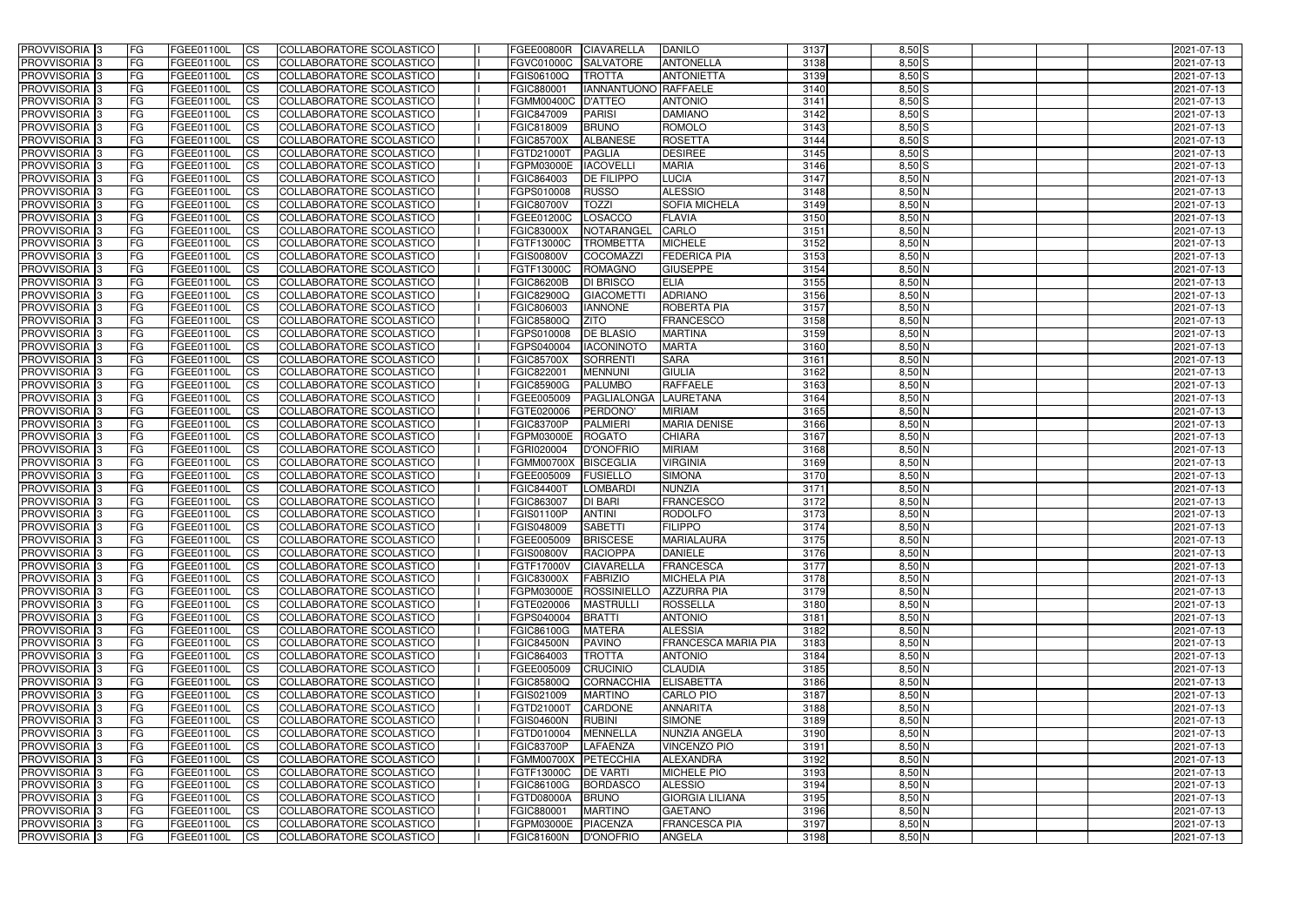| <b>PROVVISORIA</b> 3                                    | FG         | FGEE01100L                      | <b>ICS</b>             | COLLABORATORE SCOLASTICO                             | FGEE00800R               | <b>CIAVARELLA</b>       | <b>DANILO</b>              | 3137         | $8,50$ S             | 2021-07-13               |
|---------------------------------------------------------|------------|---------------------------------|------------------------|------------------------------------------------------|--------------------------|-------------------------|----------------------------|--------------|----------------------|--------------------------|
| <b>PROVVISORIA 3</b>                                    | FG         | FGEE01100L                      | <b>CS</b>              | COLLABORATORE SCOLASTICO                             | <b>FGVC01000C</b>        | <b>SALVATORE</b>        | <b>ANTONELLA</b>           | 3138         | $8,50$ $S$           | 2021-07-13               |
| PROVVISORIA <sup>3</sup>                                | FG         | FGEE01100L                      | <b>CS</b>              | COLLABORATORE SCOLASTICO                             | FGIS06100Q               | <b>TROTTA</b>           | <b>ANTONIETTA</b>          | 3139         | $8,50$ S             | 2021-07-13               |
| PROVVISORIA <sup>3</sup>                                | FG         | FGEE01100L                      | <b>CS</b>              | COLLABORATORE SCOLASTICO                             | FGIC880001               | IANNANTUONO RAFFAELE    |                            | 3140         | $8,50$ S             | 2021-07-13               |
| PROVVISORIA <sup>1</sup> 3                              | FG         | FGEE01100L                      | <b>CS</b>              | COLLABORATORE SCOLASTICO                             | <b>FGMM00400C</b>        | D'ATTEO                 | <b>ANTONIO</b>             | 3141         | $8,50$ S             | 2021-07-13               |
| PROVVISORIA <sup>3</sup>                                | FG         | FGEE01100L                      | <b>CS</b>              | COLLABORATORE SCOLASTICO                             | FGIC847009               | <b>PARISI</b>           | <b>DAMIANO</b>             | 3142         | $8,50$ S             | 2021-07-13               |
| PROVVISORIA 3                                           | FG         | FGEE01100L                      | <b>CS</b>              | COLLABORATORE SCOLASTICO                             | FGIC818009               | <b>BRUNO</b>            | <b>ROMOLO</b>              | 3143         | $8,50$ S             | 2021-07-13               |
| PROVVISORIA 3                                           | FG         | <b>FGEE01100L</b>               | <b>CS</b>              | COLLABORATORE SCOLASTICO                             | <b>FGIC85700X</b>        | <b>ALBANESE</b>         | <b>ROSETTA</b>             | 3144         | $8,50$ S             | 2021-07-13               |
| PROVVISORIA 3                                           | FG         | FGEE01100L                      | <b>CS</b>              | COLLABORATORE SCOLASTICO                             | FGTD21000T               | <b>PAGLIA</b>           | <b>DESIREE</b>             | 3145         | $8,50$ S             | 2021-07-13               |
| PROVVISORIA <sup>3</sup>                                | FG         | FGEE01100L                      | $\overline{c}$         | COLLABORATORE SCOLASTICO                             | FGPM03000E               | <b>IACOVELLI</b>        | <b>MARIA</b>               | 3146         | $8,50$ S             | 2021-07-13               |
| PROVVISORIA <sup>3</sup>                                | FG         | FGEE01100L                      | <b>CS</b>              | COLLABORATORE SCOLASTICO                             | FGIC864003               | <b>DE FILIPPO</b>       | <b>LUCIA</b>               | 3147         | $8,50$ N             | 2021-07-13               |
| PROVVISORIA <sup>3</sup>                                | FG         | FGEE01100L                      | <b>CS</b>              | COLLABORATORE SCOLASTICO                             | FGPS010008               | <b>RUSSO</b>            | <b>ALESSIO</b>             | 3148         | $8,50$ N             | 2021-07-13               |
| PROVVISORIA <sup>3</sup>                                | FG         | <b>FGEE01100L</b>               | <b>CS</b>              | COLLABORATORE SCOLASTICO                             | <b>FGIC80700V</b>        | <b>TOZZI</b>            | <b>SOFIA MICHELA</b>       | 3149         | $8,50$ N             | 2021-07-13               |
| PROVVISORIA <sup>3</sup>                                | FG         | FGEE01100L                      | <b>I</b> CS            | COLLABORATORE SCOLASTICO                             | <b>FGEE01200C</b>        | LOSACCO                 | <b>FLAVIA</b>              | 3150         | $8,50$ N             | 2021-07-13               |
| PROVVISORIA <sup>3</sup>                                | FG         | FGEE01100L                      | <b>CS</b>              | COLLABORATORE SCOLASTICO                             | <b>FGIC83000X</b>        | <b>NOTARANGEL</b>       | CARLO                      | 3151         | $8,50$ N             | 2021-07-13               |
| <b>PROVVISORIA</b> 3                                    | FG         | <b>FGEE01100L</b>               | <b>CS</b>              | <b>COLLABORATORE SCOLASTICO</b>                      | FGTF13000C               | <b>TROMBETTA</b>        | <b>MICHELE</b>             | 3152         | $8,50$ N             | 2021-07-13               |
| PROVVISORIA <sup>3</sup>                                | FG         | FGEE01100L                      | <b>CS</b>              | COLLABORATORE SCOLASTICO                             | <b>FGIS00800V</b>        | <b>COCOMAZZI</b>        | <b>FEDERICA PIA</b>        | 3153         | 8,50 N               | 2021-07-13               |
| PROVVISORIA 3                                           | FG         | FGEE01100L                      | <b>CS</b>              | COLLABORATORE SCOLASTICO                             | FGTF13000C               | <b>ROMAGNO</b>          | <b>GIUSEPPE</b>            | 3154         | 8,50 N               | 2021-07-13               |
| PROVVISORIA <sup>3</sup>                                | FG         | FGEE01100L                      | <b>ICS</b>             | COLLABORATORE SCOLASTICO                             | <b>FGIC86200B</b>        | <b>DI BRISCO</b>        | <b>ELIA</b>                | 3155         | $8,50$ N             | 2021-07-13               |
| PROVVISORIA <sup>3</sup>                                | FG         | FGEE01100L                      | <b>CS</b>              | COLLABORATORE SCOLASTICO                             | <b>FGIC82900Q</b>        | <b>GIACOMETT</b>        | <b>ADRIANO</b>             | 3156         | $8,50$ N             | 2021-07-13               |
| PROVVISORIA <sup>3</sup>                                | FG         | FGEE01100L                      | <b>I</b> CS            | COLLABORATORE SCOLASTICO                             | FGIC806003               | <b>IANNONE</b>          | ROBERTA PIA                | 3157         | $8,50$ N             | 2021-07-13               |
| PROVVISORIA <sup>3</sup>                                | FG         | FGEE01100L                      | <b>CS</b>              | COLLABORATORE SCOLASTICO                             | <b>FGIC85800Q</b>        | <b>ZITO</b>             | <b>FRANCESCO</b>           | 3158         | $8,50$ N             | 2021-07-13               |
| PROVVISORIA <sup>3</sup>                                | FG         | FGEE01100L                      | <b>CS</b>              | COLLABORATORE SCOLASTICO                             | FGPS010008               | <b>DE BLASIO</b>        | <b>MARTINA</b>             | 3159         | $8,50$ N             | 2021-07-13               |
| PROVVISORIA <sup>3</sup>                                | FG         | FGEE01100L                      | <b>CS</b>              | COLLABORATORE SCOLASTICO                             | FGPS040004               | <b>IACONINOTO</b>       | <b>MARTA</b>               | 3160         | $8,50$ N             | 2021-07-13               |
| PROVVISORIA <sup>3</sup>                                | FG         | FGEE01100L                      | <b>CS</b>              | COLLABORATORE SCOLASTICO                             | <b>FGIC85700X</b>        | <b>SORRENTI</b>         | <b>SARA</b>                | 3161         | $8,50$ N             | 2021-07-13               |
| PROVVISORIA <sup>1</sup> 3                              | FG         | FGEE01100L                      | <b>CS</b>              | COLLABORATORE SCOLASTICO                             | FGIC822001               | <b>MENNUNI</b>          | <b>GIULIA</b>              | 3162         | $8,50$ N<br>$8,50$ N | 2021-07-13               |
| PROVVISORIA 3                                           | FG         | FGEE01100L                      | <b>CS</b>              | COLLABORATORE SCOLASTICO                             | <b>FGIC85900G</b>        | <b>PALUMBO</b>          | <b>RAFFAELE</b>            | 3163         | 8,50 N               | 2021-07-13               |
| PROVVISORIA <sup>3</sup>                                | FG.        | FGEE01100L<br><b>FGEE01100L</b> | <b>CS</b>              | COLLABORATORE SCOLASTICO<br>COLLABORATORE SCOLASTICO | FGEE005009<br>FGTE020006 | PAGLIALONGA<br>PERDONO' | LAURETANA<br><b>MIRIAM</b> | 3164<br>3165 | $8,50$ N             | 2021-07-13               |
| PROVVISORIA <sup>13</sup><br>PROVVISORIA <sup>1</sup> 3 | FG<br>FG   | FGEE01100L                      | <b>CS</b><br><b>CS</b> | COLLABORATORE SCOLASTICO                             | <b>FGIC83700P</b>        | <b>PALMIERI</b>         | <b>MARIA DENISE</b>        | 3166         | 8,50 N               | 2021-07-13<br>2021-07-13 |
| PROVVISORIA <sup>3</sup>                                | FG.        | FGEE01100L                      | <b>CS</b>              | COLLABORATORE SCOLASTICO                             | FGPM03000E               | <b>ROGATO</b>           | <b>CHIARA</b>              | 3167         | 8,50 N               | 2021-07-13               |
| PROVVISORIA <sup>3</sup>                                | FG         | FGEE01100L                      | <b>CS</b>              | COLLABORATORE SCOLASTICO                             | FGRI020004               | <b>D'ONOFRIO</b>        | <b>MIRIAM</b>              | 3168         | $8,50$ N             | 2021-07-13               |
| PROVVISORIA <sup>3</sup>                                | FG         | <b>FGEE01100L</b>               | <b>CS</b>              | COLLABORATORE SCOLASTICO                             | <b>FGMM00700X</b>        | <b>BISCEGLIA</b>        | <b>VIRGINIA</b>            | 3169         | $8,50$ N             | 2021-07-13               |
| PROVVISORIA 3                                           | FG         | FGEE01100L                      | <b>CS</b>              | COLLABORATORE SCOLASTICO                             | FGEE005009               | <b>FUSIELLO</b>         | <b>SIMONA</b>              | 3170         | $8,50$ N             | 2021-07-13               |
| PROVVISORIA <sup>3</sup>                                | FG         | FGEE01100L                      | $\overline{c}$         | COLLABORATORE SCOLASTICO                             | <b>FGIC84400T</b>        | <b>LOMBARDI</b>         | <b>NUNZIA</b>              | 3171         | $8,50$ N             | 2021-07-13               |
| PROVVISORIA <sup>3</sup>                                | FG         | FGEE01100L                      | <b>CS</b>              | <b>COLLABORATORE SCOLASTICO</b>                      | FGIC863007               | <b>DI BARI</b>          | <b>FRANCESCO</b>           | 3172         | $8,50$ N             | 2021-07-13               |
| PROVVISORIA <sup>3</sup>                                | FG         | FGEE01100L                      | <b>CS</b>              | COLLABORATORE SCOLASTICO                             | <b>FGIS01100P</b>        | <b>ANTINI</b>           | <b>RODOLFO</b>             | 3173         | $8,50$ N             | 2021-07-13               |
| PROVVISORIA 3                                           | FG         | FGEE01100L                      | <b>I</b> CS            | COLLABORATORE SCOLASTICO                             | FGIS048009               | <b>SABETTI</b>          | <b>FILIPPO</b>             | 3174         | $8,50$ N             | 2021-07-13               |
| <b>PROVVISORIA</b> 3                                    | IFG.       | FGEE01100L                      | CS                     | COLLABORATORE SCOLASTICO                             | FGEE005009 BRISCESE      |                         | <b>MARIALAURA</b>          | 3175         | $8,50$ N             | 2021-07-13               |
| PROVVISORIA 3                                           | IFG.       | FGEE01100L                      | <b>ICS</b>             | COLLABORATORE SCOLASTICO                             | <b>FGIS00800V</b>        | <b>RACIOPPA</b>         | <b>DANIELE</b>             | 3176         | $8,50$ N             | 2021-07-13               |
| PROVVISORIA 3                                           | FG         | FGEE01100L                      | <b>CS</b>              | COLLABORATORE SCOLASTICO                             | FGTF17000V               | <b>CIAVARELLA</b>       | <b>FRANCESCA</b>           | 3177         | $8,50$ N             | 2021-07-13               |
| PROVVISORIA 3                                           | FG         | FGEE01100L                      | <b>CS</b>              | COLLABORATORE SCOLASTICO                             | <b>FGIC83000X</b>        | FABRIZIO                | <b>MICHELA PIA</b>         | 3178         | $8,50$ N             | 2021-07-13               |
| PROVVISORIA 3                                           | FG         | FGEE01100L                      | <b>ICS</b>             | <b>COLLABORATORE SCOLASTICO</b>                      | FGPM03000E               | ROSSINIELLO             | <b>AZZURRA PIA</b>         | 3179         | $8,50$ N             | 2021-07-13               |
| PROVVISORIA 3                                           | FG         | FGEE01100L                      | <b>CS</b>              | COLLABORATORE SCOLASTICO                             | FGTE020006               | <b>MASTRULLI</b>        | <b>ROSSELLA</b>            | 3180         | $8,50$ N             | 2021-07-13               |
| PROVVISORIA 3                                           | FG         | FGEE01100L                      | <b>CS</b>              | COLLABORATORE SCOLASTICO                             | FGPS040004               | <b>BRATTI</b>           | <b>ANTONIO</b>             | 3181         | $8,50$ N             | 2021-07-13               |
| PROVVISORIA 3                                           | <b>FG</b>  | FGEE01100L                      | <b>CS</b>              | COLLABORATORE SCOLASTICO                             | <b>FGIC86100G</b>        | <b>MATERA</b>           | <b>ALESSIA</b>             | 3182         | $8,50$ N             | 2021-07-13               |
| PROVVISORIA 3                                           | FG         | FGEE01100L                      | <b>CS</b>              | COLLABORATORE SCOLASTICO                             | <b>FGIC84500N</b>        | <b>PAVINO</b>           | <b>FRANCESCA MARIA PIA</b> | 3183         | $8,50$ N             | 2021-07-13               |
| PROVVISORIA 3                                           | FG         | FGEE01100L                      | <b>CS</b>              | COLLABORATORE SCOLASTICO                             | FGIC864003               | <b>TROTTA</b>           | <b>ANTONIO</b>             | 3184         | $8,50$ N             | 2021-07-13               |
| PROVVISORIA 3                                           | IFG.       | FGEE01100L                      | <b>CS</b>              | COLLABORATORE SCOLASTICO                             | FGEE005009               | CRUCINIO                | <b>CLAUDIA</b>             | 3185         | $8,50$ N             | 2021-07-13               |
| PROVVISORIA 3                                           | FG         | FGEE01100L                      | <b>CS</b>              | COLLABORATORE SCOLASTICO                             | <b>FGIC85800Q</b>        | CORNACCHIA              | <b>ELISABETTA</b>          | 3186         | $8,50$ N             | 2021-07-13               |
| PROVVISORIA 3                                           | FG         | FGEE01100L                      | <b>CS</b>              | COLLABORATORE SCOLASTICO                             | FGIS021009               | <b>MARTINO</b>          | <b>CARLO PIO</b>           | 3187         | $8,50$ N             | 2021-07-13               |
| <b>PROVVISORIA</b> 3                                    | IFG.       | FGEE01100L                      | <b>CS</b>              | COLLABORATORE SCOLASTICO                             | FGTD21000T               | <b>CARDONE</b>          | ANNARITA                   | 3188         | $8,50$ N             | 2021-07-13               |
| <b>PROVVISORIA</b> 3                                    | IFG.       | FGEE01100L                      | <b>CS</b>              | COLLABORATORE SCOLASTICO                             | <b>FGIS04600N</b>        | <b>RUBINI</b>           | <b>SIMONE</b>              | 3189         | $8,50$ N             | 2021-07-13               |
| <b>PROVVISORIA</b> 3                                    | <b>IFG</b> | FGEE01100L                      | <b>CS</b>              | <b>COLLABORATORE SCOLASTICO</b>                      | FGTD010004               | <b>MENNELLA</b>         | NUNZIA ANGELA              | 3190         | $8,50$ N             | 2021-07-13               |
| PROVVISORIA 3                                           | <b>IFG</b> | FGEE01100L                      | <b>CS</b>              | COLLABORATORE SCOLASTICO                             | <b>FGIC83700P</b>        | <b>LAFAENZA</b>         | <b>VINCENZO PIO</b>        | 3191         | $8,50$ N             | 2021-07-13               |
| PROVVISORIA 3                                           | IFG.       | FGEE01100L                      | <b>CS</b>              | COLLABORATORE SCOLASTICO                             | <b>FGMM00700X</b>        | PETECCHIA               | <b>ALEXANDRA</b>           | 3192         | $8,50$ N             | 2021-07-13               |
| PROVVISORIA 3                                           | FG         | FGEE01100L                      | <b>CS</b>              | COLLABORATORE SCOLASTICO                             | FGTF13000C               | <b>DE VARTI</b>         | <b>MICHELE PIO</b>         | 3193         | $8,50$ N             | 2021-07-13               |
| PROVVISORIA 3                                           | FG         | FGEE01100L                      | <b>CS</b>              | COLLABORATORE SCOLASTICO                             | <b>FGIC86100G</b>        | <b>BORDASCO</b>         | <b>ALESSIO</b>             | 3194         | $8,50$ N             | 2021-07-13               |
| PROVVISORIA 3                                           | FG         | <b>FGEE01100L</b>               | <b>CS</b>              | COLLABORATORE SCOLASTICO                             | FGTD08000A               | <b>BRUNO</b>            | <b>GIORGIA LILIANA</b>     | 3195         | $8,50$ N             | 2021-07-13               |
| <b>PROVVISORIA</b> 3                                    | FG         | FGEE01100L                      | <b>CS</b>              | COLLABORATORE SCOLASTICO                             | FGIC880001               | <b>MARTINO</b>          | <b>GAETANO</b>             | 3196         | $8,50$ N             | 2021-07-13               |
| PROVVISORIA 3                                           | FG         | FGEE01100L                      | <b>CS</b>              | COLLABORATORE SCOLASTICO                             | FGPM03000E               | PIACENZA                | <b>FRANCESCA PIA</b>       | 3197         | $8,50$ N             | 2021-07-13               |
| PROVVISORIA 3                                           | FG         | FGEE01100L                      | <b>CS</b>              | COLLABORATORE SCOLASTICO                             | <b>FGIC81600N</b>        | D'ONOFRIO               | <b>ANGELA</b>              | 3198         | $8,50$ N             | 2021-07-13               |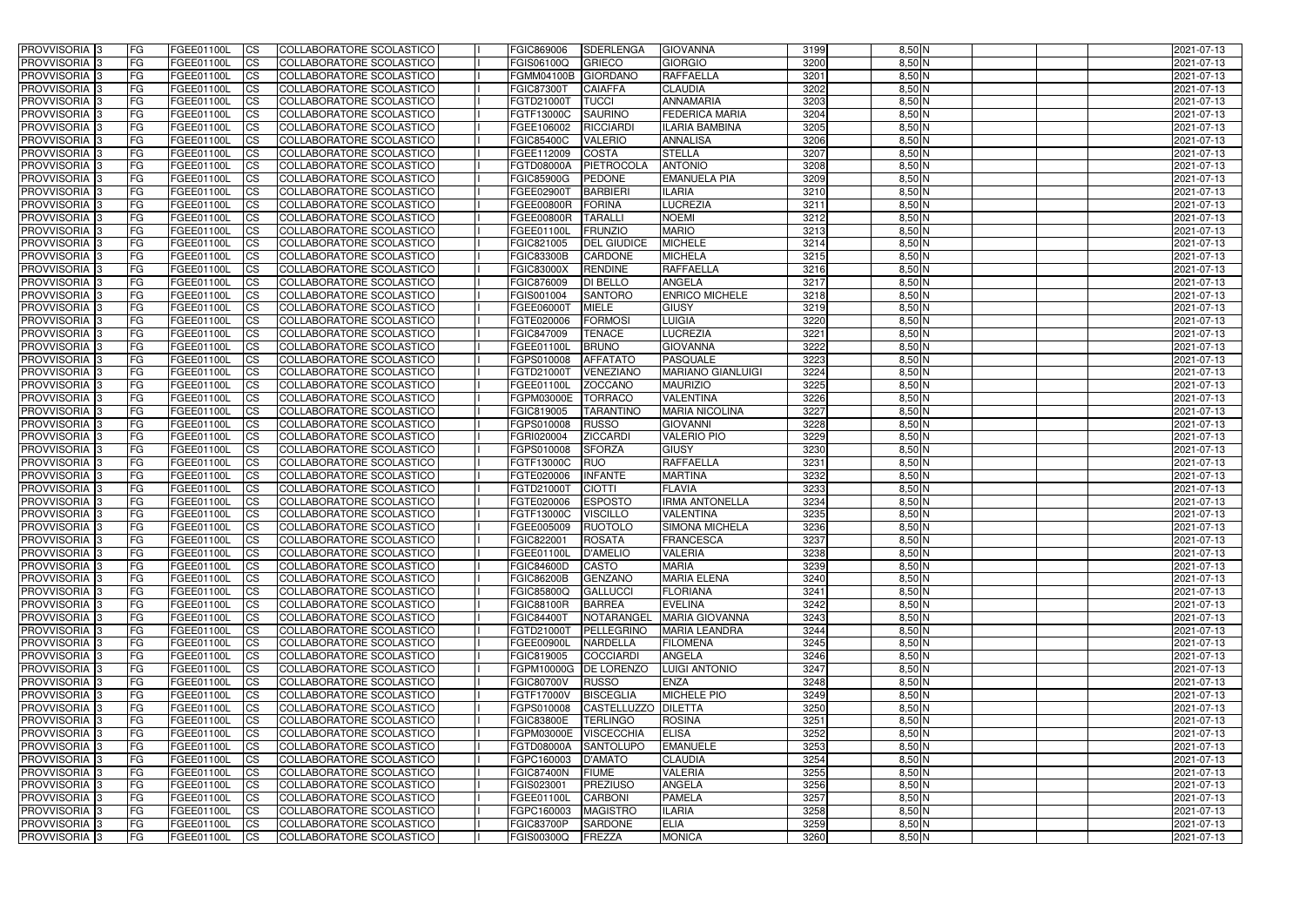| <b>PROVVISORIA</b> 3           | <b>FG</b>              | FGEE01100L               | <b>ICS</b>               | COLLABORATORE SCOLASTICO                                    | FGIC869006                      | <b>SDERLENGA</b>                   | <b>GIOVANNA</b>                   | 3199         | $8,50$ N             | 2021-07-13               |
|--------------------------------|------------------------|--------------------------|--------------------------|-------------------------------------------------------------|---------------------------------|------------------------------------|-----------------------------------|--------------|----------------------|--------------------------|
| <b>PROVVISORIA 3</b>           | FG                     | FGEE01100L               | <b>ICS</b>               | COLLABORATORE SCOLASTICO                                    | FGIS06100Q                      | <b>GRIECO</b>                      | <b>GIORGIO</b>                    | 3200         | $8,50$ N             | 2021-07-13               |
| <b>PROVVISORIA</b>             | FG                     | FGEE01100L               | <b>CS</b>                | <b>COLLABORATORE SCOLASTICO</b>                             | FGMM04100B                      | GIORDANO                           | <b>RAFFAELLA</b>                  | 3201         | $8,50$ N             | 2021-07-13               |
| PROVVISORIA                    | FG                     | FGEE01100L               | <b>CS</b>                | COLLABORATORE SCOLASTICO                                    | <b>FGIC87300T</b>               | <b>CAIAFFA</b>                     | <b>CLAUDIA</b>                    | 3202         | $8,50$ N             | 2021-07-13               |
| PROVVISORIA <sup>1</sup> 3     | FG                     | FGEE01100L               | <b>CS</b>                | COLLABORATORE SCOLASTICO                                    | FGTD21000T                      | <b>TUCCI</b>                       | <b>ANNAMARIA</b>                  | 3203         | 8,50 N               | 2021-07-13               |
| PROVVISORIA <sup>1</sup> 3     | FG                     | FGEE01100L               | <b>CS</b>                | COLLABORATORE SCOLASTICO                                    | FGTF13000C                      | <b>SAURINO</b>                     | <b>FEDERICA MARIA</b>             | 3204         | $8,50$ N             | 2021-07-13               |
| PROVVISORIA <sup>1</sup> 3     | FG                     | FGEE01100L               | <b>CS</b>                | COLLABORATORE SCOLASTICO                                    | FGEE106002                      | <b>RICCIARDI</b>                   | <b>ILARIA BAMBINA</b>             | 3205         | $8,50$ N             | 2021-07-13               |
| PROVVISORIA 3                  | FG                     | FGEE01100L               | <b>ICS</b>               | COLLABORATORE SCOLASTICO                                    | <b>FGIC85400C</b>               | <b>VALERIO</b>                     | <b>ANNALISA</b>                   | 3206         | $8,50$ N             | 2021-07-13               |
| PROVVISORIA 3                  | FG                     | FGEE01100L               | <b>CS</b>                | COLLABORATORE SCOLASTICO                                    | FGEE112009                      | <b>COSTA</b>                       | <b>STELLA</b>                     | 3207         | $8,50$ N             | 2021-07-13               |
| PROVVISORIA 3                  | <b>FG</b>              | FGEE01100L               | <b>ICS</b>               | COLLABORATORE SCOLASTICO                                    | FGTD08000A                      | PIETROCOLA                         | <b>ANTONIO</b>                    | 3208         | $8,50$ N             | 2021-07-13               |
| PROVVISORIA 3                  | FG                     | FGEE01100L               | <b>CS</b>                | COLLABORATORE SCOLASTICO                                    | <b>FGIC85900G</b>               | <b>PEDONE</b>                      | <b>EMANUELA PIA</b>               | 3209         | $8,50$ N             | 2021-07-13               |
| <b>PROVVISORIA</b>             | FG                     | FGEE01100L               | <b>CS</b>                | COLLABORATORE SCOLASTICO                                    | FGEE02900T                      | <b>BARBIERI</b>                    | <b>ILARIA</b>                     | 3210         | $8,50$ N             | 2021-07-13               |
| <b>PROVVISORIA</b>             | FG                     | FGEE01100L               | <b>ICS</b>               | COLLABORATORE SCOLASTICO                                    | <b>FGEE00800R</b>               | <b>FORINA</b>                      | <b>LUCREZIA</b>                   | 3211         | $8,50$ N             | 2021-07-13               |
| <b>PROVVISORIA</b>             | FG                     | FGEE01100L               | <b>ICS</b>               | COLLABORATORE SCOLASTICO                                    | <b>FGEE00800R</b>               | <b>TARALLI</b>                     | <b>NOEMI</b>                      | 3212         | 8,50 N               | 2021-07-13               |
| <b>PROVVISORIA</b>             | FG                     | FGEE01100L               | <b>ICS</b>               | COLLABORATORE SCOLASTICO                                    | <b>FGEE01100L</b>               | <b>FRUNZIO</b>                     | <b>MARIO</b>                      | 3213         | $8,50$ N             | 2021-07-13               |
| <b>PROVVISORIA</b>             | FG                     | FGEE01100L               | <b>ICS</b>               | COLLABORATORE SCOLASTICO                                    | FGIC821005                      | <b>DEL GIUDICE</b>                 | <b>MICHELE</b>                    | 3214         | $8,50$ N             | 2021-07-13               |
| <b>PROVVISORIA</b>             | FG                     | FGEE01100L               | <b>ICS</b>               | COLLABORATORE SCOLASTICO                                    | <b>FGIC83300B</b>               | <b>CARDONE</b>                     | <b>MICHELA</b>                    | 3215         | $8,50$ N             | 2021-07-13               |
| <b>PROVVISORIA</b>             | FG                     | FGEE01100L               | <b>ICS</b>               | COLLABORATORE SCOLASTICO                                    | <b>FGIC83000X</b>               | <b>RENDINE</b>                     | <b>RAFFAELLA</b>                  | 3216         | 8,50 N               | 2021-07-13               |
| PROVVISORIA <sup>3</sup>       | FG                     | FGEE01100L               | <b>ICS</b>               | COLLABORATORE SCOLASTICO                                    | FGIC876009                      | <b>DI BELLO</b>                    | <b>ANGELA</b>                     | 3217         | $8,50$ N             | 2021-07-13               |
| PROVVISORIA <sup>1</sup> 3     | FG                     | FGEE01100L               | <b>ICS</b>               | COLLABORATORE SCOLASTICO                                    | FGIS001004                      | <b>SANTORO</b>                     | <b>ENRICO MICHELE</b>             | 3218         | $8,50$ N             | 2021-07-13               |
| PROVVISORIA <sup>1</sup> 3     | FG                     | FGEE01100L               | <b>ICS</b>               | COLLABORATORE SCOLASTICO                                    | FGEE06000T                      | <b>MIELE</b>                       | <b>GIUSY</b>                      | 3219         | $8,50$ N             | 2021-07-13               |
| PROVVISORIA 3<br>PROVVISORIA 3 | FG<br>FG               | FGEE01100L               | <b>ICS</b><br><b>ICS</b> | COLLABORATORE SCOLASTICO<br><b>COLLABORATORE SCOLASTICO</b> | FGTE020006<br>FGIC847009        | <b>FORMOSI</b><br><b>TENACE</b>    | <b>LUIGIA</b><br><b>LUCREZIA</b>  | 3220<br>3221 | $8,50$ N<br>$8,50$ N | 2021-07-13               |
| PROVVISORIA <sup>13</sup>      |                        | FGEE01100L<br>FGEE01100L |                          |                                                             | FGEE01100L                      | <b>BRUNO</b>                       | <b>GIOVANNA</b>                   | 3222         | $8,50$ N             | 2021-07-13               |
| PROVVISORIA <sup>1</sup> 3     | FG<br>FG               | FGEE01100L               | <b>CS</b><br><b>CS</b>   | COLLABORATORE SCOLASTICO<br>COLLABORATORE SCOLASTICO        | FGPS010008                      | <b>AFFATATO</b>                    | <b>PASQUALE</b>                   | 3223         | $8,50$ N             | 2021-07-13<br>2021-07-13 |
| PROVVISORIA <sup>1</sup> 3     | FG                     | FGEE01100L               | <b>CS</b>                | COLLABORATORE SCOLASTICO                                    | FGTD21000T                      | VENEZIANO                          | <b>MARIANO GIANLUIGI</b>          | 3224         | $8,50$ N             | 2021-07-13               |
| PROVVISORIA 3                  | FG                     | FGEE01100L               | <b>ICS</b>               | COLLABORATORE SCOLASTICO                                    | FGEE01100L                      | <b>ZOCCANO</b>                     | <b>MAURIZIO</b>                   | 3225         | $8,50$ N             | 2021-07-13               |
| <b>PROVVISORIA</b>             | FG                     | FGEE01100L               | <b>ICS</b>               | COLLABORATORE SCOLASTICO                                    | FGPM03000E                      | <b>TORRACO</b>                     | <b>VALENTINA</b>                  | 3226         | 8,50 N               | 2021-07-13               |
| PROVVISORIA                    | FG                     | FGEE01100L               | <b>CS</b>                | <b>COLLABORATORE SCOLASTICO</b>                             | FGIC819005                      | <b>TARANTINC</b>                   | <b>MARIA NICOLINA</b>             | 3227         | $8,50$ N             | 2021-07-13               |
| PROVVISORIA                    | FG                     | FGEE01100L               | <b>CS</b>                | COLLABORATORE SCOLASTICO                                    | FGPS010008                      | <b>RUSSO</b>                       | <b>GIOVANNI</b>                   | 3228         | 8,50 N               | 2021-07-13               |
| PROVVISORIA                    | FG                     | FGEE01100L               | <b>CS</b>                | COLLABORATORE SCOLASTICO                                    | FGRI020004                      | <b>ZICCARDI</b>                    | <b>VALERIO PIO</b>                | 3229         | $8,50$ N             | 2021-07-13               |
| PROVVISORIA <sup>1</sup> 3     | FG                     | FGEE01100L               | <b>CS</b>                | COLLABORATORE SCOLASTICO                                    | FGPS010008                      | <b>SFORZA</b>                      | <b>GIUSY</b>                      | 3230         | $8,50$ N             | 2021-07-13               |
| PROVVISORIA <sup>1</sup> 3     | FG                     | FGEE01100L               | <b>CS</b>                | COLLABORATORE SCOLASTICO                                    | FGTF13000C                      | RUO                                | <b>RAFFAELLA</b>                  | 3231         | $8,50$ N             | 2021-07-13               |
| PROVVISORIA 3                  | FG                     | FGEE01100L               | <b>CS</b>                | <b>COLLABORATORE SCOLASTICO</b>                             | FGTE020006                      | <b>INFANTE</b>                     | <b>MARTINA</b>                    | 3232         | $8,50$ N             | 2021-07-13               |
| <b>PROVVISORIA</b>             | FG                     | FGEE01100L               | <b>ICS</b>               | COLLABORATORE SCOLASTICO                                    | FGTD21000T                      | <b>CIOTTI</b>                      | <b>FLAVIA</b>                     | 3233         | $8,50$ N             | 2021-07-13               |
| PROVVISORIA <sup>1</sup> 3     | FG                     | FGEE01100L               | <b>CS</b>                | COLLABORATORE SCOLASTICO                                    | FGTE020006                      | <b>ESPOSTO</b>                     | <b>IRMA ANTONELLA</b>             | 3234         | $8,50$ N             | 2021-07-13               |
| PROVVISORIA 3                  | FG                     | FGEE01100L               | <b>ICS</b>               | COLLABORATORE SCOLASTICO                                    | <b>FGTF13000C</b>               | <b>VISCILLO</b>                    | <b>VALENTINA</b>                  | 3235         | $8,50$ N             | 2021-07-13               |
| <b>PROVVISORIA</b>             | <b>FG</b>              | FGEE01100L               | <b>ICS</b>               | COLLABORATORE SCOLASTICO                                    | FGEE005009                      | <b>RUOTOLO</b>                     | <b>SIMONA MICHELA</b>             | 3236         | $8,50$ N             | 2021-07-13               |
| PROVVISORIA 3                  | FG                     | FGEE01100L               | CS                       | COLLABORATORE SCOLASTICO                                    | FGIC822001                      | ROSATA                             | FRANCESCA                         | 3237         | $8,50$ N             | 2021-07-13               |
| <b>PROVVISORIA</b> 3           | <b>FG</b>              | FGEE01100L               | $\mathsf{ICS}$           | COLLABORATORE SCOLASTICO                                    | FGEE01100L                      | D'AMELIO                           | <b>VALERIA</b>                    | 3238         | $8,50$ N             | 2021-07-13               |
| PROVVISORIA 3                  | <b>FG</b>              | <b>FGEE01100L</b>        | $\mathsf{ICS}$           | COLLABORATORE SCOLASTICO                                    | <b>FGIC84600D</b>               | <b>CASTO</b>                       | <b>MARIA</b>                      | 3239         | $8,50$ N             | 2021-07-13               |
| PROVVISORIA 3                  | <b>FG</b>              | FGEE01100L               | $\mathsf{ICS}$           | COLLABORATORE SCOLASTICO                                    | <b>FGIC86200B</b>               | <b>GENZANO</b>                     | <b>MARIA ELENA</b>                | 3240         | $8,50$ N             | 2021-07-13               |
| PROVVISORIA 3                  | FG                     | FGEE01100L               | $\mathsf{ICS}$           | COLLABORATORE SCOLASTICO                                    | <b>FGIC85800Q</b>               | <b>GALLUCCI</b>                    | <b>FLORIANA</b>                   | 3241         | $8,50$ N             | 2021-07-13               |
| PROVVISORIA 3                  | l FG                   | FGEE01100L               | <b>CS</b>                | COLLABORATORE SCOLASTICO                                    | <b>FGIC88100R</b>               | <b>BARREA</b>                      | <b>EVELINA</b>                    | 3242         | $8,50$ N             | 2021-07-13               |
| PROVVISORIA 3                  | <b>FG</b>              | FGEE01100L               | $\mathsf{ICS}$           | COLLABORATORE SCOLASTICO                                    | <b>FGIC84400T</b>               | NOTARANGEL                         | <b>MARIA GIOVANNA</b>             | 3243         | $8,50$ N             | 2021-07-13               |
| PROVVISORIA 3                  | FG                     | FGEE01100L               | <b>CS</b>                | COLLABORATORE SCOLASTICO                                    | FGTD21000T                      | PELLEGRINO                         | <b>MARIA LEANDRA</b>              | 3244         | $8,50$ N             | 2021-07-13               |
| PROVVISORIA 3                  | <b>FG</b>              | FGEE01100L               | <b>CS</b>                | COLLABORATORE SCOLASTICO                                    | FGEE00900L                      | <b>NARDELLA</b>                    | <b>FILOMENA</b>                   | 3245         | $8,50$ N             | 2021-07-13               |
| PROVVISORIA 3                  | <b>FG</b>              | FGEE01100L               | <b>CS</b>                | COLLABORATORE SCOLASTICO                                    | FGIC819005                      | COCCIARDI                          | ANGELA                            | 3246         | $8,50$ N             | 2021-07-13               |
| PROVVISORIA 3                  | <b>FG</b>              | FGEE01100L               | <b>CS</b>                | COLLABORATORE SCOLASTICO                                    | FGPM10000G DE LORENZO           |                                    | <b>LUIGI ANTONIO</b>              | 3247         | $8,50$ N             | 2021-07-13               |
| PROVVISORIA 3                  | <b>FG</b>              | FGEE01100L               | <b>CS</b>                | COLLABORATORE SCOLASTICO                                    | <b>FGIC80700V</b>               | RUSSO                              | <b>ENZA</b>                       | 3248         | $8,50$ N             | 2021-07-13               |
| PROVVISORIA 3                  | <b>FG</b>              | FGEE01100L               | <b>CS</b>                | COLLABORATORE SCOLASTICO                                    | <b>FGTF17000V</b>               | <b>BISCEGLIA</b>                   | <b>MICHELE PIO</b>                | 3249         | $8,50$ N             | 2021-07-13               |
| PROVVISORIA 3                  | <b>FG</b>              | FGEE01100L               | <b>CS</b>                | COLLABORATORE SCOLASTICO                                    | FGPS010008                      | CASTELLUZZO   DILETTA              |                                   | 3250         | $8,50$ N             | 2021-07-13               |
| PROVVISORIA 3                  | <b>FG</b>              | FGEE01100L               | <b>CS</b>                | COLLABORATORE SCOLASTICO                                    | <b>FGIC83800E</b>               | <b>TERLINGO</b>                    | <b>ROSINA</b>                     | 3251         | $8,50$ N             | 2021-07-13               |
| PROVVISORIA 3                  | <b>FG</b>              | FGEE01100L               | <b>CS</b>                | COLLABORATORE SCOLASTICO                                    | FGPM03000E VISCECCHIA           |                                    | <b>ELISA</b>                      | 3252         | $8,50$ N             | 2021-07-13               |
| PROVVISORIA 3<br>PROVVISORIA 3 | <b>FG</b><br><b>FG</b> | FGEE01100L               | <b>CS</b>                | COLLABORATORE SCOLASTICO<br>COLLABORATORE SCOLASTICO        | <b>FGTD08000A</b><br>FGPC160003 | <b>SANTOLUPO</b><br><b>D'AMATO</b> | <b>EMANUELE</b><br><b>CLAUDIA</b> | 3253<br>3254 | $8,50$ N<br>$8,50$ N | 2021-07-13               |
| PROVVISORIA 3                  | <b>FG</b>              | FGEE01100L<br>FGEE01100L | <b>CS</b><br><b>CS</b>   | COLLABORATORE SCOLASTICO                                    | <b>FGIC87400N</b>               | <b>FIUME</b>                       | <b>VALERIA</b>                    | 3255         | $8,50$ N             | 2021-07-13<br>2021-07-13 |
| PROVVISORIA 3                  | FG                     | FGEE01100L               | <b>CS</b>                | COLLABORATORE SCOLASTICO                                    | FGIS023001                      | PREZIUSO                           | <b>ANGELA</b>                     | 3256         | $8,50$ N             | 2021-07-13               |
| PROVVISORIA 3                  | FG                     | <b>FGEE01100L</b>        | <b>CS</b>                | COLLABORATORE SCOLASTICO                                    | FGEE01100L                      | <b>CARBONI</b>                     | <b>PAMELA</b>                     | 3257         | $8,50$ N             | 2021-07-13               |
| PROVVISORIA 3                  | <b>FG</b>              | FGEE01100L               | <b>CS</b>                | COLLABORATORE SCOLASTICO                                    | FGPC160003                      | <b>MAGISTRO</b>                    | <b>ILARIA</b>                     | 3258         | $8,50$ N             | 2021-07-13               |
| PROVVISORIA 3                  | <b>FG</b>              | FGEE01100L               | $\overline{\text{CS}}$   | COLLABORATORE SCOLASTICO                                    | <b>FGIC83700P</b>               | SARDONE                            | <b>ELIA</b>                       | 3259         | $8,50$ N             | 2021-07-13               |
| PROVVISORIA 3                  | <b>FG</b>              | FGEE01100L               | $\mathsf{ICS}$           | COLLABORATORE SCOLASTICO                                    | FGIS00300Q                      | FREZZA                             | <b>MONICA</b>                     | 3260         | $8,50$ N             | 2021-07-13               |
|                                |                        |                          |                          |                                                             |                                 |                                    |                                   |              |                      |                          |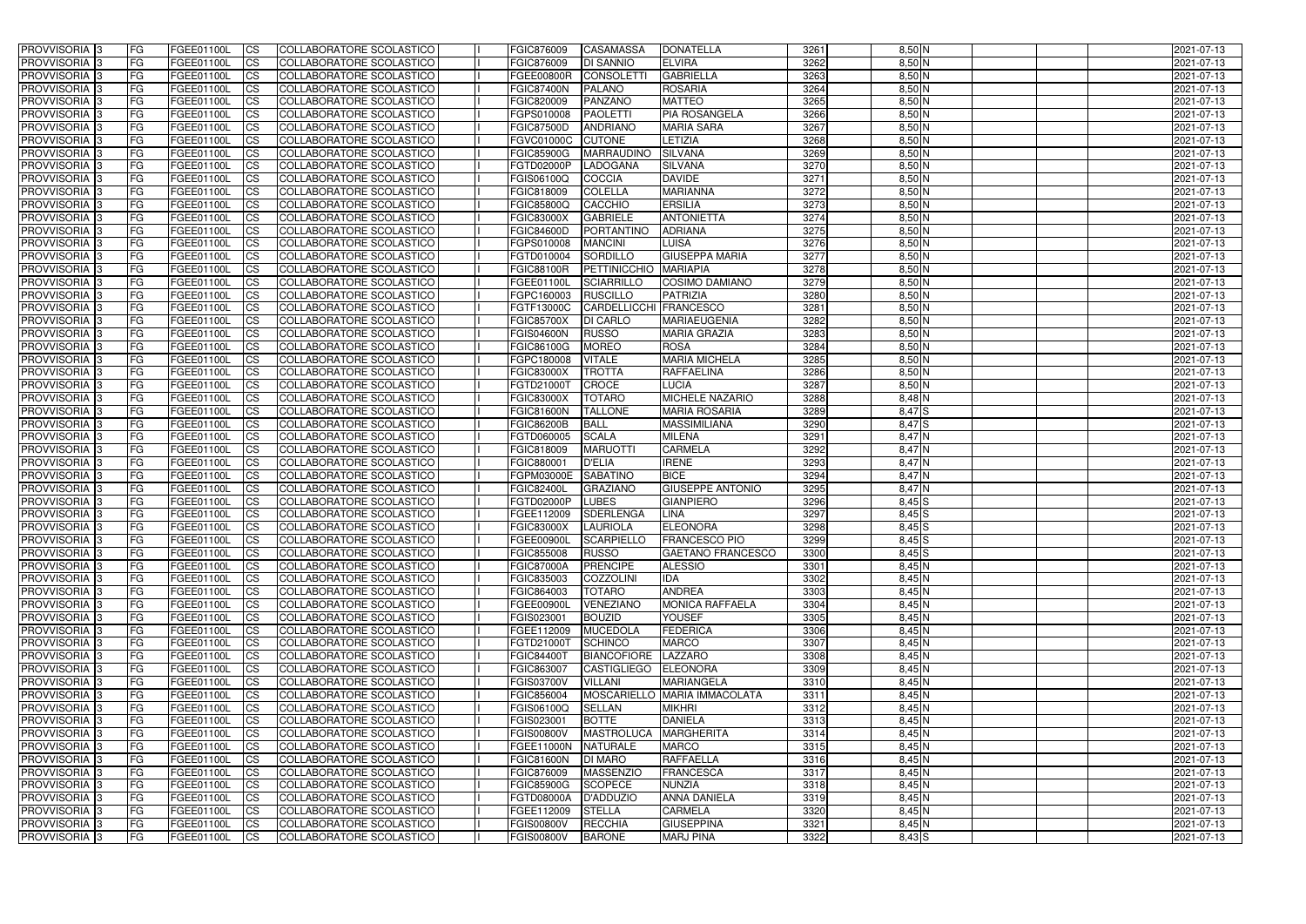| <b>PROVVISORIA</b> 3       | FG         | FGEE01100L        | <b>ICS</b>             | COLLABORATORE SCOLASTICO        | FGIC876009        | <b>CASAMASSA</b>    | <b>DONATELLA</b>                | 3261         | $8,50$ N   | 2021-07-13 |
|----------------------------|------------|-------------------|------------------------|---------------------------------|-------------------|---------------------|---------------------------------|--------------|------------|------------|
| <b>PROVVISORIA 3</b>       | FG         | FGEE01100L        | <b>CS</b>              | COLLABORATORE SCOLASTICO        | FGIC876009        | <b>DI SANNIO</b>    | <b>ELVIRA</b>                   | 3262         | $8,50$ N   | 2021-07-13 |
| PROVVISORIA <sup>3</sup>   | FG         | FGEE01100L        | <b>CS</b>              | COLLABORATORE SCOLASTICO        | <b>FGEE00800R</b> | CONSOLETT           | <b>GABRIELLA</b>                | 3263         | $8,50$ N   | 2021-07-13 |
| PROVVISORIA <sup>3</sup>   | FG         | FGEE01100L        | <b>CS</b>              | COLLABORATORE SCOLASTICO        | <b>FGIC87400N</b> | <b>PALANO</b>       | <b>ROSARIA</b>                  | 3264         | $8,50$ N   | 2021-07-13 |
| PROVVISORIA <sup>1</sup> 3 | FG         | FGEE01100L        | <b>CS</b>              | COLLABORATORE SCOLASTICO        | FGIC820009        | PANZANO             | <b>MATTEO</b>                   | 3265         | 8,50 N     | 2021-07-13 |
| PROVVISORIA <sup>3</sup>   | FG         | FGEE01100L        | <b>CS</b>              | COLLABORATORE SCOLASTICO        | FGPS010008        | <b>PAOLETTI</b>     | <b>PIA ROSANGELA</b>            | 3266         | $8,50$ N   | 2021-07-13 |
| PROVVISORIA 3              | FG         | FGEE01100L        | <b>CS</b>              | COLLABORATORE SCOLASTICO        | <b>FGIC87500D</b> | <b>ANDRIANO</b>     | <b>MARIA SARA</b>               | 3267         | $8,50$ N   | 2021-07-13 |
| PROVVISORIA 3              | FG         | <b>FGEE01100L</b> | <b>CS</b>              | COLLABORATORE SCOLASTICO        | <b>FGVC01000C</b> | <b>CUTONE</b>       | LETIZIA                         | 3268         | $8,50$ N   | 2021-07-13 |
| PROVVISORIA 3              | FG         | FGEE01100L        | <b>CS</b>              | <b>COLLABORATORE SCOLASTICO</b> | <b>FGIC85900G</b> | <b>MARRAUDINO</b>   | <b>SILVANA</b>                  | 3269         | $8,50$ N   | 2021-07-13 |
| PROVVISORIA <sup>3</sup>   | FG         | FGEE01100L        | $\overline{c}$         | COLLABORATORE SCOLASTICO        | <b>FGTD02000P</b> | LADOGANA            | <b>SILVANA</b>                  | 3270         | $8,50$ N   | 2021-07-13 |
| PROVVISORIA <sup>3</sup>   | FG         | FGEE01100L        | <b>CS</b>              | COLLABORATORE SCOLASTICO        | FGIS06100Q        | <b>COCCIA</b>       | <b>DAVIDE</b>                   | 3271         | $8,50$ N   | 2021-07-13 |
| PROVVISORIA <sup>3</sup>   | FG         | FGEE01100L        | <b>CS</b>              | COLLABORATORE SCOLASTICO        | FGIC818009        | <b>COLELLA</b>      | <b>MARIANNA</b>                 | 3272         | $8,50$ N   | 2021-07-13 |
| PROVVISORIA <sup>3</sup>   | FG         | <b>FGEE01100L</b> | <b>I</b> CS            | COLLABORATORE SCOLASTICO        | <b>FGIC85800Q</b> | <b>CACCHIO</b>      | <b>ERSILIA</b>                  | 3273         | $8,50$ N   | 2021-07-13 |
| PROVVISORIA <sup>3</sup>   | FG         | FGEE01100L        | <b>I</b> CS            | COLLABORATORE SCOLASTICO        | <b>FGIC83000X</b> | <b>GABRIELE</b>     | <b>ANTONIETTA</b>               | 3274         | 8,50 N     | 2021-07-13 |
| PROVVISORIA <sup>3</sup>   | FG         | FGEE01100L        | <b>I</b> CS            | COLLABORATORE SCOLASTICO        | <b>FGIC84600D</b> | PORTANTINO          | <b>ADRIANA</b>                  | 3275         | $8,50$ N   | 2021-07-13 |
| <b>PROVVISORIA</b> 3       | FG         | FGEE01100L        | <b>I</b> CS            | <b>COLLABORATORE SCOLASTICO</b> | FGPS010008        | <b>MANCINI</b>      | LUISA                           | 3276         | $8,50$ N   | 2021-07-13 |
| <b>PROVVISORIA</b> 3       | FG         | FGEE01100L        | <b>CS</b>              | COLLABORATORE SCOLASTICO        | FGTD010004        | SORDILLO            | <b>GIUSEPPA MARIA</b>           | 3277         | 8,50 N     | 2021-07-13 |
| PROVVISORIA 3              | FG         | FGEE01100L        | <b>CS</b>              | COLLABORATORE SCOLASTICO        | <b>FGIC88100R</b> | <b>PETTINICCHIO</b> | <b>MARIAPIA</b>                 | 3278         | 8,50 N     | 2021-07-13 |
| PROVVISORIA <sup>3</sup>   | FG         | FGEE01100L        | <b>ICS</b>             | COLLABORATORE SCOLASTICO        | FGEE01100L        | <b>SCIARRILLO</b>   | <b>COSIMO DAMIANO</b>           | 3279         | $8,50$ N   | 2021-07-13 |
| PROVVISORIA <sup>3</sup>   | FG         | FGEE01100L        | <b>I</b> CS            | COLLABORATORE SCOLASTICO        | FGPC160003        | <b>RUSCILLO</b>     | <b>PATRIZIA</b>                 | 3280         | $8,50$ N   | 2021-07-13 |
| PROVVISORIA <sup>3</sup>   | FG         | FGEE01100L        | <b>I</b> CS            | COLLABORATORE SCOLASTICO        | FGTF13000C        | CARDELLICCHI        | FRANCESCO                       | 3281         | $8,50$ N   | 2021-07-13 |
| PROVVISORIA <sup>3</sup>   | FG         | FGEE01100L        | <b>CS</b>              | COLLABORATORE SCOLASTICO        | <b>FGIC85700X</b> | <b>DI CARLO</b>     | <b>MARIAEUGENIA</b>             | 3282         | $8,50$ N   | 2021-07-13 |
| PROVVISORIA <sup>3</sup>   | FG         | FGEE01100L        | <b>CS</b>              | COLLABORATORE SCOLASTICO        | <b>FGIS04600N</b> | <b>RUSSO</b>        | <b>MARIA GRAZIA</b>             | 3283         | $8,50$ N   | 2021-07-13 |
| <b>PROVVISORIA</b> 3       | FG         | FGEE01100L        |                        | COLLABORATORE SCOLASTICO        | FGIC86100G        | <b>MOREO</b>        | <b>ROSA</b>                     | 3284         | $8,50$ N   | 2021-07-13 |
| PROVVISORIA <sup>3</sup>   | FG         | FGEE01100L        | <b>CS</b><br><b>CS</b> | COLLABORATORE SCOLASTICO        | FGPC180008        | <b>VITALE</b>       | <b>MARIA MICHELA</b>            | 3285         | $8,50$ N   | 2021-07-13 |
| PROVVISORIA <sup>1</sup> 3 |            | FGEE01100L        |                        |                                 |                   | <b>TROTTA</b>       | <b>RAFFAELINA</b>               | 3286         | $8,50$ N   |            |
|                            | FG<br>FG   |                   | <b>CS</b>              | COLLABORATORE SCOLASTICO        | <b>FGIC83000X</b> | <b>CROCE</b>        |                                 | 3287         | $8,50$ N   | 2021-07-13 |
| PROVVISORIA 3              |            | <b>FGEE01100L</b> | <b>CS</b>              | COLLABORATORE SCOLASTICO        | FGTD21000T        | <b>TOTARO</b>       | <b>LUCIA</b><br>MICHELE NAZARIO | 3288         |            | 2021-07-13 |
| PROVVISORIA <sup>3</sup>   | FG.        | FGEE01100L        | <b>CS</b>              | COLLABORATORE SCOLASTICO        | <b>FGIC83000X</b> |                     |                                 |              | 8,48 N     | 2021-07-13 |
| PROVVISORIA <sup>13</sup>  | FG         | <b>FGEE01100L</b> | <b>CS</b>              | COLLABORATORE SCOLASTICO        | <b>FGIC81600N</b> | <b>TALLONE</b>      | <b>MARIA ROSARIA</b>            | 3289<br>3290 | 8,47 S     | 2021-07-13 |
| PROVVISORIA <sup>1</sup> 3 | FG         | FGEE01100L        | <b>CS</b>              | COLLABORATORE SCOLASTICO        | <b>FGIC86200B</b> | <b>BALL</b>         | <b>MASSIMILIANA</b>             |              | 8,47 S     | 2021-07-13 |
| PROVVISORIA <sup>3</sup>   | FG.        | FGEE01100L        | <b>CS</b>              | COLLABORATORE SCOLASTICO        | FGTD060005        | <b>SCALA</b>        | <b>MILENA</b>                   | 3291         | 8,47 N     | 2021-07-13 |
| PROVVISORIA <sup>3</sup>   | FG         | FGEE01100L        | $\overline{\text{cs}}$ | COLLABORATORE SCOLASTICO        | FGIC818009        | <b>MARUOTT</b>      | <b>CARMELA</b>                  | 3292         | $8,47$ N   | 2021-07-13 |
| PROVVISORIA <sup>3</sup>   | FG         | <b>FGEE01100L</b> | <b>CS</b>              | COLLABORATORE SCOLASTICO        | FGIC880001        | <b>D'ELIA</b>       | <b>IRENE</b>                    | 3293         | 8,47 N     | 2021-07-13 |
| PROVVISORIA 3              | FG         | <b>FGEE01100L</b> | <b>CS</b>              | COLLABORATORE SCOLASTICO        | FGPM03000E        | <b>SABATINO</b>     | <b>BICE</b>                     | 3294         | 8,47 N     | 2021-07-13 |
| PROVVISORIA <sup>3</sup>   | FG         | FGEE01100L        | $\overline{\text{cs}}$ | COLLABORATORE SCOLASTICO        | <b>FGIC82400L</b> | <b>GRAZIANO</b>     | <b>GIUSEPPE ANTONIO</b>         | 3295         | 8,47 N     | 2021-07-13 |
| PROVVISORIA <sup>3</sup>   | FG         | <b>FGEE01100L</b> | <b>CS</b>              | <b>COLLABORATORE SCOLASTICO</b> | FGTD02000P        | <b>LUBES</b>        | <b>GIANPIERO</b>                | 3296         | $8,45$ S   | 2021-07-13 |
| PROVVISORIA <sup>3</sup>   | FG         | FGEE01100L        | <b>CS</b>              | COLLABORATORE SCOLASTICO        | FGEE112009        | <b>SDERLENGA</b>    | <b>LINA</b>                     | 3297         | $8,45$ $S$ | 2021-07-13 |
| PROVVISORIA 3              | FG         | FGEE01100L        | <b>I</b> CS            | COLLABORATORE SCOLASTICO        | <b>FGIC83000X</b> | LAURIOLA            | <b>ELEONORA</b>                 | 3298         | $8,45$ $S$ | 2021-07-13 |
| <b>PROVVISORIA</b> 3       | IFG.       | FGEE01100L        | CS                     | COLLABORATORE SCOLASTICO        | FGEE00900L        | <b>SCARPIELLO</b>   | <b>FRANCESCO PIO</b>            | 3299         | $8,45$ $S$ | 2021-07-13 |
| PROVVISORIA 3              | IFG.       | FGEE01100L        | <b>ICS</b>             | COLLABORATORE SCOLASTICO        | <b>FGIC855008</b> | RUSSO               | <b>GAETANO FRANCESCO</b>        | 3300         | $8,45$ S   | 2021-07-13 |
| PROVVISORIA 3              | FG         | FGEE01100L        | <b>CS</b>              | COLLABORATORE SCOLASTICO        | <b>FGIC87000A</b> | PRENCIPE            | <b>ALESSIO</b>                  | 3301         | $8,45$ N   | 2021-07-13 |
| PROVVISORIA 3              | FG         | FGEE01100L        | <b>CS</b>              | COLLABORATORE SCOLASTICO        | FGIC835003        | COZZOLINI           | <b>IDA</b>                      | 3302         | $8,45$ N   | 2021-07-13 |
| PROVVISORIA 3              | FG         | FGEE01100L        | <b>ICS</b>             | <b>COLLABORATORE SCOLASTICO</b> | FGIC864003        | <b>TOTARO</b>       | <b>ANDREA</b>                   | 3303         | $8,45$ N   | 2021-07-13 |
| PROVVISORIA 3              | FG         | FGEE01100L        | <b>CS</b>              | COLLABORATORE SCOLASTICO        | FGEE00900L        | VENEZIANO           | <b>MONICA RAFFAELA</b>          | 3304         | $8,45$ N   | 2021-07-13 |
| PROVVISORIA 3              | FG         | FGEE01100L        | <b>CS</b>              | COLLABORATORE SCOLASTICO        | FGIS023001        | <b>BOUZID</b>       | <b>YOUSEF</b>                   | 3305         | $8,45$ N   | 2021-07-13 |
| PROVVISORIA 3              | <b>FG</b>  | FGEE01100L        | <b>CS</b>              | COLLABORATORE SCOLASTICO        | FGEE112009        | <b>MUCEDOLA</b>     | <b>FEDERICA</b>                 | 3306         | $8,45$ N   | 2021-07-13 |
| PROVVISORIA 3              | FG         | FGEE01100L        | <b>CS</b>              | COLLABORATORE SCOLASTICO        | FGTD21000T        | <b>SCHINCO</b>      | <b>MARCO</b>                    | 3307         | $8,45$ N   | 2021-07-13 |
| PROVVISORIA 3              | FG         | FGEE01100L        | <b>CS</b>              | COLLABORATORE SCOLASTICO        | <b>FGIC84400T</b> | <b>BIANCOFIORE</b>  | <b>LAZZARO</b>                  | 3308         | $8,45$ N   | 2021-07-13 |
| PROVVISORIA 3              | IFG.       | FGEE01100L        | <b>CS</b>              | COLLABORATORE SCOLASTICO        | FGIC863007        | <b>CASTIGLIEGO</b>  | <b>ELEONORA</b>                 | 3309         | $8,45$ N   | 2021-07-13 |
| PROVVISORIA 3              | FG         | FGEE01100L        | <b>CS</b>              | COLLABORATORE SCOLASTICO        | <b>FGIS03700V</b> | <b>VILLANI</b>      | <b>MARIANGELA</b>               | 3310         | $8,45$ N   | 2021-07-13 |
| PROVVISORIA 3              | FG         | FGEE01100L        | <b>CS</b>              | COLLABORATORE SCOLASTICO        | FGIC856004        |                     | MOSCARIELLO MARIA IMMACOLATA    | 3311         | $8,45$ N   | 2021-07-13 |
| <b>PROVVISORIA</b> 3       | IFG.       | FGEE01100L        | <b>CS</b>              | COLLABORATORE SCOLASTICO        | FGIS06100Q        | <b>SELLAN</b>       | <b>MIKHRI</b>                   | 3312         | $8,45$ N   | 2021-07-13 |
| <b>PROVVISORIA</b> 3       | IFG.       | FGEE01100L        | <b>CS</b>              | COLLABORATORE SCOLASTICO        | FGIS023001        | <b>BOTTE</b>        | <b>DANIELA</b>                  | 3313         | $8,45$ N   | 2021-07-13 |
| PROVVISORIA 3              | FG         | FGEE01100L        | <b>CS</b>              | <b>COLLABORATORE SCOLASTICO</b> | <b>FGIS00800V</b> | <b>MASTROLUCA</b>   | <b>MARGHERITA</b>               | 3314         | $8,45$ N   | 2021-07-13 |
| PROVVISORIA 3              | <b>IFG</b> | FGEE01100L        | <b>CS</b>              | COLLABORATORE SCOLASTICO        | FGEE11000N        | <b>NATURALE</b>     | <b>MARCO</b>                    | 3315         | $8,45$ N   | 2021-07-13 |
| PROVVISORIA 3              | IFG.       | <b>FGEE01100L</b> | <b>CS</b>              | COLLABORATORE SCOLASTICO        | FGIC81600N        | <b>DI MARO</b>      | <b>RAFFAELLA</b>                | 3316         | $8,45$ N   | 2021-07-13 |
| PROVVISORIA 3              | FG         | FGEE01100L        | <b>CS</b>              | COLLABORATORE SCOLASTICO        | FGIC876009        | <b>MASSENZIO</b>    | <b>FRANCESCA</b>                | 3317         | $8,45$ N   | 2021-07-13 |
| PROVVISORIA 3              | FG         | FGEE01100L        | <b>CS</b>              | COLLABORATORE SCOLASTICO        | <b>FGIC85900G</b> | <b>SCOPECE</b>      | <b>NUNZIA</b>                   | 3318         | $8,45$ N   | 2021-07-13 |
| PROVVISORIA 3              | FG         | <b>FGEE01100L</b> | <b>CS</b>              | COLLABORATORE SCOLASTICO        | FGTD08000A        | D'ADDUZIO           | <b>ANNA DANIELA</b>             | 3319         | $8,45$ N   | 2021-07-13 |
| <b>PROVVISORIA</b> 3       | FG         | FGEE01100L        | <b>CS</b>              | COLLABORATORE SCOLASTICO        | FGEE112009        | <b>STELLA</b>       | <b>CARMELA</b>                  | 3320         | $8,45$ N   | 2021-07-13 |
| PROVVISORIA 3              | FG         | FGEE01100L        | <b>CS</b>              | COLLABORATORE SCOLASTICO        | <b>FGIS00800V</b> | <b>RECCHIA</b>      | <b>GIUSEPPINA</b>               | 3321         | $8,45$ N   | 2021-07-13 |
| PROVVISORIA 3              | FG         | FGEE01100L        | <b>CS</b>              | COLLABORATORE SCOLASTICO        | <b>FGIS00800V</b> | <b>BARONE</b>       | <b>MARJ PINA</b>                | 3322         | $8,43$ S   | 2021-07-13 |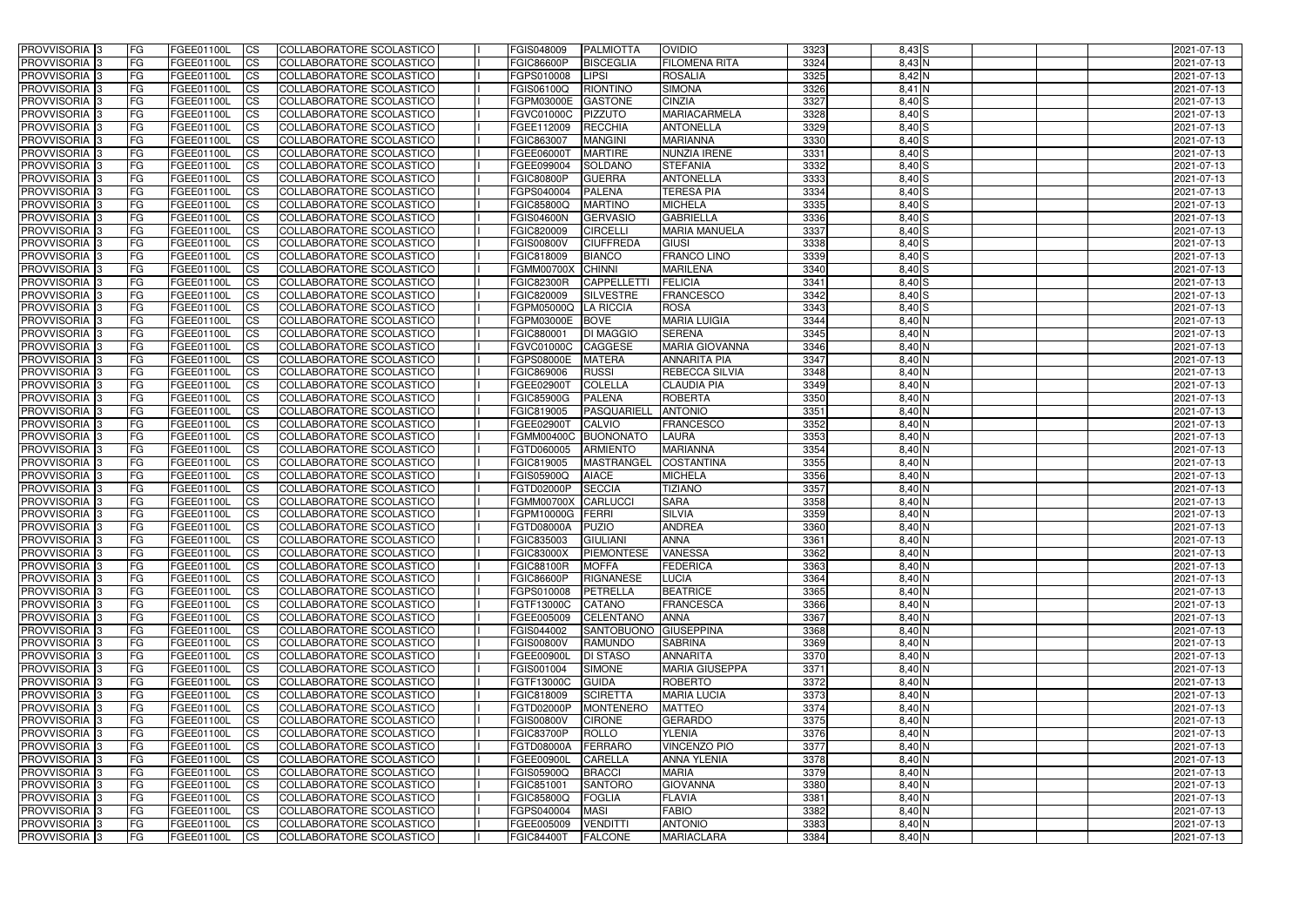| <b>PROVVISORIA</b> 3                       | <b>FG</b>              | FGEE01100L               | <b>ICS</b>             | COLLABORATORE SCOLASTICO                             | FGIS048009               | <b>PALMIOTTA</b>                | <b>OVIDIO</b>                                | 3323         | $8,43$ $S$           | 2021-07-13               |
|--------------------------------------------|------------------------|--------------------------|------------------------|------------------------------------------------------|--------------------------|---------------------------------|----------------------------------------------|--------------|----------------------|--------------------------|
| <b>PROVVISORIA 3</b>                       | FG                     | FGEE01100L               | <b>ICS</b>             | COLLABORATORE SCOLASTICO                             | <b>FGIC86600P</b>        | <b>BISCEGLIA</b>                | <b>FILOMENA RITA</b>                         | 3324         | 8,43 N               | 2021-07-13               |
| PROVVISORIA <sup>1</sup> 3                 | FG                     | FGEE01100L               | <b>CS</b>              | <b>COLLABORATORE SCOLASTICO</b>                      | FGPS010008               | <b>LIPSI</b>                    | <b>ROSALIA</b>                               | 3325         | 8,42 N               | 2021-07-13               |
| PROVVISORIA                                | FG                     | FGEE01100L               | <b>CS</b>              | COLLABORATORE SCOLASTICO                             | FGIS06100Q               | <b>RIONTINO</b>                 | <b>SIMONA</b>                                | 3326         | 8,41 N               | 2021-07-13               |
| PROVVISORIA <sup>1</sup> 3                 | FG                     | FGEE01100L               | <b>CS</b>              | COLLABORATORE SCOLASTICO                             | FGPM03000E               | <b>GASTONE</b>                  | <b>CINZIA</b>                                | 3327         | $8,40$ S             | 2021-07-13               |
| PROVVISORIA <sup>1</sup> 3                 | FG                     | FGEE01100L               | <b>CS</b>              | COLLABORATORE SCOLASTICO                             | FGVC01000C               | <b>PIZZUTO</b>                  | <b>MARIACARMELA</b>                          | 3328         | $8,40$ S             | 2021-07-13               |
| PROVVISORIA <sup>1</sup> 3                 | FG                     | FGEE01100L               | <b>CS</b>              | COLLABORATORE SCOLASTICO                             | FGEE112009               | <b>RECCHIA</b>                  | <b>ANTONELLA</b>                             | 3329         | $8,40$ $S$           | 2021-07-13               |
| PROVVISORIA 3                              | FG                     | FGEE01100L               | <b>ICS</b>             | COLLABORATORE SCOLASTICO                             | FGIC863007               | <b>MANGINI</b>                  | <b>MARIANNA</b>                              | 3330         | $8,40$ S             | 2021-07-13               |
| PROVVISORIA 3                              | FG                     | FGEE01100L               | <b>CS</b>              | COLLABORATORE SCOLASTICO                             | FGEE06000T               | <b>MARTIRE</b>                  | NUNZIA IRENE                                 | 3331         | $8,40$ S             | 2021-07-13               |
| PROVVISORIA 3                              | <b>FG</b>              | FGEE01100L               | <b>ICS</b>             | COLLABORATORE SCOLASTICO                             | FGEE099004               | SOLDANO                         | <b>STEFANIA</b>                              | 3332         | $8,40$ S             | 2021-07-13               |
| <b>PROVVISORIA</b> 3                       | FG                     | FGEE01100L               | <b>CS</b>              | COLLABORATORE SCOLASTICO                             | <b>FGIC80800P</b>        | <b>GUERRA</b>                   | <b>ANTONELLA</b>                             | 3333         | 8,40 S               | 2021-07-13               |
| <b>PROVVISORIA</b>                         | FG                     | FGEE01100L               | <b>ICS</b>             | COLLABORATORE SCOLASTICO                             | FGPS040004               | <b>PALENA</b>                   | <b>TERESA PIA</b>                            | 3334         | $8,40$ S             | 2021-07-13               |
| <b>PROVVISORIA</b>                         | FG                     | FGEE01100L               | <b>ICS</b>             | COLLABORATORE SCOLASTICO                             | FGIC85800Q               | <b>MARTINO</b>                  | <b>MICHELA</b>                               | 3335         | $8,40$ S             | 2021-07-13               |
| <b>PROVVISORIA</b>                         | FG                     | FGEE01100L               | <b>ICS</b>             | COLLABORATORE SCOLASTICO                             | <b>FGIS04600N</b>        | <b>GERVASIO</b>                 | <b>GABRIELLA</b>                             | 3336         | $8,40$ S             | 2021-07-13               |
| <b>PROVVISORIA</b>                         | FG                     | FGEE01100L               | <b>ICS</b>             | COLLABORATORE SCOLASTICO                             | FGIC820009               | <b>CIRCELLI</b>                 | <b>MARIA MANUELA</b>                         | 3337         | $8,40$ S             | 2021-07-13               |
| <b>PROVVISORIA</b>                         | FG                     | FGEE01100L               | <b>ICS</b>             | COLLABORATORE SCOLASTICO                             | <b>FGIS00800V</b>        | <b>CIUFFREDA</b>                | <b>GIUSI</b>                                 | 3338         | $8,40$ $S$           | 2021-07-13               |
| <b>PROVVISORIA</b>                         | FG                     | <b>FGEE01100L</b>        | <b>ICS</b>             | COLLABORATORE SCOLASTICO                             | FGIC818009               | <b>BIANCO</b>                   | <b>FRANCO LINO</b>                           | 3339         | $8,40$ S             | 2021-07-13               |
| <b>PROVVISORIA</b>                         | FG                     | FGEE01100L               | <b>ICS</b>             | COLLABORATORE SCOLASTICO                             | <b>FGMM00700X</b>        | <b>CHINNI</b>                   | <b>MARILENA</b>                              | 3340         | $8,40$ $S$           | 2021-07-13               |
| PROVVISORIA <sup>3</sup>                   | FG                     | FGEE01100L               | <b>ICS</b>             | COLLABORATORE SCOLASTICO                             | <b>FGIC82300R</b>        | <b>CAPPELLETT</b>               | <b>FELICIA</b>                               | 3341         | $8,40$ S             | 2021-07-13               |
| PROVVISORIA <sup>1</sup> 3                 | FG                     | FGEE01100L               | <b>ICS</b>             | COLLABORATORE SCOLASTICO                             | FGIC820009               | SILVESTRE                       | <b>FRANCESCO</b>                             | 3342         | $8,40$ $S$           | 2021-07-13               |
| PROVVISORIA <sup>1</sup> 3                 | FG                     | FGEE01100L               | <b>ICS</b>             | COLLABORATORE SCOLASTICO                             | FGPM05000Q               | <b>LA RICCIA</b>                | <b>ROSA</b>                                  | 3343         | 8,40S                | 2021-07-13               |
| PROVVISORIA 3                              | FG                     | FGEE01100L               | <b>ICS</b>             | COLLABORATORE SCOLASTICO                             | FGPM03000E               | <b>BOVE</b>                     | <b>MARIA LUIGIA</b>                          | 3344         | $8,40$ N             | 2021-07-13               |
| PROVVISORIA 3<br>PROVVISORIA <sup>13</sup> | FG                     | FGEE01100L               | <b>ICS</b>             | <b>COLLABORATORE SCOLASTICO</b>                      | FGIC880001               | <b>DI MAGGIO</b>                | <b>SERENA</b>                                | 3345         | $8,40$ N             | 2021-07-13               |
| PROVVISORIA <sup>1</sup> 3                 | FG<br>FG               | FGEE01100L<br>FGEE01100L | <b>CS</b><br><b>CS</b> | COLLABORATORE SCOLASTICO<br>COLLABORATORE SCOLASTICO | FGVC01000C<br>FGPS08000E | <b>CAGGESE</b><br><b>MATERA</b> | <b>MARIA GIOVANNA</b><br><b>ANNARITA PIA</b> | 3346<br>3347 | $8,40$ N<br>$8,40$ N | 2021-07-13<br>2021-07-13 |
| PROVVISORIA <sup>1</sup> 3                 | FG                     | FGEE01100L               | <b>CS</b>              | COLLABORATORE SCOLASTICO                             | FGIC869006               | <b>RUSSI</b>                    | REBECCA SILVIA                               | 3348         | $8,40$ N             | 2021-07-13               |
| PROVVISORIA 3                              | FG                     | FGEE01100L               | <b>ICS</b>             | COLLABORATORE SCOLASTICO                             | FGEE02900T               | <b>COLELLA</b>                  | <b>CLAUDIA PIA</b>                           | 3349         | 8,40 N               | 2021-07-13               |
| PROVVISORIA                                | FG                     | FGEE01100L               | <b>ICS</b>             | COLLABORATORE SCOLASTICO                             | <b>FGIC85900G</b>        | <b>PALENA</b>                   | <b>ROBERTA</b>                               | 3350         | 8,40 N               | 2021-07-13               |
| PROVVISORIA                                | FG                     | FGEE01100L               | <b>CS</b>              | <b>COLLABORATORE SCOLASTICO</b>                      | FGIC819005               | PASQUARIELI                     | <b>ANTONIO</b>                               | 3351         | 8,40 N               | 2021-07-13               |
| PROVVISORIA                                | FG                     | FGEE01100L               | <b>CS</b>              | COLLABORATORE SCOLASTICO                             | FGEE02900T               | <b>CALVIO</b>                   | <b>FRANCESCO</b>                             | 3352         | 8,40 N               | 2021-07-13               |
| PROVVISORIA                                | FG                     | FGEE01100L               | <b>CS</b>              | COLLABORATORE SCOLASTICO                             | FGMM00400C               | <b>BUONONATO</b>                | <b>LAURA</b>                                 | 3353         | 8,40 N               | 2021-07-13               |
| PROVVISORIA <sup>1</sup> 3                 | <b>FG</b>              | FGEE01100L               | <b>CS</b>              | COLLABORATORE SCOLASTICO                             | FGTD060005               | <b>ARMIENTO</b>                 | <b>MARIANNA</b>                              | 3354         | 8,40 N               | 2021-07-13               |
| PROVVISORIA <sup>1</sup> 3                 | FG                     | FGEE01100L               | <b>CS</b>              | COLLABORATORE SCOLASTICO                             | FGIC819005               | <b>MASTRANGEL</b>               | <b>COSTANTINA</b>                            | 3355         | 8,40 N               | 2021-07-13               |
| PROVVISORIA 3                              | FG                     | FGEE01100L               | <b>CS</b>              | <b>COLLABORATORE SCOLASTICO</b>                      | FGIS05900Q               | <b>AIACE</b>                    | <b>MICHELA</b>                               | 3356         | 8,40 N               | 2021-07-13               |
| <b>PROVVISORIA</b>                         | FG                     | FGEE01100L               | <b>ICS</b>             | COLLABORATORE SCOLASTICO                             | FGTD02000P               | <b>SECCIA</b>                   | <b>TIZIANO</b>                               | 3357         | $8,40$ N             | 2021-07-13               |
| PROVVISORIA <sup>1</sup> 3                 | <b>FG</b>              | FGEE01100L               | <b>CS</b>              | COLLABORATORE SCOLASTICO                             | <b>FGMM00700X</b>        | CARLUCCI                        | <b>SARA</b>                                  | 3358         | 8,40 N               | 2021-07-13               |
| PROVVISORIA 3                              | <b>FG</b>              | FGEE01100L               | <b>ICS</b>             | COLLABORATORE SCOLASTICO                             | FGPM10000G               | FERRI                           | <b>SILVIA</b>                                | 3359         | 8,40 N               | 2021-07-13               |
| <b>PROVVISORIA</b>                         | <b>FG</b>              | FGEE01100L               | <b>ICS</b>             | COLLABORATORE SCOLASTICO                             | <b>FGTD08000A</b>        | PUZIO                           | <b>ANDREA</b>                                | 3360         | $8,40$ N             | 2021-07-13               |
| PROVVISORIA 3                              | FG                     | FGEE01100L               | CS                     | COLLABORATORE SCOLASTICO                             | FGIC835003               | <b>GIULIANI</b>                 | <b>ANNA</b>                                  | 3361         | 8,40 N               | 2021-07-13               |
| <b>PROVVISORIA</b> 3                       | <b>FG</b>              | FGEE01100L               | $\mathsf{ICS}$         | COLLABORATORE SCOLASTICO                             | <b>FGIC83000X</b>        | PIEMONTESE                      | <b>VANESSA</b>                               | 3362         | $8,40$ N             | 2021-07-13               |
| PROVVISORIA 3                              | <b>FG</b>              | <b>FGEE01100L</b>        | $\mathsf{ICS}$         | COLLABORATORE SCOLASTICO                             | <b>FGIC88100R</b>        | <b>MOFFA</b>                    | <b>FEDERICA</b>                              | 3363         | 8,40 N               | 2021-07-13               |
| PROVVISORIA 3                              | <b>FG</b>              | FGEE01100L               | $\mathsf{ICS}$         | COLLABORATORE SCOLASTICO                             | <b>FGIC86600P</b>        | RIGNANESE                       | <b>LUCIA</b>                                 | 3364         | $8,40$ N             | 2021-07-13               |
| PROVVISORIA 3                              | FG                     | FGEE01100L               | $\mathsf{ICS}$         | COLLABORATORE SCOLASTICO                             | FGPS010008               | PETRELLA                        | <b>BEATRICE</b>                              | 3365         | $8,40$ N             | 2021-07-13               |
| PROVVISORIA 3                              | l FG                   | FGEE01100L               | <b>CS</b>              | COLLABORATORE SCOLASTICO                             | FGTF13000C               | CATANO                          | <b>FRANCESCA</b>                             | 3366         | $8,40$ N             | 2021-07-13               |
| PROVVISORIA 3                              | <b>FG</b>              | FGEE01100L               | $\mathsf{ICS}$         | COLLABORATORE SCOLASTICO                             | FGEE005009               | <b>CELENTANO</b>                | <b>ANNA</b>                                  | 3367         | $8,40$ N             | 2021-07-13               |
| PROVVISORIA 3                              | FG                     | <b>FGEE01100L</b>        | <b>CS</b>              | COLLABORATORE SCOLASTICO                             | FGIS044002               | SANTOBUONO GIUSEPPINA           |                                              | 3368         | $8,40$ N             | 2021-07-13               |
| PROVVISORIA 3                              | <b>FG</b>              | FGEE01100L               | <b>CS</b>              | COLLABORATORE SCOLASTICO                             | <b>FGIS00800V</b>        | <b>RAMUNDO</b>                  | <b>SABRINA</b>                               | 3369         | 8,40 N               | 2021-07-13               |
| PROVVISORIA 3                              | <b>FG</b>              | FGEE01100L               | <b>CS</b>              | COLLABORATORE SCOLASTICO                             | FGEE00900L               | <b>DI STASO</b>                 | <b>ANNARITA</b>                              | 3370         | $8,40$ N             | 2021-07-13               |
| PROVVISORIA 3                              | <b>FG</b>              | FGEE01100L               | <b>CS</b>              | COLLABORATORE SCOLASTICO                             | FGIS001004               | <b>SIMONE</b>                   | <b>MARIA GIUSEPPA</b>                        | 3371         | $8,40$ N             | 2021-07-13               |
| PROVVISORIA 3                              | <b>FG</b>              | FGEE01100L               | <b>CS</b>              | COLLABORATORE SCOLASTICO                             | FGTF13000C               | <b>GUIDA</b>                    | <b>ROBERTO</b>                               | 3372         | $8,40$ N             | 2021-07-13               |
| PROVVISORIA 3                              | <b>FG</b>              | FGEE01100L               | <b>CS</b>              | COLLABORATORE SCOLASTICO                             | FGIC818009               | <b>SCIRETTA</b>                 | <b>MARIA LUCIA</b>                           | 3373         | $8,40$ N             | 2021-07-13               |
| PROVVISORIA 3                              | <b>FG</b>              | FGEE01100L               | <b>CS</b>              | COLLABORATORE SCOLASTICO                             | FGTD02000P               | <b>MONTENERO</b>                | <b>MATTEO</b>                                | 3374         | $8,40$ N             | 2021-07-13               |
| PROVVISORIA 3                              | <b>FG</b>              | FGEE01100L               | <b>CS</b>              | COLLABORATORE SCOLASTICO                             | <b>FGIS00800V</b>        | <b>CIRONE</b>                   | GERARDO                                      | 3375         | $8,40$ N             | 2021-07-13               |
| PROVVISORIA 3                              | <b>FG</b>              | FGEE01100L               | <b>CS</b>              | COLLABORATORE SCOLASTICO                             | <b>FGIC83700P</b>        | ROLLO                           | <b>YLENIA</b>                                | 3376<br>3377 | $8,40$ N             | 2021-07-13               |
| PROVVISORIA 3<br>PROVVISORIA 3             | <b>FG</b><br><b>FG</b> | FGEE01100L               | <b>CS</b>              | COLLABORATORE SCOLASTICO<br>COLLABORATORE SCOLASTICO | FGTD08000A<br>FGEE00900L | FERRARO<br><b>CARELLA</b>       | <b>VINCENZO PIO</b><br><b>ANNA YLENIA</b>    | 3378         | 8,40 N<br>$8,40$ N   | 2021-07-13               |
| PROVVISORIA 3                              | <b>FG</b>              | FGEE01100L<br>FGEE01100L | <b>CS</b><br><b>CS</b> | COLLABORATORE SCOLASTICO                             | FGIS05900Q               | <b>BRACCI</b>                   | <b>MARIA</b>                                 | 3379         | $8,40$ N             | 2021-07-13<br>2021-07-13 |
| PROVVISORIA 3                              | FG                     | FGEE01100L               | <b>CS</b>              | COLLABORATORE SCOLASTICO                             | FGIC851001               | <b>SANTORO</b>                  | <b>GIOVANNA</b>                              | 3380         | $8,40$ N             | 2021-07-13               |
| PROVVISORIA 3                              | FG                     | <b>FGEE01100L</b>        | <b>CS</b>              | COLLABORATORE SCOLASTICO                             | <b>FGIC85800Q</b>        | <b>FOGLIA</b>                   | <b>FLAVIA</b>                                | 3381         | $8,40$ N             | 2021-07-13               |
| PROVVISORIA 3                              | <b>FG</b>              | FGEE01100L               | <b>CS</b>              | COLLABORATORE SCOLASTICO                             | FGPS040004               | <b>MASI</b>                     | <b>FABIO</b>                                 | 3382         | $8,40$ N             | 2021-07-13               |
| PROVVISORIA 3                              | <b>FG</b>              | FGEE01100L               | $\overline{\text{CS}}$ | COLLABORATORE SCOLASTICO                             | FGEE005009               | <b>VENDITTI</b>                 | <b>ANTONIO</b>                               | 3383         | $8,40$ N             | 2021-07-13               |
| PROVVISORIA 3                              | <b>FG</b>              | FGEE01100L               | $\overline{\text{CS}}$ | COLLABORATORE SCOLASTICO                             | <b>FGIC84400T</b>        | <b>FALCONE</b>                  | <b>MARIACLARA</b>                            | 3384         | $8,40$ N             | 2021-07-13               |
|                                            |                        |                          |                        |                                                      |                          |                                 |                                              |              |                      |                          |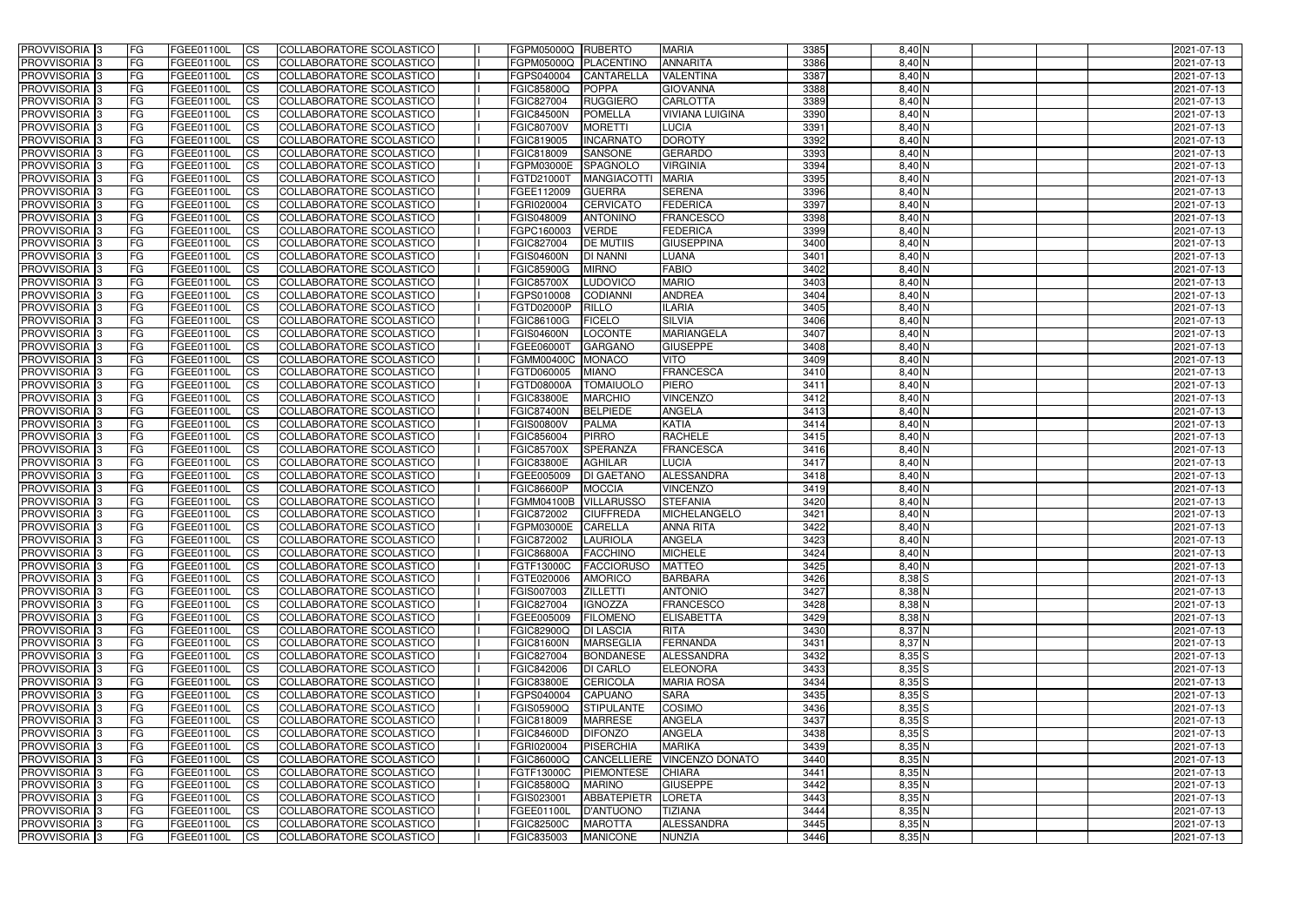| <b>PROVVISORIA</b> 3                      | FG         | FGEE01100L                             | <b>ICS</b>                          | COLLABORATORE SCOLASTICO                                    | FGPM05000Q RUBERTO              |                                   | <b>MARIA</b>                     | 3385         | $8,40$ N             | 2021-07-13               |
|-------------------------------------------|------------|----------------------------------------|-------------------------------------|-------------------------------------------------------------|---------------------------------|-----------------------------------|----------------------------------|--------------|----------------------|--------------------------|
| <b>PROVVISORIA 3</b>                      | FG         | FGEE01100L                             | <b>CS</b>                           | COLLABORATORE SCOLASTICO                                    | FGPM05000Q                      | <b>PLACENTINO</b>                 | <b>ANNARITA</b>                  | 3386         | $8,40$ N             | 2021-07-13               |
| PROVVISORIA <sup>3</sup>                  | FG         | FGEE01100L                             | <b>CS</b>                           | COLLABORATORE SCOLASTICO                                    | FGPS040004                      | <b>CANTARELLA</b>                 | <b>VALENTINA</b>                 | 3387         | 8,40 N               | 2021-07-13               |
| PROVVISORIA <sup>3</sup>                  | FG         | FGEE01100L                             | <b>CS</b>                           | COLLABORATORE SCOLASTICO                                    | <b>FGIC85800Q</b>               | <b>POPPA</b>                      | <b>GIOVANNA</b>                  | 3388         | 8,40 N               | 2021-07-13               |
| PROVVISORIA <sup>1</sup> 3                | FG         | FGEE01100L                             | <b>CS</b>                           | COLLABORATORE SCOLASTICO                                    | FGIC827004                      | <b>RUGGIERO</b>                   | <b>CARLOTTA</b>                  | 3389         | 8,40 N               | 2021-07-13               |
| PROVVISORIA <sup>3</sup>                  | FG         | FGEE01100L                             | <b>CS</b>                           | COLLABORATORE SCOLASTICO                                    | <b>FGIC84500N</b>               | <b>POMELLA</b>                    | <b>VIVIANA LUIGINA</b>           | 3390         | $8,40$ N             | 2021-07-13               |
| PROVVISORIA 3                             | FG         | FGEE01100L                             | <b>CS</b>                           | COLLABORATORE SCOLASTICO                                    | <b>FGIC80700V</b>               | <b>MORETTI</b>                    | <b>LUCIA</b>                     | 3391         | $8,40$ N             | 2021-07-13               |
| PROVVISORIA 3                             | FG         | <b>FGEE01100L</b>                      | <b>CS</b>                           | <b>COLLABORATORE SCOLASTICO</b>                             | FGIC819005                      | <b>INCARNATO</b>                  | <b>DOROTY</b>                    | 3392         | $8,40$ N             | 2021-07-13               |
| PROVVISORIA 3                             | FG         | FGEE01100L                             | <b>CS</b>                           | COLLABORATORE SCOLASTICO                                    | FGIC818009                      | <b>SANSONE</b>                    | <b>GERARDO</b>                   | 3393         | $8,40$ N             | 2021-07-13               |
| PROVVISORIA <sup>3</sup>                  | FG         | FGEE01100L                             | $\overline{c}$                      | COLLABORATORE SCOLASTICO                                    | <b>FGPM03000E</b>               | SPAGNOLO                          | <b>VIRGINIA</b>                  | 3394         | $8,40$ N             | 2021-07-13               |
| PROVVISORIA <sup>3</sup>                  | FG         | FGEE01100L                             | <b>CS</b>                           | <b>COLLABORATORE SCOLASTICO</b>                             | FGTD21000T                      | <b>MANGIACOTTI</b>                | <b>MARIA</b>                     | 3395         | $8,40$ N             | 2021-07-13               |
| PROVVISORIA <sup>3</sup>                  | FG         | FGEE01100L                             | <b>CS</b>                           | COLLABORATORE SCOLASTICO                                    | FGEE112009                      | <b>GUERRA</b>                     | <b>SERENA</b>                    | 3396         | $8,40$ N             | 2021-07-13               |
| PROVVISORIA <sup>3</sup>                  | FG         | FGEE01100L                             | <b>I</b> CS                         | COLLABORATORE SCOLASTICO                                    | FGRI020004                      | <b>CERVICATO</b>                  | <b>FEDERICA</b>                  | 3397         | $8,40$ N             | 2021-07-13               |
| PROVVISORIA <sup>3</sup>                  | FG         | FGEE01100L                             | <b>I</b> CS                         | COLLABORATORE SCOLASTICO                                    | <b>FGIS048009</b>               | <b>ANTONINO</b>                   | <b>FRANCESCO</b>                 | 3398         | 8,40 N               | 2021-07-13               |
| PROVVISORIA <sup>3</sup>                  | FG         | FGEE01100L                             | <b>I</b> CS                         | COLLABORATORE SCOLASTICO                                    | FGPC160003                      | <b>VERDE</b>                      | <b>FEDERICA</b>                  | 3399         | 8,40 N               | 2021-07-13               |
| <b>PROVVISORIA</b> 3                      | FG         | FGEE01100L                             | <b>I</b> CS                         | <b>COLLABORATORE SCOLASTICO</b>                             | FGIC827004                      | <b>DE MUTIIS</b>                  | <b>GIUSEPPINA</b>                | 3400         | 8,40 N               | 2021-07-13               |
| <b>PROVVISORIA</b> 3                      | FG         | FGEE01100L                             | <b>CS</b>                           | COLLABORATORE SCOLASTICO                                    | <b>FGIS04600N</b>               | <b>DI NANNI</b>                   | <b>LUANA</b>                     | 3401         | 8,40 N               | 2021-07-13               |
| PROVVISORIA 3                             | FG         | FGEE01100L                             | <b>CS</b>                           | COLLABORATORE SCOLASTICO                                    | <b>FGIC85900G</b>               | <b>MIRNO</b>                      | <b>FABIO</b>                     | 3402         | 8,40 N               | 2021-07-13               |
| PROVVISORIA <sup>3</sup>                  | FG         | FGEE01100L                             | <b>ICS</b>                          | COLLABORATORE SCOLASTICO                                    | <b>FGIC85700X</b>               | <b>LUDOVICO</b>                   | <b>MARIO</b>                     | 3403         | 8,40 N               | 2021-07-13               |
| PROVVISORIA <sup>3</sup>                  | FG         | FGEE01100L                             | <b>I</b> CS                         | COLLABORATORE SCOLASTICO                                    | FGPS010008                      | <b>CODIANNI</b>                   | <b>ANDREA</b>                    | 3404         | 8,40 N               | 2021-07-13               |
| PROVVISORIA <sup>3</sup>                  | FG         | FGEE01100L                             | <b>I</b> CS                         | COLLABORATORE SCOLASTICO                                    | FGTD02000P                      | <b>RILLO</b>                      | <b>ILARIA</b>                    | 3405         | $8,40$ N             | 2021-07-13               |
| PROVVISORIA <sup>3</sup>                  | FG         | FGEE01100L                             | <b>CS</b>                           | COLLABORATORE SCOLASTICO                                    | FGIC86100G                      | <b>FICELO</b>                     | <b>SILVIA</b>                    | 3406         | $8,40$ N             | 2021-07-13               |
| PROVVISORIA <sup>3</sup>                  | FG         | FGEE01100L                             | <b>CS</b>                           | COLLABORATORE SCOLASTICO                                    | <b>FGIS04600N</b>               | <b>LOCONTE</b>                    | <b>MARIANGELA</b>                | 3407         | $8,40$ N             | 2021-07-13               |
| <b>PROVVISORIA</b> 3                      | FG         | FGEE01100L                             | <b>CS</b>                           | COLLABORATORE SCOLASTICO                                    | FGEE06000T                      | <b>GARGANO</b>                    | <b>GIUSEPPE</b>                  | 3408         | $8,40$ N             | 2021-07-13               |
| PROVVISORIA <sup>3</sup>                  | FG         | FGEE01100L                             | <b>CS</b>                           | COLLABORATORE SCOLASTICO                                    | FGMM00400C                      | <b>MONACO</b>                     | <b>VITO</b>                      | 3409         | $8,40$ N             | 2021-07-13               |
| PROVVISORIA <sup>1</sup> 3                | FG         | FGEE01100L                             | <b>CS</b>                           | COLLABORATORE SCOLASTICO                                    | FGTD060005                      | <b>MIANO</b>                      | <b>FRANCESCA</b>                 | 3410         | $8,40$ N             | 2021-07-13               |
| PROVVISORIA 3                             | FG         | FGEE01100L                             | <b>CS</b>                           | COLLABORATORE SCOLASTICO                                    | <b>FGTD08000A</b>               | <b>TOMAIUOLO</b>                  | <b>PIERO</b>                     | 3411         | $8,40$ N             | 2021-07-13               |
| PROVVISORIA <sup>3</sup>                  | FG.        | FGEE01100L                             | <b>CS</b>                           | COLLABORATORE SCOLASTICO                                    | <b>FGIC83800E</b>               | <b>MARCHIO</b>                    | <b>VINCENZO</b>                  | 3412         | 8,40 N               | 2021-07-13               |
| PROVVISORIA <sup>13</sup>                 | FG         | <b>FGEE01100L</b>                      | <b>CS</b>                           | COLLABORATORE SCOLASTICO                                    | <b>FGIC87400N</b>               | <b>BELPIEDE</b>                   | <b>ANGELA</b>                    | 3413         | 8,40 N               | 2021-07-13               |
| PROVVISORIA <sup>1</sup> 3                | FG.        | <b>FGEE01100L</b>                      | <b>CS</b>                           | COLLABORATORE SCOLASTICO                                    | <b>FGIS00800V</b>               | <b>PALMA</b>                      | <b>KATIA</b>                     | 3414         | 8,40 N               | 2021-07-13               |
| PROVVISORIA <sup>3</sup>                  | FG.        | FGEE01100L                             | <b>CS</b>                           | COLLABORATORE SCOLASTICO                                    | FGIC856004                      | <b>PIRRO</b>                      | <b>RACHELE</b>                   | 3415         | 8,40 N               | 2021-07-13               |
| PROVVISORIA <sup>3</sup>                  | FG         | FGEE01100L                             | <b>CS</b>                           | COLLABORATORE SCOLASTICO                                    | <b>FGIC85700X</b>               | <b>SPERANZA</b><br><b>AGHILAR</b> | <b>FRANCESCA</b><br><b>LUCIA</b> | 3416         | $8,40$ N             | 2021-07-13               |
| PROVVISORIA <sup>3</sup>                  | FG         | <b>FGEE01100L</b><br><b>FGEE01100L</b> | <b>CS</b>                           | COLLABORATORE SCOLASTICO                                    | <b>FGIC83800E</b><br>FGEE005009 | <b>DI GAETANO</b>                 | <b>ALESSANDRA</b>                | 3417<br>3418 | $8,40$ N             | 2021-07-13               |
| PROVVISORIA 3<br>PROVVISORIA <sup>3</sup> | FG         | FGEE01100L                             | <b>CS</b><br>$\overline{\text{cs}}$ | COLLABORATORE SCOLASTICO<br><b>COLLABORATORE SCOLASTICO</b> | <b>FGIC86600P</b>               | <b>MOCCIA</b>                     | <b>VINCENZO</b>                  | 3419         | $8,40$ N<br>$8,40$ N | 2021-07-13<br>2021-07-13 |
| PROVVISORIA <sup>3</sup>                  | FG         | <b>FGEE01100L</b>                      | <b>CS</b>                           | <b>COLLABORATORE SCOLASTICO</b>                             | <b>FGMM04100B</b>               | <b>VILLARUSSO</b>                 | <b>STEFANIA</b>                  | 3420         | $8,40$ N             | 2021-07-13               |
| PROVVISORIA <sup>3</sup>                  | FG<br>FG   | FGEE01100L                             | <b>CS</b>                           | COLLABORATORE SCOLASTICO                                    | FGIC872002                      | <b>CIUFFREDA</b>                  | MICHELANGELO                     | 3421         | $8,40$ N             | 2021-07-13               |
| PROVVISORIA 3                             | FG         | FGEE01100L                             | <b>I</b> CS                         | COLLABORATORE SCOLASTICO                                    | FGPM03000E                      | <b>CARELLA</b>                    | <b>ANNA RITA</b>                 | 3422         | $8,40$ N             | 2021-07-13               |
| <b>PROVVISORIA</b> 3                      | IFG.       | FGEE01100L                             | CS                                  | COLLABORATORE SCOLASTICO                                    | <b>FGIC872002</b>               | LAURIOLA                          | ANGELA                           | 3423         | $8,40$ N             | 2021-07-13               |
| PROVVISORIA 3                             | IFG.       | FGEE01100L                             | <b>ICS</b>                          | COLLABORATORE SCOLASTICO                                    | <b>FGIC86800A</b>               | <b>FACCHINO</b>                   | <b>MICHELE</b>                   | 3424         | $8,40$ N             | 2021-07-13               |
| PROVVISORIA 3                             | FG         | FGEE01100L                             | <b>CS</b>                           | COLLABORATORE SCOLASTICO                                    | <b>FGTF13000C</b>               | <b>FACCIORUSO</b>                 | <b>MATTEO</b>                    | 3425         | $8,40$ N             | 2021-07-13               |
| PROVVISORIA 3                             | FG         | FGEE01100L                             | <b>CS</b>                           | COLLABORATORE SCOLASTICO                                    | FGTE020006                      | <b>AMORICO</b>                    | <b>BARBARA</b>                   | 3426         | $8,38$ $S$           | 2021-07-13               |
| PROVVISORIA <sup>3</sup>                  | FG         | FGEE01100L                             | <b>ICS</b>                          | <b>COLLABORATORE SCOLASTICO</b>                             | FGIS007003                      | <b>ZILLETTI</b>                   | <b>ANTONIO</b>                   | 3427         | $8,38$ N             | 2021-07-13               |
| PROVVISORIA 3                             | FG.        | FGEE01100L                             | <b>CS</b>                           | COLLABORATORE SCOLASTICO                                    | FGIC827004                      | <b>IGNOZZA</b>                    | <b>FRANCESCO</b>                 | 3428         | $8,38$ N             | 2021-07-13               |
| PROVVISORIA 3                             | FG         | FGEE01100L                             | <b>CS</b>                           | COLLABORATORE SCOLASTICO                                    | FGEE005009                      | <b>FILOMENO</b>                   | <b>ELISABETTA</b>                | 3429         | $8,38$ N             | 2021-07-13               |
| PROVVISORIA 3                             | <b>FG</b>  | FGEE01100L                             | <b>CS</b>                           | COLLABORATORE SCOLASTICO                                    | <b>FGIC82900Q</b>               | <b>DI LASCIA</b>                  | <b>RITA</b>                      | 3430         | $8,37$ N             | 2021-07-13               |
| PROVVISORIA 3                             | FG         | FGEE01100L                             | <b>CS</b>                           | COLLABORATORE SCOLASTICO                                    | <b>FGIC81600N</b>               | <b>MARSEGLIA</b>                  | <b>FERNANDA</b>                  | 3431         | $8,37$ N             | 2021-07-13               |
| PROVVISORIA 3                             | FG         | FGEE01100L                             | <b>CS</b>                           | COLLABORATORE SCOLASTICO                                    | FGIC827004                      | BONDANESE                         | <b>ALESSANDRA</b>                | 3432         | $8,35$ $S$           | 2021-07-13               |
| PROVVISORIA 3                             | FG         | FGEE01100L                             | <b>CS</b>                           | COLLABORATORE SCOLASTICO                                    | FGIC842006                      | <b>DI CARLO</b>                   | <b>ELEONORA</b>                  | 3433         | $8,35$ $S$           | 2021-07-13               |
| PROVVISORIA 3                             | FG         | FGEE01100L                             | <b>CS</b>                           | COLLABORATORE SCOLASTICO                                    | <b>FGIC83800E</b>               | CERICOLA                          | <b>MARIA ROSA</b>                | 3434         | $8,35$ $S$           | 2021-07-13               |
| PROVVISORIA 3                             | FG         | FGEE01100L                             | <b>CS</b>                           | COLLABORATORE SCOLASTICO                                    | FGPS040004                      | <b>CAPUANO</b>                    | <b>SARA</b>                      | 3435         | $8,35$ $S$           | 2021-07-13               |
| <b>PROVVISORIA</b> 3                      | IFG.       | FGEE01100L                             | <b>CS</b>                           | COLLABORATORE SCOLASTICO                                    | <b>FGIS05900Q</b>               | <b>STIPULANTE</b>                 | <b>COSIMO</b>                    | 3436         | $8,35$ $S$           | 2021-07-13               |
| <b>PROVVISORIA</b> 3                      | IFG.       | FGEE01100L                             | <b>CS</b>                           | COLLABORATORE SCOLASTICO                                    | FGIC818009                      | <b>MARRESE</b>                    | <b>ANGELA</b>                    | 3437         | $8,35$ $S$           | 2021-07-13               |
| <b>PROVVISORIA</b> 3                      | <b>IFG</b> | FGEE01100L                             | <b>CS</b>                           | <b>COLLABORATORE SCOLASTICO</b>                             | <b>FGIC84600D</b>               | <b>DIFONZO</b>                    | <b>ANGELA</b>                    | 3438         | $8,35$ $S$           | 2021-07-13               |
| PROVVISORIA 3                             | <b>IFG</b> | FGEE01100L                             | <b>CS</b>                           | COLLABORATORE SCOLASTICO                                    | FGRI020004                      | PISERCHIA                         | <b>MARIKA</b>                    | 3439         | $8,35$ N             | 2021-07-13               |
| PROVVISORIA 3                             | IFG.       | FGEE01100L                             | <b>CS</b>                           | COLLABORATORE SCOLASTICO                                    | <b>FGIC86000Q</b>               |                                   | CANCELLIERE   VINCENZO DONATO    | 3440         | $8,35$ N             | 2021-07-13               |
| PROVVISORIA 3                             | FG         | FGEE01100L                             | <b>CS</b>                           | COLLABORATORE SCOLASTICO                                    | FGTF13000C                      | PIEMONTESE                        | <b>CHIARA</b>                    | 3441         | 8,35N                | 2021-07-13               |
| PROVVISORIA 3                             | <b>FG</b>  | FGEE01100L                             | <b>CS</b>                           | COLLABORATORE SCOLASTICO                                    | <b>FGIC85800Q</b>               | <b>MARINO</b>                     | <b>GIUSEPPE</b>                  | 3442         | $8,35$ N             | 2021-07-13               |
| PROVVISORIA 3                             | FG         | <b>FGEE01100L</b>                      | <b>CS</b>                           | COLLABORATORE SCOLASTICO                                    | FGIS023001                      | ABBATEPIETR LORETA                |                                  | 3443         | 8,35N                | 2021-07-13               |
| <b>PROVVISORIA</b> 3                      | FG         | FGEE01100L                             | <b>CS</b>                           | COLLABORATORE SCOLASTICO                                    | FGEE01100L                      | D'ANTUONO                         | <b>TIZIANA</b>                   | 3444         | 8,35N                | 2021-07-13               |
| PROVVISORIA 3                             | FG         | FGEE01100L                             | <b>CS</b>                           | COLLABORATORE SCOLASTICO                                    | <b>FGIC82500C</b>               | <b>MAROTTA</b>                    | ALESSANDRA                       | 3445         | $8,35$ N             | 2021-07-13               |
| PROVVISORIA 3                             | FG         | FGEE01100L                             | <b>CS</b>                           | COLLABORATORE SCOLASTICO                                    | FGIC835003                      | <b>MANICONE</b>                   | <b>NUNZIA</b>                    | 3446         | $8,35$ N             | 2021-07-13               |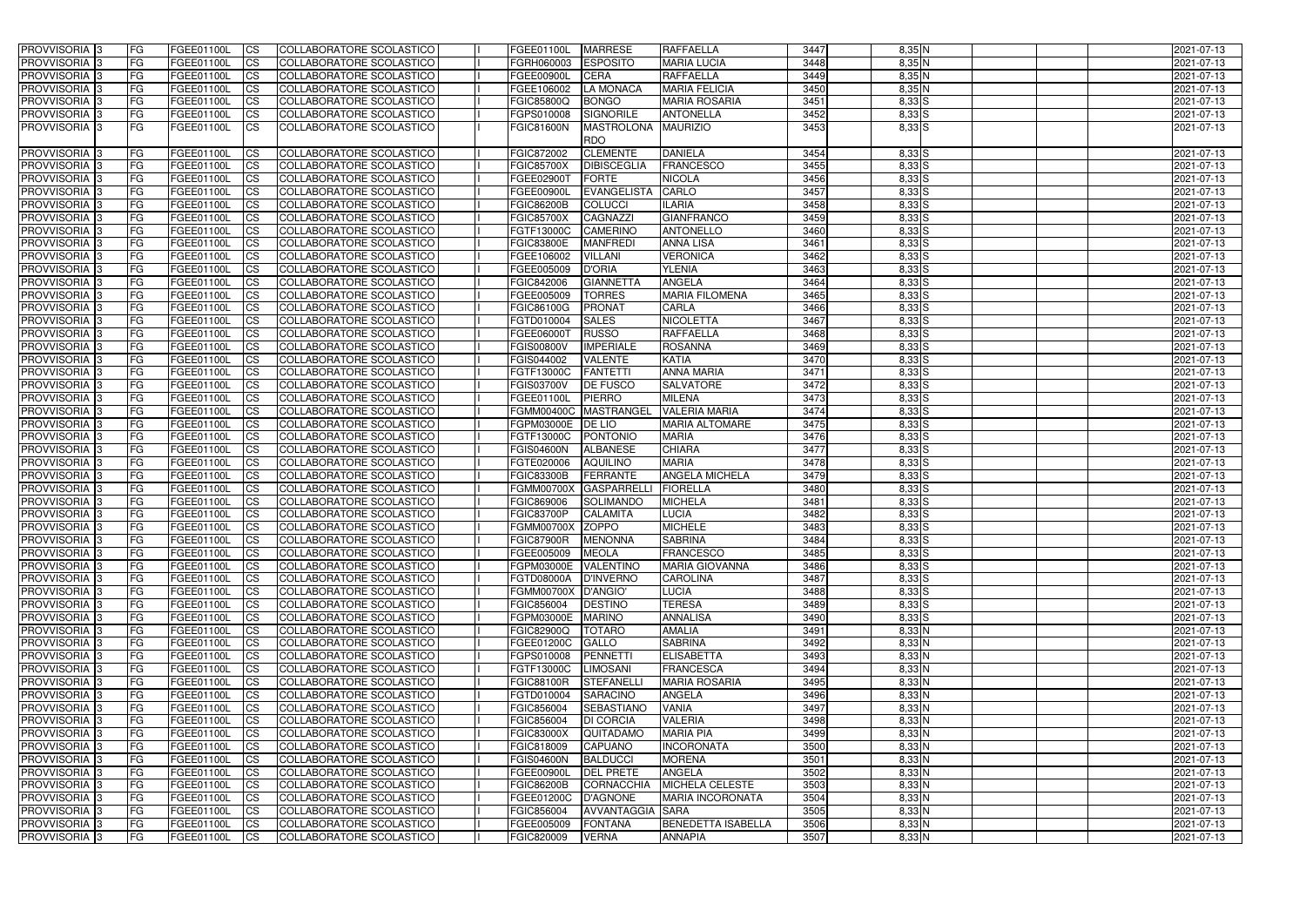| <b>PROVVISORIA</b> 3                      | FG               | FGEE01100L                      | <b>CS</b>              | COLLABORATORE SCOLASTICO                             | <b>FGEE01100L</b>               | <b>MARRESE</b>                     | <b>RAFFAELLA</b>              | 3447         | $8,35$ N         | 2021-07-13               |
|-------------------------------------------|------------------|---------------------------------|------------------------|------------------------------------------------------|---------------------------------|------------------------------------|-------------------------------|--------------|------------------|--------------------------|
| PROVVISORIA <sup>3</sup>                  | FG               | FGEE01100L                      | <b>CS</b>              | COLLABORATORE SCOLASTICO                             | FGRH060003                      | <b>ESPOSITO</b>                    | <b>MARIA LUCIA</b>            | 3448         | 8,35N            | 2021-07-13               |
| PROVVISORIA <sup>3</sup>                  | FG               | <b>FGEE01100L</b>               | <b>CS</b>              | COLLABORATORE SCOLASTICO                             | <b>FGEE00900L</b>               | <b>CERA</b>                        | <b>RAFFAELLA</b>              | 3449         | $8,35$ N         | 2021-07-13               |
| PROVVISORIA <sup>1</sup> 3                | FG               | FGEE01100L                      | <b>CS</b>              | COLLABORATORE SCOLASTICO                             | FGEE106002                      | <b>LA MONACA</b>                   | <b>MARIA FELICIA</b>          | 3450         | 8,35 N           | 2021-07-13               |
| PROVVISORIA <sup>13</sup>                 | FG               | FGEE01100L                      | <b>CS</b>              | COLLABORATORE SCOLASTICO                             | FGIC85800Q                      | <b>BONGO</b>                       | <b>MARIA ROSARIA</b>          | 3451         | 8,33 S           | 2021-07-13               |
| PROVVISORIA <sup>3</sup>                  | FG               | <b>FGEE01100L</b>               | <b>CS</b>              | <b>COLLABORATORE SCOLASTICO</b>                      | FGPS010008                      | <b>SIGNORILE</b>                   | <b>ANTONELLA</b>              | 3452         | $8,33$ S         | 2021-07-13               |
| PROVVISORIA 3                             | FG.              | FGEE01100L                      | <b>ICS</b>             | COLLABORATORE SCOLASTICO                             | <b>FGIC81600N</b>               | MASTROLONA MAURIZIO<br><b>RDO</b>  |                               | 3453         | $8,33$ S         | 2021-07-13               |
| PROVVISORIA <sup>3</sup>                  | <b>FG</b>        | FGEE01100L                      | <b>CS</b>              | COLLABORATORE SCOLASTICO                             | FGIC872002                      | <b>CLEMENTE</b>                    | <b>DANIELA</b>                | 3454         | $8,33$ S         | 2021-07-13               |
| PROVVISORIA 3                             | FG               | FGEE01100L                      | <b>CS</b>              | <b>COLLABORATORE SCOLASTICO</b>                      | <b>FGIC85700X</b>               | DIBISCEGLIA                        | <b>FRANCESCO</b>              | 3455         | 8,33 S           | 2021-07-13               |
| PROVVISORIA <sup>3</sup>                  | FG               | <b>FGEE01100L</b>               | $\overline{c}$         | COLLABORATORE SCOLASTICO                             | FGEE02900T                      | FORTE                              | <b>NICOLA</b>                 | 3456         | 8,33 S           | 2021-07-13               |
| PROVVISORIA <sup>3</sup>                  | FG               | FGEE01100L                      | <b>CS</b>              | COLLABORATORE SCOLASTICO                             | FGEE00900L                      | EVANGELISTA                        | CARLO                         | 3457         | $8,33$ $S$       | 2021-07-13               |
| PROVVISORIA <sup>3</sup>                  | FG               | FGEE01100L                      | <b>ICS</b>             | COLLABORATORE SCOLASTICO                             | <b>FGIC86200B</b>               | <b>COLUCCI</b>                     | <b>ILARIA</b>                 | 3458         | 8,33 S           | 2021-07-13               |
| PROVVISORIA <sup>3</sup>                  | FG               | FGEE01100L                      | <b>ICS</b>             | COLLABORATORE SCOLASTICO                             | <b>FGIC85700X</b>               | <b>CAGNAZZI</b>                    | <b>GIANFRANCO</b>             | 3459         | $8,33$ $S$       | 2021-07-13               |
| <b>PROVVISORIA</b> 3                      | FG               | FGEE01100L                      | <b>ICS</b>             | COLLABORATORE SCOLASTICO                             | FGTF13000C                      | <b>CAMERINO</b>                    | <b>ANTONELLO</b>              | 3460         | $8,33$ $S$       | 2021-07-13               |
| PROVVISORIA <sup>3</sup>                  | FG               | FGEE01100L                      | <b>ICS</b>             | COLLABORATORE SCOLASTICO                             | <b>FGIC83800E</b>               | <b>MANFREDI</b>                    | <b>ANNA LISA</b>              | 3461         | 8,33 S           | 2021-07-13               |
| PROVVISORIA <sup>3</sup>                  | FG               | FGEE01100L                      | <b>CS</b>              | COLLABORATORE SCOLASTICO                             | FGEE106002                      | <b>VILLANI</b>                     | <b>VERONICA</b>               | 3462         | 8,33 S           | 2021-07-13               |
| PROVVISORIA <sup>3</sup>                  | FG               | FGEE01100L                      | <b>ICS</b>             | <b>COLLABORATORE SCOLASTICO</b>                      | FGEE005009                      | <b>D'ORIA</b>                      | <b>YLENIA</b>                 | 3463         | 8,33 S           | 2021-07-13               |
| PROVVISORIA <sup>3</sup>                  | FG               | FGEE01100L                      | <b>ICS</b>             | <b>COLLABORATORE SCOLASTICO</b>                      | FGIC842006                      | <b>GIANNETTA</b>                   | <b>ANGELA</b>                 | 3464         | 8,33 S           | 2021-07-13               |
| PROVVISORIA <sup>3</sup>                  | FG.              | FGEE01100L                      | <b>ICS</b>             | COLLABORATORE SCOLASTICO                             | FGEE005009                      | <b>TORRES</b>                      | <b>MARIA FILOMENA</b>         | 3465         | 8,33 S           | 2021-07-13               |
| PROVVISORIA <sup>3</sup>                  | FG.              | FGEE01100L                      | <b>ICS</b>             | COLLABORATORE SCOLASTICO                             | FGIC86100G                      | <b>PRONAT</b>                      | <b>CARLA</b>                  | 3466         | 8,33 S           | 2021-07-13               |
| PROVVISORIA <sup>3</sup>                  | FG               | FGEE01100L                      | <b>CS</b>              | COLLABORATORE SCOLASTICO                             | FGTD010004                      | <b>SALES</b>                       | <b>NICOLETTA</b>              | 3467         | 8,33 S           | 2021-07-13               |
| PROVVISORIA <sup>3</sup>                  | FG               | FGEE01100L                      | <b>CS</b>              | COLLABORATORE SCOLASTICO                             | FGEE06000T                      | <b>RUSSO</b>                       | <b>RAFFAELLA</b>              | 3468         | 8,33 S           | 2021-07-13               |
| PROVVISORIA <sup>3</sup>                  | FG               | FGEE01100L                      | <b>CS</b>              | COLLABORATORE SCOLASTICO                             | <b>FGIS00800V</b>               | <b>IMPERIALE</b>                   | <b>ROSANNA</b>                | 3469         | 8,33 S           | 2021-07-13               |
| PROVVISORIA <sup>13</sup>                 | FG               | FGEE01100L                      | <b>CS</b>              | COLLABORATORE SCOLASTICO                             | FGIS044002                      | <b>VALENTE</b>                     | <b>KATIA</b>                  | 3470         | 8,33 S           | 2021-07-13               |
| PROVVISORIA <sup>13</sup>                 | FG               | FGEE01100L                      | <b>CS</b>              | COLLABORATORE SCOLASTICO                             | FGTF13000C                      | <b>FANTETTI</b>                    | <b>ANNA MARIA</b>             | 3471         | 8,33 S           | 2021-07-13               |
| PROVVISORIA <sup>3</sup>                  | FG               | FGEE01100L                      | <b>CS</b>              | COLLABORATORE SCOLASTICO                             | FGIS03700V                      | DE FUSCO                           | <b>SALVATORE</b>              | 3472         | 8,33 S           | 2021-07-13               |
| PROVVISORIA <sup>1</sup> 3                | FG               | <b>FGEE01100L</b>               | <b>CS</b>              | COLLABORATORE SCOLASTICO                             | FGEE01100L                      | <b>PIERRO</b>                      | <b>MILENA</b>                 | 3473         | 8,33 S           | 2021-07-13               |
| PROVVISORIA <sup>1</sup> 3                | FG               | FGEE01100L                      | ICS                    | COLLABORATORE SCOLASTICO                             | <b>FGMM00400C</b>               | MASTRANGEL                         | <b>VALERIA MARIA</b>          | 3474         | 8,33 S           | 2021-07-13               |
| PROVVISORIA <sup>1</sup> 3                | FG               | FGEE01100L                      | <b>CS</b>              | COLLABORATORE SCOLASTICO                             | FGPM03000E                      | <b>DE LIO</b>                      | <b>MARIA ALTOMARE</b>         | 3475         | 8,33 S           | 2021-07-13               |
| PROVVISORIA 3<br>PROVVISORIA <sup>3</sup> | FG               | FGEE01100L<br><b>FGEE01100L</b> | <b>CS</b><br><b>CS</b> | COLLABORATORE SCOLASTICO<br>COLLABORATORE SCOLASTICO | FGTF13000C<br><b>FGIS04600N</b> | <b>PONTONIO</b><br><b>ALBANESE</b> | <b>MARIA</b><br><b>CHIARA</b> | 3476<br>3477 | 8,33 S           | 2021-07-13<br>2021-07-13 |
| PROVVISORIA <sup>3</sup>                  | FG<br>FG         | FGEE01100L                      | $\overline{c}$         | COLLABORATORE SCOLASTICO                             | FGTE020006                      | <b>AQUILINO</b>                    | <b>MARIA</b>                  | 3478         | 8,33 S<br>8,33 S | 2021-07-13               |
| PROVVISORIA <sup>3</sup>                  | FG               | FGEE01100L                      | $\overline{c}$         | COLLABORATORE SCOLASTICO                             | <b>FGIC83300B</b>               | <b>FERRANTE</b>                    | <b>ANGELA MICHELA</b>         | 3479         | 8,33 S           | 2021-07-13               |
| PROVVISORIA 3                             | <b>FG</b>        | FGEE01100L                      | <b>CS</b>              | COLLABORATORE SCOLASTICO                             | <b>FGMM00700X</b>               | <b>GASPARRELLI</b>                 | <b>FIORELLA</b>               | 3480         | 8,33 S           | 2021-07-13               |
| PROVVISORIA 3                             | FG               | FGEE01100L                      | <b>CS</b>              | COLLABORATORE SCOLASTICO                             | FGIC869006                      | SOLIMANDO                          | <b>MICHELA</b>                | 3481         | 8,33 S           | 2021-07-13               |
| PROVVISORIA <sup>3</sup>                  | FG               | FGEE01100L                      | $\overline{c}$         | COLLABORATORE SCOLASTICO                             | <b>FGIC83700P</b>               | <b>CALAMITA</b>                    | <b>LUCIA</b>                  | 3482         | 8,33 S           | 2021-07-13               |
| PROVVISORIA 3                             | FG               | FGEE01100L                      | <b>I</b> CS            | COLLABORATORE SCOLASTICO                             | FGMM00700X ZOPPO                |                                    | <b>MICHELE</b>                | 3483         | $8,33$ $S$       | 2021-07-13               |
| PROVVISORIA 3                             | FG               | FGEE01100L                      | CS                     | COLLABORATORE SCOLASTICO                             | FGIC87900R MENONNA              |                                    | <b>SABRINA</b>                | 3484         | $8,33$ S         | 2021-07-13               |
| <b>PROVVISORIA</b> 3                      | IFG.             | FGEE01100L                      | <b>CS</b>              | COLLABORATORE SCOLASTICO                             | FGEE005009 MEOLA                |                                    | <b>FRANCESCO</b>              | 3485         | $8,33$ $S$       | 2021-07-13               |
| PROVVISORIA 3                             | <b>FG</b>        | <b>FGEE01100L</b>               | <b>CS</b>              | COLLABORATORE SCOLASTICO                             | FGPM03000E VALENTINO            |                                    | <b>MARIA GIOVANNA</b>         | 3486         | $8,33$ S         | 2021-07-13               |
| PROVVISORIA 3                             | <b>FG</b>        | FGEE01100L                      | <b>ICS</b>             | COLLABORATORE SCOLASTICO                             | FGTD08000A                      | <b>D'INVERNO</b>                   | <b>CAROLINA</b>               | 3487         | $8,33$ S         | 2021-07-13               |
| PROVVISORIA 3                             | FG               | FGEE01100L                      | <b>CS</b>              | COLLABORATORE SCOLASTICO                             | FGMM00700X D'ANGIO'             |                                    | <b>LUCIA</b>                  | 3488         | $8,33$ $S$       | 2021-07-13               |
| PROVVISORIA 3                             | FG               | <b>FGEE01100L</b>               | <b>CS</b>              | COLLABORATORE SCOLASTICO                             | FGIC856004                      | <b>DESTINO</b>                     | <b>TERESA</b>                 | 3489         | $8,33$ S         | 2021-07-13               |
| PROVVISORIA 3                             | <b>FG</b>        | <b>FGEE01100L</b>               | $\mathsf{ICS}$         | COLLABORATORE SCOLASTICO                             | FGPM03000E                      | <b>MARINO</b>                      | <b>ANNALISA</b>               | 3490         | $8,33$ S         | 2021-07-13               |
| PROVVISORIA 3                             | FG               | FGEE01100L                      | <b>CS</b>              | COLLABORATORE SCOLASTICO                             | <b>FGIC82900Q</b>               | <b>TOTARO</b>                      | <b>AMALIA</b>                 | 3491         | 8,33N            | 2021-07-13               |
| PROVVISORIA 3                             | FG               | FGEE01100L                      | <b>CS</b>              | COLLABORATORE SCOLASTICO                             | FGEE01200C                      | <b>GALLO</b>                       | <b>SABRINA</b>                | 3492         | $8,33$ N         | 2021-07-13               |
| PROVVISORIA 3                             | <b>FG</b>        | FGEE01100L                      | <b>CS</b>              | COLLABORATORE SCOLASTICO                             | FGPS010008                      | PENNETTI                           | <b>ELISABETTA</b>             | 3493         | 8,33N            | 2021-07-13               |
| PROVVISORIA 3                             | FG               | FGEE01100L                      | <b>CS</b>              | COLLABORATORE SCOLASTICO                             | FGTF13000C                      | <b>LIMOSANI</b>                    | <b>FRANCESCA</b>              | 3494         | 8,33N            | 2021-07-13               |
| PROVVISORIA 3                             | FG               | FGEE01100L                      | <b>CS</b>              | COLLABORATORE SCOLASTICO                             | <b>FGIC88100R</b>               | STEFANELLI                         | <b>MARIA ROSARIA</b>          | 3495         | 8,33N            | 2021-07-13               |
| PROVVISORIA 3                             | FG               | FGEE01100L                      | <b>CS</b>              | COLLABORATORE SCOLASTICO                             | FGTD010004                      | SARACINO                           | <b>ANGELA</b>                 | 3496         | 8,33N            | 2021-07-13               |
| PROVVISORIA 3                             | FG               | FGEE01100L                      | <b>CS</b>              | COLLABORATORE SCOLASTICO                             | FGIC856004                      | <b>SEBASTIANO</b>                  | VANIA                         | 3497         | 8,33N            | 2021-07-13               |
| PROVVISORIA 3                             | FG               | FGEE01100L                      | <b>CS</b>              | COLLABORATORE SCOLASTICO                             | FGIC856004                      | <b>DI CORCIA</b>                   | <b>VALERIA</b>                | 3498         | 8,33N            | 2021-07-13               |
| PROVVISORIA <sup>3</sup>                  | FG               | FGEE01100L                      | <b>CS</b>              | COLLABORATORE SCOLASTICO                             | <b>FGIC83000X</b>               | <b>QUITADAMO</b>                   | <b>MARIA PIA</b>              | 3499         | 8,33N            | 2021-07-13               |
| PROVVISORIA 3                             | FG               | FGEE01100L                      | <b>CS</b>              | COLLABORATORE SCOLASTICO                             | FGIC818009                      | <b>CAPUANO</b>                     | <b>INCORONATA</b>             | 3500         | $8,33$ N         | 2021-07-13               |
| PROVVISORIA 3                             | FG<br><b>IFG</b> | <b>FGEE01100L</b><br>FGEE01100L | <b>CS</b>              | COLLABORATORE SCOLASTICO                             | <b>FGIS04600N</b>               | <b>BALDUCCI</b>                    | <b>MORENA</b><br>ANGELA       | 3501<br>3502 | 8,33N            | 2021-07-13<br>2021-07-13 |
| PROVVISORIA <sup>3</sup><br>PROVVISORIA 3 | <b>FG</b>        | FGEE01100L                      | <b>CS</b><br><b>CS</b> | COLLABORATORE SCOLASTICO<br>COLLABORATORE SCOLASTICO | FGEE00900L<br><b>FGIC86200B</b> | <b>DEL PRETE</b><br>CORNACCHIA     | MICHELA CELESTE               | 3503         | 8,33N<br>8,33 N  | 2021-07-13               |
| PROVVISORIA 3                             | FG               | FGEE01100L                      | <b>CS</b>              | COLLABORATORE SCOLASTICO                             | FGEE01200C                      | D'AGNONE                           | <b>MARIA INCORONATA</b>       | 3504         | $8,33$ N         | 2021-07-13               |
| PROVVISORIA 3                             | <b>FG</b>        | FGEE01100L                      | <b>CS</b>              | COLLABORATORE SCOLASTICO                             | FGIC856004                      | AVVANTAGGIA SARA                   |                               | 3505         | 8,33N            | 2021-07-13               |
| PROVVISORIA 3                             | FG               | FGEE01100L                      | <b>CS</b>              | COLLABORATORE SCOLASTICO                             | FGEE005009                      | <b>FONTANA</b>                     | <b>BENEDETTA ISABELLA</b>     | 3506         | 8,33N            | 2021-07-13               |
| PROVVISORIA 3                             | IFG.             | <b>FGEE01100L</b>               | <b>CS</b>              | COLLABORATORE SCOLASTICO                             | FGIC820009                      | <b>VERNA</b>                       | <b>ANNAPIA</b>                | 3507         | $8,33$ N         | 2021-07-13               |
|                                           |                  |                                 |                        |                                                      |                                 |                                    |                               |              |                  |                          |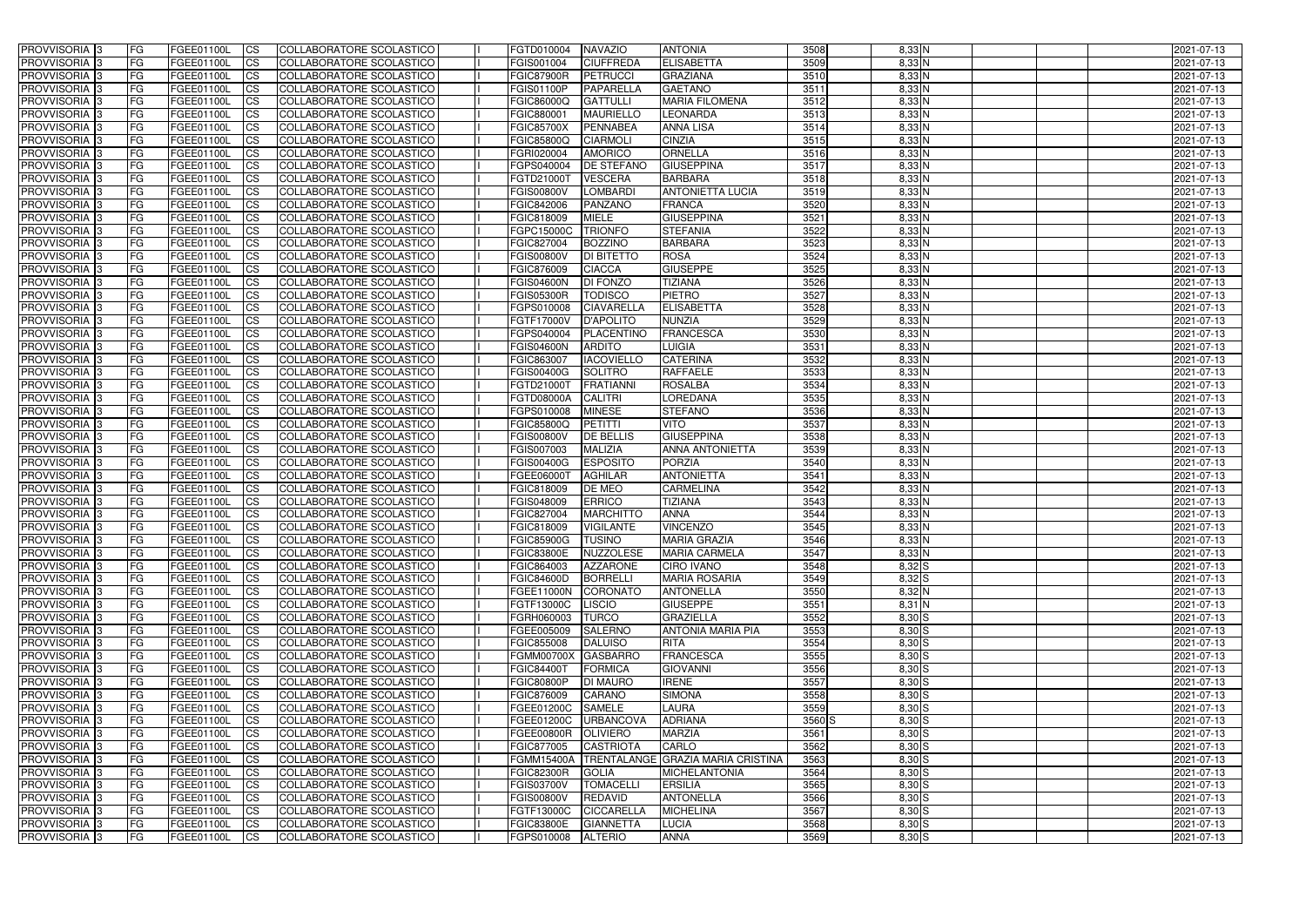| <b>PROVVISORIA</b> 3       | l FG      | FGEE01100L               | <b>ICS</b>             | COLLABORATORE SCOLASTICO                                    | FGTD010004          | <b>NAVAZIO</b>    | <b>ANTONIA</b>                    | 3508   | $8,33$ N          | 2021-07-13 |
|----------------------------|-----------|--------------------------|------------------------|-------------------------------------------------------------|---------------------|-------------------|-----------------------------------|--------|-------------------|------------|
| <b>PROVVISORIA 3</b>       | FG        | FGEE01100L               | <b>ICS</b>             | COLLABORATORE SCOLASTICO                                    | FGIS001004          | <b>CIUFFREDA</b>  | <b>ELISABETTA</b>                 | 3509   | $8,33$ N          | 2021-07-13 |
| PROVVISORIA <sup>1</sup> 3 | FG        | FGEE01100L               | <b>CS</b>              | <b>COLLABORATORE SCOLASTICO</b>                             | <b>FGIC87900R</b>   | <b>PETRUCCI</b>   | <b>GRAZIANA</b>                   | 3510   | 8,33 N            | 2021-07-13 |
| PROVVISORIA                | FG        | FGEE01100L               | <b>CS</b>              | COLLABORATORE SCOLASTICO                                    | <b>FGIS01100P</b>   | PAPARELLA         | <b>GAETANO</b>                    | 3511   | 8,33 N            | 2021-07-13 |
| PROVVISORIA <sup>1</sup> 3 | FG        | FGEE01100L               | <b>CS</b>              | COLLABORATORE SCOLASTICO                                    | FGIC86000Q          | <b>GATTULLI</b>   | <b>MARIA FILOMENA</b>             | 3512   | 8,33 N            | 2021-07-13 |
| PROVVISORIA <sup>1</sup> 3 | FG        | FGEE01100L               | <b>CS</b>              | COLLABORATORE SCOLASTICO                                    | FGIC880001          | <b>MAURIELLO</b>  | <b>LEONARDA</b>                   | 3513   | 8,33 N            | 2021-07-13 |
| PROVVISORIA <sup>1</sup> 3 | FG        | FGEE01100L               | <b>CS</b>              | COLLABORATORE SCOLASTICO                                    | <b>FGIC85700X</b>   | PENNABEA          | <b>ANNA LISA</b>                  | 3514   | 8,33N             | 2021-07-13 |
| PROVVISORIA 3              | FG        | FGEE01100L               | <b>ICS</b>             | COLLABORATORE SCOLASTICO                                    | FGIC85800Q          | <b>CIARMOLI</b>   | <b>CINZIA</b>                     | 3515   | $8,33$ N          | 2021-07-13 |
| PROVVISORIA 3              | <b>FG</b> | FGEE01100L               | <b>CS</b>              | COLLABORATORE SCOLASTICO                                    | FGRI020004          | <b>AMORICO</b>    | ORNELLA                           | 3516   | $8,33$ N          | 2021-07-13 |
| PROVVISORIA 3              | <b>FG</b> | FGEE01100L               | <b>ICS</b>             | COLLABORATORE SCOLASTICO                                    | FGPS040004          | <b>DE STEFANO</b> | <b>GIUSEPPINA</b>                 | 3517   | 8,33N             | 2021-07-13 |
| PROVVISORIA 3              | FG        | <b>FGEE01100L</b>        | <b>ICS</b>             | COLLABORATORE SCOLASTICO                                    | FGTD21000T          | <b>VESCERA</b>    | <b>BARBARA</b>                    | 3518   | 8,33 N            | 2021-07-13 |
| <b>PROVVISORIA</b>         | FG        | FGEE01100L               | <b>ICS</b>             | COLLABORATORE SCOLASTICO                                    | <b>FGIS00800V</b>   | <b>LOMBARDI</b>   | <b>ANTONIETTA LUCIA</b>           | 3519   | 8,33N             | 2021-07-13 |
| <b>PROVVISORIA</b>         | FG        | FGEE01100L               | <b>ICS</b>             | COLLABORATORE SCOLASTICO                                    | FGIC842006          | <b>PANZANO</b>    | <b>FRANCA</b>                     | 3520   | $8,33$ N          | 2021-07-13 |
| <b>PROVVISORIA</b>         | FG        | FGEE01100L               | <b>ICS</b>             | COLLABORATORE SCOLASTICO                                    | FGIC818009          | <b>MIELE</b>      | <b>GIUSEPPINA</b>                 | 3521   | 8,33 N            | 2021-07-13 |
| <b>PROVVISORIA</b>         | FG        | FGEE01100L               | <b>ICS</b>             | COLLABORATORE SCOLASTICO                                    | FGPC15000C          | <b>TRIONFO</b>    | <b>STEFANIA</b>                   | 3522   | 8,33 N            | 2021-07-13 |
| <b>PROVVISORIA</b>         | FG        | FGEE01100L               | <b>ICS</b>             | COLLABORATORE SCOLASTICO                                    | FGIC827004          | <b>BOZZINO</b>    | <b>BARBARA</b>                    | 3523   | 8,33 N            | 2021-07-13 |
| <b>PROVVISORIA</b>         | FG        | <b>FGEE01100L</b>        | <b>ICS</b>             | COLLABORATORE SCOLASTICO                                    | <b>FGIS00800V</b>   | <b>DI BITETTO</b> | <b>ROSA</b>                       | 3524   | 8,33 N            | 2021-07-13 |
| <b>PROVVISORIA</b>         | FG        | FGEE01100L               | <b>ICS</b>             | COLLABORATORE SCOLASTICO                                    | FGIC876009          | <b>CIACCA</b>     | <b>GIUSEPPE</b>                   | 3525   | 8,33 N            | 2021-07-13 |
| PROVVISORIA <sup>3</sup>   | FG        | FGEE01100L               | <b>ICS</b>             | COLLABORATORE SCOLASTICO                                    | <b>FGIS04600N</b>   | DI FONZO          | <b>TIZIANA</b>                    | 3526   | 8,33 N            | 2021-07-13 |
| PROVVISORIA 3              | FG        | FGEE01100L               | <b>ICS</b>             | COLLABORATORE SCOLASTICO                                    | <b>FGIS05300R</b>   | <b>TODISCO</b>    | <b>PIETRO</b>                     | 3527   | 8,33 N            | 2021-07-13 |
| PROVVISORIA <sup>1</sup> 3 | FG        | FGEE01100L               | <b>ICS</b>             | COLLABORATORE SCOLASTICO                                    | FGPS010008          | <b>CIAVARELLA</b> | <b>ELISABETTA</b>                 | 3528   | $8,33$ N          | 2021-07-13 |
| PROVVISORIA 3              | FG        | FGEE01100L               | <b>ICS</b>             | COLLABORATORE SCOLASTICO                                    | FGTF17000V          | <b>D'APOLITO</b>  | <b>NUNZIA</b>                     | 3529   | 8,33N             | 2021-07-13 |
| PROVVISORIA <sup>3</sup>   | FG        |                          | <b>ICS</b>             | <b>COLLABORATORE SCOLASTICO</b>                             | FGPS040004          | PLACENTINO        | <b>FRANCESCA</b>                  | 3530   | $8,33$ N          |            |
| PROVVISORIA <sup>3</sup>   |           | FGEE01100L<br>FGEE01100L |                        |                                                             |                     | <b>ARDITO</b>     |                                   | 3531   |                   | 2021-07-13 |
| PROVVISORIA <sup>3</sup>   | FG        |                          | <b>CS</b>              | COLLABORATORE SCOLASTICO<br><b>COLLABORATORE SCOLASTICO</b> | <b>FGIS04600N</b>   | <b>IACOVIELLO</b> | LUIGIA<br><b>CATERINA</b>         | 3532   | 8,33N<br>$8,33$ N | 2021-07-13 |
|                            | FG        | FGEE01100L               | <b>CS</b>              |                                                             | FGIC863007          |                   |                                   |        |                   | 2021-07-13 |
| PROVVISORIA <sup>1</sup> 3 | FG        | FGEE01100L               | <b>ICS</b>             | COLLABORATORE SCOLASTICO                                    | FGIS00400G          | <b>SOLITRO</b>    | <b>RAFFAELE</b>                   | 3533   | $8,33$ N          | 2021-07-13 |
| PROVVISORIA 3              | FG        | FGEE01100L               | <b>ICS</b>             | COLLABORATORE SCOLASTICO                                    | FGTD21000T          | <b>FRATIANNI</b>  | <b>ROSALBA</b>                    | 3534   | 8,33 N            | 2021-07-13 |
| PROVVISORIA                | FG        | FGEE01100L               | <b>ICS</b>             | COLLABORATORE SCOLASTICO                                    | <b>FGTD08000A</b>   | <b>CALITRI</b>    | <b>LOREDANA</b>                   | 3535   | 8,33 N            | 2021-07-13 |
| PROVVISORIA                | FG        | FGEE01100L               | <b>CS</b>              | <b>COLLABORATORE SCOLASTICO</b>                             | FGPS010008          | <b>MINESE</b>     | <b>STEFANO</b>                    | 3536   | 8,33 N            | 2021-07-13 |
| PROVVISORIA                | FG        | FGEE01100L               | <b>CS</b>              | COLLABORATORE SCOLASTICO                                    | FGIC85800Q          | <b>PETITTI</b>    | <b>VITO</b>                       | 3537   | 8,33 N            | 2021-07-13 |
| PROVVISORIA                | FG        | FGEE01100L               | <b>CS</b>              | COLLABORATORE SCOLASTICO                                    | <b>FGIS00800V</b>   | <b>DE BELLIS</b>  | <b>GIUSEPPINA</b>                 | 3538   | 8,33 N            | 2021-07-13 |
| PROVVISORIA <sup>1</sup> 3 | FG        | FGEE01100L               | <b>CS</b>              | COLLABORATORE SCOLASTICO                                    | FGIS007003          | <b>MALIZIA</b>    | <b>ANNA ANTONIETTA</b>            | 3539   | $8,33$ N          | 2021-07-13 |
| PROVVISORIA <sup>1</sup> 3 | FG        | FGEE01100L               | <b>CS</b>              | COLLABORATORE SCOLASTICO                                    | FGIS00400G          | <b>ESPOSITO</b>   | <b>PORZIA</b>                     | 3540   | 8,33N             | 2021-07-13 |
| PROVVISORIA 3              | FG        | FGEE01100L               | <b>CS</b>              | COLLABORATORE SCOLASTICO                                    | FGEE06000T          | <b>AGHILAR</b>    | <b>ANTONIETTA</b>                 | 3541   | 8,33N             | 2021-07-13 |
| PROVVISORIA <sup>1</sup> 3 | <b>FG</b> | FGEE01100L               | <b>CS</b>              | COLLABORATORE SCOLASTICO                                    | FGIC818009          | DE MEO            | <b>CARMELINA</b>                  | 3542   | $8,33$ N          | 2021-07-13 |
| PROVVISORIA 3              | <b>FG</b> | FGEE01100L               | <b>ICS</b>             | COLLABORATORE SCOLASTICO                                    | FGIS048009          | <b>ERRICO</b>     | <b>TIZIANA</b>                    | 3543   | $8,33$ N          | 2021-07-13 |
| PROVVISORIA 3              | <b>FG</b> | FGEE01100L               | <b>ICS</b>             | COLLABORATORE SCOLASTICO                                    | FGIC827004          | <b>MARCHITTO</b>  | <b>ANNA</b>                       | 3544   | 8,33N             | 2021-07-13 |
| <b>PROVVISORIA</b>         | <b>FG</b> | FGEE01100L               | <b>ICS</b>             | COLLABORATORE SCOLASTICO                                    | FGIC818009          | <b>VIGILANTE</b>  | <b>VINCENZO</b>                   | 3545   | 8,33N             | 2021-07-13 |
| PROVVISORIA 3              | FG        | FGEE01100L               | CS                     | COLLABORATORE SCOLASTICO                                    | <b>FGIC85900G</b>   | <b>TUSINO</b>     | <b>MARIA GRAZIA</b>               | 3546   | $8,33$ N          | 2021-07-13 |
| PROVVISORIA 3              | <b>FG</b> | FGEE01100L               | $\mathsf{ICS}$         | COLLABORATORE SCOLASTICO                                    | <b>FGIC83800E</b>   | NUZZOLESE         | <b>MARIA CARMELA</b>              | 3547   | 8,33N             | 2021-07-13 |
| PROVVISORIA 3              | <b>FG</b> | <b>FGEE01100L</b>        | $\mathsf{ICS}$         | COLLABORATORE SCOLASTICO                                    | FGIC864003          | <b>AZZARONE</b>   | <b>CIRO IVANO</b>                 | 3548   | $8,32$ S          | 2021-07-13 |
| PROVVISORIA 3              | <b>FG</b> | FGEE01100L               | $\mathsf{ICS}$         | COLLABORATORE SCOLASTICO                                    | <b>FGIC84600D</b>   | <b>BORRELLI</b>   | <b>MARIA ROSARIA</b>              | 3549   | $8,32$ S          | 2021-07-13 |
| PROVVISORIA 3              | FG        | FGEE01100L               | $\mathsf{ICS}$         | COLLABORATORE SCOLASTICO                                    | <b>FGEE11000N</b>   | CORONATO          | <b>ANTONELLA</b>                  | 3550   | $8,32$ N          | 2021-07-13 |
| PROVVISORIA 3              | l FG      | FGEE01100L               | <b>CS</b>              | COLLABORATORE SCOLASTICO                                    | FGTF13000C          | LISCIO            | <b>GIUSEPPE</b>                   | 3551   | 8,31 N            | 2021-07-13 |
| PROVVISORIA 3              | <b>FG</b> | FGEE01100L               | $\mathsf{ICS}$         | COLLABORATORE SCOLASTICO                                    | FGRH060003          | <b>TURCO</b>      | <b>GRAZIELLA</b>                  | 3552   | $8,30$ S          | 2021-07-13 |
| PROVVISORIA 3              | FG        | FGEE01100L               | <b>CS</b>              | COLLABORATORE SCOLASTICO                                    | FGEE005009          | <b>SALERNO</b>    | <b>ANTONIA MARIA PIA</b>          | 3553   | $8,30$ S          | 2021-07-13 |
| PROVVISORIA 3              | <b>FG</b> | FGEE01100L               | <b>CS</b>              | COLLABORATORE SCOLASTICO                                    | FGIC855008          | <b>DALUISO</b>    | <b>RITA</b>                       | 3554   | 8,30 S            | 2021-07-13 |
| PROVVISORIA 3              | <b>FG</b> | FGEE01100L               | <b>CS</b>              | COLLABORATORE SCOLASTICO                                    | FGMM00700X GASBARRO |                   | <b>FRANCESCA</b>                  | 3555   | $8,30$ S          | 2021-07-13 |
| PROVVISORIA 3              | <b>FG</b> | FGEE01100L               | <b>CS</b>              | COLLABORATORE SCOLASTICO                                    | <b>FGIC84400T</b>   | <b>FORMICA</b>    | <b>GIOVANNI</b>                   | 3556   | $8,30$ S          | 2021-07-13 |
| PROVVISORIA 3              | <b>FG</b> | FGEE01100L               | <b>CS</b>              | COLLABORATORE SCOLASTICO                                    | <b>FGIC80800P</b>   | <b>DI MAURO</b>   | <b>IRENE</b>                      | 3557   | $8,30$ S          | 2021-07-13 |
| PROVVISORIA 3              | <b>FG</b> | FGEE01100L               | <b>CS</b>              | COLLABORATORE SCOLASTICO                                    | FGIC876009          | CARANO            | <b>SIMONA</b>                     | 3558   | $8,30$ S          | 2021-07-13 |
| PROVVISORIA 3              | <b>FG</b> | FGEE01100L               | <b>CS</b>              | COLLABORATORE SCOLASTICO                                    | FGEE01200C          | <b>SAMELE</b>     | <b>LAURA</b>                      | 3559   | $8,30$ S          | 2021-07-13 |
| PROVVISORIA 3              | <b>FG</b> | FGEE01100L               | <b>CS</b>              | COLLABORATORE SCOLASTICO                                    | FGEE01200C          | URBANCOVA         | <b>ADRIANA</b>                    | 3560 S | $8,30$ S          | 2021-07-13 |
| PROVVISORIA 3              | <b>FG</b> | FGEE01100L               | <b>CS</b>              | COLLABORATORE SCOLASTICO                                    | <b>FGEE00800R</b>   | <b>OLIVIERO</b>   | <b>MARZIA</b>                     | 3561   | $8,30$ S          | 2021-07-13 |
| PROVVISORIA 3              | <b>FG</b> | FGEE01100L               | <b>CS</b>              | COLLABORATORE SCOLASTICO                                    | FGIC877005          | <b>CASTRIOTA</b>  | CARLO                             | 3562   | $8,30$ S          | 2021-07-13 |
| PROVVISORIA 3              | <b>FG</b> | FGEE01100L               | <b>CS</b>              | COLLABORATORE SCOLASTICO                                    | FGMM15400A          |                   | TRENTALANGE GRAZIA MARIA CRISTINA | 3563   | 8,30 S            | 2021-07-13 |
| PROVVISORIA 3              | <b>FG</b> | FGEE01100L               | <b>CS</b>              | COLLABORATORE SCOLASTICO                                    | <b>FGIC82300R</b>   | <b>GOLIA</b>      | MICHELANTONIA                     | 3564   | $8,30$ S          | 2021-07-13 |
| PROVVISORIA 3              | FG        | FGEE01100L               | <b>CS</b>              | COLLABORATORE SCOLASTICO                                    | <b>FGIS03700V</b>   | <b>TOMACELLI</b>  | <b>ERSILIA</b>                    | 3565   | $8,30$ S          | 2021-07-13 |
| PROVVISORIA 3              | FG        | <b>FGEE01100L</b>        | <b>CS</b>              | COLLABORATORE SCOLASTICO                                    | <b>FGIS00800V</b>   | REDAVID           | <b>ANTONELLA</b>                  | 3566   | $8,30$ S          | 2021-07-13 |
| PROVVISORIA 3              | <b>FG</b> | FGEE01100L               | <b>CS</b>              | COLLABORATORE SCOLASTICO                                    | FGTF13000C          | <b>CICCARELLA</b> | <b>MICHELINA</b>                  | 3567   | $8,30$ S          | 2021-07-13 |
| PROVVISORIA 3              | <b>FG</b> | FGEE01100L               | $\overline{\text{CS}}$ | COLLABORATORE SCOLASTICO                                    | <b>FGIC83800E</b>   | <b>GIANNETTA</b>  | <b>LUCIA</b>                      | 3568   | 8,30 S            | 2021-07-13 |
| PROVVISORIA 3              | <b>FG</b> | FGEE01100L               | $\overline{\text{CS}}$ | COLLABORATORE SCOLASTICO                                    | FGPS010008          | <b>ALTERIO</b>    | <b>ANNA</b>                       | 3569   | $8,30$ S          | 2021-07-13 |
|                            |           |                          |                        |                                                             |                     |                   |                                   |        |                   |            |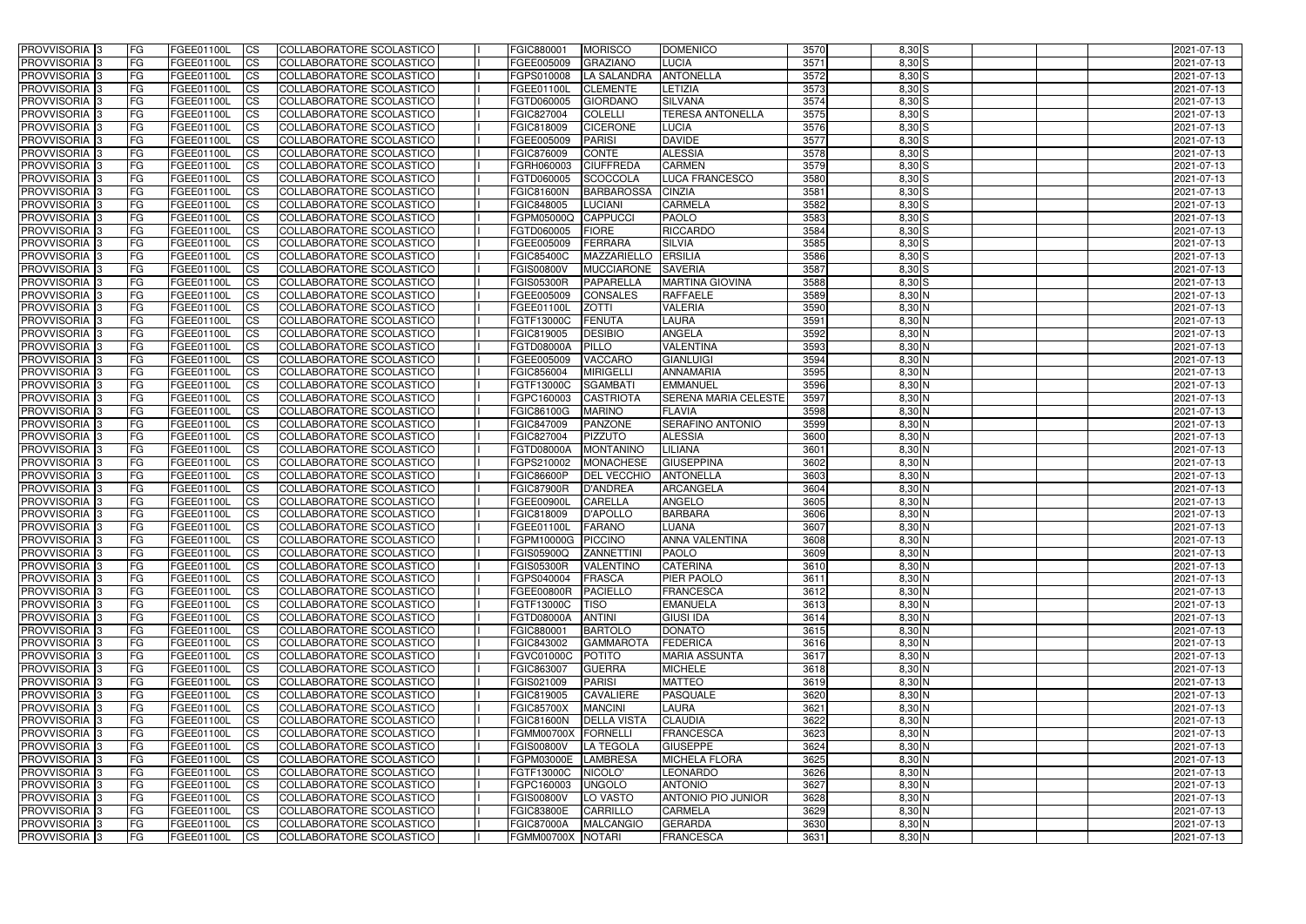| <b>PROVVISORIA</b> 3                                  | l FG                   | FGEE01100L               | <b>ICS</b>             | COLLABORATORE SCOLASTICO                             | FGIC880001               | <b>MORISCO</b>                 | <b>DOMENICO</b>                   | 3570         | $8,30$ S             | 2021-07-13               |
|-------------------------------------------------------|------------------------|--------------------------|------------------------|------------------------------------------------------|--------------------------|--------------------------------|-----------------------------------|--------------|----------------------|--------------------------|
| <b>PROVVISORIA 3</b>                                  | FG                     | FGEE01100L               | <b>ICS</b>             | COLLABORATORE SCOLASTICO                             | FGEE005009               | <b>GRAZIANO</b>                | <b>LUCIA</b>                      | 3571         | $8,30$ S             | 2021-07-13               |
| PROVVISORIA <sup>1</sup> 3                            | FG                     | FGEE01100L               | <b>CS</b>              | <b>COLLABORATORE SCOLASTICO</b>                      | FGPS010008               | LA SALANDRA                    | <b>ANTONELLA</b>                  | 3572         | $8,30$ S             | 2021-07-13               |
| PROVVISORIA                                           | FG                     | FGEE01100L               | <b>CS</b>              | COLLABORATORE SCOLASTICO                             | FGEE01100L               | <b>CLEMENTE</b>                | LETIZIA                           | 3573         | $8,30$ S             | 2021-07-13               |
| PROVVISORIA <sup>1</sup> 3                            | FG                     | FGEE01100L               | <b>CS</b>              | COLLABORATORE SCOLASTICO                             | FGTD060005               | <b>GIORDANO</b>                | <b>SILVANA</b>                    | 3574         | $8,30$ S             | 2021-07-13               |
| PROVVISORIA <sup>1</sup> 3                            | FG                     | FGEE01100L               | <b>CS</b>              | COLLABORATORE SCOLASTICO                             | FGIC827004               | <b>COLELLI</b>                 | <b>TERESA ANTONELLA</b>           | 3575         | $8,30$ S             | 2021-07-13               |
| PROVVISORIA <sup>1</sup> 3                            | FG                     | FGEE01100L               | <b>CS</b>              | COLLABORATORE SCOLASTICO                             | FGIC818009               | <b>CICERONE</b>                | <b>LUCIA</b>                      | 3576         | $8,30$ S             | 2021-07-13               |
| PROVVISORIA 3                                         | FG                     | FGEE01100L               | <b>ICS</b>             | COLLABORATORE SCOLASTICO                             | FGEE005009               | <b>PARISI</b>                  | <b>DAVIDE</b>                     | 3577         | $8,30$ S             | 2021-07-13               |
| PROVVISORIA <sup>3</sup>                              | FG                     | FGEE01100L               | <b>CS</b>              | COLLABORATORE SCOLASTICO                             | FGIC876009               | <b>CONTE</b>                   | <b>ALESSIA</b>                    | 3578         | $8,30$ S             | 2021-07-13               |
| PROVVISORIA 3                                         | <b>FG</b>              | FGEE01100L               | <b>ICS</b>             | COLLABORATORE SCOLASTICO                             | FGRH060003               | <b>CIUFFREDA</b>               | <b>CARMEN</b>                     | 3579         | $8,30$ S             | 2021-07-13               |
| PROVVISORIA 3                                         | FG                     | FGEE01100L               | <b>CS</b>              | COLLABORATORE SCOLASTICO                             | FGTD060005               | <b>SCOCCOLA</b>                | <b>LUCA FRANCESCO</b>             | 3580         | $8,30$ S             | 2021-07-13               |
| <b>PROVVISORIA</b>                                    | FG                     | FGEE01100L               | <b>ICS</b>             | COLLABORATORE SCOLASTICO                             | <b>FGIC81600N</b>        | <b>BARBAROSSA</b>              | <b>CINZIA</b>                     | 3581         | $8,30$ S             | 2021-07-13               |
| <b>PROVVISORIA</b>                                    | FG                     | FGEE01100L               | <b>ICS</b>             | COLLABORATORE SCOLASTICO                             | FGIC848005               | <b>LUCIANI</b>                 | <b>CARMELA</b>                    | 3582         | $8,30$ S             | 2021-07-13               |
| <b>PROVVISORIA</b>                                    | FG                     | FGEE01100L               | <b>ICS</b>             | COLLABORATORE SCOLASTICO                             | FGPM05000Q               | CAPPUCCI                       | <b>PAOLO</b>                      | 3583         | 8,30 S               | 2021-07-13               |
| <b>PROVVISORIA</b>                                    | FG                     | FGEE01100L               | <b>ICS</b>             | COLLABORATORE SCOLASTICO                             | FGTD060005               | <b>FIORE</b>                   | <b>RICCARDO</b>                   | 3584         | $8,30$ S             | 2021-07-13               |
| <b>PROVVISORIA</b>                                    | FG                     | FGEE01100L               | <b>ICS</b>             | COLLABORATORE SCOLASTICO                             | FGEE005009               | <b>FERRARA</b>                 | <b>SILVIA</b>                     | 3585         | 8,30 S               | 2021-07-13               |
| <b>PROVVISORIA</b>                                    | FG                     | FGEE01100L               | <b>ICS</b>             | COLLABORATORE SCOLASTICO                             | <b>FGIC85400C</b>        | <b>MAZZARIELLO</b>             | <b>ERSILIA</b>                    | 3586         | 8,30 S               | 2021-07-13               |
| <b>PROVVISORIA</b>                                    | FG                     | FGEE01100L               | <b>ICS</b>             | COLLABORATORE SCOLASTICO                             | FGIS00800V               | <b>MUCCIARONE</b>              | <b>SAVERIA</b>                    | 3587         | 8,30 S               | 2021-07-13               |
| PROVVISORIA <sup>3</sup>                              | FG                     | FGEE01100L               | <b>ICS</b>             | COLLABORATORE SCOLASTICO                             | <b>FGIS05300R</b>        | PAPARELLA                      | <b>MARTINA GIOVINA</b>            | 3588         | $8,30$ S             | 2021-07-13               |
| PROVVISORIA 3                                         | FG                     | FGEE01100L               | <b>ICS</b>             | COLLABORATORE SCOLASTICO                             | FGEE005009               | <b>CONSALES</b>                | <b>RAFFAELE</b>                   | 3589         | 8,30 N               | 2021-07-13               |
| PROVVISORIA <sup>1</sup> 3                            | FG                     | FGEE01100L               | <b>ICS</b>             | COLLABORATORE SCOLASTICO                             | FGEE01100L               | <b>ZOTTI</b>                   | <b>VALERIA</b>                    | 3590         | $8,30$ N             | 2021-07-13               |
| PROVVISORIA 3                                         | FG                     | FGEE01100L               | <b>ICS</b>             | COLLABORATORE SCOLASTICO                             | FGTF13000C               | <b>FENUTA</b>                  | LAURA                             | 3591         | $8,30$ N             | 2021-07-13               |
| PROVVISORIA <sup>3</sup><br>PROVVISORIA <sup>13</sup> | FG                     | FGEE01100L<br>FGEE01100L | <b>ICS</b>             | <b>COLLABORATORE SCOLASTICO</b>                      | FGIC819005<br>FGTD08000A | <b>DESIBIO</b><br><b>PILLO</b> | <b>ANGELA</b><br><b>VALENTINA</b> | 3592<br>3593 | $8,30$ N<br>8,30 N   | 2021-07-13               |
| PROVVISORIA <sup>1</sup> 3                            | FG                     |                          | <b>CS</b><br><b>CS</b> | COLLABORATORE SCOLASTICO<br>COLLABORATORE SCOLASTICO |                          | <b>VACCARO</b>                 | <b>GIANLUIGI</b>                  | 3594         | $8,30$ N             | 2021-07-13               |
| PROVVISORIA <sup>1</sup> 3                            | FG                     | FGEE01100L               | <b>ICS</b>             | COLLABORATORE SCOLASTICO                             | FGEE005009<br>FGIC856004 | <b>MIRIGELLI</b>               | <b>ANNAMARIA</b>                  | 3595         | $8,30$ N             | 2021-07-13               |
| PROVVISORIA 3                                         | FG<br>FG               | FGEE01100L<br>FGEE01100L | <b>ICS</b>             | COLLABORATORE SCOLASTICO                             | FGTF13000C               | <b>SGAMBATI</b>                | <b>EMMANUEL</b>                   | 3596         | 8,30 N               | 2021-07-13<br>2021-07-13 |
| PROVVISORIA                                           | FG                     | FGEE01100L               | <b>ICS</b>             | COLLABORATORE SCOLASTICO                             | FGPC160003               | <b>CASTRIOTA</b>               | <b>SERENA MARIA CELESTE</b>       | 3597         | $8,30$ N             | 2021-07-13               |
| PROVVISORIA                                           | FG                     | FGEE01100L               | <b>CS</b>              | <b>COLLABORATORE SCOLASTICO</b>                      | FGIC86100G               | <b>MARINO</b>                  | FLAVIA                            | 3598         | 8,30 N               | 2021-07-13               |
| PROVVISORIA                                           | FG                     | FGEE01100L               | <b>CS</b>              | COLLABORATORE SCOLASTICO                             | FGIC847009               | <b>PANZONE</b>                 | <b>SERAFINO ANTONIO</b>           | 3599         | 8,30 N               | 2021-07-13               |
| PROVVISORIA                                           | FG                     | FGEE01100L               | <b>CS</b>              | COLLABORATORE SCOLASTICO                             | FGIC827004               | PIZZUTO                        | <b>ALESSIA</b>                    | 3600         | 8,30 N               | 2021-07-13               |
| PROVVISORIA <sup>1</sup> 3                            | FG                     | FGEE01100L               | <b>CS</b>              | COLLABORATORE SCOLASTICO                             | FGTD08000A               | <b>MONTANINO</b>               | LILIANA                           | 3601         | $8,30$ N             | 2021-07-13               |
| PROVVISORIA <sup>1</sup> 3                            | FG                     | FGEE01100L               | <b>CS</b>              | COLLABORATORE SCOLASTICO                             | FGPS210002               | <b>MONACHESE</b>               | <b>GIUSEPPINA</b>                 | 3602         | $8,30$ N             | 2021-07-13               |
| PROVVISORIA 3                                         | FG                     | FGEE01100L               | <b>CS</b>              | <b>COLLABORATORE SCOLASTICO</b>                      | <b>FGIC86600P</b>        | <b>DEL VECCHIO</b>             | <b>ANTONELLA</b>                  | 3603         | $8,30$ N             | 2021-07-13               |
| PROVVISORIA <sup>1</sup> 3                            | FG                     | FGEE01100L               | <b>ICS</b>             | COLLABORATORE SCOLASTICO                             | <b>FGIC87900R</b>        | <b>D'ANDREA</b>                | ARCANGELA                         | 3604         | $8,30$ N             | 2021-07-13               |
| PROVVISORIA <sup>1</sup> 3                            | <b>FG</b>              | FGEE01100L               | <b>CS</b>              | COLLABORATORE SCOLASTICO                             | FGEE00900L               | <b>CARELLA</b>                 | <b>ANGELO</b>                     | 3605         | 8,30 N               | 2021-07-13               |
| PROVVISORIA 3                                         | FG                     | FGEE01100L               | <b>ICS</b>             | COLLABORATORE SCOLASTICO                             | FGIC818009               | <b>D'APOLLO</b>                | <b>BARBARA</b>                    | 3606         | 8,30 N               | 2021-07-13               |
| <b>PROVVISORIA</b>                                    | <b>FG</b>              | FGEE01100L               | <b>ICS</b>             | COLLABORATORE SCOLASTICO                             | FGEE01100L               | <b>FARANO</b>                  | <b>LUANA</b>                      | 3607         | $8,30$ N             | 2021-07-13               |
| PROVVISORIA 3                                         | FG                     | FGEE01100L               | CS                     | COLLABORATORE SCOLASTICO                             | FGPM10000G PICCINO       |                                | <b>ANNA VALENTINA</b>             | 3608         | $8,30$ N             | 2021-07-13               |
| PROVVISORIA 3                                         | <b>FG</b>              | FGEE01100L               | $\mathsf{ICS}$         | COLLABORATORE SCOLASTICO                             | FGIS05900Q ZANNETTINI    |                                | <b>IPAOLO</b>                     | 3609         | $8,30$ N             | 2021-07-13               |
| PROVVISORIA 3                                         | <b>FG</b>              | <b>FGEE01100L</b>        | $\mathsf{ICS}$         | COLLABORATORE SCOLASTICO                             | <b>FGIS05300R</b>        | VALENTINO                      | <b>CATERINA</b>                   | 3610         | $8,30$ N             | 2021-07-13               |
| PROVVISORIA 3                                         | <b>FG</b>              | FGEE01100L               | $\overline{\text{CS}}$ | COLLABORATORE SCOLASTICO                             | FGPS040004               | FRASCA                         | <b>PIER PAOLO</b>                 | 3611         | $8,30$ N             | 2021-07-13               |
| PROVVISORIA 3                                         | FG                     | FGEE01100L               | $\mathsf{ICS}$         | COLLABORATORE SCOLASTICO                             | <b>FGEE00800R</b>        | <b>PACIELLO</b>                | FRANCESCA                         | 3612         | $8,30$ N             | 2021-07-13               |
| PROVVISORIA 3                                         | l FG                   | FGEE01100L               | $\overline{\text{CS}}$ | COLLABORATORE SCOLASTICO                             | FGTF13000C               | <b>TISO</b>                    | <b>EMANUELA</b>                   | 3613         | $8,30$ N             | 2021-07-13               |
| PROVVISORIA 3                                         | <b>FG</b>              | FGEE01100L               | <b>CS</b>              | COLLABORATORE SCOLASTICO                             | FGTD08000A               | <b>ANTINI</b>                  | <b>GIUSI IDA</b>                  | 3614         | $8,30$ N             | 2021-07-13               |
| PROVVISORIA <sup>3</sup>                              | FG                     | FGEE01100L               | <b>CS</b>              | COLLABORATORE SCOLASTICO                             | FGIC880001               | <b>BARTOLO</b>                 | <b>DONATO</b>                     | 3615         | $8,30$ N             | 2021-07-13               |
| PROVVISORIA 3                                         | <b>FG</b>              | FGEE01100L               | <b>CS</b>              | COLLABORATORE SCOLASTICO                             | FGIC843002               | <b>GAMMAROTA</b>               | <b>FEDERICA</b>                   | 3616         | $8,30$ N             | 2021-07-13               |
| PROVVISORIA 3                                         | <b>FG</b>              | FGEE01100L               | <b>CS</b>              | COLLABORATORE SCOLASTICO                             | <b>FGVC01000C</b>        | POTITO                         | <b>MARIA ASSUNTA</b>              | 3617         | $8,30$ N             | 2021-07-13               |
| PROVVISORIA 3                                         | <b>FG</b>              | FGEE01100L               | <b>CS</b>              | COLLABORATORE SCOLASTICO                             | FGIC863007               | <b>GUERRA</b>                  | <b>MICHELE</b>                    | 3618         | $8,30$ N             | 2021-07-13               |
| PROVVISORIA 3                                         | <b>FG</b>              | FGEE01100L               | <b>CS</b>              | COLLABORATORE SCOLASTICO                             | FGIS021009               | <b>PARISI</b>                  | <b>MATTEO</b>                     | 3619         | $8,30$ N             | 2021-07-13               |
| PROVVISORIA 3                                         | <b>FG</b>              | FGEE01100L               | <b>CS</b>              | COLLABORATORE SCOLASTICO                             | FGIC819005               | CAVALIERE                      | <b>PASQUALE</b>                   | 3620         | $8,30$ N             | 2021-07-13               |
| PROVVISORIA 3                                         | <b>FG</b>              | FGEE01100L               | <b>CS</b>              | COLLABORATORE SCOLASTICO                             | <b>FGIC85700X</b>        | <b>MANCINI</b>                 | <b>LAURA</b>                      | 3621         | $8,30$ N             | 2021-07-13               |
| PROVVISORIA 3                                         | <b>FG</b>              | FGEE01100L               | <b>CS</b>              | COLLABORATORE SCOLASTICO                             | <b>FGIC81600N</b>        | <b>DELLA VISTA</b>             | <b>CLAUDIA</b>                    | 3622         | $8,30$ N             | 2021-07-13               |
| PROVVISORIA 3                                         | <b>FG</b>              | FGEE01100L               | <b>CS</b>              | COLLABORATORE SCOLASTICO                             | FGMM00700X FORNELLI      |                                | <b>FRANCESCA</b>                  | 3623         | $8,30$ N             | 2021-07-13               |
| PROVVISORIA 3                                         | FG                     | FGEE01100L               | <b>CS</b>              | COLLABORATORE SCOLASTICO                             | <b>FGIS00800V</b>        | LA TEGOLA                      | <b>GIUSEPPE</b>                   | 3624         | 8,30 N               | 2021-07-13               |
| PROVVISORIA 3                                         | <b>FG</b><br><b>FG</b> | FGEE01100L<br>FGEE01100L | <b>CS</b>              | COLLABORATORE SCOLASTICO                             | FGPM03000E LAMBRESA      |                                | <b>MICHELA FLORA</b>              | 3625<br>3626 | $8,30$ N<br>$8,30$ N | 2021-07-13<br>2021-07-13 |
| PROVVISORIA 3<br>PROVVISORIA 3                        | <b>FG</b>              | FGEE01100L               | <b>CS</b><br><b>CS</b> | COLLABORATORE SCOLASTICO<br>COLLABORATORE SCOLASTICO | FGTF13000C<br>FGPC160003 | NICOLO'<br><b>UNGOLO</b>       | <b>LEONARDO</b><br><b>ANTONIO</b> | 3627         | $8,30$ N             | 2021-07-13               |
| PROVVISORIA 3                                         | FG                     | <b>FGEE01100L</b>        | <b>CS</b>              | COLLABORATORE SCOLASTICO                             | <b>FGIS00800V</b>        | LO VASTO                       | <b>ANTONIO PIO JUNIOR</b>         | 3628         | $8,30$ N             | 2021-07-13               |
| PROVVISORIA 3                                         | <b>FG</b>              | FGEE01100L               | <b>CS</b>              | COLLABORATORE SCOLASTICO                             | <b>FGIC83800E</b>        | CARRILLO                       | <b>CARMELA</b>                    | 3629         | $8,30$ N             | 2021-07-13               |
| PROVVISORIA 3                                         | <b>FG</b>              | FGEE01100L               | $\overline{\text{CS}}$ | COLLABORATORE SCOLASTICO                             | <b>FGIC87000A</b>        | <b>MALCANGIO</b>               | <b>GERARDA</b>                    | 3630         | $8,30$ N             | 2021-07-13               |
| PROVVISORIA 3                                         | <b>FG</b>              | FGEE01100L               | $\overline{\text{CS}}$ | COLLABORATORE SCOLASTICO                             | FGMM00700X NOTARI        |                                | <b>FRANCESCA</b>                  | 3631         | $8,30$ N             | 2021-07-13               |
|                                                       |                        |                          |                        |                                                      |                          |                                |                                   |              |                      |                          |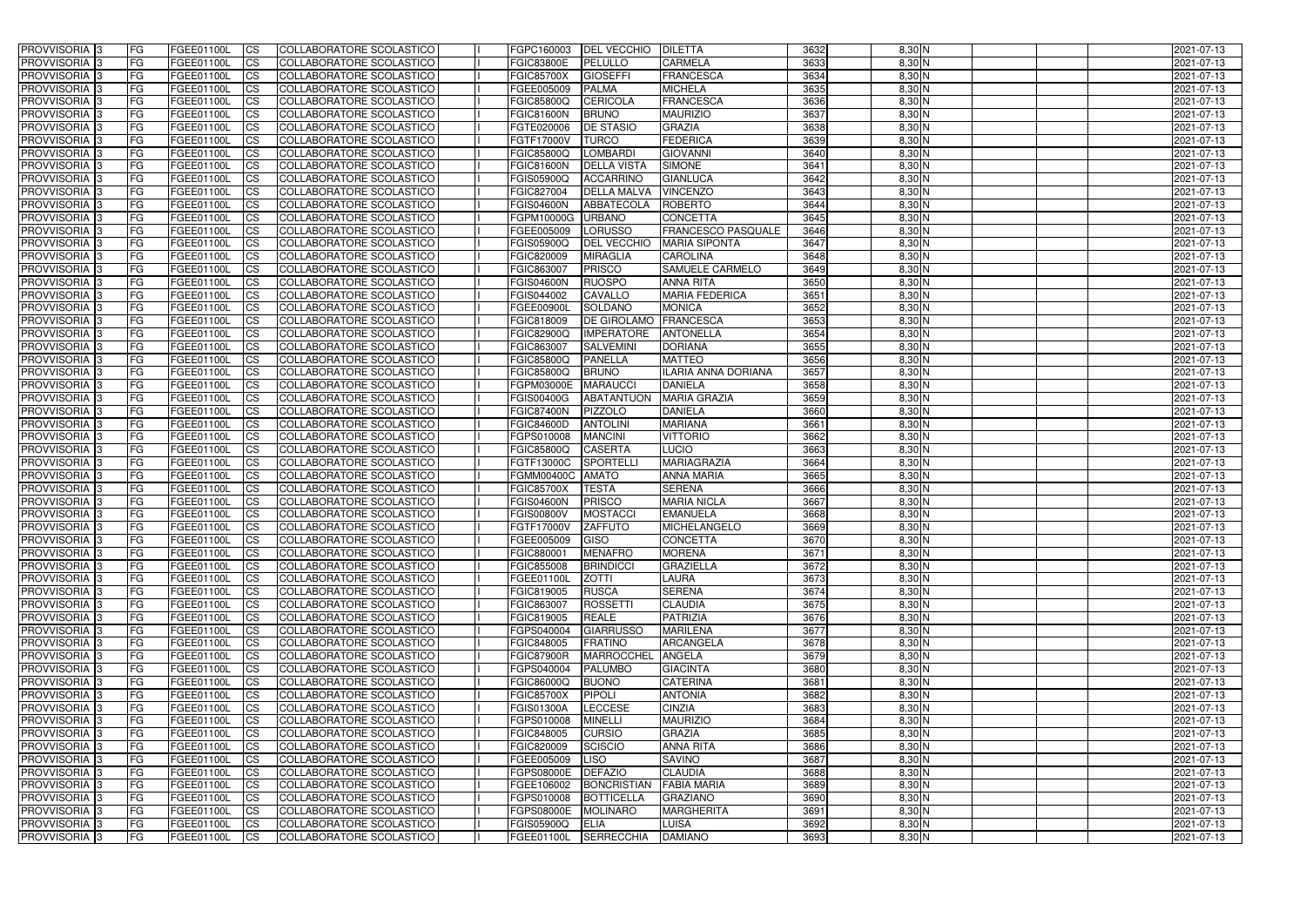| <b>PROVVISORIA</b> 3                                   | FG          | FGEE01100L               | <b>ICS</b>             | COLLABORATORE SCOLASTICO                             | FGPC160003                      | <b>DEL VECCHIO</b>                 | <b>DILETTA</b>                  | 3632         | $8,30$ N             | 2021-07-13               |
|--------------------------------------------------------|-------------|--------------------------|------------------------|------------------------------------------------------|---------------------------------|------------------------------------|---------------------------------|--------------|----------------------|--------------------------|
| <b>PROVVISORIA 3</b>                                   | FG          | FGEE01100L               | <b>CS</b>              | COLLABORATORE SCOLASTICO                             | <b>FGIC83800E</b>               | <b>PELULLO</b>                     | CARMELA                         | 3633         | $8,30$ N             | 2021-07-13               |
| PROVVISORIA <sup>3</sup>                               | FG          | FGEE01100L               | <b>CS</b>              | COLLABORATORE SCOLASTICO                             | <b>FGIC85700X</b>               | <b>GIOSEFFI</b>                    | <b>FRANCESCA</b>                | 3634         | 8,30 N               | 2021-07-13               |
| PROVVISORIA <sup>3</sup>                               | FG          | FGEE01100L               | <b>CS</b>              | COLLABORATORE SCOLASTICO                             | FGEE005009                      | <b>PALMA</b>                       | <b>MICHELA</b>                  | 3635         | $8,30$ N             | 2021-07-13               |
| PROVVISORIA <sup>1</sup> 3                             | FG          | FGEE01100L               | <b>CS</b>              | COLLABORATORE SCOLASTICO                             | <b>FGIC85800Q</b>               | CERICOLA                           | <b>FRANCESCA</b>                | 3636         | 8,30 N               | 2021-07-13               |
| PROVVISORIA <sup>3</sup>                               | FG          | FGEE01100L               | <b>CS</b>              | COLLABORATORE SCOLASTICO                             | <b>FGIC81600N</b>               | <b>BRUNO</b>                       | <b>MAURIZIO</b>                 | 3637         | $8,30$ N             | 2021-07-13               |
| PROVVISORIA 3                                          | FG          | FGEE01100L               | <b>CS</b>              | COLLABORATORE SCOLASTICO                             | FGTE020006                      | <b>DE STASIO</b>                   | <b>GRAZIA</b>                   | 3638         | $8,30$ N             | 2021-07-13               |
| PROVVISORIA 3                                          | FG          | <b>FGEE01100L</b>        | <b>CS</b>              | COLLABORATORE SCOLASTICO                             | FGTF17000V                      | <b>TURCO</b>                       | <b>FEDERICA</b>                 | 3639         | $8,30$ N             | 2021-07-13               |
| PROVVISORIA 3                                          | FG          | FGEE01100L               | <b>CS</b>              | COLLABORATORE SCOLASTICO                             | <b>FGIC85800Q</b>               | <b>LOMBARDI</b>                    | <b>GIOVANNI</b>                 | 3640         | $8,30$ N             | 2021-07-13               |
| PROVVISORIA <sup>3</sup>                               | FG          | FGEE01100L               | $\overline{c}$         | COLLABORATORE SCOLASTICO                             | <b>FGIC81600N</b>               | <b>DELLA VISTA</b>                 | <b>SIMONE</b>                   | 3641         | $8,30$ N             | 2021-07-13               |
| PROVVISORIA <sup>3</sup>                               | FG          | FGEE01100L               | <b>CS</b>              | COLLABORATORE SCOLASTICO                             | <b>FGIS05900Q</b>               | <b>ACCARRINO</b>                   | <b>GIANLUCA</b>                 | 3642         | $8,30$ N             | 2021-07-13               |
| PROVVISORIA <sup>3</sup>                               | FG          | FGEE01100L               | <b>CS</b>              | COLLABORATORE SCOLASTICO                             | FGIC827004                      | <b>DELLA MALVA</b>                 | <b>VINCENZO</b>                 | 3643         | $8,30$ N             | 2021-07-13               |
| PROVVISORIA <sup>3</sup>                               | FG          | <b>FGEE01100L</b>        | <b>I</b> CS            | COLLABORATORE SCOLASTICO                             | <b>FGIS04600N</b>               | <b>ABBATECOLA</b>                  | <b>ROBERTO</b>                  | 3644         | $8,30$ N             | 2021-07-13               |
| PROVVISORIA <sup>3</sup>                               | FG          | FGEE01100L               | <b>I</b> CS            | COLLABORATORE SCOLASTICO                             | FGPM10000G                      | <b>URBANO</b>                      | <b>CONCETTA</b>                 | 3645         | 8,30 N               | 2021-07-13               |
| PROVVISORIA <sup>3</sup>                               | FG          | FGEE01100L               | <b>I</b> CS            | COLLABORATORE SCOLASTICO                             | FGEE005009                      | <b>LORUSSO</b>                     | <b>FRANCESCO PASQUALE</b>       | 3646         | 8,30 N               | 2021-07-13               |
| <b>PROVVISORIA</b> 3                                   | FG          | FGEE01100L               | <b>I</b> CS            | <b>COLLABORATORE SCOLASTICO</b>                      | <b>FGIS05900Q</b>               | <b>DEL VECCHIO</b>                 | <b>MARIA SIPONTA</b>            | 3647         | 8,30 N               | 2021-07-13               |
| <b>PROVVISORIA</b> 3                                   | FG          | FGEE01100L               | <b>ICS</b>             | COLLABORATORE SCOLASTICO                             | FGIC820009                      | <b>MIRAGLIA</b>                    | <b>CAROLINA</b>                 | 3648         | 8,30 N               | 2021-07-13               |
| PROVVISORIA 3                                          | FG          | FGEE01100L               | <b>CS</b>              | COLLABORATORE SCOLASTICO                             | FGIC863007                      | <b>PRISCO</b>                      | <b>SAMUELE CARMELO</b>          | 3649         | 8,30 N               | 2021-07-13               |
| PROVVISORIA <sup>3</sup>                               | FG          | FGEE01100L               | <b>ICS</b>             | COLLABORATORE SCOLASTICO                             | <b>FGIS04600N</b>               | <b>RUOSPO</b>                      | <b>ANNA RITA</b>                | 3650         | $8,30$ N             | 2021-07-13               |
| PROVVISORIA <sup>3</sup>                               | FG          | FGEE01100L               | <b>I</b> CS            | COLLABORATORE SCOLASTICO                             | FGIS044002                      | <b>CAVALLO</b>                     | <b>MARIA FEDERICA</b>           | 3651         | 8,30 N               | 2021-07-13               |
| PROVVISORIA <sup>3</sup>                               | FG          | FGEE01100L               | <b>I</b> CS            | COLLABORATORE SCOLASTICO                             | <b>FGEE00900L</b>               | <b>SOLDANO</b>                     | <b>MONICA</b>                   | 3652         | $8,30$ N             | 2021-07-13               |
| PROVVISORIA <sup>3</sup>                               | FG          | FGEE01100L               | <b>CS</b>              | COLLABORATORE SCOLASTICO                             | FGIC818009                      | <b>DE GIROLAMO</b>                 | <b>FRANCESCA</b>                | 3653         | $8,30$ N             | 2021-07-13               |
| PROVVISORIA <sup>3</sup>                               | FG          | FGEE01100L               | <b>CS</b>              | COLLABORATORE SCOLASTICO<br>COLLABORATORE SCOLASTICO | FGIC82900Q                      | <b>IMPERATORE</b>                  | <b>ANTONELLA</b>                | 3654         | $8,30$ N             | 2021-07-13               |
| PROVVISORIA <sup>3</sup>                               | FG          | FGEE01100L<br>FGEE01100L | <b>CS</b>              |                                                      | FGIC863007                      | <b>SALVEMINI</b><br><b>PANELLA</b> | <b>DORIANA</b><br><b>MATTEO</b> | 3655<br>3656 | 8,30 N<br>$8,30$ N   | 2021-07-13               |
| PROVVISORIA <sup>3</sup><br>PROVVISORIA <sup>1</sup> 3 | FG          | FGEE01100L               | <b>CS</b>              | COLLABORATORE SCOLASTICO                             | FGIC85800Q                      | <b>BRUNO</b>                       | ILARIA ANNA DORIANA             | 3657         | $8,30$ N             | 2021-07-13               |
| PROVVISORIA <sup>1</sup> 3                             | FG<br>FG    | <b>FGEE01100L</b>        | <b>CS</b><br><b>CS</b> | COLLABORATORE SCOLASTICO<br>COLLABORATORE SCOLASTICO | <b>FGIC85800Q</b><br>FGPM03000E | <b>MARAUCCI</b>                    | <b>DANIELA</b>                  | 3658         | 8,30 N               | 2021-07-13<br>2021-07-13 |
| PROVVISORIA <sup>3</sup>                               | FG.         | FGEE01100L               | <b>CS</b>              | COLLABORATORE SCOLASTICO                             | FGIS00400G                      | <b>ABATANTUON</b>                  | <b>MARIA GRAZIA</b>             | 3659         | 8,30 N               | 2021-07-13               |
| PROVVISORIA <sup>13</sup>                              | FG          | <b>FGEE01100L</b>        | <b>CS</b>              | COLLABORATORE SCOLASTICO                             | <b>FGIC87400N</b>               | <b>PIZZOLO</b>                     | <b>DANIELA</b>                  | 3660         | 8,30 N               | 2021-07-13               |
| PROVVISORIA <sup>1</sup> 3                             | FG.         | <b>FGEE01100L</b>        | <b>CS</b>              | COLLABORATORE SCOLASTICO                             | <b>FGIC84600D</b>               | <b>ANTOLINI</b>                    | <b>MARIANA</b>                  | 3661         | 8,30 N               | 2021-07-13               |
| PROVVISORIA <sup>3</sup>                               | FG.         | FGEE01100L               | <b>CS</b>              | COLLABORATORE SCOLASTICO                             | FGPS010008                      | <b>MANCINI</b>                     | <b>VITTORIO</b>                 | 3662         | 8,30 N               | 2021-07-13               |
| PROVVISORIA <sup>13</sup>                              | FG          | FGEE01100L               | $\overline{\text{cs}}$ | COLLABORATORE SCOLASTICO                             | <b>FGIC85800Q</b>               | <b>CASERTA</b>                     | <b>LUCIO</b>                    | 3663         | $8,30$ N             | 2021-07-13               |
| PROVVISORIA <sup>3</sup>                               | FG          | <b>FGEE01100L</b>        | <b>CS</b>              | COLLABORATORE SCOLASTICO                             | FGTF13000C                      | <b>SPORTELL</b>                    | <b>MARIAGRAZIA</b>              | 3664         | $8,30$ N             | 2021-07-13               |
| PROVVISORIA <sup>3</sup>                               | FG          | <b>FGEE01100L</b>        | <b>CS</b>              | COLLABORATORE SCOLASTICO                             | <b>FGMM00400C</b>               | AMATO                              | <b>ANNA MARIA</b>               | 3665         | $8,30$ N             | 2021-07-13               |
| PROVVISORIA <sup>3</sup>                               | FG          | FGEE01100L               | $\overline{\text{cs}}$ | COLLABORATORE SCOLASTICO                             | <b>FGIC85700X</b>               | <b>TESTA</b>                       | <b>SERENA</b>                   | 3666         | $8,30$ N             | 2021-07-13               |
| PROVVISORIA <sup>3</sup>                               | FG          | <b>FGEE01100L</b>        | <b>CS</b>              | <b>COLLABORATORE SCOLASTICO</b>                      | <b>FGIS04600N</b>               | PRISCO                             | <b>MARIA NICLA</b>              | 3667         | $8,30$ N             | 2021-07-13               |
| PROVVISORIA <sup>3</sup>                               | FG          | FGEE01100L               | <b>CS</b>              | COLLABORATORE SCOLASTICO                             | <b>FGIS00800V</b>               | <b>MOSTACCI</b>                    | <b>EMANUELA</b>                 | 3668         | $8,30$ N             | 2021-07-13               |
| PROVVISORIA 3                                          | FG          | FGEE01100L               | <b>I</b> CS            | COLLABORATORE SCOLASTICO                             | <b>FGTF17000V</b>               | <b>ZAFFUTO</b>                     | MICHELANGELO                    | 3669         | $8,30$ N             | 2021-07-13               |
| <b>PROVVISORIA</b> 3                                   | IFG.        | FGEE01100L               | CS                     | COLLABORATORE SCOLASTICO                             | FGEE005009 GISO                 |                                    | <b>CONCETTA</b>                 | 3670         | $8,30$ N             | 2021-07-13               |
| PROVVISORIA 3                                          | IFG.        | FGEE01100L               | <b>ICS</b>             | COLLABORATORE SCOLASTICO                             | FGIC880001                      | <b>MENAFRO</b>                     | <b>MORENA</b>                   | 3671         | $8,30$ N             | 2021-07-13               |
| PROVVISORIA 3                                          | FG          | FGEE01100L               | <b>CS</b>              | COLLABORATORE SCOLASTICO                             | <b>FGIC855008</b>               | <b>BRINDICCI</b>                   | <b>GRAZIELLA</b>                | 3672         | $8,30$ N             | 2021-07-13               |
| PROVVISORIA 3                                          | FG          | FGEE01100L               | <b>CS</b>              | COLLABORATORE SCOLASTICO                             | FGEE01100L                      | <b>ZOTTI</b>                       | <b>LAURA</b>                    | 3673         | $8,30$ N             | 2021-07-13               |
| PROVVISORIA <sup>3</sup>                               | FG          | FGEE01100L               | <b>ICS</b>             | <b>COLLABORATORE SCOLASTICO</b>                      | FGIC819005                      | <b>RUSCA</b>                       | <b>SERENA</b>                   | 3674         | $8,30$ N             | 2021-07-13               |
| PROVVISORIA 3                                          | FG          | FGEE01100L               | <b>CS</b>              | COLLABORATORE SCOLASTICO                             | FGIC863007                      | <b>ROSSETTI</b>                    | <b>CLAUDIA</b>                  | 3675         | $8,30$ N             | 2021-07-13               |
| PROVVISORIA 3                                          | FG          | FGEE01100L               | <b>CS</b>              | COLLABORATORE SCOLASTICO                             | FGIC819005                      | <b>REALE</b>                       | <b>PATRIZIA</b>                 | 3676         | $8,30$ N             | 2021-07-13               |
| PROVVISORIA 3                                          | <b>FG</b>   | FGEE01100L               | <b>CS</b>              | COLLABORATORE SCOLASTICO                             | FGPS040004                      | <b>GIARRUSSO</b>                   | <b>MARILENA</b>                 | 3677         | $8,30$ N             | 2021-07-13               |
| PROVVISORIA 3                                          | FG          | FGEE01100L               | <b>CS</b>              | COLLABORATORE SCOLASTICO                             | FGIC848005                      | <b>FRATINO</b>                     | ARCANGELA                       | 3678         | $8,30$ N             | 2021-07-13               |
| PROVVISORIA 3                                          | FG          | FGEE01100L               | <b>CS</b>              | COLLABORATORE SCOLASTICO                             | <b>FGIC87900R</b>               | MARROCCHEL                         | <b>ANGELA</b>                   | 3679         | $8,30$ N             | 2021-07-13               |
| PROVVISORIA 3                                          | FG          | FGEE01100L               | <b>CS</b>              | COLLABORATORE SCOLASTICO                             | FGPS040004                      | <b>PALUMBO</b>                     | <b>GIACINTA</b>                 | 3680         | $8,30$ N             | 2021-07-13               |
| PROVVISORIA 3                                          | FG          | FGEE01100L               | <b>CS</b>              | COLLABORATORE SCOLASTICO                             | <b>FGIC86000Q</b>               | <b>BUONO</b>                       | <b>CATERINA</b>                 | 3681         | $8,30$ N             | 2021-07-13               |
| PROVVISORIA 3                                          | FG          | FGEE01100L               | <b>CS</b>              | COLLABORATORE SCOLASTICO                             | <b>FGIC85700X</b>               | <b>PIPOLI</b>                      | <b>ANTONIA</b>                  | 3682         | $8,30$ N             | 2021-07-13               |
| <b>PROVVISORIA</b> 3                                   | IFG.        | FGEE01100L               | <b>CS</b>              | COLLABORATORE SCOLASTICO                             | <b>FGIS01300A</b>               | <b>LECCESE</b>                     | <b>CINZIA</b>                   | 3683         | $8,30$ N             | 2021-07-13               |
| PROVVISORIA 3                                          | IFG.        | FGEE01100L               | <b>CS</b>              | COLLABORATORE SCOLASTICO                             | FGPS010008                      | <b>MINELLI</b>                     | <b>MAURIZIO</b>                 | 3684         | $8,30$ N             | 2021-07-13               |
| PROVVISORIA 3                                          | <b>IFG</b>  | FGEE01100L               | <b>CS</b>              | <b>COLLABORATORE SCOLASTICO</b>                      | FGIC848005                      | <b>CURSIO</b>                      | <b>GRAZIA</b>                   | 3685         | $8,30$ N             | 2021-07-13               |
| PROVVISORIA 3                                          | <b>IFG</b>  | FGEE01100L               | <b>CS</b>              | COLLABORATORE SCOLASTICO                             | FGIC820009                      | SCISCIO                            | <b>ANNA RITA</b>                | 3686         | $8,30$ N             | 2021-07-13               |
| PROVVISORIA 3                                          | IFG.<br> FG | <b>FGEE01100L</b>        | <b>CS</b>              | COLLABORATORE SCOLASTICO                             | FGEE005009                      | <b>LISO</b><br><b>DEFAZIO</b>      | <b>SAVINO</b><br><b>CLAUDIA</b> | 3687<br>3688 | $8,30$ N<br>$8,30$ N | 2021-07-13<br>2021-07-13 |
| PROVVISORIA 3<br>PROVVISORIA 3                         | FG          | FGEE01100L<br>FGEE01100L | <b>CS</b><br><b>CS</b> | COLLABORATORE SCOLASTICO<br>COLLABORATORE SCOLASTICO | <b>FGPS08000E</b><br>FGEE106002 | <b>BONCRISTIAN</b>                 | <b>FABIA MARIA</b>              | 3689         | $8,30$ N             | 2021-07-13               |
| PROVVISORIA 3                                          | FG          | <b>FGEE01100L</b>        | <b>CS</b>              | COLLABORATORE SCOLASTICO                             | FGPS010008                      | BOTTICELLA                         | <b>GRAZIANO</b>                 | 3690         | $8,30$ N             | 2021-07-13               |
| <b>PROVVISORIA</b> 3                                   | FG          | FGEE01100L               | <b>ICS</b>             | COLLABORATORE SCOLASTICO                             | <b>FGPS08000E</b>               | <b>MOLINARO</b>                    | <b>MARGHERITA</b>               | 3691         | $8,30$ N             | 2021-07-13               |
| PROVVISORIA 3                                          | FG          | FGEE01100L               | $\overline{c}$         | COLLABORATORE SCOLASTICO                             | <b>FGIS05900Q</b>               | <b>ELIA</b>                        | <b>LUISA</b>                    | 3692         | $8,30$ N             | 2021-07-13               |
| PROVVISORIA 3                                          | FG          | FGEE01100L               | <b>CS</b>              | COLLABORATORE SCOLASTICO                             | FGEE01100L                      | <b>SERRECCHIA</b>                  | <b>DAMIANO</b>                  | 3693         | $8,30$ N             | 2021-07-13               |
|                                                        |             |                          |                        |                                                      |                                 |                                    |                                 |              |                      |                          |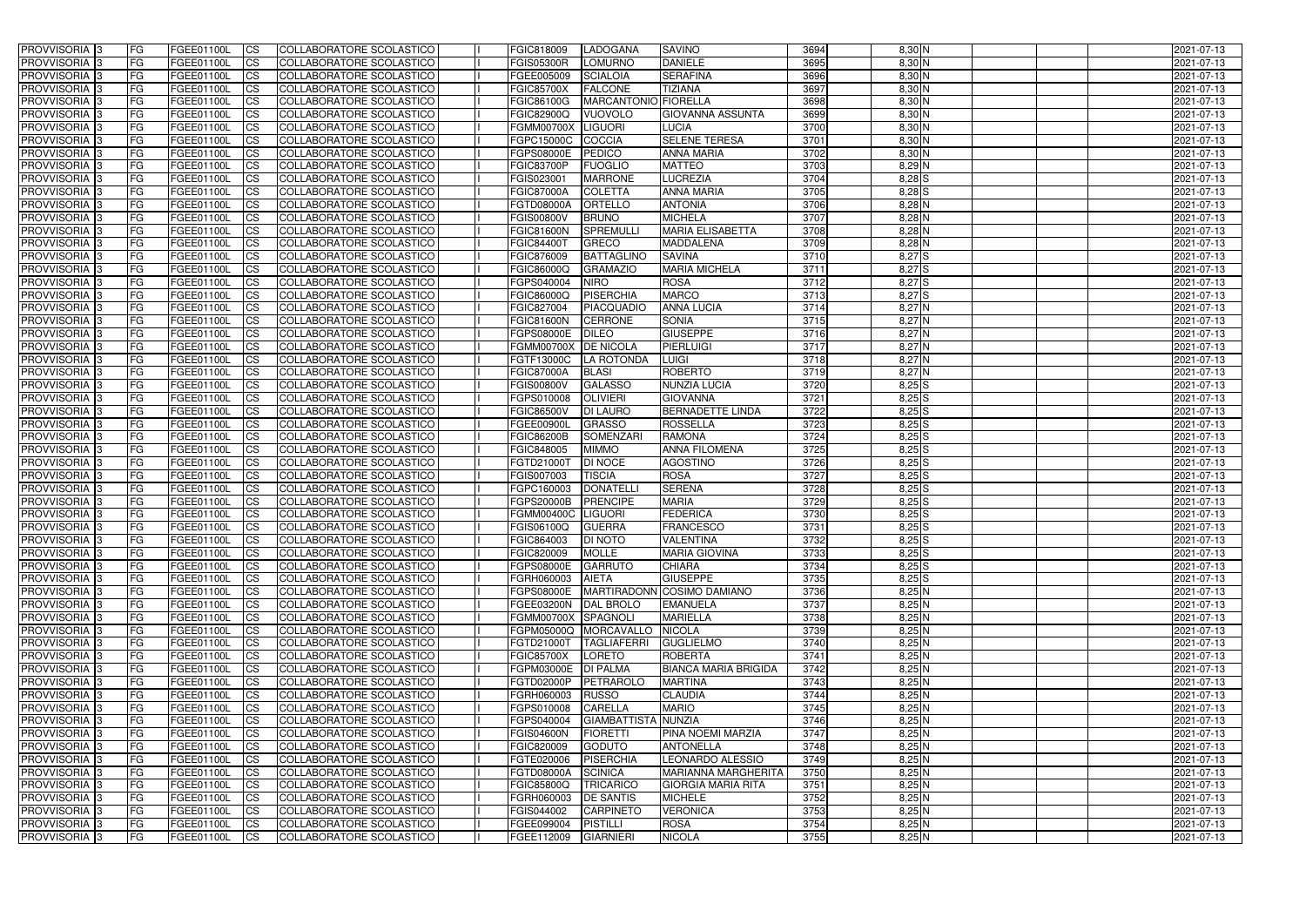| <b>PROVVISORIA</b> 3                        | l FG            | FGEE01100L                      | <b>ICS</b>              | COLLABORATORE SCOLASTICO                             | FGIC818009                             | <b>ILADOGANA</b>                     | <b>SAVINO</b>                     | 3694         | $8,30$ N             | 2021-07-13               |
|---------------------------------------------|-----------------|---------------------------------|-------------------------|------------------------------------------------------|----------------------------------------|--------------------------------------|-----------------------------------|--------------|----------------------|--------------------------|
| <b>PROVVISORIA 3</b>                        | FG              | FGEE01100L                      | <b>ICS</b>              | COLLABORATORE SCOLASTICO                             | <b>FGIS05300R</b>                      | <b>LOMURNO</b>                       | <b>DANIELE</b>                    | 3695         | 8,30 N               | 2021-07-13               |
| PROVVISORIA <sup>1</sup> 3                  | FG              | FGEE01100L                      | <b>CS</b>               | <b>COLLABORATORE SCOLASTICO</b>                      | FGEE005009                             | <b>SCIALOIA</b>                      | <b>SERAFINA</b>                   | 3696         | 8,30 N               | 2021-07-13               |
| PROVVISORIA                                 | FG              | FGEE01100L                      | <b>CS</b>               | COLLABORATORE SCOLASTICO                             | <b>FGIC85700X</b>                      | <b>FALCONE</b>                       | <b>TIZIANA</b>                    | 3697         | 8,30 N               | 2021-07-13               |
| PROVVISORIA <sup>1</sup> 3                  | FG              | FGEE01100L                      | <b>CS</b>               | COLLABORATORE SCOLASTICO                             | <b>FGIC86100G</b>                      | MARCANTONIO FIORELLA                 |                                   | 3698         | 8,30 N               | 2021-07-13               |
| PROVVISORIA <sup>1</sup> 3                  | FG              | FGEE01100L                      | <b>CS</b>               | COLLABORATORE SCOLASTICO                             | FGIC82900Q                             | <b>VUOVOLO</b>                       | <b>GIOVANNA ASSUNTA</b>           | 3699         | 8,30 N               | 2021-07-13               |
| PROVVISORIA <sup>1</sup> 3                  | FG              | FGEE01100L                      | <b>CS</b>               | COLLABORATORE SCOLASTICO                             | FGMM00700X                             | <b>LIGUORI</b>                       | <b>LUCIA</b>                      | 3700         | $8,30$ N             | 2021-07-13               |
| PROVVISORIA 3                               | FG              | FGEE01100L                      | <b>ICS</b>              | COLLABORATORE SCOLASTICO                             | FGPC15000C                             | <b>COCCIA</b>                        | <b>SELENE TERESA</b>              | 3701         | $8,30$ N             | 2021-07-13               |
| PROVVISORIA 3                               | FG              | FGEE01100L                      | <b>CS</b>               | COLLABORATORE SCOLASTICO                             | FGPS08000E                             | <b>PEDICO</b>                        | <b>ANNA MARIA</b>                 | 3702         | 8,30 N               | 2021-07-13               |
| PROVVISORIA 3                               | <b>FG</b>       | FGEE01100L                      | <b>ICS</b>              | COLLABORATORE SCOLASTICO                             | <b>FGIC83700P</b>                      | <b>FUOGLIO</b>                       | <b>MATTEO</b>                     | 3703         | $8,29$ N             | 2021-07-13               |
| PROVVISORIA 3                               | FG              | FGEE01100L                      | <b>CS</b>               | COLLABORATORE SCOLASTICO                             | FGIS023001                             | <b>MARRONE</b>                       | <b>LUCREZIA</b>                   | 3704         | 8,28 S               | 2021-07-13               |
| <b>PROVVISORIA</b>                          | FG              | FGEE01100L                      | <b>CS</b>               | COLLABORATORE SCOLASTICO                             | <b>FGIC87000A</b>                      | <b>COLETTA</b>                       | <b>ANNA MARIA</b>                 | 3705         | $8,28$ $S$           | 2021-07-13               |
| <b>PROVVISORIA</b>                          | FG              | FGEE01100L                      | <b>ICS</b>              | COLLABORATORE SCOLASTICO                             | <b>FGTD08000A</b>                      | <b>ORTELLO</b>                       | <b>ANTONIA</b>                    | 3706         | $8,28$ N             | 2021-07-13               |
| <b>PROVVISORIA</b>                          | FG              | FGEE01100L                      | <b>ICS</b>              | COLLABORATORE SCOLASTICO                             | <b>FGIS00800V</b>                      | <b>BRUNO</b>                         | <b>MICHELA</b>                    | 3707         | $8,28$ N             | 2021-07-13               |
| <b>PROVVISORIA</b>                          | FG              | FGEE01100L                      | <b>ICS</b>              | COLLABORATORE SCOLASTICO                             | FGIC81600N                             | <b>SPREMULL</b>                      | <b>MARIA ELISABETTA</b>           | 3708         | $8,28$ N             | 2021-07-13               |
| <b>PROVVISORIA</b>                          | FG              | FGEE01100L                      | <b>ICS</b>              | COLLABORATORE SCOLASTICO                             | <b>FGIC84400T</b>                      | <b>GRECO</b>                         | <b>MADDALENA</b>                  | 3709         | 8,28 N               | 2021-07-13               |
| <b>PROVVISORIA</b>                          | FG              | <b>FGEE01100L</b>               | <b>ICS</b>              | COLLABORATORE SCOLASTICO                             | FGIC876009                             | <b>BATTAGLINO</b>                    | <b>SAVINA</b>                     | 3710         | 8,27 S               | 2021-07-13               |
| <b>PROVVISORIA</b>                          | FG              | FGEE01100L                      | <b>ICS</b>              | COLLABORATORE SCOLASTICO                             | FGIC86000Q                             | <b>GRAMAZIO</b>                      | <b>MARIA MICHELA</b>              | 3711         | 8,27 S               | 2021-07-13               |
| PROVVISORIA <sup>3</sup>                    | FG              | FGEE01100L                      | <b>ICS</b>              | COLLABORATORE SCOLASTICO                             | FGPS040004                             | <b>NIRO</b>                          | <b>ROSA</b>                       | 3712         | 8,27 S               | 2021-07-13               |
| PROVVISORIA <sup>1</sup> 3                  | FG              | FGEE01100L                      | <b>ICS</b>              | COLLABORATORE SCOLASTICO                             | FGIC86000Q                             | PISERCHIA                            | <b>MARCO</b>                      | 3713         | $8,27$ S             | 2021-07-13               |
| PROVVISORIA <sup>1</sup> 3                  | FG              | FGEE01100L                      | <b>ICS</b>              | COLLABORATORE SCOLASTICO                             | FGIC827004                             | <b>PIACQUADIO</b>                    | <b>ANNA LUCIA</b>                 | 3714         | 8,27N                | 2021-07-13               |
| PROVVISORIA 3                               | FG              | FGEE01100L                      | <b>ICS</b>              | COLLABORATORE SCOLASTICO                             | <b>FGIC81600N</b>                      | <b>CERRONE</b>                       | <b>SONIA</b>                      | 3715         | $8,27$ N             | 2021-07-13               |
| PROVVISORIA 3                               | FG              | FGEE01100L                      | <b>ICS</b>              | COLLABORATORE SCOLASTICO                             | FGPS08000E                             | <b>DILEO</b>                         | <b>GIUSEPPE</b>                   | 3716         | $8,27$ N             | 2021-07-13               |
| PROVVISORIA 3                               | FG              | FGEE01100L                      | <b>CS</b>               | COLLABORATORE SCOLASTICO                             | <b>FGMM00700X</b>                      | <b>DE NICOLA</b>                     | PIERLUIGI                         | 3717         | 8,27N                | 2021-07-13               |
| PROVVISORIA <sup>1</sup> 3                  | FG              | FGEE01100L                      | <b>CS</b>               | COLLABORATORE SCOLASTICO                             | FGTF13000C                             | <b>LA ROTONDA</b>                    | <b>LUIGI</b><br><b>ROBERTO</b>    | 3718<br>3719 | $8,27$ N<br>$8,27$ N | 2021-07-13               |
| PROVVISORIA <sup>1</sup> 3<br>PROVVISORIA 3 | FG<br>FG        | FGEE01100L<br>FGEE01100L        | <b>CS</b><br><b>ICS</b> | COLLABORATORE SCOLASTICO<br>COLLABORATORE SCOLASTICO | <b>FGIC87000A</b><br><b>FGIS00800V</b> | <b>BLASI</b><br><b>GALASSO</b>       | <b>NUNZIA LUCIA</b>               | 3720         | $8,25$ S             | 2021-07-13<br>2021-07-13 |
| PROVVISORIA                                 | FG              | FGEE01100L                      | <b>ICS</b>              | COLLABORATORE SCOLASTICO                             | FGPS010008                             | <b>OLIVIERI</b>                      | <b>GIOVANNA</b>                   | 3721         | $8,25$ S             | 2021-07-13               |
| PROVVISORIA                                 | FG              | FGEE01100L                      | <b>CS</b>               | <b>COLLABORATORE SCOLASTICO</b>                      | <b>FGIC86500V</b>                      | <b>DI LAURO</b>                      | <b>BERNADETTE LINDA</b>           | 3722         | $8,25$ S             | 2021-07-13               |
| PROVVISORIA                                 | FG              | FGEE01100L                      | <b>CS</b>               | COLLABORATORE SCOLASTICO                             | FGEE00900I                             | <b>GRASSO</b>                        | <b>ROSSELLA</b>                   | 3723         | $8,25$ S             | 2021-07-13               |
| PROVVISORIA                                 | FG              | FGEE01100L                      | <b>CS</b>               | COLLABORATORE SCOLASTICO                             | <b>FGIC86200B</b>                      | <b>SOMENZARI</b>                     | <b>RAMONA</b>                     | 3724         | $8,25$ S             | 2021-07-13               |
| PROVVISORIA <sup>1</sup> 3                  | <b>FG</b>       | FGEE01100L                      | <b>CS</b>               | COLLABORATORE SCOLASTICO                             | FGIC848005                             | <b>MIMMO</b>                         | <b>ANNA FILOMENA</b>              | 3725         | $8,25$ S             | 2021-07-13               |
| PROVVISORIA <sup>1</sup> 3                  | FG              | FGEE01100L                      | <b>CS</b>               | COLLABORATORE SCOLASTICO                             | FGTD21000T                             | <b>DI NOCE</b>                       | <b>AGOSTINO</b>                   | 3726         | $8,25$ S             | 2021-07-13               |
| PROVVISORIA 3                               | FG              | FGEE01100L                      | <b>CS</b>               | COLLABORATORE SCOLASTICO                             | FGIS007003                             | <b>TISCIA</b>                        | <b>ROSA</b>                       | 3727         | $8,25$ S             | 2021-07-13               |
| <b>PROVVISORIA</b>                          | FG              | FGEE01100L                      | <b>ICS</b>              | COLLABORATORE SCOLASTICO                             | FGPC160003                             | <b>DONATELLI</b>                     | <b>SERENA</b>                     | 3728         | $8,25$ S             | 2021-07-13               |
| PROVVISORIA 3                               | <b>FG</b>       | FGEE01100L                      | <b>CS</b>               | COLLABORATORE SCOLASTICO                             | FGPS20000B                             | <b>PRENCIPE</b>                      | <b>MARIA</b>                      | 3729         | $8,25$ S             | 2021-07-13               |
| PROVVISORIA 3                               | <b>FG</b>       | FGEE01100L                      | <b>ICS</b>              | COLLABORATORE SCOLASTICO                             | FGMM00400C                             | <b>LIGUORI</b>                       | <b>FEDERICA</b>                   | 3730         | $8,25$ S             | 2021-07-13               |
| <b>PROVVISORIA</b>                          | <b>FG</b>       | FGEE01100L                      | <b>ICS</b>              | COLLABORATORE SCOLASTICO                             | FGIS06100Q                             | <b>GUERRA</b>                        | <b>FRANCESCO</b>                  | 3731         | $8,25$ S             | 2021-07-13               |
| PROVVISORIA 3                               | FG              | FGEE01100L                      | CS                      | COLLABORATORE SCOLASTICO                             | FGIC864003                             | <b>DI NOTO</b>                       | <b>VALENTINA</b>                  | 3732         | $8,25$ S             | 2021-07-13               |
| PROVVISORIA 3                               | <b>FG</b>       | FGEE01100L                      | $\mathsf{ICS}$          | COLLABORATORE SCOLASTICO                             | FGIC820009                             | <b>MOLLE</b>                         | <b>MARIA GIOVINA</b>              | 3733         | $8,25$ $S$           | 2021-07-13               |
| PROVVISORIA 3                               | <b>FG</b>       | <b>FGEE01100L</b>               | $\mathsf{ICS}$          | COLLABORATORE SCOLASTICO                             | <b>FGPS08000E</b>                      | <b>GARRUTO</b>                       | <b>CHIARA</b>                     | 3734         | $8,25$ S             | 2021-07-13               |
| PROVVISORIA 3                               | <b>FG</b>       | FGEE01100L                      | $\mathsf{ICS}$          | COLLABORATORE SCOLASTICO                             | FGRH060003                             | <b>AIETA</b>                         | <b>GIUSEPPE</b>                   | 3735         | $8,25$ $S$           | 2021-07-13               |
| PROVVISORIA 3                               | FG              | FGEE01100L                      | $\mathsf{ICS}$          | COLLABORATORE SCOLASTICO                             | <b>FGPS08000E</b>                      |                                      | MARTIRADONN COSIMO DAMIANO        | 3736         | $8,25$ N             | 2021-07-13               |
| PROVVISORIA 3                               | l FG            | FGEE01100L                      | <b>CS</b>               | COLLABORATORE SCOLASTICO                             | FGEE03200N DAL BROLO                   |                                      | <b>EMANUELA</b>                   | 3737         | 8,25N                | 2021-07-13               |
| PROVVISORIA 3                               | <b>FG</b>       | FGEE01100L                      | $\mathsf{ICS}$          | COLLABORATORE SCOLASTICO                             | FGMM00700X SPAGNOLI                    |                                      | <b>MARIELLA</b>                   | 3738         | $8,25$ N             | 2021-07-13               |
| PROVVISORIA 3                               | FG              | FGEE01100L                      | <b>CS</b>               | COLLABORATORE SCOLASTICO                             |                                        | FGPM05000Q MORCAVALLO                | <b>NICOLA</b>                     | 3739         | 8,25N                | 2021-07-13               |
| PROVVISORIA 3                               | <b>FG</b>       | FGEE01100L                      | <b>CS</b>               | COLLABORATORE SCOLASTICO                             | FGTD21000T                             | <b>TAGLIAFERRI</b>                   | <b>GUGLIELMO</b>                  | 3740         | $8,25$ N             | 2021-07-13               |
| PROVVISORIA 3                               | <b>FG</b>       | FGEE01100L                      | <b>CS</b>               | COLLABORATORE SCOLASTICO                             | <b>FGIC85700X</b>                      | <b>LORETO</b>                        | <b>ROBERTA</b>                    | 3741         | 8,25N                | 2021-07-13               |
| PROVVISORIA 3                               | <b>FG</b>       | FGEE01100L                      | <b>CS</b>               | COLLABORATORE SCOLASTICO                             | FGPM03000E   DI PALMA                  |                                      | BIANCA MARIA BRIGIDA              | 3742         | 8,25N                | 2021-07-13               |
| PROVVISORIA 3                               | <b>FG</b>       | FGEE01100L                      | <b>CS</b>               | COLLABORATORE SCOLASTICO                             | FGTD02000P                             | PETRAROLO                            | <b>MARTINA</b>                    | 3743         | 8,25N                | 2021-07-13               |
| PROVVISORIA 3                               | <b>FG</b>       | FGEE01100L                      | <b>CS</b>               | COLLABORATORE SCOLASTICO                             | FGRH060003                             | <b>RUSSO</b>                         | <b>CLAUDIA</b>                    | 3744         | 8,25N                | 2021-07-13               |
| PROVVISORIA 3                               | <b>FG</b>       | FGEE01100L                      | <b>CS</b>               | COLLABORATORE SCOLASTICO                             | FGPS010008                             | <b>CARELLA</b>                       | <b>MARIO</b>                      | 3745         | $8,25$ N             | 2021-07-13               |
| PROVVISORIA 3                               | <b>FG</b>       | FGEE01100L                      | <b>CS</b>               | COLLABORATORE SCOLASTICO                             | FGPS040004                             | GIAMBATTISTA NUNZIA                  |                                   | 3746         | $8,25$ N             | 2021-07-13               |
| PROVVISORIA 3                               | <b>FG</b>       | FGEE01100L                      | <b>CS</b>               | COLLABORATORE SCOLASTICO                             | <b>FGIS04600N</b>                      | <b>FIORETTI</b>                      | PINA NOEMI MARZIA                 | 3747         | $8,25$ N             | 2021-07-13               |
| PROVVISORIA 3                               | <b>FG</b>       | FGEE01100L                      | <b>CS</b>               | COLLABORATORE SCOLASTICO                             | FGIC820009                             | <b>GODUTO</b>                        | <b>ANTONELLA</b>                  | 3748         | $8,25$ N             | 2021-07-13               |
| PROVVISORIA 3                               | <b>FG</b>       | FGEE01100L                      | <sub>CS</sub>           | COLLABORATORE SCOLASTICO                             | FGTE020006                             | <b>PISERCHIA</b>                     | LEONARDO ALESSIO                  | 3749         | $8,25$ N             | 2021-07-13               |
| PROVVISORIA 3                               | <b>FG</b>       | FGEE01100L                      | <b>CS</b>               | COLLABORATORE SCOLASTICO                             | FGTD08000A                             | <b>SCINICA</b>                       | <b>MARIANNA MARGHERITA</b>        | 3750         | 8,25N                | 2021-07-13               |
| PROVVISORIA 3                               | FG              | FGEE01100L                      | <b>CS</b>               | COLLABORATORE SCOLASTICO                             | <b>FGIC85800Q</b>                      | <b>TRICARICO</b>                     | <b>GIORGIA MARIA RITA</b>         | 3751         | $8,25$ N             | 2021-07-13               |
| PROVVISORIA 3<br>PROVVISORIA 3              | FG<br><b>FG</b> | <b>FGEE01100L</b><br>FGEE01100L | <b>CS</b><br><b>CS</b>  | COLLABORATORE SCOLASTICO<br>COLLABORATORE SCOLASTICO | FGRH060003                             | <b>DE SANTIS</b><br><b>CARPINETO</b> | <b>MICHELE</b><br><b>VERONICA</b> | 3752<br>3753 | 8,25N<br>8,25N       | 2021-07-13               |
| PROVVISORIA 3                               | <b>FG</b>       | FGEE01100L                      | $\overline{\text{CS}}$  | COLLABORATORE SCOLASTICO                             | FGIS044002<br>FGEE099004               | <b>PISTILLI</b>                      | <b>ROSA</b>                       | 3754         | 8,25N                | 2021-07-13<br>2021-07-13 |
| PROVVISORIA 3                               | <b>FG</b>       | FGEE01100L                      | $\overline{\text{CS}}$  | COLLABORATORE SCOLASTICO                             | FGEE112009                             | <b>GIARNIERI</b>                     | <b>NICOLA</b>                     | 3755         | $8,25$ N             | 2021-07-13               |
|                                             |                 |                                 |                         |                                                      |                                        |                                      |                                   |              |                      |                          |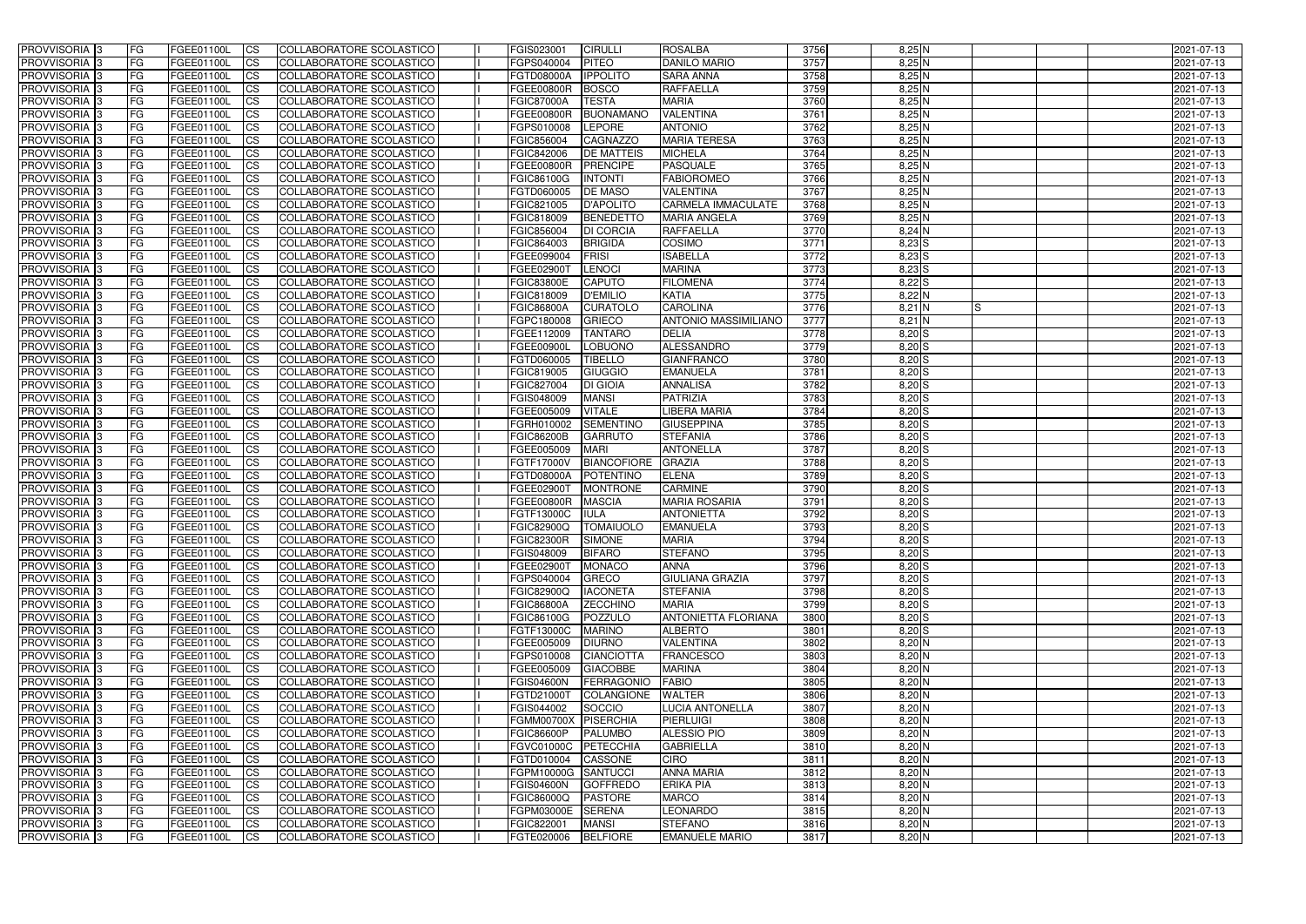| 3757<br><b>CS</b><br><b>PITEO</b><br><b>DANILO MARIO</b><br>$8,25$ N<br><b>PROVVISORIA 3</b><br>FG<br>FGEE01100L<br>COLLABORATORE SCOLASTICO<br>FGPS040004<br>2021-07-13<br><b>IPPOLITO</b><br>3758<br>$8,25$ N<br>PROVVISORIA <sup>3</sup><br>FG<br>FGEE01100L<br><b>CS</b><br>COLLABORATORE SCOLASTICO<br><b>FGTD08000A</b><br><b>SARA ANNA</b><br>2021-07-13<br>3759<br>8,25N<br>PROVVISORIA <sup>3</sup><br>FG<br>FGEE01100L<br><b>CS</b><br>COLLABORATORE SCOLASTICO<br><b>FGEE00800R</b><br><b>BOSCO</b><br><b>RAFFAELLA</b><br>2021-07-13<br>FG<br>FGEE01100L<br><b>CS</b><br>COLLABORATORE SCOLASTICO<br><b>TESTA</b><br><b>MARIA</b><br>3760<br>$8,25$ N<br>PROVVISORIA <sup>1</sup> 3<br><b>FGIC87000A</b><br>2021-07-13<br>3761<br>8,25N<br>PROVVISORIA <sup>3</sup><br>FG<br>FGEE01100L<br><b>CS</b><br>COLLABORATORE SCOLASTICO<br><b>FGEE00800R</b><br><b>BUONAMANO</b><br><b>VALENTINA</b><br>2021-07-13<br><b>ANTONIO</b><br>3762<br>8,25N<br>PROVVISORIA <sup>3</sup><br>FG<br>FGEE01100L<br><b>CS</b><br>COLLABORATORE SCOLASTICO<br>FGPS010008<br>LEPORE<br>2021-07-13<br>PROVVISORIA 3<br><b>CS</b><br>COLLABORATORE SCOLASTICO<br>FGIC856004<br><b>CAGNAZZO</b><br><b>MARIA TERESA</b><br>3763<br>$8,25$ N<br>2021-07-13<br>FG<br><b>FGEE01100L</b><br><b>CS</b><br>FGIC842006<br><b>MICHELA</b><br>3764<br>$8,25$ N<br>2021-07-13<br>PROVVISORIA 3<br>FG<br>FGEE01100L<br>COLLABORATORE SCOLASTICO<br><b>DE MATTEIS</b><br>$\overline{c}$<br>COLLABORATORE SCOLASTICO<br><b>PASQUALE</b><br>3765<br>8,25N<br>PROVVISORIA <sup>3</sup><br>FG<br>FGEE01100L<br><b>FGEE00800R</b><br><b>PRENCIPE</b><br>2021-07-13<br>3766<br>$8,25$ N<br>PROVVISORIA <sup>3</sup><br>FG<br>FGEE01100L<br><b>CS</b><br>COLLABORATORE SCOLASTICO<br>FGIC86100G<br><b>INTONTI</b><br><b>FABIOROMEO</b><br>2021-07-13<br>$8,25$ N<br>PROVVISORIA <sup>3</sup><br><b>CS</b><br>COLLABORATORE SCOLASTICO<br>FGTD060005<br>3767<br>FG<br>FGEE01100L<br><b>DE MASO</b><br><b>VALENTINA</b><br>2021-07-13<br>COLLABORATORE SCOLASTICO<br><b>D'APOLITO</b><br>3768<br>$8,25$ N<br><b>PROVVISORIA</b> 3<br><b>FGEE01100L</b><br><b>I</b> CS<br>FGIC821005<br>CARMELA IMMACULATE<br>2021-07-13<br>FG<br>3769<br>PROVVISORIA <sup>3</sup><br>FGEE01100L<br><b>I</b> CS<br>COLLABORATORE SCOLASTICO<br>FGIC818009<br>$8,25$ N<br>2021-07-13<br>FG<br><b>BENEDETTO</b><br><b>MARIA ANGELA</b><br>3770<br>PROVVISORIA <sup>3</sup><br>FGEE01100L<br><b>I</b> CS<br>COLLABORATORE SCOLASTICO<br>FGIC856004<br><b>DI CORCIA</b><br><b>RAFFAELLA</b><br>8,24 N<br>FG<br>2021-07-13<br><b>PROVVISORIA</b> 3<br>FG<br>FGEE01100L<br><b>I</b> CS<br><b>COLLABORATORE SCOLASTICO</b><br>FGIC864003<br><b>BRIGIDA</b><br><b>COSIMO</b><br>3771<br>$8,23$ S<br>2021-07-13<br>3772<br>$8,23$ $S$<br><b>PROVVISORIA</b> 3<br>FG<br>FGEE01100L<br><b>ICS</b><br>COLLABORATORE SCOLASTICO<br>FGEE099004<br>FRISI<br><b>ISABELLA</b><br>2021-07-13<br>PROVVISORIA 3<br>FGEE01100L<br><b>CS</b><br>COLLABORATORE SCOLASTICO<br>FGEE029001<br><b>LENOCI</b><br><b>MARINA</b><br>3773<br>8,23 S<br>FG<br>2021-07-13<br>8,22S<br>PROVVISORIA <sup>3</sup><br>FGEE01100L<br><b>ICS</b><br>COLLABORATORE SCOLASTICO<br><b>FGIC83800E</b><br><b>CAPUTO</b><br><b>FILOMENA</b><br>3774<br>2021-07-13<br>FG<br>3775<br>8,22 N<br>PROVVISORIA <sup>3</sup><br>FGEE01100L<br><b>I</b> CS<br>COLLABORATORE SCOLASTICO<br>FGIC818009<br><b>D'EMILIO</b><br><b>KATIA</b><br>2021-07-13<br>FG<br>3776<br>$8,21$ N<br>PROVVISORIA <sup>3</sup><br><b>I</b> CS<br><b>FGIC86800A</b><br><b>CAROLINA</b><br>2021-07-13<br>FG<br>FGEE01100L<br>COLLABORATORE SCOLASTICO<br><b>CURATOLO</b><br>IS<br>3777<br>$8,21$ N<br>PROVVISORIA <sup>3</sup><br><b>CS</b><br>FGPC180008<br><b>GRIECO</b><br><b>ANTONIO MASSIMILIANO</b><br>2021-07-13<br>FG<br>FGEE01100L<br>COLLABORATORE SCOLASTICO<br>3778<br>8,20S<br>PROVVISORIA 3<br>FG<br>FGEE01100L<br><b>CS</b><br>COLLABORATORE SCOLASTICO<br>FGEE112009<br><b>TANTARO</b><br><b>DELIA</b><br>2021-07-13<br>3779<br>8,20S<br>PROVVISORIA <sup>3</sup><br>FGEE01100L<br><b>CS</b><br>COLLABORATORE SCOLASTICO<br><b>FGEE00900L</b><br>LOBUONO<br>ALESSANDRO<br>2021-07-13<br>FG<br>3780<br>8,20S<br>PROVVISORIA <sup>3</sup><br>FGEE01100L<br><b>CS</b><br>COLLABORATORE SCOLASTICO<br>FGTD060005<br>TIBELLO<br><b>GIANFRANCO</b><br>FG<br>2021-07-13<br>3781<br>$8,20$ $S$<br>PROVVISORIA <sup>1</sup> 3<br>FGEE01100L<br><b>CS</b><br>COLLABORATORE SCOLASTICO<br>FGIC819005<br><b>GIUGGIO</b><br><b>EMANUELA</b><br>FG<br>2021-07-13<br>3782<br>$8,20$ S<br>PROVVISORIA <sup>1</sup> 3<br>FG<br><b>FGEE01100L</b><br><b>CS</b><br>COLLABORATORE SCOLASTICO<br>FGIC827004<br><b>DI GIOIA</b><br><b>ANNALISA</b><br>2021-07-13<br><b>CS</b><br><b>MANSI</b><br>PATRIZIA<br>3783<br>$8,20$ S<br>PROVVISORIA <sup>3</sup><br>FG.<br>FGEE01100L<br>COLLABORATORE SCOLASTICO<br>FGIS048009<br>2021-07-13<br><b>VITALE</b><br>3784<br>FG<br><b>FGEE01100L</b><br><b>CS</b><br>COLLABORATORE SCOLASTICO<br>FGEE005009<br>LIBERA MARIA<br>8,20 S<br>PROVVISORIA <sup>13</sup><br>2021-07-13<br>3785<br>FG.<br><b>FGEE01100L</b><br><b>CS</b><br>COLLABORATORE SCOLASTICO<br><b>SEMENTINO</b><br><b>GIUSEPPINA</b><br>8,20 S<br>PROVVISORIA <sup>1</sup> 3<br>FGRH010002<br>2021-07-13<br><b>CS</b><br><b>STEFANIA</b><br>3786<br>$8,20$ S<br>PROVVISORIA <sup>3</sup><br>FG.<br>FGEE01100L<br>COLLABORATORE SCOLASTICO<br><b>FGIC86200B</b><br><b>GARRUTO</b><br>2021-07-13<br>3787<br>$8,20$ $S$<br>PROVVISORIA <sup>13</sup><br>FG<br>FGEE01100L<br><b>CS</b><br>COLLABORATORE SCOLASTICO<br>FGEE005009<br><b>MARI</b><br><b>ANTONELLA</b><br>2021-07-13<br>PROVVISORIA <sup>3</sup><br><b>CS</b><br>COLLABORATORE SCOLASTICO<br><b>BIANCOFIORE</b><br><b>GRAZIA</b><br>3788<br>$8,20$ S<br>FG<br><b>FGEE01100L</b><br>FGTF17000V<br>2021-07-13<br>8,20S<br>PROVVISORIA <sup>3</sup><br><b>FGEE01100L</b><br><b>CS</b><br>COLLABORATORE SCOLASTICO<br>FGTD08000A<br><b>ELENA</b><br>3789<br>2021-07-13<br>FG<br><b>POTENTINO</b><br>$\overline{\text{cs}}$<br>3790<br>8,20S<br>PROVVISORIA <sup>3</sup><br>FG<br>FGEE01100L<br>COLLABORATORE SCOLASTICO<br>FGEE02900T<br><b>MONTRONE</b><br><b>CARMINE</b><br>2021-07-13<br><b>CS</b><br><b>COLLABORATORE SCOLASTICO</b><br><b>MARIA ROSARIA</b><br>$8,20$ S<br>PROVVISORIA <sup>3</sup><br><b>FGEE01100L</b><br>FGEE00800R<br><b>MASCIA</b><br>3791<br>2021-07-13<br>FG<br>8,20S<br>PROVVISORIA <sup>3</sup><br>FGEE01100L<br><b>CS</b><br>COLLABORATORE SCOLASTICO<br>FGTF13000C<br><b>IULA</b><br><b>ANTONIETTA</b><br>3792<br>2021-07-13<br>FG<br>3793<br>8,20S<br>PROVVISORIA <sup>3</sup><br>FG<br>FGEE01100L<br><b>I</b> CS<br>COLLABORATORE SCOLASTICO<br><b>FGIC82900Q</b><br><b>TOMAIUOLO</b><br><b>EMANUELA</b><br>2021-07-13<br><b>PROVVISORIA</b> 3<br>COLLABORATORE SCOLASTICO<br>3794<br>FGEE01100L<br>FGIC82300R<br>SIMONE<br><b>MARIA</b><br>$8,20$ S<br>2021-07-13<br>IFG.<br> CS <br>PROVVISORIA 3<br>3795<br>$8,20$ S<br>FGEE01100L<br>COLLABORATORE SCOLASTICO<br><b>FGIS048009</b><br><b>BIFARO</b><br><b>STEFANO</b><br>2021-07-13<br>IFG.<br><b>ICS</b><br>PROVVISORIA 3<br>8,20S<br>FG<br>FGEE01100L<br><b>CS</b><br>COLLABORATORE SCOLASTICO<br>FGEE02900T<br><b>MONACO</b><br><b>ANNA</b><br>3796<br>2021-07-13<br>PROVVISORIA 3<br><b>GIULIANA GRAZIA</b><br>3797<br>$8,20$ S<br>FG<br>FGEE01100L<br><b>CS</b><br>COLLABORATORE SCOLASTICO<br>FGPS040004<br><b>GRECO</b><br>2021-07-13<br>PROVVISORIA 3<br>FGEE01100L<br><b>COLLABORATORE SCOLASTICO</b><br><b>FGIC82900Q</b><br><b>IACONETA</b><br><b>STEFANIA</b><br>3798<br>$8,20$ S<br>FG<br><b>ICS</b><br>2021-07-13<br>3799<br>$8,20$ $S$<br>PROVVISORIA 3<br>FGEE01100L<br><b>CS</b><br>COLLABORATORE SCOLASTICO<br><b>FGIC86800A</b><br>ZECCHINO<br>2021-07-13<br>FG<br><b>MARIA</b><br>PROVVISORIA 3<br><b>ANTONIETTA FLORIANA</b><br>3800<br>$8,20$ S<br>FG<br>FGEE01100L<br><b>CS</b><br>COLLABORATORE SCOLASTICO<br><b>FGIC86100G</b><br>POZZULO<br>2021-07-13<br>$8,20$ $S$<br>3801<br>PROVVISORIA 3<br>FGEE01100L<br>COLLABORATORE SCOLASTICO<br><b>FGTF13000C</b><br><b>ALBERTO</b><br>2021-07-13<br><b>FG</b><br><b>CS</b><br><b>MARINO</b><br>$8,20$ N<br>PROVVISORIA 3<br>3802<br>FG<br>FGEE01100L<br><b>CS</b><br>COLLABORATORE SCOLASTICO<br>FGEE005009<br><b>VALENTINA</b><br>2021-07-13<br><b>DIURNO</b><br>$8,20$ N<br>PROVVISORIA 3<br>FG<br>FGEE01100L<br><b>CS</b><br>COLLABORATORE SCOLASTICO<br>FGPS010008<br><b>CIANCIOTTA</b><br><b>FRANCESCO</b><br>3803<br>2021-07-13<br>PROVVISORIA 3<br>3804<br>$8,20$ N<br>FGEE01100L<br>COLLABORATORE SCOLASTICO<br>FGEE005009<br><b>GIACOBBE</b><br>2021-07-13<br>FG<br><b>CS</b><br><b>MARINA</b><br>3805<br>$8,20$ N<br>PROVVISORIA 3<br>FG<br>FGEE01100L<br>COLLABORATORE SCOLASTICO<br><b>FGIS04600N</b><br>FERRAGONIO<br><b>FABIO</b><br>2021-07-13<br><b>CS</b><br>3806<br>$8,20$ N<br>PROVVISORIA 3<br>FGEE01100L<br>COLLABORATORE SCOLASTICO<br>FGTD21000T<br><b>WALTER</b><br>FG<br><b>CS</b><br>COLANGIONE<br>2021-07-13<br>3807<br>$8,20$ N<br><b>PROVVISORIA</b> 3<br>IFG.<br>FGEE01100L<br><b>CS</b><br>COLLABORATORE SCOLASTICO<br>FGIS044002<br>SOCCIO<br>LUCIA ANTONELLA<br>2021-07-13<br>PISERCHIA<br>3808<br>$8,20$ N<br><b>PROVVISORIA</b> 3<br>IFG.<br>FGEE01100L<br><b>CS</b><br>COLLABORATORE SCOLASTICO<br><b>FGMM00700X</b><br>PIERLUIGI<br>2021-07-13<br>3809<br>$8,20$ N<br>PROVVISORIA 3<br><b>IFG</b><br>FGEE01100L<br><b>CS</b><br><b>COLLABORATORE SCOLASTICO</b><br><b>PALUMBO</b><br>ALESSIO PIO<br><b>FGIC86600P</b><br>2021-07-13<br>3810<br>$8,20$ N<br>PROVVISORIA 3<br><b>IFG</b><br>FGEE01100L<br><b>CS</b><br>COLLABORATORE SCOLASTICO<br><b>FGVC01000C</b><br>PETECCHIA<br><b>GABRIELLA</b><br>2021-07-13<br>$8,20$ N<br>PROVVISORIA 3<br><b>FGEE01100L</b><br>COLLABORATORE SCOLASTICO<br>FGTD010004<br>CASSONE<br><b>CIRO</b><br>3811<br>IFG.<br><b>CS</b><br>2021-07-13<br>3812<br>$8,20$ N<br>PROVVISORIA 3<br> FG<br>FGEE01100L<br><b>CS</b><br>COLLABORATORE SCOLASTICO<br>FGPM10000G SANTUCCI<br><b>ANNA MARIA</b><br>2021-07-13<br>COLLABORATORE SCOLASTICO<br>$8,20$ N<br>PROVVISORIA 3<br>FGEE01100L<br><b>CS</b><br><b>FGIS04600N</b><br><b>GOFFREDO</b><br><b>ERIKA PIA</b><br>3813<br>2021-07-13<br><b>FG</b><br>$8,20$ N<br>PROVVISORIA 3<br><b>FGEE01100L</b><br>COLLABORATORE SCOLASTICO<br><b>FGIC86000Q</b><br><b>MARCO</b><br>3814<br>2021-07-13<br> FG<br><b>CS</b><br><b>PASTORE</b><br><b>PROVVISORIA</b> 3<br>COLLABORATORE SCOLASTICO<br><b>LEONARDO</b><br>$8,20$ N<br>FG<br>FGEE01100L<br><b>ICS</b><br>FGPM03000E<br><b>SERENA</b><br>3815<br>2021-07-13<br>PROVVISORIA 3<br>COLLABORATORE SCOLASTICO<br>FGIC822001<br><b>STEFANO</b><br>$8,20$ N<br>FGEE01100L<br><b>CS</b><br><b>MANSI</b><br>3816<br>2021-07-13<br> FG<br>PROVVISORIA 3<br>COLLABORATORE SCOLASTICO<br><b>BELFIORE</b><br>$8,20$ N<br> FG<br>FGEE01100L<br><b>CS</b><br>FGTE020006<br><b>EMANUELE MARIO</b><br>3817<br>2021-07-13 | <b>PROVVISORIA</b> 3 | FG | FGEE01100L | <b>ICS</b> | COLLABORATORE SCOLASTICO | FGIS023001 | <b>CIRULLI</b> | <b>ROSALBA</b> | 3756 | $8,25$ N | 2021-07-13 |
|---------------------------------------------------------------------------------------------------------------------------------------------------------------------------------------------------------------------------------------------------------------------------------------------------------------------------------------------------------------------------------------------------------------------------------------------------------------------------------------------------------------------------------------------------------------------------------------------------------------------------------------------------------------------------------------------------------------------------------------------------------------------------------------------------------------------------------------------------------------------------------------------------------------------------------------------------------------------------------------------------------------------------------------------------------------------------------------------------------------------------------------------------------------------------------------------------------------------------------------------------------------------------------------------------------------------------------------------------------------------------------------------------------------------------------------------------------------------------------------------------------------------------------------------------------------------------------------------------------------------------------------------------------------------------------------------------------------------------------------------------------------------------------------------------------------------------------------------------------------------------------------------------------------------------------------------------------------------------------------------------------------------------------------------------------------------------------------------------------------------------------------------------------------------------------------------------------------------------------------------------------------------------------------------------------------------------------------------------------------------------------------------------------------------------------------------------------------------------------------------------------------------------------------------------------------------------------------------------------------------------------------------------------------------------------------------------------------------------------------------------------------------------------------------------------------------------------------------------------------------------------------------------------------------------------------------------------------------------------------------------------------------------------------------------------------------------------------------------------------------------------------------------------------------------------------------------------------------------------------------------------------------------------------------------------------------------------------------------------------------------------------------------------------------------------------------------------------------------------------------------------------------------------------------------------------------------------------------------------------------------------------------------------------------------------------------------------------------------------------------------------------------------------------------------------------------------------------------------------------------------------------------------------------------------------------------------------------------------------------------------------------------------------------------------------------------------------------------------------------------------------------------------------------------------------------------------------------------------------------------------------------------------------------------------------------------------------------------------------------------------------------------------------------------------------------------------------------------------------------------------------------------------------------------------------------------------------------------------------------------------------------------------------------------------------------------------------------------------------------------------------------------------------------------------------------------------------------------------------------------------------------------------------------------------------------------------------------------------------------------------------------------------------------------------------------------------------------------------------------------------------------------------------------------------------------------------------------------------------------------------------------------------------------------------------------------------------------------------------------------------------------------------------------------------------------------------------------------------------------------------------------------------------------------------------------------------------------------------------------------------------------------------------------------------------------------------------------------------------------------------------------------------------------------------------------------------------------------------------------------------------------------------------------------------------------------------------------------------------------------------------------------------------------------------------------------------------------------------------------------------------------------------------------------------------------------------------------------------------------------------------------------------------------------------------------------------------------------------------------------------------------------------------------------------------------------------------------------------------------------------------------------------------------------------------------------------------------------------------------------------------------------------------------------------------------------------------------------------------------------------------------------------------------------------------------------------------------------------------------------------------------------------------------------------------------------------------------------------------------------------------------------------------------------------------------------------------------------------------------------------------------------------------------------------------------------------------------------------------------------------------------------------------------------------------------------------------------------------------------------------------------------------------------------------------------------------------------------------------------------------------------------------------------------------------------------------------------------------------------------------------------------------------------------------------------------------------------------------------------------------------------------------------------------------------------------------------------------------------------------------------------------------------------------------------------------------------------------------------------------------------------------------------------------------------------------------------------------------------------------------------------------------------------------------------------------------------------------------------------------------------------------------------------------------------------------------------------------------------------------------------------------------------------------------------------------------------------------------------------------------------------------------------------------------------------------------------------------------------------------------------------------------------------------------------------------------------------------------------------------------------------------------------------------------------------------------------------------------------------------------------------------------------------------------------------------------------------------------------------------------------------------------------------------------------------------------------------------------------------------------------------------------------------------------------------------------------------------------------------------------------------------------------------------------------------------------------------------------------------------------------------------------------------------------------------------------------------------------------------------------------------------------------------------------------------------------------------------------------------------------------------------------------------------------------------------------------------------------------------------------------------------------------------------------------------------------------------------------------------------------------------------------------------------------------------------------------------------------------------------------------------------------------------------------------------------------------------------------------------------------------------------------------------------------------------------------------------------------------------------------------------------------------------------------------------------------------------------------------------------------------------------------------------------------------------------------------------------------------------------------------------------------------------------------------------------------------------------------------------------------------------------------------------------------------------------------------------------------------------------------------------------------------------------------------------------------------------------------------------------------------------------------------------------------------------------------------------------|----------------------|----|------------|------------|--------------------------|------------|----------------|----------------|------|----------|------------|
|                                                                                                                                                                                                                                                                                                                                                                                                                                                                                                                                                                                                                                                                                                                                                                                                                                                                                                                                                                                                                                                                                                                                                                                                                                                                                                                                                                                                                                                                                                                                                                                                                                                                                                                                                                                                                                                                                                                                                                                                                                                                                                                                                                                                                                                                                                                                                                                                                                                                                                                                                                                                                                                                                                                                                                                                                                                                                                                                                                                                                                                                                                                                                                                                                                                                                                                                                                                                                                                                                                                                                                                                                                                                                                                                                                                                                                                                                                                                                                                                                                                                                                                                                                                                                                                                                                                                                                                                                                                                                                                                                                                                                                                                                                                                                                                                                                                                                                                                                                                                                                                                                                                                                                                                                                                                                                                                                                                                                                                                                                                                                                                                                                                                                                                                                                                                                                                                                                                                                                                                                                                                                                                                                                                                                                                                                                                                                                                                                                                                                                                                                                                                                                                                                                                                                                                                                                                                                                                                                                                                                                                                                                                                                                                                                                                                                                                                                                                                                                                                                                                                                                                                                                                                                                                                                                                                                                                                                                                                                                                                                                                                                                                                                                                                                                                                                                                                                                                                                                                                                                                                                                                                                                                                                                                                                                                                                                                                                                                                                                                                                                                                                                                                                                                                                                                                                                                                                                                                                                                                                                                                                                                                                                                                                                                                                                                                                                                                                                                                                                                                                                                                                                                                                                                                                                                                                                                                                                                                                                                                                                                                                                                                                                                                                                                                                                                                                                                                                                                                                                     |                      |    |            |            |                          |            |                |                |      |          |            |
|                                                                                                                                                                                                                                                                                                                                                                                                                                                                                                                                                                                                                                                                                                                                                                                                                                                                                                                                                                                                                                                                                                                                                                                                                                                                                                                                                                                                                                                                                                                                                                                                                                                                                                                                                                                                                                                                                                                                                                                                                                                                                                                                                                                                                                                                                                                                                                                                                                                                                                                                                                                                                                                                                                                                                                                                                                                                                                                                                                                                                                                                                                                                                                                                                                                                                                                                                                                                                                                                                                                                                                                                                                                                                                                                                                                                                                                                                                                                                                                                                                                                                                                                                                                                                                                                                                                                                                                                                                                                                                                                                                                                                                                                                                                                                                                                                                                                                                                                                                                                                                                                                                                                                                                                                                                                                                                                                                                                                                                                                                                                                                                                                                                                                                                                                                                                                                                                                                                                                                                                                                                                                                                                                                                                                                                                                                                                                                                                                                                                                                                                                                                                                                                                                                                                                                                                                                                                                                                                                                                                                                                                                                                                                                                                                                                                                                                                                                                                                                                                                                                                                                                                                                                                                                                                                                                                                                                                                                                                                                                                                                                                                                                                                                                                                                                                                                                                                                                                                                                                                                                                                                                                                                                                                                                                                                                                                                                                                                                                                                                                                                                                                                                                                                                                                                                                                                                                                                                                                                                                                                                                                                                                                                                                                                                                                                                                                                                                                                                                                                                                                                                                                                                                                                                                                                                                                                                                                                                                                                                                                                                                                                                                                                                                                                                                                                                                                                                                                                                                                                     |                      |    |            |            |                          |            |                |                |      |          |            |
|                                                                                                                                                                                                                                                                                                                                                                                                                                                                                                                                                                                                                                                                                                                                                                                                                                                                                                                                                                                                                                                                                                                                                                                                                                                                                                                                                                                                                                                                                                                                                                                                                                                                                                                                                                                                                                                                                                                                                                                                                                                                                                                                                                                                                                                                                                                                                                                                                                                                                                                                                                                                                                                                                                                                                                                                                                                                                                                                                                                                                                                                                                                                                                                                                                                                                                                                                                                                                                                                                                                                                                                                                                                                                                                                                                                                                                                                                                                                                                                                                                                                                                                                                                                                                                                                                                                                                                                                                                                                                                                                                                                                                                                                                                                                                                                                                                                                                                                                                                                                                                                                                                                                                                                                                                                                                                                                                                                                                                                                                                                                                                                                                                                                                                                                                                                                                                                                                                                                                                                                                                                                                                                                                                                                                                                                                                                                                                                                                                                                                                                                                                                                                                                                                                                                                                                                                                                                                                                                                                                                                                                                                                                                                                                                                                                                                                                                                                                                                                                                                                                                                                                                                                                                                                                                                                                                                                                                                                                                                                                                                                                                                                                                                                                                                                                                                                                                                                                                                                                                                                                                                                                                                                                                                                                                                                                                                                                                                                                                                                                                                                                                                                                                                                                                                                                                                                                                                                                                                                                                                                                                                                                                                                                                                                                                                                                                                                                                                                                                                                                                                                                                                                                                                                                                                                                                                                                                                                                                                                                                                                                                                                                                                                                                                                                                                                                                                                                                                                                                                                     |                      |    |            |            |                          |            |                |                |      |          |            |
|                                                                                                                                                                                                                                                                                                                                                                                                                                                                                                                                                                                                                                                                                                                                                                                                                                                                                                                                                                                                                                                                                                                                                                                                                                                                                                                                                                                                                                                                                                                                                                                                                                                                                                                                                                                                                                                                                                                                                                                                                                                                                                                                                                                                                                                                                                                                                                                                                                                                                                                                                                                                                                                                                                                                                                                                                                                                                                                                                                                                                                                                                                                                                                                                                                                                                                                                                                                                                                                                                                                                                                                                                                                                                                                                                                                                                                                                                                                                                                                                                                                                                                                                                                                                                                                                                                                                                                                                                                                                                                                                                                                                                                                                                                                                                                                                                                                                                                                                                                                                                                                                                                                                                                                                                                                                                                                                                                                                                                                                                                                                                                                                                                                                                                                                                                                                                                                                                                                                                                                                                                                                                                                                                                                                                                                                                                                                                                                                                                                                                                                                                                                                                                                                                                                                                                                                                                                                                                                                                                                                                                                                                                                                                                                                                                                                                                                                                                                                                                                                                                                                                                                                                                                                                                                                                                                                                                                                                                                                                                                                                                                                                                                                                                                                                                                                                                                                                                                                                                                                                                                                                                                                                                                                                                                                                                                                                                                                                                                                                                                                                                                                                                                                                                                                                                                                                                                                                                                                                                                                                                                                                                                                                                                                                                                                                                                                                                                                                                                                                                                                                                                                                                                                                                                                                                                                                                                                                                                                                                                                                                                                                                                                                                                                                                                                                                                                                                                                                                                                                                     |                      |    |            |            |                          |            |                |                |      |          |            |
|                                                                                                                                                                                                                                                                                                                                                                                                                                                                                                                                                                                                                                                                                                                                                                                                                                                                                                                                                                                                                                                                                                                                                                                                                                                                                                                                                                                                                                                                                                                                                                                                                                                                                                                                                                                                                                                                                                                                                                                                                                                                                                                                                                                                                                                                                                                                                                                                                                                                                                                                                                                                                                                                                                                                                                                                                                                                                                                                                                                                                                                                                                                                                                                                                                                                                                                                                                                                                                                                                                                                                                                                                                                                                                                                                                                                                                                                                                                                                                                                                                                                                                                                                                                                                                                                                                                                                                                                                                                                                                                                                                                                                                                                                                                                                                                                                                                                                                                                                                                                                                                                                                                                                                                                                                                                                                                                                                                                                                                                                                                                                                                                                                                                                                                                                                                                                                                                                                                                                                                                                                                                                                                                                                                                                                                                                                                                                                                                                                                                                                                                                                                                                                                                                                                                                                                                                                                                                                                                                                                                                                                                                                                                                                                                                                                                                                                                                                                                                                                                                                                                                                                                                                                                                                                                                                                                                                                                                                                                                                                                                                                                                                                                                                                                                                                                                                                                                                                                                                                                                                                                                                                                                                                                                                                                                                                                                                                                                                                                                                                                                                                                                                                                                                                                                                                                                                                                                                                                                                                                                                                                                                                                                                                                                                                                                                                                                                                                                                                                                                                                                                                                                                                                                                                                                                                                                                                                                                                                                                                                                                                                                                                                                                                                                                                                                                                                                                                                                                                                                                     |                      |    |            |            |                          |            |                |                |      |          |            |
|                                                                                                                                                                                                                                                                                                                                                                                                                                                                                                                                                                                                                                                                                                                                                                                                                                                                                                                                                                                                                                                                                                                                                                                                                                                                                                                                                                                                                                                                                                                                                                                                                                                                                                                                                                                                                                                                                                                                                                                                                                                                                                                                                                                                                                                                                                                                                                                                                                                                                                                                                                                                                                                                                                                                                                                                                                                                                                                                                                                                                                                                                                                                                                                                                                                                                                                                                                                                                                                                                                                                                                                                                                                                                                                                                                                                                                                                                                                                                                                                                                                                                                                                                                                                                                                                                                                                                                                                                                                                                                                                                                                                                                                                                                                                                                                                                                                                                                                                                                                                                                                                                                                                                                                                                                                                                                                                                                                                                                                                                                                                                                                                                                                                                                                                                                                                                                                                                                                                                                                                                                                                                                                                                                                                                                                                                                                                                                                                                                                                                                                                                                                                                                                                                                                                                                                                                                                                                                                                                                                                                                                                                                                                                                                                                                                                                                                                                                                                                                                                                                                                                                                                                                                                                                                                                                                                                                                                                                                                                                                                                                                                                                                                                                                                                                                                                                                                                                                                                                                                                                                                                                                                                                                                                                                                                                                                                                                                                                                                                                                                                                                                                                                                                                                                                                                                                                                                                                                                                                                                                                                                                                                                                                                                                                                                                                                                                                                                                                                                                                                                                                                                                                                                                                                                                                                                                                                                                                                                                                                                                                                                                                                                                                                                                                                                                                                                                                                                                                                                                                     |                      |    |            |            |                          |            |                |                |      |          |            |
|                                                                                                                                                                                                                                                                                                                                                                                                                                                                                                                                                                                                                                                                                                                                                                                                                                                                                                                                                                                                                                                                                                                                                                                                                                                                                                                                                                                                                                                                                                                                                                                                                                                                                                                                                                                                                                                                                                                                                                                                                                                                                                                                                                                                                                                                                                                                                                                                                                                                                                                                                                                                                                                                                                                                                                                                                                                                                                                                                                                                                                                                                                                                                                                                                                                                                                                                                                                                                                                                                                                                                                                                                                                                                                                                                                                                                                                                                                                                                                                                                                                                                                                                                                                                                                                                                                                                                                                                                                                                                                                                                                                                                                                                                                                                                                                                                                                                                                                                                                                                                                                                                                                                                                                                                                                                                                                                                                                                                                                                                                                                                                                                                                                                                                                                                                                                                                                                                                                                                                                                                                                                                                                                                                                                                                                                                                                                                                                                                                                                                                                                                                                                                                                                                                                                                                                                                                                                                                                                                                                                                                                                                                                                                                                                                                                                                                                                                                                                                                                                                                                                                                                                                                                                                                                                                                                                                                                                                                                                                                                                                                                                                                                                                                                                                                                                                                                                                                                                                                                                                                                                                                                                                                                                                                                                                                                                                                                                                                                                                                                                                                                                                                                                                                                                                                                                                                                                                                                                                                                                                                                                                                                                                                                                                                                                                                                                                                                                                                                                                                                                                                                                                                                                                                                                                                                                                                                                                                                                                                                                                                                                                                                                                                                                                                                                                                                                                                                                                                                                                                     |                      |    |            |            |                          |            |                |                |      |          |            |
|                                                                                                                                                                                                                                                                                                                                                                                                                                                                                                                                                                                                                                                                                                                                                                                                                                                                                                                                                                                                                                                                                                                                                                                                                                                                                                                                                                                                                                                                                                                                                                                                                                                                                                                                                                                                                                                                                                                                                                                                                                                                                                                                                                                                                                                                                                                                                                                                                                                                                                                                                                                                                                                                                                                                                                                                                                                                                                                                                                                                                                                                                                                                                                                                                                                                                                                                                                                                                                                                                                                                                                                                                                                                                                                                                                                                                                                                                                                                                                                                                                                                                                                                                                                                                                                                                                                                                                                                                                                                                                                                                                                                                                                                                                                                                                                                                                                                                                                                                                                                                                                                                                                                                                                                                                                                                                                                                                                                                                                                                                                                                                                                                                                                                                                                                                                                                                                                                                                                                                                                                                                                                                                                                                                                                                                                                                                                                                                                                                                                                                                                                                                                                                                                                                                                                                                                                                                                                                                                                                                                                                                                                                                                                                                                                                                                                                                                                                                                                                                                                                                                                                                                                                                                                                                                                                                                                                                                                                                                                                                                                                                                                                                                                                                                                                                                                                                                                                                                                                                                                                                                                                                                                                                                                                                                                                                                                                                                                                                                                                                                                                                                                                                                                                                                                                                                                                                                                                                                                                                                                                                                                                                                                                                                                                                                                                                                                                                                                                                                                                                                                                                                                                                                                                                                                                                                                                                                                                                                                                                                                                                                                                                                                                                                                                                                                                                                                                                                                                                                                                     |                      |    |            |            |                          |            |                |                |      |          |            |
|                                                                                                                                                                                                                                                                                                                                                                                                                                                                                                                                                                                                                                                                                                                                                                                                                                                                                                                                                                                                                                                                                                                                                                                                                                                                                                                                                                                                                                                                                                                                                                                                                                                                                                                                                                                                                                                                                                                                                                                                                                                                                                                                                                                                                                                                                                                                                                                                                                                                                                                                                                                                                                                                                                                                                                                                                                                                                                                                                                                                                                                                                                                                                                                                                                                                                                                                                                                                                                                                                                                                                                                                                                                                                                                                                                                                                                                                                                                                                                                                                                                                                                                                                                                                                                                                                                                                                                                                                                                                                                                                                                                                                                                                                                                                                                                                                                                                                                                                                                                                                                                                                                                                                                                                                                                                                                                                                                                                                                                                                                                                                                                                                                                                                                                                                                                                                                                                                                                                                                                                                                                                                                                                                                                                                                                                                                                                                                                                                                                                                                                                                                                                                                                                                                                                                                                                                                                                                                                                                                                                                                                                                                                                                                                                                                                                                                                                                                                                                                                                                                                                                                                                                                                                                                                                                                                                                                                                                                                                                                                                                                                                                                                                                                                                                                                                                                                                                                                                                                                                                                                                                                                                                                                                                                                                                                                                                                                                                                                                                                                                                                                                                                                                                                                                                                                                                                                                                                                                                                                                                                                                                                                                                                                                                                                                                                                                                                                                                                                                                                                                                                                                                                                                                                                                                                                                                                                                                                                                                                                                                                                                                                                                                                                                                                                                                                                                                                                                                                                                                                     |                      |    |            |            |                          |            |                |                |      |          |            |
|                                                                                                                                                                                                                                                                                                                                                                                                                                                                                                                                                                                                                                                                                                                                                                                                                                                                                                                                                                                                                                                                                                                                                                                                                                                                                                                                                                                                                                                                                                                                                                                                                                                                                                                                                                                                                                                                                                                                                                                                                                                                                                                                                                                                                                                                                                                                                                                                                                                                                                                                                                                                                                                                                                                                                                                                                                                                                                                                                                                                                                                                                                                                                                                                                                                                                                                                                                                                                                                                                                                                                                                                                                                                                                                                                                                                                                                                                                                                                                                                                                                                                                                                                                                                                                                                                                                                                                                                                                                                                                                                                                                                                                                                                                                                                                                                                                                                                                                                                                                                                                                                                                                                                                                                                                                                                                                                                                                                                                                                                                                                                                                                                                                                                                                                                                                                                                                                                                                                                                                                                                                                                                                                                                                                                                                                                                                                                                                                                                                                                                                                                                                                                                                                                                                                                                                                                                                                                                                                                                                                                                                                                                                                                                                                                                                                                                                                                                                                                                                                                                                                                                                                                                                                                                                                                                                                                                                                                                                                                                                                                                                                                                                                                                                                                                                                                                                                                                                                                                                                                                                                                                                                                                                                                                                                                                                                                                                                                                                                                                                                                                                                                                                                                                                                                                                                                                                                                                                                                                                                                                                                                                                                                                                                                                                                                                                                                                                                                                                                                                                                                                                                                                                                                                                                                                                                                                                                                                                                                                                                                                                                                                                                                                                                                                                                                                                                                                                                                                                                                                     |                      |    |            |            |                          |            |                |                |      |          |            |
|                                                                                                                                                                                                                                                                                                                                                                                                                                                                                                                                                                                                                                                                                                                                                                                                                                                                                                                                                                                                                                                                                                                                                                                                                                                                                                                                                                                                                                                                                                                                                                                                                                                                                                                                                                                                                                                                                                                                                                                                                                                                                                                                                                                                                                                                                                                                                                                                                                                                                                                                                                                                                                                                                                                                                                                                                                                                                                                                                                                                                                                                                                                                                                                                                                                                                                                                                                                                                                                                                                                                                                                                                                                                                                                                                                                                                                                                                                                                                                                                                                                                                                                                                                                                                                                                                                                                                                                                                                                                                                                                                                                                                                                                                                                                                                                                                                                                                                                                                                                                                                                                                                                                                                                                                                                                                                                                                                                                                                                                                                                                                                                                                                                                                                                                                                                                                                                                                                                                                                                                                                                                                                                                                                                                                                                                                                                                                                                                                                                                                                                                                                                                                                                                                                                                                                                                                                                                                                                                                                                                                                                                                                                                                                                                                                                                                                                                                                                                                                                                                                                                                                                                                                                                                                                                                                                                                                                                                                                                                                                                                                                                                                                                                                                                                                                                                                                                                                                                                                                                                                                                                                                                                                                                                                                                                                                                                                                                                                                                                                                                                                                                                                                                                                                                                                                                                                                                                                                                                                                                                                                                                                                                                                                                                                                                                                                                                                                                                                                                                                                                                                                                                                                                                                                                                                                                                                                                                                                                                                                                                                                                                                                                                                                                                                                                                                                                                                                                                                                                                                     |                      |    |            |            |                          |            |                |                |      |          |            |
|                                                                                                                                                                                                                                                                                                                                                                                                                                                                                                                                                                                                                                                                                                                                                                                                                                                                                                                                                                                                                                                                                                                                                                                                                                                                                                                                                                                                                                                                                                                                                                                                                                                                                                                                                                                                                                                                                                                                                                                                                                                                                                                                                                                                                                                                                                                                                                                                                                                                                                                                                                                                                                                                                                                                                                                                                                                                                                                                                                                                                                                                                                                                                                                                                                                                                                                                                                                                                                                                                                                                                                                                                                                                                                                                                                                                                                                                                                                                                                                                                                                                                                                                                                                                                                                                                                                                                                                                                                                                                                                                                                                                                                                                                                                                                                                                                                                                                                                                                                                                                                                                                                                                                                                                                                                                                                                                                                                                                                                                                                                                                                                                                                                                                                                                                                                                                                                                                                                                                                                                                                                                                                                                                                                                                                                                                                                                                                                                                                                                                                                                                                                                                                                                                                                                                                                                                                                                                                                                                                                                                                                                                                                                                                                                                                                                                                                                                                                                                                                                                                                                                                                                                                                                                                                                                                                                                                                                                                                                                                                                                                                                                                                                                                                                                                                                                                                                                                                                                                                                                                                                                                                                                                                                                                                                                                                                                                                                                                                                                                                                                                                                                                                                                                                                                                                                                                                                                                                                                                                                                                                                                                                                                                                                                                                                                                                                                                                                                                                                                                                                                                                                                                                                                                                                                                                                                                                                                                                                                                                                                                                                                                                                                                                                                                                                                                                                                                                                                                                                                                     |                      |    |            |            |                          |            |                |                |      |          |            |
|                                                                                                                                                                                                                                                                                                                                                                                                                                                                                                                                                                                                                                                                                                                                                                                                                                                                                                                                                                                                                                                                                                                                                                                                                                                                                                                                                                                                                                                                                                                                                                                                                                                                                                                                                                                                                                                                                                                                                                                                                                                                                                                                                                                                                                                                                                                                                                                                                                                                                                                                                                                                                                                                                                                                                                                                                                                                                                                                                                                                                                                                                                                                                                                                                                                                                                                                                                                                                                                                                                                                                                                                                                                                                                                                                                                                                                                                                                                                                                                                                                                                                                                                                                                                                                                                                                                                                                                                                                                                                                                                                                                                                                                                                                                                                                                                                                                                                                                                                                                                                                                                                                                                                                                                                                                                                                                                                                                                                                                                                                                                                                                                                                                                                                                                                                                                                                                                                                                                                                                                                                                                                                                                                                                                                                                                                                                                                                                                                                                                                                                                                                                                                                                                                                                                                                                                                                                                                                                                                                                                                                                                                                                                                                                                                                                                                                                                                                                                                                                                                                                                                                                                                                                                                                                                                                                                                                                                                                                                                                                                                                                                                                                                                                                                                                                                                                                                                                                                                                                                                                                                                                                                                                                                                                                                                                                                                                                                                                                                                                                                                                                                                                                                                                                                                                                                                                                                                                                                                                                                                                                                                                                                                                                                                                                                                                                                                                                                                                                                                                                                                                                                                                                                                                                                                                                                                                                                                                                                                                                                                                                                                                                                                                                                                                                                                                                                                                                                                                                                                                     |                      |    |            |            |                          |            |                |                |      |          |            |
|                                                                                                                                                                                                                                                                                                                                                                                                                                                                                                                                                                                                                                                                                                                                                                                                                                                                                                                                                                                                                                                                                                                                                                                                                                                                                                                                                                                                                                                                                                                                                                                                                                                                                                                                                                                                                                                                                                                                                                                                                                                                                                                                                                                                                                                                                                                                                                                                                                                                                                                                                                                                                                                                                                                                                                                                                                                                                                                                                                                                                                                                                                                                                                                                                                                                                                                                                                                                                                                                                                                                                                                                                                                                                                                                                                                                                                                                                                                                                                                                                                                                                                                                                                                                                                                                                                                                                                                                                                                                                                                                                                                                                                                                                                                                                                                                                                                                                                                                                                                                                                                                                                                                                                                                                                                                                                                                                                                                                                                                                                                                                                                                                                                                                                                                                                                                                                                                                                                                                                                                                                                                                                                                                                                                                                                                                                                                                                                                                                                                                                                                                                                                                                                                                                                                                                                                                                                                                                                                                                                                                                                                                                                                                                                                                                                                                                                                                                                                                                                                                                                                                                                                                                                                                                                                                                                                                                                                                                                                                                                                                                                                                                                                                                                                                                                                                                                                                                                                                                                                                                                                                                                                                                                                                                                                                                                                                                                                                                                                                                                                                                                                                                                                                                                                                                                                                                                                                                                                                                                                                                                                                                                                                                                                                                                                                                                                                                                                                                                                                                                                                                                                                                                                                                                                                                                                                                                                                                                                                                                                                                                                                                                                                                                                                                                                                                                                                                                                                                                                                                     |                      |    |            |            |                          |            |                |                |      |          |            |
|                                                                                                                                                                                                                                                                                                                                                                                                                                                                                                                                                                                                                                                                                                                                                                                                                                                                                                                                                                                                                                                                                                                                                                                                                                                                                                                                                                                                                                                                                                                                                                                                                                                                                                                                                                                                                                                                                                                                                                                                                                                                                                                                                                                                                                                                                                                                                                                                                                                                                                                                                                                                                                                                                                                                                                                                                                                                                                                                                                                                                                                                                                                                                                                                                                                                                                                                                                                                                                                                                                                                                                                                                                                                                                                                                                                                                                                                                                                                                                                                                                                                                                                                                                                                                                                                                                                                                                                                                                                                                                                                                                                                                                                                                                                                                                                                                                                                                                                                                                                                                                                                                                                                                                                                                                                                                                                                                                                                                                                                                                                                                                                                                                                                                                                                                                                                                                                                                                                                                                                                                                                                                                                                                                                                                                                                                                                                                                                                                                                                                                                                                                                                                                                                                                                                                                                                                                                                                                                                                                                                                                                                                                                                                                                                                                                                                                                                                                                                                                                                                                                                                                                                                                                                                                                                                                                                                                                                                                                                                                                                                                                                                                                                                                                                                                                                                                                                                                                                                                                                                                                                                                                                                                                                                                                                                                                                                                                                                                                                                                                                                                                                                                                                                                                                                                                                                                                                                                                                                                                                                                                                                                                                                                                                                                                                                                                                                                                                                                                                                                                                                                                                                                                                                                                                                                                                                                                                                                                                                                                                                                                                                                                                                                                                                                                                                                                                                                                                                                                                                                     |                      |    |            |            |                          |            |                |                |      |          |            |
|                                                                                                                                                                                                                                                                                                                                                                                                                                                                                                                                                                                                                                                                                                                                                                                                                                                                                                                                                                                                                                                                                                                                                                                                                                                                                                                                                                                                                                                                                                                                                                                                                                                                                                                                                                                                                                                                                                                                                                                                                                                                                                                                                                                                                                                                                                                                                                                                                                                                                                                                                                                                                                                                                                                                                                                                                                                                                                                                                                                                                                                                                                                                                                                                                                                                                                                                                                                                                                                                                                                                                                                                                                                                                                                                                                                                                                                                                                                                                                                                                                                                                                                                                                                                                                                                                                                                                                                                                                                                                                                                                                                                                                                                                                                                                                                                                                                                                                                                                                                                                                                                                                                                                                                                                                                                                                                                                                                                                                                                                                                                                                                                                                                                                                                                                                                                                                                                                                                                                                                                                                                                                                                                                                                                                                                                                                                                                                                                                                                                                                                                                                                                                                                                                                                                                                                                                                                                                                                                                                                                                                                                                                                                                                                                                                                                                                                                                                                                                                                                                                                                                                                                                                                                                                                                                                                                                                                                                                                                                                                                                                                                                                                                                                                                                                                                                                                                                                                                                                                                                                                                                                                                                                                                                                                                                                                                                                                                                                                                                                                                                                                                                                                                                                                                                                                                                                                                                                                                                                                                                                                                                                                                                                                                                                                                                                                                                                                                                                                                                                                                                                                                                                                                                                                                                                                                                                                                                                                                                                                                                                                                                                                                                                                                                                                                                                                                                                                                                                                                                                     |                      |    |            |            |                          |            |                |                |      |          |            |
|                                                                                                                                                                                                                                                                                                                                                                                                                                                                                                                                                                                                                                                                                                                                                                                                                                                                                                                                                                                                                                                                                                                                                                                                                                                                                                                                                                                                                                                                                                                                                                                                                                                                                                                                                                                                                                                                                                                                                                                                                                                                                                                                                                                                                                                                                                                                                                                                                                                                                                                                                                                                                                                                                                                                                                                                                                                                                                                                                                                                                                                                                                                                                                                                                                                                                                                                                                                                                                                                                                                                                                                                                                                                                                                                                                                                                                                                                                                                                                                                                                                                                                                                                                                                                                                                                                                                                                                                                                                                                                                                                                                                                                                                                                                                                                                                                                                                                                                                                                                                                                                                                                                                                                                                                                                                                                                                                                                                                                                                                                                                                                                                                                                                                                                                                                                                                                                                                                                                                                                                                                                                                                                                                                                                                                                                                                                                                                                                                                                                                                                                                                                                                                                                                                                                                                                                                                                                                                                                                                                                                                                                                                                                                                                                                                                                                                                                                                                                                                                                                                                                                                                                                                                                                                                                                                                                                                                                                                                                                                                                                                                                                                                                                                                                                                                                                                                                                                                                                                                                                                                                                                                                                                                                                                                                                                                                                                                                                                                                                                                                                                                                                                                                                                                                                                                                                                                                                                                                                                                                                                                                                                                                                                                                                                                                                                                                                                                                                                                                                                                                                                                                                                                                                                                                                                                                                                                                                                                                                                                                                                                                                                                                                                                                                                                                                                                                                                                                                                                                                                     |                      |    |            |            |                          |            |                |                |      |          |            |
|                                                                                                                                                                                                                                                                                                                                                                                                                                                                                                                                                                                                                                                                                                                                                                                                                                                                                                                                                                                                                                                                                                                                                                                                                                                                                                                                                                                                                                                                                                                                                                                                                                                                                                                                                                                                                                                                                                                                                                                                                                                                                                                                                                                                                                                                                                                                                                                                                                                                                                                                                                                                                                                                                                                                                                                                                                                                                                                                                                                                                                                                                                                                                                                                                                                                                                                                                                                                                                                                                                                                                                                                                                                                                                                                                                                                                                                                                                                                                                                                                                                                                                                                                                                                                                                                                                                                                                                                                                                                                                                                                                                                                                                                                                                                                                                                                                                                                                                                                                                                                                                                                                                                                                                                                                                                                                                                                                                                                                                                                                                                                                                                                                                                                                                                                                                                                                                                                                                                                                                                                                                                                                                                                                                                                                                                                                                                                                                                                                                                                                                                                                                                                                                                                                                                                                                                                                                                                                                                                                                                                                                                                                                                                                                                                                                                                                                                                                                                                                                                                                                                                                                                                                                                                                                                                                                                                                                                                                                                                                                                                                                                                                                                                                                                                                                                                                                                                                                                                                                                                                                                                                                                                                                                                                                                                                                                                                                                                                                                                                                                                                                                                                                                                                                                                                                                                                                                                                                                                                                                                                                                                                                                                                                                                                                                                                                                                                                                                                                                                                                                                                                                                                                                                                                                                                                                                                                                                                                                                                                                                                                                                                                                                                                                                                                                                                                                                                                                                                                                                                     |                      |    |            |            |                          |            |                |                |      |          |            |
|                                                                                                                                                                                                                                                                                                                                                                                                                                                                                                                                                                                                                                                                                                                                                                                                                                                                                                                                                                                                                                                                                                                                                                                                                                                                                                                                                                                                                                                                                                                                                                                                                                                                                                                                                                                                                                                                                                                                                                                                                                                                                                                                                                                                                                                                                                                                                                                                                                                                                                                                                                                                                                                                                                                                                                                                                                                                                                                                                                                                                                                                                                                                                                                                                                                                                                                                                                                                                                                                                                                                                                                                                                                                                                                                                                                                                                                                                                                                                                                                                                                                                                                                                                                                                                                                                                                                                                                                                                                                                                                                                                                                                                                                                                                                                                                                                                                                                                                                                                                                                                                                                                                                                                                                                                                                                                                                                                                                                                                                                                                                                                                                                                                                                                                                                                                                                                                                                                                                                                                                                                                                                                                                                                                                                                                                                                                                                                                                                                                                                                                                                                                                                                                                                                                                                                                                                                                                                                                                                                                                                                                                                                                                                                                                                                                                                                                                                                                                                                                                                                                                                                                                                                                                                                                                                                                                                                                                                                                                                                                                                                                                                                                                                                                                                                                                                                                                                                                                                                                                                                                                                                                                                                                                                                                                                                                                                                                                                                                                                                                                                                                                                                                                                                                                                                                                                                                                                                                                                                                                                                                                                                                                                                                                                                                                                                                                                                                                                                                                                                                                                                                                                                                                                                                                                                                                                                                                                                                                                                                                                                                                                                                                                                                                                                                                                                                                                                                                                                                                                                     |                      |    |            |            |                          |            |                |                |      |          |            |
|                                                                                                                                                                                                                                                                                                                                                                                                                                                                                                                                                                                                                                                                                                                                                                                                                                                                                                                                                                                                                                                                                                                                                                                                                                                                                                                                                                                                                                                                                                                                                                                                                                                                                                                                                                                                                                                                                                                                                                                                                                                                                                                                                                                                                                                                                                                                                                                                                                                                                                                                                                                                                                                                                                                                                                                                                                                                                                                                                                                                                                                                                                                                                                                                                                                                                                                                                                                                                                                                                                                                                                                                                                                                                                                                                                                                                                                                                                                                                                                                                                                                                                                                                                                                                                                                                                                                                                                                                                                                                                                                                                                                                                                                                                                                                                                                                                                                                                                                                                                                                                                                                                                                                                                                                                                                                                                                                                                                                                                                                                                                                                                                                                                                                                                                                                                                                                                                                                                                                                                                                                                                                                                                                                                                                                                                                                                                                                                                                                                                                                                                                                                                                                                                                                                                                                                                                                                                                                                                                                                                                                                                                                                                                                                                                                                                                                                                                                                                                                                                                                                                                                                                                                                                                                                                                                                                                                                                                                                                                                                                                                                                                                                                                                                                                                                                                                                                                                                                                                                                                                                                                                                                                                                                                                                                                                                                                                                                                                                                                                                                                                                                                                                                                                                                                                                                                                                                                                                                                                                                                                                                                                                                                                                                                                                                                                                                                                                                                                                                                                                                                                                                                                                                                                                                                                                                                                                                                                                                                                                                                                                                                                                                                                                                                                                                                                                                                                                                                                                                                                     |                      |    |            |            |                          |            |                |                |      |          |            |
|                                                                                                                                                                                                                                                                                                                                                                                                                                                                                                                                                                                                                                                                                                                                                                                                                                                                                                                                                                                                                                                                                                                                                                                                                                                                                                                                                                                                                                                                                                                                                                                                                                                                                                                                                                                                                                                                                                                                                                                                                                                                                                                                                                                                                                                                                                                                                                                                                                                                                                                                                                                                                                                                                                                                                                                                                                                                                                                                                                                                                                                                                                                                                                                                                                                                                                                                                                                                                                                                                                                                                                                                                                                                                                                                                                                                                                                                                                                                                                                                                                                                                                                                                                                                                                                                                                                                                                                                                                                                                                                                                                                                                                                                                                                                                                                                                                                                                                                                                                                                                                                                                                                                                                                                                                                                                                                                                                                                                                                                                                                                                                                                                                                                                                                                                                                                                                                                                                                                                                                                                                                                                                                                                                                                                                                                                                                                                                                                                                                                                                                                                                                                                                                                                                                                                                                                                                                                                                                                                                                                                                                                                                                                                                                                                                                                                                                                                                                                                                                                                                                                                                                                                                                                                                                                                                                                                                                                                                                                                                                                                                                                                                                                                                                                                                                                                                                                                                                                                                                                                                                                                                                                                                                                                                                                                                                                                                                                                                                                                                                                                                                                                                                                                                                                                                                                                                                                                                                                                                                                                                                                                                                                                                                                                                                                                                                                                                                                                                                                                                                                                                                                                                                                                                                                                                                                                                                                                                                                                                                                                                                                                                                                                                                                                                                                                                                                                                                                                                                                                                     |                      |    |            |            |                          |            |                |                |      |          |            |
|                                                                                                                                                                                                                                                                                                                                                                                                                                                                                                                                                                                                                                                                                                                                                                                                                                                                                                                                                                                                                                                                                                                                                                                                                                                                                                                                                                                                                                                                                                                                                                                                                                                                                                                                                                                                                                                                                                                                                                                                                                                                                                                                                                                                                                                                                                                                                                                                                                                                                                                                                                                                                                                                                                                                                                                                                                                                                                                                                                                                                                                                                                                                                                                                                                                                                                                                                                                                                                                                                                                                                                                                                                                                                                                                                                                                                                                                                                                                                                                                                                                                                                                                                                                                                                                                                                                                                                                                                                                                                                                                                                                                                                                                                                                                                                                                                                                                                                                                                                                                                                                                                                                                                                                                                                                                                                                                                                                                                                                                                                                                                                                                                                                                                                                                                                                                                                                                                                                                                                                                                                                                                                                                                                                                                                                                                                                                                                                                                                                                                                                                                                                                                                                                                                                                                                                                                                                                                                                                                                                                                                                                                                                                                                                                                                                                                                                                                                                                                                                                                                                                                                                                                                                                                                                                                                                                                                                                                                                                                                                                                                                                                                                                                                                                                                                                                                                                                                                                                                                                                                                                                                                                                                                                                                                                                                                                                                                                                                                                                                                                                                                                                                                                                                                                                                                                                                                                                                                                                                                                                                                                                                                                                                                                                                                                                                                                                                                                                                                                                                                                                                                                                                                                                                                                                                                                                                                                                                                                                                                                                                                                                                                                                                                                                                                                                                                                                                                                                                                                                                     |                      |    |            |            |                          |            |                |                |      |          |            |
|                                                                                                                                                                                                                                                                                                                                                                                                                                                                                                                                                                                                                                                                                                                                                                                                                                                                                                                                                                                                                                                                                                                                                                                                                                                                                                                                                                                                                                                                                                                                                                                                                                                                                                                                                                                                                                                                                                                                                                                                                                                                                                                                                                                                                                                                                                                                                                                                                                                                                                                                                                                                                                                                                                                                                                                                                                                                                                                                                                                                                                                                                                                                                                                                                                                                                                                                                                                                                                                                                                                                                                                                                                                                                                                                                                                                                                                                                                                                                                                                                                                                                                                                                                                                                                                                                                                                                                                                                                                                                                                                                                                                                                                                                                                                                                                                                                                                                                                                                                                                                                                                                                                                                                                                                                                                                                                                                                                                                                                                                                                                                                                                                                                                                                                                                                                                                                                                                                                                                                                                                                                                                                                                                                                                                                                                                                                                                                                                                                                                                                                                                                                                                                                                                                                                                                                                                                                                                                                                                                                                                                                                                                                                                                                                                                                                                                                                                                                                                                                                                                                                                                                                                                                                                                                                                                                                                                                                                                                                                                                                                                                                                                                                                                                                                                                                                                                                                                                                                                                                                                                                                                                                                                                                                                                                                                                                                                                                                                                                                                                                                                                                                                                                                                                                                                                                                                                                                                                                                                                                                                                                                                                                                                                                                                                                                                                                                                                                                                                                                                                                                                                                                                                                                                                                                                                                                                                                                                                                                                                                                                                                                                                                                                                                                                                                                                                                                                                                                                                                                                     |                      |    |            |            |                          |            |                |                |      |          |            |
|                                                                                                                                                                                                                                                                                                                                                                                                                                                                                                                                                                                                                                                                                                                                                                                                                                                                                                                                                                                                                                                                                                                                                                                                                                                                                                                                                                                                                                                                                                                                                                                                                                                                                                                                                                                                                                                                                                                                                                                                                                                                                                                                                                                                                                                                                                                                                                                                                                                                                                                                                                                                                                                                                                                                                                                                                                                                                                                                                                                                                                                                                                                                                                                                                                                                                                                                                                                                                                                                                                                                                                                                                                                                                                                                                                                                                                                                                                                                                                                                                                                                                                                                                                                                                                                                                                                                                                                                                                                                                                                                                                                                                                                                                                                                                                                                                                                                                                                                                                                                                                                                                                                                                                                                                                                                                                                                                                                                                                                                                                                                                                                                                                                                                                                                                                                                                                                                                                                                                                                                                                                                                                                                                                                                                                                                                                                                                                                                                                                                                                                                                                                                                                                                                                                                                                                                                                                                                                                                                                                                                                                                                                                                                                                                                                                                                                                                                                                                                                                                                                                                                                                                                                                                                                                                                                                                                                                                                                                                                                                                                                                                                                                                                                                                                                                                                                                                                                                                                                                                                                                                                                                                                                                                                                                                                                                                                                                                                                                                                                                                                                                                                                                                                                                                                                                                                                                                                                                                                                                                                                                                                                                                                                                                                                                                                                                                                                                                                                                                                                                                                                                                                                                                                                                                                                                                                                                                                                                                                                                                                                                                                                                                                                                                                                                                                                                                                                                                                                                                                                     |                      |    |            |            |                          |            |                |                |      |          |            |
|                                                                                                                                                                                                                                                                                                                                                                                                                                                                                                                                                                                                                                                                                                                                                                                                                                                                                                                                                                                                                                                                                                                                                                                                                                                                                                                                                                                                                                                                                                                                                                                                                                                                                                                                                                                                                                                                                                                                                                                                                                                                                                                                                                                                                                                                                                                                                                                                                                                                                                                                                                                                                                                                                                                                                                                                                                                                                                                                                                                                                                                                                                                                                                                                                                                                                                                                                                                                                                                                                                                                                                                                                                                                                                                                                                                                                                                                                                                                                                                                                                                                                                                                                                                                                                                                                                                                                                                                                                                                                                                                                                                                                                                                                                                                                                                                                                                                                                                                                                                                                                                                                                                                                                                                                                                                                                                                                                                                                                                                                                                                                                                                                                                                                                                                                                                                                                                                                                                                                                                                                                                                                                                                                                                                                                                                                                                                                                                                                                                                                                                                                                                                                                                                                                                                                                                                                                                                                                                                                                                                                                                                                                                                                                                                                                                                                                                                                                                                                                                                                                                                                                                                                                                                                                                                                                                                                                                                                                                                                                                                                                                                                                                                                                                                                                                                                                                                                                                                                                                                                                                                                                                                                                                                                                                                                                                                                                                                                                                                                                                                                                                                                                                                                                                                                                                                                                                                                                                                                                                                                                                                                                                                                                                                                                                                                                                                                                                                                                                                                                                                                                                                                                                                                                                                                                                                                                                                                                                                                                                                                                                                                                                                                                                                                                                                                                                                                                                                                                                                                                     |                      |    |            |            |                          |            |                |                |      |          |            |
|                                                                                                                                                                                                                                                                                                                                                                                                                                                                                                                                                                                                                                                                                                                                                                                                                                                                                                                                                                                                                                                                                                                                                                                                                                                                                                                                                                                                                                                                                                                                                                                                                                                                                                                                                                                                                                                                                                                                                                                                                                                                                                                                                                                                                                                                                                                                                                                                                                                                                                                                                                                                                                                                                                                                                                                                                                                                                                                                                                                                                                                                                                                                                                                                                                                                                                                                                                                                                                                                                                                                                                                                                                                                                                                                                                                                                                                                                                                                                                                                                                                                                                                                                                                                                                                                                                                                                                                                                                                                                                                                                                                                                                                                                                                                                                                                                                                                                                                                                                                                                                                                                                                                                                                                                                                                                                                                                                                                                                                                                                                                                                                                                                                                                                                                                                                                                                                                                                                                                                                                                                                                                                                                                                                                                                                                                                                                                                                                                                                                                                                                                                                                                                                                                                                                                                                                                                                                                                                                                                                                                                                                                                                                                                                                                                                                                                                                                                                                                                                                                                                                                                                                                                                                                                                                                                                                                                                                                                                                                                                                                                                                                                                                                                                                                                                                                                                                                                                                                                                                                                                                                                                                                                                                                                                                                                                                                                                                                                                                                                                                                                                                                                                                                                                                                                                                                                                                                                                                                                                                                                                                                                                                                                                                                                                                                                                                                                                                                                                                                                                                                                                                                                                                                                                                                                                                                                                                                                                                                                                                                                                                                                                                                                                                                                                                                                                                                                                                                                                                                                     |                      |    |            |            |                          |            |                |                |      |          |            |
|                                                                                                                                                                                                                                                                                                                                                                                                                                                                                                                                                                                                                                                                                                                                                                                                                                                                                                                                                                                                                                                                                                                                                                                                                                                                                                                                                                                                                                                                                                                                                                                                                                                                                                                                                                                                                                                                                                                                                                                                                                                                                                                                                                                                                                                                                                                                                                                                                                                                                                                                                                                                                                                                                                                                                                                                                                                                                                                                                                                                                                                                                                                                                                                                                                                                                                                                                                                                                                                                                                                                                                                                                                                                                                                                                                                                                                                                                                                                                                                                                                                                                                                                                                                                                                                                                                                                                                                                                                                                                                                                                                                                                                                                                                                                                                                                                                                                                                                                                                                                                                                                                                                                                                                                                                                                                                                                                                                                                                                                                                                                                                                                                                                                                                                                                                                                                                                                                                                                                                                                                                                                                                                                                                                                                                                                                                                                                                                                                                                                                                                                                                                                                                                                                                                                                                                                                                                                                                                                                                                                                                                                                                                                                                                                                                                                                                                                                                                                                                                                                                                                                                                                                                                                                                                                                                                                                                                                                                                                                                                                                                                                                                                                                                                                                                                                                                                                                                                                                                                                                                                                                                                                                                                                                                                                                                                                                                                                                                                                                                                                                                                                                                                                                                                                                                                                                                                                                                                                                                                                                                                                                                                                                                                                                                                                                                                                                                                                                                                                                                                                                                                                                                                                                                                                                                                                                                                                                                                                                                                                                                                                                                                                                                                                                                                                                                                                                                                                                                                                                                     |                      |    |            |            |                          |            |                |                |      |          |            |
|                                                                                                                                                                                                                                                                                                                                                                                                                                                                                                                                                                                                                                                                                                                                                                                                                                                                                                                                                                                                                                                                                                                                                                                                                                                                                                                                                                                                                                                                                                                                                                                                                                                                                                                                                                                                                                                                                                                                                                                                                                                                                                                                                                                                                                                                                                                                                                                                                                                                                                                                                                                                                                                                                                                                                                                                                                                                                                                                                                                                                                                                                                                                                                                                                                                                                                                                                                                                                                                                                                                                                                                                                                                                                                                                                                                                                                                                                                                                                                                                                                                                                                                                                                                                                                                                                                                                                                                                                                                                                                                                                                                                                                                                                                                                                                                                                                                                                                                                                                                                                                                                                                                                                                                                                                                                                                                                                                                                                                                                                                                                                                                                                                                                                                                                                                                                                                                                                                                                                                                                                                                                                                                                                                                                                                                                                                                                                                                                                                                                                                                                                                                                                                                                                                                                                                                                                                                                                                                                                                                                                                                                                                                                                                                                                                                                                                                                                                                                                                                                                                                                                                                                                                                                                                                                                                                                                                                                                                                                                                                                                                                                                                                                                                                                                                                                                                                                                                                                                                                                                                                                                                                                                                                                                                                                                                                                                                                                                                                                                                                                                                                                                                                                                                                                                                                                                                                                                                                                                                                                                                                                                                                                                                                                                                                                                                                                                                                                                                                                                                                                                                                                                                                                                                                                                                                                                                                                                                                                                                                                                                                                                                                                                                                                                                                                                                                                                                                                                                                                                                     |                      |    |            |            |                          |            |                |                |      |          |            |
|                                                                                                                                                                                                                                                                                                                                                                                                                                                                                                                                                                                                                                                                                                                                                                                                                                                                                                                                                                                                                                                                                                                                                                                                                                                                                                                                                                                                                                                                                                                                                                                                                                                                                                                                                                                                                                                                                                                                                                                                                                                                                                                                                                                                                                                                                                                                                                                                                                                                                                                                                                                                                                                                                                                                                                                                                                                                                                                                                                                                                                                                                                                                                                                                                                                                                                                                                                                                                                                                                                                                                                                                                                                                                                                                                                                                                                                                                                                                                                                                                                                                                                                                                                                                                                                                                                                                                                                                                                                                                                                                                                                                                                                                                                                                                                                                                                                                                                                                                                                                                                                                                                                                                                                                                                                                                                                                                                                                                                                                                                                                                                                                                                                                                                                                                                                                                                                                                                                                                                                                                                                                                                                                                                                                                                                                                                                                                                                                                                                                                                                                                                                                                                                                                                                                                                                                                                                                                                                                                                                                                                                                                                                                                                                                                                                                                                                                                                                                                                                                                                                                                                                                                                                                                                                                                                                                                                                                                                                                                                                                                                                                                                                                                                                                                                                                                                                                                                                                                                                                                                                                                                                                                                                                                                                                                                                                                                                                                                                                                                                                                                                                                                                                                                                                                                                                                                                                                                                                                                                                                                                                                                                                                                                                                                                                                                                                                                                                                                                                                                                                                                                                                                                                                                                                                                                                                                                                                                                                                                                                                                                                                                                                                                                                                                                                                                                                                                                                                                                                                                     |                      |    |            |            |                          |            |                |                |      |          |            |
|                                                                                                                                                                                                                                                                                                                                                                                                                                                                                                                                                                                                                                                                                                                                                                                                                                                                                                                                                                                                                                                                                                                                                                                                                                                                                                                                                                                                                                                                                                                                                                                                                                                                                                                                                                                                                                                                                                                                                                                                                                                                                                                                                                                                                                                                                                                                                                                                                                                                                                                                                                                                                                                                                                                                                                                                                                                                                                                                                                                                                                                                                                                                                                                                                                                                                                                                                                                                                                                                                                                                                                                                                                                                                                                                                                                                                                                                                                                                                                                                                                                                                                                                                                                                                                                                                                                                                                                                                                                                                                                                                                                                                                                                                                                                                                                                                                                                                                                                                                                                                                                                                                                                                                                                                                                                                                                                                                                                                                                                                                                                                                                                                                                                                                                                                                                                                                                                                                                                                                                                                                                                                                                                                                                                                                                                                                                                                                                                                                                                                                                                                                                                                                                                                                                                                                                                                                                                                                                                                                                                                                                                                                                                                                                                                                                                                                                                                                                                                                                                                                                                                                                                                                                                                                                                                                                                                                                                                                                                                                                                                                                                                                                                                                                                                                                                                                                                                                                                                                                                                                                                                                                                                                                                                                                                                                                                                                                                                                                                                                                                                                                                                                                                                                                                                                                                                                                                                                                                                                                                                                                                                                                                                                                                                                                                                                                                                                                                                                                                                                                                                                                                                                                                                                                                                                                                                                                                                                                                                                                                                                                                                                                                                                                                                                                                                                                                                                                                                                                                                                     |                      |    |            |            |                          |            |                |                |      |          |            |
|                                                                                                                                                                                                                                                                                                                                                                                                                                                                                                                                                                                                                                                                                                                                                                                                                                                                                                                                                                                                                                                                                                                                                                                                                                                                                                                                                                                                                                                                                                                                                                                                                                                                                                                                                                                                                                                                                                                                                                                                                                                                                                                                                                                                                                                                                                                                                                                                                                                                                                                                                                                                                                                                                                                                                                                                                                                                                                                                                                                                                                                                                                                                                                                                                                                                                                                                                                                                                                                                                                                                                                                                                                                                                                                                                                                                                                                                                                                                                                                                                                                                                                                                                                                                                                                                                                                                                                                                                                                                                                                                                                                                                                                                                                                                                                                                                                                                                                                                                                                                                                                                                                                                                                                                                                                                                                                                                                                                                                                                                                                                                                                                                                                                                                                                                                                                                                                                                                                                                                                                                                                                                                                                                                                                                                                                                                                                                                                                                                                                                                                                                                                                                                                                                                                                                                                                                                                                                                                                                                                                                                                                                                                                                                                                                                                                                                                                                                                                                                                                                                                                                                                                                                                                                                                                                                                                                                                                                                                                                                                                                                                                                                                                                                                                                                                                                                                                                                                                                                                                                                                                                                                                                                                                                                                                                                                                                                                                                                                                                                                                                                                                                                                                                                                                                                                                                                                                                                                                                                                                                                                                                                                                                                                                                                                                                                                                                                                                                                                                                                                                                                                                                                                                                                                                                                                                                                                                                                                                                                                                                                                                                                                                                                                                                                                                                                                                                                                                                                                                                                     |                      |    |            |            |                          |            |                |                |      |          |            |
|                                                                                                                                                                                                                                                                                                                                                                                                                                                                                                                                                                                                                                                                                                                                                                                                                                                                                                                                                                                                                                                                                                                                                                                                                                                                                                                                                                                                                                                                                                                                                                                                                                                                                                                                                                                                                                                                                                                                                                                                                                                                                                                                                                                                                                                                                                                                                                                                                                                                                                                                                                                                                                                                                                                                                                                                                                                                                                                                                                                                                                                                                                                                                                                                                                                                                                                                                                                                                                                                                                                                                                                                                                                                                                                                                                                                                                                                                                                                                                                                                                                                                                                                                                                                                                                                                                                                                                                                                                                                                                                                                                                                                                                                                                                                                                                                                                                                                                                                                                                                                                                                                                                                                                                                                                                                                                                                                                                                                                                                                                                                                                                                                                                                                                                                                                                                                                                                                                                                                                                                                                                                                                                                                                                                                                                                                                                                                                                                                                                                                                                                                                                                                                                                                                                                                                                                                                                                                                                                                                                                                                                                                                                                                                                                                                                                                                                                                                                                                                                                                                                                                                                                                                                                                                                                                                                                                                                                                                                                                                                                                                                                                                                                                                                                                                                                                                                                                                                                                                                                                                                                                                                                                                                                                                                                                                                                                                                                                                                                                                                                                                                                                                                                                                                                                                                                                                                                                                                                                                                                                                                                                                                                                                                                                                                                                                                                                                                                                                                                                                                                                                                                                                                                                                                                                                                                                                                                                                                                                                                                                                                                                                                                                                                                                                                                                                                                                                                                                                                                                                     |                      |    |            |            |                          |            |                |                |      |          |            |
|                                                                                                                                                                                                                                                                                                                                                                                                                                                                                                                                                                                                                                                                                                                                                                                                                                                                                                                                                                                                                                                                                                                                                                                                                                                                                                                                                                                                                                                                                                                                                                                                                                                                                                                                                                                                                                                                                                                                                                                                                                                                                                                                                                                                                                                                                                                                                                                                                                                                                                                                                                                                                                                                                                                                                                                                                                                                                                                                                                                                                                                                                                                                                                                                                                                                                                                                                                                                                                                                                                                                                                                                                                                                                                                                                                                                                                                                                                                                                                                                                                                                                                                                                                                                                                                                                                                                                                                                                                                                                                                                                                                                                                                                                                                                                                                                                                                                                                                                                                                                                                                                                                                                                                                                                                                                                                                                                                                                                                                                                                                                                                                                                                                                                                                                                                                                                                                                                                                                                                                                                                                                                                                                                                                                                                                                                                                                                                                                                                                                                                                                                                                                                                                                                                                                                                                                                                                                                                                                                                                                                                                                                                                                                                                                                                                                                                                                                                                                                                                                                                                                                                                                                                                                                                                                                                                                                                                                                                                                                                                                                                                                                                                                                                                                                                                                                                                                                                                                                                                                                                                                                                                                                                                                                                                                                                                                                                                                                                                                                                                                                                                                                                                                                                                                                                                                                                                                                                                                                                                                                                                                                                                                                                                                                                                                                                                                                                                                                                                                                                                                                                                                                                                                                                                                                                                                                                                                                                                                                                                                                                                                                                                                                                                                                                                                                                                                                                                                                                                                                                     |                      |    |            |            |                          |            |                |                |      |          |            |
|                                                                                                                                                                                                                                                                                                                                                                                                                                                                                                                                                                                                                                                                                                                                                                                                                                                                                                                                                                                                                                                                                                                                                                                                                                                                                                                                                                                                                                                                                                                                                                                                                                                                                                                                                                                                                                                                                                                                                                                                                                                                                                                                                                                                                                                                                                                                                                                                                                                                                                                                                                                                                                                                                                                                                                                                                                                                                                                                                                                                                                                                                                                                                                                                                                                                                                                                                                                                                                                                                                                                                                                                                                                                                                                                                                                                                                                                                                                                                                                                                                                                                                                                                                                                                                                                                                                                                                                                                                                                                                                                                                                                                                                                                                                                                                                                                                                                                                                                                                                                                                                                                                                                                                                                                                                                                                                                                                                                                                                                                                                                                                                                                                                                                                                                                                                                                                                                                                                                                                                                                                                                                                                                                                                                                                                                                                                                                                                                                                                                                                                                                                                                                                                                                                                                                                                                                                                                                                                                                                                                                                                                                                                                                                                                                                                                                                                                                                                                                                                                                                                                                                                                                                                                                                                                                                                                                                                                                                                                                                                                                                                                                                                                                                                                                                                                                                                                                                                                                                                                                                                                                                                                                                                                                                                                                                                                                                                                                                                                                                                                                                                                                                                                                                                                                                                                                                                                                                                                                                                                                                                                                                                                                                                                                                                                                                                                                                                                                                                                                                                                                                                                                                                                                                                                                                                                                                                                                                                                                                                                                                                                                                                                                                                                                                                                                                                                                                                                                                                                                                     |                      |    |            |            |                          |            |                |                |      |          |            |
|                                                                                                                                                                                                                                                                                                                                                                                                                                                                                                                                                                                                                                                                                                                                                                                                                                                                                                                                                                                                                                                                                                                                                                                                                                                                                                                                                                                                                                                                                                                                                                                                                                                                                                                                                                                                                                                                                                                                                                                                                                                                                                                                                                                                                                                                                                                                                                                                                                                                                                                                                                                                                                                                                                                                                                                                                                                                                                                                                                                                                                                                                                                                                                                                                                                                                                                                                                                                                                                                                                                                                                                                                                                                                                                                                                                                                                                                                                                                                                                                                                                                                                                                                                                                                                                                                                                                                                                                                                                                                                                                                                                                                                                                                                                                                                                                                                                                                                                                                                                                                                                                                                                                                                                                                                                                                                                                                                                                                                                                                                                                                                                                                                                                                                                                                                                                                                                                                                                                                                                                                                                                                                                                                                                                                                                                                                                                                                                                                                                                                                                                                                                                                                                                                                                                                                                                                                                                                                                                                                                                                                                                                                                                                                                                                                                                                                                                                                                                                                                                                                                                                                                                                                                                                                                                                                                                                                                                                                                                                                                                                                                                                                                                                                                                                                                                                                                                                                                                                                                                                                                                                                                                                                                                                                                                                                                                                                                                                                                                                                                                                                                                                                                                                                                                                                                                                                                                                                                                                                                                                                                                                                                                                                                                                                                                                                                                                                                                                                                                                                                                                                                                                                                                                                                                                                                                                                                                                                                                                                                                                                                                                                                                                                                                                                                                                                                                                                                                                                                                                                     |                      |    |            |            |                          |            |                |                |      |          |            |
|                                                                                                                                                                                                                                                                                                                                                                                                                                                                                                                                                                                                                                                                                                                                                                                                                                                                                                                                                                                                                                                                                                                                                                                                                                                                                                                                                                                                                                                                                                                                                                                                                                                                                                                                                                                                                                                                                                                                                                                                                                                                                                                                                                                                                                                                                                                                                                                                                                                                                                                                                                                                                                                                                                                                                                                                                                                                                                                                                                                                                                                                                                                                                                                                                                                                                                                                                                                                                                                                                                                                                                                                                                                                                                                                                                                                                                                                                                                                                                                                                                                                                                                                                                                                                                                                                                                                                                                                                                                                                                                                                                                                                                                                                                                                                                                                                                                                                                                                                                                                                                                                                                                                                                                                                                                                                                                                                                                                                                                                                                                                                                                                                                                                                                                                                                                                                                                                                                                                                                                                                                                                                                                                                                                                                                                                                                                                                                                                                                                                                                                                                                                                                                                                                                                                                                                                                                                                                                                                                                                                                                                                                                                                                                                                                                                                                                                                                                                                                                                                                                                                                                                                                                                                                                                                                                                                                                                                                                                                                                                                                                                                                                                                                                                                                                                                                                                                                                                                                                                                                                                                                                                                                                                                                                                                                                                                                                                                                                                                                                                                                                                                                                                                                                                                                                                                                                                                                                                                                                                                                                                                                                                                                                                                                                                                                                                                                                                                                                                                                                                                                                                                                                                                                                                                                                                                                                                                                                                                                                                                                                                                                                                                                                                                                                                                                                                                                                                                                                                                                                     |                      |    |            |            |                          |            |                |                |      |          |            |
|                                                                                                                                                                                                                                                                                                                                                                                                                                                                                                                                                                                                                                                                                                                                                                                                                                                                                                                                                                                                                                                                                                                                                                                                                                                                                                                                                                                                                                                                                                                                                                                                                                                                                                                                                                                                                                                                                                                                                                                                                                                                                                                                                                                                                                                                                                                                                                                                                                                                                                                                                                                                                                                                                                                                                                                                                                                                                                                                                                                                                                                                                                                                                                                                                                                                                                                                                                                                                                                                                                                                                                                                                                                                                                                                                                                                                                                                                                                                                                                                                                                                                                                                                                                                                                                                                                                                                                                                                                                                                                                                                                                                                                                                                                                                                                                                                                                                                                                                                                                                                                                                                                                                                                                                                                                                                                                                                                                                                                                                                                                                                                                                                                                                                                                                                                                                                                                                                                                                                                                                                                                                                                                                                                                                                                                                                                                                                                                                                                                                                                                                                                                                                                                                                                                                                                                                                                                                                                                                                                                                                                                                                                                                                                                                                                                                                                                                                                                                                                                                                                                                                                                                                                                                                                                                                                                                                                                                                                                                                                                                                                                                                                                                                                                                                                                                                                                                                                                                                                                                                                                                                                                                                                                                                                                                                                                                                                                                                                                                                                                                                                                                                                                                                                                                                                                                                                                                                                                                                                                                                                                                                                                                                                                                                                                                                                                                                                                                                                                                                                                                                                                                                                                                                                                                                                                                                                                                                                                                                                                                                                                                                                                                                                                                                                                                                                                                                                                                                                                                                                     |                      |    |            |            |                          |            |                |                |      |          |            |
|                                                                                                                                                                                                                                                                                                                                                                                                                                                                                                                                                                                                                                                                                                                                                                                                                                                                                                                                                                                                                                                                                                                                                                                                                                                                                                                                                                                                                                                                                                                                                                                                                                                                                                                                                                                                                                                                                                                                                                                                                                                                                                                                                                                                                                                                                                                                                                                                                                                                                                                                                                                                                                                                                                                                                                                                                                                                                                                                                                                                                                                                                                                                                                                                                                                                                                                                                                                                                                                                                                                                                                                                                                                                                                                                                                                                                                                                                                                                                                                                                                                                                                                                                                                                                                                                                                                                                                                                                                                                                                                                                                                                                                                                                                                                                                                                                                                                                                                                                                                                                                                                                                                                                                                                                                                                                                                                                                                                                                                                                                                                                                                                                                                                                                                                                                                                                                                                                                                                                                                                                                                                                                                                                                                                                                                                                                                                                                                                                                                                                                                                                                                                                                                                                                                                                                                                                                                                                                                                                                                                                                                                                                                                                                                                                                                                                                                                                                                                                                                                                                                                                                                                                                                                                                                                                                                                                                                                                                                                                                                                                                                                                                                                                                                                                                                                                                                                                                                                                                                                                                                                                                                                                                                                                                                                                                                                                                                                                                                                                                                                                                                                                                                                                                                                                                                                                                                                                                                                                                                                                                                                                                                                                                                                                                                                                                                                                                                                                                                                                                                                                                                                                                                                                                                                                                                                                                                                                                                                                                                                                                                                                                                                                                                                                                                                                                                                                                                                                                                                                                     |                      |    |            |            |                          |            |                |                |      |          |            |
|                                                                                                                                                                                                                                                                                                                                                                                                                                                                                                                                                                                                                                                                                                                                                                                                                                                                                                                                                                                                                                                                                                                                                                                                                                                                                                                                                                                                                                                                                                                                                                                                                                                                                                                                                                                                                                                                                                                                                                                                                                                                                                                                                                                                                                                                                                                                                                                                                                                                                                                                                                                                                                                                                                                                                                                                                                                                                                                                                                                                                                                                                                                                                                                                                                                                                                                                                                                                                                                                                                                                                                                                                                                                                                                                                                                                                                                                                                                                                                                                                                                                                                                                                                                                                                                                                                                                                                                                                                                                                                                                                                                                                                                                                                                                                                                                                                                                                                                                                                                                                                                                                                                                                                                                                                                                                                                                                                                                                                                                                                                                                                                                                                                                                                                                                                                                                                                                                                                                                                                                                                                                                                                                                                                                                                                                                                                                                                                                                                                                                                                                                                                                                                                                                                                                                                                                                                                                                                                                                                                                                                                                                                                                                                                                                                                                                                                                                                                                                                                                                                                                                                                                                                                                                                                                                                                                                                                                                                                                                                                                                                                                                                                                                                                                                                                                                                                                                                                                                                                                                                                                                                                                                                                                                                                                                                                                                                                                                                                                                                                                                                                                                                                                                                                                                                                                                                                                                                                                                                                                                                                                                                                                                                                                                                                                                                                                                                                                                                                                                                                                                                                                                                                                                                                                                                                                                                                                                                                                                                                                                                                                                                                                                                                                                                                                                                                                                                                                                                                                                                     |                      |    |            |            |                          |            |                |                |      |          |            |
|                                                                                                                                                                                                                                                                                                                                                                                                                                                                                                                                                                                                                                                                                                                                                                                                                                                                                                                                                                                                                                                                                                                                                                                                                                                                                                                                                                                                                                                                                                                                                                                                                                                                                                                                                                                                                                                                                                                                                                                                                                                                                                                                                                                                                                                                                                                                                                                                                                                                                                                                                                                                                                                                                                                                                                                                                                                                                                                                                                                                                                                                                                                                                                                                                                                                                                                                                                                                                                                                                                                                                                                                                                                                                                                                                                                                                                                                                                                                                                                                                                                                                                                                                                                                                                                                                                                                                                                                                                                                                                                                                                                                                                                                                                                                                                                                                                                                                                                                                                                                                                                                                                                                                                                                                                                                                                                                                                                                                                                                                                                                                                                                                                                                                                                                                                                                                                                                                                                                                                                                                                                                                                                                                                                                                                                                                                                                                                                                                                                                                                                                                                                                                                                                                                                                                                                                                                                                                                                                                                                                                                                                                                                                                                                                                                                                                                                                                                                                                                                                                                                                                                                                                                                                                                                                                                                                                                                                                                                                                                                                                                                                                                                                                                                                                                                                                                                                                                                                                                                                                                                                                                                                                                                                                                                                                                                                                                                                                                                                                                                                                                                                                                                                                                                                                                                                                                                                                                                                                                                                                                                                                                                                                                                                                                                                                                                                                                                                                                                                                                                                                                                                                                                                                                                                                                                                                                                                                                                                                                                                                                                                                                                                                                                                                                                                                                                                                                                                                                                                                                     |                      |    |            |            |                          |            |                |                |      |          |            |
|                                                                                                                                                                                                                                                                                                                                                                                                                                                                                                                                                                                                                                                                                                                                                                                                                                                                                                                                                                                                                                                                                                                                                                                                                                                                                                                                                                                                                                                                                                                                                                                                                                                                                                                                                                                                                                                                                                                                                                                                                                                                                                                                                                                                                                                                                                                                                                                                                                                                                                                                                                                                                                                                                                                                                                                                                                                                                                                                                                                                                                                                                                                                                                                                                                                                                                                                                                                                                                                                                                                                                                                                                                                                                                                                                                                                                                                                                                                                                                                                                                                                                                                                                                                                                                                                                                                                                                                                                                                                                                                                                                                                                                                                                                                                                                                                                                                                                                                                                                                                                                                                                                                                                                                                                                                                                                                                                                                                                                                                                                                                                                                                                                                                                                                                                                                                                                                                                                                                                                                                                                                                                                                                                                                                                                                                                                                                                                                                                                                                                                                                                                                                                                                                                                                                                                                                                                                                                                                                                                                                                                                                                                                                                                                                                                                                                                                                                                                                                                                                                                                                                                                                                                                                                                                                                                                                                                                                                                                                                                                                                                                                                                                                                                                                                                                                                                                                                                                                                                                                                                                                                                                                                                                                                                                                                                                                                                                                                                                                                                                                                                                                                                                                                                                                                                                                                                                                                                                                                                                                                                                                                                                                                                                                                                                                                                                                                                                                                                                                                                                                                                                                                                                                                                                                                                                                                                                                                                                                                                                                                                                                                                                                                                                                                                                                                                                                                                                                                                                                                                     |                      |    |            |            |                          |            |                |                |      |          |            |
|                                                                                                                                                                                                                                                                                                                                                                                                                                                                                                                                                                                                                                                                                                                                                                                                                                                                                                                                                                                                                                                                                                                                                                                                                                                                                                                                                                                                                                                                                                                                                                                                                                                                                                                                                                                                                                                                                                                                                                                                                                                                                                                                                                                                                                                                                                                                                                                                                                                                                                                                                                                                                                                                                                                                                                                                                                                                                                                                                                                                                                                                                                                                                                                                                                                                                                                                                                                                                                                                                                                                                                                                                                                                                                                                                                                                                                                                                                                                                                                                                                                                                                                                                                                                                                                                                                                                                                                                                                                                                                                                                                                                                                                                                                                                                                                                                                                                                                                                                                                                                                                                                                                                                                                                                                                                                                                                                                                                                                                                                                                                                                                                                                                                                                                                                                                                                                                                                                                                                                                                                                                                                                                                                                                                                                                                                                                                                                                                                                                                                                                                                                                                                                                                                                                                                                                                                                                                                                                                                                                                                                                                                                                                                                                                                                                                                                                                                                                                                                                                                                                                                                                                                                                                                                                                                                                                                                                                                                                                                                                                                                                                                                                                                                                                                                                                                                                                                                                                                                                                                                                                                                                                                                                                                                                                                                                                                                                                                                                                                                                                                                                                                                                                                                                                                                                                                                                                                                                                                                                                                                                                                                                                                                                                                                                                                                                                                                                                                                                                                                                                                                                                                                                                                                                                                                                                                                                                                                                                                                                                                                                                                                                                                                                                                                                                                                                                                                                                                                                                                                     |                      |    |            |            |                          |            |                |                |      |          |            |
|                                                                                                                                                                                                                                                                                                                                                                                                                                                                                                                                                                                                                                                                                                                                                                                                                                                                                                                                                                                                                                                                                                                                                                                                                                                                                                                                                                                                                                                                                                                                                                                                                                                                                                                                                                                                                                                                                                                                                                                                                                                                                                                                                                                                                                                                                                                                                                                                                                                                                                                                                                                                                                                                                                                                                                                                                                                                                                                                                                                                                                                                                                                                                                                                                                                                                                                                                                                                                                                                                                                                                                                                                                                                                                                                                                                                                                                                                                                                                                                                                                                                                                                                                                                                                                                                                                                                                                                                                                                                                                                                                                                                                                                                                                                                                                                                                                                                                                                                                                                                                                                                                                                                                                                                                                                                                                                                                                                                                                                                                                                                                                                                                                                                                                                                                                                                                                                                                                                                                                                                                                                                                                                                                                                                                                                                                                                                                                                                                                                                                                                                                                                                                                                                                                                                                                                                                                                                                                                                                                                                                                                                                                                                                                                                                                                                                                                                                                                                                                                                                                                                                                                                                                                                                                                                                                                                                                                                                                                                                                                                                                                                                                                                                                                                                                                                                                                                                                                                                                                                                                                                                                                                                                                                                                                                                                                                                                                                                                                                                                                                                                                                                                                                                                                                                                                                                                                                                                                                                                                                                                                                                                                                                                                                                                                                                                                                                                                                                                                                                                                                                                                                                                                                                                                                                                                                                                                                                                                                                                                                                                                                                                                                                                                                                                                                                                                                                                                                                                                                                                     |                      |    |            |            |                          |            |                |                |      |          |            |
|                                                                                                                                                                                                                                                                                                                                                                                                                                                                                                                                                                                                                                                                                                                                                                                                                                                                                                                                                                                                                                                                                                                                                                                                                                                                                                                                                                                                                                                                                                                                                                                                                                                                                                                                                                                                                                                                                                                                                                                                                                                                                                                                                                                                                                                                                                                                                                                                                                                                                                                                                                                                                                                                                                                                                                                                                                                                                                                                                                                                                                                                                                                                                                                                                                                                                                                                                                                                                                                                                                                                                                                                                                                                                                                                                                                                                                                                                                                                                                                                                                                                                                                                                                                                                                                                                                                                                                                                                                                                                                                                                                                                                                                                                                                                                                                                                                                                                                                                                                                                                                                                                                                                                                                                                                                                                                                                                                                                                                                                                                                                                                                                                                                                                                                                                                                                                                                                                                                                                                                                                                                                                                                                                                                                                                                                                                                                                                                                                                                                                                                                                                                                                                                                                                                                                                                                                                                                                                                                                                                                                                                                                                                                                                                                                                                                                                                                                                                                                                                                                                                                                                                                                                                                                                                                                                                                                                                                                                                                                                                                                                                                                                                                                                                                                                                                                                                                                                                                                                                                                                                                                                                                                                                                                                                                                                                                                                                                                                                                                                                                                                                                                                                                                                                                                                                                                                                                                                                                                                                                                                                                                                                                                                                                                                                                                                                                                                                                                                                                                                                                                                                                                                                                                                                                                                                                                                                                                                                                                                                                                                                                                                                                                                                                                                                                                                                                                                                                                                                                                                     |                      |    |            |            |                          |            |                |                |      |          |            |
|                                                                                                                                                                                                                                                                                                                                                                                                                                                                                                                                                                                                                                                                                                                                                                                                                                                                                                                                                                                                                                                                                                                                                                                                                                                                                                                                                                                                                                                                                                                                                                                                                                                                                                                                                                                                                                                                                                                                                                                                                                                                                                                                                                                                                                                                                                                                                                                                                                                                                                                                                                                                                                                                                                                                                                                                                                                                                                                                                                                                                                                                                                                                                                                                                                                                                                                                                                                                                                                                                                                                                                                                                                                                                                                                                                                                                                                                                                                                                                                                                                                                                                                                                                                                                                                                                                                                                                                                                                                                                                                                                                                                                                                                                                                                                                                                                                                                                                                                                                                                                                                                                                                                                                                                                                                                                                                                                                                                                                                                                                                                                                                                                                                                                                                                                                                                                                                                                                                                                                                                                                                                                                                                                                                                                                                                                                                                                                                                                                                                                                                                                                                                                                                                                                                                                                                                                                                                                                                                                                                                                                                                                                                                                                                                                                                                                                                                                                                                                                                                                                                                                                                                                                                                                                                                                                                                                                                                                                                                                                                                                                                                                                                                                                                                                                                                                                                                                                                                                                                                                                                                                                                                                                                                                                                                                                                                                                                                                                                                                                                                                                                                                                                                                                                                                                                                                                                                                                                                                                                                                                                                                                                                                                                                                                                                                                                                                                                                                                                                                                                                                                                                                                                                                                                                                                                                                                                                                                                                                                                                                                                                                                                                                                                                                                                                                                                                                                                                                                                                                                     |                      |    |            |            |                          |            |                |                |      |          |            |
|                                                                                                                                                                                                                                                                                                                                                                                                                                                                                                                                                                                                                                                                                                                                                                                                                                                                                                                                                                                                                                                                                                                                                                                                                                                                                                                                                                                                                                                                                                                                                                                                                                                                                                                                                                                                                                                                                                                                                                                                                                                                                                                                                                                                                                                                                                                                                                                                                                                                                                                                                                                                                                                                                                                                                                                                                                                                                                                                                                                                                                                                                                                                                                                                                                                                                                                                                                                                                                                                                                                                                                                                                                                                                                                                                                                                                                                                                                                                                                                                                                                                                                                                                                                                                                                                                                                                                                                                                                                                                                                                                                                                                                                                                                                                                                                                                                                                                                                                                                                                                                                                                                                                                                                                                                                                                                                                                                                                                                                                                                                                                                                                                                                                                                                                                                                                                                                                                                                                                                                                                                                                                                                                                                                                                                                                                                                                                                                                                                                                                                                                                                                                                                                                                                                                                                                                                                                                                                                                                                                                                                                                                                                                                                                                                                                                                                                                                                                                                                                                                                                                                                                                                                                                                                                                                                                                                                                                                                                                                                                                                                                                                                                                                                                                                                                                                                                                                                                                                                                                                                                                                                                                                                                                                                                                                                                                                                                                                                                                                                                                                                                                                                                                                                                                                                                                                                                                                                                                                                                                                                                                                                                                                                                                                                                                                                                                                                                                                                                                                                                                                                                                                                                                                                                                                                                                                                                                                                                                                                                                                                                                                                                                                                                                                                                                                                                                                                                                                                                                                                     |                      |    |            |            |                          |            |                |                |      |          |            |
|                                                                                                                                                                                                                                                                                                                                                                                                                                                                                                                                                                                                                                                                                                                                                                                                                                                                                                                                                                                                                                                                                                                                                                                                                                                                                                                                                                                                                                                                                                                                                                                                                                                                                                                                                                                                                                                                                                                                                                                                                                                                                                                                                                                                                                                                                                                                                                                                                                                                                                                                                                                                                                                                                                                                                                                                                                                                                                                                                                                                                                                                                                                                                                                                                                                                                                                                                                                                                                                                                                                                                                                                                                                                                                                                                                                                                                                                                                                                                                                                                                                                                                                                                                                                                                                                                                                                                                                                                                                                                                                                                                                                                                                                                                                                                                                                                                                                                                                                                                                                                                                                                                                                                                                                                                                                                                                                                                                                                                                                                                                                                                                                                                                                                                                                                                                                                                                                                                                                                                                                                                                                                                                                                                                                                                                                                                                                                                                                                                                                                                                                                                                                                                                                                                                                                                                                                                                                                                                                                                                                                                                                                                                                                                                                                                                                                                                                                                                                                                                                                                                                                                                                                                                                                                                                                                                                                                                                                                                                                                                                                                                                                                                                                                                                                                                                                                                                                                                                                                                                                                                                                                                                                                                                                                                                                                                                                                                                                                                                                                                                                                                                                                                                                                                                                                                                                                                                                                                                                                                                                                                                                                                                                                                                                                                                                                                                                                                                                                                                                                                                                                                                                                                                                                                                                                                                                                                                                                                                                                                                                                                                                                                                                                                                                                                                                                                                                                                                                                                                                                     |                      |    |            |            |                          |            |                |                |      |          |            |
|                                                                                                                                                                                                                                                                                                                                                                                                                                                                                                                                                                                                                                                                                                                                                                                                                                                                                                                                                                                                                                                                                                                                                                                                                                                                                                                                                                                                                                                                                                                                                                                                                                                                                                                                                                                                                                                                                                                                                                                                                                                                                                                                                                                                                                                                                                                                                                                                                                                                                                                                                                                                                                                                                                                                                                                                                                                                                                                                                                                                                                                                                                                                                                                                                                                                                                                                                                                                                                                                                                                                                                                                                                                                                                                                                                                                                                                                                                                                                                                                                                                                                                                                                                                                                                                                                                                                                                                                                                                                                                                                                                                                                                                                                                                                                                                                                                                                                                                                                                                                                                                                                                                                                                                                                                                                                                                                                                                                                                                                                                                                                                                                                                                                                                                                                                                                                                                                                                                                                                                                                                                                                                                                                                                                                                                                                                                                                                                                                                                                                                                                                                                                                                                                                                                                                                                                                                                                                                                                                                                                                                                                                                                                                                                                                                                                                                                                                                                                                                                                                                                                                                                                                                                                                                                                                                                                                                                                                                                                                                                                                                                                                                                                                                                                                                                                                                                                                                                                                                                                                                                                                                                                                                                                                                                                                                                                                                                                                                                                                                                                                                                                                                                                                                                                                                                                                                                                                                                                                                                                                                                                                                                                                                                                                                                                                                                                                                                                                                                                                                                                                                                                                                                                                                                                                                                                                                                                                                                                                                                                                                                                                                                                                                                                                                                                                                                                                                                                                                                                                                     |                      |    |            |            |                          |            |                |                |      |          |            |
|                                                                                                                                                                                                                                                                                                                                                                                                                                                                                                                                                                                                                                                                                                                                                                                                                                                                                                                                                                                                                                                                                                                                                                                                                                                                                                                                                                                                                                                                                                                                                                                                                                                                                                                                                                                                                                                                                                                                                                                                                                                                                                                                                                                                                                                                                                                                                                                                                                                                                                                                                                                                                                                                                                                                                                                                                                                                                                                                                                                                                                                                                                                                                                                                                                                                                                                                                                                                                                                                                                                                                                                                                                                                                                                                                                                                                                                                                                                                                                                                                                                                                                                                                                                                                                                                                                                                                                                                                                                                                                                                                                                                                                                                                                                                                                                                                                                                                                                                                                                                                                                                                                                                                                                                                                                                                                                                                                                                                                                                                                                                                                                                                                                                                                                                                                                                                                                                                                                                                                                                                                                                                                                                                                                                                                                                                                                                                                                                                                                                                                                                                                                                                                                                                                                                                                                                                                                                                                                                                                                                                                                                                                                                                                                                                                                                                                                                                                                                                                                                                                                                                                                                                                                                                                                                                                                                                                                                                                                                                                                                                                                                                                                                                                                                                                                                                                                                                                                                                                                                                                                                                                                                                                                                                                                                                                                                                                                                                                                                                                                                                                                                                                                                                                                                                                                                                                                                                                                                                                                                                                                                                                                                                                                                                                                                                                                                                                                                                                                                                                                                                                                                                                                                                                                                                                                                                                                                                                                                                                                                                                                                                                                                                                                                                                                                                                                                                                                                                                                                                                     |                      |    |            |            |                          |            |                |                |      |          |            |
|                                                                                                                                                                                                                                                                                                                                                                                                                                                                                                                                                                                                                                                                                                                                                                                                                                                                                                                                                                                                                                                                                                                                                                                                                                                                                                                                                                                                                                                                                                                                                                                                                                                                                                                                                                                                                                                                                                                                                                                                                                                                                                                                                                                                                                                                                                                                                                                                                                                                                                                                                                                                                                                                                                                                                                                                                                                                                                                                                                                                                                                                                                                                                                                                                                                                                                                                                                                                                                                                                                                                                                                                                                                                                                                                                                                                                                                                                                                                                                                                                                                                                                                                                                                                                                                                                                                                                                                                                                                                                                                                                                                                                                                                                                                                                                                                                                                                                                                                                                                                                                                                                                                                                                                                                                                                                                                                                                                                                                                                                                                                                                                                                                                                                                                                                                                                                                                                                                                                                                                                                                                                                                                                                                                                                                                                                                                                                                                                                                                                                                                                                                                                                                                                                                                                                                                                                                                                                                                                                                                                                                                                                                                                                                                                                                                                                                                                                                                                                                                                                                                                                                                                                                                                                                                                                                                                                                                                                                                                                                                                                                                                                                                                                                                                                                                                                                                                                                                                                                                                                                                                                                                                                                                                                                                                                                                                                                                                                                                                                                                                                                                                                                                                                                                                                                                                                                                                                                                                                                                                                                                                                                                                                                                                                                                                                                                                                                                                                                                                                                                                                                                                                                                                                                                                                                                                                                                                                                                                                                                                                                                                                                                                                                                                                                                                                                                                                                                                                                                                                                     |                      |    |            |            |                          |            |                |                |      |          |            |
|                                                                                                                                                                                                                                                                                                                                                                                                                                                                                                                                                                                                                                                                                                                                                                                                                                                                                                                                                                                                                                                                                                                                                                                                                                                                                                                                                                                                                                                                                                                                                                                                                                                                                                                                                                                                                                                                                                                                                                                                                                                                                                                                                                                                                                                                                                                                                                                                                                                                                                                                                                                                                                                                                                                                                                                                                                                                                                                                                                                                                                                                                                                                                                                                                                                                                                                                                                                                                                                                                                                                                                                                                                                                                                                                                                                                                                                                                                                                                                                                                                                                                                                                                                                                                                                                                                                                                                                                                                                                                                                                                                                                                                                                                                                                                                                                                                                                                                                                                                                                                                                                                                                                                                                                                                                                                                                                                                                                                                                                                                                                                                                                                                                                                                                                                                                                                                                                                                                                                                                                                                                                                                                                                                                                                                                                                                                                                                                                                                                                                                                                                                                                                                                                                                                                                                                                                                                                                                                                                                                                                                                                                                                                                                                                                                                                                                                                                                                                                                                                                                                                                                                                                                                                                                                                                                                                                                                                                                                                                                                                                                                                                                                                                                                                                                                                                                                                                                                                                                                                                                                                                                                                                                                                                                                                                                                                                                                                                                                                                                                                                                                                                                                                                                                                                                                                                                                                                                                                                                                                                                                                                                                                                                                                                                                                                                                                                                                                                                                                                                                                                                                                                                                                                                                                                                                                                                                                                                                                                                                                                                                                                                                                                                                                                                                                                                                                                                                                                                                                                                     |                      |    |            |            |                          |            |                |                |      |          |            |
|                                                                                                                                                                                                                                                                                                                                                                                                                                                                                                                                                                                                                                                                                                                                                                                                                                                                                                                                                                                                                                                                                                                                                                                                                                                                                                                                                                                                                                                                                                                                                                                                                                                                                                                                                                                                                                                                                                                                                                                                                                                                                                                                                                                                                                                                                                                                                                                                                                                                                                                                                                                                                                                                                                                                                                                                                                                                                                                                                                                                                                                                                                                                                                                                                                                                                                                                                                                                                                                                                                                                                                                                                                                                                                                                                                                                                                                                                                                                                                                                                                                                                                                                                                                                                                                                                                                                                                                                                                                                                                                                                                                                                                                                                                                                                                                                                                                                                                                                                                                                                                                                                                                                                                                                                                                                                                                                                                                                                                                                                                                                                                                                                                                                                                                                                                                                                                                                                                                                                                                                                                                                                                                                                                                                                                                                                                                                                                                                                                                                                                                                                                                                                                                                                                                                                                                                                                                                                                                                                                                                                                                                                                                                                                                                                                                                                                                                                                                                                                                                                                                                                                                                                                                                                                                                                                                                                                                                                                                                                                                                                                                                                                                                                                                                                                                                                                                                                                                                                                                                                                                                                                                                                                                                                                                                                                                                                                                                                                                                                                                                                                                                                                                                                                                                                                                                                                                                                                                                                                                                                                                                                                                                                                                                                                                                                                                                                                                                                                                                                                                                                                                                                                                                                                                                                                                                                                                                                                                                                                                                                                                                                                                                                                                                                                                                                                                                                                                                                                                                                                     |                      |    |            |            |                          |            |                |                |      |          |            |
|                                                                                                                                                                                                                                                                                                                                                                                                                                                                                                                                                                                                                                                                                                                                                                                                                                                                                                                                                                                                                                                                                                                                                                                                                                                                                                                                                                                                                                                                                                                                                                                                                                                                                                                                                                                                                                                                                                                                                                                                                                                                                                                                                                                                                                                                                                                                                                                                                                                                                                                                                                                                                                                                                                                                                                                                                                                                                                                                                                                                                                                                                                                                                                                                                                                                                                                                                                                                                                                                                                                                                                                                                                                                                                                                                                                                                                                                                                                                                                                                                                                                                                                                                                                                                                                                                                                                                                                                                                                                                                                                                                                                                                                                                                                                                                                                                                                                                                                                                                                                                                                                                                                                                                                                                                                                                                                                                                                                                                                                                                                                                                                                                                                                                                                                                                                                                                                                                                                                                                                                                                                                                                                                                                                                                                                                                                                                                                                                                                                                                                                                                                                                                                                                                                                                                                                                                                                                                                                                                                                                                                                                                                                                                                                                                                                                                                                                                                                                                                                                                                                                                                                                                                                                                                                                                                                                                                                                                                                                                                                                                                                                                                                                                                                                                                                                                                                                                                                                                                                                                                                                                                                                                                                                                                                                                                                                                                                                                                                                                                                                                                                                                                                                                                                                                                                                                                                                                                                                                                                                                                                                                                                                                                                                                                                                                                                                                                                                                                                                                                                                                                                                                                                                                                                                                                                                                                                                                                                                                                                                                                                                                                                                                                                                                                                                                                                                                                                                                                                                                                     |                      |    |            |            |                          |            |                |                |      |          |            |
|                                                                                                                                                                                                                                                                                                                                                                                                                                                                                                                                                                                                                                                                                                                                                                                                                                                                                                                                                                                                                                                                                                                                                                                                                                                                                                                                                                                                                                                                                                                                                                                                                                                                                                                                                                                                                                                                                                                                                                                                                                                                                                                                                                                                                                                                                                                                                                                                                                                                                                                                                                                                                                                                                                                                                                                                                                                                                                                                                                                                                                                                                                                                                                                                                                                                                                                                                                                                                                                                                                                                                                                                                                                                                                                                                                                                                                                                                                                                                                                                                                                                                                                                                                                                                                                                                                                                                                                                                                                                                                                                                                                                                                                                                                                                                                                                                                                                                                                                                                                                                                                                                                                                                                                                                                                                                                                                                                                                                                                                                                                                                                                                                                                                                                                                                                                                                                                                                                                                                                                                                                                                                                                                                                                                                                                                                                                                                                                                                                                                                                                                                                                                                                                                                                                                                                                                                                                                                                                                                                                                                                                                                                                                                                                                                                                                                                                                                                                                                                                                                                                                                                                                                                                                                                                                                                                                                                                                                                                                                                                                                                                                                                                                                                                                                                                                                                                                                                                                                                                                                                                                                                                                                                                                                                                                                                                                                                                                                                                                                                                                                                                                                                                                                                                                                                                                                                                                                                                                                                                                                                                                                                                                                                                                                                                                                                                                                                                                                                                                                                                                                                                                                                                                                                                                                                                                                                                                                                                                                                                                                                                                                                                                                                                                                                                                                                                                                                                                                                                                                                     |                      |    |            |            |                          |            |                |                |      |          |            |
|                                                                                                                                                                                                                                                                                                                                                                                                                                                                                                                                                                                                                                                                                                                                                                                                                                                                                                                                                                                                                                                                                                                                                                                                                                                                                                                                                                                                                                                                                                                                                                                                                                                                                                                                                                                                                                                                                                                                                                                                                                                                                                                                                                                                                                                                                                                                                                                                                                                                                                                                                                                                                                                                                                                                                                                                                                                                                                                                                                                                                                                                                                                                                                                                                                                                                                                                                                                                                                                                                                                                                                                                                                                                                                                                                                                                                                                                                                                                                                                                                                                                                                                                                                                                                                                                                                                                                                                                                                                                                                                                                                                                                                                                                                                                                                                                                                                                                                                                                                                                                                                                                                                                                                                                                                                                                                                                                                                                                                                                                                                                                                                                                                                                                                                                                                                                                                                                                                                                                                                                                                                                                                                                                                                                                                                                                                                                                                                                                                                                                                                                                                                                                                                                                                                                                                                                                                                                                                                                                                                                                                                                                                                                                                                                                                                                                                                                                                                                                                                                                                                                                                                                                                                                                                                                                                                                                                                                                                                                                                                                                                                                                                                                                                                                                                                                                                                                                                                                                                                                                                                                                                                                                                                                                                                                                                                                                                                                                                                                                                                                                                                                                                                                                                                                                                                                                                                                                                                                                                                                                                                                                                                                                                                                                                                                                                                                                                                                                                                                                                                                                                                                                                                                                                                                                                                                                                                                                                                                                                                                                                                                                                                                                                                                                                                                                                                                                                                                                                                                                                     |                      |    |            |            |                          |            |                |                |      |          |            |
|                                                                                                                                                                                                                                                                                                                                                                                                                                                                                                                                                                                                                                                                                                                                                                                                                                                                                                                                                                                                                                                                                                                                                                                                                                                                                                                                                                                                                                                                                                                                                                                                                                                                                                                                                                                                                                                                                                                                                                                                                                                                                                                                                                                                                                                                                                                                                                                                                                                                                                                                                                                                                                                                                                                                                                                                                                                                                                                                                                                                                                                                                                                                                                                                                                                                                                                                                                                                                                                                                                                                                                                                                                                                                                                                                                                                                                                                                                                                                                                                                                                                                                                                                                                                                                                                                                                                                                                                                                                                                                                                                                                                                                                                                                                                                                                                                                                                                                                                                                                                                                                                                                                                                                                                                                                                                                                                                                                                                                                                                                                                                                                                                                                                                                                                                                                                                                                                                                                                                                                                                                                                                                                                                                                                                                                                                                                                                                                                                                                                                                                                                                                                                                                                                                                                                                                                                                                                                                                                                                                                                                                                                                                                                                                                                                                                                                                                                                                                                                                                                                                                                                                                                                                                                                                                                                                                                                                                                                                                                                                                                                                                                                                                                                                                                                                                                                                                                                                                                                                                                                                                                                                                                                                                                                                                                                                                                                                                                                                                                                                                                                                                                                                                                                                                                                                                                                                                                                                                                                                                                                                                                                                                                                                                                                                                                                                                                                                                                                                                                                                                                                                                                                                                                                                                                                                                                                                                                                                                                                                                                                                                                                                                                                                                                                                                                                                                                                                                                                                                                                     |                      |    |            |            |                          |            |                |                |      |          |            |
|                                                                                                                                                                                                                                                                                                                                                                                                                                                                                                                                                                                                                                                                                                                                                                                                                                                                                                                                                                                                                                                                                                                                                                                                                                                                                                                                                                                                                                                                                                                                                                                                                                                                                                                                                                                                                                                                                                                                                                                                                                                                                                                                                                                                                                                                                                                                                                                                                                                                                                                                                                                                                                                                                                                                                                                                                                                                                                                                                                                                                                                                                                                                                                                                                                                                                                                                                                                                                                                                                                                                                                                                                                                                                                                                                                                                                                                                                                                                                                                                                                                                                                                                                                                                                                                                                                                                                                                                                                                                                                                                                                                                                                                                                                                                                                                                                                                                                                                                                                                                                                                                                                                                                                                                                                                                                                                                                                                                                                                                                                                                                                                                                                                                                                                                                                                                                                                                                                                                                                                                                                                                                                                                                                                                                                                                                                                                                                                                                                                                                                                                                                                                                                                                                                                                                                                                                                                                                                                                                                                                                                                                                                                                                                                                                                                                                                                                                                                                                                                                                                                                                                                                                                                                                                                                                                                                                                                                                                                                                                                                                                                                                                                                                                                                                                                                                                                                                                                                                                                                                                                                                                                                                                                                                                                                                                                                                                                                                                                                                                                                                                                                                                                                                                                                                                                                                                                                                                                                                                                                                                                                                                                                                                                                                                                                                                                                                                                                                                                                                                                                                                                                                                                                                                                                                                                                                                                                                                                                                                                                                                                                                                                                                                                                                                                                                                                                                                                                                                                                                                     |                      |    |            |            |                          |            |                |                |      |          |            |
|                                                                                                                                                                                                                                                                                                                                                                                                                                                                                                                                                                                                                                                                                                                                                                                                                                                                                                                                                                                                                                                                                                                                                                                                                                                                                                                                                                                                                                                                                                                                                                                                                                                                                                                                                                                                                                                                                                                                                                                                                                                                                                                                                                                                                                                                                                                                                                                                                                                                                                                                                                                                                                                                                                                                                                                                                                                                                                                                                                                                                                                                                                                                                                                                                                                                                                                                                                                                                                                                                                                                                                                                                                                                                                                                                                                                                                                                                                                                                                                                                                                                                                                                                                                                                                                                                                                                                                                                                                                                                                                                                                                                                                                                                                                                                                                                                                                                                                                                                                                                                                                                                                                                                                                                                                                                                                                                                                                                                                                                                                                                                                                                                                                                                                                                                                                                                                                                                                                                                                                                                                                                                                                                                                                                                                                                                                                                                                                                                                                                                                                                                                                                                                                                                                                                                                                                                                                                                                                                                                                                                                                                                                                                                                                                                                                                                                                                                                                                                                                                                                                                                                                                                                                                                                                                                                                                                                                                                                                                                                                                                                                                                                                                                                                                                                                                                                                                                                                                                                                                                                                                                                                                                                                                                                                                                                                                                                                                                                                                                                                                                                                                                                                                                                                                                                                                                                                                                                                                                                                                                                                                                                                                                                                                                                                                                                                                                                                                                                                                                                                                                                                                                                                                                                                                                                                                                                                                                                                                                                                                                                                                                                                                                                                                                                                                                                                                                                                                                                                                                                     |                      |    |            |            |                          |            |                |                |      |          |            |
|                                                                                                                                                                                                                                                                                                                                                                                                                                                                                                                                                                                                                                                                                                                                                                                                                                                                                                                                                                                                                                                                                                                                                                                                                                                                                                                                                                                                                                                                                                                                                                                                                                                                                                                                                                                                                                                                                                                                                                                                                                                                                                                                                                                                                                                                                                                                                                                                                                                                                                                                                                                                                                                                                                                                                                                                                                                                                                                                                                                                                                                                                                                                                                                                                                                                                                                                                                                                                                                                                                                                                                                                                                                                                                                                                                                                                                                                                                                                                                                                                                                                                                                                                                                                                                                                                                                                                                                                                                                                                                                                                                                                                                                                                                                                                                                                                                                                                                                                                                                                                                                                                                                                                                                                                                                                                                                                                                                                                                                                                                                                                                                                                                                                                                                                                                                                                                                                                                                                                                                                                                                                                                                                                                                                                                                                                                                                                                                                                                                                                                                                                                                                                                                                                                                                                                                                                                                                                                                                                                                                                                                                                                                                                                                                                                                                                                                                                                                                                                                                                                                                                                                                                                                                                                                                                                                                                                                                                                                                                                                                                                                                                                                                                                                                                                                                                                                                                                                                                                                                                                                                                                                                                                                                                                                                                                                                                                                                                                                                                                                                                                                                                                                                                                                                                                                                                                                                                                                                                                                                                                                                                                                                                                                                                                                                                                                                                                                                                                                                                                                                                                                                                                                                                                                                                                                                                                                                                                                                                                                                                                                                                                                                                                                                                                                                                                                                                                                                                                                                                                     |                      |    |            |            |                          |            |                |                |      |          |            |
|                                                                                                                                                                                                                                                                                                                                                                                                                                                                                                                                                                                                                                                                                                                                                                                                                                                                                                                                                                                                                                                                                                                                                                                                                                                                                                                                                                                                                                                                                                                                                                                                                                                                                                                                                                                                                                                                                                                                                                                                                                                                                                                                                                                                                                                                                                                                                                                                                                                                                                                                                                                                                                                                                                                                                                                                                                                                                                                                                                                                                                                                                                                                                                                                                                                                                                                                                                                                                                                                                                                                                                                                                                                                                                                                                                                                                                                                                                                                                                                                                                                                                                                                                                                                                                                                                                                                                                                                                                                                                                                                                                                                                                                                                                                                                                                                                                                                                                                                                                                                                                                                                                                                                                                                                                                                                                                                                                                                                                                                                                                                                                                                                                                                                                                                                                                                                                                                                                                                                                                                                                                                                                                                                                                                                                                                                                                                                                                                                                                                                                                                                                                                                                                                                                                                                                                                                                                                                                                                                                                                                                                                                                                                                                                                                                                                                                                                                                                                                                                                                                                                                                                                                                                                                                                                                                                                                                                                                                                                                                                                                                                                                                                                                                                                                                                                                                                                                                                                                                                                                                                                                                                                                                                                                                                                                                                                                                                                                                                                                                                                                                                                                                                                                                                                                                                                                                                                                                                                                                                                                                                                                                                                                                                                                                                                                                                                                                                                                                                                                                                                                                                                                                                                                                                                                                                                                                                                                                                                                                                                                                                                                                                                                                                                                                                                                                                                                                                                                                                                                                     |                      |    |            |            |                          |            |                |                |      |          |            |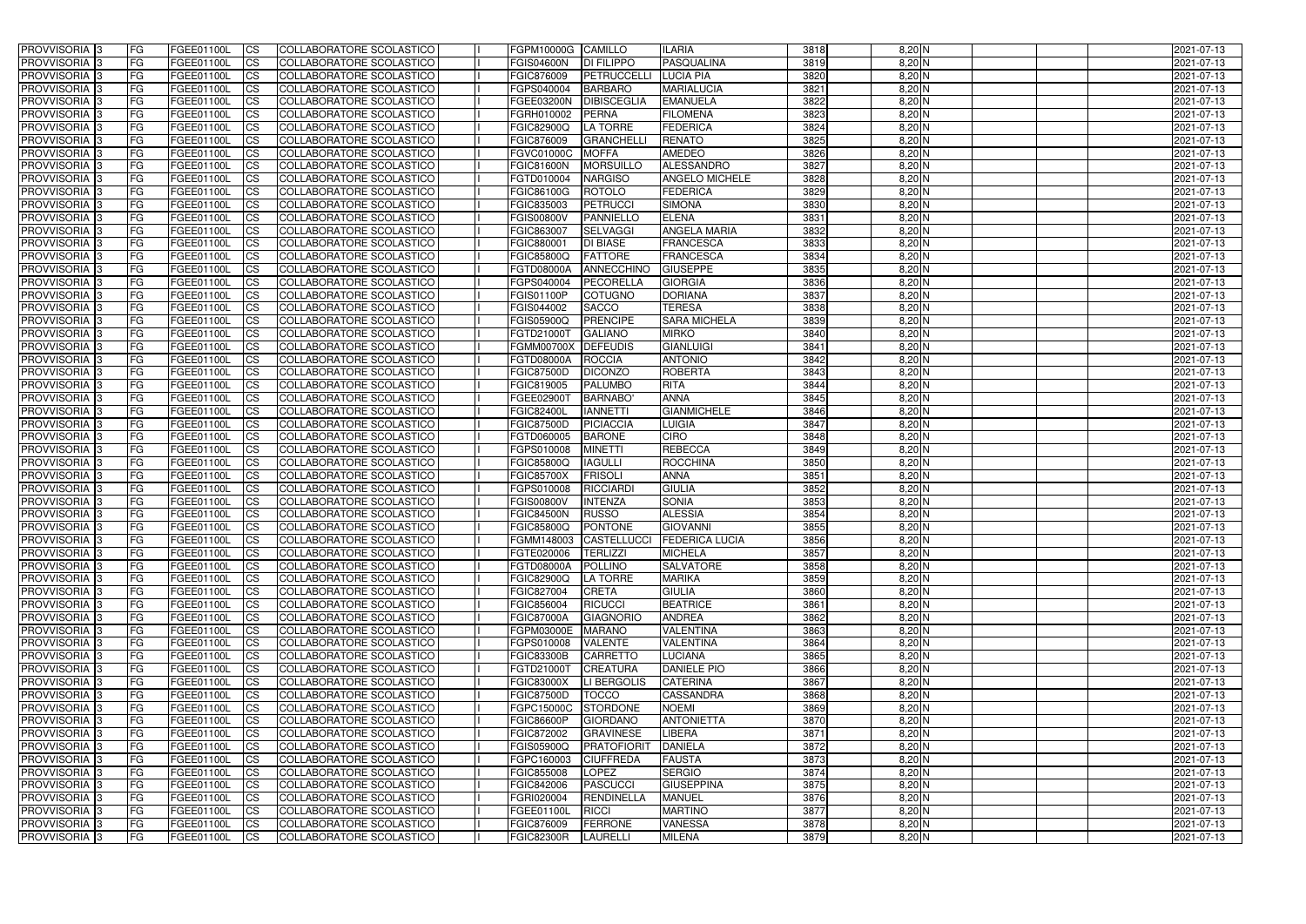| <b>PROVVISORIA</b> 3                                 | l FG                   | FGEE01100L               | <b>ICS</b>              | COLLABORATORE SCOLASTICO                                    | FGPM10000G CAMILLO              |                                    | <b>ILARIA</b>                         | 3818         | $8,20$ N             | 2021-07-13               |
|------------------------------------------------------|------------------------|--------------------------|-------------------------|-------------------------------------------------------------|---------------------------------|------------------------------------|---------------------------------------|--------------|----------------------|--------------------------|
| <b>PROVVISORIA 3</b>                                 | FG                     | FGEE01100L               | <b>ICS</b>              | COLLABORATORE SCOLASTICO                                    | <b>FGIS04600N</b>               | <b>DI FILIPPO</b>                  | PASQUALINA                            | 3819         | 8,20 N               | 2021-07-13               |
| PROVVISORIA <sup>1</sup> 3                           | FG                     | FGEE01100L               | <b>CS</b>               | <b>COLLABORATORE SCOLASTICO</b>                             | FGIC876009                      | PETRUCCELLI                        | <b>LUCIA PIA</b>                      | 3820         | 8,20 N               | 2021-07-13               |
| PROVVISORIA                                          | FG                     | FGEE01100L               | <b>CS</b>               | COLLABORATORE SCOLASTICO                                    | FGPS040004                      | <b>BARBARO</b>                     | <b>MARIALUCIA</b>                     | 3821         | 8,20 N               | 2021-07-13               |
| PROVVISORIA <sup>1</sup> 3                           | FG                     | FGEE01100L               | <b>CS</b>               | COLLABORATORE SCOLASTICO                                    | FGEE03200N                      | <b>DIBISCEGLIA</b>                 | <b>EMANUELA</b>                       | 3822         | 8,20 N               | 2021-07-13               |
| PROVVISORIA <sup>1</sup> 3                           | FG                     | FGEE01100L               | <b>CS</b>               | COLLABORATORE SCOLASTICO                                    | FGRH010002                      | PERNA                              | <b>FILOMENA</b>                       | 3823         | $8,20$ N             | 2021-07-13               |
| PROVVISORIA <sup>1</sup> 3                           | FG                     | FGEE01100L               | <b>CS</b>               | COLLABORATORE SCOLASTICO                                    | FGIC82900Q                      | <b>LA TORRE</b>                    | <b>FEDERICA</b>                       | 3824         | $8,20$ N             | 2021-07-13               |
| PROVVISORIA 3                                        | FG                     | FGEE01100L               | <b>ICS</b>              | COLLABORATORE SCOLASTICO                                    | FGIC876009                      | <b>GRANCHELLI</b>                  | <b>RENATO</b>                         | 3825         | $8,20$ N             | 2021-07-13               |
| PROVVISORIA 3                                        | FG                     | FGEE01100L               | <b>CS</b>               | COLLABORATORE SCOLASTICO                                    | FGVC01000C                      | <b>MOFFA</b>                       | AMEDEO                                | 3826         | $8,20$ N             | 2021-07-13               |
| PROVVISORIA 3                                        | <b>FG</b>              | FGEE01100L               | <b>ICS</b>              | COLLABORATORE SCOLASTICO                                    | <b>FGIC81600N</b>               | <b>MORSUILLO</b>                   | ALESSANDRO                            | 3827         | $8,20$ N             | 2021-07-13               |
| PROVVISORIA 3                                        | FG                     | <b>FGEE01100L</b>        | <b>ICS</b>              | COLLABORATORE SCOLASTICO                                    | FGTD010004                      | <b>NARGISO</b>                     | <b>ANGELO MICHELE</b>                 | 3828         | $8,20$ N             | 2021-07-13               |
| <b>PROVVISORIA</b>                                   | FG                     | FGEE01100L               | <b>ICS</b>              | COLLABORATORE SCOLASTICO                                    | FGIC86100G                      | <b>ROTOLO</b>                      | <b>FEDERICA</b>                       | 3829         | $8,20$ N             | 2021-07-13               |
| <b>PROVVISORIA</b>                                   | FG                     | FGEE01100L               | <b>ICS</b>              | COLLABORATORE SCOLASTICO                                    | FGIC835003                      | PETRUCCI                           | <b>SIMONA</b>                         | 3830         | $8,20$ N             | 2021-07-13               |
| <b>PROVVISORIA</b>                                   | FG                     | FGEE01100L               | <b>ICS</b>              | COLLABORATORE SCOLASTICO                                    | <b>FGIS00800V</b>               | PANNIELLO                          | <b>ELENA</b>                          | 3831         | 8,20 N               | 2021-07-13               |
| <b>PROVVISORIA</b>                                   | FG                     | FGEE01100L               | <b>ICS</b>              | COLLABORATORE SCOLASTICO                                    | FGIC863007                      | <b>SELVAGGI</b>                    | <b>ANGELA MARIA</b>                   | 3832         | 8,20 N               | 2021-07-13               |
| <b>PROVVISORIA</b>                                   | FG                     | FGEE01100L               | <b>ICS</b>              | COLLABORATORE SCOLASTICO                                    | FGIC880001                      | <b>DI BIASE</b>                    | <b>FRANCESCA</b>                      | 3833         | 8,20 N               | 2021-07-13               |
| <b>PROVVISORIA</b>                                   | FG                     | FGEE01100L               | <b>ICS</b>              | COLLABORATORE SCOLASTICO                                    | <b>FGIC85800Q</b>               | <b>FATTORE</b>                     | <b>FRANCESCA</b>                      | 3834         | 8,20 N               | 2021-07-13               |
| <b>PROVVISORIA</b>                                   | FG                     | FGEE01100L               | <b>ICS</b>              | COLLABORATORE SCOLASTICO                                    | FGTD08000A                      | <b>ANNECCHINO</b>                  | <b>GIUSEPPE</b>                       | 3835         | 8,20 N               | 2021-07-13               |
| PROVVISORIA <sup>3</sup>                             | FG                     | FGEE01100L               | <b>ICS</b>              | COLLABORATORE SCOLASTICO                                    | FGPS040004                      | PECORELLA                          | <b>GIORGIA</b>                        | 3836         | $8,20$ N             | 2021-07-13               |
| PROVVISORIA 3                                        | FG                     | FGEE01100L               | <b>ICS</b>              | COLLABORATORE SCOLASTICO                                    | FGIS01100P                      | <b>COTUGNO</b>                     | <b>DORIANA</b>                        | 3837         | 8,20 N               | 2021-07-13               |
| PROVVISORIA <sup>1</sup> 3<br>PROVVISORIA 3          | FG                     | FGEE01100L               | <b>ICS</b>              | COLLABORATORE SCOLASTICO                                    | FGIS044002                      | <b>SACCO</b>                       | <b>TERESA</b>                         | 3838<br>3839 | $8,20$ N             | 2021-07-13               |
|                                                      | FG                     | FGEE01100L               | <b>ICS</b>              | COLLABORATORE SCOLASTICO                                    | FGIS05900Q                      | <b>PRENCIPE</b>                    | <b>SARA MICHELA</b>                   |              | $8,20$ N             | 2021-07-13               |
| PROVVISORIA <sup>3</sup><br>PROVVISORIA <sup>3</sup> | FG<br>FG               | FGEE01100L<br>FGEE01100L | <b>ICS</b><br><b>CS</b> | <b>COLLABORATORE SCOLASTICO</b><br>COLLABORATORE SCOLASTICO | FGTD21000T<br><b>FGMM00700X</b> | <b>GALIANO</b><br><b>DEFEUDIS</b>  | <b>MIRKO</b><br><b>GIANLUIGI</b>      | 3840<br>3841 | $8,20$ N<br>$8,20$ N | 2021-07-13<br>2021-07-13 |
| PROVVISORIA <sup>3</sup>                             | FG                     | FGEE01100L               | <b>CS</b>               | COLLABORATORE SCOLASTICO                                    | FGTD08000A                      | <b>ROCCIA</b>                      | <b>ANTONIO</b>                        | 3842         | $8,20$ N             | 2021-07-13               |
| PROVVISORIA <sup>1</sup> 3                           | FG                     | FGEE01100L               | <b>ICS</b>              | COLLABORATORE SCOLASTICO                                    | <b>FGIC87500D</b>               | <b>DICONZO</b>                     | <b>ROBERTA</b>                        | 3843         | $8,20$ N             | 2021-07-13               |
| PROVVISORIA 3                                        | FG                     | FGEE01100L               | <b>ICS</b>              | COLLABORATORE SCOLASTICO                                    | FGIC819005                      | <b>PALUMBO</b>                     | <b>RITA</b>                           | 3844         | 8,20 N               | 2021-07-13               |
| PROVVISORIA                                          | FG                     | FGEE01100L               | <b>ICS</b>              | COLLABORATORE SCOLASTICO                                    | FGEE02900T                      | <b>BARNABO</b>                     | <b>ANNA</b>                           | 3845         | $8,20$ N             | 2021-07-13               |
| PROVVISORIA                                          | FG                     | FGEE01100L               | <b>CS</b>               | <b>COLLABORATORE SCOLASTICO</b>                             | <b>FGIC82400L</b>               | <b>IANNETTI</b>                    | <b>GIANMICHELE</b>                    | 3846         | 8,20 N               | 2021-07-13               |
| PROVVISORIA                                          | FG                     | FGEE01100L               | <b>CS</b>               | COLLABORATORE SCOLASTICO                                    | <b>FGIC87500D</b>               | <b>PICIACCIA</b>                   | <b>LUIGIA</b>                         | 3847         | 8,20 N               | 2021-07-13               |
| PROVVISORIA                                          | FG                     | FGEE01100L               | <b>CS</b>               | COLLABORATORE SCOLASTICO                                    | FGTD060005                      | <b>BARONE</b>                      | <b>CIRO</b>                           | 3848         | 8,20 N               | 2021-07-13               |
| PROVVISORIA <sup>1</sup> 3                           | FG                     | FGEE01100L               | <b>CS</b>               | COLLABORATORE SCOLASTICO                                    | FGPS010008                      | <b>MINETTI</b>                     | <b>REBECCA</b>                        | 3849         | $8,20$ N             | 2021-07-13               |
| PROVVISORIA <sup>1</sup> 3                           | FG                     | FGEE01100L               | <b>CS</b>               | COLLABORATORE SCOLASTICO                                    | FGIC85800Q                      | <b>IAGULLI</b>                     | <b>ROCCHINA</b>                       | 3850         | $8,20$ N             | 2021-07-13               |
| PROVVISORIA 3                                        | FG                     | FGEE01100L               | <b>CS</b>               | <b>COLLABORATORE SCOLASTICO</b>                             | <b>FGIC85700X</b>               | <b>FRISOLI</b>                     | <b>ANNA</b>                           | 3851         | $8,20$ N             | 2021-07-13               |
| <b>PROVVISORIA</b>                                   | FG                     | FGEE01100L               | <b>ICS</b>              | COLLABORATORE SCOLASTICO                                    | FGPS010008                      | <b>RICCIARDI</b>                   | GIULIA                                | 3852         | $8,20$ N             | 2021-07-13               |
| PROVVISORIA <sup>1</sup> 3                           | <b>FG</b>              | FGEE01100L               | <b>ICS</b>              | COLLABORATORE SCOLASTICO                                    | <b>FGIS00800V</b>               | <b>INTENZA</b>                     | <b>SONIA</b>                          | 3853         | $8,20$ N             | 2021-07-13               |
| PROVVISORIA 3                                        | <b>FG</b>              | FGEE01100L               | <b>ICS</b>              | COLLABORATORE SCOLASTICO                                    | <b>FGIC84500N</b>               | <b>RUSSO</b>                       | <b>ALESSIA</b>                        | 3854         | $8,20$ N             | 2021-07-13               |
| <b>PROVVISORIA</b>                                   | <b>FG</b>              | FGEE01100L               | <b>ICS</b>              | COLLABORATORE SCOLASTICO                                    | <b>FGIC85800Q</b>               | <b>PONTONE</b>                     | <b>GIOVANNI</b>                       | 3855         | $8,20$ N             | 2021-07-13               |
| PROVVISORIA 3                                        | FG                     | FGEE01100L               | CS                      | COLLABORATORE SCOLASTICO                                    |                                 |                                    | FGMM148003 CASTELLUCCI FEDERICA LUCIA | 3856         | $8,20$ N             | 2021-07-13               |
| <b>PROVVISORIA</b> 3                                 | <b>FG</b>              | FGEE01100L               | $\mathsf{ICS}$          | COLLABORATORE SCOLASTICO                                    | FGTE020006                      | <b>TERLIZZI</b>                    | <b>MICHELA</b>                        | 3857         | $8,20$ N             | 2021-07-13               |
| PROVVISORIA 3                                        | <b>FG</b>              | <b>FGEE01100L</b>        | $\mathsf{ICS}$          | COLLABORATORE SCOLASTICO                                    | FGTD08000A                      | <b>POLLINO</b>                     | <b>SALVATORE</b>                      | 3858         | $8,20$ N             | 2021-07-13               |
| PROVVISORIA 3                                        | <b>FG</b>              | FGEE01100L               | $\mathsf{ICS}$          | COLLABORATORE SCOLASTICO                                    | <b>FGIC82900Q</b>               | LA TORRE                           | <b>MARIKA</b>                         | 3859         | $8,20$ N             | 2021-07-13               |
| PROVVISORIA 3                                        | FG                     | FGEE01100L               | $\mathsf{ICS}$          | COLLABORATORE SCOLASTICO                                    | FGIC827004                      | <b>CRETA</b>                       | <b>GIULIA</b>                         | 3860         | $8,20$ N             | 2021-07-13               |
| PROVVISORIA 3                                        | l FG                   | FGEE01100L               | $\overline{\text{CS}}$  | COLLABORATORE SCOLASTICO                                    | FGIC856004                      | <b>RICUCCI</b>                     | <b>BEATRICE</b>                       | 3861         | $8,20$ N             | 2021-07-13               |
| PROVVISORIA 3                                        | <b>FG</b>              | FGEE01100L               | $\mathsf{ICS}$          | COLLABORATORE SCOLASTICO                                    | <b>FGIC87000A</b>               | <b>GIAGNORIO</b>                   | <b>ANDREA</b>                         | 3862         | $8,20$ N             | 2021-07-13               |
| PROVVISORIA 3                                        | FG                     | FGEE01100L               | <b>CS</b>               | COLLABORATORE SCOLASTICO                                    | FGPM03000E                      | <b>MARANO</b>                      | <b>VALENTINA</b>                      | 3863         | $8,20$ N             | 2021-07-13               |
| PROVVISORIA 3                                        | <b>FG</b>              | FGEE01100L               | <b>CS</b>               | COLLABORATORE SCOLASTICO<br>COLLABORATORE SCOLASTICO        | FGPS010008                      | <b>VALENTE</b>                     | <b>VALENTINA</b>                      | 3864<br>3865 | $8,20$ N             | 2021-07-13               |
| PROVVISORIA 3<br>PROVVISORIA 3                       | <b>FG</b><br><b>FG</b> | FGEE01100L<br>FGEE01100L | <b>CS</b>               | COLLABORATORE SCOLASTICO                                    | <b>FGIC83300B</b><br>FGTD21000T | <b>CARRETTO</b><br><b>CREATURA</b> | <b>LUCIANA</b><br><b>DANIELE PIO</b>  | 3866         | $8,20$ N<br>$8,20$ N | 2021-07-13<br>2021-07-13 |
| PROVVISORIA 3                                        | <b>FG</b>              | FGEE01100L               | <b>CS</b><br><b>CS</b>  | COLLABORATORE SCOLASTICO                                    | <b>FGIC83000X</b>               | LI BERGOLIS                        | <b>CATERINA</b>                       | 3867         | $8,20$ N             | 2021-07-13               |
| PROVVISORIA 3                                        | <b>FG</b>              | FGEE01100L               | <b>CS</b>               | COLLABORATORE SCOLASTICO                                    | <b>FGIC87500D</b>               | <b>TOCCO</b>                       | <b>CASSANDRA</b>                      | 3868         | $8,20$ N             | 2021-07-13               |
| PROVVISORIA 3                                        | <b>FG</b>              | FGEE01100L               | <b>CS</b>               | COLLABORATORE SCOLASTICO                                    | FGPC15000C                      | <b>STORDONE</b>                    | <b>NOEMI</b>                          | 3869         | $8,20$ N             | 2021-07-13               |
| PROVVISORIA 3                                        | <b>FG</b>              | FGEE01100L               | <b>CS</b>               | COLLABORATORE SCOLASTICO                                    | <b>FGIC86600P</b>               | <b>GIORDANO</b>                    | <b>ANTONIETTA</b>                     | 3870         | $8,20$ N             | 2021-07-13               |
| PROVVISORIA 3                                        | <b>FG</b>              | FGEE01100L               | <b>CS</b>               | COLLABORATORE SCOLASTICO                                    | FGIC872002                      | <b>GRAVINESE</b>                   | <b>LIBERA</b>                         | 3871         | $8,20$ N             | 2021-07-13               |
| PROVVISORIA 3                                        | <b>FG</b>              | FGEE01100L               | <b>CS</b>               | COLLABORATORE SCOLASTICO                                    | FGIS05900Q                      | PRATOFIORIT                        | <b>DANIELA</b>                        | 3872         | $8,20$ N             | 2021-07-13               |
| PROVVISORIA 3                                        | <b>FG</b>              | FGEE01100L               | <b>CS</b>               | COLLABORATORE SCOLASTICO                                    | FGPC160003                      | <b>CIUFFREDA</b>                   | <b>FAUSTA</b>                         | 3873         | $8,20$ N             | 2021-07-13               |
| PROVVISORIA 3                                        | <b>FG</b>              | FGEE01100L               | <b>CS</b>               | COLLABORATORE SCOLASTICO                                    | FGIC855008                      | LOPEZ                              | <b>SERGIO</b>                         | 3874         | $8,20$ N             | 2021-07-13               |
| PROVVISORIA 3                                        | FG                     | FGEE01100L               | <b>CS</b>               | COLLABORATORE SCOLASTICO                                    | FGIC842006                      | <b>PASCUCCI</b>                    | <b>GIUSEPPINA</b>                     | 3875         | $8,20$ N             | 2021-07-13               |
| PROVVISORIA 3                                        | FG                     | <b>FGEE01100L</b>        | <b>CS</b>               | COLLABORATORE SCOLASTICO                                    | FGRI020004                      | RENDINELLA                         | <b>MANUEL</b>                         | 3876         | $8,20$ N             | 2021-07-13               |
| PROVVISORIA 3                                        | <b>FG</b>              | FGEE01100L               | $\overline{\text{CS}}$  | COLLABORATORE SCOLASTICO                                    | FGEE01100L                      | RICCI                              | <b>MARTINO</b>                        | 3877         | $8,20$ N             | 2021-07-13               |
| PROVVISORIA 3                                        | <b>FG</b>              | FGEE01100L               | $\overline{\text{CS}}$  | COLLABORATORE SCOLASTICO                                    | <b>FGIC876009</b>               | FERRONE                            | <b>VANESSA</b>                        | 3878         | $8,20$ N             | 2021-07-13               |
| PROVVISORIA 3                                        | <b>FG</b>              | FGEE01100L               | $\overline{\text{CS}}$  | COLLABORATORE SCOLASTICO                                    | <b>FGIC82300R</b>               | LAURELLI                           | <b>MILENA</b>                         | 3879         | $8,20$ N             | 2021-07-13               |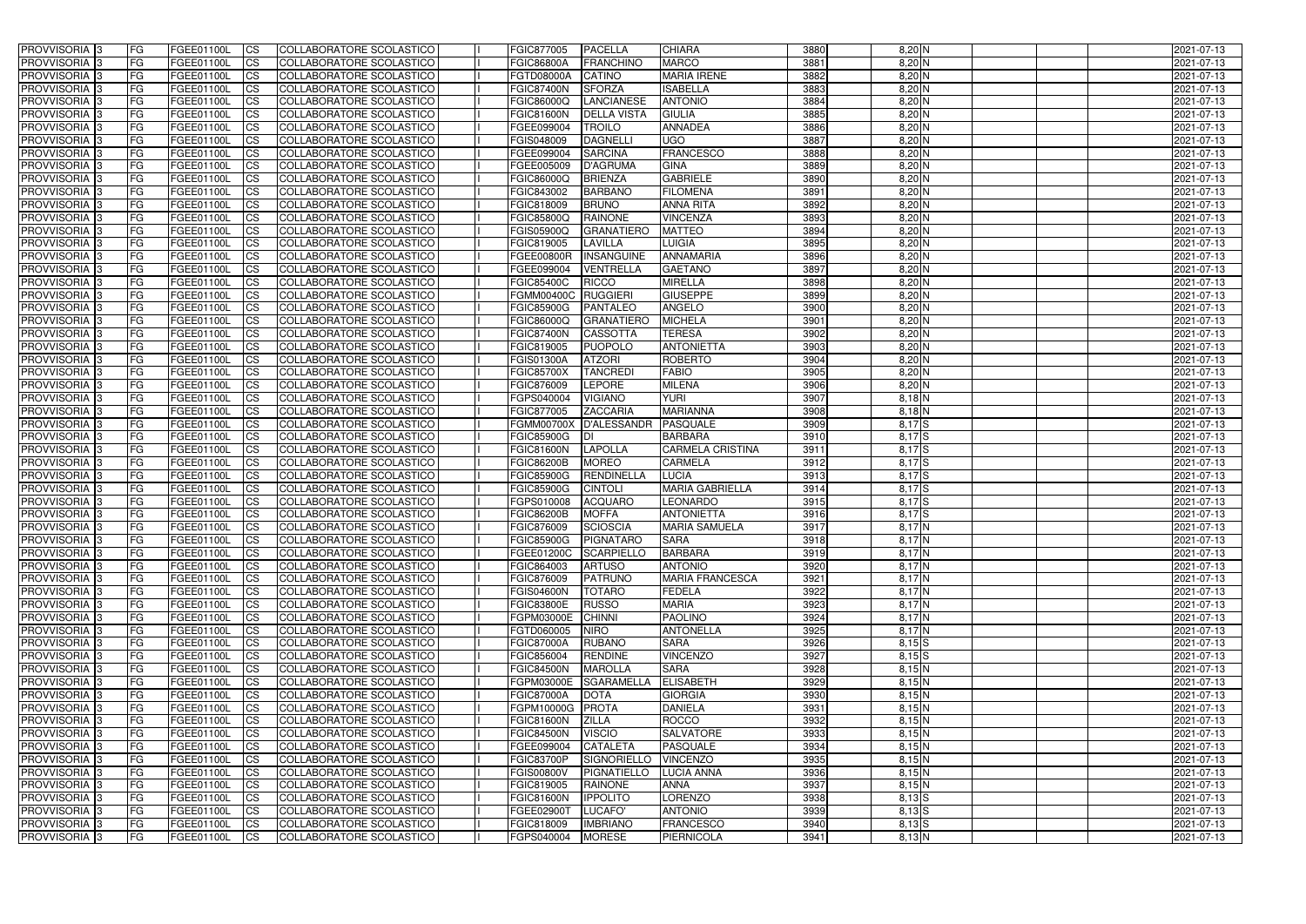| <b>PROVVISORIA</b> 3                                 | l FG            | FGEE01100L               | <b>ICS</b>             | COLLABORATORE SCOLASTICO                                    | FGIC877005                      | <b>PACELLA</b>                  | <b>CHIARA</b>                      | 3880         | $8,20$ N             | 2021-07-13               |
|------------------------------------------------------|-----------------|--------------------------|------------------------|-------------------------------------------------------------|---------------------------------|---------------------------------|------------------------------------|--------------|----------------------|--------------------------|
| <b>PROVVISORIA 3</b>                                 | FG              | FGEE01100L               | <b>ICS</b>             | COLLABORATORE SCOLASTICO                                    | <b>FGIC86800A</b>               | <b>FRANCHINO</b>                | <b>MARCO</b>                       | 3881         | 8,20 N               | 2021-07-13               |
| PROVVISORIA <sup>1</sup> 3                           | FG              | FGEE01100L               | <b>CS</b>              | COLLABORATORE SCOLASTICO                                    | FGTD08000A                      | <b>CATINO</b>                   | <b>MARIA IRENE</b>                 | 3882         | 8,20 N               | 2021-07-13               |
| PROVVISORIA                                          | FG              | FGEE01100L               | <b>CS</b>              | COLLABORATORE SCOLASTICO                                    | <b>FGIC87400N</b>               | <b>SFORZA</b>                   | <b>ISABELLA</b>                    | 3883         | 8,20 N               | 2021-07-13               |
| PROVVISORIA <sup>1</sup> 3                           | FG              | FGEE01100L               | <b>CS</b>              | COLLABORATORE SCOLASTICO                                    | FGIC86000Q                      | <b>LANCIANESE</b>               | <b>ANTONIO</b>                     | 3884         | 8,20 N               | 2021-07-13               |
| PROVVISORIA <sup>1</sup> 3                           | FG              | FGEE01100L               | <b>CS</b>              | COLLABORATORE SCOLASTICO                                    | <b>FGIC81600N</b>               | <b>DELLA VISTA</b>              | <b>GIULIA</b>                      | 3885         | $8,20$ N             | 2021-07-13               |
| PROVVISORIA <sup>1</sup> 3                           | FG              | FGEE01100L               | <b>CS</b>              | COLLABORATORE SCOLASTICO                                    | FGEE099004                      | <b>TROILO</b>                   | <b>ANNADEA</b>                     | 3886         | $8,20$ N             | 2021-07-13               |
| PROVVISORIA 3                                        | FG              | FGEE01100L               | <b>ICS</b>             | COLLABORATORE SCOLASTICO                                    | FGIS048009                      | <b>DAGNELLI</b>                 | <b>UGO</b>                         | 3887         | $8,20$ N             | 2021-07-13               |
| PROVVISORIA 3                                        | <b>FG</b>       | FGEE01100L               | <b>CS</b>              | COLLABORATORE SCOLASTICO                                    | FGEE099004                      | <b>SARCINA</b>                  | <b>FRANCESCO</b>                   | 3888         | $8,20$ N             | 2021-07-13               |
| PROVVISORIA 3                                        | <b>FG</b>       | FGEE01100L               | <b>ICS</b>             | COLLABORATORE SCOLASTICO                                    | FGEE005009                      | <b>D'AGRUMA</b>                 | <b>GINA</b>                        | 3889         | $8,20$ N             | 2021-07-13               |
| PROVVISORIA 3                                        | FG              | <b>FGEE01100L</b>        | <b>ICS</b>             | COLLABORATORE SCOLASTICO                                    | FGIC86000Q                      | <b>BRIENZA</b>                  | <b>GABRIELE</b>                    | 3890         | $8,20$ N             | 2021-07-13               |
| <b>PROVVISORIA</b>                                   | FG              | FGEE01100L               | <b>ICS</b>             | COLLABORATORE SCOLASTICO                                    | FGIC843002                      | <b>BARBANO</b>                  | <b>FILOMENA</b>                    | 3891         | $8,20$ N             | 2021-07-13               |
| <b>PROVVISORIA</b>                                   | FG              | FGEE01100L               | <b>ICS</b>             | COLLABORATORE SCOLASTICO                                    | FGIC818009                      | <b>BRUNO</b>                    | <b>ANNA RITA</b>                   | 3892         | $8,20$ N             | 2021-07-13               |
| <b>PROVVISORIA</b>                                   | FG              | FGEE01100L               | <b>ICS</b>             | COLLABORATORE SCOLASTICO                                    | <b>FGIC85800Q</b>               | <b>RAINONE</b>                  | <b>VINCENZA</b>                    | 3893         | 8,20 N               | 2021-07-13               |
| <b>PROVVISORIA</b>                                   | FG              | FGEE01100L               | <b>ICS</b>             | COLLABORATORE SCOLASTICO                                    | FGIS05900Q                      | <b>GRANATIERO</b>               | <b>MATTEO</b>                      | 3894         | 8,20 N               | 2021-07-13               |
| <b>PROVVISORIA</b>                                   | FG              | FGEE01100L               | <b>ICS</b>             | COLLABORATORE SCOLASTICO                                    | FGIC819005                      | LAVILLA                         | <b>LUIGIA</b>                      | 3895         | 8,20 N               | 2021-07-13               |
| <b>PROVVISORIA</b>                                   | FG              | FGEE01100L               | <b>ICS</b>             | COLLABORATORE SCOLASTICO                                    | <b>FGEE00800R</b>               | <b>INSANGUINE</b>               | ANNAMARIA                          | 3896         | 8,20 N               | 2021-07-13               |
| <b>PROVVISORIA</b>                                   | FG              | FGEE01100L               | <b>ICS</b>             | COLLABORATORE SCOLASTICO                                    | FGEE099004                      | VENTRELLA                       | <b>GAETANO</b>                     | 3897         | 8,20 N               | 2021-07-13               |
| PROVVISORIA <sup>3</sup>                             | FG              | FGEE01100L               | <b>ICS</b>             | COLLABORATORE SCOLASTICO                                    | <b>FGIC85400C</b>               | <b>RICCO</b>                    | <b>MIRELLA</b>                     | 3898         | $8,20$ N             | 2021-07-13               |
| PROVVISORIA 3                                        | FG              | FGEE01100L               | <b>ICS</b>             | COLLABORATORE SCOLASTICO                                    | <b>FGMM00400C</b>               | <b>RUGGIERI</b>                 | <b>GIUSEPPE</b>                    | 3899         | 8,20 N               | 2021-07-13               |
| PROVVISORIA <sup>3</sup>                             | FG              | FGEE01100L               | <b>ICS</b>             | COLLABORATORE SCOLASTICO                                    | <b>FGIC85900G</b>               | <b>PANTALEO</b>                 | <b>ANGELO</b>                      | 3900         | $8,20$ N             | 2021-07-13               |
| PROVVISORIA 3                                        | FG              | FGEE01100L               | <b>ICS</b>             | COLLABORATORE SCOLASTICO                                    | FGIC86000Q                      | <b>GRANATIERO</b>               | <b>MICHELA</b>                     | 3901         | $8,20$ N             | 2021-07-13               |
| PROVVISORIA <sup>3</sup><br>PROVVISORIA <sup>3</sup> | FG              | FGEE01100L               | <b>ICS</b>             | <b>COLLABORATORE SCOLASTICO</b>                             | <b>FGIC87400N</b>               | <b>CASSOTTA</b>                 | <b>TERESA</b><br><b>ANTONIETTA</b> | 3902         | $8,20$ N             | 2021-07-13               |
| PROVVISORIA <sup>3</sup>                             | FG<br>FG        | FGEE01100L<br>FGEE01100L | <b>CS</b><br><b>CS</b> | COLLABORATORE SCOLASTICO<br><b>COLLABORATORE SCOLASTICO</b> | FGIC819005<br>FGIS01300A        | <b>PUOPOLO</b><br><b>ATZORI</b> | <b>ROBERTO</b>                     | 3903<br>3904 | $8,20$ N<br>$8,20$ N | 2021-07-13<br>2021-07-13 |
| PROVVISORIA <sup>1</sup> 3                           | FG              | FGEE01100L               | <b>ICS</b>             | COLLABORATORE SCOLASTICO                                    | <b>FGIC85700X</b>               | <b>TANCREDI</b>                 | <b>FABIO</b>                       | 3905         | $8,20$ N             | 2021-07-13               |
| PROVVISORIA 3                                        | FG              | FGEE01100L               | <b>ICS</b>             | COLLABORATORE SCOLASTICO                                    | FGIC876009                      | <b>LEPORE</b>                   | <b>MILENA</b>                      | 3906         | 8,20 N               | 2021-07-13               |
| PROVVISORIA                                          | FG              | FGEE01100L               | <b>ICS</b>             | COLLABORATORE SCOLASTICO                                    | FGPS040004                      | <b>VIGIANO</b>                  | <b>YURI</b>                        | 3907         | $8,18$ N             | 2021-07-13               |
| PROVVISORIA                                          | FG              | FGEE01100L               | <b>CS</b>              | <b>COLLABORATORE SCOLASTICO</b>                             | FGIC877005                      | <b>ZACCARIA</b>                 | <b>MARIANNA</b>                    | 3908         | $8,18$ N             | 2021-07-13               |
| PROVVISORIA                                          | FG              | FGEE01100L               | <b>CS</b>              | COLLABORATORE SCOLASTICO                                    | <b>FGMM00700X</b>               | <b>D'ALESSANDR</b>              | <b>PASQUALE</b>                    | 3909         | $8,17$ $S$           | 2021-07-13               |
| PROVVISORIA                                          | FG              | FGEE01100L               | <b>CS</b>              | COLLABORATORE SCOLASTICO                                    | <b>FGIC85900G</b>               |                                 | <b>BARBARA</b>                     | 3910         | $8,17$ $S$           | 2021-07-13               |
| PROVVISORIA <sup>1</sup> 3                           | FG              | FGEE01100L               | <b>CS</b>              | COLLABORATORE SCOLASTICO                                    | <b>FGIC81600N</b>               | <b>LAPOLLA</b>                  | <b>CARMELA CRISTINA</b>            | 3911         | $8,17$ $S$           | 2021-07-13               |
| PROVVISORIA <sup>1</sup> 3                           | FG              | FGEE01100L               | <b>CS</b>              | COLLABORATORE SCOLASTICO                                    | <b>FGIC86200B</b>               | <b>MOREO</b>                    | <b>CARMELA</b>                     | 3912         | $8,17$ $S$           | 2021-07-13               |
| PROVVISORIA 3                                        | FG              | FGEE01100L               | <b>CS</b>              | COLLABORATORE SCOLASTICO                                    | <b>FGIC85900G</b>               | RENDINELLA                      | <b>LUCIA</b>                       | 3913         | $8,17$ $S$           | 2021-07-13               |
| PROVVISORIA <sup>1</sup> 3                           | FG              | FGEE01100L               | <b>ICS</b>             | COLLABORATORE SCOLASTICO                                    | <b>FGIC85900G</b>               | <b>CINTOLI</b>                  | <b>MARIA GABRIELLA</b>             | 3914         | $8,17$ $S$           | 2021-07-13               |
| PROVVISORIA <sup>1</sup> 3                           | <b>FG</b>       | FGEE01100L               | <b>CS</b>              | COLLABORATORE SCOLASTICO                                    | FGPS010008                      | <b>ACQUARO</b>                  | <b>LEONARDO</b>                    | 3915         | $8,17$ $S$           | 2021-07-13               |
| PROVVISORIA 3                                        | <b>FG</b>       | FGEE01100L               | <b>ICS</b>             | COLLABORATORE SCOLASTICO                                    | <b>FGIC86200B</b>               | <b>MOFFA</b>                    | <b>ANTONIETTA</b>                  | 3916         | $8,17$ $S$           | 2021-07-13               |
| <b>PROVVISORIA</b>                                   | <b>FG</b>       | FGEE01100L               | <b>ICS</b>             | COLLABORATORE SCOLASTICO                                    | FGIC876009                      | <b>SCIOSCIA</b>                 | <b>MARIA SAMUELA</b>               | 3917         | 8,17N                | 2021-07-13               |
| PROVVISORIA 3                                        | FG              | FGEE01100L               | CS                     | COLLABORATORE SCOLASTICO                                    | FGIC85900G                      | PIGNATARO                       | <b>SARA</b>                        | 3918         | $8,17$ N             | 2021-07-13               |
| PROVVISORIA <sup>3</sup>                             | <b>FG</b>       | FGEE01100L               | $\mathsf{ICS}$         | COLLABORATORE SCOLASTICO                                    | FGEE01200C                      | SCARPIELLO                      | <b>BARBARA</b>                     | 3919         | $8,17$ N             | 2021-07-13               |
| PROVVISORIA 3                                        | <b>FG</b>       | <b>FGEE01100L</b>        | $\mathsf{ICS}$         | COLLABORATORE SCOLASTICO                                    | FGIC864003                      | <b>ARTUSO</b>                   | <b>ANTONIO</b>                     | 3920         | $8,17$ N             | 2021-07-13               |
| PROVVISORIA 3                                        | <b>FG</b>       | FGEE01100L               | $\mathsf{ICS}$         | COLLABORATORE SCOLASTICO                                    | FGIC876009                      | <b>PATRUNO</b>                  | <b>MARIA FRANCESCA</b>             | 3921         | $8,17$ N             | 2021-07-13               |
| PROVVISORIA 3                                        | FG              | FGEE01100L               | $\mathsf{ICS}$         | COLLABORATORE SCOLASTICO                                    | <b>FGIS04600N</b>               | <b>TOTARO</b>                   | FEDELA                             | 3922         | $8,17$ N             | 2021-07-13               |
| PROVVISORIA 3                                        | l FG            | FGEE01100L               | <b>CS</b>              | COLLABORATORE SCOLASTICO                                    | <b>FGIC83800E</b>               | RUSSO                           | <b>MARIA</b>                       | 3923         | $8,17$ N             | 2021-07-13               |
| PROVVISORIA 3                                        | <b>FG</b>       | FGEE01100L               | <b>CS</b>              | COLLABORATORE SCOLASTICO                                    | FGPM03000E                      | <b>CHINNI</b>                   | <b>PAOLINO</b>                     | 3924         | $8,17$ N             | 2021-07-13               |
| PROVVISORIA 3                                        | FG              | <b>FGEE01100L</b>        | <b>CS</b>              | COLLABORATORE SCOLASTICO                                    | FGTD060005                      | <b>NIRO</b>                     | <b>ANTONELLA</b>                   | 3925         | $8,17$ N             | 2021-07-13               |
| PROVVISORIA 3                                        | <b>FG</b>       | FGEE01100L               | <b>CS</b>              | COLLABORATORE SCOLASTICO                                    | <b>FGIC87000A</b>               | <b>RUBANO</b>                   | <b>SARA</b>                        | 3926         | $8,15$ $S$           | 2021-07-13               |
| PROVVISORIA 3                                        | <b>FG</b>       | FGEE01100L               | <b>CS</b>              | COLLABORATORE SCOLASTICO                                    | FGIC856004                      | <b>RENDINE</b>                  | <b>VINCENZO</b>                    | 3927         | $8,15$ $S$           | 2021-07-13               |
| PROVVISORIA 3                                        | <b>FG</b>       | FGEE01100L               | <b>CS</b>              | COLLABORATORE SCOLASTICO                                    | <b>FGIC84500N</b>               | <b>MAROLLA</b>                  | <b>SARA</b>                        | 3928         | $8,15$ N             | 2021-07-13               |
| PROVVISORIA 3                                        | <b>FG</b>       | FGEE01100L               | <b>CS</b>              | COLLABORATORE SCOLASTICO                                    | FGPM03000E                      | <b>SGARAMELLA</b>               | <b>ELISABETH</b>                   | 3929         | $8,15$ N             | 2021-07-13               |
| PROVVISORIA 3                                        | <b>FG</b>       | FGEE01100L               | <b>CS</b>              | COLLABORATORE SCOLASTICO                                    | <b>FGIC87000A</b>               | <b>DOTA</b>                     | <b>GIORGIA</b>                     | 3930         | $8,15$ N             | 2021-07-13               |
| PROVVISORIA 3                                        | <b>FG</b>       | FGEE01100L               | <b>CS</b>              | COLLABORATORE SCOLASTICO                                    | FGPM10000G PROTA                |                                 | <b>DANIELA</b>                     | 3931         | $8,15$ N             | 2021-07-13               |
| PROVVISORIA 3                                        | <b>FG</b>       | FGEE01100L               | <b>CS</b>              | COLLABORATORE SCOLASTICO                                    | <b>FGIC81600N</b>               | <b>ZILLA</b>                    | <b>ROCCO</b>                       | 3932         | $8,15$ N             | 2021-07-13               |
| PROVVISORIA 3                                        | <b>FG</b>       | FGEE01100L               | <b>CS</b>              | COLLABORATORE SCOLASTICO                                    | <b>FGIC84500N</b>               | <b>VISCIO</b>                   | <b>SALVATORE</b>                   | 3933         | $8,15$ N             | 2021-07-13               |
| PROVVISORIA 3<br>PROVVISORIA 3                       | FG<br><b>FG</b> | FGEE01100L               | <b>CS</b>              | COLLABORATORE SCOLASTICO<br>COLLABORATORE SCOLASTICO        | FGEE099004<br><b>FGIC83700P</b> | <b>CATALETA</b><br>SIGNORIELLO  | PASQUALE<br><b>VINCENZO</b>        | 3934<br>3935 | $8,15$ N<br>$8,15$ N | 2021-07-13               |
| PROVVISORIA 3                                        | <b>FG</b>       | FGEE01100L<br>FGEE01100L | <b>CS</b><br><b>CS</b> | COLLABORATORE SCOLASTICO                                    | <b>FGIS00800V</b>               | PIGNATIELLO                     | <b>LUCIA ANNA</b>                  | 3936         | $8,15$ N             | 2021-07-13<br>2021-07-13 |
| PROVVISORIA 3                                        | FG              | FGEE01100L               | <b>CS</b>              | COLLABORATORE SCOLASTICO                                    | FGIC819005                      | <b>RAINONE</b>                  | <b>ANNA</b>                        | 3937         | $8,15$ N             | 2021-07-13               |
| PROVVISORIA 3                                        | FG              | <b>FGEE01100L</b>        | <b>CS</b>              | COLLABORATORE SCOLASTICO                                    | <b>FGIC81600N</b>               | <b>IPPOLITO</b>                 | <b>LORENZO</b>                     | 3938         | $8,13$ $S$           | 2021-07-13               |
| PROVVISORIA 3                                        | <b>FG</b>       | FGEE01100L               | <b>CS</b>              | COLLABORATORE SCOLASTICO                                    | FGEE02900T                      | LUCAFO'                         | <b>ANTONIO</b>                     | 3939         | $8,13$ $S$           | 2021-07-13               |
| PROVVISORIA 3                                        | <b>FG</b>       | FGEE01100L               | $\overline{\text{CS}}$ | COLLABORATORE SCOLASTICO                                    | FGIC818009                      | <b>IMBRIANO</b>                 | <b>FRANCESCO</b>                   | 3940         | $8,13$ S             | 2021-07-13               |
| PROVVISORIA 3                                        | <b>FG</b>       | FGEE01100L               | $\overline{\text{CS}}$ | COLLABORATORE SCOLASTICO                                    | FGPS040004                      | <b>MORESE</b>                   | PIERNICOLA                         | 3941         | $8,13$ N             | 2021-07-13               |
|                                                      |                 |                          |                        |                                                             |                                 |                                 |                                    |              |                      |                          |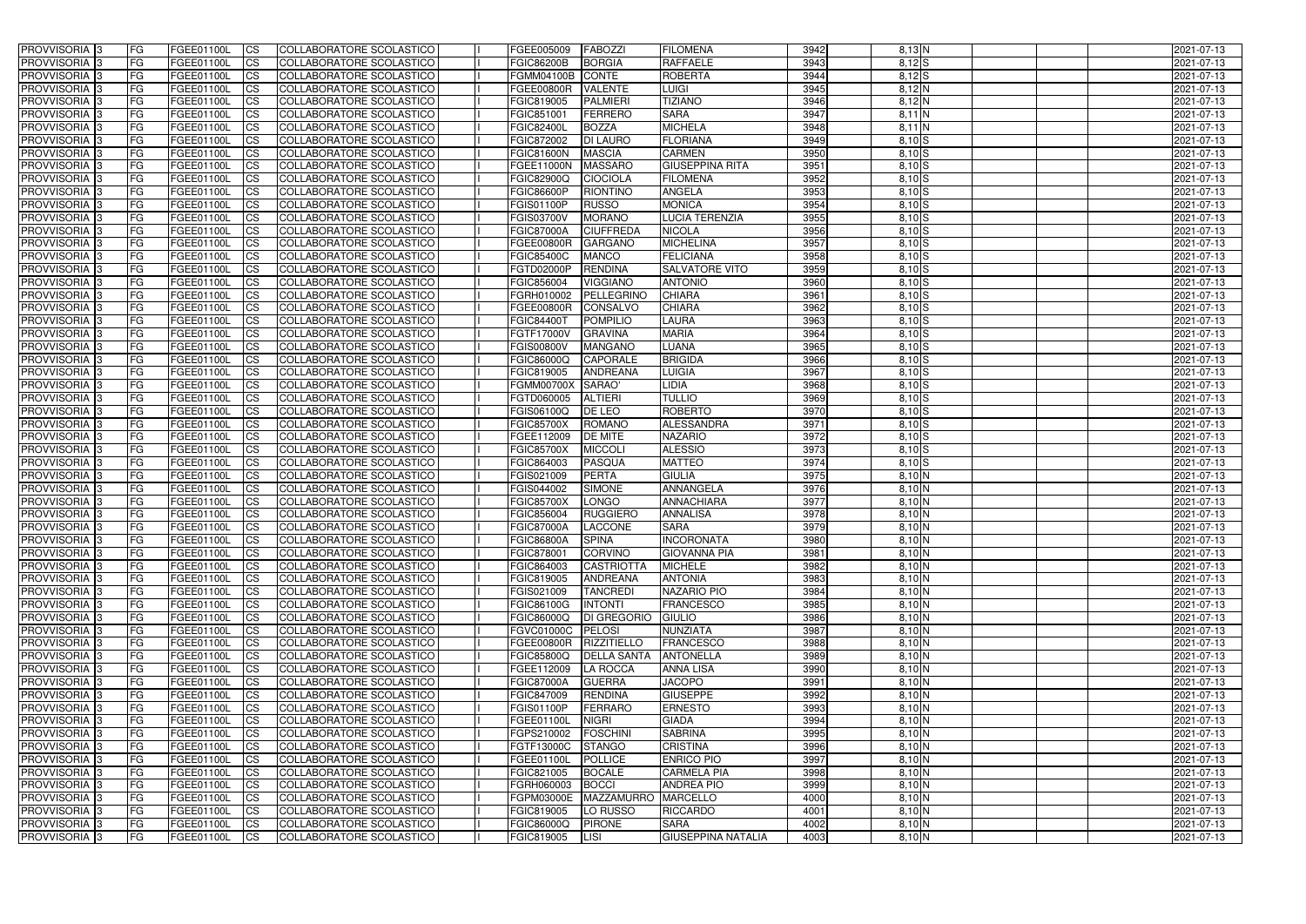| <b>PROVVISORIA</b> 3           | l FG            | FGEE01100L                      | <b>ICS</b>               | COLLABORATORE SCOLASTICO                             | FGEE005009                      | <b>FABOZZI</b>                  | <b>FILOMENA</b>           | 3942         | $8.13$ N             | 2021-07-13               |
|--------------------------------|-----------------|---------------------------------|--------------------------|------------------------------------------------------|---------------------------------|---------------------------------|---------------------------|--------------|----------------------|--------------------------|
| <b>PROVVISORIA 3</b>           | FG              | FGEE01100L                      | <b>ICS</b>               | COLLABORATORE SCOLASTICO                             | <b>FGIC86200B</b>               | <b>BORGIA</b>                   | <b>RAFFAELE</b>           | 3943         | $8,12$ $S$           | 2021-07-13               |
| PROVVISORIA <sup>1</sup> 3     | FG              | FGEE01100L                      | <b>CS</b>                | <b>COLLABORATORE SCOLASTICO</b>                      | FGMM04100B                      | CONTE                           | <b>ROBERTA</b>            | 3944         | $8,12$ $S$           | 2021-07-13               |
| PROVVISORIA                    | FG              | FGEE01100L                      | <b>CS</b>                | COLLABORATORE SCOLASTICO                             | FGEE00800R                      | <b>VALENTE</b>                  | <b>LUIGI</b>              | 3945         | $8,12$ N             | 2021-07-13               |
| PROVVISORIA <sup>1</sup> 3     | FG              | FGEE01100L                      | <b>CS</b>                | COLLABORATORE SCOLASTICO                             | FGIC819005                      | <b>PALMIERI</b>                 | <b>TIZIANO</b>            | 3946         | $8,12$ N             | 2021-07-13               |
| PROVVISORIA <sup>1</sup> 3     | FG              | FGEE01100L                      | <b>CS</b>                | COLLABORATORE SCOLASTICO                             | FGIC851001                      | <b>FERRERO</b>                  | <b>SARA</b>               | 3947         | $8,11$ N             | 2021-07-13               |
| PROVVISORIA <sup>1</sup> 3     | FG              | FGEE01100L                      | <b>CS</b>                | COLLABORATORE SCOLASTICO                             | <b>FGIC82400L</b>               | <b>BOZZA</b>                    | <b>MICHELA</b>            | 3948         | $8,11$ N             | 2021-07-13               |
| PROVVISORIA 3                  | FG              | FGEE01100L                      | <b>CS</b>                | COLLABORATORE SCOLASTICO                             | FGIC872002                      | <b>DI LAURO</b>                 | <b>FLORIANA</b>           | 3949         | $8,10$ S             | 2021-07-13               |
| PROVVISORIA 3                  | <b>FG</b>       | FGEE01100L                      | <b>CS</b>                | COLLABORATORE SCOLASTICO                             | FGIC81600N                      | <b>MASCIA</b>                   | <b>CARMEN</b>             | 3950         | $8,10$ S             | 2021-07-13               |
| PROVVISORIA 3                  | <b>FG</b>       | FGEE01100L                      | $\overline{c}$           | COLLABORATORE SCOLASTICO                             | FGEE11000N                      | <b>MASSARO</b>                  | <b>GIUSEPPINA RITA</b>    | 3951         | $8,10$ S             | 2021-07-13               |
| PROVVISORIA 3                  | FG              | <b>FGEE01100L</b>               | <b>CS</b>                | COLLABORATORE SCOLASTICO                             | <b>FGIC82900Q</b>               | <b>CIOCIOLA</b>                 | <b>FILOMENA</b>           | 3952         | $8,10$ S             | 2021-07-13               |
| <b>PROVVISORIA</b>             | FG              | FGEE01100L                      | <b>CS</b>                | COLLABORATORE SCOLASTICO                             | <b>FGIC86600P</b>               | <b>RIONTINO</b>                 | <b>ANGELA</b>             | 3953         | $8,10$ S             | 2021-07-13               |
| <b>PROVVISORIA</b>             | FG              | FGEE01100L                      | <b>ICS</b>               | COLLABORATORE SCOLASTICO                             | FGIS01100P                      | <b>RUSSO</b>                    | <b>MONICA</b>             | 3954         | $8,10$ S             | 2021-07-13               |
| <b>PROVVISORIA</b>             | FG              | FGEE01100L                      | <b>ICS</b>               | COLLABORATORE SCOLASTICO                             | <b>FGIS03700V</b>               | <b>MORANO</b>                   | <b>LUCIA TERENZIA</b>     | 3955         | $8,10$ S             | 2021-07-13               |
| <b>PROVVISORIA</b>             | FG              | FGEE01100L                      | <b>ICS</b>               | COLLABORATORE SCOLASTICO                             | <b>FGIC87000A</b>               | <b>CIUFFREDA</b>                | <b>NICOLA</b>             | 3956         | $8,10$ S             | 2021-07-13               |
| <b>PROVVISORIA</b>             | FG              | FGEE01100L                      | <b>ICS</b>               | COLLABORATORE SCOLASTICO                             | <b>FGEE00800R</b>               | <b>GARGANO</b>                  | <b>MICHELINA</b>          | 3957         | $8,10$ S             | 2021-07-13               |
| <b>PROVVISORIA</b>             | FG              | <b>FGEE01100L</b>               | <b>ICS</b>               | COLLABORATORE SCOLASTICO                             | <b>FGIC85400C</b>               | <b>MANCO</b>                    | <b>FELICIANA</b>          | 3958         | $8,10$ S             | 2021-07-13               |
| <b>PROVVISORIA</b>             | FG              | FGEE01100L                      | <b>ICS</b>               | COLLABORATORE SCOLASTICO                             | FGTD02000P                      | <b>RENDINA</b>                  | <b>SALVATORE VITO</b>     | 3959         | $8,10$ S             | 2021-07-13               |
| PROVVISORIA <sup>3</sup>       | FG              | FGEE01100L                      | <b>ICS</b>               | COLLABORATORE SCOLASTICO                             | FGIC856004                      | <b>VIGGIANO</b>                 | <b>ANTONIO</b>            | 3960         | $8,10$ S             | 2021-07-13               |
| PROVVISORIA <sup>1</sup> 3     | FG              | FGEE01100L                      | <b>ICS</b>               | COLLABORATORE SCOLASTICO                             | FGRH010002                      | PELLEGRINC                      | <b>CHIARA</b>             | 3961         | $8,10$ S             | 2021-07-13               |
| PROVVISORIA <sup>1</sup> 3     | FG              | FGEE01100L                      | <b>ICS</b>               | COLLABORATORE SCOLASTICO                             | FGEE00800R                      | <b>CONSALVO</b>                 | <b>CHIARA</b>             | 3962         | $8,10$ S             | 2021-07-13               |
| PROVVISORIA 3                  | FG              | FGEE01100L                      | <b>ICS</b>               | COLLABORATORE SCOLASTICO                             | <b>FGIC84400T</b>               | <b>POMPILIO</b>                 | LAURA                     | 3963         | $8,10$ S             | 2021-07-13               |
| PROVVISORIA 3                  | FG              | FGEE01100L                      | <b>ICS</b>               | COLLABORATORE SCOLASTICO                             | FGTF17000V                      | <b>GRAVINA</b>                  | <b>MARIA</b>              | 3964         | $8,10$ S             | 2021-07-13               |
| PROVVISORIA <sup>3</sup>       | FG              | FGEE01100L                      | <b>CS</b>                | COLLABORATORE SCOLASTICO                             | <b>FGIS00800V</b>               | <b>MANGANO</b>                  | <b>LUANA</b>              | 3965         | 8,10S                | 2021-07-13               |
| PROVVISORIA <sup>1</sup> 3     | FG              | FGEE01100L                      | <b>CS</b>                | COLLABORATORE SCOLASTICO                             | FGIC86000Q                      | <b>CAPORALE</b>                 | <b>BRIGIDA</b>            | 3966<br>3967 | $8,10$ S             | 2021-07-13               |
| PROVVISORIA <sup>1</sup> 3     | FG              | FGEE01100L                      | <b>ICS</b>               | COLLABORATORE SCOLASTICO                             | FGIC819005                      | <b>ANDREANA</b><br>SARAO'       | <b>LUIGIA</b><br>LIDIA    | 3968         | $8,10$ S<br>$8,10$ S | 2021-07-13               |
| PROVVISORIA 3                  | FG<br>FG        | FGEE01100L<br>FGEE01100L        | <b>ICS</b><br><b>ICS</b> | COLLABORATORE SCOLASTICO<br>COLLABORATORE SCOLASTICO | <b>FGMM00700X</b>               | <b>ALTIERI</b>                  | <b>TULLIO</b>             | 3969         | $8,10$ S             | 2021-07-13               |
| PROVVISORIA<br>PROVVISORIA     | FG              | FGEE01100L                      | <b>CS</b>                | <b>COLLABORATORE SCOLASTICO</b>                      | FGTD060005<br>FGIS06100Q        | <b>DE LEO</b>                   | <b>ROBERTO</b>            | 3970         | $8,10$ S             | 2021-07-13<br>2021-07-13 |
| PROVVISORIA                    | FG              | FGEE01100L                      | <b>CS</b>                | COLLABORATORE SCOLASTICO                             | <b>FGIC85700X</b>               | <b>ROMANO</b>                   | ALESSANDRA                | 3971         | $8,10$ S             | 2021-07-13               |
| PROVVISORIA                    | FG              | FGEE01100L                      | <b>CS</b>                | COLLABORATORE SCOLASTICO                             | FGEE112009                      | DE MITE                         | <b>NAZARIO</b>            | 3972         | $8,10$ S             | 2021-07-13               |
| PROVVISORIA <sup>1</sup> 3     | FG              | FGEE01100L                      | <b>CS</b>                | COLLABORATORE SCOLASTICO                             | <b>FGIC85700X</b>               | <b>MICCOLI</b>                  | <b>ALESSIO</b>            | 3973         | $8,10$ S             | 2021-07-13               |
| PROVVISORIA <sup>1</sup> 3     | FG              | FGEE01100L                      | <b>CS</b>                | COLLABORATORE SCOLASTICO                             | FGIC864003                      | <b>PASQUA</b>                   | <b>MATTEO</b>             | 3974         | $8,10$ S             | 2021-07-13               |
| PROVVISORIA 3                  | FG              | FGEE01100L                      | <b>CS</b>                | COLLABORATORE SCOLASTICO                             | FGIS021009                      | <b>PERTA</b>                    | <b>GIULIA</b>             | 3975         | $8,10$ N             | 2021-07-13               |
| PROVVISORIA <sup>1</sup> 3     | FG              | FGEE01100L                      | <b>CS</b>                | COLLABORATORE SCOLASTICO                             | FGIS044002                      | <b>SIMONE</b>                   | ANNANGELA                 | 3976         | 8,10 N               | 2021-07-13               |
| PROVVISORIA <sup>1</sup> 3     | <b>FG</b>       | FGEE01100L                      | <b>CS</b>                | COLLABORATORE SCOLASTICO                             | <b>FGIC85700X</b>               | <b>LONGO</b>                    | ANNACHIARA                | 3977         | $8,10$ N             | 2021-07-13               |
| PROVVISORIA 3                  | <b>FG</b>       | FGEE01100L                      | <b>ICS</b>               | COLLABORATORE SCOLASTICO                             | FGIC856004                      | <b>RUGGIERO</b>                 | <b>ANNALISA</b>           | 3978         | 8,10 N               | 2021-07-13               |
| <b>PROVVISORIA</b>             | <b>FG</b>       | FGEE01100L                      | <b>ICS</b>               | COLLABORATORE SCOLASTICO                             | <b>FGIC87000A</b>               | LACCONE                         | <b>SARA</b>               | 3979         | $8,10$ N             | 2021-07-13               |
| PROVVISORIA 3                  | FG              | FGEE01100L                      | CS                       | COLLABORATORE SCOLASTICO                             | <b>FGIC86800A</b>               | <b>SPINA</b>                    | <b>INCORONATA</b>         | 3980         | $8,10$ N             | 2021-07-13               |
| PROVVISORIA 3                  | <b>FG</b>       | FGEE01100L                      | $\mathsf{ICS}$           | COLLABORATORE SCOLASTICO                             | FGIC878001                      | <b>CORVINO</b>                  | <b>GIOVANNA PIA</b>       | 3981         | $8,10$ N             | 2021-07-13               |
| PROVVISORIA 3                  | <b>FG</b>       | <b>FGEE01100L</b>               | $\overline{\text{CS}}$   | COLLABORATORE SCOLASTICO                             | FGIC864003                      | CASTRIOTTA                      | <b>MICHELE</b>            | 3982         | $8,10$ N             | 2021-07-13               |
| PROVVISORIA 3                  | <b>FG</b>       | FGEE01100L                      | $\overline{\text{CS}}$   | COLLABORATORE SCOLASTICO                             | FGIC819005                      | <b>ANDREANA</b>                 | <b>ANTONIA</b>            | 3983         | $8,10$ N             | 2021-07-13               |
| PROVVISORIA 3                  | FG              | FGEE01100L                      | $\mathsf{ICS}$           | COLLABORATORE SCOLASTICO                             | FGIS021009                      | <b>TANCREDI</b>                 | NAZARIO PIO               | 3984         | $8,10$ N             | 2021-07-13               |
| PROVVISORIA 3                  | l FG            | FGEE01100L                      | <b>CS</b>                | COLLABORATORE SCOLASTICO                             | <b>FGIC86100G</b>               | <b>INTONTI</b>                  | <b>FRANCESCO</b>          | 3985         | $8,10$ N             | 2021-07-13               |
| PROVVISORIA 3                  | <b>FG</b>       | FGEE01100L                      | <b>CS</b>                | COLLABORATORE SCOLASTICO                             | FGIC86000Q                      | DI GREGORIO                     | <b>GIULIO</b>             | 3986         | $8,10$ N             | 2021-07-13               |
| PROVVISORIA 3                  | <b>FG</b>       | FGEE01100L                      | <b>CS</b>                | COLLABORATORE SCOLASTICO                             | <b>FGVC01000C</b>               | PELOSI                          | NUNZIATA                  | 3987         | $8,10$ N             | 2021-07-13               |
| PROVVISORIA 3                  | FG              | FGEE01100L                      | <b>CS</b>                | COLLABORATORE SCOLASTICO                             | <b>FGEE00800R</b>               | <b>RIZZITIELLO</b>              | <b>FRANCESCO</b>          | 3988         | $8,10$ N             | 2021-07-13               |
| PROVVISORIA 3                  | <b>FG</b>       | FGEE01100L                      | <b>CS</b>                | COLLABORATORE SCOLASTICO                             | <b>FGIC85800Q</b>               | <b>DELLA SANTA</b>              | <b>ANTONELLA</b>          | 3989         | $8,10$ N             | 2021-07-13               |
| PROVVISORIA 3                  | <b>FG</b>       | FGEE01100L                      | <b>CS</b>                | COLLABORATORE SCOLASTICO                             | FGEE112009                      | <b>LA ROCCA</b>                 | <b>ANNA LISA</b>          | 3990         | $8,10$ N             | 2021-07-13               |
| PROVVISORIA 3                  | <b>FG</b>       | FGEE01100L                      | <b>CS</b>                | COLLABORATORE SCOLASTICO                             | <b>FGIC87000A</b>               | <b>GUERRA</b>                   | <b>JACOPO</b>             | 3991         | $8,10$ N             | 2021-07-13               |
| PROVVISORIA 3                  | <b>FG</b>       | FGEE01100L                      | <b>CS</b>                | COLLABORATORE SCOLASTICO                             | FGIC847009                      | <b>RENDINA</b>                  | <b>GIUSEPPE</b>           | 3992         | $8,10$ N             | 2021-07-13               |
| PROVVISORIA 3                  | <b>FG</b>       | FGEE01100L                      | <b>CS</b>                | COLLABORATORE SCOLASTICO                             | <b>FGIS01100P</b>               | <b>FERRARO</b>                  | <b>ERNESTO</b>            | 3993         | $8,10$ N             | 2021-07-13               |
| PROVVISORIA 3                  | <b>FG</b>       | FGEE01100L                      | <b>CS</b>                | COLLABORATORE SCOLASTICO                             | FGEE01100L                      | <b>NIGRI</b>                    | <b>GIADA</b>              | 3994         | $8,10$ N             | 2021-07-13               |
| PROVVISORIA 3                  | <b>FG</b>       | FGEE01100L                      | <b>CS</b>                | COLLABORATORE SCOLASTICO                             | FGPS210002                      | FOSCHINI                        | <b>SABRINA</b>            | 3995         | $8,10$ N             | 2021-07-13               |
| PROVVISORIA 3                  | FG              | FGEE01100L                      | <b>CS</b>                | COLLABORATORE SCOLASTICO                             | FGTF13000C                      | <b>STANGO</b>                   | <b>CRISTINA</b>           | 3996         | $8,10$ N             | 2021-07-13               |
| PROVVISORIA 3                  | FG              | FGEE01100L                      | <sub>CS</sub>            | COLLABORATORE SCOLASTICO                             | FGEE01100L                      | <b>POLLICE</b>                  | <b>ENRICO PIO</b>         | 3997         | $8,10$ N             | 2021-07-13               |
| PROVVISORIA 3                  | <b>FG</b>       | FGEE01100L                      | <b>CS</b>                | COLLABORATORE SCOLASTICO                             | FGIC821005                      | <b>BOCALE</b>                   | <b>CARMELA PIA</b>        | 3998         | $8,10$ N             | 2021-07-13               |
| PROVVISORIA 3                  | <b>FG</b>       | FGEE01100L                      | <b>CS</b>                | COLLABORATORE SCOLASTICO                             | FGRH060003                      | <b>BOCCI</b>                    | <b>ANDREA PIO</b>         | 3999         | $8,10$ N             | 2021-07-13               |
| PROVVISORIA 3<br>PROVVISORIA 3 | FG<br><b>FG</b> | <b>FGEE01100L</b><br>FGEE01100L | <b>CS</b><br><b>CS</b>   | COLLABORATORE SCOLASTICO<br>COLLABORATORE SCOLASTICO | FGPM03000E                      | MAZZAMURRO MARCELLO<br>LO RUSSO | <b>RICCARDO</b>           | 4000<br>4001 | $8,10$ N<br>$8,10$ N | 2021-07-13               |
| PROVVISORIA 3                  | <b>FG</b>       | FGEE01100L                      | $\overline{\text{CS}}$   | COLLABORATORE SCOLASTICO                             | FGIC819005<br><b>FGIC86000Q</b> | <b>PIRONE</b>                   | <b>SARA</b>               | 4002         | $8,10$ N             | 2021-07-13<br>2021-07-13 |
| PROVVISORIA 3                  | <b>FG</b>       | FGEE01100L                      | $\overline{\text{CS}}$   | COLLABORATORE SCOLASTICO                             | FGIC819005                      | LISI                            | <b>GIUSEPPINA NATALIA</b> | 4003         | $8,10$ N             | 2021-07-13               |
|                                |                 |                                 |                          |                                                      |                                 |                                 |                           |              |                      |                          |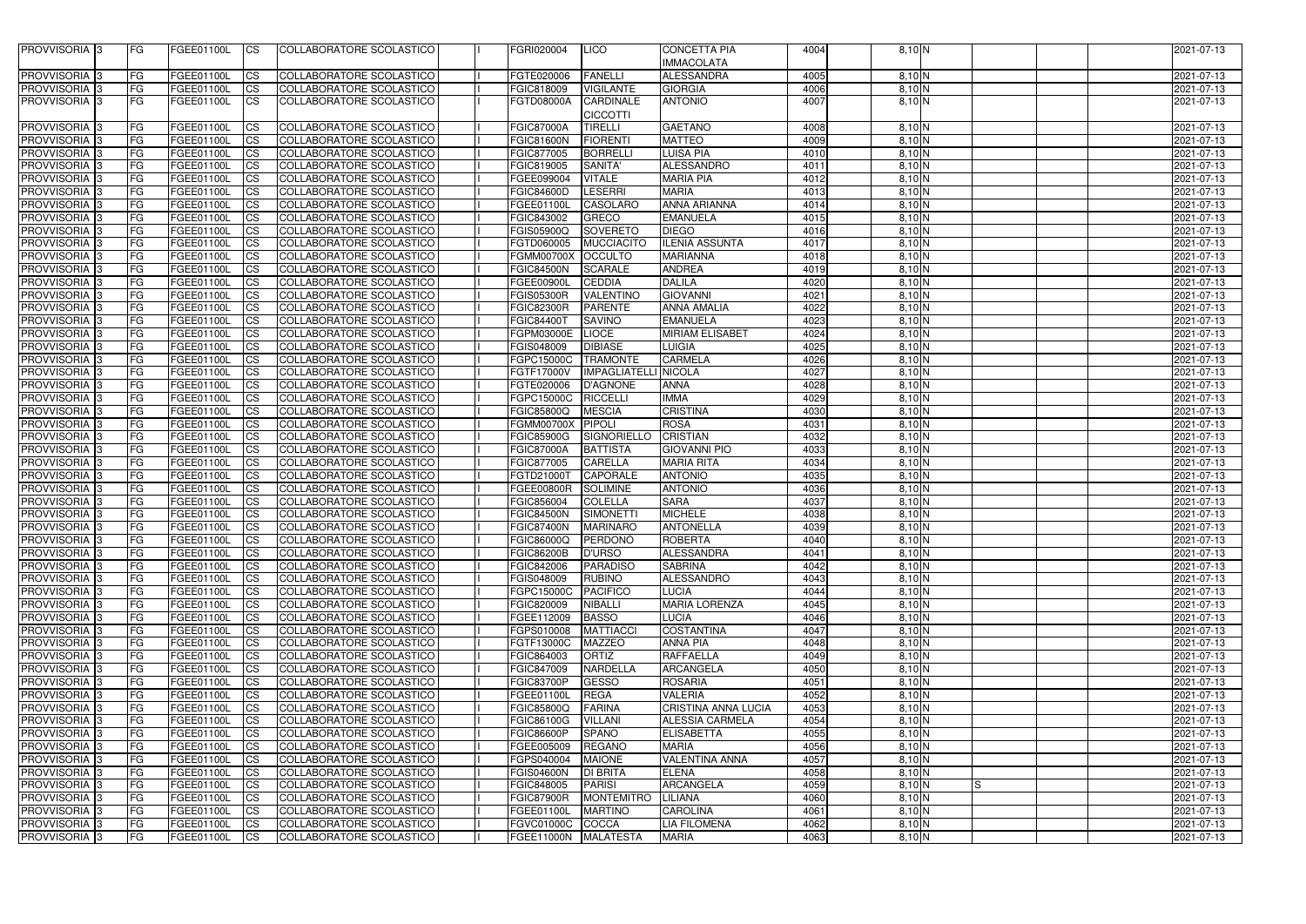| PROVVISORIA <sup>3</sup>   | <b>IFG</b> | FGEE01100L        | <b>ICS</b>             | COLLABORATORE SCOLASTICO        | FGRI020004        | LICO                                | <b>CONCETTA PIA</b>    | 4004 | $8,10$ N               |    | 2021-07-13       |
|----------------------------|------------|-------------------|------------------------|---------------------------------|-------------------|-------------------------------------|------------------------|------|------------------------|----|------------------|
|                            |            |                   |                        |                                 |                   |                                     | <b>IMMACOLATA</b>      |      |                        |    |                  |
| <b>PROVVISORIA</b> 3       | <b>FG</b>  | FGEE01100L        | <b>CS</b>              | COLLABORATORE SCOLASTICO        | FGTE020006        | <b>FANELLI</b>                      | <b>ALESSANDRA</b>      | 4005 | $8,10$ N               |    | 2021-07-13       |
| PROVVISORIA <sup>13</sup>  | <b>FG</b>  | FGEE01100L        | <b>CS</b>              | COLLABORATORE SCOLASTICO        | FGIC818009        | <b>VIGILANTE</b>                    | <b>GIORGIA</b>         | 4006 | $8,10$ N               |    | 2021-07-13       |
| PROVVISORIA 3              | IFG.       | FGEE01100L        | ICS                    | COLLABORATORE SCOLASTICO        | FGTD08000A        | <b>CARDINALE</b><br><b>CICCOTTI</b> | <b>ANTONIO</b>         | 4007 | $8,10$ N               |    | 2021-07-13       |
| <b>PROVVISORIA</b>         | <b>FG</b>  | <b>FGEE01100L</b> | <b>CS</b>              | COLLABORATORE SCOLASTICO        | <b>FGIC87000A</b> | <b>TIRELLI</b>                      | <b>GAETANO</b>         | 4008 | $8,10$ N               |    | 2021-07-13       |
| <b>PROVVISORIA</b>         | <b>FG</b>  | <b>FGEE01100L</b> | <b>CS</b>              | COLLABORATORE SCOLASTICO        | <b>FGIC81600N</b> | <b>FIORENTI</b>                     | <b>MATTEO</b>          | 4009 | 8,10 N                 |    | 2021-07-13       |
| PROVVISORIA <sup>1</sup> 3 | <b>FG</b>  | <b>FGEE01100L</b> | <b>CS</b>              | COLLABORATORE SCOLASTICO        | FGIC877005        | <b>BORRELLI</b>                     | <b>LUISA PIA</b>       | 4010 | 8,10 N                 |    | 2021-07-13       |
| PROVVISORIA 3              | <b>FG</b>  | <b>FGEE01100L</b> | $\overline{\text{cs}}$ | COLLABORATORE SCOLASTICO        | FGIC819005        | <b>SANITA'</b>                      | <b>ALESSANDRO</b>      | 4011 | $8,10$ N               |    | 2021-07-13       |
| PROVVISORIA 3              | FG         | FGEE01100L        | <b>CS</b>              | COLLABORATORE SCOLASTICO        | FGEE099004        | <b>VITALE</b>                       | <b>MARIA PIA</b>       | 4012 | $8,10$ N               |    | 2021-07-13       |
| PROVVISORIA 3              | <b>FG</b>  | FGEE01100L        | <b>CS</b>              | COLLABORATORE SCOLASTICO        | <b>FGIC84600D</b> | <b>LESERRI</b>                      | <b>MARIA</b>           | 4013 | $8,10$ N               |    | 2021-07-13       |
| <b>PROVVISORIA</b> 3       | FG         | <b>FGEE01100L</b> | $\overline{c}$         | COLLABORATORE SCOLASTICO        | FGEE01100L        | <b>CASOLARO</b>                     | <b>ANNA ARIANNA</b>    | 4014 | $8,10$ N               |    | 2021-07-13       |
| PROVVISORIA 3              | <b>FG</b>  | FGEE01100L        | $\overline{\text{cs}}$ | <b>COLLABORATORE SCOLASTICO</b> | FGIC843002        | GRECO                               | <b>EMANUELA</b>        | 4015 | $8,10$ N               |    | 2021-07-13       |
| PROVVISORIA 3              | <b>FG</b>  | FGEE01100L        | <b>CS</b>              | COLLABORATORE SCOLASTICO        | <b>FGIS05900Q</b> | SOVERETO                            | <b>DIEGO</b>           | 4016 | $8,10$ N               |    | 2021-07-13       |
| PROVVISORIA 3              | <b>FG</b>  | <b>FGEE01100L</b> | <b>CS</b>              | <b>COLLABORATORE SCOLASTICO</b> | FGTD060005        | <b>MUCCIACITO</b>                   | <b>ILENIA ASSUNTA</b>  | 4017 | $8,10$ N               |    | 2021-07-13       |
| PROVVISORIA <sup>3</sup>   | <b>FG</b>  | <b>FGEE01100L</b> | <b>CS</b>              | COLLABORATORE SCOLASTICO        | <b>FGMM00700X</b> | <b>OCCULTO</b>                      | <b>MARIANNA</b>        | 4018 | 8,10 N                 |    | 2021-07-13       |
| PROVVISORIA 3              | <b>FG</b>  | <b>FGEE01100L</b> | <b>ICS</b>             | <b>COLLABORATORE SCOLASTICO</b> | FGIC84500N        | <b>SCARALE</b>                      | <b>ANDREA</b>          | 4019 | 8,10 N                 |    | 2021-07-13       |
| <b>PROVVISORIA</b>         | FG         | FGEE01100L        | <b>CS</b>              | COLLABORATORE SCOLASTICO        | <b>FGEE00900L</b> | <b>CEDDIA</b>                       | <b>DALILA</b>          | 4020 | 8,10 N                 |    | 2021-07-13       |
| <b>PROVVISORIA</b>         | <b>FG</b>  | FGEE01100L        | <b>CS</b>              | COLLABORATORE SCOLASTICO        | <b>FGIS05300R</b> | VALENTINO                           | <b>GIOVANNI</b>        | 4021 | 8,10 N                 |    | 2021-07-13       |
| <b>PROVVISORIA</b>         | <b>FG</b>  | <b>FGEE01100L</b> | <b>CS</b>              | COLLABORATORE SCOLASTICO        | FGIC82300R        | <b>PARENTE</b>                      | <b>ANNA AMALIA</b>     | 4022 | 8,10 N                 |    | 2021-07-13       |
| PROVVISORIA <sup>3</sup>   | <b>FG</b>  | FGEE01100L        | <b>CS</b>              | <b>COLLABORATORE SCOLASTICO</b> | <b>FGIC84400T</b> | <b>SAVINO</b>                       | <b>EMANUELA</b>        | 4023 | $8,10$ N               |    | 2021-07-13       |
| <b>PROVVISORIA</b> 3       | <b>FG</b>  | FGEE01100L        | <b>CS</b>              | COLLABORATORE SCOLASTICO        | <b>FGPM03000E</b> | <b>LIOCE</b>                        | <b>MIRIAM ELISABET</b> | 4024 | 8,10 N                 |    | 2021-07-13       |
| <b>PROVVISORIA</b> 3       | <b>FG</b>  | FGEE01100L        | ICS                    | COLLABORATORE SCOLASTICO        | FGIS048009        | <b>DIBIASE</b>                      | LUIGIA                 | 4025 | 8,10 N                 |    | 2021-07-13       |
| <b>PROVVISORIA</b> 3       | <b>FG</b>  | FGEE01100L        | <b>CS</b>              | COLLABORATORE SCOLASTICO        | FGPC15000C        | <b>TRAMONTE</b>                     | <b>CARMELA</b>         | 4026 | 8,10 N                 |    | 2021-07-13       |
| <b>PROVVISORIA</b> 3       | <b>FG</b>  | FGEE01100L        | <b>CS</b>              | COLLABORATORE SCOLASTICO        | FGTF17000V        | <b>IMPAGLIATELLI NICOLA</b>         |                        | 4027 | $8,10$ N               |    | 2021-07-13       |
| PROVVISORIA <sup>3</sup>   | <b>FG</b>  | FGEE01100L        | <b>CS</b>              | COLLABORATORE SCOLASTICO        | FGTE020006        | <b>D'AGNONE</b>                     | <b>ANNA</b>            | 4028 | $8,10$ N               |    | 2021-07-13       |
| PROVVISORIA <sup>3</sup>   | <b>FG</b>  | FGEE01100L        | <b>CS</b>              | COLLABORATORE SCOLASTICO        | FGPC15000C        | <b>RICCELLI</b>                     | <b>IMMA</b>            | 4029 | $8,10$ N               |    | 2021-07-13       |
| <b>PROVVISORIA</b> 3       | <b>FG</b>  | FGEE01100L        | <b>CS</b>              | COLLABORATORE SCOLASTICO        | <b>FGIC85800Q</b> | <b>MESCIA</b>                       | <b>CRISTINA</b>        | 4030 | $8,10$ N               |    | 2021-07-13       |
| <b>PROVVISORIA</b> 3       | <b>FG</b>  | FGEE01100L        | <b>CS</b>              | COLLABORATORE SCOLASTICO        | <b>FGMM00700X</b> | <b>PIPOLI</b>                       | <b>ROSA</b>            | 4031 | 8,10 N                 |    | 2021-07-13       |
| <b>PROVVISORIA</b>         | <b>FG</b>  | FGEE01100L        | <b>CS</b>              | COLLABORATORE SCOLASTICO        | FGIC85900G        | <b>SIGNORIELLO</b>                  | <b>CRISTIAN</b>        | 4032 | 8,10 N                 |    | 2021-07-13       |
| <b>PROVVISORIA</b>         | <b>FG</b>  | FGEE01100L        | <b>CS</b>              | COLLABORATORE SCOLASTICO        | <b>FGIC87000A</b> | <b>BATTISTA</b>                     | <b>GIOVANNI PIO</b>    | 4033 | 8,10 N                 |    | 2021-07-13       |
| <b>PROVVISORIA</b> 3       | <b>FG</b>  | FGEE01100L        | <b>CS</b>              | COLLABORATORE SCOLASTICO        | FGIC877005        | <b>CARELLA</b>                      | <b>MARIA RITA</b>      | 4034 | $8,10$ N               |    | 2021-07-13       |
| PROVVISORIA 3              | <b>FG</b>  | <b>FGEE01100L</b> | <b>CS</b>              | <b>COLLABORATORE SCOLASTICO</b> | FGTD21000T        | <b>CAPORALE</b>                     | <b>ANTONIO</b>         | 4035 | 8,10 N                 |    | 2021-07-13       |
| PROVVISORIA <sup>3</sup>   | <b>FG</b>  | FGEE01100L        | <b>CS</b>              | COLLABORATORE SCOLASTICO        | <b>FGEE00800R</b> | <b>SOLIMINE</b>                     | <b>ANTONIO</b>         | 4036 | 8,10 N                 |    | 2021-07-13       |
| PROVVISORIA <sup>3</sup>   | <b>FG</b>  | FGEE01100L        | <b>CS</b>              | COLLABORATORE SCOLASTICO        | FGIC856004        | <b>COLELLA</b>                      | <b>SARA</b>            | 4037 | $8,10$ N               |    | 2021-07-13       |
| PROVVISORIA 3              | FG         | FGEE01100L        | <b>ICS</b>             | COLLABORATORE SCOLASTICO        | FGIC84500N        | SIMONETTI                           | <b>MICHELE</b>         | 4038 | $8,10\overline{\rm N}$ |    | 2021-07-13       |
| PROVVISORIA <sup>3</sup>   | FG         | FGEE01100L        | $\overline{\text{cs}}$ | COLLABORATORE SCOLASTICO        | <b>FGIC87400N</b> | <b>MARINARO</b>                     | <b>ANTONELLA</b>       | 4039 | $8,10$ N               |    | $2021 - 07 - 13$ |
| <b>PROVVISORIA</b> 3       | <b>FG</b>  | FGEE01100L        | CS                     | COLLABORATORE SCOLASTICO        | <b>FGIC86000Q</b> | PERDONÓ                             | <b>ROBERTA</b>         | 4040 | $8,10$ N               |    | 2021-07-13       |
| PROVVISORIA <sup>3</sup>   | <b>FG</b>  | FGEE01100L        | <b>CS</b>              | COLLABORATORE SCOLASTICO        | <b>FGIC86200B</b> | D'URSO                              | <b>ALESSANDRA</b>      | 4041 | $8,10$ N               |    | 2021-07-13       |
| PROVVISORIA 3              | <b>FG</b>  | FGEE01100L        | <b>CS</b>              | COLLABORATORE SCOLASTICO        | <b>FGIC842006</b> | PARADISO                            | <b>SABRINA</b>         | 4042 | $8,10$ N               |    | 2021-07-13       |
| <b>PROVVISORIA</b> 3       | <b>FG</b>  | FGEE01100L        | <b>CS</b>              | COLLABORATORE SCOLASTICO        | FGIS048009        | <b>RUBINO</b>                       | ALESSANDRO             | 4043 | $8,10$ N               |    | 2021-07-13       |
| PROVVISORIA <sup>3</sup>   | <b>FG</b>  | FGEE01100L        | <b>CS</b>              | COLLABORATORE SCOLASTICO        | FGPC15000C        | <b>PACIFICO</b>                     | <b>LUCIA</b>           | 4044 | $8,10$ N               |    | 2021-07-13       |
| PROVVISORIA <sup>3</sup>   | <b>FG</b>  | FGEE01100L        | <b>ICS</b>             | COLLABORATORE SCOLASTICO        | <b>FGIC820009</b> | <b>NIBALLI</b>                      | <b>MARIA LORENZA</b>   | 4045 | $8,10$ N               |    | 2021-07-13       |
| <b>PROVVISORIA</b> 3       | <b>FG</b>  | <b>FGEE01100L</b> | <b>ICS</b>             | COLLABORATORE SCOLASTICO        | FGEE112009        | <b>BASSO</b>                        | <b>LUCIA</b>           | 4046 | $8,10$ N               |    | 2021-07-13       |
| PROVVISORIA 3              | <b>FG</b>  | <b>FGEE01100L</b> | <b>CS</b>              | COLLABORATORE SCOLASTICO        | FGPS010008        | <b>MATTIACCI</b>                    | <b>COSTANTINA</b>      | 4047 | $8,10$ N               |    | 2021-07-13       |
| PROVVISORIA <sup>3</sup>   | <b>FG</b>  | <b>FGEE01100L</b> | <b>ICS</b>             | COLLABORATORE SCOLASTICO        | <b>FGTF13000C</b> | <b>MAZZEO</b>                       | <b>ANNA PIA</b>        | 4048 | $8,10$ N               |    | 2021-07-13       |
| PROVVISORIA <sup>3</sup>   | <b>FG</b>  | FGEE01100L        | <b>ICS</b>             | COLLABORATORE SCOLASTICO        | FGIC864003        | ORTIZ                               | <b>RAFFAELLA</b>       | 4049 | $8,10$ N               |    | 2021-07-13       |
| PROVVISORIA 3              | <b>FG</b>  | FGEE01100L        | <b>CS</b>              | COLLABORATORE SCOLASTICO        | <b>FGIC847009</b> | <b>NARDELLA</b>                     | ARCANGELA              | 4050 | $8,10$ N               |    | 2021-07-13       |
| PROVVISORIA 3              | <b>FG</b>  | FGEE01100L        | <b>ICS</b>             | COLLABORATORE SCOLASTICO        | FGIC83700P        | <b>GESSO</b>                        | <b>ROSARIA</b>         | 4051 | $8,10\overline{N}$     |    | 2021-07-13       |
| PROVVISORIA 3              | <b>FG</b>  | FGEE01100L        | <b>CS</b>              | COLLABORATORE SCOLASTICO        | FGEE01100L        | <b>REGA</b>                         | <b>VALERIA</b>         | 4052 | $8,10$ N               |    | 2021-07-13       |
| PROVVISORIA 3              | <b>FG</b>  | FGEE01100L        | <b>CS</b>              | COLLABORATORE SCOLASTICO        | <b>FGIC85800Q</b> | <b>FARINA</b>                       | CRISTINA ANNA LUCIA    | 4053 | $8,10$ N               |    | 2021-07-13       |
| PROVVISORIA 3              | <b>FG</b>  | FGEE01100L        | <b>CS</b>              | COLLABORATORE SCOLASTICO        | <b>FGIC86100G</b> | <b>VILLANI</b>                      | <b>ALESSIA CARMELA</b> | 4054 | $8,10$ N               |    | 2021-07-13       |
| PROVVISORIA <sup>3</sup>   | <b>FG</b>  | FGEE01100L        | <b>CS</b>              | COLLABORATORE SCOLASTICO        | <b>FGIC86600P</b> | <b>SPANO</b>                        | <b>ELISABETTA</b>      | 4055 | $8,10$ N               |    | 2021-07-13       |
| PROVVISORIA 3              | <b>FG</b>  | <b>FGEE01100L</b> | <b>CS</b>              | COLLABORATORE SCOLASTICO        | FGEE005009        | <b>REGANO</b>                       | <b>MARIA</b>           | 4056 | $8,10$ N               |    | 2021-07-13       |
| <b>PROVVISORIA</b> 3       | <b>IFG</b> | FGEE01100L        | <b>CS</b>              | COLLABORATORE SCOLASTICO        | FGPS040004        | <b>MAIONE</b>                       | <b>VALENTINA ANNA</b>  | 4057 | $8,10$ N               |    | 2021-07-13       |
| <b>PROVVISORIA 3</b>       | <b>FG</b>  | FGEE01100L        | <b>CS</b>              | COLLABORATORE SCOLASTICO        | <b>FGIS04600N</b> | <b>DI BRITA</b>                     | <b>ELENA</b>           | 4058 | $8,10$ N               |    | 2021-07-13       |
| PROVVISORIA 3              | <b>FG</b>  | FGEE01100L        | <b>CS</b>              | COLLABORATORE SCOLASTICO        | FGIC848005        | <b>PARISI</b>                       | ARCANGELA              | 4059 | $8,10\overline{\rm N}$ | Is | 2021-07-13       |
| PROVVISORIA <sup>3</sup>   | <b>FG</b>  | FGEE01100L        | <b>CS</b>              | COLLABORATORE SCOLASTICO        | FGIC87900R        | <b>MONTEMITRO</b>                   | <b>LILIANA</b>         | 4060 | $8,10$ N               |    | 2021-07-13       |
| PROVVISORIA 3              | <b>FG</b>  | FGEE01100L        | <b>CS</b>              | COLLABORATORE SCOLASTICO        | FGEE01100L        | <b>MARTINO</b>                      | <b>CAROLINA</b>        | 4061 | $8,10$ N               |    | 2021-07-13       |
| PROVVISORIA 3              | <b>FG</b>  | FGEE01100L        | <b>CS</b>              | COLLABORATORE SCOLASTICO        | <b>FGVC01000C</b> | COCCA                               | <b>LIA FILOMENA</b>    | 4062 | $8,10$ N               |    | 2021-07-13       |
| PROVVISORIA 3              | <b>IFG</b> | FGEE01100L        | <b>ICS</b>             | COLLABORATORE SCOLASTICO        | <b>FGEE11000N</b> | <b>MALATESTA</b>                    | <b>MARIA</b>           | 4063 | $8,10$ N               |    | 2021-07-13       |
|                            |            |                   |                        |                                 |                   |                                     |                        |      |                        |    |                  |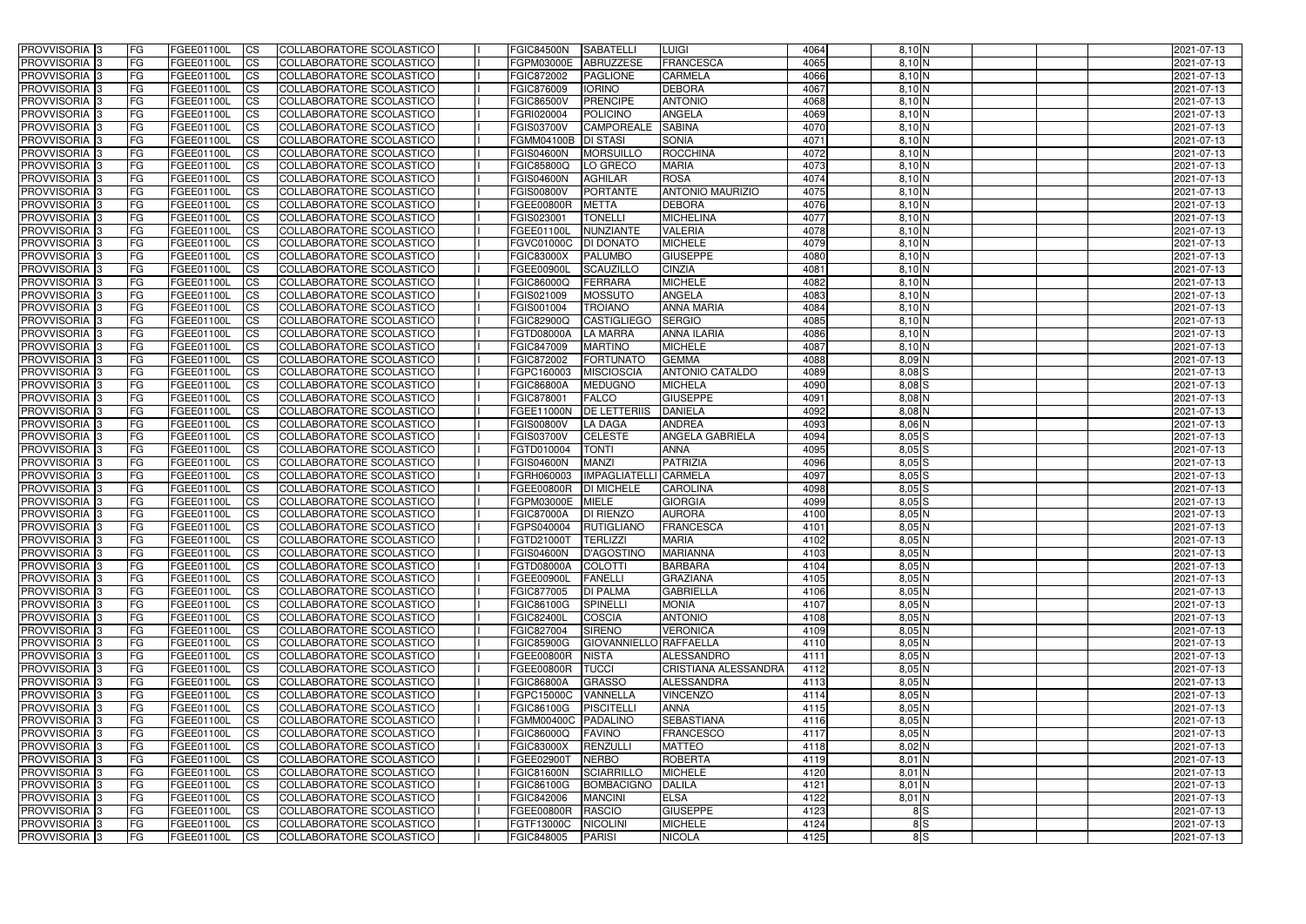| <b>PROVVISORIA</b> 3       | l FG      | FGEE01100L        | <b>ICS</b>             | COLLABORATORE SCOLASTICO        | FGIC84500N          | <b>SABATELLI</b>       | <b>LUIGI</b>            | 4064 | $8.10\text{N}$ | 2021-07-13 |
|----------------------------|-----------|-------------------|------------------------|---------------------------------|---------------------|------------------------|-------------------------|------|----------------|------------|
| <b>PROVVISORIA 3</b>       | FG        | FGEE01100L        | <b>ICS</b>             | COLLABORATORE SCOLASTICO        | FGPM03000E          | <b>ABRUZZESE</b>       | <b>FRANCESCA</b>        | 4065 | 8,10 N         | 2021-07-13 |
| PROVVISORIA <sup>1</sup> 3 | FG        | FGEE01100L        | <b>CS</b>              | <b>COLLABORATORE SCOLASTICO</b> | FGIC872002          | <b>PAGLIONE</b>        | <b>CARMELA</b>          | 4066 | 8,10 N         | 2021-07-13 |
| PROVVISORIA                | FG        | FGEE01100L        | <b>CS</b>              | COLLABORATORE SCOLASTICO        | FGIC876009          | <b>IORINO</b>          | <b>DEBORA</b>           | 4067 | 8,10 N         | 2021-07-13 |
| PROVVISORIA <sup>1</sup> 3 | FG        | FGEE01100L        | <b>CS</b>              | COLLABORATORE SCOLASTICO        | <b>FGIC86500V</b>   | <b>PRENCIPE</b>        | <b>ANTONIO</b>          | 4068 | 8,10 N         | 2021-07-13 |
| PROVVISORIA <sup>1</sup> 3 | FG        | FGEE01100L        | <b>CS</b>              | COLLABORATORE SCOLASTICO        | FGRI020004          | <b>POLICINO</b>        | <b>ANGELA</b>           | 4069 | $8,10$ N       | 2021-07-13 |
| PROVVISORIA <sup>1</sup> 3 | FG        | FGEE01100L        | <b>CS</b>              | COLLABORATORE SCOLASTICO        | FGIS03700V          | <b>CAMPOREALE</b>      | <b>SABINA</b>           | 4070 | $8,10$ N       | 2021-07-13 |
| PROVVISORIA 3              | FG        | FGEE01100L        | <b>ICS</b>             | COLLABORATORE SCOLASTICO        | <b>FGMM04100B</b>   | <b>DI STASI</b>        | <b>SONIA</b>            | 4071 | $8,10\,N$      | 2021-07-13 |
| PROVVISORIA 3              | <b>FG</b> | FGEE01100L        | <b>CS</b>              | COLLABORATORE SCOLASTICO        | <b>FGIS04600N</b>   | <b>MORSUILLO</b>       | <b>ROCCHINA</b>         | 4072 | $8,10$ N       | 2021-07-13 |
| PROVVISORIA 3              | <b>FG</b> | FGEE01100L        | <b>ICS</b>             | COLLABORATORE SCOLASTICO        | FGIC85800Q          | LO GRECO               | <b>MARIA</b>            | 4073 | $8,10$ N       | 2021-07-13 |
| PROVVISORIA 3              | FG        | FGEE01100L        | <b>ICS</b>             | COLLABORATORE SCOLASTICO        | <b>FGIS04600N</b>   | <b>AGHILAR</b>         | <b>ROSA</b>             | 4074 | 8,10 N         | 2021-07-13 |
| <b>PROVVISORIA</b>         | FG        | FGEE01100L        | <b>ICS</b>             | COLLABORATORE SCOLASTICO        | <b>FGIS00800V</b>   | PORTANTE               | <b>ANTONIO MAURIZIO</b> | 4075 | $8,10$ N       | 2021-07-13 |
| <b>PROVVISORIA</b>         | FG        | FGEE01100L        | <b>ICS</b>             | COLLABORATORE SCOLASTICO        | FGEE00800R          | <b>METTA</b>           | <b>DEBORA</b>           | 4076 | 8,10 N         | 2021-07-13 |
| <b>PROVVISORIA</b>         | FG        | FGEE01100L        | <b>ICS</b>             | COLLABORATORE SCOLASTICO        | FGIS023001          | <b>TONELLI</b>         | <b>MICHELINA</b>        | 4077 | 8,10 N         | 2021-07-13 |
| <b>PROVVISORIA</b>         | FG        | FGEE01100L        | <b>ICS</b>             | COLLABORATORE SCOLASTICO        | FGEE01100L          | NUNZIANTE              | <b>VALERIA</b>          | 4078 | 8,10 N         | 2021-07-13 |
| <b>PROVVISORIA</b>         | FG        | FGEE01100L        | <b>ICS</b>             | COLLABORATORE SCOLASTICO        | FGVC01000C          | <b>DI DONATC</b>       | <b>MICHELE</b>          | 4079 | 8,10 N         | 2021-07-13 |
| <b>PROVVISORIA</b>         | FG        | FGEE01100L        | <b>ICS</b>             | COLLABORATORE SCOLASTICO        | <b>FGIC83000X</b>   | <b>PALUMBO</b>         | <b>GIUSEPPE</b>         | 4080 | 8,10 N         | 2021-07-13 |
| <b>PROVVISORIA</b>         | FG        | FGEE01100L        | <b>ICS</b>             | COLLABORATORE SCOLASTICO        | <b>FGEE00900I</b>   | <b>SCAUZILLO</b>       | <b>CINZIA</b>           | 4081 | 8,10 N         | 2021-07-13 |
| PROVVISORIA <sup>3</sup>   | FG        | FGEE01100L        | <b>ICS</b>             | COLLABORATORE SCOLASTICO        | FGIC86000Q          | <b>FERRARA</b>         | <b>MICHELE</b>          | 4082 | 8,10 N         | 2021-07-13 |
| PROVVISORIA <sup>3</sup>   | FG        | FGEE01100L        | <b>ICS</b>             | COLLABORATORE SCOLASTICO        | FGIS021009          | <b>MOSSUTO</b>         | <b>ANGELA</b>           | 4083 | 8,10 N         | 2021-07-13 |
| PROVVISORIA <sup>1</sup> 3 | FG        | FGEE01100L        | <b>ICS</b>             | COLLABORATORE SCOLASTICO        | FGIS001004          | <b>TROIANO</b>         | <b>ANNA MARIA</b>       | 4084 | 8,10 N         | 2021-07-13 |
| PROVVISORIA 3              | FG        | FGEE01100L        | <b>ICS</b>             | COLLABORATORE SCOLASTICO        | <b>FGIC82900Q</b>   | <b>CASTIGLIEGO</b>     | <b>SERGIO</b>           | 4085 | 8,10 N         | 2021-07-13 |
| PROVVISORIA <sup>3</sup>   | FG        | FGEE01100L        | <b>ICS</b>             | <b>COLLABORATORE SCOLASTICO</b> | FGTD08000A          | <b>LA MARRA</b>        | <b>ANNA ILARIA</b>      | 4086 | $8,10$ N       | 2021-07-13 |
| PROVVISORIA <sup>3</sup>   | FG        | FGEE01100L        | <b>CS</b>              | COLLABORATORE SCOLASTICO        | <b>FGIC847009</b>   | <b>MARTINO</b>         | <b>MICHELE</b>          | 4087 | $8,10$ N       | 2021-07-13 |
| PROVVISORIA <sup>3</sup>   | FG        | FGEE01100L        | <b>CS</b>              | COLLABORATORE SCOLASTICO        | FGIC872002          | <b>FORTUNATO</b>       | <b>GEMMA</b>            | 4088 | 8,09 N         | 2021-07-13 |
| PROVVISORIA <sup>1</sup> 3 | FG        | FGEE01100L        | <b>ICS</b>             | COLLABORATORE SCOLASTICO        | FGPC160003          | <b>MISCIOSCIA</b>      | <b>ANTONIO CATALDO</b>  | 4089 | $8,08$ $S$     | 2021-07-13 |
| PROVVISORIA 3              | FG        | FGEE01100L        | <b>ICS</b>             | COLLABORATORE SCOLASTICO        | <b>FGIC86800A</b>   | <b>MEDUGNO</b>         | <b>MICHELA</b>          | 4090 | $8,08$ $S$     | 2021-07-13 |
| PROVVISORIA                | FG        | FGEE01100L        | <b>ICS</b>             | COLLABORATORE SCOLASTICO        | FGIC878001          | <b>FALCO</b>           | <b>GIUSEPPE</b>         | 4091 | $8,08$ N       | 2021-07-13 |
| PROVVISORIA                | FG        | FGEE01100L        | <b>CS</b>              | <b>COLLABORATORE SCOLASTICO</b> | FGEE11000N          | <b>DE LETTERIIS</b>    | <b>DANIELA</b>          | 4092 | 8,08 N         | 2021-07-13 |
|                            |           |                   | <b>CS</b>              | COLLABORATORE SCOLASTICO        |                     | <b>LA DAGA</b>         | <b>ANDREA</b>           | 4093 | 8,06 N         |            |
| PROVVISORIA                | FG        | FGEE01100L        |                        |                                 | <b>FGIS00800V</b>   |                        |                         |      |                | 2021-07-13 |
| PROVVISORIA                | FG        | FGEE01100L        | <b>CS</b>              | COLLABORATORE SCOLASTICO        | FGIS03700V          | <b>CELESTE</b>         | <b>ANGELA GABRIELA</b>  | 4094 | $8,05$ $S$     | 2021-07-13 |
| PROVVISORIA <sup>1</sup> 3 | FG        | FGEE01100L        | <b>CS</b>              | COLLABORATORE SCOLASTICO        | FGTD010004          | <b>TONTI</b>           | <b>ANNA</b>             | 4095 | $8,05$ $S$     | 2021-07-13 |
| PROVVISORIA <sup>1</sup> 3 | FG        | FGEE01100L        | <b>CS</b>              | COLLABORATORE SCOLASTICO        | <b>FGIS04600N</b>   | <b>MANZI</b>           | <b>PATRIZIA</b>         | 4096 | $8,05$ $S$     | 2021-07-13 |
| PROVVISORIA 3              | FG        | FGEE01100L        | <b>CS</b>              | <b>COLLABORATORE SCOLASTICO</b> | FGRH060003          | IMPAGLIATELLI CARMELA  |                         | 4097 | $8,05$ $S$     | 2021-07-13 |
| <b>PROVVISORIA</b>         | FG        | FGEE01100L        | <b>ICS</b>             | COLLABORATORE SCOLASTICO        | FGEE00800R          | <b>DI MICHELE</b>      | <b>CAROLINA</b>         | 4098 | $8,05$ $S$     | 2021-07-13 |
| PROVVISORIA <sup>1</sup> 3 | <b>FG</b> | FGEE01100L        | <b>CS</b>              | COLLABORATORE SCOLASTICO        | FGPM03000E          | <b>MIELE</b>           | <b>GIORGIA</b>          | 4099 | $8,05$ $S$     | 2021-07-13 |
| PROVVISORIA 3              | FG        | FGEE01100L        | <b>ICS</b>             | COLLABORATORE SCOLASTICO        | <b>FGIC87000A</b>   | <b>DI RIENZO</b>       | <b>AURORA</b>           | 4100 | 8,05 N         | 2021-07-13 |
| <b>PROVVISORIA</b>         | <b>FG</b> | FGEE01100L        | <b>ICS</b>             | COLLABORATORE SCOLASTICO        | FGPS040004          | RUTIGLIANO             | <b>FRANCESCA</b>        | 4101 | $8,05$ N       | 2021-07-13 |
| PROVVISORIA 3              | FG        | FGEE01100L        | CS                     | COLLABORATORE SCOLASTICO        | FGTD21000T TERLIZZI |                        | <b>MARIA</b>            | 4102 | $8,05$ N       | 2021-07-13 |
| PROVVISORIA 3              | <b>FG</b> | FGEE01100L        | $\mathsf{ICS}$         | COLLABORATORE SCOLASTICO        | <b>FGIS04600N</b>   | D'AGOSTINO             | <b>MARIANNA</b>         | 4103 | $8,05$ N       | 2021-07-13 |
| PROVVISORIA 3              | <b>FG</b> | <b>FGEE01100L</b> | $\mathsf{ICS}$         | COLLABORATORE SCOLASTICO        | FGTD08000A          | COLOTTI                | <b>BARBARA</b>          | 4104 | $8,05$ N       | 2021-07-13 |
| PROVVISORIA 3              | <b>FG</b> | FGEE01100L        | $\mathsf{ICS}$         | COLLABORATORE SCOLASTICO        | FGEE00900L          | <b>FANELLI</b>         | <b>GRAZIANA</b>         | 4105 | $8,05$ N       | 2021-07-13 |
| PROVVISORIA 3              | FG        | FGEE01100L        | $\mathsf{ICS}$         | COLLABORATORE SCOLASTICO        | FGIC877005          | <b>DI PALMA</b>        | <b>GABRIELLA</b>        | 4106 | $8,05$ N       | 2021-07-13 |
| PROVVISORIA 3              | l FG      | FGEE01100L        | $\overline{\text{CS}}$ | COLLABORATORE SCOLASTICO        | <b>FGIC86100G</b>   | <b>SPINELLI</b>        | <b>MONIA</b>            | 4107 | $8,05$ N       | 2021-07-13 |
| PROVVISORIA 3              | <b>FG</b> | FGEE01100L        | <b>CS</b>              | COLLABORATORE SCOLASTICO        | <b>FGIC82400L</b>   | <b>COSCIA</b>          | <b>ANTONIO</b>          | 4108 | $8,05$ N       | 2021-07-13 |
| PROVVISORIA 3              | FG        | FGEE01100L        | <b>CS</b>              | COLLABORATORE SCOLASTICO        | FGIC827004          | SIRENO                 | <b>VERONICA</b>         | 4109 | 8,05N          | 2021-07-13 |
| PROVVISORIA 3              | <b>FG</b> | FGEE01100L        | <b>CS</b>              | COLLABORATORE SCOLASTICO        | <b>FGIC85900G</b>   | GIOVANNIELLO RAFFAELLA |                         | 4110 | $8,05$ N       | 2021-07-13 |
| PROVVISORIA 3              | <b>FG</b> | FGEE01100L        | <b>CS</b>              | COLLABORATORE SCOLASTICO        | FGEE00800R          | <b>NISTA</b>           | ALESSANDRO              | 4111 | 8,05N          | 2021-07-13 |
| PROVVISORIA 3              | <b>FG</b> | FGEE01100L        | <b>CS</b>              | COLLABORATORE SCOLASTICO        | FGEE00800R          | <b>TUCCI</b>           | CRISTIANA ALESSANDRA    | 4112 | 8,05N          | 2021-07-13 |
| PROVVISORIA 3              | <b>FG</b> | FGEE01100L        | <b>CS</b>              | COLLABORATORE SCOLASTICO        | <b>FGIC86800A</b>   | <b>GRASSO</b>          | ALESSANDRA              | 4113 | 8,05N          | 2021-07-13 |
| PROVVISORIA 3              | <b>FG</b> | FGEE01100L        | <b>CS</b>              | COLLABORATORE SCOLASTICO        | FGPC15000C          | VANNELLA               | <b>VINCENZO</b>         | 4114 | $8,05$ N       | 2021-07-13 |
| PROVVISORIA 3              | <b>FG</b> | FGEE01100L        | <b>CS</b>              | COLLABORATORE SCOLASTICO        | <b>FGIC86100G</b>   | <b>PISCITELLI</b>      | <b>ANNA</b>             | 4115 | $8,05$ N       | 2021-07-13 |
| PROVVISORIA 3              | <b>FG</b> | FGEE01100L        | <b>CS</b>              | COLLABORATORE SCOLASTICO        | FGMM00400C PADALINO |                        | <b>SEBASTIANA</b>       | 4116 | $8,05$ N       | 2021-07-13 |
| PROVVISORIA 3              | <b>FG</b> | FGEE01100L        | <b>CS</b>              | COLLABORATORE SCOLASTICO        | <b>FGIC86000Q</b>   | <b>FAVINO</b>          | <b>FRANCESCO</b>        | 4117 | $8,05$ N       | 2021-07-13 |
| PROVVISORIA 3              | <b>FG</b> | FGEE01100L        | <b>CS</b>              | COLLABORATORE SCOLASTICO        | <b>FGIC83000X</b>   | <b>RENZULLI</b>        | <b>MATTEO</b>           | 4118 | 8,02 N         | 2021-07-13 |
| PROVVISORIA 3              | <b>FG</b> | FGEE01100L        | <b>CS</b>              | COLLABORATORE SCOLASTICO        | FGEE02900T          | <b>NERBO</b>           | <b>ROBERTA</b>          | 4119 | $8,01$ N       | 2021-07-13 |
| PROVVISORIA 3              | <b>FG</b> | FGEE01100L        | <b>CS</b>              | COLLABORATORE SCOLASTICO        | <b>FGIC81600N</b>   | <b>SCIARRILLO</b>      | <b>MICHELE</b>          | 4120 | $8,01$ N       | 2021-07-13 |
| PROVVISORIA 3              | FG        | FGEE01100L        | <b>CS</b>              | COLLABORATORE SCOLASTICO        | <b>FGIC86100G</b>   | <b>BOMBACIGNO</b>      | <b>DALILA</b>           | 4121 | $8,01$ N       | 2021-07-13 |
| PROVVISORIA 3              | FG        | <b>FGEE01100L</b> | <b>CS</b>              | COLLABORATORE SCOLASTICO        | FGIC842006          | <b>MANCINI</b>         | <b>ELSA</b>             | 4122 | $8,01$ N       | 2021-07-13 |
| PROVVISORIA 3              | <b>FG</b> | FGEE01100L        | $\overline{\text{CS}}$ | COLLABORATORE SCOLASTICO        | <b>FGEE00800R</b>   | <b>RASCIO</b>          | <b>GIUSEPPE</b>         | 4123 | 8S             | 2021-07-13 |
| PROVVISORIA 3              | <b>FG</b> | FGEE01100L        | $\overline{\text{CS}}$ | COLLABORATORE SCOLASTICO        | FGTF13000C          | <b>NICOLINI</b>        | <b>MICHELE</b>          | 4124 | 8S             | 2021-07-13 |
| PROVVISORIA 3              | <b>FG</b> | FGEE01100L        | $\overline{\text{CS}}$ | COLLABORATORE SCOLASTICO        | FGIC848005          | <b>PARISI</b>          | <b>NICOLA</b>           | 4125 | 8S             | 2021-07-13 |
|                            |           |                   |                        |                                 |                     |                        |                         |      |                |            |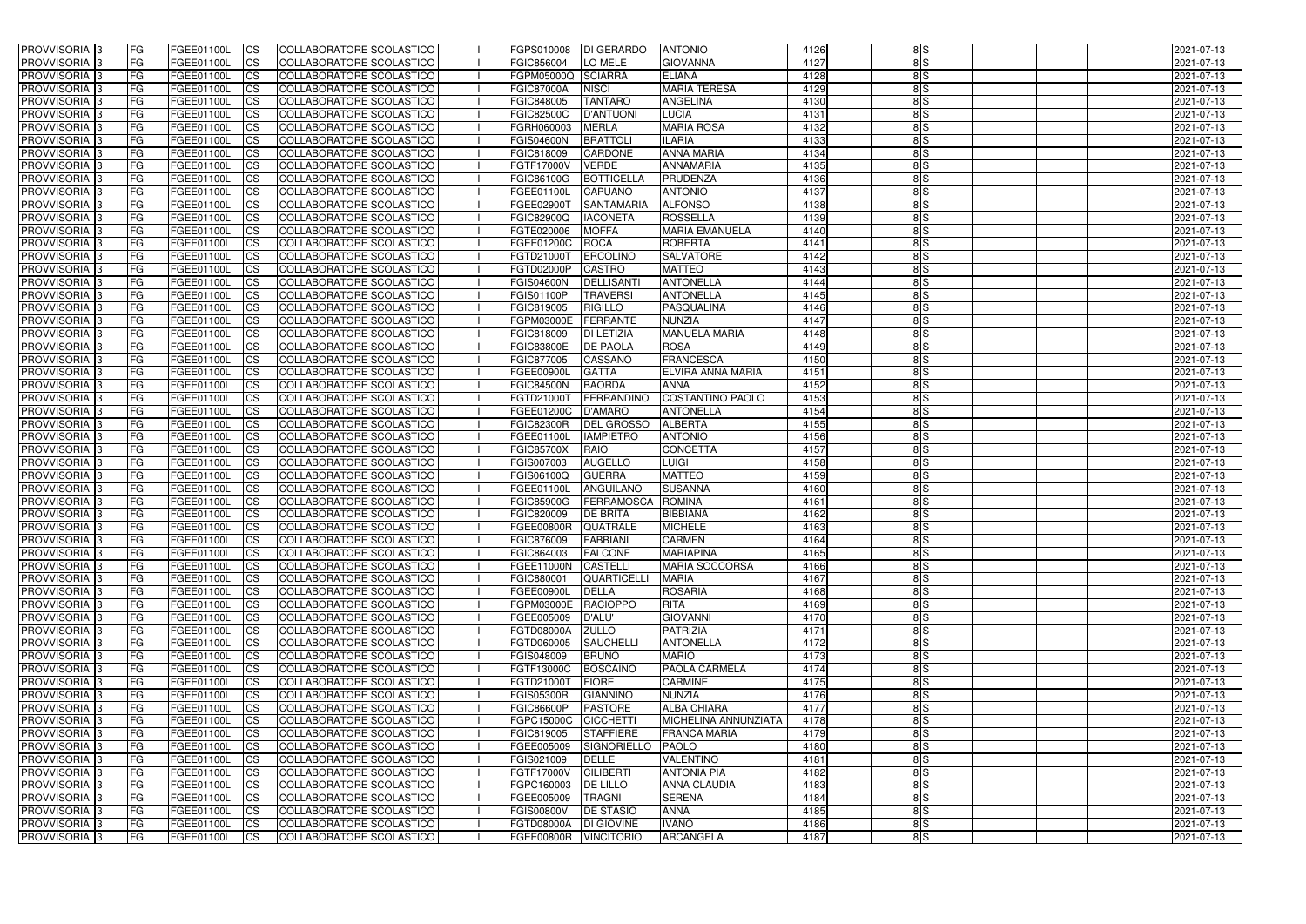| <b>PROVVISORIA</b> 3       | l FG      | FGEE01100L               | <b>ICS</b>             | COLLABORATORE SCOLASTICO        | FGPS010008                                | <b>DI GERARDO</b>         | <b>ANTONIO</b>                  | 4126 | 8S            | 2021-07-13               |
|----------------------------|-----------|--------------------------|------------------------|---------------------------------|-------------------------------------------|---------------------------|---------------------------------|------|---------------|--------------------------|
| <b>PROVVISORIA 3</b>       | FG        | FGEE01100L               | <b>ICS</b>             | COLLABORATORE SCOLASTICO        | FGIC856004                                | LO MELE                   | <b>GIOVANNA</b>                 | 4127 | 8S            | 2021-07-13               |
| <b>PROVVISORIA</b>         | FG        | FGEE01100L               | <b>CS</b>              | <b>COLLABORATORE SCOLASTICO</b> | FGPM05000Q                                | <b>SCIARRA</b>            | <b>ELIANA</b>                   | 4128 | $\frac{8}{5}$ | 2021-07-13               |
| PROVVISORIA                | FG        | FGEE01100L               | <b>CS</b>              | COLLABORATORE SCOLASTICO        | <b>FGIC87000A</b>                         | <b>NISCI</b>              | <b>MARIA TERESA</b>             | 4129 | 8S            | 2021-07-13               |
| <b>PROVVISORIA 3</b>       | FG        | FGEE01100L               | <b>CS</b>              | COLLABORATORE SCOLASTICO        | FGIC848005                                | <b>TANTARO</b>            | <b>ANGELINA</b>                 | 4130 | 8S            | 2021-07-13               |
| PROVVISORIA <sup>1</sup> 3 | FG        | FGEE01100L               | <b>CS</b>              | COLLABORATORE SCOLASTICO        | <b>FGIC82500C</b>                         | <b>D'ANTUONI</b>          | LUCIA                           | 4131 | 8S            | 2021-07-13               |
| PROVVISORIA <sup>1</sup> 3 | FG        | FGEE01100L               | <b>CS</b>              | COLLABORATORE SCOLASTICO        | FGRH060003                                | <b>MERLA</b>              | <b>MARIA ROSA</b>               | 4132 | $\frac{8}{5}$ | 2021-07-13               |
| PROVVISORIA 3              | FG        | FGEE01100L               | <b>ICS</b>             | COLLABORATORE SCOLASTICO        | <b>FGIS04600N</b>                         | <b>BRATTOLI</b>           | <b>ILARIA</b>                   | 4133 | 8S            | 2021-07-13               |
| PROVVISORIA 3              | FG        | FGEE01100L               | <b>CS</b>              | COLLABORATORE SCOLASTICO        | FGIC818009                                | CARDONE                   | <b>ANNA MARIA</b>               | 4134 | 8S            | 2021-07-13               |
| PROVVISORIA 3              | <b>FG</b> | <b>FGEE01100L</b>        | <b>ICS</b>             | COLLABORATORE SCOLASTICO        | FGTF17000V                                | <b>VERDE</b>              | <b>ANNAMARIA</b>                | 4135 | 8S            | 2021-07-13               |
| PROVVISORIA 3              | FG        | FGEE01100L               | <b>ICS</b>             | COLLABORATORE SCOLASTICO        | FGIC86100G                                | <b>BOTTICELLA</b>         | PRUDENZA                        | 4136 | 8S            | 2021-07-13               |
| <b>PROVVISORIA</b>         | FG        | FGEE01100L               | <b>ICS</b>             | COLLABORATORE SCOLASTICO        | FGEE01100L                                | <b>CAPUANO</b>            | <b>ANTONIO</b>                  | 4137 | 8S            | 2021-07-13               |
| <b>PROVVISORIA</b>         | FG        | FGEE01100L               | <b>ICS</b>             | COLLABORATORE SCOLASTICO        | FGEE02900T                                | <b>SANTAMARIA</b>         | <b>ALFONSO</b>                  | 4138 | $\frac{8}{5}$ | 2021-07-13               |
| <b>PROVVISORIA</b>         | FG        | FGEE01100L               | <b>ICS</b>             | COLLABORATORE SCOLASTICO        | <b>FGIC82900Q</b>                         | <b>IACONETA</b>           | <b>ROSSELLA</b>                 | 4139 | 8S            | 2021-07-13               |
| <b>PROVVISORIA</b>         | FG        | FGEE01100L               | <b>ICS</b>             | COLLABORATORE SCOLASTICO        | FGTE020006                                | <b>MOFFA</b>              | <b>MARIA EMANUELA</b>           | 4140 | 8S            | 2021-07-13               |
| <b>PROVVISORIA</b>         | FG        | FGEE01100L               | <b>ICS</b>             | COLLABORATORE SCOLASTICO        | FGEE01200C                                | <b>ROCA</b>               | <b>ROBERTA</b>                  | 4141 | $\frac{8}{5}$ | 2021-07-13               |
| <b>PROVVISORIA</b>         | FG        | FGEE01100L               | <b>ICS</b>             | COLLABORATORE SCOLASTICO        | FGTD21000T                                | <b>ERCOLINO</b>           | <b>SALVATORE</b>                | 4142 | 8S            | 2021-07-13               |
| <b>PROVVISORIA</b>         | FG        | FGEE01100L               | <b>ICS</b>             | COLLABORATORE SCOLASTICO        | FGTD02000P                                | <b>CASTRO</b>             | <b>MATTEO</b>                   | 4143 | 8S            | 2021-07-13               |
| PROVVISORIA <sup>3</sup>   | FG        | FGEE01100L               | <b>ICS</b>             | COLLABORATORE SCOLASTICO        | <b>FGIS04600N</b>                         | <b>DELLISANTI</b>         | <b>ANTONELLA</b>                | 4144 | 8S            | 2021-07-13               |
| PROVVISORIA <sup>3</sup>   | FG        | FGEE01100L               | <b>ICS</b>             | COLLABORATORE SCOLASTICO        | FGIS01100P                                | <b>TRAVERSI</b>           | <b>ANTONELLA</b>                | 4145 | 8S            | 2021-07-13               |
| PROVVISORIA <sup>3</sup>   | FG        | FGEE01100L               | <b>ICS</b>             | COLLABORATORE SCOLASTICO        | FGIC819005                                | <b>RIGILLO</b>            | PASQUALINA                      | 4146 | 8S            | 2021-07-13               |
| PROVVISORIA 3              | FG        | FGEE01100L               | <b>ICS</b>             | COLLABORATORE SCOLASTICO        | FGPM03000E                                | <b>FERRANTE</b>           | <b>NUNZIA</b>                   | 4147 | 8S            | 2021-07-13               |
| PROVVISORIA <sup>3</sup>   | FG        | FGEE01100L               | <b>ICS</b>             | <b>COLLABORATORE SCOLASTICO</b> | FGIC818009                                | <b>DI LETIZIA</b>         | <b>MANUELA MARIA</b>            | 4148 | 8S            | 2021-07-13               |
| PROVVISORIA <sup>13</sup>  | FG        | FGEE01100L               | <b>CS</b>              | COLLABORATORE SCOLASTICO        | <b>FGIC83800E</b>                         | <b>DE PAOLA</b>           | <b>ROSA</b>                     | 4149 | 8S            | 2021-07-13               |
| PROVVISORIA <sup>1</sup> 3 | FG        | FGEE01100L               | <b>CS</b>              | COLLABORATORE SCOLASTICO        | FGIC877005                                | CASSANO                   | <b>FRANCESCA</b>                | 4150 | $\frac{8}{5}$ | 2021-07-13               |
| PROVVISORIA <sup>1</sup> 3 | FG        | FGEE01100L               | <b>ICS</b>             | COLLABORATORE SCOLASTICO        | FGEE00900I                                | <b>GATTA</b>              | ELVIRA ANNA MARIA               | 4151 | $\frac{8}{5}$ | 2021-07-13               |
| PROVVISORIA 3              | FG        | FGEE01100L               | <b>ICS</b>             | COLLABORATORE SCOLASTICO        | <b>FGIC84500N</b>                         | <b>BAORDA</b>             | <b>ANNA</b>                     | 4152 | 8S            | 2021-07-13               |
| PROVVISORIA                | FG        | FGEE01100L               | <b>ICS</b>             | COLLABORATORE SCOLASTICO        | FGTD21000T                                | FERRANDINO                | <b>COSTANTINO PAOLO</b>         | 4153 | 8S            | 2021-07-13               |
| PROVVISORIA                | FG        | FGEE01100L               | <b>CS</b>              | <b>COLLABORATORE SCOLASTICO</b> | FGEE01200C                                | <b>D'AMARO</b>            | <b>ANTONELLA</b>                | 4154 | 8S            | 2021-07-13               |
| PROVVISORIA                | FG        | FGEE01100L               | <b>CS</b>              | COLLABORATORE SCOLASTICO        | <b>FGIC82300R</b>                         | <b>DEL GROSSO</b>         | <b>ALBERTA</b>                  | 4155 | 8S            | 2021-07-13               |
| PROVVISORIA                | FG        | FGEE01100L               | <b>CS</b>              | COLLABORATORE SCOLASTICO        | FGEE01100L                                | <b>IAMPIETRO</b>          | <b>ANTONIO</b>                  | 4156 | 8S            | 2021-07-13               |
| PROVVISORIA <sup>1</sup> 3 | FG        | FGEE01100L               | <b>CS</b>              | COLLABORATORE SCOLASTICO        | <b>FGIC85700X</b>                         | <b>RAIO</b>               | <b>CONCETTA</b>                 | 4157 | $\frac{8}{5}$ | 2021-07-13               |
| PROVVISORIA <sup>1</sup> 3 | FG        | FGEE01100L               | <b>CS</b>              | COLLABORATORE SCOLASTICO        | FGIS007003                                | <b>AUGELLO</b>            | <b>LUIGI</b>                    | 4158 | $\frac{8}{5}$ | 2021-07-13               |
| PROVVISORIA 3              | FG        | FGEE01100L               | <b>CS</b>              | <b>COLLABORATORE SCOLASTICO</b> | FGIS06100Q                                | <b>GUERRA</b>             | <b>MATTEO</b>                   | 4159 | $\frac{8}{5}$ | 2021-07-13               |
| <b>PROVVISORIA</b>         | FG        | FGEE01100L               | <b>ICS</b>             | COLLABORATORE SCOLASTICO        | FGEE01100L                                | ANGUILANO                 | <b>SUSANNA</b>                  | 4160 | 8S            | 2021-07-13               |
| PROVVISORIA <sup>1</sup> 3 | FG        | FGEE01100L               | <b>ICS</b>             | COLLABORATORE SCOLASTICO        | <b>FGIC85900G</b>                         | FERRAMOSCA                | <b>ROMINA</b>                   | 4161 | 8S            | 2021-07-13               |
| PROVVISORIA 3              | FG        | FGEE01100L               | <b>ICS</b>             | COLLABORATORE SCOLASTICO        | FGIC820009                                | <b>DE BRITA</b>           | <b>BIBBIANA</b>                 | 4162 | 8S            | 2021-07-13               |
| <b>PROVVISORIA</b>         | l FG      | FGEE01100L               | <b>ICS</b>             | COLLABORATORE SCOLASTICO        | FGEE00800R                                | <b>QUATRALE</b>           | <b>MICHELE</b>                  | 4163 | $\frac{8}{5}$ | 2021-07-13               |
| PROVVISORIA 3              | FG        | FGEE01100L               | <b>ICS</b>             | COLLABORATORE SCOLASTICO        | <b>FGIC876009</b>                         | <b>FABBIANI</b>           | <b>CARMEN</b>                   | 4164 | 8S            | 2021-07-13               |
| <b>PROVVISORIA</b> 3       | <b>FG</b> | FGEE01100L               | $\mathsf{ICS}$         | COLLABORATORE SCOLASTICO        | FGIC864003                                | <b>FALCONE</b>            | <b>MARIAPINA</b>                | 4165 | 8S            | 2021-07-13               |
| PROVVISORIA 3              | <b>FG</b> | FGEE01100L               | $\mathsf{ICS}$         | COLLABORATORE SCOLASTICO        | FGEE11000N CASTELLI                       |                           | <b>MARIA SOCCORSA</b>           | 4166 | $\frac{8}{5}$ | 2021-07-13               |
| PROVVISORIA 3              | <b>FG</b> | FGEE01100L               | $\mathsf{ICS}$         | COLLABORATORE SCOLASTICO        | FGIC880001                                | <b>QUARTICELLI</b>        | <b>MARIA</b>                    | 4167 | $\frac{8}{5}$ | 2021-07-13               |
| PROVVISORIA 3              | FG        | FGEE01100L               | $\mathsf{ICS}$         | COLLABORATORE SCOLASTICO        | FGEE00900L                                | <b>DELLA</b>              | <b>ROSARIA</b>                  | 4168 | 8S            | 2021-07-13               |
| PROVVISORIA 3              | l FG      | FGEE01100L               | CS                     | COLLABORATORE SCOLASTICO        | FGPM03000E                                | RACIOPPO                  | <b>RITA</b>                     | 4169 | $\frac{8}{5}$ | 2021-07-13               |
| PROVVISORIA 3              | <b>FG</b> | FGEE01100L               | $\mathsf{ICS}$         | COLLABORATORE SCOLASTICO        | FGEE005009                                | D'ALU'                    | <b>GIOVANNI</b>                 | 4170 | 8S            | 2021-07-13               |
| PROVVISORIA 3              | FG        | FGEE01100L               | <b>CS</b>              | COLLABORATORE SCOLASTICO        | FGTD08000A                                | <b>ZULLO</b>              | PATRIZIA                        | 4171 | 8S            | 2021-07-13               |
| PROVVISORIA 3              | <b>FG</b> | FGEE01100L               | <b>CS</b>              | COLLABORATORE SCOLASTICO        | FGTD060005                                | SAUCHELLI                 | <b>ANTONELLA</b>                | 4172 | $\frac{8}{5}$ | 2021-07-13               |
| PROVVISORIA 3              | <b>FG</b> | FGEE01100L               | <b>CS</b>              | COLLABORATORE SCOLASTICO        | FGIS048009                                | <b>BRUNO</b>              | <b>MARIO</b>                    | 4173 | 8S            | 2021-07-13               |
| PROVVISORIA 3              | <b>FG</b> | FGEE01100L               | <b>CS</b>              | COLLABORATORE SCOLASTICO        | FGTF13000C                                | <b>BOSCAINO</b>           | <b>PAOLA CARMELA</b>            | 4174 | 8S            | 2021-07-13               |
| PROVVISORIA 3              | <b>FG</b> |                          |                        | COLLABORATORE SCOLASTICO        |                                           | FIORE                     |                                 | 4175 | 8S            |                          |
| PROVVISORIA 3              | l FG      | FGEE01100L<br>FGEE01100L | <b>CS</b><br><b>CS</b> | COLLABORATORE SCOLASTICO        | FGTD21000T<br><b>FGIS05300R</b>           | <b>GIANNINO</b>           | <b>CARMINE</b><br><b>NUNZIA</b> | 4176 | 8S            | 2021-07-13<br>2021-07-13 |
| PROVVISORIA 3              | <b>FG</b> |                          | <b>CS</b>              | COLLABORATORE SCOLASTICO        |                                           | <b>PASTORE</b>            | <b>ALBA CHIARA</b>              | 4177 | 8S            | 2021-07-13               |
| PROVVISORIA 3              | FG        | FGEE01100L<br>FGEE01100L | <b>CS</b>              | COLLABORATORE SCOLASTICO        | <b>FGIC86600P</b><br>FGPC15000C CICCHETTI |                           | MICHELINA ANNUNZIATA            | 4178 | 8S            | 2021-07-13               |
| PROVVISORIA 3              | <b>FG</b> | FGEE01100L               | <b>CS</b>              | COLLABORATORE SCOLASTICO        | FGIC819005                                | STAFFIERE                 | <b>FRANCA MARIA</b>             | 4179 | $\frac{8}{5}$ | 2021-07-13               |
|                            | <b>FG</b> |                          |                        | COLLABORATORE SCOLASTICO        |                                           | SIGNORIELLO               | PAOLO                           | 4180 | 8S            |                          |
| PROVVISORIA 3              | <b>FG</b> | FGEE01100L               | <b>CS</b>              |                                 | FGEE005009                                |                           | <b>VALENTINO</b>                | 4181 | $\frac{8}{5}$ | 2021-07-13               |
| PROVVISORIA 3              | <b>FG</b> | FGEE01100L<br>FGEE01100L | <b>CS</b>              | COLLABORATORE SCOLASTICO        | FGIS021009<br>FGTF17000V                  | <b>DELLE</b><br>CILIBERTI | <b>ANTONIA PIA</b>              | 4182 | 8S            | 2021-07-13               |
| PROVVISORIA 3              |           |                          | <b>CS</b>              | COLLABORATORE SCOLASTICO        |                                           |                           |                                 |      |               | 2021-07-13               |
| PROVVISORIA 3              | FG        | FGEE01100L               | <b>CS</b>              | COLLABORATORE SCOLASTICO        | FGPC160003                                | <b>DE LILLO</b>           | <b>ANNA CLAUDIA</b>             | 4183 | 8S            | 2021-07-13               |
| PROVVISORIA 3              | FG        | FGEE01100L               | <b>CS</b>              | COLLABORATORE SCOLASTICO        | FGEE005009                                | <b>TRAGNI</b>             | <b>SERENA</b>                   | 4184 | 8S            | 2021-07-13               |
| PROVVISORIA 3              | <b>FG</b> | FGEE01100L               | $\overline{\text{CS}}$ | COLLABORATORE SCOLASTICO        | <b>FGIS00800V</b>                         | <b>DE STASIO</b>          | <b>ANNA</b>                     | 4185 | 8S            | 2021-07-13               |
| PROVVISORIA 3              | <b>FG</b> | FGEE01100L               | $\overline{\text{CS}}$ | COLLABORATORE SCOLASTICO        | <b>FGTD08000A</b>                         | <b>DI GIOVINE</b>         | <b>IVANO</b>                    | 4186 | 8S            | 2021-07-13               |
| PROVVISORIA 3              | <b>FG</b> | <b>FGEE01100L</b>        | $\mathsf{ICS}$         | COLLABORATORE SCOLASTICO        | FGEE00800R VINCITORIO                     |                           | ARCANGELA                       | 4187 | 8S            | 2021-07-13               |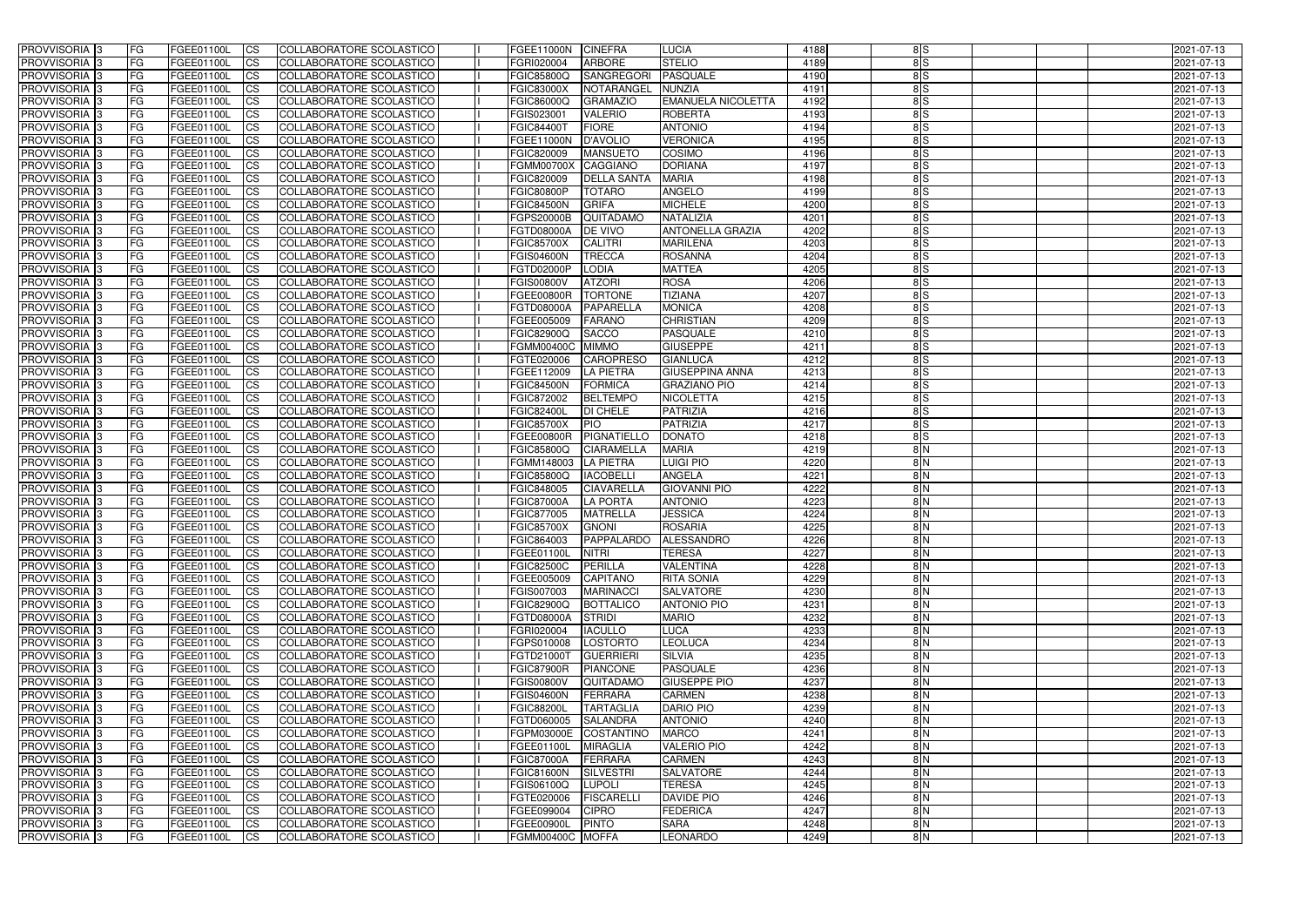| <b>PROVVISORIA</b> 3                      | l FG      | FGEE01100L               | <b>ICS</b>             | COLLABORATORE SCOLASTICO                             | FGEE11000N               | <b>CINEFRA</b>                   | LUCIA                         | 4188         | 8S            | 2021-07-13               |
|-------------------------------------------|-----------|--------------------------|------------------------|------------------------------------------------------|--------------------------|----------------------------------|-------------------------------|--------------|---------------|--------------------------|
| <b>PROVVISORIA 3</b>                      | FG.       | FGEE01100L               | <b>ICS</b>             | COLLABORATORE SCOLASTICO                             | FGRI020004               | <b>ARBORE</b>                    | <b>STELIO</b>                 | 4189         | 8S            | 2021-07-13               |
| PROVVISORIA <sup>1</sup> 3                | FG        | FGEE01100L               | <b>CS</b>              | COLLABORATORE SCOLASTICO                             | FGIC85800Q               | <b>SANGREGORI</b>                | <b>PASQUALE</b>               | 4190         | $\frac{8}{5}$ | 2021-07-13               |
| PROVVISORIA                               | FG        | FGEE01100L               | <b>CS</b>              | COLLABORATORE SCOLASTICO                             | <b>FGIC83000X</b>        | NOTARANGEL                       | <b>NUNZIA</b>                 | 4191         | 8S            | 2021-07-13               |
| <b>PROVVISORIA 3</b>                      | FG        | FGEE01100L               | <b>CS</b>              | COLLABORATORE SCOLASTICO                             | FGIC86000Q               | <b>GRAMAZIO</b>                  | <b>EMANUELA NICOLETTA</b>     | 4192         | 8S            | 2021-07-13               |
| PROVVISORIA <sup>1</sup> 3                | FG        | FGEE01100L               | <b>CS</b>              | COLLABORATORE SCOLASTICO                             | FGIS023001               | <b>VALERIO</b>                   | <b>ROBERTA</b>                | 4193         | 8S            | 2021-07-13               |
| PROVVISORIA <sup>1</sup> 3                | FG        | FGEE01100L               | <b>CS</b>              | COLLABORATORE SCOLASTICO                             | <b>FGIC84400T</b>        | <b>FIORE</b>                     | <b>ANTONIO</b>                | 4194         | $\frac{8}{5}$ | 2021-07-13               |
| PROVVISORIA 3                             | FG        | FGEE01100L               | <b>ICS</b>             | COLLABORATORE SCOLASTICO                             | FGEE11000N               | D'AVOLIO                         | <b>VERONICA</b>               | 4195         | 8S            | 2021-07-13               |
| PROVVISORIA 3                             | FG        | FGEE01100L               | <b>CS</b>              | COLLABORATORE SCOLASTICO                             | FGIC820009               | <b>MANSUETO</b>                  | COSIMO                        | 4196         | $\frac{8}{5}$ | 2021-07-13               |
| PROVVISORIA 3                             | <b>FG</b> | FGEE01100L               | <b>ICS</b>             | COLLABORATORE SCOLASTICO                             | <b>FGMM00700X</b>        | CAGGIANO                         | <b>DORIANA</b>                | 4197         | 8S            | 2021-07-13               |
| PROVVISORIA 3                             | FG        | FGEE01100L               | <b>ICS</b>             | COLLABORATORE SCOLASTICO                             | FGIC820009               | <b>DELLA SANTA</b>               | <b>MARIA</b>                  | 4198         | 8S            | 2021-07-13               |
| <b>PROVVISORIA</b>                        | <b>FG</b> | FGEE01100L               | <b>ICS</b>             | COLLABORATORE SCOLASTICO                             | <b>FGIC80800P</b>        | <b>TOTARO</b>                    | <b>ANGELO</b>                 | 4199         | 8S            | 2021-07-13               |
| <b>PROVVISORIA</b>                        | FG        | FGEE01100L               | <b>ICS</b>             | COLLABORATORE SCOLASTICO                             | <b>FGIC84500N</b>        | <b>GRIFA</b>                     | <b>MICHELE</b>                | 4200         | $\frac{8}{5}$ | 2021-07-13               |
| <b>PROVVISORIA</b>                        | FG        | FGEE01100L               | <b>ICS</b>             | COLLABORATORE SCOLASTICO                             | <b>FGPS20000B</b>        | QUITADAMO                        | <b>NATALIZIA</b>              | 4201         | 8S            | 2021-07-13               |
| <b>PROVVISORIA</b>                        | FG        | FGEE01100L               | <b>ICS</b>             | COLLABORATORE SCOLASTICO                             | <b>FGTD08000A</b>        | <b>DE VIVO</b>                   | <b>ANTONELLA GRAZIA</b>       | 4202         | 8S            | 2021-07-13               |
| <b>PROVVISORIA</b>                        | FG        | FGEE01100L               | <b>ICS</b>             | COLLABORATORE SCOLASTICO                             | <b>FGIC85700X</b>        | <b>CALITRI</b>                   | <b>MARILENA</b>               | 4203         | $\frac{8}{5}$ | 2021-07-13               |
| <b>PROVVISORIA</b>                        | FG        | <b>FGEE01100L</b>        | <b>ICS</b>             | COLLABORATORE SCOLASTICO                             | <b>FGIS04600N</b>        | <b>TRECCA</b>                    | <b>ROSANNA</b>                | 4204         | 8S            | 2021-07-13               |
| <b>PROVVISORIA</b>                        | FG        | FGEE01100L               | <b>ICS</b>             | COLLABORATORE SCOLASTICO                             | FGTD02000P               | <b>LODIA</b>                     | <b>MATTEA</b>                 | 4205         | 8S            | 2021-07-13               |
| PROVVISORIA <sup>3</sup>                  | FG        | FGEE01100L               | <b>ICS</b>             | COLLABORATORE SCOLASTICO                             | <b>FGIS00800V</b>        | <b>ATZORI</b>                    | <b>ROSA</b>                   | 4206         | 8S            | 2021-07-13               |
| PROVVISORIA 3                             | FG        | FGEE01100L               | <b>ICS</b>             | COLLABORATORE SCOLASTICO                             | FGEE00800R               | <b>TORTONE</b>                   | <b>TIZIANA</b>                | 4207         | 8S            | 2021-07-13               |
| PROVVISORIA <sup>1</sup> 3                | FG        | FGEE01100L               | <b>ICS</b>             | COLLABORATORE SCOLASTICO                             | FGTD08000A               | PAPARELLA                        | <b>MONICA</b>                 | 4208         | 8S            | 2021-07-13               |
| PROVVISORIA 3                             | FG        | FGEE01100L               | <b>ICS</b>             | COLLABORATORE SCOLASTICO                             | FGEE005009               | <b>FARANO</b>                    | <b>CHRISTIAN</b>              | 4209         | 8S            | 2021-07-13               |
| PROVVISORIA <sup>3</sup>                  | FG        | FGEE01100L               | <b>ICS</b>             | <b>COLLABORATORE SCOLASTICO</b>                      | FGIC82900Q               | <b>SACCO</b>                     | <b>PASQUALE</b>               | 4210         | 8S            | 2021-07-13               |
| PROVVISORIA <sup>3</sup>                  | FG        | FGEE01100L               | <b>CS</b>              | COLLABORATORE SCOLASTICO                             | FGMM00400C               | <b>MIMMO</b>                     | <b>GIUSEPPE</b>               | 4211         | 8S            | 2021-07-13               |
| PROVVISORIA <sup>3</sup>                  | FG        | FGEE01100L               | <b>CS</b>              | <b>COLLABORATORE SCOLASTICO</b>                      | FGTE020006               | <b>CAROPRESO</b>                 | <b>GIANLUCA</b>               | 4212         | $\frac{8}{5}$ | 2021-07-13               |
| PROVVISORIA <sup>1</sup> 3                | FG        | FGEE01100L               | <b>ICS</b>             | COLLABORATORE SCOLASTICO                             | FGEE112009               | <b>LA PIETRA</b>                 | <b>GIUSEPPINA ANNA</b>        | 4213         | $\frac{8}{5}$ | 2021-07-13               |
| PROVVISORIA 3                             | FG        | FGEE01100L               | <b>ICS</b>             | COLLABORATORE SCOLASTICO                             | <b>FGIC84500N</b>        | <b>FORMICA</b>                   | <b>GRAZIANO PIO</b>           | 4214         | 8S            | 2021-07-13               |
| PROVVISORIA                               | FG        | FGEE01100L               | <b>ICS</b>             | COLLABORATORE SCOLASTICO                             | FGIC872002               | <b>BELTEMPO</b>                  | <b>NICOLETTA</b>              | 4215         | 8S            | 2021-07-13               |
| PROVVISORIA                               | FG        | FGEE01100L               | <b>CS</b>              | <b>COLLABORATORE SCOLASTICO</b>                      | <b>FGIC82400L</b>        | <b>DI CHELE</b>                  | <b>PATRIZIA</b>               | 4216<br>4217 | 8S            | 2021-07-13               |
| PROVVISORIA                               | FG        | FGEE01100L               | <b>CS</b>              | COLLABORATORE SCOLASTICO                             | <b>FGIC85700X</b>        | <b>PIO</b>                       | <b>PATRIZIA</b>               | 4218         | 8S            | 2021-07-13               |
| PROVVISORIA<br>PROVVISORIA <sup>1</sup> 3 | FG<br>FG  | FGEE01100L               | <b>CS</b><br><b>CS</b> | COLLABORATORE SCOLASTICO<br>COLLABORATORE SCOLASTICO | FGEE00800R<br>FGIC85800Q | PIGNATIELLO<br><b>CIARAMELLA</b> | <b>DONATO</b><br><b>MARIA</b> | 4219         | 8S<br>8N      | 2021-07-13               |
| PROVVISORIA <sup>1</sup> 3                | FG        | FGEE01100L<br>FGEE01100L | <b>CS</b>              | COLLABORATORE SCOLASTICO                             | FGMM148003               | <b>LA PIETRA</b>                 | <b>LUIGI PIO</b>              | 4220         | 8N            | 2021-07-13<br>2021-07-13 |
| PROVVISORIA 3                             | FG        | FGEE01100L               | <b>CS</b>              | COLLABORATORE SCOLASTICO                             | FGIC85800Q               | <b>IACOBELLI</b>                 | <b>ANGELA</b>                 | 4221         | 8N            | 2021-07-13               |
| PROVVISORIA <sup>1</sup> 3                | FG        | FGEE01100L               | <b>ICS</b>             | COLLABORATORE SCOLASTICO                             | FGIC848005               | <b>CIAVARELLA</b>                | <b>GIOVANNI PIO</b>           | 4222         | 8N            | 2021-07-13               |
| PROVVISORIA <sup>1</sup> 3                | <b>FG</b> | FGEE01100L               | <b>ICS</b>             | COLLABORATORE SCOLASTICO                             | <b>FGIC87000A</b>        | <b>LA PORTA</b>                  | <b>ANTONIO</b>                | 4223         | 8N            | 2021-07-13               |
| PROVVISORIA 3                             | <b>FG</b> | FGEE01100L               | <b>ICS</b>             | COLLABORATORE SCOLASTICO                             | FGIC877005               | <b>MATRELLA</b>                  | <b>JESSICA</b>                | 4224         | $\frac{8}{N}$ | 2021-07-13               |
| <b>PROVVISORIA</b>                        | <b>FG</b> | FGEE01100L               | <b>ICS</b>             | COLLABORATORE SCOLASTICO                             | <b>FGIC85700X</b>        | <b>GNONI</b>                     | <b>ROSARIA</b>                | 4225         | $\frac{8}{N}$ | 2021-07-13               |
| PROVVISORIA 3                             | FG        | FGEE01100L               | <b>ICS</b>             | COLLABORATORE SCOLASTICO                             | FGIC864003               | PAPPALARDO ALESSANDRO            |                               | 4226         | 8 N           | 2021-07-13               |
| PROVVISORIA <sup>3</sup>                  | <b>FG</b> | FGEE01100L               | $\mathsf{ICS}$         | COLLABORATORE SCOLASTICO                             | FGEE01100L               | NITRI                            | <b>TERESA</b>                 | 4227         | 8N            | 2021-07-13               |
| PROVVISORIA 3                             | <b>FG</b> | <b>FGEE01100L</b>        | $\mathsf{ICS}$         | COLLABORATORE SCOLASTICO                             | <b>FGIC82500C</b>        | <b>PERILLA</b>                   | <b>VALENTINA</b>              | 4228         | $\frac{8}{N}$ | 2021-07-13               |
| PROVVISORIA 3                             | <b>FG</b> | FGEE01100L               | $\mathsf{ICS}$         | COLLABORATORE SCOLASTICO                             | FGEE005009               | <b>CAPITANO</b>                  | <b>RITA SONIA</b>             | 4229         | $\frac{8}{N}$ | 2021-07-13               |
| PROVVISORIA 3                             | FG        | FGEE01100L               | $\mathsf{ICS}$         | COLLABORATORE SCOLASTICO                             | FGIS007003               | <b>MARINACCI</b>                 | <b>SALVATORE</b>              | 4230         | $\frac{8}{N}$ | 2021-07-13               |
| PROVVISORIA 3                             | l FG      | FGEE01100L               | CS                     | COLLABORATORE SCOLASTICO                             | <b>FGIC82900Q</b>        | BOTTALICO                        | <b>ANTONIO PIO</b>            | 4231         | $\frac{8}{N}$ | 2021-07-13               |
| PROVVISORIA 3                             | <b>FG</b> | FGEE01100L               | $\mathsf{ICS}$         | COLLABORATORE SCOLASTICO                             | FGTD08000A               | <b>STRIDI</b>                    | <b>MARIO</b>                  | 4232         | 8N            | 2021-07-13               |
| PROVVISORIA 3                             | FG        | FGEE01100L               | <b>CS</b>              | COLLABORATORE SCOLASTICO                             | FGRI020004               | <b>IACULLO</b>                   | <b>LUCA</b>                   | 4233         | 8N            | 2021-07-13               |
| PROVVISORIA 3                             | <b>FG</b> | FGEE01100L               | $\overline{\text{CS}}$ | COLLABORATORE SCOLASTICO                             | FGPS010008               | LOSTORTO                         | <b>LEOLUCA</b>                | 4234         | 8N            | 2021-07-13               |
| PROVVISORIA 3                             | <b>FG</b> | FGEE01100L               | <b>CS</b>              | COLLABORATORE SCOLASTICO                             | FGTD21000T               | GUERRIERI                        | <b>SILVIA</b>                 | 4235         | 8N            | 2021-07-13               |
| PROVVISORIA 3                             | <b>FG</b> | FGEE01100L               | <b>CS</b>              | COLLABORATORE SCOLASTICO                             | <b>FGIC87900R</b>        | <b>PIANCONE</b>                  | PASQUALE                      | 4236         | 8N            | 2021-07-13               |
| PROVVISORIA 3                             | <b>FG</b> | FGEE01100L               | <b>CS</b>              | COLLABORATORE SCOLASTICO                             | <b>FGIS00800V</b>        | <b>QUITADAMO</b>                 | <b>GIUSEPPE PIO</b>           | 4237         | 8N            | 2021-07-13               |
| PROVVISORIA 3                             | <b>FG</b> | FGEE01100L               | <b>CS</b>              | COLLABORATORE SCOLASTICO                             | <b>FGIS04600N</b>        | <b>FERRARA</b>                   | <b>CARMEN</b>                 | 4238         | 8N            | 2021-07-13               |
| PROVVISORIA 3                             | <b>FG</b> | FGEE01100L               | <b>CS</b>              | COLLABORATORE SCOLASTICO                             | <b>FGIC88200L</b>        | <b>TARTAGLIA</b>                 | <b>DARIO PIO</b>              | 4239         | 8N            | 2021-07-13               |
| PROVVISORIA 3                             | <b>FG</b> | FGEE01100L               | <b>CS</b>              | COLLABORATORE SCOLASTICO                             | FGTD060005               | <b>SALANDRA</b>                  | <b>ANTONIO</b>                | 4240         | 8N            | 2021-07-13               |
| PROVVISORIA 3                             | <b>FG</b> | FGEE01100L               | <b>CS</b>              | COLLABORATORE SCOLASTICO                             | FGPM03000E COSTANTINO    |                                  | <b>MARCO</b>                  | 4241         | 8N            | 2021-07-13               |
| PROVVISORIA 3                             | <b>FG</b> | FGEE01100L               | <b>CS</b>              | COLLABORATORE SCOLASTICO                             | FGEE01100L               | <b>MIRAGLIA</b>                  | <b>VALERIO PIO</b>            | 4242         | 8N            | 2021-07-13               |
| PROVVISORIA 3                             | <b>FG</b> | FGEE01100L               | <b>CS</b>              | COLLABORATORE SCOLASTICO                             | <b>FGIC87000A</b>        | FERRARA                          | <b>CARMEN</b>                 | 4243         | 8N            | 2021-07-13               |
| PROVVISORIA 3                             | <b>FG</b> | FGEE01100L               | <b>CS</b>              | COLLABORATORE SCOLASTICO                             | <b>FGIC81600N</b>        | SILVESTRI                        | <b>SALVATORE</b>              | 4244         | 8N            | 2021-07-13               |
| PROVVISORIA 3                             | FG        | FGEE01100L               | <b>CS</b>              | COLLABORATORE SCOLASTICO                             | FGIS06100Q               | <b>LUPOLI</b>                    | <b>TERESA</b>                 | 4245         | 8N            | 2021-07-13               |
| PROVVISORIA 3                             | FG        | <b>FGEE01100L</b>        | <b>CS</b>              | COLLABORATORE SCOLASTICO                             | FGTE020006               | FISCARELLI                       | <b>DAVIDE PIO</b>             | 4246         | 8N            | 2021-07-13               |
| PROVVISORIA 3                             | <b>FG</b> | FGEE01100L               | $\overline{\text{CS}}$ | COLLABORATORE SCOLASTICO                             | FGEE099004               | <b>CIPRO</b>                     | <b>FEDERICA</b>               | 4247         | 8N            | 2021-07-13               |
| PROVVISORIA 3                             | <b>FG</b> | FGEE01100L               | $\overline{\text{CS}}$ | COLLABORATORE SCOLASTICO                             | FGEE00900L               | <b>PINTO</b>                     | <b>SARA</b>                   | 4248         | 8N            | 2021-07-13               |
| PROVVISORIA 3                             | <b>FG</b> | FGEE01100L               | $\mathsf{ICS}$         | COLLABORATORE SCOLASTICO                             | FGMM00400C MOFFA         |                                  | <b>LEONARDO</b>               | 4249         | $\frac{8}{N}$ | 2021-07-13               |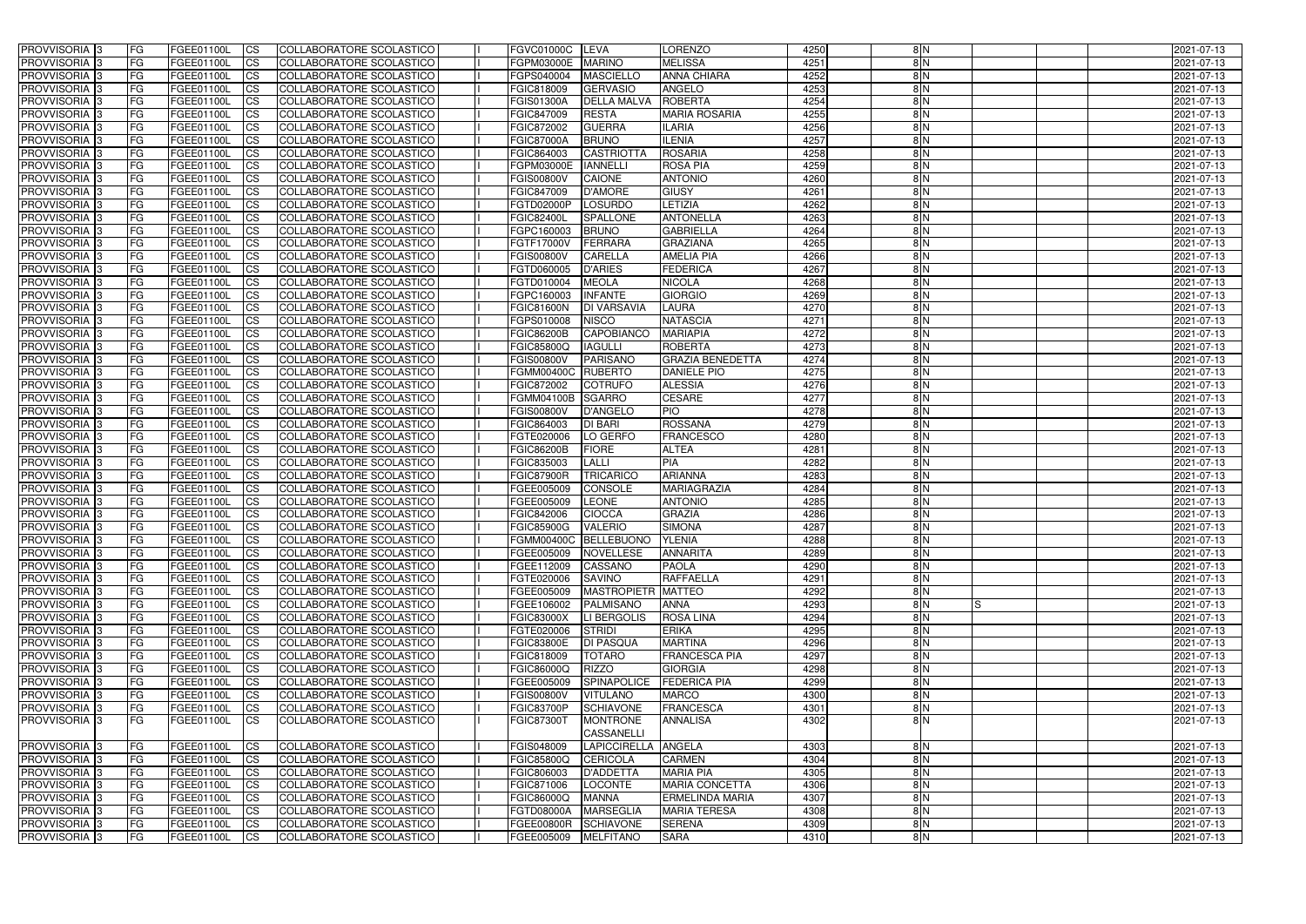| <b>PROVVISORIA</b> 3                             | <b>FG</b>              | FGEE01100L                      | <b>ICS</b>                               | COLLABORATORE SCOLASTICO                              | <b>FGVC01000C</b>                      | LEVA                                           | <b>LORENZO</b>                                | 4250         | 8N                             | 2021-07-13               |
|--------------------------------------------------|------------------------|---------------------------------|------------------------------------------|-------------------------------------------------------|----------------------------------------|------------------------------------------------|-----------------------------------------------|--------------|--------------------------------|--------------------------|
| PROVVISORIA <sup>1</sup> 3                       | FG                     | FGEE01100L                      | <b>ICS</b>                               | <b>COLLABORATORE SCOLASTICO</b>                       | FGPM03000E                             | <b>MARINO</b>                                  | <b>MELISSA</b>                                | 4251         | 8N                             | 2021-07-13               |
| PROVVISORIA <sup>1</sup> 3                       | FG                     | FGEE01100L                      | <b>CS</b>                                | COLLABORATORE SCOLASTICO                              | FGPS040004                             | <b>MASCIELLO</b>                               | <b>ANNA CHIARA</b>                            | 4252         | 8N                             | 2021-07-13               |
| PROVVISORIA <sup>1</sup> 3                       | FG                     | FGEE01100L                      | <b>CS</b>                                | COLLABORATORE SCOLASTICO                              | FGIC818009                             | <b>GERVASIO</b>                                | <b>ANGELO</b>                                 | 4253         | 8N                             | 2021-07-13               |
| PROVVISORIA <sup>1</sup> 3                       | FG                     | FGEE01100L                      | <b>ICS</b>                               | COLLABORATORE SCOLASTICO                              | FGIS01300A                             | <b>DELLA MALVA</b>                             | <b>ROBERTA</b>                                | 4254         | 8N                             | 2021-07-13               |
| PROVVISORIA 3                                    | FG                     | FGEE01100L                      | <b>ICS</b>                               | COLLABORATORE SCOLASTICO                              | FGIC847009                             | <b>RESTA</b>                                   | <b>MARIA ROSARIA</b>                          | 4255         | 8N                             | 2021-07-13               |
| PROVVISORIA 3                                    | FG                     | FGEE01100L                      | <b>ICS</b>                               | COLLABORATORE SCOLASTICO                              | FGIC872002                             | <b>GUERRA</b>                                  | <b>ILARIA</b>                                 | 4256         | 8N                             | 2021-07-13               |
| PROVVISORIA <sup>1</sup> 3                       | FG                     | FGEE01100L                      | <b>ICS</b>                               | COLLABORATORE SCOLASTICO                              | <b>FGIC87000A</b>                      | <b>BRUNO</b>                                   | <b>ILENIA</b>                                 | 4257         | 8N                             | 2021-07-13               |
| PROVVISORIA <sup>3</sup>                         | FG                     | FGEE01100L                      | <b>CS</b>                                | COLLABORATORE SCOLASTICO                              | FGIC864003                             | <b>CASTRIOTTA</b>                              | <b>ROSARIA</b>                                | 4258         | 8N                             | 2021-07-13               |
| PROVVISORIA 3                                    | FG                     | FGEE01100L                      | <b>CS</b>                                | COLLABORATORE SCOLASTICO                              | FGPM03000E                             | <b>IANNELLI</b>                                | <b>ROSA PIA</b>                               | 4259         | $\frac{8}{N}$                  | 2021-07-13               |
| PROVVISORIA <sup>1</sup> 3                       | <b>FG</b>              | FGEE01100L                      | <b>ICS</b>                               | COLLABORATORE SCOLASTICO                              | <b>FGIS00800V</b>                      | <b>CAIONE</b>                                  | <b>ANTONIO</b>                                | 4260         | 8N                             | 2021-07-13               |
| <b>PROVVISORIA</b>                               | FG                     | FGEE01100L                      | <b>ICS</b>                               | COLLABORATORE SCOLASTICO                              | FGIC847009                             | <b>D'AMORE</b>                                 | <b>GIUSY</b>                                  | 4261         | 8N                             | 2021-07-13               |
| PROVVISORIA <sup>1</sup> 3                       | FG                     | FGEE01100L                      | <b>ICS</b>                               | COLLABORATORE SCOLASTICO                              | FGTD02000P                             | <b>LOSURDO</b>                                 | LETIZIA                                       | 4262         | 8N                             | 2021-07-13               |
| <b>PROVVISORIA</b>                               | FG                     | FGEE01100L                      | <b>ICS</b>                               | COLLABORATORE SCOLASTICO                              | <b>FGIC82400L</b>                      | <b>SPALLONE</b>                                | <b>ANTONELLA</b>                              | 4263         | 8N                             | 2021-07-13               |
| <b>PROVVISORIA</b>                               | FG                     | FGEE01100L                      | <b>ICS</b>                               | COLLABORATORE SCOLASTICO                              | FGPC160003                             | <b>BRUNO</b>                                   | <b>GABRIELLA</b>                              | 4264         | $\frac{8}{N}$                  | 2021-07-13               |
| PROVVISORIA <sup>1</sup> 3<br><b>PROVVISORIA</b> | FG                     | FGEE01100L<br><b>FGEE01100L</b> | <b>ICS</b>                               | COLLABORATORE SCOLASTICO                              | <b>FGTF17000V</b>                      | FERRARA                                        | <b>GRAZIANA</b><br><b>AMELIA PIA</b>          | 4265<br>4266 | 8 N<br>8N                      | 2021-07-13               |
| PROVVISORIA <sup>3</sup>                         | FG<br>FG               | FGEE01100L                      | <b>ICS</b><br><b>ICS</b>                 | COLLABORATORE SCOLASTICO<br>COLLABORATORE SCOLASTICO  | <b>FGIS00800V</b><br>FGTD060005        | <b>CARELLA</b><br><b>D'ARIES</b>               | <b>FEDERICA</b>                               | 4267         | $\frac{8}{N}$                  | 2021-07-13<br>2021-07-13 |
| PROVVISORIA <sup>1</sup> 3                       | FG                     | FGEE01100L                      | <b>ICS</b>                               | COLLABORATORE SCOLASTICO                              | FGTD010004                             | <b>MEOLA</b>                                   | <b>NICOLA</b>                                 | 4268         | 8N                             | 2021-07-13               |
| PROVVISORIA <sup>1</sup> 3                       | FG                     | FGEE01100L                      | <b>ICS</b>                               | COLLABORATORE SCOLASTICO                              | FGPC160003                             | <b>INFANTE</b>                                 | <b>GIORGIO</b>                                | 4269         | 8N                             | 2021-07-13               |
| PROVVISORIA <sup>1</sup> 3                       | FG                     | FGEE01100L                      | <b>CS</b>                                | COLLABORATORE SCOLASTICO                              | <b>FGIC81600N</b>                      | <b>DI VARSAVIA</b>                             | <b>LAURA</b>                                  | 4270         | 8N                             | 2021-07-13               |
| PROVVISORIA <sup>1</sup> 3                       | FG                     | FGEE01100L                      | <b>CS</b>                                | COLLABORATORE SCOLASTICO                              | FGPS010008                             | <b>NISCO</b>                                   | <b>NATASCIA</b>                               | 4271         | 8N                             | 2021-07-13               |
| PROVVISORIA <sup>3</sup>                         | FG                     | FGEE01100L                      | <b>CS</b>                                | <b>COLLABORATORE SCOLASTICO</b>                       | <b>FGIC86200B</b>                      | CAPOBIANCO                                     | <b>MARIAPIA</b>                               | 4272         | 8N                             | 2021-07-13               |
| PROVVISORIA <sup>1</sup> 3                       | <b>FG</b>              | FGEE01100L                      | <b>CS</b>                                | COLLABORATORE SCOLASTICO                              | FGIC85800Q                             | <b>IAGULLI</b>                                 | <b>ROBERTA</b>                                | 4273         | 8N                             | 2021-07-13               |
| PROVVISORIA 3                                    | FG                     | FGEE01100L                      | <b>CS</b>                                | COLLABORATORE SCOLASTICO                              | <b>FGIS00800V</b>                      | <b>PARISANO</b>                                | <b>GRAZIA BENEDETTA</b>                       | 4274         | 8N                             | 2021-07-13               |
| PROVVISORIA <sup>1</sup> 3                       | FG                     | FGEE01100L                      | <b>ICS</b>                               | COLLABORATORE SCOLASTICO                              | FGMM00400C RUBERTO                     |                                                | <b>DANIELE PIO</b>                            | 4275         | 8N                             | 2021-07-13               |
| PROVVISORIA                                      | FG                     | FGEE01100L                      | <b>CS</b>                                | <b>COLLABORATORE SCOLASTICO</b>                       | FGIC872002                             | <b>COTRUFO</b>                                 | <b>ALESSIA</b>                                | 4276         | $\frac{8}{N}$                  | 2021-07-13               |
| PROVVISORIA                                      | FG                     | FGEE01100L                      | <b>CS</b>                                | COLLABORATORE SCOLASTICO                              | FGMM04100B                             | <b>SGARRO</b>                                  | <b>CESARE</b>                                 | 4277         | 8N                             | 2021-07-13               |
| PROVVISORIA <sup>1</sup> 3                       | FG                     | FGEE01100L                      | <b>CS</b>                                | COLLABORATORE SCOLASTICO                              | <b>FGIS00800V</b>                      | <b>D'ANGELO</b>                                | <b>PIO</b>                                    | 4278         | 8N                             | 2021-07-13               |
| PROVVISORIA <sup>3</sup>                         | FG                     | FGEE01100L                      | <b>CS</b>                                | COLLABORATORE SCOLASTICO                              | FGIC864003                             | <b>DI BARI</b>                                 | <b>ROSSANA</b>                                | 4279         | 8N                             | 2021-07-13               |
| PROVVISORIA                                      | FG                     | FGEE01100L                      | <b>CS</b>                                | COLLABORATORE SCOLASTICO                              | FGTE020006                             | LO GERFO                                       | <b>FRANCESCO</b>                              | 4280         | 8N                             | 2021-07-13               |
| PROVVISORIA <sup>1</sup> 3                       | FG                     | FGEE01100L                      | <b>ICS</b>                               | COLLABORATORE SCOLASTICO                              | <b>FGIC86200B</b>                      | <b>FIORE</b>                                   | <b>ALTEA</b>                                  | 4281         | 8N                             | 2021-07-13               |
| <b>PROVVISORIA</b>                               | FG                     | FGEE01100L                      | <b>ICS</b>                               | <b>COLLABORATORE SCOLASTICO</b>                       | FGIC835003                             | <b>LALLI</b>                                   | PIA                                           | 4282         | $\frac{8}{N}$                  | 2021-07-13               |
| PROVVISORIA 3                                    | <b>FG</b>              | FGEE01100L                      | <b>ICS</b>                               | COLLABORATORE SCOLASTICO                              | <b>FGIC87900R</b>                      | <b>TRICARICO</b>                               | <b>ARIANNA</b>                                | 4283         | 8N                             | 2021-07-13               |
| PROVVISORIA 3                                    | <b>FG</b>              | FGEE01100L                      | <b>CS</b>                                | COLLABORATORE SCOLASTICO                              | FGEE005009                             | <b>CONSOLE</b>                                 | <b>MARIAGRAZIA</b>                            | 4284         | $\frac{8}{N}$                  | 2021-07-13               |
| <b>PROVVISORIA</b>                               | <b>FG</b>              | FGEE01100L                      | <b>CS</b>                                | COLLABORATORE SCOLASTICO                              | FGEE005009                             | <b>LEONE</b>                                   | <b>ANTONIO</b>                                | 4285         | 8N                             | 2021-07-13               |
| PROVVISORIA <sup>1</sup> 3<br>PROVVISORIA 3      | FG<br>FG               | FGEE01100L                      | <b>ICS</b>                               | COLLABORATORE SCOLASTICO<br> COLLABORATORE SCOLASTICO | FGIC842006                             | <b>CIOCCA</b>                                  | <b>GRAZIA</b>                                 | 4286<br>4287 | $\frac{8}{N}$<br>$\frac{8}{N}$ | 2021-07-13               |
| PROVVISORIA 3                                    | FG                     | FGEE01100L<br>FGEE01100L CS     | <b>ICS</b>                               | COLLABORATORE SCOLASTICO                              | <b>FGIC85900G</b>                      | <b>VALERIO</b><br>FGMM00400C BELLEBUONO YLENIA | <b>SIMONA</b>                                 | 4288         | 8 N                            | 2021-07-13<br>2021-07-13 |
| PROVVISORIA 3                                    | l FG                   | FGEE01100L                      | CS                                       | COLLABORATORE SCOLASTICO                              | FGEE005009 NOVELLESE                   |                                                | <b>ANNARITA</b>                               | 4289         | 8N                             | 2021-07-13               |
| PROVVISORIA 3                                    | <b>FG</b>              | FGEE01100L                      | CS                                       | COLLABORATORE SCOLASTICO                              | FGEE112009 CASSANO                     |                                                | <b>PAOLA</b>                                  | 4290         | 8N                             | 2021-07-13               |
| PROVVISORIA 3                                    | <b>FG</b>              | FGEE01100L                      | CS                                       | COLLABORATORE SCOLASTICO                              | FGTE020006 SAVINO                      |                                                | <b>RAFFAELLA</b>                              | 4291         | $\frac{8}{N}$                  | 2021-07-13               |
| PROVVISORIA 3                                    | l FG                   | FGEE01100L                      | $\mathsf{ICS}$                           | COLLABORATORE SCOLASTICO                              | FGEE005009                             | MASTROPIETR MATTEO                             |                                               | 4292         | 8N                             | 2021-07-13               |
| PROVVISORIA 3                                    | FG                     | FGEE01100L                      | <b>CS</b>                                | COLLABORATORE SCOLASTICO                              | FGEE106002                             | <b>PALMISANO</b>                               | <b>ANNA</b>                                   | 4293         | 8N<br>IS                       | 2021-07-13               |
| PROVVISORIA 3                                    | FG                     | FGEE01100L                      | $\mathsf{ICS}$                           | COLLABORATORE SCOLASTICO                              | <b>FGIC83000X</b>                      | LI BERGOLIS                                    | <b>ROSA LINA</b>                              | 4294         | 8N                             | 2021-07-13               |
| PROVVISORIA 3                                    | <b>FG</b>              | FGEE01100L                      | <b>CS</b>                                | COLLABORATORE SCOLASTICO                              | FGTE020006                             | STRIDI                                         | <b>ERIKA</b>                                  | 4295         | 8N                             | 2021-07-13               |
| PROVVISORIA 3                                    | <b>FG</b>              | FGEE01100L                      | <b>CS</b>                                | COLLABORATORE SCOLASTICO                              | <b>FGIC83800E</b>                      | <b>DI PASQUA</b>                               | <b>MARTINA</b>                                | 4296         | 8N                             | 2021-07-13               |
| PROVVISORIA 3                                    | <b>FG</b>              | FGEE01100L                      | <b>CS</b>                                | COLLABORATORE SCOLASTICO                              | FGIC818009                             | <b>TOTARO</b>                                  | <b>FRANCESCA PIA</b>                          | 4297         | 8N                             | 2021-07-13               |
| PROVVISORIA 3                                    | <b>FG</b>              | FGEE01100L                      | <b>CS</b>                                | COLLABORATORE SCOLASTICO                              | <b>FGIC86000Q</b>                      | <b>RIZZO</b>                                   | <b>GIORGIA</b>                                | 4298         | 8N                             | 2021-07-13               |
| PROVVISORIA 3                                    | <b>FG</b>              | FGEE01100L                      | <b>CS</b>                                | COLLABORATORE SCOLASTICO                              | FGEE005009                             | SPINAPOLICE                                    | <b>FEDERICA PIA</b>                           | 4299         | 8N                             | 2021-07-13               |
| PROVVISORIA 3                                    | <b>FG</b>              | FGEE01100L                      | <b>CS</b>                                | COLLABORATORE SCOLASTICO                              | <b>FGIS00800V</b>                      | <b>VITULANO</b>                                | <b>MARCO</b>                                  | 4300         | 8N                             | 2021-07-13               |
| PROVVISORIA 3                                    | <b>FG</b>              | FGEE01100L                      | <b>CS</b>                                | COLLABORATORE SCOLASTICO                              | <b>FGIC83700P</b>                      | <b>SCHIAVONE</b>                               | <b>FRANCESCA</b>                              | 4301         | 8N                             | 2021-07-13               |
| PROVVISORIA 3                                    | l FG                   | FGEE01100L                      | <b>ICS</b>                               | COLLABORATORE SCOLASTICO                              | <b>FGIC87300T</b>                      | <b>MONTRONE</b>                                | <b>ANNALISA</b>                               | 4302         | $\frac{8}{N}$                  | 2021-07-13               |
|                                                  |                        |                                 |                                          |                                                       |                                        | <b>CASSANELLI</b>                              |                                               |              |                                |                          |
| PROVVISORIA 3                                    | l FG                   | FGEE01100L                      | <b>CS</b>                                | COLLABORATORE SCOLASTICO                              | FGIS048009                             | LAPICCIRELLA ANGELA                            |                                               | 4303         | 8N                             | 2021-07-13               |
| PROVVISORIA 3                                    | <b>FG</b>              | FGEE01100L                      | <b>CS</b>                                | COLLABORATORE SCOLASTICO                              | <b>FGIC85800Q</b>                      | <b>CERICOLA</b>                                | <b>CARMEN</b>                                 | 4304         | 8N                             | 2021-07-13               |
| PROVVISORIA 3                                    | FG                     | <b>FGEE01100L</b>               | <b>CS</b>                                | COLLABORATORE SCOLASTICO                              | FGIC806003                             | D'ADDETTA                                      | <b>MARIA PIA</b>                              | 4305         | 8N                             | 2021-07-13               |
| PROVVISORIA 3                                    | <b>FG</b>              | FGEE01100L                      | <b>CS</b>                                | COLLABORATORE SCOLASTICO                              | FGIC871006                             | LOCONTE                                        | <b>MARIA CONCETTA</b>                         | 4306         | 8N                             | 2021-07-13               |
| PROVVISORIA 3<br>PROVVISORIA 3                   | <b>FG</b><br><b>FG</b> | FGEE01100L<br>FGEE01100L        | $\overline{\text{CS}}$<br>$\mathsf{ICS}$ | COLLABORATORE SCOLASTICO<br>COLLABORATORE SCOLASTICO  | <b>FGIC86000Q</b><br><b>FGTD08000A</b> | <b>MANNA</b><br><b>MARSEGLIA</b>               | <b>ERMELINDA MARIA</b><br><b>MARIA TERESA</b> | 4307<br>4308 | 8N<br>8N                       | 2021-07-13<br>2021-07-13 |
| PROVVISORIA 3                                    | <b>FG</b>              | FGEE01100L                      | <b>CS</b>                                | COLLABORATORE SCOLASTICO                              | FGEE00800R SCHIAVONE                   |                                                | <b>SERENA</b>                                 | 4309         | 8N                             | 2021-07-13               |
| PROVVISORIA 3                                    | l FG                   | <b>FGEE01100L</b>               | $\mathsf{ICS}$                           | COLLABORATORE SCOLASTICO                              | FGEE005009 MELFITANO                   |                                                | <b>SARA</b>                                   | 4310         | $\frac{8}{N}$                  | 2021-07-13               |
|                                                  |                        |                                 |                                          |                                                       |                                        |                                                |                                               |              |                                |                          |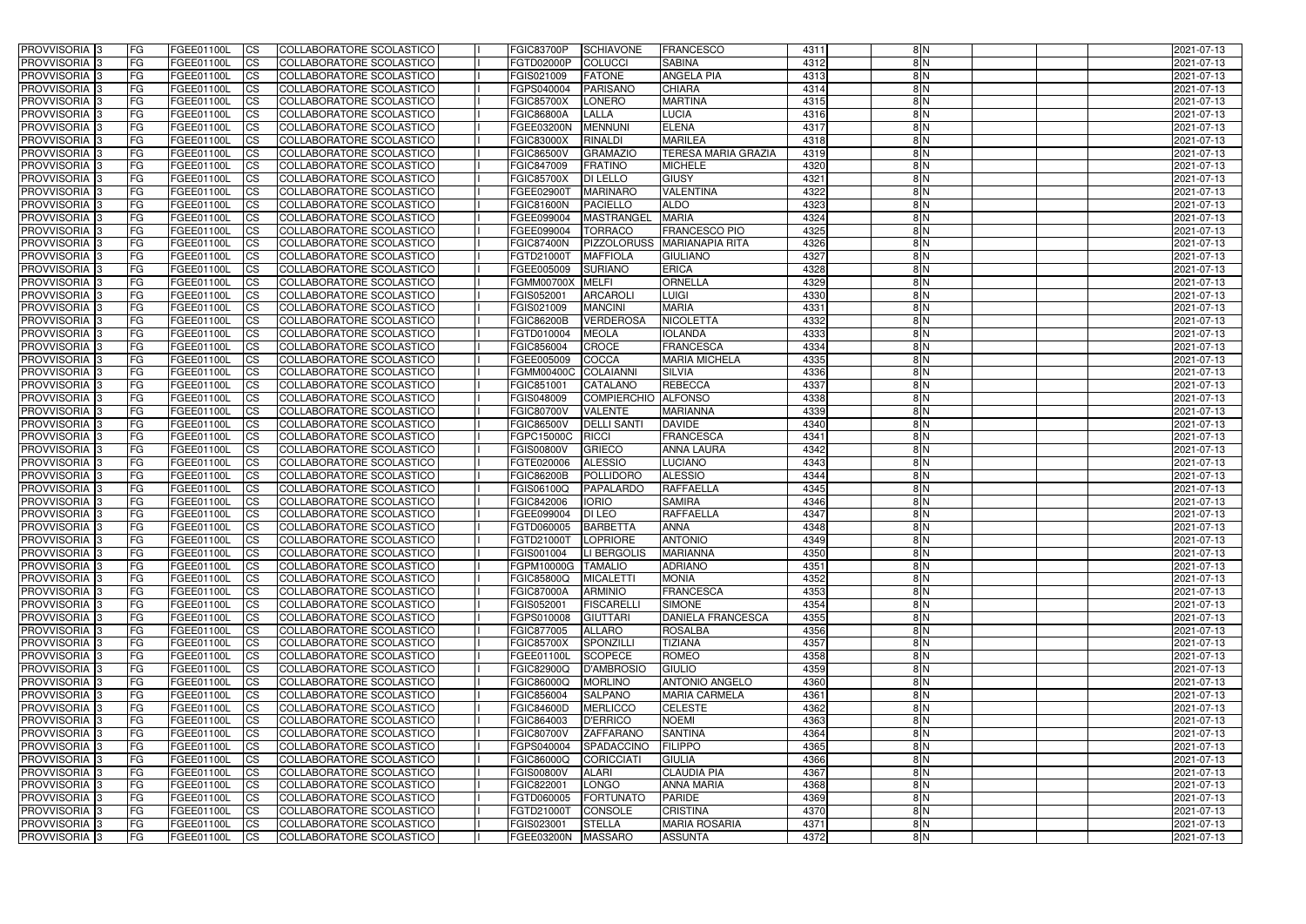| <b>PROVVISORIA</b> 3                      | l FG      | FGEE01100L               | <b>ICS</b>             | COLLABORATORE SCOLASTICO                             | <b>FGIC83700P</b>               | <b>SCHIAVONE</b>           | <b>FRANCESCO</b>                  | 4311         | 8N            | 2021-07-13               |
|-------------------------------------------|-----------|--------------------------|------------------------|------------------------------------------------------|---------------------------------|----------------------------|-----------------------------------|--------------|---------------|--------------------------|
| <b>PROVVISORIA 3</b>                      | FG.       | FGEE01100L               | <b>ICS</b>             | COLLABORATORE SCOLASTICO                             | FGTD02000P                      | <b>COLUCCI</b>             | <b>SABINA</b>                     | 4312         | 8N            | 2021-07-13               |
| PROVVISORIA <sup>1</sup> 3                | FG        | FGEE01100L               | <b>CS</b>              | COLLABORATORE SCOLASTICO                             | FGIS021009                      | <b>FATONE</b>              | <b>ANGELA PIA</b>                 | 4313         | 8N            | 2021-07-13               |
| PROVVISORIA                               | FG        | FGEE01100L               | <b>CS</b>              | COLLABORATORE SCOLASTICO                             | FGPS040004                      | <b>PARISANO</b>            | <b>CHIARA</b>                     | 4314         | 8N            | 2021-07-13               |
| <b>PROVVISORIA 3</b>                      | FG        | FGEE01100L               | <b>CS</b>              | COLLABORATORE SCOLASTICO                             | <b>FGIC85700X</b>               | <b>LONERO</b>              | <b>MARTINA</b>                    | 4315         | 8N            | 2021-07-13               |
| PROVVISORIA <sup>1</sup> 3                | FG        | FGEE01100L               | <b>CS</b>              | COLLABORATORE SCOLASTICO                             | <b>FGIC86800A</b>               | LALLA                      | <b>LUCIA</b>                      | 4316         | 8 N           | 2021-07-13               |
| PROVVISORIA <sup>1</sup> 3                | FG        | FGEE01100L               | <b>CS</b>              | COLLABORATORE SCOLASTICO                             | FGEE03200N                      | <b>MENNUNI</b>             | <b>ELENA</b>                      | 4317         | 8N            | 2021-07-13               |
| PROVVISORIA 3                             | FG        | FGEE01100L               | <b>ICS</b>             | COLLABORATORE SCOLASTICO                             | <b>FGIC83000X</b>               | <b>RINALDI</b>             | <b>MARILEA</b>                    | 4318         | 8N            | 2021-07-13               |
| PROVVISORIA 3                             | FG        | FGEE01100L               | <b>CS</b>              | COLLABORATORE SCOLASTICO                             | FGIC86500V                      | <b>GRAMAZIO</b>            | <b>TERESA MARIA GRAZIA</b>        | 4319         | 8N            | 2021-07-13               |
| PROVVISORIA 3                             | <b>FG</b> | FGEE01100L               | <b>CS</b>              | COLLABORATORE SCOLASTICO                             | FGIC847009                      | <b>FRATINO</b>             | <b>MICHELE</b>                    | 4320         | 8N            | 2021-07-13               |
| PROVVISORIA 3                             | FG        | FGEE01100L               | <b>CS</b>              | COLLABORATORE SCOLASTICO                             | <b>FGIC85700X</b>               | <b>DI LELLO</b>            | <b>GIUSY</b>                      | 4321         | $\frac{8}{N}$ | 2021-07-13               |
| <b>PROVVISORIA</b>                        | FG        | FGEE01100L               | <b>ICS</b>             | COLLABORATORE SCOLASTICO                             | FGEE02900T                      | <b>MARINARO</b>            | <b>VALENTINA</b>                  | 4322         | 8N            | 2021-07-13               |
| <b>PROVVISORIA</b>                        | FG        | FGEE01100L               | <b>ICS</b>             | COLLABORATORE SCOLASTICO                             | <b>FGIC81600N</b>               | <b>PACIELLO</b>            | <b>ALDO</b>                       | 4323         | $\frac{8}{N}$ | 2021-07-13               |
| <b>PROVVISORIA</b>                        | FG        | FGEE01100L               | <b>ICS</b>             | COLLABORATORE SCOLASTICO                             | FGEE099004                      | <b>MASTRANGEL</b>          | <b>MARIA</b>                      | 4324         | $\frac{8}{N}$ | 2021-07-13               |
| <b>PROVVISORIA</b>                        | FG        | FGEE01100L               | <b>ICS</b>             | COLLABORATORE SCOLASTICO                             | FGEE099004                      | <b>TORRACO</b>             | <b>FRANCESCO PIO</b>              | 4325         | $\frac{8}{N}$ | 2021-07-13               |
| <b>PROVVISORIA</b>                        | FG        | FGEE01100L               | <b>ICS</b>             | COLLABORATORE SCOLASTICO                             | <b>FGIC87400N</b>               | <b>PIZZOLORUSS</b>         | <b>MARIANAPIA RITA</b>            | 4326         | 8N            | 2021-07-13               |
| <b>PROVVISORIA</b>                        | FG        | FGEE01100L               | <b>ICS</b>             | COLLABORATORE SCOLASTICO                             | FGTD21000T                      | <b>MAFFIOLA</b>            | <b>GIULIANO</b>                   | 4327         | 8N            | 2021-07-13               |
| <b>PROVVISORIA</b>                        | FG        | FGEE01100L               | <b>ICS</b>             | COLLABORATORE SCOLASTICO                             | FGEE005009                      | <b>SURIANO</b>             | <b>ERICA</b>                      | 4328         | 8 N           | 2021-07-13               |
| PROVVISORIA <sup>3</sup>                  | FG        | FGEE01100L               | <b>ICS</b>             | COLLABORATORE SCOLASTICO                             | FGMM00700X                      | <b>MELFI</b>               | <b>ORNELLA</b>                    | 4329         | $\frac{8}{N}$ | 2021-07-13               |
| PROVVISORIA <sup>3</sup>                  | FG        | FGEE01100L               | <b>ICS</b>             | COLLABORATORE SCOLASTICO                             | FGIS052001                      | <b>ARCAROLI</b>            | <b>LUIGI</b>                      | 4330         | 8N            | 2021-07-13               |
| PROVVISORIA <sup>1</sup> 3                | FG        | FGEE01100L               | <b>ICS</b>             | COLLABORATORE SCOLASTICO                             | FGIS021009                      | <b>MANCINI</b>             | <b>MARIA</b>                      | 4331         | 8N            | 2021-07-13               |
| PROVVISORIA 3                             | FG        | FGEE01100L               | <b>ICS</b>             | COLLABORATORE SCOLASTICO                             | <b>FGIC86200B</b>               | <b>VERDEROSA</b>           | <b>NICOLETTA</b>                  | 4332         | 8N            | 2021-07-13               |
| PROVVISORIA <sup>3</sup>                  | FG        | FGEE01100L               | <b>ICS</b>             | <b>COLLABORATORE SCOLASTICO</b>                      | FGTD010004                      | <b>MEOLA</b>               | <b>IOLANDA</b>                    | 4333         | 8N            | 2021-07-13               |
| PROVVISORIA <sup>3</sup>                  | FG        | FGEE01100L               | <b>CS</b>              | COLLABORATORE SCOLASTICO                             | FGIC856004                      | <b>CROCE</b>               | <b>FRANCESCA</b>                  | 4334         | 8N            | 2021-07-13               |
| PROVVISORIA <sup>1</sup> 3                | FG        | FGEE01100L               | <b>CS</b>              | <b>COLLABORATORE SCOLASTICO</b>                      | FGEE005009                      | <b>COCCA</b>               | <b>MARIA MICHELA</b>              | 4335         | 8N            | 2021-07-13               |
| PROVVISORIA <sup>1</sup> 3                | FG        | FGEE01100L               | <b>ICS</b>             | COLLABORATORE SCOLASTICO                             | <b>FGMM00400C</b>               | <b>COLAIANNI</b>           | <b>SILVIA</b>                     | 4336         | 8N            | 2021-07-13               |
| PROVVISORIA 3                             | FG        | FGEE01100L               | <b>ICS</b>             | COLLABORATORE SCOLASTICO                             | FGIC851001                      | <b>CATALANO</b>            | <b>REBECCA</b>                    | 4337         | 8N            | 2021-07-13               |
| PROVVISORIA                               | FG        | FGEE01100L               | <b>ICS</b>             | COLLABORATORE SCOLASTICO                             | FGIS048009                      | <b>COMPIERCHIO</b>         | <b>ALFONSO</b>                    | 4338         | 8N            | 2021-07-13               |
| PROVVISORIA                               | FG        | FGEE01100L               | <b>CS</b>              | <b>COLLABORATORE SCOLASTICO</b>                      | <b>FGIC80700V</b>               | <b>VALENTE</b>             | <b>MARIANNA</b>                   | 4339         | $\frac{8}{N}$ | 2021-07-13               |
| PROVVISORIA                               | FG        | FGEE01100L               | <b>CS</b>              | COLLABORATORE SCOLASTICO                             | <b>FGIC86500V</b>               | <b>DELLI SANT</b><br>RICCI | <b>DAVIDE</b><br><b>FRANCESCA</b> | 4340         | 8 N<br>8N     | 2021-07-13               |
| PROVVISORIA<br>PROVVISORIA <sup>1</sup> 3 | FG<br>FG  | FGEE01100L               | <b>CS</b>              | COLLABORATORE SCOLASTICO<br>COLLABORATORE SCOLASTICO | FGPC15000C<br><b>FGIS00800V</b> | <b>GRIECO</b>              | <b>ANNA LAURA</b>                 | 4341<br>4342 | 8N            | 2021-07-13               |
| PROVVISORIA <sup>1</sup> 3                | FG        | FGEE01100L<br>FGEE01100L | <b>CS</b><br><b>CS</b> | COLLABORATORE SCOLASTICO                             | FGTE020006                      | <b>ALESSIO</b>             | <b>LUCIANO</b>                    | 4343         | 8N            | 2021-07-13<br>2021-07-13 |
| PROVVISORIA 3                             | FG        | FGEE01100L               | <b>CS</b>              | COLLABORATORE SCOLASTICO                             | <b>FGIC86200B</b>               | POLLIDORO                  | <b>ALESSIO</b>                    | 4344         | 8N            | 2021-07-13               |
| PROVVISORIA <sup>1</sup> 3                | FG        | FGEE01100L               | <b>ICS</b>             | COLLABORATORE SCOLASTICO                             | FGIS06100Q                      | <b>PAPALARDO</b>           | <b>RAFFAELLA</b>                  | 4345         | 8N            | 2021-07-13               |
| PROVVISORIA <sup>1</sup> 3                | <b>FG</b> | FGEE01100L               | <b>ICS</b>             | COLLABORATORE SCOLASTICO                             | FGIC842006                      | <b>IORIO</b>               | <b>SAMIRA</b>                     | 4346         | 8N            | 2021-07-13               |
| PROVVISORIA 3                             | <b>FG</b> | FGEE01100L               | <b>ICS</b>             | COLLABORATORE SCOLASTICO                             | FGEE099004                      | <b>DI LEO</b>              | <b>RAFFAELLA</b>                  | 4347         | $\frac{8}{N}$ | 2021-07-13               |
| <b>PROVVISORIA</b>                        | l FG      | FGEE01100L               | <b>ICS</b>             | COLLABORATORE SCOLASTICO                             | FGTD060005                      | <b>BARBETTA</b>            | <b>ANNA</b>                       | 4348         | $\frac{8}{N}$ | 2021-07-13               |
| PROVVISORIA 3                             | FG        | FGEE01100L               | CS                     | COLLABORATORE SCOLASTICO                             | FGTD21000T LOPRIORE             |                            | <b>ANTONIO</b>                    | 4349         | 8 N           | 2021-07-13               |
| PROVVISORIA 3                             | <b>FG</b> | FGEE01100L               | $\mathsf{ICS}$         | COLLABORATORE SCOLASTICO                             | FGIS001004                      | LI BERGOLIS                | <b>MARIANNA</b>                   | 4350         | 8N            | 2021-07-13               |
| PROVVISORIA 3                             | <b>FG</b> | <b>FGEE01100L</b>        | $\mathsf{ICS}$         | COLLABORATORE SCOLASTICO                             | FGPM10000G TAMALIO              |                            | <b>ADRIANO</b>                    | 4351         | $\frac{8}{N}$ | 2021-07-13               |
| PROVVISORIA 3                             | <b>FG</b> | FGEE01100L               | $\mathsf{ICS}$         | COLLABORATORE SCOLASTICO                             | <b>FGIC85800Q</b>               | <b>MICALETTI</b>           | <b>MONIA</b>                      | 4352         | $\frac{8}{N}$ | 2021-07-13               |
| PROVVISORIA 3                             | FG        | FGEE01100L               | $\mathsf{ICS}$         | COLLABORATORE SCOLASTICO                             | <b>FGIC87000A</b>               | <b>ARMINIO</b>             | <b>FRANCESCA</b>                  | 4353         | $\frac{8}{N}$ | 2021-07-13               |
| PROVVISORIA 3                             | l FG      | FGEE01100L               | CS                     | COLLABORATORE SCOLASTICO                             | FGIS052001                      | <b>FISCARELLI</b>          | <b>SIMONE</b>                     | 4354         | $\frac{8}{N}$ | 2021-07-13               |
| PROVVISORIA 3                             | <b>FG</b> | FGEE01100L               | $\mathsf{ICS}$         | COLLABORATORE SCOLASTICO                             | FGPS010008                      | <b>GIUTTARI</b>            | <b>DANIELA FRANCESCA</b>          | 4355         | 8N            | 2021-07-13               |
| PROVVISORIA 3                             | FG        | FGEE01100L               | <b>CS</b>              | COLLABORATORE SCOLASTICO                             | FGIC877005                      | <b>ALLARO</b>              | <b>ROSALBA</b>                    | 4356         | 8N            | 2021-07-13               |
| PROVVISORIA 3                             | <b>FG</b> | FGEE01100L               | $\overline{\text{CS}}$ | COLLABORATORE SCOLASTICO                             | <b>FGIC85700X</b>               | SPONZILLI                  | <b>TIZIANA</b>                    | 4357         | 8N            | 2021-07-13               |
| PROVVISORIA 3                             | <b>FG</b> | FGEE01100L               | <b>CS</b>              | COLLABORATORE SCOLASTICO                             | FGEE01100L                      | <b>SCOPECE</b>             | <b>ROMEO</b>                      | 4358         | 8N            | 2021-07-13               |
| PROVVISORIA 3                             | <b>FG</b> | FGEE01100L               | <b>CS</b>              | COLLABORATORE SCOLASTICO                             | <b>FGIC82900Q</b>               | <b>D'AMBROSIO</b>          | <b>GIULIO</b>                     | 4359         | 8N            | 2021-07-13               |
| PROVVISORIA 3                             | <b>FG</b> | FGEE01100L               | <b>CS</b>              | COLLABORATORE SCOLASTICO                             | <b>FGIC86000Q</b>               | <b>MORLINO</b>             | <b>ANTONIO ANGELO</b>             | 4360         | 8N            | 2021-07-13               |
| PROVVISORIA 3                             | <b>FG</b> | FGEE01100L               | <b>CS</b>              | COLLABORATORE SCOLASTICO                             | FGIC856004                      | <b>SALPANO</b>             | <b>MARIA CARMELA</b>              | 4361         | 8N            | 2021-07-13               |
| PROVVISORIA 3                             | <b>FG</b> | FGEE01100L               | <b>CS</b>              | COLLABORATORE SCOLASTICO                             | <b>FGIC84600D</b>               | <b>MERLICCO</b>            | <b>CELESTE</b>                    | 4362         | 8N            | 2021-07-13               |
| PROVVISORIA 3                             | <b>FG</b> | FGEE01100L               | <b>CS</b>              | COLLABORATORE SCOLASTICO                             | FGIC864003                      | <b>D'ERRICO</b>            | <b>NOEMI</b>                      | 4363         | 8N            | 2021-07-13               |
| PROVVISORIA 3                             | <b>FG</b> | FGEE01100L               | <b>CS</b>              | COLLABORATORE SCOLASTICO                             | <b>FGIC80700V</b>               | ZAFFARANO                  | <b>SANTINA</b>                    | 4364         | 8N            | 2021-07-13               |
| PROVVISORIA 3                             | <b>FG</b> | FGEE01100L               | <b>CS</b>              | COLLABORATORE SCOLASTICO                             | FGPS040004                      | SPADACCINO                 | <b>FILIPPO</b>                    | 4365         | 8N            | 2021-07-13               |
| PROVVISORIA 3                             | <b>FG</b> | FGEE01100L               | <b>CS</b>              | COLLABORATORE SCOLASTICO                             | FGIC86000Q                      | CORICCIATI                 | <b>GIULIA</b>                     | 4366         | 8N            | 2021-07-13               |
| PROVVISORIA 3                             | <b>FG</b> | FGEE01100L               | <b>CS</b>              | COLLABORATORE SCOLASTICO                             | <b>FGIS00800V</b>               | <b>ALARI</b>               | <b>CLAUDIA PIA</b>                | 4367         | 8N            | 2021-07-13               |
| PROVVISORIA 3                             | FG        | FGEE01100L               | <b>CS</b>              | COLLABORATORE SCOLASTICO                             | FGIC822001                      | LONGO                      | <b>ANNA MARIA</b>                 | 4368         | 8N            | 2021-07-13               |
| PROVVISORIA 3                             | FG        | <b>FGEE01100L</b>        | <b>CS</b>              | COLLABORATORE SCOLASTICO                             | FGTD060005                      | <b>FORTUNATO</b>           | <b>PARIDE</b>                     | 4369         | 8N            | 2021-07-13               |
| PROVVISORIA 3                             | <b>FG</b> | FGEE01100L               | $\overline{\text{CS}}$ | COLLABORATORE SCOLASTICO                             | FGTD21000T                      | <b>CONSOLE</b>             | <b>CRISTINA</b>                   | 4370         | 8N            | 2021-07-13               |
| PROVVISORIA 3                             | <b>FG</b> | FGEE01100L               | $\overline{\text{CS}}$ | COLLABORATORE SCOLASTICO                             | FGIS023001                      | <b>STELLA</b>              | <b>MARIA ROSARIA</b>              | 4371         | 8N            | 2021-07-13               |
| PROVVISORIA 3                             | <b>FG</b> | FGEE01100L               | $\mathsf{ICS}$         | COLLABORATORE SCOLASTICO                             | FGEE03200N   MASSARO            |                            | <b>ASSUNTA</b>                    | 4372         | $\frac{8}{N}$ | 2021-07-13               |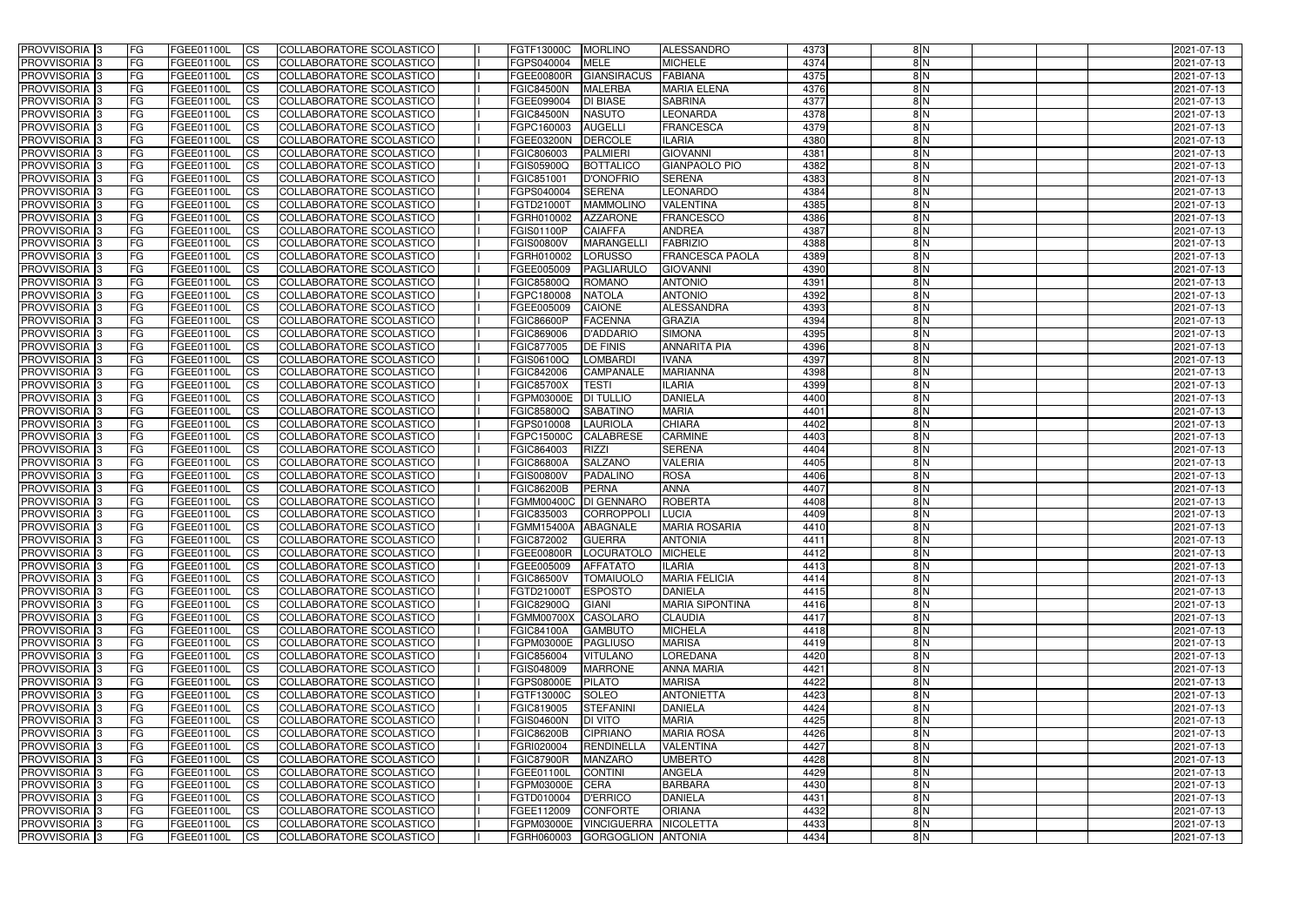| <b>PROVVISORIA</b> 3                      | l FG      | FGEE01100L               | <b>ICS</b>             | COLLABORATORE SCOLASTICO                             | <b>FGTF13000C</b>        | MORLINO                          | ALESSANDRO                      | 4373         | 8N            | 2021-07-13               |
|-------------------------------------------|-----------|--------------------------|------------------------|------------------------------------------------------|--------------------------|----------------------------------|---------------------------------|--------------|---------------|--------------------------|
| <b>PROVVISORIA 3</b>                      | FG        | FGEE01100L               | <b>ICS</b>             | COLLABORATORE SCOLASTICO                             | FGPS040004               | <b>MELE</b>                      | <b>MICHELE</b>                  | 4374         | 8N            | 2021-07-13               |
| <b>PROVVISORIA</b>                        | FG        | FGEE01100L               | <b>CS</b>              | <b>COLLABORATORE SCOLASTICO</b>                      | FGEE00800R               | <b>GIANSIRACUS</b>               | <b>FABIANA</b>                  | 4375         | 8N            | 2021-07-13               |
| PROVVISORIA                               | FG        | FGEE01100L               | <b>CS</b>              | COLLABORATORE SCOLASTICO                             | <b>FGIC84500N</b>        | <b>MALERBA</b>                   | <b>MARIA ELENA</b>              | 4376         | 8N            | 2021-07-13               |
| <b>PROVVISORIA 3</b>                      | FG        | FGEE01100L               | <b>CS</b>              | COLLABORATORE SCOLASTICO                             | FGEE099004               | <b>DI BIASE</b>                  | <b>SABRINA</b>                  | 4377         | 8 N           | 2021-07-13               |
| PROVVISORIA <sup>1</sup> 3                | FG        | FGEE01100L               | <b>CS</b>              | COLLABORATORE SCOLASTICO                             | <b>FGIC84500N</b>        | <b>NASUTO</b>                    | <b>LEONARDA</b>                 | 4378         | 8 N           | 2021-07-13               |
| PROVVISORIA <sup>1</sup> 3                | FG        | FGEE01100L               | <b>CS</b>              | COLLABORATORE SCOLASTICO                             | FGPC160003               | <b>AUGELLI</b>                   | <b>FRANCESCA</b>                | 4379         | $\frac{8}{N}$ | 2021-07-13               |
| PROVVISORIA 3                             | FG        | FGEE01100L               | <b>ICS</b>             | COLLABORATORE SCOLASTICO                             | FGEE03200N               | <b>DERCOLE</b>                   | <b>ILARIA</b>                   | 4380         | 8N            | 2021-07-13               |
| PROVVISORIA 3                             | FG        | FGEE01100L               | <b>CS</b>              | COLLABORATORE SCOLASTICO                             | FGIC806003               | <b>PALMIERI</b>                  | <b>GIOVANNI</b>                 | 4381         | 8N            | 2021-07-13               |
| PROVVISORIA 3                             | <b>FG</b> | <b>FGEE01100L</b>        | <b>ICS</b>             | COLLABORATORE SCOLASTICO                             | FGIS05900Q               | <b>BOTTALICO</b>                 | <b>GIANPAOLO PIO</b>            | 4382         | 8N            | 2021-07-13               |
| PROVVISORIA 3                             | FG        | FGEE01100L               | <b>ICS</b>             | COLLABORATORE SCOLASTICO                             | FGIC851001               | <b>D'ONOFRIO</b>                 | <b>SERENA</b>                   | 4383         | $\frac{8}{N}$ | 2021-07-13               |
| <b>PROVVISORIA</b>                        | FG        | FGEE01100L               | <b>ICS</b>             | COLLABORATORE SCOLASTICO                             | FGPS040004               | <b>SERENA</b>                    | <b>LEONARDO</b>                 | 4384         | 8N            | 2021-07-13               |
| <b>PROVVISORIA</b>                        | FG        | FGEE01100L               | <b>ICS</b>             | COLLABORATORE SCOLASTICO                             | FGTD21000T               | <b>MAMMOLINO</b>                 | <b>VALENTINA</b>                | 4385         | $\frac{8}{N}$ | 2021-07-13               |
| <b>PROVVISORIA</b>                        | FG        | FGEE01100L               | <b>ICS</b>             | COLLABORATORE SCOLASTICO                             | FGRH010002               | <b>AZZARONE</b>                  | <b>FRANCESCO</b>                | 4386         | $\frac{8}{N}$ | 2021-07-13               |
| <b>PROVVISORIA</b>                        | FG        | FGEE01100L               | <b>ICS</b>             | COLLABORATORE SCOLASTICO                             | FGIS01100P               | <b>CAIAFFA</b>                   | <b>ANDREA</b>                   | 4387         | $\frac{8}{N}$ | 2021-07-13               |
| <b>PROVVISORIA</b>                        | FG        | FGEE01100L               | <b>ICS</b>             | COLLABORATORE SCOLASTICO                             | <b>FGIS00800V</b>        | <b>MARANGELL</b>                 | <b>FABRIZIO</b>                 | 4388         | 8N            | 2021-07-13               |
| <b>PROVVISORIA</b>                        | FG        | FGEE01100L               | <b>ICS</b>             | COLLABORATORE SCOLASTICO                             | FGRH010002               | <b>LORUSSO</b>                   | <b>FRANCESCA PAOLA</b>          | 4389         | 8N            | 2021-07-13               |
| <b>PROVVISORIA</b>                        | FG        | FGEE01100L               | <b>ICS</b>             | COLLABORATORE SCOLASTICO                             | FGEE005009               | PAGLIARULO                       | <b>GIOVANNI</b>                 | 4390         | 8 N           | 2021-07-13               |
| PROVVISORIA <sup>3</sup>                  | FG        | FGEE01100L               | <b>ICS</b>             | COLLABORATORE SCOLASTICO                             | <b>FGIC85800Q</b>        | <b>ROMANO</b>                    | <b>ANTONIO</b>                  | 4391         | $\frac{8}{N}$ | 2021-07-13               |
| PROVVISORIA <sup>3</sup>                  | FG        | FGEE01100L               | <b>ICS</b>             | COLLABORATORE SCOLASTICO                             | FGPC180008               | <b>NATOLA</b>                    | <b>ANTONIO</b>                  | 4392         | 8N            | 2021-07-13               |
| PROVVISORIA <sup>3</sup>                  | FG        | FGEE01100L               | <b>ICS</b>             | COLLABORATORE SCOLASTICO                             | FGEE005009               | <b>CAIONE</b>                    | <b>ALESSANDRA</b>               | 4393         | 8N            | 2021-07-13               |
| PROVVISORIA 3                             | FG        | FGEE01100L               | <b>ICS</b>             | COLLABORATORE SCOLASTICO                             | <b>FGIC86600P</b>        | <b>FACENNA</b>                   | <b>GRAZIA</b>                   | 4394         | 8N            | 2021-07-13               |
| PROVVISORIA <sup>3</sup>                  | FG        | FGEE01100L               | <b>ICS</b>             | COLLABORATORE SCOLASTICO                             | FGIC869006               | <b>D'ADDARIO</b>                 | <b>SIMONA</b>                   | 4395         | 8N            | 2021-07-13               |
| PROVVISORIA <sup>3</sup>                  | FG        | FGEE01100L               | <b>CS</b>              | <b>COLLABORATORE SCOLASTICO</b>                      | FGIC877005               | DE FINIS                         | <b>ANNARITA PIA</b>             | 4396         | 8N            | 2021-07-13               |
| PROVVISORIA <sup>3</sup>                  | FG        | FGEE01100L               | <b>CS</b>              | COLLABORATORE SCOLASTICO                             | FGIS06100Q               | <b>LOMBARDI</b>                  | <b>IVANA</b>                    | 4397         | 8N            | 2021-07-13               |
| PROVVISORIA 3                             | FG        | FGEE01100L               | <b>ICS</b>             | COLLABORATORE SCOLASTICO                             | FGIC842006               | CAMPANALE                        | <b>MARIANNA</b>                 | 4398         | 8N            | 2021-07-13               |
| PROVVISORIA 3                             | FG        | FGEE01100L               | <b>ICS</b>             | COLLABORATORE SCOLASTICO                             | <b>FGIC85700X</b>        | <b>TESTI</b>                     | ILARIA                          | 4399         | 8N            | 2021-07-13               |
| PROVVISORIA                               | FG        | FGEE01100L               | <b>ICS</b>             | COLLABORATORE SCOLASTICO                             | FGPM03000E               | <b>DI TULLIO</b>                 | <b>DANIELA</b>                  | 4400         | 8N            | 2021-07-13               |
| PROVVISORIA                               | FG        | FGEE01100L               | <b>CS</b>              | <b>COLLABORATORE SCOLASTICO</b>                      | FGIC85800Q               | <b>SABATINO</b>                  | <b>MARIA</b>                    | 4401         | $\frac{8}{N}$ | 2021-07-13               |
| PROVVISORIA                               | FG        | FGEE01100L               | <b>CS</b>              | COLLABORATORE SCOLASTICO<br>COLLABORATORE SCOLASTICO | FGPS010008               | <b>LAURIOLA</b>                  | <b>CHIARA</b><br><b>CARMINE</b> | 4402         | 8 N<br>8N     | 2021-07-13               |
| PROVVISORIA<br>PROVVISORIA <sup>1</sup> 3 | FG<br>FG  | FGEE01100L               | <b>CS</b>              | COLLABORATORE SCOLASTICO                             | FGPC15000C<br>FGIC864003 | <b>CALABRESE</b><br><b>RIZZI</b> | <b>SERENA</b>                   | 4403<br>4404 | 8N            | 2021-07-13               |
| PROVVISORIA <sup>1</sup> 3                | FG        | FGEE01100L<br>FGEE01100L | <b>CS</b><br><b>CS</b> | COLLABORATORE SCOLASTICO                             | <b>FGIC86800A</b>        | <b>SALZANO</b>                   | <b>VALERIA</b>                  | 4405         | 8N            | 2021-07-13<br>2021-07-13 |
| PROVVISORIA 3                             | FG        | FGEE01100L               | <b>CS</b>              | <b>COLLABORATORE SCOLASTICO</b>                      | <b>FGIS00800V</b>        | <b>PADALINO</b>                  | <b>ROSA</b>                     | 4406         | 8N            | 2021-07-13               |
| <b>PROVVISORIA</b>                        | FG        | FGEE01100L               | <b>ICS</b>             | COLLABORATORE SCOLASTICO                             | <b>FGIC86200B</b>        | PERNA                            | <b>ANNA</b>                     | 4407         | 8N            | 2021-07-13               |
| PROVVISORIA <sup>1</sup> 3                | FG        | FGEE01100L               | <b>ICS</b>             | COLLABORATORE SCOLASTICO                             | FGMM00400C DI GENNARO    |                                  | <b>ROBERTA</b>                  | 4408         | 8N            | 2021-07-13               |
| <b>PROVVISORIA</b>                        | FG        | FGEE01100L               | <b>ICS</b>             | COLLABORATORE SCOLASTICO                             | FGIC835003               | CORROPPOLI                       | <b>LUCIA</b>                    | 4409         | 8 N           | 2021-07-13               |
| <b>PROVVISORIA</b>                        | l FG      | FGEE01100L               | <b>ICS</b>             | COLLABORATORE SCOLASTICO                             | FGMM15400A ABAGNALE      |                                  | <b>MARIA ROSARIA</b>            | 4410         | $\frac{8}{N}$ | 2021-07-13               |
| PROVVISORIA 3                             | FG        | FGEE01100L               | CS                     | COLLABORATORE SCOLASTICO                             | <b>FGIC872002</b>        | <b>GUERRA</b>                    | <b>ANTONIA</b>                  | 4411         | 8 N           | 2021-07-13               |
| PROVVISORIA 3                             | <b>FG</b> | FGEE01100L               | $\mathsf{ICS}$         | COLLABORATORE SCOLASTICO                             | <b>FGEE00800R</b>        | LOCURATOLO MICHELE               |                                 | 4412         | 8N            | 2021-07-13               |
| PROVVISORIA 3                             | <b>FG</b> | <b>FGEE01100L</b>        | $\mathsf{ICS}$         | COLLABORATORE SCOLASTICO                             | FGEE005009 AFFATATO      |                                  | <b>ILARIA</b>                   | 4413         | $\frac{8}{N}$ | 2021-07-13               |
| PROVVISORIA 3                             | <b>FG</b> | FGEE01100L               | $\mathsf{ICS}$         | COLLABORATORE SCOLASTICO                             | <b>FGIC86500V</b>        | <b>TOMAIUOLO</b>                 | <b>MARIA FELICIA</b>            | 4414         | $\frac{8}{N}$ | 2021-07-13               |
| PROVVISORIA 3                             | FG        | FGEE01100L               | $\mathsf{ICS}$         | COLLABORATORE SCOLASTICO                             | FGTD21000T               | <b>ESPOSTO</b>                   | <b>DANIELA</b>                  | 4415         | $\frac{8}{N}$ | 2021-07-13               |
| PROVVISORIA 3                             | l FG      | FGEE01100L               | CS                     | COLLABORATORE SCOLASTICO                             | <b>FGIC82900Q</b>        | GIANI                            | <b>MARIA SIPONTINA</b>          | 4416         | $\frac{8}{N}$ | 2021-07-13               |
| PROVVISORIA 3                             | <b>FG</b> | FGEE01100L               | $\mathsf{ICS}$         | COLLABORATORE SCOLASTICO                             | FGMM00700X CASOLARO      |                                  | <b>CLAUDIA</b>                  | 4417         | 8N            | 2021-07-13               |
| PROVVISORIA 3                             | FG        | FGEE01100L               | <b>CS</b>              | COLLABORATORE SCOLASTICO                             | <b>FGIC84100A</b>        | <b>GAMBUTO</b>                   | <b>MICHELA</b>                  | 4418         | 8N            | 2021-07-13               |
| PROVVISORIA 3                             | <b>FG</b> | FGEE01100L               | <b>CS</b>              | COLLABORATORE SCOLASTICO                             | FGPM03000E PAGLIUSO      |                                  | <b>MARISA</b>                   | 4419         | 8N            | 2021-07-13               |
| PROVVISORIA 3                             | <b>FG</b> | FGEE01100L               | <b>CS</b>              | COLLABORATORE SCOLASTICO                             | FGIC856004               | <b>VITULANO</b>                  | <b>LOREDANA</b>                 | 4420         | 8N            | 2021-07-13               |
| PROVVISORIA 3                             | <b>FG</b> | FGEE01100L               | <b>CS</b>              | COLLABORATORE SCOLASTICO                             | FGIS048009               | <b>MARRONE</b>                   | <b>ANNA MARIA</b>               | 4421         | 8N            | 2021-07-13               |
| PROVVISORIA 3                             | <b>FG</b> | FGEE01100L               | <b>CS</b>              | COLLABORATORE SCOLASTICO                             | <b>FGPS08000E</b>        | <b>PILATO</b>                    | <b>MARISA</b>                   | 4422         | 8N            | 2021-07-13               |
| PROVVISORIA 3                             | <b>FG</b> | FGEE01100L               | <b>CS</b>              | COLLABORATORE SCOLASTICO                             | <b>FGTF13000C</b>        | SOLEO                            | <b>ANTONIETTA</b>               | 4423         | 8N            | 2021-07-13               |
| PROVVISORIA 3                             | <b>FG</b> | FGEE01100L               | <b>CS</b>              | COLLABORATORE SCOLASTICO                             | FGIC819005               | <b>STEFANINI</b>                 | <b>DANIELA</b>                  | 4424         | 8N            | 2021-07-13               |
| PROVVISORIA 3                             | <b>FG</b> | FGEE01100L               | <b>CS</b>              | COLLABORATORE SCOLASTICO                             | <b>FGIS04600N</b>        | <b>DI VITO</b>                   | <b>MARIA</b>                    | 4425         | 8N            | 2021-07-13               |
| PROVVISORIA 3                             | <b>FG</b> | FGEE01100L               | <b>CS</b>              | COLLABORATORE SCOLASTICO                             | <b>FGIC86200B</b>        | <b>CIPRIANO</b>                  | <b>MARIA ROSA</b>               | 4426         | 8N            | 2021-07-13               |
| PROVVISORIA 3                             | <b>FG</b> | FGEE01100L               | <b>CS</b>              | COLLABORATORE SCOLASTICO                             | FGRI020004               | RENDINELLA                       | <b>VALENTINA</b>                | 4427         | 8N            | 2021-07-13               |
| PROVVISORIA 3                             | <b>FG</b> | FGEE01100L               | <b>CS</b>              | COLLABORATORE SCOLASTICO                             | <b>FGIC87900R</b>        | <b>MANZARO</b>                   | <b>UMBERTO</b>                  | 4428         | 8N            | 2021-07-13               |
| PROVVISORIA 3                             | <b>FG</b> | FGEE01100L               | <b>CS</b>              | COLLABORATORE SCOLASTICO                             | FGEE01100L               | <b>CONTINI</b>                   | <b>ANGELA</b>                   | 4429         | 8N            | 2021-07-13               |
| PROVVISORIA 3                             | FG        | FGEE01100L               | <b>CS</b>              | COLLABORATORE SCOLASTICO                             | FGPM03000E CERA          |                                  | <b>BARBARA</b>                  | 4430         | 8N            | 2021-07-13               |
| PROVVISORIA 3                             | FG        | <b>FGEE01100L</b>        | <b>CS</b>              | COLLABORATORE SCOLASTICO                             | FGTD010004 D'ERRICO      |                                  | <b>DANIELA</b>                  | 4431         | 8N            | 2021-07-13               |
| PROVVISORIA 3                             | <b>FG</b> | FGEE01100L               | $\overline{\text{CS}}$ | COLLABORATORE SCOLASTICO                             | FGEE112009               | <b>CONFORTE</b>                  | <b>ORIANA</b>                   | 4432         | 8N            | 2021-07-13               |
| PROVVISORIA 3                             | <b>FG</b> | FGEE01100L               | $\overline{\text{CS}}$ | COLLABORATORE SCOLASTICO                             |                          | FGPM03000E VINCIGUERRA NICOLETTA |                                 | 4433         | 8N            | 2021-07-13               |
| PROVVISORIA 3                             | <b>FG</b> | FGEE01100L               | $\overline{\text{CS}}$ | COLLABORATORE SCOLASTICO                             |                          | FGRH060003 GORGOGLION ANTONIA    |                                 | 4434         | $\frac{8}{N}$ | 2021-07-13               |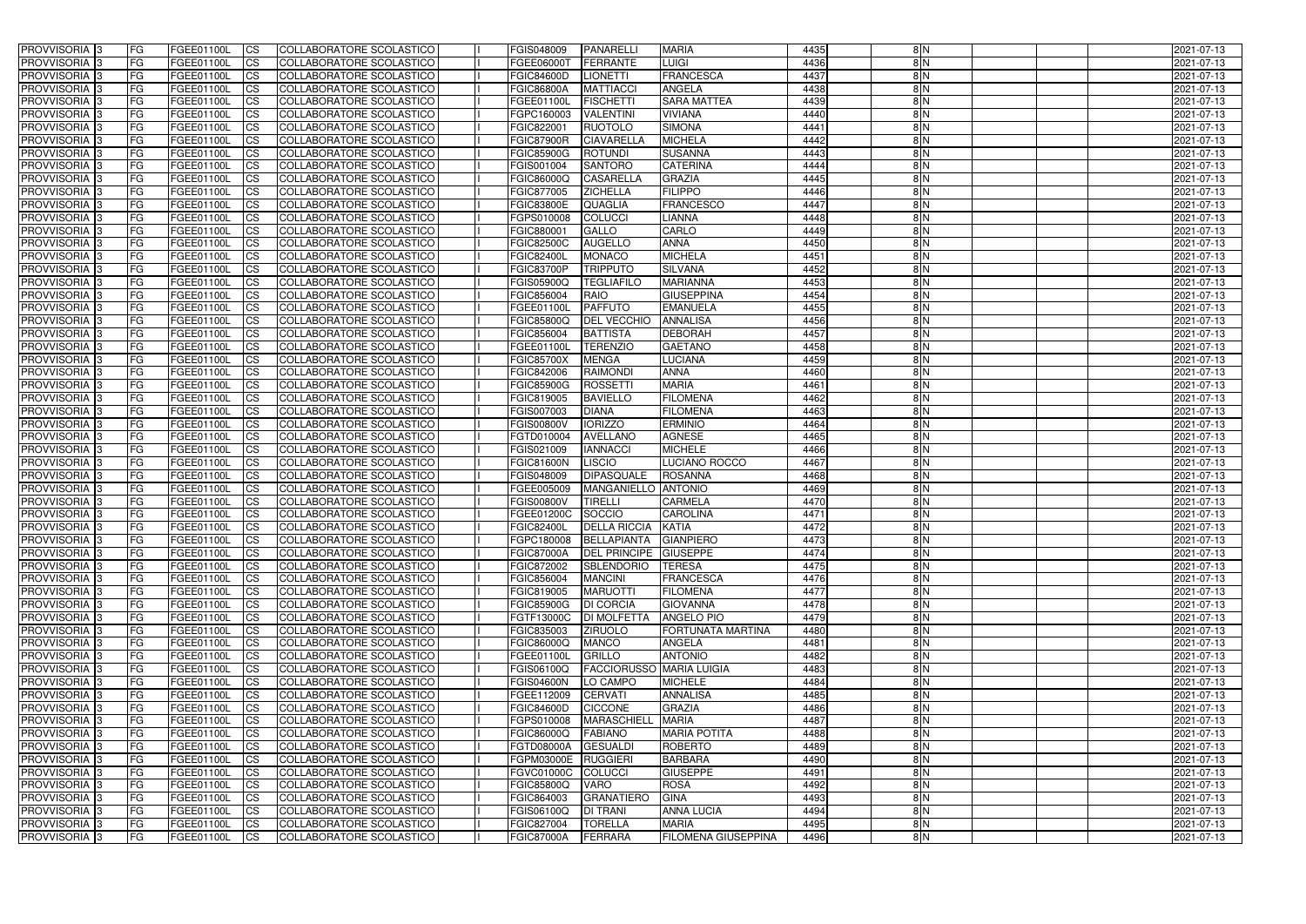| <b>PROVVISORIA</b> 3                        | l FG                   | FGEE01100L               | <b>ICS</b>               | COLLABORATORE SCOLASTICO                             | FGIS048009                      | <b>PANARELLI</b>                          | <b>MARIA</b>                      | 4435         | 8N            | 2021-07-13               |
|---------------------------------------------|------------------------|--------------------------|--------------------------|------------------------------------------------------|---------------------------------|-------------------------------------------|-----------------------------------|--------------|---------------|--------------------------|
| <b>PROVVISORIA 3</b>                        | FG.                    | FGEE01100L               | <b>ICS</b>               | COLLABORATORE SCOLASTICO                             | FGEE06000T                      | <b>FERRANTE</b>                           | <b>LUIGI</b>                      | 4436         | 8N            | 2021-07-13               |
| PROVVISORIA <sup>1</sup> 3                  | FG                     | FGEE01100L               | <b>CS</b>                | COLLABORATORE SCOLASTICO                             | <b>FGIC84600D</b>               | <b>LIONETTI</b>                           | <b>FRANCESCA</b>                  | 4437         | 8N            | 2021-07-13               |
| PROVVISORIA                                 | FG                     | FGEE01100L               | <b>CS</b>                | COLLABORATORE SCOLASTICO                             | <b>FGIC86800A</b>               | <b>MATTIACCI</b>                          | <b>ANGELA</b>                     | 4438         | 8N            | 2021-07-13               |
| <b>PROVVISORIA 3</b>                        | FG                     | FGEE01100L               | <b>CS</b>                | COLLABORATORE SCOLASTICO                             | FGEE01100L                      | <b>FISCHETTI</b>                          | <b>SARA MATTEA</b>                | 4439         | 8N            | 2021-07-13               |
| PROVVISORIA <sup>1</sup> 3                  | FG                     | FGEE01100L               | <b>CS</b>                | COLLABORATORE SCOLASTICO                             | FGPC160003                      | <b>VALENTINI</b>                          | <b>VIVIANA</b>                    | 4440         | 8 N           | 2021-07-13               |
| PROVVISORIA <sup>1</sup> 3                  | FG                     | FGEE01100L               | <b>CS</b>                | COLLABORATORE SCOLASTICO                             | FGIC822001                      | <b>RUOTOLO</b>                            | <b>SIMONA</b>                     | 4441         | 8N            | 2021-07-13               |
| PROVVISORIA 3                               | FG                     | FGEE01100L               | <b>ICS</b>               | COLLABORATORE SCOLASTICO                             | <b>FGIC87900R</b>               | <b>CIAVARELLA</b>                         | <b>MICHELA</b>                    | 4442         | 8N            | 2021-07-13               |
| PROVVISORIA 3                               | FG                     | FGEE01100L               | <b>CS</b>                | COLLABORATORE SCOLASTICO                             | FGIC85900G                      | <b>ROTUNDI</b>                            | <b>SUSANNA</b>                    | 4443         | 8N            | 2021-07-13               |
| PROVVISORIA 3                               | <b>FG</b>              | FGEE01100L               | <b>CS</b>                | COLLABORATORE SCOLASTICO                             | FGIS001004                      | <b>SANTORO</b>                            | <b>CATERINA</b>                   | 4444         | 8N            | 2021-07-13               |
| PROVVISORIA 3                               | FG                     | FGEE01100L               | <b>CS</b>                | COLLABORATORE SCOLASTICO                             | <b>FGIC86000Q</b>               | <b>CASARELLA</b>                          | <b>GRAZIA</b>                     | 4445         | $\frac{8}{N}$ | 2021-07-13               |
| <b>PROVVISORIA</b>                          | <b>FG</b>              | FGEE01100L               | <b>ICS</b>               | COLLABORATORE SCOLASTICO                             | FGIC877005                      | <b>ZICHELLA</b>                           | <b>FILIPPO</b>                    | 4446         | 8 N           | 2021-07-13               |
| <b>PROVVISORIA</b>                          | FG                     | FGEE01100L               | <b>ICS</b>               | COLLABORATORE SCOLASTICO                             | <b>FGIC83800E</b>               | <b>QUAGLIA</b>                            | <b>FRANCESCO</b>                  | 4447         | $\frac{8}{N}$ | 2021-07-13               |
| <b>PROVVISORIA</b>                          | FG                     | FGEE01100L               | <b>ICS</b>               | COLLABORATORE SCOLASTICO                             | FGPS010008                      | <b>COLUCCI</b>                            | LIANNA                            | 4448         | $\frac{8}{N}$ | 2021-07-13               |
| <b>PROVVISORIA</b>                          | FG                     | FGEE01100L               | <b>ICS</b>               | COLLABORATORE SCOLASTICO                             | FGIC880001                      | <b>GALLO</b>                              | <b>CARLO</b>                      | 4449         | $\frac{8}{N}$ | 2021-07-13               |
| <b>PROVVISORIA</b>                          | FG                     | FGEE01100L               | <b>ICS</b>               | COLLABORATORE SCOLASTICO                             | <b>FGIC82500C</b>               | <b>AUGELLO</b>                            | <b>ANNA</b>                       | 4450         | 8N            | 2021-07-13               |
| <b>PROVVISORIA</b>                          | FG                     | <b>FGEE01100L</b>        | <b>ICS</b>               | COLLABORATORE SCOLASTICO                             | <b>FGIC82400L</b>               | <b>MONACO</b>                             | <b>MICHELA</b>                    | 4451         | 8N            | 2021-07-13               |
| <b>PROVVISORIA</b>                          | FG                     | FGEE01100L               | <b>ICS</b>               | COLLABORATORE SCOLASTICO                             | <b>FGIC83700P</b>               | <b>TRIPPUTO</b>                           | <b>SILVANA</b>                    | 4452         | 8 N           | 2021-07-13               |
| PROVVISORIA <sup>3</sup>                    | FG                     | FGEE01100L               | <b>ICS</b>               | COLLABORATORE SCOLASTICO                             | FGIS05900Q                      | <b>TEGLIAFILO</b>                         | <b>MARIANNA</b>                   | 4453         | $\frac{8}{N}$ | 2021-07-13               |
| PROVVISORIA 3                               | FG                     | FGEE01100L               | <b>ICS</b>               | COLLABORATORE SCOLASTICO                             | FGIC856004                      | <b>RAIO</b>                               | <b>GIUSEPPINA</b>                 | 4454         | 8N            | 2021-07-13               |
| PROVVISORIA <sup>1</sup> 3<br>PROVVISORIA 3 | FG                     | FGEE01100L               | <b>ICS</b>               | COLLABORATORE SCOLASTICO                             | FGEE01100I                      | <b>PAFFUTO</b>                            | <b>EMANUELA</b>                   | 4455         | 8N<br>8N      | 2021-07-13               |
| PROVVISORIA <sup>3</sup>                    | FG                     | FGEE01100L               | <b>ICS</b><br><b>ICS</b> | COLLABORATORE SCOLASTICO<br>COLLABORATORE SCOLASTICO | <b>FGIC85800Q</b><br>FGIC856004 | <b>DEL VECCHIO</b><br><b>BATTISTA</b>     | <b>ANNALISA</b><br><b>DEBORAH</b> | 4456<br>4457 | 8N            | 2021-07-13<br>2021-07-13 |
| PROVVISORIA <sup>3</sup>                    | FG                     | FGEE01100L<br>FGEE01100L |                          | COLLABORATORE SCOLASTICO                             | FGEE01100I                      | <b>TERENZIO</b>                           | <b>GAETANO</b>                    | 4458         | 8N            |                          |
| PROVVISORIA <sup>1</sup> 3                  | FG<br>FG               | FGEE01100L               | <b>CS</b><br><b>CS</b>   | <b>COLLABORATORE SCOLASTICO</b>                      | <b>FGIC85700X</b>               | <b>MENGA</b>                              | <b>LUCIANA</b>                    | 4459         | 8N            | 2021-07-13<br>2021-07-13 |
| PROVVISORIA <sup>1</sup> 3                  | FG                     | FGEE01100L               | <b>ICS</b>               | COLLABORATORE SCOLASTICO                             | FGIC842006                      | <b>RAIMONDI</b>                           | <b>ANNA</b>                       | 4460         | 8N            | 2021-07-13               |
| PROVVISORIA 3                               | FG                     | FGEE01100L               | <b>ICS</b>               | COLLABORATORE SCOLASTICO                             | <b>FGIC85900G</b>               | <b>ROSSETTI</b>                           | <b>MARIA</b>                      | 4461         | 8N            | 2021-07-13               |
| PROVVISORIA                                 | FG                     | FGEE01100L               | <b>ICS</b>               | COLLABORATORE SCOLASTICO                             | FGIC819005                      | <b>BAVIELLO</b>                           | <b>FILOMENA</b>                   | 4462         | 8N            | 2021-07-13               |
| PROVVISORIA                                 | FG                     | FGEE01100L               | <b>CS</b>                | <b>COLLABORATORE SCOLASTICO</b>                      | FGIS007003                      | <b>DIANA</b>                              | <b>FILOMENA</b>                   | 4463         | $\frac{8}{N}$ | 2021-07-13               |
| PROVVISORIA                                 | FG                     | FGEE01100L               | <b>CS</b>                | COLLABORATORE SCOLASTICO                             | <b>FGIS00800V</b>               | <b>IORIZZO</b>                            | <b>ERMINIO</b>                    | 4464         | 8 N           | 2021-07-13               |
| PROVVISORIA                                 | FG                     | FGEE01100L               | <b>CS</b>                | COLLABORATORE SCOLASTICO                             | FGTD010004                      | <b>AVELLANO</b>                           | <b>AGNESE</b>                     | 4465         | 8N            | 2021-07-13               |
| PROVVISORIA <sup>1</sup> 3                  | FG                     | FGEE01100L               | <b>CS</b>                | COLLABORATORE SCOLASTICO                             | FGIS021009                      | <b>IANNACCI</b>                           | <b>MICHELE</b>                    | 4466         | 8N            | 2021-07-13               |
| PROVVISORIA <sup>1</sup> 3                  | FG                     | FGEE01100L               | <b>CS</b>                | COLLABORATORE SCOLASTICO                             | FGIC81600N                      | LISCIO                                    | LUCIANO ROCCO                     | 4467         | 8N            | 2021-07-13               |
| PROVVISORIA 3                               | FG                     | FGEE01100L               | <b>CS</b>                | COLLABORATORE SCOLASTICO                             | FGIS048009                      | <b>DIPASQUALE</b>                         | <b>ROSANNA</b>                    | 4468         | 8N            | 2021-07-13               |
| PROVVISORIA <sup>1</sup> 3                  | FG                     | FGEE01100L               | <b>ICS</b>               | COLLABORATORE SCOLASTICO                             | FGEE005009                      | MANGANIELLO ANTONIO                       |                                   | 4469         | 8N            | 2021-07-13               |
| PROVVISORIA <sup>1</sup> 3                  | <b>FG</b>              | FGEE01100L               | <b>ICS</b>               | COLLABORATORE SCOLASTICO                             | <b>FGIS00800V</b>               | <b>TIRELLI</b>                            | <b>CARMELA</b>                    | 4470         | 8N            | 2021-07-13               |
| PROVVISORIA 3                               | <b>FG</b>              | FGEE01100L               | <b>ICS</b>               | COLLABORATORE SCOLASTICO                             | FGEE01200C                      | SOCCIO                                    | <b>CAROLINA</b>                   | 4471         | $\frac{8}{N}$ | 2021-07-13               |
| <b>PROVVISORIA</b>                          | <b>FG</b>              | FGEE01100L               | <b>ICS</b>               | COLLABORATORE SCOLASTICO                             | <b>FGIC82400L</b>               | <b>DELLA RICCIA</b>                       | <b>KATIA</b>                      | 4472         | $\frac{8}{N}$ | 2021-07-13               |
| PROVVISORIA 3                               | FG                     | FGEE01100L               | CS                       | COLLABORATORE SCOLASTICO                             |                                 | FGPC180008 BELLAPIANTA GIANPIERO          |                                   | 4473         | 8 N           | 2021-07-13               |
| <b>PROVVISORIA</b> 3                        | <b>FG</b>              | FGEE01100L               | $\mathsf{ICS}$           | COLLABORATORE SCOLASTICO                             | <b>FGIC87000A</b>               | DEL PRINCIPE GIUSEPPE                     |                                   | 4474         | 8N            | 2021-07-13               |
| PROVVISORIA 3                               | FG                     | <b>FGEE01100L</b>        | $\mathsf{ICS}$           | COLLABORATORE SCOLASTICO                             | FGIC872002                      | SBLENDORIO                                | <b>TERESA</b>                     | 4475         | $\frac{8}{N}$ | 2021-07-13               |
| PROVVISORIA 3                               | <b>FG</b>              | FGEE01100L               | $\mathsf{ICS}$           | COLLABORATORE SCOLASTICO                             | FGIC856004                      | <b>MANCINI</b>                            | FRANCESCA                         | 4476         | $\frac{8}{N}$ | 2021-07-13               |
| PROVVISORIA 3                               | FG                     | FGEE01100L               | $\mathsf{ICS}$           | COLLABORATORE SCOLASTICO                             | FGIC819005                      | <b>MARUOTTI</b>                           | <b>FILOMENA</b>                   | 4477         | 8 N           | 2021-07-13               |
| PROVVISORIA 3                               | l FG                   | FGEE01100L               | $\mathsf{ICS}$           | COLLABORATORE SCOLASTICO                             | <b>FGIC85900G</b>               | <b>DI CORCIA</b>                          | <b>GIOVANNA</b>                   | 4478         | $\frac{8}{N}$ | 2021-07-13               |
| PROVVISORIA 3                               | <b>FG</b>              | FGEE01100L               | $\mathsf{ICS}$           | COLLABORATORE SCOLASTICO                             | FGTF13000C                      | <b>DI MOLFETTA</b>                        | <b>ANGELO PIO</b>                 | 4479         | 8N            | 2021-07-13               |
| PROVVISORIA 3                               | FG                     | FGEE01100L               | <b>CS</b>                | COLLABORATORE SCOLASTICO                             | FGIC835003                      | <b>ZIRUOLO</b>                            | FORTUNATA MARTINA                 | 4480         | 8N            | 2021-07-13               |
| PROVVISORIA 3                               | <b>FG</b>              | FGEE01100L               | <b>CS</b>                | COLLABORATORE SCOLASTICO                             | <b>FGIC86000Q</b>               | <b>MANCO</b>                              | <b>ANGELA</b>                     | 4481         | 8N            | 2021-07-13               |
| PROVVISORIA 3                               | <b>FG</b>              | FGEE01100L               | <b>CS</b>                | COLLABORATORE SCOLASTICO                             | FGEE01100L                      | GRILLO<br><b>FACCIORUSSO MARIA LUIGIA</b> | <b>ANTONIO</b>                    | 4482<br>4483 | 8N<br>8N      | 2021-07-13               |
| PROVVISORIA 3                               | <b>FG</b>              | FGEE01100L               | <b>CS</b>                | COLLABORATORE SCOLASTICO                             | FGIS06100Q                      |                                           |                                   |              |               | 2021-07-13               |
| PROVVISORIA 3                               | <b>FG</b>              | FGEE01100L               | <b>CS</b>                | COLLABORATORE SCOLASTICO                             | <b>FGIS04600N</b>               | LO CAMPO                                  | <b>MICHELE</b>                    | 4484<br>4485 | 8N<br>8N      | 2021-07-13               |
| PROVVISORIA 3<br>PROVVISORIA 3              | <b>FG</b><br><b>FG</b> | FGEE01100L<br>FGEE01100L | <b>CS</b><br><b>CS</b>   | COLLABORATORE SCOLASTICO<br>COLLABORATORE SCOLASTICO | FGEE112009<br><b>FGIC84600D</b> | <b>CERVATI</b><br><b>CICCONE</b>          | <b>ANNALISA</b><br><b>GRAZIA</b>  | 4486         | 8N            | 2021-07-13<br>2021-07-13 |
| PROVVISORIA 3                               | <b>FG</b>              | FGEE01100L               | <b>CS</b>                | COLLABORATORE SCOLASTICO                             | FGPS010008                      | MARASCHIELL                               | <b>MARIA</b>                      | 4487         | 8N            | 2021-07-13               |
| PROVVISORIA 3                               | <b>FG</b>              | FGEE01100L               | <b>CS</b>                | COLLABORATORE SCOLASTICO                             | FGIC86000Q                      | <b>FABIANO</b>                            | <b>MARIA POTITA</b>               | 4488         | 8N            | 2021-07-13               |
| PROVVISORIA 3                               | <b>FG</b>              | FGEE01100L               | <b>CS</b>                | COLLABORATORE SCOLASTICO                             | <b>FGTD08000A</b>               | <b>GESUALDI</b>                           | <b>ROBERTO</b>                    | 4489         | 8N            | 2021-07-13               |
| PROVVISORIA 3                               | FG                     | FGEE01100L               | <b>CS</b>                | COLLABORATORE SCOLASTICO                             | FGPM03000E RUGGIERI             |                                           | <b>BARBARA</b>                    | 4490         | 8N            | 2021-07-13               |
| PROVVISORIA 3                               | <b>FG</b>              | FGEE01100L               | <b>CS</b>                | COLLABORATORE SCOLASTICO                             | <b>FGVC01000C</b>               | COLUCCI                                   | <b>GIUSEPPE</b>                   | 4491         | 8N            | 2021-07-13               |
| PROVVISORIA 3                               | FG                     | FGEE01100L               | <b>CS</b>                | COLLABORATORE SCOLASTICO                             | <b>FGIC85800Q</b>               | <b>VARO</b>                               | <b>ROSA</b>                       | 4492         | 8N            | 2021-07-13               |
| PROVVISORIA 3                               | FG                     | FGEE01100L               | <b>CS</b>                | COLLABORATORE SCOLASTICO                             | FGIC864003                      | GRANATIERO                                | <b>GINA</b>                       | 4493         | 8N            | 2021-07-13               |
| PROVVISORIA 3                               | <b>FG</b>              | FGEE01100L               | <b>CS</b>                | COLLABORATORE SCOLASTICO                             | FGIS06100Q                      | <b>DI TRANI</b>                           | <b>ANNA LUCIA</b>                 | 4494         | 8N            | 2021-07-13               |
| PROVVISORIA 3                               | <b>FG</b>              | FGEE01100L               | $\overline{\text{CS}}$   | COLLABORATORE SCOLASTICO                             | FGIC827004                      | <b>TORELLA</b>                            | <b>MARIA</b>                      | 4495         | 8N            | 2021-07-13               |
| PROVVISORIA 3                               | <b>FG</b>              | <b>FGEE01100L</b>        | $\mathsf{ICS}$           | COLLABORATORE SCOLASTICO                             | <b>FGIC87000A</b>               | FERRARA                                   | <b>FILOMENA GIUSEPPINA</b>        | 4496         | $\frac{8}{N}$ | 2021-07-13               |
|                                             |                        |                          |                          |                                                      |                                 |                                           |                                   |              |               |                          |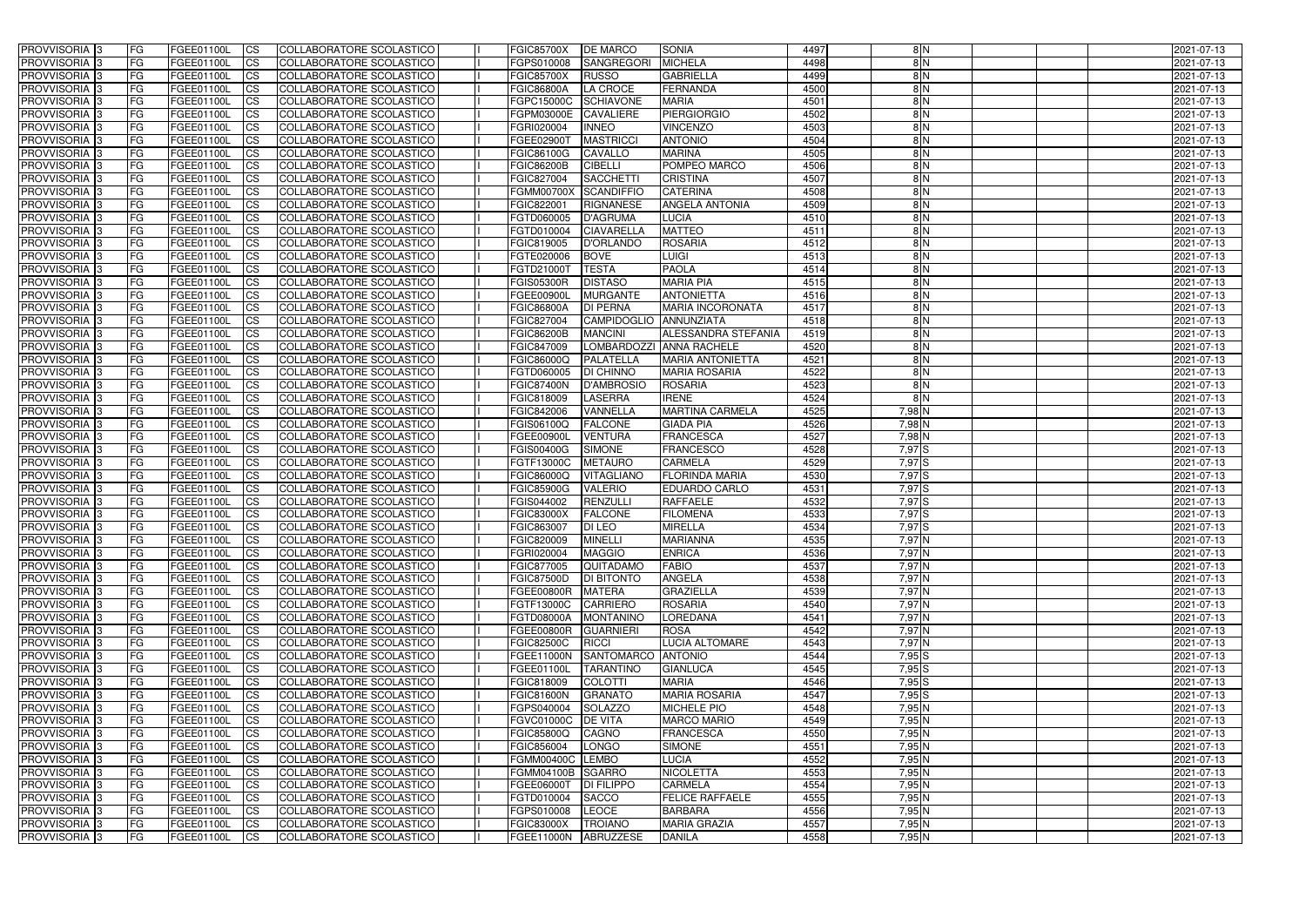| <b>PROVVISORIA</b> 3                             | FG                 | FGEE01100L               | <b>ICS</b>             | COLLABORATORE SCOLASTICO                                    | <b>FGIC85700X</b>                      | <b>DE MARCO</b>           | <b>SONIA</b>                                        | 4497         | 8N                | 2021-07-13               |
|--------------------------------------------------|--------------------|--------------------------|------------------------|-------------------------------------------------------------|----------------------------------------|---------------------------|-----------------------------------------------------|--------------|-------------------|--------------------------|
| <b>PROVVISORIA 3</b>                             | FG                 | FGEE01100L               | <b>CS</b>              | COLLABORATORE SCOLASTICO                                    | FGPS010008                             | SANGREGORI                | <b>MICHELA</b>                                      | 4498         | 8N                | 2021-07-13               |
| PROVVISORIA <sup>3</sup>                         | FG                 | FGEE01100L               | <b>CS</b>              | <b>COLLABORATORE SCOLASTICO</b>                             | <b>FGIC85700X</b>                      | <b>RUSSO</b>              | <b>GABRIELLA</b>                                    | 4499         | 8N                | 2021-07-13               |
| PROVVISORIA <sup>3</sup>                         | FG                 | FGEE01100L               | <b>CS</b>              | COLLABORATORE SCOLASTICO                                    | <b>FGIC86800A</b>                      | LA CROCE                  | <b>FERNANDA</b>                                     | 4500         | 8N                | 2021-07-13               |
| PROVVISORIA <sup>1</sup> 3                       | FG                 | FGEE01100L               | <b>CS</b>              | COLLABORATORE SCOLASTICO                                    | FGPC15000C                             | <b>SCHIAVONE</b>          | <b>MARIA</b>                                        | 4501         | 8N                | 2021-07-13               |
| PROVVISORIA <sup>3</sup>                         | FG                 | FGEE01100L               | <b>CS</b>              | COLLABORATORE SCOLASTICO                                    | FGPM03000E                             | <b>CAVALIERE</b>          | PIERGIORGIO                                         | 4502         | 8 N               | 2021-07-13               |
| PROVVISORIA <sup>3</sup>                         | FG                 | FGEE01100L               | <b>CS</b>              | COLLABORATORE SCOLASTICO                                    | FGRI020004                             | <b>INNEO</b>              | <b>VINCENZO</b>                                     | 4503         | 8N                | 2021-07-13               |
| PROVVISORIA 3                                    | FG                 | <b>FGEE01100L</b>        | <b>CS</b>              | COLLABORATORE SCOLASTICO                                    | FGEE02900T                             | <b>MASTRICCI</b>          | <b>ANTONIO</b>                                      | 4504         | 8N                | 2021-07-13               |
| PROVVISORIA 3                                    | FG                 | FGEE01100L               | <b>CS</b>              | COLLABORATORE SCOLASTICO                                    | FGIC86100G                             | <b>CAVALLO</b>            | <b>MARINA</b>                                       | 4505         | $\overline{8}$ N  | 2021-07-13               |
| PROVVISORIA <sup>3</sup>                         | FG                 | FGEE01100L               | $\overline{c}$         | COLLABORATORE SCOLASTICO                                    | <b>FGIC86200B</b>                      | <b>CIBELLI</b>            | POMPEO MARCO                                        | 4506         | 8N                | 2021-07-13               |
| PROVVISORIA <sup>3</sup>                         | FG                 | FGEE01100L               | <b>CS</b>              | COLLABORATORE SCOLASTICO                                    | <b>FGIC827004</b>                      | <b>SACCHETT</b>           | <b>CRISTINA</b>                                     | 4507         | 8N                | 2021-07-13               |
| PROVVISORIA <sup>3</sup>                         | FG                 | FGEE01100L               | <b>CS</b>              | COLLABORATORE SCOLASTICO                                    | <b>FGMM00700X</b>                      | SCANDIFFIO                | <b>CATERINA</b>                                     | 4508         | 8 N               | 2021-07-13               |
| <b>PROVVISORIA</b> 3                             | FG                 | <b>FGEE01100L</b>        | <b>I</b> CS            | COLLABORATORE SCOLASTICO                                    | FGIC822001                             | <b>RIGNANESE</b>          | <b>ANGELA ANTONIA</b>                               | 4509         | $\frac{8}{N}$     | 2021-07-13               |
| PROVVISORIA <sup>3</sup>                         | FG                 | FGEE01100L               | <b>I</b> CS            | COLLABORATORE SCOLASTICO                                    | FGTD060005                             | D'AGRUMA                  | LUCIA                                               | 4510         | $\frac{8}{N}$     | 2021-07-13               |
| PROVVISORIA <sup>3</sup>                         | FG                 | FGEE01100L               | <b>I</b> CS            | COLLABORATORE SCOLASTICO                                    | <b>FGTD010004</b>                      | <b>CIAVARELLA</b>         | <b>MATTEO</b>                                       | 4511         | 8N                | 2021-07-13               |
| <b>PROVVISORIA</b> 3                             | FG                 | FGEE01100L               | <b>I</b> CS            | <b>COLLABORATORE SCOLASTICO</b>                             | FGIC819005                             | D'ORLANDO                 | <b>ROSARIA</b>                                      | 4512         | 8 N               | 2021-07-13               |
| <b>PROVVISORIA</b> 3                             | FG                 | FGEE01100L               | <b>ICS</b>             | COLLABORATORE SCOLASTICO                                    | FGTE020006                             | <b>BOVE</b>               | <b>LUIGI</b>                                        | 4513         | 8 N               | 2021-07-13               |
| PROVVISORIA 3                                    | FG                 | FGEE01100L               | <b>CS</b>              | <b>COLLABORATORE SCOLASTICO</b>                             | FGTD210001                             | <b>TESTA</b>              | <b>PAOLA</b>                                        | 4514         | 8 N               | 2021-07-13               |
| PROVVISORIA <sup>3</sup>                         | FG                 | FGEE01100L               | <b>ICS</b>             | COLLABORATORE SCOLASTICO                                    | <b>FGIS05300R</b>                      | <b>DISTASO</b>            | <b>MARIA PIA</b>                                    | 4515         | $\frac{8}{N}$     | 2021-07-13               |
| PROVVISORIA <sup>3</sup>                         | FG                 | FGEE01100L               | <b>I</b> CS            | COLLABORATORE SCOLASTICO                                    | <b>FGEE00900L</b>                      | <b>MURGANTE</b>           | <b>ANTONIETTA</b>                                   | 4516         | $\overline{8}$ N  | 2021-07-13               |
| PROVVISORIA <sup>3</sup>                         | FG                 | FGEE01100L               | <b>ICS</b>             | COLLABORATORE SCOLASTICO                                    | <b>FGIC86800A</b>                      | <b>DI PERNA</b>           | <b>MARIA INCORONATA</b>                             | 4517         | 8N                | 2021-07-13               |
| PROVVISORIA <sup>3</sup>                         | FG                 | FGEE01100L               | <b>CS</b>              | COLLABORATORE SCOLASTICO                                    | FGIC827004                             | <b>CAMPIDOGLIO</b>        | <b>ANNUNZIATA</b>                                   | 4518         | 8N                | 2021-07-13               |
| PROVVISORIA <sup>3</sup><br><b>PROVVISORIA</b> 3 | FG                 | FGEE01100L               | <b>CS</b>              | COLLABORATORE SCOLASTICO                                    | <b>FGIC86200B</b><br><b>FGIC847009</b> | <b>MANCINI</b>            | ALESSANDRA STEFANIA                                 | 4519         | 8N<br>8N          | 2021-07-13               |
| PROVVISORIA <sup>3</sup>                         | FG<br>FG           | FGEE01100L<br>FGEE01100L | <b>CS</b><br><b>CS</b> | COLLABORATORE SCOLASTICO<br>COLLABORATORE SCOLASTICO        | FGIC86000Q                             | PALATELLA                 | LOMBARDOZZI ANNA RACHELE<br><b>MARIA ANTONIETTA</b> | 4520<br>4521 | 8N                | 2021-07-13<br>2021-07-13 |
| PROVVISORIA <sup>1</sup> 3                       | FG                 | FGEE01100L               | <b>CS</b>              | COLLABORATORE SCOLASTICO                                    | FGTD060005                             | <b>DI CHINNO</b>          | <b>MARIA ROSARIA</b>                                | 4522         | 8N                | 2021-07-13               |
| PROVVISORIA <sup>1</sup> 3                       | FG                 | <b>FGEE01100L</b>        | <b>CS</b>              | COLLABORATORE SCOLASTICO                                    | <b>FGIC87400N</b>                      | <b>D'AMBROSIO</b>         | <b>ROSARIA</b>                                      | 4523         | 8N                | 2021-07-13               |
| PROVVISORIA <sup>3</sup>                         | FG.                | FGEE01100L               | <b>CS</b>              | COLLABORATORE SCOLASTICO                                    | FGIC818009                             | <b>LASERRA</b>            | <b>IRENE</b>                                        | 4524         | 8N                | 2021-07-13               |
| PROVVISORIA <sup>13</sup>                        | FG                 | <b>FGEE01100L</b>        | <b>CS</b>              | COLLABORATORE SCOLASTICO                                    | FGIC842006                             | VANNELLA                  | <b>MARTINA CARMELA</b>                              | 4525         | 7,98 N            | 2021-07-13               |
| PROVVISORIA <sup>1</sup> 3                       | FG                 | FGEE01100L               | <b>CS</b>              | <b>COLLABORATORE SCOLASTICO</b>                             | FGIS06100Q                             | <b>FALCONE</b>            | <b>GIADA PIA</b>                                    | 4526         | 7,98 N            | 2021-07-13               |
| PROVVISORIA <sup>3</sup>                         | FG.                | FGEE01100L               | <b>CS</b>              | COLLABORATORE SCOLASTICO                                    | FGEE00900L                             | <b>VENTURA</b>            | <b>FRANCESCA</b>                                    | 4527         | 7,98 N            | 2021-07-13               |
| <b>PROVVISORIA</b> 3                             | FG                 | FGEE01100L               | <b>CS</b>              | COLLABORATORE SCOLASTICO                                    | <b>FGIS00400G</b>                      | <b>SIMONE</b>             | <b>FRANCESCO</b>                                    | 4528         | 7,97 <sup>S</sup> | 2021-07-13               |
| PROVVISORIA <sup>3</sup>                         | FG                 | <b>FGEE01100L</b>        | <b>CS</b>              | COLLABORATORE SCOLASTICO                                    | FGTF13000C                             | <b>METAURO</b>            | <b>CARMELA</b>                                      | 4529         | 7,97 <sup>S</sup> | 2021-07-13               |
| PROVVISORIA <sup>3</sup>                         | FG                 | FGEE01100L               | <b>CS</b>              | COLLABORATORE SCOLASTICO                                    | <b>FGIC86000Q</b>                      | <b>VITAGLIANO</b>         | <b>FLORINDA MARIA</b>                               | 4530         | 7,97 <sup>S</sup> | 2021-07-13               |
| PROVVISORIA <sup>3</sup>                         | FG                 | FGEE01100L               | $\overline{\text{cs}}$ | COLLABORATORE SCOLASTICO                                    | <b>FGIC85900G</b>                      | <b>VALERIO</b>            | EDUARDO CARLO                                       | 4531         | 7,97 <sup>S</sup> | 2021-07-13               |
| PROVVISORIA <sup>3</sup>                         | FG                 | FGEE01100L               | <b>CS</b>              | COLLABORATORE SCOLASTICO                                    | FGIS044002                             | RENZULLI                  | <b>RAFFAELE</b>                                     | 4532         | 7,97 S            | 2021-07-13               |
| PROVVISORIA <sup>3</sup>                         | FG                 | FGEE01100L               | <b>I</b> CS            | COLLABORATORE SCOLASTICO                                    | <b>FGIC83000X</b>                      | <b>FALCONE</b>            | <b>FILOMENA</b>                                     | 4533         | 7,97 S            | 2021-07-13               |
| PROVVISORIA <sup>3</sup>                         | FG                 | FGEE01100L               | <b>I</b> CS            | COLLABORATORE SCOLASTICO                                    | FGIC863007                             | <b>DI LEO</b>             | <b>MIRELLA</b>                                      | 4534         | 7,97 <sup>S</sup> | 2021-07-13               |
| <b>PROVVISORIA</b> 3                             | IFG.               | FGEE01100L               | CS                     | COLLABORATORE SCOLASTICO                                    | <b>FGIC820009</b>                      | <b>MINELLI</b>            | <b>MARIANNA</b>                                     | 4535         | 7,97 N            | 2021-07-13               |
| PROVVISORIA 3                                    | IFG.               | FGEE01100L               | <b>ICS</b>             | COLLABORATORE SCOLASTICO                                    | FGRI020004                             | <b>MAGGIO</b>             | <b>ENRICA</b>                                       | 4536         | 7,97 N            | 2021-07-13               |
| PROVVISORIA 3                                    | FG                 | FGEE01100L               | <b>CS</b>              | COLLABORATORE SCOLASTICO                                    | FGIC877005                             | QUITADAMO                 | <b>FABIO</b>                                        | 4537         | $7,97$ N          | 2021-07-13               |
| PROVVISORIA 3                                    | FG                 | FGEE01100L               | <b>CS</b>              | COLLABORATORE SCOLASTICO                                    | FGIC87500D                             | <b>DI BITONTO</b>         | <b>ANGELA</b>                                       | 4538         | 7,97 N            | 2021-07-13               |
| PROVVISORIA <sup>3</sup>                         | FG                 | FGEE01100L               | <b>ICS</b>             | <b>COLLABORATORE SCOLASTICO</b>                             | <b>FGEE00800R</b>                      | <b>MATERA</b>             | <b>GRAZIELLA</b>                                    | 4539         | $7,97$ N          | 2021-07-13               |
| PROVVISORIA 3                                    | FG                 | FGEE01100L               | <b>CS</b>              | COLLABORATORE SCOLASTICO                                    | FGTF13000C                             | CARRIERO                  | <b>ROSARIA</b>                                      | 4540         | $7,97$ N          | 2021-07-13               |
| PROVVISORIA 3                                    | FG                 | FGEE01100L               | <b>CS</b>              | COLLABORATORE SCOLASTICO                                    | FGTD08000A                             | MONTANINO                 | <b>LOREDANA</b>                                     | 4541         | 7,97 N            | 2021-07-13               |
| PROVVISORIA 3                                    | <b>FG</b>          | FGEE01100L               | <b>CS</b>              | COLLABORATORE SCOLASTICO                                    | FGEE00800R                             | <b>GUARNIERI</b>          | <b>ROSA</b>                                         | 4542         | 7,97 N            | 2021-07-13               |
| PROVVISORIA 3                                    | FG                 | FGEE01100L               | <b>CS</b>              | COLLABORATORE SCOLASTICO                                    | <b>FGIC82500C</b>                      | <b>RICCI</b>              | LUCIA ALTOMARE                                      | 4543         | $7,97$ N          | 2021-07-13               |
| PROVVISORIA 3                                    | FG                 | FGEE01100L               | <b>CS</b>              | COLLABORATORE SCOLASTICO                                    | <b>FGEE11000N</b>                      | SANTOMARCO ANTONIO        |                                                     | 4544         | $7,95$ S          | 2021-07-13               |
| PROVVISORIA 3                                    | FG                 | FGEE01100L               | <b>CS</b>              | COLLABORATORE SCOLASTICO                                    | FGEE01100L                             | <b>TARANTINO</b>          | <b>GIANLUCA</b>                                     | 4545         | $7,95$ $S$        | 2021-07-13               |
| PROVVISORIA 3                                    | FG                 | FGEE01100L               | <b>CS</b>              | COLLABORATORE SCOLASTICO                                    | FGIC818009                             | <b>COLOTTI</b>            | <b>MARIA</b>                                        | 4546         | $7,95$ $S$        | 2021-07-13               |
| PROVVISORIA 3                                    | FG                 | FGEE01100L               | <b>CS</b>              | COLLABORATORE SCOLASTICO                                    | <b>FGIC81600N</b>                      | <b>GRANATO</b>            | <b>MARIA ROSARIA</b>                                | 4547         | $7,95$ $S$        | 2021-07-13               |
| <b>PROVVISORIA</b> 3                             | IFG.               | FGEE01100L               | <b>CS</b>              | COLLABORATORE SCOLASTICO                                    | FGPS040004                             | SOLAZZO<br><b>DE VITA</b> | MICHELE PIO                                         | 4548<br>4549 | 7,95N<br>7,95N    | 2021-07-13               |
| <b>PROVVISORIA</b> 3<br>PROVVISORIA 3            | IFG.<br><b>IFG</b> | FGEE01100L<br>FGEE01100L | <b>CS</b><br><b>CS</b> | COLLABORATORE SCOLASTICO<br><b>COLLABORATORE SCOLASTICO</b> | <b>FGVC01000C</b><br><b>FGIC85800Q</b> | CAGNO                     | <b>MARCO MARIO</b><br><b>FRANCESCA</b>              | 4550         | $7,95$ N          | 2021-07-13<br>2021-07-13 |
| PROVVISORIA 3                                    | <b>IFG</b>         | FGEE01100L               | <b>CS</b>              | COLLABORATORE SCOLASTICO                                    | FGIC856004                             | <b>LONGO</b>              | <b>SIMONE</b>                                       | 4551         | $7,95$ N          | 2021-07-13               |
| PROVVISORIA 3                                    | IFG.               | FGEE01100L               | <b>CS</b>              | COLLABORATORE SCOLASTICO                                    | FGMM00400C LEMBO                       |                           | LUCIA                                               | 4552         | $7,95$ N          | 2021-07-13               |
| PROVVISORIA 3                                    | FG                 | FGEE01100L               | <b>CS</b>              | COLLABORATORE SCOLASTICO                                    | FGMM04100B SGARRO                      |                           | <b>NICOLETTA</b>                                    | 4553         | 7,95N             | 2021-07-13               |
| PROVVISORIA 3                                    | <b>FG</b>          | FGEE01100L               | <b>CS</b>              | COLLABORATORE SCOLASTICO                                    | FGEE06000T                             | <b>DI FILIPPO</b>         | <b>CARMELA</b>                                      | 4554         | $7,95$ N          | 2021-07-13               |
| PROVVISORIA 3                                    | FG                 | <b>FGEE01100L</b>        | <b>CS</b>              | COLLABORATORE SCOLASTICO                                    | FGTD010004                             | <b>SACCO</b>              | <b>FELICE RAFFAELE</b>                              | 4555         | 7,95N             | 2021-07-13               |
| <b>PROVVISORIA</b> 3                             | FG                 | FGEE01100L               | <b>ICS</b>             | COLLABORATORE SCOLASTICO                                    | FGPS010008                             | LEOCE                     | <b>BARBARA</b>                                      | 4556         | $7,95$ N          | 2021-07-13               |
| PROVVISORIA 3                                    | FG                 | FGEE01100L               | <b>CS</b>              | COLLABORATORE SCOLASTICO                                    | <b>FGIC83000X</b>                      | <b>TROIANO</b>            | <b>MARIA GRAZIA</b>                                 | 4557         | $7,95$ N          | 2021-07-13               |
| PROVVISORIA 3                                    | FG                 | FGEE01100L               | <b>CS</b>              | COLLABORATORE SCOLASTICO                                    | <b>FGEE11000N</b>                      | ABRUZZESE                 | DANILA                                              | 4558         | 7,95 N            | 2021-07-13               |
|                                                  |                    |                          |                        |                                                             |                                        |                           |                                                     |              |                   |                          |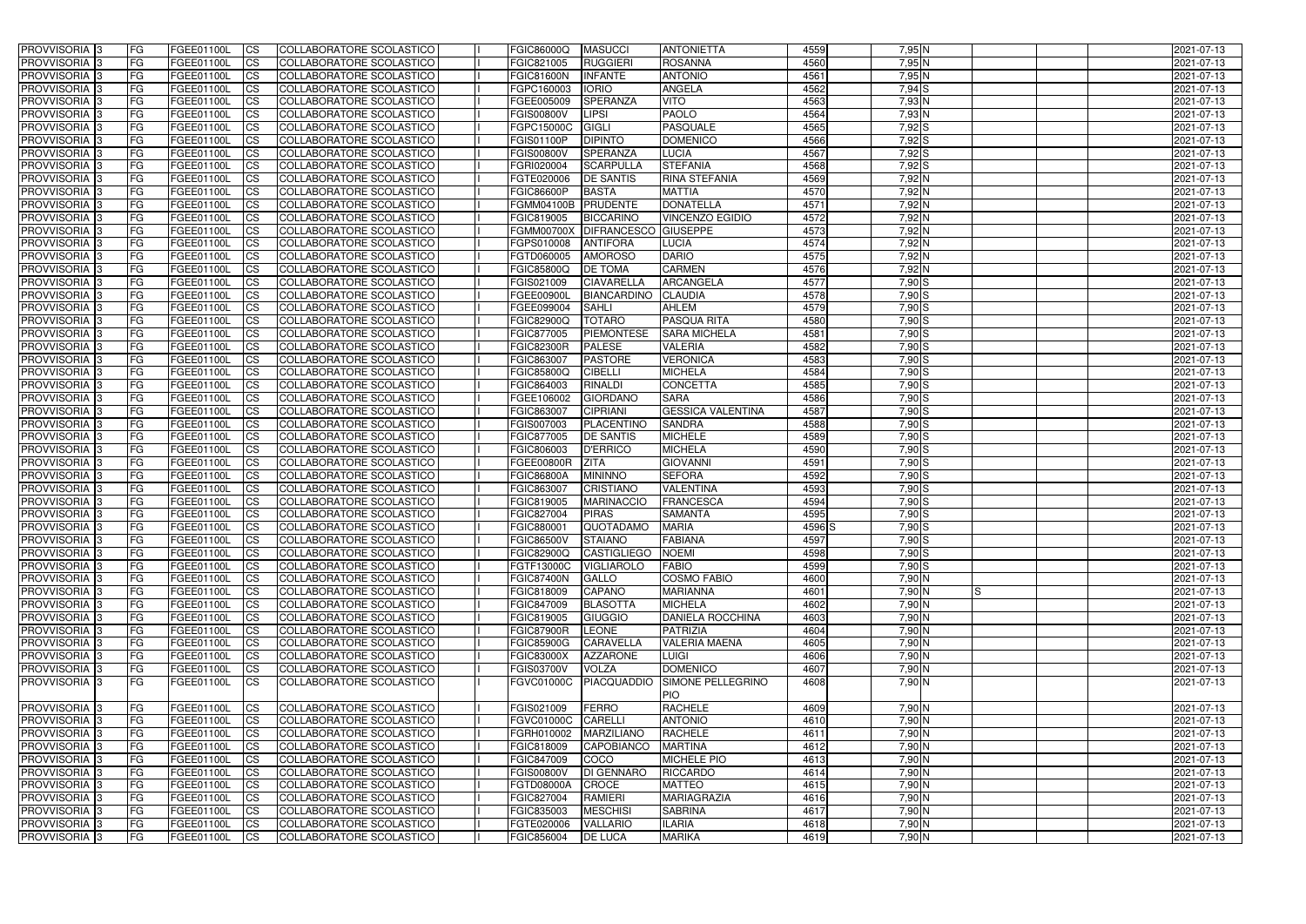| PROVVISORIA <sup>1</sup> 3 | <b>FG</b> | FGEE01100L        | <b>ICS</b>             | COLLABORATORE SCOLASTICO        | FGIC86000Q         | <b>MASUCCI</b>              | <b>ANTONIETTA</b>            | 4559   | 7,95 N            | 2021-07-13 |
|----------------------------|-----------|-------------------|------------------------|---------------------------------|--------------------|-----------------------------|------------------------------|--------|-------------------|------------|
| PROVVISORIA <sup>1</sup> 3 | FG        | FGEE01100L        | <b>ICS</b>             | <b>COLLABORATORE SCOLASTICO</b> | FGIC821005         | <b>RUGGIERI</b>             | <b>ROSANNA</b>               | 4560   | 7,95 N            | 2021-07-13 |
| PROVVISORIA <sup>1</sup> 3 | FG        | FGEE01100L        | <b>CS</b>              | COLLABORATORE SCOLASTICO        | FGIC81600N         | <b>INFANTE</b>              | <b>ANTONIO</b>               | 4561   | 7,95 N            | 2021-07-13 |
| PROVVISORIA <sup>1</sup> 3 | FG        | FGEE01100L        | <b>CS</b>              | COLLABORATORE SCOLASTICO        | FGPC160003         | <b>IORIO</b>                | <b>ANGELA</b>                | 4562   | $7,94$ S          | 2021-07-13 |
| PROVVISORIA <sup>1</sup> 3 | FG        | FGEE01100L        | <b>ICS</b>             | COLLABORATORE SCOLASTICO        | FGEE005009         | <b>SPERANZA</b>             | <b>VITO</b>                  | 4563   | $7,93$ N          | 2021-07-13 |
| PROVVISORIA 3              | FG        | FGEE01100L        | <b>ICS</b>             | COLLABORATORE SCOLASTICO        | <b>FGIS00800V</b>  | <b>LIPSI</b>                | <b>PAOLO</b>                 | 4564   | $7,93$ N          | 2021-07-13 |
| PROVVISORIA 3              | FG        | FGEE01100L        | <b>ICS</b>             | COLLABORATORE SCOLASTICO        | FGPC15000C         | <b>GIGLI</b>                | <b>PASQUALE</b>              | 4565   | $7,92$ S          | 2021-07-13 |
| PROVVISORIA <sup>1</sup> 3 | FG        | FGEE01100L        | <b>ICS</b>             | COLLABORATORE SCOLASTICO        | FGIS01100P         | <b>DIPINTO</b>              | <b>DOMENICO</b>              | 4566   | 7,92 S            | 2021-07-13 |
| PROVVISORIA 3              | FG        | FGEE01100L        | <b>CS</b>              | COLLABORATORE SCOLASTICO        | <b>FGIS00800V</b>  | <b>SPERANZA</b>             | <b>LUCIA</b>                 | 4567   | 7,92 S            | 2021-07-13 |
| PROVVISORIA 3              | FG        | FGEE01100L        | <b>CS</b>              | COLLABORATORE SCOLASTICO        | FGRI020004         | <b>SCARPULLA</b>            | <b>STEFANIA</b>              | 4568   | 7,92 S            | 2021-07-13 |
| PROVVISORIA <sup>1</sup> 3 | <b>FG</b> | FGEE01100L        | <b>ICS</b>             | COLLABORATORE SCOLASTICO        | FGTE020006         | <b>DE SANTIS</b>            | <b>RINA STEFANIA</b>         | 4569   | 7,92 <sup>N</sup> | 2021-07-13 |
| <b>PROVVISORIA</b> 3       | FG        | FGEE01100L        | <b>ICS</b>             | COLLABORATORE SCOLASTICO        | <b>FGIC86600P</b>  | <b>BASTA</b>                | <b>MATTIA</b>                | 4570   | 7,92 N            | 2021-07-13 |
| PROVVISORIA <sup>1</sup> 3 | FG        | FGEE01100L        | <b>ICS</b>             | COLLABORATORE SCOLASTICO        | FGMM04100B         | PRUDENTE                    | <b>DONATELLA</b>             | 4571   | 7,92 <sup>N</sup> | 2021-07-13 |
| <b>PROVVISORIA</b>         | FG        | FGEE01100L        | <b>ICS</b>             | COLLABORATORE SCOLASTICO        | FGIC819005         | <b>BICCARINO</b>            | <b>VINCENZO EGIDIO</b>       | 4572   | $7,92$ N          | 2021-07-13 |
| <b>PROVVISORIA</b>         | FG        | FGEE01100L        | <b>ICS</b>             | COLLABORATORE SCOLASTICO        | <b>FGMM00700X</b>  | <b>DIFRANCESCO GIUSEPPE</b> |                              | 4573   | 7,92 N            | 2021-07-13 |
| PROVVISORIA 3              | FG        | FGEE01100L        | <b>ICS</b>             | COLLABORATORE SCOLASTICO        | FGPS010008         | <b>ANTIFORA</b>             | <b>LUCIA</b>                 | 4574   | 7,92 N            | 2021-07-13 |
| <b>PROVVISORIA</b>         | FG        | FGEE01100L        | <b>ICS</b>             | COLLABORATORE SCOLASTICO        | FGTD060005         | <b>AMOROSO</b>              | <b>DARIO</b>                 | 4575   | 7,92 N            | 2021-07-13 |
| PROVVISORIA <sup>3</sup>   | FG        | FGEE01100L        | <b>ICS</b>             | COLLABORATORE SCOLASTICO        | FGIC85800Q         | <b>DE TOMA</b>              | <b>CARMEN</b>                | 4576   | $7,92$ N          | 2021-07-13 |
| PROVVISORIA <sup>1</sup> 3 | FG        | FGEE01100L        | <b>ICS</b>             | COLLABORATORE SCOLASTICO        | FGIS021009         | <b>CIAVARELLA</b>           | ARCANGELA                    | 4577   | $7,90$ S          | 2021-07-13 |
| PROVVISORIA <sup>1</sup> 3 | FG        | FGEE01100L        | <b>ICS</b>             | COLLABORATORE SCOLASTICO        | FGEE00900I         | <b>BIANCARDINO</b>          | <b>CLAUDIA</b>               | 4578   | 7,90 S            | 2021-07-13 |
| PROVVISORIA <sup>1</sup> 3 | FG        | FGEE01100L        | <b>CS</b>              | COLLABORATORE SCOLASTICO        | FGEE099004         | <b>SAHLI</b>                | <b>AHLEM</b>                 | 4579   | $7,90$ S          | 2021-07-13 |
| PROVVISORIA <sup>3</sup>   | FG        | FGEE01100L        | <b>CS</b>              | COLLABORATORE SCOLASTICO        | FGIC82900Q         | <b>TOTARO</b>               | PASQUA RITA                  | 4580   | 7,90 S            | 2021-07-13 |
| PROVVISORIA <sup>3</sup>   | FG        | FGEE01100L        | <b>CS</b>              | <b>COLLABORATORE SCOLASTICO</b> | <b>FGIC877005</b>  | <b>PIEMONTESE</b>           | <b>SARA MICHELA</b>          | 4581   | 7,90 S            | 2021-07-13 |
| PROVVISORIA <sup>1</sup> 3 | <b>FG</b> | FGEE01100L        | <b>CS</b>              | COLLABORATORE SCOLASTICO        | <b>FGIC82300R</b>  | <b>PALESE</b>               | <b>VALERIA</b>               | 4582   | 7,90S             | 2021-07-13 |
| PROVVISORIA 3              | FG        | FGEE01100L        | <b>CS</b>              | COLLABORATORE SCOLASTICO        | FGIC863007         | <b>PASTORE</b>              | <b>VERONICA</b>              | 4583   | $7,90$ S          | 2021-07-13 |
| PROVVISORIA <sup>1</sup> 3 | FG        | FGEE01100L        | <b>ICS</b>             | COLLABORATORE SCOLASTICO        | FGIC85800Q         | <b>CIBELLI</b>              | <b>MICHELA</b>               | 4584   | $7,90$ S          | 2021-07-13 |
| PROVVISORIA                | FG        | FGEE01100L        | <b>CS</b>              | <b>COLLABORATORE SCOLASTICO</b> | FGIC864003         | <b>RINALDI</b>              | <b>CONCETTA</b>              | 4585   | 7,90 S            | 2021-07-13 |
| PROVVISORIA                | FG        | FGEE01100L        | <b>CS</b>              | COLLABORATORE SCOLASTICO        | FGEE106002         | <b>GIORDANO</b>             | <b>SARA</b>                  | 4586   | 7,90 S            | 2021-07-13 |
| PROVVISORIA <sup>1</sup> 3 | FG        | FGEE01100L        | <b>CS</b>              | COLLABORATORE SCOLASTICO        | FGIC863007         | <b>CIPRIANI</b>             | <b>GESSICA VALENTINA</b>     | 4587   | 7,90 S            | 2021-07-13 |
| PROVVISORIA <sup>3</sup>   | FG        | FGEE01100L        | <b>CS</b>              | COLLABORATORE SCOLASTICO        | FGIS007003         | PLACENTINO                  | <b>SANDRA</b>                | 4588   | $7,90$ S          | 2021-07-13 |
| PROVVISORIA                | FG        | FGEE01100L        | <b>CS</b>              | COLLABORATORE SCOLASTICO        | FGIC877005         | <b>DE SANTIS</b>            | <b>MICHELE</b>               | 4589   | 7,90 S            | 2021-07-13 |
| PROVVISORIA <sup>1</sup> 3 | FG        | FGEE01100L        | <b>ICS</b>             | COLLABORATORE SCOLASTICO        | FGIC806003         | <b>D'ERRICO</b>             | <b>MICHELA</b>               | 4590   | 7,90 S            | 2021-07-13 |
| PROVVISORIA                | FG        | FGEE01100L        | <b>ICS</b>             | <b>COLLABORATORE SCOLASTICO</b> | FGEE00800R         | <b>ZITA</b>                 | <b>GIOVANNI</b>              | 4591   | 7,90 S            | 2021-07-13 |
| PROVVISORIA 3              | <b>FG</b> | FGEE01100L        | <b>ICS</b>             | COLLABORATORE SCOLASTICO        | <b>FGIC86800A</b>  | <b>MININNO</b>              | <b>SEFORA</b>                | 4592   | $7,90$ S          | 2021-07-13 |
| PROVVISORIA 3              | <b>FG</b> | FGEE01100L        | <b>CS</b>              | COLLABORATORE SCOLASTICO        | FGIC863007         | <b>CRISTIANO</b>            | <b>VALENTINA</b>             | 4593   | 7,90 S            | 2021-07-13 |
| <b>PROVVISORIA</b>         | <b>FG</b> | FGEE01100L        | <b>CS</b>              | COLLABORATORE SCOLASTICO        | FGIC819005         | <b>MARINACCIO</b>           | <b>FRANCESCA</b>             | 4594   | 7,90 S            | 2021-07-13 |
| <b>PROVVISORIA</b>         | FG        | FGEE01100L        | <b>ICS</b>             | COLLABORATORE SCOLASTICO        | FGIC827004         | <b>PIRAS</b>                | <b>SAMANTA</b>               | 4595   | $7,90$ S          | 2021-07-13 |
| PROVVISORIA 3              | FG        | FGEE01100L        | <b>ICS</b>             | COLLABORATORE SCOLASTICO        | FGIC880001         | <b>QUOTADAMO</b>            | <b>MARIA</b>                 | 4596 S | 7,90 S            | 2021-07-13 |
| PROVVISORIA 3              | IFG.      | FGEE01100L CS     |                        | COLLABORATORE SCOLASTICO        | FGIC86500V STAIANO |                             | <b>FABIANA</b>               | 4597   | $7,90$ S          | 2021-07-13 |
| PROVVISORIA 3              | l FG      | FGEE01100L        | $\overline{\text{CS}}$ | COLLABORATORE SCOLASTICO        | <b>FGIC82900Q</b>  | <b>CASTIGLIEGO</b>          | NOEMI                        | 4598   | 7,90 S            | 2021-07-13 |
| PROVVISORIA 3              | <b>FG</b> | FGEE01100L        | $\overline{\text{CS}}$ | COLLABORATORE SCOLASTICO        | <b>FGTF13000C</b>  | <b>VIGLIAROLO</b>           | <b>FABIO</b>                 | 4599   | 7,90 S            | 2021-07-13 |
| PROVVISORIA 3              | <b>FG</b> | FGEE01100L        | $\mathsf{ICS}$         | COLLABORATORE SCOLASTICO        | <b>FGIC87400N</b>  | <b>GALLO</b>                | <b>COSMO FABIO</b>           | 4600   | $7,90$ N          | 2021-07-13 |
| PROVVISORIA 3              | l FG      | FGEE01100L        | <b>CS</b>              | COLLABORATORE SCOLASTICO        | FGIC818009         | <b>CAPANO</b>               | <b>MARIANNA</b>              | 4601   | $7,90$ N<br>IS    | 2021-07-13 |
| PROVVISORIA 3              | FG        | FGEE01100L        | <b>CS</b>              | COLLABORATORE SCOLASTICO        | FGIC847009         | <b>BLASOTTA</b>             | <b>MICHELA</b>               | 4602   | $7,90$ N          | 2021-07-13 |
| PROVVISORIA 3              | FG        | FGEE01100L        | <b>ICS</b>             | COLLABORATORE SCOLASTICO        | FGIC819005         | GIUGGIO                     | <b>DANIELA ROCCHINA</b>      | 4603   | $7,90$ N          | 2021-07-13 |
| PROVVISORIA 3              | <b>FG</b> | FGEE01100L        | <b>CS</b>              | COLLABORATORE SCOLASTICO        | <b>FGIC87900R</b>  | LEONE                       | <b>PATRIZIA</b>              | 4604   | $7,90$ N          | 2021-07-13 |
| PROVVISORIA 3              | FG        | FGEE01100L        | <b>CS</b>              | COLLABORATORE SCOLASTICO        | <b>FGIC85900G</b>  | CARAVELLA                   | <b>VALERIA MAENA</b>         | 4605   | $7,90$ N          | 2021-07-13 |
| PROVVISORIA 3              | <b>FG</b> | FGEE01100L        | <b>CS</b>              | COLLABORATORE SCOLASTICO        | <b>FGIC83000X</b>  | <b>AZZARONE</b>             | <b>LUIGI</b>                 | 4606   | $7,90$ N          | 2021-07-13 |
| PROVVISORIA 3              | <b>FG</b> | FGEE01100L        | <b>CS</b>              | COLLABORATORE SCOLASTICO        | <b>FGIS03700V</b>  | <b>VOLZA</b>                | <b>DOMENICO</b>              | 4607   | $7,90$ N          | 2021-07-13 |
| PROVVISORIA 3              | FG        |                   |                        | COLLABORATORE SCOLASTICO        |                    | <b>PIACQUADDIO</b>          | SIMONE PELLEGRINO            | 4608   | $7,90$ N          |            |
|                            |           | FGEE01100L        | $\mathsf{ICS}$         |                                 | <b>FGVC01000C</b>  |                             |                              |        |                   | 2021-07-13 |
|                            | <b>FG</b> |                   |                        | COLLABORATORE SCOLASTICO        | FGIS021009         | FERRO                       | <b>PIO</b><br><b>RACHELE</b> | 4609   |                   | 2021-07-13 |
| PROVVISORIA 3              |           | FGEE01100L        | <b>CS</b>              |                                 |                    |                             |                              |        | 7,90 N            |            |
| PROVVISORIA 3              | <b>FG</b> | FGEE01100L        | <b>CS</b>              | COLLABORATORE SCOLASTICO        | <b>FGVC01000C</b>  | <b>CARELLI</b>              | <b>ANTONIO</b>               | 4610   | 7,90 N            | 2021-07-13 |
| PROVVISORIA 3              | <b>FG</b> | FGEE01100L        | <b>CS</b>              | COLLABORATORE SCOLASTICO        | FGRH010002         | MARZILIANO                  | <b>RACHELE</b>               | 4611   | $7,90$ N          | 2021-07-13 |
| PROVVISORIA 3              | <b>FG</b> | FGEE01100L        | <b>CS</b>              | COLLABORATORE SCOLASTICO        | FGIC818009         | <b>CAPOBIANCO</b>           | <b>MARTINA</b>               | 4612   | 7,90 N            | 2021-07-13 |
| PROVVISORIA 3              | <b>FG</b> | FGEE01100L        | <b>CS</b>              | COLLABORATORE SCOLASTICO        | FGIC847009         | COCO                        | <b>MICHELE PIO</b>           | 4613   | $7,90$ N          | 2021-07-13 |
| PROVVISORIA 3              | FG        | FGEE01100L        | <b>CS</b>              | COLLABORATORE SCOLASTICO        | <b>FGIS00800V</b>  | DI GENNARO                  | <b>RICCARDO</b>              | 4614   | $7,90$ N          | 2021-07-13 |
| PROVVISORIA 3              | <b>FG</b> | FGEE01100L        | <b>CS</b>              | COLLABORATORE SCOLASTICO        | FGTD08000A         | <b>CROCE</b>                | <b>MATTEO</b>                | 4615   | $7,90$ N          | 2021-07-13 |
| PROVVISORIA 3              | <b>FG</b> | FGEE01100L        | <b>CS</b>              | COLLABORATORE SCOLASTICO        | FGIC827004         | <b>RAMIERI</b>              | <b>MARIAGRAZIA</b>           | 4616   | $7,90$ N          | 2021-07-13 |
| PROVVISORIA 3              | <b>FG</b> | <b>FGEE01100L</b> | $\mathsf{ICS}$         | COLLABORATORE SCOLASTICO        | FGIC835003         | <b>MESCHISI</b>             | <b>SABRINA</b>               | 4617   | 7,90 N            | 2021-07-13 |
| PROVVISORIA 3              | <b>FG</b> | FGEE01100L        | <b>CS</b>              | COLLABORATORE SCOLASTICO        | FGTE020006         | <b>VALLARIO</b>             | <b>ILARIA</b>                | 4618   | 7,90 N            | 2021-07-13 |
| PROVVISORIA 3              | <b>FG</b> | FGEE01100L        | $\mathsf{ICS}$         | COLLABORATORE SCOLASTICO        | FGIC856004         | <b>DE LUCA</b>              | <b>MARIKA</b>                | 4619   | $7,90$ N          | 2021-07-13 |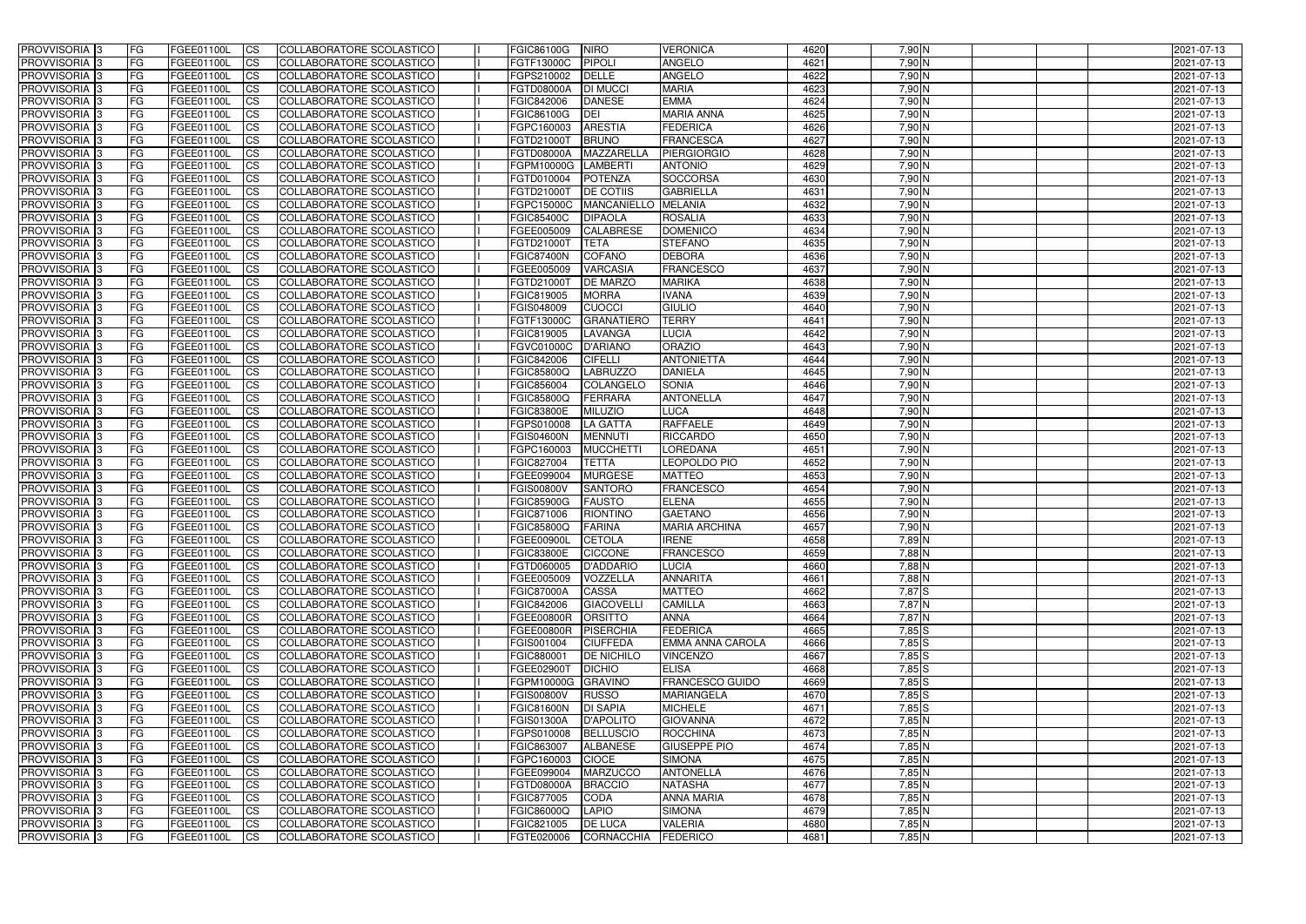| <b>PROVVISORIA</b> 3                | l FG            | FGEE01100L               | <b>ICS</b>              | COLLABORATORE SCOLASTICO                             | FGIC86100G                      | <b>NIRO</b>                      | <b>VERONICA</b>               | 4620         | 7,90 N           | 2021-07-13               |
|-------------------------------------|-----------------|--------------------------|-------------------------|------------------------------------------------------|---------------------------------|----------------------------------|-------------------------------|--------------|------------------|--------------------------|
| <b>PROVVISORIA 3</b>                | FG              | FGEE01100L               | <b>ICS</b>              | COLLABORATORE SCOLASTICO                             | FGTF13000C                      | <b>PIPOLI</b>                    | <b>ANGELO</b>                 | 4621         | 7,90 N           | 2021-07-13               |
| PROVVISORIA <sup>1</sup> 3          | FG              | FGEE01100L               | <b>CS</b>               | <b>COLLABORATORE SCOLASTICO</b>                      | FGPS210002                      | DELLE                            | <b>ANGELO</b>                 | 4622         | $7,90$ N         | 2021-07-13               |
| PROVVISORIA                         | FG              | FGEE01100L               | <b>CS</b>               | COLLABORATORE SCOLASTICO                             | FGTD08000A                      | <b>DI MUCCI</b>                  | <b>MARIA</b>                  | 4623         | $7,90$ N         | 2021-07-13               |
| PROVVISORIA <sup>1</sup> 3          | FG              | FGEE01100L               | <b>CS</b>               | COLLABORATORE SCOLASTICO                             | FGIC842006                      | <b>DANESE</b>                    | <b>EMMA</b>                   | 4624         | 7,90 N           | 2021-07-13               |
| PROVVISORIA <sup>1</sup> 3          | FG              | FGEE01100L               | <b>CS</b>               | COLLABORATORE SCOLASTICO                             | FGIC86100G                      | DEI                              | <b>MARIA ANNA</b>             | 4625         | 7,90 N           | 2021-07-13               |
| PROVVISORIA <sup>1</sup> 3          | FG              | FGEE01100L               | <b>CS</b>               | COLLABORATORE SCOLASTICO                             | FGPC160003                      | <b>ARESTIA</b>                   | <b>FEDERICA</b>               | 4626         | 7,90 N           | 2021-07-13               |
| PROVVISORIA 3                       | FG              | FGEE01100L               | <b>ICS</b>              | COLLABORATORE SCOLASTICO                             | FGTD21000T                      | <b>BRUNO</b>                     | <b>FRANCESCA</b>              | 4627         | 7,90 N           | 2021-07-13               |
| PROVVISORIA 3                       | FG              | FGEE01100L               | <b>CS</b>               | COLLABORATORE SCOLASTICO                             | FGTD08000A                      | MAZZARELLA                       | <b>PIERGIORGIO</b>            | 4628         | 7,90 N           | 2021-07-13               |
| PROVVISORIA 3                       | <b>FG</b>       | FGEE01100L               | <b>ICS</b>              | COLLABORATORE SCOLASTICO                             | FGPM10000G                      | <b>LAMBERTI</b>                  | <b>ANTONIO</b>                | 4629         | $7,90$ N         | 2021-07-13               |
| PROVVISORIA 3                       | FG              | FGEE01100L               | <b>ICS</b>              | COLLABORATORE SCOLASTICO                             | FGTD010004                      | <b>POTENZA</b>                   | SOCCORSA                      | 4630         | 7,90 N           | 2021-07-13               |
| <b>PROVVISORIA</b>                  | FG              | FGEE01100L               | <b>ICS</b>              | COLLABORATORE SCOLASTICO                             | FGTD21000T                      | <b>DE COTIIS</b>                 | <b>GABRIELLA</b>              | 4631         | 7,90 N           | 2021-07-13               |
| <b>PROVVISORIA</b>                  | FG              | FGEE01100L               | <b>ICS</b>              | COLLABORATORE SCOLASTICO                             | FGPC15000C                      | MANCANIELLO MELANIA              |                               | 4632         | 7,90 N           | 2021-07-13               |
| <b>PROVVISORIA</b>                  | FG              | FGEE01100L               | <b>ICS</b>              | COLLABORATORE SCOLASTICO                             | <b>FGIC85400C</b>               | <b>DIPAOLA</b>                   | <b>ROSALIA</b>                | 4633         | 7,90 N           | 2021-07-13               |
| <b>PROVVISORIA</b>                  | FG              | FGEE01100L               | <b>ICS</b>              | COLLABORATORE SCOLASTICO                             | FGEE005009                      | <b>CALABRESE</b>                 | <b>DOMENICO</b>               | 4634         | 7,90 N           | 2021-07-13               |
| <b>PROVVISORIA</b>                  | FG              | FGEE01100L               | <b>ICS</b>              | COLLABORATORE SCOLASTICO                             | FGTD21000T                      | <b>TETA</b>                      | <b>STEFANO</b>                | 4635         | 7,90 N           | 2021-07-13               |
| <b>PROVVISORIA</b>                  | FG              | FGEE01100L               | <b>ICS</b>              | COLLABORATORE SCOLASTICO                             | <b>FGIC87400N</b>               | <b>COFANO</b>                    | <b>DEBORA</b>                 | 4636         | 7,90 N           | 2021-07-13               |
| <b>PROVVISORIA</b>                  | FG              | FGEE01100L               | <b>ICS</b>              | COLLABORATORE SCOLASTICO                             | FGEE005009                      | <b>VARCASIA</b>                  | <b>FRANCESCO</b>              | 4637         | 7,90 N           | 2021-07-13               |
| PROVVISORIA <sup>3</sup>            | FG              | FGEE01100L               | <b>ICS</b>              | COLLABORATORE SCOLASTICO                             | FGTD21000T                      | <b>DE MARZO</b>                  | <b>MARIKA</b>                 | 4638         | 7,90 N           | 2021-07-13               |
| PROVVISORIA <sup>3</sup>            | FG              | FGEE01100L               | <b>ICS</b>              | COLLABORATORE SCOLASTICO                             | FGIC819005                      | <b>MORRA</b>                     | <b>IVANA</b>                  | 4639         | 7,90 N           | 2021-07-13               |
| PROVVISORIA <sup>3</sup>            | FG              | FGEE01100L               | <b>ICS</b>              | COLLABORATORE SCOLASTICO                             | FGIS048009                      | <b>CUOCCI</b>                    | <b>GIULIO</b>                 | 4640         | 7,90 N           | 2021-07-13               |
| PROVVISORIA 3                       | FG              | FGEE01100L               | <b>ICS</b>              | COLLABORATORE SCOLASTICO                             | FGTF13000C                      | <b>GRANATIERO</b>                | <b>TERRY</b>                  | 4641         | $7,90$ N         | 2021-07-13               |
| PROVVISORIA <sup>3</sup>            | FG              | FGEE01100L               | <b>ICS</b>              | <b>COLLABORATORE SCOLASTICO</b>                      | FGIC819005                      | LAVANGA                          | <b>LUCIA</b>                  | 4642         | 7,90 N           | 2021-07-13               |
| PROVVISORIA <sup>3</sup>            | FG              | FGEE01100L               | <b>CS</b>               | COLLABORATORE SCOLASTICO                             | FGVC01000C                      | <b>D'ARIANO</b>                  | <b>ORAZIO</b>                 | 4643         | $7,90$ N         | 2021-07-13               |
| PROVVISORIA <sup>3</sup>            | FG              | FGEE01100L               | <b>CS</b>               | COLLABORATORE SCOLASTICO                             | FGIC842006                      | <b>CIFELLI</b>                   | <b>ANTONIETTA</b>             | 4644         | $7,90$ N         | 2021-07-13               |
| PROVVISORIA 3                       | FG              | FGEE01100L               | <b>ICS</b>              | COLLABORATORE SCOLASTICO                             | FGIC85800Q                      | <b>LABRUZZO</b>                  | <b>DANIELA</b>                | 4645         | 7,90 N           | 2021-07-13               |
| PROVVISORIA 3                       | FG              | FGEE01100L               | <b>ICS</b>              | COLLABORATORE SCOLASTICO                             | FGIC856004                      | COLANGELO                        | <b>SONIA</b>                  | 4646         | 7,90 N           | 2021-07-13               |
| PROVVISORIA                         | FG              | FGEE01100L               | <b>ICS</b>              | COLLABORATORE SCOLASTICO                             | FGIC85800Q                      | FERRARA                          | <b>ANTONELLA</b>              | 4647         | 7,90 N           | 2021-07-13               |
| PROVVISORIA                         | FG              | FGEE01100L               | <b>CS</b>               | <b>COLLABORATORE SCOLASTICO</b>                      | <b>FGIC83800E</b>               | <b>MILUZIO</b>                   | <b>LUCA</b>                   | 4648         | 7,90 N           | 2021-07-13               |
| PROVVISORIA                         | FG              | FGEE01100L               | <b>CS</b>               | COLLABORATORE SCOLASTICO                             | FGPS010008                      | <b>LA GATTA</b>                  | <b>RAFFAELE</b>               | 4649         | 7,90 N           | 2021-07-13               |
| PROVVISORIA                         | FG              | FGEE01100L               | <b>CS</b>               | COLLABORATORE SCOLASTICO                             | <b>FGIS04600N</b>               | <b>MENNUTI</b>                   | <b>RICCARDO</b>               | 4650         | 7,90 N           | 2021-07-13               |
| PROVVISORIA <sup>1</sup> 3          | FG              | FGEE01100L               | <b>CS</b>               | COLLABORATORE SCOLASTICO                             | FGPC160003                      | <b>MUCCHETT</b>                  | <b>LOREDANA</b>               | 4651<br>4652 | 7,90 N<br>7,90 N | 2021-07-13               |
| PROVVISORIA <sup>1</sup> 3          | FG              | FGEE01100L<br>FGEE01100L | <b>CS</b>               | COLLABORATORE SCOLASTICO                             | FGIC827004                      | <b>TETTA</b>                     | LEOPOLDO PIO<br><b>MATTEO</b> | 4653         | 7,90 N           | 2021-07-13               |
| PROVVISORIA 3<br><b>PROVVISORIA</b> | FG              | FGEE01100L               | <b>CS</b><br><b>ICS</b> | COLLABORATORE SCOLASTICO<br>COLLABORATORE SCOLASTICO | FGEE099004<br><b>FGIS00800V</b> | <b>MURGESE</b><br><b>SANTORO</b> | <b>FRANCESCO</b>              | 4654         | 7,90 N           | 2021-07-13<br>2021-07-13 |
| PROVVISORIA <sup>1</sup> 3          | FG<br><b>FG</b> | FGEE01100L               | <b>ICS</b>              | COLLABORATORE SCOLASTICO                             | <b>FGIC85900G</b>               | <b>FAUSTO</b>                    | <b>ELENA</b>                  | 4655         | 7,90 N           | 2021-07-13               |
| PROVVISORIA 3                       | <b>FG</b>       | FGEE01100L               | <b>ICS</b>              | COLLABORATORE SCOLASTICO                             | FGIC871006                      | <b>RIONTINO</b>                  | <b>GAETANO</b>                | 4656         | 7,90 N           | 2021-07-13               |
| <b>PROVVISORIA</b>                  | <b>FG</b>       | FGEE01100L               | <b>ICS</b>              | COLLABORATORE SCOLASTICO                             | <b>FGIC85800Q</b>               | <b>FARINA</b>                    | <b>MARIA ARCHINA</b>          | 4657         | 7,90 N           | 2021-07-13               |
| PROVVISORIA 3                       | FG              | FGEE01100L               | CS                      | COLLABORATORE SCOLASTICO                             | FGEE00900L CETOLA               |                                  | <b>IRENE</b>                  | 4658         | 7,89 N           | 2021-07-13               |
| PROVVISORIA 3                       | <b>FG</b>       | FGEE01100L               | $\mathsf{ICS}$          | COLLABORATORE SCOLASTICO                             | FGIC83800E CICCONE              |                                  | <b>FRANCESCO</b>              | 4659         | $7,88$ N         | 2021-07-13               |
| PROVVISORIA 3                       | <b>FG</b>       | <b>FGEE01100L</b>        | $\mathsf{ICS}$          | COLLABORATORE SCOLASTICO                             | FGTD060005 D'ADDARIO            |                                  | <b>LUCIA</b>                  | 4660         | 7,88 N           | 2021-07-13               |
| PROVVISORIA 3                       | <b>FG</b>       | FGEE01100L               | $\mathsf{ICS}$          | COLLABORATORE SCOLASTICO                             | FGEE005009                      | VOZZELLA                         | <b>ANNARITA</b>               | 4661         | 7,88 N           | 2021-07-13               |
| PROVVISORIA 3                       | FG              | FGEE01100L               | $\mathsf{ICS}$          | COLLABORATORE SCOLASTICO                             | <b>FGIC87000A</b>               | <b>CASSA</b>                     | <b>MATTEO</b>                 | 4662         | 7,87 S           | 2021-07-13               |
| PROVVISORIA 3                       | l FG            | FGEE01100L               | <b>CS</b>               | COLLABORATORE SCOLASTICO                             | FGIC842006                      | <b>GIACOVELLI</b>                | <b>CAMILLA</b>                | 4663         | $7,87$ N         | 2021-07-13               |
| PROVVISORIA 3                       | <b>FG</b>       | FGEE01100L               | $\mathsf{ICS}$          | COLLABORATORE SCOLASTICO                             | FGEE00800R                      | <b>ORSITTO</b>                   | <b>ANNA</b>                   | 4664         | $7,87$ N         | 2021-07-13               |
| PROVVISORIA 3                       | FG              | FGEE01100L               | <b>CS</b>               | COLLABORATORE SCOLASTICO                             | <b>FGEE00800R</b>               | PISERCHIA                        | <b>FEDERICA</b>               | 4665         | $7,85$ S         | 2021-07-13               |
| PROVVISORIA 3                       | <b>FG</b>       | FGEE01100L               | <b>CS</b>               | COLLABORATORE SCOLASTICO                             | FGIS001004                      | <b>CIUFFEDA</b>                  | <b>EMMA ANNA CAROLA</b>       | 4666         | $7,85$ $S$       | 2021-07-13               |
| PROVVISORIA 3                       | <b>FG</b>       | FGEE01100L               | <b>CS</b>               | COLLABORATORE SCOLASTICO                             | FGIC880001                      | <b>DE NICHILO</b>                | <b>VINCENZO</b>               | 4667         | $7,85$ $S$       | 2021-07-13               |
| PROVVISORIA 3                       | <b>FG</b>       | FGEE01100L               | <b>CS</b>               | COLLABORATORE SCOLASTICO                             | FGEE02900T                      | <b>DICHIO</b>                    | <b>ELISA</b>                  | 4668         | $7,85$ S         | 2021-07-13               |
| PROVVISORIA 3                       | <b>FG</b>       | FGEE01100L               | <b>CS</b>               | COLLABORATORE SCOLASTICO                             | FGPM10000G GRAVINO              |                                  | <b>FRANCESCO GUIDO</b>        | 4669         | $7,85$ $S$       | 2021-07-13               |
| PROVVISORIA 3                       | <b>FG</b>       | FGEE01100L               | <b>CS</b>               | COLLABORATORE SCOLASTICO                             | <b>FGIS00800V</b>               | <b>RUSSO</b>                     | <b>MARIANGELA</b>             | 4670         | $7,85$ $S$       | 2021-07-13               |
| PROVVISORIA 3                       | <b>FG</b>       | FGEE01100L               | <b>CS</b>               | COLLABORATORE SCOLASTICO                             | <b>FGIC81600N</b>               | <b>DI SAPIA</b>                  | <b>MICHELE</b>                | 4671         | $7,85$ $S$       | 2021-07-13               |
| PROVVISORIA 3                       | <b>FG</b>       | FGEE01100L               | <b>CS</b>               | COLLABORATORE SCOLASTICO                             | FGIS01300A                      | D'APOLITO                        | <b>GIOVANNA</b>               | 4672         | $7,85$ N         | 2021-07-13               |
| PROVVISORIA 3                       | <b>FG</b>       | FGEE01100L               | <b>CS</b>               | COLLABORATORE SCOLASTICO                             | FGPS010008                      | <b>BELLUSCIO</b>                 | ROCCHINA                      | 4673         | $7,85$ N         | 2021-07-13               |
| PROVVISORIA 3                       | <b>FG</b>       | FGEE01100L               | <b>CS</b>               | COLLABORATORE SCOLASTICO                             | FGIC863007                      | <b>ALBANESE</b>                  | <b>GIUSEPPE PIO</b>           | 4674         | 7,85 N           | 2021-07-13               |
| PROVVISORIA 3                       | <b>FG</b>       | FGEE01100L               | <b>CS</b>               | COLLABORATORE SCOLASTICO                             | FGPC160003                      | <b>CIOCE</b>                     | <b>SIMONA</b>                 | 4675         | 7,85 N           | 2021-07-13               |
| PROVVISORIA 3                       | <b>FG</b>       | FGEE01100L               | <b>CS</b>               | COLLABORATORE SCOLASTICO                             | FGEE099004                      | <b>MARZUCCO</b>                  | <b>ANTONELLA</b>              | 4676         | $7,85$ N         | 2021-07-13               |
| PROVVISORIA 3                       | FG              | FGEE01100L               | <b>CS</b>               | COLLABORATORE SCOLASTICO                             | FGTD08000A                      | <b>BRACCIO</b>                   | <b>NATASHA</b>                | 4677         | 7,85 N           | 2021-07-13               |
| PROVVISORIA 3                       | FG              | <b>FGEE01100L</b>        | <b>CS</b>               | COLLABORATORE SCOLASTICO                             | FGIC877005                      | <b>CODA</b>                      | <b>ANNA MARIA</b>             | 4678         | $7,85$ N         | 2021-07-13               |
| PROVVISORIA 3                       | <b>FG</b>       | FGEE01100L               | <b>CS</b>               | COLLABORATORE SCOLASTICO                             | FGIC86000Q                      | LAPIO                            | <b>SIMONA</b>                 | 4679         | $7,85$ N         | 2021-07-13               |
| PROVVISORIA 3                       | <b>FG</b>       | FGEE01100L               | $\overline{\text{CS}}$  | COLLABORATORE SCOLASTICO                             | FGIC821005                      | <b>DE LUCA</b>                   | <b>VALERIA</b>                | 4680         | 7,85 N           | 2021-07-13               |
| PROVVISORIA 3                       | <b>FG</b>       | FGEE01100L               | $\mathsf{ICS}$          | COLLABORATORE SCOLASTICO                             | FGTE020006                      | CORNACCHIA                       | FEDERICO                      | 4681         | $7,85$ N         | 2021-07-13               |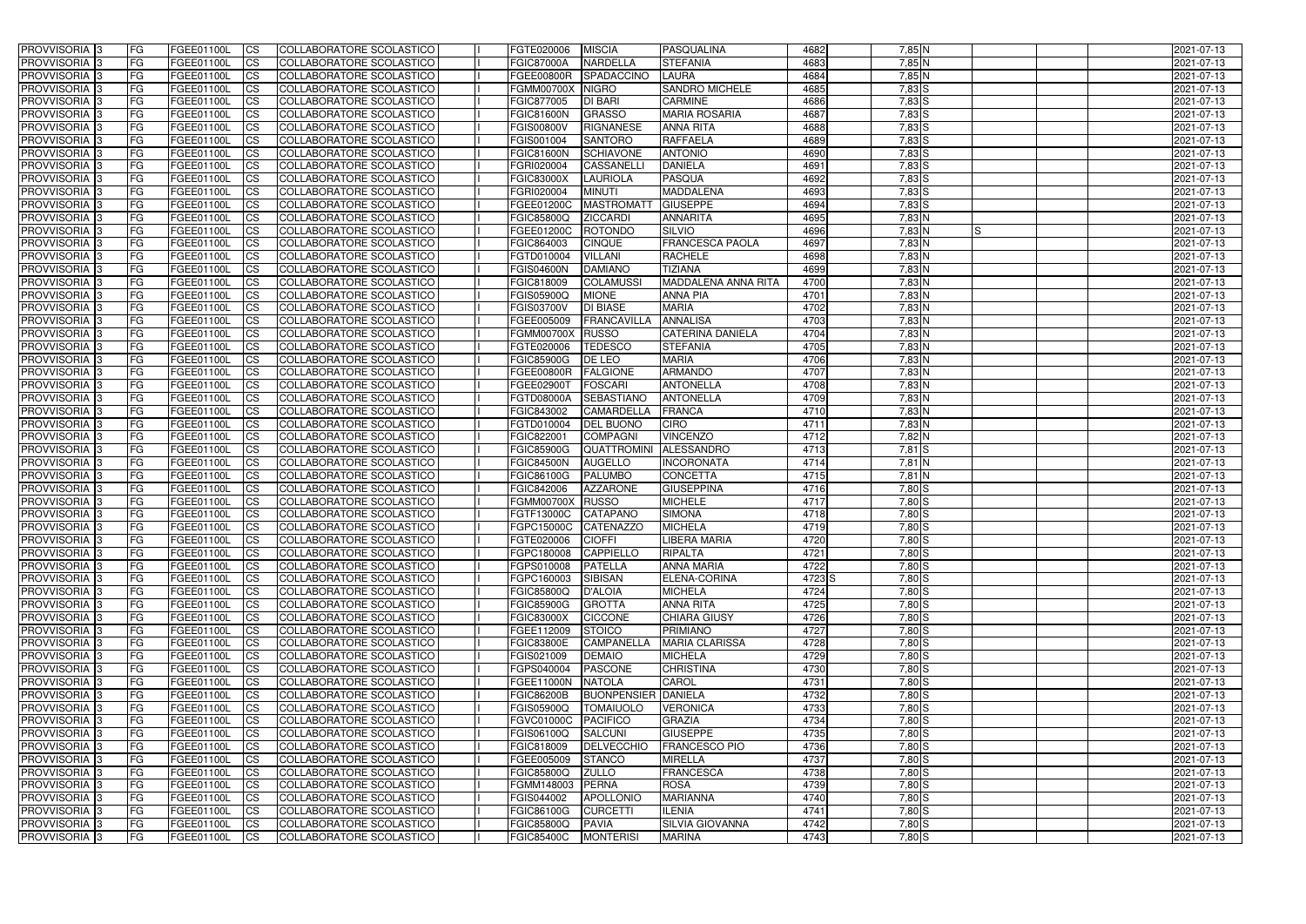| <b>PROVVISORIA</b> 3           | l FG            | FGEE01100L                      | <b>ICS</b>             | COLLABORATORE SCOLASTICO                             | FGTE020006                      | <b>MISCIA</b>                       | PASQUALINA                       | 4682         | $7,85$ N             | 2021-07-13               |
|--------------------------------|-----------------|---------------------------------|------------------------|------------------------------------------------------|---------------------------------|-------------------------------------|----------------------------------|--------------|----------------------|--------------------------|
| <b>PROVVISORIA 3</b>           | FG              | FGEE01100L                      | <b>ICS</b>             | COLLABORATORE SCOLASTICO                             | <b>FGIC87000A</b>               | <b>NARDELLA</b>                     | <b>STEFANIA</b>                  | 4683         | 7,85 N               | 2021-07-13               |
| PROVVISORIA <sup>1</sup> 3     | FG              | FGEE01100L                      | <b>CS</b>              | <b>COLLABORATORE SCOLASTICO</b>                      | FGEE00800R                      | SPADACCINO                          | <b>LAURA</b>                     | 4684         | $7,85$ N             | 2021-07-13               |
| PROVVISORIA                    | FG              | FGEE01100L                      | <b>CS</b>              | COLLABORATORE SCOLASTICO                             | <b>FGMM00700X</b>               | <b>NIGRO</b>                        | <b>SANDRO MICHELE</b>            | 4685         | $7,83$ $S$           | 2021-07-13               |
| PROVVISORIA <sup>1</sup> 3     | FG              | FGEE01100L                      | <b>CS</b>              | COLLABORATORE SCOLASTICO                             | FGIC877005                      | <b>DI BARI</b>                      | <b>CARMINE</b>                   | 4686         | 7,83 S               | 2021-07-13               |
| PROVVISORIA <sup>1</sup> 3     | FG              | FGEE01100L                      | <b>CS</b>              | COLLABORATORE SCOLASTICO                             | <b>FGIC81600N</b>               | <b>GRASSO</b>                       | <b>MARIA ROSARIA</b>             | 4687         | $7,83$ S             | 2021-07-13               |
| PROVVISORIA <sup>1</sup> 3     | FG              | FGEE01100L                      | <b>CS</b>              | COLLABORATORE SCOLASTICO                             | <b>FGIS00800V</b>               | <b>RIGNANESE</b>                    | <b>ANNA RITA</b>                 | 4688         | $7,83$ $S$           | 2021-07-13               |
| PROVVISORIA 3                  | FG              | FGEE01100L                      | <b>ICS</b>             | COLLABORATORE SCOLASTICO                             | FGIS001004                      | <b>SANTORO</b>                      | <b>RAFFAELA</b>                  | 4689         | $7,83$ $S$           | 2021-07-13               |
| PROVVISORIA 3                  | FG              | FGEE01100L                      | <b>CS</b>              | COLLABORATORE SCOLASTICO                             | <b>FGIC81600N</b>               | <b>SCHIAVONE</b>                    | <b>ANTONIO</b>                   | 4690         | $7,83$ $S$           | 2021-07-13               |
| PROVVISORIA 3                  | <b>FG</b>       | FGEE01100L                      | <b>ICS</b>             | COLLABORATORE SCOLASTICO                             | FGRI020004                      | CASSANELLI                          | <b>DANIELA</b>                   | 4691         | $7,83$ $S$           | 2021-07-13               |
| PROVVISORIA 3                  | FG              | FGEE01100L                      | <b>CS</b>              | COLLABORATORE SCOLASTICO                             | <b>FGIC83000X</b>               | <b>LAURIOLA</b>                     | <b>PASQUA</b>                    | 4692         | 7,83 S               | 2021-07-13               |
| <b>PROVVISORIA</b>             | FG              | FGEE01100L                      | <b>CS</b>              | COLLABORATORE SCOLASTICO                             | FGRI020004                      | <b>MINUTI</b>                       | MADDALENA                        | 4693         | $7,83$ S             | 2021-07-13               |
| <b>PROVVISORIA</b>             | FG              | FGEE01100L                      | <b>ICS</b>             | COLLABORATORE SCOLASTICO                             | FGEE01200C                      | <b>MASTROMATT</b>                   | <b>GIUSEPPE</b>                  | 4694         | $7,83$ $S$           | 2021-07-13               |
| <b>PROVVISORIA</b>             | FG              | FGEE01100L                      | <b>ICS</b>             | COLLABORATORE SCOLASTICO                             | <b>FGIC85800Q</b>               | <b>ZICCARDI</b>                     | <b>ANNARITA</b>                  | 4695         | $7,83$ N             | 2021-07-13               |
| <b>PROVVISORIA</b>             | FG              | FGEE01100L                      | <b>ICS</b>             | COLLABORATORE SCOLASTICO                             | FGEE01200C                      | <b>ROTONDO</b>                      | SILVIO                           | 4696         | $7,83$ N<br>IS       | 2021-07-13               |
| <b>PROVVISORIA</b>             | FG              | FGEE01100L                      | <b>ICS</b>             | COLLABORATORE SCOLASTICO                             | FGIC864003                      | <b>CINQUE</b>                       | <b>FRANCESCA PAOLA</b>           | 4697         | 7,83 N               | 2021-07-13               |
| <b>PROVVISORIA</b>             | FG              | FGEE01100L                      | <b>ICS</b>             | COLLABORATORE SCOLASTICO                             | FGTD010004                      | <b>VILLANI</b>                      | <b>RACHELE</b>                   | 4698         | 7,83 N               | 2021-07-13               |
| <b>PROVVISORIA</b>             | FG              | FGEE01100L                      | <b>ICS</b>             | <b>COLLABORATORE SCOLASTICO</b>                      | <b>FGIS04600N</b>               | <b>DAMIANO</b>                      | <b>TIZIANA</b>                   | 4699         | 7,83 N               | 2021-07-13               |
| PROVVISORIA <sup>3</sup>       | FG              | FGEE01100L                      | <b>ICS</b>             | COLLABORATORE SCOLASTICO                             | FGIC818009                      | <b>COLAMUSSI</b>                    | <b>MADDALENA ANNA RITA</b>       | 4700         | 7,83 N               | 2021-07-13               |
| PROVVISORIA <sup>3</sup>       | FG              | FGEE01100L                      | <b>ICS</b>             | COLLABORATORE SCOLASTICO                             | FGIS05900Q                      | <b>MIONE</b>                        | <b>ANNA PIA</b>                  | 4701         | 7,83 N               | 2021-07-13               |
| PROVVISORIA <sup>1</sup> 3     | FG              | FGEE01100L                      | <b>ICS</b>             | COLLABORATORE SCOLASTICO                             | FGIS03700V                      | <b>DI BIASE</b>                     | <b>MARIA</b>                     | 4702         | $7,83$ N             | 2021-07-13               |
| PROVVISORIA 3                  | FG              | FGEE01100L                      | <b>ICS</b>             | COLLABORATORE SCOLASTICO                             | FGEE005009                      | <b>FRANCAVILLA</b>                  | <b>ANNALISA</b>                  | 4703         | $7,83$ N             | 2021-07-13               |
| PROVVISORIA 3                  | FG              | FGEE01100L                      | <b>ICS</b>             | <b>COLLABORATORE SCOLASTICO</b>                      | <b>FGMM00700X</b>               | RUSSO                               | <b>CATERINA DANIELA</b>          | 4704         | $7,83$ N             | 2021-07-13               |
| PROVVISORIA <sup>13</sup>      | FG              | FGEE01100L                      | <b>CS</b>              | COLLABORATORE SCOLASTICO                             | FGTE020006                      | <b>TEDESCO</b>                      | <b>STEFANIA</b>                  | 4705         | $7,83$ N             | 2021-07-13               |
| PROVVISORIA <sup>1</sup> 3     | FG              | FGEE01100L                      | <b>CS</b>              | COLLABORATORE SCOLASTICO                             | <b>FGIC85900G</b>               | DE LEO                              | <b>MARIA</b>                     | 4706         | $7,83$ N             | 2021-07-13               |
| PROVVISORIA <sup>1</sup> 3     | FG              | FGEE01100L                      | <b>ICS</b>             | COLLABORATORE SCOLASTICO                             | <b>FGEE00800R</b>               | <b>FALGIONE</b>                     | <b>ARMANDO</b>                   | 4707         | $7,83$ N             | 2021-07-13               |
| PROVVISORIA 3                  | FG              | FGEE01100L                      | <b>ICS</b>             | COLLABORATORE SCOLASTICO                             | FGEE02900T                      | <b>FOSCARI</b>                      | <b>ANTONELLA</b>                 | 4708         | $7,83$ N             | 2021-07-13               |
| PROVVISORIA                    | FG              | FGEE01100L                      | <b>ICS</b>             | COLLABORATORE SCOLASTICO                             | FGTD08000A                      | <b>SEBASTIANC</b>                   | <b>ANTONELLA</b>                 | 4709         | $7,83$ N             | 2021-07-13               |
| PROVVISORIA                    | FG              | FGEE01100L                      | <b>CS</b>              | <b>COLLABORATORE SCOLASTICO</b>                      | FGIC843002                      | CAMARDELLA                          | <b>FRANCA</b>                    | 4710         | $7,83$ N             | 2021-07-13               |
| PROVVISORIA                    | FG              | FGEE01100L                      | <b>CS</b>              | COLLABORATORE SCOLASTICO                             | FGTD010004                      | <b>DEL BUONO</b>                    | <b>CIRO</b>                      | 4711         | 7,83 N               | 2021-07-13               |
| PROVVISORIA                    | FG              | FGEE01100L                      | <b>CS</b>              | COLLABORATORE SCOLASTICO                             | FGIC822001                      | <b>COMPAGNI</b>                     | <b>VINCENZO</b>                  | 4712         | 7,82 N               | 2021-07-13               |
| PROVVISORIA <sup>1</sup> 3     | FG              | FGEE01100L                      | <b>CS</b>              | COLLABORATORE SCOLASTICO                             | <b>FGIC85900G</b>               | <b>QUATTROMINI</b>                  | ALESSANDRO                       | 4713         | $7,81$ $S$           | 2021-07-13               |
| PROVVISORIA <sup>1</sup> 3     | FG              | FGEE01100L                      | <b>CS</b>              | COLLABORATORE SCOLASTICO                             | <b>FGIC84500N</b>               | <b>AUGELLO</b>                      | <b>INCORONATA</b>                | 4714         | 7,81 N               | 2021-07-13               |
| PROVVISORIA 3                  | FG              | FGEE01100L                      | <b>CS</b>              | COLLABORATORE SCOLASTICO                             | FGIC86100G                      | <b>PALUMBO</b>                      | <b>CONCETTA</b>                  | 4715         | 7,81 N               | 2021-07-13               |
| <b>PROVVISORIA</b>             | FG              | FGEE01100L                      | <b>ICS</b>             | COLLABORATORE SCOLASTICO                             | FGIC842006                      | <b>AZZARONE</b>                     | <b>GIUSEPPINA</b>                | 4716         | 7,80 S               | 2021-07-13               |
| PROVVISORIA <sup>1</sup> 3     | FG              | FGEE01100L                      | <b>CS</b>              | COLLABORATORE SCOLASTICO                             | <b>FGMM00700X</b>               | RUSSO                               | <b>MICHELE</b>                   | 4717         | 7,80 S               | 2021-07-13               |
| PROVVISORIA 3                  | FG              | FGEE01100L                      | <b>ICS</b>             | COLLABORATORE SCOLASTICO                             | FGTF13000C                      | <b>CATAPANO</b>                     | <b>SIMONA</b>                    | 4718         | 7,80 S               | 2021-07-13               |
| <b>PROVVISORIA</b>             | <b>FG</b>       | FGEE01100L                      | <b>ICS</b>             | COLLABORATORE SCOLASTICO                             | FGPC15000C CATENAZZO            |                                     | <b>MICHELA</b>                   | 4719         | 7,80 S               | 2021-07-13               |
| PROVVISORIA 3                  | FG              | FGEE01100L                      | CS                     | COLLABORATORE SCOLASTICO                             | FGTE020006 CIOFFI               |                                     | <b>LIBERA MARIA</b>              | 4720         | $7,80$ S             | 2021-07-13               |
| PROVVISORIA 3                  | <b>FG</b>       | FGEE01100L                      | $\mathsf{ICS}$         | COLLABORATORE SCOLASTICO                             | FGPC180008                      | CAPPIELLO                           | <b>RIPALTA</b>                   | 4721         | $7,80$ S             | 2021-07-13               |
| PROVVISORIA 3                  | <b>FG</b>       | <b>FGEE01100L</b>               | $\mathsf{ICS}$         | COLLABORATORE SCOLASTICO                             | FGPS010008                      | <b>PATELLA</b>                      | <b>ANNA MARIA</b>                | 4722         | 7,80 S               | 2021-07-13               |
| PROVVISORIA 3                  | <b>FG</b>       | FGEE01100L                      | $\mathsf{ICS}$         | COLLABORATORE SCOLASTICO                             | FGPC160003                      | <b>SIBISAN</b>                      | ELENA-CORINA                     | 4723 S       | $7,80$ S             | 2021-07-13               |
| PROVVISORIA 3                  | FG              | FGEE01100L                      | $\mathsf{ICS}$         | COLLABORATORE SCOLASTICO                             | <b>FGIC85800Q</b>               | D'ALOIA                             | <b>MICHELA</b>                   | 4724         | 7,80 S               | 2021-07-13               |
| PROVVISORIA 3                  | l FG            | FGEE01100L                      | <b>CS</b>              | COLLABORATORE SCOLASTICO                             | <b>FGIC85900G</b>               | <b>GROTTA</b>                       | <b>ANNA RITA</b>                 | 4725         | $7,80$ S             | 2021-07-13               |
| PROVVISORIA 3                  | <b>FG</b>       | FGEE01100L                      | $\mathsf{ICS}$         | COLLABORATORE SCOLASTICO                             | <b>FGIC83000X</b>               | <b>CICCONE</b>                      | <b>CHIARA GIUSY</b>              | 4726         | $7,80$ S             | 2021-07-13               |
| PROVVISORIA 3                  | FG              | FGEE01100L                      | <b>CS</b>              | COLLABORATORE SCOLASTICO                             | FGEE112009                      | <b>STOICO</b>                       | <b>PRIMIANO</b>                  | 4727         | $7,80$ S             | 2021-07-13               |
| PROVVISORIA 3                  | <b>FG</b>       | FGEE01100L                      | <b>CS</b>              | COLLABORATORE SCOLASTICO                             | <b>FGIC83800E</b>               | <b>CAMPANELLA</b>                   | <b>MARIA CLARISSA</b>            | 4728         | $7,80$ S             | 2021-07-13               |
| PROVVISORIA 3                  | <b>FG</b>       | FGEE01100L                      | <b>CS</b>              | COLLABORATORE SCOLASTICO                             | FGIS021009                      | DEMAIO                              | <b>MICHELA</b>                   | 4729         | $7,80$ S             | 2021-07-13               |
| PROVVISORIA 3                  | <b>FG</b>       | FGEE01100L                      | <b>CS</b>              | COLLABORATORE SCOLASTICO                             | FGPS040004                      | <b>PASCONE</b>                      | <b>CHRISTINA</b>                 | 4730         | $7,80$ S             | 2021-07-13               |
| PROVVISORIA 3                  | <b>FG</b>       | FGEE01100L                      | <b>CS</b>              | COLLABORATORE SCOLASTICO                             | FGEE11000N NATOLA               |                                     | CAROL                            | 4731         | $7,80$ S             | 2021-07-13               |
| PROVVISORIA 3                  | <b>FG</b>       | FGEE01100L                      | <b>CS</b>              | COLLABORATORE SCOLASTICO                             | <b>FGIC86200B</b>               | <b>BUONPENSIER DANIELA</b>          |                                  | 4732         | $7,80$ S             | 2021-07-13               |
| PROVVISORIA 3                  | <b>FG</b>       | FGEE01100L                      | <b>CS</b>              | COLLABORATORE SCOLASTICO                             | <b>FGIS05900Q</b>               | <b>TOMAIUOLO</b>                    | <b>VERONICA</b>                  | 4733         | $7,80$ S             | 2021-07-13               |
|                                | <b>FG</b>       |                                 |                        |                                                      |                                 |                                     |                                  | 4734         | $7,80$ S             |                          |
| PROVVISORIA 3<br>PROVVISORIA 3 | <b>FG</b>       | FGEE01100L<br>FGEE01100L        | <b>CS</b><br><b>CS</b> | COLLABORATORE SCOLASTICO<br>COLLABORATORE SCOLASTICO | <b>FGVC01000C</b><br>FGIS06100Q | PACIFICO<br>SALCUNI                 | <b>GRAZIA</b><br><b>GIUSEPPE</b> | 4735         | 7,80 S               | 2021-07-13<br>2021-07-13 |
| PROVVISORIA 3                  | <b>FG</b>       |                                 | <b>CS</b>              | COLLABORATORE SCOLASTICO                             |                                 | DELVECCHIO                          | <b>FRANCESCO PIO</b>             | 4736         | $7,80$ S             |                          |
| PROVVISORIA 3                  | <b>FG</b>       | FGEE01100L                      |                        | COLLABORATORE SCOLASTICO                             | FGIC818009<br>FGEE005009        | <b>STANCO</b>                       |                                  | 4737         | $7,80$ S             | 2021-07-13               |
|                                | <b>FG</b>       | FGEE01100L<br>FGEE01100L        | <b>CS</b>              |                                                      |                                 | <b>ZULLO</b>                        | <b>MIRELLA</b><br>FRANCESCA      | 4738         | $7,80$ S             | 2021-07-13               |
| PROVVISORIA 3                  |                 |                                 | <b>CS</b>              | COLLABORATORE SCOLASTICO                             | <b>FGIC85800Q</b>               |                                     |                                  |              |                      | 2021-07-13               |
| PROVVISORIA 3                  | FG              | FGEE01100L<br><b>FGEE01100L</b> | <b>CS</b>              | COLLABORATORE SCOLASTICO                             | FGMM148003                      | PERNA                               | <b>ROSA</b>                      | 4739<br>4740 | $7,80$ S<br>$7,80$ S | 2021-07-13               |
| PROVVISORIA 3<br>PROVVISORIA 3 | FG<br><b>FG</b> | FGEE01100L                      | <b>CS</b><br><b>CS</b> | COLLABORATORE SCOLASTICO                             | FGIS044002                      | <b>APOLLONIO</b><br><b>CURCETTI</b> | <b>MARIANNA</b><br><b>ILENIA</b> | 4741         | $7,80$ S             | 2021-07-13               |
|                                |                 |                                 |                        | COLLABORATORE SCOLASTICO                             | <b>FGIC86100G</b>               |                                     |                                  |              |                      | 2021-07-13               |
| PROVVISORIA 3                  | <b>FG</b>       | FGEE01100L                      | $\overline{\text{CS}}$ | COLLABORATORE SCOLASTICO                             | <b>FGIC85800Q</b>               | <b>PAVIA</b>                        | SILVIA GIOVANNA                  | 4742         | $7,80$ S             | 2021-07-13               |
| PROVVISORIA 3                  | <b>FG</b>       | FGEE01100L                      | $\mathsf{ICS}$         | COLLABORATORE SCOLASTICO                             | <b>FGIC85400C</b>               | <b>MONTERISI</b>                    | <b>MARINA</b>                    | 4743         | $7,80$ S             | 2021-07-13               |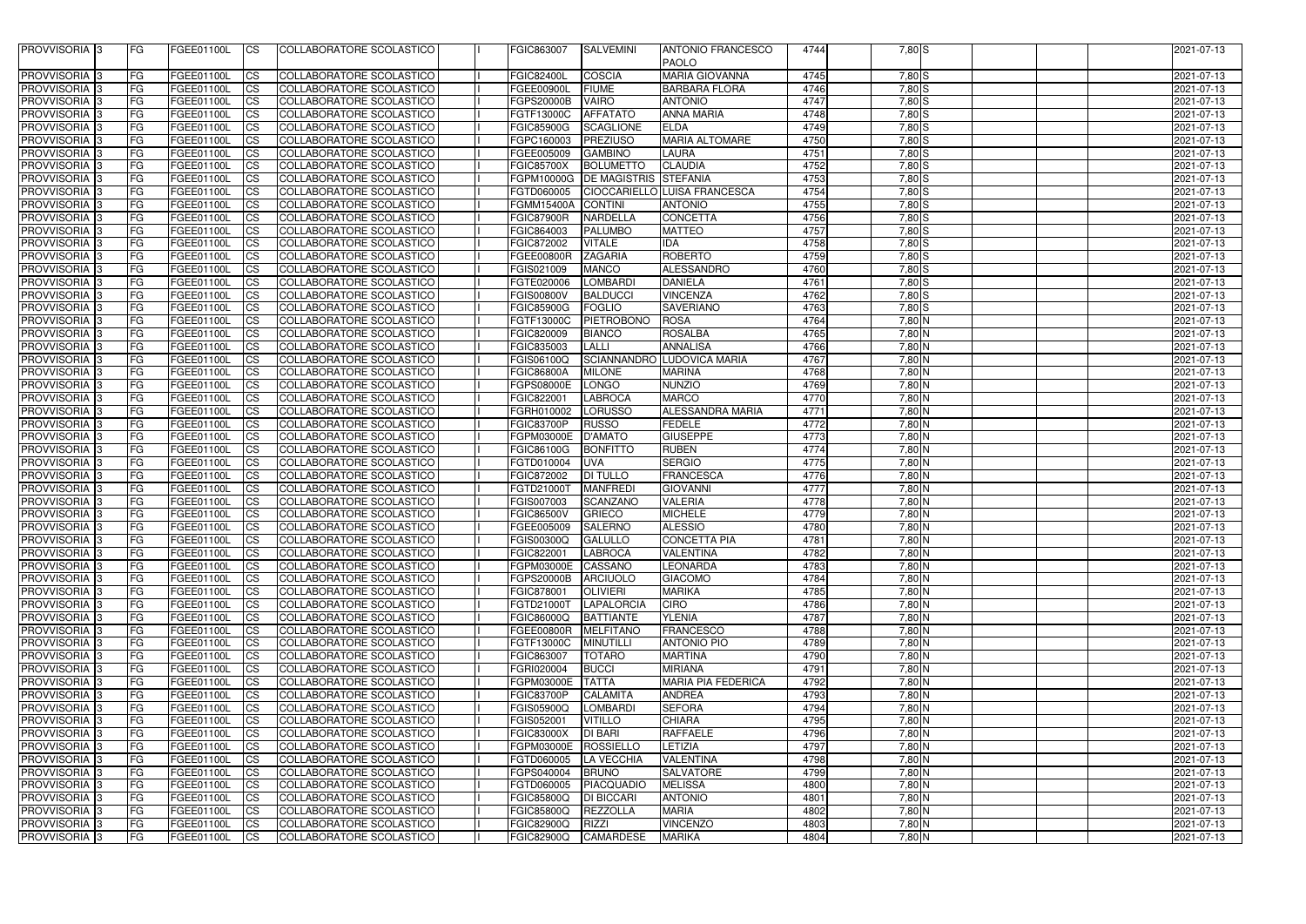| PROVVISORIA 3                              | FG         | FGEE01100L               | <b>ICS</b>             | <b>ICOLLABORATORE SCOLASTICO</b>                     | FGIC863007                             | <b>SALVEMINI</b>             | <b>ANTONIO FRANCESCO</b><br><b>PAOLO</b> | 4744         | $7,80$ S             | 2021-07-13               |
|--------------------------------------------|------------|--------------------------|------------------------|------------------------------------------------------|----------------------------------------|------------------------------|------------------------------------------|--------------|----------------------|--------------------------|
| <b>PROVVISORIA</b>  3                      | FG         | FGEE01100L               | <b>CS</b>              | COLLABORATORE SCOLASTICO                             | <b>FGIC82400L</b>                      | <b>COSCIA</b>                | <b>MARIA GIOVANNA</b>                    | 4745         | $7,80$ S             | 2021-07-13               |
| <b>PROVVISORIA</b>                         | FG         | FGEE01100L               | <b>CS</b>              | COLLABORATORE SCOLASTICO                             | FGEE00900L                             | <b>FIUME</b>                 | <b>BARBARA FLORA</b>                     | 4746         | $7,80$ S             | 2021-07-13               |
| <b>PROVVISORIA</b>                         | FG         | FGEE01100L               | <b>CS</b>              | COLLABORATORE SCOLASTICO                             | FGPS20000B                             | <b>VAIRO</b>                 | <b>ANTONIO</b>                           | 4747         | $7,80$ S             | 2021-07-13               |
| <b>PROVVISORIA</b> 3                       | FG         | FGEE01100L               | <b>CS</b>              | COLLABORATORE SCOLASTICO                             | FGTF13000C                             | <b>AFFATATO</b>              | <b>ANNA MARIA</b>                        | 4748         | $7,80$ S             | 2021-07-13               |
| <b>PROVVISORIA</b>                         | FG         | FGEE01100L               | <b>CS</b>              | COLLABORATORE SCOLASTICO                             | FGIC85900G                             | <b>SCAGLIONE</b>             | <b>ELDA</b>                              | 4749         | $7,80$ S             | 2021-07-13               |
| <b>PROVVISORIA</b>                         | FG         | FGEE01100L               | <b>CS</b>              | COLLABORATORE SCOLASTICO                             | FGPC160003                             | PREZIUSO                     | <b>MARIA ALTOMARE</b>                    | 4750         | $7,80$ S             | 2021-07-13               |
| <b>PROVVISORIA</b>                         | FG         | FGEE01100L               | <b>CS</b>              | COLLABORATORE SCOLASTICO                             | FGEE005009                             | <b>GAMBINO</b>               | LAURA                                    | 4751         | $7,80$ S             | 2021-07-13               |
| <b>PROVVISORIA</b> :                       | FG         | FGEE01100L               | <b>CS</b>              | COLLABORATORE SCOLASTICO                             | <b>FGIC85700X</b>                      | <b>BOLUMETTO</b>             | <b>CLAUDIA</b>                           | 4752         | $7,80$ S             | 2021-07-13               |
| <b>PROVVISORIA</b> 3                       | FG         | <b>FGEE01100L</b>        | <b>CS</b>              | COLLABORATORE SCOLASTICO                             | FGPM10000G                             | <b>DE MAGISTRIS STEFANIA</b> |                                          | 4753         | $7,80$ S             | 2021-07-13               |
| PROVVISORIA <sup>3</sup>                   | FG         | FGEE01100L               | <b>CS</b>              | COLLABORATORE SCOLASTICO                             | FGTD060005                             |                              | CIOCCARIELLO LUISA FRANCESCA             | 4754         | $7,80$ S             | 2021-07-13               |
| <b>PROVVISORIA</b> 3                       | FG         | FGEE01100L               | <b>CS</b>              | <b>COLLABORATORE SCOLASTICO</b>                      | FGMM15400A                             | <b>CONTINI</b>               | <b>ANTONIO</b>                           | 4755         | $7,80$ S             | 2021-07-13               |
| PROVVISORIA 3                              | FG         | FGEE01100L               | <b>ICS</b>             | COLLABORATORE SCOLASTICO                             | <b>FGIC87900R</b>                      | <b>NARDELLA</b>              | <b>CONCETTA</b>                          | 4756         | $7,80$ S             | 2021-07-13               |
| <b>PROVVISORIA</b>                         | FG         | FGEE01100L               | <b>ICS</b>             | COLLABORATORE SCOLASTICO                             | FGIC864003                             | <b>PALUMBO</b>               | <b>MATTEO</b>                            | 4757         | $7,80$ S             | 2021-07-13               |
| PROVVISORIA 3                              | FG         | FGEE01100L               | <b>CS</b>              | COLLABORATORE SCOLASTICO                             | <b>FGIC872002</b>                      | <b>VITALE</b>                | <b>IDA</b>                               | 4758         | $7,80$ S             | 2021-07-13               |
| PROVVISORIA 3                              | FG         | <b>FGEE01100L</b>        | <b>CS</b>              | COLLABORATORE SCOLASTICO                             | <b>FGEE00800R</b>                      | <b>ZAGARIA</b>               | <b>ROBERTO</b>                           | 4759         | $7,80$ S             | 2021-07-13               |
| <b>PROVVISORIA</b>                         | FG         | <b>FGEE01100L</b>        | <b>CS</b>              | COLLABORATORE SCOLASTICO                             | FGIS021009                             | <b>MANCO</b>                 | <b>ALESSANDRO</b>                        | 4760         | $7,80$ S             | 2021-07-13               |
| <b>PROVVISORIA</b>                         | FG         | FGEE01100L               | ICS.                   | COLLABORATORE SCOLASTICO                             | FGTE020006                             | <b>LOMBARDI</b>              | <b>DANIELA</b>                           | 4761         | $7,80$ S             | 2021-07-13               |
| <b>PROVVISORIA</b>                         | FG         | FGEE01100L               | <b>CS</b>              | COLLABORATORE SCOLASTICO                             | FGIS00800V                             | <b>BALDUCCI</b>              | <b>VINCENZA</b>                          | 4762         | $7,80$ S             | 2021-07-13               |
| <b>PROVVISORIA</b>                         | FG         | FGEE01100L               | <b>CS</b>              | COLLABORATORE SCOLASTICO                             | <b>FGIC85900G</b>                      | <b>FOGLIO</b>                | <b>SAVERIANO</b>                         | 4763         | 7,80 S               | 2021-07-13               |
| <b>PROVVISORIA</b>                         | FG         | FGEE01100L               | <b>CS</b>              | COLLABORATORE SCOLASTICO                             | FGTF13000C                             | <b>PIETROBONO</b>            | <b>ROSA</b>                              | 4764         | 7,80 N               | 2021-07-13               |
| <b>PROVVISORIA</b>                         | FG         | FGEE01100L               | <b>ICS</b>             | COLLABORATORE SCOLASTICO                             | FGIC820009                             | <b>BIANCO</b>                | <b>ROSALBA</b>                           | 4765         | $7,80$ N             | 2021-07-13               |
| <b>PROVVISORIA</b>                         | FG         | FGEE01100L               | ICS                    | COLLABORATORE SCOLASTICO                             | FGIC835003                             | <b>LALLI</b>                 | <b>ANNALISA</b>                          | 4766         | $7,80$ N             | 2021-07-13               |
| <b>PROVVISORIA</b> 3                       | FG         | FGEE01100L               | <b>ICS</b>             | COLLABORATORE SCOLASTICO                             | FGIS06100Q                             |                              | SCIANNANDRO LUDOVICA MARIA               | 4767         | $7,80$ N             | 2021-07-13               |
| <b>PROVVISORIA</b> :<br><b>PROVVISORIA</b> | FG<br>FG   | FGEE01100L<br>FGEE01100L | <b>CS</b><br><b>CS</b> | COLLABORATORE SCOLASTICO                             | <b>FGIC86800A</b>                      | <b>MILONE</b>                | <b>MARINA</b>                            | 4768         | $7,80$ N<br>$7,80$ N | 2021-07-13               |
| <b>PROVVISORIA</b> 3                       | FG         | FGEE01100L               | <b>CS</b>              | COLLABORATORE SCOLASTICO<br>COLLABORATORE SCOLASTICO | FGPS08000E<br>FGIC822001               | LONGO<br><b>LABROCA</b>      | <b>NUNZIO</b><br><b>MARCO</b>            | 4769<br>4770 | 7,80 N               | 2021-07-13<br>2021-07-13 |
| <b>PROVVISORIA</b> 3                       | FG         | FGEE01100L               | <b>CS</b>              | COLLABORATORE SCOLASTICO                             | FGRH010002                             | LORUSSO                      | ALESSANDRA MARIA                         | 4771         | $7,80$ N             | 2021-07-13               |
| <b>PROVVISORIA</b> 3                       | FG         | FGEE01100L               | <b>CS</b>              | COLLABORATORE SCOLASTICO                             | <b>FGIC83700P</b>                      | <b>RUSSO</b>                 | <b>FEDELE</b>                            | 4772         | 7,80 N               | 2021-07-13               |
| <b>PROVVISORIA</b>                         | FG         | FGEE01100L               | <b>CS</b>              | COLLABORATORE SCOLASTICO                             | FGPM03000E                             | <b>D'AMATO</b>               | <b>GIUSEPPE</b>                          | 4773         | 7,80 N               | 2021-07-13               |
| <b>PROVVISORIA</b>                         | FG         | FGEE01100L               | <b>CS</b>              | COLLABORATORE SCOLASTICO                             | <b>FGIC86100G</b>                      | <b>BONFITTO</b>              | <b>RUBEN</b>                             | 4774         | $7,80$ N             | 2021-07-13               |
| <b>PROVVISORIA</b>                         | FG         | FGEE01100L               | <b>CS</b>              | COLLABORATORE SCOLASTICO                             | FGTD010004                             | <b>UVA</b>                   | <b>SERGIO</b>                            | 4775         | $7,80$ N             | 2021-07-13               |
| <b>PROVVISORIA</b>                         | FG         | FGEE01100L               | <b>CS</b>              | COLLABORATORE SCOLASTICO                             | FGIC872002                             | <b>DI TULLO</b>              | <b>FRANCESCA</b>                         | 4776         | $7,80$ N             | 2021-07-13               |
| <b>PROVVISORIA</b>                         | FG         | FGEE01100L               | <b>CS</b>              | COLLABORATORE SCOLASTICO                             | FGTD21000T                             | <b>MANFREDI</b>              | <b>GIOVANNI</b>                          | 4777         | 7,80 N               | 2021-07-13               |
| <b>PROVVISORIA</b>                         | FG         | FGEE01100L               | <b>CS</b>              | COLLABORATORE SCOLASTICO                             | FGIS007003                             | <b>SCANZANO</b>              | <b>VALERIA</b>                           | 4778         | 7,80 N               | 2021-07-13               |
| <b>PROVVISORIA</b>                         | FG         | <b>FGEE01100L</b>        | <b>CS</b>              | <b>COLLABORATORE SCOLASTICO</b>                      | FGIC86500V                             | <b>GRIECO</b>                | <b>MICHELE</b>                           | 4779         | 7,80 N               | 2021-07-13               |
| PROVVISORIA <sup>3</sup>                   | FG         | FGEE01100L               | <b>CS</b>              | COLLABORATORE SCOLASTICO                             | FGEE005009                             | <b>SALERNO</b>               | <b>ALESSIO</b>                           | 4780         | 7,80 N               | 2021-07-13               |
| <b>PROVVISORIA</b> 3                       | <b>FG</b>  | FGEE01100L               | CS                     | COLLABORATORE SCOLASTICO                             | FGIS00300Q                             | GALULLO                      | <b>CONCETTA PIA</b>                      | 4781         | 7,80 N               | 2021-07-13               |
| PROVVISORIA <sup>3</sup>                   | FG         | <b>FGEE01100L</b>        | <b>CS</b>              | COLLABORATORE SCOLASTICO                             | FGIC822001                             | <b>LABROCA</b>               | <b>VALENTINA</b>                         | 4782         | 7,80 N               | 2021-07-13               |
| PROVVISORIA <sup>3</sup>                   | <b>IFG</b> | <b>FGEE01100L</b>        | <b>CS</b>              | COLLABORATORE SCOLASTICO                             | FGPM03000E CASSANO                     |                              | <b>LEONARDA</b>                          | 4783         | $7,80$ N             | 2021-07-13               |
| PROVVISORIA <sup>3</sup>                   | <b>IFG</b> | <b>FGEE01100L</b>        | <b>ICS</b>             | COLLABORATORE SCOLASTICO                             | FGPS20000B ARCIUOLO                    |                              | <b>GIACOMO</b>                           | 4784         | $7,80$ N             | 2021-07-13               |
| PROVVISORIA <sup>3</sup>                   | FG         | <b>FGEE01100L</b>        | <b>CS</b>              | COLLABORATORE SCOLASTICO                             | FGIC878001                             | <b>OLIVIERI</b>              | <b>MARIKA</b>                            | 4785         | 7,80 N               | 2021-07-13               |
| PROVVISORIA 3                              | FG         | FGEE01100L               | <b>CS</b>              | COLLABORATORE SCOLASTICO                             | FGTD21000T                             | LAPALORCIA                   | <b>CIRO</b>                              | 4786         | $7,80$ N             | 2021-07-13               |
| PROVVISORIA <sup>3</sup>                   | FG         | <b>FGEE01100L</b>        | <b>ICS</b>             | COLLABORATORE SCOLASTICO                             | <b>FGIC86000Q</b>                      | <b>BATTIANTE</b>             | <b>YLENIA</b>                            | 4787         | $7,80$ N             | 2021-07-13               |
| PROVVISORIA <sup>3</sup>                   | FG         | FGEE01100L               | <b>ICS</b>             | COLLABORATORE SCOLASTICO                             | <b>FGEE00800R</b>                      | <b>MELFITANO</b>             | <b>FRANCESCO</b>                         | 4788         | $7,80$ N             | 2021-07-13               |
| PROVVISORIA 3                              | FG         | FGEE01100L               | <b>ICS</b>             | COLLABORATORE SCOLASTICO                             | FGTF13000C                             | <b>MINUTILLI</b>             | <b>ANTONIO PIO</b>                       | 4789         | 7,80 N               | 2021-07-13               |
| PROVVISORIA 3                              | FG         | FGEE01100L               | <b>ICS</b>             | COLLABORATORE SCOLASTICO                             | FGIC863007                             | <b>TOTARO</b>                | <b>MARTINA</b>                           | 4790         | $7,80$ N             | 2021-07-13               |
| PROVVISORIA 3                              | FG         | FGEE01100L               | <b>ICS</b>             | COLLABORATORE SCOLASTICO                             | FGRI020004                             | <b>BUCCI</b>                 | <b>MIRIANA</b>                           | 4791         | $7,80$ N             | 2021-07-13               |
| PROVVISORIA <sup>3</sup>                   | FG         | <b>FGEE01100L</b>        | <b>CS</b>              | COLLABORATORE SCOLASTICO                             | <b>FGPM03000E</b>                      | <b>TATTA</b>                 | <b>MARIA PIA FEDERICA</b>                | 4792         | $7,80$ N             | 2021-07-13               |
| PROVVISORIA <sup>3</sup>                   | FG         | FGEE01100L               | <b>ICS</b>             | COLLABORATORE SCOLASTICO                             | <b>FGIC83700P</b>                      | <b>CALAMITA</b>              | <b>ANDREA</b>                            | 4793         | 7,80 N               | 2021-07-13               |
| PROVVISORIA <sup>3</sup>                   | FG         | FGEE01100L               | <b>ICS</b>             | COLLABORATORE SCOLASTICO                             | FGIS05900Q                             | <b>LOMBARDI</b>              | <b>SEFORA</b>                            | 4794         | $7,80$ N             | 2021-07-13               |
| <b>PROVVISORIA</b> 3                       | FG<br>FG   | FGEE01100L               | <b>ICS</b>             | COLLABORATORE SCOLASTICO                             | FGIS052001                             | <b>VITILLO</b>               | <b>CHIARA</b>                            | 4795         | $7,80$ N             | 2021-07-13               |
| <b>PROVVISORIA</b> 3                       | FG         | FGEE01100L               | <b>CS</b>              | COLLABORATORE SCOLASTICO                             | <b>FGIC83000X</b><br><b>FGPM03000E</b> | <b>DI BARI</b>               | <b>RAFFAELE</b>                          | 4796         | $7,80$ N             | 2021-07-13               |
| <b>PROVVISORIA</b> 3<br>PROVVISORIA 3      | FG         | FGEE01100L<br>FGEE01100L | <b>CS</b>              | COLLABORATORE SCOLASTICO                             | FGTD060005                             | ROSSIELLO<br>LA VECCHIA      | LETIZIA<br><b>VALENTINA</b>              | 4797<br>4798 | 7,80 N<br>$7,80$ N   | 2021-07-13               |
| <b>PROVVISORIA 3</b>                       | <b>IFG</b> | FGEE01100L               | <b>CS</b><br><b>CS</b> | COLLABORATORE SCOLASTICO<br>COLLABORATORE SCOLASTICO | FGPS040004                             | <b>BRUNO</b>                 | <b>SALVATORE</b>                         | 4799         | 7,80 N               | 2021-07-13<br>2021-07-13 |
| <b>PROVVISORIA</b> 3                       | FG         | FGEE01100L               | <b>CS</b>              | COLLABORATORE SCOLASTICO                             | FGTD060005                             | PIACQUADIO                   | <b>MELISSA</b>                           | 4800         | 7,80 N               | 2021-07-13               |
| PROVVISORIA 3                              | FG         | FGEE01100L               | <b>CS</b>              | COLLABORATORE SCOLASTICO                             | <b>FGIC85800Q</b>                      | <b>DI BICCARI</b>            | <b>ANTONIO</b>                           | 4801         | $7,80$ N             | 2021-07-13               |
| PROVVISORIA 3                              | <b>IFG</b> | FGEE01100L               | <b>CS</b>              | COLLABORATORE SCOLASTICO                             | <b>FGIC85800Q</b>                      | <b>REZZOLLA</b>              | <b>MARIA</b>                             | 4802         | $7,80$ N             | 2021-07-13               |
| PROVVISORIA 3                              | <b>IFG</b> | FGEE01100L               | <b>CS</b>              | COLLABORATORE SCOLASTICO                             | <b>FGIC82900Q</b>                      | <b>RIZZI</b>                 | <b>VINCENZO</b>                          | 4803         | 7,80 N               | 2021-07-13               |
| PROVVISORIA <sup>3</sup>                   | FG         | FGEE01100L               | <b>CS</b>              | COLLABORATORE SCOLASTICO                             | <b>FGIC82900Q</b>                      | <b>CAMARDESE</b>             | <b>MARIKA</b>                            | 4804         | 7,80 N               | 2021-07-13               |
|                                            |            |                          |                        |                                                      |                                        |                              |                                          |              |                      |                          |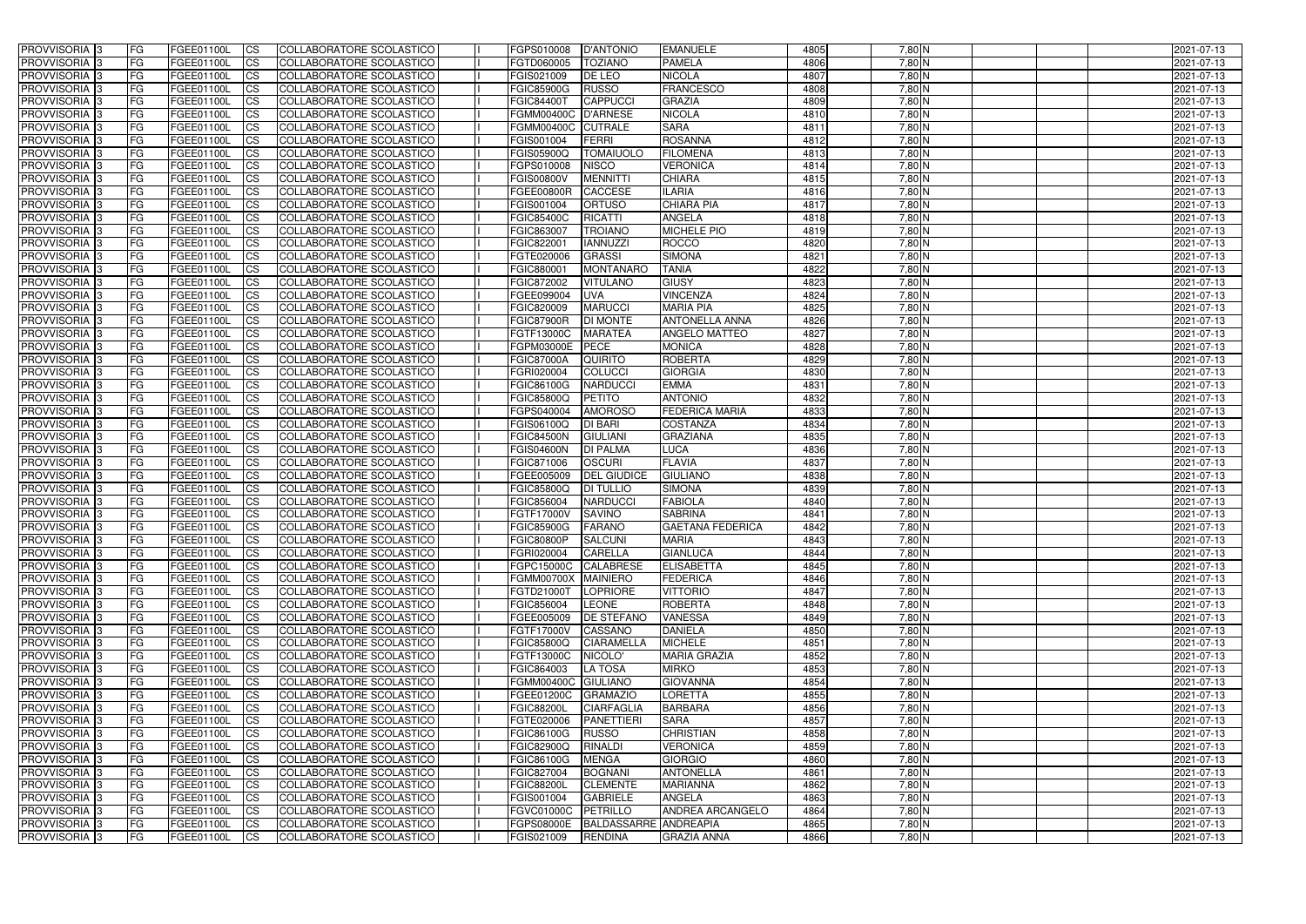| <b>PROVVISORIA</b> 3                             | FG         | FGEE01100L               | <b>ICS</b>             | COLLABORATORE SCOLASTICO                             | FGPS010008                               | <b>D'ANTONIO</b>                  | <b>EMANUELE</b>                           | 4805         | 7,80 N               | 2021-07-13               |
|--------------------------------------------------|------------|--------------------------|------------------------|------------------------------------------------------|------------------------------------------|-----------------------------------|-------------------------------------------|--------------|----------------------|--------------------------|
| <b>PROVVISORIA 3</b>                             | FG         | FGEE01100L               | <b>CS</b>              | COLLABORATORE SCOLASTICO                             | FGTD060005                               | <b>TOZIANO</b>                    | <b>PAMELA</b>                             | 4806         | $7,80$ N             | 2021-07-13               |
| PROVVISORIA <sup>3</sup>                         | FG         | FGEE01100L               | <b>CS</b>              | COLLABORATORE SCOLASTICO                             | FGIS021009                               | DE LEO                            | <b>NICOLA</b>                             | 4807         | $7,80$ N             | 2021-07-13               |
| PROVVISORIA <sup>3</sup>                         | FG         | FGEE01100L               | <b>CS</b>              | COLLABORATORE SCOLASTICO                             | <b>FGIC85900G</b>                        | <b>RUSSO</b>                      | <b>FRANCESCO</b>                          | 4808         | $7,80$ N             | 2021-07-13               |
| PROVVISORIA <sup>1</sup> 3                       | FG         | FGEE01100L               | <b>CS</b>              | COLLABORATORE SCOLASTICO                             | <b>FGIC84400T</b>                        | <b>CAPPUCCI</b>                   | <b>GRAZIA</b>                             | 4809         | 7,80 N               | 2021-07-13               |
| PROVVISORIA <sup>3</sup>                         | FG.        | FGEE01100L               | <b>CS</b>              | COLLABORATORE SCOLASTICO                             | <b>FGMM00400C</b>                        | D'ARNESE                          | <b>NICOLA</b>                             | 4810         | 7,80 N               | 2021-07-13               |
| PROVVISORIA 3                                    | FG         | FGEE01100L               | <b>CS</b>              | COLLABORATORE SCOLASTICO                             | <b>FGMM00400C</b>                        | <b>CUTRALE</b>                    | <b>SARA</b>                               | 4811         | $7,80$ N             | 2021-07-13               |
| PROVVISORIA 3                                    | FG         | <b>FGEE01100L</b>        | <b>CS</b>              | <b>COLLABORATORE SCOLASTICO</b>                      | FGIS001004                               | FERRI                             | <b>ROSANNA</b>                            | 4812         | 7,80 N               | 2021-07-13               |
| PROVVISORIA 3                                    | FG         | FGEE01100L               | <b>CS</b>              | COLLABORATORE SCOLASTICO                             | FGIS05900Q                               | <b>TOMAIUOLO</b>                  | <b>FILOMENA</b>                           | 4813         | 7,80 N               | 2021-07-13               |
| PROVVISORIA <sup>3</sup>                         | FG         | FGEE01100L               | $\overline{c}$         | COLLABORATORE SCOLASTICO                             | FGPS010008                               | <b>NISCO</b>                      | <b>VERONICA</b>                           | 4814         | $7,80$ N             | 2021-07-13               |
| PROVVISORIA <sup>3</sup>                         | FG         | FGEE01100L               | <b>CS</b>              | COLLABORATORE SCOLASTICO                             | <b>FGIS00800V</b>                        | <b>MENNITTI</b>                   | <b>CHIARA</b>                             | 4815         | $7,80$ N             | 2021-07-13               |
| PROVVISORIA <sup>3</sup>                         | FG         | FGEE01100L               | <b>CS</b>              | COLLABORATORE SCOLASTICO                             | <b>FGEE00800R</b>                        | <b>CACCESE</b>                    | <b>ILARIA</b>                             | 4816         | $7,80$ N             | 2021-07-13               |
| PROVVISORIA <sup>3</sup>                         | FG         | <b>FGEE01100L</b>        | <b>I</b> CS            | COLLABORATORE SCOLASTICO                             | FGIS001004                               | <b>ORTUSO</b>                     | <b>CHIARA PIA</b>                         | 4817         | 7,80 N               | 2021-07-13               |
| PROVVISORIA <sup>3</sup>                         | FG         | FGEE01100L               | <b>I</b> CS            | COLLABORATORE SCOLASTICO                             | <b>FGIC85400C</b>                        | <b>RICATTI</b>                    | <b>ANGELA</b>                             | 4818         | 7,80 N               | 2021-07-13               |
| PROVVISORIA <sup>3</sup>                         | FG         | FGEE01100L               | <b>ICS</b>             | COLLABORATORE SCOLASTICO                             | <b>FGIC863007</b>                        | <b>TROIANO</b>                    | <b>MICHELE PIO</b>                        | 4819         | 7,80 N               | 2021-07-13               |
| <b>PROVVISORIA</b> 3                             | FG         | FGEE01100L               | <b>I</b> CS            | <b>COLLABORATORE SCOLASTICO</b>                      | FGIC822001                               | <b>IANNUZZI</b>                   | <b>ROCCO</b>                              | 4820         | 7,80 N               | 2021-07-13               |
| <b>PROVVISORIA</b> 3                             | FG         | FGEE01100L               | <b>ICS</b>             | COLLABORATORE SCOLASTICO                             | FGTE020006                               | <b>GRASSI</b>                     | <b>SIMONA</b>                             | 4821         | 7,80 N               | 2021-07-13               |
| PROVVISORIA 3                                    | FG         | FGEE01100L               | <b>CS</b>              | COLLABORATORE SCOLASTICO                             | FGIC880001                               | <b>MONTANARO</b>                  | <b>TANIA</b>                              | 4822         | 7,80 N               | 2021-07-13               |
| PROVVISORIA <sup>3</sup>                         | FG         | FGEE01100L               | <b>ICS</b>             | COLLABORATORE SCOLASTICO                             | FGIC872002                               | <b>VITULANO</b>                   | <b>GIUSY</b>                              | 4823         | 7,80 N               | 2021-07-13               |
| PROVVISORIA <sup>3</sup>                         | FG         | FGEE01100L               | <b>ICS</b>             | COLLABORATORE SCOLASTICO                             | FGEE099004                               | <b>UVA</b>                        | <b>VINCENZA</b>                           | 4824         | 7,80 N               | 2021-07-13               |
| PROVVISORIA <sup>3</sup>                         | FG         | FGEE01100L               | <b>I</b> CS            | COLLABORATORE SCOLASTICO                             | FGIC820009<br><b>FGIC87900R</b>          | <b>MARUCCI</b><br><b>DI MONTE</b> | <b>MARIA PIA</b><br><b>ANTONELLA ANNA</b> | 4825         | $7,80$ N             | 2021-07-13               |
| PROVVISORIA <sup>3</sup>                         | FG         | FGEE01100L<br>FGEE01100L | <b>CS</b>              | COLLABORATORE SCOLASTICO                             |                                          |                                   | <b>ANGELO MATTEO</b>                      | 4826         | $7,80$ N             | 2021-07-13               |
| PROVVISORIA <sup>3</sup><br><b>PROVVISORIA</b> 3 | FG         | FGEE01100L               | <b>CS</b>              | COLLABORATORE SCOLASTICO<br>COLLABORATORE SCOLASTICO | FGTF13000C<br>FGPM03000E                 | <b>MARATEA</b><br><b>PECE</b>     | <b>MONICA</b>                             | 4827<br>4828 | $7,80$ N<br>$7,80$ N | 2021-07-13<br>2021-07-13 |
| PROVVISORIA <sup>3</sup>                         | FG<br>FG   | FGEE01100L               | <b>CS</b><br><b>CS</b> | COLLABORATORE SCOLASTICO                             | <b>FGIC87000A</b>                        | <b>QUIRITO</b>                    | <b>ROBERTA</b>                            | 4829         | 7,80 N               | 2021-07-13               |
| PROVVISORIA <sup>1</sup> 3                       | FG         | FGEE01100L               | <b>CS</b>              | COLLABORATORE SCOLASTICO                             | FGRI020004                               | <b>COLUCCI</b>                    | <b>GIORGIA</b>                            | 4830         | $7,80$ N             | 2021-07-13               |
| PROVVISORIA 3                                    | FG         | FGEE01100L               | <b>ICS</b>             | COLLABORATORE SCOLASTICO                             | FGIC86100G                               | <b>NARDUCCI</b>                   | <b>EMMA</b>                               | 4831         | $7,80$ N             | 2021-07-13               |
| PROVVISORIA <sup>3</sup>                         | FG.        | FGEE01100L               | <b>CS</b>              | COLLABORATORE SCOLASTICO                             | FGIC85800Q                               | <b>PETITO</b>                     | <b>ANTONIO</b>                            | 4832         | 7,80 N               | 2021-07-13               |
| PROVVISORIA <sup>13</sup>                        | FG         | <b>FGEE01100L</b>        | <b>CS</b>              | COLLABORATORE SCOLASTICO                             | FGPS040004                               | <b>AMOROSO</b>                    | <b>FEDERICA MARIA</b>                     | 4833         | $7,80$ N             | 2021-07-13               |
| PROVVISORIA <sup>1</sup> 3                       | FG.        | FGEE01100L               | <b>CS</b>              | COLLABORATORE SCOLASTICO                             | FGIS06100Q                               | <b>DI BARI</b>                    | <b>COSTANZA</b>                           | 4834         | 7,80 N               | 2021-07-13               |
| PROVVISORIA <sup>3</sup>                         | FG.        | FGEE01100L               | <b>CS</b>              | COLLABORATORE SCOLASTICO                             | <b>FGIC84500N</b>                        | <b>GIULIANI</b>                   | <b>GRAZIANA</b>                           | 4835         | 7,80 N               | 2021-07-13               |
| PROVVISORIA 3                                    | FG         | FGEE01100L               | <b>CS</b>              | COLLABORATORE SCOLASTICO                             | <b>FGIS04600N</b>                        | <b>DI PALMA</b>                   | <b>LUCA</b>                               | 4836         | $7,80$ N             | 2021-07-13               |
| PROVVISORIA <sup>3</sup>                         | FG         | <b>FGEE01100L</b>        | <b>CS</b>              | COLLABORATORE SCOLASTICO                             | FGIC871006                               | <b>OSCURI</b>                     | <b>FLAVIA</b>                             | 4837         | $7,80$ N             | 2021-07-13               |
| PROVVISORIA 3                                    | FG         | FGEE01100L               | <b>CS</b>              | COLLABORATORE SCOLASTICO                             | FGEE005009                               | <b>DEL GIUDICE</b>                | <b>GIULIANO</b>                           | 4838         | $7,80$ N             | 2021-07-13               |
| PROVVISORIA <sup>3</sup>                         | FG         | FGEE01100L               | $\overline{c}$         | COLLABORATORE SCOLASTICO                             | <b>FGIC85800Q</b>                        | <b>DI TULLIO</b>                  | <b>SIMONA</b>                             | 4839         | $7,80$ N             | 2021-07-13               |
| PROVVISORIA <sup>3</sup>                         | FG         | <b>FGEE01100L</b>        | <b>CS</b>              | <b>COLLABORATORE SCOLASTICO</b>                      | FGIC856004                               | <b>NARDUCCI</b>                   | <b>FABIOLA</b>                            | 4840         | 7,80 N               | 2021-07-13               |
| PROVVISORIA <sup>1</sup> 3                       | FG         | FGEE01100L               | <b>CS</b>              | COLLABORATORE SCOLASTICO                             | <b>FGTF17000V</b>                        | <b>SAVINO</b>                     | <b>SABRINA</b>                            | 4841         | $7,80$ N             | 2021-07-13               |
| PROVVISORIA 3                                    | FG         | FGEE01100L               | <b>I</b> CS            | COLLABORATORE SCOLASTICO                             | <b>FGIC85900G</b>                        | <b>FARANO</b>                     | <b>GAETANA FEDERICA</b>                   | 4842         | $7,80$ N             | 2021-07-13               |
| PROVVISORIA 3                                    | IFG.       | FGEE01100L               | CS                     | COLLABORATORE SCOLASTICO                             | FGIC80800P                               | SALCUNI                           | <b>MARIA</b>                              | 4843         | 7,80 N               | 2021-07-13               |
| PROVVISORIA 3                                    | IFG.       | FGEE01100L               | <b>ICS</b>             | COLLABORATORE SCOLASTICO                             | <b>FGRI020004</b>                        | <b>CARELLA</b>                    | <b>GIANLUCA</b>                           | 4844         | 7,80 N               | 2021-07-13               |
| PROVVISORIA 3                                    | FG         | FGEE01100L               | <b>CS</b>              | COLLABORATORE SCOLASTICO                             | FGPC15000C CALABRESE                     |                                   | <b>ELISABETTA</b>                         | 4845         | $7,80$ N             | 2021-07-13               |
| PROVVISORIA 3                                    | FG         | FGEE01100L               | <b>CS</b>              | COLLABORATORE SCOLASTICO                             | FGMM00700X MAINIERO                      |                                   | <b>FEDERICA</b>                           | 4846         | $7,80$ N             | 2021-07-13               |
| PROVVISORIA 3                                    | FG         | FGEE01100L               | <b>ICS</b>             | <b>COLLABORATORE SCOLASTICO</b>                      | FGTD21000T                               | LOPRIORE                          | <b>VITTORIO</b>                           | 4847         | 7,80 N               | 2021-07-13               |
| PROVVISORIA 3                                    | FG         | FGEE01100L               | <b>CS</b>              | COLLABORATORE SCOLASTICO                             | FGIC856004                               | LEONE                             | <b>ROBERTA</b>                            | 4848         | $7,80$ N             | 2021-07-13               |
| PROVVISORIA 3                                    | FG         | FGEE01100L               | <b>CS</b>              | COLLABORATORE SCOLASTICO                             | FGEE005009                               | <b>DE STEFANO</b>                 | <b>VANESSA</b>                            | 4849         | $7,80$ N             | 2021-07-13               |
| PROVVISORIA 3                                    | <b>FG</b>  | FGEE01100L               | <b>CS</b>              | COLLABORATORE SCOLASTICO                             | FGTF17000V                               | CASSANO                           | <b>DANIELA</b>                            | 4850         | $7,80$ N             | 2021-07-13               |
| PROVVISORIA 3                                    | FG         | FGEE01100L               | <b>CS</b>              | COLLABORATORE SCOLASTICO                             | <b>FGIC85800Q</b>                        | <b>CIARAMELLA</b>                 | <b>MICHELE</b>                            | 4851         | $7,80$ N             | 2021-07-13               |
| PROVVISORIA 3                                    | FG         | FGEE01100L               | <b>CS</b>              | COLLABORATORE SCOLASTICO                             | FGTF13000C<br>FGIC864003                 | NICOLO'                           | <b>MARIA GRAZIA</b>                       | 4852         | $7,80$ N             | 2021-07-13<br>2021-07-13 |
| PROVVISORIA 3                                    | FG         | FGEE01100L               | <b>CS</b>              | COLLABORATORE SCOLASTICO                             |                                          | LA TOSA                           | <b>MIRKO</b>                              | 4853         | $7,80$ N             |                          |
| PROVVISORIA 3<br>PROVVISORIA 3                   | FG<br>FG   | FGEE01100L<br>FGEE01100L | <b>CS</b>              | COLLABORATORE SCOLASTICO<br>COLLABORATORE SCOLASTICO | FGMM00400C GIULIANO<br><b>FGEE01200C</b> | <b>GRAMAZIO</b>                   | <b>GIOVANNA</b><br><b>LORETTA</b>         | 4854<br>4855 | $7,80$ N<br>$7,80$ N | 2021-07-13               |
| <b>PROVVISORIA</b> 3                             | IFG.       | FGEE01100L               | <b>CS</b><br><b>CS</b> | COLLABORATORE SCOLASTICO                             | <b>FGIC88200L</b>                        | <b>CIARFAGLIA</b>                 | <b>BARBARA</b>                            | 4856         | 7,80 N               | 2021-07-13<br>2021-07-13 |
| <b>PROVVISORIA</b> 3                             | IFG.       | FGEE01100L               | <b>CS</b>              | COLLABORATORE SCOLASTICO                             | FGTE020006                               | PANETTIERI                        | <b>SARA</b>                               | 4857         | 7,80 N               | 2021-07-13               |
| PROVVISORIA <sup>3</sup>                         | <b>IFG</b> | FGEE01100L               | <b>CS</b>              | <b>COLLABORATORE SCOLASTICO</b>                      | <b>FGIC86100G</b>                        | <b>RUSSO</b>                      | <b>CHRISTIAN</b>                          | 4858         | $7,80$ N             | 2021-07-13               |
| PROVVISORIA 3                                    | <b>IFG</b> | FGEE01100L               | <b>CS</b>              | COLLABORATORE SCOLASTICO                             | <b>FGIC82900Q</b>                        | <b>RINALDI</b>                    | <b>VERONICA</b>                           | 4859         | 7,80 N               | 2021-07-13               |
| PROVVISORIA 3                                    | IFG.       | <b>FGEE01100L</b>        | <b>CS</b>              | COLLABORATORE SCOLASTICO                             | <b>FGIC86100G</b>                        | <b>MENGA</b>                      | <b>GIORGIO</b>                            | 4860         | $7,80$ N             | 2021-07-13               |
| PROVVISORIA 3                                    | FG         | FGEE01100L               | <b>CS</b>              | COLLABORATORE SCOLASTICO                             | FGIC827004                               | <b>BOGNANI</b>                    | <b>ANTONELLA</b>                          | 4861         | $7,80$ N             | 2021-07-13               |
| PROVVISORIA 3                                    | <b>FG</b>  | FGEE01100L               | <b>CS</b>              | COLLABORATORE SCOLASTICO                             | <b>FGIC88200L</b>                        | <b>CLEMENTE</b>                   | <b>MARIANNA</b>                           | 4862         | 7,80 N               | 2021-07-13               |
| PROVVISORIA 3                                    | FG         | <b>FGEE01100L</b>        | <b>CS</b>              | COLLABORATORE SCOLASTICO                             | FGIS001004                               | <b>GABRIELE</b>                   | ANGELA                                    | 4863         | 7,80 N               | 2021-07-13               |
| <b>PROVVISORIA</b> 3                             | FG         | FGEE01100L               | <b>ICS</b>             | COLLABORATORE SCOLASTICO                             | <b>FGVC01000C</b>                        | PETRILLO                          | <b>ANDREA ARCANGELO</b>                   | 4864         | $7,80$ N             | 2021-07-13               |
| <b>PROVVISORIA</b> 3                             | FG         | FGEE01100L               | <b>CS</b>              | COLLABORATORE SCOLASTICO                             | <b>FGPS08000E</b>                        | BALDASSARRE ANDREAPIA             |                                           | 4865         | $7,80$ N             | 2021-07-13               |
| PROVVISORIA 3                                    | FG         | FGEE01100L               | <b>CS</b>              | COLLABORATORE SCOLASTICO                             | FGIS021009                               | <b>RENDINA</b>                    | <b>GRAZIA ANNA</b>                        | 4866         | 7,80 N               | 2021-07-13               |
|                                                  |            |                          |                        |                                                      |                                          |                                   |                                           |              |                      |                          |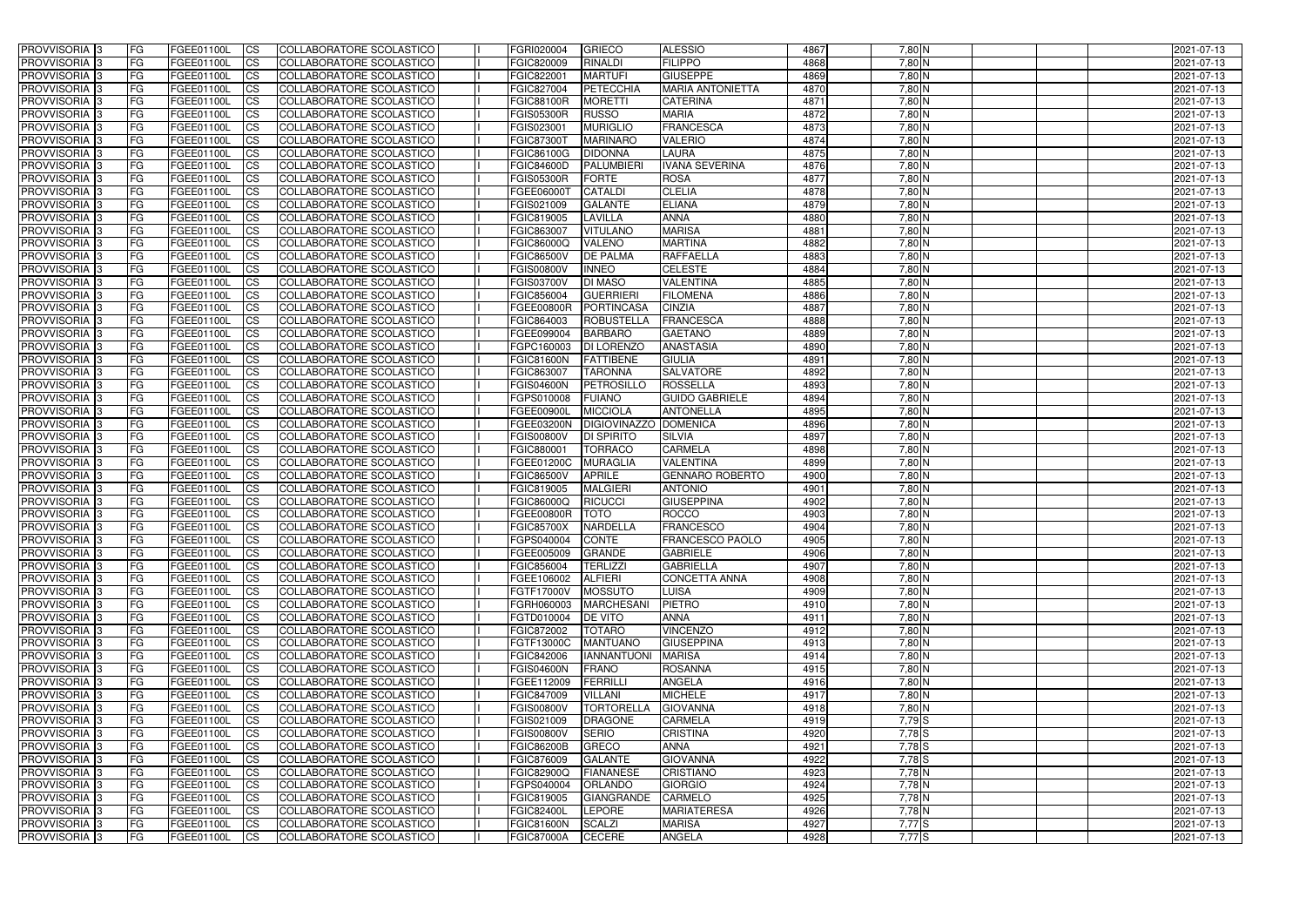| <b>PROVVISORIA</b> 3                                    | FG              | FGEE01100L                      | <b>ICS</b>              | COLLABORATORE SCOLASTICO                                    | FGRI020004                      | <b>GRIECO</b>                       | <b>ALESSIO</b>                           | 4867         | 7,80 N                 | 2021-07-13               |
|---------------------------------------------------------|-----------------|---------------------------------|-------------------------|-------------------------------------------------------------|---------------------------------|-------------------------------------|------------------------------------------|--------------|------------------------|--------------------------|
| <b>PROVVISORIA 3</b>                                    | FG              | FGEE01100L                      | <b>CS</b>               | COLLABORATORE SCOLASTICO                                    | FGIC820009                      | <b>RINALDI</b>                      | <b>FILIPPO</b>                           | 4868         | 7,80 N                 | 2021-07-13               |
| PROVVISORIA <sup>3</sup>                                | FG              | FGEE01100L                      | <b>CS</b>               | COLLABORATORE SCOLASTICO                                    | FGIC822001                      | <b>MARTUFI</b>                      | <b>GIUSEPPE</b>                          | 4869         | $7,80$ N               | 2021-07-13               |
| PROVVISORIA <sup>3</sup>                                | FG              | FGEE01100L                      | <b>CS</b>               | COLLABORATORE SCOLASTICO                                    | FGIC827004                      | PETECCHIA                           | <b>MARIA ANTONIETTA</b>                  | 4870         | $7,80$ N               | 2021-07-13               |
| PROVVISORIA <sup>1</sup> 3                              | FG              | FGEE01100L                      | <b>CS</b>               | COLLABORATORE SCOLASTICO                                    | <b>FGIC88100R</b>               | <b>MORETTI</b>                      | <b>CATERINA</b>                          | 4871         | 7,80 N                 | 2021-07-13               |
| PROVVISORIA <sup>3</sup>                                | FG              | FGEE01100L                      | <b>CS</b>               | COLLABORATORE SCOLASTICO                                    | <b>FGIS05300R</b>               | <b>RUSSO</b>                        | <b>MARIA</b>                             | 4872         | 7,80 N                 | 2021-07-13               |
| PROVVISORIA 3                                           | FG              | FGEE01100L                      | <b>CS</b>               | COLLABORATORE SCOLASTICO                                    | FGIS023001                      | <b>MURIGLIO</b>                     | <b>FRANCESCA</b>                         | 4873         | $7,80$ N               | 2021-07-13               |
| PROVVISORIA 3                                           | FG              | <b>FGEE01100L</b>               | <b>CS</b>               | <b>COLLABORATORE SCOLASTICO</b>                             | <b>FGIC87300T</b>               | <b>MARINARO</b>                     | <b>VALERIO</b>                           | 4874         | 7,80 N                 | 2021-07-13               |
| PROVVISORIA 3                                           | FG              | FGEE01100L                      | <b>CS</b>               | COLLABORATORE SCOLASTICO                                    | FGIC86100G                      | <b>DIDONNA</b>                      | <b>LAURA</b>                             | 4875         | 7,80 N                 | 2021-07-13               |
| PROVVISORIA <sup>3</sup>                                | FG              | FGEE01100L                      | $\overline{c}$          | COLLABORATORE SCOLASTICO                                    | <b>FGIC84600D</b>               | PALUMBIERI                          | <b>IVANA SEVERINA</b>                    | 4876         | $7,80$ N               | 2021-07-13               |
| PROVVISORIA <sup>3</sup>                                | FG              | FGEE01100L                      | <b>CS</b>               | COLLABORATORE SCOLASTICO                                    | <b>FGIS05300R</b>               | <b>FORTE</b>                        | <b>ROSA</b>                              | 4877         | $7,80$ N               | 2021-07-13               |
| PROVVISORIA <sup>3</sup>                                | FG              | FGEE01100L                      | <b>CS</b>               | COLLABORATORE SCOLASTICO                                    | FGEE06000T                      | <b>CATALDI</b>                      | <b>CLELIA</b>                            | 4878         | $7,80$ N               | 2021-07-13               |
| <b>PROVVISORIA</b> 3                                    | FG              | FGEE01100L                      | <b>I</b> CS             | COLLABORATORE SCOLASTICO                                    | FGIS021009                      | <b>GALANTE</b>                      | <b>ELIANA</b>                            | 4879         | 7,80 N                 | 2021-07-13               |
| PROVVISORIA <sup>3</sup>                                | FG              | FGEE01100L                      | <b>I</b> CS             | COLLABORATORE SCOLASTICO                                    | FGIC819005                      | LAVILLA                             | <b>ANNA</b>                              | 4880         | 7,80 N                 | 2021-07-13               |
| PROVVISORIA <sup>3</sup>                                | FG              | FGEE01100L                      | <b>I</b> CS             | COLLABORATORE SCOLASTICO                                    | <b>FGIC863007</b>               | <b>VITULANO</b>                     | <b>MARISA</b>                            | 4881         | 7,80 N                 | 2021-07-13               |
| <b>PROVVISORIA</b> 3                                    | FG              | FGEE01100L                      | <b>I</b> CS             | <b>COLLABORATORE SCOLASTICO</b>                             | <b>FGIC86000Q</b>               | <b>VALENO</b>                       | <b>MARTINA</b>                           | 4882         | 7,80 N                 | 2021-07-13               |
| <b>PROVVISORIA</b> 3                                    | FG              | FGEE01100L                      | <b>ICS</b>              | COLLABORATORE SCOLASTICO                                    | <b>FGIC86500V</b>               | <b>DE PALMA</b>                     | <b>RAFFAELLA</b>                         | 4883         | 7,80 N                 | 2021-07-13               |
| PROVVISORIA 3                                           | FG              | FGEE01100L                      | <b>CS</b>               | <b>COLLABORATORE SCOLASTICO</b>                             | <b>FGIS00800V</b>               | <b>INNEO</b>                        | <b>CELESTE</b>                           | 4884         | 7,80 N                 | 2021-07-13               |
| PROVVISORIA <sup>3</sup>                                | FG              | FGEE01100L                      | <b>ICS</b>              | COLLABORATORE SCOLASTICO                                    | <b>FGIS03700V</b>               | <b>DI MASO</b>                      | <b>VALENTINA</b>                         | 4885         | 7,80 N                 | 2021-07-13               |
| PROVVISORIA <sup>3</sup>                                | FG              | FGEE01100L                      | <b>I</b> CS             | COLLABORATORE SCOLASTICO                                    | FGIC856004                      | <b>GUERRIERI</b>                    | <b>FILOMENA</b>                          | 4886         | 7,80 N                 | 2021-07-13               |
| PROVVISORIA <sup>3</sup>                                | FG              | FGEE01100L                      | <b>I</b> CS             | COLLABORATORE SCOLASTICO                                    | <b>FGEE00800R</b>               | PORTINCASA                          | <b>CINZIA</b>                            | 4887         | $7,80$ N               | 2021-07-13               |
| PROVVISORIA <sup>3</sup>                                | FG              | FGEE01100L                      | <b>CS</b>               | COLLABORATORE SCOLASTICO                                    | FGIC864003                      | <b>ROBUSTELLA</b>                   | <b>FRANCESCA</b>                         | 4888         | $7,80$ N               | 2021-07-13               |
| PROVVISORIA <sup>3</sup>                                | FG              | FGEE01100L                      | <b>CS</b>               | COLLABORATORE SCOLASTICO                                    | FGEE099004                      | <b>BARBARO</b>                      | <b>GAETANO</b>                           | 4889         | $7,80$ N               | 2021-07-13               |
| <b>PROVVISORIA</b> 3                                    | FG              | FGEE01100L                      | <b>CS</b>               | COLLABORATORE SCOLASTICO                                    | FGPC160003                      | <b>DI LORENZO</b>                   | <b>ANASTASIA</b>                         | 4890         | $7,80$ N               | 2021-07-13               |
| PROVVISORIA <sup>3</sup>                                | FG              | FGEE01100L                      | <b>CS</b>               | COLLABORATORE SCOLASTICO                                    | <b>FGIC81600N</b>               | <b>FATTIBENE</b>                    | <b>GIULIA</b>                            | 4891         | 7,80 N                 | 2021-07-13               |
| PROVVISORIA <sup>1</sup> 3                              | FG              | FGEE01100L                      | <b>CS</b>               | COLLABORATORE SCOLASTICO                                    | FGIC863007                      | <b>TARONNA</b>                      | <b>SALVATORE</b>                         | 4892         | $7,80$ N               | 2021-07-13               |
| PROVVISORIA 3                                           | FG              | <b>FGEE01100L</b>               | <b>CS</b>               | COLLABORATORE SCOLASTICO                                    | <b>FGIS04600N</b>               | <b>PETROSILLO</b>                   | <b>ROSSELLA</b>                          | 4893         | $7,80$ N               | 2021-07-13               |
|                                                         | FG.             | FGEE01100L                      |                         |                                                             |                                 | <b>FUIANO</b>                       | <b>GUIDO GABRIELE</b>                    | 4894         | 7,80 N                 |                          |
| PROVVISORIA <sup>3</sup>                                |                 | <b>FGEE01100L</b>               | <b>CS</b>               | COLLABORATORE SCOLASTICO<br>COLLABORATORE SCOLASTICO        | FGPS010008<br><b>FGEE00900L</b> | <b>MICCIOLA</b>                     | <b>ANTONELLA</b>                         | 4895         | 7,80 N                 | 2021-07-13               |
| PROVVISORIA <sup>13</sup><br>PROVVISORIA <sup>1</sup> 3 | FG<br>FG.       | FGEE01100L                      | <b>CS</b><br><b>CS</b>  | COLLABORATORE SCOLASTICO                                    | <b>FGEE03200N</b>               | <b>DIGIOVINAZZO</b>                 | <b>DOMENICA</b>                          | 4896         | 7,80 N                 | 2021-07-13<br>2021-07-13 |
|                                                         | FG.             | FGEE01100L                      |                         |                                                             | <b>FGIS00800V</b>               | <b>DI SPIRITO</b>                   | <b>SILVIA</b>                            | 4897         | 7,80 N                 |                          |
| PROVVISORIA <sup>3</sup><br>PROVVISORIA <sup>1</sup> 3  |                 | FGEE01100L                      | <b>CS</b>               | COLLABORATORE SCOLASTICO                                    | FGIC880001                      | <b>TORRACO</b>                      | <b>CARMELA</b>                           | 4898         | $7,80$ N               | 2021-07-13               |
| PROVVISORIA <sup>3</sup>                                | FG              |                                 | <b>CS</b><br><b>CS</b>  | COLLABORATORE SCOLASTICO<br>COLLABORATORE SCOLASTICO        |                                 | <b>MURAGLIA</b>                     | <b>VALENTINA</b>                         | 4899         | $7,80$ N               | 2021-07-13               |
|                                                         | FG              | <b>FGEE01100L</b>               |                         |                                                             | FGEE01200C                      |                                     |                                          |              |                        | 2021-07-13               |
| PROVVISORIA 3                                           | FG              | <b>FGEE01100L</b>               | <b>CS</b>               | COLLABORATORE SCOLASTICO                                    | <b>FGIC86500V</b>               | <b>APRILE</b>                       | <b>GENNARO ROBERTO</b>                   | 4900         | $7,80$ N               | 2021-07-13               |
| PROVVISORIA <sup>3</sup>                                | FG              | FGEE01100L<br>FGEE01100L        | $\overline{\text{cs}}$  | COLLABORATORE SCOLASTICO<br><b>COLLABORATORE SCOLASTICO</b> | FGIC819005                      | <b>MALGIERI</b>                     | <b>ANTONIO</b>                           | 4901         | $7,80$ N               | 2021-07-13               |
| PROVVISORIA <sup>3</sup>                                | FG              |                                 | <b>CS</b>               | COLLABORATORE SCOLASTICO                                    | FGIC86000Q                      | <b>RICUCCI</b>                      | <b>GIUSEPPINA</b>                        | 4902<br>4903 | 7,80 N                 | 2021-07-13               |
| PROVVISORIA <sup>1</sup> 3                              | FG              | FGEE01100L                      | <b>CS</b>               | COLLABORATORE SCOLASTICO                                    | <b>FGEE00800R</b>               | <b>TOTO</b>                         | <b>ROCCO</b><br><b>FRANCESCO</b>         | 4904         | $7,80$ N<br>$7,80$ N   | 2021-07-13               |
| PROVVISORIA 3                                           | FG              | FGEE01100L                      | <b>I</b> CS             |                                                             | <b>FGIC85700X</b>               | <b>NARDELLA</b>                     |                                          |              |                        | 2021-07-13               |
| <b>PROVVISORIA</b> 3                                    | IFG.            | FGEE01100L                      | CS                      | COLLABORATORE SCOLASTICO                                    | FGPS040004 CONTE                |                                     | <b>FRANCESCO PAOLO</b>                   | 4905         | 7,80 N                 | 2021-07-13               |
| PROVVISORIA 3<br>PROVVISORIA 3                          | IFG.            | FGEE01100L                      | <b>ICS</b>              | COLLABORATORE SCOLASTICO                                    | FGEE005009                      | <b>GRANDE</b>                       | <b>GABRIELE</b>                          | 4906         | 7,80 N                 | 2021-07-13               |
|                                                         | FG              | FGEE01100L<br>FGEE01100L        | <b>CS</b>               | COLLABORATORE SCOLASTICO                                    | FGIC856004                      | <b>TERLIZZI</b>                     | <b>GABRIELLA</b><br><b>CONCETTA ANNA</b> | 4907         | $7,80$ N               | 2021-07-13               |
| PROVVISORIA 3                                           | FG              | FGEE01100L                      | <b>CS</b>               | COLLABORATORE SCOLASTICO<br><b>COLLABORATORE SCOLASTICO</b> | FGEE106002<br>FGTF17000V        | <b>ALFIERI</b><br><b>MOSSUTO</b>    | <b>LUISA</b>                             | 4908<br>4909 | $7,80$ N               | 2021-07-13               |
| PROVVISORIA <sup>3</sup>                                | FG              |                                 | <b>ICS</b>              |                                                             |                                 | <b>MARCHESANI</b>                   |                                          |              | 7,80 N                 | 2021-07-13               |
| PROVVISORIA 3<br>PROVVISORIA 3                          | FG<br>FG        | FGEE01100L<br>FGEE01100L        | <b>CS</b><br><b>CS</b>  | COLLABORATORE SCOLASTICO                                    | FGRH060003<br>FGTD010004        | <b>DE VITO</b>                      | <b>PIETRO</b><br><b>ANNA</b>             | 4910<br>4911 | $7,80$ N<br>$7,80$ N   | 2021-07-13<br>2021-07-13 |
| PROVVISORIA 3                                           |                 | FGEE01100L                      |                         | COLLABORATORE SCOLASTICO<br>COLLABORATORE SCOLASTICO        | FGIC872002                      | <b>TOTARO</b>                       | <b>VINCENZO</b>                          | 4912         | $7,80$ N               | 2021-07-13               |
| PROVVISORIA 3                                           | <b>FG</b><br>FG | FGEE01100L                      | <b>CS</b>               | COLLABORATORE SCOLASTICO                                    | FGTF13000C                      | <b>MANTUANO</b>                     | <b>GIUSEPPINA</b>                        | 4913         | $7,80$ N               |                          |
| PROVVISORIA 3                                           |                 | FGEE01100L                      | <b>CS</b><br><b>CS</b>  | COLLABORATORE SCOLASTICO                                    | FGIC842006                      | <b>IANNANTUONI</b>                  | <b>MARISA</b>                            | 4914         | $7,80$ N               | 2021-07-13<br>2021-07-13 |
| PROVVISORIA 3                                           | FG<br>IFG.      | FGEE01100L                      | <b>CS</b>               | COLLABORATORE SCOLASTICO                                    | <b>FGIS04600N</b>               | <b>FRANO</b>                        | <b>ROSANNA</b>                           | 4915         | $7,80$ N               | 2021-07-13               |
|                                                         |                 |                                 |                         |                                                             |                                 |                                     |                                          |              |                        |                          |
| PROVVISORIA 3                                           | FG              | FGEE01100L                      | <b>CS</b>               | COLLABORATORE SCOLASTICO                                    | FGEE112009                      | FERRILLI                            | <b>ANGELA</b>                            | 4916         | $7,80$ N               | 2021-07-13               |
| PROVVISORIA 3<br><b>PROVVISORIA</b> 3                   | FG<br>IFG.      | FGEE01100L<br>FGEE01100L        | <b>CS</b><br><b>CS</b>  | COLLABORATORE SCOLASTICO<br>COLLABORATORE SCOLASTICO        | FGIC847009<br><b>FGIS00800V</b> | <b>VILLANI</b><br><b>TORTORELLA</b> | <b>MICHELE</b><br><b>GIOVANNA</b>        | 4917<br>4918 | $7,80$ N<br>$7,80$ N   | 2021-07-13<br>2021-07-13 |
|                                                         |                 |                                 |                         |                                                             |                                 |                                     |                                          |              |                        |                          |
| <b>PROVVISORIA</b> 3                                    | IFG.<br> FG     | FGEE01100L<br><b>FGEE01100L</b> | <b>CS</b>               | COLLABORATORE SCOLASTICO                                    | FGIS021009                      | DRAGONE<br>SERIO                    | <b>CARMELA</b>                           | 4919<br>4920 | $7,79$ S<br>7,78 S     | 2021-07-13               |
| <b>PROVVISORIA</b> 3                                    |                 |                                 | <b>CS</b>               | <b>COLLABORATORE SCOLASTICO</b>                             | <b>FGIS00800V</b>               | GRECO                               | <b>CRISTINA</b>                          | 4921         |                        | 2021-07-13               |
| PROVVISORIA 3                                           | <b>IFG</b>      | FGEE01100L                      | <b>CS</b>               | COLLABORATORE SCOLASTICO                                    | <b>FGIC86200B</b>               | <b>GALANTE</b>                      | <b>ANNA</b>                              | 4922         | $7,78$ $S$             | 2021-07-13               |
| PROVVISORIA 3                                           | IFG.<br> FG     | <b>FGEE01100L</b>               | <b>CS</b>               | COLLABORATORE SCOLASTICO                                    | FGIC876009                      | <b>FIANANESE</b>                    | <b>GIOVANNA</b><br><b>CRISTIANO</b>      | 4923         | $7,78$ $S$<br>$7,78$ N | 2021-07-13<br>2021-07-13 |
| PROVVISORIA 3                                           |                 | FGEE01100L                      | <b>CS</b>               | COLLABORATORE SCOLASTICO<br>COLLABORATORE SCOLASTICO        | <b>FGIC82900Q</b>               |                                     |                                          |              |                        |                          |
| PROVVISORIA 3                                           | FG              | FGEE01100L                      | <b>CS</b>               |                                                             | FGPS040004                      | <b>ORLANDO</b>                      | <b>GIORGIO</b>                           | 4924<br>4925 | 7,78 N<br>$7,78$ N     | 2021-07-13               |
| PROVVISORIA 3<br><b>PROVVISORIA</b> 3                   | FG<br>FG        | <b>FGEE01100L</b><br>FGEE01100L | <b>CS</b><br><b>ICS</b> | COLLABORATORE SCOLASTICO<br>COLLABORATORE SCOLASTICO        | FGIC819005<br><b>FGIC82400L</b> | GIANGRANDE CARMELO<br><b>LEPORE</b> | <b>MARIATERESA</b>                       | 4926         | 7,78 N                 | 2021-07-13<br>2021-07-13 |
|                                                         |                 |                                 |                         |                                                             |                                 |                                     |                                          |              |                        |                          |
| PROVVISORIA 3                                           | FG              | FGEE01100L                      | <b>CS</b>               | COLLABORATORE SCOLASTICO                                    | <b>FGIC81600N</b>               | <b>SCALZI</b>                       | <b>MARISA</b>                            | 4927         | $7,77$ $S$             | 2021-07-13               |
| PROVVISORIA 3                                           | FG              | FGEE01100L                      | <b>CS</b>               | COLLABORATORE SCOLASTICO                                    | <b>FGIC87000A</b>               | <b>CECERE</b>                       | <b>ANGELA</b>                            | 4928         | $7,77$ S               | 2021-07-13               |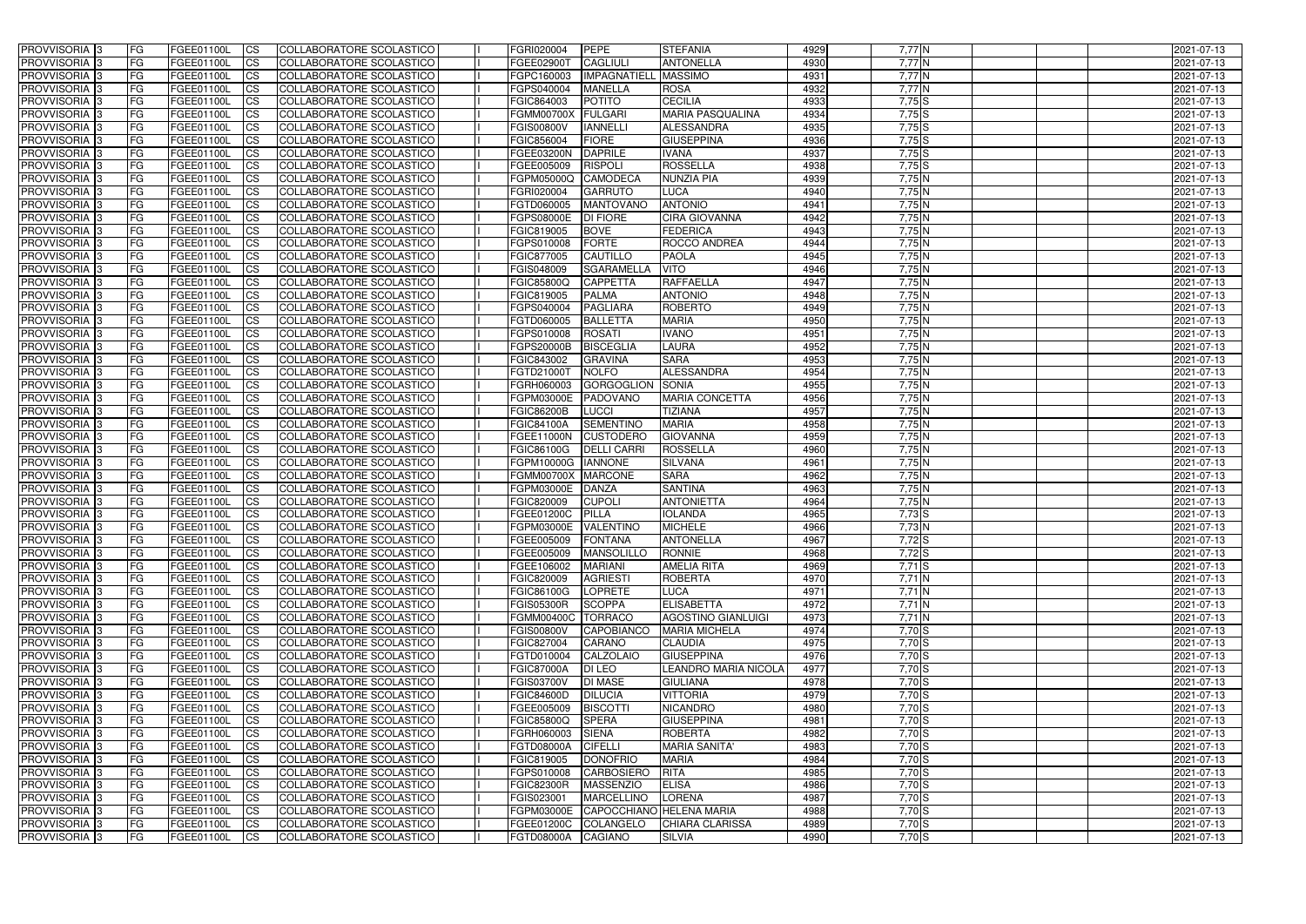| <b>PROVVISORIA</b> 3       | l FG      | FGEE01100L        | <b>ICS</b>             | COLLABORATORE SCOLASTICO        | FGRI020004           | <b>PEPE</b>         | <b>STEFANIA</b>             | 4929 | $7,77$ N        | 2021-07-13               |
|----------------------------|-----------|-------------------|------------------------|---------------------------------|----------------------|---------------------|-----------------------------|------|-----------------|--------------------------|
| <b>PROVVISORIA 3</b>       | FG        | FGEE01100L        | <b>ICS</b>             | COLLABORATORE SCOLASTICO        | FGEE02900T           | <b>CAGLIULI</b>     | <b>ANTONELLA</b>            | 4930 | $7,77$ N        | 2021-07-13               |
| PROVVISORIA <sup>1</sup> 3 | FG        | FGEE01100L        | <b>CS</b>              | <b>COLLABORATORE SCOLASTICO</b> | FGPC160003           | <b>IMPAGNATIELL</b> | <b>MASSIMO</b>              | 4931 | $7,77$ N        | 2021-07-13               |
| PROVVISORIA                | FG        | FGEE01100L        | <b>CS</b>              | COLLABORATORE SCOLASTICO        | FGPS040004           | <b>MANELLA</b>      | <b>ROSA</b>                 | 4932 | $7,77$ N        | 2021-07-13               |
| PROVVISORIA <sup>1</sup> 3 | FG        | FGEE01100L        | <b>CS</b>              | COLLABORATORE SCOLASTICO        | FGIC864003           | <b>POTITO</b>       | <b>CECILIA</b>              | 4933 | $7,75$ S        | 2021-07-13               |
| PROVVISORIA <sup>1</sup> 3 | FG        | FGEE01100L        | <b>CS</b>              | COLLABORATORE SCOLASTICO        | <b>FGMM00700X</b>    | <b>FULGARI</b>      | <b>MARIA PASQUALINA</b>     | 4934 | $7,75$ S        | 2021-07-13               |
| PROVVISORIA <sup>1</sup> 3 | FG        | FGEE01100L        | <b>CS</b>              | COLLABORATORE SCOLASTICO        | <b>FGIS00800V</b>    | <b>IANNELLI</b>     | ALESSANDRA                  | 4935 | $7,75$ S        | 2021-07-13               |
| PROVVISORIA 3              | FG        | FGEE01100L        | <b>ICS</b>             | COLLABORATORE SCOLASTICO        | FGIC856004           | <b>FIORE</b>        | <b>GIUSEPPINA</b>           | 4936 | $7,75$ S        | 2021-07-13               |
| PROVVISORIA 3              | FG        | FGEE01100L        | <b>CS</b>              | COLLABORATORE SCOLASTICO        | FGEE03200N           | <b>DAPRILE</b>      | <b>IVANA</b>                | 4937 | $7,75$ S        | 2021-07-13               |
| PROVVISORIA 3              | <b>FG</b> | FGEE01100L        | <b>ICS</b>             | COLLABORATORE SCOLASTICO        | FGEE005009           | <b>RISPOLI</b>      | <b>ROSSELLA</b>             | 4938 | $7,75$ S        | 2021-07-13               |
| PROVVISORIA 3              | FG        | FGEE01100L        | <b>ICS</b>             | COLLABORATORE SCOLASTICO        | FGPM05000Q           | <b>CAMODECA</b>     | <b>NUNZIA PIA</b>           | 4939 | 7,75 N          | 2021-07-13               |
| <b>PROVVISORIA</b>         | FG        | FGEE01100L        | <b>ICS</b>             | COLLABORATORE SCOLASTICO        | FGRI020004           | <b>GARRUTO</b>      | <b>LUCA</b>                 | 4940 | 7,75 N          | 2021-07-13               |
| <b>PROVVISORIA</b>         | FG        | FGEE01100L        | <b>ICS</b>             | COLLABORATORE SCOLASTICO        | FGTD060005           | <b>MANTOVANO</b>    | <b>ANTONIO</b>              | 4941 | $7,75$ N        | 2021-07-13               |
| <b>PROVVISORIA</b>         | FG        | FGEE01100L        | <b>ICS</b>             | COLLABORATORE SCOLASTICO        | <b>FGPS08000E</b>    | <b>DI FIORE</b>     | <b>CIRA GIOVANNA</b>        | 4942 | 7,75N           | 2021-07-13               |
| <b>PROVVISORIA</b>         | FG        | FGEE01100L        | <b>ICS</b>             | COLLABORATORE SCOLASTICO        | FGIC819005           | <b>BOVE</b>         | <b>FEDERICA</b>             | 4943 | $7,75$ N        | 2021-07-13               |
| <b>PROVVISORIA</b>         | FG        | FGEE01100L        | <b>ICS</b>             | COLLABORATORE SCOLASTICO        | FGPS010008           | <b>FORTE</b>        | ROCCO ANDREA                | 4944 | 7,75N           | 2021-07-13               |
| <b>PROVVISORIA</b>         | FG        | FGEE01100L        | <b>ICS</b>             | COLLABORATORE SCOLASTICO        | FGIC877005           | <b>CAUTILLO</b>     | <b>PAOLA</b>                | 4945 | 7,75 N          | 2021-07-13               |
| <b>PROVVISORIA</b>         | FG        | FGEE01100L        | <b>ICS</b>             | COLLABORATORE SCOLASTICO        | FGIS048009           | <b>SGARAMELLA</b>   | <b>VITO</b>                 | 4946 | 7,75 N          | 2021-07-13               |
| PROVVISORIA <sup>3</sup>   | FG        | FGEE01100L        | <b>ICS</b>             | COLLABORATORE SCOLASTICO        | <b>FGIC85800Q</b>    | <b>CAPPETTA</b>     | <b>RAFFAELLA</b>            | 4947 | 7,75N           | 2021-07-13               |
| PROVVISORIA <sup>3</sup>   | FG        | FGEE01100L        | <b>ICS</b>             | COLLABORATORE SCOLASTICO        | FGIC819005           | <b>PALMA</b>        | <b>ANTONIO</b>              | 4948 | $7,75$ N        | 2021-07-13               |
| PROVVISORIA <sup>3</sup>   | FG        | FGEE01100L        | <b>ICS</b>             | COLLABORATORE SCOLASTICO        | FGPS040004           | <b>PAGLIARA</b>     | <b>ROBERTO</b>              | 4949 | 7,75N           | 2021-07-13               |
| PROVVISORIA 3              | FG        | FGEE01100L        | <b>ICS</b>             | COLLABORATORE SCOLASTICO        | FGTD060005           | <b>BALLETTA</b>     | <b>MARIA</b>                | 4950 | 7,75N           | 2021-07-13               |
| PROVVISORIA <sup>3</sup>   | FG        | FGEE01100L        | <b>ICS</b>             | <b>COLLABORATORE SCOLASTICO</b> | FGPS010008           | <b>ROSATI</b>       | <b>IVANO</b>                | 4951 | 7,75N           |                          |
| PROVVISORIA <sup>3</sup>   |           | FGEE01100L        |                        |                                 | FGPS20000B           | <b>BISCEGLIA</b>    | <b>LAURA</b>                | 4952 |                 | 2021-07-13<br>2021-07-13 |
| PROVVISORIA <sup>3</sup>   | FG        | FGEE01100L        | <b>CS</b>              | COLLABORATORE SCOLASTICO        |                      | <b>GRAVINA</b>      | <b>SARA</b>                 | 4953 | 7,75 N<br>7,75N |                          |
|                            | FG        |                   | <b>CS</b>              | COLLABORATORE SCOLASTICO        | FGIC843002           |                     |                             |      |                 | 2021-07-13               |
| PROVVISORIA <sup>1</sup> 3 | FG        | FGEE01100L        | <b>ICS</b>             | COLLABORATORE SCOLASTICO        | FGTD21000T           | <b>NOLFO</b>        | ALESSANDRA                  | 4954 | 7,75N           | 2021-07-13               |
| PROVVISORIA 3              | FG        | FGEE01100L        | <b>ICS</b>             | COLLABORATORE SCOLASTICO        | FGRH060003           | <b>GORGOGLION</b>   | <b>SONIA</b>                | 4955 | $7,75$ N        | 2021-07-13               |
| PROVVISORIA                | FG        | FGEE01100L        | <b>ICS</b>             | COLLABORATORE SCOLASTICO        | FGPM03000E           | <b>PADOVANO</b>     | <b>MARIA CONCETTA</b>       | 4956 | $7,75$ N        | 2021-07-13               |
| PROVVISORIA                | FG        | FGEE01100L        | <b>CS</b>              | <b>COLLABORATORE SCOLASTICO</b> | <b>FGIC86200B</b>    | LUCCI               | <b>TIZIANA</b>              | 4957 | 7,75N           | 2021-07-13               |
| PROVVISORIA                | FG        | FGEE01100L        | <b>CS</b>              | COLLABORATORE SCOLASTICO        | <b>FGIC84100A</b>    | <b>SEMENTINO</b>    | <b>MARIA</b>                | 4958 | 7,75N           | 2021-07-13               |
| PROVVISORIA                | FG        | FGEE01100L        | <b>CS</b>              | COLLABORATORE SCOLASTICO        | FGEE11000N           | <b>CUSTODERC</b>    | <b>GIOVANNA</b>             | 4959 | 7,75 N          | 2021-07-13               |
| PROVVISORIA <sup>1</sup> 3 | FG        | FGEE01100L        | <b>CS</b>              | COLLABORATORE SCOLASTICO        | FGIC86100G           | <b>DELLI CARRI</b>  | <b>ROSSELLA</b>             | 4960 | $7,75$ N        | 2021-07-13               |
| PROVVISORIA <sup>1</sup> 3 | FG        | FGEE01100L        | <b>CS</b>              | COLLABORATORE SCOLASTICO        | FGPM10000G  IANNONE  |                     | <b>SILVANA</b>              | 4961 | $7,75$ N        | 2021-07-13               |
| PROVVISORIA 3              | FG        | FGEE01100L        | <b>CS</b>              | COLLABORATORE SCOLASTICO        | FGMM00700X MARCONE   |                     | <b>SARA</b>                 | 4962 | $7,75$ N        | 2021-07-13               |
| <b>PROVVISORIA</b>         | FG        | FGEE01100L        | <b>ICS</b>             | COLLABORATORE SCOLASTICO        | FGPM03000E           | <b>DANZA</b>        | <b>SANTINA</b>              | 4963 | 7,75N           | 2021-07-13               |
| PROVVISORIA <sup>1</sup> 3 | <b>FG</b> | FGEE01100L        | <b>CS</b>              | COLLABORATORE SCOLASTICO        | FGIC820009           | <b>CUPOLI</b>       | <b>ANTONIETTA</b>           | 4964 | $7,75$ N        | 2021-07-13               |
| PROVVISORIA 3              | <b>FG</b> | FGEE01100L        | <b>ICS</b>             | COLLABORATORE SCOLASTICO        | FGEE01200C           | PILLA               | <b>IOLANDA</b>              | 4965 | 7,73 S          | 2021-07-13               |
| <b>PROVVISORIA</b>         | <b>FG</b> | FGEE01100L        | <b>ICS</b>             | COLLABORATORE SCOLASTICO        | FGPM03000E VALENTINO |                     | <b>MICHELE</b>              | 4966 | $7,73$ N        | 2021-07-13               |
| PROVVISORIA 3              | FG        | FGEE01100L        | CS                     | COLLABORATORE SCOLASTICO        | FGEE005009 FONTANA   |                     | <b>ANTONELLA</b>            | 4967 | $7,72$ S        | 2021-07-13               |
| PROVVISORIA 3              | <b>FG</b> | FGEE01100L        | $\mathsf{ICS}$         | COLLABORATORE SCOLASTICO        | FGEE005009           | <b>MANSOLILLO</b>   | RONNIE                      | 4968 | $7,72$ $S$      | 2021-07-13               |
| PROVVISORIA 3              | <b>FG</b> | <b>FGEE01100L</b> | $\mathsf{ICS}$         | COLLABORATORE SCOLASTICO        | FGEE106002           | <b>MARIANI</b>      | <b>AMELIA RITA</b>          | 4969 | $7,71$ S        | 2021-07-13               |
| PROVVISORIA 3              | <b>FG</b> | FGEE01100L        | $\mathsf{ICS}$         | COLLABORATORE SCOLASTICO        | FGIC820009           | <b>AGRIESTI</b>     | <b>ROBERTA</b>              | 4970 | $7,71$ N        | 2021-07-13               |
| PROVVISORIA 3              | FG        | FGEE01100L        | $\mathsf{ICS}$         | COLLABORATORE SCOLASTICO        | <b>FGIC86100G</b>    | LOPRETE             | <b>LUCA</b>                 | 4971 | $7,71$ N        | 2021-07-13               |
| PROVVISORIA 3              | l FG      | FGEE01100L        | <b>CS</b>              | COLLABORATORE SCOLASTICO        | <b>FGIS05300R</b>    | <b>SCOPPA</b>       | <b>ELISABETTA</b>           | 4972 | $7,71$ N        | 2021-07-13               |
| PROVVISORIA 3              | <b>FG</b> | FGEE01100L        | $\mathsf{ICS}$         | COLLABORATORE SCOLASTICO        | <b>FGMM00400C</b>    | <b>TORRACO</b>      | <b>AGOSTINO GIANLUIGI</b>   | 4973 | $7,71$ N        | 2021-07-13               |
| PROVVISORIA 3              | FG        | FGEE01100L        | <b>CS</b>              | COLLABORATORE SCOLASTICO        | <b>FGIS00800V</b>    | <b>CAPOBIANCO</b>   | <b>MARIA MICHELA</b>        | 4974 | $7,70$ S        | 2021-07-13               |
| PROVVISORIA 3              | <b>FG</b> | FGEE01100L        | <b>CS</b>              | COLLABORATORE SCOLASTICO        | FGIC827004           | <b>CARANO</b>       | <b>CLAUDIA</b>              | 4975 | $7,70$ S        | 2021-07-13               |
| PROVVISORIA 3              | <b>FG</b> | FGEE01100L        | <b>CS</b>              | COLLABORATORE SCOLASTICO        | FGTD010004           | CALZOLAIO           | <b>GIUSEPPINA</b>           | 4976 | $7,70$ S        | 2021-07-13               |
| PROVVISORIA 3              | <b>FG</b> | FGEE01100L        | <b>CS</b>              | COLLABORATORE SCOLASTICO        | <b>FGIC87000A</b>    | DI LEO              | <b>LEANDRO MARIA NICOLA</b> | 4977 | 7,70 S          | 2021-07-13               |
| PROVVISORIA 3              | <b>FG</b> | FGEE01100L        | <b>CS</b>              | COLLABORATORE SCOLASTICO        | <b>FGIS03700V</b>    | <b>DI MASE</b>      | <b>GIULIANA</b>             | 4978 | 7,70 S          | 2021-07-13               |
| PROVVISORIA 3              | <b>FG</b> | FGEE01100L        | <b>CS</b>              | COLLABORATORE SCOLASTICO        | <b>FGIC84600D</b>    | <b>DILUCIA</b>      | <b>VITTORIA</b>             | 4979 | $7,70$ S        | 2021-07-13               |
| PROVVISORIA 3              | <b>FG</b> | FGEE01100L        | <b>CS</b>              | COLLABORATORE SCOLASTICO        | FGEE005009           | <b>BISCOTTI</b>     | <b>NICANDRO</b>             | 4980 | $7,70$ S        | 2021-07-13               |
| PROVVISORIA 3              | <b>FG</b> | FGEE01100L        | <b>CS</b>              | COLLABORATORE SCOLASTICO        | <b>FGIC85800Q</b>    | <b>SPERA</b>        | <b>GIUSEPPINA</b>           | 4981 | 7,70 S          | 2021-07-13               |
| PROVVISORIA 3              | <b>FG</b> | FGEE01100L        | <b>CS</b>              | COLLABORATORE SCOLASTICO        | FGRH060003           | <b>SIENA</b>        | <b>ROBERTA</b>              | 4982 | $7,70$ S        | 2021-07-13               |
| PROVVISORIA 3              | <b>FG</b> | FGEE01100L        | <b>CS</b>              | COLLABORATORE SCOLASTICO        | <b>FGTD08000A</b>    | <b>CIFELLI</b>      | <b>MARIA SANITA'</b>        | 4983 | $7,70$ S        | 2021-07-13               |
| PROVVISORIA 3              | <b>FG</b> | FGEE01100L        | <b>CS</b>              | COLLABORATORE SCOLASTICO        | <b>FGIC819005</b>    | <b>DONOFRIO</b>     | <b>MARIA</b>                | 4984 | $7,70$ S        | 2021-07-13               |
| PROVVISORIA 3              | <b>FG</b> | FGEE01100L        | <b>CS</b>              | COLLABORATORE SCOLASTICO        | FGPS010008           | <b>CARBOSIERO</b>   | <b>RITA</b>                 | 4985 | $7,70$ S        | 2021-07-13               |
| PROVVISORIA 3              | FG        | FGEE01100L        | <b>CS</b>              | COLLABORATORE SCOLASTICO        | <b>FGIC82300R</b>    | MASSENZIO           | <b>ELISA</b>                | 4986 | $7,70$ S        | 2021-07-13               |
| PROVVISORIA 3              | FG        | <b>FGEE01100L</b> | <b>CS</b>              | COLLABORATORE SCOLASTICO        | FGIS023001           | <b>MARCELLINO</b>   | <b>LORENA</b>               | 4987 | $7,70$ S        | 2021-07-13               |
| PROVVISORIA 3              | <b>FG</b> | FGEE01100L        | <b>CS</b>              | COLLABORATORE SCOLASTICO        | FGPM03000E           |                     | CAPOCCHIANO HELENA MARIA    | 4988 | $7,70$ S        | 2021-07-13               |
| PROVVISORIA 3              | <b>FG</b> | FGEE01100L        | $\overline{\text{CS}}$ | COLLABORATORE SCOLASTICO        | FGEE01200C           | COLANGELO           | <b>CHIARA CLARISSA</b>      | 4989 | $7,70$ S        | 2021-07-13               |
| PROVVISORIA 3              | <b>FG</b> | FGEE01100L        | $\mathsf{ICS}$         | COLLABORATORE SCOLASTICO        | <b>FGTD08000A</b>    | CAGIANO             | <b>SILVIA</b>               | 4990 | $7,70$ S        | 2021-07-13               |
|                            |           |                   |                        |                                 |                      |                     |                             |      |                 |                          |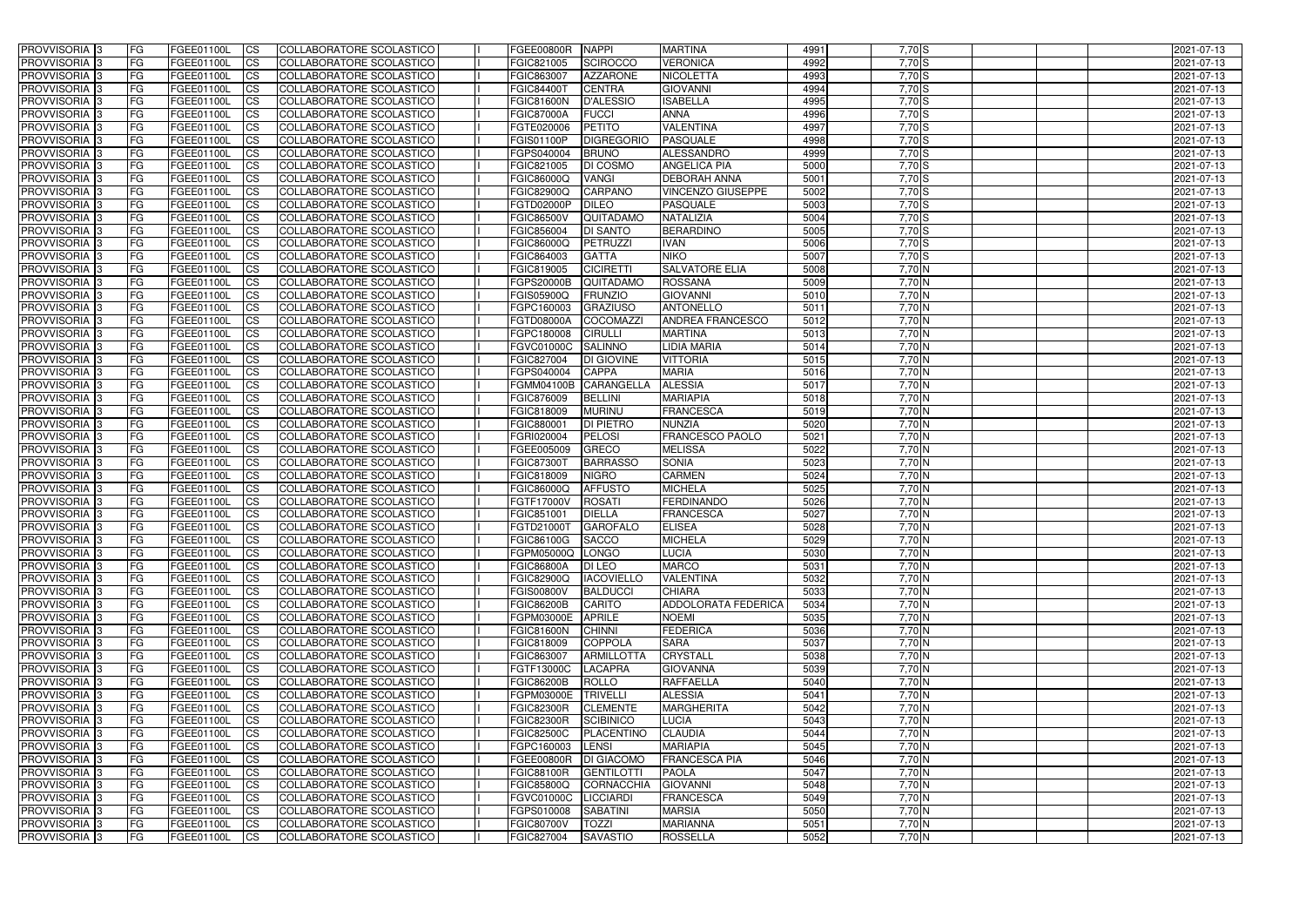| <b>PROVVISORIA</b> 3                      | FG         | FGEE01100L                             | <b>ICS</b>                          | COLLABORATORE SCOLASTICO                             | <b>FGEE00800R</b>        | <b>NAPPI</b>                    | <b>MARTINA</b>                | 4991         | 7,70 S             | 2021-07-13               |
|-------------------------------------------|------------|----------------------------------------|-------------------------------------|------------------------------------------------------|--------------------------|---------------------------------|-------------------------------|--------------|--------------------|--------------------------|
| <b>PROVVISORIA 3</b>                      | FG         | FGEE01100L                             | <b>CS</b>                           | COLLABORATORE SCOLASTICO                             | FGIC821005               | <b>SCIROCCO</b>                 | <b>VERONICA</b>               | 4992         | 7,70 S             | 2021-07-13               |
| PROVVISORIA <sup>3</sup>                  | FG         | FGEE01100L                             | <b>CS</b>                           | COLLABORATORE SCOLASTICO                             | FGIC863007               | <b>AZZARONE</b>                 | <b>NICOLETTA</b>              | 4993         | 7,70 S             | 2021-07-13               |
| PROVVISORIA <sup>3</sup>                  | FG         | FGEE01100L                             | <b>CS</b>                           | COLLABORATORE SCOLASTICO                             | <b>FGIC84400T</b>        | <b>CENTRA</b>                   | <b>GIOVANNI</b>               | 4994         | 7,70 S             | 2021-07-13               |
| PROVVISORIA <sup>1</sup> 3                | FG         | FGEE01100L                             | <b>CS</b>                           | COLLABORATORE SCOLASTICO                             | <b>FGIC81600N</b>        | D'ALESSIO                       | <b>ISABELLA</b>               | 4995         | 7,70 S             | 2021-07-13               |
| PROVVISORIA <sup>3</sup>                  | FG         | FGEE01100L                             | <b>CS</b>                           | COLLABORATORE SCOLASTICO                             | <b>FGIC87000A</b>        | <b>FUCCI</b>                    | <b>ANNA</b>                   | 4996         | 7,70 S             | 2021-07-13               |
| PROVVISORIA 3                             | FG         | FGEE01100L                             | <b>CS</b>                           | COLLABORATORE SCOLASTICO                             | FGTE020006               | <b>PETITO</b>                   | <b>VALENTINA</b>              | 4997         | 7,70 S             | 2021-07-13               |
| PROVVISORIA 3                             | FG         | <b>FGEE01100L</b>                      | <b>CS</b>                           | <b>COLLABORATORE SCOLASTICO</b>                      | FGIS01100P               | <b>DIGREGORIO</b>               | <b>PASQUALE</b>               | 4998         | 7,70 S             | 2021-07-13               |
| PROVVISORIA 3                             | FG         | FGEE01100L                             | <b>CS</b>                           | COLLABORATORE SCOLASTICO                             | FGPS040004               | <b>BRUNO</b>                    | <b>ALESSANDRO</b>             | 4999         | $7,70$ S           | 2021-07-13               |
| PROVVISORIA <sup>3</sup>                  | FG         | FGEE01100L                             | $\overline{c}$                      | COLLABORATORE SCOLASTICO                             | FGIC821005               | DI COSMO                        | <b>ANGELICA PIA</b>           | 5000         | 7,70 S             | 2021-07-13               |
| PROVVISORIA <sup>3</sup>                  | FG         | FGEE01100L                             | <b>CS</b>                           | <b>COLLABORATORE SCOLASTICO</b>                      | <b>FGIC86000Q</b>        | <b>VANGI</b>                    | <b>DEBORAH ANNA</b>           | 5001         | 7,70 S             | 2021-07-13               |
| PROVVISORIA <sup>3</sup>                  | FG         | FGEE01100L                             | <b>CS</b>                           | COLLABORATORE SCOLASTICO                             | <b>FGIC82900Q</b>        | CARPANO                         | <b>VINCENZO GIUSEPPE</b>      | 5002         | 7,70 S             | 2021-07-13               |
| PROVVISORIA <sup>3</sup>                  | FG         | FGEE01100L                             | <b>I</b> CS                         | COLLABORATORE SCOLASTICO                             | <b>FGTD02000P</b>        | <b>DILEO</b>                    | <b>PASQUALE</b>               | 5003         | 7,70 S             | 2021-07-13               |
| PROVVISORIA <sup>3</sup>                  | FG         | FGEE01100L                             | <b>I</b> CS                         | COLLABORATORE SCOLASTICO                             | <b>FGIC86500V</b>        | <b>QUITADAMO</b>                | NATALIZIA                     | 5004         | 7,70 S             | 2021-07-13               |
| PROVVISORIA <sup>3</sup>                  | FG         | FGEE01100L                             | <b>I</b> CS                         | COLLABORATORE SCOLASTICO                             | FGIC856004               | <b>DI SANTO</b>                 | <b>BERARDINO</b>              | 5005         | 7,70 S             | 2021-07-13               |
| <b>PROVVISORIA</b> 3                      | FG         | FGEE01100L                             | <b>I</b> CS                         | <b>COLLABORATORE SCOLASTICO</b>                      | <b>FGIC86000Q</b>        | PETRUZZI                        | <b>IVAN</b>                   | 5006         | 7,70 S             | 2021-07-13               |
| <b>PROVVISORIA</b> 3                      | FG         | FGEE01100L                             | <b>ICS</b>                          | COLLABORATORE SCOLASTICO                             | FGIC864003               | <b>GATTA</b>                    | <b>NIKO</b>                   | 5007         | 7,70 S             | 2021-07-13               |
| PROVVISORIA 3                             | FG         | FGEE01100L                             | <b>CS</b>                           | COLLABORATORE SCOLASTICO                             | FGIC819005               | <b>CICIRETTI</b>                | <b>SALVATORE ELIA</b>         | 5008         | $7,70$ N           | 2021-07-13               |
| PROVVISORIA <sup>3</sup>                  | FG         | FGEE01100L                             | <b>ICS</b>                          | COLLABORATORE SCOLASTICO                             | <b>FGPS20000B</b>        | QUITADAMC                       | <b>ROSSANA</b>                | 5009         | $7,70$ N           | 2021-07-13               |
| PROVVISORIA <sup>3</sup>                  | FG         | FGEE01100L                             | <b>I</b> CS                         | COLLABORATORE SCOLASTICO                             | FGIS05900Q               | <b>FRUNZIO</b>                  | <b>GIOVANNI</b>               | 5010         | 7,70 N             | 2021-07-13               |
| PROVVISORIA <sup>3</sup>                  | FG         | FGEE01100L                             | <b>ICS</b>                          | COLLABORATORE SCOLASTICO                             | FGPC160003               | <b>GRAZIUSO</b>                 | <b>ANTONELLO</b>              | 5011         | 7,70 N             | 2021-07-13               |
| PROVVISORIA <sup>3</sup>                  | FG         | FGEE01100L                             | <b>CS</b>                           | COLLABORATORE SCOLASTICO                             | <b>FGTD08000A</b>        | <b>COCOMAZZ</b>                 | <b>ANDREA FRANCESCO</b>       | 5012         | 7,70 N             | 2021-07-13               |
| PROVVISORIA <sup>3</sup>                  | FG         | FGEE01100L                             | <b>CS</b>                           | COLLABORATORE SCOLASTICO                             | FGPC180008               | <b>CIRULLI</b>                  | <b>MARTINA</b>                | 5013         | $7,70$ N           | 2021-07-13               |
| PROVVISORIA <sup>3</sup>                  | FG         | FGEE01100L                             | <b>CS</b>                           | COLLABORATORE SCOLASTICO                             | <b>FGVC01000C</b>        | <b>SALINNO</b>                  | LIDIA MARIA                   | 5014         | $7,70$ N           | 2021-07-13               |
| PROVVISORIA <sup>3</sup>                  | FG         | FGEE01100L                             | <b>CS</b>                           | COLLABORATORE SCOLASTICO                             | FGIC827004               | <b>DI GIOVINE</b>               | <b>VITTORIA</b>               | 5015         | $7,70$ N           | 2021-07-13               |
| PROVVISORIA <sup>1</sup> 3                | FG         | FGEE01100L                             | <b>CS</b>                           | COLLABORATORE SCOLASTICO                             | FGPS040004               | <b>CAPPA</b>                    | <b>MARIA</b>                  | 5016         | 7,70 N             | 2021-07-13               |
| PROVVISORIA 3                             | FG         | <b>FGEE01100L</b>                      | <b>CS</b>                           | COLLABORATORE SCOLASTICO                             | <b>FGMM04100B</b>        | CARANGELLA                      | <b>ALESSIA</b>                | 5017         | $7,70$ N           | 2021-07-13               |
| PROVVISORIA <sup>3</sup>                  | FG.        | FGEE01100L                             | <b>CS</b>                           | COLLABORATORE SCOLASTICO                             | FGIC876009               | <b>BELLINI</b>                  | <b>MARIAPIA</b>               | 5018         | 7,70 N             | 2021-07-13               |
| PROVVISORIA <sup>3</sup>                  | FG         | <b>FGEE01100L</b>                      | <b>CS</b>                           | COLLABORATORE SCOLASTICO                             | FGIC818009               | <b>MURINU</b>                   | <b>FRANCESCA</b>              | 5019         | $7,70$ N           | 2021-07-13               |
| PROVVISORIA <sup>1</sup> 3                | FG.        | FGEE01100L                             | <b>CS</b>                           | COLLABORATORE SCOLASTICO                             | FGIC880001               | <b>DI PIETRO</b>                | <b>NUNZIA</b>                 | 5020         | $7,70$ N           | 2021-07-13               |
| PROVVISORIA <sup>3</sup>                  | FG.        | FGEE01100L                             | <b>CS</b>                           | COLLABORATORE SCOLASTICO                             | FGRI020004               | <b>PELOSI</b>                   | FRANCESCO PAOLO               | 5021         | 7,70 N             | 2021-07-13               |
| PROVVISORIA <sup>3</sup>                  | FG         | FGEE01100L                             | <b>CS</b>                           | COLLABORATORE SCOLASTICO                             | FGEE005009               | <b>GRECO</b><br><b>BARRASSO</b> | <b>MELISSA</b>                | 5022         | $7,70$ N<br>7,70 N | 2021-07-13               |
| PROVVISORIA <sup>3</sup>                  | FG         | <b>FGEE01100L</b><br><b>FGEE01100L</b> | <b>CS</b>                           | COLLABORATORE SCOLASTICO                             | <b>FGIC87300T</b>        | <b>NIGRO</b>                    | <b>SONIA</b><br><b>CARMEN</b> | 5023         | 7,70 N             | 2021-07-13               |
| PROVVISORIA 3<br>PROVVISORIA <sup>3</sup> | FG         | FGEE01100L                             | <b>CS</b><br>$\overline{\text{cs}}$ | COLLABORATORE SCOLASTICO<br>COLLABORATORE SCOLASTICO | FGIC818009<br>FGIC86000Q | <b>AFFUSTO</b>                  | <b>MICHELA</b>                | 5024<br>5025 | 7,70 N             | 2021-07-13<br>2021-07-13 |
| PROVVISORIA <sup>3</sup>                  | FG         | FGEE01100L                             | <b>CS</b>                           | <b>COLLABORATORE SCOLASTICO</b>                      | FGTF17000V               | <b>ROSATI</b>                   | <b>FERDINANDO</b>             | 5026         | 7,70 N             | 2021-07-13               |
| PROVVISORIA <sup>3</sup>                  | FG<br>FG   | FGEE01100L                             | <b>CS</b>                           | COLLABORATORE SCOLASTICO                             | FGIC851001               | <b>DIELLA</b>                   | <b>FRANCESCA</b>              | 5027         | $7,70$ N           | 2021-07-13               |
| PROVVISORIA <sup>3</sup>                  | FG         | FGEE01100L                             | <b>I</b> CS                         | COLLABORATORE SCOLASTICO                             | FGTD21000T               | <b>GAROFALO</b>                 | <b>ELISEA</b>                 | 5028         | $7,70$ N           | 2021-07-13               |
| <b>PROVVISORIA</b> 3                      | IFG.       | FGEE01100L                             | CS                                  | COLLABORATORE SCOLASTICO                             | FGIC86100G SACCO         |                                 | <b>MICHELA</b>                | 5029         | 7,70 N             | 2021-07-13               |
| PROVVISORIA 3                             | IFG.       | FGEE01100L                             | <b>ICS</b>                          | COLLABORATORE SCOLASTICO                             | FGPM05000Q LONGO         |                                 | <b>LUCIA</b>                  | 5030         | $7,70$ N           | 2021-07-13               |
| PROVVISORIA 3                             | FG         | FGEE01100L                             | <b>CS</b>                           | COLLABORATORE SCOLASTICO                             | <b>FGIC86800A</b>        | DI LEO                          | <b>MARCO</b>                  | 5031         | $7,70$ N           | 2021-07-13               |
| PROVVISORIA 3                             | FG         | FGEE01100L                             | <b>CS</b>                           | COLLABORATORE SCOLASTICO                             | <b>FGIC82900Q</b>        | <b>IACOVIELLO</b>               | <b>VALENTINA</b>              | 5032         | 7,70 N             | 2021-07-13               |
| PROVVISORIA <sup>3</sup>                  | FG         | FGEE01100L                             | <b>ICS</b>                          | <b>COLLABORATORE SCOLASTICO</b>                      | <b>FGIS00800V</b>        | BALDUCCI                        | <b>CHIARA</b>                 | 5033         | 7,70 N             | 2021-07-13               |
| PROVVISORIA 3                             | FG         | FGEE01100L                             | <b>CS</b>                           | COLLABORATORE SCOLASTICO                             | <b>FGIC86200B</b>        | <b>CARITO</b>                   | <b>ADDOLORATA FEDERICA</b>    | 5034         | $7,70$ N           | 2021-07-13               |
| PROVVISORIA 3                             | FG         | FGEE01100L                             | <b>CS</b>                           | COLLABORATORE SCOLASTICO                             | FGPM03000E               | <b>APRILE</b>                   | <b>NOEMI</b>                  | 5035         | 7,70 N             | 2021-07-13               |
| PROVVISORIA 3                             | <b>FG</b>  | FGEE01100L                             | <b>CS</b>                           | COLLABORATORE SCOLASTICO                             | <b>FGIC81600N</b>        | <b>CHINNI</b>                   | <b>FEDERICA</b>               | 5036         | 7,70 N             | 2021-07-13               |
| PROVVISORIA 3                             | FG         | FGEE01100L                             | <b>CS</b>                           | COLLABORATORE SCOLASTICO                             | FGIC818009               | <b>COPPOLA</b>                  | <b>SARA</b>                   | 5037         | 7,70 N             | 2021-07-13               |
| PROVVISORIA 3                             | FG         | FGEE01100L                             | <b>CS</b>                           | COLLABORATORE SCOLASTICO                             | FGIC863007               | ARMILLOTTA                      | <b>CRYSTALL</b>               | 5038         | 7,70 N             | 2021-07-13               |
| PROVVISORIA 3                             | IFG.       | FGEE01100L                             | <b>CS</b>                           | COLLABORATORE SCOLASTICO                             | FGTF13000C               | <b>LACAPRA</b>                  | <b>GIOVANNA</b>               | 5039         | $7,70$ N           | 2021-07-13               |
| PROVVISORIA 3                             | FG         | FGEE01100L                             | <b>CS</b>                           | COLLABORATORE SCOLASTICO                             | <b>FGIC86200B</b>        | <b>ROLLO</b>                    | <b>RAFFAELLA</b>              | 5040         | $7,70$ N           | 2021-07-13               |
| PROVVISORIA 3                             | FG         | FGEE01100L                             | <b>CS</b>                           | COLLABORATORE SCOLASTICO                             | FGPM03000E               | <b>TRIVELLI</b>                 | <b>ALESSIA</b>                | 5041         | 7,70 N             | 2021-07-13               |
| <b>PROVVISORIA</b> 3                      | IFG.       | FGEE01100L                             | <b>CS</b>                           | COLLABORATORE SCOLASTICO                             | <b>FGIC82300R</b>        | <b>CLEMENTE</b>                 | <b>MARGHERITA</b>             | 5042         | 7,70 N             | 2021-07-13               |
| <b>PROVVISORIA</b> 3                      | IFG.       | FGEE01100L                             | <b>CS</b>                           | COLLABORATORE SCOLASTICO                             | <b>FGIC82300R</b>        | SCIBINICO                       | <b>LUCIA</b>                  | 5043         | 7,70 N             | 2021-07-13               |
| PROVVISORIA 3                             | <b>IFG</b> | FGEE01100L                             | <b>CS</b>                           | <b>COLLABORATORE SCOLASTICO</b>                      | <b>FGIC82500C</b>        | PLACENTINO                      | <b>CLAUDIA</b>                | 5044         | 7,70 N             | 2021-07-13               |
| PROVVISORIA 3                             | <b>IFG</b> | FGEE01100L                             | <b>CS</b>                           | COLLABORATORE SCOLASTICO                             | FGPC160003               | <b>LENSI</b>                    | <b>MARIAPIA</b>               | 5045         | 7,70 N             | 2021-07-13               |
| PROVVISORIA 3                             | IFG.       | <b>FGEE01100L</b>                      | <b>CS</b>                           | COLLABORATORE SCOLASTICO                             | <b>FGEE00800R</b>        | <b>DI GIACOMO</b>               | <b>FRANCESCA PIA</b>          | 5046         | 7,70 N             | 2021-07-13               |
| PROVVISORIA 3                             | FG         | FGEE01100L                             | <b>CS</b>                           | COLLABORATORE SCOLASTICO                             | <b>FGIC88100R</b>        | <b>GENTILOTTI</b>               | <b>PAOLA</b>                  | 5047         | 7,70 N             | 2021-07-13               |
| PROVVISORIA 3                             | <b>FG</b>  | FGEE01100L                             | <b>CS</b>                           | COLLABORATORE SCOLASTICO                             | <b>FGIC85800Q</b>        | CORNACCHIA                      | <b>GIOVANNI</b>               | 5048         | 7,70 N             | 2021-07-13               |
| PROVVISORIA 3                             | FG         | <b>FGEE01100L</b>                      | <b>CS</b>                           | COLLABORATORE SCOLASTICO                             | <b>FGVC01000C</b>        | LICCIARDI                       | <b>FRANCESCA</b>              | 5049         | 7,70 N             | 2021-07-13               |
| <b>PROVVISORIA</b> 3                      | FG         | FGEE01100L                             | <b>ICS</b>                          | COLLABORATORE SCOLASTICO                             | FGPS010008               | <b>SABATINI</b>                 | <b>MARSIA</b>                 | 5050         | 7,70 N             | 2021-07-13               |
| PROVVISORIA 3                             | FG         | FGEE01100L                             | <b>CS</b>                           | COLLABORATORE SCOLASTICO                             | <b>FGIC80700V</b>        | <b>TOZZI</b>                    | <b>MARIANNA</b>               | 5051         | $7,70$ N           | 2021-07-13               |
| PROVVISORIA 3                             | FG         | FGEE01100L                             | <b>CS</b>                           | COLLABORATORE SCOLASTICO                             | FGIC827004               | <b>SAVASTIO</b>                 | <b>ROSSELLA</b>               | 5052         | 7,70 N             | 2021-07-13               |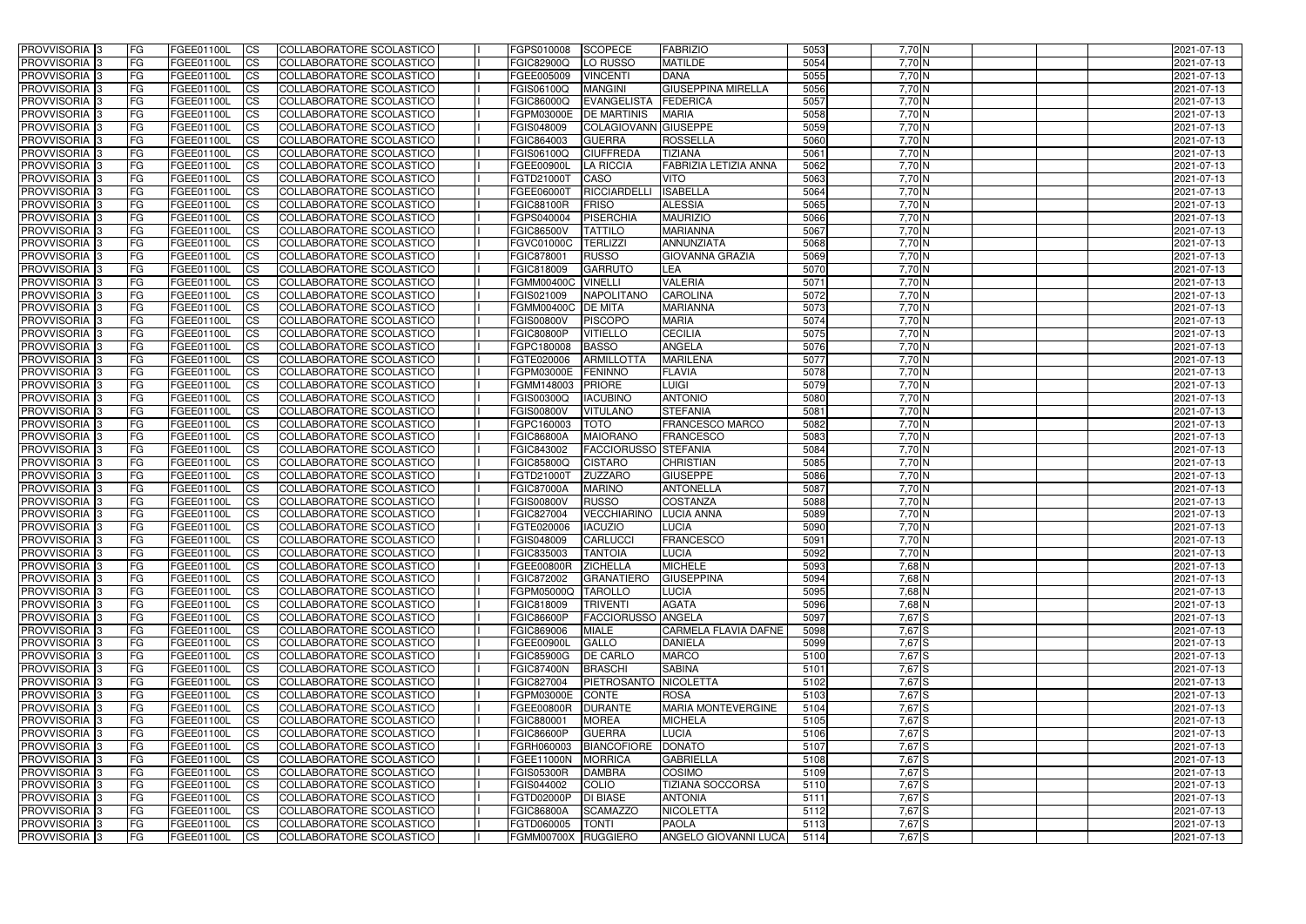| <b>PROVVISORIA</b> 3       | FG         | FGEE01100L        | <b>ICS</b>             | COLLABORATORE SCOLASTICO        | FGPS010008          | <b>SCOPECE</b>              | <b>FABRIZIO</b>                | 5053 | 7,70 N     | 2021-07-13 |
|----------------------------|------------|-------------------|------------------------|---------------------------------|---------------------|-----------------------------|--------------------------------|------|------------|------------|
| <b>PROVVISORIA 3</b>       | FG         | FGEE01100L        | <b>CS</b>              | COLLABORATORE SCOLASTICO        | <b>FGIC82900Q</b>   | LO RUSSO                    | <b>MATILDE</b>                 | 5054 | $7,70$ N   | 2021-07-13 |
| PROVVISORIA <sup>3</sup>   | FG         | FGEE01100L        | <b>CS</b>              | COLLABORATORE SCOLASTICO        | FGEE005009          | <b>VINCENTI</b>             | <b>DANA</b>                    | 5055 | $7,70$ N   | 2021-07-13 |
| PROVVISORIA <sup>3</sup>   | FG         | FGEE01100L        | <b>CS</b>              | COLLABORATORE SCOLASTICO        | FGIS06100Q          | <b>MANGINI</b>              | <b>GIUSEPPINA MIRELLA</b>      | 5056 | 7,70 N     | 2021-07-13 |
| PROVVISORIA <sup>1</sup> 3 | FG         | FGEE01100L        | <b>CS</b>              | COLLABORATORE SCOLASTICO        | <b>FGIC86000Q</b>   | EVANGELISTA                 | FEDERICA                       | 5057 | $7,70$ N   | 2021-07-13 |
| PROVVISORIA <sup>3</sup>   | FG         | FGEE01100L        | <b>CS</b>              | COLLABORATORE SCOLASTICO        | FGPM03000E          | <b>DE MARTINIS</b>          | <b>MARIA</b>                   | 5058 | 7,70 N     | 2021-07-13 |
| PROVVISORIA 3              | FG         | FGEE01100L        | <b>CS</b>              | COLLABORATORE SCOLASTICO        | FGIS048009          | <b>COLAGIOVANN GIUSEPPE</b> |                                | 5059 | 7,70 N     | 2021-07-13 |
| PROVVISORIA 3              | FG         | <b>FGEE01100L</b> | <b>CS</b>              | COLLABORATORE SCOLASTICO        | FGIC864003          | <b>GUERRA</b>               | <b>ROSSELLA</b>                | 5060 | 7,70 N     | 2021-07-13 |
| PROVVISORIA 3              | FG         | FGEE01100L        | <b>CS</b>              | COLLABORATORE SCOLASTICO        | FGIS06100Q          | <b>CIUFFREDA</b>            | <b>TIZIANA</b>                 | 5061 | 7,70 N     | 2021-07-13 |
| PROVVISORIA <sup>3</sup>   | FG         | FGEE01100L        | $\overline{c}$         | COLLABORATORE SCOLASTICO        | FGEE00900L          | <b>LA RICCIA</b>            | <b>FABRIZIA LETIZIA ANNA</b>   | 5062 | 7,70 N     | 2021-07-13 |
| PROVVISORIA <sup>3</sup>   | FG         | FGEE01100L        | <b>CS</b>              | COLLABORATORE SCOLASTICO        | FGTD21000T          | CASO                        | <b>VITO</b>                    | 5063 | 7,70 N     | 2021-07-13 |
| PROVVISORIA <sup>3</sup>   | FG         | FGEE01100L        | <b>CS</b>              | COLLABORATORE SCOLASTICO        | <b>FGEE06000T</b>   | RICCIARDELLI                | <b>ISABELLA</b>                | 5064 | $7,70$ N   | 2021-07-13 |
| PROVVISORIA <sup>3</sup>   | FG         | <b>FGEE01100L</b> | <b>ICS</b>             | COLLABORATORE SCOLASTICO        | <b>FGIC88100R</b>   | FRISO                       | <b>ALESSIA</b>                 | 5065 | $7,70$ N   | 2021-07-13 |
| PROVVISORIA <sup>3</sup>   | FG         | FGEE01100L        | <b>ICS</b>             | COLLABORATORE SCOLASTICO        | FGPS040004          | PISERCHIA                   | <b>MAURIZIO</b>                | 5066 | $7,70$ N   | 2021-07-13 |
| PROVVISORIA <sup>3</sup>   | FG         | FGEE01100L        | <b>I</b> CS            | COLLABORATORE SCOLASTICO        | <b>FGIC86500V</b>   | <b>TATTILO</b>              | <b>MARIANNA</b>                | 5067 | $7,70$ N   | 2021-07-13 |
| <b>PROVVISORIA</b> 3       | FG         | FGEE01100L        | <b>I</b> CS            | <b>COLLABORATORE SCOLASTICO</b> | <b>FGVC01000C</b>   | <b>TERLIZZI</b>             | ANNUNZIATA                     | 5068 | $7,70$ N   | 2021-07-13 |
| <b>PROVVISORIA</b> 3       | FG         | FGEE01100L        | <b>ICS</b>             | COLLABORATORE SCOLASTICO        | FGIC878001          | <b>RUSSO</b>                | <b>GIOVANNA GRAZIA</b>         | 5069 | 7,70 N     | 2021-07-13 |
| PROVVISORIA 3              | FG         | FGEE01100L        | <b>CS</b>              | COLLABORATORE SCOLASTICO        | FGIC818009          | <b>GARRUTO</b>              | <b>LEA</b>                     | 5070 | $7,70$ N   | 2021-07-13 |
| PROVVISORIA <sup>3</sup>   | FG         | FGEE01100L        | <b>ICS</b>             | COLLABORATORE SCOLASTICO        | <b>FGMM00400C</b>   | <b>VINELLI</b>              | <b>VALERIA</b>                 | 5071 | $7,70$ N   | 2021-07-13 |
| PROVVISORIA <sup>3</sup>   | FG         | FGEE01100L        | <b>I</b> CS            | COLLABORATORE SCOLASTICO        | FGIS021009          | <b>NAPOLITANO</b>           | <b>CAROLINA</b>                | 5072 | 7,70 N     | 2021-07-13 |
| PROVVISORIA <sup>3</sup>   | FG         | FGEE01100L        | <b>I</b> CS            | COLLABORATORE SCOLASTICO        | <b>FGMM00400C</b>   | <b>DE MITA</b>              | <b>MARIANNA</b>                | 5073 | 7,70 N     | 2021-07-13 |
| PROVVISORIA <sup>3</sup>   | FG         | FGEE01100L        | <b>CS</b>              | COLLABORATORE SCOLASTICO        | <b>FGIS00800V</b>   | <b>PISCOPO</b>              | <b>MARIA</b>                   | 5074 | 7,70 N     | 2021-07-13 |
| PROVVISORIA <sup>3</sup>   | FG         | FGEE01100L        | <b>CS</b>              | COLLABORATORE SCOLASTICO        | <b>FGIC80800P</b>   | <b>VITIELLO</b>             | <b>CECILIA</b>                 | 5075 | $7,70$ N   | 2021-07-13 |
| <b>PROVVISORIA</b> 3       | FG         | FGEE01100L        | <b>CS</b>              | COLLABORATORE SCOLASTICO        | FGPC180008          | <b>BASSO</b>                | <b>ANGELA</b>                  | 5076 | $7,70$ N   | 2021-07-13 |
| PROVVISORIA <sup>3</sup>   | FG         | FGEE01100L        | <b>CS</b>              | COLLABORATORE SCOLASTICO        | FGTE020006          | <b>ARMILLOTTA</b>           | <b>MARILENA</b>                | 5077 | $7,70$ N   | 2021-07-13 |
| PROVVISORIA <sup>1</sup> 3 | FG         | FGEE01100L        |                        | COLLABORATORE SCOLASTICO        | FGPM03000E          | <b>FENINNO</b>              | <b>FLAVIA</b>                  | 5078 | $7,70$ N   |            |
|                            | FG         |                   | <b>CS</b>              |                                 |                     | <b>PRIORE</b>               |                                | 5079 | $7,70$ N   | 2021-07-13 |
| PROVVISORIA 3              |            | <b>FGEE01100L</b> | <b>CS</b>              | COLLABORATORE SCOLASTICO        | FGMM148003          |                             | <b>LUIGI</b><br><b>ANTONIO</b> | 5080 | 7,70 N     | 2021-07-13 |
| PROVVISORIA <sup>3</sup>   | FG.        | FGEE01100L        | <b>CS</b>              | COLLABORATORE SCOLASTICO        | FGIS00300Q          | <b>IACUBINO</b>             | <b>STEFANIA</b>                |      |            | 2021-07-13 |
| PROVVISORIA <sup>3</sup>   | FG         | <b>FGEE01100L</b> | <b>CS</b>              | COLLABORATORE SCOLASTICO        | <b>FGIS00800V</b>   | <b>VITULANO</b>             |                                | 5081 | $7,70$ N   | 2021-07-13 |
| PROVVISORIA <sup>1</sup> 3 | FG.        | FGEE01100L        | <b>CS</b>              | COLLABORATORE SCOLASTICO        | FGPC160003          | <b>TOTO</b>                 | <b>FRANCESCO MARCO</b>         | 5082 | $7,70$ N   | 2021-07-13 |
| PROVVISORIA <sup>3</sup>   | FG.        | FGEE01100L        | <b>CS</b>              | COLLABORATORE SCOLASTICO        | <b>FGIC86800A</b>   | <b>MAIORANO</b>             | FRANCESCO                      | 5083 | 7,70 N     | 2021-07-13 |
| PROVVISORIA <sup>3</sup>   | FG         | FGEE01100L        | $\overline{\text{cs}}$ | COLLABORATORE SCOLASTICO        | FGIC843002          | <b>FACCIORUSSO STEFANIA</b> |                                | 5084 | $7,70$ N   | 2021-07-13 |
| PROVVISORIA <sup>3</sup>   | FG         | <b>FGEE01100L</b> | <b>CS</b>              | COLLABORATORE SCOLASTICO        | <b>FGIC85800Q</b>   | <b>CISTARO</b>              | <b>CHRISTIAN</b>               | 5085 | 7,70 N     | 2021-07-13 |
| PROVVISORIA 3              | FG         | <b>FGEE01100L</b> | <b>CS</b>              | COLLABORATORE SCOLASTICO        | FGTD21000T          | <b>ZUZZARO</b>              | <b>GIUSEPPE</b>                | 5086 | 7,70 N     | 2021-07-13 |
| PROVVISORIA <sup>3</sup>   | FG         | FGEE01100L        | $\overline{c}$         | COLLABORATORE SCOLASTICO        | <b>FGIC87000A</b>   | <b>MARINO</b>               | <b>ANTONELLA</b>               | 5087 | 7,70 N     | 2021-07-13 |
| PROVVISORIA <sup>3</sup>   | FG         | <b>FGEE01100L</b> | <b>CS</b>              | <b>COLLABORATORE SCOLASTICO</b> | <b>FGIS00800V</b>   | <b>RUSSO</b>                | COSTANZA                       | 5088 | 7,70 N     | 2021-07-13 |
| PROVVISORIA <sup>3</sup>   | FG         | FGEE01100L        | <b>CS</b>              | COLLABORATORE SCOLASTICO        | FGIC827004          | <b>VECCHIARINO</b>          | <b>LUCIA ANNA</b>              | 5089 | $7,70$ N   | 2021-07-13 |
| PROVVISORIA 3              | FG         | FGEE01100L        | <b>I</b> CS            | COLLABORATORE SCOLASTICO        | FGTE020006          | <b>IACUZIO</b>              | LUCIA                          | 5090 | $7,70$ N   | 2021-07-13 |
| <b>PROVVISORIA</b> 3       | IFG.       | FGEE01100L        | CS                     | COLLABORATORE SCOLASTICO        | <b>FGIS048009</b>   | CARLUCCI                    | <b>FRANCESCO</b>               | 5091 | 7,70 N     | 2021-07-13 |
| PROVVISORIA 3              | IFG.       | FGEE01100L        | <b>ICS</b>             | COLLABORATORE SCOLASTICO        | FGIC835003          | <b>TANTOIA</b>              | <b>LUCIA</b>                   | 5092 | $7,70$ N   | 2021-07-13 |
| PROVVISORIA 3              | FG         | FGEE01100L        | <b>CS</b>              | COLLABORATORE SCOLASTICO        | <b>FGEE00800R</b>   | <b>ZICHELLA</b>             | <b>MICHELE</b>                 | 5093 | $7,68$ N   | 2021-07-13 |
| PROVVISORIA 3              | FG         | FGEE01100L        | <b>ICS</b>             | COLLABORATORE SCOLASTICO        | <b>FGIC872002</b>   | GRANATIERO                  | <b>GIUSEPPINA</b>              | 5094 | $7,68$ N   | 2021-07-13 |
| PROVVISORIA <sup>3</sup>   | FG         | FGEE01100L        | <b>ICS</b>             | COLLABORATORE SCOLASTICO        | FGPM05000Q          | <b>TAROLLO</b>              | <b>LUCIA</b>                   | 5095 | 7,68 N     | 2021-07-13 |
| PROVVISORIA 3              | FG.        | FGEE01100L        | <b>CS</b>              | COLLABORATORE SCOLASTICO        | FGIC818009          | <b>TRIVENTI</b>             | <b>AGATA</b>                   | 5096 | $7,68$ N   | 2021-07-13 |
| PROVVISORIA 3              | FG         | FGEE01100L        | <b>CS</b>              | COLLABORATORE SCOLASTICO        | <b>FGIC86600P</b>   | <b>FACCIORUSSO ANGELA</b>   |                                | 5097 | $7,67$ $S$ | 2021-07-13 |
| PROVVISORIA 3              | <b>FG</b>  | FGEE01100L        | <b>CS</b>              | COLLABORATORE SCOLASTICO        | FGIC869006          | <b>MIALE</b>                | <b>CARMELA FLAVIA DAFNE</b>    | 5098 | 7,67 S     | 2021-07-13 |
| PROVVISORIA 3              | FG         | FGEE01100L        | <b>CS</b>              | COLLABORATORE SCOLASTICO        | FGEE00900L          | <b>GALLO</b>                | <b>DANIELA</b>                 | 5099 | 7,67 S     | 2021-07-13 |
| PROVVISORIA 3              | FG         | FGEE01100L        | <b>CS</b>              | COLLABORATORE SCOLASTICO        | <b>FGIC85900G</b>   | <b>DE CARLO</b>             | <b>MARCO</b>                   | 5100 | 7,67 S     | 2021-07-13 |
| PROVVISORIA 3              | FG         | FGEE01100L        | <b>CS</b>              | COLLABORATORE SCOLASTICO        | <b>FGIC87400N</b>   | <b>BRASCHI</b>              | <b>SABINA</b>                  | 5101 | $7,67$ $S$ | 2021-07-13 |
| PROVVISORIA 3              | FG         | FGEE01100L        | <b>CS</b>              | COLLABORATORE SCOLASTICO        | FGIC827004          | PIETROSANTO                 | <b>NICOLETTA</b>               | 5102 | 7,67 S     | 2021-07-13 |
| PROVVISORIA 3              | FG         | FGEE01100L        | <b>CS</b>              | COLLABORATORE SCOLASTICO        | FGPM03000E          | CONTE                       | <b>ROSA</b>                    | 5103 | $7,67$ $S$ | 2021-07-13 |
| <b>PROVVISORIA</b> 3       | IFG.       | FGEE01100L        | <b>CS</b>              | COLLABORATORE SCOLASTICO        | <b>FGEE00800R</b>   | <b>DURANTE</b>              | <b>MARIA MONTEVERGINE</b>      | 5104 | 7,67 S     | 2021-07-13 |
| PROVVISORIA 3              | IFG.       | FGEE01100L        | <b>CS</b>              | COLLABORATORE SCOLASTICO        | FGIC880001          | <b>MOREA</b>                | <b>MICHELA</b>                 | 5105 | 7,67 S     | 2021-07-13 |
| PROVVISORIA 3              | <b>IFG</b> | FGEE01100L        | <b>CS</b>              | COLLABORATORE SCOLASTICO        | <b>FGIC86600P</b>   | <b>GUERRA</b>               | <b>LUCIA</b>                   | 5106 | 7,67 S     | 2021-07-13 |
| PROVVISORIA 3              | <b>IFG</b> | FGEE01100L        | <b>CS</b>              | COLLABORATORE SCOLASTICO        | FGRH060003          | BIANCOFIORE DONATO          |                                | 5107 | $7,67$ $S$ | 2021-07-13 |
| PROVVISORIA 3              | IFG.       | <b>FGEE01100L</b> | <b>CS</b>              | COLLABORATORE SCOLASTICO        | <b>FGEE11000N</b>   | <b>MORRICA</b>              | <b>GABRIELLA</b>               | 5108 | $7,67$ $S$ | 2021-07-13 |
| PROVVISORIA 3              | FG         | FGEE01100L        | <b>CS</b>              | COLLABORATORE SCOLASTICO        | <b>FGIS05300R</b>   | <b>DAMBRA</b>               | <b>COSIMO</b>                  | 5109 | 7,67 S     | 2021-07-13 |
| PROVVISORIA 3              | <b>FG</b>  | FGEE01100L        | <b>CS</b>              | COLLABORATORE SCOLASTICO        | FGIS044002          | COLIO                       | <b>TIZIANA SOCCORSA</b>        | 5110 | $7,67$ $S$ | 2021-07-13 |
| PROVVISORIA 3              | FG         | <b>FGEE01100L</b> | <b>CS</b>              | COLLABORATORE SCOLASTICO        | FGTD02000P          | <b>DI BIASE</b>             | <b>ANTONIA</b>                 | 5111 | $7,67$ S   | 2021-07-13 |
| PROVVISORIA 3              | FG         | FGEE01100L        | <b>ICS</b>             | COLLABORATORE SCOLASTICO        | <b>FGIC86800A</b>   | <b>SCAMAZZO</b>             | <b>NICOLETTA</b>               | 5112 | 7,67 S     | 2021-07-13 |
| PROVVISORIA 3              | FG         | FGEE01100L        | <b>CS</b>              | COLLABORATORE SCOLASTICO        | FGTD060005          | <b>TONTI</b>                | <b>PAOLA</b>                   | 5113 | $7,67$ $S$ | 2021-07-13 |
| PROVVISORIA 3              | FG         | FGEE01100L        | <b>CS</b>              | COLLABORATORE SCOLASTICO        | FGMM00700X RUGGIERO |                             | <b>ANGELO GIOVANNI LUCA</b>    | 5114 | $7,67$ S   | 2021-07-13 |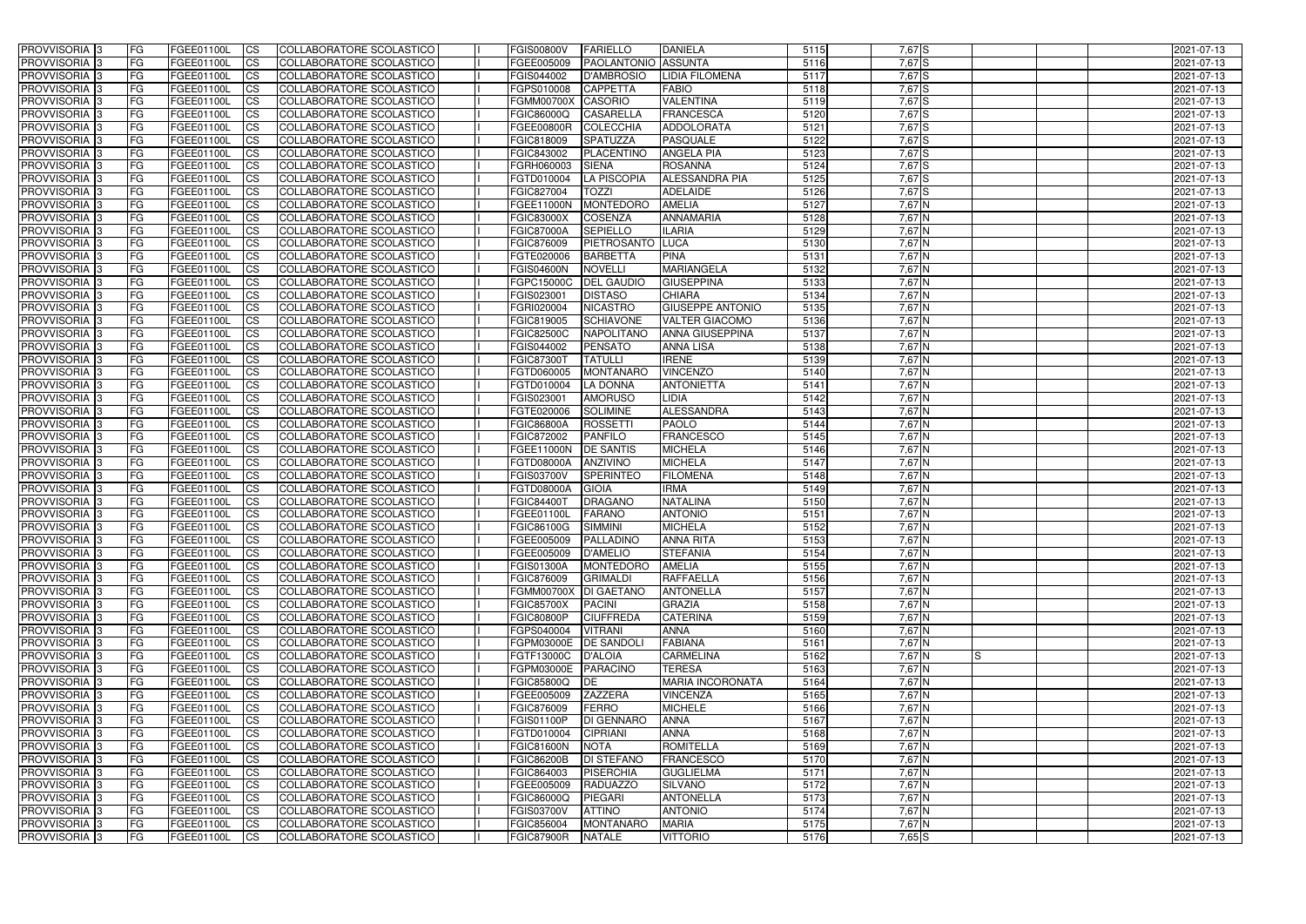| <b>PROVVISORIA</b> 3       | FG         | FGEE01100L        | <b>ICS</b>             | COLLABORATORE SCOLASTICO        | <b>FGIS00800V</b>    | <b>FARIELLO</b>            | <b>DANIELA</b>          | 5115 | 7,67 S     |    | 2021-07-13 |
|----------------------------|------------|-------------------|------------------------|---------------------------------|----------------------|----------------------------|-------------------------|------|------------|----|------------|
| <b>PROVVISORIA 3</b>       | FG         | FGEE01100L        | <b>CS</b>              | COLLABORATORE SCOLASTICO        | FGEE005009           | <b>PAOLANTONIO ASSUNTA</b> |                         | 5116 | $7,67$ $S$ |    | 2021-07-13 |
| PROVVISORIA <sup>3</sup>   | FG         | FGEE01100L        | <b>CS</b>              | COLLABORATORE SCOLASTICO        | FGIS044002           | <b>D'AMBROSIO</b>          | LIDIA FILOMENA          | 5117 | 7,67 S     |    | 2021-07-13 |
| PROVVISORIA <sup>3</sup>   | FG         | FGEE01100L        | <b>CS</b>              | COLLABORATORE SCOLASTICO        | FGPS010008           | <b>CAPPETTA</b>            | <b>FABIO</b>            | 5118 | 7,67 S     |    | 2021-07-13 |
| PROVVISORIA <sup>1</sup> 3 | FG         | FGEE01100L        | <b>CS</b>              | COLLABORATORE SCOLASTICO        | <b>FGMM00700X</b>    | <b>CASORIO</b>             | <b>VALENTINA</b>        | 5119 | 7,67 S     |    | 2021-07-13 |
| PROVVISORIA <sup>3</sup>   | FG         | FGEE01100L        | <b>CS</b>              | COLLABORATORE SCOLASTICO        | FGIC86000Q           | <b>CASARELLA</b>           | <b>FRANCESCA</b>        | 5120 | 7,67 S     |    | 2021-07-13 |
| PROVVISORIA 3              | FG         | FGEE01100L        | <b>CS</b>              | COLLABORATORE SCOLASTICO        | <b>FGEE00800R</b>    | <b>COLECCHIA</b>           | <b>ADDOLORATA</b>       | 5121 | 7,67 S     |    | 2021-07-13 |
| PROVVISORIA 3              | FG         | <b>FGEE01100L</b> | <b>CS</b>              | COLLABORATORE SCOLASTICO        | FGIC818009           | <b>SPATUZZA</b>            | <b>PASQUALE</b>         | 5122 | 7,67 S     |    | 2021-07-13 |
| PROVVISORIA 3              | FG         | FGEE01100L        | <b>CS</b>              | COLLABORATORE SCOLASTICO        | FGIC843002           | PLACENTINO                 | <b>ANGELA PIA</b>       | 5123 | 7,67 S     |    | 2021-07-13 |
| PROVVISORIA <sup>3</sup>   | FG         | FGEE01100L        | $\overline{c}$         | COLLABORATORE SCOLASTICO        | FGRH060003           | <b>SIENA</b>               | <b>ROSANNA</b>          | 5124 | 7,67 S     |    | 2021-07-13 |
| PROVVISORIA <sup>3</sup>   | FG         | FGEE01100L        | <b>CS</b>              | COLLABORATORE SCOLASTICO        | FGTD010004           | <b>LA PISCOPIA</b>         | <b>ALESSANDRA PIA</b>   | 5125 | 7,67 S     |    | 2021-07-13 |
| PROVVISORIA <sup>3</sup>   | FG         | FGEE01100L        | <b>CS</b>              | COLLABORATORE SCOLASTICO        | FGIC827004           | <b>TOZZI</b>               | <b>ADELAIDE</b>         | 5126 | 7,67 S     |    | 2021-07-13 |
| PROVVISORIA <sup>3</sup>   | FG         | <b>FGEE01100L</b> | <b>I</b> CS            | COLLABORATORE SCOLASTICO        | FGEE11000N           | <b>MONTEDORO</b>           | <b>AMELIA</b>           | 5127 | $7,67$ N   |    | 2021-07-13 |
| PROVVISORIA <sup>3</sup>   | FG         | FGEE01100L        | <b>I</b> CS            | COLLABORATORE SCOLASTICO        | <b>FGIC83000X</b>    | <b>COSENZA</b>             | <b>ANNAMARIA</b>        | 5128 | 7,67 N     |    | 2021-07-13 |
| PROVVISORIA <sup>3</sup>   | FG         | FGEE01100L        | <b>ICS</b>             | COLLABORATORE SCOLASTICO        | <b>FGIC87000A</b>    | <b>SEPIELLO</b>            | <b>ILARIA</b>           | 5129 | 7,67 N     |    | 2021-07-13 |
| <b>PROVVISORIA</b> 3       | FG         | FGEE01100L        | <b>I</b> CS            | <b>COLLABORATORE SCOLASTICO</b> | FGIC876009           | PIETROSANTO                | <b>LUCA</b>             | 5130 | 7,67 N     |    | 2021-07-13 |
|                            |            |                   |                        | COLLABORATORE SCOLASTICO        |                      |                            | <b>PINA</b>             |      |            |    |            |
| PROVVISORIA <sup>3</sup>   | FG         | FGEE01100L        | <b>ICS</b>             |                                 | FGTE020006           | <b>BARBETTA</b>            |                         | 5131 | 7,67 N     |    | 2021-07-13 |
| PROVVISORIA 3              | FG         | FGEE01100L        | <b>CS</b>              | COLLABORATORE SCOLASTICO        | <b>FGIS04600N</b>    | <b>NOVELLI</b>             | <b>MARIANGELA</b>       | 5132 | 7,67 N     |    | 2021-07-13 |
| PROVVISORIA <sup>3</sup>   | FG         | FGEE01100L        | <b>ICS</b>             | COLLABORATORE SCOLASTICO        | FGPC15000C           | <b>DEL GAUDIO</b>          | <b>GIUSEPPINA</b>       | 5133 | 7,67 N     |    | 2021-07-13 |
| PROVVISORIA <sup>3</sup>   | FG         | FGEE01100L        | <b>I</b> CS            | COLLABORATORE SCOLASTICO        | FGIS023001           | <b>DISTASO</b>             | <b>CHIARA</b>           | 5134 | 7,67 N     |    | 2021-07-13 |
| PROVVISORIA <sup>3</sup>   | FG         | FGEE01100L        | <b>I</b> CS            | COLLABORATORE SCOLASTICO        | FGRI020004           | <b>NICASTRO</b>            | <b>GIUSEPPE ANTONIO</b> | 5135 | 7,67 N     |    | 2021-07-13 |
| PROVVISORIA <sup>3</sup>   | FG         | FGEE01100L        | <b>CS</b>              | COLLABORATORE SCOLASTICO        | FGIC819005           | <b>SCHIAVONE</b>           | <b>VALTER GIACOMO</b>   | 5136 | 7,67 N     |    | 2021-07-13 |
| PROVVISORIA <sup>3</sup>   | FG         | FGEE01100L        | <b>CS</b>              | COLLABORATORE SCOLASTICO        | <b>FGIC82500C</b>    | <b>NAPOLITANO</b>          | <b>ANNA GIUSEPPINA</b>  | 5137 | 7,67 N     |    | 2021-07-13 |
| <b>PROVVISORIA</b> 3       | FG         | FGEE01100L        | <b>CS</b>              | COLLABORATORE SCOLASTICO        | FGIS044002           | <b>PENSATO</b>             | <b>ANNA LISA</b>        | 5138 | $7,67$ N   |    | 2021-07-13 |
| PROVVISORIA <sup>3</sup>   | FG         | FGEE01100L        | <b>CS</b>              | COLLABORATORE SCOLASTICO        | FGIC873001           | <b>TATULLI</b>             | <b>IRENE</b>            | 5139 | $7,67$ N   |    | 2021-07-13 |
| PROVVISORIA <sup>1</sup> 3 | FG         | FGEE01100L        | <b>CS</b>              | COLLABORATORE SCOLASTICO        | FGTD060005           | <b>MONTANARO</b>           | <b>VINCENZO</b>         | 5140 | $7,67$ N   |    | 2021-07-13 |
| PROVVISORIA 3              | FG         | <b>FGEE01100L</b> | <b>CS</b>              | COLLABORATORE SCOLASTICO        | FGTD010004           | <b>LA DONNA</b>            | <b>ANTONIETTA</b>       | 5141 | 7,67 N     |    | 2021-07-13 |
| PROVVISORIA <sup>3</sup>   | FG         | FGEE01100L        | <b>CS</b>              | COLLABORATORE SCOLASTICO        | FGIS023001           | <b>AMORUSO</b>             | LIDIA                   | 5142 | 7,67 N     |    | 2021-07-13 |
| PROVVISORIA <sup>3</sup>   | FG         | <b>FGEE01100L</b> | <b>CS</b>              | COLLABORATORE SCOLASTICO        | FGTE020006           | <b>SOLIMINE</b>            | <b>ALESSANDRA</b>       | 5143 | 7,67 N     |    | 2021-07-13 |
| PROVVISORIA <sup>1</sup> 3 | FG         | FGEE01100L        | <b>CS</b>              | COLLABORATORE SCOLASTICO        | <b>FGIC86800A</b>    | <b>ROSSETTI</b>            | <b>PAOLO</b>            | 5144 | 7,67 N     |    | 2021-07-13 |
| PROVVISORIA <sup>3</sup>   | FG.        | FGEE01100L        | <b>CS</b>              | COLLABORATORE SCOLASTICO        | FGIC872002           | <b>PANFILO</b>             | <b>FRANCESCO</b>        | 5145 | 7,67 N     |    | 2021-07-13 |
| PROVVISORIA <sup>3</sup>   | FG         | <b>FGEE01100L</b> | $\overline{\text{cs}}$ | COLLABORATORE SCOLASTICO        | FGEE11000N           | <b>DE SANTIS</b>           | <b>MICHELA</b>          | 5146 | 7,67 N     |    | 2021-07-13 |
| PROVVISORIA <sup>3</sup>   | FG         | <b>FGEE01100L</b> | <b>CS</b>              | COLLABORATORE SCOLASTICO        | <b>FGTD08000A</b>    | <b>ANZIVINO</b>            | <b>MICHELA</b>          | 5147 | 7,67 N     |    | 2021-07-13 |
| PROVVISORIA 3              | FG         | <b>FGEE01100L</b> | <b>CS</b>              | COLLABORATORE SCOLASTICO        | <b>FGIS03700V</b>    | <b>SPERINTEO</b>           | <b>FILOMENA</b>         | 5148 | 7,67 N     |    | 2021-07-13 |
| PROVVISORIA <sup>3</sup>   | FG         | FGEE01100L        | $\overline{\text{cs}}$ | COLLABORATORE SCOLASTICO        | FGTD08000A           | <b>GIOIA</b>               | <b>IRMA</b>             | 5149 | 7,67 N     |    | 2021-07-13 |
| PROVVISORIA <sup>3</sup>   | FG         | <b>FGEE01100L</b> | <b>CS</b>              | <b>COLLABORATORE SCOLASTICO</b> | <b>FGIC84400T</b>    | <b>DRAGANO</b>             | <b>NATALINA</b>         | 5150 | 7,67 N     |    | 2021-07-13 |
| PROVVISORIA <sup>3</sup>   | FG         | FGEE01100L        | <b>CS</b>              | COLLABORATORE SCOLASTICO        | FGEE01100L           | <b>FARANO</b>              | <b>ANTONIO</b>          | 5151 | $7,67$ N   |    | 2021-07-13 |
| PROVVISORIA 3              | FG         | FGEE01100L        | <b>I</b> CS            | COLLABORATORE SCOLASTICO        | <b>FGIC86100G</b>    | <b>SIMMINI</b>             | <b>MICHELA</b>          | 5152 | $7,67$ N   |    | 2021-07-13 |
| <b>PROVVISORIA</b> 3       | IFG.       | FGEE01100L        | CS                     | COLLABORATORE SCOLASTICO        | FGEE005009 PALLADINO |                            | <b>ANNA RITA</b>        | 5153 | 7,67 N     |    | 2021-07-13 |
| PROVVISORIA 3              | IFG.       | FGEE01100L        | <b>ICS</b>             | COLLABORATORE SCOLASTICO        | FGEE005009           | <b>D'AMELIO</b>            | <b>STEFANIA</b>         | 5154 | 7,67 N     |    | 2021-07-13 |
| PROVVISORIA 3              | FG         | FGEE01100L        | <b>CS</b>              | COLLABORATORE SCOLASTICO        | <b>FGIS01300A</b>    | <b>MONTEDORO</b>           | <b>AMELIA</b>           | 5155 | $7,67$ N   |    | 2021-07-13 |
| PROVVISORIA 3              | FG         | FGEE01100L        | <b>CS</b>              | COLLABORATORE SCOLASTICO        | <b>FGIC876009</b>    | <b>GRIMALDI</b>            | <b>RAFFAELLA</b>        | 5156 | 7,67 N     |    | 2021-07-13 |
| PROVVISORIA 3              | FG         | FGEE01100L        | <b>ICS</b>             | <b>COLLABORATORE SCOLASTICO</b> | <b>FGMM00700X</b>    | <b>DI GAETANO</b>          | <b>ANTONELLA</b>        | 5157 | 7,67 N     |    | 2021-07-13 |
| PROVVISORIA 3              | FG         | FGEE01100L        | <b>CS</b>              | COLLABORATORE SCOLASTICO        | <b>FGIC85700X</b>    | <b>PACINI</b>              | <b>GRAZIA</b>           | 5158 | 7,67 N     |    | 2021-07-13 |
| PROVVISORIA 3              | FG         | FGEE01100L        | <b>CS</b>              | COLLABORATORE SCOLASTICO        | <b>FGIC80800P</b>    | <b>CIUFFREDA</b>           | <b>CATERINA</b>         | 5159 | 7,67 N     |    | 2021-07-13 |
| PROVVISORIA 3              | <b>FG</b>  | FGEE01100L        | <b>CS</b>              | COLLABORATORE SCOLASTICO        | FGPS040004           | <b>VITRANI</b>             | <b>ANNA</b>             | 5160 | 7,67 N     |    | 2021-07-13 |
| PROVVISORIA 3              | FG         | FGEE01100L        | <b>CS</b>              | COLLABORATORE SCOLASTICO        | FGPM03000E           | <b>DE SANDOLI</b>          | <b>FABIANA</b>          | 5161 | $7,67$ N   |    | 2021-07-13 |
| PROVVISORIA 3              | FG         | FGEE01100L        | <b>CS</b>              | COLLABORATORE SCOLASTICO        | FGTF13000C           | D'ALOIA                    | <b>CARMELINA</b>        | 5162 | 7,67 N     | IS | 2021-07-13 |
| PROVVISORIA 3              | <b>IFG</b> | FGEE01100L        | <b>CS</b>              | COLLABORATORE SCOLASTICO        | FGPM03000E           | PARACINO                   | <b>TERESA</b>           | 5163 | $7,67$ N   |    | 2021-07-13 |
| PROVVISORIA 3              | FG         | FGEE01100L        | <b>CS</b>              | COLLABORATORE SCOLASTICO        | <b>FGIC85800Q</b>    | DE                         | <b>MARIA INCORONATA</b> | 5164 | $7,67$ N   |    | 2021-07-13 |
| PROVVISORIA 3              | FG         | FGEE01100L        | <b>CS</b>              | COLLABORATORE SCOLASTICO        | FGEE005009           | <b>ZAZZERA</b>             | <b>VINCENZA</b>         | 5165 | $7,67$ N   |    | 2021-07-13 |
| <b>PROVVISORIA</b> 3       | IFG.       | FGEE01100L        | <b>CS</b>              | COLLABORATORE SCOLASTICO        | <b>FGIC876009</b>    | FERRO                      | <b>MICHELE</b>          | 5166 | 7,67 N     |    | 2021-07-13 |
| <b>PROVVISORIA</b> 3       | IFG.       | FGEE01100L        | <b>CS</b>              | COLLABORATORE SCOLASTICO        | <b>FGIS01100P</b>    | <b>DI GENNARO</b>          | <b>ANNA</b>             | 5167 | 7,67 N     |    | 2021-07-13 |
| PROVVISORIA 3              | FG         | FGEE01100L        | <b>CS</b>              | <b>COLLABORATORE SCOLASTICO</b> | FGTD010004           | <b>CIPRIANI</b>            | <b>ANNA</b>             | 5168 | 7,67 N     |    | 2021-07-13 |
| PROVVISORIA 3              | <b>IFG</b> | FGEE01100L        | <b>CS</b>              | COLLABORATORE SCOLASTICO        | <b>FGIC81600N</b>    | <b>NOTA</b>                | <b>ROMITELLA</b>        | 5169 | 7,67 N     |    | 2021-07-13 |
|                            |            |                   |                        |                                 |                      | <b>DI STEFANO</b>          |                         | 5170 | 7,67 N     |    | 2021-07-13 |
| PROVVISORIA 3              | IFG.       | <b>FGEE01100L</b> | <b>CS</b>              | COLLABORATORE SCOLASTICO        | <b>FGIC86200B</b>    |                            | <b>FRANCESCO</b>        | 5171 | 7,67 N     |    |            |
| PROVVISORIA 3              | FG         | FGEE01100L        | <b>CS</b>              | COLLABORATORE SCOLASTICO        | FGIC864003           | PISERCHIA                  | <b>GUGLIELMA</b>        |      |            |    | 2021-07-13 |
| PROVVISORIA 3              | FG         | FGEE01100L        | <b>CS</b>              | COLLABORATORE SCOLASTICO        | FGEE005009           | RADUAZZO                   | <b>SILVANO</b>          | 5172 | 7,67 N     |    | 2021-07-13 |
| PROVVISORIA 3              | FG         | <b>FGEE01100L</b> | <b>CS</b>              | COLLABORATORE SCOLASTICO        | <b>FGIC86000Q</b>    | <b>PIEGARI</b>             | <b>ANTONELLA</b>        | 5173 | 7,67 N     |    | 2021-07-13 |
| PROVVISORIA 3              | FG         | FGEE01100L        | <b>CS</b>              | COLLABORATORE SCOLASTICO        | <b>FGIS03700V</b>    | <b>ATTINO</b>              | <b>ANTONIO</b>          | 5174 | 7,67 N     |    | 2021-07-13 |
| PROVVISORIA 3              | FG         | FGEE01100L        | <b>CS</b>              | COLLABORATORE SCOLASTICO        | FGIC856004           | <b>MONTANARO</b>           | <b>MARIA</b>            | 5175 | 7,67 N     |    | 2021-07-13 |
| PROVVISORIA 3              | FG         | FGEE01100L        | <b>CS</b>              | COLLABORATORE SCOLASTICO        | FGIC87900R           | <b>NATALE</b>              | <b>VITTORIO</b>         | 5176 | $7,65$ S   |    | 2021-07-13 |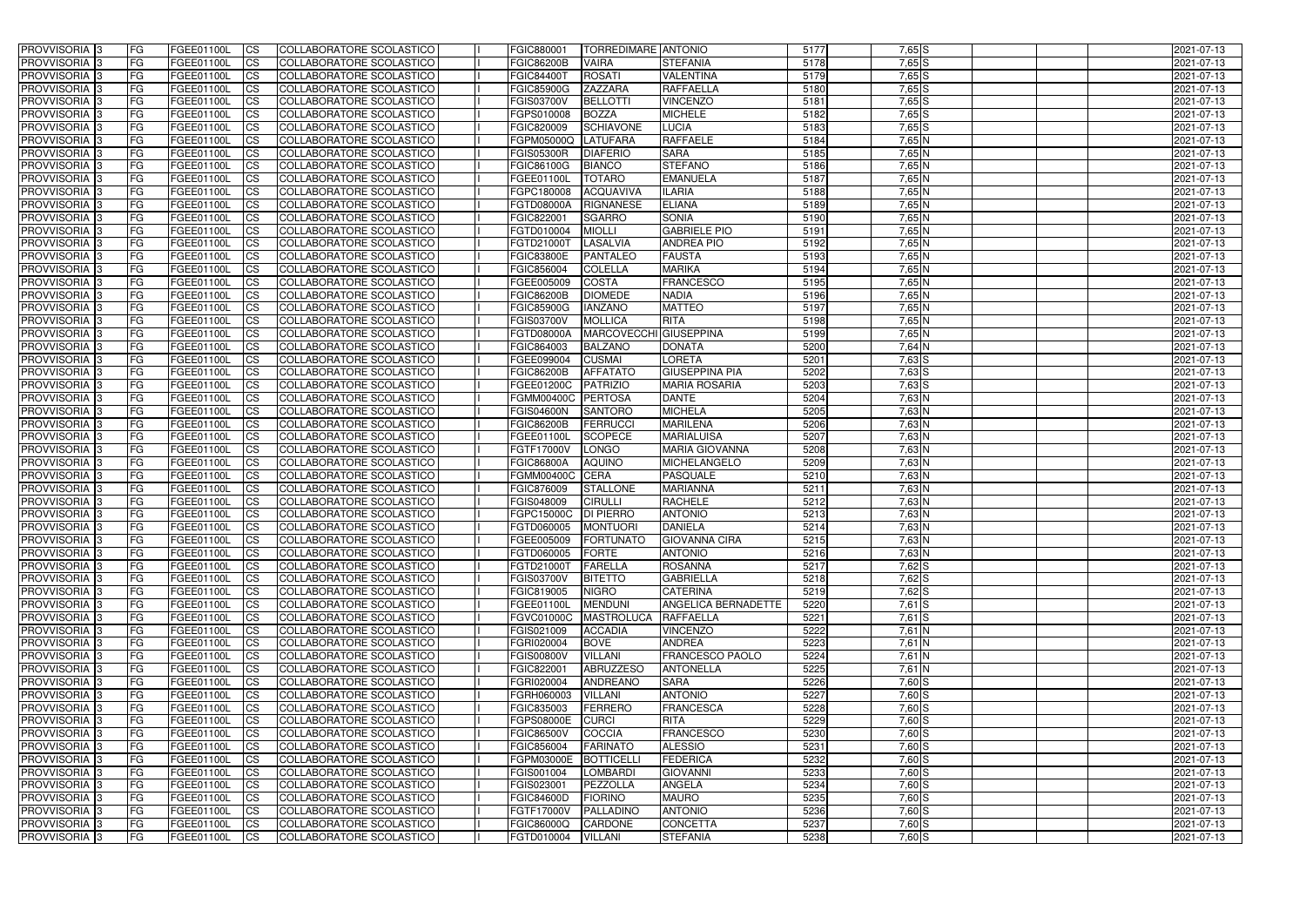| <b>PROVVISORIA</b> 3       | l FG      | FGEE01100L        | <b>ICS</b>             | COLLABORATORE SCOLASTICO        | FGIC880001            | <b>TORREDIMARE ANTONIO</b> |                        | 5177 | $7,65$ S   | 2021-07-13 |
|----------------------------|-----------|-------------------|------------------------|---------------------------------|-----------------------|----------------------------|------------------------|------|------------|------------|
| <b>PROVVISORIA 3</b>       | FG        | FGEE01100L        | <b>ICS</b>             | COLLABORATORE SCOLASTICO        | <b>FGIC86200B</b>     | <b>VAIRA</b>               | <b>STEFANIA</b>        | 5178 | $7,65$ $S$ | 2021-07-13 |
| PROVVISORIA <sup>1</sup> 3 | FG        | FGEE01100L        | <b>CS</b>              | <b>COLLABORATORE SCOLASTICO</b> | <b>FGIC84400T</b>     | <b>ROSATI</b>              | <b>VALENTINA</b>       | 5179 | $7,65$ $S$ | 2021-07-13 |
| <b>PROVVISORIA</b>         | FG        | FGEE01100L        | <b>CS</b>              | COLLABORATORE SCOLASTICO        | <b>FGIC85900G</b>     | <b>ZAZZARA</b>             | <b>RAFFAELLA</b>       | 5180 | $7,65$ $S$ | 2021-07-13 |
| PROVVISORIA <sup>1</sup> 3 | FG        | FGEE01100L        | <b>CS</b>              | COLLABORATORE SCOLASTICO        | <b>FGIS03700V</b>     | <b>BELLOTTI</b>            | <b>VINCENZO</b>        | 5181 | 7,65 S     | 2021-07-13 |
| PROVVISORIA <sup>1</sup> 3 | FG        | FGEE01100L        | <b>CS</b>              | COLLABORATORE SCOLASTICO        | FGPS010008            | <b>BOZZA</b>               | <b>MICHELE</b>         | 5182 | $7,65$ $S$ | 2021-07-13 |
| PROVVISORIA <sup>1</sup> 3 | FG        | FGEE01100L        | <b>CS</b>              | COLLABORATORE SCOLASTICO        | FGIC820009            | <b>SCHIAVONE</b>           | <b>LUCIA</b>           | 5183 | $7,65$ S   | 2021-07-13 |
| PROVVISORIA 3              | FG        | FGEE01100L        | <b>ICS</b>             | COLLABORATORE SCOLASTICO        | FGPM05000Q            | <b>LATUFARA</b>            | <b>RAFFAELE</b>        | 5184 | $7,65$ N   | 2021-07-13 |
| PROVVISORIA 3              | <b>FG</b> | FGEE01100L        | <b>CS</b>              | COLLABORATORE SCOLASTICO        | <b>FGIS05300R</b>     | <b>DIAFERIO</b>            | <b>SARA</b>            | 5185 | 7,65 N     | 2021-07-13 |
| PROVVISORIA 3              | <b>FG</b> | FGEE01100L        | <b>ICS</b>             | COLLABORATORE SCOLASTICO        | FGIC86100G            | <b>BIANCO</b>              | <b>STEFANO</b>         | 5186 | $7,65$ N   | 2021-07-13 |
| PROVVISORIA 3              | FG        | <b>FGEE01100L</b> | <b>ICS</b>             | COLLABORATORE SCOLASTICO        | FGEE01100L            | <b>TOTARO</b>              | <b>EMANUELA</b>        | 5187 | $7,65$ N   | 2021-07-13 |
| <b>PROVVISORIA</b>         | FG        | FGEE01100L        | <b>ICS</b>             | COLLABORATORE SCOLASTICO        | FGPC180008            | <b>ACQUAVIVA</b>           | <b>ILARIA</b>          | 5188 | 7,65 N     | 2021-07-13 |
| <b>PROVVISORIA</b>         | FG        | FGEE01100L        | <b>ICS</b>             | COLLABORATORE SCOLASTICO        | <b>FGTD08000A</b>     | <b>RIGNANESE</b>           | <b>ELIANA</b>          | 5189 | $7,65$ N   | 2021-07-13 |
| <b>PROVVISORIA</b>         | FG        | FGEE01100L        | <b>ICS</b>             | COLLABORATORE SCOLASTICO        | FGIC822001            | <b>SGARRO</b>              | <b>SONIA</b>           | 5190 | $7,65$ N   | 2021-07-13 |
| <b>PROVVISORIA</b>         | FG        | FGEE01100L        | <b>ICS</b>             | COLLABORATORE SCOLASTICO        | FGTD010004            | <b>MIOLLI</b>              | <b>GABRIELE PIO</b>    | 5191 | $7,65$ N   | 2021-07-13 |
| <b>PROVVISORIA</b>         | FG        | FGEE01100L        | <b>ICS</b>             | COLLABORATORE SCOLASTICO        | <b>FGTD21000T</b>     | <b>LASALVIA</b>            | <b>ANDREA PIO</b>      | 5192 | 7,65 N     | 2021-07-13 |
| <b>PROVVISORIA</b>         | FG        | <b>FGEE01100L</b> | <b>ICS</b>             | COLLABORATORE SCOLASTICO        | <b>FGIC83800E</b>     | <b>PANTALEO</b>            | <b>FAUSTA</b>          | 5193 | 7,65 N     | 2021-07-13 |
| <b>PROVVISORIA</b>         | FG        | FGEE01100L        | <b>ICS</b>             | COLLABORATORE SCOLASTICO        | FGIC856004            | <b>COLELLA</b>             | <b>MARIKA</b>          | 5194 | 7,65 N     | 2021-07-13 |
| PROVVISORIA <sup>3</sup>   | FG        | FGEE01100L        | <b>ICS</b>             | COLLABORATORE SCOLASTICO        | FGEE005009            | <b>COSTA</b>               | <b>FRANCESCO</b>       | 5195 | 7,65 N     | 2021-07-13 |
| PROVVISORIA 3              | FG        | FGEE01100L        | <b>ICS</b>             | COLLABORATORE SCOLASTICO        | <b>FGIC86200B</b>     | <b>DIOMEDE</b>             | <b>NADIA</b>           | 5196 | 7,65 N     | 2021-07-13 |
| PROVVISORIA <sup>1</sup> 3 | FG        | FGEE01100L        | <b>ICS</b>             | COLLABORATORE SCOLASTICO        | <b>FGIC85900G</b>     | <b>IANZANO</b>             | <b>MATTEO</b>          | 5197 | $7,65$ N   | 2021-07-13 |
| PROVVISORIA 3              | FG        | FGEE01100L        | <b>ICS</b>             | COLLABORATORE SCOLASTICO        | FGIS03700V            | <b>MOLLICA</b>             | <b>RITA</b>            | 5198 | $7,65$ N   | 2021-07-13 |
| PROVVISORIA 3              | FG        | FGEE01100L        | <b>ICS</b>             | <b>COLLABORATORE SCOLASTICO</b> | FGTD08000A            | <b>MARCOVECCHI</b>         | <b>GIUSEPPINA</b>      | 5199 | $7,65$ N   | 2021-07-13 |
| PROVVISORIA <sup>13</sup>  | FG        | FGEE01100L        | <b>CS</b>              | COLLABORATORE SCOLASTICO        | FGIC864003            | <b>BALZANO</b>             | <b>DONATA</b>          | 5200 | $7,64$ N   | 2021-07-13 |
| PROVVISORIA <sup>1</sup> 3 | FG        | FGEE01100L        | <b>CS</b>              | COLLABORATORE SCOLASTICO        | FGEE099004            | <b>CUSMAI</b>              | <b>LORETA</b>          | 5201 | $7,63$ S   | 2021-07-13 |
| PROVVISORIA <sup>1</sup> 3 | FG        | FGEE01100L        | <b>ICS</b>             | COLLABORATORE SCOLASTICO        | <b>FGIC86200B</b>     | <b>AFFATATO</b>            | <b>GIUSEPPINA PIA</b>  | 5202 | $7,63$ S   | 2021-07-13 |
| PROVVISORIA 3              | FG        | FGEE01100L        | <b>ICS</b>             | COLLABORATORE SCOLASTICO        | FGEE01200C            | <b>PATRIZIO</b>            | <b>MARIA ROSARIA</b>   | 5203 | $7,63$ S   | 2021-07-13 |
| PROVVISORIA                | FG        | FGEE01100L        | <b>ICS</b>             | COLLABORATORE SCOLASTICO        | <b>FGMM00400C</b>     | <b>PERTOSA</b>             | <b>DANTE</b>           | 5204 | 7,63 N     | 2021-07-13 |
| PROVVISORIA                | FG        | FGEE01100L        | <b>CS</b>              | <b>COLLABORATORE SCOLASTICO</b> | <b>FGIS04600N</b>     | <b>SANTORO</b>             | <b>MICHELA</b>         | 5205 | $7,63$ N   | 2021-07-13 |
| PROVVISORIA                | FG        | FGEE01100L        | <b>CS</b>              | COLLABORATORE SCOLASTICO        | <b>FGIC86200B</b>     | FERRUCCI                   | <b>MARILENA</b>        | 5206 | 7,63 N     | 2021-07-13 |
| PROVVISORIA                | FG        | FGEE01100L        | <b>CS</b>              | COLLABORATORE SCOLASTICO        | FGEE01100L            | <b>SCOPECE</b>             | <b>MARIALUISA</b>      | 5207 | 7,63 N     | 2021-07-13 |
| PROVVISORIA <sup>1</sup> 3 | <b>FG</b> | FGEE01100L        | <b>CS</b>              | COLLABORATORE SCOLASTICO        | FGTF17000V            | <b>LONGO</b>               | <b>MARIA GIOVANNA</b>  | 5208 | $7,63$ N   | 2021-07-13 |
| PROVVISORIA <sup>1</sup> 3 | FG        | FGEE01100L        | <b>CS</b>              | COLLABORATORE SCOLASTICO        | <b>FGIC86800A</b>     | <b>AQUINO</b>              | MICHELANGELO           | 5209 | $7,63$ N   | 2021-07-13 |
| PROVVISORIA 3              | FG        | FGEE01100L        | <b>CS</b>              | <b>COLLABORATORE SCOLASTICO</b> | FGMM00400C            | <b>CERA</b>                | <b>PASQUALE</b>        | 5210 | $7,63$ N   | 2021-07-13 |
| PROVVISORIA <sup>1</sup> 3 | <b>FG</b> | FGEE01100L        | <b>ICS</b>             | COLLABORATORE SCOLASTICO        | FGIC876009            | <b>STALLONE</b>            | <b>MARIANNA</b>        | 5211 | $7,63$ N   | 2021-07-13 |
| PROVVISORIA 3              | <b>FG</b> | FGEE01100L        | <b>ICS</b>             | COLLABORATORE SCOLASTICO        | FGIS048009            | <b>CIRULLI</b>             | <b>RACHELE</b>         | 5212 | 7,63 N     | 2021-07-13 |
| PROVVISORIA 3              | <b>FG</b> | FGEE01100L        | <b>ICS</b>             | COLLABORATORE SCOLASTICO        | FGPC15000C            | <b>DI PIERRO</b>           | <b>ANTONIO</b>         | 5213 | $7,63$ N   | 2021-07-13 |
| <b>PROVVISORIA</b>         | <b>FG</b> | FGEE01100L        | <b>ICS</b>             | COLLABORATORE SCOLASTICO        | FGTD060005            | <b>MONTUORI</b>            | <b>DANIELA</b>         | 5214 | $7,63$ N   | 2021-07-13 |
| PROVVISORIA 3              | FG        | FGEE01100L        | CS                     | COLLABORATORE SCOLASTICO        | FGEE005009 FORTUNATO  |                            | <b>GIOVANNA CIRA</b>   | 5215 | 7,63 N     | 2021-07-13 |
| <b>PROVVISORIA</b> 3       | <b>FG</b> | FGEE01100L        | $\mathsf{ICS}$         | COLLABORATORE SCOLASTICO        | FGTD060005            | <b>FORTE</b>               | <b>ANTONIO</b>         | 5216 | $7,63$ N   | 2021-07-13 |
| PROVVISORIA 3              | <b>FG</b> | <b>FGEE01100L</b> | $\mathsf{ICS}$         | COLLABORATORE SCOLASTICO        | FGTD21000T            | FARELLA                    | <b>ROSANNA</b>         | 5217 | 7,62 S     | 2021-07-13 |
| PROVVISORIA 3              | <b>FG</b> | FGEE01100L        | $\mathsf{ICS}$         | COLLABORATORE SCOLASTICO        | <b>FGIS03700V</b>     | <b>BITETTO</b>             | <b>GABRIELLA</b>       | 5218 | $7,62$ S   | 2021-07-13 |
| PROVVISORIA 3              | FG        | FGEE01100L        | $\mathsf{ICS}$         | COLLABORATORE SCOLASTICO        | FGIC819005            | <b>NIGRO</b>               | <b>CATERINA</b>        | 5219 | 7,62 S     | 2021-07-13 |
| PROVVISORIA 3              | l FG      | FGEE01100L        | $\overline{\text{CS}}$ | COLLABORATORE SCOLASTICO        | FGEE01100L            | <b>MENDUNI</b>             | ANGELICA BERNADETTE    | 5220 | $7,61$ S   | 2021-07-13 |
| PROVVISORIA 3              | <b>FG</b> | FGEE01100L        | $\mathsf{ICS}$         | COLLABORATORE SCOLASTICO        | <b>FGVC01000C</b>     | <b>MASTROLUCA</b>          | <b>RAFFAELLA</b>       | 5221 | $7,61$ S   | 2021-07-13 |
| PROVVISORIA 3              | FG        | FGEE01100L        | <b>CS</b>              | COLLABORATORE SCOLASTICO        | FGIS021009            | <b>ACCADIA</b>             | <b>VINCENZO</b>        | 5222 | $7,61$ N   | 2021-07-13 |
| PROVVISORIA 3              | <b>FG</b> | FGEE01100L        | <b>CS</b>              | COLLABORATORE SCOLASTICO        | FGRI020004            | <b>BOVE</b>                | <b>ANDREA</b>          | 5223 | 7,61 N     | 2021-07-13 |
| PROVVISORIA 3              | <b>FG</b> | FGEE01100L        | <b>CS</b>              | COLLABORATORE SCOLASTICO        | <b>FGIS00800V</b>     | <b>VILLANI</b>             | <b>FRANCESCO PAOLO</b> | 5224 | $7,61$ N   | 2021-07-13 |
| PROVVISORIA 3              | <b>FG</b> | FGEE01100L        | <b>CS</b>              | COLLABORATORE SCOLASTICO        | FGIC822001            | <b>ABRUZZESO</b>           | <b>ANTONELLA</b>       | 5225 | $7,61$ N   | 2021-07-13 |
| PROVVISORIA 3              | <b>FG</b> | FGEE01100L        | <b>CS</b>              | COLLABORATORE SCOLASTICO        | FGRI020004            | <b>ANDREANO</b>            | <b>SARA</b>            | 5226 | $7,60$ S   | 2021-07-13 |
| PROVVISORIA 3              | <b>FG</b> | FGEE01100L        | <b>CS</b>              | COLLABORATORE SCOLASTICO        | FGRH060003            | <b>VILLANI</b>             | <b>ANTONIO</b>         | 5227 | $7,60$ S   | 2021-07-13 |
| PROVVISORIA 3              | <b>FG</b> | FGEE01100L        | <b>CS</b>              | COLLABORATORE SCOLASTICO        | FGIC835003            | <b>FERRERO</b>             | <b>FRANCESCA</b>       | 5228 | $7,60$ S   | 2021-07-13 |
| PROVVISORIA 3              | <b>FG</b> | FGEE01100L        | <b>CS</b>              | COLLABORATORE SCOLASTICO        | <b>FGPS08000E</b>     | <b>CURCI</b>               | <b>RITA</b>            | 5229 | $7,60$ S   | 2021-07-13 |
| PROVVISORIA 3              | <b>FG</b> | FGEE01100L        | <b>CS</b>              | COLLABORATORE SCOLASTICO        | <b>FGIC86500V</b>     | <b>COCCIA</b>              | <b>FRANCESCO</b>       | 5230 | $7,60$ S   | 2021-07-13 |
| PROVVISORIA 3              | <b>FG</b> | FGEE01100L        | <b>CS</b>              | COLLABORATORE SCOLASTICO        | FGIC856004            | <b>FARINATO</b>            | <b>ALESSIO</b>         | 5231 | $7,60$ S   | 2021-07-13 |
| PROVVISORIA 3              | <b>FG</b> | FGEE01100L        | <b>CS</b>              | COLLABORATORE SCOLASTICO        | FGPM03000E BOTTICELLI |                            | <b>FEDERICA</b>        | 5232 | 7,60 S     | 2021-07-13 |
| PROVVISORIA 3              | <b>FG</b> | FGEE01100L        | <b>CS</b>              | COLLABORATORE SCOLASTICO        | FGIS001004            | <b>LOMBARDI</b>            | <b>GIOVANNI</b>        | 5233 | $7,60$ S   | 2021-07-13 |
| PROVVISORIA 3              | FG        | FGEE01100L        | <b>CS</b>              | COLLABORATORE SCOLASTICO        | FGIS023001            | PEZZOLLA                   | <b>ANGELA</b>          | 5234 | $7,60$ S   | 2021-07-13 |
| PROVVISORIA 3              | FG        | <b>FGEE01100L</b> | <b>CS</b>              | COLLABORATORE SCOLASTICO        | <b>FGIC84600D</b>     | <b>FIORINO</b>             | <b>MAURO</b>           | 5235 | $7,60$ S   | 2021-07-13 |
| PROVVISORIA 3              | <b>FG</b> | FGEE01100L        | $\overline{\text{CS}}$ | COLLABORATORE SCOLASTICO        | FGTF17000V            | PALLADINO                  | <b>ANTONIO</b>         | 5236 | $7,60$ S   | 2021-07-13 |
| PROVVISORIA 3              | <b>FG</b> | FGEE01100L        | $\overline{\text{CS}}$ | COLLABORATORE SCOLASTICO        | FGIC86000Q            | CARDONE                    | <b>CONCETTA</b>        | 5237 | $7,60$ S   | 2021-07-13 |
| PROVVISORIA 3              | <b>FG</b> | FGEE01100L        | $\overline{\text{CS}}$ | COLLABORATORE SCOLASTICO        | FGTD010004            | <b>VILLANI</b>             | <b>STEFANIA</b>        | 5238 | $7,60$ S   | 2021-07-13 |
|                            |           |                   |                        |                                 |                       |                            |                        |      |            |            |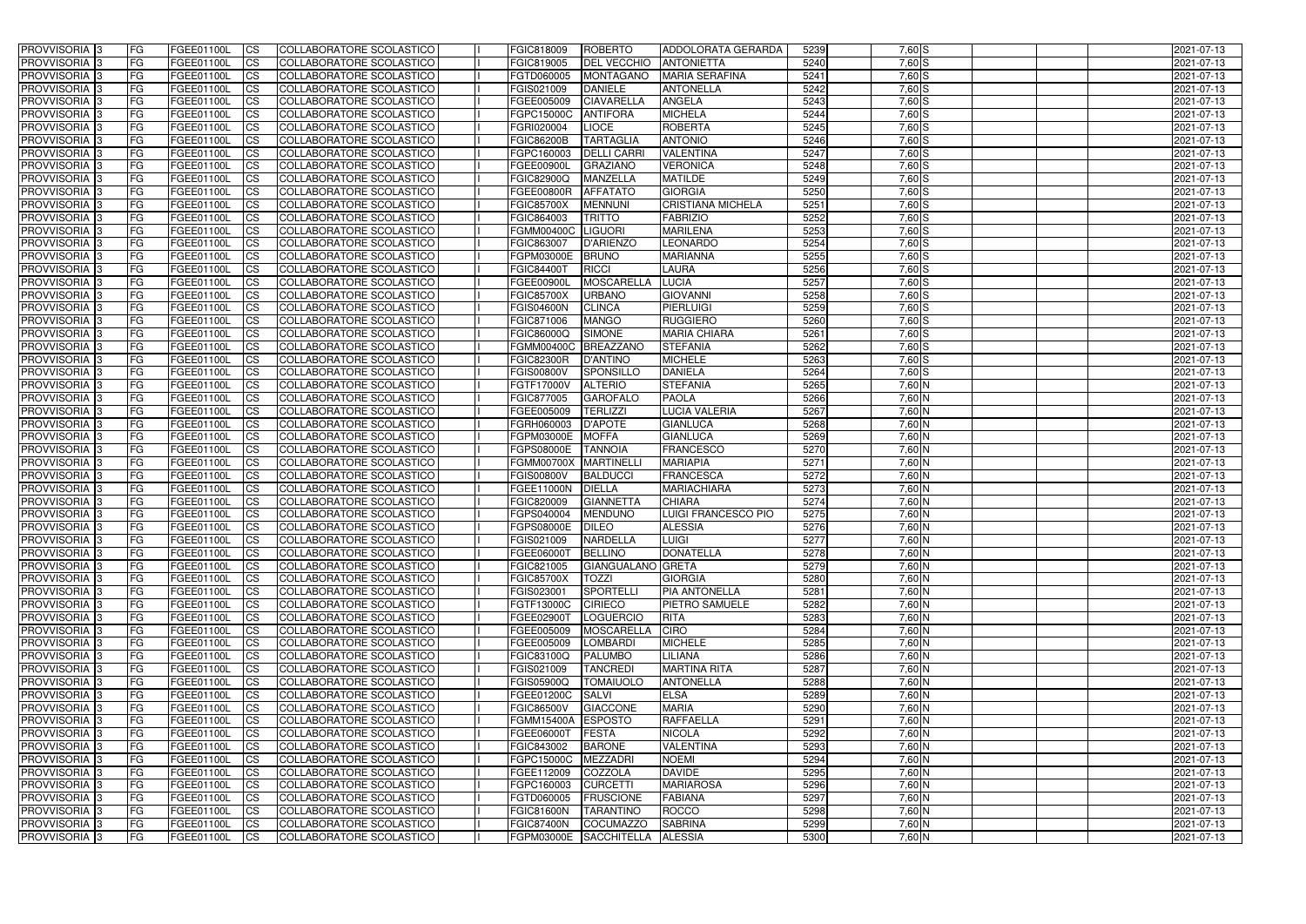| <b>PROVVISORIA</b> 3                      | l FG                   | FGEE01100L               | <b>ICS</b>               | COLLABORATORE SCOLASTICO                                    | FGIC818009                      | <b>ROBERTO</b>                    | <b>ADDOLORATA GERARDA</b>              | 5239         | $7,60$ S             | 2021-07-13               |
|-------------------------------------------|------------------------|--------------------------|--------------------------|-------------------------------------------------------------|---------------------------------|-----------------------------------|----------------------------------------|--------------|----------------------|--------------------------|
| <b>PROVVISORIA 3</b>                      | FG                     | FGEE01100L               | <b>ICS</b>               | COLLABORATORE SCOLASTICO                                    | FGIC819005                      | <b>DEL VECCHIO</b>                | <b>ANTONIETTA</b>                      | 5240         | $7,60$ S             | 2021-07-13               |
| PROVVISORIA <sup>1</sup> 3                | FG                     | FGEE01100L               | <b>CS</b>                | <b>COLLABORATORE SCOLASTICO</b>                             | FGTD060005                      | <b>MONTAGANO</b>                  | <b>MARIA SERAFINA</b>                  | 5241         | $7,60$ S             | 2021-07-13               |
| PROVVISORIA                               | FG                     | FGEE01100L               | <b>CS</b>                | COLLABORATORE SCOLASTICO                                    | FGIS021009                      | <b>DANIELE</b>                    | <b>ANTONELLA</b>                       | 5242         | $7,60$ S             | 2021-07-13               |
| <b>PROVVISORIA 3</b>                      | FG                     | FGEE01100L               | <b>CS</b>                | COLLABORATORE SCOLASTICO                                    | FGEE005009                      | <b>CIAVARELLA</b>                 | <b>ANGELA</b>                          | 5243         | $7,60$ S             | 2021-07-13               |
| PROVVISORIA <sup>1</sup> 3                | FG                     | FGEE01100L               | <b>CS</b>                | COLLABORATORE SCOLASTICO                                    | FGPC15000C                      | <b>ANTIFORA</b>                   | <b>MICHELA</b>                         | 5244         | 7,60 S               | 2021-07-13               |
| PROVVISORIA <sup>1</sup> 3                | FG                     | FGEE01100L               | <b>CS</b>                | COLLABORATORE SCOLASTICO                                    | FGRI020004                      | <b>LIOCE</b>                      | <b>ROBERTA</b>                         | 5245         | $7,60$ S             | 2021-07-13               |
| PROVVISORIA 3                             | FG                     | FGEE01100L               | <b>ICS</b>               | COLLABORATORE SCOLASTICO                                    | <b>FGIC86200B</b>               | <b>TARTAGLIA</b>                  | <b>ANTONIO</b>                         | 5246         | $7,60$ S             | 2021-07-13               |
| PROVVISORIA 3                             | FG                     | FGEE01100L               | <b>CS</b>                | COLLABORATORE SCOLASTICO                                    | FGPC160003                      | <b>DELLI CARRI</b>                | <b>VALENTINA</b>                       | 5247         | 7,60 S               | 2021-07-13               |
| PROVVISORIA 3                             | <b>FG</b>              | FGEE01100L               | <b>ICS</b>               | COLLABORATORE SCOLASTICO                                    | FGEE00900L                      | <b>GRAZIANO</b>                   | <b>VERONICA</b>                        | 5248         | $7,60$ S             | 2021-07-13               |
| PROVVISORIA 3                             | FG                     | FGEE01100L               | <b>ICS</b>               | COLLABORATORE SCOLASTICO                                    | <b>FGIC82900Q</b>               | <b>MANZELLA</b>                   | <b>MATILDE</b>                         | 5249         | 7,60 S               | 2021-07-13               |
| <b>PROVVISORIA</b>                        | FG                     | FGEE01100L               | <b>ICS</b>               | COLLABORATORE SCOLASTICO                                    | <b>FGEE00800R</b>               | <b>AFFATATO</b>                   | <b>GIORGIA</b>                         | 5250         | 7,60 S               | 2021-07-13               |
| <b>PROVVISORIA</b>                        | FG                     | FGEE01100L               | <b>ICS</b>               | COLLABORATORE SCOLASTICO                                    | <b>FGIC85700X</b>               | <b>MENNUNI</b>                    | <b>CRISTIANA MICHELA</b>               | 5251         | $7,60$ S             | 2021-07-13               |
| <b>PROVVISORIA</b>                        | FG                     | FGEE01100L               | <b>ICS</b>               | COLLABORATORE SCOLASTICO                                    | FGIC864003                      | <b>TRITTO</b>                     | <b>FABRIZIO</b>                        | 5252         | 7,60 S               | 2021-07-13               |
| <b>PROVVISORIA</b>                        | FG                     | FGEE01100L               | <b>ICS</b>               | COLLABORATORE SCOLASTICO                                    | <b>FGMM00400C</b>               | <b>LIGUORI</b>                    | <b>MARILENA</b>                        | 5253         | $7,60$ S             | 2021-07-13               |
| <b>PROVVISORIA</b>                        | FG                     | FGEE01100L               | <b>ICS</b>               | COLLABORATORE SCOLASTICO                                    | FGIC863007                      | <b>D'ARIENZO</b>                  | <b>LEONARDO</b>                        | 5254         | 7,60 S               | 2021-07-13               |
| <b>PROVVISORIA</b>                        | FG                     | FGEE01100L               | <b>ICS</b>               | COLLABORATORE SCOLASTICO                                    | FGPM03000E                      | <b>BRUNO</b>                      | <b>MARIANNA</b>                        | 5255         | 7,60 S               | 2021-07-13               |
| <b>PROVVISORIA</b>                        | FG                     | FGEE01100L               | <b>ICS</b>               | COLLABORATORE SCOLASTICO                                    | <b>FGIC84400T</b>               | <b>RICCI</b>                      | LAURA                                  | 5256         | 7,60 S               | 2021-07-13               |
| PROVVISORIA <sup>3</sup>                  | FG                     | FGEE01100L               | <b>ICS</b>               | COLLABORATORE SCOLASTICO                                    | FGEE00900L                      | <b>MOSCARELLA</b>                 | <b>LUCIA</b>                           | 5257         | 7,60 S               | 2021-07-13               |
| PROVVISORIA 3                             | FG                     | FGEE01100L               | <b>ICS</b>               | COLLABORATORE SCOLASTICO                                    | <b>FGIC85700X</b>               | <b>URBANO</b>                     | <b>GIOVANNI</b>                        | 5258         | 7,60 S               | 2021-07-13               |
| PROVVISORIA <sup>1</sup> 3                | FG                     | FGEE01100L               | <b>ICS</b>               | COLLABORATORE SCOLASTICO                                    | <b>FGIS04600N</b>               | <b>CLINCA</b>                     | PIERLUIGI                              | 5259<br>5260 | $7,60$ S             | 2021-07-13               |
| PROVVISORIA 3<br>PROVVISORIA <sup>3</sup> | FG<br>FG               | FGEE01100L<br>FGEE01100L | <b>ICS</b><br><b>ICS</b> | COLLABORATORE SCOLASTICO<br><b>COLLABORATORE SCOLASTICO</b> | FGIC871006<br>FGIC86000Q        | <b>MANGO</b><br><b>SIMONE</b>     | <b>RUGGIERO</b><br><b>MARIA CHIARA</b> | 5261         | $7,60$ S<br>$7,60$ S | 2021-07-13<br>2021-07-13 |
| PROVVISORIA <sup>13</sup>                 | FG                     | FGEE01100L               | <b>CS</b>                | COLLABORATORE SCOLASTICO                                    | <b>FGMM00400C</b>               | <b>BREAZZANO</b>                  | <b>STEFANIA</b>                        | 5262         | 7,60 S               | 2021-07-13               |
| PROVVISORIA <sup>3</sup>                  | FG                     | FGEE01100L               | <b>CS</b>                | COLLABORATORE SCOLASTICO                                    | <b>FGIC82300R</b>               | D'ANTINO                          | <b>MICHELE</b>                         | 5263         | $7,60$ S             | 2021-07-13               |
| PROVVISORIA <sup>1</sup> 3                | FG                     | FGEE01100L               | <b>ICS</b>               | COLLABORATORE SCOLASTICO                                    | FGIS00800V                      | SPONSILLO                         | <b>DANIELA</b>                         | 5264         | $7,60$ S             | 2021-07-13               |
| PROVVISORIA 3                             | FG                     | FGEE01100L               | <b>ICS</b>               | COLLABORATORE SCOLASTICO                                    | FGTF17000V                      | <b>ALTERIO</b>                    | <b>STEFANIA</b>                        | 5265         | $7,60$ N             | 2021-07-13               |
| PROVVISORIA                               | FG                     | FGEE01100L               | <b>ICS</b>               | COLLABORATORE SCOLASTICO                                    | FGIC877005                      | <b>GAROFALO</b>                   | <b>PAOLA</b>                           | 5266         | 7,60 N               | 2021-07-13               |
| PROVVISORIA                               | FG                     | FGEE01100L               | <b>CS</b>                | <b>COLLABORATORE SCOLASTICO</b>                             | FGEE005009                      | <b>TERLIZZI</b>                   | <b>LUCIA VALERIA</b>                   | 5267         | $7,60$ N             | 2021-07-13               |
| PROVVISORIA                               | FG                     | FGEE01100L               | <b>CS</b>                | COLLABORATORE SCOLASTICO                                    | FGRH060003                      | <b>D'APOTE</b>                    | <b>GIANLUCA</b>                        | 5268         | 7,60 N               | 2021-07-13               |
| PROVVISORIA                               | FG                     | FGEE01100L               | <b>CS</b>                | COLLABORATORE SCOLASTICO                                    | FGPM03000E                      | <b>MOFFA</b>                      | <b>GIANLUCA</b>                        | 5269         | 7,60 N               | 2021-07-13               |
| PROVVISORIA <sup>1</sup> 3                | FG                     | FGEE01100L               | <b>CS</b>                | COLLABORATORE SCOLASTICO                                    | FGPS08000E                      | <b>TANNOIA</b>                    | <b>FRANCESCO</b>                       | 5270         | $7,60$ N             | 2021-07-13               |
| PROVVISORIA <sup>1</sup> 3                | FG                     | FGEE01100L               | <b>CS</b>                | COLLABORATORE SCOLASTICO                                    | <b>FGMM00700X</b>               | <b>MARTINELL</b>                  | <b>MARIAPIA</b>                        | 5271         | $7,60$ N             | 2021-07-13               |
| PROVVISORIA 3                             | FG                     | FGEE01100L               | <b>CS</b>                | <b>COLLABORATORE SCOLASTICO</b>                             | <b>FGIS00800V</b>               | <b>BALDUCCI</b>                   | <b>FRANCESCA</b>                       | 5272         | $7,60$ N             | 2021-07-13               |
| PROVVISORIA <sup>1</sup> 3                | FG                     | FGEE01100L               | <b>ICS</b>               | COLLABORATORE SCOLASTICO                                    | FGEE11000N                      | <b>DIELLA</b>                     | <b>MARIACHIARA</b>                     | 5273         | $7,60$ N             | 2021-07-13               |
| PROVVISORIA <sup>1</sup> 3                | <b>FG</b>              | FGEE01100L               | <b>ICS</b>               | COLLABORATORE SCOLASTICO                                    | FGIC820009                      | <b>GIANNETTA</b>                  | <b>CHIARA</b>                          | 5274         | 7,60 N               | 2021-07-13               |
| PROVVISORIA 3                             | <b>FG</b>              | FGEE01100L               | <b>ICS</b>               | COLLABORATORE SCOLASTICO                                    | FGPS040004                      | <b>MENDUNO</b>                    | <b>LUIGI FRANCESCO PIO</b>             | 5275         | 7,60 N               | 2021-07-13               |
| <b>PROVVISORIA</b>                        | <b>FG</b>              | FGEE01100L               | <b>ICS</b>               | COLLABORATORE SCOLASTICO                                    | FGPS08000E                      | <b>DILEO</b>                      | <b>ALESSIA</b>                         | 5276         | $7,60$ N             | 2021-07-13               |
| PROVVISORIA 3                             | FG                     | FGEE01100L               | CS                       | COLLABORATORE SCOLASTICO                                    | FGIS021009                      | <b>NARDELLA</b>                   | <b>LUIGI</b>                           | 5277         | 7,60 N               | 2021-07-13               |
| <b>PROVVISORIA</b> 3                      | <b>FG</b>              | FGEE01100L               | $\mathsf{ICS}$           | COLLABORATORE SCOLASTICO                                    | FGEE06000T                      | <b>BELLINO</b>                    | <b>DONATELLA</b>                       | 5278         | $7,60$ N             | 2021-07-13               |
| PROVVISORIA 3                             | <b>FG</b>              | <b>FGEE01100L</b>        | $\mathsf{ICS}$           | COLLABORATORE SCOLASTICO                                    | FGIC821005                      | GIANGUALANO GRETA                 |                                        | 5279         | 7,60 N               | 2021-07-13               |
| PROVVISORIA 3                             | <b>FG</b>              | FGEE01100L               | $\mathsf{ICS}$           | COLLABORATORE SCOLASTICO                                    | <b>FGIC85700X</b>               | <b>TOZZI</b>                      | <b>GIORGIA</b>                         | 5280         | 7,60 N               | 2021-07-13               |
| PROVVISORIA 3                             | FG                     | FGEE01100L               | $\mathsf{ICS}$           | COLLABORATORE SCOLASTICO                                    | FGIS023001                      | <b>SPORTELLI</b>                  | <b>PIA ANTONELLA</b>                   | 5281         | 7,60 N               | 2021-07-13               |
| PROVVISORIA 3                             | l FG                   | FGEE01100L               | <b>CS</b>                | COLLABORATORE SCOLASTICO                                    | FGTF13000C                      | <b>CIRIECO</b>                    | <b>PIETRO SAMUELE</b>                  | 5282         | 7,60 N               | 2021-07-13               |
| PROVVISORIA 3                             | <b>FG</b>              | FGEE01100L               | $\mathsf{ICS}$           | COLLABORATORE SCOLASTICO                                    | FGEE02900T                      | LOGUERCIO                         | <b>RITA</b>                            | 5283         | $7,60$ N             | 2021-07-13               |
| PROVVISORIA 3                             | FG                     | FGEE01100L               | <b>CS</b>                | COLLABORATORE SCOLASTICO                                    | FGEE005009                      | MOSCARELLA                        | <b>CIRO</b>                            | 5284         | $7,60$ N             | 2021-07-13               |
| PROVVISORIA 3                             | <b>FG</b>              | FGEE01100L               | <b>CS</b>                | COLLABORATORE SCOLASTICO                                    | FGEE005009                      | <b>LOMBARDI</b>                   | <b>MICHELE</b>                         | 5285         | $7,60$ N             | 2021-07-13               |
| PROVVISORIA 3<br>PROVVISORIA 3            | <b>FG</b><br><b>FG</b> | FGEE01100L               | <b>CS</b>                | COLLABORATORE SCOLASTICO                                    | FGIC83100Q                      | <b>PALUMBO</b><br><b>TANCREDI</b> | LILIANA<br><b>MARTINA RITA</b>         | 5286<br>5287 | $7,60$ N<br>$7,60$ N | 2021-07-13<br>2021-07-13 |
|                                           |                        | FGEE01100L               | <b>CS</b>                | COLLABORATORE SCOLASTICO                                    | FGIS021009                      |                                   |                                        |              |                      |                          |
| PROVVISORIA 3<br>PROVVISORIA 3            | <b>FG</b><br><b>FG</b> | FGEE01100L<br>FGEE01100L | <b>CS</b><br><b>CS</b>   | COLLABORATORE SCOLASTICO<br>COLLABORATORE SCOLASTICO        | FGIS05900Q<br><b>FGEE01200C</b> | <b>TOMAIUOLO</b><br><b>SALVI</b>  | <b>ANTONELLA</b><br><b>ELSA</b>        | 5288<br>5289 | $7,60$ N<br>$7,60$ N | 2021-07-13<br>2021-07-13 |
| PROVVISORIA 3                             | <b>FG</b>              | FGEE01100L               | <b>CS</b>                | COLLABORATORE SCOLASTICO                                    | <b>FGIC86500V</b>               | <b>GIACCONE</b>                   | <b>MARIA</b>                           | 5290         | $7,60$ N             | 2021-07-13               |
| PROVVISORIA 3                             | <b>FG</b>              | FGEE01100L               | <b>CS</b>                | COLLABORATORE SCOLASTICO                                    | FGMM15400A ESPOSTO              |                                   | <b>RAFFAELLA</b>                       | 5291         | 7,60 N               | 2021-07-13               |
| PROVVISORIA 3                             | <b>FG</b>              | FGEE01100L               | <b>CS</b>                | COLLABORATORE SCOLASTICO                                    | FGEE06000T                      | <b>FESTA</b>                      | <b>NICOLA</b>                          | 5292         | $7,60$ N             | 2021-07-13               |
| PROVVISORIA 3                             | <b>FG</b>              | FGEE01100L               | <b>CS</b>                | COLLABORATORE SCOLASTICO                                    | FGIC843002                      | <b>BARONE</b>                     | <b>VALENTINA</b>                       | 5293         | 7,60 N               | 2021-07-13               |
| PROVVISORIA 3                             | <b>FG</b>              | FGEE01100L               | <b>CS</b>                | COLLABORATORE SCOLASTICO                                    | FGPC15000C MEZZADRI             |                                   | <b>NOEMI</b>                           | 5294         | $7,60$ N             | 2021-07-13               |
| PROVVISORIA 3                             | <b>FG</b>              | FGEE01100L               | <b>CS</b>                | COLLABORATORE SCOLASTICO                                    | FGEE112009                      | COZZOLA                           | <b>DAVIDE</b>                          | 5295         | $7,60$ N             | 2021-07-13               |
| PROVVISORIA 3                             | FG                     | FGEE01100L               | <b>CS</b>                | COLLABORATORE SCOLASTICO                                    | FGPC160003                      | <b>CURCETTI</b>                   | <b>MARIAROSA</b>                       | 5296         | $7,60$ N             | 2021-07-13               |
| PROVVISORIA 3                             | FG                     | <b>FGEE01100L</b>        | <b>CS</b>                | COLLABORATORE SCOLASTICO                                    | FGTD060005                      | FRUSCIONE                         | <b>FABIANA</b>                         | 5297         | $7,60$ N             | 2021-07-13               |
| PROVVISORIA 3                             | <b>FG</b>              | FGEE01100L               | <b>CS</b>                | COLLABORATORE SCOLASTICO                                    | <b>FGIC81600N</b>               | <b>TARANTINO</b>                  | <b>ROCCO</b>                           | 5298         | $7,60$ N             | 2021-07-13               |
| PROVVISORIA 3                             | <b>FG</b>              | FGEE01100L               | $\overline{\text{CS}}$   | COLLABORATORE SCOLASTICO                                    | <b>FGIC87400N</b>               | <b>COCUMAZZO</b>                  | <b>SABRINA</b>                         | 5299         | 7,60 N               | 2021-07-13               |
| PROVVISORIA 3                             | <b>FG</b>              | FGEE01100L               | $\mathsf{ICS}$           | COLLABORATORE SCOLASTICO                                    |                                 | FGPM03000E SACCHITELLA            | <b>ALESSIA</b>                         | 5300         | 7,60 N               | 2021-07-13               |
|                                           |                        |                          |                          |                                                             |                                 |                                   |                                        |              |                      |                          |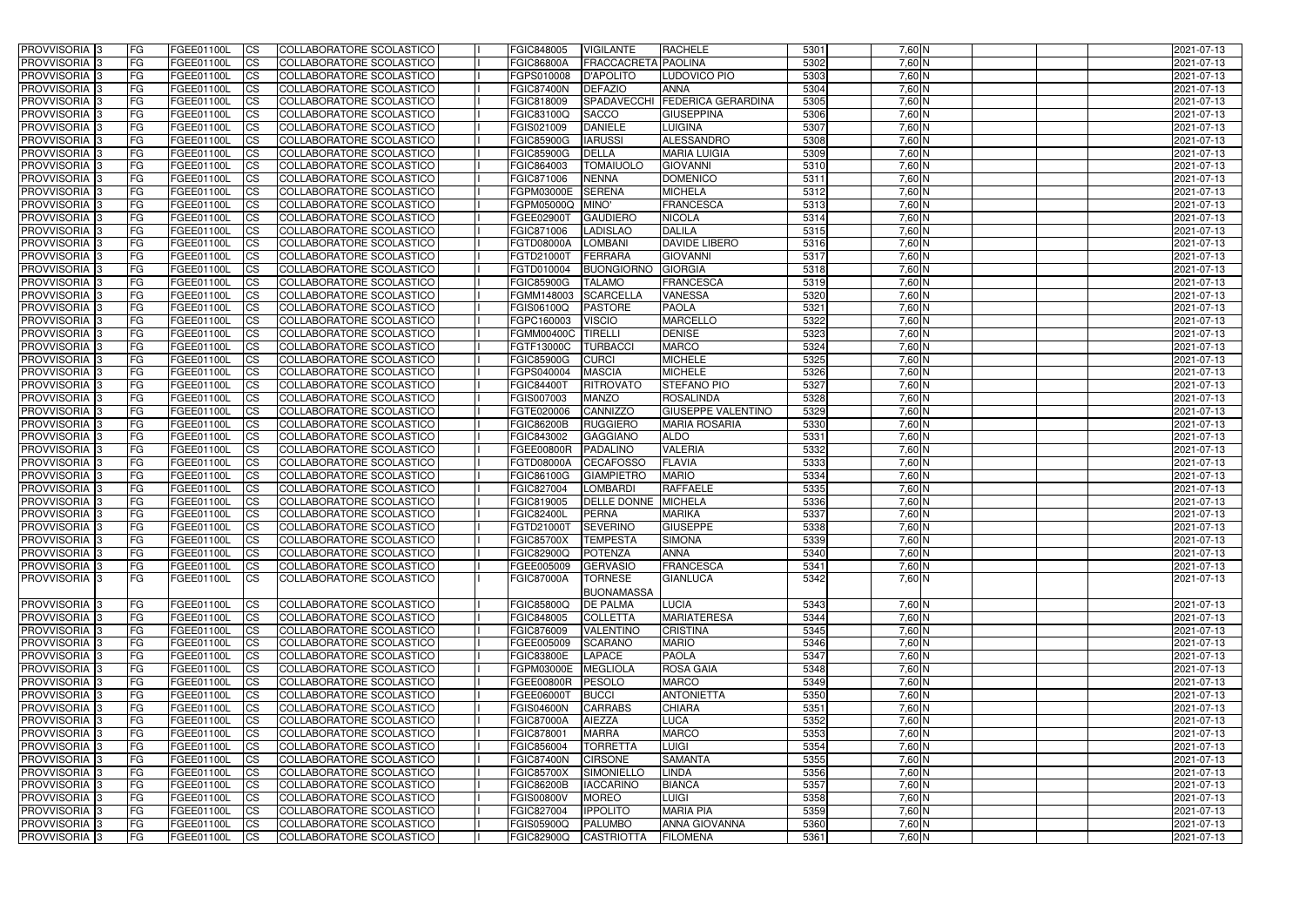| <b>PROVVISORIA</b> 3                      | l FG      | FGEE01100L               | <b>ICS</b>             | COLLABORATORE SCOLASTICO                                           | FGIC848005                      | <b>VIGILANTE</b>            | <b>RACHELE</b>                                    | 5301         | $7,60$ N         | 2021-07-13               |
|-------------------------------------------|-----------|--------------------------|------------------------|--------------------------------------------------------------------|---------------------------------|-----------------------------|---------------------------------------------------|--------------|------------------|--------------------------|
| <b>PROVVISORIA 3</b>                      | FG        | FGEE01100L               | <b>ICS</b>             | COLLABORATORE SCOLASTICO                                           | <b>FGIC86800A</b>               | FRACCACRETA PAOLINA         |                                                   | 5302         | $7,60$ N         | 2021-07-13               |
| PROVVISORIA <sup>1</sup> 3                | FG        | FGEE01100L               | <b>CS</b>              | COLLABORATORE SCOLASTICO                                           | FGPS010008                      | <b>D'APOLITO</b>            | LUDOVICO PIO                                      | 5303         | $7,60$ N         | 2021-07-13               |
| PROVVISORIA                               | FG        | FGEE01100L               | <b>CS</b>              | COLLABORATORE SCOLASTICO                                           | <b>FGIC87400N</b>               | <b>DEFAZIO</b>              | <b>ANNA</b>                                       | 5304         | $7,60$ N         | 2021-07-13               |
| <b>PROVVISORIA 3</b>                      | FG        | FGEE01100L               | <b>CS</b>              | COLLABORATORE SCOLASTICO                                           | FGIC818009                      | <b>SPADAVECCHI</b>          | <b>FEDERICA GERARDINA</b>                         | 5305         | 7,60 N           | 2021-07-13               |
| PROVVISORIA <sup>1</sup> 3                | FG        | FGEE01100L               | <b>CS</b>              | COLLABORATORE SCOLASTICO                                           | FGIC83100Q                      | <b>SACCO</b>                | <b>GIUSEPPINA</b>                                 | 5306         | 7,60 N           | 2021-07-13               |
| PROVVISORIA <sup>1</sup> 3                | FG        | FGEE01100L               | <b>CS</b>              | COLLABORATORE SCOLASTICO                                           | FGIS021009                      | <b>DANIELE</b>              | <b>LUIGINA</b>                                    | 5307         | $7,60$ N         | 2021-07-13               |
| PROVVISORIA 3                             | FG        | FGEE01100L               | <b>ICS</b>             | COLLABORATORE SCOLASTICO                                           | <b>FGIC85900G</b>               | <b>IARUSSI</b>              | ALESSANDRO                                        | 5308         | 7,60 N           | 2021-07-13               |
| PROVVISORIA 3                             | FG        | FGEE01100L               | <b>CS</b>              | COLLABORATORE SCOLASTICO                                           | FGIC85900G                      | <b>DELLA</b>                | <b>MARIA LUIGIA</b>                               | 5309         | 7,60 N           | 2021-07-13               |
| PROVVISORIA 3                             | <b>FG</b> | FGEE01100L               | <b>ICS</b>             | COLLABORATORE SCOLASTICO                                           | FGIC864003                      | <b>TOMAIUOLO</b>            | <b>GIOVANNI</b>                                   | 5310         | $7,60$ N         | 2021-07-13               |
| <b>PROVVISORIA</b> 3                      | FG        | <b>FGEE01100L</b>        | <b>ICS</b>             | COLLABORATORE SCOLASTICO                                           | FGIC871006                      | <b>NENNA</b>                | <b>DOMENICO</b>                                   | 5311         | 7,60 N           | 2021-07-13               |
| <b>PROVVISORIA</b>                        | FG        | FGEE01100L               | <b>ICS</b>             | COLLABORATORE SCOLASTICO                                           | FGPM03000E                      | <b>SERENA</b>               | <b>MICHELA</b>                                    | 5312         | 7,60 N           | 2021-07-13               |
| <b>PROVVISORIA</b>                        | FG        | FGEE01100L               | <b>ICS</b>             | COLLABORATORE SCOLASTICO                                           | FGPM05000Q                      | MINO'                       | <b>FRANCESCA</b>                                  | 5313         | $7,60$ N         | 2021-07-13               |
| <b>PROVVISORIA</b>                        | FG        | FGEE01100L               | <b>ICS</b>             | COLLABORATORE SCOLASTICO                                           | FGEE02900T                      | <b>GAUDIERO</b>             | <b>NICOLA</b>                                     | 5314         | $7,60$ N         | 2021-07-13               |
| <b>PROVVISORIA</b>                        | FG        | FGEE01100L               | <b>ICS</b>             | COLLABORATORE SCOLASTICO                                           | FGIC871006                      | <b>LADISLAO</b>             | <b>DALILA</b>                                     | 5315         | $7,60$ N         | 2021-07-13               |
| <b>PROVVISORIA</b>                        | FG        | FGEE01100L               | <b>ICS</b>             | COLLABORATORE SCOLASTICO                                           | <b>FGTD08000A</b>               | <b>LOMBANI</b>              | <b>DAVIDE LIBERO</b>                              | 5316         | 7,60 N           | 2021-07-13               |
| <b>PROVVISORIA</b>                        | FG        | <b>FGEE01100L</b>        | <b>ICS</b>             | COLLABORATORE SCOLASTICO                                           | FGTD21000T                      | FERRARA                     | <b>GIOVANNI</b>                                   | 5317         | 7,60 N           | 2021-07-13               |
| <b>PROVVISORIA</b>                        | FG        | FGEE01100L               | <b>ICS</b>             | COLLABORATORE SCOLASTICO                                           | FGTD010004                      | <b>BUONGIORNO</b>           | <b>GIORGIA</b>                                    | 5318         | 7,60 N           | 2021-07-13               |
| PROVVISORIA <sup>3</sup>                  | FG        | FGEE01100L               | <b>ICS</b>             | COLLABORATORE SCOLASTICO                                           | <b>FGIC85900G</b>               | <b>TALAMO</b>               | <b>FRANCESCA</b>                                  | 5319         | $7,60$ N         | 2021-07-13               |
| PROVVISORIA 3                             | FG        | FGEE01100L               | <b>ICS</b>             | COLLABORATORE SCOLASTICO                                           | FGMM148003                      | <b>SCARCELLA</b>            | <b>VANESSA</b>                                    | 5320         | 7,60 N           | 2021-07-13               |
| PROVVISORIA <sup>3</sup>                  | FG        | FGEE01100L               | <b>ICS</b>             | COLLABORATORE SCOLASTICO                                           | FGIS06100Q                      | <b>PASTORE</b>              | <b>PAOLA</b>                                      | 5321         | $7,60$ N         | 2021-07-13               |
| PROVVISORIA 3                             | FG        | FGEE01100L               | <b>ICS</b>             | COLLABORATORE SCOLASTICO                                           | FGPC160003                      | <b>VISCIO</b>               | <b>MARCELLO</b>                                   | 5322         | $7,60$ N         | 2021-07-13               |
| PROVVISORIA <sup>3</sup>                  | FG        | FGEE01100L               | <b>ICS</b>             | <b>COLLABORATORE SCOLASTICO</b>                                    | FGMM00400C                      | <b>TIRELLI</b>              | <b>DENISE</b>                                     | 5323         | $7,60$ N         | 2021-07-13               |
| PROVVISORIA <sup>3</sup>                  | FG        | FGEE01100L               | <b>CS</b>              | COLLABORATORE SCOLASTICO                                           | FGTF13000C                      | <b>TURBACCI</b>             | <b>MARCO</b>                                      | 5324         | $7,60$ N         | 2021-07-13               |
| PROVVISORIA <sup>3</sup>                  | FG        | FGEE01100L               | <b>CS</b>              | <b>COLLABORATORE SCOLASTICO</b>                                    | <b>FGIC85900G</b>               | <b>CURCI</b>                | <b>MICHELE</b>                                    | 5325         | $7,60$ N         | 2021-07-13               |
| PROVVISORIA <sup>1</sup> 3                | FG        | FGEE01100L               | <b>ICS</b>             | COLLABORATORE SCOLASTICO                                           | FGPS040004                      | <b>MASCIA</b>               | <b>MICHELE</b>                                    | 5326         | $7,60$ N         | 2021-07-13               |
| PROVVISORIA 3                             | FG        | FGEE01100L               | <b>ICS</b>             | COLLABORATORE SCOLASTICO                                           | <b>FGIC84400T</b>               | <b>RITROVATO</b>            | <b>STEFANO PIO</b>                                | 5327         | $7,60$ N         | 2021-07-13               |
| PROVVISORIA                               | FG        | FGEE01100L               | <b>ICS</b>             | COLLABORATORE SCOLASTICO                                           | FGIS007003                      | <b>MANZO</b>                | <b>ROSALINDA</b>                                  | 5328         | 7,60 N           | 2021-07-13               |
| PROVVISORIA                               | FG        | FGEE01100L               | <b>CS</b>              | <b>COLLABORATORE SCOLASTICO</b><br><b>COLLABORATORE SCOLASTICO</b> | FGTE020006                      | CANNIZZO<br><b>RUGGIERO</b> | <b>GIUSEPPE VALENTINO</b><br><b>MARIA ROSARIA</b> | 5329<br>5330 | $7,60$ N         | 2021-07-13               |
| PROVVISORIA                               | FG        | FGEE01100L               | <b>CS</b>              | COLLABORATORE SCOLASTICO                                           | <b>FGIC86200B</b><br>FGIC843002 | <b>GAGGIANO</b>             | <b>ALDO</b>                                       | 5331         | 7,60 N<br>7,60 N | 2021-07-13               |
| PROVVISORIA<br>PROVVISORIA <sup>1</sup> 3 | FG<br>FG  | FGEE01100L               | <b>CS</b><br><b>CS</b> | COLLABORATORE SCOLASTICO                                           | <b>FGEE00800R</b>               | <b>PADALINO</b>             | <b>VALERIA</b>                                    | 5332         | $7,60$ N         | 2021-07-13               |
| PROVVISORIA <sup>1</sup> 3                | FG        | FGEE01100L<br>FGEE01100L | <b>CS</b>              | COLLABORATORE SCOLASTICO                                           | FGTD08000A                      | <b>CECAFOSSO</b>            | <b>FLAVIA</b>                                     | 5333         | $7,60$ N         | 2021-07-13<br>2021-07-13 |
| PROVVISORIA 3                             | FG        | FGEE01100L               | <b>CS</b>              | COLLABORATORE SCOLASTICO                                           | FGIC86100G                      | <b>GIAMPIETRO</b>           | <b>MARIO</b>                                      | 5334         | $7,60$ N         | 2021-07-13               |
| PROVVISORIA <sup>1</sup> 3                | FG        | FGEE01100L               | <b>ICS</b>             | COLLABORATORE SCOLASTICO                                           | FGIC827004                      | <b>LOMBARDI</b>             | <b>RAFFAELE</b>                                   | 5335         | $7,60$ N         | 2021-07-13               |
| PROVVISORIA <sup>1</sup> 3                | <b>FG</b> | FGEE01100L               | <b>ICS</b>             | COLLABORATORE SCOLASTICO                                           | FGIC819005                      | DELLE DONNE MICHELA         |                                                   | 5336         | 7,60 N           | 2021-07-13               |
| PROVVISORIA 3                             | <b>FG</b> | FGEE01100L               | <b>ICS</b>             | COLLABORATORE SCOLASTICO                                           | <b>FGIC82400L</b>               | PERNA                       | <b>MARIKA</b>                                     | 5337         | 7,60 N           | 2021-07-13               |
| <b>PROVVISORIA</b>                        | <b>FG</b> | FGEE01100L               | <b>ICS</b>             | COLLABORATORE SCOLASTICO                                           | FGTD21000T                      | <b>SEVERINO</b>             | <b>GIUSEPPE</b>                                   | 5338         | $7,60$ N         | 2021-07-13               |
| PROVVISORIA 3                             | FG        | FGEE01100L               | CS                     | COLLABORATORE SCOLASTICO                                           | <b>FGIC85700X</b>               | <b>TEMPESTA</b>             | <b>SIMONA</b>                                     | 5339         | 7,60 N           | 2021-07-13               |
| PROVVISORIA 3                             | <b>FG</b> | FGEE01100L               | $\mathsf{ICS}$         | COLLABORATORE SCOLASTICO                                           | <b>FGIC82900Q</b>               | POTENZA                     | <b>ANNA</b>                                       | 5340         | $7,60$ N         | 2021-07-13               |
| PROVVISORIA 3                             | <b>FG</b> | FGEE01100L               | $\mathsf{ICS}$         | COLLABORATORE SCOLASTICO                                           | FGEE005009                      | GERVASIO                    | FRANCESCA                                         | 5341         | 7,60 N           | 2021-07-13               |
| <b>PROVVISORIA</b> 3                      | l FG      | FGEE01100L               | $\mathsf{ICS}$         | COLLABORATORE SCOLASTICO                                           | <b>FGIC87000A</b>               | <b>TORNESE</b>              | <b>GIANLUCA</b>                                   | 5342         | 7,60 N           | 2021-07-13               |
|                                           |           |                          |                        |                                                                    |                                 | <b>BUONAMASSA</b>           |                                                   |              |                  |                          |
| PROVVISORIA 3                             | IFG.      | FGEE01100L               | <b>CS</b>              | COLLABORATORE SCOLASTICO                                           | <b>FGIC85800Q</b>               | <b>DE PALMA</b>             | <b>LUCIA</b>                                      | 5343         | $7,60$ N         | 2021-07-13               |
| PROVVISORIA 3                             | FG        | FGEE01100L               | $\overline{\text{CS}}$ | COLLABORATORE SCOLASTICO                                           | <b>FGIC848005</b>               | <b>COLLETTA</b>             | <b>MARIATERESA</b>                                | 5344         | $7,60$ N         | 2021-07-13               |
| PROVVISORIA 3                             | FG        | <b>FGEE01100L</b>        | <b>CS</b>              | COLLABORATORE SCOLASTICO                                           | FGIC876009                      | <b>VALENTINO</b>            | <b>CRISTINA</b>                                   | 5345         | $7,60$ N         | 2021-07-13               |
| PROVVISORIA 3                             | FG        | FGEE01100L               | <b>CS</b>              | COLLABORATORE SCOLASTICO                                           | FGEE005009                      | <b>SCARANO</b>              | <b>MARIO</b>                                      | 5346         | $7,60$ N         | 2021-07-13               |
| PROVVISORIA 3                             | <b>FG</b> | FGEE01100L               | <b>CS</b>              | COLLABORATORE SCOLASTICO                                           | <b>FGIC83800E</b>               | LAPACE                      | <b>PAOLA</b>                                      | 5347         | $7,60$ N         | 2021-07-13               |
| PROVVISORIA 3                             | <b>FG</b> | FGEE01100L               | <b>CS</b>              | COLLABORATORE SCOLASTICO                                           | FGPM03000E                      | <b>MEGLIOLA</b>             | <b>ROSA GAIA</b>                                  | 5348         | $7,60$ N         | 2021-07-13               |
| PROVVISORIA 3                             | <b>FG</b> | FGEE01100L               | <b>CS</b>              | COLLABORATORE SCOLASTICO                                           | <b>FGEE00800R</b>               | PESOLO                      | <b>MARCO</b>                                      | 5349         | $7,60$ N         | 2021-07-13               |
| PROVVISORIA 3                             | <b>FG</b> | FGEE01100L               | <b>CS</b>              | COLLABORATORE SCOLASTICO                                           | FGEE06000T                      | <b>BUCCI</b>                | <b>ANTONIETTA</b>                                 | 5350         | $7,60$ N         | 2021-07-13               |
| PROVVISORIA 3                             | <b>FG</b> | FGEE01100L               | <b>CS</b>              | COLLABORATORE SCOLASTICO                                           | <b>FGIS04600N</b>               | <b>CARRABS</b>              | <b>CHIARA</b>                                     | 5351         | $7,60$ N         | 2021-07-13               |
| PROVVISORIA 3                             | <b>FG</b> | FGEE01100L               | <b>CS</b>              | COLLABORATORE SCOLASTICO                                           | <b>FGIC87000A</b>               | <b>AIEZZA</b>               | <b>LUCA</b>                                       | 5352         | $7,60$ N         | 2021-07-13               |
| PROVVISORIA 3                             | <b>FG</b> | FGEE01100L               | <b>CS</b>              | COLLABORATORE SCOLASTICO                                           | FGIC878001                      | <b>MARRA</b>                | <b>MARCO</b>                                      | 5353         | $7,60$ N         | 2021-07-13               |
| PROVVISORIA 3                             | FG        | FGEE01100L               | <b>CS</b>              | COLLABORATORE SCOLASTICO                                           | FGIC856004                      | <b>TORRETTA</b>             | <b>LUIGI</b>                                      | 5354         | 7,60 N           | 2021-07-13               |
| PROVVISORIA 3                             | <b>FG</b> | FGEE01100L               | <b>CS</b>              | COLLABORATORE SCOLASTICO                                           | <b>FGIC87400N</b>               | <b>CIRSONE</b>              | <b>SAMANTA</b>                                    | 5355         | $7,60$ N         | 2021-07-13               |
| PROVVISORIA 3                             | <b>FG</b> | FGEE01100L               | <b>CS</b>              | COLLABORATORE SCOLASTICO                                           | <b>FGIC85700X</b>               | SIMONIELLO                  | <b>LINDA</b>                                      | 5356         | $7,60$ N         | 2021-07-13               |
| PROVVISORIA 3                             | <b>FG</b> | FGEE01100L               | <b>CS</b>              | COLLABORATORE SCOLASTICO                                           | <b>FGIC86200B</b>               | <b>IACCARINO</b>            | <b>BIANCA</b>                                     | 5357         | $7,60$ N         | 2021-07-13               |
| PROVVISORIA 3                             | FG        | <b>FGEE01100L</b>        | <b>CS</b>              | COLLABORATORE SCOLASTICO                                           | <b>FGIS00800V</b>               | <b>MOREO</b>                | <b>LUIGI</b>                                      | 5358         | $7,60$ N         | 2021-07-13               |
| PROVVISORIA 3                             | <b>FG</b> | FGEE01100L               | <b>CS</b>              | COLLABORATORE SCOLASTICO                                           | FGIC827004                      | <b>IPPOLITO</b>             | <b>MARIA PIA</b>                                  | 5359         | $7,60$ N         | 2021-07-13               |
| PROVVISORIA 3                             | <b>FG</b> | FGEE01100L               | $\overline{\text{CS}}$ | COLLABORATORE SCOLASTICO                                           | <b>FGIS05900Q</b>               | <b>PALUMBO</b>              | <b>ANNA GIOVANNA</b>                              | 5360         | 7,60 N           | 2021-07-13               |
| PROVVISORIA 3                             | <b>FG</b> | FGEE01100L               | $\overline{\text{CS}}$ | COLLABORATORE SCOLASTICO                                           | <b>FGIC82900Q</b>               | <b>CASTRIOTTA</b>           | <b>FILOMENA</b>                                   | 5361         | $7,60$ N         | 2021-07-13               |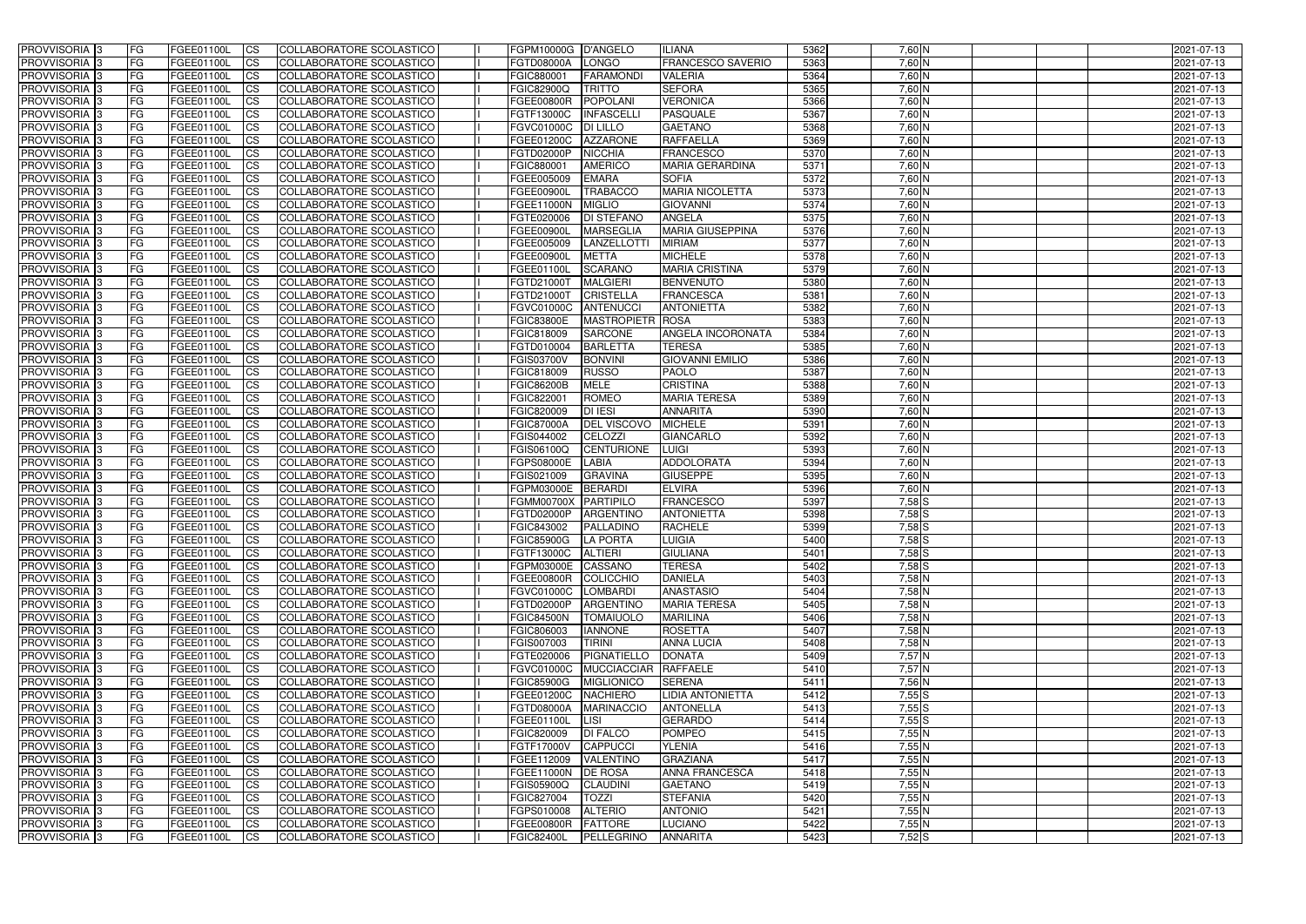| <b>PROVVISORIA</b> 3           | l FG       | FGEE01100L        | <b>ICS</b>             | COLLABORATORE SCOLASTICO                             | FGPM10000G D'ANGELO      |                                | <b>ILIANA</b>            | 5362 | $7,60$ N   | 2021-07-13 |
|--------------------------------|------------|-------------------|------------------------|------------------------------------------------------|--------------------------|--------------------------------|--------------------------|------|------------|------------|
| <b>PROVVISORIA 3</b>           | FG         | FGEE01100L        | <b>ICS</b>             | COLLABORATORE SCOLASTICO                             | <b>FGTD08000A</b>        | LONGO                          | <b>FRANCESCO SAVERIO</b> | 5363 | $7,60$ N   | 2021-07-13 |
| PROVVISORIA <sup>1</sup> 3     | FG         | FGEE01100L        | <b>CS</b>              | <b>COLLABORATORE SCOLASTICO</b>                      | FGIC880001               | <b>FARAMOND</b>                | <b>VALERIA</b>           | 5364 | $7,60$ N   | 2021-07-13 |
| PROVVISORIA                    | FG         | FGEE01100L        | <b>CS</b>              | COLLABORATORE SCOLASTICO                             | FGIC82900Q               | <b>TRITTO</b>                  | <b>SEFORA</b>            | 5365 | $7,60$ N   | 2021-07-13 |
| PROVVISORIA <sup>1</sup> 3     | FG         | FGEE01100L        | <b>CS</b>              | COLLABORATORE SCOLASTICO                             | FGEE00800R               | <b>POPOLANI</b>                | <b>VERONICA</b>          | 5366 | 7,60 N     | 2021-07-13 |
| PROVVISORIA <sup>1</sup> 3     | FG         | FGEE01100L        | <b>CS</b>              | COLLABORATORE SCOLASTICO                             | FGTF13000C               | <b>INFASCELL</b>               | <b>PASQUALE</b>          | 5367 | 7,60 N     | 2021-07-13 |
| PROVVISORIA <sup>1</sup> 3     | FG         | FGEE01100L        | <b>CS</b>              | COLLABORATORE SCOLASTICO                             | FGVC01000C               | <b>DI LILLO</b>                | <b>GAETANO</b>           | 5368 | 7,60 N     | 2021-07-13 |
| PROVVISORIA 3                  | FG         | FGEE01100L        | <b>ICS</b>             | COLLABORATORE SCOLASTICO                             | FGEE01200C               | <b>AZZARONE</b>                | <b>RAFFAELLA</b>         | 5369 | 7,60 N     | 2021-07-13 |
| PROVVISORIA 3                  | FG         | FGEE01100L        | <b>CS</b>              | COLLABORATORE SCOLASTICO                             | FGTD02000P               | <b>NICCHIA</b>                 | <b>FRANCESCO</b>         | 5370 | 7,60 N     | 2021-07-13 |
| PROVVISORIA 3                  | <b>FG</b>  | FGEE01100L        | <b>ICS</b>             | COLLABORATORE SCOLASTICO                             | FGIC880001               | <b>AMERICO</b>                 | <b>MARIA GERARDINA</b>   | 5371 | $7,60$ N   | 2021-07-13 |
| <b>PROVVISORIA</b> 3           | FG         | FGEE01100L        | <b>ICS</b>             | COLLABORATORE SCOLASTICO                             | FGEE005009               | <b>EMARA</b>                   | <b>SOFIA</b>             | 5372 | 7,60 N     | 2021-07-13 |
| <b>PROVVISORIA</b>             | FG         | FGEE01100L        | <b>ICS</b>             | COLLABORATORE SCOLASTICO                             | FGEE00900L               | <b>TRABACCO</b>                | <b>MARIA NICOLETTA</b>   | 5373 | 7,60 N     | 2021-07-13 |
| <b>PROVVISORIA</b>             | FG         | FGEE01100L        | <b>ICS</b>             | COLLABORATORE SCOLASTICO                             | FGEE11000N               | <b>MIGLIO</b>                  | <b>GIOVANNI</b>          | 5374 | $7,60$ N   | 2021-07-13 |
| <b>PROVVISORIA</b>             | FG         | FGEE01100L        | <b>ICS</b>             | COLLABORATORE SCOLASTICO                             | FGTE020006               | <b>DI STEFANO</b>              | <b>ANGELA</b>            | 5375 | 7,60 N     | 2021-07-13 |
| <b>PROVVISORIA</b>             | FG         | FGEE01100L        | <b>ICS</b>             | COLLABORATORE SCOLASTICO                             | <b>FGEE00900L</b>        | <b>MARSEGLIA</b>               | <b>MARIA GIUSEPPINA</b>  | 5376 | $7,60$ N   | 2021-07-13 |
| <b>PROVVISORIA</b>             | FG         | FGEE01100L        | <b>ICS</b>             | COLLABORATORE SCOLASTICO                             | FGEE005009               | LANZELLOTTI                    | <b>MIRIAM</b>            | 5377 | 7,60 N     | 2021-07-13 |
| <b>PROVVISORIA</b>             | FG         | FGEE01100L        | <b>ICS</b>             | COLLABORATORE SCOLASTICO                             | FGEE00900I               | <b>METTA</b>                   | <b>MICHELE</b>           | 5378 | 7,60 N     | 2021-07-13 |
| <b>PROVVISORIA</b>             | FG         | FGEE01100L        | <b>ICS</b>             | COLLABORATORE SCOLASTICO                             | FGEE01100I               | <b>SCARANO</b>                 | <b>MARIA CRISTINA</b>    | 5379 | 7,60 N     | 2021-07-13 |
| PROVVISORIA <sup>3</sup>       | FG         | FGEE01100L        | <b>ICS</b>             | COLLABORATORE SCOLASTICO                             | FGTD21000T               | <b>MALGIERI</b>                | <b>BENVENUTO</b>         | 5380 | 7,60 N     | 2021-07-13 |
| PROVVISORIA 3                  | FG         | FGEE01100L        | <b>ICS</b>             | COLLABORATORE SCOLASTICO                             | FGTD21000T               | <b>CRISTELLA</b>               | <b>FRANCESCA</b>         | 5381 | 7,60 N     | 2021-07-13 |
| PROVVISORIA <sup>1</sup> 3     | FG         | FGEE01100L        | <b>ICS</b>             | COLLABORATORE SCOLASTICO                             | FGVC01000C               | <b>ANTENUCC</b>                | <b>ANTONIETTA</b>        | 5382 | $7,60$ N   | 2021-07-13 |
| PROVVISORIA 3                  | FG         | FGEE01100L        | <b>ICS</b>             | COLLABORATORE SCOLASTICO                             | <b>FGIC83800E</b>        | <b>MASTROPIETR</b>             | ROSA                     | 5383 | $7,60$ N   | 2021-07-13 |
| PROVVISORIA 3                  | FG         | FGEE01100L        | <b>ICS</b>             | <b>COLLABORATORE SCOLASTICO</b>                      | FGIC818009               | <b>SARCONE</b>                 | <b>ANGELA INCORONATA</b> | 5384 | $7,60$ N   | 2021-07-13 |
| PROVVISORIA <sup>13</sup>      | FG         | FGEE01100L        | <b>CS</b>              | COLLABORATORE SCOLASTICO                             | FGTD010004               | <b>BARLETTA</b>                | <b>TERESA</b>            | 5385 | $7,60$ N   | 2021-07-13 |
| PROVVISORIA <sup>1</sup> 3     | FG         | FGEE01100L        | <b>CS</b>              | COLLABORATORE SCOLASTICO                             | FGIS03700V               | <b>BONVINI</b>                 | <b>GIOVANNI EMILIO</b>   | 5386 | $7,60$ N   | 2021-07-13 |
| PROVVISORIA <sup>1</sup> 3     | FG         | FGEE01100L        | <b>ICS</b>             | COLLABORATORE SCOLASTICO                             | FGIC818009               | <b>RUSSO</b>                   | <b>PAOLO</b>             | 5387 | $7,60$ N   | 2021-07-13 |
| PROVVISORIA 3                  | FG         | FGEE01100L        | <b>ICS</b>             | COLLABORATORE SCOLASTICO                             | <b>FGIC86200B</b>        | <b>MELE</b>                    | <b>CRISTINA</b>          | 5388 | $7,60$ N   | 2021-07-13 |
| PROVVISORIA                    | FG         | FGEE01100L        | <b>ICS</b>             | COLLABORATORE SCOLASTICO                             | FGIC822001               | <b>ROMEO</b>                   | <b>MARIA TERESA</b>      | 5389 | 7,60 N     | 2021-07-13 |
| PROVVISORIA                    | FG         | FGEE01100L        | <b>CS</b>              | <b>COLLABORATORE SCOLASTICO</b>                      | FGIC820009               | <b>DI IESI</b>                 | <b>ANNARITA</b>          | 5390 | $7,60$ N   | 2021-07-13 |
| PROVVISORIA                    | FG         | FGEE01100L        | <b>CS</b>              | COLLABORATORE SCOLASTICO                             | <b>FGIC87000A</b>        | <b>DEL VISCOVO</b>             | <b>MICHELE</b>           | 5391 | 7,60 N     | 2021-07-13 |
| PROVVISORIA                    | FG         | FGEE01100L        | <b>CS</b>              | COLLABORATORE SCOLASTICO                             | FGIS044002               | CELOZZI                        | <b>GIANCARLO</b>         | 5392 | 7,60 N     | 2021-07-13 |
| PROVVISORIA <sup>1</sup> 3     | FG         | FGEE01100L        | <b>CS</b>              | COLLABORATORE SCOLASTICO                             | FGIS06100Q               | <b>CENTURIONE</b>              | <b>LUIGI</b>             | 5393 | 7,60 N     | 2021-07-13 |
| PROVVISORIA <sup>1</sup> 3     | FG         | FGEE01100L        | <b>CS</b>              | COLLABORATORE SCOLASTICO                             | FGPS08000E               | <b>LABIA</b>                   | ADDOLORATA               | 5394 | $7,60$ N   | 2021-07-13 |
| PROVVISORIA 3                  | FG         | FGEE01100L        | <b>CS</b>              | <b>COLLABORATORE SCOLASTICO</b>                      | FGIS021009               | <b>GRAVINA</b>                 | <b>GIUSEPPE</b>          | 5395 | $7,60$ N   | 2021-07-13 |
| <b>PROVVISORIA</b>             | FG         | FGEE01100L        | <b>ICS</b>             | COLLABORATORE SCOLASTICO                             | FGPM03000E               | <b>BERARDI</b>                 | <b>ELVIRA</b>            | 5396 | $7,60$ N   | 2021-07-13 |
| PROVVISORIA <sup>1</sup> 3     | <b>FG</b>  | FGEE01100L        | <b>ICS</b>             | COLLABORATORE SCOLASTICO                             | <b>FGMM00700X</b>        | PARTIPILO                      | <b>FRANCESCO</b>         | 5397 | $7,58$ S   | 2021-07-13 |
| PROVVISORIA 3                  | <b>FG</b>  | FGEE01100L        | <b>ICS</b>             | COLLABORATORE SCOLASTICO                             | FGTD02000P               | <b>ARGENTINO</b>               | <b>ANTONIETTA</b>        | 5398 | $7,58$ $S$ | 2021-07-13 |
| <b>PROVVISORIA</b>             | <b>FG</b>  | FGEE01100L        | <b>ICS</b>             | COLLABORATORE SCOLASTICO                             | FGIC843002               | <b>IPALLADINO</b>              | <b>RACHELE</b>           | 5399 | $7,58$ $S$ | 2021-07-13 |
| PROVVISORIA 3                  | FG         | FGEE01100L        |                        | COLLABORATORE SCOLASTICO                             | FGIC85900G LA PORTA      |                                | <b>LUIGIA</b>            | 5400 | $7,58$ S   | 2021-07-13 |
| <b>PROVVISORIA</b> 3           | <b>FG</b>  | FGEE01100L        | CS <br>$\mathsf{ICS}$  | COLLABORATORE SCOLASTICO                             | FGTF13000C ALTIERI       |                                | <b>GIULIANA</b>          | 5401 | $7,58$ $S$ | 2021-07-13 |
| PROVVISORIA 3                  | <b>FG</b>  | <b>FGEE01100L</b> | $\mathsf{ICS}$         | COLLABORATORE SCOLASTICO                             | FGPM03000E CASSANO       |                                | <b>TERESA</b>            | 5402 | $7,58$ $S$ | 2021-07-13 |
| PROVVISORIA 3                  | <b>FG</b>  | FGEE01100L        | $\mathsf{ICS}$         | COLLABORATORE SCOLASTICO                             | FGEE00800R COLICCHIO     |                                | <b>DANIELA</b>           | 5403 | $7,58$ N   | 2021-07-13 |
| PROVVISORIA 3                  | FG         | FGEE01100L        | $\mathsf{ICS}$         | COLLABORATORE SCOLASTICO                             | <b>FGVC01000C</b>        | <b>LOMBARDI</b>                | <b>ANASTASIO</b>         | 5404 | $7,58$ N   | 2021-07-13 |
| PROVVISORIA 3                  | l FG       | FGEE01100L        | $\overline{\text{CS}}$ | COLLABORATORE SCOLASTICO                             | FGTD02000P               | ARGENTINO                      | <b>MARIA TERESA</b>      | 5405 | $7,58$ N   | 2021-07-13 |
| PROVVISORIA 3                  | <b>FG</b>  | FGEE01100L        | $\mathsf{ICS}$         | COLLABORATORE SCOLASTICO                             | <b>FGIC84500N</b>        | <b>TOMAIUOLO</b>               | <b>MARILINA</b>          | 5406 | $7,58$ N   | 2021-07-13 |
| PROVVISORIA 3                  | FG         | FGEE01100L        | <b>CS</b>              | COLLABORATORE SCOLASTICO                             | FGIC806003               | <b>IANNONE</b>                 | <b>ROSETTA</b>           | 5407 | $7,58$ N   | 2021-07-13 |
| PROVVISORIA 3                  | <b>FG</b>  | FGEE01100L        | <b>CS</b>              | COLLABORATORE SCOLASTICO                             | FGIS007003               | <b>TIRINI</b>                  | <b>ANNA LUCIA</b>        | 5408 | $7,58$ N   | 2021-07-13 |
| PROVVISORIA 3                  | <b>FG</b>  | FGEE01100L        | <b>CS</b>              | COLLABORATORE SCOLASTICO                             | FGTE020006               | <b>PIGNATIELLO</b>             | <b>DONATA</b>            | 5409 | 7,57N      | 2021-07-13 |
| PROVVISORIA 3                  | <b>FG</b>  | FGEE01100L        | <b>CS</b>              | COLLABORATORE SCOLASTICO                             | <b>FGVC01000C</b>        | MUCCIACCIAR RAFFAELE           |                          | 5410 | $7,57$ N   | 2021-07-13 |
| PROVVISORIA 3                  | <b>FG</b>  | FGEE01100L        | <b>CS</b>              | COLLABORATORE SCOLASTICO                             | <b>FGIC85900G</b>        | <b>MIGLIONICO</b>              | <b>SERENA</b>            | 5411 | $7,56$ N   | 2021-07-13 |
| PROVVISORIA 3                  | <b>FG</b>  | FGEE01100L        | <b>CS</b>              | COLLABORATORE SCOLASTICO                             | <b>FGEE01200C</b>        | <b>NACHIERO</b>                | <b>LIDIA ANTONIETTA</b>  | 5412 | 7,55S      | 2021-07-13 |
| PROVVISORIA 3                  | <b>FG</b>  | FGEE01100L        | <b>CS</b>              | COLLABORATORE SCOLASTICO                             | FGTD08000A               | <b>MARINACCIO</b>              | <b>ANTONELLA</b>         | 5413 | $7,55$ $S$ | 2021-07-13 |
|                                | <b>FG</b>  |                   |                        |                                                      |                          |                                | <b>GERARDO</b>           | 5414 | $7,55$ $S$ |            |
| PROVVISORIA 3<br>PROVVISORIA 3 | <b>FG</b>  | FGEE01100L        | <b>CS</b><br><b>CS</b> | COLLABORATORE SCOLASTICO<br>COLLABORATORE SCOLASTICO | FGEE01100L<br>FGIC820009 | <b>LISI</b><br><b>DI FALCO</b> | <b>POMPEO</b>            | 5415 | 7,55N      | 2021-07-13 |
|                                |            | FGEE01100L        |                        |                                                      |                          |                                |                          | 5416 |            | 2021-07-13 |
| PROVVISORIA 3                  | <b>FG</b>  | FGEE01100L        | <b>CS</b>              | COLLABORATORE SCOLASTICO                             | FGTF17000V               | <b>CAPPUCCI</b>                | <b>YLENIA</b>            | 5417 | $7,55$ N   | 2021-07-13 |
| PROVVISORIA 3                  | <b>FG</b>  | FGEE01100L        | <b>CS</b>              | COLLABORATORE SCOLASTICO                             | FGEE112009 VALENTINO     |                                | <b>GRAZIANA</b>          | 5418 | 7,55N      | 2021-07-13 |
| PROVVISORIA 3                  | <b>FG</b>  | FGEE01100L        | <b>CS</b>              | COLLABORATORE SCOLASTICO                             | FGEE11000N DE ROSA       |                                | <b>ANNA FRANCESCA</b>    |      | 7,55N      | 2021-07-13 |
| PROVVISORIA 3                  | FG         | FGEE01100L        | <b>CS</b>              | COLLABORATORE SCOLASTICO                             | FGIS05900Q               | <b>CLAUDINI</b>                | <b>GAETANO</b>           | 5419 | 7,55N      | 2021-07-13 |
| PROVVISORIA 3                  | FG         | <b>FGEE01100L</b> | <b>CS</b>              | COLLABORATORE SCOLASTICO                             | FGIC827004               | <b>TOZZI</b>                   | <b>STEFANIA</b>          | 5420 | 7,55N      | 2021-07-13 |
| PROVVISORIA 3                  | <b>FG</b>  | FGEE01100L        | $\overline{\text{CS}}$ | COLLABORATORE SCOLASTICO                             | FGPS010008               | <b>ALTERIO</b>                 | <b>ANTONIO</b>           | 5421 | 7,55N      | 2021-07-13 |
| PROVVISORIA 3                  | <b>FG</b>  | FGEE01100L        | $\overline{\text{CS}}$ | COLLABORATORE SCOLASTICO                             | FGEE00800R FATTORE       |                                | <b>LUCIANO</b>           | 5422 | 7,55N      | 2021-07-13 |
| PROVVISORIA 3                  | <b>IFG</b> | FGEE01100L        | $\overline{\text{CS}}$ | COLLABORATORE SCOLASTICO                             | <b>FGIC82400L</b>        | PELLEGRINO                     | <b>ANNARITA</b>          | 5423 | $7,52$ S   | 2021-07-13 |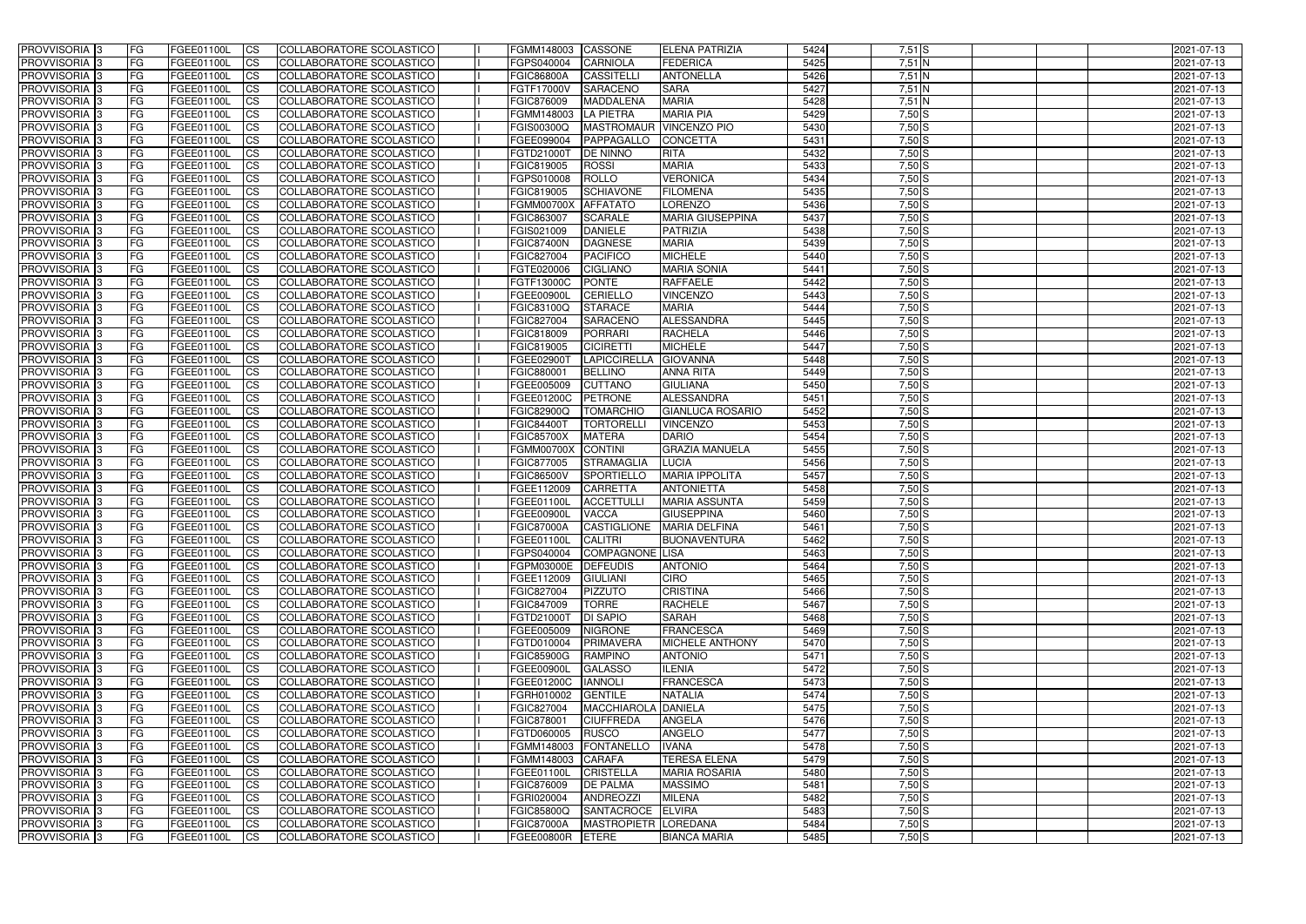| <b>PROVVISORIA</b> 3       | l FG      | FGEE01100L        | <b>ICS</b>             | COLLABORATORE SCOLASTICO        | FGMM148003          | CASSONE              | ELENA PATRIZIA            | 5424 | $7,51$ S | 2021-07-13 |
|----------------------------|-----------|-------------------|------------------------|---------------------------------|---------------------|----------------------|---------------------------|------|----------|------------|
| <b>PROVVISORIA 3</b>       | FG        | FGEE01100L        | <b>ICS</b>             | COLLABORATORE SCOLASTICO        | FGPS040004          | <b>CARNIOLA</b>      | <b>FEDERICA</b>           | 5425 | $7,51$ N | 2021-07-13 |
| PROVVISORIA <sup>1</sup> 3 | FG        | FGEE01100L        | <b>CS</b>              | <b>COLLABORATORE SCOLASTICO</b> | <b>FGIC86800A</b>   | <b>CASSITELL</b>     | <b>ANTONELLA</b>          | 5426 | $7,51$ N | 2021-07-13 |
| PROVVISORIA                | FG        | FGEE01100L        | <b>CS</b>              | COLLABORATORE SCOLASTICO        | FGTF17000V          | <b>SARACENO</b>      | <b>SARA</b>               | 5427 | $7,51$ N | 2021-07-13 |
| PROVVISORIA <sup>1</sup> 3 | FG        | FGEE01100L        | <b>CS</b>              | COLLABORATORE SCOLASTICO        | FGIC876009          | <b>MADDALENA</b>     | <b>MARIA</b>              | 5428 | 7,51 N   | 2021-07-13 |
| PROVVISORIA <sup>1</sup> 3 | FG        | FGEE01100L        | <b>CS</b>              | COLLABORATORE SCOLASTICO        | FGMM148003          | <b>LA PIETRA</b>     | <b>MARIA PIA</b>          | 5429 | $7,50$ S | 2021-07-13 |
| PROVVISORIA <sup>1</sup> 3 | FG        | FGEE01100L        | <b>CS</b>              | COLLABORATORE SCOLASTICO        | FGIS00300Q          |                      | MASTROMAUR VINCENZO PIO   | 5430 | $7,50$ S | 2021-07-13 |
| PROVVISORIA 3              | FG        | FGEE01100L        | <b>ICS</b>             | COLLABORATORE SCOLASTICO        | FGEE099004          | PAPPAGALLO           | <b>CONCETTA</b>           | 5431 | $7,50$ S | 2021-07-13 |
| PROVVISORIA 3              | FG        | FGEE01100L        | <b>CS</b>              | COLLABORATORE SCOLASTICO        | FGTD21000T          | <b>DE NINNO</b>      | <b>RITA</b>               | 5432 | $7,50$ S | 2021-07-13 |
| PROVVISORIA 3              | <b>FG</b> | FGEE01100L        | <b>ICS</b>             | COLLABORATORE SCOLASTICO        | FGIC819005          | <b>ROSSI</b>         | <b>MARIA</b>              | 5433 | $7,50$ S | 2021-07-13 |
| PROVVISORIA 3              | FG        | <b>FGEE01100L</b> | <b>ICS</b>             | COLLABORATORE SCOLASTICO        | FGPS010008          | <b>ROLLO</b>         | <b>VERONICA</b>           | 5434 | $7,50$ S | 2021-07-13 |
| <b>PROVVISORIA</b>         | FG        | FGEE01100L        | <b>ICS</b>             | COLLABORATORE SCOLASTICO        | FGIC819005          | <b>SCHIAVONE</b>     | <b>FILOMENA</b>           | 5435 | $7,50$ S | 2021-07-13 |
| <b>PROVVISORIA</b>         | FG        | FGEE01100L        | <b>ICS</b>             | COLLABORATORE SCOLASTICO        | <b>FGMM00700X</b>   | <b>AFFATATO</b>      | <b>LORENZO</b>            | 5436 | $7,50$ S | 2021-07-13 |
| <b>PROVVISORIA</b>         | FG        | FGEE01100L        | <b>ICS</b>             | COLLABORATORE SCOLASTICO        | FGIC863007          | <b>SCARALE</b>       | <b>MARIA GIUSEPPINA</b>   | 5437 | $7,50$ S | 2021-07-13 |
| <b>PROVVISORIA</b>         | FG        | FGEE01100L        | <b>ICS</b>             | COLLABORATORE SCOLASTICO        | FGIS021009          | <b>DANIELE</b>       | <b>PATRIZIA</b>           | 5438 | $7,50$ S | 2021-07-13 |
| <b>PROVVISORIA</b>         | FG        | FGEE01100L        | <b>ICS</b>             | COLLABORATORE SCOLASTICO        | <b>FGIC87400N</b>   | <b>DAGNESE</b>       | <b>MARIA</b>              | 5439 | $7,50$ S | 2021-07-13 |
| <b>PROVVISORIA</b>         | FG        | <b>FGEE01100L</b> | <b>ICS</b>             | COLLABORATORE SCOLASTICO        | FGIC827004          | <b>PACIFICO</b>      | <b>MICHELE</b>            | 5440 | $7,50$ S | 2021-07-13 |
| <b>PROVVISORIA</b>         | FG        | FGEE01100L        | <b>ICS</b>             | COLLABORATORE SCOLASTICO        | FGTE020006          | <b>CIGLIANO</b>      | <b>MARIA SONIA</b>        | 5441 | $7,50$ S | 2021-07-13 |
| PROVVISORIA <sup>3</sup>   | FG        | FGEE01100L        | <b>ICS</b>             | COLLABORATORE SCOLASTICO        | FGTF13000C          | <b>PONTE</b>         | <b>RAFFAELE</b>           | 5442 | $7,50$ S | 2021-07-13 |
| PROVVISORIA 3              | FG        | FGEE01100L        | <b>ICS</b>             | COLLABORATORE SCOLASTICO        | FGEE00900L          | <b>CERIELLO</b>      | <b>VINCENZO</b>           | 5443 | $7,50$ S | 2021-07-13 |
| PROVVISORIA <sup>1</sup> 3 | FG        | FGEE01100L        | <b>ICS</b>             | COLLABORATORE SCOLASTICO        | FGIC83100Q          | <b>STARACE</b>       | <b>MARIA</b>              | 5444 | $7,50$ S | 2021-07-13 |
| PROVVISORIA 3              | FG        | FGEE01100L        | <b>ICS</b>             | COLLABORATORE SCOLASTICO        | FGIC827004          | <b>SARACENC</b>      | <b>ALESSANDRA</b>         | 5445 | $7,50$ S | 2021-07-13 |
| PROVVISORIA 3              | FG        | FGEE01100L        | <b>ICS</b>             | <b>COLLABORATORE SCOLASTICO</b> | FGIC818009          | <b>PORRARI</b>       | <b>RACHELA</b>            | 5446 | $7,50$ S | 2021-07-13 |
| PROVVISORIA <sup>13</sup>  |           | FGEE01100L        |                        | COLLABORATORE SCOLASTICO        | FGIC819005          | <b>CICIRETTI</b>     | <b>MICHELE</b>            | 5447 | $7,50$ S |            |
| PROVVISORIA <sup>1</sup> 3 | FG        |                   | <b>CS</b>              | COLLABORATORE SCOLASTICO        | FGEE02900T          | <b>LAPICCIRELLA</b>  | <b>GIOVANNA</b>           | 5448 | $7,50$ S | 2021-07-13 |
|                            | FG        | FGEE01100L        | <b>CS</b>              |                                 |                     |                      |                           |      |          | 2021-07-13 |
| PROVVISORIA <sup>1</sup> 3 | FG        | FGEE01100L        | <b>ICS</b>             | COLLABORATORE SCOLASTICO        | FGIC880001          | <b>BELLINO</b>       | <b>ANNA RITA</b>          | 5449 | $7,50$ S | 2021-07-13 |
| PROVVISORIA 3              | FG        | FGEE01100L        | <b>ICS</b>             | COLLABORATORE SCOLASTICO        | FGEE005009          | <b>CUTTANO</b>       | <b>GIULIANA</b>           | 5450 | $7,50$ S | 2021-07-13 |
| PROVVISORIA                | FG        | FGEE01100L        | <b>ICS</b>             | COLLABORATORE SCOLASTICO        | FGEE01200C          | <b>PETRONE</b>       | ALESSANDRA                | 5451 | $7,50$ S | 2021-07-13 |
| PROVVISORIA                | FG        | FGEE01100L        | <b>CS</b>              | <b>COLLABORATORE SCOLASTICO</b> | FGIC82900Q          | <b>TOMARCHIO</b>     | <b>GIANLUCA ROSARIO</b>   | 5452 | $7,50$ S | 2021-07-13 |
| PROVVISORIA                | FG        | FGEE01100L        | <b>CS</b>              | COLLABORATORE SCOLASTICO        | FGIC84400T          | <b>TORTORELL</b>     | <b>VINCENZO</b>           | 5453 | $7,50$ S | 2021-07-13 |
| PROVVISORIA                | FG        | FGEE01100L        | <b>CS</b>              | COLLABORATORE SCOLASTICO        | <b>FGIC85700X</b>   | <b>MATERA</b>        | <b>DARIO</b>              | 5454 | $7,50$ S | 2021-07-13 |
| PROVVISORIA <sup>1</sup> 3 | FG        | FGEE01100L        | <b>CS</b>              | COLLABORATORE SCOLASTICO        | <b>FGMM00700X</b>   | <b>CONTINI</b>       | <b>GRAZIA MANUELA</b>     | 5455 | $7,50$ S | 2021-07-13 |
| PROVVISORIA <sup>1</sup> 3 | FG        | FGEE01100L        | <b>CS</b>              | COLLABORATORE SCOLASTICO        | FGIC877005          | <b>STRAMAGLIA</b>    | <b>LUCIA</b>              | 5456 | $7,50$ S | 2021-07-13 |
| PROVVISORIA 3              | FG        | FGEE01100L        | <b>CS</b>              | <b>COLLABORATORE SCOLASTICO</b> | <b>FGIC86500V</b>   | SPORTIELLO           | <b>MARIA IPPOLITA</b>     | 5457 | $7,50$ S | 2021-07-13 |
| <b>PROVVISORIA</b>         | FG        | FGEE01100L        | <b>ICS</b>             | COLLABORATORE SCOLASTICO        | FGEE112009          | <b>CARRETTA</b>      | <b>ANTONIETTA</b>         | 5458 | $7,50$ S | 2021-07-13 |
| PROVVISORIA <sup>1</sup> 3 | <b>FG</b> | FGEE01100L        | <b>ICS</b>             | COLLABORATORE SCOLASTICO        | FGEE01100L          | <b>ACCETTULL</b>     | <b>MARIA ASSUNTA</b>      | 5459 | $7,50$ S | 2021-07-13 |
| PROVVISORIA 3              | <b>FG</b> | FGEE01100L        | <b>ICS</b>             | COLLABORATORE SCOLASTICO        | FGEE00900L          | <b>VACCA</b>         | <b>GIUSEPPINA</b>         | 5460 | $7,50$ S | 2021-07-13 |
| <b>PROVVISORIA</b>         | <b>FG</b> | FGEE01100L        | <b>ICS</b>             | COLLABORATORE SCOLASTICO        | <b>FGIC87000A</b>   |                      | CASTIGLIONE MARIA DELFINA | 5461 | $7,50$ S | 2021-07-13 |
| PROVVISORIA 3              | FG        | FGEE01100L        | CS                     | COLLABORATORE SCOLASTICO        | FGEE01100L CALITRI  |                      | <b>BUONAVENTURA</b>       | 5462 | $7,50$ S | 2021-07-13 |
| <b>PROVVISORIA</b> 3       | <b>FG</b> | FGEE01100L        | $\mathsf{ICS}$         | COLLABORATORE SCOLASTICO        | FGPS040004          | COMPAGNONE LISA      |                           | 5463 | $7,50$ S | 2021-07-13 |
| PROVVISORIA 3              | <b>FG</b> | <b>FGEE01100L</b> | $\mathsf{ICS}$         | COLLABORATORE SCOLASTICO        | FGPM03000E DEFEUDIS |                      | <b>ANTONIO</b>            | 5464 | $7,50$ S | 2021-07-13 |
| PROVVISORIA 3              | <b>FG</b> | FGEE01100L        | $\mathsf{ICS}$         | COLLABORATORE SCOLASTICO        | FGEE112009          | <b>GIULIANI</b>      | <b>CIRO</b>               | 5465 | $7,50$ S | 2021-07-13 |
| PROVVISORIA 3              | FG        | FGEE01100L        | $\mathsf{ICS}$         | COLLABORATORE SCOLASTICO        | FGIC827004          | <b>PIZZUTO</b>       | <b>CRISTINA</b>           | 5466 | $7,50$ S | 2021-07-13 |
| PROVVISORIA 3              | l FG      | FGEE01100L        | <b>CS</b>              | COLLABORATORE SCOLASTICO        | FGIC847009          | <b>TORRE</b>         | <b>RACHELE</b>            | 5467 | $7,50$ S | 2021-07-13 |
| PROVVISORIA 3              | <b>FG</b> | FGEE01100L        | $\mathsf{ICS}$         | COLLABORATORE SCOLASTICO        | FGTD21000T          | <b>DI SAPIO</b>      | <b>SARAH</b>              | 5468 | $7,50$ S | 2021-07-13 |
| PROVVISORIA 3              | FG        | FGEE01100L        | <b>CS</b>              | COLLABORATORE SCOLASTICO        | FGEE005009          | <b>NIGRONE</b>       | FRANCESCA                 | 5469 | $7,50$ S | 2021-07-13 |
| PROVVISORIA 3              | <b>FG</b> | FGEE01100L        | <b>CS</b>              | COLLABORATORE SCOLASTICO        | FGTD010004          | <b>PRIMAVERA</b>     | <b>MICHELE ANTHONY</b>    | 5470 | $7,50$ S | 2021-07-13 |
| PROVVISORIA 3              | <b>FG</b> | FGEE01100L        | <b>CS</b>              | COLLABORATORE SCOLASTICO        | <b>FGIC85900G</b>   | RAMPINO              | <b>ANTONIO</b>            | 5471 | $7,50$ S | 2021-07-13 |
| PROVVISORIA 3              | <b>FG</b> | FGEE01100L        | <b>CS</b>              | COLLABORATORE SCOLASTICO        | FGEE00900L          | <b>GALASSO</b>       | <b>ILENIA</b>             | 5472 | $7,50$ S | 2021-07-13 |
| PROVVISORIA 3              | <b>FG</b> | FGEE01100L        | <b>CS</b>              | COLLABORATORE SCOLASTICO        | FGEE01200C          | <b>IANNOLI</b>       | <b>FRANCESCA</b>          | 5473 | $7,50$ S | 2021-07-13 |
| PROVVISORIA 3              | <b>FG</b> | FGEE01100L        | <b>CS</b>              | COLLABORATORE SCOLASTICO        | FGRH010002          | <b>GENTILE</b>       | <b>NATALIA</b>            | 5474 | $7,50$ S | 2021-07-13 |
| PROVVISORIA 3              | <b>FG</b> | FGEE01100L        | <b>CS</b>              | COLLABORATORE SCOLASTICO        | FGIC827004          | MACCHIAROLA DANIELA  |                           | 5475 | $7,50$ S | 2021-07-13 |
| PROVVISORIA 3              | <b>FG</b> | FGEE01100L        | <b>CS</b>              | COLLABORATORE SCOLASTICO        | FGIC878001          | <b>CIUFFREDA</b>     | <b>ANGELA</b>             | 5476 | $7,50$ S | 2021-07-13 |
| PROVVISORIA 3              | <b>FG</b> | FGEE01100L        | <b>CS</b>              | COLLABORATORE SCOLASTICO        | FGTD060005 RUSCO    |                      | <b>ANGELO</b>             | 5477 | $7,50$ S | 2021-07-13 |
| PROVVISORIA 3              | <b>FG</b> | FGEE01100L        | <b>CS</b>              | COLLABORATORE SCOLASTICO        | FGMM148003          | FONTANELLO           | <b>IVANA</b>              | 5478 | $7,50$ S | 2021-07-13 |
| PROVVISORIA 3              | <b>FG</b> | FGEE01100L        | <b>CS</b>              | COLLABORATORE SCOLASTICO        | FGMM148003 CARAFA   |                      | <b>TERESA ELENA</b>       | 5479 | $7,50$ S | 2021-07-13 |
| PROVVISORIA 3              | <b>FG</b> | FGEE01100L        | <b>CS</b>              | COLLABORATORE SCOLASTICO        | FGEE01100L          | <b>CRISTELLA</b>     | <b>MARIA ROSARIA</b>      | 5480 | $7,50$ S | 2021-07-13 |
| PROVVISORIA 3              | FG        | FGEE01100L        | <b>CS</b>              | COLLABORATORE SCOLASTICO        | FGIC876009          | <b>DE PALMA</b>      | <b>MASSIMO</b>            | 5481 | $7,50$ S | 2021-07-13 |
| PROVVISORIA 3              | FG        | <b>FGEE01100L</b> | <b>CS</b>              | COLLABORATORE SCOLASTICO        | FGRI020004          | ANDREOZZI            | <b>MILENA</b>             | 5482 | $7,50$ S | 2021-07-13 |
| PROVVISORIA 3              | <b>FG</b> | FGEE01100L        | <b>CS</b>              | COLLABORATORE SCOLASTICO        | <b>FGIC85800Q</b>   | SANTACROCE           | <b>ELVIRA</b>             | 5483 | $7,50$ S | 2021-07-13 |
| PROVVISORIA 3              | <b>FG</b> | FGEE01100L        | $\overline{\text{CS}}$ | COLLABORATORE SCOLASTICO        | <b>FGIC87000A</b>   | MASTROPIETR LOREDANA |                           | 5484 | $7,50$ S | 2021-07-13 |
| PROVVISORIA 3              | <b>FG</b> | FGEE01100L        | $\overline{\text{CS}}$ | COLLABORATORE SCOLASTICO        | <b>FGEE00800R</b>   | <b>ETERE</b>         | <b>BIANCA MARIA</b>       | 5485 | $7,50$ S | 2021-07-13 |
|                            |           |                   |                        |                                 |                     |                      |                           |      |          |            |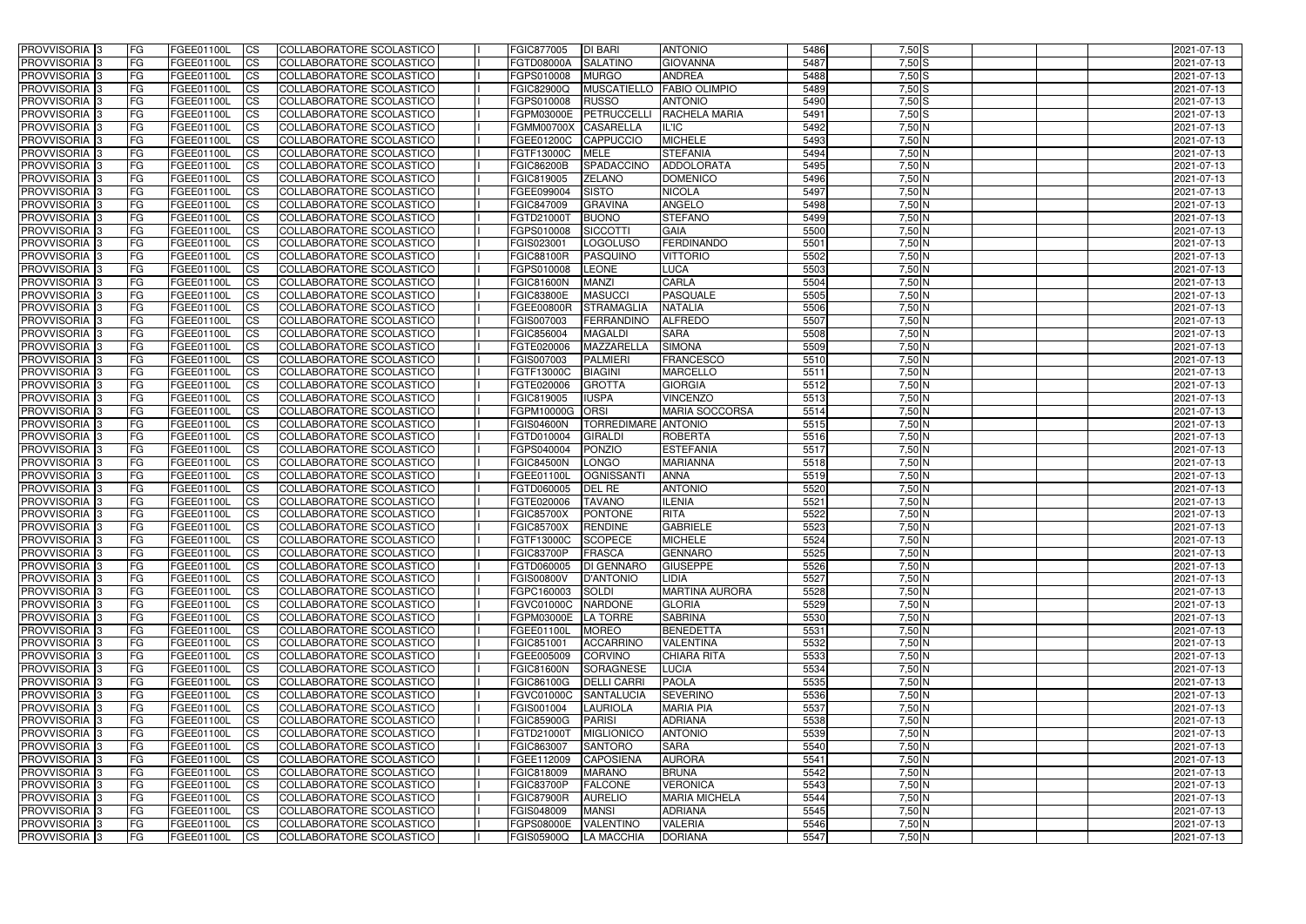| <b>PROVVISORIA</b> 3                      | l FG                   | FGEE01100L               | <b>ICS</b>             | COLLABORATORE SCOLASTICO                                    | FGIC877005                      | <b>DI BARI</b>                       | <b>ANTONIO</b>                      | 5486         | $7,50$ S             | 2021-07-13               |
|-------------------------------------------|------------------------|--------------------------|------------------------|-------------------------------------------------------------|---------------------------------|--------------------------------------|-------------------------------------|--------------|----------------------|--------------------------|
| <b>PROVVISORIA 3</b>                      | FG                     | FGEE01100L               | <b>ICS</b>             | COLLABORATORE SCOLASTICO                                    | FGTD08000A                      | <b>SALATINO</b>                      | <b>GIOVANNA</b>                     | 5487         | $7,50$ S             | 2021-07-13               |
| PROVVISORIA <sup>1</sup> 3                | FG                     | FGEE01100L               | <b>CS</b>              | COLLABORATORE SCOLASTICO                                    | FGPS010008                      | <b>MURGO</b>                         | <b>ANDREA</b>                       | 5488         | $7,50$ S             | 2021-07-13               |
| <b>PROVVISORIA</b>                        | FG                     | FGEE01100L               | <b>CS</b>              | COLLABORATORE SCOLASTICO                                    | FGIC82900Q                      |                                      | MUSCATIELLO FABIO OLIMPIO           | 5489         | $7,50$ S             | 2021-07-13               |
| <b>PROVVISORIA 3</b>                      | FG                     | FGEE01100L               | <b>CS</b>              | COLLABORATORE SCOLASTICO                                    | FGPS010008                      | <b>RUSSO</b>                         | <b>ANTONIO</b>                      | 5490         | $7,50$ S             | 2021-07-13               |
| PROVVISORIA <sup>1</sup> 3                | FG                     | FGEE01100L               | <b>CS</b>              | COLLABORATORE SCOLASTICO                                    | <b>FGPM03000E</b>               | PETRUCCELLI                          | <b>RACHELA MARIA</b>                | 5491         | $7,50$ S             | 2021-07-13               |
| PROVVISORIA <sup>1</sup> 3                | FG                     | FGEE01100L               | <b>CS</b>              | COLLABORATORE SCOLASTICO                                    | FGMM00700X CASARELLA            |                                      | IL'IC                               | 5492         | $7,50$ N             | 2021-07-13               |
| PROVVISORIA 3                             | FG                     | FGEE01100L               | <b>ICS</b>             | COLLABORATORE SCOLASTICO                                    | FGEE01200C                      | CAPPUCCIO                            | <b>MICHELE</b>                      | 5493         | $7,50$ N             | 2021-07-13               |
| PROVVISORIA 3                             | <b>FG</b>              | FGEE01100L               | <b>CS</b>              | COLLABORATORE SCOLASTICO                                    | FGTF13000C                      | <b>MELE</b>                          | <b>STEFANIA</b>                     | 5494         | $7,50$ N             | 2021-07-13               |
| PROVVISORIA 3                             | <b>FG</b>              | FGEE01100L               | <b>ICS</b>             | COLLABORATORE SCOLASTICO                                    | <b>FGIC86200B</b>               | SPADACCINO                           | ADDOLORATA                          | 5495         | $7,50$ N             | 2021-07-13               |
| PROVVISORIA 3                             | FG                     | <b>FGEE01100L</b>        | <b>ICS</b>             | COLLABORATORE SCOLASTICO                                    | FGIC819005                      | <b>ZELANO</b>                        | <b>DOMENICO</b>                     | 5496         | $7,50$ N             | 2021-07-13               |
| <b>PROVVISORIA</b>                        | FG                     | FGEE01100L               | <b>ICS</b>             | COLLABORATORE SCOLASTICO                                    | FGEE099004                      | <b>SISTO</b>                         | <b>NICOLA</b>                       | 5497         | 7,50 N               | 2021-07-13               |
| <b>PROVVISORIA</b>                        | FG                     | FGEE01100L               | <b>ICS</b>             | COLLABORATORE SCOLASTICO                                    | <b>FGIC847009</b>               | <b>GRAVINA</b>                       | <b>ANGELO</b>                       | 5498         | $7,50$ N             | 2021-07-13               |
| <b>PROVVISORIA</b>                        | FG                     | FGEE01100L               | <b>ICS</b>             | COLLABORATORE SCOLASTICO                                    | FGTD21000T                      | <b>BUONO</b>                         | <b>STEFANO</b>                      | 5499         | $7,50$ N             | 2021-07-13               |
| <b>PROVVISORIA</b>                        | FG                     | FGEE01100L               | <b>ICS</b>             | COLLABORATORE SCOLASTICO                                    | FGPS010008                      | SICCOTTI                             | <b>GAIA</b>                         | 5500         | $7,50$ N             | 2021-07-13               |
| <b>PROVVISORIA</b>                        | FG                     | FGEE01100L               | <b>ICS</b>             | COLLABORATORE SCOLASTICO                                    | FGIS023001                      | <b>LOGOLUSO</b>                      | <b>FERDINANDO</b>                   | 5501         | 7,50 N               | 2021-07-13               |
| <b>PROVVISORIA</b>                        | FG                     | FGEE01100L               | <b>ICS</b>             | COLLABORATORE SCOLASTICO                                    | <b>FGIC88100R</b>               | <b>PASQUINO</b>                      | <b>VITTORIO</b>                     | 5502         | 7,50 N               | 2021-07-13               |
| <b>PROVVISORIA</b>                        | FG                     | FGEE01100L               | <b>ICS</b>             | COLLABORATORE SCOLASTICO                                    | FGPS010008                      | <b>LEONE</b>                         | <b>LUCA</b>                         | 5503         | $7,50$ N             | 2021-07-13               |
| PROVVISORIA <sup>3</sup>                  | FG                     | FGEE01100L               | <b>ICS</b>             | COLLABORATORE SCOLASTICO                                    | <b>FGIC81600N</b>               | <b>MANZI</b>                         | <b>CARLA</b>                        | 5504         | $7,50$ N             | 2021-07-13               |
| PROVVISORIA 3                             | FG                     | FGEE01100L               | <b>ICS</b>             | COLLABORATORE SCOLASTICO                                    | <b>FGIC83800E</b>               | <b>MASUCCI</b>                       | <b>PASQUALE</b>                     | 5505         | 7,50 N               | 2021-07-13               |
| PROVVISORIA <sup>3</sup>                  | FG                     | FGEE01100L               | <b>ICS</b>             | COLLABORATORE SCOLASTICO                                    | FGEE00800R                      | <b>STRAMAGLIA</b>                    | <b>NATALIA</b>                      | 5506         | $7,50$ N             | 2021-07-13               |
| PROVVISORIA 3<br>PROVVISORIA <sup>3</sup> | FG                     | FGEE01100L               | <b>ICS</b>             | COLLABORATORE SCOLASTICO                                    | FGIS007003                      | FERRANDINO                           | <b>ALFREDO</b><br><b>SARA</b>       | 5507<br>5508 | $7,50$ N<br>$7,50$ N | 2021-07-13               |
| PROVVISORIA <sup>3</sup>                  | FG                     | FGEE01100L<br>FGEE01100L | <b>ICS</b>             | <b>COLLABORATORE SCOLASTICO</b>                             | FGIC856004<br>FGTE020006        | <b>MAGALDI</b><br>MAZZARELLA         | <b>SIMONA</b>                       | 5509         | $7,50$ N             | 2021-07-13               |
| PROVVISORIA <sup>3</sup>                  | FG<br>FG               | FGEE01100L               | <b>CS</b><br><b>CS</b> | COLLABORATORE SCOLASTICO<br><b>COLLABORATORE SCOLASTICO</b> | FGIS007003                      | <b>PALMIERI</b>                      | <b>FRANCESCO</b>                    | 5510         | $7,50$ N             | 2021-07-13<br>2021-07-13 |
| PROVVISORIA <sup>1</sup> 3                | FG                     | FGEE01100L               | <b>ICS</b>             | COLLABORATORE SCOLASTICO                                    | FGTF13000C                      | <b>BIAGINI</b>                       | <b>MARCELLO</b>                     | 5511         | $7,50$ N             | 2021-07-13               |
| PROVVISORIA 3                             | FG                     | FGEE01100L               | <b>ICS</b>             | COLLABORATORE SCOLASTICO                                    | FGTE020006                      | <b>GROTTA</b>                        | <b>GIORGIA</b>                      | 5512         | $7,50$ N             | 2021-07-13               |
| PROVVISORIA                               | FG                     | FGEE01100L               | <b>ICS</b>             | COLLABORATORE SCOLASTICO                                    | FGIC819005                      | <b>IUSPA</b>                         | <b>VINCENZO</b>                     | 5513         | $7,50$ N             | 2021-07-13               |
| PROVVISORIA                               | FG                     | FGEE01100L               | <b>CS</b>              | <b>COLLABORATORE SCOLASTICO</b>                             | FGPM10000G                      | <b>ORSI</b>                          | <b>MARIA SOCCORSA</b>               | 5514         | $7,50$ N             | 2021-07-13               |
| PROVVISORIA                               | FG                     | FGEE01100L               | <b>CS</b>              | COLLABORATORE SCOLASTICO                                    | <b>FGIS04600N</b>               | <b>TORREDIMARE ANTONIO</b>           |                                     | 5515         | $7,50$ N             | 2021-07-13               |
| PROVVISORIA                               | FG                     | FGEE01100L               | <b>CS</b>              | COLLABORATORE SCOLASTICO                                    | FGTD010004                      | <b>GIRALDI</b>                       | <b>ROBERTA</b>                      | 5516         | 7,50 N               | 2021-07-13               |
| PROVVISORIA <sup>1</sup> 3                | FG                     | FGEE01100L               | <b>CS</b>              | COLLABORATORE SCOLASTICO                                    | FGPS040004                      | <b>PONZIO</b>                        | <b>ESTEFANIA</b>                    | 5517         | $7,50$ N             | 2021-07-13               |
| PROVVISORIA <sup>1</sup> 3                | FG                     | FGEE01100L               | <b>CS</b>              | COLLABORATORE SCOLASTICO                                    | <b>FGIC84500N</b>               | LONGO                                | <b>MARIANNA</b>                     | 5518         | $7,50$ N             | 2021-07-13               |
| PROVVISORIA 3                             | FG                     | FGEE01100L               | <b>CS</b>              | COLLABORATORE SCOLASTICO                                    | FGEE01100L                      | <b>OGNISSANTI</b>                    | <b>ANNA</b>                         | 5519         | $7,50$ N             | 2021-07-13               |
| PROVVISORIA 3                             | FG                     | FGEE01100L               | <b>ICS</b>             | COLLABORATORE SCOLASTICO                                    | FGTD060005                      | DEL RE                               | <b>ANTONIO</b>                      | 5520         | $7,50$ N             | 2021-07-13               |
| PROVVISORIA 3                             | <b>FG</b>              | FGEE01100L               | <b>ICS</b>             | COLLABORATORE SCOLASTICO                                    | FGTE020006                      | <b>TAVANO</b>                        | <b>ILENIA</b>                       | 5521         | $7,50$ N             | 2021-07-13               |
| PROVVISORIA 3                             | <b>FG</b>              | FGEE01100L               | <b>ICS</b>             | COLLABORATORE SCOLASTICO                                    | <b>FGIC85700X</b>               | <b>PONTONE</b>                       | <b>RITA</b>                         | 5522         | $7,50$ N             | 2021-07-13               |
| <b>PROVVISORIA</b>                        | <b>FG</b>              | FGEE01100L               | <b>ICS</b>             | COLLABORATORE SCOLASTICO                                    | <b>FGIC85700X</b>               | <b>RENDINE</b>                       | <b>GABRIELE</b>                     | 5523         | $7,50$ N             | 2021-07-13               |
| PROVVISORIA 3                             | FG                     | FGEE01100L               | CS                     | COLLABORATORE SCOLASTICO                                    | FGTF13000C SCOPECE              |                                      | <b>MICHELE</b>                      | 5524         | 7,50 N               | 2021-07-13               |
| PROVVISORIA 3                             | <b>FG</b>              | FGEE01100L               | $\mathsf{ICS}$         | COLLABORATORE SCOLASTICO                                    | FGIC83700P                      | <b>FRASCA</b>                        | <b>GENNARO</b>                      | 5525         | $7,50$ N             | 2021-07-13               |
| PROVVISORIA 3                             | <b>FG</b>              | <b>FGEE01100L</b>        | $\mathsf{ICS}$         | COLLABORATORE SCOLASTICO                                    | FGTD060005 DI GENNARO           |                                      | <b>GIUSEPPE</b>                     | 5526         | $7,50$ N             | 2021-07-13               |
| PROVVISORIA 3                             | <b>FG</b>              | FGEE01100L               | $\mathsf{ICS}$         | COLLABORATORE SCOLASTICO                                    | <b>FGIS00800V</b>               | D'ANTONIO                            | LIDIA                               | 5527         | $7,50$ N             | 2021-07-13               |
| PROVVISORIA 3                             | FG                     | FGEE01100L               | $\mathsf{ICS}$         | COLLABORATORE SCOLASTICO                                    | FGPC160003                      | SOLDI                                | <b>MARTINA AURORA</b>               | 5528         | $7,50$ N             | 2021-07-13               |
| PROVVISORIA 3                             | l FG                   | FGEE01100L               | $\overline{\text{CS}}$ | COLLABORATORE SCOLASTICO                                    | <b>FGVC01000C</b>               | <b>NARDONE</b>                       | <b>GLORIA</b>                       | 5529         | $7,50$ N             | 2021-07-13               |
| PROVVISORIA 3                             | <b>FG</b>              | FGEE01100L               | $\mathsf{ICS}$         | COLLABORATORE SCOLASTICO                                    | FGPM03000E                      | <b>LA TORRE</b>                      | <b>SABRINA</b>                      | 5530         | $7,50$ N             | 2021-07-13               |
| PROVVISORIA 3                             | FG                     | FGEE01100L               | <b>CS</b>              | COLLABORATORE SCOLASTICO                                    | FGEE01100L                      | <b>MOREO</b>                         | <b>BENEDETTA</b>                    | 5531         | $7,50$ N             | 2021-07-13               |
| PROVVISORIA 3                             | <b>FG</b>              | FGEE01100L               | <b>CS</b>              | COLLABORATORE SCOLASTICO                                    | FGIC851001                      | <b>ACCARRINO</b>                     | <b>VALENTINA</b>                    | 5532         | $7,50$ N             | 2021-07-13               |
| PROVVISORIA 3                             | <b>FG</b>              | FGEE01100L               | <b>CS</b>              | COLLABORATORE SCOLASTICO                                    | FGEE005009                      | <b>CORVINO</b>                       | <b>CHIARA RITA</b>                  | 5533         | $7,50$ N             | 2021-07-13               |
| PROVVISORIA 3<br>PROVVISORIA 3            | <b>FG</b><br><b>FG</b> | FGEE01100L               | <b>CS</b>              | COLLABORATORE SCOLASTICO                                    | FGIC81600N                      | SORAGNESE<br><b>DELLI CARRI</b>      | <b>LUCIA</b><br><b>PAOLA</b>        | 5534<br>5535 | $7,50$ N<br>$7,50$ N | 2021-07-13<br>2021-07-13 |
|                                           |                        | FGEE01100L               | <b>CS</b>              | COLLABORATORE SCOLASTICO                                    | <b>FGIC86100G</b>               |                                      |                                     |              | $7,50$ N             |                          |
| PROVVISORIA 3<br>PROVVISORIA 3            | <b>FG</b><br><b>FG</b> | FGEE01100L<br>FGEE01100L | <b>CS</b><br><b>CS</b> | COLLABORATORE SCOLASTICO<br>COLLABORATORE SCOLASTICO        | <b>FGVC01000C</b><br>FGIS001004 | <b>SANTALUCIA</b><br><b>LAURIOLA</b> | <b>SEVERINO</b><br><b>MARIA PIA</b> | 5536<br>5537 | $7,50$ N             | 2021-07-13<br>2021-07-13 |
| PROVVISORIA 3                             | <b>FG</b>              | FGEE01100L               | <b>CS</b>              | COLLABORATORE SCOLASTICO                                    | <b>FGIC85900G</b>               | <b>PARISI</b>                        | <b>ADRIANA</b>                      | 5538         | $7,50$ N             | 2021-07-13               |
| PROVVISORIA 3                             | <b>FG</b>              | FGEE01100L               | <b>CS</b>              | COLLABORATORE SCOLASTICO                                    | FGTD21000T                      | MIGLIONICO                           | <b>ANTONIO</b>                      | 5539         | $7,50$ N             | 2021-07-13               |
| PROVVISORIA 3                             | <b>FG</b>              | FGEE01100L               | <b>CS</b>              | COLLABORATORE SCOLASTICO                                    | FGIC863007                      | <b>SANTORO</b>                       | <b>SARA</b>                         | 5540         | 7,50 N               | 2021-07-13               |
| PROVVISORIA 3                             | <b>FG</b>              | FGEE01100L               | <b>CS</b>              | COLLABORATORE SCOLASTICO                                    | FGEE112009                      | <b>CAPOSIENA</b>                     | <b>AURORA</b>                       | 5541         | $7,50$ N             | 2021-07-13               |
| PROVVISORIA 3                             | <b>FG</b>              | FGEE01100L               | <b>CS</b>              | COLLABORATORE SCOLASTICO                                    | FGIC818009                      | <b>MARANO</b>                        | <b>BRUNA</b>                        | 5542         | $7,50$ N             | 2021-07-13               |
| PROVVISORIA 3                             | FG                     | FGEE01100L               | <b>CS</b>              | COLLABORATORE SCOLASTICO                                    | <b>FGIC83700P</b>               | <b>FALCONE</b>                       | <b>VERONICA</b>                     | 5543         | $7,50$ N             | 2021-07-13               |
| PROVVISORIA 3                             | FG                     | <b>FGEE01100L</b>        | <b>CS</b>              | COLLABORATORE SCOLASTICO                                    | <b>FGIC87900R</b>               | <b>AURELIO</b>                       | <b>MARIA MICHELA</b>                | 5544         | $7,50$ N             | 2021-07-13               |
| PROVVISORIA 3                             | <b>FG</b>              | FGEE01100L               | $\overline{\text{CS}}$ | COLLABORATORE SCOLASTICO                                    | FGIS048009                      | <b>MANSI</b>                         | <b>ADRIANA</b>                      | 5545         | $7,50$ N             | 2021-07-13               |
| PROVVISORIA 3                             | <b>FG</b>              | FGEE01100L               | $\overline{\text{CS}}$ | COLLABORATORE SCOLASTICO                                    | <b>FGPS08000E</b>               | VALENTINO                            | <b>VALERIA</b>                      | 5546         | $7,50$ N             | 2021-07-13               |
| PROVVISORIA 3                             | <b>FG</b>              | FGEE01100L               | $\overline{\text{CS}}$ | COLLABORATORE SCOLASTICO                                    | FGIS05900Q                      | <b>LA MACCHIA</b>                    | <b>DORIANA</b>                      | 5547         | $7,50$ N             | 2021-07-13               |
|                                           |                        |                          |                        |                                                             |                                 |                                      |                                     |              |                      |                          |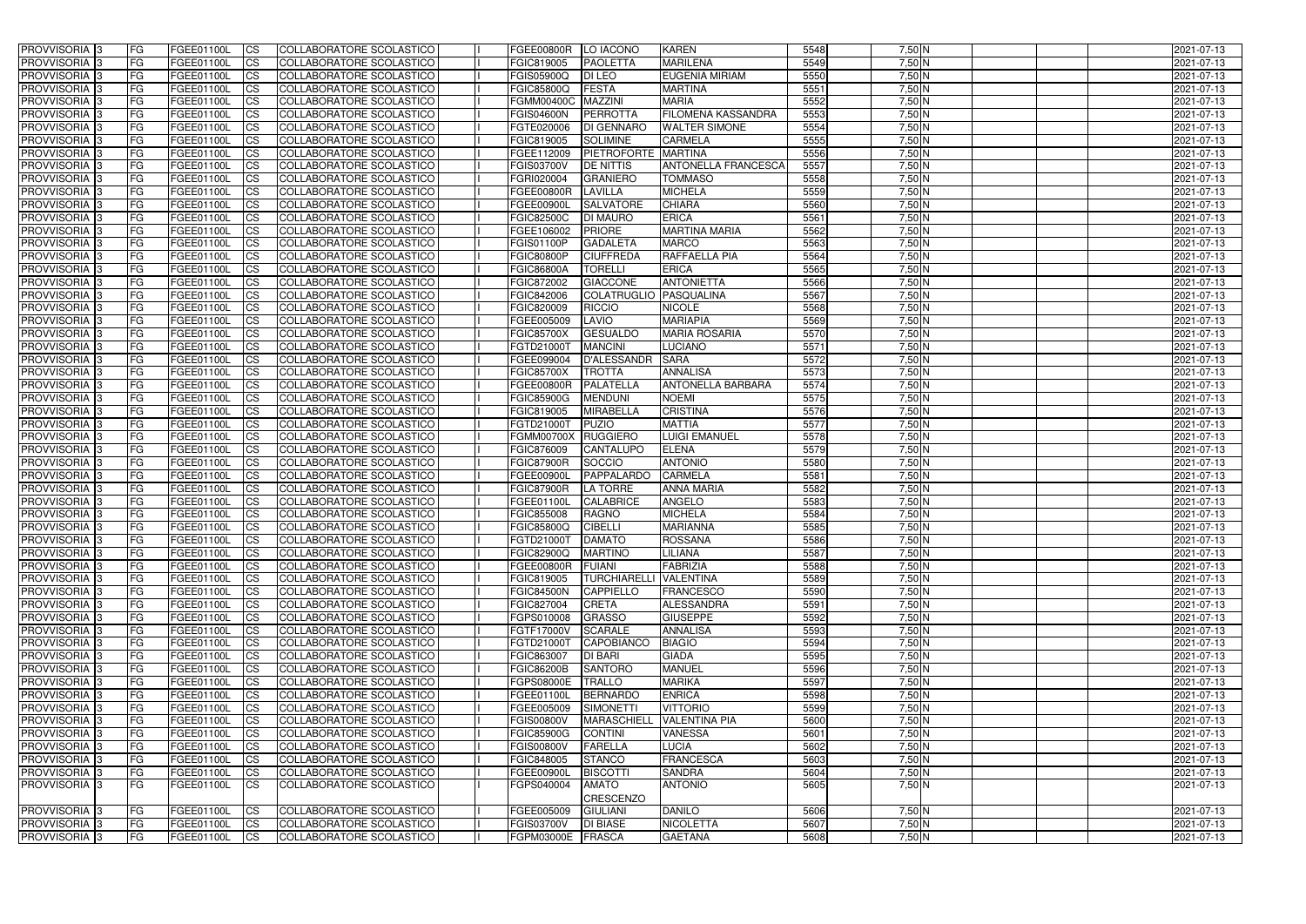| PROVVISORIA 3                                          | FG         | FGEE01100L               | <b>ICS</b>             | COLLABORATORE SCOLASTICO                             | FGEE00800R                      | LO IACONO                         | <b>KAREN</b>                  | 5548         | $7,50$ N             | 2021-07-13               |
|--------------------------------------------------------|------------|--------------------------|------------------------|------------------------------------------------------|---------------------------------|-----------------------------------|-------------------------------|--------------|----------------------|--------------------------|
| PROVVISORIA <sup>3</sup>                               | FG         | FGEE01100L               | <b>CS</b>              | COLLABORATORE SCOLASTICO                             | FGIC819005                      | <b>PAOLETTA</b>                   | <b>MARILENA</b>               | 5549         | $7,50$ N             | 2021-07-13               |
| PROVVISORIA 3                                          | FG         | FGEE01100L               | <b>CS</b>              | COLLABORATORE SCOLASTICO                             | FGIS05900Q                      | <b>DI LEO</b>                     | <b>EUGENIA MIRIAM</b>         | 5550         | $7,50$ N             | 2021-07-13               |
| PROVVISORIA <sup>3</sup>                               | FG         | FGEE01100L               | <b>CS</b>              | COLLABORATORE SCOLASTICO                             | <b>FGIC85800Q</b>               | <b>FESTA</b>                      | <b>MARTINA</b>                | 5551         | $7,50$ N             | 2021-07-13               |
| PROVVISORIA 3                                          | <b>FG</b>  | FGEE01100L               | <b>CS</b>              | COLLABORATORE SCOLASTICO                             | <b>FGMM00400C</b>               | <b>MAZZINI</b>                    | <b>MARIA</b>                  | 5552         | $7,50$ N             | 2021-07-13               |
| PROVVISORIA <sup>3</sup>                               | FG         | FGEE01100L               | $\overline{c}$         | COLLABORATORE SCOLASTICO                             | <b>FGIS04600N</b>               | PERROTTA                          | FILOMENA KASSANDRA            | 5553         | $7,50$ N             | 2021-07-13               |
| PROVVISORIA <sup>3</sup>                               | FG         | FGEE01100L               | $\overline{c}$         | COLLABORATORE SCOLASTICO                             | FGTE020006                      | <b>DI GENNARO</b>                 | <b>WALTER SIMONE</b>          | 5554         | $7,50$ N             | 2021-07-13               |
| PROVVISORIA <sup>3</sup>                               | FG         | FGEE01100L               | $\overline{\text{cs}}$ | COLLABORATORE SCOLASTICO                             | FGIC819005                      | <b>SOLIMINE</b>                   | <b>CARMELA</b>                | 5555         | $7,50$ N             | 2021-07-13               |
| PROVVISORIA <sup>3</sup>                               | FG         | FGEE01100L               | <b>CS</b>              | COLLABORATORE SCOLASTICO                             | FGEE112009                      | PIETROFORTE MARTINA               |                               | 5556         | $7,50$ N             | 2021-07-13               |
| <b>PROVVISORIA</b> 3                                   | FG         | FGEE01100L               | <b>I</b> CS            | COLLABORATORE SCOLASTICO                             | <b>FGIS03700V</b>               | <b>DE NITTIS</b>                  | <b>ANTONELLA FRANCESCA</b>    | 5557         | $7,50$ N             | 2021-07-13               |
| PROVVISORIA <sup>3</sup>                               | FG         | FGEE01100L               | <b>I</b> CS            | COLLABORATORE SCOLASTICO                             | FGRI020004                      | <b>GRANIERO</b>                   | <b>TOMMASO</b>                | 5558         | $7,50$ N             | 2021-07-13               |
| PROVVISORIA <sup>3</sup>                               | FG         | FGEE01100L               | <b>CS</b>              | COLLABORATORE SCOLASTICO                             | <b>FGEE00800R</b>               | <b>LAVILLA</b>                    | <b>MICHELA</b>                | 5559         | 7,50 N               | 2021-07-13               |
| PROVVISORIA <sup>3</sup>                               | FG         | FGEE01100L               | <b>I</b> CS            | COLLABORATORE SCOLASTICO                             | <b>FGEE00900L</b>               | <b>SALVATORE</b>                  | <b>CHIARA</b>                 | 5560         | $7,50$ N             | 2021-07-13               |
| PROVVISORIA <sup>3</sup>                               | FG         | FGEE01100L               | <b>CS</b>              | COLLABORATORE SCOLASTICO                             | <b>FGIC82500C</b>               | <b>DI MAURO</b>                   | <b>ERICA</b>                  | 5561         | $7,50$ N             | 2021-07-13               |
| PROVVISORIA <sup>3</sup>                               | FG         | FGEE01100L               | <b>CS</b>              | COLLABORATORE SCOLASTICO                             | FGEE106002                      | <b>PRIORE</b>                     | <b>MARTINA MARIA</b>          | 5562         | $7,50$ N             | 2021-07-13               |
| PROVVISORIA <sup>3</sup>                               | FG         | FGEE01100L               | <b>ICS</b>             | COLLABORATORE SCOLASTICO                             | <b>FGIS01100P</b>               | <b>GADALETA</b>                   | <b>MARCO</b>                  | 5563         | $7,50$ N             | 2021-07-13               |
| PROVVISORIA <sup>3</sup>                               | FG.        | <b>FGEE01100L</b>        | <b>CS</b>              | COLLABORATORE SCOLASTICO                             | <b>FGIC80800P</b>               | <b>CIUFFREDA</b>                  | <b>RAFFAELLA PIA</b>          | 5564         | $7,50$ N             | 2021-07-13               |
| PROVVISORIA <sup>3</sup>                               | FG         | FGEE01100L               | <b>CS</b>              | COLLABORATORE SCOLASTICO                             | <b>FGIC86800A</b>               | <b>TORELLI</b>                    | <b>ERICA</b>                  | 5565         | $7,50$ N             | 2021-07-13               |
| PROVVISORIA <sup>3</sup>                               | FG         | <b>FGEE01100L</b>        | <b>CS</b>              | COLLABORATORE SCOLASTICO                             | FGIC872002                      | <b>GIACCONE</b>                   | <b>ANTONIETTA</b>             | 5566         | $7,50$ N             | 2021-07-13               |
| PROVVISORIA <sup>3</sup>                               | FG         | <b>FGEE01100L</b>        | <b>CS</b>              | COLLABORATORE SCOLASTICO                             | FGIC842006                      | <b>COLATRUGLIO</b>                | PASQUALINA                    | 5567         | $7,50$ N             | 2021-07-13               |
| <b>PROVVISORIA</b> 3                                   | FG         | <b>FGEE01100L</b>        | <b>CS</b>              | COLLABORATORE SCOLASTICO                             | FGIC820009                      | <b>RICCIO</b>                     | <b>NICOLE</b>                 | 5568         | $7,50$ N             | 2021-07-13               |
| PROVVISORIA <sup>3</sup>                               | FG         | <b>FGEE01100L</b>        | <b>CS</b>              | COLLABORATORE SCOLASTICO                             | FGEE005009                      | LAVIO                             | <b>MARIAPIA</b>               | 5569         | $7,50$ N             | 2021-07-13               |
| PROVVISORIA <sup>1</sup> 3                             | FG.        | FGEE01100L               | <b>CS</b>              | COLLABORATORE SCOLASTICO                             | <b>FGIC85700X</b>               | <b>GESUALDO</b><br><b>MANCINI</b> | <b>MARIA ROSARIA</b>          | 5570<br>5571 | $7,50$ N<br>$7,50$ N | 2021-07-13               |
| PROVVISORIA <sup>1</sup> 3<br>PROVVISORIA <sup>3</sup> | FG         | FGEE01100L<br>FGEE01100L | ICS<br><b>CS</b>       | COLLABORATORE SCOLASTICO<br>COLLABORATORE SCOLASTICO | FGTD21000T                      | <b>D'ALESSANDR</b>                | <b>LUCIANO</b><br><b>SARA</b> | 5572         | $7,50$ N             | 2021-07-13               |
| PROVVISORIA <sup>3</sup>                               | FG<br>FG   | FGEE01100L               | <b>CS</b>              | COLLABORATORE SCOLASTICO                             | FGEE099004<br><b>FGIC85700X</b> | <b>TROTTA</b>                     | <b>ANNALISA</b>               | 5573         | $7,50$ N             | 2021-07-13<br>2021-07-13 |
| <b>PROVVISORIA</b> 3                                   | FG         | FGEE01100L               | <b>CS</b>              | COLLABORATORE SCOLASTICO                             | <b>FGEE00800R</b>               | PALATELLA                         | <b>ANTONELLA BARBARA</b>      | 5574         | $7,50$ N             | 2021-07-13               |
| PROVVISORIA <sup>3</sup>                               | FG         | FGEE01100L               | <b>CS</b>              | COLLABORATORE SCOLASTICO                             | <b>FGIC85900G</b>               | <b>MENDUNI</b>                    | <b>NOEMI</b>                  | 5575         | 7,50 N               | 2021-07-13               |
| PROVVISORIA <sup>3</sup>                               | FG         | FGEE01100L               | <b>CS</b>              | COLLABORATORE SCOLASTICO                             | FGIC819005                      | <b>MIRABELLA</b>                  | <b>CRISTINA</b>               | 5576         | $7,50$ N             | 2021-07-13               |
| PROVVISORIA 3                                          | <b>FG</b>  | FGEE01100L               | <b>CS</b>              | COLLABORATORE SCOLASTICO                             | FGTD21000T                      | PUZIO                             | <b>MATTIA</b>                 | 5577         | $7,50$ N             | 2021-07-13               |
| PROVVISORIA 3                                          | FG         | FGEE01100L               | <b>CS</b>              | COLLABORATORE SCOLASTICO                             | <b>FGMM00700X</b>               | RUGGIERO                          | <b>LUIGI EMANUEL</b>          | 5578         | $7,50$ N             | 2021-07-13               |
| PROVVISORIA <sup>3</sup>                               | FG         | FGEE01100L               | $\overline{\text{cs}}$ | COLLABORATORE SCOLASTICO                             | FGIC876009                      | <b>CANTALUPO</b>                  | <b>ELENA</b>                  | 5579         | $7,50$ N             | 2021-07-13               |
| PROVVISORIA <sup>3</sup>                               | FG         | FGEE01100L               | $\overline{\text{cs}}$ | COLLABORATORE SCOLASTICO                             | <b>FGIC87900R</b>               | SOCCIO                            | <b>ANTONIO</b>                | 5580         | $7,50$ N             | 2021-07-13               |
| PROVVISORIA <sup>3</sup>                               | FG         | FGEE01100L               | <b>CS</b>              | <b>COLLABORATORE SCOLASTICO</b>                      | <b>FGEE00900L</b>               | PAPPALARDO                        | <b>CARMELA</b>                | 5581         | $7,50$ N             | 2021-07-13               |
| PROVVISORIA <sup>3</sup>                               | FG         | FGEE01100L               | <b>CS</b>              | COLLABORATORE SCOLASTICO                             | <b>FGIC87900R</b>               | <b>LA TORRE</b>                   | <b>ANNA MARIA</b>             | 5582         | $7,50$ N             | 2021-07-13               |
| PROVVISORIA <sup>3</sup>                               | FG         | FGEE01100L               | <b>CS</b>              | COLLABORATORE SCOLASTICO                             | <b>FGEE01100L</b>               | <b>CALABRICE</b>                  | <b>ANGELO</b>                 | 5583         | $7,50$ N             | 2021-07-13               |
| <b>PROVVISORIA</b> 3                                   | FG         | FGEE01100L               | <b>I</b> CS            | COLLABORATORE SCOLASTICO                             | <b>FGIC855008</b>               | <b>RAGNO</b>                      | <b>MICHELA</b>                | 5584         | $7,50$ N             | 2021-07-13               |
| PROVVISORIA <sup>3</sup>                               | FG.        | FGEE01100L               | <b>I</b> CS            | COLLABORATORE SCOLASTICO                             | <b>FGIC85800Q</b>               | <b>CIBELLI</b>                    | <b>MARIANNA</b>               | 5585         | $7,50$ N             | 2021-07-13               |
| PROVVISORIA <sup>3</sup>                               | IFG.       | FGEE01100L CS            |                        | COLLABORATORE SCOLASTICO                             | FGTD21000T DAMATO               |                                   | <b>ROSSANA</b>                | 5586         | $7,50$ N             | 2021-07-13               |
| PROVVISORIA <sup>3</sup>                               | FG.        | FGEE01100L               | $\mathsf{ICS}$         | COLLABORATORE SCOLASTICO                             | <b>FGIC82900Q</b>               | <b>MARTINO</b>                    | LILIANA                       | 5587         | $7,50$ N             | 2021-07-13               |
| PROVVISORIA 3                                          | FG         | <b>FGEE01100L</b>        | $\mathsf{ICS}$         | COLLABORATORE SCOLASTICO                             | FGEE00800R                      | <b>FUIANI</b>                     | <b>FABRIZIA</b>               | 5588         | $7,50$ N             | 2021-07-13               |
| PROVVISORIA 3                                          | FG         | FGEE01100L               | <b>ICS</b>             | COLLABORATORE SCOLASTICO                             | FGIC819005                      | TURCHIARELLI VALENTINA            |                               | 5589         | $7,50$ N             | 2021-07-13               |
| PROVVISORIA 3                                          | FG         | FGEE01100L               | <b>CS</b>              | COLLABORATORE SCOLASTICO                             | <b>FGIC84500N</b>               | CAPPIELLO                         | <b>FRANCESCO</b>              | 5590         | $7,50$ N             | 2021-07-13               |
| PROVVISORIA 3                                          | FG         | FGEE01100L               | <b>CS</b>              | COLLABORATORE SCOLASTICO                             | FGIC827004                      | <b>CRETA</b>                      | ALESSANDRA                    | 5591         | $7,50$ N             | 2021-07-13               |
| PROVVISORIA 3                                          | FG         | FGEE01100L               | <b>CS</b>              | COLLABORATORE SCOLASTICO                             | FGPS010008                      | <b>GRASSO</b>                     | <b>GIUSEPPE</b>               | 5592         | $7,50$ N             | 2021-07-13               |
| PROVVISORIA 3                                          | FG         | FGEE01100L               | <b>CS</b>              | COLLABORATORE SCOLASTICO                             | FGTF17000V                      | <b>SCARALE</b>                    | <b>ANNALISA</b>               | 5593         | $7,50$ N             | 2021-07-13               |
| PROVVISORIA 3                                          | FG         | FGEE01100L               | <b>CS</b>              | COLLABORATORE SCOLASTICO                             | FGTD21000T                      | CAPOBIANCO                        | <b>BIAGIO</b>                 | 5594         | $7,50$ N             | 2021-07-13               |
| PROVVISORIA 3                                          | FG         | FGEE01100L               | <b>CS</b>              | COLLABORATORE SCOLASTICO                             | FGIC863007                      | <b>DI BARI</b>                    | <b>GIADA</b>                  | 5595         | $7,50$ N             | 2021-07-13               |
| PROVVISORIA 3                                          | FG         | FGEE01100L               | <b>CS</b>              | COLLABORATORE SCOLASTICO                             | <b>FGIC86200B</b>               | <b>SANTORO</b>                    | <b>MANUEL</b>                 | 5596         | $7,50$ N             | 2021-07-13               |
| PROVVISORIA 3                                          | FG         | FGEE01100L               | <b>CS</b>              | COLLABORATORE SCOLASTICO                             | <b>FGPS08000E</b>               | <b>TRALLO</b>                     | <b>MARIKA</b>                 | 5597         | $7,50$ N             | 2021-07-13               |
| PROVVISORIA <sup>3</sup>                               | FG         | FGEE01100L               | <b>CS</b>              | COLLABORATORE SCOLASTICO                             | <b>FGEE01100L</b>               | <b>BERNARDO</b>                   | <b>ENRICA</b>                 | 5598         | $7,50$ N             | 2021-07-13               |
| PROVVISORIA 3                                          | <b>IFG</b> | FGEE01100L               | <b>CS</b>              | COLLABORATORE SCOLASTICO                             | FGEE005009                      | SIMONETTI                         | <b>VITTORIO</b>               | 5599         | $7,50$ N             | 2021-07-13               |
| PROVVISORIA 3                                          | FG         | FGEE01100L               | <b>CS</b>              | <b>COLLABORATORE SCOLASTICO</b>                      | <b>FGIS00800V</b>               | <b>MARASCHIELL</b>                | <b>VALENTINA PIA</b>          | 5600         | $7,50$ N             | 2021-07-13               |
| PROVVISORIA 3                                          | <b>IFG</b> | FGEE01100L               | <b>CS</b>              | COLLABORATORE SCOLASTICO                             | <b>FGIC85900G</b>               | <b>CONTINI</b>                    | <b>VANESSA</b>                | 5601         | $7,50$ N             | 2021-07-13               |
| PROVVISORIA 3                                          | <b>IFG</b> | FGEE01100L               | <b>CS</b>              | COLLABORATORE SCOLASTICO                             | <b>FGIS00800V</b>               | <b>FARELLA</b>                    | <b>LUCIA</b>                  | 5602         | $7,50$ N             | 2021-07-13               |
| PROVVISORIA 3                                          | FG         | FGEE01100L               | <b>CS</b>              | COLLABORATORE SCOLASTICO                             | FGIC848005                      | <b>STANCO</b>                     | <b>FRANCESCA</b>              | 5603         | $7,50$ N             | 2021-07-13               |
| PROVVISORIA 3                                          | FG<br>IFG. | FGEE01100L               | <b>CS</b>              | COLLABORATORE SCOLASTICO                             | FGEE00900L                      | <b>BISCOTTI</b>                   | <b>SANDRA</b>                 | 5604         | $7,50$ N             | 2021-07-13               |
| <b>PROVVISORIA</b> 3                                   |            | FGEE01100L               | <b>CS</b>              | COLLABORATORE SCOLASTICO                             | FGPS040004                      | <b>AMATO</b><br><b>CRESCENZO</b>  | <b>ANTONIO</b>                | 5605         | 7,50 N               | 2021-07-13               |
| <b>PROVVISORIA</b> 3                                   | FG         | FGEE01100L               | <b>ICS</b>             | COLLABORATORE SCOLASTICO                             | FGEE005009                      | <b>GIULIANI</b>                   | <b>DANILO</b>                 | 5606         | $7,50$ N             | 2021-07-13               |
| PROVVISORIA 3                                          | FG         | FGEE01100L               | <b>CS</b>              | COLLABORATORE SCOLASTICO                             | <b>FGIS03700V</b>               | <b>DI BIASE</b>                   | <b>NICOLETTA</b>              | 5607         | $7,50$ N             | 2021-07-13               |
| PROVVISORIA 3                                          | <b>FG</b>  | FGEE01100L               | <b>CS</b>              | COLLABORATORE SCOLASTICO                             | FGPM03000E                      | <b>FRASCA</b>                     | <b>GAETANA</b>                | 5608         | 7,50 N               | 2021-07-13               |
|                                                        |            |                          |                        |                                                      |                                 |                                   |                               |              |                      |                          |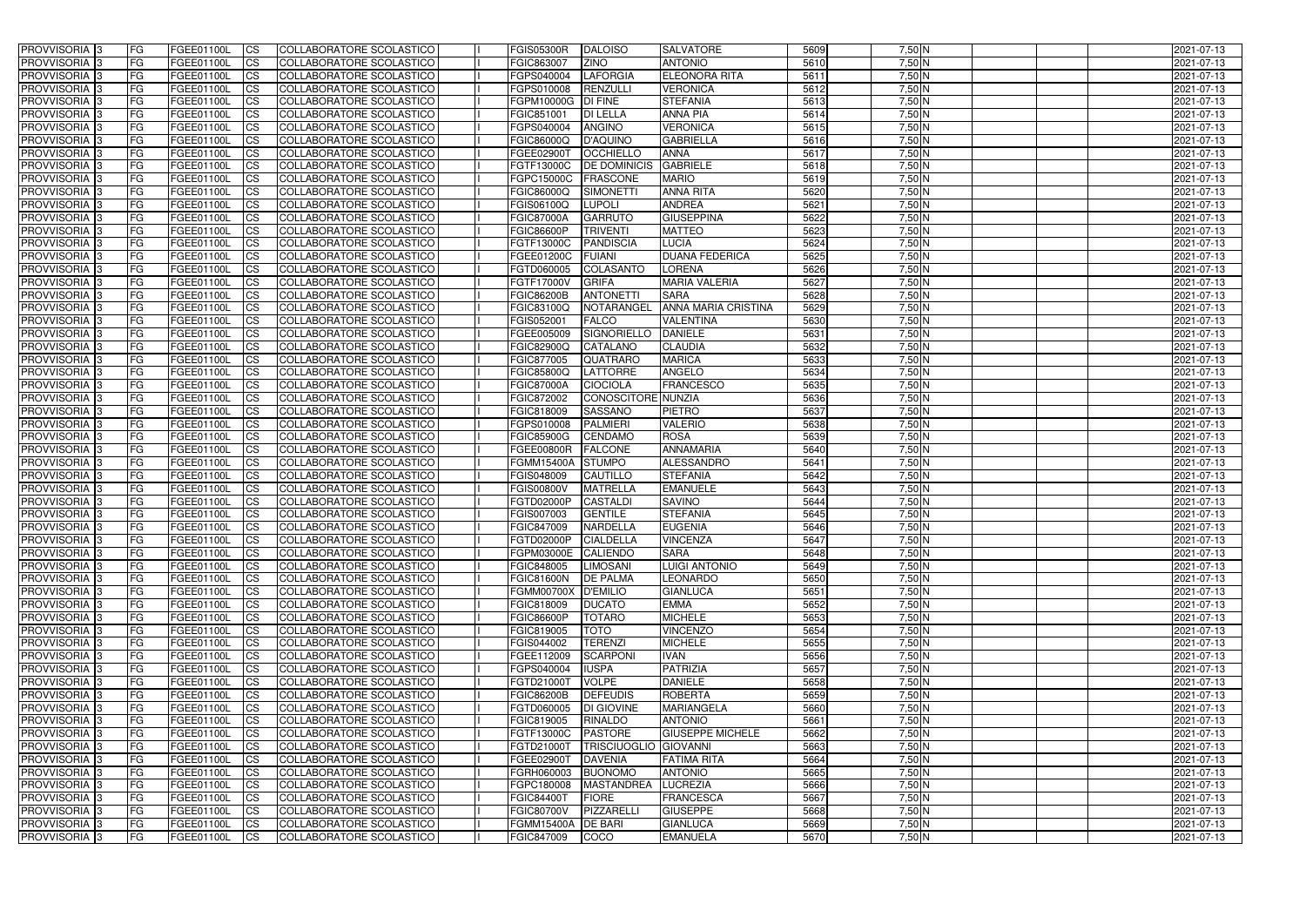| <b>PROVVISORIA</b> 3                                 | FG          | FGEE01100L                      | <b>ICS</b>             | COLLABORATORE SCOLASTICO                             | <b>FGIS05300R</b>               | DALOISO                                        | <b>SALVATORE</b>                | 5609         | $7,50$ N             | 2021-07-13               |
|------------------------------------------------------|-------------|---------------------------------|------------------------|------------------------------------------------------|---------------------------------|------------------------------------------------|---------------------------------|--------------|----------------------|--------------------------|
| <b>PROVVISORIA 3</b>                                 | FG          | FGEE01100L                      | <b>CS</b>              | COLLABORATORE SCOLASTICO                             | FGIC863007                      | <b>ZINO</b>                                    | <b>ANTONIO</b>                  | 5610         | $7,50$ N             | 2021-07-13               |
| PROVVISORIA <sup>3</sup>                             | FG          | FGEE01100L                      | <b>CS</b>              | COLLABORATORE SCOLASTICO                             | FGPS040004                      | LAFORGIA                                       | <b>ELEONORA RITA</b>            | 5611         | $7,50$ N             | 2021-07-13               |
| PROVVISORIA <sup>3</sup>                             | FG          | FGEE01100L                      | <b>CS</b>              | COLLABORATORE SCOLASTICO                             | FGPS010008                      | RENZULLI                                       | <b>VERONICA</b>                 | 5612         | $7,50$ N             | 2021-07-13               |
| PROVVISORIA <sup>3</sup>                             | FG          | FGEE01100L                      | <b>CS</b>              | COLLABORATORE SCOLASTICO                             | FGPM10000G                      | <b>DI FINE</b>                                 | <b>STEFANIA</b>                 | 5613         | $7,50$ N             | 2021-07-13               |
| PROVVISORIA <sup>3</sup>                             | FG          | FGEE01100L                      | <b>CS</b>              | COLLABORATORE SCOLASTICO                             | FGIC851001                      | <b>DI LELLA</b>                                | <b>ANNA PIA</b>                 | 5614         | $7,50$ N             | 2021-07-13               |
| PROVVISORIA 3                                        | FG          | FGEE01100L                      | <b>CS</b>              | COLLABORATORE SCOLASTICO                             | FGPS040004                      | <b>ANGINO</b>                                  | <b>VERONICA</b>                 | 5615         | $7,50$ N             | 2021-07-13               |
| PROVVISORIA 3                                        | FG          | FGEE01100L                      | <b>CS</b>              | COLLABORATORE SCOLASTICO                             | FGIC86000Q                      | D'AQUINO                                       | <b>GABRIELLA</b>                | 5616         | $7,50$ N             | 2021-07-13               |
| PROVVISORIA 3                                        | FG          | FGEE01100L                      | <b>CS</b>              | COLLABORATORE SCOLASTICO                             | FGEE02900T                      | <b>OCCHIELLO</b>                               | <b>ANNA</b>                     | 5617         | $7,50$ N             | 2021-07-13               |
| PROVVISORIA <sup>3</sup>                             | FG          | FGEE01100L                      | $\overline{c}$         | COLLABORATORE SCOLASTICO                             | FGTF13000C                      | <b>DE DOMINICIS</b>                            | <b>GABRIELE</b>                 | 5618         | $7,50$ N             | 2021-07-13               |
| PROVVISORIA <sup>3</sup>                             | FG          | FGEE01100L                      | <b>CS</b>              | COLLABORATORE SCOLASTICO                             | FGPC15000C                      | <b>FRASCONE</b>                                | <b>MARIO</b>                    | 5619         | $7,50$ N             | 2021-07-13               |
| PROVVISORIA <sup>3</sup>                             | FG          | FGEE01100L                      | <b>CS</b>              | COLLABORATORE SCOLASTICO                             | FGIC86000Q                      | <b>SIMONETTI</b>                               | <b>ANNA RITA</b>                | 5620         | $7,50$ N             | 2021-07-13               |
| PROVVISORIA <sup>3</sup>                             | FG          | <b>FGEE01100L</b>               | <b>ICS</b>             | COLLABORATORE SCOLASTICO                             | FGIS06100Q                      | <b>LUPOLI</b>                                  | <b>ANDREA</b>                   | 5621         | $7,50$ N             | 2021-07-13               |
| PROVVISORIA <sup>3</sup>                             | FG          | FGEE01100L                      | <b>ICS</b>             | COLLABORATORE SCOLASTICO                             | <b>FGIC87000A</b>               | <b>GARRUTO</b>                                 | <b>GIUSEPPINA</b>               | 5622         | $7,50$ N             | 2021-07-13               |
| PROVVISORIA <sup>3</sup>                             | FG          | FGEE01100L                      | <b>ICS</b>             | COLLABORATORE SCOLASTICO                             | <b>FGIC86600P</b>               | <b>TRIVENTI</b>                                | <b>MATTEO</b>                   | 5623         | $7,50$ N             | 2021-07-13               |
| <b>PROVVISORIA</b> 3                                 | FG          | FGEE01100L                      | <b>ICS</b>             | <b>COLLABORATORE SCOLASTICO</b>                      | FGTF13000C                      | <b>PANDISCIA</b>                               | <b>LUCIA</b>                    | 5624         | $7,50$ N             | 2021-07-13               |
| <b>PROVVISORIA</b> 3                                 | FG          | FGEE01100L                      | <b>ICS</b>             | COLLABORATORE SCOLASTICO                             | FGEE01200C                      | <b>FUIANI</b>                                  | <b>DUANA FEDERICA</b>           | 5625         | 7,50 N               | 2021-07-13               |
| PROVVISORIA 3                                        | FG          | FGEE01100L                      | <b>CS</b>              | COLLABORATORE SCOLASTICO                             | FGTD060005                      | <b>COLASANTO</b>                               | <b>LORENA</b>                   | 5626         | $7,50$ N             | 2021-07-13               |
| PROVVISORIA <sup>3</sup>                             | FG          | FGEE01100L                      | <b>ICS</b>             | COLLABORATORE SCOLASTICO                             | FGTF17000V                      | <b>GRIFA</b>                                   | <b>MARIA VALERIA</b>            | 5627         | $7,50$ N             | 2021-07-13               |
| PROVVISORIA <sup>3</sup>                             | FG          | FGEE01100L                      | <b>ICS</b>             | COLLABORATORE SCOLASTICO                             | <b>FGIC86200B</b>               | <b>ANTONETTI</b>                               | <b>SARA</b>                     | 5628         | $7,50$ N             | 2021-07-13               |
| PROVVISORIA <sup>3</sup>                             | FG          | FGEE01100L                      | <b>I</b> CS            | COLLABORATORE SCOLASTICO                             | FGIC83100Q                      | NOTARANGEL                                     | <b>ANNA MARIA CRISTINA</b>      | 5629         | $7,50$ N             | 2021-07-13               |
| PROVVISORIA <sup>3</sup>                             | FG          | FGEE01100L                      | <b>CS</b>              | COLLABORATORE SCOLASTICO                             | FGIS052001                      | <b>FALCO</b>                                   | <b>VALENTINA</b>                | 5630         | $7,50$ N             | 2021-07-13               |
| PROVVISORIA <sup>3</sup>                             | FG          | FGEE01100L                      | <b>CS</b>              | COLLABORATORE SCOLASTICO<br>COLLABORATORE SCOLASTICO | FGEE005009                      | <b>SIGNORIELLO</b><br>CATALANO                 | <b>DANIELE</b>                  | 5631<br>5632 | $7,50$ N<br>$7,50$ N | 2021-07-13               |
| PROVVISORIA <sup>3</sup><br>PROVVISORIA <sup>3</sup> | FG          | FGEE01100L<br>FGEE01100L        | <b>CS</b>              | COLLABORATORE SCOLASTICO                             | <b>FGIC82900Q</b><br>FGIC877005 | <b>QUATRARO</b>                                | <b>CLAUDIA</b><br><b>MARICA</b> | 5633         | $7,50$ N             | 2021-07-13               |
| PROVVISORIA <sup>1</sup> 3                           | FG<br>FG    | FGEE01100L                      | <b>CS</b>              | COLLABORATORE SCOLASTICO                             | <b>FGIC85800Q</b>               | <b>LATTORRE</b>                                | <b>ANGELO</b>                   | 5634         | $7,50$ N             | 2021-07-13               |
| PROVVISORIA 3                                        | FG          | FGEE01100L                      | <b>CS</b><br><b>CS</b> | COLLABORATORE SCOLASTICO                             | <b>FGIC87000A</b>               | <b>CIOCIOLA</b>                                | <b>FRANCESCO</b>                | 5635         | $7,50$ N             | 2021-07-13<br>2021-07-13 |
| PROVVISORIA <sup>3</sup>                             | FG.         | FGEE01100L                      | <b>CS</b>              | COLLABORATORE SCOLASTICO                             | FGIC872002                      | CONOSCITORE NUNZIA                             |                                 | 5636         | $7,50$ N             | 2021-07-13               |
| PROVVISORIA <sup>3</sup>                             | FG          | FGEE01100L                      | <b>CS</b>              | COLLABORATORE SCOLASTICO                             | FGIC818009                      | <b>SASSANO</b>                                 | <b>PIETRO</b>                   | 5637         | $7,50$ N             | 2021-07-13               |
| PROVVISORIA <sup>1</sup> 3                           | FG.         | <b>FGEE01100L</b>               | <b>CS</b>              | COLLABORATORE SCOLASTICO                             | FGPS010008                      | <b>PALMIERI</b>                                | <b>VALERIO</b>                  | 5638         | $7,50$ N             | 2021-07-13               |
| PROVVISORIA <sup>3</sup>                             | FG.         | FGEE01100L                      | <b>CS</b>              | COLLABORATORE SCOLASTICO                             | <b>FGIC85900G</b>               | <b>CENDAMO</b>                                 | <b>ROSA</b>                     | 5639         | 7,50 N               | 2021-07-13               |
| PROVVISORIA <sup>13</sup>                            | FG          | FGEE01100L                      | $\overline{\text{cs}}$ | COLLABORATORE SCOLASTICO                             | <b>FGEE00800R</b>               | <b>FALCONE</b>                                 | <b>ANNAMARIA</b>                | 5640         | $7,50$ N             | 2021-07-13               |
| PROVVISORIA <sup>3</sup>                             | FG          | <b>FGEE01100L</b>               | <b>CS</b>              | COLLABORATORE SCOLASTICO                             | <b>FGMM15400A</b>               | <b>STUMPO</b>                                  | ALESSANDRO                      | 5641         | $7,50$ N             | 2021-07-13               |
| PROVVISORIA 3                                        | FG          | <b>FGEE01100L</b>               | <b>CS</b>              | COLLABORATORE SCOLASTICO                             | FGIS048009                      | CAUTILLO                                       | <b>STEFANIA</b>                 | 5642         | $7,50$ N             | 2021-07-13               |
| PROVVISORIA <sup>3</sup>                             | FG          | FGEE01100L                      | $\overline{c}$         | COLLABORATORE SCOLASTICO                             | <b>FGIS00800V</b>               | <b>MATRELLA</b>                                | <b>EMANUELE</b>                 | 5643         | $7,50$ N             | 2021-07-13               |
| PROVVISORIA <sup>3</sup>                             | FG          | FGEE01100L                      | <b>CS</b>              | COLLABORATORE SCOLASTICO                             | FGTD02000P                      | <b>CASTALDI</b>                                | <b>SAVINO</b>                   | 5644         | $7,50$ N             | 2021-07-13               |
| PROVVISORIA <sup>3</sup>                             | FG          | FGEE01100L                      | <b>CS</b>              | COLLABORATORE SCOLASTICO                             | FGIS007003                      | <b>GENTILE</b>                                 | <b>STEFANIA</b>                 | 5645         | $7,50$ N             | 2021-07-13               |
| PROVVISORIA 3                                        | FG          | FGEE01100L                      | <b>I</b> CS            | COLLABORATORE SCOLASTICO                             | FGIC847009                      | <b>NARDELLA</b>                                | <b>EUGENIA</b>                  | 5646         | $7,50$ N             | 2021-07-13               |
| <b>PROVVISORIA</b> 3                                 | IFG.        | FGEE01100L                      | CS                     | COLLABORATORE SCOLASTICO                             | FGTD02000P CIALDELLA            |                                                | <b>VINCENZA</b>                 | 5647         | $7,50$ N             | 2021-07-13               |
| PROVVISORIA 3                                        | IFG.        | FGEE01100L                      | <b>ICS</b>             | COLLABORATORE SCOLASTICO                             | FGPM03000E CALIENDO             |                                                | <b>SARA</b>                     | 5648         | $7,50$ N             | 2021-07-13               |
| PROVVISORIA 3                                        | FG          | FGEE01100L                      | <b>CS</b>              | COLLABORATORE SCOLASTICO                             | <b>FGIC848005</b>               | <b>LIMOSANI</b>                                | <b>LUIGI ANTONIO</b>            | 5649         | $7,50$ N             | 2021-07-13               |
| PROVVISORIA 3                                        | FG          | FGEE01100L                      | <b>CS</b>              | COLLABORATORE SCOLASTICO                             | <b>FGIC81600N</b>               | <b>DE PALMA</b>                                | <b>LEONARDO</b>                 | 5650         | $7,50$ N             | 2021-07-13               |
| PROVVISORIA <sup>3</sup>                             | FG          | FGEE01100L                      | <b>ICS</b>             | <b>COLLABORATORE SCOLASTICO</b>                      | <b>FGMM00700X</b>               | <b>D'EMILIO</b>                                | <b>GIANLUCA</b>                 | 5651         | $7,50$ N             | 2021-07-13               |
| PROVVISORIA 3                                        | FG          | FGEE01100L                      | <b>CS</b>              | COLLABORATORE SCOLASTICO                             | FGIC818009                      | <b>DUCATO</b>                                  | <b>EMMA</b>                     | 5652         | $7,50$ N             | 2021-07-13               |
| PROVVISORIA 3                                        | FG          | FGEE01100L                      | <b>CS</b>              | COLLABORATORE SCOLASTICO                             | <b>FGIC86600P</b>               | <b>TOTARO</b>                                  | <b>MICHELE</b>                  | 5653         | $7,50$ N             | 2021-07-13               |
| PROVVISORIA 3                                        | <b>FG</b>   | FGEE01100L                      | <b>CS</b>              | COLLABORATORE SCOLASTICO                             | FGIC819005                      | <b>TOTO</b>                                    | <b>VINCENZO</b>                 | 5654         | $7,50$ N             | 2021-07-13               |
| PROVVISORIA 3                                        | FG          | FGEE01100L                      | <b>CS</b>              | COLLABORATORE SCOLASTICO                             | FGIS044002                      | <b>TERENZI</b>                                 | <b>MICHELE</b>                  | 5655         | $7,50$ N             | 2021-07-13               |
| PROVVISORIA 3                                        | FG          | FGEE01100L                      | <b>CS</b>              | COLLABORATORE SCOLASTICO                             | FGEE112009                      | <b>SCARPONI</b>                                | <b>IVAN</b>                     | 5656         | $7,50$ N             | 2021-07-13               |
| PROVVISORIA 3                                        | IFG.        | FGEE01100L                      | <b>CS</b>              | COLLABORATORE SCOLASTICO                             | FGPS040004                      | <b>IUSPA</b>                                   | <b>PATRIZIA</b>                 | 5657         | $7,50$ N             | 2021-07-13               |
| PROVVISORIA 3                                        | FG          | FGEE01100L                      | <b>CS</b>              | COLLABORATORE SCOLASTICO                             | FGTD21000T                      | <b>VOLPE</b>                                   | <b>DANIELE</b>                  | 5658         | $7,50$ N             | 2021-07-13               |
| PROVVISORIA 3                                        | FG          | FGEE01100L                      | <b>CS</b>              | COLLABORATORE SCOLASTICO                             | <b>FGIC86200B</b>               | <b>DEFEUDIS</b>                                | <b>ROBERTA</b>                  | 5659         | $7,50$ N             | 2021-07-13               |
| <b>PROVVISORIA</b> 3                                 | IFG.        | FGEE01100L                      | <b>CS</b>              | COLLABORATORE SCOLASTICO                             | FGTD060005                      | <b>DI GIOVINE</b>                              | <b>MARIANGELA</b>               | 5660         | $7,50$ N             | 2021-07-13               |
| <b>PROVVISORIA</b> 3                                 | IFG.        | FGEE01100L                      | <b>CS</b>              | COLLABORATORE SCOLASTICO                             | FGIC819005                      | RINALDO                                        | ANTONIO                         | 5661         | $7,50$ N             | 2021-07-13               |
| <b>PROVVISORIA</b> 3                                 | <b>IFG</b>  | <b>FGEE01100L</b>               | <b>CS</b>              | <b>COLLABORATORE SCOLASTICO</b>                      | <b>FGTF13000C</b>               | <b>PASTORE</b>                                 | <b>GIUSEPPE MICHELE</b>         | 5662         | $7,50$ N             | 2021-07-13               |
| PROVVISORIA 3<br>PROVVISORIA 3                       | <b>IFG</b>  | FGEE01100L<br><b>FGEE01100L</b> | <b>CS</b>              | COLLABORATORE SCOLASTICO<br>COLLABORATORE SCOLASTICO | FGTD21000T<br>FGEE02900T        | <b>TRISCIUOGLIO GIOVANNI</b><br><b>DAVENIA</b> | <b>FATIMA RITA</b>              | 5663<br>5664 | $7,50$ N<br>$7,50$ N | 2021-07-13<br>2021-07-13 |
| PROVVISORIA 3                                        | IFG.<br> FG | FGEE01100L                      | <b>CS</b><br><b>CS</b> | COLLABORATORE SCOLASTICO                             | FGRH060003                      | <b>BUONOMO</b>                                 | <b>ANTONIO</b>                  | 5665         | $7,50$ N             | 2021-07-13               |
| PROVVISORIA 3                                        | FG          | FGEE01100L                      | <b>CS</b>              | COLLABORATORE SCOLASTICO                             | FGPC180008                      | <b>MASTANDREA</b>                              | <b>LUCREZIA</b>                 | 5666         | $7,50$ N             | 2021-07-13               |
| PROVVISORIA 3                                        | FG          | <b>FGEE01100L</b>               | <b>CS</b>              | COLLABORATORE SCOLASTICO                             | <b>FGIC84400T</b>               | FIORE                                          | <b>FRANCESCA</b>                | 5667         | $7,50$ N             | 2021-07-13               |
| <b>PROVVISORIA</b> 3                                 | FG          | FGEE01100L                      | <b>ICS</b>             | COLLABORATORE SCOLASTICO                             | <b>FGIC80700V</b>               | PIZZARELLI                                     | <b>GIUSEPPE</b>                 | 5668         | $7,50$ N             | 2021-07-13               |
| PROVVISORIA 3                                        | FG          | FGEE01100L                      | <b>CS</b>              | COLLABORATORE SCOLASTICO                             | <b>FGMM15400A</b>               | <b>DE BARI</b>                                 | <b>GIANLUCA</b>                 | 5669         | $7,50$ N             | 2021-07-13               |
| PROVVISORIA 3                                        | l FG        | FGEE01100L                      | <b>CS</b>              | COLLABORATORE SCOLASTICO                             | <b>FGIC847009</b>               | COCO                                           | <b>EMANUELA</b>                 | 5670         | $7,50$ N             | 2021-07-13               |
|                                                      |             |                                 |                        |                                                      |                                 |                                                |                                 |              |                      |                          |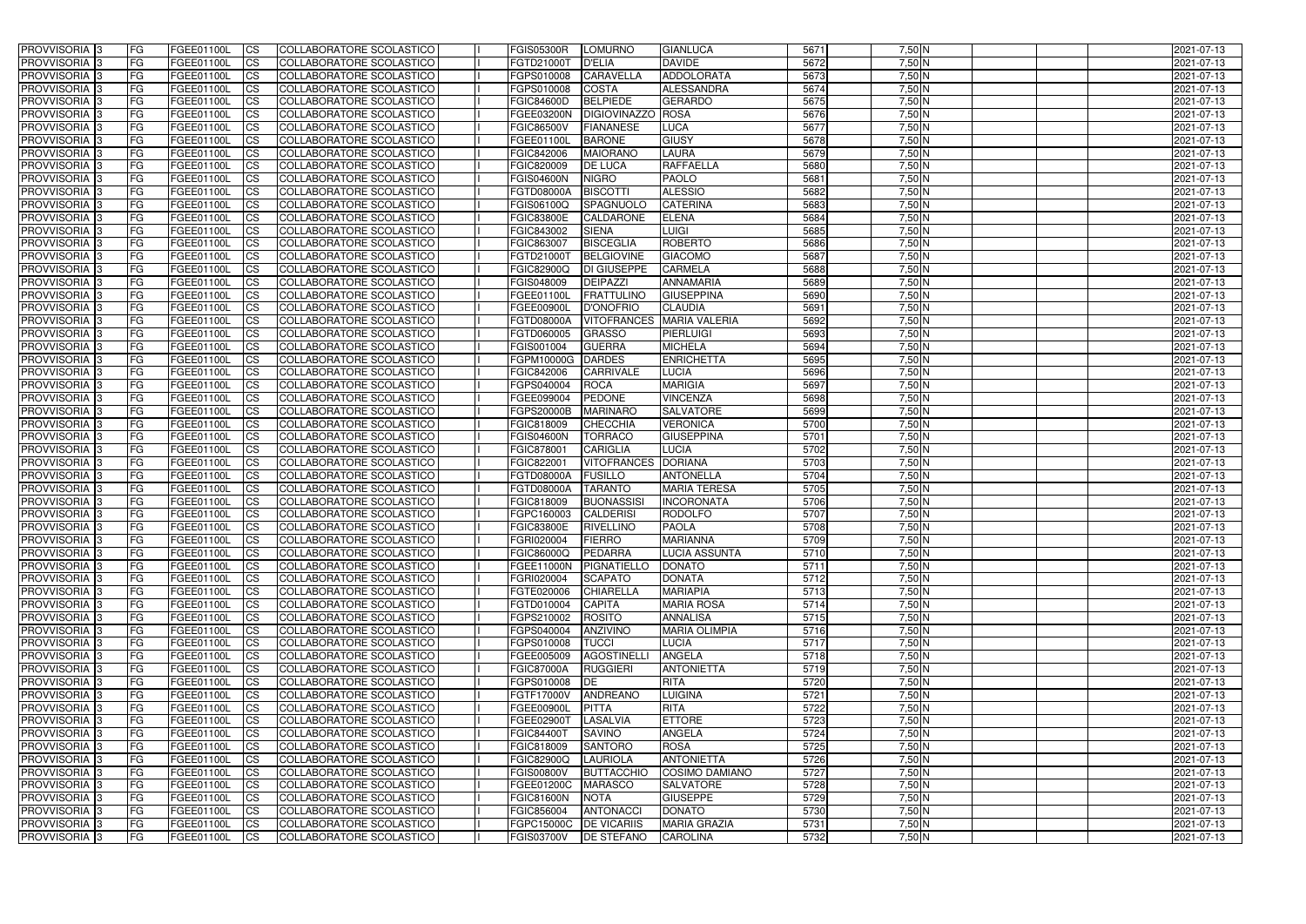| 5672<br>$7,50$ N<br>COLLABORATORE SCOLASTICO<br><b>PROVVISORIA 3</b><br>FG.<br>FGEE01100L<br><b>ICS</b><br>FGTD21000T<br><b>D'ELIA</b><br><b>DAVIDE</b><br>2021-07-13<br>5673<br>$7,50$ N<br>PROVVISORIA <sup>1</sup> 3<br>FG<br><b>CS</b><br>COLLABORATORE SCOLASTICO<br>FGPS010008<br><b>CARAVELLA</b><br>ADDOLORATA<br>FGEE01100L<br>2021-07-13<br><b>ALESSANDRA</b><br>5674<br>$7,50$ N<br><b>PROVVISORIA</b><br>FG<br><b>CS</b><br>COLLABORATORE SCOLASTICO<br><b>COSTA</b><br>FGEE01100L<br>FGPS010008<br>2021-07-13<br>$7,50$ N<br>FG<br><b>CS</b><br>COLLABORATORE SCOLASTICO<br><b>BELPIEDE</b><br><b>GERARDO</b><br>5675<br><b>PROVVISORIA 3</b><br>FGEE01100L<br><b>FGIC84600D</b><br>2021-07-13<br>5676<br>$7,50$ N<br>PROVVISORIA <sup>1</sup> 3<br>FG<br>COLLABORATORE SCOLASTICO<br>FGEE03200N<br><b>DIGIOVINAZZO</b><br>ROSA<br>FGEE01100L<br><b>CS</b><br>2021-07-13<br>5677<br>$7,50$ N<br>PROVVISORIA <sup>1</sup> 3<br>FG<br><b>CS</b><br>COLLABORATORE SCOLASTICO<br><b>FGIC86500V</b><br><b>FIANANESE</b><br><b>LUCA</b><br>2021-07-13<br>FGEE01100L<br>5678<br>$7,50$ N<br>PROVVISORIA 3<br><b>ICS</b><br>COLLABORATORE SCOLASTICO<br><b>BARONE</b><br><b>GIUSY</b><br> FG<br>FGEE01100L<br>FGEE01100L<br>2021-07-13<br>$7,50$ N<br><b>CS</b><br>COLLABORATORE SCOLASTICO<br>5679<br>PROVVISORIA 3<br>FG<br>FGEE01100L<br>FGIC842006<br><b>MAIORANO</b><br><b>LAURA</b><br>2021-07-13<br>PROVVISORIA 3<br>COLLABORATORE SCOLASTICO<br>FGIC820009<br><b>DE LUCA</b><br>RAFFAELLA<br>5680<br>$7,50$ N<br><b>FG</b><br>FGEE01100L<br><b>ICS</b><br>2021-07-13<br>5681<br>$7,50$ N<br>PROVVISORIA 3<br>FG<br>FGEE01100L<br><b>ICS</b><br>COLLABORATORE SCOLASTICO<br><b>FGIS04600N</b><br><b>NIGRO</b><br><b>PAOLO</b><br>2021-07-13<br>5682<br>7,50 N<br><b>PROVVISORIA</b><br>COLLABORATORE SCOLASTICO<br><b>BISCOTTI</b><br><b>ALESSIO</b><br><b>FG</b><br>FGEE01100L<br><b>ICS</b><br><b>FGTD08000A</b><br>2021-07-13<br>$7,50$ N<br><b>CATERINA</b><br>5683<br><b>PROVVISORIA</b><br>FG<br>FGEE01100L<br><b>ICS</b><br>COLLABORATORE SCOLASTICO<br>FGIS06100Q<br>SPAGNUOLO<br>2021-07-13<br>$7,50$ N<br><b>PROVVISORIA</b><br><b>ELENA</b><br>5684<br>FG<br>FGEE01100L<br><b>ICS</b><br>COLLABORATORE SCOLASTICO<br><b>FGIC83800E</b><br><b>CALDARONE</b><br>2021-07-13<br>5685<br>$7,50$ N<br><b>PROVVISORIA</b><br>FG<br>COLLABORATORE SCOLASTICO<br>LUIGI<br>FGEE01100L<br><b>ICS</b><br>FGIC843002<br><b>SIENA</b><br>2021-07-13<br>$7,50$ N<br><b>PROVVISORIA</b><br>FG<br><b>ICS</b><br>COLLABORATORE SCOLASTICO<br>FGIC863007<br><b>BISCEGLIA</b><br><b>ROBERTO</b><br>5686<br>2021-07-13<br>FGEE01100L<br><b>PROVVISORIA</b><br>5687<br>7,50 N<br>FG<br>FGEE01100L<br><b>ICS</b><br>COLLABORATORE SCOLASTICO<br>FGTD21000T<br><b>BELGIOVINE</b><br><b>GIACOMO</b><br>2021-07-13<br>$7,50$ N<br><b>PROVVISORIA</b><br>FG<br>COLLABORATORE SCOLASTICO<br>FGIC82900Q<br><b>CARMELA</b><br>5688<br>FGEE01100L<br><b>ICS</b><br><b>DI GIUSEPPE</b><br>2021-07-13<br>5689<br>$7,50$ N<br>PROVVISORIA <sup>3</sup><br>FG<br>FGIS048009<br><b>DEIPAZZI</b><br><b>ANNAMARIA</b><br>2021-07-13<br>FGEE01100L<br><b>ICS</b><br>COLLABORATORE SCOLASTICO<br>7,50 N<br>5690<br>PROVVISORIA 3<br>FG<br>FGEE01100L<br><b>ICS</b><br>COLLABORATORE SCOLASTICO<br>FGEE01100L<br><b>FRATTULINO</b><br><b>GIUSEPPINA</b><br>2021-07-13<br>$7,50$ N<br>5691<br>PROVVISORIA <sup>3</sup><br><b>CLAUDIA</b><br>2021-07-13<br>FG<br>FGEE01100L<br><b>ICS</b><br>COLLABORATORE SCOLASTICO<br><b>FGEE00900L</b><br><b>D'ONOFRIO</b><br>$7,50$ N<br>5692<br>PROVVISORIA 3<br>FG<br><b>ICS</b><br><b>MARIA VALERIA</b><br>FGEE01100L<br>COLLABORATORE SCOLASTICO<br>FGTD08000A<br><b>VITOFRANCES</b><br>2021-07-13<br>$7,50$ N<br>PROVVISORIA <sup>3</sup><br>5693<br>FG<br><b>ICS</b><br><b>COLLABORATORE SCOLASTICO</b><br>FGTD060005<br><b>GRASSO</b><br>PIERLUIGI<br>FGEE01100L<br>2021-07-13<br>$7,50$ N<br>PROVVISORIA <sup>3</sup><br>5694<br>FG<br>FGIS001004<br><b>GUERRA</b><br><b>MICHELA</b><br>FGEE01100L<br><b>CS</b><br>COLLABORATORE SCOLASTICO<br>2021-07-13<br>$7,50$ N<br>5695<br>PROVVISORIA <sup>3</sup><br>FG<br><b>COLLABORATORE SCOLASTICO</b><br><b>DARDES</b><br><b>ENRICHETTA</b><br>FGEE01100L<br><b>ICS</b><br>FGPM10000G<br>2021-07-13<br>5696<br>$7,50$ N<br>PROVVISORIA <sup>1</sup> 3<br>FG<br><b>ICS</b><br>COLLABORATORE SCOLASTICO<br>FGIC842006<br>CARRIVALE<br><b>LUCIA</b><br>FGEE01100L<br>2021-07-13<br>5697<br>$7,50$ N<br>FG<br><b>MARIGIA</b><br>PROVVISORIA 3<br>FGEE01100L<br><b>ICS</b><br>COLLABORATORE SCOLASTICO<br>FGPS040004<br><b>ROCA</b><br>2021-07-13<br>FG<br><b>PEDONE</b><br>5698<br>$7,50$ N<br>PROVVISORIA<br><b>ICS</b><br>COLLABORATORE SCOLASTICO<br><b>VINCENZA</b><br>FGEE01100L<br>FGEE099004<br>2021-07-13<br>5699<br>$7,50$ N<br>FG<br><b>CS</b><br><b>COLLABORATORE SCOLASTICO</b><br>FGPS20000B<br><b>MARINARO</b><br><b>SALVATORE</b><br>PROVVISORIA<br>FGEE01100L<br>2021-07-13<br>5700<br>$7,50$ N<br>FG<br><b>CS</b><br>COLLABORATORE SCOLASTICO<br><b>CHECCHIA</b><br><b>VERONICA</b><br>PROVVISORIA<br>FGEE01100L<br>FGIC818009<br>2021-07-13<br><b>GIUSEPPINA</b><br>5701<br>7,50 N<br>PROVVISORIA<br>FG<br><b>CS</b><br>COLLABORATORE SCOLASTICO<br><b>FGIS04600N</b><br><b>TORRACO</b><br>2021-07-13<br>FGEE01100L<br>5702<br>$7,50$ N<br>PROVVISORIA <sup>1</sup> 3<br>FG<br><b>CS</b><br>COLLABORATORE SCOLASTICO<br>FGIC878001<br><b>CARIGLIA</b><br><b>LUCIA</b><br>FGEE01100L<br>2021-07-13<br>5703<br>$7,50$ N<br>PROVVISORIA <sup>1</sup> 3<br><b>CS</b><br>COLLABORATORE SCOLASTICO<br><b>DORIANA</b><br> FG<br>FGEE01100L<br>FGIC822001<br><b>VITOFRANCES</b><br>2021-07-13<br>5704<br>$7,50$ N<br>PROVVISORIA 3<br><b>CS</b><br><b>COLLABORATORE SCOLASTICO</b><br>FGTD08000A<br><b>FUSILLO</b><br><b>ANTONELLA</b><br>2021-07-13<br> FG<br>FGEE01100L<br>5705<br>$7,50$ N<br>PROVVISORIA <sup>1</sup> 3<br>FG<br>FGEE01100L<br><b>ICS</b><br>COLLABORATORE SCOLASTICO<br><b>TARANTO</b><br><b>MARIA TERESA</b><br>2021-07-13<br>FGTD08000A<br>$7,50$ N<br>COLLABORATORE SCOLASTICO<br>5706<br>PROVVISORIA 3<br><b>FG</b><br>FGEE01100L<br><b>ICS</b><br>FGIC818009<br><b>BUONASSISI</b><br><b>INCORONATA</b><br>2021-07-13<br>5707<br>$7,50$ N<br>PROVVISORIA 3<br><b>FG</b><br>COLLABORATORE SCOLASTICO<br>FGPC160003<br><b>CALDERISI</b><br><b>RODOLFO</b><br>2021-07-13<br>FGEE01100L<br><b>ICS</b><br>$7,50$ N<br>5708<br>PROVVISORIA 3<br><b>FG</b><br>COLLABORATORE SCOLASTICO<br><b>PAOLA</b><br>FGEE01100L<br><b>ICS</b><br><b>FGIC83800E</b><br><b>RIVELLINO</b><br>2021-07-13<br>PROVVISORIA 3<br>COLLABORATORE SCOLASTICO<br>5709<br>7,50 N<br>FG<br>FGEE01100L<br>FGRI020004<br><b>FIERRO</b><br><b>MARIANNA</b><br>2021-07-13<br> CS <br><b>PROVVISORIA</b> 3<br>5710<br>$7,50$ N<br><b>FG</b><br>FGEE01100L<br>COLLABORATORE SCOLASTICO<br>2021-07-13<br>$\mathsf{ICS}$<br><b>FGIC86000Q</b><br>PEDARRA<br>LUCIA ASSUNTA<br>PROVVISORIA 3<br>$7,50$ N<br><b>FG</b><br><b>FGEE01100L</b><br>COLLABORATORE SCOLASTICO<br>PIGNATIELLO<br><b>DONATO</b><br>5711<br>2021-07-13<br>$\mathsf{ICS}$<br><b>FGEE11000N</b><br>PROVVISORIA 3<br>5712<br>$7,50$ N<br><b>FG</b><br>FGEE01100L<br>COLLABORATORE SCOLASTICO<br>FGRI020004<br><b>SCAPATO</b><br><b>DONATA</b><br>2021-07-13<br>$\mathsf{ICS}$<br>PROVVISORIA 3<br>5713<br>$7,50$ N<br>FG<br>FGEE01100L<br>COLLABORATORE SCOLASTICO<br>FGTE020006<br><b>CHIARELLA</b><br><b>MARIAPIA</b><br>$\mathsf{ICS}$<br>2021-07-13<br>$7,50$ N<br>PROVVISORIA 3<br>l FG<br>FGEE01100L<br>COLLABORATORE SCOLASTICO<br>FGTD010004<br><b>MARIA ROSA</b><br>5714<br>2021-07-13<br><b>CS</b><br><b>CAPITA</b><br>$7,50$ N<br>PROVVISORIA 3<br>5715<br><b>FG</b><br>FGEE01100L<br>COLLABORATORE SCOLASTICO<br>FGPS210002<br><b>ROSITO</b><br><b>ANNALISA</b><br>2021-07-13<br>$\mathsf{ICS}$<br>$7,50$ N<br>5716<br>PROVVISORIA 3<br>FGEE01100L<br>FGPS040004<br><b>ANZIVINO</b><br><b>MARIA OLIMPIA</b><br>2021-07-13<br> FG<br><b>CS</b><br>COLLABORATORE SCOLASTICO<br>$7,50$ N<br>PROVVISORIA 3<br>5717<br><b>FG</b><br>FGEE01100L<br><b>CS</b><br>COLLABORATORE SCOLASTICO<br>FGPS010008<br><b>TUCCI</b><br><b>LUCIA</b><br>2021-07-13<br>$7,50$ N<br>PROVVISORIA 3<br>5718<br><b>FG</b><br>FGEE01100L<br><b>CS</b><br>COLLABORATORE SCOLASTICO<br>FGEE005009<br><b>AGOSTINELLI</b><br><b>ANGELA</b><br>2021-07-13<br>$7,50$ N<br>PROVVISORIA 3<br>5719<br><b>FG</b><br>COLLABORATORE SCOLASTICO<br><b>FGIC87000A</b><br><b>ANTONIETTA</b><br>2021-07-13<br>FGEE01100L<br><b>CS</b><br>RUGGIERI<br>$7,50$ N<br>PROVVISORIA 3<br>5720<br><b>FG</b><br>COLLABORATORE SCOLASTICO<br>FGPS010008 DE<br><b>RITA</b><br>2021-07-13<br>FGEE01100L<br><b>CS</b><br>5721<br>$7,50$ N<br>PROVVISORIA 3<br><b>FG</b><br>COLLABORATORE SCOLASTICO<br>FGTF17000V<br>ANDREANO<br><b>LUIGINA</b><br>FGEE01100L<br><b>CS</b><br>2021-07-13<br>5722<br>$7,50$ N<br><b>FG</b><br><b>RITA</b><br>PROVVISORIA 3<br>FGEE01100L<br><b>CS</b><br>COLLABORATORE SCOLASTICO<br>FGEE00900L<br><b>PITTA</b><br>2021-07-13<br>5723<br>$7,50$ N<br><b>FG</b><br>PROVVISORIA 3<br>FGEE01100L<br><b>CS</b><br>COLLABORATORE SCOLASTICO<br>FGEE02900T<br>LASALVIA<br><b>ETTORE</b><br>2021-07-13<br>5724<br>$7,50$ N<br>PROVVISORIA 3<br><b>FG</b><br><b>CS</b><br>COLLABORATORE SCOLASTICO<br><b>FGIC84400T</b><br><b>SAVINO</b><br><b>ANGELA</b><br>FGEE01100L<br>2021-07-13<br><b>ROSA</b><br>5725<br>7,50 N<br>PROVVISORIA 3<br><b>FG</b><br><b>CS</b><br>COLLABORATORE SCOLASTICO<br><b>SANTORO</b><br>2021-07-13<br>FGEE01100L<br>FGIC818009<br>5726<br>$7,50$ N<br>PROVVISORIA 3<br><b>FG</b><br>COLLABORATORE SCOLASTICO<br><b>FGIC82900Q</b><br>LAURIOLA<br><b>ANTONIETTA</b><br>FGEE01100L<br><b>CS</b><br>2021-07-13<br>5727<br>$7,50$ N<br>PROVVISORIA 3<br><b>FG</b><br>FGEE01100L<br><b>CS</b><br>COLLABORATORE SCOLASTICO<br><b>FGIS00800V</b><br><b>BUTTACCHIO</b><br><b>COSIMO DAMIANO</b><br>2021-07-13<br>$7,50$ N<br>COLLABORATORE SCOLASTICO<br>5728<br>PROVVISORIA 3<br>FGEE01100L<br>FGEE01200C<br><b>MARASCO</b><br><b>SALVATORE</b><br>2021-07-13<br> FG<br><b>CS</b><br>$7,50$ N<br>5729<br>PROVVISORIA 3<br><b>FGEE01100L</b><br>COLLABORATORE SCOLASTICO<br><b>FGIC81600N</b><br><b>GIUSEPPE</b><br>2021-07-13<br> FG<br><b>CS</b><br><b>NOTA</b><br>PROVVISORIA 3<br>COLLABORATORE SCOLASTICO<br>5730<br>$7,50$ N<br><b>FG</b><br>FGEE01100L<br><b>CS</b><br>FGIC856004<br>ANTONACCI<br><b>DONATO</b><br>2021-07-13<br>PROVVISORIA 3<br>COLLABORATORE SCOLASTICO<br><b>MARIA GRAZIA</b><br>5731<br>$7,50$ N<br><b>FG</b><br>FGEE01100L<br>$\overline{\text{CS}}$<br>FGPC15000C   DE VICARIIS<br>2021-07-13<br>PROVVISORIA 3<br><b>FG</b><br>$\overline{\text{CS}}$<br><b>DE STEFANO</b><br><b>CAROLINA</b> | <b>PROVVISORIA</b> 3 | l FG | FGEE01100L | <b>ICS</b> | COLLABORATORE SCOLASTICO | <b>FGIS05300R</b> | <b>LOMURNO</b> | <b>GIANLUCA</b> | 5671 | 7,50 N   | 2021-07-13 |
|----------------------------------------------------------------------------------------------------------------------------------------------------------------------------------------------------------------------------------------------------------------------------------------------------------------------------------------------------------------------------------------------------------------------------------------------------------------------------------------------------------------------------------------------------------------------------------------------------------------------------------------------------------------------------------------------------------------------------------------------------------------------------------------------------------------------------------------------------------------------------------------------------------------------------------------------------------------------------------------------------------------------------------------------------------------------------------------------------------------------------------------------------------------------------------------------------------------------------------------------------------------------------------------------------------------------------------------------------------------------------------------------------------------------------------------------------------------------------------------------------------------------------------------------------------------------------------------------------------------------------------------------------------------------------------------------------------------------------------------------------------------------------------------------------------------------------------------------------------------------------------------------------------------------------------------------------------------------------------------------------------------------------------------------------------------------------------------------------------------------------------------------------------------------------------------------------------------------------------------------------------------------------------------------------------------------------------------------------------------------------------------------------------------------------------------------------------------------------------------------------------------------------------------------------------------------------------------------------------------------------------------------------------------------------------------------------------------------------------------------------------------------------------------------------------------------------------------------------------------------------------------------------------------------------------------------------------------------------------------------------------------------------------------------------------------------------------------------------------------------------------------------------------------------------------------------------------------------------------------------------------------------------------------------------------------------------------------------------------------------------------------------------------------------------------------------------------------------------------------------------------------------------------------------------------------------------------------------------------------------------------------------------------------------------------------------------------------------------------------------------------------------------------------------------------------------------------------------------------------------------------------------------------------------------------------------------------------------------------------------------------------------------------------------------------------------------------------------------------------------------------------------------------------------------------------------------------------------------------------------------------------------------------------------------------------------------------------------------------------------------------------------------------------------------------------------------------------------------------------------------------------------------------------------------------------------------------------------------------------------------------------------------------------------------------------------------------------------------------------------------------------------------------------------------------------------------------------------------------------------------------------------------------------------------------------------------------------------------------------------------------------------------------------------------------------------------------------------------------------------------------------------------------------------------------------------------------------------------------------------------------------------------------------------------------------------------------------------------------------------------------------------------------------------------------------------------------------------------------------------------------------------------------------------------------------------------------------------------------------------------------------------------------------------------------------------------------------------------------------------------------------------------------------------------------------------------------------------------------------------------------------------------------------------------------------------------------------------------------------------------------------------------------------------------------------------------------------------------------------------------------------------------------------------------------------------------------------------------------------------------------------------------------------------------------------------------------------------------------------------------------------------------------------------------------------------------------------------------------------------------------------------------------------------------------------------------------------------------------------------------------------------------------------------------------------------------------------------------------------------------------------------------------------------------------------------------------------------------------------------------------------------------------------------------------------------------------------------------------------------------------------------------------------------------------------------------------------------------------------------------------------------------------------------------------------------------------------------------------------------------------------------------------------------------------------------------------------------------------------------------------------------------------------------------------------------------------------------------------------------------------------------------------------------------------------------------------------------------------------------------------------------------------------------------------------------------------------------------------------------------------------------------------------------------------------------------------------------------------------------------------------------------------------------------------------------------------------------------------------------------------------------------------------------------------------------------------------------------------------------------------------------------------------------------------------------------------------------------------------------------------------------------------------------------------------------------------------------------------------------------------------------------------------------------------------------------------------------------------------------------------------------------------------------------------------------------------------------------------------------------------------------------------------------------------------------------------------------------------------------------------------------------------------------------------------------------------------------------------------------------------------------------------------------------------------------------------------------------------------------------------------------------------------------------------------------------------------------------------------------------------------------------------------------------------------------------------------------------------------------------------------------------------------------------------------------------------------------------------------------------------------------------------------------------------------------------------------------------------------------------------------------------------------------------------------------------------------------------------------------------------------------------------------------------------------------------------------------------------------------------------------------------------------------------------------------------------------------------------------------------------------------------------------------------------------------------------------------------------------------------------------------------------------------------------------------------------------------------------------------------------------------------------------------------------------------------------------------------------------------------------------------------------------------------------------------------------------------------------------------------------------------------------------------------------------------------------------------------------------------------------------------------------------------------------------------------------------------------------------------------------------------------------------------------------------------------------------------------------------------------------|----------------------|------|------------|------------|--------------------------|-------------------|----------------|-----------------|------|----------|------------|
|                                                                                                                                                                                                                                                                                                                                                                                                                                                                                                                                                                                                                                                                                                                                                                                                                                                                                                                                                                                                                                                                                                                                                                                                                                                                                                                                                                                                                                                                                                                                                                                                                                                                                                                                                                                                                                                                                                                                                                                                                                                                                                                                                                                                                                                                                                                                                                                                                                                                                                                                                                                                                                                                                                                                                                                                                                                                                                                                                                                                                                                                                                                                                                                                                                                                                                                                                                                                                                                                                                                                                                                                                                                                                                                                                                                                                                                                                                                                                                                                                                                                                                                                                                                                                                                                                                                                                                                                                                                                                                                                                                                                                                                                                                                                                                                                                                                                                                                                                                                                                                                                                                                                                                                                                                                                                                                                                                                                                                                                                                                                                                                                                                                                                                                                                                                                                                                                                                                                                                                                                                                                                                                                                                                                                                                                                                                                                                                                                                                                                                                                                                                                                                                                                                                                                                                                                                                                                                                                                                                                                                                                                                                                                                                                                                                                                                                                                                                                                                                                                                                                                                                                                                                                                                                                                                                                                                                                                                                                                                                                                                                                                                                                                                                                                                                                                                                                                                                                                                                                                                                                                                                                                                                                                                                                                                                                                                                                                                                                                                                                                                                                                                                                                                                                                                                                                                                                                                                                                                                                                                                                                                                                                                                                                                                                                                                                                                                                                                                                                                                                                                                                                                                                                                                                                                                                                                                                                                                                                                                                                                                                                                                                                                                                                                                                                          |                      |      |            |            |                          |                   |                |                 |      |          |            |
|                                                                                                                                                                                                                                                                                                                                                                                                                                                                                                                                                                                                                                                                                                                                                                                                                                                                                                                                                                                                                                                                                                                                                                                                                                                                                                                                                                                                                                                                                                                                                                                                                                                                                                                                                                                                                                                                                                                                                                                                                                                                                                                                                                                                                                                                                                                                                                                                                                                                                                                                                                                                                                                                                                                                                                                                                                                                                                                                                                                                                                                                                                                                                                                                                                                                                                                                                                                                                                                                                                                                                                                                                                                                                                                                                                                                                                                                                                                                                                                                                                                                                                                                                                                                                                                                                                                                                                                                                                                                                                                                                                                                                                                                                                                                                                                                                                                                                                                                                                                                                                                                                                                                                                                                                                                                                                                                                                                                                                                                                                                                                                                                                                                                                                                                                                                                                                                                                                                                                                                                                                                                                                                                                                                                                                                                                                                                                                                                                                                                                                                                                                                                                                                                                                                                                                                                                                                                                                                                                                                                                                                                                                                                                                                                                                                                                                                                                                                                                                                                                                                                                                                                                                                                                                                                                                                                                                                                                                                                                                                                                                                                                                                                                                                                                                                                                                                                                                                                                                                                                                                                                                                                                                                                                                                                                                                                                                                                                                                                                                                                                                                                                                                                                                                                                                                                                                                                                                                                                                                                                                                                                                                                                                                                                                                                                                                                                                                                                                                                                                                                                                                                                                                                                                                                                                                                                                                                                                                                                                                                                                                                                                                                                                                                                                                                                          |                      |      |            |            |                          |                   |                |                 |      |          |            |
|                                                                                                                                                                                                                                                                                                                                                                                                                                                                                                                                                                                                                                                                                                                                                                                                                                                                                                                                                                                                                                                                                                                                                                                                                                                                                                                                                                                                                                                                                                                                                                                                                                                                                                                                                                                                                                                                                                                                                                                                                                                                                                                                                                                                                                                                                                                                                                                                                                                                                                                                                                                                                                                                                                                                                                                                                                                                                                                                                                                                                                                                                                                                                                                                                                                                                                                                                                                                                                                                                                                                                                                                                                                                                                                                                                                                                                                                                                                                                                                                                                                                                                                                                                                                                                                                                                                                                                                                                                                                                                                                                                                                                                                                                                                                                                                                                                                                                                                                                                                                                                                                                                                                                                                                                                                                                                                                                                                                                                                                                                                                                                                                                                                                                                                                                                                                                                                                                                                                                                                                                                                                                                                                                                                                                                                                                                                                                                                                                                                                                                                                                                                                                                                                                                                                                                                                                                                                                                                                                                                                                                                                                                                                                                                                                                                                                                                                                                                                                                                                                                                                                                                                                                                                                                                                                                                                                                                                                                                                                                                                                                                                                                                                                                                                                                                                                                                                                                                                                                                                                                                                                                                                                                                                                                                                                                                                                                                                                                                                                                                                                                                                                                                                                                                                                                                                                                                                                                                                                                                                                                                                                                                                                                                                                                                                                                                                                                                                                                                                                                                                                                                                                                                                                                                                                                                                                                                                                                                                                                                                                                                                                                                                                                                                                                                                                          |                      |      |            |            |                          |                   |                |                 |      |          |            |
|                                                                                                                                                                                                                                                                                                                                                                                                                                                                                                                                                                                                                                                                                                                                                                                                                                                                                                                                                                                                                                                                                                                                                                                                                                                                                                                                                                                                                                                                                                                                                                                                                                                                                                                                                                                                                                                                                                                                                                                                                                                                                                                                                                                                                                                                                                                                                                                                                                                                                                                                                                                                                                                                                                                                                                                                                                                                                                                                                                                                                                                                                                                                                                                                                                                                                                                                                                                                                                                                                                                                                                                                                                                                                                                                                                                                                                                                                                                                                                                                                                                                                                                                                                                                                                                                                                                                                                                                                                                                                                                                                                                                                                                                                                                                                                                                                                                                                                                                                                                                                                                                                                                                                                                                                                                                                                                                                                                                                                                                                                                                                                                                                                                                                                                                                                                                                                                                                                                                                                                                                                                                                                                                                                                                                                                                                                                                                                                                                                                                                                                                                                                                                                                                                                                                                                                                                                                                                                                                                                                                                                                                                                                                                                                                                                                                                                                                                                                                                                                                                                                                                                                                                                                                                                                                                                                                                                                                                                                                                                                                                                                                                                                                                                                                                                                                                                                                                                                                                                                                                                                                                                                                                                                                                                                                                                                                                                                                                                                                                                                                                                                                                                                                                                                                                                                                                                                                                                                                                                                                                                                                                                                                                                                                                                                                                                                                                                                                                                                                                                                                                                                                                                                                                                                                                                                                                                                                                                                                                                                                                                                                                                                                                                                                                                                                                          |                      |      |            |            |                          |                   |                |                 |      |          |            |
|                                                                                                                                                                                                                                                                                                                                                                                                                                                                                                                                                                                                                                                                                                                                                                                                                                                                                                                                                                                                                                                                                                                                                                                                                                                                                                                                                                                                                                                                                                                                                                                                                                                                                                                                                                                                                                                                                                                                                                                                                                                                                                                                                                                                                                                                                                                                                                                                                                                                                                                                                                                                                                                                                                                                                                                                                                                                                                                                                                                                                                                                                                                                                                                                                                                                                                                                                                                                                                                                                                                                                                                                                                                                                                                                                                                                                                                                                                                                                                                                                                                                                                                                                                                                                                                                                                                                                                                                                                                                                                                                                                                                                                                                                                                                                                                                                                                                                                                                                                                                                                                                                                                                                                                                                                                                                                                                                                                                                                                                                                                                                                                                                                                                                                                                                                                                                                                                                                                                                                                                                                                                                                                                                                                                                                                                                                                                                                                                                                                                                                                                                                                                                                                                                                                                                                                                                                                                                                                                                                                                                                                                                                                                                                                                                                                                                                                                                                                                                                                                                                                                                                                                                                                                                                                                                                                                                                                                                                                                                                                                                                                                                                                                                                                                                                                                                                                                                                                                                                                                                                                                                                                                                                                                                                                                                                                                                                                                                                                                                                                                                                                                                                                                                                                                                                                                                                                                                                                                                                                                                                                                                                                                                                                                                                                                                                                                                                                                                                                                                                                                                                                                                                                                                                                                                                                                                                                                                                                                                                                                                                                                                                                                                                                                                                                                                          |                      |      |            |            |                          |                   |                |                 |      |          |            |
|                                                                                                                                                                                                                                                                                                                                                                                                                                                                                                                                                                                                                                                                                                                                                                                                                                                                                                                                                                                                                                                                                                                                                                                                                                                                                                                                                                                                                                                                                                                                                                                                                                                                                                                                                                                                                                                                                                                                                                                                                                                                                                                                                                                                                                                                                                                                                                                                                                                                                                                                                                                                                                                                                                                                                                                                                                                                                                                                                                                                                                                                                                                                                                                                                                                                                                                                                                                                                                                                                                                                                                                                                                                                                                                                                                                                                                                                                                                                                                                                                                                                                                                                                                                                                                                                                                                                                                                                                                                                                                                                                                                                                                                                                                                                                                                                                                                                                                                                                                                                                                                                                                                                                                                                                                                                                                                                                                                                                                                                                                                                                                                                                                                                                                                                                                                                                                                                                                                                                                                                                                                                                                                                                                                                                                                                                                                                                                                                                                                                                                                                                                                                                                                                                                                                                                                                                                                                                                                                                                                                                                                                                                                                                                                                                                                                                                                                                                                                                                                                                                                                                                                                                                                                                                                                                                                                                                                                                                                                                                                                                                                                                                                                                                                                                                                                                                                                                                                                                                                                                                                                                                                                                                                                                                                                                                                                                                                                                                                                                                                                                                                                                                                                                                                                                                                                                                                                                                                                                                                                                                                                                                                                                                                                                                                                                                                                                                                                                                                                                                                                                                                                                                                                                                                                                                                                                                                                                                                                                                                                                                                                                                                                                                                                                                                                                          |                      |      |            |            |                          |                   |                |                 |      |          |            |
|                                                                                                                                                                                                                                                                                                                                                                                                                                                                                                                                                                                                                                                                                                                                                                                                                                                                                                                                                                                                                                                                                                                                                                                                                                                                                                                                                                                                                                                                                                                                                                                                                                                                                                                                                                                                                                                                                                                                                                                                                                                                                                                                                                                                                                                                                                                                                                                                                                                                                                                                                                                                                                                                                                                                                                                                                                                                                                                                                                                                                                                                                                                                                                                                                                                                                                                                                                                                                                                                                                                                                                                                                                                                                                                                                                                                                                                                                                                                                                                                                                                                                                                                                                                                                                                                                                                                                                                                                                                                                                                                                                                                                                                                                                                                                                                                                                                                                                                                                                                                                                                                                                                                                                                                                                                                                                                                                                                                                                                                                                                                                                                                                                                                                                                                                                                                                                                                                                                                                                                                                                                                                                                                                                                                                                                                                                                                                                                                                                                                                                                                                                                                                                                                                                                                                                                                                                                                                                                                                                                                                                                                                                                                                                                                                                                                                                                                                                                                                                                                                                                                                                                                                                                                                                                                                                                                                                                                                                                                                                                                                                                                                                                                                                                                                                                                                                                                                                                                                                                                                                                                                                                                                                                                                                                                                                                                                                                                                                                                                                                                                                                                                                                                                                                                                                                                                                                                                                                                                                                                                                                                                                                                                                                                                                                                                                                                                                                                                                                                                                                                                                                                                                                                                                                                                                                                                                                                                                                                                                                                                                                                                                                                                                                                                                                                                          |                      |      |            |            |                          |                   |                |                 |      |          |            |
|                                                                                                                                                                                                                                                                                                                                                                                                                                                                                                                                                                                                                                                                                                                                                                                                                                                                                                                                                                                                                                                                                                                                                                                                                                                                                                                                                                                                                                                                                                                                                                                                                                                                                                                                                                                                                                                                                                                                                                                                                                                                                                                                                                                                                                                                                                                                                                                                                                                                                                                                                                                                                                                                                                                                                                                                                                                                                                                                                                                                                                                                                                                                                                                                                                                                                                                                                                                                                                                                                                                                                                                                                                                                                                                                                                                                                                                                                                                                                                                                                                                                                                                                                                                                                                                                                                                                                                                                                                                                                                                                                                                                                                                                                                                                                                                                                                                                                                                                                                                                                                                                                                                                                                                                                                                                                                                                                                                                                                                                                                                                                                                                                                                                                                                                                                                                                                                                                                                                                                                                                                                                                                                                                                                                                                                                                                                                                                                                                                                                                                                                                                                                                                                                                                                                                                                                                                                                                                                                                                                                                                                                                                                                                                                                                                                                                                                                                                                                                                                                                                                                                                                                                                                                                                                                                                                                                                                                                                                                                                                                                                                                                                                                                                                                                                                                                                                                                                                                                                                                                                                                                                                                                                                                                                                                                                                                                                                                                                                                                                                                                                                                                                                                                                                                                                                                                                                                                                                                                                                                                                                                                                                                                                                                                                                                                                                                                                                                                                                                                                                                                                                                                                                                                                                                                                                                                                                                                                                                                                                                                                                                                                                                                                                                                                                                                          |                      |      |            |            |                          |                   |                |                 |      |          |            |
|                                                                                                                                                                                                                                                                                                                                                                                                                                                                                                                                                                                                                                                                                                                                                                                                                                                                                                                                                                                                                                                                                                                                                                                                                                                                                                                                                                                                                                                                                                                                                                                                                                                                                                                                                                                                                                                                                                                                                                                                                                                                                                                                                                                                                                                                                                                                                                                                                                                                                                                                                                                                                                                                                                                                                                                                                                                                                                                                                                                                                                                                                                                                                                                                                                                                                                                                                                                                                                                                                                                                                                                                                                                                                                                                                                                                                                                                                                                                                                                                                                                                                                                                                                                                                                                                                                                                                                                                                                                                                                                                                                                                                                                                                                                                                                                                                                                                                                                                                                                                                                                                                                                                                                                                                                                                                                                                                                                                                                                                                                                                                                                                                                                                                                                                                                                                                                                                                                                                                                                                                                                                                                                                                                                                                                                                                                                                                                                                                                                                                                                                                                                                                                                                                                                                                                                                                                                                                                                                                                                                                                                                                                                                                                                                                                                                                                                                                                                                                                                                                                                                                                                                                                                                                                                                                                                                                                                                                                                                                                                                                                                                                                                                                                                                                                                                                                                                                                                                                                                                                                                                                                                                                                                                                                                                                                                                                                                                                                                                                                                                                                                                                                                                                                                                                                                                                                                                                                                                                                                                                                                                                                                                                                                                                                                                                                                                                                                                                                                                                                                                                                                                                                                                                                                                                                                                                                                                                                                                                                                                                                                                                                                                                                                                                                                                                          |                      |      |            |            |                          |                   |                |                 |      |          |            |
|                                                                                                                                                                                                                                                                                                                                                                                                                                                                                                                                                                                                                                                                                                                                                                                                                                                                                                                                                                                                                                                                                                                                                                                                                                                                                                                                                                                                                                                                                                                                                                                                                                                                                                                                                                                                                                                                                                                                                                                                                                                                                                                                                                                                                                                                                                                                                                                                                                                                                                                                                                                                                                                                                                                                                                                                                                                                                                                                                                                                                                                                                                                                                                                                                                                                                                                                                                                                                                                                                                                                                                                                                                                                                                                                                                                                                                                                                                                                                                                                                                                                                                                                                                                                                                                                                                                                                                                                                                                                                                                                                                                                                                                                                                                                                                                                                                                                                                                                                                                                                                                                                                                                                                                                                                                                                                                                                                                                                                                                                                                                                                                                                                                                                                                                                                                                                                                                                                                                                                                                                                                                                                                                                                                                                                                                                                                                                                                                                                                                                                                                                                                                                                                                                                                                                                                                                                                                                                                                                                                                                                                                                                                                                                                                                                                                                                                                                                                                                                                                                                                                                                                                                                                                                                                                                                                                                                                                                                                                                                                                                                                                                                                                                                                                                                                                                                                                                                                                                                                                                                                                                                                                                                                                                                                                                                                                                                                                                                                                                                                                                                                                                                                                                                                                                                                                                                                                                                                                                                                                                                                                                                                                                                                                                                                                                                                                                                                                                                                                                                                                                                                                                                                                                                                                                                                                                                                                                                                                                                                                                                                                                                                                                                                                                                                                                          |                      |      |            |            |                          |                   |                |                 |      |          |            |
|                                                                                                                                                                                                                                                                                                                                                                                                                                                                                                                                                                                                                                                                                                                                                                                                                                                                                                                                                                                                                                                                                                                                                                                                                                                                                                                                                                                                                                                                                                                                                                                                                                                                                                                                                                                                                                                                                                                                                                                                                                                                                                                                                                                                                                                                                                                                                                                                                                                                                                                                                                                                                                                                                                                                                                                                                                                                                                                                                                                                                                                                                                                                                                                                                                                                                                                                                                                                                                                                                                                                                                                                                                                                                                                                                                                                                                                                                                                                                                                                                                                                                                                                                                                                                                                                                                                                                                                                                                                                                                                                                                                                                                                                                                                                                                                                                                                                                                                                                                                                                                                                                                                                                                                                                                                                                                                                                                                                                                                                                                                                                                                                                                                                                                                                                                                                                                                                                                                                                                                                                                                                                                                                                                                                                                                                                                                                                                                                                                                                                                                                                                                                                                                                                                                                                                                                                                                                                                                                                                                                                                                                                                                                                                                                                                                                                                                                                                                                                                                                                                                                                                                                                                                                                                                                                                                                                                                                                                                                                                                                                                                                                                                                                                                                                                                                                                                                                                                                                                                                                                                                                                                                                                                                                                                                                                                                                                                                                                                                                                                                                                                                                                                                                                                                                                                                                                                                                                                                                                                                                                                                                                                                                                                                                                                                                                                                                                                                                                                                                                                                                                                                                                                                                                                                                                                                                                                                                                                                                                                                                                                                                                                                                                                                                                                                                          |                      |      |            |            |                          |                   |                |                 |      |          |            |
|                                                                                                                                                                                                                                                                                                                                                                                                                                                                                                                                                                                                                                                                                                                                                                                                                                                                                                                                                                                                                                                                                                                                                                                                                                                                                                                                                                                                                                                                                                                                                                                                                                                                                                                                                                                                                                                                                                                                                                                                                                                                                                                                                                                                                                                                                                                                                                                                                                                                                                                                                                                                                                                                                                                                                                                                                                                                                                                                                                                                                                                                                                                                                                                                                                                                                                                                                                                                                                                                                                                                                                                                                                                                                                                                                                                                                                                                                                                                                                                                                                                                                                                                                                                                                                                                                                                                                                                                                                                                                                                                                                                                                                                                                                                                                                                                                                                                                                                                                                                                                                                                                                                                                                                                                                                                                                                                                                                                                                                                                                                                                                                                                                                                                                                                                                                                                                                                                                                                                                                                                                                                                                                                                                                                                                                                                                                                                                                                                                                                                                                                                                                                                                                                                                                                                                                                                                                                                                                                                                                                                                                                                                                                                                                                                                                                                                                                                                                                                                                                                                                                                                                                                                                                                                                                                                                                                                                                                                                                                                                                                                                                                                                                                                                                                                                                                                                                                                                                                                                                                                                                                                                                                                                                                                                                                                                                                                                                                                                                                                                                                                                                                                                                                                                                                                                                                                                                                                                                                                                                                                                                                                                                                                                                                                                                                                                                                                                                                                                                                                                                                                                                                                                                                                                                                                                                                                                                                                                                                                                                                                                                                                                                                                                                                                                                                          |                      |      |            |            |                          |                   |                |                 |      |          |            |
|                                                                                                                                                                                                                                                                                                                                                                                                                                                                                                                                                                                                                                                                                                                                                                                                                                                                                                                                                                                                                                                                                                                                                                                                                                                                                                                                                                                                                                                                                                                                                                                                                                                                                                                                                                                                                                                                                                                                                                                                                                                                                                                                                                                                                                                                                                                                                                                                                                                                                                                                                                                                                                                                                                                                                                                                                                                                                                                                                                                                                                                                                                                                                                                                                                                                                                                                                                                                                                                                                                                                                                                                                                                                                                                                                                                                                                                                                                                                                                                                                                                                                                                                                                                                                                                                                                                                                                                                                                                                                                                                                                                                                                                                                                                                                                                                                                                                                                                                                                                                                                                                                                                                                                                                                                                                                                                                                                                                                                                                                                                                                                                                                                                                                                                                                                                                                                                                                                                                                                                                                                                                                                                                                                                                                                                                                                                                                                                                                                                                                                                                                                                                                                                                                                                                                                                                                                                                                                                                                                                                                                                                                                                                                                                                                                                                                                                                                                                                                                                                                                                                                                                                                                                                                                                                                                                                                                                                                                                                                                                                                                                                                                                                                                                                                                                                                                                                                                                                                                                                                                                                                                                                                                                                                                                                                                                                                                                                                                                                                                                                                                                                                                                                                                                                                                                                                                                                                                                                                                                                                                                                                                                                                                                                                                                                                                                                                                                                                                                                                                                                                                                                                                                                                                                                                                                                                                                                                                                                                                                                                                                                                                                                                                                                                                                                                          |                      |      |            |            |                          |                   |                |                 |      |          |            |
|                                                                                                                                                                                                                                                                                                                                                                                                                                                                                                                                                                                                                                                                                                                                                                                                                                                                                                                                                                                                                                                                                                                                                                                                                                                                                                                                                                                                                                                                                                                                                                                                                                                                                                                                                                                                                                                                                                                                                                                                                                                                                                                                                                                                                                                                                                                                                                                                                                                                                                                                                                                                                                                                                                                                                                                                                                                                                                                                                                                                                                                                                                                                                                                                                                                                                                                                                                                                                                                                                                                                                                                                                                                                                                                                                                                                                                                                                                                                                                                                                                                                                                                                                                                                                                                                                                                                                                                                                                                                                                                                                                                                                                                                                                                                                                                                                                                                                                                                                                                                                                                                                                                                                                                                                                                                                                                                                                                                                                                                                                                                                                                                                                                                                                                                                                                                                                                                                                                                                                                                                                                                                                                                                                                                                                                                                                                                                                                                                                                                                                                                                                                                                                                                                                                                                                                                                                                                                                                                                                                                                                                                                                                                                                                                                                                                                                                                                                                                                                                                                                                                                                                                                                                                                                                                                                                                                                                                                                                                                                                                                                                                                                                                                                                                                                                                                                                                                                                                                                                                                                                                                                                                                                                                                                                                                                                                                                                                                                                                                                                                                                                                                                                                                                                                                                                                                                                                                                                                                                                                                                                                                                                                                                                                                                                                                                                                                                                                                                                                                                                                                                                                                                                                                                                                                                                                                                                                                                                                                                                                                                                                                                                                                                                                                                                                                          |                      |      |            |            |                          |                   |                |                 |      |          |            |
|                                                                                                                                                                                                                                                                                                                                                                                                                                                                                                                                                                                                                                                                                                                                                                                                                                                                                                                                                                                                                                                                                                                                                                                                                                                                                                                                                                                                                                                                                                                                                                                                                                                                                                                                                                                                                                                                                                                                                                                                                                                                                                                                                                                                                                                                                                                                                                                                                                                                                                                                                                                                                                                                                                                                                                                                                                                                                                                                                                                                                                                                                                                                                                                                                                                                                                                                                                                                                                                                                                                                                                                                                                                                                                                                                                                                                                                                                                                                                                                                                                                                                                                                                                                                                                                                                                                                                                                                                                                                                                                                                                                                                                                                                                                                                                                                                                                                                                                                                                                                                                                                                                                                                                                                                                                                                                                                                                                                                                                                                                                                                                                                                                                                                                                                                                                                                                                                                                                                                                                                                                                                                                                                                                                                                                                                                                                                                                                                                                                                                                                                                                                                                                                                                                                                                                                                                                                                                                                                                                                                                                                                                                                                                                                                                                                                                                                                                                                                                                                                                                                                                                                                                                                                                                                                                                                                                                                                                                                                                                                                                                                                                                                                                                                                                                                                                                                                                                                                                                                                                                                                                                                                                                                                                                                                                                                                                                                                                                                                                                                                                                                                                                                                                                                                                                                                                                                                                                                                                                                                                                                                                                                                                                                                                                                                                                                                                                                                                                                                                                                                                                                                                                                                                                                                                                                                                                                                                                                                                                                                                                                                                                                                                                                                                                                                                          |                      |      |            |            |                          |                   |                |                 |      |          |            |
|                                                                                                                                                                                                                                                                                                                                                                                                                                                                                                                                                                                                                                                                                                                                                                                                                                                                                                                                                                                                                                                                                                                                                                                                                                                                                                                                                                                                                                                                                                                                                                                                                                                                                                                                                                                                                                                                                                                                                                                                                                                                                                                                                                                                                                                                                                                                                                                                                                                                                                                                                                                                                                                                                                                                                                                                                                                                                                                                                                                                                                                                                                                                                                                                                                                                                                                                                                                                                                                                                                                                                                                                                                                                                                                                                                                                                                                                                                                                                                                                                                                                                                                                                                                                                                                                                                                                                                                                                                                                                                                                                                                                                                                                                                                                                                                                                                                                                                                                                                                                                                                                                                                                                                                                                                                                                                                                                                                                                                                                                                                                                                                                                                                                                                                                                                                                                                                                                                                                                                                                                                                                                                                                                                                                                                                                                                                                                                                                                                                                                                                                                                                                                                                                                                                                                                                                                                                                                                                                                                                                                                                                                                                                                                                                                                                                                                                                                                                                                                                                                                                                                                                                                                                                                                                                                                                                                                                                                                                                                                                                                                                                                                                                                                                                                                                                                                                                                                                                                                                                                                                                                                                                                                                                                                                                                                                                                                                                                                                                                                                                                                                                                                                                                                                                                                                                                                                                                                                                                                                                                                                                                                                                                                                                                                                                                                                                                                                                                                                                                                                                                                                                                                                                                                                                                                                                                                                                                                                                                                                                                                                                                                                                                                                                                                                                                          |                      |      |            |            |                          |                   |                |                 |      |          |            |
|                                                                                                                                                                                                                                                                                                                                                                                                                                                                                                                                                                                                                                                                                                                                                                                                                                                                                                                                                                                                                                                                                                                                                                                                                                                                                                                                                                                                                                                                                                                                                                                                                                                                                                                                                                                                                                                                                                                                                                                                                                                                                                                                                                                                                                                                                                                                                                                                                                                                                                                                                                                                                                                                                                                                                                                                                                                                                                                                                                                                                                                                                                                                                                                                                                                                                                                                                                                                                                                                                                                                                                                                                                                                                                                                                                                                                                                                                                                                                                                                                                                                                                                                                                                                                                                                                                                                                                                                                                                                                                                                                                                                                                                                                                                                                                                                                                                                                                                                                                                                                                                                                                                                                                                                                                                                                                                                                                                                                                                                                                                                                                                                                                                                                                                                                                                                                                                                                                                                                                                                                                                                                                                                                                                                                                                                                                                                                                                                                                                                                                                                                                                                                                                                                                                                                                                                                                                                                                                                                                                                                                                                                                                                                                                                                                                                                                                                                                                                                                                                                                                                                                                                                                                                                                                                                                                                                                                                                                                                                                                                                                                                                                                                                                                                                                                                                                                                                                                                                                                                                                                                                                                                                                                                                                                                                                                                                                                                                                                                                                                                                                                                                                                                                                                                                                                                                                                                                                                                                                                                                                                                                                                                                                                                                                                                                                                                                                                                                                                                                                                                                                                                                                                                                                                                                                                                                                                                                                                                                                                                                                                                                                                                                                                                                                                                                          |                      |      |            |            |                          |                   |                |                 |      |          |            |
|                                                                                                                                                                                                                                                                                                                                                                                                                                                                                                                                                                                                                                                                                                                                                                                                                                                                                                                                                                                                                                                                                                                                                                                                                                                                                                                                                                                                                                                                                                                                                                                                                                                                                                                                                                                                                                                                                                                                                                                                                                                                                                                                                                                                                                                                                                                                                                                                                                                                                                                                                                                                                                                                                                                                                                                                                                                                                                                                                                                                                                                                                                                                                                                                                                                                                                                                                                                                                                                                                                                                                                                                                                                                                                                                                                                                                                                                                                                                                                                                                                                                                                                                                                                                                                                                                                                                                                                                                                                                                                                                                                                                                                                                                                                                                                                                                                                                                                                                                                                                                                                                                                                                                                                                                                                                                                                                                                                                                                                                                                                                                                                                                                                                                                                                                                                                                                                                                                                                                                                                                                                                                                                                                                                                                                                                                                                                                                                                                                                                                                                                                                                                                                                                                                                                                                                                                                                                                                                                                                                                                                                                                                                                                                                                                                                                                                                                                                                                                                                                                                                                                                                                                                                                                                                                                                                                                                                                                                                                                                                                                                                                                                                                                                                                                                                                                                                                                                                                                                                                                                                                                                                                                                                                                                                                                                                                                                                                                                                                                                                                                                                                                                                                                                                                                                                                                                                                                                                                                                                                                                                                                                                                                                                                                                                                                                                                                                                                                                                                                                                                                                                                                                                                                                                                                                                                                                                                                                                                                                                                                                                                                                                                                                                                                                                                                          |                      |      |            |            |                          |                   |                |                 |      |          |            |
|                                                                                                                                                                                                                                                                                                                                                                                                                                                                                                                                                                                                                                                                                                                                                                                                                                                                                                                                                                                                                                                                                                                                                                                                                                                                                                                                                                                                                                                                                                                                                                                                                                                                                                                                                                                                                                                                                                                                                                                                                                                                                                                                                                                                                                                                                                                                                                                                                                                                                                                                                                                                                                                                                                                                                                                                                                                                                                                                                                                                                                                                                                                                                                                                                                                                                                                                                                                                                                                                                                                                                                                                                                                                                                                                                                                                                                                                                                                                                                                                                                                                                                                                                                                                                                                                                                                                                                                                                                                                                                                                                                                                                                                                                                                                                                                                                                                                                                                                                                                                                                                                                                                                                                                                                                                                                                                                                                                                                                                                                                                                                                                                                                                                                                                                                                                                                                                                                                                                                                                                                                                                                                                                                                                                                                                                                                                                                                                                                                                                                                                                                                                                                                                                                                                                                                                                                                                                                                                                                                                                                                                                                                                                                                                                                                                                                                                                                                                                                                                                                                                                                                                                                                                                                                                                                                                                                                                                                                                                                                                                                                                                                                                                                                                                                                                                                                                                                                                                                                                                                                                                                                                                                                                                                                                                                                                                                                                                                                                                                                                                                                                                                                                                                                                                                                                                                                                                                                                                                                                                                                                                                                                                                                                                                                                                                                                                                                                                                                                                                                                                                                                                                                                                                                                                                                                                                                                                                                                                                                                                                                                                                                                                                                                                                                                                                          |                      |      |            |            |                          |                   |                |                 |      |          |            |
|                                                                                                                                                                                                                                                                                                                                                                                                                                                                                                                                                                                                                                                                                                                                                                                                                                                                                                                                                                                                                                                                                                                                                                                                                                                                                                                                                                                                                                                                                                                                                                                                                                                                                                                                                                                                                                                                                                                                                                                                                                                                                                                                                                                                                                                                                                                                                                                                                                                                                                                                                                                                                                                                                                                                                                                                                                                                                                                                                                                                                                                                                                                                                                                                                                                                                                                                                                                                                                                                                                                                                                                                                                                                                                                                                                                                                                                                                                                                                                                                                                                                                                                                                                                                                                                                                                                                                                                                                                                                                                                                                                                                                                                                                                                                                                                                                                                                                                                                                                                                                                                                                                                                                                                                                                                                                                                                                                                                                                                                                                                                                                                                                                                                                                                                                                                                                                                                                                                                                                                                                                                                                                                                                                                                                                                                                                                                                                                                                                                                                                                                                                                                                                                                                                                                                                                                                                                                                                                                                                                                                                                                                                                                                                                                                                                                                                                                                                                                                                                                                                                                                                                                                                                                                                                                                                                                                                                                                                                                                                                                                                                                                                                                                                                                                                                                                                                                                                                                                                                                                                                                                                                                                                                                                                                                                                                                                                                                                                                                                                                                                                                                                                                                                                                                                                                                                                                                                                                                                                                                                                                                                                                                                                                                                                                                                                                                                                                                                                                                                                                                                                                                                                                                                                                                                                                                                                                                                                                                                                                                                                                                                                                                                                                                                                                                                          |                      |      |            |            |                          |                   |                |                 |      |          |            |
|                                                                                                                                                                                                                                                                                                                                                                                                                                                                                                                                                                                                                                                                                                                                                                                                                                                                                                                                                                                                                                                                                                                                                                                                                                                                                                                                                                                                                                                                                                                                                                                                                                                                                                                                                                                                                                                                                                                                                                                                                                                                                                                                                                                                                                                                                                                                                                                                                                                                                                                                                                                                                                                                                                                                                                                                                                                                                                                                                                                                                                                                                                                                                                                                                                                                                                                                                                                                                                                                                                                                                                                                                                                                                                                                                                                                                                                                                                                                                                                                                                                                                                                                                                                                                                                                                                                                                                                                                                                                                                                                                                                                                                                                                                                                                                                                                                                                                                                                                                                                                                                                                                                                                                                                                                                                                                                                                                                                                                                                                                                                                                                                                                                                                                                                                                                                                                                                                                                                                                                                                                                                                                                                                                                                                                                                                                                                                                                                                                                                                                                                                                                                                                                                                                                                                                                                                                                                                                                                                                                                                                                                                                                                                                                                                                                                                                                                                                                                                                                                                                                                                                                                                                                                                                                                                                                                                                                                                                                                                                                                                                                                                                                                                                                                                                                                                                                                                                                                                                                                                                                                                                                                                                                                                                                                                                                                                                                                                                                                                                                                                                                                                                                                                                                                                                                                                                                                                                                                                                                                                                                                                                                                                                                                                                                                                                                                                                                                                                                                                                                                                                                                                                                                                                                                                                                                                                                                                                                                                                                                                                                                                                                                                                                                                                                                                          |                      |      |            |            |                          |                   |                |                 |      |          |            |
|                                                                                                                                                                                                                                                                                                                                                                                                                                                                                                                                                                                                                                                                                                                                                                                                                                                                                                                                                                                                                                                                                                                                                                                                                                                                                                                                                                                                                                                                                                                                                                                                                                                                                                                                                                                                                                                                                                                                                                                                                                                                                                                                                                                                                                                                                                                                                                                                                                                                                                                                                                                                                                                                                                                                                                                                                                                                                                                                                                                                                                                                                                                                                                                                                                                                                                                                                                                                                                                                                                                                                                                                                                                                                                                                                                                                                                                                                                                                                                                                                                                                                                                                                                                                                                                                                                                                                                                                                                                                                                                                                                                                                                                                                                                                                                                                                                                                                                                                                                                                                                                                                                                                                                                                                                                                                                                                                                                                                                                                                                                                                                                                                                                                                                                                                                                                                                                                                                                                                                                                                                                                                                                                                                                                                                                                                                                                                                                                                                                                                                                                                                                                                                                                                                                                                                                                                                                                                                                                                                                                                                                                                                                                                                                                                                                                                                                                                                                                                                                                                                                                                                                                                                                                                                                                                                                                                                                                                                                                                                                                                                                                                                                                                                                                                                                                                                                                                                                                                                                                                                                                                                                                                                                                                                                                                                                                                                                                                                                                                                                                                                                                                                                                                                                                                                                                                                                                                                                                                                                                                                                                                                                                                                                                                                                                                                                                                                                                                                                                                                                                                                                                                                                                                                                                                                                                                                                                                                                                                                                                                                                                                                                                                                                                                                                                                          |                      |      |            |            |                          |                   |                |                 |      |          |            |
|                                                                                                                                                                                                                                                                                                                                                                                                                                                                                                                                                                                                                                                                                                                                                                                                                                                                                                                                                                                                                                                                                                                                                                                                                                                                                                                                                                                                                                                                                                                                                                                                                                                                                                                                                                                                                                                                                                                                                                                                                                                                                                                                                                                                                                                                                                                                                                                                                                                                                                                                                                                                                                                                                                                                                                                                                                                                                                                                                                                                                                                                                                                                                                                                                                                                                                                                                                                                                                                                                                                                                                                                                                                                                                                                                                                                                                                                                                                                                                                                                                                                                                                                                                                                                                                                                                                                                                                                                                                                                                                                                                                                                                                                                                                                                                                                                                                                                                                                                                                                                                                                                                                                                                                                                                                                                                                                                                                                                                                                                                                                                                                                                                                                                                                                                                                                                                                                                                                                                                                                                                                                                                                                                                                                                                                                                                                                                                                                                                                                                                                                                                                                                                                                                                                                                                                                                                                                                                                                                                                                                                                                                                                                                                                                                                                                                                                                                                                                                                                                                                                                                                                                                                                                                                                                                                                                                                                                                                                                                                                                                                                                                                                                                                                                                                                                                                                                                                                                                                                                                                                                                                                                                                                                                                                                                                                                                                                                                                                                                                                                                                                                                                                                                                                                                                                                                                                                                                                                                                                                                                                                                                                                                                                                                                                                                                                                                                                                                                                                                                                                                                                                                                                                                                                                                                                                                                                                                                                                                                                                                                                                                                                                                                                                                                                                                          |                      |      |            |            |                          |                   |                |                 |      |          |            |
|                                                                                                                                                                                                                                                                                                                                                                                                                                                                                                                                                                                                                                                                                                                                                                                                                                                                                                                                                                                                                                                                                                                                                                                                                                                                                                                                                                                                                                                                                                                                                                                                                                                                                                                                                                                                                                                                                                                                                                                                                                                                                                                                                                                                                                                                                                                                                                                                                                                                                                                                                                                                                                                                                                                                                                                                                                                                                                                                                                                                                                                                                                                                                                                                                                                                                                                                                                                                                                                                                                                                                                                                                                                                                                                                                                                                                                                                                                                                                                                                                                                                                                                                                                                                                                                                                                                                                                                                                                                                                                                                                                                                                                                                                                                                                                                                                                                                                                                                                                                                                                                                                                                                                                                                                                                                                                                                                                                                                                                                                                                                                                                                                                                                                                                                                                                                                                                                                                                                                                                                                                                                                                                                                                                                                                                                                                                                                                                                                                                                                                                                                                                                                                                                                                                                                                                                                                                                                                                                                                                                                                                                                                                                                                                                                                                                                                                                                                                                                                                                                                                                                                                                                                                                                                                                                                                                                                                                                                                                                                                                                                                                                                                                                                                                                                                                                                                                                                                                                                                                                                                                                                                                                                                                                                                                                                                                                                                                                                                                                                                                                                                                                                                                                                                                                                                                                                                                                                                                                                                                                                                                                                                                                                                                                                                                                                                                                                                                                                                                                                                                                                                                                                                                                                                                                                                                                                                                                                                                                                                                                                                                                                                                                                                                                                                                                          |                      |      |            |            |                          |                   |                |                 |      |          |            |
|                                                                                                                                                                                                                                                                                                                                                                                                                                                                                                                                                                                                                                                                                                                                                                                                                                                                                                                                                                                                                                                                                                                                                                                                                                                                                                                                                                                                                                                                                                                                                                                                                                                                                                                                                                                                                                                                                                                                                                                                                                                                                                                                                                                                                                                                                                                                                                                                                                                                                                                                                                                                                                                                                                                                                                                                                                                                                                                                                                                                                                                                                                                                                                                                                                                                                                                                                                                                                                                                                                                                                                                                                                                                                                                                                                                                                                                                                                                                                                                                                                                                                                                                                                                                                                                                                                                                                                                                                                                                                                                                                                                                                                                                                                                                                                                                                                                                                                                                                                                                                                                                                                                                                                                                                                                                                                                                                                                                                                                                                                                                                                                                                                                                                                                                                                                                                                                                                                                                                                                                                                                                                                                                                                                                                                                                                                                                                                                                                                                                                                                                                                                                                                                                                                                                                                                                                                                                                                                                                                                                                                                                                                                                                                                                                                                                                                                                                                                                                                                                                                                                                                                                                                                                                                                                                                                                                                                                                                                                                                                                                                                                                                                                                                                                                                                                                                                                                                                                                                                                                                                                                                                                                                                                                                                                                                                                                                                                                                                                                                                                                                                                                                                                                                                                                                                                                                                                                                                                                                                                                                                                                                                                                                                                                                                                                                                                                                                                                                                                                                                                                                                                                                                                                                                                                                                                                                                                                                                                                                                                                                                                                                                                                                                                                                                                                          |                      |      |            |            |                          |                   |                |                 |      |          |            |
|                                                                                                                                                                                                                                                                                                                                                                                                                                                                                                                                                                                                                                                                                                                                                                                                                                                                                                                                                                                                                                                                                                                                                                                                                                                                                                                                                                                                                                                                                                                                                                                                                                                                                                                                                                                                                                                                                                                                                                                                                                                                                                                                                                                                                                                                                                                                                                                                                                                                                                                                                                                                                                                                                                                                                                                                                                                                                                                                                                                                                                                                                                                                                                                                                                                                                                                                                                                                                                                                                                                                                                                                                                                                                                                                                                                                                                                                                                                                                                                                                                                                                                                                                                                                                                                                                                                                                                                                                                                                                                                                                                                                                                                                                                                                                                                                                                                                                                                                                                                                                                                                                                                                                                                                                                                                                                                                                                                                                                                                                                                                                                                                                                                                                                                                                                                                                                                                                                                                                                                                                                                                                                                                                                                                                                                                                                                                                                                                                                                                                                                                                                                                                                                                                                                                                                                                                                                                                                                                                                                                                                                                                                                                                                                                                                                                                                                                                                                                                                                                                                                                                                                                                                                                                                                                                                                                                                                                                                                                                                                                                                                                                                                                                                                                                                                                                                                                                                                                                                                                                                                                                                                                                                                                                                                                                                                                                                                                                                                                                                                                                                                                                                                                                                                                                                                                                                                                                                                                                                                                                                                                                                                                                                                                                                                                                                                                                                                                                                                                                                                                                                                                                                                                                                                                                                                                                                                                                                                                                                                                                                                                                                                                                                                                                                                                                          |                      |      |            |            |                          |                   |                |                 |      |          |            |
|                                                                                                                                                                                                                                                                                                                                                                                                                                                                                                                                                                                                                                                                                                                                                                                                                                                                                                                                                                                                                                                                                                                                                                                                                                                                                                                                                                                                                                                                                                                                                                                                                                                                                                                                                                                                                                                                                                                                                                                                                                                                                                                                                                                                                                                                                                                                                                                                                                                                                                                                                                                                                                                                                                                                                                                                                                                                                                                                                                                                                                                                                                                                                                                                                                                                                                                                                                                                                                                                                                                                                                                                                                                                                                                                                                                                                                                                                                                                                                                                                                                                                                                                                                                                                                                                                                                                                                                                                                                                                                                                                                                                                                                                                                                                                                                                                                                                                                                                                                                                                                                                                                                                                                                                                                                                                                                                                                                                                                                                                                                                                                                                                                                                                                                                                                                                                                                                                                                                                                                                                                                                                                                                                                                                                                                                                                                                                                                                                                                                                                                                                                                                                                                                                                                                                                                                                                                                                                                                                                                                                                                                                                                                                                                                                                                                                                                                                                                                                                                                                                                                                                                                                                                                                                                                                                                                                                                                                                                                                                                                                                                                                                                                                                                                                                                                                                                                                                                                                                                                                                                                                                                                                                                                                                                                                                                                                                                                                                                                                                                                                                                                                                                                                                                                                                                                                                                                                                                                                                                                                                                                                                                                                                                                                                                                                                                                                                                                                                                                                                                                                                                                                                                                                                                                                                                                                                                                                                                                                                                                                                                                                                                                                                                                                                                                                          |                      |      |            |            |                          |                   |                |                 |      |          |            |
|                                                                                                                                                                                                                                                                                                                                                                                                                                                                                                                                                                                                                                                                                                                                                                                                                                                                                                                                                                                                                                                                                                                                                                                                                                                                                                                                                                                                                                                                                                                                                                                                                                                                                                                                                                                                                                                                                                                                                                                                                                                                                                                                                                                                                                                                                                                                                                                                                                                                                                                                                                                                                                                                                                                                                                                                                                                                                                                                                                                                                                                                                                                                                                                                                                                                                                                                                                                                                                                                                                                                                                                                                                                                                                                                                                                                                                                                                                                                                                                                                                                                                                                                                                                                                                                                                                                                                                                                                                                                                                                                                                                                                                                                                                                                                                                                                                                                                                                                                                                                                                                                                                                                                                                                                                                                                                                                                                                                                                                                                                                                                                                                                                                                                                                                                                                                                                                                                                                                                                                                                                                                                                                                                                                                                                                                                                                                                                                                                                                                                                                                                                                                                                                                                                                                                                                                                                                                                                                                                                                                                                                                                                                                                                                                                                                                                                                                                                                                                                                                                                                                                                                                                                                                                                                                                                                                                                                                                                                                                                                                                                                                                                                                                                                                                                                                                                                                                                                                                                                                                                                                                                                                                                                                                                                                                                                                                                                                                                                                                                                                                                                                                                                                                                                                                                                                                                                                                                                                                                                                                                                                                                                                                                                                                                                                                                                                                                                                                                                                                                                                                                                                                                                                                                                                                                                                                                                                                                                                                                                                                                                                                                                                                                                                                                                                                          |                      |      |            |            |                          |                   |                |                 |      |          |            |
|                                                                                                                                                                                                                                                                                                                                                                                                                                                                                                                                                                                                                                                                                                                                                                                                                                                                                                                                                                                                                                                                                                                                                                                                                                                                                                                                                                                                                                                                                                                                                                                                                                                                                                                                                                                                                                                                                                                                                                                                                                                                                                                                                                                                                                                                                                                                                                                                                                                                                                                                                                                                                                                                                                                                                                                                                                                                                                                                                                                                                                                                                                                                                                                                                                                                                                                                                                                                                                                                                                                                                                                                                                                                                                                                                                                                                                                                                                                                                                                                                                                                                                                                                                                                                                                                                                                                                                                                                                                                                                                                                                                                                                                                                                                                                                                                                                                                                                                                                                                                                                                                                                                                                                                                                                                                                                                                                                                                                                                                                                                                                                                                                                                                                                                                                                                                                                                                                                                                                                                                                                                                                                                                                                                                                                                                                                                                                                                                                                                                                                                                                                                                                                                                                                                                                                                                                                                                                                                                                                                                                                                                                                                                                                                                                                                                                                                                                                                                                                                                                                                                                                                                                                                                                                                                                                                                                                                                                                                                                                                                                                                                                                                                                                                                                                                                                                                                                                                                                                                                                                                                                                                                                                                                                                                                                                                                                                                                                                                                                                                                                                                                                                                                                                                                                                                                                                                                                                                                                                                                                                                                                                                                                                                                                                                                                                                                                                                                                                                                                                                                                                                                                                                                                                                                                                                                                                                                                                                                                                                                                                                                                                                                                                                                                                                                                          |                      |      |            |            |                          |                   |                |                 |      |          |            |
|                                                                                                                                                                                                                                                                                                                                                                                                                                                                                                                                                                                                                                                                                                                                                                                                                                                                                                                                                                                                                                                                                                                                                                                                                                                                                                                                                                                                                                                                                                                                                                                                                                                                                                                                                                                                                                                                                                                                                                                                                                                                                                                                                                                                                                                                                                                                                                                                                                                                                                                                                                                                                                                                                                                                                                                                                                                                                                                                                                                                                                                                                                                                                                                                                                                                                                                                                                                                                                                                                                                                                                                                                                                                                                                                                                                                                                                                                                                                                                                                                                                                                                                                                                                                                                                                                                                                                                                                                                                                                                                                                                                                                                                                                                                                                                                                                                                                                                                                                                                                                                                                                                                                                                                                                                                                                                                                                                                                                                                                                                                                                                                                                                                                                                                                                                                                                                                                                                                                                                                                                                                                                                                                                                                                                                                                                                                                                                                                                                                                                                                                                                                                                                                                                                                                                                                                                                                                                                                                                                                                                                                                                                                                                                                                                                                                                                                                                                                                                                                                                                                                                                                                                                                                                                                                                                                                                                                                                                                                                                                                                                                                                                                                                                                                                                                                                                                                                                                                                                                                                                                                                                                                                                                                                                                                                                                                                                                                                                                                                                                                                                                                                                                                                                                                                                                                                                                                                                                                                                                                                                                                                                                                                                                                                                                                                                                                                                                                                                                                                                                                                                                                                                                                                                                                                                                                                                                                                                                                                                                                                                                                                                                                                                                                                                                                                          |                      |      |            |            |                          |                   |                |                 |      |          |            |
|                                                                                                                                                                                                                                                                                                                                                                                                                                                                                                                                                                                                                                                                                                                                                                                                                                                                                                                                                                                                                                                                                                                                                                                                                                                                                                                                                                                                                                                                                                                                                                                                                                                                                                                                                                                                                                                                                                                                                                                                                                                                                                                                                                                                                                                                                                                                                                                                                                                                                                                                                                                                                                                                                                                                                                                                                                                                                                                                                                                                                                                                                                                                                                                                                                                                                                                                                                                                                                                                                                                                                                                                                                                                                                                                                                                                                                                                                                                                                                                                                                                                                                                                                                                                                                                                                                                                                                                                                                                                                                                                                                                                                                                                                                                                                                                                                                                                                                                                                                                                                                                                                                                                                                                                                                                                                                                                                                                                                                                                                                                                                                                                                                                                                                                                                                                                                                                                                                                                                                                                                                                                                                                                                                                                                                                                                                                                                                                                                                                                                                                                                                                                                                                                                                                                                                                                                                                                                                                                                                                                                                                                                                                                                                                                                                                                                                                                                                                                                                                                                                                                                                                                                                                                                                                                                                                                                                                                                                                                                                                                                                                                                                                                                                                                                                                                                                                                                                                                                                                                                                                                                                                                                                                                                                                                                                                                                                                                                                                                                                                                                                                                                                                                                                                                                                                                                                                                                                                                                                                                                                                                                                                                                                                                                                                                                                                                                                                                                                                                                                                                                                                                                                                                                                                                                                                                                                                                                                                                                                                                                                                                                                                                                                                                                                                                                          |                      |      |            |            |                          |                   |                |                 |      |          |            |
|                                                                                                                                                                                                                                                                                                                                                                                                                                                                                                                                                                                                                                                                                                                                                                                                                                                                                                                                                                                                                                                                                                                                                                                                                                                                                                                                                                                                                                                                                                                                                                                                                                                                                                                                                                                                                                                                                                                                                                                                                                                                                                                                                                                                                                                                                                                                                                                                                                                                                                                                                                                                                                                                                                                                                                                                                                                                                                                                                                                                                                                                                                                                                                                                                                                                                                                                                                                                                                                                                                                                                                                                                                                                                                                                                                                                                                                                                                                                                                                                                                                                                                                                                                                                                                                                                                                                                                                                                                                                                                                                                                                                                                                                                                                                                                                                                                                                                                                                                                                                                                                                                                                                                                                                                                                                                                                                                                                                                                                                                                                                                                                                                                                                                                                                                                                                                                                                                                                                                                                                                                                                                                                                                                                                                                                                                                                                                                                                                                                                                                                                                                                                                                                                                                                                                                                                                                                                                                                                                                                                                                                                                                                                                                                                                                                                                                                                                                                                                                                                                                                                                                                                                                                                                                                                                                                                                                                                                                                                                                                                                                                                                                                                                                                                                                                                                                                                                                                                                                                                                                                                                                                                                                                                                                                                                                                                                                                                                                                                                                                                                                                                                                                                                                                                                                                                                                                                                                                                                                                                                                                                                                                                                                                                                                                                                                                                                                                                                                                                                                                                                                                                                                                                                                                                                                                                                                                                                                                                                                                                                                                                                                                                                                                                                                                                                          |                      |      |            |            |                          |                   |                |                 |      |          |            |
|                                                                                                                                                                                                                                                                                                                                                                                                                                                                                                                                                                                                                                                                                                                                                                                                                                                                                                                                                                                                                                                                                                                                                                                                                                                                                                                                                                                                                                                                                                                                                                                                                                                                                                                                                                                                                                                                                                                                                                                                                                                                                                                                                                                                                                                                                                                                                                                                                                                                                                                                                                                                                                                                                                                                                                                                                                                                                                                                                                                                                                                                                                                                                                                                                                                                                                                                                                                                                                                                                                                                                                                                                                                                                                                                                                                                                                                                                                                                                                                                                                                                                                                                                                                                                                                                                                                                                                                                                                                                                                                                                                                                                                                                                                                                                                                                                                                                                                                                                                                                                                                                                                                                                                                                                                                                                                                                                                                                                                                                                                                                                                                                                                                                                                                                                                                                                                                                                                                                                                                                                                                                                                                                                                                                                                                                                                                                                                                                                                                                                                                                                                                                                                                                                                                                                                                                                                                                                                                                                                                                                                                                                                                                                                                                                                                                                                                                                                                                                                                                                                                                                                                                                                                                                                                                                                                                                                                                                                                                                                                                                                                                                                                                                                                                                                                                                                                                                                                                                                                                                                                                                                                                                                                                                                                                                                                                                                                                                                                                                                                                                                                                                                                                                                                                                                                                                                                                                                                                                                                                                                                                                                                                                                                                                                                                                                                                                                                                                                                                                                                                                                                                                                                                                                                                                                                                                                                                                                                                                                                                                                                                                                                                                                                                                                                                                          |                      |      |            |            |                          |                   |                |                 |      |          |            |
|                                                                                                                                                                                                                                                                                                                                                                                                                                                                                                                                                                                                                                                                                                                                                                                                                                                                                                                                                                                                                                                                                                                                                                                                                                                                                                                                                                                                                                                                                                                                                                                                                                                                                                                                                                                                                                                                                                                                                                                                                                                                                                                                                                                                                                                                                                                                                                                                                                                                                                                                                                                                                                                                                                                                                                                                                                                                                                                                                                                                                                                                                                                                                                                                                                                                                                                                                                                                                                                                                                                                                                                                                                                                                                                                                                                                                                                                                                                                                                                                                                                                                                                                                                                                                                                                                                                                                                                                                                                                                                                                                                                                                                                                                                                                                                                                                                                                                                                                                                                                                                                                                                                                                                                                                                                                                                                                                                                                                                                                                                                                                                                                                                                                                                                                                                                                                                                                                                                                                                                                                                                                                                                                                                                                                                                                                                                                                                                                                                                                                                                                                                                                                                                                                                                                                                                                                                                                                                                                                                                                                                                                                                                                                                                                                                                                                                                                                                                                                                                                                                                                                                                                                                                                                                                                                                                                                                                                                                                                                                                                                                                                                                                                                                                                                                                                                                                                                                                                                                                                                                                                                                                                                                                                                                                                                                                                                                                                                                                                                                                                                                                                                                                                                                                                                                                                                                                                                                                                                                                                                                                                                                                                                                                                                                                                                                                                                                                                                                                                                                                                                                                                                                                                                                                                                                                                                                                                                                                                                                                                                                                                                                                                                                                                                                                                                          |                      |      |            |            |                          |                   |                |                 |      |          |            |
|                                                                                                                                                                                                                                                                                                                                                                                                                                                                                                                                                                                                                                                                                                                                                                                                                                                                                                                                                                                                                                                                                                                                                                                                                                                                                                                                                                                                                                                                                                                                                                                                                                                                                                                                                                                                                                                                                                                                                                                                                                                                                                                                                                                                                                                                                                                                                                                                                                                                                                                                                                                                                                                                                                                                                                                                                                                                                                                                                                                                                                                                                                                                                                                                                                                                                                                                                                                                                                                                                                                                                                                                                                                                                                                                                                                                                                                                                                                                                                                                                                                                                                                                                                                                                                                                                                                                                                                                                                                                                                                                                                                                                                                                                                                                                                                                                                                                                                                                                                                                                                                                                                                                                                                                                                                                                                                                                                                                                                                                                                                                                                                                                                                                                                                                                                                                                                                                                                                                                                                                                                                                                                                                                                                                                                                                                                                                                                                                                                                                                                                                                                                                                                                                                                                                                                                                                                                                                                                                                                                                                                                                                                                                                                                                                                                                                                                                                                                                                                                                                                                                                                                                                                                                                                                                                                                                                                                                                                                                                                                                                                                                                                                                                                                                                                                                                                                                                                                                                                                                                                                                                                                                                                                                                                                                                                                                                                                                                                                                                                                                                                                                                                                                                                                                                                                                                                                                                                                                                                                                                                                                                                                                                                                                                                                                                                                                                                                                                                                                                                                                                                                                                                                                                                                                                                                                                                                                                                                                                                                                                                                                                                                                                                                                                                                                                          |                      |      |            |            |                          |                   |                |                 |      |          |            |
|                                                                                                                                                                                                                                                                                                                                                                                                                                                                                                                                                                                                                                                                                                                                                                                                                                                                                                                                                                                                                                                                                                                                                                                                                                                                                                                                                                                                                                                                                                                                                                                                                                                                                                                                                                                                                                                                                                                                                                                                                                                                                                                                                                                                                                                                                                                                                                                                                                                                                                                                                                                                                                                                                                                                                                                                                                                                                                                                                                                                                                                                                                                                                                                                                                                                                                                                                                                                                                                                                                                                                                                                                                                                                                                                                                                                                                                                                                                                                                                                                                                                                                                                                                                                                                                                                                                                                                                                                                                                                                                                                                                                                                                                                                                                                                                                                                                                                                                                                                                                                                                                                                                                                                                                                                                                                                                                                                                                                                                                                                                                                                                                                                                                                                                                                                                                                                                                                                                                                                                                                                                                                                                                                                                                                                                                                                                                                                                                                                                                                                                                                                                                                                                                                                                                                                                                                                                                                                                                                                                                                                                                                                                                                                                                                                                                                                                                                                                                                                                                                                                                                                                                                                                                                                                                                                                                                                                                                                                                                                                                                                                                                                                                                                                                                                                                                                                                                                                                                                                                                                                                                                                                                                                                                                                                                                                                                                                                                                                                                                                                                                                                                                                                                                                                                                                                                                                                                                                                                                                                                                                                                                                                                                                                                                                                                                                                                                                                                                                                                                                                                                                                                                                                                                                                                                                                                                                                                                                                                                                                                                                                                                                                                                                                                                                                                          |                      |      |            |            |                          |                   |                |                 |      |          |            |
|                                                                                                                                                                                                                                                                                                                                                                                                                                                                                                                                                                                                                                                                                                                                                                                                                                                                                                                                                                                                                                                                                                                                                                                                                                                                                                                                                                                                                                                                                                                                                                                                                                                                                                                                                                                                                                                                                                                                                                                                                                                                                                                                                                                                                                                                                                                                                                                                                                                                                                                                                                                                                                                                                                                                                                                                                                                                                                                                                                                                                                                                                                                                                                                                                                                                                                                                                                                                                                                                                                                                                                                                                                                                                                                                                                                                                                                                                                                                                                                                                                                                                                                                                                                                                                                                                                                                                                                                                                                                                                                                                                                                                                                                                                                                                                                                                                                                                                                                                                                                                                                                                                                                                                                                                                                                                                                                                                                                                                                                                                                                                                                                                                                                                                                                                                                                                                                                                                                                                                                                                                                                                                                                                                                                                                                                                                                                                                                                                                                                                                                                                                                                                                                                                                                                                                                                                                                                                                                                                                                                                                                                                                                                                                                                                                                                                                                                                                                                                                                                                                                                                                                                                                                                                                                                                                                                                                                                                                                                                                                                                                                                                                                                                                                                                                                                                                                                                                                                                                                                                                                                                                                                                                                                                                                                                                                                                                                                                                                                                                                                                                                                                                                                                                                                                                                                                                                                                                                                                                                                                                                                                                                                                                                                                                                                                                                                                                                                                                                                                                                                                                                                                                                                                                                                                                                                                                                                                                                                                                                                                                                                                                                                                                                                                                                                                          |                      |      |            |            |                          |                   |                |                 |      |          |            |
|                                                                                                                                                                                                                                                                                                                                                                                                                                                                                                                                                                                                                                                                                                                                                                                                                                                                                                                                                                                                                                                                                                                                                                                                                                                                                                                                                                                                                                                                                                                                                                                                                                                                                                                                                                                                                                                                                                                                                                                                                                                                                                                                                                                                                                                                                                                                                                                                                                                                                                                                                                                                                                                                                                                                                                                                                                                                                                                                                                                                                                                                                                                                                                                                                                                                                                                                                                                                                                                                                                                                                                                                                                                                                                                                                                                                                                                                                                                                                                                                                                                                                                                                                                                                                                                                                                                                                                                                                                                                                                                                                                                                                                                                                                                                                                                                                                                                                                                                                                                                                                                                                                                                                                                                                                                                                                                                                                                                                                                                                                                                                                                                                                                                                                                                                                                                                                                                                                                                                                                                                                                                                                                                                                                                                                                                                                                                                                                                                                                                                                                                                                                                                                                                                                                                                                                                                                                                                                                                                                                                                                                                                                                                                                                                                                                                                                                                                                                                                                                                                                                                                                                                                                                                                                                                                                                                                                                                                                                                                                                                                                                                                                                                                                                                                                                                                                                                                                                                                                                                                                                                                                                                                                                                                                                                                                                                                                                                                                                                                                                                                                                                                                                                                                                                                                                                                                                                                                                                                                                                                                                                                                                                                                                                                                                                                                                                                                                                                                                                                                                                                                                                                                                                                                                                                                                                                                                                                                                                                                                                                                                                                                                                                                                                                                                                                          |                      |      |            |            |                          |                   |                |                 |      |          |            |
|                                                                                                                                                                                                                                                                                                                                                                                                                                                                                                                                                                                                                                                                                                                                                                                                                                                                                                                                                                                                                                                                                                                                                                                                                                                                                                                                                                                                                                                                                                                                                                                                                                                                                                                                                                                                                                                                                                                                                                                                                                                                                                                                                                                                                                                                                                                                                                                                                                                                                                                                                                                                                                                                                                                                                                                                                                                                                                                                                                                                                                                                                                                                                                                                                                                                                                                                                                                                                                                                                                                                                                                                                                                                                                                                                                                                                                                                                                                                                                                                                                                                                                                                                                                                                                                                                                                                                                                                                                                                                                                                                                                                                                                                                                                                                                                                                                                                                                                                                                                                                                                                                                                                                                                                                                                                                                                                                                                                                                                                                                                                                                                                                                                                                                                                                                                                                                                                                                                                                                                                                                                                                                                                                                                                                                                                                                                                                                                                                                                                                                                                                                                                                                                                                                                                                                                                                                                                                                                                                                                                                                                                                                                                                                                                                                                                                                                                                                                                                                                                                                                                                                                                                                                                                                                                                                                                                                                                                                                                                                                                                                                                                                                                                                                                                                                                                                                                                                                                                                                                                                                                                                                                                                                                                                                                                                                                                                                                                                                                                                                                                                                                                                                                                                                                                                                                                                                                                                                                                                                                                                                                                                                                                                                                                                                                                                                                                                                                                                                                                                                                                                                                                                                                                                                                                                                                                                                                                                                                                                                                                                                                                                                                                                                                                                                                                          |                      |      |            |            |                          |                   |                |                 |      |          |            |
|                                                                                                                                                                                                                                                                                                                                                                                                                                                                                                                                                                                                                                                                                                                                                                                                                                                                                                                                                                                                                                                                                                                                                                                                                                                                                                                                                                                                                                                                                                                                                                                                                                                                                                                                                                                                                                                                                                                                                                                                                                                                                                                                                                                                                                                                                                                                                                                                                                                                                                                                                                                                                                                                                                                                                                                                                                                                                                                                                                                                                                                                                                                                                                                                                                                                                                                                                                                                                                                                                                                                                                                                                                                                                                                                                                                                                                                                                                                                                                                                                                                                                                                                                                                                                                                                                                                                                                                                                                                                                                                                                                                                                                                                                                                                                                                                                                                                                                                                                                                                                                                                                                                                                                                                                                                                                                                                                                                                                                                                                                                                                                                                                                                                                                                                                                                                                                                                                                                                                                                                                                                                                                                                                                                                                                                                                                                                                                                                                                                                                                                                                                                                                                                                                                                                                                                                                                                                                                                                                                                                                                                                                                                                                                                                                                                                                                                                                                                                                                                                                                                                                                                                                                                                                                                                                                                                                                                                                                                                                                                                                                                                                                                                                                                                                                                                                                                                                                                                                                                                                                                                                                                                                                                                                                                                                                                                                                                                                                                                                                                                                                                                                                                                                                                                                                                                                                                                                                                                                                                                                                                                                                                                                                                                                                                                                                                                                                                                                                                                                                                                                                                                                                                                                                                                                                                                                                                                                                                                                                                                                                                                                                                                                                                                                                                                                          |                      |      |            |            |                          |                   |                |                 |      |          |            |
|                                                                                                                                                                                                                                                                                                                                                                                                                                                                                                                                                                                                                                                                                                                                                                                                                                                                                                                                                                                                                                                                                                                                                                                                                                                                                                                                                                                                                                                                                                                                                                                                                                                                                                                                                                                                                                                                                                                                                                                                                                                                                                                                                                                                                                                                                                                                                                                                                                                                                                                                                                                                                                                                                                                                                                                                                                                                                                                                                                                                                                                                                                                                                                                                                                                                                                                                                                                                                                                                                                                                                                                                                                                                                                                                                                                                                                                                                                                                                                                                                                                                                                                                                                                                                                                                                                                                                                                                                                                                                                                                                                                                                                                                                                                                                                                                                                                                                                                                                                                                                                                                                                                                                                                                                                                                                                                                                                                                                                                                                                                                                                                                                                                                                                                                                                                                                                                                                                                                                                                                                                                                                                                                                                                                                                                                                                                                                                                                                                                                                                                                                                                                                                                                                                                                                                                                                                                                                                                                                                                                                                                                                                                                                                                                                                                                                                                                                                                                                                                                                                                                                                                                                                                                                                                                                                                                                                                                                                                                                                                                                                                                                                                                                                                                                                                                                                                                                                                                                                                                                                                                                                                                                                                                                                                                                                                                                                                                                                                                                                                                                                                                                                                                                                                                                                                                                                                                                                                                                                                                                                                                                                                                                                                                                                                                                                                                                                                                                                                                                                                                                                                                                                                                                                                                                                                                                                                                                                                                                                                                                                                                                                                                                                                                                                                                                          |                      |      |            |            |                          |                   |                |                 |      |          |            |
|                                                                                                                                                                                                                                                                                                                                                                                                                                                                                                                                                                                                                                                                                                                                                                                                                                                                                                                                                                                                                                                                                                                                                                                                                                                                                                                                                                                                                                                                                                                                                                                                                                                                                                                                                                                                                                                                                                                                                                                                                                                                                                                                                                                                                                                                                                                                                                                                                                                                                                                                                                                                                                                                                                                                                                                                                                                                                                                                                                                                                                                                                                                                                                                                                                                                                                                                                                                                                                                                                                                                                                                                                                                                                                                                                                                                                                                                                                                                                                                                                                                                                                                                                                                                                                                                                                                                                                                                                                                                                                                                                                                                                                                                                                                                                                                                                                                                                                                                                                                                                                                                                                                                                                                                                                                                                                                                                                                                                                                                                                                                                                                                                                                                                                                                                                                                                                                                                                                                                                                                                                                                                                                                                                                                                                                                                                                                                                                                                                                                                                                                                                                                                                                                                                                                                                                                                                                                                                                                                                                                                                                                                                                                                                                                                                                                                                                                                                                                                                                                                                                                                                                                                                                                                                                                                                                                                                                                                                                                                                                                                                                                                                                                                                                                                                                                                                                                                                                                                                                                                                                                                                                                                                                                                                                                                                                                                                                                                                                                                                                                                                                                                                                                                                                                                                                                                                                                                                                                                                                                                                                                                                                                                                                                                                                                                                                                                                                                                                                                                                                                                                                                                                                                                                                                                                                                                                                                                                                                                                                                                                                                                                                                                                                                                                                                                          |                      |      |            |            |                          |                   |                |                 |      |          |            |
|                                                                                                                                                                                                                                                                                                                                                                                                                                                                                                                                                                                                                                                                                                                                                                                                                                                                                                                                                                                                                                                                                                                                                                                                                                                                                                                                                                                                                                                                                                                                                                                                                                                                                                                                                                                                                                                                                                                                                                                                                                                                                                                                                                                                                                                                                                                                                                                                                                                                                                                                                                                                                                                                                                                                                                                                                                                                                                                                                                                                                                                                                                                                                                                                                                                                                                                                                                                                                                                                                                                                                                                                                                                                                                                                                                                                                                                                                                                                                                                                                                                                                                                                                                                                                                                                                                                                                                                                                                                                                                                                                                                                                                                                                                                                                                                                                                                                                                                                                                                                                                                                                                                                                                                                                                                                                                                                                                                                                                                                                                                                                                                                                                                                                                                                                                                                                                                                                                                                                                                                                                                                                                                                                                                                                                                                                                                                                                                                                                                                                                                                                                                                                                                                                                                                                                                                                                                                                                                                                                                                                                                                                                                                                                                                                                                                                                                                                                                                                                                                                                                                                                                                                                                                                                                                                                                                                                                                                                                                                                                                                                                                                                                                                                                                                                                                                                                                                                                                                                                                                                                                                                                                                                                                                                                                                                                                                                                                                                                                                                                                                                                                                                                                                                                                                                                                                                                                                                                                                                                                                                                                                                                                                                                                                                                                                                                                                                                                                                                                                                                                                                                                                                                                                                                                                                                                                                                                                                                                                                                                                                                                                                                                                                                                                                                                                          |                      |      |            |            |                          |                   |                |                 |      |          |            |
|                                                                                                                                                                                                                                                                                                                                                                                                                                                                                                                                                                                                                                                                                                                                                                                                                                                                                                                                                                                                                                                                                                                                                                                                                                                                                                                                                                                                                                                                                                                                                                                                                                                                                                                                                                                                                                                                                                                                                                                                                                                                                                                                                                                                                                                                                                                                                                                                                                                                                                                                                                                                                                                                                                                                                                                                                                                                                                                                                                                                                                                                                                                                                                                                                                                                                                                                                                                                                                                                                                                                                                                                                                                                                                                                                                                                                                                                                                                                                                                                                                                                                                                                                                                                                                                                                                                                                                                                                                                                                                                                                                                                                                                                                                                                                                                                                                                                                                                                                                                                                                                                                                                                                                                                                                                                                                                                                                                                                                                                                                                                                                                                                                                                                                                                                                                                                                                                                                                                                                                                                                                                                                                                                                                                                                                                                                                                                                                                                                                                                                                                                                                                                                                                                                                                                                                                                                                                                                                                                                                                                                                                                                                                                                                                                                                                                                                                                                                                                                                                                                                                                                                                                                                                                                                                                                                                                                                                                                                                                                                                                                                                                                                                                                                                                                                                                                                                                                                                                                                                                                                                                                                                                                                                                                                                                                                                                                                                                                                                                                                                                                                                                                                                                                                                                                                                                                                                                                                                                                                                                                                                                                                                                                                                                                                                                                                                                                                                                                                                                                                                                                                                                                                                                                                                                                                                                                                                                                                                                                                                                                                                                                                                                                                                                                                                                          |                      |      |            |            |                          |                   |                |                 |      |          |            |
|                                                                                                                                                                                                                                                                                                                                                                                                                                                                                                                                                                                                                                                                                                                                                                                                                                                                                                                                                                                                                                                                                                                                                                                                                                                                                                                                                                                                                                                                                                                                                                                                                                                                                                                                                                                                                                                                                                                                                                                                                                                                                                                                                                                                                                                                                                                                                                                                                                                                                                                                                                                                                                                                                                                                                                                                                                                                                                                                                                                                                                                                                                                                                                                                                                                                                                                                                                                                                                                                                                                                                                                                                                                                                                                                                                                                                                                                                                                                                                                                                                                                                                                                                                                                                                                                                                                                                                                                                                                                                                                                                                                                                                                                                                                                                                                                                                                                                                                                                                                                                                                                                                                                                                                                                                                                                                                                                                                                                                                                                                                                                                                                                                                                                                                                                                                                                                                                                                                                                                                                                                                                                                                                                                                                                                                                                                                                                                                                                                                                                                                                                                                                                                                                                                                                                                                                                                                                                                                                                                                                                                                                                                                                                                                                                                                                                                                                                                                                                                                                                                                                                                                                                                                                                                                                                                                                                                                                                                                                                                                                                                                                                                                                                                                                                                                                                                                                                                                                                                                                                                                                                                                                                                                                                                                                                                                                                                                                                                                                                                                                                                                                                                                                                                                                                                                                                                                                                                                                                                                                                                                                                                                                                                                                                                                                                                                                                                                                                                                                                                                                                                                                                                                                                                                                                                                                                                                                                                                                                                                                                                                                                                                                                                                                                                                                                          |                      |      |            |            |                          |                   |                |                 |      |          |            |
|                                                                                                                                                                                                                                                                                                                                                                                                                                                                                                                                                                                                                                                                                                                                                                                                                                                                                                                                                                                                                                                                                                                                                                                                                                                                                                                                                                                                                                                                                                                                                                                                                                                                                                                                                                                                                                                                                                                                                                                                                                                                                                                                                                                                                                                                                                                                                                                                                                                                                                                                                                                                                                                                                                                                                                                                                                                                                                                                                                                                                                                                                                                                                                                                                                                                                                                                                                                                                                                                                                                                                                                                                                                                                                                                                                                                                                                                                                                                                                                                                                                                                                                                                                                                                                                                                                                                                                                                                                                                                                                                                                                                                                                                                                                                                                                                                                                                                                                                                                                                                                                                                                                                                                                                                                                                                                                                                                                                                                                                                                                                                                                                                                                                                                                                                                                                                                                                                                                                                                                                                                                                                                                                                                                                                                                                                                                                                                                                                                                                                                                                                                                                                                                                                                                                                                                                                                                                                                                                                                                                                                                                                                                                                                                                                                                                                                                                                                                                                                                                                                                                                                                                                                                                                                                                                                                                                                                                                                                                                                                                                                                                                                                                                                                                                                                                                                                                                                                                                                                                                                                                                                                                                                                                                                                                                                                                                                                                                                                                                                                                                                                                                                                                                                                                                                                                                                                                                                                                                                                                                                                                                                                                                                                                                                                                                                                                                                                                                                                                                                                                                                                                                                                                                                                                                                                                                                                                                                                                                                                                                                                                                                                                                                                                                                                                                          |                      |      |            |            |                          |                   |                |                 |      |          |            |
|                                                                                                                                                                                                                                                                                                                                                                                                                                                                                                                                                                                                                                                                                                                                                                                                                                                                                                                                                                                                                                                                                                                                                                                                                                                                                                                                                                                                                                                                                                                                                                                                                                                                                                                                                                                                                                                                                                                                                                                                                                                                                                                                                                                                                                                                                                                                                                                                                                                                                                                                                                                                                                                                                                                                                                                                                                                                                                                                                                                                                                                                                                                                                                                                                                                                                                                                                                                                                                                                                                                                                                                                                                                                                                                                                                                                                                                                                                                                                                                                                                                                                                                                                                                                                                                                                                                                                                                                                                                                                                                                                                                                                                                                                                                                                                                                                                                                                                                                                                                                                                                                                                                                                                                                                                                                                                                                                                                                                                                                                                                                                                                                                                                                                                                                                                                                                                                                                                                                                                                                                                                                                                                                                                                                                                                                                                                                                                                                                                                                                                                                                                                                                                                                                                                                                                                                                                                                                                                                                                                                                                                                                                                                                                                                                                                                                                                                                                                                                                                                                                                                                                                                                                                                                                                                                                                                                                                                                                                                                                                                                                                                                                                                                                                                                                                                                                                                                                                                                                                                                                                                                                                                                                                                                                                                                                                                                                                                                                                                                                                                                                                                                                                                                                                                                                                                                                                                                                                                                                                                                                                                                                                                                                                                                                                                                                                                                                                                                                                                                                                                                                                                                                                                                                                                                                                                                                                                                                                                                                                                                                                                                                                                                                                                                                                                                          |                      |      |            |            |                          |                   |                |                 |      |          |            |
|                                                                                                                                                                                                                                                                                                                                                                                                                                                                                                                                                                                                                                                                                                                                                                                                                                                                                                                                                                                                                                                                                                                                                                                                                                                                                                                                                                                                                                                                                                                                                                                                                                                                                                                                                                                                                                                                                                                                                                                                                                                                                                                                                                                                                                                                                                                                                                                                                                                                                                                                                                                                                                                                                                                                                                                                                                                                                                                                                                                                                                                                                                                                                                                                                                                                                                                                                                                                                                                                                                                                                                                                                                                                                                                                                                                                                                                                                                                                                                                                                                                                                                                                                                                                                                                                                                                                                                                                                                                                                                                                                                                                                                                                                                                                                                                                                                                                                                                                                                                                                                                                                                                                                                                                                                                                                                                                                                                                                                                                                                                                                                                                                                                                                                                                                                                                                                                                                                                                                                                                                                                                                                                                                                                                                                                                                                                                                                                                                                                                                                                                                                                                                                                                                                                                                                                                                                                                                                                                                                                                                                                                                                                                                                                                                                                                                                                                                                                                                                                                                                                                                                                                                                                                                                                                                                                                                                                                                                                                                                                                                                                                                                                                                                                                                                                                                                                                                                                                                                                                                                                                                                                                                                                                                                                                                                                                                                                                                                                                                                                                                                                                                                                                                                                                                                                                                                                                                                                                                                                                                                                                                                                                                                                                                                                                                                                                                                                                                                                                                                                                                                                                                                                                                                                                                                                                                                                                                                                                                                                                                                                                                                                                                                                                                                                                                          |                      |      |            |            |                          |                   |                |                 |      |          |            |
|                                                                                                                                                                                                                                                                                                                                                                                                                                                                                                                                                                                                                                                                                                                                                                                                                                                                                                                                                                                                                                                                                                                                                                                                                                                                                                                                                                                                                                                                                                                                                                                                                                                                                                                                                                                                                                                                                                                                                                                                                                                                                                                                                                                                                                                                                                                                                                                                                                                                                                                                                                                                                                                                                                                                                                                                                                                                                                                                                                                                                                                                                                                                                                                                                                                                                                                                                                                                                                                                                                                                                                                                                                                                                                                                                                                                                                                                                                                                                                                                                                                                                                                                                                                                                                                                                                                                                                                                                                                                                                                                                                                                                                                                                                                                                                                                                                                                                                                                                                                                                                                                                                                                                                                                                                                                                                                                                                                                                                                                                                                                                                                                                                                                                                                                                                                                                                                                                                                                                                                                                                                                                                                                                                                                                                                                                                                                                                                                                                                                                                                                                                                                                                                                                                                                                                                                                                                                                                                                                                                                                                                                                                                                                                                                                                                                                                                                                                                                                                                                                                                                                                                                                                                                                                                                                                                                                                                                                                                                                                                                                                                                                                                                                                                                                                                                                                                                                                                                                                                                                                                                                                                                                                                                                                                                                                                                                                                                                                                                                                                                                                                                                                                                                                                                                                                                                                                                                                                                                                                                                                                                                                                                                                                                                                                                                                                                                                                                                                                                                                                                                                                                                                                                                                                                                                                                                                                                                                                                                                                                                                                                                                                                                                                                                                                                                          |                      |      |            |            |                          |                   |                |                 |      |          |            |
|                                                                                                                                                                                                                                                                                                                                                                                                                                                                                                                                                                                                                                                                                                                                                                                                                                                                                                                                                                                                                                                                                                                                                                                                                                                                                                                                                                                                                                                                                                                                                                                                                                                                                                                                                                                                                                                                                                                                                                                                                                                                                                                                                                                                                                                                                                                                                                                                                                                                                                                                                                                                                                                                                                                                                                                                                                                                                                                                                                                                                                                                                                                                                                                                                                                                                                                                                                                                                                                                                                                                                                                                                                                                                                                                                                                                                                                                                                                                                                                                                                                                                                                                                                                                                                                                                                                                                                                                                                                                                                                                                                                                                                                                                                                                                                                                                                                                                                                                                                                                                                                                                                                                                                                                                                                                                                                                                                                                                                                                                                                                                                                                                                                                                                                                                                                                                                                                                                                                                                                                                                                                                                                                                                                                                                                                                                                                                                                                                                                                                                                                                                                                                                                                                                                                                                                                                                                                                                                                                                                                                                                                                                                                                                                                                                                                                                                                                                                                                                                                                                                                                                                                                                                                                                                                                                                                                                                                                                                                                                                                                                                                                                                                                                                                                                                                                                                                                                                                                                                                                                                                                                                                                                                                                                                                                                                                                                                                                                                                                                                                                                                                                                                                                                                                                                                                                                                                                                                                                                                                                                                                                                                                                                                                                                                                                                                                                                                                                                                                                                                                                                                                                                                                                                                                                                                                                                                                                                                                                                                                                                                                                                                                                                                                                                                                                          |                      |      |            |            |                          |                   |                |                 |      |          |            |
|                                                                                                                                                                                                                                                                                                                                                                                                                                                                                                                                                                                                                                                                                                                                                                                                                                                                                                                                                                                                                                                                                                                                                                                                                                                                                                                                                                                                                                                                                                                                                                                                                                                                                                                                                                                                                                                                                                                                                                                                                                                                                                                                                                                                                                                                                                                                                                                                                                                                                                                                                                                                                                                                                                                                                                                                                                                                                                                                                                                                                                                                                                                                                                                                                                                                                                                                                                                                                                                                                                                                                                                                                                                                                                                                                                                                                                                                                                                                                                                                                                                                                                                                                                                                                                                                                                                                                                                                                                                                                                                                                                                                                                                                                                                                                                                                                                                                                                                                                                                                                                                                                                                                                                                                                                                                                                                                                                                                                                                                                                                                                                                                                                                                                                                                                                                                                                                                                                                                                                                                                                                                                                                                                                                                                                                                                                                                                                                                                                                                                                                                                                                                                                                                                                                                                                                                                                                                                                                                                                                                                                                                                                                                                                                                                                                                                                                                                                                                                                                                                                                                                                                                                                                                                                                                                                                                                                                                                                                                                                                                                                                                                                                                                                                                                                                                                                                                                                                                                                                                                                                                                                                                                                                                                                                                                                                                                                                                                                                                                                                                                                                                                                                                                                                                                                                                                                                                                                                                                                                                                                                                                                                                                                                                                                                                                                                                                                                                                                                                                                                                                                                                                                                                                                                                                                                                                                                                                                                                                                                                                                                                                                                                                                                                                                                                                          |                      |      |            |            |                          |                   |                |                 |      |          |            |
|                                                                                                                                                                                                                                                                                                                                                                                                                                                                                                                                                                                                                                                                                                                                                                                                                                                                                                                                                                                                                                                                                                                                                                                                                                                                                                                                                                                                                                                                                                                                                                                                                                                                                                                                                                                                                                                                                                                                                                                                                                                                                                                                                                                                                                                                                                                                                                                                                                                                                                                                                                                                                                                                                                                                                                                                                                                                                                                                                                                                                                                                                                                                                                                                                                                                                                                                                                                                                                                                                                                                                                                                                                                                                                                                                                                                                                                                                                                                                                                                                                                                                                                                                                                                                                                                                                                                                                                                                                                                                                                                                                                                                                                                                                                                                                                                                                                                                                                                                                                                                                                                                                                                                                                                                                                                                                                                                                                                                                                                                                                                                                                                                                                                                                                                                                                                                                                                                                                                                                                                                                                                                                                                                                                                                                                                                                                                                                                                                                                                                                                                                                                                                                                                                                                                                                                                                                                                                                                                                                                                                                                                                                                                                                                                                                                                                                                                                                                                                                                                                                                                                                                                                                                                                                                                                                                                                                                                                                                                                                                                                                                                                                                                                                                                                                                                                                                                                                                                                                                                                                                                                                                                                                                                                                                                                                                                                                                                                                                                                                                                                                                                                                                                                                                                                                                                                                                                                                                                                                                                                                                                                                                                                                                                                                                                                                                                                                                                                                                                                                                                                                                                                                                                                                                                                                                                                                                                                                                                                                                                                                                                                                                                                                                                                                                                                          |                      |      |            |            |                          |                   |                |                 |      |          |            |
|                                                                                                                                                                                                                                                                                                                                                                                                                                                                                                                                                                                                                                                                                                                                                                                                                                                                                                                                                                                                                                                                                                                                                                                                                                                                                                                                                                                                                                                                                                                                                                                                                                                                                                                                                                                                                                                                                                                                                                                                                                                                                                                                                                                                                                                                                                                                                                                                                                                                                                                                                                                                                                                                                                                                                                                                                                                                                                                                                                                                                                                                                                                                                                                                                                                                                                                                                                                                                                                                                                                                                                                                                                                                                                                                                                                                                                                                                                                                                                                                                                                                                                                                                                                                                                                                                                                                                                                                                                                                                                                                                                                                                                                                                                                                                                                                                                                                                                                                                                                                                                                                                                                                                                                                                                                                                                                                                                                                                                                                                                                                                                                                                                                                                                                                                                                                                                                                                                                                                                                                                                                                                                                                                                                                                                                                                                                                                                                                                                                                                                                                                                                                                                                                                                                                                                                                                                                                                                                                                                                                                                                                                                                                                                                                                                                                                                                                                                                                                                                                                                                                                                                                                                                                                                                                                                                                                                                                                                                                                                                                                                                                                                                                                                                                                                                                                                                                                                                                                                                                                                                                                                                                                                                                                                                                                                                                                                                                                                                                                                                                                                                                                                                                                                                                                                                                                                                                                                                                                                                                                                                                                                                                                                                                                                                                                                                                                                                                                                                                                                                                                                                                                                                                                                                                                                                                                                                                                                                                                                                                                                                                                                                                                                                                                                                                                          |                      |      |            |            |                          |                   |                |                 |      |          |            |
|                                                                                                                                                                                                                                                                                                                                                                                                                                                                                                                                                                                                                                                                                                                                                                                                                                                                                                                                                                                                                                                                                                                                                                                                                                                                                                                                                                                                                                                                                                                                                                                                                                                                                                                                                                                                                                                                                                                                                                                                                                                                                                                                                                                                                                                                                                                                                                                                                                                                                                                                                                                                                                                                                                                                                                                                                                                                                                                                                                                                                                                                                                                                                                                                                                                                                                                                                                                                                                                                                                                                                                                                                                                                                                                                                                                                                                                                                                                                                                                                                                                                                                                                                                                                                                                                                                                                                                                                                                                                                                                                                                                                                                                                                                                                                                                                                                                                                                                                                                                                                                                                                                                                                                                                                                                                                                                                                                                                                                                                                                                                                                                                                                                                                                                                                                                                                                                                                                                                                                                                                                                                                                                                                                                                                                                                                                                                                                                                                                                                                                                                                                                                                                                                                                                                                                                                                                                                                                                                                                                                                                                                                                                                                                                                                                                                                                                                                                                                                                                                                                                                                                                                                                                                                                                                                                                                                                                                                                                                                                                                                                                                                                                                                                                                                                                                                                                                                                                                                                                                                                                                                                                                                                                                                                                                                                                                                                                                                                                                                                                                                                                                                                                                                                                                                                                                                                                                                                                                                                                                                                                                                                                                                                                                                                                                                                                                                                                                                                                                                                                                                                                                                                                                                                                                                                                                                                                                                                                                                                                                                                                                                                                                                                                                                                                                                          |                      |      |            |            |                          |                   |                |                 |      |          |            |
|                                                                                                                                                                                                                                                                                                                                                                                                                                                                                                                                                                                                                                                                                                                                                                                                                                                                                                                                                                                                                                                                                                                                                                                                                                                                                                                                                                                                                                                                                                                                                                                                                                                                                                                                                                                                                                                                                                                                                                                                                                                                                                                                                                                                                                                                                                                                                                                                                                                                                                                                                                                                                                                                                                                                                                                                                                                                                                                                                                                                                                                                                                                                                                                                                                                                                                                                                                                                                                                                                                                                                                                                                                                                                                                                                                                                                                                                                                                                                                                                                                                                                                                                                                                                                                                                                                                                                                                                                                                                                                                                                                                                                                                                                                                                                                                                                                                                                                                                                                                                                                                                                                                                                                                                                                                                                                                                                                                                                                                                                                                                                                                                                                                                                                                                                                                                                                                                                                                                                                                                                                                                                                                                                                                                                                                                                                                                                                                                                                                                                                                                                                                                                                                                                                                                                                                                                                                                                                                                                                                                                                                                                                                                                                                                                                                                                                                                                                                                                                                                                                                                                                                                                                                                                                                                                                                                                                                                                                                                                                                                                                                                                                                                                                                                                                                                                                                                                                                                                                                                                                                                                                                                                                                                                                                                                                                                                                                                                                                                                                                                                                                                                                                                                                                                                                                                                                                                                                                                                                                                                                                                                                                                                                                                                                                                                                                                                                                                                                                                                                                                                                                                                                                                                                                                                                                                                                                                                                                                                                                                                                                                                                                                                                                                                                                                                          |                      |      |            |            |                          |                   |                |                 |      |          |            |
|                                                                                                                                                                                                                                                                                                                                                                                                                                                                                                                                                                                                                                                                                                                                                                                                                                                                                                                                                                                                                                                                                                                                                                                                                                                                                                                                                                                                                                                                                                                                                                                                                                                                                                                                                                                                                                                                                                                                                                                                                                                                                                                                                                                                                                                                                                                                                                                                                                                                                                                                                                                                                                                                                                                                                                                                                                                                                                                                                                                                                                                                                                                                                                                                                                                                                                                                                                                                                                                                                                                                                                                                                                                                                                                                                                                                                                                                                                                                                                                                                                                                                                                                                                                                                                                                                                                                                                                                                                                                                                                                                                                                                                                                                                                                                                                                                                                                                                                                                                                                                                                                                                                                                                                                                                                                                                                                                                                                                                                                                                                                                                                                                                                                                                                                                                                                                                                                                                                                                                                                                                                                                                                                                                                                                                                                                                                                                                                                                                                                                                                                                                                                                                                                                                                                                                                                                                                                                                                                                                                                                                                                                                                                                                                                                                                                                                                                                                                                                                                                                                                                                                                                                                                                                                                                                                                                                                                                                                                                                                                                                                                                                                                                                                                                                                                                                                                                                                                                                                                                                                                                                                                                                                                                                                                                                                                                                                                                                                                                                                                                                                                                                                                                                                                                                                                                                                                                                                                                                                                                                                                                                                                                                                                                                                                                                                                                                                                                                                                                                                                                                                                                                                                                                                                                                                                                                                                                                                                                                                                                                                                                                                                                                                                                                                                                                          |                      |      |            |            |                          |                   |                |                 |      |          |            |
|                                                                                                                                                                                                                                                                                                                                                                                                                                                                                                                                                                                                                                                                                                                                                                                                                                                                                                                                                                                                                                                                                                                                                                                                                                                                                                                                                                                                                                                                                                                                                                                                                                                                                                                                                                                                                                                                                                                                                                                                                                                                                                                                                                                                                                                                                                                                                                                                                                                                                                                                                                                                                                                                                                                                                                                                                                                                                                                                                                                                                                                                                                                                                                                                                                                                                                                                                                                                                                                                                                                                                                                                                                                                                                                                                                                                                                                                                                                                                                                                                                                                                                                                                                                                                                                                                                                                                                                                                                                                                                                                                                                                                                                                                                                                                                                                                                                                                                                                                                                                                                                                                                                                                                                                                                                                                                                                                                                                                                                                                                                                                                                                                                                                                                                                                                                                                                                                                                                                                                                                                                                                                                                                                                                                                                                                                                                                                                                                                                                                                                                                                                                                                                                                                                                                                                                                                                                                                                                                                                                                                                                                                                                                                                                                                                                                                                                                                                                                                                                                                                                                                                                                                                                                                                                                                                                                                                                                                                                                                                                                                                                                                                                                                                                                                                                                                                                                                                                                                                                                                                                                                                                                                                                                                                                                                                                                                                                                                                                                                                                                                                                                                                                                                                                                                                                                                                                                                                                                                                                                                                                                                                                                                                                                                                                                                                                                                                                                                                                                                                                                                                                                                                                                                                                                                                                                                                                                                                                                                                                                                                                                                                                                                                                                                                                                                          |                      |      |            |            |                          |                   |                |                 |      |          |            |
|                                                                                                                                                                                                                                                                                                                                                                                                                                                                                                                                                                                                                                                                                                                                                                                                                                                                                                                                                                                                                                                                                                                                                                                                                                                                                                                                                                                                                                                                                                                                                                                                                                                                                                                                                                                                                                                                                                                                                                                                                                                                                                                                                                                                                                                                                                                                                                                                                                                                                                                                                                                                                                                                                                                                                                                                                                                                                                                                                                                                                                                                                                                                                                                                                                                                                                                                                                                                                                                                                                                                                                                                                                                                                                                                                                                                                                                                                                                                                                                                                                                                                                                                                                                                                                                                                                                                                                                                                                                                                                                                                                                                                                                                                                                                                                                                                                                                                                                                                                                                                                                                                                                                                                                                                                                                                                                                                                                                                                                                                                                                                                                                                                                                                                                                                                                                                                                                                                                                                                                                                                                                                                                                                                                                                                                                                                                                                                                                                                                                                                                                                                                                                                                                                                                                                                                                                                                                                                                                                                                                                                                                                                                                                                                                                                                                                                                                                                                                                                                                                                                                                                                                                                                                                                                                                                                                                                                                                                                                                                                                                                                                                                                                                                                                                                                                                                                                                                                                                                                                                                                                                                                                                                                                                                                                                                                                                                                                                                                                                                                                                                                                                                                                                                                                                                                                                                                                                                                                                                                                                                                                                                                                                                                                                                                                                                                                                                                                                                                                                                                                                                                                                                                                                                                                                                                                                                                                                                                                                                                                                                                                                                                                                                                                                                                                                          |                      |      |            |            |                          |                   |                |                 |      |          |            |
|                                                                                                                                                                                                                                                                                                                                                                                                                                                                                                                                                                                                                                                                                                                                                                                                                                                                                                                                                                                                                                                                                                                                                                                                                                                                                                                                                                                                                                                                                                                                                                                                                                                                                                                                                                                                                                                                                                                                                                                                                                                                                                                                                                                                                                                                                                                                                                                                                                                                                                                                                                                                                                                                                                                                                                                                                                                                                                                                                                                                                                                                                                                                                                                                                                                                                                                                                                                                                                                                                                                                                                                                                                                                                                                                                                                                                                                                                                                                                                                                                                                                                                                                                                                                                                                                                                                                                                                                                                                                                                                                                                                                                                                                                                                                                                                                                                                                                                                                                                                                                                                                                                                                                                                                                                                                                                                                                                                                                                                                                                                                                                                                                                                                                                                                                                                                                                                                                                                                                                                                                                                                                                                                                                                                                                                                                                                                                                                                                                                                                                                                                                                                                                                                                                                                                                                                                                                                                                                                                                                                                                                                                                                                                                                                                                                                                                                                                                                                                                                                                                                                                                                                                                                                                                                                                                                                                                                                                                                                                                                                                                                                                                                                                                                                                                                                                                                                                                                                                                                                                                                                                                                                                                                                                                                                                                                                                                                                                                                                                                                                                                                                                                                                                                                                                                                                                                                                                                                                                                                                                                                                                                                                                                                                                                                                                                                                                                                                                                                                                                                                                                                                                                                                                                                                                                                                                                                                                                                                                                                                                                                                                                                                                                                                                                                                                          |                      |      |            |            |                          |                   |                |                 |      |          |            |
|                                                                                                                                                                                                                                                                                                                                                                                                                                                                                                                                                                                                                                                                                                                                                                                                                                                                                                                                                                                                                                                                                                                                                                                                                                                                                                                                                                                                                                                                                                                                                                                                                                                                                                                                                                                                                                                                                                                                                                                                                                                                                                                                                                                                                                                                                                                                                                                                                                                                                                                                                                                                                                                                                                                                                                                                                                                                                                                                                                                                                                                                                                                                                                                                                                                                                                                                                                                                                                                                                                                                                                                                                                                                                                                                                                                                                                                                                                                                                                                                                                                                                                                                                                                                                                                                                                                                                                                                                                                                                                                                                                                                                                                                                                                                                                                                                                                                                                                                                                                                                                                                                                                                                                                                                                                                                                                                                                                                                                                                                                                                                                                                                                                                                                                                                                                                                                                                                                                                                                                                                                                                                                                                                                                                                                                                                                                                                                                                                                                                                                                                                                                                                                                                                                                                                                                                                                                                                                                                                                                                                                                                                                                                                                                                                                                                                                                                                                                                                                                                                                                                                                                                                                                                                                                                                                                                                                                                                                                                                                                                                                                                                                                                                                                                                                                                                                                                                                                                                                                                                                                                                                                                                                                                                                                                                                                                                                                                                                                                                                                                                                                                                                                                                                                                                                                                                                                                                                                                                                                                                                                                                                                                                                                                                                                                                                                                                                                                                                                                                                                                                                                                                                                                                                                                                                                                                                                                                                                                                                                                                                                                                                                                                                                                                                                                                          |                      |      | FGEE01100L |            | COLLABORATORE SCOLASTICO | <b>FGIS03700V</b> |                |                 | 5732 | $7,50$ N | 2021-07-13 |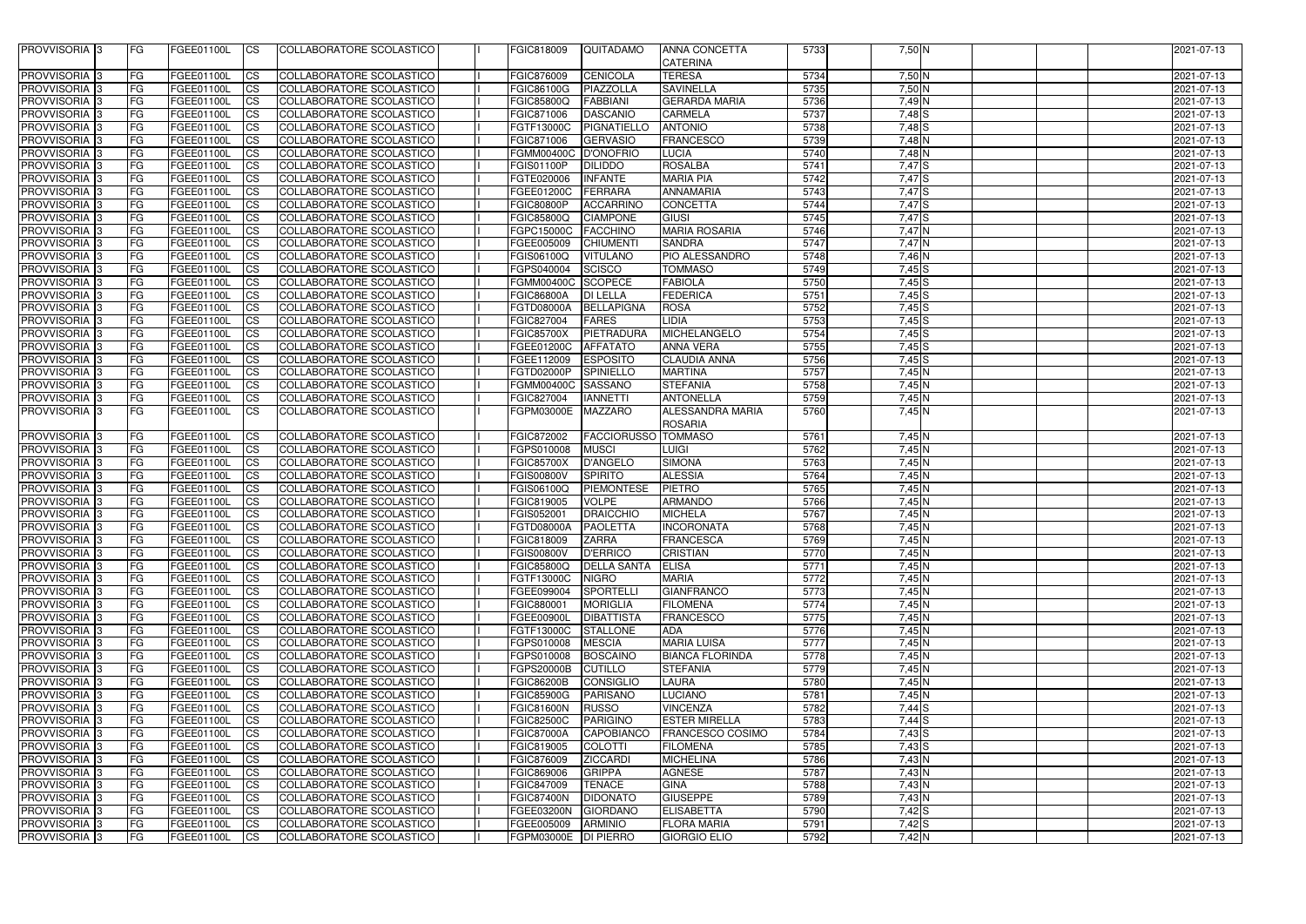| PROVVISORIA 3             | <b>IFG</b> | FGEE01100L        | <b>ICS</b>             | COLLABORATORE SCOLASTICO        | FGIC818009           | QUITADAMO             | <b>ANNA CONCETTA</b>    | 5733 | 7,50 N            | 2021-07-13       |
|---------------------------|------------|-------------------|------------------------|---------------------------------|----------------------|-----------------------|-------------------------|------|-------------------|------------------|
|                           |            |                   |                        |                                 |                      |                       | <b>CATERINA</b>         |      |                   |                  |
| <b>PROVVISORIA</b> 3      | <b>FG</b>  | FGEE01100L        | <b>CS</b>              | COLLABORATORE SCOLASTICO        | <b>FGIC876009</b>    | <b>CENICOLA</b>       | <b>TERESA</b>           | 5734 | $7,50$ N          | 2021-07-13       |
| <b>PROVVISORIA</b> 3      | <b>FG</b>  | <b>FGEE01100L</b> | <b>CS</b>              | COLLABORATORE SCOLASTICO        | FGIC86100G           | PIAZZOLLA             | <b>SAVINELLA</b>        | 5735 | $7,50$ N          | 2021-07-13       |
| <b>PROVVISORIA</b> 3      | <b>FG</b>  | FGEE01100L        | <b>CS</b>              | COLLABORATORE SCOLASTICO        | <b>FGIC85800Q</b>    | <b>FABBIANI</b>       | <b>GERARDA MARIA</b>    | 5736 | 7,49 N            | 2021-07-13       |
| <b>PROVVISORIA</b>        | FG         | FGEE01100L        | <b>CS</b>              | COLLABORATORE SCOLASTICO        | FGIC871006           | <b>DASCANIO</b>       | <b>CARMELA</b>          | 5737 | $7,48$ $S$        | 2021-07-13       |
| <b>PROVVISORIA</b>        | <b>FG</b>  | FGEE01100L        | <b>CS</b>              | COLLABORATORE SCOLASTICO        | FGTF13000C           | PIGNATIELLO           | <b>ANTONIO</b>          | 5738 | $7,48$ S          | 2021-07-13       |
| PROVVISORIA 3             | <b>FG</b>  | FGEE01100L        | <b>CS</b>              | COLLABORATORE SCOLASTICO        | FGIC871006           | <b>GERVASIO</b>       | <b>FRANCESCO</b>        | 5739 | 7,48 N            | 2021-07-13       |
| PROVVISORIA 3             | <b>FG</b>  | FGEE01100L        | <b>CS</b>              | COLLABORATORE SCOLASTICO        | <b>FGMM00400C</b>    | D'ONOFRIO             | <b>LUCIA</b>            | 5740 | 7,48 N            | 2021-07-13       |
| PROVVISORIA 3             | FG         | <b>FGEE01100L</b> | $\overline{\text{cs}}$ | COLLABORATORE SCOLASTICO        | FGIS01100P           | <b>DILIDDO</b>        | <b>ROSALBA</b>          | 5741 | 7,47 <sup>S</sup> | 2021-07-13       |
| PROVVISORIA 3             | FG         | FGEE01100L        | <b>CS</b>              | COLLABORATORE SCOLASTICO        | FGTE020006           | <b>INFANTE</b>        | <b>MARIA PIA</b>        | 5742 | 7,47 S            | 2021-07-13       |
| PROVVISORIA 3             | FG         | FGEE01100L        | <b>CS</b>              | COLLABORATORE SCOLASTICO        | FGEE01200C           | FERRARA               | ANNAMARIA               | 5743 | $7,47$ S          | 2021-07-13       |
| <b>PROVVISORIA</b> 3      | FG         | <b>FGEE01100L</b> | $\overline{c}$         | COLLABORATORE SCOLASTICO        | <b>FGIC80800P</b>    | <b>ACCARRINO</b>      | <b>CONCETTA</b>         | 5744 | 7,47 S            | 2021-07-13       |
| PROVVISORIA 3             | <b>FG</b>  | FGEE01100L        | $\overline{\text{cs}}$ | <b>COLLABORATORE SCOLASTICO</b> | <b>FGIC85800Q</b>    | <b>CIAMPONE</b>       | <b>GIUSI</b>            | 5745 | 7,47S             | 2021-07-13       |
| PROVVISORIA <sup>3</sup>  | <b>FG</b>  | <b>FGEE01100L</b> | <b>CS</b>              | COLLABORATORE SCOLASTICO        | FGPC15000C           | <b>FACCHINO</b>       | <b>MARIA ROSARIA</b>    | 5746 | 7,47 N            | 2021-07-13       |
| PROVVISORIA 3             | <b>FG</b>  | <b>FGEE01100L</b> | <b>CS</b>              | <b>COLLABORATORE SCOLASTICO</b> | FGEE005009           | <b>CHIUMENTI</b>      | <b>SANDRA</b>           | 5747 | 7,47 N            | 2021-07-13       |
| PROVVISORIA <sup>3</sup>  | <b>FG</b>  | <b>FGEE01100L</b> | <b>CS</b>              | COLLABORATORE SCOLASTICO        | FGIS06100Q           | <b>VITULANO</b>       | PIO ALESSANDRO          | 5748 | 7,46 N            | 2021-07-13       |
| PROVVISORIA 3             | <b>FG</b>  | <b>FGEE01100L</b> | <b>ICS</b>             | <b>COLLABORATORE SCOLASTICO</b> | FGPS040004           | <b>SCISCO</b>         | <b>TOMMASO</b>          | 5749 | $7,45$ S          | 2021-07-13       |
| <b>PROVVISORIA</b>        | FG         | FGEE01100L        | <b>CS</b>              | COLLABORATORE SCOLASTICO        | <b>FGMM00400C</b>    | SCOPECE               | <b>FABIOLA</b>          | 5750 | $7,45$ $S$        | 2021-07-13       |
| <b>PROVVISORIA</b>        | <b>FG</b>  | FGEE01100L        | <b>CS</b>              | COLLABORATORE SCOLASTICO        | <b>FGIC86800A</b>    | <b>DI LELLA</b>       | <b>FEDERICA</b>         | 5751 | $7,45$ S          | 2021-07-13       |
| PROVVISORIA 3             | <b>FG</b>  | FGEE01100L        | <b>CS</b>              | COLLABORATORE SCOLASTICO        | <b>FGTD08000A</b>    | <b>BELLAPIGNA</b>     | <b>ROSA</b>             | 5752 | $7,45$ S          | 2021-07-13       |
| PROVVISORIA <sup>3</sup>  | <b>FG</b>  | FGEE01100L        | <b>CS</b>              | COLLABORATORE SCOLASTICO        | FGIC827004           | <b>FARES</b>          | <b>IDIA</b>             | 5753 | $7,45$ $S$        | 2021-07-13       |
| <b>PROVVISORIA</b> 3      | FG         | FGEE01100L        | <b>CS</b>              | COLLABORATORE SCOLASTICO        | <b>FGIC85700X</b>    | PIETRADURA            | MICHELANGELO            | 5754 | $7,45$ S          | 2021-07-13       |
| <b>PROVVISORIA</b> 3      | <b>FG</b>  | FGEE01100L        | ICS                    | COLLABORATORE SCOLASTICO        | FGEE01200C           | <b>AFFATATO</b>       | <b>ANNA VERA</b>        | 5755 | $7,45$ S          | 2021-07-13       |
| <b>PROVVISORIA</b> 3      | <b>FG</b>  | FGEE01100L        | <b>CS</b>              | COLLABORATORE SCOLASTICO        | FGEE112009           | <b>ESPOSITO</b>       | <b>CLAUDIA ANNA</b>     | 5756 | $7,45$ S          | 2021-07-13       |
| <b>PROVVISORIA</b> 3      | FG         | FGEE01100L        | <b>CS</b>              | COLLABORATORE SCOLASTICO        | FGTD02000P           | <b>SPINIELLO</b>      | <b>MARTINA</b>          | 5757 | 7,45N             | 2021-07-13       |
| PROVVISORIA <sup>3</sup>  | <b>FG</b>  | FGEE01100L        | <b>CS</b>              | COLLABORATORE SCOLASTICO        | <b>FGMM00400C</b>    | SASSANO               | <b>STEFANIA</b>         | 5758 | 7,45N             | 2021-07-13       |
| PROVVISORIA <sup>13</sup> | FG         | FGEE01100L        | <b>CS</b>              | COLLABORATORE SCOLASTICO        | FGIC827004           | <b>IANNETTI</b>       | <b>ANTONELLA</b>        | 5759 | $7,45$ N          | 2021-07-13       |
| PROVVISORIA 3             | <b>IFG</b> | <b>FGEE01100L</b> | <b>CS</b>              | <b>COLLABORATORE SCOLASTICO</b> | FGPM03000E           | <b>MAZZARO</b>        | <b>ALESSANDRA MARIA</b> | 5760 | 7,45N             | 2021-07-13       |
|                           |            |                   |                        |                                 |                      |                       | <b>ROSARIA</b>          |      |                   |                  |
| <b>PROVVISORIA</b> 3      | <b>FG</b>  | FGEE01100L        | <b>CS</b>              | COLLABORATORE SCOLASTICO        | FGIC872002           | <b>FACCIORUSSO</b>    | <b>TOMMASO</b>          | 5761 | $7,45$ N          | 2021-07-13       |
| <b>PROVVISORIA</b>        | <b>FG</b>  | FGEE01100L        | $\overline{\text{cs}}$ | COLLABORATORE SCOLASTICO        | FGPS010008           | <b>MUSCI</b>          | LUIGI                   | 5762 | 7,45N             | 2021-07-13       |
| PROVVISORIA <sup>3</sup>  | <b>FG</b>  | FGEE01100L        | <b>CS</b>              | COLLABORATORE SCOLASTICO        | <b>FGIC85700X</b>    | <b>D'ANGELO</b>       | <b>SIMONA</b>           | 5763 | 7,45 N            | 2021-07-13       |
| PROVVISORIA <sup>3</sup>  | <b>FG</b>  | FGEE01100L        | <b>CS</b>              | COLLABORATORE SCOLASTICO        | <b>FGIS00800V</b>    | <b>SPIRITO</b>        | <b>ALESSIA</b>          | 5764 | 7,45 N            | 2021-07-13       |
| PROVVISORIA <sup>3</sup>  | <b>FG</b>  | FGEE01100L        | <b>CS</b>              | COLLABORATORE SCOLASTICO        | FGIS06100Q           | <b>PIEMONTESE</b>     | <b>PIETRO</b>           | 5765 | 7,45 N            | 2021-07-13       |
| PROVVISORIA <sup>3</sup>  | <b>FG</b>  | FGEE01100L        | <b>CS</b>              | COLLABORATORE SCOLASTICO        | FGIC819005           | <b>VOLPE</b>          | <b>ARMANDO</b>          | 5766 | $7,45$ N          | 2021-07-13       |
| PROVVISORIA 3             | FG         | FGEE01100L        | <b>ICS</b>             | COLLABORATORE SCOLASTICO        | FGIS052001           | DRAICCHIO             | <b>MICHELA</b>          | 5767 | $7,45$ N          | 2021-07-13       |
| PROVVISORIA <sup>3</sup>  | FG         | FGEE01100L        | $\overline{\text{cs}}$ | COLLABORATORE SCOLASTICO        | <b>FGTD08000A</b>    | <b>PAOLETTA</b>       | <b>INCORONATA</b>       | 5768 | 7,45N             | $2021 - 07 - 13$ |
| <b>PROVVISORIA</b> 3      | <b>FG</b>  | FGEE01100L        | <b>CS</b>              | COLLABORATORE SCOLASTICO        | <b>FGIC818009</b>    | <b>ZARRA</b>          | <b>FRANCESCA</b>        | 5769 | 7,45 N            | 2021-07-13       |
| PROVVISORIA <sup>3</sup>  | <b>FG</b>  | FGEE01100L        | <b>CS</b>              | COLLABORATORE SCOLASTICO        | <b>FGIS00800V</b>    | <b>D'ERRICO</b>       | <b>CRISTIAN</b>         | 5770 | 7,45N             | 2021-07-13       |
| PROVVISORIA 3             | <b>FG</b>  | FGEE01100L        | CS                     | COLLABORATORE SCOLASTICO        | <b>FGIC85800Q</b>    | <b>DELLA SANTA</b>    | <b>ELISA</b>            | 5771 | $7,45$ N          | 2021-07-13       |
| <b>PROVVISORIA</b> 3      | <b>FG</b>  | FGEE01100L        | <b>CS</b>              | COLLABORATORE SCOLASTICO        | <b>FGTF13000C</b>    | <b>NIGRO</b>          | <b>MARIA</b>            | 5772 | 7,45N             | 2021-07-13       |
| <b>PROVVISORIA</b> 3      | <b>IFG</b> | FGEE01100L        | <b>CS</b>              | COLLABORATORE SCOLASTICO        | FGEE099004           | SPORTELLI             | <b>GIANFRANCO</b>       | 5773 | 7,45N             | 2021-07-13       |
| PROVVISORIA <sup>3</sup>  | <b>FG</b>  | FGEE01100L        | <b>ICS</b>             | COLLABORATORE SCOLASTICO        | FGIC880001           | <b>MORIGLIA</b>       | <b>FILOMENA</b>         | 5774 | 7,45 N            | 2021-07-13       |
| <b>PROVVISORIA</b> 3      | <b>FG</b>  | <b>FGEE01100L</b> | <b>ICS</b>             | COLLABORATORE SCOLASTICO        | FGEE00900L           | <b>DIBATTISTA</b>     | <b>FRANCESCO</b>        | 5775 | 7,45N             | 2021-07-13       |
| PROVVISORIA <sup>3</sup>  | <b>FG</b>  | <b>FGEE01100L</b> | <b>CS</b>              | COLLABORATORE SCOLASTICO        | <b>FGTF13000C</b>    | <b>STALLONE</b>       | <b>ADA</b>              | 5776 | 7,45 N            | 2021-07-13       |
| PROVVISORIA <sup>3</sup>  | <b>FG</b>  | <b>FGEE01100L</b> | <b>ICS</b>             | COLLABORATORE SCOLASTICO        | FGPS010008           | <b>MESCIA</b>         | <b>MARIA LUISA</b>      | 5777 | $7,45$ N          | 2021-07-13       |
| PROVVISORIA <sup>3</sup>  | <b>FG</b>  | FGEE01100L        | <b>ICS</b>             | COLLABORATORE SCOLASTICO        | FGPS010008           | <b>BOSCAINO</b>       | <b>BIANCA FLORINDA</b>  | 5778 | 7,45N             | 2021-07-13       |
| PROVVISORIA 3             | <b>FG</b>  | FGEE01100L        | <b>CS</b>              | COLLABORATORE SCOLASTICO        | FGPS20000B           | <b>CUTILLO</b>        | <b>STEFANIA</b>         | 5779 | 7,45N             | 2021-07-13       |
| PROVVISORIA 3             | <b>FG</b>  | FGEE01100L        |                        | COLLABORATORE SCOLASTICO        | <b>FGIC86200B</b>    |                       |                         | 5780 | 7,45N             | 2021-07-13       |
| PROVVISORIA 3             | <b>FG</b>  | FGEE01100L        | <b>ICS</b>             |                                 |                      | CONSIGLIO<br>PARISANO | LAURA                   | 5781 | 7,45N             | 2021-07-13       |
|                           |            |                   | <b>CS</b>              | COLLABORATORE SCOLASTICO        | <b>FGIC85900G</b>    |                       | <b>LUCIANO</b>          |      |                   |                  |
| PROVVISORIA 3             | <b>FG</b>  | FGEE01100L        | <b>CS</b>              | COLLABORATORE SCOLASTICO        | <b>FGIC81600N</b>    | <b>RUSSO</b>          | <b>VINCENZA</b>         | 5782 | $7,44$ S          | 2021-07-13       |
| PROVVISORIA 3             | <b>FG</b>  | FGEE01100L        | <b>CS</b>              | COLLABORATORE SCOLASTICO        | <b>FGIC82500C</b>    | <b>PARIGINO</b>       | <b>ESTER MIRELLA</b>    | 5783 | $7,44$ S          | 2021-07-13       |
| PROVVISORIA <sup>3</sup>  | <b>FG</b>  | FGEE01100L        | <b>CS</b>              | COLLABORATORE SCOLASTICO        | <b>FGIC87000A</b>    | <b>CAPOBIANCO</b>     | <b>FRANCESCO COSIMO</b> | 5784 | $7,43$ $S$        | 2021-07-13       |
| PROVVISORIA 3             | <b>FG</b>  | <b>FGEE01100L</b> | <b>CS</b>              | COLLABORATORE SCOLASTICO        | FGIC819005           | <b>COLOTTI</b>        | <b>FILOMENA</b>         | 5785 | $7,43$ S          | 2021-07-13       |
| <b>PROVVISORIA</b> 3      | <b>IFG</b> | FGEE01100L        | <b>CS</b>              | COLLABORATORE SCOLASTICO        | <b>FGIC876009</b>    | <b>ZICCARDI</b>       | <b>MICHELINA</b>        | 5786 | $7,43$ N          | 2021-07-13       |
| <b>PROVVISORIA 3</b>      | <b>FG</b>  | FGEE01100L        | <b>CS</b>              | COLLABORATORE SCOLASTICO        | <b>FGIC869006</b>    | <b>GRIPPA</b>         | <b>AGNESE</b>           | 5787 | $7,43$ N          | 2021-07-13       |
| PROVVISORIA 3             | <b>FG</b>  | FGEE01100L        | <b>CS</b>              | COLLABORATORE SCOLASTICO        | FGIC847009           | <b>TENACE</b>         | <b>GINA</b>             | 5788 | $7,43$ N          | 2021-07-13       |
| PROVVISORIA <sup>3</sup>  | <b>FG</b>  | FGEE01100L        | <b>CS</b>              | COLLABORATORE SCOLASTICO        | <b>FGIC87400N</b>    | <b>DIDONATO</b>       | <b>GIUSEPPE</b>         | 5789 | 7,43 N            | 2021-07-13       |
| PROVVISORIA 3             | <b>FG</b>  | FGEE01100L        | <b>CS</b>              | COLLABORATORE SCOLASTICO        | FGEE03200N           | <b>GIORDANO</b>       | <b>ELISABETTA</b>       | 5790 | $7,42$ S          | 2021-07-13       |
| PROVVISORIA 3             | <b>FG</b>  | FGEE01100L        | <b>CS</b>              | COLLABORATORE SCOLASTICO        | FGEE005009           | <b>ARMINIO</b>        | <b>FLORA MARIA</b>      | 5791 | $7,42$ S          | 2021-07-13       |
| PROVVISORIA 3             | <b>IFG</b> | FGEE01100L        | <b>ICS</b>             | COLLABORATORE SCOLASTICO        | FGPM03000E DI PIERRO |                       | <b>GIORGIO ELIO</b>     | 5792 | $7,42$ N          | 2021-07-13       |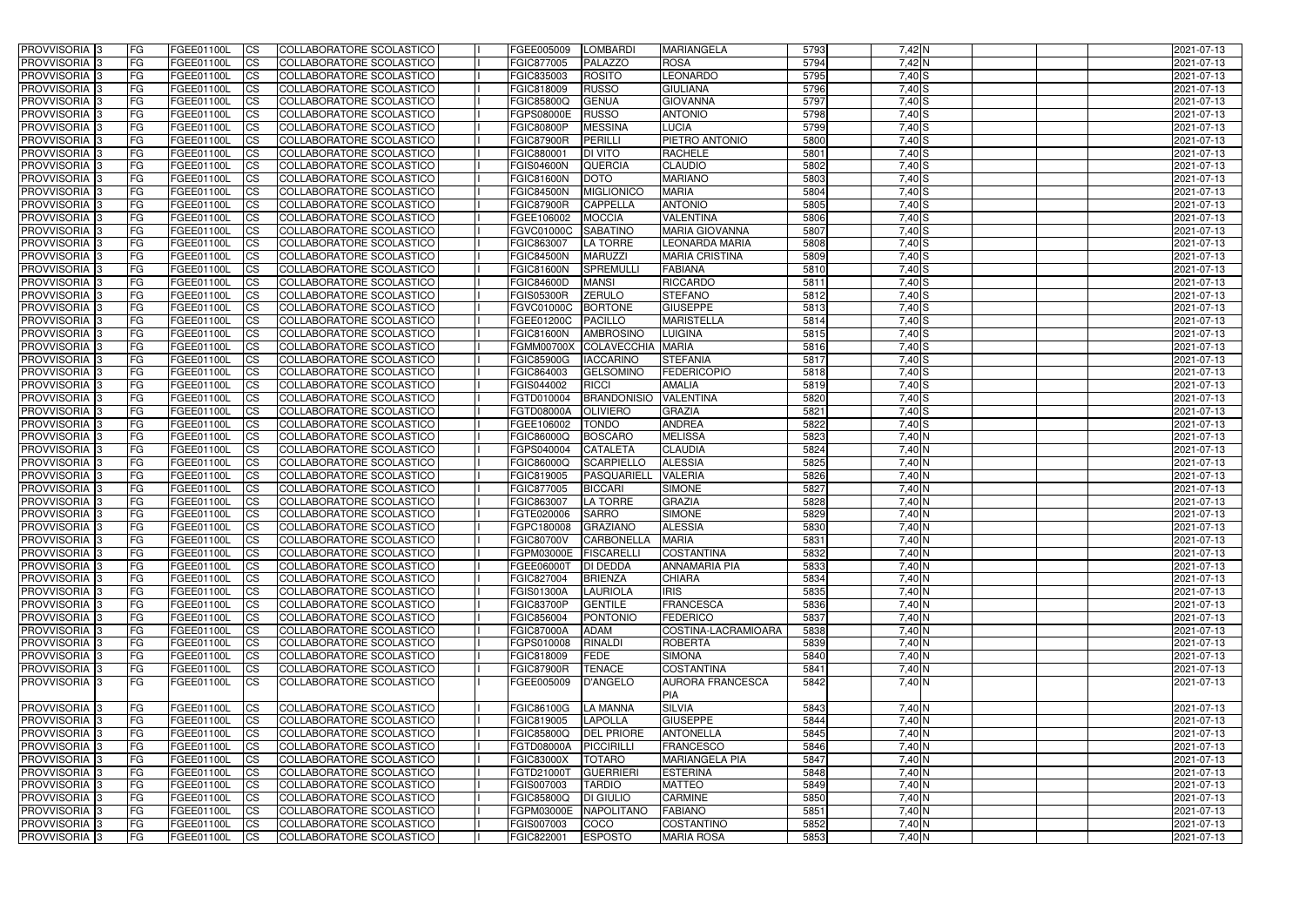| <b>PROVVISORIA</b> 3                                   | FG         | FGEE01100L                             | <b>CS</b>              | COLLABORATORE SCOLASTICO                             | FGEE005009               | LOMBARDI                           | <b>MARIANGELA</b>            | 5793         | 7,42 N         | 2021-07-13               |
|--------------------------------------------------------|------------|----------------------------------------|------------------------|------------------------------------------------------|--------------------------|------------------------------------|------------------------------|--------------|----------------|--------------------------|
| <b>PROVVISORIA 3</b>                                   | FG         | FGEE01100L                             | $\overline{\text{cs}}$ | COLLABORATORE SCOLASTICO                             | FGIC877005               | PALAZZO                            | <b>ROSA</b>                  | 5794         | 7,42 N         | 2021-07-13               |
| PROVVISORIA <sup>3</sup>                               | <b>IFG</b> | FGEE01100L                             | <b>CS</b>              | <b>COLLABORATORE SCOLASTICO</b>                      | FGIC835003               | <b>ROSITO</b>                      | LEONARDO                     | 5795         | 7,40 S         | 2021-07-13               |
| PROVVISORIA <sup>3</sup>                               | FG         | FGEE01100L                             | <b>CS</b>              | COLLABORATORE SCOLASTICO                             | FGIC818009               | <b>RUSSO</b>                       | <b>GIULIANA</b>              | 5796         | $7,40$ S       | 2021-07-13               |
| PROVVISORIA <sup>3</sup>                               | FG         | FGEE01100L                             | <b>CS</b>              | COLLABORATORE SCOLASTICO                             | <b>FGIC85800Q</b>        | <b>GENUA</b>                       | <b>GIOVANNA</b>              | 5797         | $7,40$ S       | 2021-07-13               |
| PROVVISORIA 3                                          | FG         | FGEE01100L                             | <b>ICS</b>             | COLLABORATORE SCOLASTICO                             | <b>FGPS08000E</b>        | <b>RUSSO</b>                       | <b>ANTONIO</b>               | 5798         | $7,40$ S       | 2021-07-13               |
| PROVVISORIA <sup>3</sup>                               | FG         | FGEE01100L                             | <b>ICS</b>             | COLLABORATORE SCOLASTICO                             | <b>FGIC80800P</b>        | <b>MESSINA</b>                     | <b>LUCIA</b>                 | 5799         | $7,40$ S       | 2021-07-13               |
| PROVVISORIA <sup>3</sup>                               | FG         | FGEE01100L                             | $\overline{c}$         | COLLABORATORE SCOLASTICO                             | <b>FGIC87900R</b>        | <b>PERILLI</b>                     | PIETRO ANTONIO               | 5800         | 7,40S          | 2021-07-13               |
| PROVVISORIA <sup>3</sup>                               | FG         | FGEE01100L                             | <b>CS</b>              | COLLABORATORE SCOLASTICO                             | FGIC880001               | <b>DI VITO</b>                     | <b>RACHELE</b>               | 5801         | $7,40$ S       | 2021-07-13               |
| PROVVISORIA <sup>3</sup>                               | FG         | <b>FGEE01100L</b>                      | <b>CS</b>              | COLLABORATORE SCOLASTICO                             | <b>FGIS04600N</b>        | <b>QUERCIA</b>                     | <b>CLAUDIO</b>               | 5802         | 7,40 S         | 2021-07-13               |
| <b>PROVVISORIA</b> 3                                   | FG         | FGEE01100L                             | <b>CS</b>              | <b>COLLABORATORE SCOLASTICO</b>                      | <b>FGIC81600N</b>        | <b>DOTO</b>                        | <b>MARIANO</b>               | 5803         | 7,40 S         | 2021-07-13               |
| <b>PROVVISORIA</b> 3                                   | FG         | FGEE01100L                             | <b>I</b> CS            | COLLABORATORE SCOLASTICO                             | <b>FGIC84500N</b>        | <b>MIGLIONICC</b>                  | <b>MARIA</b>                 | 5804         | $7,40$ S       | 2021-07-13               |
| PROVVISORIA <sup>3</sup>                               | FG         | FGEE01100L                             | <b>I</b> CS            | <b>COLLABORATORE SCOLASTICO</b>                      | <b>FGIC87900R</b>        | <b>CAPPELLA</b>                    | <b>ANTONIO</b>               | 5805         | 7,40 S         | 2021-07-13               |
| PROVVISORIA <sup>3</sup>                               | FG         | FGEE01100L                             | <b>I</b> CS            | <b>COLLABORATORE SCOLASTICO</b>                      | FGEE106002               | <b>MOCCIA</b>                      | <b>VALENTINA</b>             | 5806         | 7,40 S         | 2021-07-13               |
| <b>PROVVISORIA</b> 3                                   | FG         | FGEE01100L                             | <b>I</b> CS            | COLLABORATORE SCOLASTICO                             | <b>FGVC01000C</b>        | <b>SABATINO</b>                    | <b>MARIA GIOVANNA</b>        | 5807         | 7,40 S         | 2021-07-13               |
| PROVVISORIA <sup>3</sup>                               | FG         | FGEE01100L                             | <b>ICS</b>             | COLLABORATORE SCOLASTICO                             | FGIC863007               | <b>LA TORRE</b>                    | <b>LEONARDA MARIA</b>        | 5808         | 7,40 S         | 2021-07-13               |
| PROVVISORIA <sup>3</sup>                               | FG         | FGEE01100L                             | <b>I</b> CS            | COLLABORATORE SCOLASTICO                             | <b>FGIC84500N</b>        | <b>MARUZZI</b>                     | <b>MARIA CRISTINA</b>        | 5809         | $7,40$ S       | 2021-07-13               |
| PROVVISORIA <sup>3</sup>                               | FG         | FGEE01100L                             | <b>ICS</b>             | COLLABORATORE SCOLASTICO                             | <b>FGIC81600N</b>        | <b>SPREMULL</b>                    | <b>FABIANA</b>               | 5810         | 7,40 S         | 2021-07-13               |
| PROVVISORIA <sup>3</sup>                               | FG         | FGEE01100L                             | <b>ICS</b>             | COLLABORATORE SCOLASTICO                             | <b>FGIC84600D</b>        | <b>MANSI</b>                       | <b>RICCARDO</b>              | 5811         | $7,40$ S       | 2021-07-13               |
| PROVVISORIA <sup>3</sup>                               | FG         | FGEE01100L                             | <b>CS</b>              | COLLABORATORE SCOLASTICO                             | <b>FGIS05300R</b>        | <b>ZERULO</b>                      | <b>STEFANO</b>               | 5812         | $7,40$ S       | 2021-07-13               |
| PROVVISORIA <sup>3</sup>                               | FG         | FGEE01100L                             | <b>CS</b>              | COLLABORATORE SCOLASTICO                             | <b>FGVC01000C</b>        | <b>BORTONE</b>                     | <b>GIUSEPPE</b>              | 5813         | 7,40S          | 2021-07-13               |
| PROVVISORIA <sup>3</sup>                               | FG         | FGEE01100L                             | <b>CS</b>              | COLLABORATORE SCOLASTICO                             | FGEE01200C               | <b>PACILLO</b>                     | <b>MARISTELLA</b>            | 5814         | 7,40 S         | 2021-07-13               |
| PROVVISORIA <sup>3</sup>                               | FG         | <b>FGEE01100L</b>                      | <b>CS</b>              | COLLABORATORE SCOLASTICO                             | <b>FGIC81600N</b>        | <b>AMBROSINO</b>                   | LUIGINA                      | 5815         | 7,40 S         | 2021-07-13               |
| PROVVISORIA <sup>1</sup> 3                             | FG         | FGEE01100L                             | <b>CS</b>              | COLLABORATORE SCOLASTICO                             | <b>FGMM00700X</b>        | <b>COLAVECCHIA</b>                 | <b>MARIA</b>                 | 5816         | 7,40S          | 2021-07-13               |
| PROVVISORIA <sup>3</sup>                               | FG.        | <b>FGEE01100L</b>                      | ICS                    | COLLABORATORE SCOLASTICO                             | <b>FGIC85900G</b>        | <b>IACCARINO</b>                   | <b>STEFANIA</b>              | 5817         | 7,40S          | 2021-07-13               |
| PROVVISORIA <sup>1</sup> 3                             | FG         | <b>FGEE01100L</b><br><b>FGEE01100L</b> | <b>CS</b>              | COLLABORATORE SCOLASTICO                             | FGIC864003               | <b>GELSOMINO</b>                   | <b>FEDERICOPIO</b><br>AMALIA | 5818         | 7,40S<br>7,40S | 2021-07-13               |
| PROVVISORIA <sup>3</sup>                               | FG         | FGEE01100L                             | <b>CS</b>              | COLLABORATORE SCOLASTICO                             | FGIS044002<br>FGTD010004 | <b>RICCI</b><br><b>BRANDONISIO</b> | <b>VALENTINA</b>             | 5819<br>5820 | $7,40$ S       | 2021-07-13               |
| PROVVISORIA <sup>3</sup><br>PROVVISORIA <sup>1</sup> 3 | FG<br>FG   | FGEE01100L                             | <b>CS</b><br><b>CS</b> | COLLABORATORE SCOLASTICO<br>COLLABORATORE SCOLASTICO | <b>FGTD08000A</b>        | OLIVIERO                           | <b>GRAZIA</b>                | 5821         | $7,40$ S       | 2021-07-13<br>2021-07-13 |
| PROVVISORIA <sup>3</sup>                               | FG         | FGEE01100L                             | <b>CS</b>              | COLLABORATORE SCOLASTICO                             | FGEE106002               | <b>TONDO</b>                       | <b>ANDREA</b>                | 5822         | $7,40$ S       | 2021-07-13               |
| PROVVISORIA <sup>3</sup>                               | FG         | FGEE01100L                             | <b>CS</b>              | COLLABORATORE SCOLASTICO                             | FGIC86000Q               | <b>BOSCARO</b>                     | <b>MELISSA</b>               | 5823         | 7,40 N         | 2021-07-13               |
| PROVVISORIA <sup>3</sup>                               | FG         | <b>FGEE01100L</b>                      | <b>CS</b>              | <b>COLLABORATORE SCOLASTICO</b>                      | FGPS040004               | <b>CATALETA</b>                    | <b>CLAUDIA</b>               | 5824         | 7,40 N         | 2021-07-13               |
| PROVVISORIA <sup>3</sup>                               | FG         | FGEE01100L                             | <b>I</b> CS            | COLLABORATORE SCOLASTICO                             | FGIC86000Q               | <b>SCARPIELLO</b>                  | <b>ALESSIA</b>               | 5825         | $7,40$ N       | 2021-07-13               |
| PROVVISORIA <sup>3</sup>                               | FG         | FGEE01100L                             | $\overline{c}$         | COLLABORATORE SCOLASTICO                             | FGIC819005               | PASQUARIELL                        | <b>VALERIA</b>               | 5826         | $7,40$ N       | 2021-07-13               |
| PROVVISORIA <sup>3</sup>                               | FG         | FGEE01100L                             | <b>CS</b>              | COLLABORATORE SCOLASTICO                             | FGIC877005               | <b>BICCARI</b>                     | <b>SIMONE</b>                | 5827         | 7,40 N         | 2021-07-13               |
| PROVVISORIA <sup>3</sup>                               | FG         | FGEE01100L                             | <b>CS</b>              | COLLABORATORE SCOLASTICO                             | FGIC863007               | <b>LA TORRE</b>                    | <b>GRAZIA</b>                | 5828         | $7,40$ N       | 2021-07-13               |
| <b>PROVVISORIA</b> 3                                   | FG         | <b>FGEE01100L</b>                      | <b>I</b> CS            | COLLABORATORE SCOLASTICO                             | FGTE020006               | <b>SARRO</b>                       | <b>SIMONE</b>                | 5829         | $7,40$ N       | 2021-07-13               |
| <b>PROVVISORIA</b> 3                                   | IFG.       | FGEE01100L                             | <b>ICS</b>             | COLLABORATORE SCOLASTICO                             | <b>FGPC180008</b>        | <b>GRAZIANO</b>                    | <b>ALESSIA</b>               | 5830         | 7,40 N         | 2021-07-13               |
| <b>PROVVISORIA</b> 3                                   | IFG.       | FGEE01100L CS                          |                        | COLLABORATORE SCOLASTICO                             |                          | FGIC80700V CARBONELLA MARIA        |                              | 5831         | 7,40 N         | 2021-07-13               |
| PROVVISORIA 3                                          | FG         | FGEE01100L                             | <b>CS</b>              | COLLABORATORE SCOLASTICO                             | FGPM03000E               | FISCARELLI                         | <b>COSTANTINA</b>            | 5832         | 7,40 N         | 2021-07-13               |
| PROVVISORIA 3                                          | FG         | FGEE01100L                             | $\mathsf{ICS}$         | COLLABORATORE SCOLASTICO                             | <b>FGEE06000T</b>        | <b>DI DEDDA</b>                    | <b>ANNAMARIA PIA</b>         | 5833         | 7,40 N         | 2021-07-13               |
| PROVVISORIA 3                                          | IFG.       | FGEE01100L                             | <b>ICS</b>             | COLLABORATORE SCOLASTICO                             | FGIC827004               | <b>BRIENZA</b>                     | <b>CHIARA</b>                | 5834         | 7,40 N         | 2021-07-13               |
| PROVVISORIA 3                                          | FG         | FGEE01100L                             | <b>CS</b>              | COLLABORATORE SCOLASTICO                             | <b>FGIS01300A</b>        | <b>LAURIOLA</b>                    | <b>IRIS</b>                  | 5835         | 7,40 N         | 2021-07-13               |
| PROVVISORIA 3                                          | FG         | FGEE01100L                             | <b>CS</b>              | COLLABORATORE SCOLASTICO                             | <b>FGIC83700P</b>        | <b>GENTILE</b>                     | <b>FRANCESCA</b>             | 5836         | $7,40$ N       | 2021-07-13               |
| PROVVISORIA 3                                          | <b>FG</b>  | FGEE01100L                             | <b>CS</b>              | COLLABORATORE SCOLASTICO                             | FGIC856004               | PONTONIO                           | <b>FEDERICO</b>              | 5837         | $7,40$ N       | 2021-07-13               |
| PROVVISORIA 3                                          | FG         | FGEE01100L                             | <b>CS</b>              | COLLABORATORE SCOLASTICO                             | <b>FGIC87000A</b>        | <b>ADAM</b>                        | COSTINA-LACRAMIOARA          | 5838         | $7,40$ N       | 2021-07-13               |
| PROVVISORIA 3                                          | FG         | FGEE01100L                             | <b>CS</b>              | COLLABORATORE SCOLASTICO                             | FGPS010008               | <b>RINALDI</b>                     | <b>ROBERTA</b>               | 5839         | 7,40 N         | 2021-07-13               |
| PROVVISORIA 3                                          | FG         | FGEE01100L                             | <b>CS</b>              | COLLABORATORE SCOLASTICO                             | FGIC818009               | FEDE                               | <b>SIMONA</b>                | 5840         | $7,40$ N       | 2021-07-13               |
| PROVVISORIA 3                                          | FG         | FGEE01100L                             | <b>CS</b>              | COLLABORATORE SCOLASTICO                             | <b>FGIC87900R</b>        | <b>TENACE</b>                      | <b>COSTANTINA</b>            | 5841         | $7,40$ N       | 2021-07-13               |
| <b>PROVVISORIA</b> 3                                   | IFG.       | FGEE01100L                             | <b>ICS</b>             | COLLABORATORE SCOLASTICO                             | FGEE005009               | D'ANGELO                           | <b>AURORA FRANCESCA</b>      | 5842         | 7,40 N         | 2021-07-13               |
|                                                        |            |                                        |                        |                                                      |                          |                                    | <b>PIA</b>                   |              |                |                          |
| PROVVISORIA 3                                          | FG         | FGEE01100L                             | <b>CS</b>              | COLLABORATORE SCOLASTICO                             | <b>FGIC86100G</b>        | <b>LA MANNA</b>                    | <b>SILVIA</b>                | 5843         | 7,40 N         | 2021-07-13               |
| <b>PROVVISORIA</b> 3                                   | <b>IFG</b> | FGEE01100L                             | <b>CS</b>              | COLLABORATORE SCOLASTICO                             | FGIC819005               | <b>LAPOLLA</b>                     | <b>GIUSEPPE</b>              | 5844         | 7,40 N         | 2021-07-13               |
| <b>PROVVISORIA</b> 3                                   | IFG.       | FGEE01100L                             | <b>CS</b>              | COLLABORATORE SCOLASTICO                             | <b>FGIC85800Q</b>        | <b>DEL PRIORE</b>                  | <b>ANTONELLA</b>             | 5845         | 7,40 N         | 2021-07-13               |
| PROVVISORIA 3                                          | FG         | FGEE01100L                             | <b>CS</b>              | COLLABORATORE SCOLASTICO                             | FGTD08000A               | PICCIRILLI                         | <b>FRANCESCO</b>             | 5846         | 7,40 N         | 2021-07-13               |
| PROVVISORIA 3                                          | FG         | FGEE01100L                             | <b>CS</b>              | COLLABORATORE SCOLASTICO                             | <b>FGIC83000X</b>        | <b>TOTARO</b>                      | <b>MARIANGELA PIA</b>        | 5847         | $7,40$ N       | 2021-07-13               |
| PROVVISORIA 3                                          | <b>FG</b>  | <b>FGEE01100L</b>                      | <b>CS</b>              | COLLABORATORE SCOLASTICO                             | FGTD21000T               | <b>GUERRIERI</b>                   | <b>ESTERINA</b>              | 5848         | 7,40 N         | 2021-07-13               |
| PROVVISORIA 3                                          | FG         | <b>FGEE01100L</b>                      | <b>CS</b>              | COLLABORATORE SCOLASTICO                             | FGIS007003               | <b>TARDIO</b>                      | <b>MATTEO</b>                | 5849         | 7,40 N         | 2021-07-13               |
| PROVVISORIA 3                                          | FG         | FGEE01100L                             | <b>CS</b>              | COLLABORATORE SCOLASTICO                             | <b>FGIC85800Q</b>        | <b>DI GIULIO</b>                   | <b>CARMINE</b>               | 5850         | $7,40$ N       | 2021-07-13               |
| PROVVISORIA 3                                          | FG         | <b>FGEE01100L</b>                      | <b>CS</b>              | COLLABORATORE SCOLASTICO                             | FGPM03000E               | <b>NAPOLITANO</b>                  | <b>FABIANO</b>               | 5851         | $7,40$ N       | 2021-07-13               |
| PROVVISORIA 3                                          | FG         | FGEE01100L                             | <b>CS</b>              | COLLABORATORE SCOLASTICO                             | FGIS007003               | COCO                               | COSTANTINO                   | 5852         | $7,40$ N       | 2021-07-13               |
| PROVVISORIA 3                                          | l FG       | FGEE01100L                             | <b>ICS</b>             | COLLABORATORE SCOLASTICO                             | FGIC822001               | <b>ESPOSTO</b>                     | <b>MARIA ROSA</b>            | 5853         | $7,40$ N       | 2021-07-13               |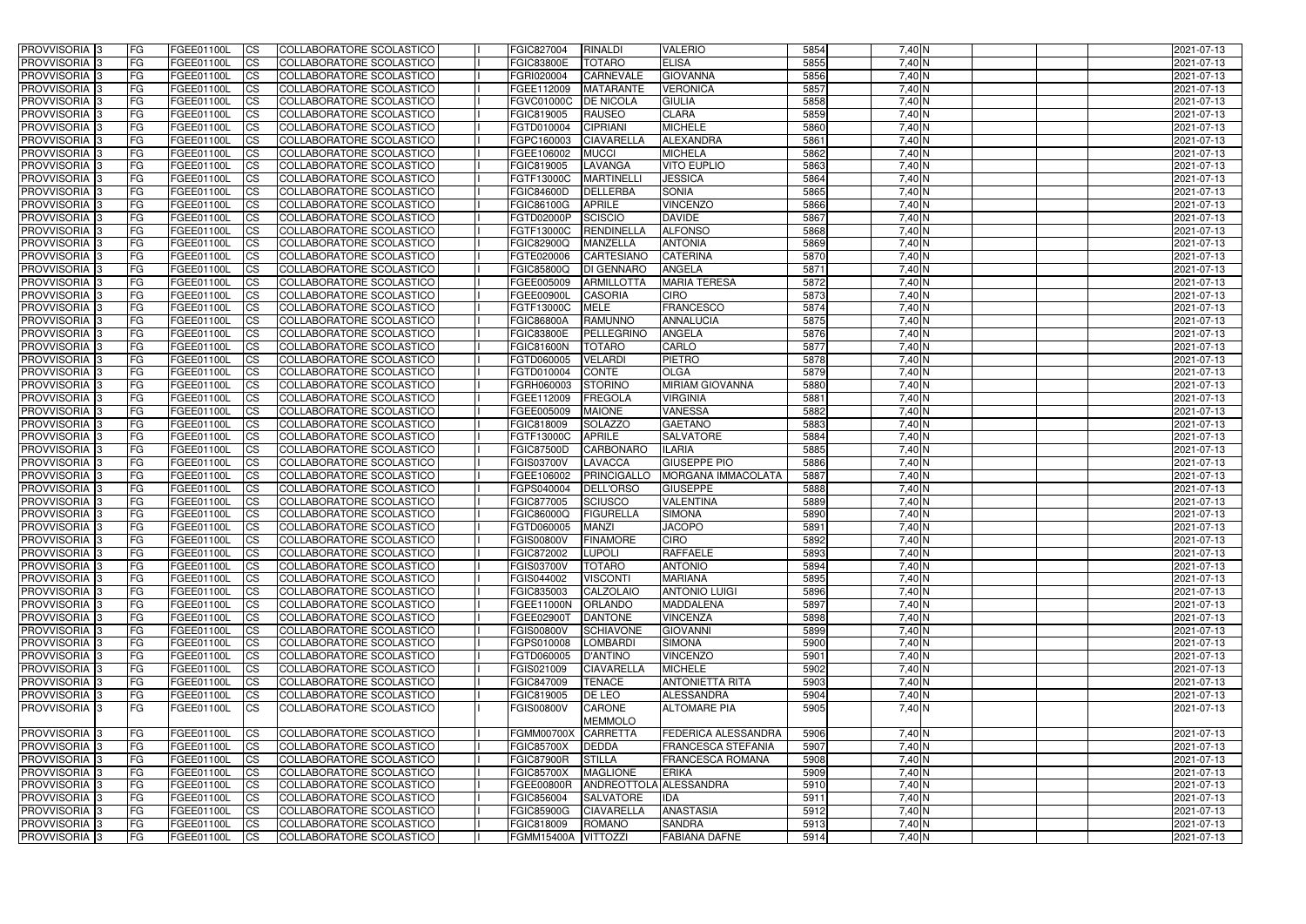| <b>PROVVISORIA</b> 3                      | l FG                   | FGEE01100L               | <b>ICS</b>             | COLLABORATORE SCOLASTICO                             | FGIC827004                      | <b>RINALDI</b>                      | <b>VALERIO</b>                   | 5854         | $7,40$ N           | 2021-07-13               |
|-------------------------------------------|------------------------|--------------------------|------------------------|------------------------------------------------------|---------------------------------|-------------------------------------|----------------------------------|--------------|--------------------|--------------------------|
| <b>PROVVISORIA 3</b>                      | FG                     | FGEE01100L               | <b>ICS</b>             | COLLABORATORE SCOLASTICO                             | <b>FGIC83800E</b>               | <b>TOTARO</b>                       | <b>ELISA</b>                     | 5855         | 7,40 N             | 2021-07-13               |
| PROVVISORIA                               | FG                     | FGEE01100L               | <b>CS</b>              | <b>COLLABORATORE SCOLASTICO</b>                      | FGRI020004                      | <b>CARNEVALE</b>                    | <b>GIOVANNA</b>                  | 5856         | 7,40 N             | 2021-07-13               |
| PROVVISORIA                               | FG                     | FGEE01100L               | <b>CS</b>              | COLLABORATORE SCOLASTICO                             | FGEE112009                      | <b>MATARANTE</b>                    | <b>VERONICA</b>                  | 5857         | 7,40 N             | 2021-07-13               |
| PROVVISORIA <sup>1</sup> 3                | FG                     | FGEE01100L               | <b>CS</b>              | COLLABORATORE SCOLASTICO                             | FGVC01000C                      | <b>DE NICOLA</b>                    | <b>GIULIA</b>                    | 5858         | 7,40 N             | 2021-07-13               |
| PROVVISORIA <sup>1</sup> 3                | FG                     | FGEE01100L               | <b>CS</b>              | COLLABORATORE SCOLASTICO                             | FGIC819005                      | <b>RAUSEO</b>                       | <b>CLARA</b>                     | 5859         | 7,40 N             | 2021-07-13               |
| PROVVISORIA <sup>1</sup> 3                | FG                     | FGEE01100L               | <b>CS</b>              | COLLABORATORE SCOLASTICO                             | FGTD010004                      | <b>CIPRIANI</b>                     | <b>MICHELE</b>                   | 5860         | $7,40$ N           | 2021-07-13               |
| PROVVISORIA 3                             | FG                     | FGEE01100L               | <b>ICS</b>             | COLLABORATORE SCOLASTICO                             | FGPC160003                      | <b>CIAVARELLA</b>                   | ALEXANDRA                        | 5861         | 7,40 N             | 2021-07-13               |
| PROVVISORIA 3                             | FG                     | FGEE01100L               | <b>CS</b>              | COLLABORATORE SCOLASTICO                             | FGEE106002                      | <b>MUCCI</b>                        | <b>MICHELA</b>                   | 5862         | 7,40 N             | 2021-07-13               |
| PROVVISORIA 3                             | <b>FG</b>              | FGEE01100L               | <b>ICS</b>             | COLLABORATORE SCOLASTICO                             | FGIC819005                      | LAVANGA                             | <b>VITO EUPLIO</b>               | 5863         | 7,40 N             | 2021-07-13               |
| PROVVISORIA 3                             | FG                     | FGEE01100L               | <b>ICS</b>             | COLLABORATORE SCOLASTICO                             | FGTF13000C                      | <b>MARTINELL</b>                    | <b>JESSICA</b>                   | 5864         | 7,40 N             | 2021-07-13               |
| <b>PROVVISORIA</b>                        | FG                     | FGEE01100L               | <b>CS</b>              | COLLABORATORE SCOLASTICO                             | <b>FGIC84600D</b>               | DELLERBA                            | <b>SONIA</b>                     | 5865         | 7,40 N             | 2021-07-13               |
| <b>PROVVISORIA</b>                        | FG                     | FGEE01100L               | <b>ICS</b>             | COLLABORATORE SCOLASTICO                             | <b>FGIC86100G</b>               | <b>APRILE</b>                       | <b>VINCENZO</b>                  | 5866         | $7,40$ N           | 2021-07-13               |
| <b>PROVVISORIA</b>                        | FG                     | FGEE01100L               | <b>ICS</b>             | COLLABORATORE SCOLASTICO                             | FGTD02000P                      | <b>SCISCIO</b>                      | <b>DAVIDE</b>                    | 5867         | 7,40 N             | 2021-07-13               |
| <b>PROVVISORIA</b>                        | FG                     | FGEE01100L               | <b>ICS</b>             | COLLABORATORE SCOLASTICO                             | FGTF13000C                      | <b>RENDINELLA</b>                   | <b>ALFONSO</b>                   | 5868         | 7,40 N             | 2021-07-13               |
| <b>PROVVISORIA</b>                        | FG                     | FGEE01100L               | <b>ICS</b>             | COLLABORATORE SCOLASTICO                             | <b>FGIC82900Q</b>               | <b>MANZELLA</b>                     | <b>ANTONIA</b>                   | 5869         | 7,40 N             | 2021-07-13               |
| <b>PROVVISORIA</b>                        | FG                     | FGEE01100L               | <b>ICS</b>             | COLLABORATORE SCOLASTICO                             | FGTE020006                      | <b>CARTESIANO</b>                   | <b>CATERINA</b>                  | 5870         | 7,40 N             | 2021-07-13               |
| <b>PROVVISORIA</b>                        | FG                     | FGEE01100L               | <b>ICS</b>             | COLLABORATORE SCOLASTICO                             | FGIC85800Q                      | <b>DI GENNARO</b>                   | <b>ANGELA</b>                    | 5871         | 7,40 N             | 2021-07-13               |
| PROVVISORIA <sup>3</sup>                  | FG                     | FGEE01100L               | <b>ICS</b>             | COLLABORATORE SCOLASTICO                             | FGEE005009                      | <b>ARMILLOTTA</b>                   | <b>MARIA TERESA</b>              | 5872         | 7,40 N             | 2021-07-13               |
| PROVVISORIA <sup>3</sup>                  | FG                     | FGEE01100L               | <b>ICS</b>             | COLLABORATORE SCOLASTICO                             | FGEE00900L                      | <b>CASORIA</b>                      | <b>CIRO</b>                      | 5873         | 7,40 N             | 2021-07-13               |
| PROVVISORIA <sup>1</sup> 3                | FG                     | FGEE01100L               | <b>ICS</b>             | COLLABORATORE SCOLASTICO                             | FGTF13000C                      | <b>MELE</b>                         | <b>FRANCESCO</b>                 | 5874         | $7,40$ N           | 2021-07-13               |
| PROVVISORIA 3                             | FG                     | FGEE01100L               | <b>ICS</b>             | COLLABORATORE SCOLASTICO                             | <b>FGIC86800A</b>               | <b>RAMUNNO</b>                      | <b>ANNALUCIA</b>                 | 5875         | $7,40$ N           | 2021-07-13               |
| PROVVISORIA 3                             | FG                     | FGEE01100L               | <b>ICS</b>             | <b>COLLABORATORE SCOLASTICO</b>                      | <b>FGIC83800E</b>               | <b>PELLEGRINC</b>                   | <b>ANGELA</b>                    | 5876         | $7,40$ N           | 2021-07-13               |
| PROVVISORIA 3                             | FG                     | FGEE01100L               | <b>CS</b>              | COLLABORATORE SCOLASTICO                             | FGIC81600N                      | <b>TOTARO</b>                       | CARLO                            | 5877         | 7,40 N             | 2021-07-13               |
| PROVVISORIA <sup>3</sup>                  | FG                     | FGEE01100L               | <b>CS</b>              | COLLABORATORE SCOLASTICO                             | FGTD060005                      | <b>VELARDI</b>                      | <b>PIETRO</b>                    | 5878         | $7,40$ N           | 2021-07-13               |
| PROVVISORIA 3                             | FG                     | FGEE01100L               | <b>ICS</b>             | COLLABORATORE SCOLASTICO                             | FGTD010004                      | CONTE                               | <b>OLGA</b>                      | 5879         | $7,40$ N           | 2021-07-13               |
| PROVVISORIA 3                             | FG                     | FGEE01100L               | <b>ICS</b>             | COLLABORATORE SCOLASTICO                             | FGRH060003                      | <b>STORINO</b>                      | <b>MIRIAM GIOVANNA</b>           | 5880         | 7,40 N             | 2021-07-13               |
| <b>PROVVISORIA</b>                        | FG                     | FGEE01100L               | <b>ICS</b>             | COLLABORATORE SCOLASTICO                             | FGEE112009                      | <b>FREGOLA</b>                      | <b>VIRGINIA</b>                  | 5881         | 7,40 N             | 2021-07-13               |
| PROVVISORIA                               | FG                     | FGEE01100L               | <b>CS</b>              | <b>COLLABORATORE SCOLASTICO</b>                      | FGEE005009                      | <b>MAIONE</b>                       | VANESSA                          | 5882         | 7,40 N             | 2021-07-13               |
| PROVVISORIA                               | FG                     | FGEE01100L               | <b>CS</b>              | COLLABORATORE SCOLASTICO                             | FGIC818009                      | <b>SOLAZZO</b>                      | <b>GAETANO</b>                   | 5883         | 7,40 N             | 2021-07-13               |
| PROVVISORIA                               | FG                     | FGEE01100L               | <b>CS</b>              | COLLABORATORE SCOLASTICO                             | FGTF13000C                      | <b>APRILE</b>                       | <b>SALVATORE</b>                 | 5884         | 7,40 N             | 2021-07-13               |
| PROVVISORIA <sup>1</sup> 3                | FG                     | FGEE01100L               | <b>CS</b>              | COLLABORATORE SCOLASTICO                             | <b>FGIC87500D</b>               | <b>CARBONARO</b>                    | <b>ILARIA</b>                    | 5885         | 7,40 N             | 2021-07-13               |
| PROVVISORIA <sup>1</sup> 3                | FG                     | FGEE01100L               | <b>CS</b>              | COLLABORATORE SCOLASTICO                             | <b>FGIS03700V</b>               | <b>LAVACCA</b>                      | <b>GIUSEPPE PIO</b>              | 5886         | 7,40 N             | 2021-07-13               |
| PROVVISORIA 3                             | FG                     | FGEE01100L               | <b>CS</b>              | <b>COLLABORATORE SCOLASTICO</b>                      | FGEE106002                      | PRINCIGALLO                         | <b>MORGANA IMMACOLATA</b>        | 5887         | 7,40 N             | 2021-07-13               |
| <b>PROVVISORIA</b>                        | FG                     | FGEE01100L               | <b>ICS</b>             | COLLABORATORE SCOLASTICO                             | FGPS040004                      | <b>DELL'ORSO</b>                    | <b>GIUSEPPE</b>                  | 5888         | $7,40$ N           | 2021-07-13               |
| PROVVISORIA <sup>1</sup> 3                | FG                     | FGEE01100L               | <b>CS</b>              | COLLABORATORE SCOLASTICO                             | FGIC877005                      | <b>SCIUSCO</b>                      | <b>VALENTINA</b>                 | 5889         | 7,40 N             | 2021-07-13               |
| <b>PROVVISORIA</b>                        | FG                     | FGEE01100L               | <b>ICS</b>             | COLLABORATORE SCOLASTICO                             | FGIC86000Q                      | <b>FIGURELLA</b>                    | <b>SIMONA</b>                    | 5890         | 7,40 N             | 2021-07-13               |
| <b>PROVVISORIA</b>                        | <b>FG</b>              | FGEE01100L               | <b>ICS</b>             | COLLABORATORE SCOLASTICO                             | FGTD060005                      | <b>MANZI</b>                        | <b>JACOPO</b>                    | 5891         | $7,40$ N           | 2021-07-13               |
| PROVVISORIA 3                             | FG                     | FGEE01100L               | CS                     | COLLABORATORE SCOLASTICO                             | <b>FGIS00800V</b>               | <b>FINAMORE</b>                     | <b>CIRO</b>                      | 5892         | 7,40 N             | 2021-07-13               |
| PROVVISORIA 3                             | <b>FG</b>              | FGEE01100L               | $\mathsf{ICS}$         | COLLABORATORE SCOLASTICO                             | FGIC872002                      | <b>LUPOLI</b>                       | <b>RAFFAELE</b>                  | 5893         | $7,40$ N           | 2021-07-13               |
| PROVVISORIA 3                             | <b>FG</b>              | <b>FGEE01100L</b>        | $\mathsf{ICS}$         | COLLABORATORE SCOLASTICO                             | <b>FGIS03700V</b>               | <b>TOTARO</b>                       | <b>ANTONIO</b>                   | 5894         | 7,40 N             | 2021-07-13               |
| PROVVISORIA 3                             | <b>FG</b>              | FGEE01100L               | $\mathsf{ICS}$         | COLLABORATORE SCOLASTICO                             | FGIS044002                      | <b>VISCONTI</b>                     | <b>MARIANA</b>                   | 5895         | $7,40$ N           | 2021-07-13               |
| PROVVISORIA 3                             | FG                     | FGEE01100L               | $\mathsf{ICS}$         | COLLABORATORE SCOLASTICO                             | FGIC835003                      | CALZOLAIO                           | <b>ANTONIO LUIGI</b>             | 5896         | 7,40 N             | 2021-07-13               |
| PROVVISORIA 3                             | l FG                   | FGEE01100L               | <b>CS</b>              | COLLABORATORE SCOLASTICO                             | FGEE11000N ORLANDO              |                                     | <b>MADDALENA</b>                 | 5897         | 7,40 N             | 2021-07-13               |
| PROVVISORIA 3<br>PROVVISORIA <sup>3</sup> | <b>FG</b><br><b>FG</b> | FGEE01100L<br>FGEE01100L | <b>CS</b>              | COLLABORATORE SCOLASTICO                             | FGEE02900T                      | <b>DANTONE</b>                      | <b>VINCENZA</b>                  | 5898<br>5899 | $7,40$ N           | 2021-07-13               |
| PROVVISORIA 3                             | FG                     | FGEE01100L               | <b>CS</b>              | COLLABORATORE SCOLASTICO<br>COLLABORATORE SCOLASTICO | <b>FGIS00800V</b><br>FGPS010008 | <b>SCHIAVONE</b><br><b>LOMBARDI</b> | <b>GIOVANNI</b>                  | 5900         | $7,40$ N<br>7,40 N | 2021-07-13               |
| PROVVISORIA 3                             | <b>FG</b>              | FGEE01100L               | <b>CS</b><br><b>CS</b> | COLLABORATORE SCOLASTICO                             | FGTD060005                      | D'ANTINO                            | <b>SIMONA</b><br><b>VINCENZO</b> | 5901         | $7,40$ N           | 2021-07-13<br>2021-07-13 |
| PROVVISORIA 3                             | <b>FG</b>              | FGEE01100L               | <b>CS</b>              | COLLABORATORE SCOLASTICO                             | FGIS021009                      | <b>CIAVARELLA</b>                   | <b>MICHELE</b>                   | 5902         | $7,40$ N           | 2021-07-13               |
| PROVVISORIA 3                             | <b>FG</b>              | FGEE01100L               | <b>CS</b>              | COLLABORATORE SCOLASTICO                             | FGIC847009                      | <b>TENACE</b>                       | <b>ANTONIETTA RITA</b>           | 5903         | $7,40$ N           | 2021-07-13               |
| PROVVISORIA 3                             | <b>FG</b>              | FGEE01100L               | <b>CS</b>              | COLLABORATORE SCOLASTICO                             | FGIC819005                      | <b>DE LEO</b>                       | ALESSANDRA                       | 5904         | 7,40 N             | 2021-07-13               |
| <b>PROVVISORIA 3</b>                      | FG                     | FGEE01100L               | <b>ICS</b>             | COLLABORATORE SCOLASTICO                             | <b>FGIS00800V</b>               | <b>CARONE</b>                       | <b>ALTOMARE PIA</b>              | 5905         | 7,40 N             | 2021-07-13               |
|                                           |                        |                          |                        |                                                      |                                 | <b>MEMMOLO</b>                      |                                  |              |                    |                          |
| PROVVISORIA 3                             | <b>FG</b>              | FGEE01100L               | $\overline{\text{CS}}$ | COLLABORATORE SCOLASTICO                             | <b>FGMM00700X</b>               | <b>CARRETTA</b>                     | <b>FEDERICA ALESSANDRA</b>       | 5906         | 7,40 N             | 2021-07-13               |
| PROVVISORIA 3                             | FG                     | FGEE01100L               | <b>CS</b>              | COLLABORATORE SCOLASTICO                             | <b>FGIC85700X</b>               | <b>DEDDA</b>                        | <b>FRANCESCA STEFANIA</b>        | 5907         | 7,40 N             | 2021-07-13               |
| PROVVISORIA 3                             | <b>FG</b>              | FGEE01100L               | <b>CS</b>              | COLLABORATORE SCOLASTICO                             | <b>FGIC87900R</b>               | <b>STILLA</b>                       | <b>FRANCESCA ROMANA</b>          | 5908         | 7,40 N             | 2021-07-13               |
| PROVVISORIA 3                             | <b>FG</b>              | FGEE01100L               | <b>CS</b>              | COLLABORATORE SCOLASTICO                             | <b>FGIC85700X</b>               | <b>MAGLIONE</b>                     | <b>ERIKA</b>                     | 5909         | 7,40 N             | 2021-07-13               |
| PROVVISORIA 3                             | <b>FG</b>              | FGEE01100L               | <b>CS</b>              | COLLABORATORE SCOLASTICO                             | <b>FGEE00800R</b>               | ANDREOTTOLA ALESSANDRA              |                                  | 5910         | 7,40 N             | 2021-07-13               |
| PROVVISORIA 3                             | FG                     | <b>FGEE01100L</b>        | <b>CS</b>              | COLLABORATORE SCOLASTICO                             | FGIC856004                      | SALVATORE                           | <b>IDA</b>                       | 5911         | 7,40 N             | 2021-07-13               |
| PROVVISORIA 3                             | <b>FG</b>              | FGEE01100L               | <b>CS</b>              | COLLABORATORE SCOLASTICO                             | <b>FGIC85900G</b>               | <b>CIAVARELLA</b>                   | <b>ANASTASIA</b>                 | 5912         | 7,40 N             | 2021-07-13               |
| PROVVISORIA 3                             | <b>FG</b>              | FGEE01100L               | $\overline{\text{CS}}$ | COLLABORATORE SCOLASTICO                             | FGIC818009                      | <b>ROMANO</b>                       | <b>SANDRA</b>                    | 5913         | $7,40$ N           | 2021-07-13               |
| PROVVISORIA 3                             | <b>FG</b>              | FGEE01100L               | $\overline{\text{CS}}$ | COLLABORATORE SCOLASTICO                             | FGMM15400A VITTOZZI             |                                     | <b>FABIANA DAFNE</b>             | 5914         | $7,40$ N           | 2021-07-13               |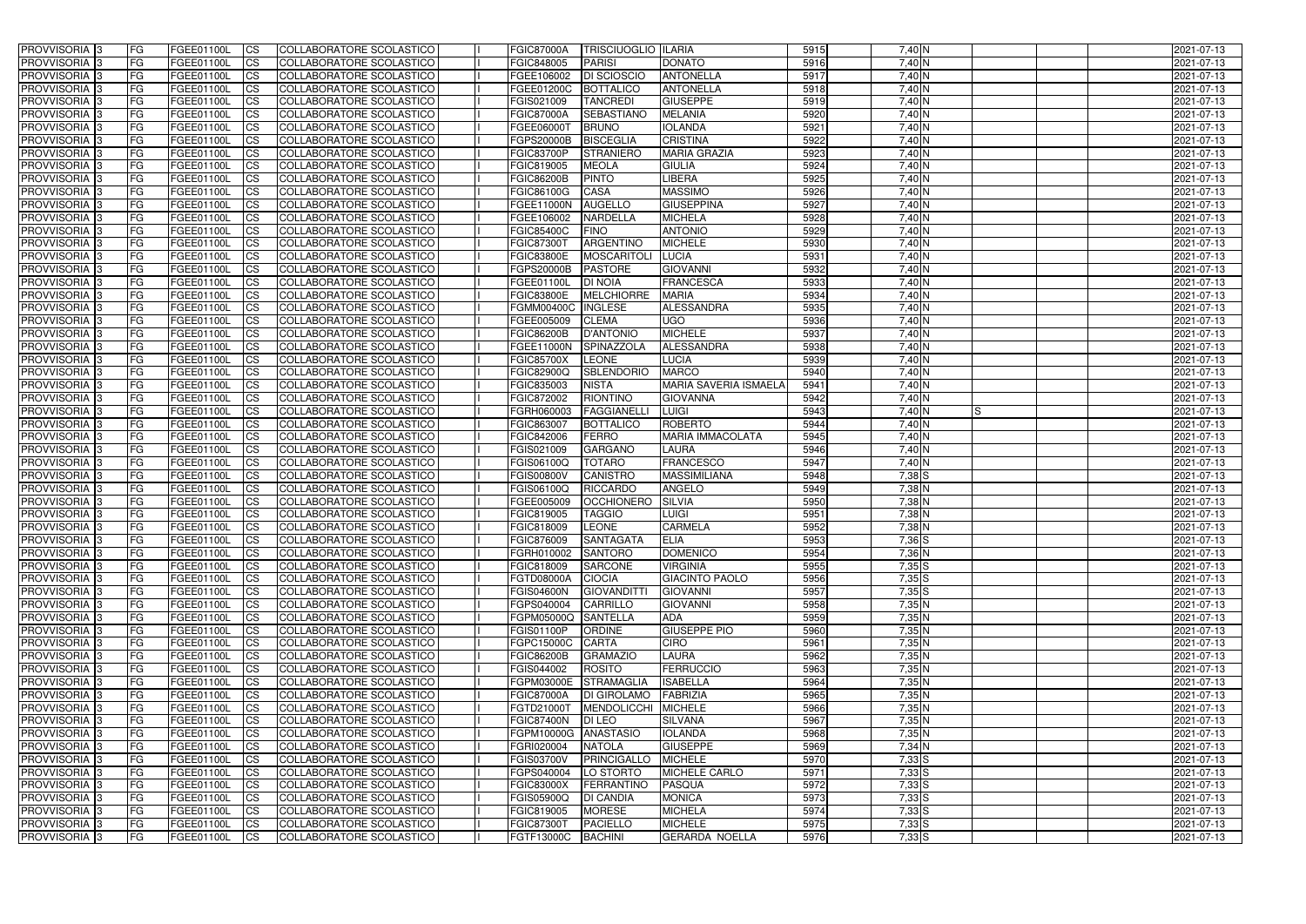| <b>PROVVISORIA</b> 3           | l FG                   | FGEE01100L               | <b>ICS</b>                                       | COLLABORATORE SCOLASTICO                             | <b>FGIC87000A</b>                       | <b>TRISCIUOGLIO ILARIA</b> |                                         | 5915         | $7,40$ N             | 2021-07-13               |
|--------------------------------|------------------------|--------------------------|--------------------------------------------------|------------------------------------------------------|-----------------------------------------|----------------------------|-----------------------------------------|--------------|----------------------|--------------------------|
| <b>PROVVISORIA 3</b>           | FG                     | FGEE01100L               | <b>ICS</b>                                       | COLLABORATORE SCOLASTICO                             | FGIC848005                              | <b>PARISI</b>              | <b>DONATO</b>                           | 5916         | 7,40 N               | 2021-07-13               |
| PROVVISORIA <sup>1</sup> 3     | FG                     | FGEE01100L               | <b>CS</b>                                        | <b>COLLABORATORE SCOLASTICO</b>                      | FGEE106002                              | DI SCIOSCIO                | <b>ANTONELLA</b>                        | 5917         | 7,40 N               | 2021-07-13               |
| PROVVISORIA                    | FG                     | FGEE01100L               | <b>CS</b>                                        | COLLABORATORE SCOLASTICO                             | FGEE01200C                              | <b>BOTTALICO</b>           | <b>ANTONELLA</b>                        | 5918         | 7,40 N               | 2021-07-13               |
| PROVVISORIA <sup>1</sup> 3     | FG                     | FGEE01100L               | <b>CS</b>                                        | COLLABORATORE SCOLASTICO                             | FGIS021009                              | <b>TANCREDI</b>            | <b>GIUSEPPE</b>                         | 5919         | 7,40 N               | 2021-07-13               |
| PROVVISORIA <sup>1</sup> 3     | FG                     | FGEE01100L               | <b>CS</b>                                        | COLLABORATORE SCOLASTICO                             | <b>FGIC87000A</b>                       | <b>SEBASTIANO</b>          | <b>MELANIA</b>                          | 5920         | 7,40 N               | 2021-07-13               |
| PROVVISORIA <sup>1</sup> 3     | FG                     | FGEE01100L               | <b>CS</b>                                        | COLLABORATORE SCOLASTICO                             | FGEE06000T                              | <b>BRUNO</b>               | <b>IOLANDA</b>                          | 5921         | $7,40$ N             | 2021-07-13               |
| PROVVISORIA 3                  | FG                     | FGEE01100L               | <b>ICS</b>                                       | COLLABORATORE SCOLASTICO                             | FGPS20000B                              | <b>BISCEGLIA</b>           | <b>CRISTINA</b>                         | 5922         | 7,40 N               | 2021-07-13               |
| PROVVISORIA 3                  | FG                     | FGEE01100L               | <b>CS</b>                                        | COLLABORATORE SCOLASTICO                             | <b>FGIC83700P</b>                       | <b>STRANIERO</b>           | <b>MARIA GRAZIA</b>                     | 5923         | 7,40 N               | 2021-07-13               |
| PROVVISORIA 3                  | <b>FG</b>              | FGEE01100L               | <b>ICS</b>                                       | COLLABORATORE SCOLASTICO                             | FGIC819005                              | <b>MEOLA</b>               | <b>GIULIA</b>                           | 5924         | 7,40 N               | 2021-07-13               |
| PROVVISORIA 3                  | FG                     | FGEE01100L               | <b>CS</b>                                        | COLLABORATORE SCOLASTICO                             | <b>FGIC86200B</b>                       | <b>PINTO</b>               | <b>LIBERA</b>                           | 5925         | 7,40 N               | 2021-07-13               |
| <b>PROVVISORIA</b>             | FG                     | FGEE01100L               | <b>ICS</b>                                       | COLLABORATORE SCOLASTICO                             | FGIC86100G                              | <b>CASA</b>                | <b>MASSIMO</b>                          | 5926         | 7,40 N               | 2021-07-13               |
| <b>PROVVISORIA</b>             | FG                     | FGEE01100L               | <b>ICS</b>                                       | COLLABORATORE SCOLASTICO                             | FGEE11000N                              | <b>AUGELLO</b>             | <b>GIUSEPPINA</b>                       | 5927         | $7,40$ N             | 2021-07-13               |
| <b>PROVVISORIA</b>             | FG                     | FGEE01100L               | <b>ICS</b>                                       | COLLABORATORE SCOLASTICO                             | FGEE106002                              | <b>NARDELLA</b>            | <b>MICHELA</b>                          | 5928         | 7,40 N               | 2021-07-13               |
| <b>PROVVISORIA</b>             | FG                     | FGEE01100L               | <b>ICS</b>                                       | COLLABORATORE SCOLASTICO                             | <b>FGIC85400C</b>                       | <b>FINO</b>                | <b>ANTONIO</b>                          | 5929         | 7,40 N               | 2021-07-13               |
| <b>PROVVISORIA</b>             | FG                     | FGEE01100L               | <b>ICS</b>                                       | COLLABORATORE SCOLASTICO                             | <b>FGIC87300T</b>                       | <b>ARGENTINO</b>           | <b>MICHELE</b>                          | 5930         | 7,40 N               | 2021-07-13               |
| <b>PROVVISORIA</b>             | FG                     | FGEE01100L               | <b>ICS</b>                                       | COLLABORATORE SCOLASTICO                             | <b>FGIC83800E</b>                       | <b>MOSCARITOL</b>          | <b>LUCIA</b>                            | 5931         | 7,40 N               | 2021-07-13               |
| <b>PROVVISORIA</b>             | FG                     | FGEE01100L               | <b>ICS</b>                                       | COLLABORATORE SCOLASTICO                             | FGPS20000B                              | <b>PASTORE</b>             | <b>GIOVANNI</b>                         | 5932         | 7,40 N               | 2021-07-13               |
| PROVVISORIA <sup>3</sup>       | FG                     | FGEE01100L               | <b>ICS</b>                                       | COLLABORATORE SCOLASTICO                             | FGEE01100L                              | <b>DI NOIA</b>             | <b>FRANCESCA</b>                        | 5933         | 7,40 N               | 2021-07-13               |
| PROVVISORIA 3                  | FG                     | FGEE01100L               | <b>ICS</b>                                       | COLLABORATORE SCOLASTICO                             | <b>FGIC83800E</b>                       | <b>MELCHIORRE</b>          | <b>MARIA</b>                            | 5934         | 7,40 N               | 2021-07-13               |
| PROVVISORIA <sup>1</sup> 3     | FG                     | FGEE01100L               | <b>ICS</b>                                       | COLLABORATORE SCOLASTICO                             | <b>FGMM00400C</b>                       | <b>INGLESE</b>             | ALESSANDRA                              | 5935         | $7,40$ N             | 2021-07-13               |
| PROVVISORIA 3                  | FG                     | FGEE01100L               | <b>ICS</b>                                       | COLLABORATORE SCOLASTICO                             | FGEE005009                              | <b>CLEMA</b>               | <b>UGO</b>                              | 5936         | $7,40$ N             | 2021-07-13               |
| PROVVISORIA 3                  | FG                     | FGEE01100L               | <b>ICS</b>                                       | <b>COLLABORATORE SCOLASTICO</b>                      | <b>FGIC86200B</b>                       | <b>D'ANTONIO</b>           | <b>MICHELE</b>                          | 5937         | $7,40$ N             | 2021-07-13               |
| PROVVISORIA <sup>13</sup>      | FG                     | FGEE01100L               | <b>CS</b>                                        | COLLABORATORE SCOLASTICO                             | FGEE11000N                              | SPINAZZOLA                 | ALESSANDRA                              | 5938         | 7,40 N               | 2021-07-13               |
| PROVVISORIA <sup>1</sup> 3     | FG                     | FGEE01100L               | <b>CS</b>                                        | COLLABORATORE SCOLASTICO                             | <b>FGIC85700X</b>                       | <b>LEONE</b>               | <b>LUCIA</b>                            | 5939         | $7,40$ N             | 2021-07-13               |
| PROVVISORIA 3                  | FG                     | FGEE01100L               | <b>ICS</b>                                       | COLLABORATORE SCOLASTICO                             | FGIC82900Q                              | <b>SBLENDORIO</b>          | <b>MARCO</b>                            | 5940         | $7,40$ N             | 2021-07-13               |
| PROVVISORIA 3                  | FG                     | FGEE01100L               | <b>ICS</b>                                       | COLLABORATORE SCOLASTICO                             | FGIC835003                              | <b>NISTA</b>               | MARIA SAVERIA ISMAELA                   | 5941         | 7,40 N               | 2021-07-13               |
| PROVVISORIA                    | FG                     | FGEE01100L               | <b>ICS</b>                                       | COLLABORATORE SCOLASTICO                             | FGIC872002                              | <b>RIONTINO</b>            | <b>GIOVANNA</b>                         | 5942         | 7,40 N               | 2021-07-13               |
| PROVVISORIA                    | FG                     | FGEE01100L               | <b>CS</b>                                        | <b>COLLABORATORE SCOLASTICO</b>                      | FGRH060003                              | <b>FAGGIANELLI</b>         | <b>LUIGI</b>                            | 5943         | 7,40 N               | 2021-07-13               |
| PROVVISORIA                    | FG                     | FGEE01100L               | <b>CS</b>                                        | COLLABORATORE SCOLASTICO                             | FGIC863007                              | <b>BOTTALICO</b>           | <b>ROBERTO</b>                          | 5944         | 7,40 N               | 2021-07-13               |
| PROVVISORIA                    | FG                     | FGEE01100L               | <b>CS</b>                                        | COLLABORATORE SCOLASTICO                             | FGIC842006                              | <b>FERRO</b>               | <b>MARIA IMMACOLATA</b>                 | 5945         | 7,40 N               | 2021-07-13               |
| PROVVISORIA <sup>1</sup> 3     | FG                     | FGEE01100L               | <b>CS</b>                                        | COLLABORATORE SCOLASTICO                             | FGIS021009                              | <b>GARGANO</b>             | <b>LAURA</b>                            | 5946         | 7,40 N               | 2021-07-13               |
| PROVVISORIA <sup>1</sup> 3     | FG                     | FGEE01100L               | <b>CS</b>                                        | COLLABORATORE SCOLASTICO                             | FGIS06100Q                              | <b>TOTARO</b>              | <b>FRANCESCO</b>                        | 5947         | 7,40 N               | 2021-07-13               |
| PROVVISORIA 3                  | FG                     | FGEE01100L               | <b>CS</b>                                        | <b>COLLABORATORE SCOLASTICO</b>                      | <b>FGIS00800V</b>                       | <b>CANISTRO</b>            | <b>MASSIMILIANA</b>                     | 5948         | $7,38$ $S$           | 2021-07-13               |
| <b>PROVVISORIA</b>             | FG                     | FGEE01100L               | <b>ICS</b>                                       | COLLABORATORE SCOLASTICO                             | FGIS06100Q                              | <b>RICCARDO</b>            | <b>ANGELO</b>                           | 5949         | $7,38$ N             | 2021-07-13               |
| PROVVISORIA <sup>1</sup> 3     | <b>FG</b>              | FGEE01100L               | <b>ICS</b>                                       | COLLABORATORE SCOLASTICO                             | FGEE005009                              | <b>OCCHIONERO</b>          | SILVIA                                  | 5950         | 7,38 N               | 2021-07-13               |
| PROVVISORIA 3                  | <b>FG</b>              | FGEE01100L               | <b>ICS</b>                                       | COLLABORATORE SCOLASTICO                             | FGIC819005                              | <b>TAGGIO</b>              | <b>LUIGI</b>                            | 5951         | 7,38 N               | 2021-07-13               |
| <b>PROVVISORIA</b>             | <b>FG</b>              | FGEE01100L               | <b>ICS</b>                                       | COLLABORATORE SCOLASTICO                             | FGIC818009                              | LEONE                      | <b>CARMELA</b>                          | 5952         | $7,38$ N             | 2021-07-13               |
| PROVVISORIA 3                  | FG                     | FGEE01100L               | CS                                               | COLLABORATORE SCOLASTICO                             | <b>FGIC876009</b>                       | SANTAGATA                  |                                         |              |                      |                          |
| <b>PROVVISORIA</b> 3           | <b>FG</b>              | FGEE01100L               |                                                  |                                                      |                                         |                            |                                         |              |                      |                          |
| PROVVISORIA 3                  |                        |                          |                                                  |                                                      |                                         |                            | ELIA                                    | 5953         | $7,36$ S             | 2021-07-13               |
| PROVVISORIA 3                  |                        |                          | $\mathsf{ICS}$                                   | COLLABORATORE SCOLASTICO                             | FGRH010002                              | <b>SANTORO</b>             | <b>DOMENICO</b>                         | 5954         | $7,36$ N             | 2021-07-13               |
|                                | <b>FG</b>              | <b>FGEE01100L</b>        | $\mathsf{ICS}$                                   | COLLABORATORE SCOLASTICO                             | FGIC818009                              | <b>SARCONE</b>             | <b>VIRGINIA</b>                         | 5955         | $7,35$ S             | 2021-07-13               |
|                                | <b>FG</b>              | FGEE01100L               | $\mathsf{ICS}$                                   | COLLABORATORE SCOLASTICO                             | <b>FGTD08000A</b>                       | <b>CIOCIA</b>              | <b>GIACINTO PAOLO</b>                   | 5956         | $7,35$ S             | 2021-07-13               |
| PROVVISORIA 3                  | FG                     | FGEE01100L               | $\mathsf{ICS}$                                   | COLLABORATORE SCOLASTICO                             | <b>FGIS04600N</b>                       | GIOVANDITT                 | <b>GIOVANNI</b>                         | 5957         | $7,35$ S             | 2021-07-13               |
| PROVVISORIA 3                  | l FG                   | FGEE01100L               | <b>CS</b>                                        | COLLABORATORE SCOLASTICO                             | FGPS040004                              | CARRILLO                   | <b>GIOVANNI</b>                         | 5958         | $7,35$ N             | 2021-07-13               |
| PROVVISORIA 3                  | <b>FG</b>              | FGEE01100L               | $\mathsf{ICS}$                                   | COLLABORATORE SCOLASTICO                             | FGPM05000Q SANTELLA                     |                            | ADA                                     | 5959         | $7,35$ N             | 2021-07-13               |
| PROVVISORIA 3                  | FG                     | FGEE01100L               | <b>CS</b>                                        | COLLABORATORE SCOLASTICO                             | FGIS01100P                              | <b>ORDINE</b>              | <b>GIUSEPPE PIO</b>                     | 5960         | $7,35$ N             | 2021-07-13               |
| PROVVISORIA 3                  | <b>FG</b>              | FGEE01100L               | <b>CS</b>                                        | COLLABORATORE SCOLASTICO                             | FGPC15000C                              | <b>CARTA</b>               | <b>CIRO</b>                             | 5961         | $7,35$ N             | 2021-07-13               |
| PROVVISORIA 3                  | <b>FG</b>              | FGEE01100L               | <b>CS</b>                                        | COLLABORATORE SCOLASTICO                             | <b>FGIC86200B</b>                       | <b>GRAMAZIO</b>            | <b>LAURA</b>                            | 5962         | $7,35$ N             | 2021-07-13               |
| PROVVISORIA 3                  | <b>FG</b>              | FGEE01100L               | <b>CS</b>                                        | COLLABORATORE SCOLASTICO                             | FGIS044002                              | <b>ROSITO</b>              | <b>FERRUCCIO</b>                        | 5963         | $7,35$ N             | 2021-07-13               |
| PROVVISORIA 3                  | <b>FG</b>              | FGEE01100L               | <b>CS</b>                                        | COLLABORATORE SCOLASTICO                             | FGPM03000E                              | <b>STRAMAGLIA</b>          | <b>ISABELLA</b>                         | 5964         | $7,35$ N             | 2021-07-13               |
| PROVVISORIA 3                  | <b>FG</b>              | FGEE01100L               | <b>CS</b>                                        | COLLABORATORE SCOLASTICO                             | <b>FGIC87000A</b>                       | <b>DI GIROLAMO</b>         | <b>FABRIZIA</b>                         | 5965         | $7,35$ N             | 2021-07-13               |
| PROVVISORIA 3                  | <b>FG</b>              | FGEE01100L               | <b>CS</b>                                        | COLLABORATORE SCOLASTICO                             | FGTD21000T                              | MENDOLICCHI                | MICHELE                                 | 5966         | $7,35$ N             | 2021-07-13               |
| PROVVISORIA 3                  | <b>FG</b>              | FGEE01100L               | <b>CS</b>                                        | COLLABORATORE SCOLASTICO                             | <b>FGIC87400N</b>                       | DI LEO                     | <b>SILVANA</b>                          | 5967         | $7,35$ N             | 2021-07-13               |
| PROVVISORIA 3                  | <b>FG</b>              | FGEE01100L               | <b>CS</b>                                        | COLLABORATORE SCOLASTICO                             | FGPM10000G ANASTASIO                    |                            | <b>IOLANDA</b>                          | 5968         | $7,35$ N             | 2021-07-13               |
| PROVVISORIA 3                  | <b>FG</b>              | FGEE01100L               | <b>CS</b>                                        | COLLABORATORE SCOLASTICO                             | FGRI020004                              | <b>NATOLA</b>              | <b>GIUSEPPE</b>                         | 5969         | 7,34 N               | 2021-07-13               |
| PROVVISORIA 3                  | <b>FG</b>              | FGEE01100L               | <b>CS</b>                                        | COLLABORATORE SCOLASTICO                             | <b>FGIS03700V</b>                       | PRINCIGALLO                | <b>MICHELE</b>                          | 5970         | $7,33$ S             | 2021-07-13               |
| PROVVISORIA 3                  | <b>FG</b>              | FGEE01100L               | <b>CS</b>                                        | COLLABORATORE SCOLASTICO                             | FGPS040004                              | LO STORTO                  | MICHELE CARLO                           | 5971         | $7,33$ $S$           | 2021-07-13               |
| PROVVISORIA 3                  | FG                     | FGEE01100L               | <b>CS</b>                                        | COLLABORATORE SCOLASTICO                             | <b>FGIC83000X</b>                       | FERRANTINO                 | PASQUA                                  | 5972         | $7,33$ $S$           | 2021-07-13               |
| PROVVISORIA 3                  | FG                     | <b>FGEE01100L</b>        | <b>CS</b>                                        | COLLABORATORE SCOLASTICO                             | FGIS05900Q                              | <b>DI CANDIA</b>           | <b>MONICA</b>                           | 5973         | $7,33$ $S$           | 2021-07-13               |
| PROVVISORIA 3                  | <b>FG</b>              | FGEE01100L               | <b>CS</b>                                        | COLLABORATORE SCOLASTICO                             | FGIC819005                              | <b>MORESE</b>              | <b>MICHELA</b>                          | 5974         | $7,33$ S             | 2021-07-13               |
| PROVVISORIA 3<br>PROVVISORIA 3 | <b>FG</b><br><b>FG</b> | FGEE01100L<br>FGEE01100L | $\overline{\text{CS}}$<br>$\overline{\text{CS}}$ | COLLABORATORE SCOLASTICO<br>COLLABORATORE SCOLASTICO | <b>FGIC87300T</b><br>FGTF13000C BACHINI | <b>PACIELLO</b>            | <b>MICHELE</b><br><b>GERARDA NOELLA</b> | 5975<br>5976 | $7,33$ S<br>$7,33$ S | 2021-07-13<br>2021-07-13 |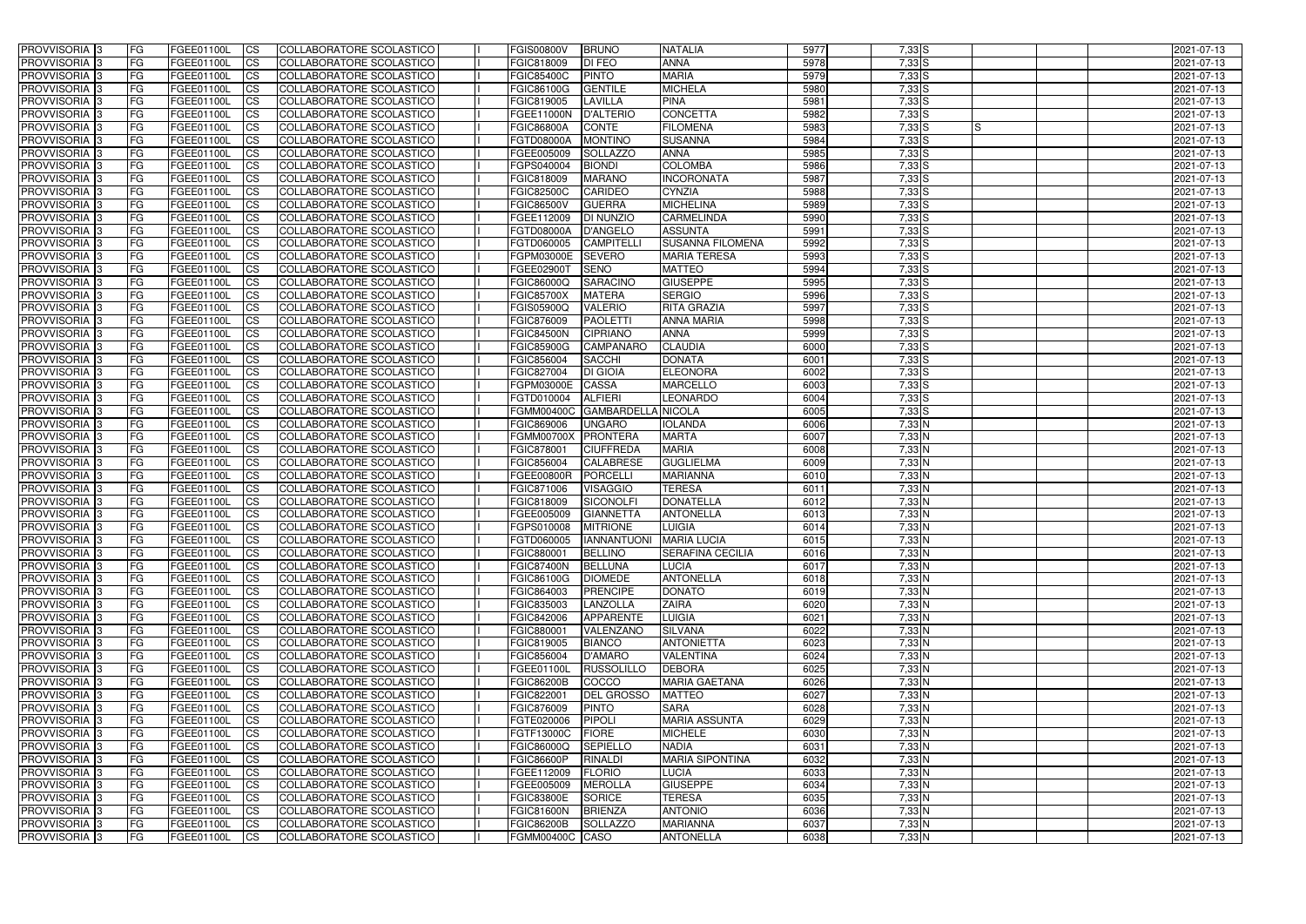| <b>PROVVISORIA</b> 3                                     | l FG                   | FGEE01100L               | <b>ICS</b>              | COLLABORATORE SCOLASTICO                             | <b>FGIS00800V</b>        | <b>BRUNO</b>                          | <b>NATALIA</b>                         | 5977         | $7,33$ S               | 2021-07-13               |
|----------------------------------------------------------|------------------------|--------------------------|-------------------------|------------------------------------------------------|--------------------------|---------------------------------------|----------------------------------------|--------------|------------------------|--------------------------|
| <b>PROVVISORIA 3</b>                                     | FG                     | FGEE01100L               | <b>ICS</b>              | COLLABORATORE SCOLASTICO                             | FGIC818009               | <b>DI FEO</b>                         | <b>ANNA</b>                            | 5978         | $7,33$ $S$             | 2021-07-13               |
| PROVVISORIA <sup>1</sup> 3                               | FG                     | FGEE01100L               | <b>CS</b>               | <b>COLLABORATORE SCOLASTICO</b>                      | <b>FGIC85400C</b>        | <b>PINTO</b>                          | <b>MARIA</b>                           | 5979         | $7,33$ S               | 2021-07-13               |
| PROVVISORIA                                              | FG                     | FGEE01100L               | <b>CS</b>               | COLLABORATORE SCOLASTICO                             | FGIC86100G               | <b>GENTILE</b>                        | <b>MICHELA</b>                         | 5980         | $7,33$ S               | 2021-07-13               |
| <b>PROVVISORIA 3</b>                                     | FG                     | FGEE01100L               | <b>CS</b>               | COLLABORATORE SCOLASTICO                             | FGIC819005               | <b>LAVILLA</b>                        | <b>PINA</b>                            | 5981         | $7,33$ S               | 2021-07-13               |
| PROVVISORIA <sup>1</sup> 3                               | FG                     | FGEE01100L               | <b>CS</b>               | COLLABORATORE SCOLASTICO                             | FGEE11000N               | <b>D'ALTERIO</b>                      | <b>CONCETTA</b>                        | 5982         | $7,33$ S               | 2021-07-13               |
| PROVVISORIA <sup>1</sup> 3                               | FG                     | FGEE01100L               | <b>CS</b>               | COLLABORATORE SCOLASTICO                             | <b>FGIC86800A</b>        | <b>CONTE</b>                          | <b>FILOMENA</b>                        | 5983         | $7,33$ S<br>IS         | 2021-07-13               |
| PROVVISORIA 3                                            | FG                     | FGEE01100L               | <b>ICS</b>              | COLLABORATORE SCOLASTICO                             | FGTD08000A               | <b>MONTINO</b>                        | <b>SUSANNA</b>                         | 5984         | $7,33$ S               | 2021-07-13               |
| PROVVISORIA 3                                            | FG                     | FGEE01100L               | <b>CS</b>               | COLLABORATORE SCOLASTICO                             | FGEE005009               | <b>SOLLAZZO</b>                       | <b>ANNA</b>                            | 5985         | $7,33$ S               | 2021-07-13               |
| PROVVISORIA 3                                            | <b>FG</b>              | FGEE01100L               | <b>ICS</b>              | COLLABORATORE SCOLASTICO                             | FGPS040004               | <b>BIONDI</b>                         | <b>COLOMBA</b>                         | 5986         | $7,33$ S               | 2021-07-13               |
| PROVVISORIA 3                                            | FG                     | FGEE01100L               | <b>CS</b>               | COLLABORATORE SCOLASTICO                             | FGIC818009               | <b>MARANO</b>                         | <b>INCORONATA</b>                      | 5987         | $7,33$ S               | 2021-07-13               |
| <b>PROVVISORIA</b>                                       | FG                     | FGEE01100L               | <b>CS</b>               | COLLABORATORE SCOLASTICO                             | <b>FGIC82500C</b>        | <b>CARIDEO</b>                        | <b>CYNZIA</b>                          | 5988         | $7,33$ S               | 2021-07-13               |
| <b>PROVVISORIA</b>                                       | FG                     | FGEE01100L               | <b>ICS</b>              | COLLABORATORE SCOLASTICO                             | <b>FGIC86500V</b>        | <b>GUERRA</b>                         | <b>MICHELINA</b>                       | 5989         | $7,33$ S               | 2021-07-13               |
| <b>PROVVISORIA</b>                                       | FG                     | FGEE01100L               | <b>ICS</b>              | COLLABORATORE SCOLASTICO                             | FGEE112009               | <b>DI NUNZIO</b>                      | <b>CARMELINDA</b>                      | 5990         | $7,33$ S               | 2021-07-13               |
| <b>PROVVISORIA</b>                                       | FG                     | FGEE01100L               | <b>ICS</b>              | COLLABORATORE SCOLASTICO                             | <b>FGTD08000A</b>        | <b>D'ANGELO</b>                       | <b>ASSUNTA</b>                         | 5991         | $7,33$ S               | 2021-07-13               |
| <b>PROVVISORIA</b>                                       | FG                     | FGEE01100L               | <b>ICS</b>              | COLLABORATORE SCOLASTICO                             | FGTD060005               | <b>CAMPITELL</b>                      | <b>SUSANNA FILOMENA</b>                | 5992         | $7,33$ $S$             | 2021-07-13               |
| <b>PROVVISORIA</b>                                       | FG                     | FGEE01100L               | <b>ICS</b>              | COLLABORATORE SCOLASTICO                             | FGPM03000E               | <b>SEVERO</b>                         | <b>MARIA TERESA</b>                    | 5993         | $7,33$ S               | 2021-07-13               |
| <b>PROVVISORIA</b>                                       | FG                     | FGEE01100L               | <b>ICS</b>              | COLLABORATORE SCOLASTICO                             | FGEE02900T               | <b>SENO</b>                           | <b>MATTEO</b>                          | 5994         | $7,33$ $S$             | 2021-07-13               |
| PROVVISORIA <sup>3</sup>                                 | FG                     | FGEE01100L               | <b>ICS</b>              | COLLABORATORE SCOLASTICO                             | FGIC86000Q               | <b>SARACINO</b>                       | <b>GIUSEPPE</b>                        | 5995         | $7,33$ $S$             | 2021-07-13               |
| PROVVISORIA 3                                            | FG                     | FGEE01100L               | <b>ICS</b>              | COLLABORATORE SCOLASTICO                             | <b>FGIC85700X</b>        | <b>MATERA</b>                         | <b>SERGIO</b>                          | 5996         | $7,33$ S               | 2021-07-13               |
| PROVVISORIA <sup>1</sup> 3                               | FG                     | FGEE01100L               | <b>ICS</b>              | COLLABORATORE SCOLASTICO                             | FGIS05900Q               | <b>VALERIO</b>                        | <b>RITA GRAZIA</b>                     | 5997         | $7,33$ S               | 2021-07-13               |
| PROVVISORIA 3                                            | FG                     | FGEE01100L               | <b>ICS</b>              | COLLABORATORE SCOLASTICO                             | FGIC876009               | <b>PAOLETTI</b>                       | <b>ANNA MARIA</b>                      | 5998         | $7,33$ S               | 2021-07-13               |
| PROVVISORIA 3                                            | FG                     | FGEE01100L               | <b>ICS</b>              | <b>COLLABORATORE SCOLASTICO</b>                      | <b>FGIC84500N</b>        | <b>CIPRIANO</b>                       | <b>ANNA</b>                            | 5999         | $7,33$ S               | 2021-07-13               |
| PROVVISORIA <sup>13</sup>                                | FG                     | FGEE01100L<br>FGEE01100L | <b>CS</b>               | COLLABORATORE SCOLASTICO                             | <b>FGIC85900G</b>        | CAMPANARO                             | <b>CLAUDIA</b><br><b>DONATA</b>        | 6000<br>6001 | $7,33$ S               | 2021-07-13               |
| PROVVISORIA <sup>1</sup> 3<br>PROVVISORIA <sup>1</sup> 3 | FG                     |                          | <b>CS</b>               | COLLABORATORE SCOLASTICO                             | FGIC856004<br>FGIC827004 | <b>SACCHI</b><br><b>DI GIOIA</b>      | <b>ELEONORA</b>                        | 6002         | $7,33$ S<br>$7,33$ $S$ | 2021-07-13               |
| PROVVISORIA 3                                            | FG<br>FG               | FGEE01100L<br>FGEE01100L | <b>CS</b><br><b>ICS</b> | COLLABORATORE SCOLASTICO<br>COLLABORATORE SCOLASTICO | FGPM03000E               | <b>CASSA</b>                          | <b>MARCELLO</b>                        | 6003         | $7,33$ $S$             | 2021-07-13<br>2021-07-13 |
| PROVVISORIA                                              | FG                     | FGEE01100L               | <b>ICS</b>              | COLLABORATORE SCOLASTICO                             | FGTD010004               | <b>ALFIERI</b>                        | <b>LEONARDO</b>                        | 6004         | $7,33$ $S$             | 2021-07-13               |
| PROVVISORIA                                              | FG                     | FGEE01100L               | <b>CS</b>               | <b>COLLABORATORE SCOLASTICO</b>                      | <b>FGMM00400C</b>        | GAMBARDELLA NICOLA                    |                                        | 6005         | $7,33$ S               | 2021-07-13               |
| PROVVISORIA                                              | FG                     | FGEE01100L               | <b>CS</b>               | COLLABORATORE SCOLASTICO                             | FGIC869006               | <b>UNGARO</b>                         | <b>IOLANDA</b>                         | 6006         | $7,33$ N               | 2021-07-13               |
| PROVVISORIA                                              | FG                     | FGEE01100L               | <b>CS</b>               | COLLABORATORE SCOLASTICO                             | <b>FGMM00700X</b>        | <b>PRONTERA</b>                       | <b>MARTA</b>                           | 6007         | 7,33 N                 | 2021-07-13               |
| PROVVISORIA <sup>1</sup> 3                               | <b>FG</b>              | FGEE01100L               | <b>CS</b>               | COLLABORATORE SCOLASTICO                             | FGIC878001               | <b>CIUFFREDA</b>                      | <b>MARIA</b>                           | 6008         | $7,33$ N               | 2021-07-13               |
| PROVVISORIA <sup>1</sup> 3                               | FG                     | FGEE01100L               | <b>CS</b>               | COLLABORATORE SCOLASTICO                             | FGIC856004               | <b>CALABRESE</b>                      | <b>GUGLIELMA</b>                       | 6009         | $7,33$ N               | 2021-07-13               |
| PROVVISORIA 3                                            | FG                     | FGEE01100L               | <b>CS</b>               | <b>COLLABORATORE SCOLASTICO</b>                      | FGEE00800R               | <b>PORCELLI</b>                       | <b>MARIANNA</b>                        | 6010         | $7,33$ N               | 2021-07-13               |
| <b>PROVVISORIA</b>                                       | FG                     | FGEE01100L               | <b>ICS</b>              | COLLABORATORE SCOLASTICO                             | FGIC871006               | <b>VISAGGIO</b>                       | <b>TERESA</b>                          | 6011         | $7,33$ N               | 2021-07-13               |
| PROVVISORIA <sup>1</sup> 3                               | <b>FG</b>              | FGEE01100L               | <b>CS</b>               | COLLABORATORE SCOLASTICO                             | FGIC818009               | SICONOLFI                             | <b>DONATELLA</b>                       | 6012         | $7,33$ N               | 2021-07-13               |
| PROVVISORIA 3                                            | <b>FG</b>              | FGEE01100L               | <b>ICS</b>              | COLLABORATORE SCOLASTICO                             | FGEE005009               | <b>GIANNETTA</b>                      | <b>ANTONELLA</b>                       | 6013         | 7,33 N                 | 2021-07-13               |
| <b>PROVVISORIA</b>                                       | <b>FG</b>              | FGEE01100L               | <b>ICS</b>              | COLLABORATORE SCOLASTICO                             | FGPS010008               | <b>MITRIONE</b>                       | <b>LUIGIA</b>                          | 6014         | $7,33$ N               | 2021-07-13               |
| PROVVISORIA 3                                            | FG                     | FGEE01100L               | CS                      | COLLABORATORE SCOLASTICO                             |                          | FGTD060005  IANNANTUONI   MARIA LUCIA |                                        | 6015         | $7,33$ N               | 2021-07-13               |
| <b>PROVVISORIA</b> 3                                     | <b>FG</b>              | FGEE01100L               | $\mathsf{ICS}$          | COLLABORATORE SCOLASTICO                             | <b>FGIC880001</b>        | <b>BELLINO</b>                        | <b>SERAFINA CECILIA</b>                | 6016         | $7,33$ N               | 2021-07-13               |
| PROVVISORIA 3                                            | <b>FG</b>              | <b>FGEE01100L</b>        | $\mathsf{ICS}$          | COLLABORATORE SCOLASTICO                             | <b>FGIC87400N</b>        | <b>BELLUNA</b>                        | <b>LUCIA</b>                           | 6017         | $7,33$ N               | 2021-07-13               |
| PROVVISORIA 3                                            | <b>FG</b>              | FGEE01100L               | $\mathsf{ICS}$          | COLLABORATORE SCOLASTICO                             | <b>FGIC86100G</b>        | <b>DIOMEDE</b>                        | <b>ANTONELLA</b>                       | 6018         | $7,33$ N               | 2021-07-13               |
| PROVVISORIA 3                                            | FG                     | FGEE01100L               | $\mathsf{ICS}$          | COLLABORATORE SCOLASTICO                             | FGIC864003               | <b>PRENCIPE</b>                       | <b>DONATO</b>                          | 6019         | 7,33 N                 | 2021-07-13               |
| PROVVISORIA 3                                            | l FG                   | FGEE01100L               | $\overline{\text{CS}}$  | COLLABORATORE SCOLASTICO                             | FGIC835003               | LANZOLLA                              | <b>ZAIRA</b>                           | 6020         | 7,33 N                 | 2021-07-13               |
| PROVVISORIA 3                                            | <b>FG</b>              | FGEE01100L               | $\mathsf{ICS}$          | COLLABORATORE SCOLASTICO                             | FGIC842006               | <b>APPARENTE</b>                      | <b>LUIGIA</b>                          | 6021         | $7,33$ N               | 2021-07-13               |
| PROVVISORIA <sup>3</sup>                                 | FG                     | FGEE01100L               | <b>CS</b>               | COLLABORATORE SCOLASTICO                             | FGIC880001               | VALENZANO                             | SILVANA                                | 6022         | $7,33$ N               | 2021-07-13               |
| PROVVISORIA 3                                            | <b>FG</b>              | FGEE01100L               | <b>CS</b>               | COLLABORATORE SCOLASTICO                             | FGIC819005               | <b>BIANCO</b>                         | <b>ANTONIETTA</b>                      | 6023         | $7,33$ N               | 2021-07-13               |
| PROVVISORIA 3                                            | <b>FG</b>              | FGEE01100L               | <b>CS</b>               | COLLABORATORE SCOLASTICO                             | FGIC856004               | <b>D'AMARO</b>                        | <b>VALENTINA</b>                       | 6024         | $7,33$ N               | 2021-07-13               |
| PROVVISORIA 3                                            | <b>FG</b>              | FGEE01100L               | <b>CS</b>               | COLLABORATORE SCOLASTICO                             | FGEE01100L               | RUSSOLILLO                            | <b>DEBORA</b>                          | 6025         | $7,33$ N               | 2021-07-13               |
| PROVVISORIA 3                                            | <b>FG</b>              | FGEE01100L               | <b>CS</b>               | COLLABORATORE SCOLASTICO                             | <b>FGIC86200B</b>        | COCCO                                 | <b>MARIA GAETANA</b>                   | 6026         | $7,33$ N               | 2021-07-13               |
| PROVVISORIA 3                                            | <b>FG</b>              | FGEE01100L               | <b>CS</b>               | COLLABORATORE SCOLASTICO                             | FGIC822001               | <b>DEL GROSSO</b>                     | <b>MATTEO</b>                          | 6027         | $7,33$ N               | 2021-07-13               |
| PROVVISORIA 3                                            | <b>FG</b>              | FGEE01100L               | <b>CS</b>               | COLLABORATORE SCOLASTICO                             | FGIC876009               | <b>PINTO</b>                          | <b>SARA</b>                            | 6028         | $7,33$ N               | 2021-07-13               |
| PROVVISORIA 3                                            | <b>FG</b>              | FGEE01100L               | <b>CS</b>               | COLLABORATORE SCOLASTICO                             | FGTE020006               | PIPOLI                                | <b>MARIA ASSUNTA</b>                   | 6029         | $7,33$ N               | 2021-07-13               |
| PROVVISORIA 3                                            | <b>FG</b>              | FGEE01100L               | <b>CS</b>               | COLLABORATORE SCOLASTICO                             | <b>FGTF13000C</b>        | FIORE                                 | <b>MICHELE</b>                         | 6030         | $7,33$ N               | 2021-07-13               |
| PROVVISORIA 3                                            | <b>FG</b>              | FGEE01100L               | <b>CS</b>               | COLLABORATORE SCOLASTICO                             | <b>FGIC86000Q</b>        | <b>SEPIELLO</b>                       | <b>NADIA</b>                           | 6031         | $7,33$ N               | 2021-07-13               |
| PROVVISORIA 3                                            | <b>FG</b><br><b>FG</b> | FGEE01100L<br>FGEE01100L | <b>CS</b>               | COLLABORATORE SCOLASTICO                             | <b>FGIC86600P</b>        | <b>RINALDI</b><br>FLORIO              | <b>MARIA SIPONTINA</b><br><b>LUCIA</b> | 6032<br>6033 | $7,33$ N<br>$7,33$ N   | 2021-07-13<br>2021-07-13 |
| PROVVISORIA 3<br>PROVVISORIA 3                           |                        | FGEE01100L               | <b>CS</b>               | COLLABORATORE SCOLASTICO<br>COLLABORATORE SCOLASTICO | FGEE112009<br>FGEE005009 | <b>MEROLLA</b>                        | <b>GIUSEPPE</b>                        | 6034         | $7,33$ N               | 2021-07-13               |
| PROVVISORIA 3                                            | FG<br> FG              | <b>FGEE01100L</b>        | <b>CS</b><br><b>CS</b>  | COLLABORATORE SCOLASTICO                             | <b>FGIC83800E</b>        | <b>SORICE</b>                         | <b>TERESA</b>                          | 6035         | $7,33$ N               | 2021-07-13               |
| PROVVISORIA 3                                            | <b>FG</b>              | FGEE01100L               | <b>CS</b>               | COLLABORATORE SCOLASTICO                             | <b>FGIC81600N</b>        | <b>BRIENZA</b>                        | <b>ANTONIO</b>                         | 6036         | $7,33$ N               | 2021-07-13               |
| PROVVISORIA 3                                            | <b>FG</b>              | FGEE01100L               | $\overline{\text{CS}}$  | COLLABORATORE SCOLASTICO                             | <b>FGIC86200B</b>        | <b>SOLLAZZO</b>                       | <b>MARIANNA</b>                        | 6037         | $7,33$ N               | 2021-07-13               |
| PROVVISORIA 3                                            | <b>FG</b>              | FGEE01100L               | $\overline{\text{CS}}$  | COLLABORATORE SCOLASTICO                             | FGMM00400C CASO          |                                       | <b>ANTONELLA</b>                       | 6038         | $7,33$ N               | 2021-07-13               |
|                                                          |                        |                          |                         |                                                      |                          |                                       |                                        |              |                        |                          |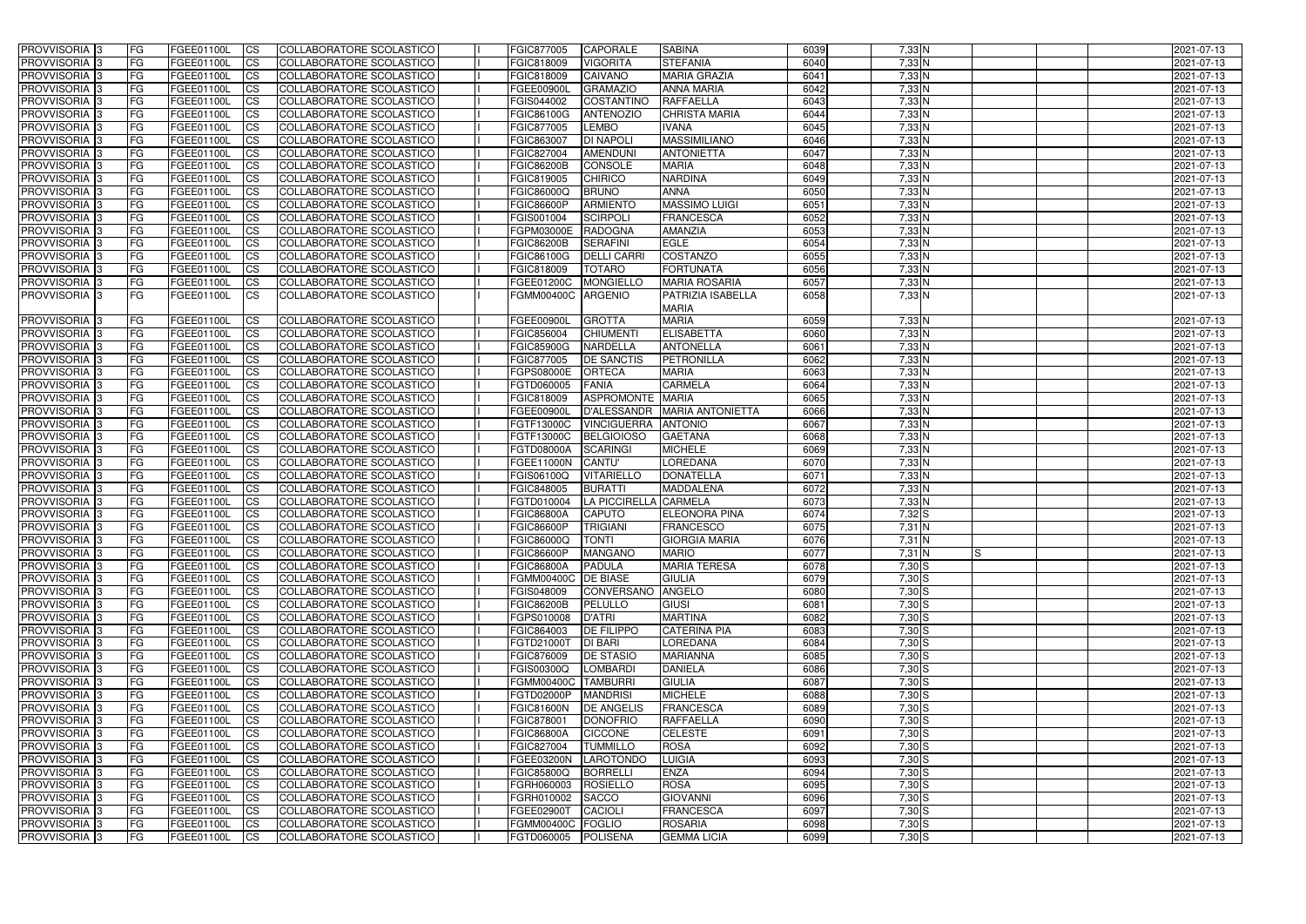| <b>PROVVISORIA</b> 3           | FG.        | FGEE01100L                      | <b>ICS</b>     | COLLABORATORE SCOLASTICO                             | FGIC877005                        | <b>CAPORALE</b>       | <b>SABINA</b>                     | 6039         | $7,33$ N        | 2021-07-13       |
|--------------------------------|------------|---------------------------------|----------------|------------------------------------------------------|-----------------------------------|-----------------------|-----------------------------------|--------------|-----------------|------------------|
| <b>PROVVISORIA 3</b>           | FG         | <b>FGEE01100L</b>               | <b>CS</b>      | COLLABORATORE SCOLASTICO                             | FGIC818009                        | <b>VIGORITA</b>       | <b>STEFANIA</b>                   | 6040         | $7,33$ N        | 2021-07-13       |
| PROVVISORIA <sup>3</sup>       | FG         | <b>FGEE01100L</b>               | <b>CS</b>      | COLLABORATORE SCOLASTICO                             | FGIC818009                        | <b>CAIVANO</b>        | <b>MARIA GRAZIA</b>               | 6041         | 7,33 N          | 2021-07-13       |
| PROVVISORIA <sup>3</sup>       | FG         | FGEE01100L                      | <b>CS</b>      | COLLABORATORE SCOLASTICO                             | FGEE00900L                        | <b>GRAMAZIO</b>       | <b>ANNA MARIA</b>                 | 6042         | 7,33 N          | 2021-07-13       |
| PROVVISORIA <sup>1</sup> 3     | FG         | FGEE01100L                      | <b>CS</b>      | COLLABORATORE SCOLASTICO                             | FGIS044002                        | COSTANTINO            | <b>RAFFAELLA</b>                  | 6043         | 7,33 N          | 2021-07-13       |
| PROVVISORIA 3                  | FG         | <b>FGEE01100L</b>               | <b>CS</b>      | COLLABORATORE SCOLASTICO                             | FGIC86100G                        | <b>ANTENOZIO</b>      | <b>CHRISTA MARIA</b>              | 6044         | 7,33 N          | 2021-07-13       |
| PROVVISORIA 3                  | FG         | FGEE01100L                      | $\overline{c}$ | COLLABORATORE SCOLASTICO                             | FGIC877005                        | <b>LEMBO</b>          | <b>IVANA</b>                      | 6045         | $7,33$ N        | 2021-07-13       |
| PROVVISORIA 3                  | FG         | <b>FGEE01100L</b>               | <b>CS</b>      | COLLABORATORE SCOLASTICO                             | FGIC863007                        | <b>DI NAPOLI</b>      | <b>MASSIMILIANO</b>               | 6046         | 7,33 N          | 2021-07-13       |
| PROVVISORIA 3                  | FG         | FGEE01100L                      | <b>CS</b>      | COLLABORATORE SCOLASTICO                             | FGIC827004                        | <b>AMENDUNI</b>       | <b>ANTONIETTA</b>                 | 6047         | $7,33$ N        | 2021-07-13       |
| PROVVISORIA <sup>3</sup>       | FG         | FGEE01100L                      | $\overline{c}$ | COLLABORATORE SCOLASTICO                             | <b>FGIC86200B</b>                 | <b>CONSOLE</b>        | <b>MARIA</b>                      | 6048         | $7,33$ N        | 2021-07-13       |
| PROVVISORIA <sup>3</sup>       | FG         | FGEE01100L                      | <b>CS</b>      | COLLABORATORE SCOLASTICO                             | FGIC819005                        | CHIRICO               | <b>NARDINA</b>                    | 6049         | $7,33$ N        | 2021-07-13       |
| PROVVISORIA <sup>3</sup>       | FG         | FGEE01100L                      | <b>CS</b>      | COLLABORATORE SCOLASTICO                             | FGIC86000Q                        | <b>BRUNO</b>          | <b>ANNA</b>                       | 6050         | $7,33$ N        | 2021-07-13       |
| PROVVISORIA <sup>3</sup>       | FG         | FGEE01100L                      | <b>ICS</b>     | COLLABORATORE SCOLASTICO                             | <b>FGIC86600P</b>                 | <b>ARMIENTO</b>       | <b>MASSIMO LUIGI</b>              | 6051         | 7,33 N          | 2021-07-13       |
| PROVVISORIA <sup>3</sup>       | FG         | FGEE01100L                      | <b>CS</b>      | COLLABORATORE SCOLASTICO                             | FGIS001004                        | <b>SCIRPOLI</b>       | <b>FRANCESCA</b>                  | 6052         | 7,33 N          | 2021-07-13       |
| PROVVISORIA <sup>3</sup>       | FG         | FGEE01100L                      | <b>ICS</b>     | COLLABORATORE SCOLASTICO                             | FGPM03000E                        | <b>RADOGNA</b>        | <b>AMANZIA</b>                    | 6053         | 7,33 N          | 2021-07-13       |
| PROVVISORIA <sup>3</sup>       |            | FGEE01100L                      | <b>ICS</b>     | <b>COLLABORATORE SCOLASTICO</b>                      | <b>FGIC86200B</b>                 | <b>SERAFINI</b>       | <b>EGLE</b>                       | 6054         | 7,33 N          | 2021-07-13       |
|                                | FG         |                                 |                | COLLABORATORE SCOLASTICO                             |                                   |                       | COSTANZO                          | 6055         |                 |                  |
| PROVVISORIA <sup>3</sup>       | FG         | FGEE01100L                      | <b>ICS</b>     |                                                      | FGIC86100G                        | <b>DELLI CARRI</b>    |                                   |              | 7,33 N          | 2021-07-13       |
| PROVVISORIA <sup>3</sup>       | FG         | FGEE01100L                      | <b>ICS</b>     | <b>COLLABORATORE SCOLASTICO</b>                      | FGIC818009                        | <b>TOTARO</b>         | <b>FORTUNATA</b>                  | 6056         | 7,33 N          | 2021-07-13       |
| PROVVISORIA <sup>3</sup>       | FG.        | FGEE01100L                      | <b>ICS</b>     | COLLABORATORE SCOLASTICO                             | FGEE01200C                        | <b>MONGIELLO</b>      | <b>MARIA ROSARIA</b>              | 6057         | $7,33$ N        | 2021-07-13       |
| <b>PROVVISORIA</b> 3           | FG.        | FGEE01100L                      | <b>ICS</b>     | COLLABORATORE SCOLASTICO                             | FGMM00400C                        | <b>ARGENIO</b>        | PATRIZIA ISABELLA<br><b>MARIA</b> | 6058         | $7,33$ N        | 2021-07-13       |
| PROVVISORIA <sup>3</sup>       | FG         | FGEE01100L                      | <b>ICS</b>     | COLLABORATORE SCOLASTICO                             | FGEE00900L                        | <b>GROTTA</b>         | <b>MARIA</b>                      | 6059         | 7,33 N          | 2021-07-13       |
| PROVVISORIA <sup>3</sup>       | FG         | FGEE01100L                      | <b>CS</b>      | <b>COLLABORATORE SCOLASTICO</b>                      | FGIC856004                        | <b>CHIUMENT</b>       | <b>ELISABETTA</b>                 | 6060         | $7,33$ N        | 2021-07-13       |
| PROVVISORIA <sup>3</sup>       | FG         | FGEE01100L                      | <b>CS</b>      | COLLABORATORE SCOLASTICO                             | <b>FGIC85900G</b>                 | <b>NARDELLA</b>       | <b>ANTONELLA</b>                  | 6061         | $7,33$ N        | 2021-07-13       |
| PROVVISORIA <sup>3</sup>       | FG         | FGEE01100L                      | <b>CS</b>      | COLLABORATORE SCOLASTICO                             | FGIC877005                        | <b>DE SANCTIS</b>     | PETRONILLA                        | 6062         | $7,33$ N        | 2021-07-13       |
| PROVVISORIA <sup>3</sup>       | FG         | FGEE01100L                      | <b>CS</b>      | COLLABORATORE SCOLASTICO                             | FGPS08000E                        | <b>ORTECA</b>         | <b>MARIA</b>                      | 6063         | $7,33$ N        | 2021-07-13       |
| PROVVISORIA 3                  | FG         | FGEE01100L                      | <b>CS</b>      | COLLABORATORE SCOLASTICO                             | FGTD060005                        | <b>FANIA</b>          | <b>CARMELA</b>                    | 6064         | $7,33$ N        | 2021-07-13       |
| PROVVISORIA <sup>3</sup>       | FG         | FGEE01100L                      | <b>CS</b>      | COLLABORATORE SCOLASTICO                             | FGIC818009                        | ASPROMONTE MARIA      |                                   | 6065         | 7,33 N          | 2021-07-13       |
| PROVVISORIA <sup>3</sup>       | FG         | FGEE01100L                      | <b>CS</b>      | COLLABORATORE SCOLASTICO                             | <b>FGEE00900L</b>                 | <b>D'ALESSANDR</b>    | <b>MARIA ANTONIETTA</b>           | 6066         | 7,33 N          | 2021-07-13       |
| PROVVISORIA <sup>1</sup> 3     | FG         | <b>FGEE01100L</b>               | <b>CS</b>      | COLLABORATORE SCOLASTICO                             | FGTF13000C                        | <b>VINCIGUERRA</b>    | <b>ANTONIO</b>                    | 6067         | 7,33 N          | 2021-07-13       |
| PROVVISORIA <sup>3</sup>       | FG         | FGEE01100L                      | <b>CS</b>      | COLLABORATORE SCOLASTICO                             | FGTF13000C                        | <b>BELGIOIOSO</b>     | <b>GAETANA</b>                    | 6068         | 7,33 N          | 2021-07-13       |
| PROVVISORIA <sup>3</sup>       | FG         | FGEE01100L                      | $\overline{c}$ | COLLABORATORE SCOLASTICO                             | <b>FGTD08000A</b>                 | <b>SCARINGI</b>       | <b>MICHELE</b>                    | 6069         | 7,33 N          | 2021-07-13       |
| PROVVISORIA <sup>3</sup>       | FG         | <b>FGEE01100L</b>               | <b>CS</b>      | COLLABORATORE SCOLASTICO                             | FGEE11000N                        | <b>CANTU'</b>         | <b>LOREDANA</b>                   | 6070         | 7,33 N          | 2021-07-13       |
| PROVVISORIA 3                  | <b>FG</b>  | <b>FGEE01100L</b>               | <b>CS</b>      | COLLABORATORE SCOLASTICO                             | FGIS06100Q                        | <b>VITARIELLO</b>     | <b>DONATELLA</b>                  | 6071         | 7,33 N          | 2021-07-13       |
| PROVVISORIA <sup>3</sup>       | FG         | FGEE01100L                      | $\overline{c}$ | COLLABORATORE SCOLASTICO                             | FGIC848005                        | <b>BURATTI</b>        | <b>MADDALENA</b>                  | 6072         | 7,33 N          | 2021-07-13       |
| PROVVISORIA <sup>3</sup>       | FG         | <b>FGEE01100L</b>               | <b>CS</b>      | COLLABORATORE SCOLASTICO                             | FGTD010004                        | LA PICCIRELLA CARMELA |                                   | 6073         | 7,33 N          | 2021-07-13       |
| PROVVISORIA <sup>3</sup>       | FG         | FGEE01100L                      | <b>CS</b>      | COLLABORATORE SCOLASTICO                             | <b>FGIC86800A</b>                 | <b>CAPUTO</b>         | <b>ELEONORA PINA</b>              | 6074         | 7,32S           | 2021-07-13       |
| PROVVISORIA 3                  | FG         | FGEE01100L                      | <b>I</b> CS    | COLLABORATORE SCOLASTICO                             | <b>FGIC86600P</b>                 | <b>TRIGIANI</b>       | <b>FRANCESCO</b>                  | 6075         | $7,31$ N        | $2021 - 07 - 13$ |
| <b>PROVVISORIA</b> 3           | IFG.       | FGEE01100L                      | CS             | COLLABORATORE SCOLASTICO                             | <b>FGIC86000Q</b>                 | <b>TONTI</b>          | <b>GIORGIA MARIA</b>              | 6076         | $7,31$ N        | 2021-07-13       |
| PROVVISORIA 3                  | IFG.       | FGEE01100L                      | $\mathsf{ICS}$ | COLLABORATORE SCOLASTICO                             | FGIC86600P                        | <b>MANGANO</b>        | <b>MARIO</b>                      | 6077         | $7,31$ N<br>Is. | 2021-07-13       |
| PROVVISORIA 3                  | FG         | FGEE01100L                      | <b>CS</b>      | COLLABORATORE SCOLASTICO                             | <b>FGIC86800A</b>                 | PADULA                | <b>MARIA TERESA</b>               | 6078         | 7,30 S          | 2021-07-13       |
|                                |            |                                 |                |                                                      |                                   |                       |                                   | 6079         |                 |                  |
| PROVVISORIA 3<br>PROVVISORIA 3 | FG         | FGEE01100L<br>FGEE01100L        | <b>CS</b>      | COLLABORATORE SCOLASTICO<br>COLLABORATORE SCOLASTICO | FGMM00400C DE BIASE<br>FGIS048009 | CONVERSANO ANGELO     | <b>GIULIA</b>                     | 6080         | $7,30$ S        | 2021-07-13       |
|                                | FG         |                                 | $\mathsf{ICS}$ |                                                      |                                   |                       |                                   |              | 7,30 S          | 2021-07-13       |
| PROVVISORIA 3<br>PROVVISORIA 3 | FG         | FGEE01100L<br><b>FGEE01100L</b> | <b>CS</b>      | COLLABORATORE SCOLASTICO                             | <b>FGIC86200B</b>                 | PELULLO               | <b>GIUSI</b>                      | 6081<br>6082 | $7,30$ S        | 2021-07-13       |
|                                | FG         |                                 | <b>CS</b>      | COLLABORATORE SCOLASTICO                             | FGPS010008                        | <b>D'ATRI</b>         | <b>MARTINA</b>                    |              | $7,30$ S        | 2021-07-13       |
| PROVVISORIA 3                  | <b>FG</b>  | FGEE01100L                      | <b>CS</b>      | COLLABORATORE SCOLASTICO                             | FGIC864003                        | <b>DE FILIPPO</b>     | <b>CATERINA PIA</b>               | 6083         | $7,30$ S        | 2021-07-13       |
| PROVVISORIA 3                  | FG         | FGEE01100L                      | <b>CS</b>      | COLLABORATORE SCOLASTICO                             | FGTD21000T                        | <b>DI BARI</b>        | <b>LOREDANA</b>                   | 6084         | $7,30$ S        | 2021-07-13       |
| PROVVISORIA 3                  | FG         | FGEE01100L                      | <b>CS</b>      | COLLABORATORE SCOLASTICO                             | FGIC876009                        | <b>DE STASIO</b>      | <b>MARIANNA</b>                   | 6085         | $7,30$ S        | 2021-07-13       |
| PROVVISORIA 3                  | FG         | FGEE01100L                      | <b>CS</b>      | COLLABORATORE SCOLASTICO                             | FGIS00300Q                        | <b>LOMBARDI</b>       | <b>DANIELA</b>                    | 6086         | $7,30$ S        | 2021-07-13       |
| PROVVISORIA 3                  | FG         | FGEE01100L                      | <b>CS</b>      | COLLABORATORE SCOLASTICO                             | FGMM00400C TAMBURRI               |                       | <b>GIULIA</b>                     | 6087         | $7,30$ S        | 2021-07-13       |
| PROVVISORIA 3                  | FG         | FGEE01100L                      | <b>CS</b>      | COLLABORATORE SCOLASTICO                             | FGTD02000P                        | <b>MANDRISI</b>       | <b>MICHELE</b>                    | 6088         | $7,30$ S        | 2021-07-13       |
| <b>PROVVISORIA</b> 3           | FG         | <b>FGEE01100L</b>               | <b>CS</b>      | COLLABORATORE SCOLASTICO                             | FGIC81600N                        | <b>DE ANGELIS</b>     | <b>FRANCESCA</b>                  | 6089         | $7,30$ S        | 2021-07-13       |
| <b>PROVVISORIA</b> 3           | FG         | FGEE01100L                      | <b>CS</b>      | COLLABORATORE SCOLASTICO                             | FGIC878001                        | DONOFRIO              | <b>RAFFAELLA</b>                  | 6090         | $7,30$ S        | 2021-07-13       |
| PROVVISORIA <sup>3</sup>       | FG         | FGEE01100L                      | <b>CS</b>      | COLLABORATORE SCOLASTICO                             | <b>FGIC86800A</b>                 | <b>CICCONE</b>        | <b>CELESTE</b>                    | 6091         | $7,30$ S        | 2021-07-13       |
| PROVVISORIA 3                  | <b>IFG</b> | FGEE01100L                      | <b>CS</b>      | COLLABORATORE SCOLASTICO                             | FGIC827004                        | <b>TUMMILLO</b>       | <b>ROSA</b>                       | 6092         | $7,30$ S        | 2021-07-13       |
| PROVVISORIA 3                  | FG         | FGEE01100L                      | <b>CS</b>      | COLLABORATORE SCOLASTICO                             | <b>FGEE03200N</b>                 | LAROTONDO             | <b>LUIGIA</b>                     | 6093         | $7,30$ S        | 2021-07-13       |
| PROVVISORIA 3                  | FG         | FGEE01100L                      | <b>CS</b>      | COLLABORATORE SCOLASTICO                             | <b>FGIC85800Q</b>                 | <b>BORRELLI</b>       | <b>ENZA</b>                       | 6094         | $7,30$ S        | 2021-07-13       |
| PROVVISORIA 3                  | <b>FG</b>  | FGEE01100L                      | <b>CS</b>      | COLLABORATORE SCOLASTICO                             | FGRH060003                        | <b>ROSIELLO</b>       | <b>ROSA</b>                       | 6095         | $7,30$ S        | 2021-07-13       |
| PROVVISORIA 3                  | <b>FG</b>  | <b>FGEE01100L</b>               | <b>CS</b>      | COLLABORATORE SCOLASTICO                             | FGRH010002                        | <b>SACCO</b>          | <b>GIOVANNI</b>                   | 6096         | $7,30$ S        | 2021-07-13       |
| PROVVISORIA 3                  | FG         | FGEE01100L                      | <b>CS</b>      | COLLABORATORE SCOLASTICO                             | FGEE02900T                        | CACIOLI               | <b>FRANCESCA</b>                  | 6097         | $7,30$ S        | 2021-07-13       |
| PROVVISORIA 3                  | <b>FG</b>  | FGEE01100L                      | <b>CS</b>      | COLLABORATORE SCOLASTICO                             | FGMM00400C FOGLIO                 |                       | <b>ROSARIA</b>                    | 6098         | $7,30$ S        | 2021-07-13       |
| PROVVISORIA 3                  | FG         | <b>FGEE01100L</b>               | <b>CS</b>      | COLLABORATORE SCOLASTICO                             | FGTD060005 POLISENA               |                       | <b>GEMMA LICIA</b>                | 6099         | $7,30$ S        | 2021-07-13       |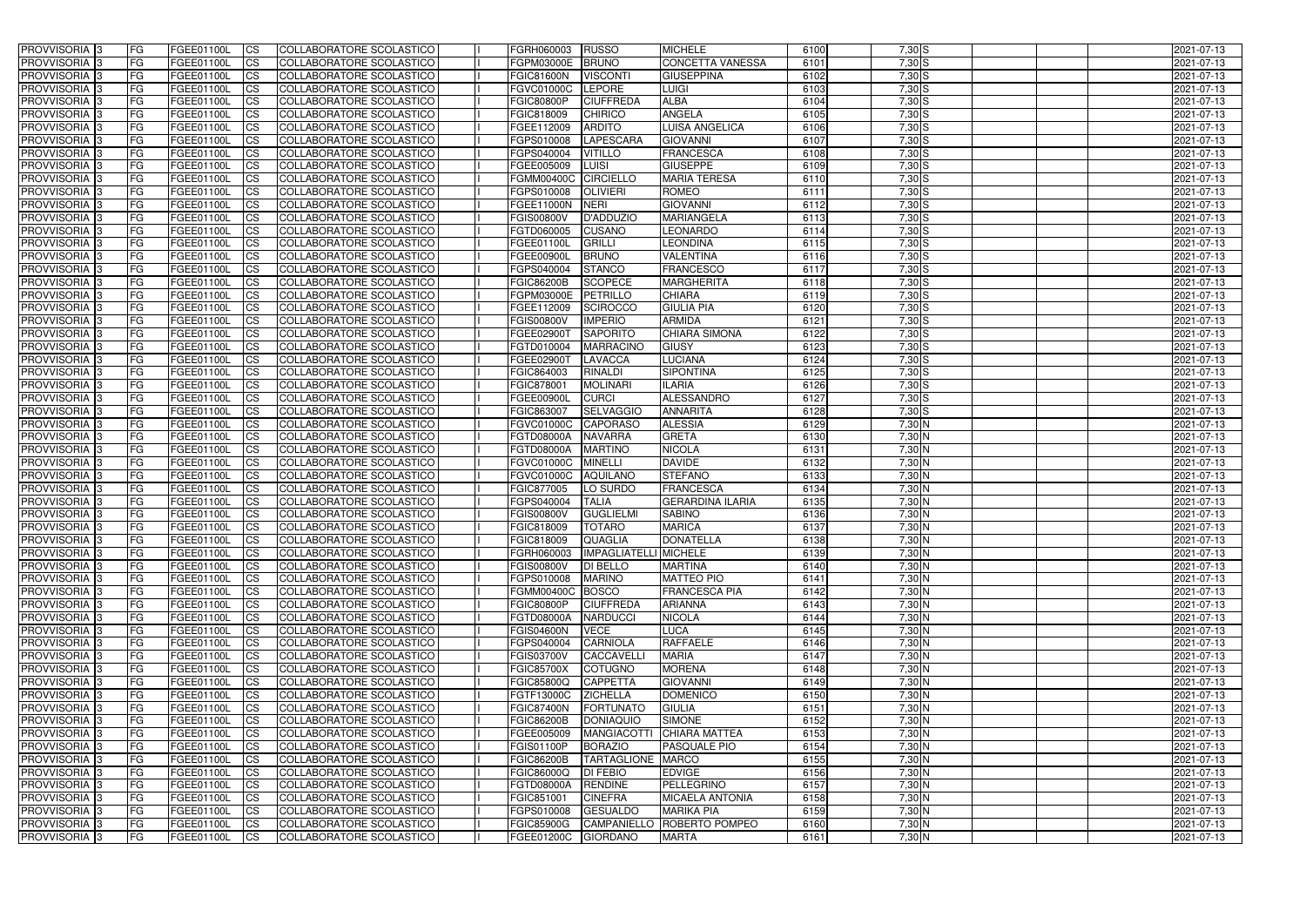| <b>PROVVISORIA</b> 3                       | l FG                   | FGEE01100L               | <b>ICS</b>             | COLLABORATORE SCOLASTICO                             | FGRH060003                      | RUSSO                               | <b>MICHELE</b>                        | 6100         | $7,30$ S           | 2021-07-13               |
|--------------------------------------------|------------------------|--------------------------|------------------------|------------------------------------------------------|---------------------------------|-------------------------------------|---------------------------------------|--------------|--------------------|--------------------------|
| <b>PROVVISORIA 3</b>                       | FG                     | FGEE01100L               | <b>ICS</b>             | COLLABORATORE SCOLASTICO                             | FGPM03000E                      | <b>BRUNO</b>                        | <b>CONCETTA VANESSA</b>               | 6101         | $7,30$ S           | 2021-07-13               |
| PROVVISORIA <sup>1</sup> 3                 | FG                     | FGEE01100L               | <b>CS</b>              | <b>COLLABORATORE SCOLASTICO</b>                      | <b>FGIC81600N</b>               | <b>VISCONT</b>                      | <b>GIUSEPPINA</b>                     | 6102         | $7,30$ S           | 2021-07-13               |
| PROVVISORIA                                | FG                     | FGEE01100L               | <b>CS</b>              | COLLABORATORE SCOLASTICO                             | FGVC01000C                      | LEPORE                              | <b>LUIGI</b>                          | 6103         | $7,30$ S           | 2021-07-13               |
| PROVVISORIA <sup>3</sup>                   | FG                     | FGEE01100L               | <b>CS</b>              | COLLABORATORE SCOLASTICO                             | <b>FGIC80800P</b>               | <b>CIUFFREDA</b>                    | <b>ALBA</b>                           | 6104         | $7,30$ S           | 2021-07-13               |
| PROVVISORIA <sup>1</sup> 3                 | FG                     | FGEE01100L               | <b>CS</b>              | COLLABORATORE SCOLASTICO                             | FGIC818009                      | <b>CHIRICO</b>                      | <b>ANGELA</b>                         | 6105         | $7,30$ S           | 2021-07-13               |
| PROVVISORIA <sup>1</sup> 3                 | FG                     | FGEE01100L               | <b>CS</b>              | COLLABORATORE SCOLASTICO                             | FGEE112009                      | <b>ARDITO</b>                       | <b>LUISA ANGELICA</b>                 | 6106         | $7,30$ S           | 2021-07-13               |
| PROVVISORIA 3                              | FG                     | FGEE01100L               | <b>ICS</b>             | COLLABORATORE SCOLASTICO                             | FGPS010008                      | <b>LAPESCARA</b>                    | <b>GIOVANNI</b>                       | 6107         | $7,30$ S           | 2021-07-13               |
| PROVVISORIA 3                              | FG                     | FGEE01100L               | <b>CS</b>              | COLLABORATORE SCOLASTICO                             | FGPS040004                      | <b>VITILLO</b>                      | <b>FRANCESCA</b>                      | 6108         | $7,30$ S           | 2021-07-13               |
| PROVVISORIA 3                              | <b>FG</b>              | FGEE01100L               | <b>ICS</b>             | COLLABORATORE SCOLASTICO                             | FGEE005009                      | LUISI                               | <b>GIUSEPPE</b>                       | 6109         | $7,30$ S           | 2021-07-13               |
| PROVVISORIA 3                              | FG                     | FGEE01100L               | <b>CS</b>              | COLLABORATORE SCOLASTICO                             | FGMM00400C CIRCIELLO            |                                     | <b>MARIA TERESA</b>                   | 6110         | $7,30$ S           | 2021-07-13               |
| <b>PROVVISORIA</b>                         | FG                     | FGEE01100L               | <b>CS</b>              | COLLABORATORE SCOLASTICO                             | FGPS010008                      | <b>OLIVIERI</b>                     | <b>ROMEO</b>                          | 6111         | $7,30$ S           | 2021-07-13               |
| <b>PROVVISORIA</b>                         | FG                     | FGEE01100L               | <b>ICS</b>             | COLLABORATORE SCOLASTICO                             | FGEE11000N                      | NERI                                | <b>GIOVANNI</b>                       | 6112         | $7,30$ S           | 2021-07-13               |
| <b>PROVVISORIA</b>                         | FG                     | FGEE01100L               | <b>ICS</b>             | COLLABORATORE SCOLASTICO                             | <b>FGIS00800V</b>               | D'ADDUZIO                           | <b>MARIANGELA</b>                     | 6113         | 7,30 S             | 2021-07-13               |
| <b>PROVVISORIA</b>                         | FG                     | FGEE01100L               | <b>ICS</b>             | COLLABORATORE SCOLASTICO                             | FGTD060005                      | <b>CUSANO</b>                       | <b>LEONARDO</b>                       | 6114         | $7,30$ S           | 2021-07-13               |
| <b>PROVVISORIA</b>                         | FG                     | FGEE01100L               | <b>ICS</b>             | COLLABORATORE SCOLASTICO                             | FGEE01100I                      | <b>GRILLI</b>                       | <b>LEONDINA</b>                       | 6115         | 7,30 S             | 2021-07-13               |
| <b>PROVVISORIA</b>                         | FG                     | <b>FGEE01100L</b>        | <b>ICS</b>             | COLLABORATORE SCOLASTICO                             | FGEE00900                       | <b>BRUNO</b>                        | <b>VALENTINA</b>                      | 6116         | $7,30$ S           | 2021-07-13               |
| <b>PROVVISORIA</b>                         | FG                     | FGEE01100L               | <b>ICS</b>             | COLLABORATORE SCOLASTICO                             | FGPS040004                      | <b>STANCO</b>                       | <b>FRANCESCO</b>                      | 6117         | 7,30 S             | 2021-07-13               |
| PROVVISORIA <sup>3</sup>                   | FG                     | FGEE01100L               | <b>ICS</b>             | COLLABORATORE SCOLASTICO                             | <b>FGIC86200B</b>               | <b>SCOPECE</b>                      | <b>MARGHERITA</b>                     | 6118         | $7,30$ S           | 2021-07-13               |
| PROVVISORIA <sup>1</sup> 3                 | FG                     | FGEE01100L               | <b>ICS</b>             | COLLABORATORE SCOLASTICO                             | FGPM03000E                      | PETRILLO                            | <b>CHIARA</b>                         | 6119         | $7,30$ S           | 2021-07-13               |
| PROVVISORIA <sup>1</sup> 3                 | FG                     | FGEE01100L               | <b>ICS</b>             | COLLABORATORE SCOLASTICO                             | FGEE112009                      | <b>SCIROCCO</b>                     | <b>GIULIA PIA</b>                     | 6120         | $7,30$ S           | 2021-07-13               |
| PROVVISORIA 3                              | FG                     | FGEE01100L               | <b>ICS</b>             | COLLABORATORE SCOLASTICO                             | <b>FGIS00800V</b>               | <b>IMPERIO</b>                      | <b>ARMIDA</b>                         | 6121         | $7,30$ S           | 2021-07-13               |
| PROVVISORIA 3<br>PROVVISORIA <sup>13</sup> | FG                     | FGEE01100L               | <b>ICS</b>             | <b>COLLABORATORE SCOLASTICO</b>                      | FGEE02900T                      | <b>SAPORITO</b><br><b>MARRACINO</b> | <b>CHIARA SIMONA</b>                  | 6122         | $7,30$ S           | 2021-07-13               |
| PROVVISORIA <sup>1</sup> 3                 | FG<br>FG               | FGEE01100L<br>FGEE01100L | <b>CS</b><br><b>CS</b> | COLLABORATORE SCOLASTICO<br>COLLABORATORE SCOLASTICO | FGTD010004<br>FGEE02900T        | <b>LAVACCA</b>                      | <b>GIUSY</b><br><b>LUCIANA</b>        | 6123<br>6124 | 7,30S<br>$7,30$ S  | 2021-07-13<br>2021-07-13 |
| PROVVISORIA <sup>1</sup> 3                 | FG                     | FGEE01100L               | <b>ICS</b>             | COLLABORATORE SCOLASTICO                             | FGIC864003                      | <b>RINALDI</b>                      | <b>SIPONTINA</b>                      | 6125         | $7,30$ S           | 2021-07-13               |
| PROVVISORIA 3                              | FG                     | FGEE01100L               | <b>ICS</b>             | COLLABORATORE SCOLASTICO                             | FGIC878001                      | <b>MOLINARI</b>                     | <b>ILARIA</b>                         | 6126         | $7,30$ S           | 2021-07-13               |
| PROVVISORIA                                | FG                     | FGEE01100L               | <b>ICS</b>             | COLLABORATORE SCOLASTICO                             | FGEE00900I                      | <b>CURCI</b>                        | <b>ALESSANDRO</b>                     | 6127         | $7,30$ S           | 2021-07-13               |
| PROVVISORIA                                | FG                     | FGEE01100L               | <b>CS</b>              | <b>COLLABORATORE SCOLASTICO</b>                      | FGIC863007                      | <b>SELVAGGIO</b>                    | <b>ANNARITA</b>                       | 6128         | $7,30$ S           | 2021-07-13               |
| PROVVISORIA                                | FG                     | FGEE01100L               | <b>CS</b>              | COLLABORATORE SCOLASTICO                             | FGVC01000C                      | <b>CAPORASO</b>                     | <b>ALESSIA</b>                        | 6129         | $7,30$ N           | 2021-07-13               |
| PROVVISORIA                                | FG                     | FGEE01100L               | <b>CS</b>              | COLLABORATORE SCOLASTICO                             | FGTD08000A                      | <b>NAVARRA</b>                      | <b>GRETA</b>                          | 6130         | 7,30 N             | 2021-07-13               |
| PROVVISORIA <sup>1</sup> 3                 | FG                     | FGEE01100L               | <b>CS</b>              | COLLABORATORE SCOLASTICO                             | FGTD08000A                      | <b>MARTINO</b>                      | <b>NICOLA</b>                         | 6131         | $7,30$ N           | 2021-07-13               |
| PROVVISORIA <sup>1</sup> 3                 | FG                     | FGEE01100L               | <b>CS</b>              | COLLABORATORE SCOLASTICO                             | FGVC01000C                      | <b>MINELLI</b>                      | <b>DAVIDE</b>                         | 6132         | $7,30$ N           | 2021-07-13               |
| PROVVISORIA 3                              | FG                     | FGEE01100L               | <b>CS</b>              | <b>COLLABORATORE SCOLASTICO</b>                      | FGVC01000C                      | <b>AQUILANO</b>                     | <b>STEFANO</b>                        | 6133         | $7,30$ N           | 2021-07-13               |
| <b>PROVVISORIA</b>                         | FG                     | FGEE01100L               | <b>ICS</b>             | COLLABORATORE SCOLASTICO                             | FGIC877005                      | LO SURDO                            | <b>FRANCESCA</b>                      | 6134         | $7,30$ N           | 2021-07-13               |
| PROVVISORIA <sup>1</sup> 3                 | <b>FG</b>              | FGEE01100L               | <b>CS</b>              | COLLABORATORE SCOLASTICO                             | FGPS040004                      | <b>TALIA</b>                        | <b>GERARDINA ILARIA</b>               | 6135         | 7,30 N             | 2021-07-13               |
| PROVVISORIA 3                              | <b>FG</b>              | FGEE01100L               | <b>ICS</b>             | COLLABORATORE SCOLASTICO                             | <b>FGIS00800V</b>               | <b>GUGLIELMI</b>                    | <b>SABINO</b>                         | 6136         | 7,30 N             | 2021-07-13               |
| <b>PROVVISORIA</b>                         | <b>FG</b>              | FGEE01100L               | <b>ICS</b>             | COLLABORATORE SCOLASTICO                             | FGIC818009                      | <b>TOTARO</b>                       | <b>MARICA</b>                         | 6137         | $7,30$ N           | 2021-07-13               |
| PROVVISORIA 3                              | FG                     | FGEE01100L               | CS                     | COLLABORATORE SCOLASTICO                             | <b>FGIC818009</b>               | QUAGLIA                             | <b>DONATELLA</b>                      | 6138         | 7,30 N             | 2021-07-13               |
| PROVVISORIA 3                              | <b>FG</b>              | FGEE01100L               | $\mathsf{ICS}$         | COLLABORATORE SCOLASTICO                             | FGRH060003                      | IMPAGLIATELLI MICHELE               |                                       | 6139         | $7,30$ N           | 2021-07-13               |
| PROVVISORIA 3                              | <b>FG</b>              | <b>FGEE01100L</b>        | $\mathsf{ICS}$         | COLLABORATORE SCOLASTICO                             | <b>FGIS00800V</b>               | <b>DI BELLO</b>                     | <b>MARTINA</b>                        | 6140         | $7,30$ N           | 2021-07-13               |
| PROVVISORIA 3                              | <b>FG</b>              | FGEE01100L               | $\mathsf{ICS}$         | COLLABORATORE SCOLASTICO                             | FGPS010008                      | <b>MARINO</b>                       | <b>MATTEO PIO</b>                     | 6141         | $7,30$ N           | 2021-07-13               |
| PROVVISORIA 3                              | FG                     | FGEE01100L               | $\mathsf{ICS}$         | COLLABORATORE SCOLASTICO                             | FGMM00400C BOSCO                |                                     | <b>FRANCESCA PIA</b>                  | 6142         | $7,30$ N           | 2021-07-13               |
| PROVVISORIA 3                              | l FG                   | FGEE01100L               | $\overline{\text{CS}}$ | COLLABORATORE SCOLASTICO                             | <b>FGIC80800P</b>               | <b>CIUFFREDA</b>                    | <b>ARIANNA</b>                        | 6143         | $7,30$ N           | 2021-07-13               |
| PROVVISORIA 3                              | <b>FG</b>              | FGEE01100L               | $\mathsf{ICS}$         | COLLABORATORE SCOLASTICO                             | FGTD08000A                      | <b>NARDUCCI</b>                     | <b>NICOLA</b>                         | 6144         | $7,30$ N           | 2021-07-13               |
| PROVVISORIA 3                              | FG                     | FGEE01100L               | <b>CS</b>              | COLLABORATORE SCOLASTICO                             | <b>FGIS04600N</b>               | <b>VECE</b>                         | LUCA                                  | 6145         | $7,30$ N           | 2021-07-13               |
| PROVVISORIA 3                              | <b>FG</b>              | FGEE01100L               | <b>CS</b>              | COLLABORATORE SCOLASTICO                             | FGPS040004                      | <b>CARNIOLA</b>                     | <b>RAFFAELE</b>                       | 6146         | $7,30$ N           | 2021-07-13               |
| PROVVISORIA 3                              | <b>FG</b>              | FGEE01100L               | <b>CS</b>              | COLLABORATORE SCOLASTICO                             | <b>FGIS03700V</b>               | CACCAVELL                           | <b>MARIA</b>                          | 6147         | $7,30$ N           | 2021-07-13               |
| PROVVISORIA 3                              | <b>FG</b>              | FGEE01100L               | <b>CS</b>              | COLLABORATORE SCOLASTICO                             | <b>FGIC85700X</b>               | <b>COTUGNO</b>                      | <b>MORENA</b>                         | 6148         | $7,30$ N           | 2021-07-13               |
| PROVVISORIA 3                              | <b>FG</b>              | FGEE01100L               | <b>CS</b>              | COLLABORATORE SCOLASTICO                             | <b>FGIC85800Q</b>               | <b>CAPPETTA</b>                     | <b>GIOVANNI</b>                       | 6149         | $7,30$ N           | 2021-07-13               |
| PROVVISORIA 3                              | <b>FG</b>              | FGEE01100L               | <b>CS</b>              | COLLABORATORE SCOLASTICO                             | FGTF13000C                      | <b>ZICHELLA</b>                     | <b>DOMENICO</b>                       | 6150         | $7,30$ N           | 2021-07-13               |
| PROVVISORIA 3                              | <b>FG</b><br><b>FG</b> | FGEE01100L               | <b>CS</b>              | COLLABORATORE SCOLASTICO                             | <b>FGIC87400N</b>               | FORTUNATO                           | <b>GIULIA</b>                         | 6151<br>6152 | $7,30$ N<br>7,30 N | 2021-07-13               |
| PROVVISORIA 3<br>PROVVISORIA 3             | <b>FG</b>              | FGEE01100L<br>FGEE01100L | <b>CS</b><br><b>CS</b> | COLLABORATORE SCOLASTICO<br>COLLABORATORE SCOLASTICO | <b>FGIC86200B</b><br>FGEE005009 | <b>DONIAQUIO</b><br>MANGIACOTTI     | <b>SIMONE</b><br><b>CHIARA MATTEA</b> | 6153         | $7,30$ N           | 2021-07-13<br>2021-07-13 |
| PROVVISORIA 3                              | <b>FG</b>              | FGEE01100L               | <b>CS</b>              | COLLABORATORE SCOLASTICO                             | <b>FGIS01100P</b>               | <b>BORAZIO</b>                      | <b>PASQUALE PIO</b>                   | 6154         | 7,30 N             | 2021-07-13               |
| PROVVISORIA 3                              | <b>FG</b>              | FGEE01100L               | <b>CS</b>              | COLLABORATORE SCOLASTICO                             | <b>FGIC86200B</b>               | TARTAGLIONE MARCO                   |                                       | 6155         | $7,30$ N           | 2021-07-13               |
| PROVVISORIA 3                              | <b>FG</b>              | FGEE01100L               | <b>CS</b>              | COLLABORATORE SCOLASTICO                             | <b>FGIC86000Q</b>               | <b>DI FEBIO</b>                     | <b>EDVIGE</b>                         | 6156         | $7,30$ N           | 2021-07-13               |
| PROVVISORIA 3                              | FG                     | FGEE01100L               | <b>CS</b>              | COLLABORATORE SCOLASTICO                             | FGTD08000A                      | <b>RENDINE</b>                      | PELLEGRINO                            | 6157         | $7,30$ N           | 2021-07-13               |
| PROVVISORIA 3                              | FG                     | <b>FGEE01100L</b>        | <b>CS</b>              | COLLABORATORE SCOLASTICO                             | FGIC851001                      | <b>CINEFRA</b>                      | <b>MICAELA ANTONIA</b>                | 6158         | $7,30$ N           | 2021-07-13               |
| PROVVISORIA 3                              | <b>FG</b>              | FGEE01100L               | $\overline{\text{CS}}$ | COLLABORATORE SCOLASTICO                             | FGPS010008                      | <b>GESUALDO</b>                     | <b>MARIKA PIA</b>                     | 6159         | $7,30$ N           | 2021-07-13               |
| PROVVISORIA 3                              | <b>FG</b>              | FGEE01100L               | $\overline{\text{CS}}$ | COLLABORATORE SCOLASTICO                             | <b>FGIC85900G</b>               |                                     | CAMPANIELLO ROBERTO POMPEO            | 6160         | $7,30$ N           | 2021-07-13               |
| PROVVISORIA 3                              | <b>FG</b>              | FGEE01100L               | $\overline{\text{CS}}$ | COLLABORATORE SCOLASTICO                             | FGEE01200C GIORDANO             |                                     | <b>MARTA</b>                          | 6161         | $7,30$ N           | 2021-07-13               |
|                                            |                        |                          |                        |                                                      |                                 |                                     |                                       |              |                    |                          |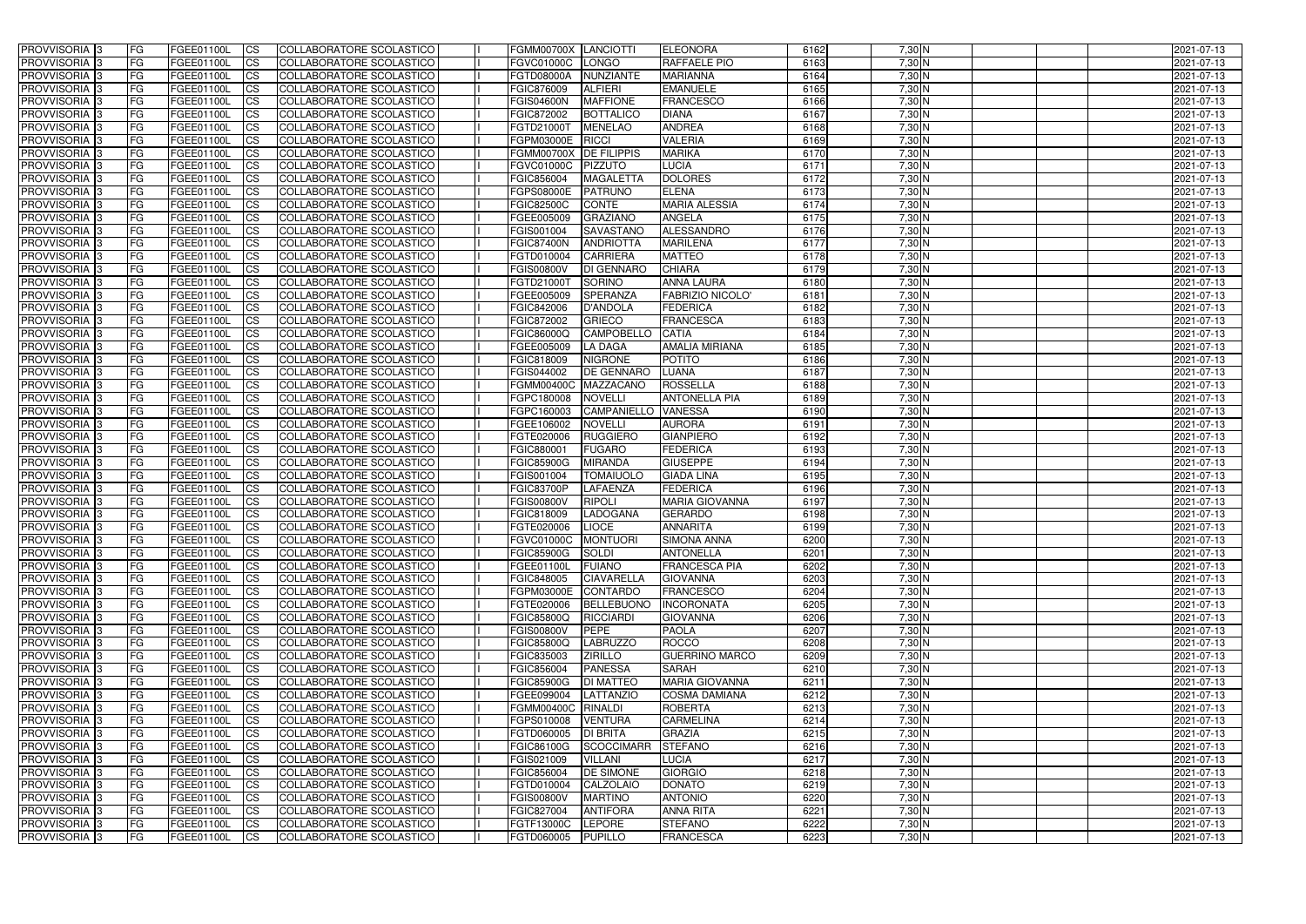| <b>PROVVISORIA</b> 3                       | l FG                   | FGEE01100L               | <b>ICS</b>              | COLLABORATORE SCOLASTICO                                    | FGMM00700X LANCIOTTI            |                                     | <b>ELEONORA</b>                               | 6162         | $7,30$ N             | 2021-07-13               |
|--------------------------------------------|------------------------|--------------------------|-------------------------|-------------------------------------------------------------|---------------------------------|-------------------------------------|-----------------------------------------------|--------------|----------------------|--------------------------|
| <b>PROVVISORIA 3</b>                       | FG                     | FGEE01100L               | <b>ICS</b>              | COLLABORATORE SCOLASTICO                                    | <b>FGVC01000C</b>               | LONGO                               | RAFFAELE PIO                                  | 6163         | $7,30$ N             | 2021-07-13               |
| PROVVISORIA <sup>1</sup> 3                 | FG                     | FGEE01100L               | <b>CS</b>               | <b>COLLABORATORE SCOLASTICO</b>                             | FGTD08000A                      | NUNZIANTE                           | <b>MARIANNA</b>                               | 6164         | $7,30$ N             | 2021-07-13               |
| <b>PROVVISORIA</b>                         | FG                     | FGEE01100L               | <b>CS</b>               | COLLABORATORE SCOLASTICO                                    | FGIC876009                      | <b>ALFIERI</b>                      | <b>EMANUELE</b>                               | 6165         | $7,30$ N             | 2021-07-13               |
| PROVVISORIA <sup>1</sup> 3                 | FG                     | FGEE01100L               | <b>CS</b>               | COLLABORATORE SCOLASTICO                                    | <b>FGIS04600N</b>               | <b>MAFFIONE</b>                     | <b>FRANCESCO</b>                              | 6166         | 7,30 N               | 2021-07-13               |
| PROVVISORIA <sup>1</sup> 3                 | FG                     | FGEE01100L               | <b>CS</b>               | COLLABORATORE SCOLASTICO                                    | FGIC872002                      | <b>BOTTALICO</b>                    | <b>DIANA</b>                                  | 6167         | 7,30 N               | 2021-07-13               |
| PROVVISORIA <sup>1</sup> 3                 | FG                     | FGEE01100L               | <b>CS</b>               | COLLABORATORE SCOLASTICO                                    | FGTD21000T                      | <b>MENELAO</b>                      | <b>ANDREA</b>                                 | 6168         | $7,30$ N             | 2021-07-13               |
| PROVVISORIA 3                              | FG                     | FGEE01100L               | <b>ICS</b>              | COLLABORATORE SCOLASTICO                                    | FGPM03000E                      | <b>RICCI</b>                        | <b>VALERIA</b>                                | 6169         | 7,30 N               | 2021-07-13               |
| PROVVISORIA 3                              | FG                     | FGEE01100L               | <b>CS</b>               | COLLABORATORE SCOLASTICO                                    | <b>FGMM00700X</b>               | <b>DE FILIPPIS</b>                  | <b>MARIKA</b>                                 | 6170         | 7,30 N               | 2021-07-13               |
| PROVVISORIA 3                              | <b>FG</b>              | FGEE01100L               | <b>ICS</b>              | COLLABORATORE SCOLASTICO                                    | FGVC01000C                      | <b>PIZZUTO</b>                      | <b>LUCIA</b>                                  | 6171         | $7,30$ N             | 2021-07-13               |
| PROVVISORIA 3                              | FG                     | FGEE01100L               | <b>CS</b>               | COLLABORATORE SCOLASTICO                                    | FGIC856004                      | <b>MAGALETTA</b>                    | <b>DOLORES</b>                                | 6172         | 7,30 N               | 2021-07-13               |
| <b>PROVVISORIA</b>                         | FG                     | FGEE01100L               | <b>ICS</b>              | COLLABORATORE SCOLASTICO                                    | FGPS08000E                      | <b>PATRUNO</b>                      | <b>ELENA</b>                                  | 6173         | 7,30 N               | 2021-07-13               |
| <b>PROVVISORIA</b>                         | FG                     | FGEE01100L               | <b>ICS</b>              | COLLABORATORE SCOLASTICO                                    | <b>FGIC82500C</b>               | <b>CONTE</b>                        | <b>MARIA ALESSIA</b>                          | 6174         | $7,30$ N             | 2021-07-13               |
| <b>PROVVISORIA</b>                         | FG                     | FGEE01100L               | <b>ICS</b>              | COLLABORATORE SCOLASTICO                                    | FGEE005009                      | <b>GRAZIANO</b>                     | <b>ANGELA</b>                                 | 6175         | 7,30 N               | 2021-07-13               |
| <b>PROVVISORIA</b>                         | FG                     | FGEE01100L               | <b>ICS</b>              | COLLABORATORE SCOLASTICO                                    | FGIS001004                      | <b>SAVASTANO</b>                    | ALESSANDRO                                    | 6176         | $7,30$ N             | 2021-07-13               |
| <b>PROVVISORIA</b>                         | FG                     | FGEE01100L               | <b>ICS</b>              | COLLABORATORE SCOLASTICO                                    | <b>FGIC87400N</b>               | <b>ANDRIOTTA</b>                    | <b>MARILENA</b>                               | 6177         | 7,30 N               | 2021-07-13               |
| <b>PROVVISORIA</b>                         | FG                     | FGEE01100L               | <b>ICS</b>              | COLLABORATORE SCOLASTICO                                    | FGTD010004                      | <b>CARRIERA</b>                     | <b>MATTEO</b>                                 | 6178         | 7,30 N               | 2021-07-13               |
| <b>PROVVISORIA</b>                         | FG                     | FGEE01100L               | <b>ICS</b>              | COLLABORATORE SCOLASTICO                                    | <b>FGIS00800V</b>               | <b>DI GENNARO</b>                   | <b>CHIARA</b>                                 | 6179         | 7,30 N               | 2021-07-13               |
| PROVVISORIA <sup>3</sup>                   | FG                     | FGEE01100L               | <b>ICS</b>              | COLLABORATORE SCOLASTICO                                    | FGTD21000T                      | <b>SORINO</b>                       | <b>ANNA LAURA</b>                             | 6180         | 7,30 N               | 2021-07-13               |
| PROVVISORIA <sup>1</sup> 3                 | FG                     | FGEE01100L               | <b>ICS</b>              | COLLABORATORE SCOLASTICO                                    | FGEE005009                      | <b>SPERANZA</b>                     | <b>FABRIZIO NICOLO'</b>                       | 6181         | 7,30 N               | 2021-07-13               |
| PROVVISORIA <sup>1</sup> 3                 | FG                     | FGEE01100L               | <b>ICS</b>              | COLLABORATORE SCOLASTICO                                    | FGIC842006                      | <b>D'ANDOLA</b>                     | <b>FEDERICA</b>                               | 6182         | $7,30$ N             | 2021-07-13               |
| PROVVISORIA 3                              | FG                     | FGEE01100L               | <b>ICS</b>              | COLLABORATORE SCOLASTICO                                    | FGIC872002                      | <b>GRIECO</b>                       | <b>FRANCESCA</b>                              | 6183         | $7,30$ N             | 2021-07-13               |
| PROVVISORIA 3<br>PROVVISORIA <sup>13</sup> | FG<br>FG               | FGEE01100L<br>FGEE01100L | <b>ICS</b><br><b>CS</b> | <b>COLLABORATORE SCOLASTICO</b><br>COLLABORATORE SCOLASTICO | FGIC86000Q<br>FGEE005009        | <b>CAMPOBELLO</b><br><b>LA DAGA</b> | <b>CATIA</b><br><b>AMALIA MIRIANA</b>         | 6184<br>6185 | $7,30$ N<br>$7,30$ N | 2021-07-13<br>2021-07-13 |
| PROVVISORIA <sup>1</sup> 3                 | FG                     | FGEE01100L               | <b>CS</b>               | COLLABORATORE SCOLASTICO                                    | FGIC818009                      | <b>NIGRONE</b>                      | <b>POTITO</b>                                 | 6186         | $7,30$ N             | 2021-07-13               |
| PROVVISORIA <sup>1</sup> 3                 | FG                     | FGEE01100L               | <b>ICS</b>              | COLLABORATORE SCOLASTICO                                    | FGIS044002                      | <b>DE GENNARO</b>                   | <b>LUANA</b>                                  | 6187         | $7,30$ N             | 2021-07-13               |
| PROVVISORIA 3                              | FG                     | FGEE01100L               | <b>ICS</b>              | COLLABORATORE SCOLASTICO                                    | <b>FGMM00400C</b>               | <b>MAZZACANO</b>                    | <b>ROSSELLA</b>                               | 6188         | $7,30$ N             | 2021-07-13               |
| PROVVISORIA                                | FG                     | FGEE01100L               | <b>ICS</b>              | COLLABORATORE SCOLASTICO                                    | FGPC180008                      | <b>NOVELLI</b>                      | <b>ANTONELLA PIA</b>                          | 6189         | 7,30 N               | 2021-07-13               |
| PROVVISORIA                                | FG                     | FGEE01100L               | <b>CS</b>               | <b>COLLABORATORE SCOLASTICO</b>                             | FGPC160003                      | <b>CAMPANIELLO</b>                  | <b>VANESSA</b>                                | 6190         | $7,30$ N             | 2021-07-13               |
| PROVVISORIA                                | FG                     | FGEE01100L               | <b>CS</b>               | COLLABORATORE SCOLASTICO                                    | FGEE106002                      | <b>NOVELLI</b>                      | <b>AURORA</b>                                 | 6191         | 7,30 N               | 2021-07-13               |
| PROVVISORIA                                | FG                     | FGEE01100L               | <b>CS</b>               | COLLABORATORE SCOLASTICO                                    | FGTE020006                      | <b>RUGGIERO</b>                     | <b>GIANPIERO</b>                              | 6192         | 7,30 N               | 2021-07-13               |
| PROVVISORIA <sup>1</sup> 3                 | FG                     | FGEE01100L               | <b>CS</b>               | COLLABORATORE SCOLASTICO                                    | FGIC880001                      | <b>FUGARO</b>                       | <b>FEDERICA</b>                               | 6193         | $7,30$ N             | 2021-07-13               |
| PROVVISORIA <sup>1</sup> 3                 | FG                     | FGEE01100L               | <b>CS</b>               | COLLABORATORE SCOLASTICO                                    | <b>FGIC85900G</b>               | <b>MIRANDA</b>                      | <b>GIUSEPPE</b>                               | 6194         | $7,30$ N             | 2021-07-13               |
| PROVVISORIA 3                              | FG                     | FGEE01100L               | <b>CS</b>               | <b>COLLABORATORE SCOLASTICO</b>                             | FGIS001004                      | <b>TOMAIUOLO</b>                    | <b>GIADA LINA</b>                             | 6195         | $7,30$ N             | 2021-07-13               |
| PROVVISORIA <sup>1</sup> 3                 | FG                     | FGEE01100L               | <b>ICS</b>              | COLLABORATORE SCOLASTICO                                    | <b>FGIC83700P</b>               | <b>LAFAENZA</b>                     | <b>FEDERICA</b>                               | 6196         | $7,30$ N             | 2021-07-13               |
| PROVVISORIA <sup>1</sup> 3                 | <b>FG</b>              | FGEE01100L               | <b>ICS</b>              | COLLABORATORE SCOLASTICO                                    | <b>FGIS00800V</b>               | <b>RIPOLI</b>                       | <b>MARIA GIOVANNA</b>                         | 6197         | 7,30 N               | 2021-07-13               |
| PROVVISORIA 3                              | <b>FG</b>              | FGEE01100L               | <b>ICS</b>              | COLLABORATORE SCOLASTICO                                    | FGIC818009                      | <b>LADOGANA</b>                     | <b>GERARDO</b>                                | 6198         | 7,30 N               | 2021-07-13               |
| <b>PROVVISORIA</b>                         | <b>FG</b>              | FGEE01100L               | <b>ICS</b>              | COLLABORATORE SCOLASTICO                                    | FGTE020006                      | LIOCE                               | <b>ANNARITA</b>                               | 6199         | $7,30$ N             | 2021-07-13               |
| PROVVISORIA 3                              | FG                     | FGEE01100L               | CS                      | COLLABORATORE SCOLASTICO                                    | FGVC01000C MONTUORI             |                                     | <b>SIMONA ANNA</b>                            | 6200         | 7,30 N               | 2021-07-13               |
| PROVVISORIA 3                              | <b>FG</b>              | FGEE01100L               | $\mathsf{ICS}$          | COLLABORATORE SCOLASTICO                                    | <b>FGIC85900G</b>               | SOLDI                               | <b>ANTONELLA</b>                              | 6201         | $7,30$ N             | 2021-07-13               |
| PROVVISORIA 3                              | <b>FG</b>              | <b>FGEE01100L</b>        | $\mathsf{ICS}$          | COLLABORATORE SCOLASTICO                                    | FGEE01100L                      | <b>FUIANO</b>                       | <b>FRANCESCA PIA</b>                          | 6202         | $7,30$ N             | 2021-07-13               |
| PROVVISORIA 3                              | <b>FG</b>              | FGEE01100L               | $\mathsf{ICS}$          | COLLABORATORE SCOLASTICO                                    | FGIC848005                      | <b>CIAVARELLA</b>                   | <b>GIOVANNA</b>                               | 6203         | $7,30$ N             | 2021-07-13               |
| PROVVISORIA 3                              | FG                     | FGEE01100L               | $\mathsf{ICS}$          | COLLABORATORE SCOLASTICO                                    | FGPM03000E                      | CONTARDO                            | <b>FRANCESCO</b>                              | 6204         | 7,30 N               | 2021-07-13               |
| PROVVISORIA 3                              | l FG                   | FGEE01100L               | $\overline{\text{CS}}$  | COLLABORATORE SCOLASTICO                                    | FGTE020006                      | <b>BELLEBUONO</b>                   | <b>INCORONATA</b>                             | 6205         | $7,30$ N             | 2021-07-13               |
| PROVVISORIA 3                              | <b>FG</b>              | FGEE01100L               | $\mathsf{ICS}$          | COLLABORATORE SCOLASTICO                                    | <b>FGIC85800Q</b>               | RICCIARDI                           | <b>GIOVANNA</b>                               | 6206         | $7,30$ N             | 2021-07-13               |
| PROVVISORIA 3                              | FG                     | FGEE01100L               | <b>CS</b>               | COLLABORATORE SCOLASTICO                                    | <b>FGIS00800V</b>               | <b>PEPE</b>                         | <b>PAOLA</b>                                  | 6207         | $7,30$ N             | 2021-07-13               |
| PROVVISORIA 3                              | <b>FG</b>              | FGEE01100L               | <b>CS</b>               | COLLABORATORE SCOLASTICO                                    | <b>FGIC85800Q</b>               | <b>LABRUZZO</b>                     | <b>ROCCO</b>                                  | 6208         | $7,30$ N             | 2021-07-13               |
| PROVVISORIA 3                              | <b>FG</b>              | FGEE01100L               | <b>CS</b>               | COLLABORATORE SCOLASTICO                                    | FGIC835003                      | <b>ZIRILLO</b>                      | <b>GUERRINO MARCO</b>                         | 6209         | $7,30$ N             | 2021-07-13               |
| PROVVISORIA 3                              | <b>FG</b>              | FGEE01100L               | <b>CS</b>               | COLLABORATORE SCOLASTICO                                    | FGIC856004                      | <b>PANESSA</b>                      | <b>SARAH</b>                                  | 6210         | $7,30$ N             | 2021-07-13               |
| PROVVISORIA 3<br>PROVVISORIA 3             | <b>FG</b><br><b>FG</b> | FGEE01100L               | <b>CS</b>               | COLLABORATORE SCOLASTICO<br>COLLABORATORE SCOLASTICO        | <b>FGIC85900G</b><br>FGEE099004 | <b>DI MATTEO</b><br>LATTANZIO       | <b>MARIA GIOVANNA</b><br><b>COSMA DAMIANA</b> | 6211<br>6212 | $7,30$ N<br>$7,30$ N | 2021-07-13               |
| PROVVISORIA 3                              | <b>FG</b>              | FGEE01100L<br>FGEE01100L | <b>CS</b><br><b>CS</b>  | COLLABORATORE SCOLASTICO                                    | FGMM00400C RINALDI              |                                     | <b>ROBERTA</b>                                | 6213         | $7,30$ N             | 2021-07-13<br>2021-07-13 |
| PROVVISORIA 3                              | <b>FG</b>              | FGEE01100L               | <b>CS</b>               | COLLABORATORE SCOLASTICO                                    | FGPS010008                      | <b>VENTURA</b>                      | <b>CARMELINA</b>                              | 6214         | 7,30 N               | 2021-07-13               |
| PROVVISORIA 3                              | <b>FG</b>              | FGEE01100L               | <b>CS</b>               | COLLABORATORE SCOLASTICO                                    | FGTD060005                      | <b>DI BRITA</b>                     | <b>GRAZIA</b>                                 | 6215         | $7,30$ N             | 2021-07-13               |
| PROVVISORIA 3                              | <b>FG</b>              | FGEE01100L               | <b>CS</b>               | COLLABORATORE SCOLASTICO                                    | <b>FGIC86100G</b>               | <b>SCOCCIMARR</b>                   | <b>STEFANO</b>                                | 6216         | 7,30 N               | 2021-07-13               |
| PROVVISORIA 3                              | <b>FG</b>              | FGEE01100L               | <b>CS</b>               | COLLABORATORE SCOLASTICO                                    | FGIS021009                      | <b>VILLANI</b>                      | <b>LUCIA</b>                                  | 6217         | $7,30$ N             | 2021-07-13               |
| PROVVISORIA 3                              | <b>FG</b>              | FGEE01100L               | <b>CS</b>               | COLLABORATORE SCOLASTICO                                    | FGIC856004                      | <b>DE SIMONE</b>                    | <b>GIORGIO</b>                                | 6218         | $7,30$ N             | 2021-07-13               |
| PROVVISORIA 3                              | FG                     | FGEE01100L               | <b>CS</b>               | COLLABORATORE SCOLASTICO                                    | FGTD010004                      | CALZOLAIO                           | <b>DONATO</b>                                 | 6219         | 7,30 N               | 2021-07-13               |
| PROVVISORIA 3                              | FG                     | <b>FGEE01100L</b>        | <b>CS</b>               | COLLABORATORE SCOLASTICO                                    | <b>FGIS00800V</b>               | <b>MARTINO</b>                      | <b>ANTONIO</b>                                | 6220         | $7,30$ N             | 2021-07-13               |
| PROVVISORIA 3                              | <b>FG</b>              | FGEE01100L               | <b>CS</b>               | COLLABORATORE SCOLASTICO                                    | FGIC827004                      | <b>ANTIFORA</b>                     | <b>ANNA RITA</b>                              | 6221         | $7,30$ N             | 2021-07-13               |
| PROVVISORIA 3                              | <b>FG</b>              | FGEE01100L               | $\overline{\text{CS}}$  | COLLABORATORE SCOLASTICO                                    | FGTF13000C LEPORE               |                                     | <b>STEFANO</b>                                | 6222         | $7,30$ N             | 2021-07-13               |
| PROVVISORIA 3                              | <b>FG</b>              | FGEE01100L               | $\mathsf{ICS}$          | COLLABORATORE SCOLASTICO                                    | FGTD060005                      | <b>PUPILLO</b>                      | <b>FRANCESCA</b>                              | 6223         | $7,30$ N             | 2021-07-13               |
|                                            |                        |                          |                         |                                                             |                                 |                                     |                                               |              |                      |                          |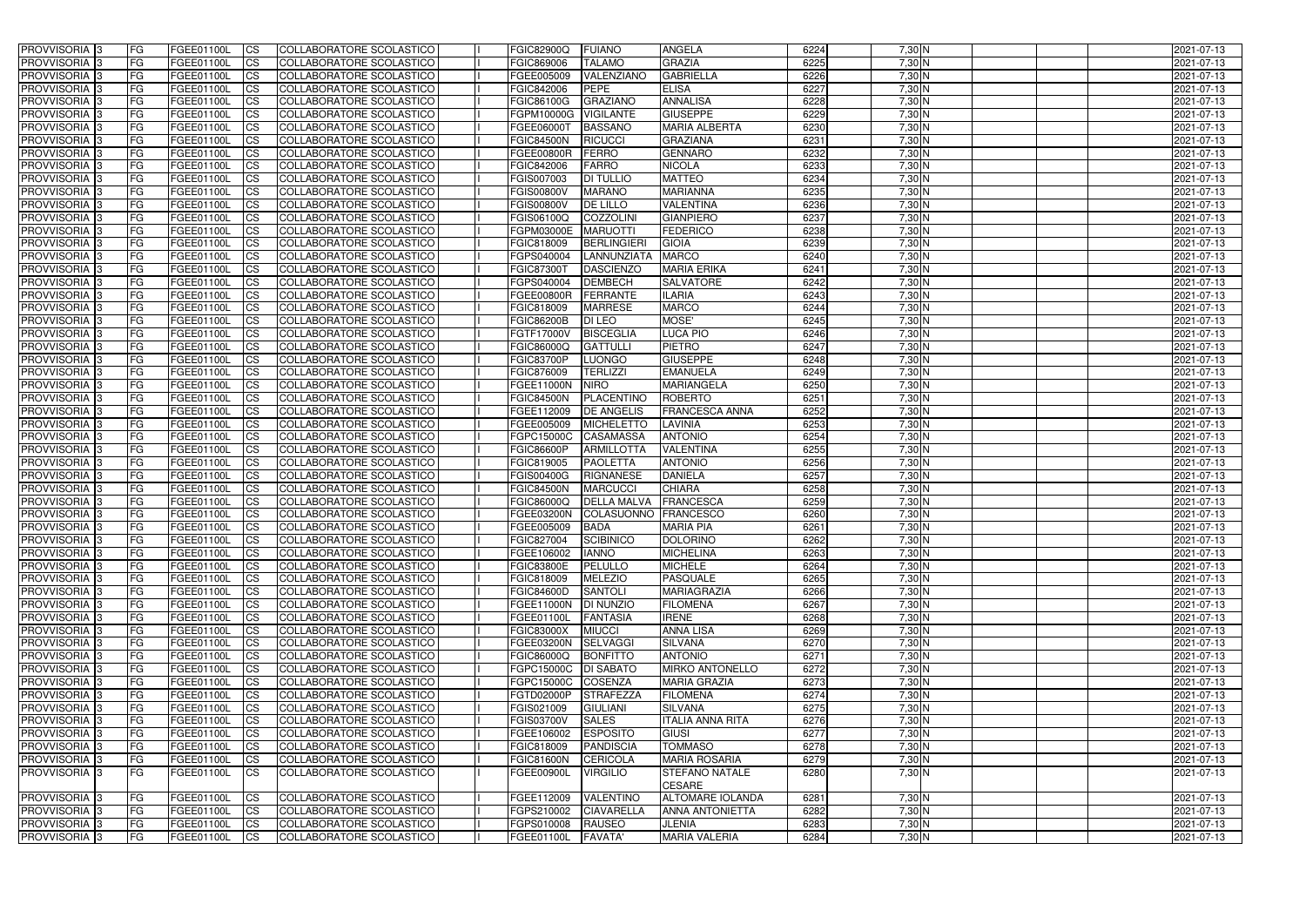| PROVVISORIA <sup>1</sup> 3                  | <b>FG</b> | FGEE01100L               | $\overline{\text{CS}}$  | COLLABORATORE SCOLASTICO                             | <b>FGIC82900Q</b>        | <b>IFUIANO</b>                         | <b>ANGELA</b>             | 6224         | $7,30$ N             | 2021-07-13               |
|---------------------------------------------|-----------|--------------------------|-------------------------|------------------------------------------------------|--------------------------|----------------------------------------|---------------------------|--------------|----------------------|--------------------------|
| PROVVISORIA <sup>1</sup> 3                  | FG        | FGEE01100L               | <b>CS</b>               | COLLABORATORE SCOLASTICO                             | FGIC869006               | <b>TALAMO</b>                          | <b>GRAZIA</b>             | 6225         | $7,30$ N             | 2021-07-13               |
| PROVVISORIA 3                               | FG        | FGEE01100L               | <b>CS</b>               | COLLABORATORE SCOLASTICO                             | FGEE005009               | VALENZIANO                             | <b>GABRIELLA</b>          | 6226         | $7,30$ N             | 2021-07-13               |
| PROVVISORIA <sup>1</sup> 3                  | <b>FG</b> | FGEE01100L               | <b>CS</b>               | COLLABORATORE SCOLASTICO                             | FGIC842006               | <b>PEPE</b>                            | <b>ELISA</b>              | 6227         | $7,30$ N             | 2021-07-13               |
| PROVVISORIA 3                               | FG        | FGEE01100L               | <b>ICS</b>              | COLLABORATORE SCOLASTICO                             | FGIC86100G               | <b>GRAZIANO</b>                        | <b>ANNALISA</b>           | 6228         | $7,30$ N             | 2021-07-13               |
| PROVVISORIA 3                               | FG        | FGEE01100L               | <b>ICS</b>              | COLLABORATORE SCOLASTICO                             | FGPM10000G               | <b>VIGILANTE</b>                       | <b>GIUSEPPE</b>           | 6229         | $7,30$ N             | 2021-07-13               |
| <b>PROVVISORIA</b>                          | <b>FG</b> | FGEE01100L               | <b>ICS</b>              | COLLABORATORE SCOLASTICO                             | FGEE06000T               | <b>BASSANO</b>                         | <b>MARIA ALBERTA</b>      | 6230         | $7,30$ N             | 2021-07-13               |
| PROVVISORIA 3                               | FG        | FGEE01100L               | <b>ICS</b>              | COLLABORATORE SCOLASTICO                             | <b>FGIC84500N</b>        | <b>RICUCCI</b>                         | <b>GRAZIANA</b>           | 6231         | $7,30$ N             | 2021-07-13               |
| <b>PROVVISORIA</b>                          | FG        | FGEE01100L               | <b>ICS</b>              | COLLABORATORE SCOLASTICO                             | FGEE00800R               | <b>FERRO</b>                           | <b>GENNARO</b>            | 6232         | 7,30 N               | 2021-07-13               |
| <b>PROVVISORIA</b>                          | <b>FG</b> | FGEE01100L               | <b>ICS</b>              | COLLABORATORE SCOLASTICO                             | FGIC842006               | <b>FARRO</b>                           | <b>NICOLA</b>             | 6233         | $7,30$ N             | 2021-07-13               |
| PROVVISORIA <sup>1</sup> 3                  | FG        | FGEE01100L               | <b>ICS</b>              | COLLABORATORE SCOLASTICO                             | FGIS007003               | <b>DI TULLIO</b>                       | <b>MATTEO</b>             | 6234         | 7,30 N               | 2021-07-13               |
| <b>PROVVISORIA</b>                          | FG        | FGEE01100L               | <b>ICS</b>              | COLLABORATORE SCOLASTICO                             | <b>FGIS00800V</b>        | <b>MARANO</b>                          | <b>MARIANNA</b>           | 6235         | 7,30 N               | 2021-07-13               |
| <b>PROVVISORIA</b>                          | FG        | FGEE01100L               | <b>ICS</b>              | COLLABORATORE SCOLASTICO                             | <b>FGIS00800V</b>        | <b>DE LILLO</b>                        | <b>VALENTINA</b>          | 6236         | $7,30$ N             | 2021-07-13               |
| PROVVISORIA 3                               | FG        | FGEE01100L               | <b>ICS</b>              | COLLABORATORE SCOLASTICO                             | FGIS06100Q               | <b>COZZOLINI</b>                       | <b>GIANPIERO</b>          | 6237         | 7,30 N               | 2021-07-13               |
| PROVVISORIA 3                               | FG        | FGEE01100L               | <b>ICS</b>              | COLLABORATORE SCOLASTICO                             | FGPM03000E               | <b>MARUOTTI</b>                        | <b>FEDERICO</b>           | 6238         | 7,30 N               | 2021-07-13               |
| PROVVISORIA 3                               | FG        | FGEE01100L               | <b>ICS</b>              | COLLABORATORE SCOLASTICO                             | FGIC818009               | <b>BERLINGIERI</b>                     | <b>GIOIA</b>              | 6239         | $7,30$ N             | 2021-07-13               |
| PROVVISORIA 3                               | FG        | FGEE01100L               | <b>ICS</b>              | COLLABORATORE SCOLASTICO                             | FGPS040004               | LANNUNZIATA                            | <b>MARCO</b>              | 6240         | 7,30 N               | 2021-07-13               |
| PROVVISORIA <sup>1</sup> 3                  | <b>FG</b> | FGEE01100L               | <b>ICS</b>              | COLLABORATORE SCOLASTICO                             | <b>FGIC87300T</b>        | <b>DASCIENZO</b>                       | <b>MARIA ERIKA</b>        | 6241         | $7,30$ N             | 2021-07-13               |
| PROVVISORIA 3                               | FG        | FGEE01100L               | <b>CS</b>               | COLLABORATORE SCOLASTICO                             | FGPS040004               | <b>DEMBECH</b>                         | <b>SALVATORE</b>          | 6242         | $7,30$ N             | 2021-07-13               |
| PROVVISORIA <sup>3</sup>                    | FG        | FGEE01100L               | <b>CS</b>               | COLLABORATORE SCOLASTICO                             | FGEE00800R               | <b>FERRANTE</b>                        | <b>ILARIA</b>             | 6243         | 7,30 N               | 2021-07-13               |
| PROVVISORIA <sup>1</sup> 3                  | FG        | FGEE01100L               | <b>CS</b>               | COLLABORATORE SCOLASTICO                             | FGIC818009               | <b>MARRESE</b>                         | <b>MARCO</b>              | 6244         | $7,30$ N             | 2021-07-13               |
| PROVVISORIA <sup>3</sup>                    | FG        | FGEE01100L               | <b>CS</b>               | COLLABORATORE SCOLASTICO                             | <b>FGIC86200B</b>        | DI LEO                                 | MOSE'                     | 6245         | $7,30$ N             | 2021-07-13               |
| PROVVISORIA <sup>1</sup> 3                  | FG        | FGEE01100L               | <b>CS</b>               | COLLABORATORE SCOLASTICO                             | FGTF17000V               | <b>BISCEGLIA</b>                       | <b>LUCA PIO</b>           | 6246         | $7,30$ N             | 2021-07-13               |
| PROVVISORIA <sup>1</sup> 3                  | FG        | FGEE01100L               | <b>CS</b>               | COLLABORATORE SCOLASTICO                             | FGIC86000Q               | <b>GATTULLI</b>                        | <b>PIETRO</b>             | 6247         | $7,30$ N             | 2021-07-13               |
| PROVVISORIA <sup>1</sup> 3                  | FG        | FGEE01100L               | <b>CS</b>               | <b>COLLABORATORE SCOLASTICO</b>                      | <b>FGIC83700P</b>        | <b>LUONGO</b>                          | <b>GIUSEPPE</b>           | 6248         | $7,30$ N             | 2021-07-13               |
| PROVVISORIA <sup>1</sup> 3                  | FG        | FGEE01100L               | <b>CS</b>               | COLLABORATORE SCOLASTICO                             | FGIC876009               | <b>TERLIZZI</b>                        | <b>EMANUELA</b>           | 6249         | $7,30$ N             | 2021-07-13               |
| PROVVISORIA <sup>1</sup> 3                  | FG        | FGEE01100L               | <b>CS</b>               | <b>COLLABORATORE SCOLASTICO</b>                      | FGEE11000N               | <b>NIRO</b>                            | <b>MARIANGELA</b>         | 6250         | 7,30 N               | 2021-07-13               |
| PROVVISORIA <sup>1</sup> 3                  | FG        | FGEE01100L               | <b>CS</b>               | COLLABORATORE SCOLASTICO                             | <b>FGIC84500N</b>        | PLACENTINO                             | <b>ROBERTO</b>            | 6251         | 7,30 N               | 2021-07-13               |
| PROVVISORIA <sup>1</sup> 3<br>PROVVISORIA 3 | FG        | FGEE01100L               | <b>ICS</b>              | COLLABORATORE SCOLASTICO<br>COLLABORATORE SCOLASTICO | FGEE112009               | <b>DE ANGELIS</b><br><b>MICHELETTO</b> | <b>FRANCESCA ANNA</b>     | 6252<br>6253 | $7,30$ N<br>$7,30$ N | 2021-07-13               |
| PROVVISORIA                                 | FG        | FGEE01100L<br>FGEE01100L | <b>ICS</b><br><b>CS</b> | COLLABORATORE SCOLASTICO                             | FGEE005009<br>FGPC15000C | <b>CASAMASSA</b>                       | LAVINIA<br><b>ANTONIO</b> | 6254         | 7,30 N               | 2021-07-13<br>2021-07-13 |
| PROVVISORIA <sup>1</sup> 3                  | FG<br>FG  | FGEE01100L               | <b>ICS</b>              | <b>COLLABORATORE SCOLASTICO</b>                      | <b>FGIC86600P</b>        | <b>ARMILLOTTA</b>                      | <b>VALENTINA</b>          | 6255         | $7,30$ N             | 2021-07-13               |
| <b>PROVVISORIA</b>                          | FG        | FGEE01100L               | <b>CS</b>               | COLLABORATORE SCOLASTICO                             | FGIC819005               | <b>PAOLETTA</b>                        | <b>ANTONIO</b>            | 6256         | 7,30 N               | 2021-07-13               |
| PROVVISORIA <sup>1</sup> 3                  | <b>FG</b> | FGEE01100L               | <b>ICS</b>              | COLLABORATORE SCOLASTICO                             | FGIS00400G               | <b>RIGNANESE</b>                       | <b>DANIELA</b>            | 6257         | 7,30 N               | 2021-07-13               |
| PROVVISORIA <sup>1</sup> 3                  | <b>FG</b> | FGEE01100L               | <b>CS</b>               | COLLABORATORE SCOLASTICO                             | <b>FGIC84500N</b>        | <b>MARCUCCI</b>                        | <b>CHIARA</b>             | 6258         | $7,30$ N             | 2021-07-13               |
| PROVVISORIA <sup>3</sup>                    | FG        | FGEE01100L               | <b>ICS</b>              | COLLABORATORE SCOLASTICO                             | FGIC86000Q               | <b>DELLA MALVA</b>                     | FRANCESCA                 | 6259         | 7,30 N               | 2021-07-13               |
| PROVVISORIA <sup>1</sup> 3                  | FG        | FGEE01100L               | <b>ICS</b>              | COLLABORATORE SCOLASTICO                             | FGEE03200N               | COLASUONNO FRANCESCO                   |                           | 6260         | 7,30 N               | 2021-07-13               |
| PROVVISORIA 3                               | FG        | FGEE01100L               | <b>ICS</b>              | <b>COLLABORATORE SCOLASTICO</b>                      | FGEE005009               | <b>BADA</b>                            | <b>MARIA PIA</b>          | 6261         | $7,30$ N             | 2021-07-13               |
| PROVVISORIA 3                               | FG        | FGEE01100L CS            |                         | COLLABORATORE SCOLASTICO                             | FGIC827004 SCIBINICO     |                                        | <b>DOLORINO</b>           | 6262         | 7,30 N               | 2021-07-13               |
| PROVVISORIA 3                               | FG        | FGEE01100L               | $\overline{\text{CS}}$  | COLLABORATORE SCOLASTICO                             | FGEE106002               | <b>IANNO</b>                           | <b>MICHELINA</b>          | 6263         | $7,30$ N             | 2021-07-13               |
| PROVVISORIA 3                               | <b>FG</b> | FGEE01100L               | $\overline{\text{CS}}$  | COLLABORATORE SCOLASTICO                             | <b>FGIC83800E</b>        | PELULLO                                | <b>MICHELE</b>            | 6264         | $7,30$ N             | 2021-07-13               |
| PROVVISORIA 3                               | <b>FG</b> | FGEE01100L               | $\mathsf{ICS}$          | COLLABORATORE SCOLASTICO                             | FGIC818009               | <b>MELEZIO</b>                         | <b>PASQUALE</b>           | 6265         | $7,30$ N             | 2021-07-13               |
| PROVVISORIA 3                               | <b>FG</b> | FGEE01100L               | $\mathsf{ICS}$          | COLLABORATORE SCOLASTICO                             | <b>FGIC84600D</b>        | <b>SANTOLI</b>                         | <b>MARIAGRAZIA</b>        | 6266         | $7,30$ N             | 2021-07-13               |
| PROVVISORIA 3                               | FG        | FGEE01100L               | <b>CS</b>               | COLLABORATORE SCOLASTICO                             | FGEE11000N   DI NUNZIO   |                                        | <b>FILOMENA</b>           | 6267         | $7,30$ N             | 2021-07-13               |
| PROVVISORIA 3                               | FG        | FGEE01100L               | <b>CS</b>               | COLLABORATORE SCOLASTICO                             | FGEE01100L               | <b>FANTASIA</b>                        | <b>IRENE</b>              | 6268         | $7,30$ N             | 2021-07-13               |
| PROVVISORIA 3                               | <b>FG</b> | FGEE01100L               | <b>CS</b>               | COLLABORATORE SCOLASTICO                             | <b>FGIC83000X</b>        | <b>MIUCCI</b>                          | <b>ANNA LISA</b>          | 6269         | $7,30$ N             | 2021-07-13               |
| PROVVISORIA 3                               | <b>FG</b> | FGEE01100L               | <b>CS</b>               | COLLABORATORE SCOLASTICO                             | FGEE03200N               | <b>SELVAGGI</b>                        | <b>SILVANA</b>            | 6270         | $7,30$ N             | 2021-07-13               |
| PROVVISORIA 3                               | <b>FG</b> | FGEE01100L               | <b>CS</b>               | COLLABORATORE SCOLASTICO                             | FGIC86000Q               | <b>BONFITTO</b>                        | <b>ANTONIO</b>            | 6271         | $7,30$ N             | 2021-07-13               |
| PROVVISORIA 3                               | <b>FG</b> | FGEE01100L               | <b>CS</b>               | COLLABORATORE SCOLASTICO                             | FGPC15000C   DI SABATO   |                                        | <b>MIRKO ANTONELLO</b>    | 6272         | $7,30$ N             | 2021-07-13               |
| PROVVISORIA 3                               | <b>FG</b> | FGEE01100L               | <b>CS</b>               | COLLABORATORE SCOLASTICO                             | FGPC15000C COSENZA       |                                        | <b>MARIA GRAZIA</b>       | 6273         | $7,30$ N             | 2021-07-13               |
| PROVVISORIA 3                               | <b>FG</b> | FGEE01100L               | <b>CS</b>               | COLLABORATORE SCOLASTICO                             | FGTD02000P               | <b>STRAFEZZA</b>                       | <b>FILOMENA</b>           | 6274         | $7,30$ N             | 2021-07-13               |
| PROVVISORIA 3                               | <b>FG</b> | FGEE01100L               | <b>CS</b>               | COLLABORATORE SCOLASTICO                             | FGIS021009               | <b>GIULIANI</b>                        | <b>SILVANA</b>            | 6275         | $7,30$ N             | 2021-07-13               |
| PROVVISORIA 3                               | <b>FG</b> | FGEE01100L               | <b>CS</b>               | COLLABORATORE SCOLASTICO                             | <b>FGIS03700V</b>        | <b>SALES</b>                           | <b>ITALIA ANNA RITA</b>   | 6276         | $7,30$ N             | 2021-07-13               |
| PROVVISORIA 3                               | FG        | FGEE01100L               | <b>CS</b>               | COLLABORATORE SCOLASTICO                             | FGEE106002               | <b>TESPOSITO</b>                       | <b>GIUSI</b>              | 6277         | $7,30$ N             | 2021-07-13               |
| PROVVISORIA 3                               | <b>FG</b> | FGEE01100L               | <b>CS</b>               | COLLABORATORE SCOLASTICO                             | FGIC818009               | PANDISCIA                              | <b>TOMMASO</b>            | 6278         | $7,30$ N             | 2021-07-13               |
| PROVVISORIA 3                               | FG        | FGEE01100L               | <b>CS</b>               | COLLABORATORE SCOLASTICO                             | <b>FGIC81600N</b>        | <b>CERICOLA</b>                        | <b>MARIA ROSARIA</b>      | 6279         | $7,30$ N             | 2021-07-13               |
| PROVVISORIA <sup>3</sup>                    | l FG      | FGEE01100L               | <b>ICS</b>              | COLLABORATORE SCOLASTICO                             | FGEE00900L               | <b>VIRGILIO</b>                        | <b>STEFANO NATALE</b>     | 6280         | $7,30$ N             | 2021-07-13               |
|                                             |           |                          |                         |                                                      |                          |                                        | <b>CESARE</b>             |              |                      |                          |
| PROVVISORIA 3                               | <b>FG</b> | FGEE01100L               | <b>CS</b>               | COLLABORATORE SCOLASTICO                             | FGEE112009               | VALENTINO                              | <b>ALTOMARE IOLANDA</b>   | 6281         | $7,30$ N             | 2021-07-13               |
| PROVVISORIA 3                               | <b>FG</b> | FGEE01100L               | $\mathsf{ICS}$          | COLLABORATORE SCOLASTICO                             | FGPS210002               | <b>CIAVARELLA</b>                      | <b>ANNA ANTONIETTA</b>    | 6282         | $7,30$ N             | 2021-07-13               |
| PROVVISORIA 3                               | <b>FG</b> | FGEE01100L               | $\mathsf{ICS}$          | COLLABORATORE SCOLASTICO                             | FGPS010008               | RAUSEO                                 | <b>JLENIA</b>             | 6283         | $7,30$ N             | 2021-07-13               |
| PROVVISORIA 3                               | <b>FG</b> | FGEE01100L               | $\mathsf{ICS}$          | COLLABORATORE SCOLASTICO                             | FGEE01100L               | <b>FAVATA</b>                          | <b>MARIA VALERIA</b>      | 6284         | 7,30 N               | 2021-07-13               |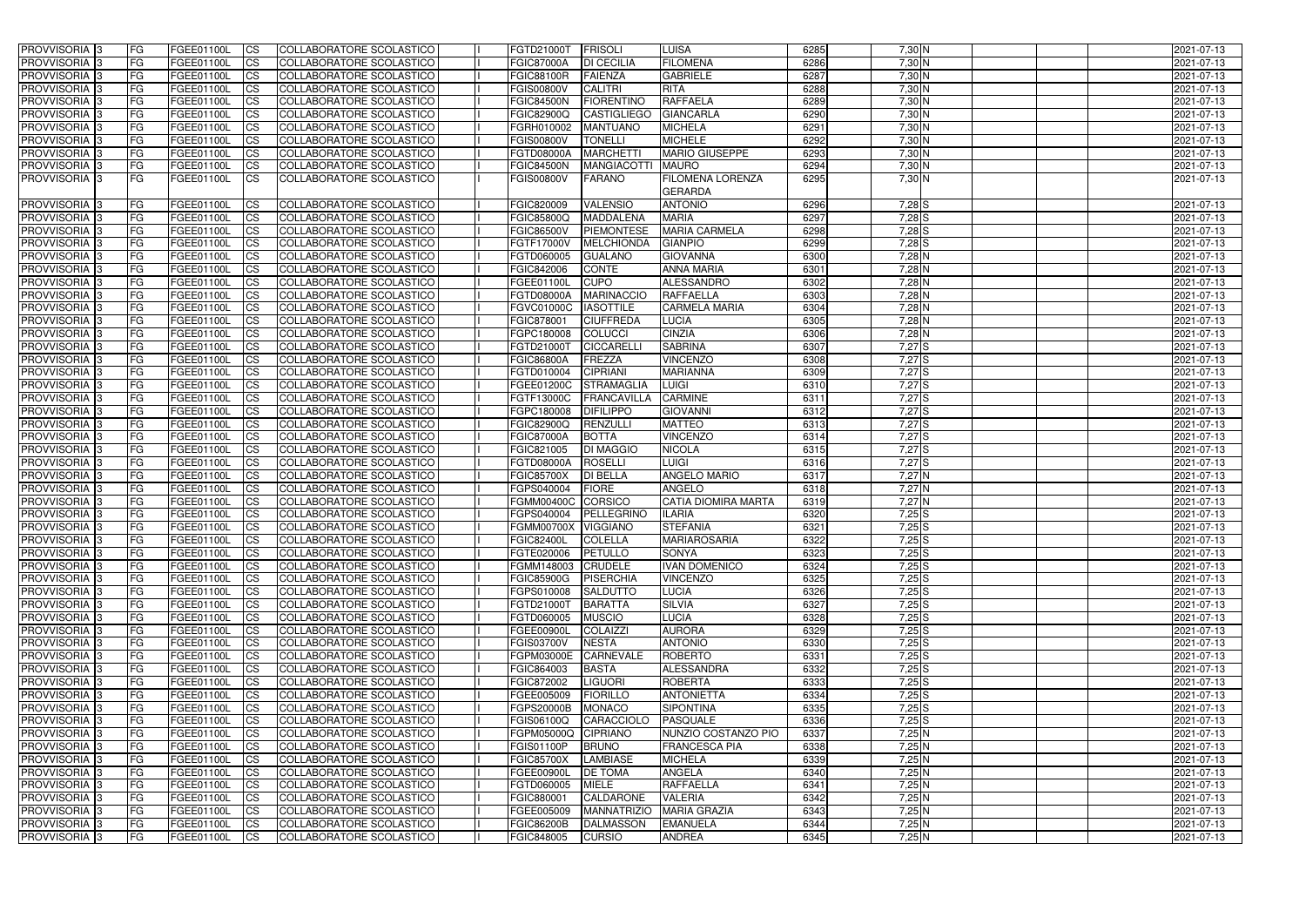| <b>PROVVISORIA</b> 3           | <b>FG</b>              | FGEE01100L               | <b>CS</b>              | COLLABORATORE SCOLASTICO                             | FGTD21000T                               | FRISOLI                           | <b>LUISA</b>                    | 6285         | 7,30 N               | 2021-07-13 |
|--------------------------------|------------------------|--------------------------|------------------------|------------------------------------------------------|------------------------------------------|-----------------------------------|---------------------------------|--------------|----------------------|------------|
| PROVVISORIA <sup>1</sup> 3     | FG                     | FGEE01100L               | <b>CS</b>              | COLLABORATORE SCOLASTICO                             | <b>FGIC87000A</b>                        | <b>DI CECILIA</b>                 | <b>FILOMENA</b>                 | 6286         | $7,30$ N             | 2021-07-13 |
| PROVVISORIA <sup>13</sup>      | <b>FG</b>              | FGEE01100L               | <b>CS</b>              | <b>COLLABORATORE SCOLASTICO</b>                      | <b>FGIC88100R</b>                        | <b>FAIENZA</b>                    | <b>GABRIELE</b>                 | 6287         | $7,30$ N             | 2021-07-13 |
| PROVVISORIA 3                  | FG                     | FGEE01100L               | <b>CS</b>              | COLLABORATORE SCOLASTICO                             | <b>FGIS00800V</b>                        | <b>CALITRI</b>                    | <b>RITA</b>                     | 6288         | $7,30$ N             | 2021-07-13 |
| PROVVISORIA <sup>1</sup> 3     | FG                     | FGEE01100L               | <b>CS</b>              | COLLABORATORE SCOLASTICO                             | <b>FGIC84500N</b>                        | <b>FIORENTINO</b>                 | <b>RAFFAELA</b>                 | 6289         | $7,30$ N             | 2021-07-13 |
| PROVVISORIA <sup>1</sup> 3     | FG                     | FGEE01100L               | <b>CS</b>              | COLLABORATORE SCOLASTICO                             | FGIC82900Q                               | <b>CASTIGLIEGO</b>                | <b>GIANCARLA</b>                | 6290         | $7,30$ N             | 2021-07-13 |
| PROVVISORIA <sup>1</sup> 3     | <b>FG</b>              | FGEE01100L               | <b>CS</b>              | COLLABORATORE SCOLASTICO                             | FGRH010002                               | <b>MANTUANO</b>                   | <b>MICHELA</b>                  | 6291         | $7,30$ N             | 2021-07-13 |
| PROVVISORIA <sup>1</sup> 3     | FG                     | FGEE01100L               | <b>CS</b>              | COLLABORATORE SCOLASTICO                             | <b>FGIS00800V</b>                        | <b>TONELLI</b>                    | <b>MICHELE</b>                  | 6292         | 7,30 N               | 2021-07-13 |
| PROVVISORIA <sup>1</sup> 3     | FG                     | FGEE01100L               | <b>CS</b>              | COLLABORATORE SCOLASTICO                             | FGTD08000A                               | <b>MARCHETT</b>                   | MARIO GIUSEPPE                  | 6293         | 7,30 N               | 2021-07-13 |
| PROVVISORIA <sup>1</sup> 3     | <b>FG</b>              | FGEE01100L               | <b>CS</b>              | COLLABORATORE SCOLASTICO                             | <b>FGIC84500N</b>                        | <b>MANGIACOTTI</b>                | <b>MAURO</b>                    | 6294         | $7,30$ N             | 2021-07-13 |
| PROVVISORIA 3                  | l FG                   | FGEE01100L               | <b>ICS</b>             | COLLABORATORE SCOLASTICO                             | <b>FGIS00800V</b>                        | <b>FARANO</b>                     | <b>FILOMENA LORENZA</b>         | 6295         | $7,30$ N             | 2021-07-13 |
|                                |                        |                          |                        |                                                      |                                          |                                   | <b>GERARDA</b>                  |              |                      |            |
| <b>PROVVISORIA</b>             | <b>FG</b>              | FGEE01100L               | <b>CS</b>              | COLLABORATORE SCOLASTICO                             | <b>FGIC820009</b>                        | <b>VALENSIO</b>                   | <b>ANTONIO</b>                  | 6296         | 7,28 S               | 2021-07-13 |
| PROVVISORIA 3                  | <b>FG</b>              | FGEE01100L               | <b>ICS</b>             | COLLABORATORE SCOLASTICO                             | FGIC85800Q                               | <b>MADDALENA</b>                  | <b>MARIA</b>                    | 6297         | $7,28$ S             | 2021-07-13 |
| <b>PROVVISORIA</b>             | FG                     | FGEE01100L               | <b>CS</b>              | COLLABORATORE SCOLASTICO                             | <b>FGIC86500V</b>                        | <b>PIEMONTESE</b>                 | <b>MARIA CARMELA</b>            | 6298         | 7,28 S               | 2021-07-13 |
| <b>PROVVISORIA</b>             | FG                     | FGEE01100L               | <b>ICS</b>             | COLLABORATORE SCOLASTICO                             | FGTF17000V                               | <b>MELCHIONDA</b>                 | <b>GIANPIO</b>                  | 6299         | $7,28$ S             | 2021-07-13 |
| <b>PROVVISORIA</b>             | FG                     | FGEE01100L               | <b>ICS</b>             | COLLABORATORE SCOLASTICO                             | FGTD060005                               | <b>GUALANO</b>                    | <b>GIOVANNA</b>                 | 6300         | 7,28 N               | 2021-07-13 |
| PROVVISORIA <sup>1</sup> 3     | FG                     | FGEE01100L               | <b>ICS</b>             | COLLABORATORE SCOLASTICO                             | FGIC842006                               | <b>CONTE</b>                      | <b>ANNA MARIA</b>               | 6301         | $7,28$ N             | 2021-07-13 |
| <b>PROVVISORIA</b>             | FG                     | FGEE01100L               | <b>ICS</b>             | COLLABORATORE SCOLASTICO                             | FGEE01100L                               | <b>CUPO</b>                       | ALESSANDRO                      | 6302         | 7,28 N               | 2021-07-13 |
| <b>PROVVISORIA</b>             | FG                     | <b>FGEE01100L</b>        | <b>CS</b>              | COLLABORATORE SCOLASTICO                             | <b>FGTD08000A</b>                        | <b>MARINACCIO</b>                 | <b>RAFFAELLA</b>                | 6303         | 7,28 N               | 2021-07-13 |
| PROVVISORIA 3                  | FG                     | FGEE01100L               | <b>CS</b>              | COLLABORATORE SCOLASTICO                             | <b>FGVC01000C</b>                        | <b>IASOTTILE</b>                  | <b>CARMELA MARIA</b>            | 6304         | 7,28 N               | 2021-07-13 |
| PROVVISORIA 3                  | FG                     | FGEE01100L               | <b>ICS</b>             | COLLABORATORE SCOLASTICO                             | FGIC878001                               | <b>CIUFFREDA</b>                  | <b>LUCIA</b>                    | 6305         | $7,28$ N             | 2021-07-13 |
| PROVVISORIA <sup>3</sup>       | FG                     | FGEE01100L               | <b>ICS</b>             | COLLABORATORE SCOLASTICO                             | FGPC180008                               | <b>COLUCCI</b>                    | <b>CINZIA</b>                   | 6306         | $7,28$ N             | 2021-07-13 |
| PROVVISORIA <sup>1</sup> 3     | FG                     | FGEE01100L               | <b>ICS</b>             | COLLABORATORE SCOLASTICO                             | FGTD21000T                               | <b>CICCARELL</b>                  | <b>SABRINA</b>                  | 6307         | 7,27S                | 2021-07-13 |
| PROVVISORIA <sup>1</sup> 3     | FG                     | FGEE01100L               | <b>ICS</b>             | COLLABORATORE SCOLASTICO                             | <b>FGIC86800A</b>                        | <b>FREZZA</b>                     | <b>VINCENZO</b>                 | 6308         | 7,27 S               | 2021-07-13 |
| PROVVISORIA 3                  | FG                     | FGEE01100L               | <b>CS</b>              | COLLABORATORE SCOLASTICO                             | FGTD010004                               | <b>CIPRIANI</b>                   | <b>MARIANNA</b>                 | 6309         | 7,27S                | 2021-07-13 |
| PROVVISORIA <sup>1</sup> 3     | FG                     | FGEE01100L               | <b>CS</b>              | COLLABORATORE SCOLASTICO                             | FGEE01200C                               | <b>STRAMAGLIA</b>                 | <b>LUIGI</b>                    | 6310         | 7,27S                | 2021-07-13 |
| PROVVISORIA <sup>1</sup> 3     | FG                     | FGEE01100L               | <b>CS</b>              | COLLABORATORE SCOLASTICO                             | FGTF13000C                               | <b>FRANCAVILLA</b>                | <b>CARMINE</b>                  | 6311         | 7,27S                | 2021-07-13 |
| PROVVISORIA <sup>1</sup> 3     | FG                     | FGEE01100L               | <b>CS</b>              | COLLABORATORE SCOLASTICO                             | FGPC180008                               | <b>DIFILIPPO</b>                  | <b>GIOVANNI</b>                 | 6312         | 7,27S                | 2021-07-13 |
| PROVVISORIA <sup>1</sup> 3     | FG                     | FGEE01100L               | <b>CS</b>              | COLLABORATORE SCOLASTICO                             | FGIC82900Q                               | <b>RENZULLI</b>                   | <b>MATTEO</b>                   | 6313         | 7,27S                | 2021-07-13 |
| PROVVISORIA                    | FG                     | FGEE01100L               | <b>CS</b>              | COLLABORATORE SCOLASTICO                             | <b>FGIC87000A</b>                        | <b>BOTTA</b>                      | <b>VINCENZO</b>                 | 6314         | $7,27$ S             | 2021-07-13 |
| PROVVISORIA <sup>1</sup> 3     | FG                     | FGEE01100L               | <b>CS</b>              | <b>COLLABORATORE SCOLASTICO</b>                      | FGIC821005                               | <b>DI MAGGIO</b>                  | <b>NICOLA</b>                   | 6315         | 7,27S                | 2021-07-13 |
| PROVVISORIA <sup>3</sup>       | FG                     | FGEE01100L               | <b>CS</b>              | COLLABORATORE SCOLASTICO                             | FGTD08000A                               | <b>ROSELLI</b>                    | <b>LUIGI</b>                    | 6316         | 7,27 S               | 2021-07-13 |
| PROVVISORIA 3                  | FG                     | FGEE01100L               | <b>CS</b>              | COLLABORATORE SCOLASTICO                             | <b>FGIC85700X</b>                        | <b>DI BELLA</b>                   | <b>ANGELO MARIO</b>             | 6317         | $7,27$ N             | 2021-07-13 |
| PROVVISORIA                    | FG                     | FGEE01100L               | <b>CS</b>              | COLLABORATORE SCOLASTICO                             | FGPS040004                               | <b>FIORE</b>                      | <b>ANGELO</b>                   | 6318         | $7,27$ N             | 2021-07-13 |
| PROVVISORIA                    | FG                     | FGEE01100L               | <b>ICS</b>             | COLLABORATORE SCOLASTICO                             | <b>FGMM00400C</b>                        | <b>CORSICO</b>                    | <b>CATIA DIOMIRA MARTA</b>      | 6319         | $7,27$ N             | 2021-07-13 |
| <b>PROVVISORIA 3</b>           | FG                     | FGEE01100L               | <b>ICS</b>             | COLLABORATORE SCOLASTICO                             | FGPS040004                               | PELLEGRINO                        | <b>ILARIA</b>                   | 6320         | $7,25$ S             | 2021-07-13 |
| PROVVISORIA 3                  | <b>FG</b>              | FGEE01100L               | <b>ICS</b>             | COLLABORATORE SCOLASTICO                             | FGMM00700X VIGGIANO                      |                                   | <b>STEFANIA</b>                 | 6321         | $7,25$ S             | 2021-07-13 |
| PROVVISORIA 3                  | FG                     | FGEE01100L               | - ICS                  | COLLABORATORE SCOLASTICO                             | <b>FGIC82400L</b>                        | <b>COLELLA</b>                    | <b>MARIAROSARIA</b>             | 6322         | $7,25$ S             | 2021-07-13 |
| PROVVISORIA 3                  | <b>FG</b>              | FGEE01100L               | $\overline{\text{CS}}$ | COLLABORATORE SCOLASTICO                             | FGTE020006                               | PETULLO                           | <b>SONYA</b>                    | 6323         | $7,25$ S             | 2021-07-13 |
| PROVVISORIA 3                  | <b>FG</b>              | <b>FGEE01100L</b>        | $\mathsf{ICS}$         | COLLABORATORE SCOLASTICO                             | FGMM148003 CRUDELE                       |                                   | <b>IVAN DOMENICO</b>            | 6324         | 7,25S                | 2021-07-13 |
| PROVVISORIA 3                  | <b>FG</b>              | FGEE01100L               | $\mathsf{ICS}$         | COLLABORATORE SCOLASTICO                             | <b>FGIC85900G</b>                        | PISERCHIA                         | <b>VINCENZO</b>                 | 6325         | $7,25$ S             | 2021-07-13 |
| PROVVISORIA 3                  | FG                     | FGEE01100L               | <b>CS</b>              | COLLABORATORE SCOLASTICO                             | FGPS010008                               | <b>SALDUTTO</b>                   | <b>LUCIA</b>                    | 6326         | $7,25$ S             | 2021-07-13 |
| PROVVISORIA 3                  | <b>FG</b>              | FGEE01100L               | $\mathsf{ICS}$         | COLLABORATORE SCOLASTICO                             | FGTD21000T                               | <b>BARATTA</b>                    | <b>SILVIA</b>                   | 6327         | $7,25$ S             | 2021-07-13 |
| PROVVISORIA 3                  | <b>FG</b>              | FGEE01100L               | $\overline{\text{CS}}$ | COLLABORATORE SCOLASTICO                             | FGTD060005                               | <b>MUSCIO</b>                     | <b>LUCIA</b>                    | 6328         | $7,25$ $S$           | 2021-07-13 |
| PROVVISORIA 3                  | FG                     | FGEE01100L               | <b>CS</b>              | COLLABORATORE SCOLASTICO                             | FGEE00900L                               | <b>COLAIZZI</b>                   | <b>AURORA</b>                   | 6329         | $7,25$ S             | 2021-07-13 |
| PROVVISORIA 3                  | <b>FG</b>              | FGEE01100L               | $\overline{\text{CS}}$ | COLLABORATORE SCOLASTICO                             | <b>FGIS03700V</b>                        | <b>NESTA</b>                      | <b>ANTONIO</b>                  | 6330         | $7,25$ S             | 2021-07-13 |
| <b>PROVVISORIA 3</b>           | l FG                   | FGEE01100L               | $\mathsf{ICS}$         | COLLABORATORE SCOLASTICO                             | FGPM03000E                               | <b>CARNEVALE</b>                  | <b>ROBERTO</b>                  | 6331         | $7,25$ S             | 2021-07-13 |
| PROVVISORIA 3                  | l FG                   | FGEE01100L               | $\mathsf{ICS}$         | COLLABORATORE SCOLASTICO                             | FGIC864003                               | <b>BASTA</b>                      | ALESSANDRA                      | 6332         | $7,25$ $S$           | 2021-07-13 |
| PROVVISORIA 3                  | <b>FG</b>              | FGEE01100L               | <b>ICS</b>             | COLLABORATORE SCOLASTICO                             | FGIC872002                               | <b>LIGUORI</b>                    | <b>ROBERTA</b>                  | 6333         | $7,25$ $S$           | 2021-07-13 |
| PROVVISORIA 3                  | <b>FG</b>              | FGEE01100L               | <b>CS</b>              | COLLABORATORE SCOLASTICO                             | FGEE005009                               | <b>FIORILLO</b>                   | <b>ANTONIETTA</b>               | 6334         | $7,25$ S             | 2021-07-13 |
| PROVVISORIA 3                  | <b>FG</b>              |                          |                        |                                                      |                                          |                                   | <b>SIPONTINA</b>                | 6335         |                      |            |
| PROVVISORIA 3                  | <b>FG</b>              | FGEE01100L               | <b>CS</b>              | COLLABORATORE SCOLASTICO<br>COLLABORATORE SCOLASTICO | <b>FGPS20000B</b>                        | <b>MONACO</b>                     | PASQUALE                        | 6336         | $7,25$ S<br>$7,25$ S | 2021-07-13 |
| PROVVISORIA 3                  | <b>FG</b>              | FGEE01100L               | <b>CS</b>              | COLLABORATORE SCOLASTICO                             | <b>FGIS06100Q</b><br>FGPM05000Q CIPRIANO | CARACCIOLO                        | NUNZIO COSTANZO PIO             | 6337         | 7,25N                | 2021-07-13 |
|                                |                        | FGEE01100L               | <b>CS</b>              |                                                      |                                          |                                   |                                 | 6338         |                      | 2021-07-13 |
| PROVVISORIA 3                  | <b>FG</b>              | FGEE01100L               | <b>CS</b>              | COLLABORATORE SCOLASTICO                             | FGIS01100P                               | <b>BRUNO</b>                      | <b>FRANCESCA PIA</b>            |              | $7,25$ N             | 2021-07-13 |
| PROVVISORIA 3<br>PROVVISORIA 3 | <b>FG</b><br><b>FG</b> | FGEE01100L               | <b>CS</b><br><b>CS</b> | COLLABORATORE SCOLASTICO<br>COLLABORATORE SCOLASTICO | <b>FGIC85700X</b>                        | <b>LAMBIASE</b><br><b>DE TOMA</b> | <b>MICHELA</b><br><b>ANGELA</b> | 6339<br>6340 | 7,25N<br>7,25N       | 2021-07-13 |
|                                | <b>FG</b>              | FGEE01100L<br>FGEE01100L |                        |                                                      | FGEE00900L                               | <b>MIELE</b>                      | <b>RAFFAELLA</b>                | 6341         | $7,25$ N             | 2021-07-13 |
| PROVVISORIA 3                  | <b>FG</b>              |                          | <b>CS</b>              | COLLABORATORE SCOLASTICO                             | FGTD060005<br>FGIC880001                 |                                   | <b>VALERIA</b>                  | 6342         |                      | 2021-07-13 |
| PROVVISORIA 3                  |                        | FGEE01100L               | <b>CS</b>              | COLLABORATORE SCOLASTICO                             |                                          | CALDARONE                         |                                 |              | $7,25$ N             | 2021-07-13 |
| PROVVISORIA 3                  | FG                     | FGEE01100L               | <b>CS</b>              | COLLABORATORE SCOLASTICO                             | FGEE005009                               | <b>MANNATRIZIO</b>                | <b>MARIA GRAZIA</b>             | 6343         | $7,25$ N             | 2021-07-13 |
| PROVVISORIA 3                  | FG                     | FGEE01100L               | <b>CS</b>              | COLLABORATORE SCOLASTICO                             | <b>FGIC86200B</b>                        | <b>DALMASSON</b>                  | <b>EMANUELA</b>                 | 6344         | 7,25N                | 2021-07-13 |
| PROVVISORIA 3                  | FG                     | FGEE01100L               | <b>ICS</b>             | COLLABORATORE SCOLASTICO                             | FGIC848005                               | <b>CURSIO</b>                     | <b>ANDREA</b>                   | 6345         | 7,25 N               | 2021-07-13 |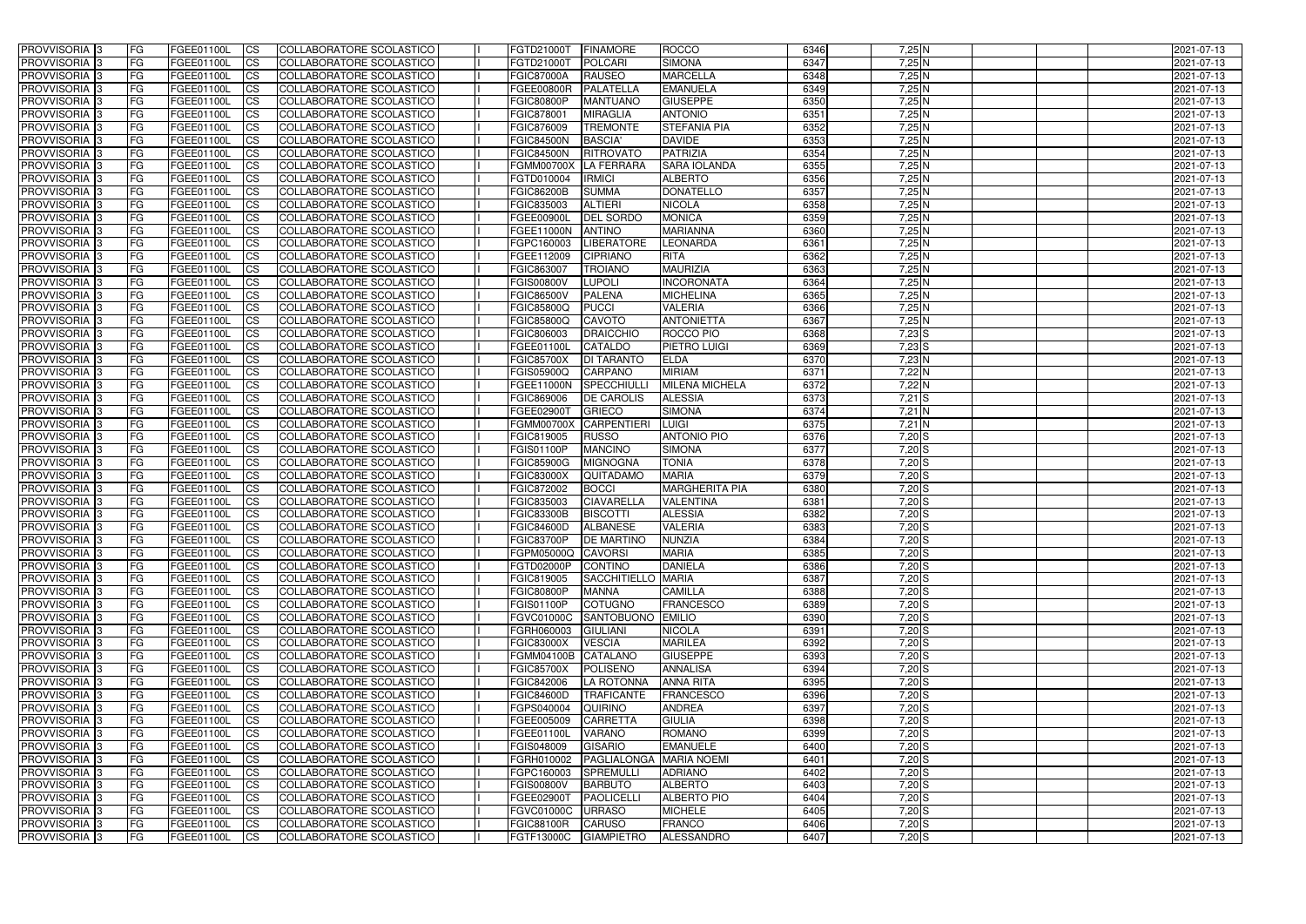| <b>PROVVISORIA</b> 3           | l FG                   | FGEE01100L               | <b>ICS</b>             | COLLABORATORE SCOLASTICO                             | FGTD21000T            | <b>FINAMORE</b>                           | <b>ROCCO</b>            | 6346 | $7,25$ N             | 2021-07-13               |
|--------------------------------|------------------------|--------------------------|------------------------|------------------------------------------------------|-----------------------|-------------------------------------------|-------------------------|------|----------------------|--------------------------|
| <b>PROVVISORIA 3</b>           | FG                     | FGEE01100L               | <b>ICS</b>             | COLLABORATORE SCOLASTICO                             | FGTD21000T            | <b>POLCARI</b>                            | <b>SIMONA</b>           | 6347 | $7,25$ N             | 2021-07-13               |
| PROVVISORIA <sup>1</sup> 3     | FG                     | FGEE01100L               | <b>CS</b>              | <b>COLLABORATORE SCOLASTICO</b>                      | <b>FGIC87000A</b>     | <b>RAUSEO</b>                             | <b>MARCELLA</b>         | 6348 | 7,25N                | 2021-07-13               |
| PROVVISORIA                    | FG                     | FGEE01100L               | <b>CS</b>              | COLLABORATORE SCOLASTICO                             | FGEE00800R            | PALATELLA                                 | <b>EMANUELA</b>         | 6349 | 7,25N                | 2021-07-13               |
| PROVVISORIA <sup>1</sup> 3     | FG                     | FGEE01100L               | <b>CS</b>              | COLLABORATORE SCOLASTICO                             | <b>FGIC80800P</b>     | <b>MANTUANO</b>                           | <b>GIUSEPPE</b>         | 6350 | 7,25 N               | 2021-07-13               |
| PROVVISORIA <sup>1</sup> 3     | FG                     | FGEE01100L               | <b>CS</b>              | COLLABORATORE SCOLASTICO                             | FGIC878001            | <b>MIRAGLIA</b>                           | <b>ANTONIO</b>          | 6351 | $7,25$ N             | 2021-07-13               |
| PROVVISORIA <sup>1</sup> 3     | FG                     | FGEE01100L               | <b>CS</b>              | COLLABORATORE SCOLASTICO                             | FGIC876009            | <b>TREMONTE</b>                           | <b>STEFANIA PIA</b>     | 6352 | $7,25$ N             | 2021-07-13               |
| PROVVISORIA 3                  | FG                     | FGEE01100L               | <b>ICS</b>             | COLLABORATORE SCOLASTICO                             | <b>FGIC84500N</b>     | <b>BASCIA</b>                             | <b>DAVIDE</b>           | 6353 | $7,25$ N             | 2021-07-13               |
| PROVVISORIA 3                  | FG                     | FGEE01100L               | <b>CS</b>              | COLLABORATORE SCOLASTICO                             | <b>FGIC84500N</b>     | <b>RITROVATO</b>                          | PATRIZIA                | 6354 | $7,25$ N             | 2021-07-13               |
| PROVVISORIA 3                  | <b>FG</b>              | FGEE01100L               | <b>CS</b>              | COLLABORATORE SCOLASTICO                             | <b>FGMM00700X</b>     | LA FERRARA                                | <b>SARA IOLANDA</b>     | 6355 | 7,25N                | 2021-07-13               |
| PROVVISORIA 3                  | FG                     | FGEE01100L               | <b>CS</b>              | COLLABORATORE SCOLASTICO                             | FGTD010004            | <b>IRMICI</b>                             | <b>ALBERTO</b>          | 6356 | 7,25N                | 2021-07-13               |
| <b>PROVVISORIA</b>             | FG                     | FGEE01100L               | <b>ICS</b>             | COLLABORATORE SCOLASTICO                             | <b>FGIC86200B</b>     | <b>SUMMA</b>                              | <b>DONATELLO</b>        | 6357 | 7,25 N               | 2021-07-13               |
| <b>PROVVISORIA</b>             | FG                     | FGEE01100L               | <b>ICS</b>             | COLLABORATORE SCOLASTICO                             | FGIC835003            | <b>ALTIERI</b>                            | <b>NICOLA</b>           | 6358 | 7,25N                | 2021-07-13               |
| <b>PROVVISORIA</b>             | FG                     | FGEE01100L               | <b>ICS</b>             | COLLABORATORE SCOLASTICO                             | FGEE00900L            | <b>DEL SORDO</b>                          | <b>MONICA</b>           | 6359 | 7,25N                | 2021-07-13               |
| <b>PROVVISORIA</b>             | FG                     | FGEE01100L               | <b>ICS</b>             | COLLABORATORE SCOLASTICO                             | FGEE11000N            | <b>ANTINO</b>                             | <b>MARIANNA</b>         | 6360 | 7,25N                | 2021-07-13               |
| <b>PROVVISORIA</b>             | FG                     | FGEE01100L               | <b>ICS</b>             | COLLABORATORE SCOLASTICO                             | FGPC160003            | <b>LIBERATORE</b>                         | <b>LEONARDA</b>         | 6361 | 7,25N                | 2021-07-13               |
| <b>PROVVISORIA</b>             | FG                     | <b>FGEE01100L</b>        | <b>ICS</b>             | COLLABORATORE SCOLASTICO                             | FGEE112009            | <b>CIPRIANO</b>                           | <b>RITA</b>             | 6362 | 7,25 N               | 2021-07-13               |
| <b>PROVVISORIA</b>             | FG                     | FGEE01100L               | <b>ICS</b>             | COLLABORATORE SCOLASTICO                             | FGIC863007            | <b>TROIANO</b>                            | <b>MAURIZIA</b>         | 6363 | 7,25 N               | 2021-07-13               |
| PROVVISORIA <sup>3</sup>       | FG                     | FGEE01100L               | <b>ICS</b>             | COLLABORATORE SCOLASTICO                             | <b>FGIS00800V</b>     | <b>LUPOLI</b>                             | <b>INCORONATA</b>       | 6364 | 7,25N                | 2021-07-13               |
| PROVVISORIA 3                  | FG                     | FGEE01100L               | <b>ICS</b>             | COLLABORATORE SCOLASTICO                             | <b>FGIC86500V</b>     | <b>PALENA</b>                             | <b>MICHELINA</b>        | 6365 | $7,25$ N             | 2021-07-13               |
| PROVVISORIA <sup>1</sup> 3     | FG                     | FGEE01100L               | <b>ICS</b>             | COLLABORATORE SCOLASTICO                             | FGIC85800Q            | <b>PUCCI</b>                              | <b>VALERIA</b>          | 6366 | 7,25N                | 2021-07-13               |
| PROVVISORIA 3                  | FG                     | FGEE01100L               | <b>ICS</b>             | COLLABORATORE SCOLASTICO                             | FGIC85800Q            | <b>CAVOTO</b>                             | <b>ANTONIETTA</b>       | 6367 | 7,25N                | 2021-07-13               |
| PROVVISORIA 3                  | FG                     | FGEE01100L               | <b>ICS</b>             | <b>COLLABORATORE SCOLASTICO</b>                      | FGIC806003            | <b>DRAICCHIO</b>                          | ROCCO PIO               | 6368 | $7,23$ S             | 2021-07-13               |
| PROVVISORIA <sup>13</sup>      | FG                     | FGEE01100L               | <b>CS</b>              | COLLABORATORE SCOLASTICO                             | FGEE01100L            | CATALDO                                   | PIETRO LUIGI            | 6369 | $7,23$ S             | 2021-07-13               |
| PROVVISORIA <sup>1</sup> 3     | FG                     | FGEE01100L               | <b>CS</b>              | COLLABORATORE SCOLASTICO                             | <b>FGIC85700X</b>     | <b>DI TARANTO</b>                         | <b>ELDA</b>             | 6370 | $7,23$ N             | 2021-07-13               |
| PROVVISORIA <sup>1</sup> 3     | FG                     | FGEE01100L               | <b>ICS</b>             | COLLABORATORE SCOLASTICO                             | FGIS05900Q            | <b>CARPANO</b>                            | <b>MIRIAM</b>           | 6371 | $7,22$ N             | 2021-07-13               |
| PROVVISORIA 3                  | FG                     | FGEE01100L               | <b>ICS</b>             | COLLABORATORE SCOLASTICO                             | FGEE11000N            | SPECCHIULI                                | <b>MILENA MICHELA</b>   | 6372 | $7,22$ N             | 2021-07-13               |
| PROVVISORIA                    | FG                     | FGEE01100L               | <b>ICS</b>             | COLLABORATORE SCOLASTICO                             | FGIC869006            | <b>DE CAROLIS</b>                         | <b>ALESSIA</b>          | 6373 | $7,21$ S             | 2021-07-13               |
| PROVVISORIA                    | FG                     | FGEE01100L               | <b>CS</b>              | <b>COLLABORATORE SCOLASTICO</b>                      | FGEE02900T            | <b>GRIECO</b>                             | <b>SIMONA</b>           | 6374 | $7,21$ N             | 2021-07-13               |
| PROVVISORIA                    | FG                     | FGEE01100L               | <b>CS</b>              | COLLABORATORE SCOLASTICO                             | <b>FGMM00700X</b>     | <b>CARPENTIERI</b>                        | <b>LUIGI</b>            | 6375 | $7,21$ N             | 2021-07-13               |
| PROVVISORIA                    | FG                     | FGEE01100L               | <b>CS</b>              | COLLABORATORE SCOLASTICO                             | FGIC819005            | <b>RUSSO</b>                              | <b>ANTONIO PIO</b>      | 6376 | $7,20$ S             | 2021-07-13               |
| PROVVISORIA <sup>1</sup> 3     | l FG                   | FGEE01100L               | <b>CS</b>              | COLLABORATORE SCOLASTICO                             | FGIS01100P            | <b>MANCINO</b>                            | <b>SIMONA</b>           | 6377 | $7,20$ $S$           | 2021-07-13               |
| PROVVISORIA <sup>1</sup> 3     | FG                     | FGEE01100L               | <b>CS</b>              | COLLABORATORE SCOLASTICO                             | <b>FGIC85900G</b>     | <b>MIGNOGNA</b>                           | <b>TONIA</b>            | 6378 | $7,20$ S             | 2021-07-13               |
| PROVVISORIA 3                  | FG                     | FGEE01100L               | <b>CS</b>              | <b>COLLABORATORE SCOLASTICO</b>                      | <b>FGIC83000X</b>     | <b>QUITADAMO</b>                          | <b>MARIA</b>            | 6379 | $7,20$ S             | 2021-07-13               |
| <b>PROVVISORIA</b>             | FG                     | FGEE01100L               | <b>ICS</b>             | COLLABORATORE SCOLASTICO                             | FGIC872002            | <b>BOCCI</b>                              | <b>MARGHERITA PIA</b>   | 6380 | $7,20$ S             | 2021-07-13               |
| PROVVISORIA <sup>1</sup> 3     | <b>FG</b>              | FGEE01100L               | <b>ICS</b>             | COLLABORATORE SCOLASTICO                             | FGIC835003            | <b>CIAVARELLA</b>                         | <b>VALENTINA</b>        | 6381 | $7,20$ S             | 2021-07-13               |
| PROVVISORIA 3                  | <b>FG</b>              | FGEE01100L               | <b>ICS</b>             | COLLABORATORE SCOLASTICO                             | <b>FGIC83300B</b>     | <b>BISCOTTI</b>                           | <b>ALESSIA</b>          | 6382 | $7,20$ S             | 2021-07-13               |
| <b>PROVVISORIA</b>             | <b>FG</b>              | FGEE01100L               | <b>ICS</b>             | COLLABORATORE SCOLASTICO                             | <b>FGIC84600D</b>     | <b>ALBANESE</b>                           | <b>VALERIA</b>          | 6383 | $7,20$ S             | 2021-07-13               |
| PROVVISORIA 3                  | FG                     | FGEE01100L               | <b>ICS</b>             | COLLABORATORE SCOLASTICO                             | FGIC83700P DE MARTINO |                                           | NUNZIA                  | 6384 | $7,20$ S             | 2021-07-13               |
| <b>PROVVISORIA</b> 3           | <b>FG</b>              | FGEE01100L               | $\mathsf{ICS}$         | COLLABORATORE SCOLASTICO                             | FGPM05000Q CAVORSI    |                                           | <b>MARIA</b>            | 6385 | $7,20$ S             | 2021-07-13               |
| PROVVISORIA 3                  | <b>FG</b>              | <b>FGEE01100L</b>        | $\mathsf{ICS}$         | COLLABORATORE SCOLASTICO                             | FGTD02000P            | CONTINO                                   | <b>DANIELA</b>          | 6386 | $7,20$ S             | 2021-07-13               |
| PROVVISORIA 3                  | <b>FG</b>              | FGEE01100L               | $\mathsf{ICS}$         | COLLABORATORE SCOLASTICO                             | FGIC819005            | SACCHITIELLO MARIA                        |                         | 6387 | $7,20$ S             | 2021-07-13               |
| PROVVISORIA 3                  | FG                     | FGEE01100L               | $\mathsf{ICS}$         | COLLABORATORE SCOLASTICO                             | <b>FGIC80800P</b>     | <b>MANNA</b>                              | CAMILLA                 | 6388 | $7,20$ S             | 2021-07-13               |
| PROVVISORIA 3                  | l FG                   | FGEE01100L               | <b>CS</b>              | COLLABORATORE SCOLASTICO                             | <b>FGIS01100P</b>     | <b>COTUGNO</b>                            | <b>FRANCESCO</b>        | 6389 | $7,20$ S             | 2021-07-13               |
| PROVVISORIA 3                  | <b>FG</b>              | FGEE01100L               | $\mathsf{ICS}$         | COLLABORATORE SCOLASTICO                             | <b>FGVC01000C</b>     | SANTOBUONO EMILIO                         |                         | 6390 | $7,20$ S             | 2021-07-13               |
| PROVVISORIA 3                  | FG                     | FGEE01100L               | <b>CS</b>              | COLLABORATORE SCOLASTICO                             | FGRH060003            | <b>GIULIANI</b>                           | <b>NICOLA</b>           | 6391 | 7,20S                | 2021-07-13               |
| PROVVISORIA 3                  | <b>FG</b>              | FGEE01100L               | <b>CS</b>              | COLLABORATORE SCOLASTICO                             | <b>FGIC83000X</b>     | <b>VESCIA</b>                             | <b>MARILEA</b>          | 6392 | $7,20$ S             | 2021-07-13               |
| PROVVISORIA 3                  | <b>FG</b>              | FGEE01100L               | <b>CS</b>              | COLLABORATORE SCOLASTICO                             | FGMM04100B CATALANO   |                                           | <b>GIUSEPPE</b>         | 6393 | 7,20S                | 2021-07-13               |
| PROVVISORIA 3                  | <b>FG</b>              | FGEE01100L               | <b>CS</b>              | COLLABORATORE SCOLASTICO                             | <b>FGIC85700X</b>     | POLISENO                                  | <b>ANNALISA</b>         | 6394 | 7,20S                | 2021-07-13               |
| PROVVISORIA 3                  | <b>FG</b>              | FGEE01100L               | <b>CS</b>              | COLLABORATORE SCOLASTICO                             | FGIC842006            | LA ROTONNA                                | <b>ANNA RITA</b>        | 6395 | 7,20S                | 2021-07-13               |
|                                | <b>FG</b>              |                          |                        |                                                      | <b>FGIC84600D</b>     | <b>TRAFICANTE</b>                         | <b>FRANCESCO</b>        | 6396 | $7,20$ S             |                          |
| PROVVISORIA 3<br>PROVVISORIA 3 | <b>FG</b>              | FGEE01100L<br>FGEE01100L | <b>CS</b><br><b>CS</b> | COLLABORATORE SCOLASTICO<br>COLLABORATORE SCOLASTICO | FGPS040004            | <b>QUIRINO</b>                            | <b>ANDREA</b>           | 6397 | $7,20$ S             | 2021-07-13<br>2021-07-13 |
|                                | <b>FG</b>              |                          |                        |                                                      |                       |                                           |                         | 6398 |                      |                          |
| PROVVISORIA 3<br>PROVVISORIA 3 | <b>FG</b>              | FGEE01100L               | <b>CS</b><br><b>CS</b> | COLLABORATORE SCOLASTICO<br>COLLABORATORE SCOLASTICO | FGEE005009            | <b>CARRETTA</b><br><b>VARANO</b>          | <b>GIULIA</b><br>ROMANO | 6399 | $7,20$ S<br>$7,20$ S | 2021-07-13               |
|                                |                        | FGEE01100L               |                        |                                                      | FGEE01100L            |                                           |                         | 6400 |                      | 2021-07-13               |
| PROVVISORIA 3                  | <b>FG</b><br><b>FG</b> | FGEE01100L               | <b>CS</b>              | COLLABORATORE SCOLASTICO                             | FGIS048009            | <b>GISARIO</b><br>PAGLIALONGA MARIA NOEMI | <b>EMANUELE</b>         | 6401 | $7,20$ S             | 2021-07-13               |
| PROVVISORIA 3                  | <b>FG</b>              | FGEE01100L<br>FGEE01100L | <b>CS</b>              | COLLABORATORE SCOLASTICO                             | FGRH010002            |                                           | <b>ADRIANO</b>          | 6402 | $7,20$ S<br>$7,20$ S | 2021-07-13<br>2021-07-13 |
| PROVVISORIA 3                  |                        |                          | <b>CS</b>              | COLLABORATORE SCOLASTICO                             | FGPC160003            | SPREMULLI                                 |                         |      |                      |                          |
| PROVVISORIA 3                  | FG                     | FGEE01100L               | <b>CS</b>              | COLLABORATORE SCOLASTICO                             | <b>FGIS00800V</b>     | <b>BARBUTO</b>                            | <b>ALBERTO</b>          | 6403 | $7,20$ S             | 2021-07-13               |
| PROVVISORIA 3                  | FG                     | <b>FGEE01100L</b>        | <b>CS</b>              | COLLABORATORE SCOLASTICO                             | FGEE02900T            | PAOLICELLI                                | <b>ALBERTO PIO</b>      | 6404 | $7,20$ S             | 2021-07-13               |
| PROVVISORIA 3                  | <b>FG</b>              | FGEE01100L               | $\overline{\text{CS}}$ | COLLABORATORE SCOLASTICO                             | <b>FGVC01000C</b>     | <b>URRASO</b>                             | <b>MICHELE</b>          | 6405 | $7,20$ S             | 2021-07-13               |
| PROVVISORIA 3                  | <b>FG</b>              | FGEE01100L               | $\overline{\text{CS}}$ | COLLABORATORE SCOLASTICO                             | <b>FGIC88100R</b>     | <b>CARUSO</b>                             | <b>FRANCO</b>           | 6406 | $7,20$ S             | 2021-07-13               |
| PROVVISORIA 3                  | <b>FG</b>              | FGEE01100L               | $\overline{\text{CS}}$ | COLLABORATORE SCOLASTICO                             | FGTF13000C            | <b>GIAMPIETRO</b>                         | ALESSANDRO              | 6407 | $7,20$ S             | 2021-07-13               |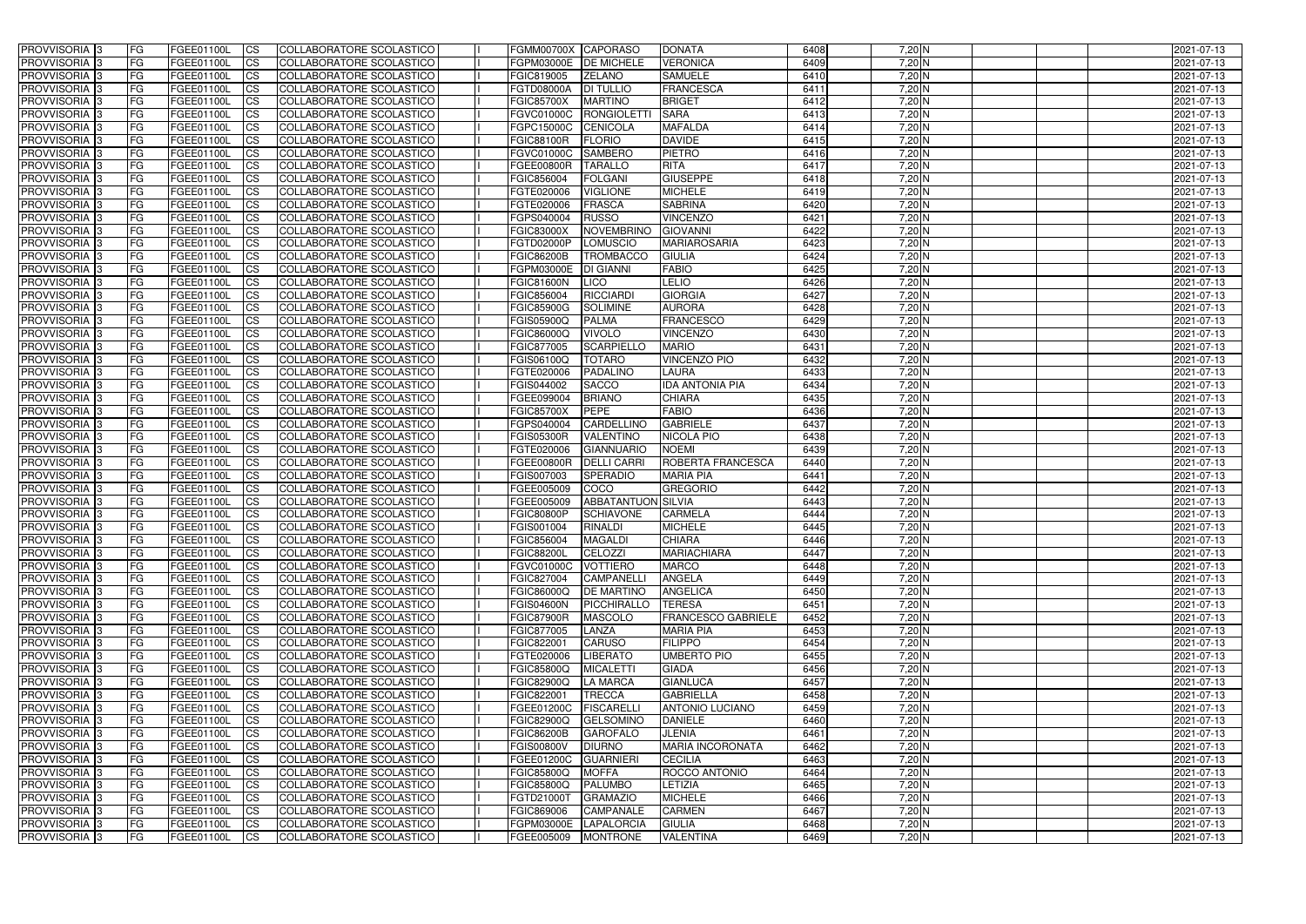| <b>PROVVISORIA</b> 3                       | l FG                   | FGEE01100L               | <b>ICS</b>             | COLLABORATORE SCOLASTICO                                    | FGMM00700X CAPORASO      |                                    | <b>DONATA</b>                              | 6408         | $7,20$ N             | 2021-07-13               |
|--------------------------------------------|------------------------|--------------------------|------------------------|-------------------------------------------------------------|--------------------------|------------------------------------|--------------------------------------------|--------------|----------------------|--------------------------|
| <b>PROVVISORIA 3</b>                       | FG                     | FGEE01100L               | <b>ICS</b>             | COLLABORATORE SCOLASTICO                                    | FGPM03000E               | <b>DE MICHELE</b>                  | <b>VERONICA</b>                            | 6409         | $7,20$ N             | 2021-07-13               |
| <b>PROVVISORIA</b>                         | FG                     | FGEE01100L               | <b>CS</b>              | <b>COLLABORATORE SCOLASTICO</b>                             | FGIC819005               | <b>ZELANO</b>                      | <b>SAMUELE</b>                             | 6410         | $7,20$ N             | 2021-07-13               |
| PROVVISORIA                                | FG                     | FGEE01100L               | <b>CS</b>              | COLLABORATORE SCOLASTICO                                    | FGTD08000A               | <b>DI TULLIO</b>                   | <b>FRANCESCA</b>                           | 6411         | $7,20$ N             | 2021-07-13               |
| PROVVISORIA <sup>1</sup> 3                 | FG                     | FGEE01100L               | <b>CS</b>              | COLLABORATORE SCOLASTICO                                    | <b>FGIC85700X</b>        | <b>MARTINO</b>                     | <b>BRIGET</b>                              | 6412         | 7,20 N               | 2021-07-13               |
| PROVVISORIA <sup>1</sup> 3                 | FG                     | FGEE01100L               | <b>CS</b>              | COLLABORATORE SCOLASTICO                                    | FGVC01000C               | <b>RONGIOLETT</b>                  | <b>SARA</b>                                | 6413         | 7,20 N               | 2021-07-13               |
| PROVVISORIA <sup>1</sup> 3                 | FG                     | FGEE01100L               | <b>CS</b>              | COLLABORATORE SCOLASTICO                                    | FGPC15000C               | <b>CENICOLA</b>                    | <b>MAFALDA</b>                             | 6414         | $7,20$ N             | 2021-07-13               |
| PROVVISORIA 3                              | FG                     | FGEE01100L               | <b>ICS</b>             | COLLABORATORE SCOLASTICO                                    | FGIC88100R               | <b>FLORIO</b>                      | <b>DAVIDE</b>                              | 6415         | 7,20 N               | 2021-07-13               |
| PROVVISORIA 3                              | FG                     | FGEE01100L               | <b>CS</b>              | COLLABORATORE SCOLASTICO                                    | FGVC01000C               | <b>SAMBERO</b>                     | PIETRO                                     | 6416         | 7,20 N               | 2021-07-13               |
| PROVVISORIA 3                              | <b>FG</b>              | FGEE01100L               | <b>ICS</b>             | COLLABORATORE SCOLASTICO                                    | FGEE00800R               | <b>TARALLO</b>                     | <b>RITA</b>                                | 6417         | $7,20$ N             | 2021-07-13               |
| PROVVISORIA 3                              | FG                     | FGEE01100L               | <b>ICS</b>             | COLLABORATORE SCOLASTICO                                    | FGIC856004               | <b>FOLGANI</b>                     | <b>GIUSEPPE</b>                            | 6418         | $7,20$ N             | 2021-07-13               |
| <b>PROVVISORIA</b>                         | FG                     | FGEE01100L               | <b>CS</b>              | COLLABORATORE SCOLASTICO                                    | FGTE020006               | <b>VIGLIONE</b>                    | <b>MICHELE</b>                             | 6419         | 7,20 N               | 2021-07-13               |
| <b>PROVVISORIA</b>                         | FG                     | FGEE01100L               | <b>ICS</b>             | COLLABORATORE SCOLASTICO                                    | FGTE020006               | <b>FRASCA</b>                      | <b>SABRINA</b>                             | 6420         | $7,20$ N             | 2021-07-13               |
| <b>PROVVISORIA</b>                         | FG                     | FGEE01100L               | <b>ICS</b>             | COLLABORATORE SCOLASTICO                                    | FGPS040004               | <b>RUSSO</b>                       | <b>VINCENZO</b>                            | 6421         | $7,20$ N             | 2021-07-13               |
| <b>PROVVISORIA</b>                         | FG                     | FGEE01100L               | <b>ICS</b>             | COLLABORATORE SCOLASTICO                                    | <b>FGIC83000X</b>        | <b>NOVEMBRINO</b>                  | <b>GIOVANNI</b>                            | 6422         | $7,20$ N             | 2021-07-13               |
| <b>PROVVISORIA</b>                         | FG                     | FGEE01100L               | <b>ICS</b>             | COLLABORATORE SCOLASTICO                                    | FGTD02000P               | <b>LOMUSCIO</b>                    | <b>MARIAROSARIA</b>                        | 6423         | $7,20$ N             | 2021-07-13               |
| <b>PROVVISORIA</b>                         | FG                     | FGEE01100L               | <b>ICS</b>             | COLLABORATORE SCOLASTICO                                    | <b>FGIC86200B</b>        | <b>TROMBACCO</b>                   | <b>GIULIA</b>                              | 6424         | 7,20 N               | 2021-07-13               |
| <b>PROVVISORIA</b>                         | FG                     | FGEE01100L               | <b>ICS</b>             | COLLABORATORE SCOLASTICO                                    | FGPM03000E               | <b>DI GIANNI</b>                   | <b>FABIO</b>                               | 6425         | 7,20 N               | 2021-07-13               |
| PROVVISORIA <sup>3</sup>                   | FG                     | FGEE01100L               | <b>ICS</b>             | COLLABORATORE SCOLASTICO                                    | <b>FGIC81600N</b>        | <b>LICO</b>                        | LELIO                                      | 6426         | $7,20$ N             | 2021-07-13               |
| PROVVISORIA 3                              | FG                     | FGEE01100L               | <b>ICS</b>             | COLLABORATORE SCOLASTICO                                    | FGIC856004               | <b>RICCIARDI</b>                   | <b>GIORGIA</b>                             | 6427         | 7,20 N               | 2021-07-13               |
| PROVVISORIA <sup>1</sup> 3                 | FG                     | FGEE01100L               | <b>ICS</b>             | COLLABORATORE SCOLASTICO                                    | <b>FGIC85900G</b>        | <b>SOLIMINE</b>                    | <b>AURORA</b>                              | 6428         | $7,20$ N             | 2021-07-13<br>2021-07-13 |
| PROVVISORIA 3                              | FG                     | FGEE01100L               | <b>ICS</b>             | COLLABORATORE SCOLASTICO                                    | FGIS05900Q               | <b>PALMA</b>                       | <b>FRANCESCO</b>                           | 6429         | $7,20$ N             |                          |
| PROVVISORIA 3<br>PROVVISORIA <sup>13</sup> | FG                     | FGEE01100L<br>FGEE01100L | <b>ICS</b>             | <b>COLLABORATORE SCOLASTICO</b><br>COLLABORATORE SCOLASTICO | FGIC86000Q<br>FGIC877005 | <b>VIVOLO</b><br><b>SCARPIELLO</b> | <b>VINCENZO</b><br><b>MARIO</b>            | 6430<br>6431 | $7,20$ N<br>$7,20$ N | 2021-07-13<br>2021-07-13 |
| PROVVISORIA <sup>3</sup>                   | FG<br>FG               | FGEE01100L               | <b>CS</b><br><b>CS</b> | COLLABORATORE SCOLASTICO                                    | FGIS06100Q               | <b>TOTARO</b>                      | <b>VINCENZO PIO</b>                        | 6432         | $7,20$ N             | 2021-07-13               |
| PROVVISORIA 3                              | FG                     | FGEE01100L               | <b>ICS</b>             | COLLABORATORE SCOLASTICO                                    | FGTE020006               | PADALINO                           | <b>LAURA</b>                               | 6433         | $7,20$ N             | 2021-07-13               |
| PROVVISORIA 3                              | FG                     | FGEE01100L               | <b>ICS</b>             | COLLABORATORE SCOLASTICO                                    | FGIS044002               | <b>SACCO</b>                       | <b>IDA ANTONIA PIA</b>                     | 6434         | $7,20$ N             | 2021-07-13               |
| PROVVISORIA                                | FG                     | FGEE01100L               | <b>ICS</b>             | COLLABORATORE SCOLASTICO                                    | FGEE099004               | <b>BRIANO</b>                      | <b>CHIARA</b>                              | 6435         | 7,20 N               | 2021-07-13               |
| PROVVISORIA                                | FG                     | FGEE01100L               | <b>CS</b>              | <b>COLLABORATORE SCOLASTICO</b>                             | <b>FGIC85700X</b>        | <b>PEPE</b>                        | <b>FABIO</b>                               | 6436         | $7,20$ N             | 2021-07-13               |
| PROVVISORIA                                | FG                     | FGEE01100L               | <b>CS</b>              | COLLABORATORE SCOLASTICO                                    | FGPS040004               | CARDELLINO                         | <b>GABRIELE</b>                            | 6437         | 7,20 N               | 2021-07-13               |
| PROVVISORIA                                | FG                     | FGEE01100L               | <b>CS</b>              | COLLABORATORE SCOLASTICO                                    | <b>FGIS05300R</b>        | VALENTINO                          | <b>NICOLA PIO</b>                          | 6438         | 7,20 N               | 2021-07-13               |
| PROVVISORIA <sup>1</sup> 3                 | FG                     | FGEE01100L               | <b>CS</b>              | COLLABORATORE SCOLASTICO                                    | FGTE020006               | <b>GIANNUARIO</b>                  | <b>NOEMI</b>                               | 6439         | $7,20$ N             | 2021-07-13               |
| PROVVISORIA <sup>1</sup> 3                 | FG                     | FGEE01100L               | <b>CS</b>              | COLLABORATORE SCOLASTICO                                    | FGEE00800R               | <b>DELLI CARRI</b>                 | ROBERTA FRANCESCA                          | 6440         | $7,20$ N             | 2021-07-13               |
| PROVVISORIA 3                              | FG                     | FGEE01100L               | <b>CS</b>              | COLLABORATORE SCOLASTICO                                    | FGIS007003               | <b>SPERADIO</b>                    | <b>MARIA PIA</b>                           | 6441         | $7,20$ N             | 2021-07-13               |
| <b>PROVVISORIA</b>                         | FG                     | FGEE01100L               | <b>ICS</b>             | COLLABORATORE SCOLASTICO                                    | FGEE005009               | <b>COCO</b>                        | <b>GREGORIO</b>                            | 6442         | $7,20$ N             | 2021-07-13               |
| PROVVISORIA <sup>1</sup> 3                 | FG                     | FGEE01100L               | <b>CS</b>              | COLLABORATORE SCOLASTICO                                    | FGEE005009               | ABBATANTUON SILVIA                 |                                            | 6443         | 7,20 N               | 2021-07-13               |
| PROVVISORIA 3                              | FG                     | FGEE01100L               | <b>ICS</b>             | COLLABORATORE SCOLASTICO                                    | <b>FGIC80800P</b>        | <b>SCHIAVONE</b>                   | <b>CARMELA</b>                             | 6444         | $7,20$ N             | 2021-07-13               |
| <b>PROVVISORIA</b>                         | <b>FG</b>              | FGEE01100L               | <b>ICS</b>             | COLLABORATORE SCOLASTICO                                    | FGIS001004               | <b>RINALDI</b>                     | <b>MICHELE</b>                             | 6445         | $7,20$ N             | 2021-07-13               |
| PROVVISORIA 3                              | FG                     | FGEE01100L               | CS                     | COLLABORATORE SCOLASTICO                                    | FGIC856004               | <b>MAGALDI</b>                     | <b>CHIARA</b>                              | 6446         | 7,20 N               | 2021-07-13               |
| PROVVISORIA 3                              | <b>FG</b>              | FGEE01100L               | $\mathsf{ICS}$         | COLLABORATORE SCOLASTICO                                    | <b>FGIC88200L</b>        | <b>CELOZZI</b>                     | <b>MARIACHIARA</b>                         | 6447         | $7,20$ N             | 2021-07-13               |
| PROVVISORIA 3                              | <b>FG</b>              | <b>FGEE01100L</b>        | $\mathsf{ICS}$         | COLLABORATORE SCOLASTICO                                    | <b>FGVC01000C</b>        | <b>VOTTIERO</b>                    | <b>MARCO</b>                               | 6448         | $7,20$ N             | 2021-07-13               |
| PROVVISORIA 3                              | <b>FG</b>              | FGEE01100L               | $\mathsf{ICS}$         | COLLABORATORE SCOLASTICO                                    | FGIC827004               | <b>CAMPANELL</b>                   | <b>ANGELA</b>                              | 6449         | $7,20$ N             | 2021-07-13               |
| PROVVISORIA 3                              | FG                     | FGEE01100L               | $\mathsf{ICS}$         | COLLABORATORE SCOLASTICO                                    | FGIC86000Q               | <b>DE MARTINO</b>                  | ANGELICA                                   | 6450         | 7,20 N               | 2021-07-13               |
| PROVVISORIA 3                              | l FG                   | FGEE01100L               | <b>CS</b>              | COLLABORATORE SCOLASTICO                                    | <b>FGIS04600N</b>        | PICCHIRALLO                        | <b>TERESA</b>                              | 6451         | $7,20$ N             | 2021-07-13               |
| PROVVISORIA 3                              | <b>FG</b>              | FGEE01100L               | $\mathsf{ICS}$         | COLLABORATORE SCOLASTICO                                    | <b>FGIC87900R</b>        | <b>MASCOLO</b>                     | <b>FRANCESCO GABRIELE</b>                  | 6452         | $7,20$ N             | 2021-07-13               |
| PROVVISORIA 3                              | FG                     | <b>FGEE01100L</b>        | <b>CS</b>              | COLLABORATORE SCOLASTICO                                    | FGIC877005               | LANZA                              | <b>MARIA PIA</b>                           | 6453         | $7,20$ N             | 2021-07-13               |
| PROVVISORIA 3                              | <b>FG</b>              | FGEE01100L               | <b>CS</b>              | COLLABORATORE SCOLASTICO                                    | FGIC822001               | <b>CARUSO</b>                      | <b>FILIPPO</b>                             | 6454         | $7,20$ N             | 2021-07-13               |
| PROVVISORIA 3                              | <b>FG</b>              | FGEE01100L               | <b>CS</b>              | COLLABORATORE SCOLASTICO                                    | FGTE020006               | <b>LIBERATO</b>                    | <b>UMBERTO PIO</b>                         | 6455         | $7,20$ N<br>$7,20$ N | 2021-07-13               |
| PROVVISORIA 3                              | <b>FG</b>              | FGEE01100L               | <b>CS</b>              | COLLABORATORE SCOLASTICO                                    | <b>FGIC85800Q</b>        | <b>MICALETTI</b>                   | <b>GIADA</b>                               | 6456         |                      | 2021-07-13               |
| PROVVISORIA 3                              | <b>FG</b>              | FGEE01100L               | <b>CS</b>              | COLLABORATORE SCOLASTICO                                    | <b>FGIC82900Q</b>        | LA MARCA                           | <b>GIANLUCA</b>                            | 6457<br>6458 | $7,20$ N<br>$7,20$ N | 2021-07-13               |
| PROVVISORIA 3<br>PROVVISORIA 3             | <b>FG</b><br><b>FG</b> | FGEE01100L<br>FGEE01100L | <b>CS</b><br><b>CS</b> | COLLABORATORE SCOLASTICO<br>COLLABORATORE SCOLASTICO        | FGIC822001<br>FGEE01200C | <b>TRECCA</b><br>FISCARELLI        | <b>GABRIELLA</b><br><b>ANTONIO LUCIANO</b> | 6459         | $7,20$ N             | 2021-07-13<br>2021-07-13 |
| PROVVISORIA 3                              | <b>FG</b>              | FGEE01100L               | <b>CS</b>              | COLLABORATORE SCOLASTICO                                    | <b>FGIC82900Q</b>        | <b>GELSOMINO</b>                   | <b>DANIELE</b>                             | 6460         | $7,20$ N             | 2021-07-13               |
| PROVVISORIA 3                              | <b>FG</b>              | FGEE01100L               | <b>CS</b>              | COLLABORATORE SCOLASTICO                                    | <b>FGIC86200B</b>        | <b>GAROFALO</b>                    | <b>JLENIA</b>                              | 6461         | $7,20$ N             | 2021-07-13               |
| PROVVISORIA 3                              | FG                     | FGEE01100L               | <b>CS</b>              | COLLABORATORE SCOLASTICO                                    | <b>FGIS00800V</b>        | <b>DIURNO</b>                      | <b>MARIA INCORONATA</b>                    | 6462         | 7,20 N               | 2021-07-13               |
| PROVVISORIA 3                              | <b>FG</b>              | FGEE01100L               | <b>CS</b>              | COLLABORATORE SCOLASTICO                                    | FGEE01200C               | <b>GUARNIERI</b>                   | <b>CECILIA</b>                             | 6463         | $7,20$ N             | 2021-07-13               |
| PROVVISORIA 3                              | <b>FG</b>              | FGEE01100L               | <b>CS</b>              | COLLABORATORE SCOLASTICO                                    | <b>FGIC85800Q</b>        | <b>MOFFA</b>                       | ROCCO ANTONIO                              | 6464         | $7,20$ N             | 2021-07-13               |
| PROVVISORIA 3                              | FG                     | FGEE01100L               | <b>CS</b>              | COLLABORATORE SCOLASTICO                                    | <b>FGIC85800Q</b>        | <b>PALUMBO</b>                     | LETIZIA                                    | 6465         | $7,20$ N             | 2021-07-13               |
| PROVVISORIA 3                              | FG                     | <b>FGEE01100L</b>        | <b>CS</b>              | COLLABORATORE SCOLASTICO                                    | FGTD21000T               | <b>GRAMAZIO</b>                    | <b>MICHELE</b>                             | 6466         | $7,20$ N             | 2021-07-13               |
| PROVVISORIA 3                              | <b>FG</b>              | FGEE01100L               | <b>CS</b>              | COLLABORATORE SCOLASTICO                                    | FGIC869006               | <b>CAMPANALE</b>                   | <b>CARMEN</b>                              | 6467         | $7,20$ N             | 2021-07-13               |
| PROVVISORIA 3                              | <b>FG</b>              | FGEE01100L               | $\overline{\text{CS}}$ | COLLABORATORE SCOLASTICO                                    | FGPM03000E LAPALORCIA    |                                    | <b>GIULIA</b>                              | 6468         | $7,20$ N             | 2021-07-13               |
| PROVVISORIA 3                              | <b>FG</b>              | FGEE01100L               | $\overline{\text{CS}}$ | COLLABORATORE SCOLASTICO                                    | FGEE005009               | <b>MONTRONE</b>                    | <b>VALENTINA</b>                           | 6469         | $7,20$ N             | 2021-07-13               |
|                                            |                        |                          |                        |                                                             |                          |                                    |                                            |              |                      |                          |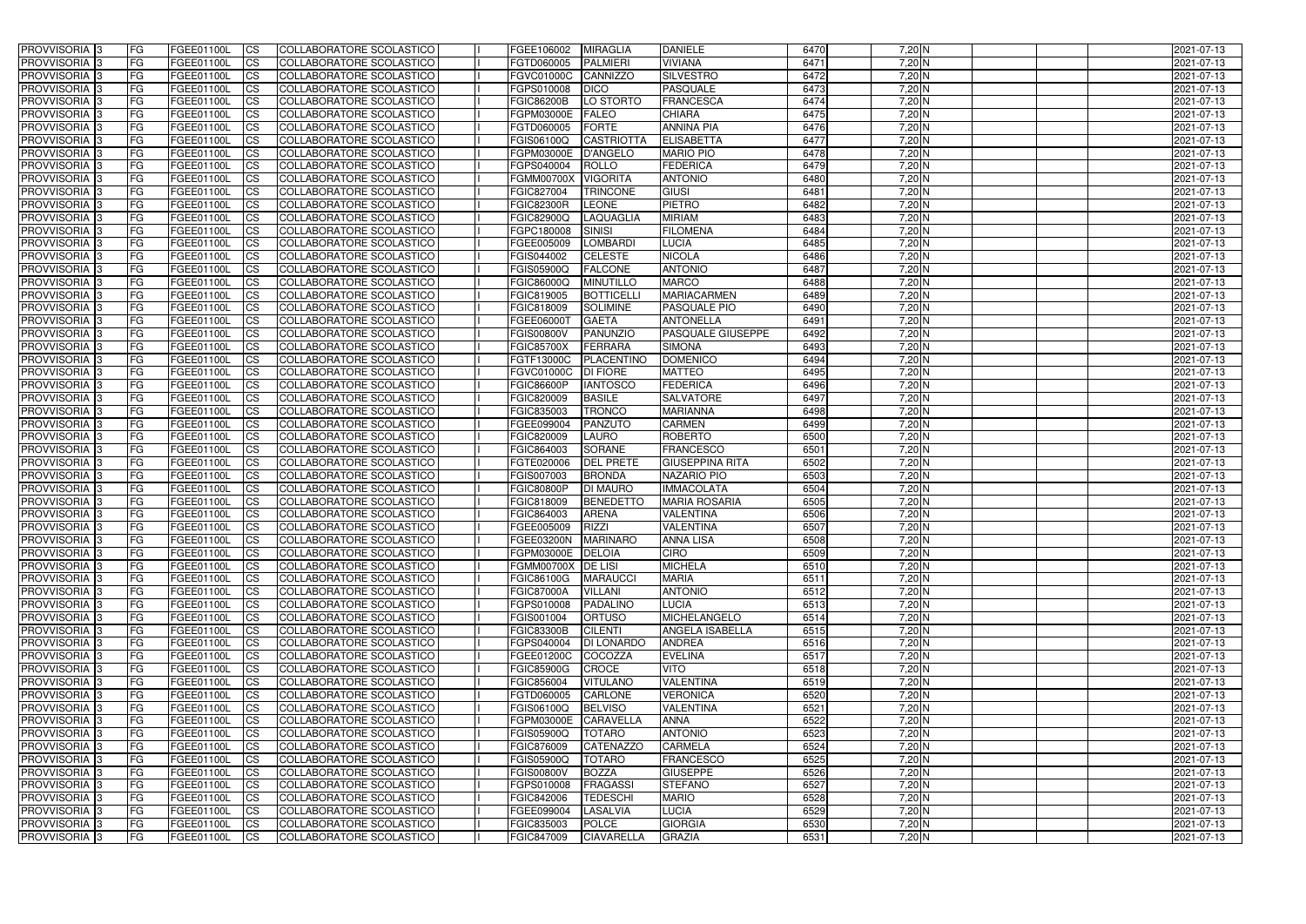| <b>PROVVISORIA</b> 3                     | l FG                   | FGEE01100L               | <b>ICS</b>               | COLLABORATORE SCOLASTICO                             | FGEE106002                               | <b>MIRAGLIA</b>                  | <b>DANIELE</b>                       | 6470         | $7,20$ N             | 2021-07-13               |
|------------------------------------------|------------------------|--------------------------|--------------------------|------------------------------------------------------|------------------------------------------|----------------------------------|--------------------------------------|--------------|----------------------|--------------------------|
| <b>PROVVISORIA 3</b>                     | FG                     | FGEE01100L               | <b>ICS</b>               | COLLABORATORE SCOLASTICO                             | FGTD060005                               | <b>PALMIERI</b>                  | <b>VIVIANA</b>                       | 6471         | $7,20$ N             | 2021-07-13               |
| PROVVISORIA <sup>1</sup> 3               | FG                     | FGEE01100L               | <b>CS</b>                | <b>COLLABORATORE SCOLASTICO</b>                      | FGVC01000C                               | CANNIZZO                         | <b>SILVESTRO</b>                     | 6472         | $7,20$ N             | 2021-07-13               |
| PROVVISORIA                              | FG                     | FGEE01100L               | <b>CS</b>                | COLLABORATORE SCOLASTICO                             | FGPS010008                               | <b>DICO</b>                      | <b>PASQUALE</b>                      | 6473         | $7,20$ N             | 2021-07-13               |
| <b>PROVVISORIA 3</b>                     | FG                     | FGEE01100L               | <b>CS</b>                | COLLABORATORE SCOLASTICO                             | <b>FGIC86200B</b>                        | LO STORTO                        | <b>FRANCESCA</b>                     | 6474         | 7,20 N               | 2021-07-13               |
| PROVVISORIA <sup>1</sup> 3               | FG                     | FGEE01100L               | <b>CS</b>                | COLLABORATORE SCOLASTICO                             | <b>FGPM03000E</b>                        | <b>FALEO</b>                     | <b>CHIARA</b>                        | 6475         | 7,20 N               | 2021-07-13               |
| PROVVISORIA <sup>1</sup> 3               | FG                     | FGEE01100L               | <b>CS</b>                | COLLABORATORE SCOLASTICO                             | FGTD060005                               | <b>FORTE</b>                     | <b>ANNINA PIA</b>                    | 6476         | $7,20$ N             | 2021-07-13               |
| PROVVISORIA 3                            | FG                     | FGEE01100L               | <b>ICS</b>               | COLLABORATORE SCOLASTICO                             | FGIS06100Q                               | <b>CASTRIOTTA</b>                | <b>ELISABETTA</b>                    | 6477         | 7,20 N               | 2021-07-13               |
| PROVVISORIA <sup>3</sup>                 | FG                     | FGEE01100L               | <b>CS</b>                | COLLABORATORE SCOLASTICO                             | FGPM03000E                               | D'ANGELO                         | <b>MARIO PIO</b>                     | 6478         | 7,20 N               | 2021-07-13               |
| PROVVISORIA 3                            | <b>FG</b>              | FGEE01100L               | <b>ICS</b>               | COLLABORATORE SCOLASTICO                             | FGPS040004                               | <b>ROLLO</b>                     | <b>FEDERICA</b>                      | 6479         | $7,20$ N             | 2021-07-13               |
| <b>PROVVISORIA</b> 3                     | FG                     | FGEE01100L               | <b>ICS</b>               | COLLABORATORE SCOLASTICO                             | <b>FGMM00700X</b>                        | <b>VIGORITA</b>                  | <b>ANTONIO</b>                       | 6480         | $7,20$ N             | 2021-07-13               |
| <b>PROVVISORIA</b>                       | FG                     | FGEE01100L               | <b>ICS</b>               | COLLABORATORE SCOLASTICO                             | FGIC827004                               | <b>TRINCONE</b>                  | <b>GIUSI</b>                         | 6481         | 7,20 N               | 2021-07-13               |
| <b>PROVVISORIA</b>                       | FG                     | FGEE01100L               | <b>ICS</b>               | COLLABORATORE SCOLASTICO                             | <b>FGIC82300R</b>                        | LEONE                            | PIETRO                               | 6482         | $7,20$ N             | 2021-07-13               |
| <b>PROVVISORIA</b>                       | FG                     | FGEE01100L               | <b>ICS</b>               | COLLABORATORE SCOLASTICO                             | <b>FGIC82900Q</b>                        | <b>LAQUAGLIA</b>                 | <b>MIRIAM</b>                        | 6483         | $7,20$ N             | 2021-07-13               |
| <b>PROVVISORIA</b>                       | FG                     | FGEE01100L               | <b>ICS</b>               | COLLABORATORE SCOLASTICO                             | FGPC180008                               | SINISI                           | <b>FILOMENA</b>                      | 6484         | $7,20$ N             | 2021-07-13               |
| <b>PROVVISORIA</b>                       | FG                     | FGEE01100L               | <b>ICS</b>               | COLLABORATORE SCOLASTICO                             | FGEE005009                               | <b>LOMBARDI</b>                  | <b>LUCIA</b>                         | 6485         | $7,20$ N             | 2021-07-13               |
| <b>PROVVISORIA</b><br><b>PROVVISORIA</b> | FG<br>FG               | FGEE01100L<br>FGEE01100L | <b>ICS</b>               | COLLABORATORE SCOLASTICO<br>COLLABORATORE SCOLASTICO | FGIS044002                               | <b>CELESTE</b><br><b>FALCONE</b> | <b>NICOLA</b><br><b>ANTONIO</b>      | 6486<br>6487 | 7,20 N               | 2021-07-13               |
| PROVVISORIA <sup>3</sup>                 | FG                     | FGEE01100L               | <b>ICS</b><br><b>ICS</b> | COLLABORATORE SCOLASTICO                             | FGIS05900Q<br>FGIC86000Q                 | <b>MINUTILLO</b>                 | <b>MARCO</b>                         | 6488         | 7,20 N<br>$7,20$ N   | 2021-07-13<br>2021-07-13 |
| PROVVISORIA 3                            | FG                     | FGEE01100L               | <b>ICS</b>               | COLLABORATORE SCOLASTICO                             | FGIC819005                               | <b>BOTTICELL</b>                 | <b>MARIACARMEN</b>                   | 6489         | 7,20 N               | 2021-07-13               |
| PROVVISORIA <sup>3</sup>                 | FG                     | FGEE01100L               | <b>ICS</b>               | COLLABORATORE SCOLASTICO                             | FGIC818009                               | <b>SOLIMINE</b>                  | <b>PASQUALE PIO</b>                  | 6490         | $7,20$ N             | 2021-07-13               |
| PROVVISORIA 3                            | FG                     | FGEE01100L               | <b>ICS</b>               | COLLABORATORE SCOLASTICO                             | FGEE06000T                               | <b>GAETA</b>                     | <b>ANTONELLA</b>                     | 6491         | $7,20$ N             | 2021-07-13               |
| PROVVISORIA <sup>3</sup>                 | FG                     | FGEE01100L               | <b>ICS</b>               | <b>COLLABORATORE SCOLASTICO</b>                      | <b>FGIS00800V</b>                        | <b>PANUNZIO</b>                  | PASQUALE GIUSEPPE                    | 6492         | $7,20$ N             | 2021-07-13               |
| PROVVISORIA <sup>3</sup>                 | FG                     | FGEE01100L               | <b>CS</b>                | COLLABORATORE SCOLASTICO                             | <b>FGIC85700X</b>                        | <b>FERRARA</b>                   | <b>SIMONA</b>                        | 6493         | $7,20$ N             | 2021-07-13               |
| PROVVISORIA <sup>3</sup>                 | FG                     | FGEE01100L               | <b>CS</b>                | <b>COLLABORATORE SCOLASTICO</b>                      | FGTF13000C                               | PLACENTINO                       | <b>DOMENICO</b>                      | 6494         | $7,20$ N             | 2021-07-13               |
| PROVVISORIA <sup>1</sup> 3               | FG                     | FGEE01100L               | <b>ICS</b>               | COLLABORATORE SCOLASTICO                             | FGVC01000C                               | <b>DI FIORE</b>                  | <b>MATTEO</b>                        | 6495         | $7,20$ N             | 2021-07-13               |
| PROVVISORIA 3                            | FG                     | FGEE01100L               | <b>ICS</b>               | COLLABORATORE SCOLASTICO                             | <b>FGIC86600P</b>                        | <b>IANTOSCO</b>                  | <b>FEDERICA</b>                      | 6496         | $7,20$ N             | 2021-07-13               |
| PROVVISORIA                              | FG                     | FGEE01100L               | <b>ICS</b>               | COLLABORATORE SCOLASTICO                             | FGIC820009                               | <b>BASILE</b>                    | <b>SALVATORE</b>                     | 6497         | 7,20 N               | 2021-07-13               |
| PROVVISORIA                              | FG                     | FGEE01100L               | <b>CS</b>                | <b>COLLABORATORE SCOLASTICO</b>                      | FGIC835003                               | <b>TRONCO</b>                    | <b>MARIANNA</b>                      | 6498         | $7,20$ N             | 2021-07-13               |
| PROVVISORIA                              | FG                     | FGEE01100L               | <b>CS</b>                | COLLABORATORE SCOLASTICO                             | FGEE099004                               | PANZUTO                          | <b>CARMEN</b>                        | 6499         | 7,20 N               | 2021-07-13               |
| PROVVISORIA                              | FG                     | FGEE01100L               | <b>CS</b>                | COLLABORATORE SCOLASTICO                             | FGIC820009                               | <b>LAURO</b>                     | <b>ROBERTO</b>                       | 6500         | 7,20 N               | 2021-07-13               |
| PROVVISORIA <sup>1</sup> 3               | FG                     | FGEE01100L               | <b>CS</b>                | COLLABORATORE SCOLASTICO                             | FGIC864003                               | <b>SORANE</b>                    | <b>FRANCESCO</b>                     | 6501         | $7,20$ N             | 2021-07-13               |
| PROVVISORIA <sup>1</sup> 3               | FG                     | FGEE01100L               | <b>CS</b>                | COLLABORATORE SCOLASTICO                             | FGTE020006                               | <b>DEL PRETE</b>                 | <b>GIUSEPPINA RITA</b>               | 6502         | $7,20$ N             | 2021-07-13               |
| PROVVISORIA 3                            | FG                     | FGEE01100L               | <b>CS</b>                | <b>COLLABORATORE SCOLASTICO</b>                      | FGIS007003                               | <b>BRONDA</b>                    | <b>NAZARIO PIO</b>                   | 6503         | $7,20$ N             | 2021-07-13               |
| PROVVISORIA <sup>1</sup> 3               | FG                     | FGEE01100L               | <b>ICS</b>               | COLLABORATORE SCOLASTICO                             | <b>FGIC80800P</b>                        | <b>DI MAURO</b>                  | <b>IMMACOLATA</b>                    | 6504         | $7,20$ N             | 2021-07-13               |
| PROVVISORIA <sup>1</sup> 3               | <b>FG</b>              | FGEE01100L               | <b>ICS</b>               | COLLABORATORE SCOLASTICO                             | FGIC818009                               | <b>BENEDETTO</b>                 | <b>MARIA ROSARIA</b>                 | 6505         | 7,20 N               | 2021-07-13               |
| PROVVISORIA 3<br><b>PROVVISORIA</b>      | <b>FG</b><br><b>FG</b> | FGEE01100L<br>FGEE01100L | <b>ICS</b>               | COLLABORATORE SCOLASTICO<br>COLLABORATORE SCOLASTICO | FGIC864003                               | <b>ARENA</b><br><b>RIZZI</b>     | <b>VALENTINA</b><br><b>VALENTINA</b> | 6506<br>6507 | $7,20$ N<br>$7,20$ N | 2021-07-13               |
| PROVVISORIA 3                            |                        |                          | <b>ICS</b>               | COLLABORATORE SCOLASTICO                             | FGEE005009                               |                                  |                                      | 6508         |                      | 2021-07-13<br>2021-07-13 |
| PROVVISORIA 3                            | FG<br><b>FG</b>        | FGEE01100L<br>FGEE01100L | CS <br>$\mathsf{ICS}$    | COLLABORATORE SCOLASTICO                             | FGEE03200N MARINARO<br>FGPM03000E DELOIA |                                  | <b>ANNA LISA</b><br><b>CIRO</b>      | 6509         | 7,20 N<br>$7,20$ N   | 2021-07-13               |
| PROVVISORIA 3                            | <b>FG</b>              | <b>FGEE01100L</b>        | $\mathsf{ICS}$           | COLLABORATORE SCOLASTICO                             | FGMM00700X DE LISI                       |                                  | <b>MICHELA</b>                       | 6510         | $7,20$ N             | 2021-07-13               |
| PROVVISORIA 3                            | <b>FG</b>              | FGEE01100L               | $\mathsf{ICS}$           | COLLABORATORE SCOLASTICO                             | <b>FGIC86100G</b>                        | <b>MARAUCCI</b>                  | <b>MARIA</b>                         | 6511         | $7,20$ N             | 2021-07-13               |
| PROVVISORIA 3                            | FG                     | FGEE01100L               | $\mathsf{ICS}$           | COLLABORATORE SCOLASTICO                             | <b>FGIC87000A</b>                        | <b>VILLANI</b>                   | <b>ANTONIO</b>                       | 6512         | $7,20$ N             | 2021-07-13               |
| PROVVISORIA 3                            | l FG                   | FGEE01100L               | $\overline{\text{CS}}$   | COLLABORATORE SCOLASTICO                             | FGPS010008                               | PADALINO                         | <b>LUCIA</b>                         | 6513         | $7,20$ N             | 2021-07-13               |
| PROVVISORIA 3                            | <b>FG</b>              | FGEE01100L               | $\mathsf{ICS}$           | COLLABORATORE SCOLASTICO                             | FGIS001004                               | <b>ORTUSO</b>                    | MICHELANGELO                         | 6514         | $7,20$ N             | 2021-07-13               |
| PROVVISORIA 3                            | FG                     | FGEE01100L               | <b>CS</b>                | COLLABORATORE SCOLASTICO                             | <b>FGIC83300B</b>                        | <b>CILENTI</b>                   | <b>ANGELA ISABELLA</b>               | 6515         | $7,20$ N             | 2021-07-13               |
| PROVVISORIA 3                            | <b>FG</b>              | FGEE01100L               | <b>CS</b>                | COLLABORATORE SCOLASTICO                             | FGPS040004                               | <b>DI LONARDO</b>                | <b>ANDREA</b>                        | 6516         | $7,20$ N             | 2021-07-13               |
| PROVVISORIA 3                            | <b>FG</b>              | FGEE01100L               | <b>CS</b>                | COLLABORATORE SCOLASTICO                             | FGEE01200C                               | COCOZZA                          | <b>EVELINA</b>                       | 6517         | $7,20$ N             | 2021-07-13               |
| PROVVISORIA 3                            | <b>FG</b>              | FGEE01100L               | <b>CS</b>                | COLLABORATORE SCOLASTICO                             | <b>FGIC85900G</b>                        | CROCE                            | <b>VITO</b>                          | 6518         | $7,20$ N             | 2021-07-13               |
| PROVVISORIA 3                            | <b>FG</b>              | FGEE01100L               | <b>CS</b>                | COLLABORATORE SCOLASTICO                             | FGIC856004                               | <b>VITULANO</b>                  | <b>VALENTINA</b>                     | 6519         | $7,20$ N             | 2021-07-13               |
| PROVVISORIA 3                            | <b>FG</b>              | FGEE01100L               | <b>CS</b>                | COLLABORATORE SCOLASTICO                             | FGTD060005                               | CARLONE                          | <b>VERONICA</b>                      | 6520         | $7,20$ N             | 2021-07-13               |
| PROVVISORIA 3                            | <b>FG</b>              | FGEE01100L               | <b>CS</b>                | COLLABORATORE SCOLASTICO                             | FGIS06100Q                               | <b>BELVISO</b>                   | <b>VALENTINA</b>                     | 6521         | $7,20$ N             | 2021-07-13               |
| PROVVISORIA 3                            | <b>FG</b>              | FGEE01100L               | <b>CS</b>                | COLLABORATORE SCOLASTICO                             | FGPM03000E                               | CARAVELLA                        | <b>ANNA</b>                          | 6522         | $7,20$ N             | 2021-07-13               |
| PROVVISORIA 3                            | <b>FG</b>              | FGEE01100L               | <b>CS</b>                | COLLABORATORE SCOLASTICO                             | FGIS05900Q                               | <b>TOTARO</b>                    | <b>ANTONIO</b>                       | 6523         | $7,20$ N             | 2021-07-13               |
| PROVVISORIA 3                            | <b>FG</b>              | FGEE01100L               | <b>CS</b>                | COLLABORATORE SCOLASTICO                             | FGIC876009                               | <b>CATENAZZO</b>                 | <b>CARMELA</b>                       | 6524         | 7,20 N               | 2021-07-13               |
| PROVVISORIA 3<br>PROVVISORIA 3           | <b>FG</b><br><b>FG</b> | FGEE01100L<br>FGEE01100L | <b>CS</b><br><b>CS</b>   | COLLABORATORE SCOLASTICO<br>COLLABORATORE SCOLASTICO | FGIS05900Q<br><b>FGIS00800V</b>          | <b>TOTARO</b><br>BOZZA           | <b>FRANCESCO</b><br><b>GIUSEPPE</b>  | 6525<br>6526 | $7,20$ N<br>$7,20$ N | 2021-07-13<br>2021-07-13 |
| PROVVISORIA 3                            | FG                     | FGEE01100L               | <b>CS</b>                | COLLABORATORE SCOLASTICO                             | FGPS010008                               | <b>FRAGASSI</b>                  | <b>STEFANO</b>                       | 6527         | $7,20$ N             | 2021-07-13               |
| PROVVISORIA 3                            | FG                     | <b>FGEE01100L</b>        | <b>CS</b>                | COLLABORATORE SCOLASTICO                             | FGIC842006                               | <b>TEDESCHI</b>                  | <b>MARIO</b>                         | 6528         | $7,20$ N             | 2021-07-13               |
| PROVVISORIA 3                            | <b>FG</b>              | FGEE01100L               | $\overline{\text{CS}}$   | COLLABORATORE SCOLASTICO                             | FGEE099004                               | <b>LASALVIA</b>                  | <b>LUCIA</b>                         | 6529         | $7,20$ N             | 2021-07-13               |
| PROVVISORIA 3                            | <b>FG</b>              | FGEE01100L               | $\overline{\text{CS}}$   | COLLABORATORE SCOLASTICO                             | FGIC835003                               | POLCE                            | <b>GIORGIA</b>                       | 6530         | $7,20$ N             | 2021-07-13               |
| PROVVISORIA 3                            | <b>FG</b>              | FGEE01100L               | $\overline{\text{CS}}$   | COLLABORATORE SCOLASTICO                             | FGIC847009                               | <b>CIAVARELLA</b>                | <b>GRAZIA</b>                        | 6531         | $7,20$ N             | 2021-07-13               |
|                                          |                        |                          |                          |                                                      |                                          |                                  |                                      |              |                      |                          |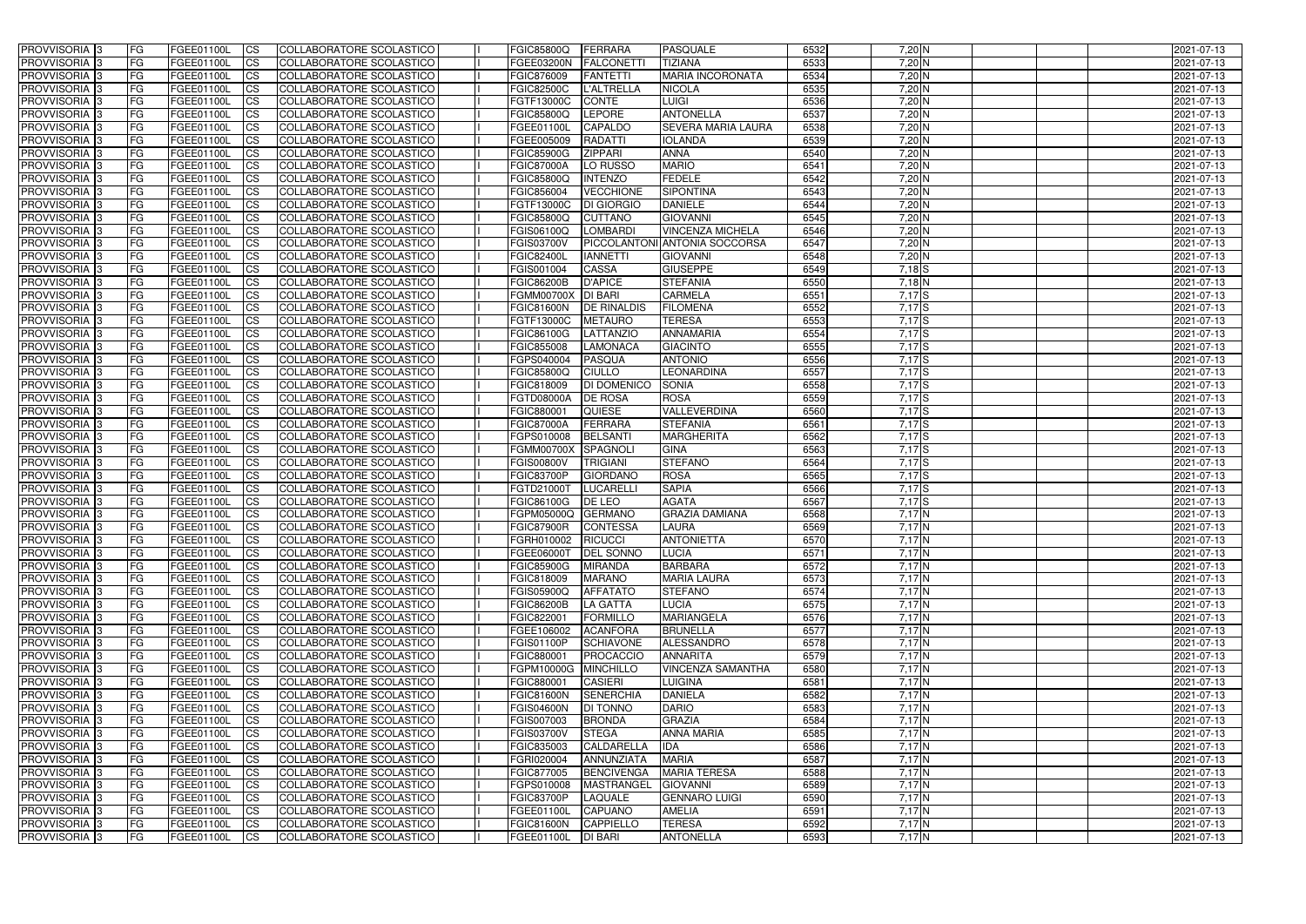| <b>PROVVISORIA</b> 3                                  | l FG                   | FGEE01100L               | <b>ICS</b>              | COLLABORATORE SCOLASTICO                                    | <b>FGIC85800Q</b>                      | FERRARA                            | <b>PASQUALE</b>                     | 6532         | $7,20$ N       | 2021-07-13               |
|-------------------------------------------------------|------------------------|--------------------------|-------------------------|-------------------------------------------------------------|----------------------------------------|------------------------------------|-------------------------------------|--------------|----------------|--------------------------|
| <b>PROVVISORIA 3</b>                                  | FG                     | FGEE01100L               | <b>ICS</b>              | COLLABORATORE SCOLASTICO                                    | FGEE03200N                             | <b>FALCONETT</b>                   | <b>TIZIANA</b>                      | 6533         | $7,20$ N       | 2021-07-13               |
| PROVVISORIA <sup>1</sup> 3                            | FG                     | FGEE01100L               | <b>CS</b>               | <b>COLLABORATORE SCOLASTICO</b>                             | FGIC876009                             | <b>FANTETTI</b>                    | <b>MARIA INCORONATA</b>             | 6534         | $7,20$ N       | 2021-07-13               |
| PROVVISORIA                                           | FG                     | FGEE01100L               | <b>CS</b>               | COLLABORATORE SCOLASTICO                                    | <b>FGIC82500C</b>                      | <b>L'ALTRELLA</b>                  | <b>NICOLA</b>                       | 6535         | $7,20$ N       | 2021-07-13               |
| PROVVISORIA <sup>1</sup> 3                            | FG                     | FGEE01100L               | <b>CS</b>               | COLLABORATORE SCOLASTICO                                    | FGTF13000C                             | <b>CONTE</b>                       | <b>LUIGI</b>                        | 6536         | 7,20 N         | 2021-07-13               |
| PROVVISORIA <sup>1</sup> 3                            | FG                     | FGEE01100L               | <b>CS</b>               | COLLABORATORE SCOLASTICO                                    | FGIC85800Q                             | LEPORE                             | <b>ANTONELLA</b>                    | 6537         | $7,20$ N       | 2021-07-13               |
| PROVVISORIA <sup>1</sup> 3                            | FG                     | FGEE01100L               | <b>CS</b>               | COLLABORATORE SCOLASTICO                                    | FGEE01100L                             | <b>CAPALDO</b>                     | <b>SEVERA MARIA LAURA</b>           | 6538         | $7,20$ N       | 2021-07-13               |
| PROVVISORIA 3                                         | FG                     | FGEE01100L               | <b>ICS</b>              | COLLABORATORE SCOLASTICO                                    | FGEE005009                             | <b>RADATTI</b>                     | <b>IOLANDA</b>                      | 6539         | 7,20 N         | 2021-07-13               |
| PROVVISORIA 3                                         | FG                     | FGEE01100L               | <b>CS</b>               | COLLABORATORE SCOLASTICO                                    | FGIC85900G                             | <b>ZIPPARI</b>                     | <b>ANNA</b>                         | 6540         | $7,20$ N       | 2021-07-13               |
| PROVVISORIA 3                                         | <b>FG</b>              | FGEE01100L               | <b>ICS</b>              | COLLABORATORE SCOLASTICO                                    | <b>FGIC87000A</b>                      | LO RUSSO                           | <b>MARIO</b>                        | 6541         | $7,20$ N       | 2021-07-13               |
| PROVVISORIA 3                                         | FG                     | FGEE01100L               | <b>CS</b>               | COLLABORATORE SCOLASTICO                                    | FGIC85800Q                             | <b>INTENZO</b>                     | <b>FEDELE</b>                       | 6542         | $7,20$ N       | 2021-07-13               |
| <b>PROVVISORIA</b>                                    | FG                     | FGEE01100L               | <b>CS</b>               | COLLABORATORE SCOLASTICO                                    | FGIC856004                             | <b>VECCHIONE</b>                   | <b>SIPONTINA</b>                    | 6543         | $7,20$ N       | 2021-07-13               |
| <b>PROVVISORIA</b>                                    | FG                     | FGEE01100L               | <b>ICS</b>              | COLLABORATORE SCOLASTICO                                    | FGTF13000C                             | <b>DI GIORGIO</b>                  | <b>DANIELE</b>                      | 6544         | $7,20$ N       | 2021-07-13               |
| <b>PROVVISORIA</b>                                    | FG                     | FGEE01100L               | <b>ICS</b>              | COLLABORATORE SCOLASTICO                                    | <b>FGIC85800Q</b>                      | <b>CUTTANO</b>                     | <b>GIOVANNI</b>                     | 6545         | $7,20$ N       | 2021-07-13               |
| <b>PROVVISORIA</b>                                    | FG                     | FGEE01100L               | <b>ICS</b>              | COLLABORATORE SCOLASTICO                                    | FGIS06100Q                             | <b>LOMBARDI</b>                    | <b>VINCENZA MICHELA</b>             | 6546         | $7,20$ N       | 2021-07-13               |
| <b>PROVVISORIA</b>                                    | FG                     | FGEE01100L               | <b>ICS</b>              | COLLABORATORE SCOLASTICO                                    | <b>FGIS03700V</b>                      |                                    | PICCOLANTONI ANTONIA SOCCORSA       | 6547         | $7,20$ N       | 2021-07-13               |
| <b>PROVVISORIA</b>                                    | FG                     | FGEE01100L               | <b>ICS</b>              | COLLABORATORE SCOLASTICO                                    | <b>FGIC82400L</b>                      | <b>IANNETTI</b>                    | <b>GIOVANNI</b>                     | 6548         | 7,20 N         | 2021-07-13               |
| <b>PROVVISORIA</b>                                    | FG                     | FGEE01100L               | <b>ICS</b>              | COLLABORATORE SCOLASTICO                                    | FGIS001004                             | <b>CASSA</b>                       | <b>GIUSEPPE</b>                     | 6549         | $7,18$ S       | 2021-07-13               |
| PROVVISORIA <sup>3</sup>                              | FG                     | FGEE01100L               | <b>ICS</b>              | COLLABORATORE SCOLASTICO                                    | <b>FGIC86200B</b>                      | <b>D'APICE</b>                     | <b>STEFANIA</b>                     | 6550         | $7,18$ N       | 2021-07-13               |
| PROVVISORIA <sup>3</sup>                              | FG                     | FGEE01100L               | <b>ICS</b>              | COLLABORATORE SCOLASTICO                                    | <b>FGMM00700X</b>                      | <b>DI BARI</b>                     | <b>CARMELA</b>                      | 6551         | $7,17$ S       | 2021-07-13               |
| PROVVISORIA <sup>1</sup> 3                            | FG                     | FGEE01100L               | <b>ICS</b>              | COLLABORATORE SCOLASTICO                                    | <b>FGIC81600N</b>                      | <b>DE RINALDIS</b>                 | <b>FILOMENA</b>                     | 6552         | 7,17S          | 2021-07-13               |
| PROVVISORIA 3                                         | FG                     | FGEE01100L               | <b>ICS</b>              | COLLABORATORE SCOLASTICO                                    | FGTF13000C                             | <b>METAURO</b>                     | <b>TERESA</b>                       | 6553         | 7,17S          | 2021-07-13               |
| PROVVISORIA <sup>3</sup><br>PROVVISORIA <sup>13</sup> | FG<br>FG               | FGEE01100L<br>FGEE01100L | <b>ICS</b><br><b>CS</b> | <b>COLLABORATORE SCOLASTICO</b><br>COLLABORATORE SCOLASTICO | <b>FGIC86100G</b><br>FGIC855008        | LATTANZIO<br><b>LAMONACA</b>       | <b>ANNAMARIA</b><br><b>GIACINTO</b> | 6554<br>6555 | 7,17S<br>7,17S | 2021-07-13<br>2021-07-13 |
| PROVVISORIA <sup>3</sup>                              | FG                     | FGEE01100L               | <b>CS</b>               | COLLABORATORE SCOLASTICO                                    | FGPS040004                             | <b>PASQUA</b>                      | <b>ANTONIO</b>                      | 6556         | 7,17S          | 2021-07-13               |
| PROVVISORIA <sup>1</sup> 3                            | FG                     | FGEE01100L               | <b>CS</b>               | COLLABORATORE SCOLASTICO                                    | FGIC85800Q                             | <b>CIULLO</b>                      | <b>LEONARDINA</b>                   | 6557         | 7,17S          | 2021-07-13               |
| PROVVISORIA 3                                         | FG                     | FGEE01100L               | <b>ICS</b>              | COLLABORATORE SCOLASTICO                                    | FGIC818009                             | <b>DI DOMENICO</b>                 | <b>SONIA</b>                        | 6558         | $7,17$ $S$     | 2021-07-13               |
| <b>PROVVISORIA</b>                                    | FG                     | FGEE01100L               | <b>ICS</b>              | COLLABORATORE SCOLASTICO                                    | FGTD08000A                             | <b>DE ROSA</b>                     | <b>ROSA</b>                         | 6559         | $7,17$ S       | 2021-07-13               |
| PROVVISORIA                                           | FG                     | FGEE01100L               | <b>CS</b>               | <b>COLLABORATORE SCOLASTICO</b>                             | FGIC880001                             | QUIESE                             | VALLEVERDINA                        | 6560         | $7,17$ S       | 2021-07-13               |
| PROVVISORIA                                           | FG                     | FGEE01100L               | <b>CS</b>               | COLLABORATORE SCOLASTICO                                    | <b>FGIC87000A</b>                      | FERRARA                            | <b>STEFANIA</b>                     | 6561         | $7,17$ S       | 2021-07-13               |
| PROVVISORIA                                           | FG                     | FGEE01100L               | <b>CS</b>               | COLLABORATORE SCOLASTICO                                    | FGPS010008                             | <b>BELSANTI</b>                    | <b>MARGHERITA</b>                   | 6562         | $7,17$ S       | 2021-07-13               |
| PROVVISORIA <sup>1</sup> 3                            | FG                     | FGEE01100L               | <b>CS</b>               | COLLABORATORE SCOLASTICO                                    | <b>FGMM00700X</b>                      | SPAGNOLI                           | <b>GINA</b>                         | 6563         | $7,17$ $S$     | 2021-07-13               |
| PROVVISORIA <sup>1</sup> 3                            | FG                     | FGEE01100L               | <b>CS</b>               | COLLABORATORE SCOLASTICO                                    | <b>FGIS00800V</b>                      | <b>TRIGIANI</b>                    | <b>STEFANO</b>                      | 6564         | $7,17$ S       | 2021-07-13               |
| PROVVISORIA 3                                         | FG                     | FGEE01100L               | <b>CS</b>               | <b>COLLABORATORE SCOLASTICO</b>                             | <b>FGIC83700P</b>                      | <b>GIORDANO</b>                    | <b>ROSA</b>                         | 6565         | $7,17$ S       | 2021-07-13               |
| <b>PROVVISORIA</b>                                    | FG                     | FGEE01100L               | <b>ICS</b>              | COLLABORATORE SCOLASTICO                                    | FGTD21000T                             | LUCARELLI                          | <b>SAPIA</b>                        | 6566         | 7,17S          | 2021-07-13               |
| PROVVISORIA <sup>1</sup> 3                            | <b>FG</b>              | FGEE01100L               | <b>CS</b>               | COLLABORATORE SCOLASTICO                                    | FGIC86100G                             | <b>DE LEO</b>                      | <b>AGATA</b>                        | 6567         | $7,17$ S       | 2021-07-13               |
| PROVVISORIA 3                                         | <b>FG</b>              | FGEE01100L               | <b>ICS</b>              | COLLABORATORE SCOLASTICO                                    | FGPM05000Q                             | <b>GERMANO</b>                     | <b>GRAZIA DAMIANA</b>               | 6568         | 7,17N          | 2021-07-13               |
| <b>PROVVISORIA</b>                                    | <b>FG</b>              | FGEE01100L               | <b>ICS</b>              | COLLABORATORE SCOLASTICO                                    | <b>FGIC87900R</b>                      | <b>CONTESSA</b>                    | <b>LAURA</b>                        | 6569         | 7,17N          | 2021-07-13               |
| PROVVISORIA 3                                         | FG                     | FGEE01100L               | CS                      | COLLABORATORE SCOLASTICO                                    | FGRH010002 RICUCCI                     |                                    | <b>ANTONIETTA</b>                   | 6570         | $7,17$ N       | 2021-07-13               |
| PROVVISORIA 3                                         | <b>FG</b>              | FGEE01100L               | $\mathsf{ICS}$          | COLLABORATORE SCOLASTICO                                    | FGEE06000T                             | <b>DEL SONNO</b>                   | <b>LUCIA</b>                        | 6571         | 7,17N          | 2021-07-13               |
| PROVVISORIA 3                                         | <b>FG</b>              | <b>FGEE01100L</b>        | $\mathsf{ICS}$          | COLLABORATORE SCOLASTICO                                    | <b>FGIC85900G</b>                      | <b>MIRANDA</b>                     | <b>BARBARA</b>                      | 6572         | $7,17$ N       | 2021-07-13               |
| PROVVISORIA 3                                         | <b>FG</b>              | FGEE01100L               | $\mathsf{ICS}$          | COLLABORATORE SCOLASTICO                                    | FGIC818009                             | <b>MARANO</b>                      | <b>MARIA LAURA</b>                  | 6573         | 7,17N          | 2021-07-13               |
| PROVVISORIA 3                                         | FG                     | FGEE01100L               | $\mathsf{ICS}$          | COLLABORATORE SCOLASTICO                                    | FGIS05900Q                             | <b>AFFATATO</b>                    | <b>STEFANO</b>                      | 6574         | $7,17$ N       | 2021-07-13               |
| PROVVISORIA 3                                         | l FG                   | FGEE01100L               | <b>CS</b>               | COLLABORATORE SCOLASTICO                                    | <b>FGIC86200B</b>                      | LA GATTA                           | <b>LUCIA</b>                        | 6575         | $7,17$ N       | 2021-07-13               |
| PROVVISORIA 3                                         | <b>FG</b>              | FGEE01100L               | <b>CS</b>               | COLLABORATORE SCOLASTICO                                    | FGIC822001                             | <b>FORMILLO</b>                    | <b>MARIANGELA</b>                   | 6576         | 7,17N          | 2021-07-13               |
| PROVVISORIA <sup>3</sup>                              | FG                     | FGEE01100L               | <b>CS</b>               | COLLABORATORE SCOLASTICO                                    | FGEE106002                             | <b>ACANFORA</b>                    | <b>BRUNELLA</b>                     | 6577         | 7,17N          | 2021-07-13               |
| PROVVISORIA 3                                         | FG                     | FGEE01100L               | <b>CS</b>               | COLLABORATORE SCOLASTICO                                    | <b>FGIS01100P</b>                      | <b>SCHIAVONE</b>                   | ALESSANDRO                          | 6578         | $7,17$ N       | 2021-07-13               |
| PROVVISORIA 3                                         | <b>FG</b>              | FGEE01100L               | <b>CS</b>               | COLLABORATORE SCOLASTICO                                    | FGIC880001                             | <b>PROCACCIO</b>                   | ANNARITA<br>VINCENZA SAMANTHA       | 6579         | 7,17N          | 2021-07-13<br>2021-07-13 |
| PROVVISORIA 3                                         | <b>FG</b>              | FGEE01100L               | <b>CS</b>               | COLLABORATORE SCOLASTICO                                    | FGPM10000G                             | <b>MINCHILLO</b>                   |                                     | 6580         | 7,17N          |                          |
| PROVVISORIA 3<br>PROVVISORIA 3                        | <b>FG</b><br><b>FG</b> | FGEE01100L               | <b>CS</b>               | COLLABORATORE SCOLASTICO<br>COLLABORATORE SCOLASTICO        | FGIC880001                             | <b>CASIERI</b><br><b>SENERCHIA</b> | LUIGINA<br><b>DANIELA</b>           | 6581<br>6582 | 7,17N<br>7,17N | 2021-07-13               |
| PROVVISORIA 3                                         | <b>FG</b>              | FGEE01100L<br>FGEE01100L | <b>CS</b><br><b>CS</b>  | COLLABORATORE SCOLASTICO                                    | <b>FGIC81600N</b><br><b>FGIS04600N</b> | <b>DI TONNO</b>                    | <b>DARIO</b>                        | 6583         | 7,17N          | 2021-07-13<br>2021-07-13 |
| PROVVISORIA 3                                         | <b>FG</b>              | FGEE01100L               | <b>CS</b>               | COLLABORATORE SCOLASTICO                                    | FGIS007003                             | <b>BRONDA</b>                      | <b>GRAZIA</b>                       | 6584         | $7,17$ N       | 2021-07-13               |
| PROVVISORIA 3                                         | <b>FG</b>              | FGEE01100L               | <b>CS</b>               | COLLABORATORE SCOLASTICO                                    | <b>FGIS03700V</b>                      | <b>STEGA</b>                       | <b>ANNA MARIA</b>                   | 6585         | $7,17$ N       | 2021-07-13               |
| PROVVISORIA 3                                         | FG                     | FGEE01100L               | <b>CS</b>               | COLLABORATORE SCOLASTICO                                    | FGIC835003                             | CALDARELLA                         | <b>IDA</b>                          | 6586         | $7,17$ N       | 2021-07-13               |
| PROVVISORIA 3                                         | <b>FG</b>              | FGEE01100L               | <b>CS</b>               | COLLABORATORE SCOLASTICO                                    | FGRI020004                             | ANNUNZIATA                         | <b>MARIA</b>                        | 6587         | $7,17$ N       | 2021-07-13               |
| PROVVISORIA 3                                         | <b>FG</b>              | FGEE01100L               | <b>CS</b>               | COLLABORATORE SCOLASTICO                                    | FGIC877005                             | <b>BENCIVENGA</b>                  | <b>MARIA TERESA</b>                 | 6588         | $7,17$ N       | 2021-07-13               |
| PROVVISORIA 3                                         | FG                     | FGEE01100L               | <b>CS</b>               | COLLABORATORE SCOLASTICO                                    | FGPS010008                             | MASTRANGEL                         | <b>GIOVANNI</b>                     | 6589         | $7,17$ N       | 2021-07-13               |
| PROVVISORIA 3                                         | FG                     | <b>FGEE01100L</b>        | <b>CS</b>               | COLLABORATORE SCOLASTICO                                    | <b>FGIC83700P</b>                      | <b>LAQUALE</b>                     | <b>GENNARO LUIGI</b>                | 6590         | 7,17N          | 2021-07-13               |
| PROVVISORIA 3                                         | <b>FG</b>              | FGEE01100L               | <b>CS</b>               | COLLABORATORE SCOLASTICO                                    | FGEE01100L                             | <b>CAPUANO</b>                     | <b>AMELIA</b>                       | 6591         | 7,17N          | 2021-07-13               |
| PROVVISORIA 3                                         | <b>FG</b>              | FGEE01100L               | $\overline{\text{CS}}$  | COLLABORATORE SCOLASTICO                                    | <b>FGIC81600N</b>                      | CAPPIELLO                          | <b>TERESA</b>                       | 6592         | 7,17N          | 2021-07-13               |
| PROVVISORIA 3                                         | <b>FG</b>              | FGEE01100L               | $\overline{\text{CS}}$  | COLLABORATORE SCOLASTICO                                    | FGEE01100L                             | <b>DI BARI</b>                     | <b>ANTONELLA</b>                    | 6593         | 7,17N          | 2021-07-13               |
|                                                       |                        |                          |                         |                                                             |                                        |                                    |                                     |              |                |                          |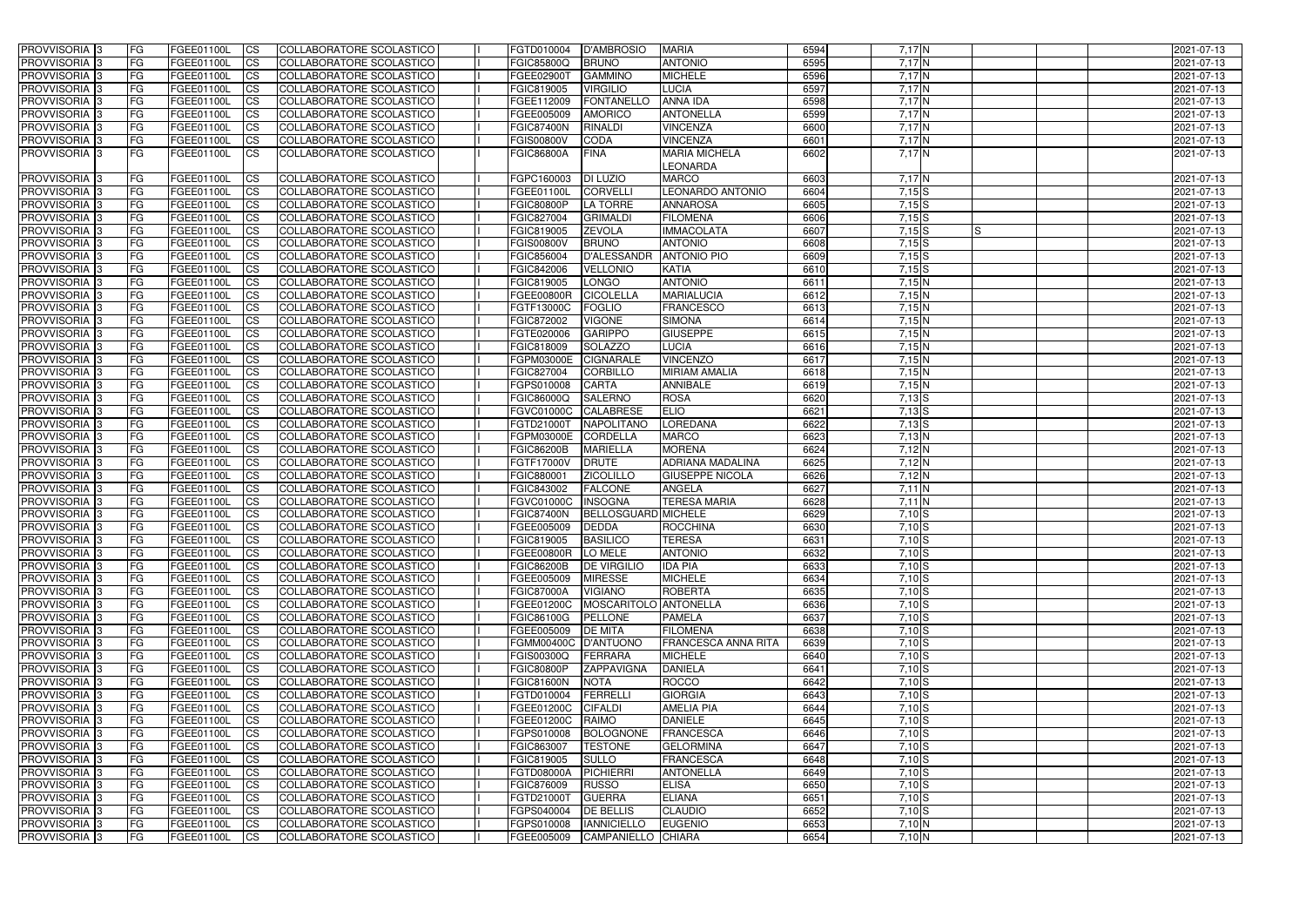| <b>PROVVISORIA</b> 3                                 | FG           | FGEE01100L               | <b>CS</b>                | COLLABORATORE SCOLASTICO                                    | FGTD010004                      | <b>D'AMBROSIO</b>                     | <b>MARIA</b>                       | 6594         | $7,17$ N             | 2021-07-13               |
|------------------------------------------------------|--------------|--------------------------|--------------------------|-------------------------------------------------------------|---------------------------------|---------------------------------------|------------------------------------|--------------|----------------------|--------------------------|
| PROVVISORIA <sup>3</sup>                             | FG           | FGEE01100L               | <b>CS</b>                | COLLABORATORE SCOLASTICO                                    | <b>FGIC85800Q</b>               | <b>BRUNO</b>                          | <b>ANTONIO</b>                     | 6595         | 7,17N                | 2021-07-13               |
| PROVVISORIA <sup>3</sup>                             | FG           | <b>FGEE01100L</b>        | <b>CS</b>                | COLLABORATORE SCOLASTICO                                    | <b>FGEE02900T</b>               | <b>GAMMINO</b>                        | <b>MICHELE</b>                     | 6596         | 7,17N                | 2021-07-13               |
| PROVVISORIA <sup>1</sup> 3                           | FG           | FGEE01100L               | <b>CS</b>                | COLLABORATORE SCOLASTICO                                    | FGIC819005                      | <b>VIRGILIO</b>                       | <b>LUCIA</b>                       | 6597         | 7,17N                | 2021-07-13               |
| PROVVISORIA <sup>3</sup>                             | FG           | FGEE01100L               | <b>CS</b>                | COLLABORATORE SCOLASTICO                                    | FGEE112009                      | FONTANELLO                            | ANNA IDA                           | 6598         | 7,17N                | 2021-07-13               |
| PROVVISORIA <sup>1</sup> 3                           | FG           | FGEE01100L               | <b>CS</b>                | <b>COLLABORATORE SCOLASTICO</b>                             | FGEE005009                      | <b>AMORICO</b>                        | <b>ANTONELLA</b>                   | 6599         | $7,17$ N             | 2021-07-13               |
| PROVVISORIA <sup>3</sup>                             | FG           | FGEE01100L               | <b>CS</b>                | <b>COLLABORATORE SCOLASTICO</b>                             | <b>FGIC87400N</b>               | <b>RINALDI</b>                        | <b>VINCENZA</b>                    | 6600         | $7,17$ N             | 2021-07-13               |
| PROVVISORIA 3                                        | FG           | FGEE01100L               | $\overline{c}$           | COLLABORATORE SCOLASTICO                                    | <b>FGIS00800V</b>               | <b>CODA</b>                           | <b>VINCENZA</b>                    | 6601         | $7,17$ N             | 2021-07-13               |
| PROVVISORIA 3                                        | FG           | FGEE01100L               | <b>I</b> CS              | COLLABORATORE SCOLASTICO                                    | <b>FGIC86800A</b>               | <b>FINA</b>                           | <b>MARIA MICHELA</b>               | 6602         | $7,17$ N             | 2021-07-13               |
|                                                      |              |                          |                          |                                                             |                                 |                                       | LEONARDA                           |              |                      |                          |
| PROVVISORIA 3                                        | FG           | FGEE01100L               | <b>CS</b>                | COLLABORATORE SCOLASTICO                                    | FGPC160003                      | <b>DI LUZIO</b>                       | <b>MARCO</b>                       | 6603         | 7,17N                | 2021-07-13               |
| PROVVISORIA <sup>3</sup>                             | FG           | <b>FGEE01100L</b>        | <b>CS</b>                | COLLABORATORE SCOLASTICO                                    | FGEE01100L                      | <b>CORVELLI</b>                       | <b>LEONARDO ANTONIO</b>            | 6604         | $7,15$ S             | 2021-07-13               |
| PROVVISORIA <sup>3</sup>                             | FG           | FGEE01100L               | <b>CS</b>                | COLLABORATORE SCOLASTICO                                    | <b>FGIC80800P</b>               | <b>LA TORRE</b>                       | <b>ANNAROSA</b>                    | 6605         | 7,15S                | 2021-07-13               |
| PROVVISORIA <sup>3</sup>                             | FG           | FGEE01100L               | <b>CS</b>                | COLLABORATORE SCOLASTICO                                    | FGIC827004                      | <b>GRIMALDI</b>                       | <b>FILOMENA</b>                    | 6606         | 7,15S                | 2021-07-13               |
| PROVVISORIA <sup>3</sup>                             | FG           | FGEE01100L               | <b>CS</b>                | COLLABORATORE SCOLASTICO                                    | FGIC819005                      | <b>ZEVOLA</b>                         | <b>IMMACOLATA</b>                  | 6607         | 7,15S<br>IS          | 2021-07-13               |
| PROVVISORIA <sup>3</sup>                             | FG           | FGEE01100L               | <b>I</b> CS              | <b>COLLABORATORE SCOLASTICO</b>                             | <b>FGIS00800V</b>               | <b>BRUNO</b>                          | <b>ANTONIO</b>                     | 6608         | $7,15$ $S$           | 2021-07-13               |
| PROVVISORIA <sup>3</sup>                             | FG           | FGEE01100L<br>FGEE01100L | <b>CS</b><br><b>I</b> CS | COLLABORATORE SCOLASTICO<br><b>COLLABORATORE SCOLASTICO</b> | FGIC856004                      | <b>D'ALESSANDR</b><br><b>VELLONIO</b> | <b>ANTONIO PIO</b><br><b>KATIA</b> | 6609         | $7,15$ S             | 2021-07-13               |
| PROVVISORIA <sup>3</sup><br>PROVVISORIA <sup>3</sup> | FG<br>FG     | FGEE01100L               | <b>ICS</b>               | <b>COLLABORATORE SCOLASTICO</b>                             | FGIC842006<br>FGIC819005        | <b>LONGO</b>                          | <b>ANTONIO</b>                     | 6610<br>6611 | $7,15$ S<br>7,15N    | 2021-07-13<br>2021-07-13 |
| PROVVISORIA <sup>3</sup>                             | FG.          | FGEE01100L               | <b>I</b> CS              | COLLABORATORE SCOLASTICO                                    | <b>FGEE00800R</b>               | <b>CICOLELLA</b>                      | <b>MARIALUCIA</b>                  | 6612         | $7,15$ N             | 2021-07-13               |
| PROVVISORIA <sup>3</sup>                             | FG           | FGEE01100L               | <b>ICS</b>               | COLLABORATORE SCOLASTICO                                    | FGTF13000C                      | <b>FOGLIO</b>                         | <b>FRANCESCO</b>                   | 6613         | 7,15N                | 2021-07-13               |
| PROVVISORIA <sup>3</sup>                             | FG           | FGEE01100L               | <b>CS</b>                | COLLABORATORE SCOLASTICO                                    | FGIC872002                      | <b>VIGONE</b>                         | <b>SIMONA</b>                      | 6614         | 7,15N                | 2021-07-13               |
| PROVVISORIA <sup>3</sup>                             | FG           | FGEE01100L               | <b>I</b> CS              | COLLABORATORE SCOLASTICO                                    | FGTE020006                      | <b>GARIPPO</b>                        | <b>GIUSEPPE</b>                    | 6615         | 7,15N                | 2021-07-13               |
| PROVVISORIA <sup>3</sup>                             | FG           | FGEE01100L               | <b>CS</b>                | COLLABORATORE SCOLASTICO                                    | FGIC818009                      | <b>SOLAZZO</b>                        | <b>LUCIA</b>                       | 6616         | 7,15N                | 2021-07-13               |
| <b>PROVVISORIA</b> 3                                 | FG           | FGEE01100L               | <b>CS</b>                | COLLABORATORE SCOLASTICO                                    | FGPM03000E                      | <b>CIGNARALE</b>                      | <b>VINCENZO</b>                    | 6617         | $7,15$ N             | 2021-07-13               |
| PROVVISORIA <sup>13</sup>                            | FG           | FGEE01100L               | <b>CS</b>                | COLLABORATORE SCOLASTICO                                    | FGIC827004                      | <b>CORBILLO</b>                       | <b>MIRIAM AMALIA</b>               | 6618         | 7,15N                | 2021-07-13               |
| PROVVISORIA <sup>13</sup>                            | FG           | FGEE01100L               | <b>CS</b>                | COLLABORATORE SCOLASTICO                                    | FGPS010008                      | <b>CARTA</b>                          | <b>ANNIBALE</b>                    | 6619         | 7,15N                | 2021-07-13               |
| PROVVISORIA <sup>1</sup> 3                           | FG           | FGEE01100L               | <b>CS</b>                | COLLABORATORE SCOLASTICO                                    | FGIC86000Q                      | <b>SALERNO</b>                        | <b>ROSA</b>                        | 6620         | $7,13$ S             | 2021-07-13               |
| PROVVISORIA <sup>1</sup> 3                           | FG           | <b>FGEE01100L</b>        | ICS                      | COLLABORATORE SCOLASTICO                                    | <b>FGVC01000C</b>               | <b>CALABRESE</b>                      | <b>ELIO</b>                        | 6621         | $7,13$ S             | 2021-07-13               |
| PROVVISORIA <sup>1</sup> 3                           | FG           | FGEE01100L               | <b>CS</b>                | COLLABORATORE SCOLASTICO                                    | FGTD21000T                      | <b>NAPOLITANC</b>                     | <b>LOREDANA</b>                    | 6622         | $7,13$ S             | 2021-07-13               |
| PROVVISORIA <sup>3</sup>                             | FG           | FGEE01100L               | <b>CS</b>                | COLLABORATORE SCOLASTICO                                    | FGPM03000E                      | <b>CORDELLA</b>                       | <b>MARCO</b>                       | 6623         | $7,13$ N             | 2021-07-13               |
| PROVVISORIA <sup>3</sup>                             | FG           | <b>FGEE01100L</b>        | <b>CS</b>                | COLLABORATORE SCOLASTICO                                    | <b>FGIC86200B</b>               | <b>MARIELLA</b>                       | <b>MORENA</b>                      | 6624         | 7,12 N               | 2021-07-13               |
| PROVVISORIA <sup>3</sup>                             | FG           | FGEE01100L               | $\overline{\text{cs}}$   | COLLABORATORE SCOLASTICO                                    | FGTF17000V                      | <b>DRUTE</b>                          | <b>ADRIANA MADALINA</b>            | 6625         | 7,12 N               | 2021-07-13               |
| PROVVISORIA <sup>3</sup>                             | FG           | FGEE01100L               | $\overline{\text{cs}}$   | COLLABORATORE SCOLASTICO                                    | FGIC880001                      | <b>ZICOLILLO</b>                      | <b>GIUSEPPE NICOLA</b>             | 6626         | $7,12$ N             | 2021-07-13               |
| PROVVISORIA 3                                        | FG           | FGEE01100L               | <b>CS</b>                | COLLABORATORE SCOLASTICO                                    | FGIC843002                      | <b>FALCONE</b>                        | ANGELA                             | 6627         | $7,11$ N             | 2021-07-13               |
| PROVVISORIA 3                                        | FG           | <b>FGEE01100L</b>        | <b>CS</b>                | COLLABORATORE SCOLASTICO                                    | <b>FGVC01000C</b>               | <b>INSOGNA</b>                        | <b>TERESA MARIA</b>                | 6628         | $7,11$ N             | 2021-07-13               |
| PROVVISORIA <sup>3</sup>                             | FG           | FGEE01100L               | $\overline{\text{cs}}$   | COLLABORATORE SCOLASTICO                                    | <b>FGIC87400N</b>               | <b>BELLOSGUARD MICHELE</b>            |                                    | 6629         | $7,10$ S             | 2021-07-13               |
| PROVVISORIA 3                                        | FG           | FGEE01100L               | <b>I</b> CS              | COLLABORATORE SCOLASTICO                                    | FGEE005009                      | <b>DEDDA</b>                          | ROCCHINA                           | 6630         | $7,10$ S             | 2021-07-13               |
| PROVVISORIA 3<br><b>PROVVISORIA</b> 3                | FG           | FGEE01100L               | <b>ICS</b>               | COLLABORATORE SCOLASTICO                                    | FGIC819005                      | <b>BASILICO</b>                       | <b>TERESA</b>                      | 6631         | $7,10$ S             | 2021-07-13               |
| PROVVISORIA 3                                        | IFG.<br>IFG. | FGEE01100L<br>FGEE01100L | <b>CS</b><br><b>CS</b>   | COLLABORATORE SCOLASTICO<br>COLLABORATORE SCOLASTICO        | FGEE00800R<br><b>FGIC86200B</b> | LO MELE<br><b>DE VIRGILIO</b>         | <b>ANTONIO</b><br><b>IDA PIA</b>   | 6632<br>6633 | $7,10$ S<br>$7,10$ S | 2021-07-13<br>2021-07-13 |
| PROVVISORIA 3                                        | <b>FG</b>    | <b>FGEE01100L</b>        | <b>ICS</b>               | COLLABORATORE SCOLASTICO                                    | FGEE005009                      | <b>MIRESSE</b>                        | <b>MICHELE</b>                     | 6634         | $7,10$ S             | 2021-07-13               |
| PROVVISORIA 3                                        | <b>FG</b>    | FGEE01100L               | <b>CS</b>                | COLLABORATORE SCOLASTICO                                    | <b>FGIC87000A</b>               | <b>VIGIANO</b>                        | <b>ROBERTA</b>                     | 6635         | $7,10$ $S$           | 2021-07-13               |
| PROVVISORIA 3                                        | FG           | FGEE01100L               | <b>CS</b>                | COLLABORATORE SCOLASTICO                                    | FGEE01200C                      | MOSCARITOLO ANTONELLA                 |                                    | 6636         | $7,10$ S             | 2021-07-13               |
| PROVVISORIA 3                                        | <b>FG</b>    | FGEE01100L               | <b>ICS</b>               | COLLABORATORE SCOLASTICO                                    | <b>FGIC86100G</b>               | PELLONE                               | <b>PAMELA</b>                      | 6637         | $7,10$ S             | 2021-07-13               |
| PROVVISORIA 3                                        | FG           | FGEE01100L               | <b>ICS</b>               | COLLABORATORE SCOLASTICO                                    | FGEE005009                      | <b>DE MITA</b>                        | <b>FILOMENA</b>                    | 6638         | $7,10$ S             | 2021-07-13               |
| PROVVISORIA 3                                        | FG           | FGEE01100L               | <b>CS</b>                | COLLABORATORE SCOLASTICO                                    | FGMM00400C D'ANTUONO            |                                       | FRANCESCA ANNA RITA                | 6639         | $7,10$ S             | 2021-07-13               |
| PROVVISORIA 3                                        | <b>FG</b>    | FGEE01100L               | <b>CS</b>                | COLLABORATORE SCOLASTICO                                    | FGIS00300Q                      | FERRARA                               | <b>MICHELE</b>                     | 6640         | $7,10$ S             | 2021-07-13               |
| PROVVISORIA 3                                        | FG           | <b>FGEE01100L</b>        | <b>CS</b>                | COLLABORATORE SCOLASTICO                                    | <b>FGIC80800P</b>               | <b>ZAPPAVIGNA</b>                     | <b>DANIELA</b>                     | 6641         | 7,10S                | 2021-07-13               |
| PROVVISORIA 3                                        | FG           | FGEE01100L               | <b>CS</b>                | COLLABORATORE SCOLASTICO                                    | <b>FGIC81600N</b>               | <b>NOTA</b>                           | <b>ROCCO</b>                       | 6642         | 7,10S                | 2021-07-13               |
| PROVVISORIA 3                                        | FG           | FGEE01100L               | <b>CS</b>                | COLLABORATORE SCOLASTICO                                    | FGTD010004                      | FERRELLI                              | <b>GIORGIA</b>                     | 6643         | 7,10S                | 2021-07-13               |
| PROVVISORIA 3                                        | FG           | FGEE01100L               | <b>CS</b>                | COLLABORATORE SCOLASTICO                                    | <b>FGEE01200C</b>               | <b>CIFALDI</b>                        | <b>AMELIA PIA</b>                  | 6644         | $7,10$ S             | 2021-07-13               |
| PROVVISORIA 3                                        | FG           | FGEE01100L               | <b>CS</b>                | COLLABORATORE SCOLASTICO                                    | FGEE01200C                      | <b>RAIMO</b>                          | <b>DANIELE</b>                     | 6645         | 7,10S                | 2021-07-13               |
| <b>PROVVISORIA</b> 3                                 | FG           | FGEE01100L               | <b>CS</b>                | COLLABORATORE SCOLASTICO                                    | FGPS010008                      | BOLOGNONE                             | <b>FRANCESCA</b>                   | 6646         | $7,10$ S             | 2021-07-13               |
| PROVVISORIA 3                                        | FG           | FGEE01100L               | <b>CS</b>                | COLLABORATORE SCOLASTICO                                    | FGIC863007                      | <b>TESTONE</b>                        | <b>GELORMINA</b>                   | 6647         | $7,10$ S             | 2021-07-13               |
| PROVVISORIA 3                                        | FG           | <b>FGEE01100L</b>        | <b>CS</b>                | COLLABORATORE SCOLASTICO                                    | FGIC819005                      | <b>SULLO</b>                          | <b>FRANCESCA</b>                   | 6648         | $7,10$ S             | 2021-07-13               |
| PROVVISORIA <sup>3</sup>                             | IFG.         | FGEE01100L               | <b>CS</b>                | COLLABORATORE SCOLASTICO                                    | <b>FGTD08000A</b>               | PICHIERRI                             | <b>ANTONELLA</b>                   | 6649         | $7,10$ S             | 2021-07-13               |
| PROVVISORIA 3<br>PROVVISORIA 3                       | <b>IFG</b>   | FGEE01100L<br>FGEE01100L | <b>CS</b><br><b>CS</b>   | <b>COLLABORATORE SCOLASTICO</b><br>COLLABORATORE SCOLASTICO | FGIC876009<br>FGTD21000T        | <b>RUSSO</b><br><b>GUERRA</b>         | <b>ELISA</b><br><b>ELIANA</b>      | 6650<br>6651 | $7,10$ S<br>$7,10$ S | 2021-07-13               |
| PROVVISORIA 3                                        | FG<br> FG    | FGEE01100L               | <b>CS</b>                | COLLABORATORE SCOLASTICO                                    | FGPS040004                      | <b>DE BELLIS</b>                      | <b>CLAUDIO</b>                     | 6652         | $7,10$ S             | 2021-07-13<br>2021-07-13 |
| PROVVISORIA 3                                        | FG           | FGEE01100L               | <b>CS</b>                | COLLABORATORE SCOLASTICO                                    | FGPS010008                      | <b>IANNICIELLO</b>                    | <b>EUGENIO</b>                     | 6653         | $7,10$ N             | 2021-07-13               |
| PROVVISORIA 3                                        | IFG.         | FGEE01100L               | <b>CS</b>                | COLLABORATORE SCOLASTICO                                    | FGEE005009                      | CAMPANIELLO CHIARA                    |                                    | 6654         | $7,10$ N             | 2021-07-13               |
|                                                      |              |                          |                          |                                                             |                                 |                                       |                                    |              |                      |                          |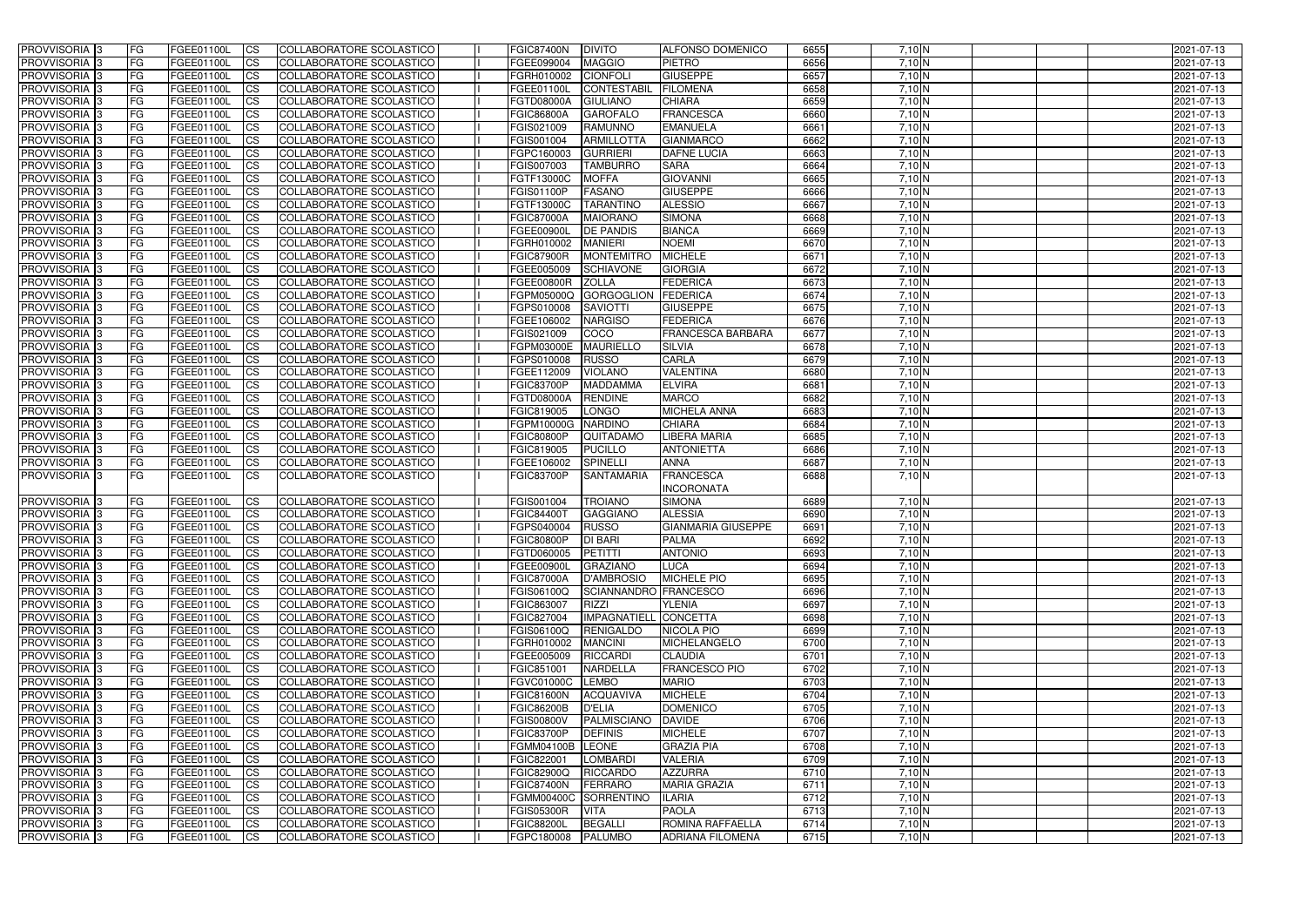| PROVVISORIA <sup>1</sup> 3                     | <b>FG</b>              | FGEE01100L               | <b>ICS</b>               | COLLABORATORE SCOLASTICO                             | <b>FGIC87400N</b>               | <b>DIVITO</b>                         | <b>ALFONSO DOMENICO</b>            | 6655         | 7,10 N             | 2021-07-13               |
|------------------------------------------------|------------------------|--------------------------|--------------------------|------------------------------------------------------|---------------------------------|---------------------------------------|------------------------------------|--------------|--------------------|--------------------------|
| PROVVISORIA <sup>1</sup> 3                     | FG                     | FGEE01100L               | <b>CS</b>                | COLLABORATORE SCOLASTICO                             | FGEE099004                      | <b>MAGGIO</b>                         | <b>PIETRO</b>                      | 6656         | 7,10 N             | 2021-07-13               |
| PROVVISORIA <sup>1</sup> 3                     | FG                     | FGEE01100L               | <b>CS</b>                | COLLABORATORE SCOLASTICO                             | FGRH010002                      | <b>CIONFOLI</b>                       | <b>GIUSEPPE</b>                    | 6657         | $7,10$ N           | 2021-07-13               |
| PROVVISORIA <sup>1</sup> 3                     | FG                     | FGEE01100L               | <b>CS</b>                | COLLABORATORE SCOLASTICO                             | FGEE01100L                      | <b>CONTESTABII</b>                    | <b>FILOMENA</b>                    | 6658         | 7,10 N             | 2021-07-13               |
| PROVVISORIA <sup>1</sup> 3                     | FG                     | FGEE01100L               | <b>ICS</b>               | COLLABORATORE SCOLASTICO                             | FGTD08000A                      | <b>GIULIANO</b>                       | <b>CHIARA</b>                      | 6659         | 7,10 N             | 2021-07-13               |
| PROVVISORIA 3                                  | FG                     | FGEE01100L               | <b>ICS</b>               | COLLABORATORE SCOLASTICO                             | <b>FGIC86800A</b>               | <b>GAROFALO</b>                       | <b>FRANCESCA</b>                   | 6660         | 7,10 N             | 2021-07-13               |
| PROVVISORIA 3                                  | <b>FG</b>              | FGEE01100L               | <b>ICS</b>               | COLLABORATORE SCOLASTICO                             | FGIS021009                      | <b>RAMUNNO</b>                        | <b>EMANUELA</b>                    | 6661         | 7,10 N             | 2021-07-13               |
| PROVVISORIA 3                                  | FG                     | FGEE01100L               | <b>ICS</b>               | COLLABORATORE SCOLASTICO                             | FGIS001004                      | <b>ARMILLOTTA</b>                     | <b>GIANMARCO</b>                   | 6662         | $7,10$ N           | 2021-07-13               |
| PROVVISORIA 3                                  | FG                     | FGEE01100L               | <b>CS</b>                | COLLABORATORE SCOLASTICO                             | FGPC160003                      | <b>GURRIERI</b>                       | <b>DAFNE LUCIA</b>                 | 6663         | $7,10$ N           | 2021-07-13               |
| PROVVISORIA 3                                  | <b>FG</b>              | FGEE01100L               | <b>CS</b>                | COLLABORATORE SCOLASTICO                             | FGIS007003                      | <b>TAMBURRO</b>                       | <b>SARA</b>                        | 6664         | $7,10$ N           | 2021-07-13               |
| PROVVISORIA 3                                  | <b>FG</b>              | <b>FGEE01100L</b>        | <b>ICS</b>               | COLLABORATORE SCOLASTICO                             | FGTF13000C                      | <b>MOFFA</b>                          | <b>GIOVANNI</b>                    | 6665         | 7,10 N             | 2021-07-13               |
| PROVVISORIA <sup>1</sup> 3                     | FG                     | FGEE01100L               | <b>ICS</b>               | COLLABORATORE SCOLASTICO                             | FGIS01100P                      | <b>FASANO</b>                         | <b>GIUSEPPE</b>                    | 6666         | $7,10$ N           | 2021-07-13               |
| PROVVISORIA <sup>1</sup> 3                     | FG                     | FGEE01100L               | <b>ICS</b>               | COLLABORATORE SCOLASTICO                             | FGTF13000C                      | <b>TARANTINC</b>                      | <b>ALESSIO</b>                     | 6667         | 7,10 N             | 2021-07-13               |
| <b>PROVVISORIA</b>                             | FG                     | FGEE01100L               | <b>ICS</b>               | COLLABORATORE SCOLASTICO                             | <b>FGIC87000A</b>               | <b>MAIORANO</b>                       | <b>SIMONA</b>                      | 6668         | 7,10 N             | 2021-07-13               |
| <b>PROVVISORIA</b>                             | FG                     | FGEE01100L               | <b>ICS</b>               | COLLABORATORE SCOLASTICO                             | FGEE00900I                      | <b>DE PANDIS</b>                      | <b>BIANCA</b>                      | 6669         | $7,10$ N           | 2021-07-13               |
| PROVVISORIA <sup>1</sup> 3                     | FG                     | FGEE01100L               | <b>ICS</b>               | COLLABORATORE SCOLASTICO                             | FGRH010002                      | <b>MANIERI</b>                        | <b>NOEMI</b><br><b>MICHELE</b>     | 6670<br>6671 | 7,10 N             | 2021-07-13               |
| <b>PROVVISORIA</b><br>PROVVISORIA <sup>3</sup> | FG<br>FG               | FGEE01100L<br>FGEE01100L | <b>ICS</b><br><b>ICS</b> | COLLABORATORE SCOLASTICO<br>COLLABORATORE SCOLASTICO | <b>FGIC87900R</b><br>FGEE005009 | <b>MONTEMITRO</b><br><b>SCHIAVONE</b> | <b>GIORGIA</b>                     | 6672         | $7,10$ N<br>7,10 N | 2021-07-13<br>2021-07-13 |
| PROVVISORIA <sup>1</sup> 3                     | FG                     | FGEE01100L               | <b>ICS</b>               | COLLABORATORE SCOLASTICO                             | <b>FGEE00800R</b>               | <b>ZOLLA</b>                          | <b>FEDERICA</b>                    | 6673         | 7,10 N             | 2021-07-13               |
| PROVVISORIA 3                                  | FG                     | FGEE01100L               | <b>CS</b>                | COLLABORATORE SCOLASTICO                             | FGPM05000Q                      | <b>GORGOGLION</b>                     | FEDERICA                           | 6674         | $7,10$ N           | 2021-07-13               |
| PROVVISORIA 3                                  | FG                     | FGEE01100L               | <b>CS</b>                | COLLABORATORE SCOLASTICO                             | FGPS010008                      | <b>SAVIOTTI</b>                       | <b>GIUSEPPE</b>                    | 6675         | $7,10$ N           | 2021-07-13               |
| PROVVISORIA 3                                  | FG                     | FGEE01100L               | <b>CS</b>                | COLLABORATORE SCOLASTICO                             | FGEE106002                      | <b>NARGISO</b>                        | <b>FEDERICA</b>                    | 6676         | $7,10$ N           | 2021-07-13               |
| PROVVISORIA 3                                  | FG                     | FGEE01100L               | <b>CS</b>                | COLLABORATORE SCOLASTICO                             | FGIS021009                      | COCO                                  | <b>FRANCESCA BARBARA</b>           | 6677         | $7,10$ N           | 2021-07-13               |
| PROVVISORIA <sup>1</sup> 3                     | <b>FG</b>              | FGEE01100L               | <b>CS</b>                | COLLABORATORE SCOLASTICO                             | <b>FGPM03000E</b>               | <b>MAURIELLO</b>                      | <b>SILVIA</b>                      | 6678         | 7,10 N             | 2021-07-13               |
| PROVVISORIA 3                                  | FG                     | FGEE01100L               | <b>CS</b>                | COLLABORATORE SCOLASTICO                             | FGPS010008                      | <b>RUSSO</b>                          | <b>CARLA</b>                       | 6679         | 7,10 N             | 2021-07-13               |
| PROVVISORIA <sup>1</sup> 3                     | FG                     | FGEE01100L               | <b>CS</b>                | COLLABORATORE SCOLASTICO                             | FGEE112009                      | <b>VIOLANO</b>                        | <b>VALENTINA</b>                   | 6680         | 7,10 N             | 2021-07-13               |
| PROVVISORIA <sup>3</sup>                       | FG                     | FGEE01100L               | <b>CS</b>                | COLLABORATORE SCOLASTICO                             | <b>FGIC83700P</b>               | <b>MADDAMMA</b>                       | <b>ELVIRA</b>                      | 6681         | 7,10 N             | 2021-07-13               |
| PROVVISORIA 3                                  | FG                     | FGEE01100L               | <b>CS</b>                | COLLABORATORE SCOLASTICO                             | FGTD08000A                      | <b>RENDINE</b>                        | <b>MARCO</b>                       | 6682         | $7,10$ N           | 2021-07-13               |
| PROVVISORIA <sup>1</sup> 3                     | FG                     | FGEE01100L               | <b>CS</b>                | COLLABORATORE SCOLASTICO                             | FGIC819005                      | <b>LONGO</b>                          | <b>MICHELA ANNA</b>                | 6683         | 7,10 N             | 2021-07-13               |
| PROVVISORIA <sup>3</sup>                       | FG                     | FGEE01100L               | <b>CS</b>                | COLLABORATORE SCOLASTICO                             | FGPM10000G                      | <b>NARDINO</b>                        | <b>CHIARA</b>                      | 6684         | 7,10 N             | 2021-07-13               |
| PROVVISORIA <sup>1</sup> 3                     | FG                     | FGEE01100L               | <b>CS</b>                | COLLABORATORE SCOLASTICO                             | <b>FGIC80800P</b>               | QUITADAMO                             | <b>LIBERA MARIA</b>                | 6685         | 7,10 N             | 2021-07-13               |
| PROVVISORIA <sup>1</sup> 3                     | FG                     | FGEE01100L               | <b>CS</b>                | COLLABORATORE SCOLASTICO                             | FGIC819005                      | <b>PUCILLO</b>                        | <b>ANTONIETTA</b>                  | 6686         | 7,10 N             | 2021-07-13               |
| PROVVISORIA 3                                  | <b>FG</b>              | FGEE01100L               | <b>CS</b>                | <b>COLLABORATORE SCOLASTICO</b>                      | FGEE106002                      | <b>SPINELLI</b>                       | <b>ANNA</b>                        | 6687         | 7,10 N             | 2021-07-13               |
| PROVVISORIA 3                                  | l FG                   | FGEE01100L               | <b>ICS</b>               | COLLABORATORE SCOLASTICO                             | <b>FGIC83700P</b>               | <b>SANTAMARIA</b>                     | <b>FRANCESCA</b>                   | 6688         | 7,10 N             | 2021-07-13               |
| PROVVISORIA 3                                  | <b>FG</b>              | FGEE01100L               | <b>CS</b>                | COLLABORATORE SCOLASTICO                             | FGIS001004                      | <b>TROIANO</b>                        | <b>INCORONATA</b><br><b>SIMONA</b> | 6689         | $7,10$ N           | 2021-07-13               |
| <b>PROVVISORIA</b> 3                           | FG                     | FGEE01100L               | <b>ICS</b>               | COLLABORATORE SCOLASTICO                             | <b>FGIC84400T</b>               | <b>GAGGIANO</b>                       | <b>ALESSIA</b>                     | 6690         | 7,10 N             | 2021-07-13               |
| PROVVISORIA 3                                  | <b>FG</b>              | FGEE01100L               | <b>ICS</b>               | COLLABORATORE SCOLASTICO                             | FGPS040004                      | RUSSO                                 | <b>GIANMARIA GIUSEPPE</b>          | 6691         | 7,10 N             | 2021-07-13               |
| PROVVISORIA 3                                  | IFG.                   | FGEE01100L CS            |                          | COLLABORATORE SCOLASTICO                             | FGIC80800P DI BARI              |                                       | <b>IPALMA</b>                      | 6692         | 7,10 N             | 2021-07-13               |
| PROVVISORIA 3                                  | l FG                   | FGEE01100L               | $\overline{\text{CS}}$   | COLLABORATORE SCOLASTICO                             | FGTD060005                      | PETITTI                               | <b>ANTONIO</b>                     | 6693         | 7,10 N             | 2021-07-13               |
| PROVVISORIA 3                                  | <b>FG</b>              | FGEE01100L               | $\overline{\text{CS}}$   | COLLABORATORE SCOLASTICO                             | <b>FGEE00900L</b>               | GRAZIANO                              | <b>LUCA</b>                        | 6694         | 7,10 N             | 2021-07-13               |
| PROVVISORIA 3                                  | <b>FG</b>              | FGEE01100L               | $\mathsf{ICS}$           | COLLABORATORE SCOLASTICO                             | <b>FGIC87000A</b>               | <b>D'AMBROSIO</b>                     | <b>MICHELE PIO</b>                 | 6695         | 7,10 N             | 2021-07-13               |
| PROVVISORIA 3                                  | l FG                   | FGEE01100L               | <b>CS</b>                | COLLABORATORE SCOLASTICO                             | <b>FGIS06100Q</b>               | SCIANNANDRO FRANCESCO                 |                                    | 6696         | 7,10 N             | 2021-07-13               |
| PROVVISORIA 3                                  | FG                     | FGEE01100L               | <b>CS</b>                | COLLABORATORE SCOLASTICO                             | FGIC863007                      | <b>RIZZI</b>                          | <b>YLENIA</b>                      | 6697         | 7,10 N             | 2021-07-13               |
| PROVVISORIA 3                                  | FG                     | FGEE01100L               | <b>ICS</b>               | COLLABORATORE SCOLASTICO                             | FGIC827004                      | IMPAGNATIELL CONCETTA                 |                                    | 6698         | 7,10 N             | 2021-07-13               |
| PROVVISORIA 3                                  | <b>FG</b>              | FGEE01100L               | <b>CS</b>                | COLLABORATORE SCOLASTICO                             | FGIS06100Q                      | <b>RENIGALDO</b>                      | NICOLA PIO                         | 6699         | $7,10$ N           | 2021-07-13               |
| PROVVISORIA 3                                  | FG                     | FGEE01100L               | <b>CS</b>                | COLLABORATORE SCOLASTICO                             | FGRH010002                      | <b>MANCINI</b>                        | MICHELANGELO                       | 6700         | $7,10$ N           | 2021-07-13               |
| PROVVISORIA 3                                  | <b>FG</b>              | FGEE01100L               | <b>CS</b>                | COLLABORATORE SCOLASTICO                             | FGEE005009                      | RICCARDI                              | <b>CLAUDIA</b>                     | 6701         | $7,10$ N           | 2021-07-13               |
| PROVVISORIA 3                                  | <b>FG</b>              | FGEE01100L               | <b>CS</b>                | COLLABORATORE SCOLASTICO                             | FGIC851001                      | <b>NARDELLA</b>                       | FRANCESCO PIO                      | 6702         | $7,10$ N           | 2021-07-13               |
| PROVVISORIA 3                                  | <b>FG</b>              | FGEE01100L               | <b>CS</b>                | COLLABORATORE SCOLASTICO                             | FGVC01000C                      | <b>LEMBO</b>                          | <b>MARIO</b>                       | 6703         | 7,10 N             | 2021-07-13               |
| PROVVISORIA 3                                  | <b>FG</b>              | FGEE01100L               | <b>CS</b>                | COLLABORATORE SCOLASTICO                             | <b>FGIC81600N</b>               | <b>ACQUAVIVA</b>                      | <b>MICHELE</b>                     | 6704         | 7,10 N             | 2021-07-13               |
| PROVVISORIA 3                                  | <b>FG</b>              | FGEE01100L               | <b>CS</b>                | COLLABORATORE SCOLASTICO                             | <b>FGIC86200B</b>               | <b>D'ELIA</b>                         | <b>DOMENICO</b>                    | 6705         | 7,10 N             | 2021-07-13               |
| PROVVISORIA 3<br>PROVVISORIA 3                 | <b>FG</b><br><b>FG</b> | FGEE01100L<br>FGEE01100L | <b>CS</b><br><b>CS</b>   | COLLABORATORE SCOLASTICO<br>COLLABORATORE SCOLASTICO | <b>FGIS00800V</b><br>FGIC83700P | PALMISCIANO<br><b>DEFINIS</b>         | <b>DAVIDE</b><br><b>MICHELE</b>    | 6706<br>6707 | 7,10 N<br>7,10 N   | 2021-07-13<br>2021-07-13 |
| PROVVISORIA 3                                  | <b>FG</b>              | FGEE01100L               | <b>CS</b>                | COLLABORATORE SCOLASTICO                             | FGMM04100B LEONE                |                                       | <b>GRAZIA PIA</b>                  | 6708         | $7,10$ N           | 2021-07-13               |
| PROVVISORIA 3                                  | <b>FG</b>              | FGEE01100L               | <b>CS</b>                | COLLABORATORE SCOLASTICO                             | FGIC822001                      | <b>LOMBARDI</b>                       | <b>VALERIA</b>                     | 6709         | 7,10 N             | 2021-07-13               |
| PROVVISORIA 3                                  | FG                     | FGEE01100L               | <b>CS</b>                | COLLABORATORE SCOLASTICO                             | <b>FGIC82900Q</b>               | RICCARDO                              | <b>AZZURRA</b>                     | 6710         | 7,10 N             | 2021-07-13               |
| PROVVISORIA 3                                  | <b>FG</b>              | FGEE01100L               | <b>CS</b>                | COLLABORATORE SCOLASTICO                             | <b>FGIC87400N</b>               | FERRARO                               | <b>MARIA GRAZIA</b>                | 6711         | $7,10$ N           | 2021-07-13               |
| PROVVISORIA 3                                  | <b>FG</b>              | FGEE01100L               | $\overline{\text{CS}}$   | COLLABORATORE SCOLASTICO                             |                                 | FGMM00400C SORRENTINO                 | <b>ILARIA</b>                      | 6712         | $7,10$ N           | 2021-07-13               |
| PROVVISORIA 3                                  | <b>FG</b>              | <b>FGEE01100L</b>        | $\mathsf{ICS}$           | COLLABORATORE SCOLASTICO                             | <b>FGIS05300R</b>               | <b>VITA</b>                           | <b>PAOLA</b>                       | 6713         | $7,10$ N           | 2021-07-13               |
| PROVVISORIA 3                                  | <b>FG</b>              | FGEE01100L               | <b>CS</b>                | COLLABORATORE SCOLASTICO                             | <b>FGIC88200L</b>               | <b>BEGALLI</b>                        | <b>ROMINA RAFFAELLA</b>            | 6714         | $7,10$ N           | 2021-07-13               |
| PROVVISORIA 3                                  | <b>FG</b>              | FGEE01100L               | $\mathsf{ICS}$           | COLLABORATORE SCOLASTICO                             | FGPC180008                      | <b>PALUMBO</b>                        | <b>ADRIANA FILOMENA</b>            | 6715         | $7,10$ N           | 2021-07-13               |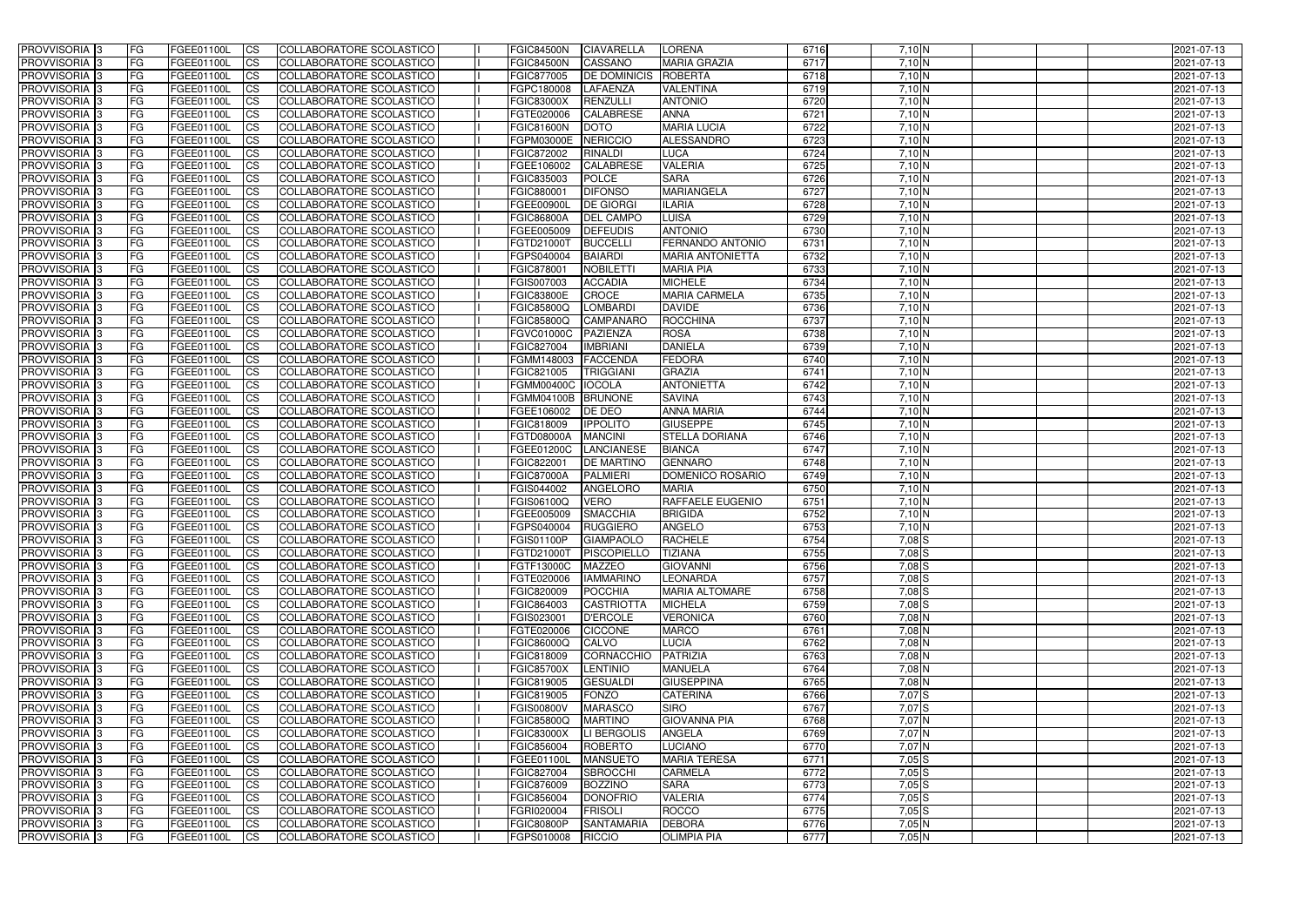| <b>PROVVISORIA</b> 3                      | l FG            | FGEE01100L               | <b>ICS</b>             | COLLABORATORE SCOLASTICO                             | <b>FGIC84500N</b>        | <b>CIAVARELLA</b>                 | <b>LORENA</b>                          | 6716         | 7,10 N           | 2021-07-13               |
|-------------------------------------------|-----------------|--------------------------|------------------------|------------------------------------------------------|--------------------------|-----------------------------------|----------------------------------------|--------------|------------------|--------------------------|
| <b>PROVVISORIA 3</b>                      | FG              | FGEE01100L               | <b>ICS</b>             | COLLABORATORE SCOLASTICO                             | <b>FGIC84500N</b>        | <b>CASSANO</b>                    | <b>MARIA GRAZIA</b>                    | 6717         | 7,10 N           | 2021-07-13               |
| PROVVISORIA <sup>1</sup> 3                | FG              | FGEE01100L               | <b>CS</b>              | <b>COLLABORATORE SCOLASTICO</b>                      | FGIC877005               | <b>DE DOMINICIS</b>               | <b>ROBERTA</b>                         | 6718         | 7,10 N           | 2021-07-13               |
| PROVVISORIA                               | FG              | FGEE01100L               | <b>CS</b>              | COLLABORATORE SCOLASTICO                             | FGPC180008               | <b>LAFAENZA</b>                   | <b>VALENTINA</b>                       | 6719         | 7,10 N           | 2021-07-13               |
| PROVVISORIA <sup>1</sup> 3                | FG              | FGEE01100L               | <b>CS</b>              | COLLABORATORE SCOLASTICO                             | <b>FGIC83000X</b>        | RENZULLI                          | <b>ANTONIO</b>                         | 6720         | 7,10 N           | 2021-07-13               |
| PROVVISORIA <sup>1</sup> 3                | FG              | FGEE01100L               | <b>CS</b>              | COLLABORATORE SCOLASTICO                             | FGTE020006               | <b>CALABRESE</b>                  | <b>ANNA</b>                            | 6721         | 7,10 N           | 2021-07-13               |
| PROVVISORIA <sup>1</sup> 3                | FG              | FGEE01100L               | <b>CS</b>              | COLLABORATORE SCOLASTICO                             | <b>FGIC81600N</b>        | <b>DOTO</b>                       | <b>MARIA LUCIA</b>                     | 6722         | 7,10 N           | 2021-07-13               |
| PROVVISORIA 3                             | FG              | FGEE01100L               | <b>ICS</b>             | COLLABORATORE SCOLASTICO                             | FGPM03000E               | <b>NERICCIO</b>                   | ALESSANDRO                             | 6723         | 7,10 N           | 2021-07-13               |
| PROVVISORIA 3                             | <b>FG</b>       | FGEE01100L               | <b>CS</b>              | COLLABORATORE SCOLASTICO                             | FGIC872002               | <b>RINALDI</b>                    | <b>LUCA</b>                            | 6724         | $7,10$ N         | 2021-07-13               |
| PROVVISORIA 3                             | <b>FG</b>       | FGEE01100L               | <b>ICS</b>             | COLLABORATORE SCOLASTICO                             | FGEE106002               | <b>CALABRESE</b>                  | <b>VALERIA</b>                         | 6725         | 7,10 N           | 2021-07-13               |
| PROVVISORIA 3                             | FG              | FGEE01100L               | <b>CS</b>              | COLLABORATORE SCOLASTICO                             | FGIC835003               | <b>POLCE</b>                      | <b>SARA</b>                            | 6726         | 7,10 N           | 2021-07-13               |
| <b>PROVVISORIA</b>                        | FG              | FGEE01100L               | <b>CS</b>              | COLLABORATORE SCOLASTICO                             | FGIC880001               | <b>DIFONSO</b>                    | MARIANGELA                             | 6727         | $7,10$ N         | 2021-07-13               |
| <b>PROVVISORIA</b>                        | FG              | FGEE01100L               | <b>ICS</b>             | COLLABORATORE SCOLASTICO                             | FGEE00900I               | <b>DE GIORGI</b>                  | <b>ILARIA</b>                          | 6728         | 7,10 N           | 2021-07-13               |
| <b>PROVVISORIA</b>                        | FG              | FGEE01100L               | <b>ICS</b>             | COLLABORATORE SCOLASTICO                             | <b>FGIC86800A</b>        | <b>DEL CAMPO</b>                  | <b>LUISA</b>                           | 6729         | 7,10 N           | 2021-07-13               |
| <b>PROVVISORIA</b>                        | FG              | FGEE01100L               | <b>ICS</b>             | COLLABORATORE SCOLASTICO                             | FGEE005009               | <b>IDEFEUDIS</b>                  | <b>ANTONIO</b>                         | 6730         | 7,10 N           | 2021-07-13               |
| <b>PROVVISORIA</b>                        | FG              | FGEE01100L               | <b>ICS</b>             | COLLABORATORE SCOLASTICO                             | FGTD21000T               | <b>BUCCELLI</b>                   | FERNANDO ANTONIO                       | 6731         | 7,10 N           | 2021-07-13               |
| <b>PROVVISORIA</b>                        | FG              | FGEE01100L               | <b>ICS</b>             | COLLABORATORE SCOLASTICO                             | FGPS040004               | <b>BAIARDI</b>                    | <b>MARIA ANTONIETTA</b>                | 6732         | 7,10 N           | 2021-07-13               |
| <b>PROVVISORIA</b>                        | FG              | FGEE01100L               | <b>ICS</b>             | COLLABORATORE SCOLASTICO                             | FGIC878001               | NOBILETTI                         | <b>MARIA PIA</b>                       | 6733         | 7,10 N           | 2021-07-13               |
| PROVVISORIA <sup>3</sup>                  | FG              | FGEE01100L               | <b>ICS</b>             | COLLABORATORE SCOLASTICO                             | FGIS007003               | <b>ACCADIA</b>                    | <b>MICHELE</b>                         | 6734         | 7,10 N           | 2021-07-13               |
| PROVVISORIA <sup>3</sup>                  | FG              | FGEE01100L               | <b>ICS</b>             | COLLABORATORE SCOLASTICO                             | <b>FGIC83800E</b>        | CROCE                             | <b>MARIA CARMELA</b>                   | 6735         | 7,10 N           | 2021-07-13               |
| PROVVISORIA <sup>1</sup> 3                | FG              | FGEE01100L               | <b>ICS</b>             | COLLABORATORE SCOLASTICO                             | FGIC85800Q               | <b>LOMBARDI</b>                   | <b>DAVIDE</b>                          | 6736         | 7,10 N           | 2021-07-13               |
| PROVVISORIA 3                             | FG              | FGEE01100L               | <b>ICS</b>             | COLLABORATORE SCOLASTICO                             | FGIC85800Q               | <b>CAMPANARC</b>                  | <b>ROCCHINA</b>                        | 6737         | 7,10 N           | 2021-07-13               |
| PROVVISORIA 3                             | FG              | FGEE01100L               | <b>ICS</b>             | <b>COLLABORATORE SCOLASTICO</b>                      | FGVC01000C               | <b>PAZIENZA</b>                   | <b>ROSA</b>                            | 6738         | 7,10 N           | 2021-07-13               |
| PROVVISORIA <sup>13</sup>                 | FG              | FGEE01100L               | <b>CS</b>              | COLLABORATORE SCOLASTICO                             | FGIC827004               | <b>IMBRIANI</b>                   | <b>DANIELA</b>                         | 6739         | 7,10 N           | 2021-07-13               |
| PROVVISORIA <sup>1</sup> 3                | FG              | FGEE01100L               | <b>CS</b>              | COLLABORATORE SCOLASTICO                             | FGMM148003               | <b>FACCENDA</b>                   | <b>FEDORA</b>                          | 6740         | 7,10 N           | 2021-07-13               |
| PROVVISORIA <sup>1</sup> 3                | FG              | FGEE01100L               | <b>CS</b>              | COLLABORATORE SCOLASTICO                             | FGIC821005               | <b>TRIGGIANI</b>                  | <b>GRAZIA</b>                          | 6741         | 7,10 N           | 2021-07-13               |
| PROVVISORIA 3                             | FG              | FGEE01100L               | <b>ICS</b>             | COLLABORATORE SCOLASTICO                             | <b>FGMM00400C</b>        | <b>IOCOLA</b>                     | <b>ANTONIETTA</b>                      | 6742         | 7,10 N           | 2021-07-13               |
| PROVVISORIA                               | FG              | FGEE01100L               | <b>ICS</b>             | COLLABORATORE SCOLASTICO                             | FGMM04100B               | <b>BRUNONE</b>                    | <b>SAVINA</b>                          | 6743         | $7,10$ N         | 2021-07-13               |
| PROVVISORIA                               | FG              | FGEE01100L               | <b>CS</b>              | <b>COLLABORATORE SCOLASTICO</b>                      | FGEE106002               | DE DEO                            | <b>ANNA MARIA</b>                      | 6744         | 7,10 N           | 2021-07-13               |
| PROVVISORIA                               | FG              | FGEE01100L<br>FGEE01100L | <b>CS</b>              | COLLABORATORE SCOLASTICO                             | FGIC818009               | <b>IPPOLITO</b><br><b>MANCINI</b> | <b>GIUSEPPE</b>                        | 6745         | 7,10 N           | 2021-07-13               |
| PROVVISORIA<br>PROVVISORIA <sup>1</sup> 3 | FG<br><b>FG</b> |                          | <b>CS</b>              | COLLABORATORE SCOLASTICO<br>COLLABORATORE SCOLASTICO | FGTD08000A<br>FGEE01200C | <b>LANCIANESE</b>                 | <b>STELLA DORIANA</b><br><b>BIANCA</b> | 6746<br>6747 | 7,10 N<br>7,10 N | 2021-07-13               |
| PROVVISORIA <sup>1</sup> 3                | FG              | FGEE01100L<br>FGEE01100L | <b>CS</b><br><b>CS</b> | COLLABORATORE SCOLASTICO                             | FGIC822001               | <b>DE MARTINO</b>                 | <b>GENNARO</b>                         | 6748         | 7,10 N           | 2021-07-13<br>2021-07-13 |
| PROVVISORIA 3                             | FG              | FGEE01100L               | <b>CS</b>              | <b>COLLABORATORE SCOLASTICO</b>                      | <b>FGIC87000A</b>        | <b>PALMIERI</b>                   | DOMENICO ROSARIO                       | 6749         | 7,10 N           | 2021-07-13               |
| <b>PROVVISORIA</b>                        | FG              | FGEE01100L               | <b>ICS</b>             | COLLABORATORE SCOLASTICO                             | FGIS044002               | <b>ANGELORO</b>                   | <b>MARIA</b>                           | 6750         | 7,10 N           | 2021-07-13               |
| PROVVISORIA <sup>1</sup> 3                | <b>FG</b>       | FGEE01100L               | <b>CS</b>              | COLLABORATORE SCOLASTICO                             | FGIS06100Q               | <b>VERO</b>                       | <b>RAFFAELE EUGENIO</b>                | 6751         | $7,10$ N         | 2021-07-13               |
| PROVVISORIA 3                             | <b>FG</b>       | FGEE01100L               | <b>ICS</b>             | COLLABORATORE SCOLASTICO                             | FGEE005009               | <b>SMACCHIA</b>                   | <b>BRIGIDA</b>                         | 6752         | 7,10 N           | 2021-07-13               |
| <b>PROVVISORIA</b>                        | <b>FG</b>       | FGEE01100L               | <b>ICS</b>             | COLLABORATORE SCOLASTICO                             | FGPS040004               | RUGGIERO                          | <b>ANGELO</b>                          | 6753         | 7,10 N           | 2021-07-13               |
| PROVVISORIA 3                             | FG              | FGEE01100L               | CS                     | COLLABORATORE SCOLASTICO                             | FGIS01100P               | GIAMPAOLO                         | <b>RACHELE</b>                         | 6754         | $7,08$ S         | 2021-07-13               |
| PROVVISORIA <sup>3</sup>                  | <b>FG</b>       | FGEE01100L               | $\mathsf{ICS}$         | COLLABORATORE SCOLASTICO                             | FGTD21000T               | PISCOPIELLO                       | <b>TIZIANA</b>                         | 6755         | $7,08$ $S$       | 2021-07-13               |
| PROVVISORIA 3                             | <b>FG</b>       | <b>FGEE01100L</b>        | $\mathsf{ICS}$         | COLLABORATORE SCOLASTICO                             | FGTF13000C               | <b>MAZZEO</b>                     | <b>GIOVANNI</b>                        | 6756         | 7,08 S           | 2021-07-13               |
| PROVVISORIA 3                             | <b>FG</b>       | FGEE01100L               | $\mathsf{ICS}$         | COLLABORATORE SCOLASTICO                             | FGTE020006               | <b>IAMMARINO</b>                  | <b>LEONARDA</b>                        | 6757         | $7,08$ S         | 2021-07-13               |
| PROVVISORIA 3                             | FG              | FGEE01100L               | $\mathsf{ICS}$         | COLLABORATORE SCOLASTICO                             | FGIC820009               | <b>POCCHIA</b>                    | <b>MARIA ALTOMARE</b>                  | 6758         | 7,08 S           | 2021-07-13               |
| PROVVISORIA 3                             | l FG            | FGEE01100L               | <b>CS</b>              | COLLABORATORE SCOLASTICO                             | FGIC864003               | <b>CASTRIOTTA</b>                 | <b>MICHELA</b>                         | 6759         | $7,08$ S         | 2021-07-13               |
| PROVVISORIA 3                             | <b>FG</b>       | FGEE01100L               | $\mathsf{ICS}$         | COLLABORATORE SCOLASTICO                             | FGIS023001               | <b>D'ERCOLE</b>                   | <b>VERONICA</b>                        | 6760         | $7,08$ N         | 2021-07-13               |
| PROVVISORIA 3                             | FG              | FGEE01100L               | <b>CS</b>              | COLLABORATORE SCOLASTICO                             | FGTE020006               | <b>CICCONE</b>                    | <b>MARCO</b>                           | 6761         | $7,08$ N         | 2021-07-13               |
| PROVVISORIA 3                             | <b>FG</b>       | FGEE01100L               | <b>CS</b>              | COLLABORATORE SCOLASTICO                             | FGIC86000Q               | <b>CALVO</b>                      | <b>LUCIA</b>                           | 6762         | 7,08 N           | 2021-07-13               |
| PROVVISORIA 3                             | <b>FG</b>       | FGEE01100L               | <b>CS</b>              | COLLABORATORE SCOLASTICO                             | FGIC818009               | CORNACCHIO                        | PATRIZIA                               | 6763         | $7,08$ N         | 2021-07-13               |
| PROVVISORIA 3                             | <b>FG</b>       | FGEE01100L               | <b>CS</b>              | COLLABORATORE SCOLASTICO                             | <b>FGIC85700X</b>        | LENTINIO                          | <b>MANUELA</b>                         | 6764         | $7,08$ N         | 2021-07-13               |
| PROVVISORIA 3                             | <b>FG</b>       | FGEE01100L               | <b>CS</b>              | COLLABORATORE SCOLASTICO                             | FGIC819005               | <b>GESUALDI</b>                   | <b>GIUSEPPINA</b>                      | 6765         | $7,08$ N         | 2021-07-13               |
| PROVVISORIA 3                             | <b>FG</b>       | FGEE01100L               | <b>CS</b>              | COLLABORATORE SCOLASTICO                             | FGIC819005               | <b>FONZO</b>                      | <b>CATERINA</b>                        | 6766         | $7,07$ S         | 2021-07-13               |
| PROVVISORIA 3                             | <b>FG</b>       | FGEE01100L               | <b>CS</b>              | COLLABORATORE SCOLASTICO                             | <b>FGIS00800V</b>        | <b>MARASCO</b>                    | <b>SIRO</b>                            | 6767         | $7,07$ S         | 2021-07-13               |
| PROVVISORIA 3                             | <b>FG</b>       | FGEE01100L               | <b>CS</b>              | COLLABORATORE SCOLASTICO                             | <b>FGIC85800Q</b>        | <b>MARTINO</b>                    | <b>GIOVANNA PIA</b>                    | 6768         | 7,07N            | 2021-07-13               |
| PROVVISORIA 3                             | <b>FG</b>       | FGEE01100L               | <b>CS</b>              | COLLABORATORE SCOLASTICO                             | <b>FGIC83000X</b>        | LI BERGOLIS                       | <b>ANGELA</b>                          | 6769         | 7,07N            | 2021-07-13               |
| PROVVISORIA 3                             | <b>FG</b>       | FGEE01100L               | <b>CS</b>              | COLLABORATORE SCOLASTICO                             | FGIC856004               | ROBERTO                           | <b>LUCIANO</b>                         | 6770         | 7,07 N           | 2021-07-13               |
| PROVVISORIA 3                             | <b>FG</b>       | FGEE01100L               | <b>CS</b>              | COLLABORATORE SCOLASTICO                             | FGEE01100L               | <b>MANSUETO</b>                   | <b>MARIA TERESA</b>                    | 6771         | $7,05$ S         | 2021-07-13               |
| PROVVISORIA 3                             | <b>FG</b>       | FGEE01100L               | <b>CS</b>              | COLLABORATORE SCOLASTICO                             | FGIC827004               | <b>SBROCCHI</b>                   | <b>CARMELA</b>                         | 6772         | $7,05$ S         | 2021-07-13               |
| PROVVISORIA 3                             | FG              | FGEE01100L               | <b>CS</b>              | COLLABORATORE SCOLASTICO                             | FGIC876009               | <b>BOZZINO</b>                    | <b>SARA</b>                            | 6773         | $7,05$ $S$       | 2021-07-13               |
| PROVVISORIA 3                             | FG              | <b>FGEE01100L</b>        | <b>CS</b>              | COLLABORATORE SCOLASTICO                             | FGIC856004               | <b>DONOFRIO</b>                   | <b>VALERIA</b>                         | 6774         | $7,05$ $S$       | 2021-07-13               |
| PROVVISORIA 3                             | <b>FG</b>       | FGEE01100L               | <b>CS</b>              | COLLABORATORE SCOLASTICO                             | FGRI020004               | <b>FRISOLI</b>                    | <b>ROCCO</b>                           | 6775         | $7,05$ S         | 2021-07-13               |
| PROVVISORIA 3                             | <b>FG</b>       | FGEE01100L               | $\overline{\text{CS}}$ | COLLABORATORE SCOLASTICO                             | <b>FGIC80800P</b>        | <b>SANTAMARIA</b>                 | <b>DEBORA</b>                          | 6776         | 7,05N            | 2021-07-13               |
| PROVVISORIA 3                             | <b>FG</b>       | FGEE01100L               | $\overline{\text{CS}}$ | COLLABORATORE SCOLASTICO                             | FGPS010008               | RICCIO                            | <b>OLIMPIA PIA</b>                     | 6777         | 7,05N            | 2021-07-13               |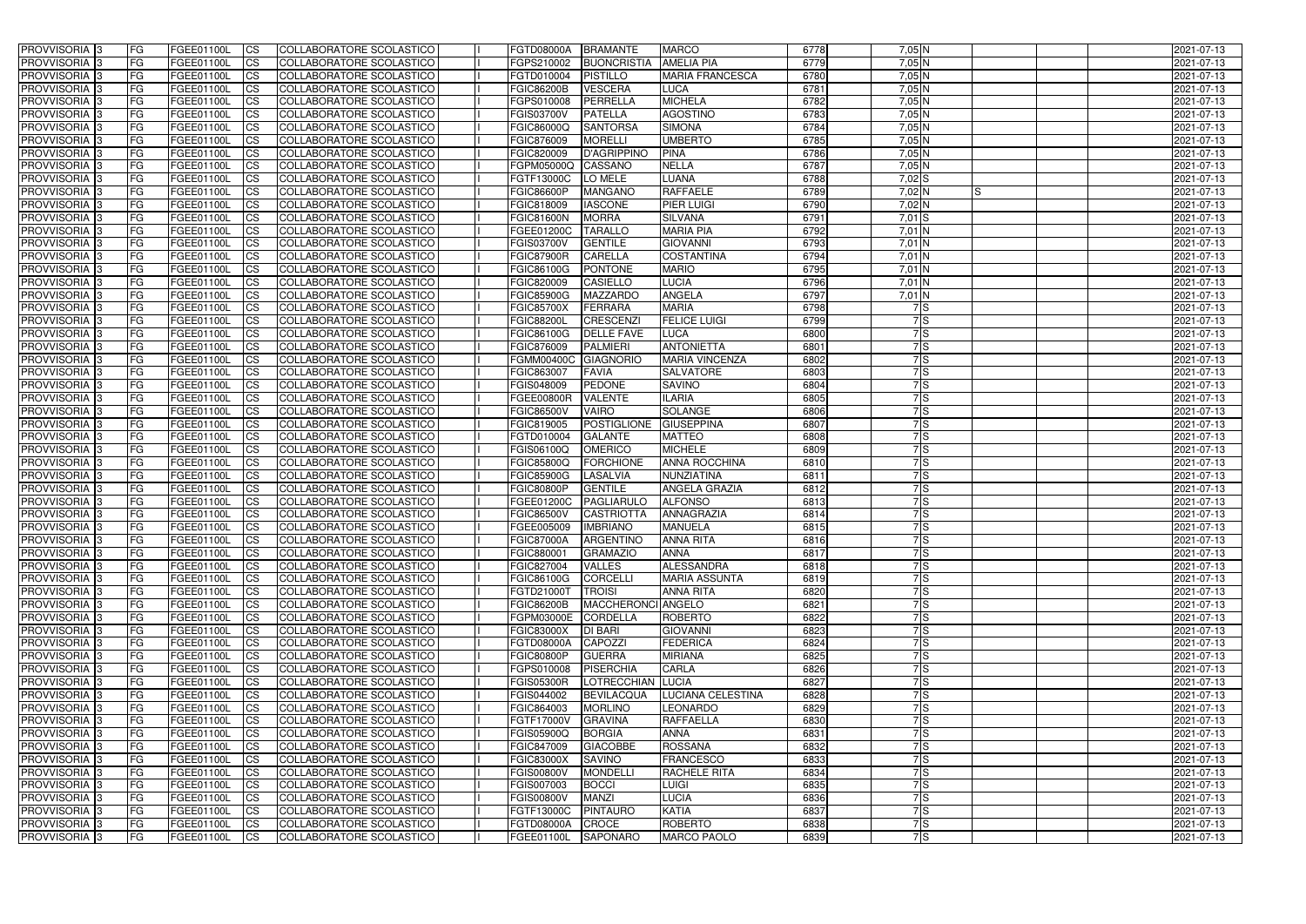| <b>PROVVISORIA</b> 3       | l FG      | FGEE01100L        | <b>ICS</b>             | COLLABORATORE SCOLASTICO        | <b>FGTD08000A</b> | <b>BRAMANTE</b>    | <b>MARCO</b>           | 6778 | $7,05$ N         | 2021-07-13 |
|----------------------------|-----------|-------------------|------------------------|---------------------------------|-------------------|--------------------|------------------------|------|------------------|------------|
| <b>PROVVISORIA 3</b>       | FG        | FGEE01100L        | <b>ICS</b>             | COLLABORATORE SCOLASTICO        | FGPS210002        | <b>BUONCRISTIA</b> | <b>AMELIA PIA</b>      | 6779 | 7,05 N           | 2021-07-13 |
| PROVVISORIA <sup>1</sup> 3 | FG        | FGEE01100L        | <b>CS</b>              | <b>COLLABORATORE SCOLASTICO</b> | FGTD010004        | <b>PISTILLO</b>    | <b>MARIA FRANCESCA</b> | 6780 | 7,05 N           | 2021-07-13 |
| PROVVISORIA                | FG        | FGEE01100L        | <b>CS</b>              | COLLABORATORE SCOLASTICO        | <b>FGIC86200B</b> | <b>VESCERA</b>     | <b>LUCA</b>            | 6781 | $7,05$ N         | 2021-07-13 |
| <b>PROVVISORIA 3</b>       | FG        | FGEE01100L        | <b>CS</b>              | COLLABORATORE SCOLASTICO        | FGPS010008        | PERRELLA           | <b>MICHELA</b>         | 6782 | 7,05 N           | 2021-07-13 |
| PROVVISORIA <sup>1</sup> 3 | FG        | FGEE01100L        | <b>CS</b>              | COLLABORATORE SCOLASTICO        | FGIS03700V        | <b>PATELLA</b>     | <b>AGOSTINO</b>        | 6783 | 7,05 N           | 2021-07-13 |
| PROVVISORIA <sup>1</sup> 3 | FG        | FGEE01100L        | <b>CS</b>              | COLLABORATORE SCOLASTICO        | FGIC86000Q        | <b>SANTORSA</b>    | <b>SIMONA</b>          | 6784 | $7,05$ N         | 2021-07-13 |
| PROVVISORIA 3              | FG        | FGEE01100L        | <b>ICS</b>             | COLLABORATORE SCOLASTICO        | FGIC876009        | <b>MORELLI</b>     | <b>UMBERTO</b>         | 6785 | $7,05$ N         | 2021-07-13 |
| PROVVISORIA 3              | FG        | FGEE01100L        | <b>CS</b>              | COLLABORATORE SCOLASTICO        | FGIC820009        | <b>D'AGRIPPINO</b> | <b>PINA</b>            | 6786 | 7,05 N           | 2021-07-13 |
| PROVVISORIA 3              | <b>FG</b> | FGEE01100L        | <b>ICS</b>             | COLLABORATORE SCOLASTICO        | FGPM05000Q        | CASSANO            | <b>NELLA</b>           | 6787 | 7,05N            | 2021-07-13 |
| PROVVISORIA 3              | FG        | FGEE01100L        | <b>ICS</b>             | COLLABORATORE SCOLASTICO        | FGTF13000C        | LO MELE            | LUANA                  | 6788 | $7,02$ S         | 2021-07-13 |
| <b>PROVVISORIA</b>         | FG        | FGEE01100L        | <b>ICS</b>             | COLLABORATORE SCOLASTICO        | <b>FGIC86600P</b> | <b>MANGANO</b>     | <b>RAFFAELE</b>        | 6789 | 7,02 N<br>IS     | 2021-07-13 |
| <b>PROVVISORIA</b>         | FG        | FGEE01100L        | <b>ICS</b>             | COLLABORATORE SCOLASTICO        | FGIC818009        | <b>IASCONE</b>     | <b>PIER LUIGI</b>      | 6790 | $7,02$ N         | 2021-07-13 |
| <b>PROVVISORIA</b>         | FG        | FGEE01100L        | <b>ICS</b>             | COLLABORATORE SCOLASTICO        | <b>FGIC81600N</b> | <b>MORRA</b>       | <b>SILVANA</b>         | 6791 | $7,01$ S         | 2021-07-13 |
| <b>PROVVISORIA</b>         | FG        | FGEE01100L        | <b>ICS</b>             | COLLABORATORE SCOLASTICO        | <b>FGEE01200C</b> | <b>TARALLO</b>     | <b>MARIA PIA</b>       | 6792 | 7,01 N           | 2021-07-13 |
| <b>PROVVISORIA</b>         | FG        | FGEE01100L        | <b>ICS</b>             | COLLABORATORE SCOLASTICO        | <b>FGIS03700V</b> | <b>GENTILE</b>     | <b>GIOVANNI</b>        | 6793 | $7,01$ N         | 2021-07-13 |
| <b>PROVVISORIA</b>         | FG        | FGEE01100L        | <b>ICS</b>             | COLLABORATORE SCOLASTICO        | <b>FGIC87900R</b> | <b>CARELLA</b>     | <b>COSTANTINA</b>      | 6794 | 7,01 N           | 2021-07-13 |
| <b>PROVVISORIA</b>         | FG        | FGEE01100L        | <b>ICS</b>             | COLLABORATORE SCOLASTICO        | <b>FGIC86100G</b> | <b>PONTONE</b>     | <b>MARIO</b>           | 6795 | 7,01 N           | 2021-07-13 |
| PROVVISORIA <sup>3</sup>   | FG        | FGEE01100L        | <b>ICS</b>             | COLLABORATORE SCOLASTICO        | FGIC820009        | <b>CASIELLO</b>    | <b>LUCIA</b>           | 6796 | 7,01 N           | 2021-07-13 |
| PROVVISORIA 3              | FG        | FGEE01100L        | <b>ICS</b>             | COLLABORATORE SCOLASTICO        | <b>FGIC85900G</b> | <b>MAZZARDC</b>    | <b>ANGELA</b>          | 6797 | 7,01 N           | 2021-07-13 |
| PROVVISORIA <sup>3</sup>   | FG        | FGEE01100L        | <b>ICS</b>             | COLLABORATORE SCOLASTICO        | <b>FGIC85700X</b> | <b>FERRARA</b>     | <b>MARIA</b>           | 6798 | 7S               | 2021-07-13 |
| PROVVISORIA 3              | FG        | FGEE01100L        | <b>ICS</b>             | COLLABORATORE SCOLASTICO        | <b>FGIC88200L</b> | CRESCENZI          | <b>FELICE LUIGI</b>    | 6799 | 7 S              | 2021-07-13 |
| PROVVISORIA <sup>3</sup>   | FG        | FGEE01100L        | <b>ICS</b>             | <b>COLLABORATORE SCOLASTICO</b> | FGIC86100G        | <b>DELLE FAVE</b>  | <b>LUCA</b>            | 6800 | 7S               | 2021-07-13 |
| PROVVISORIA <sup>3</sup>   | FG        | FGEE01100L        | <b>CS</b>              | COLLABORATORE SCOLASTICO        | FGIC876009        | <b>PALMIERI</b>    | <b>ANTONIETTA</b>      | 6801 | 7S               | 2021-07-13 |
| PROVVISORIA <sup>3</sup>   | FG        | FGEE01100L        | <b>CS</b>              | <b>COLLABORATORE SCOLASTICO</b> | FGMM00400C        | <b>GIAGNORIO</b>   | <b>MARIA VINCENZA</b>  | 6802 | $\overline{7}$ S | 2021-07-13 |
| PROVVISORIA <sup>1</sup> 3 | FG        | FGEE01100L        | <b>ICS</b>             | COLLABORATORE SCOLASTICO        | FGIC863007        | <b>FAVIA</b>       | <b>SALVATORE</b>       | 6803 | 7S               | 2021-07-13 |
| PROVVISORIA 3              | FG        | FGEE01100L        | <b>ICS</b>             | COLLABORATORE SCOLASTICO        | FGIS048009        | <b>PEDONE</b>      | <b>SAVINO</b>          | 6804 | $\overline{7}$ S | 2021-07-13 |
| PROVVISORIA                | FG        | FGEE01100L        | <b>ICS</b>             | COLLABORATORE SCOLASTICO        | <b>FGEE00800R</b> | <b>VALENTE</b>     | <b>ILARIA</b>          | 6805 | 7S               | 2021-07-13 |
| PROVVISORIA                | FG        | FGEE01100L        | <b>CS</b>              | <b>COLLABORATORE SCOLASTICO</b> | <b>FGIC86500V</b> | <b>VAIRO</b>       | SOLANGE                | 6806 | 7ls              | 2021-07-13 |
| PROVVISORIA                | FG        | FGEE01100L        | <b>CS</b>              | COLLABORATORE SCOLASTICO        | FGIC819005        | <b>POSTIGLIONE</b> | <b>GIUSEPPINA</b>      | 6807 | 7ls              | 2021-07-13 |
| PROVVISORIA                | FG        | FGEE01100L        | <b>CS</b>              | COLLABORATORE SCOLASTICO        | FGTD010004        | <b>GALANTE</b>     | <b>MATTEO</b>          | 6808 | 7ls              | 2021-07-13 |
| PROVVISORIA <sup>1</sup> 3 | FG        | FGEE01100L        | <b>CS</b>              | COLLABORATORE SCOLASTICO        | FGIS06100Q        | <b>OMERICO</b>     | <b>MICHELE</b>         | 6809 | $\overline{7}$ S | 2021-07-13 |
| PROVVISORIA <sup>1</sup> 3 | FG        | FGEE01100L        | <b>CS</b>              | COLLABORATORE SCOLASTICO        | FGIC85800Q        | <b>FORCHIONE</b>   | <b>ANNA ROCCHINA</b>   | 6810 | 7S               | 2021-07-13 |
| PROVVISORIA 3              | FG        | FGEE01100L        | <b>CS</b>              | <b>COLLABORATORE SCOLASTICO</b> | <b>FGIC85900G</b> | <b>LASALVIA</b>    | NUNZIATINA             | 6811 | 7S               | 2021-07-13 |
| <b>PROVVISORIA</b>         | FG        | FGEE01100L        | <b>ICS</b>             | COLLABORATORE SCOLASTICO        | <b>FGIC80800P</b> | <b>GENTILE</b>     | <b>ANGELA GRAZIA</b>   | 6812 | 7S               | 2021-07-13 |
| PROVVISORIA <sup>1</sup> 3 | <b>FG</b> | FGEE01100L        | <b>ICS</b>             | COLLABORATORE SCOLASTICO        | FGEE01200C        | PAGLIARULO         | <b>ALFONSO</b>         | 6813 | 7S               | 2021-07-13 |
| PROVVISORIA 3              | <b>FG</b> | FGEE01100L        | <b>ICS</b>             | COLLABORATORE SCOLASTICO        | <b>FGIC86500V</b> | <b>CASTRIOTTA</b>  | ANNAGRAZIA             | 6814 | 7S               | 2021-07-13 |
| <b>PROVVISORIA</b>         | <b>FG</b> | FGEE01100L        | <b>ICS</b>             | COLLABORATORE SCOLASTICO        | FGEE005009        | <b>IMBRIANO</b>    | <b>MANUELA</b>         | 6815 | 7S               | 2021-07-13 |
| PROVVISORIA 3              | FG        | FGEE01100L        | CS                     | COLLABORATORE SCOLASTICO        | <b>FGIC87000A</b> | ARGENTINO          | <b>ANNA RITA</b>       | 6816 | 7S               | 2021-07-13 |
| PROVVISORIA 3              | <b>FG</b> | FGEE01100L        | $\mathsf{ICS}$         | COLLABORATORE SCOLASTICO        | FGIC880001        | <b>GRAMAZIO</b>    | <b>ANNA</b>            | 6817 | 7S               | 2021-07-13 |
| PROVVISORIA 3              | <b>FG</b> | <b>FGEE01100L</b> | $\mathsf{ICS}$         | COLLABORATORE SCOLASTICO        | FGIC827004        | <b>VALLES</b>      | <b>ALESSANDRA</b>      | 6818 | 7ls              | 2021-07-13 |
| PROVVISORIA 3              | <b>FG</b> | FGEE01100L        | $\mathsf{ICS}$         | COLLABORATORE SCOLASTICO        | <b>FGIC86100G</b> | <b>CORCELLI</b>    | <b>MARIA ASSUNTA</b>   | 6819 | 7ls              | 2021-07-13 |
| PROVVISORIA 3              | FG        | FGEE01100L        | $\mathsf{ICS}$         | COLLABORATORE SCOLASTICO        | FGTD21000T        | <b>TROISI</b>      | <b>ANNA RITA</b>       | 6820 | 7ls              | 2021-07-13 |
| PROVVISORIA 3              | l FG      | FGEE01100L        | $\mathsf{ICS}$         | COLLABORATORE SCOLASTICO        | <b>FGIC86200B</b> | MACCHERONCI ANGELO |                        | 6821 | 7S               | 2021-07-13 |
| PROVVISORIA 3              | <b>FG</b> | FGEE01100L        | $\mathsf{ICS}$         | COLLABORATORE SCOLASTICO        | FGPM03000E        | <b>CORDELLA</b>    | <b>ROBERTO</b>         | 6822 | $\overline{7}$ S | 2021-07-13 |
| PROVVISORIA 3              | FG        | FGEE01100L        | <b>CS</b>              | COLLABORATORE SCOLASTICO        | <b>FGIC83000X</b> | DI BARI            | <b>GIOVANNI</b>        | 6823 | 7S               | 2021-07-13 |
| PROVVISORIA 3              | <b>FG</b> | FGEE01100L        | <b>CS</b>              | COLLABORATORE SCOLASTICO        | FGTD08000A        | <b>CAPOZZI</b>     | <b>FEDERICA</b>        | 6824 | 7S               | 2021-07-13 |
| PROVVISORIA 3              | <b>FG</b> | FGEE01100L        | <b>CS</b>              | COLLABORATORE SCOLASTICO        | <b>FGIC80800P</b> | <b>GUERRA</b>      | <b>MIRIANA</b>         | 6825 | 7S               | 2021-07-13 |
| PROVVISORIA 3              | <b>FG</b> | FGEE01100L        | <b>CS</b>              | COLLABORATORE SCOLASTICO        | FGPS010008        | PISERCHIA          | CARLA                  | 6826 | 7S               | 2021-07-13 |
| PROVVISORIA 3              | <b>FG</b> | FGEE01100L        | <b>CS</b>              | COLLABORATORE SCOLASTICO        | <b>FGIS05300R</b> | LOTRECCHIAN LUCIA  |                        | 6827 | 7S               | 2021-07-13 |
| PROVVISORIA 3              | <b>FG</b> | FGEE01100L        | <b>CS</b>              | COLLABORATORE SCOLASTICO        | FGIS044002        | <b>BEVILACQUA</b>  | LUCIANA CELESTINA      | 6828 | 7S               | 2021-07-13 |
| PROVVISORIA 3              | <b>FG</b> | FGEE01100L        | <b>CS</b>              | COLLABORATORE SCOLASTICO        | FGIC864003        | <b>MORLINO</b>     | <b>LEONARDO</b>        | 6829 | 7S               | 2021-07-13 |
| PROVVISORIA 3              | <b>FG</b> | FGEE01100L        | <b>CS</b>              | COLLABORATORE SCOLASTICO        | FGTF17000V        | <b>GRAVINA</b>     | <b>RAFFAELLA</b>       | 6830 | 7S               | 2021-07-13 |
| PROVVISORIA 3              | <b>FG</b> | FGEE01100L        | <b>CS</b>              | COLLABORATORE SCOLASTICO        | FGIS05900Q        | <b>BORGIA</b>      | <b>ANNA</b>            | 6831 | 7S               | 2021-07-13 |
| PROVVISORIA 3              | <b>FG</b> | FGEE01100L        | <b>CS</b>              | COLLABORATORE SCOLASTICO        | FGIC847009        | <b>GIACOBBE</b>    | <b>ROSSANA</b>         | 6832 | 7S               | 2021-07-13 |
| PROVVISORIA 3              | <b>FG</b> | FGEE01100L        | <b>CS</b>              | COLLABORATORE SCOLASTICO        | <b>FGIC83000X</b> | <b>SAVINO</b>      | <b>FRANCESCO</b>       | 6833 | 7S               | 2021-07-13 |
| PROVVISORIA 3              | <b>FG</b> | FGEE01100L        | <b>CS</b>              | COLLABORATORE SCOLASTICO        | <b>FGIS00800V</b> | <b>MONDELLI</b>    | <b>RACHELE RITA</b>    | 6834 | $\overline{7}$ S | 2021-07-13 |
| PROVVISORIA 3              | FG        | FGEE01100L        | <b>CS</b>              | COLLABORATORE SCOLASTICO        | FGIS007003        | <b>BOCCI</b>       | <b>LUIGI</b>           | 6835 | 7s               | 2021-07-13 |
| PROVVISORIA 3              | FG        | FGEE01100L        | <b>CS</b>              | COLLABORATORE SCOLASTICO        | <b>FGIS00800V</b> | <b>MANZI</b>       | <b>LUCIA</b>           | 6836 | $\overline{7}$ S | 2021-07-13 |
| PROVVISORIA 3              | <b>FG</b> | FGEE01100L        | <b>CS</b>              | COLLABORATORE SCOLASTICO        | FGTF13000C        | <b>PINTAURO</b>    | <b>KATIA</b>           | 6837 | 7S               | 2021-07-13 |
| PROVVISORIA 3              | <b>FG</b> | FGEE01100L        | $\overline{\text{CS}}$ | COLLABORATORE SCOLASTICO        | FGTD08000A        | CROCE              | <b>ROBERTO</b>         | 6838 | 7S               | 2021-07-13 |
| PROVVISORIA 3              | <b>FG</b> | FGEE01100L        | $\overline{\text{CS}}$ | COLLABORATORE SCOLASTICO        | FGEE01100L        | <b>SAPONARO</b>    | <b>MARCO PAOLO</b>     | 6839 | 7s               | 2021-07-13 |
|                            |           |                   |                        |                                 |                   |                    |                        |      |                  |            |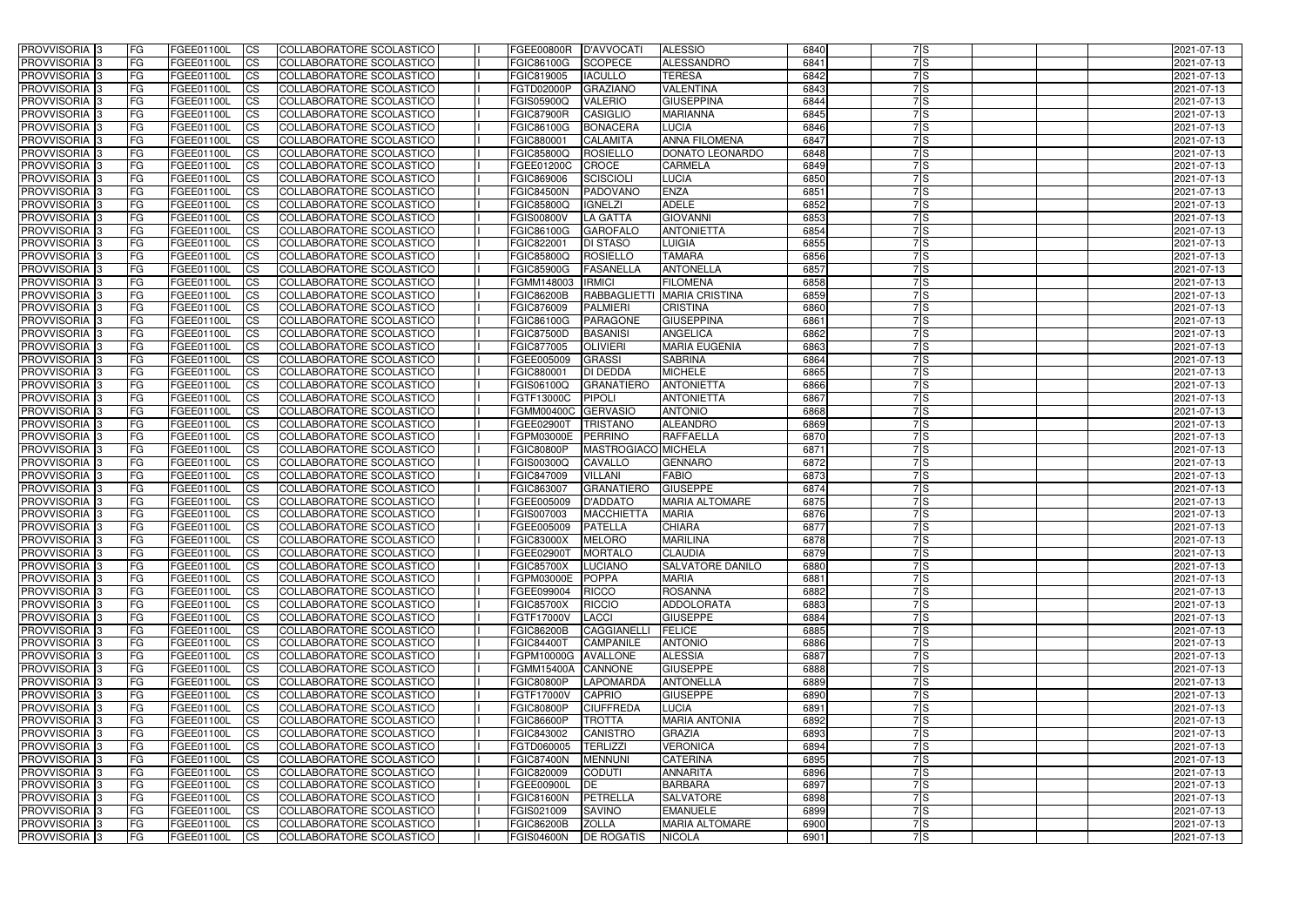| <b>PROVVISORIA</b> 3       | l FG      | FGEE01100L               | <b>ICS</b>             | COLLABORATORE SCOLASTICO        | FGEE00800R          | D'AVVOCAT                        | <b>ALESSIO</b>          | 6840 | 7S               | 2021-07-13 |
|----------------------------|-----------|--------------------------|------------------------|---------------------------------|---------------------|----------------------------------|-------------------------|------|------------------|------------|
| <b>PROVVISORIA 3</b>       | FG.       | FGEE01100L               | <b>ICS</b>             | COLLABORATORE SCOLASTICO        | FGIC86100G          | <b>SCOPECE</b>                   | <b>ALESSANDRO</b>       | 6841 | $\overline{7}$ S | 2021-07-13 |
| <b>PROVVISORIA</b>         | FG        | FGEE01100L               | <b>CS</b>              | COLLABORATORE SCOLASTICO        | FGIC819005          | <b>IACULLO</b>                   | <b>TERESA</b>           | 6842 | 7S               | 2021-07-13 |
| PROVVISORIA                | FG        | FGEE01100L               | <b>CS</b>              | COLLABORATORE SCOLASTICO        | FGTD02000P          | <b>GRAZIANO</b>                  | <b>VALENTINA</b>        | 6843 | 7S               | 2021-07-13 |
| <b>PROVVISORIA 3</b>       | FG        | FGEE01100L               | <b>CS</b>              | COLLABORATORE SCOLASTICO        | FGIS05900Q          | <b>VALERIO</b>                   | <b>GIUSEPPINA</b>       | 6844 | 7S               | 2021-07-13 |
| PROVVISORIA <sup>1</sup> 3 | FG        | FGEE01100L               | <b>CS</b>              | COLLABORATORE SCOLASTICO        | <b>FGIC87900R</b>   | <b>CASIGLIO</b>                  | <b>MARIANNA</b>         | 6845 | 7lS              | 2021-07-13 |
| PROVVISORIA <sup>1</sup> 3 | FG        | FGEE01100L               | <b>CS</b>              | COLLABORATORE SCOLASTICO        | FGIC86100G          | <b>BONACERA</b>                  | <b>LUCIA</b>            | 6846 | 7S               | 2021-07-13 |
| PROVVISORIA 3              | FG        | FGEE01100L               | <b>ICS</b>             | COLLABORATORE SCOLASTICO        | FGIC880001          | <b>CALAMITA</b>                  | <b>ANNA FILOMENA</b>    | 6847 | 7S               | 2021-07-13 |
| PROVVISORIA 3              | FG        | FGEE01100L               | <b>CS</b>              | COLLABORATORE SCOLASTICO        | FGIC85800Q          | <b>ROSIELLO</b>                  | DONATO LEONARDO         | 6848 | 7S               | 2021-07-13 |
| PROVVISORIA 3              | <b>FG</b> | FGEE01100L               | <b>ICS</b>             | COLLABORATORE SCOLASTICO        | FGEE01200C          | <b>CROCE</b>                     | <b>CARMELA</b>          | 6849 | 7S               | 2021-07-13 |
| <b>PROVVISORIA 3</b>       | FG        | FGEE01100L               | <b>ICS</b>             | COLLABORATORE SCOLASTICO        | FGIC869006          | SCISCIOLI                        | <b>LUCIA</b>            | 6850 | 7S               | 2021-07-13 |
| <b>PROVVISORIA</b>         | FG        | FGEE01100L               | <b>ICS</b>             | COLLABORATORE SCOLASTICO        | <b>FGIC84500N</b>   | <b>PADOVANO</b>                  | <b>ENZA</b>             | 6851 | 7S               | 2021-07-13 |
| <b>PROVVISORIA</b>         | FG        | FGEE01100L               | <b>ICS</b>             | COLLABORATORE SCOLASTICO        | <b>FGIC85800Q</b>   | <b>IGNELZI</b>                   | <b>ADELE</b>            | 6852 | 7S               | 2021-07-13 |
| <b>PROVVISORIA</b>         | FG        | FGEE01100L               | <b>ICS</b>             | COLLABORATORE SCOLASTICO        | <b>FGIS00800V</b>   | <b>LA GATTA</b>                  | <b>GIOVANNI</b>         | 6853 | 7S               | 2021-07-13 |
| <b>PROVVISORIA</b>         | FG        | FGEE01100L               | <b>ICS</b>             | COLLABORATORE SCOLASTICO        | <b>FGIC86100G</b>   | <b>GAROFALO</b>                  | <b>ANTONIETTA</b>       | 6854 | 7S               | 2021-07-13 |
| <b>PROVVISORIA</b>         | FG        | FGEE01100L               | <b>ICS</b>             | COLLABORATORE SCOLASTICO        | FGIC822001          | <b>DI STASO</b>                  | <b>LUIGIA</b>           | 6855 | 7ls              | 2021-07-13 |
| <b>PROVVISORIA</b>         | FG        | FGEE01100L               | <b>ICS</b>             | COLLABORATORE SCOLASTICO        | <b>FGIC85800Q</b>   | <b>ROSIELLO</b>                  | <b>TAMARA</b>           | 6856 | 7ls              | 2021-07-13 |
| <b>PROVVISORIA</b>         | FG        | FGEE01100L               | <b>ICS</b>             | COLLABORATORE SCOLASTICO        | <b>FGIC85900G</b>   | <b>FASANELLA</b>                 | <b>ANTONELLA</b>        | 6857 | 7lS              | 2021-07-13 |
| PROVVISORIA <sup>3</sup>   | FG        | FGEE01100L               | <b>ICS</b>             | COLLABORATORE SCOLASTICO        | FGMM148003          | <b>IRMICI</b>                    | <b>FILOMENA</b>         | 6858 | 7ls              | 2021-07-13 |
| PROVVISORIA 3              | FG        | FGEE01100L               | <b>ICS</b>             | COLLABORATORE SCOLASTICO        | <b>FGIC86200B</b>   | <b>RABBAGLIETTI</b>              | <b>MARIA CRISTINA</b>   | 6859 | 7S               | 2021-07-13 |
| PROVVISORIA <sup>1</sup> 3 | FG        | FGEE01100L               | <b>ICS</b>             | COLLABORATORE SCOLASTICO        | FGIC876009          | <b>PALMIERI</b>                  | <b>CRISTINA</b>         | 6860 | 7S               | 2021-07-13 |
| PROVVISORIA 3              | FG        | FGEE01100L               | <b>ICS</b>             | COLLABORATORE SCOLASTICO        | FGIC86100G          | <b>PARAGONE</b>                  | <b>GIUSEPPINA</b>       | 6861 | 7lS              | 2021-07-13 |
| PROVVISORIA <sup>3</sup>   |           |                          | <b>ICS</b>             | <b>COLLABORATORE SCOLASTICO</b> | <b>FGIC87500D</b>   | <b>BASANISI</b>                  | <b>ANGELICA</b>         | 6862 | 7S               |            |
| PROVVISORIA <sup>3</sup>   | FG        | FGEE01100L<br>FGEE01100L |                        | COLLABORATORE SCOLASTICO        | FGIC877005          |                                  | <b>MARIA EUGENIA</b>    | 6863 | 7S               | 2021-07-13 |
|                            | FG        | FGEE01100L               | <b>CS</b>              | <b>COLLABORATORE SCOLASTICO</b> |                     | <b>OLIVIERI</b><br><b>GRASSI</b> | <b>SABRINA</b>          | 6864 | 7S               | 2021-07-13 |
| PROVVISORIA <sup>3</sup>   | FG        |                          | <b>CS</b>              |                                 | FGEE005009          |                                  |                         |      |                  | 2021-07-13 |
| PROVVISORIA 3              | FG        | FGEE01100L               | <b>ICS</b>             | COLLABORATORE SCOLASTICO        | FGIC880001          | <b>DI DEDDA</b>                  | <b>MICHELE</b>          | 6865 | 7S               | 2021-07-13 |
| PROVVISORIA 3              | FG        | FGEE01100L               | <b>ICS</b>             | COLLABORATORE SCOLASTICO        | FGIS06100Q          | <b>GRANATIERO</b>                | <b>ANTONIETTA</b>       | 6866 | 7S               | 2021-07-13 |
| <b>PROVVISORIA</b>         | FG        | FGEE01100L               | <b>ICS</b>             | COLLABORATORE SCOLASTICO        | FGTF13000C          | <b>PIPOLI</b>                    | <b>ANTONIETTA</b>       | 6867 | 7S               | 2021-07-13 |
| PROVVISORIA                | FG        | FGEE01100L               | <b>CS</b>              | <b>COLLABORATORE SCOLASTICO</b> | <b>FGMM00400C</b>   | <b>GERVASIO</b>                  | <b>ANTONIO</b>          | 6868 | 7ls              | 2021-07-13 |
| PROVVISORIA                | FG        | FGEE01100L               | <b>CS</b>              | COLLABORATORE SCOLASTICO        | FGEE02900T          | <b>TRISTANO</b>                  | <b>ALEANDRO</b>         | 6869 | 7ls              | 2021-07-13 |
| PROVVISORIA                | FG        | FGEE01100L               | <b>CS</b>              | COLLABORATORE SCOLASTICO        | FGPM03000E          | <b>PERRINO</b>                   | <b>RAFFAELLA</b>        | 6870 | 7ls              | 2021-07-13 |
| PROVVISORIA <sup>1</sup> 3 | FG        | FGEE01100L               | <b>CS</b>              | COLLABORATORE SCOLASTICO        | <b>FGIC80800P</b>   | MASTROGIACO MICHELA              |                         | 6871 | $\overline{7}$ S | 2021-07-13 |
| PROVVISORIA <sup>1</sup> 3 | FG        | FGEE01100L               | <b>CS</b>              | COLLABORATORE SCOLASTICO        | FGIS00300Q          | <b>CAVALLO</b>                   | <b>GENNARO</b>          | 6872 | 7S               | 2021-07-13 |
| PROVVISORIA 3              | FG        | FGEE01100L               | <b>CS</b>              | COLLABORATORE SCOLASTICO        | FGIC847009          | <b>VILLANI</b>                   | <b>FABIO</b>            | 6873 | 7S               | 2021-07-13 |
| <b>PROVVISORIA</b>         | FG        | FGEE01100L               | <b>ICS</b>             | COLLABORATORE SCOLASTICO        | FGIC863007          | <b>GRANATIERO</b>                | <b>GIUSEPPE</b>         | 6874 | 7S               | 2021-07-13 |
| PROVVISORIA <sup>1</sup> 3 | FG        | FGEE01100L               | <b>ICS</b>             | COLLABORATORE SCOLASTICO        | FGEE005009          | <b>D'ADDATO</b>                  | <b>MARIA ALTOMARE</b>   | 6875 | 7S               | 2021-07-13 |
| <b>PROVVISORIA</b>         | FG        | FGEE01100L               | <b>ICS</b>             | COLLABORATORE SCOLASTICO        | FGIS007003          | <b>MACCHIETTA</b>                | <b>MARIA</b>            | 6876 | 7S               | 2021-07-13 |
| <b>PROVVISORIA</b>         | l FG      | FGEE01100L               | <b>ICS</b>             | COLLABORATORE SCOLASTICO        | FGEE005009          | <b>PATELLA</b>                   | <b>CHIARA</b>           | 6877 | 7S               | 2021-07-13 |
| PROVVISORIA 3              | FG        | FGEE01100L               | CS                     | COLLABORATORE SCOLASTICO        | FGIC83000X MELORO   |                                  | <b>MARILINA</b>         | 6878 | 7S               | 2021-07-13 |
| PROVVISORIA 3              | l FG      | FGEE01100L               | $\mathsf{ICS}$         | COLLABORATORE SCOLASTICO        | FGEE02900T          | <b>MORTALO</b>                   | <b>CLAUDIA</b>          | 6879 | 7S               | 2021-07-13 |
| PROVVISORIA 3              | <b>FG</b> | <b>FGEE01100L</b>        | $\mathsf{ICS}$         | COLLABORATORE SCOLASTICO        | <b>FGIC85700X</b>   | LUCIANO                          | <b>SALVATORE DANILO</b> | 6880 | 7ls              | 2021-07-13 |
| PROVVISORIA 3              | <b>FG</b> | FGEE01100L               | $\mathsf{ICS}$         | COLLABORATORE SCOLASTICO        | FGPM03000E          | POPPA                            | <b>MARIA</b>            | 6881 | 7ls              | 2021-07-13 |
| PROVVISORIA 3              | FG        | FGEE01100L               | $\mathsf{ICS}$         | COLLABORATORE SCOLASTICO        | FGEE099004          | RICCO                            | <b>ROSANNA</b>          | 6882 | 7ls              | 2021-07-13 |
| PROVVISORIA 3              | l FG      | FGEE01100L               | $\mathsf{ICS}$         | COLLABORATORE SCOLASTICO        | <b>FGIC85700X</b>   | <b>RICCIO</b>                    | <b>ADDOLORATA</b>       | 6883 | 7S               | 2021-07-13 |
| PROVVISORIA 3              | <b>FG</b> | FGEE01100L               | $\mathsf{ICS}$         | COLLABORATORE SCOLASTICO        | FGTF17000V          | LACCI                            | <b>GIUSEPPE</b>         | 6884 | $\overline{7}$ S | 2021-07-13 |
| PROVVISORIA 3              | FG        | FGEE01100L               | <b>CS</b>              | COLLABORATORE SCOLASTICO        | <b>FGIC86200B</b>   | <b>CAGGIANELLI</b>               | <b>FELICE</b>           | 6885 | 7S               | 2021-07-13 |
| PROVVISORIA 3              | <b>FG</b> | FGEE01100L               | <b>CS</b>              | COLLABORATORE SCOLASTICO        | <b>FGIC84400T</b>   | <b>CAMPANILE</b>                 | <b>ANTONIO</b>          | 6886 | 7S               | 2021-07-13 |
| PROVVISORIA 3              | <b>FG</b> | FGEE01100L               | <b>CS</b>              | COLLABORATORE SCOLASTICO        | FGPM10000G AVALLONE |                                  | <b>ALESSIA</b>          | 6887 | 7S               | 2021-07-13 |
| PROVVISORIA 3              | <b>FG</b> | FGEE01100L               | <b>CS</b>              | COLLABORATORE SCOLASTICO        | <b>FGMM15400A</b>   | <b>CANNONE</b>                   | <b>GIUSEPPE</b>         | 6888 | 7S               | 2021-07-13 |
| PROVVISORIA 3              | <b>FG</b> | FGEE01100L               | <b>CS</b>              | COLLABORATORE SCOLASTICO        | <b>FGIC80800P</b>   | <b>LAPOMARDA</b>                 | <b>ANTONELLA</b>        | 6889 | 7S               | 2021-07-13 |
| PROVVISORIA 3              | <b>FG</b> | FGEE01100L               | <b>CS</b>              | COLLABORATORE SCOLASTICO        | <b>FGTF17000V</b>   | <b>CAPRIO</b>                    | <b>GIUSEPPE</b>         | 6890 | 7S               | 2021-07-13 |
| PROVVISORIA 3              | <b>FG</b> | FGEE01100L               | <b>CS</b>              | COLLABORATORE SCOLASTICO        | <b>FGIC80800P</b>   | <b>CIUFFREDA</b>                 | <b>LUCIA</b>            | 6891 | 7S               | 2021-07-13 |
| PROVVISORIA 3              | <b>FG</b> | FGEE01100L               | <b>CS</b>              | COLLABORATORE SCOLASTICO        | <b>FGIC86600P</b>   | <b>TROTTA</b>                    | <b>MARIA ANTONIA</b>    | 6892 | 7S               | 2021-07-13 |
| PROVVISORIA 3              | <b>FG</b> | FGEE01100L               | <b>CS</b>              | COLLABORATORE SCOLASTICO        | FGIC843002          | <b>CANISTRO</b>                  | <b>GRAZIA</b>           | 6893 | 7S               | 2021-07-13 |
| PROVVISORIA 3              | <b>FG</b> | FGEE01100L               | <b>CS</b>              | COLLABORATORE SCOLASTICO        | FGTD060005          | <b>TERLIZZI</b>                  | <b>VERONICA</b>         | 6894 | 7S               | 2021-07-13 |
| PROVVISORIA 3              | <b>FG</b> | FGEE01100L               | <b>CS</b>              | COLLABORATORE SCOLASTICO        | <b>FGIC87400N</b>   | <b>MENNUNI</b>                   | <b>CATERINA</b>         | 6895 | 7S               | 2021-07-13 |
| PROVVISORIA 3              | <b>FG</b> | FGEE01100L               | <b>CS</b>              | COLLABORATORE SCOLASTICO        | FGIC820009          | <b>CODUTI</b>                    | <b>ANNARITA</b>         | 6896 | 7S               | 2021-07-13 |
| PROVVISORIA 3              | FG        | FGEE01100L               | <b>CS</b>              | COLLABORATORE SCOLASTICO        | FGEE00900L          | DE                               | <b>BARBARA</b>          | 6897 | 7s               | 2021-07-13 |
| PROVVISORIA 3              | FG        | FGEE01100L               | <b>CS</b>              | COLLABORATORE SCOLASTICO        | <b>FGIC81600N</b>   | PETRELLA                         | <b>SALVATORE</b>        | 6898 | $\overline{7}$ S | 2021-07-13 |
| PROVVISORIA 3              | <b>FG</b> | FGEE01100L               | <b>CS</b>              | COLLABORATORE SCOLASTICO        | FGIS021009          | SAVINO                           | <b>EMANUELE</b>         | 6899 | 7S               | 2021-07-13 |
|                            |           |                          |                        |                                 |                     |                                  |                         |      |                  |            |
| PROVVISORIA 3              | <b>FG</b> | FGEE01100L               | $\overline{\text{CS}}$ | COLLABORATORE SCOLASTICO        | <b>FGIC86200B</b>   | <b>ZOLLA</b>                     | <b>MARIA ALTOMARE</b>   | 6900 | 7S               | 2021-07-13 |
| PROVVISORIA 3              | <b>FG</b> | <b>FGEE01100L</b>        | $\mathsf{ICS}$         | COLLABORATORE SCOLASTICO        | <b>FGIS04600N</b>   | <b>DE ROGATIS</b>                | <b>NICOLA</b>           | 6901 | 7s               | 2021-07-13 |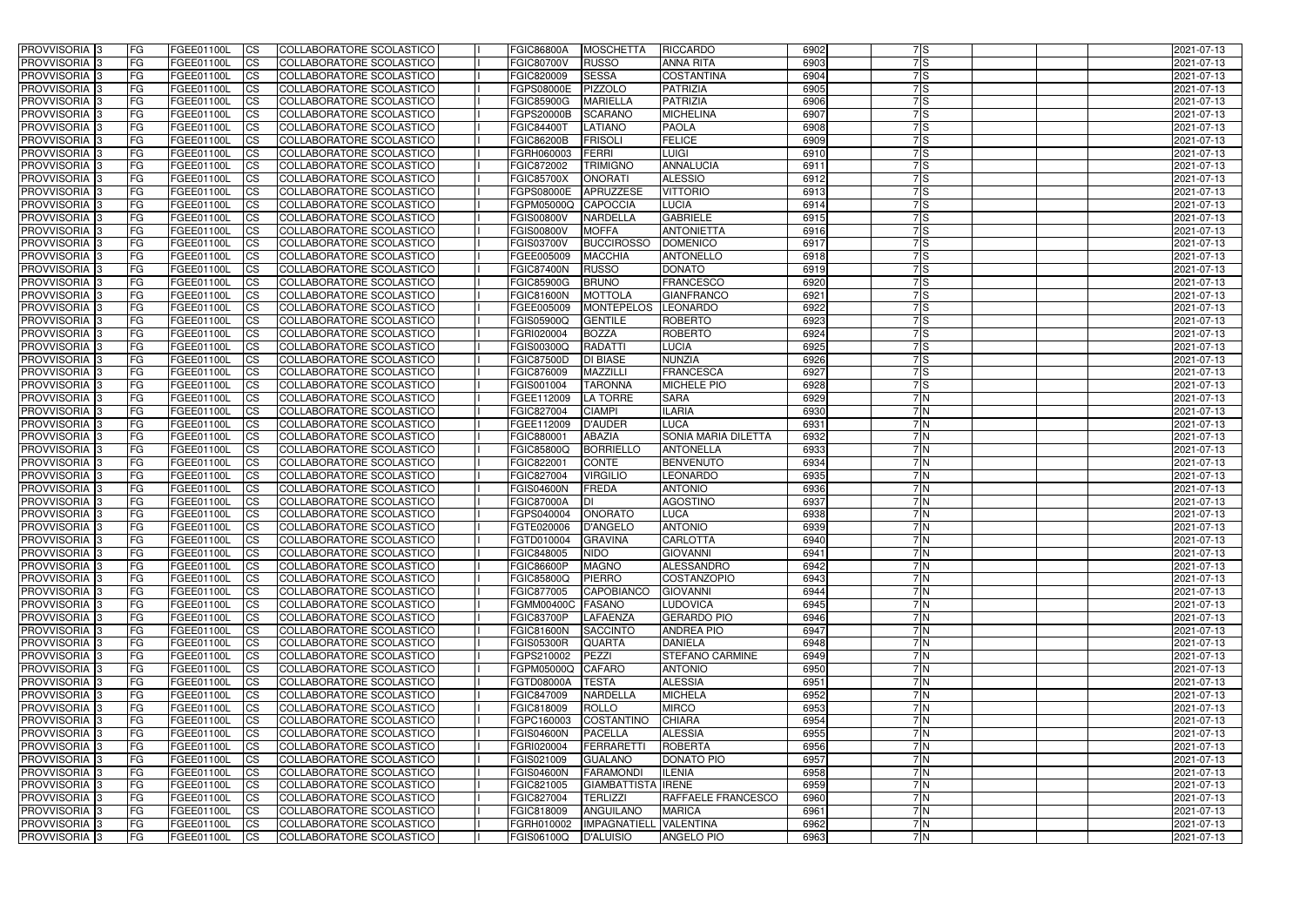| <b>PROVVISORIA</b> 3                                 | l FG            | FGEE01100L               | <b>ICS</b>                          | COLLABORATORE SCOLASTICO                                           | <b>FGIC86800A</b>               | <b>MOSCHETTA</b>                      | <b>RICCARDO</b>                            | 6902         | 7S               | 2021-07-13               |
|------------------------------------------------------|-----------------|--------------------------|-------------------------------------|--------------------------------------------------------------------|---------------------------------|---------------------------------------|--------------------------------------------|--------------|------------------|--------------------------|
| <b>PROVVISORIA 3</b>                                 | FG              | FGEE01100L               | <b>ICS</b>                          | COLLABORATORE SCOLASTICO                                           | <b>FGIC80700V</b>               | <b>RUSSO</b>                          | <b>ANNA RITA</b>                           | 6903         | $\overline{7}$ S | 2021-07-13               |
| PROVVISORIA <sup>1</sup> 3                           | FG              | FGEE01100L               | <b>CS</b>                           | COLLABORATORE SCOLASTICO                                           | FGIC820009                      | <b>SESSA</b>                          | <b>COSTANTINA</b>                          | 6904         | 7S               | 2021-07-13               |
| PROVVISORIA                                          | FG              | FGEE01100L               | <b>CS</b>                           | COLLABORATORE SCOLASTICO                                           | FGPS08000E                      | <b>PIZZOLO</b>                        | <b>PATRIZIA</b>                            | 6905         | 7S               | 2021-07-13               |
| <b>PROVVISORIA 3</b>                                 | FG              | FGEE01100L               | <b>CS</b>                           | COLLABORATORE SCOLASTICO                                           | <b>FGIC85900G</b>               | <b>MARIELLA</b>                       | <b>PATRIZIA</b>                            | 6906         | 7S               | 2021-07-13               |
| PROVVISORIA <sup>1</sup> 3                           | FG              | FGEE01100L               | <b>CS</b>                           | COLLABORATORE SCOLASTICO                                           | FGPS20000B                      | <b>SCARANO</b>                        | <b>MICHELINA</b>                           | 6907         | 7lS              | 2021-07-13               |
| PROVVISORIA <sup>1</sup> 3                           | FG              | FGEE01100L               | <b>CS</b>                           | COLLABORATORE SCOLASTICO                                           | <b>FGIC84400T</b>               | <b>LATIANO</b>                        | <b>PAOLA</b>                               | 6908         | 7S               | 2021-07-13               |
| PROVVISORIA 3                                        | FG              | FGEE01100L               | <b>ICS</b>                          | COLLABORATORE SCOLASTICO                                           | <b>FGIC86200B</b>               | <b>FRISOLI</b>                        | <b>FELICE</b>                              | 6909         | 7S               | 2021-07-13               |
| PROVVISORIA 3                                        | FG              | FGEE01100L               | <b>CS</b>                           | COLLABORATORE SCOLASTICO                                           | FGRH060003                      | FERRI                                 | <b>LUIGI</b>                               | 6910         | 7S               | 2021-07-13               |
| PROVVISORIA 3                                        | <b>FG</b>       | FGEE01100L               | <b>ICS</b>                          | COLLABORATORE SCOLASTICO                                           | FGIC872002                      | <b>TRIMIGNO</b>                       | <b>ANNALUCIA</b>                           | 6911         | 7S               | 2021-07-13               |
| PROVVISORIA 3                                        | FG              | FGEE01100L               | <b>ICS</b>                          | COLLABORATORE SCOLASTICO                                           | <b>FGIC85700X</b>               | <b>ONORATI</b>                        | <b>ALESSIO</b>                             | 6912         | 7S               | 2021-07-13               |
| <b>PROVVISORIA</b>                                   | FG              | FGEE01100L               | <b>ICS</b>                          | COLLABORATORE SCOLASTICO                                           | FGPS08000E                      | APRUZZESE                             | <b>VITTORIO</b>                            | 6913         | 7S               | 2021-07-13               |
| <b>PROVVISORIA</b>                                   | FG              | FGEE01100L               | <b>ICS</b>                          | COLLABORATORE SCOLASTICO                                           | FGPM05000Q                      | <b>CAPOCCIA</b>                       | <b>LUCIA</b>                               | 6914         | 7S               | 2021-07-13               |
| <b>PROVVISORIA</b>                                   | FG              | FGEE01100L               | <b>ICS</b>                          | COLLABORATORE SCOLASTICO                                           | <b>FGIS00800V</b>               | <b>NARDELLA</b>                       | <b>GABRIELE</b>                            | 6915         | 7S               | 2021-07-13               |
| <b>PROVVISORIA</b>                                   | FG              | FGEE01100L               | <b>ICS</b>                          | COLLABORATORE SCOLASTICO                                           | <b>FGIS00800V</b>               | <b>MOFFA</b>                          | <b>ANTONIETTA</b>                          | 6916         | 7S               | 2021-07-13               |
| <b>PROVVISORIA</b>                                   | FG              | FGEE01100L               | <b>ICS</b>                          | COLLABORATORE SCOLASTICO                                           | <b>FGIS03700V</b>               | <b>BUCCIROSSO</b>                     | <b>DOMENICO</b>                            | 6917         | 7ls              | 2021-07-13               |
| <b>PROVVISORIA</b>                                   | FG              | FGEE01100L               | <b>ICS</b>                          | COLLABORATORE SCOLASTICO                                           | FGEE005009                      | <b>MACCHIA</b>                        | <b>ANTONELLO</b>                           | 6918         | 7ls              | 2021-07-13               |
| <b>PROVVISORIA</b>                                   | FG              | FGEE01100L               | <b>ICS</b>                          | COLLABORATORE SCOLASTICO                                           | <b>FGIC87400N</b>               | <b>RUSSO</b>                          | <b>DONATO</b>                              | 6919         | 7lS              | 2021-07-13               |
| PROVVISORIA <sup>3</sup>                             | FG              | FGEE01100L               | <b>ICS</b>                          | COLLABORATORE SCOLASTICO                                           | <b>FGIC85900G</b>               | <b>BRUNO</b>                          | <b>FRANCESCO</b>                           | 6920         | 7ls              | 2021-07-13               |
| PROVVISORIA <sup>3</sup>                             | FG              | FGEE01100L               | <b>ICS</b>                          | COLLABORATORE SCOLASTICO                                           | FGIC81600N                      | <b>MOTTOLA</b>                        | <b>GIANFRANCO</b>                          | 6921         | 7S               | 2021-07-13               |
| PROVVISORIA <sup>1</sup> 3                           | FG              | FGEE01100L               | <b>ICS</b>                          | COLLABORATORE SCOLASTICO                                           | FGEE005009                      | <b>MONTEPELOS</b>                     | <b>LEONARDO</b><br><b>ROBERTO</b>          | 6922<br>6923 | 7S               | 2021-07-13               |
| PROVVISORIA 3                                        | FG              | FGEE01100L               | <b>ICS</b>                          | COLLABORATORE SCOLASTICO                                           | FGIS05900Q                      | <b>GENTILE</b>                        | <b>ROBERTO</b>                             |              | 7 S              | 2021-07-13               |
| PROVVISORIA <sup>3</sup><br>PROVVISORIA <sup>3</sup> | FG              | FGEE01100L<br>FGEE01100L | <b>ICS</b>                          | <b>COLLABORATORE SCOLASTICO</b><br><b>COLLABORATORE SCOLASTICO</b> | FGRI020004                      | <b>BOZZA</b><br><b>RADATTI</b>        |                                            | 6924<br>6925 | 7S<br>7S         | 2021-07-13               |
| PROVVISORIA <sup>1</sup> 3                           | FG<br>FG        | FGEE01100L               | <b>CS</b><br><b>CS</b>              | <b>COLLABORATORE SCOLASTICO</b>                                    | FGIS00300Q<br><b>FGIC87500D</b> | <b>DI BIASE</b>                       | <b>LUCIA</b><br><b>NUNZIA</b>              | 6926         | $\overline{7}$ S | 2021-07-13<br>2021-07-13 |
| PROVVISORIA 3                                        | FG              | FGEE01100L               | <b>ICS</b>                          | COLLABORATORE SCOLASTICO                                           | FGIC876009                      | <b>MAZZILLI</b>                       | <b>FRANCESCA</b>                           | 6927         | $\overline{7}$ S | 2021-07-13               |
| PROVVISORIA 3                                        | FG              | FGEE01100L               | <b>ICS</b>                          | COLLABORATORE SCOLASTICO                                           | FGIS001004                      | <b>TARONNA</b>                        | <b>MICHELE PIO</b>                         | 6928         | 7S               | 2021-07-13               |
| PROVVISORIA                                          | FG              | FGEE01100L               | <b>ICS</b>                          | COLLABORATORE SCOLASTICO                                           | FGEE112009                      | <b>LA TORRE</b>                       | <b>SARA</b>                                | 6929         | 7N               | 2021-07-13               |
| PROVVISORIA                                          | FG              | FGEE01100L               | <b>CS</b>                           | <b>COLLABORATORE SCOLASTICO</b>                                    | FGIC827004                      | <b>CIAMPI</b>                         | <b>ILARIA</b>                              | 6930         | 7N               | 2021-07-13               |
| PROVVISORIA                                          | FG              | FGEE01100L               | <b>CS</b>                           | COLLABORATORE SCOLASTICO                                           | FGEE112009                      | <b>D'AUDER</b>                        | <b>LUCA</b>                                | 6931         | 7N               | 2021-07-13               |
| PROVVISORIA                                          | FG              | FGEE01100L               | <b>CS</b>                           | COLLABORATORE SCOLASTICO                                           | FGIC880001                      | <b>ABAZIA</b>                         | <b>SONIA MARIA DILETTA</b>                 | 6932         | 7N               | 2021-07-13               |
| PROVVISORIA <sup>1</sup> 3                           | FG              | FGEE01100L               | <b>CS</b>                           | COLLABORATORE SCOLASTICO                                           | FGIC85800Q                      | <b>BORRIELLO</b>                      | <b>ANTONELLA</b>                           | 6933         | 7 N              | 2021-07-13               |
| PROVVISORIA <sup>1</sup> 3                           | FG              | FGEE01100L               | <b>CS</b>                           | COLLABORATORE SCOLASTICO                                           | FGIC822001                      | <b>CONTE</b>                          | <b>BENVENUTO</b>                           | 6934         | 7N               | 2021-07-13               |
| PROVVISORIA 3                                        | FG              | FGEE01100L               | <b>CS</b>                           | COLLABORATORE SCOLASTICO                                           | <b>FGIC827004</b>               | <b>VIRGILIO</b>                       | <b>LEONARDO</b>                            | 6935         | 7N               | 2021-07-13               |
| PROVVISORIA <sup>1</sup> 3                           | FG              | FGEE01100L               | <b>ICS</b>                          | COLLABORATORE SCOLASTICO                                           | <b>FGIS04600N</b>               | <b>FREDA</b>                          | <b>ANTONIO</b>                             | 6936         | 7N               | 2021-07-13               |
| PROVVISORIA <sup>1</sup> 3                           | <b>FG</b>       | FGEE01100L               | <b>ICS</b>                          | COLLABORATORE SCOLASTICO                                           | <b>FGIC87000A</b>               | IDI                                   | <b>AGOSTINO</b>                            | 6937         | 7N               | 2021-07-13               |
| PROVVISORIA 3                                        | <b>FG</b>       | FGEE01100L               | <b>ICS</b>                          | COLLABORATORE SCOLASTICO                                           | FGPS040004                      | ONORATO                               | <b>LUCA</b>                                | 6938         | 7N               | 2021-07-13               |
| <b>PROVVISORIA</b>                                   | l FG            | FGEE01100L               | <b>ICS</b>                          | COLLABORATORE SCOLASTICO                                           | FGTE020006                      | <b>D'ANGELO</b>                       | <b>ANTONIO</b>                             | 6939         | 7 N              | 2021-07-13               |
| PROVVISORIA 3                                        | FG              | FGEE01100L               | CS                                  | COLLABORATORE SCOLASTICO                                           | FGTD010004                      | <b>GRAVINA</b>                        | <b>CARLOTTA</b>                            | 6940         | 7 N              | 2021-07-13               |
| <b>PROVVISORIA</b> 3                                 | l FG            | FGEE01100L               | $\mathsf{ICS}$                      | COLLABORATORE SCOLASTICO                                           | <b>FGIC848005</b>               | <b>NIDO</b>                           | <b>GIOVANNI</b>                            | 6941         | 7N               | 2021-07-13               |
| PROVVISORIA 3                                        | <b>FG</b>       | <b>FGEE01100L</b>        | $\mathsf{ICS}$                      | COLLABORATORE SCOLASTICO                                           | <b>FGIC86600P</b>               | <b>MAGNO</b>                          | ALESSANDRO                                 | 6942         | 7N               | 2021-07-13               |
| PROVVISORIA 3                                        | <b>FG</b>       | FGEE01100L               | $\mathsf{ICS}$                      | COLLABORATORE SCOLASTICO                                           | <b>FGIC85800Q</b>               | PIERRO                                | <b>COSTANZOPIO</b>                         | 6943         | 7 N              | 2021-07-13               |
| PROVVISORIA 3                                        | FG              | FGEE01100L               | $\mathsf{ICS}$                      | COLLABORATORE SCOLASTICO                                           | FGIC877005                      | CAPOBIANCO                            | <b>GIOVANNI</b>                            | 6944         | 7N               | 2021-07-13               |
| PROVVISORIA 3                                        | l FG            | FGEE01100L               | $\overline{\text{CS}}$              | COLLABORATORE SCOLASTICO                                           | FGMM00400C FASANO               |                                       | <b>LUDOVICA</b>                            | 6945         | 7N               | 2021-07-13               |
| PROVVISORIA 3                                        | <b>FG</b>       | FGEE01100L               | $\mathsf{ICS}$                      | COLLABORATORE SCOLASTICO                                           | <b>FGIC83700P</b>               | LAFAENZA                              | <b>GERARDO PIO</b>                         | 6946         | 7N               | 2021-07-13               |
| PROVVISORIA 3                                        | FG              | FGEE01100L               | <b>CS</b>                           | COLLABORATORE SCOLASTICO                                           | <b>FGIC81600N</b>               | SACCINTO                              | <b>ANDREA PIO</b>                          | 6947         | 7N               | 2021-07-13               |
| PROVVISORIA 3                                        | <b>FG</b>       | FGEE01100L               | <b>CS</b>                           | COLLABORATORE SCOLASTICO                                           | <b>FGIS05300R</b>               | <b>QUARTA</b>                         | <b>DANIELA</b>                             | 6948         | 7N               | 2021-07-13               |
| PROVVISORIA 3                                        | <b>FG</b>       | FGEE01100L               | <b>CS</b>                           | COLLABORATORE SCOLASTICO                                           | FGPS210002                      | PEZZI                                 | <b>STEFANO CARMINE</b>                     | 6949         | 7N               | 2021-07-13               |
| PROVVISORIA 3                                        | <b>FG</b>       | FGEE01100L               | <b>CS</b>                           | COLLABORATORE SCOLASTICO                                           | FGPM05000Q                      | <b>CAFARO</b>                         | <b>ANTONIO</b>                             | 6950         | 7N               | 2021-07-13               |
| PROVVISORIA 3                                        | <b>FG</b>       | FGEE01100L               | <b>CS</b>                           | COLLABORATORE SCOLASTICO                                           | <b>FGTD08000A</b>               | <b>TESTA</b>                          | <b>ALESSIA</b>                             | 6951         | 7N               | 2021-07-13               |
| PROVVISORIA 3                                        | <b>FG</b>       | FGEE01100L               | <b>CS</b>                           | COLLABORATORE SCOLASTICO                                           | FGIC847009                      | <b>NARDELLA</b>                       | <b>MICHELA</b>                             | 6952         | 7 N              | 2021-07-13               |
| PROVVISORIA 3                                        | <b>FG</b>       | FGEE01100L               | <b>CS</b>                           | COLLABORATORE SCOLASTICO                                           | FGIC818009                      | ROLLO                                 | <b>MIRCO</b>                               | 6953         | 7N               | 2021-07-13               |
| PROVVISORIA 3                                        | <b>FG</b>       | FGEE01100L               | <b>CS</b>                           | COLLABORATORE SCOLASTICO                                           | FGPC160003                      | COSTANTINO                            | <b>CHIARA</b>                              | 6954         | 7N               | 2021-07-13               |
| PROVVISORIA 3                                        | <b>FG</b>       | FGEE01100L               | <b>CS</b>                           | COLLABORATORE SCOLASTICO                                           | <b>FGIS04600N</b>               | <b>PACELLA</b>                        | <b>ALESSIA</b>                             | 6955         | 7N               | 2021-07-13               |
| PROVVISORIA 3                                        | <b>FG</b>       | FGEE01100L               | <b>CS</b>                           | COLLABORATORE SCOLASTICO                                           | FGRI020004                      | FERRARETTI                            | <b>ROBERTA</b>                             | 6956         | 7N               | 2021-07-13               |
| PROVVISORIA 3                                        | <b>FG</b>       | FGEE01100L               | <b>CS</b>                           | COLLABORATORE SCOLASTICO                                           | FGIS021009                      | <b>GUALANO</b>                        | <b>DONATO PIO</b>                          | 6957         | 7N<br>7N         | 2021-07-13               |
| PROVVISORIA 3                                        | <b>FG</b>       | FGEE01100L               | <b>CS</b>                           | COLLABORATORE SCOLASTICO<br>COLLABORATORE SCOLASTICO               | <b>FGIS04600N</b>               | <b>FARAMONDI</b>                      | <b>ILENIA</b>                              | 6958<br>6959 | 7N               | 2021-07-13               |
| PROVVISORIA 3<br>PROVVISORIA 3                       | FG              | FGEE01100L               | <b>CS</b>                           | COLLABORATORE SCOLASTICO                                           | FGIC821005<br>FGIC827004        | GIAMBATTISTA IRENE<br><b>TERLIZZI</b> |                                            | 6960         | 7N               | 2021-07-13<br>2021-07-13 |
| PROVVISORIA 3                                        | FG<br><b>FG</b> | FGEE01100L<br>FGEE01100L | <b>CS</b><br>$\overline{\text{CS}}$ | COLLABORATORE SCOLASTICO                                           | FGIC818009                      | ANGUILANO                             | <b>RAFFAELE FRANCESCO</b><br><b>MARICA</b> | 6961         | 7N               | 2021-07-13               |
| PROVVISORIA 3                                        | <b>FG</b>       | FGEE01100L               | $\overline{\text{CS}}$              | COLLABORATORE SCOLASTICO                                           | FGRH010002                      | IMPAGNATIELL VALENTINA                |                                            | 6962         | 7N               | 2021-07-13               |
| PROVVISORIA 3                                        | <b>FG</b>       | FGEE01100L               | $\mathsf{ICS}$                      | COLLABORATORE SCOLASTICO                                           | FGIS06100Q                      | <b>D'ALUISIO</b>                      | <b>ANGELO PIO</b>                          | 6963         | 7N               | 2021-07-13               |
|                                                      |                 |                          |                                     |                                                                    |                                 |                                       |                                            |              |                  |                          |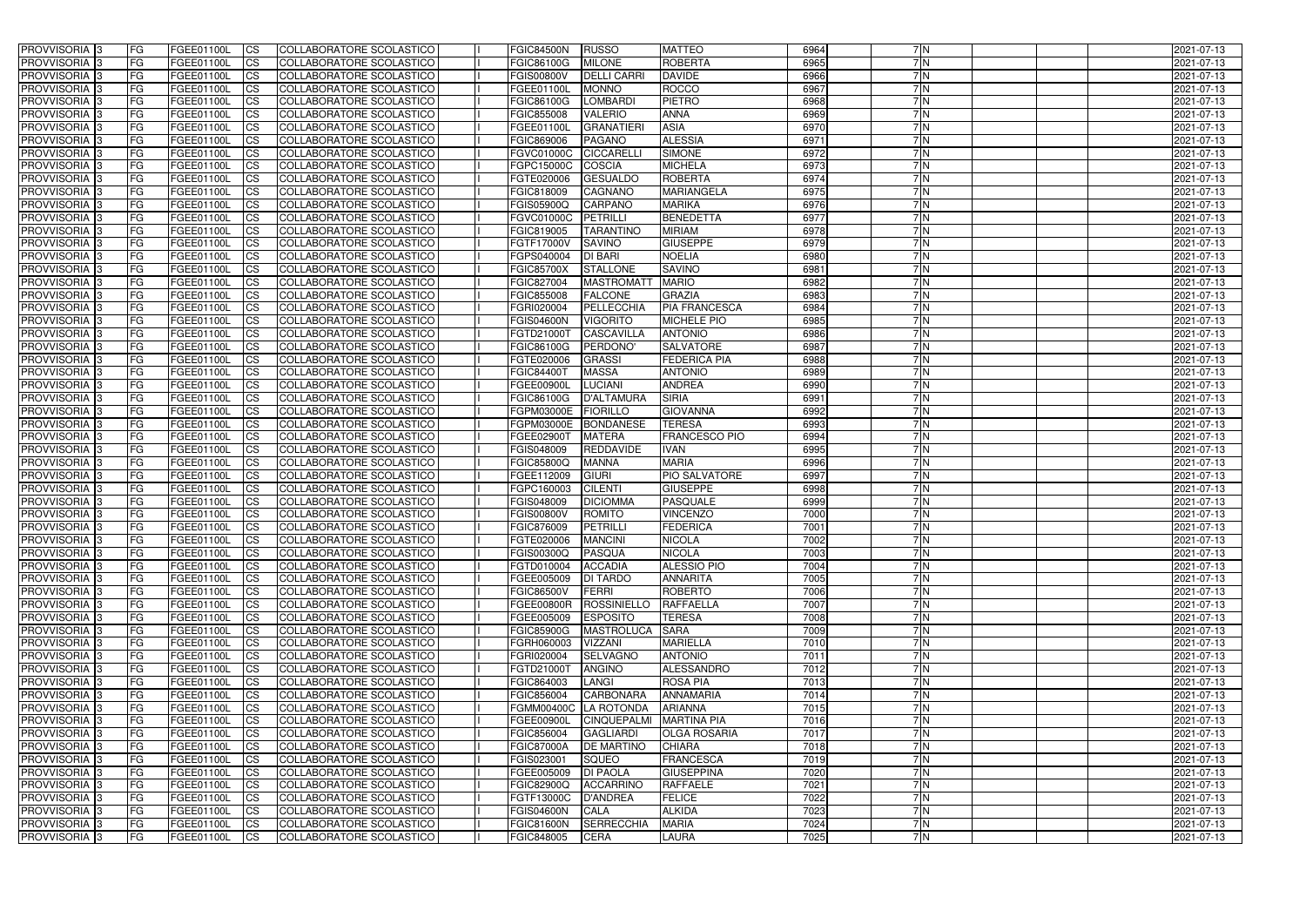| <b>PROVVISORIA</b> 3                      | l FG              | FGEE01100L               | <b>ICS</b>             | COLLABORATORE SCOLASTICO                                    | <b>FGIC84500N</b>        | RUSSO                         | <b>MATTEO</b>                       | 6964         | 7N        | 2021-07-13               |
|-------------------------------------------|-------------------|--------------------------|------------------------|-------------------------------------------------------------|--------------------------|-------------------------------|-------------------------------------|--------------|-----------|--------------------------|
| <b>PROVVISORIA 3</b>                      | FG.               | FGEE01100L               | <b>ICS</b>             | COLLABORATORE SCOLASTICO                                    | FGIC86100G               | <b>MILONE</b>                 | <b>ROBERTA</b>                      | 6965         | 7N        | 2021-07-13               |
| PROVVISORIA <sup>1</sup> 3                | FG                | FGEE01100L               | <b>CS</b>              | COLLABORATORE SCOLASTICO                                    | <b>FGIS00800V</b>        | <b>DELLI CARRI</b>            | <b>DAVIDE</b>                       | 6966         | 7N        | 2021-07-13               |
| PROVVISORIA                               | FG                | FGEE01100L               | <b>CS</b>              | COLLABORATORE SCOLASTICO                                    | FGEE01100L               | <b>MONNO</b>                  | <b>ROCCO</b>                        | 6967         | 7 N       | 2021-07-13               |
| <b>PROVVISORIA 3</b>                      | FG                | FGEE01100L               | <b>CS</b>              | COLLABORATORE SCOLASTICO                                    | FGIC86100G               | <b>LOMBARDI</b>               | <b>PIETRO</b>                       | 6968         | 7N        | 2021-07-13               |
| PROVVISORIA <sup>1</sup> 3                | FG                | FGEE01100L               | <b>CS</b>              | COLLABORATORE SCOLASTICO                                    | FGIC855008               | <b>VALERIO</b>                | <b>ANNA</b>                         | 6969         | 7N        | 2021-07-13               |
| PROVVISORIA <sup>1</sup> 3                | FG                | FGEE01100L               | <b>CS</b>              | COLLABORATORE SCOLASTICO                                    | FGEE01100L               | <b>GRANATIERI</b>             | <b>ASIA</b>                         | 6970         | 7N        | 2021-07-13               |
| PROVVISORIA 3                             | FG                | FGEE01100L               | <b>ICS</b>             | COLLABORATORE SCOLASTICO                                    | FGIC869006               | <b>PAGANO</b>                 | <b>ALESSIA</b>                      | 6971         | 7N        | 2021-07-13               |
| PROVVISORIA 3                             | FG                | FGEE01100L               | <b>CS</b>              | COLLABORATORE SCOLASTICO                                    | FGVC01000C               | <b>CICCARELL</b>              | <b>SIMONE</b>                       | 6972         | 7N        | 2021-07-13               |
| PROVVISORIA 3                             | <b>FG</b>         | FGEE01100L               | <b>ICS</b>             | COLLABORATORE SCOLASTICO                                    | FGPC15000C               | <b>COSCIA</b>                 | <b>MICHELA</b>                      | 6973         | 7N        | 2021-07-13               |
| PROVVISORIA 3                             | FG                | FGEE01100L               | <b>ICS</b>             | COLLABORATORE SCOLASTICO                                    | FGTE020006               | <b>GESUALDO</b>               | <b>ROBERTA</b>                      | 6974         | 7N        | 2021-07-13               |
| <b>PROVVISORIA</b>                        | FG                | FGEE01100L               | <b>ICS</b>             | COLLABORATORE SCOLASTICO                                    | FGIC818009               | <b>CAGNANO</b>                | MARIANGELA                          | 6975         | 7N        | 2021-07-13               |
| <b>PROVVISORIA</b>                        | FG                | FGEE01100L               | <b>ICS</b>             | COLLABORATORE SCOLASTICO                                    | FGIS05900Q               | <b>CARPANO</b>                | <b>MARIKA</b>                       | 6976         | 7 N       | 2021-07-13               |
| <b>PROVVISORIA</b>                        | FG                | FGEE01100L               | <b>ICS</b>             | COLLABORATORE SCOLASTICO                                    | FGVC01000C               | PETRILLI                      | <b>BENEDETTA</b>                    | 6977         | 7 N       | 2021-07-13               |
| <b>PROVVISORIA</b>                        | FG                | FGEE01100L               | <b>ICS</b>             | COLLABORATORE SCOLASTICO                                    | FGIC819005               | <b>TARANTINO</b>              | <b>MIRIAM</b>                       | 6978         | 7N        | 2021-07-13               |
| <b>PROVVISORIA</b>                        | FG                | FGEE01100L               | <b>ICS</b>             | COLLABORATORE SCOLASTICO                                    | FGTF17000V               | <b>SAVINO</b>                 | <b>GIUSEPPE</b>                     | 6979         | 7N        | 2021-07-13               |
| <b>PROVVISORIA</b>                        | FG                | FGEE01100L               | <b>ICS</b>             | COLLABORATORE SCOLASTICO                                    | FGPS040004               | <b>DI BARI</b>                | <b>NOELIA</b>                       | 6980         | 7N        | 2021-07-13               |
| <b>PROVVISORIA</b>                        | FG                | FGEE01100L               | <b>ICS</b>             | COLLABORATORE SCOLASTICO                                    | <b>FGIC85700X</b>        | <b>STALLONE</b>               | <b>SAVINO</b>                       | 6981         | 7N        | 2021-07-13               |
| PROVVISORIA <sup>3</sup>                  | FG                | FGEE01100L               | <b>ICS</b>             | COLLABORATORE SCOLASTICO                                    | FGIC827004               | <b>MASTROMAT</b>              | <b>MARIO</b>                        | 6982         | 7N        | 2021-07-13               |
| PROVVISORIA 3                             | FG                | FGEE01100L               | <b>ICS</b>             | COLLABORATORE SCOLASTICO                                    | FGIC855008               | <b>FALCONE</b>                | <b>GRAZIA</b>                       | 6983         | 7N        | 2021-07-13               |
| PROVVISORIA <sup>1</sup> 3                | FG                | FGEE01100L               | <b>ICS</b>             | COLLABORATORE SCOLASTICO                                    | FGRI020004               | PELLECCHIA                    | <b>PIA FRANCESCA</b>                | 6984<br>6985 | 7N<br>7N  | 2021-07-13               |
| PROVVISORIA 3<br>PROVVISORIA <sup>3</sup> | FG                | FGEE01100L               | <b>ICS</b>             | COLLABORATORE SCOLASTICO                                    | <b>FGIS04600N</b>        | <b>VIGORITO</b>               | <b>MICHELE PIO</b>                  | 6986         | 7 N       | 2021-07-13               |
| PROVVISORIA <sup>3</sup>                  | FG                | FGEE01100L<br>FGEE01100L | <b>ICS</b>             | <b>COLLABORATORE SCOLASTICO</b>                             | FGTD21000T<br>FGIC86100G | <b>CASCAVILLA</b><br>PERDONO' | <b>ANTONIO</b><br><b>SALVATORE</b>  | 6987         | 7 N       | 2021-07-13               |
| PROVVISORIA <sup>3</sup>                  | FG<br>FG          | FGEE01100L               | <b>CS</b><br><b>CS</b> | COLLABORATORE SCOLASTICO<br><b>COLLABORATORE SCOLASTICO</b> | FGTE020006               | <b>GRASSI</b>                 | <b>FEDERICA PIA</b>                 | 6988         | 7 N       | 2021-07-13<br>2021-07-13 |
| PROVVISORIA 3                             | FG                | FGEE01100L               | <b>ICS</b>             | COLLABORATORE SCOLASTICO                                    | FGIC84400T               | <b>MASSA</b>                  | <b>ANTONIO</b>                      | 6989         | 7 N       | 2021-07-13               |
| PROVVISORIA 3                             | FG                | FGEE01100L               | <b>ICS</b>             | COLLABORATORE SCOLASTICO                                    | FGEE00900L               | <b>LUCIANI</b>                | <b>ANDREA</b>                       | 6990         | 7N        | 2021-07-13               |
| PROVVISORIA                               | FG                | FGEE01100L               | <b>ICS</b>             | COLLABORATORE SCOLASTICO                                    | FGIC86100G               | <b>D'ALTAMURA</b>             | <b>SIRIA</b>                        | 6991         | 7N        | 2021-07-13               |
| PROVVISORIA                               | FG                | FGEE01100L               | <b>CS</b>              | <b>COLLABORATORE SCOLASTICO</b>                             | FGPM03000E               | <b>FIORILLO</b>               | <b>GIOVANNA</b>                     | 6992         | 7N        | 2021-07-13               |
| PROVVISORIA                               | FG                | FGEE01100L               | <b>CS</b>              | COLLABORATORE SCOLASTICO                                    | FGPM03000E               | <b>BONDANESE</b>              | <b>TERESA</b>                       | 6993         | 7N        | 2021-07-13               |
| PROVVISORIA                               | FG                | FGEE01100L               | <b>CS</b>              | COLLABORATORE SCOLASTICO                                    | FGEE02900T               | <b>MATERA</b>                 | <b>FRANCESCO PIO</b>                | 6994         | 7 N       | 2021-07-13               |
| PROVVISORIA <sup>1</sup> 3                | FG                | FGEE01100L               | <b>CS</b>              | COLLABORATORE SCOLASTICO                                    | FGIS048009               | REDDAVIDE                     | <b>IVAN</b>                         | 6995         | 7N        | 2021-07-13               |
| PROVVISORIA <sup>1</sup> 3                | FG                | FGEE01100L               | <b>CS</b>              | COLLABORATORE SCOLASTICO                                    | FGIC85800Q               | <b>MANNA</b>                  | <b>MARIA</b>                        | 6996         | 7N        | 2021-07-13               |
| PROVVISORIA 3                             | FG                | FGEE01100L               | <b>CS</b>              | COLLABORATORE SCOLASTICO                                    | FGEE112009               | <b>GIURI</b>                  | PIO SALVATORE                       | 6997         | 7N        | 2021-07-13               |
| PROVVISORIA <sup>1</sup> 3                | FG                | FGEE01100L               | <b>ICS</b>             | COLLABORATORE SCOLASTICO                                    | FGPC160003               | <b>CILENTI</b>                | <b>GIUSEPPE</b>                     | 6998         | 7N        | 2021-07-13               |
| PROVVISORIA <sup>1</sup> 3                | <b>FG</b>         | FGEE01100L               | <b>ICS</b>             | COLLABORATORE SCOLASTICO                                    | FGIS048009               | <b>DICIOMMA</b>               | PASQUALE                            | 6999         | 7N        | 2021-07-13               |
| PROVVISORIA 3                             | <b>FG</b>         | FGEE01100L               | <b>ICS</b>             | COLLABORATORE SCOLASTICO                                    | <b>FGIS00800V</b>        | <b>ROMITO</b>                 | <b>VINCENZO</b>                     | 7000         | 7N        | 2021-07-13               |
| <b>PROVVISORIA</b>                        | <b>FG</b>         | FGEE01100L               | <b>ICS</b>             | COLLABORATORE SCOLASTICO                                    | FGIC876009               | <b>PETRILLI</b>               | <b>FEDERICA</b>                     | 7001         | 7 N       | 2021-07-13               |
| PROVVISORIA 3                             | FG                | FGEE01100L               | <b>ICS</b>             | COLLABORATORE SCOLASTICO                                    | FGTE020006   MANCINI     |                               | <b>NICOLA</b>                       | 7002         | 7 N       | 2021-07-13               |
| PROVVISORIA <sup>3</sup>                  | l FG              | FGEE01100L               | $\mathsf{ICS}$         | COLLABORATORE SCOLASTICO                                    | <b>FGIS00300Q</b>        | PASQUA                        | <b>NICOLA</b>                       | 7003         | 7N        | 2021-07-13               |
| PROVVISORIA 3                             | <b>FG</b>         | <b>FGEE01100L</b>        | $\mathsf{ICS}$         | COLLABORATORE SCOLASTICO                                    | FGTD010004 ACCADIA       |                               | <b>ALESSIO PIO</b>                  | 7004         | 7N        | 2021-07-13               |
| PROVVISORIA 3                             | <b>FG</b>         | FGEE01100L               | $\mathsf{ICS}$         | COLLABORATORE SCOLASTICO                                    | FGEE005009               | <b>DI TARDO</b>               | <b>ANNARITA</b>                     | 7005         | 7 N       | 2021-07-13               |
| PROVVISORIA 3                             | FG                | FGEE01100L               | $\mathsf{ICS}$         | COLLABORATORE SCOLASTICO                                    | <b>FGIC86500V</b>        | FERRI                         | <b>ROBERTO</b>                      | 7006         | 7N        | 2021-07-13               |
| PROVVISORIA 3                             | l FG              | FGEE01100L               | $\overline{\text{CS}}$ | COLLABORATORE SCOLASTICO                                    | <b>FGEE00800R</b>        | ROSSINIELLO                   | RAFFAELLA                           | 7007         | 7N        | 2021-07-13               |
| PROVVISORIA 3                             | <b>FG</b>         | FGEE01100L               | $\mathsf{ICS}$         | COLLABORATORE SCOLASTICO                                    | FGEE005009               | <b>ESPOSITO</b>               | <b>TERESA</b>                       | 7008         | 7N        | 2021-07-13               |
| PROVVISORIA 3                             | FG                | FGEE01100L               | <b>CS</b>              | COLLABORATORE SCOLASTICO                                    | <b>FGIC85900G</b>        | <b>MASTROLUCA</b>             | <b>SARA</b>                         | 7009         | 7N        | 2021-07-13               |
| PROVVISORIA 3                             | <b>FG</b>         | FGEE01100L               | $\overline{\text{CS}}$ | COLLABORATORE SCOLASTICO                                    | FGRH060003               | <b>VIZZANI</b>                | <b>MARIELLA</b>                     | 7010         | 7N        | 2021-07-13               |
| PROVVISORIA 3<br>PROVVISORIA 3            | <b>FG</b>         | FGEE01100L               | <b>CS</b>              | COLLABORATORE SCOLASTICO                                    | FGRI020004               | <b>SELVAGNO</b>               | <b>ANTONIO</b>                      | 7011<br>7012 | 7N<br>7N  | 2021-07-13               |
|                                           | <b>FG</b>         | FGEE01100L               | <b>CS</b>              | COLLABORATORE SCOLASTICO                                    | FGTD21000T               | <b>ANGINO</b>                 | ALESSANDRO                          |              |           | 2021-07-13               |
| PROVVISORIA 3<br>PROVVISORIA 3            | <b>FG</b><br>l FG | FGEE01100L               | <b>CS</b>              | COLLABORATORE SCOLASTICO<br>COLLABORATORE SCOLASTICO        | FGIC864003<br>FGIC856004 | LANGI<br><b>CARBONARA</b>     | <b>ROSA PIA</b><br><b>ANNAMARIA</b> | 7013<br>7014 | 7N<br>7 N | 2021-07-13               |
| PROVVISORIA 3                             | <b>FG</b>         | FGEE01100L<br>FGEE01100L | <b>CS</b><br><b>CS</b> | COLLABORATORE SCOLASTICO                                    | FGMM00400C LA ROTONDA    |                               | ARIANNA                             | 7015         | 7N        | 2021-07-13<br>2021-07-13 |
| PROVVISORIA 3                             | FG                | FGEE01100L               | <b>CS</b>              | COLLABORATORE SCOLASTICO                                    | FGEE00900L               | <b>CINQUEPALMI</b>            | <b>MARTINA PIA</b>                  | 7016         | 7N        | 2021-07-13               |
| PROVVISORIA 3                             | <b>FG</b>         | FGEE01100L               | <b>CS</b>              | COLLABORATORE SCOLASTICO                                    | FGIC856004               | <b>GAGLIARDI</b>              | <b>OLGA ROSARIA</b>                 | 7017         | 7N        | 2021-07-13               |
| PROVVISORIA 3                             | <b>FG</b>         | FGEE01100L               | <b>CS</b>              | COLLABORATORE SCOLASTICO                                    | <b>FGIC87000A</b>        | <b>DE MARTINO</b>             | <b>CHIARA</b>                       | 7018         | 7N        | 2021-07-13               |
| PROVVISORIA 3                             | <b>FG</b>         | FGEE01100L               | <b>CS</b>              | COLLABORATORE SCOLASTICO                                    | FGIS023001               | SQUEO                         | FRANCESCA                           | 7019         | 7N        | 2021-07-13               |
| PROVVISORIA 3                             | <b>FG</b>         | FGEE01100L               | <b>CS</b>              | COLLABORATORE SCOLASTICO                                    | FGEE005009               | <b>DI PAOLA</b>               | <b>GIUSEPPINA</b>                   | 7020         | 7N        | 2021-07-13               |
| PROVVISORIA 3                             | FG                | FGEE01100L               | <b>CS</b>              | COLLABORATORE SCOLASTICO                                    | <b>FGIC82900Q</b>        | <b>ACCARRINO</b>              | <b>RAFFAELE</b>                     | 7021         | 7N        | 2021-07-13               |
| PROVVISORIA 3                             | FG                | <b>FGEE01100L</b>        | <b>CS</b>              | COLLABORATORE SCOLASTICO                                    | FGTF13000C               | D'ANDREA                      | <b>FELICE</b>                       | 7022         | 7N        | 2021-07-13               |
| PROVVISORIA 3                             | <b>FG</b>         | FGEE01100L               | $\overline{\text{CS}}$ | COLLABORATORE SCOLASTICO                                    | <b>FGIS04600N</b>        | CALA                          | <b>ALKIDA</b>                       | 7023         | 7N        | 2021-07-13               |
| PROVVISORIA 3                             | <b>FG</b>         | FGEE01100L               | $\overline{\text{CS}}$ | COLLABORATORE SCOLASTICO                                    | <b>FGIC81600N</b>        | <b>SERRECCHIA</b>             | <b>MARIA</b>                        | 7024         | 7N        | 2021-07-13               |
| PROVVISORIA 3                             | <b>FG</b>         | FGEE01100L               | $\mathsf{ICS}$         | COLLABORATORE SCOLASTICO                                    | FGIC848005               | <b>CERA</b>                   | <b>LAURA</b>                        | 7025         | 7N        | 2021-07-13               |
|                                           |                   |                          |                        |                                                             |                          |                               |                                     |              |           |                          |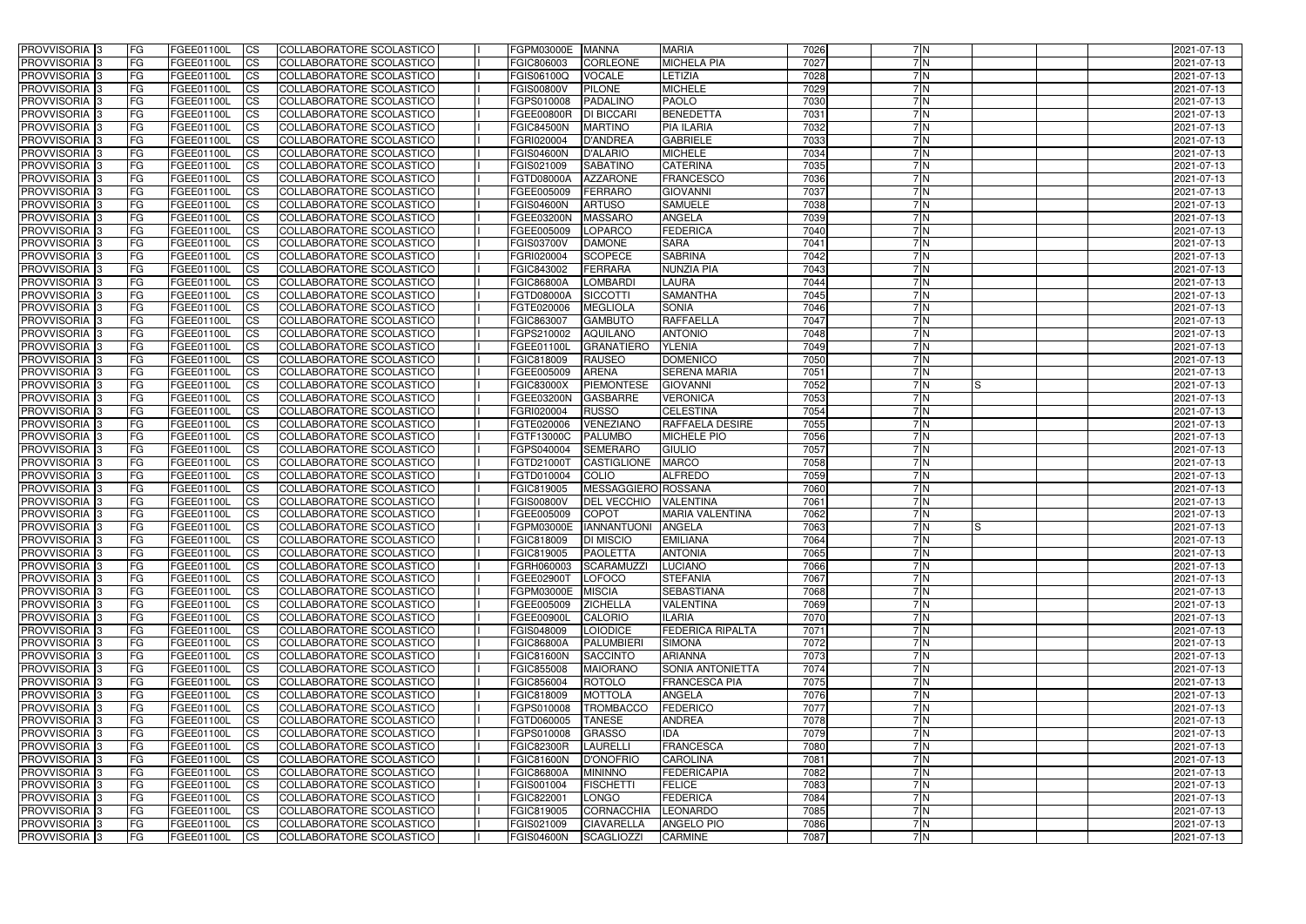| <b>PROVVISORIA</b> 3                                 | l FG                   | FGEE01100L               | <b>ICS</b>              | COLLABORATORE SCOLASTICO                                    | FGPM03000E               | <b>MANNA</b>                         | <b>MARIA</b>                                    | 7026         | 7N         | 2021-07-13               |
|------------------------------------------------------|------------------------|--------------------------|-------------------------|-------------------------------------------------------------|--------------------------|--------------------------------------|-------------------------------------------------|--------------|------------|--------------------------|
| <b>PROVVISORIA 3</b>                                 | FG.                    | FGEE01100L               | <b>ICS</b>              | COLLABORATORE SCOLASTICO                                    | FGIC806003               | <b>CORLEONE</b>                      | <b>MICHELA PIA</b>                              | 7027         | 7N         | 2021-07-13               |
| <b>PROVVISORIA</b>                                   | FG                     | FGEE01100L               | <b>CS</b>               | COLLABORATORE SCOLASTICO                                    | FGIS06100Q               | <b>VOCALE</b>                        | LETIZIA                                         | 7028         | 7N         | 2021-07-13               |
| PROVVISORIA                                          | FG                     | FGEE01100L               | <b>CS</b>               | COLLABORATORE SCOLASTICO                                    | <b>FGIS00800V</b>        | <b>PILONE</b>                        | <b>MICHELE</b>                                  | 7029         | 7 N        | 2021-07-13               |
| <b>PROVVISORIA 3</b>                                 | FG                     | FGEE01100L               | <b>CS</b>               | COLLABORATORE SCOLASTICO                                    | FGPS010008               | <b>PADALINO</b>                      | <b>PAOLO</b>                                    | 7030         | 7N         | 2021-07-13               |
| PROVVISORIA <sup>1</sup> 3                           | FG                     | FGEE01100L               | <b>CS</b>               | COLLABORATORE SCOLASTICO                                    | FGEE00800R               | <b>DI BICCARI</b>                    | <b>BENEDETTA</b>                                | 7031         | 7N         | 2021-07-13               |
| PROVVISORIA <sup>1</sup> 3                           | FG                     | FGEE01100L               | <b>CS</b>               | COLLABORATORE SCOLASTICO                                    | <b>FGIC84500N</b>        | <b>MARTINO</b>                       | <b>PIA ILARIA</b>                               | 7032         | 7N         | 2021-07-13               |
| PROVVISORIA 3                                        | FG                     | FGEE01100L               | <b>ICS</b>              | COLLABORATORE SCOLASTICO                                    | FGRI020004               | D'ANDREA                             | <b>GABRIELE</b>                                 | 7033         | 7N         | 2021-07-13               |
| PROVVISORIA 3                                        | FG                     | FGEE01100L               | <b>CS</b>               | COLLABORATORE SCOLASTICO                                    | <b>FGIS04600N</b>        | <b>D'ALARIO</b>                      | <b>MICHELE</b>                                  | 7034         | 7N         | 2021-07-13               |
| PROVVISORIA 3                                        | <b>FG</b>              | FGEE01100L               | <b>ICS</b>              | COLLABORATORE SCOLASTICO                                    | FGIS021009               | <b>SABATINO</b>                      | <b>CATERINA</b>                                 | 7035         | 7N         | 2021-07-13               |
| PROVVISORIA 3                                        | FG                     | FGEE01100L               | <b>ICS</b>              | COLLABORATORE SCOLASTICO                                    | FGTD08000A               | <b>AZZARONE</b>                      | <b>FRANCESCO</b>                                | 7036         | 7N         | 2021-07-13               |
| <b>PROVVISORIA</b>                                   | FG                     | FGEE01100L               | <b>ICS</b>              | COLLABORATORE SCOLASTICO                                    | FGEE005009               | <b>FERRARO</b>                       | <b>GIOVANNI</b>                                 | 7037         | 7N         | 2021-07-13               |
| <b>PROVVISORIA</b>                                   | FG                     | FGEE01100L               | <b>ICS</b>              | COLLABORATORE SCOLASTICO                                    | <b>FGIS04600N</b>        | <b>ARTUSO</b>                        | <b>SAMUELE</b>                                  | 7038         | 7 N        | 2021-07-13               |
| <b>PROVVISORIA</b>                                   | FG                     | FGEE01100L               | <b>ICS</b>              | COLLABORATORE SCOLASTICO                                    | FGEE03200N               | <b>MASSARO</b>                       | <b>ANGELA</b>                                   | 7039         | 7 N        | 2021-07-13               |
| <b>PROVVISORIA</b>                                   | FG                     | FGEE01100L               | <b>ICS</b>              | COLLABORATORE SCOLASTICO                                    | FGEE005009               | <b>LOPARCO</b>                       | <b>FEDERICA</b>                                 | 7040         | 7N         | 2021-07-13               |
| <b>PROVVISORIA</b>                                   | FG                     | FGEE01100L               | <b>ICS</b>              | COLLABORATORE SCOLASTICO                                    | <b>FGIS03700V</b>        | <b>DAMONE</b>                        | <b>SARA</b>                                     | 7041         | 7N         | 2021-07-13               |
| <b>PROVVISORIA</b>                                   | FG                     | FGEE01100L               | <b>ICS</b>              | COLLABORATORE SCOLASTICO                                    | FGRI020004               | <b>SCOPECE</b>                       | <b>SABRINA</b>                                  | 7042         | 7N         | 2021-07-13               |
| <b>PROVVISORIA</b>                                   | FG                     | FGEE01100L               | <b>ICS</b>              | COLLABORATORE SCOLASTICO                                    | FGIC843002               | <b>FERRARA</b>                       | <b>NUNZIA PIA</b>                               | 7043         | 7N         | 2021-07-13               |
| PROVVISORIA <sup>3</sup>                             | FG                     | FGEE01100L               | <b>ICS</b>              | COLLABORATORE SCOLASTICO                                    | <b>FGIC86800A</b>        | <b>LOMBARDI</b>                      | <b>LAURA</b>                                    | 7044         | 7N         | 2021-07-13               |
| PROVVISORIA 3                                        | FG                     | FGEE01100L               | <b>ICS</b>              | COLLABORATORE SCOLASTICO                                    | FGTD08000A               | <b>SICCOTTI</b>                      | <b>SAMANTHA</b>                                 | 7045         | 7N         | 2021-07-13               |
| PROVVISORIA <sup>1</sup> 3                           | FG                     | FGEE01100L               | <b>ICS</b>              | COLLABORATORE SCOLASTICO                                    | FGTE020006               | <b>MEGLIOLA</b>                      | <b>SONIA</b>                                    | 7046         | 7N<br>7N   | 2021-07-13               |
| PROVVISORIA 3                                        | FG                     | FGEE01100L               | <b>ICS</b>              | COLLABORATORE SCOLASTICO                                    | FGIC863007               | <b>GAMBUTO</b>                       | <b>RAFFAELLA</b>                                | 7047         |            | 2021-07-13               |
| PROVVISORIA <sup>3</sup><br>PROVVISORIA <sup>3</sup> | FG<br>FG               | FGEE01100L<br>FGEE01100L | <b>ICS</b><br><b>CS</b> | <b>COLLABORATORE SCOLASTICO</b><br>COLLABORATORE SCOLASTICO | FGPS210002<br>FGEE01100L | <b>AQUILANO</b><br><b>GRANATIERO</b> | <b>ANTONIO</b><br><b>YLENIA</b>                 | 7048<br>7049 | 7 N<br>7 N | 2021-07-13<br>2021-07-13 |
| PROVVISORIA <sup>3</sup>                             | FG                     | FGEE01100L               | <b>CS</b>               | <b>COLLABORATORE SCOLASTICO</b>                             | FGIC818009               | <b>RAUSEO</b>                        | <b>DOMENICO</b>                                 | 7050         | 7 N        | 2021-07-13               |
| PROVVISORIA 3                                        | FG                     | FGEE01100L               | <b>ICS</b>              | COLLABORATORE SCOLASTICO                                    | FGEE005009               | <b>ARENA</b>                         | <b>SERENA MARIA</b>                             | 7051         | 7 N        | 2021-07-13               |
| PROVVISORIA 3                                        | FG                     | FGEE01100L               | <b>ICS</b>              | COLLABORATORE SCOLASTICO                                    | <b>FGIC83000X</b>        | <b>PIEMONTESE</b>                    | <b>GIOVANNI</b>                                 | 7052         | 7N<br>IS   | 2021-07-13               |
| <b>PROVVISORIA</b>                                   | FG                     | FGEE01100L               | <b>ICS</b>              | COLLABORATORE SCOLASTICO                                    | FGEE03200N               | <b>GASBARRE</b>                      | <b>VERONICA</b>                                 | 7053         | 7N         | 2021-07-13               |
| PROVVISORIA                                          | FG                     | FGEE01100L               | <b>CS</b>               | <b>COLLABORATORE SCOLASTICO</b>                             | FGRI020004               | <b>RUSSO</b>                         | <b>CELESTINA</b>                                | 7054         | 7N         | 2021-07-13               |
| PROVVISORIA                                          | FG                     | FGEE01100L               | <b>CS</b>               | COLLABORATORE SCOLASTICO                                    | FGTE020006               | VENEZIANO                            | <b>RAFFAELA DESIRE</b>                          | 7055         | 7N         | 2021-07-13               |
| PROVVISORIA                                          | FG                     | FGEE01100L               | <b>CS</b>               | COLLABORATORE SCOLASTICO                                    | FGTF13000C               | <b>PALUMBO</b>                       | <b>MICHELE PIO</b>                              | 7056         | 7 N        | 2021-07-13               |
| PROVVISORIA <sup>1</sup> 3                           | FG                     | FGEE01100L               | <b>CS</b>               | COLLABORATORE SCOLASTICO                                    | FGPS040004               | <b>SEMERARO</b>                      | <b>GIULIO</b>                                   | 7057         | 7 N        | 2021-07-13               |
| PROVVISORIA <sup>1</sup> 3                           | FG                     | FGEE01100L               | <b>CS</b>               | COLLABORATORE SCOLASTICO                                    | FGTD21000T               | <b>CASTIGLIONE</b>                   | <b>MARCO</b>                                    | 7058         | 7N         | 2021-07-13               |
| PROVVISORIA 3                                        | FG                     | FGEE01100L               | <b>CS</b>               | COLLABORATORE SCOLASTICO                                    | FGTD010004               | <b>COLIO</b>                         | <b>ALFREDO</b>                                  | 7059         | 7N         | 2021-07-13               |
| <b>PROVVISORIA</b>                                   | FG                     | FGEE01100L               | <b>ICS</b>              | COLLABORATORE SCOLASTICO                                    | FGIC819005               | MESSAGGIERO ROSSANA                  |                                                 | 7060         | 7N         | 2021-07-13               |
| PROVVISORIA <sup>1</sup> 3                           | FG                     | FGEE01100L               | <b>ICS</b>              | COLLABORATORE SCOLASTICO                                    | <b>FGIS00800V</b>        | <b>DEL VECCHIO</b>                   | <b>VALENTINA</b>                                | 7061         | 7N         | 2021-07-13               |
| PROVVISORIA 3                                        | FG                     | FGEE01100L               | <b>ICS</b>              | COLLABORATORE SCOLASTICO                                    | FGEE005009               | <b>COPOT</b>                         | <b>MARIA VALENTINA</b>                          | 7062         | 7N         | 2021-07-13               |
| <b>PROVVISORIA</b>                                   | l FG                   | FGEE01100L               | <b>ICS</b>              | COLLABORATORE SCOLASTICO                                    | FGPM03000E               | <b>IANNANTUONI</b>                   | ANGELA                                          | 7063         | 7 N<br>IS  | 2021-07-13               |
| PROVVISORIA 3                                        | FG                     | FGEE01100L               | CS                      | COLLABORATORE SCOLASTICO                                    | <b>FGIC818009</b>        | <b>DI MISCIO</b>                     | <b>EMILIANA</b>                                 | 7064         | 7 N        | 2021-07-13               |
| PROVVISORIA 3                                        | <b>FG</b>              | FGEE01100L               | $\mathsf{ICS}$          | COLLABORATORE SCOLASTICO                                    | FGIC819005               | <b>PAOLETTA</b>                      | <b>ANTONIA</b>                                  | 7065         | 7N         | 2021-07-13               |
| PROVVISORIA 3                                        | <b>FG</b>              | <b>FGEE01100L</b>        | $\mathsf{ICS}$          | COLLABORATORE SCOLASTICO                                    | FGRH060003 SCARAMUZZI    |                                      | <b>LUCIANO</b>                                  | 7066         | 7N         | 2021-07-13               |
| PROVVISORIA 3                                        | <b>FG</b>              | FGEE01100L               | $\mathsf{ICS}$          | COLLABORATORE SCOLASTICO                                    | FGEE02900T               | LOFOCO                               | <b>STEFANIA</b>                                 | 7067         | 7 N        | 2021-07-13               |
| PROVVISORIA 3                                        | FG                     | FGEE01100L               | $\mathsf{ICS}$          | COLLABORATORE SCOLASTICO                                    | FGPM03000E               | <b>MISCIA</b>                        | <b>SEBASTIANA</b>                               | 7068         | 7N         | 2021-07-13               |
| PROVVISORIA 3                                        | l FG                   | FGEE01100L               | $\overline{\text{CS}}$  | COLLABORATORE SCOLASTICO                                    | FGEE005009               | <b>ZICHELLA</b>                      | <b>VALENTINA</b>                                | 7069         | 7N         | 2021-07-13               |
| PROVVISORIA 3                                        | <b>FG</b>              | FGEE01100L               | $\mathsf{ICS}$          | COLLABORATORE SCOLASTICO                                    | FGEE00900L               | <b>CALORIO</b>                       | <b>ILARIA</b>                                   | 7070         | 7N         | 2021-07-13               |
| PROVVISORIA 3                                        | FG                     | FGEE01100L               | <b>CS</b>               | COLLABORATORE SCOLASTICO                                    | FGIS048009               | <b>LOIODICE</b>                      | <b>FEDERICA RIPALTA</b>                         | 7071         | 7N         | 2021-07-13               |
| PROVVISORIA 3                                        | <b>FG</b>              | FGEE01100L               | <b>CS</b>               | COLLABORATORE SCOLASTICO                                    | <b>FGIC86800A</b>        | PALUMBIERI                           | <b>SIMONA</b>                                   | 7072         | 7N         | 2021-07-13               |
| PROVVISORIA 3                                        | <b>FG</b>              | FGEE01100L               | <b>CS</b>               | COLLABORATORE SCOLASTICO                                    | <b>FGIC81600N</b>        | <b>SACCINTO</b>                      | <b>ARIANNA</b>                                  | 7073         | 7N         | 2021-07-13               |
| PROVVISORIA 3<br>PROVVISORIA 3                       | <b>FG</b><br><b>FG</b> | FGEE01100L               | <b>CS</b>               | COLLABORATORE SCOLASTICO                                    | FGIC855008               | <b>MAIORANO</b>                      | <b>SONIA ANTONIETTA</b><br><b>FRANCESCA PIA</b> | 7074<br>7075 | 7N<br>7N   | 2021-07-13<br>2021-07-13 |
|                                                      |                        | FGEE01100L               | <b>CS</b>               | COLLABORATORE SCOLASTICO                                    | FGIC856004               | ROTOLO                               |                                                 | 7076         | 7 N        |                          |
| PROVVISORIA 3<br>PROVVISORIA 3                       | <b>FG</b><br><b>FG</b> | FGEE01100L<br>FGEE01100L | <b>CS</b><br><b>CS</b>  | COLLABORATORE SCOLASTICO<br>COLLABORATORE SCOLASTICO        | FGIC818009<br>FGPS010008 | <b>MOTTOLA</b><br><b>TROMBACCO</b>   | <b>ANGELA</b><br><b>FEDERICO</b>                | 7077         | 7N         | 2021-07-13<br>2021-07-13 |
| PROVVISORIA 3                                        | <b>FG</b>              | FGEE01100L               | <b>CS</b>               | COLLABORATORE SCOLASTICO                                    | FGTD060005               | <b>TANESE</b>                        | <b>ANDREA</b>                                   | 7078         | 7N         | 2021-07-13               |
| PROVVISORIA 3                                        | <b>FG</b>              | FGEE01100L               | <b>CS</b>               | COLLABORATORE SCOLASTICO                                    | FGPS010008               | <b>GRASSO</b>                        | <b>IDA</b>                                      | 7079         | 7N         | 2021-07-13               |
| PROVVISORIA 3                                        | <b>FG</b>              | FGEE01100L               | <b>CS</b>               | COLLABORATORE SCOLASTICO                                    | <b>FGIC82300R</b>        | LAURELLI                             | FRANCESCA                                       | 7080         | 7N         | 2021-07-13               |
| PROVVISORIA 3                                        | <b>FG</b>              | FGEE01100L               | <b>CS</b>               | COLLABORATORE SCOLASTICO                                    | <b>FGIC81600N</b>        | <b>D'ONOFRIO</b>                     | <b>CAROLINA</b>                                 | 7081         | 7N         | 2021-07-13               |
| PROVVISORIA 3                                        | <b>FG</b>              | FGEE01100L               | <b>CS</b>               | COLLABORATORE SCOLASTICO                                    | <b>FGIC86800A</b>        | <b>MININNO</b>                       | FEDERICAPIA                                     | 7082         | 7N         | 2021-07-13               |
| PROVVISORIA 3                                        | FG                     | FGEE01100L               | <b>CS</b>               | COLLABORATORE SCOLASTICO                                    | FGIS001004               | <b>FISCHETTI</b>                     | <b>FELICE</b>                                   | 7083         | 7N         | 2021-07-13               |
| PROVVISORIA 3                                        | FG                     | FGEE01100L               | <b>CS</b>               | COLLABORATORE SCOLASTICO                                    | FGIC822001               | LONGO                                | <b>FEDERICA</b>                                 | 7084         | 7N         | 2021-07-13               |
| PROVVISORIA 3                                        | <b>FG</b>              | FGEE01100L               | $\overline{\text{CS}}$  | COLLABORATORE SCOLASTICO                                    | FGIC819005               | CORNACCHIA                           | <b>LEONARDO</b>                                 | 7085         | 7N         | 2021-07-13               |
| PROVVISORIA 3                                        | <b>FG</b>              | FGEE01100L               | $\overline{\text{CS}}$  | COLLABORATORE SCOLASTICO                                    | FGIS021009               | <b>CIAVARELLA</b>                    | <b>ANGELO PIO</b>                               | 7086         | 7N         | 2021-07-13               |
| PROVVISORIA 3                                        | <b>FG</b>              | <b>FGEE01100L</b>        | $\mathsf{ICS}$          | COLLABORATORE SCOLASTICO                                    | <b>FGIS04600N</b>        | SCAGLIOZZI                           | <b>CARMINE</b>                                  | 7087         | 7N         | 2021-07-13               |
|                                                      |                        |                          |                         |                                                             |                          |                                      |                                                 |              |            |                          |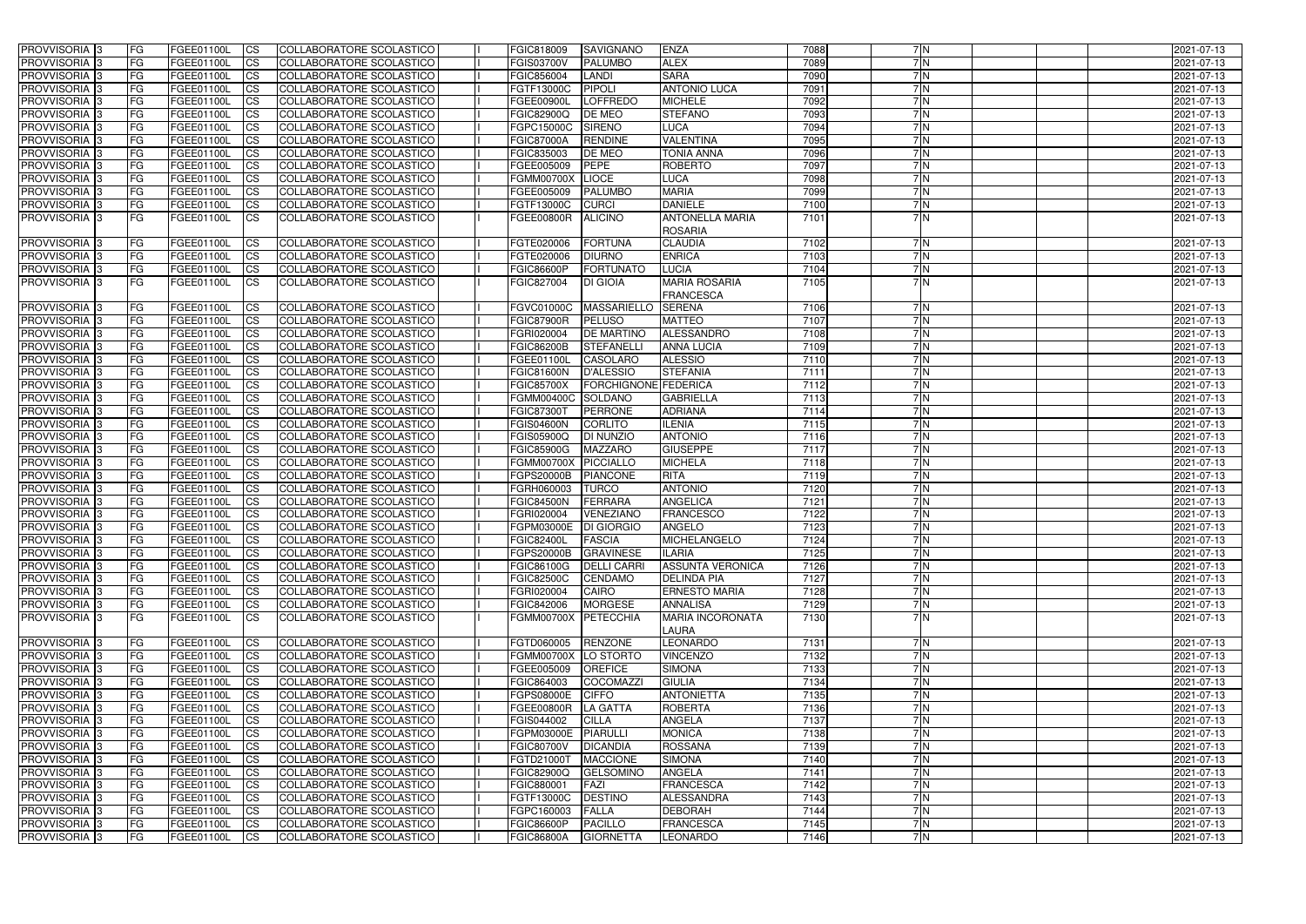| <b>PROVVISORIA</b> 3       | <b>FG</b>  | FGEE01100L | <b>CS</b>      | COLLABORATORE SCOLASTICO        | FGIC818009            | <b>SAVIGNANO</b>     | <b>ENZA</b>             | 7088 | 7N  | 2021-07-13 |
|----------------------------|------------|------------|----------------|---------------------------------|-----------------------|----------------------|-------------------------|------|-----|------------|
| PROVVISORIA 3              | FG         | FGEE01100L | <b>CS</b>      | COLLABORATORE SCOLASTICO        | FGIS03700V            | <b>PALUMBO</b>       | <b>ALEX</b>             | 7089 | 7 N | 2021-07-13 |
| PROVVISORIA <sup>1</sup> 3 | <b>FG</b>  | FGEE01100L | <b>CS</b>      | COLLABORATORE SCOLASTICO        | FGIC856004            | <b>LANDI</b>         | <b>SARA</b>             | 7090 | 7N  | 2021-07-13 |
| PROVVISORIA <sup>1</sup> 3 | <b>FG</b>  | FGEE01100L | <b>CS</b>      | COLLABORATORE SCOLASTICO        | FGTF13000C            | <b>PIPOLI</b>        | <b>ANTONIO LUCA</b>     | 7091 | 7N  | 2021-07-13 |
| PROVVISORIA <sup>1</sup> 3 | FG         | FGEE01100L | <b>CS</b>      | COLLABORATORE SCOLASTICO        | FGEE00900L            | <b>LOFFREDO</b>      | <b>MICHELE</b>          | 7092 | 7N  | 2021-07-13 |
| PROVVISORIA <sup>1</sup> 3 | FG         | FGEE01100L | <b>CS</b>      | COLLABORATORE SCOLASTICO        | FGIC82900Q            | DE MEO               | <b>STEFANO</b>          | 7093 | 7N  | 2021-07-13 |
| PROVVISORIA 3              | FG         | FGEE01100L | <b>CS</b>      | COLLABORATORE SCOLASTICO        | FGPC15000C            | <b>SIRENO</b>        | LUCA                    | 7094 | 7 N | 2021-07-13 |
| PROVVISORIA <sup>1</sup> 3 | <b>FG</b>  | FGEE01100L | <b>CS</b>      | COLLABORATORE SCOLASTICO        | <b>FGIC87000A</b>     | <b>RENDINE</b>       | <b>VALENTINA</b>        | 7095 | 7N  | 2021-07-13 |
| PROVVISORIA <sup>1</sup> 3 | <b>FG</b>  | FGEE01100L | <b>CS</b>      | COLLABORATORE SCOLASTICO        | FGIC835003            | DE MEO               | <b>TONIA ANNA</b>       | 7096 | 7N  | 2021-07-13 |
| PROVVISORIA 3              | <b>FG</b>  | FGEE01100L | <b>CS</b>      | COLLABORATORE SCOLASTICO        | FGEE005009            | <b>PEPE</b>          | <b>ROBERTO</b>          | 7097 | 7N  | 2021-07-13 |
| PROVVISORIA 3              | <b>FG</b>  | FGEE01100L | $\overline{c}$ | COLLABORATORE SCOLASTICO        | <b>FGMM00700X</b>     | <b>LIOCE</b>         | LUCA                    | 7098 | 7N  | 2021-07-13 |
| PROVVISORIA 3              | FG         | FGEE01100L | <b>CS</b>      | COLLABORATORE SCOLASTICO        | FGEE005009            | <b>PALUMBO</b>       | <b>MARIA</b>            | 7099 | 7N  | 2021-07-13 |
| PROVVISORIA 3              | <b>FG</b>  | FGEE01100L | <b>CS</b>      | COLLABORATORE SCOLASTICO        | FGTF13000C            | <b>CURCI</b>         | <b>DANIELE</b>          | 7100 | 7 N | 2021-07-13 |
| PROVVISORIA 3              | <b>FG</b>  | FGEE01100L | <b>CS</b>      | COLLABORATORE SCOLASTICO        | FGEE00800R            | <b>ALICINO</b>       | <b>ANTONELLA MARIA</b>  | 7101 | 7 N | 2021-07-13 |
|                            |            |            |                |                                 |                       |                      | <b>ROSARIA</b>          |      |     |            |
| PROVVISORIA <sup>3</sup>   |            |            | <b>CS</b>      | COLLABORATORE SCOLASTICO        | FGTE020006            | <b>FORTUNA</b>       | <b>CLAUDIA</b>          | 7102 | 7N  | 2021-07-13 |
|                            | FG         | FGEE01100L |                | <b>COLLABORATORE SCOLASTICO</b> |                       |                      |                         |      | 7N  |            |
| <b>PROVVISORIA</b>         | FG         | FGEE01100L | <b>CS</b>      |                                 | FGTE020006            | <b>DIURNO</b>        | <b>ENRICA</b>           | 7103 |     | 2021-07-13 |
| PROVVISORIA 3              | FG         | FGEE01100L | <b>CS</b>      | COLLABORATORE SCOLASTICO        | <b>FGIC86600P</b>     | <b>FORTUNATO</b>     | <b>LUCIA</b>            | 7104 | 7 N | 2021-07-13 |
| PROVVISORIA 3              | <b>FG</b>  | FGEE01100L | <b>ICS</b>     | COLLABORATORE SCOLASTICO        | FGIC827004            | <b>DI GIOIA</b>      | <b>MARIA ROSARIA</b>    | 7105 | 7N  | 2021-07-13 |
|                            |            |            |                |                                 |                       |                      | <b>FRANCESCA</b>        |      |     |            |
| PROVVISORIA 3              | FG         | FGEE01100L | $\overline{c}$ | COLLABORATORE SCOLASTICO        | <b>FGVC01000C</b>     | <b>MASSARIELLO</b>   | <b>SERENA</b>           | 7106 | 7N  | 2021-07-13 |
| PROVVISORIA <sup>1</sup> 3 | FG         | FGEE01100L | <b>CS</b>      | COLLABORATORE SCOLASTICO        | <b>FGIC87900R</b>     | <b>PELUSO</b>        | <b>MATTEO</b>           | 7107 | 7N  | 2021-07-13 |
| PROVVISORIA 3              | <b>FG</b>  | FGEE01100L | <b>CS</b>      | COLLABORATORE SCOLASTICO        | FGRI020004            | <b>DE MARTINO</b>    | <b>ALESSANDRO</b>       | 7108 | 7N  | 2021-07-13 |
| PROVVISORIA 3              | FG         | FGEE01100L | <b>CS</b>      | COLLABORATORE SCOLASTICO        | <b>FGIC86200B</b>     | <b>STEFANELLI</b>    | <b>ANNA LUCIA</b>       | 7109 | 7 N | 2021-07-13 |
| PROVVISORIA <sup>3</sup>   | FG         | FGEE01100L | <b>CS</b>      | COLLABORATORE SCOLASTICO        | FGEE01100L            | <b>CASOLARO</b>      | <b>ALESSIO</b>          | 7110 | 7N  | 2021-07-13 |
| PROVVISORIA <sup>1</sup> 3 | FG         | FGEE01100L | <b>CS</b>      | <b>COLLABORATORE SCOLASTICO</b> | <b>FGIC81600N</b>     | <b>D'ALESSIO</b>     | <b>STEFANIA</b>         | 7111 | 7 N | 2021-07-13 |
| PROVVISORIA 3              | FG         | FGEE01100L | <b>CS</b>      | COLLABORATORE SCOLASTICO        | <b>FGIC85700X</b>     | FORCHIGNONE FEDERICA |                         | 7112 | 7 N | 2021-07-13 |
| PROVVISORIA 3              | FG         | FGEE01100L | <b>CS</b>      | COLLABORATORE SCOLASTICO        | <b>FGMM00400C</b>     | <b>SOLDANO</b>       | <b>GABRIELLA</b>        | 7113 | 7N  | 2021-07-13 |
| PROVVISORIA <sup>1</sup> 3 | FG         | FGEE01100L | <b>CS</b>      | COLLABORATORE SCOLASTICO        | <b>FGIC87300T</b>     | <b>PERRONE</b>       | <b>ADRIANA</b>          | 7114 | 7N  | 2021-07-13 |
| PROVVISORIA <sup>1</sup> 3 | FG         | FGEE01100L | <b>CS</b>      | <b>COLLABORATORE SCOLASTICO</b> | <b>FGIS04600N</b>     | <b>CORLITO</b>       | <b>ILENIA</b>           | 7115 | 7N  | 2021-07-13 |
| PROVVISORIA <sup>1</sup> 3 | FG         | FGEE01100L | <b>CS</b>      | COLLABORATORE SCOLASTICO        | FGIS05900Q            | DI NUNZIO            | <b>ANTONIO</b>          | 7116 | 7N  | 2021-07-13 |
| PROVVISORIA <sup>1</sup> 3 | FG         | FGEE01100L | <b>CS</b>      | COLLABORATORE SCOLASTICO        | <b>FGIC85900G</b>     | <b>MAZZARO</b>       | <b>GIUSEPPE</b>         | 7117 | 7N  | 2021-07-13 |
| PROVVISORIA 3              | FG         | FGEE01100L | $\overline{c}$ | COLLABORATORE SCOLASTICO        | <b>FGMM00700X</b>     | <b>PICCIALLO</b>     | <b>MICHELA</b>          | 7118 | 7 N | 2021-07-13 |
| PROVVISORIA <sup>1</sup> 3 | <b>FG</b>  | FGEE01100L | $\overline{c}$ | COLLABORATORE SCOLASTICO        | <b>FGPS20000B</b>     | <b>PIANCONE</b>      | <b>RITA</b>             | 7119 | 7N  | 2021-07-13 |
| PROVVISORIA 3              | <b>FG</b>  | FGEE01100L | <b>CS</b>      | COLLABORATORE SCOLASTICO        | FGRH060003            | <b>TURCO</b>         | <b>ANTONIO</b>          | 7120 | 7N  | 2021-07-13 |
| PROVVISORIA                | FG         | FGEE01100L | <b>CS</b>      | COLLABORATORE SCOLASTICO        | <b>FGIC84500N</b>     | FERRARA              | <b>ANGELICA</b>         | 7121 | 7N  | 2021-07-13 |
| PROVVISORIA 3              | <b>FG</b>  | FGEE01100L | <b>CS</b>      | COLLABORATORE SCOLASTICO        | FGRI020004            | VENEZIANO            | <b>FRANCESCO</b>        | 7122 | 7N  | 2021-07-13 |
| PROVVISORIA 3              | <b>FG</b>  | FGEE01100L | <b>CS</b>      | COLLABORATORE SCOLASTICO        | FGPM03000E DI GIORGIO |                      | <b>ANGELO</b>           | 7123 | 7N  | 2021-07-13 |
| PROVVISORIA 3              | FG         | FGEE01100L | <b>ICS</b>     | COLLABORATORE SCOLASTICO        | <b>FGIC82400L</b>     | <b>FASCIA</b>        | <b>MICHELANGELO</b>     | 7124 | 7N  | 2021-07-13 |
| PROVVISORIA 3              | <b>FG</b>  | FGEE01100L | CS             | COLLABORATORE SCOLASTICO        | <b>FGPS20000B</b>     | <b>GRAVINESE</b>     | <b>ILARIA</b>           | 7125 | 7 N | 2021-07-13 |
| PROVVISORIA <sup>3</sup>   | <b>IFG</b> | FGEE01100L | CS             | COLLABORATORE SCOLASTICO        | FGIC86100G            | <b>DELLI CARRI</b>   | <b>ASSUNTA VERONICA</b> | 7126 | 7N  | 2021-07-13 |
| <b>PROVVISORIA</b> 3       | <b>IFG</b> | FGEE01100L | CS             | COLLABORATORE SCOLASTICO        | <b>FGIC82500C</b>     | <b>CENDAMO</b>       | <b>DELINDA PIA</b>      | 7127 | 7N  | 2021-07-13 |
| PROVVISORIA 3              | <b>FG</b>  | FGEE01100L | CS             | COLLABORATORE SCOLASTICO        | FGRI020004            | <b>CAIRO</b>         | <b>ERNESTO MARIA</b>    | 7128 | 7N  | 2021-07-13 |
| PROVVISORIA 3              | <b>FG</b>  | FGEE01100L | CS             | COLLABORATORE SCOLASTICO        | FGIC842006            | <b>MORGESE</b>       | <b>ANNALISA</b>         | 7129 | 7N  | 2021-07-13 |
| <b>PROVVISORIA</b> 3       | <b>FG</b>  | FGEE01100L | CS             | COLLABORATORE SCOLASTICO        | FGMM00700X PETECCHIA  |                      | <b>MARIA INCORONATA</b> | 7130 | 7 N | 2021-07-13 |
|                            |            |            |                |                                 |                       |                      | LAURA                   |      |     |            |
| PROVVISORIA <sup>3</sup>   | <b>FG</b>  | FGEE01100L | <b>CS</b>      | COLLABORATORE SCOLASTICO        | FGTD060005            | RENZONE              | <b>LEONARDO</b>         | 7131 | 7N  | 2021-07-13 |
| PROVVISORIA 3              | <b>FG</b>  | FGEE01100L | CS             | COLLABORATORE SCOLASTICO        | FGMM00700X LO STORTO  |                      | <b>VINCENZO</b>         | 7132 | 7N  | 2021-07-13 |
| PROVVISORIA 3              | <b>FG</b>  | FGEE01100L | <b>CS</b>      | COLLABORATORE SCOLASTICO        | FGEE005009            | <b>OREFICE</b>       | <b>SIMONA</b>           | 7133 | 7 N | 2021-07-13 |
| PROVVISORIA 3              | <b>FG</b>  | FGEE01100L | <b>CS</b>      | COLLABORATORE SCOLASTICO        | FGIC864003            | <b>COCOMAZZI</b>     | <b>GIULIA</b>           | 7134 | 7 N | 2021-07-13 |
| PROVVISORIA 3              | <b>FG</b>  | FGEE01100L | <b>CS</b>      | COLLABORATORE SCOLASTICO        | FGPS08000E            | <b>CIFFO</b>         | <b>ANTONIETTA</b>       | 7135 | 7 N | 2021-07-13 |
| PROVVISORIA 3              | <b>FG</b>  | FGEE01100L | <b>CS</b>      | COLLABORATORE SCOLASTICO        | <b>FGEE00800R</b>     | LA GATTA             | <b>ROBERTA</b>          | 7136 | 7 N | 2021-07-13 |
| PROVVISORIA 3              | <b>FG</b>  | FGEE01100L | <b>CS</b>      | COLLABORATORE SCOLASTICO        | FGIS044002            | <b>CILLA</b>         | <b>ANGELA</b>           | 7137 | 7 N | 2021-07-13 |
| PROVVISORIA 3              | <b>IFG</b> | FGEE01100L | <b>CS</b>      | COLLABORATORE SCOLASTICO        | FGPM03000E            | <b>PIARULLI</b>      | <b>MONICA</b>           | 7138 | 7N  | 2021-07-13 |
| PROVVISORIA 3              | FG         | FGEE01100L | <b>CS</b>      | COLLABORATORE SCOLASTICO        | <b>FGIC80700V</b>     | <b>DICANDIA</b>      | <b>ROSSANA</b>          | 7139 | 7N  | 2021-07-13 |
| PROVVISORIA 3              | <b>FG</b>  | FGEE01100L | <b>CS</b>      | COLLABORATORE SCOLASTICO        | FGTD21000T            | <b>MACCIONE</b>      | <b>SIMONA</b>           | 7140 | 7N  | 2021-07-13 |
| PROVVISORIA 3              | <b>FG</b>  | FGEE01100L | <b>CS</b>      | COLLABORATORE SCOLASTICO        | <b>FGIC82900Q</b>     | <b>GELSOMINO</b>     | <b>ANGELA</b>           | 7141 | 7N  | 2021-07-13 |
| PROVVISORIA 3              | FG         | FGEE01100L | <b>CS</b>      | COLLABORATORE SCOLASTICO        | FGIC880001            | FAZI                 | <b>FRANCESCA</b>        | 7142 | 7N  | 2021-07-13 |
| PROVVISORIA 3              | <b>FG</b>  | FGEE01100L | <b>CS</b>      | COLLABORATORE SCOLASTICO        | FGTF13000C            | <b>DESTINO</b>       | <b>ALESSANDRA</b>       | 7143 | 7N  | 2021-07-13 |
| PROVVISORIA 3              | <b>IFG</b> | FGEE01100L | <b>CS</b>      | COLLABORATORE SCOLASTICO        | FGPC160003            | <b>FALLA</b>         | <b>DEBORAH</b>          | 7144 | 7N  | 2021-07-13 |
| PROVVISORIA 3              | <b>FG</b>  | FGEE01100L | $ {\rm CS} $   | COLLABORATORE SCOLASTICO        | <b>FGIC86600P</b>     | <b>PACILLO</b>       | <b>FRANCESCA</b>        | 7145 | 7 N | 2021-07-13 |
| PROVVISORIA 3              | <b>FG</b>  | FGEE01100L | <b>CS</b>      | COLLABORATORE SCOLASTICO        | <b>FGIC86800A</b>     | GIORNETTA            | <b>LEONARDO</b>         | 7146 | 7 N | 2021-07-13 |
|                            |            |            |                |                                 |                       |                      |                         |      |     |            |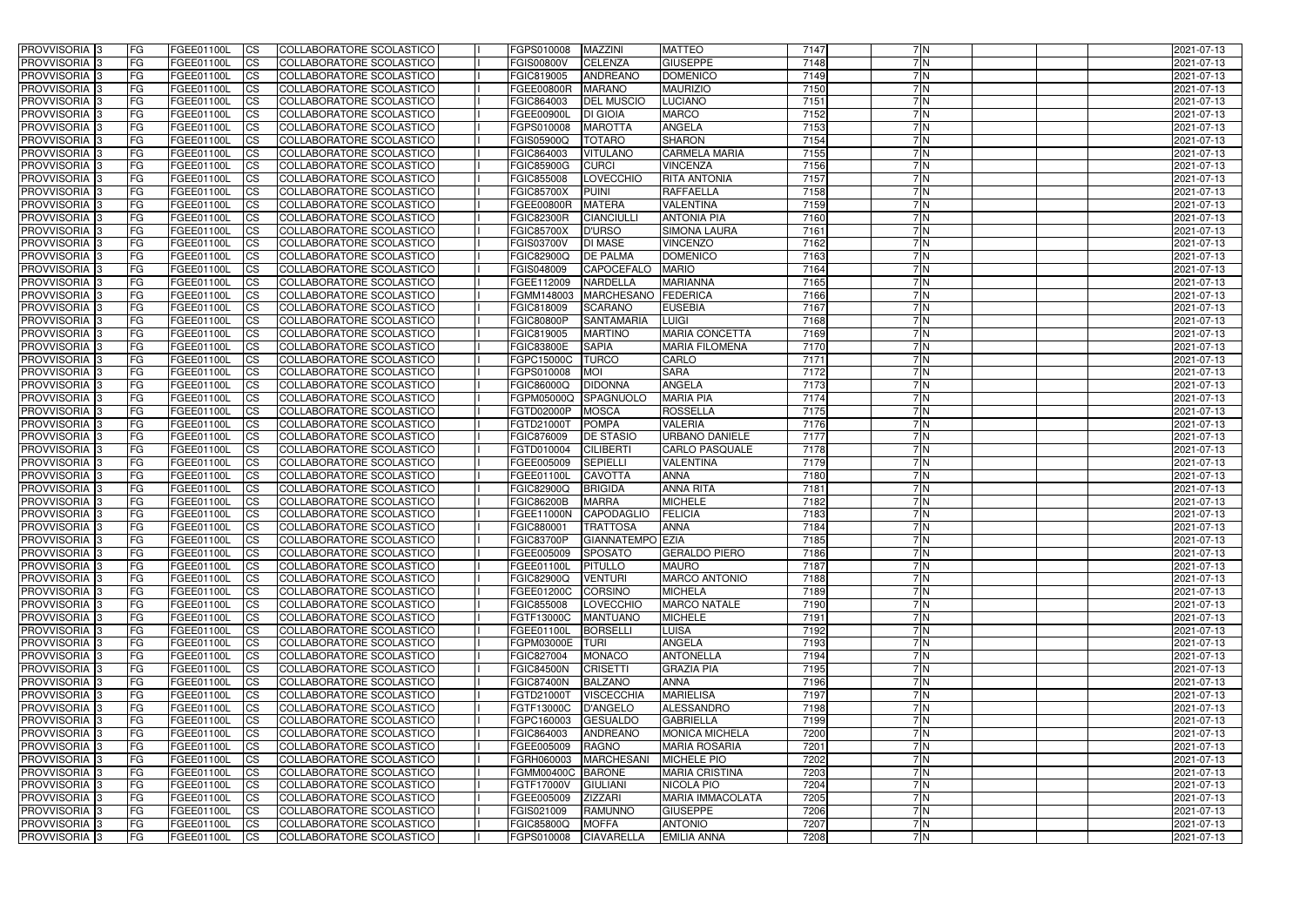| <b>PROVVISORIA</b> 3           | l FG                   | FGEE01100L               | <b>ICS</b>               | COLLABORATORE SCOLASTICO                             | FGPS010008                      | <b>MAZZINI</b>                    | <b>MATTEO</b>                        | 7147         | 7N         | 2021-07-13               |
|--------------------------------|------------------------|--------------------------|--------------------------|------------------------------------------------------|---------------------------------|-----------------------------------|--------------------------------------|--------------|------------|--------------------------|
| <b>PROVVISORIA 3</b>           | FG                     | FGEE01100L               | <b>ICS</b>               | COLLABORATORE SCOLASTICO                             | <b>FGIS00800V</b>               | <b>CELENZA</b>                    | <b>GIUSEPPE</b>                      | 7148         | 7N         | 2021-07-13               |
| PROVVISORIA <sup>1</sup> 3     | FG                     | FGEE01100L               | <b>CS</b>                | COLLABORATORE SCOLASTICO                             | FGIC819005                      | <b>ANDREANO</b>                   | <b>DOMENICO</b>                      | 7149         | 7N         | 2021-07-13               |
| PROVVISORIA                    | FG                     | FGEE01100L               | <b>CS</b>                | COLLABORATORE SCOLASTICO                             | FGEE00800R                      | <b>MARANO</b>                     | <b>MAURIZIO</b>                      | 7150         | 7 N        | 2021-07-13               |
| <b>PROVVISORIA 3</b>           | FG                     | FGEE01100L               | <b>CS</b>                | COLLABORATORE SCOLASTICO                             | FGIC864003                      | <b>DEL MUSCIO</b>                 | <b>LUCIANO</b>                       | 7151         | 7N         | 2021-07-13               |
| PROVVISORIA <sup>1</sup> 3     | FG                     | FGEE01100L               | <b>CS</b>                | COLLABORATORE SCOLASTICO                             | FGEE00900L                      | <b>DI GIOIA</b>                   | <b>MARCO</b>                         | 7152         | 7N         | 2021-07-13               |
| PROVVISORIA <sup>1</sup> 3     | FG                     | FGEE01100L               | <b>CS</b>                | COLLABORATORE SCOLASTICO                             | FGPS010008                      | <b>MAROTTA</b>                    | <b>ANGELA</b>                        | 7153         | 7N         | 2021-07-13               |
| PROVVISORIA 3                  | FG                     | FGEE01100L               | <b>ICS</b>               | COLLABORATORE SCOLASTICO                             | FGIS05900Q                      | <b>TOTARO</b>                     | <b>SHARON</b>                        | 7154         | 7N         | 2021-07-13               |
| PROVVISORIA 3                  | FG                     | FGEE01100L               | <b>CS</b>                | COLLABORATORE SCOLASTICO                             | FGIC864003                      | <b>VITULANO</b>                   | <b>CARMELA MARIA</b>                 | 7155         | 7N         | 2021-07-13               |
| PROVVISORIA 3                  | <b>FG</b>              | FGEE01100L               | <b>ICS</b>               | COLLABORATORE SCOLASTICO                             | <b>FGIC85900G</b>               | <b>CURCI</b>                      | <b>VINCENZA</b>                      | 7156         | 7N         | 2021-07-13               |
| PROVVISORIA 3                  | FG                     | FGEE01100L               | <b>ICS</b>               | COLLABORATORE SCOLASTICO                             | <b>FGIC855008</b>               | LOVECCHIO                         | <b>RITA ANTONIA</b>                  | 7157         | 7N         | 2021-07-13               |
| <b>PROVVISORIA</b>             | FG                     | FGEE01100L               | <b>ICS</b>               | COLLABORATORE SCOLASTICO                             | <b>FGIC85700X</b>               | <b>PUINI</b>                      | <b>RAFFAELLA</b>                     | 7158         | 7N         | 2021-07-13               |
| <b>PROVVISORIA</b>             | FG                     | FGEE01100L               | <b>ICS</b>               | COLLABORATORE SCOLASTICO                             | FGEE00800R                      | <b>MATERA</b>                     | <b>VALENTINA</b>                     | 7159         | 7 N        | 2021-07-13               |
| <b>PROVVISORIA</b>             | FG                     | FGEE01100L               | <b>ICS</b>               | COLLABORATORE SCOLASTICO                             | <b>FGIC82300R</b>               | <b>CIANCIULLI</b>                 | <b>ANTONIA PIA</b>                   | 7160         | 7 N        | 2021-07-13               |
| <b>PROVVISORIA</b>             | FG                     | FGEE01100L               | <b>ICS</b>               | COLLABORATORE SCOLASTICO                             | <b>FGIC85700X</b>               | <b>D'URSO</b>                     | <b>SIMONA LAURA</b>                  | 7161         | 7N         | 2021-07-13               |
| <b>PROVVISORIA</b>             | FG                     | FGEE01100L               | <b>ICS</b>               | COLLABORATORE SCOLASTICO                             | <b>FGIS03700V</b>               | <b>DI MASE</b>                    | <b>VINCENZO</b>                      | 7162         | 7N         | 2021-07-13               |
| <b>PROVVISORIA</b>             | FG                     | FGEE01100L               | <b>ICS</b>               | COLLABORATORE SCOLASTICO                             | <b>FGIC82900Q</b>               | <b>DE PALMA</b>                   | <b>DOMENICO</b>                      | 7163         | 7N         | 2021-07-13               |
| <b>PROVVISORIA</b>             | FG                     | FGEE01100L               | <b>ICS</b>               | COLLABORATORE SCOLASTICO                             | FGIS048009                      | <b>CAPOCEFALO</b>                 | <b>MARIO</b>                         | 7164         | 7N         | 2021-07-13               |
| PROVVISORIA <sup>3</sup>       | FG                     | FGEE01100L               | <b>ICS</b>               | COLLABORATORE SCOLASTICO                             | FGEE112009                      | <b>NARDELLA</b>                   | <b>MARIANNA</b>                      | 7165         | 7N         | 2021-07-13               |
| PROVVISORIA <sup>3</sup>       | FG                     | FGEE01100L               | <b>ICS</b>               | COLLABORATORE SCOLASTICO                             | FGMM148003                      | <b>MARCHESANO</b>                 | <b>FEDERICA</b>                      | 7166         | 7N         | 2021-07-13               |
| PROVVISORIA <sup>1</sup> 3     | FG                     | FGEE01100L               | <b>ICS</b>               | COLLABORATORE SCOLASTICO                             | FGIC818009                      | <b>SCARANO</b>                    | <b>EUSEBIA</b>                       | 7167         | 7N         | 2021-07-13               |
| PROVVISORIA 3                  | FG                     | FGEE01100L               | <b>ICS</b>               | COLLABORATORE SCOLASTICO                             | <b>FGIC80800P</b>               | <b>SANTAMARIA</b>                 | <b>LUIGI</b>                         | 7168         | 7N         | 2021-07-13               |
| PROVVISORIA <sup>3</sup>       | FG                     | FGEE01100L               | <b>ICS</b>               | <b>COLLABORATORE SCOLASTICO</b>                      | FGIC819005                      | <b>MARTINO</b>                    | <b>MARIA CONCETTA</b>                | 7169         | 7 N        | 2021-07-13               |
| PROVVISORIA <sup>3</sup>       | FG                     | FGEE01100L               | <b>CS</b>                | COLLABORATORE SCOLASTICO                             | <b>FGIC83800E</b>               | <b>SAPIA</b>                      | <b>MARIA FILOMENA</b>                | 7170         | 7 N<br>7 N | 2021-07-13               |
| PROVVISORIA <sup>3</sup>       | FG                     | FGEE01100L               | <b>CS</b>                | <b>COLLABORATORE SCOLASTICO</b>                      | FGPC15000C                      | <b>TURCO</b>                      | <b>CARLO</b>                         | 7171         | 7 N        | 2021-07-13               |
| PROVVISORIA <sup>1</sup> 3     | FG                     | FGEE01100L               | <b>CS</b>                | COLLABORATORE SCOLASTICO                             | FGPS010008                      | <b>MOI</b>                        | <b>SARA</b>                          | 7172<br>7173 | 7N         | 2021-07-13               |
| PROVVISORIA 3                  | FG<br>FG               | FGEE01100L               | <b>ICS</b><br><b>ICS</b> | COLLABORATORE SCOLASTICO<br>COLLABORATORE SCOLASTICO | FGIC86000Q                      | <b>DIDONNA</b><br>SPAGNUOLO       | <b>ANGELA</b><br><b>MARIA PIA</b>    | 7174         | 7N         | 2021-07-13               |
| PROVVISORIA<br>PROVVISORIA     | FG                     | FGEE01100L<br>FGEE01100L | <b>CS</b>                | <b>COLLABORATORE SCOLASTICO</b>                      | FGPM05000Q<br>FGTD02000P        | <b>MOSCA</b>                      | <b>ROSSELLA</b>                      | 7175         | 7N         | 2021-07-13<br>2021-07-13 |
| PROVVISORIA                    | FG                     | FGEE01100L               | <b>CS</b>                | COLLABORATORE SCOLASTICO                             | FGTD21000T                      | <b>POMPA</b>                      | <b>VALERIA</b>                       | 7176         | 7N         | 2021-07-13               |
| PROVVISORIA                    | FG                     | FGEE01100L               | <b>CS</b>                | COLLABORATORE SCOLASTICO                             | FGIC876009                      | <b>DE STASIO</b>                  | URBANO DANIELE                       | 7177         | 7 N        | 2021-07-13               |
| PROVVISORIA <sup>1</sup> 3     | FG                     | FGEE01100L               | <b>CS</b>                | COLLABORATORE SCOLASTICO                             | FGTD010004                      | <b>CILIBERTI</b>                  | <b>CARLO PASQUALE</b>                | 7178         | 7N         | 2021-07-13               |
| PROVVISORIA <sup>1</sup> 3     | FG                     | FGEE01100L               | <b>CS</b>                | COLLABORATORE SCOLASTICO                             | FGEE005009                      | <b>SEPIELLI</b>                   | <b>VALENTINA</b>                     | 7179         | 7N         | 2021-07-13               |
| PROVVISORIA 3                  | FG                     | FGEE01100L               | <b>CS</b>                | COLLABORATORE SCOLASTICO                             | FGEE01100L                      | <b>CAVOTTA</b>                    | <b>ANNA</b>                          | 7180         | 7N         | 2021-07-13               |
| PROVVISORIA <sup>1</sup> 3     | FG                     | FGEE01100L               | <b>ICS</b>               | COLLABORATORE SCOLASTICO                             | FGIC82900Q                      | <b>BRIGIDA</b>                    | <b>ANNA RITA</b>                     | 7181         | 7N         | 2021-07-13               |
| PROVVISORIA <sup>1</sup> 3     | FG                     | FGEE01100L               | <b>ICS</b>               | COLLABORATORE SCOLASTICO                             | <b>FGIC86200B</b>               | <b>MARRA</b>                      | <b>MICHELE</b>                       | 7182         | 7N         | 2021-07-13               |
| PROVVISORIA 3                  | <b>FG</b>              | FGEE01100L               | <b>ICS</b>               | COLLABORATORE SCOLASTICO                             | FGEE11000N                      | <b>CAPODAGLIO</b>                 | <b>FELICIA</b>                       | 7183         | 7N         | 2021-07-13               |
| <b>PROVVISORIA</b>             | <b>FG</b>              | FGEE01100L               | <b>ICS</b>               | COLLABORATORE SCOLASTICO                             | FGIC880001                      | <b>TRATTOSA</b>                   | <b>ANNA</b>                          | 7184         | 7 N        | 2021-07-13               |
| PROVVISORIA 3                  | FG                     | FGEE01100L               | CS                       | COLLABORATORE SCOLASTICO                             | FGIC83700P                      | GIANNATEMPO EZIA                  |                                      | 7185         | 7 N        | 2021-07-13               |
| PROVVISORIA 3                  | <b>FG</b>              | FGEE01100L               | $\mathsf{ICS}$           | COLLABORATORE SCOLASTICO                             | FGEE005009                      | <b>SPOSATO</b>                    | <b>GERALDO PIERO</b>                 | 7186         | 7N         | 2021-07-13               |
| PROVVISORIA 3                  | <b>FG</b>              | <b>FGEE01100L</b>        | $\mathsf{ICS}$           | COLLABORATORE SCOLASTICO                             | FGEE01100L                      | <b>PITULLO</b>                    | <b>MAURO</b>                         | 7187         | 7N         | 2021-07-13               |
| PROVVISORIA 3                  | <b>FG</b>              | FGEE01100L               | $\mathsf{ICS}$           | COLLABORATORE SCOLASTICO                             | <b>FGIC82900Q</b>               | <b>VENTURI</b>                    | <b>MARCO ANTONIO</b>                 | 7188         | 7 N        | 2021-07-13               |
| PROVVISORIA 3                  | FG                     | FGEE01100L               | $\mathsf{ICS}$           | COLLABORATORE SCOLASTICO                             | FGEE01200C                      | <b>CORSINO</b>                    | <b>MICHELA</b>                       | 7189         | 7N         | 2021-07-13               |
| PROVVISORIA 3                  | l FG                   | FGEE01100L               | $\mathsf{ICS}$           | COLLABORATORE SCOLASTICO                             | FGIC855008                      | LOVECCHIO                         | <b>MARCO NATALE</b>                  | 7190         | 7N         | 2021-07-13               |
| PROVVISORIA 3                  | <b>FG</b>              | FGEE01100L               | $\mathsf{ICS}$           | COLLABORATORE SCOLASTICO                             | FGTF13000C                      | <b>MANTUANO</b>                   | <b>MICHELE</b>                       | 7191         | 7N         | 2021-07-13               |
| PROVVISORIA 3                  | FG                     | <b>FGEE01100L</b>        | <b>CS</b>                | COLLABORATORE SCOLASTICO                             | FGEE01100L                      | <b>BORSELLI</b>                   | LUISA                                | 7192         | 7N         | 2021-07-13               |
| PROVVISORIA 3                  | <b>FG</b>              | FGEE01100L               | <b>CS</b>                | COLLABORATORE SCOLASTICO                             | FGPM03000E                      | <b>TURI</b>                       | <b>ANGELA</b>                        | 7193         | 7N         | 2021-07-13               |
| PROVVISORIA 3                  | <b>FG</b>              | FGEE01100L               | <b>CS</b>                | COLLABORATORE SCOLASTICO                             | FGIC827004                      | <b>MONACO</b>                     | <b>ANTONELLA</b>                     | 7194         | 7N         | 2021-07-13               |
| PROVVISORIA 3                  | <b>FG</b>              | FGEE01100L               | <b>CS</b>                | COLLABORATORE SCOLASTICO                             | <b>FGIC84500N</b>               | <b>CRISETTI</b>                   | <b>GRAZIA PIA</b>                    | 7195         | 7N         | 2021-07-13               |
| PROVVISORIA 3                  | <b>FG</b>              | FGEE01100L               | <b>CS</b>                | COLLABORATORE SCOLASTICO                             | FGIC87400N                      | BALZANO                           | <b>ANNA</b>                          | 7196         | 7N         | 2021-07-13               |
| PROVVISORIA 3                  | <b>FG</b>              | FGEE01100L               | <b>CS</b>                | COLLABORATORE SCOLASTICO                             | FGTD21000T                      | <b>VISCECCHIA</b>                 | <b>MARIELISA</b>                     | 7197         | 7 N        | 2021-07-13               |
| PROVVISORIA 3                  | <b>FG</b>              | FGEE01100L               | <b>CS</b>                | COLLABORATORE SCOLASTICO                             | <b>FGTF13000C</b>               | D'ANGELO                          | <b>ALESSANDRO</b>                    | 7198         | 7N         | 2021-07-13               |
| PROVVISORIA 3                  | <b>FG</b>              | FGEE01100L               | <b>CS</b>                | COLLABORATORE SCOLASTICO                             | FGPC160003                      | GESUALDO                          | <b>GABRIELLA</b>                     | 7199         | 7N         | 2021-07-13               |
| PROVVISORIA 3                  | <b>FG</b>              | FGEE01100L               | <b>CS</b>                | COLLABORATORE SCOLASTICO                             | FGIC864003                      | ANDREANO                          | <b>MONICA MICHELA</b>                | 7200         | 7N         | 2021-07-13               |
| PROVVISORIA 3                  | <b>FG</b>              | FGEE01100L               | <b>CS</b>                | COLLABORATORE SCOLASTICO                             | FGEE005009                      | <b>RAGNO</b>                      | <b>MARIA ROSARIA</b>                 | 7201         | 7N         | 2021-07-13               |
| PROVVISORIA 3                  | <b>FG</b>              | FGEE01100L               | <b>CS</b>                | COLLABORATORE SCOLASTICO                             | FGRH060003                      | <b>MARCHESANI</b>                 | <b>MICHELE PIO</b>                   | 7202         | 7N         | 2021-07-13               |
| PROVVISORIA 3                  | <b>FG</b>              | FGEE01100L               | <b>CS</b>                | COLLABORATORE SCOLASTICO                             | FGMM00400C BARONE               |                                   | <b>MARIA CRISTINA</b>                | 7203         | 7N         | 2021-07-13               |
| PROVVISORIA 3                  | FG                     | FGEE01100L               | <b>CS</b>                | COLLABORATORE SCOLASTICO                             | FGTF17000V                      | <b>GIULIANI</b>                   | <b>NICOLA PIO</b>                    | 7204         | 7N         | 2021-07-13               |
| PROVVISORIA 3                  | FG                     | <b>FGEE01100L</b>        | <b>CS</b>                | COLLABORATORE SCOLASTICO                             | FGEE005009                      | <b>ZIZZARI</b>                    | <b>MARIA IMMACOLATA</b>              | 7205         | 7N         | 2021-07-13               |
| PROVVISORIA 3                  | <b>FG</b>              | FGEE01100L               | <b>CS</b>                | COLLABORATORE SCOLASTICO                             | FGIS021009                      | <b>RAMUNNO</b>                    | <b>GIUSEPPE</b>                      | 7206         | 7N         | 2021-07-13               |
| PROVVISORIA 3<br>PROVVISORIA 3 | <b>FG</b><br><b>FG</b> | FGEE01100L               | $\overline{\text{CS}}$   | COLLABORATORE SCOLASTICO<br>COLLABORATORE SCOLASTICO | <b>FGIC85800Q</b><br>FGPS010008 | <b>MOFFA</b><br><b>CIAVARELLA</b> | <b>ANTONIO</b><br><b>EMILIA ANNA</b> | 7207<br>7208 | 7N<br>7N   | 2021-07-13<br>2021-07-13 |
|                                |                        | FGEE01100L               | $\mathsf{ICS}$           |                                                      |                                 |                                   |                                      |              |            |                          |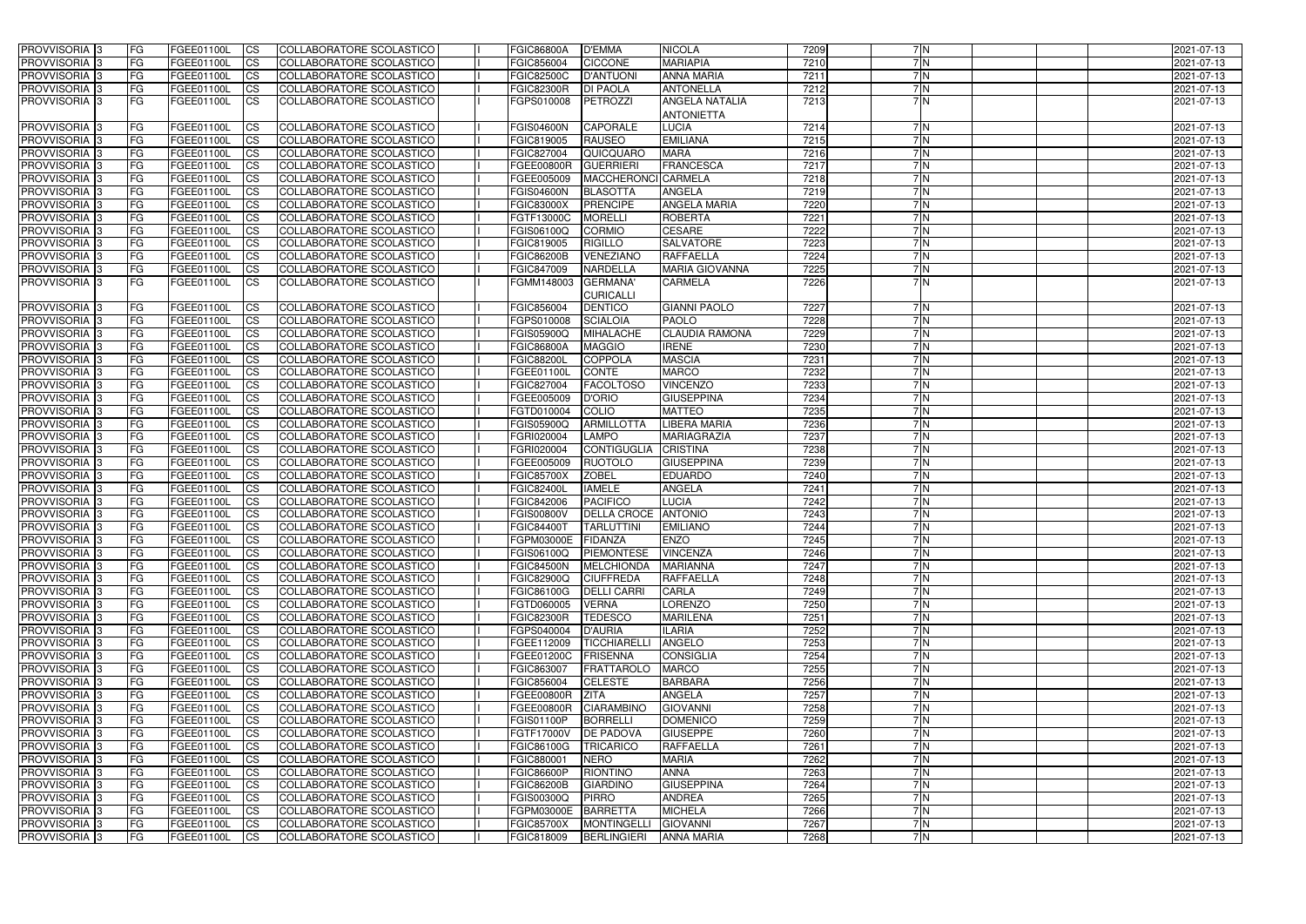| <b>PROVVISORIA</b> 3           | <b>FG</b>               | FGEE01100L                      | CS                     | COLLABORATORE SCOLASTICO                             | <b>FGIC86800A</b>               | <b>D'EMMA</b>              | <b>NICOLA</b>                              | 7209         | 7N       | 2021-07-13               |
|--------------------------------|-------------------------|---------------------------------|------------------------|------------------------------------------------------|---------------------------------|----------------------------|--------------------------------------------|--------------|----------|--------------------------|
| <b>PROVVISORIA 3</b>           | FG                      | FGEE01100L                      | <b>CS</b>              | COLLABORATORE SCOLASTICO                             | FGIC856004                      | <b>CICCONE</b>             | <b>MARIAPIA</b>                            | 7210         | 7N       | 2021-07-13               |
| PROVVISORIA <sup>1</sup> 3     | FG                      | FGEE01100L                      | <b>CS</b>              | COLLABORATORE SCOLASTICO                             | <b>FGIC82500C</b>               | <b>D'ANTUONI</b>           | <b>ANNA MARIA</b>                          | 7211         | 7 N      | 2021-07-13               |
| PROVVISORIA <sup>1</sup> 3     | FG                      | FGEE01100L                      | <b>CS</b>              | COLLABORATORE SCOLASTICO                             | <b>FGIC82300R</b>               | <b>DI PAOLA</b>            | <b>ANTONELLA</b>                           | 7212         | 7 N      | 2021-07-13               |
| PROVVISORIA 3                  | l FG                    | FGEE01100L                      | <b>ICS</b>             | COLLABORATORE SCOLASTICO                             | FGPS010008                      | PETROZZI                   | <b>ANGELA NATALIA</b><br><b>ANTONIETTA</b> | 7213         | 7N       | 2021-07-13               |
| PROVVISORIA <sup>1</sup> 3     | <b>FG</b>               | FGEE01100L                      | <b>CS</b>              | COLLABORATORE SCOLASTICO                             | <b>FGIS04600N</b>               | <b>CAPORALE</b>            | <b>LUCIA</b>                               | 7214         | 7N       | 2021-07-13               |
| PROVVISORIA 3                  | <b>IFG</b>              | FGEE01100L                      | <b>CS</b>              | COLLABORATORE SCOLASTICO                             | FGIC819005                      | <b>RAUSEO</b>              | <b>EMILIANA</b>                            | 7215         | 7N       | 2021-07-13               |
| PROVVISORIA 3                  | <b>FG</b>               | FGEE01100L                      | <b>CS</b>              | COLLABORATORE SCOLASTICO                             | FGIC827004                      | QUICQUARO                  | <b>MARA</b>                                | 7216         | 7N       | 2021-07-13               |
| PROVVISORIA 3                  | <b>FG</b>               | FGEE01100L                      | <b>CS</b>              | COLLABORATORE SCOLASTICO                             | <b>FGEE00800R</b>               | <b>GUERRIERI</b>           | <b>FRANCESCA</b>                           | 7217         | 7N       | 2021-07-13               |
| PROVVISORIA 3                  | FG                      | FGEE01100L                      | <b>CS</b>              | COLLABORATORE SCOLASTICO                             | FGEE005009                      | <b>MACCHERONCI</b>         | <b>CARMELA</b>                             | 7218         | 7 N      | 2021-07-13               |
| <b>PROVVISORIA</b>             | FG                      | FGEE01100L                      | <b>CS</b>              | COLLABORATORE SCOLASTICO                             | <b>FGIS04600N</b>               | <b>BLASOTTA</b>            | <b>ANGELA</b>                              | 7219         | 7N       | 2021-07-13               |
| <b>PROVVISORIA</b>             | <b>FG</b>               | FGEE01100L                      | <b>CS</b>              | COLLABORATORE SCOLASTICO                             | <b>FGIC83000X</b>               | <b>PRENCIPE</b>            | <b>ANGELA MARIA</b>                        | 7220         | 7 N      | 2021-07-13               |
| <b>PROVVISORIA</b>             | FG                      | FGEE01100L                      | <b>CS</b>              | COLLABORATORE SCOLASTICO                             | FGTF13000C                      | <b>MORELLI</b>             | <b>ROBERTA</b>                             | 7221         | 7N       | 2021-07-13               |
| <b>PROVVISORIA</b>             | FG                      | FGEE01100L                      | <b>CS</b>              | COLLABORATORE SCOLASTICO                             | FGIS06100Q                      | <b>CORMIO</b>              | <b>CESARE</b>                              | 7222         | 7N       | 2021-07-13               |
| <b>PROVVISORIA</b>             | FG                      | FGEE01100L                      | <b>CS</b>              | COLLABORATORE SCOLASTICO                             | FGIC819005                      | <b>RIGILLO</b>             | <b>SALVATORE</b>                           | 7223         | 7N       | 2021-07-13               |
| <b>PROVVISORIA</b>             | FG                      | FGEE01100L                      | <b>CS</b>              | COLLABORATORE SCOLASTICO                             | <b>FGIC86200B</b>               | VENEZIANO                  | <b>RAFFAELLA</b>                           | 7224         | 7N       | 2021-07-13               |
| PROVVISORIA 3                  | FG                      | FGEE01100L                      | <b>ICS</b>             | COLLABORATORE SCOLASTICO                             | FGIC847009                      | <b>NARDELLA</b>            | <b>MARIA GIOVANNA</b>                      | 7225         | 7N       | 2021-07-13               |
| PROVVISORIA 3                  | FG                      | FGEE01100L                      | <b>ICS</b>             | COLLABORATORE SCOLASTICO                             | FGMM148003                      | <b>GERMANA'</b>            | <b>CARMELA</b>                             | 7226         | 7N       | 2021-07-13               |
|                                |                         |                                 |                        |                                                      |                                 | <b>CURICALLI</b>           |                                            |              |          |                          |
| PROVVISORIA 3                  | FG                      | FGEE01100L                      | <b>CS</b>              | COLLABORATORE SCOLASTICO                             | FGIC856004                      | <b>DENTICO</b>             | <b>GIANNI PAOLO</b>                        | 7227         | 7 N      | 2021-07-13               |
| PROVVISORIA 3                  | FG                      | FGEE01100L                      | <b>CS</b>              | COLLABORATORE SCOLASTICO                             | FGPS010008                      | <b>SCIALOIA</b>            | <b>PAOLO</b>                               | 7228         | 7 N      | 2021-07-13               |
| PROVVISORIA 3                  | FG                      | FGEE01100L                      | <b>CS</b>              | COLLABORATORE SCOLASTICO                             | FGIS05900Q                      | <b>MIHALACHE</b>           | <b>CLAUDIA RAMONA</b>                      | 7229         | 7 N      | 2021-07-13               |
| PROVVISORIA 3                  | FG                      | FGEE01100L                      | <b>CS</b>              | <b>COLLABORATORE SCOLASTICO</b>                      | <b>FGIC86800A</b>               | <b>MAGGIO</b>              | <b>IRENE</b>                               | 7230         | 7 N      | 2021-07-13               |
| PROVVISORIA <sup>1</sup> 3     | FG                      | FGEE01100L                      | <b>CS</b>              | <b>COLLABORATORE SCOLASTICO</b>                      | <b>FGIC88200L</b>               | COPPOLA                    | <b>MASCIA</b>                              | 7231         | 7 N      | 2021-07-13               |
| PROVVISORIA 3                  | <b>FG</b>               | FGEE01100L                      | <b>CS</b>              | COLLABORATORE SCOLASTICO                             | FGEE01100L                      | <b>CONTE</b>               | <b>MARCO</b>                               | 7232         | 7 N      | 2021-07-13               |
| PROVVISORIA 3                  | <b>FG</b>               | FGEE01100L                      | <b>CS</b>              | COLLABORATORE SCOLASTICO                             | FGIC827004                      | <b>FACOLTOSO</b>           | <b>VINCENZO</b>                            | 7233         | 7N       | 2021-07-13               |
| PROVVISORIA                    | FG                      | FGEE01100L                      | <b>CS</b>              | COLLABORATORE SCOLASTICO                             | FGEE005009                      | <b>D'ORIO</b>              | <b>GIUSEPPINA</b>                          | 7234         | 7N       | 2021-07-13               |
| <b>PROVVISORIA</b>             | FG                      | FGEE01100L                      | <b>CS</b>              | <b>COLLABORATORE SCOLASTICO</b>                      | FGTD010004                      | <b>COLIO</b>               | <b>MATTEO</b>                              | 7235         | 7 N      | 2021-07-13               |
| PROVVISORIA <sup>1</sup> 3     | FG                      | FGEE01100L                      | <b>CS</b>              | COLLABORATORE SCOLASTICO                             | FGIS05900Q                      | <b>ARMILLOTTA</b>          | LIBERA MARIA                               | 7236         | 7N       | 2021-07-13               |
| <b>PROVVISORIA</b>             | FG                      | FGEE01100L                      | <b>CS</b>              | COLLABORATORE SCOLASTICO                             | FGRI020004                      | <b>LAMPO</b>               | <b>MARIAGRAZIA</b>                         | 7237         | 7N       | 2021-07-13               |
| PROVVISORIA <sup>1</sup> 3     | <b>FG</b>               | FGEE01100L                      | <b>CS</b>              | COLLABORATORE SCOLASTICO                             | FGRI020004                      | <b>CONTIGUGLIA</b>         | <b>CRISTINA</b>                            | 7238         | 7N       | 2021-07-13               |
| PROVVISORIA <sup>1</sup> 3     | <b>IFG</b>              | FGEE01100L                      | <b>CS</b>              | COLLABORATORE SCOLASTICO                             | FGEE005009                      | <b>RUOTOLO</b>             | <b>GIUSEPPINA</b>                          | 7239         | 7N       | 2021-07-13               |
| PROVVISORIA 3                  | <b>IFG</b>              | FGEE01100L                      | <b>CS</b>              | <b>COLLABORATORE SCOLASTICO</b>                      | <b>FGIC85700X</b>               | <b>ZOBEL</b>               | <b>EDUARDO</b>                             | 7240         | 7N       | 2021-07-13               |
| PROVVISORIA 3                  | <b>FG</b>               | FGEE01100L                      | $\overline{c}$         | COLLABORATORE SCOLASTICO                             | <b>FGIC82400L</b>               | <b>IAMELE</b>              | <b>ANGELA</b>                              | 7241         | 7N       | 2021-07-13               |
| PROVVISORIA 3                  | <b>FG</b>               | FGEE01100L                      | <b>CS</b>              | COLLABORATORE SCOLASTICO                             | FGIC842006                      | <b>PACIFICO</b>            | <b>LUCIA</b>                               | 7242         | 7N       | 2021-07-13               |
| PROVVISORIA 3                  | <b>FG</b>               | FGEE01100L                      | <b>CS</b>              | COLLABORATORE SCOLASTICO                             | <b>FGIS00800V</b>               | <b>DELLA CROCE ANTONIO</b> |                                            | 7243         | 7N       | 2021-07-13               |
| PROVVISORIA 3                  | <b>FG</b>               | FGEE01100L                      | <b>CS</b>              | COLLABORATORE SCOLASTICO                             | <b>FGIC84400T</b>               | <b>TARLUTTINI</b>          | <b>EMILIANO</b>                            | 7244         | 7 N      | 2021-07-13               |
| PROVVISORIA 3                  | <b>IFG</b>              | FGEE01100L CS                   |                        | COLLABORATORE SCOLASTICO                             | FGPM03000E FIDANZA              |                            | <b>IENZO</b>                               | 7245         | 7N       | 2021-07-13               |
| <b>PROVVISORIA</b> 3           | <b>FG</b>               | FGEE01100L                      | CS                     | COLLABORATORE SCOLASTICO                             |                                 | FGIS06100Q PIEMONTESE      | <b>VINCENZA</b>                            | 7246         | 7N       | 2021-07-13               |
| PROVVISORIA 3                  | <b>FG</b>               | <b>FGEE01100L</b>               | CS                     | COLLABORATORE SCOLASTICO                             |                                 | FGIC84500N MELCHIONDA      | <b>MARIANNA</b>                            | 7247         | 7N       | 2021-07-13               |
| PROVVISORIA 3                  | <b>FG</b>               | <b>FGEE01100L</b>               | CS                     | COLLABORATORE SCOLASTICO                             | <b>FGIC82900Q</b>               | <b>CIUFFREDA</b>           | <b>RAFFAELLA</b>                           | 7248         | 7 N      | 2021-07-13               |
| PROVVISORIA 3                  | FG                      | FGEE01100L                      | CS                     | COLLABORATORE SCOLASTICO                             | FGIC86100G                      | <b>DELLI CARRI</b>         | <b>CARLA</b>                               | 7249         | 7N       | 2021-07-13               |
| PROVVISORIA 3                  | <b>FG</b>               | FGEE01100L                      | CS                     | COLLABORATORE SCOLASTICO                             | FGTD060005<br><b>FGIC82300R</b> | <b>VERNA</b>               | <b>LORENZO</b>                             | 7250         | 7 N      | 2021-07-13               |
| PROVVISORIA 3<br>PROVVISORIA 3 | <b>FG</b><br><b>IFG</b> | FGEE01100L<br><b>FGEE01100L</b> | CS <br><b>CS</b>       | COLLABORATORE SCOLASTICO<br>COLLABORATORE SCOLASTICO | FGPS040004                      | <b>TEDESCO</b><br>D'AURIA  | <b>MARILENA</b><br>ILARIA                  | 7251<br>7252 | 7N<br>7N | 2021-07-13<br>2021-07-13 |
| PROVVISORIA 3                  | <b>FG</b>               | FGEE01100L                      | <b>CS</b>              |                                                      | FGEE112009                      | <b>TICCHIARELLI</b>        | ANGELO                                     | 7253         | 7N       | 2021-07-13               |
| PROVVISORIA 3                  | <b>FG</b>               | FGEE01100L                      | <b>CS</b>              | COLLABORATORE SCOLASTICO<br>COLLABORATORE SCOLASTICO | FGEE01200C                      | <b>FRISENNA</b>            | <b>CONSIGLIA</b>                           | 7254         | 7N       | 2021-07-13               |
| PROVVISORIA 3                  | <b>FG</b>               | FGEE01100L                      | <b>CS</b>              | COLLABORATORE SCOLASTICO                             | FGIC863007                      | <b>FRATTAROLO</b>          | <b>MARCO</b>                               | 7255         | 7 N      | 2021-07-13               |
| PROVVISORIA 3                  | <b>FG</b>               | FGEE01100L                      | <b>CS</b>              | COLLABORATORE SCOLASTICO                             | FGIC856004                      | <b>CELESTE</b>             | <b>BARBARA</b>                             | 7256         | 7N       | 2021-07-13               |
| PROVVISORIA 3                  | <b>FG</b>               | FGEE01100L                      | <b>CS</b>              | COLLABORATORE SCOLASTICO                             | FGEE00800R                      | <b>ZITA</b>                | <b>ANGELA</b>                              | 7257         | 7 N      | 2021-07-13               |
| PROVVISORIA 3                  | <b>FG</b>               | FGEE01100L                      | <b>CS</b>              | COLLABORATORE SCOLASTICO                             | <b>FGEE00800R</b>               | <b>CIARAMBINO</b>          | <b>GIOVANNI</b>                            | 7258         | 7N       | 2021-07-13               |
| PROVVISORIA 3                  | <b>FG</b>               | FGEE01100L                      | <b>CS</b>              | COLLABORATORE SCOLASTICO                             | <b>FGIS01100P</b>               | BORRELLI                   | <b>DOMENICO</b>                            | 7259         | 7N       | 2021-07-13               |
| PROVVISORIA 3                  | <b>FG</b>               | FGEE01100L                      | <b>CS</b>              | COLLABORATORE SCOLASTICO                             | FGTF17000V DE PADOVA            |                            | <b>GIUSEPPE</b>                            | 7260         | 7N       | 2021-07-13               |
| PROVVISORIA 3                  | <b>FG</b>               | FGEE01100L                      | CS                     | COLLABORATORE SCOLASTICO                             | <b>FGIC86100G</b>               | <b>TRICARICO</b>           | <b>RAFFAELLA</b>                           | 7261         | 7N       | 2021-07-13               |
| PROVVISORIA 3                  | <b>FG</b>               | FGEE01100L                      | $\overline{\text{CS}}$ | COLLABORATORE SCOLASTICO                             | FGIC880001                      | <b>NERO</b>                | <b>MARIA</b>                               | 7262         | 7N       | 2021-07-13               |
| PROVVISORIA 3                  | <b>FG</b>               | FGEE01100L                      | <b>CS</b>              | COLLABORATORE SCOLASTICO                             | <b>FGIC86600P</b>               | <b>RIONTINO</b>            | <b>ANNA</b>                                | 7263         | 7N       | 2021-07-13               |
| PROVVISORIA 3                  | <b>IFG</b>              | FGEE01100L                      | <b>CS</b>              | COLLABORATORE SCOLASTICO                             | <b>FGIC86200B</b>               | <b>GIARDINO</b>            | <b>GIUSEPPINA</b>                          | 7264         | 7N       | 2021-07-13               |
| PROVVISORIA 3                  | <b>IFG</b>              | <b>FGEE01100L</b>               | <b>CS</b>              | COLLABORATORE SCOLASTICO                             | FGIS00300Q                      | <b>PIRRO</b>               | <b>ANDREA</b>                              | 7265         | 7N       | 2021-07-13               |
| PROVVISORIA 3                  | <b>FG</b>               | FGEE01100L                      | <b>CS</b>              | COLLABORATORE SCOLASTICO                             | FGPM03000E                      | <b>BARRETTA</b>            | <b>MICHELA</b>                             | 7266         | 7N       | 2021-07-13               |
| PROVVISORIA 3                  | <b>FG</b>               | FGEE01100L                      | <b>CS</b>              | COLLABORATORE SCOLASTICO                             | <b>FGIC85700X</b>               | <b>MONTINGELLI</b>         | <b>GIOVANNI</b>                            | 7267         | 7N       | 2021-07-13               |
| PROVVISORIA 3                  | <b>FG</b>               | FGEE01100L                      | <b>CS</b>              | COLLABORATORE SCOLASTICO                             | FGIC818009                      | <b>BERLINGIERI</b>         | <b>ANNA MARIA</b>                          | 7268         | 7 N      | 2021-07-13               |
|                                |                         |                                 |                        |                                                      |                                 |                            |                                            |              |          |                          |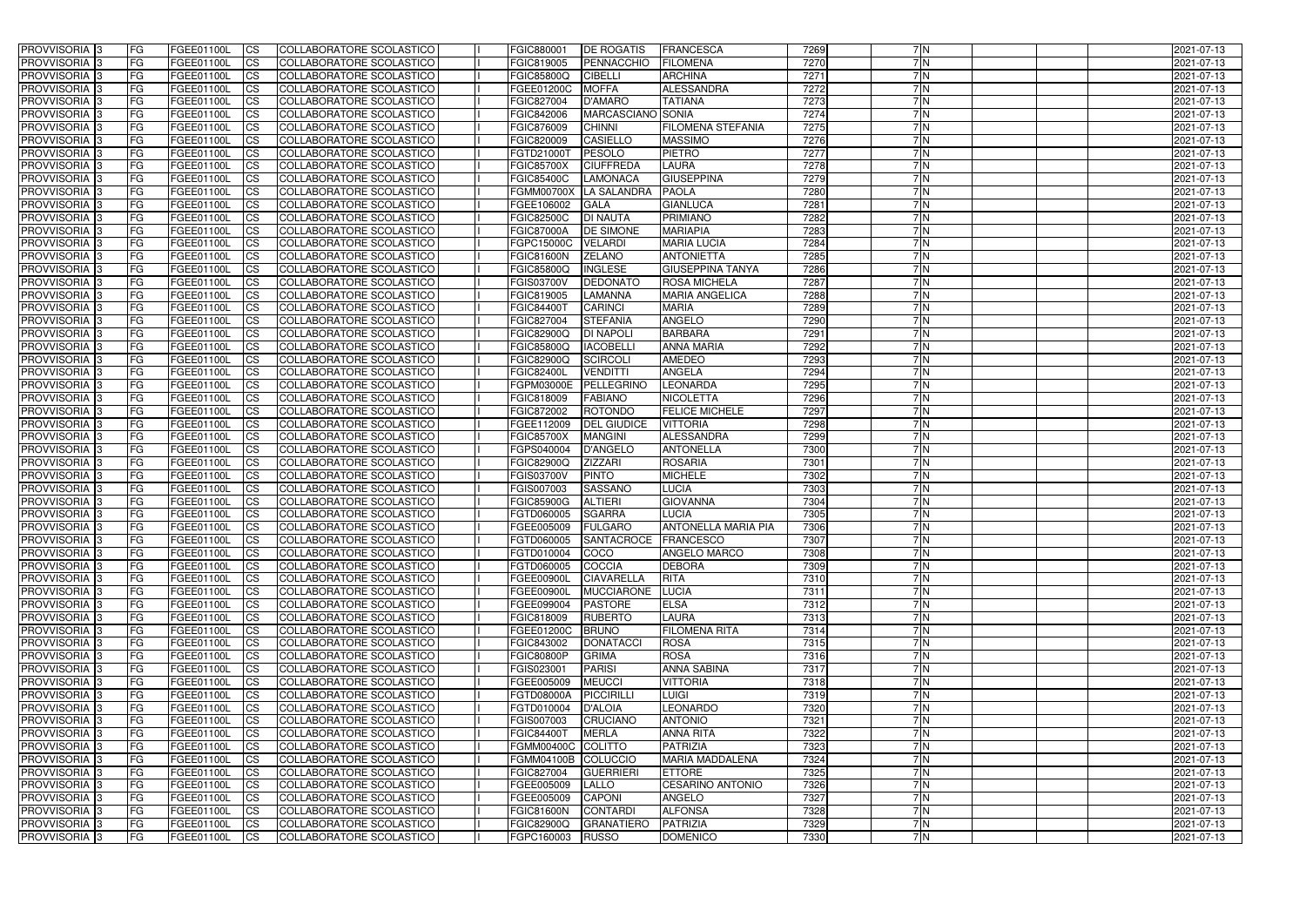| <b>PROVVISORIA</b> 3                      | l FG      | FGEE01100L               | <b>ICS</b>             | COLLABORATORE SCOLASTICO                             | FGIC880001                      | <b>IDE ROGATIS</b>                | <b>FRANCESCA</b>                     | 7269         | 7N       | 2021-07-13               |
|-------------------------------------------|-----------|--------------------------|------------------------|------------------------------------------------------|---------------------------------|-----------------------------------|--------------------------------------|--------------|----------|--------------------------|
| <b>PROVVISORIA 3</b>                      | FG.       | FGEE01100L               | <b>ICS</b>             | COLLABORATORE SCOLASTICO                             | FGIC819005                      | PENNACCHIO                        | <b>FILOMENA</b>                      | 7270         | 7N       | 2021-07-13               |
| PROVVISORIA                               | FG        | FGEE01100L               | <b>CS</b>              | COLLABORATORE SCOLASTICO                             | FGIC85800Q                      | <b>CIBELLI</b>                    | <b>ARCHINA</b>                       | 7271         | 7N       | 2021-07-13               |
| PROVVISORIA                               | FG        | FGEE01100L               | <b>CS</b>              | COLLABORATORE SCOLASTICO                             | FGEE01200C                      | <b>MOFFA</b>                      | ALESSANDRA                           | 7272         | 7N       | 2021-07-13               |
| <b>PROVVISORIA 3</b>                      | FG        | FGEE01100L               | <b>CS</b>              | COLLABORATORE SCOLASTICO                             | FGIC827004                      | <b>D'AMARO</b>                    | <b>TATIANA</b>                       | 7273         | 7N       | 2021-07-13               |
| PROVVISORIA <sup>1</sup> 3                | FG        | FGEE01100L               | <b>CS</b>              | COLLABORATORE SCOLASTICO                             | FGIC842006                      | MARCASCIANO SONIA                 |                                      | 7274         | 7N       | 2021-07-13               |
| PROVVISORIA <sup>1</sup> 3                | FG        | FGEE01100L               | <b>CS</b>              | COLLABORATORE SCOLASTICO                             | FGIC876009                      | <b>CHINNI</b>                     | <b>FILOMENA STEFANIA</b>             | 7275         | 7N       | 2021-07-13               |
| PROVVISORIA 3                             | FG        | FGEE01100L               | <b>ICS</b>             | COLLABORATORE SCOLASTICO                             | FGIC820009                      | <b>CASIELLO</b>                   | <b>MASSIMO</b>                       | 7276         | 7N       | 2021-07-13               |
| PROVVISORIA 3                             | FG        | FGEE01100L               | <b>CS</b>              | COLLABORATORE SCOLASTICO                             | FGTD21000T                      | PESOLO                            | <b>PIETRO</b>                        | 7277         | 7N       | 2021-07-13               |
| PROVVISORIA 3                             | <b>FG</b> | FGEE01100L               | <b>ICS</b>             | COLLABORATORE SCOLASTICO                             | <b>FGIC85700X</b>               | <b>CIUFFREDA</b>                  | <b>LAURA</b>                         | 7278         | 7N       | 2021-07-13               |
| PROVVISORIA 3                             | FG        | FGEE01100L               | <b>ICS</b>             | COLLABORATORE SCOLASTICO                             | <b>FGIC85400C</b>               | <b>LAMONACA</b>                   | <b>GIUSEPPINA</b>                    | 7279         | 7N       | 2021-07-13               |
| <b>PROVVISORIA</b>                        | FG        | FGEE01100L               | <b>ICS</b>             | COLLABORATORE SCOLASTICO                             | <b>FGMM00700X</b>               | LA SALANDRA                       | PAOLA                                | 7280         | 7N       | 2021-07-13               |
| <b>PROVVISORIA</b>                        | FG        | FGEE01100L               | <b>ICS</b>             | COLLABORATORE SCOLASTICO                             | FGEE106002                      | <b>GALA</b>                       | <b>GIANLUCA</b>                      | 7281         | 7 N      | 2021-07-13               |
| <b>PROVVISORIA</b>                        | FG        | FGEE01100L               | <b>ICS</b>             | COLLABORATORE SCOLASTICO                             | <b>FGIC82500C</b>               | <b>DI NAUTA</b>                   | PRIMIANO                             | 7282         | 7 N      | 2021-07-13               |
| <b>PROVVISORIA</b>                        | FG        | FGEE01100L               | <b>ICS</b>             | COLLABORATORE SCOLASTICO                             | <b>FGIC87000A</b>               | <b>DE SIMONE</b>                  | <b>MARIAPIA</b>                      | 7283         | 7N       | 2021-07-13               |
| <b>PROVVISORIA</b>                        | FG        | FGEE01100L               | <b>ICS</b>             | COLLABORATORE SCOLASTICO                             | FGPC15000C                      | <b>VELARDI</b>                    | <b>MARIA LUCIA</b>                   | 7284         | 7N       | 2021-07-13               |
| <b>PROVVISORIA</b>                        | FG        | FGEE01100L               | <b>ICS</b>             | COLLABORATORE SCOLASTICO                             | <b>FGIC81600N</b>               | <b>ZELANO</b>                     | <b>ANTONIETTA</b>                    | 7285         | 7N       | 2021-07-13               |
| <b>PROVVISORIA</b>                        | FG        | FGEE01100L               | <b>ICS</b>             | COLLABORATORE SCOLASTICO                             | FGIC85800Q                      | <b>INGLESE</b>                    | <b>GIUSEPPINA TANYA</b>              | 7286         | 7N       | 2021-07-13               |
| PROVVISORIA 3                             | FG        | FGEE01100L               | <b>ICS</b>             | COLLABORATORE SCOLASTICO                             | <b>FGIS03700V</b>               | <b>DEDONATO</b>                   | <b>ROSA MICHELA</b>                  | 7287         | 7N       | 2021-07-13               |
| PROVVISORIA 3                             | FG        | FGEE01100L               | <b>ICS</b>             | COLLABORATORE SCOLASTICO                             | FGIC819005                      | <b>LAMANNA</b>                    | <b>MARIA ANGELICA</b>                | 7288         | 7N       | 2021-07-13               |
| PROVVISORIA <sup>1</sup> 3                | FG        | FGEE01100L               | <b>ICS</b>             | COLLABORATORE SCOLASTICO                             | <b>FGIC84400T</b>               | <b>CARINCI</b>                    | <b>MARIA</b>                         | 7289         | 7N       | 2021-07-13               |
| PROVVISORIA 3                             | FG        | FGEE01100L               | <b>ICS</b>             | COLLABORATORE SCOLASTICO                             | FGIC827004                      | <b>STEFANIA</b>                   | <b>ANGELO</b>                        | 7290         | 7N       | 2021-07-13               |
| PROVVISORIA <sup>3</sup>                  | FG        | FGEE01100L               | <b>ICS</b>             | <b>COLLABORATORE SCOLASTICO</b>                      | FGIC82900Q                      | <b>DI NAPOLI</b>                  | <b>BARBARA</b>                       | 7291         | 7 N      | 2021-07-13               |
| PROVVISORIA <sup>3</sup>                  | FG        | FGEE01100L               | <b>CS</b>              | COLLABORATORE SCOLASTICO                             | FGIC85800Q                      | <b>IACOBELLI</b>                  | <b>ANNA MARIA</b>                    | 7292         | 7 N      | 2021-07-13               |
| PROVVISORIA 3                             | FG        | FGEE01100L               | <b>CS</b>              | <b>COLLABORATORE SCOLASTICO</b>                      | FGIC82900Q                      | <b>SCIRCOLI</b>                   | <b>AMEDEO</b>                        | 7293         | 7 N      | 2021-07-13               |
| PROVVISORIA 3                             | FG        | FGEE01100L               | <b>ICS</b>             | COLLABORATORE SCOLASTICO                             | <b>FGIC82400L</b>               | <b>VENDITTI</b>                   | <b>ANGELA</b>                        | 7294         | 7 N      | 2021-07-13               |
| PROVVISORIA 3                             | FG        | FGEE01100L               | <b>ICS</b>             | COLLABORATORE SCOLASTICO                             | FGPM03000E                      | PELLEGRINC                        | LEONARDA                             | 7295         | 7N       | 2021-07-13               |
| <b>PROVVISORIA</b>                        | FG        | FGEE01100L               | <b>ICS</b>             | COLLABORATORE SCOLASTICO                             | FGIC818009                      | <b>FABIANO</b>                    | <b>NICOLETTA</b>                     | 7296         | 7N       | 2021-07-13               |
| PROVVISORIA                               | FG        | FGEE01100L               | <b>CS</b>              | <b>COLLABORATORE SCOLASTICO</b>                      | FGIC872002                      | <b>ROTONDO</b>                    | <b>FELICE MICHELE</b>                | 7297<br>7298 | 7N<br>7N | 2021-07-13               |
| PROVVISORIA                               | FG        | FGEE01100L               | <b>CS</b>              | COLLABORATORE SCOLASTICO                             | FGEE112009                      | <b>DEL GIUDICE</b>                | <b>VITTORIA</b><br><b>ALESSANDRA</b> |              | 7 N      | 2021-07-13               |
| PROVVISORIA<br>PROVVISORIA <sup>1</sup> 3 | FG<br>FG  | FGEE01100L               | <b>CS</b><br><b>CS</b> | COLLABORATORE SCOLASTICO<br>COLLABORATORE SCOLASTICO | <b>FGIC85700X</b><br>FGPS040004 | <b>MANGINI</b><br><b>D'ANGELO</b> | <b>ANTONELLA</b>                     | 7299<br>7300 | 7 N      | 2021-07-13               |
| PROVVISORIA <sup>1</sup> 3                | FG        | FGEE01100L<br>FGEE01100L | <b>CS</b>              | COLLABORATORE SCOLASTICO                             | FGIC82900Q                      | <b>ZIZZARI</b>                    | <b>ROSARIA</b>                       | 7301         | 7N       | 2021-07-13<br>2021-07-13 |
| PROVVISORIA 3                             | FG        | FGEE01100L               | <b>CS</b>              | COLLABORATORE SCOLASTICO                             | <b>FGIS03700V</b>               | <b>PINTO</b>                      | <b>MICHELE</b>                       | 7302         | 7N       | 2021-07-13               |
| <b>PROVVISORIA</b>                        | FG        | FGEE01100L               | <b>ICS</b>             | COLLABORATORE SCOLASTICO                             | FGIS007003                      | <b>SASSANO</b>                    | <b>LUCIA</b>                         | 7303         | 7N       | 2021-07-13               |
| PROVVISORIA <sup>1</sup> 3                | FG        | FGEE01100L               | <b>ICS</b>             | COLLABORATORE SCOLASTICO                             | <b>FGIC85900G</b>               | <b>ALTIERI</b>                    | <b>GIOVANNA</b>                      | 7304         | 7N       | 2021-07-13               |
| <b>PROVVISORIA</b>                        | FG        | FGEE01100L               | <b>ICS</b>             | COLLABORATORE SCOLASTICO                             | FGTD060005                      | <b>SGARRA</b>                     | <b>LUCIA</b>                         | 7305         | 7N       | 2021-07-13               |
| <b>PROVVISORIA</b>                        | l FG      | FGEE01100L               | <b>ICS</b>             | COLLABORATORE SCOLASTICO                             | FGEE005009                      | <b>FULGARO</b>                    | <b>ANTONELLA MARIA PIA</b>           | 7306         | 7 N      | 2021-07-13               |
| PROVVISORIA 3                             | FG        | FGEE01100L               | CS                     | COLLABORATORE SCOLASTICO                             |                                 | FGTD060005 SANTACROCE FRANCESCO   |                                      | 7307         | 7 N      | 2021-07-13               |
| PROVVISORIA 3                             | <b>FG</b> | FGEE01100L               | $\mathsf{ICS}$         | COLLABORATORE SCOLASTICO                             | FGTD010004                      | <b>COCO</b>                       | <b>ANGELO MARCO</b>                  | 7308         | 7N       | 2021-07-13               |
| PROVVISORIA 3                             | <b>FG</b> | <b>FGEE01100L</b>        | $\mathsf{ICS}$         | COLLABORATORE SCOLASTICO                             | FGTD060005 COCCIA               |                                   | <b>DEBORA</b>                        | 7309         | 7N       | 2021-07-13               |
| PROVVISORIA 3                             | <b>FG</b> | FGEE01100L               | $\mathsf{ICS}$         | COLLABORATORE SCOLASTICO                             | FGEE00900L                      | <b>CIAVARELLA</b>                 | <b>RITA</b>                          | 7310         | 7 N      | 2021-07-13               |
| PROVVISORIA 3                             | FG        | FGEE01100L               | $\mathsf{ICS}$         | COLLABORATORE SCOLASTICO                             | FGEE00900L                      | <b>MUCCIARONE</b>                 | <b>LUCIA</b>                         | 7311         | 7N       | 2021-07-13               |
| PROVVISORIA 3                             | l FG      | FGEE01100L               | $\mathsf{ICS}$         | COLLABORATORE SCOLASTICO                             | FGEE099004                      | <b>PASTORE</b>                    | <b>ELSA</b>                          | 7312         | 7N       | 2021-07-13               |
| PROVVISORIA 3                             | <b>FG</b> | FGEE01100L               | $\mathsf{ICS}$         | COLLABORATORE SCOLASTICO                             | FGIC818009                      | <b>RUBERTO</b>                    | <b>LAURA</b>                         | 7313         | 7N       | 2021-07-13               |
| PROVVISORIA 3                             | FG        | FGEE01100L               | <b>CS</b>              | COLLABORATORE SCOLASTICO                             | FGEE01200C                      | <b>BRUNO</b>                      | <b>FILOMENA RITA</b>                 | 7314         | 7N       | 2021-07-13               |
| PROVVISORIA 3                             | <b>FG</b> | FGEE01100L               | <b>CS</b>              | COLLABORATORE SCOLASTICO                             | FGIC843002                      | <b>DONATACCI</b>                  | <b>ROSA</b>                          | 7315         | 7N       | 2021-07-13               |
| PROVVISORIA 3                             | <b>FG</b> | FGEE01100L               | <b>CS</b>              | COLLABORATORE SCOLASTICO                             | <b>FGIC80800P</b>               | <b>GRIMA</b>                      | <b>ROSA</b>                          | 7316         | 7N       | 2021-07-13               |
| PROVVISORIA 3                             | <b>FG</b> | FGEE01100L               | <b>CS</b>              | COLLABORATORE SCOLASTICO                             | FGIS023001                      | <b>PARISI</b>                     | <b>ANNA SABINA</b>                   | 7317         | 7N       | 2021-07-13               |
| PROVVISORIA 3                             | <b>FG</b> | FGEE01100L               | <b>CS</b>              | COLLABORATORE SCOLASTICO                             | FGEE005009                      | <b>MEUCCI</b>                     | <b>VITTORIA</b>                      | 7318         | 7N       | 2021-07-13               |
| PROVVISORIA 3                             | <b>FG</b> | FGEE01100L               | <b>CS</b>              | COLLABORATORE SCOLASTICO                             | <b>FGTD08000A</b>               | PICCIRILLI                        | <b>LUIGI</b>                         | 7319         | 7 N      | 2021-07-13               |
| PROVVISORIA 3                             | <b>FG</b> | FGEE01100L               | <b>CS</b>              | COLLABORATORE SCOLASTICO                             | FGTD010004                      | D'ALOIA                           | <b>LEONARDO</b>                      | 7320         | 7N       | 2021-07-13               |
| PROVVISORIA 3                             | <b>FG</b> | FGEE01100L               | <b>CS</b>              | COLLABORATORE SCOLASTICO                             | FGIS007003                      | CRUCIANO                          | <b>ANTONIO</b>                       | 7321         | 7N       | 2021-07-13               |
| PROVVISORIA 3                             | <b>FG</b> | FGEE01100L               | <b>CS</b>              | COLLABORATORE SCOLASTICO                             | <b>FGIC84400T</b>               | <b>MERLA</b>                      | <b>ANNA RITA</b>                     | 7322         | 7N       | 2021-07-13               |
| PROVVISORIA 3                             | <b>FG</b> | FGEE01100L               | <b>CS</b>              | COLLABORATORE SCOLASTICO                             | FGMM00400C COLITTO              |                                   | PATRIZIA                             | 7323         | 7N       | 2021-07-13               |
| PROVVISORIA 3                             | <b>FG</b> | FGEE01100L               | <b>CS</b>              | COLLABORATORE SCOLASTICO                             | FGMM04100B COLUCCIO             |                                   | MARIA MADDALENA                      | 7324         | 7N       | 2021-07-13               |
| PROVVISORIA 3                             | <b>FG</b> | FGEE01100L               | <b>CS</b>              | COLLABORATORE SCOLASTICO                             | FGIC827004                      | <b>GUERRIERI</b>                  | <b>ETTORE</b>                        | 7325         | 7N       | 2021-07-13               |
| PROVVISORIA 3                             | FG        | FGEE01100L               | <b>CS</b>              | COLLABORATORE SCOLASTICO                             | FGEE005009                      | LALLO                             | <b>CESARINO ANTONIO</b>              | 7326         | 7N       | 2021-07-13               |
| PROVVISORIA 3                             | FG        | FGEE01100L               | <b>CS</b>              | COLLABORATORE SCOLASTICO                             | FGEE005009                      | <b>CAPONI</b>                     | ANGELO                               | 7327         | 7N       | 2021-07-13               |
| PROVVISORIA 3                             | <b>FG</b> | FGEE01100L               | <b>CS</b>              | COLLABORATORE SCOLASTICO                             | <b>FGIC81600N</b>               | <b>CONTARDI</b>                   | <b>ALFONSA</b>                       | 7328         | 7N       | 2021-07-13               |
| PROVVISORIA 3                             | <b>FG</b> | FGEE01100L               | $\overline{\text{CS}}$ | COLLABORATORE SCOLASTICO                             | <b>FGIC82900Q</b>               | <b>GRANATIERO</b>                 | PATRIZIA                             | 7329         | 7N       | 2021-07-13               |
| PROVVISORIA 3                             | <b>FG</b> | <b>FGEE01100L</b>        | $\mathsf{ICS}$         | COLLABORATORE SCOLASTICO                             | FGPC160003                      | <b>RUSSO</b>                      | <b>DOMENICO</b>                      | 7330         | 7N       | 2021-07-13               |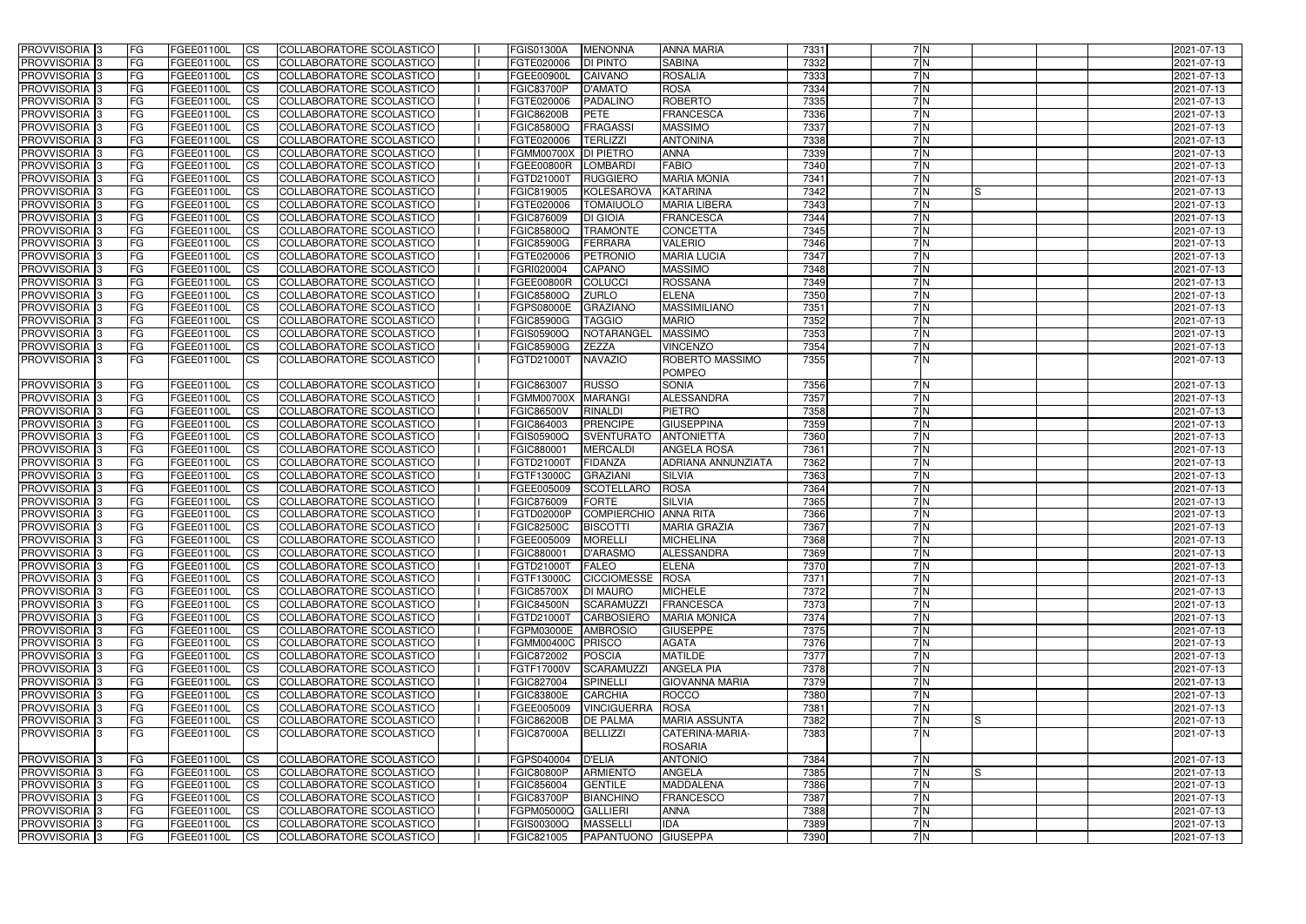| PROVVISORIA <sup>1</sup> 3     | <b>FG</b>              | FGEE01100L               | CS                     | COLLABORATORE SCOLASTICO                             | <b>FGIS01300A</b>               | <b>MENONNA</b>                       | <b>ANNA MARIA</b>                 | 7331         | 7N               |     | 2021-07-13               |
|--------------------------------|------------------------|--------------------------|------------------------|------------------------------------------------------|---------------------------------|--------------------------------------|-----------------------------------|--------------|------------------|-----|--------------------------|
| PROVVISORIA <sup>1</sup> 3     | FG                     | FGEE01100L               | <b>CS</b>              | <b>COLLABORATORE SCOLASTICO</b>                      | FGTE020006                      | DI PINTO                             | <b>SABINA</b>                     | 7332         | 7 N              |     | 2021-07-13               |
| PROVVISORIA <sup>3</sup>       | FG                     | FGEE01100L               | <b>CS</b>              | COLLABORATORE SCOLASTICO                             | <b>FGEE00900L</b>               | <b>CAIVANO</b>                       | <b>ROSALIA</b>                    | 7333         | 7N               |     | 2021-07-13               |
| PROVVISORIA <sup>1</sup> 3     | FG                     | FGEE01100L               | <b>CS</b>              | COLLABORATORE SCOLASTICO                             | <b>FGIC83700P</b>               | <b>D'AMATO</b>                       | <b>ROSA</b>                       | 7334         | 7N               |     | 2021-07-13               |
| PROVVISORIA <sup>1</sup> 3     | FG                     | FGEE01100L               | <b>CS</b>              | COLLABORATORE SCOLASTICO                             | FGTE020006                      | PADALINO                             | <b>ROBERTO</b>                    | 7335         | 7N               |     | 2021-07-13               |
| PROVVISORIA 3                  | <b>IFG</b>             | FGEE01100L               | <b>CS</b>              | COLLABORATORE SCOLASTICO                             | <b>FGIC86200B</b>               | <b>PETE</b>                          | <b>FRANCESCA</b>                  | 7336         | 7N               |     | 2021-07-13               |
| PROVVISORIA 3                  | <b>FG</b>              | FGEE01100L               | <b>CS</b>              | COLLABORATORE SCOLASTICO                             | <b>FGIC85800Q</b>               | <b>FRAGASSI</b>                      | <b>MASSIMO</b>                    | 7337         | 7N               |     | 2021-07-13               |
| PROVVISORIA 3                  | FG                     | FGEE01100L               | <b>CS</b>              | COLLABORATORE SCOLASTICO                             | FGTE020006                      | <b>TERLIZZI</b>                      | <b>ANTONINA</b>                   | 7338         | 7N               |     | 2021-07-13               |
| PROVVISORIA 3                  | FG                     | FGEE01100L               | <b>CS</b>              | COLLABORATORE SCOLASTICO                             | <b>FGMM00700X</b>               | <b>DI PIETRO</b>                     | <b>ANNA</b>                       | 7339         | 7N               |     | 2021-07-13               |
| PROVVISORIA 3                  | <b>FG</b>              | FGEE01100L               | <b>CS</b>              | COLLABORATORE SCOLASTICO                             | <b>FGEE00800R</b>               | <b>LOMBARDI</b>                      | <b>FABIO</b>                      | 7340         | 7 N              |     | 2021-07-13               |
| PROVVISORIA <sup>3</sup>       | <b>FG</b>              | FGEE01100L               | <b>CS</b>              | COLLABORATORE SCOLASTICO                             | FGTD21000T                      | <b>RUGGIERO</b>                      | <b>MARIA MONIA</b>                | 7341         | 7N               |     | 2021-07-13               |
| <b>PROVVISORIA</b> 3           | FG                     | FGEE01100L               | <b>CS</b>              | COLLABORATORE SCOLASTICO                             | FGIC819005                      | <b>KOLESAROVA</b>                    | <b>KATARINA</b>                   | 7342         | 7N               | IS  | 2021-07-13               |
| PROVVISORIA <sup>1</sup> 3     | FG                     | FGEE01100L               | <b>CS</b>              | COLLABORATORE SCOLASTICO                             | FGTE020006                      | <b>TOMAIUOLO</b>                     | <b>MARIA LIBERA</b>               | 7343         | 7N               |     | 2021-07-13               |
| <b>PROVVISORIA</b>             | FG                     | FGEE01100L               | <b>CS</b>              | COLLABORATORE SCOLASTICO                             | FGIC876009                      | <b>DI GIOIA</b>                      | <b>FRANCESCA</b>                  | 7344         | 7N               |     | 2021-07-13               |
| <b>PROVVISORIA</b>             | FG                     | FGEE01100L               | <b>CS</b>              | COLLABORATORE SCOLASTICO                             | <b>FGIC85800Q</b>               | <b>TRAMONTE</b>                      | <b>CONCETTA</b>                   | 7345         | $\overline{7}$ N |     | 2021-07-13               |
| PROVVISORIA <sup>1</sup> 3     | FG                     | FGEE01100L               | <b>ICS</b>             | COLLABORATORE SCOLASTICO                             | <b>FGIC85900G</b>               | <b>FERRARA</b>                       | <b>VALERIO</b>                    | 7346         | 7N               |     | 2021-07-13               |
| <b>PROVVISORIA</b>             | FG                     | FGEE01100L               | <b>CS</b>              | COLLABORATORE SCOLASTICO                             | FGTE020006                      | PETRONIO                             | <b>MARIA LUCIA</b>                | 7347         | 7N               |     | 2021-07-13               |
| PROVVISORIA 3                  | FG                     | FGEE01100L               | <b>ICS</b>             | COLLABORATORE SCOLASTICO                             | FGRI020004                      | CAPANO                               | <b>MASSIMO</b>                    | 7348         | 7N               |     | 2021-07-13               |
| PROVVISORIA <sup>1</sup> 3     | FG                     | FGEE01100L               | <b>ICS</b>             | COLLABORATORE SCOLASTICO                             | <b>FGEE00800R</b>               | <b>COLUCCI</b>                       | <b>ROSSANA</b>                    | 7349         | 7N               |     | 2021-07-13               |
| PROVVISORIA 3                  | FG                     | FGEE01100L               | <b>CS</b>              | COLLABORATORE SCOLASTICO                             | FGIC85800Q                      | <b>ZURLO</b>                         | <b>ELENA</b>                      | 7350         | 7N               |     | 2021-07-13               |
| PROVVISORIA <sup>1</sup> 3     | FG                     | FGEE01100L               | <b>CS</b>              | COLLABORATORE SCOLASTICO                             | FGPS08000E                      | <b>GRAZIANO</b>                      | <b>MASSIMILIANO</b>               | 7351         | 7 N              |     | 2021-07-13               |
| PROVVISORIA <sup>3</sup>       | FG                     | FGEE01100L               | <b>CS</b>              | COLLABORATORE SCOLASTICO                             | <b>FGIC85900G</b>               | <b>TAGGIO</b>                        | <b>MARIO</b>                      | 7352         | 7 N              |     | 2021-07-13               |
| PROVVISORIA 3                  | FG                     | FGEE01100L               | <b>CS</b>              | COLLABORATORE SCOLASTICO                             | FGIS05900Q                      | NOTARANGEL                           | <b>MASSIMO</b>                    | 7353         | 7 N<br>7N        |     | 2021-07-13               |
| PROVVISORIA <sup>1</sup> 3     | <b>FG</b>              | FGEE01100L               | <b>CS</b>              | COLLABORATORE SCOLASTICO                             | <b>FGIC85900G</b>               | <b>ZEZZA</b>                         | <b>VINCENZO</b>                   | 7354         | 7N               |     | 2021-07-13               |
| PROVVISORIA 3                  | FG.                    | FGEE01100L               | <b>ICS</b>             | COLLABORATORE SCOLASTICO                             | FGTD21000T                      | <b>NAVAZIO</b>                       | ROBERTO MASSIMO<br><b>POMPEO</b>  | 7355         |                  |     | 2021-07-13               |
| PROVVISORIA 3                  | <b>FG</b>              | FGEE01100L               | <b>CS</b>              | COLLABORATORE SCOLASTICO                             | FGIC863007                      | <b>RUSSO</b>                         | <b>SONIA</b>                      | 7356         | 7N               |     | 2021-07-13               |
| <b>PROVVISORIA</b>             | FG                     | FGEE01100L               | <b>CS</b>              | COLLABORATORE SCOLASTICO                             | <b>FGMM00700X</b>               | <b>MARANGI</b>                       | <b>ALESSANDRA</b>                 | 7357         | 7N               |     | 2021-07-13               |
| PROVVISORIA <sup>1</sup> 3     | FG                     | FGEE01100L               | <b>CS</b>              | COLLABORATORE SCOLASTICO                             | <b>FGIC86500V</b>               | <b>RINALDI</b>                       | <b>PIETRO</b>                     | 7358         | 7N               |     | 2021-07-13               |
| PROVVISORIA 3                  | FG                     | FGEE01100L               | <b>CS</b>              | COLLABORATORE SCOLASTICO                             | FGIC864003                      | <b>PRENCIPE</b>                      | <b>GIUSEPPINA</b>                 | 7359         | 7N               |     | 2021-07-13               |
| <b>PROVVISORIA</b>             | FG                     | FGEE01100L               | <b>CS</b>              | COLLABORATORE SCOLASTICO                             | FGIS05900Q                      | <b>SVENTURATO</b>                    | <b>ANTONIETTA</b>                 | 7360         | 7N               |     | 2021-07-13               |
| PROVVISORIA <sup>1</sup> 3     | <b>IFG</b>             | FGEE01100L               | <b>CS</b>              | COLLABORATORE SCOLASTICO                             | FGIC880001                      | <b>MERCALDI</b>                      | <b>ANGELA ROSA</b>                | 7361         | 7N               |     | 2021-07-13               |
| <b>PROVVISORIA</b>             | FG                     | FGEE01100L               | <b>CS</b>              | <b>COLLABORATORE SCOLASTICO</b>                      | FGTD21000T                      | <b>FIDANZA</b>                       | ADRIANA ANNUNZIATA                | 7362         | 7N               |     | 2021-07-13               |
| PROVVISORIA 3                  | <b>FG</b>              | <b>FGEE01100L</b>        | $\overline{c}$         | COLLABORATORE SCOLASTICO                             | FGTF13000C                      | <b>GRAZIANI</b>                      | <b>SILVIA</b>                     | 7363         | 7N               |     | 2021-07-13               |
| PROVVISORIA 3                  | <b>FG</b>              | FGEE01100L               | <b>CS</b>              | COLLABORATORE SCOLASTICO                             | FGEE005009                      | <b>SCOTELLARO</b>                    | <b>ROSA</b>                       | 7364         | 7 N              |     | 2021-07-13               |
| <b>PROVVISORIA</b>             | <b>FG</b>              | FGEE01100L               | <b>CS</b>              | COLLABORATORE SCOLASTICO                             | FGIC876009                      | <b>FORTE</b>                         | <b>SILVIA</b>                     | 7365         | 7N               |     | 2021-07-13               |
| PROVVISORIA <sup>1</sup> 3     | FG                     | FGEE01100L               | <b>CS</b>              | COLLABORATORE SCOLASTICO                             | FGTD02000P                      | <b>COMPIERCHIO ANNA RITA</b>         |                                   | 7366         | 7 N              |     | 2021-07-13               |
| PROVVISORIA 3                  | FG                     | FGEE01100L               | <b>ICS</b>             | COLLABORATORE SCOLASTICO                             | <b>FGIC82500C</b>               | <b>BISCOTTI</b>                      | <b>MARIA GRAZIA</b>               | 7367         | 7 N              |     | 2021-07-13               |
| PROVVISORIA 3                  | FG                     | FGEE01100L CS            |                        | COLLABORATORE SCOLASTICO                             | FGEE005009   MORELLI            |                                      | <b>MICHELINA</b>                  | 7368         | 7 N              |     | 2021-07-13               |
| PROVVISORIA 3                  | <b>FG</b>              | FGEE01100L               | CS                     | COLLABORATORE SCOLASTICO                             | FGIC880001                      | D'ARASMO                             | <b>ALESSANDRA</b>                 | 7369         | 7N               |     | 2021-07-13               |
| PROVVISORIA 3                  | <b>FG</b>              | FGEE01100L<br>FGEE01100L | CS                     | COLLABORATORE SCOLASTICO                             | FGTD21000T FALEO                |                                      | <b>ELENA</b>                      | 7370         | 7N<br>7N         |     | 2021-07-13               |
| PROVVISORIA 3<br>PROVVISORIA 3 | <b>FG</b><br><b>FG</b> | FGEE01100L               | CS                     | COLLABORATORE SCOLASTICO<br>COLLABORATORE SCOLASTICO | FGTF13000C<br><b>FGIC85700X</b> | CICCIOMESSE ROSA                     | <b>MICHELE</b>                    | 7371<br>7372 | 7N               |     | 2021-07-13<br>2021-07-13 |
| PROVVISORIA 3                  | <b>IFG</b>             | FGEE01100L               | <b>CS</b><br><b>CS</b> | COLLABORATORE SCOLASTICO                             | <b>FGIC84500N</b>               | <b>DI MAURO</b><br><b>SCARAMUZZI</b> | <b>FRANCESCA</b>                  | 7373         | 7N               |     | 2021-07-13               |
| PROVVISORIA 3                  | <b>IFG</b>             | FGEE01100L               | CS                     | COLLABORATORE SCOLASTICO                             | FGTD21000T                      | CARBOSIERO                           | <b>MARIA MONICA</b>               | 7374         | 7N               |     | 2021-07-13               |
| PROVVISORIA 3                  | <b>FG</b>              | FGEE01100L               | <b>CS</b>              | COLLABORATORE SCOLASTICO                             | FGPM03000E                      | <b>AMBROSIO</b>                      | <b>GIUSEPPE</b>                   | 7375         | 7N               |     | 2021-07-13               |
| PROVVISORIA 3                  | FG                     | FGEE01100L               | <b>CS</b>              | COLLABORATORE SCOLASTICO                             | FGMM00400C PRISCO               |                                      | <b>AGATA</b>                      | 7376         | 7N               |     | 2021-07-13               |
| PROVVISORIA 3                  | <b>FG</b>              | FGEE01100L               | <b>CS</b>              | COLLABORATORE SCOLASTICO                             | FGIC872002                      | <b>POSCIA</b>                        | <b>MATILDE</b>                    | 7377         | 7 N              |     | 2021-07-13               |
| PROVVISORIA 3                  | <b>FG</b>              | FGEE01100L               | <b>CS</b>              | COLLABORATORE SCOLASTICO                             | FGTF17000V                      | SCARAMUZZI                           | <b>ANGELA PIA</b>                 | 7378         | 7 N              |     | 2021-07-13               |
| PROVVISORIA 3                  | <b>FG</b>              | FGEE01100L               | <b>CS</b>              | COLLABORATORE SCOLASTICO                             | FGIC827004                      | <b>SPINELLI</b>                      | <b>GIOVANNA MARIA</b>             | 7379         | 7 N              |     | 2021-07-13               |
| PROVVISORIA 3                  | <b>FG</b>              | FGEE01100L               | <b>CS</b>              | COLLABORATORE SCOLASTICO                             | <b>FGIC83800E</b>               | <b>CARCHIA</b>                       | <b>ROCCO</b>                      | 7380         | 7N               |     | 2021-07-13               |
| PROVVISORIA 3                  | <b>FG</b>              | FGEE01100L               | <b>CS</b>              | COLLABORATORE SCOLASTICO                             | FGEE005009                      | <b>VINCIGUERRA</b>                   | ROSA                              | 7381         | 7N               |     | 2021-07-13               |
| PROVVISORIA 3                  | <b>FG</b>              | FGEE01100L               | <b>CS</b>              | COLLABORATORE SCOLASTICO                             | <b>FGIC86200B</b>               | <b>DE PALMA</b>                      | <b>MARIA ASSUNTA</b>              | 7382         | 7N               | ls  | 2021-07-13               |
| PROVVISORIA 3                  | IFG.                   | FGEE01100L               | <b>ICS</b>             | COLLABORATORE SCOLASTICO                             | <b>FGIC87000A</b>               | <b>BELLIZZI</b>                      | CATERINA-MARIA-<br><b>ROSARIA</b> | 7383         | 7N               |     | 2021-07-13               |
| PROVVISORIA 3                  | <b>FG</b>              | FGEE01100L               | <b>CS</b>              | COLLABORATORE SCOLASTICO                             | FGPS040004 D'ELIA               |                                      | <b>ANTONIO</b>                    | 7384         | 7N               |     | 2021-07-13               |
| PROVVISORIA 3                  | <b>IFG</b>             | FGEE01100L               | <b>CS</b>              | COLLABORATORE SCOLASTICO                             | <b>FGIC80800P</b>               | <b>ARMIENTO</b>                      | <b>ANGELA</b>                     | 7385         | 7N               | Is. | 2021-07-13               |
| PROVVISORIA 3                  | <b>FG</b>              | FGEE01100L               | <b>CS</b>              | COLLABORATORE SCOLASTICO                             | FGIC856004                      | <b>GENTILE</b>                       | <b>MADDALENA</b>                  | 7386         | 7N               |     | 2021-07-13               |
| PROVVISORIA 3                  | <b>FG</b>              | FGEE01100L               | CS                     | COLLABORATORE SCOLASTICO                             | <b>FGIC83700P</b>               | <b>BIANCHINO</b>                     | <b>FRANCESCO</b>                  | 7387         | 7N               |     | 2021-07-13               |
| PROVVISORIA 3                  | <b>FG</b>              | FGEE01100L               | CS                     | COLLABORATORE SCOLASTICO                             | FGPM05000Q GALLIERI             |                                      | <b>ANNA</b>                       | 7388         | 7N               |     | 2021-07-13               |
| PROVVISORIA 3                  | <b>FG</b>              | FGEE01100L               | CS                     | COLLABORATORE SCOLASTICO                             | FGIS00300Q                      | <b>MASSELLI</b>                      | <b>IDA</b>                        | 7389         | 7N               |     | 2021-07-13               |
| PROVVISORIA 3                  | <b>FG</b>              | FGEE01100L               | CS                     | COLLABORATORE SCOLASTICO                             | FGIC821005                      | PAPANTUONO GIUSEPPA                  |                                   | 7390         | 7N               |     | 2021-07-13               |
|                                |                        |                          |                        |                                                      |                                 |                                      |                                   |              |                  |     |                          |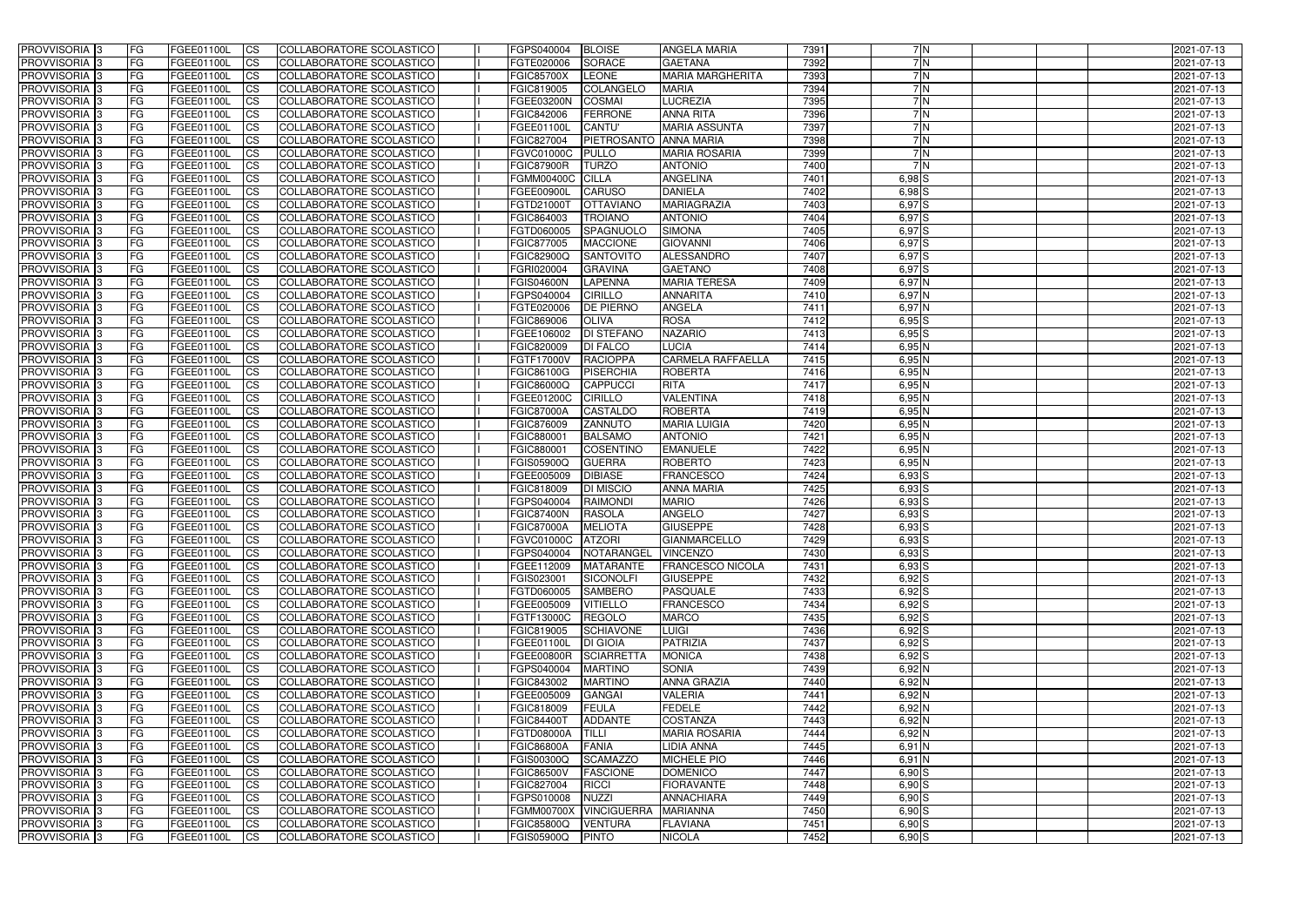| <b>PROVVISORIA</b> 3       | l FG            | FGEE01100L               | <b>ICS</b>                       | COLLABORATORE SCOLASTICO        | FGPS040004               | <b>BLOISE</b>                   | <b>ANGELA MARIA</b>      | 7391 | 7N                     | 2021-07-13               |
|----------------------------|-----------------|--------------------------|----------------------------------|---------------------------------|--------------------------|---------------------------------|--------------------------|------|------------------------|--------------------------|
| <b>PROVVISORIA 3</b>       | FG              | FGEE01100L               | <b>ICS</b>                       | COLLABORATORE SCOLASTICO        | FGTE020006               | <b>SORACE</b>                   | <b>GAETANA</b>           | 7392 | 7N                     | 2021-07-13               |
| PROVVISORIA <sup>1</sup> 3 | FG              | FGEE01100L               | <b>CS</b>                        | <b>COLLABORATORE SCOLASTICO</b> | <b>FGIC85700X</b>        | <b>LEONE</b>                    | <b>MARIA MARGHERITA</b>  | 7393 | 7N                     | 2021-07-13               |
| PROVVISORIA                | FG              | FGEE01100L               | <b>CS</b>                        | COLLABORATORE SCOLASTICO        | FGIC819005               | COLANGELO                       | <b>MARIA</b>             | 7394 | 7 N                    | 2021-07-13               |
| <b>PROVVISORIA 3</b>       | FG              | FGEE01100L               | <b>CS</b>                        | COLLABORATORE SCOLASTICO        | FGEE03200N               | <b>COSMAI</b>                   | <b>LUCREZIA</b>          | 7395 | 7N                     | 2021-07-13               |
| PROVVISORIA <sup>1</sup> 3 | FG              | FGEE01100L               | <b>CS</b>                        | COLLABORATORE SCOLASTICO        | FGIC842006               | <b>FERRONE</b>                  | <b>ANNA RITA</b>         | 7396 | 7N                     | 2021-07-13               |
| PROVVISORIA <sup>1</sup> 3 | FG              | FGEE01100L               | <b>CS</b>                        | COLLABORATORE SCOLASTICO        | FGEE01100L               | <b>CANTU'</b>                   | <b>MARIA ASSUNTA</b>     | 7397 | 7N                     | 2021-07-13               |
| PROVVISORIA 3              | FG              | FGEE01100L               | <b>ICS</b>                       | COLLABORATORE SCOLASTICO        | FGIC827004               | PIETROSANTO ANNA MARIA          |                          | 7398 | 7N                     | 2021-07-13               |
| PROVVISORIA 3              | FG              | FGEE01100L               | <b>CS</b>                        | COLLABORATORE SCOLASTICO        | FGVC01000C               | <b>PULLO</b>                    | <b>MARIA ROSARIA</b>     | 7399 | 7N                     | 2021-07-13               |
| PROVVISORIA 3              | <b>FG</b>       | FGEE01100L               | $\overline{c}$                   | COLLABORATORE SCOLASTICO        | <b>FGIC87900R</b>        | <b>TURZO</b>                    | <b>ANTONIO</b>           | 7400 | 7N                     | 2021-07-13               |
| PROVVISORIA 3              | FG              | FGEE01100L               | <b>CS</b>                        | COLLABORATORE SCOLASTICO        | FGMM00400C CILLA         |                                 | <b>ANGELINA</b>          | 7401 | $6,98$ S               | 2021-07-13               |
| <b>PROVVISORIA</b>         | FG              | FGEE01100L               | <b>CS</b>                        | COLLABORATORE SCOLASTICO        | FGEE00900L               | <b>CARUSO</b>                   | <b>DANIELA</b>           | 7402 | $6,98$ $S$             | 2021-07-13               |
| <b>PROVVISORIA</b>         | FG              | FGEE01100L               | <b>ICS</b>                       | COLLABORATORE SCOLASTICO        | FGTD21000T               | <b>OTTAVIANC</b>                | <b>MARIAGRAZIA</b>       | 7403 | 6,97S                  | 2021-07-13               |
| <b>PROVVISORIA</b>         | FG              | FGEE01100L               | <b>ICS</b>                       | COLLABORATORE SCOLASTICO        | FGIC864003               | <b>TROIANO</b>                  | <b>ANTONIO</b>           | 7404 | $6,97$ S               | 2021-07-13               |
| <b>PROVVISORIA</b>         | FG              | FGEE01100L               | <b>ICS</b>                       | COLLABORATORE SCOLASTICO        | FGTD060005               | <b>SPAGNUOLO</b>                | <b>SIMONA</b>            | 7405 | $6,97$ S               | 2021-07-13               |
| <b>PROVVISORIA</b>         | FG              | FGEE01100L               | <b>ICS</b>                       | COLLABORATORE SCOLASTICO        | FGIC877005               | <b>MACCIONE</b>                 | <b>GIOVANNI</b>          | 7406 | 6,97 S                 | 2021-07-13               |
| <b>PROVVISORIA</b>         | FG              | <b>FGEE01100L</b>        | <b>ICS</b>                       | COLLABORATORE SCOLASTICO        | <b>FGIC82900Q</b>        | <b>SANTOVITO</b>                | ALESSANDRO               | 7407 | 6,97 S                 | 2021-07-13               |
| <b>PROVVISORIA</b>         | FG              | FGEE01100L               | <b>ICS</b>                       | COLLABORATORE SCOLASTICO        | FGRI020004               | <b>GRAVINA</b>                  | <b>GAETANO</b>           | 7408 | 6,97 S                 | 2021-07-13               |
| PROVVISORIA 3              | FG              | FGEE01100L               | <b>ICS</b>                       | COLLABORATORE SCOLASTICO        | <b>FGIS04600N</b>        | <b>LAPENNA</b>                  | <b>MARIA TERESA</b>      | 7409 | 6,97N                  | 2021-07-13               |
| PROVVISORIA 3              | FG              | FGEE01100L               | <b>ICS</b>                       | COLLABORATORE SCOLASTICO        | FGPS040004               | <b>CIRILLO</b>                  | <b>ANNARITA</b>          | 7410 | 6,97 N                 | 2021-07-13               |
| PROVVISORIA <sup>1</sup> 3 | FG              | FGEE01100L               | <b>ICS</b>                       | COLLABORATORE SCOLASTICO        | FGTE020006               | <b>DE PIERNO</b>                | <b>ANGELA</b>            | 7411 | 6,97N                  | 2021-07-13               |
| PROVVISORIA 3              | FG              | FGEE01100L               | <b>ICS</b>                       | COLLABORATORE SCOLASTICO        | FGIC869006               | <b>OLIVA</b>                    | <b>ROSA</b>              | 7412 | 6,95S                  | 2021-07-13               |
| PROVVISORIA 3              | FG              | FGEE01100L               | <b>ICS</b>                       | COLLABORATORE SCOLASTICO        | FGEE106002               | <b>DI STEFANO</b>               | <b>NAZARIO</b>           | 7413 | 6,95S                  | 2021-07-13               |
| PROVVISORIA <sup>13</sup>  | FG              | FGEE01100L               | <b>CS</b>                        | COLLABORATORE SCOLASTICO        | FGIC820009               | <b>DI FALCO</b>                 | <b>LUCIA</b>             | 7414 | $6,95$ N               | 2021-07-13               |
| PROVVISORIA <sup>3</sup>   | FG              | FGEE01100L               | <b>CS</b>                        | COLLABORATORE SCOLASTICO        | FGTF17000V               | <b>RACIOPPA</b>                 | <b>CARMELA RAFFAELLA</b> | 7415 | $6,95$ N               | 2021-07-13               |
| PROVVISORIA <sup>1</sup> 3 | FG              | FGEE01100L               | <b>ICS</b>                       | COLLABORATORE SCOLASTICO        | FGIC86100G               | <b>PISERCHIA</b>                | <b>ROBERTA</b>           | 7416 | $6,95$ N               | 2021-07-13               |
| PROVVISORIA 3              | FG              | FGEE01100L               | <b>ICS</b>                       | COLLABORATORE SCOLASTICO        | FGIC86000Q               | <b>CAPPUCCI</b>                 | <b>RITA</b>              | 7417 | $6,95$ N               | 2021-07-13               |
| PROVVISORIA                | FG              | FGEE01100L               | <b>ICS</b>                       | COLLABORATORE SCOLASTICO        | FGEE01200C               | <b>CIRILLO</b>                  | <b>VALENTINA</b>         | 7418 | $6,95$ N               | 2021-07-13               |
| PROVVISORIA                | FG              | FGEE01100L               | <b>CS</b>                        | <b>COLLABORATORE SCOLASTICO</b> | <b>FGIC87000A</b>        | <b>CASTALDO</b>                 | <b>ROBERTA</b>           | 7419 | $6,95$ N               | 2021-07-13               |
| PROVVISORIA                | FG              | FGEE01100L               | <b>CS</b>                        | COLLABORATORE SCOLASTICO        | FGIC876009               | ZANNUTO                         | <b>MARIA LUIGIA</b>      | 7420 | $6,95$ N               | 2021-07-13               |
| PROVVISORIA                | FG              | FGEE01100L               | <b>CS</b>                        | COLLABORATORE SCOLASTICO        | FGIC880001               | <b>BALSAMO</b>                  | <b>ANTONIO</b>           | 7421 | $6,95$ N               | 2021-07-13               |
| PROVVISORIA <sup>1</sup> 3 | FG              | FGEE01100L               | <b>CS</b>                        | COLLABORATORE SCOLASTICO        | FGIC880001               | <b>COSENTINC</b>                | <b>EMANUELE</b>          | 7422 | $6,95$ N               | 2021-07-13               |
| PROVVISORIA <sup>1</sup> 3 | FG              | FGEE01100L               | <b>CS</b>                        | COLLABORATORE SCOLASTICO        | FGIS05900Q               | <b>GUERRA</b>                   | <b>ROBERTO</b>           | 7423 | $6,95$ N               | 2021-07-13               |
| PROVVISORIA 3              | FG              | FGEE01100L               | <b>CS</b>                        | COLLABORATORE SCOLASTICO        | FGEE005009               | <b>DIBIASE</b>                  | <b>FRANCESCO</b>         | 7424 | $6,93$ $S$             | 2021-07-13               |
| <b>PROVVISORIA</b>         | FG              | FGEE01100L               | <b>ICS</b>                       | COLLABORATORE SCOLASTICO        | FGIC818009               | <b>DI MISCIO</b>                | <b>ANNA MARIA</b>        | 7425 | $6,93$ $S$             | 2021-07-13               |
| PROVVISORIA <sup>1</sup> 3 | <b>FG</b>       | FGEE01100L               | <b>CS</b>                        | COLLABORATORE SCOLASTICO        | FGPS040004               | <b>RAIMONDI</b>                 | <b>MARIO</b>             | 7426 | $6,93$ $S$             | 2021-07-13               |
| PROVVISORIA 3              | <b>FG</b>       | FGEE01100L               | <b>ICS</b>                       | COLLABORATORE SCOLASTICO        | <b>FGIC87400N</b>        | <b>RASOLA</b>                   | <b>ANGELO</b>            | 7427 | $6,93$ S               | 2021-07-13               |
| <b>PROVVISORIA</b>         | <b>FG</b>       | FGEE01100L               | <b>ICS</b>                       | COLLABORATORE SCOLASTICO        | <b>FGIC87000A</b>        | <b>MELIOTA</b>                  | <b>GIUSEPPE</b>          | 7428 | $6,93$ $S$             | 2021-07-13               |
| PROVVISORIA 3              |                 |                          |                                  | COLLABORATORE SCOLASTICO        | FGVC01000C ATZORI        |                                 | <b>GIANMARCELLO</b>      | 7429 |                        |                          |
| <b>PROVVISORIA</b> 3       | FG<br><b>FG</b> | FGEE01100L<br>FGEE01100L | CS <br>$\mathsf{ICS}$            | COLLABORATORE SCOLASTICO        | FGPS040004               | NOTARANGEL                      | <b>VINCENZO</b>          | 7430 | $6,93$ S<br>$6,93$ $S$ | 2021-07-13<br>2021-07-13 |
| PROVVISORIA 3              | <b>FG</b>       | <b>FGEE01100L</b>        | $\mathsf{ICS}$                   | COLLABORATORE SCOLASTICO        | FGEE112009   MATARANTE   |                                 | <b>FRANCESCO NICOLA</b>  | 7431 | $6,93$ S               | 2021-07-13               |
| PROVVISORIA 3              | <b>FG</b>       | FGEE01100L               |                                  | COLLABORATORE SCOLASTICO        |                          |                                 | <b>GIUSEPPE</b>          | 7432 |                        |                          |
| PROVVISORIA 3              | FG              | FGEE01100L               | $\mathsf{ICS}$<br>$\mathsf{ICS}$ | COLLABORATORE SCOLASTICO        | FGIS023001<br>FGTD060005 | SICONOLFI<br><b>SAMBERO</b>     | <b>PASQUALE</b>          | 7433 | $6,92$ S<br>$6,92$ S   | 2021-07-13<br>2021-07-13 |
| PROVVISORIA 3              | l FG            | FGEE01100L               | <b>CS</b>                        | COLLABORATORE SCOLASTICO        | FGEE005009               | <b>VITIELLO</b>                 | <b>FRANCESCO</b>         | 7434 | 6,92S                  | 2021-07-13               |
| PROVVISORIA 3              | <b>FG</b>       | FGEE01100L               | <b>CS</b>                        | COLLABORATORE SCOLASTICO        | FGTF13000C               | <b>REGOLO</b>                   | <b>MARCO</b>             | 7435 | 6,92S                  | 2021-07-13               |
| PROVVISORIA 3              | FG              | <b>FGEE01100L</b>        | <b>CS</b>                        | COLLABORATORE SCOLASTICO        | FGIC819005               | <b>SCHIAVONE</b>                | <b>LUIGI</b>             | 7436 | 6,92S                  | 2021-07-13               |
| PROVVISORIA 3              | <b>FG</b>       | FGEE01100L               | <b>CS</b>                        | COLLABORATORE SCOLASTICO        | FGEE01100L               | <b>DI GIOIA</b>                 | <b>PATRIZIA</b>          | 7437 | $6,92$ S               | 2021-07-13               |
| PROVVISORIA 3              | <b>FG</b>       | FGEE01100L               | <b>CS</b>                        | COLLABORATORE SCOLASTICO        | <b>FGEE00800R</b>        | SCIARRETTA                      | <b>MONICA</b>            | 7438 | 6,92S                  | 2021-07-13               |
| PROVVISORIA 3              | <b>FG</b>       | FGEE01100L               | <b>CS</b>                        | COLLABORATORE SCOLASTICO        | FGPS040004               | <b>MARTINO</b>                  | <b>SONIA</b>             | 7439 | $6,92$ N               | 2021-07-13               |
| PROVVISORIA 3              | <b>FG</b>       |                          |                                  | COLLABORATORE SCOLASTICO        | FGIC843002               |                                 | <b>ANNA GRAZIA</b>       | 7440 | $6,92$ N               | 2021-07-13               |
| PROVVISORIA 3              | <b>FG</b>       | FGEE01100L<br>FGEE01100L | <b>CS</b><br><b>CS</b>           | COLLABORATORE SCOLASTICO        | FGEE005009               | <b>MARTINO</b><br><b>GANGAI</b> | <b>VALERIA</b>           | 7441 | $6,92$ N               | 2021-07-13               |
| PROVVISORIA 3              | <b>FG</b>       | FGEE01100L               | <b>CS</b>                        | COLLABORATORE SCOLASTICO        | FGIC818009               | FEULA                           | <b>FEDELE</b>            | 7442 | $6,92$ N               | 2021-07-13               |
| PROVVISORIA 3              | <b>FG</b>       | FGEE01100L               | <b>CS</b>                        | COLLABORATORE SCOLASTICO        | <b>FGIC84400T</b>        | <b>ADDANTE</b>                  | COSTANZA                 | 7443 | $6,92$ N               | 2021-07-13               |
| PROVVISORIA 3              | <b>FG</b>       | FGEE01100L               | <b>CS</b>                        | COLLABORATORE SCOLASTICO        | FGTD08000A               | TILLI                           | <b>MARIA ROSARIA</b>     | 7444 | $6,92$ N               | 2021-07-13               |
| PROVVISORIA 3              | <b>FG</b>       | FGEE01100L               | <b>CS</b>                        | COLLABORATORE SCOLASTICO        | <b>FGIC86800A</b>        | FANIA                           | LIDIA ANNA               | 7445 | $6,91$ N               | 2021-07-13               |
| PROVVISORIA 3              | <b>FG</b>       | FGEE01100L               | <b>CS</b>                        | COLLABORATORE SCOLASTICO        | FGIS00300Q               | <b>SCAMAZZO</b>                 | <b>MICHELE PIO</b>       | 7446 | $6,91$ N               | 2021-07-13               |
| PROVVISORIA 3              | <b>FG</b>       | FGEE01100L               | <b>CS</b>                        | COLLABORATORE SCOLASTICO        | <b>FGIC86500V</b>        | <b>FASCIONE</b>                 | <b>DOMENICO</b>          | 7447 | $6,90$ S               | 2021-07-13               |
| PROVVISORIA 3              | FG              | FGEE01100L               | <b>CS</b>                        | COLLABORATORE SCOLASTICO        | FGIC827004               | RICCI                           | <b>FIORAVANTE</b>        | 7448 | $6,90$ S               | 2021-07-13               |
| PROVVISORIA 3              | FG              | <b>FGEE01100L</b>        | <b>CS</b>                        | COLLABORATORE SCOLASTICO        | FGPS010008               | <b>NUZZI</b>                    | <b>ANNACHIARA</b>        | 7449 | $6,90$ S               | 2021-07-13               |
| PROVVISORIA 3              | <b>FG</b>       | FGEE01100L               | <b>CS</b>                        | COLLABORATORE SCOLASTICO        | FGMM00700X               | <b>VINCIGUERRA</b>              | <b>MARIANNA</b>          | 7450 | $6,90$ S               | 2021-07-13               |
| PROVVISORIA 3              | <b>FG</b>       | FGEE01100L               | $\overline{\text{CS}}$           | COLLABORATORE SCOLASTICO        | <b>FGIC85800Q</b>        | <b>VENTURA</b>                  | <b>FLAVIANA</b>          | 7451 | $6,90$ S               | 2021-07-13               |
| PROVVISORIA 3              | <b>FG</b>       | FGEE01100L               | $\overline{\text{CS}}$           | COLLABORATORE SCOLASTICO        | FGIS05900Q               | <b>PINTO</b>                    | <b>NICOLA</b>            | 7452 | $6,90$ S               | 2021-07-13               |
|                            |                 |                          |                                  |                                 |                          |                                 |                          |      |                        |                          |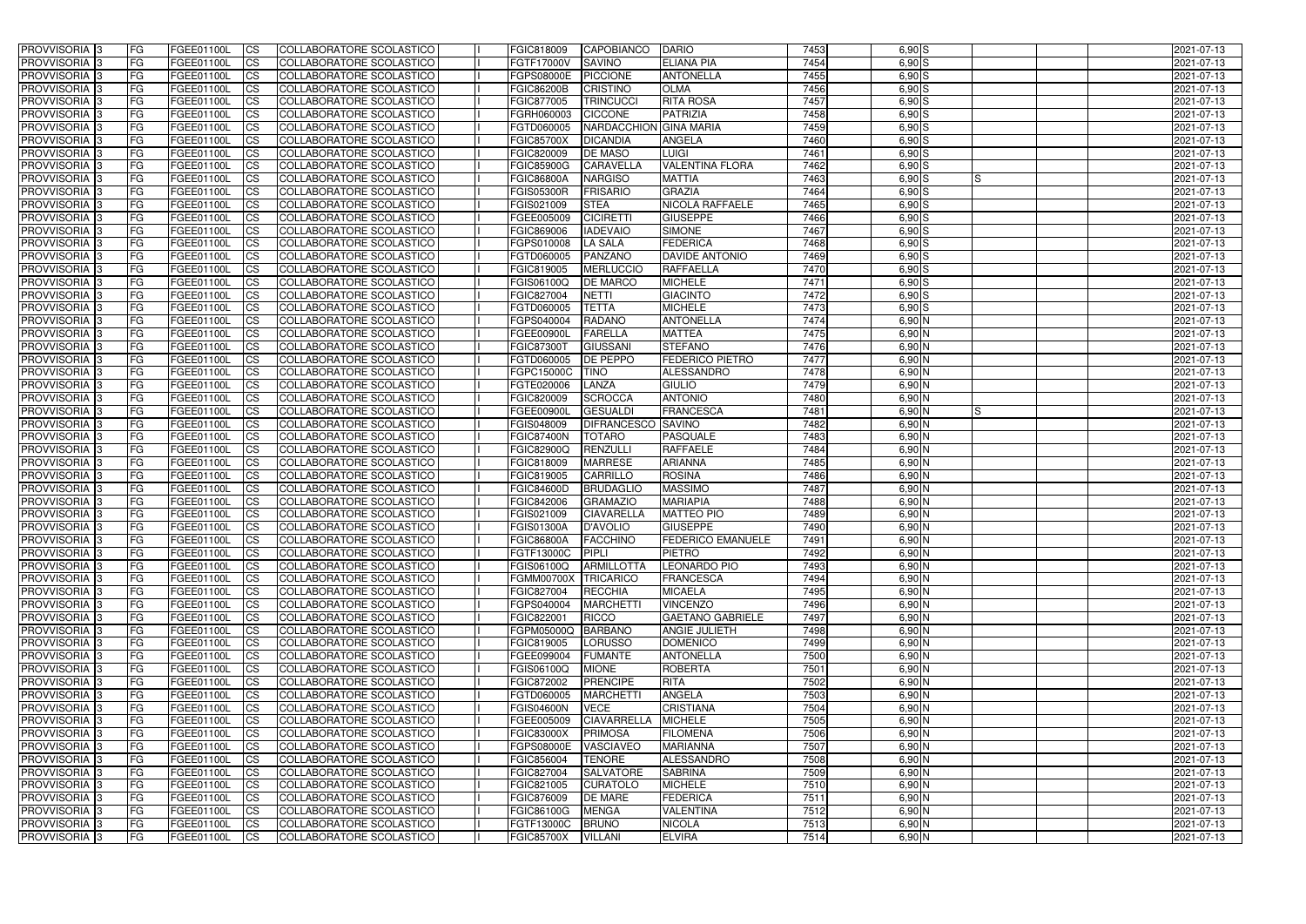| <b>PROVVISORIA</b> 3                      | l FG                   | FGEE01100L               | <b>ICS</b>               | COLLABORATORE SCOLASTICO                                    | FGIC818009               | <b>CAPOBIANCO</b>               | <b>DARIO</b>                       | 7453         | $6,90$ S             | 2021-07-13               |
|-------------------------------------------|------------------------|--------------------------|--------------------------|-------------------------------------------------------------|--------------------------|---------------------------------|------------------------------------|--------------|----------------------|--------------------------|
| <b>PROVVISORIA 3</b>                      | FG                     | FGEE01100L               | <b>ICS</b>               | COLLABORATORE SCOLASTICO                                    | FGTF17000V               | <b>SAVINO</b>                   | <b>ELIANA PIA</b>                  | 7454         | $6,90$ S             | 2021-07-13               |
| PROVVISORIA <sup>1</sup> 3                | FG                     | FGEE01100L               | <b>CS</b>                | COLLABORATORE SCOLASTICO                                    | <b>FGPS08000E</b>        | <b>PICCIONE</b>                 | <b>ANTONELLA</b>                   | 7455         | $6,90$ S             | 2021-07-13               |
| PROVVISORIA                               | FG                     | FGEE01100L               | <b>CS</b>                | COLLABORATORE SCOLASTICO                                    | <b>FGIC86200B</b>        | <b>CRISTINO</b>                 | <b>OLMA</b>                        | 7456         | $6,90$ S             | 2021-07-13               |
| <b>PROVVISORIA 3</b>                      | FG                     | FGEE01100L               | <b>CS</b>                | COLLABORATORE SCOLASTICO                                    | FGIC877005               | <b>TRINCUCCI</b>                | <b>RITA ROSA</b>                   | 7457         | $6,90$ S             | 2021-07-13               |
| PROVVISORIA <sup>1</sup> 3                | FG                     | FGEE01100L               | <b>CS</b>                | COLLABORATORE SCOLASTICO                                    | FGRH060003               | <b>CICCONE</b>                  | <b>PATRIZIA</b>                    | 7458         | $6,90$ S             | 2021-07-13               |
| PROVVISORIA <sup>1</sup> 3                | FG                     | FGEE01100L               | <b>CS</b>                | COLLABORATORE SCOLASTICO                                    | FGTD060005               | NARDACCHION GINA MARIA          |                                    | 7459         | $6,90$ S             | 2021-07-13               |
| PROVVISORIA 3                             | FG                     | FGEE01100L               | <b>ICS</b>               | COLLABORATORE SCOLASTICO                                    | <b>FGIC85700X</b>        | <b>DICANDIA</b>                 | <b>ANGELA</b>                      | 7460         | $6,90$ S             | 2021-07-13               |
| PROVVISORIA 3                             | FG                     | FGEE01100L               | <b>CS</b>                | COLLABORATORE SCOLASTICO                                    | FGIC820009               | <b>DE MASO</b>                  | <b>LUIGI</b>                       | 7461         | $6,90$ S             | 2021-07-13               |
| PROVVISORIA 3                             | <b>FG</b>              | FGEE01100L               | <b>ICS</b>               | COLLABORATORE SCOLASTICO                                    | <b>FGIC85900G</b>        | <b>CARAVELLA</b>                | <b>VALENTINA FLORA</b>             | 7462         | $6,90$ S             | 2021-07-13               |
| PROVVISORIA 3                             | FG                     | FGEE01100L               | <b>ICS</b>               | COLLABORATORE SCOLASTICO                                    | <b>FGIC86800A</b>        | <b>NARGISO</b>                  | <b>MATTIA</b>                      | 7463         | 6,90S<br>IS          | 2021-07-13               |
| <b>PROVVISORIA</b>                        | FG                     | FGEE01100L               | <b>ICS</b>               | COLLABORATORE SCOLASTICO                                    | <b>FGIS05300R</b>        | <b>FRISARIO</b>                 | <b>GRAZIA</b>                      | 7464         | $6,90$ S             | 2021-07-13               |
| <b>PROVVISORIA</b>                        | FG                     | FGEE01100L               | <b>ICS</b>               | COLLABORATORE SCOLASTICO                                    | FGIS021009               | <b>STEA</b>                     | <b>NICOLA RAFFAELE</b>             | 7465         | $6,90$ S             | 2021-07-13               |
| <b>PROVVISORIA</b>                        | FG                     | FGEE01100L               | <b>ICS</b>               | COLLABORATORE SCOLASTICO                                    | FGEE005009               | <b>CICIRETTI</b>                | <b>GIUSEPPE</b>                    | 7466         | $6,90$ S             | 2021-07-13               |
| <b>PROVVISORIA</b>                        | FG                     | FGEE01100L               | <b>ICS</b>               | COLLABORATORE SCOLASTICO                                    | FGIC869006               | <b>IADEVAIO</b>                 | <b>SIMONE</b>                      | 7467         | $6,90$ S             | 2021-07-13               |
| <b>PROVVISORIA</b>                        | FG                     | FGEE01100L               | <b>ICS</b>               | COLLABORATORE SCOLASTICO                                    | FGPS010008               | <b>LA SALA</b>                  | <b>FEDERICA</b>                    | 7468         | $6,90$ S             | 2021-07-13               |
| <b>PROVVISORIA</b>                        | FG                     | FGEE01100L               | <b>ICS</b>               | COLLABORATORE SCOLASTICO                                    | FGTD060005               | PANZANO                         | <b>DAVIDE ANTONIO</b>              | 7469         | $6,90$ S             | 2021-07-13               |
| <b>PROVVISORIA</b>                        | FG                     | FGEE01100L               | <b>ICS</b>               | COLLABORATORE SCOLASTICO                                    | FGIC819005               | <b>MERLUCCIO</b>                | <b>RAFFAELLA</b>                   | 7470         | $6,90$ S             | 2021-07-13               |
| PROVVISORIA 3                             | FG                     | FGEE01100L               | <b>ICS</b>               | COLLABORATORE SCOLASTICO                                    | FGIS06100Q               | <b>DE MARCO</b>                 | <b>MICHELE</b>                     | 7471         | $6,90$ S             | 2021-07-13               |
| PROVVISORIA 3                             | FG                     | FGEE01100L               | <b>ICS</b>               | COLLABORATORE SCOLASTICO                                    | FGIC827004               | <b>NETTI</b>                    | <b>GIACINTO</b>                    | 7472         | $6,90$ S             | 2021-07-13               |
| PROVVISORIA <sup>1</sup> 3                | FG                     | FGEE01100L               | <b>ICS</b>               | COLLABORATORE SCOLASTICO                                    | FGTD060005               | <b>TETTA</b>                    | <b>MICHELE</b>                     | 7473         | $6,90$ S             | 2021-07-13               |
| PROVVISORIA 3<br>PROVVISORIA <sup>3</sup> | FG<br>FG               | FGEE01100L               | <b>ICS</b><br><b>ICS</b> | COLLABORATORE SCOLASTICO<br><b>COLLABORATORE SCOLASTICO</b> | FGPS040004<br>FGEE00900L | <b>RADANO</b><br><b>FARELLA</b> | <b>ANTONELLA</b><br><b>MATTEA</b>  | 7474<br>7475 | $6,90$ N<br>$6,90$ N | 2021-07-13               |
| PROVVISORIA <sup>3</sup>                  |                        | FGEE01100L<br>FGEE01100L |                          |                                                             | <b>FGIC87300T</b>        | <b>GIUSSANI</b>                 | <b>STEFANO</b>                     | 7476         | $6,90$ N             | 2021-07-13               |
| PROVVISORIA <sup>3</sup>                  | FG<br>FG               | FGEE01100L               | <b>CS</b><br><b>CS</b>   | COLLABORATORE SCOLASTICO<br><b>COLLABORATORE SCOLASTICO</b> | FGTD060005               | DE PEPPO                        | <b>FEDERICO PIETRO</b>             | 7477         | $6,90$ N             | 2021-07-13<br>2021-07-13 |
| PROVVISORIA <sup>1</sup> 3                | FG                     | FGEE01100L               | <b>ICS</b>               | COLLABORATORE SCOLASTICO                                    | FGPC15000C               | <b>TINO</b>                     | <b>ALESSANDRO</b>                  | 7478         | $6,90$ N             | 2021-07-13               |
| PROVVISORIA 3                             | FG                     | FGEE01100L               | <b>ICS</b>               | COLLABORATORE SCOLASTICO                                    | FGTE020006               | LANZA                           | <b>GIULIO</b>                      | 7479         | 6,90 N               | 2021-07-13               |
| PROVVISORIA                               | FG                     | FGEE01100L               | <b>ICS</b>               | COLLABORATORE SCOLASTICO                                    | FGIC820009               | <b>SCROCCA</b>                  | <b>ANTONIO</b>                     | 7480         | 6,90 N               | 2021-07-13               |
| PROVVISORIA                               | FG                     | FGEE01100L               | <b>CS</b>                | <b>COLLABORATORE SCOLASTICO</b>                             | FGEE00900l               | <b>GESUALDI</b>                 | FRANCESCA                          | 7481         | 6,90 N               | 2021-07-13               |
| PROVVISORIA                               | FG                     | FGEE01100L               | <b>CS</b>                | COLLABORATORE SCOLASTICO                                    | FGIS048009               | <b>DIFRANCESCO</b>              | <b>SAVINO</b>                      | 7482         | 6,90 N               | 2021-07-13               |
| PROVVISORIA                               | FG                     | FGEE01100L               | <b>CS</b>                | COLLABORATORE SCOLASTICO                                    | <b>FGIC87400N</b>        | <b>TOTARO</b>                   | PASQUALE                           | 7483         | 6,90 N               | 2021-07-13               |
| PROVVISORIA <sup>1</sup> 3                | FG                     | FGEE01100L               | <b>CS</b>                | COLLABORATORE SCOLASTICO                                    | FGIC82900Q               | RENZULLI                        | <b>RAFFAELE</b>                    | 7484         | 6,90 N               | 2021-07-13               |
| PROVVISORIA <sup>1</sup> 3                | FG                     | FGEE01100L               | <b>CS</b>                | COLLABORATORE SCOLASTICO                                    | FGIC818009               | <b>MARRESE</b>                  | <b>ARIANNA</b>                     | 7485         | $6,90$ N             | 2021-07-13               |
| PROVVISORIA 3                             | FG                     | FGEE01100L               | <b>CS</b>                | <b>COLLABORATORE SCOLASTICO</b>                             | FGIC819005               | <b>CARRILLO</b>                 | <b>ROSINA</b>                      | 7486         | $6,90$ N             | 2021-07-13               |
| PROVVISORIA <sup>1</sup> 3                | FG                     | FGEE01100L               | <b>ICS</b>               | COLLABORATORE SCOLASTICO                                    | <b>FGIC84600D</b>        | <b>BRUDAGLIC</b>                | <b>MASSIMO</b>                     | 7487         | $6,90$ N             | 2021-07-13               |
| PROVVISORIA <sup>1</sup> 3                | <b>FG</b>              | FGEE01100L               | <b>ICS</b>               | COLLABORATORE SCOLASTICO                                    | FGIC842006               | <b>GRAMAZIO</b>                 | <b>MARIAPIA</b>                    | 7488         | $6,90$ N             | 2021-07-13               |
| PROVVISORIA 3                             | <b>FG</b>              | FGEE01100L               | <b>ICS</b>               | COLLABORATORE SCOLASTICO                                    | FGIS021009               | <b>CIAVARELLA</b>               | <b>MATTEO PIO</b>                  | 7489         | $6,90$ N             | 2021-07-13               |
| <b>PROVVISORIA</b>                        | <b>FG</b>              | FGEE01100L               | <b>ICS</b>               | COLLABORATORE SCOLASTICO                                    | <b>FGIS01300A</b>        | <b>D'AVOLIO</b>                 | <b>GIUSEPPE</b>                    | 7490         | $6,90$ N             | 2021-07-13               |
| PROVVISORIA 3                             | FG                     | FGEE01100L               | CS                       | COLLABORATORE SCOLASTICO                                    | <b>FGIC86800A</b>        | FACCHINO                        | <b>FEDERICO EMANUELE</b>           | 7491         | $6,90$ N             | 2021-07-13               |
| <b>PROVVISORIA</b> 3                      | <b>FG</b>              | FGEE01100L               | $\mathsf{ICS}$           | COLLABORATORE SCOLASTICO                                    | <b>FGTF13000C</b>        | <b>PIPLI</b>                    | <b>PIETRO</b>                      | 7492         | $6,90$ N             | 2021-07-13               |
| PROVVISORIA 3                             | <b>FG</b>              | <b>FGEE01100L</b>        | $\mathsf{ICS}$           | COLLABORATORE SCOLASTICO                                    | FGIS06100Q               | <b>ARMILLOTTA</b>               | <b>LEONARDO PIO</b>                | 7493         | 6,90 N               | 2021-07-13               |
| PROVVISORIA 3                             | <b>FG</b>              | FGEE01100L               | $\mathsf{ICS}$           | COLLABORATORE SCOLASTICO                                    | <b>FGMM00700X</b>        | TRICARICO                       | <b>FRANCESCA</b>                   | 7494         | $6,90$ N             | 2021-07-13               |
| PROVVISORIA 3                             | FG                     | FGEE01100L               | $\mathsf{ICS}$           | COLLABORATORE SCOLASTICO                                    | FGIC827004               | <b>RECCHIA</b>                  | <b>MICAELA</b>                     | 7495         | 6,90 N               | 2021-07-13               |
| PROVVISORIA 3                             | l FG                   | FGEE01100L               | <b>CS</b>                | COLLABORATORE SCOLASTICO                                    | FGPS040004               | <b>MARCHETTI</b>                | <b>VINCENZO</b>                    | 7496         | $6,90$ N             | 2021-07-13               |
| PROVVISORIA 3                             | <b>FG</b>              | FGEE01100L               | <b>CS</b>                | COLLABORATORE SCOLASTICO                                    | FGIC822001               | <b>RICCO</b>                    | <b>GAETANO GABRIELE</b>            | 7497         | $6,90$ N             | 2021-07-13               |
| PROVVISORIA 3                             | FG                     | <b>FGEE01100L</b>        | <b>CS</b>                | COLLABORATORE SCOLASTICO                                    | FGPM05000Q BARBANO       |                                 | <b>ANGIE JULIETH</b>               | 7498         | $6,90$ N             | 2021-07-13               |
| PROVVISORIA 3                             | <b>FG</b>              | FGEE01100L               | <b>CS</b>                | COLLABORATORE SCOLASTICO                                    | FGIC819005               | LORUSSO                         | <b>DOMENICO</b>                    | 7499         | $6,90$ N             | 2021-07-13               |
| PROVVISORIA 3<br>PROVVISORIA 3            | <b>FG</b><br><b>FG</b> | FGEE01100L<br>FGEE01100L | <b>CS</b><br><b>CS</b>   | COLLABORATORE SCOLASTICO<br>COLLABORATORE SCOLASTICO        | FGEE099004<br>FGIS06100Q | <b>FUMANTE</b><br><b>MIONE</b>  | <b>ANTONELLA</b><br><b>ROBERTA</b> | 7500<br>7501 | $6,90$ N<br>$6,90$ N | 2021-07-13<br>2021-07-13 |
| PROVVISORIA 3                             | <b>FG</b>              |                          |                          |                                                             | FGIC872002               | <b>PRENCIPE</b>                 | <b>RITA</b>                        | 7502         | $6,90$ N             | 2021-07-13               |
| PROVVISORIA 3                             | <b>FG</b>              | FGEE01100L<br>FGEE01100L | <b>CS</b><br><b>CS</b>   | COLLABORATORE SCOLASTICO<br>COLLABORATORE SCOLASTICO        | FGTD060005               | <b>MARCHETTI</b>                | <b>ANGELA</b>                      | 7503         | $6,90$ N             | 2021-07-13               |
| PROVVISORIA 3                             | <b>FG</b>              | FGEE01100L               | <b>CS</b>                | COLLABORATORE SCOLASTICO                                    | <b>FGIS04600N</b>        | <b>VECE</b>                     | <b>CRISTIANA</b>                   | 7504         | $6,90$ N             | 2021-07-13               |
| PROVVISORIA 3                             | <b>FG</b>              | FGEE01100L               | <b>CS</b>                | COLLABORATORE SCOLASTICO                                    | FGEE005009               | <b>CIAVARRELLA</b>              | <b>MICHELE</b>                     | 7505         | $6,90$ N             | 2021-07-13               |
| PROVVISORIA 3                             | <b>FG</b>              | FGEE01100L               | <b>CS</b>                | COLLABORATORE SCOLASTICO                                    | <b>FGIC83000X</b>        | <b>PRIMOSA</b>                  | <b>FILOMENA</b>                    | 7506         | $6,90$ N             | 2021-07-13               |
| PROVVISORIA 3                             | <b>FG</b>              | FGEE01100L               | <b>CS</b>                | COLLABORATORE SCOLASTICO                                    | FGPS08000E               | VASCIAVEO                       | <b>MARIANNA</b>                    | 7507         | $6,90$ N             | 2021-07-13               |
| PROVVISORIA 3                             | <b>FG</b>              | FGEE01100L               | <b>CS</b>                | COLLABORATORE SCOLASTICO                                    | FGIC856004               | <b>TENORE</b>                   | ALESSANDRO                         | 7508         | $6,90$ N             | 2021-07-13               |
| PROVVISORIA 3                             | <b>FG</b>              | FGEE01100L               | <b>CS</b>                | COLLABORATORE SCOLASTICO                                    | FGIC827004               | <b>SALVATORE</b>                | <b>SABRINA</b>                     | 7509         | $6,90$ N             | 2021-07-13               |
| PROVVISORIA 3                             | FG                     | FGEE01100L               | <b>CS</b>                | COLLABORATORE SCOLASTICO                                    | FGIC821005               | <b>CURATOLO</b>                 | <b>MICHELE</b>                     | 7510         | $6,90$ N             | 2021-07-13               |
| PROVVISORIA 3                             | FG                     | <b>FGEE01100L</b>        | <b>CS</b>                | COLLABORATORE SCOLASTICO                                    | FGIC876009               | <b>DE MARE</b>                  | <b>FEDERICA</b>                    | 7511         | $6,90$ N             | 2021-07-13               |
| PROVVISORIA 3                             | <b>FG</b>              | FGEE01100L               | <b>CS</b>                | COLLABORATORE SCOLASTICO                                    | FGIC86100G               | <b>MENGA</b>                    | <b>VALENTINA</b>                   | 7512         | $6,90$ N             | 2021-07-13               |
| PROVVISORIA 3                             | <b>FG</b>              | FGEE01100L               | $\overline{\text{CS}}$   | COLLABORATORE SCOLASTICO                                    | FGTF13000C               | <b>BRUNO</b>                    | <b>NICOLA</b>                      | 7513         | $6,90$ N             | 2021-07-13               |
| PROVVISORIA 3                             | <b>FG</b>              | FGEE01100L               | $\overline{\text{CS}}$   | COLLABORATORE SCOLASTICO                                    | <b>FGIC85700X</b>        | <b>VILLANI</b>                  | <b>ELVIRA</b>                      | 7514         | $6,90$ N             | 2021-07-13               |
|                                           |                        |                          |                          |                                                             |                          |                                 |                                    |              |                      |                          |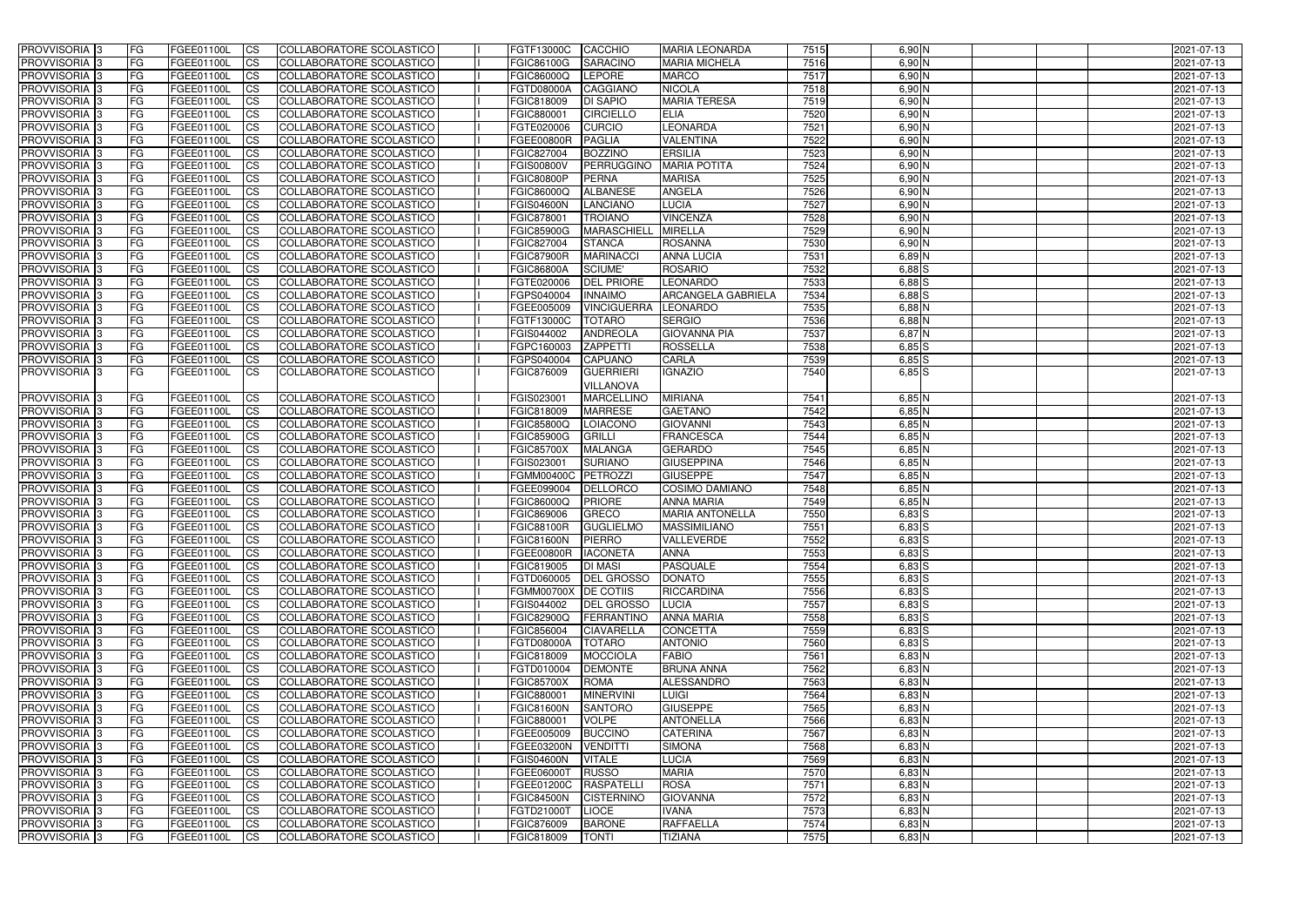| PROVVISORIA <sup>1</sup> 3                  | <b>FG</b>              | FGEE01100L               | CS                                  | COLLABORATORE SCOLASTICO                             | FGTF13000C                             | <b>CACCHIO</b><br><b>MARIA LEONARDA</b>                                      | 7515         | 6,90 N                 | 2021-07-13               |
|---------------------------------------------|------------------------|--------------------------|-------------------------------------|------------------------------------------------------|----------------------------------------|------------------------------------------------------------------------------|--------------|------------------------|--------------------------|
| PROVVISORIA <sup>1</sup> 3                  | FG                     | FGEE01100L               | <b>CS</b>                           | COLLABORATORE SCOLASTICO                             | FGIC86100G                             | <b>SARACINO</b><br><b>MARIA MICHELA</b>                                      | 7516         | 6,90 N                 | 2021-07-13               |
| PROVVISORIA <sup>1</sup> 3                  | FG                     | FGEE01100L               | <b>CS</b>                           | COLLABORATORE SCOLASTICO                             | FGIC86000Q                             | <b>LEPORE</b><br><b>MARCO</b>                                                | 7517         | $6,90$ N               | 2021-07-13               |
| PROVVISORIA 3                               | FG                     | FGEE01100L               | <b>CS</b>                           | COLLABORATORE SCOLASTICO                             | <b>FGTD08000A</b>                      | <b>CAGGIANO</b><br><b>NICOLA</b>                                             | 7518         | 6,90 N                 | 2021-07-13               |
| PROVVISORIA <sup>1</sup> 3                  | FG                     | FGEE01100L               | <b>CS</b>                           | COLLABORATORE SCOLASTICO                             | FGIC818009                             | <b>DI SAPIO</b><br><b>MARIA TERESA</b>                                       | 7519         | $6,90$ N               | 2021-07-13               |
| PROVVISORIA 3                               | <b>IFG</b>             | FGEE01100L               | <b>CS</b>                           | COLLABORATORE SCOLASTICO                             | FGIC880001                             | <b>CIRCIELLO</b><br><b>ELIA</b>                                              | 7520         | $6,90$ N               | 2021-07-13               |
| PROVVISORIA 3                               | <b>FG</b>              | FGEE01100L               | <b>CS</b>                           | COLLABORATORE SCOLASTICO                             | FGTE020006                             | <b>LEONARDA</b><br><b>CURCIO</b>                                             | 7521         | 6,90 N                 | 2021-07-13               |
| PROVVISORIA 3                               | FG                     | FGEE01100L               | <b>CS</b>                           | COLLABORATORE SCOLASTICO                             | <b>FGEE00800R</b>                      | <b>VALENTINA</b><br><b>PAGLIA</b>                                            | 7522         | $6,90$ N               | 2021-07-13               |
| PROVVISORIA 3                               | FG                     | FGEE01100L               | <b>CS</b>                           | COLLABORATORE SCOLASTICO                             | FGIC827004                             | <b>BOZZINO</b><br><b>ERSILIA</b>                                             | 7523         | 6,90 N                 | 2021-07-13               |
| PROVVISORIA 3                               | <b>FG</b>              | FGEE01100L               | <b>CS</b>                           | COLLABORATORE SCOLASTICO                             | <b>FGIS00800V</b>                      | <b>MARIA POTITA</b><br><b>PERRUGGINO</b>                                     | 7524         | $6,90$ N               | 2021-07-13               |
| PROVVISORIA 3                               | <b>FG</b>              | <b>FGEE01100L</b>        | <b>CS</b>                           | COLLABORATORE SCOLASTICO                             | <b>FGIC80800P</b>                      | PERNA<br><b>MARISA</b>                                                       | 7525         | $6,90$ N               | 2021-07-13               |
| PROVVISORIA <sup>1</sup> 3                  | FG                     | FGEE01100L               | <b>CS</b>                           | COLLABORATORE SCOLASTICO                             | FGIC86000Q                             | <b>ALBANESE</b><br><b>ANGELA</b>                                             | 7526         | 6,90 N                 | 2021-07-13               |
| PROVVISORIA <sup>1</sup> 3                  | FG                     | FGEE01100L               | <b>CS</b>                           | COLLABORATORE SCOLASTICO                             | <b>FGIS04600N</b>                      | <b>LANCIANO</b><br><b>LUCIA</b>                                              | 7527         | $6,90$ N               | 2021-07-13               |
| <b>PROVVISORIA</b>                          | FG                     | FGEE01100L               | <b>CS</b>                           | COLLABORATORE SCOLASTICO                             | FGIC878001                             | <b>VINCENZA</b><br><b>TROIANO</b>                                            | 7528         | 6,90 N                 | 2021-07-13               |
| <b>PROVVISORIA</b>                          | FG                     | FGEE01100L               | <b>CS</b>                           | COLLABORATORE SCOLASTICO                             | <b>FGIC85900G</b>                      | <b>MIRELLA</b><br><b>MARASCHIELI</b>                                         | 7529         | 6,90 N                 | 2021-07-13               |
| PROVVISORIA <sup>1</sup> 3                  | FG                     | FGEE01100L               | <b>ICS</b>                          | COLLABORATORE SCOLASTICO                             | FGIC827004                             | <b>STANCA</b><br><b>ROSANNA</b><br><b>ANNA LUCIA</b>                         | 7530         | 6,90 N                 | 2021-07-13               |
| <b>PROVVISORIA</b><br>PROVVISORIA 3         | FG<br>FG               | FGEE01100L<br>FGEE01100L | <b>CS</b><br><b>ICS</b>             | COLLABORATORE SCOLASTICO<br>COLLABORATORE SCOLASTICO | <b>FGIC87900R</b><br><b>FGIC86800A</b> | <b>MARINACC</b><br><b>ROSARIO</b><br><b>SCIUME'</b>                          | 7531<br>7532 | 6,89 N<br>$6,88$ $S$   | 2021-07-13<br>2021-07-13 |
| PROVVISORIA <sup>1</sup> 3                  | FG                     | FGEE01100L               | <b>CS</b>                           | COLLABORATORE SCOLASTICO                             | FGTE020006                             | LEONARDO<br><b>DEL PRIORE</b>                                                | 7533         | $6,88$ $S$             | 2021-07-13               |
| PROVVISORIA 3                               | FG                     | FGEE01100L               | <b>CS</b>                           | COLLABORATORE SCOLASTICO                             | FGPS040004                             | <b>INNAIMO</b><br><b>ARCANGELA GABRIELA</b>                                  | 7534         | 6,88 S                 | 2021-07-13               |
| PROVVISORIA 3                               | FG                     | FGEE01100L               | <b>CS</b>                           | COLLABORATORE SCOLASTICO                             | FGEE005009                             | <b>VINCIGUERRA</b><br><b>LEONARDO</b>                                        | 7535         | $6,88$ N               | 2021-07-13               |
| PROVVISORIA 3                               | FG                     | FGEE01100L               | <b>CS</b>                           | COLLABORATORE SCOLASTICO                             | FGTF13000C                             | <b>TOTARO</b><br><b>SERGIO</b>                                               | 7536         | $6,88$ N               | 2021-07-13               |
| PROVVISORIA 3                               | FG                     | FGEE01100L               | <b>CS</b>                           | COLLABORATORE SCOLASTICO                             | FGIS044002                             | <b>ANDREOLA</b><br><b>GIOVANNA PIA</b>                                       | 7537         | $6,87$ N               | 2021-07-13               |
| PROVVISORIA 3                               | <b>FG</b>              | FGEE01100L               | <b>CS</b>                           | COLLABORATORE SCOLASTICO                             | FGPC160003                             | <b>ROSSELLA</b><br><b>ZAPPETTI</b>                                           | 7538         | $6,85$ $S$             | 2021-07-13               |
| PROVVISORIA 3                               | FG                     | FGEE01100L               | <b>CS</b>                           | COLLABORATORE SCOLASTICO                             | FGPS040004                             | <b>CAPUANO</b><br><b>CARLA</b>                                               | 7539         | $6,85$ S               | 2021-07-13               |
| PROVVISORIA 3                               | FG                     | FGEE01100L               | <b>ICS</b>                          | COLLABORATORE SCOLASTICO                             | FGIC876009                             | <b>GUERRIERI</b><br>ignazio                                                  | 7540         | $6,85$ S               | 2021-07-13               |
|                                             |                        |                          |                                     |                                                      |                                        | VILLANOVA                                                                    |              |                        |                          |
| PROVVISORIA 3                               | FG                     | FGEE01100L               | <b>CS</b>                           | COLLABORATORE SCOLASTICO                             | FGIS023001                             | <b>MIRIANA</b><br><b>MARCELLINO</b>                                          | 7541         | $6,85$ N               | 2021-07-13               |
| PROVVISORIA <sup>1</sup> 3                  | FG                     | FGEE01100L               | <b>CS</b>                           | COLLABORATORE SCOLASTICO                             | FGIC818009                             | <b>MARRESE</b><br><b>GAETANO</b>                                             | 7542         | 6,85 N                 | 2021-07-13               |
| PROVVISORIA 3                               | FG                     | FGEE01100L               | <b>CS</b>                           | COLLABORATORE SCOLASTICO                             | <b>FGIC85800Q</b>                      | LOIACONO<br><b>GIOVANNI</b>                                                  | 7543         | $6,85$ N               | 2021-07-13               |
| PROVVISORIA <sup>1</sup> 3                  | FG                     | FGEE01100L               | <b>CS</b>                           | COLLABORATORE SCOLASTICO                             | <b>FGIC85900G</b>                      | <b>FRANCESCA</b><br><b>GRILLI</b>                                            | 7544         | 6,85 N                 | 2021-07-13               |
| PROVVISORIA 3                               | <b>IFG</b>             | FGEE01100L               | <b>CS</b>                           | COLLABORATORE SCOLASTICO                             | <b>FGIC85700X</b>                      | <b>GERARDO</b><br><b>MALANGA</b>                                             | 7545         | 6,85 N                 | 2021-07-13               |
| PROVVISORIA 3                               | FG                     | FGEE01100L               | <b>CS</b>                           | <b>COLLABORATORE SCOLASTICO</b>                      | FGIS023001                             | <b>GIUSEPPINA</b><br><b>SURIANO</b>                                          | 7546         | $6,85$ N               | 2021-07-13               |
| PROVVISORIA 3                               | FG                     | FGEE01100L               | $\overline{c}$                      | COLLABORATORE SCOLASTICO                             | <b>FGMM00400C</b>                      | PETROZZI<br><b>GIUSEPPE</b>                                                  | 7547         | $6,85$ N               | 2021-07-13               |
| PROVVISORIA 3                               | <b>FG</b>              | <b>FGEE01100L</b>        | <b>CS</b>                           | COLLABORATORE SCOLASTICO                             | FGEE099004                             | <b>DELLORCO</b><br><b>COSIMO DAMIANO</b>                                     | 7548         | $6,85$ N               | 2021-07-13               |
| <b>PROVVISORIA</b>                          | <b>FG</b><br><b>FG</b> | FGEE01100L               | <b>CS</b><br><b>CS</b>              | COLLABORATORE SCOLASTICO<br>COLLABORATORE SCOLASTICO | FGIC86000Q<br>FGIC869006               | <b>PRIORE</b><br><b>ANNA MARIA</b><br><b>GRECO</b><br><b>MARIA ANTONELLA</b> | 7549<br>7550 | 6,85 N                 | 2021-07-13<br>2021-07-13 |
| PROVVISORIA <sup>1</sup> 3<br>PROVVISORIA 3 | <b>FG</b>              | FGEE01100L<br>FGEE01100L | <b>ICS</b>                          | COLLABORATORE SCOLASTICO                             | <b>FGIC88100R</b>                      | <b>GUGLIELMO</b><br><b>MASSIMILIANO</b>                                      | 7551         | $6,83$ S<br>$6,83$ $S$ | 2021-07-13               |
| PROVVISORIA 3                               | IFG.                   | FGEE01100L CS            |                                     | COLLABORATORE SCOLASTICO                             | FGIC81600N PIERRO                      | VALLEVERDE                                                                   | 7552         | $6,83$ $S$             | 2021-07-13               |
| PROVVISORIA 3                               | <b>FG</b>              | FGEE01100L               | CS                                  | COLLABORATORE SCOLASTICO                             | FGEE00800R  IACONETA                   | <b>ANNA</b>                                                                  | 7553         | $6,83$ S               | 2021-07-13               |
| PROVVISORIA 3                               | <b>FG</b>              | FGEE01100L               | CS                                  | COLLABORATORE SCOLASTICO                             | FGIC819005                             | <b>DI MASI</b><br><b>PASQUALE</b>                                            | 7554         | $6,83$ $S$             | 2021-07-13               |
| PROVVISORIA 3                               | <b>FG</b>              | FGEE01100L               | CS                                  | COLLABORATORE SCOLASTICO                             | FGTD060005                             | <b>DEL GROSSO</b><br><b>DONATO</b>                                           | 7555         | $6,83$ $S$             | 2021-07-13               |
| PROVVISORIA 3                               | <b>FG</b>              | FGEE01100L               | CS                                  | COLLABORATORE SCOLASTICO                             | FGMM00700X DE COTIIS                   | <b>RICCARDINA</b>                                                            | 7556         | $6,83$ $S$             | 2021-07-13               |
| PROVVISORIA 3                               | <b>IFG</b>             | FGEE01100L               | <b>CS</b>                           | COLLABORATORE SCOLASTICO                             | FGIS044002                             | <b>DEL GROSSO</b><br><b>LUCIA</b>                                            | 7557         | $6,83$ S               | 2021-07-13               |
| PROVVISORIA 3                               | <b>IFG</b>             | FGEE01100L               | CS                                  | COLLABORATORE SCOLASTICO                             | <b>FGIC82900Q</b>                      | <b>FERRANTINO</b><br><b>ANNA MARIA</b>                                       | 7558         | $6,83$ $S$             | 2021-07-13               |
| PROVVISORIA 3                               | <b>FG</b>              | FGEE01100L               | <b>CS</b>                           | COLLABORATORE SCOLASTICO                             | FGIC856004                             | <b>CONCETTA</b><br><b>CIAVARELLA</b>                                         | 7559         | $6,83$ $S$             | 2021-07-13               |
| PROVVISORIA 3                               | <b>FG</b>              | FGEE01100L               | <b>CS</b>                           | COLLABORATORE SCOLASTICO                             | <b>FGTD08000A</b>                      | <b>TOTARO</b><br><b>ANTONIO</b>                                              | 7560         | $6,83$ S               | 2021-07-13               |
| PROVVISORIA 3                               | <b>FG</b>              | FGEE01100L               | <b>CS</b>                           | COLLABORATORE SCOLASTICO                             | FGIC818009                             | <b>MOCCIOLA</b><br><b>FABIO</b>                                              | 7561         | $6,83$ N               | 2021-07-13               |
| PROVVISORIA 3                               | <b>FG</b>              | FGEE01100L               | <b>CS</b>                           | COLLABORATORE SCOLASTICO                             | FGTD010004                             | <b>DEMONTE</b><br><b>BRUNA ANNA</b>                                          | 7562         | $6,83$ N               | 2021-07-13               |
| PROVVISORIA 3                               | <b>FG</b>              | FGEE01100L               | <b>CS</b>                           | COLLABORATORE SCOLASTICO                             | <b>FGIC85700X</b>                      | <b>ROMA</b><br><b>ALESSANDRO</b>                                             | 7563         | $6,83$ N               | 2021-07-13               |
| PROVVISORIA 3                               | <b>FG</b>              | FGEE01100L               | <b>CS</b>                           | COLLABORATORE SCOLASTICO                             | FGIC880001                             | <b>MINERVINI</b><br>LUIGI                                                    | 7564         | $6,83$ N               | 2021-07-13               |
| PROVVISORIA 3                               | <b>FG</b>              | FGEE01100L               | <b>CS</b>                           | COLLABORATORE SCOLASTICO                             | <b>FGIC81600N</b>                      | <b>GIUSEPPE</b><br><b>SANTORO</b>                                            | 7565         | $6,83$ N               | 2021-07-13               |
| PROVVISORIA 3                               | <b>FG</b>              | FGEE01100L               | <b>CS</b>                           | COLLABORATORE SCOLASTICO                             | FGIC880001                             | <b>VOLPE</b><br><b>ANTONELLA</b><br>BUCCINO                                  | 7566<br>7567 | $6,83$ N               | 2021-07-13               |
| PROVVISORIA 3<br>PROVVISORIA 3              | <b>FG</b><br><b>FG</b> | FGEE01100L<br>FGEE01100L | $\overline{\text{CS}}$<br><b>CS</b> | COLLABORATORE SCOLASTICO<br>COLLABORATORE SCOLASTICO | FGEE005009<br><b>FGEE03200N</b>        | <b>CATERINA</b><br><b>VENDITTI</b><br><b>SIMONA</b>                          | 7568         | $6,83$ N<br>$6,83$ N   | 2021-07-13<br>2021-07-13 |
| PROVVISORIA 3                               | <b>FG</b>              | FGEE01100L               | <b>CS</b>                           | COLLABORATORE SCOLASTICO                             | <b>FGIS04600N</b>                      | <b>VITALE</b><br><b>LUCIA</b>                                                | 7569         | $6,83$ N               | 2021-07-13               |
| PROVVISORIA 3                               | <b>IFG</b>             | FGEE01100L               | <b>CS</b>                           | COLLABORATORE SCOLASTICO                             | FGEE06000T                             | <b>RUSSO</b><br><b>MARIA</b>                                                 | 7570         | $6,83$ N               | 2021-07-13               |
| PROVVISORIA 3                               | <b>FG</b>              | FGEE01100L               | <b>CS</b>                           | COLLABORATORE SCOLASTICO                             | FGEE01200C                             | <b>ROSA</b><br>RASPATELLI                                                    | 7571         | $6,83$ N               | 2021-07-13               |
| PROVVISORIA 3                               | <b>FG</b>              | FGEE01100L               | CS                                  | COLLABORATORE SCOLASTICO                             | <b>FGIC84500N</b>                      | <b>CISTERNINO</b><br><b>GIOVANNA</b>                                         | 7572         | $6,83$ N               | 2021-07-13               |
| PROVVISORIA 3                               | <b>FG</b>              | FGEE01100L               | CS                                  | COLLABORATORE SCOLASTICO                             | FGTD21000T                             | LIOCE<br><b>IVANA</b>                                                        | 7573         | $6,83$ N               | 2021-07-13               |
| PROVVISORIA 3                               | <b>FG</b>              | FGEE01100L               | <b>CS</b>                           | COLLABORATORE SCOLASTICO                             | FGIC876009                             | <b>BARONE</b><br><b>RAFFAELLA</b>                                            | 7574         | $6,83$ N               | 2021-07-13               |
| PROVVISORIA 3                               | <b>FG</b>              | FGEE01100L               | CS                                  | COLLABORATORE SCOLASTICO                             | FGIC818009                             | <b>TONTI</b><br><b>TIZIANA</b>                                               | 7575         | $6,83$ N               | 2021-07-13               |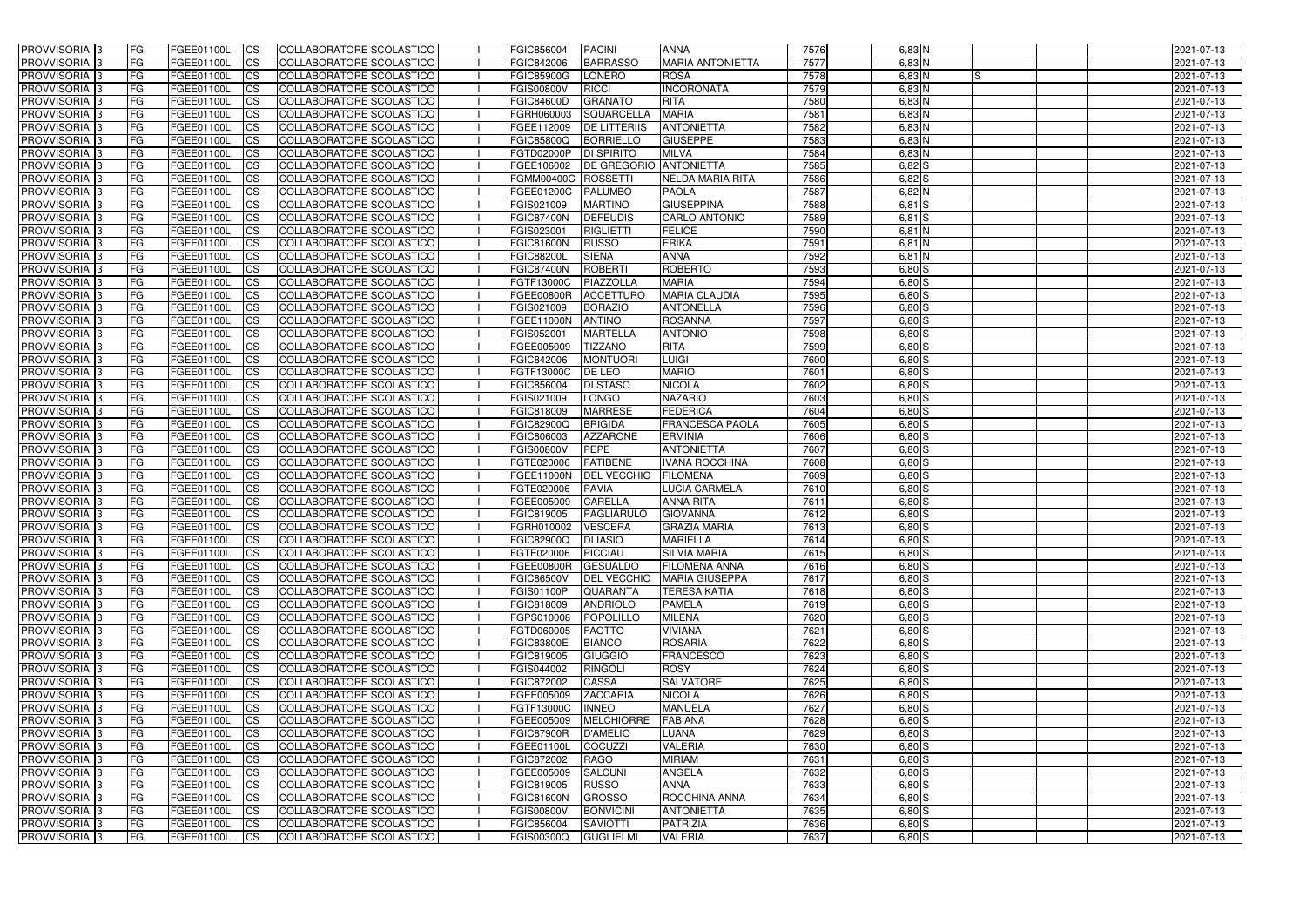| <b>PROVVISORIA</b> 3       | FG         | FGEE01100L        | <b>ICS</b>             | COLLABORATORE SCOLASTICO        | FGIC856004          | <b>PACINI</b>                 | <b>ANNA</b>             | 7576 | $6,83$ N       | 2021-07-13 |
|----------------------------|------------|-------------------|------------------------|---------------------------------|---------------------|-------------------------------|-------------------------|------|----------------|------------|
| <b>PROVVISORIA 3</b>       | FG         | FGEE01100L        | <b>CS</b>              | COLLABORATORE SCOLASTICO        | FGIC842006          | <b>BARRASSO</b>               | <b>MARIA ANTONIETTA</b> | 7577 | $6,83$ N       | 2021-07-13 |
| PROVVISORIA <sup>3</sup>   | FG         | FGEE01100L        | <b>CS</b>              | COLLABORATORE SCOLASTICO        | <b>FGIC85900G</b>   | LONERO                        | <b>ROSA</b>             | 7578 | $6,83$ N<br>IS | 2021-07-13 |
| PROVVISORIA <sup>3</sup>   | FG         | FGEE01100L        | <b>CS</b>              | COLLABORATORE SCOLASTICO        | <b>FGIS00800V</b>   | RICCI                         | <b>INCORONATA</b>       | 7579 | $6,83$ N       | 2021-07-13 |
| PROVVISORIA <sup>1</sup> 3 | FG         | FGEE01100L        | <b>CS</b>              | COLLABORATORE SCOLASTICO        | <b>FGIC84600D</b>   | <b>GRANATO</b>                | <b>RITA</b>             | 7580 | $6,83$ N       | 2021-07-13 |
| PROVVISORIA <sup>3</sup>   | FG.        | FGEE01100L        | <b>CS</b>              | COLLABORATORE SCOLASTICO        | FGRH060003          | <b>SQUARCELLA</b>             | <b>MARIA</b>            | 7581 | $6,83$ N       | 2021-07-13 |
| PROVVISORIA 3              | FG         | FGEE01100L        | <b>CS</b>              | COLLABORATORE SCOLASTICO        | FGEE112009          | <b>DE LITTERIIS</b>           | <b>ANTONIETTA</b>       | 7582 | $6,83$ N       | 2021-07-13 |
| PROVVISORIA 3              | FG         | <b>FGEE01100L</b> | <b>CS</b>              | COLLABORATORE SCOLASTICO        | <b>FGIC85800Q</b>   | <b>BORRIELLO</b>              | <b>GIUSEPPE</b>         | 7583 | $6,83$ N       | 2021-07-13 |
| PROVVISORIA 3              | FG         | FGEE01100L        | <b>CS</b>              | COLLABORATORE SCOLASTICO        | FGTD02000P          | <b>DI SPIRITO</b>             | <b>MILVA</b>            | 7584 | $6,83$ N       | 2021-07-13 |
| PROVVISORIA <sup>3</sup>   | FG         | FGEE01100L        | $\overline{c}$         | COLLABORATORE SCOLASTICO        | FGEE106002          | <b>DE GREGORIO ANTONIETTA</b> |                         | 7585 | 6,82S          | 2021-07-13 |
| PROVVISORIA <sup>3</sup>   | FG         | FGEE01100L        | <b>CS</b>              | COLLABORATORE SCOLASTICO        | FGMM00400C ROSSETTI |                               | NELDA MARIA RITA        | 7586 | $6,82$ $S$     | 2021-07-13 |
| PROVVISORIA <sup>3</sup>   | FG         | FGEE01100L        | <b>CS</b>              | COLLABORATORE SCOLASTICO        | FGEE01200C          | <b>PALUMBO</b>                | <b>PAOLA</b>            | 7587 | $6,82$ N       | 2021-07-13 |
| <b>PROVVISORIA</b> 3       | FG         | FGEE01100L        | <b>I</b> CS            | COLLABORATORE SCOLASTICO        | FGIS021009          | <b>MARTINO</b>                | <b>GIUSEPPINA</b>       | 7588 | $6,81$ S       | 2021-07-13 |
| PROVVISORIA <sup>3</sup>   | FG         | FGEE01100L        | <b>I</b> CS            | COLLABORATORE SCOLASTICO        | <b>FGIC87400N</b>   | <b>DEFEUDIS</b>               | <b>CARLO ANTONIO</b>    | 7589 | $6,81$ $S$     | 2021-07-13 |
| PROVVISORIA <sup>3</sup>   | FG         | FGEE01100L        | <b>I</b> CS            | COLLABORATORE SCOLASTICO        | FGIS023001          | <b>RIGLIETTI</b>              | <b>FELICE</b>           | 7590 | $6,81$ N       | 2021-07-13 |
| <b>PROVVISORIA</b> 3       | FG         | FGEE01100L        | <b>I</b> CS            | <b>COLLABORATORE SCOLASTICO</b> | <b>FGIC81600N</b>   | <b>RUSSO</b>                  | <b>ERIKA</b>            | 7591 | 6,81 N         | 2021-07-13 |
| <b>PROVVISORIA</b> 3       | FG         | FGEE01100L        | <b>CS</b>              | COLLABORATORE SCOLASTICO        | <b>FGIC88200L</b>   | <b>SIENA</b>                  | <b>ANNA</b>             | 7592 | $6,81$ N       | 2021-07-13 |
| PROVVISORIA 3              | FG         | FGEE01100L        | <b>CS</b>              | <b>COLLABORATORE SCOLASTICO</b> | <b>FGIC87400N</b>   | <b>ROBERTI</b>                | <b>ROBERTO</b>          | 7593 | 6,80 S         | 2021-07-13 |
| PROVVISORIA <sup>3</sup>   | FG         | FGEE01100L        | <b>ICS</b>             | COLLABORATORE SCOLASTICO        | FGTF13000C          | PIAZZOLLA                     | <b>MARIA</b>            | 7594 | $6,80$ S       | 2021-07-13 |
|                            |            |                   |                        |                                 |                     |                               |                         |      |                |            |
| PROVVISORIA <sup>3</sup>   | FG         | FGEE01100L        | <b>I</b> CS            | COLLABORATORE SCOLASTICO        | <b>FGEE00800R</b>   | <b>ACCETTURO</b>              | <b>MARIA CLAUDIA</b>    | 7595 | $6,80$ S       | 2021-07-13 |
| PROVVISORIA <sup>3</sup>   | FG         | FGEE01100L        | <b>I</b> CS            | COLLABORATORE SCOLASTICO        | FGIS021009          | <b>BORAZIO</b>                | <b>ANTONELLA</b>        | 7596 | $6,80$ S       | 2021-07-13 |
| PROVVISORIA <sup>3</sup>   | FG         | FGEE01100L        | <b>CS</b>              | COLLABORATORE SCOLASTICO        | <b>FGEE11000N</b>   | <b>ANTINO</b>                 | <b>ROSANNA</b>          | 7597 | $6,80$ S       | 2021-07-13 |
| PROVVISORIA 3              | FG         | FGEE01100L        | <b>CS</b>              | COLLABORATORE SCOLASTICO        | FGIS052001          | <b>MARTELLA</b>               | <b>ANTONIO</b>          | 7598 | $6,80$ S       | 2021-07-13 |
| <b>PROVVISORIA</b> 3       | FG         | FGEE01100L        | <b>CS</b>              | COLLABORATORE SCOLASTICO        | FGEE005009          | <b>TIZZANO</b>                | <b>RITA</b>             | 7599 | $6,80$ S       | 2021-07-13 |
| PROVVISORIA <sup>3</sup>   | FG         | FGEE01100L        | <b>CS</b>              | COLLABORATORE SCOLASTICO        | FGIC842006          | <b>MONTUORI</b>               | <b>LUIGI</b>            | 7600 | $6,80$ S       | 2021-07-13 |
| PROVVISORIA <sup>1</sup> 3 | FG         | FGEE01100L        | <b>CS</b>              | COLLABORATORE SCOLASTICO        | FGTF13000C          | <b>DE LEO</b>                 | <b>MARIO</b>            | 7601 | $6,80$ $S$     | 2021-07-13 |
| PROVVISORIA <sup>1</sup> 3 | FG         | <b>FGEE01100L</b> | <b>CS</b>              | COLLABORATORE SCOLASTICO        | FGIC856004          | <b>DI STASO</b>               | <b>NICOLA</b>           | 7602 | $6,80$ $S$     | 2021-07-13 |
| PROVVISORIA <sup>3</sup>   | FG.        | FGEE01100L        | <b>CS</b>              | COLLABORATORE SCOLASTICO        | FGIS021009          | <b>LONGO</b>                  | <b>NAZARIO</b>          | 7603 | $6,80$ $S$     | 2021-07-13 |
| PROVVISORIA <sup>13</sup>  | FG         | <b>FGEE01100L</b> | <b>CS</b>              | COLLABORATORE SCOLASTICO        | FGIC818009          | <b>MARRESE</b>                | <b>FEDERICA</b>         | 7604 | $6,80$ S       | 2021-07-13 |
| PROVVISORIA <sup>1</sup> 3 | FG.        | FGEE01100L        | <b>CS</b>              | COLLABORATORE SCOLASTICO        | <b>FGIC82900Q</b>   | <b>BRIGIDA</b>                | <b>FRANCESCA PAOLA</b>  | 7605 | 6,80 S         | 2021-07-13 |
| PROVVISORIA <sup>3</sup>   | FG.        | FGEE01100L        | <b>CS</b>              | COLLABORATORE SCOLASTICO        | FGIC806003          | <b>AZZARONE</b>               | <b>ERMINIA</b>          | 7606 | $6,80$ S       | 2021-07-13 |
| PROVVISORIA <sup>13</sup>  | FG         | FGEE01100L        | $\overline{\text{cs}}$ | COLLABORATORE SCOLASTICO        | <b>FGIS00800V</b>   | <b>PEPE</b>                   | <b>ANTONIETTA</b>       | 7607 | $6,80$ $S$     | 2021-07-13 |
| PROVVISORIA <sup>3</sup>   | FG         | <b>FGEE01100L</b> | <b>CS</b>              | COLLABORATORE SCOLASTICO        | FGTE020006          | <b>FATIBENE</b>               | <b>IVANA ROCCHINA</b>   | 7608 | $6,80$ S       | 2021-07-13 |
| PROVVISORIA <sup>3</sup>   | FG         | <b>FGEE01100L</b> | <b>CS</b>              | COLLABORATORE SCOLASTICO        | <b>FGEE11000N</b>   | <b>DEL VECCHIO</b>            | <b>FILOMENA</b>         | 7609 | $6,80$ S       | 2021-07-13 |
| PROVVISORIA <sup>3</sup>   | FG         | FGEE01100L        | $\overline{\text{cs}}$ | <b>COLLABORATORE SCOLASTICO</b> | FGTE020006          | <b>PAVIA</b>                  | LUCIA CARMELA           | 7610 | $6,80$ S       | 2021-07-13 |
| PROVVISORIA <sup>3</sup>   | FG         | FGEE01100L        | <b>CS</b>              | <b>COLLABORATORE SCOLASTICO</b> | FGEE005009          | <b>CARELLA</b>                | <b>ANNA RITA</b>        | 7611 | $6,80$ S       | 2021-07-13 |
| PROVVISORIA <sup>3</sup>   | FG         | FGEE01100L        | <b>CS</b>              | COLLABORATORE SCOLASTICO        | FGIC819005          | PAGLIARULO                    | <b>GIOVANNA</b>         | 7612 | $6,80$ S       | 2021-07-13 |
| PROVVISORIA 3              | FG         | FGEE01100L        | <b>I</b> CS            | COLLABORATORE SCOLASTICO        | FGRH010002          | <b>VESCERA</b>                | <b>GRAZIA MARIA</b>     | 7613 | $6,80$ $S$     | 2021-07-13 |
| <b>PROVVISORIA</b> 3       | IFG.       | FGEE01100L        | CS                     | COLLABORATORE SCOLASTICO        | FGIC82900Q DI IASIO |                               | <b>MARIELLA</b>         | 7614 | $6,80$ S       | 2021-07-13 |
| PROVVISORIA 3              | IFG.       | FGEE01100L        | <b>ICS</b>             | COLLABORATORE SCOLASTICO        | FGTE020006          | PICCIAU                       | <b>SILVIA MARIA</b>     | 7615 | $6,80$ S       | 2021-07-13 |
| PROVVISORIA 3              | FG         | FGEE01100L        | <b>CS</b>              | COLLABORATORE SCOLASTICO        | <b>FGEE00800R</b>   | GESUALDO                      | <b>FILOMENA ANNA</b>    | 7616 | $6,80$ S       | 2021-07-13 |
| PROVVISORIA 3              | FG         | FGEE01100L        | <b>CS</b>              | COLLABORATORE SCOLASTICO        | <b>FGIC86500V</b>   | <b>DEL VECCHIO</b>            | <b>MARIA GIUSEPPA</b>   | 7617 | $6,80$ S       | 2021-07-13 |
| PROVVISORIA 3              | FG         | FGEE01100L        | <b>ICS</b>             | <b>COLLABORATORE SCOLASTICO</b> | <b>FGIS01100P</b>   | <b>QUARANTA</b>               | <b>TERESA KATIA</b>     | 7618 | $6,80$ S       | 2021-07-13 |
| PROVVISORIA 3              | FG         | FGEE01100L        | <b>CS</b>              | COLLABORATORE SCOLASTICO        | FGIC818009          | <b>ANDRIOLO</b>               | <b>PAMELA</b>           | 7619 | $6,80$ S       | 2021-07-13 |
| PROVVISORIA 3              | FG         | FGEE01100L        | <b>CS</b>              | COLLABORATORE SCOLASTICO        | FGPS010008          | POPOLILLO                     | <b>MILENA</b>           | 7620 | $6,80$ $S$     | 2021-07-13 |
| PROVVISORIA 3              | <b>FG</b>  | FGEE01100L        | <b>CS</b>              | COLLABORATORE SCOLASTICO        | FGTD060005          | <b>FAOTTO</b>                 | <b>VIVIANA</b>          | 7621 | $6,80$ S       | 2021-07-13 |
| PROVVISORIA 3              | FG         | FGEE01100L        | <b>CS</b>              | COLLABORATORE SCOLASTICO        | <b>FGIC83800E</b>   | <b>BIANCO</b>                 | <b>ROSARIA</b>          | 7622 | $6,80$ $S$     | 2021-07-13 |
| PROVVISORIA 3              | FG         | FGEE01100L        | <b>CS</b>              | COLLABORATORE SCOLASTICO        | FGIC819005          | GIUGGIO                       | <b>FRANCESCO</b>        | 7623 | $6,80$ S       | 2021-07-13 |
| PROVVISORIA 3              | IFG.       | FGEE01100L        | <b>CS</b>              | COLLABORATORE SCOLASTICO        | FGIS044002          | RINGOLI                       | <b>ROSY</b>             | 7624 | $6,80$ S       | 2021-07-13 |
| PROVVISORIA 3              | FG         | FGEE01100L        | <b>CS</b>              | COLLABORATORE SCOLASTICO        | FGIC872002          | <b>CASSA</b>                  | <b>SALVATORE</b>        | 7625 | $6,80$ S       | 2021-07-13 |
| PROVVISORIA 3              | FG         | FGEE01100L        | <b>CS</b>              | COLLABORATORE SCOLASTICO        | FGEE005009          | <b>ZACCARIA</b>               | <b>NICOLA</b>           | 7626 | $6,80$ $S$     | 2021-07-13 |
| <b>PROVVISORIA</b> 3       | IFG.       | FGEE01100L        | <b>CS</b>              | COLLABORATORE SCOLASTICO        | <b>FGTF13000C</b>   | <b>INNEO</b>                  | <b>MANUELA</b>          | 7627 | $6,80$ S       | 2021-07-13 |
| <b>PROVVISORIA</b> 3       | IFG.       | FGEE01100L        | <b>CS</b>              | COLLABORATORE SCOLASTICO        | FGEE005009          | MELCHIORRE                    | <b>FABIANA</b>          | 7628 | $6,80$ S       | 2021-07-13 |
| PROVVISORIA 3              | FG         | <b>FGEE01100L</b> | <b>CS</b>              | <b>COLLABORATORE SCOLASTICO</b> | <b>FGIC87900R</b>   | <b>D'AMELIO</b>               | LUANA                   | 7629 | $6,80$ S       | 2021-07-13 |
| PROVVISORIA 3              | <b>IFG</b> | FGEE01100L        | <b>CS</b>              | COLLABORATORE SCOLASTICO        | FGEE01100L          | COCUZZI                       | <b>VALERIA</b>          | 7630 | $6,80$ S       | 2021-07-13 |
| PROVVISORIA 3              | IFG.       | <b>FGEE01100L</b> | <b>CS</b>              | COLLABORATORE SCOLASTICO        | FGIC872002          | RAGO                          | <b>MIRIAM</b>           | 7631 | $6,80$ S       | 2021-07-13 |
| PROVVISORIA 3              | FG         | FGEE01100L        | <b>CS</b>              | COLLABORATORE SCOLASTICO        | FGEE005009          | <b>SALCUNI</b>                | <b>ANGELA</b>           | 7632 | $6,80$ $S$     | 2021-07-13 |
| PROVVISORIA 3              | FG         | FGEE01100L        | <b>CS</b>              | COLLABORATORE SCOLASTICO        | FGIC819005          | <b>RUSSO</b>                  | <b>ANNA</b>             | 7633 | $6,80$ S       | 2021-07-13 |
| PROVVISORIA 3              | FG         | <b>FGEE01100L</b> | <b>CS</b>              | COLLABORATORE SCOLASTICO        | <b>FGIC81600N</b>   | <b>GROSSO</b>                 | <b>ROCCHINA ANNA</b>    | 7634 | $6,80$ S       | 2021-07-13 |
| <b>PROVVISORIA</b> 3       | FG         | FGEE01100L        | <b>CS</b>              | COLLABORATORE SCOLASTICO        | <b>FGIS00800V</b>   | <b>BONVICINI</b>              | <b>ANTONIETTA</b>       | 7635 | $6,80$ S       | 2021-07-13 |
| PROVVISORIA 3              |            | FGEE01100L        | <b>CS</b>              | COLLABORATORE SCOLASTICO        | FGIC856004          | <b>SAVIOTTI</b>               | <b>PATRIZIA</b>         | 7636 |                | 2021-07-13 |
|                            | FG         |                   |                        |                                 |                     |                               | <b>VALERIA</b>          |      | $6,80$ S       |            |
| PROVVISORIA 3              | FG         | FGEE01100L        | <b>CS</b>              | COLLABORATORE SCOLASTICO        | <b>FGIS00300Q</b>   | <b>GUGLIELMI</b>              |                         | 7637 | $6,80$ $S$     | 2021-07-13 |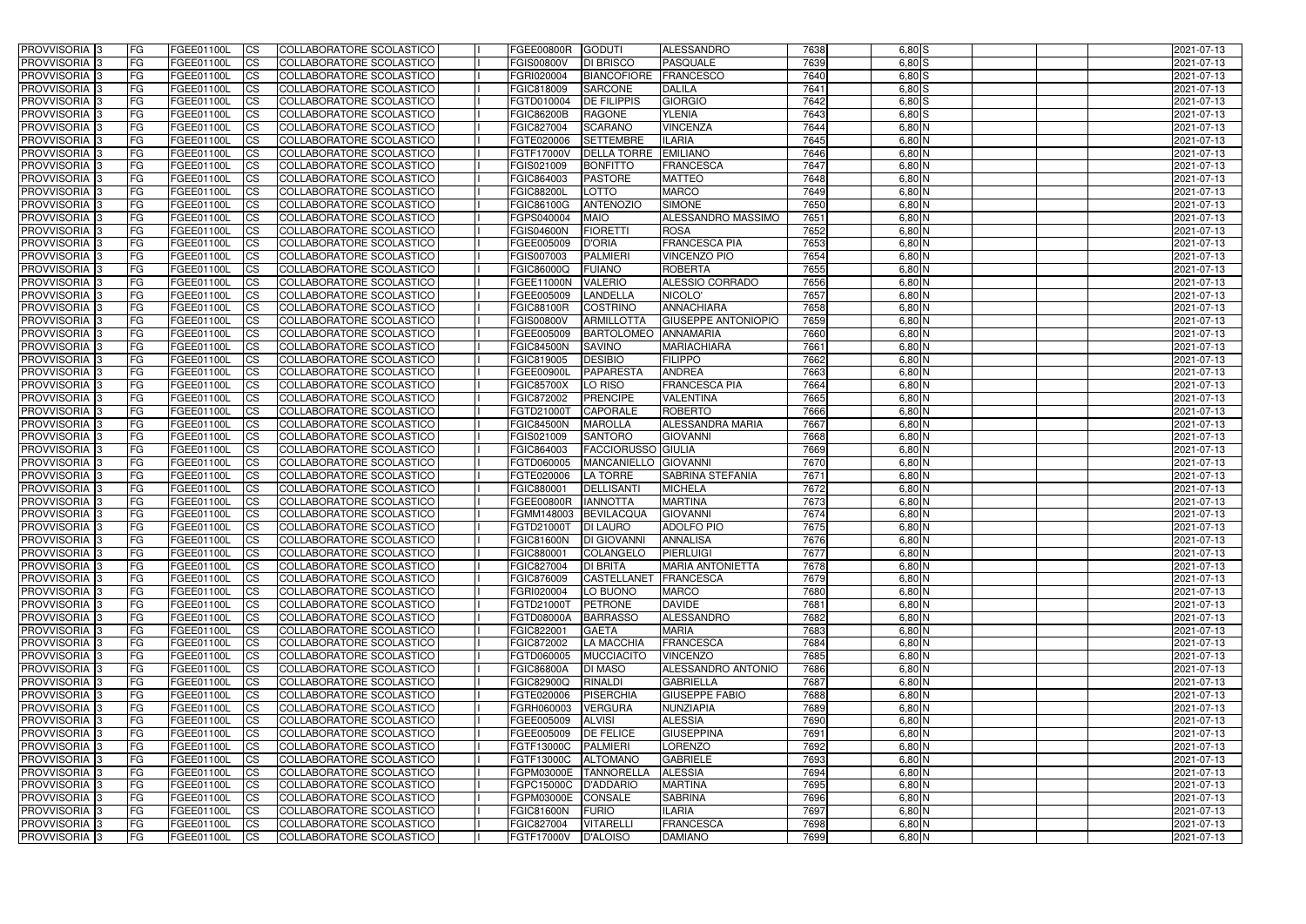| <b>PROVVISORIA</b> 3           | <b>FG</b>       | FGEE01100L                      | <b>ICS</b>               | COLLABORATORE SCOLASTICO                                    | FGEE00800R                      | <b>GODUTI</b>              | <b>ALESSANDRO</b>                        | 7638         | $6,80$ S             | 2021-07-13               |
|--------------------------------|-----------------|---------------------------------|--------------------------|-------------------------------------------------------------|---------------------------------|----------------------------|------------------------------------------|--------------|----------------------|--------------------------|
| <b>PROVVISORIA 3</b>           | FG              | FGEE01100L                      | <b>ICS</b>               | COLLABORATORE SCOLASTICO                                    | <b>FGIS00800V</b>               | <b>DI BRISCO</b>           | PASQUALE                                 | 7639         | $6,80$ $S$           | 2021-07-13               |
| <b>PROVVISORIA</b>             | FG              | FGEE01100L                      | <b>CS</b>                | <b>COLLABORATORE SCOLASTICO</b>                             | FGRI020004                      | <b>BIANCOFIORE</b>         | <b>FRANCESCO</b>                         | 7640         | $6,80$ S             | 2021-07-13               |
| PROVVISORIA                    | FG              | FGEE01100L                      | <b>CS</b>                | COLLABORATORE SCOLASTICO                                    | FGIC818009                      | <b>SARCONE</b>             | <b>DALILA</b>                            | 7641         | $6,80$ S             | 2021-07-13               |
| PROVVISORIA <sup>1</sup> 3     | FG              | FGEE01100L                      | <b>CS</b>                | COLLABORATORE SCOLASTICO                                    | FGTD010004                      | <b>DE FILIPPIS</b>         | <b>GIORGIO</b>                           | 7642         | $6,80$ S             | 2021-07-13               |
| PROVVISORIA <sup>1</sup> 3     | FG              | FGEE01100L                      | <b>CS</b>                | COLLABORATORE SCOLASTICO                                    | <b>FGIC86200B</b>               | <b>RAGONE</b>              | <b>YLENIA</b>                            | 7643         | $6,80$ S             | 2021-07-13               |
| PROVVISORIA <sup>1</sup> 3     | FG              | FGEE01100L                      | <b>CS</b>                | COLLABORATORE SCOLASTICO                                    | FGIC827004                      | <b>SCARANO</b>             | <b>VINCENZA</b>                          | 7644         | $6,80$ N             | 2021-07-13               |
| PROVVISORIA 3                  | FG              | FGEE01100L                      | <b>ICS</b>               | COLLABORATORE SCOLASTICO                                    | FGTE020006                      | <b>SETTEMBRE</b>           | <b>ILARIA</b>                            | 7645         | $6,80$ N             | 2021-07-13               |
| PROVVISORIA 3                  | FG              | FGEE01100L                      | <b>CS</b>                | COLLABORATORE SCOLASTICO                                    | FGTF17000V                      | <b>DELLA TORRE</b>         | <b>EMILIANO</b>                          | 7646         | $6,80$ N             | 2021-07-13               |
| PROVVISORIA 3                  | <b>FG</b>       | FGEE01100L                      | $\overline{c}$           | COLLABORATORE SCOLASTICO                                    | FGIS021009                      | <b>BONFITTO</b>            | <b>FRANCESCA</b>                         | 7647         | $6,80$ N             | 2021-07-13               |
| PROVVISORIA 3                  | FG              | FGEE01100L                      | <b>CS</b>                | COLLABORATORE SCOLASTICO                                    | FGIC864003                      | <b>PASTORE</b>             | <b>MATTEO</b>                            | 7648         | $6,80$ N             | 2021-07-13               |
| <b>PROVVISORIA</b>             | FG              | FGEE01100L                      | <b>CS</b>                | COLLABORATORE SCOLASTICO                                    | <b>FGIC88200L</b>               | LOTTO                      | <b>MARCO</b>                             | 7649         | $6,80$ N             | 2021-07-13               |
| <b>PROVVISORIA</b>             | FG              | FGEE01100L                      | <b>ICS</b>               | COLLABORATORE SCOLASTICO                                    | <b>FGIC86100G</b>               | <b>ANTENOZIO</b>           | <b>SIMONE</b>                            | 7650         | $6,80$ N             | 2021-07-13               |
| <b>PROVVISORIA</b>             | FG              | FGEE01100L                      | <b>ICS</b>               | COLLABORATORE SCOLASTICO                                    | FGPS040004                      | <b>MAIO</b>                | <b>ALESSANDRO MASSIMO</b>                | 7651         | 6,80 N               | 2021-07-13               |
| <b>PROVVISORIA</b>             | FG              | FGEE01100L                      | <b>ICS</b>               | COLLABORATORE SCOLASTICO                                    | <b>FGIS04600N</b>               | <b>FIORETTI</b>            | <b>ROSA</b>                              | 7652         | 6,80 N               | 2021-07-13               |
| <b>PROVVISORIA</b>             | FG              | FGEE01100L                      | <b>ICS</b>               | COLLABORATORE SCOLASTICO                                    | FGEE005009                      | <b>D'ORIA</b>              | <b>FRANCESCA PIA</b>                     | 7653         | $6,80$ N             | 2021-07-13               |
| <b>PROVVISORIA</b>             | FG              | FGEE01100L                      | <b>ICS</b>               | COLLABORATORE SCOLASTICO                                    | FGIS007003                      | <b>PALMIERI</b>            | <b>VINCENZO PIO</b>                      | 7654         | 6,80 N               | 2021-07-13               |
| <b>PROVVISORIA</b>             | FG              | FGEE01100L                      | <b>ICS</b>               | <b>COLLABORATORE SCOLASTICO</b>                             | FGIC86000Q                      | <b>FUIANO</b>              | <b>ROBERTA</b>                           | 7655         | 6,80 N               | 2021-07-13               |
| PROVVISORIA <sup>3</sup>       | FG              | FGEE01100L                      | <b>ICS</b>               | COLLABORATORE SCOLASTICO                                    | <b>FGEE11000N</b>               | <b>VALERIO</b>             | ALESSIO CORRADO                          | 7656         | $6,80$ N             | 2021-07-13               |
| PROVVISORIA 3                  | FG              | FGEE01100L                      | <b>ICS</b>               | COLLABORATORE SCOLASTICO                                    | FGEE005009                      | LANDELLA                   | NICOLO'                                  | 7657         | 6,80 N               | 2021-07-13               |
| PROVVISORIA <sup>1</sup> 3     | FG              | FGEE01100L                      | <b>ICS</b>               | COLLABORATORE SCOLASTICO                                    | FGIC88100R                      | <b>COSTRINO</b>            | <b>ANNACHIARA</b>                        | 7658         | $6,80$ N             | 2021-07-13               |
| PROVVISORIA 3                  | FG              | FGEE01100L                      | <b>ICS</b>               | COLLABORATORE SCOLASTICO                                    | <b>FGIS00800V</b>               | <b>ARMILLOTTA</b>          | <b>GIUSEPPE ANTONIOPIO</b>               | 7659         | $6,80$ N             | 2021-07-13               |
| PROVVISORIA 3                  | FG              | FGEE01100L                      | <b>ICS</b>               | <b>COLLABORATORE SCOLASTICO</b>                             | FGEE005009                      | <b>BARTOLOMEO</b>          | <b>ANNAMARIA</b>                         | 7660         | $6,80$ N             | 2021-07-13               |
| PROVVISORIA <sup>13</sup>      | FG              | FGEE01100L                      | <b>CS</b>                | COLLABORATORE SCOLASTICO                                    | <b>FGIC84500N</b>               | <b>SAVINO</b>              | <b>MARIACHIARA</b>                       | 7661         | $6,80$ N             | 2021-07-13               |
| PROVVISORIA <sup>1</sup> 3     | FG              | FGEE01100L                      | <b>CS</b>                | COLLABORATORE SCOLASTICO                                    | FGIC819005                      | <b>DESIBIO</b>             | <b>FILIPPO</b>                           | 7662         | $6,80$ N             | 2021-07-13               |
| PROVVISORIA 3                  | FG              | FGEE01100L                      | <b>CS</b>                | COLLABORATORE SCOLASTICO                                    | FGEE00900I                      | PAPARESTA                  | <b>ANDREA</b>                            | 7663<br>7664 | $6,80$ N<br>$6,80$ N | 2021-07-13               |
| PROVVISORIA 3                  | FG<br>FG        | FGEE01100L<br>FGEE01100L        | <b>ICS</b><br><b>ICS</b> | COLLABORATORE SCOLASTICO                                    | <b>FGIC85700X</b>               | LO RISO<br><b>PRENCIPE</b> | <b>FRANCESCA PIA</b><br><b>VALENTINA</b> | 7665         | $6,80$ N             | 2021-07-13               |
| PROVVISORIA<br>PROVVISORIA     | FG              | FGEE01100L                      | <b>CS</b>                | COLLABORATORE SCOLASTICO<br><b>COLLABORATORE SCOLASTICO</b> | FGIC872002<br>FGTD21000T        | <b>CAPORALE</b>            | <b>ROBERTO</b>                           | 7666         | 6,80 N               | 2021-07-13<br>2021-07-13 |
| PROVVISORIA                    | FG              | FGEE01100L                      | <b>CS</b>                | COLLABORATORE SCOLASTICO                                    | <b>FGIC84500N</b>               | <b>MAROLLA</b>             | <b>ALESSANDRA MARIA</b>                  | 7667         | 6,80 N               | 2021-07-13               |
| PROVVISORIA                    | FG              | FGEE01100L                      | <b>CS</b>                | COLLABORATORE SCOLASTICO                                    | FGIS021009                      | <b>SANTORO</b>             | <b>GIOVANNI</b>                          | 7668         | 6,80 N               | 2021-07-13               |
| PROVVISORIA <sup>1</sup> 3     | FG              | FGEE01100L                      | <b>CS</b>                | COLLABORATORE SCOLASTICO                                    | FGIC864003                      | <b>FACCIORUSSO GIULIA</b>  |                                          | 7669         | $6,80$ N             | 2021-07-13               |
| PROVVISORIA <sup>1</sup> 3     | FG              | FGEE01100L                      | <b>CS</b>                | COLLABORATORE SCOLASTICO                                    | FGTD060005                      | MANCANIELLO GIOVANNI       |                                          | 7670         | 6,80 N               | 2021-07-13               |
| PROVVISORIA 3                  | FG              | FGEE01100L                      | <b>CS</b>                | <b>COLLABORATORE SCOLASTICO</b>                             | FGTE020006                      | <b>LA TORRE</b>            | <b>SABRINA STEFANIA</b>                  | 7671         | $6,80$ N             | 2021-07-13               |
| <b>PROVVISORIA</b>             | FG              | FGEE01100L                      | $\overline{c}$           | COLLABORATORE SCOLASTICO                                    | FGIC880001                      | <b>DELLISANTI</b>          | <b>MICHELA</b>                           | 7672         | $6,80$ N             | 2021-07-13               |
| PROVVISORIA <sup>1</sup> 3     | FG              | FGEE01100L                      | <b>CS</b>                | COLLABORATORE SCOLASTICO                                    | FGEE00800R                      | <b>IANNOTTA</b>            | <b>MARTINA</b>                           | 7673         | $6,80$ N             | 2021-07-13               |
| PROVVISORIA 3                  | FG              | FGEE01100L                      | <b>ICS</b>               | COLLABORATORE SCOLASTICO                                    | FGMM148003                      | <b>BEVILACQUA</b>          | <b>GIOVANNI</b>                          | 7674         | $6,80$ N             | 2021-07-13               |
| <b>PROVVISORIA</b>             | <b>FG</b>       | FGEE01100L                      | <b>ICS</b>               | COLLABORATORE SCOLASTICO                                    | FGTD21000T                      | <b>DI LAURO</b>            | <b>ADOLFO PIO</b>                        | 7675         | $6,80$ N             | 2021-07-13               |
| PROVVISORIA 3                  | FG              | FGEE01100L                      | CS                       | COLLABORATORE SCOLASTICO                                    | FGIC81600N   DI GIOVANNI        |                            | <b>ANNALISA</b>                          | 7676         | $6,80$ N             | 2021-07-13               |
| <b>PROVVISORIA</b> 3           | <b>FG</b>       | FGEE01100L                      | $\mathsf{ICS}$           | COLLABORATORE SCOLASTICO                                    | FGIC880001                      | COLANGELO                  | <b>PIERLUIGI</b>                         | 7677         | $6,80$ N             | 2021-07-13               |
| PROVVISORIA 3                  | <b>FG</b>       | <b>FGEE01100L</b>               | $\mathsf{ICS}$           | COLLABORATORE SCOLASTICO                                    | FGIC827004                      | <b>DI BRITA</b>            | <b>MARIA ANTONIETTA</b>                  | 7678         | $6,80$ N             | 2021-07-13               |
| PROVVISORIA 3                  | <b>FG</b>       | FGEE01100L                      | $\mathsf{ICS}$           | COLLABORATORE SCOLASTICO                                    | FGIC876009                      | <b>CASTELLANET</b>         | FRANCESCA                                | 7679         | $6,80$ N             | 2021-07-13               |
| PROVVISORIA 3                  | FG              | FGEE01100L                      | $\mathsf{ICS}$           | COLLABORATORE SCOLASTICO                                    | FGRI020004                      | LO BUONO                   | <b>MARCO</b>                             | 7680         | $6,80$ N             | 2021-07-13               |
| PROVVISORIA 3                  | l FG            | FGEE01100L                      | <b>CS</b>                | COLLABORATORE SCOLASTICO                                    | FGTD21000T                      | <b>PETRONE</b>             | <b>DAVIDE</b>                            | 7681         | $6,80$ N             | 2021-07-13               |
| PROVVISORIA 3                  | <b>FG</b>       | FGEE01100L                      | <b>CS</b>                | COLLABORATORE SCOLASTICO                                    | FGTD08000A                      | <b>BARRASSO</b>            | ALESSANDRO                               | 7682         | $6,80$ N             | 2021-07-13               |
| PROVVISORIA 3                  | FG              | <b>FGEE01100L</b>               | <b>CS</b>                | COLLABORATORE SCOLASTICO                                    | FGIC822001                      | <b>GAETA</b>               | <b>MARIA</b>                             | 7683         | $6,80$ N             | 2021-07-13               |
| PROVVISORIA 3                  | <b>FG</b>       | FGEE01100L                      | <b>CS</b>                | COLLABORATORE SCOLASTICO                                    | FGIC872002                      | <b>LA MACCHIA</b>          | <b>FRANCESCA</b>                         | 7684         | $6,80$ N             | 2021-07-13               |
| PROVVISORIA 3                  | <b>FG</b>       | FGEE01100L                      | <b>CS</b>                | COLLABORATORE SCOLASTICO                                    | FGTD060005                      | MUCCIACITO                 | <b>VINCENZO</b>                          | 7685         | $6,80$ N             | 2021-07-13               |
| PROVVISORIA 3                  | <b>FG</b>       | FGEE01100L                      | <b>CS</b>                | COLLABORATORE SCOLASTICO                                    | <b>FGIC86800A</b>               | <b>DI MASO</b>             | ALESSANDRO ANTONIO                       | 7686         | $6,80$ N             | 2021-07-13               |
| PROVVISORIA 3                  | <b>FG</b>       | FGEE01100L                      | <b>CS</b>                | COLLABORATORE SCOLASTICO                                    | <b>FGIC82900Q</b>               | RINALDI                    | <b>GABRIELLA</b>                         | 7687         | $6,80$ N             | 2021-07-13               |
| PROVVISORIA 3                  | <b>FG</b>       | FGEE01100L                      | <b>CS</b>                | COLLABORATORE SCOLASTICO                                    | FGTE020006                      | PISERCHIA                  | <b>GIUSEPPE FABIO</b>                    | 7688         | $6,80$ N             | 2021-07-13               |
| PROVVISORIA 3                  | <b>FG</b>       | FGEE01100L                      | <b>CS</b>                | COLLABORATORE SCOLASTICO                                    | FGRH060003                      | <b>VERGURA</b>             | <b>NUNZIAPIA</b>                         | 7689         | $6,80$ N             | 2021-07-13               |
| PROVVISORIA 3                  | <b>FG</b>       | FGEE01100L                      | <b>CS</b>                | COLLABORATORE SCOLASTICO                                    | FGEE005009                      | <b>ALVISI</b>              | <b>ALESSIA</b>                           | 7690         | $6,80$ N             | 2021-07-13               |
| PROVVISORIA 3                  | <b>FG</b>       | FGEE01100L                      | <b>CS</b>                | COLLABORATORE SCOLASTICO                                    | FGEE005009  DE FELICE           |                            | <b>GIUSEPPINA</b>                        | 7691         | $6,80$ N             | 2021-07-13               |
| PROVVISORIA 3                  | FG              | FGEE01100L                      | <b>CS</b>                | COLLABORATORE SCOLASTICO                                    | FGTF13000C                      | <b>PALMIERI</b>            | <b>LORENZO</b>                           | 7692         | $6,80$ N             | 2021-07-13               |
| PROVVISORIA 3                  | <b>FG</b>       | FGEE01100L                      | <b>CS</b>                | COLLABORATORE SCOLASTICO                                    | FGTF13000C ALTOMANO             |                            | <b>GABRIELE</b>                          | 7693         | $6,80$ N             | 2021-07-13               |
| PROVVISORIA 3                  | <b>FG</b>       | FGEE01100L                      | <b>CS</b>                | COLLABORATORE SCOLASTICO                                    |                                 | FGPM03000E TANNORELLA      | <b>ALESSIA</b>                           | 7694         | $6,80$ N             | 2021-07-13               |
| PROVVISORIA 3                  | FG              | FGEE01100L                      | <b>CS</b>                | COLLABORATORE SCOLASTICO                                    | FGPC15000C D'ADDARIO            |                            | <b>MARTINA</b>                           | 7695         | $6,80$ N             | 2021-07-13               |
| PROVVISORIA 3<br>PROVVISORIA 3 | FG<br><b>FG</b> | <b>FGEE01100L</b><br>FGEE01100L | <b>CS</b><br><b>CS</b>   | COLLABORATORE SCOLASTICO<br>COLLABORATORE SCOLASTICO        | FGPM03000E CONSALE              | <b>FURIO</b>               | <b>SABRINA</b><br><b>ILARIA</b>          | 7696<br>7697 | $6,80$ N<br>$6,80$ N | 2021-07-13               |
| PROVVISORIA 3                  | <b>FG</b>       | FGEE01100L                      | $\overline{\text{CS}}$   | COLLABORATORE SCOLASTICO                                    | <b>FGIC81600N</b><br>FGIC827004 | <b>VITARELLI</b>           | <b>FRANCESCA</b>                         | 7698         | $6,80$ N             | 2021-07-13<br>2021-07-13 |
| PROVVISORIA 3                  | <b>FG</b>       | FGEE01100L                      | $\overline{\text{CS}}$   | COLLABORATORE SCOLASTICO                                    | FGTF17000V D'ALOISO             |                            | <b>DAMIANO</b>                           | 7699         | $6,80$ N             | 2021-07-13               |
|                                |                 |                                 |                          |                                                             |                                 |                            |                                          |              |                      |                          |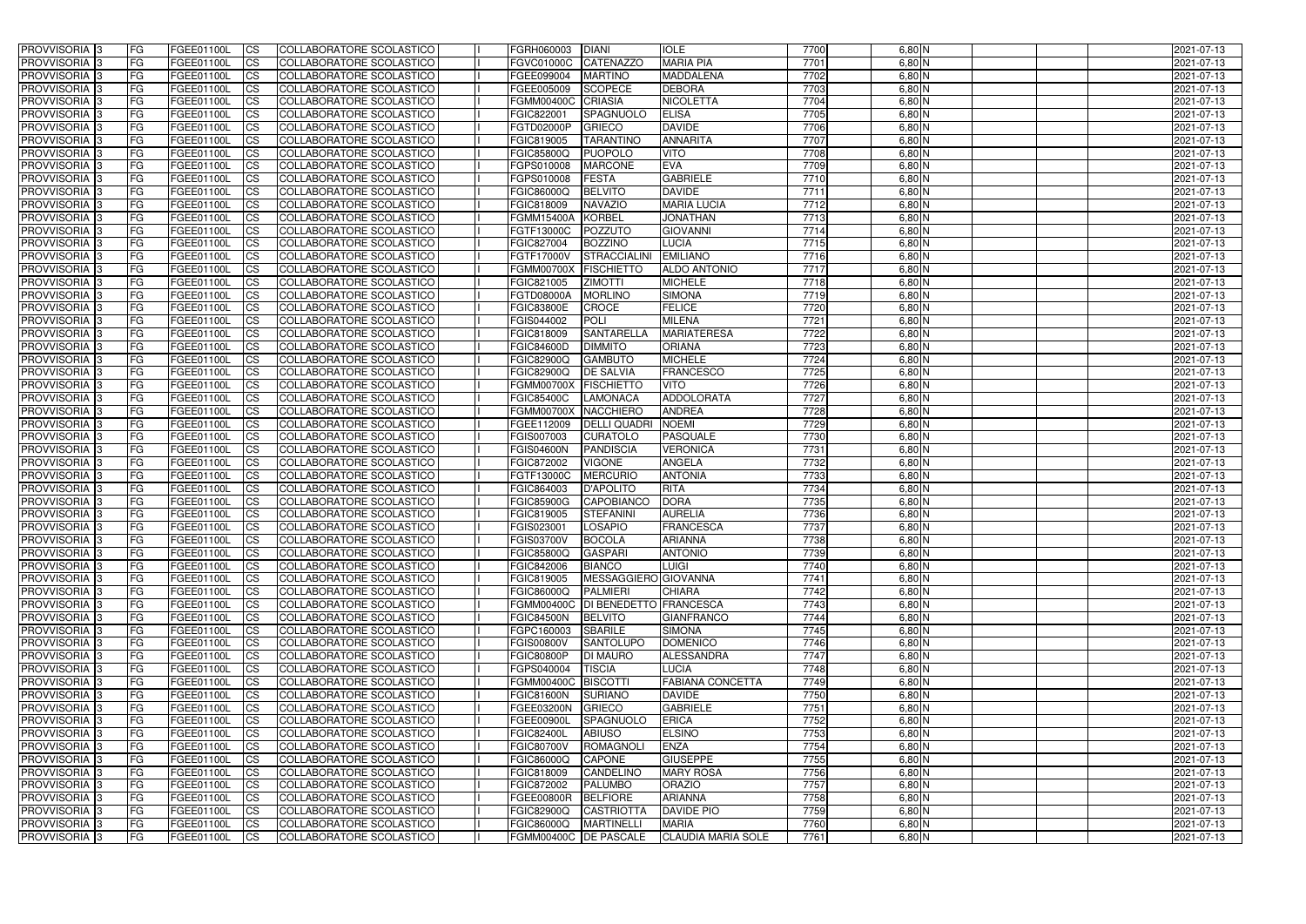| <b>PROVVISORIA</b> 3                                 | l FG            | FGEE01100L               | <b>ICS</b>             | COLLABORATORE SCOLASTICO                                    | FGRH060003                      | <b>DIANI</b>                        | <b>IOLE</b>                    | 7700         | $6,80$ N             | 2021-07-13               |
|------------------------------------------------------|-----------------|--------------------------|------------------------|-------------------------------------------------------------|---------------------------------|-------------------------------------|--------------------------------|--------------|----------------------|--------------------------|
| <b>PROVVISORIA 3</b>                                 | FG              | FGEE01100L               | <b>ICS</b>             | COLLABORATORE SCOLASTICO                                    | <b>FGVC01000C</b>               | <b>CATENAZZO</b>                    | <b>MARIA PIA</b>               | 7701         | $6,80$ N             | 2021-07-13               |
| PROVVISORIA <sup>1</sup> 3                           | FG              | FGEE01100L               | <b>CS</b>              | <b>COLLABORATORE SCOLASTICO</b>                             | FGEE099004                      | <b>MARTINO</b>                      | <b>MADDALENA</b>               | 7702         | 6,80 N               | 2021-07-13               |
| PROVVISORIA                                          | FG              | FGEE01100L               | <b>CS</b>              | COLLABORATORE SCOLASTICO                                    | FGEE005009                      | <b>SCOPECE</b>                      | <b>DEBORA</b>                  | 7703         | 6,80 N               | 2021-07-13               |
| <b>PROVVISORIA 3</b>                                 | FG              | FGEE01100L               | <b>CS</b>              | COLLABORATORE SCOLASTICO                                    | <b>FGMM00400C</b>               | <b>CRIASIA</b>                      | <b>NICOLETTA</b>               | 7704         | $6,80$ N             | 2021-07-13               |
| PROVVISORIA <sup>1</sup> 3                           | FG              | FGEE01100L               | <b>CS</b>              | COLLABORATORE SCOLASTICO                                    | FGIC822001                      | SPAGNUOLO                           | <b>ELISA</b>                   | 7705         | $6,80$ N             | 2021-07-13               |
| PROVVISORIA <sup>1</sup> 3                           | FG              | FGEE01100L               | <b>CS</b>              | COLLABORATORE SCOLASTICO                                    | FGTD02000P                      | <b>GRIECO</b>                       | <b>DAVIDE</b>                  | 7706         | $6,80$ N             | 2021-07-13               |
| PROVVISORIA 3                                        | FG              | FGEE01100L               | <b>ICS</b>             | COLLABORATORE SCOLASTICO                                    | FGIC819005                      | <b>TARANTINC</b>                    | <b>ANNARITA</b>                | 7707         | $6,80$ N             | 2021-07-13               |
| PROVVISORIA 3                                        | FG              | FGEE01100L               | <b>CS</b>              | COLLABORATORE SCOLASTICO                                    | FGIC85800Q                      | <b>PUOPOLO</b>                      | <b>VITO</b>                    | 7708         | $6,80$ N             | 2021-07-13               |
| PROVVISORIA 3                                        | <b>FG</b>       | FGEE01100L               | <b>ICS</b>             | COLLABORATORE SCOLASTICO                                    | FGPS010008                      | <b>MARCONE</b>                      | <b>EVA</b>                     | 7709         | $6,80$ N             | 2021-07-13               |
| <b>PROVVISORIA</b> 3                                 | FG              | FGEE01100L               | <b>ICS</b>             | COLLABORATORE SCOLASTICO                                    | FGPS010008                      | <b>FESTA</b>                        | <b>GABRIELE</b>                | 7710         | $6,80$ N             | 2021-07-13               |
| <b>PROVVISORIA</b>                                   | FG              | FGEE01100L               | <b>ICS</b>             | COLLABORATORE SCOLASTICO                                    | FGIC86000Q                      | <b>BELVITO</b>                      | <b>DAVIDE</b>                  | 7711         | $6,80$ N             | 2021-07-13               |
| <b>PROVVISORIA</b>                                   | FG              | FGEE01100L               | <b>ICS</b>             | COLLABORATORE SCOLASTICO                                    | FGIC818009                      | <b>NAVAZIO</b>                      | <b>MARIA LUCIA</b>             | 7712         | $6,80$ N             | 2021-07-13               |
| <b>PROVVISORIA</b>                                   | FG              | FGEE01100L               | <b>ICS</b>             | COLLABORATORE SCOLASTICO                                    | <b>FGMM15400A</b>               | KORBEL                              | <b>JONATHAN</b>                | 7713         | 6,80 N               | 2021-07-13               |
| <b>PROVVISORIA</b>                                   | FG              | FGEE01100L               | <b>ICS</b>             | COLLABORATORE SCOLASTICO                                    | FGTF13000C                      | POZZUTO                             | <b>GIOVANNI</b>                | 7714         | $6,80$ N             | 2021-07-13               |
| <b>PROVVISORIA</b>                                   | FG              | FGEE01100L               | <b>ICS</b>             | COLLABORATORE SCOLASTICO                                    | FGIC827004                      | <b>BOZZINO</b>                      | <b>LUCIA</b>                   | 7715         | $6,80$ N             | 2021-07-13               |
| <b>PROVVISORIA</b>                                   | FG              | FGEE01100L               | <b>ICS</b>             | COLLABORATORE SCOLASTICO                                    | FGTF17000V                      | <b>STRACCIALINI</b>                 | <b>EMILIANO</b>                | 7716         | 6,80 N               | 2021-07-13               |
| <b>PROVVISORIA</b>                                   | FG              | FGEE01100L               | <b>ICS</b>             | COLLABORATORE SCOLASTICO                                    | <b>FGMM00700X</b>               | <b>FISCHIETTO</b>                   | <b>ALDO ANTONIO</b>            | 7717         | 6,80 N               | 2021-07-13               |
| PROVVISORIA 3                                        | FG              | FGEE01100L               | <b>ICS</b>             | COLLABORATORE SCOLASTICO                                    | FGIC821005                      | <b>ZIMOTTI</b>                      | <b>MICHELE</b>                 | 7718         | 6,80 N               | 2021-07-13               |
| PROVVISORIA <sup>1</sup> 3                           | FG              | FGEE01100L               | <b>ICS</b>             | COLLABORATORE SCOLASTICO                                    | FGTD08000A                      | <b>MORLINO</b>                      | <b>SIMONA</b>                  | 7719         | 6,80 N               | 2021-07-13               |
| PROVVISORIA <sup>3</sup>                             | FG              | FGEE01100L               | <b>ICS</b>             | COLLABORATORE SCOLASTICO                                    | <b>FGIC83800E</b>               | CROCE                               | <b>FELICE</b><br><b>MILENA</b> | 7720         | $6,80$ N             | 2021-07-13               |
| PROVVISORIA 3                                        | FG              | FGEE01100L               | <b>ICS</b>             | COLLABORATORE SCOLASTICO                                    | FGIS044002                      | <b>POLI</b>                         | <b>MARIATERESA</b>             | 7721         | $6,80$ N             | 2021-07-13               |
| PROVVISORIA <sup>3</sup><br>PROVVISORIA <sup>3</sup> | FG              | FGEE01100L<br>FGEE01100L | <b>ICS</b>             | <b>COLLABORATORE SCOLASTICO</b><br>COLLABORATORE SCOLASTICO | FGIC818009                      | <b>SANTARELLA</b><br><b>DIMMITO</b> | <b>ORIANA</b>                  | 7722<br>7723 | $6,80$ N<br>$6,80$ N | 2021-07-13               |
| PROVVISORIA <sup>3</sup>                             | FG<br>FG        | FGEE01100L               | <b>CS</b><br><b>CS</b> | <b>COLLABORATORE SCOLASTICO</b>                             | <b>FGIC84600D</b><br>FGIC82900Q | <b>GAMBUTO</b>                      | <b>MICHELE</b>                 | 7724         | 6,80 N               | 2021-07-13<br>2021-07-13 |
| PROVVISORIA <sup>1</sup> 3                           | FG              | FGEE01100L               | <b>ICS</b>             | COLLABORATORE SCOLASTICO                                    | FGIC82900Q                      | <b>DE SALVIA</b>                    | <b>FRANCESCO</b>               | 7725         | $6,80$ N             | 2021-07-13               |
| PROVVISORIA 3                                        | FG              | FGEE01100L               | <b>ICS</b>             | COLLABORATORE SCOLASTICO                                    | <b>FGMM00700X</b>               | <b>FISCHIETTO</b>                   | <b>VITO</b>                    | 7726         | $6,80$ N             | 2021-07-13               |
| PROVVISORIA                                          | FG              | FGEE01100L               | <b>ICS</b>             | COLLABORATORE SCOLASTICO                                    | <b>FGIC85400C</b>               | <b>LAMONACA</b>                     | ADDOLORATA                     | 7727         | $6,80$ N             | 2021-07-13               |
| PROVVISORIA                                          | FG              | FGEE01100L               | <b>CS</b>              | <b>COLLABORATORE SCOLASTICO</b>                             | <b>FGMM00700X</b>               | <b>NACCHIERO</b>                    | <b>ANDREA</b>                  | 7728         | 6,80 N               | 2021-07-13               |
| PROVVISORIA                                          | FG              | FGEE01100L               | <b>CS</b>              | COLLABORATORE SCOLASTICO                                    | FGEE112009                      | <b>DELLI QUADRI</b>                 | <b>NOEMI</b>                   | 7729         | 6,80 N               | 2021-07-13               |
| PROVVISORIA                                          | FG              | FGEE01100L               | <b>CS</b>              | COLLABORATORE SCOLASTICO                                    | FGIS007003                      | <b>CURATOLO</b>                     | PASQUALE                       | 7730         | 6,80 N               | 2021-07-13               |
| PROVVISORIA <sup>1</sup> 3                           | FG              | FGEE01100L               | <b>CS</b>              | COLLABORATORE SCOLASTICO                                    | <b>FGIS04600N</b>               | <b>PANDISCIA</b>                    | <b>VERONICA</b>                | 7731         | $6,80$ N             | 2021-07-13               |
| PROVVISORIA <sup>1</sup> 3                           | FG              | FGEE01100L               | <b>CS</b>              | COLLABORATORE SCOLASTICO                                    | FGIC872002                      | <b>VIGONE</b>                       | <b>ANGELA</b>                  | 7732         | 6,80 N               | 2021-07-13               |
| PROVVISORIA 3                                        | FG              | FGEE01100L               | <b>CS</b>              | COLLABORATORE SCOLASTICO                                    | FGTF13000C                      | <b>MERCURIO</b>                     | <b>ANTONIA</b>                 | 7733         | $6,80$ N             | 2021-07-13               |
| PROVVISORIA <sup>1</sup> 3                           | FG              | FGEE01100L               | <b>ICS</b>             | COLLABORATORE SCOLASTICO                                    | FGIC864003                      | <b>D'APOLITO</b>                    | <b>RITA</b>                    | 7734         | $6,80$ N             | 2021-07-13               |
| PROVVISORIA <sup>1</sup> 3                           | <b>FG</b>       | FGEE01100L               | <b>ICS</b>             | COLLABORATORE SCOLASTICO                                    | <b>FGIC85900G</b>               | CAPOBIANCO                          | <b>DORA</b>                    | 7735         | $6,80$ N             | 2021-07-13               |
| PROVVISORIA 3                                        | <b>FG</b>       | FGEE01100L               | <b>ICS</b>             | COLLABORATORE SCOLASTICO                                    | FGIC819005                      | <b>STEFANINI</b>                    | <b>AURELIA</b>                 | 7736         | $6,80$ N             | 2021-07-13               |
| <b>PROVVISORIA</b>                                   | <b>FG</b>       | FGEE01100L               | <b>ICS</b>             | COLLABORATORE SCOLASTICO                                    | FGIS023001                      | <b>LOSAPIO</b>                      | <b>FRANCESCA</b>               | 7737         | $6,80$ N             | 2021-07-13               |
| PROVVISORIA 3                                        | FG              | FGEE01100L               | CS                     | COLLABORATORE SCOLASTICO                                    | <b>FGIS03700V</b>               | BOCOLA                              | <b>ARIANNA</b>                 | 7738         | $6,80$ N             | 2021-07-13               |
| PROVVISORIA 3                                        | <b>FG</b>       | FGEE01100L               | $\mathsf{ICS}$         | COLLABORATORE SCOLASTICO                                    | <b>FGIC85800Q</b>               | <b>GASPARI</b>                      | <b>ANTONIO</b>                 | 7739         | $6,80$ N             | 2021-07-13               |
| PROVVISORIA 3                                        | <b>FG</b>       | <b>FGEE01100L</b>        | $\mathsf{ICS}$         | COLLABORATORE SCOLASTICO                                    | FGIC842006                      | <b>BIANCO</b>                       | <b>LUIGI</b>                   | 7740         | $6,80$ N             | 2021-07-13               |
| PROVVISORIA 3                                        | <b>FG</b>       | FGEE01100L               | $\mathsf{ICS}$         | COLLABORATORE SCOLASTICO                                    | FGIC819005                      | MESSAGGIERO GIOVANNA                |                                | 7741         | $6,80$ N             | 2021-07-13               |
| PROVVISORIA 3                                        | FG              | FGEE01100L               | $\mathsf{ICS}$         | COLLABORATORE SCOLASTICO                                    | <b>FGIC86000Q</b>               | <b>PALMIERI</b>                     | <b>CHIARA</b>                  | 7742         | $6,80$ N             | 2021-07-13               |
| PROVVISORIA 3                                        | l FG            | FGEE01100L               | <b>CS</b>              | COLLABORATORE SCOLASTICO                                    |                                 | FGMM00400C   DI BENEDETTO FRANCESCA |                                | 7743         | $6,80$ N             | 2021-07-13               |
| PROVVISORIA 3                                        | <b>FG</b>       | FGEE01100L               | <b>CS</b>              | COLLABORATORE SCOLASTICO                                    | <b>FGIC84500N</b>               | <b>BELVITO</b>                      | <b>GIANFRANCO</b>              | 7744         | $6,80$ N             | 2021-07-13               |
| PROVVISORIA <sup>3</sup>                             | FG              | FGEE01100L               | <b>CS</b>              | COLLABORATORE SCOLASTICO                                    | FGPC160003                      | <b>SBARILE</b>                      | <b>SIMONA</b>                  | 7745         | $6,80$ N             | 2021-07-13               |
| PROVVISORIA 3                                        | FG              | FGEE01100L               | <b>CS</b>              | COLLABORATORE SCOLASTICO                                    | <b>FGIS00800V</b>               | <b>SANTOLUPO</b>                    | <b>DOMENICO</b>                | 7746         | $6,80$ N             | 2021-07-13               |
| PROVVISORIA 3                                        | <b>FG</b>       | FGEE01100L               | <b>CS</b>              | COLLABORATORE SCOLASTICO                                    | <b>FGIC80800P</b>               | <b>DI MAURO</b>                     | <b>ALESSANDRA</b>              | 7747         | $6,80$ N             | 2021-07-13               |
| PROVVISORIA 3                                        | <b>FG</b>       | <b>FGEE01100L</b>        | <b>CS</b>              | COLLABORATORE SCOLASTICO                                    | FGPS040004                      | <b>TISCIA</b>                       | <b>LUCIA</b>                   | 7748         | $6,80$ N             | 2021-07-13               |
| PROVVISORIA 3                                        | <b>FG</b>       | FGEE01100L               | <b>CS</b>              | COLLABORATORE SCOLASTICO                                    | FGMM00400C BISCOTTI             |                                     | <b>FABIANA CONCETTA</b>        | 7749         | $6,80$ N             | 2021-07-13               |
| PROVVISORIA 3                                        | <b>FG</b>       | FGEE01100L               | <b>CS</b>              | COLLABORATORE SCOLASTICO                                    | <b>FGIC81600N</b>               | <b>SURIANO</b>                      | <b>DAVIDE</b>                  | 7750         | $6,80$ N             | 2021-07-13               |
| PROVVISORIA 3                                        | <b>FG</b>       | FGEE01100L               | <b>CS</b>              | COLLABORATORE SCOLASTICO                                    | FGEE03200N                      | GRIECO                              | <b>GABRIELE</b>                | 7751         | $6,80$ N             | 2021-07-13               |
| PROVVISORIA 3                                        | <b>FG</b>       | FGEE01100L               | <b>CS</b>              | COLLABORATORE SCOLASTICO                                    | FGEE00900L                      | SPAGNUOLO                           | <b>ERICA</b>                   | 7752         | $6,80$ N             | 2021-07-13               |
| PROVVISORIA 3                                        | <b>FG</b>       | FGEE01100L               | <b>CS</b>              | COLLABORATORE SCOLASTICO                                    | <b>FGIC82400L</b>               | <b>ABIUSO</b>                       | <b>ELSINO</b>                  | 7753         | $6,80$ N             | 2021-07-13               |
| PROVVISORIA 3<br>PROVVISORIA 3                       | FG<br><b>FG</b> | FGEE01100L               | <b>CS</b>              | COLLABORATORE SCOLASTICO<br>COLLABORATORE SCOLASTICO        | <b>FGIC80700V</b>               | ROMAGNOLI<br><b>CAPONE</b>          | ENZA<br><b>GIUSEPPE</b>        | 7754<br>7755 | $6,80$ N<br>$6,80$ N | 2021-07-13               |
| PROVVISORIA 3                                        | <b>FG</b>       | FGEE01100L<br>FGEE01100L | <b>CS</b><br><b>CS</b> | COLLABORATORE SCOLASTICO                                    | FGIC86000Q<br>FGIC818009        | CANDELINO                           | <b>MARY ROSA</b>               | 7756         | $6,80$ N             | 2021-07-13<br>2021-07-13 |
| PROVVISORIA 3                                        | FG              | FGEE01100L               | <b>CS</b>              | COLLABORATORE SCOLASTICO                                    | FGIC872002                      | <b>PALUMBO</b>                      | <b>ORAZIO</b>                  | 7757         | $6,80$ N             | 2021-07-13               |
| PROVVISORIA 3                                        | FG              | <b>FGEE01100L</b>        | <b>CS</b>              | COLLABORATORE SCOLASTICO                                    | FGEE00800R BELFIORE             |                                     | <b>ARIANNA</b>                 | 7758         | $6,80$ N             | 2021-07-13               |
| PROVVISORIA 3                                        | <b>FG</b>       | FGEE01100L               | <b>CS</b>              | COLLABORATORE SCOLASTICO                                    | <b>FGIC82900Q</b>               | CASTRIOTTA                          | <b>DAVIDE PIO</b>              | 7759         | $6,80$ N             | 2021-07-13               |
| PROVVISORIA 3                                        | <b>FG</b>       | FGEE01100L               | $\overline{\text{CS}}$ | COLLABORATORE SCOLASTICO                                    | FGIC86000Q MARTINELLI           |                                     | <b>MARIA</b>                   | 7760         | $6,80$ N             | 2021-07-13               |
| PROVVISORIA 3                                        | <b>FG</b>       | FGEE01100L               | $\overline{\text{CS}}$ | COLLABORATORE SCOLASTICO                                    | FGMM00400C DE PASCALE           |                                     | <b>CLAUDIA MARIA SOLE</b>      | 7761         | $6,80$ N             | 2021-07-13               |
|                                                      |                 |                          |                        |                                                             |                                 |                                     |                                |              |                      |                          |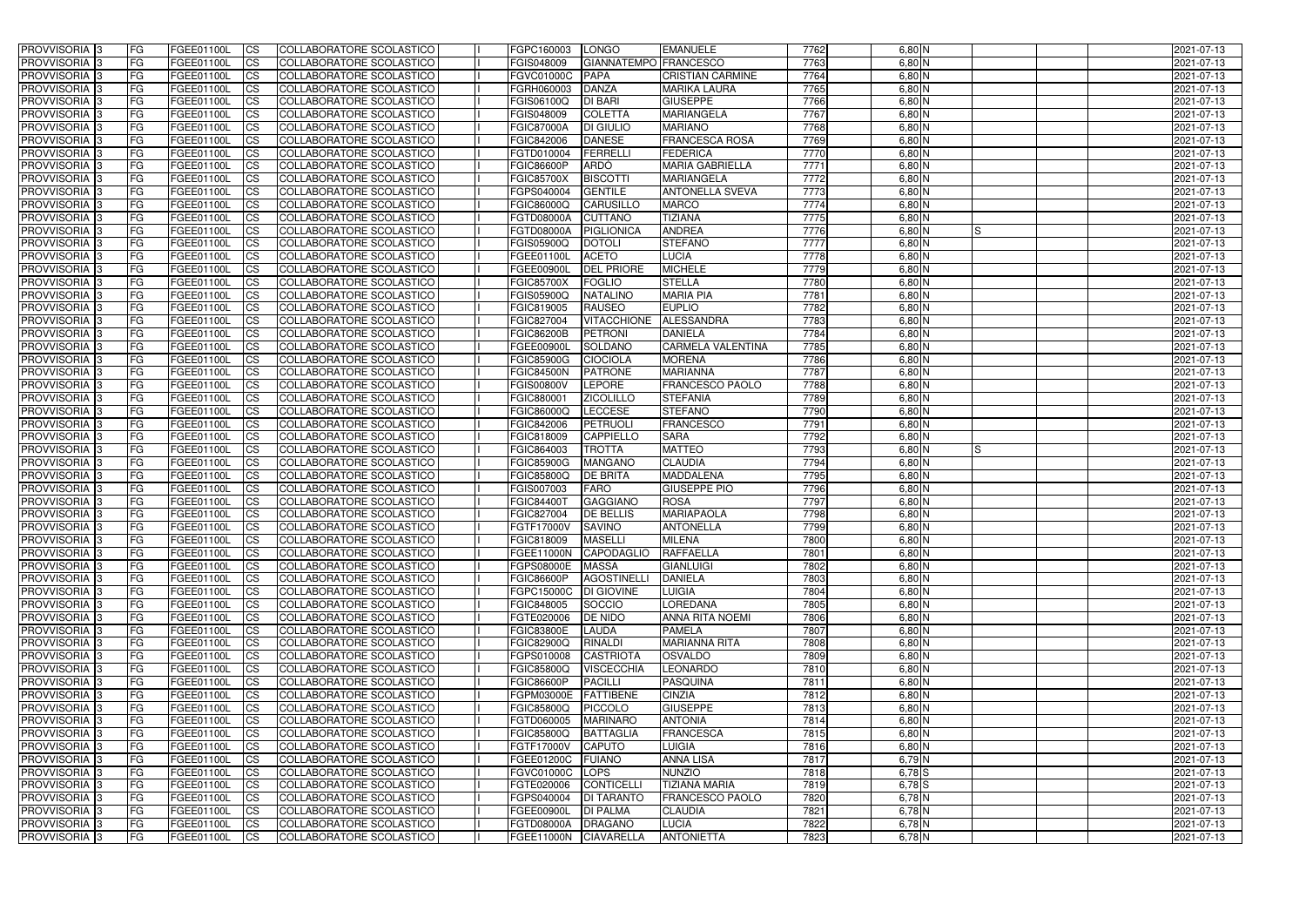| <b>PROVVISORIA</b> 3                                 | FG         | FGEE01100L                      | <b>ICS</b>              | COLLABORATORE SCOLASTICO                                    | FGPC160003                                 | <b>LONGO</b>                            | <b>EMANUELE</b>                    | 7762         | $6,80$ N             |    | 2021-07-13               |
|------------------------------------------------------|------------|---------------------------------|-------------------------|-------------------------------------------------------------|--------------------------------------------|-----------------------------------------|------------------------------------|--------------|----------------------|----|--------------------------|
| <b>PROVVISORIA 3</b>                                 | FG         | FGEE01100L                      | <b>CS</b>               | COLLABORATORE SCOLASTICO                                    | FGIS048009                                 | GIANNATEMPO FRANCESCO                   |                                    | 7763         | $6,80$ N             |    | 2021-07-13               |
| PROVVISORIA <sup>3</sup>                             | FG         | FGEE01100L                      | <b>CS</b>               | COLLABORATORE SCOLASTICO                                    | <b>FGVC01000C</b>                          | PAPA                                    | <b>CRISTIAN CARMINE</b>            | 7764         | 6,80 N               |    | 2021-07-13               |
| PROVVISORIA <sup>3</sup>                             | FG         | FGEE01100L                      | <b>CS</b>               | COLLABORATORE SCOLASTICO                                    | FGRH060003                                 | DANZA                                   | <b>MARIKA LAURA</b>                | 7765         | 6,80 N               |    | 2021-07-13               |
| PROVVISORIA <sup>1</sup> 3                           | FG         | FGEE01100L                      | <b>CS</b>               | COLLABORATORE SCOLASTICO                                    | FGIS06100Q                                 | <b>DI BARI</b>                          | <b>GIUSEPPE</b>                    | 7766         | $6,80$ N             |    | 2021-07-13               |
| PROVVISORIA <sup>3</sup>                             | FG         | FGEE01100L                      | <b>CS</b>               | COLLABORATORE SCOLASTICO                                    | FGIS048009                                 | <b>COLETTA</b>                          | <b>MARIANGELA</b>                  | 7767         | $6,80$ N             |    | 2021-07-13               |
| PROVVISORIA 3                                        | FG         | FGEE01100L                      | <b>CS</b>               | COLLABORATORE SCOLASTICO                                    | <b>FGIC87000A</b>                          | <b>DI GIULIO</b>                        | <b>MARIANO</b>                     | 7768         | $6,80$ N             |    | 2021-07-13               |
| PROVVISORIA 3                                        | FG         | <b>FGEE01100L</b>               | <b>CS</b>               | COLLABORATORE SCOLASTICO                                    | FGIC842006                                 | <b>DANESE</b>                           | <b>FRANCESCA ROSA</b>              | 7769         | $6,80$ N             |    | 2021-07-13               |
| PROVVISORIA 3                                        | FG         | FGEE01100L                      | <b>CS</b>               | COLLABORATORE SCOLASTICO                                    | FGTD010004                                 | FERRELLI                                | <b>FEDERICA</b>                    | 7770         | $6,80$ N             |    | 2021-07-13               |
| PROVVISORIA <sup>3</sup>                             | FG         | FGEE01100L                      | $\overline{c}$          | COLLABORATORE SCOLASTICO                                    | <b>FGIC86600P</b>                          | <b>ARDÒ</b>                             | <b>MARIA GABRIELLA</b>             | 7771         | $6,80$ N             |    | 2021-07-13               |
| PROVVISORIA <sup>3</sup>                             | FG         | FGEE01100L                      | <b>CS</b>               | COLLABORATORE SCOLASTICO                                    | <b>FGIC85700X</b>                          | <b>BISCOTTI</b>                         | <b>MARIANGELA</b>                  | 7772         | $6,80$ N             |    | 2021-07-13               |
| PROVVISORIA <sup>3</sup>                             | FG         | FGEE01100L                      | <b>CS</b>               | COLLABORATORE SCOLASTICO                                    | FGPS040004                                 | <b>GENTILE</b>                          | <b>ANTONELLA SVEVA</b>             | 7773         | $6,80$ N             |    | 2021-07-13               |
| <b>PROVVISORIA</b> 3                                 | FG         | FGEE01100L                      | <b>I</b> CS             | COLLABORATORE SCOLASTICO                                    | <b>FGIC86000Q</b>                          | <b>CARUSILLO</b>                        | <b>MARCO</b>                       | 7774         | $6,80$ N             |    | 2021-07-13               |
| PROVVISORIA <sup>3</sup>                             | FG         | FGEE01100L                      | <b>I</b> CS             | COLLABORATORE SCOLASTICO                                    | <b>FGTD08000A</b>                          | <b>CUTTANO</b>                          | <b>TIZIANA</b>                     | 7775         | 6,80 N               |    | 2021-07-13               |
| PROVVISORIA <sup>3</sup>                             | FG         | FGEE01100L                      | <b>I</b> CS             | COLLABORATORE SCOLASTICO                                    | <b>FGTD08000A</b>                          | PIGLIONICA                              | <b>ANDREA</b>                      | 7776         | $6,80$ N             | IS | 2021-07-13               |
| <b>PROVVISORIA</b> 3                                 | FG         | FGEE01100L                      | <b>I</b> CS             | <b>COLLABORATORE SCOLASTICO</b>                             | <b>FGIS05900Q</b>                          | <b>DOTOLI</b>                           | <b>STEFANO</b>                     | 7777         | 6,80 N               |    | 2021-07-13               |
| <b>PROVVISORIA</b> 3                                 | FG         | FGEE01100L                      | <b>I</b> CS             | COLLABORATORE SCOLASTICO                                    | FGEE01100L                                 | <b>ACETO</b>                            | <b>LUCIA</b>                       | 7778         | 6,80 N               |    | 2021-07-13               |
| PROVVISORIA 3                                        | FG         | FGEE01100L                      | <b>CS</b>               | COLLABORATORE SCOLASTICO                                    | <b>FGEE00900L</b>                          | <b>DEL PRIORE</b>                       | <b>MICHELE</b>                     | 7779         | 6,80 N               |    | 2021-07-13               |
| PROVVISORIA <sup>3</sup>                             | FG.        | FGEE01100L                      | <b>ICS</b>              | COLLABORATORE SCOLASTICO                                    | <b>FGIC85700X</b>                          | <b>FOGLIO</b>                           | <b>STELLA</b>                      | 7780         | $6,80$ N             |    | 2021-07-13               |
| PROVVISORIA <sup>3</sup>                             | FG         | FGEE01100L                      | <b>I</b> CS             | COLLABORATORE SCOLASTICO                                    | FGIS05900Q                                 | <b>NATALINO</b>                         | <b>MARIA PIA</b>                   | 7781         | $6,80$ N             |    | 2021-07-13               |
| PROVVISORIA <sup>3</sup>                             | FG         | FGEE01100L                      | <b>I</b> CS             | COLLABORATORE SCOLASTICO                                    | FGIC819005                                 | <b>RAUSEO</b>                           | <b>EUPLIO</b>                      | 7782         | $6,80$ N             |    | 2021-07-13               |
| PROVVISORIA <sup>3</sup>                             | FG         | FGEE01100L                      | <b>CS</b>               | COLLABORATORE SCOLASTICO                                    | FGIC827004                                 | <b>VITACCHIONE</b>                      | ALESSANDRA                         | 7783         | $6,80$ N             |    | 2021-07-13               |
| PROVVISORIA 3                                        | FG         | FGEE01100L                      | <b>CS</b>               | COLLABORATORE SCOLASTICO                                    | <b>FGIC86200B</b>                          | <b>PETRONI</b>                          | <b>DANIELA</b>                     | 7784         | $6,80$ N             |    | 2021-07-13               |
| <b>PROVVISORIA</b> 3                                 | FG         | FGEE01100L                      | <b>CS</b>               | COLLABORATORE SCOLASTICO                                    | <b>FGEE00900L</b>                          | SOLDANO                                 | <b>CARMELA VALENTINA</b>           | 7785         | $6,80$ N             |    | 2021-07-13               |
| PROVVISORIA <sup>3</sup>                             | FG         | FGEE01100L                      | <b>CS</b>               | COLLABORATORE SCOLASTICO                                    | <b>FGIC85900G</b>                          | <b>CIOCIOLA</b>                         | <b>MORENA</b>                      | 7786<br>7787 | $6,80$ N             |    | 2021-07-13               |
| PROVVISORIA <sup>1</sup> 3                           | FG         | FGEE01100L                      | <b>CS</b>               | COLLABORATORE SCOLASTICO                                    | <b>FGIC84500N</b>                          | <b>PATRONE</b>                          | <b>MARIANNA</b>                    |              | $6,80$ N             |    | 2021-07-13               |
| PROVVISORIA 3                                        | FG         | <b>FGEE01100L</b>               | <b>CS</b>               | COLLABORATORE SCOLASTICO                                    | <b>FGIS00800V</b>                          | LEPORE                                  | FRANCESCO PAOLO<br><b>STEFANIA</b> | 7788<br>7789 | $6,80$ N             |    | 2021-07-13               |
| PROVVISORIA <sup>3</sup><br>PROVVISORIA <sup>3</sup> | FG         | FGEE01100L<br><b>FGEE01100L</b> | <b>CS</b>               | COLLABORATORE SCOLASTICO<br>COLLABORATORE SCOLASTICO        | FGIC880001<br>FGIC86000Q                   | <b>ZICOLILLO</b><br><b>LECCESE</b>      | <b>STEFANO</b>                     | 7790         | $6,80$ N<br>6,80 N   |    | 2021-07-13               |
| PROVVISORIA <sup>1</sup> 3                           | FG<br>FG.  | FGEE01100L                      | <b>CS</b><br><b>CS</b>  | COLLABORATORE SCOLASTICO                                    | FGIC842006                                 | PETRUOLI                                | <b>FRANCESCO</b>                   | 7791         | 6,80 N               |    | 2021-07-13<br>2021-07-13 |
| PROVVISORIA <sup>3</sup>                             | FG.        | FGEE01100L                      | <b>CS</b>               | COLLABORATORE SCOLASTICO                                    | FGIC818009                                 | <b>CAPPIELLO</b>                        | <b>SARA</b>                        | 7792         | $6,80$ N             |    | 2021-07-13               |
|                                                      |            |                                 |                         |                                                             |                                            |                                         |                                    |              |                      |    |                          |
|                                                      |            |                                 |                         |                                                             |                                            |                                         |                                    |              |                      |    |                          |
| PROVVISORIA <sup>13</sup>                            | FG         | FGEE01100L                      | $\overline{\text{cs}}$  | COLLABORATORE SCOLASTICO                                    | FGIC864003                                 | <b>TROTTA</b>                           | <b>MATTEO</b>                      | 7793         | $6,80$ N             | IS | 2021-07-13               |
| PROVVISORIA <sup>3</sup>                             | FG         | <b>FGEE01100L</b>               | <b>CS</b>               | COLLABORATORE SCOLASTICO                                    | <b>FGIC85900G</b>                          | <b>MANGANO</b>                          | <b>CLAUDIA</b>                     | 7794         | $6,80$ N             |    | 2021-07-13               |
| PROVVISORIA <sup>3</sup>                             | FG         | <b>FGEE01100L</b>               | <b>CS</b>               | COLLABORATORE SCOLASTICO                                    | <b>FGIC85800Q</b>                          | <b>DE BRITA</b>                         | <b>MADDALENA</b>                   | 7795         | $6,80$ N             |    | 2021-07-13               |
| PROVVISORIA <sup>3</sup>                             | FG         | FGEE01100L                      | $\overline{\text{cs}}$  | COLLABORATORE SCOLASTICO                                    | FGIS007003                                 | <b>FARO</b>                             | <b>GIUSEPPE PIO</b>                | 7796         | $6,80$ N             |    | 2021-07-13               |
| PROVVISORIA <sup>3</sup>                             | FG         | FGEE01100L                      | <b>CS</b>               | <b>COLLABORATORE SCOLASTICO</b>                             | <b>FGIC84400T</b>                          | <b>GAGGIANO</b>                         | <b>ROSA</b>                        | 7797         | $6,80$ N             |    | 2021-07-13               |
| PROVVISORIA <sup>3</sup>                             | FG         | FGEE01100L                      | <b>CS</b>               | COLLABORATORE SCOLASTICO                                    | FGIC827004                                 | <b>DE BELLIS</b>                        | <b>MARIAPAOLA</b>                  | 7798         | $6,80$ N             |    | 2021-07-13               |
| PROVVISORIA 3                                        | FG         | FGEE01100L                      | <b>I</b> CS             | COLLABORATORE SCOLASTICO                                    | FGTF17000V                                 | <b>SAVINO</b>                           | <b>ANTONELLA</b>                   | 7799         | $6,80$ N             |    | 2021-07-13               |
| <b>PROVVISORIA</b> 3                                 | IFG.       | FGEE01100L                      | CS                      | COLLABORATORE SCOLASTICO                                    | <b>FGIC818009</b>                          | <b>MASELLI</b>                          | <b>MILENA</b>                      | 7800         | $6,80$ N             |    | 2021-07-13               |
| PROVVISORIA 3                                        | IFG.       | FGEE01100L                      | <b>ICS</b>              | COLLABORATORE SCOLASTICO                                    | FGEE11000N                                 | CAPODAGLIO                              | <b>RAFFAELLA</b>                   | 7801         | $6,80$ N             |    | 2021-07-13               |
| PROVVISORIA 3                                        | FG         | FGEE01100L<br>FGEE01100L        | <b>CS</b>               | COLLABORATORE SCOLASTICO                                    | <b>FGPS08000E</b>                          | <b>MASSA</b>                            | <b>GIANLUIGI</b>                   | 7802         | $6,80$ N             |    | 2021-07-13               |
| PROVVISORIA 3                                        | FG<br>FG   | FGEE01100L                      | <b>CS</b><br><b>ICS</b> | COLLABORATORE SCOLASTICO                                    | <b>FGIC86600P</b><br><b>FGPC15000C</b>     | <b>AGOSTINELLI</b><br><b>DI GIOVINE</b> | <b>DANIELA</b><br><b>LUIGIA</b>    | 7803         | $6,80$ N             |    | 2021-07-13               |
| PROVVISORIA 3<br>PROVVISORIA 3                       | FG         | FGEE01100L                      | <b>CS</b>               | <b>COLLABORATORE SCOLASTICO</b><br>COLLABORATORE SCOLASTICO | FGIC848005                                 | SOCCIO                                  | <b>LOREDANA</b>                    | 7804<br>7805 | $6,80$ N<br>$6,80$ N |    | 2021-07-13<br>2021-07-13 |
| PROVVISORIA 3                                        | FG         | FGEE01100L                      | <b>CS</b>               | COLLABORATORE SCOLASTICO                                    | FGTE020006                                 | <b>DE NIDO</b>                          | <b>ANNA RITA NOEMI</b>             | 7806         | $6,80$ N             |    | 2021-07-13               |
| <b>PROVVISORIA</b> 3                                 | <b>FG</b>  | FGEE01100L                      | <b>CS</b>               | COLLABORATORE SCOLASTICO                                    | <b>FGIC83800E</b>                          | LAUDA                                   | <b>PAMELA</b>                      | 7807         | $6,80$ N             |    | 2021-07-13               |
| PROVVISORIA 3                                        | FG         | FGEE01100L                      | <b>CS</b>               | COLLABORATORE SCOLASTICO                                    | <b>FGIC82900Q</b>                          | <b>RINALDI</b>                          | <b>MARIANNA RITA</b>               | 7808         | $6,80$ N             |    | 2021-07-13               |
| PROVVISORIA 3                                        | FG         | FGEE01100L                      | <b>CS</b>               | COLLABORATORE SCOLASTICO                                    | FGPS010008                                 | CASTRIOTA                               | <b>OSVALDO</b>                     | 7809         | $6,80$ N             |    | 2021-07-13               |
| PROVVISORIA 3                                        | FG         | FGEE01100L                      | <b>CS</b>               | COLLABORATORE SCOLASTICO                                    | <b>FGIC85800Q</b>                          | <b>VISCECCHIA</b>                       | <b>LEONARDO</b>                    | 7810         | $6,80$ N             |    | 2021-07-13               |
| PROVVISORIA 3                                        | FG         | FGEE01100L                      | <b>CS</b>               | COLLABORATORE SCOLASTICO                                    | <b>FGIC86600P</b>                          | <b>PACILLI</b>                          | <b>PASQUINA</b>                    | 7811         | $6,80$ N             |    | 2021-07-13               |
| PROVVISORIA 3                                        | FG         | FGEE01100L                      | <b>CS</b>               | COLLABORATORE SCOLASTICO                                    | FGPM03000E                                 | <b>FATTIBENE</b>                        | <b>CINZIA</b>                      | 7812         | $6,80$ N             |    | 2021-07-13               |
| <b>PROVVISORIA</b> 3                                 | IFG.       | FGEE01100L                      | <b>CS</b>               | COLLABORATORE SCOLASTICO                                    | <b>FGIC85800Q</b>                          | PICCOLO                                 | <b>GIUSEPPE</b>                    | 7813         | $6,80$ N             |    | 2021-07-13               |
| <b>PROVVISORIA</b> 3                                 | IFG.       | FGEE01100L                      | <b>CS</b>               | COLLABORATORE SCOLASTICO                                    | FGTD060005                                 | <b>MARINARO</b>                         | <b>ANTONIA</b>                     | 7814         | $6,80$ N             |    | 2021-07-13               |
| PROVVISORIA 3                                        | <b>IFG</b> | FGEE01100L                      | <b>CS</b>               | <b>COLLABORATORE SCOLASTICO</b>                             | <b>FGIC85800Q</b>                          | <b>BATTAGLIA</b>                        | <b>FRANCESCA</b>                   | 7815         | $6,80$ N             |    | 2021-07-13               |
| PROVVISORIA 3                                        | <b>IFG</b> | FGEE01100L                      | <b>CS</b>               | COLLABORATORE SCOLASTICO                                    | FGTF17000V                                 | <b>CAPUTO</b>                           | <b>LUIGIA</b>                      | 7816         | $6,80$ N             |    | 2021-07-13               |
| PROVVISORIA 3                                        | IFG.       | <b>FGEE01100L</b>               | <b>CS</b>               | COLLABORATORE SCOLASTICO                                    | FGEE01200C                                 | <b>FUIANO</b>                           | <b>ANNA LISA</b>                   | 7817         | $6,79$ N             |    | 2021-07-13               |
| PROVVISORIA 3                                        | FG         | FGEE01100L                      | <b>CS</b>               | COLLABORATORE SCOLASTICO                                    | <b>FGVC01000C</b>                          | LOPS                                    | <b>NUNZIO</b>                      | 7818         | $6,78$ $S$           |    | 2021-07-13               |
| PROVVISORIA 3                                        | <b>FG</b>  | FGEE01100L                      | <b>CS</b>               | COLLABORATORE SCOLASTICO                                    | FGTE020006                                 | CONTICELLI                              | <b>TIZIANA MARIA</b>               | 7819         | $6,78$ $S$           |    | 2021-07-13               |
| PROVVISORIA 3                                        | FG         | <b>FGEE01100L</b>               | <b>CS</b>               | COLLABORATORE SCOLASTICO                                    | FGPS040004                                 | <b>DI TARANTO</b>                       | <b>FRANCESCO PAOLO</b>             | 7820         | $6,78$ N             |    | 2021-07-13               |
| <b>PROVVISORIA</b> 3                                 | FG         | FGEE01100L                      | <b>ICS</b>              | COLLABORATORE SCOLASTICO                                    | FGEE00900L                                 | <b>DI PALMA</b>                         | <b>CLAUDIA</b>                     | 7821         | $6,78$ N             |    | 2021-07-13               |
| PROVVISORIA 3<br>PROVVISORIA 3                       | FG<br> FG  | FGEE01100L<br>FGEE01100L        | <b>CS</b><br><b>CS</b>  | COLLABORATORE SCOLASTICO<br>COLLABORATORE SCOLASTICO        | <b>FGTD08000A</b><br>FGEE11000N CIAVARELLA | <b>DRAGANO</b>                          | <b>LUCIA</b><br><b>ANTONIETTA</b>  | 7822<br>7823 | 6,78 N<br>$6,78$ N   |    | 2021-07-13<br>2021-07-13 |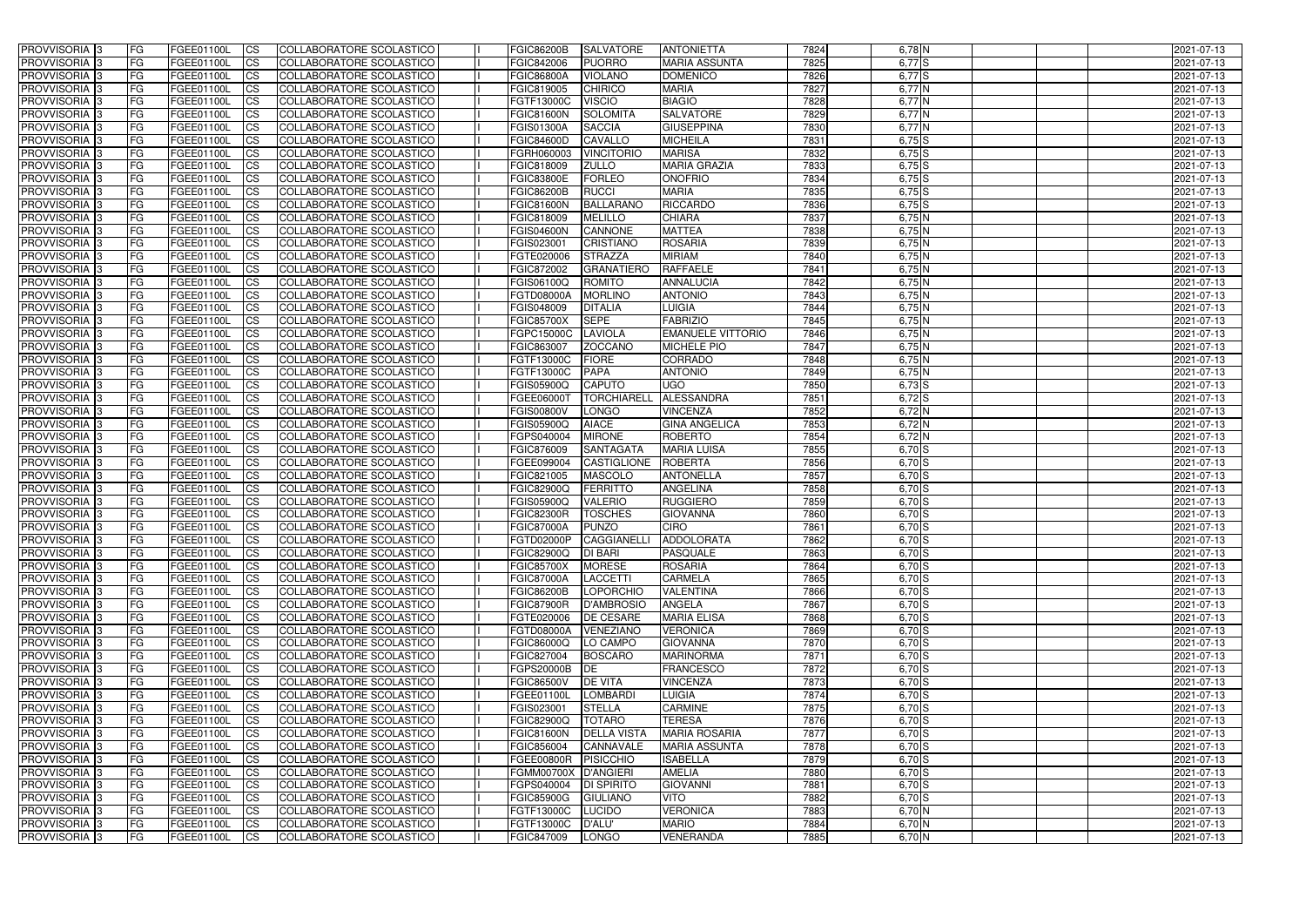| <b>PROVVISORIA</b> 3                                 | l FG                   | FGEE01100L               | <b>ICS</b>              | COLLABORATORE SCOLASTICO                             | <b>FGIC86200B</b>                  | <b>SALVATORE</b>            | <b>ANTONIETTA</b>                    | 7824         | $6,78$ N             | 2021-07-13               |
|------------------------------------------------------|------------------------|--------------------------|-------------------------|------------------------------------------------------|------------------------------------|-----------------------------|--------------------------------------|--------------|----------------------|--------------------------|
| <b>PROVVISORIA 3</b>                                 | FG                     | FGEE01100L               | <b>ICS</b>              | COLLABORATORE SCOLASTICO                             | FGIC842006                         | <b>PUORRO</b>               | <b>MARIA ASSUNTA</b>                 | 7825         | $6,77$ $S$           | 2021-07-13               |
| PROVVISORIA <sup>1</sup> 3                           | FG                     | FGEE01100L               | <b>CS</b>               | <b>COLLABORATORE SCOLASTICO</b>                      | <b>FGIC86800A</b>                  | <b>VIOLANO</b>              | <b>DOMENICO</b>                      | 7826         | $6,77$ $S$           | 2021-07-13               |
| PROVVISORIA                                          | FG                     | FGEE01100L               | <b>CS</b>               | COLLABORATORE SCOLASTICO                             | FGIC819005                         | <b>CHIRICO</b>              | <b>MARIA</b>                         | 7827         | $6,77$ N             | 2021-07-13               |
| PROVVISORIA <sup>1</sup> 3                           | FG                     | FGEE01100L               | <b>CS</b>               | COLLABORATORE SCOLASTICO                             | FGTF13000C                         | <b>VISCIO</b>               | <b>BIAGIO</b>                        | 7828         | $6,77$ N             | 2021-07-13               |
| PROVVISORIA <sup>1</sup> 3                           | FG                     | FGEE01100L               | <b>CS</b>               | COLLABORATORE SCOLASTICO                             | <b>FGIC81600N</b>                  | <b>SOLOMITA</b>             | <b>SALVATORE</b>                     | 7829         | $6,77$ N             | 2021-07-13               |
| PROVVISORIA <sup>1</sup> 3                           | FG                     | FGEE01100L               | <b>CS</b>               | COLLABORATORE SCOLASTICO                             | FGIS01300A                         | <b>SACCIA</b>               | <b>GIUSEPPINA</b>                    | 7830         | $6,77$ N             | 2021-07-13               |
| PROVVISORIA 3                                        | FG                     | FGEE01100L               | <b>ICS</b>              | COLLABORATORE SCOLASTICO                             | <b>FGIC84600D</b>                  | <b>CAVALLO</b>              | <b>MICHEILA</b>                      | 7831         | $6,75$ S             | 2021-07-13               |
| PROVVISORIA 3                                        | <b>FG</b>              | FGEE01100L               | <b>CS</b>               | COLLABORATORE SCOLASTICO                             | FGRH060003                         | <b>VINCITORIO</b>           | <b>MARISA</b>                        | 7832         | $6,75$ $S$           | 2021-07-13               |
| PROVVISORIA 3                                        | <b>FG</b>              | FGEE01100L               | <b>ICS</b>              | COLLABORATORE SCOLASTICO                             | FGIC818009                         | <b>ZULLO</b>                | <b>MARIA GRAZIA</b>                  | 7833         | $6,75$ S             | 2021-07-13               |
| PROVVISORIA 3                                        | FG                     | FGEE01100L               | <b>CS</b>               | COLLABORATORE SCOLASTICO                             | <b>FGIC83800E</b>                  | <b>FORLEO</b>               | <b>ONOFRIO</b>                       | 7834         | $6,75$ $S$           | 2021-07-13               |
| <b>PROVVISORIA</b>                                   | FG                     | FGEE01100L               | <b>CS</b>               | COLLABORATORE SCOLASTICO                             | <b>FGIC86200B</b>                  | <b>RUCCI</b>                | <b>MARIA</b>                         | 7835         | $6,75$ S             | 2021-07-13               |
| <b>PROVVISORIA</b>                                   | FG                     | FGEE01100L               | <b>ICS</b>              | COLLABORATORE SCOLASTICO                             | <b>FGIC81600N</b>                  | <b>BALLARANO</b>            | <b>RICCARDO</b>                      | 7836         | $6,75$ S             | 2021-07-13               |
| <b>PROVVISORIA</b>                                   | FG                     | FGEE01100L               | <b>ICS</b>              | COLLABORATORE SCOLASTICO                             | FGIC818009                         | <b>MELILLO</b>              | <b>CHIARA</b>                        | 7837         | $6,75$ N             | 2021-07-13               |
| <b>PROVVISORIA</b>                                   | FG                     | FGEE01100L               | <b>ICS</b>              | COLLABORATORE SCOLASTICO                             | <b>FGIS04600N</b>                  | CANNONE                     | <b>MATTEA</b>                        | 7838         | $6,75$ N             | 2021-07-13               |
| <b>PROVVISORIA</b>                                   | FG                     | FGEE01100L               | <b>ICS</b>              | COLLABORATORE SCOLASTICO                             | FGIS023001                         | <b>CRISTIANO</b>            | <b>ROSARIA</b>                       | 7839         | $6,75$ N             | 2021-07-13               |
| <b>PROVVISORIA</b>                                   | FG                     | FGEE01100L               | <b>ICS</b>              | COLLABORATORE SCOLASTICO                             | FGTE020006                         | <b>STRAZZA</b>              | <b>MIRIAM</b>                        | 7840         | $6,75$ N             | 2021-07-13               |
| <b>PROVVISORIA</b>                                   | FG                     | FGEE01100L               | <b>ICS</b>              | COLLABORATORE SCOLASTICO                             | FGIC872002                         | <b>GRANATIERO</b>           | <b>RAFFAELE</b>                      | 7841         | $6,75$ N             | 2021-07-13               |
| PROVVISORIA 3                                        | FG                     | FGEE01100L               | <b>ICS</b>              | COLLABORATORE SCOLASTICO                             | FGIS06100Q                         | <b>ROMITO</b>               | <b>ANNALUCIA</b>                     | 7842         | $6,75$ N             | 2021-07-13               |
| PROVVISORIA <sup>1</sup> 3                           | FG                     | FGEE01100L               | <b>ICS</b>              | COLLABORATORE SCOLASTICO                             | FGTD08000A                         | <b>MORLINO</b>              | <b>ANTONIO</b>                       | 7843         | $6,75$ N             | 2021-07-13               |
| PROVVISORIA <sup>1</sup> 3                           | FG                     | FGEE01100L               | <b>ICS</b>              | COLLABORATORE SCOLASTICO                             | FGIS048009                         | <b>DITALIA</b>              | LUIGIA                               | 7844         | $6,75$ N             | 2021-07-13               |
| PROVVISORIA 3                                        | FG                     | FGEE01100L               | <b>ICS</b>              | COLLABORATORE SCOLASTICO                             | <b>FGIC85700X</b>                  | <b>SEPE</b>                 | <b>FABRIZIO</b>                      | 7845         | $6,75$ N             | 2021-07-13               |
| PROVVISORIA <sup>3</sup>                             | FG                     | FGEE01100L               | <b>ICS</b>              | <b>COLLABORATORE SCOLASTICO</b>                      | FGPC15000C                         | LAVIOLA                     | <b>EMANUELE VITTORIO</b>             | 7846         | $6,75$ N             | 2021-07-13               |
| PROVVISORIA <sup>3</sup><br>PROVVISORIA <sup>3</sup> | FG                     | FGEE01100L               | <b>CS</b>               | COLLABORATORE SCOLASTICO                             | FGIC863007                         | <b>ZOCCANO</b>              | <b>MICHELE PIO</b><br><b>CORRADO</b> | 7847<br>7848 | $6,75$ N<br>$6,75$ N | 2021-07-13               |
| PROVVISORIA <sup>1</sup> 3                           | FG                     | FGEE01100L               | <b>CS</b><br><b>ICS</b> | COLLABORATORE SCOLASTICO<br>COLLABORATORE SCOLASTICO | FGTF13000C                         | <b>FIORE</b><br><b>PAPA</b> | <b>ANTONIO</b>                       | 7849         | $6,75$ N             | 2021-07-13               |
| PROVVISORIA 3                                        | FG<br>FG               | FGEE01100L<br>FGEE01100L | <b>ICS</b>              | COLLABORATORE SCOLASTICO                             | FGTF13000C<br>FGIS05900Q           | <b>CAPUTO</b>               | <b>UGO</b>                           | 7850         | $6,73$ $S$           | 2021-07-13<br>2021-07-13 |
| PROVVISORIA                                          | FG                     | FGEE01100L               | <b>ICS</b>              | COLLABORATORE SCOLASTICO                             | FGEE06000T                         | <b>TORCHIARELL</b>          | ALESSANDRA                           | 7851         | $6,72$ S             | 2021-07-13               |
| PROVVISORIA                                          | FG                     | FGEE01100L               | <b>CS</b>               | <b>COLLABORATORE SCOLASTICO</b>                      | FGIS00800V                         | <b>LONGO</b>                | <b>VINCENZA</b>                      | 7852         | $6,72$ N             | 2021-07-13               |
| PROVVISORIA                                          | FG                     | FGEE01100L               | <b>CS</b>               | COLLABORATORE SCOLASTICO                             | FGIS05900Q                         | <b>AIACE</b>                | <b>GINA ANGELICA</b>                 | 7853         | 6,72 N               | 2021-07-13               |
| PROVVISORIA                                          | FG                     | FGEE01100L               | <b>CS</b>               | COLLABORATORE SCOLASTICO                             | FGPS040004                         | <b>MIRONE</b>               | <b>ROBERTO</b>                       | 7854         | 6,72 N               | 2021-07-13               |
| PROVVISORIA <sup>1</sup> 3                           | FG                     | FGEE01100L               | <b>CS</b>               | COLLABORATORE SCOLASTICO                             | FGIC876009                         | <b>SANTAGATA</b>            | <b>MARIA LUISA</b>                   | 7855         | $6,70$ S             | 2021-07-13               |
| PROVVISORIA <sup>1</sup> 3                           | FG                     | FGEE01100L               | <b>CS</b>               | COLLABORATORE SCOLASTICO                             | FGEE099004                         | <b>CASTIGLIONE</b>          | <b>ROBERTA</b>                       | 7856         | $6,70$ S             | 2021-07-13               |
| PROVVISORIA 3                                        | FG                     | FGEE01100L               | <b>CS</b>               | <b>COLLABORATORE SCOLASTICO</b>                      | FGIC821005                         | <b>MASCOLO</b>              | <b>ANTONELLA</b>                     | 7857         | $6,70$ S             | 2021-07-13               |
| PROVVISORIA 3                                        | FG                     | FGEE01100L               | <b>ICS</b>              | COLLABORATORE SCOLASTICO                             | FGIC82900Q                         | <b>FERRITTO</b>             | <b>ANGELINA</b>                      | 7858         | $6,70$ S             | 2021-07-13               |
| PROVVISORIA 3                                        | <b>FG</b>              | FGEE01100L               | <b>CS</b>               | COLLABORATORE SCOLASTICO                             | FGIS05900Q                         | <b>VALERIO</b>              | <b>RUGGIERO</b>                      | 7859         | $6,70$ S             | 2021-07-13               |
| PROVVISORIA 3                                        | <b>FG</b>              | FGEE01100L               | <b>ICS</b>              | COLLABORATORE SCOLASTICO                             | <b>FGIC82300R</b>                  | <b>TOSCHES</b>              | <b>GIOVANNA</b>                      | 7860         | $6,70$ S             | 2021-07-13               |
| <b>PROVVISORIA</b>                                   | <b>FG</b>              | FGEE01100L               | <b>ICS</b>              | COLLABORATORE SCOLASTICO                             | <b>FGIC87000A</b>                  | <b>PUNZO</b>                | <b>CIRO</b>                          | 7861         | $6,70$ S             | 2021-07-13               |
| PROVVISORIA 3                                        | FG                     | FGEE01100L               | CS                      | COLLABORATORE SCOLASTICO                             | FGTD02000P                         | CAGGIANELLI ADDOLORATA      |                                      | 7862         | $6,70$ S             | 2021-07-13               |
| <b>PROVVISORIA</b> 3                                 | <b>FG</b>              | FGEE01100L               | $\mathsf{ICS}$          | COLLABORATORE SCOLASTICO                             | <b>FGIC82900Q</b>                  | <b>DI BARI</b>              | <b>PASQUALE</b>                      | 7863         | $6,70$ S             | 2021-07-13               |
| PROVVISORIA 3                                        | <b>FG</b>              | <b>FGEE01100L</b>        | $\mathsf{ICS}$          | COLLABORATORE SCOLASTICO                             | <b>FGIC85700X</b>                  | <b>MORESE</b>               | <b>ROSARIA</b>                       | 7864         | $6,70$ S             | 2021-07-13               |
| PROVVISORIA 3                                        | <b>FG</b>              | FGEE01100L               | $\mathsf{ICS}$          | COLLABORATORE SCOLASTICO                             | <b>FGIC87000A</b>                  | LACCETTI                    | <b>CARMELA</b>                       | 7865         | $6,70$ S             | 2021-07-13               |
| PROVVISORIA 3                                        | FG                     | FGEE01100L               | $\mathsf{ICS}$          | COLLABORATORE SCOLASTICO                             | <b>FGIC86200B</b>                  | LOPORCHIO                   | <b>VALENTINA</b>                     | 7866         | $6,70$ S             | 2021-07-13               |
| PROVVISORIA 3                                        | l FG                   | FGEE01100L               | $\overline{\text{CS}}$  | COLLABORATORE SCOLASTICO                             | <b>FGIC87900R</b>                  | <b>D'AMBROSIO</b>           | <b>ANGELA</b>                        | 7867         | $6,70$ S             | 2021-07-13               |
| PROVVISORIA 3                                        | <b>FG</b>              | FGEE01100L               | $\mathsf{ICS}$          | COLLABORATORE SCOLASTICO                             | FGTE020006                         | <b>DE CESARE</b>            | <b>MARIA ELISA</b>                   | 7868         | $6,70$ S             | 2021-07-13               |
| PROVVISORIA 3                                        | FG                     | <b>FGEE01100L</b>        | <b>CS</b>               | COLLABORATORE SCOLASTICO                             | FGTD08000A                         | VENEZIANO                   | <b>VERONICA</b>                      | 7869         | $6,70$ S             | 2021-07-13               |
| PROVVISORIA 3                                        | <b>FG</b>              | FGEE01100L               | <b>CS</b>               | COLLABORATORE SCOLASTICO                             | <b>FGIC86000Q</b>                  | LO CAMPO                    | <b>GIOVANNA</b>                      | 7870         | $6,70$ S             | 2021-07-13               |
| PROVVISORIA 3                                        | <b>FG</b>              | FGEE01100L               | <b>CS</b>               | COLLABORATORE SCOLASTICO                             | FGIC827004                         | <b>BOSCARO</b>              | <b>MARINORMA</b>                     | 7871         | $6,70$ S             | 2021-07-13               |
| PROVVISORIA 3                                        | <b>FG</b>              | FGEE01100L               | <b>CS</b>               | COLLABORATORE SCOLASTICO                             | FGPS20000B DE                      |                             | <b>FRANCESCO</b>                     | 7872         | $6,70$ S             | 2021-07-13               |
| PROVVISORIA 3                                        | <b>FG</b>              | FGEE01100L               | <b>CS</b>               | COLLABORATORE SCOLASTICO                             | <b>FGIC86500V</b>                  | <b>DE VITA</b>              | <b>VINCENZA</b>                      | 7873         | $6,70$ S             | 2021-07-13               |
| PROVVISORIA 3                                        | <b>FG</b>              | FGEE01100L               | <b>CS</b>               | COLLABORATORE SCOLASTICO                             | FGEE01100L                         | <b>LOMBARDI</b>             | <b>LUIGIA</b>                        | 7874         | $6,70$ S             | 2021-07-13               |
| PROVVISORIA 3                                        | <b>FG</b>              | FGEE01100L               | <b>CS</b>               | COLLABORATORE SCOLASTICO                             | FGIS023001                         | <b>STELLA</b>               | <b>CARMINE</b>                       | 7875         | $6,70$ S             | 2021-07-13               |
| PROVVISORIA 3                                        | <b>FG</b>              | FGEE01100L               | <b>CS</b>               | COLLABORATORE SCOLASTICO                             | <b>FGIC82900Q</b>                  | <b>TOTARO</b>               | <b>TERESA</b>                        | 7876         | $6,70$ S             | 2021-07-13               |
| PROVVISORIA 3                                        | <b>FG</b>              | FGEE01100L               | <b>CS</b>               | COLLABORATORE SCOLASTICO                             | <b>FGIC81600N</b>                  | <b>DELLA VISTA</b>          | <b>MARIA ROSARIA</b>                 | 7877         | $6,70$ S             | 2021-07-13               |
| PROVVISORIA 3                                        | <b>FG</b>              | FGEE01100L               | <b>CS</b>               | COLLABORATORE SCOLASTICO                             | FGIC856004                         | CANNAVALE                   | <b>MARIA ASSUNTA</b>                 | 7878         | $6,70$ S             | 2021-07-13               |
| PROVVISORIA 3                                        | <b>FG</b><br><b>FG</b> | FGEE01100L<br>FGEE01100L | <b>CS</b>               | COLLABORATORE SCOLASTICO                             | FGEE00800R                         | <b>PISICCHIO</b>            | <b>ISABELLA</b><br><b>AMELIA</b>     | 7879<br>7880 | $6,70$ S<br>$6,70$ S | 2021-07-13<br>2021-07-13 |
| PROVVISORIA 3<br>PROVVISORIA 3                       |                        | FGEE01100L               | <b>CS</b><br><b>CS</b>  | COLLABORATORE SCOLASTICO<br>COLLABORATORE SCOLASTICO | FGMM00700X D'ANGIERI<br>FGPS040004 | <b>DI SPIRITO</b>           | <b>GIOVANNI</b>                      | 7881         | $6,70$ S             | 2021-07-13               |
| PROVVISORIA 3                                        | FG<br> FG              | <b>FGEE01100L</b>        | <b>CS</b>               | COLLABORATORE SCOLASTICO                             | <b>FGIC85900G</b>                  | <b>GIULIANO</b>             | VITO                                 | 7882         | $6,70$ S             | 2021-07-13               |
| PROVVISORIA 3                                        | <b>FG</b>              | FGEE01100L               | $\overline{\text{CS}}$  | COLLABORATORE SCOLASTICO                             | FGTF13000C                         | LUCIDO                      | <b>VERONICA</b>                      | 7883         | $6,70$ N             | 2021-07-13               |
| PROVVISORIA 3                                        | <b>FG</b>              | FGEE01100L               | $\overline{\text{CS}}$  | COLLABORATORE SCOLASTICO                             | FGTF13000C D'ALU'                  |                             | <b>MARIO</b>                         | 7884         | $6,70$ N             | 2021-07-13               |
| PROVVISORIA 3                                        | <b>FG</b>              | FGEE01100L               | $\overline{\text{CS}}$  | COLLABORATORE SCOLASTICO                             | FGIC847009                         | LONGO                       | <b>VENERANDA</b>                     | 7885         | $6,70$ N             | 2021-07-13               |
|                                                      |                        |                          |                         |                                                      |                                    |                             |                                      |              |                      |                          |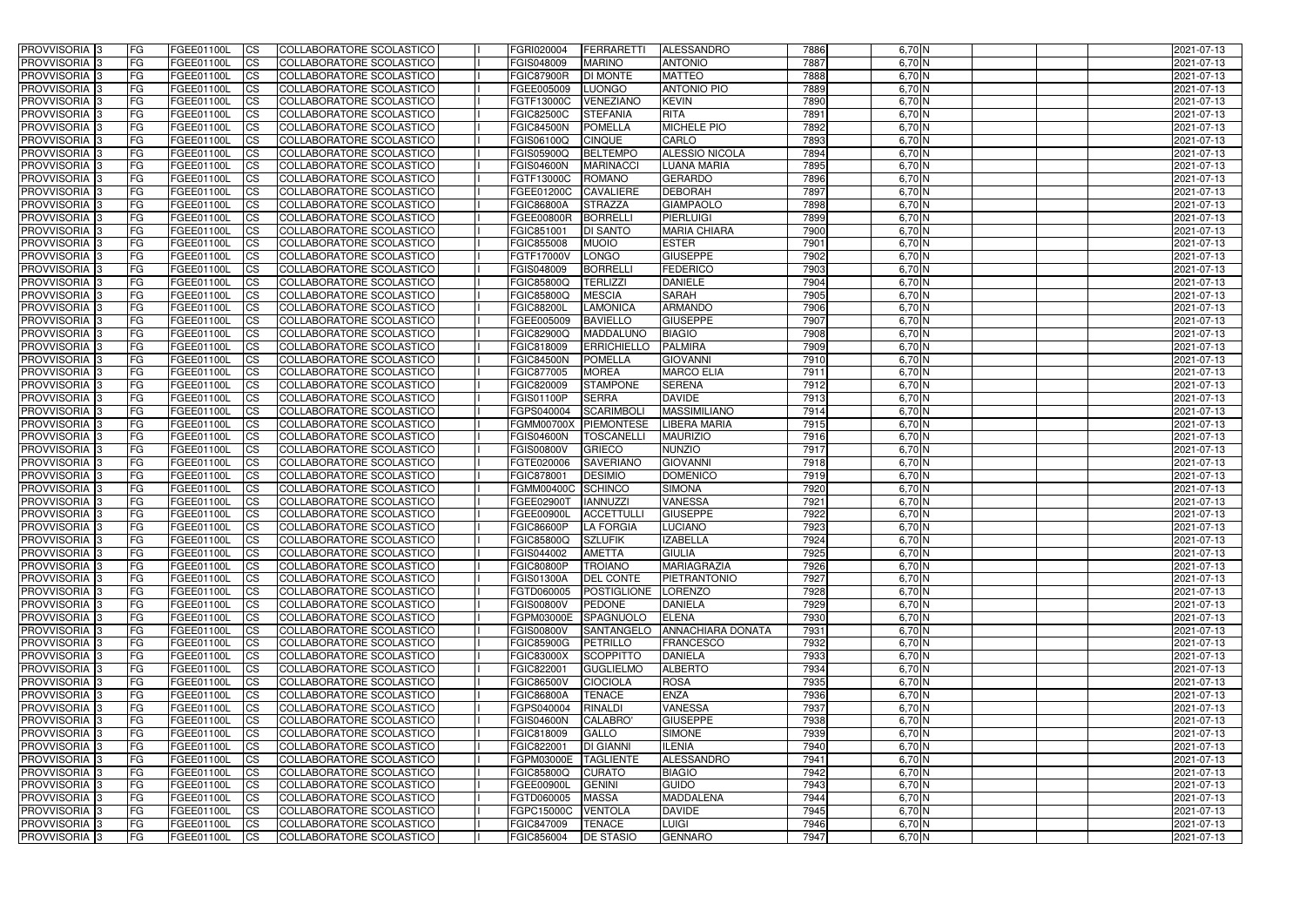| <b>PROVVISORIA</b> 3                        | l FG            | FGEE01100L               | <b>ICS</b>              | COLLABORATORE SCOLASTICO                             | FGRI020004                       | <b>FERRARETTI</b>  | <b>ALESSANDRO</b>                | 7886         | $6,70$ N             | 2021-07-13               |
|---------------------------------------------|-----------------|--------------------------|-------------------------|------------------------------------------------------|----------------------------------|--------------------|----------------------------------|--------------|----------------------|--------------------------|
| <b>PROVVISORIA 3</b>                        | FG              | FGEE01100L               | <b>ICS</b>              | COLLABORATORE SCOLASTICO                             | FGIS048009                       | <b>MARINO</b>      | <b>ANTONIO</b>                   | 7887         | $6,70$ N             | 2021-07-13               |
| PROVVISORIA <sup>1</sup> 3                  | FG              | FGEE01100L               | <b>CS</b>               | <b>COLLABORATORE SCOLASTICO</b>                      | <b>FGIC87900R</b>                | <b>DI MONTE</b>    | <b>MATTEO</b>                    | 7888         | $6,70$ N             | 2021-07-13               |
| <b>PROVVISORIA</b>                          | FG              | FGEE01100L               | <b>CS</b>               | COLLABORATORE SCOLASTICO                             | FGEE005009                       | <b>LUONGO</b>      | <b>ANTONIO PIO</b>               | 7889         | $6,70$ N             | 2021-07-13               |
| PROVVISORIA <sup>1</sup> 3                  | FG              | FGEE01100L               | <b>CS</b>               | COLLABORATORE SCOLASTICO                             | FGTF13000C                       | VENEZIANO          | <b>KEVIN</b>                     | 7890         | 6,70 N               | 2021-07-13               |
| PROVVISORIA <sup>1</sup> 3                  | FG              | FGEE01100L               | <b>CS</b>               | COLLABORATORE SCOLASTICO                             | <b>FGIC82500C</b>                | <b>STEFANIA</b>    | <b>RITA</b>                      | 7891         | $6,70$ N             | 2021-07-13               |
| PROVVISORIA <sup>1</sup> 3                  | FG              | FGEE01100L               | <b>CS</b>               | COLLABORATORE SCOLASTICO                             | <b>FGIC84500N</b>                | <b>POMELLA</b>     | <b>MICHELE PIO</b>               | 7892         | $6,70$ N             | 2021-07-13               |
| PROVVISORIA 3                               | FG              | FGEE01100L               | <b>ICS</b>              | COLLABORATORE SCOLASTICO                             | FGIS06100Q                       | <b>CINQUE</b>      | <b>CARLO</b>                     | 7893         | $6,70$ N             | 2021-07-13               |
| PROVVISORIA 3                               | <b>FG</b>       | FGEE01100L               | <b>CS</b>               | COLLABORATORE SCOLASTICO                             | FGIS05900Q                       | <b>BELTEMPO</b>    | ALESSIO NICOLA                   | 7894         | $6,70$ N             | 2021-07-13               |
| PROVVISORIA 3                               | <b>FG</b>       | FGEE01100L               | <b>ICS</b>              | COLLABORATORE SCOLASTICO                             | <b>FGIS04600N</b>                | <b>MARINACCI</b>   | <b>LUANA MARIA</b>               | 7895         | $6,70$ N             | 2021-07-13               |
| PROVVISORIA 3                               | FG              | <b>FGEE01100L</b>        | <b>ICS</b>              | COLLABORATORE SCOLASTICO                             | FGTF13000C                       | <b>ROMANO</b>      | <b>GERARDO</b>                   | 7896         | $6,70$ N             | 2021-07-13               |
| <b>PROVVISORIA</b>                          | FG              | FGEE01100L               | <b>CS</b>               | COLLABORATORE SCOLASTICO                             | FGEE01200C                       | <b>CAVALIERE</b>   | <b>DEBORAH</b>                   | 7897         | $6,70$ N             | 2021-07-13               |
| <b>PROVVISORIA</b>                          | FG              | FGEE01100L               | <b>ICS</b>              | COLLABORATORE SCOLASTICO                             | <b>FGIC86800A</b>                | <b>STRAZZA</b>     | <b>GIAMPAOLO</b>                 | 7898         | $6,70$ N             | 2021-07-13               |
| <b>PROVVISORIA</b>                          | FG              | FGEE01100L               | <b>ICS</b>              | COLLABORATORE SCOLASTICO                             | <b>FGEE00800R</b>                | <b>BORRELLI</b>    | PIERLUIGI                        | 7899         | 6,70 N               | 2021-07-13               |
| <b>PROVVISORIA</b>                          | FG              | FGEE01100L               | <b>ICS</b>              | COLLABORATORE SCOLASTICO                             | FGIC851001                       | <b>DI SANTO</b>    | <b>MARIA CHIARA</b>              | 7900         | 6,70 N               | 2021-07-13               |
| <b>PROVVISORIA</b>                          | FG              | FGEE01100L               | <b>ICS</b>              | COLLABORATORE SCOLASTICO                             | FGIC855008                       | <b>MUOIO</b>       | <b>ESTER</b>                     | 7901         | $6,70$ N             | 2021-07-13               |
| <b>PROVVISORIA</b>                          | FG              | <b>FGEE01100L</b>        | <b>ICS</b>              | COLLABORATORE SCOLASTICO                             | FGTF17000V                       | <b>LONGO</b>       | <b>GIUSEPPE</b>                  | 7902         | 6,70 N               | 2021-07-13               |
| <b>PROVVISORIA</b>                          | FG              | FGEE01100L               | <b>ICS</b>              | COLLABORATORE SCOLASTICO                             | FGIS048009                       | <b>BORRELLI</b>    | <b>FEDERICO</b>                  | 7903         | 6,70 N               | 2021-07-13               |
| PROVVISORIA 3                               | FG              | FGEE01100L               | <b>ICS</b>              | COLLABORATORE SCOLASTICO                             | <b>FGIC85800Q</b>                | <b>TERLIZZI</b>    | <b>DANIELE</b>                   | 7904         | $6,70$ N             | 2021-07-13               |
| PROVVISORIA <sup>1</sup> 3                  | FG              | FGEE01100L               | <b>ICS</b>              | COLLABORATORE SCOLASTICO                             | FGIC85800Q                       | <b>MESCIA</b>      | <b>SARAH</b>                     | 7905         | 6,70 N               | 2021-07-13               |
| PROVVISORIA <sup>1</sup> 3                  | FG              | FGEE01100L               | <b>ICS</b>              | COLLABORATORE SCOLASTICO                             | <b>FGIC88200L</b>                | <b>LAMONICA</b>    | <b>ARMANDO</b>                   | 7906         | $6,70$ N             | 2021-07-13               |
| PROVVISORIA 3                               | FG              | FGEE01100L               | <b>ICS</b>              | COLLABORATORE SCOLASTICO                             | FGEE005009                       | <b>BAVIELLO</b>    | <b>GIUSEPPE</b>                  | 7907         | $6,70$ N             | 2021-07-13               |
| PROVVISORIA 3                               | FG              | FGEE01100L               | <b>ICS</b>              | <b>COLLABORATORE SCOLASTICO</b>                      | FGIC82900Q                       | MADDALUNO          | <b>BIAGIO</b>                    | 7908         | $6,70$ N             | 2021-07-13               |
| PROVVISORIA <sup>3</sup>                    | FG              | FGEE01100L               | <b>CS</b>               | COLLABORATORE SCOLASTICO                             | FGIC818009                       | <b>ERRICHIELLO</b> | <b>PALMIRA</b>                   | 7909         | $6,70$ N             | 2021-07-13               |
| PROVVISORIA <sup>3</sup>                    | FG              | FGEE01100L               | <b>CS</b>               | COLLABORATORE SCOLASTICO                             | <b>FGIC84500N</b>                | <b>POMELLA</b>     | <b>GIOVANNI</b>                  | 7910         | $6,70$ N             | 2021-07-13               |
| PROVVISORIA <sup>1</sup> 3                  | FG              | FGEE01100L               | <b>ICS</b>              | COLLABORATORE SCOLASTICO                             | FGIC877005                       | <b>MOREA</b>       | <b>MARCO ELIA</b>                | 7911         | $6,70$ N             | 2021-07-13               |
| PROVVISORIA 3                               | FG              | FGEE01100L               | <b>ICS</b>              | COLLABORATORE SCOLASTICO                             | FGIC820009                       | <b>STAMPONE</b>    | <b>SERENA</b>                    | 7912         | 6,70 N               | 2021-07-13               |
| PROVVISORIA                                 | FG              | FGEE01100L               | <b>ICS</b>              | COLLABORATORE SCOLASTICO                             | <b>FGIS01100P</b>                | <b>SERRA</b>       | <b>DAVIDE</b>                    | 7913         | 6,70 N               | 2021-07-13               |
| PROVVISORIA                                 | FG              | FGEE01100L               | <b>CS</b>               | <b>COLLABORATORE SCOLASTICO</b>                      | FGPS040004                       | <b>SCARIMBOLI</b>  | <b>MASSIMILIANO</b>              | 7914         | $6,70$ N             | 2021-07-13               |
| PROVVISORIA                                 | FG              | FGEE01100L               | <b>CS</b>               | COLLABORATORE SCOLASTICO                             | <b>FGMM00700X</b>                | <b>PIEMONTESE</b>  | <b>LIBERA MARIA</b>              | 7915         | 6,70 N               | 2021-07-13               |
| PROVVISORIA                                 | FG              | FGEE01100L               | <b>CS</b>               | COLLABORATORE SCOLASTICO                             | <b>FGIS04600N</b>                | <b>TOSCANELL</b>   | <b>MAURIZIO</b>                  | 7916         | 6,70 N               | 2021-07-13               |
| PROVVISORIA <sup>1</sup> 3                  | FG              | FGEE01100L               | <b>CS</b>               | COLLABORATORE SCOLASTICO                             | <b>FGIS00800V</b>                | <b>GRIECO</b>      | <b>NUNZIO</b>                    | 7917         | $6,70$ N             | 2021-07-13               |
| PROVVISORIA <sup>1</sup> 3                  | FG              | FGEE01100L               | <b>CS</b>               | COLLABORATORE SCOLASTICO                             | FGTE020006                       | <b>SAVERIANO</b>   | <b>GIOVANNI</b>                  | 7918         | $6,70$ N<br>$6,70$ N | 2021-07-13               |
| PROVVISORIA 3<br>PROVVISORIA <sup>1</sup> 3 | FG              | FGEE01100L<br>FGEE01100L | <b>CS</b><br><b>ICS</b> | COLLABORATORE SCOLASTICO<br>COLLABORATORE SCOLASTICO | FGIC878001<br>FGMM00400C SCHINCO | <b>DESIMIO</b>     | <b>DOMENICO</b><br><b>SIMONA</b> | 7919<br>7920 | $6,70$ N             | 2021-07-13<br>2021-07-13 |
| PROVVISORIA 3                               | FG<br><b>FG</b> | FGEE01100L               | <b>ICS</b>              | COLLABORATORE SCOLASTICO                             | FGEE02900T                       | <b>IANNUZZI</b>    | <b>VANESSA</b>                   | 7921         | 6,70 N               | 2021-07-13               |
| PROVVISORIA 3                               | <b>FG</b>       | FGEE01100L               | <b>ICS</b>              | COLLABORATORE SCOLASTICO                             | <b>FGEE00900L</b>                | <b>ACCETTULL</b>   | <b>GIUSEPPE</b>                  | 7922         | $6,70$ N             | 2021-07-13               |
| PROVVISORIA 3                               | <b>FG</b>       | FGEE01100L               | <b>ICS</b>              | COLLABORATORE SCOLASTICO                             | <b>FGIC86600P</b>                | LA FORGIA          | <b>LUCIANO</b>                   | 7923         | $6,70$ N             | 2021-07-13               |
| PROVVISORIA 3                               | FG              | FGEE01100L               | CS                      | COLLABORATORE SCOLASTICO                             | FGIC85800Q SZLUFIK               |                    | <b>IZABELLA</b>                  | 7924         | $6,70$ N             | 2021-07-13               |
| PROVVISORIA 3                               | <b>FG</b>       | FGEE01100L               | $\mathsf{ICS}$          | COLLABORATORE SCOLASTICO                             | FGIS044002                       | <b>AMETTA</b>      | <b>GIULIA</b>                    | 7925         | $6,70$ N             | 2021-07-13               |
| PROVVISORIA 3                               | <b>FG</b>       | <b>FGEE01100L</b>        | $\mathsf{ICS}$          | COLLABORATORE SCOLASTICO                             | <b>FGIC80800P</b>                | <b>TROIANO</b>     | <b>MARIAGRAZIA</b>               | 7926         | $6,70$ N             | 2021-07-13               |
| PROVVISORIA 3                               | <b>FG</b>       | FGEE01100L               | $\mathsf{ICS}$          | COLLABORATORE SCOLASTICO                             | <b>FGIS01300A</b>                | <b>DEL CONTE</b>   | PIETRANTONIO                     | 7927         | $6,70$ N             | 2021-07-13               |
| PROVVISORIA 3                               | FG              | FGEE01100L               | $\mathsf{ICS}$          | COLLABORATORE SCOLASTICO                             | FGTD060005                       | POSTIGLIONE        | LORENZO                          | 7928         | $6,70$ N             | 2021-07-13               |
| PROVVISORIA 3                               | l FG            | FGEE01100L               | <b>CS</b>               | COLLABORATORE SCOLASTICO                             | <b>FGIS00800V</b>                | <b>PEDONE</b>      | <b>DANIELA</b>                   | 7929         | $6,70$ N             | 2021-07-13               |
| PROVVISORIA 3                               | <b>FG</b>       | FGEE01100L               | <b>CS</b>               | COLLABORATORE SCOLASTICO                             | FGPM03000E                       | SPAGNUOLO          | <b>ELENA</b>                     | 7930         | $6,70$ N             | 2021-07-13               |
| PROVVISORIA 3                               | FG              | FGEE01100L               | <b>CS</b>               | COLLABORATORE SCOLASTICO                             | <b>FGIS00800V</b>                | SANTANGELO         | <b>ANNACHIARA DONATA</b>         | 7931         | $6,70$ N             | 2021-07-13               |
| PROVVISORIA 3                               | <b>FG</b>       | FGEE01100L               | <b>CS</b>               | COLLABORATORE SCOLASTICO                             | <b>FGIC85900G</b>                | PETRILLO           | <b>FRANCESCO</b>                 | 7932         | $6,70$ N             | 2021-07-13               |
| PROVVISORIA 3                               | <b>FG</b>       | FGEE01100L               | <b>CS</b>               | COLLABORATORE SCOLASTICO                             | <b>FGIC83000X</b>                | <b>SCOPPITTO</b>   | <b>DANIELA</b>                   | 7933         | $6,70$ N             | 2021-07-13               |
| PROVVISORIA 3                               | <b>FG</b>       | FGEE01100L               | <b>CS</b>               | COLLABORATORE SCOLASTICO                             | FGIC822001                       | <b>GUGLIELMO</b>   | <b>ALBERTO</b>                   | 7934         | $6,70$ N             | 2021-07-13               |
| PROVVISORIA 3                               | <b>FG</b>       | FGEE01100L               | <b>CS</b>               | COLLABORATORE SCOLASTICO                             | <b>FGIC86500V</b>                | <b>CIOCIOLA</b>    | <b>ROSA</b>                      | 7935         | $6,70$ N             | 2021-07-13               |
| PROVVISORIA 3                               | <b>FG</b>       | FGEE01100L               | <b>CS</b>               | COLLABORATORE SCOLASTICO                             | <b>FGIC86800A</b>                | <b>TENACE</b>      | <b>ENZA</b>                      | 7936         | $6,70$ N             | 2021-07-13               |
| PROVVISORIA 3                               | <b>FG</b>       | FGEE01100L               | <b>CS</b>               | COLLABORATORE SCOLASTICO                             | FGPS040004                       | RINALDI            | <b>VANESSA</b>                   | 7937         | $6,70$ N             | 2021-07-13               |
| PROVVISORIA 3                               | <b>FG</b>       | FGEE01100L               | <b>CS</b>               | COLLABORATORE SCOLASTICO                             | <b>FGIS04600N</b>                | CALABRO'           | <b>GIUSEPPE</b>                  | 7938         | $6,70$ N             | 2021-07-13               |
| PROVVISORIA 3                               | <b>FG</b>       | FGEE01100L               | <b>CS</b>               | COLLABORATORE SCOLASTICO                             | FGIC818009                       | <b>GALLO</b>       | <b>SIMONE</b>                    | 7939         | $6,70$ N             | 2021-07-13               |
| PROVVISORIA 3                               | <b>FG</b>       | FGEE01100L               | <b>CS</b>               | COLLABORATORE SCOLASTICO                             | FGIC822001                       | <b>DI GIANNI</b>   | <b>ILENIA</b>                    | 7940         | 6,70 N               | 2021-07-13               |
| PROVVISORIA 3                               | <b>FG</b>       | FGEE01100L               | <b>CS</b>               | COLLABORATORE SCOLASTICO                             | FGPM03000E                       | <b>TAGLIENTE</b>   | ALESSANDRO                       | 7941         | $6,70$ N             | 2021-07-13               |
| PROVVISORIA 3                               | <b>FG</b>       | FGEE01100L               | <b>CS</b>               | COLLABORATORE SCOLASTICO                             | <b>FGIC85800Q</b>                | <b>CURATO</b>      | <b>BIAGIO</b>                    | 7942         | $6,70$ N             | 2021-07-13               |
| PROVVISORIA 3                               | FG              | FGEE01100L               | <b>CS</b>               | COLLABORATORE SCOLASTICO                             | FGEE00900L                       | <b>GENINI</b>      | <b>GUIDO</b>                     | 7943         | $6,70$ N             | 2021-07-13               |
| PROVVISORIA 3                               | FG              | <b>FGEE01100L</b>        | <b>CS</b>               | COLLABORATORE SCOLASTICO                             | FGTD060005                       | <b>MASSA</b>       | <b>MADDALENA</b>                 | 7944         | $6,70$ N             | 2021-07-13               |
| PROVVISORIA 3                               | <b>FG</b>       | FGEE01100L               | <b>CS</b>               | COLLABORATORE SCOLASTICO                             | FGPC15000C                       | <b>VENTOLA</b>     | <b>DAVIDE</b>                    | 7945         | $6,70$ N             | 2021-07-13               |
| PROVVISORIA 3                               | <b>FG</b>       | FGEE01100L               | $\overline{\text{CS}}$  | COLLABORATORE SCOLASTICO                             | FGIC847009                       | <b>TENACE</b>      | <b>LUIGI</b>                     | 7946         | $6,70$ N             | 2021-07-13               |
| PROVVISORIA 3                               | <b>FG</b>       | FGEE01100L               | $\overline{\text{CS}}$  | COLLABORATORE SCOLASTICO                             | FGIC856004                       | <b>DE STASIO</b>   | <b>GENNARO</b>                   | 7947         | $6,70$ N             | 2021-07-13               |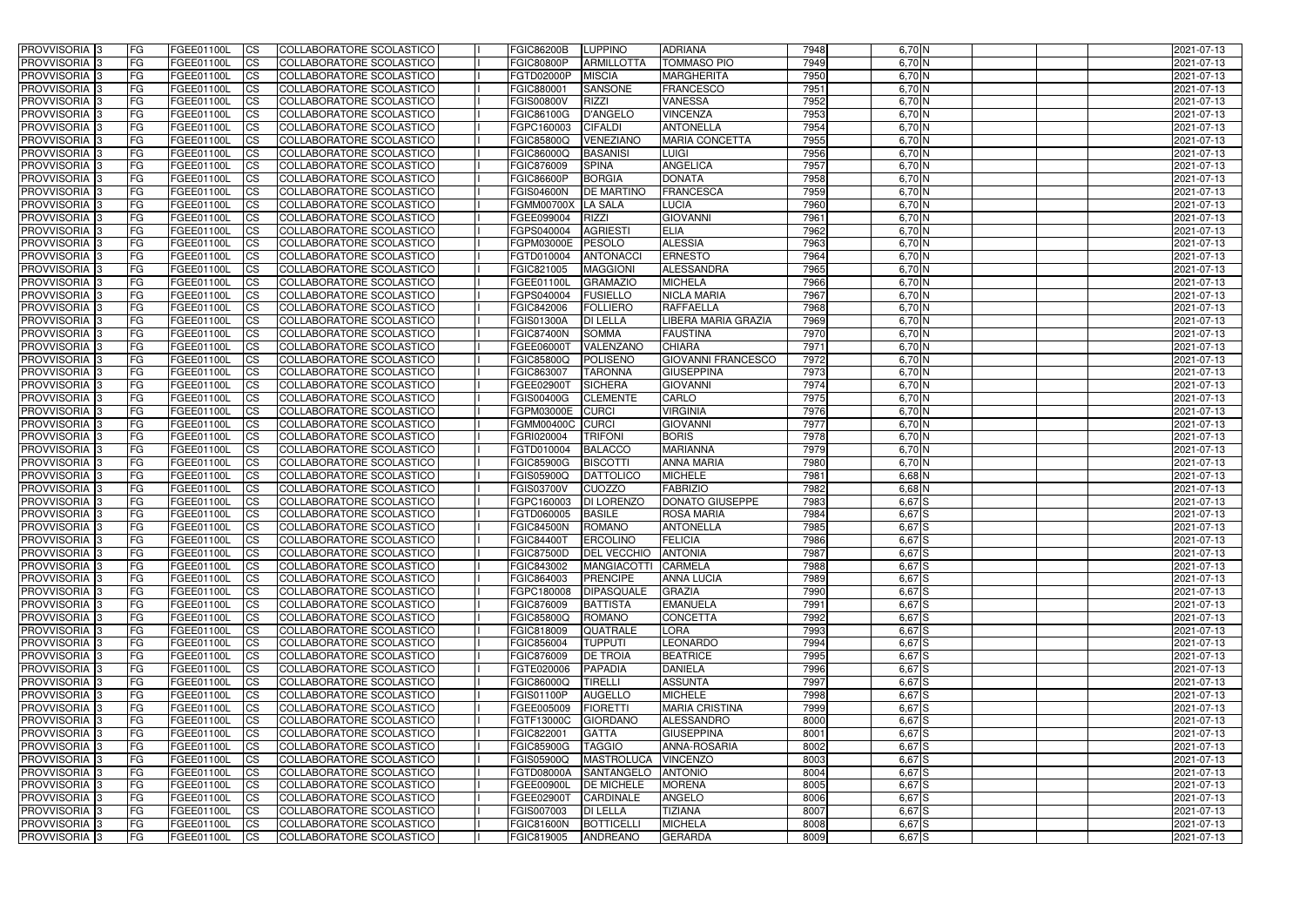| <b>PROVVISORIA</b> 3       | FG         | FGEE01100L        | <b>ICS</b>             | COLLABORATORE SCOLASTICO        | <b>FGIC86200B</b> | <b>LUPPINO</b>      | <b>ADRIANA</b>            | 7948 | $6,70$ N   | 2021-07-13 |
|----------------------------|------------|-------------------|------------------------|---------------------------------|-------------------|---------------------|---------------------------|------|------------|------------|
| <b>PROVVISORIA 3</b>       | FG         | FGEE01100L        | <b>CS</b>              | COLLABORATORE SCOLASTICO        | <b>FGIC80800P</b> | <b>ARMILLOTTA</b>   | <b>TOMMASO PIO</b>        | 7949 | $6,70$ N   | 2021-07-13 |
| PROVVISORIA <sup>3</sup>   | FG         | FGEE01100L        | <b>CS</b>              | COLLABORATORE SCOLASTICO        | FGTD02000P        | <b>MISCIA</b>       | <b>MARGHERITA</b>         | 7950 | $6,70$ N   | 2021-07-13 |
| PROVVISORIA <sup>3</sup>   | FG         | FGEE01100L        | <b>CS</b>              | COLLABORATORE SCOLASTICO        | FGIC880001        | <b>SANSONE</b>      | <b>FRANCESCO</b>          | 7951 | $6,70$ N   | 2021-07-13 |
| PROVVISORIA <sup>1</sup> 3 | FG         | FGEE01100L        | <b>CS</b>              | COLLABORATORE SCOLASTICO        | <b>FGIS00800V</b> | <b>RIZZI</b>        | <b>VANESSA</b>            | 7952 | $6,70$ N   | 2021-07-13 |
| PROVVISORIA <sup>3</sup>   | FG         | FGEE01100L        | <b>CS</b>              | COLLABORATORE SCOLASTICO        | FGIC86100G        | D'ANGELO            | <b>VINCENZA</b>           | 7953 | $6,70$ N   | 2021-07-13 |
| PROVVISORIA 3              | FG         | FGEE01100L        | <b>CS</b>              | COLLABORATORE SCOLASTICO        | FGPC160003        | <b>CIFALDI</b>      | <b>ANTONELLA</b>          | 7954 | $6,70$ N   | 2021-07-13 |
| PROVVISORIA 3              | FG         | <b>FGEE01100L</b> | <b>CS</b>              | COLLABORATORE SCOLASTICO        | <b>FGIC85800Q</b> | VENEZIANO           | <b>MARIA CONCETTA</b>     | 7955 | $6,70$ N   | 2021-07-13 |
| PROVVISORIA 3              | FG         | FGEE01100L        | <b>CS</b>              | COLLABORATORE SCOLASTICO        | FGIC86000Q        | <b>BASANISI</b>     | <b>LUIGI</b>              | 7956 | $6,70$ N   | 2021-07-13 |
| PROVVISORIA <sup>3</sup>   | FG         | FGEE01100L        | $\overline{c}$         | COLLABORATORE SCOLASTICO        | <b>FGIC876009</b> | <b>SPINA</b>        | <b>ANGELICA</b>           | 7957 | $6,70$ N   | 2021-07-13 |
| PROVVISORIA <sup>3</sup>   | FG         | FGEE01100L        | <b>CS</b>              | COLLABORATORE SCOLASTICO        | <b>FGIC86600P</b> | <b>BORGIA</b>       | <b>DONATA</b>             | 7958 | $6,70$ N   | 2021-07-13 |
| PROVVISORIA <sup>3</sup>   | FG         | FGEE01100L        | <b>CS</b>              | COLLABORATORE SCOLASTICO        | <b>FGIS04600N</b> | <b>DE MARTINO</b>   | FRANCESCA                 | 7959 | $6,70$ N   | 2021-07-13 |
| <b>PROVVISORIA</b> 3       | FG         | <b>FGEE01100L</b> | <b>I</b> CS            | COLLABORATORE SCOLASTICO        | <b>FGMM00700X</b> | LA SALA             | LUCIA                     | 7960 | $6,70$ N   | 2021-07-13 |
| PROVVISORIA <sup>3</sup>   | FG         | FGEE01100L        | <b>I</b> CS            | COLLABORATORE SCOLASTICO        | FGEE099004        | RIZZI               | <b>GIOVANNI</b>           | 7961 | 6,70 N     | 2021-07-13 |
| PROVVISORIA <sup>3</sup>   | FG         | FGEE01100L        | <b>I</b> CS            | COLLABORATORE SCOLASTICO        | FGPS040004        | <b>AGRIESTI</b>     | <b>ELIA</b>               | 7962 | $6,70$ N   | 2021-07-13 |
| <b>PROVVISORIA</b> 3       |            | FGEE01100L        | <b>I</b> CS            | <b>COLLABORATORE SCOLASTICO</b> | FGPM03000E        | PESOLO              | <b>ALESSIA</b>            | 7963 | $6,70$ N   | 2021-07-13 |
|                            | FG         |                   |                        |                                 |                   |                     |                           |      |            |            |
| <b>PROVVISORIA</b> 3       | FG         | FGEE01100L        | <b>ICS</b>             | COLLABORATORE SCOLASTICO        | FGTD010004        | <b>ANTONACC</b>     | <b>ERNESTO</b>            | 7964 | 6,70 N     | 2021-07-13 |
| PROVVISORIA 3              | FG         | FGEE01100L        | <b>CS</b>              | COLLABORATORE SCOLASTICO        | FGIC821005        | <b>MAGGIONI</b>     | ALESSANDRA                | 7965 | 6,70 N     | 2021-07-13 |
| PROVVISORIA <sup>3</sup>   | FG         | FGEE01100L        | <b>ICS</b>             | COLLABORATORE SCOLASTICO        | FGEE01100L        | <b>GRAMAZIO</b>     | <b>MICHELA</b>            | 7966 | $6,70$ N   | 2021-07-13 |
| PROVVISORIA <sup>3</sup>   | FG         | FGEE01100L        | <b>I</b> CS            | COLLABORATORE SCOLASTICO        | FGPS040004        | <b>FUSIELLO</b>     | <b>NICLA MARIA</b>        | 7967 | $6,70$ N   | 2021-07-13 |
| PROVVISORIA <sup>3</sup>   | FG         | FGEE01100L        | <b>I</b> CS            | COLLABORATORE SCOLASTICO        | FGIC842006        | <b>FOLLIERO</b>     | <b>RAFFAELLA</b>          | 7968 | $6,70$ N   | 2021-07-13 |
| PROVVISORIA <sup>3</sup>   | FG         | FGEE01100L        | <b>CS</b>              | COLLABORATORE SCOLASTICO        | <b>FGIS01300A</b> | <b>DI LELLA</b>     | LIBERA MARIA GRAZIA       | 7969 | $6,70$ N   | 2021-07-13 |
| PROVVISORIA <sup>3</sup>   | FG         | FGEE01100L        | <b>CS</b>              | COLLABORATORE SCOLASTICO        | <b>FGIC87400N</b> | <b>SOMMA</b>        | <b>FAUSTINA</b>           | 7970 | $6,70$ N   | 2021-07-13 |
| PROVVISORIA <sup>3</sup>   | FG         | FGEE01100L        | <b>CS</b>              | COLLABORATORE SCOLASTICO        | FGEE06000T        | VALENZANO           | <b>CHIARA</b>             | 7971 | $6,70$ N   | 2021-07-13 |
| PROVVISORIA <sup>3</sup>   | FG         | FGEE01100L        | <b>CS</b>              | COLLABORATORE SCOLASTICO        | FGIC85800Q        | POLISENO            | <b>GIOVANNI FRANCESCO</b> | 7972 | $6,70$ N   | 2021-07-13 |
| PROVVISORIA <sup>1</sup> 3 | FG         | FGEE01100L        | <b>CS</b>              | COLLABORATORE SCOLASTICO        | FGIC863007        | <b>TARONNA</b>      | <b>GIUSEPPINA</b>         | 7973 | $6,70$ N   | 2021-07-13 |
| PROVVISORIA <sup>1</sup> 3 | FG         | <b>FGEE01100L</b> | <b>CS</b>              | COLLABORATORE SCOLASTICO        | <b>FGEE02900T</b> | <b>SICHERA</b>      | <b>GIOVANNI</b>           | 7974 | $6,70$ N   | 2021-07-13 |
| PROVVISORIA <sup>3</sup>   | FG.        | FGEE01100L        | <b>CS</b>              | COLLABORATORE SCOLASTICO        | FGIS00400G        | <b>CLEMENTE</b>     | CARLO                     | 7975 | 6,70 N     | 2021-07-13 |
| PROVVISORIA <sup>13</sup>  | FG         | <b>FGEE01100L</b> | <b>CS</b>              | COLLABORATORE SCOLASTICO        | FGPM03000E        | <b>CURCI</b>        | <b>VIRGINIA</b>           | 7976 | $6,70$ N   | 2021-07-13 |
| PROVVISORIA <sup>1</sup> 3 | FG.        | FGEE01100L        | <b>CS</b>              | COLLABORATORE SCOLASTICO        | FGMM00400C        | <b>CURCI</b>        | <b>GIOVANNI</b>           | 7977 | 6,70 N     | 2021-07-13 |
| PROVVISORIA <sup>3</sup>   | FG.        | FGEE01100L        | <b>CS</b>              | COLLABORATORE SCOLASTICO        | FGRI020004        | <b>TRIFONI</b>      | <b>BORIS</b>              | 7978 | 6,70 N     | 2021-07-13 |
| PROVVISORIA <sup>3</sup>   | FG         | FGEE01100L        | <b>CS</b>              | COLLABORATORE SCOLASTICO        | FGTD010004        | <b>BALACCO</b>      | <b>MARIANNA</b>           | 7979 | $6,70$ N   | 2021-07-13 |
| PROVVISORIA <sup>3</sup>   | FG         | <b>FGEE01100L</b> | <b>CS</b>              | COLLABORATORE SCOLASTICO        | <b>FGIC85900G</b> | <b>BISCOTTI</b>     | <b>ANNA MARIA</b>         | 7980 | $6,70$ N   | 2021-07-13 |
| PROVVISORIA 3              | FG         | <b>FGEE01100L</b> | <b>CS</b>              | COLLABORATORE SCOLASTICO        | FGIS05900Q        | <b>DATTOLICO</b>    | <b>MICHELE</b>            | 7981 | $6,68$ N   | 2021-07-13 |
| PROVVISORIA <sup>3</sup>   | FG         | FGEE01100L        | $\overline{\text{cs}}$ | COLLABORATORE SCOLASTICO        | <b>FGIS03700V</b> | <b>CUOZZO</b>       | <b>FABRIZIO</b>           | 7982 | $6,68$ N   | 2021-07-13 |
| PROVVISORIA <sup>3</sup>   | FG         | <b>FGEE01100L</b> | <b>CS</b>              | <b>COLLABORATORE SCOLASTICO</b> | FGPC160003        | DI LORENZO          | <b>DONATO GIUSEPPE</b>    | 7983 | $6,67$ S   | 2021-07-13 |
| PROVVISORIA <sup>3</sup>   | FG         | FGEE01100L        | <b>CS</b>              | COLLABORATORE SCOLASTICO        | FGTD060005        | <b>BASILE</b>       | <b>ROSA MARIA</b>         | 7984 | 6,67S      | 2021-07-13 |
| PROVVISORIA 3              | FG         | FGEE01100L        | <b>I</b> CS            | COLLABORATORE SCOLASTICO        | <b>FGIC84500N</b> | <b>ROMANO</b>       | <b>ANTONELLA</b>          | 7985 | 6,67S      | 2021-07-13 |
| <b>PROVVISORIA</b> 3       | IFG.       | FGEE01100L        | CS                     | COLLABORATORE SCOLASTICO        | <b>FGIC84400T</b> | ERCOLINO            | <b>FELICIA</b>            | 7986 | $6,67$ $S$ | 2021-07-13 |
| PROVVISORIA 3              | IFG.       | FGEE01100L        | <b>ICS</b>             | COLLABORATORE SCOLASTICO        | FGIC87500D        | <b>DEL VECCHIO</b>  | <b>ANTONIA</b>            | 7987 | $6,67$ S   | 2021-07-13 |
| PROVVISORIA 3              | FG         | FGEE01100L        | <b>CS</b>              | COLLABORATORE SCOLASTICO        | <b>FGIC843002</b> | <b>MANGIACOTTI</b>  | <b>CARMELA</b>            | 7988 | 6,67S      | 2021-07-13 |
| PROVVISORIA 3              | FG         | FGEE01100L        | <b>CS</b>              | COLLABORATORE SCOLASTICO        | <b>FGIC864003</b> | PRENCIPE            | <b>ANNA LUCIA</b>         | 7989 | $6,67$ S   | 2021-07-13 |
| PROVVISORIA <sup>3</sup>   | FG         | FGEE01100L        | <b>ICS</b>             | <b>COLLABORATORE SCOLASTICO</b> | FGPC180008        | <b>DIPASQUALE</b>   | <b>GRAZIA</b>             | 7990 | $6,67$ $S$ | 2021-07-13 |
| PROVVISORIA 3              | FG         | FGEE01100L        | <b>CS</b>              | COLLABORATORE SCOLASTICO        | FGIC876009        | <b>BATTISTA</b>     | <b>EMANUELA</b>           | 7991 | $6,67$ S   | 2021-07-13 |
| PROVVISORIA 3              | FG         | FGEE01100L        | <b>CS</b>              | COLLABORATORE SCOLASTICO        | <b>FGIC85800Q</b> | <b>ROMANO</b>       | <b>CONCETTA</b>           | 7992 | $6,67$ S   | 2021-07-13 |
| PROVVISORIA 3              | <b>FG</b>  | FGEE01100L        | <b>CS</b>              | COLLABORATORE SCOLASTICO        | FGIC818009        | <b>QUATRALE</b>     | <b>LORA</b>               | 7993 | $6,67$ S   | 2021-07-13 |
| PROVVISORIA 3              | FG         | FGEE01100L        | <b>CS</b>              | COLLABORATORE SCOLASTICO        | FGIC856004        | <b>TUPPUTI</b>      | <b>LEONARDO</b>           | 7994 | 6,67 S     | 2021-07-13 |
| PROVVISORIA 3              | FG         | FGEE01100L        | <b>CS</b>              | COLLABORATORE SCOLASTICO        | FGIC876009        | <b>DE TROIA</b>     | <b>BEATRICE</b>           | 7995 | $6,67$ S   | 2021-07-13 |
| PROVVISORIA 3              | IFG.       | FGEE01100L        | <b>CS</b>              | COLLABORATORE SCOLASTICO        | FGTE020006        | <b>PAPADIA</b>      | <b>DANIELA</b>            | 7996 | $6,67$ $S$ | 2021-07-13 |
| PROVVISORIA 3              | FG         | FGEE01100L        | <b>CS</b>              | COLLABORATORE SCOLASTICO        | <b>FGIC86000Q</b> | <b>TIRELLI</b>      | <b>ASSUNTA</b>            | 7997 | 6,67S      | 2021-07-13 |
| PROVVISORIA 3              | FG         | FGEE01100L        | <b>CS</b>              | COLLABORATORE SCOLASTICO        | FGIS01100P        | AUGELLO             | <b>MICHELE</b>            | 7998 | $6,67$ S   | 2021-07-13 |
| <b>PROVVISORIA</b> 3       | IFG.       | FGEE01100L        | <b>CS</b>              | COLLABORATORE SCOLASTICO        | FGEE005009        | FIORETTI            | <b>MARIA CRISTINA</b>     | 7999 | $6,67$ S   | 2021-07-13 |
| <b>PROVVISORIA</b> 3       | IFG.       | FGEE01100L        | <b>CS</b>              | COLLABORATORE SCOLASTICO        | <b>FGTF13000C</b> | GIORDANO            | ALESSANDRO                | 8000 | $6,67$ S   | 2021-07-13 |
| <b>PROVVISORIA</b> 3       | <b>IFG</b> | <b>FGEE01100L</b> | <b>CS</b>              | <b>COLLABORATORE SCOLASTICO</b> | FGIC822001        | <b>GATTA</b>        | <b>GIUSEPPINA</b>         | 8001 | $6,67$ S   | 2021-07-13 |
| PROVVISORIA 3              | <b>IFG</b> | FGEE01100L        | <b>CS</b>              | COLLABORATORE SCOLASTICO        | <b>FGIC85900G</b> | <b>TAGGIO</b>       | ANNA-ROSARIA              | 8002 | $6,67$ $S$ | 2021-07-13 |
| PROVVISORIA 3              |            | FGEE01100L        |                        | COLLABORATORE SCOLASTICO        | FGIS05900Q        | MASTROLUCA VINCENZO |                           | 8003 | $6,67$ S   | 2021-07-13 |
|                            | IFG.       |                   | <b>CS</b>              |                                 |                   |                     |                           | 8004 | $6,67$ S   |            |
| PROVVISORIA 3              | FG         | FGEE01100L        | <b>CS</b>              | COLLABORATORE SCOLASTICO        | <b>FGTD08000A</b> | SANTANGELO          | <b>ANTONIO</b>            |      |            | 2021-07-13 |
| PROVVISORIA 3              | FG         | FGEE01100L        | <b>CS</b>              | COLLABORATORE SCOLASTICO        | FGEE00900L        | <b>DE MICHELE</b>   | <b>MORENA</b>             | 8005 | $6,67$ $S$ | 2021-07-13 |
| PROVVISORIA 3              | FG         | <b>FGEE01100L</b> | <b>CS</b>              | COLLABORATORE SCOLASTICO        | FGEE02900T        | CARDINALE           | ANGELO                    | 8006 | $6,67$ $S$ | 2021-07-13 |
| <b>PROVVISORIA</b> 3       | FG         | FGEE01100L        | <b>ICS</b>             | COLLABORATORE SCOLASTICO        | FGIS007003        | <b>DI LELLA</b>     | <b>TIZIANA</b>            | 8007 | $6,67$ S   | 2021-07-13 |
| PROVVISORIA 3              | FG         | FGEE01100L        | <b>CS</b>              | COLLABORATORE SCOLASTICO        | <b>FGIC81600N</b> | <b>BOTTICELLI</b>   | <b>MICHELA</b>            | 8008 | $6,67$ S   | 2021-07-13 |
| PROVVISORIA 3              | FG         | FGEE01100L        | <b>CS</b>              | COLLABORATORE SCOLASTICO        | FGIC819005        | ANDREANO            | <b>GERARDA</b>            | 8009 | $6,67$ S   | 2021-07-13 |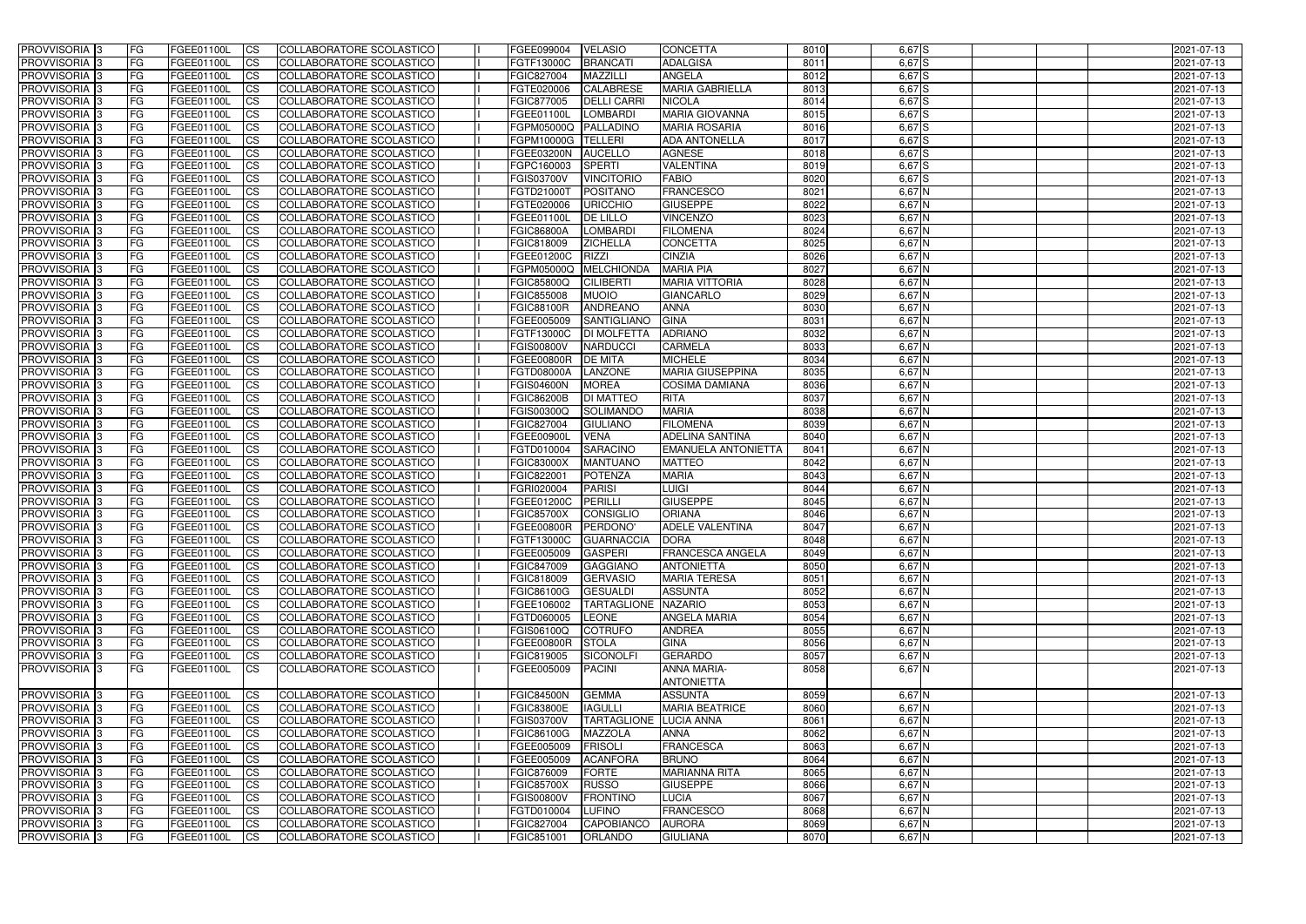| <b>PROVVISORIA</b> 3                                 | FG.        | FGEE01100L               | <b>CS</b>              | COLLABORATORE SCOLASTICO                             | FGEE099004                             | <b>VELASIO</b>                           | <b>CONCETTA</b>                         | 8010         | $6,67$ $S$           | 2021-07-13               |
|------------------------------------------------------|------------|--------------------------|------------------------|------------------------------------------------------|----------------------------------------|------------------------------------------|-----------------------------------------|--------------|----------------------|--------------------------|
| <b>PROVVISORIA</b> 3                                 | FG         | FGEE01100L               | $\overline{\text{cs}}$ | COLLABORATORE SCOLASTICO                             | FGTF13000C                             | <b>BRANCATI</b>                          | <b>ADALGISA</b>                         | 8011         | 6,67S                | 2021-07-13               |
| PROVVISORIA <sup>3</sup>                             | <b>IFG</b> | FGEE01100L               | <b>CS</b>              | <b>COLLABORATORE SCOLASTICO</b>                      | FGIC827004                             | <b>MAZZILLI</b>                          | <b>ANGELA</b>                           | 8012         | 6,67S                | 2021-07-13               |
| PROVVISORIA <sup>3</sup>                             | FG         | <b>FGEE01100L</b>        | <b>CS</b>              | COLLABORATORE SCOLASTICO                             | FGTE020006                             | <b>CALABRESE</b>                         | <b>MARIA GABRIELLA</b>                  | 8013         | 6,67S                | 2021-07-13               |
| PROVVISORIA <sup>3</sup>                             | FG         | FGEE01100L               | <b>CS</b>              | COLLABORATORE SCOLASTICO                             | FGIC877005                             | <b>DELLI CARRI</b>                       | <b>NICOLA</b>                           | 8014         | 6,67S                | 2021-07-13               |
| PROVVISORIA 3                                        | FG         | FGEE01100L               | <b>ICS</b>             | COLLABORATORE SCOLASTICO                             | FGEE01100L                             | <b>LOMBARDI</b>                          | <b>MARIA GIOVANNA</b>                   | 8015         | $6,67$ $S$           | 2021-07-13               |
| PROVVISORIA <sup>3</sup>                             | FG         | FGEE01100L               | <b>CS</b>              | COLLABORATORE SCOLASTICO                             | FGPM05000Q                             | <b>PALLADINO</b>                         | <b>MARIA ROSARIA</b>                    | 8016         | $6,67$ $S$           | 2021-07-13               |
| PROVVISORIA <sup>3</sup>                             | FG         | FGEE01100L               | $\overline{c}$         | COLLABORATORE SCOLASTICO                             | FGPM10000G                             | <b>TELLERI</b>                           | <b>ADA ANTONELLA</b>                    | 8017         | 6,67S                | 2021-07-13               |
| PROVVISORIA <sup>3</sup>                             | FG         | FGEE01100L               | <b>CS</b>              | COLLABORATORE SCOLASTICO                             | <b>FGEE03200N</b>                      | <b>AUCELLO</b>                           | <b>AGNESE</b>                           | 8018         | $6,67$ S             | 2021-07-13               |
| PROVVISORIA <sup>3</sup>                             | FG         | FGEE01100L               | $\overline{\text{cs}}$ | COLLABORATORE SCOLASTICO                             | FGPC160003                             | SPERTI                                   | <b>VALENTINA</b>                        | 8019         | 6,67S                | 2021-07-13               |
| PROVVISORIA 3                                        | FG         | FGEE01100L               | <b>CS</b>              | <b>COLLABORATORE SCOLASTICO</b>                      | <b>FGIS03700V</b>                      | <b>VINCITORIO</b>                        | <b>FABIO</b>                            | 8020         | 6,67S                | 2021-07-13               |
| <b>PROVVISORIA</b> 3                                 | FG         | FGEE01100L               | <b>CS</b>              | COLLABORATORE SCOLASTICO                             | FGTD21000T                             | <b>POSITANO</b>                          | <b>FRANCESCO</b>                        | 8021         | 6,67 N               | 2021-07-13               |
| PROVVISORIA <sup>3</sup>                             | FG         | FGEE01100L               | <b>I</b> CS            | <b>COLLABORATORE SCOLASTICO</b>                      | FGTE020006                             | <b>URICCHIO</b>                          | <b>GIUSEPPE</b>                         | 8022         | $6,67$ N             | 2021-07-13               |
| PROVVISORIA <sup>3</sup>                             | FG         | FGEE01100L               | <b>I</b> CS            | <b>COLLABORATORE SCOLASTICO</b>                      | FGEE01100L                             | <b>DE LILLO</b>                          | <b>VINCENZO</b>                         | 8023         | $6,67$ N             | 2021-07-13               |
| <b>PROVVISORIA</b> 3                                 | FG         | FGEE01100L               | <b>I</b> CS            | COLLABORATORE SCOLASTICO                             | <b>FGIC86800A</b>                      | <b>LOMBARDI</b>                          | <b>FILOMENA</b>                         | 8024         | $6,67$ N             | 2021-07-13               |
| PROVVISORIA <sup>3</sup>                             | FG         | FGEE01100L               | <b>ICS</b>             | COLLABORATORE SCOLASTICO                             | FGIC818009                             | <b>ZICHELLA</b>                          | <b>CONCETTA</b>                         | 8025         | 6,67 N               | 2021-07-13               |
| PROVVISORIA <sup>3</sup>                             | FG.        | FGEE01100L               | <b>I</b> CS            | COLLABORATORE SCOLASTICO                             | FGEE01200C                             | <b>RIZZI</b>                             | <b>CINZIA</b>                           | 8026         | 6,67 N               | 2021-07-13               |
| PROVVISORIA <sup>3</sup>                             | FG         | FGEE01100L               | <b>ICS</b>             | COLLABORATORE SCOLASTICO                             | FGPM05000Q                             | MELCHIONDA                               | <b>MARIA PIA</b>                        | 8027         | $6,67$ N             | 2021-07-13               |
| PROVVISORIA <sup>3</sup>                             | FG         | FGEE01100L               | <b>I</b> CS            | COLLABORATORE SCOLASTICO                             | <b>FGIC85800Q</b>                      | <b>CILIBERTI</b>                         | <b>MARIA VITTORIA</b>                   | 8028         | $6,67$ N             | 2021-07-13               |
| PROVVISORIA <sup>3</sup>                             | FG         | FGEE01100L               | <b>CS</b>              | COLLABORATORE SCOLASTICO                             | FGIC855008                             | <b>MUOIO</b>                             | <b>GIANCARLO</b>                        | 8029         | $6,67$ N             | 2021-07-13               |
| PROVVISORIA <sup>3</sup>                             | FG         | FGEE01100L               | <b>CS</b>              | COLLABORATORE SCOLASTICO                             | <b>FGIC88100R</b>                      | ANDREANO                                 | <b>ANNA</b><br><b>GINA</b>              | 8030<br>8031 | $6,67$ N<br>$6,67$ N | 2021-07-13               |
| PROVVISORIA <sup>3</sup><br>PROVVISORIA <sup>3</sup> | FG<br>FG   | FGEE01100L<br>FGEE01100L | <b>CS</b><br><b>CS</b> | COLLABORATORE SCOLASTICO<br>COLLABORATORE SCOLASTICO | FGEE005009<br>FGTF13000C               | <b>SANTIGLIANO</b><br><b>DI MOLFETTA</b> | <b>ADRIANO</b>                          | 8032         | $6,67$ N             | 2021-07-13<br>2021-07-13 |
| PROVVISORIA <sup>1</sup> 3                           | FG         | FGEE01100L               | <b>CS</b>              | COLLABORATORE SCOLASTICO                             | <b>FGIS00800V</b>                      | <b>NARDUCCI</b>                          | CARMELA                                 | 8033         | $6,67$ N             | 2021-07-13               |
| PROVVISORIA <sup>3</sup>                             | FG         | FGEE01100L               | ICS                    | COLLABORATORE SCOLASTICO                             | <b>FGEE00800R</b>                      | <b>DE MITA</b>                           | <b>MICHELE</b>                          | 8034         | $6,67$ N             | 2021-07-13               |
| PROVVISORIA <sup>3</sup>                             | FG         | <b>FGEE01100L</b>        | <b>CS</b>              | COLLABORATORE SCOLASTICO                             | <b>FGTD08000A</b>                      | <b>LANZONE</b>                           | <b>MARIA GIUSEPPINA</b>                 | 8035         | $6,67$ N             | 2021-07-13               |
| PROVVISORIA <sup>3</sup>                             | FG         | FGEE01100L               | <b>CS</b>              | COLLABORATORE SCOLASTICO                             | <b>FGIS04600N</b>                      | <b>MOREA</b>                             | <b>COSIMA DAMIANA</b>                   | 8036         | $6,67$ N             | 2021-07-13               |
| PROVVISORIA <sup>3</sup>                             | FG         | FGEE01100L               | <b>CS</b>              | COLLABORATORE SCOLASTICO                             | <b>FGIC86200B</b>                      | <b>DI MATTEO</b>                         | <b>RITA</b>                             | 8037         | $6,67$ N             | 2021-07-13               |
| PROVVISORIA <sup>1</sup> 3                           | FG         | FGEE01100L               | <b>CS</b>              | COLLABORATORE SCOLASTICO                             | <b>FGIS00300Q</b>                      | SOLIMANDO                                | <b>MARIA</b>                            | 8038         | $6,67$ N             | 2021-07-13               |
| PROVVISORIA <sup>3</sup>                             | FG         | FGEE01100L               | <b>CS</b>              | COLLABORATORE SCOLASTICO                             | FGIC827004                             | <b>GIULIANO</b>                          | <b>FILOMENA</b>                         | 8039         | $6,67$ N             | 2021-07-13               |
| PROVVISORIA <sup>3</sup>                             | FG         | FGEE01100L               | <b>CS</b>              | COLLABORATORE SCOLASTICO                             | FGEE00900L                             | <b>VENA</b>                              | <b>ADELINA SANTINA</b>                  | 8040         | $6,67$ N             | 2021-07-13               |
| PROVVISORIA <sup>3</sup>                             | FG         | <b>FGEE01100L</b>        | <b>CS</b>              | COLLABORATORE SCOLASTICO                             | FGTD010004                             | <b>SARACINO</b>                          | <b>EMANUELA ANTONIETTA</b>              | 8041         | $6,67$ N             | 2021-07-13               |
| PROVVISORIA <sup>3</sup>                             | FG         | FGEE01100L               | $\overline{\text{cs}}$ | COLLABORATORE SCOLASTICO                             | <b>FGIC83000X</b>                      | <b>MANTUANC</b>                          | <b>MATTEO</b>                           | 8042         | $6,67$ N             | 2021-07-13               |
| PROVVISORIA <sup>3</sup>                             | FG         | FGEE01100L               | $\overline{c}$         | COLLABORATORE SCOLASTICO                             | FGIC822001                             | <b>POTENZA</b>                           | <b>MARIA</b>                            | 8043         | $6,67$ N             | 2021-07-13               |
| PROVVISORIA <sup>3</sup>                             | FG         | FGEE01100L               | <b>CS</b>              | COLLABORATORE SCOLASTICO                             | FGRI020004                             | <b>PARISI</b>                            | <b>LUIGI</b>                            | 8044         | $6,67$ N             | 2021-07-13               |
| PROVVISORIA <sup>3</sup>                             | FG         | FGEE01100L               | <b>CS</b>              | COLLABORATORE SCOLASTICO                             | FGEE01200C                             | PERILLI                                  | <b>GIUSEPPE</b>                         | 8045         | $6,67$ N             | 2021-07-13               |
| <b>PROVVISORIA</b> 3                                 | FG         | <b>FGEE01100L</b>        | <b>I</b> CS            | COLLABORATORE SCOLASTICO                             | <b>FGIC85700X</b>                      | <b>CONSIGLIO</b>                         | <b>ORIANA</b>                           | 8046         | $6,67$ N             | 2021-07-13               |
| <b>PROVVISORIA</b> 3                                 | IFG.       | FGEE01100L               | <b>ICS</b>             | <b>COLLABORATORE SCOLASTICO</b>                      | FGEE00800R                             | <b>PERDONO</b>                           | <b>ADELE VALENTINA</b>                  | 8047         | $6,67$ N             | 2021-07-13               |
| <b>PROVVISORIA</b> <sup>3</sup>                      | IFG.       | FGEE01100L CS            |                        | COLLABORATORE SCOLASTICO                             |                                        | FGTF13000C GUARNACCIA DORA               |                                         | 8048         | $6,67$ N             | 2021-07-13               |
| PROVVISORIA 3                                        | FG         | FGEE01100L               | <b>CS</b>              | COLLABORATORE SCOLASTICO                             | FGEE005009                             | <b>GASPERI</b>                           | <b>FRANCESCA ANGELA</b>                 | 8049         | $6,67$ N             | 2021-07-13               |
| PROVVISORIA 3                                        | FG         | FGEE01100L               | $\mathsf{ICS}$         | COLLABORATORE SCOLASTICO                             | <b>FGIC847009</b>                      | <b>GAGGIANO</b>                          | <b>ANTONIETTA</b>                       | 8050         | $6,67$ N             | 2021-07-13               |
| PROVVISORIA 3                                        | <b>FG</b>  | FGEE01100L               | $\mathsf{ICS}$         | COLLABORATORE SCOLASTICO                             | FGIC818009                             | <b>GERVASIO</b>                          | <b>MARIA TERESA</b>                     | 8051         | $6,67$ N             | 2021-07-13               |
| PROVVISORIA 3                                        | FG         | FGEE01100L               | <b>CS</b>              | COLLABORATORE SCOLASTICO                             | <b>FGIC86100G</b>                      | <b>GESUALDI</b>                          | <b>ASSUNTA</b>                          | 8052         | $6,67$ N             | 2021-07-13               |
| PROVVISORIA 3                                        | FG         | FGEE01100L               | <b>CS</b>              | COLLABORATORE SCOLASTICO                             | FGEE106002                             | TARTAGLIONE                              | <b>NAZARIO</b>                          | 8053         | $6,67$ N             | 2021-07-13               |
| PROVVISORIA 3                                        | <b>FG</b>  | FGEE01100L               | <b>CS</b>              | COLLABORATORE SCOLASTICO                             | FGTD060005                             | LEONE                                    | <b>ANGELA MARIA</b>                     | 8054         | $6,67$ N             | 2021-07-13               |
| PROVVISORIA 3                                        | FG         | FGEE01100L               | <b>CS</b>              | COLLABORATORE SCOLASTICO                             | FGIS06100Q                             | COTRUFO                                  | <b>ANDREA</b>                           | 8055         | $6,67$ N             | 2021-07-13               |
| PROVVISORIA 3                                        | FG         | FGEE01100L               | <b>CS</b>              | COLLABORATORE SCOLASTICO                             | <b>FGEE00800R</b>                      | <b>STOLA</b>                             | <b>GINA</b>                             | 8056         | $6,67$ N             | 2021-07-13               |
| PROVVISORIA 3                                        | FG         | FGEE01100L               | <b>CS</b>              | COLLABORATORE SCOLASTICO                             | FGIC819005                             | SICONOLFI                                | <b>GERARDO</b>                          | 8057         | $6,67$ N             | 2021-07-13               |
| <b>PROVVISORIA</b> 3                                 | IFG.       | FGEE01100L               | <b>ICS</b>             | COLLABORATORE SCOLASTICO                             | FGEE005009                             | <b>PACINI</b>                            | <b>ANNA MARIA-</b>                      | 8058         | $6,67$ N             | 2021-07-13               |
|                                                      |            |                          |                        |                                                      |                                        | <b>GEMMA</b>                             | <b>ANTONIETTA</b>                       |              | $6,67$ N             |                          |
| PROVVISORIA 3<br>PROVVISORIA <sup>3</sup>            | FG<br>FG   | FGEE01100L<br>FGEE01100L | <b>CS</b><br><b>CS</b> | COLLABORATORE SCOLASTICO<br>COLLABORATORE SCOLASTICO | <b>FGIC84500N</b><br><b>FGIC83800E</b> | <b>IAGULLI</b>                           | <b>ASSUNTA</b><br><b>MARIA BEATRICE</b> | 8059<br>8060 | $6,67$ N             | 2021-07-13<br>2021-07-13 |
| PROVVISORIA 3                                        | <b>IFG</b> | FGEE01100L               | <b>CS</b>              | COLLABORATORE SCOLASTICO                             | <b>FGIS03700V</b>                      | TARTAGLIONE LUCIA ANNA                   |                                         | 8061         | $6,67$ N             | 2021-07-13               |
| <b>PROVVISORIA</b> 3                                 | IFG.       | FGEE01100L               | <b>CS</b>              | COLLABORATORE SCOLASTICO                             | <b>FGIC86100G</b>                      | <b>MAZZOLA</b>                           | <b>ANNA</b>                             | 8062         | $6,67$ N             | 2021-07-13               |
| PROVVISORIA 3                                        | FG         | FGEE01100L               | <b>CS</b>              | COLLABORATORE SCOLASTICO                             | FGEE005009                             | <b>FRISOLI</b>                           | FRANCESCA                               | 8063         | $6,67$ N             | 2021-07-13               |
| PROVVISORIA 3                                        | FG         | FGEE01100L               | <b>CS</b>              | COLLABORATORE SCOLASTICO                             | FGEE005009                             | <b>ACANFORA</b>                          | <b>BRUNO</b>                            | 8064         | $6,67$ N             | 2021-07-13               |
| PROVVISORIA 3                                        | <b>FG</b>  | <b>FGEE01100L</b>        | <b>CS</b>              | <b>COLLABORATORE SCOLASTICO</b>                      | FGIC876009                             | <b>FORTE</b>                             | <b>MARIANNA RITA</b>                    | 8065         | $6,67$ N             | 2021-07-13               |
| PROVVISORIA 3                                        | FG         | <b>FGEE01100L</b>        | <b>CS</b>              | COLLABORATORE SCOLASTICO                             | <b>FGIC85700X</b>                      | <b>RUSSO</b>                             | <b>GIUSEPPE</b>                         | 8066         | $6,67$ N             | 2021-07-13               |
| PROVVISORIA 3                                        | FG         | FGEE01100L               | <b>CS</b>              | COLLABORATORE SCOLASTICO                             | <b>FGIS00800V</b>                      | <b>FRONTINO</b>                          | <b>LUCIA</b>                            | 8067         | $6,67$ N             | 2021-07-13               |
| PROVVISORIA 3                                        | FG         | <b>FGEE01100L</b>        | <b>CS</b>              | COLLABORATORE SCOLASTICO                             | FGTD010004                             | <b>LUFINO</b>                            | <b>FRANCESCO</b>                        | 8068         | $6,67$ N             | 2021-07-13               |
| PROVVISORIA 3                                        | FG         | FGEE01100L               | <b>CS</b>              | COLLABORATORE SCOLASTICO                             | FGIC827004                             | CAPOBIANCO                               | <b>AURORA</b>                           | 8069         | $6,67$ N             | 2021-07-13               |
| PROVVISORIA <sup>3</sup>                             | l FG       | FGEE01100L               | <b>ICS</b>             | COLLABORATORE SCOLASTICO                             | FGIC851001                             | <b>ORLANDO</b>                           | <b>GIULIANA</b>                         | 8070         | $6,67$ N             | 2021-07-13               |
|                                                      |            |                          |                        |                                                      |                                        |                                          |                                         |              |                      |                          |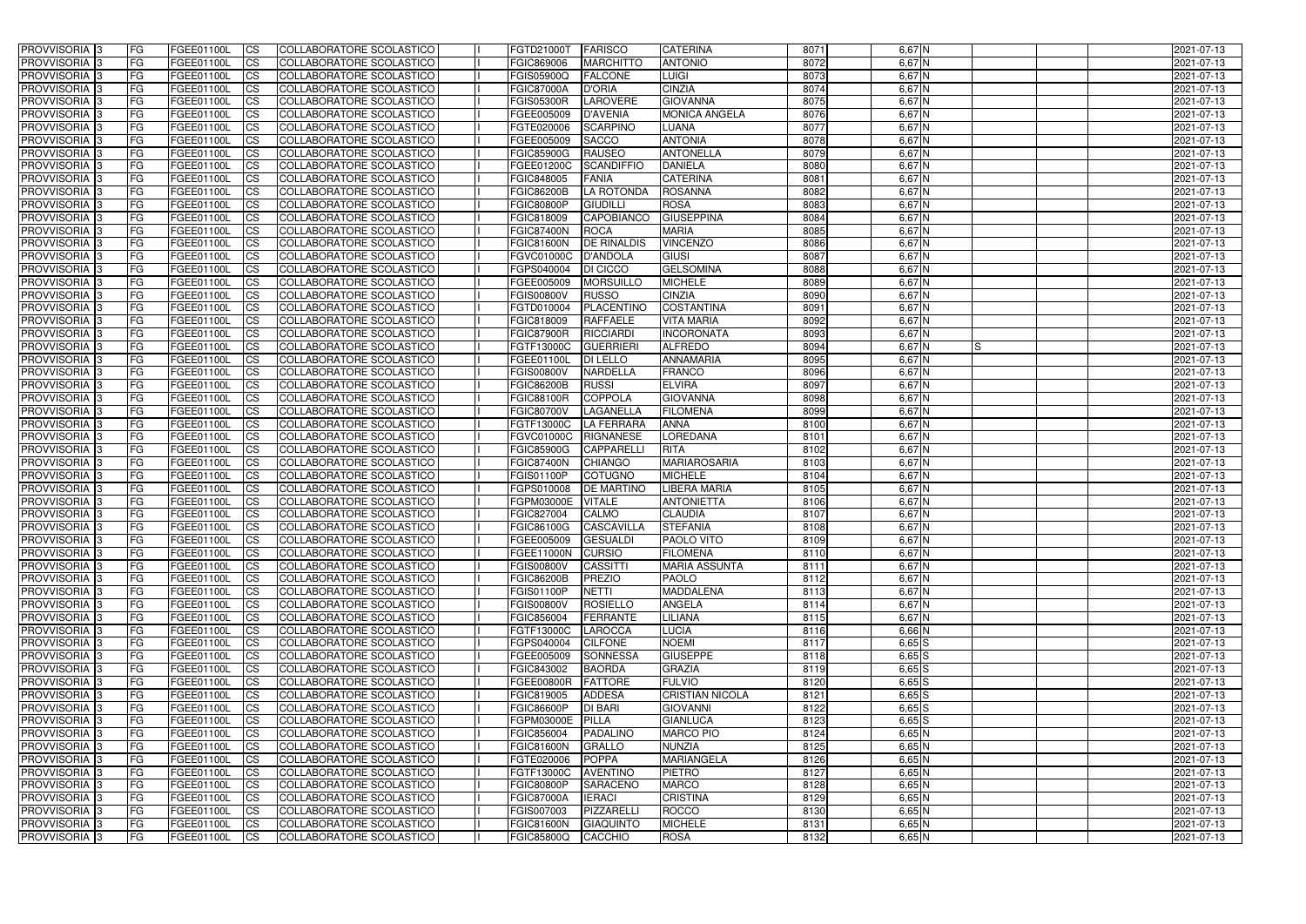| <b>PROVVISORIA</b> 3                                  | FG         | FGEE01100L               | <b>ICS</b>             | COLLABORATORE SCOLASTICO                             | FGTD21000T                      | <b>FARISCO</b>                 | <b>CATERINA</b>                    | 8071         | $6,67$ N             | 2021-07-13               |
|-------------------------------------------------------|------------|--------------------------|------------------------|------------------------------------------------------|---------------------------------|--------------------------------|------------------------------------|--------------|----------------------|--------------------------|
| <b>PROVVISORIA 3</b>                                  | FG         | FGEE01100L               | <b>CS</b>              | COLLABORATORE SCOLASTICO                             | FGIC869006                      | <b>MARCHITTO</b>               | <b>ANTONIO</b>                     | 8072         | $6,67$ N             | 2021-07-13               |
| PROVVISORIA <sup>3</sup>                              | FG         | FGEE01100L               | <b>CS</b>              | COLLABORATORE SCOLASTICO                             | FGIS05900Q                      | <b>FALCONE</b>                 | LUIGI                              | 8073         | $6,67$ N             | 2021-07-13               |
| PROVVISORIA <sup>3</sup>                              | FG         | FGEE01100L               | <b>CS</b>              | COLLABORATORE SCOLASTICO                             | <b>FGIC87000A</b>               | <b>D'ORIA</b>                  | <b>CINZIA</b>                      | 8074         | $6,67$ N             | 2021-07-13               |
| PROVVISORIA <sup>1</sup> 3                            | FG         | FGEE01100L               | <b>CS</b>              | COLLABORATORE SCOLASTICO                             | <b>FGIS05300R</b>               | <b>LAROVERE</b>                | <b>GIOVANNA</b>                    | 8075         | $6,67$ N             | 2021-07-13               |
| PROVVISORIA <sup>3</sup>                              | FG         | FGEE01100L               | <b>CS</b>              | COLLABORATORE SCOLASTICO                             | FGEE005009                      | <b>D'AVENIA</b>                | <b>MONICA ANGELA</b>               | 8076         | $6,67$ N             | 2021-07-13               |
| PROVVISORIA 3                                         | FG         | FGEE01100L               | <b>CS</b>              | COLLABORATORE SCOLASTICO                             | FGTE020006                      | <b>SCARPINO</b>                | <b>LUANA</b>                       | 8077         | $6,67$ N             | 2021-07-13               |
| PROVVISORIA 3                                         | FG         | <b>FGEE01100L</b>        | <b>CS</b>              | <b>COLLABORATORE SCOLASTICO</b>                      | FGEE005009                      | <b>SACCO</b>                   | <b>ANTONIA</b>                     | 8078         | $6,67$ N             | 2021-07-13               |
| PROVVISORIA 3                                         | FG         | FGEE01100L               | <b>CS</b>              | COLLABORATORE SCOLASTICO                             | <b>FGIC85900G</b>               | <b>RAUSEO</b>                  | ANTONELLA                          | 8079         | $6,67$ N             | 2021-07-13               |
| PROVVISORIA <sup>3</sup>                              | FG         | FGEE01100L               | $\overline{c}$         | COLLABORATORE SCOLASTICO                             | FGEE01200C                      | <b>SCANDIFFIO</b>              | <b>DANIELA</b>                     | 8080         | $6,67$ N             | 2021-07-13               |
| PROVVISORIA <sup>3</sup>                              | FG         | FGEE01100L               | <b>CS</b>              | COLLABORATORE SCOLASTICO                             | FGIC848005                      | FANIA                          | <b>CATERINA</b>                    | 8081         | $6,67$ N             | 2021-07-13               |
| PROVVISORIA <sup>3</sup>                              | FG         | FGEE01100L               | <b>CS</b>              | COLLABORATORE SCOLASTICO                             | <b>FGIC86200B</b>               | LA ROTONDA                     | <b>ROSANNA</b>                     | 8082         | $6,67$ N             | 2021-07-13               |
| PROVVISORIA <sup>3</sup>                              | FG         | <b>FGEE01100L</b>        | <b>CS</b>              | COLLABORATORE SCOLASTICO                             | <b>FGIC80800P</b>               | <b>GIUDILL</b>                 | <b>ROSA</b>                        | 8083         | $6,67$ N             | 2021-07-13               |
| PROVVISORIA <sup>3</sup>                              | FG         | FGEE01100L               | <b>I</b> CS            | COLLABORATORE SCOLASTICO                             | FGIC818009                      | <b>CAPOBIANCO</b>              | <b>GIUSEPPINA</b>                  | 8084         | $6,67$ N             | 2021-07-13               |
| PROVVISORIA <sup>3</sup>                              | FG         | FGEE01100L               | <b>CS</b>              | COLLABORATORE SCOLASTICO                             | <b>FGIC87400N</b>               | <b>ROCA</b>                    | <b>MARIA</b>                       | 8085         | $6,67$ N             | 2021-07-13               |
| <b>PROVVISORIA</b> 3                                  | FG         | FGEE01100L               | <b>CS</b>              | <b>COLLABORATORE SCOLASTICO</b>                      | <b>FGIC81600N</b>               | <b>DE RINALDIS</b>             | <b>VINCENZO</b>                    | 8086         | $6,67$ N             | 2021-07-13               |
| PROVVISORIA <sup>3</sup>                              | FG         | FGEE01100L               | <b>CS</b>              | COLLABORATORE SCOLASTICO                             | <b>FGVC01000C</b>               | <b>D'ANDOLA</b>                | <b>GIUSI</b>                       | 8087         | 6,67 N               | 2021-07-13               |
| PROVVISORIA 3                                         | FG         | FGEE01100L               | <b>CS</b>              | COLLABORATORE SCOLASTICO                             | FGPS040004                      | DI CICCO                       | <b>GELSOMINA</b>                   | 8088         | 6,67 N               | 2021-07-13               |
| PROVVISORIA <sup>3</sup>                              | FG         | FGEE01100L               | <b>ICS</b>             | COLLABORATORE SCOLASTICO                             | FGEE005009                      | <b>MORSUILLO</b>               | <b>MICHELE</b>                     | 8089         | $6,67$ N             | 2021-07-13               |
| PROVVISORIA <sup>3</sup>                              | FG         | FGEE01100L               | <b>CS</b>              | COLLABORATORE SCOLASTICO                             | <b>FGIS00800V</b>               | <b>RUSSO</b>                   | <b>CINZIA</b>                      | 8090         | 6,67 N               | 2021-07-13               |
| PROVVISORIA <sup>3</sup>                              | FG         | FGEE01100L               | <b>CS</b>              | COLLABORATORE SCOLASTICO                             | FGTD010004                      | PLACENTINO                     | <b>COSTANTINA</b>                  | 8091         | $6,67$ N             | 2021-07-13               |
| PROVVISORIA <sup>3</sup>                              | FG         | FGEE01100L               | <b>CS</b>              | COLLABORATORE SCOLASTICO                             | FGIC818009                      | <b>RAFFAELE</b>                | <b>VITA MARIA</b>                  | 8092         | $6,67$ N             | 2021-07-13               |
| PROVVISORIA <sup>3</sup>                              | FG         | FGEE01100L               | <b>CS</b>              | COLLABORATORE SCOLASTICO                             | <b>FGIC87900R</b>               | <b>RICCIARDI</b>               | <b>INCORONATA</b>                  | 8093         | $6,67$ N             | 2021-07-13               |
| <b>PROVVISORIA</b> 3                                  | FG         | FGEE01100L               | <b>CS</b>              | COLLABORATORE SCOLASTICO                             | FGTF13000C                      | <b>GUERRIERI</b>               | <b>ALFREDO</b><br><b>ANNAMARIA</b> | 8094         | $6,67$ N<br>IS       | 2021-07-13               |
| PROVVISORIA <sup>3</sup>                              | FG         | FGEE01100L               | <b>CS</b>              | COLLABORATORE SCOLASTICO                             | FGEE01100L                      | <b>DI LELLO</b>                |                                    | 8095         | $6,67$ N             | 2021-07-13               |
| PROVVISORIA <sup>1</sup> 3                            | FG         | FGEE01100L               | <b>CS</b>              | COLLABORATORE SCOLASTICO                             | <b>FGIS00800V</b>               | <b>NARDELLA</b>                | <b>FRANCO</b><br><b>ELVIRA</b>     | 8096<br>8097 | $6,67$ N<br>$6,67$ N | 2021-07-13               |
| PROVVISORIA 3                                         | FG<br>FG.  | FGEE01100L<br>FGEE01100L | <b>CS</b>              | COLLABORATORE SCOLASTICO                             | <b>FGIC86200B</b>               | <b>RUSSI</b><br><b>COPPOLA</b> | <b>GIOVANNA</b>                    | 8098         | 6,67 N               | 2021-07-13               |
| PROVVISORIA <sup>3</sup><br>PROVVISORIA <sup>13</sup> | FG         | <b>FGEE01100L</b>        | <b>CS</b><br><b>CS</b> | COLLABORATORE SCOLASTICO<br>COLLABORATORE SCOLASTICO | FGIC88100R<br><b>FGIC80700V</b> | LAGANELLA                      | <b>FILOMENA</b>                    | 8099         | $6,67$ N             | 2021-07-13<br>2021-07-13 |
| PROVVISORIA <sup>1</sup> 3                            | FG.        | <b>FGEE01100L</b>        | <b>CS</b>              | COLLABORATORE SCOLASTICO                             | FGTF13000C                      | <b>LA FERRARA</b>              | <b>ANNA</b>                        | 8100         | $6,67$ N             | 2021-07-13               |
| PROVVISORIA <sup>3</sup>                              | FG.        | FGEE01100L               | <b>CS</b>              | COLLABORATORE SCOLASTICO                             | FGVC01000C                      | <b>RIGNANESE</b>               | <b>LOREDANA</b>                    | 8101         | 6,67 N               | 2021-07-13               |
| PROVVISORIA <sup>3</sup>                              | FG         | FGEE01100L               | $\overline{\text{cs}}$ | COLLABORATORE SCOLASTICO                             | <b>FGIC85900G</b>               | <b>CAPPARELLI</b>              | <b>RITA</b>                        | 8102         | $6,67$ N             | 2021-07-13               |
| PROVVISORIA <sup>3</sup>                              | FG         | <b>FGEE01100L</b>        | <b>CS</b>              | COLLABORATORE SCOLASTICO                             | <b>FGIC87400N</b>               | <b>CHIANGO</b>                 | <b>MARIAROSARIA</b>                | 8103         | $6,67$ N             | 2021-07-13               |
| PROVVISORIA 3                                         | FG         | FGEE01100L               | <b>CS</b>              | COLLABORATORE SCOLASTICO                             | <b>FGIS01100P</b>               | <b>COTUGNO</b>                 | <b>MICHELE</b>                     | 8104         | $6,67$ N             | 2021-07-13               |
| PROVVISORIA <sup>3</sup>                              | FG         | FGEE01100L               | $\overline{c}$         | COLLABORATORE SCOLASTICO                             | FGPS010008                      | <b>DE MARTINO</b>              | LIBERA MARIA                       | 8105         | $6,67$ N             | 2021-07-13               |
| PROVVISORIA <sup>3</sup>                              | FG         | FGEE01100L               | <b>CS</b>              | <b>COLLABORATORE SCOLASTICO</b>                      | FGPM03000E                      | <b>VITALE</b>                  | <b>ANTONIETTA</b>                  | 8106         | $6,67$ N             | 2021-07-13               |
| PROVVISORIA <sup>3</sup>                              | FG         | FGEE01100L               | <b>CS</b>              | COLLABORATORE SCOLASTICO                             | FGIC827004                      | <b>CALMO</b>                   | <b>CLAUDIA</b>                     | 8107         | $6,67$ N             | 2021-07-13               |
| PROVVISORIA 3                                         | FG         | FGEE01100L               | <b>I</b> CS            | COLLABORATORE SCOLASTICO                             | <b>FGIC86100G</b>               | CASCAVILLA                     | <b>STEFANIA</b>                    | 8108         | $6,67$ N             | 2021-07-13               |
| <b>PROVVISORIA</b> 3                                  | IFG.       | FGEE01100L               | CS                     | COLLABORATORE SCOLASTICO                             | FGEE005009 GESUALDI             |                                | <b>PAOLO VITO</b>                  | 8109         | $6,67$ N             | 2021-07-13               |
| PROVVISORIA 3                                         | IFG.       | FGEE01100L               | $\mathsf{ICS}$         | COLLABORATORE SCOLASTICO                             | <b>FGEE11000N</b>               | <b>CURSIO</b>                  | <b>FILOMENA</b>                    | 8110         | $6,67$ N             | 2021-07-13               |
| PROVVISORIA 3                                         | FG         | FGEE01100L               | <b>CS</b>              | COLLABORATORE SCOLASTICO                             | <b>FGIS00800V</b>               | <b>CASSITTI</b>                | <b>MARIA ASSUNTA</b>               | 8111         | $6,67$ N             | 2021-07-13               |
| PROVVISORIA 3                                         | FG         | FGEE01100L               | <b>CS</b>              | COLLABORATORE SCOLASTICO                             | <b>FGIC86200B</b>               | PREZIO                         | <b>PAOLO</b>                       | 8112         | $6,67$ N             | 2021-07-13               |
| PROVVISORIA 3                                         | FG         | FGEE01100L               | $\mathsf{ICS}$         | <b>COLLABORATORE SCOLASTICO</b>                      | <b>FGIS01100P</b>               | <b>NETTI</b>                   | <b>MADDALENA</b>                   | 8113         | $6,67$ N             | 2021-07-13               |
| PROVVISORIA 3                                         | FG         | FGEE01100L               | <b>CS</b>              | COLLABORATORE SCOLASTICO                             | <b>FGIS00800V</b>               | ROSIELLO                       | <b>ANGELA</b>                      | 8114         | $6,67$ N             | 2021-07-13               |
| PROVVISORIA 3                                         | FG         | FGEE01100L               | <b>CS</b>              | COLLABORATORE SCOLASTICO                             | FGIC856004                      | FERRANTE                       | LILIANA                            | 8115         | $6,67$ N             | 2021-07-13               |
| PROVVISORIA 3                                         | <b>FG</b>  | FGEE01100L               | <b>CS</b>              | COLLABORATORE SCOLASTICO                             | FGTF13000C                      | <b>LAROCCA</b>                 | <b>LUCIA</b>                       | 8116         | $6,66$ N             | 2021-07-13               |
| PROVVISORIA 3                                         | FG         | FGEE01100L               | <b>CS</b>              | COLLABORATORE SCOLASTICO                             | FGPS040004                      | <b>CILFONE</b>                 | <b>NOEMI</b>                       | 8117         | $6,65$ $S$           | 2021-07-13               |
| PROVVISORIA 3                                         | FG         | FGEE01100L               | <b>CS</b>              | COLLABORATORE SCOLASTICO                             | FGEE005009                      | SONNESSA                       | <b>GIUSEPPE</b>                    | 8118         | $6,65$ $S$           | 2021-07-13               |
| PROVVISORIA 3                                         | FG         | FGEE01100L               | <b>CS</b>              | COLLABORATORE SCOLASTICO                             | FGIC843002                      | <b>BAORDA</b>                  | <b>GRAZIA</b>                      | 8119         | $6,65$ $S$           | 2021-07-13               |
| PROVVISORIA 3                                         | FG         | FGEE01100L               | <b>CS</b>              | COLLABORATORE SCOLASTICO                             | <b>FGEE00800R</b>               | <b>FATTORE</b>                 | <b>FULVIO</b>                      | 8120         | $6,65$ $S$           | 2021-07-13               |
| PROVVISORIA 3                                         | FG         | FGEE01100L               | <b>CS</b>              | COLLABORATORE SCOLASTICO                             | FGIC819005                      | <b>ADDESA</b>                  | <b>CRISTIAN NICOLA</b>             | 8121         | $6,65$ $S$           | 2021-07-13               |
| <b>PROVVISORIA</b> 3                                  | IFG.       | FGEE01100L               | <b>CS</b>              | COLLABORATORE SCOLASTICO                             | <b>FGIC86600P</b>               | <b>DI BARI</b>                 | <b>GIOVANNI</b>                    | 8122         | $6,65$ $S$           | 2021-07-13               |
| PROVVISORIA 3                                         | IFG.       | FGEE01100L               | <b>CS</b>              | COLLABORATORE SCOLASTICO                             | FGPM03000E                      | PILLA                          | <b>GIANLUCA</b>                    | 8123         | $6,65$ $S$           | 2021-07-13               |
| PROVVISORIA 3                                         | <b>IFG</b> | FGEE01100L               | <b>CS</b>              | <b>COLLABORATORE SCOLASTICO</b>                      | FGIC856004                      | PADALINO                       | <b>MARCO PIO</b>                   | 8124         | $6,65$ N             | 2021-07-13               |
| PROVVISORIA 3                                         | <b>IFG</b> | FGEE01100L               | <b>CS</b>              | COLLABORATORE SCOLASTICO                             | <b>FGIC81600N</b>               | GRALLO                         | <b>NUNZIA</b>                      | 8125         | $6,65$ N             | 2021-07-13               |
| PROVVISORIA 3                                         | IFG.       | <b>FGEE01100L</b>        | <b>CS</b>              | COLLABORATORE SCOLASTICO                             | FGTE020006                      | <b>POPPA</b>                   | <b>MARIANGELA</b>                  | 8126         | $6,65$ N             | 2021-07-13               |
| PROVVISORIA 3                                         | FG         | FGEE01100L               | <b>CS</b>              | COLLABORATORE SCOLASTICO                             | FGTF13000C                      | <b>AVENTINO</b>                | <b>PIETRO</b>                      | 8127         | $6,65$ N             | 2021-07-13               |
| PROVVISORIA 3                                         | FG         | FGEE01100L               | <b>CS</b>              | COLLABORATORE SCOLASTICO                             | <b>FGIC80800P</b>               | <b>SARACENO</b>                | <b>MARCO</b>                       | 8128         | $6,65$ N             | 2021-07-13               |
| PROVVISORIA 3                                         | FG         | <b>FGEE01100L</b>        | <b>CS</b>              | COLLABORATORE SCOLASTICO                             | <b>FGIC87000A</b>               | <b>IERACI</b>                  | <b>CRISTINA</b>                    | 8129         | $6,65$ N             | 2021-07-13               |
| PROVVISORIA 3                                         | FG         | FGEE01100L               | <b>ICS</b>             | COLLABORATORE SCOLASTICO                             | FGIS007003                      | PIZZARELLI                     | <b>ROCCO</b>                       | 8130         | $6,65$ N             | 2021-07-13               |
| PROVVISORIA 3                                         | FG<br> FG  | FGEE01100L               | <b>CS</b><br><b>CS</b> | COLLABORATORE SCOLASTICO<br>COLLABORATORE SCOLASTICO | <b>FGIC81600N</b>               | <b>GIAQUINTO</b><br>CACCHIO    | <b>MICHELE</b>                     | 8131         | $6,65$ N             | 2021-07-13<br>2021-07-13 |
| PROVVISORIA 3                                         |            | FGEE01100L               |                        |                                                      | <b>FGIC85800Q</b>               |                                | <b>ROSA</b>                        | 8132         | $6,65$ N             |                          |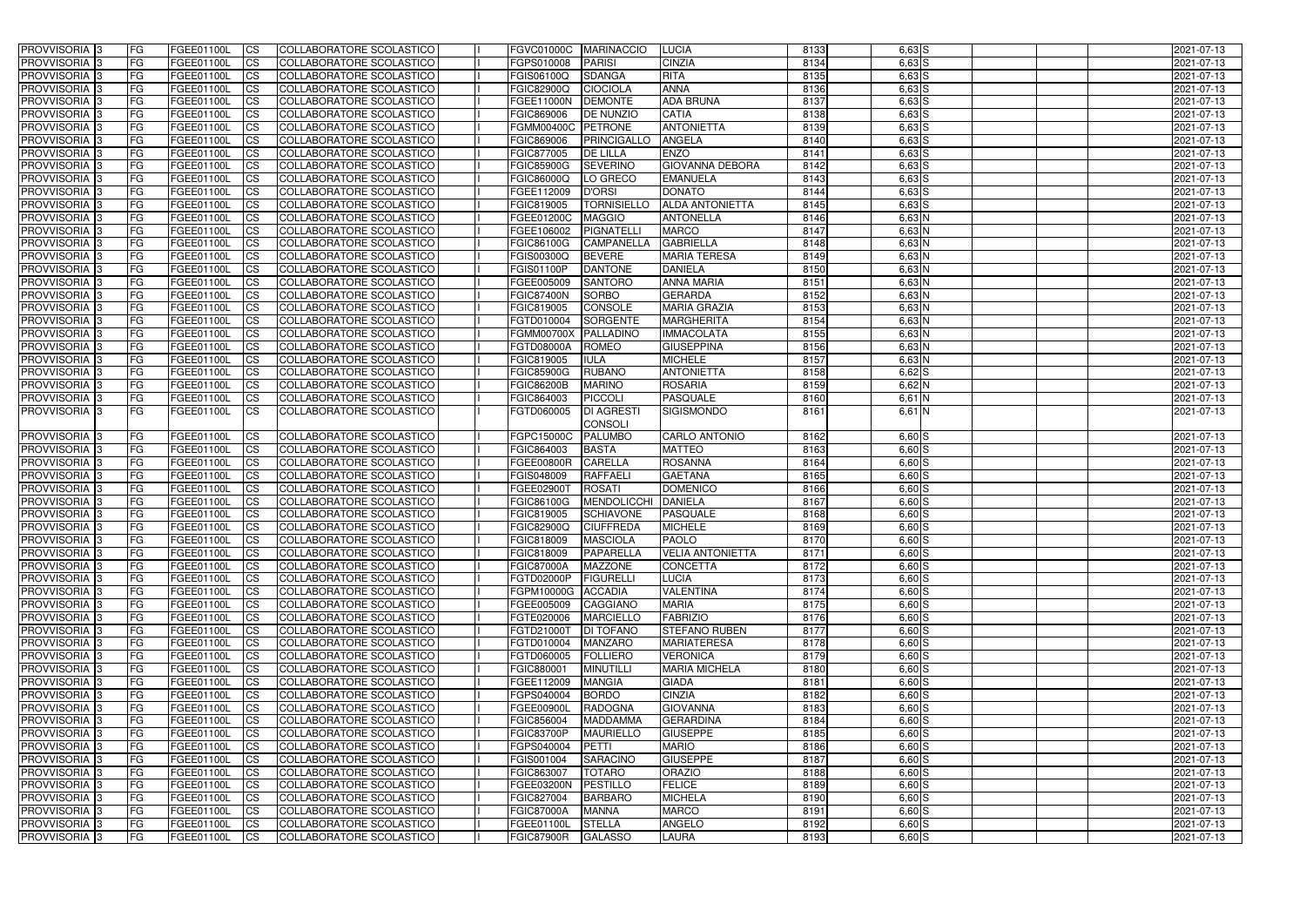| PROVVISORIA <sup>1</sup> 3                  | <b>FG</b>              | FGEE01100L               | <b>ICS</b>               | COLLABORATORE SCOLASTICO                             | <b>FGVC01000C</b>               | <b>MARINACCIO</b>                      | <b>LUCIA</b>                          | 8133         | $6,63$ $S$           | 2021-07-13               |
|---------------------------------------------|------------------------|--------------------------|--------------------------|------------------------------------------------------|---------------------------------|----------------------------------------|---------------------------------------|--------------|----------------------|--------------------------|
| PROVVISORIA <sup>1</sup> 3                  | FG                     | FGEE01100L               | <b>CS</b>                | <b>COLLABORATORE SCOLASTICO</b>                      | FGPS010008                      | <b>PARISI</b>                          | <b>CINZIA</b>                         | 8134         | $6,63$ $S$           | 2021-07-13               |
| PROVVISORIA <sup>1</sup> 3                  | FG                     | FGEE01100L               | <b>CS</b>                | COLLABORATORE SCOLASTICO                             | FGIS06100Q                      | <b>SDANGA</b>                          | <b>RITA</b>                           | 8135         | $6,63$ S             | 2021-07-13               |
| PROVVISORIA 3                               | FG                     | FGEE01100L               | <b>CS</b>                | COLLABORATORE SCOLASTICO                             | FGIC82900Q                      | <b>CIOCIOLA</b>                        | <b>ANNA</b>                           | 8136         | $6,63$ $S$           | 2021-07-13               |
| PROVVISORIA <sup>1</sup> 3                  | FG                     | FGEE01100L               | <b>CS</b>                | COLLABORATORE SCOLASTICO                             | FGEE11000N                      | <b>DEMONTE</b>                         | <b>ADA BRUNA</b>                      | 8137         | $6,63$ $S$           | 2021-07-13               |
| PROVVISORIA 3                               | FG                     | FGEE01100L               | <b>ICS</b>               | COLLABORATORE SCOLASTICO                             | FGIC869006                      | <b>DE NUNZIO</b>                       | <b>CATIA</b>                          | 8138         | $6,63$ $S$           | 2021-07-13               |
| PROVVISORIA 3                               | <b>FG</b>              | FGEE01100L               | <b>ICS</b>               | COLLABORATORE SCOLASTICO                             | FGMM00400C PETRONE              |                                        | <b>ANTONIETTA</b>                     | 8139         | $6,63$ $S$           | 2021-07-13               |
| PROVVISORIA 3                               | FG                     | FGEE01100L               | <b>ICS</b>               | COLLABORATORE SCOLASTICO                             | FGIC869006                      | <b>PRINCIGALLO</b>                     | <b>ANGELA</b>                         | 8140         | $6,63$ $S$           | 2021-07-13               |
| PROVVISORIA 3                               | FG                     | FGEE01100L               | <b>CS</b>                | COLLABORATORE SCOLASTICO                             | FGIC877005                      | <b>DE LILLA</b>                        | <b>ENZO</b>                           | 8141         | $6,63$ $S$           | 2021-07-13               |
| PROVVISORIA 3                               | <b>FG</b>              | FGEE01100L               | <b>CS</b>                | COLLABORATORE SCOLASTICO                             | <b>FGIC85900G</b>               | <b>SEVERINO</b>                        | <b>GIOVANNA DEBORA</b>                | 8142         | $6,63$ S             | 2021-07-13               |
| PROVVISORIA 3                               | <b>FG</b>              | <b>FGEE01100L</b>        | <b>ICS</b>               | COLLABORATORE SCOLASTICO                             | FGIC86000Q                      | LO GRECO                               | <b>EMANUELA</b>                       | 8143         | $6,63$ $S$           | 2021-07-13               |
| PROVVISORIA <sup>1</sup> 3                  | FG                     | FGEE01100L               | <b>ICS</b>               | COLLABORATORE SCOLASTICO                             | FGEE112009                      | <b>D'ORSI</b>                          | <b>DONATO</b>                         | 8144         | $6,63$ $S$           | 2021-07-13               |
| PROVVISORIA <sup>1</sup> 3                  | FG                     | FGEE01100L               | <b>ICS</b>               | COLLABORATORE SCOLASTICO                             | FGIC819005                      | <b>TORNISIELLO</b>                     | <b>ALDA ANTONIETTA</b>                | 8145         | $6,63$ $S$           | 2021-07-13               |
| <b>PROVVISORIA</b>                          | FG                     | FGEE01100L               | <b>ICS</b>               | COLLABORATORE SCOLASTICO                             | FGEE01200C                      | <b>MAGGIO</b>                          | <b>ANTONELLA</b>                      | 8146         | 6,63 N               | 2021-07-13               |
| <b>PROVVISORIA</b>                          | FG                     | FGEE01100L               | <b>ICS</b>               | COLLABORATORE SCOLASTICO                             | FGEE106002                      | <b>PIGNATELL</b>                       | <b>MARCO</b>                          | 8147         | 6,63 N               | 2021-07-13               |
| PROVVISORIA <sup>1</sup> 3                  | FG                     | FGEE01100L               | <b>ICS</b>               | COLLABORATORE SCOLASTICO                             | <b>FGIC86100G</b>               | <b>CAMPANELLA</b>                      | <b>GABRIELLA</b>                      | 8148         | 6,63 N               | 2021-07-13               |
| PROVVISORIA <sup>3</sup><br>PROVVISORIA 3   | FG<br>FG               | FGEE01100L<br>FGEE01100L | <b>CS</b>                | COLLABORATORE SCOLASTICO<br>COLLABORATORE SCOLASTICO | FGIS00300Q<br><b>FGIS01100P</b> | <b>BEVERE</b><br><b>DANTONE</b>        | <b>MARIA TERESA</b><br><b>DANIELA</b> | 8149<br>8150 | $6,63$ N<br>$6,63$ N | 2021-07-13<br>2021-07-13 |
| PROVVISORIA <sup>1</sup> 3                  | FG                     | FGEE01100L               | <b>ICS</b><br><b>ICS</b> | COLLABORATORE SCOLASTICO                             | FGEE005009                      | <b>SANTORO</b>                         | <b>ANNA MARIA</b>                     | 8151         | $6,63$ N             | 2021-07-13               |
| PROVVISORIA 3                               | FG                     | FGEE01100L               | <b>ICS</b>               | COLLABORATORE SCOLASTICO                             | <b>FGIC87400N</b>               | <b>SORBO</b>                           | <b>GERARDA</b>                        | 8152         | $6,63$ N             | 2021-07-13               |
| PROVVISORIA <sup>1</sup> 3                  | FG                     | FGEE01100L               | <b>CS</b>                | COLLABORATORE SCOLASTICO                             | FGIC819005                      | <b>CONSOLE</b>                         | <b>MARIA GRAZIA</b>                   | 8153         | $6,63$ N             | 2021-07-13               |
| PROVVISORIA 3                               | FG                     | FGEE01100L               | <b>CS</b>                | COLLABORATORE SCOLASTICO                             | FGTD010004                      | <b>SORGENTE</b>                        | <b>MARGHERITA</b>                     | 8154         | $6,63$ N             | 2021-07-13               |
| PROVVISORIA <sup>1</sup> 3                  | FG                     | FGEE01100L               | <b>CS</b>                | COLLABORATORE SCOLASTICO                             | <b>FGMM00700X</b>               | PALLADINO                              | <b>IMMACOLATA</b>                     | 8155         | $6,63$ N             | 2021-07-13               |
| PROVVISORIA <sup>1</sup> 3                  | <b>FG</b>              | FGEE01100L               | <b>CS</b>                | <b>COLLABORATORE SCOLASTICO</b>                      | FGTD08000A                      | <b>ROMEO</b>                           | <b>GIUSEPPINA</b>                     | 8156         | $6,63$ N             | 2021-07-13               |
| PROVVISORIA 3                               | FG                     | FGEE01100L               | <b>CS</b>                | COLLABORATORE SCOLASTICO                             | FGIC819005                      | <b>IULA</b>                            | <b>MICHELE</b>                        | 8157         | 6,63 N               | 2021-07-13               |
| PROVVISORIA <sup>1</sup> 3                  | FG                     | FGEE01100L               | <b>CS</b>                | COLLABORATORE SCOLASTICO                             | <b>FGIC85900G</b>               | <b>RUBANO</b>                          | <b>ANTONIETTA</b>                     | 8158         | $6,62$ $S$           | 2021-07-13               |
| PROVVISORIA 3                               | FG                     | FGEE01100L               | <b>CS</b>                | COLLABORATORE SCOLASTICO                             | <b>FGIC86200B</b>               | <b>MARINO</b>                          | <b>ROSARIA</b>                        | 8159         | 6,62 N               | 2021-07-13               |
| PROVVISORIA <sup>1</sup> 3                  | FG                     | FGEE01100L               | <b>CS</b>                | COLLABORATORE SCOLASTICO                             | FGIC864003                      | <b>PICCOLI</b>                         | <b>PASQUALE</b>                       | 8160         | 6,61 N               | 2021-07-13               |
| PROVVISORIA 3                               | FG                     | FGEE01100L               | <b>ICS</b>               | COLLABORATORE SCOLASTICO                             | FGTD060005                      | <b>DI AGRESTI</b>                      | SIGISMONDO                            | 8161         | $6,61$ N             | 2021-07-13               |
|                                             |                        |                          |                          |                                                      |                                 | <b>CONSOLI</b>                         |                                       |              |                      |                          |
| PROVVISORIA 3                               | <b>FG</b>              | FGEE01100L               | <b>CS</b>                | COLLABORATORE SCOLASTICO                             | FGPC15000C                      | <b>PALUMBO</b>                         | <b>CARLO ANTONIO</b>                  | 8162         | $6,60$ S             | 2021-07-13               |
| PROVVISORIA <sup>1</sup> 3                  | FG                     | FGEE01100L               | <b>ICS</b>               | COLLABORATORE SCOLASTICO                             | FGIC864003                      | <b>BASTA</b>                           | <b>MATTEO</b>                         | 8163         | $6,60$ S             | 2021-07-13               |
| PROVVISORIA 3                               | <b>FG</b>              | FGEE01100L               | <b>ICS</b>               | COLLABORATORE SCOLASTICO                             | FGEE00800R                      | <b>CARELLA</b>                         | <b>ROSANNA</b>                        | 8164         | $6,60$ S             | 2021-07-13               |
| PROVVISORIA 3                               | FG                     | FGEE01100L               | <b>ICS</b>               | COLLABORATORE SCOLASTICO                             | FGIS048009                      | <b>RAFFAELI</b>                        | <b>GAETANA</b>                        | 8165         | $6,60$ S             | 2021-07-13               |
| PROVVISORIA 3                               | <b>FG</b>              | FGEE01100L               | <b>CS</b>                | COLLABORATORE SCOLASTICO                             | FGEE02900T                      | <b>ROSATI</b>                          | <b>DOMENICO</b>                       | 8166         | $6,60$ S             | 2021-07-13               |
| PROVVISORIA 3                               | <b>FG</b>              | FGEE01100L               | <b>CS</b><br><b>ICS</b>  | COLLABORATORE SCOLASTICO<br>COLLABORATORE SCOLASTICO | FGIC86100G<br>FGIC819005        | <b>MENDOLICCHI</b><br><b>SCHIAVONE</b> | <b>DANIELA</b><br><b>PASQUALE</b>     | 8167<br>8168 | $6,60$ S             | 2021-07-13<br>2021-07-13 |
| PROVVISORIA <sup>1</sup> 3<br>PROVVISORIA 3 | FG<br><b>FG</b>        | FGEE01100L<br>FGEE01100L | <b>ICS</b>               | COLLABORATORE SCOLASTICO                             | <b>FGIC82900Q</b>               | <b>CIUFFREDA</b>                       | <b>MICHELE</b>                        | 8169         | $6,60$ S<br>$6,60$ S | 2021-07-13               |
| PROVVISORIA 3                               | IFG.                   | FGEE01100L CS            |                          | COLLABORATORE SCOLASTICO                             | <b>FGIC818009</b>               | MASCIOLA                               | <b>PAOLO</b>                          | 8170         | $6,60$ S             | 2021-07-13               |
| PROVVISORIA 3                               | l FG                   | FGEE01100L               | CS                       | COLLABORATORE SCOLASTICO                             | FGIC818009                      | PAPARELLA                              | <b>VELIA ANTONIETTA</b>               | 8171         | $6,60$ S             | 2021-07-13               |
| <b>PROVVISORIA</b> 3                        | <b>FG</b>              | FGEE01100L               | CS                       | COLLABORATORE SCOLASTICO                             | <b>FGIC87000A</b>               | <b>MAZZONE</b>                         | <b>CONCETTA</b>                       | 8172         | $6,60$ S             | 2021-07-13               |
| PROVVISORIA 3                               | <b>FG</b>              | FGEE01100L               | $\mathsf{ICS}$           | COLLABORATORE SCOLASTICO                             | FGTD02000P                      | <b>FIGURELLI</b>                       | <b>LUCIA</b>                          | 8173         | $6,60$ S             | 2021-07-13               |
| <b>PROVVISORIA</b> 3                        | l FG                   | FGEE01100L               | $\mathsf{ICS}$           | COLLABORATORE SCOLASTICO                             | FGPM10000G ACCADIA              |                                        | <b>VALENTINA</b>                      | 8174         | $6,60$ S             | 2021-07-13               |
| PROVVISORIA 3                               | FG                     | FGEE01100L               | <b>CS</b>                | COLLABORATORE SCOLASTICO                             | FGEE005009                      | CAGGIANO                               | <b>MARIA</b>                          | 8175         | $6,60$ S             | 2021-07-13               |
| PROVVISORIA 3                               | FG                     | FGEE01100L               | <b>ICS</b>               | COLLABORATORE SCOLASTICO                             | FGTE020006                      | <b>MARCIELLO</b>                       | <b>FABRIZIO</b>                       | 8176         | $6,60$ S             | 2021-07-13               |
| PROVVISORIA 3                               | <b>FG</b>              | FGEE01100L               | <b>CS</b>                | COLLABORATORE SCOLASTICO                             | FGTD21000T   DI TOFANO          |                                        | <b>STEFANO RUBEN</b>                  | 8177         | $6,60$ S             | 2021-07-13               |
| PROVVISORIA 3                               | <b>FG</b>              | FGEE01100L               | <b>CS</b>                | COLLABORATORE SCOLASTICO                             | FGTD010004                      | <b>MANZARO</b>                         | <b>MARIATERESA</b>                    | 8178         | $6,60$ S             | 2021-07-13               |
| PROVVISORIA 3                               | <b>FG</b>              | FGEE01100L               | <b>CS</b>                | COLLABORATORE SCOLASTICO                             | FGTD060005                      | <b>FOLLIERO</b>                        | <b>VERONICA</b>                       | 8179         | $6,60$ S             | 2021-07-13               |
| PROVVISORIA 3                               | <b>FG</b>              | FGEE01100L               | <b>CS</b>                | COLLABORATORE SCOLASTICO                             | FGIC880001                      | <b>MINUTILLI</b>                       | <b>MARIA MICHELA</b>                  | 8180         | $6,60$ S             | 2021-07-13               |
| PROVVISORIA 3                               | <b>FG</b>              | FGEE01100L               | <b>CS</b>                | COLLABORATORE SCOLASTICO                             | FGEE112009                      | <b>MANGIA</b>                          | <b>GIADA</b>                          | 8181         | $6,60$ $S$           | 2021-07-13               |
| PROVVISORIA 3                               | <b>FG</b>              | FGEE01100L               | <b>CS</b>                | COLLABORATORE SCOLASTICO                             | FGPS040004                      | BORDO                                  | <b>CINZIA</b>                         | 8182         | $6,60$ $S$           | 2021-07-13               |
| PROVVISORIA 3                               | <b>FG</b>              | FGEE01100L               | <b>CS</b>                | COLLABORATORE SCOLASTICO                             | FGEE00900L                      | <b>RADOGNA</b>                         | <b>GIOVANNA</b>                       | 8183         | $6,60$ S             | 2021-07-13               |
| PROVVISORIA 3                               | <b>FG</b>              | FGEE01100L               | <b>CS</b>                | COLLABORATORE SCOLASTICO                             | FGIC856004                      | <b>MADDAMMA</b>                        | <b>GERARDINA</b>                      | 8184         | $6,60$ S             | 2021-07-13               |
| PROVVISORIA 3                               | <b>FG</b>              | FGEE01100L               | <b>CS</b>                | COLLABORATORE SCOLASTICO<br>COLLABORATORE SCOLASTICO | FGIC83700P                      | <b>MAURIELLO</b>                       | <b>GIUSEPPE</b>                       | 8185         | $6,60$ S             | 2021-07-13               |
| PROVVISORIA 3<br>PROVVISORIA 3              | <b>FG</b><br><b>FG</b> | FGEE01100L<br>FGEE01100L | <b>CS</b><br><b>CS</b>   | COLLABORATORE SCOLASTICO                             | FGPS040004<br>FGIS001004        | PETTI<br><b>SARACINO</b>               | <b>MARIO</b><br><b>GIUSEPPE</b>       | 8186<br>8187 | $6,60$ S<br>$6,60$ S | 2021-07-13<br>2021-07-13 |
| PROVVISORIA 3                               | FG                     | FGEE01100L               | <b>CS</b>                | COLLABORATORE SCOLASTICO                             | FGIC863007                      | <b>TOTARO</b>                          | <b>ORAZIO</b>                         | 8188         | $6,60$ S             | 2021-07-13               |
| PROVVISORIA 3                               | <b>FG</b>              | FGEE01100L               | <b>CS</b>                | COLLABORATORE SCOLASTICO                             | FGEE03200N                      | <b>PESTILLO</b>                        | <b>FELICE</b>                         | 8189         | $6,60$ S             | 2021-07-13               |
| PROVVISORIA 3                               | <b>FG</b>              | FGEE01100L               | $\overline{\text{CS}}$   | COLLABORATORE SCOLASTICO                             | FGIC827004                      | <b>BARBARO</b>                         | <b>MICHELA</b>                        | 8190         | $6,60$ S             | 2021-07-13               |
| PROVVISORIA 3                               | <b>FG</b>              | <b>FGEE01100L</b>        | $\mathsf{ICS}$           | COLLABORATORE SCOLASTICO                             | <b>FGIC87000A</b>               | <b>MANNA</b>                           | <b>MARCO</b>                          | 8191         | $6,60$ S             | 2021-07-13               |
| PROVVISORIA 3                               | <b>FG</b>              | <b>FGEE01100L</b>        | <b>CS</b>                | COLLABORATORE SCOLASTICO                             | FGEE01100L                      | <b>STELLA</b>                          | <b>ANGELO</b>                         | 8192         | $6,60$ S             | 2021-07-13               |
| PROVVISORIA 3                               | <b>FG</b>              | FGEE01100L               | $\overline{\text{CS}}$   | COLLABORATORE SCOLASTICO                             | <b>FGIC87900R</b>               | <b>GALASSO</b>                         | LAURA                                 | 8193         | $6,60$ S             | 2021-07-13               |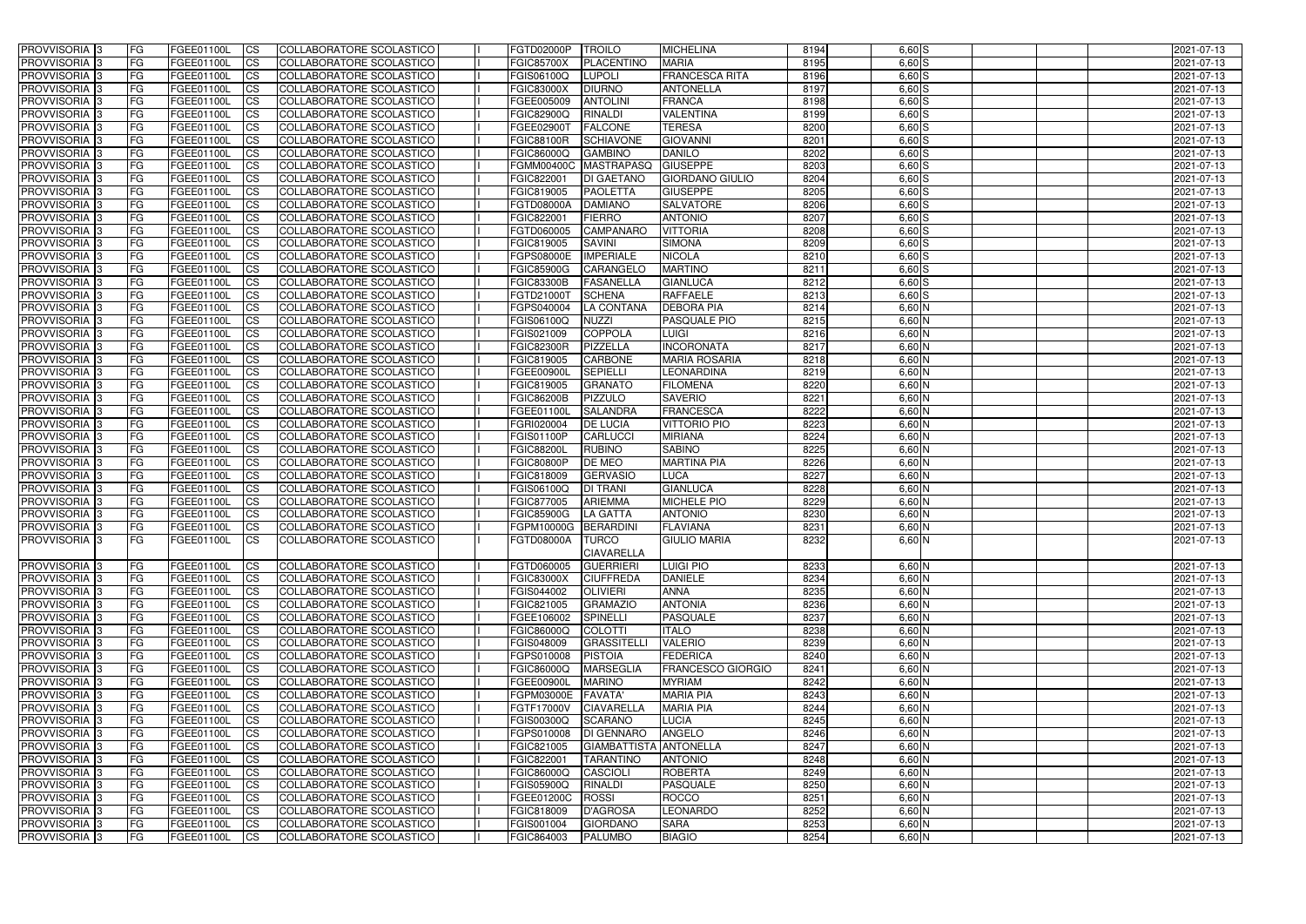| <b>PROVVISORIA</b> 3                        | <b>FG</b>              | FGEE01100L               | <b>ICS</b>             | COLLABORATORE SCOLASTICO                                    | FGTD02000P                      | <b>TROILO</b>                      | <b>MICHELINA</b>                         | 8194         | $6,60$ $S$           | 2021-07-13               |
|---------------------------------------------|------------------------|--------------------------|------------------------|-------------------------------------------------------------|---------------------------------|------------------------------------|------------------------------------------|--------------|----------------------|--------------------------|
| PROVVISORIA <sup>1</sup> 3                  | FG                     | FGEE01100L               | <b>ICS</b>             | <b>COLLABORATORE SCOLASTICO</b>                             | <b>FGIC85700X</b>               | <b>PLACENTINO</b>                  | <b>MARIA</b>                             | 8195         | $6,60$ $S$           | 2021-07-13               |
| PROVVISORIA <sup>1</sup> 3                  | FG                     | FGEE01100L               | <b>CS</b>              | COLLABORATORE SCOLASTICO                                    | FGIS06100Q                      | <b>LUPOLI</b>                      | <b>FRANCESCA RITA</b>                    | 8196         | $6,60$ S             | 2021-07-13               |
| PROVVISORIA <sup>1</sup> 3                  | FG                     | FGEE01100L               | <b>CS</b>              | COLLABORATORE SCOLASTICO                                    | <b>FGIC83000X</b>               | <b>DIURNO</b>                      | <b>ANTONELLA</b>                         | 8197         | $6,60$ S             | 2021-07-13               |
| PROVVISORIA <sup>1</sup> 3                  | FG                     | FGEE01100L               | <b>ICS</b>             | COLLABORATORE SCOLASTICO                                    | FGEE005009                      | <b>ANTOLINI</b>                    | <b>FRANCA</b>                            | 8198         | $6,60$ S             | 2021-07-13               |
| PROVVISORIA 3                               | FG                     | FGEE01100L               | <b>ICS</b>             | COLLABORATORE SCOLASTICO                                    | FGIC82900Q                      | <b>RINALDI</b>                     | <b>VALENTINA</b>                         | 8199         | $6,60$ S             | 2021-07-13               |
| PROVVISORIA 3                               | FG                     | FGEE01100L               | <b>ICS</b>             | COLLABORATORE SCOLASTICO                                    | FGEE02900T                      | <b>FALCONE</b>                     | <b>TERESA</b>                            | 8200         | $6,60$ S             | 2021-07-13               |
| PROVVISORIA <sup>1</sup> 3                  | FG                     | FGEE01100L               | <b>ICS</b>             | COLLABORATORE SCOLASTICO                                    | <b>FGIC88100R</b>               | <b>SCHIAVONE</b>                   | <b>GIOVANNI</b>                          | 8201         | $6,60$ S             | 2021-07-13               |
| PROVVISORIA 3                               | FG                     | FGEE01100L               | <b>CS</b>              | COLLABORATORE SCOLASTICO                                    | FGIC86000Q                      | <b>GAMBINO</b>                     | <b>DANILO</b>                            | 8202         | $6,60$ S             | 2021-07-13               |
| PROVVISORIA 3                               | FG                     | FGEE01100L               | <b>CS</b>              | COLLABORATORE SCOLASTICO                                    |                                 | FGMM00400C MASTRAPASQ              | GIUSEPPE                                 | 8203         | $6,60$ S             | 2021-07-13               |
| PROVVISORIA <sup>1</sup> 3                  | <b>FG</b>              | FGEE01100L               | <b>ICS</b>             | COLLABORATORE SCOLASTICO                                    | FGIC822001                      | <b>DI GAETANO</b>                  | <b>GIORDANO GIULIO</b>                   | 8204         | $6,60$ S             | 2021-07-13               |
| <b>PROVVISORIA</b> 3                        | FG                     | FGEE01100L               | <b>ICS</b>             | COLLABORATORE SCOLASTICO                                    | FGIC819005                      | <b>PAOLETTA</b>                    | <b>GIUSEPPE</b>                          | 8205         | $6,60$ S             | 2021-07-13               |
| PROVVISORIA <sup>1</sup> 3                  | FG                     | FGEE01100L               | <b>ICS</b>             | COLLABORATORE SCOLASTICO                                    | <b>FGTD08000A</b>               | <b>DAMIANO</b>                     | <b>SALVATORE</b>                         | 8206         | $6,60$ S             | 2021-07-13               |
| <b>PROVVISORIA</b>                          | FG                     | FGEE01100L               | <b>ICS</b>             | COLLABORATORE SCOLASTICO                                    | FGIC822001                      | <b>FIERRO</b>                      | <b>ANTONIO</b>                           | 8207         | $6,60$ S             | 2021-07-13               |
| <b>PROVVISORIA</b>                          | FG                     | FGEE01100L               | <b>ICS</b>             | COLLABORATORE SCOLASTICO                                    | FGTD060005                      | <b>CAMPANARO</b>                   | <b>VITTORIA</b>                          | 8208         | $6,60$ S             | 2021-07-13               |
| PROVVISORIA <sup>1</sup> 3                  | FG                     | FGEE01100L               | <b>ICS</b>             | COLLABORATORE SCOLASTICO                                    | FGIC819005                      | <b>SAVINI</b>                      | <b>SIMONA</b>                            | 8209         | $6,60$ S             | 2021-07-13               |
| <b>PROVVISORIA</b>                          | FG                     | FGEE01100L               | <b>ICS</b>             | COLLABORATORE SCOLASTICO                                    | FGPS08000E                      | <b>IMPERIALE</b>                   | <b>NICOLA</b>                            | 8210         | $6,60$ S             | 2021-07-13               |
| PROVVISORIA 3                               | FG                     | FGEE01100L               | <b>ICS</b>             | COLLABORATORE SCOLASTICO                                    | <b>FGIC85900G</b>               | CARANGELO                          | <b>MARTINO</b>                           | 8211         | $6,60$ S             | 2021-07-13               |
| PROVVISORIA <sup>1</sup> 3                  | FG                     | FGEE01100L               | <b>ICS</b>             | COLLABORATORE SCOLASTICO                                    | <b>FGIC83300B</b>               | <b>FASANELLA</b>                   | <b>GIANLUCA</b>                          | 8212         | $6,60$ S             | 2021-07-13               |
| PROVVISORIA <sup>1</sup> 3                  | FG                     | FGEE01100L               | <b>ICS</b>             | COLLABORATORE SCOLASTICO                                    | FGTD21000T                      | <b>SCHENA</b>                      | <b>RAFFAELE</b>                          | 8213         | $6,60$ S             | 2021-07-13               |
| PROVVISORIA <sup>1</sup> 3                  | FG                     | FGEE01100L               | <b>CS</b>              | COLLABORATORE SCOLASTICO                                    | FGPS040004                      | <b>LA CONTANA</b>                  | <b>DEBORA PIA</b><br><b>PASQUALE PIO</b> | 8214<br>8215 | $6,60$ N<br>$6,60$ N | 2021-07-13               |
| PROVVISORIA 3                               | FG                     | FGEE01100L               | <b>CS</b>              | COLLABORATORE SCOLASTICO                                    | FGIS06100Q                      | <b>NUZZI</b>                       |                                          |              |                      | 2021-07-13               |
| PROVVISORIA 3<br>PROVVISORIA <sup>1</sup> 3 | FG<br><b>FG</b>        | FGEE01100L<br>FGEE01100L | <b>CS</b><br><b>CS</b> | <b>COLLABORATORE SCOLASTICO</b><br>COLLABORATORE SCOLASTICO | FGIS021009<br><b>FGIC82300R</b> | <b>COPPOLA</b><br><b>PIZZELLA</b>  | <b>LUIGI</b><br><b>INCORONATA</b>        | 8216<br>8217 | $6,60$ N<br>$6,60$ N | 2021-07-13               |
| PROVVISORIA 3                               | FG                     | FGEE01100L               | <b>CS</b>              | COLLABORATORE SCOLASTICO                                    | FGIC819005                      | CARBONE                            | <b>MARIA ROSARIA</b>                     | 8218         | 6,60 N               | 2021-07-13<br>2021-07-13 |
| PROVVISORIA <sup>1</sup> 3                  | FG                     | FGEE01100L               | <b>ICS</b>             | COLLABORATORE SCOLASTICO                                    | <b>FGEE00900L</b>               | <b>SEPIELLI</b>                    | LEONARDINA                               | 8219         | 6,60 N               | 2021-07-13               |
| PROVVISORIA                                 | FG                     | FGEE01100L               | <b>CS</b>              | <b>COLLABORATORE SCOLASTICO</b>                             | FGIC819005                      | <b>GRANATO</b>                     | <b>FILOMENA</b>                          | 8220         | 6,60 N               | 2021-07-13               |
| PROVVISORIA 3                               | FG                     | FGEE01100L               | <b>CS</b>              | COLLABORATORE SCOLASTICO                                    | <b>FGIC86200B</b>               | <b>PIZZULO</b>                     | <b>SAVERIO</b>                           | 8221         | 6,60 N               | 2021-07-13               |
| PROVVISORIA <sup>1</sup> 3                  | FG                     | FGEE01100L               | <b>CS</b>              | COLLABORATORE SCOLASTICO                                    | FGEE01100L                      | <b>SALANDRA</b>                    | <b>FRANCESCA</b>                         | 8222         | 6,60 N               | 2021-07-13               |
| PROVVISORIA 3                               | FG                     | FGEE01100L               | <b>CS</b>              | COLLABORATORE SCOLASTICO                                    | FGRI020004                      | <b>DE LUCIA</b>                    | <b>VITTORIO PIO</b>                      | 8223         | $6,60$ N             | 2021-07-13               |
| PROVVISORIA                                 | FG                     | FGEE01100L               | <b>CS</b>              | COLLABORATORE SCOLASTICO                                    | FGIS01100P                      | <b>CARLUCCI</b>                    | <b>MIRIANA</b>                           | 8224         | $6,60$ N             | 2021-07-13               |
| PROVVISORIA <sup>1</sup> 3                  | FG                     | FGEE01100L               | <b>ICS</b>             | COLLABORATORE SCOLASTICO                                    | <b>FGIC88200L</b>               | <b>RUBINO</b>                      | <b>SABINO</b>                            | 8225         | 6,60 N               | 2021-07-13               |
| PROVVISORIA                                 | FG                     | FGEE01100L               | <b>ICS</b>             | <b>COLLABORATORE SCOLASTICO</b>                             | <b>FGIC80800P</b>               | DE MEO                             | <b>MARTINA PIA</b>                       | 8226         | $6,60$ N             | 2021-07-13               |
| PROVVISORIA 3                               | <b>FG</b>              | FGEE01100L               | <b>ICS</b>             | COLLABORATORE SCOLASTICO                                    | FGIC818009                      | <b>GERVASIO</b>                    | <b>LUCA</b>                              | 8227         | $6,60$ N             | 2021-07-13               |
| PROVVISORIA 3                               | <b>FG</b>              | FGEE01100L               | <b>CS</b>              | COLLABORATORE SCOLASTICO                                    | FGIS06100Q                      | <b>DI TRANI</b>                    | <b>GIANLUCA</b>                          | 8228         | $6,60$ N             | 2021-07-13               |
| <b>PROVVISORIA</b>                          | <b>FG</b>              | FGEE01100L               | <b>CS</b>              | COLLABORATORE SCOLASTICO                                    | FGIC877005                      | <b>ARIEMMA</b>                     | <b>MICHELE PIO</b>                       | 8229         | 6,60 N               | 2021-07-13               |
| PROVVISORIA <sup>1</sup> 3                  | FG                     | FGEE01100L               | <b>ICS</b>             | COLLABORATORE SCOLASTICO                                    | <b>FGIC85900G</b>               | LA GATTA                           | <b>ANTONIO</b>                           | 8230         | $6,60$ N             | 2021-07-13               |
| PROVVISORIA 3                               | FG                     | FGEE01100L               | <b>ICS</b>             | COLLABORATORE SCOLASTICO                                    | FGPM10000G BERARDINI            |                                    | <b>FLAVIANA</b>                          | 8231         | 6,60 N               | 2021-07-13               |
| PROVVISORIA 3                               | IFG.                   | FGEE01100L CS            |                        | COLLABORATORE SCOLASTICO                                    | FGTD08000A TURCO                |                                    | <b>GIULIO MARIA</b>                      | 8232         | $6,60$ N             | 2021-07-13               |
|                                             |                        |                          |                        |                                                             |                                 | <b>CIAVARELLA</b>                  |                                          |              |                      |                          |
| PROVVISORIA 3                               | FG                     | FGEE01100L               | CS                     | COLLABORATORE SCOLASTICO                                    | FGTD060005                      | <b>GUERRIERI</b>                   | LUIGI PIO                                | 8233         | $6,60$ N             | 2021-07-13               |
| PROVVISORIA 3                               | l FG                   | FGEE01100L               | CS                     | COLLABORATORE SCOLASTICO                                    | <b>FGIC83000X</b>               | <b>CIUFFREDA</b>                   | <b>DANIELE</b>                           | 8234         | $6,60$ N             | 2021-07-13               |
| PROVVISORIA 3                               | l FG                   | FGEE01100L               | CS                     | COLLABORATORE SCOLASTICO                                    | FGIS044002                      | OLIVIERI                           | ANNA                                     | 8235         | $6,60$ N             | 2021-07-13               |
| PROVVISORIA 3                               | FG                     | <b>FGEE01100L</b>        | $\mathsf{ICS}$         | COLLABORATORE SCOLASTICO                                    | FGIC821005                      | <b>GRAMAZIO</b>                    | <b>ANTONIA</b>                           | 8236         | $6,60$ N             | 2021-07-13               |
| PROVVISORIA 3                               | FG                     | FGEE01100L               | $\mathsf{ICS}$         | COLLABORATORE SCOLASTICO                                    | FGEE106002                      | <b>SPINELLI</b>                    | PASQUALE                                 | 8237         | $6,60$ N             | 2021-07-13               |
| PROVVISORIA 3                               | <b>FG</b>              | FGEE01100L               | <b>CS</b>              | COLLABORATORE SCOLASTICO                                    | <b>FGIC86000Q</b>               | COLOTTI                            | <b>ITALO</b>                             | 8238         | $6,60$ N             | 2021-07-13               |
| PROVVISORIA 3                               | <b>FG</b>              | FGEE01100L               | <b>CS</b>              | COLLABORATORE SCOLASTICO                                    | FGIS048009                      | GRASSITELLI                        | <b>VALERIO</b>                           | 8239         | $6,60$ N             | 2021-07-13               |
| PROVVISORIA 3<br>PROVVISORIA 3              | <b>FG</b>              | FGEE01100L               | <b>CS</b>              | COLLABORATORE SCOLASTICO                                    | FGPS010008                      | <b>PISTOIA</b><br><b>MARSEGLIA</b> | <b>FEDERICA</b>                          | 8240<br>8241 | $6,60$ N             | 2021-07-13               |
|                                             | <b>FG</b>              | FGEE01100L               | <b>CS</b>              | COLLABORATORE SCOLASTICO                                    | <b>FGIC86000Q</b>               |                                    | <b>FRANCESCO GIORGIO</b>                 |              | $6,60$ N             | 2021-07-13               |
| PROVVISORIA 3                               | <b>FG</b>              | FGEE01100L               | <b>CS</b>              | COLLABORATORE SCOLASTICO                                    | FGEE00900L                      | <b>MARINO</b>                      | <b>MYRIAM</b>                            | 8242         | $6,60$ N             | 2021-07-13               |
| PROVVISORIA 3<br>PROVVISORIA 3              | <b>FG</b><br><b>FG</b> | FGEE01100L<br>FGEE01100L | <b>CS</b><br><b>CS</b> | COLLABORATORE SCOLASTICO<br>COLLABORATORE SCOLASTICO        | FGPM03000E<br>FGTF17000V        | <b>FAVATA</b><br><b>CIAVARELLA</b> | <b>MARIA PIA</b><br><b>MARIA PIA</b>     | 8243<br>8244 | $6,60$ N<br>$6,60$ N | 2021-07-13<br>2021-07-13 |
| PROVVISORIA 3                               | <b>FG</b>              | FGEE01100L               | <b>CS</b>              | COLLABORATORE SCOLASTICO                                    | FGIS00300Q                      | <b>SCARANO</b>                     | <b>LUCIA</b>                             | 8245         | $6,60$ N             | 2021-07-13               |
| PROVVISORIA 3                               | <b>FG</b>              | FGEE01100L               | <b>CS</b>              | COLLABORATORE SCOLASTICO                                    | FGPS010008                      | <b>DI GENNARO</b>                  | <b>ANGELO</b>                            | 8246         | $6,60$ N             | 2021-07-13               |
| PROVVISORIA 3                               | <b>FG</b>              | FGEE01100L               | <b>CS</b>              | COLLABORATORE SCOLASTICO                                    | FGIC821005                      | GIAMBATTISTA ANTONELLA             |                                          | 8247         | 6,60 N               | 2021-07-13               |
| PROVVISORIA 3                               | <b>FG</b>              | FGEE01100L               | <b>CS</b>              | COLLABORATORE SCOLASTICO                                    | FGIC822001                      | <b>TARANTINO</b>                   | <b>ANTONIO</b>                           | 8248         | $6,60$ N             | 2021-07-13               |
| PROVVISORIA 3                               | FG                     | FGEE01100L               | <b>CS</b>              | COLLABORATORE SCOLASTICO                                    | <b>FGIC86000Q</b>               | <b>CASCIOLI</b>                    | <b>ROBERTA</b>                           | 8249         | $6,60$ N             | 2021-07-13               |
| PROVVISORIA 3                               | <b>FG</b>              | FGEE01100L               | <b>CS</b>              | COLLABORATORE SCOLASTICO                                    | FGIS05900Q                      | <b>RINALDI</b>                     | <b>PASQUALE</b>                          | 8250         | $6,60$ N             | 2021-07-13               |
| PROVVISORIA 3                               | <b>FG</b>              | FGEE01100L               | $\overline{\text{CS}}$ | COLLABORATORE SCOLASTICO                                    | FGEE01200C                      | ROSSI                              | <b>ROCCO</b>                             | 8251         | $6,60$ N             | 2021-07-13               |
| PROVVISORIA 3                               | <b>FG</b>              | FGEE01100L               | $\mathsf{ICS}$         | COLLABORATORE SCOLASTICO                                    | FGIC818009                      | D'AGROSA                           | <b>LEONARDO</b>                          | 8252         | $6,60$ N             | 2021-07-13               |
| PROVVISORIA 3                               | <b>FG</b>              | <b>FGEE01100L</b>        | <b>CS</b>              | COLLABORATORE SCOLASTICO                                    | FGIS001004                      | <b>GIORDANO</b>                    | <b>SARA</b>                              | 8253         | $6,60$ N             | 2021-07-13               |
| PROVVISORIA 3                               | l FG                   | FGEE01100L               | $\mathsf{ICS}$         | COLLABORATORE SCOLASTICO                                    | FGIC864003                      | <b>PALUMBO</b>                     | <b>BIAGIO</b>                            | 8254         | $6,60$ N             | 2021-07-13               |
|                                             |                        |                          |                        |                                                             |                                 |                                    |                                          |              |                      |                          |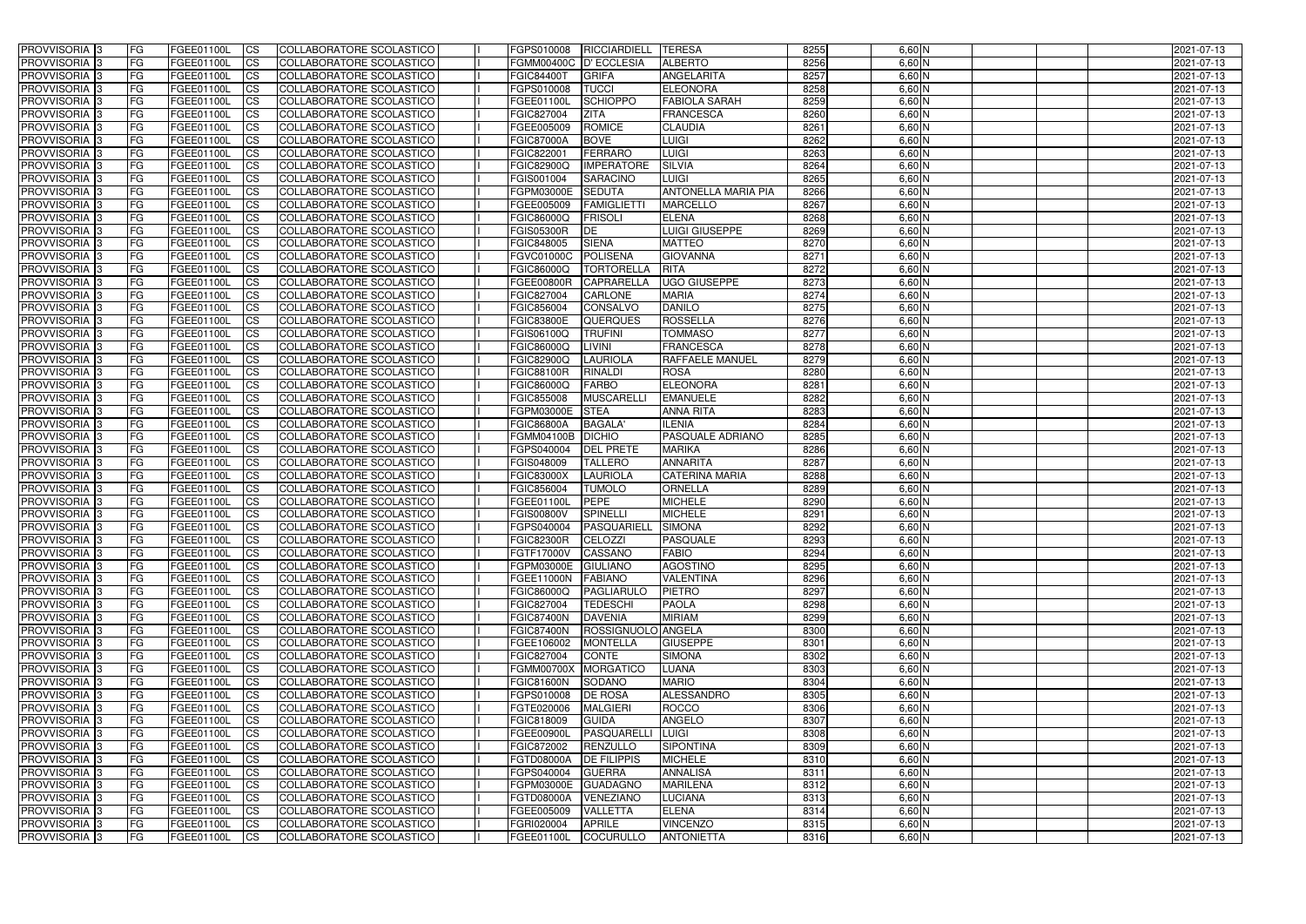| <b>PROVVISORIA</b> 3                                 | FG         | FGEE01100L                      | <b>ICS</b>                          | COLLABORATORE SCOLASTICO                             | FGPS010008               | RICCIARDIELL                       | <b>TERESA</b>                    | 8255         | $6,60$ N           | 2021-07-13               |
|------------------------------------------------------|------------|---------------------------------|-------------------------------------|------------------------------------------------------|--------------------------|------------------------------------|----------------------------------|--------------|--------------------|--------------------------|
| <b>PROVVISORIA 3</b>                                 | FG         | FGEE01100L                      | <b>CS</b>                           | COLLABORATORE SCOLASTICO                             | FGMM00400C D'ECCLESIA    |                                    | <b>ALBERTO</b>                   | 8256         | $6,60$ N           | 2021-07-13               |
| PROVVISORIA <sup>3</sup>                             | FG         | FGEE01100L                      | <b>CS</b>                           | COLLABORATORE SCOLASTICO                             | <b>FGIC84400T</b>        | <b>GRIFA</b>                       | <b>ANGELARITA</b>                | 8257         | 6,60 N             | 2021-07-13               |
| PROVVISORIA <sup>3</sup>                             | FG         | FGEE01100L                      | <b>CS</b>                           | COLLABORATORE SCOLASTICO                             | FGPS010008               | <b>TUCCI</b>                       | <b>ELEONORA</b>                  | 8258         | 6,60 N             | 2021-07-13               |
| PROVVISORIA <sup>1</sup> 3                           | FG         | FGEE01100L                      | <b>CS</b>                           | COLLABORATORE SCOLASTICO                             | FGEE01100L               | <b>SCHIOPPO</b>                    | <b>FABIOLA SARAH</b>             | 8259         | 6,60 N             | 2021-07-13               |
| PROVVISORIA <sup>3</sup>                             | FG         | FGEE01100L                      | <b>CS</b>                           | COLLABORATORE SCOLASTICO                             | FGIC827004               | <b>ZITA</b>                        | <b>FRANCESCA</b>                 | 8260         | $6,60$ N           | 2021-07-13               |
| PROVVISORIA 3                                        | FG         | FGEE01100L                      | <b>CS</b>                           | COLLABORATORE SCOLASTICO                             | FGEE005009               | <b>ROMICE</b>                      | <b>CLAUDIA</b>                   | 8261         | $6,60$ N           | 2021-07-13               |
| PROVVISORIA 3                                        | FG         | <b>FGEE01100L</b>               | <b>CS</b>                           | COLLABORATORE SCOLASTICO                             | <b>FGIC87000A</b>        | <b>BOVE</b>                        | LUIGI                            | 8262         | $6,60$ N           | 2021-07-13               |
| PROVVISORIA 3                                        | FG         | FGEE01100L                      | <b>CS</b>                           | COLLABORATORE SCOLASTICO                             | FGIC822001               | FERRARO                            | LUIGI                            | 8263         | $6,60$ N           | 2021-07-13               |
| PROVVISORIA <sup>3</sup>                             | FG         | FGEE01100L                      | $\overline{c}$                      | COLLABORATORE SCOLASTICO                             | <b>FGIC82900Q</b>        | <b>IMPERATORE</b>                  | <b>SILVIA</b>                    | 8264         | $6,60$ N           | 2021-07-13               |
| PROVVISORIA <sup>3</sup>                             | FG         | FGEE01100L                      | <b>CS</b>                           | COLLABORATORE SCOLASTICO                             | FGIS001004               | <b>SARACINO</b>                    | LUIGI                            | 8265         | $6,60$ N           | 2021-07-13               |
| PROVVISORIA <sup>3</sup>                             | FG         | <b>FGEE01100L</b>               | <b>CS</b>                           | COLLABORATORE SCOLASTICO                             | FGPM03000E               | <b>SEDUTA</b>                      | <b>ANTONELLA MARIA PIA</b>       | 8266         | $6,60$ N           | 2021-07-13               |
| PROVVISORIA <sup>3</sup>                             | FG         | <b>FGEE01100L</b>               | <b>I</b> CS                         | COLLABORATORE SCOLASTICO                             | FGEE005009               | <b>FAMIGLIETTI</b>                 | <b>MARCELLO</b>                  | 8267         | $6,60$ N           | 2021-07-13               |
| PROVVISORIA <sup>3</sup>                             | FG         | FGEE01100L                      | <b>I</b> CS                         | COLLABORATORE SCOLASTICO                             | <b>FGIC86000Q</b>        | <b>FRISOLI</b>                     | <b>ELENA</b>                     | 8268         | 6,60 N             | 2021-07-13               |
| PROVVISORIA <sup>3</sup>                             | FG         | FGEE01100L                      | <b>I</b> CS                         | COLLABORATORE SCOLASTICO                             | <b>FGIS05300R</b>        | DE                                 | LUIGI GIUSEPPE                   | 8269         | 6,60 N             | 2021-07-13               |
| <b>PROVVISORIA</b> 3                                 | FG         | FGEE01100L                      | <b>I</b> CS                         | <b>COLLABORATORE SCOLASTICO</b>                      | FGIC848005               | <b>SIENA</b>                       | <b>MATTEO</b>                    | 8270         | 6,60 N             | 2021-07-13               |
| <b>PROVVISORIA</b> 3                                 | FG         | FGEE01100L                      | <b>ICS</b>                          | COLLABORATORE SCOLASTICO                             | <b>FGVC01000C</b>        | POLISENA                           | <b>GIOVANNA</b>                  | 8271         | 6,60 N             | 2021-07-13               |
| PROVVISORIA 3                                        | FG         | FGEE01100L                      | <b>CS</b>                           | COLLABORATORE SCOLASTICO                             | FGIC86000Q               | TORTORELLA                         | <b>RITA</b>                      | 8272         | 6,60 N             | 2021-07-13               |
| PROVVISORIA <sup>3</sup>                             | FG         | FGEE01100L                      | <b>ICS</b>                          | COLLABORATORE SCOLASTICO                             | <b>FGEE00800R</b>        | <b>CAPRARELLA</b>                  | <b>UGO GIUSEPPE</b>              | 8273         | $6,60$ N           | 2021-07-13               |
| PROVVISORIA <sup>3</sup>                             | FG         | FGEE01100L                      | <b>I</b> CS                         | COLLABORATORE SCOLASTICO                             | FGIC827004               | <b>CARLONE</b>                     | <b>MARIA</b>                     | 8274         | 6,60 N             | 2021-07-13               |
| PROVVISORIA <sup>3</sup>                             | FG         | FGEE01100L                      | <b>I</b> CS                         | COLLABORATORE SCOLASTICO                             | FGIC856004               | <b>CONSALVO</b>                    | <b>DANILO</b>                    | 8275         | $6,60$ N           | 2021-07-13               |
| PROVVISORIA <sup>3</sup>                             | FG         | FGEE01100L                      | <b>CS</b>                           | COLLABORATORE SCOLASTICO                             | <b>FGIC83800E</b>        | QUERQUES                           | <b>ROSSELLA</b>                  | 8276         | $6,60$ N           | 2021-07-13               |
| PROVVISORIA <sup>3</sup>                             | FG         | FGEE01100L                      | <b>CS</b>                           | COLLABORATORE SCOLASTICO                             | FGIS06100Q               | <b>TRUFINI</b>                     | <b>TOMMASO</b>                   | 8277         | $6,60$ N           | 2021-07-13               |
| <b>PROVVISORIA</b> 3                                 | FG         | FGEE01100L                      | <b>CS</b>                           | COLLABORATORE SCOLASTICO                             | FGIC86000Q               | LIVINI                             | <b>FRANCESCA</b>                 | 8278         | $6,60$ N           | 2021-07-13               |
| PROVVISORIA <sup>3</sup>                             | FG         | FGEE01100L                      | <b>CS</b>                           | COLLABORATORE SCOLASTICO                             | <b>FGIC82900Q</b>        | <b>LAURIOLA</b>                    | <b>RAFFAELE MANUEL</b>           | 8279         | $6,60$ N           | 2021-07-13               |
| PROVVISORIA <sup>1</sup> 3                           | FG         | FGEE01100L                      | <b>CS</b>                           | COLLABORATORE SCOLASTICO                             | <b>FGIC88100R</b>        | <b>RINALDI</b>                     | <b>ROSA</b>                      | 8280         | $6,60$ N           | 2021-07-13               |
| PROVVISORIA 3                                        | FG         | <b>FGEE01100L</b>               | <b>CS</b>                           | COLLABORATORE SCOLASTICO                             | <b>FGIC86000Q</b>        | FARBO                              | <b>ELEONORA</b>                  | 8281         | 6,60 N             | 2021-07-13               |
| PROVVISORIA <sup>3</sup>                             | FG.        | FGEE01100L                      | <b>CS</b>                           | COLLABORATORE SCOLASTICO                             | FGIC855008               | <b>MUSCARELL</b>                   | <b>EMANUELE</b>                  | 8282         | 6,60 N             | 2021-07-13               |
| PROVVISORIA <sup>3</sup>                             | FG         | <b>FGEE01100L</b>               | <b>CS</b>                           | COLLABORATORE SCOLASTICO                             | FGPM03000E               | <b>STEA</b>                        | <b>ANNA RITA</b>                 | 8283         | 6,60 N             | 2021-07-13               |
| PROVVISORIA <sup>1</sup> 3                           | FG.        | FGEE01100L                      | <b>CS</b>                           | COLLABORATORE SCOLASTICO                             | <b>FGIC86800A</b>        | <b>BAGALA</b>                      | <b>ILENIA</b>                    | 8284         | 6,60 N             | 2021-07-13               |
| PROVVISORIA <sup>3</sup>                             | FG.        | FGEE01100L                      | <b>CS</b>                           | COLLABORATORE SCOLASTICO                             | FGMM04100B               | <b>DICHIO</b>                      | <b>PASQUALE ADRIANO</b>          | 8285<br>8286 | 6,60 N<br>$6,60$ N | 2021-07-13               |
| PROVVISORIA <sup>3</sup><br>PROVVISORIA <sup>3</sup> | FG<br>FG   | FGEE01100L<br><b>FGEE01100L</b> | $\overline{\text{cs}}$<br><b>CS</b> | COLLABORATORE SCOLASTICO<br>COLLABORATORE SCOLASTICO | FGPS040004<br>FGIS048009 | <b>DEL PRETE</b><br><b>TALLERO</b> | <b>MARIKA</b><br><b>ANNARITA</b> | 8287         | $6,60$ N           | 2021-07-13<br>2021-07-13 |
| PROVVISORIA <sup>3</sup>                             | FG         | <b>FGEE01100L</b>               | <b>CS</b>                           | COLLABORATORE SCOLASTICO                             | <b>FGIC83000X</b>        | LAURIOLA                           | <b>CATERINA MARIA</b>            | 8288         | $6,60$ N           | 2021-07-13               |
| PROVVISORIA <sup>3</sup>                             | FG         | FGEE01100L                      | $\overline{\text{cs}}$              | COLLABORATORE SCOLASTICO                             | FGIC856004               | <b>TUMOLO</b>                      | <b>ORNELLA</b>                   | 8289         | $6,60$ N           | 2021-07-13               |
| PROVVISORIA <sup>3</sup>                             | FG         | <b>FGEE01100L</b>               | <b>CS</b>                           | <b>COLLABORATORE SCOLASTICO</b>                      | FGEE01100L               | <b>PEPE</b>                        | <b>MICHELE</b>                   | 8290         | $6,60$ N           | 2021-07-13               |
| PROVVISORIA <sup>3</sup>                             | FG         | FGEE01100L                      | <b>CS</b>                           | COLLABORATORE SCOLASTICO                             | <b>FGIS00800V</b>        | <b>SPINELLI</b>                    | <b>MICHELE</b>                   | 8291         | $6,60$ N           | 2021-07-13               |
| PROVVISORIA <sup>3</sup>                             | FG         | FGEE01100L                      | <b>I</b> CS                         | COLLABORATORE SCOLASTICO                             | FGPS040004               | PASQUARIELL                        | <b>SIMONA</b>                    | 8292         | $6,60$ N           | 2021-07-13               |
| <b>PROVVISORIA</b> 3                                 | IFG.       | FGEE01100L                      | CS                                  | COLLABORATORE SCOLASTICO                             | FGIC82300R CELOZZI       |                                    | <b>PASQUALE</b>                  | 8293         | $6,60$ N           | 2021-07-13               |
| PROVVISORIA 3                                        | IFG.       | FGEE01100L                      | <b>ICS</b>                          | COLLABORATORE SCOLASTICO                             | <b>FGTF17000V</b>        | <b>CASSANO</b>                     | <b>FABIO</b>                     | 8294         | $6,60$ N           | 2021-07-13               |
| PROVVISORIA 3                                        | FG         | FGEE01100L                      | <b>CS</b>                           | COLLABORATORE SCOLASTICO                             | FGPM03000E GIULIANO      |                                    | <b>AGOSTINO</b>                  | 8295         | $6,60$ N           | 2021-07-13               |
| PROVVISORIA 3                                        | FG         | FGEE01100L                      | <b>CS</b>                           | COLLABORATORE SCOLASTICO                             | <b>FGEE11000N</b>        | <b>FABIANO</b>                     | <b>VALENTINA</b>                 | 8296         | $6,60$ N           | 2021-07-13               |
| PROVVISORIA 3                                        | FG         | FGEE01100L                      | <b>ICS</b>                          | <b>COLLABORATORE SCOLASTICO</b>                      | <b>FGIC86000Q</b>        | PAGLIARULO                         | <b>PIETRO</b>                    | 8297         | $6,60$ N           | 2021-07-13               |
| PROVVISORIA 3                                        | FG.        | FGEE01100L                      | <b>CS</b>                           | COLLABORATORE SCOLASTICO                             | FGIC827004               | <b>TEDESCHI</b>                    | <b>PAOLA</b>                     | 8298         | $6,60$ N           | 2021-07-13               |
| PROVVISORIA 3                                        | FG         | FGEE01100L                      | <b>CS</b>                           | COLLABORATORE SCOLASTICO                             | <b>FGIC87400N</b>        | <b>DAVENIA</b>                     | <b>MIRIAM</b>                    | 8299         | $6,60$ N           | 2021-07-13               |
| PROVVISORIA 3                                        | <b>FG</b>  | FGEE01100L                      | <b>CS</b>                           | COLLABORATORE SCOLASTICO                             | <b>FGIC87400N</b>        | ROSSIGNUOLO ANGELA                 |                                  | 8300         | $6,60$ N           | 2021-07-13               |
| PROVVISORIA 3                                        | FG         | FGEE01100L                      | <b>CS</b>                           | COLLABORATORE SCOLASTICO                             | FGEE106002               | <b>MONTELLA</b>                    | <b>GIUSEPPE</b>                  | 8301         | $6,60$ N           | 2021-07-13               |
| PROVVISORIA 3                                        | FG         | FGEE01100L                      | <b>CS</b>                           | COLLABORATORE SCOLASTICO                             | FGIC827004               | <b>CONTE</b>                       | <b>SIMONA</b>                    | 8302         | $6,60$ N           | 2021-07-13               |
| PROVVISORIA 3                                        | FG         | FGEE01100L                      | <b>CS</b>                           | COLLABORATORE SCOLASTICO                             | <b>FGMM00700X</b>        | MORGATICO                          | LUANA                            | 8303         | $6,60$ N           | 2021-07-13               |
| PROVVISORIA 3                                        | FG         | FGEE01100L                      | <b>CS</b>                           | COLLABORATORE SCOLASTICO                             | <b>FGIC81600N</b>        | SODANO                             | <b>MARIO</b>                     | 8304         | $6,60$ N           | 2021-07-13               |
| PROVVISORIA 3                                        | FG         | FGEE01100L                      | <b>CS</b>                           | COLLABORATORE SCOLASTICO                             | FGPS010008               | <b>DE ROSA</b>                     | ALESSANDRO                       | 8305         | $6,60$ N           | 2021-07-13               |
| <b>PROVVISORIA</b> 3                                 | IFG.       | FGEE01100L                      | <b>CS</b>                           | COLLABORATORE SCOLASTICO                             | FGTE020006               | <b>MALGIERI</b>                    | <b>ROCCO</b>                     | 8306         | $6,60$ N           | 2021-07-13               |
| PROVVISORIA 3                                        | IFG.       | FGEE01100L                      | <b>CS</b>                           | COLLABORATORE SCOLASTICO                             | FGIC818009               | <b>GUIDA</b>                       | ANGELO                           | 8307         | $6,60$ N           | 2021-07-13               |
| PROVVISORIA <sup>3</sup>                             | <b>IFG</b> | FGEE01100L                      | <b>CS</b>                           | <b>COLLABORATORE SCOLASTICO</b>                      | FGEE00900L               | PASQUARELLI                        | <b>LUIGI</b>                     | 8308         | $6,60$ N           | 2021-07-13               |
| PROVVISORIA 3                                        | <b>IFG</b> | FGEE01100L                      | <b>CS</b>                           | COLLABORATORE SCOLASTICO                             | FGIC872002               | RENZULLO                           | <b>SIPONTINA</b>                 | 8309         | $6,60$ N           | 2021-07-13               |
| PROVVISORIA 3                                        | IFG.       | FGEE01100L                      | <b>CS</b>                           | COLLABORATORE SCOLASTICO                             | <b>FGTD08000A</b>        | <b>DE FILIPPIS</b>                 | <b>MICHELE</b>                   | 8310         | $6,60$ N           | 2021-07-13               |
| PROVVISORIA 3                                        | FG         | FGEE01100L                      | <b>CS</b>                           | COLLABORATORE SCOLASTICO                             | FGPS040004               | <b>GUERRA</b>                      | <b>ANNALISA</b>                  | 8311         | $6,60$ N           | 2021-07-13               |
| PROVVISORIA 3                                        | FG         | FGEE01100L                      | <b>CS</b>                           | COLLABORATORE SCOLASTICO                             | FGPM03000E               | <b>GUADAGNO</b>                    | <b>MARILENA</b>                  | 8312         | $6,60$ N           | 2021-07-13               |
| PROVVISORIA 3                                        | FG         | <b>FGEE01100L</b>               | <b>CS</b>                           | COLLABORATORE SCOLASTICO                             | <b>FGTD08000A</b>        | VENEZIANO                          | <b>LUCIANA</b>                   | 8313         | $6,60$ N           | 2021-07-13               |
| <b>PROVVISORIA</b> 3                                 | FG         | FGEE01100L                      | <b>CS</b>                           | COLLABORATORE SCOLASTICO                             | FGEE005009               | <b>VALLETTA</b>                    | <b>ELENA</b>                     | 8314         | $6,60$ N           | 2021-07-13               |
| PROVVISORIA 3                                        | FG         | FGEE01100L                      | $\overline{c}$                      | COLLABORATORE SCOLASTICO                             | FGRI020004               | <b>APRILE</b>                      | <b>VINCENZO</b>                  | 8315         | $6,60$ N           | 2021-07-13               |
| PROVVISORIA 3                                        | FG         | FGEE01100L                      | <b>CS</b>                           | COLLABORATORE SCOLASTICO                             | FGEE01100L               | <b>COCURULLO</b>                   | <b>ANTONIETTA</b>                | 8316         | $6,60$ N           | 2021-07-13               |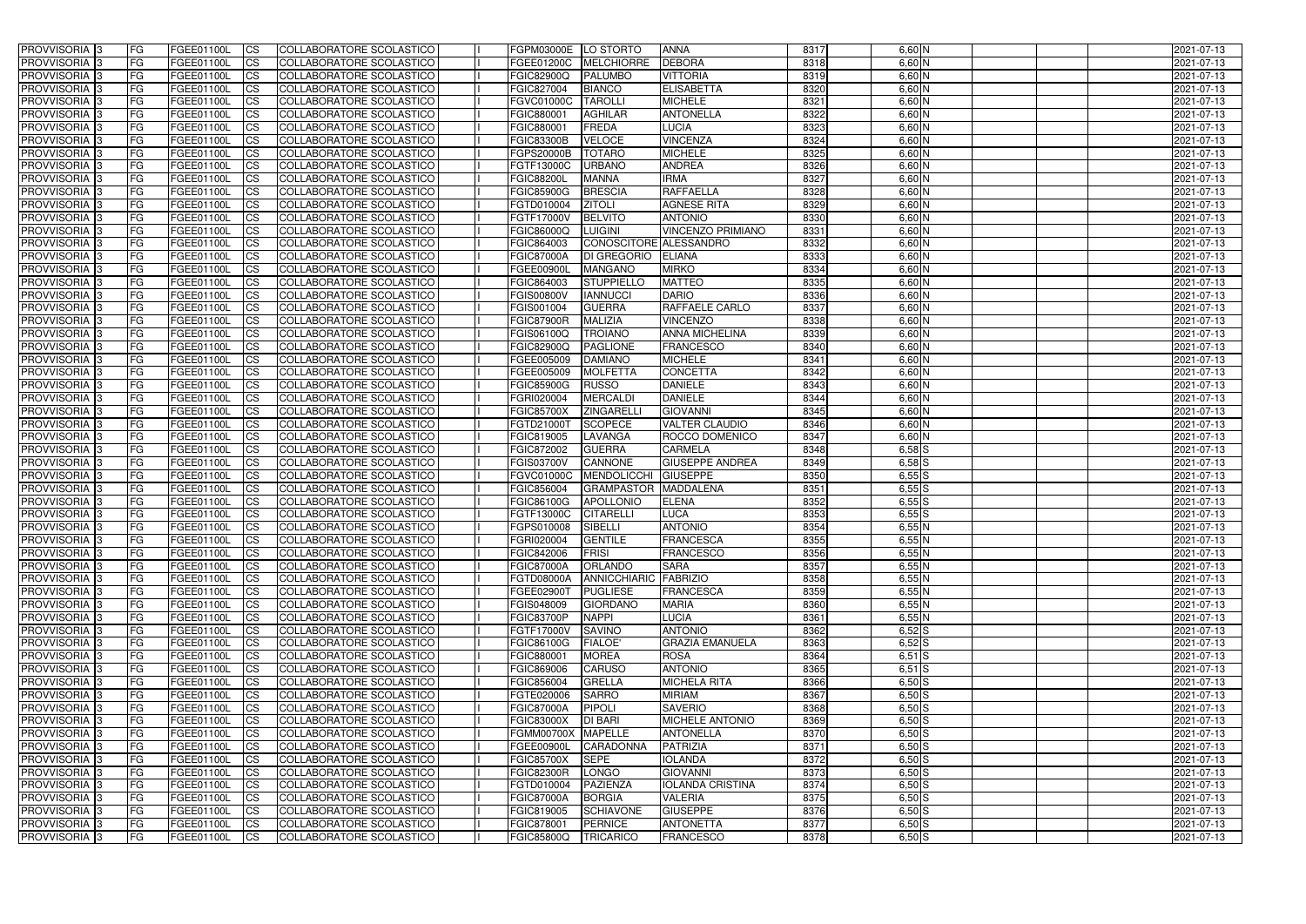| <b>PROVVISORIA</b> 3       | l FG      | FGEE01100L        | <b>ICS</b>             | COLLABORATORE SCOLASTICO        | FGPM03000E  LO STORTO |                        | <b>ANNA</b>              | 8317 | $6,60$ N   | 2021-07-13 |
|----------------------------|-----------|-------------------|------------------------|---------------------------------|-----------------------|------------------------|--------------------------|------|------------|------------|
| <b>PROVVISORIA 3</b>       | FG        | FGEE01100L        | <b>ICS</b>             | COLLABORATORE SCOLASTICO        | FGEE01200C            | <b>MELCHIORRE</b>      | <b>DEBORA</b>            | 8318 | 6,60 N     | 2021-07-13 |
| PROVVISORIA <sup>1</sup> 3 | FG        | FGEE01100L        | <b>CS</b>              | <b>COLLABORATORE SCOLASTICO</b> | FGIC82900Q            | <b>PALUMBO</b>         | <b>VITTORIA</b>          | 8319 | 6,60 N     | 2021-07-13 |
| PROVVISORIA                | FG        | FGEE01100L        | <b>CS</b>              | COLLABORATORE SCOLASTICO        | FGIC827004            | <b>BIANCO</b>          | <b>ELISABETTA</b>        | 8320 | 6,60 N     | 2021-07-13 |
| PROVVISORIA <sup>1</sup> 3 | FG        | FGEE01100L        | <b>CS</b>              | COLLABORATORE SCOLASTICO        | FGVC01000C            | <b>TAROLLI</b>         | <b>MICHELE</b>           | 8321 | 6,60 N     | 2021-07-13 |
| PROVVISORIA <sup>1</sup> 3 | FG        | FGEE01100L        | <b>CS</b>              | COLLABORATORE SCOLASTICO        | FGIC880001            | <b>AGHILAR</b>         | <b>ANTONELLA</b>         | 8322 | $6,60$ N   | 2021-07-13 |
| PROVVISORIA <sup>1</sup> 3 | FG        | FGEE01100L        | <b>CS</b>              | COLLABORATORE SCOLASTICO        | FGIC880001            | FREDA                  | <b>LUCIA</b>             | 8323 | $6,60$ N   | 2021-07-13 |
| PROVVISORIA 3              | FG        | FGEE01100L        | <b>ICS</b>             | COLLABORATORE SCOLASTICO        | <b>FGIC83300B</b>     | <b>VELOCE</b>          | <b>VINCENZA</b>          | 8324 | $6,60$ N   | 2021-07-13 |
| PROVVISORIA 3              | <b>FG</b> | FGEE01100L        | <b>CS</b>              | COLLABORATORE SCOLASTICO        | <b>FGPS20000B</b>     | <b>TOTARO</b>          | <b>MICHELE</b>           | 8325 | 6,60 N     | 2021-07-13 |
| PROVVISORIA 3              | <b>FG</b> | FGEE01100L        | <b>ICS</b>             | COLLABORATORE SCOLASTICO        | FGTF13000C            | <b>URBANO</b>          | <b>ANDREA</b>            | 8326 | $6,60$ N   | 2021-07-13 |
| PROVVISORIA 3              | FG        | FGEE01100L        | <b>CS</b>              | COLLABORATORE SCOLASTICO        | <b>FGIC88200L</b>     | <b>MANNA</b>           | <b>IRMA</b>              | 8327 | $6,60$ N   | 2021-07-13 |
| <b>PROVVISORIA</b>         | FG        | FGEE01100L        | <b>CS</b>              | COLLABORATORE SCOLASTICO        | <b>FGIC85900G</b>     | <b>BRESCIA</b>         | <b>RAFFAELLA</b>         | 8328 | 6,60 N     | 2021-07-13 |
| <b>PROVVISORIA</b>         | FG        | FGEE01100L        | <b>ICS</b>             | COLLABORATORE SCOLASTICO        | FGTD010004            | <b>ZITOLI</b>          | <b>AGNESE RITA</b>       | 8329 | $6,60$ N   | 2021-07-13 |
| <b>PROVVISORIA</b>         | FG        | FGEE01100L        | <b>ICS</b>             | COLLABORATORE SCOLASTICO        | FGTF17000V            | <b>BELVITO</b>         | <b>ANTONIO</b>           | 8330 | 6,60 N     | 2021-07-13 |
| <b>PROVVISORIA</b>         | FG        | FGEE01100L        | <b>ICS</b>             | COLLABORATORE SCOLASTICO        | <b>FGIC86000Q</b>     | <b>LUIGINI</b>         | <b>VINCENZO PRIMIANO</b> | 8331 | 6,60 N     | 2021-07-13 |
| <b>PROVVISORIA</b>         | FG        | FGEE01100L        | <b>ICS</b>             | COLLABORATORE SCOLASTICO        | FGIC864003            | CONOSCITORE ALESSANDRO |                          | 8332 | 6,60 N     | 2021-07-13 |
| <b>PROVVISORIA</b>         | FG        | <b>FGEE01100L</b> | <b>ICS</b>             | COLLABORATORE SCOLASTICO        | <b>FGIC87000A</b>     | <b>DI GREGORIO</b>     | <b>ELIANA</b>            | 8333 | 6,60 N     | 2021-07-13 |
| <b>PROVVISORIA</b>         | FG        | FGEE01100L        | <b>ICS</b>             | COLLABORATORE SCOLASTICO        | FGEE00900             | <b>MANGANO</b>         | <b>MIRKO</b>             | 8334 | 6,60 N     | 2021-07-13 |
| PROVVISORIA <sup>3</sup>   | FG        | FGEE01100L        | <b>ICS</b>             | COLLABORATORE SCOLASTICO        | FGIC864003            | STUPPIELLO             | <b>MATTEO</b>            | 8335 | 6,60 N     | 2021-07-13 |
| PROVVISORIA <sup>3</sup>   | FG        | FGEE01100L        | <b>ICS</b>             | COLLABORATORE SCOLASTICO        | <b>FGIS00800V</b>     | <b>IANNUCCI</b>        | <b>DARIO</b>             | 8336 | 6,60 N     | 2021-07-13 |
| PROVVISORIA <sup>1</sup> 3 | FG        | FGEE01100L        | <b>ICS</b>             | COLLABORATORE SCOLASTICO        | FGIS001004            | <b>GUERRA</b>          | RAFFAELE CARLO           | 8337 | $6,60$ N   | 2021-07-13 |
| PROVVISORIA 3              | FG        | FGEE01100L        | <b>ICS</b>             | COLLABORATORE SCOLASTICO        | <b>FGIC87900R</b>     | <b>MALIZIA</b>         | <b>VINCENZO</b>          | 8338 | $6,60$ N   | 2021-07-13 |
| PROVVISORIA 3              | FG        | FGEE01100L        | <b>ICS</b>             | <b>COLLABORATORE SCOLASTICO</b> | FGIS06100Q            | <b>TROIANO</b>         | <b>ANNA MICHELINA</b>    | 8339 | $6,60$ N   | 2021-07-13 |
| PROVVISORIA <sup>13</sup>  | FG        | FGEE01100L        | <b>CS</b>              | COLLABORATORE SCOLASTICO        | FGIC82900Q            | <b>PAGLIONE</b>        | <b>FRANCESCO</b>         | 8340 | $6,60$ N   | 2021-07-13 |
| PROVVISORIA <sup>1</sup> 3 | FG        | FGEE01100L        | <b>CS</b>              | COLLABORATORE SCOLASTICO        | FGEE005009            | <b>DAMIANO</b>         | <b>MICHELE</b>           | 8341 | $6,60$ N   | 2021-07-13 |
| PROVVISORIA <sup>1</sup> 3 |           |                   | <b>ICS</b>             |                                 |                       | <b>MOLFETTA</b>        | <b>CONCETTA</b>          | 8342 | $6,60$ N   |            |
|                            | FG        | FGEE01100L        |                        | COLLABORATORE SCOLASTICO        | FGEE005009            |                        |                          | 8343 | 6,60 N     | 2021-07-13 |
| PROVVISORIA 3              | FG        | FGEE01100L        | <b>ICS</b>             | COLLABORATORE SCOLASTICO        | <b>FGIC85900G</b>     | <b>RUSSO</b>           | <b>DANIELE</b>           |      |            | 2021-07-13 |
| PROVVISORIA                | FG        | FGEE01100L        | <b>ICS</b>             | COLLABORATORE SCOLASTICO        | FGRI020004            | <b>MERCALDI</b>        | <b>DANIELE</b>           | 8344 | 6,60 N     | 2021-07-13 |
| PROVVISORIA                | FG        | FGEE01100L        | <b>CS</b>              | <b>COLLABORATORE SCOLASTICO</b> | <b>FGIC85700X</b>     | <b>ZINGARELL</b>       | <b>GIOVANNI</b>          | 8345 | 6,60 N     | 2021-07-13 |
| PROVVISORIA                | FG        | FGEE01100L        | <b>CS</b>              | COLLABORATORE SCOLASTICO        | FGTD21000T            | <b>SCOPECE</b>         | <b>VALTER CLAUDIO</b>    | 8346 | 6,60 N     | 2021-07-13 |
| PROVVISORIA                | FG        | FGEE01100L        | <b>CS</b>              | COLLABORATORE SCOLASTICO        | FGIC819005            | <b>LAVANGA</b>         | ROCCO DOMENICO           | 8347 | 6,60 N     | 2021-07-13 |
| PROVVISORIA <sup>1</sup> 3 | FG        | FGEE01100L        | <b>CS</b>              | COLLABORATORE SCOLASTICO        | FGIC872002            | <b>GUERRA</b>          | <b>CARMELA</b>           | 8348 | $6,58$ S   | 2021-07-13 |
| PROVVISORIA <sup>1</sup> 3 | FG        | FGEE01100L        | <b>CS</b>              | COLLABORATORE SCOLASTICO        | <b>FGIS03700V</b>     | CANNONE                | <b>GIUSEPPE ANDREA</b>   | 8349 | $6,58$ $S$ | 2021-07-13 |
| PROVVISORIA 3              | FG        | FGEE01100L        | <b>CS</b>              | <b>COLLABORATORE SCOLASTICO</b> | FGVC01000C            | <b>MENDOLICCHI</b>     | <b>GIUSEPPE</b>          | 8350 | 6,55S      | 2021-07-13 |
| <b>PROVVISORIA</b>         | FG        | FGEE01100L        | <b>ICS</b>             | COLLABORATORE SCOLASTICO        | FGIC856004            | <b>GRAMPASTOR</b>      | MADDALENA                | 8351 | 6,55S      | 2021-07-13 |
| PROVVISORIA <sup>1</sup> 3 | <b>FG</b> | FGEE01100L        | <b>CS</b>              | COLLABORATORE SCOLASTICO        | FGIC86100G            | <b>APOLLONIO</b>       | <b>ELENA</b>             | 8352 | $6,55$ S   | 2021-07-13 |
| PROVVISORIA 3              | FG        | FGEE01100L        | <b>ICS</b>             | COLLABORATORE SCOLASTICO        | FGTF13000C            | <b>CITARELLI</b>       | <b>LUCA</b>              | 8353 | $6,55$ $S$ | 2021-07-13 |
| <b>PROVVISORIA</b>         | <b>FG</b> | FGEE01100L        | <b>ICS</b>             | COLLABORATORE SCOLASTICO        | FGPS010008            | SIBELLI                | <b>ANTONIO</b>           | 8354 | 6,55N      | 2021-07-13 |
| PROVVISORIA 3              | FG        | FGEE01100L        | CS                     | COLLABORATORE SCOLASTICO        | FGRI020004            | <b>GENTILE</b>         | <b>FRANCESCA</b>         | 8355 | 6,55N      | 2021-07-13 |
| PROVVISORIA 3              | <b>FG</b> | FGEE01100L        | $\mathsf{ICS}$         | COLLABORATORE SCOLASTICO        | FGIC842006            | <b>FRISI</b>           | <b>FRANCESCO</b>         | 8356 | 6,55N      | 2021-07-13 |
| PROVVISORIA 3              | <b>FG</b> | <b>FGEE01100L</b> | $\mathsf{ICS}$         | COLLABORATORE SCOLASTICO        | <b>FGIC87000A</b>     | <b>ORLANDO</b>         | <b>SARA</b>              | 8357 | 6,55N      | 2021-07-13 |
| PROVVISORIA 3              | <b>FG</b> | FGEE01100L        | $\mathsf{ICS}$         | COLLABORATORE SCOLASTICO        | FGTD08000A            | ANNICCHIARIC FABRIZIO  |                          | 8358 | 6,55N      | 2021-07-13 |
| PROVVISORIA 3              | FG        | FGEE01100L        | $\mathsf{ICS}$         | COLLABORATORE SCOLASTICO        | FGEE02900T            | <b>PUGLIESE</b>        | <b>FRANCESCA</b>         | 8359 | 6,55N      | 2021-07-13 |
| PROVVISORIA 3              | l FG      | FGEE01100L        | <b>CS</b>              | COLLABORATORE SCOLASTICO        | FGIS048009            | <b>GIORDANO</b>        | <b>MARIA</b>             | 8360 | 6,55N      | 2021-07-13 |
| PROVVISORIA 3              | <b>FG</b> | FGEE01100L        | $\mathsf{ICS}$         | COLLABORATORE SCOLASTICO        | <b>FGIC83700P</b>     | <b>NAPPI</b>           | <b>LUCIA</b>             | 8361 | 6,55N      | 2021-07-13 |
| PROVVISORIA 3              | FG        | FGEE01100L        | <b>CS</b>              | COLLABORATORE SCOLASTICO        | FGTF17000V            | <b>SAVINO</b>          | <b>ANTONIO</b>           | 8362 | $6,52$ $S$ | 2021-07-13 |
| PROVVISORIA 3              | <b>FG</b> | FGEE01100L        | <b>CS</b>              | COLLABORATORE SCOLASTICO        | <b>FGIC86100G</b>     | <b>FIALOE'</b>         | <b>GRAZIA EMANUELA</b>   | 8363 | $6,52$ $S$ | 2021-07-13 |
| PROVVISORIA 3              | <b>FG</b> | FGEE01100L        | <b>CS</b>              | COLLABORATORE SCOLASTICO        | FGIC880001            | <b>MOREA</b>           | <b>ROSA</b>              | 8364 | $6,51$ $S$ | 2021-07-13 |
| PROVVISORIA 3              | <b>FG</b> | FGEE01100L        | <b>CS</b>              | COLLABORATORE SCOLASTICO        | FGIC869006            | CARUSO                 | <b>ANTONIO</b>           | 8365 | $6,51$ S   | 2021-07-13 |
| PROVVISORIA 3              | <b>FG</b> | FGEE01100L        | <b>CS</b>              | COLLABORATORE SCOLASTICO        | FGIC856004            | <b>GRELLA</b>          | <b>MICHELA RITA</b>      | 8366 | $6,50$ $S$ | 2021-07-13 |
| PROVVISORIA 3              | <b>FG</b> | FGEE01100L        | <b>CS</b>              | COLLABORATORE SCOLASTICO        | FGTE020006            | <b>SARRO</b>           | <b>MIRIAM</b>            | 8367 | $6,50$ $S$ | 2021-07-13 |
| PROVVISORIA 3              | <b>FG</b> | FGEE01100L        | <b>CS</b>              | COLLABORATORE SCOLASTICO        | <b>FGIC87000A</b>     | <b>PIPOLI</b>          | <b>SAVERIO</b>           | 8368 | $6,50$ S   | 2021-07-13 |
| PROVVISORIA 3              | <b>FG</b> | FGEE01100L        | <b>CS</b>              | COLLABORATORE SCOLASTICO        | <b>FGIC83000X</b>     | <b>DI BARI</b>         | <b>MICHELE ANTONIO</b>   | 8369 | $6,50$ S   | 2021-07-13 |
| PROVVISORIA 3              | <b>FG</b> | FGEE01100L        | <b>CS</b>              | COLLABORATORE SCOLASTICO        | FGMM00700X MAPELLE    |                        | <b>ANTONELLA</b>         | 8370 | $6,50$ $S$ | 2021-07-13 |
| PROVVISORIA 3              | <b>FG</b> | FGEE01100L        | <b>CS</b>              | COLLABORATORE SCOLASTICO        | FGEE00900L            | <b>CARADONNA</b>       | <b>PATRIZIA</b>          | 8371 | $6,50$ S   | 2021-07-13 |
| PROVVISORIA 3              | <b>FG</b> | FGEE01100L        | <b>CS</b>              | COLLABORATORE SCOLASTICO        | <b>FGIC85700X</b>     | <b>SEPE</b>            | <b>IOLANDA</b>           | 8372 | $6,50$ S   | 2021-07-13 |
| PROVVISORIA 3              | <b>FG</b> | FGEE01100L        | <b>CS</b>              | COLLABORATORE SCOLASTICO        | <b>FGIC82300R</b>     | LONGO                  | <b>GIOVANNI</b>          | 8373 | $6,50$ $S$ | 2021-07-13 |
| PROVVISORIA 3              | FG        | FGEE01100L        | <b>CS</b>              | COLLABORATORE SCOLASTICO        | FGTD010004            | PAZIENZA               | <b>IOLANDA CRISTINA</b>  | 8374 | $6,50$ S   | 2021-07-13 |
| PROVVISORIA 3              | FG        | <b>FGEE01100L</b> | <b>CS</b>              | COLLABORATORE SCOLASTICO        | <b>FGIC87000A</b>     | BORGIA                 | <b>VALERIA</b>           | 8375 | $6,50$ $S$ | 2021-07-13 |
| PROVVISORIA 3              | <b>FG</b> | FGEE01100L        | <b>CS</b>              | COLLABORATORE SCOLASTICO        | FGIC819005            | <b>SCHIAVONE</b>       | <b>GIUSEPPE</b>          | 8376 | $6,50$ $S$ | 2021-07-13 |
| PROVVISORIA 3              | <b>FG</b> | FGEE01100L        | $\overline{\text{CS}}$ | COLLABORATORE SCOLASTICO        | FGIC878001            | <b>PERNICE</b>         | <b>ANTONETTA</b>         | 8377 | $6,50$ S   | 2021-07-13 |
| PROVVISORIA 3              | <b>FG</b> | FGEE01100L        | $\overline{\text{CS}}$ | COLLABORATORE SCOLASTICO        | <b>FGIC85800Q</b>     | TRICARICO              | <b>FRANCESCO</b>         | 8378 | $6,50$ S   | 2021-07-13 |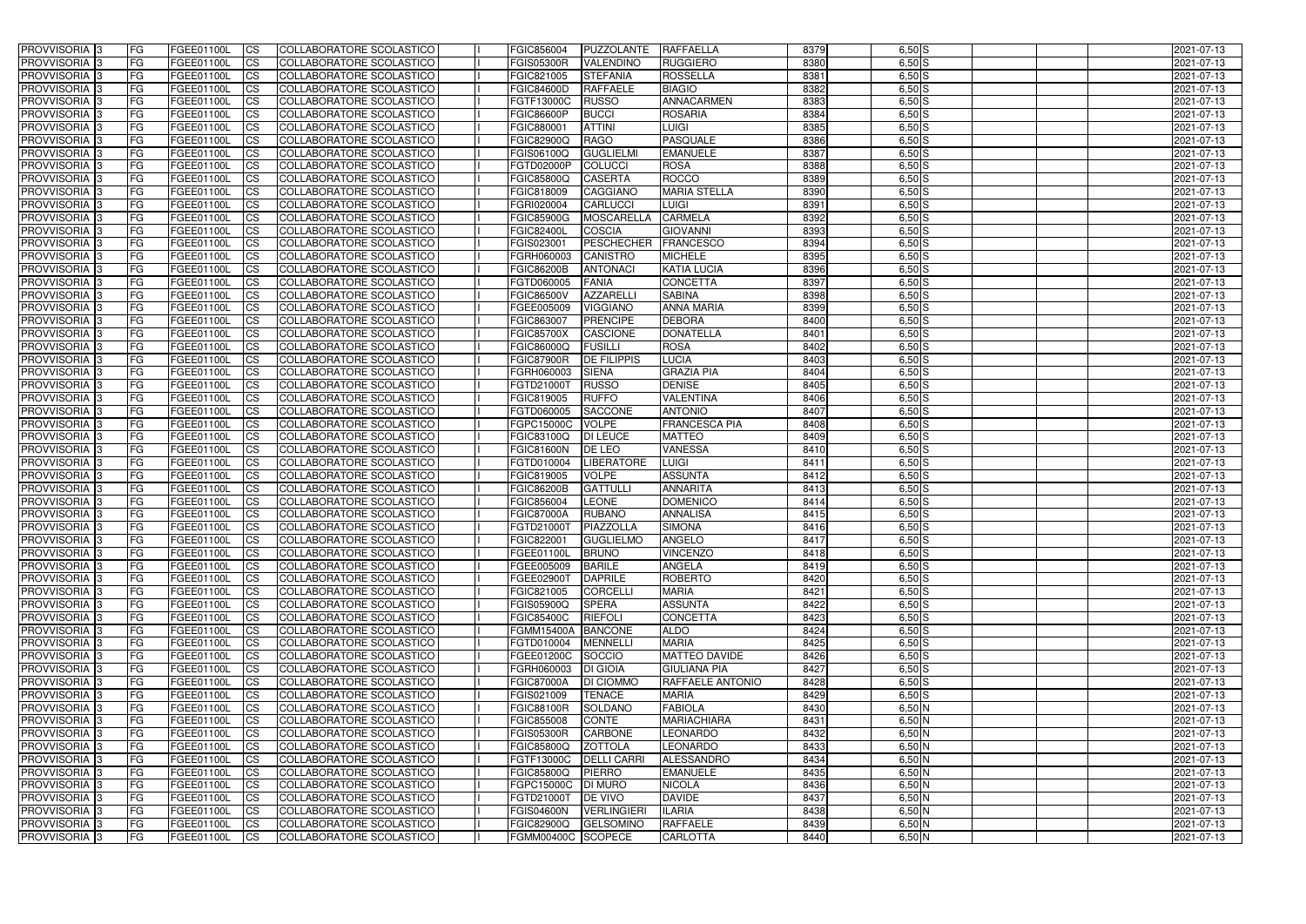| <b>PROVVISORIA</b> 3                                 | l FG                   | FGEE01100L               | <b>ICS</b>               | COLLABORATORE SCOLASTICO                             | FGIC856004                                | PUZZOLANTE                         | RAFFAELLA                          | 8379         | $6,50$ S             | 2021-07-13               |
|------------------------------------------------------|------------------------|--------------------------|--------------------------|------------------------------------------------------|-------------------------------------------|------------------------------------|------------------------------------|--------------|----------------------|--------------------------|
| <b>PROVVISORIA 3</b>                                 | FG.                    | FGEE01100L               | <b>ICS</b>               | COLLABORATORE SCOLASTICO                             | <b>FGIS05300R</b>                         | <b>VALENDINO</b>                   | <b>RUGGIERO</b>                    | 8380         | $6,50$ S             | 2021-07-13               |
| PROVVISORIA <sup>1</sup> 3                           | FG                     | FGEE01100L               | <b>CS</b>                | <b>COLLABORATORE SCOLASTICO</b>                      | FGIC821005                                | <b>STEFANIA</b>                    | <b>ROSSELLA</b>                    | 8381         | $6,50$ S             | 2021-07-13               |
| <b>PROVVISORIA</b>                                   | FG                     | FGEE01100L               | <b>CS</b>                | COLLABORATORE SCOLASTICO                             | <b>FGIC84600D</b>                         | <b>RAFFAELE</b>                    | <b>BIAGIO</b>                      | 8382         | $6,50$ S             | 2021-07-13               |
| <b>PROVVISORIA 3</b>                                 | FG                     | FGEE01100L               | <b>CS</b>                | COLLABORATORE SCOLASTICO                             | FGTF13000C                                | <b>RUSSO</b>                       | ANNACARMEN                         | 8383         | $6,50$ S             | 2021-07-13               |
| PROVVISORIA <sup>1</sup> 3                           | FG                     | FGEE01100L               | <b>CS</b>                | COLLABORATORE SCOLASTICO                             | <b>FGIC86600P</b>                         | <b>BUCCI</b>                       | <b>ROSARIA</b>                     | 8384         | $6,50$ S             | 2021-07-13               |
| PROVVISORIA <sup>1</sup> 3                           | FG                     | FGEE01100L               | <b>CS</b>                | COLLABORATORE SCOLASTICO                             | FGIC880001                                | <b>ATTINI</b>                      | <b>LUIGI</b>                       | 8385         | $6,50$ S             | 2021-07-13               |
| PROVVISORIA 3                                        | FG                     | FGEE01100L               | <b>ICS</b>               | COLLABORATORE SCOLASTICO                             | FGIC82900Q                                | RAGO                               | <b>PASQUALE</b>                    | 8386         | $6,50$ S             | 2021-07-13               |
| PROVVISORIA 3                                        | <b>FG</b>              | FGEE01100L               | <b>CS</b>                | COLLABORATORE SCOLASTICO                             | FGIS06100Q                                | <b>GUGLIELMI</b>                   | <b>EMANUELE</b>                    | 8387         | $6,50$ S             | 2021-07-13               |
| PROVVISORIA 3                                        | <b>FG</b>              | FGEE01100L               | <b>CS</b>                | COLLABORATORE SCOLASTICO                             | FGTD02000P                                | <b>COLUCCI</b>                     | <b>ROSA</b>                        | 8388         | $6,50$ S             | 2021-07-13               |
| PROVVISORIA 3                                        | FG                     | <b>FGEE01100L</b>        | <b>CS</b>                | COLLABORATORE SCOLASTICO                             | <b>FGIC85800Q</b>                         | <b>CASERTA</b>                     | <b>ROCCO</b>                       | 8389         | $6,50$ S             | 2021-07-13               |
| <b>PROVVISORIA</b>                                   | FG                     | FGEE01100L               | <b>ICS</b>               | COLLABORATORE SCOLASTICO                             | FGIC818009                                | <b>CAGGIANO</b>                    | <b>MARIA STELLA</b>                | 8390         | $6,50$ S             | 2021-07-13               |
| <b>PROVVISORIA</b>                                   | FG                     | FGEE01100L               | <b>CS</b>                | COLLABORATORE SCOLASTICO                             | FGRI020004                                | <b>CARLUCCI</b>                    | <b>LUIGI</b>                       | 8391         | $6,50$ S             | 2021-07-13               |
| <b>PROVVISORIA</b>                                   | FG                     | FGEE01100L               | <b>ICS</b>               | COLLABORATORE SCOLASTICO                             | <b>FGIC85900G</b>                         | <b>MOSCARELLA</b>                  | <b>CARMELA</b>                     | 8392         | $6,50$ S             | 2021-07-13               |
| <b>PROVVISORIA</b>                                   | FG                     | FGEE01100L               | <b>ICS</b>               | COLLABORATORE SCOLASTICO                             | <b>FGIC82400L</b>                         | <b>COSCIA</b>                      | <b>GIOVANNI</b>                    | 8393         | $6,50$ S             | 2021-07-13               |
| <b>PROVVISORIA</b>                                   | FG                     | FGEE01100L               | <b>ICS</b>               | COLLABORATORE SCOLASTICO                             | FGIS023001                                | <b>PESCHECHER</b>                  | <b>FRANCESCO</b>                   | 8394         | $6,50$ S             | 2021-07-13               |
| <b>PROVVISORIA</b>                                   | FG                     | <b>FGEE01100L</b>        | <b>CS</b>                | COLLABORATORE SCOLASTICO                             | FGRH060003                                | <b>CANISTRO</b>                    | <b>MICHELE</b>                     | 8395         | $6,50$ S             | 2021-07-13               |
| <b>PROVVISORIA</b>                                   | FG                     | FGEE01100L               | <b>ICS</b>               | COLLABORATORE SCOLASTICO                             | <b>FGIC86200B</b>                         | <b>ANTONACI</b>                    | <b>KATIA LUCIA</b>                 | 8396         | $6,50$ S             | 2021-07-13               |
| PROVVISORIA 3                                        | FG                     | FGEE01100L               | <b>ICS</b>               | COLLABORATORE SCOLASTICO                             | FGTD060005                                | <b>FANIA</b>                       | <b>CONCETTA</b>                    | 8397         | $6,50$ S             | 2021-07-13               |
| PROVVISORIA 3                                        | FG                     | FGEE01100L               | <b>ICS</b>               | COLLABORATORE SCOLASTICO                             | <b>FGIC86500V</b>                         | <b>AZZARELLI</b>                   | <b>SABINA</b>                      | 8398         | $6,50$ S             | 2021-07-13               |
| PROVVISORIA <sup>1</sup> 3                           | FG                     | FGEE01100L               | <b>ICS</b>               | COLLABORATORE SCOLASTICO                             | FGEE005009                                | <b>VIGGIANO</b>                    | <b>ANNA MARIA</b>                  | 8399         | $6,50$ S             | 2021-07-13               |
| PROVVISORIA 3                                        | FG                     | FGEE01100L               | <b>ICS</b>               | COLLABORATORE SCOLASTICO                             | FGIC863007                                | <b>PRENCIPE</b>                    | <b>DEBORA</b>                      | 8400         | $6,50$ S             | 2021-07-13               |
| PROVVISORIA <sup>3</sup><br>PROVVISORIA <sup>3</sup> | FG                     | FGEE01100L               | <b>ICS</b>               | <b>COLLABORATORE SCOLASTICO</b>                      | <b>FGIC85700X</b>                         | <b>CASCIONE</b>                    | <b>DONATELLA</b>                   | 8401         | $6,50$ S             | 2021-07-13               |
| PROVVISORIA <sup>3</sup>                             | FG                     | FGEE01100L               | <b>CS</b>                | COLLABORATORE SCOLASTICO                             | FGIC86000Q                                | <b>FUSILLI</b>                     | <b>ROSA</b><br><b>LUCIA</b>        | 8402<br>8403 | $6,50$ S             | 2021-07-13               |
|                                                      | FG                     | FGEE01100L               | <b>CS</b>                | <b>COLLABORATORE SCOLASTICO</b>                      | <b>FGIC87900R</b>                         | <b>DE FILIPPIS</b><br><b>SIENA</b> |                                    | 8404         | $6,50$ S             | 2021-07-13               |
| PROVVISORIA <sup>1</sup> 3<br>PROVVISORIA 3          | FG<br>FG               | FGEE01100L<br>FGEE01100L | <b>ICS</b><br><b>ICS</b> | COLLABORATORE SCOLASTICO<br>COLLABORATORE SCOLASTICO | FGRH060003<br>FGTD21000T                  | <b>RUSSO</b>                       | <b>GRAZIA PIA</b><br><b>DENISE</b> | 8405         | $6,50$ S<br>$6,50$ S | 2021-07-13<br>2021-07-13 |
| PROVVISORIA                                          | FG                     | FGEE01100L               | <b>ICS</b>               | COLLABORATORE SCOLASTICO                             | FGIC819005                                | <b>RUFFO</b>                       | <b>VALENTINA</b>                   | 8406         | $6,50$ S             | 2021-07-13               |
| PROVVISORIA                                          | FG                     | FGEE01100L               | <b>CS</b>                | <b>COLLABORATORE SCOLASTICO</b>                      | FGTD060005                                | <b>SACCONE</b>                     | <b>ANTONIO</b>                     | 8407         | $6,50$ S             | 2021-07-13               |
| PROVVISORIA                                          | FG                     | FGEE01100L               | <b>CS</b>                | COLLABORATORE SCOLASTICO                             | FGPC15000C                                | <b>VOLPE</b>                       | <b>FRANCESCA PIA</b>               | 8408         | $6,50$ S             | 2021-07-13               |
| PROVVISORIA                                          | FG                     | FGEE01100L               | <b>CS</b>                | COLLABORATORE SCOLASTICO                             | FGIC83100Q                                | <b>DI LEUCE</b>                    | <b>MATTEO</b>                      | 8409         | $6,50$ S             | 2021-07-13               |
| PROVVISORIA <sup>1</sup> 3                           | FG                     | FGEE01100L               | <b>CS</b>                | COLLABORATORE SCOLASTICO                             | <b>FGIC81600N</b>                         | <b>DE LEO</b>                      | <b>VANESSA</b>                     | 8410         | $6,50$ S             | 2021-07-13               |
| PROVVISORIA <sup>1</sup> 3                           | FG                     | FGEE01100L               | <b>CS</b>                | COLLABORATORE SCOLASTICO                             | FGTD010004                                | <b>LIBERATORE</b>                  | <b>LUIGI</b>                       | 8411         | $6,50$ S             | 2021-07-13               |
| PROVVISORIA 3                                        | FG                     | FGEE01100L               | <b>CS</b>                | <b>COLLABORATORE SCOLASTICO</b>                      | FGIC819005                                | <b>VOLPE</b>                       | <b>ASSUNTA</b>                     | 8412         | $6,50$ S             | 2021-07-13               |
| PROVVISORIA <sup>1</sup> 3                           | <b>FG</b>              | FGEE01100L               | <b>ICS</b>               | COLLABORATORE SCOLASTICO                             | <b>FGIC86200B</b>                         | <b>GATTULLI</b>                    | <b>ANNARITA</b>                    | 8413         | $6,50$ S             | 2021-07-13               |
| PROVVISORIA 3                                        | <b>FG</b>              | FGEE01100L               | <b>ICS</b>               | COLLABORATORE SCOLASTICO                             | FGIC856004                                | <b>LEONE</b>                       | <b>DOMENICO</b>                    | 8414         | $6,50$ S             | 2021-07-13               |
| PROVVISORIA 3                                        | <b>FG</b>              | FGEE01100L               | <b>ICS</b>               | COLLABORATORE SCOLASTICO                             | <b>FGIC87000A</b>                         | <b>RUBANO</b>                      | <b>ANNALISA</b>                    | 8415         | $6,50$ S             | 2021-07-13               |
| PROVVISORIA 3                                        | <b>FG</b>              | FGEE01100L               | <b>ICS</b>               | COLLABORATORE SCOLASTICO                             | FGTD21000T                                | PIAZZOLLA                          | <b>SIMONA</b>                      | 8416         | $6,50$ S             | 2021-07-13               |
| PROVVISORIA 3                                        | FG                     | FGEE01100L               | CS                       | COLLABORATORE SCOLASTICO                             | FGIC822001                                | GUGLIELMO                          | ANGELO                             | 8417         | $6,50$ S             | 2021-07-13               |
| <b>PROVVISORIA</b> 3                                 | <b>FG</b>              | FGEE01100L               | $\mathsf{ICS}$           | COLLABORATORE SCOLASTICO                             | FGEE01100L                                | <b>BRUNO</b>                       | <b>VINCENZO</b>                    | 8418         | $6,50$ $S$           | 2021-07-13               |
| PROVVISORIA 3                                        | <b>FG</b>              | <b>FGEE01100L</b>        | $\mathsf{ICS}$           | COLLABORATORE SCOLASTICO                             | FGEE005009                                | <b>BARILE</b>                      | <b>ANGELA</b>                      | 8419         | $6,50$ S             | 2021-07-13               |
| PROVVISORIA 3                                        | <b>FG</b>              | FGEE01100L               | $\mathsf{ICS}$           | COLLABORATORE SCOLASTICO                             | FGEE02900T                                | <b>DAPRILE</b>                     | ROBERTO                            | 8420         | $6,50$ S             | 2021-07-13               |
| PROVVISORIA 3                                        | FG                     | FGEE01100L               | $\mathsf{ICS}$           | COLLABORATORE SCOLASTICO                             | FGIC821005                                | <b>CORCELLI</b>                    | <b>MARIA</b>                       | 8421         | $6,50$ S             | 2021-07-13               |
| PROVVISORIA 3                                        | l FG                   | FGEE01100L               | <b>CS</b>                | COLLABORATORE SCOLASTICO                             | FGIS05900Q                                | <b>SPERA</b>                       | <b>ASSUNTA</b>                     | 8422         | $6,50$ S             | 2021-07-13               |
| PROVVISORIA 3                                        | <b>FG</b>              | FGEE01100L               | <b>CS</b>                | COLLABORATORE SCOLASTICO                             | <b>FGIC85400C</b>                         | <b>RIEFOLI</b>                     | <b>CONCETTA</b>                    | 8423         | $6,50$ S             | 2021-07-13               |
| PROVVISORIA 3                                        | FG                     | FGEE01100L               | <b>CS</b>                | COLLABORATORE SCOLASTICO                             | FGMM15400A BANCONE                        |                                    | <b>ALDO</b>                        | 8424         | $6,50$ S             | 2021-07-13               |
| PROVVISORIA 3                                        | FG                     | FGEE01100L               | <b>CS</b>                | COLLABORATORE SCOLASTICO                             | FGTD010004                                | <b>MENNELLI</b>                    | <b>MARIA</b>                       | 8425         | $6,50$ S             | 2021-07-13               |
| PROVVISORIA 3                                        | <b>FG</b>              | FGEE01100L               | <b>CS</b>                | COLLABORATORE SCOLASTICO                             | FGEE01200C                                | SOCCIO                             | <b>MATTEO DAVIDE</b>               | 8426         | $6,50$ $S$           | 2021-07-13               |
| PROVVISORIA 3                                        | <b>FG</b>              | FGEE01100L               | <b>CS</b>                | COLLABORATORE SCOLASTICO                             | FGRH060003                                | <b>DI GIOIA</b>                    | <b>GIULIANA PIA</b>                | 8427         | $6,50$ S             | 2021-07-13               |
| PROVVISORIA 3                                        | <b>FG</b>              | FGEE01100L               | <b>CS</b>                | COLLABORATORE SCOLASTICO                             | <b>FGIC87000A</b>                         | <b>DI CIOMMO</b>                   | <b>RAFFAELE ANTONIO</b>            | 8428         | $6,50$ $S$           | 2021-07-13               |
| PROVVISORIA 3                                        | <b>FG</b>              | FGEE01100L               | <b>CS</b>                | COLLABORATORE SCOLASTICO                             | FGIS021009                                | <b>TENACE</b>                      | <b>MARIA</b>                       | 8429         | $6,50$ $S$           | 2021-07-13               |
| PROVVISORIA 3                                        | <b>FG</b>              | FGEE01100L               | <b>CS</b>                | COLLABORATORE SCOLASTICO                             | <b>FGIC88100R</b>                         | SOLDANO                            | <b>FABIOLA</b>                     | 8430         | $6,50$ N             | 2021-07-13               |
| PROVVISORIA 3                                        | <b>FG</b>              | FGEE01100L               | <b>CS</b>                | COLLABORATORE SCOLASTICO                             | FGIC855008                                | <b>CONTE</b>                       | <b>MARIACHIARA</b>                 | 8431         | $6,50$ N             | 2021-07-13               |
| PROVVISORIA 3                                        | <b>FG</b>              | FGEE01100L               | <b>CS</b>                | COLLABORATORE SCOLASTICO                             | <b>FGIS05300R</b>                         | CARBONE                            | <b>LEONARDO</b>                    | 8432         | $6,50$ N             | 2021-07-13               |
| PROVVISORIA 3                                        | FG                     | FGEE01100L               | <b>CS</b>                | COLLABORATORE SCOLASTICO                             | <b>FGIC85800Q</b>                         | <b>ZOTTOLA</b>                     | <b>LEONARDO</b>                    | 8433         | $6,50$ N             | 2021-07-13               |
| PROVVISORIA 3                                        | <b>FG</b><br><b>FG</b> | FGEE01100L<br>FGEE01100L | <b>CS</b>                | COLLABORATORE SCOLASTICO                             | FGTF13000C                                | <b>DELLI CARRI</b><br>PIERRO       | ALESSANDRO<br><b>EMANUELE</b>      | 8434<br>8435 | $6,50$ N<br>$6,50$ N | 2021-07-13<br>2021-07-13 |
| PROVVISORIA 3<br>PROVVISORIA 3                       |                        | FGEE01100L               | <b>CS</b><br><b>CS</b>   | COLLABORATORE SCOLASTICO<br>COLLABORATORE SCOLASTICO | <b>FGIC85800Q</b><br>FGPC15000C   DI MURO |                                    | <b>NICOLA</b>                      | 8436         | $6,50$ N             | 2021-07-13               |
| PROVVISORIA 3                                        | FG<br> FG              | <b>FGEE01100L</b>        | <b>CS</b>                | COLLABORATORE SCOLASTICO                             | FGTD21000T DE VIVO                        |                                    | <b>DAVIDE</b>                      | 8437         | $6,50$ N             | 2021-07-13               |
| PROVVISORIA 3                                        | <b>FG</b>              | FGEE01100L               | <b>CS</b>                | COLLABORATORE SCOLASTICO                             | <b>FGIS04600N</b>                         | <b>VERLINGIERI</b>                 | <b>ILARIA</b>                      | 8438         | $6,50$ N             | 2021-07-13               |
| PROVVISORIA 3                                        | <b>FG</b>              | FGEE01100L               | $\overline{\text{CS}}$   | COLLABORATORE SCOLASTICO                             | FGIC82900Q GELSOMINO                      |                                    | <b>RAFFAELE</b>                    | 8439         | $6,50$ N             | 2021-07-13               |
| PROVVISORIA 3                                        | <b>FG</b>              | FGEE01100L               | $\overline{\text{CS}}$   | COLLABORATORE SCOLASTICO                             | FGMM00400C SCOPECE                        |                                    | <b>CARLOTTA</b>                    | 8440         | $6,50$ N             | 2021-07-13               |
|                                                      |                        |                          |                          |                                                      |                                           |                                    |                                    |              |                      |                          |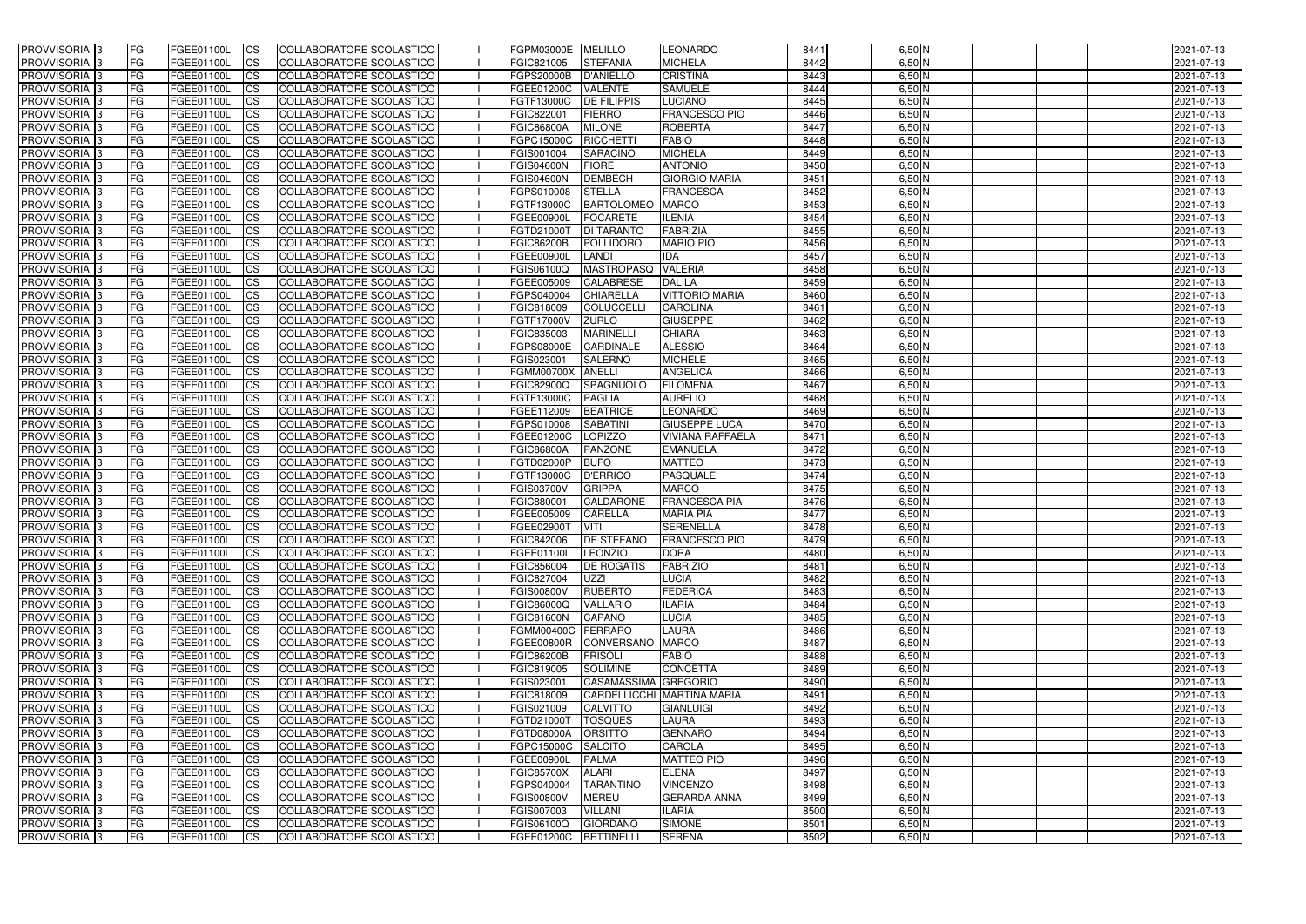| <b>PROVVISORIA</b> 3                                     | l FG            | FGEE01100L                      | <b>ICS</b>              | COLLABORATORE SCOLASTICO                             | FGPM03000E MELILLO       |                                    | <b>LEONARDO</b>                      | 8441         | $6,50$ N             | 2021-07-13               |
|----------------------------------------------------------|-----------------|---------------------------------|-------------------------|------------------------------------------------------|--------------------------|------------------------------------|--------------------------------------|--------------|----------------------|--------------------------|
| <b>PROVVISORIA 3</b>                                     | FG              | FGEE01100L                      | <b>ICS</b>              | COLLABORATORE SCOLASTICO                             | FGIC821005               | <b>STEFANIA</b>                    | <b>MICHELA</b>                       | 8442         | $6,50$ N             | 2021-07-13               |
| PROVVISORIA <sup>1</sup> 3                               | FG              | FGEE01100L                      | <b>CS</b>               | <b>COLLABORATORE SCOLASTICO</b>                      | FGPS20000B               | <b>D'ANIELLO</b>                   | <b>CRISTINA</b>                      | 8443         | $6,50$ N             | 2021-07-13               |
| PROVVISORIA                                              | FG              | FGEE01100L                      | <b>CS</b>               | COLLABORATORE SCOLASTICO                             | FGEE01200C               | <b>VALENTE</b>                     | <b>SAMUELE</b>                       | 8444         | $6,50$ N             | 2021-07-13               |
| PROVVISORIA <sup>1</sup> 3                               | FG              | FGEE01100L                      | <b>CS</b>               | COLLABORATORE SCOLASTICO                             | FGTF13000C               | <b>DE FILIPPIS</b>                 | <b>LUCIANO</b>                       | 8445         | 6,50 N               | 2021-07-13               |
| PROVVISORIA <sup>1</sup> 3                               | FG              | FGEE01100L                      | <b>CS</b>               | COLLABORATORE SCOLASTICO                             | FGIC822001               | <b>FIERRO</b>                      | <b>FRANCESCO PIO</b>                 | 8446         | $6,50$ N             | 2021-07-13               |
| PROVVISORIA <sup>1</sup> 3                               | FG              | FGEE01100L                      | <b>CS</b>               | COLLABORATORE SCOLASTICO                             | <b>FGIC86800A</b>        | <b>MILONE</b>                      | <b>ROBERTA</b>                       | 8447         | $6,50$ N             | 2021-07-13               |
| PROVVISORIA 3                                            | FG              | FGEE01100L                      | <b>ICS</b>              | COLLABORATORE SCOLASTICO                             | FGPC15000C               | <b>RICCHETTI</b>                   | <b>FABIO</b>                         | 8448         | $6,50$ N             | 2021-07-13               |
| PROVVISORIA 3                                            | <b>FG</b>       | FGEE01100L                      | <b>CS</b>               | COLLABORATORE SCOLASTICO                             | FGIS001004               | <b>SARACINO</b>                    | <b>MICHELA</b>                       | 8449         | $6,50$ N             | 2021-07-13               |
| PROVVISORIA 3                                            | <b>FG</b>       | FGEE01100L                      | <b>ICS</b>              | COLLABORATORE SCOLASTICO                             | <b>FGIS04600N</b>        | FIORE                              | <b>ANTONIO</b>                       | 8450         | $6,50$ N             | 2021-07-13               |
| PROVVISORIA 3                                            | FG              | <b>FGEE01100L</b>               | <b>ICS</b>              | COLLABORATORE SCOLASTICO                             | <b>FGIS04600N</b>        | <b>DEMBECH</b>                     | <b>GIORGIO MARIA</b>                 | 8451         | $6,50$ N             | 2021-07-13               |
| <b>PROVVISORIA</b>                                       | FG              | FGEE01100L                      | <b>ICS</b>              | COLLABORATORE SCOLASTICO                             | FGPS010008               | <b>STELLA</b>                      | <b>FRANCESCA</b>                     | 8452         | $6,50$ N             | 2021-07-13               |
| <b>PROVVISORIA</b>                                       | FG              | FGEE01100L                      | <b>ICS</b>              | COLLABORATORE SCOLASTICO                             | FGTF13000C               | <b>BARTOLOMEO</b> MARCO            |                                      | 8453         | $6,50$ N             | 2021-07-13               |
| <b>PROVVISORIA</b>                                       | FG              | FGEE01100L                      | <b>ICS</b>              | COLLABORATORE SCOLASTICO                             | FGEE00900L               | <b>FOCARETE</b>                    | <b>ILENIA</b>                        | 8454         | 6,50 N               | 2021-07-13               |
| <b>PROVVISORIA</b>                                       | FG              | FGEE01100L                      | <b>ICS</b>              | COLLABORATORE SCOLASTICO                             | FGTD21000T               | <b>DI TARANTO</b>                  | FABRIZIA                             | 8455         | $6,50$ N             | 2021-07-13               |
| <b>PROVVISORIA</b>                                       | FG              | FGEE01100L                      | <b>ICS</b>              | COLLABORATORE SCOLASTICO                             | <b>FGIC86200B</b>        | POLLIDORO                          | <b>MARIO PIO</b>                     | 8456         | $6,50$ N             | 2021-07-13               |
| <b>PROVVISORIA</b>                                       | FG              | <b>FGEE01100L</b>               | <b>ICS</b>              | COLLABORATORE SCOLASTICO                             | FGEE00900I               | <b>LANDI</b>                       | <b>IDA</b>                           | 8457         | $6,50$ N             | 2021-07-13               |
| <b>PROVVISORIA</b>                                       | FG              | FGEE01100L                      | <b>ICS</b>              | COLLABORATORE SCOLASTICO                             | FGIS06100Q               | <b>MASTROPASQ</b>                  | <b>VALERIA</b>                       | 8458         | 6,50 N               | 2021-07-13               |
| PROVVISORIA 3                                            | FG              | FGEE01100L                      | <b>ICS</b>              | COLLABORATORE SCOLASTICO                             | FGEE005009               | <b>CALABRESE</b>                   | <b>DALILA</b>                        | 8459         | $6,50$ N             | 2021-07-13               |
| PROVVISORIA <sup>3</sup>                                 | FG              | FGEE01100L                      | <b>ICS</b>              | COLLABORATORE SCOLASTICO                             | FGPS040004               | <b>CHIARELLA</b>                   | <b>VITTORIO MARIA</b>                | 8460         | $6,50$ N             | 2021-07-13               |
| PROVVISORIA <sup>1</sup> 3                               | FG              | FGEE01100L                      | <b>ICS</b>              | COLLABORATORE SCOLASTICO                             | FGIC818009               | <b>COLUCCELL</b>                   | <b>CAROLINA</b>                      | 8461         | $6,50$ N             | 2021-07-13               |
| PROVVISORIA 3                                            | FG              | FGEE01100L                      | <b>ICS</b>              | COLLABORATORE SCOLASTICO                             | FGTF17000V               | <b>ZURLO</b>                       | <b>GIUSEPPE</b>                      | 8462         | $6,50$ N             | 2021-07-13               |
| PROVVISORIA 3<br>PROVVISORIA <sup>3</sup>                | FG              | FGEE01100L                      | <b>ICS</b>              | <b>COLLABORATORE SCOLASTICO</b>                      | FGIC835003               | <b>MARINELLI</b>                   | <b>CHIARA</b>                        | 8463         | $6,50$ N             | 2021-07-13               |
|                                                          | FG              | FGEE01100L                      | <b>CS</b>               | COLLABORATORE SCOLASTICO                             | FGPS08000E<br>FGIS023001 | <b>CARDINALE</b><br><b>SALERNO</b> | <b>ALESSIO</b><br><b>MICHELE</b>     | 8464<br>8465 | $6,50$ N<br>$6,50$ N | 2021-07-13               |
| PROVVISORIA <sup>1</sup> 3<br>PROVVISORIA <sup>1</sup> 3 | FG<br>FG        | FGEE01100L                      | <b>CS</b><br><b>ICS</b> | COLLABORATORE SCOLASTICO                             | <b>FGMM00700X</b>        | <b>ANELLI</b>                      | <b>ANGELICA</b>                      | 8466         | $6,50$ N             | 2021-07-13               |
| PROVVISORIA 3                                            | FG              | FGEE01100L<br>FGEE01100L        | <b>ICS</b>              | COLLABORATORE SCOLASTICO<br>COLLABORATORE SCOLASTICO | <b>FGIC82900Q</b>        | SPAGNUOLO                          | <b>FILOMENA</b>                      | 8467         | $6,50$ N             | 2021-07-13<br>2021-07-13 |
| PROVVISORIA                                              | FG              | FGEE01100L                      | <b>ICS</b>              | COLLABORATORE SCOLASTICO                             | FGTF13000C               | <b>PAGLIA</b>                      | <b>AURELIO</b>                       | 8468         | $6,50$ N             | 2021-07-13               |
| PROVVISORIA                                              | FG              | FGEE01100L                      | <b>CS</b>               | <b>COLLABORATORE SCOLASTICO</b>                      | FGEE112009               | <b>BEATRICE</b>                    | <b>LEONARDO</b>                      | 8469         | $6,50$ N             | 2021-07-13               |
| PROVVISORIA                                              | FG              | FGEE01100L                      | <b>CS</b>               | COLLABORATORE SCOLASTICO                             | FGPS010008               | <b>SABATINI</b>                    | <b>GIUSEPPE LUCA</b>                 | 8470         | 6,50 N               | 2021-07-13               |
| PROVVISORIA                                              | FG              | FGEE01100L                      | <b>CS</b>               | COLLABORATORE SCOLASTICO                             | FGEE01200C               | <b>LOPIZZO</b>                     | <b>VIVIANA RAFFAELA</b>              | 8471         | $6,50$ N             | 2021-07-13               |
| PROVVISORIA <sup>1</sup> 3                               | FG              | FGEE01100L                      | <b>CS</b>               | COLLABORATORE SCOLASTICO                             | <b>FGIC86800A</b>        | <b>PANZONE</b>                     | <b>EMANUELA</b>                      | 8472         | $6,50$ N             | 2021-07-13               |
| PROVVISORIA <sup>1</sup> 3                               | FG              | FGEE01100L                      | <b>CS</b>               | COLLABORATORE SCOLASTICO                             | FGTD02000P               | <b>BUFO</b>                        | <b>MATTEO</b>                        | 8473         | $6,50$ N             | 2021-07-13               |
| PROVVISORIA 3                                            | FG              | FGEE01100L                      | <b>CS</b>               | COLLABORATORE SCOLASTICO                             | FGTF13000C               | <b>D'ERRICO</b>                    | <b>PASQUALE</b>                      | 8474         | $6,50$ N             | 2021-07-13               |
| PROVVISORIA <sup>1</sup> 3                               | FG              | FGEE01100L                      | <b>ICS</b>              | COLLABORATORE SCOLASTICO                             | FGIS03700V               | <b>GRIPPA</b>                      | <b>MARCO</b>                         | 8475         | $6,50$ N             | 2021-07-13               |
| PROVVISORIA 3                                            | <b>FG</b>       | FGEE01100L                      | <b>ICS</b>              | COLLABORATORE SCOLASTICO                             | FGIC880001               | CALDARONE                          | <b>FRANCESCA PIA</b>                 | 8476         | $6,50$ N             | 2021-07-13               |
| PROVVISORIA 3                                            | <b>FG</b>       | FGEE01100L                      | <b>ICS</b>              | COLLABORATORE SCOLASTICO                             | FGEE005009               | <b>CARELLA</b>                     | <b>MARIA PIA</b>                     | 8477         | $6,50$ N             | 2021-07-13               |
| PROVVISORIA 3                                            | <b>FG</b>       | FGEE01100L                      | <b>ICS</b>              | COLLABORATORE SCOLASTICO                             | FGEE02900T               | <b>VITI</b>                        | SERENELLA                            | 8478         | $6,50$ N             | 2021-07-13               |
| PROVVISORIA 3                                            | FG              | FGEE01100L                      | CS                      | COLLABORATORE SCOLASTICO                             | <b>FGIC842006</b>        | <b>DE STEFANO</b>                  | <b>FRANCESCO PIO</b>                 | 8479         | $6,50$ N             | 2021-07-13               |
| PROVVISORIA 3                                            | <b>FG</b>       | FGEE01100L                      | $\mathsf{ICS}$          | COLLABORATORE SCOLASTICO                             | FGEE01100L               | LEONZIO                            | <b>DORA</b>                          | 8480         | $6,50$ N             | 2021-07-13               |
| PROVVISORIA 3                                            | <b>FG</b>       | <b>FGEE01100L</b>               | $\mathsf{ICS}$          | COLLABORATORE SCOLASTICO                             | FGIC856004               | <b>DE ROGATIS</b>                  | <b>FABRIZIO</b>                      | 8481         | $6,50$ N             | 2021-07-13               |
| PROVVISORIA 3                                            | <b>FG</b>       | FGEE01100L                      | $\mathsf{ICS}$          | COLLABORATORE SCOLASTICO                             | FGIC827004               | <b>UZZI</b>                        | <b>LUCIA</b>                         | 8482         | $6,50$ N             | 2021-07-13               |
| PROVVISORIA 3                                            | FG              | FGEE01100L                      | $\mathsf{ICS}$          | COLLABORATORE SCOLASTICO                             | <b>FGIS00800V</b>        | <b>RUBERTO</b>                     | <b>FEDERICA</b>                      | 8483         | $6,50$ N             | 2021-07-13               |
| PROVVISORIA 3                                            | l FG            | FGEE01100L                      | <b>CS</b>               | COLLABORATORE SCOLASTICO                             | <b>FGIC86000Q</b>        | <b>VALLARIO</b>                    | <b>ILARIA</b>                        | 8484         | $6,50$ N             | 2021-07-13               |
| PROVVISORIA 3                                            | <b>FG</b>       | FGEE01100L                      | $\mathsf{ICS}$          | COLLABORATORE SCOLASTICO                             | <b>FGIC81600N</b>        | <b>CAPANO</b>                      | <b>LUCIA</b>                         | 8485         | $6,50$ N             | 2021-07-13               |
| PROVVISORIA 3                                            | FG              | FGEE01100L                      | <b>CS</b>               | COLLABORATORE SCOLASTICO                             | FGMM00400C FERRARO       |                                    | <b>LAURA</b>                         | 8486         | $6,50$ N             | 2021-07-13               |
| PROVVISORIA 3                                            | FG              | FGEE01100L                      | <b>CS</b>               | COLLABORATORE SCOLASTICO                             | <b>FGEE00800R</b>        | CONVERSANO MARCO                   |                                      | 8487         | $6,50$ N             | 2021-07-13               |
| PROVVISORIA 3                                            | <b>FG</b>       | FGEE01100L                      | <b>CS</b>               | COLLABORATORE SCOLASTICO                             | <b>FGIC86200B</b>        | <b>FRISOLI</b>                     | <b>FABIO</b>                         | 8488         | $6,50$ N             | 2021-07-13               |
| PROVVISORIA 3                                            | <b>FG</b>       | FGEE01100L                      | <b>CS</b>               | COLLABORATORE SCOLASTICO                             | FGIC819005               | <b>SOLIMINE</b>                    | <b>CONCETTA</b>                      | 8489         | $6,50$ N             | 2021-07-13               |
| PROVVISORIA 3                                            | <b>FG</b>       | FGEE01100L                      | <b>CS</b>               | COLLABORATORE SCOLASTICO                             | FGIS023001               | CASAMASSIMA GREGORIO               |                                      | 8490         | $6,50$ N             | 2021-07-13               |
| PROVVISORIA 3                                            | <b>FG</b>       | FGEE01100L                      | <b>CS</b>               | COLLABORATORE SCOLASTICO                             | FGIC818009               |                                    | CARDELLICCHI MARTINA MARIA           | 8491         | $6,50$ N             | 2021-07-13               |
| PROVVISORIA 3                                            | <b>FG</b>       | FGEE01100L                      | <b>CS</b>               | COLLABORATORE SCOLASTICO                             | FGIS021009               | <b>CALVITTO</b>                    | <b>GIANLUIGI</b>                     | 8492         | $6,50$ N             | 2021-07-13               |
| PROVVISORIA 3                                            | <b>FG</b>       | FGEE01100L                      | <b>CS</b>               | COLLABORATORE SCOLASTICO                             | FGTD21000T               | <b>TOSQUES</b>                     | <b>LAURA</b>                         | 8493         | $6,50$ N             | 2021-07-13               |
| PROVVISORIA 3                                            | <b>FG</b>       | FGEE01100L                      | <b>CS</b>               | COLLABORATORE SCOLASTICO                             | FGTD08000A               | <b>ORSITTO</b>                     | <b>GENNARO</b>                       | 8494         | $6,50$ N             | 2021-07-13               |
| PROVVISORIA 3                                            | FG              | FGEE01100L                      | <b>CS</b>               | COLLABORATORE SCOLASTICO                             | FGPC15000C               | <b>SALCITO</b>                     | <b>CAROLA</b>                        | 8495         | $6,50$ N             | 2021-07-13               |
| PROVVISORIA 3                                            | <b>FG</b>       | FGEE01100L                      | <b>CS</b>               | COLLABORATORE SCOLASTICO                             | FGEE00900L               | <b>PALMA</b>                       | <b>MATTEO PIO</b>                    | 8496         | $6,50$ N             | 2021-07-13               |
| PROVVISORIA 3                                            | <b>FG</b>       | FGEE01100L                      | <b>CS</b>               | COLLABORATORE SCOLASTICO                             | <b>FGIC85700X</b>        | <b>ALARI</b>                       | <b>ELENA</b>                         | 8497         | $6,50$ N             | 2021-07-13               |
| PROVVISORIA 3                                            | FG              | FGEE01100L                      | <b>CS</b>               | COLLABORATORE SCOLASTICO                             | FGPS040004               | <b>TARANTINO</b>                   | <b>VINCENZO</b>                      | 8498         | $6,50$ N             | 2021-07-13               |
| PROVVISORIA 3<br>PROVVISORIA 3                           | FG<br><b>FG</b> | <b>FGEE01100L</b><br>FGEE01100L | <b>CS</b><br><b>CS</b>  | COLLABORATORE SCOLASTICO<br>COLLABORATORE SCOLASTICO | <b>FGIS00800V</b>        | <b>MEREU</b>                       | <b>GERARDA ANNA</b><br><b>ILARIA</b> | 8499<br>8500 | $6,50$ N<br>$6,50$ N | 2021-07-13               |
| PROVVISORIA 3                                            | <b>FG</b>       | FGEE01100L                      | $\overline{\text{CS}}$  | COLLABORATORE SCOLASTICO                             | FGIS007003<br>FGIS06100Q | <b>VILLANI</b><br><b>GIORDANO</b>  | <b>SIMONE</b>                        | 8501         | $6,50$ N             | 2021-07-13<br>2021-07-13 |
| PROVVISORIA 3                                            | <b>FG</b>       | FGEE01100L                      | $\overline{\text{CS}}$  | COLLABORATORE SCOLASTICO                             | FGEE01200C BETTINELLI    |                                    | <b>SERENA</b>                        | 8502         | $6,50$ N             | 2021-07-13               |
|                                                          |                 |                                 |                         |                                                      |                          |                                    |                                      |              |                      |                          |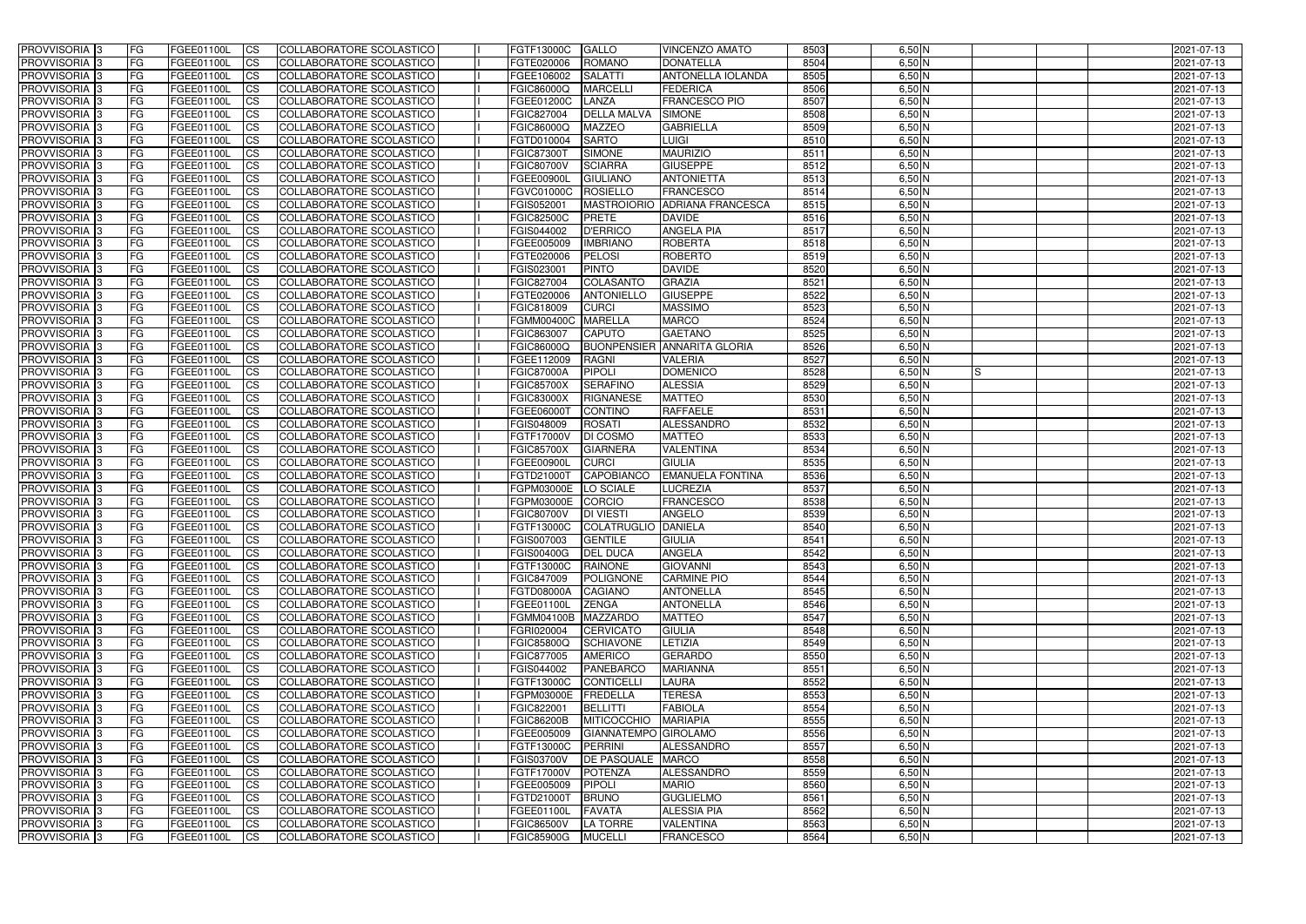| <b>PROVVISORIA</b> 3                                 | FG         | FGEE01100L               | <b>ICS</b>             | COLLABORATORE SCOLASTICO                             | FGTF13000C               | <b>GALLO</b>                | <b>VINCENZO AMATO</b>                                | 8503         | $6,50$ N             | 2021-07-13               |
|------------------------------------------------------|------------|--------------------------|------------------------|------------------------------------------------------|--------------------------|-----------------------------|------------------------------------------------------|--------------|----------------------|--------------------------|
| <b>PROVVISORIA 3</b>                                 | FG         | FGEE01100L               | <b>CS</b>              | COLLABORATORE SCOLASTICO                             | FGTE020006               | <b>ROMANO</b>               | <b>DONATELLA</b>                                     | 8504         | $6,50$ N             | 2021-07-13               |
| PROVVISORIA <sup>3</sup>                             | FG         | FGEE01100L               | <b>CS</b>              | COLLABORATORE SCOLASTICO                             | FGEE106002               | <b>SALATTI</b>              | <b>ANTONELLA IOLANDA</b>                             | 8505         | $6,50$ N             | 2021-07-13               |
| PROVVISORIA <sup>3</sup>                             | FG         | FGEE01100L               | <b>CS</b>              | COLLABORATORE SCOLASTICO                             | FGIC86000Q               | <b>MARCELLI</b>             | <b>FEDERICA</b>                                      | 8506         | $6,50$ N             | 2021-07-13               |
| PROVVISORIA <sup>1</sup> 3                           | FG         | FGEE01100L               | <b>CS</b>              | COLLABORATORE SCOLASTICO                             | FGEE01200C               | LANZA                       | <b>FRANCESCO PIO</b>                                 | 8507         | 6,50 N               | 2021-07-13               |
| PROVVISORIA <sup>3</sup>                             | FG         | FGEE01100L               | <b>CS</b>              | COLLABORATORE SCOLASTICO                             | FGIC827004               | <b>DELLA MALVA</b>          | <b>SIMONE</b>                                        | 8508         | $6,50$ N             | 2021-07-13               |
| PROVVISORIA 3                                        | FG         | FGEE01100L               | <b>CS</b>              | COLLABORATORE SCOLASTICO                             | <b>FGIC86000Q</b>        | <b>MAZZEO</b>               | <b>GABRIELLA</b>                                     | 8509         | $6,50$ N             | 2021-07-13               |
| PROVVISORIA 3                                        | FG         | <b>FGEE01100L</b>        | <b>CS</b>              | COLLABORATORE SCOLASTICO                             | FGTD010004               | <b>SARTO</b>                | <b>LUIGI</b>                                         | 8510         | $6,50$ N             | 2021-07-13               |
| PROVVISORIA 3                                        | FG         | FGEE01100L               | <b>CS</b>              | COLLABORATORE SCOLASTICO                             | <b>FGIC87300T</b>        | <b>SIMONE</b>               | <b>MAURIZIO</b>                                      | 8511         | $6,50$ N             | 2021-07-13               |
| PROVVISORIA <sup>3</sup>                             | FG         | FGEE01100L               | $\overline{c}$         | COLLABORATORE SCOLASTICO                             | <b>FGIC80700V</b>        | <b>SCIARRA</b>              | <b>GIUSEPPE</b>                                      | 8512         | $6,50$ N             | 2021-07-13               |
| PROVVISORIA <sup>3</sup>                             | FG         | FGEE01100L               | <b>CS</b>              | COLLABORATORE SCOLASTICO                             | FGEE00900L               | <b>GIULIANO</b>             | <b>ANTONIETTA</b>                                    | 8513         | $6,50$ N             | 2021-07-13               |
| PROVVISORIA <sup>3</sup>                             | FG         | FGEE01100L               | <b>CS</b>              | COLLABORATORE SCOLASTICO                             | <b>FGVC01000C</b>        | <b>ROSIELLO</b>             | <b>FRANCESCO</b>                                     | 8514         | $6,50$ N             | 2021-07-13               |
| PROVVISORIA <sup>3</sup>                             | FG         | <b>FGEE01100L</b>        | <b>I</b> CS            | COLLABORATORE SCOLASTICO                             | FGIS052001               |                             | MASTROIORIO ADRIANA FRANCESCA                        | 8515         | $6,50$ N             | 2021-07-13               |
| PROVVISORIA <sup>3</sup>                             | FG         | FGEE01100L               | <b>I</b> CS            | COLLABORATORE SCOLASTICO                             | <b>FGIC82500C</b>        | <b>PRETE</b>                | <b>DAVIDE</b>                                        | 8516         | 6,50 N               | 2021-07-13               |
| PROVVISORIA <sup>3</sup>                             | FG         | FGEE01100L               | <b>I</b> CS            | COLLABORATORE SCOLASTICO                             | FGIS044002               | <b>D'ERRICO</b>             | <b>ANGELA PIA</b>                                    | 8517         | $6,50$ N             | 2021-07-13               |
| <b>PROVVISORIA</b> 3                                 | FG         | FGEE01100L               | <b>I</b> CS            | <b>COLLABORATORE SCOLASTICO</b>                      | FGEE005009               | <b>IMBRIANO</b>             | <b>ROBERTA</b>                                       | 8518         | $6,50$ N             | 2021-07-13               |
| PROVVISORIA <sup>3</sup>                             | FG         | FGEE01100L               | <b>CS</b>              | COLLABORATORE SCOLASTICO                             | FGTE020006               | <b>PELOSI</b>               | <b>ROBERTO</b>                                       | 8519         | $6,50$ N             | 2021-07-13               |
| PROVVISORIA 3                                        | FG         | FGEE01100L               | <b>CS</b>              | COLLABORATORE SCOLASTICO                             | FGIS023001               | <b>PINTO</b>                | <b>DAVIDE</b>                                        | 8520         | 6,50 N               | 2021-07-13               |
| PROVVISORIA <sup>3</sup>                             | FG         | FGEE01100L               | <b>ICS</b>             | COLLABORATORE SCOLASTICO                             | FGIC827004               | COLASANTO                   | <b>GRAZIA</b>                                        | 8521         | $6,50$ N             | 2021-07-13               |
| PROVVISORIA <sup>3</sup>                             | FG         | FGEE01100L               | <b>I</b> CS            | COLLABORATORE SCOLASTICO                             | FGTE020006               | <b>ANTONIELLO</b>           | <b>GIUSEPPE</b>                                      | 8522         | $6,50$ N             | 2021-07-13               |
| PROVVISORIA <sup>3</sup>                             | FG         | FGEE01100L               | <b>I</b> CS            | COLLABORATORE SCOLASTICO                             | FGIC818009               | <b>CURCI</b>                | <b>MASSIMO</b>                                       | 8523         | $6,50$ N             | 2021-07-13               |
| PROVVISORIA <sup>3</sup>                             | FG         | FGEE01100L               | <b>CS</b>              | COLLABORATORE SCOLASTICO                             | <b>FGMM00400C</b>        | <b>MARELLA</b>              | <b>MARCO</b>                                         | 8524         | $6,50$ N             | 2021-07-13               |
| PROVVISORIA <sup>3</sup>                             | FG         | FGEE01100L               | <b>CS</b>              | COLLABORATORE SCOLASTICO<br>COLLABORATORE SCOLASTICO | FGIC863007               | <b>CAPUTO</b>               | <b>GAETANO</b><br><b>BUONPENSIER ANNARITA GLORIA</b> | 8525         | $6,50$ N             | 2021-07-13               |
| PROVVISORIA <sup>3</sup><br>PROVVISORIA <sup>3</sup> | FG<br>FG   | FGEE01100L<br>FGEE01100L | <b>CS</b><br><b>CS</b> | COLLABORATORE SCOLASTICO                             | FGIC86000Q<br>FGEE112009 | <b>RAGNI</b>                | <b>VALERIA</b>                                       | 8526<br>8527 | $6,50$ N<br>$6,50$ N | 2021-07-13<br>2021-07-13 |
| PROVVISORIA <sup>1</sup> 3                           | FG         | FGEE01100L               | <b>CS</b>              | COLLABORATORE SCOLASTICO                             | <b>FGIC87000A</b>        | <b>PIPOLI</b>               | <b>DOMENICO</b>                                      | 8528         | $6,50$ N<br>IS       | 2021-07-13               |
| PROVVISORIA 3                                        | FG         | <b>FGEE01100L</b>        | <b>CS</b>              | COLLABORATORE SCOLASTICO                             | <b>FGIC85700X</b>        | <b>SERAFINO</b>             | <b>ALESSIA</b>                                       | 8529         | $6,50$ N             | 2021-07-13               |
| PROVVISORIA <sup>3</sup>                             | FG         | FGEE01100L               | <b>CS</b>              | COLLABORATORE SCOLASTICO                             | <b>FGIC83000X</b>        | <b>RIGNANESE</b>            | <b>MATTEO</b>                                        | 8530         | $6,50$ N             | 2021-07-13               |
| PROVVISORIA <sup>3</sup>                             | FG         | <b>FGEE01100L</b>        | <b>CS</b>              | COLLABORATORE SCOLASTICO                             | FGEE06000T               | <b>CONTINO</b>              | <b>RAFFAELE</b>                                      | 8531         | $6,50$ N             | 2021-07-13               |
| PROVVISORIA <sup>1</sup> 3                           | FG.        | FGEE01100L               | <b>CS</b>              | COLLABORATORE SCOLASTICO                             | FGIS048009               | <b>ROSATI</b>               | ALESSANDRO                                           | 8532         | $6,50$ N             | 2021-07-13               |
| PROVVISORIA <sup>3</sup>                             | FG.        | FGEE01100L               | <b>CS</b>              | COLLABORATORE SCOLASTICO                             | FGTF17000V               | <b>DI COSMO</b>             | <b>MATTEO</b>                                        | 8533         | $6,50$ N             | 2021-07-13               |
| PROVVISORIA <sup>3</sup>                             | FG         | <b>FGEE01100L</b>        | $\overline{\text{cs}}$ | COLLABORATORE SCOLASTICO                             | <b>FGIC85700X</b>        | <b>GIARNERA</b>             | <b>VALENTINA</b>                                     | 8534         | $6,50$ N             | 2021-07-13               |
| PROVVISORIA <sup>3</sup>                             | FG         | <b>FGEE01100L</b>        | <b>CS</b>              | COLLABORATORE SCOLASTICO                             | <b>FGEE00900L</b>        | <b>CURCI</b>                | <b>GIULIA</b>                                        | 8535         | $6,50$ N             | 2021-07-13               |
| PROVVISORIA 3                                        | FG         | <b>FGEE01100L</b>        | <b>CS</b>              | COLLABORATORE SCOLASTICO                             | FGTD21000T               | <b>CAPOBIANCO</b>           | <b>EMANUELA FONTINA</b>                              | 8536         | $6,50$ N             | 2021-07-13               |
| PROVVISORIA <sup>3</sup>                             | FG         | FGEE01100L               | $\overline{\text{cs}}$ | COLLABORATORE SCOLASTICO                             | FGPM03000E               | LO SCIALE                   | <b>LUCREZIA</b>                                      | 8537         | $6,50$ N             | 2021-07-13               |
| PROVVISORIA <sup>3</sup>                             | FG         | <b>FGEE01100L</b>        | <b>CS</b>              | <b>COLLABORATORE SCOLASTICO</b>                      | FGPM03000E               | <b>CORCIO</b>               | <b>FRANCESCO</b>                                     | 8538         | $6,50$ N             | 2021-07-13               |
| <b>PROVVISORIA</b> 3                                 | FG         | FGEE01100L               | <b>CS</b>              | COLLABORATORE SCOLASTICO                             | <b>FGIC80700V</b>        | <b>DI VIESTI</b>            | <b>ANGELO</b>                                        | 8539         | $6,50$ N             | 2021-07-13               |
| PROVVISORIA 3                                        | FG         | FGEE01100L               | <b>I</b> CS            | COLLABORATORE SCOLASTICO                             | <b>FGTF13000C</b>        | COLATRUGLIO DANIELA         |                                                      | 8540         | $6,50$ N             | 2021-07-13               |
| PROVVISORIA <sup>3</sup>                             | IFG.       | FGEE01100L               | CS                     | COLLABORATORE SCOLASTICO                             | <b>FGIS007003</b>        | <b>GENTILE</b>              | <b>GIULIA</b>                                        | 8541         | $6,50$ N             | 2021-07-13               |
| <b>PROVVISORIA</b> 3                                 | IFG.       | FGEE01100L               | <b>ICS</b>             | COLLABORATORE SCOLASTICO                             | <b>FGIS00400G</b>        | <b>DEL DUCA</b>             | <b>ANGELA</b>                                        | 8542         | $6,50$ N             | 2021-07-13               |
| PROVVISORIA 3                                        | FG         | FGEE01100L               | <b>CS</b>              | COLLABORATORE SCOLASTICO                             | <b>FGTF13000C</b>        | RAINONE                     | <b>GIOVANNI</b>                                      | 8543         | $6,50$ N             | 2021-07-13               |
| PROVVISORIA 3                                        | FG         | FGEE01100L               | <b>CS</b>              | COLLABORATORE SCOLASTICO                             | <b>FGIC847009</b>        | POLIGNONE                   | <b>CARMINE PIO</b>                                   | 8544         | $6,50$ N             | 2021-07-13               |
| PROVVISORIA <sup>3</sup>                             | FG         | FGEE01100L               | <b>ICS</b>             | <b>COLLABORATORE SCOLASTICO</b>                      | <b>FGTD08000A</b>        | CAGIANO                     | <b>ANTONELLA</b>                                     | 8545         | $6,50$ N             | 2021-07-13               |
| PROVVISORIA 3                                        | FG         | FGEE01100L               | <b>CS</b>              | COLLABORATORE SCOLASTICO                             | FGEE01100L               | <b>ZENGA</b>                | <b>ANTONELLA</b>                                     | 8546         | $6,50$ N             | 2021-07-13               |
| PROVVISORIA 3                                        | FG         | <b>FGEE01100L</b>        | <b>CS</b>              | COLLABORATORE SCOLASTICO                             | <b>FGMM04100B</b>        | <b>MAZZARDO</b>             | <b>MATTEO</b>                                        | 8547         | $6,50$ N             | 2021-07-13               |
| PROVVISORIA 3                                        | <b>FG</b>  | FGEE01100L               | <b>CS</b>              | COLLABORATORE SCOLASTICO                             | FGRI020004               | CERVICATO                   | <b>GIULIA</b>                                        | 8548         | $6,50$ N             | 2021-07-13               |
| PROVVISORIA 3                                        | FG         | FGEE01100L               | <b>CS</b>              | COLLABORATORE SCOLASTICO                             | <b>FGIC85800Q</b>        | <b>SCHIAVONE</b>            | LETIZIA                                              | 8549         | $6,50$ N             | 2021-07-13               |
| PROVVISORIA 3                                        | FG         | FGEE01100L               | <b>CS</b>              | COLLABORATORE SCOLASTICO                             | FGIC877005               | <b>AMERICO</b>              | <b>GERARDO</b>                                       | 8550         | $6,50$ N             | 2021-07-13               |
| PROVVISORIA 3                                        | IFG.       | FGEE01100L               | <b>CS</b>              | COLLABORATORE SCOLASTICO                             | FGIS044002               | PANEBARCO                   | <b>MARIANNA</b>                                      | 8551         | $6,50$ N             | 2021-07-13               |
| PROVVISORIA 3                                        | FG         | FGEE01100L               | <b>CS</b>              | COLLABORATORE SCOLASTICO                             | FGTF13000C               | <b>CONTICELLI</b>           | <b>LAURA</b>                                         | 8552         | $6,50$ N<br>$6,50$ N | 2021-07-13               |
| PROVVISORIA 3<br><b>PROVVISORIA</b> 3                | FG<br>IFG. | FGEE01100L<br>FGEE01100L | <b>CS</b><br><b>CS</b> | COLLABORATORE SCOLASTICO<br>COLLABORATORE SCOLASTICO | FGPM03000E<br>FGIC822001 | FREDELLA<br><b>BELLITTI</b> | <b>TERESA</b><br><b>FABIOLA</b>                      | 8553<br>8554 | $6,50$ N             | 2021-07-13<br>2021-07-13 |
| <b>PROVVISORIA</b> 3                                 | IFG.       | FGEE01100L               | <b>CS</b>              | COLLABORATORE SCOLASTICO                             | <b>FGIC86200B</b>        | MITICOCCHIO                 | <b>MARIAPIA</b>                                      | 8555         | $6,50$ N             | 2021-07-13               |
| PROVVISORIA 3                                        | <b>IFG</b> | <b>FGEE01100L</b>        | <b>CS</b>              | <b>COLLABORATORE SCOLASTICO</b>                      | FGEE005009               | GIANNATEMPO GIROLAMO        |                                                      | 8556         | $6,50$ N             | 2021-07-13               |
| PROVVISORIA 3                                        | <b>IFG</b> | FGEE01100L               | <b>CS</b>              | COLLABORATORE SCOLASTICO                             | FGTF13000C               | <b>PERRINI</b>              | ALESSANDRO                                           | 8557         | $6,50$ N             | 2021-07-13               |
| PROVVISORIA 3                                        | IFG.       | FGEE01100L               | <b>CS</b>              | COLLABORATORE SCOLASTICO                             | <b>FGIS03700V</b>        | DE PASQUALE MARCO           |                                                      | 8558         | $6,50$ N             | 2021-07-13               |
| PROVVISORIA 3                                        | FG         | FGEE01100L               | <b>CS</b>              | COLLABORATORE SCOLASTICO                             | FGTF17000V               | <b>POTENZA</b>              | ALESSANDRO                                           | 8559         | $6,50$ N             | 2021-07-13               |
| PROVVISORIA 3                                        | FG         | FGEE01100L               | <b>CS</b>              | COLLABORATORE SCOLASTICO                             | FGEE005009               | <b>PIPOLI</b>               | <b>MARIO</b>                                         | 8560         | $6,50$ N             | 2021-07-13               |
| PROVVISORIA 3                                        | FG         | <b>FGEE01100L</b>        | <b>CS</b>              | COLLABORATORE SCOLASTICO                             | FGTD21000T               | <b>BRUNO</b>                | <b>GUGLIELMO</b>                                     | 8561         | $6,50$ N             | 2021-07-13               |
| <b>PROVVISORIA</b> 3                                 | FG         | FGEE01100L               | <b>ICS</b>             | COLLABORATORE SCOLASTICO                             | FGEE01100L               | FAVATÀ                      | <b>ALESSIA PIA</b>                                   | 8562         | $6,50$ N             | 2021-07-13               |
| PROVVISORIA 3                                        | FG         | FGEE01100L               | <b>CS</b>              | COLLABORATORE SCOLASTICO                             | <b>FGIC86500V</b>        | LA TORRE                    | <b>VALENTINA</b>                                     | 8563         | $6,50$ N             | 2021-07-13               |
| PROVVISORIA 3                                        | l FG       | FGEE01100L               | <b>CS</b>              | COLLABORATORE SCOLASTICO                             | <b>FGIC85900G</b>        | <b>MUCELLI</b>              | <b>FRANCESCO</b>                                     | 8564         | $6,50$ N             | 2021-07-13               |
|                                                      |            |                          |                        |                                                      |                          |                             |                                                      |              |                      |                          |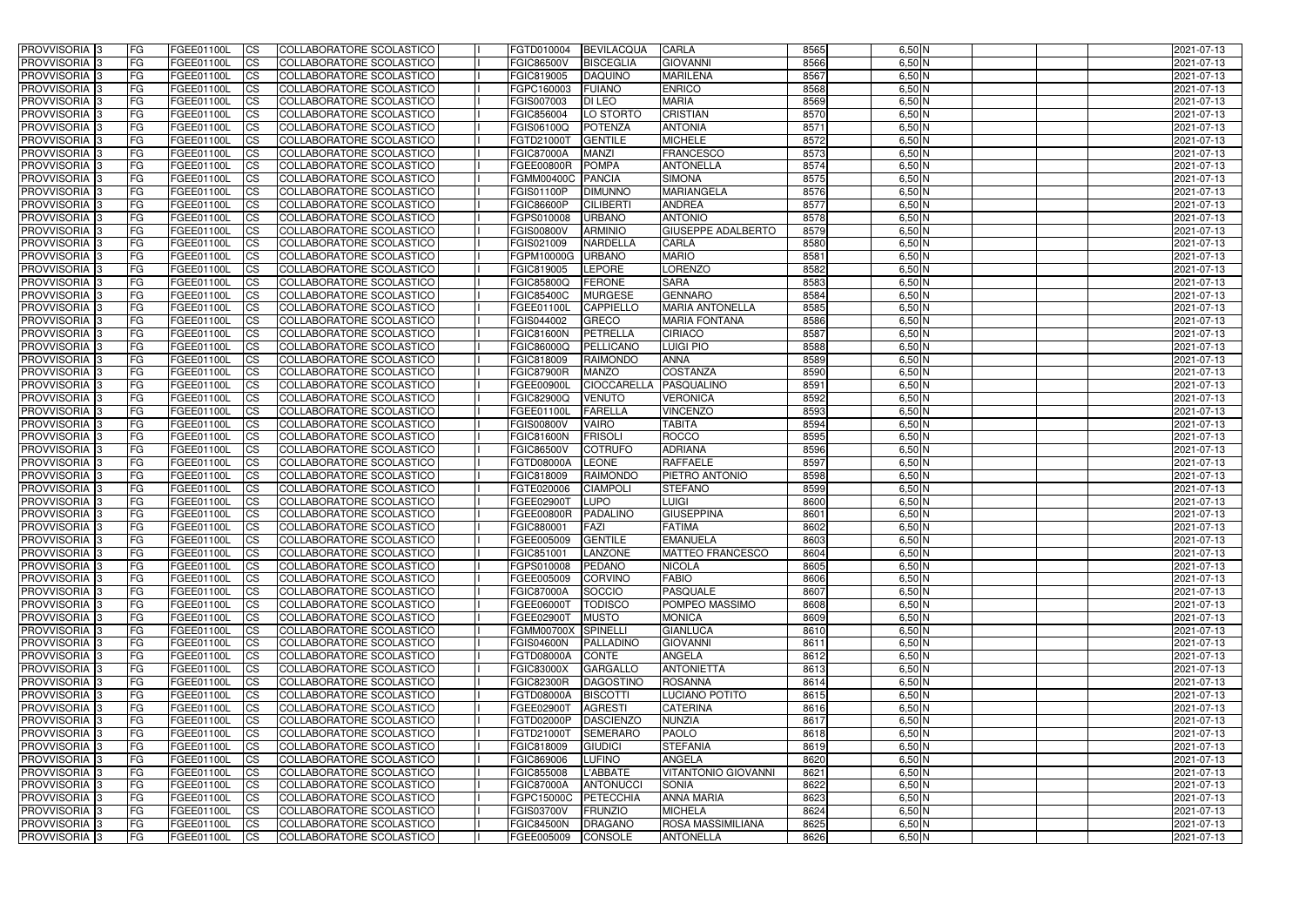| <b>PROVVISORIA</b> 3                      | l FG            | FGEE01100L               | <b>ICS</b>             | COLLABORATORE SCOLASTICO                             | FGTD010004                             | <b>BEVILACQUA</b>              | <b>CARLA</b>                  | 8565         | $6,50$ N             | 2021-07-13               |
|-------------------------------------------|-----------------|--------------------------|------------------------|------------------------------------------------------|----------------------------------------|--------------------------------|-------------------------------|--------------|----------------------|--------------------------|
| <b>PROVVISORIA 3</b>                      | FG              | FGEE01100L               | <b>ICS</b>             | COLLABORATORE SCOLASTICO                             | <b>FGIC86500V</b>                      | <b>BISCEGLIA</b>               | <b>GIOVANNI</b>               | 8566         | $6,50$ N             | 2021-07-13               |
| PROVVISORIA <sup>1</sup> 3                | FG              | FGEE01100L               | <b>CS</b>              | <b>COLLABORATORE SCOLASTICO</b>                      | FGIC819005                             | <b>DAQUINO</b>                 | <b>MARILENA</b>               | 8567         | $6,50$ N             | 2021-07-13               |
| <b>PROVVISORIA</b>                        | FG              | FGEE01100L               | <b>CS</b>              | COLLABORATORE SCOLASTICO                             | FGPC160003                             | <b>FUIANO</b>                  | <b>ENRICO</b>                 | 8568         | $6,50$ N             | 2021-07-13               |
| PROVVISORIA <sup>1</sup> 3                | FG              | FGEE01100L               | <b>CS</b>              | COLLABORATORE SCOLASTICO                             | FGIS007003                             | <b>DI LEO</b>                  | <b>MARIA</b>                  | 8569         | 6,50 N               | 2021-07-13               |
| PROVVISORIA <sup>1</sup> 3                | FG              | FGEE01100L               | <b>CS</b>              | COLLABORATORE SCOLASTICO                             | FGIC856004                             | LO STORTO                      | <b>CRISTIAN</b>               | 8570         | $6,50$ N             | 2021-07-13               |
| PROVVISORIA <sup>1</sup> 3                | FG              | FGEE01100L               | <b>CS</b>              | COLLABORATORE SCOLASTICO                             | FGIS06100Q                             | <b>POTENZA</b>                 | <b>ANTONIA</b>                | 8571         | $6,50$ N             | 2021-07-13               |
| PROVVISORIA 3                             | FG              | FGEE01100L               | <b>ICS</b>             | COLLABORATORE SCOLASTICO                             | FGTD21000T                             | <b>GENTILE</b>                 | <b>MICHELE</b>                | 8572         | $6,50$ N             | 2021-07-13               |
| PROVVISORIA 3                             | <b>FG</b>       | FGEE01100L               | <b>CS</b>              | COLLABORATORE SCOLASTICO                             | <b>FGIC87000A</b>                      | <b>MANZI</b>                   | <b>FRANCESCO</b>              | 8573         | $6,50$ N             | 2021-07-13               |
| PROVVISORIA 3                             | <b>FG</b>       | FGEE01100L               | <b>ICS</b>             | COLLABORATORE SCOLASTICO                             | <b>FGEE00800R</b>                      | <b>POMPA</b>                   | <b>ANTONELLA</b>              | 8574         | $6,50$ N             | 2021-07-13               |
| PROVVISORIA 3                             | FG              | <b>FGEE01100L</b>        | <b>CS</b>              | COLLABORATORE SCOLASTICO                             | FGMM00400C PANCIA                      |                                | <b>SIMONA</b>                 | 8575         | $6,50$ N             | 2021-07-13               |
| <b>PROVVISORIA</b>                        | FG              | FGEE01100L               | <b>ICS</b>             | COLLABORATORE SCOLASTICO                             | <b>FGIS01100P</b>                      | <b>DIMUNNO</b>                 | MARIANGELA                    | 8576         | $6,50$ N             | 2021-07-13               |
| <b>PROVVISORIA</b>                        | FG              | FGEE01100L               | <b>ICS</b>             | COLLABORATORE SCOLASTICO                             | <b>FGIC86600P</b>                      | <b>CILIBERTI</b>               | <b>ANDREA</b>                 | 8577         | $6,50$ N             | 2021-07-13               |
| <b>PROVVISORIA</b>                        | FG              | FGEE01100L               | <b>ICS</b>             | COLLABORATORE SCOLASTICO                             | FGPS010008                             | <b>URBANO</b>                  | <b>ANTONIO</b>                | 8578         | 6,50 N               | 2021-07-13               |
| <b>PROVVISORIA</b>                        | FG              | FGEE01100L               | <b>ICS</b>             | COLLABORATORE SCOLASTICO                             | <b>FGIS00800V</b>                      | <b>ARMINIO</b>                 | <b>GIUSEPPE ADALBERTO</b>     | 8579         | $6,50$ N             | 2021-07-13               |
| <b>PROVVISORIA</b>                        | FG              | FGEE01100L               | <b>ICS</b>             | COLLABORATORE SCOLASTICO                             | FGIS021009                             | <b>NARDELLA</b>                | <b>CARLA</b>                  | 8580         | $6,50$ N             | 2021-07-13               |
| <b>PROVVISORIA</b>                        | FG              | <b>FGEE01100L</b>        | <b>ICS</b>             | COLLABORATORE SCOLASTICO                             | FGPM10000G                             | <b>URBANO</b>                  | <b>MARIO</b>                  | 8581         | $6,50$ N             | 2021-07-13               |
| <b>PROVVISORIA</b>                        | FG              | FGEE01100L               | <b>ICS</b>             | COLLABORATORE SCOLASTICO                             | FGIC819005                             | LEPORE                         | <b>LORENZO</b>                | 8582         | 6,50 N               | 2021-07-13               |
| PROVVISORIA 3                             | FG              | FGEE01100L               | <b>ICS</b>             | COLLABORATORE SCOLASTICO                             | <b>FGIC85800Q</b>                      | <b>FERONE</b>                  | <b>SARA</b>                   | 8583         | $6,50$ N             | 2021-07-13               |
| PROVVISORIA <sup>1</sup> 3                | FG              | FGEE01100L               | <b>ICS</b>             | COLLABORATORE SCOLASTICO                             | <b>FGIC85400C</b>                      | <b>MURGESE</b>                 | <b>GENNARO</b>                | 8584         | $6,50$ N             | 2021-07-13               |
| PROVVISORIA <sup>1</sup> 3                | FG              | FGEE01100L               | <b>ICS</b>             | COLLABORATORE SCOLASTICO                             | FGEE01100L                             | <b>CAPPIELLO</b>               | <b>MARIA ANTONELLA</b>        | 8585         | $6,50$ N             | 2021-07-13               |
| PROVVISORIA 3                             | FG              | FGEE01100L               | <b>ICS</b>             | COLLABORATORE SCOLASTICO                             | FGIS044002                             | <b>GRECO</b>                   | <b>MARIA FONTANA</b>          | 8586         | $6,50$ N             | 2021-07-13               |
| PROVVISORIA <sup>3</sup>                  | FG              | FGEE01100L               | <b>ICS</b>             | <b>COLLABORATORE SCOLASTICO</b>                      | <b>FGIC81600N</b>                      | PETRELLA                       | <b>CIRIACO</b>                | 8587         | $6,50$ N             | 2021-07-13               |
| PROVVISORIA <sup>3</sup>                  | FG              | FGEE01100L               | <b>CS</b>              | COLLABORATORE SCOLASTICO                             | FGIC86000Q                             | PELLICANC                      | <b>LUIGI PIO</b>              | 8588         | $6,50$ N             | 2021-07-13               |
| PROVVISORIA <sup>3</sup>                  | FG              | FGEE01100L               | <b>CS</b>              | COLLABORATORE SCOLASTICO                             | FGIC818009                             | <b>RAIMONDO</b>                | <b>ANNA</b>                   | 8589         | $6,50$ N             | 2021-07-13               |
| PROVVISORIA <sup>1</sup> 3                | FG              | FGEE01100L               | <b>ICS</b>             | COLLABORATORE SCOLASTICO                             | <b>FGIC87900R</b>                      | <b>MANZO</b>                   | <b>COSTANZA</b>               | 8590         | $6,50$ N             | 2021-07-13               |
| PROVVISORIA 3                             | FG              | FGEE01100L               | <b>ICS</b>             | COLLABORATORE SCOLASTICO                             | FGEE00900I                             | <b>CIOCCARELLA</b>             | PASQUALINO                    | 8591         | $6,50$ N             | 2021-07-13               |
| PROVVISORIA                               | FG              | FGEE01100L               | <b>ICS</b>             | COLLABORATORE SCOLASTICO                             | FGIC82900Q                             | <b>VENUTO</b>                  | <b>VERONICA</b>               | 8592         | $6,50$ N             | 2021-07-13               |
| PROVVISORIA                               | FG              | FGEE01100L               | <b>CS</b>              | <b>COLLABORATORE SCOLASTICO</b>                      | FGEE01100L                             | <b>FARELLA</b>                 | <b>VINCENZO</b>               | 8593         | $6,50$ N             | 2021-07-13               |
| PROVVISORIA                               | FG              | FGEE01100L               | <b>CS</b>              | COLLABORATORE SCOLASTICO                             | <b>FGIS00800V</b>                      | <b>VAIRO</b><br><b>FRISOLI</b> | <b>TABITA</b><br><b>ROCCO</b> | 8594<br>8595 | 6,50 N               | 2021-07-13               |
| PROVVISORIA<br>PROVVISORIA <sup>1</sup> 3 | FG<br><b>FG</b> | FGEE01100L               | <b>CS</b>              | COLLABORATORE SCOLASTICO<br>COLLABORATORE SCOLASTICO | <b>FGIC81600N</b><br><b>FGIC86500V</b> | <b>COTRUFO</b>                 | <b>ADRIANA</b>                | 8596         | $6,50$ N<br>$6,50$ N | 2021-07-13               |
| PROVVISORIA <sup>1</sup> 3                | FG              | FGEE01100L<br>FGEE01100L | <b>CS</b><br><b>CS</b> | COLLABORATORE SCOLASTICO                             | FGTD08000A                             | LEONE                          | <b>RAFFAELE</b>               | 8597         | $6,50$ N             | 2021-07-13<br>2021-07-13 |
| PROVVISORIA 3                             | FG              | FGEE01100L               | <b>CS</b>              | <b>COLLABORATORE SCOLASTICO</b>                      | FGIC818009                             | <b>RAIMONDO</b>                | PIETRO ANTONIO                | 8598         | $6,50$ N             | 2021-07-13               |
| PROVVISORIA <sup>1</sup> 3                | FG              | FGEE01100L               | <b>ICS</b>             | COLLABORATORE SCOLASTICO                             | FGTE020006                             | <b>CIAMPOLI</b>                | <b>STEFANO</b>                | 8599         | $6,50$ N             | 2021-07-13               |
| PROVVISORIA 3                             | <b>FG</b>       | FGEE01100L               | <b>ICS</b>             | COLLABORATORE SCOLASTICO                             | FGEE02900T                             | <b>LUPO</b>                    | LUIGI                         | 8600         | $6,50$ N             | 2021-07-13               |
| PROVVISORIA 3                             | <b>FG</b>       | FGEE01100L               | <b>ICS</b>             | COLLABORATORE SCOLASTICO                             | FGEE00800R                             | PADALINO                       | <b>GIUSEPPINA</b>             | 8601         | $6,50$ N             | 2021-07-13               |
| <b>PROVVISORIA</b>                        | <b>FG</b>       | FGEE01100L               | <b>ICS</b>             | COLLABORATORE SCOLASTICO                             | FGIC880001                             | FAZI                           | <b>FATIMA</b>                 | 8602         | $6,50$ N             | 2021-07-13               |
| PROVVISORIA 3                             | FG              | FGEE01100L               | CS                     | COLLABORATORE SCOLASTICO                             | FGEE005009 GENTILE                     |                                | <b>EMANUELA</b>               | 8603         | $6,50$ N             | 2021-07-13               |
| PROVVISORIA 3                             | <b>FG</b>       | FGEE01100L               | $\mathsf{ICS}$         | COLLABORATORE SCOLASTICO                             | FGIC851001                             | LANZONE                        | <b>MATTEO FRANCESCO</b>       | 8604         | $6,50$ N             | 2021-07-13               |
| PROVVISORIA 3                             | <b>FG</b>       | <b>FGEE01100L</b>        | $\mathsf{ICS}$         | COLLABORATORE SCOLASTICO                             | FGPS010008                             | PEDANO                         | <b>NICOLA</b>                 | 8605         | $6,50$ N             | 2021-07-13               |
| PROVVISORIA 3                             | <b>FG</b>       | FGEE01100L               | $\overline{\text{CS}}$ | COLLABORATORE SCOLASTICO                             | FGEE005009                             | <b>CORVINO</b>                 | <b>FABIO</b>                  | 8606         | $6,50$ N             | 2021-07-13               |
| PROVVISORIA 3                             | FG              | FGEE01100L               | $\mathsf{ICS}$         | COLLABORATORE SCOLASTICO                             | <b>FGIC87000A</b>                      | SOCCIO                         | PASQUALE                      | 8607         | $6,50$ N             | 2021-07-13               |
| PROVVISORIA 3                             | l FG            | FGEE01100L               | <b>CS</b>              | COLLABORATORE SCOLASTICO                             | FGEE06000T                             | <b>TODISCO</b>                 | POMPEO MASSIMO                | 8608         | $6,50$ N             | 2021-07-13               |
| PROVVISORIA 3                             | <b>FG</b>       | FGEE01100L               | <b>CS</b>              | COLLABORATORE SCOLASTICO                             | FGEE02900T                             | <b>MUSTO</b>                   | <b>MONICA</b>                 | 8609         | $6,50$ N             | 2021-07-13               |
| PROVVISORIA <sup>3</sup>                  | FG              | <b>FGEE01100L</b>        | <b>CS</b>              | COLLABORATORE SCOLASTICO                             | FGMM00700X SPINELLI                    |                                | <b>GIANLUCA</b>               | 8610         | $6,50$ N             | 2021-07-13               |
| PROVVISORIA 3                             | FG              | FGEE01100L               | <b>CS</b>              | COLLABORATORE SCOLASTICO                             | <b>FGIS04600N</b>                      | PALLADINO                      | <b>GIOVANNI</b>               | 8611         | $6,50$ N             | 2021-07-13               |
| PROVVISORIA 3                             | <b>FG</b>       | FGEE01100L               | <b>CS</b>              | COLLABORATORE SCOLASTICO                             | FGTD08000A                             | CONTE                          | <b>ANGELA</b>                 | 8612         | $6,50$ N             | 2021-07-13               |
| PROVVISORIA 3                             | <b>FG</b>       | FGEE01100L               | <b>CS</b>              | COLLABORATORE SCOLASTICO                             | <b>FGIC83000X</b>                      | <b>GARGALLO</b>                | <b>ANTONIETTA</b>             | 8613         | $6,50$ N             | 2021-07-13               |
| PROVVISORIA 3                             | <b>FG</b>       | FGEE01100L               | <b>CS</b>              | COLLABORATORE SCOLASTICO                             | <b>FGIC82300R</b>                      | <b>DAGOSTINO</b>               | <b>ROSANNA</b>                | 8614         | $6,50$ N             | 2021-07-13               |
| PROVVISORIA 3                             | <b>FG</b>       | FGEE01100L               | <b>CS</b>              | COLLABORATORE SCOLASTICO                             | FGTD08000A                             | <b>BISCOTTI</b>                | LUCIANO POTITO                | 8615         | $6,50$ N             | 2021-07-13               |
| PROVVISORIA 3                             | <b>FG</b>       | FGEE01100L               | <b>CS</b>              | COLLABORATORE SCOLASTICO                             | FGEE02900T                             | <b>AGRESTI</b>                 | <b>CATERINA</b>               | 8616         | $6,50$ N             | 2021-07-13               |
| PROVVISORIA 3                             | <b>FG</b>       | FGEE01100L               | <b>CS</b>              | COLLABORATORE SCOLASTICO                             | FGTD02000P                             | <b>DASCIENZO</b>               | <b>NUNZIA</b>                 | 8617         | $6,50$ N             | 2021-07-13               |
| PROVVISORIA 3                             | <b>FG</b>       | FGEE01100L               | <b>CS</b>              | COLLABORATORE SCOLASTICO                             | FGTD21000T                             | <b>SEMERARO</b>                | <b>PAOLO</b>                  | 8618         | $6,50$ N             | 2021-07-13               |
| PROVVISORIA 3                             | FG              | FGEE01100L               | <b>CS</b>              | COLLABORATORE SCOLASTICO                             | FGIC818009                             | GIUDICI                        | <b>STEFANIA</b>               | 8619         | $6,50$ N             | 2021-07-13               |
| PROVVISORIA 3                             | <b>FG</b>       | FGEE01100L               | <b>CS</b>              | COLLABORATORE SCOLASTICO                             | FGIC869006                             | LUFINO                         | <b>ANGELA</b>                 | 8620         | $6,50$ N             | 2021-07-13               |
| PROVVISORIA 3                             | <b>FG</b>       | FGEE01100L               | <b>CS</b>              | COLLABORATORE SCOLASTICO                             | FGIC855008                             | L'ABBATE                       | <b>VITANTONIO GIOVANNI</b>    | 8621         | $6,50$ N             | 2021-07-13               |
| PROVVISORIA 3                             | FG              | FGEE01100L               | <b>CS</b>              | COLLABORATORE SCOLASTICO                             | <b>FGIC87000A</b>                      | <b>ANTONUCCI</b>               | <b>SONIA</b>                  | 8622         | $6,50$ N             | 2021-07-13               |
| PROVVISORIA 3                             | FG              | <b>FGEE01100L</b>        | <b>CS</b>              | COLLABORATORE SCOLASTICO                             | FGPC15000C                             | PETECCHIA                      | <b>ANNA MARIA</b>             | 8623         | $6,50$ N             | 2021-07-13               |
| PROVVISORIA 3                             | <b>FG</b>       | FGEE01100L               | <b>CS</b>              | COLLABORATORE SCOLASTICO                             | <b>FGIS03700V</b>                      | FRUNZIO                        | <b>MICHELA</b>                | 8624         | $6,50$ N             | 2021-07-13               |
| PROVVISORIA 3                             | <b>FG</b>       | FGEE01100L               | $\overline{\text{CS}}$ | COLLABORATORE SCOLASTICO                             | <b>FGIC84500N</b>                      | <b>DRAGANO</b>                 | <b>ROSA MASSIMILIANA</b>      | 8625         | $6,50$ N             | 2021-07-13               |
| PROVVISORIA 3                             | <b>FG</b>       | FGEE01100L               | $\overline{\text{CS}}$ | COLLABORATORE SCOLASTICO                             | FGEE005009                             | <b>CONSOLE</b>                 | <b>ANTONELLA</b>              | 8626         | $6,50$ N             | 2021-07-13               |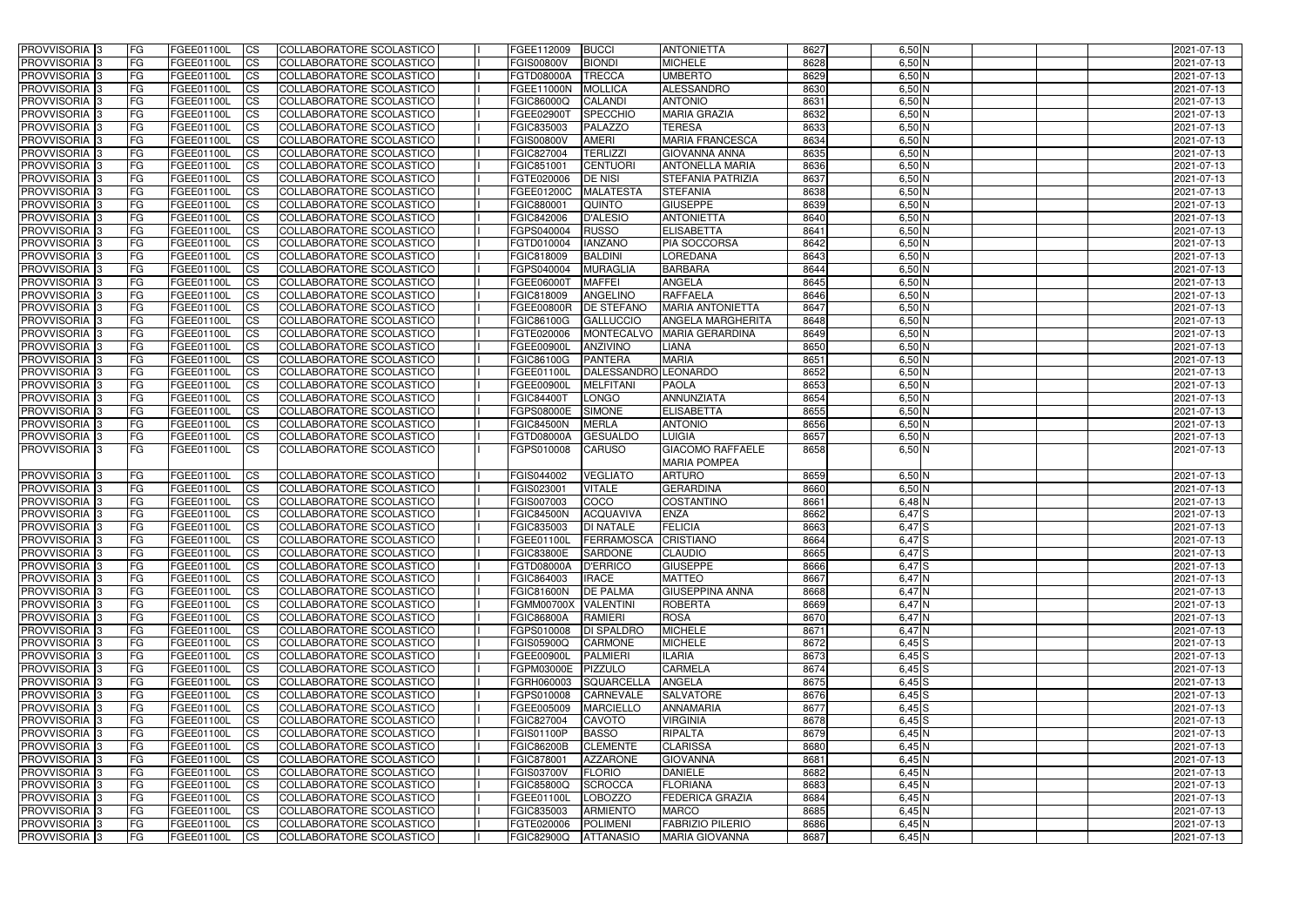| <b>PROVVISORIA</b> 3                                 | <b>IFG</b> | FGEE01100L                             | <b>CS</b>              | COLLABORATORE SCOLASTICO                             | FGEE112009                             | <b>BUCCI</b>                             | <b>ANTONIETTA</b>               | 8627         | $6,50$ N             | 2021-07-13               |
|------------------------------------------------------|------------|----------------------------------------|------------------------|------------------------------------------------------|----------------------------------------|------------------------------------------|---------------------------------|--------------|----------------------|--------------------------|
| PROVVISORIA <sup>1</sup> 3                           | FG         | FGEE01100L                             | $\overline{\text{cs}}$ | COLLABORATORE SCOLASTICO                             | <b>FGIS00800V</b>                      | <b>BIONDI</b>                            | <b>MICHELE</b>                  | 8628         | $6,50$ N             | 2021-07-13               |
| PROVVISORIA <sup>3</sup>                             | <b>IFG</b> | FGEE01100L                             | <b>CS</b>              | <b>COLLABORATORE SCOLASTICO</b>                      | <b>FGTD08000A</b>                      | <b>TRECCA</b>                            | <b>UMBERTO</b>                  | 8629         | $6,50$ N             | 2021-07-13               |
| PROVVISORIA <sup>3</sup>                             | <b>IFG</b> | FGEE01100L                             | <b>CS</b>              | COLLABORATORE SCOLASTICO                             | <b>FGEE11000N</b>                      | <b>MOLLICA</b>                           | ALESSANDRO                      | 8630         | $6,50$ N             | 2021-07-13               |
| PROVVISORIA 3                                        | FG         | FGEE01100L                             | <b>CS</b>              | COLLABORATORE SCOLASTICO                             | <b>FGIC86000Q</b>                      | <b>CALANDI</b>                           | <b>ANTONIO</b>                  | 8631         | $6,50$ N             | 2021-07-13               |
| PROVVISORIA 3                                        | FG         | FGEE01100L                             | <b>ICS</b>             | COLLABORATORE SCOLASTICO                             | FGEE02900T                             | <b>SPECCHIO</b>                          | <b>MARIA GRAZIA</b>             | 8632         | $6,50$ N             | 2021-07-13               |
| PROVVISORIA 3                                        | FG         | FGEE01100L                             | <b>CS</b>              | COLLABORATORE SCOLASTICO                             | FGIC835003                             | PALAZZO                                  | <b>TERESA</b>                   | 8633         | $6,50$ N             | 2021-07-13               |
| PROVVISORIA <sup>3</sup>                             | FG         | FGEE01100L                             | $\overline{c}$         | COLLABORATORE SCOLASTICO                             | <b>FGIS00800V</b>                      | <b>AMERI</b>                             | <b>MARIA FRANCESCA</b>          | 8634         | $6,50$ N             | 2021-07-13               |
| PROVVISORIA <sup>3</sup>                             | FG         | FGEE01100L                             | <b>CS</b>              | <b>COLLABORATORE SCOLASTICO</b>                      | FGIC827004                             | <b>TERLIZZI</b>                          | <b>GIOVANNA ANNA</b>            | 8635         | $6,50$ N             | 2021-07-13               |
| PROVVISORIA <sup>3</sup>                             | FG         | FGEE01100L                             | <b>CS</b>              | COLLABORATORE SCOLASTICO                             | FGIC851001                             | <b>CENTUORI</b>                          | <b>ANTONELLA MARIA</b>          | 8636         | $6,50$ N             | 2021-07-13               |
| PROVVISORIA 3                                        | FG         | FGEE01100L                             | <b>CS</b>              | <b>COLLABORATORE SCOLASTICO</b>                      | FGTE020006                             | <b>DE NISI</b>                           | <b>STEFANIA PATRIZIA</b>        | 8637         | $6,50$ N             | 2021-07-13               |
| PROVVISORIA <sup>3</sup>                             | FG         | <b>FGEE01100L</b>                      | <b>CS</b>              | COLLABORATORE SCOLASTICO                             | FGEE01200C                             | MALATESTA                                | <b>STEFANIA</b>                 | 8638         | $6,50$ N             | 2021-07-13               |
| PROVVISORIA <sup>3</sup>                             | FG         | FGEE01100L                             | <b>I</b> CS            | <b>COLLABORATORE SCOLASTICO</b>                      | FGIC880001                             | <b>QUINTO</b>                            | <b>GIUSEPPE</b>                 | 8639         | $6,50$ N             | 2021-07-13               |
| PROVVISORIA <sup>3</sup>                             | FG         | FGEE01100L                             | <b>I</b> CS            | <b>COLLABORATORE SCOLASTICO</b>                      | FGIC842006                             | <b>D'ALESIO</b>                          | <b>ANTONIETTA</b>               | 8640         | $6,50$ N             | 2021-07-13               |
| PROVVISORIA 3                                        | FG         | FGEE01100L                             | <b>I</b> CS            | COLLABORATORE SCOLASTICO                             | FGPS040004                             | <b>RUSSO</b>                             | <b>ELISABETTA</b>               | 8641         | $6,50$ N             | 2021-07-13               |
| PROVVISORIA <sup>3</sup>                             | FG         | FGEE01100L                             | <b>ICS</b>             | COLLABORATORE SCOLASTICO                             | FGTD010004                             | <b>IANZANO</b>                           | <b>PIA SOCCORSA</b>             | 8642         | $6,50$ N             | 2021-07-13               |
| PROVVISORIA <sup>3</sup>                             | FG.        | FGEE01100L                             | <b>ICS</b>             | COLLABORATORE SCOLASTICO                             | FGIC818009                             | <b>BALDINI</b>                           | <b>LOREDANA</b>                 | 8643         | $6,50$ N             | 2021-07-13               |
| PROVVISORIA <sup>3</sup>                             | FG         | FGEE01100L                             | <b>ICS</b>             | COLLABORATORE SCOLASTICO                             | FGPS040004                             | <b>MURAGLIA</b>                          | <b>BARBARA</b>                  | 8644         | $6,50$ N             | 2021-07-13               |
| PROVVISORIA <sup>3</sup>                             | FG         | FGEE01100L                             | <b>ICS</b>             | COLLABORATORE SCOLASTICO                             | FGEE06000T                             | <b>MAFFEI</b>                            | <b>ANGELA</b>                   | 8645         | $6,50$ N             | 2021-07-13               |
| PROVVISORIA <sup>3</sup>                             | FG         | FGEE01100L                             | <b>CS</b>              | COLLABORATORE SCOLASTICO                             | FGIC818009                             | <b>ANGELINO</b>                          | <b>RAFFAELA</b>                 | 8646         | $6,50$ N             | 2021-07-13               |
| PROVVISORIA <sup>3</sup>                             | FG         | FGEE01100L                             | <b>CS</b>              | COLLABORATORE SCOLASTICO                             | <b>FGEE00800R</b>                      | <b>DE STEFANO</b>                        | <b>MARIA ANTONIETTA</b>         | 8647         | $6,50$ N             | 2021-07-13               |
| PROVVISORIA <sup>3</sup>                             | FG         | FGEE01100L                             | <b>CS</b>              | COLLABORATORE SCOLASTICO                             | FGIC86100G                             | <b>GALLUCCIO</b>                         | <b>ANGELA MARGHERITA</b>        | 8648         | $6,50$ N             | 2021-07-13               |
| PROVVISORIA <sup>3</sup>                             | FG         | FGEE01100L                             | <b>CS</b>              | COLLABORATORE SCOLASTICO                             | FGTE020006                             | <b>MONTECALVO</b>                        | <b>MARIA GERARDINA</b>          | 8649         | $6,50$ N             | 2021-07-13               |
| PROVVISORIA <sup>1</sup> 3                           | FG         | FGEE01100L                             | <b>CS</b>              | COLLABORATORE SCOLASTICO                             | <b>FGEE00900L</b>                      | <b>ANZIVINO</b>                          | LIANA                           | 8650         | $6,50$ N             | 2021-07-13               |
| PROVVISORIA <sup>3</sup>                             | FG         | FGEE01100L                             | ICS                    | COLLABORATORE SCOLASTICO                             | <b>FGIC86100G</b>                      | <b>PANTERA</b>                           | <b>MARIA</b>                    | 8651         | $6,50$ N             | 2021-07-13               |
| PROVVISORIA <sup>3</sup>                             | FG         | <b>FGEE01100L</b><br><b>FGEE01100L</b> | <b>CS</b>              | COLLABORATORE SCOLASTICO                             | FGEE01100L<br><b>FGEE00900L</b>        | DALESSANDRO LEONARDO<br><b>MELFITANI</b> | <b>PAOLA</b>                    | 8652<br>8653 | $6,50$ N<br>$6,50$ N | 2021-07-13               |
| PROVVISORIA <sup>3</sup>                             | FG         | <b>FGEE01100L</b>                      | <b>CS</b><br><b>CS</b> | COLLABORATORE SCOLASTICO                             |                                        |                                          |                                 | 8654         | $6,50$ N             | 2021-07-13               |
| PROVVISORIA <sup>3</sup><br>PROVVISORIA <sup>3</sup> | FG<br>FG   | FGEE01100L                             | <b>CS</b>              | COLLABORATORE SCOLASTICO<br>COLLABORATORE SCOLASTICO | <b>FGIC84400T</b><br><b>FGPS08000E</b> | <b>LONGO</b><br><b>SIMONE</b>            | ANNUNZIATA<br><b>ELISABETTA</b> | 8655         | $6,50$ N             | 2021-07-13<br>2021-07-13 |
| PROVVISORIA <sup>3</sup>                             | FG         | FGEE01100L                             | <b>CS</b>              | COLLABORATORE SCOLASTICO                             | <b>FGIC84500N</b>                      | <b>MERLA</b>                             | <b>ANTONIO</b>                  | 8656         | $6,50$ N             | 2021-07-13               |
| PROVVISORIA 3                                        | FG         | FGEE01100L                             | <b>CS</b>              | COLLABORATORE SCOLASTICO                             | FGTD08000A                             | <b>GESUALDO</b>                          | <b>LUIGIA</b>                   | 8657         | $6,50$ N             | 2021-07-13               |
| PROVVISORIA 3                                        | IFG.       | FGEE01100L                             | <b>ICS</b>             | COLLABORATORE SCOLASTICO                             | FGPS010008                             | <b>CARUSO</b>                            | <b>GIACOMO RAFFAELE</b>         | 8658         | $6,50$ N             | 2021-07-13               |
|                                                      |            |                                        |                        |                                                      |                                        |                                          | <b>MARIA POMPEA</b>             |              |                      |                          |
| PROVVISORIA 3                                        | <b>FG</b>  | FGEE01100L                             | <b>CS</b>              | COLLABORATORE SCOLASTICO                             | FGIS044002                             | <b>VEGLIATO</b>                          | <b>ARTURO</b>                   | 8659         | $6,50$ N             | 2021-07-13               |
| PROVVISORIA <sup>3</sup>                             | FG         | FGEE01100L                             | <b>CS</b>              | COLLABORATORE SCOLASTICO                             | FGIS023001                             | <b>VITALE</b>                            | <b>GERARDINA</b>                | 8660         | $6,50$ N             | 2021-07-13               |
| PROVVISORIA <sup>3</sup>                             | FG         | FGEE01100L                             | <b>CS</b>              | COLLABORATORE SCOLASTICO                             | FGIS007003                             | COCO                                     | COSTANTINO                      | 8661         | $6,48$ N             | 2021-07-13               |
| <b>PROVVISORIA</b> 3                                 | FG         | FGEE01100L                             | <b>I</b> CS            | COLLABORATORE SCOLASTICO                             | <b>FGIC84500N</b>                      | <b>ACQUAVIVA</b>                         | <b>ENZA</b>                     | 8662         | 6,47S                | 2021-07-13               |
| <b>PROVVISORIA</b> 3                                 | IFG.       | FGEE01100L                             | <b>ICS</b>             | <b>COLLABORATORE SCOLASTICO</b>                      | FGIC835003                             | <b>DI NATALE</b>                         | <b>FELICIA</b>                  | 8663         | $6,47$ $S$           | 2021-07-13               |
| <b>PROVVISORIA</b> <sup>3</sup>                      | IFG.       | FGEE01100L CS                          |                        | COLLABORATORE SCOLASTICO                             |                                        | FGEE01100L FERRAMOSCA CRISTIANO          |                                 | 8664         | $6,47$ S             | 2021-07-13               |
| PROVVISORIA 3                                        | FG         | FGEE01100L                             | <b>CS</b>              | COLLABORATORE SCOLASTICO                             | <b>FGIC83800E</b>                      | SARDONE                                  | <b>CLAUDIO</b>                  | 8665         | 6,47S                | 2021-07-13               |
| PROVVISORIA 3                                        | FG         | FGEE01100L                             | $\mathsf{ICS}$         | <b>COLLABORATORE SCOLASTICO</b>                      | <b>FGTD08000A</b>                      | <b>D'ERRICO</b>                          | <b>GIUSEPPE</b>                 | 8666         | $6,47$ S             | 2021-07-13               |
| PROVVISORIA 3                                        | IFG.       | FGEE01100L                             | <b>ICS</b>             | COLLABORATORE SCOLASTICO                             | FGIC864003                             | <b>IRACE</b>                             | <b>MATTEO</b>                   | 8667         | $6,47$ N             | 2021-07-13               |
| PROVVISORIA 3                                        | FG         | FGEE01100L                             | <b>CS</b>              | COLLABORATORE SCOLASTICO                             | <b>FGIC81600N</b>                      | <b>DE PALMA</b>                          | <b>GIUSEPPINA ANNA</b>          | 8668         | $6,47$ N             | 2021-07-13               |
| PROVVISORIA 3                                        | FG         | FGEE01100L                             | <b>CS</b>              | COLLABORATORE SCOLASTICO                             | FGMM00700X VALENTINI                   |                                          | <b>ROBERTA</b>                  | 8669         | $6,47$ N             | 2021-07-13               |
| PROVVISORIA 3                                        | <b>FG</b>  | FGEE01100L                             | <b>ICS</b>             | COLLABORATORE SCOLASTICO                             | <b>FGIC86800A</b>                      | <b>RAMIERI</b>                           | <b>ROSA</b>                     | 8670         | $6,47$ N             | 2021-07-13               |
| PROVVISORIA 3                                        | FG         | FGEE01100L                             | <b>CS</b>              | COLLABORATORE SCOLASTICO                             | FGPS010008                             | <b>DI SPALDRO</b>                        | <b>MICHELE</b>                  | 8671         | $6,47$ N             | 2021-07-13               |
| PROVVISORIA 3                                        | FG         | FGEE01100L                             | <b>CS</b>              | COLLABORATORE SCOLASTICO                             | FGIS05900Q                             | CARMONE                                  | <b>MICHELE</b>                  | 8672         | $6,45$ $S$           | 2021-07-13               |
| PROVVISORIA 3                                        | FG         | <b>FGEE01100L</b>                      | <b>CS</b>              | COLLABORATORE SCOLASTICO                             | FGEE00900L                             | <b>PALMIERI</b>                          | <b>ILARIA</b>                   | 8673         | $6,45$ $S$           | 2021-07-13               |
| PROVVISORIA 3                                        | FG         | FGEE01100L                             | <b>CS</b>              | COLLABORATORE SCOLASTICO                             | FGPM03000E                             | <b>PIZZULO</b>                           | <b>CARMELA</b>                  | 8674         | $6,45$ S             | 2021-07-13               |
| PROVVISORIA 3                                        | FG         | FGEE01100L                             | <b>CS</b>              | COLLABORATORE SCOLASTICO                             | FGRH060003                             | <b>SQUARCELLA</b>                        | <b>ANGELA</b>                   | 8675         | $6,45$ S             | 2021-07-13               |
| <b>PROVVISORIA</b> 3                                 | FG         | FGEE01100L                             | <b>CS</b>              | COLLABORATORE SCOLASTICO                             | FGPS010008                             | CARNEVALE                                | <b>SALVATORE</b>                | 8676         | $6,45$ S             | 2021-07-13               |
| PROVVISORIA 3                                        | FG         | FGEE01100L                             | <b>CS</b>              | <b>COLLABORATORE SCOLASTICO</b>                      | FGEE005009                             | <b>MARCIELLO</b>                         | <b>ANNAMARIA</b>                | 8677         | $6,45$ $S$           | 2021-07-13               |
| PROVVISORIA 3                                        | <b>IFG</b> | FGEE01100L                             | <b>CS</b>              | COLLABORATORE SCOLASTICO                             | FGIC827004                             | CAVOTO                                   | <b>VIRGINIA</b>                 | 8678         | $6,45$ $S$           | 2021-07-13               |
| <b>PROVVISORIA</b> 3                                 | IFG.       | FGEE01100L                             | <b>CS</b>              | COLLABORATORE SCOLASTICO                             | <b>FGIS01100P</b>                      | <b>BASSO</b>                             | <b>RIPALTA</b>                  | 8679         | $6,45$ N             | 2021-07-13               |
| PROVVISORIA 3                                        | FG         | FGEE01100L                             | <b>CS</b>              | COLLABORATORE SCOLASTICO                             | <b>FGIC86200B</b>                      | <b>CLEMENTE</b>                          | <b>CLARISSA</b>                 | 8680         | $6,45$ N             | 2021-07-13               |
| PROVVISORIA 3                                        | FG         | FGEE01100L                             | <b>CS</b>              | COLLABORATORE SCOLASTICO                             | FGIC878001                             | <b>AZZARONE</b>                          | <b>GIOVANNA</b>                 | 8681         | $6,45$ N             | 2021-07-13               |
| PROVVISORIA 3                                        | <b>FG</b>  | <b>FGEE01100L</b>                      | <b>CS</b>              | <b>COLLABORATORE SCOLASTICO</b>                      | <b>FGIS03700V</b>                      | <b>FLORIO</b>                            | <b>DANIELE</b>                  | 8682         | $6,45$ N             | 2021-07-13               |
| PROVVISORIA 3                                        | FG         | <b>FGEE01100L</b>                      | <b>CS</b>              | COLLABORATORE SCOLASTICO                             | <b>FGIC85800Q</b>                      | <b>SCROCCA</b>                           | <b>FLORIANA</b>                 | 8683         | $6,45$ N             | 2021-07-13               |
| PROVVISORIA 3                                        | FG         | FGEE01100L                             | <b>CS</b>              | COLLABORATORE SCOLASTICO                             | FGEE01100L                             | LOBOZZO                                  | <b>FEDERICA GRAZIA</b>          | 8684         | $6,45$ N             | 2021-07-13               |
| PROVVISORIA 3                                        | FG         | FGEE01100L                             | <b>CS</b>              | COLLABORATORE SCOLASTICO                             | FGIC835003                             | <b>ARMIENTO</b>                          | <b>MARCO</b>                    | 8685         | $6,45$ N             | 2021-07-13               |
| PROVVISORIA 3                                        | FG         | FGEE01100L                             | <b>CS</b>              | COLLABORATORE SCOLASTICO                             | FGTE020006                             | <b>POLIMENI</b>                          | <b>FABRIZIO PILERIO</b>         | 8686         | $6,45$ N             | 2021-07-13               |
| PROVVISORIA 3                                        | l FG       | FGEE01100L                             | <b>CS</b>              | COLLABORATORE SCOLASTICO                             | <b>FGIC82900Q</b>                      | <b>ATTANASIO</b>                         | <b>MARIA GIOVANNA</b>           | 8687         | $6,45$ N             | 2021-07-13               |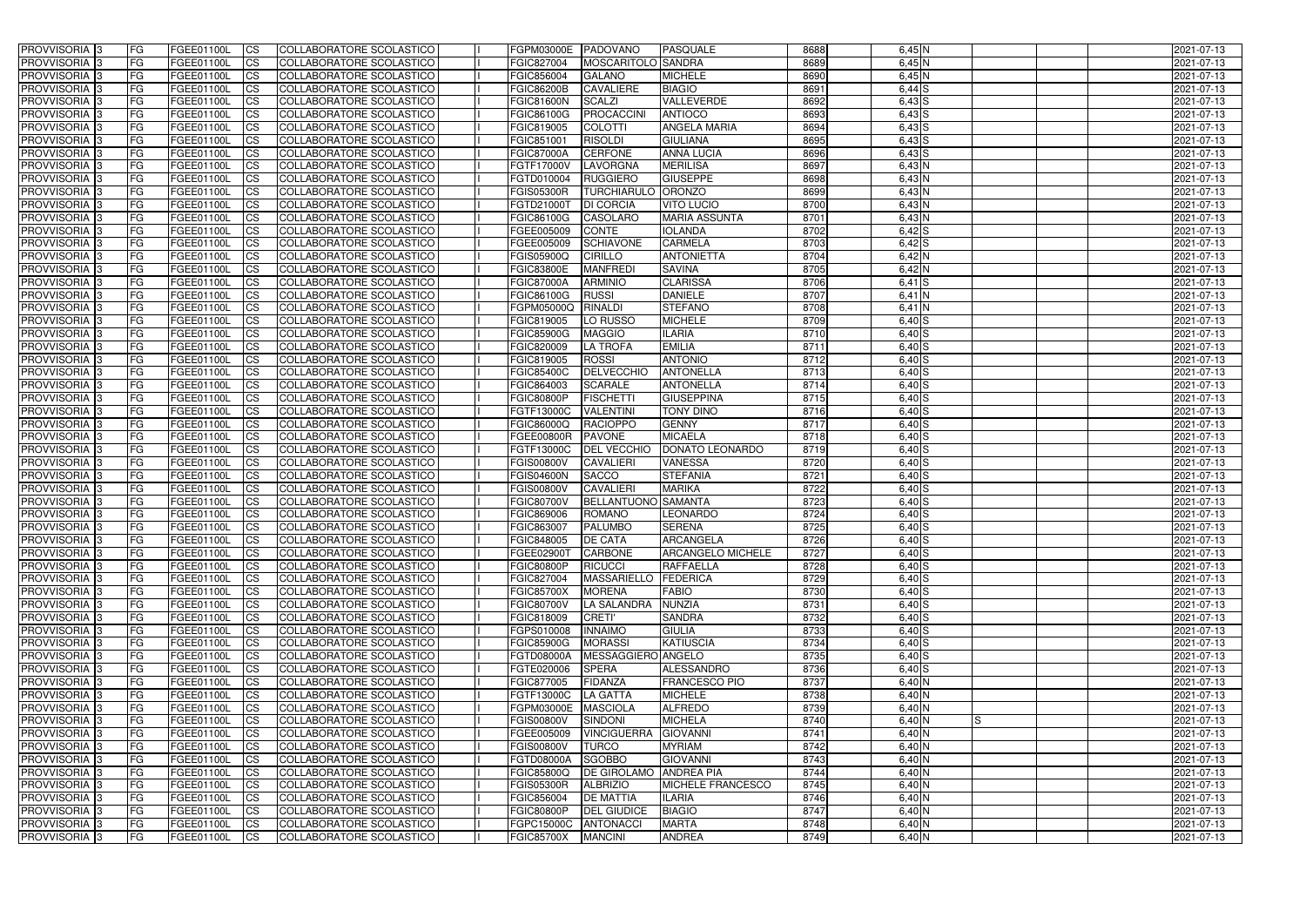| <b>PROVVISORIA</b> 3                                 | FG         | FGEE01100L               | <b>ICS</b>             | COLLABORATORE SCOLASTICO                             | FGPM03000E                      | PADOVANO                         | <b>PASQUALE</b>                   | 8688         | $6,45$ N             | 2021-07-13               |
|------------------------------------------------------|------------|--------------------------|------------------------|------------------------------------------------------|---------------------------------|----------------------------------|-----------------------------------|--------------|----------------------|--------------------------|
| <b>PROVVISORIA 3</b>                                 | FG         | FGEE01100L               | <b>CS</b>              | COLLABORATORE SCOLASTICO                             | FGIC827004                      | MOSCARITOLO SANDRA               |                                   | 8689         | $6,45$ N             | 2021-07-13               |
| PROVVISORIA <sup>3</sup>                             | FG         | FGEE01100L               | <b>CS</b>              | COLLABORATORE SCOLASTICO                             | FGIC856004                      | <b>GALANO</b>                    | <b>MICHELE</b>                    | 8690         | $6,45$ N             | 2021-07-13               |
| PROVVISORIA <sup>3</sup>                             | FG         | FGEE01100L               | <b>CS</b>              | COLLABORATORE SCOLASTICO                             | <b>FGIC86200B</b>               | <b>CAVALIERE</b>                 | <b>BIAGIO</b>                     | 8691         | $6,44$ S             | 2021-07-13               |
| PROVVISORIA <sup>1</sup> 3                           | FG         | FGEE01100L               | <b>CS</b>              | COLLABORATORE SCOLASTICO                             | <b>FGIC81600N</b>               | <b>SCALZI</b>                    | VALLEVERDE                        | 8692         | $6,43$ $S$           | 2021-07-13               |
| PROVVISORIA <sup>3</sup>                             | FG         | FGEE01100L               | <b>CS</b>              | COLLABORATORE SCOLASTICO                             | FGIC86100G                      | PROCACCINI                       | <b>ANTIOCO</b>                    | 8693         | $6,43$ S             | 2021-07-13               |
| PROVVISORIA 3                                        | FG         | FGEE01100L               | <b>CS</b>              | COLLABORATORE SCOLASTICO                             | FGIC819005                      | <b>COLOTTI</b>                   | <b>ANGELA MARIA</b>               | 8694         | $6,43$ $S$           | 2021-07-13               |
| PROVVISORIA 3                                        | FG         | <b>FGEE01100L</b>        | <b>CS</b>              | COLLABORATORE SCOLASTICO                             | FGIC851001                      | <b>RISOLDI</b>                   | <b>GIULIANA</b>                   | 8695         | $6,43$ $S$           | 2021-07-13               |
| PROVVISORIA 3                                        | FG         | FGEE01100L               | <b>CS</b>              | COLLABORATORE SCOLASTICO                             | <b>FGIC87000A</b>               | <b>CERFONE</b>                   | <b>ANNA LUCIA</b>                 | 8696         | $6,43$ $S$           | 2021-07-13               |
| PROVVISORIA <sup>3</sup>                             | FG         | FGEE01100L               | $\overline{c}$         | COLLABORATORE SCOLASTICO                             | <b>FGTF17000V</b>               | LAVORGNA                         | <b>MERILISA</b>                   | 8697         | $6,43$ N             | 2021-07-13               |
| PROVVISORIA <sup>3</sup>                             | FG         | FGEE01100L               | <b>CS</b>              | COLLABORATORE SCOLASTICO                             | FGTD010004                      | <b>RUGGIERO</b>                  | <b>GIUSEPPE</b>                   | 8698         | $6,43$ N             | 2021-07-13               |
| PROVVISORIA <sup>3</sup>                             | FG         | FGEE01100L               | <b>CS</b>              | COLLABORATORE SCOLASTICO                             | <b>FGIS05300R</b>               | <b>TURCHIARULO ORONZO</b>        |                                   | 8699         | $6,43$ N             | 2021-07-13               |
| PROVVISORIA <sup>3</sup>                             | FG         | <b>FGEE01100L</b>        | <b>I</b> CS            | COLLABORATORE SCOLASTICO                             | FGTD21000T                      | <b>DI CORCIA</b>                 | <b>VITO LUCIO</b>                 | 8700         | $6,43$ N             | 2021-07-13               |
| PROVVISORIA <sup>3</sup>                             | FG         | FGEE01100L               | <b>I</b> CS            | COLLABORATORE SCOLASTICO                             | <b>FGIC86100G</b>               | <b>CASOLARO</b>                  | <b>MARIA ASSUNTA</b>              | 8701         | 6,43 N               | 2021-07-13               |
| PROVVISORIA <sup>3</sup>                             | FG         | FGEE01100L               | <b>I</b> CS            | COLLABORATORE SCOLASTICO                             | FGEE005009                      | <b>CONTE</b>                     | <b>IOLANDA</b>                    | 8702         | $6,42$ $S$           | 2021-07-13               |
| <b>PROVVISORIA</b> 3                                 | FG         | FGEE01100L               | <b>I</b> CS            | <b>COLLABORATORE SCOLASTICO</b>                      | FGEE005009                      | <b>SCHIAVONE</b>                 | <b>CARMELA</b>                    | 8703         | $6,42$ $S$           | 2021-07-13               |
| <b>PROVVISORIA</b> 3                                 | FG         | FGEE01100L               | <b>ICS</b>             | COLLABORATORE SCOLASTICO                             | <b>FGIS05900Q</b>               | <b>CIRILLO</b>                   | <b>ANTONIETTA</b>                 | 8704         | 6,42 N               | 2021-07-13               |
| PROVVISORIA 3                                        | FG         | FGEE01100L               | <b>CS</b>              | COLLABORATORE SCOLASTICO                             | <b>FGIC83800E</b>               | <b>MANFREDI</b>                  | <b>SAVINA</b>                     | 8705         | 6,42 N               | 2021-07-13               |
| PROVVISORIA <sup>3</sup>                             | FG         | FGEE01100L               | <b>ICS</b>             | COLLABORATORE SCOLASTICO                             | <b>FGIC87000A</b>               | <b>ARMINIO</b>                   | <b>CLARISSA</b>                   | 8706         | $6,41$ $S$           | 2021-07-13               |
| PROVVISORIA <sup>3</sup>                             | FG         | FGEE01100L               | <b>I</b> CS            | COLLABORATORE SCOLASTICO                             | <b>FGIC86100G</b>               | <b>RUSSI</b>                     | <b>DANIELE</b>                    | 8707         | $6,41$ N             | 2021-07-13               |
| PROVVISORIA <sup>3</sup>                             | FG         | FGEE01100L               | <b>ICS</b>             | COLLABORATORE SCOLASTICO                             | FGPM05000Q                      | <b>RINALDI</b>                   | <b>STEFANO</b>                    | 8708         | $6,41$ N             | 2021-07-13               |
| PROVVISORIA <sup>3</sup>                             | FG         | FGEE01100L               | <b>CS</b>              | COLLABORATORE SCOLASTICO                             | FGIC819005                      | LO RUSSO                         | <b>MICHELE</b>                    | 8709         | $6,40$ S             | 2021-07-13               |
| PROVVISORIA <sup>3</sup>                             | FG         | FGEE01100L               | <b>CS</b>              | COLLABORATORE SCOLASTICO                             | <b>FGIC85900G</b>               | <b>MAGGIO</b>                    | <b>ILARIA</b>                     | 8710         | $6,40$ S             | 2021-07-13               |
| PROVVISORIA <sup>3</sup>                             | FG         | FGEE01100L               | <b>CS</b>              | COLLABORATORE SCOLASTICO                             | FGIC820009                      | <b>LA TROFA</b>                  | <b>EMILIA</b>                     | 8711         | $6,40$ S             | 2021-07-13               |
| PROVVISORIA <sup>3</sup>                             | FG         | FGEE01100L               | <b>CS</b>              | COLLABORATORE SCOLASTICO                             | FGIC819005                      | <b>ROSSI</b>                     | <b>ANTONIO</b>                    | 8712         | $6,40$ S             | 2021-07-13               |
| PROVVISORIA <sup>1</sup> 3                           | FG         | FGEE01100L               | <b>CS</b>              | COLLABORATORE SCOLASTICO                             | <b>FGIC85400C</b>               | <b>DELVECCHIO</b>                | <b>ANTONELLA</b>                  | 8713         | $6,40$ S             | 2021-07-13               |
| PROVVISORIA 3                                        | FG         | FGEE01100L               | <b>CS</b>              | COLLABORATORE SCOLASTICO                             | FGIC864003                      | <b>SCARALE</b>                   | <b>ANTONELLA</b>                  | 8714         | $6,40$ S             | 2021-07-13               |
| PROVVISORIA <sup>3</sup>                             | FG.        | FGEE01100L               | <b>CS</b>              | COLLABORATORE SCOLASTICO                             | <b>FGIC80800P</b>               | <b>FISCHETTI</b>                 | <b>GIUSEPPINA</b>                 | 8715         | $6,40$ S             | 2021-07-13               |
| PROVVISORIA <sup>3</sup>                             | FG         | <b>FGEE01100L</b>        | <b>CS</b>              | COLLABORATORE SCOLASTICO                             | FGTF13000C                      | <b>VALENTINI</b>                 | <b>TONY DINO</b>                  | 8716         | $6,40$ S             | 2021-07-13               |
| PROVVISORIA <sup>1</sup> 3                           | FG.        | FGEE01100L               | <b>CS</b>              | COLLABORATORE SCOLASTICO                             | <b>FGIC86000Q</b>               | <b>RACIOPPO</b><br><b>PAVONE</b> | <b>GENNY</b>                      | 8717<br>8718 | $6,40$ S             | 2021-07-13               |
| PROVVISORIA <sup>3</sup><br>PROVVISORIA <sup>3</sup> | FG.        | FGEE01100L<br>FGEE01100L | <b>CS</b><br><b>CS</b> | COLLABORATORE SCOLASTICO<br>COLLABORATORE SCOLASTICO | <b>FGEE00800R</b><br>FGTF13000C | <b>DEL VECCHIO</b>               | <b>MICAELA</b><br>DONATO LEONARDO | 8719         | $6,40$ S<br>$6,40$ S | 2021-07-13<br>2021-07-13 |
| PROVVISORIA <sup>3</sup>                             | FG<br>FG   | <b>FGEE01100L</b>        | <b>CS</b>              | COLLABORATORE SCOLASTICO                             | <b>FGIS00800V</b>               | <b>CAVALIERI</b>                 | <b>VANESSA</b>                    | 8720         | $6,40$ S             | 2021-07-13               |
| PROVVISORIA 3                                        | FG         | <b>FGEE01100L</b>        | <b>CS</b>              | COLLABORATORE SCOLASTICO                             | <b>FGIS04600N</b>               | <b>SACCO</b>                     | <b>STEFANIA</b>                   | 8721         | $6,40$ S             | 2021-07-13               |
| PROVVISORIA <sup>3</sup>                             | FG         | FGEE01100L               | $\overline{\text{cs}}$ | COLLABORATORE SCOLASTICO                             | <b>FGIS00800V</b>               | <b>CAVALIERI</b>                 | <b>MARIKA</b>                     | 8722         | $6,40$ S             | 2021-07-13               |
| PROVVISORIA <sup>3</sup>                             | FG         | FGEE01100L               | <b>CS</b>              | <b>COLLABORATORE SCOLASTICO</b>                      | <b>FGIC80700V</b>               | BELLANTUONO SAMANTA              |                                   | 8723         | $6,40$ S             | 2021-07-13               |
| <b>PROVVISORIA</b> 3                                 | FG         | FGEE01100L               | <b>CS</b>              | COLLABORATORE SCOLASTICO                             | FGIC869006                      | <b>ROMANO</b>                    | <b>LEONARDO</b>                   | 8724         | $6,40$ S             | 2021-07-13               |
| PROVVISORIA 3                                        | FG         | FGEE01100L               | <b>I</b> CS            | COLLABORATORE SCOLASTICO                             | FGIC863007                      | <b>PALUMBO</b>                   | <b>SERENA</b>                     | 8725         | $6,40$ S             | 2021-07-13               |
| <b>PROVVISORIA</b> 3                                 | IFG.       | FGEE01100L               | CS                     | COLLABORATORE SCOLASTICO                             | <b>FGIC848005</b>               | <b>DE CATA</b>                   | ARCANGELA                         | 8726         | $6,40$ S             | 2021-07-13               |
| PROVVISORIA 3                                        | IFG.       | FGEE01100L               | <b>ICS</b>             | COLLABORATORE SCOLASTICO                             | FGEE02900T                      | <b>CARBONE</b>                   | <b>ARCANGELO MICHELE</b>          | 8727         | $6,40$ S             | 2021-07-13               |
| PROVVISORIA 3                                        | FG         | FGEE01100L               | <b>CS</b>              | COLLABORATORE SCOLASTICO                             | <b>FGIC80800P</b>               | <b>RICUCCI</b>                   | <b>RAFFAELLA</b>                  | 8728         | $6,40$ S             | 2021-07-13               |
| PROVVISORIA 3                                        | FG         | FGEE01100L               | <b>CS</b>              | COLLABORATORE SCOLASTICO                             | FGIC827004                      | MASSARIELLO FEDERICA             |                                   | 8729         | $6,40$ $S$           | 2021-07-13               |
| PROVVISORIA <sup>3</sup>                             | FG         | FGEE01100L               | <b>ICS</b>             | <b>COLLABORATORE SCOLASTICO</b>                      | <b>FGIC85700X</b>               | <b>MORENA</b>                    | <b>FABIO</b>                      | 8730         | $6,40$ S             | 2021-07-13               |
| PROVVISORIA 3                                        | FG         | FGEE01100L               | <b>CS</b>              | COLLABORATORE SCOLASTICO                             | <b>FGIC80700V</b>               | LA SALANDRA                      | <b>NUNZIA</b>                     | 8731         | $6,40$ S             | 2021-07-13               |
| PROVVISORIA 3                                        | FG         | FGEE01100L               | <b>CS</b>              | COLLABORATORE SCOLASTICO                             | FGIC818009                      | <b>CRETI'</b>                    | <b>SANDRA</b>                     | 8732         | $6,40$ S             | 2021-07-13               |
| PROVVISORIA 3                                        | <b>FG</b>  | FGEE01100L               | <b>CS</b>              | COLLABORATORE SCOLASTICO                             | FGPS010008                      | <b>INNAIMO</b>                   | <b>GIULIA</b>                     | 8733         | $6,40$ S             | 2021-07-13               |
| PROVVISORIA 3                                        | FG         | FGEE01100L               | <b>CS</b>              | COLLABORATORE SCOLASTICO                             | <b>FGIC85900G</b>               | <b>MORASSI</b>                   | <b>KATIUSCIA</b>                  | 8734         | $6,40$ S             | 2021-07-13               |
| PROVVISORIA 3                                        | FG         | FGEE01100L               | <b>CS</b>              | COLLABORATORE SCOLASTICO                             | <b>FGTD08000A</b>               | MESSAGGIERO ANGELO               |                                   | 8735         | $6,40$ S             | 2021-07-13               |
| PROVVISORIA 3                                        | FG         | FGEE01100L               | <b>CS</b>              | COLLABORATORE SCOLASTICO                             | FGTE020006                      | <b>SPERA</b>                     | ALESSANDRO                        | 8736         | $6,40$ S             | 2021-07-13               |
| PROVVISORIA 3                                        | FG         | FGEE01100L               | <b>CS</b>              | COLLABORATORE SCOLASTICO                             | FGIC877005                      | <b>FIDANZA</b>                   | <b>FRANCESCO PIO</b>              | 8737         | $6,40$ N             | 2021-07-13               |
| PROVVISORIA 3                                        | FG         | FGEE01100L               | <b>CS</b>              | COLLABORATORE SCOLASTICO                             | FGTF13000C                      | LA GATTA                         | <b>MICHELE</b>                    | 8738         | $6,40$ N             | 2021-07-13               |
| <b>PROVVISORIA</b> 3                                 | IFG.       | FGEE01100L               | <b>CS</b>              | COLLABORATORE SCOLASTICO                             | FGPM03000E                      | <b>MASCIOLA</b>                  | <b>ALFREDO</b>                    | 8739         | $6,40$ N             | 2021-07-13               |
| <b>PROVVISORIA</b> 3                                 | IFG.       | FGEE01100L               | <b>CS</b>              | COLLABORATORE SCOLASTICO                             | <b>FGIS00800V</b>               | SINDONI                          | <b>MICHELA</b>                    | 8740         | $6,40$ N<br>IS       | 2021-07-13               |
| <b>PROVVISORIA</b> 3                                 | <b>IFG</b> | FGEE01100L               | <b>CS</b>              | <b>COLLABORATORE SCOLASTICO</b>                      | FGEE005009                      | <b>VINCIGUERRA</b>               | <b>GIOVANNI</b>                   | 8741         | $6,40$ N             | 2021-07-13               |
| PROVVISORIA 3                                        | <b>IFG</b> | FGEE01100L               | <b>CS</b>              | COLLABORATORE SCOLASTICO                             | <b>FGIS00800V</b>               | <b>TURCO</b>                     | <b>MYRIAM</b>                     | 8742         | $6,40$ N             | 2021-07-13               |
| PROVVISORIA 3                                        | IFG.       | FGEE01100L               | <b>CS</b>              | COLLABORATORE SCOLASTICO                             | <b>FGTD08000A</b>               | SGOBBO                           | <b>GIOVANNI</b>                   | 8743         | $6,40$ N             | 2021-07-13               |
| PROVVISORIA 3                                        | FG         | FGEE01100L               | <b>CS</b>              | COLLABORATORE SCOLASTICO                             | <b>FGIC85800Q</b>               | DE GIROLAMO ANDREA PIA           |                                   | 8744         | $6,40$ N             | 2021-07-13               |
| PROVVISORIA 3                                        | <b>FG</b>  | FGEE01100L               | <b>CS</b>              | COLLABORATORE SCOLASTICO                             | <b>FGIS05300R</b>               | <b>ALBRIZIO</b>                  | <b>MICHELE FRANCESCO</b>          | 8745         | $6,40$ N             | 2021-07-13               |
| PROVVISORIA 3                                        | FG         | <b>FGEE01100L</b>        | <b>CS</b>              | COLLABORATORE SCOLASTICO                             | FGIC856004                      | <b>DE MATTIA</b>                 | <b>ILARIA</b>                     | 8746         | $6,40$ N             | 2021-07-13               |
| <b>PROVVISORIA</b> 3                                 | FG         | FGEE01100L               | <b>CS</b>              | COLLABORATORE SCOLASTICO                             | <b>FGIC80800P</b>               | <b>DEL GIUDICE</b>               | <b>BIAGIO</b>                     | 8747         | $6,40$ N             | 2021-07-13               |
| PROVVISORIA 3                                        | FG         | FGEE01100L               | <b>CS</b>              | COLLABORATORE SCOLASTICO                             | FGPC15000C                      | ANTONACCI                        | <b>MARTA</b>                      | 8748         | $6,40$ N             | 2021-07-13               |
| PROVVISORIA 3                                        | l FG       | FGEE01100L               | <b>CS</b>              | COLLABORATORE SCOLASTICO                             | <b>FGIC85700X</b>               | <b>MANCINI</b>                   | <b>ANDREA</b>                     | 8749         | $6,40$ N             | 2021-07-13               |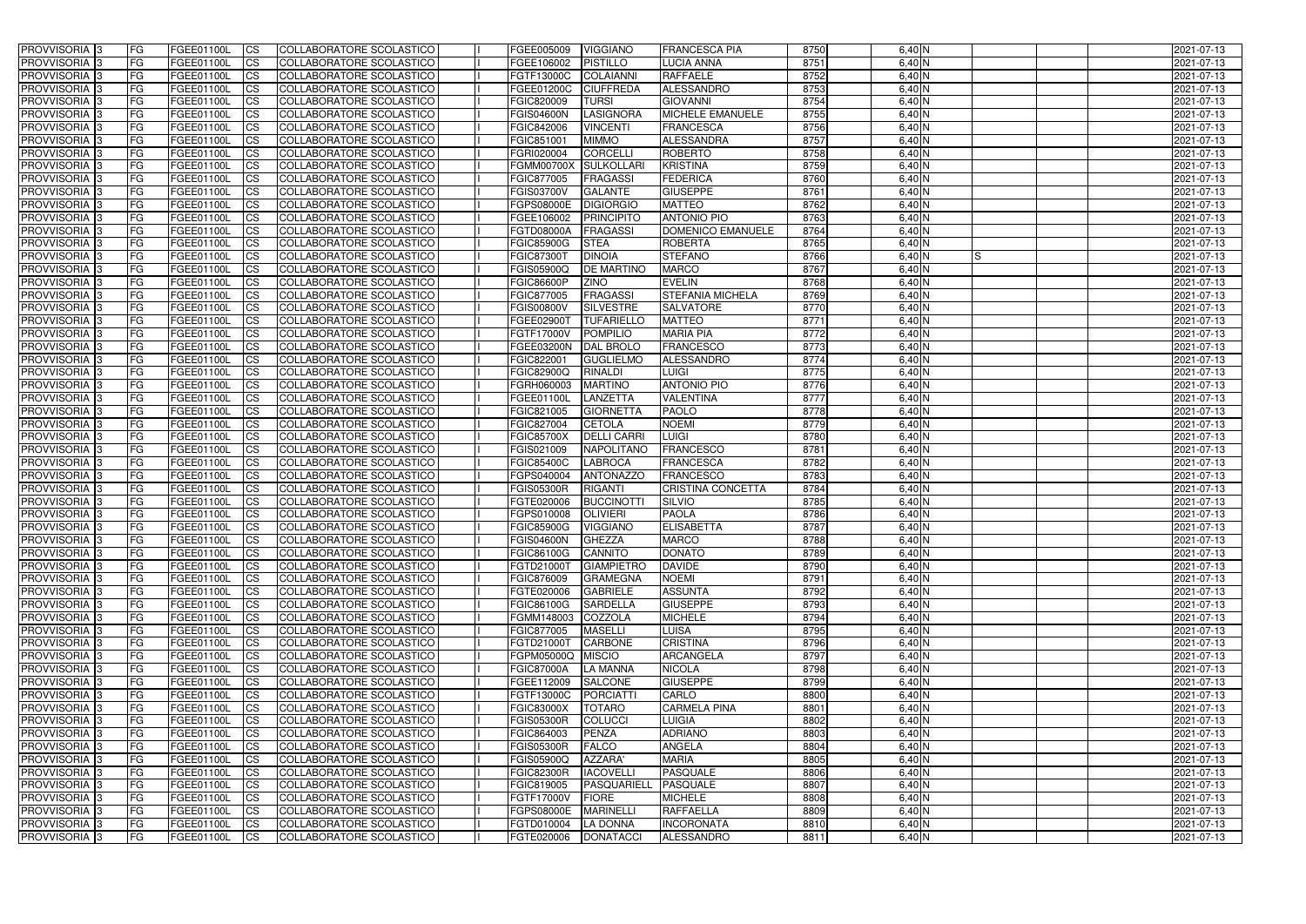| <b>PROVVISORIA</b> 3                       | l FG                   | FGEE01100L               | <b>ICS</b>             | COLLABORATORE SCOLASTICO                                    | FGEE005009                      | <b>VIGGIANO</b>                     | <b>FRANCESCA PIA</b>                 | 8750         | $6,40$ N                           | 2021-07-13               |
|--------------------------------------------|------------------------|--------------------------|------------------------|-------------------------------------------------------------|---------------------------------|-------------------------------------|--------------------------------------|--------------|------------------------------------|--------------------------|
| <b>PROVVISORIA 3</b>                       | FG                     | FGEE01100L               | <b>ICS</b>             | COLLABORATORE SCOLASTICO                                    | FGEE106002                      | <b>PISTILLO</b>                     | LUCIA ANNA                           | 8751         | 6,40 N                             | 2021-07-13               |
| PROVVISORIA <sup>1</sup> 3                 | FG                     | FGEE01100L               | <b>CS</b>              | <b>COLLABORATORE SCOLASTICO</b>                             | FGTF13000C                      | <b>COLAIANNI</b>                    | <b>RAFFAELE</b>                      | 8752         | 6,40 N                             | 2021-07-13               |
| PROVVISORIA                                | FG                     | FGEE01100L               | <b>CS</b>              | COLLABORATORE SCOLASTICO                                    | FGEE01200C                      | <b>CIUFFREDA</b>                    | <b>ALESSANDRO</b>                    | 8753         | 6,40 N                             | 2021-07-13               |
| PROVVISORIA <sup>1</sup> 3                 | FG                     | FGEE01100L               | <b>CS</b>              | COLLABORATORE SCOLASTICO                                    | FGIC820009                      | <b>TURSI</b>                        | <b>GIOVANNI</b>                      | 8754         | 6,40 N                             | 2021-07-13               |
| PROVVISORIA <sup>1</sup> 3                 | FG                     | FGEE01100L               | <b>CS</b>              | COLLABORATORE SCOLASTICO                                    | <b>FGIS04600N</b>               | LASIGNORA                           | MICHELE EMANUELE                     | 8755         | $6,40$ N                           | 2021-07-13               |
| PROVVISORIA <sup>1</sup> 3                 | FG                     | FGEE01100L               | <b>CS</b>              | COLLABORATORE SCOLASTICO                                    | FGIC842006                      | <b>VINCENTI</b>                     | <b>FRANCESCA</b>                     | 8756         | $6,40$ N                           | 2021-07-13               |
| PROVVISORIA 3                              | FG                     | FGEE01100L               | <b>ICS</b>             | COLLABORATORE SCOLASTICO                                    | FGIC851001                      | <b>MIMMO</b>                        | ALESSANDRA                           | 8757         | $6,40$ N                           | 2021-07-13               |
| PROVVISORIA 3                              | <b>FG</b>              | FGEE01100L               | <b>CS</b>              | COLLABORATORE SCOLASTICO                                    | FGRI020004                      | <b>CORCELLI</b>                     | <b>ROBERTO</b>                       | 8758         | $6,40$ N                           | 2021-07-13               |
| PROVVISORIA 3                              | <b>FG</b>              | FGEE01100L               | <b>ICS</b>             | COLLABORATORE SCOLASTICO                                    | <b>FGMM00700X</b>               | <b>SULKOLLARI</b>                   | <b>KRISTINA</b>                      | 8759         | $6,40$ N                           | 2021-07-13               |
| PROVVISORIA 3                              | FG                     | <b>FGEE01100L</b>        | <b>CS</b>              | COLLABORATORE SCOLASTICO                                    | FGIC877005                      | <b>FRAGASSI</b>                     | <b>FEDERICA</b>                      | 8760         | 6,40 N                             | 2021-07-13               |
| <b>PROVVISORIA</b>                         | FG                     | FGEE01100L               | <b>ICS</b>             | COLLABORATORE SCOLASTICO                                    | <b>FGIS03700V</b>               | <b>GALANTE</b>                      | <b>GIUSEPPE</b>                      | 8761         | $6,40$ N                           | 2021-07-13               |
| <b>PROVVISORIA</b>                         | FG                     | FGEE01100L               | <b>ICS</b>             | COLLABORATORE SCOLASTICO                                    | FGPS08000E                      | <b>DIGIORGIO</b>                    | <b>MATTEO</b>                        | 8762         | 6,40 N                             | 2021-07-13               |
| <b>PROVVISORIA</b>                         | FG                     | FGEE01100L               | <b>ICS</b>             | COLLABORATORE SCOLASTICO                                    | FGEE106002                      | <b>PRINCIPITO</b>                   | <b>ANTONIO PIO</b>                   | 8763         | 6,40 N                             | 2021-07-13               |
| <b>PROVVISORIA</b>                         | FG                     | FGEE01100L               | <b>ICS</b>             | COLLABORATORE SCOLASTICO                                    | <b>FGTD08000A</b>               | <b>FRAGASSI</b>                     | DOMENICO EMANUELE                    | 8764         | 6,40 N                             | 2021-07-13               |
| <b>PROVVISORIA</b>                         | FG                     | FGEE01100L               | <b>ICS</b>             | COLLABORATORE SCOLASTICO                                    | <b>FGIC85900G</b>               | <b>STEA</b>                         | <b>ROBERTA</b>                       | 8765         | 6,40 N                             | 2021-07-13               |
| <b>PROVVISORIA</b>                         | FG                     | <b>FGEE01100L</b>        | <b>ICS</b>             | COLLABORATORE SCOLASTICO                                    | <b>FGIC87300T</b>               | <b>DINOIA</b>                       | <b>STEFANO</b>                       | 8766         | 6,40 N<br>IS                       | 2021-07-13               |
| <b>PROVVISORIA</b>                         | FG                     | FGEE01100L               | <b>ICS</b>             | COLLABORATORE SCOLASTICO                                    | FGIS05900Q                      | <b>DE MARTINO</b>                   | <b>MARCO</b>                         | 8767         | 6,40 N                             | 2021-07-13               |
| PROVVISORIA <sup>3</sup>                   | FG                     | FGEE01100L               | <b>ICS</b>             | COLLABORATORE SCOLASTICO                                    | <b>FGIC86600P</b>               | <b>ZINO</b>                         | <b>EVELIN</b>                        | 8768         | 6,40 N                             | 2021-07-13               |
| PROVVISORIA <sup>1</sup> 3                 | FG                     | FGEE01100L               | <b>ICS</b>             | COLLABORATORE SCOLASTICO                                    | FGIC877005                      | <b>FRAGASSI</b>                     | <b>STEFANIA MICHELA</b>              | 8769         | 6,40 N                             | 2021-07-13               |
| PROVVISORIA <sup>1</sup> 3                 | FG                     | FGEE01100L               | <b>ICS</b>             | COLLABORATORE SCOLASTICO                                    | <b>FGIS00800V</b>               | <b>SILVESTRE</b>                    | <b>SALVATORE</b>                     | 8770         | $6,40$ N                           | 2021-07-13               |
| PROVVISORIA 3                              | FG                     | FGEE01100L               | <b>ICS</b>             | COLLABORATORE SCOLASTICO                                    | FGEE02900T                      | <b>TUFARIELLO</b>                   | <b>MATTEO</b>                        | 8771         | 6,40 N                             | 2021-07-13               |
| PROVVISORIA 3<br>PROVVISORIA <sup>13</sup> | FG                     | FGEE01100L<br>FGEE01100L | <b>ICS</b>             | COLLABORATORE SCOLASTICO<br><b>COLLABORATORE SCOLASTICO</b> | FGTF17000V                      | <b>POMPILIO</b><br><b>DAL BROLO</b> | <b>MARIA PIA</b><br><b>FRANCESCO</b> | 8772<br>8773 | $6,40$ N<br>$6,40$ N               | 2021-07-13<br>2021-07-13 |
| PROVVISORIA <sup>1</sup> 3                 | FG<br>FG               | FGEE01100L               | <b>CS</b><br><b>CS</b> | COLLABORATORE SCOLASTICO                                    | FGEE03200N<br>FGIC822001        | <b>GUGLIELMO</b>                    | ALESSANDRO                           | 8774         | 6,40 N                             | 2021-07-13               |
| PROVVISORIA <sup>1</sup> 3                 | FG                     | FGEE01100L               | <b>ICS</b>             | COLLABORATORE SCOLASTICO                                    | FGIC82900Q                      | <b>RINALDI</b>                      | <b>LUIGI</b>                         | 8775         | 6,40 N                             | 2021-07-13               |
| PROVVISORIA 3                              | FG                     | FGEE01100L               | <b>ICS</b>             | COLLABORATORE SCOLASTICO                                    | FGRH060003                      | <b>MARTINO</b>                      | <b>ANTONIO PIO</b>                   | 8776         | 6,40 N                             | 2021-07-13               |
| PROVVISORIA                                | FG                     | FGEE01100L               | <b>ICS</b>             | COLLABORATORE SCOLASTICO                                    | FGEE01100I                      | LANZETTA                            | <b>VALENTINA</b>                     | 8777         | 6,40 N                             | 2021-07-13               |
| PROVVISORIA                                | FG                     | FGEE01100L               | <b>CS</b>              | <b>COLLABORATORE SCOLASTICO</b>                             | FGIC821005                      | <b>GIORNETTA</b>                    | <b>PAOLO</b>                         | 8778         | 6,40 N                             | 2021-07-13               |
| PROVVISORIA                                | FG                     | FGEE01100L               | <b>CS</b>              | COLLABORATORE SCOLASTICO                                    | FGIC827004                      | <b>CETOLA</b>                       | <b>NOEMI</b>                         | 8779         | 6,40 N                             | 2021-07-13               |
| PROVVISORIA                                | FG                     | FGEE01100L               | <b>CS</b>              | COLLABORATORE SCOLASTICO                                    | <b>FGIC85700X</b>               | <b>DELLI CARRI</b>                  | <b>LUIGI</b>                         | 8780         | 6,40 N                             | 2021-07-13               |
| PROVVISORIA <sup>1</sup> 3                 | FG                     | FGEE01100L               | <b>CS</b>              | COLLABORATORE SCOLASTICO                                    | FGIS021009                      | <b>NAPOLITANO</b>                   | <b>FRANCESCO</b>                     | 8781         | 6,40 N                             | 2021-07-13               |
| PROVVISORIA <sup>1</sup> 3                 | FG                     | FGEE01100L               | <b>CS</b>              | COLLABORATORE SCOLASTICO                                    | <b>FGIC85400C</b>               | <b>LABROCA</b>                      | <b>FRANCESCA</b>                     | 8782         | $6,40$ N                           | 2021-07-13               |
| PROVVISORIA 3                              | FG                     | FGEE01100L               | <b>CS</b>              | <b>COLLABORATORE SCOLASTICO</b>                             | FGPS040004                      | <b>ANTONAZZO</b>                    | <b>FRANCESCO</b>                     | 8783         | 6,40 N                             | 2021-07-13               |
| PROVVISORIA <sup>1</sup> 3                 | FG                     | FGEE01100L               | <b>ICS</b>             | COLLABORATORE SCOLASTICO                                    | <b>FGIS05300R</b>               | <b>RIGANTI</b>                      | <b>CRISTINA CONCETTA</b>             | 8784         | 6,40 N                             | 2021-07-13               |
| PROVVISORIA 3                              | <b>FG</b>              | FGEE01100L               | <b>CS</b>              | COLLABORATORE SCOLASTICO                                    | FGTE020006                      | <b>BUCCINOTTI</b>                   | <b>SILVIO</b>                        | 8785         | $6,40$ N                           | 2021-07-13               |
| PROVVISORIA 3                              | <b>FG</b>              | FGEE01100L               | <b>ICS</b>             | COLLABORATORE SCOLASTICO                                    | FGPS010008                      | <b>OLIVIERI</b>                     | <b>PAOLA</b>                         | 8786         | 6,40 N                             | 2021-07-13               |
| <b>PROVVISORIA</b>                         | <b>FG</b>              | FGEE01100L               | <b>ICS</b>             | COLLABORATORE SCOLASTICO                                    | <b>FGIC85900G</b>               | <b>VIGGIANO</b>                     | <b>ELISABETTA</b>                    | 8787         | $6,40$ N                           | 2021-07-13               |
| PROVVISORIA 3                              | FG                     | FGEE01100L               | CS                     | COLLABORATORE SCOLASTICO                                    | FGIS04600N GHEZZA               |                                     | <b>MARCO</b>                         | 8788         | $6,40$ N                           | 2021-07-13               |
| PROVVISORIA 3                              | <b>FG</b>              | FGEE01100L               | $\mathsf{ICS}$         | COLLABORATORE SCOLASTICO                                    | <b>FGIC86100G</b>               | CANNITO                             | <b>DONATO</b>                        | 8789         | $6,40$ N                           | 2021-07-13               |
| PROVVISORIA 3                              | <b>FG</b>              | <b>FGEE01100L</b>        | $\mathsf{ICS}$         | COLLABORATORE SCOLASTICO                                    | FGTD21000T                      | <b>GIAMPIETRO</b>                   | <b>DAVIDE</b>                        | 8790         | $6,40$ N                           | 2021-07-13               |
| PROVVISORIA 3                              | <b>FG</b>              | FGEE01100L               | $\mathsf{ICS}$         | COLLABORATORE SCOLASTICO                                    | FGIC876009                      | <b>GRAMEGNA</b>                     | <b>NOEMI</b>                         | 8791         | $6,40$ N                           | 2021-07-13               |
| PROVVISORIA 3                              | FG                     | FGEE01100L               | $\mathsf{ICS}$         | COLLABORATORE SCOLASTICO                                    | FGTE020006                      | <b>GABRIELE</b>                     | <b>ASSUNTA</b>                       | 8792         | $6,40$ N                           | 2021-07-13               |
| PROVVISORIA 3                              | l FG                   | FGEE01100L               | $\overline{\text{CS}}$ | COLLABORATORE SCOLASTICO                                    | <b>FGIC86100G</b>               | <b>SARDELLA</b>                     | <b>GIUSEPPE</b>                      | 8793         | $6,40$ N                           | 2021-07-13               |
| PROVVISORIA 3                              | <b>FG</b>              | FGEE01100L               | $\mathsf{ICS}$         | COLLABORATORE SCOLASTICO                                    | FGMM148003                      | COZZOLA                             | <b>MICHELE</b>                       | 8794         | $6,40$ N                           | 2021-07-13               |
| PROVVISORIA 3                              | FG                     | FGEE01100L               | <b>CS</b>              | COLLABORATORE SCOLASTICO                                    | FGIC877005                      | <b>MASELLI</b>                      | <b>LUISA</b>                         | 8795         | $6,40$ N                           | 2021-07-13               |
| PROVVISORIA 3                              | <b>FG</b>              | FGEE01100L               | <b>CS</b>              | COLLABORATORE SCOLASTICO                                    | FGTD21000T                      | <b>CARBONE</b>                      | <b>CRISTINA</b>                      | 8796         | $6,40$ N                           | 2021-07-13               |
| PROVVISORIA 3                              | <b>FG</b>              | FGEE01100L               | <b>CS</b>              | COLLABORATORE SCOLASTICO                                    | FGPM05000Q MISCIO               |                                     | ARCANGELA                            | 8797         | $6,40$ N                           | 2021-07-13               |
| PROVVISORIA 3                              | <b>FG</b>              | FGEE01100L               | <b>CS</b>              | COLLABORATORE SCOLASTICO                                    | <b>FGIC87000A</b>               | LA MANNA                            | <b>NICOLA</b>                        | 8798         | $6,40$ N                           | 2021-07-13               |
| PROVVISORIA 3                              | <b>FG</b>              | FGEE01100L               | <b>CS</b>              | COLLABORATORE SCOLASTICO                                    | FGEE112009                      | <b>SALCONE</b>                      | <b>GIUSEPPE</b>                      | 8799         | $6,40$ N                           | 2021-07-13               |
| PROVVISORIA 3                              | <b>FG</b>              | FGEE01100L               | <b>CS</b>              | COLLABORATORE SCOLASTICO                                    | FGTF13000C                      | <b>PORCIATTI</b>                    | CARLO                                | 8800         | $6,40$ N                           | 2021-07-13               |
| PROVVISORIA 3                              | <b>FG</b>              | FGEE01100L               | <b>CS</b>              | COLLABORATORE SCOLASTICO                                    | <b>FGIC83000X</b>               | <b>TOTARO</b>                       | <b>CARMELA PINA</b>                  | 8801         | $6,40$ N                           | 2021-07-13               |
| PROVVISORIA 3                              | <b>FG</b>              | FGEE01100L               | <b>CS</b>              | COLLABORATORE SCOLASTICO                                    | <b>FGIS05300R</b>               | <b>COLUCCI</b>                      | <b>LUIGIA</b>                        | 8802         | $6,40$ N                           | 2021-07-13               |
| PROVVISORIA 3                              | <b>FG</b>              | FGEE01100L               | <b>CS</b>              | COLLABORATORE SCOLASTICO                                    | FGIC864003                      | PENZA                               | <b>ADRIANO</b>                       | 8803         | $6,40$ N                           | 2021-07-13               |
| PROVVISORIA 3<br>PROVVISORIA 3             | <b>FG</b><br><b>FG</b> | FGEE01100L               | <b>CS</b>              | COLLABORATORE SCOLASTICO<br>COLLABORATORE SCOLASTICO        | <b>FGIS05300R</b><br>FGIS05900Q | <b>FALCO</b><br>AZZARA'             | <b>ANGELA</b><br><b>MARIA</b>        | 8804<br>8805 | $6,40\overline{\rm N}$<br>$6,40$ N | 2021-07-13               |
| PROVVISORIA 3                              | <b>FG</b>              | FGEE01100L<br>FGEE01100L | <b>CS</b><br><b>CS</b> | COLLABORATORE SCOLASTICO                                    | <b>FGIC82300R</b>               | <b>IACOVELLI</b>                    | <b>PASQUALE</b>                      | 8806         | $6,40$ N                           | 2021-07-13<br>2021-07-13 |
| PROVVISORIA 3                              | FG                     | FGEE01100L               | <b>CS</b>              | COLLABORATORE SCOLASTICO                                    | FGIC819005                      | PASQUARIELL                         | PASQUALE                             | 8807         | $6,40$ N                           | 2021-07-13               |
| PROVVISORIA 3                              | FG                     | <b>FGEE01100L</b>        | <b>CS</b>              | COLLABORATORE SCOLASTICO                                    | FGTF17000V                      | <b>FIORE</b>                        | <b>MICHELE</b>                       | 8808         | $6,40$ N                           | 2021-07-13               |
| PROVVISORIA 3                              | <b>FG</b>              | FGEE01100L               | $\overline{\text{CS}}$ | COLLABORATORE SCOLASTICO                                    | <b>FGPS08000E</b>               | MARINELLI                           | <b>RAFFAELLA</b>                     | 8809         | $6,40$ N                           | 2021-07-13               |
| PROVVISORIA 3                              | <b>FG</b>              | FGEE01100L               | $\overline{\text{CS}}$ | COLLABORATORE SCOLASTICO                                    | FGTD010004                      | <b>LA DONNA</b>                     | <b>INCORONATA</b>                    | 8810         | $6,40$ N                           | 2021-07-13               |
| PROVVISORIA 3                              | <b>FG</b>              | FGEE01100L               | $\overline{\text{CS}}$ | COLLABORATORE SCOLASTICO                                    | FGTE020006                      | DONATACCI                           | ALESSANDRO                           | 8811         | $6,40$ N                           | 2021-07-13               |
|                                            |                        |                          |                        |                                                             |                                 |                                     |                                      |              |                                    |                          |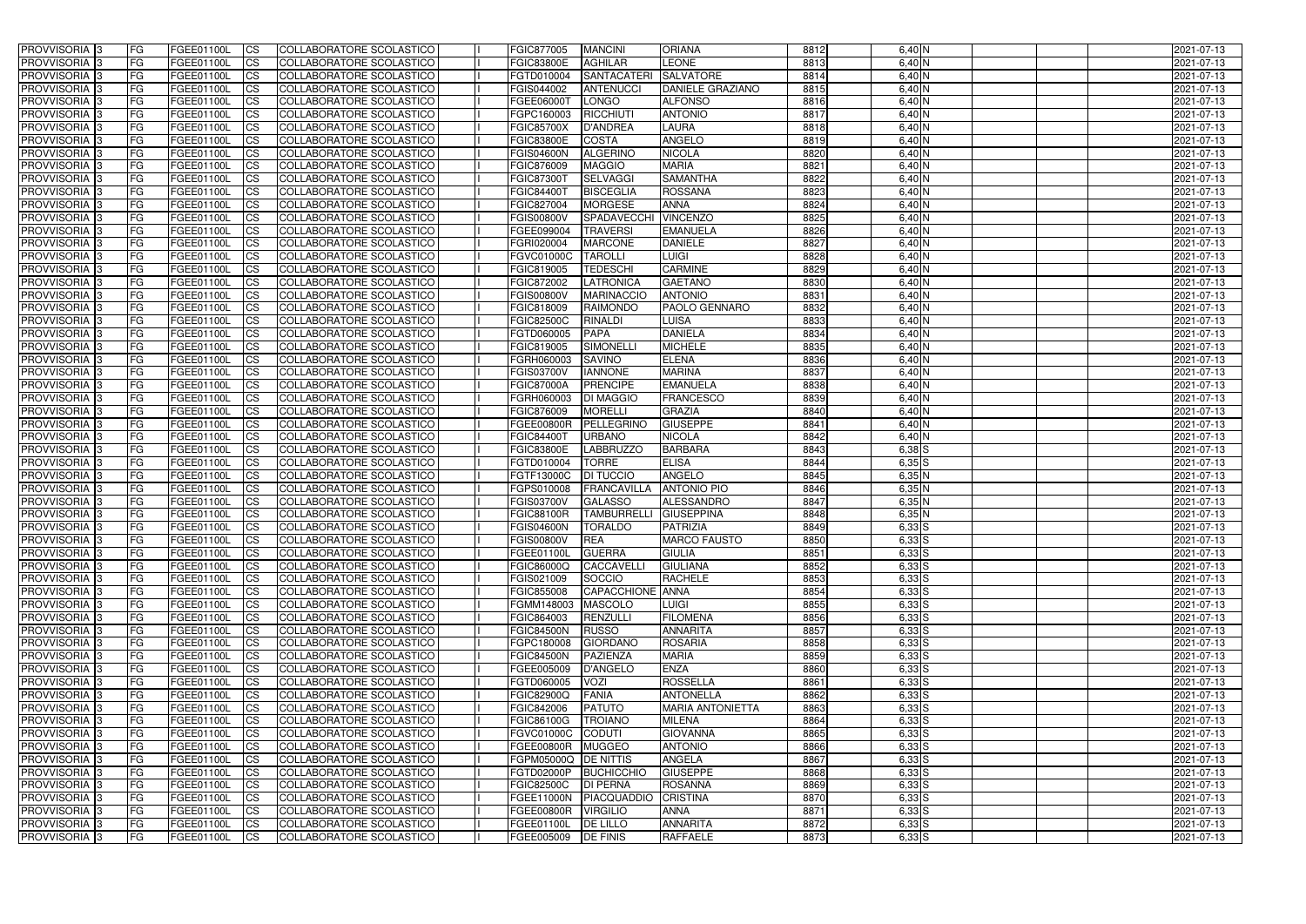| <b>PROVVISORIA</b> 3       | FG          | FGEE01100L        | <b>ICS</b>             | COLLABORATORE SCOLASTICO        | FGIC877005           | <b>MANCINI</b>       | <b>ORIANA</b>             | 8812 | $6,40$ N                 | 2021-07-13 |
|----------------------------|-------------|-------------------|------------------------|---------------------------------|----------------------|----------------------|---------------------------|------|--------------------------|------------|
| <b>PROVVISORIA 3</b>       | FG          | FGEE01100L        | <b>CS</b>              | COLLABORATORE SCOLASTICO        | <b>FGIC83800E</b>    | <b>AGHILAR</b>       | LEONE                     | 8813 | $6,40$ N                 | 2021-07-13 |
| PROVVISORIA <sup>3</sup>   | FG          | FGEE01100L        | <b>CS</b>              | COLLABORATORE SCOLASTICO        | FGTD010004           | <b>SANTACATERI</b>   | <b>SALVATORE</b>          | 8814 | 6,40 N                   | 2021-07-13 |
| PROVVISORIA <sup>3</sup>   | FG          | FGEE01100L        | <b>CS</b>              | COLLABORATORE SCOLASTICO        | FGIS044002           | <b>ANTENUCCI</b>     | <b>DANIELE GRAZIANO</b>   | 8815 | 6,40 N                   | 2021-07-13 |
| PROVVISORIA <sup>1</sup> 3 | FG          | FGEE01100L        | <b>CS</b>              | COLLABORATORE SCOLASTICO        | FGEE06000T           | <b>LONGO</b>         | <b>ALFONSO</b>            | 8816 | 6,40 N                   | 2021-07-13 |
| PROVVISORIA <sup>3</sup>   | FG          | FGEE01100L        | <b>CS</b>              | COLLABORATORE SCOLASTICO        | FGPC160003           | RICCHIUTI            | <b>ANTONIO</b>            | 8817 | $6,40$ N                 | 2021-07-13 |
| PROVVISORIA <sup>3</sup>   | FG          | FGEE01100L        | <b>CS</b>              | COLLABORATORE SCOLASTICO        | <b>FGIC85700X</b>    | <b>D'ANDREA</b>      | <b>LAURA</b>              | 8818 | $6,40$ N                 | 2021-07-13 |
| PROVVISORIA 3              | FG          | <b>FGEE01100L</b> | <b>CS</b>              | <b>COLLABORATORE SCOLASTICO</b> | <b>FGIC83800E</b>    | <b>COSTA</b>         | <b>ANGELO</b>             | 8819 | $6,40$ N                 | 2021-07-13 |
| PROVVISORIA 3              | FG          | FGEE01100L        | <b>CS</b>              | COLLABORATORE SCOLASTICO        | <b>FGIS04600N</b>    | <b>ALGERINO</b>      | <b>NICOLA</b>             | 8820 | $6,40$ N                 | 2021-07-13 |
| PROVVISORIA <sup>3</sup>   | FG          | FGEE01100L        | $\overline{c}$         | COLLABORATORE SCOLASTICO        | <b>FGIC876009</b>    | <b>MAGGIO</b>        | <b>MARIA</b>              | 8821 | $6,40$ N                 | 2021-07-13 |
| PROVVISORIA <sup>3</sup>   | FG          | FGEE01100L        | <b>CS</b>              | COLLABORATORE SCOLASTICO        | <b>FGIC87300T</b>    | <b>SELVAGGI</b>      | <b>SAMANTHA</b>           | 8822 | 6,40 N                   | 2021-07-13 |
| PROVVISORIA <sup>3</sup>   | FG          | FGEE01100L        | <b>CS</b>              | COLLABORATORE SCOLASTICO        | <b>FGIC84400T</b>    | <b>BISCEGLIA</b>     | <b>ROSSANA</b>            | 8823 | $6,40$ N                 | 2021-07-13 |
| PROVVISORIA <sup>3</sup>   | FG          | <b>FGEE01100L</b> | <b>I</b> CS            | COLLABORATORE SCOLASTICO        | <b>FGIC827004</b>    | <b>MORGESE</b>       | <b>ANNA</b>               | 8824 | 6,40 N                   | 2021-07-13 |
|                            |             | FGEE01100L        | <b>I</b> CS            |                                 | <b>FGIS00800V</b>    |                      |                           |      |                          |            |
| PROVVISORIA <sup>3</sup>   | FG          |                   |                        | COLLABORATORE SCOLASTICO        |                      | <b>SPADAVECCHI</b>   | <b>VINCENZO</b>           | 8825 | 6,40 N                   | 2021-07-13 |
| PROVVISORIA <sup>3</sup>   | FG          | FGEE01100L        | <b>I</b> CS            | COLLABORATORE SCOLASTICO        | FGEE099004           | <b>TRAVERSI</b>      | <b>EMANUELA</b>           | 8826 | 6,40 N                   | 2021-07-13 |
| <b>PROVVISORIA</b> 3       | FG          | FGEE01100L        | <b>I</b> CS            | <b>COLLABORATORE SCOLASTICO</b> | FGRI020004           | <b>MARCONE</b>       | <b>DANIELE</b>            | 8827 | 6,40 N                   | 2021-07-13 |
| <b>PROVVISORIA</b> 3       | FG          | FGEE01100L        | <b>CS</b>              | COLLABORATORE SCOLASTICO        | <b>FGVC01000C</b>    | <b>TAROLLI</b>       | <b>LUIGI</b>              | 8828 | 6,40 N                   | 2021-07-13 |
| PROVVISORIA 3              | FG          | FGEE01100L        | <b>CS</b>              | <b>COLLABORATORE SCOLASTICO</b> | FGIC819005           | <b>TEDESCHI</b>      | <b>CARMINE</b>            | 8829 | 6,40 N                   | 2021-07-13 |
| PROVVISORIA <sup>3</sup>   | FG          | FGEE01100L        | <b>ICS</b>             | COLLABORATORE SCOLASTICO        | FGIC872002           | LATRONICA            | <b>GAETANO</b>            | 8830 | 6,40 N                   | 2021-07-13 |
| PROVVISORIA <sup>3</sup>   | FG          | FGEE01100L        | <b>I</b> CS            | COLLABORATORE SCOLASTICO        | <b>FGIS00800V</b>    | <b>MARINACCIO</b>    | <b>ANTONIO</b>            | 8831 | 6,40 N                   | 2021-07-13 |
| PROVVISORIA <sup>3</sup>   | FG          | FGEE01100L        | <b>I</b> CS            | COLLABORATORE SCOLASTICO        | FGIC818009           | <b>RAIMONDO</b>      | PAOLO GENNARO             | 8832 | $6,40$ N                 | 2021-07-13 |
| PROVVISORIA <sup>3</sup>   | FG          | FGEE01100L        | <b>CS</b>              | COLLABORATORE SCOLASTICO        | <b>FGIC82500C</b>    | <b>RINALDI</b>       | LUISA                     | 8833 | $6,40$ N                 | 2021-07-13 |
| PROVVISORIA <sup>3</sup>   | FG          | FGEE01100L        | <b>CS</b>              | COLLABORATORE SCOLASTICO        | FGTD060005           | <b>PAPA</b>          | <b>DANIELA</b>            | 8834 | $6,40$ N                 | 2021-07-13 |
| <b>PROVVISORIA</b> 3       | FG          | FGEE01100L        | <b>CS</b>              | COLLABORATORE SCOLASTICO        | FGIC819005           | SIMONELLI            | <b>MICHELE</b>            | 8835 | $6,40$ N                 | 2021-07-13 |
| PROVVISORIA <sup>3</sup>   | FG          | FGEE01100L        | <b>CS</b>              | COLLABORATORE SCOLASTICO        | FGRH060003           | <b>SAVINO</b>        | <b>ELENA</b>              | 8836 | $6,40$ N                 | 2021-07-13 |
| PROVVISORIA <sup>1</sup> 3 | FG          | FGEE01100L        | <b>CS</b>              | COLLABORATORE SCOLASTICO        | <b>FGIS03700V</b>    | <b>IANNONE</b>       | <b>MARINA</b>             | 8837 | $6,40$ N                 | 2021-07-13 |
| PROVVISORIA <sup>1</sup> 3 | FG          | <b>FGEE01100L</b> | <b>CS</b>              | COLLABORATORE SCOLASTICO        | <b>FGIC87000A</b>    | <b>PRENCIPE</b>      | <b>EMANUELA</b>           | 8838 | $6,40$ N                 | 2021-07-13 |
| PROVVISORIA <sup>3</sup>   | FG.         | FGEE01100L        | <b>CS</b>              | COLLABORATORE SCOLASTICO        | FGRH060003           | <b>DI MAGGIO</b>     | <b>FRANCESCO</b>          | 8839 | 6,40 N                   | 2021-07-13 |
| PROVVISORIA <sup>13</sup>  | FG          | <b>FGEE01100L</b> | <b>CS</b>              | COLLABORATORE SCOLASTICO        | FGIC876009           | <b>MORELLI</b>       | <b>GRAZIA</b>             | 8840 | 6,40 N                   | 2021-07-13 |
| PROVVISORIA <sup>1</sup> 3 | FG.         | FGEE01100L        | <b>CS</b>              | COLLABORATORE SCOLASTICO        | <b>FGEE00800R</b>    | PELLEGRINO           | <b>GIUSEPPE</b>           | 8841 | 6,40 N                   | 2021-07-13 |
| PROVVISORIA <sup>3</sup>   | FG.         | FGEE01100L        | <b>CS</b>              | COLLABORATORE SCOLASTICO        | <b>FGIC84400T</b>    | <b>URBANO</b>        | <b>NICOLA</b>             | 8842 | 6,40 N                   | 2021-07-13 |
| <b>PROVVISORIA</b> 3       | FG          | FGEE01100L        | $\overline{\text{cs}}$ | COLLABORATORE SCOLASTICO        | <b>FGIC83800E</b>    | <b>LABBRUZZO</b>     | <b>BARBARA</b>            | 8843 | $6,38$ $S$               | 2021-07-13 |
| PROVVISORIA <sup>3</sup>   | FG          | <b>FGEE01100L</b> | <b>CS</b>              | COLLABORATORE SCOLASTICO        | FGTD010004           | <b>TORRE</b>         | <b>ELISA</b>              | 8844 | $6,35$ S                 | 2021-07-13 |
| PROVVISORIA 3              | FG          | <b>FGEE01100L</b> | <b>CS</b>              | COLLABORATORE SCOLASTICO        | FGTF13000C           | <b>DI TUCCIO</b>     | <b>ANGELO</b>             | 8845 | 6,35N                    | 2021-07-13 |
| PROVVISORIA <sup>3</sup>   | FG          | FGEE01100L        | $\overline{\text{cs}}$ | COLLABORATORE SCOLASTICO        | FGPS010008           | <b>FRANCAVILLA</b>   | <b>ANTONIO PIO</b>        | 8846 | 6,35N                    | 2021-07-13 |
| PROVVISORIA <sup>3</sup>   | FG          | FGEE01100L        | <b>CS</b>              | <b>COLLABORATORE SCOLASTICO</b> | <b>FGIS03700V</b>    | <b>GALASSO</b>       | ALESSANDRO                | 8847 | $6,35$ N                 | 2021-07-13 |
| PROVVISORIA <sup>3</sup>   | FG          | FGEE01100L        | <b>CS</b>              | COLLABORATORE SCOLASTICO        | <b>FGIC88100R</b>    | <b>TAMBURRELLI</b>   | <b>GIUSEPPINA</b>         | 8848 | $6,35$ N                 | 2021-07-13 |
| PROVVISORIA 3              | FG          | FGEE01100L        | <b>I</b> CS            | COLLABORATORE SCOLASTICO        | <b>FGIS04600N</b>    | <b>TORALDO</b>       | <b>PATRIZIA</b>           | 8849 | $6,33$ $S$               | 2021-07-13 |
| <b>PROVVISORIA</b> 3       | IFG.        | FGEE01100L        | CS                     | COLLABORATORE SCOLASTICO        | <b>FGIS00800V</b>    | <b>REA</b>           | <b>MARCO FAUSTO</b>       | 8850 | $6,33$ S                 | 2021-07-13 |
| PROVVISORIA 3              | IFG.        | FGEE01100L        | <b>ICS</b>             | COLLABORATORE SCOLASTICO        | FGEE01100L           | <b>GUERRA</b>        | <b>GIULIA</b>             | 8851 | $6,33$ $S$               | 2021-07-13 |
| PROVVISORIA 3              | FG          | FGEE01100L        | <b>CS</b>              | COLLABORATORE SCOLASTICO        | <b>FGIC86000Q</b>    | CACCAVELLI           | <b>GIULIANA</b>           | 8852 | $6,33$ $S$               | 2021-07-13 |
| PROVVISORIA 3              | FG          | FGEE01100L        | <b>CS</b>              | COLLABORATORE SCOLASTICO        | FGIS021009           | SOCCIO               | <b>RACHELE</b>            | 8853 | $6,33$ $S$               | 2021-07-13 |
| PROVVISORIA 3              | FG          | FGEE01100L        | <b>ICS</b>             | <b>COLLABORATORE SCOLASTICO</b> | FGIC855008           | CAPACCHIONE ANNA     |                           | 8854 | $6,33$ S                 | 2021-07-13 |
| PROVVISORIA 3              | FG          | FGEE01100L        | <b>CS</b>              | COLLABORATORE SCOLASTICO        | FGMM148003           | <b>MASCOLO</b>       | <b>LUIGI</b>              | 8855 | $6,33$ $S$               | 2021-07-13 |
| PROVVISORIA 3              | FG          | FGEE01100L        | <b>CS</b>              | COLLABORATORE SCOLASTICO        | FGIC864003           | <b>RENZULLI</b>      | <b>FILOMENA</b>           | 8856 | $6,33$ $S$               | 2021-07-13 |
| PROVVISORIA 3              | <b>FG</b>   | FGEE01100L        | <b>CS</b>              | COLLABORATORE SCOLASTICO        | <b>FGIC84500N</b>    | <b>RUSSO</b>         | <b>ANNARITA</b>           | 8857 | $6,33$ $S$               | 2021-07-13 |
| PROVVISORIA 3              | FG          | FGEE01100L        | <b>CS</b>              | COLLABORATORE SCOLASTICO        | FGPC180008           | <b>GIORDANO</b>      | <b>ROSARIA</b>            | 8858 | $6,33$ $S$               | 2021-07-13 |
| PROVVISORIA 3              | FG          | FGEE01100L        | <b>CS</b>              | COLLABORATORE SCOLASTICO        | <b>FGIC84500N</b>    | PAZIENZA             | <b>MARIA</b>              | 8859 | $6,33$ $S$               | 2021-07-13 |
| PROVVISORIA 3              | <b>IFG</b>  | FGEE01100L        | <b>CS</b>              | COLLABORATORE SCOLASTICO        | FGEE005009           | D'ANGELO             | <b>ENZA</b>               | 8860 | $6,33$ $S$               | 2021-07-13 |
| PROVVISORIA 3              | FG          | FGEE01100L        | <b>CS</b>              | COLLABORATORE SCOLASTICO        | FGTD060005           | <b>VOZI</b>          | <b>ROSSELLA</b>           | 8861 | $6,33$ $S$               | 2021-07-13 |
| PROVVISORIA 3              | FG          | FGEE01100L        | <b>CS</b>              | COLLABORATORE SCOLASTICO        | <b>FGIC82900Q</b>    | FANIA                | <b>ANTONELLA</b>          | 8862 | $6,33$ $S$               | 2021-07-13 |
| <b>PROVVISORIA</b> 3       | IFG.        | FGEE01100L        | <b>CS</b>              | COLLABORATORE SCOLASTICO        | <b>FGIC842006</b>    | <b>PATUTO</b>        | <b>MARIA ANTONIETTA</b>   | 8863 | $6,33$ $S$               | 2021-07-13 |
|                            |             |                   |                        |                                 |                      |                      |                           | 8864 |                          |            |
| PROVVISORIA 3              | IFG.<br> FG | FGEE01100L        | <b>CS</b>              | COLLABORATORE SCOLASTICO        | <b>FGIC86100G</b>    | <b>TROIANO</b>       | MILENA<br><b>GIOVANNA</b> | 8865 | $6,33$ $S$<br>$6,33$ $S$ | 2021-07-13 |
| PROVVISORIA 3              |             | FGEE01100L        | <b>CS</b>              | <b>COLLABORATORE SCOLASTICO</b> | FGVC01000C CODUTI    |                      |                           |      |                          | 2021-07-13 |
| PROVVISORIA 3              | <b>IFG</b>  | FGEE01100L        | <b>CS</b>              | COLLABORATORE SCOLASTICO        | <b>FGEE00800R</b>    | <b>MUGGEO</b>        | <b>ANTONIO</b>            | 8866 | $6,33$ $S$               | 2021-07-13 |
| PROVVISORIA 3              | IFG.        | <b>FGEE01100L</b> | <b>CS</b>              | COLLABORATORE SCOLASTICO        | FGPM05000Q DE NITTIS |                      | <b>ANGELA</b>             | 8867 | $6,33$ $S$               | 2021-07-13 |
| PROVVISORIA 3              | FG          | FGEE01100L        | <b>CS</b>              | COLLABORATORE SCOLASTICO        | FGTD02000P           | BUCHICCHIO           | <b>GIUSEPPE</b>           | 8868 | $6,33$ $S$               | 2021-07-13 |
| PROVVISORIA 3              | FG          | FGEE01100L        | <b>CS</b>              | COLLABORATORE SCOLASTICO        | <b>FGIC82500C</b>    | <b>DI PERNA</b>      | <b>ROSANNA</b>            | 8869 | $6,33$ $S$               | 2021-07-13 |
| PROVVISORIA 3              | FG          | <b>FGEE01100L</b> | <b>CS</b>              | COLLABORATORE SCOLASTICO        | <b>FGEE11000N</b>    | PIACQUADDIO CRISTINA |                           | 8870 | $6,33$ $S$               | 2021-07-13 |
| <b>PROVVISORIA</b> 3       | FG          | FGEE01100L        | <b>ICS</b>             | COLLABORATORE SCOLASTICO        | <b>FGEE00800R</b>    | <b>VIRGILIO</b>      | <b>ANNA</b>               | 8871 | $6,33$ $S$               | 2021-07-13 |
| PROVVISORIA 3              | FG          | FGEE01100L        | $\overline{c}$         | COLLABORATORE SCOLASTICO        | FGEE01100L           | <b>DE LILLO</b>      | <b>ANNARITA</b>           | 8872 | $6,33$ $S$               | 2021-07-13 |
| PROVVISORIA 3              | FG          | FGEE01100L        | <b>CS</b>              | COLLABORATORE SCOLASTICO        | FGEE005009           | <b>DE FINIS</b>      | <b>RAFFAELE</b>           | 8873 | $6,33$ $S$               | 2021-07-13 |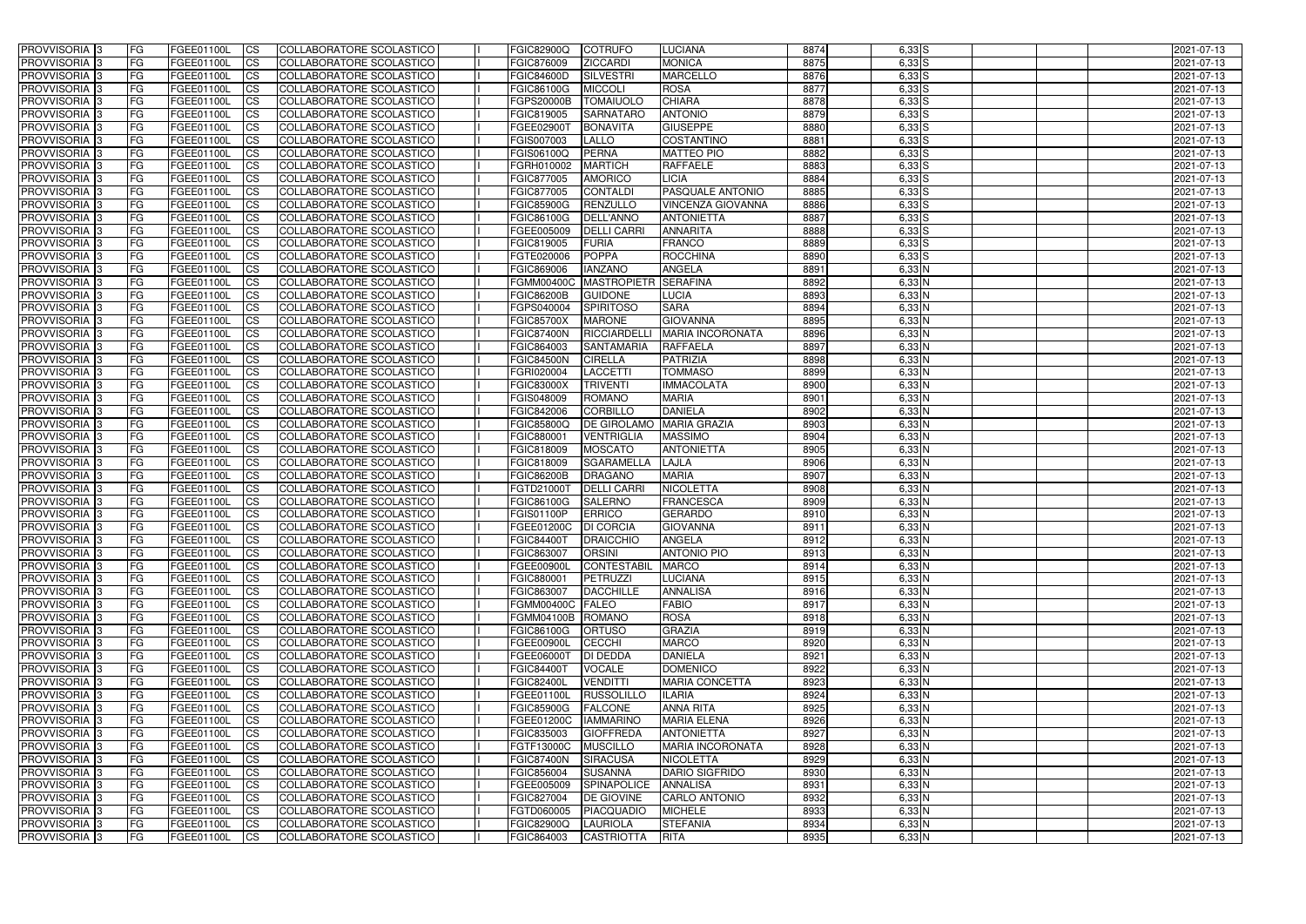| <b>PROVVISORIA</b> 3                      | l FG      | FGEE01100L               | <b>ICS</b>             | COLLABORATORE SCOLASTICO                             | <b>FGIC82900Q</b>        | <b>COTRUFO</b>                      | <b>LUCIANA</b>                      | 8874         | $6,33$ S           | 2021-07-13               |
|-------------------------------------------|-----------|--------------------------|------------------------|------------------------------------------------------|--------------------------|-------------------------------------|-------------------------------------|--------------|--------------------|--------------------------|
| <b>PROVVISORIA 3</b>                      | FG        | FGEE01100L               | <b>ICS</b>             | COLLABORATORE SCOLASTICO                             | FGIC876009               | <b>ZICCARDI</b>                     | <b>MONICA</b>                       | 8875         | $6,33$ $S$         | 2021-07-13               |
| PROVVISORIA <sup>1</sup> 3                | FG        | FGEE01100L               | <b>CS</b>              | <b>COLLABORATORE SCOLASTICO</b>                      | <b>FGIC84600D</b>        | <b>SILVESTRI</b>                    | <b>MARCELLO</b>                     | 8876         | $6,33$ $S$         | 2021-07-13               |
| PROVVISORIA                               | FG        | FGEE01100L               | <b>CS</b>              | COLLABORATORE SCOLASTICO                             | FGIC86100G               | <b>MICCOLI</b>                      | <b>ROSA</b>                         | 8877         | $6,33$ $S$         | 2021-07-13               |
| <b>PROVVISORIA 3</b>                      | FG        | FGEE01100L               | <b>CS</b>              | COLLABORATORE SCOLASTICO                             | FGPS20000B               | <b>TOMAIUOLO</b>                    | <b>CHIARA</b>                       | 8878         | $6,33$ $S$         | 2021-07-13               |
| PROVVISORIA <sup>1</sup> 3                | FG        | FGEE01100L               | <b>CS</b>              | COLLABORATORE SCOLASTICO                             | FGIC819005               | <b>SARNATARO</b>                    | <b>ANTONIO</b>                      | 8879         | $6,33$ S           | 2021-07-13               |
| PROVVISORIA <sup>1</sup> 3                | FG        | FGEE01100L               | <b>CS</b>              | COLLABORATORE SCOLASTICO                             | FGEE02900T               | <b>BONAVITA</b>                     | <b>GIUSEPPE</b>                     | 8880         | $6,33$ $S$         | 2021-07-13               |
| PROVVISORIA 3                             | FG        | FGEE01100L               | <b>ICS</b>             | COLLABORATORE SCOLASTICO                             | FGIS007003               | <b>LALLO</b>                        | COSTANTINO                          | 8881         | $6,33$ $S$         | 2021-07-13               |
| PROVVISORIA 3                             | <b>FG</b> | FGEE01100L               | <b>CS</b>              | COLLABORATORE SCOLASTICO                             | FGIS06100Q               | PERNA                               | <b>MATTEO PIO</b>                   | 8882         | $6,33$ $S$         | 2021-07-13               |
| PROVVISORIA 3                             | <b>FG</b> | FGEE01100L               | <b>ICS</b>             | COLLABORATORE SCOLASTICO                             | FGRH010002               | <b>MARTICH</b>                      | <b>RAFFAELE</b>                     | 8883         | $6,33$ $S$         | 2021-07-13               |
| PROVVISORIA 3                             | FG        | FGEE01100L               | <b>ICS</b>             | COLLABORATORE SCOLASTICO                             | <b>FGIC877005</b>        | <b>AMORICO</b>                      | <b>LICIA</b>                        | 8884         | $6,33$ $S$         | 2021-07-13               |
| <b>PROVVISORIA</b>                        | FG        | FGEE01100L               | <b>CS</b>              | COLLABORATORE SCOLASTICO                             | FGIC877005               | <b>CONTALDI</b>                     | PASQUALE ANTONIO                    | 8885         | $6,33$ $S$         | 2021-07-13               |
| <b>PROVVISORIA</b>                        | FG        | FGEE01100L               | <b>ICS</b>             | COLLABORATORE SCOLASTICO                             | <b>FGIC85900G</b>        | <b>RENZULLO</b>                     | <b>VINCENZA GIOVANNA</b>            | 8886         | $6,33$ $S$         | 2021-07-13               |
| <b>PROVVISORIA</b>                        | FG        | FGEE01100L               | <b>ICS</b>             | COLLABORATORE SCOLASTICO                             | <b>FGIC86100G</b>        | <b>DELL'ANNO</b>                    | <b>ANTONIETTA</b>                   | 8887         | $6,33$ S           | 2021-07-13               |
| <b>PROVVISORIA</b>                        | FG        | FGEE01100L               | <b>ICS</b>             | COLLABORATORE SCOLASTICO                             | FGEE005009               | <b>DELLI CARRI</b>                  | <b>ANNARITA</b>                     | 8888         | $6,33$ $S$         | 2021-07-13               |
| <b>PROVVISORIA</b>                        | FG        | FGEE01100L               | <b>ICS</b>             | COLLABORATORE SCOLASTICO                             | FGIC819005               | <b>FURIA</b>                        | <b>FRANCO</b>                       | 8889         | $6,33$ S           | 2021-07-13               |
| <b>PROVVISORIA</b>                        | FG        | FGEE01100L               | <b>ICS</b>             | COLLABORATORE SCOLASTICO                             | FGTE020006               | <b>POPPA</b>                        | <b>ROCCHINA</b>                     | 8890         | $6,33$ S           | 2021-07-13               |
| <b>PROVVISORIA</b>                        | FG        | FGEE01100L               | <b>ICS</b>             | COLLABORATORE SCOLASTICO                             | FGIC869006               | <b>IANZANO</b>                      | <b>ANGELA</b>                       | 8891         | 6,33 N             | 2021-07-13               |
| PROVVISORIA <sup>3</sup>                  | FG        | FGEE01100L               | <b>ICS</b>             | COLLABORATORE SCOLASTICO                             | <b>FGMM00400C</b>        | <b>MASTROPIETR</b>                  | <b>SERAFINA</b>                     | 8892         | $6,33$ N           | 2021-07-13               |
| PROVVISORIA <sup>3</sup>                  | FG        | FGEE01100L               | <b>ICS</b>             | COLLABORATORE SCOLASTICO                             | <b>FGIC86200B</b>        | <b>GUIDONE</b>                      | LUCIA                               | 8893         | $6,33$ N           | 2021-07-13               |
| PROVVISORIA <sup>1</sup> 3                | FG        | FGEE01100L               | <b>ICS</b>             | COLLABORATORE SCOLASTICO                             | FGPS040004               | <b>SPIRITOSO</b>                    | <b>SARA</b>                         | 8894         | $6,33$ N           | 2021-07-13               |
| PROVVISORIA 3                             | FG        | FGEE01100L               | <b>ICS</b>             | COLLABORATORE SCOLASTICO                             | <b>FGIC85700X</b>        | <b>MARONE</b>                       | <b>GIOVANNA</b>                     | 8895         | $6,33$ N           | 2021-07-13               |
| PROVVISORIA <sup>3</sup>                  | FG        | FGEE01100L               | <b>ICS</b>             | <b>COLLABORATORE SCOLASTICO</b>                      | <b>FGIC87400N</b>        | RICCIARDELL                         | <b>MARIA INCORONATA</b>             | 8896         | $6,33$ N           | 2021-07-13               |
| PROVVISORIA <sup>13</sup>                 | FG        | FGEE01100L               | <b>CS</b>              | COLLABORATORE SCOLASTICO                             | FGIC864003               | <b>SANTAMARIA</b>                   | <b>RAFFAELA</b>                     | 8897         | 6,33N              | 2021-07-13               |
| PROVVISORIA <sup>3</sup>                  | FG        | FGEE01100L               | <b>CS</b>              | COLLABORATORE SCOLASTICO                             | <b>FGIC84500N</b>        | <b>CIRELLA</b>                      | <b>PATRIZIA</b>                     | 8898         | $6,33$ N           | 2021-07-13               |
| PROVVISORIA <sup>1</sup> 3                | FG        | FGEE01100L               | <b>ICS</b>             | COLLABORATORE SCOLASTICO                             | FGRI020004               | <b>LACCETTI</b>                     | <b>TOMMASO</b>                      | 8899         | $6,33$ N           | 2021-07-13               |
| PROVVISORIA 3                             | FG        | FGEE01100L               | <b>ICS</b>             | COLLABORATORE SCOLASTICO                             | <b>FGIC83000X</b>        | <b>TRIVENTI</b>                     | <b>IMMACOLATA</b>                   | 8900         | 6,33 N             | 2021-07-13               |
| PROVVISORIA                               | FG        | FGEE01100L               | <b>ICS</b>             | COLLABORATORE SCOLASTICO                             | FGIS048009               | <b>ROMANO</b>                       | <b>MARIA</b>                        | 8901         | $6,33$ N           | 2021-07-13               |
| PROVVISORIA                               | FG        | FGEE01100L               | <b>CS</b>              | <b>COLLABORATORE SCOLASTICO</b>                      | FGIC842006               | <b>CORBILLO</b>                     | <b>DANIELA</b>                      | 8902         | 6,33 N             | 2021-07-13               |
| PROVVISORIA                               | FG        | FGEE01100L               | <b>CS</b>              | COLLABORATORE SCOLASTICO                             | FGIC85800Q               | <b>DE GIROLAMO</b>                  | <b>MARIA GRAZIA</b>                 | 8903<br>8904 | 6,33 N             | 2021-07-13               |
| PROVVISORIA<br>PROVVISORIA <sup>1</sup> 3 | FG        | FGEE01100L               | <b>CS</b>              | COLLABORATORE SCOLASTICO<br>COLLABORATORE SCOLASTICO | FGIC880001<br>FGIC818009 | <b>VENTRIGLIA</b><br><b>MOSCATO</b> | <b>MASSIMO</b><br><b>ANTONIETTA</b> | 8905         | 6,33 N<br>$6,33$ N | 2021-07-13               |
| PROVVISORIA <sup>1</sup> 3                | FG<br> FG | FGEE01100L<br>FGEE01100L | <b>CS</b><br><b>CS</b> | COLLABORATORE SCOLASTICO                             | FGIC818009               | <b>SGARAMELLA</b>                   | <b>LAJLA</b>                        | 8906         | $6,33$ N           | 2021-07-13<br>2021-07-13 |
| PROVVISORIA 3                             | FG        | FGEE01100L               | <b>CS</b>              | <b>COLLABORATORE SCOLASTICO</b>                      | <b>FGIC86200B</b>        | <b>DRAGANO</b>                      | <b>MARIA</b>                        | 8907         | $6,33$ N           | 2021-07-13               |
| <b>PROVVISORIA</b>                        | FG        | FGEE01100L               | <b>ICS</b>             | COLLABORATORE SCOLASTICO                             | FGTD21000T               | <b>DELLI CARRI</b>                  | <b>NICOLETTA</b>                    | 8908         | $6,33$ N           | 2021-07-13               |
| PROVVISORIA <sup>1</sup> 3                | <b>FG</b> | FGEE01100L               | <b>CS</b>              | COLLABORATORE SCOLASTICO                             | FGIC86100G               | <b>SALERNO</b>                      | <b>FRANCESCA</b>                    | 8909         | $6,33$ N           | 2021-07-13               |
| PROVVISORIA 3                             | <b>FG</b> | FGEE01100L               | <b>ICS</b>             | COLLABORATORE SCOLASTICO                             | <b>FGIS01100P</b>        | <b>ERRICO</b>                       | <b>GERARDO</b>                      | 8910         | 6,33N              | 2021-07-13               |
| <b>PROVVISORIA</b>                        | <b>FG</b> | FGEE01100L               | <b>ICS</b>             | COLLABORATORE SCOLASTICO                             | FGEE01200C               | <b>DI CORCIA</b>                    | <b>GIOVANNA</b>                     | 8911         | $6,33$ N           | 2021-07-13               |
| PROVVISORIA 3                             | FG        | FGEE01100L               | CS                     | COLLABORATORE SCOLASTICO                             | <b>FGIC84400T</b>        | DRAICCHIO                           | ANGELA                              | 8912         | 6,33 N             | 2021-07-13               |
| PROVVISORIA 3                             | <b>FG</b> | FGEE01100L               | $\mathsf{ICS}$         | COLLABORATORE SCOLASTICO                             | FGIC863007               | <b>ORSINI</b>                       | <b>ANTONIO PIO</b>                  | 8913         | $6,33$ N           | 2021-07-13               |
| PROVVISORIA 3                             | <b>FG</b> | <b>FGEE01100L</b>        | $\mathsf{ICS}$         | COLLABORATORE SCOLASTICO                             | FGEE00900L               | CONTESTABIL                         | <b>MARCO</b>                        | 8914         | 6,33 N             | 2021-07-13               |
| PROVVISORIA 3                             | <b>FG</b> | FGEE01100L               | $\mathsf{ICS}$         | COLLABORATORE SCOLASTICO                             | FGIC880001               | PETRUZZI                            | <b>LUCIANA</b>                      | 8915         | $6,33$ N           | 2021-07-13               |
| PROVVISORIA 3                             | FG        | FGEE01100L               | $\mathsf{ICS}$         | COLLABORATORE SCOLASTICO                             | FGIC863007               | <b>DACCHILLE</b>                    | <b>ANNALISA</b>                     | 8916         | $6,33$ N           | 2021-07-13               |
| PROVVISORIA 3                             | l FG      | FGEE01100L               | $\overline{\text{CS}}$ | COLLABORATORE SCOLASTICO                             | FGMM00400C FALEO         |                                     | <b>FABIO</b>                        | 8917         | 6,33N              | 2021-07-13               |
| PROVVISORIA 3                             | <b>FG</b> | FGEE01100L               | $\mathsf{ICS}$         | COLLABORATORE SCOLASTICO                             | FGMM04100B ROMANO        |                                     | <b>ROSA</b>                         | 8918         | $6,33$ N           | 2021-07-13               |
| PROVVISORIA 3                             | FG        | FGEE01100L               | <b>CS</b>              | COLLABORATORE SCOLASTICO                             | <b>FGIC86100G</b>        | <b>ORTUSO</b>                       | <b>GRAZIA</b>                       | 8919         | $6,33$ N           | 2021-07-13               |
| PROVVISORIA 3                             | <b>FG</b> | FGEE01100L               | <b>CS</b>              | COLLABORATORE SCOLASTICO                             | FGEE00900L               | <b>CECCHI</b>                       | <b>MARCO</b>                        | 8920         | $6,33$ N           | 2021-07-13               |
| PROVVISORIA 3                             | <b>FG</b> | FGEE01100L               | <b>CS</b>              | COLLABORATORE SCOLASTICO                             | FGEE06000T               | <b>DI DEDDA</b>                     | <b>DANIELA</b>                      | 8921         | $6,33$ N           | 2021-07-13               |
| PROVVISORIA 3                             | <b>FG</b> | FGEE01100L               | <b>CS</b>              | COLLABORATORE SCOLASTICO                             | <b>FGIC84400T</b>        | <b>VOCALE</b>                       | <b>DOMENICO</b>                     | 8922         | 6,33N              | 2021-07-13               |
| PROVVISORIA 3                             | <b>FG</b> | FGEE01100L               | <b>CS</b>              | COLLABORATORE SCOLASTICO                             | <b>FGIC82400L</b>        | <b>VENDITTI</b>                     | <b>MARIA CONCETTA</b>               | 8923         | 6,33N              | 2021-07-13               |
| PROVVISORIA 3                             | <b>FG</b> | FGEE01100L               | <b>CS</b>              | COLLABORATORE SCOLASTICO                             | FGEE01100L               | RUSSOLILLO                          | <b>ILARIA</b>                       | 8924         | $6,33$ N           | 2021-07-13               |
| PROVVISORIA 3                             | <b>FG</b> | FGEE01100L               | <b>CS</b>              | COLLABORATORE SCOLASTICO                             | <b>FGIC85900G</b>        | <b>FALCONE</b>                      | <b>ANNA RITA</b>                    | 8925         | $6,33$ N           | 2021-07-13               |
| PROVVISORIA 3                             | <b>FG</b> | FGEE01100L               | <b>CS</b>              | COLLABORATORE SCOLASTICO                             | FGEE01200C               | <b>IAMMARINO</b>                    | <b>MARIA ELENA</b>                  | 8926         | $6,33$ N           | 2021-07-13               |
| PROVVISORIA 3                             | <b>FG</b> | FGEE01100L               | <b>CS</b>              | COLLABORATORE SCOLASTICO                             | FGIC835003               | GIOFFREDA                           | <b>ANTONIETTA</b>                   | 8927         | $6,33$ N           | 2021-07-13               |
| PROVVISORIA 3                             | <b>FG</b> | FGEE01100L               | <b>CS</b>              | COLLABORATORE SCOLASTICO                             | FGTF13000C               | <b>MUSCILLO</b>                     | <b>MARIA INCORONATA</b>             | 8928         | $6,33$ N           | 2021-07-13               |
| PROVVISORIA 3                             | <b>FG</b> | FGEE01100L               | <b>CS</b>              | COLLABORATORE SCOLASTICO                             | <b>FGIC87400N</b>        | <b>SIRACUSA</b>                     | <b>NICOLETTA</b>                    | 8929         | 6,33 N             | 2021-07-13               |
| PROVVISORIA 3                             | <b>FG</b> | FGEE01100L               | <b>CS</b>              | COLLABORATORE SCOLASTICO                             | FGIC856004               | <b>SUSANNA</b>                      | <b>DARIO SIGFRIDO</b>               | 8930         | $6,33$ N           | 2021-07-13               |
| PROVVISORIA 3                             | FG        | FGEE01100L               | <b>CS</b>              | COLLABORATORE SCOLASTICO                             | FGEE005009               | SPINAPOLICE                         | ANNALISA                            | 8931         | $6,33$ N           | 2021-07-13               |
| PROVVISORIA 3                             | FG        | <b>FGEE01100L</b>        | <b>CS</b>              | COLLABORATORE SCOLASTICO                             | FGIC827004               | <b>DE GIOVINE</b>                   | CARLO ANTONIO                       | 8932         | $6,33$ N           | 2021-07-13               |
| PROVVISORIA 3                             | <b>FG</b> | FGEE01100L               | <b>CS</b>              | COLLABORATORE SCOLASTICO                             | FGTD060005               | PIACQUADIO                          | <b>MICHELE</b>                      | 8933         | $6,33$ N           | 2021-07-13               |
| PROVVISORIA 3                             | <b>FG</b> | FGEE01100L               | $\overline{\text{CS}}$ | COLLABORATORE SCOLASTICO                             | <b>FGIC82900Q</b>        | LAURIOLA                            | <b>STEFANIA</b>                     | 8934         | 6,33 N             | 2021-07-13               |
| PROVVISORIA 3                             | <b>FG</b> | FGEE01100L               | $\overline{\text{CS}}$ | COLLABORATORE SCOLASTICO                             | FGIC864003               | <b>CASTRIOTTA</b>                   | <b>RITA</b>                         | 8935         | $6,33$ N           | 2021-07-13               |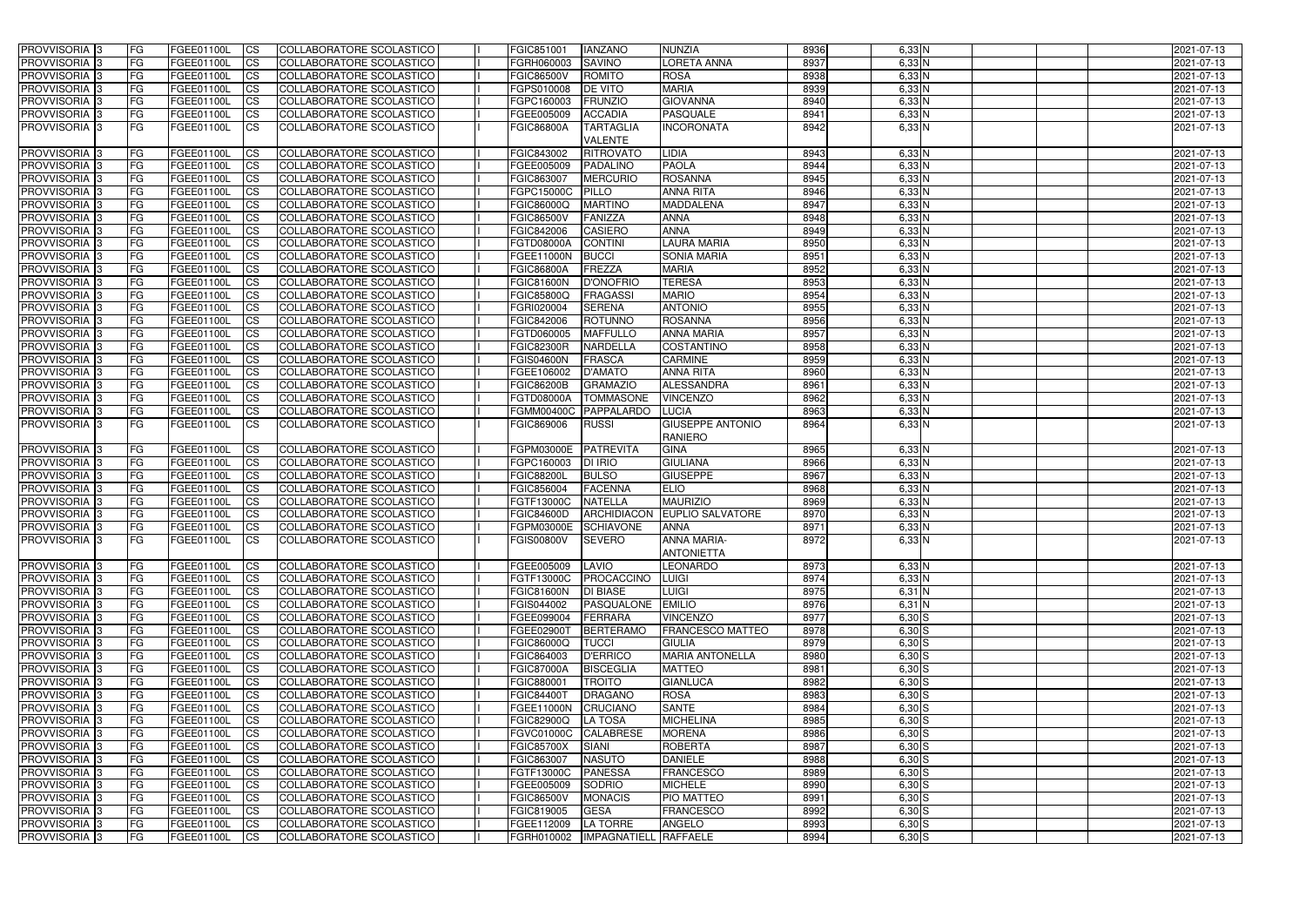| <b>PROVVISORIA</b> 3       | <b>FG</b>  | FGEE01100L        | <b>CS</b>              | COLLABORATORE SCOLASTICO        | FGIC851001        | <b>IANZANO</b>           | <b>NUNZIA</b>                             | 8936 | $6,33$ N           | 2021-07-13               |
|----------------------------|------------|-------------------|------------------------|---------------------------------|-------------------|--------------------------|-------------------------------------------|------|--------------------|--------------------------|
| PROVVISORIA 3              | FG         | FGEE01100L        | <b>CS</b>              | COLLABORATORE SCOLASTICO        | FGRH060003        | <b>SAVINO</b>            | <b>LORETA ANNA</b>                        | 8937 | 6,33N              | 2021-07-13               |
| PROVVISORIA <sup>1</sup> 3 | <b>FG</b>  | FGEE01100L        | <b>CS</b>              | COLLABORATORE SCOLASTICO        | <b>FGIC86500V</b> | <b>ROMITO</b>            | <b>ROSA</b>                               | 8938 | 6,33 N             | 2021-07-13               |
| PROVVISORIA <sup>1</sup> 3 | <b>FG</b>  | FGEE01100L        | <b>CS</b>              | <b>COLLABORATORE SCOLASTICO</b> | FGPS010008        | <b>DE VITO</b>           | <b>MARIA</b>                              | 8939 | 6,33 N             | 2021-07-13               |
| PROVVISORIA 3              | FG         | FGEE01100L        | <b>CS</b>              | <b>COLLABORATORE SCOLASTICO</b> | FGPC160003        | <b>FRUNZIO</b>           | <b>GIOVANNA</b>                           | 8940 | 6,33N              | 2021-07-13               |
| PROVVISORIA <sup>1</sup> 3 | FG         | FGEE01100L        | <b>CS</b>              | COLLABORATORE SCOLASTICO        | FGEE005009        | <b>ACCADIA</b>           | <b>PASQUALE</b>                           | 8941 | 6,33 N             | 2021-07-13               |
| PROVVISORIA 3              | FG         | FGEE01100L        | <b>ICS</b>             | COLLABORATORE SCOLASTICO        | <b>FGIC86800A</b> | <b>TARTAGLIA</b>         | <b>NCORONATA</b>                          | 8942 | $6,33$ N           | 2021-07-13               |
|                            |            |                   |                        |                                 |                   | <b>VALENTE</b>           |                                           |      |                    |                          |
| PROVVISORIA 3              | <b>FG</b>  | FGEE01100L        | <b>CS</b>              | COLLABORATORE SCOLASTICO        | FGIC843002        | <b>RITROVATO</b>         | LIDIA                                     | 8943 | 6,33 N             | 2021-07-13               |
| PROVVISORIA 3              | FG         | FGEE01100L        | <b>CS</b>              | COLLABORATORE SCOLASTICO        | FGEE005009        | <b>PADALINO</b>          | <b>PAOLA</b>                              | 8944 | $6,33$ N           | 2021-07-13               |
| PROVVISORIA 3              | FG         | FGEE01100L        | $\overline{c}$         | COLLABORATORE SCOLASTICO        | FGIC863007        | <b>MERCURIO</b>          | <b>ROSANNA</b>                            | 8945 | 6,33N              | 2021-07-13               |
| PROVVISORIA 3              | FG         | FGEE01100L        | <b>CS</b>              | COLLABORATORE SCOLASTICO        | FGPC15000C        | <b>PILLO</b>             | <b>ANNA RITA</b>                          | 8946 | 6,33 N             | 2021-07-13               |
| PROVVISORIA 3              | <b>FG</b>  | FGEE01100L        | <b>CS</b>              | COLLABORATORE SCOLASTICO        | FGIC86000Q        | <b>MARTINO</b>           | <b>MADDALENA</b>                          | 8947 | 6,33N              | 2021-07-13               |
| PROVVISORIA <sup>1</sup> 3 | FG         | FGEE01100L        | <b>CS</b>              | COLLABORATORE SCOLASTICO        | <b>FGIC86500V</b> | FANIZZA                  | <b>ANNA</b>                               | 8948 | 6,33N              | 2021-07-13               |
| PROVVISORIA <sup>3</sup>   | <b>FG</b>  | FGEE01100L        | <b>CS</b>              | COLLABORATORE SCOLASTICO        | FGIC842006        | <b>CASIERO</b>           | <b>ANNA</b>                               | 8949 | 6,33N              | 2021-07-13               |
|                            |            |                   | <b>CS</b>              | COLLABORATORE SCOLASTICO        | <b>FGTD08000A</b> | <b>CONTINI</b>           | <b>LAURA MARIA</b>                        | 8950 |                    |                          |
| PROVVISORIA 3              | FG         | FGEE01100L        |                        |                                 |                   |                          |                                           |      | 6,33 N             | 2021-07-13               |
| <b>PROVVISORIA</b>         | FG         | FGEE01100L        | <b>CS</b>              | COLLABORATORE SCOLASTICO        | FGEE11000N        | <b>BUCCI</b>             | <b>SONIA MARIA</b>                        | 8951 | $6,33$ N           | 2021-07-13               |
| <b>PROVVISORIA</b>         | FG         | FGEE01100L        | <b>CS</b>              | <b>COLLABORATORE SCOLASTICO</b> | <b>FGIC86800A</b> | <b>FREZZA</b>            | <b>MARIA</b>                              | 8952 | 6,33 N             | 2021-07-13               |
| <b>PROVVISORIA 3</b>       | FG         | FGEE01100L        | <b>CS</b>              | COLLABORATORE SCOLASTICO        | <b>FGIC81600N</b> | <b>D'ONOFRIC</b>         | <b>TERESA</b>                             | 8953 | 6,33 N             | 2021-07-13               |
| PROVVISORIA 3              | FG         | FGEE01100L        | <b>CS</b>              | COLLABORATORE SCOLASTICO        | <b>FGIC85800Q</b> | <b>FRAGASSI</b>          | <b>MARIO</b>                              | 8954 | 6,33 N             | 2021-07-13               |
| PROVVISORIA 3              | FG         | FGEE01100L        | <b>CS</b>              | COLLABORATORE SCOLASTICO        | FGRI020004        | <b>SERENA</b>            | <b>ANTONIO</b>                            | 8955 | 6,33 N             | 2021-07-13               |
| PROVVISORIA <sup>1</sup> 3 | FG         | FGEE01100L        | <b>CS</b>              | COLLABORATORE SCOLASTICO        | FGIC842006        | <b>ROTUNNO</b>           | <b>ROSANNA</b>                            | 8956 | 6,33N              | 2021-07-13               |
| PROVVISORIA 3              | <b>FG</b>  | FGEE01100L        | <b>CS</b>              | COLLABORATORE SCOLASTICO        | FGTD060005        | <b>MAFFULLO</b>          | <b>ANNA MARIA</b>                         | 8957 | 6,33N              | 2021-07-13               |
| PROVVISORIA 3              | FG         | FGEE01100L        | <b>CS</b>              | COLLABORATORE SCOLASTICO        | <b>FGIC82300R</b> | <b>NARDELLA</b>          | <b>COSTANTINO</b>                         | 8958 | 6,33N              | 2021-07-13               |
| PROVVISORIA <sup>13</sup>  | FG         | FGEE01100L        | <b>CS</b>              | COLLABORATORE SCOLASTICO        | <b>FGIS04600N</b> | <b>FRASCA</b>            | <b>CARMINE</b>                            | 8959 | $6,33$ N           | 2021-07-13               |
| PROVVISORIA <sup>13</sup>  | FG         | FGEE01100L        | <b>CS</b>              | COLLABORATORE SCOLASTICO        | FGEE106002        | <b>D'AMATO</b>           | <b>ANNA RITA</b>                          | 8960 | 6,33N              | 2021-07-13               |
| PROVVISORIA 3              | FG         | FGEE01100L        | <b>CS</b>              | COLLABORATORE SCOLASTICO        | <b>FGIC86200B</b> | <b>GRAMAZIO</b>          | <b>ALESSANDRA</b>                         | 8961 | 6,33N              | 2021-07-13               |
| PROVVISORIA 3              | FG         | FGEE01100L        | <b>CS</b>              | COLLABORATORE SCOLASTICO        | FGTD08000A        | <b>TOMMASONE</b>         | VINCENZO                                  | 8962 | 6,33 N             | 2021-07-13               |
| PROVVISORIA <sup>1</sup> 3 | FG         | FGEE01100L        | <b>CS</b>              | COLLABORATORE SCOLASTICO        | <b>FGMM00400C</b> | PAPPALARDO               | LUCIA                                     | 8963 | 6,33 N             | 2021-07-13               |
| PROVVISORIA 3              | FG         | FGEE01100L        | <b>ICS</b>             | COLLABORATORE SCOLASTICO        | FGIC869006        | <b>RUSSI</b>             | <b>GIUSEPPE ANTONIO</b><br><b>RANIERO</b> | 8964 | $6,33$ N           | 2021-07-13               |
| PROVVISORIA 3              | FG         | FGEE01100L        | <b>CS</b>              | COLLABORATORE SCOLASTICO        | FGPM03000E        | PATREVITA                | <b>GINA</b>                               | 8965 | $6,33$ N           | 2021-07-13               |
| PROVVISORIA <sup>1</sup> 3 | FG         | FGEE01100L        | $\overline{c}$         | COLLABORATORE SCOLASTICO        | FGPC160003        | <b>DI IRIO</b>           | <b>GIULIANA</b>                           | 8966 | 6,33N              | 2021-07-13               |
| PROVVISORIA <sup>1</sup> 3 | <b>FG</b>  | FGEE01100L        | <b>CS</b>              | COLLABORATORE SCOLASTICO        | <b>FGIC88200L</b> | <b>BULSO</b>             | <b>GIUSEPPE</b>                           | 8967 | 6,33N              | 2021-07-13               |
| PROVVISORIA 3              | <b>FG</b>  | FGEE01100L        | <b>CS</b>              | COLLABORATORE SCOLASTICO        | FGIC856004        | <b>FACENNA</b>           | <b>ELIO</b>                               | 8968 | $6,33$ N           | 2021-07-13               |
| PROVVISORIA                | FG         | FGEE01100L        | <b>CS</b>              | COLLABORATORE SCOLASTICO        | FGTF13000C        | <b>NATELLA</b>           | <b>MAURIZIO</b>                           | 8969 | 6,33 N             | 2021-07-13               |
| PROVVISORIA 3              | FG         | FGEE01100L        | <b>CS</b>              | COLLABORATORE SCOLASTICO        | FGIC84600D        | <b>ARCHIDIACON</b>       | <b>EUPLIO SALVATORE</b>                   | 8970 | 6,33 N             | 2021-07-13               |
| PROVVISORIA 3              | FG         | FGEE01100L        | <b>CS</b>              | COLLABORATORE SCOLASTICO        | FGPM03000E        | <b>SCHIAVONE</b>         | <b>ANNA</b>                               | 8971 | $6,33$ N           | 2021-07-13               |
| PROVVISORIA 3              | IFG.       | FGEE01100L CS     |                        | COLLABORATORE SCOLASTICO        | FGIS00800V        | <b>SEVERO</b>            | <b>ANNA MARIA-</b>                        | 8972 | $6,33$ N           | 2021-07-13               |
|                            |            |                   |                        |                                 |                   |                          | <b>ANTONIETTA</b>                         |      |                    |                          |
| <b>PROVVISORIA</b> 3       | <b>IFG</b> | FGEE01100L        | <b>CS</b>              | COLLABORATORE SCOLASTICO        | FGEE005009        | LAVIO                    | <b>LEONARDO</b>                           | 8973 | $6,33$ N           | 2021-07-13               |
| PROVVISORIA 3              | <b>IFG</b> | <b>FGEE01100L</b> | CS                     | COLLABORATORE SCOLASTICO        | FGTF13000C        | <b>FROCACCINO</b>        | LUIGI                                     | 8974 | $6,33$ N           | 2021-07-13               |
| PROVVISORIA 3              | <b>FG</b>  | FGEE01100L        | $\overline{\text{CS}}$ | COLLABORATORE SCOLASTICO        | <b>FGIC81600N</b> | <b>DI BIASE</b>          | LUIGI                                     | 8975 | $6,31$ N           | 2021-07-13               |
| PROVVISORIA 3              | <b>FG</b>  | FGEE01100L        | $\overline{\text{CS}}$ | COLLABORATORE SCOLASTICO        | FGIS044002        | PASQUALONE EMILIO        |                                           | 8976 | $6,31$ N           | 2021-07-13               |
| PROVVISORIA 3              | <b>FG</b>  | FGEE01100L        | $\overline{\text{CS}}$ | COLLABORATORE SCOLASTICO        | FGEE099004        | <b>FERRARA</b>           | <b>VINCENZO</b>                           | 8977 | $6,30$ S           | 2021-07-13               |
| PROVVISORIA 3              | <b>FG</b>  | FGEE01100L        | $\overline{\text{CS}}$ | COLLABORATORE SCOLASTICO        | FGEE02900T        | <b>BERTERAMO</b>         | <b>FRANCESCO MATTEO</b>                   | 8978 | $6,30$ S           | 2021-07-13               |
| PROVVISORIA 3              | <b>FG</b>  | FGEE01100L        | CS                     | COLLABORATORE SCOLASTICO        | FGIC86000Q        | <b>TUCCI</b>             | <b>GIULIA</b>                             | 8979 | $6,30\overline{S}$ | 2021-07-13               |
| PROVVISORIA 3              | <b>IFG</b> | FGEE01100L        | CS                     | COLLABORATORE SCOLASTICO        | FGIC864003        | <b>D'ERRICO</b>          | <b>MARIA ANTONELLA</b>                    | 8980 | $6,30$ $S$         | 2021-07-13               |
| PROVVISORIA 3              | <b>FG</b>  | FGEE01100L        | <b>CS</b>              | COLLABORATORE SCOLASTICO        | <b>FGIC87000A</b> | <b>BISCEGLIA</b>         | <b>MATTEO</b>                             | 8981 | $6,30$ S           | 2021-07-13               |
| PROVVISORIA 3              | <b>FG</b>  | FGEE01100L        | <b>CS</b>              | COLLABORATORE SCOLASTICO        | FGIC880001        | <b>TROITO</b>            | <b>GIANLUCA</b>                           | 8982 | $6,30$ $S$         | 2021-07-13               |
| PROVVISORIA 3              | <b>FG</b>  | FGEE01100L        | <b>CS</b>              | COLLABORATORE SCOLASTICO        | <b>FGIC84400T</b> | <b>DRAGANO</b>           | <b>ROSA</b>                               | 8983 | $6,30$ S           | 2021-07-13               |
| PROVVISORIA 3              | <b>FG</b>  | FGEE01100L        | <b>CS</b>              | COLLABORATORE SCOLASTICO        |                   | FGEE11000N CRUCIANO      | <b>SANTE</b>                              | 8984 | $6,30$ S           | 2021-07-13               |
| PROVVISORIA 3              | <b>FG</b>  | FGEE01100L        | <b>CS</b>              | COLLABORATORE SCOLASTICO        | <b>FGIC82900Q</b> | <b>LA TOSA</b>           | <b>MICHELINA</b>                          | 8985 | $6,30$ S           | 2021-07-13               |
| PROVVISORIA 3              | <b>IFG</b> | FGEE01100L        | <b>CS</b>              | COLLABORATORE SCOLASTICO        | <b>FGVC01000C</b> | <b>CALABRESE</b>         | <b>MORENA</b>                             | 8986 | $6,30$ S           | 2021-07-13               |
| PROVVISORIA 3              | FG         | FGEE01100L        | <b>CS</b>              | COLLABORATORE SCOLASTICO        | <b>FGIC85700X</b> | <b>SIANI</b>             | <b>ROBERTA</b>                            | 8987 | $6,30$ S           | 2021-07-13               |
| PROVVISORIA 3              | <b>FG</b>  |                   | <b>CS</b>              | COLLABORATORE SCOLASTICO        |                   | <b>NASUTO</b>            | <b>DANIELE</b>                            | 8988 | $6,30$ $S$         |                          |
|                            | <b>FG</b>  | FGEE01100L        |                        |                                 | FGIC863007        | <b>PANESSA</b>           |                                           | 8989 |                    | 2021-07-13<br>2021-07-13 |
| PROVVISORIA 3              |            | FGEE01100L        | $\overline{\text{CS}}$ | COLLABORATORE SCOLASTICO        | FGTF13000C        |                          | <b>FRANCESCO</b>                          |      | $6,30$ S           |                          |
| PROVVISORIA 3              | <b>FG</b>  | FGEE01100L        | <b>CS</b>              | COLLABORATORE SCOLASTICO        | FGEE005009        | SODRIO                   | <b>MICHELE</b>                            | 8990 | $6,30$ S           | 2021-07-13               |
| PROVVISORIA 3              | <b>IFG</b> | FGEE01100L        | CS                     | COLLABORATORE SCOLASTICO        | <b>FGIC86500V</b> | <b>MONACIS</b>           | PIO MATTEO                                | 8991 | $6,30$ $S$         | 2021-07-13               |
| PROVVISORIA 3              | <b>IFG</b> | FGEE01100L        | <b>CS</b>              | COLLABORATORE SCOLASTICO        | FGIC819005        | <b>GESA</b>              | <b>FRANCESCO</b>                          | 8992 | $6,30$ $S$         | 2021-07-13               |
| PROVVISORIA 3              | <b>IFG</b> | <b>FGEE01100L</b> | $ {\rm CS} $           | COLLABORATORE SCOLASTICO        | FGEE112009        | LA TORRE                 | ANGELO                                    | 8993 | $6,30$ S           | 2021-07-13               |
| PROVVISORIA 3              | <b>FG</b>  | FGEE01100L        | <b>CS</b>              | COLLABORATORE SCOLASTICO        |                   | FGRH010002  IMPAGNATIELL | <b>RAFFAELE</b>                           | 8994 | $6,30$ S           | 2021-07-13               |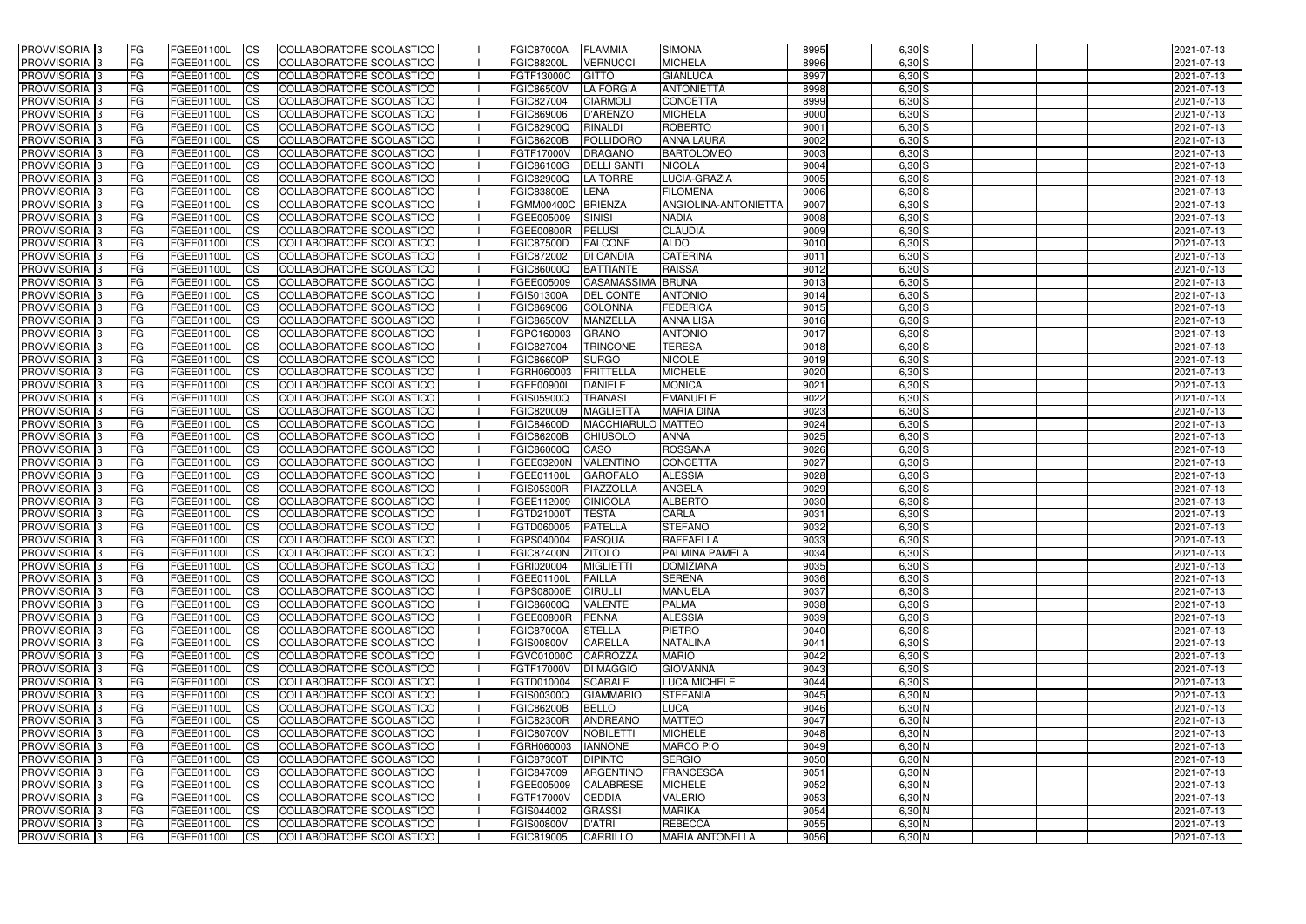| <b>CS</b><br>COLLABORATORE SCOLASTICO<br><b>MICHELA</b><br>8996<br>$6,30$ S<br><b>PROVVISORIA 3</b><br>FG<br>FGEE01100L<br><b>FGIC88200L</b><br><b>VERNUCCI</b><br>2021-07-13<br>8997<br>PROVVISORIA <sup>3</sup><br>FG<br>FGEE01100L<br><b>CS</b><br>COLLABORATORE SCOLASTICO<br>FGTF13000C<br><b>GITTO</b><br><b>GIANLUCA</b><br>$6,30$ S<br>2021-07-13<br>8998<br>PROVVISORIA <sup>3</sup><br>FG<br>FGEE01100L<br><b>CS</b><br>COLLABORATORE SCOLASTICO<br><b>FGIC86500V</b><br><b>LA FORGIA</b><br><b>ANTONIETTA</b><br>$6,30$ S<br>2021-07-13<br>FG<br>FGEE01100L<br><b>CS</b><br>COLLABORATORE SCOLASTICO<br>FGIC827004<br><b>CIARMOLI</b><br><b>CONCETTA</b><br>8999<br>$6,30$ S<br>PROVVISORIA <sup>1</sup> 3<br>2021-07-13<br><b>MICHELA</b><br>9000<br>PROVVISORIA <sup>3</sup><br>FG<br>FGEE01100L<br><b>CS</b><br>COLLABORATORE SCOLASTICO<br>FGIC869006<br>D'ARENZO<br>$6,30$ S<br>2021-07-13<br><b>FGIC82900Q</b><br><b>ROBERTO</b><br>9001<br>$6,30$ S<br>PROVVISORIA 3<br>FG<br>FGEE01100L<br><b>CS</b><br>COLLABORATORE SCOLASTICO<br><b>RINALDI</b><br>2021-07-13<br>9002<br>PROVVISORIA 3<br><b>CS</b><br>COLLABORATORE SCOLASTICO<br><b>FGIC86200B</b><br>POLLIDORO<br>$6,30$ S<br>2021-07-13<br>FG<br><b>FGEE01100L</b><br><b>ANNA LAURA</b><br><b>CS</b><br>COLLABORATORE SCOLASTICO<br>9003<br>$6,30$ S<br>2021-07-13<br>PROVVISORIA 3<br>FG<br>FGEE01100L<br>FGTF17000V<br><b>DRAGANO</b><br><b>BARTOLOMEO</b><br>PROVVISORIA <sup>3</sup><br>$\overline{c}$<br>COLLABORATORE SCOLASTICO<br>$6,30$ S<br>FG<br>FGEE01100L<br>FGIC86100G<br><b>DELLI SANTI</b><br><b>NICOLA</b><br>9004<br>2021-07-13<br>COLLABORATORE SCOLASTICO<br><b>FGIC82900Q</b><br>9005<br>$6,30$ S<br>PROVVISORIA <sup>3</sup><br>FG<br>FGEE01100L<br><b>CS</b><br><b>LA TORRE</b><br>LUCIA-GRAZIA<br>2021-07-13<br>PROVVISORIA <sup>3</sup><br><b>CS</b><br>COLLABORATORE SCOLASTICO<br><b>FGIC83800E</b><br>LENA<br><b>FILOMENA</b><br>9006<br>$6,30$ S<br>FG<br>FGEE01100L<br>2021-07-13<br>PROVVISORIA <sup>3</sup><br>COLLABORATORE SCOLASTICO<br>9007<br>$6,30$ S<br><b>FGEE01100L</b><br><b>I</b> CS<br><b>FGMM00400C</b><br>BRIENZA<br>ANGIOLINA-ANTONIETTA<br>2021-07-13<br>FG<br>PROVVISORIA <sup>3</sup><br>FGEE01100L<br><b>I</b> CS<br>COLLABORATORE SCOLASTICO<br>FGEE005009<br>9008<br>$6,30$ S<br>2021-07-13<br>FG<br><b>SINISI</b><br><b>NADIA</b><br>PROVVISORIA <sup>3</sup><br>FGEE01100L<br><b>I</b> CS<br>COLLABORATORE SCOLASTICO<br><b>FGEE00800R</b><br><b>PELUSI</b><br><b>CLAUDIA</b><br>9009<br>$6,30$ S<br>FG<br>2021-07-13<br><b>PROVVISORIA</b> 3<br>FG<br>FGEE01100L<br><b>I</b> CS<br><b>COLLABORATORE SCOLASTICO</b><br><b>FGIC87500D</b><br><b>FALCONE</b><br><b>ALDO</b><br>9010<br>$6,30$ S<br>2021-07-13<br><b>PROVVISORIA</b> 3<br>FG<br>FGEE01100L<br><b>ICS</b><br>COLLABORATORE SCOLASTICO<br>FGIC872002<br><b>DI CANDIA</b><br><b>CATERINA</b><br>9011<br>$6,30$ S<br>2021-07-13<br>PROVVISORIA 3<br>FGEE01100L<br><b>CS</b><br>COLLABORATORE SCOLASTICO<br><b>FGIC86000Q</b><br><b>BATTIANTE</b><br><b>RAISSA</b><br>9012<br>6,30 S<br>FG<br>2021-07-13<br>$6,30$ S<br>PROVVISORIA <sup>3</sup><br>FGEE01100L<br><b>ICS</b><br>COLLABORATORE SCOLASTICO<br>FGEE005009<br><b>CASAMASSIMA</b><br><b>BRUNA</b><br>9013<br>2021-07-13<br>FG<br>$6,30$ S<br>PROVVISORIA <sup>3</sup><br>FGEE01100L<br><b>I</b> CS<br>COLLABORATORE SCOLASTICO<br><b>FGIS01300A</b><br><b>DEL CONTE</b><br><b>ANTONIO</b><br>9014<br>2021-07-13<br>FG<br>$6,30$ S<br>PROVVISORIA <sup>3</sup><br>FGIC869006<br><b>COLONNA</b><br><b>FEDERICA</b><br>9015<br>2021-07-13<br>FG<br>FGEE01100L<br><b>ICS</b><br>COLLABORATORE SCOLASTICO<br>$6,30$ S<br>PROVVISORIA <sup>3</sup><br><b>CS</b><br><b>FGIC86500V</b><br><b>MANZELLA</b><br><b>ANNA LISA</b><br>9016<br>2021-07-13<br>FG<br>FGEE01100L<br>COLLABORATORE SCOLASTICO<br>$6,30$ S<br>PROVVISORIA <sup>3</sup><br>FG<br>FGEE01100L<br><b>CS</b><br>COLLABORATORE SCOLASTICO<br>FGPC160003<br><b>GRANO</b><br><b>ANTONIO</b><br>9017<br>2021-07-13<br>$6,30$ S<br>PROVVISORIA <sup>3</sup><br>FGEE01100L<br><b>CS</b><br>COLLABORATORE SCOLASTICO<br>FGIC827004<br><b>TRINCONE</b><br><b>TERESA</b><br>9018<br>2021-07-13<br>FG<br>$6,30$ S<br>PROVVISORIA <sup>3</sup><br>FGEE01100L<br><b>CS</b><br>COLLABORATORE SCOLASTICO<br><b>FGIC86600P</b><br><b>SURGO</b><br><b>NICOLE</b><br>9019<br>FG<br>2021-07-13<br><b>MICHELE</b><br>9020<br>$6,30$ S<br>PROVVISORIA <sup>1</sup> 3<br>FGEE01100L<br><b>CS</b><br>COLLABORATORE SCOLASTICO<br>FGRH060003<br><b>FRITTELLA</b><br>FG<br>2021-07-13<br>9021<br>$6,30$ S<br>PROVVISORIA 3<br>FG<br>FGEE01100L<br><b>CS</b><br>COLLABORATORE SCOLASTICO<br><b>FGEE00900L</b><br><b>DANIELE</b><br><b>MONICA</b><br>2021-07-13<br><b>CS</b><br><b>EMANUELE</b><br>9022<br>$6,30$ S<br>PROVVISORIA <sup>3</sup><br>FG.<br>FGEE01100L<br>COLLABORATORE SCOLASTICO<br>FGIS05900Q<br><b>TRANASI</b><br>2021-07-13<br>9023<br>FG<br><b>FGEE01100L</b><br><b>CS</b><br>COLLABORATORE SCOLASTICO<br>FGIC820009<br><b>MAGLIETTA</b><br><b>MARIA DINA</b><br>$6,30$ S<br>PROVVISORIA <sup>13</sup><br>2021-07-13<br>MACCHIARULO MATTEO<br>FGEE01100L<br><b>CS</b><br>COLLABORATORE SCOLASTICO<br>9024<br>6,30 S<br>PROVVISORIA <sup>1</sup> 3<br>FG<br><b>FGIC84600D</b><br>2021-07-13<br><b>ANNA</b><br>9025<br>$6,30$ S<br>PROVVISORIA <sup>3</sup><br>FG.<br>FGEE01100L<br><b>CS</b><br>COLLABORATORE SCOLASTICO<br><b>FGIC86200B</b><br><b>CHIUSOLO</b><br>2021-07-13<br>9026<br>$6,30$ S<br><b>PROVVISORIA</b> 3<br>FG<br>FGEE01100L<br><b>CS</b><br>COLLABORATORE SCOLASTICO<br>FGIC86000Q<br>CASO<br><b>ROSSANA</b><br>2021-07-13<br>PROVVISORIA <sup>3</sup><br><b>CS</b><br>COLLABORATORE SCOLASTICO<br>VALENTINO<br><b>CONCETTA</b><br>9027<br>$6,30$ S<br>FG<br><b>FGEE01100L</b><br><b>FGEE03200N</b><br>2021-07-13<br>$6,30$ S<br>PROVVISORIA 3<br><b>FGEE01100L</b><br><b>CS</b><br>COLLABORATORE SCOLASTICO<br>FGEE01100L<br><b>GAROFALO</b><br><b>ALESSIA</b><br>9028<br>2021-07-13<br>FG<br>$\overline{\text{cs}}$<br>PIAZZOLLA<br>$6,30$ S<br>PROVVISORIA <sup>3</sup><br>FG<br><b>FGEE01100L</b><br>COLLABORATORE SCOLASTICO<br><b>FGIS05300R</b><br><b>ANGELA</b><br>9029<br>2021-07-13<br><b>CS</b><br><b>COLLABORATORE SCOLASTICO</b><br><b>ALBERTO</b><br>$6,30$ S<br>PROVVISORIA <sup>3</sup><br>FGEE01100L<br>FGEE112009<br><b>CINICOLA</b><br>9030<br>2021-07-13<br>FG<br>$6,30$ S<br><b>PROVVISORIA</b> 3<br>FGEE01100L<br><b>CS</b><br>COLLABORATORE SCOLASTICO<br>FGTD21000T<br><b>TESTA</b><br>CARLA<br>9031<br>2021-07-13<br>FG<br><b>STEFANO</b><br>$6,30$ S<br>PROVVISORIA 3<br>FG<br>FGEE01100L<br><b>I</b> CS<br>COLLABORATORE SCOLASTICO<br>FGTD060005<br><b>PATELLA</b><br>9032<br>2021-07-13<br><b>PROVVISORIA</b> 3<br>COLLABORATORE SCOLASTICO<br><b>RAFFAELLA</b><br>9033<br>2021-07-13<br>FGEE01100L<br>FGPS040004 PASQUA<br>$6,30$ S<br>IFG.<br> CS <br>PROVVISORIA 3<br>$6,30$ S<br>FGEE01100L<br>COLLABORATORE SCOLASTICO<br>FGIC87400N<br><b>PALMINA PAMELA</b><br>9034<br>2021-07-13<br>IFG.<br><b>ICS</b><br><b>ZITOLO</b><br>PROVVISORIA 3<br>FG<br>FGEE01100L<br><b>CS</b><br>COLLABORATORE SCOLASTICO<br>FGRI020004<br><b>MIGLIETTI</b><br><b>DOMIZIANA</b><br>9035<br>$6,30$ S<br>2021-07-13<br>PROVVISORIA 3<br>$6,30$ $S$<br>FG<br>FGEE01100L<br><b>CS</b><br>COLLABORATORE SCOLASTICO<br>FGEE01100L<br><b>FAILLA</b><br><b>SERENA</b><br>9036<br>2021-07-13<br>9037<br>PROVVISORIA 3<br>FGEE01100L<br><b>COLLABORATORE SCOLASTICO</b><br><b>FGPS08000E</b><br><b>CIRULLI</b><br><b>MANUELA</b><br>$6,30$ S<br>FG<br><b>ICS</b><br>2021-07-13<br>9038<br>$6,30$ $S$<br>PROVVISORIA 3<br>FGEE01100L<br><b>CS</b><br>COLLABORATORE SCOLASTICO<br><b>FGIC86000Q</b><br><b>PALMA</b><br>2021-07-13<br>FG<br><b>VALENTE</b><br>PROVVISORIA 3<br>9039<br>$6,30$ S<br>FG<br>FGEE01100L<br><b>CS</b><br>COLLABORATORE SCOLASTICO<br><b>FGEE00800R</b><br><b>PENNA</b><br><b>ALESSIA</b><br>2021-07-13<br>9040<br>$6,30$ S<br>PROVVISORIA 3<br>FGEE01100L<br>COLLABORATORE SCOLASTICO<br><b>FGIC87000A</b><br><b>PIETRO</b><br>2021-07-13<br><b>FG</b><br><b>CS</b><br><b>STELLA</b><br>$6,30$ S<br>PROVVISORIA 3<br><b>FGIS00800V</b><br>9041<br>FG<br>FGEE01100L<br><b>CS</b><br>COLLABORATORE SCOLASTICO<br><b>CARELLA</b><br><b>NATALINA</b><br>2021-07-13<br>CARROZZA<br>9042<br>$6,30$ S<br>PROVVISORIA 3<br>FG<br>FGEE01100L<br><b>CS</b><br>COLLABORATORE SCOLASTICO<br><b>FGVC01000C</b><br><b>MARIO</b><br>2021-07-13<br>$6,30$ $S$<br>PROVVISORIA 3<br>9043<br>FG<br>FGEE01100L<br>COLLABORATORE SCOLASTICO<br>FGTF17000V<br><b>DI MAGGIO</b><br><b>GIOVANNA</b><br>2021-07-13<br><b>CS</b><br>$6,30$ S<br>PROVVISORIA 3<br>FG<br>FGEE01100L<br><b>CS</b><br>COLLABORATORE SCOLASTICO<br>FGTD010004<br><b>SCARALE</b><br><b>LUCA MICHELE</b><br>9044<br>2021-07-13<br>$6,30$ N<br>9045<br>PROVVISORIA 3<br>FGEE01100L<br>COLLABORATORE SCOLASTICO<br><b>FGIS00300Q</b><br><b>GIAMMARIO</b><br><b>STEFANIA</b><br>2021-07-13<br>FG<br><b>CS</b><br>9046<br>$6,30$ N<br><b>PROVVISORIA</b> 3<br>IFG.<br>FGEE01100L<br><b>CS</b><br>COLLABORATORE SCOLASTICO<br><b>FGIC86200B</b><br><b>BELLO</b><br><b>LUCA</b><br>2021-07-13<br><b>MATTEO</b><br>9047<br>$6,30$ N<br><b>PROVVISORIA</b> 3<br>IFG.<br>FGEE01100L<br><b>CS</b><br>COLLABORATORE SCOLASTICO<br><b>FGIC82300R</b><br>ANDREANO<br>2021-07-13<br><b>MICHELE</b><br>$6,30$ N<br>PROVVISORIA 3<br><b>IFG</b><br>FGEE01100L<br><b>CS</b><br>COLLABORATORE SCOLASTICO<br><b>FGIC80700V</b><br><b>NOBILETTI</b><br>9048<br>2021-07-13<br>9049<br>$6,30$ N<br>PROVVISORIA 3<br><b>IFG</b><br>FGEE01100L<br><b>CS</b><br>COLLABORATORE SCOLASTICO<br>FGRH060003<br><b>IANNONE</b><br><b>MARCO PIO</b><br>2021-07-13<br>9050<br>$6,30$ N<br>PROVVISORIA 3<br>FGEE01100L<br>COLLABORATORE SCOLASTICO<br><b>FGIC87300T</b><br><b>DIPINTO</b><br><b>SERGIO</b><br>2021-07-13<br>IFG.<br><b>CS</b><br><b>FRANCESCA</b><br>9051<br>$6,30$ N<br>PROVVISORIA 3<br> FG<br>FGEE01100L<br><b>CS</b><br>COLLABORATORE SCOLASTICO<br>FGIC847009<br>ARGENTINO<br>2021-07-13<br>COLLABORATORE SCOLASTICO<br>9052<br>$6,30$ N<br>PROVVISORIA 3<br>FGEE01100L<br><b>CS</b><br>FGEE005009<br><b>CALABRESE</b><br><b>MICHELE</b><br>2021-07-13<br><b>FG</b><br>9053<br>$6,30$ N<br>PROVVISORIA 3<br><b>FGEE01100L</b><br>COLLABORATORE SCOLASTICO<br>FGTF17000V<br><b>CEDDIA</b><br><b>VALERIO</b><br>2021-07-13<br> FG<br><b>CS</b><br><b>PROVVISORIA</b> 3<br>COLLABORATORE SCOLASTICO<br>9054<br>$6,30$ N<br>FG<br>FGEE01100L<br><b>ICS</b><br>FGIS044002<br><b>GRASSI</b><br><b>MARIKA</b><br>2021-07-13<br>PROVVISORIA 3<br>$\overline{c}$<br>COLLABORATORE SCOLASTICO<br><b>FGIS00800V</b><br><b>REBECCA</b><br>9055<br>FGEE01100L<br><b>D'ATRI</b><br>$6,30$ N<br>2021-07-13<br> FG<br>PROVVISORIA 3<br>COLLABORATORE SCOLASTICO<br>9056<br>$6,30$ N<br> FG<br>FGEE01100L<br><b>CS</b><br>FGIC819005<br>CARRILLO<br><b>MARIA ANTONELLA</b><br>2021-07-13 | <b>PROVVISORIA</b> 3 | FG | FGEE01100L | <b>ICS</b> | COLLABORATORE SCOLASTICO | <b>FGIC87000A</b> | <b>FLAMMIA</b> | <b>SIMONA</b> | 8995 | $6,30$ S | 2021-07-13 |
|------------------------------------------------------------------------------------------------------------------------------------------------------------------------------------------------------------------------------------------------------------------------------------------------------------------------------------------------------------------------------------------------------------------------------------------------------------------------------------------------------------------------------------------------------------------------------------------------------------------------------------------------------------------------------------------------------------------------------------------------------------------------------------------------------------------------------------------------------------------------------------------------------------------------------------------------------------------------------------------------------------------------------------------------------------------------------------------------------------------------------------------------------------------------------------------------------------------------------------------------------------------------------------------------------------------------------------------------------------------------------------------------------------------------------------------------------------------------------------------------------------------------------------------------------------------------------------------------------------------------------------------------------------------------------------------------------------------------------------------------------------------------------------------------------------------------------------------------------------------------------------------------------------------------------------------------------------------------------------------------------------------------------------------------------------------------------------------------------------------------------------------------------------------------------------------------------------------------------------------------------------------------------------------------------------------------------------------------------------------------------------------------------------------------------------------------------------------------------------------------------------------------------------------------------------------------------------------------------------------------------------------------------------------------------------------------------------------------------------------------------------------------------------------------------------------------------------------------------------------------------------------------------------------------------------------------------------------------------------------------------------------------------------------------------------------------------------------------------------------------------------------------------------------------------------------------------------------------------------------------------------------------------------------------------------------------------------------------------------------------------------------------------------------------------------------------------------------------------------------------------------------------------------------------------------------------------------------------------------------------------------------------------------------------------------------------------------------------------------------------------------------------------------------------------------------------------------------------------------------------------------------------------------------------------------------------------------------------------------------------------------------------------------------------------------------------------------------------------------------------------------------------------------------------------------------------------------------------------------------------------------------------------------------------------------------------------------------------------------------------------------------------------------------------------------------------------------------------------------------------------------------------------------------------------------------------------------------------------------------------------------------------------------------------------------------------------------------------------------------------------------------------------------------------------------------------------------------------------------------------------------------------------------------------------------------------------------------------------------------------------------------------------------------------------------------------------------------------------------------------------------------------------------------------------------------------------------------------------------------------------------------------------------------------------------------------------------------------------------------------------------------------------------------------------------------------------------------------------------------------------------------------------------------------------------------------------------------------------------------------------------------------------------------------------------------------------------------------------------------------------------------------------------------------------------------------------------------------------------------------------------------------------------------------------------------------------------------------------------------------------------------------------------------------------------------------------------------------------------------------------------------------------------------------------------------------------------------------------------------------------------------------------------------------------------------------------------------------------------------------------------------------------------------------------------------------------------------------------------------------------------------------------------------------------------------------------------------------------------------------------------------------------------------------------------------------------------------------------------------------------------------------------------------------------------------------------------------------------------------------------------------------------------------------------------------------------------------------------------------------------------------------------------------------------------------------------------------------------------------------------------------------------------------------------------------------------------------------------------------------------------------------------------------------------------------------------------------------------------------------------------------------------------------------------------------------------------------------------------------------------------------------------------------------------------------------------------------------------------------------------------------------------------------------------------------------------------------------------------------------------------------------------------------------------------------------------------------------------------------------------------------------------------------------------------------------------------------------------------------------------------------------------------------------------------------------------------------------------------------------------------------------------------------------------------------------------------------------------------------------------------------------------------------------------------------------------------------------------------------------------------------------------------------------------------------------------------------------------------------------------------------------------------------------------------------------------------------------------------------------------------------------------------------------------------------------------------------------------------------------------------------------------------------------------------------------------------------------------------------------------------------------------------------------------------------------------------------------------------------------------------------------------------------------------------------------------------------------------------------------------------------------------------------------------------------------------------------------------------------------------------------------------------------------------------------------------------------------------------------------------------------------------------------------------------------------------------------------------------------------------------------------------------------------------------------------------------------------------------------------------------------------------------------------------------------------------------------------------------------------------------------------------------------------------------------------------------------------------------------------------------------------------------------------------------------------------------------------------------------------------------------------------------------------------------------------------------------------------------------------------------------------------------------------------------------------------------------------------------------------------------------------------------------------------------------------------------------------------------------------------------------------------------------------------------------------------------------------------------------------------------------------------------------------------------------------------------------------------------------------------------------------------------------------------------------------------------------------------------------------------------------------------------------------------------------------------------------------------------------------------------------------------------------------------------------------------------------|----------------------|----|------------|------------|--------------------------|-------------------|----------------|---------------|------|----------|------------|
|                                                                                                                                                                                                                                                                                                                                                                                                                                                                                                                                                                                                                                                                                                                                                                                                                                                                                                                                                                                                                                                                                                                                                                                                                                                                                                                                                                                                                                                                                                                                                                                                                                                                                                                                                                                                                                                                                                                                                                                                                                                                                                                                                                                                                                                                                                                                                                                                                                                                                                                                                                                                                                                                                                                                                                                                                                                                                                                                                                                                                                                                                                                                                                                                                                                                                                                                                                                                                                                                                                                                                                                                                                                                                                                                                                                                                                                                                                                                                                                                                                                                                                                                                                                                                                                                                                                                                                                                                                                                                                                                                                                                                                                                                                                                                                                                                                                                                                                                                                                                                                                                                                                                                                                                                                                                                                                                                                                                                                                                                                                                                                                                                                                                                                                                                                                                                                                                                                                                                                                                                                                                                                                                                                                                                                                                                                                                                                                                                                                                                                                                                                                                                                                                                                                                                                                                                                                                                                                                                                                                                                                                                                                                                                                                                                                                                                                                                                                                                                                                                                                                                                                                                                                                                                                                                                                                                                                                                                                                                                                                                                                                                                                                                                                                                                                                                                                                                                                                                                                                                                                                                                                                                                                                                                                                                                                                                                                                                                                                                                                                                                                                                                                                                                                                                                                                                                                                                                                                                                                                                                                                                                                                                                                                                                                                                                                                                                                                                                                                                                                                                                                                                                                                                                                                                                                                                                                                                                                                                                                                                                                                                                                                                                                                                                                                                                                                                                                                                                                                                                  |                      |    |            |            |                          |                   |                |               |      |          |            |
|                                                                                                                                                                                                                                                                                                                                                                                                                                                                                                                                                                                                                                                                                                                                                                                                                                                                                                                                                                                                                                                                                                                                                                                                                                                                                                                                                                                                                                                                                                                                                                                                                                                                                                                                                                                                                                                                                                                                                                                                                                                                                                                                                                                                                                                                                                                                                                                                                                                                                                                                                                                                                                                                                                                                                                                                                                                                                                                                                                                                                                                                                                                                                                                                                                                                                                                                                                                                                                                                                                                                                                                                                                                                                                                                                                                                                                                                                                                                                                                                                                                                                                                                                                                                                                                                                                                                                                                                                                                                                                                                                                                                                                                                                                                                                                                                                                                                                                                                                                                                                                                                                                                                                                                                                                                                                                                                                                                                                                                                                                                                                                                                                                                                                                                                                                                                                                                                                                                                                                                                                                                                                                                                                                                                                                                                                                                                                                                                                                                                                                                                                                                                                                                                                                                                                                                                                                                                                                                                                                                                                                                                                                                                                                                                                                                                                                                                                                                                                                                                                                                                                                                                                                                                                                                                                                                                                                                                                                                                                                                                                                                                                                                                                                                                                                                                                                                                                                                                                                                                                                                                                                                                                                                                                                                                                                                                                                                                                                                                                                                                                                                                                                                                                                                                                                                                                                                                                                                                                                                                                                                                                                                                                                                                                                                                                                                                                                                                                                                                                                                                                                                                                                                                                                                                                                                                                                                                                                                                                                                                                                                                                                                                                                                                                                                                                                                                                                                                                                                                                                  |                      |    |            |            |                          |                   |                |               |      |          |            |
|                                                                                                                                                                                                                                                                                                                                                                                                                                                                                                                                                                                                                                                                                                                                                                                                                                                                                                                                                                                                                                                                                                                                                                                                                                                                                                                                                                                                                                                                                                                                                                                                                                                                                                                                                                                                                                                                                                                                                                                                                                                                                                                                                                                                                                                                                                                                                                                                                                                                                                                                                                                                                                                                                                                                                                                                                                                                                                                                                                                                                                                                                                                                                                                                                                                                                                                                                                                                                                                                                                                                                                                                                                                                                                                                                                                                                                                                                                                                                                                                                                                                                                                                                                                                                                                                                                                                                                                                                                                                                                                                                                                                                                                                                                                                                                                                                                                                                                                                                                                                                                                                                                                                                                                                                                                                                                                                                                                                                                                                                                                                                                                                                                                                                                                                                                                                                                                                                                                                                                                                                                                                                                                                                                                                                                                                                                                                                                                                                                                                                                                                                                                                                                                                                                                                                                                                                                                                                                                                                                                                                                                                                                                                                                                                                                                                                                                                                                                                                                                                                                                                                                                                                                                                                                                                                                                                                                                                                                                                                                                                                                                                                                                                                                                                                                                                                                                                                                                                                                                                                                                                                                                                                                                                                                                                                                                                                                                                                                                                                                                                                                                                                                                                                                                                                                                                                                                                                                                                                                                                                                                                                                                                                                                                                                                                                                                                                                                                                                                                                                                                                                                                                                                                                                                                                                                                                                                                                                                                                                                                                                                                                                                                                                                                                                                                                                                                                                                                                                                                                                  |                      |    |            |            |                          |                   |                |               |      |          |            |
|                                                                                                                                                                                                                                                                                                                                                                                                                                                                                                                                                                                                                                                                                                                                                                                                                                                                                                                                                                                                                                                                                                                                                                                                                                                                                                                                                                                                                                                                                                                                                                                                                                                                                                                                                                                                                                                                                                                                                                                                                                                                                                                                                                                                                                                                                                                                                                                                                                                                                                                                                                                                                                                                                                                                                                                                                                                                                                                                                                                                                                                                                                                                                                                                                                                                                                                                                                                                                                                                                                                                                                                                                                                                                                                                                                                                                                                                                                                                                                                                                                                                                                                                                                                                                                                                                                                                                                                                                                                                                                                                                                                                                                                                                                                                                                                                                                                                                                                                                                                                                                                                                                                                                                                                                                                                                                                                                                                                                                                                                                                                                                                                                                                                                                                                                                                                                                                                                                                                                                                                                                                                                                                                                                                                                                                                                                                                                                                                                                                                                                                                                                                                                                                                                                                                                                                                                                                                                                                                                                                                                                                                                                                                                                                                                                                                                                                                                                                                                                                                                                                                                                                                                                                                                                                                                                                                                                                                                                                                                                                                                                                                                                                                                                                                                                                                                                                                                                                                                                                                                                                                                                                                                                                                                                                                                                                                                                                                                                                                                                                                                                                                                                                                                                                                                                                                                                                                                                                                                                                                                                                                                                                                                                                                                                                                                                                                                                                                                                                                                                                                                                                                                                                                                                                                                                                                                                                                                                                                                                                                                                                                                                                                                                                                                                                                                                                                                                                                                                                                                                  |                      |    |            |            |                          |                   |                |               |      |          |            |
|                                                                                                                                                                                                                                                                                                                                                                                                                                                                                                                                                                                                                                                                                                                                                                                                                                                                                                                                                                                                                                                                                                                                                                                                                                                                                                                                                                                                                                                                                                                                                                                                                                                                                                                                                                                                                                                                                                                                                                                                                                                                                                                                                                                                                                                                                                                                                                                                                                                                                                                                                                                                                                                                                                                                                                                                                                                                                                                                                                                                                                                                                                                                                                                                                                                                                                                                                                                                                                                                                                                                                                                                                                                                                                                                                                                                                                                                                                                                                                                                                                                                                                                                                                                                                                                                                                                                                                                                                                                                                                                                                                                                                                                                                                                                                                                                                                                                                                                                                                                                                                                                                                                                                                                                                                                                                                                                                                                                                                                                                                                                                                                                                                                                                                                                                                                                                                                                                                                                                                                                                                                                                                                                                                                                                                                                                                                                                                                                                                                                                                                                                                                                                                                                                                                                                                                                                                                                                                                                                                                                                                                                                                                                                                                                                                                                                                                                                                                                                                                                                                                                                                                                                                                                                                                                                                                                                                                                                                                                                                                                                                                                                                                                                                                                                                                                                                                                                                                                                                                                                                                                                                                                                                                                                                                                                                                                                                                                                                                                                                                                                                                                                                                                                                                                                                                                                                                                                                                                                                                                                                                                                                                                                                                                                                                                                                                                                                                                                                                                                                                                                                                                                                                                                                                                                                                                                                                                                                                                                                                                                                                                                                                                                                                                                                                                                                                                                                                                                                                                                                  |                      |    |            |            |                          |                   |                |               |      |          |            |
|                                                                                                                                                                                                                                                                                                                                                                                                                                                                                                                                                                                                                                                                                                                                                                                                                                                                                                                                                                                                                                                                                                                                                                                                                                                                                                                                                                                                                                                                                                                                                                                                                                                                                                                                                                                                                                                                                                                                                                                                                                                                                                                                                                                                                                                                                                                                                                                                                                                                                                                                                                                                                                                                                                                                                                                                                                                                                                                                                                                                                                                                                                                                                                                                                                                                                                                                                                                                                                                                                                                                                                                                                                                                                                                                                                                                                                                                                                                                                                                                                                                                                                                                                                                                                                                                                                                                                                                                                                                                                                                                                                                                                                                                                                                                                                                                                                                                                                                                                                                                                                                                                                                                                                                                                                                                                                                                                                                                                                                                                                                                                                                                                                                                                                                                                                                                                                                                                                                                                                                                                                                                                                                                                                                                                                                                                                                                                                                                                                                                                                                                                                                                                                                                                                                                                                                                                                                                                                                                                                                                                                                                                                                                                                                                                                                                                                                                                                                                                                                                                                                                                                                                                                                                                                                                                                                                                                                                                                                                                                                                                                                                                                                                                                                                                                                                                                                                                                                                                                                                                                                                                                                                                                                                                                                                                                                                                                                                                                                                                                                                                                                                                                                                                                                                                                                                                                                                                                                                                                                                                                                                                                                                                                                                                                                                                                                                                                                                                                                                                                                                                                                                                                                                                                                                                                                                                                                                                                                                                                                                                                                                                                                                                                                                                                                                                                                                                                                                                                                                                                  |                      |    |            |            |                          |                   |                |               |      |          |            |
|                                                                                                                                                                                                                                                                                                                                                                                                                                                                                                                                                                                                                                                                                                                                                                                                                                                                                                                                                                                                                                                                                                                                                                                                                                                                                                                                                                                                                                                                                                                                                                                                                                                                                                                                                                                                                                                                                                                                                                                                                                                                                                                                                                                                                                                                                                                                                                                                                                                                                                                                                                                                                                                                                                                                                                                                                                                                                                                                                                                                                                                                                                                                                                                                                                                                                                                                                                                                                                                                                                                                                                                                                                                                                                                                                                                                                                                                                                                                                                                                                                                                                                                                                                                                                                                                                                                                                                                                                                                                                                                                                                                                                                                                                                                                                                                                                                                                                                                                                                                                                                                                                                                                                                                                                                                                                                                                                                                                                                                                                                                                                                                                                                                                                                                                                                                                                                                                                                                                                                                                                                                                                                                                                                                                                                                                                                                                                                                                                                                                                                                                                                                                                                                                                                                                                                                                                                                                                                                                                                                                                                                                                                                                                                                                                                                                                                                                                                                                                                                                                                                                                                                                                                                                                                                                                                                                                                                                                                                                                                                                                                                                                                                                                                                                                                                                                                                                                                                                                                                                                                                                                                                                                                                                                                                                                                                                                                                                                                                                                                                                                                                                                                                                                                                                                                                                                                                                                                                                                                                                                                                                                                                                                                                                                                                                                                                                                                                                                                                                                                                                                                                                                                                                                                                                                                                                                                                                                                                                                                                                                                                                                                                                                                                                                                                                                                                                                                                                                                                                                                  |                      |    |            |            |                          |                   |                |               |      |          |            |
|                                                                                                                                                                                                                                                                                                                                                                                                                                                                                                                                                                                                                                                                                                                                                                                                                                                                                                                                                                                                                                                                                                                                                                                                                                                                                                                                                                                                                                                                                                                                                                                                                                                                                                                                                                                                                                                                                                                                                                                                                                                                                                                                                                                                                                                                                                                                                                                                                                                                                                                                                                                                                                                                                                                                                                                                                                                                                                                                                                                                                                                                                                                                                                                                                                                                                                                                                                                                                                                                                                                                                                                                                                                                                                                                                                                                                                                                                                                                                                                                                                                                                                                                                                                                                                                                                                                                                                                                                                                                                                                                                                                                                                                                                                                                                                                                                                                                                                                                                                                                                                                                                                                                                                                                                                                                                                                                                                                                                                                                                                                                                                                                                                                                                                                                                                                                                                                                                                                                                                                                                                                                                                                                                                                                                                                                                                                                                                                                                                                                                                                                                                                                                                                                                                                                                                                                                                                                                                                                                                                                                                                                                                                                                                                                                                                                                                                                                                                                                                                                                                                                                                                                                                                                                                                                                                                                                                                                                                                                                                                                                                                                                                                                                                                                                                                                                                                                                                                                                                                                                                                                                                                                                                                                                                                                                                                                                                                                                                                                                                                                                                                                                                                                                                                                                                                                                                                                                                                                                                                                                                                                                                                                                                                                                                                                                                                                                                                                                                                                                                                                                                                                                                                                                                                                                                                                                                                                                                                                                                                                                                                                                                                                                                                                                                                                                                                                                                                                                                                                                                  |                      |    |            |            |                          |                   |                |               |      |          |            |
|                                                                                                                                                                                                                                                                                                                                                                                                                                                                                                                                                                                                                                                                                                                                                                                                                                                                                                                                                                                                                                                                                                                                                                                                                                                                                                                                                                                                                                                                                                                                                                                                                                                                                                                                                                                                                                                                                                                                                                                                                                                                                                                                                                                                                                                                                                                                                                                                                                                                                                                                                                                                                                                                                                                                                                                                                                                                                                                                                                                                                                                                                                                                                                                                                                                                                                                                                                                                                                                                                                                                                                                                                                                                                                                                                                                                                                                                                                                                                                                                                                                                                                                                                                                                                                                                                                                                                                                                                                                                                                                                                                                                                                                                                                                                                                                                                                                                                                                                                                                                                                                                                                                                                                                                                                                                                                                                                                                                                                                                                                                                                                                                                                                                                                                                                                                                                                                                                                                                                                                                                                                                                                                                                                                                                                                                                                                                                                                                                                                                                                                                                                                                                                                                                                                                                                                                                                                                                                                                                                                                                                                                                                                                                                                                                                                                                                                                                                                                                                                                                                                                                                                                                                                                                                                                                                                                                                                                                                                                                                                                                                                                                                                                                                                                                                                                                                                                                                                                                                                                                                                                                                                                                                                                                                                                                                                                                                                                                                                                                                                                                                                                                                                                                                                                                                                                                                                                                                                                                                                                                                                                                                                                                                                                                                                                                                                                                                                                                                                                                                                                                                                                                                                                                                                                                                                                                                                                                                                                                                                                                                                                                                                                                                                                                                                                                                                                                                                                                                                                                                  |                      |    |            |            |                          |                   |                |               |      |          |            |
|                                                                                                                                                                                                                                                                                                                                                                                                                                                                                                                                                                                                                                                                                                                                                                                                                                                                                                                                                                                                                                                                                                                                                                                                                                                                                                                                                                                                                                                                                                                                                                                                                                                                                                                                                                                                                                                                                                                                                                                                                                                                                                                                                                                                                                                                                                                                                                                                                                                                                                                                                                                                                                                                                                                                                                                                                                                                                                                                                                                                                                                                                                                                                                                                                                                                                                                                                                                                                                                                                                                                                                                                                                                                                                                                                                                                                                                                                                                                                                                                                                                                                                                                                                                                                                                                                                                                                                                                                                                                                                                                                                                                                                                                                                                                                                                                                                                                                                                                                                                                                                                                                                                                                                                                                                                                                                                                                                                                                                                                                                                                                                                                                                                                                                                                                                                                                                                                                                                                                                                                                                                                                                                                                                                                                                                                                                                                                                                                                                                                                                                                                                                                                                                                                                                                                                                                                                                                                                                                                                                                                                                                                                                                                                                                                                                                                                                                                                                                                                                                                                                                                                                                                                                                                                                                                                                                                                                                                                                                                                                                                                                                                                                                                                                                                                                                                                                                                                                                                                                                                                                                                                                                                                                                                                                                                                                                                                                                                                                                                                                                                                                                                                                                                                                                                                                                                                                                                                                                                                                                                                                                                                                                                                                                                                                                                                                                                                                                                                                                                                                                                                                                                                                                                                                                                                                                                                                                                                                                                                                                                                                                                                                                                                                                                                                                                                                                                                                                                                                                                                  |                      |    |            |            |                          |                   |                |               |      |          |            |
|                                                                                                                                                                                                                                                                                                                                                                                                                                                                                                                                                                                                                                                                                                                                                                                                                                                                                                                                                                                                                                                                                                                                                                                                                                                                                                                                                                                                                                                                                                                                                                                                                                                                                                                                                                                                                                                                                                                                                                                                                                                                                                                                                                                                                                                                                                                                                                                                                                                                                                                                                                                                                                                                                                                                                                                                                                                                                                                                                                                                                                                                                                                                                                                                                                                                                                                                                                                                                                                                                                                                                                                                                                                                                                                                                                                                                                                                                                                                                                                                                                                                                                                                                                                                                                                                                                                                                                                                                                                                                                                                                                                                                                                                                                                                                                                                                                                                                                                                                                                                                                                                                                                                                                                                                                                                                                                                                                                                                                                                                                                                                                                                                                                                                                                                                                                                                                                                                                                                                                                                                                                                                                                                                                                                                                                                                                                                                                                                                                                                                                                                                                                                                                                                                                                                                                                                                                                                                                                                                                                                                                                                                                                                                                                                                                                                                                                                                                                                                                                                                                                                                                                                                                                                                                                                                                                                                                                                                                                                                                                                                                                                                                                                                                                                                                                                                                                                                                                                                                                                                                                                                                                                                                                                                                                                                                                                                                                                                                                                                                                                                                                                                                                                                                                                                                                                                                                                                                                                                                                                                                                                                                                                                                                                                                                                                                                                                                                                                                                                                                                                                                                                                                                                                                                                                                                                                                                                                                                                                                                                                                                                                                                                                                                                                                                                                                                                                                                                                                                                                                  |                      |    |            |            |                          |                   |                |               |      |          |            |
|                                                                                                                                                                                                                                                                                                                                                                                                                                                                                                                                                                                                                                                                                                                                                                                                                                                                                                                                                                                                                                                                                                                                                                                                                                                                                                                                                                                                                                                                                                                                                                                                                                                                                                                                                                                                                                                                                                                                                                                                                                                                                                                                                                                                                                                                                                                                                                                                                                                                                                                                                                                                                                                                                                                                                                                                                                                                                                                                                                                                                                                                                                                                                                                                                                                                                                                                                                                                                                                                                                                                                                                                                                                                                                                                                                                                                                                                                                                                                                                                                                                                                                                                                                                                                                                                                                                                                                                                                                                                                                                                                                                                                                                                                                                                                                                                                                                                                                                                                                                                                                                                                                                                                                                                                                                                                                                                                                                                                                                                                                                                                                                                                                                                                                                                                                                                                                                                                                                                                                                                                                                                                                                                                                                                                                                                                                                                                                                                                                                                                                                                                                                                                                                                                                                                                                                                                                                                                                                                                                                                                                                                                                                                                                                                                                                                                                                                                                                                                                                                                                                                                                                                                                                                                                                                                                                                                                                                                                                                                                                                                                                                                                                                                                                                                                                                                                                                                                                                                                                                                                                                                                                                                                                                                                                                                                                                                                                                                                                                                                                                                                                                                                                                                                                                                                                                                                                                                                                                                                                                                                                                                                                                                                                                                                                                                                                                                                                                                                                                                                                                                                                                                                                                                                                                                                                                                                                                                                                                                                                                                                                                                                                                                                                                                                                                                                                                                                                                                                                                                                  |                      |    |            |            |                          |                   |                |               |      |          |            |
|                                                                                                                                                                                                                                                                                                                                                                                                                                                                                                                                                                                                                                                                                                                                                                                                                                                                                                                                                                                                                                                                                                                                                                                                                                                                                                                                                                                                                                                                                                                                                                                                                                                                                                                                                                                                                                                                                                                                                                                                                                                                                                                                                                                                                                                                                                                                                                                                                                                                                                                                                                                                                                                                                                                                                                                                                                                                                                                                                                                                                                                                                                                                                                                                                                                                                                                                                                                                                                                                                                                                                                                                                                                                                                                                                                                                                                                                                                                                                                                                                                                                                                                                                                                                                                                                                                                                                                                                                                                                                                                                                                                                                                                                                                                                                                                                                                                                                                                                                                                                                                                                                                                                                                                                                                                                                                                                                                                                                                                                                                                                                                                                                                                                                                                                                                                                                                                                                                                                                                                                                                                                                                                                                                                                                                                                                                                                                                                                                                                                                                                                                                                                                                                                                                                                                                                                                                                                                                                                                                                                                                                                                                                                                                                                                                                                                                                                                                                                                                                                                                                                                                                                                                                                                                                                                                                                                                                                                                                                                                                                                                                                                                                                                                                                                                                                                                                                                                                                                                                                                                                                                                                                                                                                                                                                                                                                                                                                                                                                                                                                                                                                                                                                                                                                                                                                                                                                                                                                                                                                                                                                                                                                                                                                                                                                                                                                                                                                                                                                                                                                                                                                                                                                                                                                                                                                                                                                                                                                                                                                                                                                                                                                                                                                                                                                                                                                                                                                                                                                                                  |                      |    |            |            |                          |                   |                |               |      |          |            |
|                                                                                                                                                                                                                                                                                                                                                                                                                                                                                                                                                                                                                                                                                                                                                                                                                                                                                                                                                                                                                                                                                                                                                                                                                                                                                                                                                                                                                                                                                                                                                                                                                                                                                                                                                                                                                                                                                                                                                                                                                                                                                                                                                                                                                                                                                                                                                                                                                                                                                                                                                                                                                                                                                                                                                                                                                                                                                                                                                                                                                                                                                                                                                                                                                                                                                                                                                                                                                                                                                                                                                                                                                                                                                                                                                                                                                                                                                                                                                                                                                                                                                                                                                                                                                                                                                                                                                                                                                                                                                                                                                                                                                                                                                                                                                                                                                                                                                                                                                                                                                                                                                                                                                                                                                                                                                                                                                                                                                                                                                                                                                                                                                                                                                                                                                                                                                                                                                                                                                                                                                                                                                                                                                                                                                                                                                                                                                                                                                                                                                                                                                                                                                                                                                                                                                                                                                                                                                                                                                                                                                                                                                                                                                                                                                                                                                                                                                                                                                                                                                                                                                                                                                                                                                                                                                                                                                                                                                                                                                                                                                                                                                                                                                                                                                                                                                                                                                                                                                                                                                                                                                                                                                                                                                                                                                                                                                                                                                                                                                                                                                                                                                                                                                                                                                                                                                                                                                                                                                                                                                                                                                                                                                                                                                                                                                                                                                                                                                                                                                                                                                                                                                                                                                                                                                                                                                                                                                                                                                                                                                                                                                                                                                                                                                                                                                                                                                                                                                                                                                                  |                      |    |            |            |                          |                   |                |               |      |          |            |
|                                                                                                                                                                                                                                                                                                                                                                                                                                                                                                                                                                                                                                                                                                                                                                                                                                                                                                                                                                                                                                                                                                                                                                                                                                                                                                                                                                                                                                                                                                                                                                                                                                                                                                                                                                                                                                                                                                                                                                                                                                                                                                                                                                                                                                                                                                                                                                                                                                                                                                                                                                                                                                                                                                                                                                                                                                                                                                                                                                                                                                                                                                                                                                                                                                                                                                                                                                                                                                                                                                                                                                                                                                                                                                                                                                                                                                                                                                                                                                                                                                                                                                                                                                                                                                                                                                                                                                                                                                                                                                                                                                                                                                                                                                                                                                                                                                                                                                                                                                                                                                                                                                                                                                                                                                                                                                                                                                                                                                                                                                                                                                                                                                                                                                                                                                                                                                                                                                                                                                                                                                                                                                                                                                                                                                                                                                                                                                                                                                                                                                                                                                                                                                                                                                                                                                                                                                                                                                                                                                                                                                                                                                                                                                                                                                                                                                                                                                                                                                                                                                                                                                                                                                                                                                                                                                                                                                                                                                                                                                                                                                                                                                                                                                                                                                                                                                                                                                                                                                                                                                                                                                                                                                                                                                                                                                                                                                                                                                                                                                                                                                                                                                                                                                                                                                                                                                                                                                                                                                                                                                                                                                                                                                                                                                                                                                                                                                                                                                                                                                                                                                                                                                                                                                                                                                                                                                                                                                                                                                                                                                                                                                                                                                                                                                                                                                                                                                                                                                                                                                  |                      |    |            |            |                          |                   |                |               |      |          |            |
|                                                                                                                                                                                                                                                                                                                                                                                                                                                                                                                                                                                                                                                                                                                                                                                                                                                                                                                                                                                                                                                                                                                                                                                                                                                                                                                                                                                                                                                                                                                                                                                                                                                                                                                                                                                                                                                                                                                                                                                                                                                                                                                                                                                                                                                                                                                                                                                                                                                                                                                                                                                                                                                                                                                                                                                                                                                                                                                                                                                                                                                                                                                                                                                                                                                                                                                                                                                                                                                                                                                                                                                                                                                                                                                                                                                                                                                                                                                                                                                                                                                                                                                                                                                                                                                                                                                                                                                                                                                                                                                                                                                                                                                                                                                                                                                                                                                                                                                                                                                                                                                                                                                                                                                                                                                                                                                                                                                                                                                                                                                                                                                                                                                                                                                                                                                                                                                                                                                                                                                                                                                                                                                                                                                                                                                                                                                                                                                                                                                                                                                                                                                                                                                                                                                                                                                                                                                                                                                                                                                                                                                                                                                                                                                                                                                                                                                                                                                                                                                                                                                                                                                                                                                                                                                                                                                                                                                                                                                                                                                                                                                                                                                                                                                                                                                                                                                                                                                                                                                                                                                                                                                                                                                                                                                                                                                                                                                                                                                                                                                                                                                                                                                                                                                                                                                                                                                                                                                                                                                                                                                                                                                                                                                                                                                                                                                                                                                                                                                                                                                                                                                                                                                                                                                                                                                                                                                                                                                                                                                                                                                                                                                                                                                                                                                                                                                                                                                                                                                                                                  |                      |    |            |            |                          |                   |                |               |      |          |            |
|                                                                                                                                                                                                                                                                                                                                                                                                                                                                                                                                                                                                                                                                                                                                                                                                                                                                                                                                                                                                                                                                                                                                                                                                                                                                                                                                                                                                                                                                                                                                                                                                                                                                                                                                                                                                                                                                                                                                                                                                                                                                                                                                                                                                                                                                                                                                                                                                                                                                                                                                                                                                                                                                                                                                                                                                                                                                                                                                                                                                                                                                                                                                                                                                                                                                                                                                                                                                                                                                                                                                                                                                                                                                                                                                                                                                                                                                                                                                                                                                                                                                                                                                                                                                                                                                                                                                                                                                                                                                                                                                                                                                                                                                                                                                                                                                                                                                                                                                                                                                                                                                                                                                                                                                                                                                                                                                                                                                                                                                                                                                                                                                                                                                                                                                                                                                                                                                                                                                                                                                                                                                                                                                                                                                                                                                                                                                                                                                                                                                                                                                                                                                                                                                                                                                                                                                                                                                                                                                                                                                                                                                                                                                                                                                                                                                                                                                                                                                                                                                                                                                                                                                                                                                                                                                                                                                                                                                                                                                                                                                                                                                                                                                                                                                                                                                                                                                                                                                                                                                                                                                                                                                                                                                                                                                                                                                                                                                                                                                                                                                                                                                                                                                                                                                                                                                                                                                                                                                                                                                                                                                                                                                                                                                                                                                                                                                                                                                                                                                                                                                                                                                                                                                                                                                                                                                                                                                                                                                                                                                                                                                                                                                                                                                                                                                                                                                                                                                                                                                                                  |                      |    |            |            |                          |                   |                |               |      |          |            |
|                                                                                                                                                                                                                                                                                                                                                                                                                                                                                                                                                                                                                                                                                                                                                                                                                                                                                                                                                                                                                                                                                                                                                                                                                                                                                                                                                                                                                                                                                                                                                                                                                                                                                                                                                                                                                                                                                                                                                                                                                                                                                                                                                                                                                                                                                                                                                                                                                                                                                                                                                                                                                                                                                                                                                                                                                                                                                                                                                                                                                                                                                                                                                                                                                                                                                                                                                                                                                                                                                                                                                                                                                                                                                                                                                                                                                                                                                                                                                                                                                                                                                                                                                                                                                                                                                                                                                                                                                                                                                                                                                                                                                                                                                                                                                                                                                                                                                                                                                                                                                                                                                                                                                                                                                                                                                                                                                                                                                                                                                                                                                                                                                                                                                                                                                                                                                                                                                                                                                                                                                                                                                                                                                                                                                                                                                                                                                                                                                                                                                                                                                                                                                                                                                                                                                                                                                                                                                                                                                                                                                                                                                                                                                                                                                                                                                                                                                                                                                                                                                                                                                                                                                                                                                                                                                                                                                                                                                                                                                                                                                                                                                                                                                                                                                                                                                                                                                                                                                                                                                                                                                                                                                                                                                                                                                                                                                                                                                                                                                                                                                                                                                                                                                                                                                                                                                                                                                                                                                                                                                                                                                                                                                                                                                                                                                                                                                                                                                                                                                                                                                                                                                                                                                                                                                                                                                                                                                                                                                                                                                                                                                                                                                                                                                                                                                                                                                                                                                                                                                                  |                      |    |            |            |                          |                   |                |               |      |          |            |
|                                                                                                                                                                                                                                                                                                                                                                                                                                                                                                                                                                                                                                                                                                                                                                                                                                                                                                                                                                                                                                                                                                                                                                                                                                                                                                                                                                                                                                                                                                                                                                                                                                                                                                                                                                                                                                                                                                                                                                                                                                                                                                                                                                                                                                                                                                                                                                                                                                                                                                                                                                                                                                                                                                                                                                                                                                                                                                                                                                                                                                                                                                                                                                                                                                                                                                                                                                                                                                                                                                                                                                                                                                                                                                                                                                                                                                                                                                                                                                                                                                                                                                                                                                                                                                                                                                                                                                                                                                                                                                                                                                                                                                                                                                                                                                                                                                                                                                                                                                                                                                                                                                                                                                                                                                                                                                                                                                                                                                                                                                                                                                                                                                                                                                                                                                                                                                                                                                                                                                                                                                                                                                                                                                                                                                                                                                                                                                                                                                                                                                                                                                                                                                                                                                                                                                                                                                                                                                                                                                                                                                                                                                                                                                                                                                                                                                                                                                                                                                                                                                                                                                                                                                                                                                                                                                                                                                                                                                                                                                                                                                                                                                                                                                                                                                                                                                                                                                                                                                                                                                                                                                                                                                                                                                                                                                                                                                                                                                                                                                                                                                                                                                                                                                                                                                                                                                                                                                                                                                                                                                                                                                                                                                                                                                                                                                                                                                                                                                                                                                                                                                                                                                                                                                                                                                                                                                                                                                                                                                                                                                                                                                                                                                                                                                                                                                                                                                                                                                                                                                  |                      |    |            |            |                          |                   |                |               |      |          |            |
|                                                                                                                                                                                                                                                                                                                                                                                                                                                                                                                                                                                                                                                                                                                                                                                                                                                                                                                                                                                                                                                                                                                                                                                                                                                                                                                                                                                                                                                                                                                                                                                                                                                                                                                                                                                                                                                                                                                                                                                                                                                                                                                                                                                                                                                                                                                                                                                                                                                                                                                                                                                                                                                                                                                                                                                                                                                                                                                                                                                                                                                                                                                                                                                                                                                                                                                                                                                                                                                                                                                                                                                                                                                                                                                                                                                                                                                                                                                                                                                                                                                                                                                                                                                                                                                                                                                                                                                                                                                                                                                                                                                                                                                                                                                                                                                                                                                                                                                                                                                                                                                                                                                                                                                                                                                                                                                                                                                                                                                                                                                                                                                                                                                                                                                                                                                                                                                                                                                                                                                                                                                                                                                                                                                                                                                                                                                                                                                                                                                                                                                                                                                                                                                                                                                                                                                                                                                                                                                                                                                                                                                                                                                                                                                                                                                                                                                                                                                                                                                                                                                                                                                                                                                                                                                                                                                                                                                                                                                                                                                                                                                                                                                                                                                                                                                                                                                                                                                                                                                                                                                                                                                                                                                                                                                                                                                                                                                                                                                                                                                                                                                                                                                                                                                                                                                                                                                                                                                                                                                                                                                                                                                                                                                                                                                                                                                                                                                                                                                                                                                                                                                                                                                                                                                                                                                                                                                                                                                                                                                                                                                                                                                                                                                                                                                                                                                                                                                                                                                                                                  |                      |    |            |            |                          |                   |                |               |      |          |            |
|                                                                                                                                                                                                                                                                                                                                                                                                                                                                                                                                                                                                                                                                                                                                                                                                                                                                                                                                                                                                                                                                                                                                                                                                                                                                                                                                                                                                                                                                                                                                                                                                                                                                                                                                                                                                                                                                                                                                                                                                                                                                                                                                                                                                                                                                                                                                                                                                                                                                                                                                                                                                                                                                                                                                                                                                                                                                                                                                                                                                                                                                                                                                                                                                                                                                                                                                                                                                                                                                                                                                                                                                                                                                                                                                                                                                                                                                                                                                                                                                                                                                                                                                                                                                                                                                                                                                                                                                                                                                                                                                                                                                                                                                                                                                                                                                                                                                                                                                                                                                                                                                                                                                                                                                                                                                                                                                                                                                                                                                                                                                                                                                                                                                                                                                                                                                                                                                                                                                                                                                                                                                                                                                                                                                                                                                                                                                                                                                                                                                                                                                                                                                                                                                                                                                                                                                                                                                                                                                                                                                                                                                                                                                                                                                                                                                                                                                                                                                                                                                                                                                                                                                                                                                                                                                                                                                                                                                                                                                                                                                                                                                                                                                                                                                                                                                                                                                                                                                                                                                                                                                                                                                                                                                                                                                                                                                                                                                                                                                                                                                                                                                                                                                                                                                                                                                                                                                                                                                                                                                                                                                                                                                                                                                                                                                                                                                                                                                                                                                                                                                                                                                                                                                                                                                                                                                                                                                                                                                                                                                                                                                                                                                                                                                                                                                                                                                                                                                                                                                                                  |                      |    |            |            |                          |                   |                |               |      |          |            |
|                                                                                                                                                                                                                                                                                                                                                                                                                                                                                                                                                                                                                                                                                                                                                                                                                                                                                                                                                                                                                                                                                                                                                                                                                                                                                                                                                                                                                                                                                                                                                                                                                                                                                                                                                                                                                                                                                                                                                                                                                                                                                                                                                                                                                                                                                                                                                                                                                                                                                                                                                                                                                                                                                                                                                                                                                                                                                                                                                                                                                                                                                                                                                                                                                                                                                                                                                                                                                                                                                                                                                                                                                                                                                                                                                                                                                                                                                                                                                                                                                                                                                                                                                                                                                                                                                                                                                                                                                                                                                                                                                                                                                                                                                                                                                                                                                                                                                                                                                                                                                                                                                                                                                                                                                                                                                                                                                                                                                                                                                                                                                                                                                                                                                                                                                                                                                                                                                                                                                                                                                                                                                                                                                                                                                                                                                                                                                                                                                                                                                                                                                                                                                                                                                                                                                                                                                                                                                                                                                                                                                                                                                                                                                                                                                                                                                                                                                                                                                                                                                                                                                                                                                                                                                                                                                                                                                                                                                                                                                                                                                                                                                                                                                                                                                                                                                                                                                                                                                                                                                                                                                                                                                                                                                                                                                                                                                                                                                                                                                                                                                                                                                                                                                                                                                                                                                                                                                                                                                                                                                                                                                                                                                                                                                                                                                                                                                                                                                                                                                                                                                                                                                                                                                                                                                                                                                                                                                                                                                                                                                                                                                                                                                                                                                                                                                                                                                                                                                                                                                                  |                      |    |            |            |                          |                   |                |               |      |          |            |
|                                                                                                                                                                                                                                                                                                                                                                                                                                                                                                                                                                                                                                                                                                                                                                                                                                                                                                                                                                                                                                                                                                                                                                                                                                                                                                                                                                                                                                                                                                                                                                                                                                                                                                                                                                                                                                                                                                                                                                                                                                                                                                                                                                                                                                                                                                                                                                                                                                                                                                                                                                                                                                                                                                                                                                                                                                                                                                                                                                                                                                                                                                                                                                                                                                                                                                                                                                                                                                                                                                                                                                                                                                                                                                                                                                                                                                                                                                                                                                                                                                                                                                                                                                                                                                                                                                                                                                                                                                                                                                                                                                                                                                                                                                                                                                                                                                                                                                                                                                                                                                                                                                                                                                                                                                                                                                                                                                                                                                                                                                                                                                                                                                                                                                                                                                                                                                                                                                                                                                                                                                                                                                                                                                                                                                                                                                                                                                                                                                                                                                                                                                                                                                                                                                                                                                                                                                                                                                                                                                                                                                                                                                                                                                                                                                                                                                                                                                                                                                                                                                                                                                                                                                                                                                                                                                                                                                                                                                                                                                                                                                                                                                                                                                                                                                                                                                                                                                                                                                                                                                                                                                                                                                                                                                                                                                                                                                                                                                                                                                                                                                                                                                                                                                                                                                                                                                                                                                                                                                                                                                                                                                                                                                                                                                                                                                                                                                                                                                                                                                                                                                                                                                                                                                                                                                                                                                                                                                                                                                                                                                                                                                                                                                                                                                                                                                                                                                                                                                                                                                  |                      |    |            |            |                          |                   |                |               |      |          |            |
|                                                                                                                                                                                                                                                                                                                                                                                                                                                                                                                                                                                                                                                                                                                                                                                                                                                                                                                                                                                                                                                                                                                                                                                                                                                                                                                                                                                                                                                                                                                                                                                                                                                                                                                                                                                                                                                                                                                                                                                                                                                                                                                                                                                                                                                                                                                                                                                                                                                                                                                                                                                                                                                                                                                                                                                                                                                                                                                                                                                                                                                                                                                                                                                                                                                                                                                                                                                                                                                                                                                                                                                                                                                                                                                                                                                                                                                                                                                                                                                                                                                                                                                                                                                                                                                                                                                                                                                                                                                                                                                                                                                                                                                                                                                                                                                                                                                                                                                                                                                                                                                                                                                                                                                                                                                                                                                                                                                                                                                                                                                                                                                                                                                                                                                                                                                                                                                                                                                                                                                                                                                                                                                                                                                                                                                                                                                                                                                                                                                                                                                                                                                                                                                                                                                                                                                                                                                                                                                                                                                                                                                                                                                                                                                                                                                                                                                                                                                                                                                                                                                                                                                                                                                                                                                                                                                                                                                                                                                                                                                                                                                                                                                                                                                                                                                                                                                                                                                                                                                                                                                                                                                                                                                                                                                                                                                                                                                                                                                                                                                                                                                                                                                                                                                                                                                                                                                                                                                                                                                                                                                                                                                                                                                                                                                                                                                                                                                                                                                                                                                                                                                                                                                                                                                                                                                                                                                                                                                                                                                                                                                                                                                                                                                                                                                                                                                                                                                                                                                                                                  |                      |    |            |            |                          |                   |                |               |      |          |            |
|                                                                                                                                                                                                                                                                                                                                                                                                                                                                                                                                                                                                                                                                                                                                                                                                                                                                                                                                                                                                                                                                                                                                                                                                                                                                                                                                                                                                                                                                                                                                                                                                                                                                                                                                                                                                                                                                                                                                                                                                                                                                                                                                                                                                                                                                                                                                                                                                                                                                                                                                                                                                                                                                                                                                                                                                                                                                                                                                                                                                                                                                                                                                                                                                                                                                                                                                                                                                                                                                                                                                                                                                                                                                                                                                                                                                                                                                                                                                                                                                                                                                                                                                                                                                                                                                                                                                                                                                                                                                                                                                                                                                                                                                                                                                                                                                                                                                                                                                                                                                                                                                                                                                                                                                                                                                                                                                                                                                                                                                                                                                                                                                                                                                                                                                                                                                                                                                                                                                                                                                                                                                                                                                                                                                                                                                                                                                                                                                                                                                                                                                                                                                                                                                                                                                                                                                                                                                                                                                                                                                                                                                                                                                                                                                                                                                                                                                                                                                                                                                                                                                                                                                                                                                                                                                                                                                                                                                                                                                                                                                                                                                                                                                                                                                                                                                                                                                                                                                                                                                                                                                                                                                                                                                                                                                                                                                                                                                                                                                                                                                                                                                                                                                                                                                                                                                                                                                                                                                                                                                                                                                                                                                                                                                                                                                                                                                                                                                                                                                                                                                                                                                                                                                                                                                                                                                                                                                                                                                                                                                                                                                                                                                                                                                                                                                                                                                                                                                                                                                                                  |                      |    |            |            |                          |                   |                |               |      |          |            |
|                                                                                                                                                                                                                                                                                                                                                                                                                                                                                                                                                                                                                                                                                                                                                                                                                                                                                                                                                                                                                                                                                                                                                                                                                                                                                                                                                                                                                                                                                                                                                                                                                                                                                                                                                                                                                                                                                                                                                                                                                                                                                                                                                                                                                                                                                                                                                                                                                                                                                                                                                                                                                                                                                                                                                                                                                                                                                                                                                                                                                                                                                                                                                                                                                                                                                                                                                                                                                                                                                                                                                                                                                                                                                                                                                                                                                                                                                                                                                                                                                                                                                                                                                                                                                                                                                                                                                                                                                                                                                                                                                                                                                                                                                                                                                                                                                                                                                                                                                                                                                                                                                                                                                                                                                                                                                                                                                                                                                                                                                                                                                                                                                                                                                                                                                                                                                                                                                                                                                                                                                                                                                                                                                                                                                                                                                                                                                                                                                                                                                                                                                                                                                                                                                                                                                                                                                                                                                                                                                                                                                                                                                                                                                                                                                                                                                                                                                                                                                                                                                                                                                                                                                                                                                                                                                                                                                                                                                                                                                                                                                                                                                                                                                                                                                                                                                                                                                                                                                                                                                                                                                                                                                                                                                                                                                                                                                                                                                                                                                                                                                                                                                                                                                                                                                                                                                                                                                                                                                                                                                                                                                                                                                                                                                                                                                                                                                                                                                                                                                                                                                                                                                                                                                                                                                                                                                                                                                                                                                                                                                                                                                                                                                                                                                                                                                                                                                                                                                                                                                                  |                      |    |            |            |                          |                   |                |               |      |          |            |
|                                                                                                                                                                                                                                                                                                                                                                                                                                                                                                                                                                                                                                                                                                                                                                                                                                                                                                                                                                                                                                                                                                                                                                                                                                                                                                                                                                                                                                                                                                                                                                                                                                                                                                                                                                                                                                                                                                                                                                                                                                                                                                                                                                                                                                                                                                                                                                                                                                                                                                                                                                                                                                                                                                                                                                                                                                                                                                                                                                                                                                                                                                                                                                                                                                                                                                                                                                                                                                                                                                                                                                                                                                                                                                                                                                                                                                                                                                                                                                                                                                                                                                                                                                                                                                                                                                                                                                                                                                                                                                                                                                                                                                                                                                                                                                                                                                                                                                                                                                                                                                                                                                                                                                                                                                                                                                                                                                                                                                                                                                                                                                                                                                                                                                                                                                                                                                                                                                                                                                                                                                                                                                                                                                                                                                                                                                                                                                                                                                                                                                                                                                                                                                                                                                                                                                                                                                                                                                                                                                                                                                                                                                                                                                                                                                                                                                                                                                                                                                                                                                                                                                                                                                                                                                                                                                                                                                                                                                                                                                                                                                                                                                                                                                                                                                                                                                                                                                                                                                                                                                                                                                                                                                                                                                                                                                                                                                                                                                                                                                                                                                                                                                                                                                                                                                                                                                                                                                                                                                                                                                                                                                                                                                                                                                                                                                                                                                                                                                                                                                                                                                                                                                                                                                                                                                                                                                                                                                                                                                                                                                                                                                                                                                                                                                                                                                                                                                                                                                                                                                  |                      |    |            |            |                          |                   |                |               |      |          |            |
|                                                                                                                                                                                                                                                                                                                                                                                                                                                                                                                                                                                                                                                                                                                                                                                                                                                                                                                                                                                                                                                                                                                                                                                                                                                                                                                                                                                                                                                                                                                                                                                                                                                                                                                                                                                                                                                                                                                                                                                                                                                                                                                                                                                                                                                                                                                                                                                                                                                                                                                                                                                                                                                                                                                                                                                                                                                                                                                                                                                                                                                                                                                                                                                                                                                                                                                                                                                                                                                                                                                                                                                                                                                                                                                                                                                                                                                                                                                                                                                                                                                                                                                                                                                                                                                                                                                                                                                                                                                                                                                                                                                                                                                                                                                                                                                                                                                                                                                                                                                                                                                                                                                                                                                                                                                                                                                                                                                                                                                                                                                                                                                                                                                                                                                                                                                                                                                                                                                                                                                                                                                                                                                                                                                                                                                                                                                                                                                                                                                                                                                                                                                                                                                                                                                                                                                                                                                                                                                                                                                                                                                                                                                                                                                                                                                                                                                                                                                                                                                                                                                                                                                                                                                                                                                                                                                                                                                                                                                                                                                                                                                                                                                                                                                                                                                                                                                                                                                                                                                                                                                                                                                                                                                                                                                                                                                                                                                                                                                                                                                                                                                                                                                                                                                                                                                                                                                                                                                                                                                                                                                                                                                                                                                                                                                                                                                                                                                                                                                                                                                                                                                                                                                                                                                                                                                                                                                                                                                                                                                                                                                                                                                                                                                                                                                                                                                                                                                                                                                                                                  |                      |    |            |            |                          |                   |                |               |      |          |            |
|                                                                                                                                                                                                                                                                                                                                                                                                                                                                                                                                                                                                                                                                                                                                                                                                                                                                                                                                                                                                                                                                                                                                                                                                                                                                                                                                                                                                                                                                                                                                                                                                                                                                                                                                                                                                                                                                                                                                                                                                                                                                                                                                                                                                                                                                                                                                                                                                                                                                                                                                                                                                                                                                                                                                                                                                                                                                                                                                                                                                                                                                                                                                                                                                                                                                                                                                                                                                                                                                                                                                                                                                                                                                                                                                                                                                                                                                                                                                                                                                                                                                                                                                                                                                                                                                                                                                                                                                                                                                                                                                                                                                                                                                                                                                                                                                                                                                                                                                                                                                                                                                                                                                                                                                                                                                                                                                                                                                                                                                                                                                                                                                                                                                                                                                                                                                                                                                                                                                                                                                                                                                                                                                                                                                                                                                                                                                                                                                                                                                                                                                                                                                                                                                                                                                                                                                                                                                                                                                                                                                                                                                                                                                                                                                                                                                                                                                                                                                                                                                                                                                                                                                                                                                                                                                                                                                                                                                                                                                                                                                                                                                                                                                                                                                                                                                                                                                                                                                                                                                                                                                                                                                                                                                                                                                                                                                                                                                                                                                                                                                                                                                                                                                                                                                                                                                                                                                                                                                                                                                                                                                                                                                                                                                                                                                                                                                                                                                                                                                                                                                                                                                                                                                                                                                                                                                                                                                                                                                                                                                                                                                                                                                                                                                                                                                                                                                                                                                                                                                                                  |                      |    |            |            |                          |                   |                |               |      |          |            |
|                                                                                                                                                                                                                                                                                                                                                                                                                                                                                                                                                                                                                                                                                                                                                                                                                                                                                                                                                                                                                                                                                                                                                                                                                                                                                                                                                                                                                                                                                                                                                                                                                                                                                                                                                                                                                                                                                                                                                                                                                                                                                                                                                                                                                                                                                                                                                                                                                                                                                                                                                                                                                                                                                                                                                                                                                                                                                                                                                                                                                                                                                                                                                                                                                                                                                                                                                                                                                                                                                                                                                                                                                                                                                                                                                                                                                                                                                                                                                                                                                                                                                                                                                                                                                                                                                                                                                                                                                                                                                                                                                                                                                                                                                                                                                                                                                                                                                                                                                                                                                                                                                                                                                                                                                                                                                                                                                                                                                                                                                                                                                                                                                                                                                                                                                                                                                                                                                                                                                                                                                                                                                                                                                                                                                                                                                                                                                                                                                                                                                                                                                                                                                                                                                                                                                                                                                                                                                                                                                                                                                                                                                                                                                                                                                                                                                                                                                                                                                                                                                                                                                                                                                                                                                                                                                                                                                                                                                                                                                                                                                                                                                                                                                                                                                                                                                                                                                                                                                                                                                                                                                                                                                                                                                                                                                                                                                                                                                                                                                                                                                                                                                                                                                                                                                                                                                                                                                                                                                                                                                                                                                                                                                                                                                                                                                                                                                                                                                                                                                                                                                                                                                                                                                                                                                                                                                                                                                                                                                                                                                                                                                                                                                                                                                                                                                                                                                                                                                                                                                                  |                      |    |            |            |                          |                   |                |               |      |          |            |
|                                                                                                                                                                                                                                                                                                                                                                                                                                                                                                                                                                                                                                                                                                                                                                                                                                                                                                                                                                                                                                                                                                                                                                                                                                                                                                                                                                                                                                                                                                                                                                                                                                                                                                                                                                                                                                                                                                                                                                                                                                                                                                                                                                                                                                                                                                                                                                                                                                                                                                                                                                                                                                                                                                                                                                                                                                                                                                                                                                                                                                                                                                                                                                                                                                                                                                                                                                                                                                                                                                                                                                                                                                                                                                                                                                                                                                                                                                                                                                                                                                                                                                                                                                                                                                                                                                                                                                                                                                                                                                                                                                                                                                                                                                                                                                                                                                                                                                                                                                                                                                                                                                                                                                                                                                                                                                                                                                                                                                                                                                                                                                                                                                                                                                                                                                                                                                                                                                                                                                                                                                                                                                                                                                                                                                                                                                                                                                                                                                                                                                                                                                                                                                                                                                                                                                                                                                                                                                                                                                                                                                                                                                                                                                                                                                                                                                                                                                                                                                                                                                                                                                                                                                                                                                                                                                                                                                                                                                                                                                                                                                                                                                                                                                                                                                                                                                                                                                                                                                                                                                                                                                                                                                                                                                                                                                                                                                                                                                                                                                                                                                                                                                                                                                                                                                                                                                                                                                                                                                                                                                                                                                                                                                                                                                                                                                                                                                                                                                                                                                                                                                                                                                                                                                                                                                                                                                                                                                                                                                                                                                                                                                                                                                                                                                                                                                                                                                                                                                                                                                  |                      |    |            |            |                          |                   |                |               |      |          |            |
|                                                                                                                                                                                                                                                                                                                                                                                                                                                                                                                                                                                                                                                                                                                                                                                                                                                                                                                                                                                                                                                                                                                                                                                                                                                                                                                                                                                                                                                                                                                                                                                                                                                                                                                                                                                                                                                                                                                                                                                                                                                                                                                                                                                                                                                                                                                                                                                                                                                                                                                                                                                                                                                                                                                                                                                                                                                                                                                                                                                                                                                                                                                                                                                                                                                                                                                                                                                                                                                                                                                                                                                                                                                                                                                                                                                                                                                                                                                                                                                                                                                                                                                                                                                                                                                                                                                                                                                                                                                                                                                                                                                                                                                                                                                                                                                                                                                                                                                                                                                                                                                                                                                                                                                                                                                                                                                                                                                                                                                                                                                                                                                                                                                                                                                                                                                                                                                                                                                                                                                                                                                                                                                                                                                                                                                                                                                                                                                                                                                                                                                                                                                                                                                                                                                                                                                                                                                                                                                                                                                                                                                                                                                                                                                                                                                                                                                                                                                                                                                                                                                                                                                                                                                                                                                                                                                                                                                                                                                                                                                                                                                                                                                                                                                                                                                                                                                                                                                                                                                                                                                                                                                                                                                                                                                                                                                                                                                                                                                                                                                                                                                                                                                                                                                                                                                                                                                                                                                                                                                                                                                                                                                                                                                                                                                                                                                                                                                                                                                                                                                                                                                                                                                                                                                                                                                                                                                                                                                                                                                                                                                                                                                                                                                                                                                                                                                                                                                                                                                                                                  |                      |    |            |            |                          |                   |                |               |      |          |            |
|                                                                                                                                                                                                                                                                                                                                                                                                                                                                                                                                                                                                                                                                                                                                                                                                                                                                                                                                                                                                                                                                                                                                                                                                                                                                                                                                                                                                                                                                                                                                                                                                                                                                                                                                                                                                                                                                                                                                                                                                                                                                                                                                                                                                                                                                                                                                                                                                                                                                                                                                                                                                                                                                                                                                                                                                                                                                                                                                                                                                                                                                                                                                                                                                                                                                                                                                                                                                                                                                                                                                                                                                                                                                                                                                                                                                                                                                                                                                                                                                                                                                                                                                                                                                                                                                                                                                                                                                                                                                                                                                                                                                                                                                                                                                                                                                                                                                                                                                                                                                                                                                                                                                                                                                                                                                                                                                                                                                                                                                                                                                                                                                                                                                                                                                                                                                                                                                                                                                                                                                                                                                                                                                                                                                                                                                                                                                                                                                                                                                                                                                                                                                                                                                                                                                                                                                                                                                                                                                                                                                                                                                                                                                                                                                                                                                                                                                                                                                                                                                                                                                                                                                                                                                                                                                                                                                                                                                                                                                                                                                                                                                                                                                                                                                                                                                                                                                                                                                                                                                                                                                                                                                                                                                                                                                                                                                                                                                                                                                                                                                                                                                                                                                                                                                                                                                                                                                                                                                                                                                                                                                                                                                                                                                                                                                                                                                                                                                                                                                                                                                                                                                                                                                                                                                                                                                                                                                                                                                                                                                                                                                                                                                                                                                                                                                                                                                                                                                                                                                                                  |                      |    |            |            |                          |                   |                |               |      |          |            |
|                                                                                                                                                                                                                                                                                                                                                                                                                                                                                                                                                                                                                                                                                                                                                                                                                                                                                                                                                                                                                                                                                                                                                                                                                                                                                                                                                                                                                                                                                                                                                                                                                                                                                                                                                                                                                                                                                                                                                                                                                                                                                                                                                                                                                                                                                                                                                                                                                                                                                                                                                                                                                                                                                                                                                                                                                                                                                                                                                                                                                                                                                                                                                                                                                                                                                                                                                                                                                                                                                                                                                                                                                                                                                                                                                                                                                                                                                                                                                                                                                                                                                                                                                                                                                                                                                                                                                                                                                                                                                                                                                                                                                                                                                                                                                                                                                                                                                                                                                                                                                                                                                                                                                                                                                                                                                                                                                                                                                                                                                                                                                                                                                                                                                                                                                                                                                                                                                                                                                                                                                                                                                                                                                                                                                                                                                                                                                                                                                                                                                                                                                                                                                                                                                                                                                                                                                                                                                                                                                                                                                                                                                                                                                                                                                                                                                                                                                                                                                                                                                                                                                                                                                                                                                                                                                                                                                                                                                                                                                                                                                                                                                                                                                                                                                                                                                                                                                                                                                                                                                                                                                                                                                                                                                                                                                                                                                                                                                                                                                                                                                                                                                                                                                                                                                                                                                                                                                                                                                                                                                                                                                                                                                                                                                                                                                                                                                                                                                                                                                                                                                                                                                                                                                                                                                                                                                                                                                                                                                                                                                                                                                                                                                                                                                                                                                                                                                                                                                                                                                                  |                      |    |            |            |                          |                   |                |               |      |          |            |
|                                                                                                                                                                                                                                                                                                                                                                                                                                                                                                                                                                                                                                                                                                                                                                                                                                                                                                                                                                                                                                                                                                                                                                                                                                                                                                                                                                                                                                                                                                                                                                                                                                                                                                                                                                                                                                                                                                                                                                                                                                                                                                                                                                                                                                                                                                                                                                                                                                                                                                                                                                                                                                                                                                                                                                                                                                                                                                                                                                                                                                                                                                                                                                                                                                                                                                                                                                                                                                                                                                                                                                                                                                                                                                                                                                                                                                                                                                                                                                                                                                                                                                                                                                                                                                                                                                                                                                                                                                                                                                                                                                                                                                                                                                                                                                                                                                                                                                                                                                                                                                                                                                                                                                                                                                                                                                                                                                                                                                                                                                                                                                                                                                                                                                                                                                                                                                                                                                                                                                                                                                                                                                                                                                                                                                                                                                                                                                                                                                                                                                                                                                                                                                                                                                                                                                                                                                                                                                                                                                                                                                                                                                                                                                                                                                                                                                                                                                                                                                                                                                                                                                                                                                                                                                                                                                                                                                                                                                                                                                                                                                                                                                                                                                                                                                                                                                                                                                                                                                                                                                                                                                                                                                                                                                                                                                                                                                                                                                                                                                                                                                                                                                                                                                                                                                                                                                                                                                                                                                                                                                                                                                                                                                                                                                                                                                                                                                                                                                                                                                                                                                                                                                                                                                                                                                                                                                                                                                                                                                                                                                                                                                                                                                                                                                                                                                                                                                                                                                                                                                  |                      |    |            |            |                          |                   |                |               |      |          |            |
|                                                                                                                                                                                                                                                                                                                                                                                                                                                                                                                                                                                                                                                                                                                                                                                                                                                                                                                                                                                                                                                                                                                                                                                                                                                                                                                                                                                                                                                                                                                                                                                                                                                                                                                                                                                                                                                                                                                                                                                                                                                                                                                                                                                                                                                                                                                                                                                                                                                                                                                                                                                                                                                                                                                                                                                                                                                                                                                                                                                                                                                                                                                                                                                                                                                                                                                                                                                                                                                                                                                                                                                                                                                                                                                                                                                                                                                                                                                                                                                                                                                                                                                                                                                                                                                                                                                                                                                                                                                                                                                                                                                                                                                                                                                                                                                                                                                                                                                                                                                                                                                                                                                                                                                                                                                                                                                                                                                                                                                                                                                                                                                                                                                                                                                                                                                                                                                                                                                                                                                                                                                                                                                                                                                                                                                                                                                                                                                                                                                                                                                                                                                                                                                                                                                                                                                                                                                                                                                                                                                                                                                                                                                                                                                                                                                                                                                                                                                                                                                                                                                                                                                                                                                                                                                                                                                                                                                                                                                                                                                                                                                                                                                                                                                                                                                                                                                                                                                                                                                                                                                                                                                                                                                                                                                                                                                                                                                                                                                                                                                                                                                                                                                                                                                                                                                                                                                                                                                                                                                                                                                                                                                                                                                                                                                                                                                                                                                                                                                                                                                                                                                                                                                                                                                                                                                                                                                                                                                                                                                                                                                                                                                                                                                                                                                                                                                                                                                                                                                                                                  |                      |    |            |            |                          |                   |                |               |      |          |            |
|                                                                                                                                                                                                                                                                                                                                                                                                                                                                                                                                                                                                                                                                                                                                                                                                                                                                                                                                                                                                                                                                                                                                                                                                                                                                                                                                                                                                                                                                                                                                                                                                                                                                                                                                                                                                                                                                                                                                                                                                                                                                                                                                                                                                                                                                                                                                                                                                                                                                                                                                                                                                                                                                                                                                                                                                                                                                                                                                                                                                                                                                                                                                                                                                                                                                                                                                                                                                                                                                                                                                                                                                                                                                                                                                                                                                                                                                                                                                                                                                                                                                                                                                                                                                                                                                                                                                                                                                                                                                                                                                                                                                                                                                                                                                                                                                                                                                                                                                                                                                                                                                                                                                                                                                                                                                                                                                                                                                                                                                                                                                                                                                                                                                                                                                                                                                                                                                                                                                                                                                                                                                                                                                                                                                                                                                                                                                                                                                                                                                                                                                                                                                                                                                                                                                                                                                                                                                                                                                                                                                                                                                                                                                                                                                                                                                                                                                                                                                                                                                                                                                                                                                                                                                                                                                                                                                                                                                                                                                                                                                                                                                                                                                                                                                                                                                                                                                                                                                                                                                                                                                                                                                                                                                                                                                                                                                                                                                                                                                                                                                                                                                                                                                                                                                                                                                                                                                                                                                                                                                                                                                                                                                                                                                                                                                                                                                                                                                                                                                                                                                                                                                                                                                                                                                                                                                                                                                                                                                                                                                                                                                                                                                                                                                                                                                                                                                                                                                                                                                                                  |                      |    |            |            |                          |                   |                |               |      |          |            |
|                                                                                                                                                                                                                                                                                                                                                                                                                                                                                                                                                                                                                                                                                                                                                                                                                                                                                                                                                                                                                                                                                                                                                                                                                                                                                                                                                                                                                                                                                                                                                                                                                                                                                                                                                                                                                                                                                                                                                                                                                                                                                                                                                                                                                                                                                                                                                                                                                                                                                                                                                                                                                                                                                                                                                                                                                                                                                                                                                                                                                                                                                                                                                                                                                                                                                                                                                                                                                                                                                                                                                                                                                                                                                                                                                                                                                                                                                                                                                                                                                                                                                                                                                                                                                                                                                                                                                                                                                                                                                                                                                                                                                                                                                                                                                                                                                                                                                                                                                                                                                                                                                                                                                                                                                                                                                                                                                                                                                                                                                                                                                                                                                                                                                                                                                                                                                                                                                                                                                                                                                                                                                                                                                                                                                                                                                                                                                                                                                                                                                                                                                                                                                                                                                                                                                                                                                                                                                                                                                                                                                                                                                                                                                                                                                                                                                                                                                                                                                                                                                                                                                                                                                                                                                                                                                                                                                                                                                                                                                                                                                                                                                                                                                                                                                                                                                                                                                                                                                                                                                                                                                                                                                                                                                                                                                                                                                                                                                                                                                                                                                                                                                                                                                                                                                                                                                                                                                                                                                                                                                                                                                                                                                                                                                                                                                                                                                                                                                                                                                                                                                                                                                                                                                                                                                                                                                                                                                                                                                                                                                                                                                                                                                                                                                                                                                                                                                                                                                                                                                                  |                      |    |            |            |                          |                   |                |               |      |          |            |
|                                                                                                                                                                                                                                                                                                                                                                                                                                                                                                                                                                                                                                                                                                                                                                                                                                                                                                                                                                                                                                                                                                                                                                                                                                                                                                                                                                                                                                                                                                                                                                                                                                                                                                                                                                                                                                                                                                                                                                                                                                                                                                                                                                                                                                                                                                                                                                                                                                                                                                                                                                                                                                                                                                                                                                                                                                                                                                                                                                                                                                                                                                                                                                                                                                                                                                                                                                                                                                                                                                                                                                                                                                                                                                                                                                                                                                                                                                                                                                                                                                                                                                                                                                                                                                                                                                                                                                                                                                                                                                                                                                                                                                                                                                                                                                                                                                                                                                                                                                                                                                                                                                                                                                                                                                                                                                                                                                                                                                                                                                                                                                                                                                                                                                                                                                                                                                                                                                                                                                                                                                                                                                                                                                                                                                                                                                                                                                                                                                                                                                                                                                                                                                                                                                                                                                                                                                                                                                                                                                                                                                                                                                                                                                                                                                                                                                                                                                                                                                                                                                                                                                                                                                                                                                                                                                                                                                                                                                                                                                                                                                                                                                                                                                                                                                                                                                                                                                                                                                                                                                                                                                                                                                                                                                                                                                                                                                                                                                                                                                                                                                                                                                                                                                                                                                                                                                                                                                                                                                                                                                                                                                                                                                                                                                                                                                                                                                                                                                                                                                                                                                                                                                                                                                                                                                                                                                                                                                                                                                                                                                                                                                                                                                                                                                                                                                                                                                                                                                                                                                  |                      |    |            |            |                          |                   |                |               |      |          |            |
|                                                                                                                                                                                                                                                                                                                                                                                                                                                                                                                                                                                                                                                                                                                                                                                                                                                                                                                                                                                                                                                                                                                                                                                                                                                                                                                                                                                                                                                                                                                                                                                                                                                                                                                                                                                                                                                                                                                                                                                                                                                                                                                                                                                                                                                                                                                                                                                                                                                                                                                                                                                                                                                                                                                                                                                                                                                                                                                                                                                                                                                                                                                                                                                                                                                                                                                                                                                                                                                                                                                                                                                                                                                                                                                                                                                                                                                                                                                                                                                                                                                                                                                                                                                                                                                                                                                                                                                                                                                                                                                                                                                                                                                                                                                                                                                                                                                                                                                                                                                                                                                                                                                                                                                                                                                                                                                                                                                                                                                                                                                                                                                                                                                                                                                                                                                                                                                                                                                                                                                                                                                                                                                                                                                                                                                                                                                                                                                                                                                                                                                                                                                                                                                                                                                                                                                                                                                                                                                                                                                                                                                                                                                                                                                                                                                                                                                                                                                                                                                                                                                                                                                                                                                                                                                                                                                                                                                                                                                                                                                                                                                                                                                                                                                                                                                                                                                                                                                                                                                                                                                                                                                                                                                                                                                                                                                                                                                                                                                                                                                                                                                                                                                                                                                                                                                                                                                                                                                                                                                                                                                                                                                                                                                                                                                                                                                                                                                                                                                                                                                                                                                                                                                                                                                                                                                                                                                                                                                                                                                                                                                                                                                                                                                                                                                                                                                                                                                                                                                                                                  |                      |    |            |            |                          |                   |                |               |      |          |            |
|                                                                                                                                                                                                                                                                                                                                                                                                                                                                                                                                                                                                                                                                                                                                                                                                                                                                                                                                                                                                                                                                                                                                                                                                                                                                                                                                                                                                                                                                                                                                                                                                                                                                                                                                                                                                                                                                                                                                                                                                                                                                                                                                                                                                                                                                                                                                                                                                                                                                                                                                                                                                                                                                                                                                                                                                                                                                                                                                                                                                                                                                                                                                                                                                                                                                                                                                                                                                                                                                                                                                                                                                                                                                                                                                                                                                                                                                                                                                                                                                                                                                                                                                                                                                                                                                                                                                                                                                                                                                                                                                                                                                                                                                                                                                                                                                                                                                                                                                                                                                                                                                                                                                                                                                                                                                                                                                                                                                                                                                                                                                                                                                                                                                                                                                                                                                                                                                                                                                                                                                                                                                                                                                                                                                                                                                                                                                                                                                                                                                                                                                                                                                                                                                                                                                                                                                                                                                                                                                                                                                                                                                                                                                                                                                                                                                                                                                                                                                                                                                                                                                                                                                                                                                                                                                                                                                                                                                                                                                                                                                                                                                                                                                                                                                                                                                                                                                                                                                                                                                                                                                                                                                                                                                                                                                                                                                                                                                                                                                                                                                                                                                                                                                                                                                                                                                                                                                                                                                                                                                                                                                                                                                                                                                                                                                                                                                                                                                                                                                                                                                                                                                                                                                                                                                                                                                                                                                                                                                                                                                                                                                                                                                                                                                                                                                                                                                                                                                                                                                                                  |                      |    |            |            |                          |                   |                |               |      |          |            |
|                                                                                                                                                                                                                                                                                                                                                                                                                                                                                                                                                                                                                                                                                                                                                                                                                                                                                                                                                                                                                                                                                                                                                                                                                                                                                                                                                                                                                                                                                                                                                                                                                                                                                                                                                                                                                                                                                                                                                                                                                                                                                                                                                                                                                                                                                                                                                                                                                                                                                                                                                                                                                                                                                                                                                                                                                                                                                                                                                                                                                                                                                                                                                                                                                                                                                                                                                                                                                                                                                                                                                                                                                                                                                                                                                                                                                                                                                                                                                                                                                                                                                                                                                                                                                                                                                                                                                                                                                                                                                                                                                                                                                                                                                                                                                                                                                                                                                                                                                                                                                                                                                                                                                                                                                                                                                                                                                                                                                                                                                                                                                                                                                                                                                                                                                                                                                                                                                                                                                                                                                                                                                                                                                                                                                                                                                                                                                                                                                                                                                                                                                                                                                                                                                                                                                                                                                                                                                                                                                                                                                                                                                                                                                                                                                                                                                                                                                                                                                                                                                                                                                                                                                                                                                                                                                                                                                                                                                                                                                                                                                                                                                                                                                                                                                                                                                                                                                                                                                                                                                                                                                                                                                                                                                                                                                                                                                                                                                                                                                                                                                                                                                                                                                                                                                                                                                                                                                                                                                                                                                                                                                                                                                                                                                                                                                                                                                                                                                                                                                                                                                                                                                                                                                                                                                                                                                                                                                                                                                                                                                                                                                                                                                                                                                                                                                                                                                                                                                                                                                                  |                      |    |            |            |                          |                   |                |               |      |          |            |
|                                                                                                                                                                                                                                                                                                                                                                                                                                                                                                                                                                                                                                                                                                                                                                                                                                                                                                                                                                                                                                                                                                                                                                                                                                                                                                                                                                                                                                                                                                                                                                                                                                                                                                                                                                                                                                                                                                                                                                                                                                                                                                                                                                                                                                                                                                                                                                                                                                                                                                                                                                                                                                                                                                                                                                                                                                                                                                                                                                                                                                                                                                                                                                                                                                                                                                                                                                                                                                                                                                                                                                                                                                                                                                                                                                                                                                                                                                                                                                                                                                                                                                                                                                                                                                                                                                                                                                                                                                                                                                                                                                                                                                                                                                                                                                                                                                                                                                                                                                                                                                                                                                                                                                                                                                                                                                                                                                                                                                                                                                                                                                                                                                                                                                                                                                                                                                                                                                                                                                                                                                                                                                                                                                                                                                                                                                                                                                                                                                                                                                                                                                                                                                                                                                                                                                                                                                                                                                                                                                                                                                                                                                                                                                                                                                                                                                                                                                                                                                                                                                                                                                                                                                                                                                                                                                                                                                                                                                                                                                                                                                                                                                                                                                                                                                                                                                                                                                                                                                                                                                                                                                                                                                                                                                                                                                                                                                                                                                                                                                                                                                                                                                                                                                                                                                                                                                                                                                                                                                                                                                                                                                                                                                                                                                                                                                                                                                                                                                                                                                                                                                                                                                                                                                                                                                                                                                                                                                                                                                                                                                                                                                                                                                                                                                                                                                                                                                                                                                                                                                  |                      |    |            |            |                          |                   |                |               |      |          |            |
|                                                                                                                                                                                                                                                                                                                                                                                                                                                                                                                                                                                                                                                                                                                                                                                                                                                                                                                                                                                                                                                                                                                                                                                                                                                                                                                                                                                                                                                                                                                                                                                                                                                                                                                                                                                                                                                                                                                                                                                                                                                                                                                                                                                                                                                                                                                                                                                                                                                                                                                                                                                                                                                                                                                                                                                                                                                                                                                                                                                                                                                                                                                                                                                                                                                                                                                                                                                                                                                                                                                                                                                                                                                                                                                                                                                                                                                                                                                                                                                                                                                                                                                                                                                                                                                                                                                                                                                                                                                                                                                                                                                                                                                                                                                                                                                                                                                                                                                                                                                                                                                                                                                                                                                                                                                                                                                                                                                                                                                                                                                                                                                                                                                                                                                                                                                                                                                                                                                                                                                                                                                                                                                                                                                                                                                                                                                                                                                                                                                                                                                                                                                                                                                                                                                                                                                                                                                                                                                                                                                                                                                                                                                                                                                                                                                                                                                                                                                                                                                                                                                                                                                                                                                                                                                                                                                                                                                                                                                                                                                                                                                                                                                                                                                                                                                                                                                                                                                                                                                                                                                                                                                                                                                                                                                                                                                                                                                                                                                                                                                                                                                                                                                                                                                                                                                                                                                                                                                                                                                                                                                                                                                                                                                                                                                                                                                                                                                                                                                                                                                                                                                                                                                                                                                                                                                                                                                                                                                                                                                                                                                                                                                                                                                                                                                                                                                                                                                                                                                                                                  |                      |    |            |            |                          |                   |                |               |      |          |            |
|                                                                                                                                                                                                                                                                                                                                                                                                                                                                                                                                                                                                                                                                                                                                                                                                                                                                                                                                                                                                                                                                                                                                                                                                                                                                                                                                                                                                                                                                                                                                                                                                                                                                                                                                                                                                                                                                                                                                                                                                                                                                                                                                                                                                                                                                                                                                                                                                                                                                                                                                                                                                                                                                                                                                                                                                                                                                                                                                                                                                                                                                                                                                                                                                                                                                                                                                                                                                                                                                                                                                                                                                                                                                                                                                                                                                                                                                                                                                                                                                                                                                                                                                                                                                                                                                                                                                                                                                                                                                                                                                                                                                                                                                                                                                                                                                                                                                                                                                                                                                                                                                                                                                                                                                                                                                                                                                                                                                                                                                                                                                                                                                                                                                                                                                                                                                                                                                                                                                                                                                                                                                                                                                                                                                                                                                                                                                                                                                                                                                                                                                                                                                                                                                                                                                                                                                                                                                                                                                                                                                                                                                                                                                                                                                                                                                                                                                                                                                                                                                                                                                                                                                                                                                                                                                                                                                                                                                                                                                                                                                                                                                                                                                                                                                                                                                                                                                                                                                                                                                                                                                                                                                                                                                                                                                                                                                                                                                                                                                                                                                                                                                                                                                                                                                                                                                                                                                                                                                                                                                                                                                                                                                                                                                                                                                                                                                                                                                                                                                                                                                                                                                                                                                                                                                                                                                                                                                                                                                                                                                                                                                                                                                                                                                                                                                                                                                                                                                                                                                                                  |                      |    |            |            |                          |                   |                |               |      |          |            |
|                                                                                                                                                                                                                                                                                                                                                                                                                                                                                                                                                                                                                                                                                                                                                                                                                                                                                                                                                                                                                                                                                                                                                                                                                                                                                                                                                                                                                                                                                                                                                                                                                                                                                                                                                                                                                                                                                                                                                                                                                                                                                                                                                                                                                                                                                                                                                                                                                                                                                                                                                                                                                                                                                                                                                                                                                                                                                                                                                                                                                                                                                                                                                                                                                                                                                                                                                                                                                                                                                                                                                                                                                                                                                                                                                                                                                                                                                                                                                                                                                                                                                                                                                                                                                                                                                                                                                                                                                                                                                                                                                                                                                                                                                                                                                                                                                                                                                                                                                                                                                                                                                                                                                                                                                                                                                                                                                                                                                                                                                                                                                                                                                                                                                                                                                                                                                                                                                                                                                                                                                                                                                                                                                                                                                                                                                                                                                                                                                                                                                                                                                                                                                                                                                                                                                                                                                                                                                                                                                                                                                                                                                                                                                                                                                                                                                                                                                                                                                                                                                                                                                                                                                                                                                                                                                                                                                                                                                                                                                                                                                                                                                                                                                                                                                                                                                                                                                                                                                                                                                                                                                                                                                                                                                                                                                                                                                                                                                                                                                                                                                                                                                                                                                                                                                                                                                                                                                                                                                                                                                                                                                                                                                                                                                                                                                                                                                                                                                                                                                                                                                                                                                                                                                                                                                                                                                                                                                                                                                                                                                                                                                                                                                                                                                                                                                                                                                                                                                                                                                                  |                      |    |            |            |                          |                   |                |               |      |          |            |
|                                                                                                                                                                                                                                                                                                                                                                                                                                                                                                                                                                                                                                                                                                                                                                                                                                                                                                                                                                                                                                                                                                                                                                                                                                                                                                                                                                                                                                                                                                                                                                                                                                                                                                                                                                                                                                                                                                                                                                                                                                                                                                                                                                                                                                                                                                                                                                                                                                                                                                                                                                                                                                                                                                                                                                                                                                                                                                                                                                                                                                                                                                                                                                                                                                                                                                                                                                                                                                                                                                                                                                                                                                                                                                                                                                                                                                                                                                                                                                                                                                                                                                                                                                                                                                                                                                                                                                                                                                                                                                                                                                                                                                                                                                                                                                                                                                                                                                                                                                                                                                                                                                                                                                                                                                                                                                                                                                                                                                                                                                                                                                                                                                                                                                                                                                                                                                                                                                                                                                                                                                                                                                                                                                                                                                                                                                                                                                                                                                                                                                                                                                                                                                                                                                                                                                                                                                                                                                                                                                                                                                                                                                                                                                                                                                                                                                                                                                                                                                                                                                                                                                                                                                                                                                                                                                                                                                                                                                                                                                                                                                                                                                                                                                                                                                                                                                                                                                                                                                                                                                                                                                                                                                                                                                                                                                                                                                                                                                                                                                                                                                                                                                                                                                                                                                                                                                                                                                                                                                                                                                                                                                                                                                                                                                                                                                                                                                                                                                                                                                                                                                                                                                                                                                                                                                                                                                                                                                                                                                                                                                                                                                                                                                                                                                                                                                                                                                                                                                                                                                  |                      |    |            |            |                          |                   |                |               |      |          |            |
|                                                                                                                                                                                                                                                                                                                                                                                                                                                                                                                                                                                                                                                                                                                                                                                                                                                                                                                                                                                                                                                                                                                                                                                                                                                                                                                                                                                                                                                                                                                                                                                                                                                                                                                                                                                                                                                                                                                                                                                                                                                                                                                                                                                                                                                                                                                                                                                                                                                                                                                                                                                                                                                                                                                                                                                                                                                                                                                                                                                                                                                                                                                                                                                                                                                                                                                                                                                                                                                                                                                                                                                                                                                                                                                                                                                                                                                                                                                                                                                                                                                                                                                                                                                                                                                                                                                                                                                                                                                                                                                                                                                                                                                                                                                                                                                                                                                                                                                                                                                                                                                                                                                                                                                                                                                                                                                                                                                                                                                                                                                                                                                                                                                                                                                                                                                                                                                                                                                                                                                                                                                                                                                                                                                                                                                                                                                                                                                                                                                                                                                                                                                                                                                                                                                                                                                                                                                                                                                                                                                                                                                                                                                                                                                                                                                                                                                                                                                                                                                                                                                                                                                                                                                                                                                                                                                                                                                                                                                                                                                                                                                                                                                                                                                                                                                                                                                                                                                                                                                                                                                                                                                                                                                                                                                                                                                                                                                                                                                                                                                                                                                                                                                                                                                                                                                                                                                                                                                                                                                                                                                                                                                                                                                                                                                                                                                                                                                                                                                                                                                                                                                                                                                                                                                                                                                                                                                                                                                                                                                                                                                                                                                                                                                                                                                                                                                                                                                                                                                                                                  |                      |    |            |            |                          |                   |                |               |      |          |            |
|                                                                                                                                                                                                                                                                                                                                                                                                                                                                                                                                                                                                                                                                                                                                                                                                                                                                                                                                                                                                                                                                                                                                                                                                                                                                                                                                                                                                                                                                                                                                                                                                                                                                                                                                                                                                                                                                                                                                                                                                                                                                                                                                                                                                                                                                                                                                                                                                                                                                                                                                                                                                                                                                                                                                                                                                                                                                                                                                                                                                                                                                                                                                                                                                                                                                                                                                                                                                                                                                                                                                                                                                                                                                                                                                                                                                                                                                                                                                                                                                                                                                                                                                                                                                                                                                                                                                                                                                                                                                                                                                                                                                                                                                                                                                                                                                                                                                                                                                                                                                                                                                                                                                                                                                                                                                                                                                                                                                                                                                                                                                                                                                                                                                                                                                                                                                                                                                                                                                                                                                                                                                                                                                                                                                                                                                                                                                                                                                                                                                                                                                                                                                                                                                                                                                                                                                                                                                                                                                                                                                                                                                                                                                                                                                                                                                                                                                                                                                                                                                                                                                                                                                                                                                                                                                                                                                                                                                                                                                                                                                                                                                                                                                                                                                                                                                                                                                                                                                                                                                                                                                                                                                                                                                                                                                                                                                                                                                                                                                                                                                                                                                                                                                                                                                                                                                                                                                                                                                                                                                                                                                                                                                                                                                                                                                                                                                                                                                                                                                                                                                                                                                                                                                                                                                                                                                                                                                                                                                                                                                                                                                                                                                                                                                                                                                                                                                                                                                                                                                                                  |                      |    |            |            |                          |                   |                |               |      |          |            |
|                                                                                                                                                                                                                                                                                                                                                                                                                                                                                                                                                                                                                                                                                                                                                                                                                                                                                                                                                                                                                                                                                                                                                                                                                                                                                                                                                                                                                                                                                                                                                                                                                                                                                                                                                                                                                                                                                                                                                                                                                                                                                                                                                                                                                                                                                                                                                                                                                                                                                                                                                                                                                                                                                                                                                                                                                                                                                                                                                                                                                                                                                                                                                                                                                                                                                                                                                                                                                                                                                                                                                                                                                                                                                                                                                                                                                                                                                                                                                                                                                                                                                                                                                                                                                                                                                                                                                                                                                                                                                                                                                                                                                                                                                                                                                                                                                                                                                                                                                                                                                                                                                                                                                                                                                                                                                                                                                                                                                                                                                                                                                                                                                                                                                                                                                                                                                                                                                                                                                                                                                                                                                                                                                                                                                                                                                                                                                                                                                                                                                                                                                                                                                                                                                                                                                                                                                                                                                                                                                                                                                                                                                                                                                                                                                                                                                                                                                                                                                                                                                                                                                                                                                                                                                                                                                                                                                                                                                                                                                                                                                                                                                                                                                                                                                                                                                                                                                                                                                                                                                                                                                                                                                                                                                                                                                                                                                                                                                                                                                                                                                                                                                                                                                                                                                                                                                                                                                                                                                                                                                                                                                                                                                                                                                                                                                                                                                                                                                                                                                                                                                                                                                                                                                                                                                                                                                                                                                                                                                                                                                                                                                                                                                                                                                                                                                                                                                                                                                                                                                                  |                      |    |            |            |                          |                   |                |               |      |          |            |
|                                                                                                                                                                                                                                                                                                                                                                                                                                                                                                                                                                                                                                                                                                                                                                                                                                                                                                                                                                                                                                                                                                                                                                                                                                                                                                                                                                                                                                                                                                                                                                                                                                                                                                                                                                                                                                                                                                                                                                                                                                                                                                                                                                                                                                                                                                                                                                                                                                                                                                                                                                                                                                                                                                                                                                                                                                                                                                                                                                                                                                                                                                                                                                                                                                                                                                                                                                                                                                                                                                                                                                                                                                                                                                                                                                                                                                                                                                                                                                                                                                                                                                                                                                                                                                                                                                                                                                                                                                                                                                                                                                                                                                                                                                                                                                                                                                                                                                                                                                                                                                                                                                                                                                                                                                                                                                                                                                                                                                                                                                                                                                                                                                                                                                                                                                                                                                                                                                                                                                                                                                                                                                                                                                                                                                                                                                                                                                                                                                                                                                                                                                                                                                                                                                                                                                                                                                                                                                                                                                                                                                                                                                                                                                                                                                                                                                                                                                                                                                                                                                                                                                                                                                                                                                                                                                                                                                                                                                                                                                                                                                                                                                                                                                                                                                                                                                                                                                                                                                                                                                                                                                                                                                                                                                                                                                                                                                                                                                                                                                                                                                                                                                                                                                                                                                                                                                                                                                                                                                                                                                                                                                                                                                                                                                                                                                                                                                                                                                                                                                                                                                                                                                                                                                                                                                                                                                                                                                                                                                                                                                                                                                                                                                                                                                                                                                                                                                                                                                                                                                  |                      |    |            |            |                          |                   |                |               |      |          |            |
|                                                                                                                                                                                                                                                                                                                                                                                                                                                                                                                                                                                                                                                                                                                                                                                                                                                                                                                                                                                                                                                                                                                                                                                                                                                                                                                                                                                                                                                                                                                                                                                                                                                                                                                                                                                                                                                                                                                                                                                                                                                                                                                                                                                                                                                                                                                                                                                                                                                                                                                                                                                                                                                                                                                                                                                                                                                                                                                                                                                                                                                                                                                                                                                                                                                                                                                                                                                                                                                                                                                                                                                                                                                                                                                                                                                                                                                                                                                                                                                                                                                                                                                                                                                                                                                                                                                                                                                                                                                                                                                                                                                                                                                                                                                                                                                                                                                                                                                                                                                                                                                                                                                                                                                                                                                                                                                                                                                                                                                                                                                                                                                                                                                                                                                                                                                                                                                                                                                                                                                                                                                                                                                                                                                                                                                                                                                                                                                                                                                                                                                                                                                                                                                                                                                                                                                                                                                                                                                                                                                                                                                                                                                                                                                                                                                                                                                                                                                                                                                                                                                                                                                                                                                                                                                                                                                                                                                                                                                                                                                                                                                                                                                                                                                                                                                                                                                                                                                                                                                                                                                                                                                                                                                                                                                                                                                                                                                                                                                                                                                                                                                                                                                                                                                                                                                                                                                                                                                                                                                                                                                                                                                                                                                                                                                                                                                                                                                                                                                                                                                                                                                                                                                                                                                                                                                                                                                                                                                                                                                                                                                                                                                                                                                                                                                                                                                                                                                                                                                                                                  |                      |    |            |            |                          |                   |                |               |      |          |            |
|                                                                                                                                                                                                                                                                                                                                                                                                                                                                                                                                                                                                                                                                                                                                                                                                                                                                                                                                                                                                                                                                                                                                                                                                                                                                                                                                                                                                                                                                                                                                                                                                                                                                                                                                                                                                                                                                                                                                                                                                                                                                                                                                                                                                                                                                                                                                                                                                                                                                                                                                                                                                                                                                                                                                                                                                                                                                                                                                                                                                                                                                                                                                                                                                                                                                                                                                                                                                                                                                                                                                                                                                                                                                                                                                                                                                                                                                                                                                                                                                                                                                                                                                                                                                                                                                                                                                                                                                                                                                                                                                                                                                                                                                                                                                                                                                                                                                                                                                                                                                                                                                                                                                                                                                                                                                                                                                                                                                                                                                                                                                                                                                                                                                                                                                                                                                                                                                                                                                                                                                                                                                                                                                                                                                                                                                                                                                                                                                                                                                                                                                                                                                                                                                                                                                                                                                                                                                                                                                                                                                                                                                                                                                                                                                                                                                                                                                                                                                                                                                                                                                                                                                                                                                                                                                                                                                                                                                                                                                                                                                                                                                                                                                                                                                                                                                                                                                                                                                                                                                                                                                                                                                                                                                                                                                                                                                                                                                                                                                                                                                                                                                                                                                                                                                                                                                                                                                                                                                                                                                                                                                                                                                                                                                                                                                                                                                                                                                                                                                                                                                                                                                                                                                                                                                                                                                                                                                                                                                                                                                                                                                                                                                                                                                                                                                                                                                                                                                                                                                                                  |                      |    |            |            |                          |                   |                |               |      |          |            |
|                                                                                                                                                                                                                                                                                                                                                                                                                                                                                                                                                                                                                                                                                                                                                                                                                                                                                                                                                                                                                                                                                                                                                                                                                                                                                                                                                                                                                                                                                                                                                                                                                                                                                                                                                                                                                                                                                                                                                                                                                                                                                                                                                                                                                                                                                                                                                                                                                                                                                                                                                                                                                                                                                                                                                                                                                                                                                                                                                                                                                                                                                                                                                                                                                                                                                                                                                                                                                                                                                                                                                                                                                                                                                                                                                                                                                                                                                                                                                                                                                                                                                                                                                                                                                                                                                                                                                                                                                                                                                                                                                                                                                                                                                                                                                                                                                                                                                                                                                                                                                                                                                                                                                                                                                                                                                                                                                                                                                                                                                                                                                                                                                                                                                                                                                                                                                                                                                                                                                                                                                                                                                                                                                                                                                                                                                                                                                                                                                                                                                                                                                                                                                                                                                                                                                                                                                                                                                                                                                                                                                                                                                                                                                                                                                                                                                                                                                                                                                                                                                                                                                                                                                                                                                                                                                                                                                                                                                                                                                                                                                                                                                                                                                                                                                                                                                                                                                                                                                                                                                                                                                                                                                                                                                                                                                                                                                                                                                                                                                                                                                                                                                                                                                                                                                                                                                                                                                                                                                                                                                                                                                                                                                                                                                                                                                                                                                                                                                                                                                                                                                                                                                                                                                                                                                                                                                                                                                                                                                                                                                                                                                                                                                                                                                                                                                                                                                                                                                                                                                                  |                      |    |            |            |                          |                   |                |               |      |          |            |
|                                                                                                                                                                                                                                                                                                                                                                                                                                                                                                                                                                                                                                                                                                                                                                                                                                                                                                                                                                                                                                                                                                                                                                                                                                                                                                                                                                                                                                                                                                                                                                                                                                                                                                                                                                                                                                                                                                                                                                                                                                                                                                                                                                                                                                                                                                                                                                                                                                                                                                                                                                                                                                                                                                                                                                                                                                                                                                                                                                                                                                                                                                                                                                                                                                                                                                                                                                                                                                                                                                                                                                                                                                                                                                                                                                                                                                                                                                                                                                                                                                                                                                                                                                                                                                                                                                                                                                                                                                                                                                                                                                                                                                                                                                                                                                                                                                                                                                                                                                                                                                                                                                                                                                                                                                                                                                                                                                                                                                                                                                                                                                                                                                                                                                                                                                                                                                                                                                                                                                                                                                                                                                                                                                                                                                                                                                                                                                                                                                                                                                                                                                                                                                                                                                                                                                                                                                                                                                                                                                                                                                                                                                                                                                                                                                                                                                                                                                                                                                                                                                                                                                                                                                                                                                                                                                                                                                                                                                                                                                                                                                                                                                                                                                                                                                                                                                                                                                                                                                                                                                                                                                                                                                                                                                                                                                                                                                                                                                                                                                                                                                                                                                                                                                                                                                                                                                                                                                                                                                                                                                                                                                                                                                                                                                                                                                                                                                                                                                                                                                                                                                                                                                                                                                                                                                                                                                                                                                                                                                                                                                                                                                                                                                                                                                                                                                                                                                                                                                                                                                  |                      |    |            |            |                          |                   |                |               |      |          |            |
|                                                                                                                                                                                                                                                                                                                                                                                                                                                                                                                                                                                                                                                                                                                                                                                                                                                                                                                                                                                                                                                                                                                                                                                                                                                                                                                                                                                                                                                                                                                                                                                                                                                                                                                                                                                                                                                                                                                                                                                                                                                                                                                                                                                                                                                                                                                                                                                                                                                                                                                                                                                                                                                                                                                                                                                                                                                                                                                                                                                                                                                                                                                                                                                                                                                                                                                                                                                                                                                                                                                                                                                                                                                                                                                                                                                                                                                                                                                                                                                                                                                                                                                                                                                                                                                                                                                                                                                                                                                                                                                                                                                                                                                                                                                                                                                                                                                                                                                                                                                                                                                                                                                                                                                                                                                                                                                                                                                                                                                                                                                                                                                                                                                                                                                                                                                                                                                                                                                                                                                                                                                                                                                                                                                                                                                                                                                                                                                                                                                                                                                                                                                                                                                                                                                                                                                                                                                                                                                                                                                                                                                                                                                                                                                                                                                                                                                                                                                                                                                                                                                                                                                                                                                                                                                                                                                                                                                                                                                                                                                                                                                                                                                                                                                                                                                                                                                                                                                                                                                                                                                                                                                                                                                                                                                                                                                                                                                                                                                                                                                                                                                                                                                                                                                                                                                                                                                                                                                                                                                                                                                                                                                                                                                                                                                                                                                                                                                                                                                                                                                                                                                                                                                                                                                                                                                                                                                                                                                                                                                                                                                                                                                                                                                                                                                                                                                                                                                                                                                                                                  |                      |    |            |            |                          |                   |                |               |      |          |            |
|                                                                                                                                                                                                                                                                                                                                                                                                                                                                                                                                                                                                                                                                                                                                                                                                                                                                                                                                                                                                                                                                                                                                                                                                                                                                                                                                                                                                                                                                                                                                                                                                                                                                                                                                                                                                                                                                                                                                                                                                                                                                                                                                                                                                                                                                                                                                                                                                                                                                                                                                                                                                                                                                                                                                                                                                                                                                                                                                                                                                                                                                                                                                                                                                                                                                                                                                                                                                                                                                                                                                                                                                                                                                                                                                                                                                                                                                                                                                                                                                                                                                                                                                                                                                                                                                                                                                                                                                                                                                                                                                                                                                                                                                                                                                                                                                                                                                                                                                                                                                                                                                                                                                                                                                                                                                                                                                                                                                                                                                                                                                                                                                                                                                                                                                                                                                                                                                                                                                                                                                                                                                                                                                                                                                                                                                                                                                                                                                                                                                                                                                                                                                                                                                                                                                                                                                                                                                                                                                                                                                                                                                                                                                                                                                                                                                                                                                                                                                                                                                                                                                                                                                                                                                                                                                                                                                                                                                                                                                                                                                                                                                                                                                                                                                                                                                                                                                                                                                                                                                                                                                                                                                                                                                                                                                                                                                                                                                                                                                                                                                                                                                                                                                                                                                                                                                                                                                                                                                                                                                                                                                                                                                                                                                                                                                                                                                                                                                                                                                                                                                                                                                                                                                                                                                                                                                                                                                                                                                                                                                                                                                                                                                                                                                                                                                                                                                                                                                                                                                                                  |                      |    |            |            |                          |                   |                |               |      |          |            |
|                                                                                                                                                                                                                                                                                                                                                                                                                                                                                                                                                                                                                                                                                                                                                                                                                                                                                                                                                                                                                                                                                                                                                                                                                                                                                                                                                                                                                                                                                                                                                                                                                                                                                                                                                                                                                                                                                                                                                                                                                                                                                                                                                                                                                                                                                                                                                                                                                                                                                                                                                                                                                                                                                                                                                                                                                                                                                                                                                                                                                                                                                                                                                                                                                                                                                                                                                                                                                                                                                                                                                                                                                                                                                                                                                                                                                                                                                                                                                                                                                                                                                                                                                                                                                                                                                                                                                                                                                                                                                                                                                                                                                                                                                                                                                                                                                                                                                                                                                                                                                                                                                                                                                                                                                                                                                                                                                                                                                                                                                                                                                                                                                                                                                                                                                                                                                                                                                                                                                                                                                                                                                                                                                                                                                                                                                                                                                                                                                                                                                                                                                                                                                                                                                                                                                                                                                                                                                                                                                                                                                                                                                                                                                                                                                                                                                                                                                                                                                                                                                                                                                                                                                                                                                                                                                                                                                                                                                                                                                                                                                                                                                                                                                                                                                                                                                                                                                                                                                                                                                                                                                                                                                                                                                                                                                                                                                                                                                                                                                                                                                                                                                                                                                                                                                                                                                                                                                                                                                                                                                                                                                                                                                                                                                                                                                                                                                                                                                                                                                                                                                                                                                                                                                                                                                                                                                                                                                                                                                                                                                                                                                                                                                                                                                                                                                                                                                                                                                                                                                                  |                      |    |            |            |                          |                   |                |               |      |          |            |
|                                                                                                                                                                                                                                                                                                                                                                                                                                                                                                                                                                                                                                                                                                                                                                                                                                                                                                                                                                                                                                                                                                                                                                                                                                                                                                                                                                                                                                                                                                                                                                                                                                                                                                                                                                                                                                                                                                                                                                                                                                                                                                                                                                                                                                                                                                                                                                                                                                                                                                                                                                                                                                                                                                                                                                                                                                                                                                                                                                                                                                                                                                                                                                                                                                                                                                                                                                                                                                                                                                                                                                                                                                                                                                                                                                                                                                                                                                                                                                                                                                                                                                                                                                                                                                                                                                                                                                                                                                                                                                                                                                                                                                                                                                                                                                                                                                                                                                                                                                                                                                                                                                                                                                                                                                                                                                                                                                                                                                                                                                                                                                                                                                                                                                                                                                                                                                                                                                                                                                                                                                                                                                                                                                                                                                                                                                                                                                                                                                                                                                                                                                                                                                                                                                                                                                                                                                                                                                                                                                                                                                                                                                                                                                                                                                                                                                                                                                                                                                                                                                                                                                                                                                                                                                                                                                                                                                                                                                                                                                                                                                                                                                                                                                                                                                                                                                                                                                                                                                                                                                                                                                                                                                                                                                                                                                                                                                                                                                                                                                                                                                                                                                                                                                                                                                                                                                                                                                                                                                                                                                                                                                                                                                                                                                                                                                                                                                                                                                                                                                                                                                                                                                                                                                                                                                                                                                                                                                                                                                                                                                                                                                                                                                                                                                                                                                                                                                                                                                                                                                  |                      |    |            |            |                          |                   |                |               |      |          |            |
|                                                                                                                                                                                                                                                                                                                                                                                                                                                                                                                                                                                                                                                                                                                                                                                                                                                                                                                                                                                                                                                                                                                                                                                                                                                                                                                                                                                                                                                                                                                                                                                                                                                                                                                                                                                                                                                                                                                                                                                                                                                                                                                                                                                                                                                                                                                                                                                                                                                                                                                                                                                                                                                                                                                                                                                                                                                                                                                                                                                                                                                                                                                                                                                                                                                                                                                                                                                                                                                                                                                                                                                                                                                                                                                                                                                                                                                                                                                                                                                                                                                                                                                                                                                                                                                                                                                                                                                                                                                                                                                                                                                                                                                                                                                                                                                                                                                                                                                                                                                                                                                                                                                                                                                                                                                                                                                                                                                                                                                                                                                                                                                                                                                                                                                                                                                                                                                                                                                                                                                                                                                                                                                                                                                                                                                                                                                                                                                                                                                                                                                                                                                                                                                                                                                                                                                                                                                                                                                                                                                                                                                                                                                                                                                                                                                                                                                                                                                                                                                                                                                                                                                                                                                                                                                                                                                                                                                                                                                                                                                                                                                                                                                                                                                                                                                                                                                                                                                                                                                                                                                                                                                                                                                                                                                                                                                                                                                                                                                                                                                                                                                                                                                                                                                                                                                                                                                                                                                                                                                                                                                                                                                                                                                                                                                                                                                                                                                                                                                                                                                                                                                                                                                                                                                                                                                                                                                                                                                                                                                                                                                                                                                                                                                                                                                                                                                                                                                                                                                                                                  |                      |    |            |            |                          |                   |                |               |      |          |            |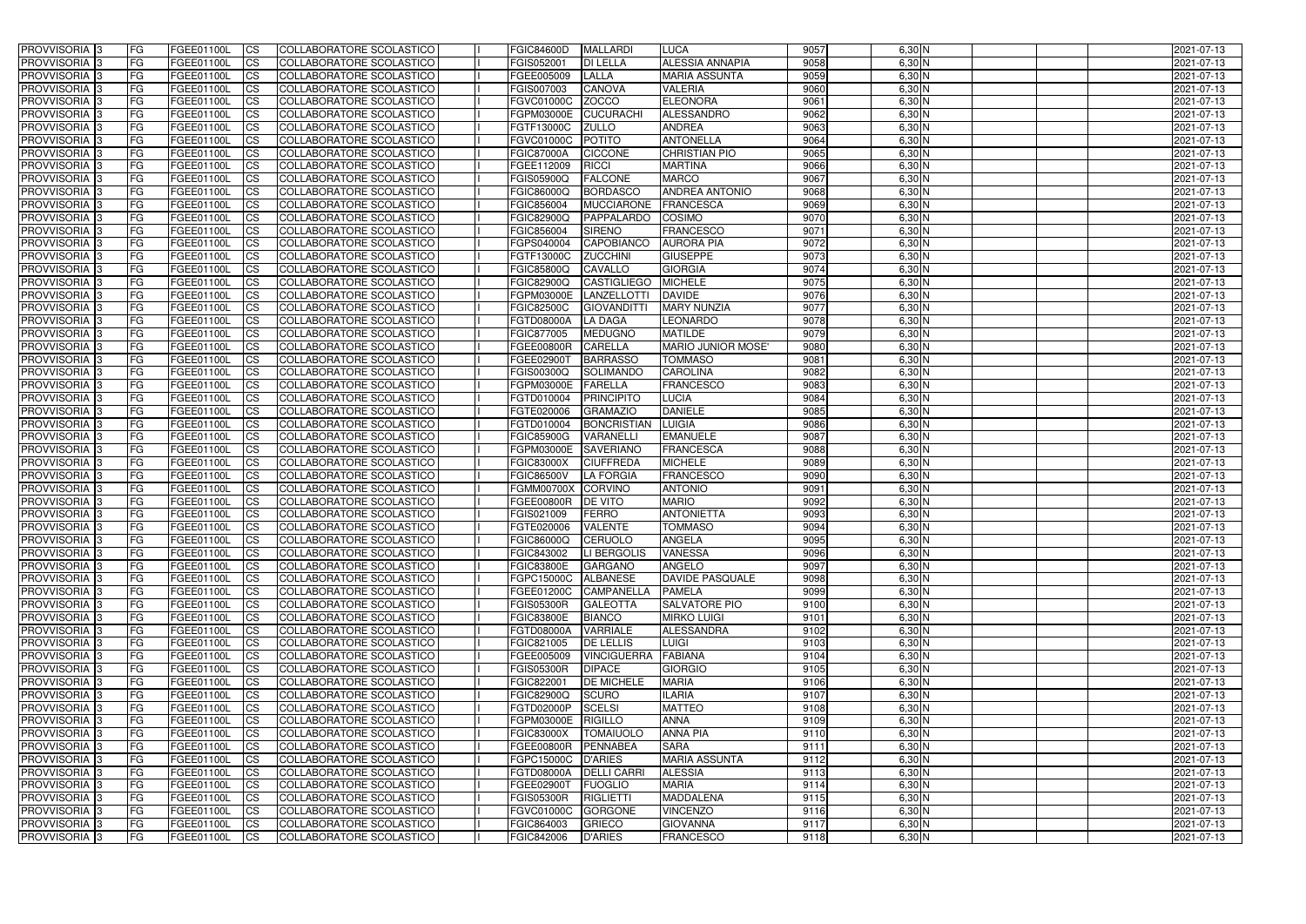| <b>PROVVISORIA</b> 3       | <b>FG</b> | FGEE01100L               | <b>ICS</b>              | COLLABORATORE SCOLASTICO                                    | <b>FGIC84600D</b>        | <b>MALLARDI</b>                      | <b>LUCA</b>               | 9057         | $6,30$ N         | 2021-07-13               |
|----------------------------|-----------|--------------------------|-------------------------|-------------------------------------------------------------|--------------------------|--------------------------------------|---------------------------|--------------|------------------|--------------------------|
| <b>PROVVISORIA 3</b>       | FG        | FGEE01100L               | <b>ICS</b>              | COLLABORATORE SCOLASTICO                                    | FGIS052001               | <b>DI LELLA</b>                      | <b>ALESSIA ANNAPIA</b>    | 9058         | 6,30 N           | 2021-07-13               |
| PROVVISORIA <sup>1</sup> 3 | FG        | FGEE01100L               | <b>CS</b>               | <b>COLLABORATORE SCOLASTICO</b>                             | FGEE005009               | LALLA                                | <b>MARIA ASSUNTA</b>      | 9059         | 6,30 N           | 2021-07-13               |
| PROVVISORIA                | FG        | FGEE01100L               | <b>CS</b>               | COLLABORATORE SCOLASTICO                                    | FGIS007003               | <b>CANOVA</b>                        | <b>VALERIA</b>            | 9060         | 6,30 N           | 2021-07-13               |
| PROVVISORIA <sup>1</sup> 3 | FG        | FGEE01100L               | <b>CS</b>               | COLLABORATORE SCOLASTICO                                    | FGVC01000C               | <b>ZOCCO</b>                         | <b>ELEONORA</b>           | 9061         | 6,30 N           | 2021-07-13               |
| PROVVISORIA <sup>1</sup> 3 | FG        | FGEE01100L               | <b>CS</b>               | COLLABORATORE SCOLASTICO                                    | FGPM03000E               | <b>CUCURACHI</b>                     | ALESSANDRO                | 9062         | 6,30 N           | 2021-07-13               |
| PROVVISORIA <sup>1</sup> 3 | FG        | FGEE01100L               | <b>CS</b>               | COLLABORATORE SCOLASTICO                                    | FGTF13000C               | <b>ZULLO</b>                         | <b>ANDREA</b>             | 9063         | $6,30$ N         | 2021-07-13               |
| PROVVISORIA 3              | FG        | FGEE01100L               | <b>ICS</b>              | COLLABORATORE SCOLASTICO                                    | FGVC01000C               | POTITO                               | <b>ANTONELLA</b>          | 9064         | $6,30$ N         | 2021-07-13               |
| PROVVISORIA 3              | FG        | FGEE01100L               | <b>CS</b>               | COLLABORATORE SCOLASTICO                                    | <b>FGIC87000A</b>        | <b>CICCONE</b>                       | <b>CHRISTIAN PIO</b>      | 9065         | $6,30$ N         | 2021-07-13               |
| PROVVISORIA 3              | <b>FG</b> | FGEE01100L               | $\overline{c}$          | COLLABORATORE SCOLASTICO                                    | FGEE112009               | <b>RICCI</b>                         | <b>MARTINA</b>            | 9066         | $6,30$ N         | 2021-07-13               |
| PROVVISORIA 3              | FG        | FGEE01100L               | <b>CS</b>               | COLLABORATORE SCOLASTICO                                    | <b>FGIS05900Q</b>        | <b>FALCONE</b>                       | <b>MARCO</b>              | 9067         | $6,30$ N         | 2021-07-13               |
| <b>PROVVISORIA</b>         | FG        | FGEE01100L               | <b>CS</b>               | COLLABORATORE SCOLASTICO                                    | FGIC86000Q               | <b>BORDASCO</b>                      | <b>ANDREA ANTONIO</b>     | 9068         | 6,30 N           | 2021-07-13               |
| <b>PROVVISORIA</b>         | FG        | FGEE01100L               | <b>ICS</b>              | COLLABORATORE SCOLASTICO                                    | FGIC856004               | <b>MUCCIARONE</b>                    | FRANCESCA                 | 9069         | $6,30$ N         | 2021-07-13               |
| <b>PROVVISORIA</b>         | FG        | FGEE01100L               | <b>ICS</b>              | COLLABORATORE SCOLASTICO                                    | <b>FGIC82900Q</b>        | PAPPALARDO                           | <b>COSIMO</b>             | 9070         | 6,30 N           | 2021-07-13               |
| <b>PROVVISORIA</b>         | FG        | FGEE01100L               | <b>ICS</b>              | COLLABORATORE SCOLASTICO                                    | FGIC856004               | <b>SIRENO</b>                        | <b>FRANCESCO</b>          | 9071         | 6,30 N           | 2021-07-13               |
| <b>PROVVISORIA</b>         | FG        | FGEE01100L               | <b>ICS</b>              | COLLABORATORE SCOLASTICO                                    | FGPS040004               | <b>CAPOBIANCO</b>                    | <b>AURORA PIA</b>         | 9072         | 6,30 N           | 2021-07-13               |
| <b>PROVVISORIA</b>         | FG        | FGEE01100L               | <b>ICS</b>              | COLLABORATORE SCOLASTICO                                    | FGTF13000C               | <b>ZUCCHINI</b>                      | <b>GIUSEPPE</b>           | 9073         | 6,30 N           | 2021-07-13               |
| <b>PROVVISORIA</b>         | FG        | FGEE01100L               | <b>ICS</b>              | COLLABORATORE SCOLASTICO                                    | FGIC85800Q               | <b>CAVALLO</b>                       | <b>GIORGIA</b>            | 9074         | 6,30 N           | 2021-07-13               |
| PROVVISORIA <sup>3</sup>   | FG        | FGEE01100L               | <b>ICS</b>              | COLLABORATORE SCOLASTICO                                    | <b>FGIC82900Q</b>        | <b>CASTIGLIEGO</b>                   | <b>MICHELE</b>            | 9075         | $6,30$ N         | 2021-07-13               |
| PROVVISORIA <sup>3</sup>   | FG        | FGEE01100L               | <b>ICS</b>              | COLLABORATORE SCOLASTICO                                    | FGPM03000E               | LANZELLOTTI                          | <b>DAVIDE</b>             | 9076         | 6,30 N           | 2021-07-13               |
| PROVVISORIA <sup>1</sup> 3 | FG        | FGEE01100L               | <b>ICS</b>              | COLLABORATORE SCOLASTICO                                    | <b>FGIC82500C</b>        | <b>GIOVANDITT</b>                    | <b>MARY NUNZIA</b>        | 9077         | $6,30$ N         | 2021-07-13               |
| PROVVISORIA 3              | FG        | FGEE01100L               | <b>ICS</b>              | COLLABORATORE SCOLASTICO                                    | FGTD08000A               | <b>LA DAGA</b>                       | <b>LEONARDO</b>           | 9078         | $6,30$ N         | 2021-07-13               |
| PROVVISORIA 3              | FG        | FGEE01100L               | <b>ICS</b>              | <b>COLLABORATORE SCOLASTICO</b>                             | FGIC877005               | <b>MEDUGNO</b>                       | <b>MATILDE</b>            | 9079         | $6,30$ N         | 2021-07-13               |
| PROVVISORIA <sup>3</sup>   | FG        | FGEE01100L               | <b>CS</b>               | COLLABORATORE SCOLASTICO                                    | FGEE00800R               | <b>CARELLA</b>                       | <b>MARIO JUNIOR MOSE'</b> | 9080         | $6,30$ N         | 2021-07-13               |
| PROVVISORIA <sup>1</sup> 3 | FG        | FGEE01100L               | <b>CS</b>               | COLLABORATORE SCOLASTICO                                    | FGEE02900T               | <b>BARRASSO</b>                      | <b>TOMMASO</b>            | 9081         | $6,30$ N         | 2021-07-13               |
| PROVVISORIA <sup>1</sup> 3 | FG        | FGEE01100L               | <b>ICS</b>              | COLLABORATORE SCOLASTICO                                    | FGIS00300Q               | <b>SOLIMANDC</b>                     | <b>CAROLINA</b>           | 9082         | $6,30$ N         | 2021-07-13               |
| PROVVISORIA 3              | FG        | FGEE01100L               | <b>ICS</b>              | COLLABORATORE SCOLASTICO                                    | FGPM03000E               | <b>FARELLA</b>                       | <b>FRANCESCO</b>          | 9083         | 6,30 N           | 2021-07-13               |
| PROVVISORIA<br>PROVVISORIA | FG        | FGEE01100L               | <b>ICS</b><br><b>CS</b> | COLLABORATORE SCOLASTICO<br><b>COLLABORATORE SCOLASTICO</b> | FGTD010004               | <b>PRINCIPITO</b><br><b>GRAMAZIO</b> | LUCIA<br><b>DANIELE</b>   | 9084<br>9085 | 6,30 N<br>6,30 N | 2021-07-13               |
| PROVVISORIA                | FG<br>FG  | FGEE01100L<br>FGEE01100L | <b>CS</b>               | COLLABORATORE SCOLASTICO                                    | FGTE020006<br>FGTD010004 | <b>BONCRISTIAN</b>                   | <b>LUIGIA</b>             | 9086         | 6,30 N           | 2021-07-13<br>2021-07-13 |
| PROVVISORIA                | FG        | FGEE01100L               | <b>CS</b>               | COLLABORATORE SCOLASTICO                                    | <b>FGIC85900G</b>        | <b>VARANELLI</b>                     | <b>EMANUELE</b>           | 9087         | 6,30 N           | 2021-07-13               |
| PROVVISORIA <sup>1</sup> 3 | FG        | FGEE01100L               | <b>CS</b>               | COLLABORATORE SCOLASTICO                                    | FGPM03000E               | <b>SAVERIANO</b>                     | <b>FRANCESCA</b>          | 9088         | $6,30$ N         | 2021-07-13               |
| PROVVISORIA <sup>1</sup> 3 | FG        | FGEE01100L               | <b>CS</b>               | COLLABORATORE SCOLASTICO                                    | <b>FGIC83000X</b>        | <b>CIUFFREDA</b>                     | <b>MICHELE</b>            | 9089         | 6,30 N           | 2021-07-13               |
| PROVVISORIA 3              | FG        | FGEE01100L               | <b>CS</b>               | <b>COLLABORATORE SCOLASTICO</b>                             | <b>FGIC86500V</b>        | <b>LA FORGIA</b>                     | <b>FRANCESCO</b>          | 9090         | $6,30$ N         | 2021-07-13               |
| <b>PROVVISORIA</b>         | FG        | FGEE01100L               | <b>ICS</b>              | COLLABORATORE SCOLASTICO                                    | <b>FGMM00700X</b>        | <b>CORVINO</b>                       | <b>ANTONIO</b>            | 9091         | $6,30$ N         | 2021-07-13               |
| PROVVISORIA <sup>1</sup> 3 | <b>FG</b> | FGEE01100L               | <b>CS</b>               | COLLABORATORE SCOLASTICO                                    | FGEE00800R               | <b>DE VITO</b>                       | <b>MARIO</b>              | 9092         | $6,30$ N         | 2021-07-13               |
| PROVVISORIA 3              | <b>FG</b> | FGEE01100L               | <b>ICS</b>              | COLLABORATORE SCOLASTICO                                    | FGIS021009               | <b>FERRO</b>                         | <b>ANTONIETTA</b>         | 9093         | $6,30$ N         | 2021-07-13               |
| <b>PROVVISORIA</b>         | <b>FG</b> | FGEE01100L               | <b>ICS</b>              | COLLABORATORE SCOLASTICO                                    | FGTE020006               | <b>VALENTE</b>                       | <b>TOMMASO</b>            | 9094         | $6,30$ N         | 2021-07-13               |
| PROVVISORIA 3              | FG        | FGEE01100L               | CS                      | COLLABORATORE SCOLASTICO                                    | FGIC86000Q CERUOLO       |                                      | <b>ANGELA</b>             | 9095         | $6,30$ N         | 2021-07-13               |
| PROVVISORIA 3              | <b>FG</b> | FGEE01100L               | $\mathsf{ICS}$          | COLLABORATORE SCOLASTICO                                    | FGIC843002               | LI BERGOLIS                          | <b>VANESSA</b>            | 9096         | $6,30$ N         | 2021-07-13               |
| PROVVISORIA 3              | <b>FG</b> | <b>FGEE01100L</b>        | $\mathsf{ICS}$          | COLLABORATORE SCOLASTICO                                    | <b>FGIC83800E</b>        | <b>GARGANO</b>                       | <b>ANGELO</b>             | 9097         | $6,30$ N         | 2021-07-13               |
| PROVVISORIA 3              | <b>FG</b> | FGEE01100L               | $\mathsf{ICS}$          | COLLABORATORE SCOLASTICO                                    | <b>FGPC15000C</b>        | <b>ALBANESE</b>                      | <b>DAVIDE PASQUALE</b>    | 9098         | $6,30$ N         | 2021-07-13               |
| PROVVISORIA 3              | FG        | FGEE01100L               | $\mathsf{ICS}$          | COLLABORATORE SCOLASTICO                                    | FGEE01200C               | <b>CAMPANELLA</b>                    | <b>PAMELA</b>             | 9099         | $6,30$ N         | 2021-07-13               |
| PROVVISORIA 3              | l FG      | FGEE01100L               | $\overline{\text{CS}}$  | COLLABORATORE SCOLASTICO                                    | <b>FGIS05300R</b>        | <b>GALEOTTA</b>                      | <b>SALVATORE PIO</b>      | 9100         | $6,30$ N         | 2021-07-13               |
| PROVVISORIA 3              | <b>FG</b> | FGEE01100L               | <b>CS</b>               | COLLABORATORE SCOLASTICO                                    | <b>FGIC83800E</b>        | <b>BIANCO</b>                        | <b>MIRKO LUIGI</b>        | 9101         | $6,30$ N         | 2021-07-13               |
| PROVVISORIA 3              | FG        | <b>FGEE01100L</b>        | <b>CS</b>               | COLLABORATORE SCOLASTICO                                    | FGTD08000A               | <b>VARRIALE</b>                      | <b>ALESSANDRA</b>         | 9102         | $6,30$ N         | 2021-07-13               |
| PROVVISORIA 3              | <b>FG</b> | FGEE01100L               | <b>CS</b>               | COLLABORATORE SCOLASTICO                                    | FGIC821005               | <b>DE LELLIS</b>                     | <b>LUIGI</b>              | 9103         | $6,30$ N         | 2021-07-13               |
| PROVVISORIA 3              | <b>FG</b> | FGEE01100L               | <b>CS</b>               | COLLABORATORE SCOLASTICO                                    | FGEE005009               | <b>VINCIGUERRA</b>                   | <b>FABIANA</b>            | 9104         | $6,30$ N         | 2021-07-13               |
| PROVVISORIA 3              | <b>FG</b> | FGEE01100L               | <b>CS</b>               | COLLABORATORE SCOLASTICO                                    | <b>FGIS05300R</b>        | <b>DIPACE</b>                        | <b>GIORGIO</b>            | 9105         | $6,30$ N         | 2021-07-13               |
| PROVVISORIA 3              | <b>FG</b> | FGEE01100L               | <b>CS</b>               | COLLABORATORE SCOLASTICO                                    | FGIC822001               | <b>DE MICHELE</b>                    | <b>MARIA</b>              | 9106         | $6,30$ N         | 2021-07-13               |
| PROVVISORIA 3              | <b>FG</b> | FGEE01100L               | <b>CS</b>               | COLLABORATORE SCOLASTICO                                    | <b>FGIC82900Q</b>        | <b>SCURO</b>                         | <b>ILARIA</b>             | 9107         | $6,30$ N         | 2021-07-13               |
| PROVVISORIA 3              | <b>FG</b> | FGEE01100L               | <b>CS</b>               | COLLABORATORE SCOLASTICO                                    | FGTD02000P               | <b>SCELSI</b>                        | <b>MATTEO</b>             | 9108         | $6,30$ N         | 2021-07-13               |
| PROVVISORIA 3              | <b>FG</b> | FGEE01100L               | <b>CS</b>               | COLLABORATORE SCOLASTICO                                    | FGPM03000E RIGILLO       |                                      | <b>ANNA</b>               | 9109         | $6,30$ N         | 2021-07-13               |
| PROVVISORIA 3              | <b>FG</b> | FGEE01100L               | <b>CS</b>               | COLLABORATORE SCOLASTICO                                    | <b>FGIC83000X</b>        | <b>TOMAIUOLO</b>                     | <b>ANNA PIA</b>           | 9110         | $6,30$ N         | 2021-07-13               |
| PROVVISORIA 3              | FG        | FGEE01100L               | <b>CS</b>               | COLLABORATORE SCOLASTICO                                    | <b>FGEE00800R</b>        | PENNABEA                             | <b>SARA</b>               | 9111         | $6,30$ N         | 2021-07-13               |
| PROVVISORIA 3              | <b>FG</b> | FGEE01100L               | <b>CS</b>               | COLLABORATORE SCOLASTICO                                    | FGPC15000C D'ARIES       |                                      | <b>MARIA ASSUNTA</b>      | 9112         | $6,30$ N         | 2021-07-13               |
| PROVVISORIA 3              | <b>FG</b> | FGEE01100L               | <b>CS</b>               | COLLABORATORE SCOLASTICO                                    | <b>FGTD08000A</b>        | <b>DELLI CARRI</b>                   | <b>ALESSIA</b>            | 9113         | $6,30$ N         | 2021-07-13               |
| PROVVISORIA 3              | FG        | FGEE01100L               | <b>CS</b>               | COLLABORATORE SCOLASTICO                                    | FGEE02900T               | <b>FUOGLIO</b>                       | <b>MARIA</b>              | 9114         | $6,30$ N         | 2021-07-13               |
| PROVVISORIA 3              | FG        | <b>FGEE01100L</b>        | <b>CS</b>               | COLLABORATORE SCOLASTICO                                    | <b>FGIS05300R</b>        | <b>RIGLIETTI</b>                     | <b>MADDALENA</b>          | 9115         | $6,30$ N         | 2021-07-13               |
| PROVVISORIA 3              | <b>FG</b> | FGEE01100L               | $\overline{\text{CS}}$  | COLLABORATORE SCOLASTICO                                    | <b>FGVC01000C</b>        | <b>GORGONE</b>                       | <b>VINCENZO</b>           | 9116         | $6,30$ N         | 2021-07-13               |
| PROVVISORIA 3              | <b>FG</b> | FGEE01100L               | $\overline{\text{CS}}$  | COLLABORATORE SCOLASTICO                                    | FGIC864003               | <b>GRIECO</b>                        | <b>GIOVANNA</b>           | 9117         | $6,30$ N         | 2021-07-13               |
| PROVVISORIA 3              | <b>FG</b> | FGEE01100L               | $\overline{\text{CS}}$  | COLLABORATORE SCOLASTICO                                    | FGIC842006               | <b>D'ARIES</b>                       | <b>FRANCESCO</b>          | 9118         | $6,30$ N         | 2021-07-13               |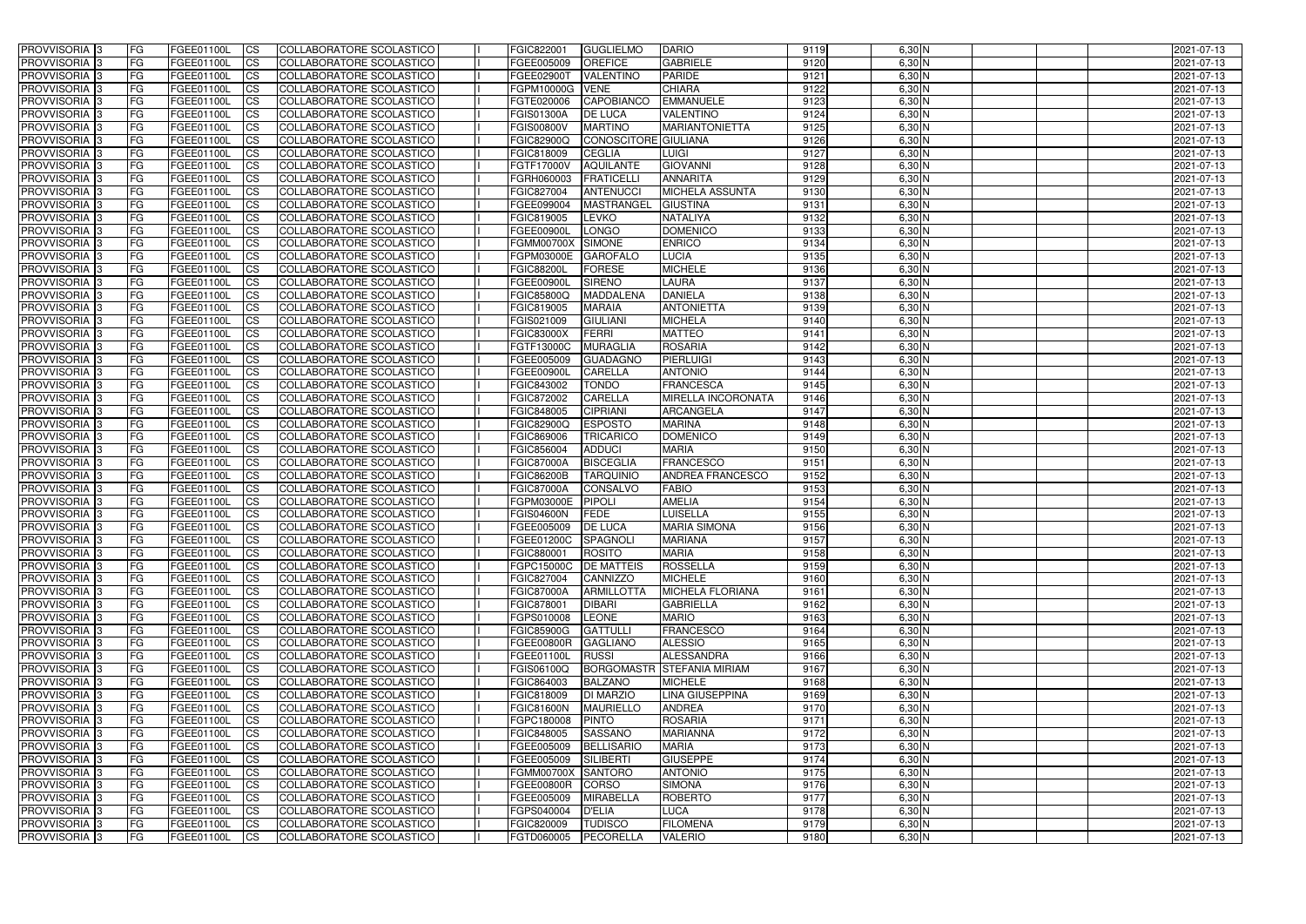| <b>PROVVISORIA</b> 3                                     | l FG            | FGEE01100L                      | <b>ICS</b>              | COLLABORATORE SCOLASTICO                             | FGIC822001               | <b>GUGLIELMO</b>                  | <b>DARIO</b>                    | 9119         | $6,30$ N             | 2021-07-13               |
|----------------------------------------------------------|-----------------|---------------------------------|-------------------------|------------------------------------------------------|--------------------------|-----------------------------------|---------------------------------|--------------|----------------------|--------------------------|
| <b>PROVVISORIA 3</b>                                     | FG              | FGEE01100L                      | <b>ICS</b>              | COLLABORATORE SCOLASTICO                             | FGEE005009               | <b>OREFICE</b>                    | <b>GABRIELE</b>                 | 9120         | 6,30 N               | 2021-07-13               |
| PROVVISORIA <sup>1</sup> 3                               | FG              | FGEE01100L                      | <b>CS</b>               | <b>COLLABORATORE SCOLASTICO</b>                      | FGEE02900T               | <b>VALENTINO</b>                  | <b>PARIDE</b>                   | 9121         | 6,30 N               | 2021-07-13               |
| PROVVISORIA                                              | FG              | FGEE01100L                      | <b>CS</b>               | COLLABORATORE SCOLASTICO                             | FGPM10000G               | <b>VENE</b>                       | <b>CHIARA</b>                   | 9122         | 6,30 N               | 2021-07-13               |
| PROVVISORIA <sup>1</sup> 3                               | FG              | FGEE01100L                      | <b>CS</b>               | COLLABORATORE SCOLASTICO                             | FGTE020006               | <b>CAPOBIANCO</b>                 | <b>EMMANUELE</b>                | 9123         | 6,30 N               | 2021-07-13               |
| PROVVISORIA <sup>1</sup> 3                               | FG              | FGEE01100L                      | <b>CS</b>               | COLLABORATORE SCOLASTICO                             | FGIS01300A               | <b>DE LUCA</b>                    | <b>VALENTINO</b>                | 9124         | 6,30 N               | 2021-07-13               |
| PROVVISORIA <sup>1</sup> 3                               | FG              | FGEE01100L                      | <b>CS</b>               | COLLABORATORE SCOLASTICO                             | <b>FGIS00800V</b>        | <b>MARTINO</b>                    | <b>MARIANTONIETTA</b>           | 9125         | $6,30$ N             | 2021-07-13               |
| PROVVISORIA 3                                            | FG              | FGEE01100L                      | <b>ICS</b>              | COLLABORATORE SCOLASTICO                             | FGIC82900Q               | CONOSCITORE GIULIANA              |                                 | 9126         | $6,30$ N             | 2021-07-13               |
| PROVVISORIA 3                                            | FG              | FGEE01100L                      | <b>CS</b>               | COLLABORATORE SCOLASTICO                             | FGIC818009               | <b>CEGLIA</b>                     | <b>LUIGI</b>                    | 9127         | $6,30$ N             | 2021-07-13               |
| PROVVISORIA 3                                            | <b>FG</b>       | FGEE01100L                      | <b>ICS</b>              | COLLABORATORE SCOLASTICO                             | FGTF17000V               | <b>AQUILANTE</b>                  | <b>GIOVANNI</b>                 | 9128         | $6,30$ N             | 2021-07-13               |
| PROVVISORIA 3                                            | FG              | FGEE01100L                      | <b>CS</b>               | COLLABORATORE SCOLASTICO                             | FGRH060003               | <b>FRATICELL</b>                  | <b>ANNARITA</b>                 | 9129         | $6,30$ N             | 2021-07-13               |
| <b>PROVVISORIA</b>                                       | FG              | FGEE01100L                      | <b>CS</b>               | COLLABORATORE SCOLASTICO                             | FGIC827004               | <b>ANTENUCC</b>                   | <b>MICHELA ASSUNTA</b>          | 9130         | $6,30$ N             | 2021-07-13               |
| <b>PROVVISORIA</b>                                       | FG              | FGEE01100L                      | <b>ICS</b>              | COLLABORATORE SCOLASTICO                             | FGEE099004               | <b>MASTRANGEL</b>                 | <b>GIUSTINA</b>                 | 9131         | $6,30$ N             | 2021-07-13               |
| <b>PROVVISORIA</b>                                       | FG              | FGEE01100L                      | <b>ICS</b>              | COLLABORATORE SCOLASTICO                             | FGIC819005               | <b>LEVKO</b>                      | <b>NATALIYA</b>                 | 9132         | 6,30 N               | 2021-07-13               |
| <b>PROVVISORIA</b>                                       | FG              | FGEE01100L                      | <b>ICS</b>              | COLLABORATORE SCOLASTICO                             | FGEE00900L               | <b>LONGO</b>                      | <b>DOMENICO</b>                 | 9133         | 6,30 N               | 2021-07-13               |
| <b>PROVVISORIA</b>                                       | FG              | FGEE01100L                      | <b>ICS</b>              | COLLABORATORE SCOLASTICO                             | <b>FGMM00700X</b>        | <b>SIMONE</b>                     | <b>ENRICO</b>                   | 9134         | 6,30 N               | 2021-07-13               |
| <b>PROVVISORIA</b>                                       | FG              | FGEE01100L                      | <b>ICS</b>              | COLLABORATORE SCOLASTICO                             | FGPM03000E               | <b>GAROFALO</b>                   | LUCIA                           | 9135         | 6,30 N               | 2021-07-13               |
| <b>PROVVISORIA</b>                                       | FG              | FGEE01100L                      | <b>ICS</b>              | COLLABORATORE SCOLASTICO                             | <b>FGIC88200L</b>        | FORESE                            | <b>MICHELE</b>                  | 9136         | 6,30 N               | 2021-07-13               |
| PROVVISORIA <sup>3</sup>                                 | FG              | FGEE01100L                      | <b>ICS</b>              | COLLABORATORE SCOLASTICO                             | FGEE00900L               | <b>SIRENO</b>                     | LAURA                           | 9137         | $6,30$ N             | 2021-07-13               |
| PROVVISORIA <sup>3</sup>                                 | FG              | FGEE01100L                      | <b>ICS</b>              | COLLABORATORE SCOLASTICO                             | FGIC85800Q               | <b>MADDALENA</b>                  | <b>DANIELA</b>                  | 9138         | 6,30 N               | 2021-07-13               |
| PROVVISORIA <sup>1</sup> 3                               | FG              | FGEE01100L                      | <b>ICS</b>              | COLLABORATORE SCOLASTICO                             | FGIC819005               | <b>MARAIA</b>                     | <b>ANTONIETTA</b>               | 9139         | $6,30$ N             | 2021-07-13               |
| PROVVISORIA 3                                            | FG              | FGEE01100L                      | <b>ICS</b>              | COLLABORATORE SCOLASTICO                             | FGIS021009               | <b>GIULIANI</b>                   | <b>MICHELA</b>                  | 9140         | $6,30$ N             | 2021-07-13               |
| PROVVISORIA <sup>3</sup><br>PROVVISORIA <sup>3</sup>     | FG              | FGEE01100L                      | <b>ICS</b>              | <b>COLLABORATORE SCOLASTICO</b>                      | <b>FGIC83000X</b>        | FERRI                             | <b>MATTEO</b><br><b>ROSARIA</b> | 9141         | $6,30$ N             | 2021-07-13               |
|                                                          | FG              | FGEE01100L                      | <b>CS</b>               | COLLABORATORE SCOLASTICO                             | FGTF13000C               | <b>MURAGLIA</b>                   | PIERLUIGI                       | 9142<br>9143 | $6,30$ N<br>$6,30$ N | 2021-07-13               |
| PROVVISORIA <sup>1</sup> 3<br>PROVVISORIA <sup>1</sup> 3 | FG              | FGEE01100L                      | <b>CS</b><br><b>ICS</b> | COLLABORATORE SCOLASTICO<br>COLLABORATORE SCOLASTICO | FGEE005009               | <b>GUADAGNO</b><br><b>CARELLA</b> | <b>ANTONIO</b>                  | 9144         | $6,30$ N             | 2021-07-13               |
| PROVVISORIA 3                                            | FG<br>FG        | FGEE01100L<br>FGEE01100L        | <b>ICS</b>              | COLLABORATORE SCOLASTICO                             | FGEE00900l<br>FGIC843002 | <b>TONDO</b>                      | <b>FRANCESCA</b>                | 9145         | 6,30 N               | 2021-07-13<br>2021-07-13 |
| PROVVISORIA                                              | FG              | FGEE01100L                      | <b>ICS</b>              | COLLABORATORE SCOLASTICO                             | FGIC872002               | CARELLA                           | MIRELLA INCORONATA              | 9146         | 6,30 N               | 2021-07-13               |
| PROVVISORIA                                              | FG              | FGEE01100L                      | <b>CS</b>               | <b>COLLABORATORE SCOLASTICO</b>                      | FGIC848005               | <b>CIPRIANI</b>                   | ARCANGELA                       | 9147         | 6,30 N               | 2021-07-13               |
| PROVVISORIA                                              | FG              | FGEE01100L                      | <b>CS</b>               | COLLABORATORE SCOLASTICO                             | FGIC82900Q               | <b>ESPOSTO</b>                    | <b>MARINA</b>                   | 9148         | 6,30 N               | 2021-07-13               |
| PROVVISORIA                                              | FG              | FGEE01100L                      | <b>CS</b>               | COLLABORATORE SCOLASTICO                             | FGIC869006               | <b>TRICARICO</b>                  | <b>DOMENICO</b>                 | 9149         | 6,30 N               | 2021-07-13               |
| PROVVISORIA <sup>1</sup> 3                               | FG              | FGEE01100L                      | <b>CS</b>               | COLLABORATORE SCOLASTICO                             | FGIC856004               | <b>ADDUCI</b>                     | <b>MARIA</b>                    | 9150         | $6,30$ N             | 2021-07-13               |
| PROVVISORIA <sup>1</sup> 3                               | FG              | FGEE01100L                      | <b>CS</b>               | COLLABORATORE SCOLASTICO                             | <b>FGIC87000A</b>        | <b>BISCEGLIA</b>                  | <b>FRANCESCO</b>                | 9151         | $6,30$ N             | 2021-07-13               |
| PROVVISORIA 3                                            | FG              | FGEE01100L                      | <b>CS</b>               | <b>COLLABORATORE SCOLASTICO</b>                      | <b>FGIC86200B</b>        | <b>TARQUINIO</b>                  | <b>ANDREA FRANCESCO</b>         | 9152         | $6,30$ N             | 2021-07-13               |
| PROVVISORIA <sup>1</sup> 3                               | FG              | FGEE01100L                      | <b>ICS</b>              | COLLABORATORE SCOLASTICO                             | <b>FGIC87000A</b>        | <b>CONSALVO</b>                   | <b>FABIO</b>                    | 9153         | $6,30$ N             | 2021-07-13               |
| PROVVISORIA 3                                            | <b>FG</b>       | FGEE01100L                      | <b>CS</b>               | COLLABORATORE SCOLASTICO                             | FGPM03000E               | <b>PIPOLI</b>                     | <b>AMELIA</b>                   | 9154         | $6,30$ N             | 2021-07-13               |
| PROVVISORIA 3                                            | <b>FG</b>       | FGEE01100L                      | <b>ICS</b>              | COLLABORATORE SCOLASTICO                             | <b>FGIS04600N</b>        | <b>FEDE</b>                       | <b>LUISELLA</b>                 | 9155         | $6,30$ N             | 2021-07-13               |
| <b>PROVVISORIA</b>                                       | <b>FG</b>       | FGEE01100L                      | <b>ICS</b>              | COLLABORATORE SCOLASTICO                             | FGEE005009               | <b>DE LUCA</b>                    | <b>MARIA SIMONA</b>             | 9156         | $6,30$ N             | 2021-07-13               |
| PROVVISORIA 3                                            | FG              | FGEE01100L                      | CS                      | COLLABORATORE SCOLASTICO                             | FGEE01200C SPAGNOLI      |                                   | <b>MARIANA</b>                  | 9157         | $6,30$ N             | 2021-07-13               |
| PROVVISORIA 3                                            | <b>FG</b>       | FGEE01100L                      | $\mathsf{ICS}$          | COLLABORATORE SCOLASTICO                             | <b>FGIC880001</b>        | ROSITO                            | <b>MARIA</b>                    | 9158         | $6,30$ N             | 2021-07-13               |
| PROVVISORIA 3                                            | <b>FG</b>       | <b>FGEE01100L</b>               | $\mathsf{ICS}$          | COLLABORATORE SCOLASTICO                             | FGPC15000C               | <b>DE MATTEIS</b>                 | <b>ROSSELLA</b>                 | 9159         | $6,30$ N             | 2021-07-13               |
| PROVVISORIA 3                                            | <b>FG</b>       | FGEE01100L                      | $\mathsf{ICS}$          | COLLABORATORE SCOLASTICO                             | FGIC827004               | CANNIZZO                          | <b>MICHELE</b>                  | 9160         | $6,30$ N             | 2021-07-13               |
| PROVVISORIA 3                                            | FG              | FGEE01100L                      | $\mathsf{ICS}$          | COLLABORATORE SCOLASTICO                             | <b>FGIC87000A</b>        | <b>ARMILLOTTA</b>                 | <b>MICHELA FLORIANA</b>         | 9161         | $6,30$ N             | 2021-07-13               |
| PROVVISORIA 3                                            | l FG            | FGEE01100L                      | <b>CS</b>               | COLLABORATORE SCOLASTICO                             | FGIC878001               | <b>DIBARI</b>                     | <b>GABRIELLA</b>                | 9162         | $6,30$ N             | 2021-07-13               |
| PROVVISORIA 3                                            | <b>FG</b>       | FGEE01100L                      | <b>CS</b>               | COLLABORATORE SCOLASTICO                             | FGPS010008               | LEONE                             | <b>MARIO</b>                    | 9163         | $6,30$ N             | 2021-07-13               |
| PROVVISORIA <sup>3</sup>                                 | FG              | FGEE01100L                      | <b>CS</b>               | COLLABORATORE SCOLASTICO                             | <b>FGIC85900G</b>        | <b>GATTULLI</b>                   | <b>FRANCESCO</b>                | 9164         | $6,30$ N             | 2021-07-13               |
| PROVVISORIA 3                                            | <b>FG</b>       | FGEE01100L                      | <b>CS</b>               | COLLABORATORE SCOLASTICO                             | <b>FGEE00800R</b>        | <b>GAGLIANO</b>                   | <b>ALESSIO</b>                  | 9165         | $6,30$ N             | 2021-07-13               |
| PROVVISORIA 3                                            | <b>FG</b>       | FGEE01100L                      | <b>CS</b>               | COLLABORATORE SCOLASTICO                             | FGEE01100L               | <b>RUSSI</b>                      | <b>ALESSANDRA</b>               | 9166         | $6,30$ N             | 2021-07-13               |
| PROVVISORIA 3                                            | <b>FG</b>       | FGEE01100L                      | <b>CS</b>               | COLLABORATORE SCOLASTICO                             | <b>FGIS06100Q</b>        | <b>BORGOMASTR</b>                 | <b>STEFANIA MIRIAM</b>          | 9167         | $6,30$ N             | 2021-07-13               |
| PROVVISORIA 3                                            | <b>FG</b>       | FGEE01100L                      | <b>CS</b>               | COLLABORATORE SCOLASTICO                             | FGIC864003               | <b>BALZANO</b>                    | <b>MICHELE</b>                  | 9168         | $6,30$ N             | 2021-07-13               |
| PROVVISORIA 3                                            | <b>FG</b>       | FGEE01100L                      | <b>CS</b>               | COLLABORATORE SCOLASTICO                             | FGIC818009               | <b>DI MARZIO</b>                  | <b>LINA GIUSEPPINA</b>          | 9169         | $6,30$ N             | 2021-07-13               |
| PROVVISORIA 3                                            | <b>FG</b>       | FGEE01100L                      | <b>CS</b>               | COLLABORATORE SCOLASTICO                             | <b>FGIC81600N</b>        | <b>MAURIELLO</b>                  | <b>ANDREA</b>                   | 9170         | $6,30$ N             | 2021-07-13               |
| PROVVISORIA 3                                            | <b>FG</b>       | FGEE01100L                      | <b>CS</b>               | COLLABORATORE SCOLASTICO                             | FGPC180008               | <b>PINTO</b>                      | <b>ROSARIA</b>                  | 9171         | $6,30$ N             | 2021-07-13               |
| PROVVISORIA 3                                            | <b>FG</b>       | FGEE01100L                      | <b>CS</b>               | COLLABORATORE SCOLASTICO                             | FGIC848005               | SASSANO                           | <b>MARIANNA</b>                 | 9172         | $6,30$ N             | 2021-07-13               |
| PROVVISORIA 3                                            | FG              | FGEE01100L                      | <b>CS</b>               | COLLABORATORE SCOLASTICO                             | FGEE005009               | <b>BELLISARIO</b>                 | <b>MARIA</b>                    | 9173         | $6,30$ N             | 2021-07-13               |
| PROVVISORIA 3                                            | <b>FG</b>       | FGEE01100L                      | <b>CS</b>               | COLLABORATORE SCOLASTICO                             | FGEE005009               | SILIBERTI                         | <b>GIUSEPPE</b>                 | 9174         | $6,30$ N             | 2021-07-13               |
| PROVVISORIA 3                                            | <b>FG</b>       | FGEE01100L                      | <b>CS</b>               | COLLABORATORE SCOLASTICO                             | FGMM00700X SANTORO       |                                   | <b>ANTONIO</b>                  | 9175         | $6,30$ N             | 2021-07-13               |
| PROVVISORIA 3                                            | FG              | FGEE01100L<br><b>FGEE01100L</b> | <b>CS</b>               | COLLABORATORE SCOLASTICO                             | <b>FGEE00800R</b>        | <b>CORSO</b><br><b>MIRABELLA</b>  | <b>SIMONA</b>                   | 9176<br>9177 | $6,30$ N<br>$6,30$ N | 2021-07-13               |
| PROVVISORIA 3<br>PROVVISORIA 3                           | FG<br><b>FG</b> | FGEE01100L                      | <b>CS</b><br><b>CS</b>  | COLLABORATORE SCOLASTICO<br>COLLABORATORE SCOLASTICO | FGEE005009<br>FGPS040004 | $D'ELI\overline{A}$               | ROBERTO<br><b>LUCA</b>          | 9178         | $6,30$ N             | 2021-07-13<br>2021-07-13 |
| PROVVISORIA 3                                            | <b>FG</b>       | FGEE01100L                      | $\overline{\text{CS}}$  | COLLABORATORE SCOLASTICO                             | FGIC820009               | <b>TUDISCO</b>                    | <b>FILOMENA</b>                 | 9179         | $6,30$ N             | 2021-07-13               |
| PROVVISORIA 3                                            | <b>FG</b>       | FGEE01100L                      | $\overline{\text{CS}}$  | COLLABORATORE SCOLASTICO                             | FGTD060005               | PECORELLA                         | <b>VALERIO</b>                  | 9180         | $6,30$ N             | 2021-07-13               |
|                                                          |                 |                                 |                         |                                                      |                          |                                   |                                 |              |                      |                          |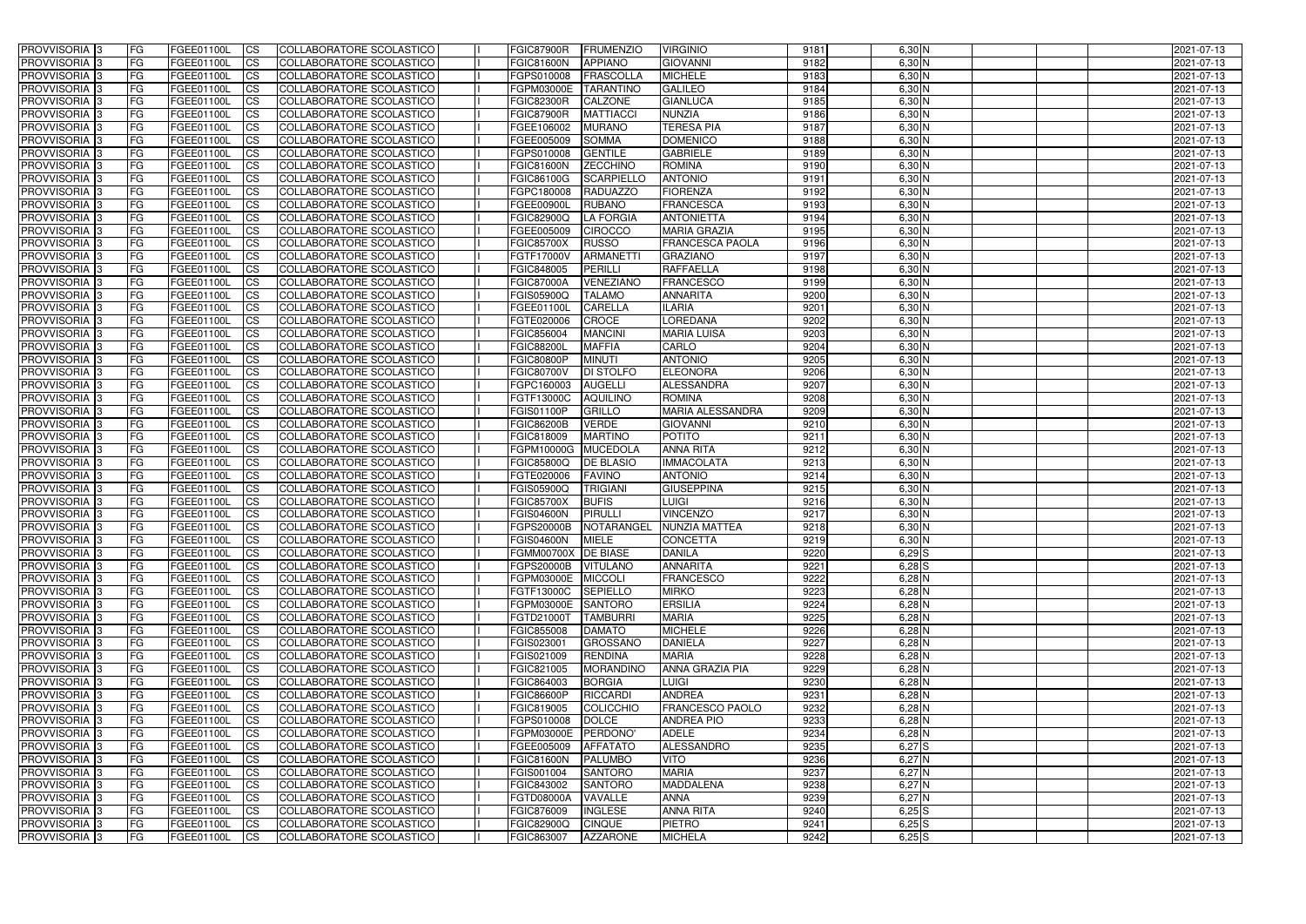| <b>PROVVISORIA</b> 3       | l FG      | FGEE01100L        | <b>ICS</b>             | COLLABORATORE SCOLASTICO        | FGIC87900R          | <b>FRUMENZIO</b>  | <b>VIRGINIO</b>        | 9181 | $6,30$ N   | 2021-07-13 |
|----------------------------|-----------|-------------------|------------------------|---------------------------------|---------------------|-------------------|------------------------|------|------------|------------|
| <b>PROVVISORIA 3</b>       | FG        | FGEE01100L        | <b>ICS</b>             | COLLABORATORE SCOLASTICO        | <b>FGIC81600N</b>   | <b>APPIANO</b>    | <b>GIOVANNI</b>        | 9182 | 6,30 N     | 2021-07-13 |
| PROVVISORIA <sup>1</sup> 3 | FG        | FGEE01100L        | <b>CS</b>              | <b>COLLABORATORE SCOLASTICO</b> | FGPS010008          | <b>FRASCOLLA</b>  | <b>MICHELE</b>         | 9183 | 6,30 N     | 2021-07-13 |
| PROVVISORIA                | FG        | FGEE01100L        | <b>CS</b>              | COLLABORATORE SCOLASTICO        | FGPM03000E          | <b>TARANTINC</b>  | <b>GALILEO</b>         | 9184 | 6,30 N     | 2021-07-13 |
| PROVVISORIA <sup>1</sup> 3 | FG        | FGEE01100L        | <b>CS</b>              | COLLABORATORE SCOLASTICO        | <b>FGIC82300R</b>   | <b>CALZONE</b>    | <b>GIANLUCA</b>        | 9185 | 6,30 N     | 2021-07-13 |
| PROVVISORIA <sup>1</sup> 3 | FG        | FGEE01100L        | <b>CS</b>              | COLLABORATORE SCOLASTICO        | <b>FGIC87900R</b>   | <b>MATTIACCI</b>  | <b>NUNZIA</b>          | 9186 | 6,30 N     | 2021-07-13 |
| PROVVISORIA <sup>1</sup> 3 | FG        | FGEE01100L        | <b>CS</b>              | COLLABORATORE SCOLASTICO        | FGEE106002          | <b>MURANO</b>     | <b>TERESA PIA</b>      | 9187 | $6,30$ N   | 2021-07-13 |
| PROVVISORIA 3              | FG        | FGEE01100L        | <b>ICS</b>             | COLLABORATORE SCOLASTICO        | FGEE005009          | <b>SOMMA</b>      | <b>DOMENICO</b>        | 9188 | $6,30$ N   | 2021-07-13 |
| PROVVISORIA 3              | <b>FG</b> | FGEE01100L        | <b>CS</b>              | COLLABORATORE SCOLASTICO        | FGPS010008          | <b>GENTILE</b>    | <b>GABRIELE</b>        | 9189 | $6,30$ N   | 2021-07-13 |
| PROVVISORIA 3              | <b>FG</b> | FGEE01100L        | $\overline{c}$         | COLLABORATORE SCOLASTICO        | <b>FGIC81600N</b>   | <b>ZECCHINO</b>   | <b>ROMINA</b>          | 9190 | $6,30$ N   | 2021-07-13 |
| PROVVISORIA 3              | FG        | FGEE01100L        | <b>ICS</b>             | COLLABORATORE SCOLASTICO        | FGIC86100G          | <b>SCARPIELLO</b> | <b>ANTONIO</b>         | 9191 | $6,30$ N   | 2021-07-13 |
| <b>PROVVISORIA</b>         | FG        | FGEE01100L        | <b>CS</b>              | COLLABORATORE SCOLASTICO        | FGPC180008          | <b>RADUAZZO</b>   | <b>FIORENZA</b>        | 9192 | $6,30$ N   | 2021-07-13 |
| <b>PROVVISORIA</b>         | FG        | FGEE01100L        | <b>ICS</b>             | COLLABORATORE SCOLASTICO        | FGEE00900L          | <b>RUBANO</b>     | <b>FRANCESCA</b>       | 9193 | $6,30$ N   | 2021-07-13 |
| <b>PROVVISORIA</b>         | FG        | FGEE01100L        | <b>ICS</b>             | COLLABORATORE SCOLASTICO        | <b>FGIC82900Q</b>   | <b>LA FORGIA</b>  | <b>ANTONIETTA</b>      | 9194 | 6,30 N     | 2021-07-13 |
| <b>PROVVISORIA</b>         | FG        | FGEE01100L        | <b>ICS</b>             | COLLABORATORE SCOLASTICO        | FGEE005009          | <b>CIROCCO</b>    | <b>MARIA GRAZIA</b>    | 9195 | 6,30 N     | 2021-07-13 |
| <b>PROVVISORIA</b>         | FG        | FGEE01100L        | <b>ICS</b>             | COLLABORATORE SCOLASTICO        | <b>FGIC85700X</b>   | <b>RUSSO</b>      | <b>FRANCESCA PAOLA</b> | 9196 | 6,30 N     | 2021-07-13 |
| <b>PROVVISORIA</b>         | FG        | <b>FGEE01100L</b> | <b>ICS</b>             | COLLABORATORE SCOLASTICO        | FGTF17000V          | <b>ARMANETTI</b>  | <b>GRAZIANO</b>        | 9197 | 6,30 N     | 2021-07-13 |
| <b>PROVVISORIA</b>         | FG        | FGEE01100L        | <b>ICS</b>             | COLLABORATORE SCOLASTICO        | FGIC848005          | PERILLI           | <b>RAFFAELLA</b>       | 9198 | 6,30 N     | 2021-07-13 |
| PROVVISORIA <sup>3</sup>   | FG        | FGEE01100L        | <b>ICS</b>             | COLLABORATORE SCOLASTICO        | <b>FGIC87000A</b>   | VENEZIANO         | <b>FRANCESCO</b>       | 9199 | $6,30$ N   | 2021-07-13 |
| PROVVISORIA 3              | FG        | FGEE01100L        | <b>ICS</b>             | COLLABORATORE SCOLASTICO        | FGIS05900Q          | <b>TALAMO</b>     | <b>ANNARITA</b>        | 9200 | 6,30 N     | 2021-07-13 |
| PROVVISORIA <sup>1</sup> 3 | FG        | FGEE01100L        | <b>ICS</b>             | COLLABORATORE SCOLASTICO        | FGEE01100L          | <b>CARELLA</b>    | <b>ILARIA</b>          | 9201 | $6,30$ N   | 2021-07-13 |
| PROVVISORIA 3              | FG        | FGEE01100L        | <b>ICS</b>             | COLLABORATORE SCOLASTICO        | FGTE020006          | <b>CROCE</b>      | <b>LOREDANA</b>        | 9202 | $6,30$ N   | 2021-07-13 |
| PROVVISORIA 3              | FG        | FGEE01100L        | <b>ICS</b>             | <b>COLLABORATORE SCOLASTICO</b> | FGIC856004          | <b>MANCINI</b>    | <b>MARIA LUISA</b>     | 9203 | $6,30$ N   | 2021-07-13 |
| PROVVISORIA <sup>3</sup>   | FG        | FGEE01100L        | <b>CS</b>              | COLLABORATORE SCOLASTICO        | <b>FGIC88200L</b>   | <b>MAFFIA</b>     | CARLO                  | 9204 | $6,30$ N   | 2021-07-13 |
| PROVVISORIA <sup>1</sup> 3 | FG        | FGEE01100L        | <b>CS</b>              | COLLABORATORE SCOLASTICO        | <b>FGIC80800P</b>   | <b>MINUTI</b>     | <b>ANTONIO</b>         | 9205 | $6,30$ N   | 2021-07-13 |
| PROVVISORIA <sup>1</sup> 3 | FG        | FGEE01100L        | <b>ICS</b>             | COLLABORATORE SCOLASTICO        | <b>FGIC80700V</b>   | <b>DI STOLFO</b>  | <b>ELEONORA</b>        | 9206 | $6,30$ N   | 2021-07-13 |
| PROVVISORIA 3              | FG        | FGEE01100L        | <b>ICS</b>             | COLLABORATORE SCOLASTICO        | FGPC160003          | <b>AUGELLI</b>    | <b>ALESSANDRA</b>      | 9207 | 6,30 N     | 2021-07-13 |
| PROVVISORIA                | FG        | FGEE01100L        | <b>ICS</b>             | COLLABORATORE SCOLASTICO        | FGTF13000C          | <b>AQUILINO</b>   | <b>ROMINA</b>          | 9208 | 6,30 N     | 2021-07-13 |
| PROVVISORIA                | FG        | FGEE01100L        | <b>CS</b>              | <b>COLLABORATORE SCOLASTICO</b> | <b>FGIS01100P</b>   | <b>GRILLO</b>     | MARIA ALESSANDRA       | 9209 | 6,30 N     | 2021-07-13 |
| PROVVISORIA                | FG        | FGEE01100L        | <b>CS</b>              | COLLABORATORE SCOLASTICO        | <b>FGIC86200B</b>   | <b>VERDE</b>      | <b>GIOVANNI</b>        | 9210 | 6,30 N     | 2021-07-13 |
| PROVVISORIA                | FG        | FGEE01100L        | <b>CS</b>              | COLLABORATORE SCOLASTICO        | FGIC818009          | <b>MARTINO</b>    | <b>POTITO</b>          | 9211 | 6,30 N     | 2021-07-13 |
| PROVVISORIA <sup>1</sup> 3 | FG        | FGEE01100L        | <b>CS</b>              | COLLABORATORE SCOLASTICO        | FGPM10000G          | <b>MUCEDOLA</b>   | <b>ANNA RITA</b>       | 9212 | $6,30$ N   | 2021-07-13 |
| PROVVISORIA <sup>1</sup> 3 | FG        | FGEE01100L        | <b>CS</b>              | COLLABORATORE SCOLASTICO        | FGIC85800Q          | <b>DE BLASIO</b>  | <b>IMMACOLATA</b>      | 9213 | $6,30$ N   | 2021-07-13 |
| PROVVISORIA 3              | FG        | FGEE01100L        | <b>CS</b>              | COLLABORATORE SCOLASTICO        | FGTE020006          | <b>FAVINO</b>     | <b>ANTONIO</b>         | 9214 | $6,30$ N   | 2021-07-13 |
| PROVVISORIA <sup>1</sup> 3 | FG        | FGEE01100L        | <b>ICS</b>             | COLLABORATORE SCOLASTICO        | FGIS05900Q          | <b>TRIGIANI</b>   | <b>GIUSEPPINA</b>      | 9215 | $6,30$ N   | 2021-07-13 |
| PROVVISORIA 3              | <b>FG</b> | FGEE01100L        | <b>CS</b>              | COLLABORATORE SCOLASTICO        | <b>FGIC85700X</b>   | <b>BUFIS</b>      | <b>LUIGI</b>           | 9216 | $6,30$ N   | 2021-07-13 |
| PROVVISORIA 3              | <b>FG</b> | FGEE01100L        | <b>ICS</b>             | COLLABORATORE SCOLASTICO        | <b>FGIS04600N</b>   | <b>PIRULLI</b>    | <b>VINCENZO</b>        | 9217 | $6,30$ N   | 2021-07-13 |
| <b>PROVVISORIA</b>         | <b>FG</b> | FGEE01100L        | <b>ICS</b>             | COLLABORATORE SCOLASTICO        | <b>FGPS20000B</b>   | NOTARANGEL        | NUNZIA MATTEA          | 9218 | $6,30$ N   | 2021-07-13 |
| PROVVISORIA 3              | FG        | FGEE01100L        | CS                     | COLLABORATORE SCOLASTICO        | FGIS04600N MIELE    |                   | <b>CONCETTA</b>        | 9219 | $6,30$ N   | 2021-07-13 |
| PROVVISORIA 3              | <b>FG</b> | FGEE01100L        | $\mathsf{ICS}$         | COLLABORATORE SCOLASTICO        | FGMM00700X DE BIASE |                   | <b>DANILA</b>          | 9220 | $6,29$ $S$ | 2021-07-13 |
| PROVVISORIA 3              | <b>FG</b> | <b>FGEE01100L</b> | $\mathsf{ICS}$         | COLLABORATORE SCOLASTICO        | FGPS20000B VITULANO |                   | <b>ANNARITA</b>        | 9221 | $6,28$ S   | 2021-07-13 |
| PROVVISORIA 3              | <b>FG</b> | FGEE01100L        | $\mathsf{ICS}$         | COLLABORATORE SCOLASTICO        | FGPM03000E MICCOLI  |                   | <b>FRANCESCO</b>       | 9222 | $6,28$ N   | 2021-07-13 |
| PROVVISORIA 3              | FG        | FGEE01100L        | $\mathsf{ICS}$         | COLLABORATORE SCOLASTICO        | FGTF13000C          | <b>SEPIELLO</b>   | <b>MIRKO</b>           | 9223 | $6,28$ N   | 2021-07-13 |
| PROVVISORIA 3              | l FG      | FGEE01100L        | <b>CS</b>              | COLLABORATORE SCOLASTICO        | FGPM03000E          | SANTORO           | <b>ERSILIA</b>         | 9224 | $6,28$ N   | 2021-07-13 |
| PROVVISORIA 3              | <b>FG</b> | FGEE01100L        | <b>CS</b>              | COLLABORATORE SCOLASTICO        | FGTD21000T          | <b>TAMBURRI</b>   | <b>MARIA</b>           | 9225 | $6,28$ N   | 2021-07-13 |
| PROVVISORIA 3              | FG        | FGEE01100L        | <b>CS</b>              | COLLABORATORE SCOLASTICO        | <b>FGIC855008</b>   | DAMATO            | <b>MICHELE</b>         | 9226 | $6,28$ N   | 2021-07-13 |
| PROVVISORIA 3              | <b>FG</b> | FGEE01100L        | <b>CS</b>              | COLLABORATORE SCOLASTICO        | FGIS023001          | GROSSANO          | <b>DANIELA</b>         | 9227 | $6,28$ N   | 2021-07-13 |
| PROVVISORIA 3              | <b>FG</b> | FGEE01100L        | <b>CS</b>              | COLLABORATORE SCOLASTICO        | FGIS021009          | <b>RENDINA</b>    | <b>MARIA</b>           | 9228 | $6,28$ N   | 2021-07-13 |
| PROVVISORIA 3              | <b>FG</b> | FGEE01100L        | <b>CS</b>              | COLLABORATORE SCOLASTICO        | FGIC821005          | <b>MORANDINO</b>  | <b>ANNA GRAZIA PIA</b> | 9229 | $6,28$ N   | 2021-07-13 |
| PROVVISORIA 3              | <b>FG</b> | FGEE01100L        | <b>CS</b>              | COLLABORATORE SCOLASTICO        | FGIC864003          | <b>BORGIA</b>     | <b>LUIGI</b>           | 9230 | $6,28$ N   | 2021-07-13 |
| PROVVISORIA 3              | <b>FG</b> | FGEE01100L        | <b>CS</b>              | COLLABORATORE SCOLASTICO        | <b>FGIC86600P</b>   | <b>RICCARDI</b>   | <b>ANDREA</b>          | 9231 | $6,28$ N   | 2021-07-13 |
| PROVVISORIA 3              | <b>FG</b> | FGEE01100L        | <b>CS</b>              | COLLABORATORE SCOLASTICO        | FGIC819005          | COLICCHIO         | <b>FRANCESCO PAOLO</b> | 9232 | $6,28$ N   | 2021-07-13 |
| PROVVISORIA 3              | <b>FG</b> | FGEE01100L        | <b>CS</b>              | COLLABORATORE SCOLASTICO        | FGPS010008          | DOLCE             | <b>ANDREA PIO</b>      | 9233 | $6,28$ N   | 2021-07-13 |
| PROVVISORIA 3              | <b>FG</b> | FGEE01100L        | <b>CS</b>              | COLLABORATORE SCOLASTICO        | FGPM03000E PERDONO' |                   | <b>ADELE</b>           | 9234 | $6,28$ N   | 2021-07-13 |
| PROVVISORIA 3              | <b>FG</b> | FGEE01100L        | <b>CS</b>              | COLLABORATORE SCOLASTICO        | FGEE005009          | <b>AFFATATO</b>   | ALESSANDRO             | 9235 | $6,27$ $S$ | 2021-07-13 |
| PROVVISORIA 3              | <b>FG</b> | FGEE01100L        | <b>CS</b>              | COLLABORATORE SCOLASTICO        | <b>FGIC81600N</b>   | <b>PALUMBO</b>    | <b>VITO</b>            | 9236 | $6,27$ N   | 2021-07-13 |
| PROVVISORIA 3              | <b>FG</b> | FGEE01100L        | <b>CS</b>              | COLLABORATORE SCOLASTICO        | FGIS001004          | <b>SANTORO</b>    | <b>MARIA</b>           | 9237 | $6,27$ N   | 2021-07-13 |
| PROVVISORIA 3              | FG        | FGEE01100L        | <b>CS</b>              | COLLABORATORE SCOLASTICO        | FGIC843002          | <b>SANTORO</b>    | <b>MADDALENA</b>       | 9238 | $6,27$ N   | 2021-07-13 |
| PROVVISORIA 3              | FG        | <b>FGEE01100L</b> | <b>CS</b>              | COLLABORATORE SCOLASTICO        | FGTD08000A          | VAVALLE           | <b>ANNA</b>            | 9239 | $6,27$ N   | 2021-07-13 |
| PROVVISORIA 3              | <b>FG</b> | FGEE01100L        | <b>CS</b>              | COLLABORATORE SCOLASTICO        | FGIC876009          | <b>INGLESE</b>    | <b>ANNA RITA</b>       | 9240 | $6,25$ $S$ | 2021-07-13 |
| PROVVISORIA 3              | <b>FG</b> | FGEE01100L        | $\overline{\text{CS}}$ | COLLABORATORE SCOLASTICO        | <b>FGIC82900Q</b>   | <b>CINQUE</b>     | <b>PIETRO</b>          | 9241 | $6,25$ S   | 2021-07-13 |
| PROVVISORIA 3              | <b>FG</b> | FGEE01100L        | $\overline{\text{CS}}$ | COLLABORATORE SCOLASTICO        | FGIC863007          | <b>AZZARONE</b>   | <b>MICHELA</b>         | 9242 | $6,25$ S   | 2021-07-13 |
|                            |           |                   |                        |                                 |                     |                   |                        |      |            |            |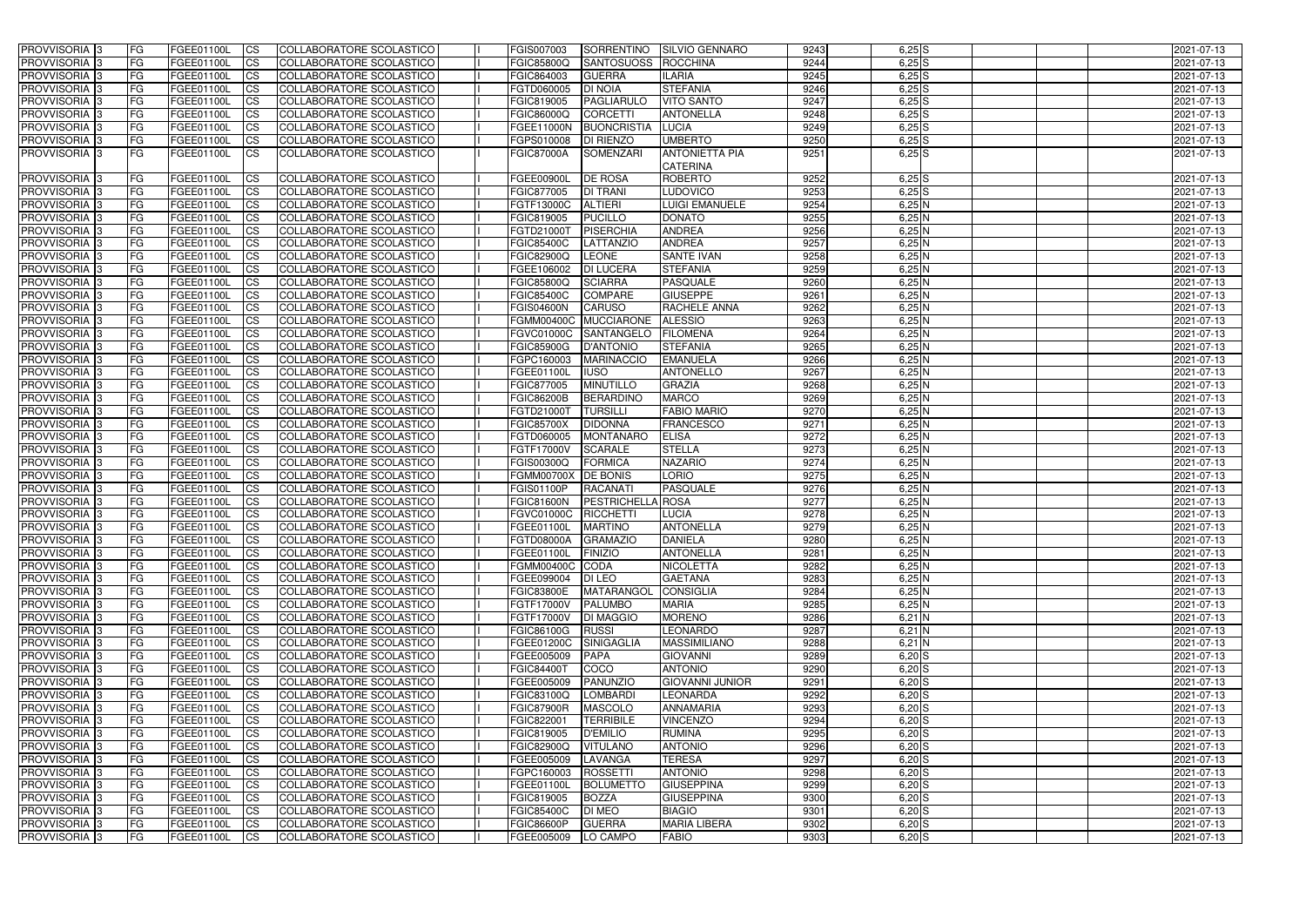| <b>PROVVISORIA</b> 3       | FG         | FGEE01100L                      | <b>CS</b>              | COLLABORATORE SCOLASTICO        | FGIS007003                      | SORRENTINO               | <b>SILVIO GENNARO</b>  | 9243 | $6,25$ S           | 2021-07-13 |
|----------------------------|------------|---------------------------------|------------------------|---------------------------------|---------------------------------|--------------------------|------------------------|------|--------------------|------------|
| <b>PROVVISORIA</b> 3       | FG         | FGEE01100L                      | <b>CS</b>              | COLLABORATORE SCOLASTICO        | <b>FGIC85800Q</b>               | <b>SANTOSUOSS</b>        | ROCCHINA               | 9244 | $6,25$ $S$         | 2021-07-13 |
| PROVVISORIA <sup>1</sup> 3 | FG         | <b>FGEE01100L</b>               | <b>CS</b>              | COLLABORATORE SCOLASTICO        | FGIC864003                      | <b>GUERRA</b>            | <b>ILARIA</b>          | 9245 | $6,25$ $S$         | 2021-07-13 |
| PROVVISORIA <sup>1</sup> 3 | FG         | FGEE01100L                      | <b>CS</b>              | COLLABORATORE SCOLASTICO        | FGTD060005                      | <b>DI NOIA</b>           | <b>STEFANIA</b>        | 9246 | $6,25$ S           | 2021-07-13 |
| PROVVISORIA <sup>13</sup>  | FG         | FGEE01100L                      | <b>CS</b>              | COLLABORATORE SCOLASTICO        | FGIC819005                      | PAGLIARULO               | <b>VITO SANTO</b>      | 9247 | $6,25$ $S$         | 2021-07-13 |
| PROVVISORIA <sup>1</sup> 3 | FG         | FGEE01100L                      | <b>CS</b>              | <b>COLLABORATORE SCOLASTICO</b> | FGIC86000Q                      | <b>CORCETTI</b>          | <b>ANTONELLA</b>       | 9248 | $6,25$ S           | 2021-07-13 |
| PROVVISORIA <sup>3</sup>   | FG         | FGEE01100L                      | <b>CS</b>              | <b>COLLABORATORE SCOLASTICO</b> | <b>FGEE11000N</b>               | <b>BUONCRISTIA</b>       | <b>LUCIA</b>           | 9249 | $6,25$ S           | 2021-07-13 |
| PROVVISORIA 3              | FG         | FGEE01100L                      | $\overline{c}$         | COLLABORATORE SCOLASTICO        | FGPS010008                      | <b>DI RIENZO</b>         | <b>UMBERTO</b>         | 9250 | $6,25$ S           | 2021-07-13 |
| PROVVISORIA 3              | FG         | FGEE01100L                      | <b>ICS</b>             | COLLABORATORE SCOLASTICO        | <b>FGIC87000A</b>               | <b>SOMENZARI</b>         | <b>ANTONIETTA PIA</b>  | 9251 | $6,25\overline{S}$ | 2021-07-13 |
|                            |            |                                 |                        |                                 |                                 |                          | <b>CATERINA</b>        |      |                    |            |
| <b>PROVVISORIA</b> 3       | FG         | FGEE01100L                      | <b>CS</b>              | <b>COLLABORATORE SCOLASTICO</b> | <b>FGEE00900L</b>               | <b>DE ROSA</b>           | <b>ROBERTO</b>         | 9252 | $6,25$ $S$         | 2021-07-13 |
| PROVVISORIA <sup>3</sup>   | FG         | <b>FGEE01100L</b>               | <b>CS</b>              | COLLABORATORE SCOLASTICO        | FGIC877005                      | <b>DI TRANI</b>          | LUDOVICO               | 9253 | $6,25$ S           | 2021-07-13 |
| PROVVISORIA <sup>3</sup>   | FG         | FGEE01100L                      | <b>ICS</b>             | COLLABORATORE SCOLASTICO        | FGTF13000C                      | <b>ALTIERI</b>           | <b>LUIGI EMANUELE</b>  | 9254 | 6,25N              | 2021-07-13 |
| PROVVISORIA <sup>3</sup>   | FG         | FGEE01100L                      | <b>ICS</b>             | COLLABORATORE SCOLASTICO        | FGIC819005                      | <b>PUCILLO</b>           | <b>DONATO</b>          | 9255 | $6,25$ N           | 2021-07-13 |
| <b>PROVVISORIA</b> 3       | FG         | FGEE01100L                      | <b>ICS</b>             | COLLABORATORE SCOLASTICO        | FGTD21000T                      | PISERCHIA                | <b>ANDREA</b>          | 9256 | $6,25$ N           | 2021-07-13 |
|                            |            | FGEE01100L                      | <b>ICS</b>             | <b>COLLABORATORE SCOLASTICO</b> |                                 |                          | <b>ANDREA</b>          | 9257 | $6,25$ N           |            |
| PROVVISORIA <sup>3</sup>   | FG         |                                 |                        |                                 | <b>FGIC85400C</b>               | LATTANZIO                |                        |      |                    | 2021-07-13 |
| PROVVISORIA <sup>3</sup>   | FG         | FGEE01100L                      | <b>CS</b>              | COLLABORATORE SCOLASTICO        | <b>FGIC82900Q</b>               | LEONE                    | <b>SANTE IVAN</b>      | 9258 | $6,25$ N           | 2021-07-13 |
| PROVVISORIA <sup>3</sup>   | FG         | FGEE01100L                      | <b>I</b> CS            | <b>COLLABORATORE SCOLASTICO</b> | FGEE106002                      | <b>DI LUCERA</b>         | <b>STEFANIA</b>        | 9259 | $6,25$ N           | 2021-07-13 |
| PROVVISORIA <sup>3</sup>   | FG         | FGEE01100L                      | <b>ICS</b>             | <b>COLLABORATORE SCOLASTICO</b> | <b>FGIC85800Q</b>               | <b>SCIARRA</b>           | <b>PASQUALE</b>        | 9260 | $6,25$ N           | 2021-07-13 |
| PROVVISORIA <sup>3</sup>   | FG.        | FGEE01100L                      | <b>ICS</b>             | COLLABORATORE SCOLASTICO        | <b>FGIC85400C</b>               | <b>COMPARE</b>           | <b>GIUSEPPE</b>        | 9261 | $6,25$ N           | 2021-07-13 |
| PROVVISORIA <sup>3</sup>   | FG         | FGEE01100L                      | <b>ICS</b>             | COLLABORATORE SCOLASTICO        | <b>FGIS04600N</b>               | <b>CARUSO</b>            | <b>RACHELE ANNA</b>    | 9262 | $6,25$ N           | 2021-07-13 |
| PROVVISORIA <sup>3</sup>   | FG         | FGEE01100L                      | <b>CS</b>              | COLLABORATORE SCOLASTICO        | <b>FGMM00400C</b>               | <b>MUCCIARONE</b>        | <b>ALESSIO</b>         | 9263 | 6,25N              | 2021-07-13 |
| PROVVISORIA <sup>3</sup>   | FG         | FGEE01100L                      | <b>I</b> CS            | COLLABORATORE SCOLASTICO        | FGVC01000C                      | SANTANGELO               | <b>FILOMENA</b>        | 9264 | 6,25N              | 2021-07-13 |
| PROVVISORIA <sup>3</sup>   | FG         | FGEE01100L                      | <b>CS</b>              | COLLABORATORE SCOLASTICO        | <b>FGIC85900G</b>               | <b>D'ANTONIO</b>         | <b>STEFANIA</b>        | 9265 | 6,25N              | 2021-07-13 |
| PROVVISORIA <sup>13</sup>  | FG         | FGEE01100L                      | <b>CS</b>              | COLLABORATORE SCOLASTICO        | FGPC160003                      | <b>MARINACCIO</b>        | <b>EMANUELA</b>        | 9266 | 6,25N              | 2021-07-13 |
| PROVVISORIA <sup>13</sup>  | FG         | FGEE01100L                      | <b>CS</b>              | COLLABORATORE SCOLASTICO        | FGEE01100L                      | <b>IUSO</b>              | <b>ANTONELLO</b>       | 9267 | 6,25N              | 2021-07-13 |
| <b>PROVVISORIA</b> 3       | FG         | FGEE01100L                      | <b>CS</b>              | COLLABORATORE SCOLASTICO        | FGIC877005                      | <b>MINUTILLO</b>         | <b>GRAZIA</b>          | 9268 | $6,25$ N           | 2021-07-13 |
| PROVVISORIA <sup>1</sup> 3 | FG         | FGEE01100L                      | ICS                    | COLLABORATORE SCOLASTICO        | <b>FGIC86200B</b>               | <b>BERARDINO</b>         | <b>MARCO</b>           | 9269 | $6,25$ N           | 2021-07-13 |
| PROVVISORIA <sup>1</sup> 3 | FG         | <b>FGEE01100L</b>               | ICS                    | COLLABORATORE SCOLASTICO        | FGTD21000T                      | <b>TURSILLI</b>          | <b>FABIO MARIO</b>     | 9270 | $6,25$ N           | 2021-07-13 |
| PROVVISORIA <sup>1</sup> 3 | FG         | FGEE01100L                      | <b>CS</b>              | COLLABORATORE SCOLASTICO        | <b>FGIC85700X</b>               | <b>DIDONNA</b>           | <b>FRANCESCO</b>       | 9271 | 6,25N              | 2021-07-13 |
| PROVVISORIA 3              | FG         | FGEE01100L                      | <b>CS</b>              | COLLABORATORE SCOLASTICO        | FGTD060005                      | <b>MONTANARO</b>         | <b>ELISA</b>           | 9272 | $6,25$ N           | 2021-07-13 |
| PROVVISORIA <sup>3</sup>   | FG         | FGEE01100L                      | <b>CS</b>              | COLLABORATORE SCOLASTICO        | FGTF17000V                      | <b>SCARALE</b>           | <b>STELLA</b>          | 9273 | $6,25$ N           | 2021-07-13 |
| PROVVISORIA 3              | FG         | FGEE01100L                      | $\overline{c}$         | COLLABORATORE SCOLASTICO        | FGIS00300Q                      | <b>FORMICA</b>           | <b>NAZARIO</b>         | 9274 | 6,25N              | 2021-07-13 |
| PROVVISORIA <sup>3</sup>   | FG         | FGEE01100L                      | $\overline{\text{cs}}$ | COLLABORATORE SCOLASTICO        | <b>FGMM00700X</b>               | <b>DE BONIS</b>          | <b>LORIO</b>           | 9275 | 6,25N              | 2021-07-13 |
| PROVVISORIA 3              | <b>FG</b>  | FGEE01100L                      | <b>CS</b>              | COLLABORATORE SCOLASTICO        | <b>FGIS01100P</b>               | <b>RACANATI</b>          | <b>PASQUALE</b>        | 9276 | 6,25N              | 2021-07-13 |
| PROVVISORIA 3              | FG         | FGEE01100L                      | <b>CS</b>              | COLLABORATORE SCOLASTICO        | <b>FGIC81600N</b>               | <b>PESTRICHELLA ROSA</b> |                        | 9277 | $6,25$ N           | 2021-07-13 |
| PROVVISORIA <sup>3</sup>   | FG         | FGEE01100L                      | $\overline{c}$         | <b>COLLABORATORE SCOLASTICO</b> | FGVC01000C                      | <b>RICCHETTI</b>         | LUCIA                  | 9278 | $6,25$ N           | 2021-07-13 |
| PROVVISORIA 3              | FG         | FGEE01100L                      | <b>I</b> CS            | COLLABORATORE SCOLASTICO        | FGEE01100L                      | <b>MARTINO</b>           | <b>ANTONELLA</b>       | 9279 | 6,25N              | 2021-07-13 |
| PROVVISORIA 3              | FG         | FGEE01100L                      | <b>ICS</b>             | COLLABORATORE SCOLASTICO        | FGTD08000A GRAMAZIO             |                          | <b>DANIELA</b>         | 9280 | $6,25$ N           | 2021-07-13 |
| <b>PROVVISORIA</b> 3       | IFG.       | FGEE01100L                      | <b>CS</b>              | COLLABORATORE SCOLASTICO        | FGEE01100L                      | FINIZIO                  | <b>ANTONELLA</b>       | 9281 | 6,25N              | 2021-07-13 |
| <b>PROVVISORIA</b> 3       | IFG.       | FGEE01100L                      | <b>CS</b>              | COLLABORATORE SCOLASTICO        | FGMM00400C CODA                 |                          | <b>NICOLETTA</b>       | 9282 | $6,25$ N           | 2021-07-13 |
| PROVVISORIA 3              | <b>FG</b>  | <b>FGEE01100L</b>               | <b>ICS</b>             | COLLABORATORE SCOLASTICO        | FGEE099004                      | <b>DI LEO</b>            | <b>GAETANA</b>         | 9283 | 6,25N              | 2021-07-13 |
| PROVVISORIA 3              | <b>FG</b>  | FGEE01100L                      | <b>CS</b>              | COLLABORATORE SCOLASTICO        | <b>FGIC83800E</b>               | <b>MATARANGOL</b>        | <b>CONSIGLIA</b>       | 9284 | 6,25N              | 2021-07-13 |
| PROVVISORIA 3              | FG         | FGEE01100L                      | <b>CS</b>              | COLLABORATORE SCOLASTICO        | <b>FGTF17000V</b>               | <b>PALUMBO</b>           | <b>MARIA</b>           | 9285 | $6,25$ N           | 2021-07-13 |
| PROVVISORIA 3              | <b>FG</b>  | FGEE01100L                      | <b>ICS</b>             | COLLABORATORE SCOLASTICO        | <b>FGTF17000V</b>               | <b>DI MAGGIO</b>         | <b>MORENO</b>          | 9286 | $6,21$ N           | 2021-07-13 |
| PROVVISORIA 3              | <b>FG</b>  | FGEE01100L                      | <b>ICS</b>             | COLLABORATORE SCOLASTICO        | <b>FGIC86100G</b>               | <b>RUSSI</b>             | LEONARDO               | 9287 | $6,21$ N           | 2021-07-13 |
| PROVVISORIA 3              | <b>FG</b>  | FGEE01100L                      | <b>CS</b>              | COLLABORATORE SCOLASTICO        | FGEE01200C                      | SINIGAGLIA               | <b>MASSIMILIANO</b>    | 9288 | $6,21$ N           | 2021-07-13 |
| PROVVISORIA 3              | <b>FG</b>  | FGEE01100L                      | <b>CS</b>              | COLLABORATORE SCOLASTICO        | FGEE005009                      | PAPA                     | <b>GIOVANNI</b>        | 9289 | $6,20$ S           | 2021-07-13 |
| PROVVISORIA 3              | FG         | <b>FGEE01100L</b>               | <b>CS</b>              | COLLABORATORE SCOLASTICO        | <b>FGIC84400T</b>               | COCO                     | <b>ANTONIO</b>         | 9290 | $6,20$ S           | 2021-07-13 |
| PROVVISORIA 3              | FG         | FGEE01100L                      | <b>CS</b>              | COLLABORATORE SCOLASTICO        | FGEE005009                      | PANUNZIO                 | <b>GIOVANNI JUNIOR</b> | 9291 | $6,20$ S           | 2021-07-13 |
| PROVVISORIA 3              | FG         | FGEE01100L                      | <b>CS</b>              | COLLABORATORE SCOLASTICO        | <b>FGIC83100Q</b>               | LOMBARDI                 | <b>LEONARDA</b>        | 9292 | $6,20$ S           | 2021-07-13 |
| PROVVISORIA 3              | FG         | FGEE01100L                      | <b>CS</b>              | COLLABORATORE SCOLASTICO        | <b>FGIC87900R</b>               | <b>MASCOLO</b>           | <b>ANNAMARIA</b>       | 9293 | $6,20$ S           | 2021-07-13 |
| PROVVISORIA 3              | FG         | FGEE01100L                      | <b>CS</b>              | COLLABORATORE SCOLASTICO        | FGIC822001                      | <b>TERRIBILE</b>         | <b>VINCENZO</b>        | 9294 | $6,20$ S           | 2021-07-13 |
| <b>PROVVISORIA</b> 3       | FG         | FGEE01100L                      | <b>CS</b>              | COLLABORATORE SCOLASTICO        | FGIC819005                      | <b>D'EMILIO</b>          | <b>RUMINA</b>          | 9295 | $6,20$ S           | 2021-07-13 |
|                            |            |                                 |                        |                                 |                                 |                          |                        | 9296 | $6,20$ S           |            |
| PROVVISORIA 3              | FG<br> FG  | FGEE01100L<br><b>FGEE01100L</b> | <b>CS</b>              | COLLABORATORE SCOLASTICO        | <b>FGIC82900Q</b><br>FGEE005009 | <b>VITULANO</b>          | <b>ANTONIO</b>         | 9297 | $6,20$ S           | 2021-07-13 |
| PROVVISORIA 3              |            |                                 | <b>CS</b>              | COLLABORATORE SCOLASTICO        |                                 | LAVANGA                  | <b>TERESA</b>          |      |                    | 2021-07-13 |
| PROVVISORIA <sup>3</sup>   | IFG.       | FGEE01100L                      | <b>CS</b>              | COLLABORATORE SCOLASTICO        | FGPC160003                      | ROSSETTI                 | <b>ANTONIO</b>         | 9298 | $6,20$ $S$         | 2021-07-13 |
| PROVVISORIA 3              | <b>IFG</b> | FGEE01100L                      | <b>CS</b>              | <b>COLLABORATORE SCOLASTICO</b> | FGEE01100L                      | <b>BOLUMETTO</b>         | <b>GIUSEPPINA</b>      | 9299 | $6,20$ S           | 2021-07-13 |
| PROVVISORIA 3              | FG         | FGEE01100L                      | <b>CS</b>              | COLLABORATORE SCOLASTICO        | FGIC819005                      | <b>BOZZA</b>             | <b>GIUSEPPINA</b>      | 9300 | $6,20$ S           | 2021-07-13 |
| PROVVISORIA 3              | FG         | FGEE01100L                      | <b>CS</b>              | COLLABORATORE SCOLASTICO        | <b>FGIC85400C</b>               | <b>DI MEO</b>            | <b>BIAGIO</b>          | 9301 | $6,20$ S           | 2021-07-13 |
| PROVVISORIA 3              | FG         | FGEE01100L                      | <b>ICS</b>             | COLLABORATORE SCOLASTICO        | <b>FGIC86600P</b>               | <b>GUERRA</b>            | <b>MARIA LIBERA</b>    | 9302 | $6,20$ S           | 2021-07-13 |
| PROVVISORIA 3              | IFG.       | FGEE01100L                      | <b>CS</b>              | COLLABORATORE SCOLASTICO        | FGEE005009                      | LO CAMPO                 | <b>FABIO</b>           | 9303 | $6,20$ S           | 2021-07-13 |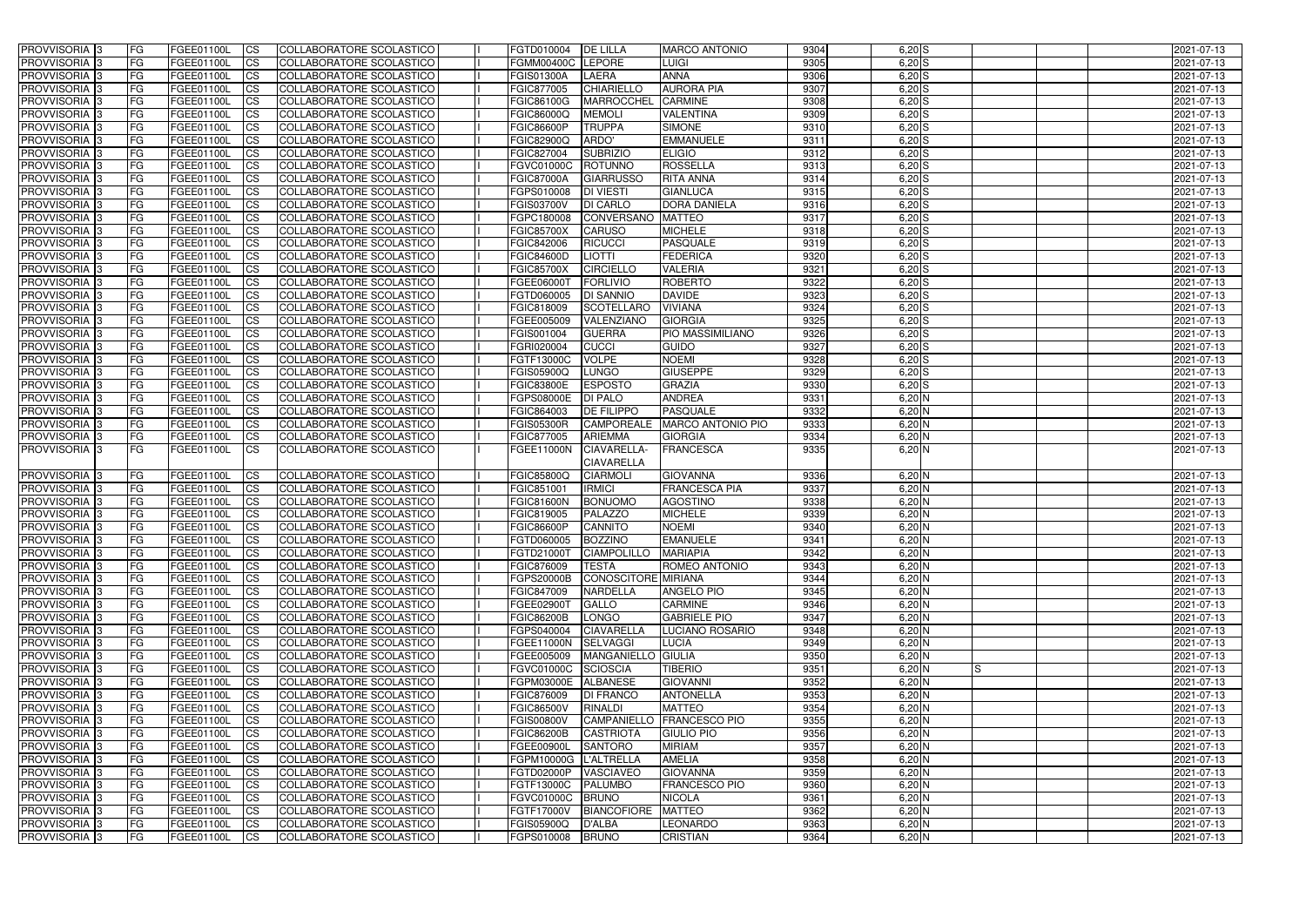| <b>PROVVISORIA</b> 3       | <b>IFG</b>      | FGEE01100L        | <b>CS</b>              | COLLABORATORE SCOLASTICO        | FGTD010004         | <b>DE LILLA</b>                  | <b>MARCO ANTONIO</b>      | 9304 | $6,20$ S   |    | 2021-07-13 |
|----------------------------|-----------------|-------------------|------------------------|---------------------------------|--------------------|----------------------------------|---------------------------|------|------------|----|------------|
| PROVVISORIA <sup>1</sup> 3 | FG              | FGEE01100L        | $\overline{\text{cs}}$ | COLLABORATORE SCOLASTICO        | FGMM00400C LEPORE  |                                  | LUIGI                     | 9305 | $6,20$ $S$ |    | 2021-07-13 |
| PROVVISORIA <sup>3</sup>   | <b>IFG</b>      | FGEE01100L        | <b>CS</b>              | <b>COLLABORATORE SCOLASTICO</b> | <b>FGIS01300A</b>  | <b>LAERA</b>                     | <b>ANNA</b>               | 9306 | $6,20$ S   |    | 2021-07-13 |
| PROVVISORIA <sup>3</sup>   | FG              | FGEE01100L        | <b>CS</b>              | COLLABORATORE SCOLASTICO        | FGIC877005         | CHIARIELLO                       | <b>AURORA PIA</b>         | 9307 | $6,20$ S   |    | 2021-07-13 |
| PROVVISORIA 3              | FG              | FGEE01100L        | <b>CS</b>              | COLLABORATORE SCOLASTICO        | FGIC86100G         | <b>MARROCCHEL</b>                | <b>CARMINE</b>            | 9308 | $6,20$ S   |    | 2021-07-13 |
| PROVVISORIA 3              | FG              | FGEE01100L        | <b>ICS</b>             | COLLABORATORE SCOLASTICO        | FGIC86000Q         | <b>MEMOLI</b>                    | <b>VALENTINA</b>          | 9309 | $6,20$ S   |    | 2021-07-13 |
| PROVVISORIA 3              | FG              | FGEE01100L        | <b>CS</b>              | COLLABORATORE SCOLASTICO        | <b>FGIC86600P</b>  | <b>TRUPPA</b>                    | <b>SIMONE</b>             | 9310 | $6,20$ S   |    | 2021-07-13 |
| PROVVISORIA <sup>3</sup>   | FG              | FGEE01100L        | $\overline{c}$         | COLLABORATORE SCOLASTICO        | <b>FGIC82900Q</b>  | ARDO'                            | <b>EMMANUELE</b>          | 9311 | $6,20$ S   |    | 2021-07-13 |
| PROVVISORIA <sup>3</sup>   | FG              | FGEE01100L        | <b>CS</b>              | <b>COLLABORATORE SCOLASTICO</b> | FGIC827004         | <b>SUBRIZIO</b>                  | <b>ELIGIO</b>             | 9312 | $6,20$ S   |    | 2021-07-13 |
| PROVVISORIA <sup>3</sup>   | FG              | FGEE01100L        | <b>CS</b>              | COLLABORATORE SCOLASTICO        | <b>FGVC01000C</b>  | ROTUNNO                          | <b>ROSSELLA</b>           | 9313 | $6,20$ S   |    | 2021-07-13 |
| PROVVISORIA 3              | FG              | FGEE01100L        | <b>CS</b>              | COLLABORATORE SCOLASTICO        | <b>FGIC87000A</b>  | <b>GIARRUSSO</b>                 | <b>RITA ANNA</b>          | 9314 | $6,20$ S   |    | 2021-07-13 |
| PROVVISORIA <sup>3</sup>   | FG              | <b>FGEE01100L</b> | <b>CS</b>              | COLLABORATORE SCOLASTICO        | FGPS010008         | <b>DI VIESTI</b>                 | <b>GIANLUCA</b>           | 9315 | $6,20$ S   |    | 2021-07-13 |
| PROVVISORIA <sup>3</sup>   | FG              | FGEE01100L        | <b>I</b> CS            | <b>COLLABORATORE SCOLASTICO</b> | <b>FGIS03700V</b>  | <b>DI CARLO</b>                  | <b>DORA DANIELA</b>       | 9316 | $6,20$ S   |    | 2021-07-13 |
| PROVVISORIA <sup>3</sup>   | FG              | FGEE01100L        | <b>I</b> CS            | <b>COLLABORATORE SCOLASTICO</b> | FGPC180008         | CONVERSANO                       | <b>MATTEO</b>             | 9317 | $6,20$ S   |    | 2021-07-13 |
| PROVVISORIA 3              | FG              | FGEE01100L        | <b>I</b> CS            | COLLABORATORE SCOLASTICO        | <b>FGIC85700X</b>  | <b>CARUSO</b>                    | <b>MICHELE</b>            | 9318 | $6,20$ S   |    | 2021-07-13 |
| PROVVISORIA <sup>3</sup>   | FG              | <b>FGEE01100L</b> | <b>ICS</b>             | COLLABORATORE SCOLASTICO        | FGIC842006         | <b>RICUCCI</b>                   | <b>PASQUALE</b>           | 9319 | $6,20$ S   |    | 2021-07-13 |
| PROVVISORIA <sup>3</sup>   | FG.             | <b>FGEE01100L</b> | <b>ICS</b>             | COLLABORATORE SCOLASTICO        | <b>FGIC84600D</b>  | <b>LIOTTI</b>                    | <b>FEDERICA</b>           | 9320 | $6,20$ S   |    | 2021-07-13 |
| PROVVISORIA <sup>3</sup>   | FG              | FGEE01100L        | <b>ICS</b>             | COLLABORATORE SCOLASTICO        | <b>FGIC85700X</b>  | <b>CIRCIELLO</b>                 | <b>VALERIA</b>            | 9321 | $6,20$ S   |    | 2021-07-13 |
| PROVVISORIA <sup>3</sup>   | FG              | FGEE01100L        | <b>ICS</b>             | COLLABORATORE SCOLASTICO        | FGEE06000T         | <b>FORLIVIO</b>                  | <b>ROBERTO</b>            | 9322 | $6,20$ S   |    | 2021-07-13 |
| PROVVISORIA <sup>3</sup>   | FG              | FGEE01100L        | <b>CS</b>              | COLLABORATORE SCOLASTICO        | FGTD060005         | <b>DI SANNIO</b>                 | <b>DAVIDE</b>             | 9323 | $6,20$ S   |    | 2021-07-13 |
| PROVVISORIA <sup>3</sup>   | FG              | <b>FGEE01100L</b> | <b>CS</b>              | COLLABORATORE SCOLASTICO        | FGIC818009         | <b>SCOTELLARO</b>                | <b>VIVIANA</b>            | 9324 | $6,20$ S   |    | 2021-07-13 |
| PROVVISORIA <sup>3</sup>   | FG              | FGEE01100L        | <b>CS</b>              | COLLABORATORE SCOLASTICO        | FGEE005009         | VALENZIANO                       | <b>GIORGIA</b>            | 9325 | $6,20$ S   |    | 2021-07-13 |
| PROVVISORIA <sup>3</sup>   | FG              | FGEE01100L        | <b>CS</b>              | COLLABORATORE SCOLASTICO        | FGIS001004         | <b>GUERRA</b>                    | PIO MASSIMILIANO          | 9326 | $6,20$ S   |    | 2021-07-13 |
| PROVVISORIA <sup>1</sup> 3 | FG              | FGEE01100L        | <b>CS</b>              | COLLABORATORE SCOLASTICO        | FGRI020004         | <b>CUCCI</b>                     | <b>GUIDO</b>              | 9327 | 6,20S      |    | 2021-07-13 |
| PROVVISORIA <sup>3</sup>   | FG              | FGEE01100L        | ICS                    | COLLABORATORE SCOLASTICO        | FGTF13000C         | <b>VOLPE</b>                     | <b>NOEMI</b>              | 9328 | $6,20$ S   |    | 2021-07-13 |
| PROVVISORIA <sup>3</sup>   | FG              | <b>FGEE01100L</b> | <b>CS</b>              | COLLABORATORE SCOLASTICO        | FGIS05900Q         | LUNGO                            | <b>GIUSEPPE</b>           | 9329 | $6,20$ $S$ |    | 2021-07-13 |
| PROVVISORIA <sup>3</sup>   | FG              | <b>FGEE01100L</b> | <b>CS</b>              | COLLABORATORE SCOLASTICO        | <b>FGIC83800E</b>  | <b>ESPOSTO</b>                   | <b>GRAZIA</b>             | 9330 | $6,20$ S   |    | 2021-07-13 |
| PROVVISORIA <sup>3</sup>   | FG              | FGEE01100L        | <b>CS</b>              | COLLABORATORE SCOLASTICO        | <b>FGPS08000E</b>  | <b>DI PALO</b>                   | <b>ANDREA</b>             | 9331 | $6,20$ N   |    | 2021-07-13 |
| PROVVISORIA <sup>3</sup>   | FG              | <b>FGEE01100L</b> | <b>CS</b>              | COLLABORATORE SCOLASTICO        | FGIC864003         | <b>DE FILIPPO</b>                | <b>PASQUALE</b>           | 9332 | $6,20$ N   |    | 2021-07-13 |
| PROVVISORIA <sup>3</sup>   | FG              | <b>FGEE01100L</b> | <b>CS</b>              | COLLABORATORE SCOLASTICO        | <b>FGIS05300R</b>  | <b>CAMPOREALE</b>                | <b>MARCO ANTONIO PIO</b>  | 9333 | $6,20$ N   |    | 2021-07-13 |
| PROVVISORIA 3              | FG<br>IFG.      | <b>FGEE01100L</b> | <b>CS</b>              | COLLABORATORE SCOLASTICO        | FGIC877005         | <b>ARIEMMA</b>                   | <b>GIORGIA</b>            | 9334 | $6,20$ N   |    | 2021-07-13 |
| PROVVISORIA 3              |                 | FGEE01100L        | <b>ICS</b>             | COLLABORATORE SCOLASTICO        | <b>FGEE11000N</b>  | CIAVARELLA-<br><b>CIAVARELLA</b> | <b>FRANCESCA</b>          | 9335 | $6,20$ N   |    | 2021-07-13 |
| PROVVISORIA 3              |                 | FGEE01100L        | <b>CS</b>              | COLLABORATORE SCOLASTICO        | <b>FGIC85800Q</b>  | <b>CIARMOL</b>                   | <b>GIOVANNA</b>           | 9336 | $6,20$ N   |    | 2021-07-13 |
| PROVVISORIA <sup>3</sup>   | <b>FG</b><br>FG | FGEE01100L        | <b>CS</b>              | COLLABORATORE SCOLASTICO        | FGIC851001         | <b>IRMICI</b>                    | <b>FRANCESCA PIA</b>      | 9337 | $6,20$ N   |    | 2021-07-13 |
| PROVVISORIA <sup>3</sup>   | FG              | FGEE01100L        | <b>CS</b>              | COLLABORATORE SCOLASTICO        | <b>FGIC81600N</b>  | <b>BONUOMO</b>                   | <b>AGOSTINO</b>           | 9338 | $6,20$ N   |    | 2021-07-13 |
| <b>PROVVISORIA</b> 3       | FG              | FGEE01100L        | <b>I</b> CS            | COLLABORATORE SCOLASTICO        | FGIC819005         | PALAZZO                          | <b>MICHELE</b>            | 9339 | $6,20$ N   |    | 2021-07-13 |
| <b>PROVVISORIA</b> 3       | IFG.            | FGEE01100L        | <b>ICS</b>             | <b>COLLABORATORE SCOLASTICO</b> | FGIC86600P         | <b>CANNITO</b>                   | <b>NOEMI</b>              | 9340 | $6,20$ N   |    | 2021-07-13 |
| PROVVISORIA 3              | IFG.            | FGEE01100L CS     |                        | COLLABORATORE SCOLASTICO        | FGTD060005 BOZZINO |                                  | <b>EMANUELE</b>           | 9341 | $6,20$ N   |    | 2021-07-13 |
| PROVVISORIA 3              | FG              | FGEE01100L        | <b>CS</b>              | COLLABORATORE SCOLASTICO        | FGTD21000T         | <b>CIAMPOLILLO</b>               | <b>MARIAPIA</b>           | 9342 | $6,20$ N   |    | 2021-07-13 |
| PROVVISORIA 3              | FG              | FGEE01100L        | $\mathsf{ICS}$         | COLLABORATORE SCOLASTICO        | <b>FGIC876009</b>  | <b>TESTA</b>                     | <b>ROMEO ANTONIO</b>      | 9343 | $6,20$ N   |    | 2021-07-13 |
| PROVVISORIA 3              | IFG.            | FGEE01100L        | <b>ICS</b>             | COLLABORATORE SCOLASTICO        | <b>FGPS20000B</b>  | CONOSCITORE MIRIANA              |                           | 9344 | $6,20$ N   |    | 2021-07-13 |
| PROVVISORIA 3              | FG              | FGEE01100L        | <b>ICS</b>             | COLLABORATORE SCOLASTICO        | FGIC847009         | <b>NARDELLA</b>                  | ANGELO PIO                | 9345 | $6,20$ N   |    | 2021-07-13 |
| PROVVISORIA 3              | FG              | FGEE01100L        | <b>CS</b>              | COLLABORATORE SCOLASTICO        | FGEE02900T         | <b>GALLO</b>                     | <b>CARMINE</b>            | 9346 | $6,20$ N   |    | 2021-07-13 |
| PROVVISORIA 3              | <b>FG</b>       | FGEE01100L        | <b>ICS</b>             | COLLABORATORE SCOLASTICO        | <b>FGIC86200B</b>  | LONGO                            | <b>GABRIELE PIO</b>       | 9347 | $6,20$ N   |    | 2021-07-13 |
| PROVVISORIA 3              | FG              | FGEE01100L        | <b>CS</b>              | COLLABORATORE SCOLASTICO        | FGPS040004         | <b>CIAVARELLA</b>                | LUCIANO ROSARIO           | 9348 | $6,20$ N   |    | 2021-07-13 |
| PROVVISORIA 3              | FG              | FGEE01100L        | <b>CS</b>              | COLLABORATORE SCOLASTICO        | FGEE11000N         | <b>SELVAGGI</b>                  | <b>LUCIA</b>              | 9349 | $6,20$ N   |    | 2021-07-13 |
| PROVVISORIA 3              | FG              | <b>FGEE01100L</b> | <b>CS</b>              | COLLABORATORE SCOLASTICO        | FGEE005009         | MANGANIELLO GIULIA               |                           | 9350 | $6,20$ N   |    | 2021-07-13 |
| PROVVISORIA 3              | FG              | FGEE01100L        | <b>CS</b>              | COLLABORATORE SCOLASTICO        | <b>FGVC01000C</b>  | SCIOSCIA                         | <b>TIBERIO</b>            | 9351 | $6,20$ N   | IS | 2021-07-13 |
| PROVVISORIA 3              | FG              | FGEE01100L        | <b>CS</b>              | COLLABORATORE SCOLASTICO        | FGPM03000E         | <b>ALBANESE</b>                  | <b>GIOVANNI</b>           | 9352 | $6,20$ N   |    | 2021-07-13 |
| <b>PROVVISORIA</b> 3       | IFG.            | FGEE01100L        | <b>CS</b>              | COLLABORATORE SCOLASTICO        | <b>FGIC876009</b>  | <b>DI FRANCO</b>                 | <b>ANTONELLA</b>          | 9353 | $6,20$ N   |    | 2021-07-13 |
| PROVVISORIA 3              | FG              | FGEE01100L        | <b>CS</b>              | <b>COLLABORATORE SCOLASTICO</b> | <b>FGIC86500V</b>  | <b>RINALDI</b>                   | <b>MATTEO</b>             | 9354 | $6,20$ N   |    | 2021-07-13 |
| <b>PROVVISORIA</b> 3       | <b>IFG</b>      | FGEE01100L        | <b>CS</b>              | COLLABORATORE SCOLASTICO        | <b>FGIS00800V</b>  |                                  | CAMPANIELLO FRANCESCO PIO | 9355 | $6,20$ N   |    | 2021-07-13 |
| <b>PROVVISORIA</b> 3       | IFG.            | FGEE01100L        | <b>CS</b>              | COLLABORATORE SCOLASTICO        | <b>FGIC86200B</b>  | <b>CASTRIOTA</b>                 | <b>GIULIO PIO</b>         | 9356 | $6,20$ N   |    | 2021-07-13 |
| PROVVISORIA 3              | FG              | FGEE01100L        | <b>CS</b>              | <b>COLLABORATORE SCOLASTICO</b> | FGEE00900L         | <b>SANTORO</b>                   | <b>MIRIAM</b>             | 9357 | $6,20$ N   |    | 2021-07-13 |
| PROVVISORIA 3              | FG              | FGEE01100L        | <b>CS</b>              | COLLABORATORE SCOLASTICO        | FGPM10000G         | <b>L'ALTRELLA</b>                | <b>AMELIA</b>             | 9358 | $6,20$ N   |    | 2021-07-13 |
| PROVVISORIA 3              | <b>FG</b>       | <b>FGEE01100L</b> | <b>CS</b>              | COLLABORATORE SCOLASTICO        | FGTD02000P         | <b>VASCIAVEO</b>                 | <b>GIOVANNA</b>           | 9359 | $6,20$ N   |    | 2021-07-13 |
| PROVVISORIA 3              | FG              | <b>FGEE01100L</b> | <b>CS</b>              | COLLABORATORE SCOLASTICO        | FGTF13000C         | <b>PALUMBO</b>                   | <b>FRANCESCO PIO</b>      | 9360 | $6,20$ N   |    | 2021-07-13 |
| PROVVISORIA 3              | FG              | FGEE01100L        | <b>CS</b>              | COLLABORATORE SCOLASTICO        | <b>FGVC01000C</b>  | <b>BRUNO</b>                     | <b>NICOLA</b>             | 9361 | $6,20$ N   |    | 2021-07-13 |
| PROVVISORIA 3              | FG              | <b>FGEE01100L</b> | <b>CS</b>              | COLLABORATORE SCOLASTICO        | <b>FGTF17000V</b>  | BIANCOFIORE MATTEO               |                           | 9362 | $6,20$ N   |    | 2021-07-13 |
| PROVVISORIA 3              | FG              | FGEE01100L        | <b>CS</b>              | COLLABORATORE SCOLASTICO        | <b>FGIS05900Q</b>  | <b>D'ALBA</b>                    | <b>LEONARDO</b>           | 9363 | $6,20$ N   |    | 2021-07-13 |
| PROVVISORIA 3              | IFG.            | FGEE01100L        | <b>CS</b>              | COLLABORATORE SCOLASTICO        | FGPS010008         | <b>BRUNO</b>                     | <b>CRISTIAN</b>           | 9364 | $6,20$ N   |    | 2021-07-13 |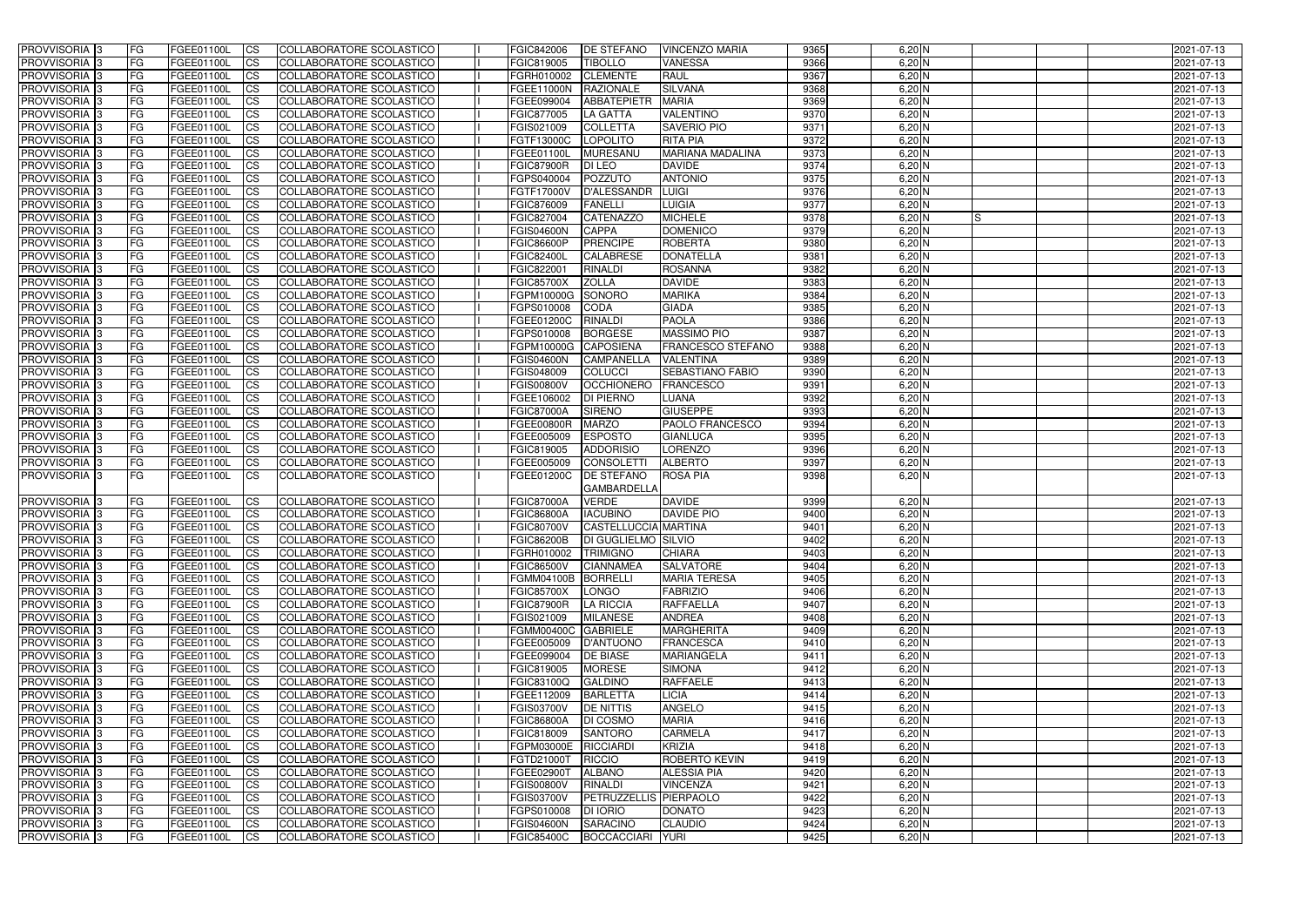| PROVVISORIA <sup>1</sup> 3                     | <b>FG</b>              | FGEE01100L               | <b>ICS</b>                  | COLLABORATORE SCOLASTICO                             | FGIC842006                             | <b>DE STEFANO</b>                                | <b>VINCENZO MARIA</b>               | 9365         | $6,20$ N             | 2021-07-13               |
|------------------------------------------------|------------------------|--------------------------|-----------------------------|------------------------------------------------------|----------------------------------------|--------------------------------------------------|-------------------------------------|--------------|----------------------|--------------------------|
| PROVVISORIA <sup>1</sup> 3                     | FG                     | FGEE01100L               | <b>CS</b>                   | <b>COLLABORATORE SCOLASTICO</b>                      | FGIC819005                             | <b>TIBOLLO</b>                                   | VANESSA                             | 9366         | $6,20$ N             | 2021-07-13               |
| PROVVISORIA <sup>1</sup> 3                     | FG                     | FGEE01100L               | <b>CS</b>                   | COLLABORATORE SCOLASTICO                             | FGRH010002                             | <b>CLEMENTE</b>                                  | <b>RAUL</b>                         | 9367         | $6,20$ N             | 2021-07-13               |
| PROVVISORIA 3                                  | FG                     | FGEE01100L               | <b>CS</b>                   | COLLABORATORE SCOLASTICO                             | FGEE11000N                             | <b>RAZIONALE</b>                                 | <b>SILVANA</b>                      | 9368         | $6,20$ N             | 2021-07-13               |
| PROVVISORIA <sup>1</sup> 3                     | FG                     | FGEE01100L               | <b>ICS</b>                  | COLLABORATORE SCOLASTICO                             | FGEE099004                             | <b>ABBATEPIETR</b>                               | <b>MARIA</b>                        | 9369         | $6,20$ N             | 2021-07-13               |
| PROVVISORIA 3                                  | FG                     | FGEE01100L               | <b>ICS</b>                  | COLLABORATORE SCOLASTICO                             | FGIC877005                             | LA GATTA                                         | <b>VALENTINO</b>                    | 9370         | $6,20$ N             | 2021-07-13               |
| PROVVISORIA 3                                  | <b>FG</b>              | FGEE01100L               | <b>ICS</b>                  | COLLABORATORE SCOLASTICO                             | FGIS021009                             | <b>COLLETTA</b>                                  | <b>SAVERIO PIO</b>                  | 9371         | $6,20$ N             | 2021-07-13               |
| PROVVISORIA 3                                  | FG                     | FGEE01100L               | <b>ICS</b>                  | COLLABORATORE SCOLASTICO                             | FGTF13000C                             | LOPOLITO                                         | <b>RITA PIA</b>                     | 9372         | $6,20$ N             | 2021-07-13               |
| PROVVISORIA 3                                  | FG                     | FGEE01100L               | <b>CS</b>                   | COLLABORATORE SCOLASTICO                             | FGEE01100L                             | MURESANU                                         | <b>MARIANA MADALINA</b>             | 9373         | $6,20$ N             | 2021-07-13               |
| PROVVISORIA 3                                  | <b>FG</b>              | FGEE01100L               | <b>CS</b>                   | COLLABORATORE SCOLASTICO                             | <b>FGIC87900R</b>                      | <b>DI LEO</b>                                    | <b>DAVIDE</b>                       | 9374         | $6,20$ N             | 2021-07-13               |
| PROVVISORIA <sup>3</sup>                       | <b>FG</b>              | <b>FGEE01100L</b>        | <b>ICS</b>                  | COLLABORATORE SCOLASTICO                             | FGPS040004                             | POZZUTO                                          | <b>ANTONIO</b>                      | 9375         | $6,20$ N             | 2021-07-13               |
| PROVVISORIA <sup>1</sup> 3                     | FG                     | FGEE01100L               | <b>ICS</b>                  | COLLABORATORE SCOLASTICO                             | FGTF17000V                             | <b>D'ALESSANDR</b>                               | LUIGI                               | 9376         | $6,20$ N             | 2021-07-13               |
| PROVVISORIA <sup>1</sup> 3                     | FG                     | FGEE01100L               | <b>ICS</b>                  | COLLABORATORE SCOLASTICO                             | FGIC876009                             | FANELLI                                          | <b>LUIGIA</b>                       | 9377         | $6,20$ N             | 2021-07-13               |
| <b>PROVVISORIA</b>                             | FG                     | FGEE01100L               | <b>ICS</b>                  | COLLABORATORE SCOLASTICO                             | FGIC827004                             | <b>CATENAZZO</b>                                 | <b>MICHELE</b>                      | 9378         | $6,20$ N<br>IS       | 2021-07-13               |
| <b>PROVVISORIA</b>                             | FG                     | FGEE01100L               | <b>ICS</b>                  | COLLABORATORE SCOLASTICO                             | <b>FGIS04600N</b>                      | <b>CAPPA</b>                                     | <b>DOMENICO</b>                     | 9379         | $6,20$ N             | 2021-07-13               |
| PROVVISORIA <sup>1</sup> 3                     | FG                     | FGEE01100L               | <b>ICS</b>                  | COLLABORATORE SCOLASTICO                             | <b>FGIC86600P</b>                      | <b>PRENCIPE</b><br><b>CALABRESE</b>              | <b>ROBERTA</b><br><b>DONATELLA</b>  | 9380<br>9381 | $6,20$ N             | 2021-07-13               |
| <b>PROVVISORIA</b><br>PROVVISORIA <sup>3</sup> | FG<br>FG               | FGEE01100L<br>FGEE01100L | <b>CS</b><br><b>ICS</b>     | COLLABORATORE SCOLASTICO<br>COLLABORATORE SCOLASTICO | <b>FGIC82400L</b><br>FGIC822001        | <b>RINALDI</b>                                   | <b>ROSANNA</b>                      | 9382         | $6,20$ N<br>$6,20$ N | 2021-07-13<br>2021-07-13 |
| PROVVISORIA <sup>1</sup> 3                     | FG                     | FGEE01100L               | <b>ICS</b>                  | COLLABORATORE SCOLASTICO                             | <b>FGIC85700X</b>                      | <b>ZOLLA</b>                                     | <b>DAVIDE</b>                       | 9383         | $6,20$ N             | 2021-07-13               |
| PROVVISORIA 3                                  | FG                     | FGEE01100L               | <b>ICS</b>                  | COLLABORATORE SCOLASTICO                             | FGPM10000G                             | <b>SONORO</b>                                    | <b>MARIKA</b>                       | 9384         | $6,20$ N             | 2021-07-13               |
| PROVVISORIA 3                                  | FG                     | FGEE01100L               | <b>CS</b>                   | COLLABORATORE SCOLASTICO                             | FGPS010008                             | <b>CODA</b>                                      | <b>GIADA</b>                        | 9385         | $6,20$ N             | 2021-07-13               |
| PROVVISORIA 3                                  | FG                     | FGEE01100L               | <b>CS</b>                   | COLLABORATORE SCOLASTICO                             | FGEE01200C                             | <b>RINALDI</b>                                   | <b>PAOLA</b>                        | 9386         | $6,20$ N             | 2021-07-13               |
| PROVVISORIA <sup>1</sup> 3                     | FG                     | FGEE01100L               | <b>CS</b>                   | COLLABORATORE SCOLASTICO                             | FGPS010008                             | <b>BORGESE</b>                                   | <b>MASSIMO PIO</b>                  | 9387         | $6,20$ N             | 2021-07-13               |
| PROVVISORIA <sup>1</sup> 3                     | <b>FG</b>              | FGEE01100L               | <b>CS</b>                   | COLLABORATORE SCOLASTICO                             | FGPM10000G                             | <b>CAPOSIENA</b>                                 | FRANCESCO STEFANO                   | 9388         | $6,20$ N             | 2021-07-13               |
| PROVVISORIA <sup>3</sup>                       | FG                     | FGEE01100L               | <b>CS</b>                   | COLLABORATORE SCOLASTICO                             | <b>FGIS04600N</b>                      | <b>CAMPANELLA</b>                                | <b>VALENTINA</b>                    | 9389         | $6,20$ N             | 2021-07-13               |
| PROVVISORIA <sup>1</sup> 3                     | FG                     | FGEE01100L               | <b>CS</b>                   | COLLABORATORE SCOLASTICO                             | FGIS048009                             | <b>COLUCCI</b>                                   | <b>SEBASTIANO FABIO</b>             | 9390         | $6,20$ N             | 2021-07-13               |
| PROVVISORIA <sup>3</sup>                       | FG                     | FGEE01100L               | <b>CS</b>                   | <b>COLLABORATORE SCOLASTICO</b>                      | <b>FGIS00800V</b>                      | <b>OCCHIONERO</b>                                | FRANCESCO                           | 9391         | $6,20$ N             | 2021-07-13               |
| PROVVISORIA 3                                  | FG                     | FGEE01100L               | <b>CS</b>                   | COLLABORATORE SCOLASTICO                             | FGEE106002                             | <b>DI PIERNO</b>                                 | LUANA                               | 9392         | $6,20$ N             | 2021-07-13               |
| PROVVISORIA <sup>1</sup> 3                     | FG                     | FGEE01100L               | <b>CS</b>                   | COLLABORATORE SCOLASTICO                             | <b>FGIC87000A</b>                      | <b>SIRENO</b>                                    | <b>GIUSEPPE</b>                     | 9393         | $6,20$ N             | 2021-07-13               |
| PROVVISORIA <sup>3</sup>                       | FG                     | FGEE01100L               | <b>CS</b>                   | COLLABORATORE SCOLASTICO                             | FGEE00800R                             | <b>MARZO</b>                                     | <b>PAOLO FRANCESCO</b>              | 9394         | $6,20$ N             | 2021-07-13               |
| PROVVISORIA <sup>1</sup> 3                     | FG                     | FGEE01100L               | <b>CS</b>                   | COLLABORATORE SCOLASTICO                             | FGEE005009                             | <b>ESPOSTO</b>                                   | <b>GIANLUCA</b>                     | 9395         | $6,20$ N             | 2021-07-13               |
| PROVVISORIA <sup>1</sup> 3                     | FG                     | FGEE01100L               | <b>ICS</b>                  | COLLABORATORE SCOLASTICO                             | FGIC819005                             | <b>ADDORISIO</b>                                 | <b>LORENZO</b>                      | 9396         | $6,20$ N             | 2021-07-13               |
| PROVVISORIA 3                                  | <b>FG</b>              | FGEE01100L               | <b>CS</b>                   | <b>COLLABORATORE SCOLASTICO</b>                      | FGEE005009                             | <b>CONSOLETT</b>                                 | <b>ALBERTO</b>                      | 9397         | $6,20$ N             | 2021-07-13               |
| PROVVISORIA 3                                  | l FG                   | FGEE01100L               | <b>ICS</b>                  | COLLABORATORE SCOLASTICO                             | FGEE01200C                             | <b>DE STEFANO</b><br><b>GAMBARDELLA</b>          | <b>ROSA PIA</b>                     | 9398         | $6,20$ N             | 2021-07-13               |
| PROVVISORIA 3                                  | <b>FG</b>              | FGEE01100L               | <b>CS</b>                   | COLLABORATORE SCOLASTICO                             | <b>FGIC87000A</b>                      | <b>VERDE</b>                                     | <b>DAVIDE</b>                       | 9399         | $6,20$ N             | 2021-07-13               |
| <b>PROVVISORIA</b> 3                           | <b>FG</b>              | FGEE01100L               | <b>CS</b>                   | COLLABORATORE SCOLASTICO                             | <b>FGIC86800A</b>                      | <b>IACUBINO</b>                                  | <b>DAVIDE PIO</b>                   | 9400         | $6,20$ N             | 2021-07-13               |
| PROVVISORIA 3                                  | <b>FG</b>              | FGEE01100L               | <b>ICS</b>                  | COLLABORATORE SCOLASTICO                             | <b>FGIC80700V</b>                      | CASTELLUCCIA MARTINA                             |                                     | 9401         | $6,20$ N             | 2021-07-13               |
| PROVVISORIA 3                                  | IFG.                   | FGEE01100L CS            |                             | COLLABORATORE SCOLASTICO                             |                                        | FGIC86200B   DI GUGLIELMO SILVIO                 |                                     | 9402         | $6,20$ N             | 2021-07-13               |
| PROVVISORIA 3                                  | l FG                   | FGEE01100L               | $\overline{\text{CS}}$      | COLLABORATORE SCOLASTICO                             | FGRH010002                             | <b>TRIMIGNO</b>                                  | <b>CHIARA</b>                       | 9403         | $6,20$ N             | 2021-07-13               |
| PROVVISORIA 3                                  | <b>FG</b>              | FGEE01100L               | CS                          | COLLABORATORE SCOLASTICO                             | <b>FGIC86500V</b>                      | <b>CIANNAMEA</b>                                 | <b>SALVATORE</b>                    | 9404         | $6,20$ N             | 2021-07-13               |
| PROVVISORIA 3                                  | <b>FG</b>              | FGEE01100L               | $\overline{\text{CS}}$      | COLLABORATORE SCOLASTICO                             | FGMM04100B BORRELLI                    |                                                  | <b>MARIA TERESA</b>                 | 9405         | $6,20$ N             | 2021-07-13               |
| PROVVISORIA 3<br>PROVVISORIA 3                 | l FG<br> FG            | FGEE01100L<br>FGEE01100L | $\mathsf{ICS}$<br><b>CS</b> | COLLABORATORE SCOLASTICO<br>COLLABORATORE SCOLASTICO | <b>FGIC85700X</b><br><b>FGIC87900R</b> | LONGO<br>LA RICCIA                               | <b>FABRIZIO</b><br><b>RAFFAELLA</b> | 9406<br>9407 | $6,20$ N<br>$6,20$ N | 2021-07-13<br>2021-07-13 |
| PROVVISORIA <sup>3</sup>                       |                        | FGEE01100L               |                             | COLLABORATORE SCOLASTICO                             | FGIS021009                             | <b>MILANESE</b>                                  | <b>ANDREA</b>                       | 9408         | $6,20$ N             | 2021-07-13               |
| PROVVISORIA 3                                  | FG<br><b>FG</b>        | FGEE01100L               | $\mathsf{ICS}$<br><b>CS</b> | COLLABORATORE SCOLASTICO                             | FGMM00400C GABRIELE                    |                                                  | <b>MARGHERITA</b>                   | 9409         | $6,20$ N             | 2021-07-13               |
| PROVVISORIA 3                                  | <b>FG</b>              | FGEE01100L               | <b>CS</b>                   | COLLABORATORE SCOLASTICO                             | FGEE005009                             | D'ANTUONO                                        | <b>FRANCESCA</b>                    | 9410         | $6,20$ N             | 2021-07-13               |
| PROVVISORIA 3                                  | <b>FG</b>              | FGEE01100L               | <b>CS</b>                   | COLLABORATORE SCOLASTICO                             | FGEE099004                             | <b>DE BIASE</b>                                  | <b>MARIANGELA</b>                   | 9411         | $6,20$ N             | 2021-07-13               |
| PROVVISORIA 3                                  | <b>FG</b>              | FGEE01100L               | <b>CS</b>                   | COLLABORATORE SCOLASTICO                             | FGIC819005                             | <b>MORESE</b>                                    | <b>SIMONA</b>                       | 9412         | $6,20$ N             | 2021-07-13               |
| PROVVISORIA 3                                  | <b>FG</b>              | FGEE01100L               | <b>CS</b>                   | COLLABORATORE SCOLASTICO                             | FGIC83100Q                             | <b>GALDINO</b>                                   | <b>RAFFAELE</b>                     | 9413         | $6,20$ N             | 2021-07-13               |
| PROVVISORIA 3                                  | <b>FG</b>              | FGEE01100L               | <b>CS</b>                   | COLLABORATORE SCOLASTICO                             | FGEE112009 BARLETTA                    |                                                  | <b>LICIA</b>                        | 9414         | $6,20$ N             | 2021-07-13               |
| PROVVISORIA 3                                  | <b>FG</b>              | FGEE01100L               | <b>CS</b>                   | COLLABORATORE SCOLASTICO                             | <b>FGIS03700V</b>                      | <b>DE NITTIS</b>                                 | <b>ANGELO</b>                       | 9415         | $6,20$ N             | 2021-07-13               |
| PROVVISORIA 3                                  | <b>FG</b>              | FGEE01100L               | <b>CS</b>                   | COLLABORATORE SCOLASTICO                             | <b>FGIC86800A</b>                      | <b>DI COSMO</b>                                  | <b>MARIA</b>                        | 9416         | $6,20$ N             | 2021-07-13               |
| PROVVISORIA 3                                  | <b>FG</b>              | FGEE01100L               | <b>CS</b>                   | COLLABORATORE SCOLASTICO                             | FGIC818009                             | <b>SANTORO</b>                                   | <b>CARMELA</b>                      | 9417         | $6,20$ N             | 2021-07-13               |
| PROVVISORIA 3                                  | <b>FG</b>              | FGEE01100L               | <b>CS</b>                   | COLLABORATORE SCOLASTICO                             | FGPM03000E                             | <b>RICCIARDI</b>                                 | <b>KRIZIA</b>                       | 9418         | $6,20$ N             | 2021-07-13               |
| PROVVISORIA 3                                  | <b>FG</b>              | FGEE01100L               | <b>CS</b>                   | COLLABORATORE SCOLASTICO                             | FGTD21000T                             | <b>RICCIO</b>                                    | <b>ROBERTO KEVIN</b>                | 9419         | $6,20$ N             | 2021-07-13               |
| PROVVISORIA 3                                  | FG                     | FGEE01100L               | <b>CS</b>                   | COLLABORATORE SCOLASTICO                             | FGEE02900T                             | <b>ALBANO</b>                                    | <b>ALESSIA PIA</b>                  | 9420         | $6,20$ N             | 2021-07-13               |
| PROVVISORIA 3                                  | <b>FG</b>              | FGEE01100L               | <b>CS</b>                   | COLLABORATORE SCOLASTICO                             | <b>FGIS00800V</b>                      | <b>RINALDI</b>                                   | <b>VINCENZA</b>                     | 9421         | $6,20$ N             | 2021-07-13               |
| PROVVISORIA 3<br>PROVVISORIA 3                 | <b>FG</b><br><b>FG</b> | FGEE01100L<br>FGEE01100L | $\overline{\text{CS}}$      | COLLABORATORE SCOLASTICO<br>COLLABORATORE SCOLASTICO | <b>FGIS03700V</b><br>FGPS010008        | <b>PETRUZZELLIS PIERPAOLO</b><br><b>DI IORIO</b> | <b>DONATO</b>                       | 9422<br>9423 | $6,20$ N<br>$6,20$ N | 2021-07-13<br>2021-07-13 |
| PROVVISORIA 3                                  | <b>FG</b>              | FGEE01100L               | $\mathsf{ICS}$<br><b>CS</b> | COLLABORATORE SCOLASTICO                             | <b>FGIS04600N</b>                      | <b>SARACINO</b>                                  | <b>CLAUDIO</b>                      | 9424         | $6,20$ N             | 2021-07-13               |
| PROVVISORIA 3                                  | l FG                   | FGEE01100L               | $\mathsf{ICS}$              | COLLABORATORE SCOLASTICO                             | <b>FGIC85400C</b>                      | BOCCACCIARI YURI                                 |                                     | 9425         | $6,20$ N             | 2021-07-13               |
|                                                |                        |                          |                             |                                                      |                                        |                                                  |                                     |              |                      |                          |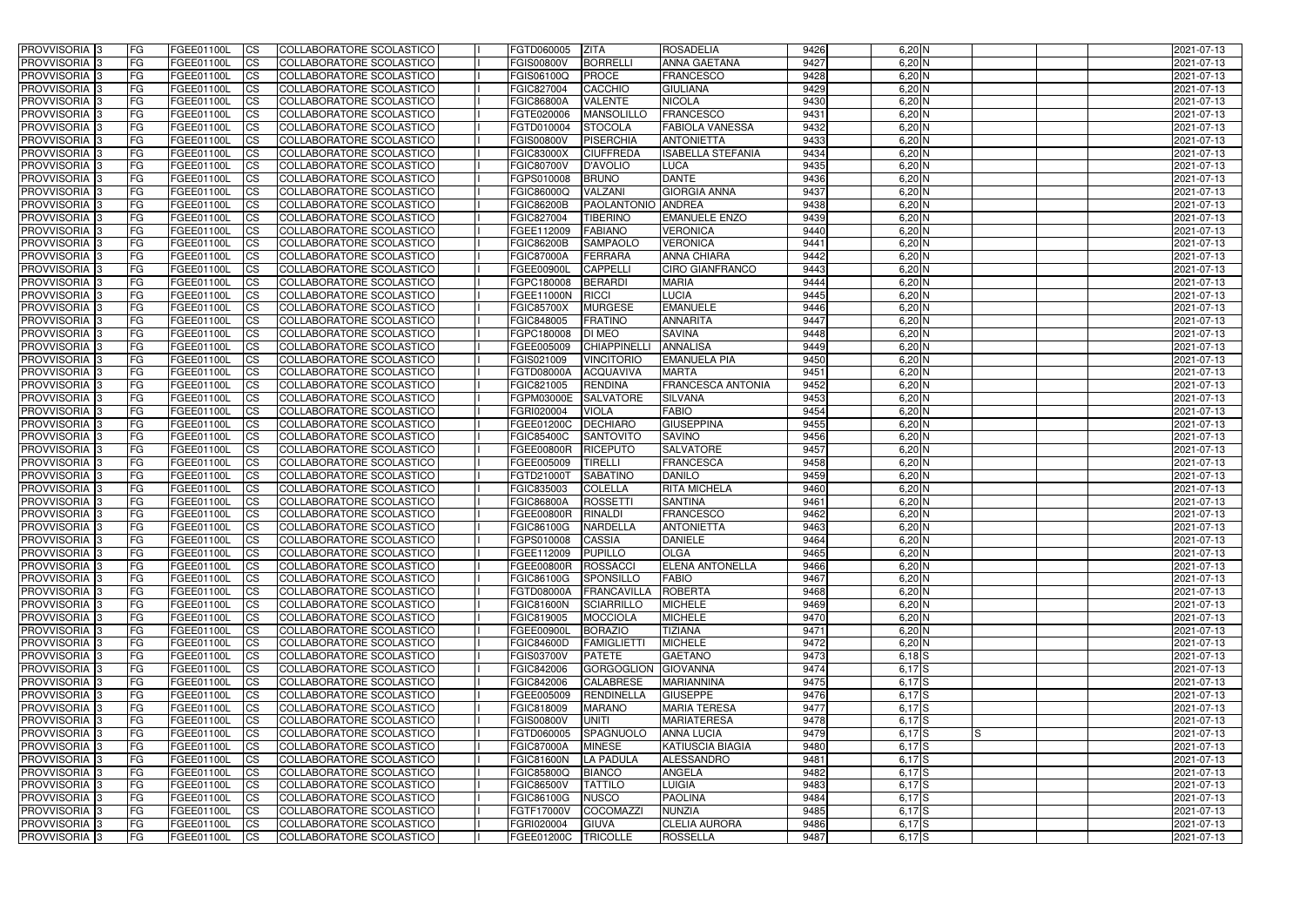| <b>PROVVISORIA</b> 3       | FG         | FGEE01100L        | <b>ICS</b>             | COLLABORATORE SCOLASTICO        | FGTD060005        | <b>ZITA</b>               | ROSADELIA                | 9426 | $6,20$ N   |    | 2021-07-13 |
|----------------------------|------------|-------------------|------------------------|---------------------------------|-------------------|---------------------------|--------------------------|------|------------|----|------------|
| <b>PROVVISORIA 3</b>       | FG         | FGEE01100L        | <b>CS</b>              | COLLABORATORE SCOLASTICO        | <b>FGIS00800V</b> | <b>BORRELLI</b>           | <b>ANNA GAETANA</b>      | 9427 | $6,20$ N   |    | 2021-07-13 |
| PROVVISORIA <sup>3</sup>   | FG         | FGEE01100L        | <b>CS</b>              | COLLABORATORE SCOLASTICO        | FGIS06100Q        | <b>PROCE</b>              | <b>FRANCESCO</b>         | 9428 | $6,20$ N   |    | 2021-07-13 |
| PROVVISORIA <sup>3</sup>   | FG         | FGEE01100L        | <b>CS</b>              | COLLABORATORE SCOLASTICO        | FGIC827004        | CACCHIO                   | <b>GIULIANA</b>          | 9429 | $6,20$ N   |    | 2021-07-13 |
| PROVVISORIA <sup>1</sup> 3 | FG         | FGEE01100L        | <b>CS</b>              | COLLABORATORE SCOLASTICO        | <b>FGIC86800A</b> | <b>VALENTE</b>            | <b>NICOLA</b>            | 9430 | $6,20$ N   |    | 2021-07-13 |
| PROVVISORIA <sup>3</sup>   | FG         | FGEE01100L        | <b>CS</b>              | COLLABORATORE SCOLASTICO        | FGTE020006        | <b>MANSOLILLO</b>         | <b>FRANCESCO</b>         | 9431 | $6,20$ N   |    | 2021-07-13 |
| PROVVISORIA 3              | FG         | FGEE01100L        | <b>CS</b>              | COLLABORATORE SCOLASTICO        | FGTD010004        | <b>STOCOLA</b>            | <b>FABIOLA VANESSA</b>   | 9432 | $6,20$ N   |    | 2021-07-13 |
| PROVVISORIA 3              | FG         | <b>FGEE01100L</b> | <b>CS</b>              | COLLABORATORE SCOLASTICO        | <b>FGIS00800V</b> | PISERCHIA                 | <b>ANTONIETTA</b>        | 9433 | $6,20$ N   |    | 2021-07-13 |
| PROVVISORIA 3              | FG         | FGEE01100L        | <b>CS</b>              | <b>COLLABORATORE SCOLASTICO</b> | <b>FGIC83000X</b> | <b>CIUFFREDA</b>          | <b>ISABELLA STEFANIA</b> | 9434 | $6,20$ N   |    | 2021-07-13 |
| PROVVISORIA <sup>3</sup>   | FG         | FGEE01100L        | $\overline{c}$         | COLLABORATORE SCOLASTICO        | <b>FGIC80700V</b> | D'AVOLIO                  | <b>LUCA</b>              | 9435 | $6,20$ N   |    | 2021-07-13 |
| PROVVISORIA <sup>3</sup>   | FG         | FGEE01100L        | <b>CS</b>              | COLLABORATORE SCOLASTICO        | FGPS010008        | <b>BRUNO</b>              | <b>DANTE</b>             | 9436 | $6,20$ N   |    | 2021-07-13 |
| PROVVISORIA <sup>3</sup>   | FG         | FGEE01100L        | <b>CS</b>              | COLLABORATORE SCOLASTICO        | FGIC86000Q        | VALZANI                   | <b>GIORGIA ANNA</b>      | 9437 | $6,20$ N   |    | 2021-07-13 |
| PROVVISORIA <sup>3</sup>   | FG.        | FGEE01100L        | <b>I</b> CS            | COLLABORATORE SCOLASTICO        | <b>FGIC86200B</b> | <b>PAOLANTONIO ANDREA</b> |                          | 9438 | $6,20$ N   |    | 2021-07-13 |
| PROVVISORIA <sup>3</sup>   | FG         | FGEE01100L        | <b>I</b> CS            | COLLABORATORE SCOLASTICO        | FGIC827004        | <b>TIBERINO</b>           | <b>EMANUELE ENZO</b>     | 9439 | $6,20$ N   |    | 2021-07-13 |
| PROVVISORIA <sup>3</sup>   | FG         | FGEE01100L        | <b>I</b> CS            | COLLABORATORE SCOLASTICO        | FGEE112009        | <b>FABIANO</b>            | <b>VERONICA</b>          | 9440 | $6,20$ N   |    | 2021-07-13 |
| <b>PROVVISORIA</b> 3       | FG         | FGEE01100L        | <b>I</b> CS            | <b>COLLABORATORE SCOLASTICO</b> | <b>FGIC86200B</b> | <b>SAMPAOLO</b>           | <b>VERONICA</b>          | 9441 | $6,20$ N   |    | 2021-07-13 |
| PROVVISORIA <sup>3</sup>   | FG         | FGEE01100L        | <b>ICS</b>             | COLLABORATORE SCOLASTICO        | <b>FGIC87000A</b> | <b>FERRARA</b>            | <b>ANNA CHIARA</b>       | 9442 | $6,20$ N   |    | 2021-07-13 |
| PROVVISORIA 3              | FG         | FGEE01100L        | <b>CS</b>              | COLLABORATORE SCOLASTICO        | <b>FGEE00900L</b> | <b>CAPPELLI</b>           | <b>CIRO GIANFRANCO</b>   | 9443 | $6,20$ N   |    | 2021-07-13 |
| PROVVISORIA <sup>3</sup>   | FG.        | FGEE01100L        | <b>ICS</b>             | COLLABORATORE SCOLASTICO        | FGPC180008        | <b>BERARDI</b>            | <b>MARIA</b>             | 9444 | $6,20$ N   |    | 2021-07-13 |
| PROVVISORIA <sup>3</sup>   |            |                   |                        |                                 |                   |                           |                          |      | $6,20$ N   |    |            |
|                            | FG         | FGEE01100L        | <b>I</b> CS            | COLLABORATORE SCOLASTICO        | FGEE11000N        | <b>RICCI</b>              | <b>LUCIA</b>             | 9445 |            |    | 2021-07-13 |
| PROVVISORIA <sup>3</sup>   | FG         | FGEE01100L        | <b>I</b> CS            | COLLABORATORE SCOLASTICO        | <b>FGIC85700X</b> | <b>MURGESE</b>            | <b>EMANUELE</b>          | 9446 | $6,20$ N   |    | 2021-07-13 |
| PROVVISORIA <sup>3</sup>   | FG         | FGEE01100L        | <b>CS</b>              | COLLABORATORE SCOLASTICO        | FGIC848005        | <b>FRATINO</b>            | <b>ANNARITA</b>          | 9447 | $6,20$ N   |    | 2021-07-13 |
| PROVVISORIA 3              | FG         | FGEE01100L        | <b>CS</b>              | COLLABORATORE SCOLASTICO        | FGPC180008        | DI MEO                    | <b>SAVINA</b>            | 9448 | $6,20$ N   |    | 2021-07-13 |
| <b>PROVVISORIA</b> 3       | FG         | FGEE01100L        | <b>CS</b>              | COLLABORATORE SCOLASTICO        | FGEE005009        | <b>CHIAPPINELL</b>        | <b>ANNALISA</b>          | 9449 | $6,20$ N   |    | 2021-07-13 |
| PROVVISORIA <sup>3</sup>   | FG         | FGEE01100L        | <b>CS</b>              | COLLABORATORE SCOLASTICO        | FGIS021009        | <b>VINCITORIO</b>         | <b>EMANUELA PIA</b>      | 9450 | $6,20$ N   |    | 2021-07-13 |
| PROVVISORIA <sup>1</sup> 3 | FG         | FGEE01100L        | <b>CS</b>              | COLLABORATORE SCOLASTICO        | <b>FGTD08000A</b> | <b>ACQUAVIVA</b>          | <b>MARTA</b>             | 9451 | $6,20$ N   |    | 2021-07-13 |
| PROVVISORIA <sup>1</sup> 3 | FG         | <b>FGEE01100L</b> | <b>CS</b>              | COLLABORATORE SCOLASTICO        | FGIC821005        | <b>RENDINA</b>            | FRANCESCA ANTONIA        | 9452 | $6,20$ N   |    | 2021-07-13 |
| PROVVISORIA <sup>3</sup>   | FG         | FGEE01100L        | <b>CS</b>              | COLLABORATORE SCOLASTICO        | FGPM03000E        | <b>SALVATORE</b>          | <b>SILVANA</b>           | 9453 | $6,20$ N   |    | 2021-07-13 |
| PROVVISORIA <sup>3</sup>   | FG         | <b>FGEE01100L</b> | <b>CS</b>              | COLLABORATORE SCOLASTICO        | FGRI020004        | <b>VIOLA</b>              | <b>FABIO</b>             | 9454 | $6,20$ N   |    | 2021-07-13 |
| PROVVISORIA <sup>1</sup> 3 | FG.        | FGEE01100L        | <b>CS</b>              | COLLABORATORE SCOLASTICO        | FGEE01200C        | <b>DECHIARO</b>           | <b>GIUSEPPINA</b>        | 9455 | $6,20$ N   |    | 2021-07-13 |
| PROVVISORIA <sup>3</sup>   | FG.        | FGEE01100L        | <b>CS</b>              | COLLABORATORE SCOLASTICO        | <b>FGIC85400C</b> | <b>SANTOVITO</b>          | <b>SAVINO</b>            | 9456 | $6,20$ N   |    | 2021-07-13 |
| <b>PROVVISORIA</b> 3       | FG         | FGEE01100L        | $\overline{\text{cs}}$ | COLLABORATORE SCOLASTICO        | <b>FGEE00800R</b> | <b>RICEPUTO</b>           | <b>SALVATORE</b>         | 9457 | $6,20$ N   |    | 2021-07-13 |
| PROVVISORIA <sup>3</sup>   | FG         | <b>FGEE01100L</b> | <b>CS</b>              | COLLABORATORE SCOLASTICO        | FGEE005009        | <b>TIRELLI</b>            | <b>FRANCESCA</b>         | 9458 | $6,20$ N   |    | 2021-07-13 |
| PROVVISORIA <sup>3</sup>   | FG         | <b>FGEE01100L</b> | <b>CS</b>              | COLLABORATORE SCOLASTICO        | FGTD21000T        | <b>SABATINO</b>           | <b>DANILO</b>            | 9459 | $6,20$ N   |    | 2021-07-13 |
| PROVVISORIA <sup>3</sup>   | FG         | FGEE01100L        | $\overline{\text{cs}}$ | COLLABORATORE SCOLASTICO        | FGIC835003        | <b>COLELLA</b>            | <b>RITA MICHELA</b>      | 9460 | $6,20$ N   |    | 2021-07-13 |
| PROVVISORIA <sup>3</sup>   | FG         | <b>FGEE01100L</b> | <b>CS</b>              | <b>COLLABORATORE SCOLASTICO</b> | <b>FGIC86800A</b> | <b>ROSSETTI</b>           | <b>SANTINA</b>           | 9461 | $6,20$ N   |    | 2021-07-13 |
| <b>PROVVISORIA</b> 3       | FG         | FGEE01100L        | <b>CS</b>              | COLLABORATORE SCOLASTICO        | <b>FGEE00800R</b> | <b>RINALDI</b>            | <b>FRANCESCO</b>         | 9462 | $6,20$ N   |    | 2021-07-13 |
| PROVVISORIA 3              | FG         | FGEE01100L        | <b>I</b> CS            | COLLABORATORE SCOLASTICO        | <b>FGIC86100G</b> | <b>NARDELLA</b>           | <b>ANTONIETTA</b>        | 9463 | $6,20$ N   |    | 2021-07-13 |
| <b>PROVVISORIA</b> 3       | IFG.       | FGEE01100L        | CS                     | COLLABORATORE SCOLASTICO        | FGPS010008 CASSIA |                           | <b>DANIELE</b>           | 9464 | $6,20$ N   |    | 2021-07-13 |
| <b>PROVVISORIA</b> 3       | IFG.       | FGEE01100L        | $\mathsf{ICS}$         | COLLABORATORE SCOLASTICO        | FGEE112009        | <b>PUPILLO</b>            | <b>OLGA</b>              | 9465 | $6,20$ N   |    | 2021-07-13 |
| PROVVISORIA 3              | FG         | FGEE01100L        | <b>CS</b>              | COLLABORATORE SCOLASTICO        | <b>FGEE00800R</b> | ROSSACCI                  | <b>ELENA ANTONELLA</b>   | 9466 | $6,20$ N   |    | 2021-07-13 |
| PROVVISORIA 3              | FG         | FGEE01100L        | <b>CS</b>              | COLLABORATORE SCOLASTICO        | <b>FGIC86100G</b> | SPONSILLO                 | <b>FABIO</b>             | 9467 | $6,20$ N   |    | 2021-07-13 |
| PROVVISORIA <sup>3</sup>   | FG         | FGEE01100L        | $\mathsf{ICS}$         | <b>COLLABORATORE SCOLASTICO</b> | <b>FGTD08000A</b> | FRANCAVILLA               | <b>ROBERTA</b>           | 9468 | $6,20$ N   |    | 2021-07-13 |
| PROVVISORIA 3              | FG         | FGEE01100L        | <b>CS</b>              | COLLABORATORE SCOLASTICO        | <b>FGIC81600N</b> | <b>SCIARRILLO</b>         | <b>MICHELE</b>           | 9469 | $6,20$ N   |    | 2021-07-13 |
| PROVVISORIA 3              | FG         | FGEE01100L        | <b>CS</b>              | COLLABORATORE SCOLASTICO        | FGIC819005        | <b>MOCCIOLA</b>           | <b>MICHELE</b>           | 9470 | $6,20$ N   |    | 2021-07-13 |
| PROVVISORIA 3              | <b>FG</b>  | FGEE01100L        | <b>CS</b>              | COLLABORATORE SCOLASTICO        | FGEE00900L        | <b>BORAZIO</b>            | <b>TIZIANA</b>           | 9471 | $6,20$ N   |    | 2021-07-13 |
| PROVVISORIA 3              | FG         | FGEE01100L        | <b>CS</b>              | COLLABORATORE SCOLASTICO        | <b>FGIC84600D</b> | <b>FAMIGLIETTI</b>        | <b>MICHELE</b>           | 9472 | $6,20$ N   |    | 2021-07-13 |
| PROVVISORIA 3              | FG         | FGEE01100L        | <b>CS</b>              | COLLABORATORE SCOLASTICO        | <b>FGIS03700V</b> | <b>PATETE</b>             | <b>GAETANO</b>           | 9473 | $6,18$ $S$ |    | 2021-07-13 |
| PROVVISORIA 3              | <b>IFG</b> | FGEE01100L        | <b>CS</b>              | COLLABORATORE SCOLASTICO        | <b>FGIC842006</b> | GORGOGLION GIOVANNA       |                          | 9474 | $6,17$ S   |    | 2021-07-13 |
| PROVVISORIA 3              | FG         | FGEE01100L        | <b>CS</b>              | COLLABORATORE SCOLASTICO        | FGIC842006        | <b>CALABRESE</b>          | <b>MARIANNINA</b>        | 9475 | $6,17$ S   |    | 2021-07-13 |
| PROVVISORIA 3              | FG         | FGEE01100L        | <b>CS</b>              | COLLABORATORE SCOLASTICO        | FGEE005009        | <b>RENDINELLA</b>         | <b>GIUSEPPE</b>          | 9476 | $6,17$ S   |    | 2021-07-13 |
| <b>PROVVISORIA</b> 3       | IFG.       | FGEE01100L        | <b>CS</b>              | COLLABORATORE SCOLASTICO        | FGIC818009        | <b>MARANO</b>             | <b>MARIA TERESA</b>      | 9477 | $6,17$ S   |    | 2021-07-13 |
| <b>PROVVISORIA</b> 3       | IFG.       | FGEE01100L        | <b>CS</b>              | COLLABORATORE SCOLASTICO        | <b>FGIS00800V</b> | <b>UNITI</b>              | <b>MARIATERESA</b>       | 9478 | $6,17$ S   |    | 2021-07-13 |
| <b>PROVVISORIA</b> 3       | <b>IFG</b> | FGEE01100L        | <b>CS</b>              | COLLABORATORE SCOLASTICO        | FGTD060005        | SPAGNUOLO                 | <b>ANNA LUCIA</b>        | 9479 | $6,17$ S   | IS | 2021-07-13 |
| PROVVISORIA 3              | <b>IFG</b> | FGEE01100L        | <b>CS</b>              | COLLABORATORE SCOLASTICO        | <b>FGIC87000A</b> | <b>MINESE</b>             | <b>KATIUSCIA BIAGIA</b>  | 9480 | $6,17$ $S$ |    | 2021-07-13 |
| PROVVISORIA 3              | IFG.       | FGEE01100L        | <b>CS</b>              | COLLABORATORE SCOLASTICO        | <b>FGIC81600N</b> | LA PADULA                 | ALESSANDRO               | 9481 | $6,17$ $S$ |    | 2021-07-13 |
| PROVVISORIA 3              | FG         | FGEE01100L        | <b>CS</b>              | COLLABORATORE SCOLASTICO        | <b>FGIC85800Q</b> | <b>BIANCO</b>             | <b>ANGELA</b>            | 9482 | $6,17$ S   |    | 2021-07-13 |
| PROVVISORIA 3              | FG         | FGEE01100L        | <b>CS</b>              | COLLABORATORE SCOLASTICO        | <b>FGIC86500V</b> | <b>TATTILO</b>            | <b>LUIGIA</b>            | 9483 | $6,17$ S   |    | 2021-07-13 |
| PROVVISORIA 3              | FG         | <b>FGEE01100L</b> | <b>CS</b>              | COLLABORATORE SCOLASTICO        | <b>FGIC86100G</b> | <b>NUSCO</b>              | <b>PAOLINA</b>           | 9484 | $6,17$ $S$ |    | 2021-07-13 |
| <b>PROVVISORIA</b> 3       | FG         | FGEE01100L        | <b>ICS</b>             | COLLABORATORE SCOLASTICO        | FGTF17000V        | <b>COCOMAZZI</b>          | <b>NUNZIA</b>            | 9485 | $6,17$ S   |    | 2021-07-13 |
| PROVVISORIA 3              |            | FGEE01100L        | <b>CS</b>              | COLLABORATORE SCOLASTICO        | FGRI020004        | <b>GIUVA</b>              | <b>CLELIA AURORA</b>     | 9486 | $6,17$ $S$ |    | 2021-07-13 |
|                            | FG         |                   |                        |                                 |                   |                           |                          |      |            |    |            |
| PROVVISORIA 3              | FG         | FGEE01100L        | <b>CS</b>              | COLLABORATORE SCOLASTICO        | FGEE01200C        | TRICOLLE                  | <b>ROSSELLA</b>          | 9487 | 6,17S      |    | 2021-07-13 |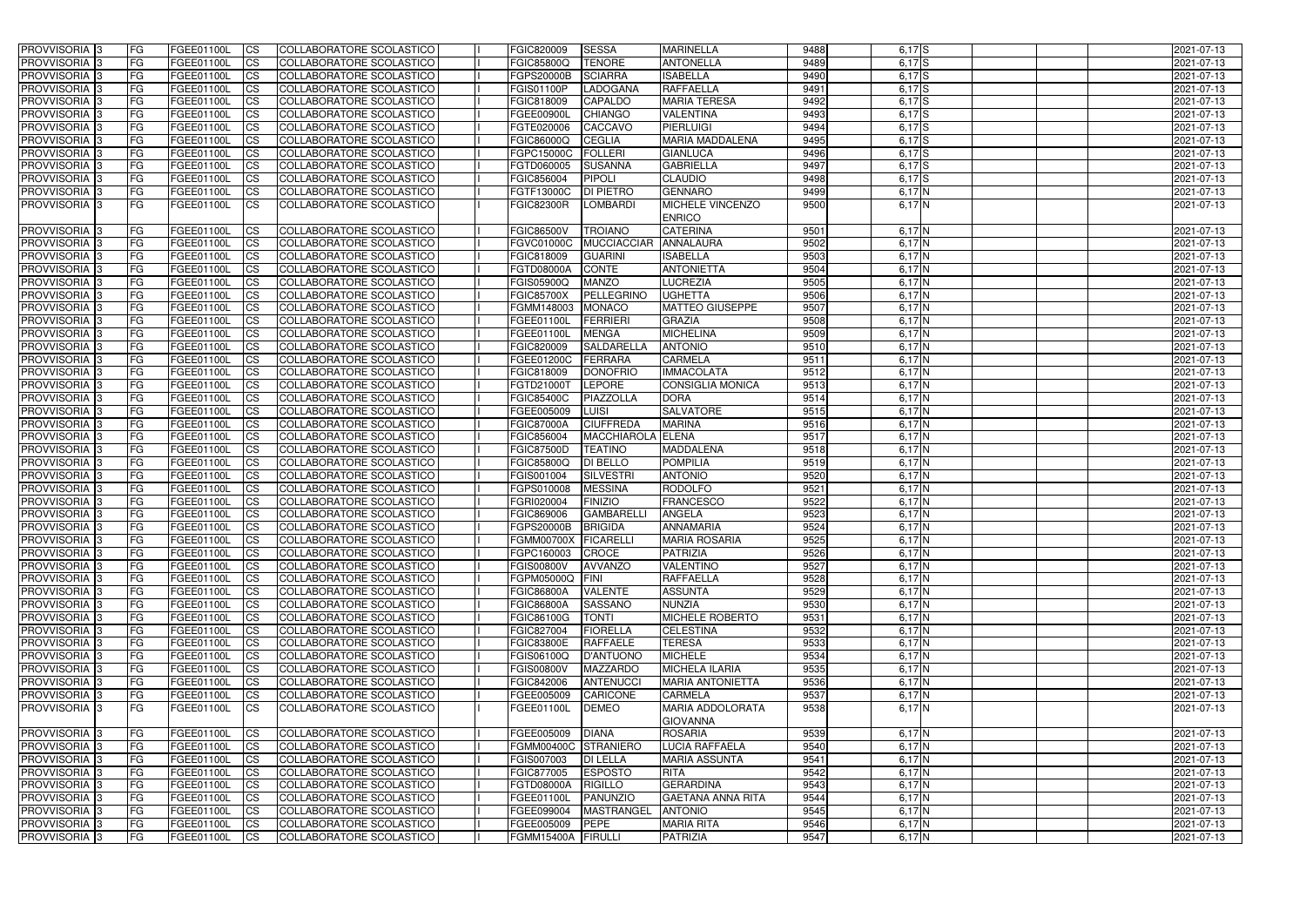| <b>PROVVISORIA</b> 3                      | <b>FG</b>       | FGEE01100L               | CS                     | COLLABORATORE SCOLASTICO                             | FGIC820009                      | <b>SESSA</b><br><b>MARINELLA</b>                           | 9488         | $6,17$ $S$                | 2021-07-13               |
|-------------------------------------------|-----------------|--------------------------|------------------------|------------------------------------------------------|---------------------------------|------------------------------------------------------------|--------------|---------------------------|--------------------------|
| <b>PROVVISORIA 3</b>                      | FG              | FGEE01100L               | <b>CS</b>              | COLLABORATORE SCOLASTICO                             | FGIC85800Q                      | <b>TENORE</b><br><b>ANTONELLA</b>                          | 9489         | $6,17$ $S$                | 2021-07-13               |
| PROVVISORIA 3                             | FG              | FGEE01100L               | <b>CS</b>              | COLLABORATORE SCOLASTICO                             | FGPS20000B                      | <b>SCIARRA</b><br><b>ISABELLA</b>                          | 9490         | $6,17$ S                  | 2021-07-13               |
| PROVVISORIA <sup>1</sup> 3                | FG              | FGEE01100L               | <b>CS</b>              | COLLABORATORE SCOLASTICO                             | <b>FGIS01100P</b>               | LADOGANA<br><b>RAFFAELLA</b>                               | 9491         | $6,17$ $S$                | 2021-07-13               |
| PROVVISORIA <sup>1</sup> 3                | FG              | FGEE01100L               | <b>CS</b>              | COLLABORATORE SCOLASTICO                             | FGIC818009                      | <b>CAPALDO</b><br><b>MARIA TERESA</b>                      | 9492         | $6,17$ S                  | 2021-07-13               |
| PROVVISORIA <sup>1</sup> 3                | FG              | FGEE01100L               | <b>CS</b>              | COLLABORATORE SCOLASTICO                             | <b>FGEE00900L</b>               | <b>CHIANGO</b><br><b>VALENTINA</b>                         | 9493         | $6,17$ $S$                | 2021-07-13               |
| PROVVISORIA <sup>1</sup> 3                | FG              | FGEE01100L               | <b>CS</b>              | COLLABORATORE SCOLASTICO                             | FGTE020006                      | <b>PIERLUIGI</b><br><b>CACCAVO</b>                         | 9494         | $6,17$ $S$                | 2021-07-13               |
| PROVVISORIA 3                             | <b>IFG</b>      | FGEE01100L               | <b>CS</b>              | COLLABORATORE SCOLASTICO                             | FGIC86000Q                      | <b>CEGLIA</b><br><b>MARIA MADDALENA</b>                    | 9495         | $6,17$ $S$                | 2021-07-13               |
| PROVVISORIA 3                             | FG              | FGEE01100L               | <b>CS</b>              | COLLABORATORE SCOLASTICO                             | FGPC15000C                      | <b>FOLLERI</b><br><b>GIANLUCA</b>                          | 9496         | $6,17$ S                  | 2021-07-13               |
| PROVVISORIA 3                             | FG              | FGEE01100L               | $\overline{c}$         | COLLABORATORE SCOLASTICO                             | FGTD060005                      | <b>GABRIELLA</b><br><b>SUSANNA</b>                         | 9497         | $6,17$ $S$                | 2021-07-13               |
| PROVVISORIA 3                             | FG              | FGEE01100L               | <b>CS</b>              | COLLABORATORE SCOLASTICO                             | FGIC856004                      | <b>PIPOLI</b><br><b>CLAUDIO</b>                            | 9498         | $6,17$ S                  | 2021-07-13               |
| PROVVISORIA 3                             | FG              | FGEE01100L               | <b>CS</b>              | COLLABORATORE SCOLASTICO                             | FGTF13000C                      | <b>GENNARO</b><br><b>DI PIETRO</b>                         | 9499         | $6,17$ N                  | 2021-07-13               |
| PROVVISORIA 3                             | <b>FG</b>       | FGEE01100L               | <b>CS</b>              | COLLABORATORE SCOLASTICO                             | <b>FGIC82300R</b>               | <b>LOMBARDI</b><br>MICHELE VINCENZO<br><b>ENRICO</b>       | 9500         | $6,17$ N                  | 2021-07-13               |
| PROVVISORIA 3                             | <b>FG</b>       | FGEE01100L               | <b>CS</b>              | COLLABORATORE SCOLASTICO                             | <b>FGIC86500V</b>               | <b>TROIANO</b><br><b>CATERINA</b>                          | 9501         | $6,17$ N                  | 2021-07-13               |
| <b>PROVVISORIA</b>                        | FG              | FGEE01100L               | <b>CS</b>              | COLLABORATORE SCOLASTICO                             | <b>FGVC01000C</b>               | ANNALAURA<br><b>MUCCIACCIAR</b>                            | 9502         | 6,17 N                    | 2021-07-13               |
| <b>PROVVISORIA</b>                        | FG              | FGEE01100L               | <b>CS</b>              | COLLABORATORE SCOLASTICO                             | FGIC818009                      | <b>ISABELLA</b><br><b>GUARINI</b>                          | 9503         | $6,17\overline{\text{N}}$ | 2021-07-13               |
| <b>PROVVISORIA</b>                        | FG              | FGEE01100L               | <b>ICS</b>             | COLLABORATORE SCOLASTICO                             | <b>FGTD08000A</b>               | <b>CONTE</b><br><b>ANTONIETTA</b>                          | 9504         | 6,17 N                    | 2021-07-13               |
| PROVVISORIA 3                             | FG              | <b>FGEE01100L</b>        | <b>CS</b>              | COLLABORATORE SCOLASTICO                             | FGIS05900Q                      | <b>MANZO</b><br><b>LUCREZIA</b>                            | 9505         | $6,17$ N                  | 2021-07-13               |
| PROVVISORIA 3                             | FG              | FGEE01100L               | <b>CS</b>              | COLLABORATORE SCOLASTICO                             | <b>FGIC85700X</b>               | PELLEGRINO<br><b>UGHETTA</b>                               | 9506         | $6,17\overline{\rm N}$    | 2021-07-13               |
| PROVVISORIA <sup>1</sup> 3                | FG              | FGEE01100L               | <b>CS</b>              | COLLABORATORE SCOLASTICO                             | FGMM148003                      | <b>MATTEO GIUSEPPE</b><br><b>MONACO</b>                    | 9507         | $6,17$ N                  | 2021-07-13               |
| PROVVISORIA 3                             | FG              | FGEE01100L               | <b>CS</b>              | COLLABORATORE SCOLASTICO                             | FGEE01100L                      | <b>FERRIERI</b><br><b>GRAZIA</b>                           | 9508         | $6,17$ N                  | 2021-07-13               |
| PROVVISORIA 3                             | FG              | FGEE01100L               | <b>ICS</b>             | COLLABORATORE SCOLASTICO                             | FGEE01100L                      | <b>MENGA</b><br><b>MICHELINA</b>                           | 9509         | 6,17N                     | 2021-07-13               |
| PROVVISORIA 3                             | FG              | FGEE01100L               | <b>CS</b>              | COLLABORATORE SCOLASTICO                             | FGIC820009                      | <b>SALDARELLA</b><br><b>ANTONIO</b>                        | 9510         | $6,17$ N                  | 2021-07-13               |
| PROVVISORIA <sup>1</sup> 3                | FG              | FGEE01100L               | <b>CS</b>              | COLLABORATORE SCOLASTICO                             | FGEE01200C                      | <b>CARMELA</b><br><b>FERRARA</b>                           | 9511         | 6,17N                     | 2021-07-13               |
| PROVVISORIA 3                             | <b>FG</b>       | FGEE01100L               | <b>CS</b>              | COLLABORATORE SCOLASTICO                             | FGIC818009                      | <b>DONOFRIO</b><br><b>IMMACOLATA</b>                       | 9512         | 6,17N                     | 2021-07-13               |
| PROVVISORIA 3                             | <b>FG</b>       | FGEE01100L               | <b>CS</b>              | COLLABORATORE SCOLASTICO                             | FGTD21000T                      | <b>LEPORE</b><br><b>CONSIGLIA MONICA</b>                   | 9513         | 6,17N                     | 2021-07-13               |
| PROVVISORIA                               | FG              | FGEE01100L               | <b>CS</b>              | COLLABORATORE SCOLASTICO                             | FGIC85400C                      | PIAZZOLLA<br><b>DORA</b>                                   | 9514         | 6,17 N                    | 2021-07-13               |
| PROVVISORIA                               | FG              | FGEE01100L               | <b>CS</b>              | COLLABORATORE SCOLASTICO                             | FGEE005009                      | LUISI<br><b>SALVATORE</b>                                  | 9515         | 6,17 N                    | 2021-07-13               |
| PROVVISORIA                               | FG              | FGEE01100L               | <b>CS</b>              | COLLABORATORE SCOLASTICO<br>COLLABORATORE SCOLASTICO | <b>FGIC87000A</b>               | <b>CIUFFREDA</b><br><b>MARINA</b><br><b>ELENA</b>          | 9516<br>9517 | 6,17 N                    | 2021-07-13               |
| PROVVISORIA<br>PROVVISORIA <sup>1</sup> 3 | FG<br><b>FG</b> | FGEE01100L<br>FGEE01100L | <b>CS</b><br><b>CS</b> | COLLABORATORE SCOLASTICO                             | FGIC856004<br><b>FGIC87500D</b> | <b>MACCHIAROLA</b><br><b>TEATINO</b><br><b>MADDALENA</b>   | 9518         | 6,17 N<br>$6,17$ N        | 2021-07-13<br>2021-07-13 |
| PROVVISORIA <sup>1</sup> 3                | <b>IFG</b>      | FGEE01100L               | <b>CS</b>              | COLLABORATORE SCOLASTICO                             | FGIC85800Q                      | <b>DI BELLO</b><br><b>POMPILIA</b>                         | 9519         | $6,17$ N                  | 2021-07-13               |
| PROVVISORIA 3                             | <b>IFG</b>      | FGEE01100L               | <b>CS</b>              | COLLABORATORE SCOLASTICO                             | FGIS001004                      | <b>SILVESTRI</b><br><b>ANTONIO</b>                         | 9520         | $6,17$ N                  | 2021-07-13               |
| PROVVISORIA 3                             | <b>FG</b>       | FGEE01100L               | $\overline{c}$         | COLLABORATORE SCOLASTICO                             | FGPS010008                      | <b>MESSINA</b><br><b>RODOLFO</b>                           | 9521         | $6,17$ N                  | 2021-07-13               |
| PROVVISORIA 3                             | <b>FG</b>       | FGEE01100L               | <b>CS</b>              | COLLABORATORE SCOLASTICO                             | FGRI020004                      | <b>FINIZIO</b><br><b>FRANCESCO</b>                         | 9522         | $6,17$ N                  | 2021-07-13               |
| PROVVISORIA 3                             | <b>FG</b>       | FGEE01100L               | <b>CS</b>              | COLLABORATORE SCOLASTICO                             | FGIC869006                      | <b>GAMBARELLI</b><br><b>ANGELA</b>                         | 9523         | $6,17$ N                  | 2021-07-13               |
| PROVVISORIA 3                             | <b>FG</b>       | FGEE01100L               | <b>CS</b>              | COLLABORATORE SCOLASTICO                             | <b>FGPS20000B</b>               | <b>BRIGIDA</b><br><b>ANNAMARIA</b>                         | 9524         | $6,17$ N                  | 2021-07-13               |
| PROVVISORIA 3                             | <b>FG</b>       | FGEE01100L               | CS                     | COLLABORATORE SCOLASTICO                             | FGMM00700X FICARELLI            | <b>MARIA ROSARIA</b>                                       | 9525         | $6,17$ N                  | 2021-07-13               |
| PROVVISORIA 3                             | <b>FG</b>       | FGEE01100L               | $\overline{\text{CS}}$ | COLLABORATORE SCOLASTICO                             | FGPC160003 CROCE                | <b>PATRIZIA</b>                                            | 9526         | $6,17$ N                  | 2021-07-13               |
| PROVVISORIA 3                             | <b>FG</b>       | FGEE01100L               | CS                     | COLLABORATORE SCOLASTICO                             | <b>FGIS00800V</b>               | <b>AVVANZO</b><br><b>VALENTINO</b>                         | 9527         | $6,17$ N                  | 2021-07-13               |
| PROVVISORIA 3                             | <b>FG</b>       | FGEE01100L               | <b>CS</b>              | COLLABORATORE SCOLASTICO                             | FGPM05000Q FINI                 | <b>RAFFAELLA</b>                                           | 9528         | $6,17$ N                  | 2021-07-13               |
| PROVVISORIA 3                             | FG              | FGEE01100L               | $\overline{\text{CS}}$ | COLLABORATORE SCOLASTICO                             | <b>FGIC86800A</b>               | <b>VALENTE</b><br><b>ASSUNTA</b>                           | 9529         | $6,17$ N                  | 2021-07-13               |
| PROVVISORIA 3                             | <b>FG</b>       | FGEE01100L               | $\overline{\text{CS}}$ | COLLABORATORE SCOLASTICO                             | <b>FGIC86800A</b>               | SASSANO<br><b>NUNZIA</b>                                   | 9530         | $6,17$ N                  | 2021-07-13               |
| PROVVISORIA 3                             | FG              | <b>FGEE01100L</b>        | <b>CS</b>              | COLLABORATORE SCOLASTICO                             | FGIC86100G                      | MICHELE ROBERTO<br><b>TONTI</b>                            | 9531         | $6,17$ N                  | 2021-07-13               |
| PROVVISORIA 3                             | <b>FG</b>       | FGEE01100L               | <b>CS</b>              | COLLABORATORE SCOLASTICO                             | FGIC827004                      | <b>CELESTINA</b><br><b>FIORELLA</b>                        | 9532         | 6,17N                     | 2021-07-13               |
| PROVVISORIA <sup>3</sup>                  | FG              | FGEE01100L               | <b>CS</b>              | COLLABORATORE SCOLASTICO                             | <b>FGIC83800E</b>               | <b>RAFFAELE</b><br><b>TERESA</b>                           | 9533         | $6,17$ N                  | 2021-07-13               |
| PROVVISORIA 3                             | FG              | FGEE01100L               | <b>CS</b>              | COLLABORATORE SCOLASTICO                             | FGIS06100Q                      | <b>D'ANTUONO</b><br><b>MICHELE</b>                         | 9534         | $6,17$ N                  | 2021-07-13               |
| PROVVISORIA 3                             | <b>FG</b>       | FGEE01100L               | <b>CS</b>              | COLLABORATORE SCOLASTICO                             | <b>FGIS00800V</b>               | <b>MAZZARDO</b><br><b>MICHELA ILARIA</b>                   | 9535         | $6,17$ N                  | 2021-07-13               |
| PROVVISORIA 3                             | <b>FG</b>       | FGEE01100L               | <b>CS</b>              | COLLABORATORE SCOLASTICO                             | FGIC842006                      | ANTENUCCI<br><b>MARIA ANTONIETTA</b>                       | 9536         | $6,17$ N                  | 2021-07-13               |
| PROVVISORIA 3                             | <b>FG</b>       | FGEE01100L               | <b>CS</b>              | COLLABORATORE SCOLASTICO                             | FGEE005009                      | CARICONE<br><b>CARMELA</b>                                 | 9537         | $6,17$ N                  | 2021-07-13               |
| <b>PROVVISORIA 3</b>                      | FG              | FGEE01100L               | <b>ICS</b>             | COLLABORATORE SCOLASTICO                             | FGEE01100L                      | <b>MARIA ADDOLORATA</b><br><b>DEMEO</b><br><b>GIOVANNA</b> | 9538         | 6,17N                     | 2021-07-13               |
| PROVVISORIA 3                             | <b>FG</b>       | FGEE01100L               | CS                     | COLLABORATORE SCOLASTICO                             | FGEE005009 DIANA                | <b>ROSARIA</b>                                             | 9539         | $6,17$ N                  | 2021-07-13               |
| PROVVISORIA 3                             | FG              | FGEE01100L               | CS                     | COLLABORATORE SCOLASTICO                             | FGMM00400C STRANIERO            | <b>LUCIA RAFFAELA</b>                                      | 9540         | $6,17$ N                  | 2021-07-13               |
| PROVVISORIA 3                             | <b>FG</b>       | FGEE01100L               | $\overline{\text{CS}}$ | COLLABORATORE SCOLASTICO                             | FGIS007003                      | <b>DI LELLA</b><br><b>MARIA ASSUNTA</b>                    | 9541         | $6,17$ N                  | 2021-07-13               |
| PROVVISORIA 3                             | <b>FG</b>       | FGEE01100L               | <b>CS</b>              | COLLABORATORE SCOLASTICO                             | FGIC877005                      | <b>ESPOSTO</b><br><b>RITA</b>                              | 9542         | $6,17$ N                  | 2021-07-13               |
| PROVVISORIA 3                             | <b>FG</b>       | FGEE01100L               | <b>CS</b>              | COLLABORATORE SCOLASTICO                             | FGTD08000A                      | <b>GERARDINA</b><br><b>RIGILLO</b>                         | 9543         | $6,17$ N                  | 2021-07-13               |
| PROVVISORIA 3                             | FG              | FGEE01100L               | <b>CS</b>              | COLLABORATORE SCOLASTICO                             | FGEE01100L                      | <b>PANUNZIO</b><br><b>GAETANA ANNA RITA</b>                | 9544         | $6,17$ N                  | 2021-07-13               |
| PROVVISORIA 3                             | <b>FG</b>       | FGEE01100L               | <b>CS</b>              | COLLABORATORE SCOLASTICO                             | FGEE099004                      | <b>MASTRANGEL</b><br><b>ANTONIO</b>                        | 9545         | $6,17$ N                  | 2021-07-13               |
| PROVVISORIA 3                             | <b>FG</b>       | FGEE01100L               | <b>CS</b>              | COLLABORATORE SCOLASTICO                             | FGEE005009                      | <b>PEPE</b><br><b>MARIA RITA</b>                           | 9546         | $6,17$ N                  | 2021-07-13               |
| PROVVISORIA 3                             | <b>FG</b>       | FGEE01100L               | CS                     | COLLABORATORE SCOLASTICO                             | FGMM15400A FIRULLI              | <b>PATRIZIA</b>                                            | 9547         | $6,17$ N                  | 2021-07-13               |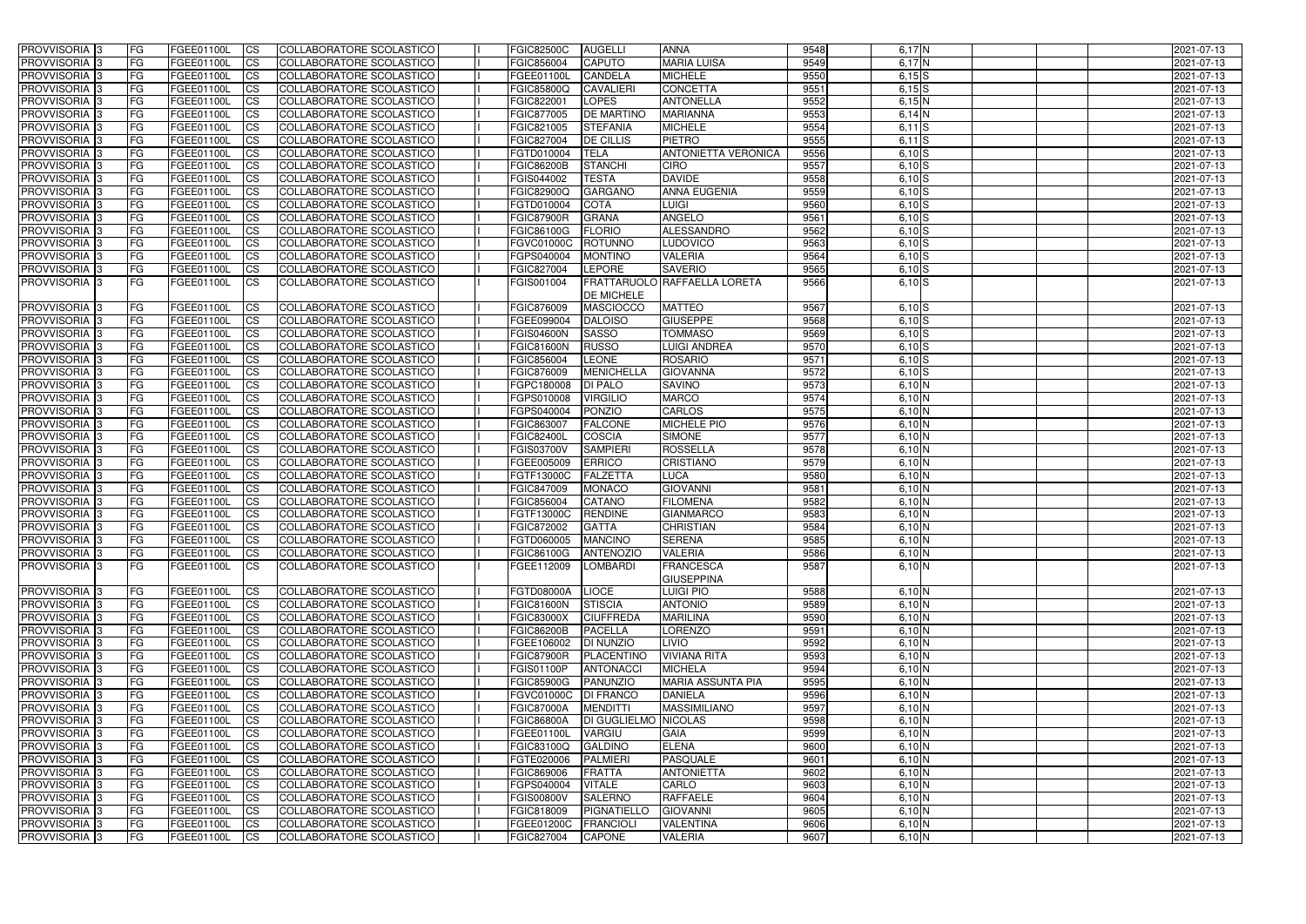| $6,17$ N<br><b>CS</b><br>COLLABORATORE SCOLASTICO<br><b>CAPUTO</b><br><b>MARIA LUISA</b><br>9549<br>FG<br>FGEE01100L<br>FGIC856004<br>2021-07-13<br>$\overline{c}$<br>CANDELA<br><b>MICHELE</b><br>9550<br>FG<br>FGEE01100L<br>COLLABORATORE SCOLASTICO<br>$6,15$ S<br>2021-07-13<br>FGEE01100L<br><b>CONCETTA</b><br>9551<br>FG<br>FGEE01100L<br><b>CS</b><br>COLLABORATORE SCOLASTICO<br>FGIC85800Q<br><b>CAVALIERI</b><br>$6,15$ S<br>2021-07-13<br><b>LOPES</b><br>9552<br>FG<br>FGEE01100L<br><b>CS</b><br>COLLABORATORE SCOLASTICO<br>FGIC822001<br><b>ANTONELLA</b><br>6,15N<br>2021-07-13<br>9553<br><b>MARIANNA</b><br>FG<br><b>FGEE01100L</b><br><b>CS</b><br>COLLABORATORE SCOLASTICO<br>FGIC877005<br><b>DE MARTINO</b><br>$6,14$ N<br>2021-07-13<br>9554<br>$\overline{c}$<br><b>MICHELE</b><br>FG<br>FGEE01100L<br>COLLABORATORE SCOLASTICO<br>FGIC821005<br><b>STEFANIA</b><br>$6,11$ $S$<br>2021-07-13<br><b>PIETRO</b><br>9555<br><b>CS</b><br>COLLABORATORE SCOLASTICO<br>FGIC827004<br><b>DE CILLIS</b><br>$6,11$ $S$<br>2021-07-13<br>FG<br><b>FGEE01100L</b><br>9556<br><b>CS</b><br>COLLABORATORE SCOLASTICO<br>$6,10$ S<br>2021-07-13<br>FG<br>FGEE01100L<br>FGTD010004<br><b>TELA</b><br><b>ANTONIETTA VERONICA</b><br>PROVVISORIA <sup>3</sup><br>$\overline{c}$<br>COLLABORATORE SCOLASTICO<br><b>FGIC86200B</b><br><b>STANCHI</b><br><b>CIRO</b><br>9557<br>FG<br>FGEE01100L<br>6,10 S<br>2021-07-13<br>9558<br>PROVVISORIA <sup>3</sup><br><b>TESTA</b><br><b>DAVIDE</b><br>FG<br>FGEE01100L<br><b>CS</b><br>COLLABORATORE SCOLASTICO<br>FGIS044002<br>6,10 S<br>2021-07-13<br>9559<br>PROVVISORIA <sup>3</sup><br><b>CS</b><br>COLLABORATORE SCOLASTICO<br><b>FGIC82900Q</b><br><b>GARGANO</b><br><b>ANNA EUGENIA</b><br>6,10 S<br>2021-07-13<br>FG<br>FGEE01100L<br>PROVVISORIA <sup>3</sup><br>COLLABORATORE SCOLASTICO<br><b>COTA</b><br>9560<br>FG<br>FGEE01100L<br><b>ICS</b><br>FGTD010004<br><b>LUIGI</b><br>6,10 S<br>2021-07-13<br>PROVVISORIA <sup>3</sup><br>FGEE01100L<br><b>CS</b><br>COLLABORATORE SCOLASTICO<br><b>FGIC87900R</b><br><b>GRANA</b><br><b>ANGELO</b><br>9561<br>6,10 S<br>2021-07-13<br>FG<br>9562<br>PROVVISORIA <sup>3</sup><br>FGEE01100L<br><b>ICS</b><br>COLLABORATORE SCOLASTICO<br>FGIC86100G<br><b>FLORIO</b><br>ALESSANDRO<br>6,10 S<br>FG<br>2021-07-13<br>9563<br><b>PROVVISORIA</b> 3<br>FG<br>FGEE01100L<br><b>ICS</b><br>COLLABORATORE SCOLASTICO<br><b>FGVC01000C</b><br><b>ROTUNNO</b><br><b>LUDOVICO</b><br>6,10 S<br>2021-07-13<br>PROVVISORIA <sup>3</sup><br>9564<br>FG<br>FGEE01100L<br><b>ICS</b><br>COLLABORATORE SCOLASTICO<br>FGPS040004<br><b>MONTINO</b><br><b>VALERIA</b><br>6,10 S<br>2021-07-13<br>9565<br>PROVVISORIA <sup>3</sup><br>FGEE01100L<br><b>ICS</b><br>COLLABORATORE SCOLASTICO<br>FGIC827004<br><b>LEPORE</b><br><b>SAVERIO</b><br>6,10 S<br>FG<br>2021-07-13<br>FG.<br>FGEE01100L<br><b>ICS</b><br>FRATTARUOLO RAFFAELLA LORETA<br>9566<br>$6,10$ S<br><b>PROVVISORIA</b> 3<br>COLLABORATORE SCOLASTICO<br>FGIS001004<br>2021-07-13<br><b>DE MICHELE</b><br><b>FGIC876009</b><br>9567<br>PROVVISORIA <sup>3</sup><br>FGEE01100L<br>COLLABORATORE SCOLASTICO<br><b>MASCIOCCO</b><br><b>MATTEO</b><br>6,10 S<br>2021-07-13<br>FG<br><b>CS</b><br><b>GIUSEPPE</b><br>9568<br><b>PROVVISORIA 3</b><br>FG<br>FGEE01100L<br><b>ICS</b><br>FGEE099004<br><b>DALOISO</b><br>6,10 S<br>2021-07-13<br>COLLABORATORE SCOLASTICO<br>9569<br>PROVVISORIA <sup>3</sup><br>FG<br>FGEE01100L<br><b>CS</b><br>COLLABORATORE SCOLASTICO<br><b>FGIS04600N</b><br><b>SASSO</b><br><b>TOMMASO</b><br>6,10 S<br>2021-07-13<br>PROVVISORIA 3<br>9570<br>6,10S<br>FG<br>FGEE01100L<br><b>CS</b><br>COLLABORATORE SCOLASTICO<br><b>FGIC81600N</b><br><b>RUSSO</b><br><b>LUIGI ANDREA</b><br>2021-07-13<br><b>LEONE</b><br>9571<br>6,10S<br>PROVVISORIA <sup>3</sup><br>FG<br>FGEE01100L<br><b>CS</b><br>COLLABORATORE SCOLASTICO<br>FGIC856004<br><b>ROSARIO</b><br>2021-07-13<br>9572<br>PROVVISORIA <sup>1</sup> 3<br>FG<br>FGEE01100L<br><b>CS</b><br>COLLABORATORE SCOLASTICO<br>FGIC876009<br><b>MENICHELLA</b><br><b>GIOVANNA</b><br>$6,10$ S<br>2021-07-13<br>9573<br><b>CS</b><br><b>SAVINO</b><br>6,10 N<br>PROVVISORIA 3<br>FG<br>FGEE01100L<br>COLLABORATORE SCOLASTICO<br>FGPC180008<br><b>DI PALO</b><br>2021-07-13<br>FG<br><b>CS</b><br><b>VIRGILIO</b><br>9574<br>PROVVISORIA <sup>3</sup><br>FGEE01100L<br>COLLABORATORE SCOLASTICO<br>FGPS010008<br><b>MARCO</b><br>$6,10$ N<br>2021-07-13<br><b>PONZIO</b><br>9575<br>PROVVISORIA <sup>3</sup><br>FG<br>FGEE01100L<br><b>CS</b><br>COLLABORATORE SCOLASTICO<br>FGPS040004<br><b>CARLOS</b><br>6,10 N<br>2021-07-13<br>9576<br>FG<br><b>FGEE01100L</b><br><b>CS</b><br>COLLABORATORE SCOLASTICO<br><b>FALCONE</b><br><b>MICHELE PIO</b><br>6,10 N<br>PROVVISORIA <sup>1</sup> 3<br>FGIC863007<br>2021-07-13<br><b>CS</b><br>COLLABORATORE SCOLASTICO<br><b>COSCIA</b><br><b>SIMONE</b><br>9577<br>PROVVISORIA <sup>3</sup><br>FG<br>FGEE01100L<br><b>FGIC82400L</b><br>6,10 N<br>2021-07-13<br>$\overline{c}$<br><b>ROSSELLA</b><br>9578<br>PROVVISORIA <sup>3</sup><br>FG<br>FGEE01100L<br>COLLABORATORE SCOLASTICO<br><b>FGIS03700V</b><br><b>SAMPIERI</b><br>6,10 N<br>2021-07-13<br>9579<br>PROVVISORIA <sup>3</sup><br><b>CS</b><br>COLLABORATORE SCOLASTICO<br><b>ERRICO</b><br><b>CRISTIANO</b><br>6,10 N<br>2021-07-13<br>FG<br><b>FGEE01100L</b><br>FGEE005009<br>9580<br>PROVVISORIA 3<br><b>FGEE01100L</b><br><b>CS</b><br>COLLABORATORE SCOLASTICO<br>FGTF13000C<br><b>FALZETTA</b><br><b>LUCA</b><br>6,10 N<br>2021-07-13<br><b>FG</b><br>$\overline{c}$<br>9581<br>PROVVISORIA <sup>3</sup><br>FG<br>FGEE01100L<br>COLLABORATORE SCOLASTICO<br>FGIC847009<br><b>MONACO</b><br><b>GIOVANNI</b><br>6,10 N<br>2021-07-13<br><b>CS</b><br>COLLABORATORE SCOLASTICO<br>FGIC856004<br>CATANO<br><b>FILOMENA</b><br>9582<br>PROVVISORIA <sup>3</sup><br>FG<br><b>FGEE01100L</b><br>6,10 N<br>2021-07-13<br><b>RENDINE</b><br>9583<br>PROVVISORIA <sup>3</sup><br>FGEE01100L<br><b>CS</b><br>COLLABORATORE SCOLASTICO<br>FGTF13000C<br><b>GIANMARCO</b><br>6,10 N<br>2021-07-13<br>FG<br>PROVVISORIA 3<br>9584<br>6,10 N<br>FG<br>FGEE01100L<br><b>I</b> CS<br>COLLABORATORE SCOLASTICO<br>FGIC872002<br><b>GATTA</b><br><b>CHRISTIAN</b><br>$2021 - 07 - 13$<br><b>PROVVISORIA</b> <sub>3</sub><br>COLLABORATORE SCOLASTICO<br><b>SERENA</b><br>9585<br>$6,10$ N<br>2021-07-13<br> FG<br>FGEE01100L<br>FGTD060005 MANCINO<br> CS <br>PROVVISORIA 3<br>9586<br>$6,10$ N<br>FGEE01100L<br>COLLABORATORE SCOLASTICO<br><b>FGIC86100G</b><br><b>ANTENOZIO</b><br><b>VALERIA</b><br>2021-07-13<br>IFG.<br> CS <br>9587<br><b>PROVVISORIA</b> 3<br><b>FG</b><br>FGEE01100L<br>COLLABORATORE SCOLASTICO<br>LOMBARDI<br><b>FRANCESCA</b><br>$6,10$ N<br>2021-07-13<br><b>ICS</b><br>FGEE112009<br><b>GIUSEPPINA</b><br>PROVVISORIA <sup>3</sup><br><b>FGTD08000A</b><br>FGEE01100L<br>COLLABORATORE SCOLASTICO<br>LIOCE<br><b>LUIGI PIO</b><br>9588<br>$6,10$ N<br>2021-07-13<br><b>FG</b><br>$\mathsf{ICS}$<br>FGEE01100L<br>9589<br>PROVVISORIA 3<br>FG.<br><b>CS</b><br>COLLABORATORE SCOLASTICO<br><b>FGIC81600N</b><br><b>STISCIA</b><br><b>ANTONIO</b><br>$6,10$ N<br>2021-07-13<br>PROVVISORIA 3<br><b>FGEE01100L</b><br>9590<br>$6,10$ N<br>FG<br><b>CS</b><br>COLLABORATORE SCOLASTICO<br><b>FGIC83000X</b><br><b>CIUFFREDA</b><br><b>MARILINA</b><br>2021-07-13<br>9591<br>$6,10$ N<br>PROVVISORIA 3<br>FGEE01100L<br>COLLABORATORE SCOLASTICO<br><b>FGIC86200B</b><br><b>PACELLA</b><br><b>LORENZO</b><br>2021-07-13<br><b>FG</b><br><b>CS</b><br>9592<br>$6,10$ N<br>FG<br>FGEE01100L<br><b>CS</b><br>COLLABORATORE SCOLASTICO<br>FGEE106002<br><b>DI NUNZIO</b><br>2021-07-13<br>LIVIO<br>9593<br>$6,10$ N<br>FG<br>FGEE01100L<br><b>CS</b><br>COLLABORATORE SCOLASTICO<br><b>FGIC87900R</b><br>PLACENTINO<br><b>VIVIANA RITA</b><br>2021-07-13<br>9594<br>$6,10$ N<br>FG<br>FGEE01100L<br>COLLABORATORE SCOLASTICO<br><b>FGIS01100P</b><br>ANTONACCI<br><b>MICHELA</b><br>2021-07-13<br><b>CS</b><br>9595<br>PROVVISORIA 3<br>$6,10$ N<br>FG<br><b>FGEE01100L</b><br>COLLABORATORE SCOLASTICO<br><b>FGIC85900G</b><br>PANUNZIO<br><b>MARIA ASSUNTA PIA</b><br>2021-07-13<br><b>CS</b><br>9596<br>$6,10$ N<br>FGEE01100L<br>COLLABORATORE SCOLASTICO<br><b>FGVC01000C</b><br><b>DI FRANCO</b><br>FG<br><b>CS</b><br><b>DANIELA</b><br>2021-07-13<br>9597<br>$6,10$ N<br><b>MASSIMILIANO</b><br>FG<br><b>FGEE01100L</b><br><b>CS</b><br>COLLABORATORE SCOLASTICO<br><b>FGIC87000A</b><br><b>MENDITTI</b><br>2021-07-13<br>9598<br>$6,10\overline{N}$<br>COLLABORATORE SCOLASTICO<br>FG<br>FGEE01100L<br><b>CS</b><br><b>FGIC86800A</b><br>DI GUGLIELMO NICOLAS<br>2021-07-13<br>9599<br>FG<br>FGEE01100L<br><b>CS</b><br>COLLABORATORE SCOLASTICO<br>FGEE01100L<br><b>VARGIU</b><br><b>GAIA</b><br>$6,10$ N<br>2021-07-13<br><b>GALDINO</b><br><b>ELENA</b><br>9600<br>$6,10\overline{N}$<br><b>IFG</b><br>FGEE01100L<br><b>CS</b><br>COLLABORATORE SCOLASTICO<br>FGIC83100Q<br>2021-07-13<br>9601<br>FGEE01100L<br>COLLABORATORE SCOLASTICO<br>FGTE020006<br>PALMIERI<br>PASQUALE<br>$6,10$ N<br>2021-07-13<br>FG<br><b>CS</b><br>COLLABORATORE SCOLASTICO<br>9602<br>$6,10$ N<br> FG<br>FGEE01100L<br><b>CS</b><br>FGIC869006<br><b>FRATTA</b><br><b>ANTONIETTA</b><br>2021-07-13<br>COLLABORATORE SCOLASTICO<br>CARLO<br>9603<br>$6,10$ N<br>FG<br>FGEE01100L<br><b>CS</b><br>FGPS040004<br><b>VITALE</b><br>2021-07-13<br>COLLABORATORE SCOLASTICO<br>9604<br>$6,10$ N<br>FGEE01100L<br><b>FGIS00800V</b><br><b>SALERNO</b><br><b>RAFFAELE</b><br>2021-07-13<br><b>FG</b><br><b>CS</b><br>COLLABORATORE SCOLASTICO<br>9605<br>$6,10$ N<br>2021-07-13<br>FG<br>FGEE01100L<br><b>CS</b><br>FGIC818009<br>PIGNATIELLO<br><b>GIOVANNI</b><br>COLLABORATORE SCOLASTICO<br>FG<br>FGEE01100L<br><b>CS</b><br>FGEE01200C<br>FRANCIOLI<br><b>VALENTINA</b><br>9606<br>$6,10$ N<br>2021-07-13<br>COLLABORATORE SCOLASTICO<br>9607<br>$6,10$ N<br>2021-07-13<br> FG<br><b>FGEE01100L</b><br><b>CS</b><br>FGIC827004<br>CAPONE<br><b>VALERIA</b> | <b>PROVVISORIA</b> 3       | FG. | FGEE01100L | <b>ICS</b> | COLLABORATORE SCOLASTICO | <b>FGIC82500C</b> | <b>AUGELLI</b> | <b>ANNA</b> | 9548 | $6,17$ N | 2021-07-13 |
|----------------------------------------------------------------------------------------------------------------------------------------------------------------------------------------------------------------------------------------------------------------------------------------------------------------------------------------------------------------------------------------------------------------------------------------------------------------------------------------------------------------------------------------------------------------------------------------------------------------------------------------------------------------------------------------------------------------------------------------------------------------------------------------------------------------------------------------------------------------------------------------------------------------------------------------------------------------------------------------------------------------------------------------------------------------------------------------------------------------------------------------------------------------------------------------------------------------------------------------------------------------------------------------------------------------------------------------------------------------------------------------------------------------------------------------------------------------------------------------------------------------------------------------------------------------------------------------------------------------------------------------------------------------------------------------------------------------------------------------------------------------------------------------------------------------------------------------------------------------------------------------------------------------------------------------------------------------------------------------------------------------------------------------------------------------------------------------------------------------------------------------------------------------------------------------------------------------------------------------------------------------------------------------------------------------------------------------------------------------------------------------------------------------------------------------------------------------------------------------------------------------------------------------------------------------------------------------------------------------------------------------------------------------------------------------------------------------------------------------------------------------------------------------------------------------------------------------------------------------------------------------------------------------------------------------------------------------------------------------------------------------------------------------------------------------------------------------------------------------------------------------------------------------------------------------------------------------------------------------------------------------------------------------------------------------------------------------------------------------------------------------------------------------------------------------------------------------------------------------------------------------------------------------------------------------------------------------------------------------------------------------------------------------------------------------------------------------------------------------------------------------------------------------------------------------------------------------------------------------------------------------------------------------------------------------------------------------------------------------------------------------------------------------------------------------------------------------------------------------------------------------------------------------------------------------------------------------------------------------------------------------------------------------------------------------------------------------------------------------------------------------------------------------------------------------------------------------------------------------------------------------------------------------------------------------------------------------------------------------------------------------------------------------------------------------------------------------------------------------------------------------------------------------------------------------------------------------------------------------------------------------------------------------------------------------------------------------------------------------------------------------------------------------------------------------------------------------------------------------------------------------------------------------------------------------------------------------------------------------------------------------------------------------------------------------------------------------------------------------------------------------------------------------------------------------------------------------------------------------------------------------------------------------------------------------------------------------------------------------------------------------------------------------------------------------------------------------------------------------------------------------------------------------------------------------------------------------------------------------------------------------------------------------------------------------------------------------------------------------------------------------------------------------------------------------------------------------------------------------------------------------------------------------------------------------------------------------------------------------------------------------------------------------------------------------------------------------------------------------------------------------------------------------------------------------------------------------------------------------------------------------------------------------------------------------------------------------------------------------------------------------------------------------------------------------------------------------------------------------------------------------------------------------------------------------------------------------------------------------------------------------------------------------------------------------------------------------------------------------------------------------------------------------------------------------------------------------------------------------------------------------------------------------------------------------------------------------------------------------------------------------------------------------------------------------------------------------------------------------------------------------------------------------------------------------------------------------------------------------------------------------------------------------------------------------------------------------------------------------------------------------------------------------------------------------------------------------------------------------------------------------------------------------------------------------------------------------------------------------------------------------------------------------------------------------------------------------------------------------------------------------------------------------------------------------------------------------------------------------------------------------------------------------------------------------------------------------------------------------------------------------------------------------------------------------------------------------------------------------------------------------------------------------------------------------------------------------------------------------------------------------------------------------------------------------------------------------------------------------------------------------------------------------------------------------------------------------------------------------------------------------------------------------------------------------------------------------------------------------------------------------------------------------------------------------------------------------------------------------------------------------------------------------------------------------------------------------------------------------------------------------------------------------------------------------------------------------------------------------------------------------------------------------------------------------------------------------------------------------------------------------------------------------------------------------------------------------------------------------------------------------------------------------------------------------------------------------------------------------------------------------------------------------------------------------------------------------------------------------------------------------------------------------------------------------------------------------------------------------------------------------------------------------------------------------------------------------------------------------------------------------------------------------------------------------------------------------------------|----------------------------|-----|------------|------------|--------------------------|-------------------|----------------|-------------|------|----------|------------|
|                                                                                                                                                                                                                                                                                                                                                                                                                                                                                                                                                                                                                                                                                                                                                                                                                                                                                                                                                                                                                                                                                                                                                                                                                                                                                                                                                                                                                                                                                                                                                                                                                                                                                                                                                                                                                                                                                                                                                                                                                                                                                                                                                                                                                                                                                                                                                                                                                                                                                                                                                                                                                                                                                                                                                                                                                                                                                                                                                                                                                                                                                                                                                                                                                                                                                                                                                                                                                                                                                                                                                                                                                                                                                                                                                                                                                                                                                                                                                                                                                                                                                                                                                                                                                                                                                                                                                                                                                                                                                                                                                                                                                                                                                                                                                                                                                                                                                                                                                                                                                                                                                                                                                                                                                                                                                                                                                                                                                                                                                                                                                                                                                                                                                                                                                                                                                                                                                                                                                                                                                                                                                                                                                                                                                                                                                                                                                                                                                                                                                                                                                                                                                                                                                                                                                                                                                                                                                                                                                                                                                                                                                                                                                                                                                                                                                                                                                                                                                                                                                                                                                                                                                                                                                                                                                                                                                                                                                                                                                                                                                                                                                                                                                                                                                                                                                                                                                                                                                                                                                                                                                                                                                                                                                                                                                                                                                                                                                                                                                                                                                                                                                                                                                                                                                                                                                                                                                                                                                                                                                                                                                                                                                                                                                                                                                                                                                                                                                                                                                                                                                                                                                                    | <b>PROVVISORIA 3</b>       |     |            |            |                          |                   |                |             |      |          |            |
|                                                                                                                                                                                                                                                                                                                                                                                                                                                                                                                                                                                                                                                                                                                                                                                                                                                                                                                                                                                                                                                                                                                                                                                                                                                                                                                                                                                                                                                                                                                                                                                                                                                                                                                                                                                                                                                                                                                                                                                                                                                                                                                                                                                                                                                                                                                                                                                                                                                                                                                                                                                                                                                                                                                                                                                                                                                                                                                                                                                                                                                                                                                                                                                                                                                                                                                                                                                                                                                                                                                                                                                                                                                                                                                                                                                                                                                                                                                                                                                                                                                                                                                                                                                                                                                                                                                                                                                                                                                                                                                                                                                                                                                                                                                                                                                                                                                                                                                                                                                                                                                                                                                                                                                                                                                                                                                                                                                                                                                                                                                                                                                                                                                                                                                                                                                                                                                                                                                                                                                                                                                                                                                                                                                                                                                                                                                                                                                                                                                                                                                                                                                                                                                                                                                                                                                                                                                                                                                                                                                                                                                                                                                                                                                                                                                                                                                                                                                                                                                                                                                                                                                                                                                                                                                                                                                                                                                                                                                                                                                                                                                                                                                                                                                                                                                                                                                                                                                                                                                                                                                                                                                                                                                                                                                                                                                                                                                                                                                                                                                                                                                                                                                                                                                                                                                                                                                                                                                                                                                                                                                                                                                                                                                                                                                                                                                                                                                                                                                                                                                                                                                                                                    | PROVVISORIA <sup>3</sup>   |     |            |            |                          |                   |                |             |      |          |            |
|                                                                                                                                                                                                                                                                                                                                                                                                                                                                                                                                                                                                                                                                                                                                                                                                                                                                                                                                                                                                                                                                                                                                                                                                                                                                                                                                                                                                                                                                                                                                                                                                                                                                                                                                                                                                                                                                                                                                                                                                                                                                                                                                                                                                                                                                                                                                                                                                                                                                                                                                                                                                                                                                                                                                                                                                                                                                                                                                                                                                                                                                                                                                                                                                                                                                                                                                                                                                                                                                                                                                                                                                                                                                                                                                                                                                                                                                                                                                                                                                                                                                                                                                                                                                                                                                                                                                                                                                                                                                                                                                                                                                                                                                                                                                                                                                                                                                                                                                                                                                                                                                                                                                                                                                                                                                                                                                                                                                                                                                                                                                                                                                                                                                                                                                                                                                                                                                                                                                                                                                                                                                                                                                                                                                                                                                                                                                                                                                                                                                                                                                                                                                                                                                                                                                                                                                                                                                                                                                                                                                                                                                                                                                                                                                                                                                                                                                                                                                                                                                                                                                                                                                                                                                                                                                                                                                                                                                                                                                                                                                                                                                                                                                                                                                                                                                                                                                                                                                                                                                                                                                                                                                                                                                                                                                                                                                                                                                                                                                                                                                                                                                                                                                                                                                                                                                                                                                                                                                                                                                                                                                                                                                                                                                                                                                                                                                                                                                                                                                                                                                                                                                                                    | PROVVISORIA <sup>3</sup>   |     |            |            |                          |                   |                |             |      |          |            |
|                                                                                                                                                                                                                                                                                                                                                                                                                                                                                                                                                                                                                                                                                                                                                                                                                                                                                                                                                                                                                                                                                                                                                                                                                                                                                                                                                                                                                                                                                                                                                                                                                                                                                                                                                                                                                                                                                                                                                                                                                                                                                                                                                                                                                                                                                                                                                                                                                                                                                                                                                                                                                                                                                                                                                                                                                                                                                                                                                                                                                                                                                                                                                                                                                                                                                                                                                                                                                                                                                                                                                                                                                                                                                                                                                                                                                                                                                                                                                                                                                                                                                                                                                                                                                                                                                                                                                                                                                                                                                                                                                                                                                                                                                                                                                                                                                                                                                                                                                                                                                                                                                                                                                                                                                                                                                                                                                                                                                                                                                                                                                                                                                                                                                                                                                                                                                                                                                                                                                                                                                                                                                                                                                                                                                                                                                                                                                                                                                                                                                                                                                                                                                                                                                                                                                                                                                                                                                                                                                                                                                                                                                                                                                                                                                                                                                                                                                                                                                                                                                                                                                                                                                                                                                                                                                                                                                                                                                                                                                                                                                                                                                                                                                                                                                                                                                                                                                                                                                                                                                                                                                                                                                                                                                                                                                                                                                                                                                                                                                                                                                                                                                                                                                                                                                                                                                                                                                                                                                                                                                                                                                                                                                                                                                                                                                                                                                                                                                                                                                                                                                                                                                                    | PROVVISORIA <sup>1</sup> 3 |     |            |            |                          |                   |                |             |      |          |            |
|                                                                                                                                                                                                                                                                                                                                                                                                                                                                                                                                                                                                                                                                                                                                                                                                                                                                                                                                                                                                                                                                                                                                                                                                                                                                                                                                                                                                                                                                                                                                                                                                                                                                                                                                                                                                                                                                                                                                                                                                                                                                                                                                                                                                                                                                                                                                                                                                                                                                                                                                                                                                                                                                                                                                                                                                                                                                                                                                                                                                                                                                                                                                                                                                                                                                                                                                                                                                                                                                                                                                                                                                                                                                                                                                                                                                                                                                                                                                                                                                                                                                                                                                                                                                                                                                                                                                                                                                                                                                                                                                                                                                                                                                                                                                                                                                                                                                                                                                                                                                                                                                                                                                                                                                                                                                                                                                                                                                                                                                                                                                                                                                                                                                                                                                                                                                                                                                                                                                                                                                                                                                                                                                                                                                                                                                                                                                                                                                                                                                                                                                                                                                                                                                                                                                                                                                                                                                                                                                                                                                                                                                                                                                                                                                                                                                                                                                                                                                                                                                                                                                                                                                                                                                                                                                                                                                                                                                                                                                                                                                                                                                                                                                                                                                                                                                                                                                                                                                                                                                                                                                                                                                                                                                                                                                                                                                                                                                                                                                                                                                                                                                                                                                                                                                                                                                                                                                                                                                                                                                                                                                                                                                                                                                                                                                                                                                                                                                                                                                                                                                                                                                                                    | PROVVISORIA 3              |     |            |            |                          |                   |                |             |      |          |            |
|                                                                                                                                                                                                                                                                                                                                                                                                                                                                                                                                                                                                                                                                                                                                                                                                                                                                                                                                                                                                                                                                                                                                                                                                                                                                                                                                                                                                                                                                                                                                                                                                                                                                                                                                                                                                                                                                                                                                                                                                                                                                                                                                                                                                                                                                                                                                                                                                                                                                                                                                                                                                                                                                                                                                                                                                                                                                                                                                                                                                                                                                                                                                                                                                                                                                                                                                                                                                                                                                                                                                                                                                                                                                                                                                                                                                                                                                                                                                                                                                                                                                                                                                                                                                                                                                                                                                                                                                                                                                                                                                                                                                                                                                                                                                                                                                                                                                                                                                                                                                                                                                                                                                                                                                                                                                                                                                                                                                                                                                                                                                                                                                                                                                                                                                                                                                                                                                                                                                                                                                                                                                                                                                                                                                                                                                                                                                                                                                                                                                                                                                                                                                                                                                                                                                                                                                                                                                                                                                                                                                                                                                                                                                                                                                                                                                                                                                                                                                                                                                                                                                                                                                                                                                                                                                                                                                                                                                                                                                                                                                                                                                                                                                                                                                                                                                                                                                                                                                                                                                                                                                                                                                                                                                                                                                                                                                                                                                                                                                                                                                                                                                                                                                                                                                                                                                                                                                                                                                                                                                                                                                                                                                                                                                                                                                                                                                                                                                                                                                                                                                                                                                                                    | PROVVISORIA 3              |     |            |            |                          |                   |                |             |      |          |            |
|                                                                                                                                                                                                                                                                                                                                                                                                                                                                                                                                                                                                                                                                                                                                                                                                                                                                                                                                                                                                                                                                                                                                                                                                                                                                                                                                                                                                                                                                                                                                                                                                                                                                                                                                                                                                                                                                                                                                                                                                                                                                                                                                                                                                                                                                                                                                                                                                                                                                                                                                                                                                                                                                                                                                                                                                                                                                                                                                                                                                                                                                                                                                                                                                                                                                                                                                                                                                                                                                                                                                                                                                                                                                                                                                                                                                                                                                                                                                                                                                                                                                                                                                                                                                                                                                                                                                                                                                                                                                                                                                                                                                                                                                                                                                                                                                                                                                                                                                                                                                                                                                                                                                                                                                                                                                                                                                                                                                                                                                                                                                                                                                                                                                                                                                                                                                                                                                                                                                                                                                                                                                                                                                                                                                                                                                                                                                                                                                                                                                                                                                                                                                                                                                                                                                                                                                                                                                                                                                                                                                                                                                                                                                                                                                                                                                                                                                                                                                                                                                                                                                                                                                                                                                                                                                                                                                                                                                                                                                                                                                                                                                                                                                                                                                                                                                                                                                                                                                                                                                                                                                                                                                                                                                                                                                                                                                                                                                                                                                                                                                                                                                                                                                                                                                                                                                                                                                                                                                                                                                                                                                                                                                                                                                                                                                                                                                                                                                                                                                                                                                                                                                                                    | PROVVISORIA 3              |     |            |            |                          |                   |                |             |      |          |            |
|                                                                                                                                                                                                                                                                                                                                                                                                                                                                                                                                                                                                                                                                                                                                                                                                                                                                                                                                                                                                                                                                                                                                                                                                                                                                                                                                                                                                                                                                                                                                                                                                                                                                                                                                                                                                                                                                                                                                                                                                                                                                                                                                                                                                                                                                                                                                                                                                                                                                                                                                                                                                                                                                                                                                                                                                                                                                                                                                                                                                                                                                                                                                                                                                                                                                                                                                                                                                                                                                                                                                                                                                                                                                                                                                                                                                                                                                                                                                                                                                                                                                                                                                                                                                                                                                                                                                                                                                                                                                                                                                                                                                                                                                                                                                                                                                                                                                                                                                                                                                                                                                                                                                                                                                                                                                                                                                                                                                                                                                                                                                                                                                                                                                                                                                                                                                                                                                                                                                                                                                                                                                                                                                                                                                                                                                                                                                                                                                                                                                                                                                                                                                                                                                                                                                                                                                                                                                                                                                                                                                                                                                                                                                                                                                                                                                                                                                                                                                                                                                                                                                                                                                                                                                                                                                                                                                                                                                                                                                                                                                                                                                                                                                                                                                                                                                                                                                                                                                                                                                                                                                                                                                                                                                                                                                                                                                                                                                                                                                                                                                                                                                                                                                                                                                                                                                                                                                                                                                                                                                                                                                                                                                                                                                                                                                                                                                                                                                                                                                                                                                                                                                                                    | PROVVISORIA 3              |     |            |            |                          |                   |                |             |      |          |            |
|                                                                                                                                                                                                                                                                                                                                                                                                                                                                                                                                                                                                                                                                                                                                                                                                                                                                                                                                                                                                                                                                                                                                                                                                                                                                                                                                                                                                                                                                                                                                                                                                                                                                                                                                                                                                                                                                                                                                                                                                                                                                                                                                                                                                                                                                                                                                                                                                                                                                                                                                                                                                                                                                                                                                                                                                                                                                                                                                                                                                                                                                                                                                                                                                                                                                                                                                                                                                                                                                                                                                                                                                                                                                                                                                                                                                                                                                                                                                                                                                                                                                                                                                                                                                                                                                                                                                                                                                                                                                                                                                                                                                                                                                                                                                                                                                                                                                                                                                                                                                                                                                                                                                                                                                                                                                                                                                                                                                                                                                                                                                                                                                                                                                                                                                                                                                                                                                                                                                                                                                                                                                                                                                                                                                                                                                                                                                                                                                                                                                                                                                                                                                                                                                                                                                                                                                                                                                                                                                                                                                                                                                                                                                                                                                                                                                                                                                                                                                                                                                                                                                                                                                                                                                                                                                                                                                                                                                                                                                                                                                                                                                                                                                                                                                                                                                                                                                                                                                                                                                                                                                                                                                                                                                                                                                                                                                                                                                                                                                                                                                                                                                                                                                                                                                                                                                                                                                                                                                                                                                                                                                                                                                                                                                                                                                                                                                                                                                                                                                                                                                                                                                                                    |                            |     |            |            |                          |                   |                |             |      |          |            |
|                                                                                                                                                                                                                                                                                                                                                                                                                                                                                                                                                                                                                                                                                                                                                                                                                                                                                                                                                                                                                                                                                                                                                                                                                                                                                                                                                                                                                                                                                                                                                                                                                                                                                                                                                                                                                                                                                                                                                                                                                                                                                                                                                                                                                                                                                                                                                                                                                                                                                                                                                                                                                                                                                                                                                                                                                                                                                                                                                                                                                                                                                                                                                                                                                                                                                                                                                                                                                                                                                                                                                                                                                                                                                                                                                                                                                                                                                                                                                                                                                                                                                                                                                                                                                                                                                                                                                                                                                                                                                                                                                                                                                                                                                                                                                                                                                                                                                                                                                                                                                                                                                                                                                                                                                                                                                                                                                                                                                                                                                                                                                                                                                                                                                                                                                                                                                                                                                                                                                                                                                                                                                                                                                                                                                                                                                                                                                                                                                                                                                                                                                                                                                                                                                                                                                                                                                                                                                                                                                                                                                                                                                                                                                                                                                                                                                                                                                                                                                                                                                                                                                                                                                                                                                                                                                                                                                                                                                                                                                                                                                                                                                                                                                                                                                                                                                                                                                                                                                                                                                                                                                                                                                                                                                                                                                                                                                                                                                                                                                                                                                                                                                                                                                                                                                                                                                                                                                                                                                                                                                                                                                                                                                                                                                                                                                                                                                                                                                                                                                                                                                                                                                                    |                            |     |            |            |                          |                   |                |             |      |          |            |
|                                                                                                                                                                                                                                                                                                                                                                                                                                                                                                                                                                                                                                                                                                                                                                                                                                                                                                                                                                                                                                                                                                                                                                                                                                                                                                                                                                                                                                                                                                                                                                                                                                                                                                                                                                                                                                                                                                                                                                                                                                                                                                                                                                                                                                                                                                                                                                                                                                                                                                                                                                                                                                                                                                                                                                                                                                                                                                                                                                                                                                                                                                                                                                                                                                                                                                                                                                                                                                                                                                                                                                                                                                                                                                                                                                                                                                                                                                                                                                                                                                                                                                                                                                                                                                                                                                                                                                                                                                                                                                                                                                                                                                                                                                                                                                                                                                                                                                                                                                                                                                                                                                                                                                                                                                                                                                                                                                                                                                                                                                                                                                                                                                                                                                                                                                                                                                                                                                                                                                                                                                                                                                                                                                                                                                                                                                                                                                                                                                                                                                                                                                                                                                                                                                                                                                                                                                                                                                                                                                                                                                                                                                                                                                                                                                                                                                                                                                                                                                                                                                                                                                                                                                                                                                                                                                                                                                                                                                                                                                                                                                                                                                                                                                                                                                                                                                                                                                                                                                                                                                                                                                                                                                                                                                                                                                                                                                                                                                                                                                                                                                                                                                                                                                                                                                                                                                                                                                                                                                                                                                                                                                                                                                                                                                                                                                                                                                                                                                                                                                                                                                                                                                    |                            |     |            |            |                          |                   |                |             |      |          |            |
|                                                                                                                                                                                                                                                                                                                                                                                                                                                                                                                                                                                                                                                                                                                                                                                                                                                                                                                                                                                                                                                                                                                                                                                                                                                                                                                                                                                                                                                                                                                                                                                                                                                                                                                                                                                                                                                                                                                                                                                                                                                                                                                                                                                                                                                                                                                                                                                                                                                                                                                                                                                                                                                                                                                                                                                                                                                                                                                                                                                                                                                                                                                                                                                                                                                                                                                                                                                                                                                                                                                                                                                                                                                                                                                                                                                                                                                                                                                                                                                                                                                                                                                                                                                                                                                                                                                                                                                                                                                                                                                                                                                                                                                                                                                                                                                                                                                                                                                                                                                                                                                                                                                                                                                                                                                                                                                                                                                                                                                                                                                                                                                                                                                                                                                                                                                                                                                                                                                                                                                                                                                                                                                                                                                                                                                                                                                                                                                                                                                                                                                                                                                                                                                                                                                                                                                                                                                                                                                                                                                                                                                                                                                                                                                                                                                                                                                                                                                                                                                                                                                                                                                                                                                                                                                                                                                                                                                                                                                                                                                                                                                                                                                                                                                                                                                                                                                                                                                                                                                                                                                                                                                                                                                                                                                                                                                                                                                                                                                                                                                                                                                                                                                                                                                                                                                                                                                                                                                                                                                                                                                                                                                                                                                                                                                                                                                                                                                                                                                                                                                                                                                                                                    |                            |     |            |            |                          |                   |                |             |      |          |            |
|                                                                                                                                                                                                                                                                                                                                                                                                                                                                                                                                                                                                                                                                                                                                                                                                                                                                                                                                                                                                                                                                                                                                                                                                                                                                                                                                                                                                                                                                                                                                                                                                                                                                                                                                                                                                                                                                                                                                                                                                                                                                                                                                                                                                                                                                                                                                                                                                                                                                                                                                                                                                                                                                                                                                                                                                                                                                                                                                                                                                                                                                                                                                                                                                                                                                                                                                                                                                                                                                                                                                                                                                                                                                                                                                                                                                                                                                                                                                                                                                                                                                                                                                                                                                                                                                                                                                                                                                                                                                                                                                                                                                                                                                                                                                                                                                                                                                                                                                                                                                                                                                                                                                                                                                                                                                                                                                                                                                                                                                                                                                                                                                                                                                                                                                                                                                                                                                                                                                                                                                                                                                                                                                                                                                                                                                                                                                                                                                                                                                                                                                                                                                                                                                                                                                                                                                                                                                                                                                                                                                                                                                                                                                                                                                                                                                                                                                                                                                                                                                                                                                                                                                                                                                                                                                                                                                                                                                                                                                                                                                                                                                                                                                                                                                                                                                                                                                                                                                                                                                                                                                                                                                                                                                                                                                                                                                                                                                                                                                                                                                                                                                                                                                                                                                                                                                                                                                                                                                                                                                                                                                                                                                                                                                                                                                                                                                                                                                                                                                                                                                                                                                                                    |                            |     |            |            |                          |                   |                |             |      |          |            |
|                                                                                                                                                                                                                                                                                                                                                                                                                                                                                                                                                                                                                                                                                                                                                                                                                                                                                                                                                                                                                                                                                                                                                                                                                                                                                                                                                                                                                                                                                                                                                                                                                                                                                                                                                                                                                                                                                                                                                                                                                                                                                                                                                                                                                                                                                                                                                                                                                                                                                                                                                                                                                                                                                                                                                                                                                                                                                                                                                                                                                                                                                                                                                                                                                                                                                                                                                                                                                                                                                                                                                                                                                                                                                                                                                                                                                                                                                                                                                                                                                                                                                                                                                                                                                                                                                                                                                                                                                                                                                                                                                                                                                                                                                                                                                                                                                                                                                                                                                                                                                                                                                                                                                                                                                                                                                                                                                                                                                                                                                                                                                                                                                                                                                                                                                                                                                                                                                                                                                                                                                                                                                                                                                                                                                                                                                                                                                                                                                                                                                                                                                                                                                                                                                                                                                                                                                                                                                                                                                                                                                                                                                                                                                                                                                                                                                                                                                                                                                                                                                                                                                                                                                                                                                                                                                                                                                                                                                                                                                                                                                                                                                                                                                                                                                                                                                                                                                                                                                                                                                                                                                                                                                                                                                                                                                                                                                                                                                                                                                                                                                                                                                                                                                                                                                                                                                                                                                                                                                                                                                                                                                                                                                                                                                                                                                                                                                                                                                                                                                                                                                                                                                                    |                            |     |            |            |                          |                   |                |             |      |          |            |
|                                                                                                                                                                                                                                                                                                                                                                                                                                                                                                                                                                                                                                                                                                                                                                                                                                                                                                                                                                                                                                                                                                                                                                                                                                                                                                                                                                                                                                                                                                                                                                                                                                                                                                                                                                                                                                                                                                                                                                                                                                                                                                                                                                                                                                                                                                                                                                                                                                                                                                                                                                                                                                                                                                                                                                                                                                                                                                                                                                                                                                                                                                                                                                                                                                                                                                                                                                                                                                                                                                                                                                                                                                                                                                                                                                                                                                                                                                                                                                                                                                                                                                                                                                                                                                                                                                                                                                                                                                                                                                                                                                                                                                                                                                                                                                                                                                                                                                                                                                                                                                                                                                                                                                                                                                                                                                                                                                                                                                                                                                                                                                                                                                                                                                                                                                                                                                                                                                                                                                                                                                                                                                                                                                                                                                                                                                                                                                                                                                                                                                                                                                                                                                                                                                                                                                                                                                                                                                                                                                                                                                                                                                                                                                                                                                                                                                                                                                                                                                                                                                                                                                                                                                                                                                                                                                                                                                                                                                                                                                                                                                                                                                                                                                                                                                                                                                                                                                                                                                                                                                                                                                                                                                                                                                                                                                                                                                                                                                                                                                                                                                                                                                                                                                                                                                                                                                                                                                                                                                                                                                                                                                                                                                                                                                                                                                                                                                                                                                                                                                                                                                                                                                    |                            |     |            |            |                          |                   |                |             |      |          |            |
|                                                                                                                                                                                                                                                                                                                                                                                                                                                                                                                                                                                                                                                                                                                                                                                                                                                                                                                                                                                                                                                                                                                                                                                                                                                                                                                                                                                                                                                                                                                                                                                                                                                                                                                                                                                                                                                                                                                                                                                                                                                                                                                                                                                                                                                                                                                                                                                                                                                                                                                                                                                                                                                                                                                                                                                                                                                                                                                                                                                                                                                                                                                                                                                                                                                                                                                                                                                                                                                                                                                                                                                                                                                                                                                                                                                                                                                                                                                                                                                                                                                                                                                                                                                                                                                                                                                                                                                                                                                                                                                                                                                                                                                                                                                                                                                                                                                                                                                                                                                                                                                                                                                                                                                                                                                                                                                                                                                                                                                                                                                                                                                                                                                                                                                                                                                                                                                                                                                                                                                                                                                                                                                                                                                                                                                                                                                                                                                                                                                                                                                                                                                                                                                                                                                                                                                                                                                                                                                                                                                                                                                                                                                                                                                                                                                                                                                                                                                                                                                                                                                                                                                                                                                                                                                                                                                                                                                                                                                                                                                                                                                                                                                                                                                                                                                                                                                                                                                                                                                                                                                                                                                                                                                                                                                                                                                                                                                                                                                                                                                                                                                                                                                                                                                                                                                                                                                                                                                                                                                                                                                                                                                                                                                                                                                                                                                                                                                                                                                                                                                                                                                                                                    |                            |     |            |            |                          |                   |                |             |      |          |            |
|                                                                                                                                                                                                                                                                                                                                                                                                                                                                                                                                                                                                                                                                                                                                                                                                                                                                                                                                                                                                                                                                                                                                                                                                                                                                                                                                                                                                                                                                                                                                                                                                                                                                                                                                                                                                                                                                                                                                                                                                                                                                                                                                                                                                                                                                                                                                                                                                                                                                                                                                                                                                                                                                                                                                                                                                                                                                                                                                                                                                                                                                                                                                                                                                                                                                                                                                                                                                                                                                                                                                                                                                                                                                                                                                                                                                                                                                                                                                                                                                                                                                                                                                                                                                                                                                                                                                                                                                                                                                                                                                                                                                                                                                                                                                                                                                                                                                                                                                                                                                                                                                                                                                                                                                                                                                                                                                                                                                                                                                                                                                                                                                                                                                                                                                                                                                                                                                                                                                                                                                                                                                                                                                                                                                                                                                                                                                                                                                                                                                                                                                                                                                                                                                                                                                                                                                                                                                                                                                                                                                                                                                                                                                                                                                                                                                                                                                                                                                                                                                                                                                                                                                                                                                                                                                                                                                                                                                                                                                                                                                                                                                                                                                                                                                                                                                                                                                                                                                                                                                                                                                                                                                                                                                                                                                                                                                                                                                                                                                                                                                                                                                                                                                                                                                                                                                                                                                                                                                                                                                                                                                                                                                                                                                                                                                                                                                                                                                                                                                                                                                                                                                                                    |                            |     |            |            |                          |                   |                |             |      |          |            |
|                                                                                                                                                                                                                                                                                                                                                                                                                                                                                                                                                                                                                                                                                                                                                                                                                                                                                                                                                                                                                                                                                                                                                                                                                                                                                                                                                                                                                                                                                                                                                                                                                                                                                                                                                                                                                                                                                                                                                                                                                                                                                                                                                                                                                                                                                                                                                                                                                                                                                                                                                                                                                                                                                                                                                                                                                                                                                                                                                                                                                                                                                                                                                                                                                                                                                                                                                                                                                                                                                                                                                                                                                                                                                                                                                                                                                                                                                                                                                                                                                                                                                                                                                                                                                                                                                                                                                                                                                                                                                                                                                                                                                                                                                                                                                                                                                                                                                                                                                                                                                                                                                                                                                                                                                                                                                                                                                                                                                                                                                                                                                                                                                                                                                                                                                                                                                                                                                                                                                                                                                                                                                                                                                                                                                                                                                                                                                                                                                                                                                                                                                                                                                                                                                                                                                                                                                                                                                                                                                                                                                                                                                                                                                                                                                                                                                                                                                                                                                                                                                                                                                                                                                                                                                                                                                                                                                                                                                                                                                                                                                                                                                                                                                                                                                                                                                                                                                                                                                                                                                                                                                                                                                                                                                                                                                                                                                                                                                                                                                                                                                                                                                                                                                                                                                                                                                                                                                                                                                                                                                                                                                                                                                                                                                                                                                                                                                                                                                                                                                                                                                                                                                                    |                            |     |            |            |                          |                   |                |             |      |          |            |
|                                                                                                                                                                                                                                                                                                                                                                                                                                                                                                                                                                                                                                                                                                                                                                                                                                                                                                                                                                                                                                                                                                                                                                                                                                                                                                                                                                                                                                                                                                                                                                                                                                                                                                                                                                                                                                                                                                                                                                                                                                                                                                                                                                                                                                                                                                                                                                                                                                                                                                                                                                                                                                                                                                                                                                                                                                                                                                                                                                                                                                                                                                                                                                                                                                                                                                                                                                                                                                                                                                                                                                                                                                                                                                                                                                                                                                                                                                                                                                                                                                                                                                                                                                                                                                                                                                                                                                                                                                                                                                                                                                                                                                                                                                                                                                                                                                                                                                                                                                                                                                                                                                                                                                                                                                                                                                                                                                                                                                                                                                                                                                                                                                                                                                                                                                                                                                                                                                                                                                                                                                                                                                                                                                                                                                                                                                                                                                                                                                                                                                                                                                                                                                                                                                                                                                                                                                                                                                                                                                                                                                                                                                                                                                                                                                                                                                                                                                                                                                                                                                                                                                                                                                                                                                                                                                                                                                                                                                                                                                                                                                                                                                                                                                                                                                                                                                                                                                                                                                                                                                                                                                                                                                                                                                                                                                                                                                                                                                                                                                                                                                                                                                                                                                                                                                                                                                                                                                                                                                                                                                                                                                                                                                                                                                                                                                                                                                                                                                                                                                                                                                                                                                    |                            |     |            |            |                          |                   |                |             |      |          |            |
|                                                                                                                                                                                                                                                                                                                                                                                                                                                                                                                                                                                                                                                                                                                                                                                                                                                                                                                                                                                                                                                                                                                                                                                                                                                                                                                                                                                                                                                                                                                                                                                                                                                                                                                                                                                                                                                                                                                                                                                                                                                                                                                                                                                                                                                                                                                                                                                                                                                                                                                                                                                                                                                                                                                                                                                                                                                                                                                                                                                                                                                                                                                                                                                                                                                                                                                                                                                                                                                                                                                                                                                                                                                                                                                                                                                                                                                                                                                                                                                                                                                                                                                                                                                                                                                                                                                                                                                                                                                                                                                                                                                                                                                                                                                                                                                                                                                                                                                                                                                                                                                                                                                                                                                                                                                                                                                                                                                                                                                                                                                                                                                                                                                                                                                                                                                                                                                                                                                                                                                                                                                                                                                                                                                                                                                                                                                                                                                                                                                                                                                                                                                                                                                                                                                                                                                                                                                                                                                                                                                                                                                                                                                                                                                                                                                                                                                                                                                                                                                                                                                                                                                                                                                                                                                                                                                                                                                                                                                                                                                                                                                                                                                                                                                                                                                                                                                                                                                                                                                                                                                                                                                                                                                                                                                                                                                                                                                                                                                                                                                                                                                                                                                                                                                                                                                                                                                                                                                                                                                                                                                                                                                                                                                                                                                                                                                                                                                                                                                                                                                                                                                                                                    |                            |     |            |            |                          |                   |                |             |      |          |            |
|                                                                                                                                                                                                                                                                                                                                                                                                                                                                                                                                                                                                                                                                                                                                                                                                                                                                                                                                                                                                                                                                                                                                                                                                                                                                                                                                                                                                                                                                                                                                                                                                                                                                                                                                                                                                                                                                                                                                                                                                                                                                                                                                                                                                                                                                                                                                                                                                                                                                                                                                                                                                                                                                                                                                                                                                                                                                                                                                                                                                                                                                                                                                                                                                                                                                                                                                                                                                                                                                                                                                                                                                                                                                                                                                                                                                                                                                                                                                                                                                                                                                                                                                                                                                                                                                                                                                                                                                                                                                                                                                                                                                                                                                                                                                                                                                                                                                                                                                                                                                                                                                                                                                                                                                                                                                                                                                                                                                                                                                                                                                                                                                                                                                                                                                                                                                                                                                                                                                                                                                                                                                                                                                                                                                                                                                                                                                                                                                                                                                                                                                                                                                                                                                                                                                                                                                                                                                                                                                                                                                                                                                                                                                                                                                                                                                                                                                                                                                                                                                                                                                                                                                                                                                                                                                                                                                                                                                                                                                                                                                                                                                                                                                                                                                                                                                                                                                                                                                                                                                                                                                                                                                                                                                                                                                                                                                                                                                                                                                                                                                                                                                                                                                                                                                                                                                                                                                                                                                                                                                                                                                                                                                                                                                                                                                                                                                                                                                                                                                                                                                                                                                                                    |                            |     |            |            |                          |                   |                |             |      |          |            |
|                                                                                                                                                                                                                                                                                                                                                                                                                                                                                                                                                                                                                                                                                                                                                                                                                                                                                                                                                                                                                                                                                                                                                                                                                                                                                                                                                                                                                                                                                                                                                                                                                                                                                                                                                                                                                                                                                                                                                                                                                                                                                                                                                                                                                                                                                                                                                                                                                                                                                                                                                                                                                                                                                                                                                                                                                                                                                                                                                                                                                                                                                                                                                                                                                                                                                                                                                                                                                                                                                                                                                                                                                                                                                                                                                                                                                                                                                                                                                                                                                                                                                                                                                                                                                                                                                                                                                                                                                                                                                                                                                                                                                                                                                                                                                                                                                                                                                                                                                                                                                                                                                                                                                                                                                                                                                                                                                                                                                                                                                                                                                                                                                                                                                                                                                                                                                                                                                                                                                                                                                                                                                                                                                                                                                                                                                                                                                                                                                                                                                                                                                                                                                                                                                                                                                                                                                                                                                                                                                                                                                                                                                                                                                                                                                                                                                                                                                                                                                                                                                                                                                                                                                                                                                                                                                                                                                                                                                                                                                                                                                                                                                                                                                                                                                                                                                                                                                                                                                                                                                                                                                                                                                                                                                                                                                                                                                                                                                                                                                                                                                                                                                                                                                                                                                                                                                                                                                                                                                                                                                                                                                                                                                                                                                                                                                                                                                                                                                                                                                                                                                                                                                                    |                            |     |            |            |                          |                   |                |             |      |          |            |
|                                                                                                                                                                                                                                                                                                                                                                                                                                                                                                                                                                                                                                                                                                                                                                                                                                                                                                                                                                                                                                                                                                                                                                                                                                                                                                                                                                                                                                                                                                                                                                                                                                                                                                                                                                                                                                                                                                                                                                                                                                                                                                                                                                                                                                                                                                                                                                                                                                                                                                                                                                                                                                                                                                                                                                                                                                                                                                                                                                                                                                                                                                                                                                                                                                                                                                                                                                                                                                                                                                                                                                                                                                                                                                                                                                                                                                                                                                                                                                                                                                                                                                                                                                                                                                                                                                                                                                                                                                                                                                                                                                                                                                                                                                                                                                                                                                                                                                                                                                                                                                                                                                                                                                                                                                                                                                                                                                                                                                                                                                                                                                                                                                                                                                                                                                                                                                                                                                                                                                                                                                                                                                                                                                                                                                                                                                                                                                                                                                                                                                                                                                                                                                                                                                                                                                                                                                                                                                                                                                                                                                                                                                                                                                                                                                                                                                                                                                                                                                                                                                                                                                                                                                                                                                                                                                                                                                                                                                                                                                                                                                                                                                                                                                                                                                                                                                                                                                                                                                                                                                                                                                                                                                                                                                                                                                                                                                                                                                                                                                                                                                                                                                                                                                                                                                                                                                                                                                                                                                                                                                                                                                                                                                                                                                                                                                                                                                                                                                                                                                                                                                                                                                    |                            |     |            |            |                          |                   |                |             |      |          |            |
|                                                                                                                                                                                                                                                                                                                                                                                                                                                                                                                                                                                                                                                                                                                                                                                                                                                                                                                                                                                                                                                                                                                                                                                                                                                                                                                                                                                                                                                                                                                                                                                                                                                                                                                                                                                                                                                                                                                                                                                                                                                                                                                                                                                                                                                                                                                                                                                                                                                                                                                                                                                                                                                                                                                                                                                                                                                                                                                                                                                                                                                                                                                                                                                                                                                                                                                                                                                                                                                                                                                                                                                                                                                                                                                                                                                                                                                                                                                                                                                                                                                                                                                                                                                                                                                                                                                                                                                                                                                                                                                                                                                                                                                                                                                                                                                                                                                                                                                                                                                                                                                                                                                                                                                                                                                                                                                                                                                                                                                                                                                                                                                                                                                                                                                                                                                                                                                                                                                                                                                                                                                                                                                                                                                                                                                                                                                                                                                                                                                                                                                                                                                                                                                                                                                                                                                                                                                                                                                                                                                                                                                                                                                                                                                                                                                                                                                                                                                                                                                                                                                                                                                                                                                                                                                                                                                                                                                                                                                                                                                                                                                                                                                                                                                                                                                                                                                                                                                                                                                                                                                                                                                                                                                                                                                                                                                                                                                                                                                                                                                                                                                                                                                                                                                                                                                                                                                                                                                                                                                                                                                                                                                                                                                                                                                                                                                                                                                                                                                                                                                                                                                                                                    |                            |     |            |            |                          |                   |                |             |      |          |            |
|                                                                                                                                                                                                                                                                                                                                                                                                                                                                                                                                                                                                                                                                                                                                                                                                                                                                                                                                                                                                                                                                                                                                                                                                                                                                                                                                                                                                                                                                                                                                                                                                                                                                                                                                                                                                                                                                                                                                                                                                                                                                                                                                                                                                                                                                                                                                                                                                                                                                                                                                                                                                                                                                                                                                                                                                                                                                                                                                                                                                                                                                                                                                                                                                                                                                                                                                                                                                                                                                                                                                                                                                                                                                                                                                                                                                                                                                                                                                                                                                                                                                                                                                                                                                                                                                                                                                                                                                                                                                                                                                                                                                                                                                                                                                                                                                                                                                                                                                                                                                                                                                                                                                                                                                                                                                                                                                                                                                                                                                                                                                                                                                                                                                                                                                                                                                                                                                                                                                                                                                                                                                                                                                                                                                                                                                                                                                                                                                                                                                                                                                                                                                                                                                                                                                                                                                                                                                                                                                                                                                                                                                                                                                                                                                                                                                                                                                                                                                                                                                                                                                                                                                                                                                                                                                                                                                                                                                                                                                                                                                                                                                                                                                                                                                                                                                                                                                                                                                                                                                                                                                                                                                                                                                                                                                                                                                                                                                                                                                                                                                                                                                                                                                                                                                                                                                                                                                                                                                                                                                                                                                                                                                                                                                                                                                                                                                                                                                                                                                                                                                                                                                                                    |                            |     |            |            |                          |                   |                |             |      |          |            |
|                                                                                                                                                                                                                                                                                                                                                                                                                                                                                                                                                                                                                                                                                                                                                                                                                                                                                                                                                                                                                                                                                                                                                                                                                                                                                                                                                                                                                                                                                                                                                                                                                                                                                                                                                                                                                                                                                                                                                                                                                                                                                                                                                                                                                                                                                                                                                                                                                                                                                                                                                                                                                                                                                                                                                                                                                                                                                                                                                                                                                                                                                                                                                                                                                                                                                                                                                                                                                                                                                                                                                                                                                                                                                                                                                                                                                                                                                                                                                                                                                                                                                                                                                                                                                                                                                                                                                                                                                                                                                                                                                                                                                                                                                                                                                                                                                                                                                                                                                                                                                                                                                                                                                                                                                                                                                                                                                                                                                                                                                                                                                                                                                                                                                                                                                                                                                                                                                                                                                                                                                                                                                                                                                                                                                                                                                                                                                                                                                                                                                                                                                                                                                                                                                                                                                                                                                                                                                                                                                                                                                                                                                                                                                                                                                                                                                                                                                                                                                                                                                                                                                                                                                                                                                                                                                                                                                                                                                                                                                                                                                                                                                                                                                                                                                                                                                                                                                                                                                                                                                                                                                                                                                                                                                                                                                                                                                                                                                                                                                                                                                                                                                                                                                                                                                                                                                                                                                                                                                                                                                                                                                                                                                                                                                                                                                                                                                                                                                                                                                                                                                                                                                                    |                            |     |            |            |                          |                   |                |             |      |          |            |
|                                                                                                                                                                                                                                                                                                                                                                                                                                                                                                                                                                                                                                                                                                                                                                                                                                                                                                                                                                                                                                                                                                                                                                                                                                                                                                                                                                                                                                                                                                                                                                                                                                                                                                                                                                                                                                                                                                                                                                                                                                                                                                                                                                                                                                                                                                                                                                                                                                                                                                                                                                                                                                                                                                                                                                                                                                                                                                                                                                                                                                                                                                                                                                                                                                                                                                                                                                                                                                                                                                                                                                                                                                                                                                                                                                                                                                                                                                                                                                                                                                                                                                                                                                                                                                                                                                                                                                                                                                                                                                                                                                                                                                                                                                                                                                                                                                                                                                                                                                                                                                                                                                                                                                                                                                                                                                                                                                                                                                                                                                                                                                                                                                                                                                                                                                                                                                                                                                                                                                                                                                                                                                                                                                                                                                                                                                                                                                                                                                                                                                                                                                                                                                                                                                                                                                                                                                                                                                                                                                                                                                                                                                                                                                                                                                                                                                                                                                                                                                                                                                                                                                                                                                                                                                                                                                                                                                                                                                                                                                                                                                                                                                                                                                                                                                                                                                                                                                                                                                                                                                                                                                                                                                                                                                                                                                                                                                                                                                                                                                                                                                                                                                                                                                                                                                                                                                                                                                                                                                                                                                                                                                                                                                                                                                                                                                                                                                                                                                                                                                                                                                                                                                    |                            |     |            |            |                          |                   |                |             |      |          |            |
|                                                                                                                                                                                                                                                                                                                                                                                                                                                                                                                                                                                                                                                                                                                                                                                                                                                                                                                                                                                                                                                                                                                                                                                                                                                                                                                                                                                                                                                                                                                                                                                                                                                                                                                                                                                                                                                                                                                                                                                                                                                                                                                                                                                                                                                                                                                                                                                                                                                                                                                                                                                                                                                                                                                                                                                                                                                                                                                                                                                                                                                                                                                                                                                                                                                                                                                                                                                                                                                                                                                                                                                                                                                                                                                                                                                                                                                                                                                                                                                                                                                                                                                                                                                                                                                                                                                                                                                                                                                                                                                                                                                                                                                                                                                                                                                                                                                                                                                                                                                                                                                                                                                                                                                                                                                                                                                                                                                                                                                                                                                                                                                                                                                                                                                                                                                                                                                                                                                                                                                                                                                                                                                                                                                                                                                                                                                                                                                                                                                                                                                                                                                                                                                                                                                                                                                                                                                                                                                                                                                                                                                                                                                                                                                                                                                                                                                                                                                                                                                                                                                                                                                                                                                                                                                                                                                                                                                                                                                                                                                                                                                                                                                                                                                                                                                                                                                                                                                                                                                                                                                                                                                                                                                                                                                                                                                                                                                                                                                                                                                                                                                                                                                                                                                                                                                                                                                                                                                                                                                                                                                                                                                                                                                                                                                                                                                                                                                                                                                                                                                                                                                                                                    |                            |     |            |            |                          |                   |                |             |      |          |            |
|                                                                                                                                                                                                                                                                                                                                                                                                                                                                                                                                                                                                                                                                                                                                                                                                                                                                                                                                                                                                                                                                                                                                                                                                                                                                                                                                                                                                                                                                                                                                                                                                                                                                                                                                                                                                                                                                                                                                                                                                                                                                                                                                                                                                                                                                                                                                                                                                                                                                                                                                                                                                                                                                                                                                                                                                                                                                                                                                                                                                                                                                                                                                                                                                                                                                                                                                                                                                                                                                                                                                                                                                                                                                                                                                                                                                                                                                                                                                                                                                                                                                                                                                                                                                                                                                                                                                                                                                                                                                                                                                                                                                                                                                                                                                                                                                                                                                                                                                                                                                                                                                                                                                                                                                                                                                                                                                                                                                                                                                                                                                                                                                                                                                                                                                                                                                                                                                                                                                                                                                                                                                                                                                                                                                                                                                                                                                                                                                                                                                                                                                                                                                                                                                                                                                                                                                                                                                                                                                                                                                                                                                                                                                                                                                                                                                                                                                                                                                                                                                                                                                                                                                                                                                                                                                                                                                                                                                                                                                                                                                                                                                                                                                                                                                                                                                                                                                                                                                                                                                                                                                                                                                                                                                                                                                                                                                                                                                                                                                                                                                                                                                                                                                                                                                                                                                                                                                                                                                                                                                                                                                                                                                                                                                                                                                                                                                                                                                                                                                                                                                                                                                                                    |                            |     |            |            |                          |                   |                |             |      |          |            |
|                                                                                                                                                                                                                                                                                                                                                                                                                                                                                                                                                                                                                                                                                                                                                                                                                                                                                                                                                                                                                                                                                                                                                                                                                                                                                                                                                                                                                                                                                                                                                                                                                                                                                                                                                                                                                                                                                                                                                                                                                                                                                                                                                                                                                                                                                                                                                                                                                                                                                                                                                                                                                                                                                                                                                                                                                                                                                                                                                                                                                                                                                                                                                                                                                                                                                                                                                                                                                                                                                                                                                                                                                                                                                                                                                                                                                                                                                                                                                                                                                                                                                                                                                                                                                                                                                                                                                                                                                                                                                                                                                                                                                                                                                                                                                                                                                                                                                                                                                                                                                                                                                                                                                                                                                                                                                                                                                                                                                                                                                                                                                                                                                                                                                                                                                                                                                                                                                                                                                                                                                                                                                                                                                                                                                                                                                                                                                                                                                                                                                                                                                                                                                                                                                                                                                                                                                                                                                                                                                                                                                                                                                                                                                                                                                                                                                                                                                                                                                                                                                                                                                                                                                                                                                                                                                                                                                                                                                                                                                                                                                                                                                                                                                                                                                                                                                                                                                                                                                                                                                                                                                                                                                                                                                                                                                                                                                                                                                                                                                                                                                                                                                                                                                                                                                                                                                                                                                                                                                                                                                                                                                                                                                                                                                                                                                                                                                                                                                                                                                                                                                                                                                                    |                            |     |            |            |                          |                   |                |             |      |          |            |
|                                                                                                                                                                                                                                                                                                                                                                                                                                                                                                                                                                                                                                                                                                                                                                                                                                                                                                                                                                                                                                                                                                                                                                                                                                                                                                                                                                                                                                                                                                                                                                                                                                                                                                                                                                                                                                                                                                                                                                                                                                                                                                                                                                                                                                                                                                                                                                                                                                                                                                                                                                                                                                                                                                                                                                                                                                                                                                                                                                                                                                                                                                                                                                                                                                                                                                                                                                                                                                                                                                                                                                                                                                                                                                                                                                                                                                                                                                                                                                                                                                                                                                                                                                                                                                                                                                                                                                                                                                                                                                                                                                                                                                                                                                                                                                                                                                                                                                                                                                                                                                                                                                                                                                                                                                                                                                                                                                                                                                                                                                                                                                                                                                                                                                                                                                                                                                                                                                                                                                                                                                                                                                                                                                                                                                                                                                                                                                                                                                                                                                                                                                                                                                                                                                                                                                                                                                                                                                                                                                                                                                                                                                                                                                                                                                                                                                                                                                                                                                                                                                                                                                                                                                                                                                                                                                                                                                                                                                                                                                                                                                                                                                                                                                                                                                                                                                                                                                                                                                                                                                                                                                                                                                                                                                                                                                                                                                                                                                                                                                                                                                                                                                                                                                                                                                                                                                                                                                                                                                                                                                                                                                                                                                                                                                                                                                                                                                                                                                                                                                                                                                                                                                    |                            |     |            |            |                          |                   |                |             |      |          |            |
|                                                                                                                                                                                                                                                                                                                                                                                                                                                                                                                                                                                                                                                                                                                                                                                                                                                                                                                                                                                                                                                                                                                                                                                                                                                                                                                                                                                                                                                                                                                                                                                                                                                                                                                                                                                                                                                                                                                                                                                                                                                                                                                                                                                                                                                                                                                                                                                                                                                                                                                                                                                                                                                                                                                                                                                                                                                                                                                                                                                                                                                                                                                                                                                                                                                                                                                                                                                                                                                                                                                                                                                                                                                                                                                                                                                                                                                                                                                                                                                                                                                                                                                                                                                                                                                                                                                                                                                                                                                                                                                                                                                                                                                                                                                                                                                                                                                                                                                                                                                                                                                                                                                                                                                                                                                                                                                                                                                                                                                                                                                                                                                                                                                                                                                                                                                                                                                                                                                                                                                                                                                                                                                                                                                                                                                                                                                                                                                                                                                                                                                                                                                                                                                                                                                                                                                                                                                                                                                                                                                                                                                                                                                                                                                                                                                                                                                                                                                                                                                                                                                                                                                                                                                                                                                                                                                                                                                                                                                                                                                                                                                                                                                                                                                                                                                                                                                                                                                                                                                                                                                                                                                                                                                                                                                                                                                                                                                                                                                                                                                                                                                                                                                                                                                                                                                                                                                                                                                                                                                                                                                                                                                                                                                                                                                                                                                                                                                                                                                                                                                                                                                                                                    |                            |     |            |            |                          |                   |                |             |      |          |            |
|                                                                                                                                                                                                                                                                                                                                                                                                                                                                                                                                                                                                                                                                                                                                                                                                                                                                                                                                                                                                                                                                                                                                                                                                                                                                                                                                                                                                                                                                                                                                                                                                                                                                                                                                                                                                                                                                                                                                                                                                                                                                                                                                                                                                                                                                                                                                                                                                                                                                                                                                                                                                                                                                                                                                                                                                                                                                                                                                                                                                                                                                                                                                                                                                                                                                                                                                                                                                                                                                                                                                                                                                                                                                                                                                                                                                                                                                                                                                                                                                                                                                                                                                                                                                                                                                                                                                                                                                                                                                                                                                                                                                                                                                                                                                                                                                                                                                                                                                                                                                                                                                                                                                                                                                                                                                                                                                                                                                                                                                                                                                                                                                                                                                                                                                                                                                                                                                                                                                                                                                                                                                                                                                                                                                                                                                                                                                                                                                                                                                                                                                                                                                                                                                                                                                                                                                                                                                                                                                                                                                                                                                                                                                                                                                                                                                                                                                                                                                                                                                                                                                                                                                                                                                                                                                                                                                                                                                                                                                                                                                                                                                                                                                                                                                                                                                                                                                                                                                                                                                                                                                                                                                                                                                                                                                                                                                                                                                                                                                                                                                                                                                                                                                                                                                                                                                                                                                                                                                                                                                                                                                                                                                                                                                                                                                                                                                                                                                                                                                                                                                                                                                                                    |                            |     |            |            |                          |                   |                |             |      |          |            |
|                                                                                                                                                                                                                                                                                                                                                                                                                                                                                                                                                                                                                                                                                                                                                                                                                                                                                                                                                                                                                                                                                                                                                                                                                                                                                                                                                                                                                                                                                                                                                                                                                                                                                                                                                                                                                                                                                                                                                                                                                                                                                                                                                                                                                                                                                                                                                                                                                                                                                                                                                                                                                                                                                                                                                                                                                                                                                                                                                                                                                                                                                                                                                                                                                                                                                                                                                                                                                                                                                                                                                                                                                                                                                                                                                                                                                                                                                                                                                                                                                                                                                                                                                                                                                                                                                                                                                                                                                                                                                                                                                                                                                                                                                                                                                                                                                                                                                                                                                                                                                                                                                                                                                                                                                                                                                                                                                                                                                                                                                                                                                                                                                                                                                                                                                                                                                                                                                                                                                                                                                                                                                                                                                                                                                                                                                                                                                                                                                                                                                                                                                                                                                                                                                                                                                                                                                                                                                                                                                                                                                                                                                                                                                                                                                                                                                                                                                                                                                                                                                                                                                                                                                                                                                                                                                                                                                                                                                                                                                                                                                                                                                                                                                                                                                                                                                                                                                                                                                                                                                                                                                                                                                                                                                                                                                                                                                                                                                                                                                                                                                                                                                                                                                                                                                                                                                                                                                                                                                                                                                                                                                                                                                                                                                                                                                                                                                                                                                                                                                                                                                                                                                                    |                            |     |            |            |                          |                   |                |             |      |          |            |
|                                                                                                                                                                                                                                                                                                                                                                                                                                                                                                                                                                                                                                                                                                                                                                                                                                                                                                                                                                                                                                                                                                                                                                                                                                                                                                                                                                                                                                                                                                                                                                                                                                                                                                                                                                                                                                                                                                                                                                                                                                                                                                                                                                                                                                                                                                                                                                                                                                                                                                                                                                                                                                                                                                                                                                                                                                                                                                                                                                                                                                                                                                                                                                                                                                                                                                                                                                                                                                                                                                                                                                                                                                                                                                                                                                                                                                                                                                                                                                                                                                                                                                                                                                                                                                                                                                                                                                                                                                                                                                                                                                                                                                                                                                                                                                                                                                                                                                                                                                                                                                                                                                                                                                                                                                                                                                                                                                                                                                                                                                                                                                                                                                                                                                                                                                                                                                                                                                                                                                                                                                                                                                                                                                                                                                                                                                                                                                                                                                                                                                                                                                                                                                                                                                                                                                                                                                                                                                                                                                                                                                                                                                                                                                                                                                                                                                                                                                                                                                                                                                                                                                                                                                                                                                                                                                                                                                                                                                                                                                                                                                                                                                                                                                                                                                                                                                                                                                                                                                                                                                                                                                                                                                                                                                                                                                                                                                                                                                                                                                                                                                                                                                                                                                                                                                                                                                                                                                                                                                                                                                                                                                                                                                                                                                                                                                                                                                                                                                                                                                                                                                                                                                    |                            |     |            |            |                          |                   |                |             |      |          |            |
|                                                                                                                                                                                                                                                                                                                                                                                                                                                                                                                                                                                                                                                                                                                                                                                                                                                                                                                                                                                                                                                                                                                                                                                                                                                                                                                                                                                                                                                                                                                                                                                                                                                                                                                                                                                                                                                                                                                                                                                                                                                                                                                                                                                                                                                                                                                                                                                                                                                                                                                                                                                                                                                                                                                                                                                                                                                                                                                                                                                                                                                                                                                                                                                                                                                                                                                                                                                                                                                                                                                                                                                                                                                                                                                                                                                                                                                                                                                                                                                                                                                                                                                                                                                                                                                                                                                                                                                                                                                                                                                                                                                                                                                                                                                                                                                                                                                                                                                                                                                                                                                                                                                                                                                                                                                                                                                                                                                                                                                                                                                                                                                                                                                                                                                                                                                                                                                                                                                                                                                                                                                                                                                                                                                                                                                                                                                                                                                                                                                                                                                                                                                                                                                                                                                                                                                                                                                                                                                                                                                                                                                                                                                                                                                                                                                                                                                                                                                                                                                                                                                                                                                                                                                                                                                                                                                                                                                                                                                                                                                                                                                                                                                                                                                                                                                                                                                                                                                                                                                                                                                                                                                                                                                                                                                                                                                                                                                                                                                                                                                                                                                                                                                                                                                                                                                                                                                                                                                                                                                                                                                                                                                                                                                                                                                                                                                                                                                                                                                                                                                                                                                                                                    |                            |     |            |            |                          |                   |                |             |      |          |            |
|                                                                                                                                                                                                                                                                                                                                                                                                                                                                                                                                                                                                                                                                                                                                                                                                                                                                                                                                                                                                                                                                                                                                                                                                                                                                                                                                                                                                                                                                                                                                                                                                                                                                                                                                                                                                                                                                                                                                                                                                                                                                                                                                                                                                                                                                                                                                                                                                                                                                                                                                                                                                                                                                                                                                                                                                                                                                                                                                                                                                                                                                                                                                                                                                                                                                                                                                                                                                                                                                                                                                                                                                                                                                                                                                                                                                                                                                                                                                                                                                                                                                                                                                                                                                                                                                                                                                                                                                                                                                                                                                                                                                                                                                                                                                                                                                                                                                                                                                                                                                                                                                                                                                                                                                                                                                                                                                                                                                                                                                                                                                                                                                                                                                                                                                                                                                                                                                                                                                                                                                                                                                                                                                                                                                                                                                                                                                                                                                                                                                                                                                                                                                                                                                                                                                                                                                                                                                                                                                                                                                                                                                                                                                                                                                                                                                                                                                                                                                                                                                                                                                                                                                                                                                                                                                                                                                                                                                                                                                                                                                                                                                                                                                                                                                                                                                                                                                                                                                                                                                                                                                                                                                                                                                                                                                                                                                                                                                                                                                                                                                                                                                                                                                                                                                                                                                                                                                                                                                                                                                                                                                                                                                                                                                                                                                                                                                                                                                                                                                                                                                                                                                                                    |                            |     |            |            |                          |                   |                |             |      |          |            |
|                                                                                                                                                                                                                                                                                                                                                                                                                                                                                                                                                                                                                                                                                                                                                                                                                                                                                                                                                                                                                                                                                                                                                                                                                                                                                                                                                                                                                                                                                                                                                                                                                                                                                                                                                                                                                                                                                                                                                                                                                                                                                                                                                                                                                                                                                                                                                                                                                                                                                                                                                                                                                                                                                                                                                                                                                                                                                                                                                                                                                                                                                                                                                                                                                                                                                                                                                                                                                                                                                                                                                                                                                                                                                                                                                                                                                                                                                                                                                                                                                                                                                                                                                                                                                                                                                                                                                                                                                                                                                                                                                                                                                                                                                                                                                                                                                                                                                                                                                                                                                                                                                                                                                                                                                                                                                                                                                                                                                                                                                                                                                                                                                                                                                                                                                                                                                                                                                                                                                                                                                                                                                                                                                                                                                                                                                                                                                                                                                                                                                                                                                                                                                                                                                                                                                                                                                                                                                                                                                                                                                                                                                                                                                                                                                                                                                                                                                                                                                                                                                                                                                                                                                                                                                                                                                                                                                                                                                                                                                                                                                                                                                                                                                                                                                                                                                                                                                                                                                                                                                                                                                                                                                                                                                                                                                                                                                                                                                                                                                                                                                                                                                                                                                                                                                                                                                                                                                                                                                                                                                                                                                                                                                                                                                                                                                                                                                                                                                                                                                                                                                                                                                                    |                            |     |            |            |                          |                   |                |             |      |          |            |
|                                                                                                                                                                                                                                                                                                                                                                                                                                                                                                                                                                                                                                                                                                                                                                                                                                                                                                                                                                                                                                                                                                                                                                                                                                                                                                                                                                                                                                                                                                                                                                                                                                                                                                                                                                                                                                                                                                                                                                                                                                                                                                                                                                                                                                                                                                                                                                                                                                                                                                                                                                                                                                                                                                                                                                                                                                                                                                                                                                                                                                                                                                                                                                                                                                                                                                                                                                                                                                                                                                                                                                                                                                                                                                                                                                                                                                                                                                                                                                                                                                                                                                                                                                                                                                                                                                                                                                                                                                                                                                                                                                                                                                                                                                                                                                                                                                                                                                                                                                                                                                                                                                                                                                                                                                                                                                                                                                                                                                                                                                                                                                                                                                                                                                                                                                                                                                                                                                                                                                                                                                                                                                                                                                                                                                                                                                                                                                                                                                                                                                                                                                                                                                                                                                                                                                                                                                                                                                                                                                                                                                                                                                                                                                                                                                                                                                                                                                                                                                                                                                                                                                                                                                                                                                                                                                                                                                                                                                                                                                                                                                                                                                                                                                                                                                                                                                                                                                                                                                                                                                                                                                                                                                                                                                                                                                                                                                                                                                                                                                                                                                                                                                                                                                                                                                                                                                                                                                                                                                                                                                                                                                                                                                                                                                                                                                                                                                                                                                                                                                                                                                                                                                    |                            |     |            |            |                          |                   |                |             |      |          |            |
|                                                                                                                                                                                                                                                                                                                                                                                                                                                                                                                                                                                                                                                                                                                                                                                                                                                                                                                                                                                                                                                                                                                                                                                                                                                                                                                                                                                                                                                                                                                                                                                                                                                                                                                                                                                                                                                                                                                                                                                                                                                                                                                                                                                                                                                                                                                                                                                                                                                                                                                                                                                                                                                                                                                                                                                                                                                                                                                                                                                                                                                                                                                                                                                                                                                                                                                                                                                                                                                                                                                                                                                                                                                                                                                                                                                                                                                                                                                                                                                                                                                                                                                                                                                                                                                                                                                                                                                                                                                                                                                                                                                                                                                                                                                                                                                                                                                                                                                                                                                                                                                                                                                                                                                                                                                                                                                                                                                                                                                                                                                                                                                                                                                                                                                                                                                                                                                                                                                                                                                                                                                                                                                                                                                                                                                                                                                                                                                                                                                                                                                                                                                                                                                                                                                                                                                                                                                                                                                                                                                                                                                                                                                                                                                                                                                                                                                                                                                                                                                                                                                                                                                                                                                                                                                                                                                                                                                                                                                                                                                                                                                                                                                                                                                                                                                                                                                                                                                                                                                                                                                                                                                                                                                                                                                                                                                                                                                                                                                                                                                                                                                                                                                                                                                                                                                                                                                                                                                                                                                                                                                                                                                                                                                                                                                                                                                                                                                                                                                                                                                                                                                                                                    |                            |     |            |            |                          |                   |                |             |      |          |            |
|                                                                                                                                                                                                                                                                                                                                                                                                                                                                                                                                                                                                                                                                                                                                                                                                                                                                                                                                                                                                                                                                                                                                                                                                                                                                                                                                                                                                                                                                                                                                                                                                                                                                                                                                                                                                                                                                                                                                                                                                                                                                                                                                                                                                                                                                                                                                                                                                                                                                                                                                                                                                                                                                                                                                                                                                                                                                                                                                                                                                                                                                                                                                                                                                                                                                                                                                                                                                                                                                                                                                                                                                                                                                                                                                                                                                                                                                                                                                                                                                                                                                                                                                                                                                                                                                                                                                                                                                                                                                                                                                                                                                                                                                                                                                                                                                                                                                                                                                                                                                                                                                                                                                                                                                                                                                                                                                                                                                                                                                                                                                                                                                                                                                                                                                                                                                                                                                                                                                                                                                                                                                                                                                                                                                                                                                                                                                                                                                                                                                                                                                                                                                                                                                                                                                                                                                                                                                                                                                                                                                                                                                                                                                                                                                                                                                                                                                                                                                                                                                                                                                                                                                                                                                                                                                                                                                                                                                                                                                                                                                                                                                                                                                                                                                                                                                                                                                                                                                                                                                                                                                                                                                                                                                                                                                                                                                                                                                                                                                                                                                                                                                                                                                                                                                                                                                                                                                                                                                                                                                                                                                                                                                                                                                                                                                                                                                                                                                                                                                                                                                                                                                                                    |                            |     |            |            |                          |                   |                |             |      |          |            |
|                                                                                                                                                                                                                                                                                                                                                                                                                                                                                                                                                                                                                                                                                                                                                                                                                                                                                                                                                                                                                                                                                                                                                                                                                                                                                                                                                                                                                                                                                                                                                                                                                                                                                                                                                                                                                                                                                                                                                                                                                                                                                                                                                                                                                                                                                                                                                                                                                                                                                                                                                                                                                                                                                                                                                                                                                                                                                                                                                                                                                                                                                                                                                                                                                                                                                                                                                                                                                                                                                                                                                                                                                                                                                                                                                                                                                                                                                                                                                                                                                                                                                                                                                                                                                                                                                                                                                                                                                                                                                                                                                                                                                                                                                                                                                                                                                                                                                                                                                                                                                                                                                                                                                                                                                                                                                                                                                                                                                                                                                                                                                                                                                                                                                                                                                                                                                                                                                                                                                                                                                                                                                                                                                                                                                                                                                                                                                                                                                                                                                                                                                                                                                                                                                                                                                                                                                                                                                                                                                                                                                                                                                                                                                                                                                                                                                                                                                                                                                                                                                                                                                                                                                                                                                                                                                                                                                                                                                                                                                                                                                                                                                                                                                                                                                                                                                                                                                                                                                                                                                                                                                                                                                                                                                                                                                                                                                                                                                                                                                                                                                                                                                                                                                                                                                                                                                                                                                                                                                                                                                                                                                                                                                                                                                                                                                                                                                                                                                                                                                                                                                                                                                                    |                            |     |            |            |                          |                   |                |             |      |          |            |
|                                                                                                                                                                                                                                                                                                                                                                                                                                                                                                                                                                                                                                                                                                                                                                                                                                                                                                                                                                                                                                                                                                                                                                                                                                                                                                                                                                                                                                                                                                                                                                                                                                                                                                                                                                                                                                                                                                                                                                                                                                                                                                                                                                                                                                                                                                                                                                                                                                                                                                                                                                                                                                                                                                                                                                                                                                                                                                                                                                                                                                                                                                                                                                                                                                                                                                                                                                                                                                                                                                                                                                                                                                                                                                                                                                                                                                                                                                                                                                                                                                                                                                                                                                                                                                                                                                                                                                                                                                                                                                                                                                                                                                                                                                                                                                                                                                                                                                                                                                                                                                                                                                                                                                                                                                                                                                                                                                                                                                                                                                                                                                                                                                                                                                                                                                                                                                                                                                                                                                                                                                                                                                                                                                                                                                                                                                                                                                                                                                                                                                                                                                                                                                                                                                                                                                                                                                                                                                                                                                                                                                                                                                                                                                                                                                                                                                                                                                                                                                                                                                                                                                                                                                                                                                                                                                                                                                                                                                                                                                                                                                                                                                                                                                                                                                                                                                                                                                                                                                                                                                                                                                                                                                                                                                                                                                                                                                                                                                                                                                                                                                                                                                                                                                                                                                                                                                                                                                                                                                                                                                                                                                                                                                                                                                                                                                                                                                                                                                                                                                                                                                                                                                    |                            |     |            |            |                          |                   |                |             |      |          |            |
|                                                                                                                                                                                                                                                                                                                                                                                                                                                                                                                                                                                                                                                                                                                                                                                                                                                                                                                                                                                                                                                                                                                                                                                                                                                                                                                                                                                                                                                                                                                                                                                                                                                                                                                                                                                                                                                                                                                                                                                                                                                                                                                                                                                                                                                                                                                                                                                                                                                                                                                                                                                                                                                                                                                                                                                                                                                                                                                                                                                                                                                                                                                                                                                                                                                                                                                                                                                                                                                                                                                                                                                                                                                                                                                                                                                                                                                                                                                                                                                                                                                                                                                                                                                                                                                                                                                                                                                                                                                                                                                                                                                                                                                                                                                                                                                                                                                                                                                                                                                                                                                                                                                                                                                                                                                                                                                                                                                                                                                                                                                                                                                                                                                                                                                                                                                                                                                                                                                                                                                                                                                                                                                                                                                                                                                                                                                                                                                                                                                                                                                                                                                                                                                                                                                                                                                                                                                                                                                                                                                                                                                                                                                                                                                                                                                                                                                                                                                                                                                                                                                                                                                                                                                                                                                                                                                                                                                                                                                                                                                                                                                                                                                                                                                                                                                                                                                                                                                                                                                                                                                                                                                                                                                                                                                                                                                                                                                                                                                                                                                                                                                                                                                                                                                                                                                                                                                                                                                                                                                                                                                                                                                                                                                                                                                                                                                                                                                                                                                                                                                                                                                                                                    |                            |     |            |            |                          |                   |                |             |      |          |            |
|                                                                                                                                                                                                                                                                                                                                                                                                                                                                                                                                                                                                                                                                                                                                                                                                                                                                                                                                                                                                                                                                                                                                                                                                                                                                                                                                                                                                                                                                                                                                                                                                                                                                                                                                                                                                                                                                                                                                                                                                                                                                                                                                                                                                                                                                                                                                                                                                                                                                                                                                                                                                                                                                                                                                                                                                                                                                                                                                                                                                                                                                                                                                                                                                                                                                                                                                                                                                                                                                                                                                                                                                                                                                                                                                                                                                                                                                                                                                                                                                                                                                                                                                                                                                                                                                                                                                                                                                                                                                                                                                                                                                                                                                                                                                                                                                                                                                                                                                                                                                                                                                                                                                                                                                                                                                                                                                                                                                                                                                                                                                                                                                                                                                                                                                                                                                                                                                                                                                                                                                                                                                                                                                                                                                                                                                                                                                                                                                                                                                                                                                                                                                                                                                                                                                                                                                                                                                                                                                                                                                                                                                                                                                                                                                                                                                                                                                                                                                                                                                                                                                                                                                                                                                                                                                                                                                                                                                                                                                                                                                                                                                                                                                                                                                                                                                                                                                                                                                                                                                                                                                                                                                                                                                                                                                                                                                                                                                                                                                                                                                                                                                                                                                                                                                                                                                                                                                                                                                                                                                                                                                                                                                                                                                                                                                                                                                                                                                                                                                                                                                                                                                                                    | PROVVISORIA 3              |     |            |            |                          |                   |                |             |      |          |            |
|                                                                                                                                                                                                                                                                                                                                                                                                                                                                                                                                                                                                                                                                                                                                                                                                                                                                                                                                                                                                                                                                                                                                                                                                                                                                                                                                                                                                                                                                                                                                                                                                                                                                                                                                                                                                                                                                                                                                                                                                                                                                                                                                                                                                                                                                                                                                                                                                                                                                                                                                                                                                                                                                                                                                                                                                                                                                                                                                                                                                                                                                                                                                                                                                                                                                                                                                                                                                                                                                                                                                                                                                                                                                                                                                                                                                                                                                                                                                                                                                                                                                                                                                                                                                                                                                                                                                                                                                                                                                                                                                                                                                                                                                                                                                                                                                                                                                                                                                                                                                                                                                                                                                                                                                                                                                                                                                                                                                                                                                                                                                                                                                                                                                                                                                                                                                                                                                                                                                                                                                                                                                                                                                                                                                                                                                                                                                                                                                                                                                                                                                                                                                                                                                                                                                                                                                                                                                                                                                                                                                                                                                                                                                                                                                                                                                                                                                                                                                                                                                                                                                                                                                                                                                                                                                                                                                                                                                                                                                                                                                                                                                                                                                                                                                                                                                                                                                                                                                                                                                                                                                                                                                                                                                                                                                                                                                                                                                                                                                                                                                                                                                                                                                                                                                                                                                                                                                                                                                                                                                                                                                                                                                                                                                                                                                                                                                                                                                                                                                                                                                                                                                                                    | PROVVISORIA 3              |     |            |            |                          |                   |                |             |      |          |            |
|                                                                                                                                                                                                                                                                                                                                                                                                                                                                                                                                                                                                                                                                                                                                                                                                                                                                                                                                                                                                                                                                                                                                                                                                                                                                                                                                                                                                                                                                                                                                                                                                                                                                                                                                                                                                                                                                                                                                                                                                                                                                                                                                                                                                                                                                                                                                                                                                                                                                                                                                                                                                                                                                                                                                                                                                                                                                                                                                                                                                                                                                                                                                                                                                                                                                                                                                                                                                                                                                                                                                                                                                                                                                                                                                                                                                                                                                                                                                                                                                                                                                                                                                                                                                                                                                                                                                                                                                                                                                                                                                                                                                                                                                                                                                                                                                                                                                                                                                                                                                                                                                                                                                                                                                                                                                                                                                                                                                                                                                                                                                                                                                                                                                                                                                                                                                                                                                                                                                                                                                                                                                                                                                                                                                                                                                                                                                                                                                                                                                                                                                                                                                                                                                                                                                                                                                                                                                                                                                                                                                                                                                                                                                                                                                                                                                                                                                                                                                                                                                                                                                                                                                                                                                                                                                                                                                                                                                                                                                                                                                                                                                                                                                                                                                                                                                                                                                                                                                                                                                                                                                                                                                                                                                                                                                                                                                                                                                                                                                                                                                                                                                                                                                                                                                                                                                                                                                                                                                                                                                                                                                                                                                                                                                                                                                                                                                                                                                                                                                                                                                                                                                                                    | PROVVISORIA 3              |     |            |            |                          |                   |                |             |      |          |            |
|                                                                                                                                                                                                                                                                                                                                                                                                                                                                                                                                                                                                                                                                                                                                                                                                                                                                                                                                                                                                                                                                                                                                                                                                                                                                                                                                                                                                                                                                                                                                                                                                                                                                                                                                                                                                                                                                                                                                                                                                                                                                                                                                                                                                                                                                                                                                                                                                                                                                                                                                                                                                                                                                                                                                                                                                                                                                                                                                                                                                                                                                                                                                                                                                                                                                                                                                                                                                                                                                                                                                                                                                                                                                                                                                                                                                                                                                                                                                                                                                                                                                                                                                                                                                                                                                                                                                                                                                                                                                                                                                                                                                                                                                                                                                                                                                                                                                                                                                                                                                                                                                                                                                                                                                                                                                                                                                                                                                                                                                                                                                                                                                                                                                                                                                                                                                                                                                                                                                                                                                                                                                                                                                                                                                                                                                                                                                                                                                                                                                                                                                                                                                                                                                                                                                                                                                                                                                                                                                                                                                                                                                                                                                                                                                                                                                                                                                                                                                                                                                                                                                                                                                                                                                                                                                                                                                                                                                                                                                                                                                                                                                                                                                                                                                                                                                                                                                                                                                                                                                                                                                                                                                                                                                                                                                                                                                                                                                                                                                                                                                                                                                                                                                                                                                                                                                                                                                                                                                                                                                                                                                                                                                                                                                                                                                                                                                                                                                                                                                                                                                                                                                                                    |                            |     |            |            |                          |                   |                |             |      |          |            |
|                                                                                                                                                                                                                                                                                                                                                                                                                                                                                                                                                                                                                                                                                                                                                                                                                                                                                                                                                                                                                                                                                                                                                                                                                                                                                                                                                                                                                                                                                                                                                                                                                                                                                                                                                                                                                                                                                                                                                                                                                                                                                                                                                                                                                                                                                                                                                                                                                                                                                                                                                                                                                                                                                                                                                                                                                                                                                                                                                                                                                                                                                                                                                                                                                                                                                                                                                                                                                                                                                                                                                                                                                                                                                                                                                                                                                                                                                                                                                                                                                                                                                                                                                                                                                                                                                                                                                                                                                                                                                                                                                                                                                                                                                                                                                                                                                                                                                                                                                                                                                                                                                                                                                                                                                                                                                                                                                                                                                                                                                                                                                                                                                                                                                                                                                                                                                                                                                                                                                                                                                                                                                                                                                                                                                                                                                                                                                                                                                                                                                                                                                                                                                                                                                                                                                                                                                                                                                                                                                                                                                                                                                                                                                                                                                                                                                                                                                                                                                                                                                                                                                                                                                                                                                                                                                                                                                                                                                                                                                                                                                                                                                                                                                                                                                                                                                                                                                                                                                                                                                                                                                                                                                                                                                                                                                                                                                                                                                                                                                                                                                                                                                                                                                                                                                                                                                                                                                                                                                                                                                                                                                                                                                                                                                                                                                                                                                                                                                                                                                                                                                                                                                                    | PROVVISORIA 3              |     |            |            |                          |                   |                |             |      |          |            |
|                                                                                                                                                                                                                                                                                                                                                                                                                                                                                                                                                                                                                                                                                                                                                                                                                                                                                                                                                                                                                                                                                                                                                                                                                                                                                                                                                                                                                                                                                                                                                                                                                                                                                                                                                                                                                                                                                                                                                                                                                                                                                                                                                                                                                                                                                                                                                                                                                                                                                                                                                                                                                                                                                                                                                                                                                                                                                                                                                                                                                                                                                                                                                                                                                                                                                                                                                                                                                                                                                                                                                                                                                                                                                                                                                                                                                                                                                                                                                                                                                                                                                                                                                                                                                                                                                                                                                                                                                                                                                                                                                                                                                                                                                                                                                                                                                                                                                                                                                                                                                                                                                                                                                                                                                                                                                                                                                                                                                                                                                                                                                                                                                                                                                                                                                                                                                                                                                                                                                                                                                                                                                                                                                                                                                                                                                                                                                                                                                                                                                                                                                                                                                                                                                                                                                                                                                                                                                                                                                                                                                                                                                                                                                                                                                                                                                                                                                                                                                                                                                                                                                                                                                                                                                                                                                                                                                                                                                                                                                                                                                                                                                                                                                                                                                                                                                                                                                                                                                                                                                                                                                                                                                                                                                                                                                                                                                                                                                                                                                                                                                                                                                                                                                                                                                                                                                                                                                                                                                                                                                                                                                                                                                                                                                                                                                                                                                                                                                                                                                                                                                                                                                                    | PROVVISORIA 3              |     |            |            |                          |                   |                |             |      |          |            |
|                                                                                                                                                                                                                                                                                                                                                                                                                                                                                                                                                                                                                                                                                                                                                                                                                                                                                                                                                                                                                                                                                                                                                                                                                                                                                                                                                                                                                                                                                                                                                                                                                                                                                                                                                                                                                                                                                                                                                                                                                                                                                                                                                                                                                                                                                                                                                                                                                                                                                                                                                                                                                                                                                                                                                                                                                                                                                                                                                                                                                                                                                                                                                                                                                                                                                                                                                                                                                                                                                                                                                                                                                                                                                                                                                                                                                                                                                                                                                                                                                                                                                                                                                                                                                                                                                                                                                                                                                                                                                                                                                                                                                                                                                                                                                                                                                                                                                                                                                                                                                                                                                                                                                                                                                                                                                                                                                                                                                                                                                                                                                                                                                                                                                                                                                                                                                                                                                                                                                                                                                                                                                                                                                                                                                                                                                                                                                                                                                                                                                                                                                                                                                                                                                                                                                                                                                                                                                                                                                                                                                                                                                                                                                                                                                                                                                                                                                                                                                                                                                                                                                                                                                                                                                                                                                                                                                                                                                                                                                                                                                                                                                                                                                                                                                                                                                                                                                                                                                                                                                                                                                                                                                                                                                                                                                                                                                                                                                                                                                                                                                                                                                                                                                                                                                                                                                                                                                                                                                                                                                                                                                                                                                                                                                                                                                                                                                                                                                                                                                                                                                                                                                                    | PROVVISORIA 3              |     |            |            |                          |                   |                |             |      |          |            |
|                                                                                                                                                                                                                                                                                                                                                                                                                                                                                                                                                                                                                                                                                                                                                                                                                                                                                                                                                                                                                                                                                                                                                                                                                                                                                                                                                                                                                                                                                                                                                                                                                                                                                                                                                                                                                                                                                                                                                                                                                                                                                                                                                                                                                                                                                                                                                                                                                                                                                                                                                                                                                                                                                                                                                                                                                                                                                                                                                                                                                                                                                                                                                                                                                                                                                                                                                                                                                                                                                                                                                                                                                                                                                                                                                                                                                                                                                                                                                                                                                                                                                                                                                                                                                                                                                                                                                                                                                                                                                                                                                                                                                                                                                                                                                                                                                                                                                                                                                                                                                                                                                                                                                                                                                                                                                                                                                                                                                                                                                                                                                                                                                                                                                                                                                                                                                                                                                                                                                                                                                                                                                                                                                                                                                                                                                                                                                                                                                                                                                                                                                                                                                                                                                                                                                                                                                                                                                                                                                                                                                                                                                                                                                                                                                                                                                                                                                                                                                                                                                                                                                                                                                                                                                                                                                                                                                                                                                                                                                                                                                                                                                                                                                                                                                                                                                                                                                                                                                                                                                                                                                                                                                                                                                                                                                                                                                                                                                                                                                                                                                                                                                                                                                                                                                                                                                                                                                                                                                                                                                                                                                                                                                                                                                                                                                                                                                                                                                                                                                                                                                                                                                                    | PROVVISORIA 3              |     |            |            |                          |                   |                |             |      |          |            |
|                                                                                                                                                                                                                                                                                                                                                                                                                                                                                                                                                                                                                                                                                                                                                                                                                                                                                                                                                                                                                                                                                                                                                                                                                                                                                                                                                                                                                                                                                                                                                                                                                                                                                                                                                                                                                                                                                                                                                                                                                                                                                                                                                                                                                                                                                                                                                                                                                                                                                                                                                                                                                                                                                                                                                                                                                                                                                                                                                                                                                                                                                                                                                                                                                                                                                                                                                                                                                                                                                                                                                                                                                                                                                                                                                                                                                                                                                                                                                                                                                                                                                                                                                                                                                                                                                                                                                                                                                                                                                                                                                                                                                                                                                                                                                                                                                                                                                                                                                                                                                                                                                                                                                                                                                                                                                                                                                                                                                                                                                                                                                                                                                                                                                                                                                                                                                                                                                                                                                                                                                                                                                                                                                                                                                                                                                                                                                                                                                                                                                                                                                                                                                                                                                                                                                                                                                                                                                                                                                                                                                                                                                                                                                                                                                                                                                                                                                                                                                                                                                                                                                                                                                                                                                                                                                                                                                                                                                                                                                                                                                                                                                                                                                                                                                                                                                                                                                                                                                                                                                                                                                                                                                                                                                                                                                                                                                                                                                                                                                                                                                                                                                                                                                                                                                                                                                                                                                                                                                                                                                                                                                                                                                                                                                                                                                                                                                                                                                                                                                                                                                                                                                                    | PROVVISORIA 3              |     |            |            |                          |                   |                |             |      |          |            |
|                                                                                                                                                                                                                                                                                                                                                                                                                                                                                                                                                                                                                                                                                                                                                                                                                                                                                                                                                                                                                                                                                                                                                                                                                                                                                                                                                                                                                                                                                                                                                                                                                                                                                                                                                                                                                                                                                                                                                                                                                                                                                                                                                                                                                                                                                                                                                                                                                                                                                                                                                                                                                                                                                                                                                                                                                                                                                                                                                                                                                                                                                                                                                                                                                                                                                                                                                                                                                                                                                                                                                                                                                                                                                                                                                                                                                                                                                                                                                                                                                                                                                                                                                                                                                                                                                                                                                                                                                                                                                                                                                                                                                                                                                                                                                                                                                                                                                                                                                                                                                                                                                                                                                                                                                                                                                                                                                                                                                                                                                                                                                                                                                                                                                                                                                                                                                                                                                                                                                                                                                                                                                                                                                                                                                                                                                                                                                                                                                                                                                                                                                                                                                                                                                                                                                                                                                                                                                                                                                                                                                                                                                                                                                                                                                                                                                                                                                                                                                                                                                                                                                                                                                                                                                                                                                                                                                                                                                                                                                                                                                                                                                                                                                                                                                                                                                                                                                                                                                                                                                                                                                                                                                                                                                                                                                                                                                                                                                                                                                                                                                                                                                                                                                                                                                                                                                                                                                                                                                                                                                                                                                                                                                                                                                                                                                                                                                                                                                                                                                                                                                                                                                                    | PROVVISORIA 3              |     |            |            |                          |                   |                |             |      |          |            |
|                                                                                                                                                                                                                                                                                                                                                                                                                                                                                                                                                                                                                                                                                                                                                                                                                                                                                                                                                                                                                                                                                                                                                                                                                                                                                                                                                                                                                                                                                                                                                                                                                                                                                                                                                                                                                                                                                                                                                                                                                                                                                                                                                                                                                                                                                                                                                                                                                                                                                                                                                                                                                                                                                                                                                                                                                                                                                                                                                                                                                                                                                                                                                                                                                                                                                                                                                                                                                                                                                                                                                                                                                                                                                                                                                                                                                                                                                                                                                                                                                                                                                                                                                                                                                                                                                                                                                                                                                                                                                                                                                                                                                                                                                                                                                                                                                                                                                                                                                                                                                                                                                                                                                                                                                                                                                                                                                                                                                                                                                                                                                                                                                                                                                                                                                                                                                                                                                                                                                                                                                                                                                                                                                                                                                                                                                                                                                                                                                                                                                                                                                                                                                                                                                                                                                                                                                                                                                                                                                                                                                                                                                                                                                                                                                                                                                                                                                                                                                                                                                                                                                                                                                                                                                                                                                                                                                                                                                                                                                                                                                                                                                                                                                                                                                                                                                                                                                                                                                                                                                                                                                                                                                                                                                                                                                                                                                                                                                                                                                                                                                                                                                                                                                                                                                                                                                                                                                                                                                                                                                                                                                                                                                                                                                                                                                                                                                                                                                                                                                                                                                                                                                                    | PROVVISORIA 3              |     |            |            |                          |                   |                |             |      |          |            |
|                                                                                                                                                                                                                                                                                                                                                                                                                                                                                                                                                                                                                                                                                                                                                                                                                                                                                                                                                                                                                                                                                                                                                                                                                                                                                                                                                                                                                                                                                                                                                                                                                                                                                                                                                                                                                                                                                                                                                                                                                                                                                                                                                                                                                                                                                                                                                                                                                                                                                                                                                                                                                                                                                                                                                                                                                                                                                                                                                                                                                                                                                                                                                                                                                                                                                                                                                                                                                                                                                                                                                                                                                                                                                                                                                                                                                                                                                                                                                                                                                                                                                                                                                                                                                                                                                                                                                                                                                                                                                                                                                                                                                                                                                                                                                                                                                                                                                                                                                                                                                                                                                                                                                                                                                                                                                                                                                                                                                                                                                                                                                                                                                                                                                                                                                                                                                                                                                                                                                                                                                                                                                                                                                                                                                                                                                                                                                                                                                                                                                                                                                                                                                                                                                                                                                                                                                                                                                                                                                                                                                                                                                                                                                                                                                                                                                                                                                                                                                                                                                                                                                                                                                                                                                                                                                                                                                                                                                                                                                                                                                                                                                                                                                                                                                                                                                                                                                                                                                                                                                                                                                                                                                                                                                                                                                                                                                                                                                                                                                                                                                                                                                                                                                                                                                                                                                                                                                                                                                                                                                                                                                                                                                                                                                                                                                                                                                                                                                                                                                                                                                                                                                                    | PROVVISORIA 3              |     |            |            |                          |                   |                |             |      |          |            |
|                                                                                                                                                                                                                                                                                                                                                                                                                                                                                                                                                                                                                                                                                                                                                                                                                                                                                                                                                                                                                                                                                                                                                                                                                                                                                                                                                                                                                                                                                                                                                                                                                                                                                                                                                                                                                                                                                                                                                                                                                                                                                                                                                                                                                                                                                                                                                                                                                                                                                                                                                                                                                                                                                                                                                                                                                                                                                                                                                                                                                                                                                                                                                                                                                                                                                                                                                                                                                                                                                                                                                                                                                                                                                                                                                                                                                                                                                                                                                                                                                                                                                                                                                                                                                                                                                                                                                                                                                                                                                                                                                                                                                                                                                                                                                                                                                                                                                                                                                                                                                                                                                                                                                                                                                                                                                                                                                                                                                                                                                                                                                                                                                                                                                                                                                                                                                                                                                                                                                                                                                                                                                                                                                                                                                                                                                                                                                                                                                                                                                                                                                                                                                                                                                                                                                                                                                                                                                                                                                                                                                                                                                                                                                                                                                                                                                                                                                                                                                                                                                                                                                                                                                                                                                                                                                                                                                                                                                                                                                                                                                                                                                                                                                                                                                                                                                                                                                                                                                                                                                                                                                                                                                                                                                                                                                                                                                                                                                                                                                                                                                                                                                                                                                                                                                                                                                                                                                                                                                                                                                                                                                                                                                                                                                                                                                                                                                                                                                                                                                                                                                                                                                                    | PROVVISORIA 3              |     |            |            |                          |                   |                |             |      |          |            |
|                                                                                                                                                                                                                                                                                                                                                                                                                                                                                                                                                                                                                                                                                                                                                                                                                                                                                                                                                                                                                                                                                                                                                                                                                                                                                                                                                                                                                                                                                                                                                                                                                                                                                                                                                                                                                                                                                                                                                                                                                                                                                                                                                                                                                                                                                                                                                                                                                                                                                                                                                                                                                                                                                                                                                                                                                                                                                                                                                                                                                                                                                                                                                                                                                                                                                                                                                                                                                                                                                                                                                                                                                                                                                                                                                                                                                                                                                                                                                                                                                                                                                                                                                                                                                                                                                                                                                                                                                                                                                                                                                                                                                                                                                                                                                                                                                                                                                                                                                                                                                                                                                                                                                                                                                                                                                                                                                                                                                                                                                                                                                                                                                                                                                                                                                                                                                                                                                                                                                                                                                                                                                                                                                                                                                                                                                                                                                                                                                                                                                                                                                                                                                                                                                                                                                                                                                                                                                                                                                                                                                                                                                                                                                                                                                                                                                                                                                                                                                                                                                                                                                                                                                                                                                                                                                                                                                                                                                                                                                                                                                                                                                                                                                                                                                                                                                                                                                                                                                                                                                                                                                                                                                                                                                                                                                                                                                                                                                                                                                                                                                                                                                                                                                                                                                                                                                                                                                                                                                                                                                                                                                                                                                                                                                                                                                                                                                                                                                                                                                                                                                                                                                                    | PROVVISORIA 3              |     |            |            |                          |                   |                |             |      |          |            |
|                                                                                                                                                                                                                                                                                                                                                                                                                                                                                                                                                                                                                                                                                                                                                                                                                                                                                                                                                                                                                                                                                                                                                                                                                                                                                                                                                                                                                                                                                                                                                                                                                                                                                                                                                                                                                                                                                                                                                                                                                                                                                                                                                                                                                                                                                                                                                                                                                                                                                                                                                                                                                                                                                                                                                                                                                                                                                                                                                                                                                                                                                                                                                                                                                                                                                                                                                                                                                                                                                                                                                                                                                                                                                                                                                                                                                                                                                                                                                                                                                                                                                                                                                                                                                                                                                                                                                                                                                                                                                                                                                                                                                                                                                                                                                                                                                                                                                                                                                                                                                                                                                                                                                                                                                                                                                                                                                                                                                                                                                                                                                                                                                                                                                                                                                                                                                                                                                                                                                                                                                                                                                                                                                                                                                                                                                                                                                                                                                                                                                                                                                                                                                                                                                                                                                                                                                                                                                                                                                                                                                                                                                                                                                                                                                                                                                                                                                                                                                                                                                                                                                                                                                                                                                                                                                                                                                                                                                                                                                                                                                                                                                                                                                                                                                                                                                                                                                                                                                                                                                                                                                                                                                                                                                                                                                                                                                                                                                                                                                                                                                                                                                                                                                                                                                                                                                                                                                                                                                                                                                                                                                                                                                                                                                                                                                                                                                                                                                                                                                                                                                                                                                                    | PROVVISORIA 3              |     |            |            |                          |                   |                |             |      |          |            |
|                                                                                                                                                                                                                                                                                                                                                                                                                                                                                                                                                                                                                                                                                                                                                                                                                                                                                                                                                                                                                                                                                                                                                                                                                                                                                                                                                                                                                                                                                                                                                                                                                                                                                                                                                                                                                                                                                                                                                                                                                                                                                                                                                                                                                                                                                                                                                                                                                                                                                                                                                                                                                                                                                                                                                                                                                                                                                                                                                                                                                                                                                                                                                                                                                                                                                                                                                                                                                                                                                                                                                                                                                                                                                                                                                                                                                                                                                                                                                                                                                                                                                                                                                                                                                                                                                                                                                                                                                                                                                                                                                                                                                                                                                                                                                                                                                                                                                                                                                                                                                                                                                                                                                                                                                                                                                                                                                                                                                                                                                                                                                                                                                                                                                                                                                                                                                                                                                                                                                                                                                                                                                                                                                                                                                                                                                                                                                                                                                                                                                                                                                                                                                                                                                                                                                                                                                                                                                                                                                                                                                                                                                                                                                                                                                                                                                                                                                                                                                                                                                                                                                                                                                                                                                                                                                                                                                                                                                                                                                                                                                                                                                                                                                                                                                                                                                                                                                                                                                                                                                                                                                                                                                                                                                                                                                                                                                                                                                                                                                                                                                                                                                                                                                                                                                                                                                                                                                                                                                                                                                                                                                                                                                                                                                                                                                                                                                                                                                                                                                                                                                                                                                                    | PROVVISORIA 3              |     |            |            |                          |                   |                |             |      |          |            |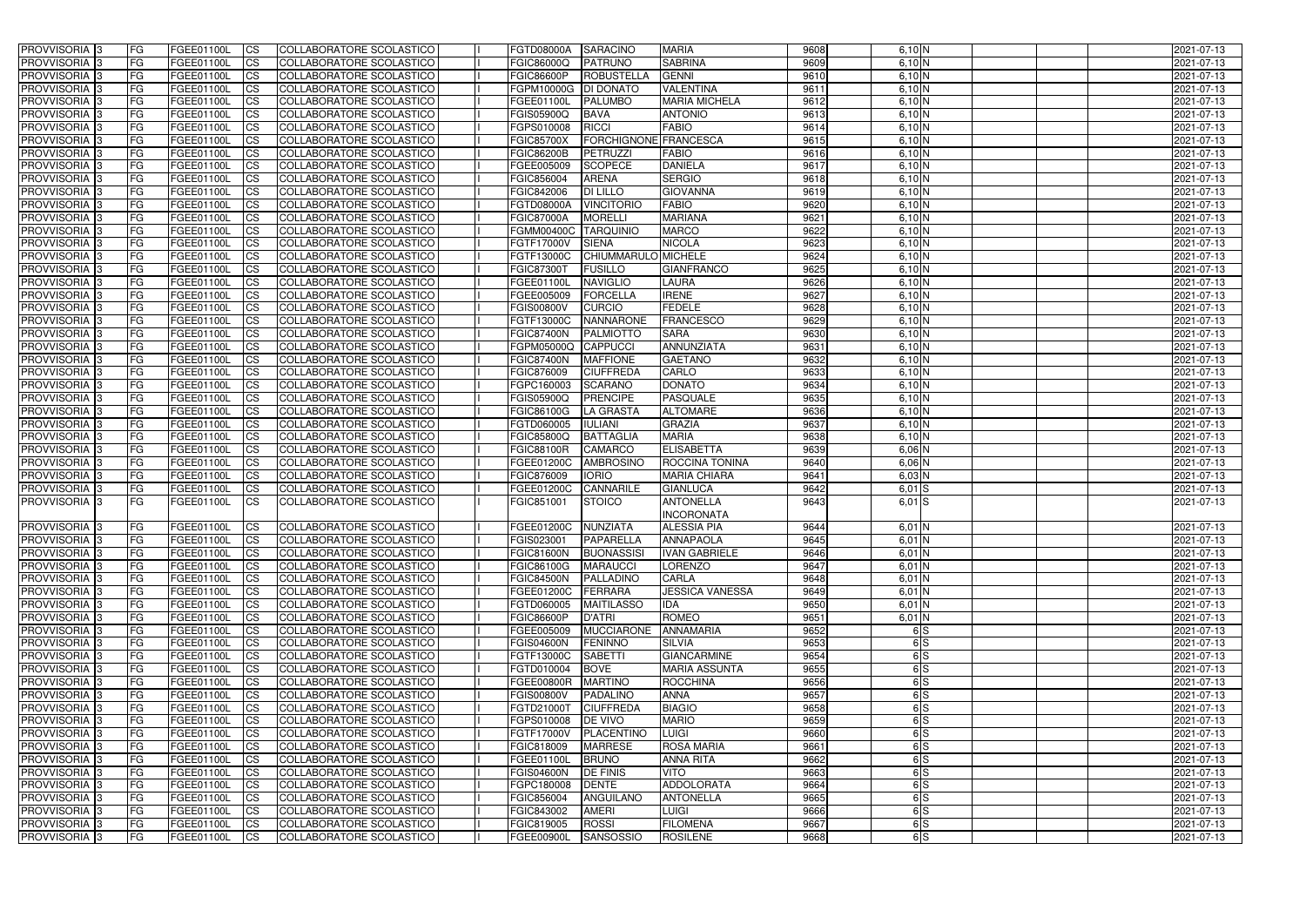| <b>PROVVISORIA</b> 3       | <b>IFG</b> | FGEE01100L        | <b>CS</b>              | COLLABORATORE SCOLASTICO        | <b>FGTD08000A</b>   | <b>SARACINO</b>              | <b>MARIA</b>           | 9608 | $6,10$ N | 2021-07-13 |
|----------------------------|------------|-------------------|------------------------|---------------------------------|---------------------|------------------------------|------------------------|------|----------|------------|
| PROVVISORIA <sup>1</sup> 3 | FG         | FGEE01100L        | $\overline{\text{cs}}$ | COLLABORATORE SCOLASTICO        | <b>FGIC86000Q</b>   | <b>PATRUNO</b>               | <b>SABRINA</b>         | 9609 | $6,10$ N | 2021-07-13 |
| PROVVISORIA <sup>3</sup>   | <b>IFG</b> | FGEE01100L        | <b>CS</b>              | <b>COLLABORATORE SCOLASTICO</b> | <b>FGIC86600P</b>   | <b>ROBUSTELLA</b>            | <b>GENNI</b>           | 9610 | $6,10$ N | 2021-07-13 |
| PROVVISORIA <sup>3</sup>   | FG         | FGEE01100L        | <b>CS</b>              | COLLABORATORE SCOLASTICO        | FGPM10000G          | <b>DI DONATO</b>             | <b>VALENTINA</b>       | 9611 | $6,10$ N | 2021-07-13 |
| PROVVISORIA 3              | FG         | FGEE01100L        | <b>CS</b>              | COLLABORATORE SCOLASTICO        | FGEE01100L          | <b>PALUMBO</b>               | <b>MARIA MICHELA</b>   | 9612 | $6,10$ N | 2021-07-13 |
| PROVVISORIA 3              | FG         | FGEE01100L        | <b>ICS</b>             | COLLABORATORE SCOLASTICO        | <b>FGIS05900Q</b>   | <b>BAVA</b>                  | <b>ANTONIO</b>         | 9613 | $6,10$ N | 2021-07-13 |
| PROVVISORIA 3              | FG         | FGEE01100L        | <b>CS</b>              | COLLABORATORE SCOLASTICO        | FGPS010008          | <b>RICCI</b>                 | <b>FABIO</b>           | 9614 | $6,10$ N | 2021-07-13 |
| PROVVISORIA <sup>3</sup>   | FG         | FGEE01100L        | $\overline{c}$         | COLLABORATORE SCOLASTICO        | <b>FGIC85700X</b>   | <b>FORCHIGNONE FRANCESCA</b> |                        | 9615 | $6,10$ N | 2021-07-13 |
| PROVVISORIA <sup>3</sup>   | FG         | FGEE01100L        | <b>CS</b>              | <b>COLLABORATORE SCOLASTICO</b> | <b>FGIC86200B</b>   | PETRUZZI                     | <b>FABIO</b>           | 9616 | $6,10$ N | 2021-07-13 |
| PROVVISORIA <sup>3</sup>   | FG         | FGEE01100L        | $\overline{\text{cs}}$ | COLLABORATORE SCOLASTICO        | FGEE005009          | <b>SCOPECE</b>               | <b>DANIELA</b>         | 9617 | 6,10 N   | 2021-07-13 |
| PROVVISORIA 3              | FG         | FGEE01100L        | <b>CS</b>              | <b>COLLABORATORE SCOLASTICO</b> | FGIC856004          | <b>ARENA</b>                 | <b>SERGIO</b>          | 9618 | $6,10$ N | 2021-07-13 |
| PROVVISORIA <sup>3</sup>   | FG         | <b>FGEE01100L</b> | <b>CS</b>              | COLLABORATORE SCOLASTICO        | FGIC842006          | <b>DI LILLO</b>              | <b>GIOVANNA</b>        | 9619 | $6,10$ N | 2021-07-13 |
| PROVVISORIA <sup>3</sup>   | FG         | FGEE01100L        | <b>I</b> CS            | COLLABORATORE SCOLASTICO        | <b>FGTD08000A</b>   | <b>VINCITORIO</b>            | <b>FABIO</b>           | 9620 | $6,10$ N | 2021-07-13 |
| PROVVISORIA <sup>3</sup>   | FG         | FGEE01100L        | <b>I</b> CS            | <b>COLLABORATORE SCOLASTICO</b> | <b>FGIC87000A</b>   | <b>MORELLI</b>               | <b>MARIANA</b>         | 9621 | 6,10 N   | 2021-07-13 |
| PROVVISORIA 3              | FG         | FGEE01100L        | <b>I</b> CS            | COLLABORATORE SCOLASTICO        | <b>FGMM00400C</b>   | <b>TARQUINIO</b>             | <b>MARCO</b>           | 9622 | 6,10 N   | 2021-07-13 |
| PROVVISORIA <sup>3</sup>   | FG         | <b>FGEE01100L</b> | <b>ICS</b>             | COLLABORATORE SCOLASTICO        | FGTF17000V          | <b>SIENA</b>                 | <b>NICOLA</b>          | 9623 | 6,10 N   | 2021-07-13 |
| PROVVISORIA <sup>3</sup>   | FG.        | <b>FGEE01100L</b> | <b>ICS</b>             |                                 |                     | CHIUMMARULO MICHELE          |                        | 9624 |          |            |
|                            |            |                   |                        | COLLABORATORE SCOLASTICO        | FGTF13000C          |                              |                        |      | 6,10 N   | 2021-07-13 |
| PROVVISORIA <sup>3</sup>   | FG         | FGEE01100L        | <b>ICS</b>             | COLLABORATORE SCOLASTICO        | <b>FGIC87300T</b>   | <b>FUSILLO</b>               | <b>GIANFRANCO</b>      | 9625 | $6,10$ N | 2021-07-13 |
| PROVVISORIA <sup>3</sup>   | FG         | FGEE01100L        | <b>ICS</b>             | COLLABORATORE SCOLASTICO        | FGEE01100L          | <b>NAVIGLIO</b>              | LAURA                  | 9626 | $6,10$ N | 2021-07-13 |
| PROVVISORIA <sup>3</sup>   | FG         | FGEE01100L        | <b>CS</b>              | COLLABORATORE SCOLASTICO        | FGEE005009          | <b>FORCELLA</b>              | <b>IRENE</b>           | 9627 | $6,10$ N | 2021-07-13 |
| PROVVISORIA <sup>3</sup>   | FG         | <b>FGEE01100L</b> | <b>CS</b>              | COLLABORATORE SCOLASTICO        | <b>FGIS00800V</b>   | <b>CURCIO</b>                | <b>FEDELE</b>          | 9628 | $6,10$ N | 2021-07-13 |
| PROVVISORIA <sup>3</sup>   | FG         | FGEE01100L        | <b>CS</b>              | COLLABORATORE SCOLASTICO        | FGTF13000C          | <b>NANNARONE</b>             | <b>FRANCESCO</b>       | 9629 | $6,10$ N | 2021-07-13 |
| PROVVISORIA <sup>3</sup>   | FG         | FGEE01100L        | <b>CS</b>              | COLLABORATORE SCOLASTICO        | <b>FGIC87400N</b>   | PALMIOTTO                    | <b>SARA</b>            | 9630 | $6,10$ N | 2021-07-13 |
| PROVVISORIA <sup>1</sup> 3 | FG         | FGEE01100L        | <b>CS</b>              | COLLABORATORE SCOLASTICO        | FGPM05000Q          | <b>CAPPUCCI</b>              | ANNUNZIATA             | 9631 | $6,10$ N | 2021-07-13 |
| PROVVISORIA <sup>3</sup>   | FG         | FGEE01100L        | ICS                    | COLLABORATORE SCOLASTICO        | <b>FGIC87400N</b>   | <b>MAFFIONE</b>              | <b>GAETANO</b>         | 9632 | $6,10$ N | 2021-07-13 |
| PROVVISORIA <sup>3</sup>   | FG         | <b>FGEE01100L</b> | <b>CS</b>              | COLLABORATORE SCOLASTICO        | FGIC876009          | <b>CIUFFREDA</b>             | CARLO                  | 9633 | $6,10$ N | 2021-07-13 |
| PROVVISORIA <sup>3</sup>   | FG         | <b>FGEE01100L</b> | <b>CS</b>              | COLLABORATORE SCOLASTICO        | FGPC160003          | <b>SCARANO</b>               | <b>DONATO</b>          | 9634 | 6,10 N   | 2021-07-13 |
| PROVVISORIA <sup>3</sup>   | FG         | FGEE01100L        | <b>CS</b>              | COLLABORATORE SCOLASTICO        | FGIS05900Q          | <b>PRENCIPE</b>              | PASQUALE               | 9635 | $6,10$ N | 2021-07-13 |
| PROVVISORIA <sup>3</sup>   | FG         | FGEE01100L        | <b>CS</b>              | COLLABORATORE SCOLASTICO        | FGIC86100G          | <b>LA GRASTA</b>             | <b>ALTOMARE</b>        | 9636 | $6,10$ N | 2021-07-13 |
| PROVVISORIA <sup>3</sup>   | FG         | <b>FGEE01100L</b> | <b>CS</b>              | COLLABORATORE SCOLASTICO        | FGTD060005          | <b>IULIANI</b>               | <b>GRAZIA</b>          | 9637 | $6,10$ N | 2021-07-13 |
| PROVVISORIA <sup>3</sup>   | FG         | <b>FGEE01100L</b> | <b>CS</b>              | COLLABORATORE SCOLASTICO        | <b>FGIC85800Q</b>   | <b>BATTAGLIA</b>             | <b>MARIA</b>           | 9638 | $6,10$ N | 2021-07-13 |
| PROVVISORIA <sup>3</sup>   | FG         | <b>FGEE01100L</b> | <b>CS</b>              | COLLABORATORE SCOLASTICO        | <b>FGIC88100R</b>   | <b>CAMARCO</b>               | <b>ELISABETTA</b>      | 9639 | $6,06$ N | 2021-07-13 |
| PROVVISORIA <sup>3</sup>   | FG         | <b>FGEE01100L</b> | $\overline{\text{cs}}$ | COLLABORATORE SCOLASTICO        | FGEE01200C          | <b>AMBROSINO</b>             | <b>ROCCINA TONINA</b>  | 9640 | $6,06$ N | 2021-07-13 |
| PROVVISORIA <sup>3</sup>   | FG         | FGEE01100L        | $\overline{c}$         | COLLABORATORE SCOLASTICO        | FGIC876009          | <b>IORIO</b>                 | <b>MARIA CHIARA</b>    | 9641 | $6,03$ N | 2021-07-13 |
| PROVVISORIA <sup>3</sup>   | FG         | FGEE01100L        | <b>CS</b>              | COLLABORATORE SCOLASTICO        | FGEE01200C          | <b>CANNARILE</b>             | <b>GIANLUCA</b>        | 9642 | $6,01$ S | 2021-07-13 |
| PROVVISORIA 3              | FG         | FGEE01100L        | <b>I</b> CS            | COLLABORATORE SCOLASTICO        | FGIC851001          | <b>STOICO</b>                | <b>ANTONELLA</b>       | 9643 | $6,01$ S | 2021-07-13 |
|                            |            |                   |                        |                                 |                     |                              | <b>INCORONATA</b>      |      |          |            |
| PROVVISORIA 3              | FG.        | FGEE01100L        | <b>ICS</b>             | COLLABORATORE SCOLASTICO        | FGEE01200C NUNZIATA |                              | <b>ALESSIA PIA</b>     | 9644 | $6,01$ N | 2021-07-13 |
| PROVVISORIA 3              | IFG.       | FGEE01100L CS     |                        | COLLABORATORE SCOLASTICO        | FGIS023001          | PAPARELLA                    | <b>ANNAPAOLA</b>       | 9645 | $6,01$ N | 2021-07-13 |
| PROVVISORIA 3              | FG         | FGEE01100L        | <b>ICS</b>             | COLLABORATORE SCOLASTICO        | FGIC81600N          | <b>BUONASSISI</b>            | <b>IVAN GABRIELE</b>   | 9646 | $6,01$ N | 2021-07-13 |
| PROVVISORIA 3              | FG         | FGEE01100L        | $\mathsf{ICS}$         | COLLABORATORE SCOLASTICO        | <b>FGIC86100G</b>   | <b>MARAUCCI</b>              | <b>LORENZO</b>         | 9647 | $6,01$ N | 2021-07-13 |
| PROVVISORIA 3              | FG         | FGEE01100L        | <b>ICS</b>             | COLLABORATORE SCOLASTICO        | <b>FGIC84500N</b>   | PALLADINO                    | <b>CARLA</b>           | 9648 | $6,01$ N | 2021-07-13 |
| PROVVISORIA 3              | FG         | FGEE01100L        | <b>ICS</b>             | COLLABORATORE SCOLASTICO        | <b>FGEE01200C</b>   | FERRARA                      | <b>JESSICA VANESSA</b> | 9649 | $6,01$ N | 2021-07-13 |
| PROVVISORIA 3              | FG         | FGEE01100L        | <b>CS</b>              | COLLABORATORE SCOLASTICO        | FGTD060005          | <b>MAITILASSO</b>            | <b>IDA</b>             | 9650 | $6,01$ N | 2021-07-13 |
| PROVVISORIA 3              | <b>FG</b>  | FGEE01100L        | <b>ICS</b>             | COLLABORATORE SCOLASTICO        | <b>FGIC86600P</b>   | D'ATRI                       | <b>ROMEO</b>           | 9651 | $6,01$ N | 2021-07-13 |
| PROVVISORIA 3              | FG         | FGEE01100L        | <b>CS</b>              | COLLABORATORE SCOLASTICO        | FGEE005009          | <b>MUCCIARONE</b>            | ANNAMARIA              | 9652 | 6S       | 2021-07-13 |
| PROVVISORIA 3              | FG         | FGEE01100L        | <b>CS</b>              | COLLABORATORE SCOLASTICO        | <b>FGIS04600N</b>   | <b>FENINNO</b>               | <b>SILVIA</b>          | 9653 | 6S       | 2021-07-13 |
| PROVVISORIA 3              | FG         | FGEE01100L        | <b>CS</b>              | COLLABORATORE SCOLASTICO        | FGTF13000C          | <b>SABETTI</b>               | <b>GIANCARMINE</b>     | 9654 | 6S       | 2021-07-13 |
| PROVVISORIA 3              | FG         | FGEE01100L        | <b>CS</b>              | COLLABORATORE SCOLASTICO        | FGTD010004          | <b>BOVE</b>                  | <b>MARIA ASSUNTA</b>   | 9655 | 6S       | 2021-07-13 |
| PROVVISORIA 3              | FG         | FGEE01100L        | <b>CS</b>              | COLLABORATORE SCOLASTICO        | <b>FGEE00800R</b>   | <b>MARTINO</b>               | <b>ROCCHINA</b>        | 9656 | 6S       | 2021-07-13 |
| <b>PROVVISORIA</b> 3       | IFG.       | FGEE01100L        | <b>CS</b>              | COLLABORATORE SCOLASTICO        | <b>FGIS00800V</b>   | PADALINO                     | <b>ANNA</b>            | 9657 | 6S       | 2021-07-13 |
| PROVVISORIA 3              | FG         | FGEE01100L        | <b>CS</b>              | <b>COLLABORATORE SCOLASTICO</b> | FGTD21000T          | <b>CIUFFREDA</b>             | <b>BIAGIO</b>          | 9658 | 6S       | 2021-07-13 |
| PROVVISORIA 3              | <b>IFG</b> | FGEE01100L        | <b>CS</b>              | COLLABORATORE SCOLASTICO        | FGPS010008          | <b>IDE VIVO</b>              | <b>MARIO</b>           | 9659 | 6S       | 2021-07-13 |
| <b>PROVVISORIA</b> 3       | IFG.       | FGEE01100L        | <b>CS</b>              | COLLABORATORE SCOLASTICO        | <b>FGTF17000V</b>   | PLACENTINO                   | <b>LUIGI</b>           | 9660 | 6S       | 2021-07-13 |
| PROVVISORIA 3              | FG         | FGEE01100L        | <b>CS</b>              | COLLABORATORE SCOLASTICO        | FGIC818009          | <b>MARRESE</b>               | <b>ROSA MARIA</b>      | 9661 | 6S       | 2021-07-13 |
| PROVVISORIA 3              | FG         | FGEE01100L        | <b>CS</b>              | COLLABORATORE SCOLASTICO        | FGEE01100L          | <b>BRUNO</b>                 | <b>ANNA RITA</b>       | 9662 | 6S       | 2021-07-13 |
| PROVVISORIA 3              | <b>FG</b>  | <b>FGEE01100L</b> | <b>CS</b>              | COLLABORATORE SCOLASTICO        | <b>FGIS04600N</b>   | <b>DE FINIS</b>              | <b>VITO</b>            | 9663 | 6S       | 2021-07-13 |
| PROVVISORIA 3              | FG         | <b>FGEE01100L</b> | <b>CS</b>              | COLLABORATORE SCOLASTICO        | FGPC180008          | <b>DENTE</b>                 | ADDOLORATA             | 9664 | 6S       | 2021-07-13 |
| PROVVISORIA 3              | FG         | FGEE01100L        | <b>CS</b>              | COLLABORATORE SCOLASTICO        | FGIC856004          | ANGUILANO                    | <b>ANTONELLA</b>       | 9665 | 6S       | 2021-07-13 |
| PROVVISORIA 3              | FG         | <b>FGEE01100L</b> | <b>CS</b>              | COLLABORATORE SCOLASTICO        | FGIC843002          | <b>AMERI</b>                 | <b>LUIGI</b>           | 9666 | 6S       | 2021-07-13 |
| PROVVISORIA 3              |            | FGEE01100L        | <b>CS</b>              | COLLABORATORE SCOLASTICO        | FGIC819005          | <b>ROSSI</b>                 | <b>FILOMENA</b>        | 9667 | 6S       | 2021-07-13 |
| PROVVISORIA 3              | FG<br>l FG |                   | <b>CS</b>              | COLLABORATORE SCOLASTICO        |                     | SANSOSSIO                    |                        | 9668 |          | 2021-07-13 |
|                            |            | FGEE01100L        |                        |                                 | FGEE00900L          |                              | <b>ROSILENE</b>        |      | 6S       |            |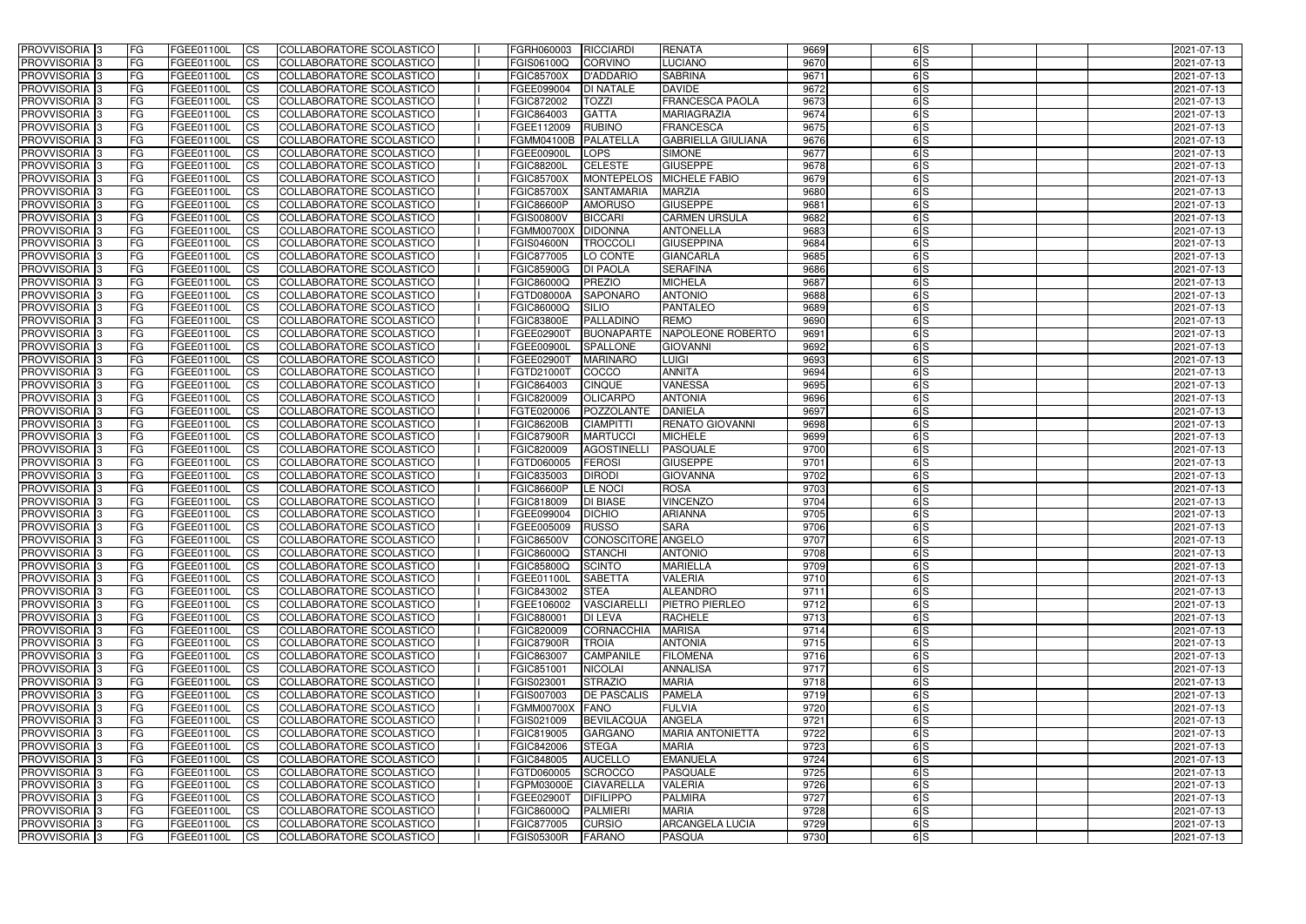| <b>PROVVISORIA</b> 3       | l FG       | FGEE01100L               | <b>ICS</b>              | COLLABORATORE SCOLASTICO                                    | FGRH060003               | RICCIARDI                            | <b>RENATA</b>                        | 9669         | 6S            | 2021-07-13               |
|----------------------------|------------|--------------------------|-------------------------|-------------------------------------------------------------|--------------------------|--------------------------------------|--------------------------------------|--------------|---------------|--------------------------|
| <b>PROVVISORIA 3</b>       | FG.        | FGEE01100L               | <b>ICS</b>              | COLLABORATORE SCOLASTICO                                    | FGIS06100Q               | <b>CORVINO</b>                       | LUCIANO                              | 9670         | 6S            | 2021-07-13               |
| PROVVISORIA <sup>1</sup> 3 | FG         | FGEE01100L               | <b>CS</b>               | COLLABORATORE SCOLASTICO                                    | <b>FGIC85700X</b>        | <b>D'ADDARIO</b>                     | <b>SABRINA</b>                       | 9671         | 6S            | 2021-07-13               |
| PROVVISORIA                | FG         | FGEE01100L               | <b>CS</b>               | COLLABORATORE SCOLASTICO                                    | FGEE099004               | <b>DI NATALE</b>                     | <b>DAVIDE</b>                        | 9672         | 6S            | 2021-07-13               |
| <b>PROVVISORIA 3</b>       | FG         | FGEE01100L               | <b>CS</b>               | COLLABORATORE SCOLASTICO                                    | FGIC872002               | <b>TOZZI</b>                         | <b>FRANCESCA PAOLA</b>               | 9673         | $\frac{1}{5}$ | 2021-07-13               |
| PROVVISORIA <sup>1</sup> 3 | FG         | FGEE01100L               | <b>CS</b>               | COLLABORATORE SCOLASTICO                                    | FGIC864003               | <b>GATTA</b>                         | <b>MARIAGRAZIA</b>                   | 9674         | 6S            | 2021-07-13               |
| PROVVISORIA <sup>1</sup> 3 | FG         | FGEE01100L               | <b>CS</b>               | COLLABORATORE SCOLASTICO                                    | FGEE112009               | <b>RUBINO</b>                        | <b>FRANCESCA</b>                     | 9675         | $\frac{1}{5}$ | 2021-07-13               |
| PROVVISORIA 3              | FG         | FGEE01100L               | <b>ICS</b>              | COLLABORATORE SCOLASTICO                                    | <b>FGMM04100B</b>        | PALATELLA                            | <b>GABRIELLA GIULIANA</b>            | 9676         | 6S            | 2021-07-13               |
| PROVVISORIA 3              | FG         | FGEE01100L               | <b>CS</b>               | COLLABORATORE SCOLASTICO                                    | <b>FGEE00900L</b>        | <b>LOPS</b>                          | <b>SIMONE</b>                        | 9677         | 6S            | 2021-07-13               |
| PROVVISORIA 3              | <b>FG</b>  | <b>FGEE01100L</b>        | <b>ICS</b>              | COLLABORATORE SCOLASTICO                                    | <b>FGIC88200L</b>        | <b>CELESTE</b>                       | <b>GIUSEPPE</b>                      | 9678         | 6S            | 2021-07-13               |
| PROVVISORIA 3              | FG         | FGEE01100L               | <b>ICS</b>              | COLLABORATORE SCOLASTICO                                    | <b>FGIC85700X</b>        | <b>MONTEPELOS</b>                    | <b>MICHELE FABIO</b>                 | 9679         | 6S            | 2021-07-13               |
| <b>PROVVISORIA</b>         | FG         | FGEE01100L               | <b>ICS</b>              | COLLABORATORE SCOLASTICO                                    | <b>FGIC85700X</b>        | <b>SANTAMARIA</b>                    | <b>MARZIA</b>                        | 9680         | 6S            | 2021-07-13               |
| <b>PROVVISORIA</b>         | FG         | FGEE01100L               | <b>ICS</b>              | COLLABORATORE SCOLASTICO                                    | <b>FGIC86600P</b>        | <b>AMORUSO</b>                       | <b>GIUSEPPE</b>                      | 9681         | 6S            | 2021-07-13               |
| <b>PROVVISORIA</b>         | FG         | FGEE01100L               | <b>ICS</b>              | COLLABORATORE SCOLASTICO                                    | <b>FGIS00800V</b>        | <b>BICCARI</b>                       | <b>CARMEN URSULA</b>                 | 9682         | 6S            | 2021-07-13               |
| <b>PROVVISORIA</b>         | FG         | FGEE01100L               | <b>ICS</b>              | COLLABORATORE SCOLASTICO                                    | <b>FGMM00700X</b>        | <b>DIDONNA</b>                       | <b>ANTONELLA</b>                     | 9683         | 6S            | 2021-07-13               |
| <b>PROVVISORIA</b>         | FG         | FGEE01100L               | <b>ICS</b>              | COLLABORATORE SCOLASTICO                                    | <b>FGIS04600N</b>        | <b>TROCCOLI</b>                      | <b>GIUSEPPINA</b>                    | 9684         | 6S            | 2021-07-13               |
| <b>PROVVISORIA</b>         | FG         | <b>FGEE01100L</b>        | <b>ICS</b>              | COLLABORATORE SCOLASTICO                                    | FGIC877005               | LO CONTE                             | <b>GIANCARLA</b>                     | 9685         | 6S            | 2021-07-13               |
| <b>PROVVISORIA</b>         | FG         | FGEE01100L               | <b>ICS</b>              | COLLABORATORE SCOLASTICO                                    | <b>FGIC85900G</b>        | <b>DI PAOLA</b>                      | <b>SERAFINA</b>                      | 9686         | 6lS           | 2021-07-13               |
| PROVVISORIA <sup>3</sup>   | FG         | FGEE01100L               | <b>ICS</b>              | COLLABORATORE SCOLASTICO                                    | FGIC86000Q               | PREZIO                               | <b>MICHELA</b>                       | 9687         | 6lS           | 2021-07-13               |
| PROVVISORIA 3              | FG         | FGEE01100L               | <b>ICS</b>              | COLLABORATORE SCOLASTICO                                    | FGTD08000A               | <b>SAPONARO</b>                      | <b>ANTONIO</b>                       | 9688         | 6S            | 2021-07-13               |
| PROVVISORIA <sup>3</sup>   | FG         | FGEE01100L               | <b>ICS</b>              | COLLABORATORE SCOLASTICO                                    | FGIC86000Q               | <b>SILIO</b>                         | <b>PANTALEO</b>                      | 9689         | 6S            | 2021-07-13               |
| PROVVISORIA 3              | FG         | FGEE01100L               | <b>ICS</b>              | COLLABORATORE SCOLASTICO                                    | <b>FGIC83800E</b>        | PALLADINO                            | <b>REMO</b>                          | 9690         | 6S            | 2021-07-13               |
| PROVVISORIA <sup>3</sup>   |            |                          |                         |                                                             |                          |                                      |                                      |              |               |                          |
| PROVVISORIA <sup>3</sup>   | FG<br>FG   | FGEE01100L<br>FGEE01100L | <b>ICS</b><br><b>CS</b> | <b>COLLABORATORE SCOLASTICO</b><br>COLLABORATORE SCOLASTICO | FGEE02900T<br>FGEE00900I | <b>BUONAPARTE</b><br><b>SPALLONE</b> | NAPOLEONE ROBERTO<br><b>GIOVANNI</b> | 9691<br>9692 | 6S<br>6S      | 2021-07-13<br>2021-07-13 |
| PROVVISORIA <sup>3</sup>   |            |                          |                         | <b>COLLABORATORE SCOLASTICO</b>                             |                          |                                      | <b>LUIGI</b>                         | 9693         | $\frac{1}{5}$ |                          |
|                            | FG         | FGEE01100L               | <b>CS</b>               |                                                             | FGEE02900T               | <b>MARINARO</b>                      |                                      |              |               | 2021-07-13               |
| PROVVISORIA <sup>1</sup> 3 | FG         | FGEE01100L               | <b>ICS</b>              | COLLABORATORE SCOLASTICO                                    | FGTD21000T               | COCCO                                | <b>ANNITA</b>                        | 9694         | $\frac{1}{5}$ | 2021-07-13               |
| PROVVISORIA 3              | FG         | FGEE01100L               | <b>ICS</b>              | COLLABORATORE SCOLASTICO                                    | FGIC864003               | <b>CINQUE</b>                        | <b>VANESSA</b>                       | 9695         | 6S            | 2021-07-13               |
| PROVVISORIA                | FG         | FGEE01100L               | <b>ICS</b>              | COLLABORATORE SCOLASTICO                                    | FGIC820009               | OLICARPO                             | <b>ANTONIA</b>                       | 9696         | 6S            | 2021-07-13               |
| PROVVISORIA                | FG         | FGEE01100L               | <b>CS</b>               | <b>COLLABORATORE SCOLASTICO</b>                             | FGTE020006               | POZZOLANTE                           | <b>DANIELA</b>                       | 9697         | 6S            | 2021-07-13               |
| PROVVISORIA                | FG         | FGEE01100L               | <b>CS</b>               | <b>COLLABORATORE SCOLASTICO</b>                             | <b>FGIC86200B</b>        | <b>CIAMPITTI</b>                     | <b>RENATO GIOVANNI</b>               | 9698         | 6S            | 2021-07-13               |
| PROVVISORIA                | FG         | FGEE01100L               | <b>CS</b>               | COLLABORATORE SCOLASTICO                                    | <b>FGIC87900R</b>        | <b>MARTUCCI</b>                      | <b>MICHELE</b>                       | 9699         | 6S            | 2021-07-13               |
| PROVVISORIA <sup>1</sup> 3 | FG         | FGEE01100L               | <b>CS</b>               | COLLABORATORE SCOLASTICO                                    | FGIC820009               | <b>AGOSTINELL</b>                    | <b>PASQUALE</b>                      | 9700         | $\frac{1}{5}$ | 2021-07-13               |
| PROVVISORIA <sup>1</sup> 3 | FG         | FGEE01100L               | <b>CS</b>               | COLLABORATORE SCOLASTICO                                    | FGTD060005               | <b>FEROSI</b>                        | <b>GIUSEPPE</b>                      | 9701         | 6S            | 2021-07-13               |
| PROVVISORIA 3              | FG         | FGEE01100L               | <b>CS</b>               | COLLABORATORE SCOLASTICO                                    | FGIC835003               | <b>DIRODI</b>                        | <b>GIOVANNA</b>                      | 9702         | $\frac{1}{5}$ | 2021-07-13               |
| <b>PROVVISORIA</b>         | FG         | FGEE01100L               | <b>ICS</b>              | COLLABORATORE SCOLASTICO                                    | <b>FGIC86600P</b>        | <b>LE NOCI</b>                       | <b>ROSA</b>                          | 9703         | 6S            | 2021-07-13               |
| PROVVISORIA <sup>1</sup> 3 | <b>FG</b>  | FGEE01100L               | <b>ICS</b>              | COLLABORATORE SCOLASTICO                                    | FGIC818009               | <b>DI BIASE</b>                      | <b>VINCENZO</b>                      | 9704         | 6S            | 2021-07-13               |
| PROVVISORIA 3              | FG         | FGEE01100L               | <b>ICS</b>              | COLLABORATORE SCOLASTICO                                    | FGEE099004               | <b>DICHIO</b>                        | <b>ARIANNA</b>                       | 9705         | 6S            | 2021-07-13               |
| <b>PROVVISORIA</b>         | <b>FG</b>  | FGEE01100L               | <b>ICS</b>              | COLLABORATORE SCOLASTICO                                    | FGEE005009               | <b>RUSSO</b>                         | <b>SARA</b>                          | 9706         | 6S            | 2021-07-13               |
| PROVVISORIA 3              | FG         | FGEE01100L CS            |                         | COLLABORATORE SCOLASTICO                                    | <b>FGIC86500V</b>        | CONOSCITORE ANGELO                   |                                      | 9707         | 6S            | 2021-07-13               |
| PROVVISORIA 3              | <b>FG</b>  | FGEE01100L               | $\mathsf{ICS}$          | COLLABORATORE SCOLASTICO                                    | <b>FGIC86000Q</b>        | <b>STANCHI</b>                       | <b>ANTONIO</b>                       | 9708         | 6S            | 2021-07-13               |
| PROVVISORIA 3              | <b>FG</b>  | <b>FGEE01100L</b>        | $\mathsf{ICS}$          | COLLABORATORE SCOLASTICO                                    | <b>FGIC85800Q</b>        | SCINTO                               | <b>MARIELLA</b>                      | 9709         | $\frac{1}{5}$ | 2021-07-13               |
| PROVVISORIA 3              | <b>FG</b>  | FGEE01100L               | $\mathsf{ICS}$          | COLLABORATORE SCOLASTICO                                    | FGEE01100L               | <b>SABETTA</b>                       | <b>VALERIA</b>                       | 9710         | 6S            | 2021-07-13               |
| PROVVISORIA 3              | FG         | FGEE01100L               | $\mathsf{ICS}$          | COLLABORATORE SCOLASTICO                                    | FGIC843002               | <b>STEA</b>                          | <b>ALEANDRO</b>                      | 9711         | 6S            | 2021-07-13               |
| PROVVISORIA 3              | l FG       | FGEE01100L               | CS                      | COLLABORATORE SCOLASTICO                                    | FGEE106002               | <b>VASCIARELLI</b>                   | <b>PIETRO PIERLEO</b>                | 9712         | 6S            | 2021-07-13               |
| PROVVISORIA 3              | <b>FG</b>  | FGEE01100L               | $\mathsf{ICS}$          | COLLABORATORE SCOLASTICO                                    | FGIC880001               | <b>DI LEVA</b>                       | <b>RACHELE</b>                       | 9713         | 6S            | 2021-07-13               |
| PROVVISORIA 3              | FG         | FGEE01100L               | <b>CS</b>               | COLLABORATORE SCOLASTICO                                    | FGIC820009               | <b>CORNACCHIA</b>                    | <b>MARISA</b>                        | 9714         | 6S            | 2021-07-13               |
| PROVVISORIA 3              | <b>FG</b>  | FGEE01100L               | <b>CS</b>               | COLLABORATORE SCOLASTICO                                    | <b>FGIC87900R</b>        | <b>TROIA</b>                         | <b>ANTONIA</b>                       | 9715         | 6S            | 2021-07-13               |
| PROVVISORIA 3              | <b>FG</b>  | FGEE01100L               | <b>CS</b>               | COLLABORATORE SCOLASTICO                                    | FGIC863007               | <b>CAMPANILE</b>                     | <b>FILOMENA</b>                      | 9716         | 6S            | 2021-07-13               |
| PROVVISORIA 3              | <b>FG</b>  | FGEE01100L               | <b>CS</b>               | COLLABORATORE SCOLASTICO                                    | FGIC851001               | NICOLAI                              | <b>ANNALISA</b>                      | 9717         | 6S            | 2021-07-13               |
| PROVVISORIA 3              | <b>FG</b>  | FGEE01100L               | <b>CS</b>               | COLLABORATORE SCOLASTICO                                    | FGIS023001               | <b>STRAZIO</b>                       | <b>MARIA</b>                         | 9718         | 6S            | 2021-07-13               |
| PROVVISORIA 3              | <b>FG</b>  | FGEE01100L               | <b>CS</b>               | COLLABORATORE SCOLASTICO                                    | FGIS007003               | <b>DE PASCALIS</b>                   | <b>PAMELA</b>                        | 9719         | 6S            | 2021-07-13               |
| PROVVISORIA 3              | <b>FG</b>  | FGEE01100L               | <b>CS</b>               | COLLABORATORE SCOLASTICO                                    | FGMM00700X FANO          |                                      | <b>FULVIA</b>                        | 9720         | 6S            | 2021-07-13               |
| PROVVISORIA 3              | <b>FG</b>  | FGEE01100L               | <b>CS</b>               | COLLABORATORE SCOLASTICO                                    | FGIS021009               | <b>BEVILACQUA</b>                    | <b>ANGELA</b>                        | 9721         | 6S            | 2021-07-13               |
| PROVVISORIA 3              | <b>FG</b>  | FGEE01100L               | <b>CS</b>               | COLLABORATORE SCOLASTICO                                    | FGIC819005               | <b>GARGANO</b>                       | <b>MARIA ANTONIETTA</b>              | 9722         | 6S            | 2021-07-13               |
| PROVVISORIA 3              | <b>FG</b>  | FGEE01100L               | <b>CS</b>               | COLLABORATORE SCOLASTICO                                    | FGIC842006               | <b>STEGA</b>                         | <b>MARIA</b>                         | 9723         | 6S            | 2021-07-13               |
| PROVVISORIA 3              | <b>FG</b>  | FGEE01100L               | <b>CS</b>               | COLLABORATORE SCOLASTICO                                    | FGIC848005               | <b>AUCELLO</b>                       | <b>EMANUELA</b>                      | 9724         | 6S            | 2021-07-13               |
| PROVVISORIA 3              | <b>FG</b>  | FGEE01100L               | <b>CS</b>               | COLLABORATORE SCOLASTICO                                    | FGTD060005               | <b>SCROCCO</b>                       | <b>PASQUALE</b>                      | 9725         | 6S            | 2021-07-13               |
| PROVVISORIA 3              | FG         | FGEE01100L               | <b>CS</b>               | COLLABORATORE SCOLASTICO                                    | FGPM03000E CIAVARELLA    |                                      | <b>VALERIA</b>                       | 9726         | 6S            | 2021-07-13               |
| PROVVISORIA 3              | FG         | <b>FGEE01100L</b>        | <b>CS</b>               | COLLABORATORE SCOLASTICO                                    | FGEE02900T DIFILIPPO     |                                      | <b>PALMIRA</b>                       | 9727         | 6S            | 2021-07-13               |
| PROVVISORIA 3              | <b>FG</b>  | FGEE01100L               | $\overline{\text{CS}}$  | COLLABORATORE SCOLASTICO                                    | <b>FGIC86000Q</b>        | <b>PALMIERI</b>                      | <b>MARIA</b>                         | 9728         | 6S            | 2021-07-13               |
| PROVVISORIA 3              | <b>FG</b>  | FGEE01100L               | $\overline{\text{CS}}$  | COLLABORATORE SCOLASTICO                                    | <b>FGIC877005</b>        | <b>CURSIO</b>                        | <b>ARCANGELA LUCIA</b>               | 9729         | 6S            | 2021-07-13               |
| PROVVISORIA 3              | <b>IFG</b> | FGEE01100L               | $\overline{\text{CS}}$  | COLLABORATORE SCOLASTICO                                    | <b>FGIS05300R</b>        | <b>FARANO</b>                        | <b>PASQUA</b>                        | 9730         | 6S            | 2021-07-13               |
|                            |            |                          |                         |                                                             |                          |                                      |                                      |              |               |                          |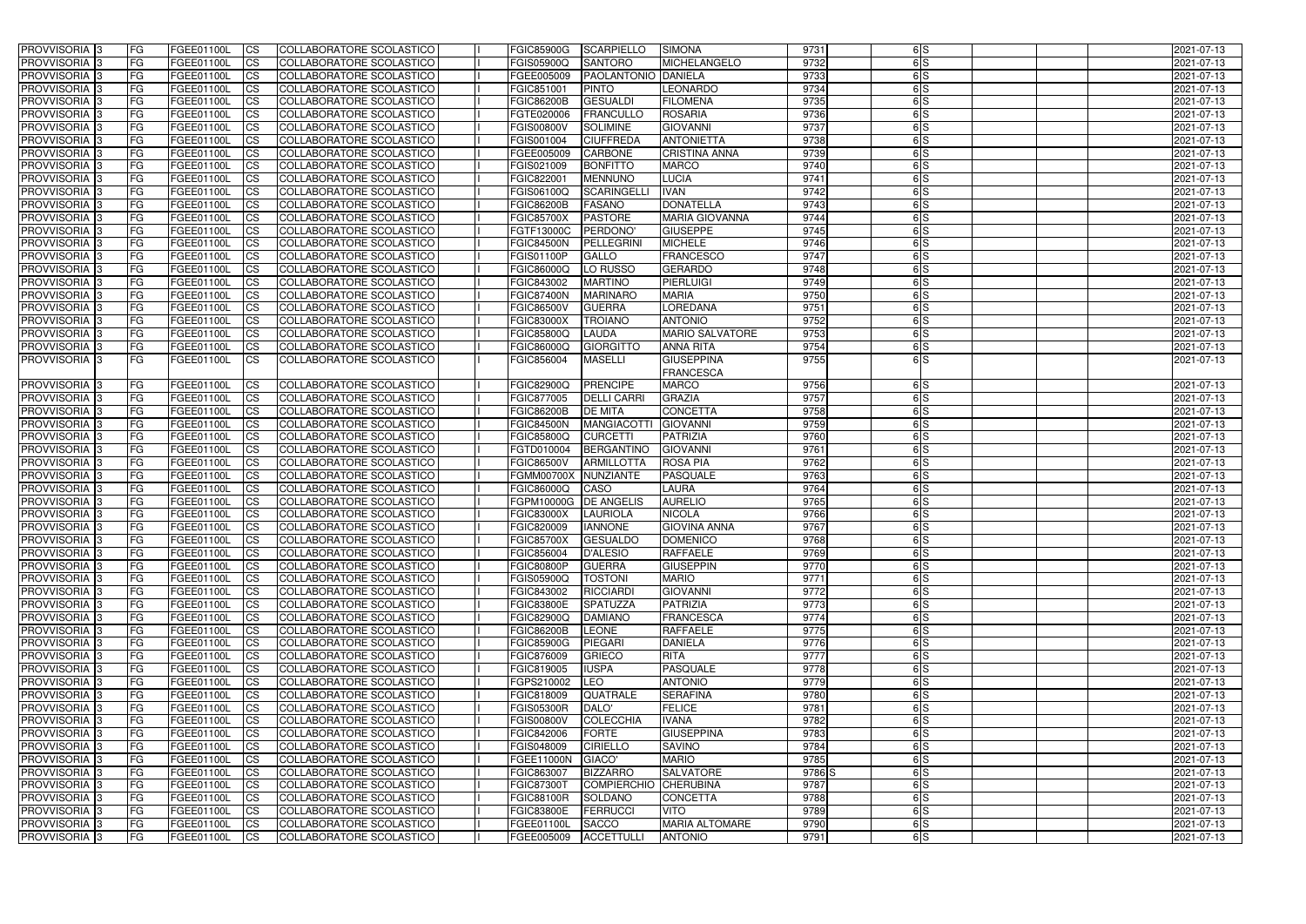| PROVVISORIA <sup>1</sup> 3                             | <b>FG</b>              | FGEE01100L               | <b>ICS</b>             | COLLABORATORE SCOLASTICO                             | <b>FGIC85900G</b>               | <b>SCARPIELLO</b>                | <b>SIMONA</b>                              | 9731         | 6S            | 2021-07-13               |
|--------------------------------------------------------|------------------------|--------------------------|------------------------|------------------------------------------------------|---------------------------------|----------------------------------|--------------------------------------------|--------------|---------------|--------------------------|
| PROVVISORIA <sup>1</sup> 3                             | FG                     | FGEE01100L               | <b>CS</b>              | COLLABORATORE SCOLASTICO                             | FGIS05900Q                      | <b>SANTORO</b>                   | <b>MICHELANGELO</b>                        | 9732         | 6S            | 2021-07-13               |
| PROVVISORIA <sup>1</sup> 3                             | FG                     | FGEE01100L               | <b>CS</b>              | COLLABORATORE SCOLASTICO                             | FGEE005009                      | <b>PAOLANTONIO DANIELA</b>       |                                            | 9733         | 6S            | 2021-07-13               |
| PROVVISORIA <sup>1</sup> 3                             | FG                     | FGEE01100L               | <b>CS</b>              | COLLABORATORE SCOLASTICO                             | FGIC851001                      | <b>PINTO</b>                     | <b>LEONARDO</b>                            | 9734         | 6S            | 2021-07-13               |
| PROVVISORIA <sup>1</sup> 3                             | FG                     | FGEE01100L               | <b>ICS</b>             | COLLABORATORE SCOLASTICO                             | <b>FGIC86200B</b>               | <b>GESUALDI</b>                  | <b>FILOMENA</b>                            | 9735         | $\frac{1}{5}$ | 2021-07-13               |
| PROVVISORIA 3                                          | FG                     | FGEE01100L               | <b>ICS</b>             | COLLABORATORE SCOLASTICO                             | FGTE020006                      | <b>FRANCULLO</b>                 | <b>ROSARIA</b>                             | 9736         | 6S            | 2021-07-13               |
| PROVVISORIA 3                                          | <b>FG</b>              | FGEE01100L               | <b>ICS</b>             | COLLABORATORE SCOLASTICO                             | <b>FGIS00800V</b>               | <b>SOLIMINE</b>                  | <b>GIOVANNI</b>                            | 9737         | 6S            | 2021-07-13               |
| PROVVISORIA 3                                          | FG                     | FGEE01100L               | <b>ICS</b>             | COLLABORATORE SCOLASTICO                             | FGIS001004                      | <b>CIUFFREDA</b>                 | <b>ANTONIETTA</b>                          | 9738         | 6S            | 2021-07-13               |
| PROVVISORIA 3                                          | FG                     | FGEE01100L               | <b>CS</b>              | COLLABORATORE SCOLASTICO                             | FGEE005009                      | <b>CARBONE</b>                   | <b>CRISTINA ANNA</b>                       | 9739         | 6S            | 2021-07-13               |
| PROVVISORIA 3                                          | FG                     | FGEE01100L               | <b>CS</b>              | COLLABORATORE SCOLASTICO                             | FGIS021009                      | <b>BONFITTO</b>                  | <b>MARCO</b>                               | 9740         | 6S            | 2021-07-13               |
| PROVVISORIA <sup>3</sup>                               | <b>FG</b>              | FGEE01100L               | <b>ICS</b>             | COLLABORATORE SCOLASTICO                             | FGIC822001                      | <b>MENNUNO</b>                   | <b>LUCIA</b>                               | 9741         | 6S            | 2021-07-13               |
| PROVVISORIA <sup>1</sup> 3                             | FG                     | FGEE01100L               | <b>ICS</b>             | COLLABORATORE SCOLASTICO                             | FGIS06100Q                      | <b>SCARINGELL</b>                | <b>IVAN</b>                                | 9742         | 6S            | 2021-07-13               |
| PROVVISORIA <sup>1</sup> 3                             | FG                     | FGEE01100L               | <b>ICS</b>             | COLLABORATORE SCOLASTICO                             | <b>FGIC86200B</b>               | <b>FASANO</b>                    | <b>DONATELLA</b>                           | 9743         | 6S            | 2021-07-13               |
| <b>PROVVISORIA</b>                                     | FG                     | FGEE01100L               | <b>ICS</b>             | COLLABORATORE SCOLASTICO                             | <b>FGIC85700X</b>               | <b>PASTORE</b>                   | <b>MARIA GIOVANNA</b>                      | 9744         | 6S            | 2021-07-13               |
| <b>PROVVISORIA</b>                                     | FG                     | FGEE01100L               | <b>ICS</b>             | COLLABORATORE SCOLASTICO                             | FGTF13000C                      | PERDONO'                         | <b>GIUSEPPE</b>                            | 9745         | 6S            | 2021-07-13               |
| PROVVISORIA <sup>1</sup> 3                             | FG                     | FGEE01100L               | <b>ICS</b>             | COLLABORATORE SCOLASTICO                             | FGIC84500N                      | PELLEGRINI                       | <b>MICHELE</b>                             | 9746         | 6S            | 2021-07-13               |
| <b>PROVVISORIA</b>                                     | FG                     | FGEE01100L               | <b>ICS</b>             | COLLABORATORE SCOLASTICO                             | FGIS01100P                      | <b>GALLO</b>                     | <b>FRANCESCO</b>                           | 9747         | 6lS           | 2021-07-13               |
| PROVVISORIA <sup>3</sup>                               | FG                     | FGEE01100L               | <b>ICS</b>             | COLLABORATORE SCOLASTICO                             | FGIC86000Q                      | LO RUSSO                         | <b>GERARDO</b>                             | 9748         | 6S            | 2021-07-13               |
| PROVVISORIA <sup>1</sup> 3                             | FG                     | FGEE01100L               | <b>ICS</b>             | COLLABORATORE SCOLASTICO                             | FGIC843002                      | <b>MARTINO</b>                   | <b>PIERLUIGI</b>                           | 9749         | 6S            | 2021-07-13               |
| PROVVISORIA <sup>13</sup>                              | FG                     | FGEE01100L               | <b>ICS</b>             | COLLABORATORE SCOLASTICO                             | <b>FGIC87400N</b>               | <b>MARINARO</b>                  | <b>MARIA</b>                               | 9750         | 6S            | 2021-07-13               |
| PROVVISORIA <sup>1</sup> 3                             | FG                     | FGEE01100L               | <b>CS</b>              | COLLABORATORE SCOLASTICO                             | <b>FGIC86500V</b>               | <b>GUERRA</b>                    | <b>LOREDANA</b>                            | 9751         | 6S            | 2021-07-13               |
| PROVVISORIA <sup>13</sup>                              | FG                     | FGEE01100L               | <b>CS</b>              | COLLABORATORE SCOLASTICO                             | <b>FGIC83000X</b>               | <b>TROIANO</b>                   | <b>ANTONIO</b>                             | 9752         | 6S            | 2021-07-13               |
| PROVVISORIA <sup>3</sup><br>PROVVISORIA <sup>1</sup> 3 | FG<br><b>FG</b>        | FGEE01100L<br>FGEE01100L | <b>CS</b>              | COLLABORATORE SCOLASTICO<br>COLLABORATORE SCOLASTICO | FGIC85800Q<br>FGIC86000Q        | <b>LAUDA</b><br><b>GIORGITTO</b> | <b>MARIO SALVATORE</b><br><b>ANNA RITA</b> | 9753<br>9754 | 6S<br>6S      | 2021-07-13               |
|                                                        | FG.                    |                          | <b>CS</b>              |                                                      |                                 |                                  | <b>GIUSEPPINA</b>                          | 9755         | 6S            | 2021-07-13               |
| PROVVISORIA 3                                          |                        | FGEE01100L               | ICS                    | COLLABORATORE SCOLASTICO                             | FGIC856004                      | <b>MASELLI</b>                   | <b>FRANCESCA</b>                           |              |               | 2021-07-13               |
| PROVVISORIA 3                                          | <b>FG</b>              | FGEE01100L               | <b>CS</b>              | COLLABORATORE SCOLASTICO                             | <b>FGIC82900Q</b>               | <b>PRENCIPE</b>                  | <b>MARCO</b>                               | 9756         | 6S            | 2021-07-13               |
| <b>PROVVISORIA</b>                                     | FG                     | FGEE01100L               | <b>CS</b>              | COLLABORATORE SCOLASTICO                             | FGIC877005                      | <b>DELLI CARRI</b>               | <b>GRAZIA</b>                              | 9757         | 6S            | 2021-07-13               |
| PROVVISORIA <sup>1</sup> 3                             | FG                     | FGEE01100L               | <b>CS</b>              | COLLABORATORE SCOLASTICO                             | <b>FGIC86200B</b>               | <b>DE MITA</b>                   | <b>CONCETTA</b>                            | 9758         | $\frac{1}{5}$ | 2021-07-13               |
| PROVVISORIA <sup>3</sup>                               | FG                     | FGEE01100L               | <b>CS</b>              | COLLABORATORE SCOLASTICO                             | <b>FGIC84500N</b>               | <b>MANGIACOTTI</b>               | <b>GIOVANNI</b>                            | 9759         | 6S            | 2021-07-13               |
| <b>PROVVISORIA</b>                                     | FG                     | FGEE01100L               | <b>CS</b>              | COLLABORATORE SCOLASTICO                             | FGIC85800Q                      | <b>CURCETTI</b>                  | PATRIZIA                                   | 9760         | 6S            | 2021-07-13               |
| PROVVISORIA 3                                          | FG                     | FGEE01100L               | <b>CS</b>              | COLLABORATORE SCOLASTICO                             | FGTD010004                      | <b>BERGANTINO</b>                | <b>GIOVANNI</b>                            | 9761         | 6S            | 2021-07-13               |
| PROVVISORIA 3                                          | FG                     | FGEE01100L               | <b>ICS</b>             | <b>COLLABORATORE SCOLASTICO</b>                      | <b>FGIC86500V</b>               | <b>ARMILLOTTA</b>                | <b>ROSA PIA</b>                            | 9762         | 6S            | 2021-07-13               |
| PROVVISORIA 3                                          | <b>FG</b>              | FGEE01100L               | $\overline{c}$         | COLLABORATORE SCOLASTICO                             | <b>FGMM00700X</b>               | NUNZIANTE                        | <b>PASQUALE</b>                            | 9763         | 6S            | 2021-07-13               |
| PROVVISORIA 3                                          | <b>FG</b>              | FGEE01100L               | <b>CS</b>              | COLLABORATORE SCOLASTICO                             | FGIC86000Q                      | CASO                             | LAURA                                      | 9764         | 6S            | 2021-07-13               |
| <b>PROVVISORIA</b>                                     | <b>FG</b>              | FGEE01100L               | <b>CS</b>              | COLLABORATORE SCOLASTICO                             | FGPM10000G                      | <b>DE ANGELIS</b>                | <b>AURELIO</b>                             | 9765         | 6S            | 2021-07-13               |
| PROVVISORIA <sup>1</sup> 3                             | FG                     | FGEE01100L               | <b>ICS</b>             | COLLABORATORE SCOLASTICO                             | <b>FGIC83000X</b>               | <b>LAURIOLA</b>                  | <b>NICOLA</b>                              | 9766         | 6S            | 2021-07-13               |
| PROVVISORIA 3                                          | FG                     | FGEE01100L               | <b>ICS</b>             | COLLABORATORE SCOLASTICO                             | FGIC820009                      | <b>IANNONE</b>                   | <b>GIOVINA ANNA</b>                        | 9767         | 6S            | 2021-07-13               |
| PROVVISORIA 3                                          | IFG.                   | FGEE01100L CS            |                        | COLLABORATORE SCOLASTICO                             | FGIC85700X GESUALDO             |                                  | <b>DOMENICO</b>                            | 9768         | 6 S           | 2021-07-13               |
| PROVVISORIA 3                                          | l FG                   | FGEE01100L               | CS                     | COLLABORATORE SCOLASTICO                             | FGIC856004                      | <b>D'ALESIO</b>                  | <b>RAFFAELE</b>                            | 9769         | 6S            | 2021-07-13               |
| PROVVISORIA 3                                          | <b>FG</b>              | FGEE01100L               | CS                     | COLLABORATORE SCOLASTICO                             | <b>FGIC80800P</b>               | <b>GUERRA</b>                    | <b>GIUSEPPIN</b>                           | 9770         | 6S            | 2021-07-13               |
| PROVVISORIA 3                                          | l FG                   | FGEE01100L               | CS                     | COLLABORATORE SCOLASTICO                             | FGIS05900Q                      | <b>TOSTONI</b>                   | <b>MARIO</b>                               | 9771         | 6S            | 2021-07-13               |
| PROVVISORIA 3                                          | l FG                   | FGEE01100L               | $\mathsf{ICS}$         | COLLABORATORE SCOLASTICO                             | FGIC843002                      | RICCIARDI                        | <b>GIOVANNI</b>                            | 9772         | 6S            | 2021-07-13               |
| PROVVISORIA 3                                          | FG                     | FGEE01100L               | $\mathsf{ICS}$         | COLLABORATORE SCOLASTICO                             | <b>FGIC83800E</b>               | <b>SPATUZZA</b>                  | PATRIZIA                                   | 9773         | 6S            | 2021-07-13               |
| PROVVISORIA 3                                          | FG                     | FGEE01100L               | $\mathsf{ICS}$         | COLLABORATORE SCOLASTICO                             | <b>FGIC82900Q</b>               | <b>DAMIANO</b>                   | <b>FRANCESCA</b>                           | 9774         | 6S            | 2021-07-13               |
| PROVVISORIA 3                                          | <b>FG</b>              | FGEE01100L               | <b>CS</b>              | COLLABORATORE SCOLASTICO                             | <b>FGIC86200B</b>               | LEONE                            | <b>RAFFAELE</b>                            | 9775         | 6S            | 2021-07-13               |
| PROVVISORIA 3                                          | <b>FG</b>              | FGEE01100L               | $\overline{\text{CS}}$ | COLLABORATORE SCOLASTICO                             | <b>FGIC85900G</b>               | <b>PIEGARI</b>                   | <b>DANIELA</b>                             | 9776         | 6S            | 2021-07-13               |
| PROVVISORIA 3                                          | <b>FG</b>              | FGEE01100L               | <b>CS</b>              | COLLABORATORE SCOLASTICO                             | FGIC876009                      | <b>GRIECO</b>                    | <b>RITA</b>                                | 9777         | 6S            | 2021-07-13               |
| PROVVISORIA 3                                          | <b>FG</b>              | FGEE01100L               | <b>CS</b>              | COLLABORATORE SCOLASTICO                             | FGIC819005                      | <b>IUSPA</b>                     | <b>PASQUALE</b>                            | 9778         | 6S            | 2021-07-13               |
| PROVVISORIA 3                                          | <b>FG</b>              | FGEE01100L               | <b>CS</b>              | COLLABORATORE SCOLASTICO                             | FGPS210002                      | LEO                              | <b>ANTONIO</b>                             | 9779         | 6S            | 2021-07-13               |
| PROVVISORIA 3                                          | <b>FG</b>              | FGEE01100L               | <b>CS</b>              | COLLABORATORE SCOLASTICO                             | FGIC818009                      | <b>QUATRALE</b>                  | <b>SERAFINA</b>                            | 9780         | 6S            | 2021-07-13               |
| PROVVISORIA 3                                          | <b>FG</b>              | FGEE01100L               | <b>CS</b>              | COLLABORATORE SCOLASTICO                             | <b>FGIS05300R</b>               | DALO'                            | <b>FELICE</b>                              | 9781         | 6S            | 2021-07-13               |
| PROVVISORIA 3                                          | <b>FG</b>              | FGEE01100L               | <b>CS</b>              | COLLABORATORE SCOLASTICO                             | <b>FGIS00800V</b>               | COLECCHIA                        | <b>IVANA</b>                               | 9782         | 6S            | 2021-07-13               |
| PROVVISORIA 3                                          | <b>FG</b>              | FGEE01100L               | <b>CS</b>              | COLLABORATORE SCOLASTICO                             | FGIC842006                      | <b>FORTE</b>                     | <b>GIUSEPPINA</b>                          | 9783         | 6S            | 2021-07-13               |
| PROVVISORIA 3<br>PROVVISORIA 3                         | <b>FG</b><br><b>FG</b> | FGEE01100L<br>FGEE01100L | <b>CS</b><br><b>CS</b> | COLLABORATORE SCOLASTICO<br>COLLABORATORE SCOLASTICO | FGIS048009<br>FGEE11000N GIACO' | <b>CIRIELLO</b>                  | <b>SAVINO</b><br><b>MARIO</b>              | 9784<br>9785 | 6S<br>6S      | 2021-07-13<br>2021-07-13 |
| PROVVISORIA 3                                          | FG                     | FGEE01100L               | <b>CS</b>              | COLLABORATORE SCOLASTICO                             | FGIC863007                      | <b>BIZZARRO</b>                  | <b>SALVATORE</b>                           | 9786 S       | $\frac{1}{5}$ | 2021-07-13               |
| PROVVISORIA 3                                          | <b>FG</b>              | FGEE01100L               | <b>CS</b>              | COLLABORATORE SCOLASTICO                             | <b>FGIC87300T</b>               | COMPIERCHIO CHERUBINA            |                                            | 9787         | 6S            | 2021-07-13               |
| PROVVISORIA 3                                          | <b>FG</b>              | FGEE01100L               | $\overline{\text{CS}}$ | COLLABORATORE SCOLASTICO                             | <b>FGIC88100R</b>               | SOLDANO                          | <b>CONCETTA</b>                            | 9788         | 6S            | 2021-07-13               |
| PROVVISORIA 3                                          | FG                     | <b>FGEE01100L</b>        | $\mathsf{ICS}$         | COLLABORATORE SCOLASTICO                             | <b>FGIC83800E</b>               | FERRUCCI                         | <b>VITO</b>                                | 9789         | 6S            | 2021-07-13               |
| PROVVISORIA 3                                          | <b>FG</b>              | <b>FGEE01100L</b>        | CS                     | COLLABORATORE SCOLASTICO                             | FGEE01100L                      | <b>SACCO</b>                     | <b>MARIA ALTOMARE</b>                      | 9790         | $\frac{1}{5}$ | 2021-07-13               |
| PROVVISORIA 3                                          | <b>FG</b>              | FGEE01100L               | CS                     | COLLABORATORE SCOLASTICO                             | FGEE005009                      | ACCETTULLI                       | <b>ANTONIO</b>                             | 9791         | 6S            | 2021-07-13               |
|                                                        |                        |                          |                        |                                                      |                                 |                                  |                                            |              |               |                          |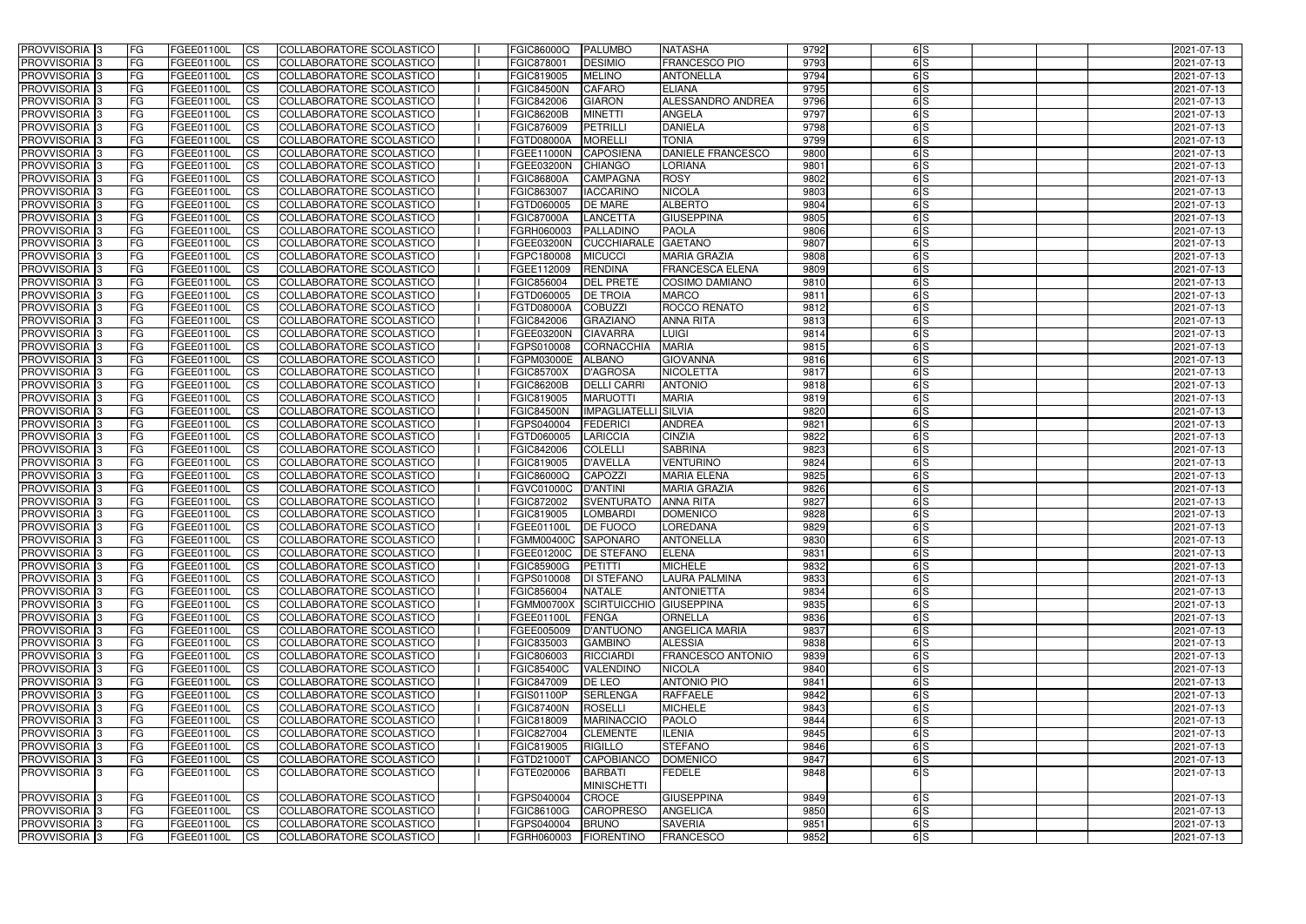| PROVVISORIA <sup>3</sup>                                 | FG          | FGEE01100L               | <b>ICS</b>              | COLLABORATORE SCOLASTICO                             | <b>FGIC86000Q</b>               | <b>PALUMBO</b>                     | <b>NATASHA</b>                   | 9792         | 6S         | 2021-07-13               |
|----------------------------------------------------------|-------------|--------------------------|-------------------------|------------------------------------------------------|---------------------------------|------------------------------------|----------------------------------|--------------|------------|--------------------------|
| PROVVISORIA <sup>3</sup>                                 | FG          | <b>FGEE01100L</b>        | <b>CS</b>               | COLLABORATORE SCOLASTICO                             | FGIC878001                      | <b>DESIMIO</b>                     | <b>FRANCESCO PIO</b>             | 9793         | 6S         | 2021-07-13               |
| PROVVISORIA 3                                            | FG          | FGEE01100L               | <b>CS</b>               | <b>COLLABORATORE SCOLASTICO</b>                      | FGIC819005                      | <b>MELINO</b>                      | <b>ANTONELLA</b>                 | 9794         | 6S         | 2021-07-13               |
| PROVVISORIA <sup>3</sup>                                 | FG          | FGEE01100L               | <b>CS</b>               | COLLABORATORE SCOLASTICO                             | <b>FGIC84500N</b>               | <b>CAFARO</b>                      | <b>ELIANA</b>                    | 9795         | 6S         | 2021-07-13               |
| PROVVISORIA 3                                            | <b>FG</b>   | FGEE01100L               | <b>CS</b>               | COLLABORATORE SCOLASTICO                             | FGIC842006                      | <b>GIARON</b>                      | ALESSANDRO ANDREA                | 9796         | 6S         | 2021-07-13               |
| PROVVISORIA <sup>3</sup>                                 | FG          | FGEE01100L               | $\overline{c}$          | COLLABORATORE SCOLASTICO                             | <b>FGIC86200B</b>               | <b>MINETTI</b>                     | <b>ANGELA</b>                    | 9797         | 6 S        | 2021-07-13               |
| PROVVISORIA <sup>3</sup>                                 | FG          | FGEE01100L               | $\overline{\text{cs}}$  | COLLABORATORE SCOLASTICO                             | <b>FGIC876009</b>               | PETRILLI                           | <b>DANIELA</b>                   | 9798         | 6S         | 2021-07-13               |
| PROVVISORIA <sup>3</sup>                                 | FG          | FGEE01100L               | <b>I</b> CS             | COLLABORATORE SCOLASTICO                             | <b>FGTD08000A</b>               | <b>MORELLI</b>                     | <b>TONIA</b>                     | 9799         | 6S         | 2021-07-13               |
| <b>PROVVISORIA</b> 3                                     | FG          | FGEE01100L               | <b>CS</b>               | COLLABORATORE SCOLASTICO                             | FGEE11000N                      | <b>CAPOSIENA</b>                   | DANIELE FRANCESCO                | 9800         | 6S         | 2021-07-13               |
| <b>PROVVISORIA</b> 3                                     | FG          | FGEE01100L               | <b>CS</b>               | COLLABORATORE SCOLASTICO                             | <b>FGEE03200N</b>               | <b>CHIANGO</b>                     | <b>LORIANA</b>                   | 9801         | 6S         | 2021-07-13               |
| PROVVISORIA <sup>3</sup>                                 | FG          | FGEE01100L               | <b>CS</b>               | COLLABORATORE SCOLASTICO                             | <b>FGIC86800A</b>               | <b>CAMPAGNA</b>                    | <b>ROSY</b>                      | 9802         | 6S         | 2021-07-13               |
| PROVVISORIA <sup>3</sup>                                 | FG          | FGEE01100L               | <b>CS</b>               | <b>COLLABORATORE SCOLASTICO</b>                      | FGIC863007                      | <b>IACCARINO</b>                   | <b>NICOLA</b>                    | 9803         | 6S         | 2021-07-13               |
| PROVVISORIA <sup>3</sup>                                 | FG          | FGEE01100L               | <b>I</b> CS             | COLLABORATORE SCOLASTICO                             | FGTD060005                      | <b>DE MARE</b>                     | <b>ALBERTO</b>                   | 9804         | 6S         | 2021-07-13               |
| PROVVISORIA <sup>3</sup>                                 | FG          | FGEE01100L               | <b>CS</b>               | COLLABORATORE SCOLASTICO                             | <b>FGIC87000A</b>               | <b>LANCETTA</b>                    | <b>GIUSEPPINA</b>                | 9805         | 6S         | 2021-07-13               |
| PROVVISORIA <sup>3</sup>                                 | FG          | FGEE01100L               | <b>I</b> CS             | <b>COLLABORATORE SCOLASTICO</b>                      | FGRH060003                      | PALLADINO                          | <b>PAOLA</b>                     | 9806         | 6S         | 2021-07-13               |
| PROVVISORIA <sup>3</sup>                                 | FG          | FGEE01100L               | <b>ICS</b>              | COLLABORATORE SCOLASTICO                             | <b>FGEE03200N</b>               | <b>CUCCHIARALE</b>                 | <b>GAETANO</b>                   | 9807         | 6S         | 2021-07-13               |
| PROVVISORIA <sup>3</sup>                                 | FG.         | <b>FGEE01100L</b>        | <b>I</b> CS             | COLLABORATORE SCOLASTICO                             | FGPC180008                      | <b>MICUCCI</b>                     | <b>MARIA GRAZIA</b>              | 9808         | 6S         | 2021-07-13               |
| PROVVISORIA <sup>3</sup>                                 | FG          | FGEE01100L               | <b>CS</b>               | COLLABORATORE SCOLASTICO                             | FGEE112009                      | <b>RENDINA</b>                     | <b>FRANCESCA ELENA</b>           | 9809         | 6S         | 2021-07-13               |
| PROVVISORIA <sup>3</sup>                                 | FG          | <b>FGEE01100L</b>        | <b>CS</b>               | COLLABORATORE SCOLASTICO                             | FGIC856004                      | <b>DEL PRETE</b>                   | <b>COSIMO DAMIANO</b>            | 9810         | 6S         | 2021-07-13               |
| PROVVISORIA <sup>3</sup>                                 | FG          | <b>FGEE01100L</b>        | <b>CS</b>               | COLLABORATORE SCOLASTICO                             | FGTD060005                      | <b>DE TROIA</b>                    | <b>MARCO</b>                     | 9811         | 6S         | 2021-07-13               |
| <b>PROVVISORIA</b> 3                                     | FG          | FGEE01100L               | <b>CS</b>               | COLLABORATORE SCOLASTICO                             | <b>FGTD08000A</b>               | <b>COBUZZI</b>                     | ROCCO RENATO                     | 9812         | 6S         | 2021-07-13               |
| PROVVISORIA <sup>3</sup>                                 | FG          | FGEE01100L<br>FGEE01100L | <b>CS</b>               | COLLABORATORE SCOLASTICO                             | FGIC842006                      | <b>GRAZIANO</b><br><b>CIAVARRA</b> | <b>ANNA RITA</b>                 | 9813<br>9814 | 6 S <br>6S | 2021-07-13               |
| PROVVISORIA <sup>1</sup> 3<br>PROVVISORIA <sup>1</sup> 3 | FG<br>FG    | FGEE01100L               | <b>CS</b><br>ICS        | COLLABORATORE SCOLASTICO<br>COLLABORATORE SCOLASTICO | FGEE03200N<br>FGPS010008        | <b>CORNACCHIA</b>                  | <b>LUIGI</b><br><b>MARIA</b>     | 9815         | 6S         | 2021-07-13<br>2021-07-13 |
| PROVVISORIA <sup>3</sup>                                 | FG          | FGEE01100L               | <b>CS</b>               | COLLABORATORE SCOLASTICO                             | FGPM03000E                      | <b>ALBANO</b>                      | <b>GIOVANNA</b>                  | 9816         | 6S         | 2021-07-13               |
| PROVVISORIA <sup>3</sup>                                 | FG          | FGEE01100L               | <b>CS</b>               | COLLABORATORE SCOLASTICO                             | <b>FGIC85700X</b>               | <b>D'AGROSA</b>                    | <b>NICOLETTA</b>                 | 9817         | 6S         | 2021-07-13               |
| PROVVISORIA <sup>3</sup>                                 | FG          | FGEE01100L               | <b>CS</b>               | COLLABORATORE SCOLASTICO                             | <b>FGIC86200B</b>               | <b>DELLI CARR</b>                  | <b>ANTONIO</b>                   | 9818         | 6S         | 2021-07-13               |
| PROVVISORIA <sup>3</sup>                                 | FG          | FGEE01100L               | <b>CS</b>               | COLLABORATORE SCOLASTICO                             | FGIC819005                      | <b>MARUOTTI</b>                    | <b>MARIA</b>                     | 9819         | 6S         | 2021-07-13               |
| PROVVISORIA <sup>3</sup>                                 | FG          | FGEE01100L               | <b>CS</b>               | COLLABORATORE SCOLASTICO                             | <b>FGIC84500N</b>               | <b>IMPAGLIATELLI SILVIA</b>        |                                  | 9820         | 6S         | 2021-07-13               |
| PROVVISORIA 3                                            | FG          | FGEE01100L               | <b>I</b> CS             | <b>COLLABORATORE SCOLASTICO</b>                      | FGPS040004                      | <b>FEDERICI</b>                    | <b>ANDREA</b>                    | 9821         | 6S         | 2021-07-13               |
| <b>PROVVISORIA</b> 3                                     | FG          | FGEE01100L               | <b>CS</b>               | COLLABORATORE SCOLASTICO                             | FGTD060005                      | LARICCIA                           | <b>CINZIA</b>                    | 9822         | 6S         | 2021-07-13               |
| PROVVISORIA <sup>3</sup>                                 | FG          | FGEE01100L               | $\overline{\text{cs}}$  | COLLABORATORE SCOLASTICO                             | FGIC842006                      | <b>COLELLI</b>                     | <b>SABRINA</b>                   | 9823         | 6S         | 2021-07-13               |
| PROVVISORIA <sup>3</sup>                                 | FG          | <b>FGEE01100L</b>        | <b>CS</b>               | <b>COLLABORATORE SCOLASTICO</b>                      | FGIC819005                      | <b>D'AVELLA</b>                    | <b>VENTURINO</b>                 | 9824         | 6S         | 2021-07-13               |
| <b>PROVVISORIA</b> 3                                     | FG          | FGEE01100L               | <b>CS</b>               | COLLABORATORE SCOLASTICO                             | <b>FGIC86000Q</b>               | <b>CAPOZZI</b>                     | <b>MARIA ELENA</b>               | 9825         | 6S         | 2021-07-13               |
| <b>PROVVISORIA</b> 3                                     | FG          | FGEE01100L               | <b>CS</b>               | COLLABORATORE SCOLASTICO                             | FGVC01000C                      | <b>D'ANTINI</b>                    | <b>MARIA GRAZIA</b>              | 9826         | 6S         | 2021-07-13               |
| PROVVISORIA <sup>3</sup>                                 | FG          | FGEE01100L               | <b>CS</b>               | COLLABORATORE SCOLASTICO                             | FGIC872002                      | <b>SVENTURATO</b>                  | <b>ANNA RITA</b>                 | 9827         | 6S         | 2021-07-13               |
| <b>PROVVISORIA</b> 3                                     | FG.         | FGEE01100L               | <b>I</b> CS             | <b>COLLABORATORE SCOLASTICO</b>                      | FGIC819005                      | <b>LOMBARDI</b>                    | <b>DOMENICO</b>                  | 9828         | 6S         | 2021-07-13               |
| PROVVISORIA <sup>3</sup>                                 | FG.         | <b>FGEE01100L</b>        | <b>CS</b>               | COLLABORATORE SCOLASTICO                             | FGEE01100L                      | <b>DE FUOCO</b>                    | <b>LOREDANA</b>                  | 9829         | 6S         | 2021-07-13               |
| PROVVISORIA 3                                            | IFG.        | FGEE01100L CS            |                         | COLLABORATORE SCOLASTICO                             | FGMM00400C SAPONARO             |                                    | <b>ANTONELLA</b>                 | 9830         | 6S         | 2021-07-13               |
| PROVVISORIA 3                                            | FG          | FGEE01100L               | $\mathsf{ICS}$          | COLLABORATORE SCOLASTICO                             | FGEE01200C DE STEFANO           |                                    | <b>ELENA</b>                     | 9831         | 6 S        | 2021-07-13               |
| PROVVISORIA 3                                            | FG          | FGEE01100L               | $\mathsf{ICS}$          | COLLABORATORE SCOLASTICO                             | <b>FGIC85900G</b>               | PETITTI                            | <b>MICHELE</b>                   | 9832         | 6S         | 2021-07-13               |
| PROVVISORIA 3                                            | FG          | FGEE01100L               | <b>ICS</b>              | COLLABORATORE SCOLASTICO                             | FGPS010008                      | <b>DI STEFANO</b>                  | <b>LAURA PALMINA</b>             | 9833         | 6S         | 2021-07-13               |
| PROVVISORIA 3                                            | FG          | FGEE01100L               | <b>CS</b>               | COLLABORATORE SCOLASTICO                             | FGIC856004                      | <b>NATALE</b>                      | <b>ANTONIETTA</b>                | 9834         | 6S         | 2021-07-13               |
| PROVVISORIA 3                                            | FG          | FGEE01100L               | <b>CS</b>               | COLLABORATORE SCOLASTICO                             | <b>FGMM00700X</b>               | SCIRTUICCHIO GIUSEPPINA            |                                  | 9835         | 6S         | 2021-07-13               |
| PROVVISORIA 3                                            | FG          | FGEE01100L               | <b>CS</b>               | COLLABORATORE SCOLASTICO                             | FGEE01100L                      | FENGA                              | <b>ORNELLA</b>                   | 9836         | 6S         | 2021-07-13               |
| PROVVISORIA 3                                            | FG          | FGEE01100L               | <b>CS</b>               | COLLABORATORE SCOLASTICO                             | FGEE005009                      | D'ANTUONO                          | <b>ANGELICA MARIA</b>            | 9837         | 6S         | 2021-07-13               |
| PROVVISORIA 3                                            | FG          | FGEE01100L               | <b>CS</b>               | COLLABORATORE SCOLASTICO                             | FGIC835003                      | <b>GAMBINO</b>                     | <b>ALESSIA</b>                   | 9838         | 6S         | 2021-07-13               |
| PROVVISORIA 3                                            | FG          | FGEE01100L               | <b>CS</b>               | COLLABORATORE SCOLASTICO                             | FGIC806003                      | RICCIARDI                          | <b>FRANCESCO ANTONIO</b>         | 9839         | 6S         | 2021-07-13               |
| PROVVISORIA 3                                            | FG          | FGEE01100L               | <b>CS</b>               | COLLABORATORE SCOLASTICO                             | <b>FGIC85400C</b>               | VALENDINO                          | <b>NICOLA</b>                    | 9840         | 6S         | 2021-07-13               |
| PROVVISORIA 3                                            | FG          | FGEE01100L               | <b>CS</b>               | COLLABORATORE SCOLASTICO                             | FGIC847009                      | DE LEO                             | <b>ANTONIO PIO</b>               | 9841         | 6S         | 2021-07-13               |
| PROVVISORIA 3                                            | FG          | FGEE01100L               | <b>CS</b>               | COLLABORATORE SCOLASTICO                             | <b>FGIS01100P</b>               | <b>SERLENGA</b>                    | <b>RAFFAELE</b>                  | 9842         | 6S         | 2021-07-13               |
| PROVVISORIA 3                                            | IFG.        | FGEE01100L               | <b>CS</b>               | COLLABORATORE SCOLASTICO                             | <b>FGIC87400N</b>               | <b>ROSELLI</b>                     | <b>MICHELE</b>                   | 9843         | 6S         | 2021-07-13               |
| PROVVISORIA 3                                            | FG          | FGEE01100L               | <b>CS</b>               | <b>COLLABORATORE SCOLASTICO</b>                      | FGIC818009                      | MARINACCIO                         | <b>PAOLO</b>                     | 9844         | 6S         | 2021-07-13               |
| PROVVISORIA 3                                            | IFG.<br> FG | FGEE01100L<br>FGEE01100L | <b>CS</b>               | COLLABORATORE SCOLASTICO<br>COLLABORATORE SCOLASTICO | FGIC827004                      | <b>CLEMENTE</b><br><b>RIGILLO</b>  | <b>ILENIA</b><br><b>STEFANO</b>  | 9845<br>9846 | 6S<br>6S   | 2021-07-13<br>2021-07-13 |
| PROVVISORIA 3                                            |             |                          | <b>CS</b>               |                                                      | FGIC819005                      |                                    |                                  |              | 6S         |                          |
| PROVVISORIA 3<br><b>PROVVISORIA</b> 3                    | FG<br>IFG.  | FGEE01100L<br>FGEE01100L | <b>CS</b><br><b>ICS</b> | COLLABORATORE SCOLASTICO<br>COLLABORATORE SCOLASTICO | <b>FGTD21000T</b><br>FGTE020006 | CAPOBIANCO<br><b>BARBATI</b>       | <b>DOMENICO</b><br><b>FEDELE</b> | 9847<br>9848 | 6S         | 2021-07-13<br>2021-07-13 |
|                                                          |             |                          |                         |                                                      |                                 | <b>MINISCHETTI</b>                 |                                  |              |            |                          |
| PROVVISORIA 3                                            | FG          | FGEE01100L               | <b>CS</b>               | COLLABORATORE SCOLASTICO                             | FGPS040004                      | CROCE                              | <b>GIUSEPPINA</b>                | 9849         | 6S         | 2021-07-13               |
| PROVVISORIA 3                                            | FG          | FGEE01100L               | <b>CS</b>               | COLLABORATORE SCOLASTICO                             | <b>FGIC86100G</b>               | <b>CAROPRESO</b>                   | ANGELICA                         | 9850         | 6S         | 2021-07-13               |
| <b>PROVVISORIA</b> 3                                     | FG          | FGEE01100L               | <b>CS</b>               | COLLABORATORE SCOLASTICO                             | FGPS040004                      | <b>BRUNO</b>                       | <b>SAVERIA</b>                   | 9851         | 6S         | 2021-07-13               |
| PROVVISORIA 3                                            | <b>FG</b>   | FGEE01100L               | <b>CS</b>               | COLLABORATORE SCOLASTICO                             | <b>FGRH060003</b>               | FIORENTINO                         | <b>FRANCESCO</b>                 | 9852         | 6S         | 2021-07-13               |
|                                                          |             |                          |                         |                                                      |                                 |                                    |                                  |              |            |                          |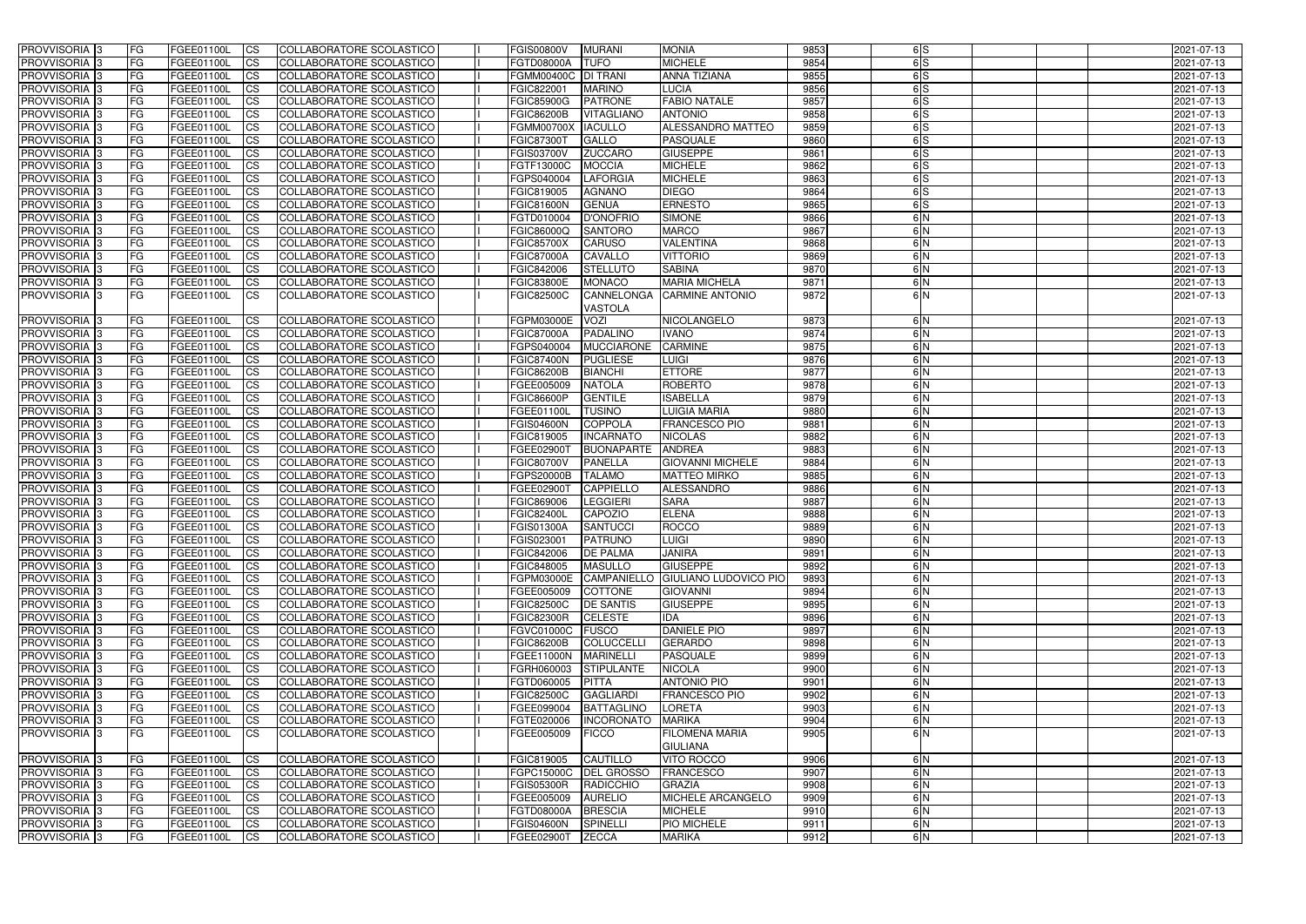| PROVVISORIA <sup>1</sup> 3                | <b>FG</b>        | FGEE01100L               | CS                     | COLLABORATORE SCOLASTICO                             | <b>FGIS00800V</b>               | <b>MURANI</b>                      | <b>MONIA</b>                           | 9853         | 6S            | 2021-07-13               |
|-------------------------------------------|------------------|--------------------------|------------------------|------------------------------------------------------|---------------------------------|------------------------------------|----------------------------------------|--------------|---------------|--------------------------|
| PROVVISORIA <sup>1</sup> 3                | FG               | FGEE01100L               | <b>CS</b>              | <b>COLLABORATORE SCOLASTICO</b>                      | <b>FGTD08000A</b>               | <b>TUFO</b>                        | <b>MICHELE</b>                         | 9854         | 6S            | 2021-07-13               |
| PROVVISORIA <sup>3</sup>                  | FG               | FGEE01100L               | <b>CS</b>              | COLLABORATORE SCOLASTICO                             | FGMM00400C   DI TRANI           |                                    | <b>ANNA TIZIANA</b>                    | 9855         | 6S            | 2021-07-13               |
| PROVVISORIA <sup>1</sup> 3                | FG               | FGEE01100L               | <b>CS</b>              | COLLABORATORE SCOLASTICO                             | FGIC822001                      | <b>MARINO</b>                      | <b>LUCIA</b>                           | 9856         | 6S            | 2021-07-13               |
| PROVVISORIA <sup>1</sup> 3                | FG               | FGEE01100L               | <b>CS</b>              | COLLABORATORE SCOLASTICO                             | <b>FGIC85900G</b>               | <b>PATRONE</b>                     | <b>FABIO NATALE</b>                    | 9857         | 6S            | 2021-07-13               |
| PROVVISORIA 3                             | <b>IFG</b>       | FGEE01100L               | <b>CS</b>              | COLLABORATORE SCOLASTICO                             | <b>FGIC86200B</b>               | <b>VITAGLIANO</b>                  | <b>ANTONIO</b>                         | 9858         | 6S            | 2021-07-13               |
| PROVVISORIA 3                             | <b>FG</b>        | FGEE01100L               | <b>CS</b>              | COLLABORATORE SCOLASTICO                             | <b>FGMM00700X</b>               | <b>IACULLO</b>                     | <b>ALESSANDRO MATTEO</b>               | 9859         | 6S            | 2021-07-13               |
| PROVVISORIA 3                             | FG               | FGEE01100L               | <b>CS</b>              | COLLABORATORE SCOLASTICO                             | <b>FGIC87300T</b>               | <b>GALLO</b>                       | <b>PASQUALE</b>                        | 9860         | 6S            | 2021-07-13               |
| PROVVISORIA 3                             | FG               | FGEE01100L               | <b>CS</b>              | COLLABORATORE SCOLASTICO                             | <b>FGIS03700V</b>               | <b>ZUCCARO</b>                     | <b>GIUSEPPE</b>                        | 9861         | 6S            | 2021-07-13               |
| PROVVISORIA 3                             | <b>FG</b>        | FGEE01100L               | <b>CS</b>              | COLLABORATORE SCOLASTICO                             | FGTF13000C                      | <b>MOCCIA</b>                      | <b>MICHELE</b>                         | 9862         | 6S            | 2021-07-13               |
| PROVVISORIA <sup>3</sup>                  | <b>FG</b>        | FGEE01100L               | <b>CS</b>              | COLLABORATORE SCOLASTICO                             | FGPS040004                      | <b>LAFORGIA</b>                    | <b>MICHELE</b>                         | 9863         | 6S            | 2021-07-13               |
| PROVVISORIA <sup>1</sup> 3                | FG               | FGEE01100L               | <b>CS</b>              | COLLABORATORE SCOLASTICO                             | FGIC819005                      | <b>AGNANO</b>                      | <b>DIEGO</b>                           | 9864         | 6S            | 2021-07-13               |
| PROVVISORIA <sup>1</sup> 3                | FG               | FGEE01100L               | <b>CS</b>              | COLLABORATORE SCOLASTICO                             | <b>FGIC81600N</b>               | <b>GENUA</b>                       | <b>ERNESTO</b>                         | 9865         | 6S            | 2021-07-13               |
| <b>PROVVISORIA</b>                        | FG               | FGEE01100L               | <b>CS</b>              | COLLABORATORE SCOLASTICO                             | FGTD010004                      | <b>D'ONOFRIC</b>                   | <b>SIMONE</b>                          | 9866         | 6N            | 2021-07-13               |
| <b>PROVVISORIA</b>                        | FG               | FGEE01100L               | <b>CS</b>              | COLLABORATORE SCOLASTICO                             | FGIC86000Q                      | <b>SANTORO</b>                     | <b>MARCO</b>                           | 9867         | 6N            | 2021-07-13               |
| PROVVISORIA <sup>1</sup> 3                | FG               | FGEE01100L               | <b>ICS</b>             | COLLABORATORE SCOLASTICO                             | <b>FGIC85700X</b>               | <b>CARUSO</b>                      | <b>VALENTINA</b>                       | 9868         | 6N            | 2021-07-13               |
| <b>PROVVISORIA</b>                        | FG               | FGEE01100L               | <b>CS</b>              | COLLABORATORE SCOLASTICO                             | <b>FGIC87000A</b>               | <b>CAVALLO</b>                     | <b>VITTORIO</b>                        | 9869         | 6N            | 2021-07-13               |
| PROVVISORIA 3                             | FG               | FGEE01100L               | <b>ICS</b>             | COLLABORATORE SCOLASTICO                             | FGIC842006                      | <b>STELLUTO</b>                    | <b>SABINA</b>                          | 9870         | 6N            | 2021-07-13               |
| PROVVISORIA 3                             | FG               | FGEE01100L               | <b>ICS</b>             | COLLABORATORE SCOLASTICO                             | <b>FGIC83800E</b>               | <b>MONACO</b>                      | <b>MARIA MICHELA</b>                   | 9871         | 6N            | 2021-07-13               |
| PROVVISORIA 3                             | FG               | FGEE01100L               | <b>CS</b>              | COLLABORATORE SCOLASTICO                             | <b>FGIC82500C</b>               | CANNELONGA<br><b>VASTOLA</b>       | <b>CARMINE ANTONIO</b>                 | 9872         | 6N            | 2021-07-13               |
| PROVVISORIA 3                             | FG               | FGEE01100L               | <b>CS</b>              | COLLABORATORE SCOLASTICO                             | FGPM03000E                      | <b>VOZI</b>                        | NICOLANGELO                            | 9873         | 6N            | 2021-07-13               |
| PROVVISORIA 3                             | FG               | FGEE01100L               | <b>CS</b>              | COLLABORATORE SCOLASTICO                             | <b>FGIC87000A</b>               | PADALINO                           | IVANO                                  | 9874         | 6N            | 2021-07-13               |
| PROVVISORIA <sup>1</sup> 3                | <b>FG</b>        | FGEE01100L               | <b>CS</b>              | COLLABORATORE SCOLASTICO                             | FGPS040004                      | <b>MUCCIARONE</b>                  | <b>CARMINE</b>                         | 9875         | 6N            | 2021-07-13               |
| PROVVISORIA 3                             | FG               | FGEE01100L               | <b>CS</b>              | COLLABORATORE SCOLASTICO                             | <b>FGIC87400N</b>               | <b>PUGLIESE</b>                    | <b>UIGI</b>                            | 9876         | 6N            | 2021-07-13               |
| PROVVISORIA <sup>1</sup> 3                | FG               | FGEE01100L               | <b>CS</b>              | COLLABORATORE SCOLASTICO                             | <b>FGIC86200B</b>               | <b>BIANCHI</b>                     | <b>ETTORE</b>                          | 9877         | 6N            | 2021-07-13               |
| PROVVISORIA                               | FG               | FGEE01100L               | <b>CS</b>              | COLLABORATORE SCOLASTICO                             | FGEE005009                      | <b>NATOLA</b>                      | <b>ROBERTO</b>                         | 9878         | 6N            | 2021-07-13               |
| <b>PROVVISORIA</b>                        | FG               | FGEE01100L               | <b>CS</b>              | COLLABORATORE SCOLASTICO                             | <b>FGIC86600P</b>               | <b>GENTILE</b>                     | <b>ISABELLA</b>                        | 9879         | 6N            | 2021-07-13               |
| PROVVISORIA <sup>1</sup> 3                | FG               | FGEE01100L               | <b>CS</b>              | COLLABORATORE SCOLASTICO                             | FGEE01100L                      | <b>TUSINO</b>                      | LUIGIA MARIA                           | 9880         | 6N<br>6N      | 2021-07-13               |
| PROVVISORIA 3                             | FG               | FGEE01100L               | <b>CS</b>              | COLLABORATORE SCOLASTICO<br>COLLABORATORE SCOLASTICO | <b>FGIS04600N</b><br>FGIC819005 | <b>COPPOLA</b><br><b>INCARNATO</b> | <b>FRANCESCO PIO</b><br><b>NICOLAS</b> | 9881<br>9882 | 6N            | 2021-07-13<br>2021-07-13 |
| PROVVISORIA<br>PROVVISORIA <sup>1</sup> 3 | FG<br><b>IFG</b> | FGEE01100L<br>FGEE01100L | <b>CS</b><br><b>CS</b> | COLLABORATORE SCOLASTICO                             | FGEE02900T                      | <b>BUONAPARTE</b>                  | <b>ANDREA</b>                          | 9883         | 6N            | 2021-07-13               |
| <b>PROVVISORIA</b>                        | FG               | FGEE01100L               | <b>CS</b>              | <b>COLLABORATORE SCOLASTICO</b>                      | <b>FGIC80700V</b>               | <b>PANELLA</b>                     | <b>GIOVANNI MICHELE</b>                | 9884         | 6N            | 2021-07-13               |
| PROVVISORIA 3                             | FG               | FGEE01100L               | $\overline{c}$         | COLLABORATORE SCOLASTICO                             | <b>FGPS20000B</b>               | <b>TALAMO</b>                      | <b>MATTEO MIRKO</b>                    | 9885         | 6N            | 2021-07-13               |
| PROVVISORIA 3                             | FG               | FGEE01100L               | <b>CS</b>              | COLLABORATORE SCOLASTICO                             | FGEE02900T                      | <b>CAPPIELLO</b>                   | <b>ALESSANDRO</b>                      | 9886         | 6N            | 2021-07-13               |
| <b>PROVVISORIA</b>                        | <b>FG</b>        | FGEE01100L               | <b>CS</b>              | COLLABORATORE SCOLASTICO                             | FGIC869006                      | <b>LEGGIERI</b>                    | <b>SARA</b>                            | 9887         | $\frac{6}{N}$ | 2021-07-13               |
| PROVVISORIA <sup>1</sup> 3                | FG               | FGEE01100L               | <b>CS</b>              | COLLABORATORE SCOLASTICO                             | <b>FGIC82400L</b>               | <b>CAPOZIO</b>                     | <b>ELENA</b>                           | 9888         | 6N            | 2021-07-13               |
| PROVVISORIA 3                             | FG               | FGEE01100L               | <b>ICS</b>             | COLLABORATORE SCOLASTICO                             | <b>FGIS01300A</b>               | <b>SANTUCCI</b>                    | <b>ROCCO</b>                           | 9889         | 6N            | 2021-07-13               |
| PROVVISORIA 3                             | FG               | FGEE01100L CS            |                        | COLLABORATORE SCOLASTICO                             | FGIS023001                      | PATRUNO                            | <b>LUIGI</b>                           | 9890         | 6 N           | 2021-07-13               |
| PROVVISORIA 3                             | <b>FG</b>        | FGEE01100L               | CS                     | COLLABORATORE SCOLASTICO                             | FGIC842006                      | <b>DE PALMA</b>                    | <b>JANIRA</b>                          | 9891         | 6N            | 2021-07-13               |
| PROVVISORIA 3                             | <b>FG</b>        | FGEE01100L               | CS                     | COLLABORATORE SCOLASTICO                             | FGIC848005                      | <b>MASULLO</b>                     | <b>GIUSEPPE</b>                        | 9892         | 6N            | 2021-07-13               |
| PROVVISORIA 3                             | <b>FG</b>        | FGEE01100L               | CS                     | COLLABORATORE SCOLASTICO                             | FGPM03000E                      | CAMPANIELLO                        | <b>GIULIANO LUDOVICO PIO</b>           | 9893         | 6N            | 2021-07-13               |
| PROVVISORIA 3                             | <b>FG</b>        | FGEE01100L               | CS                     | COLLABORATORE SCOLASTICO                             | FGEE005009                      | <b>COTTONE</b>                     | <b>GIOVANNI</b>                        | 9894         | 6N            | 2021-07-13               |
| PROVVISORIA 3                             | <b>IFG</b>       | FGEE01100L               | <b>CS</b>              | COLLABORATORE SCOLASTICO                             | <b>FGIC82500C</b>               | <b>DE SANTIS</b>                   | <b>GIUSEPPE</b>                        | 9895         | 6N            | 2021-07-13               |
| PROVVISORIA 3                             | <b>IFG</b>       | FGEE01100L               | CS                     | COLLABORATORE SCOLASTICO                             | <b>FGIC82300R</b>               | <b>CELESTE</b>                     | IDA                                    | 9896         | 6N            | 2021-07-13               |
| PROVVISORIA 3                             | <b>FG</b>        | FGEE01100L               | <b>CS</b>              | COLLABORATORE SCOLASTICO                             | FGVC01000C FUSCO                |                                    | <b>DANIELE PIO</b>                     | 9897         | 6N            | 2021-07-13               |
| PROVVISORIA 3                             | FG               | FGEE01100L               | <b>CS</b>              | COLLABORATORE SCOLASTICO                             | <b>FGIC86200B</b>               | <b>COLUCCELLI</b>                  | <b>GERARDO</b>                         | 9898         | 6N            | 2021-07-13               |
| PROVVISORIA 3                             | <b>FG</b>        | FGEE01100L               | <b>CS</b>              | COLLABORATORE SCOLASTICO                             | <b>FGEE11000N</b>               | <b>MARINELLI</b>                   | <b>PASQUALE</b>                        | 9899         | 6N            | 2021-07-13               |
| PROVVISORIA 3                             | <b>FG</b>        | FGEE01100L               | <b>CS</b>              | COLLABORATORE SCOLASTICO                             | FGRH060003                      | <b>STIPULANTE</b>                  | <b>NICOLA</b>                          | 9900         | 6N            | 2021-07-13               |
| PROVVISORIA 3                             | <b>FG</b>        | FGEE01100L               | <b>CS</b>              | COLLABORATORE SCOLASTICO                             | FGTD060005                      | <b>PITTA</b>                       | <b>ANTONIO PIO</b>                     | 9901         | 6N            | 2021-07-13               |
| PROVVISORIA 3                             | <b>FG</b>        | FGEE01100L               | <b>CS</b>              | COLLABORATORE SCOLASTICO                             | <b>FGIC82500C</b>               | <b>GAGLIARDI</b>                   | <b>FRANCESCO PIO</b>                   | 9902         | 6N            | 2021-07-13               |
| PROVVISORIA 3                             | <b>FG</b>        | FGEE01100L               | <b>CS</b>              | COLLABORATORE SCOLASTICO                             |                                 | FGEE099004 BATTAGLINO              | LORETA                                 | 9903         | 6N            | 2021-07-13               |
| PROVVISORIA 3                             | <b>FG</b>        | FGEE01100L               | <b>CS</b>              | COLLABORATORE SCOLASTICO                             | FGTE020006                      | <b>INCORONATO</b>                  | <b>MARIKA</b>                          | 9904         | 6N            | 2021-07-13               |
| PROVVISORIA 3                             | IFG.             | FGEE01100L               | <b>ICS</b>             | COLLABORATORE SCOLASTICO                             | FGEE005009                      | <b>FICCO</b>                       | FILOMENA MARIA<br><b>GIULIANA</b>      | 9905         | 6N            | 2021-07-13               |
| PROVVISORIA 3                             | <b>FG</b>        | FGEE01100L               | <b>CS</b>              | COLLABORATORE SCOLASTICO                             | FGIC819005                      | CAUTILLO                           | <b>VITO ROCCO</b>                      | 9906         | 6 N           | 2021-07-13               |
| PROVVISORIA 3                             | <b>IFG</b>       | FGEE01100L               | <b>CS</b>              | COLLABORATORE SCOLASTICO                             |                                 | FGPC15000C   DEL GROSSO            | <b>FRANCESCO</b>                       | 9907         | 6N            | 2021-07-13               |
| PROVVISORIA 3                             | <b>FG</b>        | FGEE01100L               | <b>CS</b>              | COLLABORATORE SCOLASTICO                             | <b>FGIS05300R</b>               | RADICCHIO                          | <b>GRAZIA</b>                          | 9908         | 6N            | 2021-07-13               |
| PROVVISORIA 3                             | <b>FG</b>        | FGEE01100L               | CS                     | COLLABORATORE SCOLASTICO                             | FGEE005009                      | <b>AURELIO</b>                     | MICHELE ARCANGELO                      | 9909         | 6N            | 2021-07-13               |
| PROVVISORIA 3                             | <b>FG</b>        | FGEE01100L               | CS                     | COLLABORATORE SCOLASTICO                             | FGTD08000A                      | <b>BRESCIA</b>                     | <b>MICHELE</b>                         | 9910         | 6N            | 2021-07-13               |
| PROVVISORIA 3                             | <b>FG</b>        | FGEE01100L               | CS                     | COLLABORATORE SCOLASTICO                             | <b>FGIS04600N</b>               | <b>SPINELLI</b>                    | PIO MICHELE                            | 9911         | 6N            | 2021-07-13               |
| PROVVISORIA 3                             | <b>FG</b>        | FGEE01100L               | CS                     | COLLABORATORE SCOLASTICO                             | FGEE02900T                      | <b>ZECCA</b>                       | <b>MARIKA</b>                          | 9912         | 6N            | 2021-07-13               |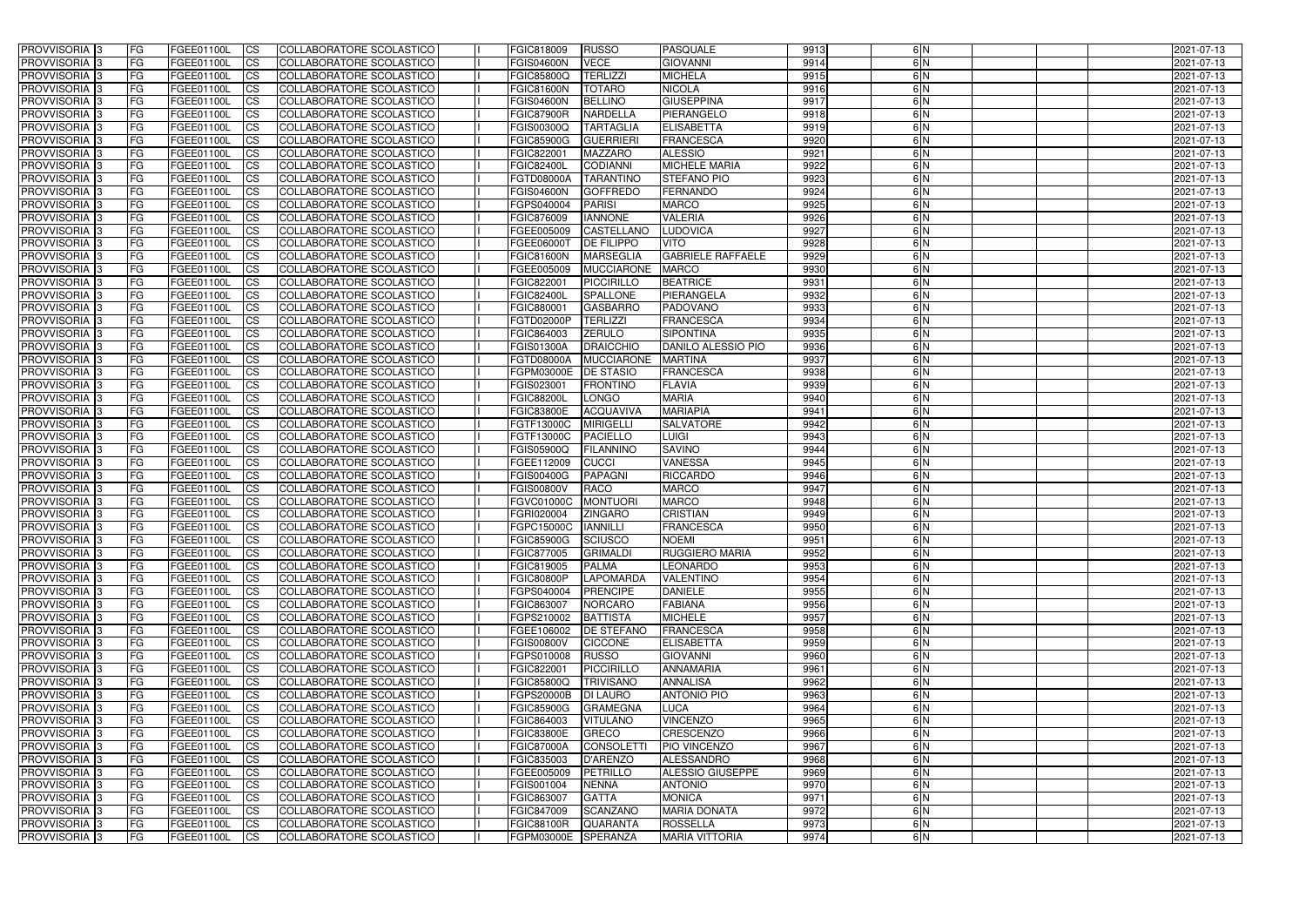| <b>PROVVISORIA</b> 3                      | <b>FG</b>              | FGEE01100L               | <b>ICS</b>               | COLLABORATORE SCOLASTICO                                    | FGIC818009                      | <b>RUSSO</b>                     | <b>PASQUALE</b>                      | 9913         | 6 N           | 2021-07-13               |
|-------------------------------------------|------------------------|--------------------------|--------------------------|-------------------------------------------------------------|---------------------------------|----------------------------------|--------------------------------------|--------------|---------------|--------------------------|
| <b>PROVVISORIA 3</b>                      | FG                     | FGEE01100L               | <b>ICS</b>               | COLLABORATORE SCOLASTICO                                    | <b>FGIS04600N</b>               | <b>VECE</b>                      | <b>GIOVANNI</b>                      | 9914         | 6N            | 2021-07-13               |
| PROVVISORIA                               | FG                     | FGEE01100L               | <b>CS</b>                | <b>COLLABORATORE SCOLASTICO</b>                             | FGIC85800Q                      | <b>TERLIZZI</b>                  | <b>MICHELA</b>                       | 9915         | 6N            | 2021-07-13               |
| PROVVISORIA                               | FG                     | FGEE01100L               | <b>CS</b>                | COLLABORATORE SCOLASTICO                                    | <b>FGIC81600N</b>               | <b>TOTARO</b>                    | <b>NICOLA</b>                        | 9916         | 6N            | 2021-07-13               |
| <b>PROVVISORIA 3</b>                      | FG                     | FGEE01100L               | <b>CS</b>                | COLLABORATORE SCOLASTICO                                    | <b>FGIS04600N</b>               | <b>BELLINO</b>                   | <b>GIUSEPPINA</b>                    | 9917         | 6 N           | 2021-07-13               |
| PROVVISORIA <sup>1</sup> 3                | FG                     | FGEE01100L               | <b>CS</b>                | COLLABORATORE SCOLASTICO                                    | <b>FGIC87900R</b>               | <b>NARDELLA</b>                  | PIERANGELO                           | 9918         | 6N            | 2021-07-13               |
| PROVVISORIA <sup>1</sup> 3                | FG                     | FGEE01100L               | <b>CS</b>                | COLLABORATORE SCOLASTICO                                    | FGIS00300Q                      | <b>TARTAGLIA</b>                 | <b>ELISABETTA</b>                    | 9919         | 6N            | 2021-07-13               |
| PROVVISORIA 3                             | FG                     | FGEE01100L               | <b>ICS</b>               | COLLABORATORE SCOLASTICO                                    | <b>FGIC85900G</b>               | <b>GUERRIER</b>                  | <b>FRANCESCA</b>                     | 9920         | 6N            | 2021-07-13               |
| PROVVISORIA 3                             | FG                     | FGEE01100L               | <b>CS</b>                | COLLABORATORE SCOLASTICO                                    | FGIC822001                      | <b>MAZZARO</b>                   | <b>ALESSIO</b>                       | 9921         | 6N            | 2021-07-13               |
| PROVVISORIA 3                             | <b>FG</b>              | <b>FGEE01100L</b>        | <b>ICS</b>               | COLLABORATORE SCOLASTICO                                    | <b>FGIC82400L</b>               | <b>CODIANNI</b>                  | <b>MICHELE MARIA</b>                 | 9922         | 6N            | 2021-07-13               |
| PROVVISORIA 3                             | FG                     | FGEE01100L               | <b>ICS</b>               | COLLABORATORE SCOLASTICO                                    | <b>FGTD08000A</b>               | <b>TARANTINO</b>                 | <b>STEFANO PIO</b>                   | 9923         | $\frac{6}{N}$ | 2021-07-13               |
| <b>PROVVISORIA</b>                        | FG                     | FGEE01100L               | <b>ICS</b>               | COLLABORATORE SCOLASTICO                                    | <b>FGIS04600N</b>               | <b>GOFFREDO</b>                  | <b>FERNANDO</b>                      | 9924         | 6 N           | 2021-07-13               |
| <b>PROVVISORIA</b>                        | FG                     | FGEE01100L               | <b>ICS</b>               | COLLABORATORE SCOLASTICO                                    | FGPS040004                      | <b>PARISI</b>                    | <b>MARCO</b>                         | 9925         | 6N            | 2021-07-13               |
| <b>PROVVISORIA</b>                        | FG                     | FGEE01100L               | <b>ICS</b>               | COLLABORATORE SCOLASTICO                                    | FGIC876009                      | <b>IANNONE</b>                   | <b>VALERIA</b>                       | 9926         | 6N            | 2021-07-13               |
| <b>PROVVISORIA</b>                        | FG                     | FGEE01100L               | <b>ICS</b>               | COLLABORATORE SCOLASTICO                                    | FGEE005009                      | <b>CASTELLANO</b>                | <b>LUDOVICA</b>                      | 9927         | 6N            | 2021-07-13               |
| <b>PROVVISORIA</b>                        | FG                     | FGEE01100L               | <b>ICS</b>               | COLLABORATORE SCOLASTICO                                    | FGEE06000T                      | <b>DE FILIPPO</b>                | <b>VITO</b>                          | 9928         | 6 N           | 2021-07-13               |
| <b>PROVVISORIA</b>                        | FG                     | FGEE01100L               | <b>ICS</b>               | COLLABORATORE SCOLASTICO                                    | <b>FGIC81600N</b>               | <b>MARSEGLIA</b>                 | <b>GABRIELE RAFFAELE</b>             | 9929         | 6N            | 2021-07-13               |
| <b>PROVVISORIA</b>                        | FG                     | FGEE01100L               | <b>ICS</b>               | COLLABORATORE SCOLASTICO                                    | FGEE005009                      | <b>MUCCIARONE</b>                | <b>MARCO</b>                         | 9930         | 6N            | 2021-07-13               |
| PROVVISORIA <sup>3</sup>                  | FG                     | FGEE01100L               | <b>ICS</b>               | COLLABORATORE SCOLASTICO                                    | FGIC822001                      | PICCIRILLO                       | <b>BEATRICE</b>                      | 9931         | 6 N           | 2021-07-13               |
| PROVVISORIA <sup>3</sup>                  | FG                     | FGEE01100L               | <b>ICS</b>               | COLLABORATORE SCOLASTICO                                    | <b>FGIC82400L</b>               | <b>SPALLONE</b>                  | PIERANGELA                           | 9932         | 6N            | 2021-07-13               |
| PROVVISORIA <sup>3</sup>                  | FG                     | FGEE01100L               | <b>ICS</b>               | COLLABORATORE SCOLASTICO                                    | FGIC880001                      | <b>GASBARRO</b>                  | <b>PADOVANO</b>                      | 9933         | 6N<br>6N      | 2021-07-13               |
| PROVVISORIA 3<br>PROVVISORIA <sup>3</sup> | FG<br>FG               | FGEE01100L               | <b>ICS</b><br><b>ICS</b> | COLLABORATORE SCOLASTICO<br><b>COLLABORATORE SCOLASTICO</b> | FGTD02000P<br>FGIC864003        | <b>TERLIZZI</b><br><b>ZERULO</b> | <b>FRANCESCA</b><br><b>SIPONTINA</b> | 9934<br>9935 | 6N            | 2021-07-13               |
| PROVVISORIA <sup>3</sup>                  | FG                     | FGEE01100L<br>FGEE01100L | <b>CS</b>                | COLLABORATORE SCOLASTICO                                    | FGIS01300A                      | <b>DRAICCHIO</b>                 | DANILO ALESSIO PIO                   | 9936         | 6N            | 2021-07-13<br>2021-07-13 |
| PROVVISORIA <sup>3</sup>                  | FG                     | FGEE01100L               | <b>CS</b>                | <b>COLLABORATORE SCOLASTICO</b>                             | FGTD08000A                      | <b>MUCCIARONE</b>                | <b>MARTINA</b>                       | 9937         | 6N            | 2021-07-13               |
| PROVVISORIA 3                             | FG                     | FGEE01100L               | <b>CS</b>                | COLLABORATORE SCOLASTICO                                    | FGPM03000E                      | <b>DE STASIO</b>                 | <b>FRANCESCA</b>                     | 9938         | 6N            | 2021-07-13               |
| PROVVISORIA 3                             | FG                     | FGEE01100L               | <b>ICS</b>               | COLLABORATORE SCOLASTICO                                    | FGIS023001                      | <b>FRONTINO</b>                  | <b>FLAVIA</b>                        | 9939         | 6N            | 2021-07-13               |
| PROVVISORIA                               | FG                     | FGEE01100L               | <b>ICS</b>               | COLLABORATORE SCOLASTICO                                    | <b>FGIC88200L</b>               | <b>LONGO</b>                     | <b>MARIA</b>                         | 9940         | 6N            | 2021-07-13               |
| PROVVISORIA                               | FG                     | FGEE01100L               | <b>CS</b>                | <b>COLLABORATORE SCOLASTICO</b>                             | <b>FGIC83800E</b>               | <b>ACQUAVIVA</b>                 | <b>MARIAPIA</b>                      | 9941         | 6N            | 2021-07-13               |
| PROVVISORIA                               | FG                     | FGEE01100L               | <b>CS</b>                | COLLABORATORE SCOLASTICO                                    | FGTF13000C                      | <b>MIRIGELLI</b>                 | <b>SALVATORE</b>                     | 9942         | 6 N           | 2021-07-13               |
| PROVVISORIA                               | FG                     | FGEE01100L               | <b>CS</b>                | COLLABORATORE SCOLASTICO                                    | FGTF13000C                      | <b>PACIELLO</b>                  | <b>LUIGI</b>                         | 9943         | 6N            | 2021-07-13               |
| PROVVISORIA <sup>1</sup> 3                | FG                     | FGEE01100L               | <b>CS</b>                | COLLABORATORE SCOLASTICO                                    | FGIS05900Q                      | <b>FILANNINO</b>                 | <b>SAVINO</b>                        | 9944         | 6N            | 2021-07-13               |
| PROVVISORIA <sup>1</sup> 3                | FG                     | FGEE01100L               | <b>CS</b>                | COLLABORATORE SCOLASTICO                                    | FGEE112009                      | <b>CUCCI</b>                     | <b>VANESSA</b>                       | 9945         | 6N            | 2021-07-13               |
| PROVVISORIA 3                             | FG                     | FGEE01100L               | <b>CS</b>                | <b>COLLABORATORE SCOLASTICO</b>                             | FGIS00400G                      | <b>PAPAGNI</b>                   | <b>RICCARDO</b>                      | 9946         | 6N            | 2021-07-13               |
| <b>PROVVISORIA</b>                        | FG                     | FGEE01100L               | <b>ICS</b>               | COLLABORATORE SCOLASTICO                                    | <b>FGIS00800V</b>               | <b>RACO</b>                      | <b>MARCO</b>                         | 9947         | 6N            | 2021-07-13               |
| PROVVISORIA <sup>1</sup> 3                | FG                     | FGEE01100L               | <b>CS</b>                | COLLABORATORE SCOLASTICO                                    | FGVC01000C                      | <b>MONTUORI</b>                  | <b>MARCO</b>                         | 9948         | 6N            | 2021-07-13               |
| PROVVISORIA 3                             | FG                     | FGEE01100L               | <b>ICS</b>               | COLLABORATORE SCOLASTICO                                    | FGRI020004                      | <b>ZINGARO</b>                   | <b>CRISTIAN</b>                      | 9949         | 6N            | 2021-07-13               |
| <b>PROVVISORIA</b>                        | <b>FG</b>              | FGEE01100L               | <b>ICS</b>               | COLLABORATORE SCOLASTICO                                    | FGPC15000C                      | <b>IANNILLI</b>                  | <b>FRANCESCA</b>                     | 9950         | $\frac{6}{N}$ | 2021-07-13               |
| PROVVISORIA 3                             | FG                     | FGEE01100L               | CS                       | COLLABORATORE SCOLASTICO                                    | FGIC85900G SCIUSCO              |                                  | <b>NOEMI</b>                         | 9951         | 6 N           | 2021-07-13               |
| <b>PROVVISORIA</b> 3                      | <b>FG</b>              | FGEE01100L               | $\mathsf{ICS}$           | COLLABORATORE SCOLASTICO                                    | <b>FGIC877005</b>               | <b>GRIMALDI</b>                  | <b>RUGGIERO MARIA</b>                | 9952         | 6N            | 2021-07-13               |
| PROVVISORIA 3                             | <b>FG</b>              | <b>FGEE01100L</b>        | $\mathsf{ICS}$           | COLLABORATORE SCOLASTICO                                    | FGIC819005                      | <b>PALMA</b>                     | <b>LEONARDO</b>                      | 9953         | 6N            | 2021-07-13               |
| PROVVISORIA 3                             | <b>FG</b>              | FGEE01100L               | $\mathsf{ICS}$           | COLLABORATORE SCOLASTICO                                    | <b>FGIC80800P</b>               | LAPOMARDA                        | <b>VALENTINO</b>                     | 9954         | 6N            | 2021-07-13               |
| PROVVISORIA 3                             | FG                     | FGEE01100L               | $\mathsf{ICS}$           | COLLABORATORE SCOLASTICO                                    | FGPS040004                      | <b>PRENCIPE</b>                  | <b>DANIELE</b>                       | 9955         | 6 N           | 2021-07-13               |
| PROVVISORIA 3                             | l FG                   | FGEE01100L               | CS                       | COLLABORATORE SCOLASTICO                                    | FGIC863007                      | <b>NORCARO</b>                   | <b>FABIANA</b>                       | 9956         | $\frac{6}{N}$ | 2021-07-13               |
| PROVVISORIA 3                             | <b>FG</b>              | FGEE01100L               | $\mathsf{ICS}$           | COLLABORATORE SCOLASTICO                                    | FGPS210002                      | <b>BATTISTA</b>                  | <b>MICHELE</b>                       | 9957         | 6N            | 2021-07-13               |
| PROVVISORIA 3                             | FG                     | FGEE01100L               | <b>CS</b>                | COLLABORATORE SCOLASTICO                                    | FGEE106002                      | <b>DE STEFANO</b>                | <b>FRANCESCA</b>                     | 9958         | 6N<br>6N      | 2021-07-13               |
| PROVVISORIA 3<br>PROVVISORIA 3            | <b>FG</b><br><b>FG</b> | FGEE01100L<br>FGEE01100L | <b>CS</b><br><b>CS</b>   | COLLABORATORE SCOLASTICO<br>COLLABORATORE SCOLASTICO        | <b>FGIS00800V</b><br>FGPS010008 | <b>CICCONE</b><br><b>RUSSO</b>   | <b>ELISABETTA</b><br><b>GIOVANNI</b> | 9959<br>9960 | 6N            | 2021-07-13<br>2021-07-13 |
| PROVVISORIA 3                             | <b>FG</b>              | FGEE01100L               | <b>CS</b>                | COLLABORATORE SCOLASTICO                                    | FGIC822001                      | PICCIRILLO                       | <b>ANNAMARIA</b>                     | 9961         | 6N            | 2021-07-13               |
| PROVVISORIA 3                             | <b>FG</b>              | FGEE01100L               | <b>CS</b>                | COLLABORATORE SCOLASTICO                                    | <b>FGIC85800Q</b>               | <b>TRIVISANO</b>                 | <b>ANNALISA</b>                      | 9962         | 6N            | 2021-07-13               |
| PROVVISORIA 3                             | <b>FG</b>              | FGEE01100L               | <b>CS</b>                | COLLABORATORE SCOLASTICO                                    | <b>FGPS20000B</b>               | <b>DI LAURO</b>                  | <b>ANTONIO PIO</b>                   | 9963         | 6N            | 2021-07-13               |
| PROVVISORIA 3                             | <b>FG</b>              | FGEE01100L               | <b>CS</b>                | COLLABORATORE SCOLASTICO                                    | <b>FGIC85900G</b>               | <b>GRAMEGNA</b>                  | <b>LUCA</b>                          | 9964         | 6N            | 2021-07-13               |
| PROVVISORIA 3                             | <b>FG</b>              | FGEE01100L               | <b>CS</b>                | COLLABORATORE SCOLASTICO                                    | FGIC864003                      | <b>VITULANO</b>                  | <b>VINCENZO</b>                      | 9965         | 6N            | 2021-07-13               |
| PROVVISORIA 3                             | <b>FG</b>              | FGEE01100L               | <b>CS</b>                | COLLABORATORE SCOLASTICO                                    | <b>FGIC83800E</b>               | GRECO                            | <b>CRESCENZO</b>                     | 9966         | 6N            | 2021-07-13               |
| PROVVISORIA 3                             | <b>FG</b>              | FGEE01100L               | <b>CS</b>                | COLLABORATORE SCOLASTICO                                    | <b>FGIC87000A</b>               | <b>CONSOLETT</b>                 | PIO VINCENZO                         | 9967         | 6N            | 2021-07-13               |
| PROVVISORIA 3                             | <b>FG</b>              | FGEE01100L               | <b>CS</b>                | COLLABORATORE SCOLASTICO                                    | FGIC835003                      | D'ARENZO                         | ALESSANDRO                           | 9968         | 6N            | 2021-07-13               |
| PROVVISORIA 3                             | <b>FG</b>              | FGEE01100L               | <b>CS</b>                | COLLABORATORE SCOLASTICO                                    | FGEE005009                      | PETRILLO                         | <b>ALESSIO GIUSEPPE</b>              | 9969         | 6N            | 2021-07-13               |
| PROVVISORIA 3                             | FG                     | FGEE01100L               | <b>CS</b>                | COLLABORATORE SCOLASTICO                                    | FGIS001004                      | <b>NENNA</b>                     | <b>ANTONIO</b>                       | 9970         | 6N            | 2021-07-13               |
| PROVVISORIA 3                             | FG                     | FGEE01100L               | <b>CS</b>                | COLLABORATORE SCOLASTICO                                    | FGIC863007                      | <b>GATTA</b>                     | <b>MONICA</b>                        | 9971         | 6N            | 2021-07-13               |
| PROVVISORIA 3                             | <b>FG</b>              | FGEE01100L               | $\overline{\text{CS}}$   | COLLABORATORE SCOLASTICO                                    | FGIC847009                      | SCANZANO                         | <b>MARIA DONATA</b>                  | 9972         | 6N            | 2021-07-13               |
| PROVVISORIA 3                             | <b>FG</b>              | FGEE01100L               | $\overline{\text{CS}}$   | COLLABORATORE SCOLASTICO                                    | <b>FGIC88100R</b>               | <b>QUARANTA</b>                  | <b>ROSSELLA</b>                      | 9973         | 6N            | 2021-07-13               |
| PROVVISORIA 3                             | <b>FG</b>              | <b>FGEE01100L</b>        | $\mathsf{ICS}$           | COLLABORATORE SCOLASTICO                                    | FGPM03000E SPERANZA             |                                  | <b>MARIA VITTORIA</b>                | 9974         | 6N            | 2021-07-13               |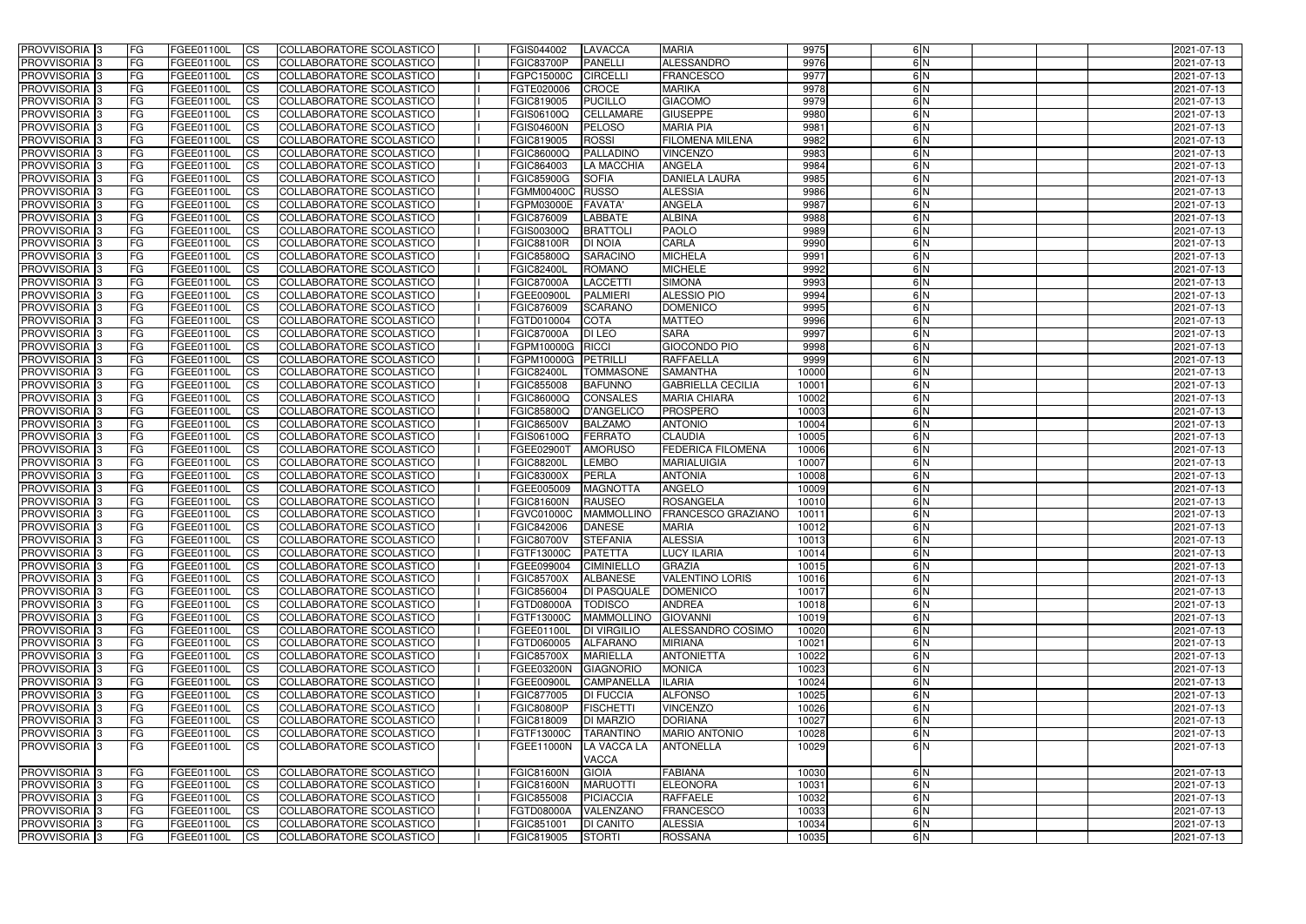| <b>PROVVISORIA 3</b>                                     | <b>FG</b>              | FGEE01100L               | <b>ICS</b>             | COLLABORATORE SCOLASTICO                                    | FGIS044002                      | <b>LAVACCA</b>                       | <b>MARIA</b>                           | 9975           | 6N            | 2021-07-13               |
|----------------------------------------------------------|------------------------|--------------------------|------------------------|-------------------------------------------------------------|---------------------------------|--------------------------------------|----------------------------------------|----------------|---------------|--------------------------|
| PROVVISORIA <sup>1</sup> 3                               | FG                     | FGEE01100L               | <b>ICS</b>             | COLLABORATORE SCOLASTICO                                    | <b>FGIC83700P</b>               | <b>PANELLI</b>                       | ALESSANDRO                             | 9976           | 6N            | 2021-07-13               |
| PROVVISORIA <sup>1</sup> 3                               | FG                     | FGEE01100L               | <b>CS</b>              | COLLABORATORE SCOLASTICO                                    | <b>FGPC15000C</b>               | <b>CIRCELLI</b>                      | <b>FRANCESCO</b>                       | 9977           | 6N            | 2021-07-13               |
| PROVVISORIA <sup>1</sup> 3                               | FG                     | FGEE01100L               | <b>CS</b>              | COLLABORATORE SCOLASTICO                                    | FGTE020006                      | <b>CROCE</b>                         | <b>MARIKA</b>                          | 9978           | 6N            | 2021-07-13               |
| PROVVISORIA <sup>1</sup> 3                               | FG                     | FGEE01100L               | <b>ICS</b>             | COLLABORATORE SCOLASTICO                                    | FGIC819005                      | <b>PUCILLO</b>                       | <b>GIACOMO</b>                         | 9979           | 6N            | 2021-07-13               |
| PROVVISORIA 3                                            | FG                     | FGEE01100L               | <b>ICS</b>             | COLLABORATORE SCOLASTICO                                    | FGIS06100Q                      | <b>CELLAMARE</b>                     | <b>GIUSEPPE</b>                        | 9980           | 6N            | 2021-07-13               |
| PROVVISORIA 3                                            | FG                     | FGEE01100L               | <b>ICS</b>             | COLLABORATORE SCOLASTICO                                    | <b>FGIS04600N</b>               | <b>PELOSO</b>                        | <b>MARIA PIA</b>                       | 9981           | 6N            | 2021-07-13               |
| PROVVISORIA <sup>1</sup> 3                               | FG                     | FGEE01100L               | <b>ICS</b>             | COLLABORATORE SCOLASTICO                                    | FGIC819005                      | <b>ROSSI</b>                         | <b>FILOMENA MILENA</b>                 | 9982           | 6N            | 2021-07-13               |
| PROVVISORIA <sup>1</sup> 3                               | FG                     | FGEE01100L               | <b>CS</b>              | COLLABORATORE SCOLASTICO                                    | FGIC86000Q                      | PALLADINO                            | <b>VINCENZO</b>                        | 9983           | 6N            | 2021-07-13               |
| PROVVISORIA 3                                            | FG                     | FGEE01100L               | <b>ICS</b>             | COLLABORATORE SCOLASTICO                                    | FGIC864003                      | <b>LA MACCHIA</b>                    | <b>ANGELA</b>                          | 9984           | $\frac{6}{N}$ | 2021-07-13               |
| PROVVISORIA <sup>1</sup> 3                               | <b>FG</b>              | FGEE01100L               | <b>ICS</b>             | COLLABORATORE SCOLASTICO                                    | <b>FGIC85900G</b>               | <b>SOFIA</b>                         | <b>DANIELA LAURA</b>                   | 9985           | 6N            | 2021-07-13               |
| <b>PROVVISORIA</b>                                       | FG                     | FGEE01100L               | <b>ICS</b>             | COLLABORATORE SCOLASTICO                                    | FGMM00400C RUSSO                |                                      | <b>ALESSIA</b>                         | 9986           | 6N            | 2021-07-13               |
| PROVVISORIA <sup>1</sup> 3                               | FG                     | FGEE01100L               | <b>ICS</b>             | COLLABORATORE SCOLASTICO                                    | FGPM03000E                      | <b>FAVATA'</b>                       | <b>ANGELA</b>                          | 9987           | 6N            | 2021-07-13               |
| <b>PROVVISORIA</b>                                       | FG                     | FGEE01100L               | <b>ICS</b>             | COLLABORATORE SCOLASTICO                                    | FGIC876009                      | <b>LABBATE</b>                       | <b>ALBINA</b>                          | 9988           | 6N            | 2021-07-13               |
| <b>PROVVISORIA</b>                                       | FG                     | FGEE01100L               | <b>ICS</b>             | COLLABORATORE SCOLASTICO                                    | FGIS00300Q                      | <b>BRATTOLI</b>                      | <b>PAOLO</b>                           | 9989           | 6N            | 2021-07-13               |
| PROVVISORIA 3                                            | FG                     | FGEE01100L               | <b>ICS</b>             | COLLABORATORE SCOLASTICO                                    | <b>FGIC88100R</b>               | <b>DI NOIA</b>                       | <b>CARLA</b>                           | 9990           | 6 N           | 2021-07-13               |
| <b>PROVVISORIA</b>                                       | FG                     | FGEE01100L               | <b>ICS</b>             | COLLABORATORE SCOLASTICO                                    | FGIC85800Q                      | <b>SARACINO</b>                      | <b>MICHELA</b>                         | 9991           | 6N            | 2021-07-13               |
| PROVVISORIA <sup>3</sup>                                 | FG                     | FGEE01100L               | <b>ICS</b>             | COLLABORATORE SCOLASTICO                                    | <b>FGIC82400L</b>               | <b>ROMANO</b>                        | <b>MICHELE</b>                         | 9992           | 6 N           | 2021-07-13               |
| PROVVISORIA <sup>1</sup> 3                               | FG                     | FGEE01100L               | <b>ICS</b>             | COLLABORATORE SCOLASTICO                                    | <b>FGIC87000A</b>               | <b>LACCETTI</b>                      | <b>SIMONA</b>                          | 9993           | 6N            | 2021-07-13               |
| PROVVISORIA <sup>1</sup> 3                               | FG                     | FGEE01100L               | <b>ICS</b>             | COLLABORATORE SCOLASTICO                                    | FGEE00900I                      | <b>PALMIERI</b>                      | <b>ALESSIO PIO</b>                     | 9994           | 6N            | 2021-07-13               |
| PROVVISORIA <sup>1</sup> 3<br>PROVVISORIA <sup>1</sup> 3 | FG                     | FGEE01100L               | <b>CS</b>              | COLLABORATORE SCOLASTICO<br><b>COLLABORATORE SCOLASTICO</b> | FGIC876009                      | <b>SCARANO</b>                       | <b>DOMENICO</b><br><b>MATTEO</b>       | 9995<br>9996   | 6N<br>6N      | 2021-07-13               |
| PROVVISORIA <sup>3</sup>                                 | FG                     | FGEE01100L               | <b>CS</b>              | <b>COLLABORATORE SCOLASTICO</b>                             | FGTD010004                      | <b>COTA</b>                          | <b>SARA</b>                            | 9997           | 6N            | 2021-07-13               |
| PROVVISORIA <sup>1</sup> 3                               | FG<br><b>FG</b>        | FGEE01100L<br>FGEE01100L | ICS<br><b>CS</b>       | COLLABORATORE SCOLASTICO                                    | <b>FGIC87000A</b><br>FGPM10000G | <b>DI LEO</b><br>RICCI               | <b>GIOCONDO PIO</b>                    | 9998           | 6N            | 2021-07-13<br>2021-07-13 |
| PROVVISORIA 3                                            | FG                     | FGEE01100L               | <b>CS</b>              | COLLABORATORE SCOLASTICO                                    | FGPM10000G                      | PETRILLI                             | RAFFAELLA                              | 9999           | 6N            | 2021-07-13               |
| PROVVISORIA <sup>1</sup> 3                               | FG                     | FGEE01100L               | <b>ICS</b>             | COLLABORATORE SCOLASTICO                                    | <b>FGIC82400L</b>               | <b>TOMMASONE</b>                     | <b>SAMANTHA</b>                        | 10000          | 6N            | 2021-07-13               |
| PROVVISORIA                                              | FG                     | FGEE01100L               | <b>CS</b>              | <b>COLLABORATORE SCOLASTICO</b>                             | FGIC855008                      | <b>BAFUNNO</b>                       | <b>GABRIELLA CECILIA</b>               | 10001          | 6N            | 2021-07-13               |
| PROVVISORIA                                              | FG                     | FGEE01100L               | <b>CS</b>              | COLLABORATORE SCOLASTICO                                    | FGIC86000Q                      | <b>CONSALES</b>                      | <b>MARIA CHIARA</b>                    | 10002          | 6N            | 2021-07-13               |
| PROVVISORIA <sup>1</sup> 3                               | FG                     | FGEE01100L               | <b>CS</b>              | COLLABORATORE SCOLASTICO                                    | FGIC85800Q                      | <b>D'ANGELICO</b>                    | <b>PROSPERO</b>                        | 10003          | 6N            | 2021-07-13               |
| <b>PROVVISORIA</b>                                       | FG                     | FGEE01100L               | <b>CS</b>              | COLLABORATORE SCOLASTICO                                    | <b>FGIC86500V</b>               | <b>BALZAMO</b>                       | <b>ANTONIO</b>                         | 10004          | 6 N           | 2021-07-13               |
| PROVVISORIA                                              | FG                     | FGEE01100L               | <b>CS</b>              | COLLABORATORE SCOLASTICO                                    | FGIS06100Q                      | <b>FERRATO</b>                       | <b>CLAUDIA</b>                         | 10005          | 6N            | 2021-07-13               |
| PROVVISORIA <sup>1</sup> 3                               | FG                     | FGEE01100L               | <b>ICS</b>             | COLLABORATORE SCOLASTICO                                    | FGEE02900T                      | <b>AMORUSO</b>                       | <b>FEDERICA FILOMENA</b>               | 10006          | 6N            | 2021-07-13               |
| PROVVISORIA                                              | FG                     | FGEE01100L               | <b>ICS</b>             | COLLABORATORE SCOLASTICO                                    | <b>FGIC88200L</b>               | <b>LEMBO</b>                         | <b>MARIALUIGIA</b>                     | 10007          | $\frac{6}{N}$ | 2021-07-13               |
| <b>PROVVISORIA</b>                                       | <b>FG</b>              | FGEE01100L               | <b>ICS</b>             | COLLABORATORE SCOLASTICO                                    | FGIC83000X                      | PERLA                                | <b>ANTONIA</b>                         | 10008          | 6N            | 2021-07-13               |
| PROVVISORIA 3                                            | <b>FG</b>              | FGEE01100L               | <b>CS</b>              | COLLABORATORE SCOLASTICO                                    | FGEE005009                      | <b>MAGNOTTA</b>                      | <b>ANGELO</b>                          | 10009          | $\frac{6}{N}$ | 2021-07-13               |
| <b>PROVVISORIA</b>                                       | <b>FG</b>              | FGEE01100L               | <b>CS</b>              | COLLABORATORE SCOLASTICO                                    | <b>FGIC81600N</b>               | <b>RAUSEO</b>                        | ROSANGELA                              | 10010          | 6 N           | 2021-07-13               |
| <b>PROVVISORIA</b>                                       | FG                     | FGEE01100L               | <b>ICS</b>             | COLLABORATORE SCOLASTICO                                    | FGVC01000C                      | <b>MAMMOLLINO</b>                    | <b>FRANCESCO GRAZIANO</b>              | 10011          | 6N            | 2021-07-13               |
| PROVVISORIA 3                                            | FG                     | FGEE01100L               | <b>ICS</b>             | COLLABORATORE SCOLASTICO                                    | FGIC842006                      | <b>DANESE</b>                        | <b>MARIA</b>                           | 10012          | $\frac{6}{N}$ | 2021-07-13               |
| PROVVISORIA 3                                            | IFG.                   | FGEE01100L CS            |                        | COLLABORATORE SCOLASTICO                                    | FGIC80700V STEFANIA             |                                      | <b>ALESSIA</b>                         | 10013          | 6 N           | 2021-07-13               |
| PROVVISORIA 3                                            | l FG                   | FGEE01100L               | CS                     | COLLABORATORE SCOLASTICO                                    | FGTF13000C                      | <b>PATETTA</b>                       | <b>LUCY ILARIA</b>                     | 10014          | 6N            | 2021-07-13               |
| PROVVISORIA 3                                            | <b>FG</b>              | FGEE01100L               | CS                     | COLLABORATORE SCOLASTICO                                    | FGEE099004                      | <b>CIMINIELLO</b>                    | <b>GRAZIA</b>                          | 10015          | 6N            | 2021-07-13               |
| PROVVISORIA 3                                            | <b>FG</b>              | FGEE01100L               | $\mathsf{ICS}$         | COLLABORATORE SCOLASTICO                                    | <b>FGIC85700X</b>               | <b>ALBANESE</b>                      | VALENTINO LORIS                        | 10016          | 6N            | 2021-07-13               |
| PROVVISORIA 3                                            | l FG                   | FGEE01100L               | <b>CS</b>              | COLLABORATORE SCOLASTICO                                    | FGIC856004                      | <b>DI PASQUALE</b>                   | <b>DOMENICO</b>                        | 10017          | 6N            | 2021-07-13               |
| PROVVISORIA 3                                            | FG                     | FGEE01100L               | <b>CS</b>              | COLLABORATORE SCOLASTICO                                    | FGTD08000A                      | <b>TODISCO</b>                       | <b>ANDREA</b>                          | 10018          | 6N            | 2021-07-13               |
| PROVVISORIA 3                                            | FG                     | FGEE01100L               | <b>ICS</b>             | COLLABORATORE SCOLASTICO                                    | FGTF13000C                      | <b>MAMMOLLINO</b>                    | <b>GIOVANNI</b>                        | 10019          | 6N            | 2021-07-13               |
| PROVVISORIA 3                                            | <b>FG</b>              | FGEE01100L               | <b>CS</b>              | COLLABORATORE SCOLASTICO                                    | FGEE01100L                      | <b>DI VIRGILIO</b>                   | ALESSANDRO COSIMO                      | 10020          | 6N            | 2021-07-13               |
| PROVVISORIA 3                                            | FG                     | FGEE01100L               | <b>CS</b>              | COLLABORATORE SCOLASTICO                                    | FGTD060005                      | <b>ALFARANO</b>                      | <b>MIRIANA</b>                         | 10021          | 6N            | 2021-07-13               |
| PROVVISORIA 3                                            | <b>FG</b>              | FGEE01100L               | <b>CS</b>              | COLLABORATORE SCOLASTICO                                    | <b>FGIC85700X</b>               | <b>MARIELLA</b>                      | <b>ANTONIETTA</b>                      | 10022          | 6N            | 2021-07-13               |
| PROVVISORIA 3                                            | <b>FG</b>              | FGEE01100L               | <b>CS</b>              | COLLABORATORE SCOLASTICO                                    | FGEE03200N                      | GIAGNORIO                            | <b>MONICA</b>                          | 10023          | 6N            | 2021-07-13               |
| PROVVISORIA 3                                            | <b>FG</b>              | FGEE01100L               | <b>CS</b>              | COLLABORATORE SCOLASTICO                                    | FGEE00900L                      | <b>CAMPANELLA</b>                    | <b>ILARIA</b>                          | 10024          | 6N            | 2021-07-13               |
| PROVVISORIA 3                                            | <b>FG</b>              | FGEE01100L               | <b>CS</b>              | COLLABORATORE SCOLASTICO                                    | FGIC877005                      | <b>DI FUCCIA</b>                     | <b>ALFONSO</b>                         | 10025          | 6N            | 2021-07-13               |
| PROVVISORIA 3                                            | <b>FG</b>              | FGEE01100L               | <b>CS</b>              | COLLABORATORE SCOLASTICO                                    | <b>FGIC80800P</b>               | <b>FISCHETTI</b>                     | <b>VINCENZO</b>                        | 10026          | 6N            | 2021-07-13               |
| PROVVISORIA 3                                            | <b>FG</b><br><b>FG</b> | FGEE01100L               | <b>CS</b>              | COLLABORATORE SCOLASTICO<br>COLLABORATORE SCOLASTICO        | FGIC818009                      | <b>DI MARZIO</b><br><b>TARANTINO</b> | <b>DORIANA</b><br><b>MARIO ANTONIO</b> | 10027<br>10028 | 6N<br>6N      | 2021-07-13               |
| PROVVISORIA 3                                            |                        | FGEE01100L               | <b>CS</b>              |                                                             | FGTF13000C                      |                                      |                                        |                |               | 2021-07-13               |
| PROVVISORIA 3                                            | l FG                   | FGEE01100L               | <b>ICS</b>             | COLLABORATORE SCOLASTICO                                    | FGEE11000N                      | LA VACCA LA                          | <b>ANTONELLA</b>                       | 10029          | 6N            | 2021-07-13               |
| PROVVISORIA 3                                            | FG                     | FGEE01100L               | <b>CS</b>              | COLLABORATORE SCOLASTICO                                    | <b>FGIC81600N</b>               | <b>VACCA</b><br><b>GIOIA</b>         | <b>FABIANA</b>                         | 10030          | 6N            | 2021-07-13               |
| PROVVISORIA 3                                            | FG                     | FGEE01100L               | <b>CS</b>              | COLLABORATORE SCOLASTICO                                    | <b>FGIC81600N</b>               | <b>MARUOTTI</b>                      | <b>ELEONORA</b>                        | 10031          | 6N            | 2021-07-13               |
| PROVVISORIA 3                                            | <b>FG</b>              | FGEE01100L               | $\overline{\text{CS}}$ | COLLABORATORE SCOLASTICO                                    | FGIC855008                      | <b>PICIACCIA</b>                     | <b>RAFFAELE</b>                        | 10032          | 6N            | 2021-07-13               |
| PROVVISORIA 3                                            | <b>FG</b>              | FGEE01100L               | $\mathsf{ICS}$         | COLLABORATORE SCOLASTICO                                    | <b>FGTD08000A</b>               | VALENZANO                            | <b>FRANCESCO</b>                       | 10033          | 6N            | 2021-07-13               |
| PROVVISORIA 3                                            | <b>FG</b>              | <b>FGEE01100L</b>        | <b>CS</b>              | COLLABORATORE SCOLASTICO                                    | FGIC851001                      | <b>DI CANITO</b>                     | <b>ALESSIA</b>                         | 10034          | 6N            | 2021-07-13               |
| PROVVISORIA 3                                            | <b>FG</b>              | <b>FGEE01100L</b>        | $\mathsf{ICS}$         | COLLABORATORE SCOLASTICO                                    | FGIC819005                      | <b>STORTI</b>                        | <b>ROSSANA</b>                         | 10035          | 6N            | 2021-07-13               |
|                                                          |                        |                          |                        |                                                             |                                 |                                      |                                        |                |               |                          |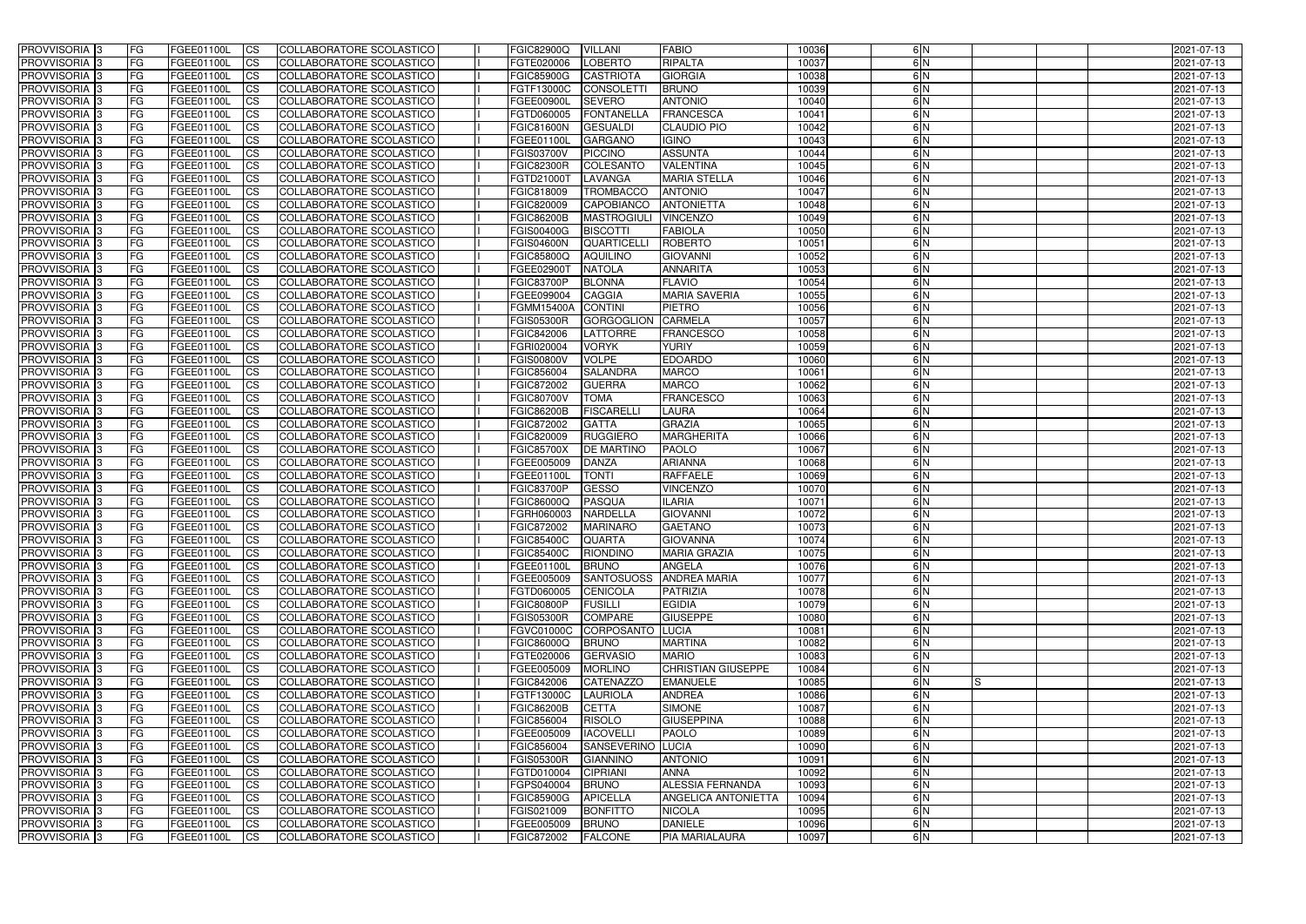| <b>PROVVISORIA</b> 3                                  | FG         | FGEE01100L               | <b>ICS</b>             | COLLABORATORE SCOLASTICO                             | <b>FGIC82900Q</b>               | <b>VILLANI</b>                  | <b>FABIO</b>                  | 10036          | 6N         |    | 2021-07-13               |
|-------------------------------------------------------|------------|--------------------------|------------------------|------------------------------------------------------|---------------------------------|---------------------------------|-------------------------------|----------------|------------|----|--------------------------|
| <b>PROVVISORIA 3</b>                                  | FG         | FGEE01100L               | <b>CS</b>              | COLLABORATORE SCOLASTICO                             | FGTE020006                      | <b>LOBERTO</b>                  | RIPALTA                       | 10037          | 6N         |    | 2021-07-13               |
| PROVVISORIA <sup>3</sup>                              | FG         | FGEE01100L               | <b>CS</b>              | <b>COLLABORATORE SCOLASTICO</b>                      | <b>FGIC85900G</b>               | <b>CASTRIOTA</b>                | <b>GIORGIA</b>                | 10038          | 6N         |    | 2021-07-13               |
| PROVVISORIA <sup>3</sup>                              | FG         | FGEE01100L               | <b>CS</b>              | COLLABORATORE SCOLASTICO                             | FGTF13000C                      | <b>CONSOLETT</b>                | <b>BRUNO</b>                  | 10039          | 6N         |    | 2021-07-13               |
| PROVVISORIA <sup>1</sup> 3                            | FG         | FGEE01100L               | <b>CS</b>              | COLLABORATORE SCOLASTICO                             | FGEE00900L                      | <b>SEVERO</b>                   | <b>ANTONIO</b>                | 10040          | 6N         |    | 2021-07-13               |
| PROVVISORIA <sup>3</sup>                              | FG         | FGEE01100L               | <b>CS</b>              | COLLABORATORE SCOLASTICO                             | FGTD060005                      | <b>FONTANELLA</b>               | <b>FRANCESCA</b>              | 10041          | 6N         |    | 2021-07-13               |
| PROVVISORIA <sup>3</sup>                              | FG         | FGEE01100L               | <b>CS</b>              | COLLABORATORE SCOLASTICO                             | <b>FGIC81600N</b>               | <b>GESUALDI</b>                 | <b>CLAUDIO PIO</b>            | 10042          | 6N         |    | 2021-07-13               |
| PROVVISORIA 3                                         | FG         | <b>FGEE01100L</b>        | <b>CS</b>              | COLLABORATORE SCOLASTICO                             | FGEE01100L                      | <b>GARGANO</b>                  | <b>IGINO</b>                  | 10043          | 6N         |    | 2021-07-13               |
| PROVVISORIA 3                                         | FG         | FGEE01100L               | <b>CS</b>              | COLLABORATORE SCOLASTICO                             | <b>FGIS03700V</b>               | <b>PICCINO</b>                  | <b>ASSUNTA</b>                | 10044          | 6N         |    | 2021-07-13               |
| PROVVISORIA <sup>3</sup>                              | FG         | FGEE01100L               | $\overline{c}$         | COLLABORATORE SCOLASTICO                             | <b>FGIC82300R</b>               | <b>COLESANTO</b>                | <b>VALENTINA</b>              | 10045          | 6N         |    | 2021-07-13               |
| PROVVISORIA <sup>3</sup>                              | FG         | FGEE01100L               | <b>CS</b>              | <b>COLLABORATORE SCOLASTICO</b>                      | FGTD21000T                      | LAVANGA                         | <b>MARIA STELLA</b>           | 10046          | 6N         |    | 2021-07-13               |
| PROVVISORIA <sup>3</sup>                              | FG         | FGEE01100L               | <b>CS</b>              | COLLABORATORE SCOLASTICO                             | FGIC818009                      | <b>TROMBACCO</b>                | <b>ANTONIO</b>                | 10047          | 6N         |    | 2021-07-13               |
| PROVVISORIA <sup>3</sup>                              | FG         | FGEE01100L               | <b>I</b> CS            | COLLABORATORE SCOLASTICO                             | FGIC820009                      | <b>CAPOBIANCO</b>               | <b>ANTONIETTA</b>             | 10048          | 6N         |    | 2021-07-13               |
| PROVVISORIA <sup>3</sup>                              | FG         | FGEE01100L               | <b>I</b> CS            | COLLABORATORE SCOLASTICO                             | <b>FGIC86200B</b>               | <b>MASTROGIULI</b>              | <b>VINCENZO</b>               | 10049          | 6N         |    | 2021-07-13               |
| PROVVISORIA <sup>3</sup>                              | FG         | FGEE01100L               | <b>I</b> CS            | COLLABORATORE SCOLASTICO                             | <b>FGIS00400G</b>               | <b>BISCOTTI</b>                 | <b>FABIOLA</b>                | 10050          | 6N         |    | 2021-07-13               |
| <b>PROVVISORIA</b> 3                                  | FG         | FGEE01100L               | <b>I</b> CS            | <b>COLLABORATORE SCOLASTICO</b>                      | <b>FGIS04600N</b>               | <b>QUARTICELL</b>               | <b>ROBERTO</b>                | 10051          | 6N         |    | 2021-07-13               |
| PROVVISORIA <sup>3</sup>                              | FG         | FGEE01100L               | <b>CS</b>              | COLLABORATORE SCOLASTICO                             | <b>FGIC85800Q</b>               | <b>AQUILINO</b>                 | <b>GIOVANNI</b>               | 10052          | 6N         |    | 2021-07-13               |
| PROVVISORIA 3                                         | FG         | FGEE01100L               | <b>CS</b>              | <b>COLLABORATORE SCOLASTICO</b>                      | FGEE02900T                      | <b>NATOLA</b>                   | <b>ANNARITA</b>               | 10053          | 6N         |    | 2021-07-13               |
| PROVVISORIA <sup>3</sup>                              | FG         | FGEE01100L               | <b>ICS</b>             | COLLABORATORE SCOLASTICO                             | <b>FGIC83700P</b>               | <b>BLONNA</b>                   | <b>FLAVIO</b>                 | 10054          | 6N         |    | 2021-07-13               |
| PROVVISORIA <sup>3</sup>                              | FG         | FGEE01100L               | <b>I</b> CS            | COLLABORATORE SCOLASTICO                             | FGEE099004                      | <b>CAGGIA</b>                   | <b>MARIA SAVERIA</b>          | 10055          | 6N         |    | 2021-07-13               |
| PROVVISORIA <sup>3</sup>                              | FG         | FGEE01100L               | <b>I</b> CS            | COLLABORATORE SCOLASTICO                             | <b>FGMM15400A</b>               | <b>CONTINI</b>                  | <b>PIETRO</b>                 | 10056          | 6N         |    | 2021-07-13               |
| PROVVISORIA <sup>3</sup>                              | FG         | FGEE01100L               | <b>CS</b>              | COLLABORATORE SCOLASTICO                             | <b>FGIS05300R</b>               | <b>GORGOGLION</b>               | <b>CARMELA</b>                | 10057          | 6N         |    | 2021-07-13               |
| PROVVISORIA 3                                         | FG         | FGEE01100L               | <b>CS</b>              | COLLABORATORE SCOLASTICO                             | FGIC842006                      | <b>LATTORRE</b>                 | <b>FRANCESCO</b>              | 10058          | 6N         |    | 2021-07-13               |
| <b>PROVVISORIA</b> 3                                  | FG         | FGEE01100L               | <b>CS</b>              | COLLABORATORE SCOLASTICO                             | FGRI020004                      | <b>VORYK</b>                    | <b>YURIY</b>                  | 10059          | 6N         |    | 2021-07-13               |
| PROVVISORIA <sup>3</sup>                              | FG         | FGEE01100L               | <b>CS</b>              | COLLABORATORE SCOLASTICO                             | FGIS00800V                      | <b>VOLPE</b>                    | <b>EDOARDO</b>                | 10060          | 6N         |    | 2021-07-13               |
| PROVVISORIA <sup>1</sup> 3                            | FG         | FGEE01100L               | <b>CS</b>              | COLLABORATORE SCOLASTICO                             | FGIC856004                      | <b>SALANDRA</b>                 | <b>MARCO</b>                  | 10061          | 6N         |    | 2021-07-13               |
| PROVVISORIA <sup>1</sup> 3                            | FG         | <b>FGEE01100L</b>        | <b>CS</b>              | COLLABORATORE SCOLASTICO                             | FGIC872002                      | <b>GUERRA</b>                   | <b>MARCO</b>                  | 10062          | 6N         |    | 2021-07-13               |
| PROVVISORIA <sup>3</sup>                              | FG         | FGEE01100L               | <b>CS</b>              | COLLABORATORE SCOLASTICO                             | <b>FGIC80700V</b>               | <b>TOMA</b>                     | <b>FRANCESCO</b>              | 10063          | 6 N        |    | 2021-07-13               |
| PROVVISORIA <sup>3</sup>                              | FG         | <b>FGEE01100L</b>        | <b>CS</b>              | COLLABORATORE SCOLASTICO                             | <b>FGIC86200B</b>               | <b>FISCARELLI</b>               | <b>LAURA</b><br><b>GRAZIA</b> | 10064          | 6N         |    | 2021-07-13               |
| PROVVISORIA <sup>1</sup> 3                            | FG.        | FGEE01100L               | <b>CS</b>              | COLLABORATORE SCOLASTICO                             | FGIC872002                      | <b>GATTA</b><br><b>RUGGIERO</b> | MARGHERITA                    | 10065          | 6 N<br>6 N |    | 2021-07-13               |
| PROVVISORIA <sup>3</sup><br>PROVVISORIA <sup>13</sup> | FG.        | FGEE01100L<br>FGEE01100L | <b>CS</b><br><b>CS</b> | COLLABORATORE SCOLASTICO<br>COLLABORATORE SCOLASTICO | FGIC820009<br><b>FGIC85700X</b> | <b>DE MARTINO</b>               | <b>PAOLO</b>                  | 10066<br>10067 | 6N         |    | 2021-07-13               |
| PROVVISORIA <sup>3</sup>                              | FG<br>FG   | <b>FGEE01100L</b>        | <b>CS</b>              | COLLABORATORE SCOLASTICO                             | FGEE005009                      | <b>DANZA</b>                    | <b>ARIANNA</b>                | 10068          | 6N         |    | 2021-07-13<br>2021-07-13 |
| PROVVISORIA <sup>3</sup>                              | FG         | FGEE01100L               | <b>CS</b>              | COLLABORATORE SCOLASTICO                             | FGEE01100L                      | <b>TONTI</b>                    | <b>RAFFAELE</b>               | 10069          | 6N         |    | 2021-07-13               |
| PROVVISORIA <sup>3</sup>                              | FG         | FGEE01100L               | $\overline{\text{cs}}$ | <b>COLLABORATORE SCOLASTICO</b>                      | <b>FGIC83700P</b>               | <b>GESSO</b>                    | <b>VINCENZO</b>               | 10070          | 6N         |    | 2021-07-13               |
| PROVVISORIA <sup>3</sup>                              | FG         | <b>FGEE01100L</b>        | <b>CS</b>              | <b>COLLABORATORE SCOLASTICO</b>                      | FGIC86000Q                      | PASQUA                          | <b>ILARIA</b>                 | 10071          | 6 N        |    | 2021-07-13               |
| PROVVISORIA <sup>3</sup>                              | FG         | FGEE01100L               | <b>CS</b>              | COLLABORATORE SCOLASTICO                             | FGRH060003                      | <b>NARDELLA</b>                 | <b>GIOVANNI</b>               | 10072          | 6N         |    | 2021-07-13               |
| PROVVISORIA <sup>3</sup>                              | FG         | FGEE01100L               | <b>I</b> CS            | COLLABORATORE SCOLASTICO                             | <b>FGIC872002</b>               | <b>MARINARO</b>                 | <b>GAETANO</b>                | 10073          | 6N         |    | 2021-07-13               |
| PROVVISORIA 3                                         | IFG.       | FGEE01100L               | CS                     | COLLABORATORE SCOLASTICO                             | <b>FGIC85400C</b>               | <b>QUARTA</b>                   | <b>GIOVANNA</b>               | 10074          | 6N         |    | 2021-07-13               |
| PROVVISORIA 3                                         | IFG.       | FGEE01100L               | <b>ICS</b>             | COLLABORATORE SCOLASTICO                             | <b>FGIC85400C</b>               | RIONDINO                        | <b>MARIA GRAZIA</b>           | 10075          | 6N         |    | 2021-07-13               |
| PROVVISORIA 3                                         | FG         | FGEE01100L               | <b>CS</b>              | COLLABORATORE SCOLASTICO                             | FGEE01100L                      | <b>BRUNO</b>                    | <b>ANGELA</b>                 | 10076          | 6N         |    | 2021-07-13               |
| PROVVISORIA 3                                         | FG         | FGEE01100L               | <b>CS</b>              | COLLABORATORE SCOLASTICO                             | FGEE005009                      |                                 | SANTOSUOSS ANDREA MARIA       | 10077          | 6N         |    | 2021-07-13               |
| PROVVISORIA <sup>3</sup>                              | FG         | FGEE01100L               | <b>ICS</b>             | <b>COLLABORATORE SCOLASTICO</b>                      | FGTD060005                      | <b>CENICOLA</b>                 | <b>PATRIZIA</b>               | 10078          | 6N         |    | 2021-07-13               |
| PROVVISORIA 3                                         | FG         | FGEE01100L               | <b>CS</b>              | COLLABORATORE SCOLASTICO                             | <b>FGIC80800P</b>               | <b>FUSILLI</b>                  | <b>EGIDIA</b>                 | 10079          | 6 N        |    | 2021-07-13               |
| PROVVISORIA 3                                         | FG         | FGEE01100L               | <b>CS</b>              | COLLABORATORE SCOLASTICO                             | FGIS05300R                      | <b>COMPARE</b>                  | <b>GIUSEPPE</b>               | 10080          | 6N         |    | 2021-07-13               |
| PROVVISORIA 3                                         | <b>FG</b>  | FGEE01100L               | <b>CS</b>              | COLLABORATORE SCOLASTICO                             | <b>FGVC01000C</b>               | CORPOSANTO LUCIA                |                               | 10081          | 6N         |    | 2021-07-13               |
| PROVVISORIA 3                                         | FG         | FGEE01100L               | <b>CS</b>              | COLLABORATORE SCOLASTICO                             | <b>FGIC86000Q</b>               | <b>BRUNO</b>                    | <b>MARTINA</b>                | 10082          | 6N         |    | 2021-07-13               |
| PROVVISORIA <sup>3</sup>                              | FG         | FGEE01100L               | <b>CS</b>              | COLLABORATORE SCOLASTICO                             | FGTE020006                      | <b>GERVASIO</b>                 | <b>MARIO</b>                  | 10083          | 6N         |    | 2021-07-13               |
| PROVVISORIA 3                                         | FG         | FGEE01100L               | <b>CS</b>              | COLLABORATORE SCOLASTICO                             | FGEE005009                      | <b>MORLINO</b>                  | <b>CHRISTIAN GIUSEPPE</b>     | 10084          | 6 N        |    | 2021-07-13               |
| PROVVISORIA 3                                         | FG         | FGEE01100L               | <b>CS</b>              | COLLABORATORE SCOLASTICO                             | FGIC842006                      | <b>CATENAZZO</b>                | <b>EMANUELE</b>               | 10085          | 6N         | IS | 2021-07-13               |
| PROVVISORIA 3                                         | FG         | FGEE01100L               | <b>CS</b>              | COLLABORATORE SCOLASTICO                             | FGTF13000C                      | <b>LAURIOLA</b>                 | <b>ANDREA</b>                 | 10086          | 6N         |    | 2021-07-13               |
| <b>PROVVISORIA</b> 3                                  | IFG.       | FGEE01100L               | <b>CS</b>              | COLLABORATORE SCOLASTICO                             | <b>FGIC86200B</b>               | <b>CETTA</b>                    | <b>SIMONE</b>                 | 10087          | 6N         |    | 2021-07-13               |
| <b>PROVVISORIA</b> 3                                  | FG         | FGEE01100L               | <b>CS</b>              | COLLABORATORE SCOLASTICO                             | FGIC856004                      | <b>RISOLO</b>                   | <b>GIUSEPPINA</b>             | 10088          | 6N         |    | 2021-07-13               |
| <b>PROVVISORIA</b> 3                                  | FG         | FGEE01100L               | <b>CS</b>              | COLLABORATORE SCOLASTICO                             | FGEE005009                      | <b>IACOVELLI</b>                | <b>PAOLO</b>                  | 10089          | 6N         |    | 2021-07-13               |
| PROVVISORIA 3                                         | <b>IFG</b> | FGEE01100L               | <b>CS</b>              | COLLABORATORE SCOLASTICO                             | FGIC856004                      | SANSEVERINO LUCIA               |                               | 10090          | 6N         |    | 2021-07-13               |
| PROVVISORIA 3                                         | FG         | FGEE01100L               | <b>CS</b>              | COLLABORATORE SCOLASTICO                             | <b>FGIS05300R</b>               | <b>GIANNINO</b>                 | <b>ANTONIO</b>                | 10091          | 6N         |    | 2021-07-13               |
| PROVVISORIA 3                                         | FG         | FGEE01100L               | <b>CS</b>              | COLLABORATORE SCOLASTICO                             | FGTD010004                      | <b>CIPRIANI</b>                 | <b>ANNA</b>                   | 10092          | 6N         |    | 2021-07-13               |
| PROVVISORIA 3                                         | <b>FG</b>  | FGEE01100L               | <b>CS</b>              | COLLABORATORE SCOLASTICO                             | FGPS040004                      | <b>BRUNO</b>                    | ALESSIA FERNANDA              | 10093          | 6N         |    | 2021-07-13               |
| PROVVISORIA 3                                         | FG         | <b>FGEE01100L</b>        | <b>CS</b>              | COLLABORATORE SCOLASTICO                             | <b>FGIC85900G</b>               | <b>APICELLA</b>                 | <b>ANGELICA ANTONIETTA</b>    | 10094          | 6N         |    | 2021-07-13               |
| <b>PROVVISORIA</b> 3                                  | FG         | FGEE01100L               | <b>ICS</b>             | COLLABORATORE SCOLASTICO                             | FGIS021009                      | <b>BONFITTO</b>                 | <b>NICOLA</b>                 | 10095          | 6N         |    | 2021-07-13               |
| <b>PROVVISORIA</b> 3                                  | FG         | FGEE01100L               | <b>CS</b>              | COLLABORATORE SCOLASTICO                             | FGEE005009                      | <b>BRUNO</b>                    | <b>DANIELE</b>                | 10096          | 6N         |    | 2021-07-13               |
| PROVVISORIA 3                                         | FG         | FGEE01100L               | <b>ICS</b>             | COLLABORATORE SCOLASTICO                             | <b>FGIC872002</b>               | <b>FALCONE</b>                  | PIA MARIALAURA                | 10097          | 6N         |    | 2021-07-13               |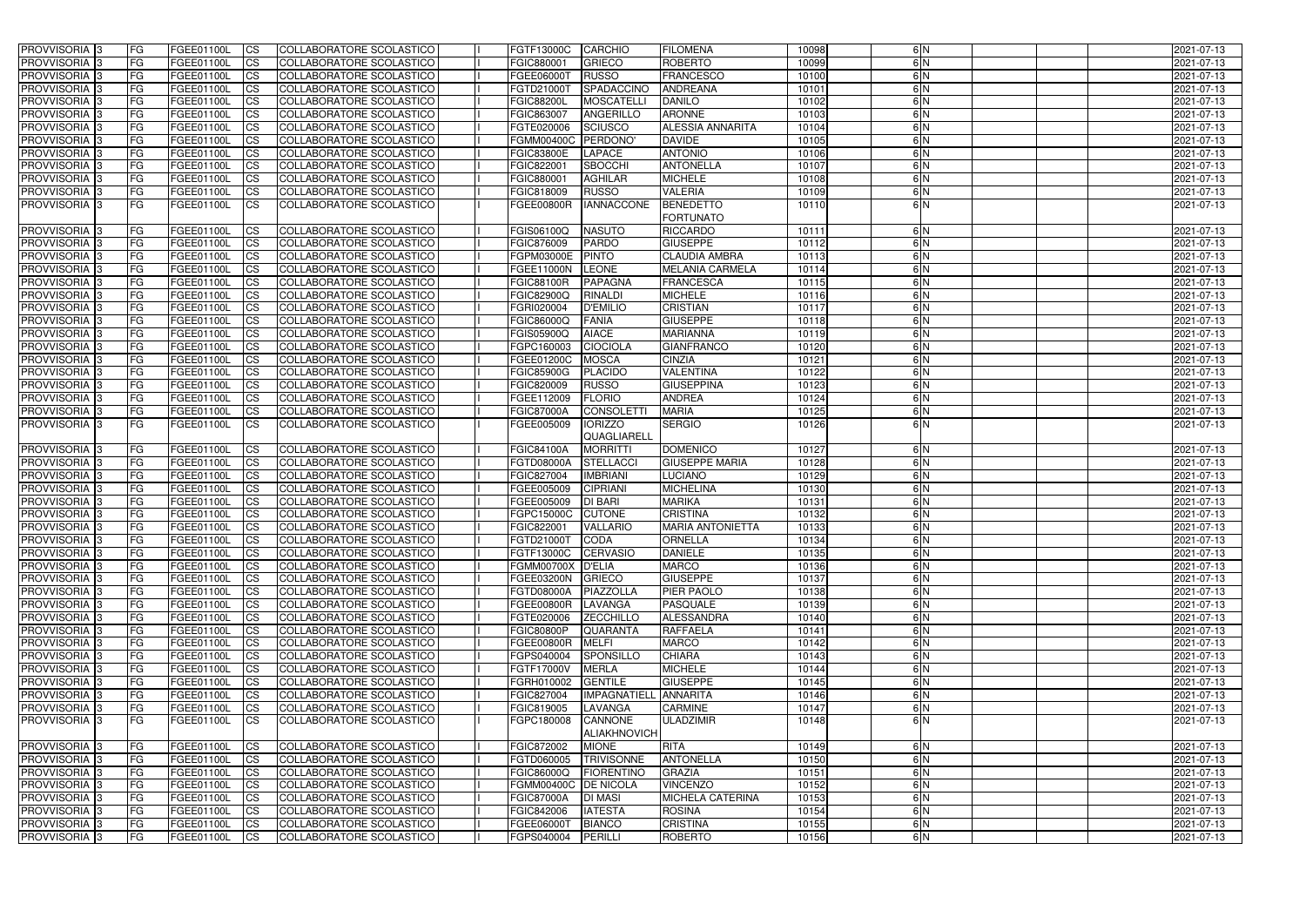| <b>PROVVISORIA</b> 3           | <b>FG</b>       | FGEE01100L               | CS                     | COLLABORATORE SCOLASTICO                             | FGTF13000C                      | CARCHIO                       | <b>FILOMENA</b>                      | 10098          | 6N                  | 2021-07-13               |
|--------------------------------|-----------------|--------------------------|------------------------|------------------------------------------------------|---------------------------------|-------------------------------|--------------------------------------|----------------|---------------------|--------------------------|
| <b>PROVVISORIA 3</b>           | FG              | FGEE01100L               | <b>CS</b>              | COLLABORATORE SCOLASTICO                             | FGIC880001                      | <b>GRIECO</b>                 | <b>ROBERTO</b>                       | 10099          | 6N                  | 2021-07-13               |
| PROVVISORIA 3                  | <b>FG</b>       | FGEE01100L               | <b>CS</b>              | COLLABORATORE SCOLASTICO                             | FGEE06000T                      | <b>RUSSO</b>                  | <b>FRANCESCO</b>                     | 10100          | 6N                  | 2021-07-13               |
| PROVVISORIA <sup>1</sup> 3     | FG              | FGEE01100L               | <b>CS</b>              | COLLABORATORE SCOLASTICO                             | FGTD21000T                      | SPADACCINO                    | <b>ANDREANA</b>                      | 10101          | 6N                  | 2021-07-13               |
| PROVVISORIA <sup>1</sup> 3     | FG              | FGEE01100L               | <b>CS</b>              | COLLABORATORE SCOLASTICO                             | <b>FGIC88200L</b>               | <b>MOSCATELLI</b>             | <b>DANILO</b>                        | 10102          | 6N                  | 2021-07-13               |
| PROVVISORIA <sup>1</sup> 3     | FG              | FGEE01100L               | <b>CS</b>              | COLLABORATORE SCOLASTICO                             | FGIC863007                      | <b>ANGERILLO</b>              | <b>ARONNE</b>                        | 10103          | 6N                  | 2021-07-13               |
| PROVVISORIA <sup>1</sup> 3     | FG              | FGEE01100L               | <b>CS</b>              | COLLABORATORE SCOLASTICO                             | FGTE020006                      | <b>SCIUSCO</b>                | <b>ALESSIA ANNARITA</b>              | 10104          | 6N                  | 2021-07-13               |
| PROVVISORIA 3                  | <b>IFG</b>      | FGEE01100L               | <b>CS</b>              | COLLABORATORE SCOLASTICO                             | <b>FGMM00400C</b>               | PERDONO'                      | <b>DAVIDE</b>                        | 10105          | 6N                  | 2021-07-13               |
| PROVVISORIA 3                  | FG              | FGEE01100L               | <b>CS</b>              | COLLABORATORE SCOLASTICO                             | <b>FGIC83800E</b>               | LAPACE                        | <b>ANTONIO</b>                       | 10106          | 6N                  | 2021-07-13               |
| PROVVISORIA 3                  | FG              | FGEE01100L               | $\overline{c}$         | COLLABORATORE SCOLASTICO                             | FGIC822001                      | <b>SBOCCHI</b>                | <b>ANTONELLA</b>                     | 10107          | 6N                  | 2021-07-13               |
| PROVVISORIA 3                  | FG              | FGEE01100L               | <b>CS</b>              | COLLABORATORE SCOLASTICO                             | FGIC880001                      | <b>AGHILAR</b>                | <b>MICHELE</b>                       | 10108          | 6N                  | 2021-07-13               |
| PROVVISORIA 3                  | FG              | FGEE01100L               | <b>CS</b>              | COLLABORATORE SCOLASTICO                             | FGIC818009                      | <b>RUSSO</b>                  | <b>VALERIA</b>                       | 10109          | 6N                  | 2021-07-13               |
| PROVVISORIA 3                  | <b>FG</b>       | FGEE01100L               | <b>CS</b>              | COLLABORATORE SCOLASTICO                             | <b>FGEE00800R</b>               | <b>IANNACCONE</b>             | <b>BENEDETTO</b><br><b>FORTUNATO</b> | 10110          | 6N                  | 2021-07-13               |
| PROVVISORIA 3                  | <b>FG</b>       | FGEE01100L               | <b>CS</b>              | COLLABORATORE SCOLASTICO                             | FGIS06100Q                      | <b>NASUTO</b>                 | <b>RICCARDO</b>                      | 10111          | 6N                  | 2021-07-13               |
| <b>PROVVISORIA</b>             | FG              | FGEE01100L               | <b>CS</b>              | COLLABORATORE SCOLASTICO                             | FGIC876009                      | <b>PARDO</b>                  | <b>GIUSEPPE</b>                      | 10112          | 6N                  | 2021-07-13               |
| PROVVISORIA <sup>3</sup>       | FG              | FGEE01100L               | <b>CS</b>              | COLLABORATORE SCOLASTICO                             | FGPM03000E                      | <b>PINTO</b>                  | <b>CLAUDIA AMBRA</b>                 | 10113          | 6N                  | 2021-07-13               |
| <b>PROVVISORIA</b>             | FG              | FGEE01100L               | <b>ICS</b>             | COLLABORATORE SCOLASTICO                             | FGEE11000N                      | <b>LEONE</b>                  | <b>MELANIA CARMELA</b>               | 10114          | 6N                  | 2021-07-13               |
| PROVVISORIA 3                  | FG              | <b>FGEE01100L</b>        | <b>CS</b>              | COLLABORATORE SCOLASTICO                             | <b>FGIC88100R</b>               | <b>PAPAGNA</b>                | <b>FRANCESCA</b>                     | 10115          | 6N                  | 2021-07-13               |
| PROVVISORIA 3                  | FG              | FGEE01100L               | <b>CS</b>              | COLLABORATORE SCOLASTICO                             | <b>FGIC82900Q</b>               | <b>RINALDI</b>                | <b>MICHELE</b>                       | 10116          | 6N                  | 2021-07-13               |
| PROVVISORIA <sup>1</sup> 3     | FG              | FGEE01100L               | <b>CS</b>              | COLLABORATORE SCOLASTICO                             | FGRI020004                      | <b>D'EMILIO</b>               | <b>CRISTIAN</b>                      | 10117          | 6N                  | 2021-07-13               |
| PROVVISORIA 3                  | FG              | FGEE01100L               | <b>CS</b>              | COLLABORATORE SCOLASTICO                             | FGIC86000Q                      | <b>FANIA</b>                  | <b>GIUSEPPE</b>                      | 10118          | 6N                  | 2021-07-13               |
| PROVVISORIA 3                  | FG              | FGEE01100L               | $\overline{c}$         | COLLABORATORE SCOLASTICO                             | FGIS05900Q                      | <b>AIACE</b>                  | <b>MARIANNA</b>                      | 10119          | 6N                  | 2021-07-13               |
| PROVVISORIA 3                  | FG              | FGEE01100L               | <b>CS</b>              | <b>COLLABORATORE SCOLASTICO</b>                      | FGPC160003                      | <b>CIOCIOLA</b>               | <b>GIANFRANCO</b>                    | 10120          | 6N                  | 2021-07-13               |
| PROVVISORIA <sup>1</sup> 3     | FG              | FGEE01100L               | <b>CS</b>              | COLLABORATORE SCOLASTICO                             | FGEE01200C                      | <b>MOSCA</b><br><b>CINZIA</b> |                                      | 10121          | 6N                  | 2021-07-13               |
| PROVVISORIA 3                  | <b>FG</b>       | FGEE01100L               | <b>CS</b>              | COLLABORATORE SCOLASTICO                             | <b>FGIC85900G</b>               | <b>PLACIDO</b>                | <b>VALENTINA</b>                     | 10122          | 6N                  | 2021-07-13               |
| PROVVISORIA 3                  | <b>FG</b>       | FGEE01100L               | <b>CS</b>              | COLLABORATORE SCOLASTICO                             | FGIC820009                      | <b>RUSSO</b>                  | <b>GIUSEPPINA</b>                    | 10123          | 6N                  | 2021-07-13               |
| PROVVISORIA                    | FG              | FGEE01100L               | <b>CS</b>              | COLLABORATORE SCOLASTICO                             | FGEE112009                      | <b>FLORIO</b>                 | <b>ANDREA</b>                        | 10124          | 6N                  | 2021-07-13               |
| PROVVISORIA <sup>1</sup> 3     | FG              | FGEE01100L               | <b>CS</b>              | <b>COLLABORATORE SCOLASTICO</b>                      | <b>FGIC87000A</b>               | CONSOLETT<br><b>MARIA</b>     |                                      | 10125          | 6N                  | 2021-07-13               |
| PROVVISORIA 3                  | FG              | FGEE01100L               | <b>ICS</b>             | <b>COLLABORATORE SCOLASTICO</b>                      | FGEE005009                      | <b>IORIZZO</b><br>QUAGLIARELL | <b>SERGIO</b>                        | 10126          | 6 <sup>N</sup>      | 2021-07-13               |
| PROVVISORIA 3                  | <b>FG</b>       | FGEE01100L               | $\overline{c}$         | COLLABORATORE SCOLASTICO                             | <b>FGIC84100A</b>               | <b>MORRITTI</b>               | <b>DOMENICO</b>                      | 10127          | 6N                  | 2021-07-13               |
| PROVVISORIA <sup>1</sup> 3     | <b>IFG</b>      | FGEE01100L               | <b>CS</b>              | COLLABORATORE SCOLASTICO                             | <b>FGTD08000A</b>               | STELLACCI                     | <b>GIUSEPPE MARIA</b>                | 10128          | 6N                  | 2021-07-13               |
| PROVVISORIA 3                  | <b>FG</b>       | <b>FGEE01100L</b>        | <b>CS</b>              | COLLABORATORE SCOLASTICO                             | FGIC827004                      | <b>IMBRIANI</b>               | <b>LUCIANO</b>                       | 10129          | 6N                  | 2021-07-13               |
| PROVVISORIA 3                  | <b>FG</b>       | <b>FGEE01100L</b>        | $\overline{c}$         | COLLABORATORE SCOLASTICO                             | FGEE005009                      | <b>CIPRIANI</b>               | <b>MICHELINA</b>                     | 10130          | 6N                  | 2021-07-13               |
| PROVVISORIA 3                  | <b>FG</b>       | FGEE01100L               | <b>CS</b>              | COLLABORATORE SCOLASTICO                             | FGEE005009                      | <b>DI BARI</b>                | <b>MARIKA</b>                        | 10131          | 6N                  | 2021-07-13               |
| PROVVISORIA 3                  | <b>FG</b>       | FGEE01100L               | <b>CS</b>              | COLLABORATORE SCOLASTICO                             | FGPC15000C                      | <b>CUTONE</b>                 | <b>CRISTINA</b>                      | 10132          | 6N                  | 2021-07-13               |
| PROVVISORIA 3                  | <b>FG</b>       | FGEE01100L               | <b>CS</b>              | COLLABORATORE SCOLASTICO                             | FGIC822001                      | <b>VALLARIO</b>               | <b>MARIA ANTONIETTA</b>              | 10133          | 6N                  | 2021-07-13               |
| PROVVISORIA 3                  | <b>FG</b>       | FGEE01100L CS            |                        | COLLABORATORE SCOLASTICO                             | FGTD21000T CODA                 |                               | <b>ORNELLA</b>                       | 10134          | 6 N                 | 2021-07-13               |
| PROVVISORIA 3                  | <b>FG</b>       | FGEE01100L               | CS                     | COLLABORATORE SCOLASTICO                             | FGTF13000C CERVASIO             |                               | <b>DANIELE</b>                       | 10135          | 6N                  | 2021-07-13               |
| PROVVISORIA 3                  | <b>FG</b>       | <b>FGEE01100L</b>        | CS                     | COLLABORATORE SCOLASTICO                             | FGMM00700X D'ELIA               |                               | <b>MARCO</b>                         | 10136          | 6N                  | 2021-07-13               |
| PROVVISORIA 3                  | <b>FG</b>       | FGEE01100L               | CS                     | COLLABORATORE SCOLASTICO                             | FGEE03200N GRIECO               |                               | <b>GIUSEPPE</b><br><b>PIER PAOLO</b> | 10137          | 6N<br>$\frac{6}{N}$ | 2021-07-13               |
| PROVVISORIA 3<br>PROVVISORIA 3 | FG<br><b>FG</b> | FGEE01100L<br>FGEE01100L | CS                     | COLLABORATORE SCOLASTICO                             | FGTD08000A<br><b>FGEE00800R</b> | PIAZZOLLA                     | PASQUALE                             | 10138<br>10139 | 6N                  | 2021-07-13<br>2021-07-13 |
| PROVVISORIA 3                  | <b>FG</b>       | FGEE01100L               | $\overline{\text{CS}}$ | COLLABORATORE SCOLASTICO<br>COLLABORATORE SCOLASTICO | FGTE020006                      | LAVANGA<br><b>ZECCHILLO</b>   | ALESSANDRA                           | 10140          | 6N                  | 2021-07-13               |
| PROVVISORIA <sup>3</sup>       | <b>IFG</b>      | FGEE01100L               | <b>CS</b><br><b>CS</b> | COLLABORATORE SCOLASTICO                             | <b>FGIC80800P</b>               | <b>QUARANTA</b>               | <b>RAFFAELA</b>                      | 10141          | 6N                  | 2021-07-13               |
| PROVVISORIA 3                  | FG              | FGEE01100L               | <b>CS</b>              | COLLABORATORE SCOLASTICO                             | FGEE00800R                      | <b>MELFI</b>                  | <b>MARCO</b>                         | 10142          | 6N                  | 2021-07-13               |
| PROVVISORIA 3                  | <b>FG</b>       | FGEE01100L               | <b>CS</b>              | COLLABORATORE SCOLASTICO                             | FGPS040004                      | SPONSILLO                     | <b>CHIARA</b>                        | 10143          | 6N                  | 2021-07-13               |
| PROVVISORIA 3                  | <b>FG</b>       | FGEE01100L               | <b>CS</b>              | COLLABORATORE SCOLASTICO                             | FGTF17000V                      | <b>MERLA</b>                  | <b>MICHELE</b>                       | 10144          | 6N                  | 2021-07-13               |
| PROVVISORIA 3                  | <b>FG</b>       | FGEE01100L               | <b>CS</b>              | COLLABORATORE SCOLASTICO                             | FGRH010002                      | <b>GENTILE</b>                | <b>GIUSEPPE</b>                      | 10145          | 6N                  | 2021-07-13               |
| PROVVISORIA 3                  | <b>FG</b>       | FGEE01100L               | <b>CS</b>              | COLLABORATORE SCOLASTICO                             | FGIC827004                      | IMPAGNATIELL ANNARITA         |                                      | 10146          | 6N                  | 2021-07-13               |
| PROVVISORIA 3                  | <b>FG</b>       | FGEE01100L               | <b>CS</b>              | COLLABORATORE SCOLASTICO                             | FGIC819005                      | LAVANGA                       | <b>CARMINE</b>                       | 10147          | 6N                  | 2021-07-13               |
| <b>PROVVISORIA 3</b>           | FG              | FGEE01100L               | <b>ICS</b>             | COLLABORATORE SCOLASTICO                             | FGPC180008                      | <b>CANNONE</b>                | ULADZIMIR                            | 10148          | 6N                  | 2021-07-13               |
|                                |                 |                          |                        |                                                      |                                 | <b>ALIAKHNOVICH</b>           |                                      |                |                     |                          |
| PROVVISORIA 3                  | <b>FG</b>       | FGEE01100L               | CS                     | COLLABORATORE SCOLASTICO                             | FGIC872002                      | <b>RITA</b><br><b>MIONE</b>   |                                      | 10149          | 6N                  | 2021-07-13               |
| PROVVISORIA 3                  | <b>FG</b>       | FGEE01100L               | $\overline{\text{CS}}$ | COLLABORATORE SCOLASTICO                             |                                 | FGTD060005  TRIVISONNE        | <b>ANTONELLA</b>                     | 10150          | 6N                  | 2021-07-13               |
| PROVVISORIA 3                  | <b>FG</b>       | FGEE01100L               | <b>CS</b>              | COLLABORATORE SCOLASTICO                             | FGIC86000Q                      | FIORENTINO                    | <b>GRAZIA</b>                        | 10151          | 6N                  | 2021-07-13               |
| PROVVISORIA 3                  | <b>FG</b>       | FGEE01100L               | <b>CS</b>              | COLLABORATORE SCOLASTICO                             | FGMM00400C DE NICOLA            |                               | <b>VINCENZO</b>                      | 10152          | 6N                  | 2021-07-13               |
| PROVVISORIA 3                  | <b>IFG</b>      | <b>FGEE01100L</b>        | <b>CS</b>              | COLLABORATORE SCOLASTICO                             | <b>FGIC87000A</b>               | <b>DI MASI</b>                | <b>MICHELA CATERINA</b>              | 10153          | 6N                  | 2021-07-13               |
| PROVVISORIA 3                  | <b>FG</b>       | FGEE01100L               | <b>CS</b>              | COLLABORATORE SCOLASTICO                             | FGIC842006                      | <b>IATESTA</b>                | <b>ROSINA</b>                        | 10154          | 6N                  | 2021-07-13               |
| PROVVISORIA 3                  | <b>FG</b>       | FGEE01100L               | <b>CS</b>              | COLLABORATORE SCOLASTICO                             | FGEE06000T                      | <b>BIANCO</b>                 | <b>CRISTINA</b>                      | 10155          | 6N                  | 2021-07-13               |
| PROVVISORIA 3                  | <b>FG</b>       | FGEE01100L               | <b>CS</b>              | COLLABORATORE SCOLASTICO                             | FGPS040004                      | PERILLI                       | <b>ROBERTO</b>                       | 10156          | 6N                  | 2021-07-13               |
|                                |                 |                          |                        |                                                      |                                 |                               |                                      |                |                     |                          |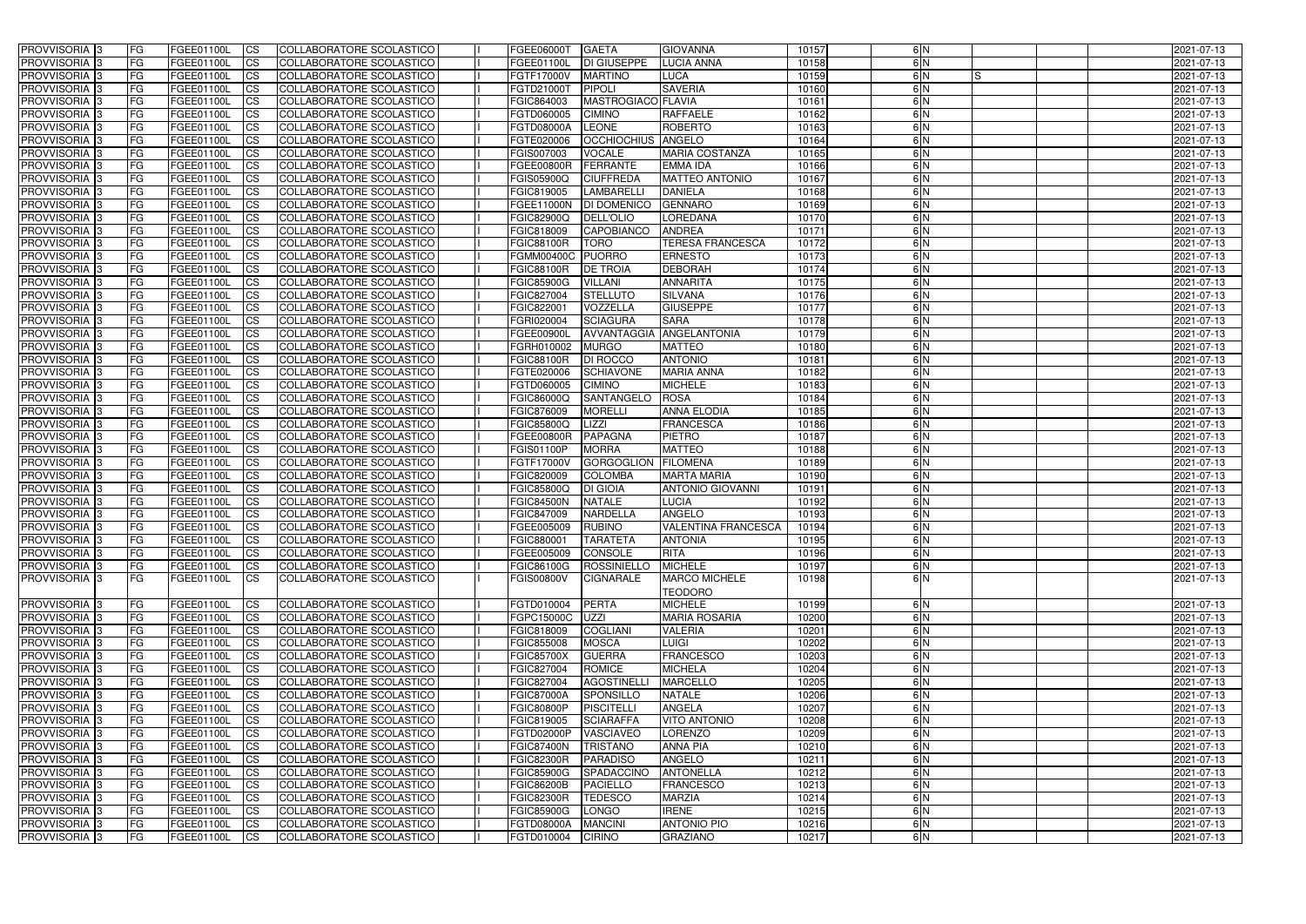| <b>PROVVISORIA</b> 3                      | <b>FG</b>       | FGEE01100L                      | <b>ICS</b>             | COLLABORATORE SCOLASTICO                                    | FGEE06000T                             | <b>GAETA</b>                      | <b>GIOVANNA</b>                      | 10157          | 6N            | 2021-07-13               |
|-------------------------------------------|-----------------|---------------------------------|------------------------|-------------------------------------------------------------|----------------------------------------|-----------------------------------|--------------------------------------|----------------|---------------|--------------------------|
| <b>PROVVISORIA 3</b>                      | FG              | FGEE01100L                      | <b>ICS</b>             | COLLABORATORE SCOLASTICO                                    | FGEE01100L                             | <b>DI GIUSEPPE</b>                | <b>LUCIA ANNA</b>                    | 10158          | 6N            | 2021-07-13               |
| PROVVISORIA                               | FG              | FGEE01100L                      | <b>CS</b>              | <b>COLLABORATORE SCOLASTICO</b>                             | FGTF17000V                             | <b>MARTINO</b>                    | <b>LUCA</b>                          | 10159          | 6N<br>IS      | 2021-07-13               |
| PROVVISORIA                               | FG              | FGEE01100L                      | <b>CS</b>              | COLLABORATORE SCOLASTICO                                    | FGTD21000T                             | <b>PIPOLI</b>                     | <b>SAVERIA</b>                       | 10160          | 6 N           | 2021-07-13               |
| PROVVISORIA <sup>1</sup> 3                | FG              | FGEE01100L                      | <b>CS</b>              | COLLABORATORE SCOLASTICO                                    | FGIC864003                             | MASTROGIACO FLAVIA                |                                      | 10161          | 6 N           | 2021-07-13               |
| PROVVISORIA <sup>1</sup> 3                | FG              | FGEE01100L                      | <b>CS</b>              | COLLABORATORE SCOLASTICO                                    | FGTD060005                             | <b>CIMINO</b>                     | <b>RAFFAELE</b>                      | 10162          | 6 N           | 2021-07-13               |
| PROVVISORIA <sup>1</sup> 3                | FG              | FGEE01100L                      | <b>CS</b>              | COLLABORATORE SCOLASTICO                                    | FGTD08000A                             | <b>LEONE</b>                      | <b>ROBERTO</b>                       | 10163          | 6N            | 2021-07-13               |
| PROVVISORIA 3                             | FG              | FGEE01100L                      | <b>ICS</b>             | COLLABORATORE SCOLASTICO                                    | FGTE020006                             | <b>OCCHIOCHIUS ANGELO</b>         |                                      | 10164          | 6N            | 2021-07-13               |
| <b>PROVVISORIA</b>                        | FG              | FGEE01100L                      | <b>CS</b>              | COLLABORATORE SCOLASTICO                                    | FGIS007003                             | <b>VOCALE</b>                     | <b>MARIA COSTANZA</b>                | 10165          | 6N            | 2021-07-13               |
| PROVVISORIA 3                             | <b>FG</b>       | FGEE01100L                      | $\overline{c}$         | COLLABORATORE SCOLASTICO                                    | FGEE00800R                             | FERRANTE                          | <b>EMMA IDA</b>                      | 10166          | 6N            | 2021-07-13               |
| <b>PROVVISORIA</b> 3                      | FG              | FGEE01100L                      | <b>CS</b>              | COLLABORATORE SCOLASTICO                                    | FGIS05900Q                             | <b>CIUFFREDA</b>                  | <b>MATTEO ANTONIO</b>                | 10167          | $\frac{6}{N}$ | 2021-07-13               |
| <b>PROVVISORIA</b>                        | FG              | FGEE01100L                      | <b>CS</b>              | COLLABORATORE SCOLASTICO                                    | FGIC819005                             | <b>LAMBARELL</b>                  | <b>DANIELA</b>                       | 10168          | 6 N           | 2021-07-13               |
| <b>PROVVISORIA</b>                        | FG              | FGEE01100L                      | <b>ICS</b>             | COLLABORATORE SCOLASTICO                                    | FGEE11000N                             | <b>DI DOMENICO</b>                | <b>GENNARO</b>                       | 10169          | 6N            | 2021-07-13               |
| <b>PROVVISORIA</b>                        | FG              | FGEE01100L                      | <b>ICS</b>             | COLLABORATORE SCOLASTICO                                    | <b>FGIC82900Q</b>                      | <b>DELL'OLIO</b>                  | LOREDANA                             | 10170          | 6N            | 2021-07-13               |
| <b>PROVVISORIA</b>                        | FG              | FGEE01100L                      | <b>ICS</b>             | COLLABORATORE SCOLASTICO                                    | FGIC818009                             | CAPOBIANCO                        | <b>ANDREA</b>                        | 10171          | 6N            | 2021-07-13               |
| <b>PROVVISORIA</b>                        | FG              | FGEE01100L                      | <b>ICS</b>             | COLLABORATORE SCOLASTICO                                    | <b>FGIC88100R</b>                      | <b>TORO</b>                       | <b>TERESA FRANCESCA</b>              | 10172          | 6 N           | 2021-07-13               |
| <b>PROVVISORIA</b>                        | FG              | FGEE01100L                      | <b>ICS</b>             | COLLABORATORE SCOLASTICO                                    | <b>FGMM00400C</b>                      | <b>PUORRO</b>                     | <b>ERNESTO</b>                       | 10173          | 6N            | 2021-07-13               |
| <b>PROVVISORIA</b>                        | FG              | FGEE01100L                      | <b>ICS</b>             | COLLABORATORE SCOLASTICO                                    | <b>FGIC88100R</b>                      | <b>DE TROIA</b>                   | <b>DEBORAH</b>                       | 10174          | 6N            | 2021-07-13               |
| PROVVISORIA <sup>3</sup>                  | FG              | FGEE01100L                      | <b>ICS</b>             | COLLABORATORE SCOLASTICO                                    | <b>FGIC85900G</b>                      | <b>VILLANI</b>                    | <b>ANNARITA</b>                      | 10175          | 6 N           | 2021-07-13               |
| PROVVISORIA 3                             | FG              | FGEE01100L                      | <b>ICS</b>             | COLLABORATORE SCOLASTICO                                    | FGIC827004                             | <b>STELLUTO</b>                   | <b>SILVANA</b>                       | 10176          | 6N            | 2021-07-13               |
| PROVVISORIA <sup>3</sup>                  | FG              | FGEE01100L                      | <b>ICS</b>             | COLLABORATORE SCOLASTICO                                    | FGIC822001                             | VOZZELLA                          | <b>GIUSEPPE</b>                      | 10177          | 6N            | 2021-07-13               |
| PROVVISORIA 3                             | FG              | FGEE01100L                      | <b>ICS</b>             | COLLABORATORE SCOLASTICO                                    | FGRI020004                             | <b>SCIAGURA</b>                   | <b>SARA</b>                          | 10178          | 6N            | 2021-07-13               |
| PROVVISORIA <sup>3</sup><br>PROVVISORIA 3 | FG              | FGEE01100L                      | <b>CS</b>              | <b>COLLABORATORE SCOLASTICO</b>                             | FGEE00900I                             | AVVANTAGGIA                       | ANGELANTONIA                         | 10179          | 6N<br>6N      | 2021-07-13               |
| PROVVISORIA <sup>3</sup>                  | FG<br>FG        | FGEE01100L<br>FGEE01100L        | <b>CS</b><br><b>CS</b> | COLLABORATORE SCOLASTICO<br><b>COLLABORATORE SCOLASTICO</b> | FGRH010002<br><b>FGIC88100R</b>        | <b>MURGO</b><br><b>DI ROCCO</b>   | <b>MATTEO</b><br><b>ANTONIO</b>      | 10180<br>10181 | 6N            | 2021-07-13<br>2021-07-13 |
| <b>PROVVISORIA</b>                        | FG              | FGEE01100L                      | <b>CS</b>              | COLLABORATORE SCOLASTICO                                    | FGTE020006                             | <b>SCHIAVONE</b>                  | <b>MARIA ANNA</b>                    | 10182          | 6N            | 2021-07-13               |
| PROVVISORIA 3                             | FG              | FGEE01100L                      | <b>ICS</b>             | COLLABORATORE SCOLASTICO                                    | FGTD060005                             | <b>CIMINO</b>                     | <b>MICHELE</b>                       | 10183          | 6N            | 2021-07-13               |
| <b>PROVVISORIA</b>                        | FG              | FGEE01100L                      | <b>CS</b>              | COLLABORATORE SCOLASTICO                                    | FGIC86000Q                             | <b>SANTANGELO</b>                 | ROSA                                 | 10184          | 6N            | 2021-07-13               |
| PROVVISORIA                               | FG              | FGEE01100L                      | <b>CS</b>              | <b>COLLABORATORE SCOLASTICO</b>                             | FGIC876009                             | <b>MORELLI</b>                    | <b>ANNA ELODIA</b>                   | 10185          | 6N            | 2021-07-13               |
| <b>PROVVISORIA</b>                        | FG              | FGEE01100L                      | <b>CS</b>              | COLLABORATORE SCOLASTICO                                    | FGIC85800Q                             | <b>LIZZI</b>                      | <b>FRANCESCA</b>                     | 10186          | 6 N           | 2021-07-13               |
| <b>PROVVISORIA</b>                        | FG              | FGEE01100L                      | <b>CS</b>              | COLLABORATORE SCOLASTICO                                    | <b>FGEE00800R</b>                      | <b>PAPAGNA</b>                    | <b>PIETRO</b>                        | 10187          | 6N            | 2021-07-13               |
| PROVVISORIA                               | FG              | FGEE01100L                      | <b>CS</b>              | COLLABORATORE SCOLASTICO                                    | <b>FGIS01100P</b>                      | <b>MORRA</b>                      | <b>MATTEO</b>                        | 10188          | 6N            | 2021-07-13               |
| PROVVISORIA <sup>1</sup> 3                | FG              | FGEE01100L                      | <b>CS</b>              | COLLABORATORE SCOLASTICO                                    | FGTF17000V                             | <b>GORGOGLION</b>                 | <b>FILOMENA</b>                      | 10189          | 6N            | 2021-07-13               |
| PROVVISORIA <sup>1</sup> 3                | FG              | FGEE01100L                      | <b>CS</b>              | COLLABORATORE SCOLASTICO                                    | FGIC820009                             | <b>COLOMBA</b>                    | <b>MARTA MARIA</b>                   | 10190          | 6N            | 2021-07-13               |
| <b>PROVVISORIA</b>                        | FG              | FGEE01100L                      | $\overline{c}$         | COLLABORATORE SCOLASTICO                                    | FGIC85800Q                             | <b>DI GIOIA</b>                   | <b>ANTONIO GIOVANNI</b>              | 10191          | 6N            | 2021-07-13               |
| <b>PROVVISORIA</b>                        | FG              | FGEE01100L                      | <b>CS</b>              | COLLABORATORE SCOLASTICO                                    | <b>FGIC84500N</b>                      | <b>NATALE</b>                     | LUCIA                                | 10192          | 6N            | 2021-07-13               |
| <b>PROVVISORIA</b>                        | FG              | FGEE01100L                      | <b>ICS</b>             | COLLABORATORE SCOLASTICO                                    | FGIC847009                             | <b>NARDELLA</b>                   | <b>ANGELO</b>                        | 10193          | 6N            | 2021-07-13               |
| <b>PROVVISORIA</b>                        | <b>FG</b>       | FGEE01100L                      | <b>ICS</b>             | COLLABORATORE SCOLASTICO                                    | FGEE005009                             | <b>RUBINO</b>                     | <b>VALENTINA FRANCESCA</b>           | 10194          | $\frac{6}{N}$ | 2021-07-13               |
| PROVVISORIA 3                             | FG              | FGEE01100L                      | CS                     | COLLABORATORE SCOLASTICO                                    | FGIC880001                             | <b>TARATETA</b>                   | <b>ANTONIA</b>                       | 10195          | 6 N           | 2021-07-13               |
| PROVVISORIA 3                             | <b>FG</b>       | FGEE01100L                      | $\mathsf{ICS}$         | COLLABORATORE SCOLASTICO                                    | FGEE005009                             | <b>CONSOLE</b>                    | <b>RITA</b>                          | 10196          | 6N            | 2021-07-13               |
| PROVVISORIA 3                             | <b>FG</b>       | FGEE01100L                      | $\mathsf{ICS}$         | COLLABORATORE SCOLASTICO                                    | <b>FGIC86100G</b>                      | ROSSINIELLO                       | <b>MICHELE</b>                       | 10197          | 6N            | 2021-07-13               |
| <b>PROVVISORIA</b> 3                      | l FG            | FGEE01100L                      | $\mathsf{ICS}$         | COLLABORATORE SCOLASTICO                                    | <b>FGIS00800V</b>                      | <b>CIGNARALE</b>                  | <b>MARCO MICHELE</b>                 | 10198          | 6N            | 2021-07-13               |
|                                           |                 |                                 |                        |                                                             |                                        |                                   | <b>TEODORO</b>                       |                |               |                          |
| PROVVISORIA <sup>3</sup>                  | IFG.            | FGEE01100L                      | $\overline{\text{CS}}$ | COLLABORATORE SCOLASTICO                                    | FGTD010004                             | <b>PERTA</b>                      | <b>MICHELE</b>                       | 10199          | 6N            | 2021-07-13               |
| PROVVISORIA 3                             | FG              | FGEE01100L                      | $\overline{\text{CS}}$ | COLLABORATORE SCOLASTICO                                    | FGPC15000C                             | UZZI                              | <b>MARIA ROSARIA</b>                 | 10200          | 6N            | 2021-07-13               |
| PROVVISORIA 3                             | FG              | <b>FGEE01100L</b>               | <b>CS</b>              | COLLABORATORE SCOLASTICO                                    | FGIC818009                             | <b>COGLIANI</b>                   | VALERIA                              | 10201          | 6N            | 2021-07-13               |
| PROVVISORIA 3                             | FG              | FGEE01100L                      | <b>CS</b>              | COLLABORATORE SCOLASTICO                                    | FGIC855008                             | <b>MOSCA</b>                      | <b>LUIGI</b>                         | 10202          | 6N            | 2021-07-13               |
| PROVVISORIA 3                             | <b>FG</b>       | FGEE01100L                      | <b>CS</b>              | COLLABORATORE SCOLASTICO                                    | <b>FGIC85700X</b>                      | <b>GUERRA</b>                     | <b>FRANCESCO</b>                     | 10203          | 6N            | 2021-07-13               |
| PROVVISORIA 3                             | <b>FG</b>       | FGEE01100L                      | <b>CS</b>              | COLLABORATORE SCOLASTICO                                    | FGIC827004                             | <b>ROMICE</b>                     | <b>MICHELA</b>                       | 10204          | 6N            | 2021-07-13               |
| PROVVISORIA 3                             | <b>FG</b>       | FGEE01100L                      | <b>CS</b>              | COLLABORATORE SCOLASTICO                                    | FGIC827004                             | <b>AGOSTINELLI</b>                | <b>MARCELLO</b>                      | 10205          | 6N            | 2021-07-13               |
| PROVVISORIA 3                             | <b>FG</b>       | FGEE01100L                      | <b>CS</b>              | COLLABORATORE SCOLASTICO                                    | <b>FGIC87000A</b>                      | SPONSILLO                         | <b>NATALE</b>                        | 10206          | 6N            | 2021-07-13               |
| PROVVISORIA 3                             | <b>FG</b>       | FGEE01100L                      | <b>CS</b>              | COLLABORATORE SCOLASTICO                                    | <b>FGIC80800P</b>                      | <b>PISCITELLI</b>                 | <b>ANGELA</b>                        | 10207          | 6N            | 2021-07-13               |
| PROVVISORIA 3                             | <b>FG</b>       | FGEE01100L                      | <b>CS</b>              | COLLABORATORE SCOLASTICO                                    | FGIC819005                             | <b>SCIARAFFA</b>                  | <b>VITO ANTONIO</b>                  | 10208          | 6N            | 2021-07-13               |
| PROVVISORIA 3                             | <b>FG</b>       | FGEE01100L                      | <b>CS</b>              | COLLABORATORE SCOLASTICO                                    | FGTD02000P                             | VASCIAVEO                         | <b>LORENZO</b>                       | 10209          | 6N            | 2021-07-13               |
| PROVVISORIA 3                             | FG              | FGEE01100L                      | <b>CS</b>              | COLLABORATORE SCOLASTICO                                    | <b>FGIC87400N</b>                      | <b>TRISTANO</b>                   | <b>ANNA PIA</b>                      | 10210          | 6N            | 2021-07-13               |
| PROVVISORIA 3                             | FG              | FGEE01100L                      | <sub>CS</sub>          | COLLABORATORE SCOLASTICO                                    | <b>FGIC82300R</b>                      | <b>PARADISO</b>                   | ANGELO                               | 10211          | 6N<br>6N      | 2021-07-13               |
| PROVVISORIA 3                             | <b>FG</b>       | FGEE01100L                      | <b>CS</b>              | COLLABORATORE SCOLASTICO<br>COLLABORATORE SCOLASTICO        | <b>FGIC85900G</b>                      | SPADACCINO                        | <b>ANTONELLA</b><br><b>FRANCESCO</b> | 10212          | 6N            | 2021-07-13               |
| PROVVISORIA 3<br>PROVVISORIA 3            | <b>FG</b>       | FGEE01100L<br><b>FGEE01100L</b> | <b>CS</b>              | COLLABORATORE SCOLASTICO                                    | <b>FGIC86200B</b><br><b>FGIC82300R</b> | <b>PACIELLO</b><br><b>TEDESCO</b> | <b>MARZIA</b>                        | 10213<br>10214 | 6N            | 2021-07-13<br>2021-07-13 |
| PROVVISORIA 3                             | FG<br><b>FG</b> | FGEE01100L                      | <b>CS</b><br><b>CS</b> | COLLABORATORE SCOLASTICO                                    | <b>FGIC85900G</b>                      | LONGO                             | <b>IRENE</b>                         | 10215          | 6N            | 2021-07-13               |
| PROVVISORIA 3                             | <b>FG</b>       | FGEE01100L                      | $\overline{\text{CS}}$ | COLLABORATORE SCOLASTICO                                    | FGTD08000A                             | <b>MANCINI</b>                    | <b>ANTONIO PIO</b>                   | 10216          | 6N            | 2021-07-13               |
| PROVVISORIA 3                             | <b>FG</b>       | FGEE01100L                      | $\overline{\text{CS}}$ | COLLABORATORE SCOLASTICO                                    | FGTD010004                             | <b>CIRINO</b>                     | <b>GRAZIANO</b>                      | 10217          | 6N            | 2021-07-13               |
|                                           |                 |                                 |                        |                                                             |                                        |                                   |                                      |                |               |                          |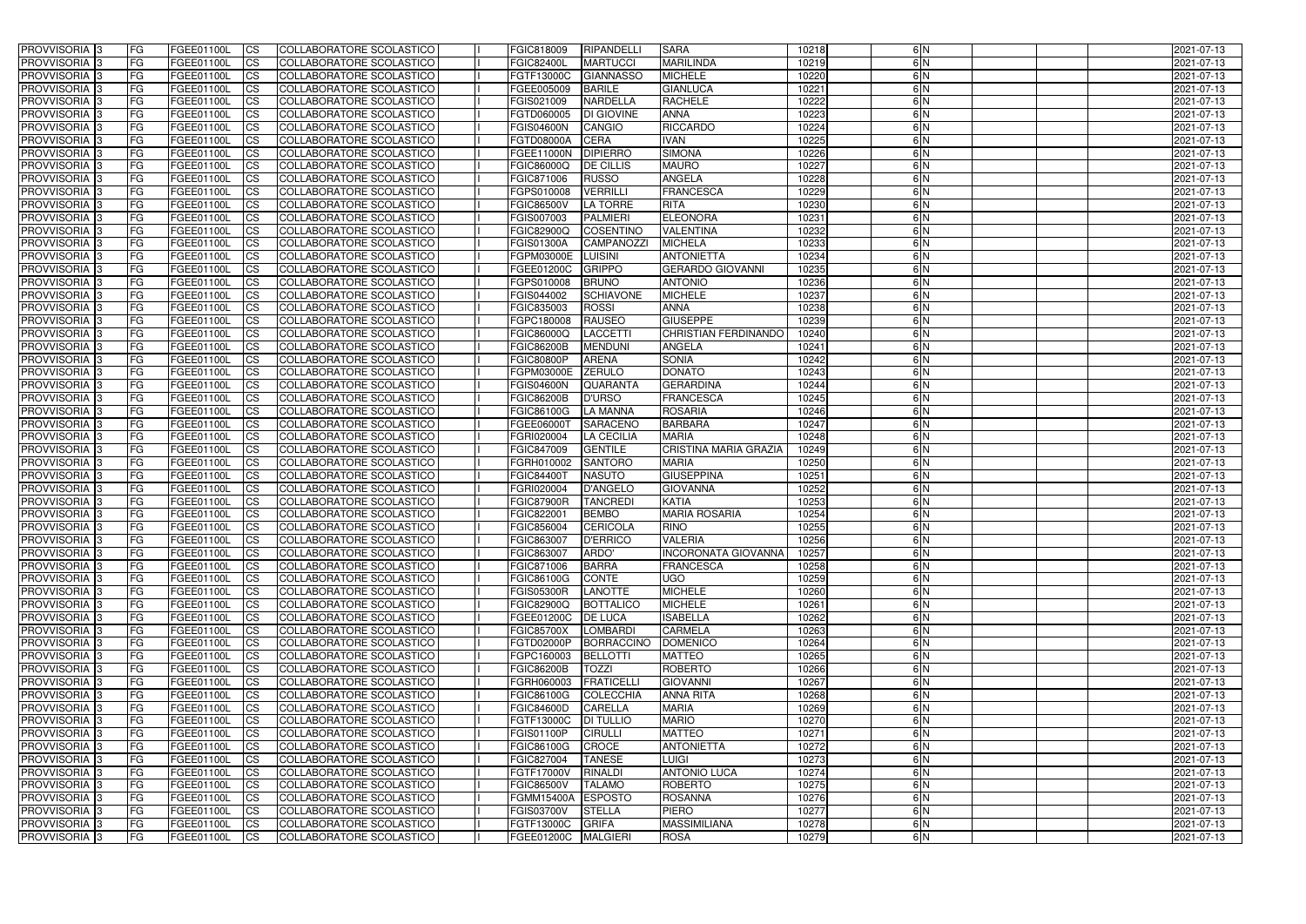| <b>PROVVISORIA</b> 3                      | <b>FG</b>              | FGEE01100L               | <b>ICS</b>             | COLLABORATORE SCOLASTICO                                    | FGIC818009                             | RIPANDELL                         | <b>SARA</b>                                    | 10218          | 6N            | 2021-07-13               |
|-------------------------------------------|------------------------|--------------------------|------------------------|-------------------------------------------------------------|----------------------------------------|-----------------------------------|------------------------------------------------|----------------|---------------|--------------------------|
| <b>PROVVISORIA 3</b>                      | FG                     | FGEE01100L               | <b>ICS</b>             | COLLABORATORE SCOLASTICO                                    | <b>FGIC82400L</b>                      | <b>MARTUCCI</b>                   | <b>MARILINDA</b>                               | 10219          | 6N            | 2021-07-13               |
| PROVVISORIA                               | FG                     | FGEE01100L               | <b>CS</b>              | <b>COLLABORATORE SCOLASTICO</b>                             | FGTF13000C                             | <b>GIANNASSO</b>                  | <b>MICHELE</b>                                 | 10220          | 6N            | 2021-07-13               |
| PROVVISORIA                               | FG                     | FGEE01100L               | <b>CS</b>              | COLLABORATORE SCOLASTICO                                    | FGEE005009                             | <b>BARILE</b>                     | <b>GIANLUCA</b>                                | 10221          | 6N            | 2021-07-13               |
| <b>PROVVISORIA 3</b>                      | FG                     | FGEE01100L               | <b>CS</b>              | COLLABORATORE SCOLASTICO                                    | FGIS021009                             | <b>NARDELLA</b>                   | <b>RACHELE</b>                                 | 10222          | 6 N           | 2021-07-13               |
| PROVVISORIA <sup>1</sup> 3                | FG                     | FGEE01100L               | <b>CS</b>              | COLLABORATORE SCOLASTICO                                    | FGTD060005                             | <b>DI GIOVINE</b>                 | <b>ANNA</b>                                    | 10223          | 6 N           | 2021-07-13               |
| PROVVISORIA <sup>1</sup> 3                | FG                     | FGEE01100L               | <b>CS</b>              | COLLABORATORE SCOLASTICO                                    | <b>FGIS04600N</b>                      | <b>CANGIO</b>                     | <b>RICCARDO</b>                                | 10224          | 6N            | 2021-07-13               |
| PROVVISORIA 3                             | FG                     | FGEE01100L               | <b>CS</b>              | COLLABORATORE SCOLASTICO                                    | FGTD08000A                             | <b>CERA</b>                       | <b>IVAN</b>                                    | 10225          | 6N            | 2021-07-13               |
| PROVVISORIA                               | FG                     | FGEE01100L               | <b>CS</b>              | COLLABORATORE SCOLASTICO                                    | FGEE11000N                             | <b>DIPIERRO</b>                   | <b>SIMONA</b>                                  | 10226          | 6N            | 2021-07-13               |
| PROVVISORIA 3                             | <b>FG</b>              | FGEE01100L               | $\overline{c}$         | COLLABORATORE SCOLASTICO                                    | FGIC86000Q                             | <b>DE CILLIS</b>                  | <b>MAURO</b>                                   | 10227          | 6N            | 2021-07-13               |
| PROVVISORIA 3                             | FG                     | FGEE01100L               | <b>CS</b>              | COLLABORATORE SCOLASTICO                                    | FGIC871006                             | <b>RUSSO</b>                      | <b>ANGELA</b>                                  | 10228          | $\frac{6}{N}$ | 2021-07-13               |
| <b>PROVVISORIA</b>                        | FG                     | FGEE01100L               | <b>CS</b>              | COLLABORATORE SCOLASTICO                                    | FGPS010008                             | <b>VERRILLI</b>                   | FRANCESCA                                      | 10229          | 6 N           | 2021-07-13               |
| <b>PROVVISORIA</b>                        | FG                     | FGEE01100L               | <b>ICS</b>             | COLLABORATORE SCOLASTICO                                    | <b>FGIC86500V</b>                      | <b>LA TORRE</b>                   | <b>RITA</b>                                    | 10230          | 6N            | 2021-07-13               |
| <b>PROVVISORIA</b>                        | FG                     | FGEE01100L               | <b>ICS</b>             | COLLABORATORE SCOLASTICO                                    | FGIS007003                             | <b>PALMIERI</b>                   | <b>ELEONORA</b>                                | 10231          | 6N            | 2021-07-13               |
| <b>PROVVISORIA</b>                        | FG                     | FGEE01100L               | <b>ICS</b>             | COLLABORATORE SCOLASTICO                                    | <b>FGIC82900Q</b>                      | <b>COSENTINO</b>                  | <b>VALENTINA</b>                               | 10232          | 6N            | 2021-07-13               |
| <b>PROVVISORIA</b>                        | FG                     | FGEE01100L               | <b>ICS</b>             | COLLABORATORE SCOLASTICO                                    | <b>FGIS01300A</b>                      | <b>CAMPANOZZI</b>                 | <b>MICHELA</b>                                 | 10233          | 6 N           | 2021-07-13               |
| <b>PROVVISORIA</b>                        | FG                     | FGEE01100L               | <b>ICS</b>             | COLLABORATORE SCOLASTICO                                    | FGPM03000E                             | <b>LUISINI</b>                    | <b>ANTONIETTA</b>                              | 10234          | 6N            | 2021-07-13               |
| <b>PROVVISORIA</b>                        | FG                     | FGEE01100L               | <b>ICS</b>             | COLLABORATORE SCOLASTICO                                    | FGEE01200C                             | <b>GRIPPO</b>                     | <b>GERARDO GIOVANNI</b>                        | 10235          | 6N            | 2021-07-13               |
| PROVVISORIA <sup>3</sup>                  | FG                     | FGEE01100L               | <b>ICS</b>             | COLLABORATORE SCOLASTICO                                    | FGPS010008                             | <b>BRUNO</b>                      | <b>ANTONIO</b>                                 | 10236          | 6 N           | 2021-07-13               |
| PROVVISORIA 3                             | FG                     | FGEE01100L               | <b>ICS</b>             | COLLABORATORE SCOLASTICO                                    | FGIS044002                             | <b>SCHIAVONE</b>                  | <b>MICHELE</b>                                 | 10237          | 6N            | 2021-07-13               |
| PROVVISORIA <sup>3</sup>                  | FG                     | FGEE01100L               | <b>ICS</b>             | COLLABORATORE SCOLASTICO                                    | FGIC835003                             | <b>ROSSI</b>                      | <b>ANNA</b>                                    | 10238          | 6N            | 2021-07-13               |
| PROVVISORIA 3                             | FG                     | FGEE01100L               | <b>ICS</b>             | COLLABORATORE SCOLASTICO                                    | FGPC180008                             | <b>RAUSEO</b>                     | <b>GIUSEPPE</b><br><b>CHRISTIAN FERDINANDO</b> | 10239          | 6N<br>6N      | 2021-07-13               |
| PROVVISORIA <sup>3</sup><br>PROVVISORIA 3 | FG                     | FGEE01100L               | <b>CS</b>              | <b>COLLABORATORE SCOLASTICO</b><br>COLLABORATORE SCOLASTICO | FGIC86000Q                             | <b>LACCETTI</b><br><b>MENDUNI</b> | <b>ANGELA</b>                                  | 10240          | 6N            | 2021-07-13               |
| PROVVISORIA <sup>3</sup>                  | FG<br>FG               | FGEE01100L<br>FGEE01100L | <b>CS</b><br><b>CS</b> | COLLABORATORE SCOLASTICO                                    | <b>FGIC86200B</b><br><b>FGIC80800P</b> | <b>ARENA</b>                      | <b>SONIA</b>                                   | 10241<br>10242 | 6N            | 2021-07-13<br>2021-07-13 |
| <b>PROVVISORIA</b>                        | FG                     | FGEE01100L               | <b>CS</b>              | COLLABORATORE SCOLASTICO                                    | FGPM03000E                             | <b>ZERULO</b>                     | <b>DONATO</b>                                  | 10243          | 6N            | 2021-07-13               |
| PROVVISORIA 3                             | FG                     | FGEE01100L               | <b>ICS</b>             | COLLABORATORE SCOLASTICO                                    | <b>FGIS04600N</b>                      | <b>QUARANTA</b>                   | <b>GERARDINA</b>                               | 10244          | 6N            | 2021-07-13               |
| <b>PROVVISORIA</b>                        | FG                     | FGEE01100L               | <b>CS</b>              | COLLABORATORE SCOLASTICO                                    | <b>FGIC86200B</b>                      | <b>D'URSO</b>                     | <b>FRANCESCA</b>                               | 10245          | 6N            | 2021-07-13               |
| PROVVISORIA                               | FG                     | FGEE01100L               | <b>CS</b>              | <b>COLLABORATORE SCOLASTICO</b>                             | FGIC86100G                             | <b>LA MANNA</b>                   | <b>ROSARIA</b>                                 | 10246          | 6N            | 2021-07-13               |
| <b>PROVVISORIA</b>                        | FG                     | FGEE01100L               | <b>CS</b>              | COLLABORATORE SCOLASTICO                                    | FGEE06000T                             | <b>SARACENC</b>                   | <b>BARBARA</b>                                 | 10247          | 6 N           | 2021-07-13               |
| <b>PROVVISORIA</b>                        | FG                     | FGEE01100L               | <b>CS</b>              | COLLABORATORE SCOLASTICO                                    | FGRI020004                             | <b>LA CECILIA</b>                 | <b>MARIA</b>                                   | 10248          | 6N            | 2021-07-13               |
| PROVVISORIA                               | FG                     | FGEE01100L               | <b>CS</b>              | COLLABORATORE SCOLASTICO                                    | FGIC847009                             | <b>GENTILE</b>                    | <b>CRISTINA MARIA GRAZIA</b>                   | 10249          | 6N            | 2021-07-13               |
| PROVVISORIA <sup>1</sup> 3                | FG                     | FGEE01100L               | <b>CS</b>              | COLLABORATORE SCOLASTICO                                    | FGRH010002                             | <b>SANTORO</b>                    | <b>MARIA</b>                                   | 10250          | 6N            | 2021-07-13               |
| PROVVISORIA <sup>1</sup> 3                | FG                     | FGEE01100L               | <b>CS</b>              | <b>COLLABORATORE SCOLASTICO</b>                             | <b>FGIC84400T</b>                      | <b>NASUTO</b>                     | <b>GIUSEPPINA</b>                              | 10251          | 6N            | 2021-07-13               |
| <b>PROVVISORIA</b>                        | FG                     | FGEE01100L               | $\overline{c}$         | COLLABORATORE SCOLASTICO                                    | FGRI020004                             | <b>D'ANGELO</b>                   | <b>GIOVANNA</b>                                | 10252          | 6N            | 2021-07-13               |
| <b>PROVVISORIA</b>                        | FG                     | FGEE01100L               | <b>CS</b>              | COLLABORATORE SCOLASTICO                                    | <b>FGIC87900R</b>                      | <b>TANCREDI</b>                   | <b>KATIA</b>                                   | 10253          | 6N            | 2021-07-13               |
| <b>PROVVISORIA</b>                        | FG                     | FGEE01100L               | <b>ICS</b>             | COLLABORATORE SCOLASTICO                                    | FGIC822001                             | <b>BEMBO</b>                      | <b>MARIA ROSARIA</b>                           | 10254          | 6N            | 2021-07-13               |
| <b>PROVVISORIA</b>                        | <b>FG</b>              | FGEE01100L               | <b>ICS</b>             | COLLABORATORE SCOLASTICO                                    | FGIC856004                             | <b>CERICOLA</b>                   | <b>RINO</b>                                    | 10255          | $\frac{6}{N}$ | 2021-07-13               |
| PROVVISORIA 3                             | FG                     | FGEE01100L               | CS                     | COLLABORATORE SCOLASTICO                                    | FGIC863007                             | D'ERRICO                          | <b>VALERIA</b>                                 | 10256          | 6 N           | 2021-07-13               |
| <b>PROVVISORIA</b> 3                      | <b>FG</b>              | FGEE01100L               | $\mathsf{ICS}$         | COLLABORATORE SCOLASTICO                                    | FGIC863007                             | ARDO'                             | <b>INCORONATA GIOVANNA</b>                     | 10257          | 6N            | 2021-07-13               |
| PROVVISORIA 3                             | <b>FG</b>              | <b>FGEE01100L</b>        | $\mathsf{ICS}$         | COLLABORATORE SCOLASTICO                                    | FGIC871006                             | <b>BARRA</b>                      | <b>FRANCESCA</b>                               | 10258          | 6N            | 2021-07-13               |
| PROVVISORIA 3                             | <b>FG</b>              | FGEE01100L               | $\mathsf{ICS}$         | COLLABORATORE SCOLASTICO                                    | FGIC86100G                             | CONTE                             | <b>UGO</b>                                     | 10259          | 6N            | 2021-07-13               |
| PROVVISORIA 3                             | FG                     | FGEE01100L               | $\mathsf{ICS}$         | COLLABORATORE SCOLASTICO                                    | <b>FGIS05300R</b>                      | LANOTTE                           | <b>MICHELE</b>                                 | 10260          | 6 N           | 2021-07-13               |
| PROVVISORIA 3                             | l FG                   | FGEE01100L               | $\mathsf{ICS}$         | COLLABORATORE SCOLASTICO                                    | <b>FGIC82900Q</b>                      | BOTTALICO                         | <b>MICHELE</b>                                 | 10261          | $\frac{6}{N}$ | 2021-07-13               |
| PROVVISORIA 3                             | <b>FG</b>              | FGEE01100L               | $\mathsf{ICS}$         | COLLABORATORE SCOLASTICO                                    | FGEE01200C                             | <b>DE LUCA</b>                    | <b>ISABELLA</b>                                | 10262          | 6N            | 2021-07-13               |
| PROVVISORIA 3                             | FG                     | FGEE01100L               | <b>CS</b>              | COLLABORATORE SCOLASTICO                                    | <b>FGIC85700X</b>                      | <b>LOMBARDI</b>                   | <b>CARMELA</b>                                 | 10263          | 6N            | 2021-07-13               |
| PROVVISORIA 3                             | <b>FG</b>              | FGEE01100L               | <b>CS</b>              | COLLABORATORE SCOLASTICO                                    | FGTD02000P                             | BORRACCINO                        | <b>DOMENICO</b>                                | 10264          | 6N            | 2021-07-13               |
| PROVVISORIA 3                             | <b>FG</b>              | FGEE01100L               | <b>CS</b>              | COLLABORATORE SCOLASTICO                                    | FGPC160003                             | <b>BELLOTTI</b>                   | <b>MATTEO</b>                                  | 10265          | 6N            | 2021-07-13               |
| PROVVISORIA 3                             | <b>FG</b>              | FGEE01100L               | <b>CS</b>              | COLLABORATORE SCOLASTICO                                    | <b>FGIC86200B</b>                      | <b>TOZZI</b>                      | <b>ROBERTO</b>                                 | 10266          | 6N            | 2021-07-13               |
| PROVVISORIA 3                             | <b>FG</b>              | FGEE01100L               | <b>CS</b>              | COLLABORATORE SCOLASTICO                                    | FGRH060003                             | FRATICELLI                        | <b>GIOVANNI</b>                                | 10267          | 6N            | 2021-07-13               |
| PROVVISORIA 3                             | <b>FG</b>              | FGEE01100L               | <b>CS</b>              | COLLABORATORE SCOLASTICO                                    | <b>FGIC86100G</b>                      | COLECCHIA                         | <b>ANNA RITA</b>                               | 10268          | 6N            | 2021-07-13               |
| PROVVISORIA 3                             | <b>FG</b>              | FGEE01100L               | <b>CS</b>              | COLLABORATORE SCOLASTICO                                    | <b>FGIC84600D</b>                      | <b>CARELLA</b>                    | <b>MARIA</b>                                   | 10269          | 6N            | 2021-07-13               |
| PROVVISORIA 3                             | <b>FG</b>              | FGEE01100L               | <b>CS</b>              | COLLABORATORE SCOLASTICO                                    | FGTF13000C                             | <b>DI TULLIO</b>                  | <b>MARIO</b>                                   | 10270          | 6N            | 2021-07-13               |
| PROVVISORIA 3                             | <b>FG</b>              | FGEE01100L               | <b>CS</b>              | COLLABORATORE SCOLASTICO                                    | <b>FGIS01100P</b>                      | <b>CIRULLI</b>                    | <b>MATTEO</b>                                  | 10271          | 6N<br>6N      | 2021-07-13               |
| PROVVISORIA 3<br>PROVVISORIA 3            | <b>FG</b><br><b>FG</b> | FGEE01100L               | <b>CS</b>              | COLLABORATORE SCOLASTICO<br>COLLABORATORE SCOLASTICO        | <b>FGIC86100G</b><br>FGIC827004        | CROCE<br><b>TANESE</b>            | <b>ANTONIETTA</b><br><b>LUIGI</b>              | 10272<br>10273 | 6N            | 2021-07-13               |
| PROVVISORIA 3                             | <b>FG</b>              | FGEE01100L<br>FGEE01100L | <b>CS</b><br><b>CS</b> | COLLABORATORE SCOLASTICO                                    | FGTF17000V                             | RINALDI                           | <b>ANTONIO LUCA</b>                            | 10274          | 6N            | 2021-07-13<br>2021-07-13 |
| PROVVISORIA 3                             | FG                     | FGEE01100L               | <b>CS</b>              | COLLABORATORE SCOLASTICO                                    | <b>FGIC86500V</b>                      | <b>TALAMO</b>                     | <b>ROBERTO</b>                                 | 10275          | 6N            | 2021-07-13               |
| PROVVISORIA 3                             | FG                     | FGEE01100L               | <b>CS</b>              | COLLABORATORE SCOLASTICO                                    | FGMM15400A ESPOSTO                     |                                   | <b>ROSANNA</b>                                 | 10276          | 6N            | 2021-07-13               |
| PROVVISORIA 3                             | <b>FG</b>              | FGEE01100L               | <b>CS</b>              | COLLABORATORE SCOLASTICO                                    | <b>FGIS03700V</b>                      | <b>STELLA</b>                     | <b>PIERO</b>                                   | 10277          | 6N            | 2021-07-13               |
| PROVVISORIA 3                             | <b>FG</b>              | FGEE01100L               | $\overline{\text{CS}}$ | COLLABORATORE SCOLASTICO                                    | FGTF13000C GRIFA                       |                                   | <b>MASSIMILIANA</b>                            | 10278          | 6N            | 2021-07-13               |
| PROVVISORIA 3                             | <b>FG</b>              | FGEE01100L               | $\overline{\text{CS}}$ | COLLABORATORE SCOLASTICO                                    | FGEE01200C MALGIERI                    |                                   | <b>ROSA</b>                                    | 10279          | 6N            | 2021-07-13               |
|                                           |                        |                          |                        |                                                             |                                        |                                   |                                                |                |               |                          |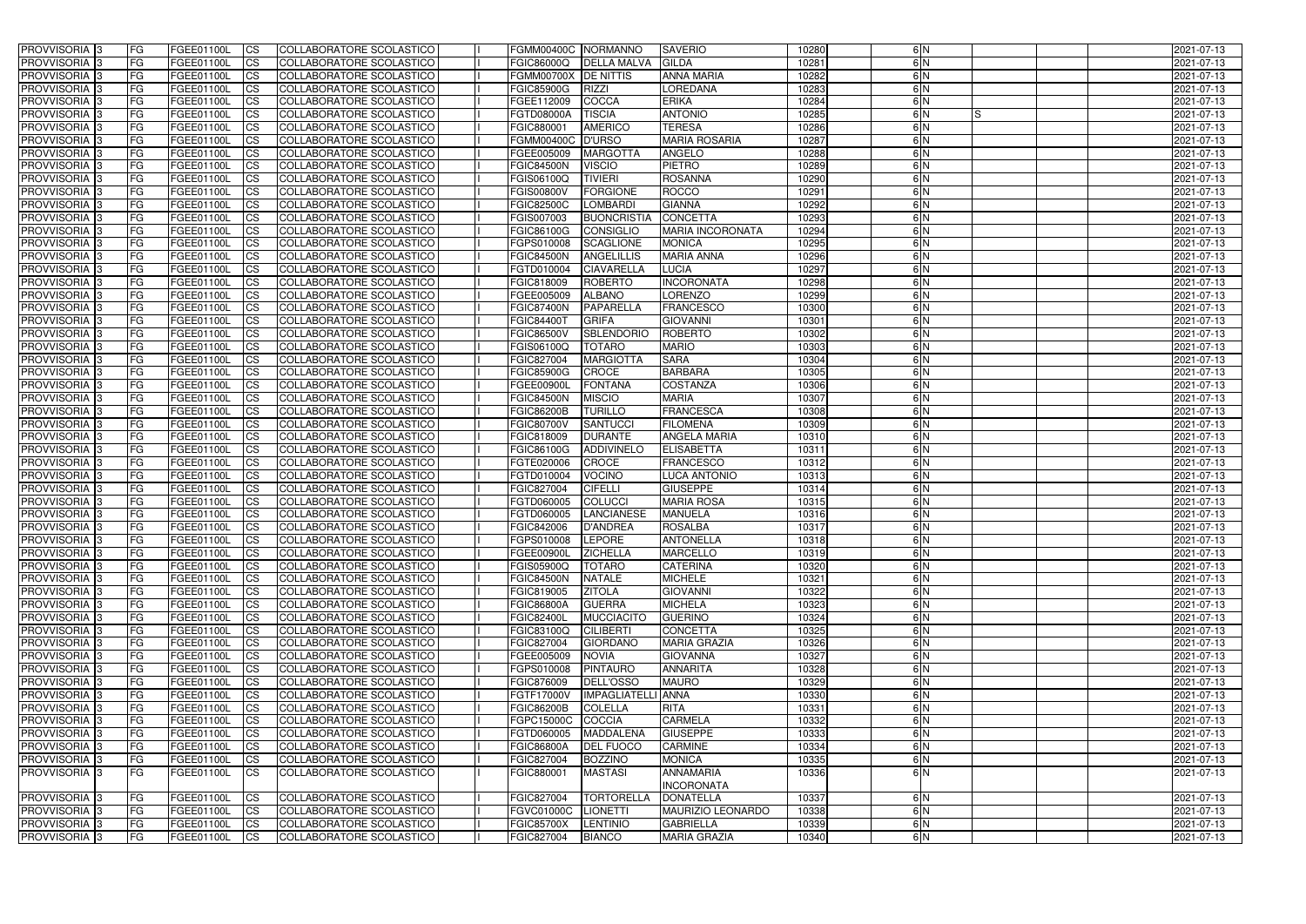| PROVVISORIA <sup>3</sup>                             | FG         | FGEE01100L               | <b>ICS</b>             | COLLABORATORE SCOLASTICO                                    | FGMM00400C NORMANNO                    |                           | <b>SAVERIO</b>                      | 10280          | 6N            |    | 2021-07-13               |
|------------------------------------------------------|------------|--------------------------|------------------------|-------------------------------------------------------------|----------------------------------------|---------------------------|-------------------------------------|----------------|---------------|----|--------------------------|
| PROVVISORIA <sup>3</sup>                             | FG         | <b>FGEE01100L</b>        | <b>CS</b>              | COLLABORATORE SCOLASTICO                                    | <b>FGIC86000Q</b>                      | <b>DELLA MALVA</b>        | <b>GILDA</b>                        | 10281          | 6N            |    | 2021-07-13               |
| PROVVISORIA 3                                        | FG         | FGEE01100L               | <b>CS</b>              | <b>COLLABORATORE SCOLASTICO</b>                             | <b>FGMM00700X</b>                      | <b>DE NITTIS</b>          | <b>ANNA MARIA</b>                   | 10282          | 6N            |    | 2021-07-13               |
| PROVVISORIA <sup>3</sup>                             | FG         | FGEE01100L               | <b>I</b> CS            | COLLABORATORE SCOLASTICO                                    | <b>FGIC85900G</b>                      | <b>RIZZI</b>              | LOREDANA                            | 10283          | 6N            |    | 2021-07-13               |
| PROVVISORIA 3                                        | <b>FG</b>  | FGEE01100L               | <b>ICS</b>             | COLLABORATORE SCOLASTICO                                    | FGEE112009                             | <b>COCCA</b>              | <b>ERIKA</b>                        | 10284          | 6N            |    | 2021-07-13               |
| PROVVISORIA <sup>3</sup>                             | FG         | FGEE01100L               | $\overline{\text{cs}}$ | COLLABORATORE SCOLASTICO                                    | <b>FGTD08000A</b>                      | <b>TISCIA</b>             | <b>ANTONIO</b>                      | 10285          | 6N            | IS | 2021-07-13               |
| PROVVISORIA <sup>3</sup>                             | FG         | FGEE01100L               | $\overline{\text{cs}}$ | COLLABORATORE SCOLASTICO                                    | FGIC880001                             | <b>AMERICO</b>            | <b>TERESA</b>                       | 10286          | 6N            |    | 2021-07-13               |
| PROVVISORIA <sup>3</sup>                             | FG         | FGEE01100L               | <b>I</b> CS            | COLLABORATORE SCOLASTICO                                    | <b>FGMM00400C</b>                      | <b>D'URSO</b>             | <b>MARIA ROSARIA</b>                | 10287          | 6N            |    | 2021-07-13               |
| <b>PROVVISORIA</b> 3                                 | FG         | FGEE01100L               | <b>CS</b>              | COLLABORATORE SCOLASTICO                                    | FGEE005009                             | <b>MARGOTTA</b>           | ANGELO                              | 10288          | 6N            |    | 2021-07-13               |
| <b>PROVVISORIA</b> 3                                 | FG.        | FGEE01100L               | <b>CS</b>              | COLLABORATORE SCOLASTICO                                    | <b>FGIC84500N</b>                      | <b>VISCIO</b>             | <b>PIETRO</b>                       | 10289          | 6N            |    | 2021-07-13               |
| PROVVISORIA <sup>3</sup>                             | FG         | FGEE01100L               | <b>CS</b>              | COLLABORATORE SCOLASTICO                                    | <b>FGIS06100Q</b>                      | <b>TIVIERI</b>            | <b>ROSANNA</b>                      | 10290          | 6N            |    | 2021-07-13               |
| PROVVISORIA <sup>3</sup>                             | FG         | FGEE01100L               | <b>CS</b>              | <b>COLLABORATORE SCOLASTICO</b>                             | <b>FGIS00800V</b>                      | <b>FORGIONE</b>           | <b>ROCCO</b>                        | 10291          | 6N            |    | 2021-07-13               |
| PROVVISORIA <sup>3</sup>                             | FG         | FGEE01100L               | <b>I</b> CS            | COLLABORATORE SCOLASTICO                                    | <b>FGIC82500C</b>                      | <b>LOMBARDI</b>           | <b>GIANNA</b>                       | 10292          | 6N            |    | 2021-07-13               |
| PROVVISORIA <sup>3</sup>                             | FG         | FGEE01100L               | <b>ICS</b>             | COLLABORATORE SCOLASTICO                                    | FGIS007003                             | <b>BUONCRISTIA</b>        | <b>CONCETTA</b>                     | 10293          | 6N            |    | 2021-07-13               |
| <b>PROVVISORIA</b> 3                                 | FG         | FGEE01100L               | <b>CS</b>              | COLLABORATORE SCOLASTICO                                    | <b>FGIC86100G</b>                      | <b>CONSIGLIO</b>          | <b>MARIA INCORONATA</b>             | 10294          | 6 N           |    | 2021-07-13               |
| PROVVISORIA <sup>3</sup>                             | FG         | FGEE01100L               | <b>ICS</b>             | COLLABORATORE SCOLASTICO                                    | FGPS010008                             | <b>SCAGLIONE</b>          | <b>MONICA</b>                       | 10295          | 6N            |    | 2021-07-13               |
| PROVVISORIA <sup>3</sup>                             | FG.        | FGEE01100L               | <b>I</b> CS            | COLLABORATORE SCOLASTICO                                    | <b>FGIC84500N</b>                      | <b>ANGELILLIS</b>         | <b>MARIA ANNA</b>                   | 10296          | 6N            |    | 2021-07-13               |
| PROVVISORIA <sup>3</sup>                             | FG         | FGEE01100L               | <b>ICS</b>             | COLLABORATORE SCOLASTICO                                    | FGTD010004                             | <b>CIAVARELLA</b>         | <b>LUCIA</b>                        | 10297          | 6N            |    | 2021-07-13               |
| PROVVISORIA <sup>3</sup>                             | FG         | FGEE01100L               | <b>CS</b>              | COLLABORATORE SCOLASTICO                                    | FGIC818009                             | <b>ROBERTO</b>            | <b>INCORONATA</b>                   | 10298          | 6N            |    | 2021-07-13               |
| PROVVISORIA <sup>3</sup>                             | FG         | FGEE01100L               | <b>CS</b>              | COLLABORATORE SCOLASTICO                                    | FGEE005009                             | <b>ALBANO</b>             | <b>LORENZO</b>                      | 10299          | 6N<br>6N      |    | 2021-07-13               |
| PROVVISORIA <sup>3</sup><br>PROVVISORIA <sup>3</sup> | FG         | FGEE01100L<br>FGEE01100L | <b>CS</b>              | COLLABORATORE SCOLASTICO<br>COLLABORATORE SCOLASTICO        | <b>FGIC87400N</b><br><b>FGIC84400T</b> | PAPARELLA<br><b>GRIFA</b> | <b>FRANCESCO</b><br><b>GIOVANNI</b> | 10300<br>10301 | 6N            |    | 2021-07-13               |
| PROVVISORIA <sup>1</sup> 3                           | FG<br>FG.  | FGEE01100L               | <b>CS</b>              | COLLABORATORE SCOLASTICO                                    | <b>FGIC86500V</b>                      | <b>SBLENDORIO</b>         | <b>ROBERTO</b>                      | 10302          | 6N            |    | 2021-07-13               |
| PROVVISORIA <sup>13</sup>                            | FG         | FGEE01100L               | <b>CS</b><br>ICS       | COLLABORATORE SCOLASTICO                                    | FGIS06100Q                             | <b>TOTARO</b>             | <b>MARIO</b>                        | 10303          | 6N            |    | 2021-07-13<br>2021-07-13 |
| PROVVISORIA <sup>3</sup>                             | FG         | FGEE01100L               | <b>CS</b>              | COLLABORATORE SCOLASTICO                                    | FGIC827004                             | <b>MARGIOTTA</b>          | <b>SARA</b>                         | 10304          | 6N            |    | 2021-07-13               |
| PROVVISORIA 3                                        | FG         | FGEE01100L               | <b>CS</b>              | COLLABORATORE SCOLASTICO                                    | <b>FGIC85900G</b>                      | <b>CROCE</b>              | <b>BARBARA</b>                      | 10305          | 6N            |    | 2021-07-13               |
| <b>PROVVISORIA</b> 3                                 | FG         | FGEE01100L               | <b>CS</b>              | COLLABORATORE SCOLASTICO                                    | <b>FGEE00900L</b>                      | <b>FONTANA</b>            | <b>COSTANZA</b>                     | 10306          | 6N            |    | 2021-07-13               |
| PROVVISORIA 3                                        | FG         | FGEE01100L               | <b>CS</b>              | COLLABORATORE SCOLASTICO                                    | <b>FGIC84500N</b>                      | <b>MISCIO</b>             | <b>MARIA</b>                        | 10307          | 6 N           |    | 2021-07-13               |
| PROVVISORIA <sup>3</sup>                             | FG         | FGEE01100L               | <b>CS</b>              | COLLABORATORE SCOLASTICO                                    | <b>FGIC86200B</b>                      | <b>TURILLO</b>            | <b>FRANCESCA</b>                    | 10308          | 6 N           |    | 2021-07-13               |
| PROVVISORIA 3                                        | FG         | FGEE01100L               | <b>CS</b>              | COLLABORATORE SCOLASTICO                                    | <b>FGIC80700V</b>                      | <b>SANTUCCI</b>           | <b>FILOMENA</b>                     | 10309          | 6N            |    | 2021-07-13               |
| <b>PROVVISORIA</b> 3                                 | FG         | FGEE01100L               | <b>CS</b>              | COLLABORATORE SCOLASTICO                                    | FGIC818009                             | <b>DURANTE</b>            | <b>ANGELA MARIA</b>                 | 10310          | 6N            |    | 2021-07-13               |
| PROVVISORIA <sup>3</sup>                             | FG         | FGEE01100L               | $\overline{\text{cs}}$ | <b>COLLABORATORE SCOLASTICO</b>                             | <b>FGIC86100G</b>                      | ADDIVINELO                | <b>ELISABETTA</b>                   | 10311          | 6N            |    | 2021-07-13               |
| PROVVISORIA <sup>3</sup>                             | FG         | FGEE01100L               | $\overline{\text{cs}}$ | <b>COLLABORATORE SCOLASTICO</b>                             | FGTE020006                             | <b>CROCE</b>              | <b>FRANCESCO</b>                    | 10312          | 6N            |    | 2021-07-13               |
| <b>PROVVISORIA</b> 3                                 | FG         | FGEE01100L               | <b>CS</b>              | COLLABORATORE SCOLASTICO                                    | FGTD010004                             | <b>VOCINO</b>             | <b>LUCA ANTONIO</b>                 | 10313          | 6N            |    | 2021-07-13               |
| <b>PROVVISORIA</b> 3                                 | FG.        | FGEE01100L               | <b>CS</b>              | <b>COLLABORATORE SCOLASTICO</b>                             | FGIC827004                             | <b>CIFELLI</b>            | <b>GIUSEPPE</b>                     | 10314          | 6N            |    | 2021-07-13               |
| PROVVISORIA <sup>3</sup>                             | FG         | FGEE01100L               | <b>CS</b>              | COLLABORATORE SCOLASTICO                                    | FGTD060005                             | <b>COLUCCI</b>            | <b>MARIA ROSA</b>                   | 10315          | 6N            |    | 2021-07-13               |
| <b>PROVVISORIA</b> 3                                 | FG.        | FGEE01100L               | <b>I</b> CS            | <b>COLLABORATORE SCOLASTICO</b>                             | FGTD060005                             | <b>LANCIANESE</b>         | <b>MANUELA</b>                      | 10316          | 6N            |    | 2021-07-13               |
| PROVVISORIA <sup>3</sup>                             | FG.        | FGEE01100L               | <b>CS</b>              | COLLABORATORE SCOLASTICO                                    | FGIC842006                             | D'ANDREA                  | <b>ROSALBA</b>                      | 10317          | 6N            |    | 2021-07-13               |
| PROVVISORIA <sup>3</sup>                             | IFG.       | FGEE01100L CS            |                        | COLLABORATORE SCOLASTICO                                    | FGPS010008 LEPORE                      |                           | <b>ANTONELLA</b>                    | 10318          | 6 N           |    | 2021-07-13               |
| PROVVISORIA 3                                        | FG.        | FGEE01100L               | $\mathsf{ICS}$         | COLLABORATORE SCOLASTICO                                    | FGEE00900L                             | <b>ZICHELLA</b>           | <b>MARCELLO</b>                     | 10319          | 6N            |    | 2021-07-13               |
| PROVVISORIA 3                                        | FG         | FGEE01100L               | <b>ICS</b>             | COLLABORATORE SCOLASTICO                                    | <b>FGIS05900Q</b>                      | <b>TOTARO</b>             | <b>CATERINA</b>                     | 10320          | 6N            |    | 2021-07-13               |
| PROVVISORIA 3                                        | FG         | FGEE01100L               | <b>CS</b>              | COLLABORATORE SCOLASTICO                                    | FGIC84500N                             | <b>NATALE</b>             | <b>MICHELE</b>                      | 10321          | 6N            |    | 2021-07-13               |
| PROVVISORIA 3                                        | FG         | FGEE01100L               | <b>CS</b>              | COLLABORATORE SCOLASTICO                                    | FGIC819005                             | <b>ZITOLA</b>             | <b>GIOVANNI</b>                     | 10322          | 6N            |    | 2021-07-13               |
| PROVVISORIA 3                                        | FG         | FGEE01100L               | <b>CS</b>              | COLLABORATORE SCOLASTICO                                    | <b>FGIC86800A</b>                      | <b>GUERRA</b>             | <b>MICHELA</b>                      | 10323          | 6N            |    | 2021-07-13               |
| PROVVISORIA 3                                        | FG         | FGEE01100L               | <b>CS</b>              | COLLABORATORE SCOLASTICO                                    | <b>FGIC82400L</b>                      | MUCCIACITO                | <b>GUERINO</b>                      | 10324          | 6N            |    | 2021-07-13               |
| PROVVISORIA 3                                        | FG         | FGEE01100L               | <b>CS</b>              | COLLABORATORE SCOLASTICO                                    | <b>FGIC83100Q</b>                      | <b>CILIBERTI</b>          | <b>CONCETTA</b>                     | 10325          | 6N            |    | 2021-07-13               |
| PROVVISORIA 3                                        | FG         | FGEE01100L               | <b>CS</b>              | COLLABORATORE SCOLASTICO                                    | FGIC827004                             | <b>GIORDANO</b>           | <b>MARIA GRAZIA</b>                 | 10326          | 6N            |    | 2021-07-13               |
| PROVVISORIA 3                                        | FG         | FGEE01100L               | <b>CS</b>              | COLLABORATORE SCOLASTICO                                    | FGEE005009                             | <b>NOVIA</b>              | <b>GIOVANNA</b>                     | 10327          | 6N            |    | 2021-07-13               |
| PROVVISORIA 3                                        | FG         | FGEE01100L               | <b>CS</b>              | COLLABORATORE SCOLASTICO                                    | FGPS010008                             | PINTAURO                  | ANNARITA                            | 10328          | 6N            |    | 2021-07-13               |
| PROVVISORIA 3                                        | FG         | FGEE01100L               | <b>CS</b>              | COLLABORATORE SCOLASTICO                                    | FGIC876009                             | DELL'OSSO                 | <b>MAURO</b>                        | 10329          | 6N            |    | 2021-07-13               |
| PROVVISORIA 3                                        | FG         | FGEE01100L<br>FGEE01100L | <b>CS</b>              | COLLABORATORE SCOLASTICO                                    | FGTF17000V                             | IMPAGLIATELLI ANNA        |                                     | 10330          | 6N<br>6N      |    | 2021-07-13               |
| PROVVISORIA 3                                        | <b>IFG</b> |                          | <b>CS</b>              | COLLABORATORE SCOLASTICO                                    | <b>FGIC86200B</b>                      | <b>COLELLA</b>            | <b>RITA</b>                         | 10331          |               |    | 2021-07-13               |
| PROVVISORIA 3<br>PROVVISORIA 3                       | FG<br>IFG. | FGEE01100L<br>FGEE01100L | <b>CS</b><br><b>CS</b> | <b>COLLABORATORE SCOLASTICO</b><br>COLLABORATORE SCOLASTICO | FGPC15000C<br>FGTD060005               | COCCIA<br>MADDALENA       | <b>CARMELA</b><br><b>GIUSEPPE</b>   | 10332<br>10333 | 6N<br>6N      |    | 2021-07-13<br>2021-07-13 |
|                                                      | <b>IFG</b> | FGEE01100L               |                        | COLLABORATORE SCOLASTICO                                    | <b>FGIC86800A</b>                      | <b>DEL FUOCO</b>          | <b>CARMINE</b>                      | 10334          | 6N            |    | 2021-07-13               |
| PROVVISORIA 3<br>PROVVISORIA 3                       | FG         | FGEE01100L               | <b>CS</b><br><b>CS</b> | COLLABORATORE SCOLASTICO                                    | FGIC827004                             | <b>BOZZINO</b>            | <b>MONICA</b>                       | 10335          | 6N            |    | 2021-07-13               |
| <b>PROVVISORIA</b> 3                                 | IFG.       | FGEE01100L               | <b>CS</b>              | COLLABORATORE SCOLASTICO                                    | FGIC880001                             | <b>MASTASI</b>            | <b>ANNAMARIA</b>                    | 10336          | 6N            |    | 2021-07-13               |
|                                                      |            |                          |                        |                                                             |                                        |                           | <b>INCORONATA</b>                   |                |               |    |                          |
| PROVVISORIA 3                                        | FG         | FGEE01100L               | <b>CS</b>              | COLLABORATORE SCOLASTICO                                    | <b>FGIC827004</b>                      | <b>TORTORELLA</b>         | <b>DONATELLA</b>                    | 10337          | 6 N           |    | 2021-07-13               |
| PROVVISORIA 3                                        | FG         | FGEE01100L               | <b>CS</b>              | COLLABORATORE SCOLASTICO                                    | <b>FGVC01000C</b>                      | LIONETTI                  | MAURIZIO LEONARDO                   | 10338          | 6N            |    | 2021-07-13               |
| <b>PROVVISORIA</b> 3                                 | FG         | FGEE01100L               | <b>CS</b>              | COLLABORATORE SCOLASTICO                                    | <b>FGIC85700X</b>                      | LENTINIO                  | <b>GABRIELLA</b>                    | 10339          | 6N            |    | 2021-07-13               |
| PROVVISORIA 3                                        | <b>FG</b>  | FGEE01100L               | <b>CS</b>              | COLLABORATORE SCOLASTICO                                    | FGIC827004                             | <b>BIANCO</b>             | <b>MARIA GRAZIA</b>                 | 10340          | $\frac{6}{N}$ |    | 2021-07-13               |
|                                                      |            |                          |                        |                                                             |                                        |                           |                                     |                |               |    |                          |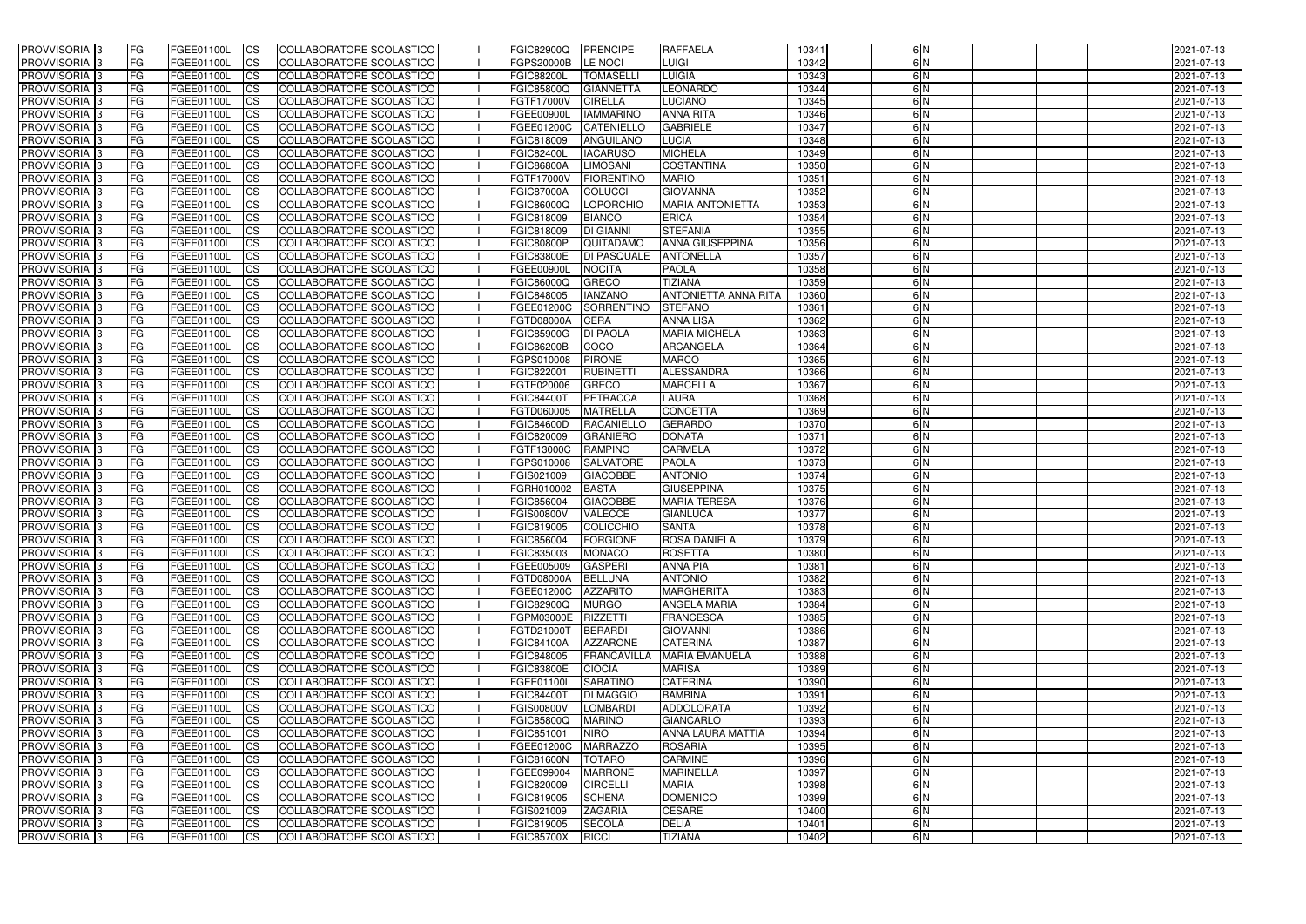| <b>PROVVISORIA</b> 3                      | l FG                   | FGEE01100L               | <b>ICS</b>              | COLLABORATORE SCOLASTICO                                    | <b>FGIC82900Q</b>                      | PRENCIPE                     | <b>RAFFAELA</b>                              | 10341          | 6N            | 2021-07-13               |
|-------------------------------------------|------------------------|--------------------------|-------------------------|-------------------------------------------------------------|----------------------------------------|------------------------------|----------------------------------------------|----------------|---------------|--------------------------|
| <b>PROVVISORIA 3</b>                      | FG                     | FGEE01100L               | <b>ICS</b>              | COLLABORATORE SCOLASTICO                                    | FGPS20000B                             | LE NOCI                      | LUIGI                                        | 10342          | 6N            | 2021-07-13               |
| PROVVISORIA                               | FG                     | FGEE01100L               | <b>CS</b>               | <b>COLLABORATORE SCOLASTICO</b>                             | <b>FGIC88200L</b>                      | <b>TOMASELL</b>              | <b>LUIGIA</b>                                | 10343          | 6N            | 2021-07-13               |
| PROVVISORIA                               | FG                     | FGEE01100L               | <b>CS</b>               | COLLABORATORE SCOLASTICO                                    | FGIC85800Q                             | <b>GIANNETTA</b>             | <b>LEONARDO</b>                              | 10344          | 6N            | 2021-07-13               |
| <b>PROVVISORIA 3</b>                      | FG                     | FGEE01100L               | <b>CS</b>               | COLLABORATORE SCOLASTICO                                    | FGTF17000V                             | <b>CIRELLA</b>               | <b>LUCIANO</b>                               | 10345          | 6 N           | 2021-07-13               |
| PROVVISORIA <sup>1</sup> 3                | FG                     | FGEE01100L               | <b>CS</b>               | COLLABORATORE SCOLASTICO                                    | FGEE00900L                             | <b>IAMMARINC</b>             | <b>ANNA RITA</b>                             | 10346          | 6 N           | 2021-07-13               |
| PROVVISORIA <sup>1</sup> 3                | FG                     | FGEE01100L               | <b>CS</b>               | COLLABORATORE SCOLASTICO                                    | FGEE01200C                             | <b>CATENIELLO</b>            | <b>GABRIELE</b>                              | 10347          | 6N            | 2021-07-13               |
| PROVVISORIA 3                             | FG                     | FGEE01100L               | <b>ICS</b>              | COLLABORATORE SCOLASTICO                                    | FGIC818009                             | ANGUILANO                    | <b>LUCIA</b>                                 | 10348          | 6N            | 2021-07-13               |
| PROVVISORIA                               | FG                     | FGEE01100L               | <b>CS</b>               | COLLABORATORE SCOLASTICO                                    | <b>FGIC82400L</b>                      | <b>IACARUSO</b>              | <b>MICHELA</b>                               | 10349          | 6N            | 2021-07-13               |
| PROVVISORIA 3                             | <b>FG</b>              | FGEE01100L               | <b>ICS</b>              | COLLABORATORE SCOLASTICO                                    | <b>FGIC86800A</b>                      | <b>LIMOSANI</b>              | <b>COSTANTINA</b>                            | 10350          | 6N            | 2021-07-13               |
| <b>PROVVISORIA</b> 3                      | FG                     | FGEE01100L               | <b>CS</b>               | COLLABORATORE SCOLASTICO                                    | FGTF17000V                             | <b>FIORENTINO</b>            | <b>MARIO</b>                                 | 10351          | $\frac{6}{N}$ | 2021-07-13               |
| <b>PROVVISORIA</b>                        | FG                     | FGEE01100L               | <b>CS</b>               | COLLABORATORE SCOLASTICO                                    | <b>FGIC87000A</b>                      | <b>COLUCCI</b>               | <b>GIOVANNA</b>                              | 10352          | 6 N           | 2021-07-13               |
| <b>PROVVISORIA</b>                        | FG                     | FGEE01100L               | <b>ICS</b>              | COLLABORATORE SCOLASTICO                                    | FGIC86000Q                             | LOPORCHIO                    | <b>MARIA ANTONIETTA</b>                      | 10353          | 6N            | 2021-07-13               |
| <b>PROVVISORIA</b>                        | FG                     | FGEE01100L               | <b>ICS</b>              | COLLABORATORE SCOLASTICO                                    | FGIC818009                             | <b>BIANCO</b>                | <b>ERICA</b>                                 | 10354          | 6N            | 2021-07-13               |
| <b>PROVVISORIA</b>                        | FG                     | FGEE01100L               | <b>ICS</b>              | COLLABORATORE SCOLASTICO                                    | FGIC818009                             | <b>DI GIANNI</b>             | <b>STEFANIA</b>                              | 10355          | 6N            | 2021-07-13               |
| <b>PROVVISORIA</b>                        | FG                     | FGEE01100L               | <b>ICS</b>              | COLLABORATORE SCOLASTICO                                    | <b>FGIC80800P</b>                      | QUITADAMO                    | <b>ANNA GIUSEPPINA</b>                       | 10356          | 6N            | 2021-07-13               |
| <b>PROVVISORIA</b>                        | FG                     | FGEE01100L               | <b>ICS</b>              | COLLABORATORE SCOLASTICO                                    | <b>FGIC83800E</b>                      | <b>DI PASQUALE</b>           | <b>ANTONELLA</b>                             | 10357          | 6N            | 2021-07-13               |
| <b>PROVVISORIA</b>                        | FG                     | FGEE01100L               | <b>ICS</b>              | COLLABORATORE SCOLASTICO                                    | FGEE00900                              | <b>NOCITA</b>                | <b>PAOLA</b>                                 | 10358          | 6N            | 2021-07-13               |
| PROVVISORIA <sup>3</sup>                  | FG                     | FGEE01100L               | <b>ICS</b>              | COLLABORATORE SCOLASTICO                                    | FGIC86000Q                             | <b>GRECO</b>                 | <b>TIZIANA</b>                               | 10359          | $\frac{6}{N}$ | 2021-07-13               |
| PROVVISORIA 3                             | FG                     | FGEE01100L               | <b>ICS</b>              | COLLABORATORE SCOLASTICO                                    | FGIC848005                             | <b>IANZANO</b>               | <b>ANTONIETTA ANNA RITA</b>                  | 10360          | 6N            | 2021-07-13               |
| PROVVISORIA <sup>3</sup>                  | FG                     | FGEE01100L               | <b>ICS</b>              | COLLABORATORE SCOLASTICO                                    | FGEE01200C                             | <b>SORRENTINO</b>            | <b>STEFANO</b>                               | 10361          | 6N<br>6N      | 2021-07-13               |
| PROVVISORIA 3<br>PROVVISORIA <sup>3</sup> | FG                     | FGEE01100L               | <b>ICS</b>              | COLLABORATORE SCOLASTICO                                    | FGTD08000A                             | <b>CERA</b>                  | <b>ANNA LISA</b>                             | 10362          | 6N            | 2021-07-13               |
| PROVVISORIA 3                             | FG<br>FG               | FGEE01100L<br>FGEE01100L | <b>ICS</b><br><b>CS</b> | <b>COLLABORATORE SCOLASTICO</b><br>COLLABORATORE SCOLASTICO | <b>FGIC85900G</b><br><b>FGIC86200B</b> | <b>DI PAOLA</b><br>COCO      | <b>MARIA MICHELA</b><br><b>ARCANGELA</b>     | 10363<br>10364 | 6N            | 2021-07-13<br>2021-07-13 |
| PROVVISORIA <sup>3</sup>                  | FG                     | FGEE01100L               | <b>CS</b>               | COLLABORATORE SCOLASTICO                                    | FGPS010008                             | <b>PIRONE</b>                | <b>MARCO</b>                                 | 10365          | 6N            | 2021-07-13               |
| <b>PROVVISORIA</b>                        | FG                     | FGEE01100L               | <b>ICS</b>              | COLLABORATORE SCOLASTICO                                    | FGIC822001                             | <b>RUBINETTI</b>             | <b>ALESSANDRA</b>                            | 10366          | 6N            | 2021-07-13               |
| PROVVISORIA 3                             | FG                     | FGEE01100L               | <b>ICS</b>              | COLLABORATORE SCOLASTICO                                    | FGTE020006                             | <b>GRECO</b>                 | <b>MARCELLA</b>                              | 10367          | 6N            | 2021-07-13               |
| <b>PROVVISORIA</b>                        | FG                     | FGEE01100L               | <b>ICS</b>              | COLLABORATORE SCOLASTICO                                    | FGIC84400T                             | <b>PETRACCA</b>              | LAURA                                        | 10368          | 6N            | 2021-07-13               |
| PROVVISORIA                               | FG                     | FGEE01100L               | <b>CS</b>               | <b>COLLABORATORE SCOLASTICO</b>                             | FGTD060005                             | <b>MATRELLA</b>              | <b>CONCETTA</b>                              | 10369          | 6N            | 2021-07-13               |
| <b>PROVVISORIA</b>                        | FG                     | FGEE01100L               | <b>CS</b>               | COLLABORATORE SCOLASTICO                                    | <b>FGIC84600D</b>                      | <b>RACANIELLC</b>            | <b>GERARDO</b>                               | 10370          | 6 N           | 2021-07-13               |
| <b>PROVVISORIA</b>                        | FG                     | FGEE01100L               | <b>CS</b>               | COLLABORATORE SCOLASTICO                                    | FGIC820009                             | <b>GRANIERO</b>              | <b>DONATA</b>                                | 10371          | 6N            | 2021-07-13               |
| PROVVISORIA                               | FG                     | FGEE01100L               | <b>CS</b>               | COLLABORATORE SCOLASTICO                                    | FGTF13000C                             | <b>RAMPINO</b>               | <b>CARMELA</b>                               | 10372          | 6N            | 2021-07-13               |
| PROVVISORIA <sup>1</sup> 3                | FG                     | FGEE01100L               | <b>CS</b>               | COLLABORATORE SCOLASTICO                                    | FGPS010008                             | <b>SALVATORE</b>             | <b>PAOLA</b>                                 | 10373          | 6N            | 2021-07-13               |
| PROVVISORIA <sup>1</sup> 3                | FG                     | FGEE01100L               | <b>CS</b>               | <b>COLLABORATORE SCOLASTICO</b>                             | FGIS021009                             | <b>GIACOBBE</b>              | <b>ANTONIO</b>                               | 10374          | 6N            | 2021-07-13               |
| <b>PROVVISORIA</b>                        | FG                     | FGEE01100L               | <b>ICS</b>              | COLLABORATORE SCOLASTICO                                    | FGRH010002                             | <b>BASTA</b>                 | <b>GIUSEPPINA</b>                            | 10375          | 6N            | 2021-07-13               |
| <b>PROVVISORIA</b>                        | FG                     | FGEE01100L               | <b>CS</b>               | COLLABORATORE SCOLASTICO                                    | FGIC856004                             | <b>GIACOBBE</b>              | <b>MARIA TERESA</b>                          | 10376          | 6N            | 2021-07-13               |
| <b>PROVVISORIA</b>                        | FG                     | FGEE01100L               | <b>ICS</b>              | COLLABORATORE SCOLASTICO                                    | <b>FGIS00800V</b>                      | <b>VALECCE</b>               | <b>GIANLUCA</b>                              | 10377          | 6N            | 2021-07-13               |
| <b>PROVVISORIA</b>                        | <b>FG</b>              | FGEE01100L               | <b>ICS</b>              | COLLABORATORE SCOLASTICO                                    | FGIC819005                             | COLICCHIO                    | <b>SANTA</b>                                 | 10378          | $\frac{6}{N}$ | 2021-07-13               |
| PROVVISORIA 3                             | FG                     | FGEE01100L               | CS                      | COLLABORATORE SCOLASTICO                                    | FGIC856004                             | <b>FORGIONE</b>              | <b>ROSA DANIELA</b>                          | 10379          | 6 N           | 2021-07-13               |
| PROVVISORIA 3                             | <b>FG</b>              | FGEE01100L               | $\mathsf{ICS}$          | COLLABORATORE SCOLASTICO                                    | FGIC835003                             | MONACO                       | <b>ROSETTA</b>                               | 10380          | 6N            | 2021-07-13               |
| PROVVISORIA 3                             | <b>FG</b>              | <b>FGEE01100L</b>        | $\mathsf{ICS}$          | COLLABORATORE SCOLASTICO                                    | FGEE005009                             | <b>GASPERI</b>               | <b>ANNA PIA</b>                              | 10381          | 6N            | 2021-07-13               |
| PROVVISORIA 3                             | <b>FG</b>              | FGEE01100L               | $\mathsf{ICS}$          | COLLABORATORE SCOLASTICO                                    | FGTD08000A                             | BELLUNA                      | <b>ANTONIO</b>                               | 10382          | 6N            | 2021-07-13               |
| PROVVISORIA 3                             | FG                     | FGEE01100L               | $\mathsf{ICS}$          | COLLABORATORE SCOLASTICO                                    | FGEE01200C                             | <b>AZZARITO</b>              | <b>MARGHERITA</b>                            | 10383          | 6 N           | 2021-07-13               |
| PROVVISORIA 3                             | l FG                   | FGEE01100L               | $\mathsf{ICS}$          | COLLABORATORE SCOLASTICO                                    | <b>FGIC82900Q</b>                      | <b>MURGO</b>                 | <b>ANGELA MARIA</b>                          | 10384          | $\frac{6}{N}$ | 2021-07-13               |
| PROVVISORIA 3                             | <b>FG</b>              | FGEE01100L               | $\mathsf{ICS}$          | COLLABORATORE SCOLASTICO                                    | FGPM03000E                             | <b>RIZZETTI</b>              | <b>FRANCESCA</b>                             | 10385          | 6N            | 2021-07-13               |
| PROVVISORIA 3                             | FG                     | FGEE01100L               | <b>CS</b>               | COLLABORATORE SCOLASTICO                                    | FGTD21000T                             | <b>BERARDI</b>               | <b>GIOVANNI</b>                              | 10386          | 6N            | 2021-07-13               |
| PROVVISORIA 3                             | <b>FG</b>              | FGEE01100L               | <b>CS</b>               | COLLABORATORE SCOLASTICO                                    | <b>FGIC84100A</b>                      | <b>AZZARONE</b>              | <b>CATERINA</b>                              | 10387          | 6N            | 2021-07-13               |
| PROVVISORIA 3                             | <b>FG</b>              | FGEE01100L               | <b>CS</b>               | COLLABORATORE SCOLASTICO                                    | FGIC848005                             | <b>FRANCAVILLA</b>           | <b>MARIA EMANUELA</b>                        | 10388          | 6N            | 2021-07-13               |
| PROVVISORIA 3                             | <b>FG</b>              | FGEE01100L               | <b>CS</b>               | COLLABORATORE SCOLASTICO                                    | <b>FGIC83800E</b>                      | <b>CIOCIA</b>                | <b>MARISA</b>                                | 10389          | 6N            | 2021-07-13               |
| PROVVISORIA 3                             | <b>FG</b>              | FGEE01100L               | <b>CS</b>               | COLLABORATORE SCOLASTICO                                    | FGEE01100L                             | <b>SABATINO</b>              | <b>CATERINA</b>                              | 10390<br>10391 | 6N<br>6N      | 2021-07-13               |
| PROVVISORIA 3                             | <b>FG</b>              | FGEE01100L               | <b>CS</b>               | COLLABORATORE SCOLASTICO                                    | <b>FGIC84400T</b>                      | <b>DI MAGGIO</b>             | <b>BAMBINA</b>                               |                | 6N            | 2021-07-13               |
| PROVVISORIA 3                             | <b>FG</b><br><b>FG</b> | FGEE01100L               | <b>CS</b>               | COLLABORATORE SCOLASTICO                                    | <b>FGIS00800V</b>                      | <b>LOMBARDI</b>              | ADDOLORATA                                   | 10392<br>10393 | 6N            | 2021-07-13               |
| PROVVISORIA 3<br>PROVVISORIA 3            | <b>FG</b>              | FGEE01100L<br>FGEE01100L | <b>CS</b><br><b>CS</b>  | COLLABORATORE SCOLASTICO<br>COLLABORATORE SCOLASTICO        | <b>FGIC85800Q</b><br>FGIC851001        | <b>MARINO</b><br><b>NIRO</b> | <b>GIANCARLO</b><br><b>ANNA LAURA MATTIA</b> | 10394          | 6N            | 2021-07-13<br>2021-07-13 |
| PROVVISORIA 3                             | <b>FG</b>              | FGEE01100L               | <b>CS</b>               | COLLABORATORE SCOLASTICO                                    | FGEE01200C                             | <b>MARRAZZO</b>              | <b>ROSARIA</b>                               | 10395          | 6N            | 2021-07-13               |
| PROVVISORIA 3                             | <b>FG</b>              | FGEE01100L               | <b>CS</b>               | COLLABORATORE SCOLASTICO                                    | <b>FGIC81600N</b>                      | <b>TOTARO</b>                | <b>CARMINE</b>                               | 10396          | 6N            | 2021-07-13               |
| PROVVISORIA 3                             | <b>FG</b>              | FGEE01100L               | <b>CS</b>               | COLLABORATORE SCOLASTICO                                    | FGEE099004                             | <b>MARRONE</b>               | <b>MARINELLA</b>                             | 10397          | 6N            | 2021-07-13               |
| PROVVISORIA 3                             | FG                     | FGEE01100L               | <b>CS</b>               | COLLABORATORE SCOLASTICO                                    | FGIC820009                             | <b>CIRCELLI</b>              | <b>MARIA</b>                                 | 10398          | 6N            | 2021-07-13               |
| PROVVISORIA 3                             | FG                     | FGEE01100L               | <b>CS</b>               | COLLABORATORE SCOLASTICO                                    | FGIC819005                             | <b>SCHENA</b>                | <b>DOMENICO</b>                              | 10399          | 6N            | 2021-07-13               |
| PROVVISORIA 3                             | <b>FG</b>              | FGEE01100L               | <b>CS</b>               | COLLABORATORE SCOLASTICO                                    | FGIS021009                             | <b>ZAGARIA</b>               | <b>CESARE</b>                                | 10400          | 6N            | 2021-07-13               |
| PROVVISORIA 3                             | <b>FG</b>              | FGEE01100L               | $\overline{\text{CS}}$  | COLLABORATORE SCOLASTICO                                    | FGIC819005                             | <b>SECOLA</b>                | <b>DELIA</b>                                 | 10401          | 6N            | 2021-07-13               |
| PROVVISORIA 3                             | <b>FG</b>              | FGEE01100L               | $\overline{\text{CS}}$  | COLLABORATORE SCOLASTICO                                    | <b>FGIC85700X</b>                      | <b>RICCI</b>                 | <b>TIZIANA</b>                               | 10402          | 6N            | 2021-07-13               |
|                                           |                        |                          |                         |                                                             |                                        |                              |                                              |                |               |                          |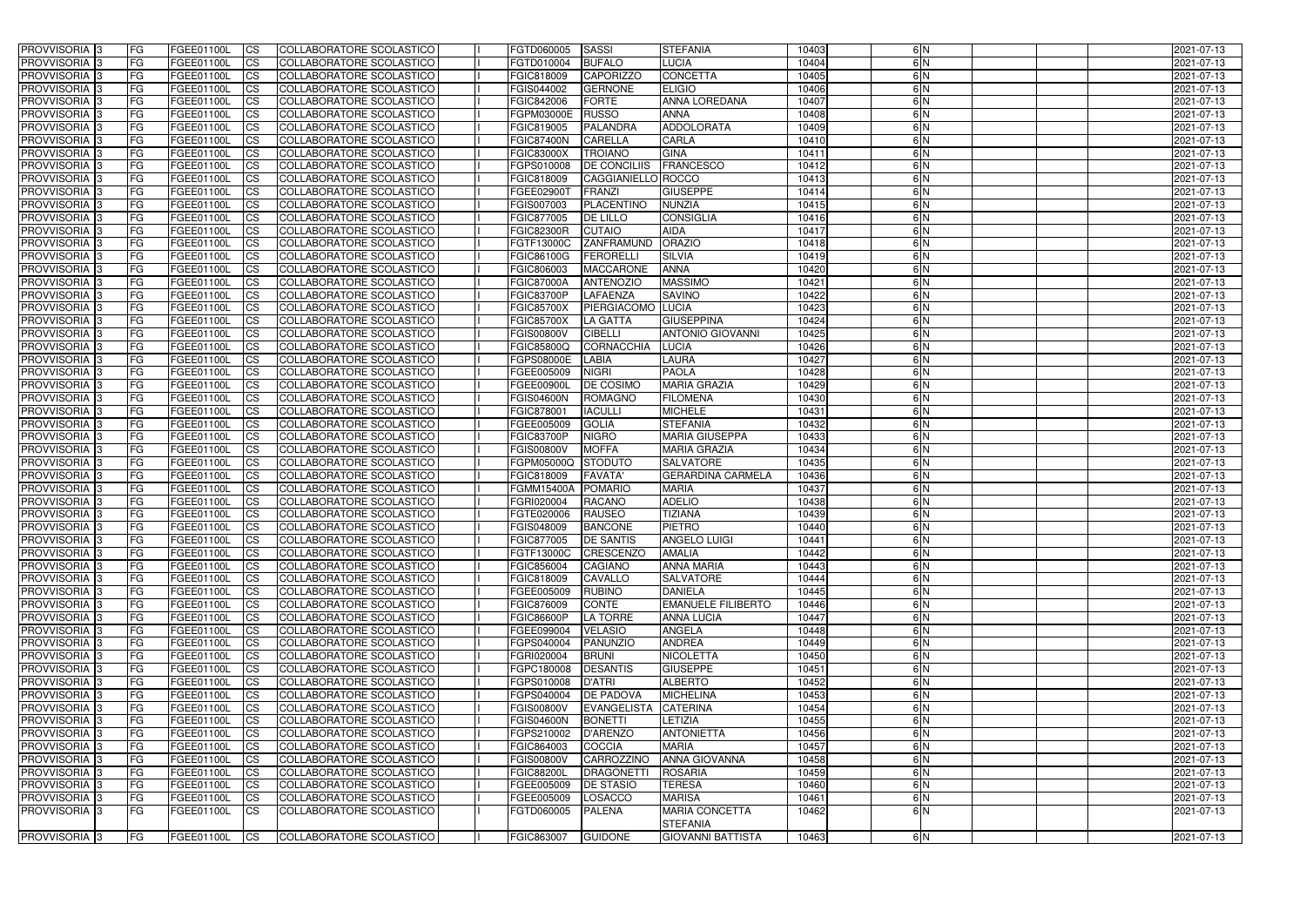| <b>PROVVISORIA</b> 3       | <b>FG</b>  | FGEE01100L               | <b>ICS</b>             | COLLABORATORE SCOLASTICO                                    | FGTD060005               | SASSI                          | <b>STEFANIA</b>                   | 10403          | 6N            | 2021-07-13               |
|----------------------------|------------|--------------------------|------------------------|-------------------------------------------------------------|--------------------------|--------------------------------|-----------------------------------|----------------|---------------|--------------------------|
| <b>PROVVISORIA 3</b>       | FG         | FGEE01100L               | <b>ICS</b>             | COLLABORATORE SCOLASTICO                                    | FGTD010004               | <b>BUFALO</b>                  | LUCIA                             | 10404          | 6N            | 2021-07-13               |
| PROVVISORIA                | FG         | FGEE01100L               | <b>CS</b>              | <b>COLLABORATORE SCOLASTICO</b>                             | FGIC818009               | <b>CAPORIZZC</b>               | <b>CONCETTA</b>                   | 10405          | 6N            | 2021-07-13               |
| PROVVISORIA                | FG         | FGEE01100L               | <b>CS</b>              | COLLABORATORE SCOLASTICO                                    | FGIS044002               | <b>GERNONE</b>                 | <b>ELIGIO</b>                     | 10406          | 6N            | 2021-07-13               |
| <b>PROVVISORIA 3</b>       | FG         | FGEE01100L               | <b>CS</b>              | COLLABORATORE SCOLASTICO                                    | FGIC842006               | <b>FORTE</b>                   | <b>ANNA LOREDANA</b>              | 10407          | 6 N           | 2021-07-13               |
| PROVVISORIA <sup>1</sup> 3 | FG         | FGEE01100L               | <b>CS</b>              | COLLABORATORE SCOLASTICO                                    | FGPM03000E               | <b>RUSSO</b>                   | <b>ANNA</b>                       | 10408          | 6 N           | 2021-07-13               |
| PROVVISORIA <sup>1</sup> 3 | FG         | FGEE01100L               | <b>CS</b>              | COLLABORATORE SCOLASTICO                                    | FGIC819005               | <b>PALANDRA</b>                | ADDOLORATA                        | 10409          | 6N            | 2021-07-13               |
| PROVVISORIA 3              | FG         | FGEE01100L               | <b>ICS</b>             | COLLABORATORE SCOLASTICO                                    | <b>FGIC87400N</b>        | <b>CARELLA</b>                 | <b>CARLA</b>                      | 10410          | 6N            | 2021-07-13               |
| PROVVISORIA                | FG         | FGEE01100L               | <b>CS</b>              | COLLABORATORE SCOLASTICO                                    | FGIC83000X               | <b>TROIANO</b>                 | <b>GINA</b>                       | 10411          | 6N            | 2021-07-13               |
| PROVVISORIA 3              | <b>FG</b>  | FGEE01100L               | $\overline{c}$         | COLLABORATORE SCOLASTICO                                    | FGPS010008               | <b>DE CONCILIIS</b>            | <b>FRANCESCO</b>                  | 10412          | 6N            | 2021-07-13               |
| <b>PROVVISORIA</b> 3       | FG         | FGEE01100L               | <b>CS</b>              | COLLABORATORE SCOLASTICO                                    | FGIC818009               | CAGGIANIELLO ROCCO             |                                   | 10413          | $\frac{6}{N}$ | 2021-07-13               |
| <b>PROVVISORIA</b>         | FG         | FGEE01100L               | <b>CS</b>              | COLLABORATORE SCOLASTICO                                    | FGEE02900T               | <b>FRANZI</b>                  | <b>GIUSEPPE</b>                   | 10414          | 6 N           | 2021-07-13               |
| <b>PROVVISORIA</b>         | FG         | FGEE01100L               | <b>ICS</b>             | COLLABORATORE SCOLASTICO                                    | FGIS007003               | <b>PLACENTINO</b>              | <b>NUNZIA</b>                     | 10415          | 6N            | 2021-07-13               |
| <b>PROVVISORIA</b>         | FG         | FGEE01100L               | <b>ICS</b>             | COLLABORATORE SCOLASTICO                                    | FGIC877005               | <b>DE LILLO</b>                | <b>CONSIGLIA</b>                  | 10416          | 6N            | 2021-07-13               |
| <b>PROVVISORIA</b>         | FG         | FGEE01100L               | <b>ICS</b>             | COLLABORATORE SCOLASTICO                                    | <b>FGIC82300R</b>        | <b>CUTAIO</b>                  | <b>AIDA</b>                       | 10417          | 6N            | 2021-07-13               |
| <b>PROVVISORIA</b>         | FG         | FGEE01100L               | <b>ICS</b>             | COLLABORATORE SCOLASTICO                                    | FGTF13000C               | ZANFRAMUND                     | <b>ORAZIO</b>                     | 10418          | 6 N           | 2021-07-13               |
| <b>PROVVISORIA</b>         | FG         | FGEE01100L               | <b>ICS</b>             | COLLABORATORE SCOLASTICO                                    | FGIC86100G               | <b>FERORELL</b>                | <b>SILVIA</b>                     | 10419          | 6N            | 2021-07-13               |
| <b>PROVVISORIA</b>         | FG         | FGEE01100L               | <b>ICS</b>             | COLLABORATORE SCOLASTICO                                    | FGIC806003               | <b>MACCARONE</b>               | <b>ANNA</b>                       | 10420          | 6N            | 2021-07-13               |
| PROVVISORIA <sup>3</sup>   | FG         | FGEE01100L               | <b>ICS</b>             | COLLABORATORE SCOLASTICO                                    | <b>FGIC87000A</b>        | <b>ANTENOZIO</b>               | <b>MASSIMO</b>                    | 10421          | 6 N           | 2021-07-13               |
| PROVVISORIA <sup>3</sup>   | FG         | FGEE01100L               | <b>ICS</b>             | COLLABORATORE SCOLASTICO                                    | <b>FGIC83700P</b>        | LAFAENZA                       | <b>SAVINO</b>                     | 10422          | 6N            | 2021-07-13               |
| PROVVISORIA <sup>3</sup>   | FG         | FGEE01100L               | <b>ICS</b>             | COLLABORATORE SCOLASTICO                                    | <b>FGIC85700X</b>        | PIERGIACOMO                    | <b>LUCIA</b>                      | 10423          | 6N            | 2021-07-13               |
| PROVVISORIA 3              | FG         | FGEE01100L               | <b>ICS</b>             | COLLABORATORE SCOLASTICO                                    | <b>FGIC85700X</b>        | LA GATTA                       | <b>GIUSEPPINA</b>                 | 10424          | 6N            | 2021-07-13               |
| PROVVISORIA <sup>3</sup>   | FG         | FGEE01100L               | <b>CS</b>              | <b>COLLABORATORE SCOLASTICO</b>                             | <b>FGIS00800V</b>        | <b>CIBELLI</b>                 | <b>ANTONIO GIOVANNI</b>           | 10425          | 6N            | 2021-07-13               |
| PROVVISORIA 3              | FG         | FGEE01100L               | <b>CS</b>              | COLLABORATORE SCOLASTICO                                    | FGIC85800Q               | <b>CORNACCHIA</b>              | <b>LUCIA</b>                      | 10426          | 6N            | 2021-07-13               |
| PROVVISORIA <sup>3</sup>   | FG         | FGEE01100L               | <b>CS</b>              | <b>COLLABORATORE SCOLASTICO</b>                             | FGPS08000E               | <b>LABIA</b>                   | LAURA                             | 10427          | 6N            | 2021-07-13               |
| PROVVISORIA 3              | FG         | FGEE01100L               | <b>CS</b>              | COLLABORATORE SCOLASTICO                                    | FGEE005009               | <b>NIGRI</b>                   | <b>PAOLA</b>                      | 10428          | 6N<br>6N      | 2021-07-13               |
| PROVVISORIA 3              | FG         | FGEE01100L               | <b>ICS</b>             | COLLABORATORE SCOLASTICO                                    | FGEE00900L               | DE COSIMO                      | <b>MARIA GRAZIA</b>               | 10429          | 6N            | 2021-07-13               |
| <b>PROVVISORIA</b>         | FG         | FGEE01100L               | <b>ICS</b>             | COLLABORATORE SCOLASTICO<br><b>COLLABORATORE SCOLASTICO</b> | <b>FGIS04600N</b>        | <b>ROMAGNO</b>                 | <b>FILOMENA</b>                   | 10430          | 6N            | 2021-07-13               |
| PROVVISORIA<br>PROVVISORIA | FG<br>FG   | FGEE01100L<br>FGEE01100L | <b>CS</b><br><b>CS</b> | COLLABORATORE SCOLASTICO                                    | FGIC878001<br>FGEE005009 | <b>IACULLI</b><br><b>GOLIA</b> | <b>MICHELE</b><br><b>STEFANIA</b> | 10431<br>10432 | 6 N           | 2021-07-13<br>2021-07-13 |
| PROVVISORIA                | FG         | FGEE01100L               | <b>CS</b>              | COLLABORATORE SCOLASTICO                                    | <b>FGIC83700P</b>        | <b>NIGRO</b>                   | <b>MARIA GIUSEPPA</b>             | 10433          | 6N            | 2021-07-13               |
| <b>PROVVISORIA</b>         | FG         | FGEE01100L               | <b>CS</b>              | COLLABORATORE SCOLASTICO                                    | <b>FGIS00800V</b>        | <b>MOFFA</b>                   | <b>MARIA GRAZIA</b>               | 10434          | 6N            | 2021-07-13               |
| PROVVISORIA <sup>1</sup> 3 | FG         | FGEE01100L               | <b>CS</b>              | COLLABORATORE SCOLASTICO                                    | FGPM05000Q               | <b>STODUTO</b>                 | <b>SALVATORE</b>                  | 10435          | 6N            | 2021-07-13               |
| PROVVISORIA 3              | FG         | FGEE01100L               | <b>CS</b>              | <b>COLLABORATORE SCOLASTICO</b>                             | FGIC818009               | <b>FAVATA'</b>                 | <b>GERARDINA CARMELA</b>          | 10436          | 6N            | 2021-07-13               |
| <b>PROVVISORIA</b>         | FG         | FGEE01100L               | $\overline{c}$         | COLLABORATORE SCOLASTICO                                    | <b>FGMM15400A</b>        | <b>POMARIO</b>                 | <b>MARIA</b>                      | 10437          | 6N            | 2021-07-13               |
| PROVVISORIA <sup>1</sup> 3 | FG         | FGEE01100L               | <b>CS</b>              | COLLABORATORE SCOLASTICO                                    | FGRI020004               | <b>RACANO</b>                  | <b>ADELIO</b>                     | 10438          | 6N            | 2021-07-13               |
| <b>PROVVISORIA</b>         | FG         | FGEE01100L               | <b>ICS</b>             | COLLABORATORE SCOLASTICO                                    | FGTE020006               | <b>RAUSEO</b>                  | <b>TIZIANA</b>                    | 10439          | 6N            | 2021-07-13               |
| <b>PROVVISORIA</b>         | <b>FG</b>  | FGEE01100L               | <b>ICS</b>             | COLLABORATORE SCOLASTICO                                    | FGIS048009               | <b>BANCONE</b>                 | <b>PIETRO</b>                     | 10440          | $\frac{6}{N}$ | 2021-07-13               |
| PROVVISORIA 3              | FG         | FGEE01100L               | CS                     | COLLABORATORE SCOLASTICO                                    | FGIC877005               | <b>DE SANTIS</b>               | <b>ANGELO LUIGI</b>               | 10441          | 6 N           | 2021-07-13               |
| PROVVISORIA 3              | <b>FG</b>  | FGEE01100L               | $\mathsf{ICS}$         | COLLABORATORE SCOLASTICO                                    | <b>FGTF13000C</b>        | <b>CRESCENZO</b>               | <b>AMALIA</b>                     | 10442          | 6N            | 2021-07-13               |
| PROVVISORIA 3              | <b>FG</b>  | <b>FGEE01100L</b>        | $\mathsf{ICS}$         | COLLABORATORE SCOLASTICO                                    | FGIC856004               | <b>CAGIANO</b>                 | <b>ANNA MARIA</b>                 | 10443          | 6N            | 2021-07-13               |
| PROVVISORIA 3              | <b>FG</b>  | FGEE01100L               | $\mathsf{ICS}$         | COLLABORATORE SCOLASTICO                                    | FGIC818009               | CAVALLO                        | <b>SALVATORE</b>                  | 10444          | 6N            | 2021-07-13               |
| PROVVISORIA 3              | FG         | FGEE01100L               | $\mathsf{ICS}$         | COLLABORATORE SCOLASTICO                                    | FGEE005009               | <b>RUBINO</b>                  | <b>DANIELA</b>                    | 10445          | $\frac{6}{N}$ | 2021-07-13               |
| PROVVISORIA 3              | l FG       | FGEE01100L               | <b>CS</b>              | COLLABORATORE SCOLASTICO                                    | FGIC876009               | <b>CONTE</b>                   | <b>EMANUELE FILIBERTO</b>         | 10446          | $\frac{6}{N}$ | 2021-07-13               |
| PROVVISORIA 3              | <b>FG</b>  | FGEE01100L               | $\mathsf{ICS}$         | COLLABORATORE SCOLASTICO                                    | <b>FGIC86600P</b>        | <b>LA TORRE</b>                | <b>ANNA LUCIA</b>                 | 10447          | 6N            | 2021-07-13               |
| PROVVISORIA 3              | FG         | <b>FGEE01100L</b>        | <b>CS</b>              | COLLABORATORE SCOLASTICO                                    | FGEE099004               | <b>VELASIO</b>                 | <b>ANGELA</b>                     | 10448          | 6N            | 2021-07-13               |
| PROVVISORIA 3              | <b>FG</b>  | FGEE01100L               | <b>CS</b>              | COLLABORATORE SCOLASTICO                                    | FGPS040004               | <b>PANUNZIO</b>                | <b>ANDREA</b>                     | 10449          | 6N            | 2021-07-13               |
| PROVVISORIA 3              | <b>FG</b>  | FGEE01100L               | <b>CS</b>              | COLLABORATORE SCOLASTICO                                    | FGRI020004               | <b>BRUNI</b>                   | <b>NICOLETTA</b>                  | 10450          | 6N            | 2021-07-13               |
| PROVVISORIA 3              | <b>FG</b>  | FGEE01100L               | <b>CS</b>              | COLLABORATORE SCOLASTICO                                    | FGPC180008               | <b>DESANTIS</b>                | <b>GIUSEPPE</b>                   | 10451          | 6N            | 2021-07-13               |
| PROVVISORIA 3              | <b>FG</b>  | FGEE01100L               | <b>CS</b>              | COLLABORATORE SCOLASTICO                                    | FGPS010008               | D'ATRI                         | <b>ALBERTO</b>                    | 10452          | 6N            | 2021-07-13               |
| PROVVISORIA 3              | <b>FG</b>  | FGEE01100L               | <b>CS</b>              | COLLABORATORE SCOLASTICO                                    | FGPS040004               | <b>DE PADOVA</b>               | <b>MICHELINA</b>                  | 10453          | 6N            | 2021-07-13               |
| PROVVISORIA 3              | <b>FG</b>  | FGEE01100L               | <b>CS</b>              | COLLABORATORE SCOLASTICO                                    | <b>FGIS00800V</b>        | <b>EVANGELISTA</b>             | CATERINA                          | 10454          | 6N            | 2021-07-13               |
| PROVVISORIA 3              | <b>FG</b>  | FGEE01100L               | <b>CS</b>              | COLLABORATORE SCOLASTICO                                    | <b>FGIS04600N</b>        | <b>BONETTI</b>                 | LETIZIA                           | 10455          | 6N            | 2021-07-13               |
| PROVVISORIA 3              | <b>FG</b>  | FGEE01100L               | <b>CS</b>              | COLLABORATORE SCOLASTICO                                    | FGPS210002               | D'ARENZO                       | <b>ANTONIETTA</b>                 | 10456          | 6N            | 2021-07-13               |
| PROVVISORIA 3              | FG         | FGEE01100L               | <b>CS</b>              | COLLABORATORE SCOLASTICO                                    | FGIC864003               | <b>COCCIA</b>                  | <b>MARIA</b>                      | 10457          | 6N            | 2021-07-13               |
| PROVVISORIA 3              | <b>FG</b>  | FGEE01100L               | <sub>CS</sub>          | COLLABORATORE SCOLASTICO                                    | <b>FGIS00800V</b>        | CARROZZINO                     | <b>ANNA GIOVANNA</b>              | 10458          | 6N            | 2021-07-13               |
| PROVVISORIA 3              | <b>FG</b>  | FGEE01100L               | <b>CS</b>              | COLLABORATORE SCOLASTICO                                    | <b>FGIC88200L</b>        | <b>DRAGONETTI</b>              | <b>ROSARIA</b>                    | 10459          | 6N            | 2021-07-13               |
| PROVVISORIA 3              | FG         | FGEE01100L               | <b>CS</b>              | COLLABORATORE SCOLASTICO                                    | FGEE005009               | <b>DE STASIO</b>               | <b>TERESA</b>                     | 10460          | 6N            | 2021-07-13               |
| PROVVISORIA 3              | FG         | FGEE01100L               | <b>CS</b>              | COLLABORATORE SCOLASTICO                                    | FGEE005009               | <b>LOSACCO</b>                 | <b>MARISA</b>                     | 10461          | 6N            | 2021-07-13               |
| PROVVISORIA <sup>3</sup>   | l FG       | FGEE01100L               | <b>ICS</b>             | COLLABORATORE SCOLASTICO                                    | FGTD060005               | <b>PALENA</b>                  | <b>MARIA CONCETTA</b>             | 10462          | 6N            | 2021-07-13               |
|                            |            |                          |                        |                                                             |                          |                                | <b>STEFANIA</b>                   |                |               |                          |
| PROVVISORIA 3              | <b>IFG</b> | FGEE01100L               | <b>CS</b>              | COLLABORATORE SCOLASTICO                                    | FGIC863007               | <b>GUIDONE</b>                 | <b>GIOVANNI BATTISTA</b>          | 10463          | $\frac{6}{N}$ | 2021-07-13               |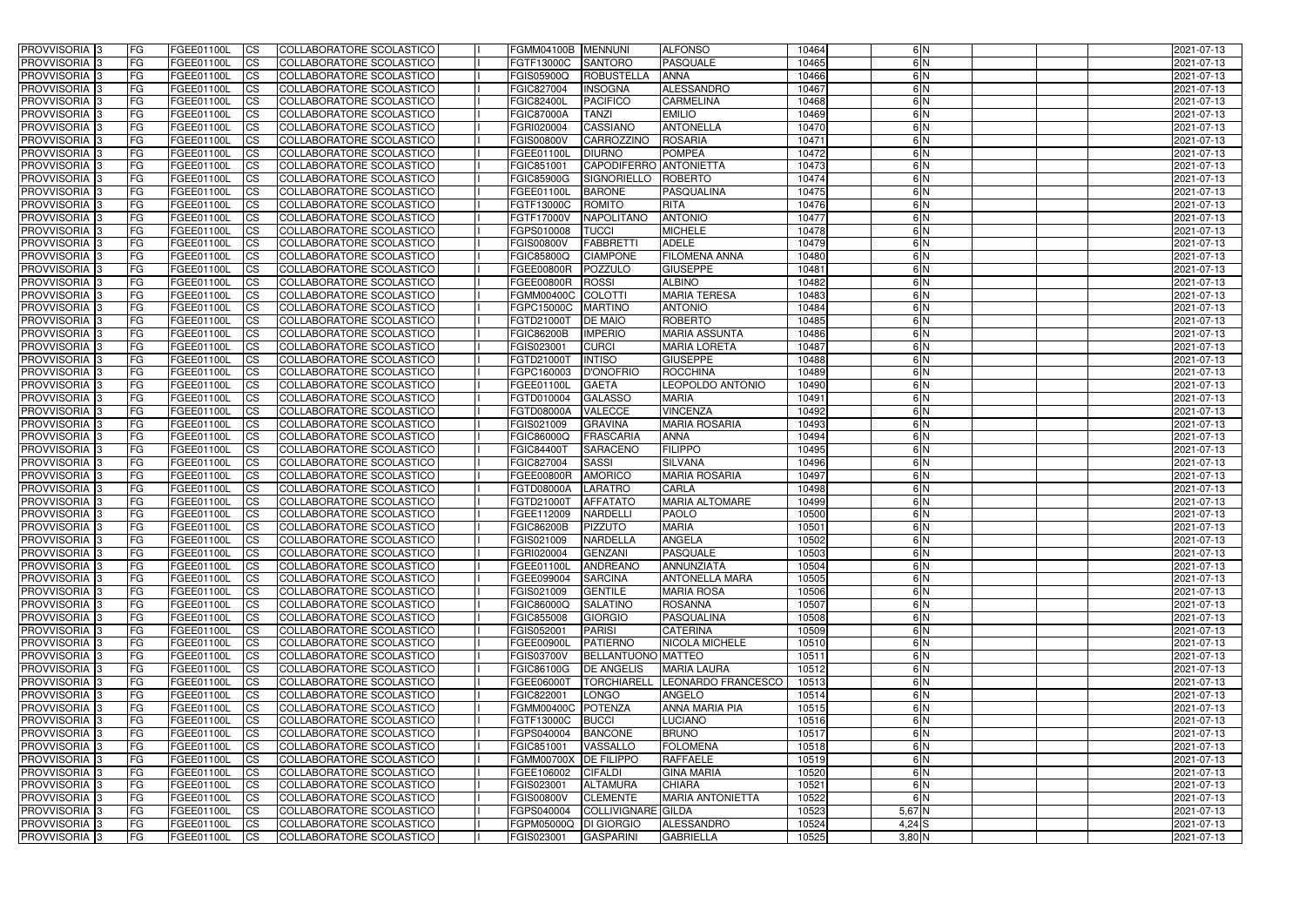| <b>PROVVISORIA</b> 3                       | <b>FG</b>              | FGEE01100L               | <b>ICS</b>             | COLLABORATORE SCOLASTICO                             | FGMM04100B MENNUNI                  |                               | <b>ALFONSO</b>                         | 10464          | 6N            | 2021-07-13               |
|--------------------------------------------|------------------------|--------------------------|------------------------|------------------------------------------------------|-------------------------------------|-------------------------------|----------------------------------------|----------------|---------------|--------------------------|
| <b>PROVVISORIA 3</b>                       | FG                     | FGEE01100L               | <b>ICS</b>             | COLLABORATORE SCOLASTICO                             | FGTF13000C                          | <b>SANTORO</b>                | <b>PASQUALE</b>                        | 10465          | 6N            | 2021-07-13               |
| PROVVISORIA                                | FG                     | FGEE01100L               | <b>CS</b>              | <b>COLLABORATORE SCOLASTICO</b>                      | FGIS05900Q                          | ROBUSTELLA                    | <b>ANNA</b>                            | 10466          | 6N            | 2021-07-13               |
| PROVVISORIA                                | FG                     | FGEE01100L               | <b>CS</b>              | COLLABORATORE SCOLASTICO                             | FGIC827004                          | <b>INSOGNA</b>                | ALESSANDRO                             | 10467          | 6N            | 2021-07-13               |
| PROVVISORIA <sup>1</sup> 3                 | FG                     | FGEE01100L               | <b>CS</b>              | COLLABORATORE SCOLASTICO                             | <b>FGIC82400L</b>                   | <b>PACIFICO</b>               | <b>CARMELINA</b>                       | 10468          | 6 N           | 2021-07-13               |
| PROVVISORIA <sup>1</sup> 3                 | FG                     | FGEE01100L               | <b>CS</b>              | COLLABORATORE SCOLASTICO                             | <b>FGIC87000A</b>                   | <b>TANZI</b>                  | <b>EMILIO</b>                          | 10469          | 6 N           | 2021-07-13               |
| PROVVISORIA <sup>1</sup> 3                 | FG                     | FGEE01100L               | <b>CS</b>              | COLLABORATORE SCOLASTICO                             | FGRI020004                          | <b>CASSIANO</b>               | <b>ANTONELLA</b>                       | 10470          | 6N            | 2021-07-13               |
| PROVVISORIA 3                              | FG                     | FGEE01100L               | <b>ICS</b>             | COLLABORATORE SCOLASTICO                             | <b>FGIS00800V</b>                   | CARROZZINO                    | <b>ROSARIA</b>                         | 10471          | 6N            | 2021-07-13               |
| PROVVISORIA                                | FG                     | FGEE01100L               | <b>CS</b>              | COLLABORATORE SCOLASTICO                             | FGEE01100L                          | <b>DIURNO</b>                 | <b>POMPEA</b>                          | 10472          | 6N            | 2021-07-13               |
| PROVVISORIA 3                              | <b>FG</b>              | FGEE01100L               | $\overline{c}$         | COLLABORATORE SCOLASTICO                             | FGIC851001                          | CAPODIFERRO ANTONIETTA        |                                        | 10473          | 6N            | 2021-07-13               |
| <b>PROVVISORIA</b> 3                       | FG                     | FGEE01100L               | <b>CS</b>              | COLLABORATORE SCOLASTICO                             | <b>FGIC85900G</b>                   | SIGNORIELLO                   | <b>ROBERTO</b>                         | 10474          | $\frac{6}{N}$ | 2021-07-13               |
| <b>PROVVISORIA</b>                         | FG                     | FGEE01100L               | <b>CS</b>              | COLLABORATORE SCOLASTICO                             | FGEE01100L                          | <b>BARONE</b>                 | PASQUALINA                             | 10475          | 6 N           | 2021-07-13               |
| <b>PROVVISORIA</b>                         | FG                     | FGEE01100L               | <b>ICS</b>             | COLLABORATORE SCOLASTICO                             | FGTF13000C                          | <b>ROMITO</b>                 | <b>RITA</b>                            | 10476          | 6N            | 2021-07-13               |
| <b>PROVVISORIA</b>                         | FG                     | FGEE01100L               | <b>ICS</b>             | COLLABORATORE SCOLASTICO                             | <b>FGTF17000V</b>                   | <b>NAPOLITANO</b>             | <b>ANTONIO</b>                         | 10477          | 6N            | 2021-07-13               |
| <b>PROVVISORIA</b>                         | FG                     | FGEE01100L               | <b>ICS</b>             | COLLABORATORE SCOLASTICO                             | FGPS010008                          | <b>TUCCI</b>                  | <b>MICHELE</b>                         | 10478          | 6N            | 2021-07-13               |
| <b>PROVVISORIA</b>                         | FG                     | FGEE01100L               | <b>ICS</b>             | COLLABORATORE SCOLASTICO                             | <b>FGIS00800V</b>                   | <b>FABBRETTI</b>              | <b>ADELE</b>                           | 10479          | 6 N           | 2021-07-13               |
| <b>PROVVISORIA</b>                         | FG                     | FGEE01100L               | <b>ICS</b>             | COLLABORATORE SCOLASTICO                             | <b>FGIC85800Q</b>                   | <b>CIAMPONE</b>               | <b>FILOMENA ANNA</b>                   | 10480          | 6N            | 2021-07-13               |
| <b>PROVVISORIA</b>                         | FG                     | FGEE01100L               | <b>ICS</b>             | COLLABORATORE SCOLASTICO                             | <b>FGEE00800R</b>                   | POZZULO                       | <b>GIUSEPPE</b>                        | 10481          | 6N            | 2021-07-13               |
| PROVVISORIA <sup>3</sup>                   | FG                     | FGEE01100L               | <b>ICS</b>             | COLLABORATORE SCOLASTICO                             | FGEE00800R                          | <b>ROSSI</b>                  | <b>ALBINO</b>                          | 10482          | 6 N           | 2021-07-13               |
| PROVVISORIA <sup>3</sup>                   | FG                     | FGEE01100L               | <b>ICS</b>             | COLLABORATORE SCOLASTICO                             | <b>FGMM00400C</b>                   | <b>COLOTTI</b>                | <b>MARIA TERESA</b>                    | 10483          | 6N            | 2021-07-13               |
| PROVVISORIA <sup>1</sup> 3                 | FG                     | FGEE01100L               | <b>ICS</b>             | COLLABORATORE SCOLASTICO                             | FGPC15000C                          | <b>MARTINO</b>                | <b>ANTONIO</b>                         | 10484          | 6N            | 2021-07-13               |
| PROVVISORIA 3                              | FG                     | FGEE01100L               | <b>ICS</b>             | COLLABORATORE SCOLASTICO                             | FGTD21000T                          | <b>DE MAIO</b>                | <b>ROBERTO</b>                         | 10485          | 6N            | 2021-07-13               |
| PROVVISORIA 3<br>PROVVISORIA <sup>13</sup> | FG                     | FGEE01100L               | <b>CS</b>              | <b>COLLABORATORE SCOLASTICO</b>                      | <b>FGIC86200B</b>                   | <b>IMPERIO</b>                | <b>MARIA ASSUNTA</b>                   | 10486          | 6N<br>6N      | 2021-07-13               |
| PROVVISORIA <sup>3</sup>                   | FG<br>FG               | FGEE01100L<br>FGEE01100L | <b>CS</b><br><b>CS</b> | COLLABORATORE SCOLASTICO<br>COLLABORATORE SCOLASTICO | FGIS023001<br>FGTD21000T            | <b>CURCI</b><br><b>INTISO</b> | <b>MARIA LORETA</b><br><b>GIUSEPPE</b> | 10487<br>10488 | 6N            | 2021-07-13<br>2021-07-13 |
| PROVVISORIA 3                              | FG                     | FGEE01100L               | <b>CS</b>              | COLLABORATORE SCOLASTICO                             | FGPC160003                          | <b>D'ONOFRIO</b>              | <b>ROCCHINA</b>                        | 10489          | 6N            | 2021-07-13               |
| PROVVISORIA 3                              | FG                     | FGEE01100L               | <b>ICS</b>             | COLLABORATORE SCOLASTICO                             | FGEE01100L                          | <b>GAETA</b>                  | LEOPOLDO ANTONIO                       | 10490          | 6N            | 2021-07-13               |
| <b>PROVVISORIA</b>                         | FG                     | FGEE01100L               | <b>ICS</b>             | COLLABORATORE SCOLASTICO                             | FGTD010004                          | <b>GALASSO</b>                | <b>MARIA</b>                           | 10491          | 6N            | 2021-07-13               |
| PROVVISORIA                                | FG                     | FGEE01100L               | <b>CS</b>              | <b>COLLABORATORE SCOLASTICO</b>                      | <b>FGTD08000A</b>                   | <b>VALECCE</b>                | <b>VINCENZA</b>                        | 10492          | 6N            | 2021-07-13               |
| PROVVISORIA                                | FG                     | FGEE01100L               | <b>CS</b>              | COLLABORATORE SCOLASTICO                             | FGIS021009                          | <b>GRAVINA</b>                | <b>MARIA ROSARIA</b>                   | 10493          | 6 N           | 2021-07-13               |
| PROVVISORIA                                | FG                     | FGEE01100L               | <b>CS</b>              | COLLABORATORE SCOLASTICO                             | FGIC86000Q                          | <b>FRASCARIA</b>              | <b>ANNA</b>                            | 10494          | 6N            | 2021-07-13               |
| <b>PROVVISORIA</b>                         | FG                     | FGEE01100L               | <b>CS</b>              | COLLABORATORE SCOLASTICO                             | <b>FGIC84400T</b>                   | <b>SARACENC</b>               | <b>FILIPPO</b>                         | 10495          | 6N            | 2021-07-13               |
| PROVVISORIA <sup>1</sup> 3                 | FG                     | FGEE01100L               | <b>CS</b>              | COLLABORATORE SCOLASTICO                             | FGIC827004                          | SASSI                         | <b>SILVANA</b>                         | 10496          | 6N            | 2021-07-13               |
| PROVVISORIA 3                              | FG                     | FGEE01100L               | <b>CS</b>              | <b>COLLABORATORE SCOLASTICO</b>                      | FGEE00800R                          | <b>AMORICO</b>                | <b>MARIA ROSARIA</b>                   | 10497          | 6N            | 2021-07-13               |
| <b>PROVVISORIA</b>                         | FG                     | FGEE01100L               | $\overline{c}$         | COLLABORATORE SCOLASTICO                             | FGTD08000A                          | <b>LARATRO</b>                | <b>CARLA</b>                           | 10498          | 6N            | 2021-07-13               |
| <b>PROVVISORIA</b>                         | FG                     | FGEE01100L               | <b>CS</b>              | COLLABORATORE SCOLASTICO                             | FGTD21000T                          | <b>AFFATATO</b>               | <b>MARIA ALTOMARE</b>                  | 10499          | 6N            | 2021-07-13               |
| <b>PROVVISORIA</b>                         | FG                     | FGEE01100L               | <b>ICS</b>             | COLLABORATORE SCOLASTICO                             | FGEE112009                          | <b>NARDELLI</b>               | <b>PAOLO</b>                           | 10500          | 6N            | 2021-07-13               |
| <b>PROVVISORIA</b>                         | <b>FG</b>              | FGEE01100L               | <b>ICS</b>             | COLLABORATORE SCOLASTICO                             | <b>FGIC86200B</b>                   | <b>PIZZUTO</b>                | <b>MARIA</b>                           | 10501          | $\frac{6}{N}$ | 2021-07-13               |
| PROVVISORIA 3                              | FG                     | FGEE01100L               | CS                     | COLLABORATORE SCOLASTICO                             | FGIS021009                          | NARDELLA                      | <b>ANGELA</b>                          | 10502          | 6 N           | 2021-07-13               |
| PROVVISORIA 3                              | <b>FG</b>              | FGEE01100L               | $\mathsf{ICS}$         | COLLABORATORE SCOLASTICO                             | FGRI020004                          | GENZANI                       | PASQUALE                               | 10503          | 6N            | 2021-07-13               |
| PROVVISORIA 3                              | <b>FG</b>              | <b>FGEE01100L</b>        | $\mathsf{ICS}$         | COLLABORATORE SCOLASTICO                             | FGEE01100L                          | ANDREANO                      | ANNUNZIATA                             | 10504          | 6N            | 2021-07-13               |
| PROVVISORIA 3                              | <b>FG</b>              | FGEE01100L               | $\mathsf{ICS}$         | COLLABORATORE SCOLASTICO                             | FGEE099004                          | <b>SARCINA</b>                | <b>ANTONELLA MARA</b>                  | 10505          | 6N            | 2021-07-13               |
| PROVVISORIA 3                              | FG                     | FGEE01100L               | $\mathsf{ICS}$         | COLLABORATORE SCOLASTICO                             | FGIS021009                          | <b>GENTILE</b>                | <b>MARIA ROSA</b>                      | 10506          | 6 N           | 2021-07-13               |
| PROVVISORIA 3                              | l FG                   | FGEE01100L               | $\mathsf{ICS}$         | COLLABORATORE SCOLASTICO                             | <b>FGIC86000Q</b>                   | <b>SALATINO</b>               | ROSANNA                                | 10507          | $\frac{6}{N}$ | 2021-07-13               |
| PROVVISORIA 3                              | <b>FG</b>              | FGEE01100L               | $\mathsf{ICS}$         | COLLABORATORE SCOLASTICO                             | FGIC855008                          | <b>GIORGIO</b>                | PASQUALINA                             | 10508          | 6N            | 2021-07-13               |
| PROVVISORIA 3                              | FG                     | FGEE01100L               | <b>CS</b>              | COLLABORATORE SCOLASTICO                             | FGIS052001                          | <b>PARISI</b>                 | <b>CATERINA</b>                        | 10509          | 6N            | 2021-07-13               |
| PROVVISORIA 3                              | <b>FG</b>              | FGEE01100L               | <b>CS</b>              | COLLABORATORE SCOLASTICO                             | FGEE00900L                          | <b>PATIERNO</b>               | <b>NICOLA MICHELE</b>                  | 10510          | 6N            | 2021-07-13               |
| PROVVISORIA 3                              | <b>FG</b>              | FGEE01100L               | <b>CS</b>              | COLLABORATORE SCOLASTICO                             | <b>FGIS03700V</b>                   | <b>BELLANTUONO MATTEO</b>     |                                        | 10511          | 6N            | 2021-07-13               |
| PROVVISORIA 3                              | <b>FG</b>              | FGEE01100L               | <b>CS</b>              | COLLABORATORE SCOLASTICO                             | <b>FGIC86100G</b>                   | <b>DE ANGELIS</b>             | <b>MARIA LAURA</b>                     | 10512          | 6N            | 2021-07-13               |
| PROVVISORIA 3                              | <b>FG</b>              | FGEE01100L               | <b>CS</b>              | COLLABORATORE SCOLASTICO                             | FGEE06000T                          | <b>TORCHIARELL</b>            | LEONARDO FRANCESCO                     | 10513          | 6N            | 2021-07-13               |
| PROVVISORIA 3                              | <b>FG</b>              | FGEE01100L               | <b>CS</b>              | COLLABORATORE SCOLASTICO                             | FGIC822001                          | LONGO                         | ANGELO                                 | 10514          | 6N            | 2021-07-13               |
| PROVVISORIA 3                              | <b>FG</b>              | FGEE01100L               | <b>CS</b>              | COLLABORATORE SCOLASTICO                             | FGMM00400C POTENZA                  |                               | <b>ANNA MARIA PIA</b>                  | 10515          | 6N            | 2021-07-13               |
| PROVVISORIA 3                              | <b>FG</b>              | FGEE01100L               | <b>CS</b>              | COLLABORATORE SCOLASTICO                             | FGTF13000C                          | BUCCI                         | <b>LUCIANO</b>                         | 10516          | 6N            | 2021-07-13               |
| PROVVISORIA 3                              | <b>FG</b>              | FGEE01100L               | <b>CS</b>              | COLLABORATORE SCOLASTICO                             | FGPS040004                          | <b>BANCONE</b>                | <b>BRUNO</b>                           | 10517          | 6N            | 2021-07-13               |
| PROVVISORIA 3                              | <b>FG</b>              | FGEE01100L               | <b>CS</b>              | COLLABORATORE SCOLASTICO                             | FGIC851001                          | VASSALLO                      | <b>FOLOMENA</b>                        | 10518          | 6N            | 2021-07-13               |
| PROVVISORIA 3<br>PROVVISORIA 3             | <b>FG</b><br><b>FG</b> | FGEE01100L<br>FGEE01100L | <b>CS</b><br><b>CS</b> | COLLABORATORE SCOLASTICO<br>COLLABORATORE SCOLASTICO | FGMM00700X DE FILIPPO<br>FGEE106002 | <b>CIFALDI</b>                | <b>RAFFAELE</b><br><b>GINA MARIA</b>   | 10519<br>10520 | 6N<br>6N      | 2021-07-13               |
| PROVVISORIA 3                              |                        | FGEE01100L               |                        | COLLABORATORE SCOLASTICO                             | FGIS023001                          | <b>ALTAMURA</b>               | <b>CHIARA</b>                          | 10521          | 6N            | 2021-07-13<br>2021-07-13 |
| PROVVISORIA 3                              | FG<br> FG              | FGEE01100L               | <b>CS</b><br><b>CS</b> | COLLABORATORE SCOLASTICO                             | <b>FGIS00800V</b>                   | <b>CLEMENTE</b>               | <b>MARIA ANTONIETTA</b>                | 10522          | 6N            | 2021-07-13               |
| PROVVISORIA 3                              | <b>FG</b>              | FGEE01100L               | <b>CS</b>              | COLLABORATORE SCOLASTICO                             | FGPS040004                          | COLLIVIGNARE GILDA            |                                        | 10523          | $5,67$ N      | 2021-07-13               |
| PROVVISORIA 3                              | <b>FG</b>              | FGEE01100L               | $\overline{\text{CS}}$ | COLLABORATORE SCOLASTICO                             | FGPM05000Q DI GIORGIO               |                               | ALESSANDRO                             | 10524          | $4,24$ S      | 2021-07-13               |
| PROVVISORIA 3                              | <b>FG</b>              | <b>FGEE01100L</b>        | $\mathsf{ICS}$         | COLLABORATORE SCOLASTICO                             | FGIS023001                          | <b>GASPARINI</b>              | <b>GABRIELLA</b>                       | 10525          | $3,80$ N      | 2021-07-13               |
|                                            |                        |                          |                        |                                                      |                                     |                               |                                        |                |               |                          |